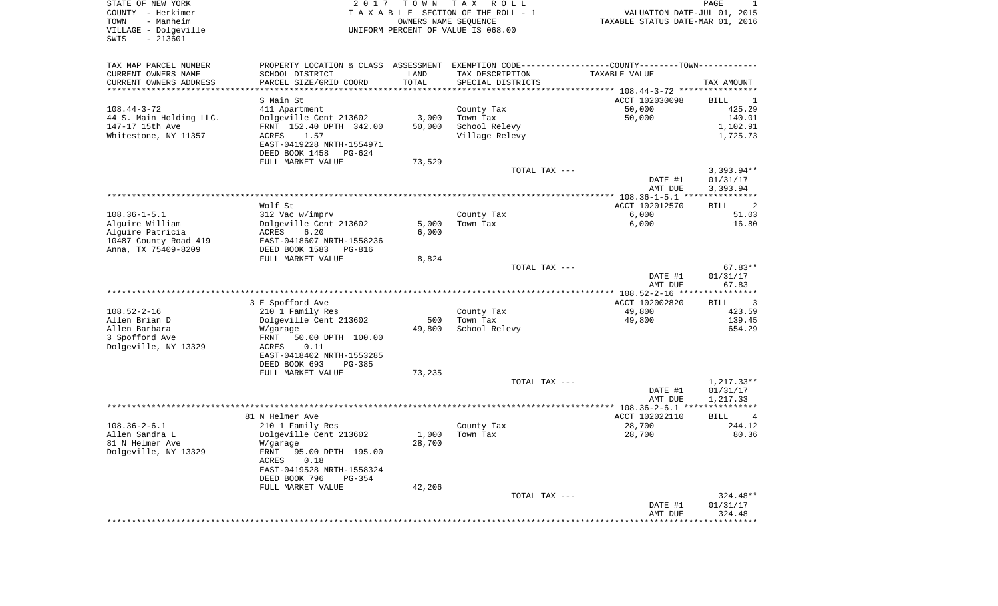| COUNTY<br>– Herkimer<br>TOWN<br>- Manheim<br>VILLAGE - Dolgeville<br>$-213601$<br>SWIS | T A X A B L E SECTION OF THE ROLL - 1<br>OWNERS NAME SEQUENCE<br>UNIFORM PERCENT OF VALUE IS 068.00 |        |                   | VALUATION DATE-JUL 01, 2015<br>TAXABLE STATUS DATE-MAR 01, 2016 |                                           |
|----------------------------------------------------------------------------------------|-----------------------------------------------------------------------------------------------------|--------|-------------------|-----------------------------------------------------------------|-------------------------------------------|
| TAX MAP PARCEL NUMBER                                                                  | PROPERTY LOCATION & CLASS ASSESSMENT EXEMPTION CODE----------------COUNTY--------TOWN-----------    |        |                   |                                                                 |                                           |
| CURRENT OWNERS NAME                                                                    | SCHOOL DISTRICT                                                                                     | LAND   | TAX DESCRIPTION   | TAXABLE VALUE                                                   |                                           |
| CURRENT OWNERS ADDRESS                                                                 | PARCEL SIZE/GRID COORD                                                                              | TOTAL  | SPECIAL DISTRICTS |                                                                 | TAX AMOUNT                                |
|                                                                                        | S Main St                                                                                           |        |                   | ACCT 102030098                                                  | BILL<br>$\mathbf{1}$                      |
| $108.44 - 3 - 72$                                                                      | 411 Apartment                                                                                       |        | County Tax        | 50,000                                                          | 425.29                                    |
| 44 S. Main Holding LLC.                                                                | Dolgeville Cent 213602                                                                              | 3,000  | Town Tax          | 50,000                                                          | 140.01                                    |
| 147-17 15th Ave                                                                        | FRNT 152.40 DPTH 342.00                                                                             | 50,000 | School Relevy     |                                                                 | 1,102.91                                  |
| Whitestone, NY 11357                                                                   | ACRES<br>1.57                                                                                       |        | Village Relevy    |                                                                 | 1,725.73                                  |
|                                                                                        | EAST-0419228 NRTH-1554971                                                                           |        |                   |                                                                 |                                           |
|                                                                                        | DEED BOOK 1458<br>PG-624                                                                            |        |                   |                                                                 |                                           |
|                                                                                        | FULL MARKET VALUE                                                                                   | 73,529 |                   |                                                                 | $3,393.94**$                              |
|                                                                                        |                                                                                                     |        | TOTAL TAX ---     | DATE #1                                                         | 01/31/17                                  |
|                                                                                        |                                                                                                     |        |                   | AMT DUE                                                         | 3,393.94                                  |
|                                                                                        |                                                                                                     |        |                   |                                                                 |                                           |
|                                                                                        | Wolf St                                                                                             |        |                   | ACCT 102012570                                                  | <b>BILL</b><br>$\overline{\phantom{0}}^2$ |
| $108.36 - 1 - 5.1$                                                                     | 312 Vac w/imprv                                                                                     |        | County Tax        | 6,000                                                           | 51.03                                     |
| Alguire William                                                                        | Dolgeville Cent 213602                                                                              | 5,000  | Town Tax          | 6,000                                                           | 16.80                                     |
| Alquire Patricia                                                                       | ACRES<br>6.20                                                                                       | 6,000  |                   |                                                                 |                                           |
| 10487 County Road 419<br>Anna, TX 75409-8209                                           | EAST-0418607 NRTH-1558236<br>DEED BOOK 1583<br>PG-816                                               |        |                   |                                                                 |                                           |
|                                                                                        | FULL MARKET VALUE                                                                                   | 8,824  |                   |                                                                 |                                           |
|                                                                                        |                                                                                                     |        | TOTAL TAX ---     |                                                                 | $67.83**$                                 |
|                                                                                        |                                                                                                     |        |                   | DATE #1                                                         | 01/31/17                                  |
|                                                                                        |                                                                                                     |        |                   | AMT DUE                                                         | 67.83                                     |
|                                                                                        |                                                                                                     |        |                   |                                                                 |                                           |
| $108.52 - 2 - 16$                                                                      | 3 E Spofford Ave<br>210 1 Family Res                                                                |        | County Tax        | ACCT 102002820<br>49,800                                        | BILL 3<br>423.59                          |
| Allen Brian D                                                                          | Dolgeville Cent 213602                                                                              | 500    | Town Tax          | 49,800                                                          | 139.45                                    |
| Allen Barbara                                                                          | W/garage                                                                                            | 49,800 | School Relevy     |                                                                 | 654.29                                    |
| 3 Spofford Ave                                                                         | FRNT<br>50.00 DPTH 100.00                                                                           |        |                   |                                                                 |                                           |
| Dolgeville, NY 13329                                                                   | 0.11<br>ACRES                                                                                       |        |                   |                                                                 |                                           |
|                                                                                        | EAST-0418402 NRTH-1553285                                                                           |        |                   |                                                                 |                                           |
|                                                                                        | DEED BOOK 693<br>PG-385                                                                             |        |                   |                                                                 |                                           |
|                                                                                        | FULL MARKET VALUE                                                                                   | 73,235 |                   |                                                                 |                                           |
|                                                                                        |                                                                                                     |        | TOTAL TAX ---     | DATE #1                                                         | $1,217.33**$<br>01/31/17                  |
|                                                                                        |                                                                                                     |        |                   | AMT DUE                                                         | 1,217.33                                  |
|                                                                                        |                                                                                                     |        |                   |                                                                 |                                           |
|                                                                                        | 81 N Helmer Ave                                                                                     |        |                   | ACCT 102022110                                                  | $\overline{4}$<br>BILL                    |
| $108.36 - 2 - 6.1$                                                                     | 210 1 Family Res                                                                                    |        | County Tax        | 28,700                                                          | 244.12                                    |
| Allen Sandra L                                                                         | Dolgeville Cent 213602                                                                              | 1,000  | Town Tax          | 28,700                                                          | 80.36                                     |
| 81 N Helmer Ave                                                                        | W/garage                                                                                            | 28,700 |                   |                                                                 |                                           |
| Dolgeville, NY 13329                                                                   | FRNT<br>95.00 DPTH 195.00<br>0.18<br>ACRES                                                          |        |                   |                                                                 |                                           |
|                                                                                        | EAST-0419528 NRTH-1558324                                                                           |        |                   |                                                                 |                                           |
|                                                                                        | DEED BOOK 796<br>PG-354                                                                             |        |                   |                                                                 |                                           |
|                                                                                        | FULL MARKET VALUE                                                                                   | 42,206 |                   |                                                                 |                                           |
|                                                                                        |                                                                                                     |        | TOTAL TAX ---     |                                                                 | $324.48**$                                |
|                                                                                        |                                                                                                     |        |                   | DATE #1                                                         | 01/31/17                                  |
|                                                                                        |                                                                                                     |        |                   | AMT DUE                                                         | 324.48                                    |
|                                                                                        |                                                                                                     |        |                   |                                                                 |                                           |

STATE OF NEW YORK 2 0 1 7 T O W N T A X R O L L

 $\overline{\phantom{a}}$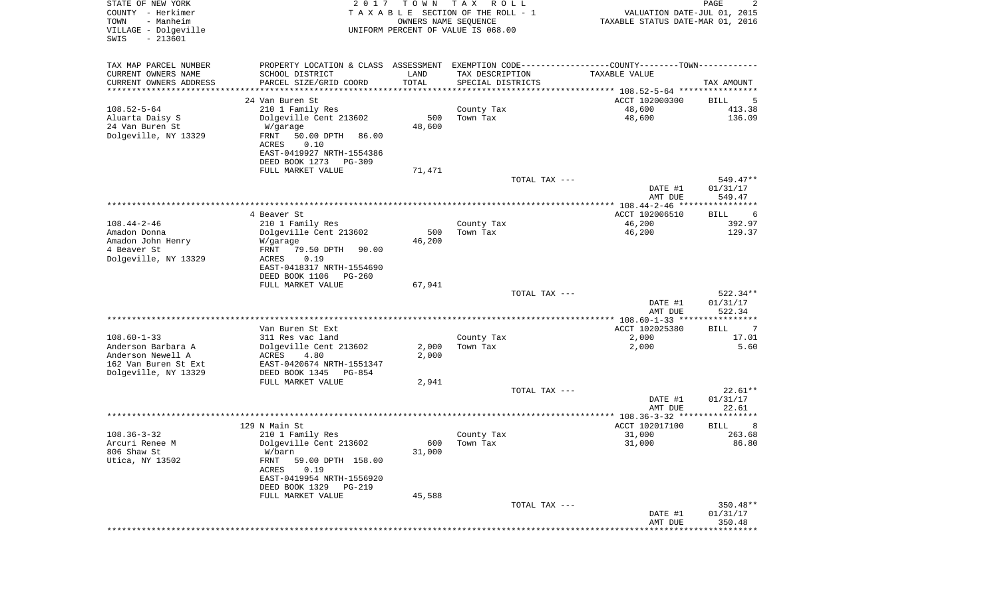| STATE OF NEW YORK<br>COUNTY - Herkimer<br>TOWN<br>- Manheim<br>VILLAGE - Dolgeville<br>$-213601$<br>SWIS | 2 0 1 7                                                                                       | T O W N<br>OWNERS NAME SEQUENCE | T A X<br>R O L L<br>TAXABLE SECTION OF THE ROLL - 1<br>UNIFORM PERCENT OF VALUE IS 068.00 |               | VALUATION DATE-JUL 01, 2015<br>TAXABLE STATUS DATE-MAR 01, 2016 | PAGE<br>2              |
|----------------------------------------------------------------------------------------------------------|-----------------------------------------------------------------------------------------------|---------------------------------|-------------------------------------------------------------------------------------------|---------------|-----------------------------------------------------------------|------------------------|
| TAX MAP PARCEL NUMBER                                                                                    | PROPERTY LOCATION & CLASS ASSESSMENT EXEMPTION CODE---------------COUNTY-------TOWN---------- |                                 |                                                                                           |               |                                                                 |                        |
| CURRENT OWNERS NAME                                                                                      | SCHOOL DISTRICT                                                                               | LAND                            | TAX DESCRIPTION                                                                           |               | TAXABLE VALUE                                                   |                        |
| CURRENT OWNERS ADDRESS<br>*********************                                                          | PARCEL SIZE/GRID COORD                                                                        | TOTAL<br>*************          | SPECIAL DISTRICTS                                                                         |               |                                                                 | TAX AMOUNT             |
|                                                                                                          | 24 Van Buren St                                                                               |                                 |                                                                                           |               | ACCT 102000300                                                  | BILL<br>5              |
| $108.52 - 5 - 64$                                                                                        | 210 1 Family Res                                                                              |                                 | County Tax                                                                                |               | 48,600                                                          | 413.38                 |
| Aluarta Daisy S                                                                                          | Dolgeville Cent 213602                                                                        | 500                             | Town Tax                                                                                  |               | 48,600                                                          | 136.09                 |
| 24 Van Buren St                                                                                          | W/garage                                                                                      | 48,600                          |                                                                                           |               |                                                                 |                        |
| Dolgeville, NY 13329                                                                                     | FRNT<br>50.00 DPTH<br>86.00                                                                   |                                 |                                                                                           |               |                                                                 |                        |
|                                                                                                          | ACRES<br>0.10                                                                                 |                                 |                                                                                           |               |                                                                 |                        |
|                                                                                                          | EAST-0419927 NRTH-1554386                                                                     |                                 |                                                                                           |               |                                                                 |                        |
|                                                                                                          | DEED BOOK 1273<br>PG-309                                                                      |                                 |                                                                                           |               |                                                                 |                        |
|                                                                                                          | FULL MARKET VALUE                                                                             | 71,471                          |                                                                                           |               |                                                                 |                        |
|                                                                                                          |                                                                                               |                                 |                                                                                           | TOTAL TAX --- | DATE #1                                                         | $549.47**$<br>01/31/17 |
|                                                                                                          |                                                                                               |                                 |                                                                                           |               | AMT DUE                                                         | 549.47                 |
|                                                                                                          |                                                                                               |                                 |                                                                                           |               |                                                                 |                        |
|                                                                                                          | 4 Beaver St                                                                                   |                                 |                                                                                           |               | ACCT 102006510                                                  | BILL<br>6              |
| $108.44 - 2 - 46$                                                                                        | 210 1 Family Res                                                                              |                                 | County Tax                                                                                |               | 46,200                                                          | 392.97                 |
| Amadon Donna                                                                                             | Dolgeville Cent 213602                                                                        | 500                             | Town Tax                                                                                  |               | 46,200                                                          | 129.37                 |
| Amadon John Henry                                                                                        | W/garage                                                                                      | 46,200                          |                                                                                           |               |                                                                 |                        |
| 4 Beaver St                                                                                              | 79.50 DPTH<br>FRNT<br>90.00                                                                   |                                 |                                                                                           |               |                                                                 |                        |
| Dolgeville, NY 13329                                                                                     | 0.19<br>ACRES<br>EAST-0418317 NRTH-1554690                                                    |                                 |                                                                                           |               |                                                                 |                        |
|                                                                                                          | DEED BOOK 1106<br>PG-260                                                                      |                                 |                                                                                           |               |                                                                 |                        |
|                                                                                                          | FULL MARKET VALUE                                                                             | 67,941                          |                                                                                           |               |                                                                 |                        |
|                                                                                                          |                                                                                               |                                 |                                                                                           | TOTAL TAX --- |                                                                 | 522.34**               |
|                                                                                                          |                                                                                               |                                 |                                                                                           |               | DATE #1                                                         | 01/31/17               |
|                                                                                                          |                                                                                               |                                 |                                                                                           |               | AMT DUE                                                         | 522.34                 |
|                                                                                                          |                                                                                               |                                 |                                                                                           |               |                                                                 | ************           |
| $108.60 - 1 - 33$                                                                                        | Van Buren St Ext<br>311 Res vac land                                                          |                                 | County Tax                                                                                |               | ACCT 102025380<br>2,000                                         | BILL<br>7<br>17.01     |
| Anderson Barbara A                                                                                       | Dolgeville Cent 213602                                                                        | 2,000                           | Town Tax                                                                                  |               | 2,000                                                           | 5.60                   |
| Anderson Newell A                                                                                        | ACRES<br>4.80                                                                                 | 2,000                           |                                                                                           |               |                                                                 |                        |
| 162 Van Buren St Ext                                                                                     | EAST-0420674 NRTH-1551347                                                                     |                                 |                                                                                           |               |                                                                 |                        |
| Dolgeville, NY 13329                                                                                     | DEED BOOK 1345<br>PG-854                                                                      |                                 |                                                                                           |               |                                                                 |                        |
|                                                                                                          | FULL MARKET VALUE                                                                             | 2,941                           |                                                                                           |               |                                                                 |                        |
|                                                                                                          |                                                                                               |                                 |                                                                                           | TOTAL TAX --- |                                                                 | $22.61**$              |
|                                                                                                          |                                                                                               |                                 |                                                                                           |               | DATE #1                                                         | 01/31/17               |
|                                                                                                          |                                                                                               |                                 |                                                                                           |               | AMT DUE                                                         | 22.61<br>********      |
|                                                                                                          | 129 N Main St                                                                                 |                                 |                                                                                           |               | ACCT 102017100                                                  | BILL<br>8              |
| $108.36 - 3 - 32$                                                                                        | 210 1 Family Res                                                                              |                                 | County Tax                                                                                |               | 31,000                                                          | 263.68                 |
| Arcuri Renee M                                                                                           | Dolgeville Cent 213602                                                                        |                                 | 600 Town Tax                                                                              |               | 31,000                                                          | 86.80                  |
| 806 Shaw St                                                                                              | W/barn                                                                                        | 31,000                          |                                                                                           |               |                                                                 |                        |
| Utica, NY 13502                                                                                          | FRNT<br>59.00 DPTH 158.00                                                                     |                                 |                                                                                           |               |                                                                 |                        |
|                                                                                                          | ACRES<br>0.19                                                                                 |                                 |                                                                                           |               |                                                                 |                        |
|                                                                                                          | EAST-0419954 NRTH-1556920                                                                     |                                 |                                                                                           |               |                                                                 |                        |
|                                                                                                          | DEED BOOK 1329<br>PG-219                                                                      | 45,588                          |                                                                                           |               |                                                                 |                        |
|                                                                                                          | FULL MARKET VALUE                                                                             |                                 |                                                                                           | TOTAL TAX --- |                                                                 | 350.48**               |
|                                                                                                          |                                                                                               |                                 |                                                                                           |               | DATE #1                                                         | 01/31/17               |
|                                                                                                          |                                                                                               |                                 |                                                                                           |               | AMT DUE                                                         | 350.48                 |
|                                                                                                          |                                                                                               |                                 |                                                                                           |               |                                                                 |                        |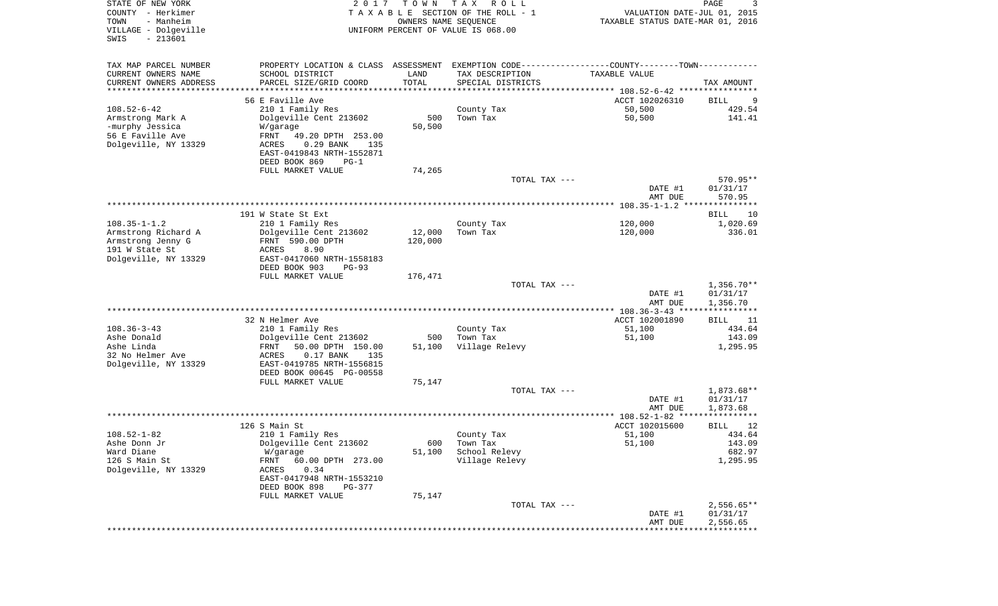| STATE OF NEW YORK<br>COUNTY - Herkimer<br>- Manheim<br>TOWN<br>VILLAGE - Dolgeville<br>$-213601$<br>SWIS | 2 0 1 7                                                  | T O W N<br>OWNERS NAME SEQUENCE | T A X<br>R O L L<br>TAXABLE SECTION OF THE ROLL - 1<br>UNIFORM PERCENT OF VALUE IS 068.00 | VALUATION DATE-JUL 01, 2015<br>TAXABLE STATUS DATE-MAR 01, 2016 | PAGE<br>3            |
|----------------------------------------------------------------------------------------------------------|----------------------------------------------------------|---------------------------------|-------------------------------------------------------------------------------------------|-----------------------------------------------------------------|----------------------|
| TAX MAP PARCEL NUMBER                                                                                    | PROPERTY LOCATION & CLASS ASSESSMENT                     |                                 | EXEMPTION CODE-----------------COUNTY-------TOWN-----------                               |                                                                 |                      |
| CURRENT OWNERS NAME                                                                                      | SCHOOL DISTRICT                                          | LAND                            | TAX DESCRIPTION                                                                           | TAXABLE VALUE                                                   |                      |
| CURRENT OWNERS ADDRESS                                                                                   | PARCEL SIZE/GRID COORD                                   | TOTAL                           | SPECIAL DISTRICTS                                                                         |                                                                 | TAX AMOUNT           |
| *********************                                                                                    | *******************                                      | **********                      |                                                                                           |                                                                 |                      |
| $108.52 - 6 - 42$                                                                                        | 56 E Faville Ave<br>210 1 Family Res                     |                                 | County Tax                                                                                | ACCT 102026310<br>50,500                                        | BILL<br>9<br>429.54  |
| Armstrong Mark A                                                                                         | Dolgeville Cent 213602                                   | 500                             | Town Tax                                                                                  | 50,500                                                          | 141.41               |
| -murphy Jessica                                                                                          | W/garage                                                 | 50,500                          |                                                                                           |                                                                 |                      |
| 56 E Faville Ave                                                                                         | FRNT<br>49.20 DPTH 253.00                                |                                 |                                                                                           |                                                                 |                      |
| Dolgeville, NY 13329                                                                                     | $0.29$ BANK<br>ACRES<br>135                              |                                 |                                                                                           |                                                                 |                      |
|                                                                                                          | EAST-0419843 NRTH-1552871                                |                                 |                                                                                           |                                                                 |                      |
|                                                                                                          | DEED BOOK 869<br>$PG-1$                                  |                                 |                                                                                           |                                                                 |                      |
|                                                                                                          | FULL MARKET VALUE                                        | 74,265                          |                                                                                           |                                                                 |                      |
|                                                                                                          |                                                          |                                 | TOTAL TAX ---                                                                             | DATE #1                                                         | 570.95**<br>01/31/17 |
|                                                                                                          |                                                          |                                 |                                                                                           | AMT DUE                                                         | 570.95               |
|                                                                                                          |                                                          |                                 |                                                                                           |                                                                 |                      |
|                                                                                                          | 191 W State St Ext                                       |                                 |                                                                                           |                                                                 | BILL<br>10           |
| $108.35 - 1 - 1.2$                                                                                       | 210 1 Family Res                                         |                                 | County Tax                                                                                | 120,000                                                         | 1,020.69             |
| Armstrong Richard A                                                                                      | Dolgeville Cent 213602                                   | 12,000                          | Town Tax                                                                                  | 120,000                                                         | 336.01               |
| Armstrong Jenny G                                                                                        | FRNT 590.00 DPTH                                         | 120,000                         |                                                                                           |                                                                 |                      |
| 191 W State St                                                                                           | 8.90<br>ACRES                                            |                                 |                                                                                           |                                                                 |                      |
| Dolgeville, NY 13329                                                                                     | EAST-0417060 NRTH-1558183<br>DEED BOOK 903<br>$PG-93$    |                                 |                                                                                           |                                                                 |                      |
|                                                                                                          | FULL MARKET VALUE                                        | 176,471                         |                                                                                           |                                                                 |                      |
|                                                                                                          |                                                          |                                 | TOTAL TAX ---                                                                             |                                                                 | $1,356.70**$         |
|                                                                                                          |                                                          |                                 |                                                                                           | DATE #1<br>AMT DUE                                              | 01/31/17<br>1,356.70 |
|                                                                                                          |                                                          |                                 |                                                                                           | ************** 108.36-3-43 *****************                    |                      |
|                                                                                                          | 32 N Helmer Ave                                          |                                 |                                                                                           | ACCT 102001890                                                  | BILL<br>11           |
| $108.36 - 3 - 43$                                                                                        | 210 1 Family Res                                         |                                 | County Tax                                                                                | 51,100                                                          | 434.64               |
| Ashe Donald                                                                                              | Dolgeville Cent 213602                                   | 500                             | Town Tax                                                                                  | 51,100                                                          | 143.09               |
| Ashe Linda<br>32 No Helmer Ave                                                                           | FRNT<br>50.00 DPTH 150.00<br>ACRES<br>$0.17$ BANK<br>135 | 51,100                          | Village Relevy                                                                            |                                                                 | 1,295.95             |
| Dolgeville, NY 13329                                                                                     | EAST-0419785 NRTH-1556815                                |                                 |                                                                                           |                                                                 |                      |
|                                                                                                          | DEED BOOK 00645 PG-00558                                 |                                 |                                                                                           |                                                                 |                      |
|                                                                                                          | FULL MARKET VALUE                                        | 75,147                          |                                                                                           |                                                                 |                      |
|                                                                                                          |                                                          |                                 | TOTAL TAX ---                                                                             |                                                                 | 1,873.68**           |
|                                                                                                          |                                                          |                                 |                                                                                           | DATE #1                                                         | 01/31/17             |
|                                                                                                          |                                                          |                                 |                                                                                           | AMT DUE                                                         | 1,873.68             |
|                                                                                                          | 126 S Main St                                            |                                 |                                                                                           | ACCT 102015600                                                  | BILL<br>12           |
| $108.52 - 1 - 82$                                                                                        | 210 1 Family Res                                         |                                 | County Tax                                                                                | 51,100                                                          | 434.64               |
| Ashe Donn Jr                                                                                             | Dolgeville Cent 213602                                   | 600                             | Town Tax                                                                                  | 51,100                                                          | 143.09               |
| Ward Diane                                                                                               | W/garage                                                 | 51,100                          | School Relevy                                                                             |                                                                 | 682.97               |
| 126 S Main St                                                                                            | 60.00 DPTH 273.00<br>FRNT                                |                                 | Village Relevy                                                                            |                                                                 | 1,295.95             |
| Dolgeville, NY 13329                                                                                     | 0.34<br>ACRES                                            |                                 |                                                                                           |                                                                 |                      |
|                                                                                                          | EAST-0417948 NRTH-1553210                                |                                 |                                                                                           |                                                                 |                      |
|                                                                                                          | DEED BOOK 898<br>PG-377                                  |                                 |                                                                                           |                                                                 |                      |
|                                                                                                          | FULL MARKET VALUE                                        | 75,147                          |                                                                                           |                                                                 | $2,556.65**$         |
|                                                                                                          |                                                          |                                 | TOTAL TAX ---                                                                             | DATE #1                                                         | 01/31/17             |
|                                                                                                          |                                                          |                                 |                                                                                           | AMT DUE                                                         | 2,556.65             |
|                                                                                                          |                                                          |                                 |                                                                                           |                                                                 |                      |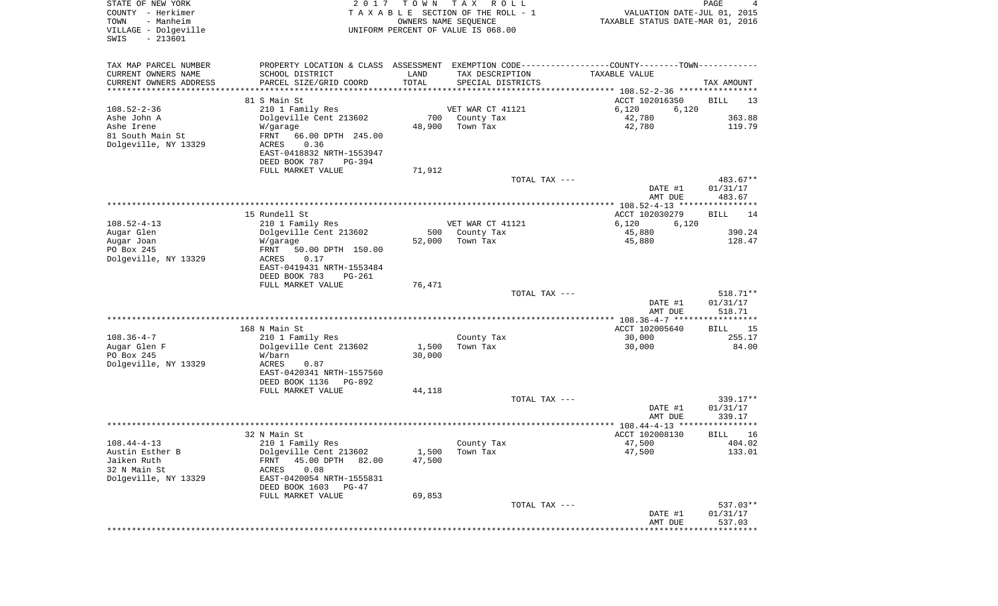| STATE OF NEW YORK<br>COUNTY - Herkimer<br>- Manheim<br>TOWN<br>VILLAGE - Dolgeville<br>SWIS<br>$-213601$ | 2 0 1 7                                                                                       | T O W N | T A X<br>R O L L<br>TAXABLE SECTION OF THE ROLL - 1<br>OWNERS NAME SEQUENCE<br>UNIFORM PERCENT OF VALUE IS 068.00 | VALUATION DATE-JUL 01, 2015<br>TAXABLE STATUS DATE-MAR 01, 2016 | PAGE<br>4            |
|----------------------------------------------------------------------------------------------------------|-----------------------------------------------------------------------------------------------|---------|-------------------------------------------------------------------------------------------------------------------|-----------------------------------------------------------------|----------------------|
| TAX MAP PARCEL NUMBER                                                                                    | PROPERTY LOCATION & CLASS ASSESSMENT EXEMPTION CODE---------------COUNTY-------TOWN---------- |         |                                                                                                                   |                                                                 |                      |
| CURRENT OWNERS NAME                                                                                      | SCHOOL DISTRICT                                                                               | LAND    | TAX DESCRIPTION                                                                                                   | TAXABLE VALUE                                                   |                      |
| CURRENT OWNERS ADDRESS<br>*********************                                                          | PARCEL SIZE/GRID COORD<br>***********************                                             | TOTAL   | SPECIAL DISTRICTS                                                                                                 |                                                                 | TAX AMOUNT           |
|                                                                                                          | 81 S Main St                                                                                  |         |                                                                                                                   | ACCT 102016350                                                  | BILL<br>13           |
| $108.52 - 2 - 36$                                                                                        | 210 1 Family Res                                                                              |         | VET WAR CT 41121                                                                                                  | 6,120<br>6,120                                                  |                      |
| Ashe John A                                                                                              | Dolgeville Cent 213602                                                                        | 700     | County Tax                                                                                                        | 42,780                                                          | 363.88               |
| Ashe Irene                                                                                               | W/garage                                                                                      | 48,900  | Town Tax                                                                                                          | 42,780                                                          | 119.79               |
| 81 South Main St                                                                                         | FRNT<br>66.00 DPTH 245.00                                                                     |         |                                                                                                                   |                                                                 |                      |
| Dolgeville, NY 13329                                                                                     | 0.36<br>ACRES                                                                                 |         |                                                                                                                   |                                                                 |                      |
|                                                                                                          | EAST-0418832 NRTH-1553947                                                                     |         |                                                                                                                   |                                                                 |                      |
|                                                                                                          | DEED BOOK 787<br>PG-394                                                                       |         |                                                                                                                   |                                                                 |                      |
|                                                                                                          | FULL MARKET VALUE                                                                             | 71,912  | TOTAL TAX ---                                                                                                     |                                                                 | 483.67**             |
|                                                                                                          |                                                                                               |         |                                                                                                                   | DATE #1                                                         | 01/31/17             |
|                                                                                                          |                                                                                               |         |                                                                                                                   | AMT DUE                                                         | 483.67               |
|                                                                                                          |                                                                                               |         |                                                                                                                   |                                                                 |                      |
|                                                                                                          | 15 Rundell St                                                                                 |         |                                                                                                                   | ACCT 102030279                                                  | BILL<br>14           |
| $108.52 - 4 - 13$                                                                                        | 210 1 Family Res                                                                              |         | VET WAR CT 41121                                                                                                  | 6,120<br>6,120                                                  |                      |
| Augar Glen                                                                                               | Dolgeville Cent 213602                                                                        | 500     | County Tax                                                                                                        | 45,880                                                          | 390.24               |
| Augar Joan                                                                                               | W/garage                                                                                      | 52,000  | Town Tax                                                                                                          | 45,880                                                          | 128.47               |
| PO Box 245<br>Dolgeville, NY 13329                                                                       | FRNT<br>50.00 DPTH 150.00<br>ACRES<br>0.17                                                    |         |                                                                                                                   |                                                                 |                      |
|                                                                                                          | EAST-0419431 NRTH-1553484                                                                     |         |                                                                                                                   |                                                                 |                      |
|                                                                                                          | DEED BOOK 783<br>$PG-261$                                                                     |         |                                                                                                                   |                                                                 |                      |
|                                                                                                          | FULL MARKET VALUE                                                                             | 76,471  |                                                                                                                   |                                                                 |                      |
|                                                                                                          |                                                                                               |         | TOTAL TAX ---                                                                                                     |                                                                 | $518.71**$           |
|                                                                                                          |                                                                                               |         |                                                                                                                   | DATE #1                                                         | 01/31/17             |
|                                                                                                          |                                                                                               |         |                                                                                                                   | AMT DUE                                                         | 518.71               |
|                                                                                                          | 168 N Main St                                                                                 |         |                                                                                                                   | ACCT 102005640                                                  | BILL<br>-15          |
| $108.36 - 4 - 7$                                                                                         | 210 1 Family Res                                                                              |         | County Tax                                                                                                        | 30,000                                                          | 255.17               |
| Augar Glen F                                                                                             | Dolgeville Cent 213602                                                                        | 1,500   | Town Tax                                                                                                          | 30,000                                                          | 84.00                |
| PO Box 245                                                                                               | W/barn                                                                                        | 30,000  |                                                                                                                   |                                                                 |                      |
| Dolgeville, NY 13329                                                                                     | ACRES<br>0.87                                                                                 |         |                                                                                                                   |                                                                 |                      |
|                                                                                                          | EAST-0420341 NRTH-1557560                                                                     |         |                                                                                                                   |                                                                 |                      |
|                                                                                                          | DEED BOOK 1136<br>PG-892                                                                      |         |                                                                                                                   |                                                                 |                      |
|                                                                                                          | FULL MARKET VALUE                                                                             | 44,118  |                                                                                                                   |                                                                 |                      |
|                                                                                                          |                                                                                               |         | TOTAL TAX ---                                                                                                     | DATE #1                                                         | 339.17**<br>01/31/17 |
|                                                                                                          |                                                                                               |         |                                                                                                                   | AMT DUE                                                         | 339.17               |
|                                                                                                          |                                                                                               |         |                                                                                                                   |                                                                 |                      |
|                                                                                                          | 32 N Main St                                                                                  |         |                                                                                                                   | ACCT 102008130                                                  | BILL<br>16           |
| $108.44 - 4 - 13$                                                                                        | 210 1 Family Res                                                                              |         | County Tax                                                                                                        | 47,500                                                          | 404.02               |
| Austin Esther B                                                                                          | Dolgeville Cent 213602                                                                        | 1,500   | Town Tax                                                                                                          | 47,500                                                          | 133.01               |
| Jaiken Ruth                                                                                              | 45.00 DPTH<br>FRNT<br>82.00                                                                   | 47,500  |                                                                                                                   |                                                                 |                      |
| 32 N Main St<br>Dolgeville, NY 13329                                                                     | 0.08<br>ACRES<br>EAST-0420054 NRTH-1555831                                                    |         |                                                                                                                   |                                                                 |                      |
|                                                                                                          | DEED BOOK 1603 PG-47                                                                          |         |                                                                                                                   |                                                                 |                      |
|                                                                                                          | FULL MARKET VALUE                                                                             | 69,853  |                                                                                                                   |                                                                 |                      |
|                                                                                                          |                                                                                               |         | TOTAL TAX ---                                                                                                     |                                                                 | 537.03**             |
|                                                                                                          |                                                                                               |         |                                                                                                                   | DATE #1                                                         | 01/31/17             |
|                                                                                                          |                                                                                               |         |                                                                                                                   | AMT DUE                                                         | 537.03               |
|                                                                                                          |                                                                                               |         |                                                                                                                   | *****************************                                   |                      |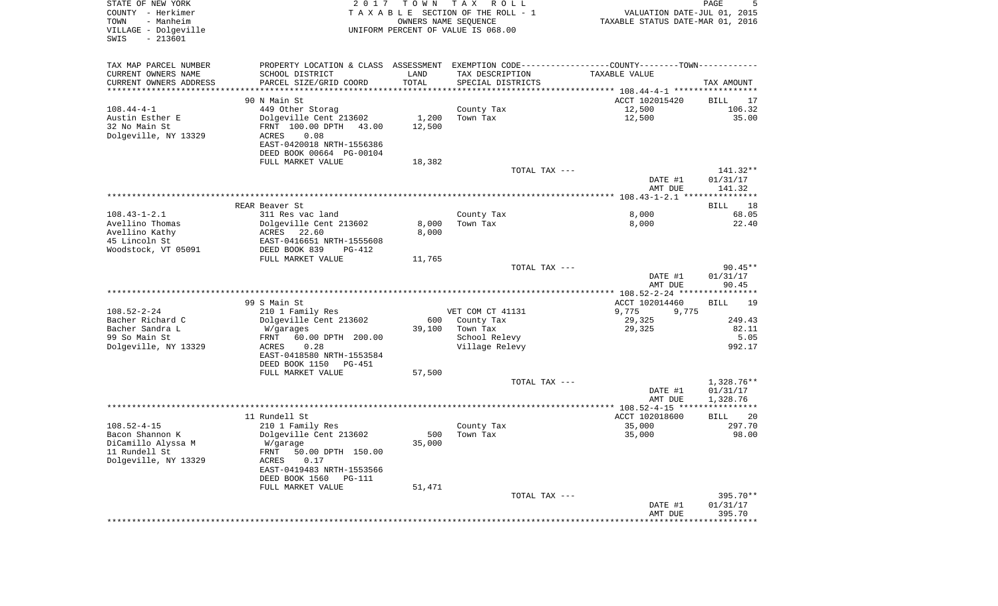| STATE OF NEW YORK<br>COUNTY - Herkimer<br>- Manheim<br>TOWN<br>VILLAGE - Dolgeville<br>$-213601$<br>SWIS | 2017                                                                                          | T O W N<br>OWNERS NAME SEQUENCE | T A X<br>R O L L<br>TAXABLE SECTION OF THE ROLL - 1<br>UNIFORM PERCENT OF VALUE IS 068.00 | VALUATION DATE-JUL 01, 2015<br>TAXABLE STATUS DATE-MAR 01, 2016 | PAGE<br>5                  |
|----------------------------------------------------------------------------------------------------------|-----------------------------------------------------------------------------------------------|---------------------------------|-------------------------------------------------------------------------------------------|-----------------------------------------------------------------|----------------------------|
| TAX MAP PARCEL NUMBER                                                                                    | PROPERTY LOCATION & CLASS ASSESSMENT EXEMPTION CODE---------------COUNTY-------TOWN---------- |                                 |                                                                                           |                                                                 |                            |
| CURRENT OWNERS NAME                                                                                      | SCHOOL DISTRICT                                                                               | LAND                            | TAX DESCRIPTION                                                                           | TAXABLE VALUE                                                   |                            |
| CURRENT OWNERS ADDRESS<br>***********************                                                        | PARCEL SIZE/GRID COORD                                                                        | TOTAL                           | SPECIAL DISTRICTS                                                                         |                                                                 | TAX AMOUNT                 |
|                                                                                                          | 90 N Main St                                                                                  |                                 |                                                                                           | ACCT 102015420                                                  | BILL<br>17                 |
| $108.44 - 4 - 1$                                                                                         | 449 Other Storag                                                                              |                                 | County Tax                                                                                | 12,500                                                          | 106.32                     |
| Austin Esther E                                                                                          | Dolgeville Cent 213602                                                                        | 1,200                           | Town Tax                                                                                  | 12,500                                                          | 35.00                      |
| 32 No Main St                                                                                            | FRNT 100.00 DPTH<br>43.00                                                                     | 12,500                          |                                                                                           |                                                                 |                            |
| Dolgeville, NY 13329                                                                                     | <b>ACRES</b><br>0.08                                                                          |                                 |                                                                                           |                                                                 |                            |
|                                                                                                          | EAST-0420018 NRTH-1556386                                                                     |                                 |                                                                                           |                                                                 |                            |
|                                                                                                          | DEED BOOK 00664 PG-00104<br>FULL MARKET VALUE                                                 | 18,382                          |                                                                                           |                                                                 |                            |
|                                                                                                          |                                                                                               |                                 | TOTAL TAX ---                                                                             |                                                                 | 141.32**                   |
|                                                                                                          |                                                                                               |                                 |                                                                                           | DATE #1                                                         | 01/31/17                   |
|                                                                                                          |                                                                                               |                                 |                                                                                           | AMT DUE                                                         | 141.32                     |
|                                                                                                          | REAR Beaver St.                                                                               |                                 |                                                                                           |                                                                 |                            |
| $108.43 - 1 - 2.1$                                                                                       | 311 Res vac land                                                                              |                                 | County Tax                                                                                | 8,000                                                           | <b>BILL</b><br>18<br>68.05 |
| Avellino Thomas                                                                                          | Dolgeville Cent 213602                                                                        | 8,000                           | Town Tax                                                                                  | 8,000                                                           | 22.40                      |
| Avellino Kathy                                                                                           | ACRES 22.60                                                                                   | 8,000                           |                                                                                           |                                                                 |                            |
| 45 Lincoln St                                                                                            | EAST-0416651 NRTH-1555608                                                                     |                                 |                                                                                           |                                                                 |                            |
| Woodstock, VT 05091                                                                                      | DEED BOOK 839<br>PG-412                                                                       |                                 |                                                                                           |                                                                 |                            |
|                                                                                                          | FULL MARKET VALUE                                                                             | 11,765                          | TOTAL TAX ---                                                                             |                                                                 | $90.45**$                  |
|                                                                                                          |                                                                                               |                                 |                                                                                           | DATE #1<br>AMT DUE                                              | 01/31/17<br>90.45          |
|                                                                                                          |                                                                                               |                                 |                                                                                           |                                                                 |                            |
| $108.52 - 2 - 24$                                                                                        | 99 S Main St                                                                                  |                                 | VET COM CT 41131                                                                          | ACCT 102014460                                                  | BILL<br>19                 |
| Bacher Richard C                                                                                         | 210 1 Family Res<br>Dolgeville Cent 213602                                                    | 600                             | County Tax                                                                                | 9,775<br>9,775<br>29,325                                        | 249.43                     |
| Bacher Sandra L                                                                                          | W/garages                                                                                     | 39,100                          | Town Tax                                                                                  | 29,325                                                          | 82.11                      |
| 99 So Main St                                                                                            | FRNT<br>60.00 DPTH 200.00                                                                     |                                 | School Relevy                                                                             |                                                                 | 5.05                       |
| Dolgeville, NY 13329                                                                                     | 0.28<br>ACRES                                                                                 |                                 | Village Relevy                                                                            |                                                                 | 992.17                     |
|                                                                                                          | EAST-0418580 NRTH-1553584                                                                     |                                 |                                                                                           |                                                                 |                            |
|                                                                                                          | DEED BOOK 1150<br><b>PG-451</b><br>FULL MARKET VALUE                                          | 57,500                          |                                                                                           |                                                                 |                            |
|                                                                                                          |                                                                                               |                                 | TOTAL TAX ---                                                                             |                                                                 | 1,328.76**                 |
|                                                                                                          |                                                                                               |                                 |                                                                                           | DATE #1                                                         | 01/31/17                   |
|                                                                                                          |                                                                                               |                                 |                                                                                           | AMT DUE                                                         | 1,328.76                   |
|                                                                                                          |                                                                                               |                                 |                                                                                           |                                                                 |                            |
| $108.52 - 4 - 15$                                                                                        | 11 Rundell St<br>210 1 Family Res                                                             |                                 | County Tax                                                                                | ACCT 102018600<br>35,000                                        | 20<br>BILL<br>297.70       |
| Bacon Shannon K                                                                                          | Dolgeville Cent 213602                                                                        | 500                             | Town Tax                                                                                  | 35,000                                                          | 98.00                      |
| DiCamillo Alyssa M                                                                                       | W/garage                                                                                      | 35,000                          |                                                                                           |                                                                 |                            |
| 11 Rundell St                                                                                            | FRNT 50.00 DPTH 150.00                                                                        |                                 |                                                                                           |                                                                 |                            |
| Dolgeville, NY 13329                                                                                     | ACRES<br>0.17                                                                                 |                                 |                                                                                           |                                                                 |                            |
|                                                                                                          | EAST-0419483 NRTH-1553566<br>DEED BOOK 1560<br>PG-111                                         |                                 |                                                                                           |                                                                 |                            |
|                                                                                                          | FULL MARKET VALUE                                                                             | 51,471                          |                                                                                           |                                                                 |                            |
|                                                                                                          |                                                                                               |                                 | TOTAL TAX ---                                                                             |                                                                 | 395.70**                   |
|                                                                                                          |                                                                                               |                                 |                                                                                           | DATE #1                                                         | 01/31/17                   |
|                                                                                                          |                                                                                               |                                 |                                                                                           | AMT DUE<br>************************************                 | 395.70                     |
|                                                                                                          |                                                                                               |                                 |                                                                                           |                                                                 |                            |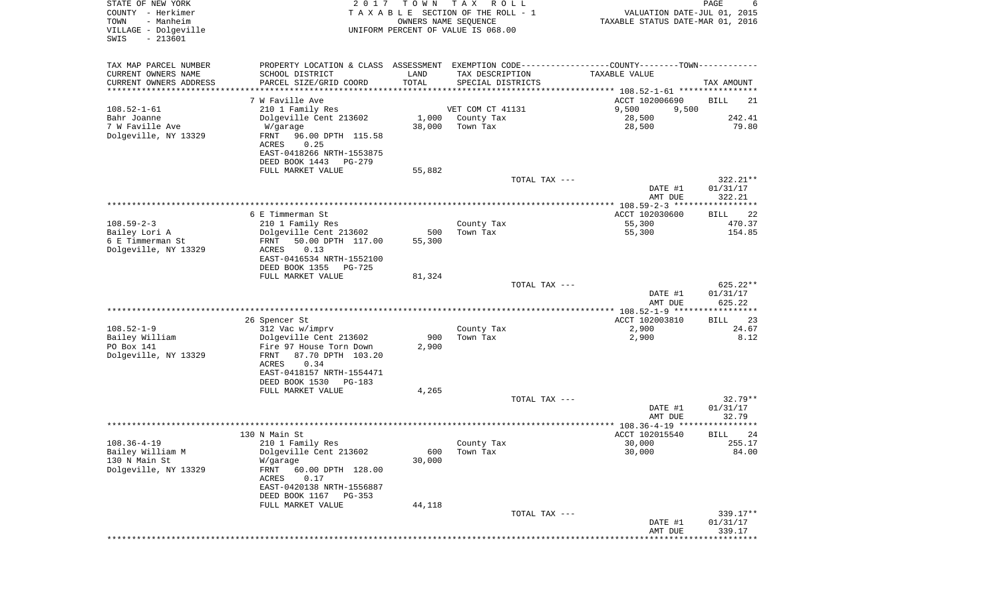| STATE OF NEW YORK<br>COUNTY - Herkimer<br>TOWN<br>- Manheim<br>VILLAGE - Dolgeville | 2017                                                                                          | T O W N<br>OWNERS NAME SEQUENCE | T A X<br>R O L L<br>TAXABLE SECTION OF THE ROLL - 1 |               | VALUATION DATE-JUL 01, 2015<br>TAXABLE STATUS DATE-MAR 01, 2016 | PAGE                  |
|-------------------------------------------------------------------------------------|-----------------------------------------------------------------------------------------------|---------------------------------|-----------------------------------------------------|---------------|-----------------------------------------------------------------|-----------------------|
| $-213601$<br>SWIS                                                                   |                                                                                               |                                 | UNIFORM PERCENT OF VALUE IS 068.00                  |               |                                                                 |                       |
| TAX MAP PARCEL NUMBER                                                               | PROPERTY LOCATION & CLASS ASSESSMENT EXEMPTION CODE---------------COUNTY-------TOWN---------- |                                 |                                                     |               |                                                                 |                       |
| CURRENT OWNERS NAME                                                                 | SCHOOL DISTRICT                                                                               | LAND                            | TAX DESCRIPTION                                     |               | TAXABLE VALUE                                                   |                       |
| CURRENT OWNERS ADDRESS<br>********************                                      | PARCEL SIZE/GRID COORD                                                                        | TOTAL                           | SPECIAL DISTRICTS                                   |               |                                                                 | TAX AMOUNT            |
|                                                                                     | 7 W Faville Ave                                                                               |                                 |                                                     |               | ACCT 102006690                                                  | BILL<br>21            |
| $108.52 - 1 - 61$                                                                   | 210 1 Family Res                                                                              |                                 | VET COM CT 41131                                    |               | 9,500<br>9,500                                                  |                       |
| Bahr Joanne                                                                         | Dolgeville Cent 213602                                                                        | 1,000                           | County Tax                                          |               | 28,500                                                          | 242.41                |
| 7 W Faville Ave<br>Dolgeville, NY 13329                                             | W/garage<br>FRNT<br>96.00 DPTH 115.58<br>0.25<br>ACRES                                        | 38,000                          | Town Tax                                            |               | 28,500                                                          | 79.80                 |
|                                                                                     | EAST-0418266 NRTH-1553875<br>DEED BOOK 1443<br>PG-279                                         |                                 |                                                     |               |                                                                 |                       |
|                                                                                     | FULL MARKET VALUE                                                                             | 55,882                          |                                                     |               |                                                                 |                       |
|                                                                                     |                                                                                               |                                 |                                                     | TOTAL TAX --- |                                                                 | $322.21**$            |
|                                                                                     |                                                                                               |                                 |                                                     |               | DATE #1<br>AMT DUE                                              | 01/31/17<br>322.21    |
|                                                                                     |                                                                                               |                                 |                                                     |               |                                                                 |                       |
|                                                                                     | 6 E Timmerman St                                                                              |                                 |                                                     |               | ACCT 102030600                                                  | 22<br>BILL            |
| $108.59 - 2 - 3$<br>Bailey Lori A                                                   | 210 1 Family Res                                                                              |                                 | County Tax<br>Town Tax                              |               | 55,300                                                          | 470.37<br>154.85      |
| 6 E Timmerman St                                                                    | Dolgeville Cent 213602<br>50.00 DPTH 117.00<br>FRNT                                           | 500<br>55,300                   |                                                     |               | 55,300                                                          |                       |
| Dolgeville, NY 13329                                                                | ACRES<br>0.13                                                                                 |                                 |                                                     |               |                                                                 |                       |
|                                                                                     | EAST-0416534 NRTH-1552100                                                                     |                                 |                                                     |               |                                                                 |                       |
|                                                                                     | DEED BOOK 1355<br>$PG-725$                                                                    |                                 |                                                     |               |                                                                 |                       |
|                                                                                     | FULL MARKET VALUE                                                                             | 81,324                          |                                                     | TOTAL TAX --- |                                                                 | 625.22**              |
|                                                                                     |                                                                                               |                                 |                                                     |               | DATE #1                                                         | 01/31/17              |
|                                                                                     |                                                                                               |                                 |                                                     |               | AMT DUE                                                         | 625.22                |
|                                                                                     | 26 Spencer St                                                                                 |                                 |                                                     |               | *********** 108.52-1-9 ******************<br>ACCT 102003810     | 23<br>BILL            |
| $108.52 - 1 - 9$                                                                    | 312 Vac w/imprv                                                                               |                                 | County Tax                                          |               | 2,900                                                           | 24.67                 |
| Bailey William                                                                      | Dolgeville Cent 213602                                                                        | 900                             | Town Tax                                            |               | 2,900                                                           | 8.12                  |
| PO Box 141                                                                          | Fire 97 House Torn Down                                                                       | 2,900                           |                                                     |               |                                                                 |                       |
| Dolgeville, NY 13329                                                                | FRNT<br>87.70 DPTH 103.20<br>ACRES<br>0.34                                                    |                                 |                                                     |               |                                                                 |                       |
|                                                                                     | EAST-0418157 NRTH-1554471                                                                     |                                 |                                                     |               |                                                                 |                       |
|                                                                                     | DEED BOOK 1530<br>PG-183                                                                      |                                 |                                                     |               |                                                                 |                       |
|                                                                                     | FULL MARKET VALUE                                                                             | 4,265                           |                                                     |               |                                                                 |                       |
|                                                                                     |                                                                                               |                                 |                                                     | TOTAL TAX --- | DATE #1                                                         | $32.79**$<br>01/31/17 |
|                                                                                     |                                                                                               |                                 |                                                     |               | AMT DUE                                                         | 32.79                 |
|                                                                                     |                                                                                               |                                 |                                                     |               | ****************** 108.36-4-19 *********                        |                       |
|                                                                                     | 130 N Main St                                                                                 |                                 |                                                     |               | ACCT 102015540                                                  | 24<br>BILL            |
| $108.36 - 4 - 19$<br>Bailey William M                                               | 210 1 Family Res<br>Dolgeville Cent 213602                                                    | 600                             | County Tax<br>Town Tax                              |               | 30,000<br>30,000                                                | 255.17<br>84.00       |
| 130 N Main St                                                                       | W/garage                                                                                      | 30,000                          |                                                     |               |                                                                 |                       |
| Dolgeville, NY 13329                                                                | 60.00 DPTH 128.00<br>FRNT                                                                     |                                 |                                                     |               |                                                                 |                       |
|                                                                                     | ACRES<br>0.17                                                                                 |                                 |                                                     |               |                                                                 |                       |
|                                                                                     | EAST-0420138 NRTH-1556887<br>DEED BOOK 1167<br>PG-353                                         |                                 |                                                     |               |                                                                 |                       |
|                                                                                     | FULL MARKET VALUE                                                                             | 44,118                          |                                                     |               |                                                                 |                       |
|                                                                                     |                                                                                               |                                 |                                                     | TOTAL TAX --- |                                                                 | $339.17**$            |
|                                                                                     |                                                                                               |                                 |                                                     |               | DATE #1<br>AMT DUE                                              | 01/31/17<br>339.17    |
|                                                                                     |                                                                                               |                                 |                                                     |               | *************************                                       |                       |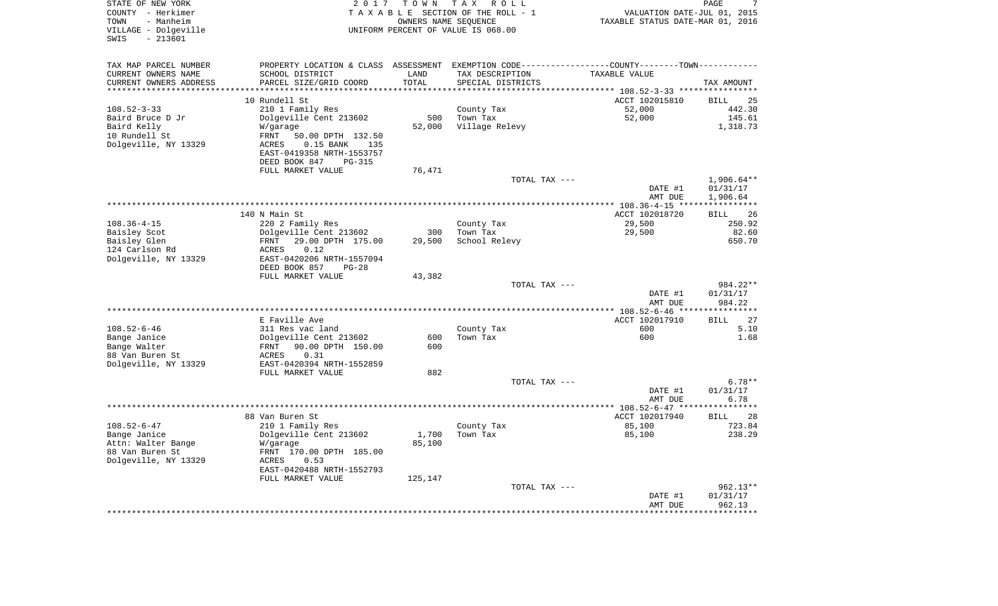| STATE OF NEW YORK<br>COUNTY - Herkimer<br>- Manheim<br>TOWN<br>VILLAGE - Dolgeville<br>$-213601$<br>SWIS | 2 0 1 7                                                                                       | TOWN                | T A X<br>R O L L<br>TAXABLE SECTION OF THE ROLL - 1<br>OWNERS NAME SEQUENCE<br>UNIFORM PERCENT OF VALUE IS 068.00 | VALUATION DATE-JUL 01, 2015<br>TAXABLE STATUS DATE-MAR 01, 2016     | 7<br>PAGE               |
|----------------------------------------------------------------------------------------------------------|-----------------------------------------------------------------------------------------------|---------------------|-------------------------------------------------------------------------------------------------------------------|---------------------------------------------------------------------|-------------------------|
| TAX MAP PARCEL NUMBER                                                                                    | PROPERTY LOCATION & CLASS ASSESSMENT EXEMPTION CODE---------------COUNTY-------TOWN---------- |                     |                                                                                                                   |                                                                     |                         |
| CURRENT OWNERS NAME                                                                                      | SCHOOL DISTRICT                                                                               | LAND                | TAX DESCRIPTION                                                                                                   | TAXABLE VALUE                                                       |                         |
| CURRENT OWNERS ADDRESS                                                                                   | PARCEL SIZE/GRID COORD                                                                        | TOTAL               | SPECIAL DISTRICTS                                                                                                 |                                                                     | TAX AMOUNT              |
| ********************                                                                                     |                                                                                               | * * * * * * * * * * |                                                                                                                   | ************************************* 108.52-3-33 ***************** |                         |
|                                                                                                          | 10 Rundell St                                                                                 |                     |                                                                                                                   | ACCT 102015810                                                      | <b>BILL</b><br>25       |
| $108.52 - 3 - 33$                                                                                        | 210 1 Family Res                                                                              |                     | County Tax                                                                                                        | 52,000                                                              | 442.30                  |
| Baird Bruce D Jr                                                                                         | Dolgeville Cent 213602                                                                        | 500                 | Town Tax                                                                                                          | 52,000                                                              | 145.61                  |
| Baird Kelly                                                                                              | W/garage                                                                                      | 52,000              | Village Relevy                                                                                                    |                                                                     | 1,318.73                |
| 10 Rundell St<br>Dolgeville, NY 13329                                                                    | FRNT<br>50.00 DPTH 132.50<br><b>ACRES</b><br>$0.15$ BANK<br>135                               |                     |                                                                                                                   |                                                                     |                         |
|                                                                                                          | EAST-0419358 NRTH-1553757                                                                     |                     |                                                                                                                   |                                                                     |                         |
|                                                                                                          | DEED BOOK 847<br><b>PG-315</b>                                                                |                     |                                                                                                                   |                                                                     |                         |
|                                                                                                          | FULL MARKET VALUE                                                                             | 76,471              |                                                                                                                   |                                                                     |                         |
|                                                                                                          |                                                                                               |                     | TOTAL TAX ---                                                                                                     |                                                                     | 1,906.64**              |
|                                                                                                          |                                                                                               |                     |                                                                                                                   | DATE #1                                                             | 01/31/17                |
|                                                                                                          |                                                                                               |                     | ***********************                                                                                           | AMT DUE                                                             | 1,906.64                |
|                                                                                                          |                                                                                               |                     |                                                                                                                   | *** $108.36 - 4 - 15$ **                                            |                         |
|                                                                                                          | 140 N Main St                                                                                 |                     |                                                                                                                   | ACCT 102018720                                                      | 26<br>BILL              |
| $108.36 - 4 - 15$                                                                                        | 220 2 Family Res                                                                              |                     | County Tax                                                                                                        | 29,500                                                              | 250.92                  |
| Baisley Scot                                                                                             | Dolgeville Cent 213602<br>FRNT                                                                | 300                 | Town Tax                                                                                                          | 29,500                                                              | 82.60<br>650.70         |
| Baisley Glen<br>124 Carlson Rd                                                                           | 29.00 DPTH 175.00<br>0.12<br>ACRES                                                            | 29,500              | School Relevy                                                                                                     |                                                                     |                         |
| Dolgeville, NY 13329                                                                                     | EAST-0420206 NRTH-1557094                                                                     |                     |                                                                                                                   |                                                                     |                         |
|                                                                                                          | DEED BOOK 857<br>$PG-28$                                                                      |                     |                                                                                                                   |                                                                     |                         |
|                                                                                                          | FULL MARKET VALUE                                                                             | 43,382              |                                                                                                                   |                                                                     |                         |
|                                                                                                          |                                                                                               |                     | TOTAL TAX ---                                                                                                     |                                                                     | 984.22**                |
|                                                                                                          |                                                                                               |                     |                                                                                                                   | DATE #1                                                             | 01/31/17                |
|                                                                                                          |                                                                                               |                     |                                                                                                                   | AMT DUE                                                             | 984.22                  |
| *********************                                                                                    |                                                                                               |                     |                                                                                                                   | ************ 108.52-6-46 ***                                        | *********               |
|                                                                                                          | E Faville Ave                                                                                 |                     |                                                                                                                   | ACCT 102017910                                                      | <b>BILL</b><br>27       |
| $108.52 - 6 - 46$                                                                                        | 311 Res vac land                                                                              |                     | County Tax                                                                                                        | 600                                                                 | 5.10                    |
| Bange Janice                                                                                             | Dolgeville Cent 213602                                                                        | 600                 | Town Tax                                                                                                          | 600                                                                 | 1.68                    |
| Bange Walter                                                                                             | FRNT<br>90.00 DPTH 150.00                                                                     | 600                 |                                                                                                                   |                                                                     |                         |
| 88 Van Buren St                                                                                          | ACRES<br>0.31                                                                                 |                     |                                                                                                                   |                                                                     |                         |
| Dolgeville, NY 13329                                                                                     | EAST-0420394 NRTH-1552859                                                                     |                     |                                                                                                                   |                                                                     |                         |
|                                                                                                          | FULL MARKET VALUE                                                                             | 882                 |                                                                                                                   |                                                                     |                         |
|                                                                                                          |                                                                                               |                     | TOTAL TAX ---                                                                                                     |                                                                     | $6.78**$                |
|                                                                                                          |                                                                                               |                     |                                                                                                                   | DATE #1                                                             | 01/31/17                |
|                                                                                                          |                                                                                               |                     |                                                                                                                   | AMT DUE                                                             | 6.78<br>* * * * * * * * |
|                                                                                                          |                                                                                               |                     |                                                                                                                   |                                                                     |                         |
| $108.52 - 6 - 47$                                                                                        | 88 Van Buren St<br>210 1 Family Res                                                           |                     | County Tax                                                                                                        | ACCT 102017940<br>85,100                                            | BILL<br>28<br>723.84    |
| Bange Janice                                                                                             | Dolgeville Cent 213602                                                                        | 1,700               | Town Tax                                                                                                          | 85,100                                                              | 238.29                  |
| Attn: Walter Bange                                                                                       | W/garage                                                                                      | 85,100              |                                                                                                                   |                                                                     |                         |
| 88 Van Buren St                                                                                          | FRNT 170.00 DPTH 185.00                                                                       |                     |                                                                                                                   |                                                                     |                         |
| Dolgeville, NY 13329                                                                                     | ACRES<br>0.53                                                                                 |                     |                                                                                                                   |                                                                     |                         |
|                                                                                                          | EAST-0420488 NRTH-1552793                                                                     |                     |                                                                                                                   |                                                                     |                         |
|                                                                                                          | FULL MARKET VALUE                                                                             | 125,147             |                                                                                                                   |                                                                     |                         |
|                                                                                                          |                                                                                               |                     | TOTAL TAX ---                                                                                                     |                                                                     | 962.13**                |
|                                                                                                          |                                                                                               |                     |                                                                                                                   | DATE #1                                                             | 01/31/17                |
|                                                                                                          |                                                                                               |                     |                                                                                                                   | AMT DUE                                                             | 962.13                  |
|                                                                                                          |                                                                                               |                     |                                                                                                                   |                                                                     |                         |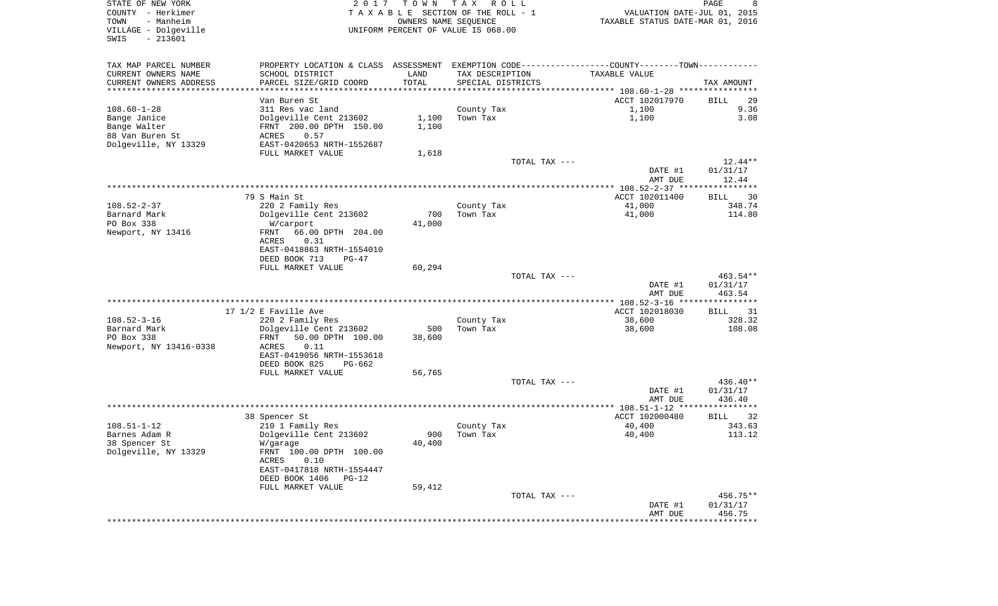| STATE OF NEW YORK<br>COUNTY - Herkimer                         | 2 0 1 7                                              | TOWN   | T A X<br>R O L L<br>TAXABLE SECTION OF THE ROLL - 1        | VALUATION DATE-JUL 01, 2015                                 | PAGE<br>8            |
|----------------------------------------------------------------|------------------------------------------------------|--------|------------------------------------------------------------|-------------------------------------------------------------|----------------------|
| - Manheim<br>TOWN<br>VILLAGE - Dolgeville<br>$-213601$<br>SWIS |                                                      |        | OWNERS NAME SEQUENCE<br>UNIFORM PERCENT OF VALUE IS 068.00 | TAXABLE STATUS DATE-MAR 01, 2016                            |                      |
| TAX MAP PARCEL NUMBER                                          | PROPERTY LOCATION & CLASS ASSESSMENT                 |        |                                                            | EXEMPTION CODE-----------------COUNTY-------TOWN----------- |                      |
| CURRENT OWNERS NAME                                            | SCHOOL DISTRICT                                      | LAND   | TAX DESCRIPTION                                            | TAXABLE VALUE                                               |                      |
| CURRENT OWNERS ADDRESS                                         | PARCEL SIZE/GRID COORD                               | TOTAL  | SPECIAL DISTRICTS                                          |                                                             | TAX AMOUNT           |
| **********************                                         |                                                      |        |                                                            |                                                             |                      |
| $108.60 - 1 - 28$                                              | Van Buren St<br>311 Res vac land                     |        |                                                            | ACCT 102017970<br>1,100                                     | <b>BILL</b><br>29    |
| Bange Janice                                                   | Dolgeville Cent 213602                               | 1,100  | County Tax<br>Town Tax                                     | 1,100                                                       | 9.36<br>3.08         |
| Bange Walter                                                   | FRNT 200.00 DPTH 150.00                              | 1,100  |                                                            |                                                             |                      |
| 88 Van Buren St                                                | 0.57<br>ACRES                                        |        |                                                            |                                                             |                      |
| Dolgeville, NY 13329                                           | EAST-0420653 NRTH-1552687                            |        |                                                            |                                                             |                      |
|                                                                | FULL MARKET VALUE                                    | 1,618  |                                                            |                                                             |                      |
|                                                                |                                                      |        | TOTAL TAX ---                                              |                                                             | $12.44**$            |
|                                                                |                                                      |        |                                                            | DATE #1                                                     | 01/31/17             |
|                                                                |                                                      |        |                                                            | AMT DUE                                                     | 12.44                |
|                                                                | 79 S Main St                                         |        |                                                            | ACCT 102011400                                              | 30                   |
| $108.52 - 2 - 37$                                              | 220 2 Family Res                                     |        | County Tax                                                 | 41,000                                                      | BILL<br>348.74       |
| Barnard Mark                                                   | Dolgeville Cent 213602                               | 700    | Town Tax                                                   | 41,000                                                      | 114.80               |
| PO Box 338                                                     | W/carport                                            | 41,000 |                                                            |                                                             |                      |
| Newport, NY 13416                                              | 66.00 DPTH 204.00<br>FRNT                            |        |                                                            |                                                             |                      |
|                                                                | 0.31<br>ACRES                                        |        |                                                            |                                                             |                      |
|                                                                | EAST-0418863 NRTH-1554010                            |        |                                                            |                                                             |                      |
|                                                                | DEED BOOK 713<br>$PG-47$                             |        |                                                            |                                                             |                      |
|                                                                | FULL MARKET VALUE                                    | 60,294 |                                                            |                                                             |                      |
|                                                                |                                                      |        | TOTAL TAX ---                                              | DATE #1                                                     | 463.54**<br>01/31/17 |
|                                                                |                                                      |        |                                                            | AMT DUE                                                     | 463.54               |
|                                                                |                                                      |        |                                                            |                                                             |                      |
|                                                                | 17 1/2 E Faville Ave                                 |        |                                                            | ACCT 102018030                                              | BILL<br>31           |
| $108.52 - 3 - 16$                                              | 220 2 Family Res                                     |        | County Tax                                                 | 38,600                                                      | 328.32               |
| Barnard Mark                                                   | Dolgeville Cent 213602                               | 500    | Town Tax                                                   | 38,600                                                      | 108.08               |
| PO Box 338                                                     | FRNT<br>50.00 DPTH 100.00                            | 38,600 |                                                            |                                                             |                      |
| Newport, NY 13416-0338                                         | 0.11<br>ACRES                                        |        |                                                            |                                                             |                      |
|                                                                | EAST-0419056 NRTH-1553618<br>DEED BOOK 825<br>PG-662 |        |                                                            |                                                             |                      |
|                                                                | FULL MARKET VALUE                                    | 56,765 |                                                            |                                                             |                      |
|                                                                |                                                      |        | TOTAL TAX ---                                              |                                                             | 436.40**             |
|                                                                |                                                      |        |                                                            | DATE #1                                                     | 01/31/17             |
|                                                                |                                                      |        |                                                            | AMT DUE                                                     | 436.40               |
|                                                                |                                                      |        |                                                            |                                                             |                      |
| $108.51 - 1 - 12$                                              | 38 Spencer St<br>210 1 Family Res                    |        | County Tax                                                 | ACCT 102000480<br>40,400                                    | BILL<br>32<br>343.63 |
| Barnes Adam R                                                  | Dolgeville Cent 213602                               | 900    | Town Tax                                                   | 40,400                                                      | 113.12               |
| 38 Spencer St                                                  | W/garage                                             | 40,400 |                                                            |                                                             |                      |
| Dolgeville, NY 13329                                           | FRNT 100.00 DPTH 100.00                              |        |                                                            |                                                             |                      |
|                                                                | ACRES<br>0.10                                        |        |                                                            |                                                             |                      |
|                                                                | EAST-0417818 NRTH-1554447                            |        |                                                            |                                                             |                      |
|                                                                | DEED BOOK 1406 PG-12                                 |        |                                                            |                                                             |                      |
|                                                                | FULL MARKET VALUE                                    | 59,412 |                                                            |                                                             |                      |
|                                                                |                                                      |        | TOTAL TAX ---                                              | DATE #1                                                     | 456.75**<br>01/31/17 |
|                                                                |                                                      |        |                                                            | AMT DUE                                                     | 456.75               |
|                                                                |                                                      |        |                                                            |                                                             |                      |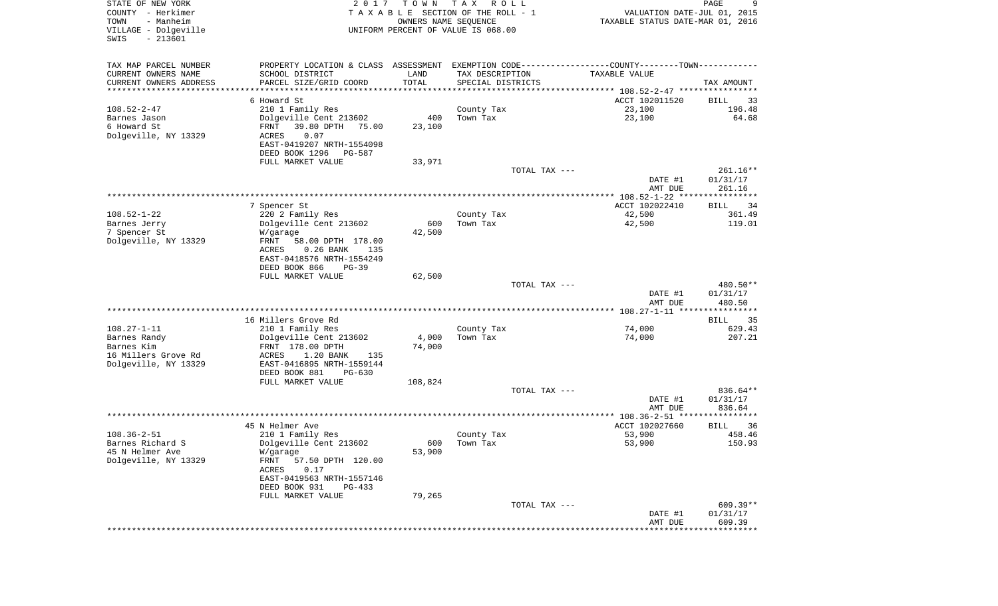| STATE OF NEW YORK<br>COUNTY - Herkimer<br>- Manheim<br>TOWN<br>VILLAGE - Dolgeville<br>SWIS<br>$-213601$ | 2017                                                            | TOWN<br>OWNERS NAME SEQUENCE   | T A X<br>R O L L<br>TAXABLE SECTION OF THE ROLL - 1<br>UNIFORM PERCENT OF VALUE IS 068.00 | VALUATION DATE-JUL 01, 2015<br>TAXABLE STATUS DATE-MAR 01, 2016                               | 9<br>PAGE          |
|----------------------------------------------------------------------------------------------------------|-----------------------------------------------------------------|--------------------------------|-------------------------------------------------------------------------------------------|-----------------------------------------------------------------------------------------------|--------------------|
| TAX MAP PARCEL NUMBER                                                                                    |                                                                 |                                |                                                                                           | PROPERTY LOCATION & CLASS ASSESSMENT EXEMPTION CODE---------------COUNTY-------TOWN---------- |                    |
| CURRENT OWNERS NAME                                                                                      | SCHOOL DISTRICT                                                 | LAND                           | TAX DESCRIPTION                                                                           | TAXABLE VALUE                                                                                 |                    |
| CURRENT OWNERS ADDRESS<br>*********************                                                          | PARCEL SIZE/GRID COORD<br>*************************             | TOTAL<br>* * * * * * * * * * * | SPECIAL DISTRICTS                                                                         |                                                                                               | TAX AMOUNT         |
|                                                                                                          | 6 Howard St                                                     |                                |                                                                                           | ACCT 102011520                                                                                | BILL<br>33         |
| $108.52 - 2 - 47$                                                                                        | 210 1 Family Res                                                |                                | County Tax                                                                                | 23,100                                                                                        | 196.48             |
| Barnes Jason                                                                                             | Dolgeville Cent 213602                                          | 400                            | Town Tax                                                                                  | 23,100                                                                                        | 64.68              |
| 6 Howard St                                                                                              | 39.80 DPTH<br>FRNT<br>75.00                                     | 23,100                         |                                                                                           |                                                                                               |                    |
| Dolgeville, NY 13329                                                                                     | ACRES<br>0.07                                                   |                                |                                                                                           |                                                                                               |                    |
|                                                                                                          | EAST-0419207 NRTH-1554098<br>DEED BOOK 1296<br>PG-587           |                                |                                                                                           |                                                                                               |                    |
|                                                                                                          | FULL MARKET VALUE                                               | 33,971                         |                                                                                           |                                                                                               |                    |
|                                                                                                          |                                                                 |                                | TOTAL TAX ---                                                                             |                                                                                               | 261.16**           |
|                                                                                                          |                                                                 |                                |                                                                                           | DATE #1                                                                                       | 01/31/17           |
|                                                                                                          |                                                                 |                                |                                                                                           | AMT DUE                                                                                       | 261.16             |
|                                                                                                          | 7 Spencer St                                                    |                                |                                                                                           | ACCT 102022410                                                                                | <b>BILL</b><br>34  |
| $108.52 - 1 - 22$                                                                                        | 220 2 Family Res                                                |                                | County Tax                                                                                | 42,500                                                                                        | 361.49             |
| Barnes Jerry                                                                                             | Dolgeville Cent 213602                                          | 600                            | Town Tax                                                                                  | 42,500                                                                                        | 119.01             |
| 7 Spencer St                                                                                             | W/garage                                                        | 42,500                         |                                                                                           |                                                                                               |                    |
| Dolgeville, NY 13329                                                                                     | FRNT<br>58.00 DPTH 178.00                                       |                                |                                                                                           |                                                                                               |                    |
|                                                                                                          | <b>ACRES</b><br>$0.26$ BANK<br>135<br>EAST-0418576 NRTH-1554249 |                                |                                                                                           |                                                                                               |                    |
|                                                                                                          | DEED BOOK 866<br>$PG-39$                                        |                                |                                                                                           |                                                                                               |                    |
|                                                                                                          | FULL MARKET VALUE                                               | 62,500                         |                                                                                           |                                                                                               |                    |
|                                                                                                          |                                                                 |                                | TOTAL TAX ---                                                                             |                                                                                               | 480.50**           |
|                                                                                                          |                                                                 |                                |                                                                                           | DATE #1<br>AMT DUE                                                                            | 01/31/17<br>480.50 |
|                                                                                                          | 16 Millers Grove Rd                                             |                                |                                                                                           |                                                                                               | 35<br>BILL         |
| $108.27 - 1 - 11$                                                                                        | 210 1 Family Res                                                |                                | County Tax                                                                                | 74,000                                                                                        | 629.43             |
| Barnes Randy                                                                                             | Dolgeville Cent 213602                                          | 4,000                          | Town Tax                                                                                  | 74,000                                                                                        | 207.21             |
| Barnes Kim                                                                                               | FRNT 178.00 DPTH                                                | 74,000                         |                                                                                           |                                                                                               |                    |
| 16 Millers Grove Rd                                                                                      | ACRES<br>1.20 BANK<br>135                                       |                                |                                                                                           |                                                                                               |                    |
| Dolgeville, NY 13329                                                                                     | EAST-0416895 NRTH-1559144<br>DEED BOOK 881<br>PG-630            |                                |                                                                                           |                                                                                               |                    |
|                                                                                                          | FULL MARKET VALUE                                               | 108,824                        |                                                                                           |                                                                                               |                    |
|                                                                                                          |                                                                 |                                | TOTAL TAX ---                                                                             |                                                                                               | 836.64**           |
|                                                                                                          |                                                                 |                                |                                                                                           | DATE #1                                                                                       | 01/31/17           |
|                                                                                                          |                                                                 |                                |                                                                                           | AMT DUE                                                                                       | 836.64             |
|                                                                                                          | 45 N Helmer Ave                                                 |                                |                                                                                           | ACCT 102027660                                                                                | BILL<br>36         |
| $108.36 - 2 - 51$                                                                                        | 210 1 Family Res                                                |                                | County Tax                                                                                | 53,900                                                                                        | 458.46             |
| Barnes Richard S                                                                                         | Dolgeville Cent 213602                                          | 600                            | Town Tax                                                                                  | 53,900                                                                                        | 150.93             |
| 45 N Helmer Ave                                                                                          | W/garage                                                        | 53,900                         |                                                                                           |                                                                                               |                    |
| Dolgeville, NY 13329                                                                                     | 57.50 DPTH 120.00<br>FRNT                                       |                                |                                                                                           |                                                                                               |                    |
|                                                                                                          | ACRES<br>0.17<br>EAST-0419563 NRTH-1557146                      |                                |                                                                                           |                                                                                               |                    |
|                                                                                                          | DEED BOOK 931<br>PG-433                                         |                                |                                                                                           |                                                                                               |                    |
|                                                                                                          | FULL MARKET VALUE                                               | 79,265                         |                                                                                           |                                                                                               |                    |
|                                                                                                          |                                                                 |                                | TOTAL TAX ---                                                                             |                                                                                               | 609.39**           |
|                                                                                                          |                                                                 |                                |                                                                                           | DATE #1                                                                                       | 01/31/17           |
|                                                                                                          |                                                                 |                                |                                                                                           | AMT DUE                                                                                       | 609.39             |
|                                                                                                          |                                                                 |                                |                                                                                           |                                                                                               |                    |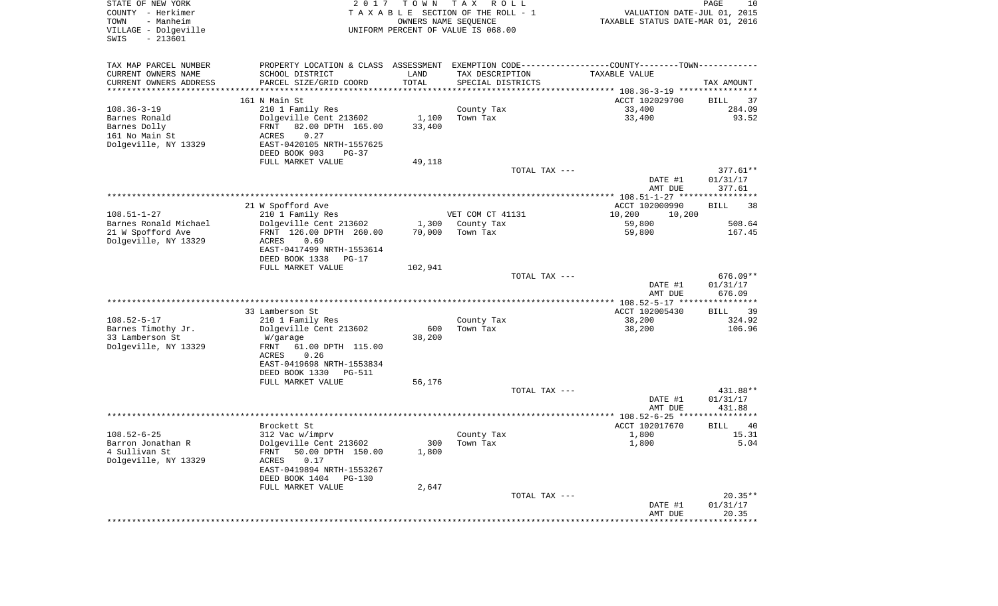| STATE OF NEW YORK<br>COUNTY - Herkimer<br>- Manheim<br>TOWN<br>VILLAGE - Dolgeville<br>SWIS<br>$-213601$ | 2 0 1 7                                         | T O W N               | T A X<br>R O L L<br>TAXABLE SECTION OF THE ROLL - 1<br>OWNERS NAME SEQUENCE<br>UNIFORM PERCENT OF VALUE IS 068.00 | VALUATION DATE-JUL 01, 2015<br>TAXABLE STATUS DATE-MAR 01, 2016                                | PAGE<br>10                 |
|----------------------------------------------------------------------------------------------------------|-------------------------------------------------|-----------------------|-------------------------------------------------------------------------------------------------------------------|------------------------------------------------------------------------------------------------|----------------------------|
| TAX MAP PARCEL NUMBER                                                                                    |                                                 |                       |                                                                                                                   | PROPERTY LOCATION & CLASS ASSESSMENT EXEMPTION CODE----------------COUNTY-------TOWN---------- |                            |
| CURRENT OWNERS NAME                                                                                      | SCHOOL DISTRICT                                 | LAND                  | TAX DESCRIPTION                                                                                                   | TAXABLE VALUE                                                                                  |                            |
| CURRENT OWNERS ADDRESS                                                                                   | PARCEL SIZE/GRID COORD<br>********************* | TOTAL                 | SPECIAL DISTRICTS                                                                                                 |                                                                                                | TAX AMOUNT                 |
| *********************                                                                                    |                                                 | * * * * * * * * * * * |                                                                                                                   |                                                                                                |                            |
| $108.36 - 3 - 19$                                                                                        | 161 N Main St<br>210 1 Family Res               |                       |                                                                                                                   | ACCT 102029700<br>33,400                                                                       | BILL<br>37<br>284.09       |
| Barnes Ronald                                                                                            | Dolgeville Cent 213602                          | 1,100                 | County Tax<br>Town Tax                                                                                            | 33,400                                                                                         | 93.52                      |
| Barnes Dolly                                                                                             | 82.00 DPTH 165.00<br>FRNT                       | 33,400                |                                                                                                                   |                                                                                                |                            |
| 161 No Main St                                                                                           | 0.27<br>ACRES                                   |                       |                                                                                                                   |                                                                                                |                            |
| Dolgeville, NY 13329                                                                                     | EAST-0420105 NRTH-1557625                       |                       |                                                                                                                   |                                                                                                |                            |
|                                                                                                          | DEED BOOK 903<br>$PG-37$                        |                       |                                                                                                                   |                                                                                                |                            |
|                                                                                                          | FULL MARKET VALUE                               | 49,118                |                                                                                                                   |                                                                                                |                            |
|                                                                                                          |                                                 |                       | TOTAL TAX ---                                                                                                     |                                                                                                | $377.61**$                 |
|                                                                                                          |                                                 |                       |                                                                                                                   | DATE #1<br>AMT DUE                                                                             | 01/31/17<br>377.61         |
|                                                                                                          |                                                 |                       |                                                                                                                   |                                                                                                |                            |
|                                                                                                          | 21 W Spofford Ave                               |                       |                                                                                                                   | ACCT 102000990                                                                                 | <b>BILL</b><br>38          |
| $108.51 - 1 - 27$                                                                                        | 210 1 Family Res                                |                       | VET COM CT 41131                                                                                                  | 10,200<br>10,200                                                                               |                            |
| Barnes Ronald Michael                                                                                    | Dolgeville Cent 213602                          | 1,300                 | County Tax                                                                                                        | 59,800                                                                                         | 508.64                     |
| 21 W Spofford Ave                                                                                        | FRNT 126.00 DPTH 260.00                         | 70,000                | Town Tax                                                                                                          | 59,800                                                                                         | 167.45                     |
| Dolgeville, NY 13329                                                                                     | ACRES<br>0.69<br>EAST-0417499 NRTH-1553614      |                       |                                                                                                                   |                                                                                                |                            |
|                                                                                                          | DEED BOOK 1338<br>PG-17                         |                       |                                                                                                                   |                                                                                                |                            |
|                                                                                                          | FULL MARKET VALUE                               | 102,941               |                                                                                                                   |                                                                                                |                            |
|                                                                                                          |                                                 |                       | TOTAL TAX ---                                                                                                     |                                                                                                | 676.09**                   |
|                                                                                                          |                                                 |                       |                                                                                                                   | DATE #1                                                                                        | 01/31/17                   |
|                                                                                                          |                                                 |                       |                                                                                                                   | AMT DUE                                                                                        | 676.09                     |
|                                                                                                          | 33 Lamberson St                                 |                       |                                                                                                                   | ACCT 102005430                                                                                 | 39<br>BILL                 |
| $108.52 - 5 - 17$                                                                                        | 210 1 Family Res                                |                       | County Tax                                                                                                        | 38,200                                                                                         | 324.92                     |
| Barnes Timothy Jr.                                                                                       | Dolgeville Cent 213602                          | 600                   | Town Tax                                                                                                          | 38,200                                                                                         | 106.96                     |
| 33 Lamberson St                                                                                          | W/garage                                        | 38,200                |                                                                                                                   |                                                                                                |                            |
| Dolgeville, NY 13329                                                                                     | FRNT<br>61.00 DPTH 115.00                       |                       |                                                                                                                   |                                                                                                |                            |
|                                                                                                          | ACRES<br>0.26                                   |                       |                                                                                                                   |                                                                                                |                            |
|                                                                                                          | EAST-0419698 NRTH-1553834                       |                       |                                                                                                                   |                                                                                                |                            |
|                                                                                                          | DEED BOOK 1330<br>PG-511<br>FULL MARKET VALUE   | 56,176                |                                                                                                                   |                                                                                                |                            |
|                                                                                                          |                                                 |                       | TOTAL TAX ---                                                                                                     |                                                                                                | 431.88**                   |
|                                                                                                          |                                                 |                       |                                                                                                                   | DATE #1                                                                                        | 01/31/17                   |
|                                                                                                          |                                                 |                       |                                                                                                                   | AMT DUE                                                                                        | 431.88                     |
|                                                                                                          |                                                 |                       |                                                                                                                   |                                                                                                |                            |
| $108.52 - 6 - 25$                                                                                        | Brockett St<br>312 Vac w/imprv                  |                       |                                                                                                                   | ACCT 102017670<br>1,800                                                                        | <b>BILL</b><br>40<br>15.31 |
| Barron Jonathan R                                                                                        | Dolgeville Cent 213602                          |                       | County Tax<br>300 Town Tax                                                                                        | 1,800                                                                                          | 5.04                       |
| 4 Sullivan St                                                                                            | 50.00 DPTH 150.00<br>FRNT                       | 1,800                 |                                                                                                                   |                                                                                                |                            |
| Dolgeville, NY 13329                                                                                     | 0.17<br>ACRES                                   |                       |                                                                                                                   |                                                                                                |                            |
|                                                                                                          | EAST-0419894 NRTH-1553267                       |                       |                                                                                                                   |                                                                                                |                            |
|                                                                                                          | DEED BOOK 1404 PG-130                           |                       |                                                                                                                   |                                                                                                |                            |
|                                                                                                          | FULL MARKET VALUE                               | 2,647                 |                                                                                                                   |                                                                                                |                            |
|                                                                                                          |                                                 |                       | TOTAL TAX ---                                                                                                     | DATE #1                                                                                        | $20.35**$<br>01/31/17      |
|                                                                                                          |                                                 |                       |                                                                                                                   | AMT DUE                                                                                        | 20.35                      |
|                                                                                                          |                                                 |                       |                                                                                                                   |                                                                                                |                            |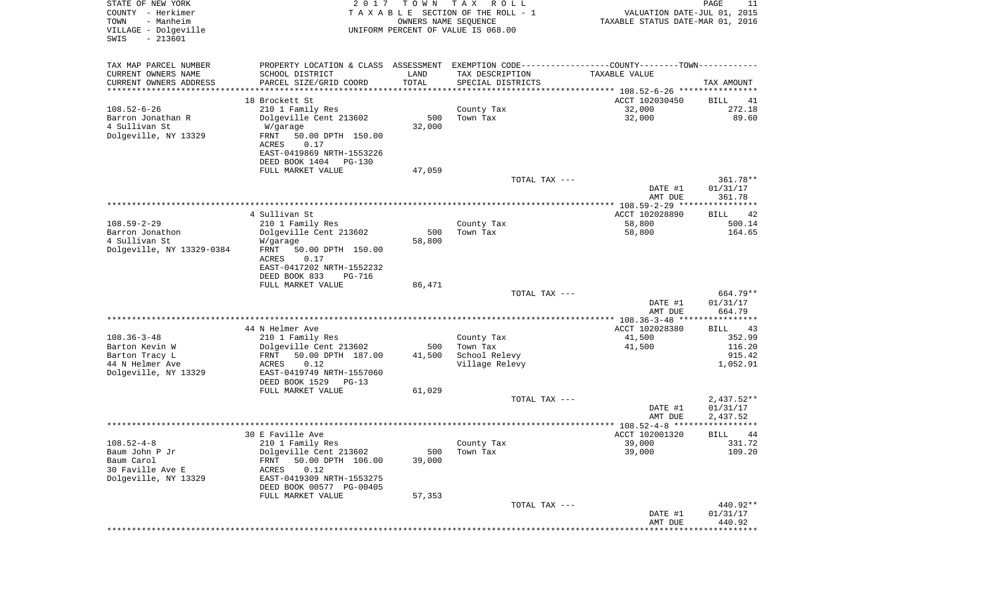| STATE OF NEW YORK<br>COUNTY - Herkimer<br>TOWN<br>- Manheim<br>VILLAGE - Dolgeville<br>$-213601$<br>SWIS | 2 0 1 7                                    | T O W N | T A X<br>R O L L<br>TAXABLE SECTION OF THE ROLL - 1<br>OWNERS NAME SEQUENCE<br>UNIFORM PERCENT OF VALUE IS 068.00 | VALUATION DATE-JUL 01, 2015<br>TAXABLE STATUS DATE-MAR 01, 2016 | PAGE<br>11         |
|----------------------------------------------------------------------------------------------------------|--------------------------------------------|---------|-------------------------------------------------------------------------------------------------------------------|-----------------------------------------------------------------|--------------------|
| TAX MAP PARCEL NUMBER                                                                                    |                                            |         | PROPERTY LOCATION & CLASS ASSESSMENT EXEMPTION CODE----------------COUNTY-------TOWN----------                    |                                                                 |                    |
| CURRENT OWNERS NAME                                                                                      | SCHOOL DISTRICT                            | LAND    | TAX DESCRIPTION                                                                                                   | TAXABLE VALUE                                                   |                    |
| CURRENT OWNERS ADDRESS<br>*********************                                                          | PARCEL SIZE/GRID COORD                     | TOTAL   | SPECIAL DISTRICTS                                                                                                 |                                                                 | TAX AMOUNT         |
|                                                                                                          | 18 Brockett St                             |         |                                                                                                                   | ACCT 102030450                                                  | BILL<br>41         |
| $108.52 - 6 - 26$                                                                                        | 210 1 Family Res                           |         | County Tax                                                                                                        | 32,000                                                          | 272.18             |
| Barron Jonathan R                                                                                        | Dolgeville Cent 213602                     | 500     | Town Tax                                                                                                          | 32,000                                                          | 89.60              |
| 4 Sullivan St                                                                                            | W/garage                                   | 32,000  |                                                                                                                   |                                                                 |                    |
| Dolgeville, NY 13329                                                                                     | 50.00 DPTH 150.00<br>FRNT                  |         |                                                                                                                   |                                                                 |                    |
|                                                                                                          | ACRES<br>0.17<br>EAST-0419869 NRTH-1553226 |         |                                                                                                                   |                                                                 |                    |
|                                                                                                          | DEED BOOK 1404<br>PG-130                   |         |                                                                                                                   |                                                                 |                    |
|                                                                                                          | FULL MARKET VALUE                          | 47,059  |                                                                                                                   |                                                                 |                    |
|                                                                                                          |                                            |         | TOTAL TAX ---                                                                                                     |                                                                 | 361.78**           |
|                                                                                                          |                                            |         |                                                                                                                   | DATE #1                                                         | 01/31/17           |
|                                                                                                          |                                            |         |                                                                                                                   | AMT DUE<br>*************** 108.59-2-29 *****************        | 361.78             |
|                                                                                                          | 4 Sullivan St                              |         |                                                                                                                   | ACCT 102028890                                                  | 42<br>BILL         |
| $108.59 - 2 - 29$                                                                                        | 210 1 Family Res                           |         | County Tax                                                                                                        | 58,800                                                          | 500.14             |
| Barron Jonathon                                                                                          | Dolgeville Cent 213602                     | 500     | Town Tax                                                                                                          | 58,800                                                          | 164.65             |
| 4 Sullivan St                                                                                            | W/garage                                   | 58,800  |                                                                                                                   |                                                                 |                    |
| Dolgeville, NY 13329-0384                                                                                | FRNT<br>50.00 DPTH 150.00<br>ACRES<br>0.17 |         |                                                                                                                   |                                                                 |                    |
|                                                                                                          | EAST-0417202 NRTH-1552232                  |         |                                                                                                                   |                                                                 |                    |
|                                                                                                          | DEED BOOK 833<br>PG-716                    |         |                                                                                                                   |                                                                 |                    |
|                                                                                                          | FULL MARKET VALUE                          | 86,471  |                                                                                                                   |                                                                 |                    |
|                                                                                                          |                                            |         | TOTAL TAX ---                                                                                                     |                                                                 | 664.79**           |
|                                                                                                          |                                            |         |                                                                                                                   | DATE #1<br>AMT DUE                                              | 01/31/17<br>664.79 |
|                                                                                                          |                                            |         |                                                                                                                   | ************ 108.36-3-48 *****************                      |                    |
|                                                                                                          | 44 N Helmer Ave                            |         |                                                                                                                   | ACCT 102028380                                                  | BILL<br>43         |
| $108.36 - 3 - 48$                                                                                        | 210 1 Family Res                           |         | County Tax                                                                                                        | 41,500                                                          | 352.99             |
| Barton Kevin W                                                                                           | Dolgeville Cent 213602                     | 500     | Town Tax                                                                                                          | 41,500                                                          | 116.20             |
| Barton Tracy L                                                                                           | FRNT<br>50.00 DPTH 187.00                  | 41,500  | School Relevy                                                                                                     |                                                                 | 915.42             |
| 44 N Helmer Ave<br>Dolgeville, NY 13329                                                                  | ACRES<br>0.12<br>EAST-0419749 NRTH-1557060 |         | Village Relevy                                                                                                    |                                                                 | 1,052.91           |
|                                                                                                          | DEED BOOK 1529<br>PG-13                    |         |                                                                                                                   |                                                                 |                    |
|                                                                                                          | FULL MARKET VALUE                          | 61,029  |                                                                                                                   |                                                                 |                    |
|                                                                                                          |                                            |         | TOTAL TAX ---                                                                                                     |                                                                 | $2,437.52**$       |
|                                                                                                          |                                            |         |                                                                                                                   | DATE #1                                                         | 01/31/17           |
|                                                                                                          |                                            |         |                                                                                                                   | AMT DUE<br>******************** 108.52-4-8 **********           | 2,437.52           |
|                                                                                                          | 30 E Faville Ave                           |         |                                                                                                                   | ACCT 102001320                                                  | 44<br>BILL         |
| $108.52 - 4 - 8$                                                                                         | 210 1 Family Res                           |         | County Tax                                                                                                        | 39,000                                                          | 331.72             |
| Baum John P Jr                                                                                           | Dolgeville Cent 213602                     | 500     | Town Tax                                                                                                          | 39,000                                                          | 109.20             |
| Baum Carol                                                                                               | 50.00 DPTH 106.00<br>FRNT                  | 39,000  |                                                                                                                   |                                                                 |                    |
| 30 Faville Ave E<br>Dolgeville, NY 13329                                                                 | ACRES<br>0.12<br>EAST-0419309 NRTH-1553275 |         |                                                                                                                   |                                                                 |                    |
|                                                                                                          | DEED BOOK 00577 PG-00405                   |         |                                                                                                                   |                                                                 |                    |
|                                                                                                          | FULL MARKET VALUE                          | 57,353  |                                                                                                                   |                                                                 |                    |
|                                                                                                          |                                            |         | TOTAL TAX ---                                                                                                     |                                                                 | 440.92**           |
|                                                                                                          |                                            |         |                                                                                                                   | DATE #1                                                         | 01/31/17           |
|                                                                                                          |                                            |         |                                                                                                                   | AMT DUE<br>****************************                         | 440.92             |
|                                                                                                          |                                            |         |                                                                                                                   |                                                                 |                    |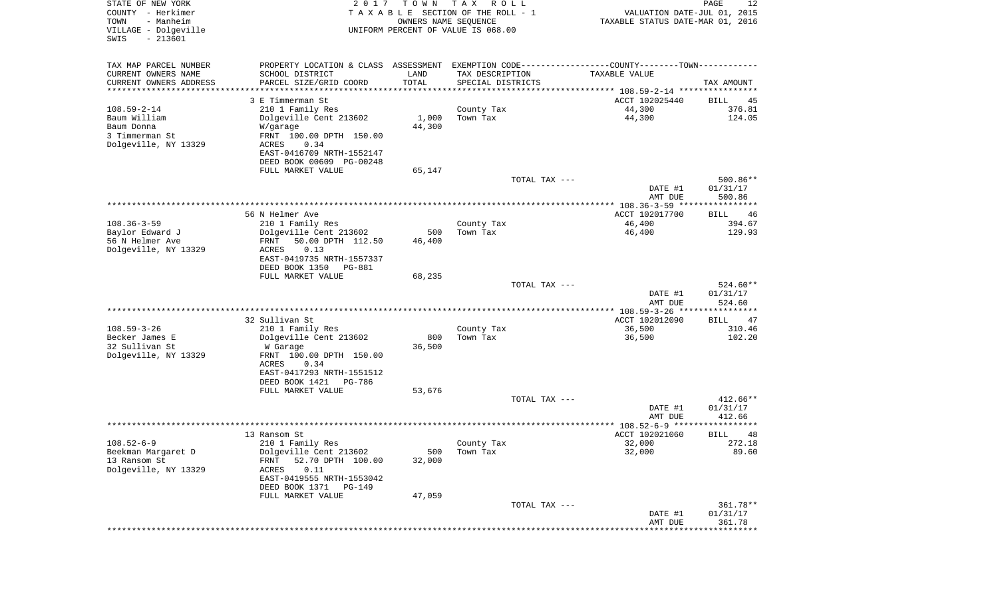| STATE OF NEW YORK<br>COUNTY - Herkimer<br>- Manheim<br>TOWN<br>VILLAGE - Dolgeville<br>$-213601$<br>SWIS | 2 0 1 7                                             | T O W N              | T A X<br>R O L L<br>T A X A B L E SECTION OF THE ROLL - 1<br>OWNERS NAME SEQUENCE<br>UNIFORM PERCENT OF VALUE IS 068.00 | VALUATION DATE-JUL 01, 2015<br>TAXABLE STATUS DATE-MAR 01, 2016 | PAGE<br>12           |
|----------------------------------------------------------------------------------------------------------|-----------------------------------------------------|----------------------|-------------------------------------------------------------------------------------------------------------------------|-----------------------------------------------------------------|----------------------|
| TAX MAP PARCEL NUMBER                                                                                    | PROPERTY LOCATION & CLASS ASSESSMENT                |                      | EXEMPTION CODE-----------------COUNTY-------TOWN-----------                                                             |                                                                 |                      |
| CURRENT OWNERS NAME                                                                                      | SCHOOL DISTRICT                                     | LAND                 | TAX DESCRIPTION                                                                                                         | TAXABLE VALUE                                                   |                      |
| CURRENT OWNERS ADDRESS<br>*********************                                                          | PARCEL SIZE/GRID COORD<br>*******************       | TOTAL<br>*********** | SPECIAL DISTRICTS                                                                                                       |                                                                 | TAX AMOUNT           |
|                                                                                                          | 3 E Timmerman St                                    |                      |                                                                                                                         | ACCT 102025440                                                  | BILL<br>45           |
| $108.59 - 2 - 14$                                                                                        | 210 1 Family Res                                    |                      | County Tax                                                                                                              | 44,300                                                          | 376.81               |
| Baum William                                                                                             | Dolgeville Cent 213602                              | 1,000                | Town Tax                                                                                                                | 44,300                                                          | 124.05               |
| Baum Donna<br>3 Timmerman St                                                                             | W/garage<br>FRNT 100.00 DPTH 150.00                 | 44,300               |                                                                                                                         |                                                                 |                      |
| Dolgeville, NY 13329                                                                                     | ACRES<br>0.34                                       |                      |                                                                                                                         |                                                                 |                      |
|                                                                                                          | EAST-0416709 NRTH-1552147                           |                      |                                                                                                                         |                                                                 |                      |
|                                                                                                          | DEED BOOK 00609 PG-00248                            |                      |                                                                                                                         |                                                                 |                      |
|                                                                                                          | FULL MARKET VALUE                                   | 65,147               | TOTAL TAX ---                                                                                                           |                                                                 | 500.86**             |
|                                                                                                          |                                                     |                      |                                                                                                                         | DATE #1                                                         | 01/31/17             |
|                                                                                                          |                                                     |                      |                                                                                                                         | AMT DUE                                                         | 500.86               |
|                                                                                                          | 56 N Helmer Ave                                     |                      |                                                                                                                         | ACCT 102017700                                                  |                      |
| $108.36 - 3 - 59$                                                                                        | 210 1 Family Res                                    |                      | County Tax                                                                                                              | 46,400                                                          | BILL<br>46<br>394.67 |
| Baylor Edward J                                                                                          | Dolgeville Cent 213602                              | 500                  | Town Tax                                                                                                                | 46,400                                                          | 129.93               |
| 56 N Helmer Ave                                                                                          | FRNT<br>50.00 DPTH 112.50                           | 46,400               |                                                                                                                         |                                                                 |                      |
| Dolgeville, NY 13329                                                                                     | ACRES<br>0.13<br>EAST-0419735 NRTH-1557337          |                      |                                                                                                                         |                                                                 |                      |
|                                                                                                          | DEED BOOK 1350<br>PG-881                            |                      |                                                                                                                         |                                                                 |                      |
|                                                                                                          | FULL MARKET VALUE                                   | 68,235               |                                                                                                                         |                                                                 |                      |
|                                                                                                          |                                                     |                      | TOTAL TAX ---                                                                                                           | DATE #1                                                         | 524.60**<br>01/31/17 |
|                                                                                                          |                                                     |                      |                                                                                                                         | AMT DUE                                                         | 524.60               |
|                                                                                                          |                                                     |                      |                                                                                                                         | ************ 108.59-3-26 ****                                   | ***********          |
|                                                                                                          | 32 Sullivan St                                      |                      |                                                                                                                         | ACCT 102012090                                                  | <b>BILL</b><br>47    |
| $108.59 - 3 - 26$<br>Becker James E                                                                      | 210 1 Family Res<br>Dolgeville Cent 213602          | 800                  | County Tax<br>Town Tax                                                                                                  | 36,500<br>36,500                                                | 310.46<br>102.20     |
| 32 Sullivan St                                                                                           | W Garage                                            | 36,500               |                                                                                                                         |                                                                 |                      |
| Dolgeville, NY 13329                                                                                     | FRNT 100.00 DPTH 150.00                             |                      |                                                                                                                         |                                                                 |                      |
|                                                                                                          | ACRES<br>0.34<br>EAST-0417293 NRTH-1551512          |                      |                                                                                                                         |                                                                 |                      |
|                                                                                                          | DEED BOOK 1421<br>PG-786                            |                      |                                                                                                                         |                                                                 |                      |
|                                                                                                          | FULL MARKET VALUE                                   | 53,676               |                                                                                                                         |                                                                 |                      |
|                                                                                                          |                                                     |                      | TOTAL TAX ---                                                                                                           |                                                                 | 412.66**             |
|                                                                                                          |                                                     |                      |                                                                                                                         | DATE #1<br>AMT DUE                                              | 01/31/17<br>412.66   |
|                                                                                                          |                                                     |                      |                                                                                                                         |                                                                 | *****                |
|                                                                                                          | 13 Ransom St                                        |                      |                                                                                                                         | ACCT 102021060                                                  | 48<br>BILL           |
| $108.52 - 6 - 9$                                                                                         | 210 1 Family Res                                    |                      | County Tax                                                                                                              | 32,000                                                          | 272.18               |
| Beekman Margaret D<br>13 Ransom St                                                                       | Dolgeville Cent 213602<br>52.70 DPTH 100.00<br>FRNT | 500<br>32,000        | Town Tax                                                                                                                | 32,000                                                          | 89.60                |
| Dolgeville, NY 13329                                                                                     | 0.11<br>ACRES                                       |                      |                                                                                                                         |                                                                 |                      |
|                                                                                                          | EAST-0419555 NRTH-1553042                           |                      |                                                                                                                         |                                                                 |                      |
|                                                                                                          | DEED BOOK 1371<br>PG-149<br>FULL MARKET VALUE       | 47,059               |                                                                                                                         |                                                                 |                      |
|                                                                                                          |                                                     |                      | TOTAL TAX ---                                                                                                           |                                                                 | 361.78**             |
|                                                                                                          |                                                     |                      |                                                                                                                         | DATE #1                                                         | 01/31/17             |
|                                                                                                          |                                                     |                      |                                                                                                                         | AMT DUE<br>****************************                         | 361.78               |
|                                                                                                          |                                                     |                      |                                                                                                                         |                                                                 |                      |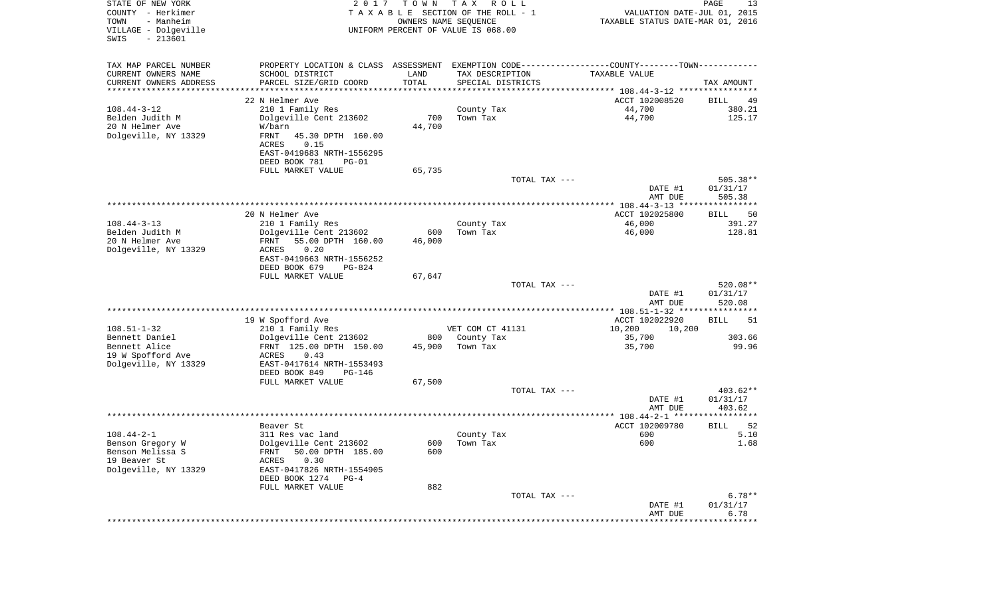| STATE OF NEW YORK<br>COUNTY - Herkimer<br>TOWN<br>- Manheim<br>VILLAGE - Dolgeville<br>$-213601$<br>SWIS | 2017                                                | TOWN                  | T A X<br>R O L L<br>TAXABLE SECTION OF THE ROLL - 1<br>OWNERS NAME SEQUENCE<br>UNIFORM PERCENT OF VALUE IS 068.00 | VALUATION DATE-JUL 01, 2015<br>TAXABLE STATUS DATE-MAR 01, 2016 | PAGE<br>13                     |
|----------------------------------------------------------------------------------------------------------|-----------------------------------------------------|-----------------------|-------------------------------------------------------------------------------------------------------------------|-----------------------------------------------------------------|--------------------------------|
| TAX MAP PARCEL NUMBER                                                                                    | PROPERTY LOCATION & CLASS ASSESSMENT                |                       | EXEMPTION CODE-----------------COUNTY-------TOWN-----------                                                       |                                                                 |                                |
| CURRENT OWNERS NAME                                                                                      | SCHOOL DISTRICT                                     | LAND                  | TAX DESCRIPTION                                                                                                   | TAXABLE VALUE                                                   |                                |
| CURRENT OWNERS ADDRESS                                                                                   | PARCEL SIZE/GRID COORD                              | TOTAL                 | SPECIAL DISTRICTS                                                                                                 |                                                                 | TAX AMOUNT                     |
| ********************                                                                                     |                                                     | * * * * * * * * * * * |                                                                                                                   |                                                                 |                                |
|                                                                                                          | 22 N Helmer Ave                                     |                       |                                                                                                                   | ACCT 102008520                                                  | BILL<br>49                     |
| $108.44 - 3 - 12$<br>Belden Judith M                                                                     | 210 1 Family Res<br>Dolgeville Cent 213602          | 700                   | County Tax<br>Town Tax                                                                                            | 44,700<br>44,700                                                | 380.21<br>125.17               |
| 20 N Helmer Ave                                                                                          | W/barn                                              | 44,700                |                                                                                                                   |                                                                 |                                |
| Dolgeville, NY 13329                                                                                     | FRNT<br>45.30 DPTH 160.00                           |                       |                                                                                                                   |                                                                 |                                |
|                                                                                                          | <b>ACRES</b><br>0.15                                |                       |                                                                                                                   |                                                                 |                                |
|                                                                                                          | EAST-0419683 NRTH-1556295                           |                       |                                                                                                                   |                                                                 |                                |
|                                                                                                          | DEED BOOK 781<br>$PG-01$                            |                       |                                                                                                                   |                                                                 |                                |
|                                                                                                          | FULL MARKET VALUE                                   | 65,735                | TOTAL TAX ---                                                                                                     |                                                                 | 505.38**                       |
|                                                                                                          |                                                     |                       |                                                                                                                   | DATE #1                                                         | 01/31/17                       |
|                                                                                                          |                                                     |                       |                                                                                                                   | AMT DUE                                                         | 505.38                         |
|                                                                                                          |                                                     |                       |                                                                                                                   |                                                                 |                                |
|                                                                                                          | 20 N Helmer Ave                                     |                       |                                                                                                                   | ACCT 102025800                                                  | 50<br>BILL                     |
| $108.44 - 3 - 13$                                                                                        | 210 1 Family Res                                    |                       | County Tax                                                                                                        | 46,000                                                          | 391.27                         |
| Belden Judith M<br>20 N Helmer Ave                                                                       | Dolgeville Cent 213602<br>FRNT<br>55.00 DPTH 160.00 | 600<br>46,000         | Town Tax                                                                                                          | 46,000                                                          | 128.81                         |
| Dolgeville, NY 13329                                                                                     | 0.20<br>ACRES                                       |                       |                                                                                                                   |                                                                 |                                |
|                                                                                                          | EAST-0419663 NRTH-1556252                           |                       |                                                                                                                   |                                                                 |                                |
|                                                                                                          | DEED BOOK 679<br>$PG-824$                           |                       |                                                                                                                   |                                                                 |                                |
|                                                                                                          | FULL MARKET VALUE                                   | 67,647                |                                                                                                                   |                                                                 |                                |
|                                                                                                          |                                                     |                       | TOTAL TAX ---                                                                                                     | DATE #1<br>AMT DUE                                              | 520.08**<br>01/31/17<br>520.08 |
|                                                                                                          |                                                     |                       |                                                                                                                   | *************** 108.51-1-32 ****************                    |                                |
|                                                                                                          | 19 W Spofford Ave                                   |                       |                                                                                                                   | ACCT 102022920                                                  | 51<br>BILL                     |
| $108.51 - 1 - 32$                                                                                        | 210 1 Family Res                                    |                       | VET COM CT 41131                                                                                                  | 10,200<br>10,200                                                |                                |
| Bennett Daniel                                                                                           | Dolgeville Cent 213602                              | 800                   | County Tax                                                                                                        | 35,700                                                          | 303.66                         |
| Bennett Alice                                                                                            | FRNT 125.00 DPTH 150.00                             | 45,900                | Town Tax                                                                                                          | 35,700                                                          | 99.96                          |
| 19 W Spofford Ave<br>Dolgeville, NY 13329                                                                | ACRES<br>0.43<br>EAST-0417614 NRTH-1553493          |                       |                                                                                                                   |                                                                 |                                |
|                                                                                                          | DEED BOOK 849<br>PG-146                             |                       |                                                                                                                   |                                                                 |                                |
|                                                                                                          | FULL MARKET VALUE                                   | 67,500                |                                                                                                                   |                                                                 |                                |
|                                                                                                          |                                                     |                       | TOTAL TAX ---                                                                                                     |                                                                 | 403.62**                       |
|                                                                                                          |                                                     |                       |                                                                                                                   | DATE #1                                                         | 01/31/17                       |
|                                                                                                          |                                                     |                       |                                                                                                                   | AMT DUE                                                         | 403.62                         |
|                                                                                                          | Beaver St                                           |                       |                                                                                                                   | ACCT 102009780                                                  | 52<br>BILL                     |
| $108.44 - 2 - 1$                                                                                         | 311 Res vac land                                    |                       | County Tax                                                                                                        | 600                                                             | 5.10                           |
| Benson Gregory W                                                                                         | Dolgeville Cent 213602                              |                       | 600 Town Tax                                                                                                      | 600                                                             | 1.68                           |
| Benson Melissa S                                                                                         | 50.00 DPTH 185.00<br>FRNT                           | 600                   |                                                                                                                   |                                                                 |                                |
| 19 Beaver St                                                                                             | 0.30<br>ACRES                                       |                       |                                                                                                                   |                                                                 |                                |
| Dolgeville, NY 13329                                                                                     | EAST-0417826 NRTH-1554905<br>DEED BOOK 1274 PG-4    |                       |                                                                                                                   |                                                                 |                                |
|                                                                                                          | FULL MARKET VALUE                                   | 882                   |                                                                                                                   |                                                                 |                                |
|                                                                                                          |                                                     |                       | TOTAL TAX ---                                                                                                     |                                                                 | $6.78**$                       |
|                                                                                                          |                                                     |                       |                                                                                                                   | DATE #1                                                         | 01/31/17                       |
|                                                                                                          |                                                     |                       |                                                                                                                   | AMT DUE                                                         | 6.78                           |
|                                                                                                          |                                                     |                       |                                                                                                                   | ********************                                            | **************                 |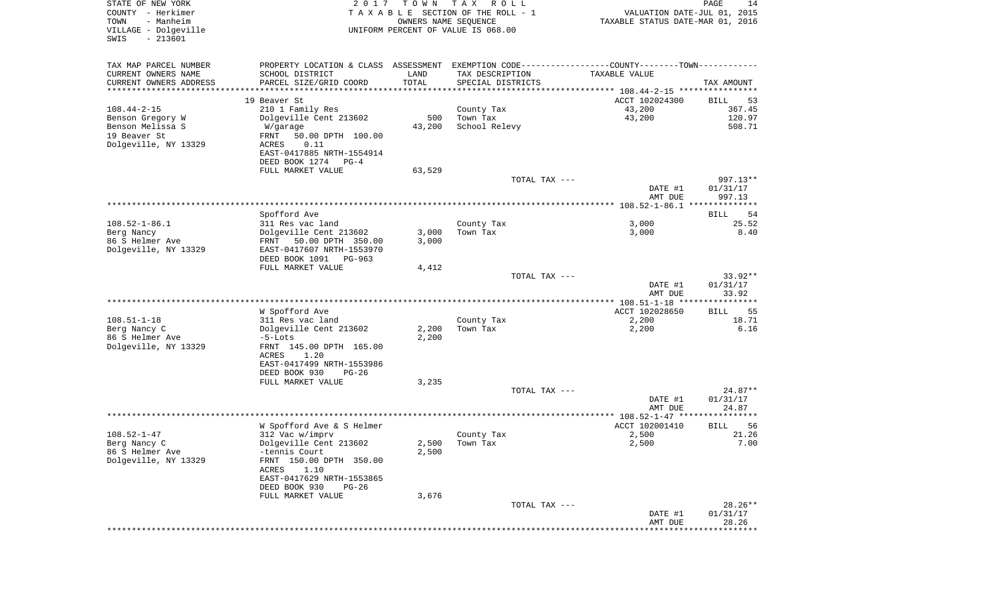| STATE OF NEW YORK<br>COUNTY - Herkimer<br>- Manheim<br>TOWN<br>VILLAGE - Dolgeville<br>SWIS<br>$-213601$ | 2 0 1 7                                             | T O W N<br>OWNERS NAME SEQUENCE | T A X<br>R O L L<br>T A X A B L E SECTION OF THE ROLL - 1<br>UNIFORM PERCENT OF VALUE IS 068.00 | VALUATION DATE-JUL 01, 2015<br>TAXABLE STATUS DATE-MAR 01, 2016                               | $\mathop{\mathtt{PAGE}}$<br>14 |
|----------------------------------------------------------------------------------------------------------|-----------------------------------------------------|---------------------------------|-------------------------------------------------------------------------------------------------|-----------------------------------------------------------------------------------------------|--------------------------------|
| TAX MAP PARCEL NUMBER                                                                                    |                                                     |                                 |                                                                                                 | PROPERTY LOCATION & CLASS ASSESSMENT EXEMPTION CODE---------------COUNTY-------TOWN---------- |                                |
| CURRENT OWNERS NAME                                                                                      | SCHOOL DISTRICT                                     | LAND                            | TAX DESCRIPTION                                                                                 | TAXABLE VALUE                                                                                 |                                |
| CURRENT OWNERS ADDRESS<br>********************                                                           | PARCEL SIZE/GRID COORD                              | TOTAL                           | SPECIAL DISTRICTS                                                                               |                                                                                               | TAX AMOUNT                     |
|                                                                                                          | 19 Beaver St                                        |                                 |                                                                                                 | ACCT 102024300                                                                                | BILL<br>53                     |
| $108.44 - 2 - 15$                                                                                        | 210 1 Family Res                                    |                                 | County Tax                                                                                      | 43,200                                                                                        | 367.45                         |
| Benson Gregory W                                                                                         | Dolgeville Cent 213602                              | 500                             | Town Tax                                                                                        | 43,200                                                                                        | 120.97                         |
| Benson Melissa S                                                                                         | W/garage                                            | 43,200                          | School Relevy                                                                                   |                                                                                               | 508.71                         |
| 19 Beaver St                                                                                             | FRNT<br>50.00 DPTH 100.00                           |                                 |                                                                                                 |                                                                                               |                                |
| Dolgeville, NY 13329                                                                                     | 0.11<br>ACRES                                       |                                 |                                                                                                 |                                                                                               |                                |
|                                                                                                          | EAST-0417885 NRTH-1554914                           |                                 |                                                                                                 |                                                                                               |                                |
|                                                                                                          | DEED BOOK 1274<br>$PG-4$                            |                                 |                                                                                                 |                                                                                               |                                |
|                                                                                                          | FULL MARKET VALUE                                   | 63,529                          | TOTAL TAX ---                                                                                   |                                                                                               | 997.13**                       |
|                                                                                                          |                                                     |                                 |                                                                                                 | DATE #1                                                                                       | 01/31/17                       |
|                                                                                                          |                                                     |                                 |                                                                                                 | AMT DUE                                                                                       | 997.13                         |
|                                                                                                          |                                                     |                                 |                                                                                                 |                                                                                               |                                |
|                                                                                                          | Spofford Ave                                        |                                 |                                                                                                 |                                                                                               | 54<br>BILL                     |
| $108.52 - 1 - 86.1$                                                                                      | 311 Res vac land                                    |                                 | County Tax                                                                                      | 3,000                                                                                         | 25.52                          |
| Berg Nancy<br>86 S Helmer Ave                                                                            | Dolgeville Cent 213602<br>50.00 DPTH 350.00<br>FRNT | 3,000<br>3,000                  | Town Tax                                                                                        | 3,000                                                                                         | 8.40                           |
| Dolgeville, NY 13329                                                                                     | EAST-0417607 NRTH-1553970                           |                                 |                                                                                                 |                                                                                               |                                |
|                                                                                                          | DEED BOOK 1091<br>PG-963                            |                                 |                                                                                                 |                                                                                               |                                |
|                                                                                                          | FULL MARKET VALUE                                   | 4,412                           |                                                                                                 |                                                                                               |                                |
|                                                                                                          |                                                     |                                 | TOTAL TAX ---                                                                                   |                                                                                               | $33.92**$                      |
|                                                                                                          |                                                     |                                 |                                                                                                 | DATE #1                                                                                       | 01/31/17                       |
|                                                                                                          |                                                     |                                 |                                                                                                 | AMT DUE                                                                                       | 33.92                          |
|                                                                                                          | W Spofford Ave                                      |                                 |                                                                                                 | ACCT 102028650                                                                                | <b>BILL</b><br>55              |
| $108.51 - 1 - 18$                                                                                        | 311 Res vac land                                    |                                 | County Tax                                                                                      | 2,200                                                                                         | 18.71                          |
| Berg Nancy C                                                                                             | Dolgeville Cent 213602                              | 2,200                           | Town Tax                                                                                        | 2,200                                                                                         | 6.16                           |
| 86 S Helmer Ave                                                                                          | $-5$ -Lots                                          | 2,200                           |                                                                                                 |                                                                                               |                                |
| Dolgeville, NY 13329                                                                                     | FRNT 145.00 DPTH 165.00                             |                                 |                                                                                                 |                                                                                               |                                |
|                                                                                                          | ACRES<br>1.20<br>EAST-0417499 NRTH-1553986          |                                 |                                                                                                 |                                                                                               |                                |
|                                                                                                          | DEED BOOK 930<br>$PG-26$                            |                                 |                                                                                                 |                                                                                               |                                |
|                                                                                                          | FULL MARKET VALUE                                   | 3,235                           |                                                                                                 |                                                                                               |                                |
|                                                                                                          |                                                     |                                 | TOTAL TAX ---                                                                                   |                                                                                               | $24.87**$                      |
|                                                                                                          |                                                     |                                 |                                                                                                 | DATE #1                                                                                       | 01/31/17                       |
|                                                                                                          |                                                     |                                 |                                                                                                 | AMT DUE                                                                                       | 24.87                          |
|                                                                                                          |                                                     |                                 |                                                                                                 |                                                                                               |                                |
| $108.52 - 1 - 47$                                                                                        | W Spofford Ave & S Helmer<br>312 Vac w/imprv        |                                 | County Tax                                                                                      | ACCT 102001410<br>2,500                                                                       | 56<br>BILL<br>21.26            |
| Berg Nancy C                                                                                             | Dolgeville Cent 213602                              |                                 | $2,500$ Town Tax                                                                                | 2,500                                                                                         | 7.00                           |
| 86 S Helmer Ave                                                                                          | -tennis Court                                       | 2,500                           |                                                                                                 |                                                                                               |                                |
| Dolgeville, NY 13329                                                                                     | FRNT 150.00 DPTH 350.00                             |                                 |                                                                                                 |                                                                                               |                                |
|                                                                                                          | 1.10<br>ACRES                                       |                                 |                                                                                                 |                                                                                               |                                |
|                                                                                                          | EAST-0417629 NRTH-1553865                           |                                 |                                                                                                 |                                                                                               |                                |
|                                                                                                          | DEED BOOK 930<br>$PG-26$                            |                                 |                                                                                                 |                                                                                               |                                |
|                                                                                                          | FULL MARKET VALUE                                   | 3,676                           | TOTAL TAX ---                                                                                   |                                                                                               | $28.26**$                      |
|                                                                                                          |                                                     |                                 |                                                                                                 | DATE #1                                                                                       | 01/31/17                       |
|                                                                                                          |                                                     |                                 |                                                                                                 | AMT DUE                                                                                       | 28.26                          |
|                                                                                                          |                                                     |                                 |                                                                                                 |                                                                                               | * * * * * * * * * * * *        |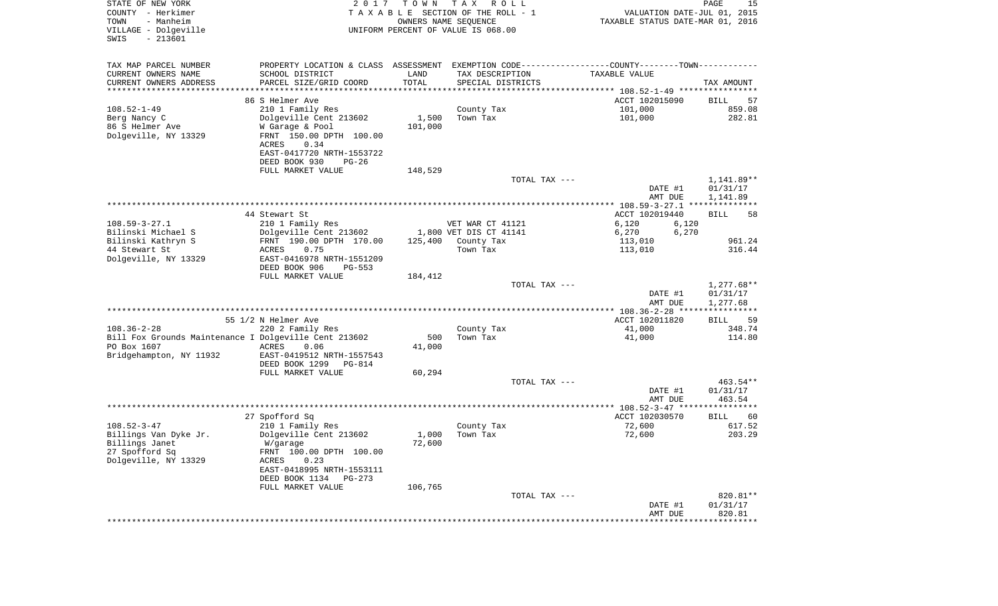| STATE OF NEW YORK<br>COUNTY - Herkimer<br>- Manheim<br>TOWN<br>VILLAGE - Dolgeville | 2 0 1 7                                                                                       | T O W N | T A X<br>R O L L<br>TAXABLE SECTION OF THE ROLL - 1<br>OWNERS NAME SEQUENCE<br>UNIFORM PERCENT OF VALUE IS 068.00 | VALUATION DATE-JUL 01, 2015<br>TAXABLE STATUS DATE-MAR 01, 2016 | PAGE<br>15               |
|-------------------------------------------------------------------------------------|-----------------------------------------------------------------------------------------------|---------|-------------------------------------------------------------------------------------------------------------------|-----------------------------------------------------------------|--------------------------|
| $-213601$<br>SWIS                                                                   |                                                                                               |         |                                                                                                                   |                                                                 |                          |
| TAX MAP PARCEL NUMBER                                                               | PROPERTY LOCATION & CLASS ASSESSMENT EXEMPTION CODE---------------COUNTY-------TOWN---------- |         |                                                                                                                   |                                                                 |                          |
| CURRENT OWNERS NAME                                                                 | SCHOOL DISTRICT                                                                               | LAND    | TAX DESCRIPTION                                                                                                   | TAXABLE VALUE                                                   |                          |
| CURRENT OWNERS ADDRESS<br>*********************                                     | PARCEL SIZE/GRID COORD                                                                        | TOTAL   | SPECIAL DISTRICTS                                                                                                 |                                                                 | TAX AMOUNT               |
|                                                                                     | 86 S Helmer Ave                                                                               |         |                                                                                                                   | ACCT 102015090                                                  | BILL<br>57               |
| $108.52 - 1 - 49$                                                                   | 210 1 Family Res                                                                              |         | County Tax                                                                                                        | 101,000                                                         | 859.08                   |
| Berg Nancy C                                                                        | Dolgeville Cent 213602                                                                        | 1,500   | Town Tax                                                                                                          | 101,000                                                         | 282.81                   |
| 86 S Helmer Ave                                                                     | W Garage & Pool                                                                               | 101,000 |                                                                                                                   |                                                                 |                          |
| Dolgeville, NY 13329                                                                | FRNT 150.00 DPTH 100.00                                                                       |         |                                                                                                                   |                                                                 |                          |
|                                                                                     | ACRES<br>0.34                                                                                 |         |                                                                                                                   |                                                                 |                          |
|                                                                                     | EAST-0417720 NRTH-1553722<br>DEED BOOK 930<br>$PG-26$                                         |         |                                                                                                                   |                                                                 |                          |
|                                                                                     | FULL MARKET VALUE                                                                             | 148,529 |                                                                                                                   |                                                                 |                          |
|                                                                                     |                                                                                               |         | TOTAL TAX ---                                                                                                     |                                                                 | 1,141.89**               |
|                                                                                     |                                                                                               |         |                                                                                                                   | DATE #1                                                         | 01/31/17                 |
|                                                                                     |                                                                                               |         |                                                                                                                   | AMT DUE                                                         | 1,141.89                 |
|                                                                                     | 44 Stewart St                                                                                 |         |                                                                                                                   | ACCT 102019440                                                  | 58<br>BILL               |
| $108.59 - 3 - 27.1$                                                                 | 210 1 Family Res                                                                              |         | VET WAR CT 41121                                                                                                  | 6,120<br>6,120                                                  |                          |
| Bilinski Michael S                                                                  | Dolgeville Cent 213602                                                                        |         | 1,800 VET DIS CT 41141                                                                                            | 6,270<br>6,270                                                  |                          |
| Bilinski Kathryn S                                                                  | FRNT 190.00 DPTH 170.00                                                                       | 125,400 | County Tax                                                                                                        | 113,010                                                         | 961.24                   |
| 44 Stewart St                                                                       | ACRES<br>0.75                                                                                 |         | Town Tax                                                                                                          | 113,010                                                         | 316.44                   |
| Dolgeville, NY 13329                                                                | EAST-0416978 NRTH-1551209<br>DEED BOOK 906<br>$PG-553$                                        |         |                                                                                                                   |                                                                 |                          |
|                                                                                     | FULL MARKET VALUE                                                                             | 184,412 |                                                                                                                   |                                                                 |                          |
|                                                                                     |                                                                                               |         | TOTAL TAX ---                                                                                                     |                                                                 | $1,277.68**$             |
|                                                                                     |                                                                                               |         |                                                                                                                   | DATE #1                                                         | 01/31/17                 |
|                                                                                     |                                                                                               |         |                                                                                                                   | AMT DUE<br>************* 108.36-2-28 *****************          | 1,277.68                 |
|                                                                                     | 55 1/2 N Helmer Ave                                                                           |         |                                                                                                                   | ACCT 102011820                                                  | <b>BILL</b><br>59        |
| $108.36 - 2 - 28$                                                                   | 220 2 Family Res                                                                              |         | County Tax                                                                                                        | 41,000                                                          | 348.74                   |
| Bill Fox Grounds Maintenance I Dolgeville Cent 213602                               |                                                                                               | 500     | Town Tax                                                                                                          | 41,000                                                          | 114.80                   |
| PO Box 1607                                                                         | ACRES<br>0.06                                                                                 | 41,000  |                                                                                                                   |                                                                 |                          |
| Bridgehampton, NY 11932                                                             | EAST-0419512 NRTH-1557543                                                                     |         |                                                                                                                   |                                                                 |                          |
|                                                                                     | DEED BOOK 1299<br><b>PG-814</b><br>FULL MARKET VALUE                                          | 60,294  |                                                                                                                   |                                                                 |                          |
|                                                                                     |                                                                                               |         | TOTAL TAX ---                                                                                                     |                                                                 | 463.54**                 |
|                                                                                     |                                                                                               |         |                                                                                                                   | DATE #1                                                         | 01/31/17                 |
|                                                                                     |                                                                                               |         |                                                                                                                   | AMT DUE                                                         | 463.54                   |
|                                                                                     |                                                                                               |         |                                                                                                                   |                                                                 |                          |
| $108.52 - 3 - 47$                                                                   | 27 Spofford Sq<br>210 1 Family Res                                                            |         | County Tax                                                                                                        | ACCT 102030570<br>72,600                                        | BILL<br>60<br>617.52     |
| Billings Van Dyke Jr.                                                               | Dolgeville Cent 213602                                                                        | 1,000   | Town Tax                                                                                                          | 72,600                                                          | 203.29                   |
| Billings Janet                                                                      | W/garage                                                                                      | 72,600  |                                                                                                                   |                                                                 |                          |
| 27 Spofford Sq                                                                      | FRNT 100.00 DPTH 100.00                                                                       |         |                                                                                                                   |                                                                 |                          |
| Dolgeville, NY 13329                                                                | ACRES<br>0.23                                                                                 |         |                                                                                                                   |                                                                 |                          |
|                                                                                     | EAST-0418995 NRTH-1553111<br>DEED BOOK 1134<br>PG-273                                         |         |                                                                                                                   |                                                                 |                          |
|                                                                                     | FULL MARKET VALUE                                                                             | 106,765 |                                                                                                                   |                                                                 |                          |
|                                                                                     |                                                                                               |         | TOTAL TAX ---                                                                                                     |                                                                 | 820.81**                 |
|                                                                                     |                                                                                               |         |                                                                                                                   | DATE #1                                                         | 01/31/17                 |
|                                                                                     |                                                                                               |         | **************************                                                                                        | AMT DUE<br>******************                                   | 820.81<br>************** |
|                                                                                     |                                                                                               |         |                                                                                                                   |                                                                 |                          |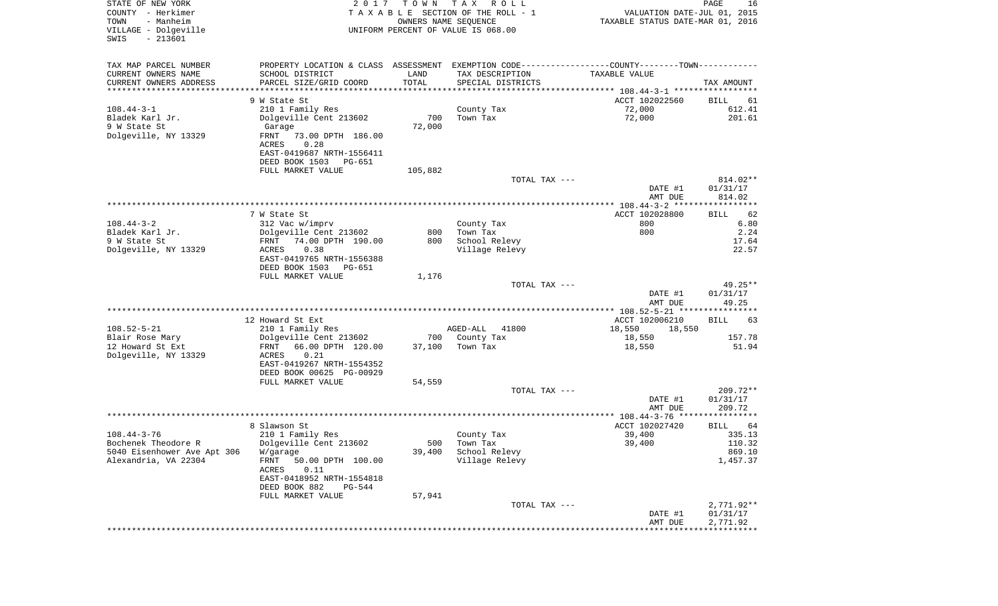| STATE OF NEW YORK<br>COUNTY - Herkimer<br>- Manheim<br>TOWN<br>VILLAGE - Dolgeville<br>$-213601$<br>SWIS | 2 0 1 7                                           | T O W N<br>OWNERS NAME SEQUENCE | T A X<br>R O L L<br>TAXABLE SECTION OF THE ROLL - 1<br>UNIFORM PERCENT OF VALUE IS 068.00 | VALUATION DATE-JUL 01, 2015<br>TAXABLE STATUS DATE-MAR 01, 2016 | PAGE<br>16               |
|----------------------------------------------------------------------------------------------------------|---------------------------------------------------|---------------------------------|-------------------------------------------------------------------------------------------|-----------------------------------------------------------------|--------------------------|
| TAX MAP PARCEL NUMBER                                                                                    | PROPERTY LOCATION & CLASS ASSESSMENT              |                                 | EXEMPTION CODE-----------------COUNTY-------TOWN-----------                               |                                                                 |                          |
| CURRENT OWNERS NAME                                                                                      | SCHOOL DISTRICT                                   | LAND                            | TAX DESCRIPTION                                                                           | TAXABLE VALUE                                                   |                          |
| CURRENT OWNERS ADDRESS<br>*********************                                                          | PARCEL SIZE/GRID COORD<br>*********************** | TOTAL<br>**********             | SPECIAL DISTRICTS                                                                         |                                                                 | TAX AMOUNT               |
|                                                                                                          | 9 W State St                                      |                                 |                                                                                           | ACCT 102022560                                                  | BILL<br>61               |
| $108.44 - 3 - 1$                                                                                         | 210 1 Family Res                                  |                                 | County Tax                                                                                | 72,000                                                          | 612.41                   |
| Bladek Karl Jr.                                                                                          | Dolgeville Cent 213602                            | 700                             | Town Tax                                                                                  | 72,000                                                          | 201.61                   |
| 9 W State St                                                                                             | Garage                                            | 72,000                          |                                                                                           |                                                                 |                          |
| Dolgeville, NY 13329                                                                                     | FRNT<br>73.00 DPTH 186.00                         |                                 |                                                                                           |                                                                 |                          |
|                                                                                                          | ACRES<br>0.28                                     |                                 |                                                                                           |                                                                 |                          |
|                                                                                                          | EAST-0419687 NRTH-1556411                         |                                 |                                                                                           |                                                                 |                          |
|                                                                                                          | DEED BOOK 1503<br>PG-651                          |                                 |                                                                                           |                                                                 |                          |
|                                                                                                          | FULL MARKET VALUE                                 | 105,882                         | TOTAL TAX ---                                                                             |                                                                 | 814.02**                 |
|                                                                                                          |                                                   |                                 |                                                                                           | DATE #1                                                         | 01/31/17                 |
|                                                                                                          |                                                   |                                 |                                                                                           | AMT DUE                                                         | 814.02                   |
|                                                                                                          |                                                   |                                 |                                                                                           |                                                                 |                          |
|                                                                                                          | 7 W State St                                      |                                 |                                                                                           | ACCT 102028800                                                  | 62<br>BILL               |
| $108.44 - 3 - 2$                                                                                         | 312 Vac w/imprv                                   |                                 | County Tax                                                                                | 800                                                             | 6.80                     |
| Bladek Karl Jr.                                                                                          | Dolgeville Cent 213602                            | 800                             | Town Tax                                                                                  | 800                                                             | 2.24                     |
| 9 W State St<br>Dolgeville, NY 13329                                                                     | 74.00 DPTH 190.00<br>FRNT<br>0.38<br>ACRES        | 800                             | School Relevy<br>Village Relevy                                                           |                                                                 | 17.64<br>22.57           |
|                                                                                                          | EAST-0419765 NRTH-1556388                         |                                 |                                                                                           |                                                                 |                          |
|                                                                                                          | DEED BOOK 1503<br>PG-651                          |                                 |                                                                                           |                                                                 |                          |
|                                                                                                          | FULL MARKET VALUE                                 | 1,176                           |                                                                                           |                                                                 |                          |
|                                                                                                          |                                                   |                                 | TOTAL TAX ---                                                                             |                                                                 | 49.25**                  |
|                                                                                                          |                                                   |                                 |                                                                                           | DATE #1                                                         | 01/31/17                 |
|                                                                                                          |                                                   |                                 |                                                                                           | AMT DUE<br>**************** 108.52-5-21 *****************       | 49.25                    |
|                                                                                                          | 12 Howard St Ext                                  |                                 |                                                                                           | ACCT 102006210                                                  | 63<br>BILL               |
| $108.52 - 5 - 21$                                                                                        | 210 1 Family Res                                  |                                 | AGED-ALL<br>41800                                                                         | 18,550<br>18,550                                                |                          |
| Blair Rose Mary                                                                                          | Dolgeville Cent 213602                            | 700                             | County Tax                                                                                | 18,550                                                          | 157.78                   |
| 12 Howard St Ext                                                                                         | 66.00 DPTH 120.00<br>FRNT                         | 37,100                          | Town Tax                                                                                  | 18,550                                                          | 51.94                    |
| Dolgeville, NY 13329                                                                                     | 0.21<br>ACRES                                     |                                 |                                                                                           |                                                                 |                          |
|                                                                                                          | EAST-0419267 NRTH-1554352                         |                                 |                                                                                           |                                                                 |                          |
|                                                                                                          | DEED BOOK 00625 PG-00929<br>FULL MARKET VALUE     | 54,559                          |                                                                                           |                                                                 |                          |
|                                                                                                          |                                                   |                                 | TOTAL TAX ---                                                                             |                                                                 | $209.72**$               |
|                                                                                                          |                                                   |                                 |                                                                                           | DATE #1                                                         | 01/31/17                 |
|                                                                                                          |                                                   |                                 |                                                                                           | AMT DUE                                                         | 209.72                   |
|                                                                                                          |                                                   |                                 |                                                                                           |                                                                 |                          |
|                                                                                                          | 8 Slawson St                                      |                                 |                                                                                           | ACCT 102027420                                                  | BILL<br>64               |
| $108.44 - 3 - 76$                                                                                        | 210 1 Family Res                                  |                                 | County Tax                                                                                | 39,400                                                          | 335.13                   |
| Bochenek Theodore R<br>5040 Eisenhower Ave Apt 306                                                       | Dolgeville Cent 213602<br>W/garage                | 39,400                          | 500 Town Tax<br>School Relevy                                                             | 39,400                                                          | 110.32<br>869.10         |
| Alexandria, VA 22304                                                                                     | 50.00 DPTH 100.00<br>FRNT                         |                                 | Village Relevy                                                                            |                                                                 | 1,457.37                 |
|                                                                                                          | ACRES<br>0.11                                     |                                 |                                                                                           |                                                                 |                          |
|                                                                                                          | EAST-0418952 NRTH-1554818                         |                                 |                                                                                           |                                                                 |                          |
|                                                                                                          | DEED BOOK 882<br>PG-544                           |                                 |                                                                                           |                                                                 |                          |
|                                                                                                          | FULL MARKET VALUE                                 | 57,941                          |                                                                                           |                                                                 |                          |
|                                                                                                          |                                                   |                                 | TOTAL TAX ---                                                                             | DATE #1                                                         | $2,771.92**$<br>01/31/17 |
|                                                                                                          |                                                   |                                 |                                                                                           | AMT DUE                                                         | 2,771.92                 |
|                                                                                                          |                                                   |                                 |                                                                                           |                                                                 |                          |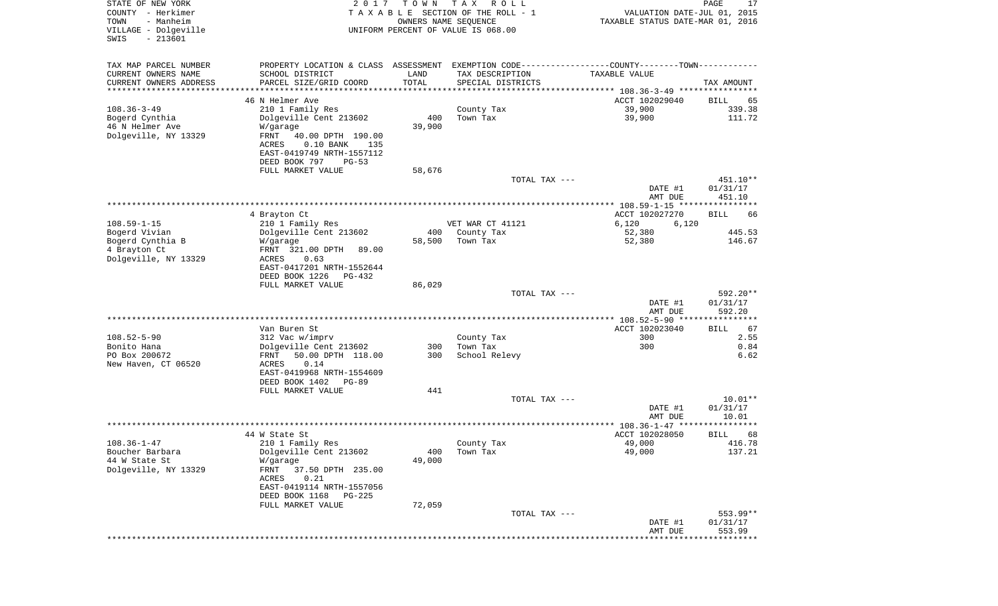| STATE OF NEW YORK<br>COUNTY - Herkimer<br>- Manheim<br>TOWN | 2 0 1 7                                                                                       | T O W N<br>OWNERS NAME SEQUENCE | T A X<br>R O L L<br>TAXABLE SECTION OF THE ROLL - 1 | VALUATION DATE-JUL 01, 2015<br>TAXABLE STATUS DATE-MAR 01, 2016 | PAGE<br>17            |
|-------------------------------------------------------------|-----------------------------------------------------------------------------------------------|---------------------------------|-----------------------------------------------------|-----------------------------------------------------------------|-----------------------|
| VILLAGE - Dolgeville<br>$-213601$<br>SWIS                   |                                                                                               |                                 | UNIFORM PERCENT OF VALUE IS 068.00                  |                                                                 |                       |
| TAX MAP PARCEL NUMBER                                       | PROPERTY LOCATION & CLASS ASSESSMENT EXEMPTION CODE---------------COUNTY-------TOWN---------- |                                 |                                                     |                                                                 |                       |
| CURRENT OWNERS NAME                                         | SCHOOL DISTRICT                                                                               | LAND                            | TAX DESCRIPTION                                     | TAXABLE VALUE                                                   |                       |
| CURRENT OWNERS ADDRESS<br>*********************             | PARCEL SIZE/GRID COORD                                                                        | TOTAL<br>* * * * * * * * * * *  | SPECIAL DISTRICTS                                   |                                                                 | TAX AMOUNT            |
|                                                             | 46 N Helmer Ave                                                                               |                                 |                                                     | ACCT 102029040                                                  | BILL<br>65            |
| $108.36 - 3 - 49$                                           | 210 1 Family Res                                                                              |                                 | County Tax                                          | 39,900                                                          | 339.38                |
| Bogerd Cynthia                                              | Dolgeville Cent 213602                                                                        | 400                             | Town Tax                                            | 39,900                                                          | 111.72                |
| 46 N Helmer Ave                                             | W/garage                                                                                      | 39,900                          |                                                     |                                                                 |                       |
| Dolgeville, NY 13329                                        | FRNT<br>40.00 DPTH 190.00                                                                     |                                 |                                                     |                                                                 |                       |
|                                                             | $0.10$ BANK<br>ACRES<br>135                                                                   |                                 |                                                     |                                                                 |                       |
|                                                             | EAST-0419749 NRTH-1557112<br>DEED BOOK 797<br>$PG-53$                                         |                                 |                                                     |                                                                 |                       |
|                                                             | FULL MARKET VALUE                                                                             | 58,676                          |                                                     |                                                                 |                       |
|                                                             |                                                                                               |                                 | TOTAL TAX ---                                       |                                                                 | 451.10**              |
|                                                             |                                                                                               |                                 |                                                     | DATE #1<br>AMT DUE                                              | 01/31/17<br>451.10    |
|                                                             |                                                                                               |                                 |                                                     |                                                                 |                       |
| $108.59 - 1 - 15$                                           | 4 Brayton Ct                                                                                  |                                 |                                                     | ACCT 102027270                                                  | BILL<br>66            |
| Bogerd Vivian                                               | 210 1 Family Res<br>Dolgeville Cent 213602                                                    | 400                             | VET WAR CT 41121<br>County Tax                      | 6,120<br>6,120<br>52,380                                        | 445.53                |
| Bogerd Cynthia B                                            | W/garage                                                                                      | 58,500                          | Town Tax                                            | 52,380                                                          | 146.67                |
| 4 Brayton Ct                                                | FRNT 321.00 DPTH<br>89.00                                                                     |                                 |                                                     |                                                                 |                       |
| Dolgeville, NY 13329                                        | ACRES<br>0.63                                                                                 |                                 |                                                     |                                                                 |                       |
|                                                             | EAST-0417201 NRTH-1552644                                                                     |                                 |                                                     |                                                                 |                       |
|                                                             | DEED BOOK 1226<br>PG-432<br>FULL MARKET VALUE                                                 | 86,029                          |                                                     |                                                                 |                       |
|                                                             |                                                                                               |                                 | TOTAL TAX ---                                       |                                                                 | 592.20**              |
|                                                             |                                                                                               |                                 |                                                     | DATE #1                                                         | 01/31/17              |
|                                                             |                                                                                               |                                 |                                                     | AMT DUE                                                         | 592.20                |
|                                                             |                                                                                               |                                 |                                                     | ************** 108.52-5-90 ****************                     |                       |
|                                                             | Van Buren St                                                                                  |                                 |                                                     | ACCT 102023040                                                  | 67<br>BILL            |
| $108.52 - 5 - 90$<br>Bonito Hana                            | 312 Vac w/imprv<br>Dolgeville Cent 213602                                                     | 300                             | County Tax<br>Town Tax                              | 300<br>300                                                      | 2.55<br>0.84          |
| PO Box 200672                                               | FRNT<br>50.00 DPTH 118.00                                                                     | 300                             | School Relevy                                       |                                                                 | 6.62                  |
| New Haven, CT 06520                                         | ACRES<br>0.14                                                                                 |                                 |                                                     |                                                                 |                       |
|                                                             | EAST-0419968 NRTH-1554609                                                                     |                                 |                                                     |                                                                 |                       |
|                                                             | DEED BOOK 1402<br><b>PG-89</b>                                                                |                                 |                                                     |                                                                 |                       |
|                                                             | FULL MARKET VALUE                                                                             | 441                             |                                                     |                                                                 |                       |
|                                                             |                                                                                               |                                 | TOTAL TAX ---                                       | DATE #1                                                         | $10.01**$<br>01/31/17 |
|                                                             |                                                                                               |                                 |                                                     | AMT DUE                                                         | 10.01                 |
|                                                             |                                                                                               |                                 |                                                     |                                                                 | ************          |
|                                                             | 44 W State St                                                                                 |                                 |                                                     | ACCT 102028050                                                  | BILL<br>68            |
| $108.36 - 1 - 47$                                           | 210 1 Family Res                                                                              |                                 | County Tax                                          | 49,000                                                          | 416.78                |
| Boucher Barbara                                             | Dolgeville Cent 213602                                                                        | 400                             | Town Tax                                            | 49,000                                                          | 137.21                |
| 44 W State St<br>Dolgeville, NY 13329                       | W/garage<br>37.50 DPTH 235.00<br>FRNT                                                         | 49,000                          |                                                     |                                                                 |                       |
|                                                             | 0.21<br>ACRES                                                                                 |                                 |                                                     |                                                                 |                       |
|                                                             | EAST-0419114 NRTH-1557056                                                                     |                                 |                                                     |                                                                 |                       |
|                                                             | DEED BOOK 1168<br><b>PG-225</b>                                                               |                                 |                                                     |                                                                 |                       |
|                                                             | FULL MARKET VALUE                                                                             | 72,059                          |                                                     |                                                                 |                       |
|                                                             |                                                                                               |                                 | TOTAL TAX ---                                       |                                                                 | 553.99**              |
|                                                             |                                                                                               |                                 |                                                     | DATE #1<br>AMT DUE                                              | 01/31/17<br>553.99    |
|                                                             |                                                                                               |                                 |                                                     |                                                                 |                       |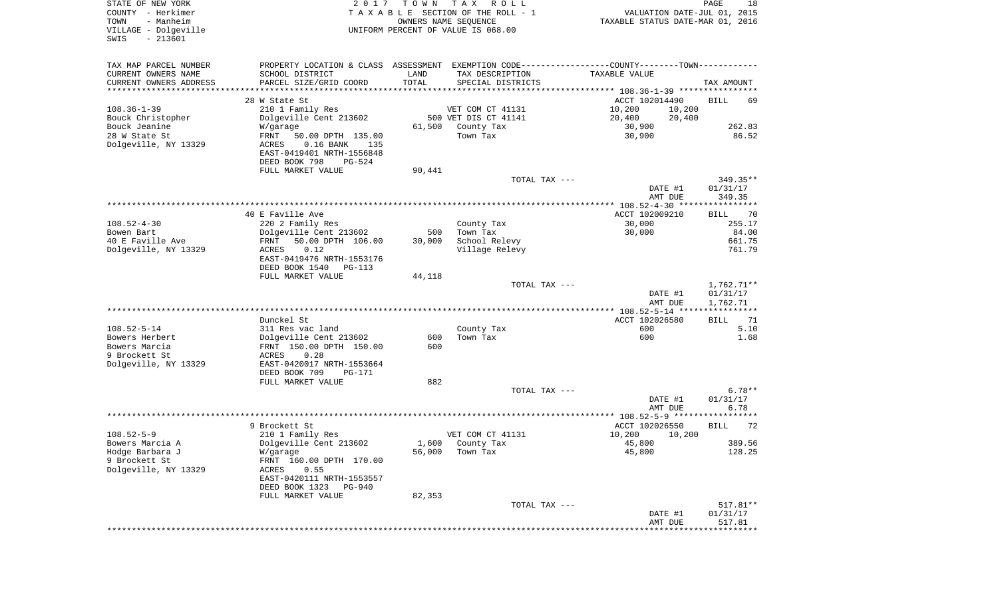| STATE OF NEW YORK<br>COUNTY - Herkimer<br>- Manheim<br>TOWN<br>VILLAGE - Dolgeville<br>$-213601$<br>SWIS | 2017                                                        | T O W N | T A X<br>R O L L<br>TAXABLE SECTION OF THE ROLL - 1<br>OWNERS NAME SEQUENCE<br>UNIFORM PERCENT OF VALUE IS 068.00 | VALUATION DATE-JUL 01, 2015<br>TAXABLE STATUS DATE-MAR 01, 2016 | PAGE<br>18         |
|----------------------------------------------------------------------------------------------------------|-------------------------------------------------------------|---------|-------------------------------------------------------------------------------------------------------------------|-----------------------------------------------------------------|--------------------|
| TAX MAP PARCEL NUMBER                                                                                    |                                                             |         | PROPERTY LOCATION & CLASS ASSESSMENT EXEMPTION CODE---------------COUNTY-------TOWN----------                     |                                                                 |                    |
| CURRENT OWNERS NAME                                                                                      | SCHOOL DISTRICT                                             | LAND    | TAX DESCRIPTION                                                                                                   | TAXABLE VALUE                                                   |                    |
| CURRENT OWNERS ADDRESS<br>*********************                                                          | PARCEL SIZE/GRID COORD                                      | TOTAL   | SPECIAL DISTRICTS                                                                                                 |                                                                 | TAX AMOUNT         |
|                                                                                                          | 28 W State St                                               |         |                                                                                                                   | ACCT 102014490                                                  | <b>BILL</b><br>69  |
| $108.36 - 1 - 39$                                                                                        | 210 1 Family Res                                            |         | VET COM CT 41131                                                                                                  | 10,200<br>10,200                                                |                    |
| Bouck Christopher                                                                                        | Dolgeville Cent 213602                                      |         | 500 VET DIS CT 41141                                                                                              | 20,400<br>20,400                                                |                    |
| Bouck Jeanine                                                                                            | W/garage                                                    | 61,500  | County Tax                                                                                                        | 30,900                                                          | 262.83             |
| 28 W State St                                                                                            | FRNT<br>50.00 DPTH 135.00                                   |         | Town Tax                                                                                                          | 30,900                                                          | 86.52              |
| Dolgeville, NY 13329                                                                                     | $0.16$ BANK<br>ACRES<br>135                                 |         |                                                                                                                   |                                                                 |                    |
|                                                                                                          | EAST-0419401 NRTH-1556848<br>DEED BOOK 798<br><b>PG-524</b> |         |                                                                                                                   |                                                                 |                    |
|                                                                                                          | FULL MARKET VALUE                                           | 90,441  |                                                                                                                   |                                                                 |                    |
|                                                                                                          |                                                             |         | TOTAL TAX ---                                                                                                     |                                                                 | $349.35**$         |
|                                                                                                          |                                                             |         |                                                                                                                   | DATE #1                                                         | 01/31/17           |
|                                                                                                          |                                                             |         |                                                                                                                   | AMT DUE                                                         | 349.35             |
|                                                                                                          | 40 E Faville Ave                                            |         |                                                                                                                   | ACCT 102009210                                                  | 70<br>BILL         |
| $108.52 - 4 - 30$                                                                                        | 220 2 Family Res                                            |         | County Tax                                                                                                        | 30,000                                                          | 255.17             |
| Bowen Bart                                                                                               | Dolgeville Cent 213602                                      | 500     | Town Tax                                                                                                          | 30,000                                                          | 84.00              |
| 40 E Faville Ave                                                                                         | 50.00 DPTH 106.00<br>FRNT                                   | 30,000  | School Relevy                                                                                                     |                                                                 | 661.75             |
| Dolgeville, NY 13329                                                                                     | 0.12<br>ACRES                                               |         | Village Relevy                                                                                                    |                                                                 | 761.79             |
|                                                                                                          | EAST-0419476 NRTH-1553176<br>DEED BOOK 1540<br>$PG-113$     |         |                                                                                                                   |                                                                 |                    |
|                                                                                                          | FULL MARKET VALUE                                           | 44,118  |                                                                                                                   |                                                                 |                    |
|                                                                                                          |                                                             |         | TOTAL TAX ---                                                                                                     |                                                                 | $1,762.71**$       |
|                                                                                                          |                                                             |         |                                                                                                                   | DATE #1                                                         | 01/31/17           |
|                                                                                                          |                                                             |         |                                                                                                                   | AMT DUE<br>************* 108.52-5-14 *****************          | 1,762.71           |
|                                                                                                          | Dunckel St                                                  |         |                                                                                                                   | ACCT 102026580                                                  | 71<br>BILL         |
| $108.52 - 5 - 14$                                                                                        | 311 Res vac land                                            |         | County Tax                                                                                                        | 600                                                             | 5.10               |
| Bowers Herbert                                                                                           | Dolgeville Cent 213602                                      | 600     | Town Tax                                                                                                          | 600                                                             | 1.68               |
| Bowers Marcia                                                                                            | FRNT 150.00 DPTH 150.00                                     | 600     |                                                                                                                   |                                                                 |                    |
| 9 Brockett St<br>Dolgeville, NY 13329                                                                    | 0.28<br>ACRES<br>EAST-0420017 NRTH-1553664                  |         |                                                                                                                   |                                                                 |                    |
|                                                                                                          | DEED BOOK 709<br>PG-171                                     |         |                                                                                                                   |                                                                 |                    |
|                                                                                                          | FULL MARKET VALUE                                           | 882     |                                                                                                                   |                                                                 |                    |
|                                                                                                          |                                                             |         | TOTAL TAX ---                                                                                                     |                                                                 | $6.78**$           |
|                                                                                                          |                                                             |         |                                                                                                                   | DATE #1                                                         | 01/31/17           |
|                                                                                                          |                                                             |         |                                                                                                                   | AMT DUE                                                         | 6.78               |
|                                                                                                          | 9 Brockett St                                               |         |                                                                                                                   | ACCT 102026550                                                  | <b>BILL</b><br>72  |
| $108.52 - 5 - 9$                                                                                         | 210 1 Family Res                                            |         | VET COM CT 41131                                                                                                  | 10,200<br>10,200                                                |                    |
| Bowers Marcia A                                                                                          | Dolgeville Cent 213602                                      |         | 1,600 County Tax                                                                                                  | 45,800                                                          | 389.56             |
| Hodge Barbara J                                                                                          | W/garage                                                    | 56,000  | Town Tax                                                                                                          | 45,800                                                          | 128.25             |
| 9 Brockett St<br>Dolgeville, NY 13329                                                                    | FRNT 160.00 DPTH 170.00<br>0.55                             |         |                                                                                                                   |                                                                 |                    |
|                                                                                                          | ACRES<br>EAST-0420111 NRTH-1553557                          |         |                                                                                                                   |                                                                 |                    |
|                                                                                                          | DEED BOOK 1323<br>PG-940                                    |         |                                                                                                                   |                                                                 |                    |
|                                                                                                          | FULL MARKET VALUE                                           | 82,353  |                                                                                                                   |                                                                 |                    |
|                                                                                                          |                                                             |         | TOTAL TAX ---                                                                                                     |                                                                 | 517.81**           |
|                                                                                                          |                                                             |         |                                                                                                                   | DATE #1<br>AMT DUE                                              | 01/31/17<br>517.81 |
|                                                                                                          |                                                             |         |                                                                                                                   |                                                                 |                    |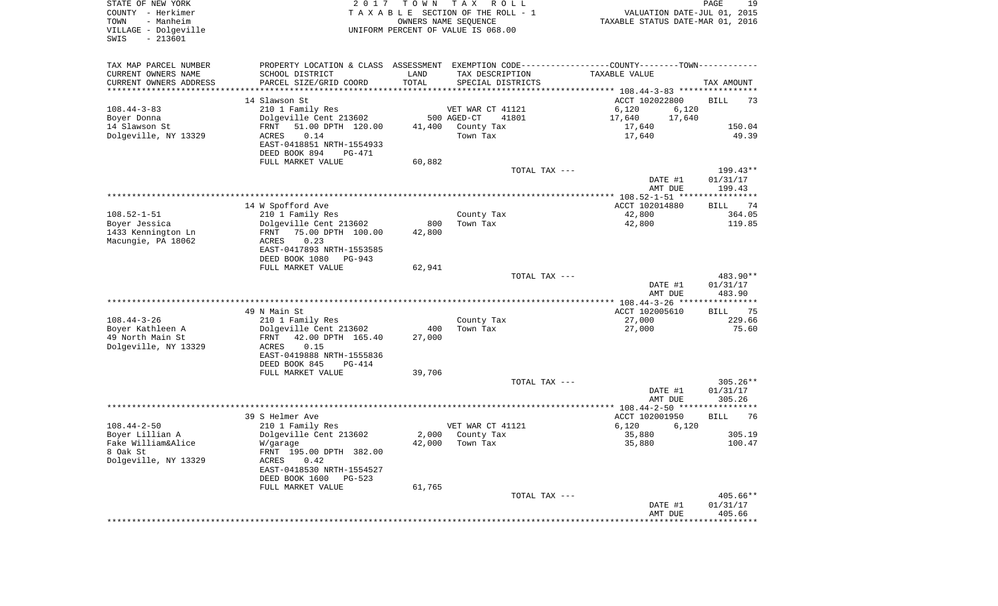| STATE OF NEW YORK<br>COUNTY - Herkimer<br>- Manheim<br>TOWN<br>VILLAGE - Dolgeville<br>$-213601$<br>SWIS | 2017                                                                                          | T O W N | T A X<br>R O L L<br>TAXABLE SECTION OF THE ROLL - 1<br>OWNERS NAME SEQUENCE<br>UNIFORM PERCENT OF VALUE IS 068.00 | VALUATION DATE-JUL 01, 2015<br>TAXABLE STATUS DATE-MAR 01, 2016 | PAGE<br>19         |
|----------------------------------------------------------------------------------------------------------|-----------------------------------------------------------------------------------------------|---------|-------------------------------------------------------------------------------------------------------------------|-----------------------------------------------------------------|--------------------|
| TAX MAP PARCEL NUMBER                                                                                    | PROPERTY LOCATION & CLASS ASSESSMENT EXEMPTION CODE---------------COUNTY-------TOWN---------- |         |                                                                                                                   |                                                                 |                    |
| CURRENT OWNERS NAME                                                                                      | SCHOOL DISTRICT                                                                               | LAND    | TAX DESCRIPTION                                                                                                   | TAXABLE VALUE                                                   |                    |
| CURRENT OWNERS ADDRESS<br>**********************                                                         | PARCEL SIZE/GRID COORD                                                                        | TOTAL   | SPECIAL DISTRICTS                                                                                                 |                                                                 | TAX AMOUNT         |
|                                                                                                          | 14 Slawson St                                                                                 |         |                                                                                                                   | ACCT 102022800                                                  | 73<br>BILL         |
| $108.44 - 3 - 83$                                                                                        | 210 1 Family Res                                                                              |         | VET WAR CT 41121                                                                                                  | 6,120<br>6,120                                                  |                    |
| Boyer Donna                                                                                              | Dolgeville Cent 213602                                                                        |         | 500 AGED-CT<br>41801                                                                                              | 17,640<br>17,640                                                |                    |
| 14 Slawson St                                                                                            | 51.00 DPTH 120.00<br>FRNT                                                                     | 41,400  | County Tax                                                                                                        | 17,640                                                          | 150.04             |
| Dolgeville, NY 13329                                                                                     | 0.14<br>ACRES                                                                                 |         | Town Tax                                                                                                          | 17,640                                                          | 49.39              |
|                                                                                                          | EAST-0418851 NRTH-1554933<br>DEED BOOK 894<br>PG-471                                          |         |                                                                                                                   |                                                                 |                    |
|                                                                                                          | FULL MARKET VALUE                                                                             | 60,882  |                                                                                                                   |                                                                 |                    |
|                                                                                                          |                                                                                               |         | TOTAL TAX ---                                                                                                     |                                                                 | 199.43**           |
|                                                                                                          |                                                                                               |         |                                                                                                                   | DATE #1<br>AMT DUE                                              | 01/31/17<br>199.43 |
|                                                                                                          |                                                                                               |         |                                                                                                                   |                                                                 |                    |
|                                                                                                          | 14 W Spofford Ave                                                                             |         |                                                                                                                   | ACCT 102014880                                                  | <b>BILL</b><br>74  |
| $108.52 - 1 - 51$                                                                                        | 210 1 Family Res                                                                              |         | County Tax                                                                                                        | 42,800                                                          | 364.05             |
| Boyer Jessica                                                                                            | Dolgeville Cent 213602                                                                        | 800     | Town Tax                                                                                                          | 42,800                                                          | 119.85             |
| 1433 Kennington Ln                                                                                       | FRNT<br>75.00 DPTH 100.00                                                                     | 42,800  |                                                                                                                   |                                                                 |                    |
| Macungie, PA 18062                                                                                       | 0.23<br>ACRES<br>EAST-0417893 NRTH-1553585                                                    |         |                                                                                                                   |                                                                 |                    |
|                                                                                                          | DEED BOOK 1080<br>PG-943                                                                      |         |                                                                                                                   |                                                                 |                    |
|                                                                                                          | FULL MARKET VALUE                                                                             | 62,941  |                                                                                                                   |                                                                 |                    |
|                                                                                                          |                                                                                               |         | TOTAL TAX ---                                                                                                     |                                                                 | 483.90**           |
|                                                                                                          |                                                                                               |         |                                                                                                                   | DATE #1                                                         | 01/31/17           |
|                                                                                                          |                                                                                               |         |                                                                                                                   | AMT DUE                                                         | 483.90             |
|                                                                                                          |                                                                                               |         |                                                                                                                   |                                                                 |                    |
|                                                                                                          | 49 N Main St                                                                                  |         |                                                                                                                   | ACCT 102005610                                                  | 75<br>BILL         |
| $108.44 - 3 - 26$                                                                                        | 210 1 Family Res                                                                              |         | County Tax                                                                                                        | 27,000                                                          | 229.66             |
| Boyer Kathleen A                                                                                         | Dolgeville Cent 213602                                                                        | 400     | Town Tax                                                                                                          | 27,000                                                          | 75.60              |
| 49 North Main St<br>Dolgeville, NY 13329                                                                 | FRNT<br>42.00 DPTH 165.40<br>ACRES<br>0.15                                                    | 27,000  |                                                                                                                   |                                                                 |                    |
|                                                                                                          | EAST-0419888 NRTH-1555836                                                                     |         |                                                                                                                   |                                                                 |                    |
|                                                                                                          | DEED BOOK 845<br>PG-414                                                                       |         |                                                                                                                   |                                                                 |                    |
|                                                                                                          | FULL MARKET VALUE                                                                             | 39,706  |                                                                                                                   |                                                                 |                    |
|                                                                                                          |                                                                                               |         | TOTAL TAX ---                                                                                                     |                                                                 | $305.26**$         |
|                                                                                                          |                                                                                               |         |                                                                                                                   | DATE #1                                                         | 01/31/17           |
|                                                                                                          |                                                                                               |         |                                                                                                                   | AMT DUE                                                         | 305.26             |
|                                                                                                          |                                                                                               |         |                                                                                                                   |                                                                 |                    |
| $108.44 - 2 - 50$                                                                                        | 39 S Helmer Ave<br>210 1 Family Res                                                           |         | VET WAR CT 41121                                                                                                  | ACCT 102001950<br>6,120                                         | 76<br>BILL         |
| Boyer Lillian A                                                                                          | Dolgeville Cent 213602                                                                        | 2,000   | County Tax                                                                                                        | 6,120<br>35,880                                                 | 305.19             |
| Fake William&Alice                                                                                       | W/garage                                                                                      |         | 42,000 Town Tax                                                                                                   | 35,880                                                          | 100.47             |
| 8 Oak St                                                                                                 | FRNT 195.00 DPTH 382.00                                                                       |         |                                                                                                                   |                                                                 |                    |
| Dolgeville, NY 13329                                                                                     | 0.42<br>ACRES                                                                                 |         |                                                                                                                   |                                                                 |                    |
|                                                                                                          | EAST-0418530 NRTH-1554527                                                                     |         |                                                                                                                   |                                                                 |                    |
|                                                                                                          | DEED BOOK 1600<br>PG-523                                                                      |         |                                                                                                                   |                                                                 |                    |
|                                                                                                          | FULL MARKET VALUE                                                                             | 61,765  |                                                                                                                   |                                                                 |                    |
|                                                                                                          |                                                                                               |         | TOTAL TAX ---                                                                                                     |                                                                 | 405.66**           |
|                                                                                                          |                                                                                               |         |                                                                                                                   | DATE #1                                                         | 01/31/17           |
|                                                                                                          |                                                                                               |         |                                                                                                                   | AMT DUE                                                         | 405.66             |
|                                                                                                          |                                                                                               |         |                                                                                                                   |                                                                 |                    |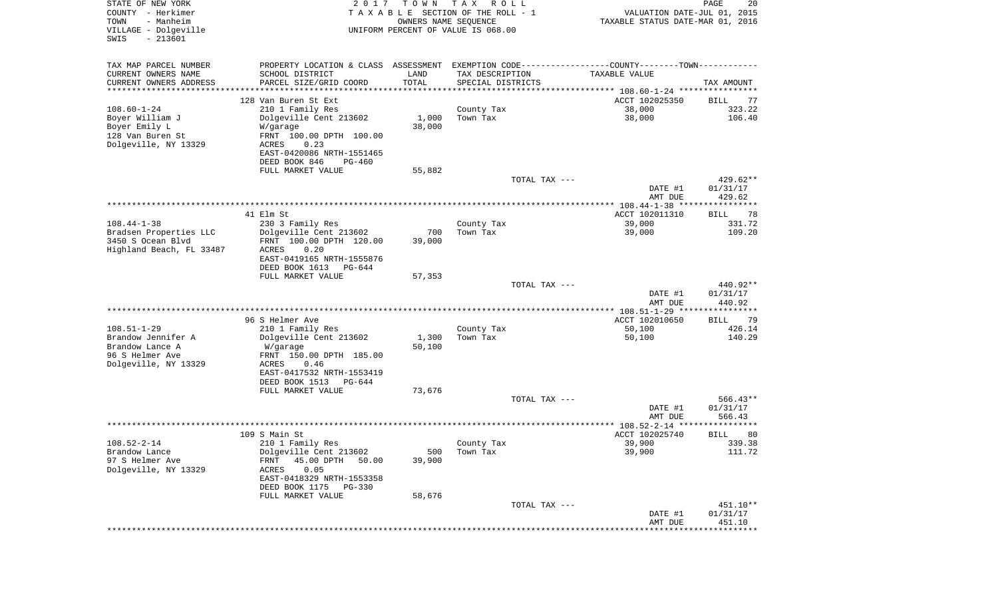| STATE OF NEW YORK<br>COUNTY - Herkimer<br>TOWN<br>- Manheim<br>VILLAGE - Dolgeville<br>$-213601$<br>SWIS | 2 0 1 7                                                                                       | T O W N<br>OWNERS NAME SEQUENCE | T A X<br>R O L L<br>TAXABLE SECTION OF THE ROLL - 1<br>UNIFORM PERCENT OF VALUE IS 068.00 | VALUATION DATE-JUL 01, 2015<br>TAXABLE STATUS DATE-MAR 01, 2016 | PAGE<br>20           |
|----------------------------------------------------------------------------------------------------------|-----------------------------------------------------------------------------------------------|---------------------------------|-------------------------------------------------------------------------------------------|-----------------------------------------------------------------|----------------------|
| TAX MAP PARCEL NUMBER                                                                                    | PROPERTY LOCATION & CLASS ASSESSMENT EXEMPTION CODE---------------COUNTY-------TOWN---------- |                                 |                                                                                           |                                                                 |                      |
| CURRENT OWNERS NAME                                                                                      | SCHOOL DISTRICT                                                                               | LAND                            | TAX DESCRIPTION                                                                           | TAXABLE VALUE                                                   |                      |
| CURRENT OWNERS ADDRESS<br>*******************                                                            | PARCEL SIZE/GRID COORD<br>*************                                                       | TOTAL<br>**********             | SPECIAL DISTRICTS                                                                         |                                                                 | TAX AMOUNT           |
|                                                                                                          | 128 Van Buren St Ext                                                                          |                                 |                                                                                           | ACCT 102025350                                                  | 77<br>BILL           |
| $108.60 - 1 - 24$                                                                                        | 210 1 Family Res                                                                              |                                 | County Tax                                                                                | 38,000                                                          | 323.22               |
| Boyer William J                                                                                          | Dolgeville Cent 213602                                                                        | 1,000                           | Town Tax                                                                                  | 38,000                                                          | 106.40               |
| Boyer Emily L                                                                                            | W/garage                                                                                      | 38,000                          |                                                                                           |                                                                 |                      |
| 128 Van Buren St<br>Dolgeville, NY 13329                                                                 | FRNT 100.00 DPTH 100.00                                                                       |                                 |                                                                                           |                                                                 |                      |
|                                                                                                          | 0.23<br>ACRES<br>EAST-0420086 NRTH-1551465                                                    |                                 |                                                                                           |                                                                 |                      |
|                                                                                                          | DEED BOOK 846<br>PG-460                                                                       |                                 |                                                                                           |                                                                 |                      |
|                                                                                                          | FULL MARKET VALUE                                                                             | 55,882                          |                                                                                           |                                                                 |                      |
|                                                                                                          |                                                                                               |                                 | TOTAL TAX ---                                                                             |                                                                 | $429.62**$           |
|                                                                                                          |                                                                                               |                                 |                                                                                           | DATE #1                                                         | 01/31/17             |
|                                                                                                          |                                                                                               |                                 |                                                                                           | AMT DUE                                                         | 429.62               |
|                                                                                                          | 41 Elm St                                                                                     |                                 |                                                                                           | ACCT 102011310                                                  | 78<br>BILL           |
| $108.44 - 1 - 38$                                                                                        | 230 3 Family Res                                                                              |                                 | County Tax                                                                                | 39,000                                                          | 331.72               |
| Bradsen Properties LLC                                                                                   | Dolgeville Cent 213602                                                                        | 700                             | Town Tax                                                                                  | 39,000                                                          | 109.20               |
| 3450 S Ocean Blvd<br>Highland Beach, FL 33487                                                            | FRNT 100.00 DPTH 120.00<br>ACRES<br>0.20                                                      | 39,000                          |                                                                                           |                                                                 |                      |
|                                                                                                          | EAST-0419165 NRTH-1555876                                                                     |                                 |                                                                                           |                                                                 |                      |
|                                                                                                          | DEED BOOK 1613<br>PG-644                                                                      |                                 |                                                                                           |                                                                 |                      |
|                                                                                                          | FULL MARKET VALUE                                                                             | 57,353                          |                                                                                           |                                                                 |                      |
|                                                                                                          |                                                                                               |                                 | TOTAL TAX ---                                                                             |                                                                 | 440.92**<br>01/31/17 |
|                                                                                                          |                                                                                               |                                 |                                                                                           | DATE #1<br>AMT DUE                                              | 440.92               |
|                                                                                                          |                                                                                               |                                 |                                                                                           | *********** 108.51-1-29 ****************                        |                      |
|                                                                                                          | 96 S Helmer Ave                                                                               |                                 |                                                                                           | ACCT 102010650                                                  | 79<br>BILL           |
| $108.51 - 1 - 29$                                                                                        | 210 1 Family Res                                                                              |                                 | County Tax                                                                                | 50,100                                                          | 426.14               |
| Brandow Jennifer A<br>Brandow Lance A                                                                    | Dolgeville Cent 213602<br>W/garage                                                            | 1,300<br>50,100                 | Town Tax                                                                                  | 50,100                                                          | 140.29               |
| 96 S Helmer Ave                                                                                          | FRNT 150.00 DPTH 185.00                                                                       |                                 |                                                                                           |                                                                 |                      |
| Dolgeville, NY 13329                                                                                     | ACRES<br>0.46                                                                                 |                                 |                                                                                           |                                                                 |                      |
|                                                                                                          | EAST-0417532 NRTH-1553419                                                                     |                                 |                                                                                           |                                                                 |                      |
|                                                                                                          | DEED BOOK 1513<br>PG-644                                                                      |                                 |                                                                                           |                                                                 |                      |
|                                                                                                          | FULL MARKET VALUE                                                                             | 73,676                          | TOTAL TAX ---                                                                             |                                                                 | $566.43**$           |
|                                                                                                          |                                                                                               |                                 |                                                                                           | DATE #1                                                         | 01/31/17             |
|                                                                                                          |                                                                                               |                                 |                                                                                           | AMT DUE                                                         | 566.43               |
|                                                                                                          |                                                                                               |                                 |                                                                                           | ******************* 108.52-2-14 ********                        |                      |
| $108.52 - 2 - 14$                                                                                        | 109 S Main St<br>210 1 Family Res                                                             |                                 |                                                                                           | ACCT 102025740<br>39,900                                        | 80<br>BILL<br>339.38 |
| Brandow Lance                                                                                            | Dolgeville Cent 213602                                                                        | 500                             | County Tax<br>Town Tax                                                                    | 39,900                                                          | 111.72               |
| 97 S Helmer Ave                                                                                          | 45.00 DPTH<br>FRNT<br>50.00                                                                   | 39,900                          |                                                                                           |                                                                 |                      |
| Dolgeville, NY 13329                                                                                     | 0.05<br>ACRES                                                                                 |                                 |                                                                                           |                                                                 |                      |
|                                                                                                          | EAST-0418329 NRTH-1553358                                                                     |                                 |                                                                                           |                                                                 |                      |
|                                                                                                          | DEED BOOK 1175<br>PG-330<br>FULL MARKET VALUE                                                 | 58,676                          |                                                                                           |                                                                 |                      |
|                                                                                                          |                                                                                               |                                 | TOTAL TAX ---                                                                             |                                                                 | 451.10**             |
|                                                                                                          |                                                                                               |                                 |                                                                                           | DATE #1                                                         | 01/31/17             |
|                                                                                                          |                                                                                               |                                 |                                                                                           | AMT DUE                                                         | 451.10               |
|                                                                                                          |                                                                                               |                                 |                                                                                           | ****************************                                    |                      |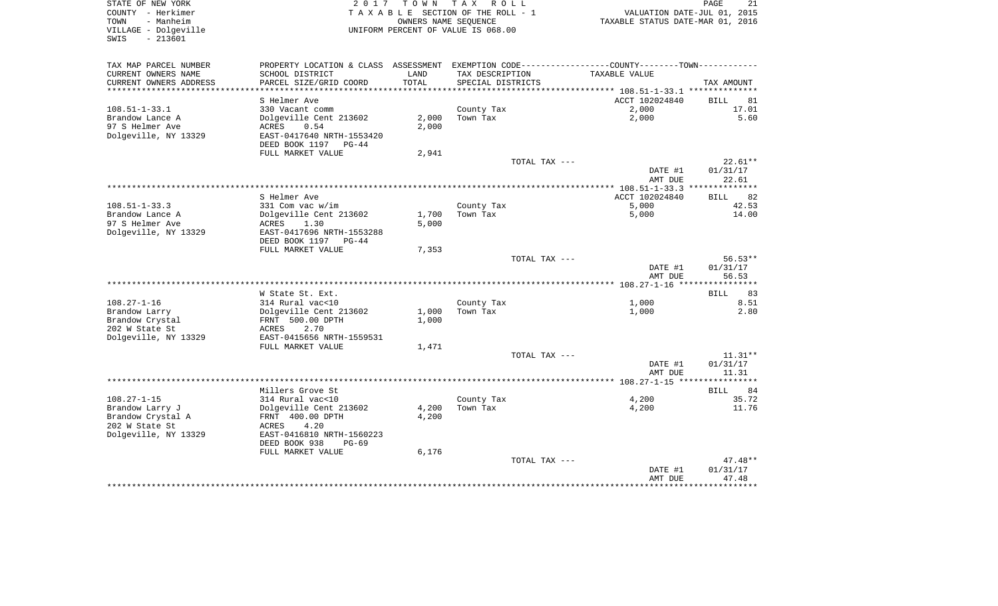| STATE OF NEW YORK<br>COUNTY - Herkimer<br>TOWN<br>- Manheim<br>VILLAGE - Dolgeville<br>$-213601$<br>SWIS | 2017                                           |       | TOWN TAX ROLL<br>TAXABLE SECTION OF THE ROLL - 1<br>OWNERS NAME SEOUENCE<br>UNIFORM PERCENT OF VALUE IS 068.00 | VALUATION DATE-JUL 01, 2015<br>TAXABLE STATUS DATE-MAR 01, 2016                               | 21<br>PAGE        |
|----------------------------------------------------------------------------------------------------------|------------------------------------------------|-------|----------------------------------------------------------------------------------------------------------------|-----------------------------------------------------------------------------------------------|-------------------|
| TAX MAP PARCEL NUMBER                                                                                    |                                                |       |                                                                                                                | PROPERTY LOCATION & CLASS ASSESSMENT EXEMPTION CODE---------------COUNTY-------TOWN---------- |                   |
| CURRENT OWNERS NAME                                                                                      | SCHOOL DISTRICT                                | LAND  | TAX DESCRIPTION                                                                                                | TAXABLE VALUE                                                                                 |                   |
| CURRENT OWNERS ADDRESS                                                                                   | PARCEL SIZE/GRID COORD<br>******************** | TOTAL | SPECIAL DISTRICTS                                                                                              | ********** 108.51-1-33.1 ***************                                                      | TAX AMOUNT        |
|                                                                                                          | S Helmer Ave                                   |       |                                                                                                                | ACCT 102024840                                                                                | <b>BILL</b><br>81 |
| $108.51 - 1 - 33.1$                                                                                      | 330 Vacant comm                                |       | County Tax                                                                                                     | 2,000                                                                                         | 17.01             |
| Brandow Lance A                                                                                          | Dolgeville Cent 213602                         | 2,000 | Town Tax                                                                                                       | 2,000                                                                                         | 5.60              |
| 97 S Helmer Ave                                                                                          | ACRES<br>0.54                                  | 2,000 |                                                                                                                |                                                                                               |                   |
| Dolgeville, NY 13329                                                                                     | EAST-0417640 NRTH-1553420                      |       |                                                                                                                |                                                                                               |                   |
|                                                                                                          | DEED BOOK 1197 PG-44                           |       |                                                                                                                |                                                                                               |                   |
|                                                                                                          | FULL MARKET VALUE                              | 2,941 |                                                                                                                |                                                                                               |                   |
|                                                                                                          |                                                |       | TOTAL TAX ---                                                                                                  |                                                                                               | $22.61**$         |
|                                                                                                          |                                                |       |                                                                                                                | DATE #1                                                                                       | 01/31/17          |
|                                                                                                          |                                                |       |                                                                                                                | AMT DUE                                                                                       | 22.61             |
|                                                                                                          |                                                |       |                                                                                                                |                                                                                               |                   |
|                                                                                                          | S Helmer Ave                                   |       |                                                                                                                | ACCT 102024840                                                                                | 82<br>BILL        |
| $108.51 - 1 - 33.3$                                                                                      | 331 Com vac w/im                               |       | County Tax                                                                                                     | 5,000                                                                                         | 42.53             |
| Brandow Lance A                                                                                          | Dolgeville Cent 213602                         | 1,700 | Town Tax                                                                                                       | 5,000                                                                                         | 14.00             |
| 97 S Helmer Ave<br>Dolgeville, NY 13329                                                                  | ACRES<br>1.30<br>EAST-0417696 NRTH-1553288     | 5,000 |                                                                                                                |                                                                                               |                   |
|                                                                                                          | DEED BOOK 1197<br>PG-44                        |       |                                                                                                                |                                                                                               |                   |
|                                                                                                          | FULL MARKET VALUE                              | 7,353 |                                                                                                                |                                                                                               |                   |
|                                                                                                          |                                                |       | TOTAL TAX ---                                                                                                  |                                                                                               | $56.53**$         |
|                                                                                                          |                                                |       |                                                                                                                | DATE #1                                                                                       | 01/31/17          |
|                                                                                                          |                                                |       |                                                                                                                | AMT DUE                                                                                       | 56.53             |
|                                                                                                          |                                                |       |                                                                                                                |                                                                                               | **********        |
|                                                                                                          | W State St. Ext.                               |       |                                                                                                                |                                                                                               | 83<br><b>BILL</b> |
| $108.27 - 1 - 16$                                                                                        | 314 Rural vac<10                               |       | County Tax                                                                                                     | 1,000                                                                                         | 8.51              |
| Brandow Larry                                                                                            | Dolgeville Cent 213602                         | 1,000 | Town Tax                                                                                                       | 1,000                                                                                         | 2.80              |
| Brandow Crystal                                                                                          | FRNT 500.00 DPTH                               | 1,000 |                                                                                                                |                                                                                               |                   |
| 202 W State St                                                                                           | 2.70<br>ACRES                                  |       |                                                                                                                |                                                                                               |                   |
| Dolgeville, NY 13329                                                                                     | EAST-0415656 NRTH-1559531                      |       |                                                                                                                |                                                                                               |                   |
|                                                                                                          | FULL MARKET VALUE                              | 1,471 |                                                                                                                |                                                                                               |                   |
|                                                                                                          |                                                |       | TOTAL TAX ---                                                                                                  |                                                                                               | $11.31**$         |
|                                                                                                          |                                                |       |                                                                                                                | DATE #1                                                                                       | 01/31/17          |
|                                                                                                          |                                                |       |                                                                                                                | AMT DUE                                                                                       | 11.31             |
|                                                                                                          | Millers Grove St                               |       |                                                                                                                |                                                                                               | 84<br>BILL        |
| $108.27 - 1 - 15$                                                                                        | 314 Rural vac<10                               |       | County Tax                                                                                                     | 4,200                                                                                         | 35.72             |
| Brandow Larry J                                                                                          | Dolgeville Cent 213602                         | 4,200 | Town Tax                                                                                                       | 4,200                                                                                         | 11.76             |
| Brandow Crystal A                                                                                        | FRNT 400.00 DPTH                               | 4,200 |                                                                                                                |                                                                                               |                   |
| 202 W State St                                                                                           | 4.20<br>ACRES                                  |       |                                                                                                                |                                                                                               |                   |
| Dolgeville, NY 13329                                                                                     | EAST-0416810 NRTH-1560223                      |       |                                                                                                                |                                                                                               |                   |
|                                                                                                          | DEED BOOK 938<br>$PG-69$                       |       |                                                                                                                |                                                                                               |                   |
|                                                                                                          | FULL MARKET VALUE                              | 6,176 |                                                                                                                |                                                                                               |                   |
|                                                                                                          |                                                |       | TOTAL TAX ---                                                                                                  |                                                                                               | $47.48**$         |
|                                                                                                          |                                                |       |                                                                                                                | DATE #1                                                                                       | 01/31/17          |
|                                                                                                          |                                                |       |                                                                                                                | AMT DUE                                                                                       | 47.48             |
|                                                                                                          |                                                |       |                                                                                                                |                                                                                               | ********          |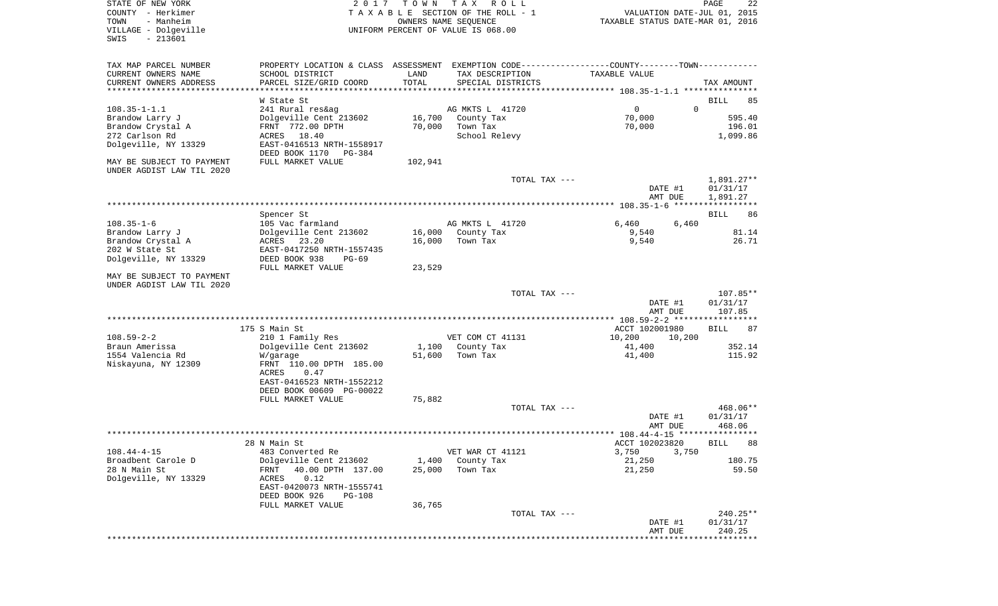| COUNTY<br>– Herkimer<br>TOWN<br>- Manheim<br>VILLAGE - Dolgeville<br>SWIS<br>$-213601$ |                                                                         |         | T A X A B L E SECTION OF THE ROLL - 1<br>OWNERS NAME SEQUENCE<br>UNIFORM PERCENT OF VALUE IS 068.00 | VALUATION DATE-JUL 01, 2015<br>TAXABLE STATUS DATE-MAR 01, 2016 |                        |
|----------------------------------------------------------------------------------------|-------------------------------------------------------------------------|---------|-----------------------------------------------------------------------------------------------------|-----------------------------------------------------------------|------------------------|
| TAX MAP PARCEL NUMBER                                                                  |                                                                         |         | PROPERTY LOCATION & CLASS ASSESSMENT EXEMPTION CODE---------------COUNTY-------TOWN----------       |                                                                 |                        |
| CURRENT OWNERS NAME                                                                    | SCHOOL DISTRICT                                                         | LAND    | TAX DESCRIPTION                                                                                     | TAXABLE VALUE                                                   |                        |
| CURRENT OWNERS ADDRESS                                                                 | PARCEL SIZE/GRID COORD                                                  | TOTAL   | SPECIAL DISTRICTS                                                                                   |                                                                 | TAX AMOUNT             |
|                                                                                        | W State St                                                              |         |                                                                                                     |                                                                 | BILL<br>85             |
| $108.35 - 1 - 1.1$                                                                     | 241 Rural res&ag                                                        |         | AG MKTS L 41720                                                                                     | $\circ$                                                         | $\mathbf 0$            |
| Brandow Larry J                                                                        | Dolgeville Cent 213602                                                  | 16,700  | County Tax                                                                                          | 70,000                                                          | 595.40                 |
| Brandow Crystal A                                                                      | FRNT 772.00 DPTH                                                        | 70,000  | Town Tax                                                                                            | 70,000                                                          | 196.01                 |
| 272 Carlson Rd<br>Dolgeville, NY 13329                                                 | 18.40<br>ACRES<br>EAST-0416513 NRTH-1558917<br>DEED BOOK 1170<br>PG-384 |         | School Relevy                                                                                       |                                                                 | 1,099.86               |
| MAY BE SUBJECT TO PAYMENT<br>UNDER AGDIST LAW TIL 2020                                 | FULL MARKET VALUE                                                       | 102,941 |                                                                                                     |                                                                 |                        |
|                                                                                        |                                                                         |         | TOTAL TAX ---                                                                                       | DATE #1                                                         | 1,891.27**<br>01/31/17 |
|                                                                                        |                                                                         |         |                                                                                                     | AMT DUE                                                         | 1,891.27               |
|                                                                                        |                                                                         |         |                                                                                                     |                                                                 |                        |
| $108.35 - 1 - 6$                                                                       | Spencer St                                                              |         | AG MKTS L 41720                                                                                     |                                                                 | 86<br>BILL             |
| Brandow Larry J                                                                        | 105 Vac farmland<br>Dolgeville Cent 213602                              | 16,000  | County Tax                                                                                          | 6,460<br>6,460<br>9,540                                         | 81.14                  |
| Brandow Crystal A                                                                      | ACRES<br>23.20                                                          | 16,000  | Town Tax                                                                                            | 9,540                                                           | 26.71                  |
| 202 W State St                                                                         | EAST-0417250 NRTH-1557435                                               |         |                                                                                                     |                                                                 |                        |
| Dolgeville, NY 13329                                                                   | DEED BOOK 938<br>$PG-69$                                                |         |                                                                                                     |                                                                 |                        |
|                                                                                        | FULL MARKET VALUE                                                       | 23,529  |                                                                                                     |                                                                 |                        |
| MAY BE SUBJECT TO PAYMENT<br>UNDER AGDIST LAW TIL 2020                                 |                                                                         |         |                                                                                                     |                                                                 |                        |
|                                                                                        |                                                                         |         | TOTAL TAX ---                                                                                       |                                                                 | $107.85**$             |
|                                                                                        |                                                                         |         |                                                                                                     | DATE #1<br>AMT DUE                                              | 01/31/17<br>107.85     |
|                                                                                        |                                                                         |         |                                                                                                     |                                                                 |                        |
| $108.59 - 2 - 2$                                                                       | 175 S Main St<br>210 1 Family Res                                       |         | VET COM CT 41131                                                                                    | ACCT 102001980<br>10,200<br>10,200                              | 87<br>BILL             |
| Braun Amerissa                                                                         | Dolgeville Cent 213602                                                  | 1,100   | County Tax                                                                                          | 41,400                                                          | 352.14                 |
| 1554 Valencia Rd                                                                       | W/garage                                                                | 51,600  | Town Tax                                                                                            | 41,400                                                          | 115.92                 |
| Niskayuna, NY 12309                                                                    | FRNT 110.00 DPTH 185.00                                                 |         |                                                                                                     |                                                                 |                        |
|                                                                                        | ACRES<br>0.47<br>EAST-0416523 NRTH-1552212                              |         |                                                                                                     |                                                                 |                        |
|                                                                                        | DEED BOOK 00609 PG-00022                                                |         |                                                                                                     |                                                                 |                        |
|                                                                                        | FULL MARKET VALUE                                                       | 75,882  |                                                                                                     |                                                                 |                        |
|                                                                                        |                                                                         |         | TOTAL TAX ---                                                                                       |                                                                 | 468.06**               |
|                                                                                        |                                                                         |         |                                                                                                     | DATE #1                                                         | 01/31/17               |
|                                                                                        |                                                                         |         |                                                                                                     | AMT DUE                                                         | 468.06<br>*****        |
|                                                                                        | 28 N Main St                                                            |         |                                                                                                     | ACCT 102023820                                                  | 88<br>BILL             |
| $108.44 - 4 - 15$                                                                      | 483 Converted Re                                                        |         | VET WAR CT 41121                                                                                    | 3,750<br>3,750                                                  |                        |
| Broadbent Carole D                                                                     | Dolgeville Cent 213602                                                  | 1,400   | County Tax                                                                                          | 21,250                                                          | 180.75                 |
| 28 N Main St                                                                           | 40.00 DPTH 137.00<br>FRNT                                               | 25,000  | Town Tax                                                                                            | 21,250                                                          | 59.50                  |
| Dolgeville, NY 13329                                                                   | ACRES<br>0.12<br>EAST-0420073 NRTH-1555741                              |         |                                                                                                     |                                                                 |                        |
|                                                                                        | DEED BOOK 926<br>PG-108                                                 |         |                                                                                                     |                                                                 |                        |
|                                                                                        | FULL MARKET VALUE                                                       | 36,765  |                                                                                                     |                                                                 |                        |
|                                                                                        |                                                                         |         | TOTAL TAX ---                                                                                       |                                                                 | 240.25**               |
|                                                                                        |                                                                         |         |                                                                                                     | DATE #1<br>AMT DUE                                              | 01/31/17<br>240.25     |
|                                                                                        |                                                                         |         |                                                                                                     |                                                                 |                        |

PAGE 22

STATE OF NEW YORK **EXECUTE:**  $2017$  TOWN TAX ROLL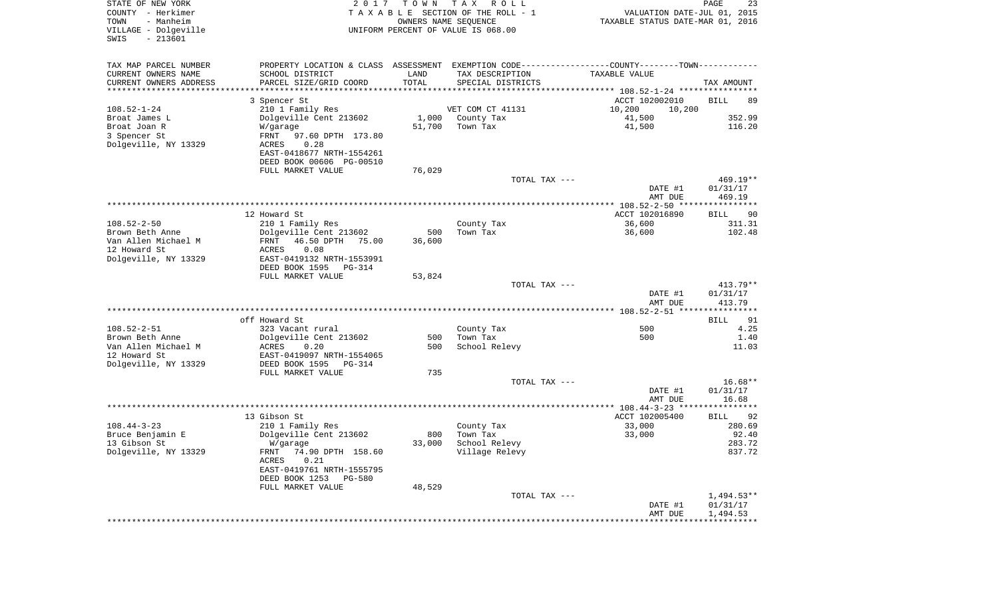| STATE OF NEW YORK<br>COUNTY - Herkimer<br>- Manheim<br>TOWN<br>VILLAGE - Dolgeville<br>$-213601$<br>SWIS | 2 0 1 7<br>UNIFORM PERCENT OF VALUE IS 068.00 | T O W N | T A X<br>R O L L<br>TAXABLE SECTION OF THE ROLL - 1<br>OWNERS NAME SEQUENCE                   | VALUATION DATE-JUL 01, 2015<br>TAXABLE STATUS DATE-MAR 01, 2016 | PAGE<br>23         |
|----------------------------------------------------------------------------------------------------------|-----------------------------------------------|---------|-----------------------------------------------------------------------------------------------|-----------------------------------------------------------------|--------------------|
| TAX MAP PARCEL NUMBER                                                                                    |                                               |         | PROPERTY LOCATION & CLASS ASSESSMENT EXEMPTION CODE---------------COUNTY-------TOWN---------- |                                                                 |                    |
| CURRENT OWNERS NAME<br>SCHOOL DISTRICT                                                                   |                                               | LAND    | TAX DESCRIPTION                                                                               | TAXABLE VALUE                                                   |                    |
| CURRENT OWNERS ADDRESS<br>PARCEL SIZE/GRID COORD<br>*********************                                |                                               | TOTAL   | SPECIAL DISTRICTS                                                                             |                                                                 | TAX AMOUNT         |
|                                                                                                          |                                               |         |                                                                                               |                                                                 |                    |
| 3 Spencer St<br>$108.52 - 1 - 24$<br>210 1 Family Res                                                    |                                               |         | VET COM CT 41131                                                                              | ACCT 102002010<br>10,200<br>10,200                              | BILL<br>89         |
| Dolgeville Cent 213602<br>Broat James L                                                                  |                                               | 1,000   | County Tax                                                                                    | 41,500                                                          | 352.99             |
| Broat Joan R<br>W/garage                                                                                 |                                               | 51,700  | Town Tax                                                                                      | 41,500                                                          | 116.20             |
| 3 Spencer St<br>FRNT                                                                                     | 97.60 DPTH 173.80                             |         |                                                                                               |                                                                 |                    |
| Dolgeville, NY 13329<br>0.28<br>ACRES                                                                    |                                               |         |                                                                                               |                                                                 |                    |
| EAST-0418677 NRTH-1554261                                                                                |                                               |         |                                                                                               |                                                                 |                    |
| DEED BOOK 00606 PG-00510                                                                                 |                                               |         |                                                                                               |                                                                 |                    |
| FULL MARKET VALUE                                                                                        |                                               | 76,029  |                                                                                               |                                                                 |                    |
|                                                                                                          |                                               |         | TOTAL TAX ---                                                                                 |                                                                 | $469.19**$         |
|                                                                                                          |                                               |         |                                                                                               | DATE #1<br>AMT DUE                                              | 01/31/17<br>469.19 |
|                                                                                                          |                                               |         |                                                                                               |                                                                 |                    |
| 12 Howard St                                                                                             |                                               |         |                                                                                               | ACCT 102016890                                                  | BILL<br>90         |
| $108.52 - 2 - 50$<br>210 1 Family Res                                                                    |                                               |         | County Tax                                                                                    | 36,600                                                          | 311.31             |
| Brown Beth Anne<br>Dolgeville Cent 213602                                                                |                                               | 500     | Town Tax                                                                                      | 36,600                                                          | 102.48             |
| Van Allen Michael M<br>46.50 DPTH<br>FRNT                                                                | 75.00                                         | 36,600  |                                                                                               |                                                                 |                    |
| 12 Howard St<br>ACRES<br>0.08                                                                            |                                               |         |                                                                                               |                                                                 |                    |
| Dolgeville, NY 13329<br>EAST-0419132 NRTH-1553991<br>DEED BOOK 1595                                      |                                               |         |                                                                                               |                                                                 |                    |
| FULL MARKET VALUE                                                                                        | PG-314                                        | 53,824  |                                                                                               |                                                                 |                    |
|                                                                                                          |                                               |         | TOTAL TAX ---                                                                                 |                                                                 | $413.79**$         |
|                                                                                                          |                                               |         |                                                                                               | DATE #1<br>AMT DUE                                              | 01/31/17<br>413.79 |
|                                                                                                          |                                               |         |                                                                                               |                                                                 |                    |
| off Howard St                                                                                            |                                               |         |                                                                                               |                                                                 | 91<br><b>BILL</b>  |
| $108.52 - 2 - 51$<br>323 Vacant rural<br>Brown Beth Anne                                                 |                                               | 500     | County Tax                                                                                    | 500<br>500                                                      | 4.25<br>1.40       |
| Dolgeville Cent 213602<br>Van Allen Michael M<br>ACRES<br>0.20                                           |                                               | 500     | Town Tax<br>School Relevy                                                                     |                                                                 | 11.03              |
| 12 Howard St<br>EAST-0419097 NRTH-1554065                                                                |                                               |         |                                                                                               |                                                                 |                    |
| Dolgeville, NY 13329<br>DEED BOOK 1595                                                                   | PG-314                                        |         |                                                                                               |                                                                 |                    |
| FULL MARKET VALUE                                                                                        |                                               | 735     |                                                                                               |                                                                 |                    |
|                                                                                                          |                                               |         | TOTAL TAX ---                                                                                 |                                                                 | $16.68**$          |
|                                                                                                          |                                               |         |                                                                                               | DATE #1                                                         | 01/31/17           |
|                                                                                                          |                                               |         |                                                                                               | AMT DUE                                                         | 16.68              |
| 13 Gibson St                                                                                             |                                               |         |                                                                                               | ACCT 102005400                                                  | 92<br>BILL         |
| $108.44 - 3 - 23$<br>210 1 Family Res                                                                    |                                               |         | County Tax                                                                                    | 33,000                                                          | 280.69             |
| Bruce Benjamin E<br>Dolgeville Cent 213602                                                               |                                               | 800     | Town Tax                                                                                      | 33,000                                                          | 92.40              |
| 13 Gibson St<br>W/garage                                                                                 |                                               | 33,000  | School Relevy                                                                                 |                                                                 | 283.72             |
| Dolgeville, NY 13329<br>FRNT 74.90 DPTH 158.60                                                           |                                               |         | Village Relevy                                                                                |                                                                 | 837.72             |
| ACRES<br>0.21                                                                                            |                                               |         |                                                                                               |                                                                 |                    |
| EAST-0419761 NRTH-1555795                                                                                |                                               |         |                                                                                               |                                                                 |                    |
| DEED BOOK 1253 PG-580                                                                                    |                                               |         |                                                                                               |                                                                 |                    |
| FULL MARKET VALUE                                                                                        |                                               | 48,529  | TOTAL TAX ---                                                                                 |                                                                 | $1,494.53**$       |
|                                                                                                          |                                               |         |                                                                                               | DATE #1                                                         | 01/31/17           |
|                                                                                                          |                                               |         |                                                                                               | AMT DUE                                                         | 1,494.53           |
|                                                                                                          |                                               |         |                                                                                               |                                                                 |                    |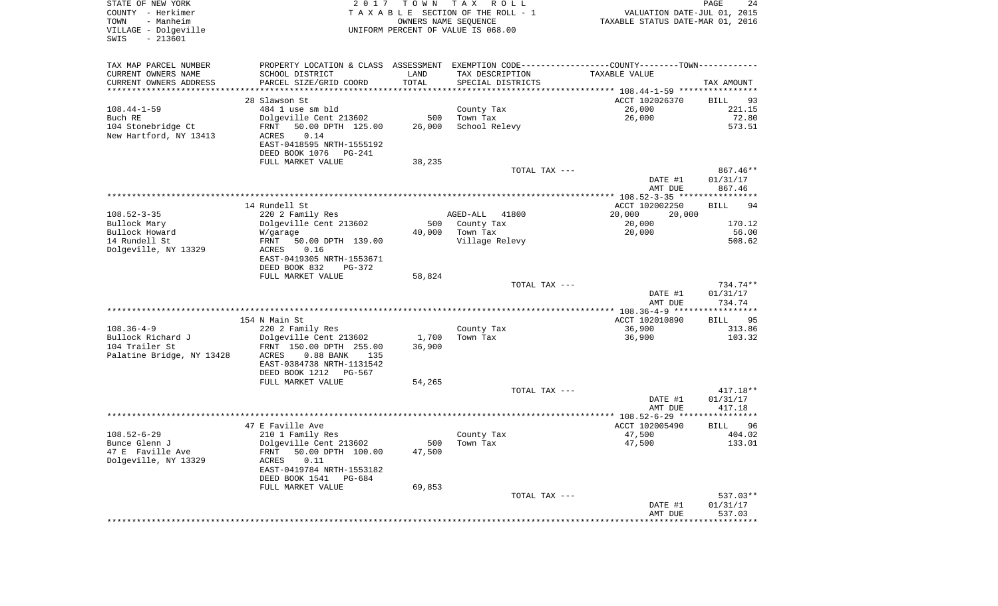| STATE OF NEW YORK<br>COUNTY - Herkimer<br>- Manheim<br>TOWN<br>VILLAGE - Dolgeville<br>$-213601$<br>SWIS | 2 0 1 7                                                                                       | T O W N<br>OWNERS NAME SEQUENCE | TAX ROLL<br>TAXABLE SECTION OF THE ROLL - 1<br>UNIFORM PERCENT OF VALUE IS 068.00 | VALUATION DATE-JUL 01, 2015<br>TAXABLE STATUS DATE-MAR 01, 2016 | PAGE<br>24           |
|----------------------------------------------------------------------------------------------------------|-----------------------------------------------------------------------------------------------|---------------------------------|-----------------------------------------------------------------------------------|-----------------------------------------------------------------|----------------------|
| TAX MAP PARCEL NUMBER                                                                                    | PROPERTY LOCATION & CLASS ASSESSMENT EXEMPTION CODE---------------COUNTY-------TOWN---------- |                                 |                                                                                   |                                                                 |                      |
| CURRENT OWNERS NAME                                                                                      | SCHOOL DISTRICT                                                                               | LAND                            | TAX DESCRIPTION                                                                   | TAXABLE VALUE                                                   |                      |
| CURRENT OWNERS ADDRESS                                                                                   | PARCEL SIZE/GRID COORD<br>***************************                                         | TOTAL                           | SPECIAL DISTRICTS                                                                 |                                                                 | TAX AMOUNT           |
| ***********************                                                                                  |                                                                                               |                                 |                                                                                   |                                                                 |                      |
| $108.44 - 1 - 59$                                                                                        | 28 Slawson St<br>484 1 use sm bld                                                             |                                 | County Tax                                                                        | ACCT 102026370<br>26,000                                        | BILL<br>93<br>221.15 |
| Buch RE                                                                                                  | Dolgeville Cent 213602                                                                        | 500                             | Town Tax                                                                          | 26,000                                                          | 72.80                |
| 104 Stonebridge Ct                                                                                       | FRNT<br>50.00 DPTH 125.00                                                                     | 26,000                          | School Relevy                                                                     |                                                                 | 573.51               |
| New Hartford, NY 13413                                                                                   | 0.14<br>ACRES<br>EAST-0418595 NRTH-1555192                                                    |                                 |                                                                                   |                                                                 |                      |
|                                                                                                          | DEED BOOK 1076<br>PG-241<br>FULL MARKET VALUE                                                 | 38,235                          |                                                                                   |                                                                 |                      |
|                                                                                                          |                                                                                               |                                 | TOTAL TAX ---                                                                     |                                                                 | 867.46**             |
|                                                                                                          |                                                                                               |                                 |                                                                                   | DATE #1<br>AMT DUE                                              | 01/31/17<br>867.46   |
|                                                                                                          |                                                                                               |                                 |                                                                                   |                                                                 |                      |
|                                                                                                          | 14 Rundell St                                                                                 |                                 |                                                                                   | ACCT 102002250                                                  | <b>BILL</b><br>94    |
| $108.52 - 3 - 35$                                                                                        | 220 2 Family Res                                                                              |                                 | AGED-ALL<br>41800                                                                 | 20,000<br>20,000                                                |                      |
| Bullock Mary                                                                                             | Dolgeville Cent 213602                                                                        | 500                             | County Tax                                                                        | 20,000                                                          | 170.12               |
| Bullock Howard                                                                                           | W/garage                                                                                      | 40,000                          | Town Tax                                                                          | 20,000                                                          | 56.00                |
| 14 Rundell St<br>Dolgeville, NY 13329                                                                    | 50.00 DPTH 139.00<br>FRNT<br>ACRES<br>0.16                                                    |                                 | Village Relevy                                                                    |                                                                 | 508.62               |
|                                                                                                          | EAST-0419305 NRTH-1553671                                                                     |                                 |                                                                                   |                                                                 |                      |
|                                                                                                          | DEED BOOK 832<br>PG-372                                                                       |                                 |                                                                                   |                                                                 |                      |
|                                                                                                          | FULL MARKET VALUE                                                                             | 58,824                          |                                                                                   |                                                                 |                      |
|                                                                                                          |                                                                                               |                                 | TOTAL TAX ---                                                                     |                                                                 | 734.74**             |
|                                                                                                          |                                                                                               |                                 |                                                                                   | DATE #1                                                         | 01/31/17             |
|                                                                                                          |                                                                                               |                                 |                                                                                   | AMT DUE                                                         | 734.74               |
|                                                                                                          | 154 N Main St                                                                                 |                                 |                                                                                   | ACCT 102010890                                                  | BILL<br>95           |
| $108.36 - 4 - 9$                                                                                         | 220 2 Family Res                                                                              |                                 | County Tax                                                                        | 36,900                                                          | 313.86               |
| Bullock Richard J                                                                                        | Dolgeville Cent 213602                                                                        | 1,700                           | Town Tax                                                                          | 36,900                                                          | 103.32               |
| 104 Trailer St                                                                                           | FRNT 150.00 DPTH 255.00                                                                       | 36,900                          |                                                                                   |                                                                 |                      |
| Palatine Bridge, NY 13428                                                                                | ACRES<br>$0.88$ BANK<br>135                                                                   |                                 |                                                                                   |                                                                 |                      |
|                                                                                                          | EAST-0384738 NRTH-1131542                                                                     |                                 |                                                                                   |                                                                 |                      |
|                                                                                                          | DEED BOOK 1212<br>PG-567                                                                      |                                 |                                                                                   |                                                                 |                      |
|                                                                                                          | FULL MARKET VALUE                                                                             | 54,265                          | TOTAL TAX ---                                                                     |                                                                 | $417.18**$           |
|                                                                                                          |                                                                                               |                                 |                                                                                   | DATE #1                                                         | 01/31/17             |
|                                                                                                          |                                                                                               |                                 |                                                                                   | AMT DUE                                                         | 417.18               |
|                                                                                                          |                                                                                               |                                 |                                                                                   |                                                                 |                      |
|                                                                                                          | 47 E Faville Ave                                                                              |                                 |                                                                                   | ACCT 102005490                                                  | 96<br>BILL           |
| $108.52 - 6 - 29$                                                                                        | 210 1 Family Res                                                                              |                                 | County Tax                                                                        | 47,500                                                          | 404.02               |
| Bunce Glenn J                                                                                            | Dolgeville Cent 213602                                                                        |                                 | 500 Town Tax                                                                      | 47,500                                                          | 133.01               |
| 47 E Faville Ave<br>Dolgeville, NY 13329                                                                 | 50.00 DPTH 100.00<br>FRNT<br>0.11<br>ACRES                                                    | 47,500                          |                                                                                   |                                                                 |                      |
|                                                                                                          | EAST-0419784 NRTH-1553182                                                                     |                                 |                                                                                   |                                                                 |                      |
|                                                                                                          | DEED BOOK 1541 PG-684                                                                         |                                 |                                                                                   |                                                                 |                      |
|                                                                                                          | FULL MARKET VALUE                                                                             | 69,853                          |                                                                                   |                                                                 |                      |
|                                                                                                          |                                                                                               |                                 | TOTAL TAX ---                                                                     |                                                                 | 537.03**             |
|                                                                                                          |                                                                                               |                                 |                                                                                   | DATE #1                                                         | 01/31/17             |
|                                                                                                          |                                                                                               |                                 |                                                                                   | AMT DUE                                                         | 537.03               |
|                                                                                                          |                                                                                               |                                 |                                                                                   |                                                                 |                      |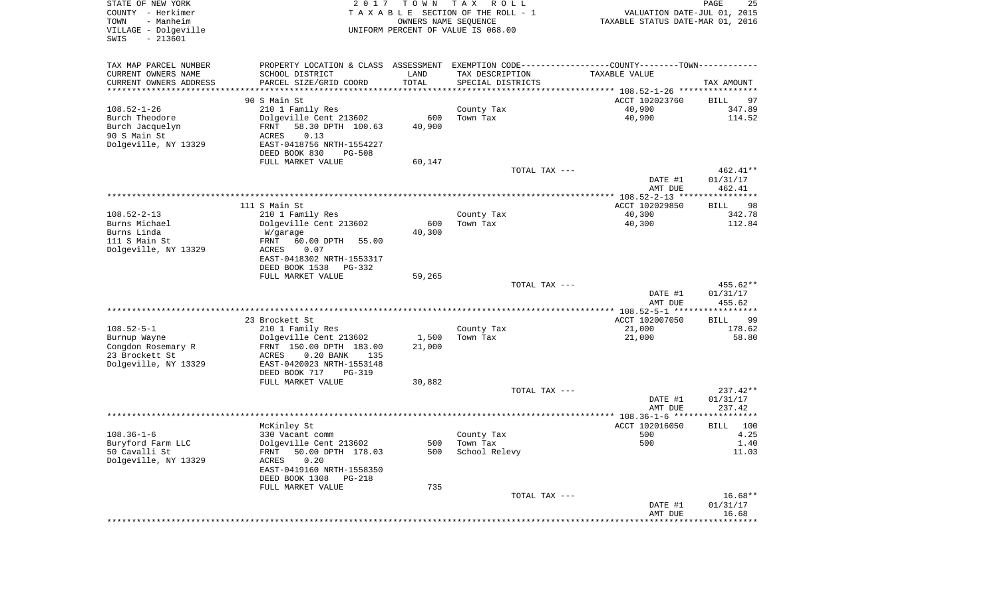| STATE OF NEW YORK<br>COUNTY - Herkimer<br>- Manheim<br>TOWN<br>VILLAGE - Dolgeville<br>$-213601$<br>SWIS | 2017                                                                                           | T O W N<br>OWNERS NAME SEQUENCE | T A X<br>ROLL<br>TAXABLE SECTION OF THE ROLL - 1<br>UNIFORM PERCENT OF VALUE IS 068.00 | VALUATION DATE-JUL 01, 2015<br>TAXABLE STATUS DATE-MAR 01, 2016 | PAGE<br>25             |
|----------------------------------------------------------------------------------------------------------|------------------------------------------------------------------------------------------------|---------------------------------|----------------------------------------------------------------------------------------|-----------------------------------------------------------------|------------------------|
| TAX MAP PARCEL NUMBER                                                                                    | PROPERTY LOCATION & CLASS ASSESSMENT EXEMPTION CODE----------------COUNTY-------TOWN---------- |                                 |                                                                                        |                                                                 |                        |
| CURRENT OWNERS NAME                                                                                      | SCHOOL DISTRICT                                                                                | LAND                            | TAX DESCRIPTION                                                                        | TAXABLE VALUE                                                   |                        |
| CURRENT OWNERS ADDRESS                                                                                   | PARCEL SIZE/GRID COORD<br>*********************                                                | TOTAL                           | SPECIAL DISTRICTS                                                                      |                                                                 | TAX AMOUNT             |
| *********************                                                                                    |                                                                                                | * * * * * * * * * * *           |                                                                                        | ACCT 102023760                                                  |                        |
| $108.52 - 1 - 26$                                                                                        | 90 S Main St<br>210 1 Family Res                                                               |                                 | County Tax                                                                             | 40,900                                                          | 97<br>BILL<br>347.89   |
| Burch Theodore                                                                                           | Dolgeville Cent 213602                                                                         | 600                             | Town Tax                                                                               | 40,900                                                          | 114.52                 |
| Burch Jacquelyn                                                                                          | 58.30 DPTH 100.63<br>FRNT                                                                      | 40,900                          |                                                                                        |                                                                 |                        |
| 90 S Main St                                                                                             | 0.13<br>ACRES                                                                                  |                                 |                                                                                        |                                                                 |                        |
| Dolgeville, NY 13329                                                                                     | EAST-0418756 NRTH-1554227                                                                      |                                 |                                                                                        |                                                                 |                        |
|                                                                                                          | DEED BOOK 830<br><b>PG-508</b>                                                                 |                                 |                                                                                        |                                                                 |                        |
|                                                                                                          | FULL MARKET VALUE                                                                              | 60,147                          |                                                                                        |                                                                 |                        |
|                                                                                                          |                                                                                                |                                 | TOTAL TAX ---                                                                          |                                                                 | 462.41**               |
|                                                                                                          |                                                                                                |                                 |                                                                                        | DATE #1                                                         | 01/31/17               |
|                                                                                                          |                                                                                                |                                 |                                                                                        | AMT DUE                                                         | 462.41                 |
|                                                                                                          | 111 S Main St                                                                                  |                                 |                                                                                        | ACCT 102029850                                                  | 98<br><b>BILL</b>      |
| $108.52 - 2 - 13$                                                                                        | 210 1 Family Res                                                                               |                                 | County Tax                                                                             | 40,300                                                          | 342.78                 |
| Burns Michael                                                                                            | Dolgeville Cent 213602                                                                         | 600                             | Town Tax                                                                               | 40,300                                                          | 112.84                 |
| Burns Linda                                                                                              | W/garage                                                                                       | 40,300                          |                                                                                        |                                                                 |                        |
| 111 S Main St                                                                                            | 60.00 DPTH<br>FRNT<br>55.00                                                                    |                                 |                                                                                        |                                                                 |                        |
| Dolgeville, NY 13329                                                                                     | ACRES<br>0.07                                                                                  |                                 |                                                                                        |                                                                 |                        |
|                                                                                                          | EAST-0418302 NRTH-1553317<br>DEED BOOK 1538<br>PG-332                                          |                                 |                                                                                        |                                                                 |                        |
|                                                                                                          | FULL MARKET VALUE                                                                              | 59,265                          |                                                                                        |                                                                 |                        |
|                                                                                                          |                                                                                                |                                 | TOTAL TAX ---                                                                          |                                                                 | 455.62**               |
|                                                                                                          |                                                                                                |                                 |                                                                                        | DATE #1                                                         | 01/31/17               |
|                                                                                                          |                                                                                                |                                 |                                                                                        | AMT DUE                                                         | 455.62                 |
|                                                                                                          |                                                                                                |                                 |                                                                                        | ************* 108.52-5-1 ******************                     |                        |
| $108.52 - 5 - 1$                                                                                         | 23 Brockett St<br>210 1 Family Res                                                             |                                 | County Tax                                                                             | ACCT 102007050<br>21,000                                        | 99<br>BILL<br>178.62   |
| Burnup Wayne                                                                                             | Dolgeville Cent 213602                                                                         | 1,500                           | Town Tax                                                                               | 21,000                                                          | 58.80                  |
| Congdon Rosemary R                                                                                       | FRNT 150.00 DPTH 183.00                                                                        | 21,000                          |                                                                                        |                                                                 |                        |
| 23 Brockett St                                                                                           | ACRES<br>$0.20$ BANK<br>135                                                                    |                                 |                                                                                        |                                                                 |                        |
| Dolgeville, NY 13329                                                                                     | EAST-0420023 NRTH-1553148                                                                      |                                 |                                                                                        |                                                                 |                        |
|                                                                                                          | DEED BOOK 717<br>PG-319                                                                        |                                 |                                                                                        |                                                                 |                        |
|                                                                                                          | FULL MARKET VALUE                                                                              | 30,882                          |                                                                                        |                                                                 |                        |
|                                                                                                          |                                                                                                |                                 | TOTAL TAX ---                                                                          | DATE #1                                                         | $237.42**$<br>01/31/17 |
|                                                                                                          |                                                                                                |                                 |                                                                                        | AMT DUE                                                         | 237.42                 |
|                                                                                                          |                                                                                                |                                 |                                                                                        |                                                                 | ************           |
|                                                                                                          | McKinley St                                                                                    |                                 |                                                                                        | ACCT 102016050                                                  | 100<br><b>BILL</b>     |
| $108.36 - 1 - 6$                                                                                         | 330 Vacant comm                                                                                |                                 | County Tax                                                                             | 500                                                             | 4.25                   |
| Buryford Farm LLC                                                                                        | Dolgeville Cent 213602                                                                         |                                 | 500 Town Tax                                                                           | 500                                                             | 1.40                   |
| 50 Cavalli St<br>Dolgeville, NY 13329                                                                    | FRNT 50.00 DPTH 178.03                                                                         | 500                             | School Relevy                                                                          |                                                                 | 11.03                  |
|                                                                                                          | ACRES<br>0.20<br>EAST-0419160 NRTH-1558350                                                     |                                 |                                                                                        |                                                                 |                        |
|                                                                                                          | DEED BOOK 1308 PG-218                                                                          |                                 |                                                                                        |                                                                 |                        |
|                                                                                                          | FULL MARKET VALUE                                                                              | 735                             |                                                                                        |                                                                 |                        |
|                                                                                                          |                                                                                                |                                 | TOTAL TAX ---                                                                          |                                                                 | $16.68**$              |
|                                                                                                          |                                                                                                |                                 |                                                                                        | DATE #1                                                         | 01/31/17               |
|                                                                                                          |                                                                                                |                                 |                                                                                        | AMT DUE                                                         | 16.68                  |
|                                                                                                          |                                                                                                |                                 |                                                                                        |                                                                 |                        |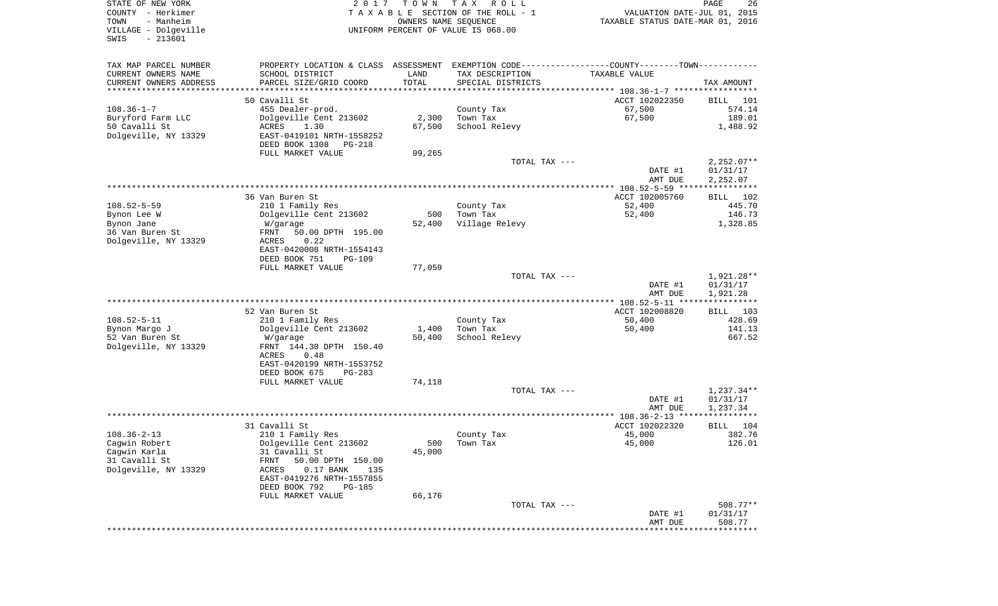| COUNTY - Herkimer<br>TOWN<br>- Manheim<br>VILLAGE - Dolgeville<br>$-213601$<br>SWIS |                                                                                                | OWNERS NAME SEQUENCE | TAXABLE SECTION OF THE ROLL - 1<br>UNIFORM PERCENT OF VALUE IS 068.00 | VALUATION DATE-JUL 01, 2015<br>TAXABLE STATUS DATE-MAR 01, 2016 |                        |
|-------------------------------------------------------------------------------------|------------------------------------------------------------------------------------------------|----------------------|-----------------------------------------------------------------------|-----------------------------------------------------------------|------------------------|
| TAX MAP PARCEL NUMBER                                                               | PROPERTY LOCATION & CLASS ASSESSMENT EXEMPTION CODE----------------COUNTY-------TOWN---------- |                      |                                                                       |                                                                 |                        |
| CURRENT OWNERS NAME                                                                 | SCHOOL DISTRICT                                                                                | LAND                 | TAX DESCRIPTION                                                       | TAXABLE VALUE                                                   |                        |
| CURRENT OWNERS ADDRESS                                                              | PARCEL SIZE/GRID COORD                                                                         | TOTAL                | SPECIAL DISTRICTS                                                     |                                                                 | TAX AMOUNT             |
| *************************                                                           |                                                                                                |                      |                                                                       |                                                                 |                        |
| $108.36 - 1 - 7$                                                                    | 50 Cavalli St<br>455 Dealer-prod.                                                              |                      |                                                                       | ACCT 102022350<br>67,500                                        | 101<br>BILL<br>574.14  |
| Buryford Farm LLC                                                                   | Dolgeville Cent 213602                                                                         | 2,300                | County Tax<br>Town Tax                                                | 67,500                                                          | 189.01                 |
| 50 Cavalli St                                                                       | ACRES<br>1.30                                                                                  | 67,500               | School Relevy                                                         |                                                                 | 1,488.92               |
| Dolgeville, NY 13329                                                                | EAST-0419101 NRTH-1558252                                                                      |                      |                                                                       |                                                                 |                        |
|                                                                                     | DEED BOOK 1308<br>PG-218                                                                       |                      |                                                                       |                                                                 |                        |
|                                                                                     | FULL MARKET VALUE                                                                              | 99,265               |                                                                       |                                                                 |                        |
|                                                                                     |                                                                                                |                      | TOTAL TAX ---                                                         |                                                                 | $2,252.07**$           |
|                                                                                     |                                                                                                |                      |                                                                       | DATE #1                                                         | 01/31/17               |
|                                                                                     |                                                                                                |                      |                                                                       | AMT DUE                                                         | 2,252.07               |
|                                                                                     | 36 Van Buren St                                                                                |                      |                                                                       | ACCT 102005760                                                  | 102                    |
| $108.52 - 5 - 59$                                                                   | 210 1 Family Res                                                                               |                      | County Tax                                                            | 52,400                                                          | BILL<br>445.70         |
| Bynon Lee W                                                                         | Dolgeville Cent 213602                                                                         | 500                  | Town Tax                                                              | 52,400                                                          | 146.73                 |
| Bynon Jane                                                                          | W/garage                                                                                       | 52,400               | Village Relevy                                                        |                                                                 | 1,328.85               |
| 36 Van Buren St                                                                     | FRNT<br>50.00 DPTH 195.00                                                                      |                      |                                                                       |                                                                 |                        |
| Dolgeville, NY 13329                                                                | <b>ACRES</b><br>0.22                                                                           |                      |                                                                       |                                                                 |                        |
|                                                                                     | EAST-0420008 NRTH-1554143                                                                      |                      |                                                                       |                                                                 |                        |
|                                                                                     | DEED BOOK 751<br><b>PG-109</b>                                                                 |                      |                                                                       |                                                                 |                        |
|                                                                                     | FULL MARKET VALUE                                                                              | 77,059               |                                                                       |                                                                 |                        |
|                                                                                     |                                                                                                |                      | TOTAL TAX ---                                                         | DATE #1                                                         | 1,921.28**<br>01/31/17 |
|                                                                                     |                                                                                                |                      |                                                                       | AMT DUE                                                         | 1,921.28               |
|                                                                                     |                                                                                                |                      |                                                                       | ************** 108.52-5-11 *****************                    |                        |
|                                                                                     | 52 Van Buren St                                                                                |                      |                                                                       | ACCT 102008820                                                  | BILL 103               |
| $108.52 - 5 - 11$                                                                   | 210 1 Family Res                                                                               |                      | County Tax                                                            | 50,400                                                          | 428.69                 |
| Bynon Margo J                                                                       | Dolgeville Cent 213602                                                                         | 1,400                | Town Tax                                                              | 50,400                                                          | 141.13                 |
| 52 Van Buren St                                                                     | W/garage                                                                                       | 50,400               | School Relevy                                                         |                                                                 | 667.52                 |
| Dolgeville, NY 13329                                                                | FRNT 144.30 DPTH 150.40                                                                        |                      |                                                                       |                                                                 |                        |
|                                                                                     | 0.48<br>ACRES                                                                                  |                      |                                                                       |                                                                 |                        |
|                                                                                     | EAST-0420199 NRTH-1553752<br>DEED BOOK 675<br>PG-283                                           |                      |                                                                       |                                                                 |                        |
|                                                                                     | FULL MARKET VALUE                                                                              | 74,118               |                                                                       |                                                                 |                        |
|                                                                                     |                                                                                                |                      | TOTAL TAX ---                                                         |                                                                 | $1,237.34**$           |
|                                                                                     |                                                                                                |                      |                                                                       | DATE #1                                                         | 01/31/17               |
|                                                                                     |                                                                                                |                      |                                                                       | AMT DUE                                                         | 1,237.34               |
|                                                                                     |                                                                                                |                      |                                                                       | ************ 108.36-2-13 *****                                  | ***********            |
|                                                                                     | 31 Cavalli St                                                                                  |                      |                                                                       | ACCT 102022320                                                  | <b>BILL</b><br>104     |
|                                                                                     |                                                                                                |                      |                                                                       | 45,000                                                          | 382.76                 |
| $108.36 - 2 - 13$                                                                   | 210 1 Family Res                                                                               |                      | County Tax                                                            |                                                                 |                        |
| Cagwin Robert                                                                       | Dolgeville Cent 213602                                                                         | 500                  | Town Tax                                                              | 45,000                                                          |                        |
| Cagwin Karla                                                                        | 31 Cavalli St                                                                                  | 45,000               |                                                                       |                                                                 |                        |
| 31 Cavalli St                                                                       | 50.00 DPTH 150.00<br>FRNT                                                                      |                      |                                                                       |                                                                 |                        |
| Dolgeville, NY 13329                                                                | $0.17$ BANK<br><b>ACRES</b><br>135                                                             |                      |                                                                       |                                                                 |                        |
|                                                                                     | EAST-0419276 NRTH-1557855<br>DEED BOOK 792<br><b>PG-185</b>                                    |                      |                                                                       |                                                                 |                        |
|                                                                                     | FULL MARKET VALUE                                                                              | 66,176               |                                                                       |                                                                 | 126.01                 |
|                                                                                     |                                                                                                |                      | TOTAL TAX ---                                                         |                                                                 | 508.77**               |
|                                                                                     |                                                                                                |                      |                                                                       | DATE #1<br>AMT DUE                                              | 01/31/17<br>508.77     |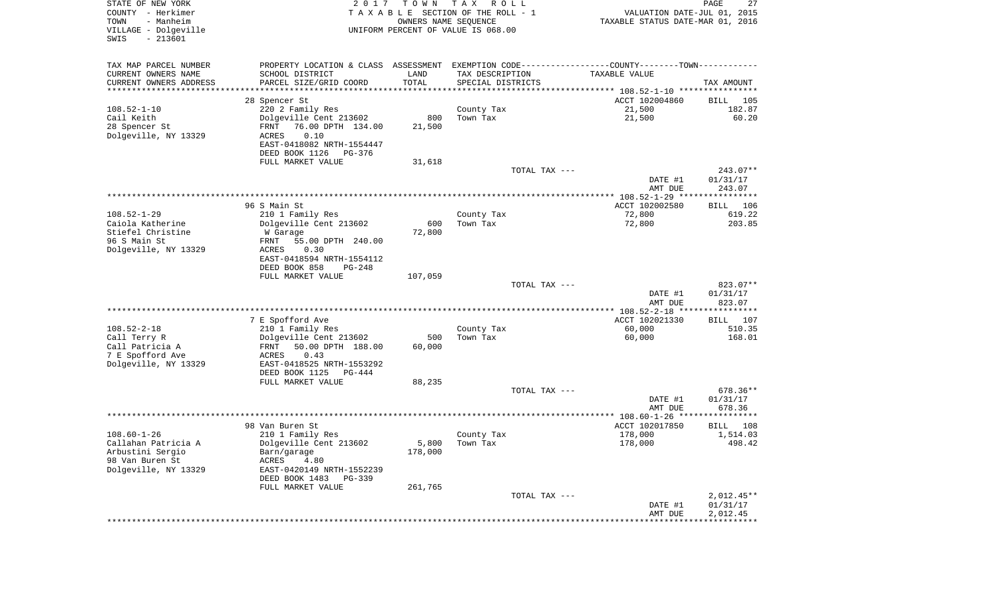| STATE OF NEW YORK<br>COUNTY - Herkimer<br>- Manheim<br>TOWN<br>VILLAGE - Dolgeville<br>SWIS<br>$-213601$ | 2017                                                                                          | T O W N<br>OWNERS NAME SEQUENCE | T A X<br>R O L L<br>TAXABLE SECTION OF THE ROLL - 1<br>UNIFORM PERCENT OF VALUE IS 068.00 | VALUATION DATE-JUL 01, 2015<br>TAXABLE STATUS DATE-MAR 01, 2016 | PAGE<br>27               |
|----------------------------------------------------------------------------------------------------------|-----------------------------------------------------------------------------------------------|---------------------------------|-------------------------------------------------------------------------------------------|-----------------------------------------------------------------|--------------------------|
| TAX MAP PARCEL NUMBER                                                                                    | PROPERTY LOCATION & CLASS ASSESSMENT EXEMPTION CODE---------------COUNTY-------TOWN---------- |                                 |                                                                                           |                                                                 |                          |
| CURRENT OWNERS NAME                                                                                      | SCHOOL DISTRICT                                                                               | LAND                            | TAX DESCRIPTION                                                                           | TAXABLE VALUE                                                   |                          |
| CURRENT OWNERS ADDRESS<br>*********************                                                          | PARCEL SIZE/GRID COORD                                                                        | TOTAL                           | SPECIAL DISTRICTS                                                                         |                                                                 | TAX AMOUNT               |
|                                                                                                          | 28 Spencer St                                                                                 |                                 |                                                                                           | ACCT 102004860                                                  | BILL<br>105              |
| $108.52 - 1 - 10$                                                                                        | 220 2 Family Res                                                                              |                                 | County Tax                                                                                | 21,500                                                          | 182.87                   |
| Cail Keith                                                                                               | Dolgeville Cent 213602                                                                        | 800                             | Town Tax                                                                                  | 21,500                                                          | 60.20                    |
| 28 Spencer St                                                                                            | FRNT<br>76.00 DPTH 134.00                                                                     | 21,500                          |                                                                                           |                                                                 |                          |
| Dolgeville, NY 13329                                                                                     | 0.10<br>ACRES<br>EAST-0418082 NRTH-1554447                                                    |                                 |                                                                                           |                                                                 |                          |
|                                                                                                          | DEED BOOK 1126<br>PG-376                                                                      |                                 |                                                                                           |                                                                 |                          |
|                                                                                                          | FULL MARKET VALUE                                                                             | 31,618                          |                                                                                           |                                                                 |                          |
|                                                                                                          |                                                                                               |                                 | TOTAL TAX ---                                                                             |                                                                 | 243.07**                 |
|                                                                                                          |                                                                                               |                                 |                                                                                           | DATE #1                                                         | 01/31/17                 |
|                                                                                                          |                                                                                               |                                 |                                                                                           | AMT DUE                                                         | 243.07                   |
|                                                                                                          | 96 S Main St                                                                                  |                                 |                                                                                           | ACCT 102002580                                                  | 106<br>BILL              |
| $108.52 - 1 - 29$                                                                                        | 210 1 Family Res                                                                              |                                 | County Tax                                                                                | 72,800                                                          | 619.22                   |
| Caiola Katherine                                                                                         | Dolgeville Cent 213602                                                                        | 600                             | Town Tax                                                                                  | 72,800                                                          | 203.85                   |
| Stiefel Christine                                                                                        | W Garage                                                                                      | 72,800                          |                                                                                           |                                                                 |                          |
| 96 S Main St<br>Dolgeville, NY 13329                                                                     | 55.00 DPTH 240.00<br>FRNT<br>ACRES<br>0.30                                                    |                                 |                                                                                           |                                                                 |                          |
|                                                                                                          | EAST-0418594 NRTH-1554112                                                                     |                                 |                                                                                           |                                                                 |                          |
|                                                                                                          | DEED BOOK 858<br>$PG-248$                                                                     |                                 |                                                                                           |                                                                 |                          |
|                                                                                                          | FULL MARKET VALUE                                                                             | 107,059                         |                                                                                           |                                                                 |                          |
|                                                                                                          |                                                                                               |                                 | TOTAL TAX $---$                                                                           |                                                                 | 823.07**                 |
|                                                                                                          |                                                                                               |                                 |                                                                                           | DATE #1<br>AMT DUE                                              | 01/31/17<br>823.07       |
|                                                                                                          |                                                                                               |                                 |                                                                                           | ************** 108.52-2-18 ****************                     |                          |
|                                                                                                          | 7 E Spofford Ave                                                                              |                                 |                                                                                           | ACCT 102021330                                                  | BILL<br>107              |
| $108.52 - 2 - 18$                                                                                        | 210 1 Family Res                                                                              |                                 | County Tax                                                                                | 60,000                                                          | 510.35                   |
| Call Terry R                                                                                             | Dolgeville Cent 213602                                                                        | 500<br>60,000                   | Town Tax                                                                                  | 60,000                                                          | 168.01                   |
| Call Patricia A<br>7 E Spofford Ave                                                                      | 50.00 DPTH 188.00<br>FRNT<br>ACRES<br>0.43                                                    |                                 |                                                                                           |                                                                 |                          |
| Dolgeville, NY 13329                                                                                     | EAST-0418525 NRTH-1553292                                                                     |                                 |                                                                                           |                                                                 |                          |
|                                                                                                          | DEED BOOK 1125<br>PG-444                                                                      |                                 |                                                                                           |                                                                 |                          |
|                                                                                                          | FULL MARKET VALUE                                                                             | 88,235                          |                                                                                           |                                                                 |                          |
|                                                                                                          |                                                                                               |                                 | TOTAL TAX ---                                                                             | DATE #1                                                         | 678.36**<br>01/31/17     |
|                                                                                                          |                                                                                               |                                 |                                                                                           | AMT DUE                                                         | 678.36                   |
|                                                                                                          |                                                                                               |                                 |                                                                                           |                                                                 |                          |
|                                                                                                          | 98 Van Buren St                                                                               |                                 |                                                                                           | ACCT 102017850                                                  | BILL<br>108              |
| $108.60 - 1 - 26$                                                                                        | 210 1 Family Res                                                                              |                                 | County Tax                                                                                | 178,000                                                         | 1,514.03                 |
| Callahan Patricia A<br>Arbustini Sergio                                                                  | Dolgeville Cent 213602<br>Barn/garage                                                         | 5,800<br>178,000                | Town Tax                                                                                  | 178,000                                                         | 498.42                   |
| 98 Van Buren St                                                                                          | <b>ACRES</b><br>4.80                                                                          |                                 |                                                                                           |                                                                 |                          |
| Dolgeville, NY 13329                                                                                     | EAST-0420149 NRTH-1552239                                                                     |                                 |                                                                                           |                                                                 |                          |
|                                                                                                          | DEED BOOK 1483<br>PG-339                                                                      |                                 |                                                                                           |                                                                 |                          |
|                                                                                                          | FULL MARKET VALUE                                                                             | 261,765                         |                                                                                           |                                                                 |                          |
|                                                                                                          |                                                                                               |                                 | TOTAL TAX ---                                                                             | DATE #1                                                         | $2,012.45**$<br>01/31/17 |
|                                                                                                          |                                                                                               |                                 |                                                                                           | AMT DUE                                                         | 2,012.45                 |
|                                                                                                          |                                                                                               |                                 |                                                                                           |                                                                 |                          |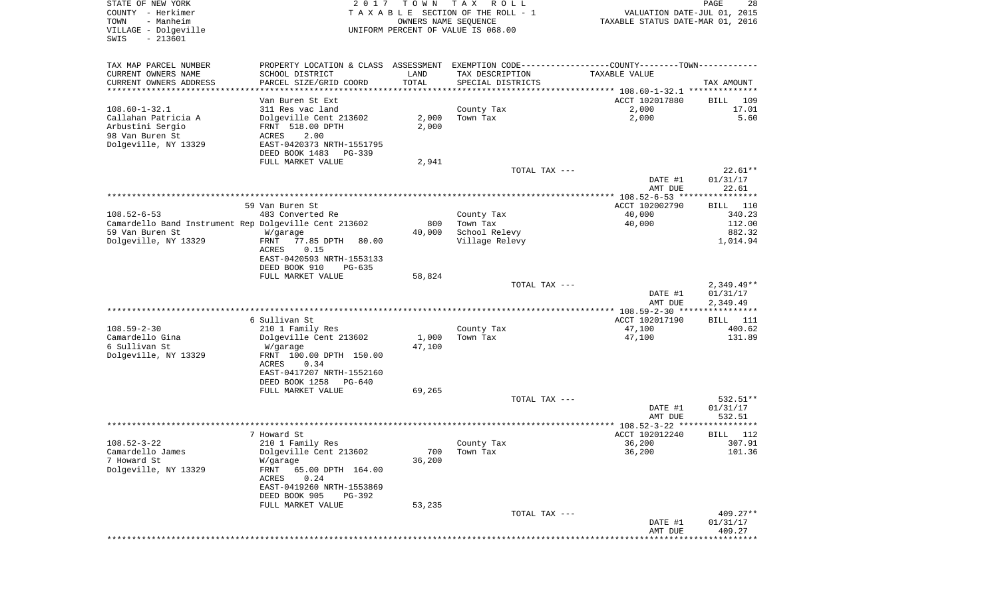| STATE OF NEW YORK<br>COUNTY - Herkimer<br>TOWN<br>- Manheim              | 2017                                                                                          | T O W N<br>OWNERS NAME SEQUENCE | T A X<br>R O L L<br>TAXABLE SECTION OF THE ROLL - 1 | VALUATION DATE-JUL 01, 2015<br>TAXABLE STATUS DATE-MAR 01, 2016 | PAGE<br>28              |
|--------------------------------------------------------------------------|-----------------------------------------------------------------------------------------------|---------------------------------|-----------------------------------------------------|-----------------------------------------------------------------|-------------------------|
| VILLAGE - Dolgeville<br>$-213601$<br>SWIS                                |                                                                                               |                                 | UNIFORM PERCENT OF VALUE IS 068.00                  |                                                                 |                         |
| TAX MAP PARCEL NUMBER                                                    | PROPERTY LOCATION & CLASS ASSESSMENT EXEMPTION CODE---------------COUNTY-------TOWN---------- |                                 |                                                     |                                                                 |                         |
| CURRENT OWNERS NAME                                                      | SCHOOL DISTRICT                                                                               | LAND                            | TAX DESCRIPTION                                     | TAXABLE VALUE                                                   |                         |
| CURRENT OWNERS ADDRESS<br>*********************                          | PARCEL SIZE/GRID COORD                                                                        | TOTAL                           | SPECIAL DISTRICTS                                   |                                                                 | TAX AMOUNT              |
|                                                                          | Van Buren St Ext                                                                              |                                 |                                                     | ACCT 102017880                                                  | BILL<br>109             |
| $108.60 - 1 - 32.1$                                                      | 311 Res vac land                                                                              |                                 | County Tax                                          | 2,000                                                           | 17.01                   |
| Callahan Patricia A                                                      | Dolgeville Cent 213602                                                                        | 2,000                           | Town Tax                                            | 2,000                                                           | 5.60                    |
| Arbustini Sergio<br>98 Van Buren St                                      | FRNT 518.00 DPTH<br>ACRES<br>2.00                                                             | 2,000                           |                                                     |                                                                 |                         |
| Dolgeville, NY 13329                                                     | EAST-0420373 NRTH-1551795                                                                     |                                 |                                                     |                                                                 |                         |
|                                                                          | DEED BOOK 1483<br>PG-339                                                                      |                                 |                                                     |                                                                 |                         |
|                                                                          | FULL MARKET VALUE                                                                             | 2,941                           |                                                     |                                                                 |                         |
|                                                                          |                                                                                               |                                 | TOTAL TAX ---                                       | DATE #1                                                         | $22.61**$<br>01/31/17   |
|                                                                          |                                                                                               |                                 |                                                     | AMT DUE                                                         | 22.61                   |
|                                                                          |                                                                                               |                                 |                                                     |                                                                 |                         |
|                                                                          | 59 Van Buren St.                                                                              |                                 |                                                     | ACCT 102002790                                                  | BILL 110                |
| $108.52 - 6 - 53$                                                        | 483 Converted Re                                                                              |                                 | County Tax                                          | 40,000                                                          | 340.23                  |
| Camardello Band Instrument Rep Dolgeville Cent 213602<br>59 Van Buren St | W/garage                                                                                      | 800<br>40,000                   | Town Tax<br>School Relevy                           | 40,000                                                          | 112.00<br>882.32        |
| Dolgeville, NY 13329                                                     | 77.85 DPTH<br>FRNT<br>80.00                                                                   |                                 | Village Relevy                                      |                                                                 | 1,014.94                |
|                                                                          | ACRES<br>0.15                                                                                 |                                 |                                                     |                                                                 |                         |
|                                                                          | EAST-0420593 NRTH-1553133                                                                     |                                 |                                                     |                                                                 |                         |
|                                                                          | DEED BOOK 910<br>$PG-635$<br>FULL MARKET VALUE                                                | 58,824                          |                                                     |                                                                 |                         |
|                                                                          |                                                                                               |                                 | TOTAL TAX ---                                       |                                                                 | $2,349.49**$            |
|                                                                          |                                                                                               |                                 |                                                     | DATE #1                                                         | 01/31/17                |
|                                                                          |                                                                                               |                                 |                                                     | AMT DUE                                                         | 2,349.49                |
|                                                                          | 6 Sullivan St                                                                                 |                                 |                                                     | ************ 108.59-2-30 ****<br>ACCT 102017190                 | ************            |
| $108.59 - 2 - 30$                                                        | 210 1 Family Res                                                                              |                                 | County Tax                                          | 47,100                                                          | BILL<br>- 111<br>400.62 |
| Camardello Gina                                                          | Dolgeville Cent 213602                                                                        | 1,000                           | Town Tax                                            | 47,100                                                          | 131.89                  |
| 6 Sullivan St                                                            | W/garage                                                                                      | 47,100                          |                                                     |                                                                 |                         |
| Dolgeville, NY 13329                                                     | FRNT 100.00 DPTH 150.00                                                                       |                                 |                                                     |                                                                 |                         |
|                                                                          | ACRES<br>0.34<br>EAST-0417207 NRTH-1552160                                                    |                                 |                                                     |                                                                 |                         |
|                                                                          | DEED BOOK 1258<br>PG-640                                                                      |                                 |                                                     |                                                                 |                         |
|                                                                          | FULL MARKET VALUE                                                                             | 69,265                          |                                                     |                                                                 |                         |
|                                                                          |                                                                                               |                                 | TOTAL TAX ---                                       |                                                                 | 532.51**                |
|                                                                          |                                                                                               |                                 |                                                     | DATE #1                                                         | 01/31/17                |
|                                                                          |                                                                                               |                                 |                                                     | AMT DUE<br>**************** 108.52-3-22 ****                    | 532.51<br>************  |
|                                                                          | 7 Howard St                                                                                   |                                 |                                                     | ACCT 102012240                                                  | BILL<br>112             |
| $108.52 - 3 - 22$                                                        | 210 1 Family Res                                                                              |                                 | County Tax                                          | 36,200                                                          | 307.91                  |
| Camardello James                                                         | Dolgeville Cent 213602                                                                        | 700                             | Town Tax                                            | 36,200                                                          | 101.36                  |
| 7 Howard St<br>Dolgeville, NY 13329                                      | W/garage<br>FRNT<br>65.00 DPTH 164.00                                                         | 36,200                          |                                                     |                                                                 |                         |
|                                                                          | 0.24<br>ACRES                                                                                 |                                 |                                                     |                                                                 |                         |
|                                                                          | EAST-0419260 NRTH-1553869                                                                     |                                 |                                                     |                                                                 |                         |
|                                                                          | DEED BOOK 905<br>PG-392                                                                       |                                 |                                                     |                                                                 |                         |
|                                                                          | FULL MARKET VALUE                                                                             | 53,235                          |                                                     |                                                                 |                         |
|                                                                          |                                                                                               |                                 | TOTAL TAX ---                                       | DATE #1                                                         | $409.27**$<br>01/31/17  |
|                                                                          |                                                                                               |                                 |                                                     | AMT DUE                                                         | 409.27                  |
|                                                                          |                                                                                               |                                 |                                                     |                                                                 |                         |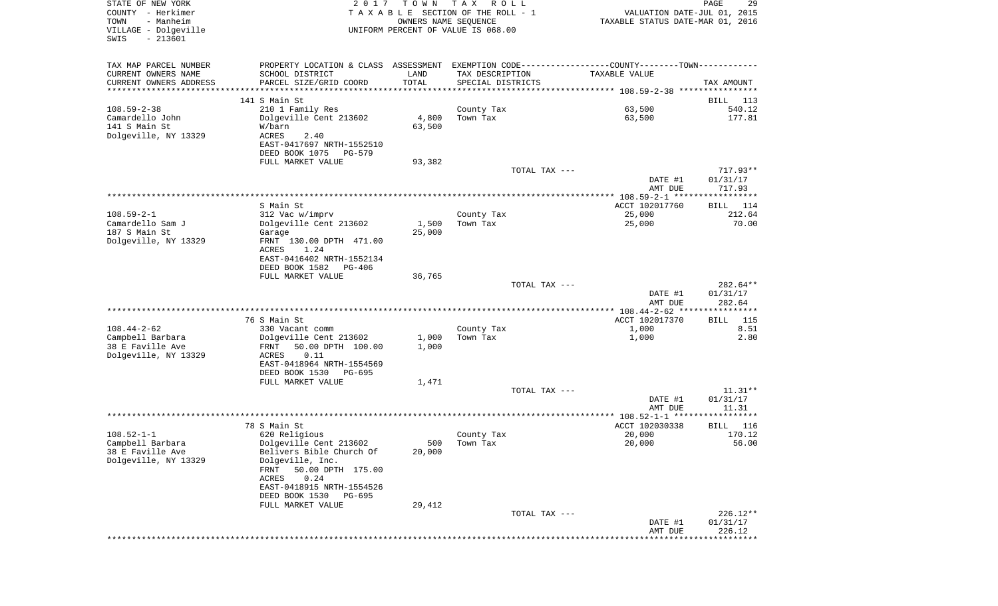| STATE OF NEW YORK<br>COUNTY - Herkimer<br>TOWN<br>- Manheim<br>VILLAGE - Dolgeville | 2017                                                  | T O W N         | T A X<br>R O L L<br>TAXABLE SECTION OF THE ROLL - 1<br>OWNERS NAME SEQUENCE<br>UNIFORM PERCENT OF VALUE IS 068.00 | VALUATION DATE-JUL 01, 2015<br>TAXABLE STATUS DATE-MAR 01, 2016                               | PAGE<br>29              |
|-------------------------------------------------------------------------------------|-------------------------------------------------------|-----------------|-------------------------------------------------------------------------------------------------------------------|-----------------------------------------------------------------------------------------------|-------------------------|
| $-213601$<br>SWIS                                                                   |                                                       |                 |                                                                                                                   |                                                                                               |                         |
| TAX MAP PARCEL NUMBER                                                               |                                                       |                 |                                                                                                                   | PROPERTY LOCATION & CLASS ASSESSMENT EXEMPTION CODE---------------COUNTY-------TOWN---------- |                         |
| CURRENT OWNERS NAME                                                                 | SCHOOL DISTRICT                                       | LAND            | TAX DESCRIPTION                                                                                                   | TAXABLE VALUE                                                                                 |                         |
| CURRENT OWNERS ADDRESS<br>**********************                                    | PARCEL SIZE/GRID COORD                                | TOTAL           | SPECIAL DISTRICTS                                                                                                 |                                                                                               | TAX AMOUNT              |
|                                                                                     | 141 S Main St                                         |                 |                                                                                                                   |                                                                                               | BILL<br>113             |
| $108.59 - 2 - 38$                                                                   | 210 1 Family Res                                      |                 | County Tax                                                                                                        | 63,500                                                                                        | 540.12                  |
| Camardello John                                                                     | Dolgeville Cent 213602                                | 4,800           | Town Tax                                                                                                          | 63,500                                                                                        | 177.81                  |
| 141 S Main St                                                                       | W/barn                                                | 63,500          |                                                                                                                   |                                                                                               |                         |
| Dolgeville, NY 13329                                                                | ACRES<br>2.40                                         |                 |                                                                                                                   |                                                                                               |                         |
|                                                                                     | EAST-0417697 NRTH-1552510<br>DEED BOOK 1075<br>PG-579 |                 |                                                                                                                   |                                                                                               |                         |
|                                                                                     | FULL MARKET VALUE                                     | 93,382          |                                                                                                                   |                                                                                               |                         |
|                                                                                     |                                                       |                 | TOTAL TAX ---                                                                                                     |                                                                                               | $717.93**$              |
|                                                                                     |                                                       |                 |                                                                                                                   | DATE #1<br>AMT DUE                                                                            | 01/31/17<br>717.93      |
|                                                                                     |                                                       |                 |                                                                                                                   |                                                                                               |                         |
|                                                                                     | S Main St                                             |                 |                                                                                                                   | ACCT 102017760                                                                                | 114<br>BILL             |
| $108.59 - 2 - 1$<br>Camardello Sam J                                                | 312 Vac w/imprv<br>Dolgeville Cent 213602             |                 | County Tax                                                                                                        | 25,000                                                                                        | 212.64<br>70.00         |
| 187 S Main St                                                                       | Garage                                                | 1,500<br>25,000 | Town Tax                                                                                                          | 25,000                                                                                        |                         |
| Dolgeville, NY 13329                                                                | FRNT 130.00 DPTH 471.00                               |                 |                                                                                                                   |                                                                                               |                         |
|                                                                                     | ACRES<br>1.24                                         |                 |                                                                                                                   |                                                                                               |                         |
|                                                                                     | EAST-0416402 NRTH-1552134                             |                 |                                                                                                                   |                                                                                               |                         |
|                                                                                     | DEED BOOK 1582<br>PG-406<br>FULL MARKET VALUE         | 36,765          |                                                                                                                   |                                                                                               |                         |
|                                                                                     |                                                       |                 | TOTAL TAX ---                                                                                                     |                                                                                               | 282.64**                |
|                                                                                     |                                                       |                 |                                                                                                                   | DATE #1                                                                                       | 01/31/17                |
|                                                                                     |                                                       |                 |                                                                                                                   | AMT DUE                                                                                       | 282.64                  |
|                                                                                     |                                                       |                 |                                                                                                                   | **************** 108.44-2-62 ****                                                             | * * * * * * * * * * * * |
| $108.44 - 2 - 62$                                                                   | 76 S Main St<br>330 Vacant comm                       |                 | County Tax                                                                                                        | ACCT 102017370<br>1,000                                                                       | 115<br>BILL<br>8.51     |
| Campbell Barbara                                                                    | Dolgeville Cent 213602                                | 1,000           | Town Tax                                                                                                          | 1,000                                                                                         | 2.80                    |
| 38 E Faville Ave                                                                    | 50.00 DPTH 100.00<br>FRNT                             | 1,000           |                                                                                                                   |                                                                                               |                         |
| Dolgeville, NY 13329                                                                | ACRES<br>0.11                                         |                 |                                                                                                                   |                                                                                               |                         |
|                                                                                     | EAST-0418964 NRTH-1554569                             |                 |                                                                                                                   |                                                                                               |                         |
|                                                                                     | DEED BOOK 1530<br>PG-695<br>FULL MARKET VALUE         | 1,471           |                                                                                                                   |                                                                                               |                         |
|                                                                                     |                                                       |                 | TOTAL TAX ---                                                                                                     |                                                                                               | $11.31**$               |
|                                                                                     |                                                       |                 |                                                                                                                   | DATE #1                                                                                       | 01/31/17                |
|                                                                                     |                                                       |                 |                                                                                                                   | AMT DUE                                                                                       | 11.31                   |
|                                                                                     |                                                       |                 |                                                                                                                   |                                                                                               |                         |
| $108.52 - 1 - 1$                                                                    | 78 S Main St<br>620 Religious                         |                 | County Tax                                                                                                        | ACCT 102030338<br>20,000                                                                      | 116<br>BILL<br>170.12   |
| Campbell Barbara                                                                    | Dolgeville Cent 213602                                |                 | 500 Town Tax                                                                                                      | 20,000                                                                                        | 56.00                   |
| 38 E Faville Ave                                                                    | Belivers Bible Church Of                              | 20,000          |                                                                                                                   |                                                                                               |                         |
| Dolgeville, NY 13329                                                                | Dolgeville, Inc.                                      |                 |                                                                                                                   |                                                                                               |                         |
|                                                                                     | 50.00 DPTH 175.00<br>FRNT                             |                 |                                                                                                                   |                                                                                               |                         |
|                                                                                     | ACRES<br>0.24<br>EAST-0418915 NRTH-1554526            |                 |                                                                                                                   |                                                                                               |                         |
|                                                                                     | DEED BOOK 1530<br>PG-695                              |                 |                                                                                                                   |                                                                                               |                         |
|                                                                                     | FULL MARKET VALUE                                     | 29,412          |                                                                                                                   |                                                                                               |                         |
|                                                                                     |                                                       |                 | TOTAL TAX ---                                                                                                     |                                                                                               | $226.12**$              |
|                                                                                     |                                                       |                 |                                                                                                                   | DATE #1                                                                                       | 01/31/17                |
|                                                                                     |                                                       |                 |                                                                                                                   | AMT DUE                                                                                       | 226.12<br>*********     |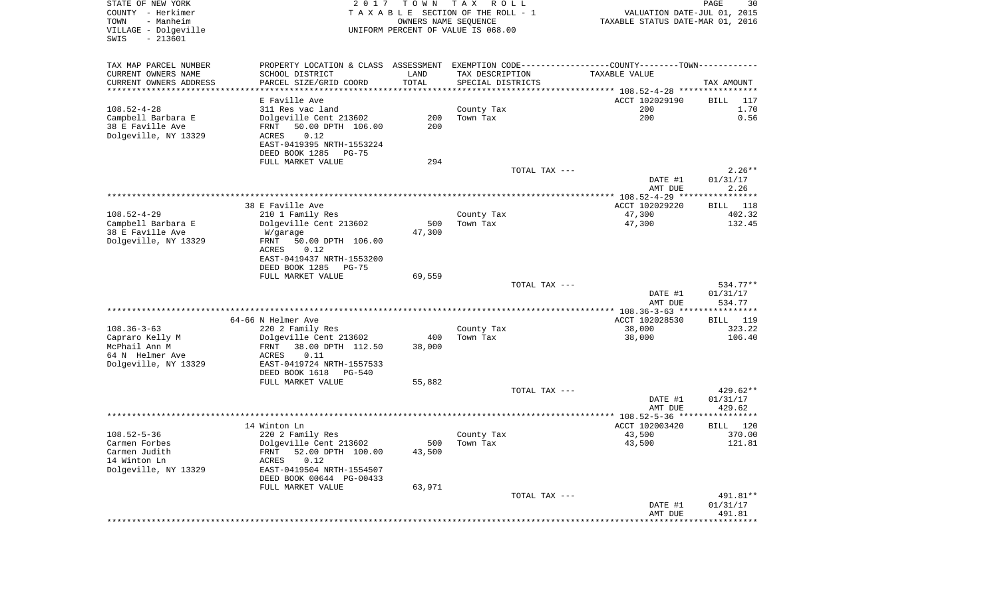| STATE OF NEW YORK<br>COUNTY - Herkimer<br>- Manheim<br>TOWN<br>VILLAGE - Dolgeville<br>SWIS<br>$-213601$ | 2017                                                                                           | T O W N<br>OWNERS NAME SEQUENCE | T A X<br>R O L L<br>TAXABLE SECTION OF THE ROLL - 1<br>UNIFORM PERCENT OF VALUE IS 068.00 | VALUATION DATE-JUL 01, 2015<br>TAXABLE STATUS DATE-MAR 01, 2016 | PAGE<br>30         |
|----------------------------------------------------------------------------------------------------------|------------------------------------------------------------------------------------------------|---------------------------------|-------------------------------------------------------------------------------------------|-----------------------------------------------------------------|--------------------|
| TAX MAP PARCEL NUMBER                                                                                    | PROPERTY LOCATION & CLASS ASSESSMENT EXEMPTION CODE----------------COUNTY-------TOWN---------- |                                 |                                                                                           |                                                                 |                    |
| CURRENT OWNERS NAME                                                                                      | SCHOOL DISTRICT                                                                                | LAND                            | TAX DESCRIPTION                                                                           | TAXABLE VALUE                                                   |                    |
| CURRENT OWNERS ADDRESS<br>************************                                                       | PARCEL SIZE/GRID COORD                                                                         | TOTAL                           | SPECIAL DISTRICTS                                                                         |                                                                 | TAX AMOUNT         |
|                                                                                                          | E Faville Ave                                                                                  |                                 |                                                                                           | ACCT 102029190                                                  | BILL<br>117        |
| $108.52 - 4 - 28$                                                                                        | 311 Res vac land                                                                               |                                 | County Tax                                                                                | 200                                                             | 1.70               |
| Campbell Barbara E                                                                                       | Dolgeville Cent 213602                                                                         | 200                             | Town Tax                                                                                  | 200                                                             | 0.56               |
| 38 E Faville Ave                                                                                         | 50.00 DPTH 106.00<br>FRNT                                                                      | 200                             |                                                                                           |                                                                 |                    |
| Dolgeville, NY 13329                                                                                     | 0.12<br>ACRES                                                                                  |                                 |                                                                                           |                                                                 |                    |
|                                                                                                          | EAST-0419395 NRTH-1553224                                                                      |                                 |                                                                                           |                                                                 |                    |
|                                                                                                          | DEED BOOK 1285<br>PG-75                                                                        |                                 |                                                                                           |                                                                 |                    |
|                                                                                                          | FULL MARKET VALUE                                                                              | 294                             | TOTAL TAX ---                                                                             |                                                                 | $2.26**$           |
|                                                                                                          |                                                                                                |                                 |                                                                                           | DATE #1                                                         | 01/31/17           |
|                                                                                                          |                                                                                                |                                 |                                                                                           | AMT DUE                                                         | 2.26               |
|                                                                                                          |                                                                                                |                                 |                                                                                           |                                                                 |                    |
|                                                                                                          | 38 E Faville Ave                                                                               |                                 |                                                                                           | ACCT 102029220                                                  | BILL 118           |
| $108.52 - 4 - 29$                                                                                        | 210 1 Family Res                                                                               |                                 | County Tax                                                                                | 47,300                                                          | 402.32             |
| Campbell Barbara E<br>38 E Faville Ave                                                                   | Dolgeville Cent 213602<br>W/garage                                                             | 500<br>47,300                   | Town Tax                                                                                  | 47,300                                                          | 132.45             |
| Dolgeville, NY 13329                                                                                     | 50.00 DPTH 106.00<br>FRNT                                                                      |                                 |                                                                                           |                                                                 |                    |
|                                                                                                          | ACRES<br>0.12                                                                                  |                                 |                                                                                           |                                                                 |                    |
|                                                                                                          | EAST-0419437 NRTH-1553200                                                                      |                                 |                                                                                           |                                                                 |                    |
|                                                                                                          | DEED BOOK 1285<br>PG-75                                                                        |                                 |                                                                                           |                                                                 |                    |
|                                                                                                          | FULL MARKET VALUE                                                                              | 69,559                          | TOTAL TAX ---                                                                             |                                                                 | 534.77**           |
|                                                                                                          |                                                                                                |                                 |                                                                                           | DATE #1                                                         | 01/31/17           |
|                                                                                                          |                                                                                                |                                 |                                                                                           | AMT DUE                                                         | 534.77             |
|                                                                                                          |                                                                                                |                                 |                                                                                           | ************** 108.36-3-63 *****************                    |                    |
|                                                                                                          | 64-66 N Helmer Ave                                                                             |                                 |                                                                                           | ACCT 102028530                                                  | BILL 119           |
| $108.36 - 3 - 63$                                                                                        | 220 2 Family Res                                                                               |                                 | County Tax                                                                                | 38,000                                                          | 323.22             |
| Capraro Kelly M<br>McPhail Ann M                                                                         | Dolgeville Cent 213602<br>38.00 DPTH 112.50<br>FRNT                                            | 400<br>38,000                   | Town Tax                                                                                  | 38,000                                                          | 106.40             |
| 64 N Helmer Ave                                                                                          | ACRES<br>0.11                                                                                  |                                 |                                                                                           |                                                                 |                    |
| Dolgeville, NY 13329                                                                                     | EAST-0419724 NRTH-1557533                                                                      |                                 |                                                                                           |                                                                 |                    |
|                                                                                                          | DEED BOOK 1618<br>PG-540                                                                       |                                 |                                                                                           |                                                                 |                    |
|                                                                                                          | FULL MARKET VALUE                                                                              | 55,882                          |                                                                                           |                                                                 |                    |
|                                                                                                          |                                                                                                |                                 | TOTAL TAX ---                                                                             |                                                                 | $429.62**$         |
|                                                                                                          |                                                                                                |                                 |                                                                                           | DATE #1<br>AMT DUE                                              | 01/31/17<br>429.62 |
|                                                                                                          |                                                                                                |                                 |                                                                                           |                                                                 |                    |
|                                                                                                          | 14 Winton Ln                                                                                   |                                 |                                                                                           | ACCT 102003420                                                  | 120<br>BILL        |
| $108.52 - 5 - 36$                                                                                        | 220 2 Family Res                                                                               |                                 | County Tax                                                                                | 43,500                                                          | 370.00             |
| Carmen Forbes                                                                                            | Dolgeville Cent 213602                                                                         |                                 | 500 Town Tax                                                                              | 43,500                                                          | 121.81             |
| Carmen Judith                                                                                            | 52.00 DPTH 100.00<br>FRNT                                                                      | 43,500                          |                                                                                           |                                                                 |                    |
| 14 Winton Ln<br>Dolgeville, NY 13329                                                                     | 0.12<br>ACRES<br>EAST-0419504 NRTH-1554507                                                     |                                 |                                                                                           |                                                                 |                    |
|                                                                                                          | DEED BOOK 00644 PG-00433                                                                       |                                 |                                                                                           |                                                                 |                    |
|                                                                                                          | FULL MARKET VALUE                                                                              | 63,971                          |                                                                                           |                                                                 |                    |
|                                                                                                          |                                                                                                |                                 | TOTAL TAX ---                                                                             |                                                                 | 491.81**           |
|                                                                                                          |                                                                                                |                                 |                                                                                           | DATE #1                                                         | 01/31/17           |
|                                                                                                          |                                                                                                |                                 |                                                                                           | AMT DUE                                                         | 491.81             |
|                                                                                                          |                                                                                                |                                 |                                                                                           |                                                                 |                    |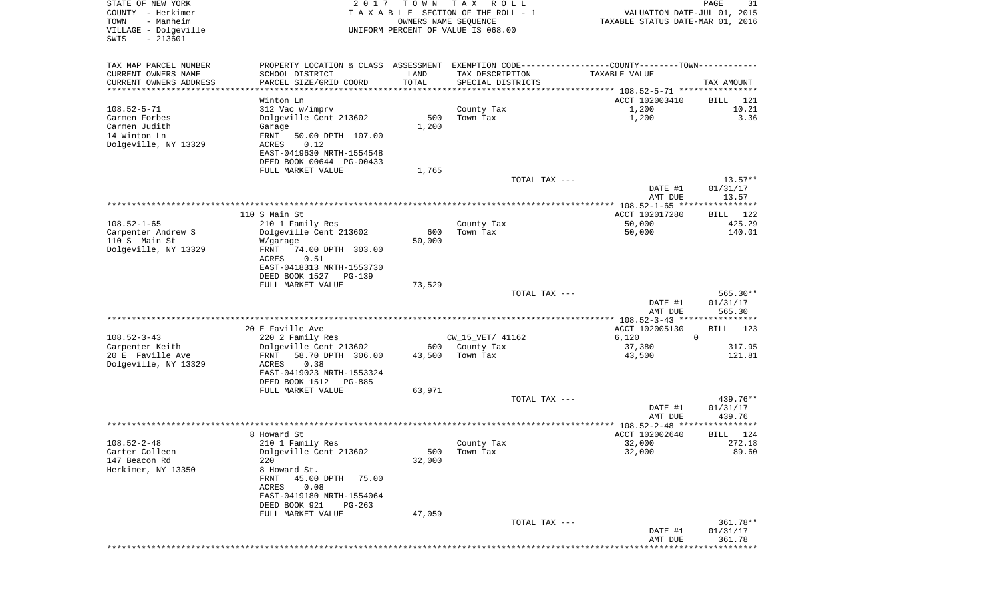| STATE OF NEW YORK<br>COUNTY - Herkimer<br>TOWN<br>- Manheim<br>VILLAGE - Dolgeville<br>$-213601$<br>SWIS | 2 0 1 7           | T O W N<br>OWNERS NAME SEQUENCE | T A X<br>R O L L<br>TAXABLE SECTION OF THE ROLL - 1<br>UNIFORM PERCENT OF VALUE IS 068.00 |               | VALUATION DATE-JUL 01, 2015<br>TAXABLE STATUS DATE-MAR 01, 2016                                | PAGE                    | 31  |
|----------------------------------------------------------------------------------------------------------|-------------------|---------------------------------|-------------------------------------------------------------------------------------------|---------------|------------------------------------------------------------------------------------------------|-------------------------|-----|
| TAX MAP PARCEL NUMBER                                                                                    |                   |                                 |                                                                                           |               | PROPERTY LOCATION & CLASS ASSESSMENT EXEMPTION CODE----------------COUNTY-------TOWN---------- |                         |     |
| CURRENT OWNERS NAME<br>SCHOOL DISTRICT                                                                   |                   | LAND                            | TAX DESCRIPTION                                                                           |               | TAXABLE VALUE                                                                                  |                         |     |
| CURRENT OWNERS ADDRESS<br>PARCEL SIZE/GRID COORD<br>**********************                               |                   | TOTAL<br>************           | SPECIAL DISTRICTS                                                                         |               |                                                                                                | TAX AMOUNT              |     |
| Winton Ln                                                                                                |                   |                                 |                                                                                           |               | ACCT 102003410                                                                                 | BILL                    | 121 |
| $108.52 - 5 - 71$<br>312 Vac w/imprv                                                                     |                   |                                 | County Tax                                                                                |               | 1,200                                                                                          | 10.21                   |     |
| Carmen Forbes<br>Dolgeville Cent 213602                                                                  |                   | 500                             | Town Tax                                                                                  |               | 1,200                                                                                          | 3.36                    |     |
| Carmen Judith<br>Garage                                                                                  |                   | 1,200                           |                                                                                           |               |                                                                                                |                         |     |
| 14 Winton Ln<br>FRNT<br>Dolgeville, NY 13329<br>0.12<br>ACRES                                            | 50.00 DPTH 107.00 |                                 |                                                                                           |               |                                                                                                |                         |     |
| EAST-0419630 NRTH-1554548                                                                                |                   |                                 |                                                                                           |               |                                                                                                |                         |     |
| DEED BOOK 00644 PG-00433                                                                                 |                   |                                 |                                                                                           |               |                                                                                                |                         |     |
| FULL MARKET VALUE                                                                                        |                   | 1,765                           |                                                                                           |               |                                                                                                |                         |     |
|                                                                                                          |                   |                                 |                                                                                           | TOTAL TAX --- |                                                                                                | $13.57**$               |     |
|                                                                                                          |                   |                                 |                                                                                           |               | DATE #1<br>AMT DUE                                                                             | 01/31/17<br>13.57       |     |
|                                                                                                          |                   |                                 |                                                                                           |               | ***************** 108.52-1-65 *****************                                                |                         |     |
| 110 S Main St                                                                                            |                   |                                 |                                                                                           |               | ACCT 102017280                                                                                 | <b>BILL</b> 122         |     |
| $108.52 - 1 - 65$<br>210 1 Family Res<br>Carpenter Andrew S<br>Dolgeville Cent 213602                    |                   | 600                             | County Tax<br>Town Tax                                                                    |               | 50,000<br>50,000                                                                               | 425.29<br>140.01        |     |
| 110 S Main St<br>W/garage                                                                                |                   | 50,000                          |                                                                                           |               |                                                                                                |                         |     |
| Dolgeville, NY 13329<br>FRNT                                                                             | 74.00 DPTH 303.00 |                                 |                                                                                           |               |                                                                                                |                         |     |
| ACRES<br>0.51                                                                                            |                   |                                 |                                                                                           |               |                                                                                                |                         |     |
| EAST-0418313 NRTH-1553730                                                                                |                   |                                 |                                                                                           |               |                                                                                                |                         |     |
| DEED BOOK 1527<br>FULL MARKET VALUE                                                                      | PG-139            | 73,529                          |                                                                                           |               |                                                                                                |                         |     |
|                                                                                                          |                   |                                 |                                                                                           | TOTAL TAX --- |                                                                                                | 565.30**                |     |
|                                                                                                          |                   |                                 |                                                                                           |               | DATE #1                                                                                        | 01/31/17                |     |
|                                                                                                          |                   |                                 |                                                                                           |               | AMT DUE<br>************* 108.52-3-43 *****************                                         | 565.30                  |     |
| 20 E Faville Ave                                                                                         |                   |                                 |                                                                                           |               | ACCT 102005130                                                                                 | BILL<br>123             |     |
| $108.52 - 3 - 43$<br>220 2 Family Res                                                                    |                   |                                 | CW_15_VET/ 41162                                                                          |               | 6,120                                                                                          | $\mathbf{0}$            |     |
| Carpenter Keith<br>Dolgeville Cent 213602                                                                |                   | 600                             | County Tax                                                                                |               | 37,380                                                                                         | 317.95                  |     |
| 20 E Faville Ave<br>FRNT<br>Dolgeville, NY 13329<br><b>ACRES</b><br>0.38                                 | 58.70 DPTH 306.00 | 43,500                          | Town Tax                                                                                  |               | 43,500                                                                                         | 121.81                  |     |
| EAST-0419023 NRTH-1553324                                                                                |                   |                                 |                                                                                           |               |                                                                                                |                         |     |
| DEED BOOK 1512                                                                                           | PG-885            |                                 |                                                                                           |               |                                                                                                |                         |     |
| FULL MARKET VALUE                                                                                        |                   | 63,971                          |                                                                                           |               |                                                                                                |                         |     |
|                                                                                                          |                   |                                 |                                                                                           | TOTAL TAX --- | DATE #1                                                                                        | 439.76**<br>01/31/17    |     |
|                                                                                                          |                   |                                 |                                                                                           |               | AMT DUE                                                                                        | 439.76                  |     |
|                                                                                                          |                   |                                 |                                                                                           |               |                                                                                                | ************            |     |
| 8 Howard St                                                                                              |                   |                                 |                                                                                           |               | ACCT 102002640                                                                                 | 124<br>BILL             |     |
| $108.52 - 2 - 48$<br>210 1 Family Res<br>Dolgeville Cent 213602<br>Carter Colleen                        |                   | 500                             | County Tax<br>Town Tax                                                                    |               | 32,000<br>32,000                                                                               | 272.18<br>89.60         |     |
| 147 Beacon Rd<br>220                                                                                     |                   | 32,000                          |                                                                                           |               |                                                                                                |                         |     |
| Herkimer, NY 13350<br>8 Howard St.                                                                       |                   |                                 |                                                                                           |               |                                                                                                |                         |     |
| 45.00 DPTH<br>FRNT                                                                                       | 75.00             |                                 |                                                                                           |               |                                                                                                |                         |     |
| ACRES<br>0.08                                                                                            |                   |                                 |                                                                                           |               |                                                                                                |                         |     |
| EAST-0419180 NRTH-1554064<br>DEED BOOK 921                                                               | $PG-263$          |                                 |                                                                                           |               |                                                                                                |                         |     |
| FULL MARKET VALUE                                                                                        |                   | 47,059                          |                                                                                           |               |                                                                                                |                         |     |
|                                                                                                          |                   |                                 |                                                                                           | TOTAL TAX --- |                                                                                                | 361.78**                |     |
|                                                                                                          |                   |                                 |                                                                                           |               | DATE #1<br>AMT DUE                                                                             | 01/31/17<br>361.78      |     |
|                                                                                                          |                   |                                 |                                                                                           |               |                                                                                                | * * * * * * * * * * * * |     |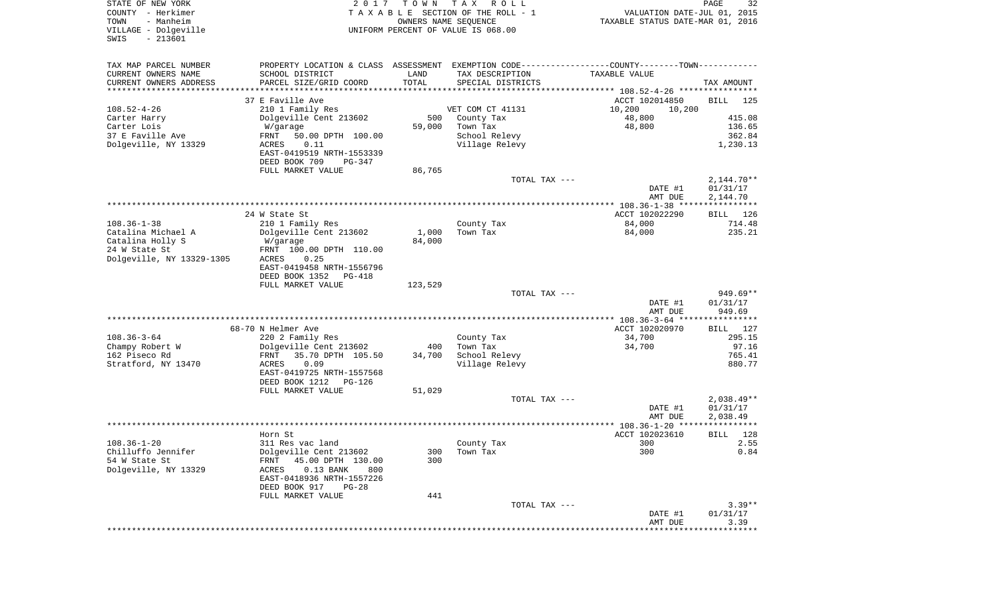| STATE OF NEW YORK<br>COUNTY - Herkimer<br>- Manheim<br>TOWN<br>VILLAGE - Dolgeville<br>$-213601$<br>SWIS | 2017                                                                                           | T O W N<br>OWNERS NAME SEQUENCE | T A X<br>R O L L<br>TAXABLE SECTION OF THE ROLL - 1<br>UNIFORM PERCENT OF VALUE IS 068.00 | VALUATION DATE-JUL 01, 2015<br>TAXABLE STATUS DATE-MAR 01, 2016 | PAGE<br>32               |
|----------------------------------------------------------------------------------------------------------|------------------------------------------------------------------------------------------------|---------------------------------|-------------------------------------------------------------------------------------------|-----------------------------------------------------------------|--------------------------|
| TAX MAP PARCEL NUMBER                                                                                    | PROPERTY LOCATION & CLASS ASSESSMENT EXEMPTION CODE----------------COUNTY-------TOWN---------- |                                 |                                                                                           |                                                                 |                          |
| CURRENT OWNERS NAME                                                                                      | SCHOOL DISTRICT                                                                                | LAND                            | TAX DESCRIPTION                                                                           | TAXABLE VALUE                                                   |                          |
| CURRENT OWNERS ADDRESS                                                                                   | PARCEL SIZE/GRID COORD                                                                         | TOTAL                           | SPECIAL DISTRICTS                                                                         |                                                                 | TAX AMOUNT               |
| *********************                                                                                    |                                                                                                |                                 |                                                                                           |                                                                 |                          |
| $108.52 - 4 - 26$                                                                                        | 37 E Faville Ave<br>210 1 Family Res                                                           |                                 | VET COM CT 41131                                                                          | ACCT 102014850<br>10,200<br>10,200                              | <b>BILL</b><br>125       |
| Carter Harry                                                                                             | Dolgeville Cent 213602                                                                         | 500                             | County Tax                                                                                | 48,800                                                          | 415.08                   |
| Carter Lois                                                                                              | W/garage                                                                                       | 59,000                          | Town Tax                                                                                  | 48,800                                                          | 136.65                   |
| 37 E Faville Ave                                                                                         | 50.00 DPTH 100.00<br>FRNT                                                                      |                                 | School Relevy                                                                             |                                                                 | 362.84                   |
| Dolgeville, NY 13329                                                                                     | ACRES<br>0.11                                                                                  |                                 | Village Relevy                                                                            |                                                                 | 1,230.13                 |
|                                                                                                          | EAST-0419519 NRTH-1553339                                                                      |                                 |                                                                                           |                                                                 |                          |
|                                                                                                          | DEED BOOK 709<br>PG-347                                                                        |                                 |                                                                                           |                                                                 |                          |
|                                                                                                          | FULL MARKET VALUE                                                                              | 86,765                          |                                                                                           |                                                                 |                          |
|                                                                                                          |                                                                                                |                                 | TOTAL TAX ---                                                                             | DATE #1                                                         | $2,144.70**$<br>01/31/17 |
|                                                                                                          |                                                                                                |                                 |                                                                                           | AMT DUE                                                         | 2,144.70                 |
|                                                                                                          |                                                                                                |                                 |                                                                                           | **************** 108.36-1-38 *****************                  |                          |
|                                                                                                          | 24 W State St                                                                                  |                                 |                                                                                           | ACCT 102022290                                                  | BILL 126                 |
| $108.36 - 1 - 38$                                                                                        | 210 1 Family Res                                                                               |                                 | County Tax                                                                                | 84,000                                                          | 714.48                   |
| Catalina Michael A                                                                                       | Dolgeville Cent 213602                                                                         | 1,000                           | Town Tax                                                                                  | 84,000                                                          | 235.21                   |
| Catalina Holly S                                                                                         | W/garage                                                                                       | 84,000                          |                                                                                           |                                                                 |                          |
| 24 W State St                                                                                            | FRNT 100.00 DPTH 110.00                                                                        |                                 |                                                                                           |                                                                 |                          |
| Dolgeville, NY 13329-1305                                                                                | ACRES<br>0.25<br>EAST-0419458 NRTH-1556796                                                     |                                 |                                                                                           |                                                                 |                          |
|                                                                                                          | DEED BOOK 1352<br>PG-418                                                                       |                                 |                                                                                           |                                                                 |                          |
|                                                                                                          | FULL MARKET VALUE                                                                              | 123,529                         |                                                                                           |                                                                 |                          |
|                                                                                                          |                                                                                                |                                 | TOTAL TAX ---                                                                             |                                                                 | $949.69**$               |
|                                                                                                          |                                                                                                |                                 |                                                                                           | DATE #1                                                         | 01/31/17                 |
|                                                                                                          |                                                                                                |                                 |                                                                                           | AMT DUE                                                         | 949.69                   |
|                                                                                                          |                                                                                                |                                 |                                                                                           | ************** 108.36-3-64 *****************                    |                          |
| $108.36 - 3 - 64$                                                                                        | 68-70 N Helmer Ave<br>220 2 Family Res                                                         |                                 | County Tax                                                                                | ACCT 102020970<br>34,700                                        | 127<br>BILL<br>295.15    |
| Champy Robert W                                                                                          | Dolgeville Cent 213602                                                                         | 400                             | Town Tax                                                                                  | 34,700                                                          | 97.16                    |
| 162 Piseco Rd                                                                                            | FRNT<br>35.70 DPTH 105.50                                                                      | 34,700                          | School Relevy                                                                             |                                                                 | 765.41                   |
| Stratford, NY 13470                                                                                      | 0.09<br>ACRES                                                                                  |                                 | Village Relevy                                                                            |                                                                 | 880.77                   |
|                                                                                                          | EAST-0419725 NRTH-1557568                                                                      |                                 |                                                                                           |                                                                 |                          |
|                                                                                                          | DEED BOOK 1212<br>PG-126                                                                       |                                 |                                                                                           |                                                                 |                          |
|                                                                                                          | FULL MARKET VALUE                                                                              | 51,029                          |                                                                                           |                                                                 |                          |
|                                                                                                          |                                                                                                |                                 | TOTAL TAX ---                                                                             |                                                                 | $2,038.49**$             |
|                                                                                                          |                                                                                                |                                 |                                                                                           | DATE #1<br>AMT DUE                                              | 01/31/17<br>2,038.49     |
|                                                                                                          |                                                                                                |                                 |                                                                                           |                                                                 | *****                    |
|                                                                                                          | Horn St.                                                                                       |                                 |                                                                                           | ACCT 102023610                                                  | 128<br>BILL              |
| $108.36 - 1 - 20$                                                                                        | 311 Res vac land                                                                               |                                 | County Tax                                                                                | 300                                                             | 2.55                     |
| Chilluffo Jennifer                                                                                       | Dolgeville Cent 213602                                                                         | 300                             | Town Tax                                                                                  | 300                                                             | 0.84                     |
| 54 W State St                                                                                            | FRNT<br>45.00 DPTH 130.00                                                                      | 300                             |                                                                                           |                                                                 |                          |
| Dolgeville, NY 13329                                                                                     | $0.13$ BANK<br>ACRES<br>800                                                                    |                                 |                                                                                           |                                                                 |                          |
|                                                                                                          | EAST-0418936 NRTH-1557226                                                                      |                                 |                                                                                           |                                                                 |                          |
|                                                                                                          | DEED BOOK 917<br>PG-28<br>FULL MARKET VALUE                                                    | 441                             |                                                                                           |                                                                 |                          |
|                                                                                                          |                                                                                                |                                 | TOTAL TAX ---                                                                             |                                                                 | $3.39**$                 |
|                                                                                                          |                                                                                                |                                 |                                                                                           | DATE #1                                                         | 01/31/17                 |
|                                                                                                          |                                                                                                |                                 |                                                                                           | AMT DUE                                                         | 3.39                     |
|                                                                                                          |                                                                                                |                                 |                                                                                           | ****************************                                    |                          |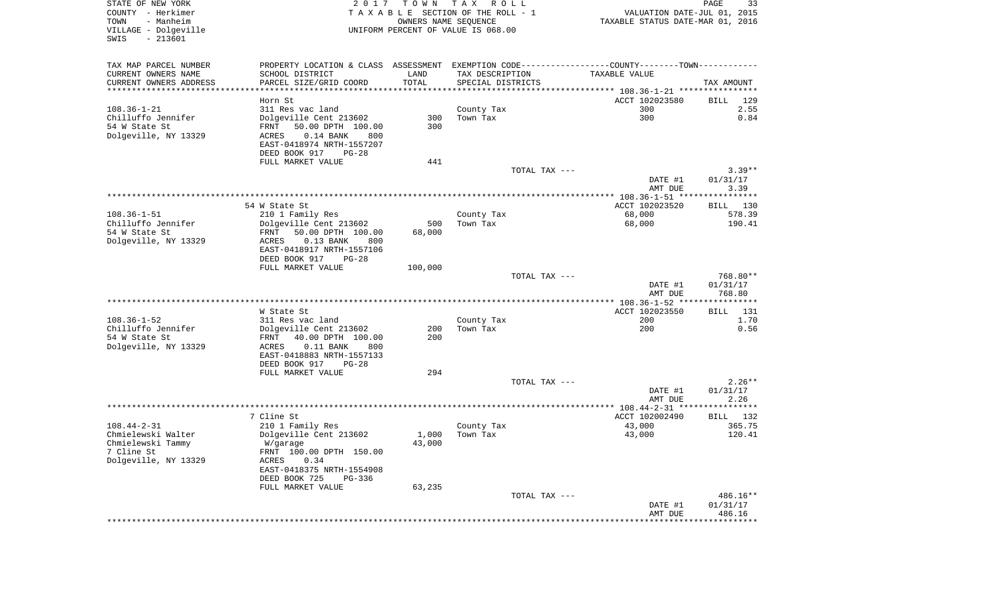| STATE OF NEW YORK               | 2017                        |                      | TOWN TAX ROLL                      |                                                                                               | 33<br>PAGE  |
|---------------------------------|-----------------------------|----------------------|------------------------------------|-----------------------------------------------------------------------------------------------|-------------|
| COUNTY - Herkimer               |                             |                      | TAXABLE SECTION OF THE ROLL - 1    | VALUATION DATE-JUL 01, 2015                                                                   |             |
| TOWN<br>- Manheim               |                             | OWNERS NAME SEOUENCE |                                    | TAXABLE STATUS DATE-MAR 01, 2016                                                              |             |
| VILLAGE - Dolgeville            |                             |                      | UNIFORM PERCENT OF VALUE IS 068.00 |                                                                                               |             |
| SWIS<br>$-213601$               |                             |                      |                                    |                                                                                               |             |
|                                 |                             |                      |                                    |                                                                                               |             |
| TAX MAP PARCEL NUMBER           |                             |                      |                                    | PROPERTY LOCATION & CLASS ASSESSMENT EXEMPTION CODE---------------COUNTY-------TOWN---------- |             |
| CURRENT OWNERS NAME             | SCHOOL DISTRICT             | LAND                 | TAX DESCRIPTION                    | TAXABLE VALUE                                                                                 |             |
| CURRENT OWNERS ADDRESS          | PARCEL SIZE/GRID COORD      | TOTAL                | SPECIAL DISTRICTS                  |                                                                                               | TAX AMOUNT  |
|                                 |                             |                      |                                    |                                                                                               |             |
|                                 | Horn St                     |                      |                                    | ACCT 102023580                                                                                | BILL<br>129 |
| 108.36-1-21                     | 311 Res vac land            |                      | County Tax                         | 300                                                                                           | 2.55        |
| Chilluffo Jennifer              | Dolgeville Cent 213602      | 300                  | Town Tax                           | 300                                                                                           | 0.84        |
| 54 W State St                   | 50.00 DPTH 100.00<br>FRNT   | 300                  |                                    |                                                                                               |             |
| Dolgeville, NY 13329            | ACRES<br>$0.14$ BANK<br>800 |                      |                                    |                                                                                               |             |
|                                 | EAST-0418974 NRTH-1557207   |                      |                                    |                                                                                               |             |
|                                 | DEED BOOK 917<br>PG-28      |                      |                                    |                                                                                               |             |
|                                 | FULL MARKET VALUE           | 441                  |                                    |                                                                                               |             |
|                                 |                             |                      | TOTAL TAX ---                      |                                                                                               | $3.39**$    |
|                                 |                             |                      |                                    | DATE #1                                                                                       | 01/31/17    |
|                                 |                             |                      |                                    | AMT DUE                                                                                       | 3.39        |
|                                 |                             |                      |                                    |                                                                                               |             |
|                                 | 54 W State St               |                      |                                    | ACCT 102023520                                                                                | BILL 130    |
| 108.36-1-51                     | 210 1 Family Res            |                      | County Tax                         | 68,000                                                                                        | 578.39      |
| Chilluffo Jennifer              | Dolgeville Cent 213602      | 500                  | Town Tax                           | 68,000                                                                                        | 190.41      |
| 54 W State St                   | 50.00 DPTH 100.00<br>FRNT   | 68,000               |                                    |                                                                                               |             |
| Dolgeville, NY 13329            | $0.13$ BANK<br>ACRES<br>800 |                      |                                    |                                                                                               |             |
|                                 | EAST-0418917 NRTH-1557106   |                      |                                    |                                                                                               |             |
|                                 | DEED BOOK 917<br>PG-28      |                      |                                    |                                                                                               |             |
|                                 | FULL MARKET VALUE           | 100,000              |                                    |                                                                                               |             |
|                                 |                             |                      | TOTAL TAX ---                      |                                                                                               | 768.80**    |
|                                 |                             |                      |                                    | DATE #1                                                                                       | 01/31/17    |
|                                 |                             |                      |                                    | AMT DUE                                                                                       | 768.80      |
|                                 |                             |                      |                                    |                                                                                               |             |
|                                 | W State St                  |                      |                                    | ACCT 102023550                                                                                | BILL 131    |
| 108.36-1-52                     | 311 Res vac land            |                      | County Tax                         | 200                                                                                           | 1.70        |
| Chilluffo Jennifer              | Dolgeville Cent 213602      | 200                  | Town Tax                           | 200                                                                                           | 0.56        |
| 54 W State St                   | FRNT 40.00 DPTH 100.00      | 200                  |                                    |                                                                                               |             |
| Dolgeville, NY 13329            | $0.11$ BANK<br>ACRES<br>800 |                      |                                    |                                                                                               |             |
|                                 | EAST-0418883 NRTH-1557133   |                      |                                    |                                                                                               |             |
|                                 | DEED BOOK 917<br>$PG-28$    |                      |                                    |                                                                                               |             |
|                                 | FULL MARKET VALUE           | 294                  |                                    |                                                                                               |             |
|                                 |                             |                      | TOTAL TAX ---                      |                                                                                               | $2.26**$    |
|                                 |                             |                      |                                    | DATE #1                                                                                       | 01/31/17    |
|                                 |                             |                      |                                    | AMT DUE                                                                                       | 2.26        |
|                                 |                             |                      |                                    |                                                                                               |             |
|                                 | 7 Cline St                  |                      |                                    | ACCT 102002490                                                                                | BILL 132    |
| 108.44-2-31                     | 210 1 Family Res            |                      | County Tax                         | 43,000                                                                                        | 365.75      |
| Chmielewski Walter              | Dolgeville Cent 213602      | 1,000                | Town Tax                           | 43,000                                                                                        | 120.41      |
| Chmielewski Tammy<br>7 Cline St | W/garage                    | 43,000               |                                    |                                                                                               |             |
|                                 | FRNT 100.00 DPTH 150.00     |                      |                                    |                                                                                               |             |
| Dolgeville, NY 13329            | ACRES<br>0.34               |                      |                                    |                                                                                               |             |
|                                 | EAST-0418375 NRTH-1554908   |                      |                                    |                                                                                               |             |
|                                 | DEED BOOK 725<br>PG-336     |                      |                                    |                                                                                               |             |
|                                 | FULL MARKET VALUE           | 63,235               |                                    |                                                                                               | 486.16**    |
|                                 |                             |                      | TOTAL TAX ---                      |                                                                                               |             |
|                                 |                             |                      |                                    | DATE #1                                                                                       | 01/31/17    |
|                                 |                             |                      |                                    | AMT DUE                                                                                       | 486.16      |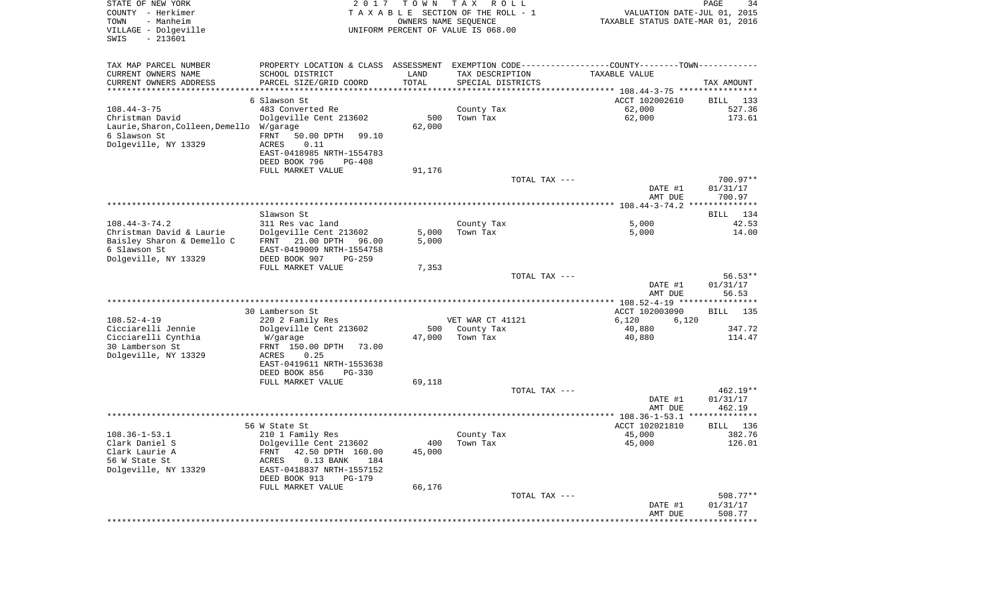| STATE OF NEW YORK<br>COUNTY - Herkimer<br>- Manheim<br>TOWN<br>VILLAGE - Dolgeville<br>$-213601$<br>SWIS | 2017                                                                                          | T O W N<br>OWNERS NAME SEQUENCE | T A X<br>R O L L<br>TAXABLE SECTION OF THE ROLL - 1<br>UNIFORM PERCENT OF VALUE IS 068.00 | VALUATION DATE-JUL 01, 2015<br>TAXABLE STATUS DATE-MAR 01, 2016 | PAGE<br>34            |
|----------------------------------------------------------------------------------------------------------|-----------------------------------------------------------------------------------------------|---------------------------------|-------------------------------------------------------------------------------------------|-----------------------------------------------------------------|-----------------------|
| TAX MAP PARCEL NUMBER                                                                                    | PROPERTY LOCATION & CLASS ASSESSMENT EXEMPTION CODE---------------COUNTY-------TOWN---------- |                                 |                                                                                           |                                                                 |                       |
| CURRENT OWNERS NAME                                                                                      | SCHOOL DISTRICT                                                                               | LAND                            | TAX DESCRIPTION                                                                           | TAXABLE VALUE                                                   |                       |
| CURRENT OWNERS ADDRESS                                                                                   | PARCEL SIZE/GRID COORD                                                                        | TOTAL                           | SPECIAL DISTRICTS                                                                         |                                                                 | TAX AMOUNT            |
| **********************                                                                                   |                                                                                               |                                 |                                                                                           |                                                                 |                       |
| $108.44 - 3 - 75$                                                                                        | 6 Slawson St<br>483 Converted Re                                                              |                                 |                                                                                           | ACCT 102002610<br>62,000                                        | 133<br>BILL<br>527.36 |
| Christman David                                                                                          | Dolgeville Cent 213602                                                                        | 500                             | County Tax<br>Town Tax                                                                    | 62,000                                                          | 173.61                |
| Laurie, Sharon, Colleen, Demello                                                                         | W/garage                                                                                      | 62,000                          |                                                                                           |                                                                 |                       |
| 6 Slawson St                                                                                             | FRNT<br>50.00 DPTH<br>99.10                                                                   |                                 |                                                                                           |                                                                 |                       |
| Dolgeville, NY 13329                                                                                     | ACRES<br>0.11                                                                                 |                                 |                                                                                           |                                                                 |                       |
|                                                                                                          | EAST-0418985 NRTH-1554783                                                                     |                                 |                                                                                           |                                                                 |                       |
|                                                                                                          | DEED BOOK 796<br><b>PG-408</b>                                                                |                                 |                                                                                           |                                                                 |                       |
|                                                                                                          | FULL MARKET VALUE                                                                             | 91,176                          |                                                                                           |                                                                 |                       |
|                                                                                                          |                                                                                               |                                 | TOTAL TAX ---                                                                             |                                                                 | 700.97**              |
|                                                                                                          |                                                                                               |                                 |                                                                                           | DATE #1<br>AMT DUE                                              | 01/31/17<br>700.97    |
|                                                                                                          |                                                                                               |                                 |                                                                                           |                                                                 |                       |
|                                                                                                          | Slawson St                                                                                    |                                 |                                                                                           |                                                                 | BILL 134              |
| $108.44 - 3 - 74.2$                                                                                      | 311 Res vac land                                                                              |                                 | County Tax                                                                                | 5,000                                                           | 42.53                 |
| Christman David & Laurie                                                                                 | Dolgeville Cent 213602                                                                        | 5,000                           | Town Tax                                                                                  | 5,000                                                           | 14.00                 |
| Baisley Sharon & Demello C                                                                               | FRNT 21.00 DPTH<br>96.00                                                                      | 5,000                           |                                                                                           |                                                                 |                       |
| 6 Slawson St                                                                                             | EAST-0419009 NRTH-1554758                                                                     |                                 |                                                                                           |                                                                 |                       |
| Dolgeville, NY 13329                                                                                     | DEED BOOK 907<br>$PG-259$<br>FULL MARKET VALUE                                                |                                 |                                                                                           |                                                                 |                       |
|                                                                                                          |                                                                                               | 7,353                           | TOTAL TAX ---                                                                             |                                                                 | $56.53**$             |
|                                                                                                          |                                                                                               |                                 |                                                                                           | DATE #1                                                         | 01/31/17              |
|                                                                                                          |                                                                                               |                                 |                                                                                           | AMT DUE                                                         | 56.53                 |
|                                                                                                          |                                                                                               |                                 |                                                                                           |                                                                 |                       |
|                                                                                                          | 30 Lamberson St                                                                               |                                 |                                                                                           | ACCT 102003090                                                  | <b>BILL</b><br>135    |
| $108.52 - 4 - 19$                                                                                        | 220 2 Family Res                                                                              |                                 | VET WAR CT 41121                                                                          | 6,120<br>6,120                                                  |                       |
| Cicciarelli Jennie<br>Cicciarelli Cynthia                                                                | Dolgeville Cent 213602                                                                        | 500<br>47,000                   | County Tax<br>Town Tax                                                                    | 40,880<br>40,880                                                | 347.72<br>114.47      |
| 30 Lamberson St                                                                                          | W/garage<br>FRNT 150.00 DPTH<br>73.00                                                         |                                 |                                                                                           |                                                                 |                       |
| Dolgeville, NY 13329                                                                                     | ACRES<br>0.25                                                                                 |                                 |                                                                                           |                                                                 |                       |
|                                                                                                          | EAST-0419611 NRTH-1553638                                                                     |                                 |                                                                                           |                                                                 |                       |
|                                                                                                          | DEED BOOK 856<br>PG-330                                                                       |                                 |                                                                                           |                                                                 |                       |
|                                                                                                          | FULL MARKET VALUE                                                                             | 69,118                          |                                                                                           |                                                                 |                       |
|                                                                                                          |                                                                                               |                                 | TOTAL TAX ---                                                                             |                                                                 | $462.19**$            |
|                                                                                                          |                                                                                               |                                 |                                                                                           | DATE #1<br>AMT DUE                                              | 01/31/17<br>462.19    |
|                                                                                                          |                                                                                               |                                 |                                                                                           |                                                                 | **************        |
|                                                                                                          | 56 W State St                                                                                 |                                 |                                                                                           | ACCT 102021810                                                  | 136<br>BILL           |
| $108.36 - 1 - 53.1$                                                                                      | 210 1 Family Res                                                                              |                                 | County Tax                                                                                | 45,000                                                          | 382.76                |
| Clark Daniel S                                                                                           | Dolgeville Cent 213602                                                                        |                                 | 400 Town Tax                                                                              | 45,000                                                          | 126.01                |
| Clark Laurie A                                                                                           | 42.50 DPTH 160.00<br>FRNT                                                                     | 45,000                          |                                                                                           |                                                                 |                       |
| 56 W State St                                                                                            | $0.13$ BANK<br>ACRES<br>184                                                                   |                                 |                                                                                           |                                                                 |                       |
| Dolgeville, NY 13329                                                                                     | EAST-0418837 NRTH-1557152<br>DEED BOOK 913<br>PG-179                                          |                                 |                                                                                           |                                                                 |                       |
|                                                                                                          | FULL MARKET VALUE                                                                             | 66,176                          |                                                                                           |                                                                 |                       |
|                                                                                                          |                                                                                               |                                 | TOTAL TAX ---                                                                             |                                                                 | $508.77**$            |
|                                                                                                          |                                                                                               |                                 |                                                                                           | DATE #1                                                         | 01/31/17              |
|                                                                                                          |                                                                                               |                                 |                                                                                           | AMT DUE                                                         | 508.77                |
|                                                                                                          |                                                                                               |                                 |                                                                                           |                                                                 |                       |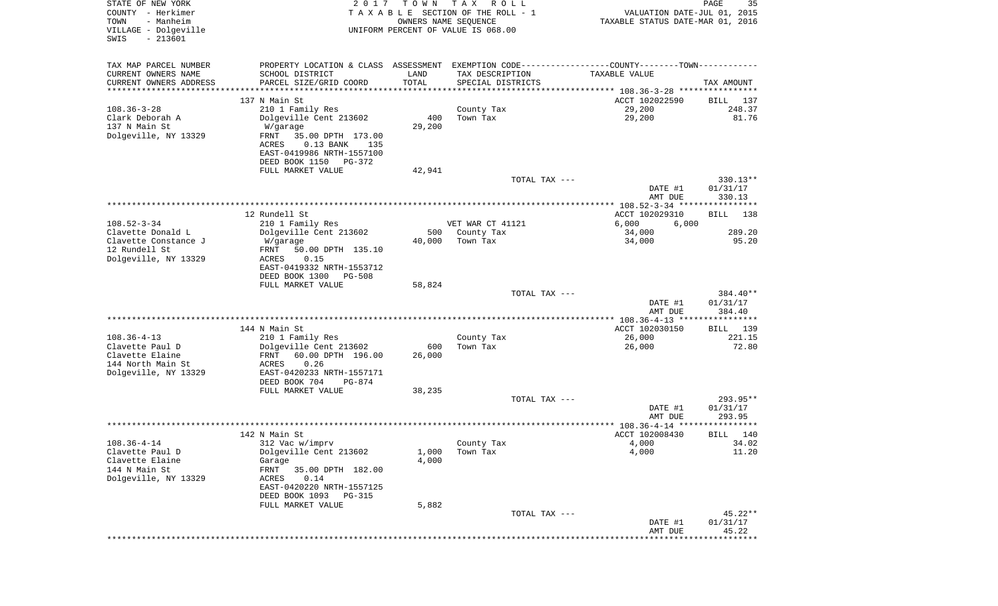| STATE OF NEW YORK<br>COUNTY - Herkimer    | 2017                                                                                          | T O W N              | T A X<br>R O L L<br>TAXABLE SECTION OF THE ROLL - 1 | VALUATION DATE-JUL 01, 2015                    | PAGE<br>35            |
|-------------------------------------------|-----------------------------------------------------------------------------------------------|----------------------|-----------------------------------------------------|------------------------------------------------|-----------------------|
| TOWN<br>- Manheim                         |                                                                                               | OWNERS NAME SEQUENCE |                                                     | TAXABLE STATUS DATE-MAR 01, 2016               |                       |
| VILLAGE - Dolgeville<br>$-213601$<br>SWIS |                                                                                               |                      | UNIFORM PERCENT OF VALUE IS 068.00                  |                                                |                       |
| TAX MAP PARCEL NUMBER                     | PROPERTY LOCATION & CLASS ASSESSMENT EXEMPTION CODE---------------COUNTY-------TOWN---------- |                      |                                                     |                                                |                       |
| CURRENT OWNERS NAME                       | SCHOOL DISTRICT                                                                               | LAND                 | TAX DESCRIPTION                                     | TAXABLE VALUE                                  |                       |
| CURRENT OWNERS ADDRESS                    | PARCEL SIZE/GRID COORD                                                                        | TOTAL                | SPECIAL DISTRICTS                                   |                                                | TAX AMOUNT            |
| *********************                     |                                                                                               | ************         |                                                     |                                                |                       |
| $108.36 - 3 - 28$                         | 137 N Main St<br>210 1 Family Res                                                             |                      | County Tax                                          | ACCT 102022590<br>29,200                       | BILL<br>137<br>248.37 |
| Clark Deborah A                           | Dolgeville Cent 213602                                                                        | 400                  | Town Tax                                            | 29,200                                         | 81.76                 |
| 137 N Main St                             | W/garage                                                                                      | 29,200               |                                                     |                                                |                       |
| Dolgeville, NY 13329                      | FRNT<br>35.00 DPTH 173.00                                                                     |                      |                                                     |                                                |                       |
|                                           | $0.13$ BANK<br>ACRES<br>135                                                                   |                      |                                                     |                                                |                       |
|                                           | EAST-0419986 NRTH-1557100                                                                     |                      |                                                     |                                                |                       |
|                                           | DEED BOOK 1150<br>PG-372                                                                      |                      |                                                     |                                                |                       |
|                                           | FULL MARKET VALUE                                                                             | 42,941               |                                                     |                                                |                       |
|                                           |                                                                                               |                      | TOTAL TAX ---                                       | DATE #1                                        | 330.13**<br>01/31/17  |
|                                           |                                                                                               |                      |                                                     | AMT DUE                                        | 330.13                |
|                                           |                                                                                               |                      |                                                     | ***************** 108.52-3-34 **************** |                       |
|                                           | 12 Rundell St                                                                                 |                      |                                                     | ACCT 102029310                                 | 138<br>BILL           |
| $108.52 - 3 - 34$                         | 210 1 Family Res                                                                              |                      | VET WAR CT 41121                                    | 6,000<br>6,000                                 |                       |
| Clavette Donald L<br>Clavette Constance J | Dolgeville Cent 213602                                                                        | 500                  | County Tax                                          | 34,000                                         | 289.20                |
| 12 Rundell St                             | W/garage<br>50.00 DPTH 135.10<br>FRNT                                                         | 40,000               | Town Tax                                            | 34,000                                         | 95.20                 |
| Dolgeville, NY 13329                      | 0.15<br>ACRES                                                                                 |                      |                                                     |                                                |                       |
|                                           | EAST-0419332 NRTH-1553712                                                                     |                      |                                                     |                                                |                       |
|                                           | DEED BOOK 1300<br><b>PG-508</b>                                                               |                      |                                                     |                                                |                       |
|                                           | FULL MARKET VALUE                                                                             | 58,824               |                                                     |                                                |                       |
|                                           |                                                                                               |                      | TOTAL TAX ---                                       |                                                | 384.40**              |
|                                           |                                                                                               |                      |                                                     | DATE #1<br>AMT DUE                             | 01/31/17<br>384.40    |
|                                           |                                                                                               |                      |                                                     |                                                |                       |
|                                           | 144 N Main St                                                                                 |                      |                                                     | ACCT 102030150                                 | BILL 139              |
| $108.36 - 4 - 13$                         | 210 1 Family Res                                                                              |                      | County Tax                                          | 26,000                                         | 221.15                |
| Clavette Paul D                           | Dolgeville Cent 213602                                                                        | 600                  | Town Tax                                            | 26,000                                         | 72.80                 |
| Clavette Elaine                           | FRNT<br>60.00 DPTH 196.00                                                                     | 26,000               |                                                     |                                                |                       |
| 144 North Main St                         | <b>ACRES</b><br>0.26                                                                          |                      |                                                     |                                                |                       |
| Dolgeville, NY 13329                      | EAST-0420233 NRTH-1557171<br>DEED BOOK 704<br>PG-874                                          |                      |                                                     |                                                |                       |
|                                           | FULL MARKET VALUE                                                                             | 38,235               |                                                     |                                                |                       |
|                                           |                                                                                               |                      | TOTAL TAX ---                                       |                                                | 293.95**              |
|                                           |                                                                                               |                      |                                                     | DATE #1                                        | 01/31/17              |
|                                           |                                                                                               |                      |                                                     | AMT DUE                                        | 293.95<br>* * * * * * |
|                                           | 142 N Main St                                                                                 |                      |                                                     | ACCT 102008430                                 | 140<br>BILL           |
| $108.36 - 4 - 14$                         | 312 Vac w/imprv                                                                               |                      | County Tax                                          | 4,000                                          | 34.02                 |
| Clavette Paul D                           | Dolgeville Cent 213602                                                                        | 1,000                | Town Tax                                            | 4,000                                          | 11.20                 |
| Clavette Elaine                           | Garage                                                                                        | 4,000                |                                                     |                                                |                       |
| 144 N Main St                             | FRNT<br>35.00 DPTH 182.00                                                                     |                      |                                                     |                                                |                       |
| Dolgeville, NY 13329                      | ACRES<br>0.14                                                                                 |                      |                                                     |                                                |                       |
|                                           | EAST-0420220 NRTH-1557125                                                                     |                      |                                                     |                                                |                       |
|                                           | DEED BOOK 1093<br>PG-315<br>FULL MARKET VALUE                                                 | 5,882                |                                                     |                                                |                       |
|                                           |                                                                                               |                      | TOTAL TAX ---                                       |                                                | $45.22**$             |
|                                           |                                                                                               |                      |                                                     | DATE #1                                        | 01/31/17              |
|                                           |                                                                                               |                      |                                                     | AMT DUE                                        | 45.22                 |
|                                           |                                                                                               |                      |                                                     | **********************                         | ************          |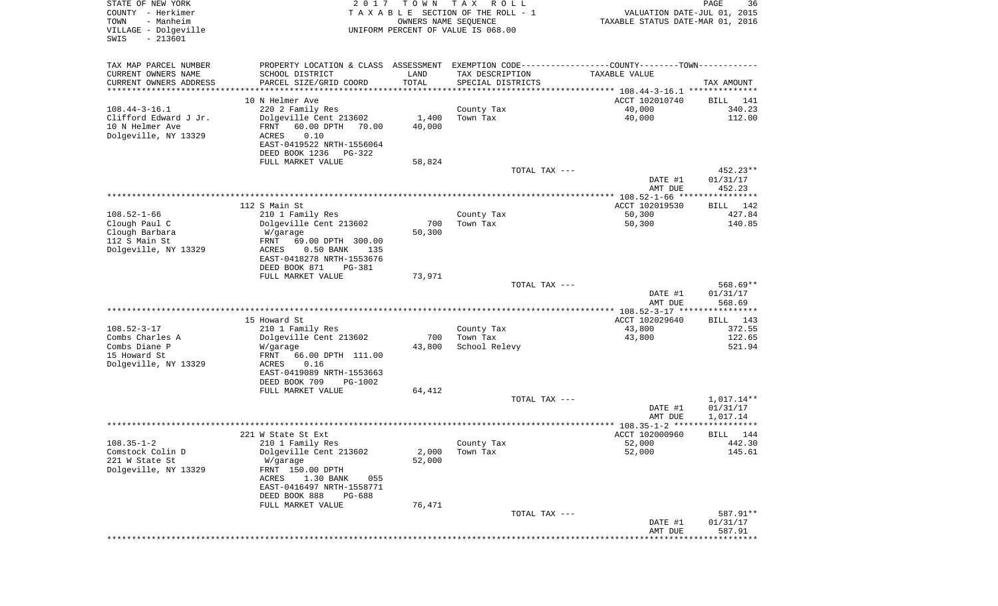| STATE OF NEW YORK<br>COUNTY - Herkimer<br>TOWN<br>- Manheim<br>VILLAGE - Dolgeville<br>$-213601$<br>SWIS | 2 0 1 7                                                                                       | T O W N<br>OWNERS NAME SEQUENCE | T A X<br>R O L L<br>TAXABLE SECTION OF THE ROLL - 1<br>UNIFORM PERCENT OF VALUE IS 068.00 | VALUATION DATE-JUL 01, 2015<br>TAXABLE STATUS DATE-MAR 01, 2016 | PAGE<br>36           |
|----------------------------------------------------------------------------------------------------------|-----------------------------------------------------------------------------------------------|---------------------------------|-------------------------------------------------------------------------------------------|-----------------------------------------------------------------|----------------------|
| TAX MAP PARCEL NUMBER                                                                                    | PROPERTY LOCATION & CLASS ASSESSMENT EXEMPTION CODE---------------COUNTY-------TOWN---------- |                                 |                                                                                           |                                                                 |                      |
| CURRENT OWNERS NAME                                                                                      | SCHOOL DISTRICT                                                                               | LAND                            | TAX DESCRIPTION                                                                           | TAXABLE VALUE                                                   |                      |
| CURRENT OWNERS ADDRESS<br>**********************                                                         | PARCEL SIZE/GRID COORD                                                                        | TOTAL                           | SPECIAL DISTRICTS                                                                         |                                                                 | TAX AMOUNT           |
|                                                                                                          | 10 N Helmer Ave                                                                               |                                 |                                                                                           | ACCT 102010740                                                  | BILL<br>141          |
| $108.44 - 3 - 16.1$                                                                                      | 220 2 Family Res                                                                              |                                 | County Tax                                                                                | 40,000                                                          | 340.23               |
| Clifford Edward J Jr.                                                                                    | Dolgeville Cent 213602                                                                        | 1,400                           | Town Tax                                                                                  | 40,000                                                          | 112.00               |
| 10 N Helmer Ave                                                                                          | FRNT<br>60.00 DPTH<br>70.00                                                                   | 40,000                          |                                                                                           |                                                                 |                      |
| Dolgeville, NY 13329                                                                                     | ACRES<br>0.10<br>EAST-0419522 NRTH-1556064                                                    |                                 |                                                                                           |                                                                 |                      |
|                                                                                                          | DEED BOOK 1236<br>PG-322                                                                      |                                 |                                                                                           |                                                                 |                      |
|                                                                                                          | FULL MARKET VALUE                                                                             | 58,824                          |                                                                                           |                                                                 |                      |
|                                                                                                          |                                                                                               |                                 | TOTAL TAX ---                                                                             |                                                                 | 452.23**             |
|                                                                                                          |                                                                                               |                                 |                                                                                           | DATE #1<br>AMT DUE                                              | 01/31/17<br>452.23   |
|                                                                                                          |                                                                                               |                                 |                                                                                           |                                                                 |                      |
|                                                                                                          | 112 S Main St                                                                                 |                                 |                                                                                           | ACCT 102019530                                                  | <b>BILL</b><br>142   |
| $108.52 - 1 - 66$                                                                                        | 210 1 Family Res                                                                              |                                 | County Tax                                                                                | 50,300                                                          | 427.84               |
| Clough Paul C<br>Clough Barbara                                                                          | Dolgeville Cent 213602<br>W/garage                                                            | 700<br>50,300                   | Town Tax                                                                                  | 50,300                                                          | 140.85               |
| 112 S Main St                                                                                            | FRNT<br>69.00 DPTH 300.00                                                                     |                                 |                                                                                           |                                                                 |                      |
| Dolgeville, NY 13329                                                                                     | ACRES<br>$0.50$ BANK<br>135                                                                   |                                 |                                                                                           |                                                                 |                      |
|                                                                                                          | EAST-0418278 NRTH-1553676                                                                     |                                 |                                                                                           |                                                                 |                      |
|                                                                                                          | DEED BOOK 871<br><b>PG-381</b><br>FULL MARKET VALUE                                           | 73,971                          |                                                                                           |                                                                 |                      |
|                                                                                                          |                                                                                               |                                 | TOTAL TAX ---                                                                             |                                                                 | 568.69**             |
|                                                                                                          |                                                                                               |                                 |                                                                                           | DATE #1                                                         | 01/31/17             |
|                                                                                                          |                                                                                               |                                 |                                                                                           | AMT DUE                                                         | 568.69               |
|                                                                                                          | 15 Howard St                                                                                  |                                 |                                                                                           | ************* 108.52-3-17 *****************<br>ACCT 102029640   | 143<br>BILL          |
| $108.52 - 3 - 17$                                                                                        | 210 1 Family Res                                                                              |                                 | County Tax                                                                                | 43,800                                                          | 372.55               |
| Combs Charles A                                                                                          | Dolgeville Cent 213602                                                                        | 700                             | Town Tax                                                                                  | 43,800                                                          | 122.65               |
| Combs Diane P                                                                                            | W/garage                                                                                      | 43,800                          | School Relevy                                                                             |                                                                 | 521.94               |
| 15 Howard St<br>Dolgeville, NY 13329                                                                     | FRNT<br>66.00 DPTH 111.00<br>ACRES<br>0.16                                                    |                                 |                                                                                           |                                                                 |                      |
|                                                                                                          | EAST-0419089 NRTH-1553663                                                                     |                                 |                                                                                           |                                                                 |                      |
|                                                                                                          | DEED BOOK 709<br>PG-1002                                                                      |                                 |                                                                                           |                                                                 |                      |
|                                                                                                          | FULL MARKET VALUE                                                                             | 64,412                          |                                                                                           |                                                                 |                      |
|                                                                                                          |                                                                                               |                                 | TOTAL TAX ---                                                                             |                                                                 | 1,017.14**           |
|                                                                                                          |                                                                                               |                                 |                                                                                           | DATE #1<br>AMT DUE                                              | 01/31/17<br>1,017.14 |
|                                                                                                          |                                                                                               |                                 |                                                                                           |                                                                 | ****                 |
|                                                                                                          | 221 W State St Ext                                                                            |                                 |                                                                                           | ACCT 102000960                                                  | 144<br>BILL          |
| $108.35 - 1 - 2$                                                                                         | 210 1 Family Res                                                                              |                                 | County Tax                                                                                | 52,000                                                          | 442.30               |
| Comstock Colin D<br>221 W State St                                                                       | Dolgeville Cent 213602<br>W/garage                                                            | 2,000<br>52,000                 | Town Tax                                                                                  | 52,000                                                          | 145.61               |
| Dolgeville, NY 13329                                                                                     | FRNT 150.00 DPTH                                                                              |                                 |                                                                                           |                                                                 |                      |
|                                                                                                          | 1.30 BANK<br>ACRES<br>055                                                                     |                                 |                                                                                           |                                                                 |                      |
|                                                                                                          | EAST-0416497 NRTH-1558771                                                                     |                                 |                                                                                           |                                                                 |                      |
|                                                                                                          | DEED BOOK 888<br>PG-688<br>FULL MARKET VALUE                                                  | 76,471                          |                                                                                           |                                                                 |                      |
|                                                                                                          |                                                                                               |                                 | TOTAL TAX ---                                                                             |                                                                 | 587.91**             |
|                                                                                                          |                                                                                               |                                 |                                                                                           | DATE #1                                                         | 01/31/17             |
|                                                                                                          |                                                                                               |                                 |                                                                                           | AMT DUE                                                         | 587.91               |
|                                                                                                          |                                                                                               |                                 |                                                                                           |                                                                 |                      |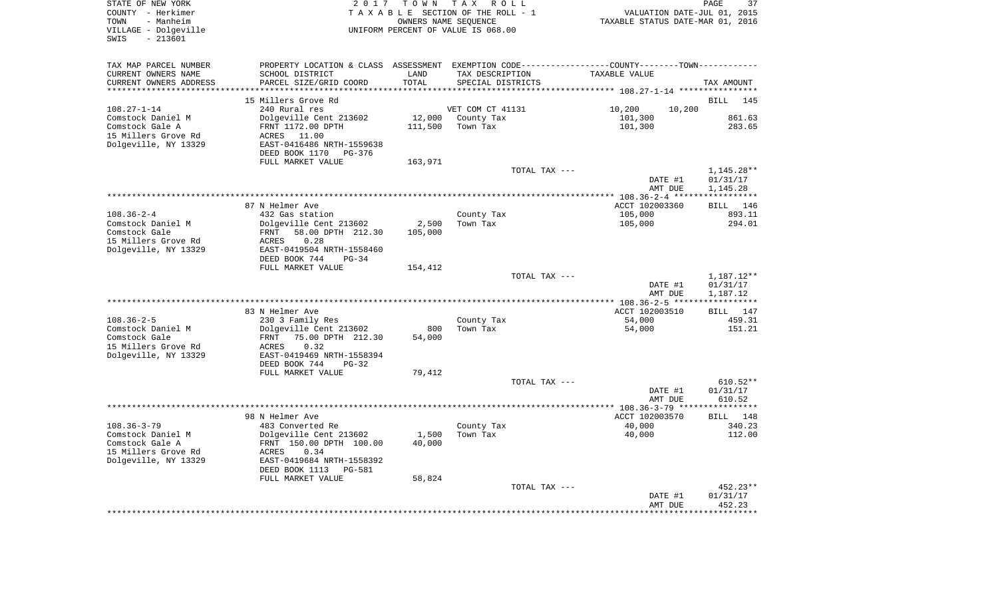| STATE OF NEW YORK<br>COUNTY - Herkimer<br>- Manheim<br>TOWN<br>VILLAGE - Dolgeville<br>$-213601$<br>SWIS | 2 0 1 7                                               | T O W N                      | T A X<br>R O L L<br>TAXABLE SECTION OF THE ROLL - 1<br>OWNERS NAME SEQUENCE<br>UNIFORM PERCENT OF VALUE IS 068.00 | VALUATION DATE-JUL 01, 2015<br>TAXABLE STATUS DATE-MAR 01, 2016 | PAGE<br>37           |
|----------------------------------------------------------------------------------------------------------|-------------------------------------------------------|------------------------------|-------------------------------------------------------------------------------------------------------------------|-----------------------------------------------------------------|----------------------|
| TAX MAP PARCEL NUMBER<br>CURRENT OWNERS NAME                                                             | SCHOOL DISTRICT                                       | LAND                         | PROPERTY LOCATION & CLASS ASSESSMENT EXEMPTION CODE---------------COUNTY-------TOWN----------<br>TAX DESCRIPTION  | TAXABLE VALUE                                                   |                      |
| CURRENT OWNERS ADDRESS<br>********************                                                           | PARCEL SIZE/GRID COORD<br>*****************           | TOTAL<br>* * * * * * * * * * | SPECIAL DISTRICTS                                                                                                 |                                                                 | TAX AMOUNT           |
|                                                                                                          | 15 Millers Grove Rd                                   |                              |                                                                                                                   | ******************** 108.27-1-14 ****************               | <b>BILL</b><br>145   |
| $108.27 - 1 - 14$                                                                                        | 240 Rural res                                         |                              | VET COM CT 41131                                                                                                  | 10,200<br>10,200                                                |                      |
| Comstock Daniel M                                                                                        | Dolgeville Cent 213602                                | 12,000                       | County Tax                                                                                                        | 101,300                                                         | 861.63               |
| Comstock Gale A                                                                                          | FRNT 1172.00 DPTH                                     | 111,500                      | Town Tax                                                                                                          | 101,300                                                         | 283.65               |
| 15 Millers Grove Rd                                                                                      | ACRES 11.00                                           |                              |                                                                                                                   |                                                                 |                      |
| Dolgeville, NY 13329                                                                                     | EAST-0416486 NRTH-1559638<br>DEED BOOK 1170<br>PG-376 |                              |                                                                                                                   |                                                                 |                      |
|                                                                                                          | FULL MARKET VALUE                                     | 163,971                      |                                                                                                                   |                                                                 |                      |
|                                                                                                          |                                                       |                              | TOTAL TAX ---                                                                                                     |                                                                 | $1,145.28**$         |
|                                                                                                          |                                                       |                              |                                                                                                                   | DATE #1                                                         | 01/31/17             |
|                                                                                                          |                                                       |                              |                                                                                                                   | AMT DUE                                                         | 1,145.28             |
|                                                                                                          | 87 N Helmer Ave                                       |                              |                                                                                                                   | *********** 108.36-2-4 ******************<br>ACCT 102003360     | BILL<br>146          |
| $108.36 - 2 - 4$                                                                                         | 432 Gas station                                       |                              | County Tax                                                                                                        | 105,000                                                         | 893.11               |
| Comstock Daniel M                                                                                        | Dolgeville Cent 213602                                | 2,500                        | Town Tax                                                                                                          | 105,000                                                         | 294.01               |
| Comstock Gale                                                                                            | FRNT<br>58.00 DPTH 212.30                             | 105,000                      |                                                                                                                   |                                                                 |                      |
| 15 Millers Grove Rd<br>Dolgeville, NY 13329                                                              | 0.28<br>ACRES<br>EAST-0419504 NRTH-1558460            |                              |                                                                                                                   |                                                                 |                      |
|                                                                                                          | DEED BOOK 744<br>$PG-34$                              |                              |                                                                                                                   |                                                                 |                      |
|                                                                                                          | FULL MARKET VALUE                                     | 154,412                      |                                                                                                                   |                                                                 |                      |
|                                                                                                          |                                                       |                              | TOTAL TAX ---                                                                                                     |                                                                 | 1,187.12**           |
|                                                                                                          |                                                       |                              |                                                                                                                   | DATE #1                                                         | 01/31/17             |
|                                                                                                          |                                                       |                              |                                                                                                                   | AMT DUE<br>************ 108.36-2-5 ***                          | 1,187.12             |
|                                                                                                          | 83 N Helmer Ave                                       |                              |                                                                                                                   | ACCT 102003510                                                  | BILL 147             |
| $108.36 - 2 - 5$                                                                                         | 230 3 Family Res                                      |                              | County Tax                                                                                                        | 54,000                                                          | 459.31               |
| Comstock Daniel M                                                                                        | Dolgeville Cent 213602                                | 800                          | Town Tax                                                                                                          | 54,000                                                          | 151.21               |
| Comstock Gale<br>15 Millers Grove Rd                                                                     | 75.00 DPTH 212.30<br>FRNT<br>0.32<br>ACRES            | 54,000                       |                                                                                                                   |                                                                 |                      |
| Dolgeville, NY 13329                                                                                     | EAST-0419469 NRTH-1558394                             |                              |                                                                                                                   |                                                                 |                      |
|                                                                                                          | DEED BOOK 744<br>$PG-32$                              |                              |                                                                                                                   |                                                                 |                      |
|                                                                                                          | FULL MARKET VALUE                                     | 79,412                       |                                                                                                                   |                                                                 |                      |
|                                                                                                          |                                                       |                              | TOTAL TAX ---                                                                                                     |                                                                 | $610.52**$           |
|                                                                                                          |                                                       |                              |                                                                                                                   | DATE #1<br>AMT DUE                                              | 01/31/17<br>610.52   |
|                                                                                                          |                                                       |                              |                                                                                                                   |                                                                 |                      |
|                                                                                                          | 98 N Helmer Ave                                       |                              |                                                                                                                   | ACCT 102003570                                                  | BILL 148             |
| $108.36 - 3 - 79$                                                                                        | 483 Converted Re                                      |                              | County Tax                                                                                                        | 40,000                                                          | 340.23               |
| Comstock Daniel M<br>Comstock Gale A                                                                     | Dolgeville Cent 213602<br>FRNT 150.00 DPTH 100.00     | 1,500<br>40,000              | Town Tax                                                                                                          | 40,000                                                          | 112.00               |
| 15 Millers Grove Rd                                                                                      | ACRES<br>0.34                                         |                              |                                                                                                                   |                                                                 |                      |
| Dolgeville, NY 13329                                                                                     | EAST-0419684 NRTH-1558392                             |                              |                                                                                                                   |                                                                 |                      |
|                                                                                                          | DEED BOOK 1113<br><b>PG-581</b>                       |                              |                                                                                                                   |                                                                 |                      |
|                                                                                                          | FULL MARKET VALUE                                     | 58,824                       |                                                                                                                   |                                                                 |                      |
|                                                                                                          |                                                       |                              | TOTAL TAX ---                                                                                                     | DATE #1                                                         | 452.23**<br>01/31/17 |
|                                                                                                          |                                                       |                              |                                                                                                                   | AMT DUE                                                         | 452.23               |
|                                                                                                          |                                                       |                              |                                                                                                                   |                                                                 |                      |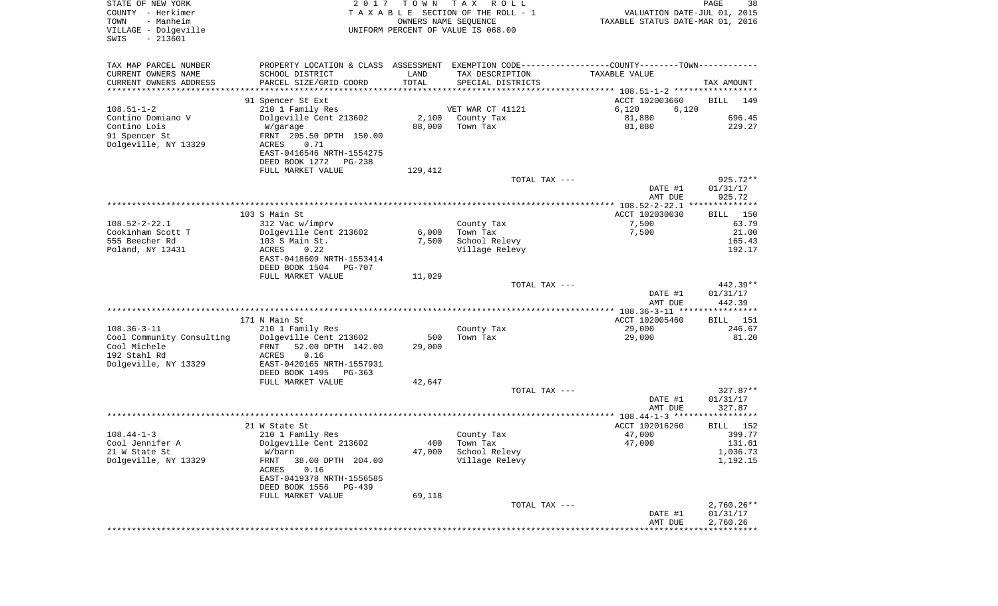| STATE OF NEW YORK<br>COUNTY - Herkimer<br>- Manheim<br>TOWN<br>VILLAGE - Dolgeville<br>$-213601$<br>SWIS | 2017                                          | T O W N<br>OWNERS NAME SEQUENCE | T A X<br>R O L L<br>TAXABLE SECTION OF THE ROLL - 1<br>UNIFORM PERCENT OF VALUE IS 068.00     | VALUATION DATE-JUL 01, 2015<br>TAXABLE STATUS DATE-MAR 01, 2016 | PAGE<br>38               |
|----------------------------------------------------------------------------------------------------------|-----------------------------------------------|---------------------------------|-----------------------------------------------------------------------------------------------|-----------------------------------------------------------------|--------------------------|
| TAX MAP PARCEL NUMBER                                                                                    |                                               |                                 | PROPERTY LOCATION & CLASS ASSESSMENT EXEMPTION CODE---------------COUNTY-------TOWN---------- |                                                                 |                          |
| CURRENT OWNERS NAME                                                                                      | SCHOOL DISTRICT                               | LAND                            | TAX DESCRIPTION                                                                               | TAXABLE VALUE                                                   |                          |
| CURRENT OWNERS ADDRESS                                                                                   | PARCEL SIZE/GRID COORD                        | TOTAL                           | SPECIAL DISTRICTS                                                                             |                                                                 | TAX AMOUNT               |
| *********************                                                                                    |                                               |                                 |                                                                                               |                                                                 |                          |
| $108.51 - 1 - 2$                                                                                         | 91 Spencer St Ext<br>210 1 Family Res         |                                 | VET WAR CT 41121                                                                              | ACCT 102003660<br>6,120<br>6,120                                | <b>BILL</b><br>149       |
| Contino Domiano V                                                                                        | Dolgeville Cent 213602                        | 2,100                           | County Tax                                                                                    | 81,880                                                          | 696.45                   |
| Contino Lois                                                                                             | W/garage                                      | 88,000                          | Town Tax                                                                                      | 81,880                                                          | 229.27                   |
| 91 Spencer St                                                                                            | FRNT 205.50 DPTH 150.00                       |                                 |                                                                                               |                                                                 |                          |
| Dolgeville, NY 13329                                                                                     | ACRES<br>0.71                                 |                                 |                                                                                               |                                                                 |                          |
|                                                                                                          | EAST-0416546 NRTH-1554275                     |                                 |                                                                                               |                                                                 |                          |
|                                                                                                          | DEED BOOK 1272<br>PG-238                      |                                 |                                                                                               |                                                                 |                          |
|                                                                                                          | FULL MARKET VALUE                             | 129,412                         |                                                                                               |                                                                 |                          |
|                                                                                                          |                                               |                                 | TOTAL TAX ---                                                                                 | DATE #1                                                         | 925.72**<br>01/31/17     |
|                                                                                                          |                                               |                                 |                                                                                               | AMT DUE                                                         | 925.72                   |
|                                                                                                          |                                               |                                 |                                                                                               |                                                                 |                          |
|                                                                                                          | 103 S Main St                                 |                                 |                                                                                               | ACCT 102030030                                                  | BILL 150                 |
| $108.52 - 2 - 22.1$                                                                                      | 312 Vac w/imprv                               |                                 | County Tax                                                                                    | 7,500                                                           | 63.79                    |
| Cookinham Scott T                                                                                        | Dolgeville Cent 213602                        | 6,000                           | Town Tax                                                                                      | 7,500                                                           | 21.00                    |
| 555 Beecher Rd                                                                                           | 103 S Main St.                                | 7,500                           | School Relevy                                                                                 |                                                                 | 165.43                   |
| Poland, NY 13431                                                                                         | ACRES<br>0.22<br>EAST-0418609 NRTH-1553414    |                                 | Village Relevy                                                                                |                                                                 | 192.17                   |
|                                                                                                          | DEED BOOK 1504<br>PG-707                      |                                 |                                                                                               |                                                                 |                          |
|                                                                                                          | FULL MARKET VALUE                             | 11,029                          |                                                                                               |                                                                 |                          |
|                                                                                                          |                                               |                                 | TOTAL TAX ---                                                                                 |                                                                 | 442.39**                 |
|                                                                                                          |                                               |                                 |                                                                                               | DATE #1                                                         | 01/31/17                 |
|                                                                                                          |                                               |                                 |                                                                                               | AMT DUE<br>************** 108.36-3-11 *****************         | 442.39                   |
|                                                                                                          | 171 N Main St                                 |                                 |                                                                                               | ACCT 102005460                                                  | 151<br>BILL              |
| $108.36 - 3 - 11$                                                                                        | 210 1 Family Res                              |                                 | County Tax                                                                                    | 29,000                                                          | 246.67                   |
| Cool Community Consulting                                                                                | Dolgeville Cent 213602                        | 500                             | Town Tax                                                                                      | 29,000                                                          | 81.20                    |
| Cool Michele                                                                                             | FRNT<br>52.00 DPTH 142.00                     | 29,000                          |                                                                                               |                                                                 |                          |
| 192 Stahl Rd                                                                                             | ACRES<br>0.16                                 |                                 |                                                                                               |                                                                 |                          |
| Dolgeville, NY 13329                                                                                     | EAST-0420165 NRTH-1557931                     |                                 |                                                                                               |                                                                 |                          |
|                                                                                                          | DEED BOOK 1495<br>PG-363<br>FULL MARKET VALUE | 42,647                          |                                                                                               |                                                                 |                          |
|                                                                                                          |                                               |                                 | TOTAL TAX ---                                                                                 |                                                                 | $327.87**$               |
|                                                                                                          |                                               |                                 |                                                                                               | DATE #1                                                         | 01/31/17                 |
|                                                                                                          |                                               |                                 |                                                                                               | AMT DUE                                                         | 327.87                   |
|                                                                                                          |                                               |                                 |                                                                                               |                                                                 |                          |
|                                                                                                          | 21 W State St                                 |                                 |                                                                                               | ACCT 102016260                                                  | 152<br>BILL              |
| $108.44 - 1 - 3$<br>Cool Jennifer A                                                                      | 210 1 Family Res<br>Dolgeville Cent 213602    |                                 | County Tax<br>400 Town Tax                                                                    | 47,000<br>47,000                                                | 399.77<br>131.61         |
| 21 W State St                                                                                            | W/barn                                        | 47,000                          | School Relevy                                                                                 |                                                                 | 1,036.73                 |
| Dolgeville, NY 13329                                                                                     | 38.00 DPTH 204.00<br>FRNT                     |                                 | Village Relevy                                                                                |                                                                 | 1,192.15                 |
|                                                                                                          | 0.16<br>ACRES                                 |                                 |                                                                                               |                                                                 |                          |
|                                                                                                          | EAST-0419378 NRTH-1556585                     |                                 |                                                                                               |                                                                 |                          |
|                                                                                                          | DEED BOOK 1556<br>PG-439                      |                                 |                                                                                               |                                                                 |                          |
|                                                                                                          | FULL MARKET VALUE                             | 69,118                          |                                                                                               |                                                                 |                          |
|                                                                                                          |                                               |                                 | TOTAL TAX ---                                                                                 | DATE #1                                                         | $2,760.26**$<br>01/31/17 |
|                                                                                                          |                                               |                                 |                                                                                               | AMT DUE                                                         | 2,760.26                 |
|                                                                                                          |                                               |                                 |                                                                                               |                                                                 |                          |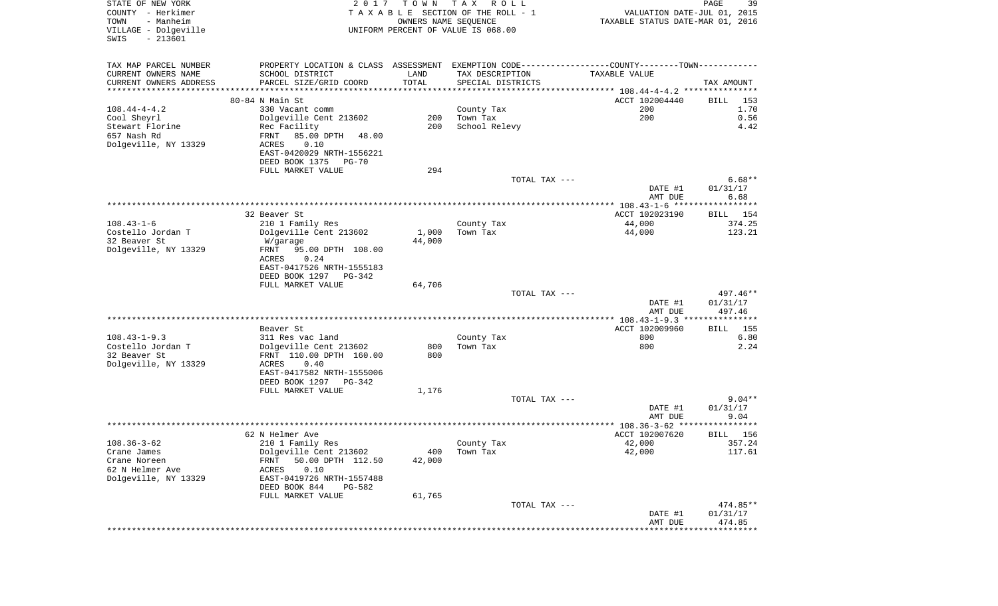| PROPERTY LOCATION & CLASS ASSESSMENT EXEMPTION CODE---------------COUNTY-------TOWN----------<br>TAX MAP PARCEL NUMBER<br>CURRENT OWNERS NAME<br>SCHOOL DISTRICT<br>LAND<br>TAX DESCRIPTION<br>TAXABLE VALUE<br>TOTAL<br>CURRENT OWNERS ADDRESS<br>PARCEL SIZE/GRID COORD<br>SPECIAL DISTRICTS<br>TAX AMOUNT<br>***********************<br>****************************<br>80-84 N Main St<br>ACCT 102004440<br>BILL<br>153<br>200<br>1.70<br>$108.44 - 4 - 4.2$<br>330 Vacant comm<br>County Tax<br>200<br>Cool Sheyrl<br>Dolgeville Cent 213602<br>200<br>Town Tax<br>0.56<br>Stewart Florine<br>Rec Facility<br>200<br>School Relevy<br>4.42<br>657 Nash Rd<br>FRNT<br>85.00 DPTH<br>48.00<br>Dolgeville, NY 13329<br>0.10<br>ACRES<br>EAST-0420029 NRTH-1556221<br>DEED BOOK 1375<br>PG-70<br>FULL MARKET VALUE<br>294<br>$6.68**$<br>TOTAL TAX ---<br>01/31/17<br>DATE #1<br>6.68<br>AMT DUE<br>32 Beaver St<br>ACCT 102023190<br>BILL 154<br>$108.43 - 1 - 6$<br>44,000<br>374.25<br>210 1 Family Res<br>County Tax<br>Costello Jordan T<br>Dolgeville Cent 213602<br>1,000<br>Town Tax<br>44,000<br>123.21<br>32 Beaver St<br>44,000<br>W/garage<br>Dolgeville, NY 13329<br>95.00 DPTH 108.00<br>FRNT<br>ACRES<br>0.24<br>EAST-0417526 NRTH-1555183<br>DEED BOOK 1297<br>PG-342<br>FULL MARKET VALUE<br>64,706<br>TOTAL TAX ---<br>497.46**<br>DATE #1<br>01/31/17<br>AMT DUE<br>497.46<br>ACCT 102009960<br>Beaver St<br>155<br>BILL<br>$108.43 - 1 - 9.3$<br>800<br>6.80<br>311 Res vac land<br>County Tax<br>Costello Jordan T<br>2.24<br>Dolgeville Cent 213602<br>800<br>Town Tax<br>800<br>32 Beaver St<br>FRNT 110.00 DPTH 160.00<br>800<br>Dolgeville, NY 13329<br>ACRES<br>0.40<br>EAST-0417582 NRTH-1555006<br>DEED BOOK 1297 PG-342<br>1,176<br>FULL MARKET VALUE<br>$9.04**$<br>TOTAL TAX ---<br>01/31/17<br>DATE #1<br>9.04<br>AMT DUE<br>******<br>62 N Helmer Ave<br>ACCT 102007620<br>156<br>BILL<br>42,000<br>357.24<br>$108.36 - 3 - 62$<br>210 1 Family Res<br>County Tax<br>Dolgeville Cent 213602<br>42,000<br>117.61<br>Crane James<br>400<br>Town Tax<br>50.00 DPTH 112.50<br>Crane Noreen<br>FRNT<br>42,000<br>62 N Helmer Ave<br>0.10<br>ACRES<br>Dolgeville, NY 13329<br>EAST-0419726 NRTH-1557488<br>DEED BOOK 844<br>PG-582<br>FULL MARKET VALUE<br>61,765<br>474.85**<br>TOTAL TAX ---<br>DATE #1<br>01/31/17<br>AMT DUE<br>474.85<br>**************************** | STATE OF NEW YORK<br>COUNTY - Herkimer<br>TOWN<br>- Manheim<br>VILLAGE - Dolgeville<br>$-213601$<br>SWIS | 2017 | T O W N | T A X<br>R O L L<br>TAXABLE SECTION OF THE ROLL - 1<br>OWNERS NAME SEQUENCE<br>UNIFORM PERCENT OF VALUE IS 068.00 | VALUATION DATE-JUL 01, 2015<br>TAXABLE STATUS DATE-MAR 01, 2016 | PAGE<br>39 |
|--------------------------------------------------------------------------------------------------------------------------------------------------------------------------------------------------------------------------------------------------------------------------------------------------------------------------------------------------------------------------------------------------------------------------------------------------------------------------------------------------------------------------------------------------------------------------------------------------------------------------------------------------------------------------------------------------------------------------------------------------------------------------------------------------------------------------------------------------------------------------------------------------------------------------------------------------------------------------------------------------------------------------------------------------------------------------------------------------------------------------------------------------------------------------------------------------------------------------------------------------------------------------------------------------------------------------------------------------------------------------------------------------------------------------------------------------------------------------------------------------------------------------------------------------------------------------------------------------------------------------------------------------------------------------------------------------------------------------------------------------------------------------------------------------------------------------------------------------------------------------------------------------------------------------------------------------------------------------------------------------------------------------------------------------------------------------------------------------------------------------------------------------------------------------------------------------------------------------------------------------------------------------------------------------------------------------------------------------------------------------------------------------------|----------------------------------------------------------------------------------------------------------|------|---------|-------------------------------------------------------------------------------------------------------------------|-----------------------------------------------------------------|------------|
|                                                                                                                                                                                                                                                                                                                                                                                                                                                                                                                                                                                                                                                                                                                                                                                                                                                                                                                                                                                                                                                                                                                                                                                                                                                                                                                                                                                                                                                                                                                                                                                                                                                                                                                                                                                                                                                                                                                                                                                                                                                                                                                                                                                                                                                                                                                                                                                                        |                                                                                                          |      |         |                                                                                                                   |                                                                 |            |
|                                                                                                                                                                                                                                                                                                                                                                                                                                                                                                                                                                                                                                                                                                                                                                                                                                                                                                                                                                                                                                                                                                                                                                                                                                                                                                                                                                                                                                                                                                                                                                                                                                                                                                                                                                                                                                                                                                                                                                                                                                                                                                                                                                                                                                                                                                                                                                                                        |                                                                                                          |      |         |                                                                                                                   |                                                                 |            |
|                                                                                                                                                                                                                                                                                                                                                                                                                                                                                                                                                                                                                                                                                                                                                                                                                                                                                                                                                                                                                                                                                                                                                                                                                                                                                                                                                                                                                                                                                                                                                                                                                                                                                                                                                                                                                                                                                                                                                                                                                                                                                                                                                                                                                                                                                                                                                                                                        |                                                                                                          |      |         |                                                                                                                   |                                                                 |            |
|                                                                                                                                                                                                                                                                                                                                                                                                                                                                                                                                                                                                                                                                                                                                                                                                                                                                                                                                                                                                                                                                                                                                                                                                                                                                                                                                                                                                                                                                                                                                                                                                                                                                                                                                                                                                                                                                                                                                                                                                                                                                                                                                                                                                                                                                                                                                                                                                        |                                                                                                          |      |         |                                                                                                                   |                                                                 |            |
|                                                                                                                                                                                                                                                                                                                                                                                                                                                                                                                                                                                                                                                                                                                                                                                                                                                                                                                                                                                                                                                                                                                                                                                                                                                                                                                                                                                                                                                                                                                                                                                                                                                                                                                                                                                                                                                                                                                                                                                                                                                                                                                                                                                                                                                                                                                                                                                                        |                                                                                                          |      |         |                                                                                                                   |                                                                 |            |
|                                                                                                                                                                                                                                                                                                                                                                                                                                                                                                                                                                                                                                                                                                                                                                                                                                                                                                                                                                                                                                                                                                                                                                                                                                                                                                                                                                                                                                                                                                                                                                                                                                                                                                                                                                                                                                                                                                                                                                                                                                                                                                                                                                                                                                                                                                                                                                                                        |                                                                                                          |      |         |                                                                                                                   |                                                                 |            |
|                                                                                                                                                                                                                                                                                                                                                                                                                                                                                                                                                                                                                                                                                                                                                                                                                                                                                                                                                                                                                                                                                                                                                                                                                                                                                                                                                                                                                                                                                                                                                                                                                                                                                                                                                                                                                                                                                                                                                                                                                                                                                                                                                                                                                                                                                                                                                                                                        |                                                                                                          |      |         |                                                                                                                   |                                                                 |            |
|                                                                                                                                                                                                                                                                                                                                                                                                                                                                                                                                                                                                                                                                                                                                                                                                                                                                                                                                                                                                                                                                                                                                                                                                                                                                                                                                                                                                                                                                                                                                                                                                                                                                                                                                                                                                                                                                                                                                                                                                                                                                                                                                                                                                                                                                                                                                                                                                        |                                                                                                          |      |         |                                                                                                                   |                                                                 |            |
|                                                                                                                                                                                                                                                                                                                                                                                                                                                                                                                                                                                                                                                                                                                                                                                                                                                                                                                                                                                                                                                                                                                                                                                                                                                                                                                                                                                                                                                                                                                                                                                                                                                                                                                                                                                                                                                                                                                                                                                                                                                                                                                                                                                                                                                                                                                                                                                                        |                                                                                                          |      |         |                                                                                                                   |                                                                 |            |
|                                                                                                                                                                                                                                                                                                                                                                                                                                                                                                                                                                                                                                                                                                                                                                                                                                                                                                                                                                                                                                                                                                                                                                                                                                                                                                                                                                                                                                                                                                                                                                                                                                                                                                                                                                                                                                                                                                                                                                                                                                                                                                                                                                                                                                                                                                                                                                                                        |                                                                                                          |      |         |                                                                                                                   |                                                                 |            |
|                                                                                                                                                                                                                                                                                                                                                                                                                                                                                                                                                                                                                                                                                                                                                                                                                                                                                                                                                                                                                                                                                                                                                                                                                                                                                                                                                                                                                                                                                                                                                                                                                                                                                                                                                                                                                                                                                                                                                                                                                                                                                                                                                                                                                                                                                                                                                                                                        |                                                                                                          |      |         |                                                                                                                   |                                                                 |            |
|                                                                                                                                                                                                                                                                                                                                                                                                                                                                                                                                                                                                                                                                                                                                                                                                                                                                                                                                                                                                                                                                                                                                                                                                                                                                                                                                                                                                                                                                                                                                                                                                                                                                                                                                                                                                                                                                                                                                                                                                                                                                                                                                                                                                                                                                                                                                                                                                        |                                                                                                          |      |         |                                                                                                                   |                                                                 |            |
|                                                                                                                                                                                                                                                                                                                                                                                                                                                                                                                                                                                                                                                                                                                                                                                                                                                                                                                                                                                                                                                                                                                                                                                                                                                                                                                                                                                                                                                                                                                                                                                                                                                                                                                                                                                                                                                                                                                                                                                                                                                                                                                                                                                                                                                                                                                                                                                                        |                                                                                                          |      |         |                                                                                                                   |                                                                 |            |
|                                                                                                                                                                                                                                                                                                                                                                                                                                                                                                                                                                                                                                                                                                                                                                                                                                                                                                                                                                                                                                                                                                                                                                                                                                                                                                                                                                                                                                                                                                                                                                                                                                                                                                                                                                                                                                                                                                                                                                                                                                                                                                                                                                                                                                                                                                                                                                                                        |                                                                                                          |      |         |                                                                                                                   |                                                                 |            |
|                                                                                                                                                                                                                                                                                                                                                                                                                                                                                                                                                                                                                                                                                                                                                                                                                                                                                                                                                                                                                                                                                                                                                                                                                                                                                                                                                                                                                                                                                                                                                                                                                                                                                                                                                                                                                                                                                                                                                                                                                                                                                                                                                                                                                                                                                                                                                                                                        |                                                                                                          |      |         |                                                                                                                   |                                                                 |            |
|                                                                                                                                                                                                                                                                                                                                                                                                                                                                                                                                                                                                                                                                                                                                                                                                                                                                                                                                                                                                                                                                                                                                                                                                                                                                                                                                                                                                                                                                                                                                                                                                                                                                                                                                                                                                                                                                                                                                                                                                                                                                                                                                                                                                                                                                                                                                                                                                        |                                                                                                          |      |         |                                                                                                                   |                                                                 |            |
|                                                                                                                                                                                                                                                                                                                                                                                                                                                                                                                                                                                                                                                                                                                                                                                                                                                                                                                                                                                                                                                                                                                                                                                                                                                                                                                                                                                                                                                                                                                                                                                                                                                                                                                                                                                                                                                                                                                                                                                                                                                                                                                                                                                                                                                                                                                                                                                                        |                                                                                                          |      |         |                                                                                                                   |                                                                 |            |
|                                                                                                                                                                                                                                                                                                                                                                                                                                                                                                                                                                                                                                                                                                                                                                                                                                                                                                                                                                                                                                                                                                                                                                                                                                                                                                                                                                                                                                                                                                                                                                                                                                                                                                                                                                                                                                                                                                                                                                                                                                                                                                                                                                                                                                                                                                                                                                                                        |                                                                                                          |      |         |                                                                                                                   |                                                                 |            |
|                                                                                                                                                                                                                                                                                                                                                                                                                                                                                                                                                                                                                                                                                                                                                                                                                                                                                                                                                                                                                                                                                                                                                                                                                                                                                                                                                                                                                                                                                                                                                                                                                                                                                                                                                                                                                                                                                                                                                                                                                                                                                                                                                                                                                                                                                                                                                                                                        |                                                                                                          |      |         |                                                                                                                   |                                                                 |            |
|                                                                                                                                                                                                                                                                                                                                                                                                                                                                                                                                                                                                                                                                                                                                                                                                                                                                                                                                                                                                                                                                                                                                                                                                                                                                                                                                                                                                                                                                                                                                                                                                                                                                                                                                                                                                                                                                                                                                                                                                                                                                                                                                                                                                                                                                                                                                                                                                        |                                                                                                          |      |         |                                                                                                                   |                                                                 |            |
|                                                                                                                                                                                                                                                                                                                                                                                                                                                                                                                                                                                                                                                                                                                                                                                                                                                                                                                                                                                                                                                                                                                                                                                                                                                                                                                                                                                                                                                                                                                                                                                                                                                                                                                                                                                                                                                                                                                                                                                                                                                                                                                                                                                                                                                                                                                                                                                                        |                                                                                                          |      |         |                                                                                                                   |                                                                 |            |
|                                                                                                                                                                                                                                                                                                                                                                                                                                                                                                                                                                                                                                                                                                                                                                                                                                                                                                                                                                                                                                                                                                                                                                                                                                                                                                                                                                                                                                                                                                                                                                                                                                                                                                                                                                                                                                                                                                                                                                                                                                                                                                                                                                                                                                                                                                                                                                                                        |                                                                                                          |      |         |                                                                                                                   |                                                                 |            |
|                                                                                                                                                                                                                                                                                                                                                                                                                                                                                                                                                                                                                                                                                                                                                                                                                                                                                                                                                                                                                                                                                                                                                                                                                                                                                                                                                                                                                                                                                                                                                                                                                                                                                                                                                                                                                                                                                                                                                                                                                                                                                                                                                                                                                                                                                                                                                                                                        |                                                                                                          |      |         |                                                                                                                   |                                                                 |            |
|                                                                                                                                                                                                                                                                                                                                                                                                                                                                                                                                                                                                                                                                                                                                                                                                                                                                                                                                                                                                                                                                                                                                                                                                                                                                                                                                                                                                                                                                                                                                                                                                                                                                                                                                                                                                                                                                                                                                                                                                                                                                                                                                                                                                                                                                                                                                                                                                        |                                                                                                          |      |         |                                                                                                                   |                                                                 |            |
|                                                                                                                                                                                                                                                                                                                                                                                                                                                                                                                                                                                                                                                                                                                                                                                                                                                                                                                                                                                                                                                                                                                                                                                                                                                                                                                                                                                                                                                                                                                                                                                                                                                                                                                                                                                                                                                                                                                                                                                                                                                                                                                                                                                                                                                                                                                                                                                                        |                                                                                                          |      |         |                                                                                                                   |                                                                 |            |
|                                                                                                                                                                                                                                                                                                                                                                                                                                                                                                                                                                                                                                                                                                                                                                                                                                                                                                                                                                                                                                                                                                                                                                                                                                                                                                                                                                                                                                                                                                                                                                                                                                                                                                                                                                                                                                                                                                                                                                                                                                                                                                                                                                                                                                                                                                                                                                                                        |                                                                                                          |      |         |                                                                                                                   |                                                                 |            |
|                                                                                                                                                                                                                                                                                                                                                                                                                                                                                                                                                                                                                                                                                                                                                                                                                                                                                                                                                                                                                                                                                                                                                                                                                                                                                                                                                                                                                                                                                                                                                                                                                                                                                                                                                                                                                                                                                                                                                                                                                                                                                                                                                                                                                                                                                                                                                                                                        |                                                                                                          |      |         |                                                                                                                   |                                                                 |            |
|                                                                                                                                                                                                                                                                                                                                                                                                                                                                                                                                                                                                                                                                                                                                                                                                                                                                                                                                                                                                                                                                                                                                                                                                                                                                                                                                                                                                                                                                                                                                                                                                                                                                                                                                                                                                                                                                                                                                                                                                                                                                                                                                                                                                                                                                                                                                                                                                        |                                                                                                          |      |         |                                                                                                                   |                                                                 |            |
|                                                                                                                                                                                                                                                                                                                                                                                                                                                                                                                                                                                                                                                                                                                                                                                                                                                                                                                                                                                                                                                                                                                                                                                                                                                                                                                                                                                                                                                                                                                                                                                                                                                                                                                                                                                                                                                                                                                                                                                                                                                                                                                                                                                                                                                                                                                                                                                                        |                                                                                                          |      |         |                                                                                                                   |                                                                 |            |
|                                                                                                                                                                                                                                                                                                                                                                                                                                                                                                                                                                                                                                                                                                                                                                                                                                                                                                                                                                                                                                                                                                                                                                                                                                                                                                                                                                                                                                                                                                                                                                                                                                                                                                                                                                                                                                                                                                                                                                                                                                                                                                                                                                                                                                                                                                                                                                                                        |                                                                                                          |      |         |                                                                                                                   |                                                                 |            |
|                                                                                                                                                                                                                                                                                                                                                                                                                                                                                                                                                                                                                                                                                                                                                                                                                                                                                                                                                                                                                                                                                                                                                                                                                                                                                                                                                                                                                                                                                                                                                                                                                                                                                                                                                                                                                                                                                                                                                                                                                                                                                                                                                                                                                                                                                                                                                                                                        |                                                                                                          |      |         |                                                                                                                   |                                                                 |            |
|                                                                                                                                                                                                                                                                                                                                                                                                                                                                                                                                                                                                                                                                                                                                                                                                                                                                                                                                                                                                                                                                                                                                                                                                                                                                                                                                                                                                                                                                                                                                                                                                                                                                                                                                                                                                                                                                                                                                                                                                                                                                                                                                                                                                                                                                                                                                                                                                        |                                                                                                          |      |         |                                                                                                                   |                                                                 |            |
|                                                                                                                                                                                                                                                                                                                                                                                                                                                                                                                                                                                                                                                                                                                                                                                                                                                                                                                                                                                                                                                                                                                                                                                                                                                                                                                                                                                                                                                                                                                                                                                                                                                                                                                                                                                                                                                                                                                                                                                                                                                                                                                                                                                                                                                                                                                                                                                                        |                                                                                                          |      |         |                                                                                                                   |                                                                 |            |
|                                                                                                                                                                                                                                                                                                                                                                                                                                                                                                                                                                                                                                                                                                                                                                                                                                                                                                                                                                                                                                                                                                                                                                                                                                                                                                                                                                                                                                                                                                                                                                                                                                                                                                                                                                                                                                                                                                                                                                                                                                                                                                                                                                                                                                                                                                                                                                                                        |                                                                                                          |      |         |                                                                                                                   |                                                                 |            |
|                                                                                                                                                                                                                                                                                                                                                                                                                                                                                                                                                                                                                                                                                                                                                                                                                                                                                                                                                                                                                                                                                                                                                                                                                                                                                                                                                                                                                                                                                                                                                                                                                                                                                                                                                                                                                                                                                                                                                                                                                                                                                                                                                                                                                                                                                                                                                                                                        |                                                                                                          |      |         |                                                                                                                   |                                                                 |            |
|                                                                                                                                                                                                                                                                                                                                                                                                                                                                                                                                                                                                                                                                                                                                                                                                                                                                                                                                                                                                                                                                                                                                                                                                                                                                                                                                                                                                                                                                                                                                                                                                                                                                                                                                                                                                                                                                                                                                                                                                                                                                                                                                                                                                                                                                                                                                                                                                        |                                                                                                          |      |         |                                                                                                                   |                                                                 |            |
|                                                                                                                                                                                                                                                                                                                                                                                                                                                                                                                                                                                                                                                                                                                                                                                                                                                                                                                                                                                                                                                                                                                                                                                                                                                                                                                                                                                                                                                                                                                                                                                                                                                                                                                                                                                                                                                                                                                                                                                                                                                                                                                                                                                                                                                                                                                                                                                                        |                                                                                                          |      |         |                                                                                                                   |                                                                 |            |
|                                                                                                                                                                                                                                                                                                                                                                                                                                                                                                                                                                                                                                                                                                                                                                                                                                                                                                                                                                                                                                                                                                                                                                                                                                                                                                                                                                                                                                                                                                                                                                                                                                                                                                                                                                                                                                                                                                                                                                                                                                                                                                                                                                                                                                                                                                                                                                                                        |                                                                                                          |      |         |                                                                                                                   |                                                                 |            |
|                                                                                                                                                                                                                                                                                                                                                                                                                                                                                                                                                                                                                                                                                                                                                                                                                                                                                                                                                                                                                                                                                                                                                                                                                                                                                                                                                                                                                                                                                                                                                                                                                                                                                                                                                                                                                                                                                                                                                                                                                                                                                                                                                                                                                                                                                                                                                                                                        |                                                                                                          |      |         |                                                                                                                   |                                                                 |            |
|                                                                                                                                                                                                                                                                                                                                                                                                                                                                                                                                                                                                                                                                                                                                                                                                                                                                                                                                                                                                                                                                                                                                                                                                                                                                                                                                                                                                                                                                                                                                                                                                                                                                                                                                                                                                                                                                                                                                                                                                                                                                                                                                                                                                                                                                                                                                                                                                        |                                                                                                          |      |         |                                                                                                                   |                                                                 |            |
|                                                                                                                                                                                                                                                                                                                                                                                                                                                                                                                                                                                                                                                                                                                                                                                                                                                                                                                                                                                                                                                                                                                                                                                                                                                                                                                                                                                                                                                                                                                                                                                                                                                                                                                                                                                                                                                                                                                                                                                                                                                                                                                                                                                                                                                                                                                                                                                                        |                                                                                                          |      |         |                                                                                                                   |                                                                 |            |
|                                                                                                                                                                                                                                                                                                                                                                                                                                                                                                                                                                                                                                                                                                                                                                                                                                                                                                                                                                                                                                                                                                                                                                                                                                                                                                                                                                                                                                                                                                                                                                                                                                                                                                                                                                                                                                                                                                                                                                                                                                                                                                                                                                                                                                                                                                                                                                                                        |                                                                                                          |      |         |                                                                                                                   |                                                                 |            |
|                                                                                                                                                                                                                                                                                                                                                                                                                                                                                                                                                                                                                                                                                                                                                                                                                                                                                                                                                                                                                                                                                                                                                                                                                                                                                                                                                                                                                                                                                                                                                                                                                                                                                                                                                                                                                                                                                                                                                                                                                                                                                                                                                                                                                                                                                                                                                                                                        |                                                                                                          |      |         |                                                                                                                   |                                                                 |            |
|                                                                                                                                                                                                                                                                                                                                                                                                                                                                                                                                                                                                                                                                                                                                                                                                                                                                                                                                                                                                                                                                                                                                                                                                                                                                                                                                                                                                                                                                                                                                                                                                                                                                                                                                                                                                                                                                                                                                                                                                                                                                                                                                                                                                                                                                                                                                                                                                        |                                                                                                          |      |         |                                                                                                                   |                                                                 |            |
|                                                                                                                                                                                                                                                                                                                                                                                                                                                                                                                                                                                                                                                                                                                                                                                                                                                                                                                                                                                                                                                                                                                                                                                                                                                                                                                                                                                                                                                                                                                                                                                                                                                                                                                                                                                                                                                                                                                                                                                                                                                                                                                                                                                                                                                                                                                                                                                                        |                                                                                                          |      |         |                                                                                                                   |                                                                 |            |
|                                                                                                                                                                                                                                                                                                                                                                                                                                                                                                                                                                                                                                                                                                                                                                                                                                                                                                                                                                                                                                                                                                                                                                                                                                                                                                                                                                                                                                                                                                                                                                                                                                                                                                                                                                                                                                                                                                                                                                                                                                                                                                                                                                                                                                                                                                                                                                                                        |                                                                                                          |      |         |                                                                                                                   |                                                                 |            |
|                                                                                                                                                                                                                                                                                                                                                                                                                                                                                                                                                                                                                                                                                                                                                                                                                                                                                                                                                                                                                                                                                                                                                                                                                                                                                                                                                                                                                                                                                                                                                                                                                                                                                                                                                                                                                                                                                                                                                                                                                                                                                                                                                                                                                                                                                                                                                                                                        |                                                                                                          |      |         |                                                                                                                   |                                                                 |            |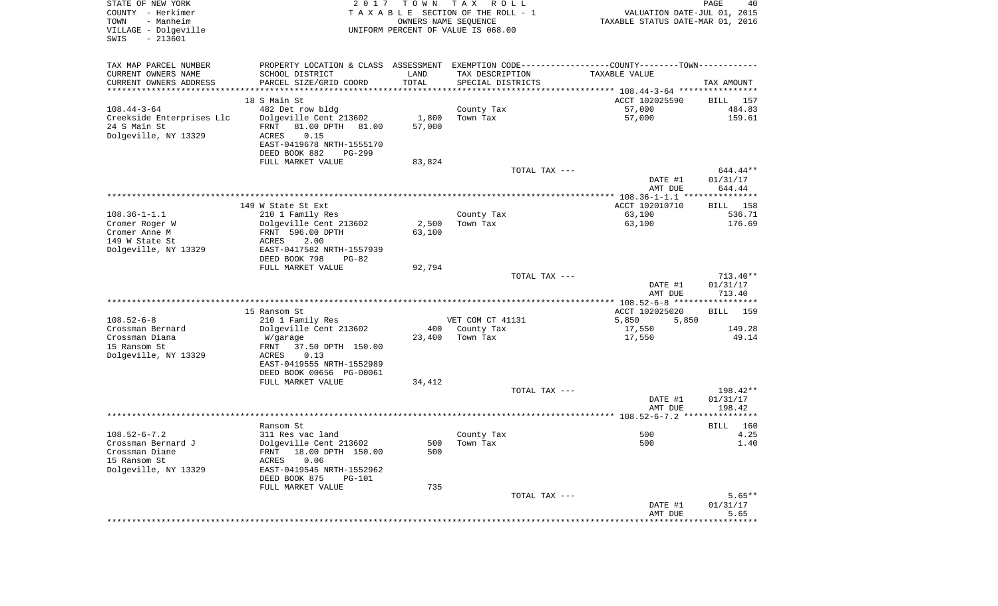| STATE OF NEW YORK<br>COUNTY - Herkimer<br>- Manheim<br>TOWN<br>VILLAGE - Dolgeville<br>$-213601$<br>SWIS | 2 0 1 7                                                                                                          | T O W N | T A X<br>R O L L<br>TAXABLE SECTION OF THE ROLL - 1<br>OWNERS NAME SEQUENCE<br>UNIFORM PERCENT OF VALUE IS 068.00 | VALUATION DATE-JUL 01, 2015<br>TAXABLE STATUS DATE-MAR 01, 2016 | PAGE<br>40            |
|----------------------------------------------------------------------------------------------------------|------------------------------------------------------------------------------------------------------------------|---------|-------------------------------------------------------------------------------------------------------------------|-----------------------------------------------------------------|-----------------------|
| TAX MAP PARCEL NUMBER<br>CURRENT OWNERS NAME                                                             | PROPERTY LOCATION & CLASS ASSESSMENT EXEMPTION CODE---------------COUNTY-------TOWN----------<br>SCHOOL DISTRICT | LAND    | TAX DESCRIPTION                                                                                                   | TAXABLE VALUE                                                   |                       |
| CURRENT OWNERS ADDRESS<br>*************************                                                      | PARCEL SIZE/GRID COORD                                                                                           | TOTAL   | SPECIAL DISTRICTS                                                                                                 |                                                                 | TAX AMOUNT            |
|                                                                                                          | 18 S Main St                                                                                                     |         |                                                                                                                   | ACCT 102025590                                                  | BILL 157              |
| $108.44 - 3 - 64$                                                                                        | 482 Det row bldg                                                                                                 |         | County Tax                                                                                                        | 57,000                                                          | 484.83                |
| Creekside Enterprises Llc                                                                                | Dolgeville Cent 213602                                                                                           | 1,800   | Town Tax                                                                                                          | 57,000                                                          | 159.61                |
| 24 S Main St                                                                                             | FRNT<br>81.00 DPTH 81.00                                                                                         | 57,000  |                                                                                                                   |                                                                 |                       |
| Dolgeville, NY 13329                                                                                     | ACRES<br>0.15                                                                                                    |         |                                                                                                                   |                                                                 |                       |
|                                                                                                          | EAST-0419678 NRTH-1555170                                                                                        |         |                                                                                                                   |                                                                 |                       |
|                                                                                                          | DEED BOOK 882<br>PG-299<br>FULL MARKET VALUE                                                                     | 83,824  |                                                                                                                   |                                                                 |                       |
|                                                                                                          |                                                                                                                  |         | TOTAL TAX ---                                                                                                     |                                                                 | 644.44**              |
|                                                                                                          |                                                                                                                  |         |                                                                                                                   | DATE #1                                                         | 01/31/17              |
|                                                                                                          |                                                                                                                  |         |                                                                                                                   | AMT DUE                                                         | 644.44                |
|                                                                                                          |                                                                                                                  |         |                                                                                                                   |                                                                 |                       |
| $108.36 - 1 - 1.1$                                                                                       | 149 W State St Ext<br>210 1 Family Res                                                                           |         | County Tax                                                                                                        | ACCT 102010710<br>63,100                                        | 158<br>BILL<br>536.71 |
| Cromer Roger W                                                                                           | Dolgeville Cent 213602                                                                                           | 2,500   | Town Tax                                                                                                          | 63,100                                                          | 176.69                |
| Cromer Anne M                                                                                            | FRNT 596.00 DPTH                                                                                                 | 63,100  |                                                                                                                   |                                                                 |                       |
| 149 W State St                                                                                           | 2.00<br>ACRES                                                                                                    |         |                                                                                                                   |                                                                 |                       |
| Dolgeville, NY 13329                                                                                     | EAST-0417582 NRTH-1557939                                                                                        |         |                                                                                                                   |                                                                 |                       |
|                                                                                                          | DEED BOOK 798<br>$PG-82$<br>FULL MARKET VALUE                                                                    | 92,794  |                                                                                                                   |                                                                 |                       |
|                                                                                                          |                                                                                                                  |         | TOTAL TAX ---                                                                                                     |                                                                 | $713.40**$            |
|                                                                                                          |                                                                                                                  |         |                                                                                                                   | DATE #1                                                         | 01/31/17              |
|                                                                                                          |                                                                                                                  |         |                                                                                                                   | AMT DUE                                                         | 713.40                |
|                                                                                                          |                                                                                                                  |         |                                                                                                                   |                                                                 |                       |
| $108.52 - 6 - 8$                                                                                         | 15 Ransom St<br>210 1 Family Res                                                                                 |         | VET COM CT 41131                                                                                                  | ACCT 102025020<br>5,850<br>5,850                                | BILL<br>159           |
| Crossman Bernard                                                                                         | Dolgeville Cent 213602                                                                                           | 400     | County Tax                                                                                                        | 17,550                                                          | 149.28                |
| Crossman Diana                                                                                           | W/garage                                                                                                         | 23,400  | Town Tax                                                                                                          | 17,550                                                          | 49.14                 |
| 15 Ransom St                                                                                             | FRNT<br>37.50 DPTH 150.00                                                                                        |         |                                                                                                                   |                                                                 |                       |
| Dolgeville, NY 13329                                                                                     | ACRES<br>0.13                                                                                                    |         |                                                                                                                   |                                                                 |                       |
|                                                                                                          | EAST-0419555 NRTH-1552989                                                                                        |         |                                                                                                                   |                                                                 |                       |
|                                                                                                          | DEED BOOK 00656 PG-00061<br>FULL MARKET VALUE                                                                    | 34,412  |                                                                                                                   |                                                                 |                       |
|                                                                                                          |                                                                                                                  |         | TOTAL TAX ---                                                                                                     |                                                                 | 198.42**              |
|                                                                                                          |                                                                                                                  |         |                                                                                                                   | DATE #1                                                         | 01/31/17              |
|                                                                                                          |                                                                                                                  |         |                                                                                                                   | AMT DUE                                                         | 198.42                |
|                                                                                                          |                                                                                                                  |         |                                                                                                                   |                                                                 |                       |
| $108.52 - 6 - 7.2$                                                                                       | Ransom St<br>311 Res vac land                                                                                    |         | County Tax                                                                                                        | 500                                                             | 160<br>BILL<br>4.25   |
| Crossman Bernard J                                                                                       | Dolgeville Cent 213602                                                                                           |         | 500 Town Tax                                                                                                      | 500                                                             | 1.40                  |
| Crossman Diane                                                                                           | FRNT 18.00 DPTH 150.00                                                                                           | 500     |                                                                                                                   |                                                                 |                       |
| 15 Ransom St                                                                                             | 0.06<br>ACRES                                                                                                    |         |                                                                                                                   |                                                                 |                       |
| Dolgeville, NY 13329                                                                                     | EAST-0419545 NRTH-1552962                                                                                        |         |                                                                                                                   |                                                                 |                       |
|                                                                                                          | DEED BOOK 875<br><b>PG-101</b><br>FULL MARKET VALUE                                                              | 735     |                                                                                                                   |                                                                 |                       |
|                                                                                                          |                                                                                                                  |         | TOTAL TAX ---                                                                                                     |                                                                 | $5.65**$              |
|                                                                                                          |                                                                                                                  |         |                                                                                                                   | DATE #1                                                         | 01/31/17              |
|                                                                                                          |                                                                                                                  |         |                                                                                                                   | AMT DUE                                                         | 5.65                  |
|                                                                                                          |                                                                                                                  |         |                                                                                                                   |                                                                 | **************        |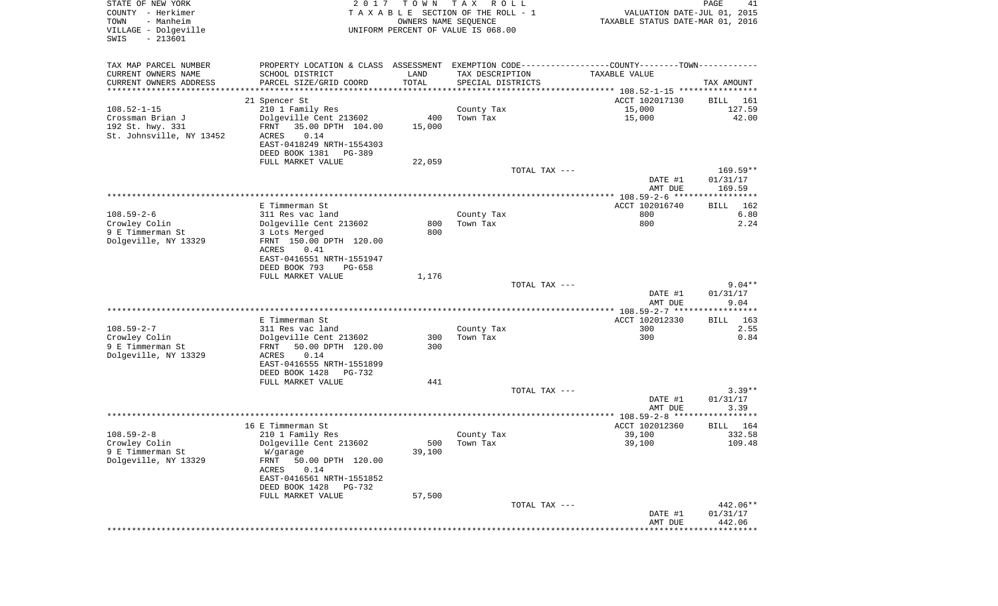| STATE OF NEW YORK<br>COUNTY - Herkimer<br>- Manheim<br>TOWN<br>VILLAGE - Dolgeville<br>SWIS<br>$-213601$ | 2 0 1 7                                                        | T O W N<br>OWNERS NAME SEQUENCE | T A X<br>R O L L<br>TAXABLE SECTION OF THE ROLL - 1<br>UNIFORM PERCENT OF VALUE IS 068.00 | TAXABLE STATUS DATE-MAR 01, 2016                                                              | PAGE<br>41<br>VALUATION DATE-JUL 01, 2015 |
|----------------------------------------------------------------------------------------------------------|----------------------------------------------------------------|---------------------------------|-------------------------------------------------------------------------------------------|-----------------------------------------------------------------------------------------------|-------------------------------------------|
| TAX MAP PARCEL NUMBER                                                                                    |                                                                |                                 |                                                                                           | PROPERTY LOCATION & CLASS ASSESSMENT EXEMPTION CODE---------------COUNTY-------TOWN---------- |                                           |
| CURRENT OWNERS NAME                                                                                      | SCHOOL DISTRICT                                                | LAND                            | TAX DESCRIPTION                                                                           | TAXABLE VALUE                                                                                 |                                           |
| CURRENT OWNERS ADDRESS<br>*********************                                                          | PARCEL SIZE/GRID COORD<br>************************************ | TOTAL                           | SPECIAL DISTRICTS                                                                         |                                                                                               | TAX AMOUNT                                |
|                                                                                                          | 21 Spencer St                                                  |                                 |                                                                                           | ACCT 102017130                                                                                | BILL<br>161                               |
| $108.52 - 1 - 15$                                                                                        | 210 1 Family Res                                               |                                 | County Tax                                                                                | 15,000                                                                                        | 127.59                                    |
| Crossman Brian J                                                                                         | Dolgeville Cent 213602                                         | 400                             | Town Tax                                                                                  | 15,000                                                                                        | 42.00                                     |
| 192 St. hwy. 331                                                                                         | FRNT<br>35.00 DPTH 104.00                                      | 15,000                          |                                                                                           |                                                                                               |                                           |
| St. Johnsville, NY 13452                                                                                 | ACRES<br>0.14                                                  |                                 |                                                                                           |                                                                                               |                                           |
|                                                                                                          | EAST-0418249 NRTH-1554303<br>DEED BOOK 1381<br>PG-389          |                                 |                                                                                           |                                                                                               |                                           |
|                                                                                                          | FULL MARKET VALUE                                              | 22,059                          |                                                                                           |                                                                                               |                                           |
|                                                                                                          |                                                                |                                 |                                                                                           | TOTAL TAX ---                                                                                 | $169.59**$                                |
|                                                                                                          |                                                                |                                 |                                                                                           | DATE #1                                                                                       | 01/31/17                                  |
|                                                                                                          |                                                                |                                 |                                                                                           | AMT DUE                                                                                       | 169.59                                    |
|                                                                                                          | E Timmerman St                                                 |                                 |                                                                                           | ACCT 102016740                                                                                | <b>BILL</b><br>162                        |
| $108.59 - 2 - 6$                                                                                         | 311 Res vac land                                               |                                 | County Tax                                                                                | 800                                                                                           | 6.80                                      |
| Crowley Colin                                                                                            | Dolgeville Cent 213602                                         | 800                             | Town Tax                                                                                  | 800                                                                                           | 2.24                                      |
| 9 E Timmerman St                                                                                         | 3 Lots Merged                                                  | 800                             |                                                                                           |                                                                                               |                                           |
| Dolgeville, NY 13329                                                                                     | FRNT 150.00 DPTH 120.00                                        |                                 |                                                                                           |                                                                                               |                                           |
|                                                                                                          | ACRES<br>0.41<br>EAST-0416551 NRTH-1551947                     |                                 |                                                                                           |                                                                                               |                                           |
|                                                                                                          | DEED BOOK 793<br>PG-658                                        |                                 |                                                                                           |                                                                                               |                                           |
|                                                                                                          | FULL MARKET VALUE                                              | 1,176                           |                                                                                           |                                                                                               |                                           |
|                                                                                                          |                                                                |                                 |                                                                                           | TOTAL TAX ---                                                                                 | $9.04**$                                  |
|                                                                                                          |                                                                |                                 |                                                                                           | DATE #1<br>AMT DUE                                                                            | 01/31/17<br>9.04                          |
|                                                                                                          |                                                                |                                 |                                                                                           | *************** 108.59-2-7 ******************                                                 |                                           |
|                                                                                                          | E Timmerman St                                                 |                                 |                                                                                           | ACCT 102012330                                                                                | 163<br>BILL                               |
| $108.59 - 2 - 7$                                                                                         | 311 Res vac land                                               |                                 | County Tax                                                                                | 300                                                                                           | 2.55                                      |
| Crowley Colin                                                                                            | Dolgeville Cent 213602                                         | 300                             | Town Tax                                                                                  | 300                                                                                           | 0.84                                      |
| 9 E Timmerman St<br>Dolgeville, NY 13329                                                                 | FRNT<br>50.00 DPTH 120.00<br>ACRES<br>0.14                     | 300                             |                                                                                           |                                                                                               |                                           |
|                                                                                                          | EAST-0416555 NRTH-1551899                                      |                                 |                                                                                           |                                                                                               |                                           |
|                                                                                                          | DEED BOOK 1428<br>PG-732                                       |                                 |                                                                                           |                                                                                               |                                           |
|                                                                                                          | FULL MARKET VALUE                                              | 441                             |                                                                                           |                                                                                               |                                           |
|                                                                                                          |                                                                |                                 |                                                                                           | TOTAL TAX ---                                                                                 | $3.39**$                                  |
|                                                                                                          |                                                                |                                 |                                                                                           | DATE #1<br>AMT DUE                                                                            | 01/31/17<br>3.39                          |
|                                                                                                          |                                                                |                                 |                                                                                           |                                                                                               |                                           |
|                                                                                                          | 16 E Timmerman St                                              |                                 |                                                                                           | ACCT 102012360                                                                                | 164<br>BILL                               |
| $108.59 - 2 - 8$                                                                                         | 210 1 Family Res                                               |                                 | County Tax                                                                                | 39,100                                                                                        | 332.58                                    |
| Crowley Colin                                                                                            | Dolgeville Cent 213602                                         | 500                             | Town Tax                                                                                  | 39,100                                                                                        | 109.48                                    |
| 9 E Timmerman St                                                                                         | W/garage                                                       | 39,100                          |                                                                                           |                                                                                               |                                           |
| Dolgeville, NY 13329                                                                                     | FRNT<br>50.00 DPTH 120.00<br>ACRES<br>0.14                     |                                 |                                                                                           |                                                                                               |                                           |
|                                                                                                          | EAST-0416561 NRTH-1551852                                      |                                 |                                                                                           |                                                                                               |                                           |
|                                                                                                          | DEED BOOK 1428<br>PG-732                                       |                                 |                                                                                           |                                                                                               |                                           |
|                                                                                                          | FULL MARKET VALUE                                              | 57,500                          |                                                                                           |                                                                                               |                                           |
|                                                                                                          |                                                                |                                 |                                                                                           | TOTAL TAX ---                                                                                 | 442.06**                                  |
|                                                                                                          |                                                                |                                 |                                                                                           | DATE #1<br>AMT DUE                                                                            | 01/31/17<br>442.06                        |
|                                                                                                          |                                                                |                                 |                                                                                           |                                                                                               |                                           |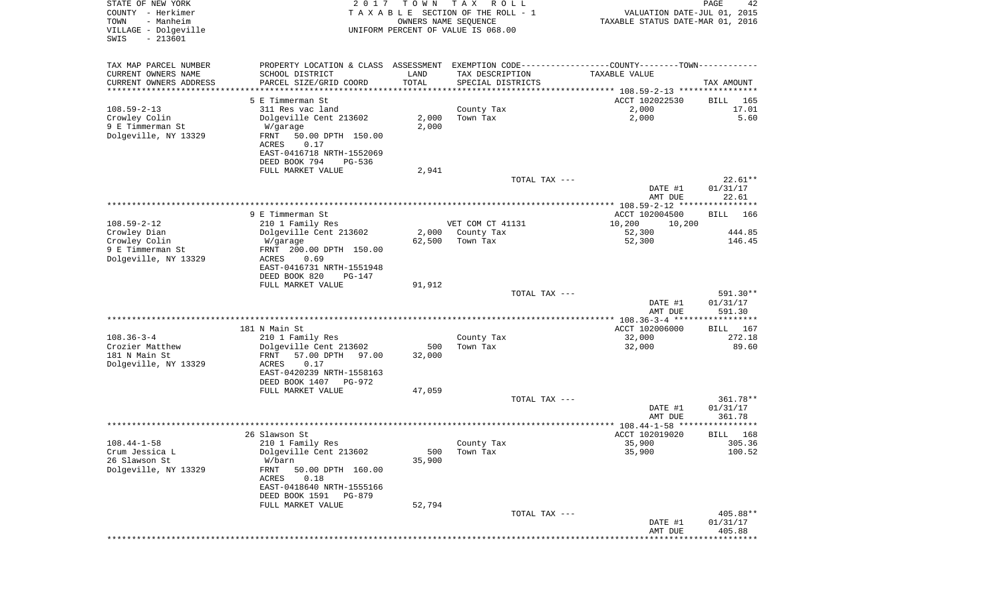| STATE OF NEW YORK<br>COUNTY - Herkimer<br>- Manheim<br>TOWN<br>VILLAGE - Dolgeville<br>$-213601$<br>SWIS | 2 0 1 7                                                                                       | T O W N<br>OWNERS NAME SEQUENCE | T A X<br>R O L L<br>TAXABLE SECTION OF THE ROLL - 1<br>UNIFORM PERCENT OF VALUE IS 068.00 | VALUATION DATE-JUL 01, 2015<br>TAXABLE STATUS DATE-MAR 01, 2016 | PAGE<br>42              |
|----------------------------------------------------------------------------------------------------------|-----------------------------------------------------------------------------------------------|---------------------------------|-------------------------------------------------------------------------------------------|-----------------------------------------------------------------|-------------------------|
| TAX MAP PARCEL NUMBER                                                                                    | PROPERTY LOCATION & CLASS ASSESSMENT EXEMPTION CODE---------------COUNTY-------TOWN---------- |                                 |                                                                                           |                                                                 |                         |
| CURRENT OWNERS NAME                                                                                      | SCHOOL DISTRICT                                                                               | LAND                            | TAX DESCRIPTION                                                                           | TAXABLE VALUE                                                   |                         |
| CURRENT OWNERS ADDRESS<br>*********************                                                          | PARCEL SIZE/GRID COORD                                                                        | TOTAL                           | SPECIAL DISTRICTS                                                                         |                                                                 | TAX AMOUNT              |
|                                                                                                          | 5 E Timmerman St.                                                                             |                                 |                                                                                           | ACCT 102022530                                                  | BILL<br>165             |
| $108.59 - 2 - 13$                                                                                        | 311 Res vac land                                                                              |                                 | County Tax                                                                                | 2,000                                                           | 17.01                   |
| Crowley Colin                                                                                            | Dolgeville Cent 213602                                                                        | 2,000                           | Town Tax                                                                                  | 2,000                                                           | 5.60                    |
| 9 E Timmerman St<br>Dolgeville, NY 13329                                                                 | W/garage<br>FRNT<br>50.00 DPTH 150.00<br>0.17                                                 | 2,000                           |                                                                                           |                                                                 |                         |
|                                                                                                          | ACRES<br>EAST-0416718 NRTH-1552069<br>DEED BOOK 794<br>PG-536                                 |                                 |                                                                                           |                                                                 |                         |
|                                                                                                          | FULL MARKET VALUE                                                                             | 2,941                           |                                                                                           |                                                                 |                         |
|                                                                                                          |                                                                                               |                                 | TOTAL TAX ---                                                                             |                                                                 | $22.61**$               |
|                                                                                                          |                                                                                               |                                 |                                                                                           | DATE #1<br>AMT DUE                                              | 01/31/17<br>22.61       |
|                                                                                                          | 9 E Timmerman St                                                                              |                                 |                                                                                           | **************** 108.59-2-12 ****************                   | - 166                   |
| $108.59 - 2 - 12$                                                                                        | 210 1 Family Res                                                                              |                                 | VET COM CT 41131                                                                          | ACCT 102004500<br>10,200<br>10,200                              | BILL                    |
| Crowley Dian                                                                                             | Dolgeville Cent 213602                                                                        | 2,000                           | County Tax                                                                                | 52,300                                                          | 444.85                  |
| Crowley Colin                                                                                            | W/garage                                                                                      | 62,500                          | Town Tax                                                                                  | 52,300                                                          | 146.45                  |
| 9 E Timmerman St                                                                                         | FRNT 200.00 DPTH 150.00<br>ACRES<br>0.69                                                      |                                 |                                                                                           |                                                                 |                         |
| Dolgeville, NY 13329                                                                                     | EAST-0416731 NRTH-1551948<br>DEED BOOK 820<br><b>PG-147</b>                                   |                                 |                                                                                           |                                                                 |                         |
|                                                                                                          | FULL MARKET VALUE                                                                             | 91,912                          |                                                                                           |                                                                 |                         |
|                                                                                                          |                                                                                               |                                 | TOTAL TAX ---                                                                             |                                                                 | 591.30**                |
|                                                                                                          |                                                                                               |                                 |                                                                                           | DATE #1<br>AMT DUE                                              | 01/31/17<br>591.30      |
|                                                                                                          | 181 N Main St                                                                                 |                                 |                                                                                           | ************* 108.36-3-4 *****<br>ACCT 102006000                | * * * * * * * * * * * * |
| $108.36 - 3 - 4$                                                                                         | 210 1 Family Res                                                                              |                                 | County Tax                                                                                | 32,000                                                          | BILL<br>167<br>272.18   |
| Crozier Matthew                                                                                          | Dolgeville Cent 213602                                                                        | 500                             | Town Tax                                                                                  | 32,000                                                          | 89.60                   |
| 181 N Main St                                                                                            | FRNT<br>57.00 DPTH<br>97.00                                                                   | 32,000                          |                                                                                           |                                                                 |                         |
| Dolgeville, NY 13329                                                                                     | ACRES<br>0.17                                                                                 |                                 |                                                                                           |                                                                 |                         |
|                                                                                                          | EAST-0420239 NRTH-1558163<br>DEED BOOK 1407<br>PG-972                                         |                                 |                                                                                           |                                                                 |                         |
|                                                                                                          | FULL MARKET VALUE                                                                             | 47,059                          |                                                                                           |                                                                 |                         |
|                                                                                                          |                                                                                               |                                 | TOTAL TAX ---                                                                             |                                                                 | 361.78**                |
|                                                                                                          |                                                                                               |                                 |                                                                                           | DATE #1                                                         | 01/31/17                |
|                                                                                                          |                                                                                               |                                 |                                                                                           | AMT DUE                                                         | 361.78<br>* * * * * *   |
|                                                                                                          | 26 Slawson St                                                                                 |                                 |                                                                                           | ACCT 102019020                                                  | 168<br>BILL             |
| $108.44 - 1 - 58$                                                                                        | 210 1 Family Res                                                                              |                                 | County Tax                                                                                | 35,900                                                          | 305.36                  |
| Crum Jessica L                                                                                           | Dolgeville Cent 213602                                                                        | 500                             | Town Tax                                                                                  | 35,900                                                          | 100.52                  |
| 26 Slawson St                                                                                            | W/barn                                                                                        | 35,900                          |                                                                                           |                                                                 |                         |
| Dolgeville, NY 13329                                                                                     | FRNT<br>50.00 DPTH 160.00<br>ACRES<br>0.18                                                    |                                 |                                                                                           |                                                                 |                         |
|                                                                                                          | EAST-0418640 NRTH-1555166<br>DEED BOOK 1591<br>PG-879                                         |                                 |                                                                                           |                                                                 |                         |
|                                                                                                          | FULL MARKET VALUE                                                                             | 52,794                          |                                                                                           |                                                                 |                         |
|                                                                                                          |                                                                                               |                                 | TOTAL TAX ---                                                                             |                                                                 | 405.88**                |
|                                                                                                          |                                                                                               |                                 |                                                                                           | DATE #1                                                         | 01/31/17                |
|                                                                                                          |                                                                                               |                                 |                                                                                           | AMT DUE                                                         | 405.88                  |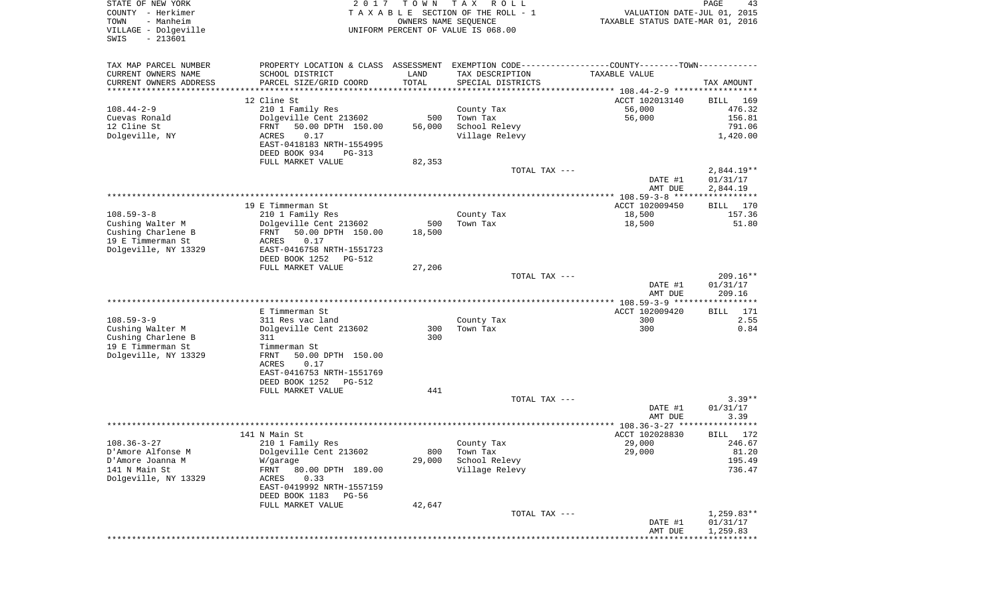| STATE OF NEW YORK<br>COUNTY - Herkimer<br>- Manheim<br>TOWN<br>VILLAGE - Dolgeville<br>SWIS<br>$-213601$ | 2017                                                 | T O W N<br>OWNERS NAME SEQUENCE | T A X<br>R O L L<br>T A X A B L E SECTION OF THE ROLL - 1<br>UNIFORM PERCENT OF VALUE IS 068.00 | VALUATION DATE-JUL 01, 2015<br>TAXABLE STATUS DATE-MAR 01, 2016 | PAGE<br>43               |
|----------------------------------------------------------------------------------------------------------|------------------------------------------------------|---------------------------------|-------------------------------------------------------------------------------------------------|-----------------------------------------------------------------|--------------------------|
| TAX MAP PARCEL NUMBER                                                                                    |                                                      |                                 | PROPERTY LOCATION & CLASS ASSESSMENT EXEMPTION CODE---------------COUNTY-------TOWN----------   |                                                                 |                          |
| CURRENT OWNERS NAME                                                                                      | SCHOOL DISTRICT                                      | LAND                            | TAX DESCRIPTION                                                                                 | TAXABLE VALUE                                                   |                          |
| CURRENT OWNERS ADDRESS<br>*********************                                                          | PARCEL SIZE/GRID COORD                               | TOTAL                           | SPECIAL DISTRICTS                                                                               |                                                                 | TAX AMOUNT               |
|                                                                                                          | 12 Cline St                                          |                                 |                                                                                                 | ACCT 102013140                                                  | BILL<br>169              |
| $108.44 - 2 - 9$                                                                                         | 210 1 Family Res                                     |                                 | County Tax                                                                                      | 56,000                                                          | 476.32                   |
| Cuevas Ronald                                                                                            | Dolgeville Cent 213602                               | 500                             | Town Tax                                                                                        | 56,000                                                          | 156.81                   |
| 12 Cline St                                                                                              | FRNT<br>50.00 DPTH 150.00                            | 56,000                          | School Relevy                                                                                   |                                                                 | 791.06                   |
| Dolgeville, NY                                                                                           | 0.17<br>ACRES                                        |                                 | Village Relevy                                                                                  |                                                                 | 1,420.00                 |
|                                                                                                          | EAST-0418183 NRTH-1554995                            |                                 |                                                                                                 |                                                                 |                          |
|                                                                                                          | DEED BOOK 934<br>PG-313                              |                                 |                                                                                                 |                                                                 |                          |
|                                                                                                          | FULL MARKET VALUE                                    | 82,353                          | TOTAL TAX ---                                                                                   |                                                                 |                          |
|                                                                                                          |                                                      |                                 |                                                                                                 | DATE #1                                                         | $2,844.19**$<br>01/31/17 |
|                                                                                                          |                                                      |                                 |                                                                                                 | AMT DUE                                                         | 2,844.19                 |
|                                                                                                          |                                                      |                                 |                                                                                                 |                                                                 |                          |
|                                                                                                          | 19 E Timmerman St                                    |                                 |                                                                                                 | ACCT 102009450                                                  | BILL<br>170              |
| $108.59 - 3 - 8$                                                                                         | 210 1 Family Res                                     |                                 | County Tax                                                                                      | 18,500                                                          | 157.36                   |
| Cushing Walter M                                                                                         | Dolgeville Cent 213602                               | 500                             | Town Tax                                                                                        | 18,500                                                          | 51.80                    |
| Cushing Charlene B<br>19 E Timmerman St                                                                  | FRNT<br>50.00 DPTH 150.00<br>0.17<br>ACRES           | 18,500                          |                                                                                                 |                                                                 |                          |
| Dolgeville, NY 13329                                                                                     | EAST-0416758 NRTH-1551723                            |                                 |                                                                                                 |                                                                 |                          |
|                                                                                                          | DEED BOOK 1252<br>PG-512                             |                                 |                                                                                                 |                                                                 |                          |
|                                                                                                          | FULL MARKET VALUE                                    | 27,206                          |                                                                                                 |                                                                 |                          |
|                                                                                                          |                                                      |                                 | TOTAL TAX ---                                                                                   |                                                                 | $209.16**$               |
|                                                                                                          |                                                      |                                 |                                                                                                 | DATE #1<br>AMT DUE                                              | 01/31/17<br>209.16       |
|                                                                                                          |                                                      |                                 |                                                                                                 |                                                                 |                          |
|                                                                                                          | E Timmerman St                                       |                                 |                                                                                                 | ACCT 102009420                                                  | <b>BILL</b><br>171       |
| $108.59 - 3 - 9$                                                                                         | 311 Res vac land                                     |                                 | County Tax                                                                                      | 300                                                             | 2.55                     |
| Cushing Walter M                                                                                         | Dolgeville Cent 213602                               | 300                             | Town Tax                                                                                        | 300                                                             | 0.84                     |
| Cushing Charlene B                                                                                       | 311                                                  | 300                             |                                                                                                 |                                                                 |                          |
| 19 E Timmerman St                                                                                        | Timmerman St                                         |                                 |                                                                                                 |                                                                 |                          |
| Dolgeville, NY 13329                                                                                     | FRNT<br>50.00 DPTH 150.00<br>ACRES<br>0.17           |                                 |                                                                                                 |                                                                 |                          |
|                                                                                                          | EAST-0416753 NRTH-1551769                            |                                 |                                                                                                 |                                                                 |                          |
|                                                                                                          | DEED BOOK 1252<br>PG-512                             |                                 |                                                                                                 |                                                                 |                          |
|                                                                                                          | FULL MARKET VALUE                                    | 441                             |                                                                                                 |                                                                 |                          |
|                                                                                                          |                                                      |                                 | TOTAL TAX ---                                                                                   |                                                                 | $3.39**$                 |
|                                                                                                          |                                                      |                                 |                                                                                                 | DATE #1                                                         | 01/31/17                 |
|                                                                                                          |                                                      |                                 |                                                                                                 | AMT DUE                                                         | 3.39<br>******           |
|                                                                                                          | 141 N Main St                                        |                                 |                                                                                                 | ACCT 102028830                                                  | BILL<br>172              |
| $108.36 - 3 - 27$                                                                                        | 210 1 Family Res                                     |                                 | County Tax                                                                                      | 29,000                                                          | 246.67                   |
| D'Amore Alfonse M                                                                                        | Dolgeville Cent 213602                               | 800                             | Town Tax                                                                                        | 29,000                                                          | 81.20                    |
| D'Amore Joanna M                                                                                         | W/garage                                             | 29,000                          | School Relevy                                                                                   |                                                                 | 195.49                   |
| 141 N Main St                                                                                            | FRNT<br>80.00 DPTH 189.00                            |                                 | Village Relevy                                                                                  |                                                                 | 736.47                   |
| Dolgeville, NY 13329                                                                                     | 0.33<br>ACRES                                        |                                 |                                                                                                 |                                                                 |                          |
|                                                                                                          | EAST-0419992 NRTH-1557159<br>DEED BOOK 1183<br>PG-56 |                                 |                                                                                                 |                                                                 |                          |
|                                                                                                          | FULL MARKET VALUE                                    | 42,647                          |                                                                                                 |                                                                 |                          |
|                                                                                                          |                                                      |                                 | TOTAL TAX ---                                                                                   |                                                                 | $1,259.83**$             |
|                                                                                                          |                                                      |                                 |                                                                                                 | DATE #1                                                         | 01/31/17                 |
|                                                                                                          |                                                      |                                 |                                                                                                 | AMT DUE                                                         | 1,259.83                 |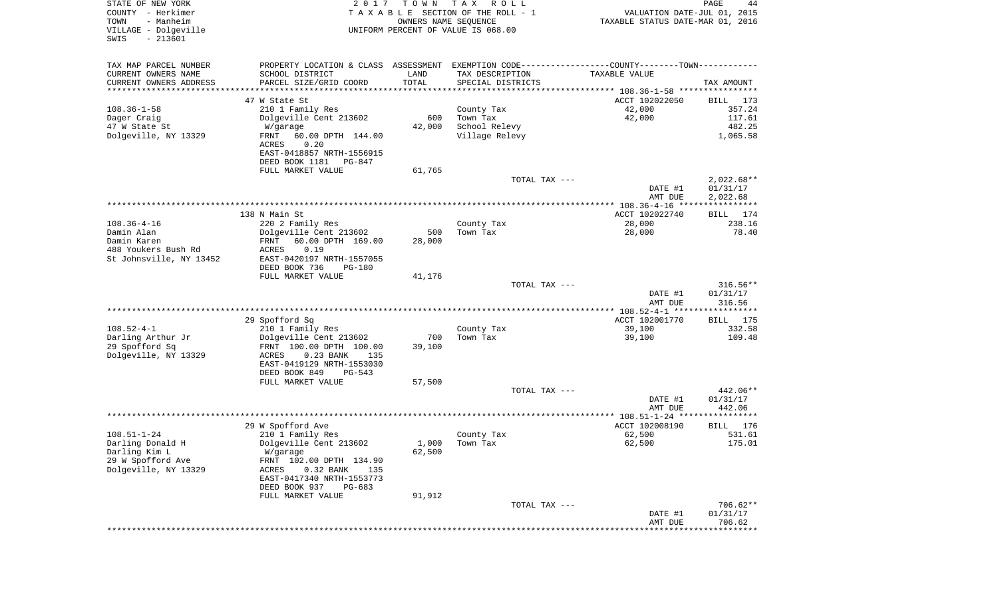| TAX MAP PARCEL NUMBER<br>PROPERTY LOCATION & CLASS ASSESSMENT<br>EXEMPTION CODE-----------------COUNTY-------TOWN-----------<br>CURRENT OWNERS NAME<br>SCHOOL DISTRICT<br>LAND<br>TAX DESCRIPTION<br>TAXABLE VALUE<br>TOTAL<br>CURRENT OWNERS ADDRESS<br>PARCEL SIZE/GRID COORD<br>SPECIAL DISTRICTS<br>TAX AMOUNT<br>********************<br>47 W State St<br>ACCT 102022050<br>BILL<br>$108.36 - 1 - 58$<br>210 1 Family Res<br>42,000<br>County Tax<br>Dolgeville Cent 213602<br>600<br>Town Tax<br>42,000<br>Dager Craig<br>47 W State St<br>42,000<br>School Relevy<br>W/garage<br>1,065.58<br>Dolgeville, NY 13329<br>60.00 DPTH 144.00<br>Village Relevy<br>FRNT<br>ACRES<br>0.20<br>EAST-0418857 NRTH-1556915<br>DEED BOOK 1181<br>$PG-847$<br>FULL MARKET VALUE<br>61,765<br>TOTAL TAX ---<br>$2,022.68**$<br>DATE #1<br>01/31/17<br>AMT DUE<br>2,022.68<br>**************** 108.36-4-16 **************** | VALUATION DATE-JUL 01, 2015<br>TAXABLE STATUS DATE-MAR 01, 2016 |
|--------------------------------------------------------------------------------------------------------------------------------------------------------------------------------------------------------------------------------------------------------------------------------------------------------------------------------------------------------------------------------------------------------------------------------------------------------------------------------------------------------------------------------------------------------------------------------------------------------------------------------------------------------------------------------------------------------------------------------------------------------------------------------------------------------------------------------------------------------------------------------------------------------------------|-----------------------------------------------------------------|
|                                                                                                                                                                                                                                                                                                                                                                                                                                                                                                                                                                                                                                                                                                                                                                                                                                                                                                                    |                                                                 |
|                                                                                                                                                                                                                                                                                                                                                                                                                                                                                                                                                                                                                                                                                                                                                                                                                                                                                                                    |                                                                 |
|                                                                                                                                                                                                                                                                                                                                                                                                                                                                                                                                                                                                                                                                                                                                                                                                                                                                                                                    |                                                                 |
|                                                                                                                                                                                                                                                                                                                                                                                                                                                                                                                                                                                                                                                                                                                                                                                                                                                                                                                    | 173                                                             |
|                                                                                                                                                                                                                                                                                                                                                                                                                                                                                                                                                                                                                                                                                                                                                                                                                                                                                                                    | 357.24                                                          |
|                                                                                                                                                                                                                                                                                                                                                                                                                                                                                                                                                                                                                                                                                                                                                                                                                                                                                                                    | 117.61                                                          |
|                                                                                                                                                                                                                                                                                                                                                                                                                                                                                                                                                                                                                                                                                                                                                                                                                                                                                                                    | 482.25                                                          |
|                                                                                                                                                                                                                                                                                                                                                                                                                                                                                                                                                                                                                                                                                                                                                                                                                                                                                                                    |                                                                 |
|                                                                                                                                                                                                                                                                                                                                                                                                                                                                                                                                                                                                                                                                                                                                                                                                                                                                                                                    |                                                                 |
|                                                                                                                                                                                                                                                                                                                                                                                                                                                                                                                                                                                                                                                                                                                                                                                                                                                                                                                    |                                                                 |
|                                                                                                                                                                                                                                                                                                                                                                                                                                                                                                                                                                                                                                                                                                                                                                                                                                                                                                                    |                                                                 |
|                                                                                                                                                                                                                                                                                                                                                                                                                                                                                                                                                                                                                                                                                                                                                                                                                                                                                                                    |                                                                 |
|                                                                                                                                                                                                                                                                                                                                                                                                                                                                                                                                                                                                                                                                                                                                                                                                                                                                                                                    |                                                                 |
|                                                                                                                                                                                                                                                                                                                                                                                                                                                                                                                                                                                                                                                                                                                                                                                                                                                                                                                    |                                                                 |
| 138 N Main St<br>ACCT 102022740<br>BILL                                                                                                                                                                                                                                                                                                                                                                                                                                                                                                                                                                                                                                                                                                                                                                                                                                                                            | 174                                                             |
| $108.36 - 4 - 16$<br>220 2 Family Res<br>County Tax<br>28,000                                                                                                                                                                                                                                                                                                                                                                                                                                                                                                                                                                                                                                                                                                                                                                                                                                                      | 238.16                                                          |
| Damin Alan<br>Dolgeville Cent 213602<br>500<br>Town Tax<br>28,000                                                                                                                                                                                                                                                                                                                                                                                                                                                                                                                                                                                                                                                                                                                                                                                                                                                  | 78.40                                                           |
| Damin Karen<br>FRNT<br>60.00 DPTH 169.00<br>28,000                                                                                                                                                                                                                                                                                                                                                                                                                                                                                                                                                                                                                                                                                                                                                                                                                                                                 |                                                                 |
| 488 Youkers Bush Rd<br>0.19<br>ACRES<br>EAST-0420197 NRTH-1557055<br>St Johnsville, NY 13452                                                                                                                                                                                                                                                                                                                                                                                                                                                                                                                                                                                                                                                                                                                                                                                                                       |                                                                 |
| DEED BOOK 736<br><b>PG-180</b>                                                                                                                                                                                                                                                                                                                                                                                                                                                                                                                                                                                                                                                                                                                                                                                                                                                                                     |                                                                 |
| FULL MARKET VALUE<br>41,176                                                                                                                                                                                                                                                                                                                                                                                                                                                                                                                                                                                                                                                                                                                                                                                                                                                                                        |                                                                 |
| $316.56**$<br>TOTAL TAX ---                                                                                                                                                                                                                                                                                                                                                                                                                                                                                                                                                                                                                                                                                                                                                                                                                                                                                        |                                                                 |
| DATE #1<br>01/31/17                                                                                                                                                                                                                                                                                                                                                                                                                                                                                                                                                                                                                                                                                                                                                                                                                                                                                                |                                                                 |
| AMT DUE<br>316.56<br>********** 108.52-4-1 ******************                                                                                                                                                                                                                                                                                                                                                                                                                                                                                                                                                                                                                                                                                                                                                                                                                                                      |                                                                 |
| 29 Spofford Sq<br>ACCT 102001770<br>BILL                                                                                                                                                                                                                                                                                                                                                                                                                                                                                                                                                                                                                                                                                                                                                                                                                                                                           | 175                                                             |
| $108.52 - 4 - 1$<br>210 1 Family Res<br>County Tax<br>39,100                                                                                                                                                                                                                                                                                                                                                                                                                                                                                                                                                                                                                                                                                                                                                                                                                                                       | 332.58                                                          |
| Darling Arthur Jr<br>Dolgeville Cent 213602<br>700<br>Town Tax<br>39,100                                                                                                                                                                                                                                                                                                                                                                                                                                                                                                                                                                                                                                                                                                                                                                                                                                           | 109.48                                                          |
| 29 Spofford Sq<br>FRNT 100.00 DPTH 100.00<br>39,100                                                                                                                                                                                                                                                                                                                                                                                                                                                                                                                                                                                                                                                                                                                                                                                                                                                                |                                                                 |
| Dolgeville, NY 13329<br>0.23 BANK<br>135<br>ACRES<br>EAST-0419129 NRTH-1553030                                                                                                                                                                                                                                                                                                                                                                                                                                                                                                                                                                                                                                                                                                                                                                                                                                     |                                                                 |
| DEED BOOK 849<br>$PG-543$                                                                                                                                                                                                                                                                                                                                                                                                                                                                                                                                                                                                                                                                                                                                                                                                                                                                                          |                                                                 |
| 57,500<br>FULL MARKET VALUE                                                                                                                                                                                                                                                                                                                                                                                                                                                                                                                                                                                                                                                                                                                                                                                                                                                                                        |                                                                 |
| 442.06**<br>TOTAL TAX ---                                                                                                                                                                                                                                                                                                                                                                                                                                                                                                                                                                                                                                                                                                                                                                                                                                                                                          |                                                                 |
| DATE #1<br>01/31/17                                                                                                                                                                                                                                                                                                                                                                                                                                                                                                                                                                                                                                                                                                                                                                                                                                                                                                |                                                                 |
| AMT DUE<br>442.06<br>**************************<br>******** 108.51-1-24 *********                                                                                                                                                                                                                                                                                                                                                                                                                                                                                                                                                                                                                                                                                                                                                                                                                                  | ****                                                            |
| 29 W Spofford Ave<br>ACCT 102008190<br><b>BILL</b>                                                                                                                                                                                                                                                                                                                                                                                                                                                                                                                                                                                                                                                                                                                                                                                                                                                                 | 176                                                             |
| $108.51 - 1 - 24$<br>210 1 Family Res<br>County Tax<br>62,500                                                                                                                                                                                                                                                                                                                                                                                                                                                                                                                                                                                                                                                                                                                                                                                                                                                      | 531.61                                                          |
| Darling Donald H<br>Dolgeville Cent 213602<br>1,000<br>Town Tax<br>62,500                                                                                                                                                                                                                                                                                                                                                                                                                                                                                                                                                                                                                                                                                                                                                                                                                                          | 175.01                                                          |
| Darling Kim L<br>62,500<br>W/garage                                                                                                                                                                                                                                                                                                                                                                                                                                                                                                                                                                                                                                                                                                                                                                                                                                                                                |                                                                 |
| 29 W Spofford Ave<br>FRNT 102.00 DPTH 134.90<br>Dolgeville, NY 13329                                                                                                                                                                                                                                                                                                                                                                                                                                                                                                                                                                                                                                                                                                                                                                                                                                               |                                                                 |
| 0.32 BANK<br>ACRES<br>135<br>EAST-0417340 NRTH-1553773                                                                                                                                                                                                                                                                                                                                                                                                                                                                                                                                                                                                                                                                                                                                                                                                                                                             |                                                                 |
| DEED BOOK 937<br>$PG-683$                                                                                                                                                                                                                                                                                                                                                                                                                                                                                                                                                                                                                                                                                                                                                                                                                                                                                          |                                                                 |
| FULL MARKET VALUE<br>91,912                                                                                                                                                                                                                                                                                                                                                                                                                                                                                                                                                                                                                                                                                                                                                                                                                                                                                        |                                                                 |
| $706.62**$<br>TOTAL TAX ---                                                                                                                                                                                                                                                                                                                                                                                                                                                                                                                                                                                                                                                                                                                                                                                                                                                                                        |                                                                 |
| DATE #1<br>01/31/17<br>706.62                                                                                                                                                                                                                                                                                                                                                                                                                                                                                                                                                                                                                                                                                                                                                                                                                                                                                      |                                                                 |
| AMT DUE<br>********                                                                                                                                                                                                                                                                                                                                                                                                                                                                                                                                                                                                                                                                                                                                                                                                                                                                                                |                                                                 |

PAGE 44

STATE OF NEW YORK  $2017$  TO W N TAX ROLL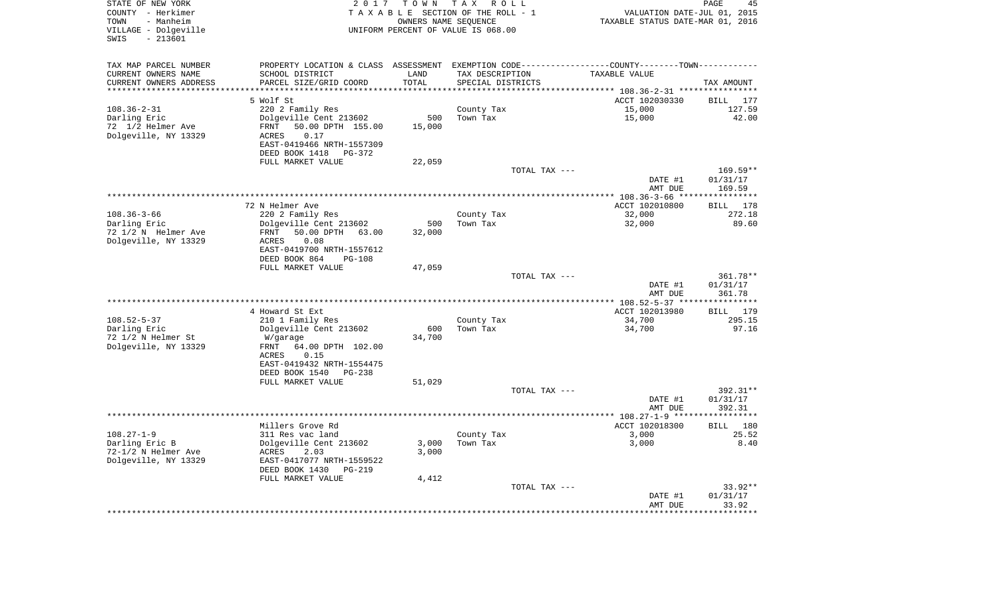| STATE OF NEW YORK<br>COUNTY - Herkimer<br>TOWN<br>- Manheim<br>VILLAGE - Dolgeville<br>SWIS<br>$-213601$ | 2017                                                                                          | T O W N<br>OWNERS NAME SEQUENCE | TAX ROLL<br>TAXABLE SECTION OF THE ROLL - 1<br>UNIFORM PERCENT OF VALUE IS 068.00 | VALUATION DATE-JUL 01, 2015<br>TAXABLE STATUS DATE-MAR 01, 2016    | PAGE<br>45                |
|----------------------------------------------------------------------------------------------------------|-----------------------------------------------------------------------------------------------|---------------------------------|-----------------------------------------------------------------------------------|--------------------------------------------------------------------|---------------------------|
| TAX MAP PARCEL NUMBER                                                                                    | PROPERTY LOCATION & CLASS ASSESSMENT EXEMPTION CODE---------------COUNTY-------TOWN---------- |                                 |                                                                                   |                                                                    |                           |
| CURRENT OWNERS NAME                                                                                      | SCHOOL DISTRICT                                                                               | LAND                            | TAX DESCRIPTION                                                                   | TAXABLE VALUE                                                      |                           |
| CURRENT OWNERS ADDRESS                                                                                   | PARCEL SIZE/GRID COORD                                                                        | TOTAL                           | SPECIAL DISTRICTS                                                                 |                                                                    | TAX AMOUNT                |
| ****************                                                                                         |                                                                                               | ************                    |                                                                                   | ************************************* 108.36-2-31 **************** |                           |
|                                                                                                          | 5 Wolf St                                                                                     |                                 |                                                                                   | ACCT 102030330                                                     | BILL 177                  |
| $108.36 - 2 - 31$<br>Darling Eric                                                                        | 220 2 Family Res                                                                              | 500                             | County Tax<br>Town Tax                                                            | 15,000<br>15,000                                                   | 127.59<br>42.00           |
| 72 1/2 Helmer Ave                                                                                        | Dolgeville Cent 213602<br>FRNT<br>50.00 DPTH 155.00                                           | 15,000                          |                                                                                   |                                                                    |                           |
| Dolgeville, NY 13329                                                                                     | 0.17<br>ACRES                                                                                 |                                 |                                                                                   |                                                                    |                           |
|                                                                                                          | EAST-0419466 NRTH-1557309                                                                     |                                 |                                                                                   |                                                                    |                           |
|                                                                                                          | DEED BOOK 1418<br>PG-372                                                                      |                                 |                                                                                   |                                                                    |                           |
|                                                                                                          | FULL MARKET VALUE                                                                             | 22,059                          |                                                                                   |                                                                    |                           |
|                                                                                                          |                                                                                               |                                 | TOTAL TAX ---                                                                     |                                                                    | 169.59**                  |
|                                                                                                          |                                                                                               |                                 |                                                                                   | DATE #1                                                            | 01/31/17                  |
|                                                                                                          |                                                                                               |                                 |                                                                                   | AMT DUE                                                            | 169.59                    |
|                                                                                                          |                                                                                               |                                 |                                                                                   |                                                                    | * * * * * * * * * * * * * |
|                                                                                                          | 72 N Helmer Ave                                                                               |                                 |                                                                                   | ACCT 102010800                                                     | 178<br><b>BILL</b>        |
| $108.36 - 3 - 66$                                                                                        | 220 2 Family Res                                                                              |                                 | County Tax                                                                        | 32,000                                                             | 272.18                    |
| Darling Eric<br>72 1/2 N Helmer Ave                                                                      | Dolgeville Cent 213602<br>50.00 DPTH 63.00<br>FRNT                                            | 500<br>32,000                   | Town Tax                                                                          | 32,000                                                             | 89.60                     |
| Dolgeville, NY 13329                                                                                     | <b>ACRES</b><br>0.08                                                                          |                                 |                                                                                   |                                                                    |                           |
|                                                                                                          | EAST-0419700 NRTH-1557612                                                                     |                                 |                                                                                   |                                                                    |                           |
|                                                                                                          | DEED BOOK 864<br>PG-108                                                                       |                                 |                                                                                   |                                                                    |                           |
|                                                                                                          | FULL MARKET VALUE                                                                             | 47,059                          |                                                                                   |                                                                    |                           |
|                                                                                                          |                                                                                               |                                 | TOTAL TAX ---                                                                     |                                                                    | 361.78**                  |
|                                                                                                          |                                                                                               |                                 |                                                                                   | DATE #1                                                            | 01/31/17                  |
|                                                                                                          |                                                                                               |                                 |                                                                                   | AMT DUE                                                            | 361.78                    |
|                                                                                                          |                                                                                               |                                 |                                                                                   |                                                                    | * * * * * * * * * * *     |
|                                                                                                          | 4 Howard St Ext                                                                               |                                 |                                                                                   | ACCT 102013980                                                     | BILL 179                  |
| $108.52 - 5 - 37$<br>Darling Eric                                                                        | 210 1 Family Res<br>Dolgeville Cent 213602                                                    | 600                             | County Tax<br>Town Tax                                                            | 34,700<br>34,700                                                   | 295.15<br>97.16           |
| 72 1/2 N Helmer St                                                                                       | W/garage                                                                                      | 34,700                          |                                                                                   |                                                                    |                           |
| Dolgeville, NY 13329                                                                                     | FRNT<br>64.00 DPTH 102.00                                                                     |                                 |                                                                                   |                                                                    |                           |
|                                                                                                          | 0.15<br>ACRES                                                                                 |                                 |                                                                                   |                                                                    |                           |
|                                                                                                          | EAST-0419432 NRTH-1554475                                                                     |                                 |                                                                                   |                                                                    |                           |
|                                                                                                          | DEED BOOK 1540<br>PG-238                                                                      |                                 |                                                                                   |                                                                    |                           |
|                                                                                                          | FULL MARKET VALUE                                                                             | 51,029                          |                                                                                   |                                                                    |                           |
|                                                                                                          |                                                                                               |                                 | TOTAL TAX ---                                                                     |                                                                    | 392.31**                  |
|                                                                                                          |                                                                                               |                                 |                                                                                   | DATE #1                                                            | 01/31/17                  |
|                                                                                                          |                                                                                               |                                 | ************************                                                          | AMT DUE                                                            | 392.31                    |
|                                                                                                          | Millers Grove Rd                                                                              |                                 |                                                                                   | ************* 108.27-1-9 ***<br>ACCT 102018300                     | <b>BILL</b><br>180        |
| $108.27 - 1 - 9$                                                                                         | 311 Res vac land                                                                              |                                 | County Tax                                                                        | 3,000                                                              | 25.52                     |
| Darling Eric B                                                                                           | Dolgeville Cent 213602                                                                        | 3,000                           | Town Tax                                                                          | 3,000                                                              | 8.40                      |
| 72-1/2 N Helmer Ave                                                                                      | ACRES<br>2.03                                                                                 | 3,000                           |                                                                                   |                                                                    |                           |
| Dolgeville, NY 13329                                                                                     | EAST-0417077 NRTH-1559522                                                                     |                                 |                                                                                   |                                                                    |                           |
|                                                                                                          | DEED BOOK 1430<br>PG-219                                                                      |                                 |                                                                                   |                                                                    |                           |
|                                                                                                          | FULL MARKET VALUE                                                                             | 4,412                           |                                                                                   |                                                                    |                           |
|                                                                                                          |                                                                                               |                                 | TOTAL TAX ---                                                                     |                                                                    | 33.92**                   |
|                                                                                                          |                                                                                               |                                 |                                                                                   | DATE #1                                                            | 01/31/17                  |
|                                                                                                          |                                                                                               |                                 |                                                                                   | AMT DUE                                                            | 33.92                     |
|                                                                                                          |                                                                                               |                                 |                                                                                   |                                                                    |                           |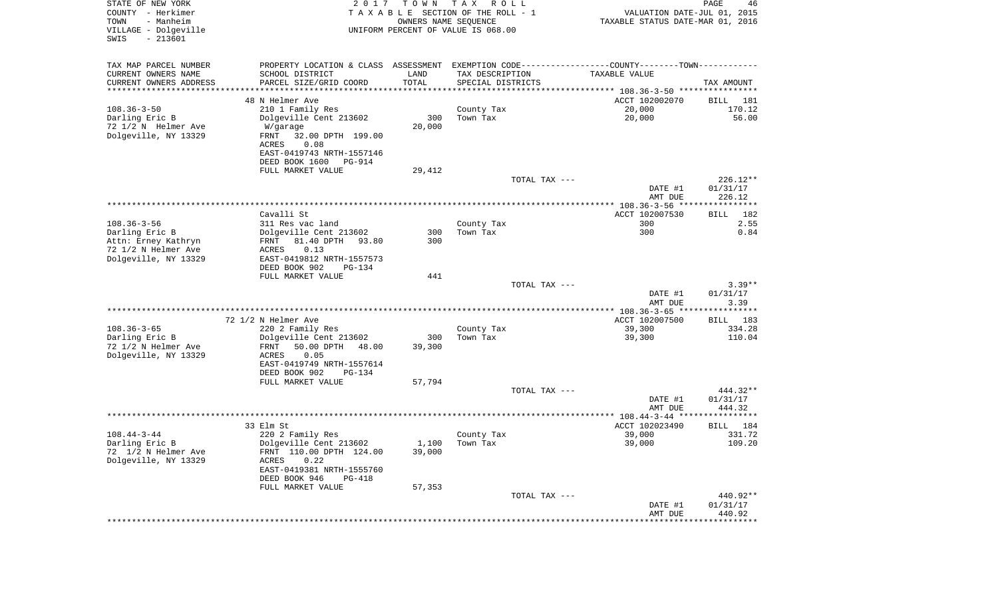| STATE OF NEW YORK<br>COUNTY - Herkimer<br>- Manheim<br>TOWN<br>VILLAGE - Dolgeville<br>$-213601$<br>SWIS | 2017                                                                                          | T O W N<br>OWNERS NAME SEQUENCE | T A X<br>R O L L<br>TAXABLE SECTION OF THE ROLL - 1<br>UNIFORM PERCENT OF VALUE IS 068.00 | VALUATION DATE-JUL 01, 2015<br>TAXABLE STATUS DATE-MAR 01, 2016 | PAGE<br>46            |
|----------------------------------------------------------------------------------------------------------|-----------------------------------------------------------------------------------------------|---------------------------------|-------------------------------------------------------------------------------------------|-----------------------------------------------------------------|-----------------------|
| TAX MAP PARCEL NUMBER                                                                                    | PROPERTY LOCATION & CLASS ASSESSMENT EXEMPTION CODE---------------COUNTY-------TOWN---------- |                                 |                                                                                           |                                                                 |                       |
| CURRENT OWNERS NAME                                                                                      | SCHOOL DISTRICT                                                                               | LAND                            | TAX DESCRIPTION                                                                           | TAXABLE VALUE                                                   |                       |
| CURRENT OWNERS ADDRESS                                                                                   | PARCEL SIZE/GRID COORD<br>*************************                                           | TOTAL<br>***********            | SPECIAL DISTRICTS                                                                         |                                                                 | TAX AMOUNT            |
| **********************                                                                                   | 48 N Helmer Ave                                                                               |                                 |                                                                                           | ACCT 102002070                                                  | 181<br>BILL           |
| $108.36 - 3 - 50$                                                                                        | 210 1 Family Res                                                                              |                                 | County Tax                                                                                | 20,000                                                          | 170.12                |
| Darling Eric B                                                                                           | Dolgeville Cent 213602                                                                        | 300                             | Town Tax                                                                                  | 20,000                                                          | 56.00                 |
| 72 1/2 N Helmer Ave                                                                                      | W/garage                                                                                      | 20,000                          |                                                                                           |                                                                 |                       |
| Dolgeville, NY 13329                                                                                     | FRNT<br>32.00 DPTH 199.00                                                                     |                                 |                                                                                           |                                                                 |                       |
|                                                                                                          | ACRES<br>0.08                                                                                 |                                 |                                                                                           |                                                                 |                       |
|                                                                                                          | EAST-0419743 NRTH-1557146<br>DEED BOOK 1600<br>PG-914                                         |                                 |                                                                                           |                                                                 |                       |
|                                                                                                          | FULL MARKET VALUE                                                                             | 29,412                          |                                                                                           |                                                                 |                       |
|                                                                                                          |                                                                                               |                                 | TOTAL TAX ---                                                                             |                                                                 | $226.12**$            |
|                                                                                                          |                                                                                               |                                 |                                                                                           | DATE #1                                                         | 01/31/17              |
|                                                                                                          |                                                                                               |                                 |                                                                                           | AMT DUE                                                         | 226.12                |
|                                                                                                          | Cavalli St                                                                                    |                                 |                                                                                           | ACCT 102007530                                                  | 182<br>BILL           |
| $108.36 - 3 - 56$                                                                                        | 311 Res vac land                                                                              |                                 | County Tax                                                                                | 300                                                             | 2.55                  |
| Darling Eric B                                                                                           | Dolgeville Cent 213602                                                                        | 300                             | Town Tax                                                                                  | 300                                                             | 0.84                  |
| Attn: Erney Kathryn                                                                                      | 81.40 DPTH<br>93.80<br>FRNT                                                                   | 300                             |                                                                                           |                                                                 |                       |
| 72 1/2 N Helmer Ave                                                                                      | 0.13<br>ACRES                                                                                 |                                 |                                                                                           |                                                                 |                       |
| Dolgeville, NY 13329                                                                                     | EAST-0419812 NRTH-1557573                                                                     |                                 |                                                                                           |                                                                 |                       |
|                                                                                                          | DEED BOOK 902<br>PG-134<br>FULL MARKET VALUE                                                  | 441                             |                                                                                           |                                                                 |                       |
|                                                                                                          |                                                                                               |                                 | TOTAL TAX ---                                                                             |                                                                 | $3.39**$              |
|                                                                                                          |                                                                                               |                                 |                                                                                           | DATE #1                                                         | 01/31/17              |
|                                                                                                          |                                                                                               |                                 |                                                                                           | AMT DUE                                                         | 3.39                  |
|                                                                                                          | 72 1/2 N Helmer Ave                                                                           |                                 |                                                                                           | ************** 108.36-3-65 *****************<br>ACCT 102007500  | 183<br><b>BILL</b>    |
| $108.36 - 3 - 65$                                                                                        | 220 2 Family Res                                                                              |                                 | County Tax                                                                                | 39,300                                                          | 334.28                |
| Darling Eric B                                                                                           | Dolgeville Cent 213602                                                                        | 300                             | Town Tax                                                                                  | 39,300                                                          | 110.04                |
| 72 1/2 N Helmer Ave                                                                                      | FRNT<br>50.00 DPTH<br>48.00                                                                   | 39,300                          |                                                                                           |                                                                 |                       |
| Dolgeville, NY 13329                                                                                     | ACRES<br>0.05                                                                                 |                                 |                                                                                           |                                                                 |                       |
|                                                                                                          | EAST-0419749 NRTH-1557614                                                                     |                                 |                                                                                           |                                                                 |                       |
|                                                                                                          | DEED BOOK 902<br>PG-134<br>FULL MARKET VALUE                                                  | 57,794                          |                                                                                           |                                                                 |                       |
|                                                                                                          |                                                                                               |                                 | TOTAL TAX ---                                                                             |                                                                 | 444.32**              |
|                                                                                                          |                                                                                               |                                 |                                                                                           | DATE #1                                                         | 01/31/17              |
|                                                                                                          |                                                                                               |                                 |                                                                                           | AMT DUE                                                         | 444.32                |
|                                                                                                          |                                                                                               |                                 |                                                                                           |                                                                 |                       |
| $108.44 - 3 - 44$                                                                                        | 33 Elm St<br>220 2 Family Res                                                                 |                                 |                                                                                           | ACCT 102023490<br>39,000                                        | 184<br>BILL<br>331.72 |
| Darling Eric B                                                                                           | Dolgeville Cent 213602                                                                        |                                 | County Tax<br>$1,100$ Town Tax                                                            | 39,000                                                          | 109.20                |
| 72 1/2 N Helmer Ave                                                                                      | FRNT 110.00 DPTH 124.00                                                                       | 39,000                          |                                                                                           |                                                                 |                       |
| Dolgeville, NY 13329                                                                                     | ACRES<br>0.22                                                                                 |                                 |                                                                                           |                                                                 |                       |
|                                                                                                          | EAST-0419381 NRTH-1555760                                                                     |                                 |                                                                                           |                                                                 |                       |
|                                                                                                          | DEED BOOK 946<br>$PG-418$                                                                     |                                 |                                                                                           |                                                                 |                       |
|                                                                                                          | FULL MARKET VALUE                                                                             | 57,353                          | TOTAL TAX ---                                                                             |                                                                 | 440.92**              |
|                                                                                                          |                                                                                               |                                 |                                                                                           | DATE #1                                                         | 01/31/17              |
|                                                                                                          |                                                                                               |                                 |                                                                                           | AMT DUE                                                         | 440.92                |
|                                                                                                          |                                                                                               |                                 |                                                                                           | **********************************                              |                       |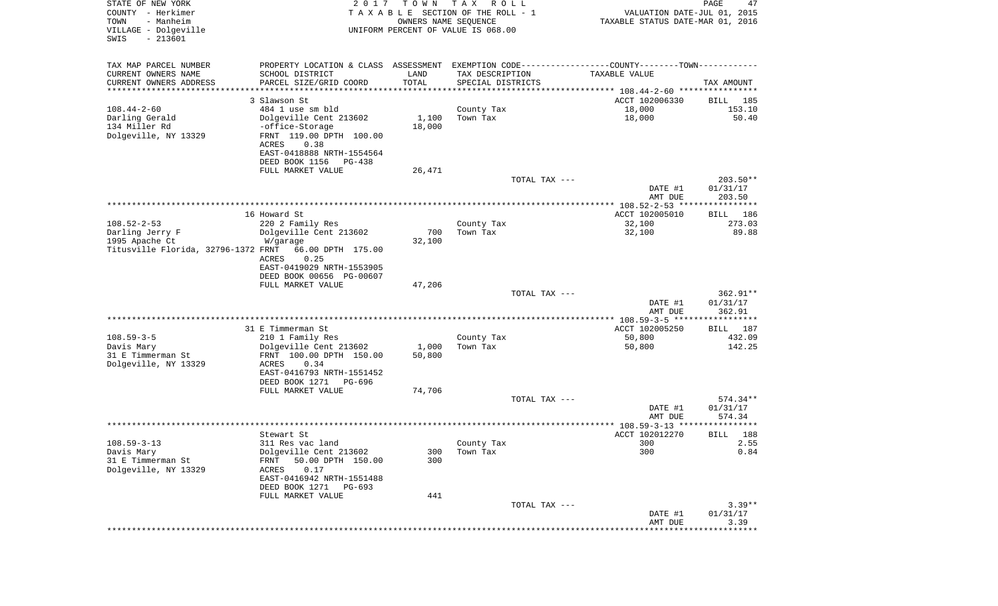| STATE OF NEW YORK<br>COUNTY - Herkimer<br>TOWN<br>- Manheim<br>VILLAGE - Dolgeville<br>$-213601$<br>SWIS | 2 0 1 7                                               | T O W N<br>TAXABLE SECTION OF THE ROLL - 1<br>OWNERS NAME SEQUENCE<br>UNIFORM PERCENT OF VALUE IS 068.00 | T A X<br>R O L L       |               | VALUATION DATE-JUL 01, 2015<br>TAXABLE STATUS DATE-MAR 01, 2016 | PAGE<br>47              |
|----------------------------------------------------------------------------------------------------------|-------------------------------------------------------|----------------------------------------------------------------------------------------------------------|------------------------|---------------|-----------------------------------------------------------------|-------------------------|
| TAX MAP PARCEL NUMBER                                                                                    | PROPERTY LOCATION & CLASS ASSESSMENT                  |                                                                                                          |                        |               | EXEMPTION CODE-----------------COUNTY-------TOWN-----------     |                         |
| CURRENT OWNERS NAME                                                                                      | SCHOOL DISTRICT                                       | LAND                                                                                                     | TAX DESCRIPTION        |               | TAXABLE VALUE                                                   |                         |
| CURRENT OWNERS ADDRESS                                                                                   | PARCEL SIZE/GRID COORD                                | TOTAL<br>**********                                                                                      | SPECIAL DISTRICTS      |               |                                                                 | TAX AMOUNT              |
| *********************                                                                                    | 3 Slawson St                                          |                                                                                                          |                        |               | ACCT 102006330                                                  | BILL<br>185             |
| $108.44 - 2 - 60$                                                                                        | 484 1 use sm bld                                      |                                                                                                          | County Tax             |               | 18,000                                                          | 153.10                  |
| Darling Gerald                                                                                           | Dolgeville Cent 213602                                | 1,100                                                                                                    | Town Tax               |               | 18,000                                                          | 50.40                   |
| 134 Miller Rd                                                                                            | -office-Storage                                       | 18,000                                                                                                   |                        |               |                                                                 |                         |
| Dolgeville, NY 13329                                                                                     | FRNT 119.00 DPTH 100.00<br>ACRES<br>0.38              |                                                                                                          |                        |               |                                                                 |                         |
|                                                                                                          | EAST-0418888 NRTH-1554564<br>DEED BOOK 1156<br>PG-438 |                                                                                                          |                        |               |                                                                 |                         |
|                                                                                                          | FULL MARKET VALUE                                     | 26,471                                                                                                   |                        |               |                                                                 |                         |
|                                                                                                          |                                                       |                                                                                                          |                        | TOTAL TAX --- |                                                                 | $203.50**$              |
|                                                                                                          |                                                       |                                                                                                          |                        |               | DATE #1<br>AMT DUE                                              | 01/31/17<br>203.50      |
|                                                                                                          |                                                       |                                                                                                          |                        |               |                                                                 |                         |
|                                                                                                          | 16 Howard St                                          |                                                                                                          |                        |               | ACCT 102005010                                                  | 186<br>BILL             |
| $108.52 - 2 - 53$                                                                                        | 220 2 Family Res                                      |                                                                                                          | County Tax             |               | 32,100                                                          | 273.03                  |
| Darling Jerry F                                                                                          | Dolgeville Cent 213602                                | 700                                                                                                      | Town Tax               |               | 32,100                                                          | 89.88                   |
| 1995 Apache Ct                                                                                           | W/garage                                              | 32,100                                                                                                   |                        |               |                                                                 |                         |
| Titusville Florida, 32796-1372 FRNT                                                                      | 66.00 DPTH 175.00<br>0.25<br>ACRES                    |                                                                                                          |                        |               |                                                                 |                         |
|                                                                                                          | EAST-0419029 NRTH-1553905                             |                                                                                                          |                        |               |                                                                 |                         |
|                                                                                                          | DEED BOOK 00656 PG-00607                              |                                                                                                          |                        |               |                                                                 |                         |
|                                                                                                          | FULL MARKET VALUE                                     | 47,206                                                                                                   |                        |               |                                                                 |                         |
|                                                                                                          |                                                       |                                                                                                          |                        | TOTAL TAX --- |                                                                 | $362.91**$              |
|                                                                                                          |                                                       |                                                                                                          |                        |               | DATE #1                                                         | 01/31/17                |
|                                                                                                          |                                                       |                                                                                                          |                        |               | AMT DUE                                                         | 362.91                  |
|                                                                                                          | 31 E Timmerman St                                     |                                                                                                          |                        |               | ACCT 102005250                                                  | 187<br>BILL             |
| $108.59 - 3 - 5$                                                                                         | 210 1 Family Res                                      |                                                                                                          | County Tax             |               | 50,800                                                          | 432.09                  |
| Davis Mary                                                                                               | Dolgeville Cent 213602                                | 1,000                                                                                                    | Town Tax               |               | 50,800                                                          | 142.25                  |
| 31 E Timmerman St                                                                                        | FRNT 100.00 DPTH 150.00                               | 50,800                                                                                                   |                        |               |                                                                 |                         |
| Dolgeville, NY 13329                                                                                     | ACRES<br>0.34                                         |                                                                                                          |                        |               |                                                                 |                         |
|                                                                                                          | EAST-0416793 NRTH-1551452<br>DEED BOOK 1271<br>PG-696 |                                                                                                          |                        |               |                                                                 |                         |
|                                                                                                          | FULL MARKET VALUE                                     | 74,706                                                                                                   |                        |               |                                                                 |                         |
|                                                                                                          |                                                       |                                                                                                          |                        | TOTAL TAX --- |                                                                 | 574.34**                |
|                                                                                                          |                                                       |                                                                                                          |                        |               | DATE #1                                                         | 01/31/17                |
|                                                                                                          |                                                       |                                                                                                          |                        |               | AMT DUE                                                         | 574.34                  |
|                                                                                                          |                                                       |                                                                                                          |                        |               | ******************* 108.59-3-13 *********                       | *****                   |
| $108.59 - 3 - 13$                                                                                        | Stewart St                                            |                                                                                                          |                        |               | ACCT 102012270                                                  | 188<br>BILL<br>2.55     |
| Davis Mary                                                                                               | 311 Res vac land<br>Dolgeville Cent 213602            | 300                                                                                                      | County Tax<br>Town Tax |               | 300<br>300                                                      | 0.84                    |
| 31 E Timmerman St                                                                                        | 50.00 DPTH 150.00<br>FRNT                             | 300                                                                                                      |                        |               |                                                                 |                         |
| Dolgeville, NY 13329                                                                                     | 0.17<br>ACRES                                         |                                                                                                          |                        |               |                                                                 |                         |
|                                                                                                          | EAST-0416942 NRTH-1551488                             |                                                                                                          |                        |               |                                                                 |                         |
|                                                                                                          | DEED BOOK 1271<br>PG-693                              |                                                                                                          |                        |               |                                                                 |                         |
|                                                                                                          | FULL MARKET VALUE                                     | 441                                                                                                      |                        |               |                                                                 | $3.39**$                |
|                                                                                                          |                                                       |                                                                                                          |                        | TOTAL TAX --- | DATE #1                                                         | 01/31/17                |
|                                                                                                          |                                                       |                                                                                                          |                        |               | AMT DUE                                                         | 3.39                    |
|                                                                                                          |                                                       |                                                                                                          |                        |               |                                                                 | *********************** |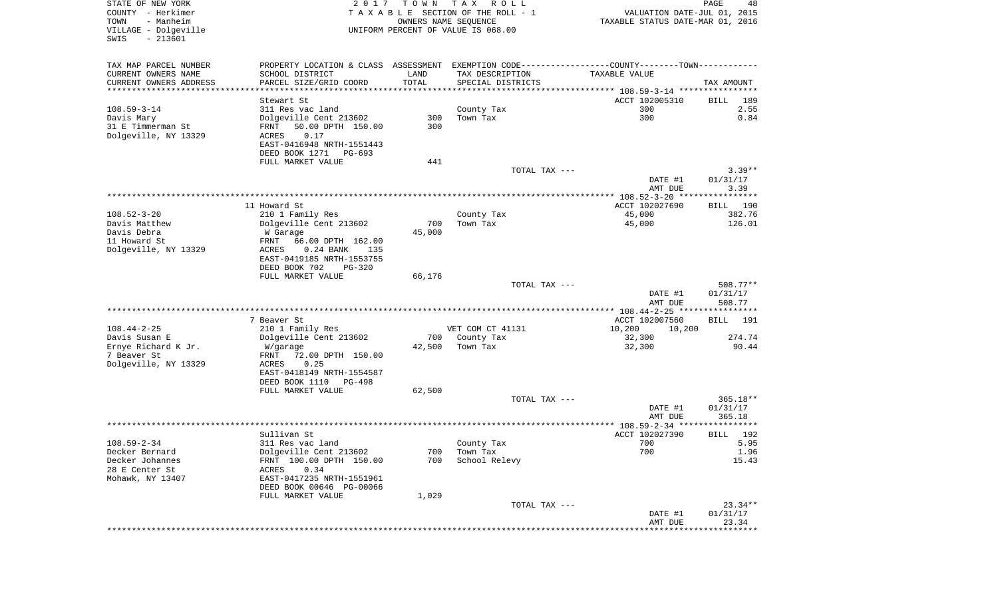| TAX MAP PARCEL NUMBER<br>PROPERTY LOCATION & CLASS ASSESSMENT EXEMPTION CODE---------------COUNTY-------TOWN----------<br>CURRENT OWNERS NAME<br>SCHOOL DISTRICT<br>LAND<br>TAX DESCRIPTION<br>TAXABLE VALUE<br>TOTAL<br>CURRENT OWNERS ADDRESS<br>PARCEL SIZE/GRID COORD<br>SPECIAL DISTRICTS<br>TAX AMOUNT<br>***********************<br>****************<br>ACCT 102005310<br>189<br>Stewart St<br>BILL<br>$108.59 - 3 - 14$<br>2.55<br>311 Res vac land<br>County Tax<br>300<br>300<br>Dolgeville Cent 213602<br>300<br>Town Tax<br>0.84<br>Davis Mary<br>31 E Timmerman St<br>50.00 DPTH 150.00<br>300<br>FRNT<br>Dolgeville, NY 13329<br>ACRES<br>0.17<br>EAST-0416948 NRTH-1551443<br>DEED BOOK 1271<br>PG-693<br>FULL MARKET VALUE<br>441<br>TOTAL TAX ---<br>$3.39**$<br>DATE #1<br>01/31/17<br>3.39<br>AMT DUE<br>11 Howard St<br>ACCT 102027690<br>190<br>BILL<br>$108.52 - 3 - 20$<br>210 1 Family Res<br>County Tax<br>45,000<br>382.76<br>Davis Matthew<br>Dolgeville Cent 213602<br>700<br>Town Tax<br>45,000<br>126.01<br>45,000<br>Davis Debra<br>W Garage<br>11 Howard St<br>66.00 DPTH 162.00<br>FRNT<br>Dolgeville, NY 13329<br>ACRES<br>$0.24$ BANK<br>135<br>EAST-0419185 NRTH-1553755<br>DEED BOOK 702<br>PG-320<br>FULL MARKET VALUE<br>66,176<br>$508.77**$<br>TOTAL TAX ---<br>01/31/17<br>DATE #1<br>508.77<br>AMT DUE<br>************ 108.44-2-25 *****************<br>7 Beaver St<br>ACCT 102007560<br><b>BILL</b><br>191<br>$108.44 - 2 - 25$<br>VET COM CT 41131<br>210 1 Family Res<br>10,200<br>10,200<br>Davis Susan E<br>Dolgeville Cent 213602<br>700<br>County Tax<br>32,300<br>274.74<br>90.44<br>Ernye Richard K Jr.<br>42,500<br>Town Tax<br>32,300<br>W/garage<br>7 Beaver St<br>FRNT<br>72.00 DPTH 150.00<br>Dolgeville, NY 13329<br>ACRES<br>0.25<br>EAST-0418149 NRTH-1554587<br>DEED BOOK 1110<br>PG-498<br>FULL MARKET VALUE<br>62,500<br>$365.18**$<br>TOTAL TAX ---<br>DATE #1<br>01/31/17<br>AMT DUE<br>365.18<br>*****<br>Sullivan St<br>ACCT 102027390<br>192<br>BILL<br>$108.59 - 2 - 34$<br>700<br>5.95<br>311 Res vac land<br>County Tax<br>Dolgeville Cent 213602<br>Decker Bernard<br>700<br>Town Tax<br>700<br>1.96<br>FRNT 100.00 DPTH 150.00<br>15.43<br>Decker Johannes<br>700<br>School Relevy<br>28 E Center St<br>0.34<br>ACRES<br>Mohawk, NY 13407<br>EAST-0417235 NRTH-1551961<br>DEED BOOK 00646 PG-00066<br>FULL MARKET VALUE<br>1,029<br>$23.34**$<br>TOTAL TAX ---<br>01/31/17<br>DATE #1<br>23.34<br>AMT DUE<br>*************************** | STATE OF NEW YORK<br>COUNTY - Herkimer<br>- Manheim<br>TOWN<br>VILLAGE - Dolgeville<br>SWIS<br>$-213601$ | 2 0 1 7 | T O W N<br>OWNERS NAME SEQUENCE | T A X<br>R O L L<br>TAXABLE SECTION OF THE ROLL - 1<br>UNIFORM PERCENT OF VALUE IS 068.00 | VALUATION DATE-JUL 01, 2015<br>TAXABLE STATUS DATE-MAR 01, 2016 | PAGE<br>48 |
|-------------------------------------------------------------------------------------------------------------------------------------------------------------------------------------------------------------------------------------------------------------------------------------------------------------------------------------------------------------------------------------------------------------------------------------------------------------------------------------------------------------------------------------------------------------------------------------------------------------------------------------------------------------------------------------------------------------------------------------------------------------------------------------------------------------------------------------------------------------------------------------------------------------------------------------------------------------------------------------------------------------------------------------------------------------------------------------------------------------------------------------------------------------------------------------------------------------------------------------------------------------------------------------------------------------------------------------------------------------------------------------------------------------------------------------------------------------------------------------------------------------------------------------------------------------------------------------------------------------------------------------------------------------------------------------------------------------------------------------------------------------------------------------------------------------------------------------------------------------------------------------------------------------------------------------------------------------------------------------------------------------------------------------------------------------------------------------------------------------------------------------------------------------------------------------------------------------------------------------------------------------------------------------------------------------------------------------------------------------------------------------------------------------------------------------------------------------------------------------------------------------------|----------------------------------------------------------------------------------------------------------|---------|---------------------------------|-------------------------------------------------------------------------------------------|-----------------------------------------------------------------|------------|
|                                                                                                                                                                                                                                                                                                                                                                                                                                                                                                                                                                                                                                                                                                                                                                                                                                                                                                                                                                                                                                                                                                                                                                                                                                                                                                                                                                                                                                                                                                                                                                                                                                                                                                                                                                                                                                                                                                                                                                                                                                                                                                                                                                                                                                                                                                                                                                                                                                                                                                                   |                                                                                                          |         |                                 |                                                                                           |                                                                 |            |
|                                                                                                                                                                                                                                                                                                                                                                                                                                                                                                                                                                                                                                                                                                                                                                                                                                                                                                                                                                                                                                                                                                                                                                                                                                                                                                                                                                                                                                                                                                                                                                                                                                                                                                                                                                                                                                                                                                                                                                                                                                                                                                                                                                                                                                                                                                                                                                                                                                                                                                                   |                                                                                                          |         |                                 |                                                                                           |                                                                 |            |
|                                                                                                                                                                                                                                                                                                                                                                                                                                                                                                                                                                                                                                                                                                                                                                                                                                                                                                                                                                                                                                                                                                                                                                                                                                                                                                                                                                                                                                                                                                                                                                                                                                                                                                                                                                                                                                                                                                                                                                                                                                                                                                                                                                                                                                                                                                                                                                                                                                                                                                                   |                                                                                                          |         |                                 |                                                                                           |                                                                 |            |
|                                                                                                                                                                                                                                                                                                                                                                                                                                                                                                                                                                                                                                                                                                                                                                                                                                                                                                                                                                                                                                                                                                                                                                                                                                                                                                                                                                                                                                                                                                                                                                                                                                                                                                                                                                                                                                                                                                                                                                                                                                                                                                                                                                                                                                                                                                                                                                                                                                                                                                                   |                                                                                                          |         |                                 |                                                                                           |                                                                 |            |
|                                                                                                                                                                                                                                                                                                                                                                                                                                                                                                                                                                                                                                                                                                                                                                                                                                                                                                                                                                                                                                                                                                                                                                                                                                                                                                                                                                                                                                                                                                                                                                                                                                                                                                                                                                                                                                                                                                                                                                                                                                                                                                                                                                                                                                                                                                                                                                                                                                                                                                                   |                                                                                                          |         |                                 |                                                                                           |                                                                 |            |
|                                                                                                                                                                                                                                                                                                                                                                                                                                                                                                                                                                                                                                                                                                                                                                                                                                                                                                                                                                                                                                                                                                                                                                                                                                                                                                                                                                                                                                                                                                                                                                                                                                                                                                                                                                                                                                                                                                                                                                                                                                                                                                                                                                                                                                                                                                                                                                                                                                                                                                                   |                                                                                                          |         |                                 |                                                                                           |                                                                 |            |
|                                                                                                                                                                                                                                                                                                                                                                                                                                                                                                                                                                                                                                                                                                                                                                                                                                                                                                                                                                                                                                                                                                                                                                                                                                                                                                                                                                                                                                                                                                                                                                                                                                                                                                                                                                                                                                                                                                                                                                                                                                                                                                                                                                                                                                                                                                                                                                                                                                                                                                                   |                                                                                                          |         |                                 |                                                                                           |                                                                 |            |
|                                                                                                                                                                                                                                                                                                                                                                                                                                                                                                                                                                                                                                                                                                                                                                                                                                                                                                                                                                                                                                                                                                                                                                                                                                                                                                                                                                                                                                                                                                                                                                                                                                                                                                                                                                                                                                                                                                                                                                                                                                                                                                                                                                                                                                                                                                                                                                                                                                                                                                                   |                                                                                                          |         |                                 |                                                                                           |                                                                 |            |
|                                                                                                                                                                                                                                                                                                                                                                                                                                                                                                                                                                                                                                                                                                                                                                                                                                                                                                                                                                                                                                                                                                                                                                                                                                                                                                                                                                                                                                                                                                                                                                                                                                                                                                                                                                                                                                                                                                                                                                                                                                                                                                                                                                                                                                                                                                                                                                                                                                                                                                                   |                                                                                                          |         |                                 |                                                                                           |                                                                 |            |
|                                                                                                                                                                                                                                                                                                                                                                                                                                                                                                                                                                                                                                                                                                                                                                                                                                                                                                                                                                                                                                                                                                                                                                                                                                                                                                                                                                                                                                                                                                                                                                                                                                                                                                                                                                                                                                                                                                                                                                                                                                                                                                                                                                                                                                                                                                                                                                                                                                                                                                                   |                                                                                                          |         |                                 |                                                                                           |                                                                 |            |
|                                                                                                                                                                                                                                                                                                                                                                                                                                                                                                                                                                                                                                                                                                                                                                                                                                                                                                                                                                                                                                                                                                                                                                                                                                                                                                                                                                                                                                                                                                                                                                                                                                                                                                                                                                                                                                                                                                                                                                                                                                                                                                                                                                                                                                                                                                                                                                                                                                                                                                                   |                                                                                                          |         |                                 |                                                                                           |                                                                 |            |
|                                                                                                                                                                                                                                                                                                                                                                                                                                                                                                                                                                                                                                                                                                                                                                                                                                                                                                                                                                                                                                                                                                                                                                                                                                                                                                                                                                                                                                                                                                                                                                                                                                                                                                                                                                                                                                                                                                                                                                                                                                                                                                                                                                                                                                                                                                                                                                                                                                                                                                                   |                                                                                                          |         |                                 |                                                                                           |                                                                 |            |
|                                                                                                                                                                                                                                                                                                                                                                                                                                                                                                                                                                                                                                                                                                                                                                                                                                                                                                                                                                                                                                                                                                                                                                                                                                                                                                                                                                                                                                                                                                                                                                                                                                                                                                                                                                                                                                                                                                                                                                                                                                                                                                                                                                                                                                                                                                                                                                                                                                                                                                                   |                                                                                                          |         |                                 |                                                                                           |                                                                 |            |
|                                                                                                                                                                                                                                                                                                                                                                                                                                                                                                                                                                                                                                                                                                                                                                                                                                                                                                                                                                                                                                                                                                                                                                                                                                                                                                                                                                                                                                                                                                                                                                                                                                                                                                                                                                                                                                                                                                                                                                                                                                                                                                                                                                                                                                                                                                                                                                                                                                                                                                                   |                                                                                                          |         |                                 |                                                                                           |                                                                 |            |
|                                                                                                                                                                                                                                                                                                                                                                                                                                                                                                                                                                                                                                                                                                                                                                                                                                                                                                                                                                                                                                                                                                                                                                                                                                                                                                                                                                                                                                                                                                                                                                                                                                                                                                                                                                                                                                                                                                                                                                                                                                                                                                                                                                                                                                                                                                                                                                                                                                                                                                                   |                                                                                                          |         |                                 |                                                                                           |                                                                 |            |
|                                                                                                                                                                                                                                                                                                                                                                                                                                                                                                                                                                                                                                                                                                                                                                                                                                                                                                                                                                                                                                                                                                                                                                                                                                                                                                                                                                                                                                                                                                                                                                                                                                                                                                                                                                                                                                                                                                                                                                                                                                                                                                                                                                                                                                                                                                                                                                                                                                                                                                                   |                                                                                                          |         |                                 |                                                                                           |                                                                 |            |
|                                                                                                                                                                                                                                                                                                                                                                                                                                                                                                                                                                                                                                                                                                                                                                                                                                                                                                                                                                                                                                                                                                                                                                                                                                                                                                                                                                                                                                                                                                                                                                                                                                                                                                                                                                                                                                                                                                                                                                                                                                                                                                                                                                                                                                                                                                                                                                                                                                                                                                                   |                                                                                                          |         |                                 |                                                                                           |                                                                 |            |
|                                                                                                                                                                                                                                                                                                                                                                                                                                                                                                                                                                                                                                                                                                                                                                                                                                                                                                                                                                                                                                                                                                                                                                                                                                                                                                                                                                                                                                                                                                                                                                                                                                                                                                                                                                                                                                                                                                                                                                                                                                                                                                                                                                                                                                                                                                                                                                                                                                                                                                                   |                                                                                                          |         |                                 |                                                                                           |                                                                 |            |
|                                                                                                                                                                                                                                                                                                                                                                                                                                                                                                                                                                                                                                                                                                                                                                                                                                                                                                                                                                                                                                                                                                                                                                                                                                                                                                                                                                                                                                                                                                                                                                                                                                                                                                                                                                                                                                                                                                                                                                                                                                                                                                                                                                                                                                                                                                                                                                                                                                                                                                                   |                                                                                                          |         |                                 |                                                                                           |                                                                 |            |
|                                                                                                                                                                                                                                                                                                                                                                                                                                                                                                                                                                                                                                                                                                                                                                                                                                                                                                                                                                                                                                                                                                                                                                                                                                                                                                                                                                                                                                                                                                                                                                                                                                                                                                                                                                                                                                                                                                                                                                                                                                                                                                                                                                                                                                                                                                                                                                                                                                                                                                                   |                                                                                                          |         |                                 |                                                                                           |                                                                 |            |
|                                                                                                                                                                                                                                                                                                                                                                                                                                                                                                                                                                                                                                                                                                                                                                                                                                                                                                                                                                                                                                                                                                                                                                                                                                                                                                                                                                                                                                                                                                                                                                                                                                                                                                                                                                                                                                                                                                                                                                                                                                                                                                                                                                                                                                                                                                                                                                                                                                                                                                                   |                                                                                                          |         |                                 |                                                                                           |                                                                 |            |
|                                                                                                                                                                                                                                                                                                                                                                                                                                                                                                                                                                                                                                                                                                                                                                                                                                                                                                                                                                                                                                                                                                                                                                                                                                                                                                                                                                                                                                                                                                                                                                                                                                                                                                                                                                                                                                                                                                                                                                                                                                                                                                                                                                                                                                                                                                                                                                                                                                                                                                                   |                                                                                                          |         |                                 |                                                                                           |                                                                 |            |
|                                                                                                                                                                                                                                                                                                                                                                                                                                                                                                                                                                                                                                                                                                                                                                                                                                                                                                                                                                                                                                                                                                                                                                                                                                                                                                                                                                                                                                                                                                                                                                                                                                                                                                                                                                                                                                                                                                                                                                                                                                                                                                                                                                                                                                                                                                                                                                                                                                                                                                                   |                                                                                                          |         |                                 |                                                                                           |                                                                 |            |
|                                                                                                                                                                                                                                                                                                                                                                                                                                                                                                                                                                                                                                                                                                                                                                                                                                                                                                                                                                                                                                                                                                                                                                                                                                                                                                                                                                                                                                                                                                                                                                                                                                                                                                                                                                                                                                                                                                                                                                                                                                                                                                                                                                                                                                                                                                                                                                                                                                                                                                                   |                                                                                                          |         |                                 |                                                                                           |                                                                 |            |
|                                                                                                                                                                                                                                                                                                                                                                                                                                                                                                                                                                                                                                                                                                                                                                                                                                                                                                                                                                                                                                                                                                                                                                                                                                                                                                                                                                                                                                                                                                                                                                                                                                                                                                                                                                                                                                                                                                                                                                                                                                                                                                                                                                                                                                                                                                                                                                                                                                                                                                                   |                                                                                                          |         |                                 |                                                                                           |                                                                 |            |
|                                                                                                                                                                                                                                                                                                                                                                                                                                                                                                                                                                                                                                                                                                                                                                                                                                                                                                                                                                                                                                                                                                                                                                                                                                                                                                                                                                                                                                                                                                                                                                                                                                                                                                                                                                                                                                                                                                                                                                                                                                                                                                                                                                                                                                                                                                                                                                                                                                                                                                                   |                                                                                                          |         |                                 |                                                                                           |                                                                 |            |
|                                                                                                                                                                                                                                                                                                                                                                                                                                                                                                                                                                                                                                                                                                                                                                                                                                                                                                                                                                                                                                                                                                                                                                                                                                                                                                                                                                                                                                                                                                                                                                                                                                                                                                                                                                                                                                                                                                                                                                                                                                                                                                                                                                                                                                                                                                                                                                                                                                                                                                                   |                                                                                                          |         |                                 |                                                                                           |                                                                 |            |
|                                                                                                                                                                                                                                                                                                                                                                                                                                                                                                                                                                                                                                                                                                                                                                                                                                                                                                                                                                                                                                                                                                                                                                                                                                                                                                                                                                                                                                                                                                                                                                                                                                                                                                                                                                                                                                                                                                                                                                                                                                                                                                                                                                                                                                                                                                                                                                                                                                                                                                                   |                                                                                                          |         |                                 |                                                                                           |                                                                 |            |
|                                                                                                                                                                                                                                                                                                                                                                                                                                                                                                                                                                                                                                                                                                                                                                                                                                                                                                                                                                                                                                                                                                                                                                                                                                                                                                                                                                                                                                                                                                                                                                                                                                                                                                                                                                                                                                                                                                                                                                                                                                                                                                                                                                                                                                                                                                                                                                                                                                                                                                                   |                                                                                                          |         |                                 |                                                                                           |                                                                 |            |
|                                                                                                                                                                                                                                                                                                                                                                                                                                                                                                                                                                                                                                                                                                                                                                                                                                                                                                                                                                                                                                                                                                                                                                                                                                                                                                                                                                                                                                                                                                                                                                                                                                                                                                                                                                                                                                                                                                                                                                                                                                                                                                                                                                                                                                                                                                                                                                                                                                                                                                                   |                                                                                                          |         |                                 |                                                                                           |                                                                 |            |
|                                                                                                                                                                                                                                                                                                                                                                                                                                                                                                                                                                                                                                                                                                                                                                                                                                                                                                                                                                                                                                                                                                                                                                                                                                                                                                                                                                                                                                                                                                                                                                                                                                                                                                                                                                                                                                                                                                                                                                                                                                                                                                                                                                                                                                                                                                                                                                                                                                                                                                                   |                                                                                                          |         |                                 |                                                                                           |                                                                 |            |
|                                                                                                                                                                                                                                                                                                                                                                                                                                                                                                                                                                                                                                                                                                                                                                                                                                                                                                                                                                                                                                                                                                                                                                                                                                                                                                                                                                                                                                                                                                                                                                                                                                                                                                                                                                                                                                                                                                                                                                                                                                                                                                                                                                                                                                                                                                                                                                                                                                                                                                                   |                                                                                                          |         |                                 |                                                                                           |                                                                 |            |
|                                                                                                                                                                                                                                                                                                                                                                                                                                                                                                                                                                                                                                                                                                                                                                                                                                                                                                                                                                                                                                                                                                                                                                                                                                                                                                                                                                                                                                                                                                                                                                                                                                                                                                                                                                                                                                                                                                                                                                                                                                                                                                                                                                                                                                                                                                                                                                                                                                                                                                                   |                                                                                                          |         |                                 |                                                                                           |                                                                 |            |
|                                                                                                                                                                                                                                                                                                                                                                                                                                                                                                                                                                                                                                                                                                                                                                                                                                                                                                                                                                                                                                                                                                                                                                                                                                                                                                                                                                                                                                                                                                                                                                                                                                                                                                                                                                                                                                                                                                                                                                                                                                                                                                                                                                                                                                                                                                                                                                                                                                                                                                                   |                                                                                                          |         |                                 |                                                                                           |                                                                 |            |
|                                                                                                                                                                                                                                                                                                                                                                                                                                                                                                                                                                                                                                                                                                                                                                                                                                                                                                                                                                                                                                                                                                                                                                                                                                                                                                                                                                                                                                                                                                                                                                                                                                                                                                                                                                                                                                                                                                                                                                                                                                                                                                                                                                                                                                                                                                                                                                                                                                                                                                                   |                                                                                                          |         |                                 |                                                                                           |                                                                 |            |
|                                                                                                                                                                                                                                                                                                                                                                                                                                                                                                                                                                                                                                                                                                                                                                                                                                                                                                                                                                                                                                                                                                                                                                                                                                                                                                                                                                                                                                                                                                                                                                                                                                                                                                                                                                                                                                                                                                                                                                                                                                                                                                                                                                                                                                                                                                                                                                                                                                                                                                                   |                                                                                                          |         |                                 |                                                                                           |                                                                 |            |
|                                                                                                                                                                                                                                                                                                                                                                                                                                                                                                                                                                                                                                                                                                                                                                                                                                                                                                                                                                                                                                                                                                                                                                                                                                                                                                                                                                                                                                                                                                                                                                                                                                                                                                                                                                                                                                                                                                                                                                                                                                                                                                                                                                                                                                                                                                                                                                                                                                                                                                                   |                                                                                                          |         |                                 |                                                                                           |                                                                 |            |
|                                                                                                                                                                                                                                                                                                                                                                                                                                                                                                                                                                                                                                                                                                                                                                                                                                                                                                                                                                                                                                                                                                                                                                                                                                                                                                                                                                                                                                                                                                                                                                                                                                                                                                                                                                                                                                                                                                                                                                                                                                                                                                                                                                                                                                                                                                                                                                                                                                                                                                                   |                                                                                                          |         |                                 |                                                                                           |                                                                 |            |
|                                                                                                                                                                                                                                                                                                                                                                                                                                                                                                                                                                                                                                                                                                                                                                                                                                                                                                                                                                                                                                                                                                                                                                                                                                                                                                                                                                                                                                                                                                                                                                                                                                                                                                                                                                                                                                                                                                                                                                                                                                                                                                                                                                                                                                                                                                                                                                                                                                                                                                                   |                                                                                                          |         |                                 |                                                                                           |                                                                 |            |
|                                                                                                                                                                                                                                                                                                                                                                                                                                                                                                                                                                                                                                                                                                                                                                                                                                                                                                                                                                                                                                                                                                                                                                                                                                                                                                                                                                                                                                                                                                                                                                                                                                                                                                                                                                                                                                                                                                                                                                                                                                                                                                                                                                                                                                                                                                                                                                                                                                                                                                                   |                                                                                                          |         |                                 |                                                                                           |                                                                 |            |
|                                                                                                                                                                                                                                                                                                                                                                                                                                                                                                                                                                                                                                                                                                                                                                                                                                                                                                                                                                                                                                                                                                                                                                                                                                                                                                                                                                                                                                                                                                                                                                                                                                                                                                                                                                                                                                                                                                                                                                                                                                                                                                                                                                                                                                                                                                                                                                                                                                                                                                                   |                                                                                                          |         |                                 |                                                                                           |                                                                 |            |
|                                                                                                                                                                                                                                                                                                                                                                                                                                                                                                                                                                                                                                                                                                                                                                                                                                                                                                                                                                                                                                                                                                                                                                                                                                                                                                                                                                                                                                                                                                                                                                                                                                                                                                                                                                                                                                                                                                                                                                                                                                                                                                                                                                                                                                                                                                                                                                                                                                                                                                                   |                                                                                                          |         |                                 |                                                                                           |                                                                 |            |
|                                                                                                                                                                                                                                                                                                                                                                                                                                                                                                                                                                                                                                                                                                                                                                                                                                                                                                                                                                                                                                                                                                                                                                                                                                                                                                                                                                                                                                                                                                                                                                                                                                                                                                                                                                                                                                                                                                                                                                                                                                                                                                                                                                                                                                                                                                                                                                                                                                                                                                                   |                                                                                                          |         |                                 |                                                                                           |                                                                 |            |
|                                                                                                                                                                                                                                                                                                                                                                                                                                                                                                                                                                                                                                                                                                                                                                                                                                                                                                                                                                                                                                                                                                                                                                                                                                                                                                                                                                                                                                                                                                                                                                                                                                                                                                                                                                                                                                                                                                                                                                                                                                                                                                                                                                                                                                                                                                                                                                                                                                                                                                                   |                                                                                                          |         |                                 |                                                                                           |                                                                 |            |
|                                                                                                                                                                                                                                                                                                                                                                                                                                                                                                                                                                                                                                                                                                                                                                                                                                                                                                                                                                                                                                                                                                                                                                                                                                                                                                                                                                                                                                                                                                                                                                                                                                                                                                                                                                                                                                                                                                                                                                                                                                                                                                                                                                                                                                                                                                                                                                                                                                                                                                                   |                                                                                                          |         |                                 |                                                                                           |                                                                 |            |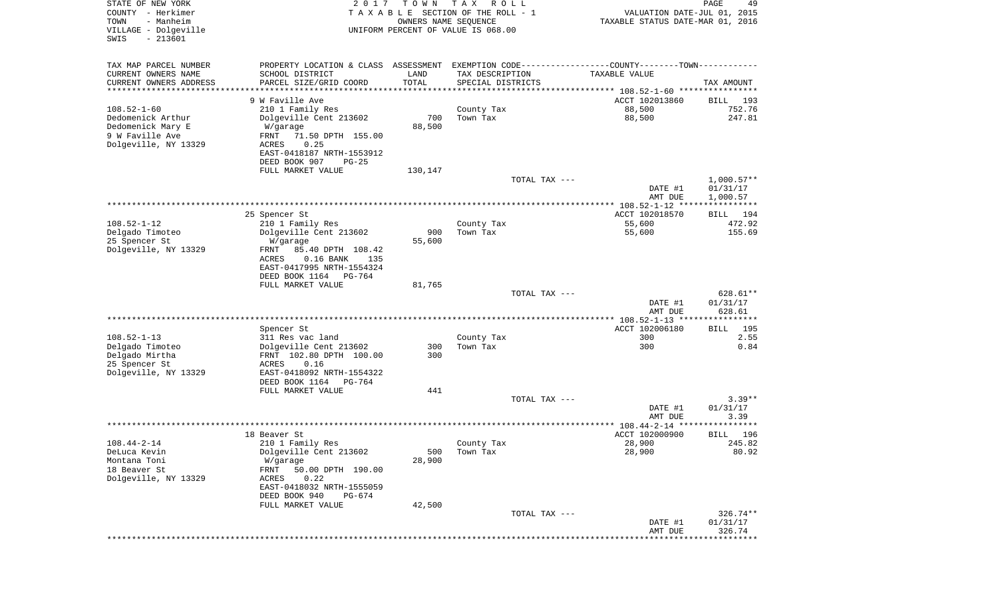| STATE OF NEW YORK<br>COUNTY - Herkimer<br>TOWN<br>- Manheim | 2 0 1 7                                                                                        | T O W N<br>OWNERS NAME SEQUENCE | T A X<br>R O L L<br>TAXABLE SECTION OF THE ROLL - 1 | VALUATION DATE-JUL 01, 2015<br>TAXABLE STATUS DATE-MAR 01, 2016 | PAGE<br>49         |
|-------------------------------------------------------------|------------------------------------------------------------------------------------------------|---------------------------------|-----------------------------------------------------|-----------------------------------------------------------------|--------------------|
| VILLAGE - Dolgeville<br>SWIS<br>$-213601$                   |                                                                                                |                                 | UNIFORM PERCENT OF VALUE IS 068.00                  |                                                                 |                    |
| TAX MAP PARCEL NUMBER                                       | PROPERTY LOCATION & CLASS ASSESSMENT EXEMPTION CODE----------------COUNTY-------TOWN---------- |                                 |                                                     |                                                                 |                    |
| CURRENT OWNERS NAME                                         | SCHOOL DISTRICT                                                                                | LAND                            | TAX DESCRIPTION                                     | TAXABLE VALUE                                                   |                    |
| CURRENT OWNERS ADDRESS<br>********************              | PARCEL SIZE/GRID COORD                                                                         | TOTAL<br>**********             | SPECIAL DISTRICTS                                   | ********************************* 108.52-1-60 ****************  | TAX AMOUNT         |
|                                                             | 9 W Faville Ave                                                                                |                                 |                                                     | ACCT 102013860                                                  | 193<br>BILL        |
| $108.52 - 1 - 60$                                           | 210 1 Family Res                                                                               |                                 | County Tax                                          | 88,500                                                          | 752.76             |
| Dedomenick Arthur                                           | Dolgeville Cent 213602                                                                         | 700                             | Town Tax                                            | 88,500                                                          | 247.81             |
| Dedomenick Mary E                                           | W/garage                                                                                       | 88,500                          |                                                     |                                                                 |                    |
| 9 W Faville Ave                                             | FRNT<br>71.50 DPTH 155.00                                                                      |                                 |                                                     |                                                                 |                    |
| Dolgeville, NY 13329                                        | 0.25<br>ACRES<br>EAST-0418187 NRTH-1553912                                                     |                                 |                                                     |                                                                 |                    |
|                                                             | DEED BOOK 907<br>$PG-25$                                                                       |                                 |                                                     |                                                                 |                    |
|                                                             | FULL MARKET VALUE                                                                              | 130,147                         |                                                     |                                                                 |                    |
|                                                             |                                                                                                |                                 | TOTAL TAX ---                                       |                                                                 | $1,000.57**$       |
|                                                             |                                                                                                |                                 |                                                     | DATE #1                                                         | 01/31/17           |
|                                                             |                                                                                                |                                 |                                                     | AMT DUE<br>***************** 108.52-1-12 *****************      | 1,000.57           |
|                                                             | 25 Spencer St                                                                                  |                                 |                                                     | ACCT 102018570                                                  | 194<br>BILL        |
| $108.52 - 1 - 12$                                           | 210 1 Family Res                                                                               |                                 | County Tax                                          | 55,600                                                          | 472.92             |
| Delgado Timoteo                                             | Dolgeville Cent 213602                                                                         | 900                             | Town Tax                                            | 55,600                                                          | 155.69             |
| 25 Spencer St                                               | W/garage                                                                                       | 55,600                          |                                                     |                                                                 |                    |
| Dolgeville, NY 13329                                        | 85.40 DPTH 108.42<br>FRNT<br>ACRES<br>$0.16$ BANK<br>135                                       |                                 |                                                     |                                                                 |                    |
|                                                             | EAST-0417995 NRTH-1554324                                                                      |                                 |                                                     |                                                                 |                    |
|                                                             | DEED BOOK 1164<br>PG-764                                                                       |                                 |                                                     |                                                                 |                    |
|                                                             | FULL MARKET VALUE                                                                              | 81,765                          |                                                     |                                                                 |                    |
|                                                             |                                                                                                |                                 | TOTAL TAX ---                                       |                                                                 | 628.61**           |
|                                                             |                                                                                                |                                 |                                                     | DATE #1<br>AMT DUE                                              | 01/31/17<br>628.61 |
|                                                             |                                                                                                |                                 |                                                     | ************* 108.52-1-13 *****************                     |                    |
|                                                             | Spencer St                                                                                     |                                 |                                                     | ACCT 102006180                                                  | 195<br>BILL        |
| $108.52 - 1 - 13$                                           | 311 Res vac land                                                                               |                                 | County Tax                                          | 300                                                             | 2.55               |
| Delgado Timoteo                                             | Dolgeville Cent 213602                                                                         | 300                             | Town Tax                                            | 300                                                             | 0.84               |
| Delgado Mirtha                                              | FRNT 102.80 DPTH 100.00                                                                        | 300                             |                                                     |                                                                 |                    |
| 25 Spencer St<br>Dolgeville, NY 13329                       | ACRES<br>0.16<br>EAST-0418092 NRTH-1554322                                                     |                                 |                                                     |                                                                 |                    |
|                                                             | DEED BOOK 1164<br>PG-764                                                                       |                                 |                                                     |                                                                 |                    |
|                                                             | FULL MARKET VALUE                                                                              | 441                             |                                                     |                                                                 |                    |
|                                                             |                                                                                                |                                 | TOTAL TAX ---                                       |                                                                 | $3.39**$           |
|                                                             |                                                                                                |                                 |                                                     | DATE #1                                                         | 01/31/17           |
|                                                             |                                                                                                |                                 |                                                     | AMT DUE<br>****************** 108.44-2-14 ****                  | 3.39<br>****       |
|                                                             | 18 Beaver St                                                                                   |                                 |                                                     | ACCT 102000900                                                  | 196<br>BILL        |
| $108.44 - 2 - 14$                                           | 210 1 Family Res                                                                               |                                 | County Tax                                          | 28,900                                                          | 245.82             |
| DeLuca Kevin                                                | Dolgeville Cent 213602                                                                         | 500                             | Town Tax                                            | 28,900                                                          | 80.92              |
| Montana Toni                                                | W/garage                                                                                       | 28,900                          |                                                     |                                                                 |                    |
| 18 Beaver St<br>Dolgeville, NY 13329                        | 50.00 DPTH 190.00<br>FRNT<br>0.22<br>ACRES                                                     |                                 |                                                     |                                                                 |                    |
|                                                             | EAST-0418032 NRTH-1555059                                                                      |                                 |                                                     |                                                                 |                    |
|                                                             | DEED BOOK 940<br>PG-674                                                                        |                                 |                                                     |                                                                 |                    |
|                                                             | FULL MARKET VALUE                                                                              | 42,500                          |                                                     |                                                                 |                    |
|                                                             |                                                                                                |                                 | TOTAL TAX ---                                       |                                                                 | $326.74**$         |
|                                                             |                                                                                                |                                 |                                                     | DATE #1<br>AMT DUE                                              | 01/31/17<br>326.74 |
|                                                             |                                                                                                |                                 |                                                     |                                                                 |                    |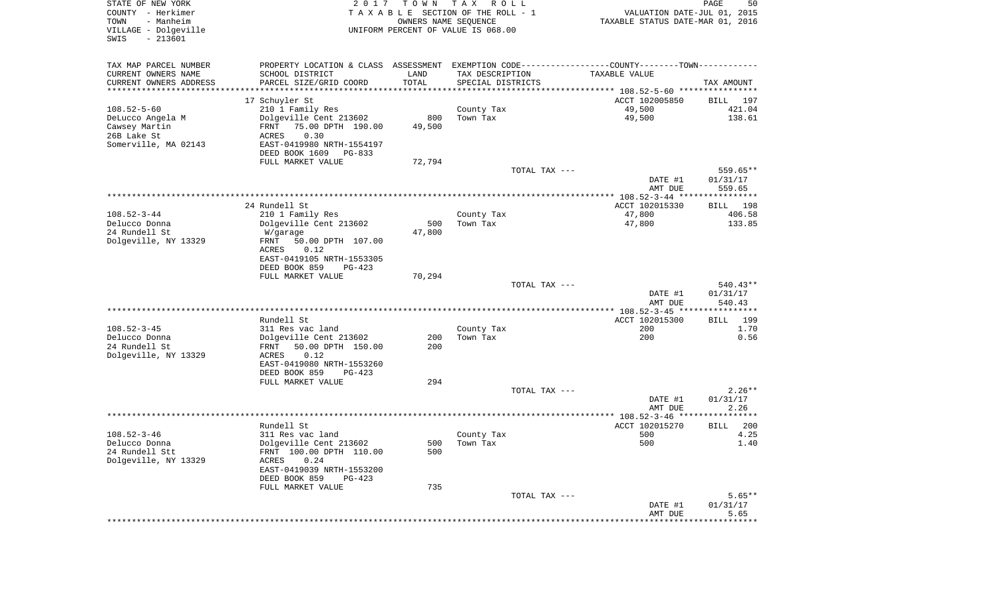| STATE OF NEW YORK<br>COUNTY - Herkimer<br>- Manheim<br>TOWN<br>VILLAGE - Dolgeville<br>$-213601$<br>SWIS | 2017                                                                                          | T O W N<br>OWNERS NAME SEQUENCE | T A X<br>R O L L<br>TAXABLE SECTION OF THE ROLL - 1<br>UNIFORM PERCENT OF VALUE IS 068.00 | VALUATION DATE-JUL 01, 2015<br>TAXABLE STATUS DATE-MAR 01, 2016 | PAGE<br>50            |
|----------------------------------------------------------------------------------------------------------|-----------------------------------------------------------------------------------------------|---------------------------------|-------------------------------------------------------------------------------------------|-----------------------------------------------------------------|-----------------------|
| TAX MAP PARCEL NUMBER                                                                                    | PROPERTY LOCATION & CLASS ASSESSMENT EXEMPTION CODE---------------COUNTY-------TOWN---------- |                                 |                                                                                           |                                                                 |                       |
| CURRENT OWNERS NAME                                                                                      | SCHOOL DISTRICT                                                                               | LAND                            | TAX DESCRIPTION                                                                           | TAXABLE VALUE                                                   |                       |
| CURRENT OWNERS ADDRESS                                                                                   | PARCEL SIZE/GRID COORD<br>************************                                            | TOTAL                           | SPECIAL DISTRICTS                                                                         |                                                                 | TAX AMOUNT            |
| *********************                                                                                    |                                                                                               |                                 |                                                                                           | ACCT 102005850                                                  |                       |
| $108.52 - 5 - 60$                                                                                        | 17 Schuyler St<br>210 1 Family Res                                                            |                                 | County Tax                                                                                | 49,500                                                          | BILL<br>197<br>421.04 |
| DeLucco Angela M                                                                                         | Dolgeville Cent 213602                                                                        | 800                             | Town Tax                                                                                  | 49,500                                                          | 138.61                |
| Cawsey Martin                                                                                            | FRNT<br>75.00 DPTH 190.00                                                                     | 49,500                          |                                                                                           |                                                                 |                       |
| 26B Lake St                                                                                              | 0.30<br>ACRES                                                                                 |                                 |                                                                                           |                                                                 |                       |
| Somerville, MA 02143                                                                                     | EAST-0419980 NRTH-1554197                                                                     |                                 |                                                                                           |                                                                 |                       |
|                                                                                                          | DEED BOOK 1609<br>PG-833                                                                      |                                 |                                                                                           |                                                                 |                       |
|                                                                                                          | FULL MARKET VALUE                                                                             | 72,794                          |                                                                                           |                                                                 |                       |
|                                                                                                          |                                                                                               |                                 | TOTAL TAX ---                                                                             |                                                                 | 559.65**              |
|                                                                                                          |                                                                                               |                                 |                                                                                           | DATE #1                                                         | 01/31/17              |
|                                                                                                          |                                                                                               |                                 |                                                                                           | AMT DUE                                                         | 559.65                |
|                                                                                                          | 24 Rundell St                                                                                 |                                 |                                                                                           | ACCT 102015330                                                  | 198<br>BILL           |
| $108.52 - 3 - 44$                                                                                        | 210 1 Family Res                                                                              |                                 | County Tax                                                                                | 47,800                                                          | 406.58                |
| Delucco Donna                                                                                            | Dolgeville Cent 213602                                                                        | 500                             | Town Tax                                                                                  | 47,800                                                          | 133.85                |
| 24 Rundell St                                                                                            | W/garage                                                                                      | 47,800                          |                                                                                           |                                                                 |                       |
| Dolgeville, NY 13329                                                                                     | FRNT<br>50.00 DPTH 107.00                                                                     |                                 |                                                                                           |                                                                 |                       |
|                                                                                                          | ACRES<br>0.12                                                                                 |                                 |                                                                                           |                                                                 |                       |
|                                                                                                          | EAST-0419105 NRTH-1553305                                                                     |                                 |                                                                                           |                                                                 |                       |
|                                                                                                          | DEED BOOK 859<br>$PG-423$                                                                     |                                 |                                                                                           |                                                                 |                       |
|                                                                                                          | FULL MARKET VALUE                                                                             | 70,294                          | TOTAL TAX ---                                                                             |                                                                 | $540.43**$            |
|                                                                                                          |                                                                                               |                                 |                                                                                           | DATE #1                                                         | 01/31/17              |
|                                                                                                          |                                                                                               |                                 |                                                                                           | AMT DUE                                                         | 540.43                |
|                                                                                                          |                                                                                               |                                 |                                                                                           | ************** 108.52-3-45 *****************                    |                       |
|                                                                                                          | Rundell St                                                                                    |                                 |                                                                                           | ACCT 102015300                                                  | 199<br>BILL           |
| $108.52 - 3 - 45$                                                                                        | 311 Res vac land                                                                              |                                 | County Tax                                                                                | 200                                                             | 1.70                  |
| Delucco Donna                                                                                            | Dolgeville Cent 213602                                                                        | 200                             | Town Tax                                                                                  | 200                                                             | 0.56                  |
| 24 Rundell St                                                                                            | 50.00 DPTH 150.00<br>FRNT                                                                     | 200                             |                                                                                           |                                                                 |                       |
| Dolgeville, NY 13329                                                                                     | ACRES<br>0.12<br>EAST-0419080 NRTH-1553260                                                    |                                 |                                                                                           |                                                                 |                       |
|                                                                                                          | DEED BOOK 859<br>PG-423                                                                       |                                 |                                                                                           |                                                                 |                       |
|                                                                                                          | FULL MARKET VALUE                                                                             | 294                             |                                                                                           |                                                                 |                       |
|                                                                                                          |                                                                                               |                                 | TOTAL TAX ---                                                                             |                                                                 | $2.26**$              |
|                                                                                                          |                                                                                               |                                 |                                                                                           | DATE #1                                                         | 01/31/17              |
|                                                                                                          |                                                                                               |                                 |                                                                                           | AMT DUE                                                         | 2.26                  |
|                                                                                                          |                                                                                               |                                 |                                                                                           |                                                                 |                       |
|                                                                                                          | Rundell St                                                                                    |                                 |                                                                                           | ACCT 102015270                                                  | 200<br><b>BILL</b>    |
| $108.52 - 3 - 46$                                                                                        | 311 Res vac land                                                                              |                                 | County Tax<br>500 Town Tax                                                                | 500<br>500                                                      | 4.25<br>1.40          |
| Delucco Donna<br>24 Rundell Stt                                                                          | Dolgeville Cent 213602<br>FRNT 100.00 DPTH 110.00                                             | 500                             |                                                                                           |                                                                 |                       |
| Dolgeville, NY 13329                                                                                     | ACRES<br>0.24                                                                                 |                                 |                                                                                           |                                                                 |                       |
|                                                                                                          | EAST-0419039 NRTH-1553200                                                                     |                                 |                                                                                           |                                                                 |                       |
|                                                                                                          | DEED BOOK 859<br>PG-423                                                                       |                                 |                                                                                           |                                                                 |                       |
|                                                                                                          | FULL MARKET VALUE                                                                             | 735                             |                                                                                           |                                                                 |                       |
|                                                                                                          |                                                                                               |                                 | TOTAL TAX ---                                                                             |                                                                 | $5.65**$              |
|                                                                                                          |                                                                                               |                                 |                                                                                           | DATE #1                                                         | 01/31/17              |
|                                                                                                          |                                                                                               |                                 |                                                                                           | AMT DUE                                                         | 5.65                  |
|                                                                                                          |                                                                                               |                                 |                                                                                           |                                                                 |                       |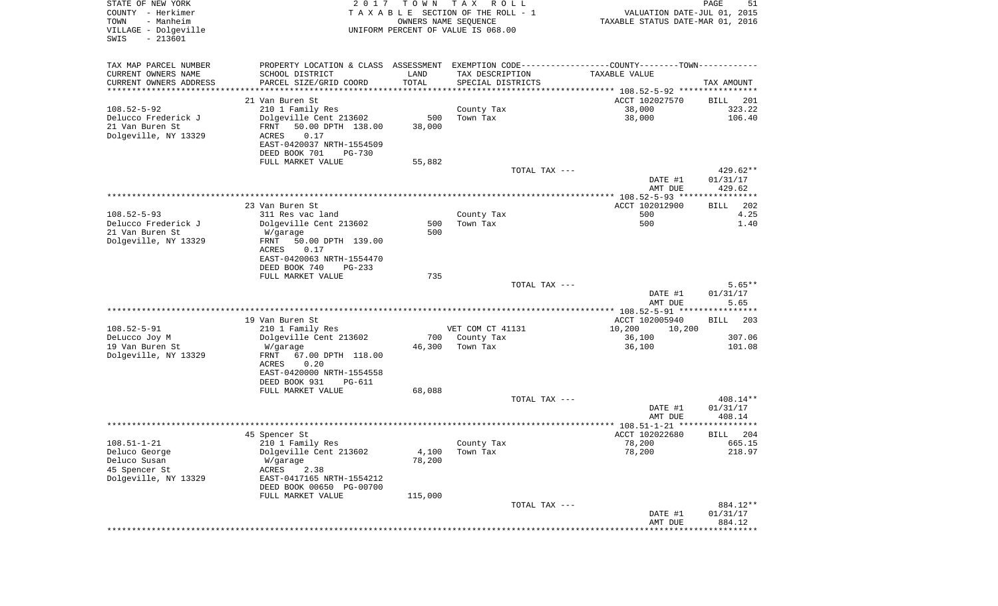| STATE OF NEW YORK<br>COUNTY - Herkimer<br>TOWN<br>- Manheim<br>VILLAGE - Dolgeville<br>$-213601$<br>SWIS | 2 0 1 7                                                                                       | T O W N<br>OWNERS NAME SEQUENCE | T A X<br>R O L L<br>T A X A B L E SECTION OF THE ROLL - 1<br>UNIFORM PERCENT OF VALUE IS 068.00 | VALUATION DATE-JUL 01, 2015<br>TAXABLE STATUS DATE-MAR 01, 2016 | PAGE<br>51                     |
|----------------------------------------------------------------------------------------------------------|-----------------------------------------------------------------------------------------------|---------------------------------|-------------------------------------------------------------------------------------------------|-----------------------------------------------------------------|--------------------------------|
| TAX MAP PARCEL NUMBER                                                                                    | PROPERTY LOCATION & CLASS ASSESSMENT EXEMPTION CODE---------------COUNTY-------TOWN---------- |                                 |                                                                                                 |                                                                 |                                |
| CURRENT OWNERS NAME                                                                                      | SCHOOL DISTRICT                                                                               | LAND                            | TAX DESCRIPTION                                                                                 | TAXABLE VALUE                                                   |                                |
| CURRENT OWNERS ADDRESS<br>*********************                                                          | PARCEL SIZE/GRID COORD                                                                        | TOTAL                           | SPECIAL DISTRICTS                                                                               |                                                                 | TAX AMOUNT                     |
|                                                                                                          | 21 Van Buren St                                                                               |                                 |                                                                                                 | ACCT 102027570                                                  | BILL<br>201                    |
| $108.52 - 5 - 92$                                                                                        | 210 1 Family Res                                                                              |                                 | County Tax                                                                                      | 38,000                                                          | 323.22                         |
| Delucco Frederick J                                                                                      | Dolgeville Cent 213602                                                                        | 500                             | Town Tax                                                                                        | 38,000                                                          | 106.40                         |
| 21 Van Buren St                                                                                          | 50.00 DPTH 138.00<br>FRNT                                                                     | 38,000                          |                                                                                                 |                                                                 |                                |
| Dolgeville, NY 13329                                                                                     | 0.17<br>ACRES                                                                                 |                                 |                                                                                                 |                                                                 |                                |
|                                                                                                          | EAST-0420037 NRTH-1554509                                                                     |                                 |                                                                                                 |                                                                 |                                |
|                                                                                                          | DEED BOOK 701<br>PG-730                                                                       |                                 |                                                                                                 |                                                                 |                                |
|                                                                                                          | FULL MARKET VALUE                                                                             | 55,882                          |                                                                                                 |                                                                 |                                |
|                                                                                                          |                                                                                               |                                 | TOTAL TAX ---                                                                                   | DATE #1<br>AMT DUE                                              | 429.62**<br>01/31/17<br>429.62 |
|                                                                                                          |                                                                                               |                                 |                                                                                                 |                                                                 |                                |
|                                                                                                          | 23 Van Buren St                                                                               |                                 |                                                                                                 | ACCT 102012900                                                  | 202<br>BILL                    |
| $108.52 - 5 - 93$                                                                                        | 311 Res vac land                                                                              |                                 | County Tax                                                                                      | 500                                                             | 4.25                           |
| Delucco Frederick J                                                                                      | Dolgeville Cent 213602                                                                        | 500                             | Town Tax                                                                                        | 500                                                             | 1.40                           |
| 21 Van Buren St                                                                                          | W/garage                                                                                      | 500                             |                                                                                                 |                                                                 |                                |
| Dolgeville, NY 13329                                                                                     | FRNT<br>50.00 DPTH 139.00<br>ACRES<br>0.17                                                    |                                 |                                                                                                 |                                                                 |                                |
|                                                                                                          | EAST-0420063 NRTH-1554470                                                                     |                                 |                                                                                                 |                                                                 |                                |
|                                                                                                          | DEED BOOK 740<br>$PG-233$                                                                     |                                 |                                                                                                 |                                                                 |                                |
|                                                                                                          | FULL MARKET VALUE                                                                             | 735                             |                                                                                                 |                                                                 |                                |
|                                                                                                          |                                                                                               |                                 | TOTAL TAX ---                                                                                   |                                                                 | $5.65**$                       |
|                                                                                                          |                                                                                               |                                 |                                                                                                 | DATE #1                                                         | 01/31/17                       |
|                                                                                                          |                                                                                               |                                 |                                                                                                 | AMT DUE<br>************ 108.52-5-91 *****************           | 5.65                           |
|                                                                                                          | 19 Van Buren St                                                                               |                                 |                                                                                                 | ACCT 102005940                                                  | BILL<br>203                    |
| $108.52 - 5 - 91$                                                                                        | 210 1 Family Res                                                                              |                                 | VET COM CT 41131                                                                                | 10,200<br>10,200                                                |                                |
| DeLucco Joy M                                                                                            | Dolgeville Cent 213602                                                                        | 700                             | County Tax                                                                                      | 36,100                                                          | 307.06                         |
| 19 Van Buren St                                                                                          | W/garage                                                                                      | 46,300                          | Town Tax                                                                                        | 36,100                                                          | 101.08                         |
| Dolgeville, NY 13329                                                                                     | FRNT<br>67.00 DPTH 118.00                                                                     |                                 |                                                                                                 |                                                                 |                                |
|                                                                                                          | ACRES<br>0.20                                                                                 |                                 |                                                                                                 |                                                                 |                                |
|                                                                                                          | EAST-0420000 NRTH-1554558                                                                     |                                 |                                                                                                 |                                                                 |                                |
|                                                                                                          | DEED BOOK 931<br>PG-611<br>FULL MARKET VALUE                                                  | 68,088                          |                                                                                                 |                                                                 |                                |
|                                                                                                          |                                                                                               |                                 | TOTAL TAX ---                                                                                   |                                                                 | 408.14**                       |
|                                                                                                          |                                                                                               |                                 |                                                                                                 | DATE #1                                                         | 01/31/17                       |
|                                                                                                          |                                                                                               |                                 |                                                                                                 | AMT DUE                                                         | 408.14                         |
|                                                                                                          |                                                                                               |                                 |                                                                                                 |                                                                 | ******                         |
|                                                                                                          | 45 Spencer St                                                                                 |                                 |                                                                                                 | ACCT 102022680                                                  | 204<br>BILL                    |
| $108.51 - 1 - 21$                                                                                        | 210 1 Family Res<br>Dolgeville Cent 213602                                                    | 4,100                           | County Tax<br>Town Tax                                                                          | 78,200<br>78,200                                                | 665.15<br>218.97               |
| Deluco George<br>Deluco Susan                                                                            | W/garage                                                                                      | 78,200                          |                                                                                                 |                                                                 |                                |
| 45 Spencer St                                                                                            | ACRES<br>2.38                                                                                 |                                 |                                                                                                 |                                                                 |                                |
| Dolgeville, NY 13329                                                                                     | EAST-0417165 NRTH-1554212                                                                     |                                 |                                                                                                 |                                                                 |                                |
|                                                                                                          | DEED BOOK 00650 PG-00700                                                                      |                                 |                                                                                                 |                                                                 |                                |
|                                                                                                          | FULL MARKET VALUE                                                                             | 115,000                         |                                                                                                 |                                                                 |                                |
|                                                                                                          |                                                                                               |                                 | TOTAL TAX ---                                                                                   |                                                                 | 884.12**                       |
|                                                                                                          |                                                                                               |                                 |                                                                                                 | DATE #1                                                         | 01/31/17                       |
|                                                                                                          |                                                                                               |                                 |                                                                                                 | AMT DUE<br>****************************                         | 884.12                         |
|                                                                                                          |                                                                                               |                                 |                                                                                                 |                                                                 |                                |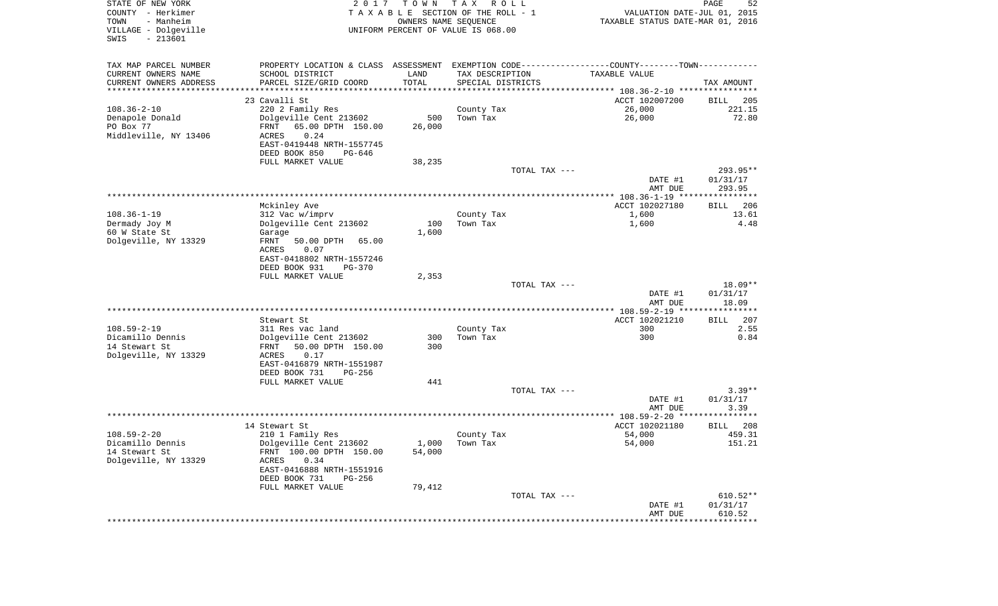| STATE OF NEW YORK<br>COUNTY - Herkimer<br>- Manheim<br>TOWN<br>VILLAGE - Dolgeville<br>$-213601$<br>SWIS | 2 0 1 7                                                                                       | TOWN<br>OWNERS NAME SEQUENCE | T A X<br>R O L L<br>TAXABLE SECTION OF THE ROLL - 1<br>UNIFORM PERCENT OF VALUE IS 068.00 | VALUATION DATE-JUL 01, 2015<br>TAXABLE STATUS DATE-MAR 01, 2016 | PAGE<br>52        |
|----------------------------------------------------------------------------------------------------------|-----------------------------------------------------------------------------------------------|------------------------------|-------------------------------------------------------------------------------------------|-----------------------------------------------------------------|-------------------|
| TAX MAP PARCEL NUMBER                                                                                    | PROPERTY LOCATION & CLASS ASSESSMENT EXEMPTION CODE---------------COUNTY-------TOWN---------- |                              |                                                                                           |                                                                 |                   |
| CURRENT OWNERS NAME                                                                                      | SCHOOL DISTRICT                                                                               | LAND                         | TAX DESCRIPTION                                                                           | TAXABLE VALUE                                                   |                   |
| CURRENT OWNERS ADDRESS<br>**********************                                                         | PARCEL SIZE/GRID COORD<br>***********************************                                 | TOTAL                        | SPECIAL DISTRICTS                                                                         |                                                                 | TAX AMOUNT        |
|                                                                                                          | 23 Cavalli St                                                                                 |                              |                                                                                           | ACCT 102007200                                                  | BILL<br>205       |
| $108.36 - 2 - 10$                                                                                        | 220 2 Family Res                                                                              |                              | County Tax                                                                                | 26,000                                                          | 221.15            |
| Denapole Donald                                                                                          | Dolgeville Cent 213602                                                                        | 500                          | Town Tax                                                                                  | 26,000                                                          | 72.80             |
| PO Box 77                                                                                                | FRNT<br>65.00 DPTH 150.00                                                                     | 26,000                       |                                                                                           |                                                                 |                   |
| Middleville, NY 13406                                                                                    | 0.24<br>ACRES                                                                                 |                              |                                                                                           |                                                                 |                   |
|                                                                                                          | EAST-0419448 NRTH-1557745                                                                     |                              |                                                                                           |                                                                 |                   |
|                                                                                                          | DEED BOOK 850<br>PG-646<br>FULL MARKET VALUE                                                  | 38,235                       |                                                                                           |                                                                 |                   |
|                                                                                                          |                                                                                               |                              | TOTAL TAX ---                                                                             |                                                                 | 293.95**          |
|                                                                                                          |                                                                                               |                              |                                                                                           | DATE #1                                                         | 01/31/17          |
|                                                                                                          |                                                                                               |                              |                                                                                           | AMT DUE                                                         | 293.95            |
|                                                                                                          | Mckinley Ave                                                                                  |                              |                                                                                           | ACCT 102027180                                                  | 206<br>BILL       |
| $108.36 - 1 - 19$                                                                                        | 312 Vac w/imprv                                                                               |                              | County Tax                                                                                | 1,600                                                           | 13.61             |
| Dermady Joy M                                                                                            | Dolgeville Cent 213602                                                                        | 100                          | Town Tax                                                                                  | 1,600                                                           | 4.48              |
| 60 W State St                                                                                            | Garage                                                                                        | 1,600                        |                                                                                           |                                                                 |                   |
| Dolgeville, NY 13329                                                                                     | FRNT<br>50.00 DPTH<br>65.00<br>ACRES<br>0.07                                                  |                              |                                                                                           |                                                                 |                   |
|                                                                                                          | EAST-0418802 NRTH-1557246                                                                     |                              |                                                                                           |                                                                 |                   |
|                                                                                                          | DEED BOOK 931<br><b>PG-370</b>                                                                |                              |                                                                                           |                                                                 |                   |
|                                                                                                          | FULL MARKET VALUE                                                                             | 2,353                        |                                                                                           |                                                                 |                   |
|                                                                                                          |                                                                                               |                              | TOTAL TAX ---                                                                             |                                                                 | 18.09**           |
|                                                                                                          |                                                                                               |                              |                                                                                           | DATE #1<br>AMT DUE                                              | 01/31/17<br>18.09 |
|                                                                                                          |                                                                                               |                              |                                                                                           | *************** 108.59-2-19 ****************                    |                   |
|                                                                                                          | Stewart St                                                                                    |                              |                                                                                           | ACCT 102021210                                                  | 207<br>BILL       |
| $108.59 - 2 - 19$                                                                                        | 311 Res vac land                                                                              |                              | County Tax                                                                                | 300                                                             | 2.55              |
| Dicamillo Dennis                                                                                         | Dolgeville Cent 213602                                                                        | 300                          | Town Tax                                                                                  | 300                                                             | 0.84              |
| 14 Stewart St                                                                                            | 50.00 DPTH 150.00<br>FRNT                                                                     | 300                          |                                                                                           |                                                                 |                   |
| Dolgeville, NY 13329                                                                                     | ACRES<br>0.17<br>EAST-0416879 NRTH-1551987                                                    |                              |                                                                                           |                                                                 |                   |
|                                                                                                          | DEED BOOK 731<br>PG-256                                                                       |                              |                                                                                           |                                                                 |                   |
|                                                                                                          | FULL MARKET VALUE                                                                             | 441                          |                                                                                           |                                                                 |                   |
|                                                                                                          |                                                                                               |                              | TOTAL TAX ---                                                                             |                                                                 | $3.39**$          |
|                                                                                                          |                                                                                               |                              |                                                                                           | DATE #1                                                         | 01/31/17          |
|                                                                                                          |                                                                                               |                              |                                                                                           | AMT DUE                                                         | 3.39              |
|                                                                                                          | 14 Stewart St                                                                                 |                              |                                                                                           | ACCT 102021180                                                  | 208<br>BILL       |
| $108.59 - 2 - 20$                                                                                        | 210 1 Family Res                                                                              |                              | County Tax                                                                                | 54,000                                                          | 459.31            |
| Dicamillo Dennis                                                                                         | Dolgeville Cent 213602                                                                        |                              | $1,000$ Town Tax                                                                          | 54,000                                                          | 151.21            |
| 14 Stewart St                                                                                            | FRNT 100.00 DPTH 150.00                                                                       | 54,000                       |                                                                                           |                                                                 |                   |
| Dolgeville, NY 13329                                                                                     | ACRES<br>0.34                                                                                 |                              |                                                                                           |                                                                 |                   |
|                                                                                                          | EAST-0416888 NRTH-1551916<br>DEED BOOK 731<br>PG-256                                          |                              |                                                                                           |                                                                 |                   |
|                                                                                                          | FULL MARKET VALUE                                                                             | 79,412                       |                                                                                           |                                                                 |                   |
|                                                                                                          |                                                                                               |                              | TOTAL TAX ---                                                                             |                                                                 | $610.52**$        |
|                                                                                                          |                                                                                               |                              |                                                                                           | DATE #1                                                         | 01/31/17          |
|                                                                                                          |                                                                                               |                              |                                                                                           | AMT DUE                                                         | 610.52            |
|                                                                                                          |                                                                                               |                              |                                                                                           |                                                                 |                   |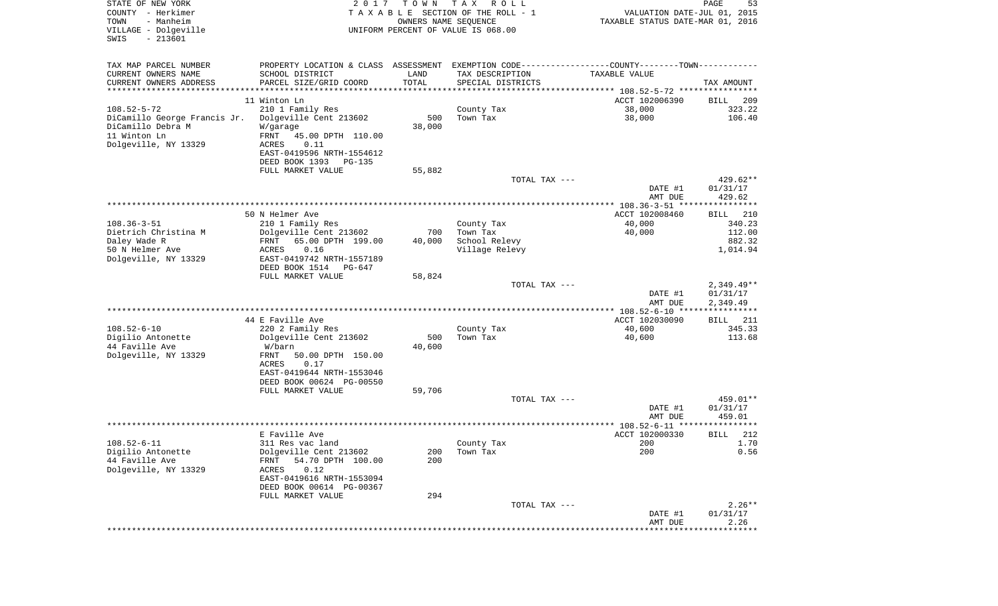| STATE OF NEW YORK<br>COUNTY - Herkimer<br>- Manheim<br>TOWN<br>VILLAGE - Dolgeville<br>$-213601$<br>SWIS | 2 0 1 7                                                                                       | T O W N<br>OWNERS NAME SEQUENCE | T A X<br>R O L L<br>T A X A B L E SECTION OF THE ROLL - 1<br>UNIFORM PERCENT OF VALUE IS 068.00 | VALUATION DATE-JUL 01, 2015<br>TAXABLE STATUS DATE-MAR 01, 2016 | PAGE<br>53               |
|----------------------------------------------------------------------------------------------------------|-----------------------------------------------------------------------------------------------|---------------------------------|-------------------------------------------------------------------------------------------------|-----------------------------------------------------------------|--------------------------|
| TAX MAP PARCEL NUMBER                                                                                    | PROPERTY LOCATION & CLASS ASSESSMENT EXEMPTION CODE---------------COUNTY-------TOWN---------- |                                 |                                                                                                 |                                                                 |                          |
| CURRENT OWNERS NAME                                                                                      | SCHOOL DISTRICT                                                                               | LAND                            | TAX DESCRIPTION                                                                                 | TAXABLE VALUE                                                   |                          |
| CURRENT OWNERS ADDRESS<br>**********************                                                         | PARCEL SIZE/GRID COORD                                                                        | TOTAL                           | SPECIAL DISTRICTS                                                                               |                                                                 | TAX AMOUNT               |
|                                                                                                          | 11 Winton Ln                                                                                  |                                 |                                                                                                 | ACCT 102006390                                                  | 209<br>BILL              |
| $108.52 - 5 - 72$                                                                                        | 210 1 Family Res                                                                              |                                 | County Tax                                                                                      | 38,000                                                          | 323.22                   |
| DiCamillo George Francis Jr.                                                                             | Dolgeville Cent 213602                                                                        | 500                             | Town Tax                                                                                        | 38,000                                                          | 106.40                   |
| DiCamillo Debra M                                                                                        | W/garage                                                                                      | 38,000                          |                                                                                                 |                                                                 |                          |
| 11 Winton Ln                                                                                             | FRNT<br>45.00 DPTH 110.00                                                                     |                                 |                                                                                                 |                                                                 |                          |
| Dolgeville, NY 13329                                                                                     | ACRES<br>0.11<br>EAST-0419596 NRTH-1554612                                                    |                                 |                                                                                                 |                                                                 |                          |
|                                                                                                          | DEED BOOK 1393<br>PG-135                                                                      |                                 |                                                                                                 |                                                                 |                          |
|                                                                                                          | FULL MARKET VALUE                                                                             | 55,882                          |                                                                                                 |                                                                 |                          |
|                                                                                                          |                                                                                               |                                 | TOTAL TAX ---                                                                                   |                                                                 | 429.62**                 |
|                                                                                                          |                                                                                               |                                 |                                                                                                 | DATE #1                                                         | 01/31/17                 |
|                                                                                                          |                                                                                               |                                 |                                                                                                 | AMT DUE                                                         | 429.62                   |
|                                                                                                          | 50 N Helmer Ave                                                                               |                                 |                                                                                                 | ACCT 102008460                                                  | 210<br>BILL              |
| $108.36 - 3 - 51$                                                                                        | 210 1 Family Res                                                                              |                                 | County Tax                                                                                      | 40,000                                                          | 340.23                   |
| Dietrich Christina M                                                                                     | Dolgeville Cent 213602                                                                        | 700                             | Town Tax                                                                                        | 40,000                                                          | 112.00                   |
| Daley Wade R<br>50 N Helmer Ave                                                                          | 65.00 DPTH 199.00<br>FRNT<br>0.16<br>ACRES                                                    | 40,000                          | School Relevy<br>Village Relevy                                                                 |                                                                 | 882.32<br>1,014.94       |
| Dolgeville, NY 13329                                                                                     | EAST-0419742 NRTH-1557189                                                                     |                                 |                                                                                                 |                                                                 |                          |
|                                                                                                          | DEED BOOK 1514<br>PG-647                                                                      |                                 |                                                                                                 |                                                                 |                          |
|                                                                                                          | FULL MARKET VALUE                                                                             | 58,824                          |                                                                                                 |                                                                 |                          |
|                                                                                                          |                                                                                               |                                 | TOTAL TAX ---                                                                                   |                                                                 | $2,349.49**$<br>01/31/17 |
|                                                                                                          |                                                                                               |                                 |                                                                                                 | DATE #1<br>AMT DUE                                              | 2,349.49                 |
|                                                                                                          |                                                                                               |                                 |                                                                                                 | ************* 108.52-6-10 *****************                     |                          |
|                                                                                                          | 44 E Faville Ave                                                                              |                                 |                                                                                                 | ACCT 102030090                                                  | BILL<br>211              |
| $108.52 - 6 - 10$                                                                                        | 220 2 Family Res                                                                              |                                 | County Tax                                                                                      | 40,600                                                          | 345.33                   |
| Digilio Antonette<br>44 Faville Ave                                                                      | Dolgeville Cent 213602<br>W/barn                                                              | 500<br>40,600                   | Town Tax                                                                                        | 40,600                                                          | 113.68                   |
| Dolgeville, NY 13329                                                                                     | FRNT<br>50.00 DPTH 150.00                                                                     |                                 |                                                                                                 |                                                                 |                          |
|                                                                                                          | ACRES<br>0.17                                                                                 |                                 |                                                                                                 |                                                                 |                          |
|                                                                                                          | EAST-0419644 NRTH-1553046                                                                     |                                 |                                                                                                 |                                                                 |                          |
|                                                                                                          | DEED BOOK 00624 PG-00550<br>FULL MARKET VALUE                                                 | 59,706                          |                                                                                                 |                                                                 |                          |
|                                                                                                          |                                                                                               |                                 | TOTAL TAX ---                                                                                   |                                                                 | 459.01**                 |
|                                                                                                          |                                                                                               |                                 |                                                                                                 | DATE #1                                                         | 01/31/17                 |
|                                                                                                          |                                                                                               |                                 |                                                                                                 | AMT DUE                                                         | 459.01                   |
|                                                                                                          |                                                                                               |                                 |                                                                                                 |                                                                 | * * * * * * *            |
| $108.52 - 6 - 11$                                                                                        | E Faville Ave<br>311 Res vac land                                                             |                                 | County Tax                                                                                      | ACCT 102000330<br>200                                           | 212<br>BILL<br>1.70      |
| Digilio Antonette                                                                                        | Dolgeville Cent 213602                                                                        | 200                             | Town Tax                                                                                        | 200                                                             | 0.56                     |
| 44 Faville Ave                                                                                           | 54.70 DPTH 100.00<br>FRNT                                                                     | 200                             |                                                                                                 |                                                                 |                          |
| Dolgeville, NY 13329                                                                                     | 0.12<br>ACRES                                                                                 |                                 |                                                                                                 |                                                                 |                          |
|                                                                                                          | EAST-0419616 NRTH-1553094                                                                     |                                 |                                                                                                 |                                                                 |                          |
|                                                                                                          | DEED BOOK 00614 PG-00367<br>FULL MARKET VALUE                                                 | 294                             |                                                                                                 |                                                                 |                          |
|                                                                                                          |                                                                                               |                                 | TOTAL TAX ---                                                                                   |                                                                 | $2.26**$                 |
|                                                                                                          |                                                                                               |                                 |                                                                                                 | DATE #1                                                         | 01/31/17                 |
|                                                                                                          |                                                                                               |                                 |                                                                                                 | AMT DUE<br>****************************                         | 2.26                     |
|                                                                                                          |                                                                                               |                                 |                                                                                                 |                                                                 |                          |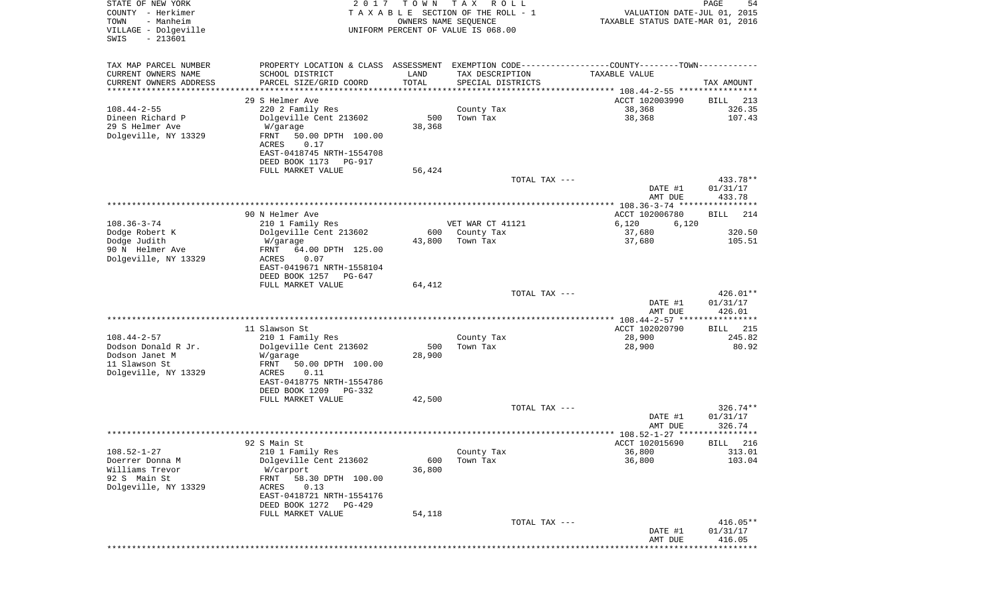| STATE OF NEW YORK<br>COUNTY - Herkimer<br>- Manheim<br>TOWN<br>VILLAGE - Dolgeville<br>$-213601$<br>SWIS | 2 0 1 7                                               | T O W N<br>OWNERS NAME SEQUENCE | T A X<br>R O L L<br>TAXABLE SECTION OF THE ROLL - 1<br>UNIFORM PERCENT OF VALUE IS 068.00 | VALUATION DATE-JUL 01, 2015<br>TAXABLE STATUS DATE-MAR 01, 2016                               | 54<br>PAGE         |
|----------------------------------------------------------------------------------------------------------|-------------------------------------------------------|---------------------------------|-------------------------------------------------------------------------------------------|-----------------------------------------------------------------------------------------------|--------------------|
|                                                                                                          |                                                       |                                 |                                                                                           |                                                                                               |                    |
| TAX MAP PARCEL NUMBER                                                                                    |                                                       |                                 |                                                                                           | PROPERTY LOCATION & CLASS ASSESSMENT EXEMPTION CODE---------------COUNTY-------TOWN---------- |                    |
| CURRENT OWNERS NAME                                                                                      | SCHOOL DISTRICT                                       | LAND                            | TAX DESCRIPTION                                                                           | TAXABLE VALUE                                                                                 |                    |
| CURRENT OWNERS ADDRESS<br>********************                                                           | PARCEL SIZE/GRID COORD<br>**********************      | TOTAL<br>* * * * * * * * * * *  | SPECIAL DISTRICTS                                                                         |                                                                                               | TAX AMOUNT         |
|                                                                                                          | 29 S Helmer Ave                                       |                                 |                                                                                           | ACCT 102003990                                                                                | 213<br>BILL        |
| $108.44 - 2 - 55$                                                                                        | 220 2 Family Res                                      |                                 | County Tax                                                                                | 38,368                                                                                        | 326.35             |
| Dineen Richard P                                                                                         | Dolgeville Cent 213602                                | 500                             | Town Tax                                                                                  | 38,368                                                                                        | 107.43             |
| 29 S Helmer Ave                                                                                          | W/garage                                              | 38,368                          |                                                                                           |                                                                                               |                    |
| Dolgeville, NY 13329                                                                                     | FRNT<br>50.00 DPTH 100.00                             |                                 |                                                                                           |                                                                                               |                    |
|                                                                                                          | 0.17<br>ACRES<br>EAST-0418745 NRTH-1554708            |                                 |                                                                                           |                                                                                               |                    |
|                                                                                                          | DEED BOOK 1173<br>PG-917                              |                                 |                                                                                           |                                                                                               |                    |
|                                                                                                          | FULL MARKET VALUE                                     | 56,424                          |                                                                                           |                                                                                               |                    |
|                                                                                                          |                                                       |                                 | TOTAL TAX ---                                                                             |                                                                                               | 433.78**           |
|                                                                                                          |                                                       |                                 |                                                                                           | DATE #1                                                                                       | 01/31/17           |
|                                                                                                          |                                                       |                                 |                                                                                           | AMT DUE<br>**************** 108.36-3-74 *****************                                     | 433.78             |
|                                                                                                          | 90 N Helmer Ave                                       |                                 |                                                                                           | ACCT 102006780                                                                                | 214<br>BILL        |
| $108.36 - 3 - 74$                                                                                        | 210 1 Family Res                                      |                                 | VET WAR CT 41121                                                                          | 6,120<br>6,120                                                                                |                    |
| Dodge Robert K                                                                                           | Dolgeville Cent 213602                                | 600                             | County Tax                                                                                | 37,680                                                                                        | 320.50             |
| Dodge Judith                                                                                             | W/garage                                              | 43,800                          | Town Tax                                                                                  | 37,680                                                                                        | 105.51             |
| 90 N Helmer Ave<br>Dolgeville, NY 13329                                                                  | 64.00 DPTH 125.00<br>FRNT<br>ACRES<br>0.07            |                                 |                                                                                           |                                                                                               |                    |
|                                                                                                          | EAST-0419671 NRTH-1558104                             |                                 |                                                                                           |                                                                                               |                    |
|                                                                                                          | DEED BOOK 1257<br>PG-647                              |                                 |                                                                                           |                                                                                               |                    |
|                                                                                                          | FULL MARKET VALUE                                     | 64,412                          |                                                                                           |                                                                                               |                    |
|                                                                                                          |                                                       |                                 | TOTAL TAX ---                                                                             |                                                                                               | 426.01**           |
|                                                                                                          |                                                       |                                 |                                                                                           | DATE #1<br>AMT DUE                                                                            | 01/31/17<br>426.01 |
|                                                                                                          |                                                       |                                 |                                                                                           |                                                                                               |                    |
|                                                                                                          | 11 Slawson St                                         |                                 |                                                                                           | ACCT 102020790                                                                                | 215<br>BILL        |
| $108.44 - 2 - 57$                                                                                        | 210 1 Family Res                                      |                                 | County Tax                                                                                | 28,900                                                                                        | 245.82             |
| Dodson Donald R Jr.<br>Dodson Janet M                                                                    | Dolgeville Cent 213602<br>W/garage                    | 500<br>28,900                   | Town Tax                                                                                  | 28,900                                                                                        | 80.92              |
| 11 Slawson St                                                                                            | FRNT<br>50.00 DPTH 100.00                             |                                 |                                                                                           |                                                                                               |                    |
| Dolgeville, NY 13329                                                                                     | ACRES<br>0.11                                         |                                 |                                                                                           |                                                                                               |                    |
|                                                                                                          | EAST-0418775 NRTH-1554786                             |                                 |                                                                                           |                                                                                               |                    |
|                                                                                                          | DEED BOOK 1209<br>PG-332                              |                                 |                                                                                           |                                                                                               |                    |
|                                                                                                          | FULL MARKET VALUE                                     | 42,500                          | TOTAL TAX ---                                                                             |                                                                                               | $326.74**$         |
|                                                                                                          |                                                       |                                 |                                                                                           | DATE #1                                                                                       | 01/31/17           |
|                                                                                                          |                                                       |                                 |                                                                                           | AMT DUE                                                                                       | 326.74             |
|                                                                                                          |                                                       |                                 |                                                                                           |                                                                                               |                    |
| $108.52 - 1 - 27$                                                                                        | 92 S Main St<br>210 1 Family Res                      |                                 | County Tax                                                                                | ACCT 102015690<br>36,800                                                                      | BILL 216<br>313.01 |
| Doerrer Donna M                                                                                          | Dolgeville Cent 213602                                | 600                             | Town Tax                                                                                  | 36,800                                                                                        | 103.04             |
| Williams Trevor                                                                                          | W/carport                                             | 36,800                          |                                                                                           |                                                                                               |                    |
| 92 S Main St                                                                                             | FRNT<br>58.30 DPTH 100.00                             |                                 |                                                                                           |                                                                                               |                    |
| Dolgeville, NY 13329                                                                                     | 0.13<br>ACRES                                         |                                 |                                                                                           |                                                                                               |                    |
|                                                                                                          | EAST-0418721 NRTH-1554176<br>DEED BOOK 1272<br>PG-429 |                                 |                                                                                           |                                                                                               |                    |
|                                                                                                          | FULL MARKET VALUE                                     | 54,118                          |                                                                                           |                                                                                               |                    |
|                                                                                                          |                                                       |                                 | TOTAL TAX ---                                                                             |                                                                                               | $416.05**$         |
|                                                                                                          |                                                       |                                 |                                                                                           | DATE #1                                                                                       | 01/31/17           |
|                                                                                                          |                                                       |                                 |                                                                                           | AMT DUE<br>*******************************                                                    | 416.05             |
|                                                                                                          |                                                       |                                 |                                                                                           |                                                                                               |                    |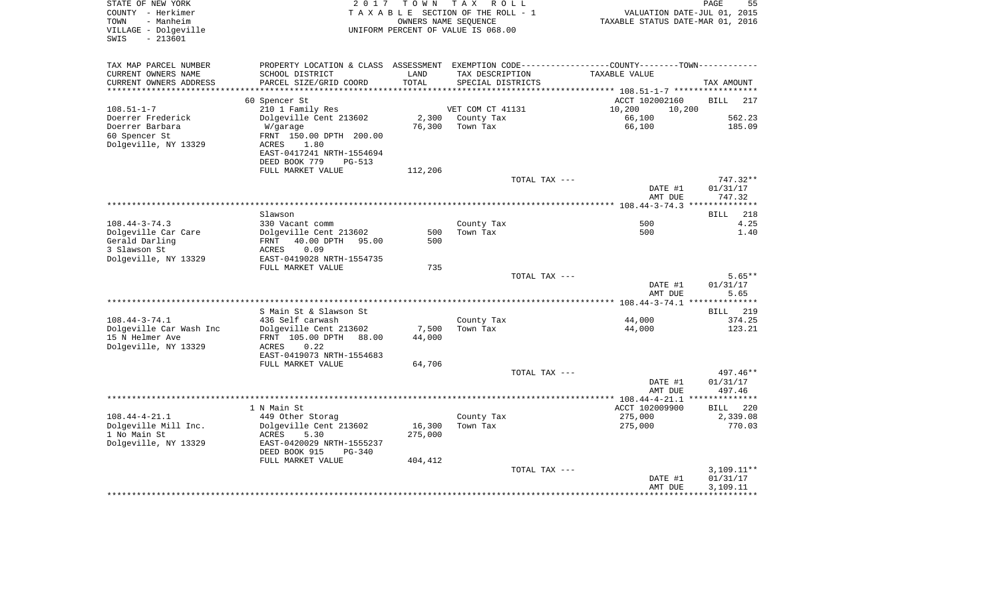| STATE OF NEW YORK<br>COUNTY - Herkimer<br>- Manheim<br>TOWN<br>VILLAGE - Dolgeville<br>$-213601$<br>SWIS | 2 0 1 7                                                                                                                                     | T O W N<br>OWNERS NAME SEOUENCE | T A X<br>R O L L<br>TAXABLE SECTION OF THE ROLL - 1<br>UNIFORM PERCENT OF VALUE IS 068.00 | VALUATION DATE-JUL 01, 2015<br>TAXABLE STATUS DATE-MAR 01, 2016 | 55<br>PAGE                               |
|----------------------------------------------------------------------------------------------------------|---------------------------------------------------------------------------------------------------------------------------------------------|---------------------------------|-------------------------------------------------------------------------------------------|-----------------------------------------------------------------|------------------------------------------|
| TAX MAP PARCEL NUMBER                                                                                    | PROPERTY LOCATION & CLASS                                                                                                                   |                                 | ASSESSMENT EXEMPTION CODE-----------------COUNTY-------TOWN-----------                    |                                                                 |                                          |
| CURRENT OWNERS NAME<br>CURRENT OWNERS ADDRESS                                                            | SCHOOL DISTRICT<br>PARCEL SIZE/GRID COORD                                                                                                   | LAND<br>TOTAL                   | TAX DESCRIPTION<br>SPECIAL DISTRICTS                                                      | TAXABLE VALUE                                                   | TAX AMOUNT                               |
|                                                                                                          | 60 Spencer St                                                                                                                               |                                 |                                                                                           | ACCT 102002160                                                  | <b>BILL</b><br>217                       |
| $108.51 - 1 - 7$                                                                                         | 210 1 Family Res                                                                                                                            |                                 | VET COM CT 41131                                                                          | 10,200<br>10,200                                                |                                          |
| Doerrer Frederick<br>Doerrer Barbara<br>60 Spencer St<br>Dolgeville, NY 13329                            | Dolgeville Cent 213602<br>W/garage<br>FRNT 150.00 DPTH 200.00<br><b>ACRES</b><br>1.80<br>EAST-0417241 NRTH-1554694                          | 2,300<br>76,300                 | County Tax<br>Town Tax                                                                    | 66,100<br>66,100                                                | 562.23<br>185.09                         |
|                                                                                                          | DEED BOOK 779<br><b>PG-513</b>                                                                                                              |                                 |                                                                                           |                                                                 |                                          |
|                                                                                                          | FULL MARKET VALUE                                                                                                                           | 112,206                         | TOTAL TAX ---                                                                             | DATE #1<br>AMT DUE                                              | 747.32**<br>01/31/17<br>747.32           |
|                                                                                                          |                                                                                                                                             |                                 |                                                                                           |                                                                 | ***********                              |
| $108.44 - 3 - 74.3$                                                                                      | Slawson<br>330 Vacant comm                                                                                                                  |                                 | County Tax                                                                                | 500                                                             | BILL<br>218<br>4.25                      |
| Dolgeville Car Care<br>Gerald Darling<br>3 Slawson St                                                    | Dolgeville Cent 213602<br>40.00 DPTH<br>FRNT<br>95.00<br><b>ACRES</b><br>0.09                                                               | 500<br>500                      | Town Tax                                                                                  | 500                                                             | 1.40                                     |
| Dolgeville, NY 13329                                                                                     | EAST-0419028 NRTH-1554735<br>FULL MARKET VALUE                                                                                              | 735                             |                                                                                           |                                                                 |                                          |
|                                                                                                          |                                                                                                                                             |                                 | TOTAL TAX ---                                                                             | DATE #1                                                         | $5.65**$<br>01/31/17                     |
|                                                                                                          |                                                                                                                                             |                                 |                                                                                           | AMT DUE                                                         | 5.65                                     |
|                                                                                                          | S Main St & Slawson St                                                                                                                      |                                 |                                                                                           |                                                                 | <b>BILL</b><br>219                       |
| $108.44 - 3 - 74.1$                                                                                      | 436 Self carwash                                                                                                                            |                                 | County Tax                                                                                | 44,000                                                          | 374.25                                   |
| Dolgeville Car Wash Inc<br>15 N Helmer Ave<br>Dolgeville, NY 13329                                       | Dolgeville Cent 213602<br>FRNT 105.00 DPTH<br>88.00<br>ACRES<br>0.22<br>EAST-0419073 NRTH-1554683<br>FULL MARKET VALUE                      | 7,500<br>44,000<br>64,706       | Town Tax                                                                                  | 44,000                                                          | 123.21                                   |
|                                                                                                          |                                                                                                                                             |                                 | TOTAL TAX ---                                                                             |                                                                 | 497.46**                                 |
|                                                                                                          |                                                                                                                                             |                                 |                                                                                           | DATE #1<br>AMT DUE                                              | 01/31/17<br>497.46                       |
|                                                                                                          |                                                                                                                                             |                                 |                                                                                           |                                                                 |                                          |
| $108.44 - 4 - 21.1$<br>Dolgeville Mill Inc.<br>1 No Main St<br>Dolgeville, NY 13329                      | 1 N Main St<br>449 Other Storag<br>Dolgeville Cent 213602<br><b>ACRES</b><br>5.30<br>EAST-0420029 NRTH-1555237<br>DEED BOOK 915<br>$PG-340$ | 16,300<br>275,000               | County Tax<br>Town Tax                                                                    | ACCT 102009900<br>275,000<br>275,000                            | <b>BILL</b><br>220<br>2,339.08<br>770.03 |
|                                                                                                          | FULL MARKET VALUE                                                                                                                           | 404,412                         | TOTAL TAX ---                                                                             | DATE #1<br>AMT DUE                                              | $3,109.11**$<br>01/31/17<br>3,109.11     |
|                                                                                                          |                                                                                                                                             |                                 |                                                                                           |                                                                 |                                          |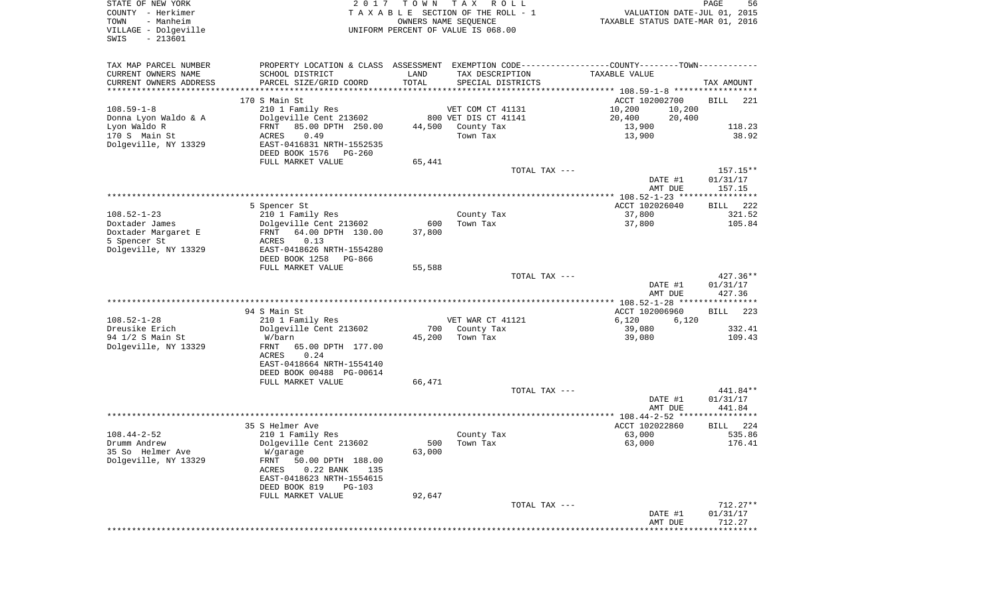| STATE OF NEW YORK<br>COUNTY - Herkimer<br>- Manheim<br>TOWN<br>VILLAGE - Dolgeville<br>$-213601$<br>SWIS | 2017                                                                                          | T O W N<br>OWNERS NAME SEQUENCE | T A X<br>R O L L<br>TAXABLE SECTION OF THE ROLL - 1<br>UNIFORM PERCENT OF VALUE IS 068.00 | VALUATION DATE-JUL 01, 2015<br>TAXABLE STATUS DATE-MAR 01, 2016 | PAGE<br>56                       |
|----------------------------------------------------------------------------------------------------------|-----------------------------------------------------------------------------------------------|---------------------------------|-------------------------------------------------------------------------------------------|-----------------------------------------------------------------|----------------------------------|
| TAX MAP PARCEL NUMBER                                                                                    | PROPERTY LOCATION & CLASS ASSESSMENT EXEMPTION CODE---------------COUNTY-------TOWN---------- |                                 |                                                                                           |                                                                 |                                  |
| CURRENT OWNERS NAME                                                                                      | SCHOOL DISTRICT                                                                               | LAND                            | TAX DESCRIPTION                                                                           | TAXABLE VALUE                                                   |                                  |
| CURRENT OWNERS ADDRESS                                                                                   | PARCEL SIZE/GRID COORD                                                                        | TOTAL                           | SPECIAL DISTRICTS                                                                         |                                                                 | TAX AMOUNT                       |
| **********************                                                                                   | ****************************                                                                  |                                 |                                                                                           |                                                                 |                                  |
| $108.59 - 1 - 8$                                                                                         | 170 S Main St                                                                                 |                                 | VET COM CT 41131                                                                          | ACCT 102002700                                                  | <b>BILL</b><br>221               |
| Donna Lyon Waldo & A                                                                                     | 210 1 Family Res<br>Dolgeville Cent 213602                                                    |                                 | 800 VET DIS CT 41141                                                                      | 10,200<br>10,200<br>20,400<br>20,400                            |                                  |
| Lyon Waldo R                                                                                             | FRNT<br>85.00 DPTH 250.00                                                                     | 44,500                          | County Tax                                                                                | 13,900                                                          | 118.23                           |
| 170 S Main St                                                                                            | 0.49<br>ACRES                                                                                 |                                 | Town Tax                                                                                  | 13,900                                                          | 38.92                            |
| Dolgeville, NY 13329                                                                                     | EAST-0416831 NRTH-1552535                                                                     |                                 |                                                                                           |                                                                 |                                  |
|                                                                                                          | DEED BOOK 1576<br>PG-260                                                                      |                                 |                                                                                           |                                                                 |                                  |
|                                                                                                          | FULL MARKET VALUE                                                                             | 65,441                          |                                                                                           |                                                                 |                                  |
|                                                                                                          |                                                                                               |                                 | TOTAL TAX ---                                                                             | DATE #1<br>AMT DUE                                              | $157.15**$<br>01/31/17<br>157.15 |
|                                                                                                          |                                                                                               |                                 |                                                                                           |                                                                 |                                  |
|                                                                                                          | 5 Spencer St                                                                                  |                                 |                                                                                           | ACCT 102026040                                                  | 222<br>BILL                      |
| $108.52 - 1 - 23$                                                                                        | 210 1 Family Res                                                                              |                                 | County Tax                                                                                | 37,800                                                          | 321.52                           |
| Doxtader James                                                                                           | Dolgeville Cent 213602                                                                        | 600                             | Town Tax                                                                                  | 37,800                                                          | 105.84                           |
| Doxtader Margaret E                                                                                      | 64.00 DPTH 130.00<br>FRNT                                                                     | 37,800                          |                                                                                           |                                                                 |                                  |
| 5 Spencer St                                                                                             | 0.13<br>ACRES                                                                                 |                                 |                                                                                           |                                                                 |                                  |
| Dolgeville, NY 13329                                                                                     | EAST-0418626 NRTH-1554280<br>DEED BOOK 1258<br>PG-866                                         |                                 |                                                                                           |                                                                 |                                  |
|                                                                                                          | FULL MARKET VALUE                                                                             | 55,588                          |                                                                                           |                                                                 |                                  |
|                                                                                                          |                                                                                               |                                 | TOTAL TAX ---                                                                             |                                                                 | $427.36**$                       |
|                                                                                                          |                                                                                               |                                 |                                                                                           | DATE #1<br>AMT DUE                                              | 01/31/17<br>427.36               |
|                                                                                                          |                                                                                               |                                 |                                                                                           |                                                                 |                                  |
|                                                                                                          | 94 S Main St                                                                                  |                                 |                                                                                           | ACCT 102006960                                                  | <b>BILL</b><br>223               |
| $108.52 - 1 - 28$<br>Dreusike Erich                                                                      | 210 1 Family Res<br>Dolgeville Cent 213602                                                    | 700                             | VET WAR CT 41121<br>County Tax                                                            | 6,120<br>6,120<br>39,080                                        | 332.41                           |
| 94 1/2 S Main St                                                                                         | W/barn                                                                                        | 45,200                          | Town Tax                                                                                  | 39,080                                                          | 109.43                           |
| Dolgeville, NY 13329                                                                                     | <b>FRNT</b><br>65.00 DPTH 177.00<br>ACRES<br>0.24                                             |                                 |                                                                                           |                                                                 |                                  |
|                                                                                                          | EAST-0418664 NRTH-1554140                                                                     |                                 |                                                                                           |                                                                 |                                  |
|                                                                                                          | DEED BOOK 00488 PG-00614                                                                      |                                 |                                                                                           |                                                                 |                                  |
|                                                                                                          | FULL MARKET VALUE                                                                             | 66,471                          |                                                                                           |                                                                 |                                  |
|                                                                                                          |                                                                                               |                                 | TOTAL TAX ---                                                                             |                                                                 | 441.84**                         |
|                                                                                                          |                                                                                               |                                 |                                                                                           | DATE #1                                                         | 01/31/17<br>441.84               |
|                                                                                                          |                                                                                               |                                 |                                                                                           | AMT DUE                                                         |                                  |
|                                                                                                          | 35 S Helmer Ave                                                                               |                                 |                                                                                           | ACCT 102022860                                                  | 224<br>BILL                      |
| $108.44 - 2 - 52$                                                                                        | 210 1 Family Res                                                                              |                                 | County Tax                                                                                | 63,000                                                          | 535.86                           |
| Drumm Andrew                                                                                             | Dolgeville Cent 213602                                                                        |                                 | 500 Town Tax                                                                              | 63,000                                                          | 176.41                           |
| 35 So Helmer Ave                                                                                         | W/garage                                                                                      | 63,000                          |                                                                                           |                                                                 |                                  |
| Dolgeville, NY 13329                                                                                     | FRNT<br>50.00 DPTH 188.00<br>ACRES<br>$0.22$ BANK<br>135<br>EAST-0418623 NRTH-1554615         |                                 |                                                                                           |                                                                 |                                  |
|                                                                                                          | DEED BOOK 819<br>PG-103                                                                       |                                 |                                                                                           |                                                                 |                                  |
|                                                                                                          | FULL MARKET VALUE                                                                             | 92,647                          |                                                                                           |                                                                 |                                  |
|                                                                                                          |                                                                                               |                                 | TOTAL TAX ---                                                                             |                                                                 | 712.27**                         |
|                                                                                                          |                                                                                               |                                 |                                                                                           | DATE #1                                                         | 01/31/17                         |
|                                                                                                          |                                                                                               |                                 |                                                                                           | AMT DUE                                                         | 712.27                           |
|                                                                                                          |                                                                                               |                                 |                                                                                           |                                                                 |                                  |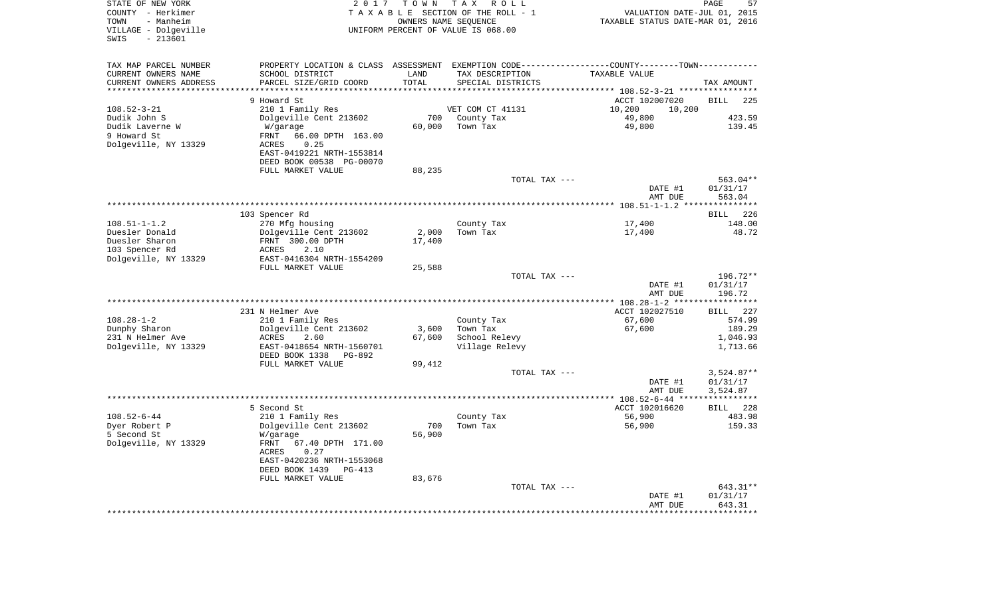| TAX MAP PARCEL NUMBER<br>PROPERTY LOCATION & CLASS ASSESSMENT EXEMPTION CODE----------------COUNTY-------TOWN----------<br>CURRENT OWNERS NAME<br>SCHOOL DISTRICT<br>LAND<br>TAX DESCRIPTION<br>TAXABLE VALUE<br>CURRENT OWNERS ADDRESS<br>PARCEL SIZE/GRID COORD<br>TOTAL<br>SPECIAL DISTRICTS<br>TAX AMOUNT<br>********************<br>* * * * * * *<br>*********** 108.52-3-21 *****************<br>9 Howard St<br><b>BILL</b><br>ACCT 102007020<br>225<br>$108.52 - 3 - 21$<br>210 1 Family Res<br>VET COM CT 41131<br>10,200<br>10,200<br>49,800<br>Dudik John S<br>Dolgeville Cent 213602<br>700<br>County Tax<br>423.59<br>60,000<br>49,800<br>139.45<br>Dudik Laverne W<br>W/garage<br>Town Tax<br>66.00 DPTH 163.00<br>9 Howard St<br>FRNT<br>Dolgeville, NY 13329<br>ACRES<br>0.25<br>EAST-0419221 NRTH-1553814<br>DEED BOOK 00538 PG-00070<br>FULL MARKET VALUE<br>88,235<br>TOTAL TAX ---<br>563.04**<br>DATE #1<br>01/31/17<br>AMT DUE<br>563.04<br>**********************<br>$108.51 - 1 - 1.2$ *<br>103 Spencer Rd<br>226<br><b>BILL</b><br>$108.51 - 1 - 1.2$<br>270 Mfg housing<br>County Tax<br>17,400<br>148.00<br>Duesler Donald<br>Dolgeville Cent 213602<br>2,000<br>Town Tax<br>17,400<br>48.72<br>Duesler Sharon<br>FRNT 300.00 DPTH<br>17,400<br>103 Spencer Rd<br>2.10<br>ACRES<br>Dolgeville, NY 13329<br>EAST-0416304 NRTH-1554209<br>FULL MARKET VALUE<br>25,588<br>196.72**<br>TOTAL TAX ---<br>01/31/17<br>DATE #1<br>AMT DUE<br>196.72<br>**********************<br>**************************<br>** $108.28 - 1 - 2$ ***<br>231 N Helmer Ave<br>ACCT 102027510<br>227<br><b>BILL</b><br>$108.28 - 1 - 2$<br>67,600<br>574.99<br>210 1 Family Res<br>County Tax<br>Dunphy Sharon<br>Dolgeville Cent 213602<br>Town Tax<br>67,600<br>189.29<br>3,600<br>231 N Helmer Ave<br>67,600<br>ACRES<br>School Relevy<br>1,046.93<br>2.60<br>Dolgeville, NY 13329<br>EAST-0418654 NRTH-1560701<br>Village Relevy<br>1,713.66<br>DEED BOOK 1338<br>PG-892<br>FULL MARKET VALUE<br>99,412<br>$3,524.87**$<br>TOTAL TAX ---<br>DATE #1<br>01/31/17<br>AMT DUE<br>3,524.87<br>******************<br>$* 108.52 - 6 - 44 *$<br>5 Second St<br>ACCT 102016620<br>228<br>BILL<br>$108.52 - 6 - 44$<br>56,900<br>210 1 Family Res<br>483.98<br>County Tax<br>Dyer Robert P<br>Dolgeville Cent 213602<br>700<br>Town Tax<br>56,900<br>159.33<br>5 Second St<br>56,900<br>W/garage<br>Dolgeville, NY 13329<br>FRNT<br>67.40 DPTH 171.00<br>ACRES<br>0.27<br>EAST-0420236 NRTH-1553068<br>DEED BOOK 1439<br><b>PG-413</b><br>FULL MARKET VALUE<br>83,676<br>TOTAL TAX ---<br>643.31**<br>01/31/17<br>DATE #1<br>AMT DUE<br>643.31 | STATE OF NEW YORK<br>COUNTY - Herkimer<br>- Manheim<br>TOWN<br>VILLAGE - Dolgeville<br>$-213601$<br>SWIS | 2 0 1 7 | TOWN | T A X<br>R O L L<br>TAXABLE SECTION OF THE ROLL - 1<br>OWNERS NAME SEQUENCE<br>UNIFORM PERCENT OF VALUE IS 068.00 | VALUATION DATE-JUL 01, 2015<br>TAXABLE STATUS DATE-MAR 01, 2016 | PAGE<br>57 |
|---------------------------------------------------------------------------------------------------------------------------------------------------------------------------------------------------------------------------------------------------------------------------------------------------------------------------------------------------------------------------------------------------------------------------------------------------------------------------------------------------------------------------------------------------------------------------------------------------------------------------------------------------------------------------------------------------------------------------------------------------------------------------------------------------------------------------------------------------------------------------------------------------------------------------------------------------------------------------------------------------------------------------------------------------------------------------------------------------------------------------------------------------------------------------------------------------------------------------------------------------------------------------------------------------------------------------------------------------------------------------------------------------------------------------------------------------------------------------------------------------------------------------------------------------------------------------------------------------------------------------------------------------------------------------------------------------------------------------------------------------------------------------------------------------------------------------------------------------------------------------------------------------------------------------------------------------------------------------------------------------------------------------------------------------------------------------------------------------------------------------------------------------------------------------------------------------------------------------------------------------------------------------------------------------------------------------------------------------------------------------------------------------------------------------------------------------------------------------------------------------------------------------------------------------------------------------------------------------------------------------------------------|----------------------------------------------------------------------------------------------------------|---------|------|-------------------------------------------------------------------------------------------------------------------|-----------------------------------------------------------------|------------|
|                                                                                                                                                                                                                                                                                                                                                                                                                                                                                                                                                                                                                                                                                                                                                                                                                                                                                                                                                                                                                                                                                                                                                                                                                                                                                                                                                                                                                                                                                                                                                                                                                                                                                                                                                                                                                                                                                                                                                                                                                                                                                                                                                                                                                                                                                                                                                                                                                                                                                                                                                                                                                                             |                                                                                                          |         |      |                                                                                                                   |                                                                 |            |
|                                                                                                                                                                                                                                                                                                                                                                                                                                                                                                                                                                                                                                                                                                                                                                                                                                                                                                                                                                                                                                                                                                                                                                                                                                                                                                                                                                                                                                                                                                                                                                                                                                                                                                                                                                                                                                                                                                                                                                                                                                                                                                                                                                                                                                                                                                                                                                                                                                                                                                                                                                                                                                             |                                                                                                          |         |      |                                                                                                                   |                                                                 |            |
|                                                                                                                                                                                                                                                                                                                                                                                                                                                                                                                                                                                                                                                                                                                                                                                                                                                                                                                                                                                                                                                                                                                                                                                                                                                                                                                                                                                                                                                                                                                                                                                                                                                                                                                                                                                                                                                                                                                                                                                                                                                                                                                                                                                                                                                                                                                                                                                                                                                                                                                                                                                                                                             |                                                                                                          |         |      |                                                                                                                   |                                                                 |            |
|                                                                                                                                                                                                                                                                                                                                                                                                                                                                                                                                                                                                                                                                                                                                                                                                                                                                                                                                                                                                                                                                                                                                                                                                                                                                                                                                                                                                                                                                                                                                                                                                                                                                                                                                                                                                                                                                                                                                                                                                                                                                                                                                                                                                                                                                                                                                                                                                                                                                                                                                                                                                                                             |                                                                                                          |         |      |                                                                                                                   |                                                                 |            |
|                                                                                                                                                                                                                                                                                                                                                                                                                                                                                                                                                                                                                                                                                                                                                                                                                                                                                                                                                                                                                                                                                                                                                                                                                                                                                                                                                                                                                                                                                                                                                                                                                                                                                                                                                                                                                                                                                                                                                                                                                                                                                                                                                                                                                                                                                                                                                                                                                                                                                                                                                                                                                                             |                                                                                                          |         |      |                                                                                                                   |                                                                 |            |
|                                                                                                                                                                                                                                                                                                                                                                                                                                                                                                                                                                                                                                                                                                                                                                                                                                                                                                                                                                                                                                                                                                                                                                                                                                                                                                                                                                                                                                                                                                                                                                                                                                                                                                                                                                                                                                                                                                                                                                                                                                                                                                                                                                                                                                                                                                                                                                                                                                                                                                                                                                                                                                             |                                                                                                          |         |      |                                                                                                                   |                                                                 |            |
|                                                                                                                                                                                                                                                                                                                                                                                                                                                                                                                                                                                                                                                                                                                                                                                                                                                                                                                                                                                                                                                                                                                                                                                                                                                                                                                                                                                                                                                                                                                                                                                                                                                                                                                                                                                                                                                                                                                                                                                                                                                                                                                                                                                                                                                                                                                                                                                                                                                                                                                                                                                                                                             |                                                                                                          |         |      |                                                                                                                   |                                                                 |            |
|                                                                                                                                                                                                                                                                                                                                                                                                                                                                                                                                                                                                                                                                                                                                                                                                                                                                                                                                                                                                                                                                                                                                                                                                                                                                                                                                                                                                                                                                                                                                                                                                                                                                                                                                                                                                                                                                                                                                                                                                                                                                                                                                                                                                                                                                                                                                                                                                                                                                                                                                                                                                                                             |                                                                                                          |         |      |                                                                                                                   |                                                                 |            |
|                                                                                                                                                                                                                                                                                                                                                                                                                                                                                                                                                                                                                                                                                                                                                                                                                                                                                                                                                                                                                                                                                                                                                                                                                                                                                                                                                                                                                                                                                                                                                                                                                                                                                                                                                                                                                                                                                                                                                                                                                                                                                                                                                                                                                                                                                                                                                                                                                                                                                                                                                                                                                                             |                                                                                                          |         |      |                                                                                                                   |                                                                 |            |
|                                                                                                                                                                                                                                                                                                                                                                                                                                                                                                                                                                                                                                                                                                                                                                                                                                                                                                                                                                                                                                                                                                                                                                                                                                                                                                                                                                                                                                                                                                                                                                                                                                                                                                                                                                                                                                                                                                                                                                                                                                                                                                                                                                                                                                                                                                                                                                                                                                                                                                                                                                                                                                             |                                                                                                          |         |      |                                                                                                                   |                                                                 |            |
|                                                                                                                                                                                                                                                                                                                                                                                                                                                                                                                                                                                                                                                                                                                                                                                                                                                                                                                                                                                                                                                                                                                                                                                                                                                                                                                                                                                                                                                                                                                                                                                                                                                                                                                                                                                                                                                                                                                                                                                                                                                                                                                                                                                                                                                                                                                                                                                                                                                                                                                                                                                                                                             |                                                                                                          |         |      |                                                                                                                   |                                                                 |            |
|                                                                                                                                                                                                                                                                                                                                                                                                                                                                                                                                                                                                                                                                                                                                                                                                                                                                                                                                                                                                                                                                                                                                                                                                                                                                                                                                                                                                                                                                                                                                                                                                                                                                                                                                                                                                                                                                                                                                                                                                                                                                                                                                                                                                                                                                                                                                                                                                                                                                                                                                                                                                                                             |                                                                                                          |         |      |                                                                                                                   |                                                                 |            |
|                                                                                                                                                                                                                                                                                                                                                                                                                                                                                                                                                                                                                                                                                                                                                                                                                                                                                                                                                                                                                                                                                                                                                                                                                                                                                                                                                                                                                                                                                                                                                                                                                                                                                                                                                                                                                                                                                                                                                                                                                                                                                                                                                                                                                                                                                                                                                                                                                                                                                                                                                                                                                                             |                                                                                                          |         |      |                                                                                                                   |                                                                 |            |
|                                                                                                                                                                                                                                                                                                                                                                                                                                                                                                                                                                                                                                                                                                                                                                                                                                                                                                                                                                                                                                                                                                                                                                                                                                                                                                                                                                                                                                                                                                                                                                                                                                                                                                                                                                                                                                                                                                                                                                                                                                                                                                                                                                                                                                                                                                                                                                                                                                                                                                                                                                                                                                             |                                                                                                          |         |      |                                                                                                                   |                                                                 |            |
|                                                                                                                                                                                                                                                                                                                                                                                                                                                                                                                                                                                                                                                                                                                                                                                                                                                                                                                                                                                                                                                                                                                                                                                                                                                                                                                                                                                                                                                                                                                                                                                                                                                                                                                                                                                                                                                                                                                                                                                                                                                                                                                                                                                                                                                                                                                                                                                                                                                                                                                                                                                                                                             |                                                                                                          |         |      |                                                                                                                   |                                                                 |            |
|                                                                                                                                                                                                                                                                                                                                                                                                                                                                                                                                                                                                                                                                                                                                                                                                                                                                                                                                                                                                                                                                                                                                                                                                                                                                                                                                                                                                                                                                                                                                                                                                                                                                                                                                                                                                                                                                                                                                                                                                                                                                                                                                                                                                                                                                                                                                                                                                                                                                                                                                                                                                                                             |                                                                                                          |         |      |                                                                                                                   |                                                                 |            |
|                                                                                                                                                                                                                                                                                                                                                                                                                                                                                                                                                                                                                                                                                                                                                                                                                                                                                                                                                                                                                                                                                                                                                                                                                                                                                                                                                                                                                                                                                                                                                                                                                                                                                                                                                                                                                                                                                                                                                                                                                                                                                                                                                                                                                                                                                                                                                                                                                                                                                                                                                                                                                                             |                                                                                                          |         |      |                                                                                                                   |                                                                 |            |
|                                                                                                                                                                                                                                                                                                                                                                                                                                                                                                                                                                                                                                                                                                                                                                                                                                                                                                                                                                                                                                                                                                                                                                                                                                                                                                                                                                                                                                                                                                                                                                                                                                                                                                                                                                                                                                                                                                                                                                                                                                                                                                                                                                                                                                                                                                                                                                                                                                                                                                                                                                                                                                             |                                                                                                          |         |      |                                                                                                                   |                                                                 |            |
|                                                                                                                                                                                                                                                                                                                                                                                                                                                                                                                                                                                                                                                                                                                                                                                                                                                                                                                                                                                                                                                                                                                                                                                                                                                                                                                                                                                                                                                                                                                                                                                                                                                                                                                                                                                                                                                                                                                                                                                                                                                                                                                                                                                                                                                                                                                                                                                                                                                                                                                                                                                                                                             |                                                                                                          |         |      |                                                                                                                   |                                                                 |            |
|                                                                                                                                                                                                                                                                                                                                                                                                                                                                                                                                                                                                                                                                                                                                                                                                                                                                                                                                                                                                                                                                                                                                                                                                                                                                                                                                                                                                                                                                                                                                                                                                                                                                                                                                                                                                                                                                                                                                                                                                                                                                                                                                                                                                                                                                                                                                                                                                                                                                                                                                                                                                                                             |                                                                                                          |         |      |                                                                                                                   |                                                                 |            |
|                                                                                                                                                                                                                                                                                                                                                                                                                                                                                                                                                                                                                                                                                                                                                                                                                                                                                                                                                                                                                                                                                                                                                                                                                                                                                                                                                                                                                                                                                                                                                                                                                                                                                                                                                                                                                                                                                                                                                                                                                                                                                                                                                                                                                                                                                                                                                                                                                                                                                                                                                                                                                                             |                                                                                                          |         |      |                                                                                                                   |                                                                 |            |
|                                                                                                                                                                                                                                                                                                                                                                                                                                                                                                                                                                                                                                                                                                                                                                                                                                                                                                                                                                                                                                                                                                                                                                                                                                                                                                                                                                                                                                                                                                                                                                                                                                                                                                                                                                                                                                                                                                                                                                                                                                                                                                                                                                                                                                                                                                                                                                                                                                                                                                                                                                                                                                             |                                                                                                          |         |      |                                                                                                                   |                                                                 |            |
|                                                                                                                                                                                                                                                                                                                                                                                                                                                                                                                                                                                                                                                                                                                                                                                                                                                                                                                                                                                                                                                                                                                                                                                                                                                                                                                                                                                                                                                                                                                                                                                                                                                                                                                                                                                                                                                                                                                                                                                                                                                                                                                                                                                                                                                                                                                                                                                                                                                                                                                                                                                                                                             |                                                                                                          |         |      |                                                                                                                   |                                                                 |            |
|                                                                                                                                                                                                                                                                                                                                                                                                                                                                                                                                                                                                                                                                                                                                                                                                                                                                                                                                                                                                                                                                                                                                                                                                                                                                                                                                                                                                                                                                                                                                                                                                                                                                                                                                                                                                                                                                                                                                                                                                                                                                                                                                                                                                                                                                                                                                                                                                                                                                                                                                                                                                                                             |                                                                                                          |         |      |                                                                                                                   |                                                                 |            |
|                                                                                                                                                                                                                                                                                                                                                                                                                                                                                                                                                                                                                                                                                                                                                                                                                                                                                                                                                                                                                                                                                                                                                                                                                                                                                                                                                                                                                                                                                                                                                                                                                                                                                                                                                                                                                                                                                                                                                                                                                                                                                                                                                                                                                                                                                                                                                                                                                                                                                                                                                                                                                                             |                                                                                                          |         |      |                                                                                                                   |                                                                 |            |
|                                                                                                                                                                                                                                                                                                                                                                                                                                                                                                                                                                                                                                                                                                                                                                                                                                                                                                                                                                                                                                                                                                                                                                                                                                                                                                                                                                                                                                                                                                                                                                                                                                                                                                                                                                                                                                                                                                                                                                                                                                                                                                                                                                                                                                                                                                                                                                                                                                                                                                                                                                                                                                             |                                                                                                          |         |      |                                                                                                                   |                                                                 |            |
|                                                                                                                                                                                                                                                                                                                                                                                                                                                                                                                                                                                                                                                                                                                                                                                                                                                                                                                                                                                                                                                                                                                                                                                                                                                                                                                                                                                                                                                                                                                                                                                                                                                                                                                                                                                                                                                                                                                                                                                                                                                                                                                                                                                                                                                                                                                                                                                                                                                                                                                                                                                                                                             |                                                                                                          |         |      |                                                                                                                   |                                                                 |            |
|                                                                                                                                                                                                                                                                                                                                                                                                                                                                                                                                                                                                                                                                                                                                                                                                                                                                                                                                                                                                                                                                                                                                                                                                                                                                                                                                                                                                                                                                                                                                                                                                                                                                                                                                                                                                                                                                                                                                                                                                                                                                                                                                                                                                                                                                                                                                                                                                                                                                                                                                                                                                                                             |                                                                                                          |         |      |                                                                                                                   |                                                                 |            |
|                                                                                                                                                                                                                                                                                                                                                                                                                                                                                                                                                                                                                                                                                                                                                                                                                                                                                                                                                                                                                                                                                                                                                                                                                                                                                                                                                                                                                                                                                                                                                                                                                                                                                                                                                                                                                                                                                                                                                                                                                                                                                                                                                                                                                                                                                                                                                                                                                                                                                                                                                                                                                                             |                                                                                                          |         |      |                                                                                                                   |                                                                 |            |
|                                                                                                                                                                                                                                                                                                                                                                                                                                                                                                                                                                                                                                                                                                                                                                                                                                                                                                                                                                                                                                                                                                                                                                                                                                                                                                                                                                                                                                                                                                                                                                                                                                                                                                                                                                                                                                                                                                                                                                                                                                                                                                                                                                                                                                                                                                                                                                                                                                                                                                                                                                                                                                             |                                                                                                          |         |      |                                                                                                                   |                                                                 |            |
|                                                                                                                                                                                                                                                                                                                                                                                                                                                                                                                                                                                                                                                                                                                                                                                                                                                                                                                                                                                                                                                                                                                                                                                                                                                                                                                                                                                                                                                                                                                                                                                                                                                                                                                                                                                                                                                                                                                                                                                                                                                                                                                                                                                                                                                                                                                                                                                                                                                                                                                                                                                                                                             |                                                                                                          |         |      |                                                                                                                   |                                                                 |            |
|                                                                                                                                                                                                                                                                                                                                                                                                                                                                                                                                                                                                                                                                                                                                                                                                                                                                                                                                                                                                                                                                                                                                                                                                                                                                                                                                                                                                                                                                                                                                                                                                                                                                                                                                                                                                                                                                                                                                                                                                                                                                                                                                                                                                                                                                                                                                                                                                                                                                                                                                                                                                                                             |                                                                                                          |         |      |                                                                                                                   |                                                                 |            |
|                                                                                                                                                                                                                                                                                                                                                                                                                                                                                                                                                                                                                                                                                                                                                                                                                                                                                                                                                                                                                                                                                                                                                                                                                                                                                                                                                                                                                                                                                                                                                                                                                                                                                                                                                                                                                                                                                                                                                                                                                                                                                                                                                                                                                                                                                                                                                                                                                                                                                                                                                                                                                                             |                                                                                                          |         |      |                                                                                                                   |                                                                 |            |
|                                                                                                                                                                                                                                                                                                                                                                                                                                                                                                                                                                                                                                                                                                                                                                                                                                                                                                                                                                                                                                                                                                                                                                                                                                                                                                                                                                                                                                                                                                                                                                                                                                                                                                                                                                                                                                                                                                                                                                                                                                                                                                                                                                                                                                                                                                                                                                                                                                                                                                                                                                                                                                             |                                                                                                          |         |      |                                                                                                                   |                                                                 |            |
|                                                                                                                                                                                                                                                                                                                                                                                                                                                                                                                                                                                                                                                                                                                                                                                                                                                                                                                                                                                                                                                                                                                                                                                                                                                                                                                                                                                                                                                                                                                                                                                                                                                                                                                                                                                                                                                                                                                                                                                                                                                                                                                                                                                                                                                                                                                                                                                                                                                                                                                                                                                                                                             |                                                                                                          |         |      |                                                                                                                   |                                                                 |            |
|                                                                                                                                                                                                                                                                                                                                                                                                                                                                                                                                                                                                                                                                                                                                                                                                                                                                                                                                                                                                                                                                                                                                                                                                                                                                                                                                                                                                                                                                                                                                                                                                                                                                                                                                                                                                                                                                                                                                                                                                                                                                                                                                                                                                                                                                                                                                                                                                                                                                                                                                                                                                                                             |                                                                                                          |         |      |                                                                                                                   |                                                                 |            |
|                                                                                                                                                                                                                                                                                                                                                                                                                                                                                                                                                                                                                                                                                                                                                                                                                                                                                                                                                                                                                                                                                                                                                                                                                                                                                                                                                                                                                                                                                                                                                                                                                                                                                                                                                                                                                                                                                                                                                                                                                                                                                                                                                                                                                                                                                                                                                                                                                                                                                                                                                                                                                                             |                                                                                                          |         |      |                                                                                                                   |                                                                 |            |
|                                                                                                                                                                                                                                                                                                                                                                                                                                                                                                                                                                                                                                                                                                                                                                                                                                                                                                                                                                                                                                                                                                                                                                                                                                                                                                                                                                                                                                                                                                                                                                                                                                                                                                                                                                                                                                                                                                                                                                                                                                                                                                                                                                                                                                                                                                                                                                                                                                                                                                                                                                                                                                             |                                                                                                          |         |      |                                                                                                                   |                                                                 |            |
|                                                                                                                                                                                                                                                                                                                                                                                                                                                                                                                                                                                                                                                                                                                                                                                                                                                                                                                                                                                                                                                                                                                                                                                                                                                                                                                                                                                                                                                                                                                                                                                                                                                                                                                                                                                                                                                                                                                                                                                                                                                                                                                                                                                                                                                                                                                                                                                                                                                                                                                                                                                                                                             |                                                                                                          |         |      |                                                                                                                   |                                                                 |            |
|                                                                                                                                                                                                                                                                                                                                                                                                                                                                                                                                                                                                                                                                                                                                                                                                                                                                                                                                                                                                                                                                                                                                                                                                                                                                                                                                                                                                                                                                                                                                                                                                                                                                                                                                                                                                                                                                                                                                                                                                                                                                                                                                                                                                                                                                                                                                                                                                                                                                                                                                                                                                                                             |                                                                                                          |         |      |                                                                                                                   |                                                                 |            |
|                                                                                                                                                                                                                                                                                                                                                                                                                                                                                                                                                                                                                                                                                                                                                                                                                                                                                                                                                                                                                                                                                                                                                                                                                                                                                                                                                                                                                                                                                                                                                                                                                                                                                                                                                                                                                                                                                                                                                                                                                                                                                                                                                                                                                                                                                                                                                                                                                                                                                                                                                                                                                                             |                                                                                                          |         |      |                                                                                                                   |                                                                 |            |
|                                                                                                                                                                                                                                                                                                                                                                                                                                                                                                                                                                                                                                                                                                                                                                                                                                                                                                                                                                                                                                                                                                                                                                                                                                                                                                                                                                                                                                                                                                                                                                                                                                                                                                                                                                                                                                                                                                                                                                                                                                                                                                                                                                                                                                                                                                                                                                                                                                                                                                                                                                                                                                             |                                                                                                          |         |      |                                                                                                                   |                                                                 |            |
|                                                                                                                                                                                                                                                                                                                                                                                                                                                                                                                                                                                                                                                                                                                                                                                                                                                                                                                                                                                                                                                                                                                                                                                                                                                                                                                                                                                                                                                                                                                                                                                                                                                                                                                                                                                                                                                                                                                                                                                                                                                                                                                                                                                                                                                                                                                                                                                                                                                                                                                                                                                                                                             |                                                                                                          |         |      |                                                                                                                   |                                                                 |            |
|                                                                                                                                                                                                                                                                                                                                                                                                                                                                                                                                                                                                                                                                                                                                                                                                                                                                                                                                                                                                                                                                                                                                                                                                                                                                                                                                                                                                                                                                                                                                                                                                                                                                                                                                                                                                                                                                                                                                                                                                                                                                                                                                                                                                                                                                                                                                                                                                                                                                                                                                                                                                                                             |                                                                                                          |         |      |                                                                                                                   |                                                                 |            |
|                                                                                                                                                                                                                                                                                                                                                                                                                                                                                                                                                                                                                                                                                                                                                                                                                                                                                                                                                                                                                                                                                                                                                                                                                                                                                                                                                                                                                                                                                                                                                                                                                                                                                                                                                                                                                                                                                                                                                                                                                                                                                                                                                                                                                                                                                                                                                                                                                                                                                                                                                                                                                                             |                                                                                                          |         |      |                                                                                                                   |                                                                 |            |
|                                                                                                                                                                                                                                                                                                                                                                                                                                                                                                                                                                                                                                                                                                                                                                                                                                                                                                                                                                                                                                                                                                                                                                                                                                                                                                                                                                                                                                                                                                                                                                                                                                                                                                                                                                                                                                                                                                                                                                                                                                                                                                                                                                                                                                                                                                                                                                                                                                                                                                                                                                                                                                             |                                                                                                          |         |      |                                                                                                                   |                                                                 |            |
|                                                                                                                                                                                                                                                                                                                                                                                                                                                                                                                                                                                                                                                                                                                                                                                                                                                                                                                                                                                                                                                                                                                                                                                                                                                                                                                                                                                                                                                                                                                                                                                                                                                                                                                                                                                                                                                                                                                                                                                                                                                                                                                                                                                                                                                                                                                                                                                                                                                                                                                                                                                                                                             |                                                                                                          |         |      |                                                                                                                   |                                                                 |            |
|                                                                                                                                                                                                                                                                                                                                                                                                                                                                                                                                                                                                                                                                                                                                                                                                                                                                                                                                                                                                                                                                                                                                                                                                                                                                                                                                                                                                                                                                                                                                                                                                                                                                                                                                                                                                                                                                                                                                                                                                                                                                                                                                                                                                                                                                                                                                                                                                                                                                                                                                                                                                                                             |                                                                                                          |         |      |                                                                                                                   |                                                                 |            |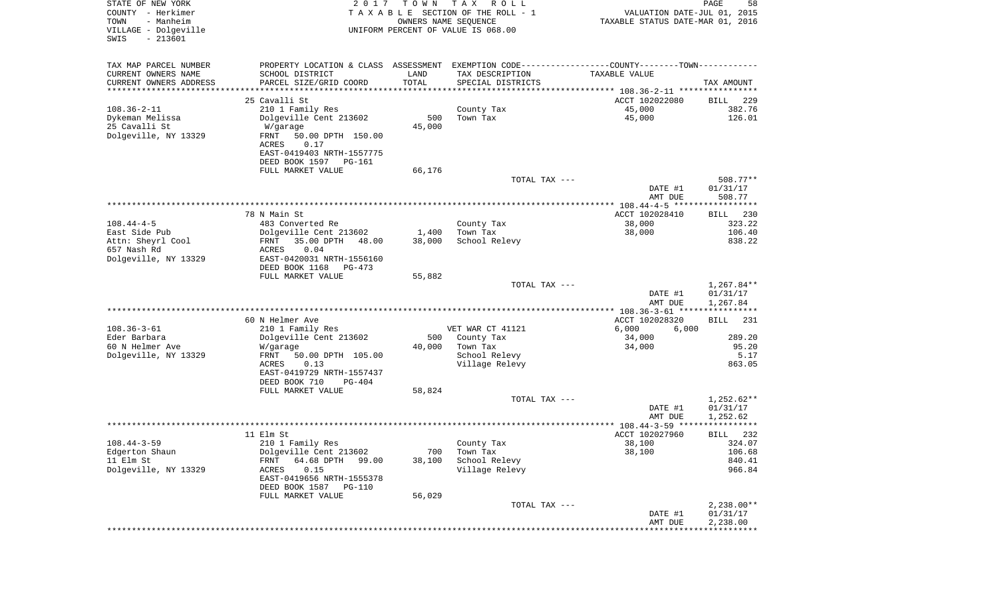| STATE OF NEW YORK<br>COUNTY - Herkimer<br>- Manheim<br>TOWN<br>VILLAGE - Dolgeville<br>$-213601$<br>SWIS | 2017                                                  | T O W N<br>OWNERS NAME SEQUENCE | T A X<br>R O L L<br>TAXABLE SECTION OF THE ROLL - 1<br>UNIFORM PERCENT OF VALUE IS 068.00     | VALUATION DATE-JUL 01, 2015<br>TAXABLE STATUS DATE-MAR 01, 2016 | PAGE<br>58              |
|----------------------------------------------------------------------------------------------------------|-------------------------------------------------------|---------------------------------|-----------------------------------------------------------------------------------------------|-----------------------------------------------------------------|-------------------------|
| TAX MAP PARCEL NUMBER                                                                                    |                                                       |                                 | PROPERTY LOCATION & CLASS ASSESSMENT EXEMPTION CODE---------------COUNTY-------TOWN---------- |                                                                 |                         |
| CURRENT OWNERS NAME                                                                                      | SCHOOL DISTRICT                                       | LAND                            | TAX DESCRIPTION                                                                               | TAXABLE VALUE                                                   |                         |
| CURRENT OWNERS ADDRESS                                                                                   | PARCEL SIZE/GRID COORD                                | TOTAL                           | SPECIAL DISTRICTS                                                                             |                                                                 | TAX AMOUNT              |
| *********************                                                                                    |                                                       |                                 |                                                                                               |                                                                 |                         |
| $108.36 - 2 - 11$                                                                                        | 25 Cavalli St                                         |                                 | County Tax                                                                                    | ACCT 102022080<br>45,000                                        | 229<br>BILL<br>382.76   |
| Dykeman Melissa                                                                                          | 210 1 Family Res<br>Dolgeville Cent 213602            | 500                             | Town Tax                                                                                      | 45,000                                                          | 126.01                  |
| 25 Cavalli St                                                                                            | W/garage                                              | 45,000                          |                                                                                               |                                                                 |                         |
| Dolgeville, NY 13329                                                                                     | FRNT<br>50.00 DPTH 150.00                             |                                 |                                                                                               |                                                                 |                         |
|                                                                                                          | ACRES<br>0.17                                         |                                 |                                                                                               |                                                                 |                         |
|                                                                                                          | EAST-0419403 NRTH-1557775                             |                                 |                                                                                               |                                                                 |                         |
|                                                                                                          | DEED BOOK 1597 PG-161                                 |                                 |                                                                                               |                                                                 |                         |
|                                                                                                          | FULL MARKET VALUE                                     | 66,176                          | TOTAL TAX ---                                                                                 |                                                                 | 508.77**                |
|                                                                                                          |                                                       |                                 |                                                                                               | DATE #1                                                         | 01/31/17                |
|                                                                                                          |                                                       |                                 |                                                                                               | AMT DUE                                                         | 508.77                  |
|                                                                                                          |                                                       |                                 |                                                                                               |                                                                 |                         |
|                                                                                                          | 78 N Main St                                          |                                 |                                                                                               | ACCT 102028410                                                  | 230<br>BILL             |
| $108.44 - 4 - 5$                                                                                         | 483 Converted Re                                      |                                 | County Tax                                                                                    | 38,000                                                          | 323.22                  |
| East Side Pub<br>Attn: Sheyrl Cool                                                                       | Dolgeville Cent 213602<br>35.00 DPTH<br>FRNT<br>48.00 | 1,400<br>38,000                 | Town Tax<br>School Relevy                                                                     | 38,000                                                          | 106.40<br>838.22        |
| 657 Nash Rd                                                                                              | 0.04<br>ACRES                                         |                                 |                                                                                               |                                                                 |                         |
| Dolgeville, NY 13329                                                                                     | EAST-0420031 NRTH-1556160                             |                                 |                                                                                               |                                                                 |                         |
|                                                                                                          | DEED BOOK 1168<br>PG-473                              |                                 |                                                                                               |                                                                 |                         |
|                                                                                                          | FULL MARKET VALUE                                     | 55,882                          |                                                                                               |                                                                 |                         |
|                                                                                                          |                                                       |                                 | TOTAL TAX ---                                                                                 |                                                                 | $1,267.84**$            |
|                                                                                                          |                                                       |                                 |                                                                                               | DATE #1<br>AMT DUE                                              | 01/31/17<br>1,267.84    |
|                                                                                                          |                                                       |                                 |                                                                                               | ********** 108.36-3-61 *****************                        |                         |
|                                                                                                          | 60 N Helmer Ave                                       |                                 |                                                                                               | ACCT 102028320                                                  | <b>BILL</b><br>231      |
| $108.36 - 3 - 61$                                                                                        | 210 1 Family Res                                      |                                 | VET WAR CT 41121                                                                              | 6,000<br>6,000                                                  |                         |
| Eder Barbara                                                                                             | Dolgeville Cent 213602                                | 500                             | County Tax                                                                                    | 34,000                                                          | 289.20                  |
| 60 N Helmer Ave                                                                                          | W/garage                                              | 40,000                          | Town Tax                                                                                      | 34,000                                                          | 95.20                   |
| Dolgeville, NY 13329                                                                                     | FRNT<br>50.00 DPTH 105.00<br>ACRES<br>0.13            |                                 | School Relevy<br>Village Relevy                                                               |                                                                 | 5.17<br>863.05          |
|                                                                                                          | EAST-0419729 NRTH-1557437                             |                                 |                                                                                               |                                                                 |                         |
|                                                                                                          | DEED BOOK 710<br>PG-404                               |                                 |                                                                                               |                                                                 |                         |
|                                                                                                          | FULL MARKET VALUE                                     | 58,824                          |                                                                                               |                                                                 |                         |
|                                                                                                          |                                                       |                                 | TOTAL TAX ---                                                                                 |                                                                 | $1,252.62**$            |
|                                                                                                          |                                                       |                                 |                                                                                               | DATE #1                                                         | 01/31/17                |
|                                                                                                          |                                                       |                                 |                                                                                               | AMT DUE                                                         | 1,252.62<br>* * * * * * |
|                                                                                                          | 11 Elm St                                             |                                 |                                                                                               | ACCT 102027960                                                  | 232<br>BILL             |
| $108.44 - 3 - 59$                                                                                        | 210 1 Family Res                                      |                                 | County Tax                                                                                    | 38,100                                                          | 324.07                  |
| Edgerton Shaun                                                                                           | Dolgeville Cent 213602                                | 700                             | Town Tax                                                                                      | 38,100                                                          | 106.68                  |
| 11 Elm St                                                                                                | 64.68 DPTH<br>FRNT<br>99.00                           | 38,100                          | School Relevy                                                                                 |                                                                 | 840.41                  |
| Dolgeville, NY 13329                                                                                     | 0.15<br>ACRES                                         |                                 | Village Relevy                                                                                |                                                                 | 966.84                  |
|                                                                                                          | EAST-0419656 NRTH-1555378<br>DEED BOOK 1587<br>PG-110 |                                 |                                                                                               |                                                                 |                         |
|                                                                                                          | FULL MARKET VALUE                                     | 56,029                          |                                                                                               |                                                                 |                         |
|                                                                                                          |                                                       |                                 | TOTAL TAX ---                                                                                 |                                                                 | $2,238.00**$            |
|                                                                                                          |                                                       |                                 |                                                                                               | DATE #1                                                         | 01/31/17                |
|                                                                                                          |                                                       |                                 |                                                                                               | AMT DUE                                                         | 2,238.00                |
|                                                                                                          |                                                       |                                 |                                                                                               |                                                                 |                         |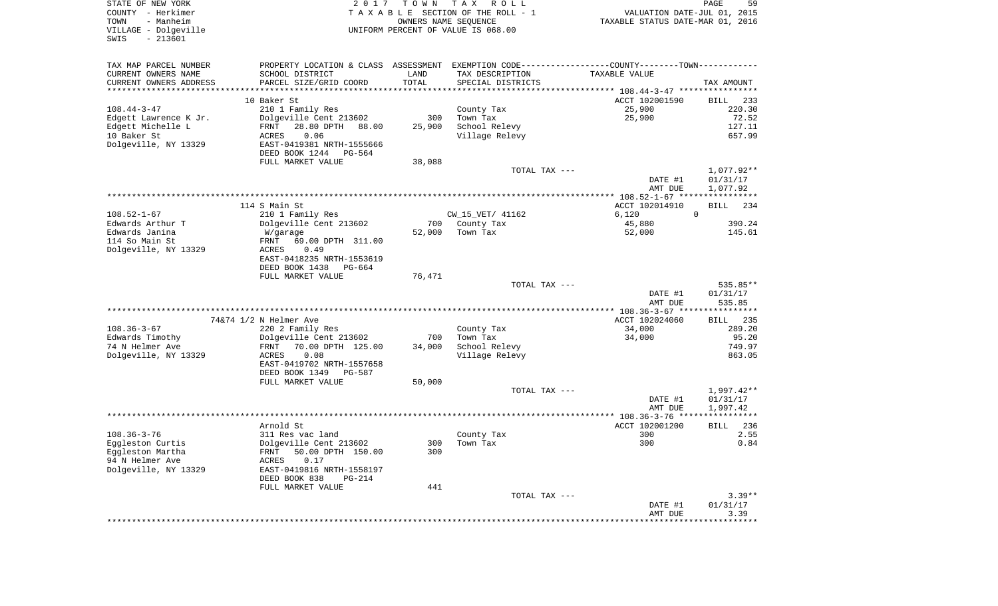| STATE OF NEW YORK<br>COUNTY - Herkimer<br>- Manheim<br>TOWN<br>VILLAGE - Dolgeville<br>$-213601$<br>SWIS | 2017                                                                                          | T O W N       | T A X<br>R O L L<br>TAXABLE SECTION OF THE ROLL - 1<br>OWNERS NAME SEQUENCE<br>UNIFORM PERCENT OF VALUE IS 068.00 | VALUATION DATE-JUL 01, 2015<br>TAXABLE STATUS DATE-MAR 01, 2016 | PAGE<br>59              |
|----------------------------------------------------------------------------------------------------------|-----------------------------------------------------------------------------------------------|---------------|-------------------------------------------------------------------------------------------------------------------|-----------------------------------------------------------------|-------------------------|
| TAX MAP PARCEL NUMBER                                                                                    | PROPERTY LOCATION & CLASS ASSESSMENT EXEMPTION CODE---------------COUNTY-------TOWN---------- |               |                                                                                                                   |                                                                 |                         |
| CURRENT OWNERS NAME<br>CURRENT OWNERS ADDRESS                                                            | SCHOOL DISTRICT                                                                               | LAND<br>TOTAL | TAX DESCRIPTION                                                                                                   | TAXABLE VALUE                                                   |                         |
| **********************                                                                                   | PARCEL SIZE/GRID COORD<br>*************************                                           | ***********   | SPECIAL DISTRICTS                                                                                                 |                                                                 | TAX AMOUNT              |
|                                                                                                          | 10 Baker St                                                                                   |               |                                                                                                                   | ACCT 102001590                                                  | 233<br>BILL             |
| $108.44 - 3 - 47$                                                                                        | 210 1 Family Res                                                                              |               | County Tax                                                                                                        | 25,900                                                          | 220.30                  |
| Edgett Lawrence K Jr.                                                                                    | Dolgeville Cent 213602                                                                        | 300           | Town Tax                                                                                                          | 25,900                                                          | 72.52                   |
| Edgett Michelle L                                                                                        | 28.80 DPTH<br>FRNT<br>88.00                                                                   | 25,900        | School Relevy                                                                                                     |                                                                 | 127.11                  |
| 10 Baker St                                                                                              | 0.06<br>ACRES                                                                                 |               | Village Relevy                                                                                                    |                                                                 | 657.99                  |
| Dolgeville, NY 13329                                                                                     | EAST-0419381 NRTH-1555666                                                                     |               |                                                                                                                   |                                                                 |                         |
|                                                                                                          | DEED BOOK 1244<br>PG-564                                                                      |               |                                                                                                                   |                                                                 |                         |
|                                                                                                          | FULL MARKET VALUE                                                                             | 38,088        |                                                                                                                   |                                                                 |                         |
|                                                                                                          |                                                                                               |               | TOTAL TAX ---                                                                                                     |                                                                 | 1,077.92**              |
|                                                                                                          |                                                                                               |               |                                                                                                                   | DATE #1                                                         | 01/31/17                |
|                                                                                                          |                                                                                               |               |                                                                                                                   | AMT DUE                                                         | 1,077.92                |
|                                                                                                          |                                                                                               |               |                                                                                                                   |                                                                 |                         |
|                                                                                                          | 114 S Main St                                                                                 |               |                                                                                                                   | ACCT 102014910                                                  | <b>BILL</b><br>234      |
| $108.52 - 1 - 67$                                                                                        | 210 1 Family Res                                                                              |               | CW_15_VET/ 41162                                                                                                  | 6,120                                                           | $\mathbf 0$             |
| Edwards Arthur T<br>Edwards Janina                                                                       | Dolgeville Cent 213602                                                                        | 700<br>52,000 | County Tax<br>Town Tax                                                                                            | 45,880<br>52,000                                                | 390.24<br>145.61        |
| 114 So Main St                                                                                           | W/garage<br>FRNT<br>69.00 DPTH 311.00                                                         |               |                                                                                                                   |                                                                 |                         |
| Dolgeville, NY 13329                                                                                     | 0.49<br>ACRES                                                                                 |               |                                                                                                                   |                                                                 |                         |
|                                                                                                          | EAST-0418235 NRTH-1553619                                                                     |               |                                                                                                                   |                                                                 |                         |
|                                                                                                          | DEED BOOK 1438<br>PG-664                                                                      |               |                                                                                                                   |                                                                 |                         |
|                                                                                                          | FULL MARKET VALUE                                                                             | 76,471        |                                                                                                                   |                                                                 |                         |
|                                                                                                          |                                                                                               |               | TOTAL TAX ---                                                                                                     |                                                                 | 535.85**                |
|                                                                                                          |                                                                                               |               |                                                                                                                   | DATE #1                                                         | 01/31/17                |
|                                                                                                          |                                                                                               |               |                                                                                                                   | AMT DUE                                                         | 535.85                  |
|                                                                                                          |                                                                                               |               |                                                                                                                   | ************* 108.36-3-67 *****************                     |                         |
|                                                                                                          | 74&74 1/2 N Helmer Ave                                                                        |               |                                                                                                                   | ACCT 102024060                                                  | 235<br><b>BILL</b>      |
| $108.36 - 3 - 67$                                                                                        | 220 2 Family Res                                                                              |               | County Tax                                                                                                        | 34,000                                                          | 289.20                  |
| Edwards Timothy                                                                                          | Dolgeville Cent 213602                                                                        | 700           | Town Tax                                                                                                          | 34,000                                                          | 95.20                   |
| 74 N Helmer Ave<br>Dolgeville, NY 13329                                                                  | 70.00 DPTH 125.00<br>FRNT<br>ACRES<br>0.08                                                    | 34,000        | School Relevy<br>Village Relevy                                                                                   |                                                                 | 749.97<br>863.05        |
|                                                                                                          | EAST-0419702 NRTH-1557658                                                                     |               |                                                                                                                   |                                                                 |                         |
|                                                                                                          | DEED BOOK 1349<br>PG-587                                                                      |               |                                                                                                                   |                                                                 |                         |
|                                                                                                          | FULL MARKET VALUE                                                                             | 50,000        |                                                                                                                   |                                                                 |                         |
|                                                                                                          |                                                                                               |               | TOTAL TAX ---                                                                                                     |                                                                 | $1,997.42**$            |
|                                                                                                          |                                                                                               |               |                                                                                                                   | DATE #1                                                         | 01/31/17                |
|                                                                                                          |                                                                                               |               |                                                                                                                   | AMT DUE                                                         | 1,997.42                |
|                                                                                                          |                                                                                               |               |                                                                                                                   |                                                                 | * * * * * * * * * * * * |
|                                                                                                          | Arnold St                                                                                     |               |                                                                                                                   | ACCT 102001200                                                  | 236<br><b>BILL</b>      |
| $108.36 - 3 - 76$                                                                                        | 311 Res vac land                                                                              |               | County Tax                                                                                                        | 300                                                             | 2.55                    |
| Eggleston Curtis                                                                                         | Dolgeville Cent 213602                                                                        |               | 300 Town Tax                                                                                                      | 300                                                             | 0.84                    |
| Eggleston Martha                                                                                         | 50.00 DPTH 150.00<br>FRNT                                                                     | 300           |                                                                                                                   |                                                                 |                         |
| 94 N Helmer Ave<br>Dolgeville, NY 13329                                                                  | 0.17<br>ACRES                                                                                 |               |                                                                                                                   |                                                                 |                         |
|                                                                                                          | EAST-0419816 NRTH-1558197<br>DEED BOOK 838<br>PG-214                                          |               |                                                                                                                   |                                                                 |                         |
|                                                                                                          | FULL MARKET VALUE                                                                             | 441           |                                                                                                                   |                                                                 |                         |
|                                                                                                          |                                                                                               |               | TOTAL TAX ---                                                                                                     |                                                                 | $3.39**$                |
|                                                                                                          |                                                                                               |               |                                                                                                                   | DATE #1                                                         | 01/31/17                |
|                                                                                                          |                                                                                               |               |                                                                                                                   | AMT DUE                                                         | 3.39                    |
|                                                                                                          |                                                                                               |               |                                                                                                                   |                                                                 |                         |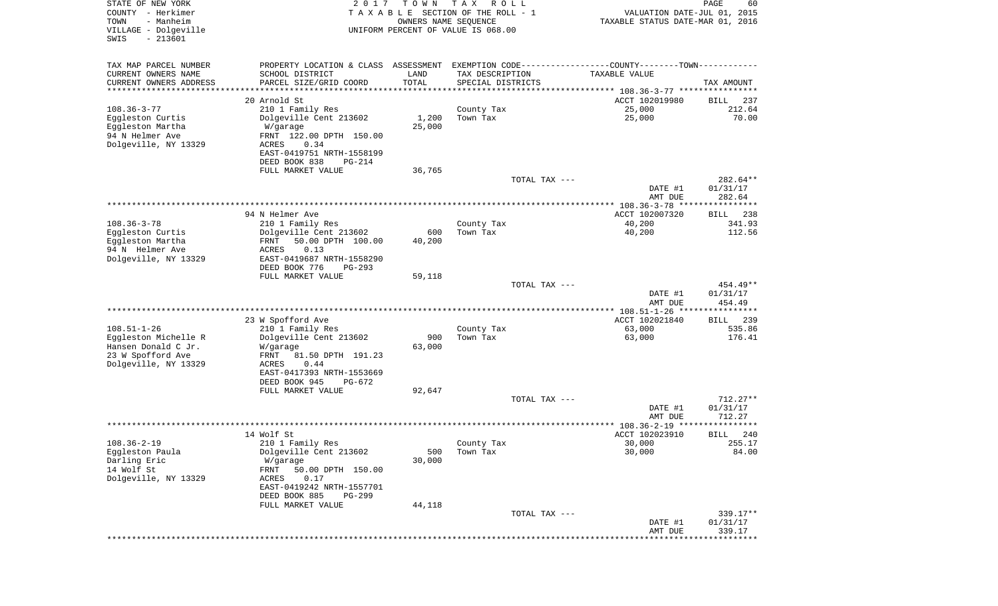| STATE OF NEW YORK<br>COUNTY - Herkimer<br>- Manheim<br>TOWN<br>VILLAGE - Dolgeville<br>$-213601$<br>SWIS | 2017                                                | T O W N<br>OWNERS NAME SEQUENCE | T A X<br>R O L L<br>TAXABLE SECTION OF THE ROLL - 1<br>UNIFORM PERCENT OF VALUE IS 068.00 | VALUATION DATE-JUL 01, 2015<br>TAXABLE STATUS DATE-MAR 01, 2016                               | PAGE<br>60                |
|----------------------------------------------------------------------------------------------------------|-----------------------------------------------------|---------------------------------|-------------------------------------------------------------------------------------------|-----------------------------------------------------------------------------------------------|---------------------------|
| TAX MAP PARCEL NUMBER                                                                                    |                                                     |                                 |                                                                                           | PROPERTY LOCATION & CLASS ASSESSMENT EXEMPTION CODE---------------COUNTY-------TOWN---------- |                           |
| CURRENT OWNERS NAME                                                                                      | SCHOOL DISTRICT                                     | LAND                            | TAX DESCRIPTION                                                                           | TAXABLE VALUE                                                                                 |                           |
| CURRENT OWNERS ADDRESS                                                                                   | PARCEL SIZE/GRID COORD                              | TOTAL                           | SPECIAL DISTRICTS                                                                         |                                                                                               | TAX AMOUNT                |
| ********************                                                                                     |                                                     |                                 |                                                                                           |                                                                                               |                           |
|                                                                                                          | 20 Arnold St                                        |                                 |                                                                                           | ACCT 102019980                                                                                | 237<br>BILL               |
| $108.36 - 3 - 77$                                                                                        | 210 1 Family Res                                    |                                 | County Tax<br>Town Tax                                                                    | 25,000<br>25,000                                                                              | 212.64<br>70.00           |
| Eggleston Curtis<br>Eggleston Martha                                                                     | Dolgeville Cent 213602<br>W/garage                  | 1,200<br>25,000                 |                                                                                           |                                                                                               |                           |
| 94 N Helmer Ave                                                                                          | FRNT 122.00 DPTH 150.00                             |                                 |                                                                                           |                                                                                               |                           |
| Dolgeville, NY 13329                                                                                     | ACRES<br>0.34                                       |                                 |                                                                                           |                                                                                               |                           |
|                                                                                                          | EAST-0419751 NRTH-1558199                           |                                 |                                                                                           |                                                                                               |                           |
|                                                                                                          | DEED BOOK 838<br>PG-214                             |                                 |                                                                                           |                                                                                               |                           |
|                                                                                                          | FULL MARKET VALUE                                   | 36,765                          |                                                                                           |                                                                                               |                           |
|                                                                                                          |                                                     |                                 | TOTAL TAX ---                                                                             | DATE #1                                                                                       | 282.64**<br>01/31/17      |
|                                                                                                          |                                                     |                                 |                                                                                           | AMT DUE                                                                                       | 282.64                    |
|                                                                                                          |                                                     |                                 |                                                                                           |                                                                                               |                           |
|                                                                                                          | 94 N Helmer Ave                                     |                                 |                                                                                           | ACCT 102007320                                                                                | 238<br>BILL               |
| $108.36 - 3 - 78$                                                                                        | 210 1 Family Res                                    |                                 | County Tax                                                                                | 40,200                                                                                        | 341.93                    |
| Eggleston Curtis<br>Eggleston Martha                                                                     | Dolgeville Cent 213602<br>50.00 DPTH 100.00<br>FRNT | 600                             | Town Tax                                                                                  | 40,200                                                                                        | 112.56                    |
| 94 N Helmer Ave                                                                                          | ACRES<br>0.13                                       | 40,200                          |                                                                                           |                                                                                               |                           |
| Dolgeville, NY 13329                                                                                     | EAST-0419687 NRTH-1558290                           |                                 |                                                                                           |                                                                                               |                           |
|                                                                                                          | DEED BOOK 776<br>$PG-293$                           |                                 |                                                                                           |                                                                                               |                           |
|                                                                                                          | FULL MARKET VALUE                                   | 59,118                          |                                                                                           |                                                                                               |                           |
|                                                                                                          |                                                     |                                 | TOTAL TAX ---                                                                             |                                                                                               | 454.49**                  |
|                                                                                                          |                                                     |                                 |                                                                                           | DATE #1<br>AMT DUE                                                                            | 01/31/17<br>454.49        |
|                                                                                                          |                                                     |                                 |                                                                                           | *********** 108.51-1-26 *****************                                                     |                           |
|                                                                                                          | 23 W Spofford Ave                                   |                                 |                                                                                           | ACCT 102021840                                                                                | 239<br>BILL               |
| $108.51 - 1 - 26$                                                                                        | 210 1 Family Res                                    |                                 | County Tax                                                                                | 63,000                                                                                        | 535.86                    |
| Eggleston Michelle R                                                                                     | Dolgeville Cent 213602                              | 900                             | Town Tax                                                                                  | 63,000                                                                                        | 176.41                    |
| Hansen Donald C Jr.                                                                                      | W/garage<br>FRNT<br>81.50 DPTH 191.23               | 63,000                          |                                                                                           |                                                                                               |                           |
| 23 W Spofford Ave<br>Dolgeville, NY 13329                                                                | ACRES<br>0.44                                       |                                 |                                                                                           |                                                                                               |                           |
|                                                                                                          | EAST-0417393 NRTH-1553669                           |                                 |                                                                                           |                                                                                               |                           |
|                                                                                                          | DEED BOOK 945<br>PG-672                             |                                 |                                                                                           |                                                                                               |                           |
|                                                                                                          | FULL MARKET VALUE                                   | 92,647                          |                                                                                           |                                                                                               |                           |
|                                                                                                          |                                                     |                                 | TOTAL TAX ---                                                                             |                                                                                               | $712.27**$                |
|                                                                                                          |                                                     |                                 |                                                                                           | DATE #1<br>AMT DUE                                                                            | 01/31/17<br>712.27        |
|                                                                                                          |                                                     |                                 |                                                                                           | ****************** 108.36-2-19 ****************                                               |                           |
|                                                                                                          | 14 Wolf St                                          |                                 |                                                                                           | ACCT 102023910                                                                                | 240<br>BILL               |
| $108.36 - 2 - 19$                                                                                        | 210 1 Family Res                                    |                                 | County Tax                                                                                | 30,000                                                                                        | 255.17                    |
| Eggleston Paula                                                                                          | Dolgeville Cent 213602                              | 500                             | Town Tax                                                                                  | 30,000                                                                                        | 84.00                     |
| Darling Eric<br>14 Wolf St                                                                               | W/garage<br>50.00 DPTH 150.00<br>FRNT               | 30,000                          |                                                                                           |                                                                                               |                           |
| Dolgeville, NY 13329                                                                                     | 0.17<br>ACRES                                       |                                 |                                                                                           |                                                                                               |                           |
|                                                                                                          | EAST-0419242 NRTH-1557701                           |                                 |                                                                                           |                                                                                               |                           |
|                                                                                                          | DEED BOOK 885<br>PG-299                             |                                 |                                                                                           |                                                                                               |                           |
|                                                                                                          | FULL MARKET VALUE                                   | 44,118                          |                                                                                           |                                                                                               |                           |
|                                                                                                          |                                                     |                                 | TOTAL TAX ---                                                                             |                                                                                               | 339.17**                  |
|                                                                                                          |                                                     |                                 |                                                                                           | DATE #1<br>AMT DUE                                                                            | 01/31/17<br>339.17        |
|                                                                                                          |                                                     |                                 |                                                                                           |                                                                                               | ************************* |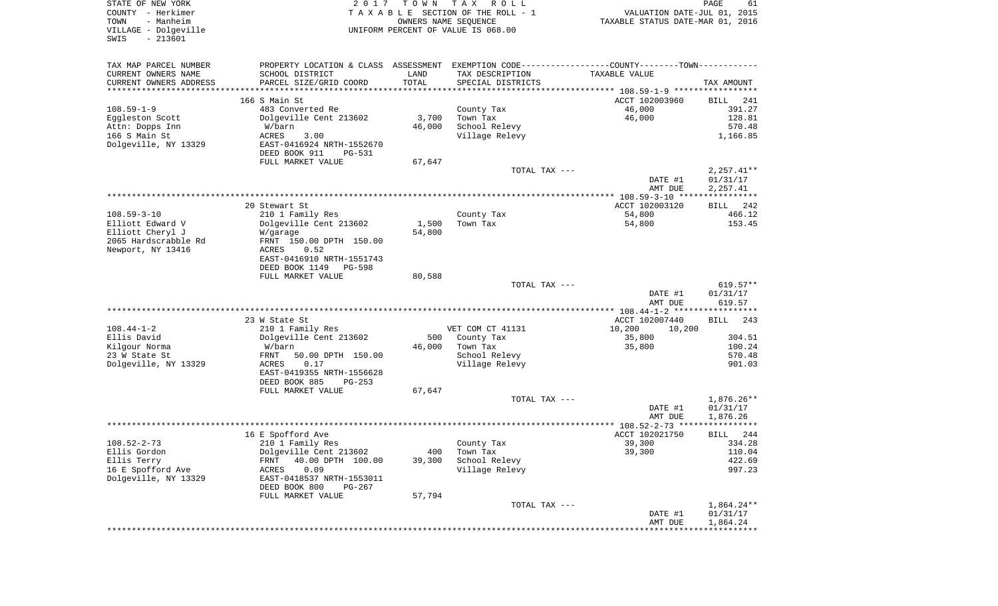| STATE OF NEW YORK<br>COUNTY - Herkimer<br>- Manheim<br>TOWN<br>VILLAGE - Dolgeville<br>$-213601$<br>SWIS | 2017                                                   | T O W N<br>OWNERS NAME SEQUENCE | T A X<br>R O L L<br>TAXABLE SECTION OF THE ROLL - 1<br>UNIFORM PERCENT OF VALUE IS 068.00     | VALUATION DATE-JUL 01, 2015<br>TAXABLE STATUS DATE-MAR 01, 2016 | PAGE<br>61             |
|----------------------------------------------------------------------------------------------------------|--------------------------------------------------------|---------------------------------|-----------------------------------------------------------------------------------------------|-----------------------------------------------------------------|------------------------|
| TAX MAP PARCEL NUMBER                                                                                    |                                                        |                                 | PROPERTY LOCATION & CLASS ASSESSMENT EXEMPTION CODE---------------COUNTY-------TOWN---------- |                                                                 |                        |
| CURRENT OWNERS NAME                                                                                      | SCHOOL DISTRICT                                        | LAND                            | TAX DESCRIPTION                                                                               | TAXABLE VALUE                                                   |                        |
| CURRENT OWNERS ADDRESS                                                                                   | PARCEL SIZE/GRID COORD                                 | TOTAL                           | SPECIAL DISTRICTS                                                                             |                                                                 | TAX AMOUNT             |
| *********************                                                                                    | ************************                               | * * * * * * * * * * * * * * * * |                                                                                               |                                                                 |                        |
|                                                                                                          | 166 S Main St                                          |                                 |                                                                                               | ACCT 102003960                                                  | BILL<br>241            |
| $108.59 - 1 - 9$                                                                                         | 483 Converted Re<br>Dolgeville Cent 213602             |                                 | County Tax                                                                                    | 46,000<br>46,000                                                | 391.27<br>128.81       |
| Eggleston Scott<br>Attn: Dopps Inn                                                                       | W/barn                                                 | 3,700<br>46,000                 | Town Tax<br>School Relevy                                                                     |                                                                 | 570.48                 |
| 166 S Main St                                                                                            | <b>ACRES</b><br>3.00                                   |                                 | Village Relevy                                                                                |                                                                 | 1,166.85               |
| Dolgeville, NY 13329                                                                                     | EAST-0416924 NRTH-1552670                              |                                 |                                                                                               |                                                                 |                        |
|                                                                                                          | DEED BOOK 911<br>PG-531                                |                                 |                                                                                               |                                                                 |                        |
|                                                                                                          | FULL MARKET VALUE                                      | 67,647                          |                                                                                               |                                                                 |                        |
|                                                                                                          |                                                        |                                 | TOTAL TAX ---                                                                                 |                                                                 | $2,257.41**$           |
|                                                                                                          |                                                        |                                 |                                                                                               | DATE #1                                                         | 01/31/17               |
|                                                                                                          |                                                        |                                 |                                                                                               | AMT DUE                                                         | 2,257.41               |
|                                                                                                          |                                                        |                                 |                                                                                               |                                                                 |                        |
| $108.59 - 3 - 10$                                                                                        | 20 Stewart St<br>210 1 Family Res                      |                                 | County Tax                                                                                    | ACCT 102003120<br>54,800                                        | 242<br>BILL<br>466.12  |
| Elliott Edward V                                                                                         | Dolgeville Cent 213602                                 | 1,500                           | Town Tax                                                                                      | 54,800                                                          | 153.45                 |
| Elliott Cheryl J                                                                                         | W/garage                                               | 54,800                          |                                                                                               |                                                                 |                        |
| 2065 Hardscrabble Rd                                                                                     | FRNT 150.00 DPTH 150.00                                |                                 |                                                                                               |                                                                 |                        |
| Newport, NY 13416                                                                                        | ACRES<br>0.52                                          |                                 |                                                                                               |                                                                 |                        |
|                                                                                                          | EAST-0416910 NRTH-1551743                              |                                 |                                                                                               |                                                                 |                        |
|                                                                                                          | DEED BOOK 1149<br><b>PG-598</b>                        |                                 |                                                                                               |                                                                 |                        |
|                                                                                                          | FULL MARKET VALUE                                      | 80,588                          |                                                                                               |                                                                 |                        |
|                                                                                                          |                                                        |                                 | TOTAL TAX ---                                                                                 | DATE #1                                                         | $619.57**$<br>01/31/17 |
|                                                                                                          |                                                        |                                 |                                                                                               | AMT DUE                                                         | 619.57                 |
|                                                                                                          |                                                        |                                 |                                                                                               | *********** 108.44-1-2 ******************                       |                        |
|                                                                                                          | 23 W State St                                          |                                 |                                                                                               | ACCT 102007440                                                  | BILL<br>243            |
| $108.44 - 1 - 2$                                                                                         | 210 1 Family Res                                       |                                 | VET COM CT 41131                                                                              | 10,200<br>10,200                                                |                        |
| Ellis David                                                                                              | Dolgeville Cent 213602                                 | 500                             | County Tax                                                                                    | 35,800                                                          | 304.51                 |
| Kilgour Norma                                                                                            | W/barn                                                 | 46,000                          | Town Tax                                                                                      | 35,800                                                          | 100.24                 |
| 23 W State St                                                                                            | FRNT<br>50.00 DPTH 150.00                              |                                 | School Relevy                                                                                 |                                                                 | 570.48                 |
| Dolgeville, NY 13329                                                                                     | ACRES<br>0.17                                          |                                 | Village Relevy                                                                                |                                                                 | 901.03                 |
|                                                                                                          | EAST-0419355 NRTH-1556628<br>DEED BOOK 885<br>$PG-253$ |                                 |                                                                                               |                                                                 |                        |
|                                                                                                          | FULL MARKET VALUE                                      | 67,647                          |                                                                                               |                                                                 |                        |
|                                                                                                          |                                                        |                                 | TOTAL TAX ---                                                                                 |                                                                 | $1,876.26**$           |
|                                                                                                          |                                                        |                                 |                                                                                               | DATE #1                                                         | 01/31/17               |
|                                                                                                          |                                                        |                                 |                                                                                               | AMT DUE                                                         | 1,876.26               |
|                                                                                                          |                                                        |                                 |                                                                                               |                                                                 | ****                   |
|                                                                                                          | 16 E Spofford Ave                                      |                                 |                                                                                               | ACCT 102021750                                                  | 244<br>BILL            |
| $108.52 - 2 - 73$                                                                                        | 210 1 Family Res                                       |                                 | County Tax                                                                                    | 39,300                                                          | 334.28                 |
| Ellis Gordon                                                                                             | Dolgeville Cent 213602                                 | 400                             | Town Tax                                                                                      | 39,300                                                          | 110.04                 |
| Ellis Terry<br>16 E Spofford Ave                                                                         | 40.00 DPTH 100.00<br>FRNT<br>0.09<br>ACRES             | 39,300                          | School Relevy<br>Village Relevy                                                               |                                                                 | 422.69<br>997.23       |
| Dolgeville, NY 13329                                                                                     | EAST-0418537 NRTH-1553011                              |                                 |                                                                                               |                                                                 |                        |
|                                                                                                          | DEED BOOK 800<br>PG-267                                |                                 |                                                                                               |                                                                 |                        |
|                                                                                                          | FULL MARKET VALUE                                      | 57,794                          |                                                                                               |                                                                 |                        |
|                                                                                                          |                                                        |                                 | TOTAL TAX ---                                                                                 |                                                                 | $1,864.24**$           |
|                                                                                                          |                                                        |                                 |                                                                                               | DATE #1                                                         | 01/31/17               |
|                                                                                                          |                                                        |                                 |                                                                                               | AMT DUE                                                         | 1,864.24               |
|                                                                                                          |                                                        |                                 |                                                                                               | *****************************                                   |                        |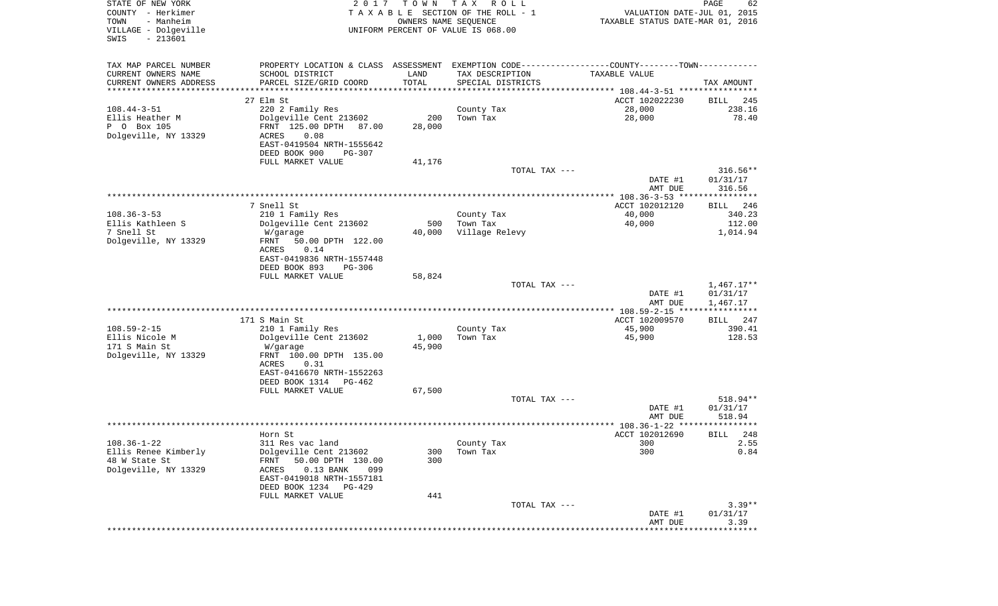| STATE OF NEW YORK<br>COUNTY - Herkimer<br>- Manheim<br>TOWN<br>VILLAGE - Dolgeville<br>$-213601$<br>SWIS | 2 0 1 7                                                                                       | T O W N<br>OWNERS NAME SEQUENCE | T A X<br>R O L L<br>TAXABLE SECTION OF THE ROLL - 1<br>UNIFORM PERCENT OF VALUE IS 068.00 | VALUATION DATE-JUL 01, 2015<br>TAXABLE STATUS DATE-MAR 01, 2016 | PAGE<br>62                   |
|----------------------------------------------------------------------------------------------------------|-----------------------------------------------------------------------------------------------|---------------------------------|-------------------------------------------------------------------------------------------|-----------------------------------------------------------------|------------------------------|
| TAX MAP PARCEL NUMBER                                                                                    | PROPERTY LOCATION & CLASS ASSESSMENT EXEMPTION CODE---------------COUNTY-------TOWN---------- |                                 |                                                                                           |                                                                 |                              |
| CURRENT OWNERS NAME                                                                                      | SCHOOL DISTRICT                                                                               | LAND                            | TAX DESCRIPTION                                                                           | TAXABLE VALUE                                                   |                              |
| CURRENT OWNERS ADDRESS<br>**********************                                                         | PARCEL SIZE/GRID COORD<br>************************                                            | TOTAL<br>***********            | SPECIAL DISTRICTS                                                                         |                                                                 | TAX AMOUNT                   |
|                                                                                                          | 27 Elm St                                                                                     |                                 |                                                                                           | ACCT 102022230                                                  | 245<br>BILL                  |
| $108.44 - 3 - 51$                                                                                        | 220 2 Family Res                                                                              |                                 | County Tax                                                                                | 28,000                                                          | 238.16                       |
| Ellis Heather M                                                                                          | Dolgeville Cent 213602                                                                        | 200                             | Town Tax                                                                                  | 28,000                                                          | 78.40                        |
| P 0 Box 105<br>Dolgeville, NY 13329                                                                      | FRNT 125.00 DPTH 87.00<br>0.08<br>ACRES                                                       | 28,000                          |                                                                                           |                                                                 |                              |
|                                                                                                          | EAST-0419504 NRTH-1555642                                                                     |                                 |                                                                                           |                                                                 |                              |
|                                                                                                          | DEED BOOK 900<br>PG-307                                                                       |                                 |                                                                                           |                                                                 |                              |
|                                                                                                          | FULL MARKET VALUE                                                                             | 41,176                          |                                                                                           |                                                                 |                              |
|                                                                                                          |                                                                                               |                                 | TOTAL TAX ---                                                                             | DATE #1                                                         | $316.56**$<br>01/31/17       |
|                                                                                                          |                                                                                               |                                 |                                                                                           | AMT DUE                                                         | 316.56                       |
|                                                                                                          |                                                                                               |                                 |                                                                                           |                                                                 |                              |
| $108.36 - 3 - 53$                                                                                        | 7 Snell St<br>210 1 Family Res                                                                |                                 | County Tax                                                                                | ACCT 102012120<br>40,000                                        | 246<br>BILL<br>340.23        |
| Ellis Kathleen S                                                                                         | Dolgeville Cent 213602                                                                        | 500                             | Town Tax                                                                                  | 40,000                                                          | 112.00                       |
| 7 Snell St                                                                                               | W/garage                                                                                      | 40,000                          | Village Relevy                                                                            |                                                                 | 1,014.94                     |
| Dolgeville, NY 13329                                                                                     | FRNT<br>50.00 DPTH 122.00                                                                     |                                 |                                                                                           |                                                                 |                              |
|                                                                                                          | ACRES<br>0.14<br>EAST-0419836 NRTH-1557448                                                    |                                 |                                                                                           |                                                                 |                              |
|                                                                                                          | DEED BOOK 893<br><b>PG-306</b>                                                                |                                 |                                                                                           |                                                                 |                              |
|                                                                                                          | FULL MARKET VALUE                                                                             | 58,824                          |                                                                                           |                                                                 |                              |
|                                                                                                          |                                                                                               |                                 | TOTAL TAX ---                                                                             | DATE #1                                                         | $1,467.17**$<br>01/31/17     |
|                                                                                                          |                                                                                               |                                 |                                                                                           | AMT DUE                                                         | 1,467.17                     |
|                                                                                                          |                                                                                               |                                 |                                                                                           | ************* 108.59-2-15 *****************                     |                              |
| $108.59 - 2 - 15$                                                                                        | 171 S Main St<br>210 1 Family Res                                                             |                                 | County Tax                                                                                | ACCT 102009570<br>45,900                                        | 247<br><b>BILL</b><br>390.41 |
| Ellis Nicole M                                                                                           | Dolgeville Cent 213602                                                                        | 1,000                           | Town Tax                                                                                  | 45,900                                                          | 128.53                       |
| 171 S Main St                                                                                            | W/garage                                                                                      | 45,900                          |                                                                                           |                                                                 |                              |
| Dolgeville, NY 13329                                                                                     | FRNT 100.00 DPTH 135.00                                                                       |                                 |                                                                                           |                                                                 |                              |
|                                                                                                          | ACRES<br>0.31<br>EAST-0416670 NRTH-1552263                                                    |                                 |                                                                                           |                                                                 |                              |
|                                                                                                          | DEED BOOK 1314<br>PG-462                                                                      |                                 |                                                                                           |                                                                 |                              |
|                                                                                                          | FULL MARKET VALUE                                                                             | 67,500                          |                                                                                           |                                                                 |                              |
|                                                                                                          |                                                                                               |                                 | TOTAL TAX ---                                                                             | DATE #1                                                         | 518.94**<br>01/31/17         |
|                                                                                                          |                                                                                               |                                 |                                                                                           | AMT DUE                                                         | 518.94                       |
|                                                                                                          |                                                                                               |                                 |                                                                                           |                                                                 | *****                        |
|                                                                                                          | Horn St                                                                                       |                                 |                                                                                           | ACCT 102012690                                                  | 248<br>BILL                  |
| $108.36 - 1 - 22$<br>Ellis Renee Kimberly                                                                | 311 Res vac land<br>Dolgeville Cent 213602                                                    | 300                             | County Tax<br>Town Tax                                                                    | 300<br>300                                                      | 2.55<br>0.84                 |
| 48 W State St                                                                                            | FRNT<br>50.00 DPTH 130.00                                                                     | 300                             |                                                                                           |                                                                 |                              |
| Dolgeville, NY 13329                                                                                     | $0.13$ BANK<br>ACRES<br>099                                                                   |                                 |                                                                                           |                                                                 |                              |
|                                                                                                          | EAST-0419018 NRTH-1557181                                                                     |                                 |                                                                                           |                                                                 |                              |
|                                                                                                          | DEED BOOK 1234 PG-429<br>FULL MARKET VALUE                                                    | 441                             |                                                                                           |                                                                 |                              |
|                                                                                                          |                                                                                               |                                 | TOTAL TAX ---                                                                             |                                                                 | $3.39**$                     |
|                                                                                                          |                                                                                               |                                 |                                                                                           | DATE #1                                                         | 01/31/17                     |
|                                                                                                          |                                                                                               |                                 |                                                                                           | AMT DUE<br>*****************************                        | 3.39                         |
|                                                                                                          |                                                                                               |                                 |                                                                                           |                                                                 |                              |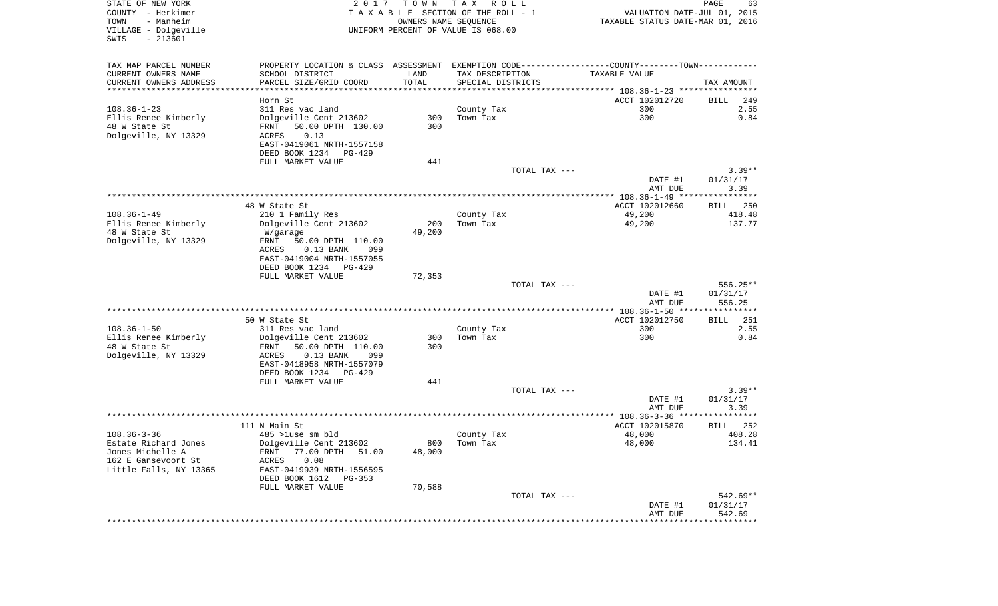| STATE OF NEW YORK<br>COUNTY - Herkimer<br>- Manheim<br>TOWN<br>VILLAGE - Dolgeville<br>$-213601$<br>SWIS | 2017                                                                                          | T O W N | T A X<br>R O L L<br>TAXABLE SECTION OF THE ROLL - 1<br>OWNERS NAME SEQUENCE<br>UNIFORM PERCENT OF VALUE IS 068.00 | VALUATION DATE-JUL 01, 2015<br>TAXABLE STATUS DATE-MAR 01, 2016 | PAGE<br>63  |
|----------------------------------------------------------------------------------------------------------|-----------------------------------------------------------------------------------------------|---------|-------------------------------------------------------------------------------------------------------------------|-----------------------------------------------------------------|-------------|
| TAX MAP PARCEL NUMBER                                                                                    | PROPERTY LOCATION & CLASS ASSESSMENT EXEMPTION CODE---------------COUNTY-------TOWN---------- |         |                                                                                                                   |                                                                 |             |
| CURRENT OWNERS NAME                                                                                      | SCHOOL DISTRICT                                                                               | LAND    | TAX DESCRIPTION                                                                                                   | TAXABLE VALUE                                                   |             |
| CURRENT OWNERS ADDRESS<br>************************                                                       | PARCEL SIZE/GRID COORD                                                                        | TOTAL   | SPECIAL DISTRICTS                                                                                                 |                                                                 | TAX AMOUNT  |
|                                                                                                          | Horn St                                                                                       |         |                                                                                                                   | ACCT 102012720                                                  | 249<br>BILL |
| $108.36 - 1 - 23$                                                                                        | 311 Res vac land                                                                              |         | County Tax                                                                                                        | 300                                                             | 2.55        |
| Ellis Renee Kimberly                                                                                     | Dolgeville Cent 213602                                                                        | 300     | Town Tax                                                                                                          | 300                                                             | 0.84        |
| 48 W State St                                                                                            | 50.00 DPTH 130.00<br>FRNT                                                                     | 300     |                                                                                                                   |                                                                 |             |
| Dolgeville, NY 13329                                                                                     | ACRES<br>0.13                                                                                 |         |                                                                                                                   |                                                                 |             |
|                                                                                                          | EAST-0419061 NRTH-1557158                                                                     |         |                                                                                                                   |                                                                 |             |
|                                                                                                          | DEED BOOK 1234 PG-429<br>FULL MARKET VALUE                                                    | 441     |                                                                                                                   |                                                                 |             |
|                                                                                                          |                                                                                               |         | TOTAL TAX ---                                                                                                     |                                                                 | $3.39**$    |
|                                                                                                          |                                                                                               |         |                                                                                                                   | DATE #1                                                         | 01/31/17    |
|                                                                                                          |                                                                                               |         |                                                                                                                   | AMT DUE                                                         | 3.39        |
|                                                                                                          | 48 W State St                                                                                 |         |                                                                                                                   | ACCT 102012660                                                  | BILL 250    |
| $108.36 - 1 - 49$                                                                                        | 210 1 Family Res                                                                              |         | County Tax                                                                                                        | 49,200                                                          | 418.48      |
| Ellis Renee Kimberly                                                                                     | Dolgeville Cent 213602                                                                        | 200     | Town Tax                                                                                                          | 49,200                                                          | 137.77      |
| 48 W State St                                                                                            | W/garage                                                                                      | 49,200  |                                                                                                                   |                                                                 |             |
| Dolgeville, NY 13329                                                                                     | FRNT<br>50.00 DPTH 110.00                                                                     |         |                                                                                                                   |                                                                 |             |
|                                                                                                          | ACRES<br>$0.13$ BANK<br>099<br>EAST-0419004 NRTH-1557055                                      |         |                                                                                                                   |                                                                 |             |
|                                                                                                          | DEED BOOK 1234 PG-429                                                                         |         |                                                                                                                   |                                                                 |             |
|                                                                                                          | FULL MARKET VALUE                                                                             | 72,353  |                                                                                                                   |                                                                 |             |
|                                                                                                          |                                                                                               |         | TOTAL TAX ---                                                                                                     |                                                                 | $556.25**$  |
|                                                                                                          |                                                                                               |         |                                                                                                                   | DATE #1                                                         | 01/31/17    |
|                                                                                                          |                                                                                               |         |                                                                                                                   | AMT DUE<br>***************** 108.36-1-50 ****************       | 556.25      |
|                                                                                                          | 50 W State St                                                                                 |         |                                                                                                                   | ACCT 102012750                                                  | 251<br>BILL |
| $108.36 - 1 - 50$                                                                                        | 311 Res vac land                                                                              |         | County Tax                                                                                                        | 300                                                             | 2.55        |
| Ellis Renee Kimberly                                                                                     | Dolgeville Cent 213602                                                                        | 300     | Town Tax                                                                                                          | 300                                                             | 0.84        |
| 48 W State St                                                                                            | 50.00 DPTH 110.00<br>FRNT                                                                     | 300     |                                                                                                                   |                                                                 |             |
| Dolgeville, NY 13329                                                                                     | ACRES<br>$0.13$ BANK<br>099                                                                   |         |                                                                                                                   |                                                                 |             |
|                                                                                                          | EAST-0418958 NRTH-1557079<br>DEED BOOK 1234 PG-429                                            |         |                                                                                                                   |                                                                 |             |
|                                                                                                          | FULL MARKET VALUE                                                                             | 441     |                                                                                                                   |                                                                 |             |
|                                                                                                          |                                                                                               |         | TOTAL TAX ---                                                                                                     |                                                                 | $3.39**$    |
|                                                                                                          |                                                                                               |         |                                                                                                                   | DATE #1                                                         | 01/31/17    |
|                                                                                                          |                                                                                               |         |                                                                                                                   | AMT DUE                                                         | 3.39        |
|                                                                                                          | 111 N Main St                                                                                 |         |                                                                                                                   | ACCT 102015870                                                  | 252<br>BILL |
| $108.36 - 3 - 36$                                                                                        | 485 >luse sm bld                                                                              |         | County Tax                                                                                                        | 48,000                                                          | 408.28      |
| Estate Richard Jones                                                                                     | Dolgeville Cent 213602                                                                        |         | 800 Town Tax                                                                                                      | 48,000                                                          | 134.41      |
| Jones Michelle A                                                                                         | FRNT 77.00 DPTH 51.00                                                                         | 48,000  |                                                                                                                   |                                                                 |             |
| 162 E Gansevoort St                                                                                      | ACRES<br>0.08                                                                                 |         |                                                                                                                   |                                                                 |             |
| Little Falls, NY 13365                                                                                   | EAST-0419939 NRTH-1556595<br>DEED BOOK 1612<br>PG-353                                         |         |                                                                                                                   |                                                                 |             |
|                                                                                                          | FULL MARKET VALUE                                                                             | 70,588  |                                                                                                                   |                                                                 |             |
|                                                                                                          |                                                                                               |         | TOTAL TAX ---                                                                                                     |                                                                 | 542.69**    |
|                                                                                                          |                                                                                               |         |                                                                                                                   | DATE #1                                                         | 01/31/17    |
|                                                                                                          |                                                                                               |         |                                                                                                                   | AMT DUE                                                         | 542.69      |
|                                                                                                          |                                                                                               |         |                                                                                                                   |                                                                 |             |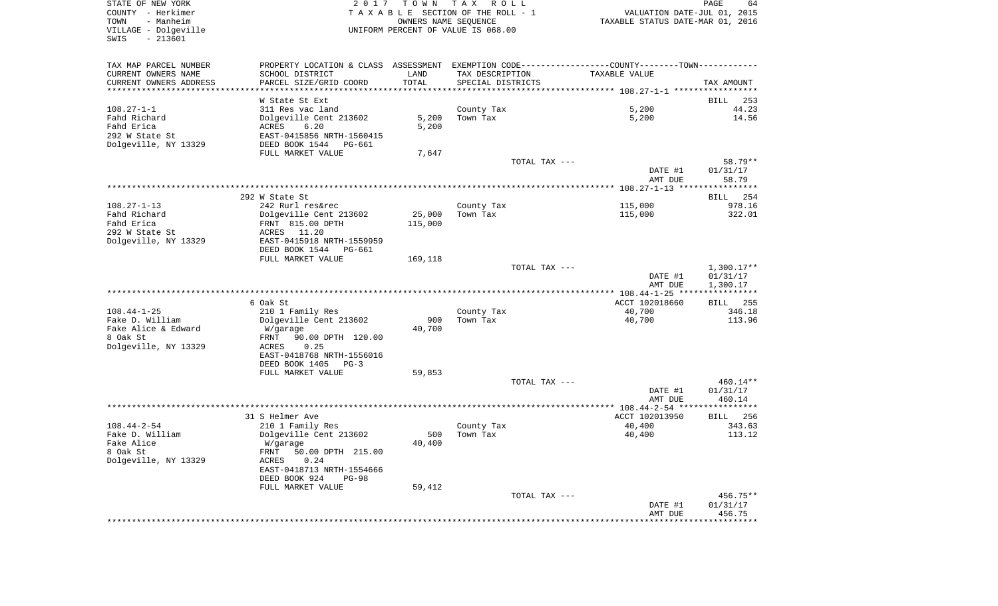| STATE OF NEW YORK<br>COUNTY - Herkimer<br>- Manheim<br>TOWN<br>VILLAGE - Dolgeville<br>$-213601$<br>SWIS | TAX ROLL<br>2017<br>T O W N<br>TAXABLE SECTION OF THE ROLL - 1<br>OWNERS NAME SEQUENCE<br>UNIFORM PERCENT OF VALUE IS 068.00 |         |                   |                                                                                               | PAGE<br>64<br>VALUATION DATE-JUL 01, 2015<br>TAXABLE STATUS DATE-MAR 01, 2016 |  |  |
|----------------------------------------------------------------------------------------------------------|------------------------------------------------------------------------------------------------------------------------------|---------|-------------------|-----------------------------------------------------------------------------------------------|-------------------------------------------------------------------------------|--|--|
| TAX MAP PARCEL NUMBER                                                                                    |                                                                                                                              |         |                   | PROPERTY LOCATION & CLASS ASSESSMENT EXEMPTION CODE---------------COUNTY-------TOWN---------- |                                                                               |  |  |
| CURRENT OWNERS NAME                                                                                      | SCHOOL DISTRICT                                                                                                              | LAND    | TAX DESCRIPTION   | TAXABLE VALUE                                                                                 |                                                                               |  |  |
| CURRENT OWNERS ADDRESS                                                                                   | PARCEL SIZE/GRID COORD                                                                                                       | TOTAL   | SPECIAL DISTRICTS |                                                                                               | TAX AMOUNT                                                                    |  |  |
| *****************************                                                                            |                                                                                                                              |         |                   |                                                                                               |                                                                               |  |  |
|                                                                                                          | W State St Ext                                                                                                               |         |                   |                                                                                               | BILL                                                                          |  |  |
| $108.27 - 1 - 1$                                                                                         | 311 Res vac land                                                                                                             |         | County Tax        | 5,200                                                                                         | 44.23                                                                         |  |  |
| Fahd Richard                                                                                             | Dolgeville Cent 213602                                                                                                       | 5,200   | Town Tax          | 5,200                                                                                         | 14.56                                                                         |  |  |
| Fahd Erica                                                                                               | ACRES<br>6.20                                                                                                                | 5,200   |                   |                                                                                               |                                                                               |  |  |
| 292 W State St                                                                                           | EAST-0415856 NRTH-1560415                                                                                                    |         |                   |                                                                                               |                                                                               |  |  |
| Dolgeville, NY 13329                                                                                     | DEED BOOK 1544 PG-661                                                                                                        |         |                   |                                                                                               |                                                                               |  |  |
|                                                                                                          | FULL MARKET VALUE                                                                                                            | 7,647   |                   |                                                                                               |                                                                               |  |  |
|                                                                                                          |                                                                                                                              |         | TOTAL TAX ---     |                                                                                               | 58.79**                                                                       |  |  |
|                                                                                                          |                                                                                                                              |         |                   | DATE #1<br>AMT DUE                                                                            | 01/31/17<br>58.79                                                             |  |  |
|                                                                                                          |                                                                                                                              |         |                   |                                                                                               |                                                                               |  |  |
|                                                                                                          | 292 W State St                                                                                                               |         |                   |                                                                                               | BILL 254                                                                      |  |  |
| $108.27 - 1 - 13$                                                                                        | 242 Rurl res&rec                                                                                                             |         | County Tax        | 115,000                                                                                       | 978.16                                                                        |  |  |
| Fahd Richard                                                                                             | Dolgeville Cent 213602                                                                                                       | 25,000  | Town Tax          | 115,000                                                                                       | 322.01                                                                        |  |  |
| Fahd Erica                                                                                               | FRNT 815.00 DPTH                                                                                                             | 115,000 |                   |                                                                                               |                                                                               |  |  |
| 292 W State St                                                                                           | ACRES 11.20                                                                                                                  |         |                   |                                                                                               |                                                                               |  |  |
| Dolgeville, NY 13329                                                                                     | EAST-0415918 NRTH-1559959                                                                                                    |         |                   |                                                                                               |                                                                               |  |  |
|                                                                                                          | DEED BOOK 1544 PG-661                                                                                                        |         |                   |                                                                                               |                                                                               |  |  |
|                                                                                                          | FULL MARKET VALUE                                                                                                            | 169,118 |                   |                                                                                               |                                                                               |  |  |
|                                                                                                          |                                                                                                                              |         | TOTAL TAX ---     |                                                                                               | $1,300.17**$                                                                  |  |  |
|                                                                                                          |                                                                                                                              |         |                   | DATE #1                                                                                       | 01/31/17                                                                      |  |  |
|                                                                                                          |                                                                                                                              |         |                   | AMT DUE                                                                                       | 1,300.17                                                                      |  |  |
|                                                                                                          |                                                                                                                              |         |                   |                                                                                               |                                                                               |  |  |
|                                                                                                          | 6 Oak St                                                                                                                     |         |                   | ACCT 102018660                                                                                | BILL 255                                                                      |  |  |
| $108.44 - 1 - 25$                                                                                        | 210 1 Family Res                                                                                                             |         | County Tax        | 40,700                                                                                        | 346.18                                                                        |  |  |
| Fake D. William                                                                                          | Dolgeville Cent 213602                                                                                                       | 900     | Town Tax          | 40,700                                                                                        | 113.96                                                                        |  |  |
| Fake Alice & Edward<br>8 Oak St                                                                          | W/garage                                                                                                                     | 40,700  |                   |                                                                                               |                                                                               |  |  |
| Dolgeville, NY 13329                                                                                     | FRNT 90.00 DPTH 120.00<br>0.25<br>ACRES                                                                                      |         |                   |                                                                                               |                                                                               |  |  |
|                                                                                                          | EAST-0418768 NRTH-1556016                                                                                                    |         |                   |                                                                                               |                                                                               |  |  |
|                                                                                                          | DEED BOOK 1405 PG-3                                                                                                          |         |                   |                                                                                               |                                                                               |  |  |
|                                                                                                          | FULL MARKET VALUE                                                                                                            | 59,853  |                   |                                                                                               |                                                                               |  |  |
|                                                                                                          |                                                                                                                              |         | TOTAL TAX ---     |                                                                                               | $460.14**$                                                                    |  |  |
|                                                                                                          |                                                                                                                              |         |                   | DATE #1                                                                                       | 01/31/17                                                                      |  |  |
|                                                                                                          |                                                                                                                              |         |                   | AMT DUE                                                                                       | 460.14                                                                        |  |  |
|                                                                                                          |                                                                                                                              |         |                   |                                                                                               |                                                                               |  |  |
|                                                                                                          | 31 S Helmer Ave                                                                                                              |         |                   | ACCT 102013950                                                                                | BILL 256                                                                      |  |  |
| $108.44 - 2 - 54$                                                                                        | 210 1 Family Res                                                                                                             |         | County Tax        | 40,400                                                                                        | 343.63                                                                        |  |  |
| Fake D. William                                                                                          | Dolgeville Cent 213602                                                                                                       | 500     | Town Tax          | 40,400                                                                                        | 113.12                                                                        |  |  |
| Fake Alice                                                                                               | W/garage                                                                                                                     | 40,400  |                   |                                                                                               |                                                                               |  |  |
| 8 Oak St                                                                                                 | FRNT 50.00 DPTH 215.00                                                                                                       |         |                   |                                                                                               |                                                                               |  |  |
| Dolgeville, NY 13329                                                                                     | 0.24<br>ACRES                                                                                                                |         |                   |                                                                                               |                                                                               |  |  |
|                                                                                                          | EAST-0418713 NRTH-1554666                                                                                                    |         |                   |                                                                                               |                                                                               |  |  |
|                                                                                                          | DEED BOOK 924<br><b>PG-98</b>                                                                                                |         |                   |                                                                                               |                                                                               |  |  |
|                                                                                                          | FULL MARKET VALUE                                                                                                            | 59,412  |                   |                                                                                               |                                                                               |  |  |
|                                                                                                          |                                                                                                                              |         |                   |                                                                                               |                                                                               |  |  |
|                                                                                                          |                                                                                                                              |         | TOTAL TAX ---     |                                                                                               | 456.75**                                                                      |  |  |
|                                                                                                          |                                                                                                                              |         |                   | DATE #1<br>AMT DUE                                                                            | 01/31/17<br>456.75                                                            |  |  |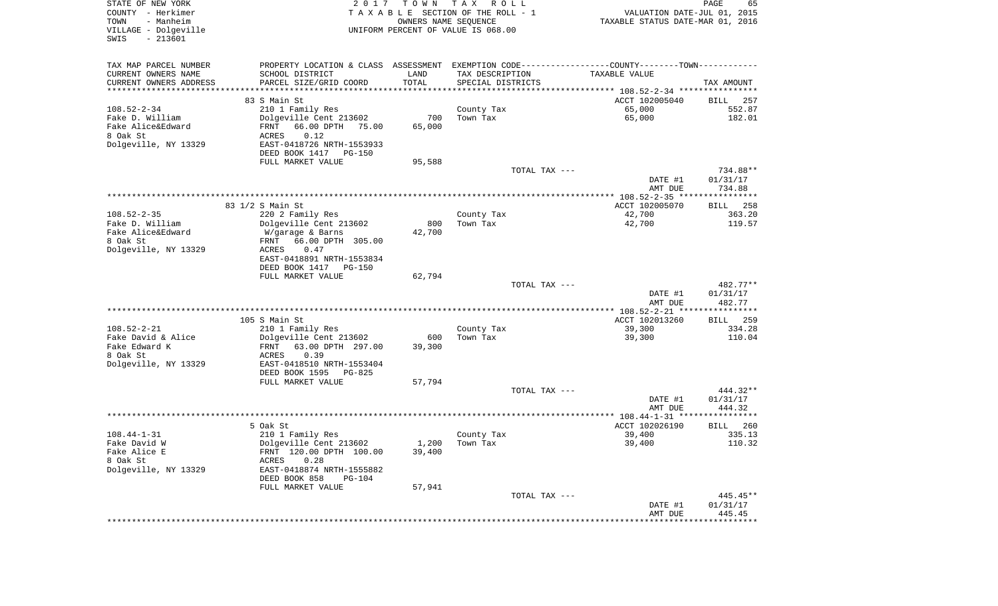| STATE OF NEW YORK<br>COUNTY - Herkimer<br>- Manheim<br>TOWN<br>VILLAGE - Dolgeville<br>$-213601$<br>SWIS | 2017                                                                                          | T O W N<br>OWNERS NAME SEQUENCE | T A X<br>R O L L<br>TAXABLE SECTION OF THE ROLL - 1<br>UNIFORM PERCENT OF VALUE IS 068.00 | VALUATION DATE-JUL 01, 2015<br>TAXABLE STATUS DATE-MAR 01, 2016 | PAGE<br>65         |
|----------------------------------------------------------------------------------------------------------|-----------------------------------------------------------------------------------------------|---------------------------------|-------------------------------------------------------------------------------------------|-----------------------------------------------------------------|--------------------|
| TAX MAP PARCEL NUMBER                                                                                    | PROPERTY LOCATION & CLASS ASSESSMENT EXEMPTION CODE---------------COUNTY-------TOWN---------- |                                 |                                                                                           |                                                                 |                    |
| CURRENT OWNERS NAME                                                                                      | SCHOOL DISTRICT                                                                               | LAND                            | TAX DESCRIPTION                                                                           | TAXABLE VALUE                                                   |                    |
| CURRENT OWNERS ADDRESS<br>***********************                                                        | PARCEL SIZE/GRID COORD                                                                        | TOTAL                           | SPECIAL DISTRICTS                                                                         |                                                                 | TAX AMOUNT         |
|                                                                                                          | 83 S Main St                                                                                  |                                 |                                                                                           | ACCT 102005040                                                  | BILL<br>257        |
| $108.52 - 2 - 34$                                                                                        | 210 1 Family Res                                                                              |                                 | County Tax                                                                                | 65,000                                                          | 552.87             |
| Fake D. William                                                                                          | Dolgeville Cent 213602                                                                        | 700                             | Town Tax                                                                                  | 65,000                                                          | 182.01             |
| Fake Alice&Edward                                                                                        | 66.00 DPTH<br>FRNT<br>75.00                                                                   | 65,000                          |                                                                                           |                                                                 |                    |
| 8 Oak St                                                                                                 | 0.12<br>ACRES                                                                                 |                                 |                                                                                           |                                                                 |                    |
| Dolgeville, NY 13329                                                                                     | EAST-0418726 NRTH-1553933                                                                     |                                 |                                                                                           |                                                                 |                    |
|                                                                                                          | DEED BOOK 1417<br>PG-150                                                                      |                                 |                                                                                           |                                                                 |                    |
|                                                                                                          | FULL MARKET VALUE                                                                             | 95,588                          |                                                                                           |                                                                 |                    |
|                                                                                                          |                                                                                               |                                 | TOTAL TAX ---                                                                             |                                                                 | 734.88**           |
|                                                                                                          |                                                                                               |                                 |                                                                                           | DATE #1                                                         | 01/31/17           |
|                                                                                                          |                                                                                               |                                 |                                                                                           | AMT DUE                                                         | 734.88             |
|                                                                                                          | 83 1/2 S Main St                                                                              |                                 |                                                                                           | ACCT 102005070                                                  | 258<br>BILL        |
| $108.52 - 2 - 35$                                                                                        | 220 2 Family Res                                                                              |                                 | County Tax                                                                                | 42,700                                                          | 363.20             |
| Fake D. William                                                                                          | Dolgeville Cent 213602                                                                        | 800                             | Town Tax                                                                                  | 42,700                                                          | 119.57             |
| Fake Alice&Edward                                                                                        | W/garage & Barns                                                                              | 42,700                          |                                                                                           |                                                                 |                    |
| 8 Oak St                                                                                                 | 66.00 DPTH 305.00<br>FRNT                                                                     |                                 |                                                                                           |                                                                 |                    |
| Dolgeville, NY 13329                                                                                     | ACRES<br>0.47                                                                                 |                                 |                                                                                           |                                                                 |                    |
|                                                                                                          | EAST-0418891 NRTH-1553834<br><b>PG-150</b>                                                    |                                 |                                                                                           |                                                                 |                    |
|                                                                                                          | DEED BOOK 1417<br>FULL MARKET VALUE                                                           | 62,794                          |                                                                                           |                                                                 |                    |
|                                                                                                          |                                                                                               |                                 | TOTAL TAX ---                                                                             |                                                                 | 482.77**           |
|                                                                                                          |                                                                                               |                                 |                                                                                           | DATE #1                                                         | 01/31/17           |
|                                                                                                          |                                                                                               |                                 |                                                                                           | AMT DUE                                                         | 482.77             |
|                                                                                                          |                                                                                               |                                 |                                                                                           | **************** 108.52-2-21 ****************                   |                    |
|                                                                                                          | 105 S Main St                                                                                 |                                 |                                                                                           | ACCT 102013260                                                  | <b>BILL</b><br>259 |
| $108.52 - 2 - 21$<br>Fake David & Alice                                                                  | 210 1 Family Res<br>Dolgeville Cent 213602                                                    | 600                             | County Tax<br>Town Tax                                                                    | 39,300<br>39,300                                                | 334.28<br>110.04   |
| Fake Edward K                                                                                            | FRNT<br>63.00 DPTH 297.00                                                                     | 39,300                          |                                                                                           |                                                                 |                    |
| 8 Oak St                                                                                                 | ACRES<br>0.39                                                                                 |                                 |                                                                                           |                                                                 |                    |
| Dolgeville, NY 13329                                                                                     | EAST-0418510 NRTH-1553404                                                                     |                                 |                                                                                           |                                                                 |                    |
|                                                                                                          | DEED BOOK 1595<br>PG-825                                                                      |                                 |                                                                                           |                                                                 |                    |
|                                                                                                          | FULL MARKET VALUE                                                                             | 57,794                          |                                                                                           |                                                                 |                    |
|                                                                                                          |                                                                                               |                                 | TOTAL TAX ---                                                                             |                                                                 | 444.32**           |
|                                                                                                          |                                                                                               |                                 |                                                                                           | DATE #1<br>AMT DUE                                              | 01/31/17<br>444.32 |
|                                                                                                          |                                                                                               |                                 |                                                                                           |                                                                 |                    |
|                                                                                                          | 5 Oak St                                                                                      |                                 |                                                                                           | ACCT 102026190                                                  | 260<br>BILL        |
| $108.44 - 1 - 31$                                                                                        | 210 1 Family Res                                                                              |                                 | County Tax                                                                                | 39,400                                                          | 335.13             |
| Fake David W                                                                                             | Dolgeville Cent 213602                                                                        |                                 | $1,200$ Town Tax                                                                          | 39,400                                                          | 110.32             |
| Fake Alice E                                                                                             | FRNT 120.00 DPTH 100.00                                                                       | 39,400                          |                                                                                           |                                                                 |                    |
| 8 Oak St                                                                                                 | ACRES<br>0.28                                                                                 |                                 |                                                                                           |                                                                 |                    |
| Dolgeville, NY 13329                                                                                     | EAST-0418874 NRTH-1555882                                                                     |                                 |                                                                                           |                                                                 |                    |
|                                                                                                          | DEED BOOK 858<br>$PG-104$<br>FULL MARKET VALUE                                                | 57,941                          |                                                                                           |                                                                 |                    |
|                                                                                                          |                                                                                               |                                 | TOTAL TAX ---                                                                             |                                                                 | $445.45**$         |
|                                                                                                          |                                                                                               |                                 |                                                                                           | DATE #1                                                         | 01/31/17           |
|                                                                                                          |                                                                                               |                                 |                                                                                           | AMT DUE                                                         | 445.45             |
|                                                                                                          |                                                                                               |                                 |                                                                                           |                                                                 |                    |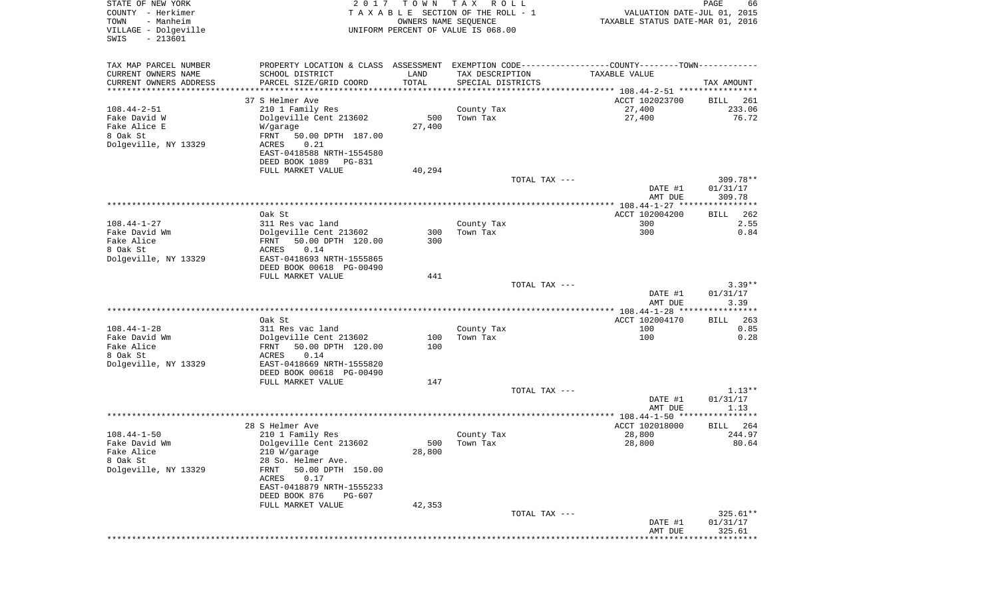| STATE OF NEW YORK<br>COUNTY - Herkimer<br>TOWN<br>- Manheim<br>VILLAGE - Dolgeville<br>$-213601$<br>SWIS | 2017                                                                                          | T O W N<br>OWNERS NAME SEQUENCE | TAX ROLL<br>TAXABLE SECTION OF THE ROLL - 1<br>UNIFORM PERCENT OF VALUE IS 068.00 | VALUATION DATE-JUL 01, 2015<br>TAXABLE STATUS DATE-MAR 01, 2016 | PAGE<br>66         |
|----------------------------------------------------------------------------------------------------------|-----------------------------------------------------------------------------------------------|---------------------------------|-----------------------------------------------------------------------------------|-----------------------------------------------------------------|--------------------|
|                                                                                                          |                                                                                               |                                 |                                                                                   |                                                                 |                    |
| TAX MAP PARCEL NUMBER                                                                                    | PROPERTY LOCATION & CLASS ASSESSMENT EXEMPTION CODE---------------COUNTY-------TOWN---------- |                                 |                                                                                   |                                                                 |                    |
| CURRENT OWNERS NAME<br>CURRENT OWNERS ADDRESS                                                            | SCHOOL DISTRICT<br>PARCEL SIZE/GRID COORD                                                     | LAND<br>TOTAL                   | TAX DESCRIPTION<br>SPECIAL DISTRICTS                                              | TAXABLE VALUE                                                   | TAX AMOUNT         |
| **********************                                                                                   |                                                                                               | ***************                 |                                                                                   |                                                                 |                    |
|                                                                                                          | 37 S Helmer Ave                                                                               |                                 |                                                                                   | ACCT 102023700                                                  | BILL<br>261        |
| $108.44 - 2 - 51$                                                                                        | 210 1 Family Res                                                                              |                                 | County Tax                                                                        | 27,400                                                          | 233.06             |
| Fake David W                                                                                             | Dolgeville Cent 213602                                                                        | 500                             | Town Tax                                                                          | 27,400                                                          | 76.72              |
| Fake Alice E                                                                                             | W/garage                                                                                      | 27,400                          |                                                                                   |                                                                 |                    |
| 8 Oak St                                                                                                 | FRNT<br>50.00 DPTH 187.00                                                                     |                                 |                                                                                   |                                                                 |                    |
| Dolgeville, NY 13329                                                                                     | ACRES<br>0.21<br>EAST-0418588 NRTH-1554580                                                    |                                 |                                                                                   |                                                                 |                    |
|                                                                                                          | DEED BOOK 1089<br>PG-831                                                                      |                                 |                                                                                   |                                                                 |                    |
|                                                                                                          | FULL MARKET VALUE                                                                             | 40,294                          |                                                                                   |                                                                 |                    |
|                                                                                                          |                                                                                               |                                 | TOTAL TAX ---                                                                     |                                                                 | $309.78**$         |
|                                                                                                          |                                                                                               |                                 |                                                                                   | DATE #1                                                         | 01/31/17           |
|                                                                                                          |                                                                                               |                                 |                                                                                   | AMT DUE                                                         | 309.78             |
|                                                                                                          | Oak St                                                                                        |                                 |                                                                                   |                                                                 | 262                |
| $108.44 - 1 - 27$                                                                                        | 311 Res vac land                                                                              |                                 | County Tax                                                                        | ACCT 102004200<br>300                                           | BILL<br>2.55       |
| Fake David Wm                                                                                            | Dolgeville Cent 213602                                                                        | 300                             | Town Tax                                                                          | 300                                                             | 0.84               |
| Fake Alice                                                                                               | 50.00 DPTH 120.00<br>FRNT                                                                     | 300                             |                                                                                   |                                                                 |                    |
| 8 Oak St                                                                                                 | ACRES<br>0.14                                                                                 |                                 |                                                                                   |                                                                 |                    |
| Dolgeville, NY 13329                                                                                     | EAST-0418693 NRTH-1555865                                                                     |                                 |                                                                                   |                                                                 |                    |
|                                                                                                          | DEED BOOK 00618 PG-00490                                                                      |                                 |                                                                                   |                                                                 |                    |
|                                                                                                          | FULL MARKET VALUE                                                                             | 441                             | TOTAL TAX ---                                                                     |                                                                 | $3.39**$           |
|                                                                                                          |                                                                                               |                                 |                                                                                   | DATE #1                                                         | 01/31/17           |
|                                                                                                          |                                                                                               |                                 |                                                                                   | AMT DUE                                                         | 3.39               |
|                                                                                                          |                                                                                               |                                 |                                                                                   |                                                                 |                    |
|                                                                                                          | Oak St                                                                                        |                                 |                                                                                   | ACCT 102004170                                                  | 263<br><b>BILL</b> |
| $108.44 - 1 - 28$                                                                                        | 311 Res vac land                                                                              |                                 | County Tax                                                                        | 100                                                             | 0.85               |
| Fake David Wm                                                                                            | Dolgeville Cent 213602                                                                        | 100                             | Town Tax                                                                          | 100                                                             | 0.28               |
| Fake Alice<br>8 Oak St                                                                                   | 50.00 DPTH 120.00<br>FRNT<br>ACRES<br>0.14                                                    | 100                             |                                                                                   |                                                                 |                    |
| Dolgeville, NY 13329                                                                                     | EAST-0418669 NRTH-1555820                                                                     |                                 |                                                                                   |                                                                 |                    |
|                                                                                                          | DEED BOOK 00618 PG-00490                                                                      |                                 |                                                                                   |                                                                 |                    |
|                                                                                                          | FULL MARKET VALUE                                                                             | 147                             |                                                                                   |                                                                 |                    |
|                                                                                                          |                                                                                               |                                 | TOTAL TAX ---                                                                     |                                                                 | $1.13**$           |
|                                                                                                          |                                                                                               |                                 |                                                                                   | DATE #1                                                         | 01/31/17           |
|                                                                                                          |                                                                                               |                                 |                                                                                   | AMT DUE                                                         | 1.13               |
|                                                                                                          | 28 S Helmer Ave                                                                               |                                 |                                                                                   | ACCT 102018000                                                  | 264<br>BILL        |
| $108.44 - 1 - 50$                                                                                        | 210 1 Family Res                                                                              |                                 | County Tax                                                                        | 28,800                                                          | 244.97             |
| Fake David Wm                                                                                            | Dolgeville Cent 213602                                                                        |                                 | 500 Town Tax                                                                      | 28,800                                                          | 80.64              |
| Fake Alice                                                                                               | 210 W/garage                                                                                  | 28,800                          |                                                                                   |                                                                 |                    |
| 8 Oak St                                                                                                 | 28 So. Helmer Ave.                                                                            |                                 |                                                                                   |                                                                 |                    |
| Dolgeville, NY 13329                                                                                     | FRNT<br>50.00 DPTH 150.00                                                                     |                                 |                                                                                   |                                                                 |                    |
|                                                                                                          | ACRES<br>0.17<br>EAST-0418879 NRTH-1555233                                                    |                                 |                                                                                   |                                                                 |                    |
|                                                                                                          | DEED BOOK 876<br>PG-607                                                                       |                                 |                                                                                   |                                                                 |                    |
|                                                                                                          | FULL MARKET VALUE                                                                             | 42,353                          |                                                                                   |                                                                 |                    |
|                                                                                                          |                                                                                               |                                 | TOTAL TAX ---                                                                     |                                                                 | $325.61**$         |
|                                                                                                          |                                                                                               |                                 |                                                                                   | DATE #1                                                         | 01/31/17           |
|                                                                                                          |                                                                                               |                                 |                                                                                   | AMT DUE                                                         | 325.61             |
|                                                                                                          |                                                                                               |                                 |                                                                                   |                                                                 | ********           |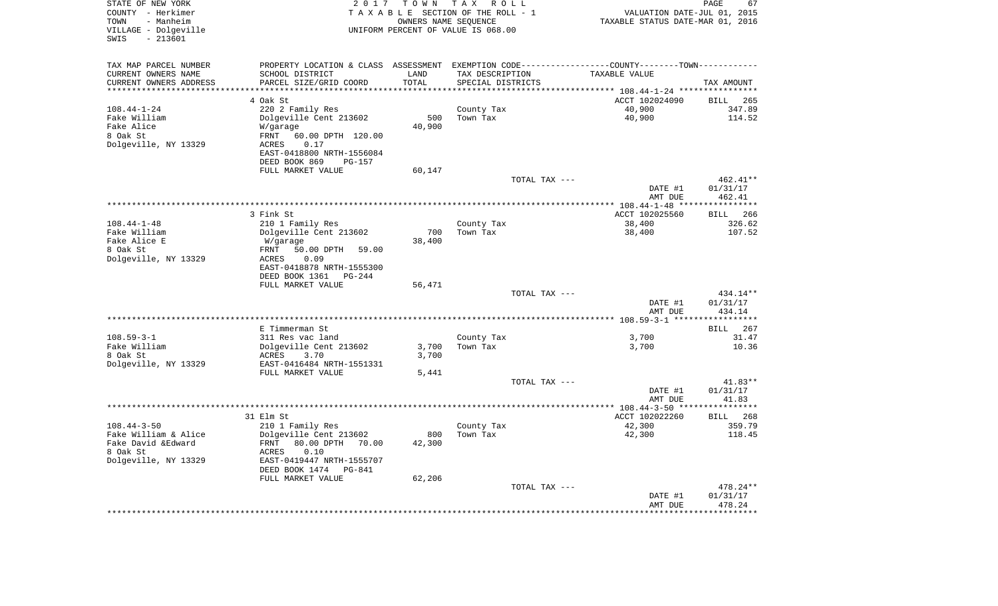| STATE OF NEW YORK<br>COUNTY - Herkimer<br>- Manheim<br>TOWN<br>VILLAGE - Dolgeville<br>$-213601$<br>SWIS |                                                                                                | TOWN<br>T A X<br>2 0 1 7<br>R O L L<br>TAXABLE SECTION OF THE ROLL - 1<br>OWNERS NAME SEQUENCE<br>UNIFORM PERCENT OF VALUE IS 068.00 |                        |               | PAGE<br>67<br>VALUATION DATE-JUL 01, 2015<br>TAXABLE STATUS DATE-MAR 01, 2016 |                     |  |
|----------------------------------------------------------------------------------------------------------|------------------------------------------------------------------------------------------------|--------------------------------------------------------------------------------------------------------------------------------------|------------------------|---------------|-------------------------------------------------------------------------------|---------------------|--|
| TAX MAP PARCEL NUMBER                                                                                    | PROPERTY LOCATION & CLASS ASSESSMENT EXEMPTION CODE----------------COUNTY-------TOWN---------- |                                                                                                                                      |                        |               |                                                                               |                     |  |
| CURRENT OWNERS NAME                                                                                      | SCHOOL DISTRICT                                                                                | LAND                                                                                                                                 | TAX DESCRIPTION        |               | TAXABLE VALUE                                                                 |                     |  |
| CURRENT OWNERS ADDRESS                                                                                   | PARCEL SIZE/GRID COORD                                                                         | TOTAL                                                                                                                                | SPECIAL DISTRICTS      |               |                                                                               | TAX AMOUNT          |  |
| **********************                                                                                   | *****************************                                                                  |                                                                                                                                      |                        |               |                                                                               |                     |  |
| $108.44 - 1 - 24$                                                                                        | 4 Oak St                                                                                       |                                                                                                                                      |                        |               | ACCT 102024090                                                                | <b>BILL</b><br>265  |  |
| Fake William                                                                                             | 220 2 Family Res<br>Dolgeville Cent 213602                                                     | 500                                                                                                                                  | County Tax<br>Town Tax |               | 40,900<br>40,900                                                              | 347.89<br>114.52    |  |
| Fake Alice                                                                                               | W/garage                                                                                       | 40,900                                                                                                                               |                        |               |                                                                               |                     |  |
| 8 Oak St                                                                                                 | 60.00 DPTH 120.00<br>FRNT                                                                      |                                                                                                                                      |                        |               |                                                                               |                     |  |
| Dolgeville, NY 13329                                                                                     | ACRES<br>0.17                                                                                  |                                                                                                                                      |                        |               |                                                                               |                     |  |
|                                                                                                          | EAST-0418800 NRTH-1556084                                                                      |                                                                                                                                      |                        |               |                                                                               |                     |  |
|                                                                                                          | DEED BOOK 869<br><b>PG-157</b>                                                                 |                                                                                                                                      |                        |               |                                                                               |                     |  |
|                                                                                                          | FULL MARKET VALUE                                                                              | 60,147                                                                                                                               |                        |               |                                                                               |                     |  |
|                                                                                                          |                                                                                                |                                                                                                                                      |                        | TOTAL TAX --- |                                                                               | $462.41**$          |  |
|                                                                                                          |                                                                                                |                                                                                                                                      |                        |               | DATE #1                                                                       | 01/31/17            |  |
|                                                                                                          |                                                                                                |                                                                                                                                      |                        |               | AMT DUE                                                                       | 462.41<br>********* |  |
|                                                                                                          | 3 Fink St                                                                                      |                                                                                                                                      |                        |               | ACCT 102025560                                                                | 266<br>BILL         |  |
| $108.44 - 1 - 48$                                                                                        | 210 1 Family Res                                                                               |                                                                                                                                      | County Tax             |               | 38,400                                                                        | 326.62              |  |
| Fake William                                                                                             | Dolgeville Cent 213602                                                                         | 700                                                                                                                                  | Town Tax               |               | 38,400                                                                        | 107.52              |  |
| Fake Alice E                                                                                             | W/garage                                                                                       | 38,400                                                                                                                               |                        |               |                                                                               |                     |  |
| 8 Oak St                                                                                                 | FRNT<br>50.00 DPTH<br>59.00                                                                    |                                                                                                                                      |                        |               |                                                                               |                     |  |
| Dolgeville, NY 13329                                                                                     | <b>ACRES</b><br>0.09                                                                           |                                                                                                                                      |                        |               |                                                                               |                     |  |
|                                                                                                          | EAST-0418878 NRTH-1555300                                                                      |                                                                                                                                      |                        |               |                                                                               |                     |  |
|                                                                                                          | DEED BOOK 1361<br>$PG-244$                                                                     |                                                                                                                                      |                        |               |                                                                               |                     |  |
|                                                                                                          | FULL MARKET VALUE                                                                              | 56,471                                                                                                                               |                        | TOTAL TAX --- |                                                                               | 434.14**            |  |
|                                                                                                          |                                                                                                |                                                                                                                                      |                        |               | DATE #1                                                                       | 01/31/17            |  |
|                                                                                                          |                                                                                                |                                                                                                                                      |                        |               | AMT DUE                                                                       | 434.14              |  |
|                                                                                                          |                                                                                                |                                                                                                                                      |                        |               |                                                                               | * * * * * * * * *   |  |
|                                                                                                          | E Timmerman St                                                                                 |                                                                                                                                      |                        |               |                                                                               | <b>BILL</b><br>267  |  |
| $108.59 - 3 - 1$                                                                                         | 311 Res vac land                                                                               |                                                                                                                                      | County Tax             |               | 3,700                                                                         | 31.47               |  |
| Fake William                                                                                             | Dolgeville Cent 213602                                                                         | 3,700                                                                                                                                | Town Tax               |               | 3,700                                                                         | 10.36               |  |
| 8 Oak St                                                                                                 | <b>ACRES</b><br>3.70                                                                           | 3,700                                                                                                                                |                        |               |                                                                               |                     |  |
| Dolgeville, NY 13329                                                                                     | EAST-0416484 NRTH-1551331                                                                      |                                                                                                                                      |                        |               |                                                                               |                     |  |
|                                                                                                          | FULL MARKET VALUE                                                                              | 5,441                                                                                                                                |                        | TOTAL TAX --- |                                                                               | $41.83**$           |  |
|                                                                                                          |                                                                                                |                                                                                                                                      |                        |               | DATE #1                                                                       | 01/31/17            |  |
|                                                                                                          |                                                                                                |                                                                                                                                      |                        |               | AMT DUE                                                                       | 41.83               |  |
|                                                                                                          |                                                                                                |                                                                                                                                      |                        |               |                                                                               | **********          |  |
|                                                                                                          | 31 Elm St                                                                                      |                                                                                                                                      |                        |               | ACCT 102022260                                                                | 268<br><b>BILL</b>  |  |
| $108.44 - 3 - 50$                                                                                        | 210 1 Family Res                                                                               |                                                                                                                                      | County Tax             |               | 42,300                                                                        | 359.79              |  |
| Fake William & Alice                                                                                     | Dolgeville Cent 213602                                                                         | 800                                                                                                                                  | Town Tax               |               | 42,300                                                                        | 118.45              |  |
| Fake David & Edward                                                                                      | FRNT<br>80.00 DPTH<br>70.00                                                                    | 42,300                                                                                                                               |                        |               |                                                                               |                     |  |
| 8 Oak St                                                                                                 | <b>ACRES</b><br>0.10                                                                           |                                                                                                                                      |                        |               |                                                                               |                     |  |
| Dolgeville, NY 13329                                                                                     | EAST-0419447 NRTH-1555707                                                                      |                                                                                                                                      |                        |               |                                                                               |                     |  |
|                                                                                                          | DEED BOOK 1474<br>PG-841<br>FULL MARKET VALUE                                                  | 62,206                                                                                                                               |                        |               |                                                                               |                     |  |
|                                                                                                          |                                                                                                |                                                                                                                                      |                        | TOTAL TAX --- |                                                                               | 478.24**            |  |
|                                                                                                          |                                                                                                |                                                                                                                                      |                        |               | DATE #1                                                                       | 01/31/17            |  |
|                                                                                                          |                                                                                                |                                                                                                                                      |                        |               | AMT DUE                                                                       | 478.24              |  |
|                                                                                                          |                                                                                                |                                                                                                                                      |                        |               | **************                                                                | ***********         |  |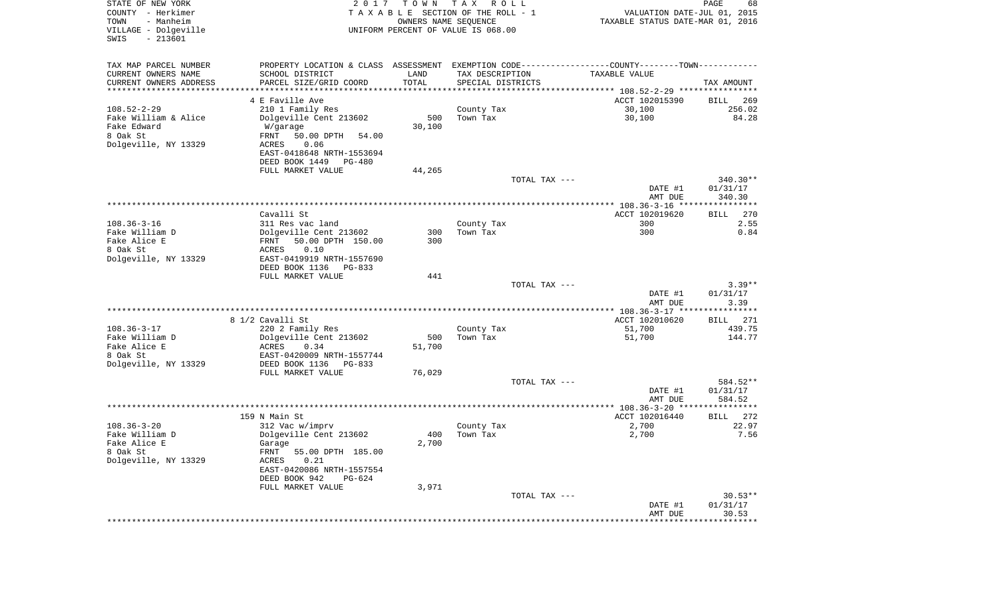| STATE OF NEW YORK<br>COUNTY - Herkimer<br>- Manheim<br>TOWN<br>VILLAGE - Dolgeville<br>$-213601$<br>SWIS | 2 0 1 7                                                                                       | T O W N<br>OWNERS NAME SEQUENCE | T A X<br>R O L L<br>TAXABLE SECTION OF THE ROLL - 1<br>UNIFORM PERCENT OF VALUE IS 068.00 | VALUATION DATE-JUL 01, 2015<br>TAXABLE STATUS DATE-MAR 01, 2016 | PAGE<br>68                   |
|----------------------------------------------------------------------------------------------------------|-----------------------------------------------------------------------------------------------|---------------------------------|-------------------------------------------------------------------------------------------|-----------------------------------------------------------------|------------------------------|
| TAX MAP PARCEL NUMBER                                                                                    | PROPERTY LOCATION & CLASS ASSESSMENT EXEMPTION CODE---------------COUNTY-------TOWN---------- |                                 |                                                                                           |                                                                 |                              |
| CURRENT OWNERS NAME                                                                                      | SCHOOL DISTRICT                                                                               | LAND                            | TAX DESCRIPTION                                                                           | TAXABLE VALUE                                                   |                              |
| CURRENT OWNERS ADDRESS<br>*********************                                                          | PARCEL SIZE/GRID COORD                                                                        | TOTAL<br>**************         | SPECIAL DISTRICTS                                                                         |                                                                 | TAX AMOUNT                   |
|                                                                                                          | 4 E Faville Ave                                                                               |                                 |                                                                                           | ACCT 102015390                                                  | 269<br>BILL                  |
| $108.52 - 2 - 29$                                                                                        | 210 1 Family Res                                                                              |                                 | County Tax                                                                                | 30,100                                                          | 256.02                       |
| Fake William & Alice                                                                                     | Dolgeville Cent 213602                                                                        | 500                             | Town Tax                                                                                  | 30,100                                                          | 84.28                        |
| Fake Edward                                                                                              | W/garage                                                                                      | 30,100                          |                                                                                           |                                                                 |                              |
| 8 Oak St                                                                                                 | FRNT<br>50.00 DPTH<br>54.00                                                                   |                                 |                                                                                           |                                                                 |                              |
| Dolgeville, NY 13329                                                                                     | 0.06<br>ACRES                                                                                 |                                 |                                                                                           |                                                                 |                              |
|                                                                                                          | EAST-0418648 NRTH-1553694                                                                     |                                 |                                                                                           |                                                                 |                              |
|                                                                                                          | DEED BOOK 1449<br>PG-480                                                                      |                                 |                                                                                           |                                                                 |                              |
|                                                                                                          | FULL MARKET VALUE                                                                             | 44,265                          | TOTAL TAX ---                                                                             |                                                                 | $340.30**$                   |
|                                                                                                          |                                                                                               |                                 |                                                                                           | DATE #1                                                         | 01/31/17                     |
|                                                                                                          |                                                                                               |                                 |                                                                                           | AMT DUE                                                         | 340.30                       |
|                                                                                                          |                                                                                               |                                 |                                                                                           |                                                                 |                              |
|                                                                                                          | Cavalli St                                                                                    |                                 |                                                                                           | ACCT 102019620                                                  | 270<br>BILL                  |
| $108.36 - 3 - 16$<br>Fake William D                                                                      | 311 Res vac land                                                                              |                                 | County Tax                                                                                | 300<br>300                                                      | 2.55<br>0.84                 |
| Fake Alice E                                                                                             | Dolgeville Cent 213602<br>50.00 DPTH 150.00<br>FRNT                                           | 300<br>300                      | Town Tax                                                                                  |                                                                 |                              |
| 8 Oak St                                                                                                 | 0.10<br>ACRES                                                                                 |                                 |                                                                                           |                                                                 |                              |
| Dolgeville, NY 13329                                                                                     | EAST-0419919 NRTH-1557690                                                                     |                                 |                                                                                           |                                                                 |                              |
|                                                                                                          | DEED BOOK 1136<br>PG-833                                                                      |                                 |                                                                                           |                                                                 |                              |
|                                                                                                          | FULL MARKET VALUE                                                                             | 441                             |                                                                                           |                                                                 |                              |
|                                                                                                          |                                                                                               |                                 | TOTAL TAX ---                                                                             | DATE #1<br>AMT DUE                                              | $3.39**$<br>01/31/17<br>3.39 |
|                                                                                                          |                                                                                               |                                 |                                                                                           | **************** 108.36-3-17 *****************                  |                              |
|                                                                                                          | 8 1/2 Cavalli St                                                                              |                                 |                                                                                           | ACCT 102010620                                                  | 271<br>BILL                  |
| $108.36 - 3 - 17$                                                                                        | 220 2 Family Res                                                                              |                                 | County Tax                                                                                | 51,700                                                          | 439.75                       |
| Fake William D                                                                                           | Dolgeville Cent 213602                                                                        | 500                             | Town Tax                                                                                  | 51,700                                                          | 144.77                       |
| Fake Alice E                                                                                             | ACRES<br>0.34                                                                                 | 51,700                          |                                                                                           |                                                                 |                              |
| 8 Oak St<br>Dolgeville, NY 13329                                                                         | EAST-0420009 NRTH-1557744<br>DEED BOOK 1136<br>PG-833                                         |                                 |                                                                                           |                                                                 |                              |
|                                                                                                          | FULL MARKET VALUE                                                                             | 76,029                          |                                                                                           |                                                                 |                              |
|                                                                                                          |                                                                                               |                                 | TOTAL TAX ---                                                                             |                                                                 | 584.52**                     |
|                                                                                                          |                                                                                               |                                 |                                                                                           | DATE #1                                                         | 01/31/17                     |
|                                                                                                          |                                                                                               |                                 |                                                                                           | AMT DUE                                                         | 584.52                       |
|                                                                                                          | 159 N Main St                                                                                 |                                 |                                                                                           | ACCT 102016440                                                  | 272                          |
| $108.36 - 3 - 20$                                                                                        | 312 Vac w/imprv                                                                               |                                 | County Tax                                                                                | 2,700                                                           | BILL<br>22.97                |
| Fake William D                                                                                           | Dolgeville Cent 213602                                                                        | 400                             | Town Tax                                                                                  | 2,700                                                           | 7.56                         |
| Fake Alice E                                                                                             | Garage                                                                                        | 2,700                           |                                                                                           |                                                                 |                              |
| 8 Oak St                                                                                                 | 55.00 DPTH 185.00<br>FRNT                                                                     |                                 |                                                                                           |                                                                 |                              |
| Dolgeville, NY 13329                                                                                     | 0.21<br>ACRES                                                                                 |                                 |                                                                                           |                                                                 |                              |
|                                                                                                          | EAST-0420086 NRTH-1557554                                                                     |                                 |                                                                                           |                                                                 |                              |
|                                                                                                          | DEED BOOK 942<br>PG-624<br>FULL MARKET VALUE                                                  | 3,971                           |                                                                                           |                                                                 |                              |
|                                                                                                          |                                                                                               |                                 | TOTAL TAX ---                                                                             |                                                                 | $30.53**$                    |
|                                                                                                          |                                                                                               |                                 |                                                                                           | DATE #1                                                         | 01/31/17                     |
|                                                                                                          |                                                                                               |                                 |                                                                                           | AMT DUE                                                         | 30.53                        |
|                                                                                                          |                                                                                               |                                 |                                                                                           | ******************                                              | ************                 |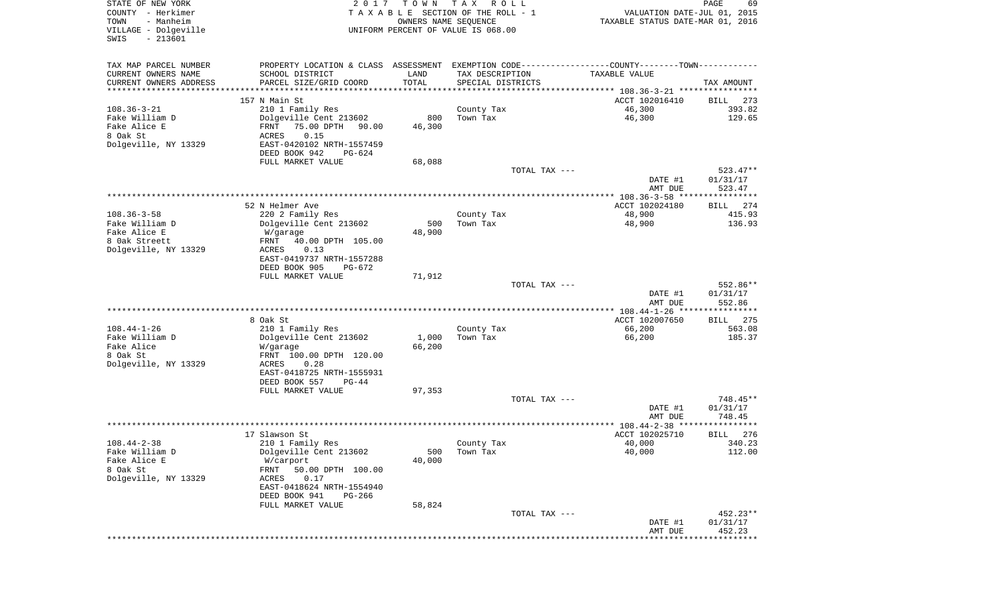| STATE OF NEW YORK<br>COUNTY - Herkimer<br>- Manheim<br>TOWN<br>VILLAGE - Dolgeville<br>SWIS<br>$-213601$ | 2017                                                                                                                                                                                                  | T O W N<br>OWNERS NAME SEQUENCE        | T A X<br>R O L L<br>TAXABLE SECTION OF THE ROLL - 1<br>UNIFORM PERCENT OF VALUE IS 068.00 |               | VALUATION DATE-JUL 01, 2015<br>TAXABLE STATUS DATE-MAR 01, 2016                   | PAGE<br>69                       |
|----------------------------------------------------------------------------------------------------------|-------------------------------------------------------------------------------------------------------------------------------------------------------------------------------------------------------|----------------------------------------|-------------------------------------------------------------------------------------------|---------------|-----------------------------------------------------------------------------------|----------------------------------|
| TAX MAP PARCEL NUMBER<br>CURRENT OWNERS NAME<br>CURRENT OWNERS ADDRESS<br>*********************          | PROPERTY LOCATION & CLASS ASSESSMENT EXEMPTION CODE---------------COUNTY-------TOWN----------<br>SCHOOL DISTRICT<br>PARCEL SIZE/GRID COORD<br>*********************                                   | LAND<br>TOTAL<br>* * * * * * * * * * * | TAX DESCRIPTION<br>SPECIAL DISTRICTS                                                      |               | TAXABLE VALUE                                                                     | TAX AMOUNT                       |
| $108.36 - 3 - 21$<br>Fake William D<br>Fake Alice E<br>8 Oak St<br>Dolgeville, NY 13329                  | 157 N Main St<br>210 1 Family Res<br>Dolgeville Cent 213602<br>75.00 DPTH<br>FRNT<br>90.00<br>ACRES<br>0.15<br>EAST-0420102 NRTH-1557459<br>DEED BOOK 942<br>PG-624<br>FULL MARKET VALUE              | 800<br>46,300<br>68,088                | County Tax<br>Town Tax                                                                    |               | ACCT 102016410<br>46,300<br>46,300                                                | 273<br>BILL<br>393.82<br>129.65  |
|                                                                                                          |                                                                                                                                                                                                       |                                        |                                                                                           | TOTAL TAX --- | DATE #1<br>AMT DUE                                                                | $523.47**$<br>01/31/17<br>523.47 |
| $108.36 - 3 - 58$<br>Fake William D<br>Fake Alice E<br>8 Oak Streett<br>Dolgeville, NY 13329             | 52 N Helmer Ave<br>220 2 Family Res<br>Dolgeville Cent 213602<br>W/garage<br>40.00 DPTH 105.00<br>FRNT<br>ACRES<br>0.13<br>EAST-0419737 NRTH-1557288<br>DEED BOOK 905<br>PG-672                       | 500<br>48,900                          | County Tax<br>Town Tax                                                                    |               | ACCT 102024180<br>48,900<br>48,900                                                | 274<br>BILL<br>415.93<br>136.93  |
|                                                                                                          | FULL MARKET VALUE                                                                                                                                                                                     | 71,912                                 |                                                                                           | TOTAL TAX --- | DATE #1<br>AMT DUE                                                                | 552.86**<br>01/31/17<br>552.86   |
| $108.44 - 1 - 26$<br>Fake William D<br>Fake Alice<br>8 Oak St<br>Dolgeville, NY 13329                    | 8 Oak St<br>210 1 Family Res<br>Dolgeville Cent 213602<br>W/garage<br>FRNT 100.00 DPTH 120.00<br>ACRES<br>0.28<br>EAST-0418725 NRTH-1555931<br>DEED BOOK 557<br>$PG-44$<br>FULL MARKET VALUE          | 1,000<br>66,200<br>97,353              | County Tax<br>Town Tax                                                                    |               | ************* 108.44-1-26 *****************<br>ACCT 102007650<br>66,200<br>66,200 | 275<br>BILL<br>563.08<br>185.37  |
|                                                                                                          |                                                                                                                                                                                                       |                                        |                                                                                           | TOTAL TAX --- | DATE #1<br>AMT DUE                                                                | 748.45**<br>01/31/17<br>748.45   |
|                                                                                                          |                                                                                                                                                                                                       |                                        |                                                                                           |               |                                                                                   | *******                          |
| $108.44 - 2 - 38$<br>Fake William D<br>Fake Alice E<br>8 Oak St<br>Dolgeville, NY 13329                  | 17 Slawson St<br>210 1 Family Res<br>Dolgeville Cent 213602<br>W/carport<br>FRNT<br>50.00 DPTH 100.00<br>ACRES<br>0.17<br>EAST-0418624 NRTH-1554940<br>DEED BOOK 941<br>$PG-266$<br>FULL MARKET VALUE | 500<br>40,000<br>58,824                | County Tax<br>Town Tax                                                                    |               | ACCT 102025710<br>40,000<br>40,000                                                | 276<br>BILL<br>340.23<br>112.00  |
|                                                                                                          |                                                                                                                                                                                                       |                                        |                                                                                           | TOTAL TAX --- | DATE #1<br>AMT DUE                                                                | 452.23**<br>01/31/17<br>452.23   |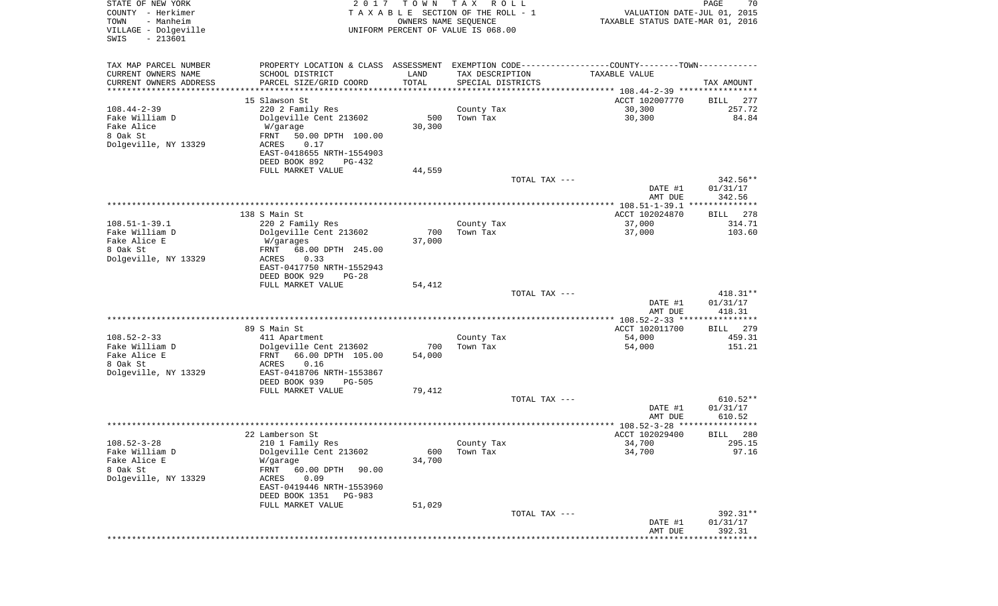| STATE OF NEW YORK<br>COUNTY - Herkimer<br>TOWN<br>- Manheim | 2 0 1 7                                                                                         | T O W N<br>OWNERS NAME SEQUENCE | T A X<br>R O L L<br>TAXABLE SECTION OF THE ROLL - 1 |               | VALUATION DATE-JUL 01, 2015<br>TAXABLE STATUS DATE-MAR 01, 2016  | $\mathop{\mathtt{PAGE}}$<br>70 |
|-------------------------------------------------------------|-------------------------------------------------------------------------------------------------|---------------------------------|-----------------------------------------------------|---------------|------------------------------------------------------------------|--------------------------------|
| VILLAGE - Dolgeville<br>$-213601$<br>SWIS                   |                                                                                                 |                                 | UNIFORM PERCENT OF VALUE IS 068.00                  |               |                                                                  |                                |
| TAX MAP PARCEL NUMBER                                       | PROPERTY LOCATION & CLASS ASSESSMENT EXEMPTION CODE----------------COUNTY--------TOWN---------- |                                 |                                                     |               |                                                                  |                                |
| CURRENT OWNERS NAME                                         | SCHOOL DISTRICT                                                                                 | LAND                            | TAX DESCRIPTION                                     |               | TAXABLE VALUE                                                    |                                |
| CURRENT OWNERS ADDRESS<br>********************              | PARCEL SIZE/GRID COORD                                                                          | TOTAL                           | SPECIAL DISTRICTS                                   |               |                                                                  | TAX AMOUNT                     |
|                                                             | 15 Slawson St                                                                                   |                                 |                                                     |               | ACCT 102007770                                                   | 277<br>BILL                    |
| $108.44 - 2 - 39$                                           | 220 2 Family Res                                                                                |                                 | County Tax                                          |               | 30,300                                                           | 257.72                         |
| Fake William D                                              | Dolgeville Cent 213602                                                                          | 500                             | Town Tax                                            |               | 30,300                                                           | 84.84                          |
| Fake Alice<br>8 Oak St                                      | W/garage                                                                                        | 30,300                          |                                                     |               |                                                                  |                                |
| Dolgeville, NY 13329                                        | FRNT<br>50.00 DPTH 100.00<br>0.17<br>ACRES                                                      |                                 |                                                     |               |                                                                  |                                |
|                                                             | EAST-0418655 NRTH-1554903                                                                       |                                 |                                                     |               |                                                                  |                                |
|                                                             | DEED BOOK 892<br>PG-432                                                                         |                                 |                                                     |               |                                                                  |                                |
|                                                             | FULL MARKET VALUE                                                                               | 44,559                          |                                                     |               |                                                                  |                                |
|                                                             |                                                                                                 |                                 |                                                     | TOTAL TAX --- |                                                                  | 342.56**                       |
|                                                             |                                                                                                 |                                 |                                                     |               | DATE #1<br>AMT DUE                                               | 01/31/17<br>342.56             |
|                                                             |                                                                                                 |                                 |                                                     |               | ****************** 108.51-1-39.1 ***************                 |                                |
|                                                             | 138 S Main St                                                                                   |                                 |                                                     |               | ACCT 102024870                                                   | 278<br>BILL                    |
| $108.51 - 1 - 39.1$                                         | 220 2 Family Res                                                                                |                                 | County Tax                                          |               | 37,000                                                           | 314.71                         |
| Fake William D<br>Fake Alice E                              | Dolgeville Cent 213602<br>W/garages                                                             | 700<br>37,000                   | Town Tax                                            |               | 37,000                                                           | 103.60                         |
| 8 Oak St                                                    | 68.00 DPTH 245.00<br>FRNT                                                                       |                                 |                                                     |               |                                                                  |                                |
| Dolgeville, NY 13329                                        | 0.33<br>ACRES                                                                                   |                                 |                                                     |               |                                                                  |                                |
|                                                             | EAST-0417750 NRTH-1552943                                                                       |                                 |                                                     |               |                                                                  |                                |
|                                                             | DEED BOOK 929<br>$PG-28$                                                                        |                                 |                                                     |               |                                                                  |                                |
|                                                             | FULL MARKET VALUE                                                                               | 54,412                          |                                                     | TOTAL TAX --- |                                                                  | 418.31**                       |
|                                                             |                                                                                                 |                                 |                                                     |               | DATE #1                                                          | 01/31/17                       |
|                                                             |                                                                                                 |                                 |                                                     |               | AMT DUE                                                          | 418.31                         |
|                                                             |                                                                                                 |                                 |                                                     |               | ************** 108.52-2-33 *****************                     |                                |
| $108.52 - 2 - 33$                                           | 89 S Main St<br>411 Apartment                                                                   |                                 | County Tax                                          |               | ACCT 102011700<br>54,000                                         | 279<br>BILL<br>459.31          |
| Fake William D                                              | Dolgeville Cent 213602                                                                          | 700                             | Town Tax                                            |               | 54,000                                                           | 151.21                         |
| Fake Alice E                                                | FRNT<br>66.00 DPTH 105.00                                                                       | 54,000                          |                                                     |               |                                                                  |                                |
| 8 Oak St                                                    | ACRES<br>0.16                                                                                   |                                 |                                                     |               |                                                                  |                                |
| Dolgeville, NY 13329                                        | EAST-0418706 NRTH-1553867                                                                       |                                 |                                                     |               |                                                                  |                                |
|                                                             | DEED BOOK 939<br><b>PG-505</b><br>FULL MARKET VALUE                                             | 79,412                          |                                                     |               |                                                                  |                                |
|                                                             |                                                                                                 |                                 |                                                     | TOTAL TAX --- |                                                                  | $610.52**$                     |
|                                                             |                                                                                                 |                                 |                                                     |               | DATE #1                                                          | 01/31/17                       |
|                                                             |                                                                                                 |                                 |                                                     |               | AMT DUE                                                          | 610.52                         |
|                                                             |                                                                                                 |                                 |                                                     |               | ***************** 108.52-3-28 ****************<br>ACCT 102029400 |                                |
| $108.52 - 3 - 28$                                           | 22 Lamberson St<br>210 1 Family Res                                                             |                                 | County Tax                                          |               | 34,700                                                           | 280<br>BILL<br>295.15          |
| Fake William D                                              | Dolgeville Cent 213602                                                                          | 600                             | Town Tax                                            |               | 34,700                                                           | 97.16                          |
| Fake Alice E                                                | W/garage                                                                                        | 34,700                          |                                                     |               |                                                                  |                                |
| 8 Oak St                                                    | FRNT<br>60.00 DPTH<br>90.00                                                                     |                                 |                                                     |               |                                                                  |                                |
| Dolgeville, NY 13329                                        | ACRES<br>0.09                                                                                   |                                 |                                                     |               |                                                                  |                                |
|                                                             | EAST-0419446 NRTH-1553960<br>DEED BOOK 1351 PG-983                                              |                                 |                                                     |               |                                                                  |                                |
|                                                             | FULL MARKET VALUE                                                                               | 51,029                          |                                                     |               |                                                                  |                                |
|                                                             |                                                                                                 |                                 |                                                     | TOTAL TAX --- |                                                                  | 392.31**                       |
|                                                             |                                                                                                 |                                 |                                                     |               | DATE #1                                                          | 01/31/17                       |
|                                                             |                                                                                                 |                                 |                                                     |               | AMT DUE<br>**********************************                    | 392.31                         |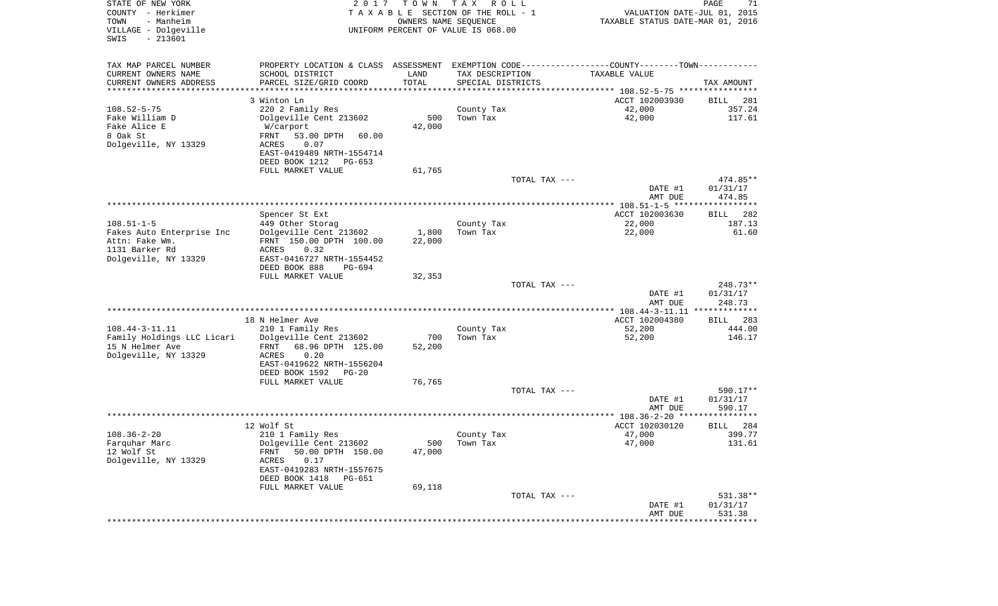| STATE OF NEW YORK<br>COUNTY - Herkimer<br>- Manheim<br>TOWN<br>VILLAGE - Dolgeville<br>$-213601$<br>SWIS | 2017                                                | T O W N<br>OWNERS NAME SEQUENCE | T A X<br>R O L L<br>TAXABLE SECTION OF THE ROLL - 1<br>UNIFORM PERCENT OF VALUE IS 068.00 |                                                                                               | PAGE<br>71<br>VALUATION DATE-JUL 01, 2015<br>TAXABLE STATUS DATE-MAR 01, 2016 |
|----------------------------------------------------------------------------------------------------------|-----------------------------------------------------|---------------------------------|-------------------------------------------------------------------------------------------|-----------------------------------------------------------------------------------------------|-------------------------------------------------------------------------------|
| TAX MAP PARCEL NUMBER                                                                                    |                                                     |                                 |                                                                                           | PROPERTY LOCATION & CLASS ASSESSMENT EXEMPTION CODE---------------COUNTY-------TOWN---------- |                                                                               |
| CURRENT OWNERS NAME                                                                                      | SCHOOL DISTRICT                                     | LAND                            | TAX DESCRIPTION                                                                           | TAXABLE VALUE                                                                                 |                                                                               |
| CURRENT OWNERS ADDRESS                                                                                   | PARCEL SIZE/GRID COORD                              | TOTAL                           | SPECIAL DISTRICTS                                                                         |                                                                                               | TAX AMOUNT                                                                    |
| *********************                                                                                    | ************************<br>3 Winton Ln             | * * * * * * * * * * *           |                                                                                           |                                                                                               |                                                                               |
| $108.52 - 5 - 75$                                                                                        | 220 2 Family Res                                    |                                 | County Tax                                                                                | ACCT 102003930<br>42,000                                                                      | 281<br>BILL<br>357.24                                                         |
| Fake William D                                                                                           | Dolgeville Cent 213602                              | 500                             | Town Tax                                                                                  | 42,000                                                                                        | 117.61                                                                        |
| Fake Alice E                                                                                             | W/carport                                           | 42,000                          |                                                                                           |                                                                                               |                                                                               |
| 8 Oak St                                                                                                 | FRNT<br>53.00 DPTH<br>60.00                         |                                 |                                                                                           |                                                                                               |                                                                               |
| Dolgeville, NY 13329                                                                                     | ACRES<br>0.07                                       |                                 |                                                                                           |                                                                                               |                                                                               |
|                                                                                                          | EAST-0419489 NRTH-1554714                           |                                 |                                                                                           |                                                                                               |                                                                               |
|                                                                                                          | DEED BOOK 1212<br>PG-653                            |                                 |                                                                                           |                                                                                               |                                                                               |
|                                                                                                          | FULL MARKET VALUE                                   | 61,765                          |                                                                                           |                                                                                               |                                                                               |
|                                                                                                          |                                                     |                                 |                                                                                           | TOTAL TAX ---                                                                                 | 474.85**                                                                      |
|                                                                                                          |                                                     |                                 |                                                                                           | DATE #1                                                                                       | 01/31/17                                                                      |
|                                                                                                          |                                                     |                                 |                                                                                           | AMT DUE                                                                                       | 474.85                                                                        |
|                                                                                                          | Spencer St Ext                                      |                                 |                                                                                           | ACCT 102003630                                                                                | 282<br>BILL                                                                   |
| $108.51 - 1 - 5$                                                                                         | 449 Other Storag                                    |                                 | County Tax                                                                                | 22,000                                                                                        | 187.13                                                                        |
| Fakes Auto Enterprise Inc                                                                                | Dolgeville Cent 213602                              | 1,800                           | Town Tax                                                                                  | 22,000                                                                                        | 61.60                                                                         |
| Attn: Fake Wm.                                                                                           | FRNT 150.00 DPTH 100.00                             | 22,000                          |                                                                                           |                                                                                               |                                                                               |
| 1131 Barker Rd                                                                                           | 0.32<br>ACRES                                       |                                 |                                                                                           |                                                                                               |                                                                               |
| Dolgeville, NY 13329                                                                                     | EAST-0416727 NRTH-1554452                           |                                 |                                                                                           |                                                                                               |                                                                               |
|                                                                                                          | DEED BOOK 888<br>PG-694                             |                                 |                                                                                           |                                                                                               |                                                                               |
|                                                                                                          | FULL MARKET VALUE                                   | 32,353                          |                                                                                           | TOTAL TAX ---                                                                                 | $248.73**$                                                                    |
|                                                                                                          |                                                     |                                 |                                                                                           | DATE #1                                                                                       | 01/31/17                                                                      |
|                                                                                                          |                                                     |                                 |                                                                                           | AMT DUE                                                                                       | 248.73                                                                        |
|                                                                                                          |                                                     |                                 |                                                                                           | ************** 108.44-3-11.11 **************                                                  |                                                                               |
|                                                                                                          | 18 N Helmer Ave                                     |                                 |                                                                                           | ACCT 102004380                                                                                | 283<br><b>BILL</b>                                                            |
| $108.44 - 3 - 11.11$                                                                                     | 210 1 Family Res                                    |                                 | County Tax                                                                                | 52,200                                                                                        | 444.00                                                                        |
| Family Holdings LLC Licari<br>15 N Helmer Ave                                                            | Dolgeville Cent 213602<br>68.96 DPTH 125.00<br>FRNT | 700<br>52,200                   | Town Tax                                                                                  | 52,200                                                                                        | 146.17                                                                        |
| Dolgeville, NY 13329                                                                                     | ACRES<br>0.20                                       |                                 |                                                                                           |                                                                                               |                                                                               |
|                                                                                                          | EAST-0419622 NRTH-1556204                           |                                 |                                                                                           |                                                                                               |                                                                               |
|                                                                                                          | DEED BOOK 1592 PG-20                                |                                 |                                                                                           |                                                                                               |                                                                               |
|                                                                                                          | FULL MARKET VALUE                                   | 76,765                          |                                                                                           |                                                                                               |                                                                               |
|                                                                                                          |                                                     |                                 |                                                                                           | TOTAL TAX ---                                                                                 | 590.17**                                                                      |
|                                                                                                          |                                                     |                                 |                                                                                           | DATE #1                                                                                       | 01/31/17                                                                      |
|                                                                                                          |                                                     |                                 |                                                                                           | AMT DUE                                                                                       | 590.17                                                                        |
|                                                                                                          | 12 Wolf St                                          |                                 |                                                                                           | ACCT 102030120                                                                                | 284<br>BILL                                                                   |
| $108.36 - 2 - 20$                                                                                        | 210 1 Family Res                                    |                                 | County Tax                                                                                | 47,000                                                                                        | 399.77                                                                        |
| Farquhar Marc                                                                                            | Dolgeville Cent 213602                              |                                 | 500 Town Tax                                                                              | 47,000                                                                                        | 131.61                                                                        |
| 12 Wolf St                                                                                               | 50.00 DPTH 150.00<br>FRNT                           | 47,000                          |                                                                                           |                                                                                               |                                                                               |
| Dolgeville, NY 13329                                                                                     | 0.17<br>ACRES                                       |                                 |                                                                                           |                                                                                               |                                                                               |
|                                                                                                          | EAST-0419283 NRTH-1557675                           |                                 |                                                                                           |                                                                                               |                                                                               |
|                                                                                                          | DEED BOOK 1418<br>PG-651                            |                                 |                                                                                           |                                                                                               |                                                                               |
|                                                                                                          | FULL MARKET VALUE                                   | 69,118                          |                                                                                           | TOTAL TAX ---                                                                                 | 531.38**                                                                      |
|                                                                                                          |                                                     |                                 |                                                                                           | DATE #1                                                                                       | 01/31/17                                                                      |
|                                                                                                          |                                                     |                                 |                                                                                           | AMT DUE                                                                                       | 531.38                                                                        |
|                                                                                                          |                                                     |                                 |                                                                                           |                                                                                               |                                                                               |
|                                                                                                          |                                                     |                                 |                                                                                           |                                                                                               |                                                                               |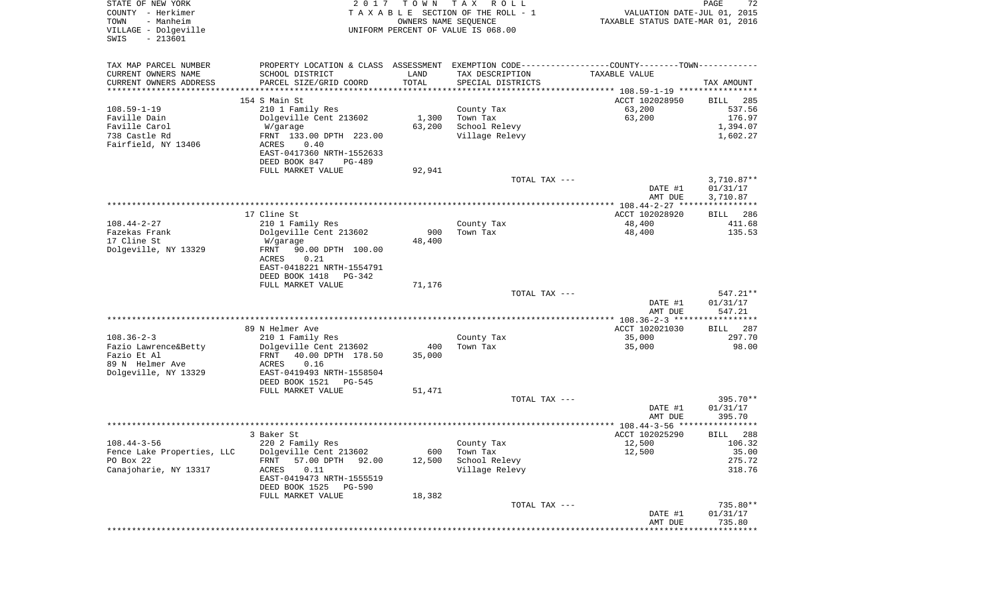| STATE OF NEW YORK<br>COUNTY - Herkimer<br>TOWN<br>- Manheim<br>VILLAGE - Dolgeville<br>$-213601$<br>SWIS | 2017                                               | T O W N<br>OWNERS NAME SEQUENCE | T A X<br>R O L L<br>TAXABLE SECTION OF THE ROLL - 1<br>UNIFORM PERCENT OF VALUE IS 068.00       | VALUATION DATE-JUL 01, 2015<br>TAXABLE STATUS DATE-MAR 01, 2016 | PAGE<br>72   |
|----------------------------------------------------------------------------------------------------------|----------------------------------------------------|---------------------------------|-------------------------------------------------------------------------------------------------|-----------------------------------------------------------------|--------------|
| TAX MAP PARCEL NUMBER                                                                                    |                                                    |                                 | PROPERTY LOCATION & CLASS ASSESSMENT EXEMPTION CODE----------------COUNTY--------TOWN---------- |                                                                 |              |
| CURRENT OWNERS NAME                                                                                      | SCHOOL DISTRICT                                    | LAND                            | TAX DESCRIPTION                                                                                 | TAXABLE VALUE                                                   |              |
| CURRENT OWNERS ADDRESS<br>********************                                                           | PARCEL SIZE/GRID COORD<br>************************ | TOTAL<br>***********            | SPECIAL DISTRICTS<br>********************************* 108.59-1-19 ****************             |                                                                 | TAX AMOUNT   |
|                                                                                                          | 154 S Main St                                      |                                 |                                                                                                 | ACCT 102028950                                                  | BILL<br>285  |
| $108.59 - 1 - 19$                                                                                        | 210 1 Family Res                                   |                                 | County Tax                                                                                      | 63,200                                                          | 537.56       |
| Faville Dain                                                                                             | Dolgeville Cent 213602                             | 1,300                           | Town Tax                                                                                        | 63,200                                                          | 176.97       |
| Faville Carol                                                                                            | W/garage                                           | 63,200                          | School Relevy                                                                                   |                                                                 | 1,394.07     |
| 738 Castle Rd                                                                                            | FRNT 133.00 DPTH 223.00                            |                                 | Village Relevy                                                                                  |                                                                 | 1,602.27     |
| Fairfield, NY 13406                                                                                      | ACRES<br>0.40                                      |                                 |                                                                                                 |                                                                 |              |
|                                                                                                          | EAST-0417360 NRTH-1552633                          |                                 |                                                                                                 |                                                                 |              |
|                                                                                                          | DEED BOOK 847<br>PG-489                            |                                 |                                                                                                 |                                                                 |              |
|                                                                                                          | FULL MARKET VALUE                                  | 92,941                          | TOTAL TAX ---                                                                                   |                                                                 | $3,710.87**$ |
|                                                                                                          |                                                    |                                 |                                                                                                 | DATE #1                                                         | 01/31/17     |
|                                                                                                          |                                                    |                                 |                                                                                                 | AMT DUE                                                         | 3,710.87     |
|                                                                                                          |                                                    |                                 |                                                                                                 |                                                                 |              |
|                                                                                                          | 17 Cline St                                        |                                 |                                                                                                 | ACCT 102028920                                                  | 286<br>BILL  |
| $108.44 - 2 - 27$                                                                                        | 210 1 Family Res                                   |                                 | County Tax                                                                                      | 48,400                                                          | 411.68       |
| Fazekas Frank                                                                                            | Dolgeville Cent 213602                             | 900                             | Town Tax                                                                                        | 48,400                                                          | 135.53       |
| 17 Cline St                                                                                              | W/garage                                           | 48,400                          |                                                                                                 |                                                                 |              |
| Dolgeville, NY 13329                                                                                     | 90.00 DPTH 100.00<br>FRNT<br>ACRES<br>0.21         |                                 |                                                                                                 |                                                                 |              |
|                                                                                                          | EAST-0418221 NRTH-1554791                          |                                 |                                                                                                 |                                                                 |              |
|                                                                                                          | DEED BOOK 1418<br>$PG-342$                         |                                 |                                                                                                 |                                                                 |              |
|                                                                                                          | FULL MARKET VALUE                                  | 71,176                          |                                                                                                 |                                                                 |              |
|                                                                                                          |                                                    |                                 | TOTAL TAX ---                                                                                   |                                                                 | $547.21**$   |
|                                                                                                          |                                                    |                                 |                                                                                                 | DATE #1                                                         | 01/31/17     |
|                                                                                                          |                                                    |                                 |                                                                                                 | AMT DUE                                                         | 547.21       |
|                                                                                                          | 89 N Helmer Ave                                    |                                 |                                                                                                 | ACCT 102021030                                                  | 287<br>BILL  |
| $108.36 - 2 - 3$                                                                                         | 210 1 Family Res                                   |                                 | County Tax                                                                                      | 35,000                                                          | 297.70       |
| Fazio Lawrence&Betty                                                                                     | Dolgeville Cent 213602                             | 400                             | Town Tax                                                                                        | 35,000                                                          | 98.00        |
| Fazio Et Al                                                                                              | FRNT<br>40.00 DPTH 178.50                          | 35,000                          |                                                                                                 |                                                                 |              |
| 89 N Helmer Ave                                                                                          | ACRES<br>0.16                                      |                                 |                                                                                                 |                                                                 |              |
| Dolgeville, NY 13329                                                                                     | EAST-0419493 NRTH-1558504                          |                                 |                                                                                                 |                                                                 |              |
|                                                                                                          | DEED BOOK 1521<br>PG-545                           |                                 |                                                                                                 |                                                                 |              |
|                                                                                                          | FULL MARKET VALUE                                  | 51,471                          | TOTAL TAX ---                                                                                   |                                                                 | 395.70**     |
|                                                                                                          |                                                    |                                 |                                                                                                 | DATE #1                                                         | 01/31/17     |
|                                                                                                          |                                                    |                                 |                                                                                                 | AMT DUE                                                         | 395.70       |
|                                                                                                          |                                                    |                                 |                                                                                                 |                                                                 | * * * * *    |
|                                                                                                          | 3 Baker St                                         |                                 |                                                                                                 | ACCT 102025290                                                  | 288<br>BILL  |
| $108.44 - 3 - 56$                                                                                        | 220 2 Family Res                                   |                                 | County Tax                                                                                      | 12,500                                                          | 106.32       |
| Fence Lake Properties, LLC                                                                               | Dolgeville Cent 213602                             | 600                             | Town Tax                                                                                        | 12,500                                                          | 35.00        |
| PO Box 22                                                                                                | 57.00 DPTH<br>92.00<br>FRNT                        | 12,500                          | School Relevy                                                                                   |                                                                 | 275.72       |
| Canajoharie, NY 13317                                                                                    | 0.11<br>ACRES<br>EAST-0419473 NRTH-1555519         |                                 | Village Relevy                                                                                  |                                                                 | 318.76       |
|                                                                                                          | DEED BOOK 1525<br><b>PG-590</b>                    |                                 |                                                                                                 |                                                                 |              |
|                                                                                                          | FULL MARKET VALUE                                  | 18,382                          |                                                                                                 |                                                                 |              |
|                                                                                                          |                                                    |                                 | TOTAL TAX ---                                                                                   |                                                                 | 735.80**     |
|                                                                                                          |                                                    |                                 |                                                                                                 | DATE #1                                                         | 01/31/17     |
|                                                                                                          |                                                    |                                 |                                                                                                 | AMT DUE                                                         | 735.80       |
|                                                                                                          |                                                    |                                 |                                                                                                 | ****************************                                    |              |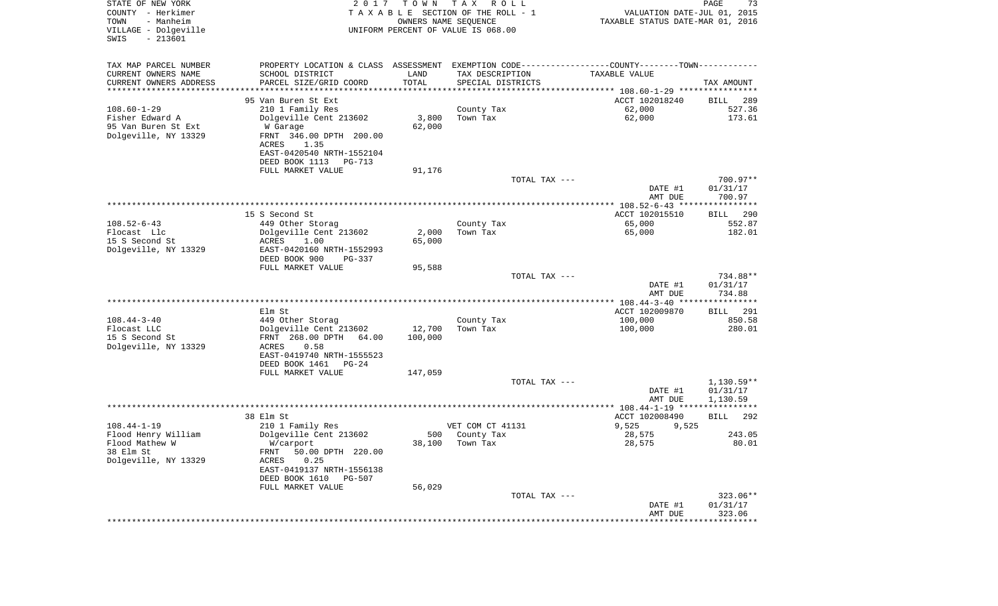| STATE OF NEW YORK<br>COUNTY - Herkimer<br>TOWN<br>- Manheim<br>VILLAGE - Dolgeville<br>$-213601$<br>SWIS | 2 0 1 7                                                                                       | T O W N           | T A X<br>R O L L<br>TAXABLE SECTION OF THE ROLL - 1<br>OWNERS NAME SEQUENCE<br>UNIFORM PERCENT OF VALUE IS 068.00 | VALUATION DATE-JUL 01, 2015<br>TAXABLE STATUS DATE-MAR 01, 2016 | PAGE<br>73                     |
|----------------------------------------------------------------------------------------------------------|-----------------------------------------------------------------------------------------------|-------------------|-------------------------------------------------------------------------------------------------------------------|-----------------------------------------------------------------|--------------------------------|
| TAX MAP PARCEL NUMBER                                                                                    | PROPERTY LOCATION & CLASS ASSESSMENT EXEMPTION CODE---------------COUNTY-------TOWN---------- |                   |                                                                                                                   |                                                                 |                                |
| CURRENT OWNERS NAME                                                                                      | SCHOOL DISTRICT                                                                               | LAND              | TAX DESCRIPTION                                                                                                   | TAXABLE VALUE                                                   |                                |
| CURRENT OWNERS ADDRESS                                                                                   | PARCEL SIZE/GRID COORD                                                                        | TOTAL             | SPECIAL DISTRICTS                                                                                                 |                                                                 | TAX AMOUNT                     |
| **********************                                                                                   |                                                                                               |                   |                                                                                                                   |                                                                 |                                |
| $108.60 - 1 - 29$                                                                                        | 95 Van Buren St Ext                                                                           |                   |                                                                                                                   | ACCT 102018240                                                  | 289<br>BILL<br>527.36          |
| Fisher Edward A                                                                                          | 210 1 Family Res<br>Dolgeville Cent 213602                                                    | 3,800             | County Tax<br>Town Tax                                                                                            | 62,000<br>62,000                                                | 173.61                         |
| 95 Van Buren St Ext                                                                                      | W Garage                                                                                      | 62,000            |                                                                                                                   |                                                                 |                                |
| Dolgeville, NY 13329                                                                                     | FRNT 346.00 DPTH 200.00                                                                       |                   |                                                                                                                   |                                                                 |                                |
|                                                                                                          | ACRES<br>1.35                                                                                 |                   |                                                                                                                   |                                                                 |                                |
|                                                                                                          | EAST-0420540 NRTH-1552104                                                                     |                   |                                                                                                                   |                                                                 |                                |
|                                                                                                          | DEED BOOK 1113<br>PG-713<br>FULL MARKET VALUE                                                 | 91,176            |                                                                                                                   |                                                                 |                                |
|                                                                                                          |                                                                                               |                   | TOTAL TAX ---                                                                                                     |                                                                 | 700.97**                       |
|                                                                                                          |                                                                                               |                   |                                                                                                                   | DATE #1                                                         | 01/31/17                       |
|                                                                                                          |                                                                                               |                   |                                                                                                                   | AMT DUE                                                         | 700.97                         |
|                                                                                                          |                                                                                               |                   |                                                                                                                   |                                                                 |                                |
| $108.52 - 6 - 43$                                                                                        | 15 S Second St<br>449 Other Storag                                                            |                   | County Tax                                                                                                        | ACCT 102015510<br>65,000                                        | 290<br>BILL<br>552.87          |
| Flocast Llc                                                                                              | Dolgeville Cent 213602                                                                        | 2,000             | Town Tax                                                                                                          | 65,000                                                          | 182.01                         |
| 15 S Second St                                                                                           | ACRES<br>1.00                                                                                 | 65,000            |                                                                                                                   |                                                                 |                                |
| Dolgeville, NY 13329                                                                                     | EAST-0420160 NRTH-1552993<br>DEED BOOK 900<br>PG-337                                          |                   |                                                                                                                   |                                                                 |                                |
|                                                                                                          | FULL MARKET VALUE                                                                             | 95,588            |                                                                                                                   |                                                                 |                                |
|                                                                                                          |                                                                                               |                   | TOTAL TAX ---                                                                                                     | DATE #1<br>AMT DUE                                              | 734.88**<br>01/31/17<br>734.88 |
|                                                                                                          |                                                                                               |                   |                                                                                                                   |                                                                 |                                |
|                                                                                                          | Elm St                                                                                        |                   |                                                                                                                   | ACCT 102009870                                                  | BILL<br>291                    |
| $108.44 - 3 - 40$<br>Flocast LLC                                                                         | 449 Other Storag                                                                              |                   | County Tax                                                                                                        | 100,000                                                         | 850.58                         |
| 15 S Second St                                                                                           | Dolgeville Cent 213602<br>FRNT 268.00 DPTH 64.00                                              | 12,700<br>100,000 | Town Tax                                                                                                          | 100,000                                                         | 280.01                         |
| Dolgeville, NY 13329                                                                                     | ACRES<br>0.58                                                                                 |                   |                                                                                                                   |                                                                 |                                |
|                                                                                                          | EAST-0419740 NRTH-1555523                                                                     |                   |                                                                                                                   |                                                                 |                                |
|                                                                                                          | DEED BOOK 1461<br>$PG-24$                                                                     |                   |                                                                                                                   |                                                                 |                                |
|                                                                                                          | FULL MARKET VALUE                                                                             | 147,059           | TOTAL TAX ---                                                                                                     |                                                                 | $1,130.59**$                   |
|                                                                                                          |                                                                                               |                   |                                                                                                                   | DATE #1                                                         | 01/31/17                       |
|                                                                                                          |                                                                                               |                   |                                                                                                                   | AMT DUE                                                         | 1,130.59                       |
|                                                                                                          |                                                                                               |                   |                                                                                                                   |                                                                 |                                |
|                                                                                                          | 38 Elm St                                                                                     |                   |                                                                                                                   | ACCT 102008490                                                  | 292<br>BILL                    |
| $108.44 - 1 - 19$<br>Flood Henry William                                                                 | 210 1 Family Res<br>Dolgeville Cent 213602                                                    | 500               | VET COM CT 41131<br>County Tax                                                                                    | 9,525<br>9,525<br>28,575                                        | 243.05                         |
| Flood Mathew W                                                                                           | W/carport                                                                                     |                   | 38,100 Town Tax                                                                                                   | 28,575                                                          | 80.01                          |
| 38 Elm St                                                                                                | 50.00 DPTH 220.00<br>FRNT                                                                     |                   |                                                                                                                   |                                                                 |                                |
| Dolgeville, NY 13329                                                                                     | ACRES<br>0.25                                                                                 |                   |                                                                                                                   |                                                                 |                                |
|                                                                                                          | EAST-0419137 NRTH-1556138                                                                     |                   |                                                                                                                   |                                                                 |                                |
|                                                                                                          | DEED BOOK 1610<br>PG-507<br>FULL MARKET VALUE                                                 | 56,029            |                                                                                                                   |                                                                 |                                |
|                                                                                                          |                                                                                               |                   | TOTAL TAX ---                                                                                                     |                                                                 | 323.06**                       |
|                                                                                                          |                                                                                               |                   |                                                                                                                   | DATE #1                                                         | 01/31/17                       |
|                                                                                                          |                                                                                               |                   |                                                                                                                   | AMT DUE                                                         | 323.06                         |
|                                                                                                          |                                                                                               |                   |                                                                                                                   | * * * * * * * * * * * * * * * *                                 | ************                   |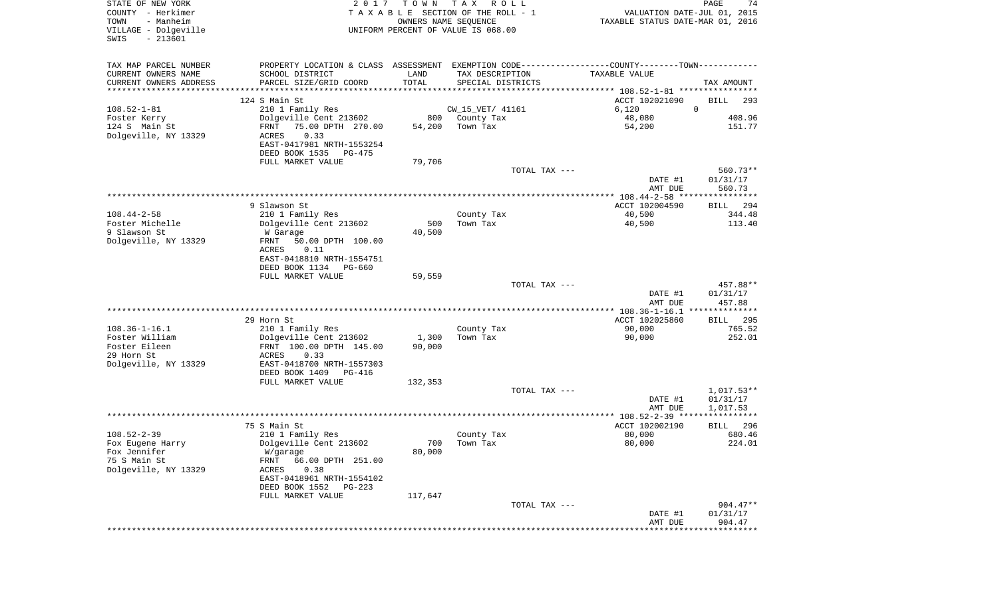| STATE OF NEW YORK<br>COUNTY - Herkimer<br>- Manheim<br>TOWN<br>VILLAGE - Dolgeville<br>$-213601$<br>SWIS | 2 0 1 7                                       | T O W N<br>OWNERS NAME SEQUENCE | T A X<br>R O L L<br>TAXABLE SECTION OF THE ROLL - 1<br>UNIFORM PERCENT OF VALUE IS 068.00 | VALUATION DATE-JUL 01, 2015<br>TAXABLE STATUS DATE-MAR 01, 2016                               | PAGE<br>74                       |
|----------------------------------------------------------------------------------------------------------|-----------------------------------------------|---------------------------------|-------------------------------------------------------------------------------------------|-----------------------------------------------------------------------------------------------|----------------------------------|
| TAX MAP PARCEL NUMBER                                                                                    |                                               |                                 |                                                                                           | PROPERTY LOCATION & CLASS ASSESSMENT EXEMPTION CODE---------------COUNTY-------TOWN---------- |                                  |
| CURRENT OWNERS NAME                                                                                      | SCHOOL DISTRICT                               | LAND                            | TAX DESCRIPTION                                                                           | TAXABLE VALUE                                                                                 |                                  |
| CURRENT OWNERS ADDRESS<br>*********************                                                          | PARCEL SIZE/GRID COORD<br>******************* | TOTAL                           | SPECIAL DISTRICTS                                                                         |                                                                                               | TAX AMOUNT                       |
|                                                                                                          | 124 S Main St                                 |                                 |                                                                                           | ACCT 102021090                                                                                | <b>BILL</b><br>293               |
| $108.52 - 1 - 81$                                                                                        | 210 1 Family Res                              |                                 | CW_15_VET/ 41161                                                                          | $\mathbf 0$<br>6,120                                                                          |                                  |
| Foster Kerry                                                                                             | Dolgeville Cent 213602                        | 800                             | County Tax                                                                                | 48,080                                                                                        | 408.96                           |
| 124 S Main St                                                                                            | 75.00 DPTH 270.00<br>FRNT                     | 54,200                          | Town Tax                                                                                  | 54,200                                                                                        | 151.77                           |
| Dolgeville, NY 13329                                                                                     | 0.33<br>ACRES                                 |                                 |                                                                                           |                                                                                               |                                  |
|                                                                                                          | EAST-0417981 NRTH-1553254                     |                                 |                                                                                           |                                                                                               |                                  |
|                                                                                                          | DEED BOOK 1535<br>PG-475                      |                                 |                                                                                           |                                                                                               |                                  |
|                                                                                                          | FULL MARKET VALUE                             | 79,706                          |                                                                                           |                                                                                               |                                  |
|                                                                                                          |                                               |                                 | TOTAL TAX ---                                                                             | DATE #1<br>AMT DUE                                                                            | $560.73**$<br>01/31/17<br>560.73 |
|                                                                                                          |                                               |                                 |                                                                                           |                                                                                               |                                  |
|                                                                                                          | 9 Slawson St                                  |                                 |                                                                                           | ACCT 102004590                                                                                | <b>BILL</b><br>294               |
| $108.44 - 2 - 58$                                                                                        | 210 1 Family Res                              |                                 | County Tax                                                                                | 40,500                                                                                        | 344.48                           |
| Foster Michelle                                                                                          | Dolgeville Cent 213602                        | 500                             | Town Tax                                                                                  | 40,500                                                                                        | 113.40                           |
| 9 Slawson St                                                                                             | W Garage                                      | 40,500                          |                                                                                           |                                                                                               |                                  |
| Dolgeville, NY 13329                                                                                     | FRNT<br>50.00 DPTH 100.00                     |                                 |                                                                                           |                                                                                               |                                  |
|                                                                                                          | ACRES<br>0.11<br>EAST-0418810 NRTH-1554751    |                                 |                                                                                           |                                                                                               |                                  |
|                                                                                                          | DEED BOOK 1134<br>PG-660                      |                                 |                                                                                           |                                                                                               |                                  |
|                                                                                                          | FULL MARKET VALUE                             | 59,559                          |                                                                                           |                                                                                               |                                  |
|                                                                                                          |                                               |                                 | TOTAL TAX ---                                                                             |                                                                                               | 457.88**                         |
|                                                                                                          |                                               |                                 |                                                                                           | DATE #1                                                                                       | 01/31/17                         |
|                                                                                                          |                                               |                                 |                                                                                           | AMT DUE                                                                                       | 457.88                           |
|                                                                                                          |                                               |                                 |                                                                                           | ************** 108.36-1-16.1 ***************                                                  |                                  |
| $108.36 - 1 - 16.1$                                                                                      | 29 Horn St<br>210 1 Family Res                |                                 | County Tax                                                                                | ACCT 102025860<br>90,000                                                                      | 295<br>BILL<br>765.52            |
| Foster William                                                                                           | Dolgeville Cent 213602                        | 1,300                           | Town Tax                                                                                  | 90,000                                                                                        | 252.01                           |
| Foster Eileen                                                                                            | FRNT 100.00 DPTH 145.00                       | 90,000                          |                                                                                           |                                                                                               |                                  |
| 29 Horn St                                                                                               | ACRES<br>0.33                                 |                                 |                                                                                           |                                                                                               |                                  |
| Dolgeville, NY 13329                                                                                     | EAST-0418700 NRTH-1557303                     |                                 |                                                                                           |                                                                                               |                                  |
|                                                                                                          | DEED BOOK 1409<br>PG-416                      |                                 |                                                                                           |                                                                                               |                                  |
|                                                                                                          | FULL MARKET VALUE                             | 132,353                         |                                                                                           |                                                                                               |                                  |
|                                                                                                          |                                               |                                 | TOTAL TAX ---                                                                             |                                                                                               | $1,017.53**$                     |
|                                                                                                          |                                               |                                 |                                                                                           | DATE #1                                                                                       | 01/31/17                         |
|                                                                                                          |                                               |                                 |                                                                                           | AMT DUE                                                                                       | 1,017.53                         |
|                                                                                                          | 75 S Main St                                  |                                 |                                                                                           | ACCT 102002190                                                                                | <b>BILL</b><br>296               |
| $108.52 - 2 - 39$                                                                                        | 210 1 Family Res                              |                                 | County Tax                                                                                | 80,000                                                                                        | 680.46                           |
| Fox Eugene Harry                                                                                         | Dolgeville Cent 213602                        | 700                             | Town Tax                                                                                  | 80,000                                                                                        | 224.01                           |
| Fox Jennifer                                                                                             | W/garage                                      | 80,000                          |                                                                                           |                                                                                               |                                  |
| 75 S Main St                                                                                             | FRNT<br>66.00 DPTH 251.00                     |                                 |                                                                                           |                                                                                               |                                  |
| Dolgeville, NY 13329                                                                                     | 0.38<br>ACRES                                 |                                 |                                                                                           |                                                                                               |                                  |
|                                                                                                          | EAST-0418961 NRTH-1554102                     |                                 |                                                                                           |                                                                                               |                                  |
|                                                                                                          | DEED BOOK 1552<br>PG-223                      |                                 |                                                                                           |                                                                                               |                                  |
|                                                                                                          | FULL MARKET VALUE                             | 117,647                         | TOTAL TAX ---                                                                             |                                                                                               | 904.47**                         |
|                                                                                                          |                                               |                                 |                                                                                           | DATE #1                                                                                       | 01/31/17                         |
|                                                                                                          |                                               |                                 |                                                                                           | AMT DUE                                                                                       | 904.47                           |
|                                                                                                          |                                               |                                 |                                                                                           |                                                                                               |                                  |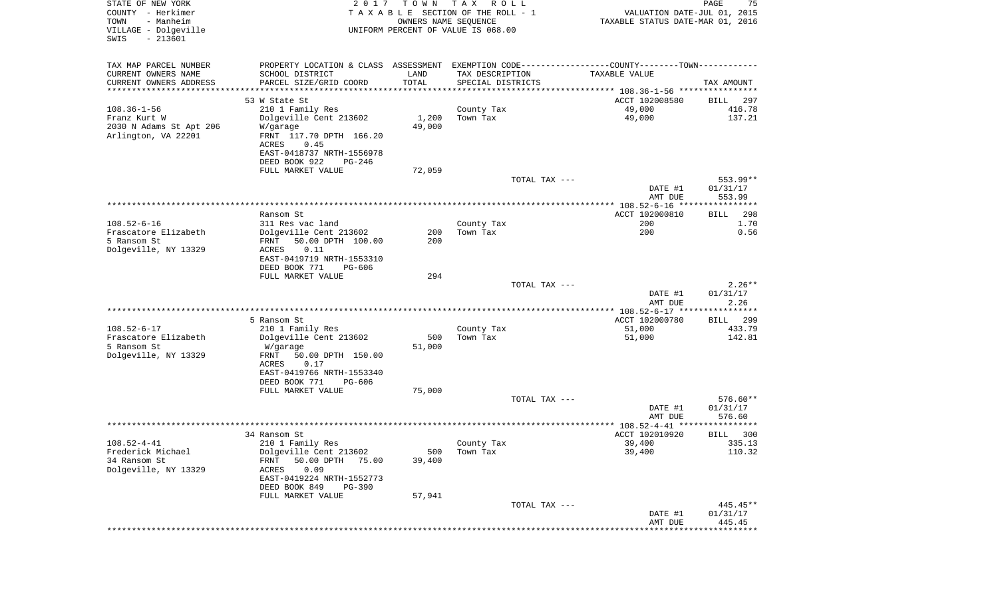| STATE OF NEW YORK<br>COUNTY - Herkimer<br>TOWN<br>- Manheim<br>VILLAGE - Dolgeville<br>$-213601$<br>SWIS | 2017                                                                                          | T O W N<br>OWNERS NAME SEQUENCE | T A X<br>R O L L<br>TAXABLE SECTION OF THE ROLL - 1<br>UNIFORM PERCENT OF VALUE IS 068.00 | VALUATION DATE-JUL 01, 2015<br>TAXABLE STATUS DATE-MAR 01, 2016 | PAGE<br>75            |
|----------------------------------------------------------------------------------------------------------|-----------------------------------------------------------------------------------------------|---------------------------------|-------------------------------------------------------------------------------------------|-----------------------------------------------------------------|-----------------------|
| TAX MAP PARCEL NUMBER                                                                                    | PROPERTY LOCATION & CLASS ASSESSMENT EXEMPTION CODE---------------COUNTY-------TOWN---------- |                                 |                                                                                           |                                                                 |                       |
| CURRENT OWNERS NAME                                                                                      | SCHOOL DISTRICT                                                                               | LAND                            | TAX DESCRIPTION                                                                           | TAXABLE VALUE                                                   |                       |
| CURRENT OWNERS ADDRESS<br>*********************                                                          | PARCEL SIZE/GRID COORD                                                                        | TOTAL<br>* * * * * * * * * * *  | SPECIAL DISTRICTS                                                                         |                                                                 | TAX AMOUNT            |
|                                                                                                          | 53 W State St                                                                                 |                                 |                                                                                           | ACCT 102008580                                                  | BILL<br>297           |
| $108.36 - 1 - 56$                                                                                        | 210 1 Family Res                                                                              |                                 | County Tax                                                                                | 49,000                                                          | 416.78                |
| Franz Kurt W                                                                                             | Dolgeville Cent 213602                                                                        | 1,200                           | Town Tax                                                                                  | 49,000                                                          | 137.21                |
| 2030 N Adams St Apt 206<br>Arlington, VA 22201                                                           | W/garage<br>FRNT 117.70 DPTH 166.20<br>ACRES<br>0.45                                          | 49,000                          |                                                                                           |                                                                 |                       |
|                                                                                                          | EAST-0418737 NRTH-1556978<br>DEED BOOK 922<br>PG-246                                          |                                 |                                                                                           |                                                                 |                       |
|                                                                                                          | FULL MARKET VALUE                                                                             | 72,059                          |                                                                                           |                                                                 |                       |
|                                                                                                          |                                                                                               |                                 | TOTAL TAX ---                                                                             |                                                                 | 553.99**              |
|                                                                                                          |                                                                                               |                                 |                                                                                           | DATE #1<br>AMT DUE                                              | 01/31/17<br>553.99    |
|                                                                                                          | Ransom St                                                                                     |                                 |                                                                                           | ACCT 102000810                                                  | 298<br>BILL           |
| $108.52 - 6 - 16$                                                                                        | 311 Res vac land                                                                              |                                 | County Tax                                                                                | 200                                                             | 1.70                  |
| Frascatore Elizabeth<br>5 Ransom St                                                                      | Dolgeville Cent 213602<br>50.00 DPTH 100.00<br>FRNT                                           | 200<br>200                      | Town Tax                                                                                  | 200                                                             | 0.56                  |
| Dolgeville, NY 13329                                                                                     | <b>ACRES</b><br>0.11                                                                          |                                 |                                                                                           |                                                                 |                       |
|                                                                                                          | EAST-0419719 NRTH-1553310                                                                     |                                 |                                                                                           |                                                                 |                       |
|                                                                                                          | DEED BOOK 771<br>PG-606                                                                       |                                 |                                                                                           |                                                                 |                       |
|                                                                                                          | FULL MARKET VALUE                                                                             | 294                             | TOTAL TAX ---                                                                             |                                                                 | $2.26**$              |
|                                                                                                          |                                                                                               |                                 |                                                                                           | DATE #1<br>AMT DUE                                              | 01/31/17<br>2.26      |
|                                                                                                          |                                                                                               |                                 |                                                                                           | *********** 108.52-6-17 *****************                       |                       |
| $108.52 - 6 - 17$                                                                                        | 5 Ransom St<br>210 1 Family Res                                                               |                                 | County Tax                                                                                | ACCT 102000780<br>51,000                                        | 299<br>BILL<br>433.79 |
| Frascatore Elizabeth                                                                                     | Dolgeville Cent 213602                                                                        | 500                             | Town Tax                                                                                  | 51,000                                                          | 142.81                |
| 5 Ransom St                                                                                              | W/garage                                                                                      | 51,000                          |                                                                                           |                                                                 |                       |
| Dolgeville, NY 13329                                                                                     | FRNT<br>50.00 DPTH 150.00                                                                     |                                 |                                                                                           |                                                                 |                       |
|                                                                                                          | ACRES<br>0.17<br>EAST-0419766 NRTH-1553340                                                    |                                 |                                                                                           |                                                                 |                       |
|                                                                                                          | DEED BOOK 771<br>PG-606                                                                       |                                 |                                                                                           |                                                                 |                       |
|                                                                                                          | FULL MARKET VALUE                                                                             | 75,000                          |                                                                                           |                                                                 |                       |
|                                                                                                          |                                                                                               |                                 | TOTAL TAX ---                                                                             |                                                                 | 576.60**              |
|                                                                                                          |                                                                                               |                                 |                                                                                           | DATE #1<br>AMT DUE                                              | 01/31/17<br>576.60    |
|                                                                                                          |                                                                                               |                                 |                                                                                           | ******************* 108.52-4-41 ****************                |                       |
|                                                                                                          | 34 Ransom St                                                                                  |                                 |                                                                                           | ACCT 102010920                                                  | 300<br>BILL           |
| $108.52 - 4 - 41$                                                                                        | 210 1 Family Res                                                                              |                                 | County Tax                                                                                | 39,400                                                          | 335.13                |
| Frederick Michael<br>34 Ransom St                                                                        | Dolgeville Cent 213602<br>50.00 DPTH<br>FRNT<br>75.00                                         | 500<br>39,400                   | Town Tax                                                                                  | 39,400                                                          | 110.32                |
| Dolgeville, NY 13329                                                                                     | 0.09<br>ACRES                                                                                 |                                 |                                                                                           |                                                                 |                       |
|                                                                                                          | EAST-0419224 NRTH-1552773                                                                     |                                 |                                                                                           |                                                                 |                       |
|                                                                                                          | DEED BOOK 849<br><b>PG-390</b>                                                                |                                 |                                                                                           |                                                                 |                       |
|                                                                                                          | FULL MARKET VALUE                                                                             | 57,941                          | TOTAL TAX ---                                                                             |                                                                 | 445.45**              |
|                                                                                                          |                                                                                               |                                 |                                                                                           | DATE #1                                                         | 01/31/17              |
|                                                                                                          |                                                                                               |                                 |                                                                                           | AMT DUE                                                         | 445.45                |
|                                                                                                          |                                                                                               |                                 |                                                                                           | ***************************                                     |                       |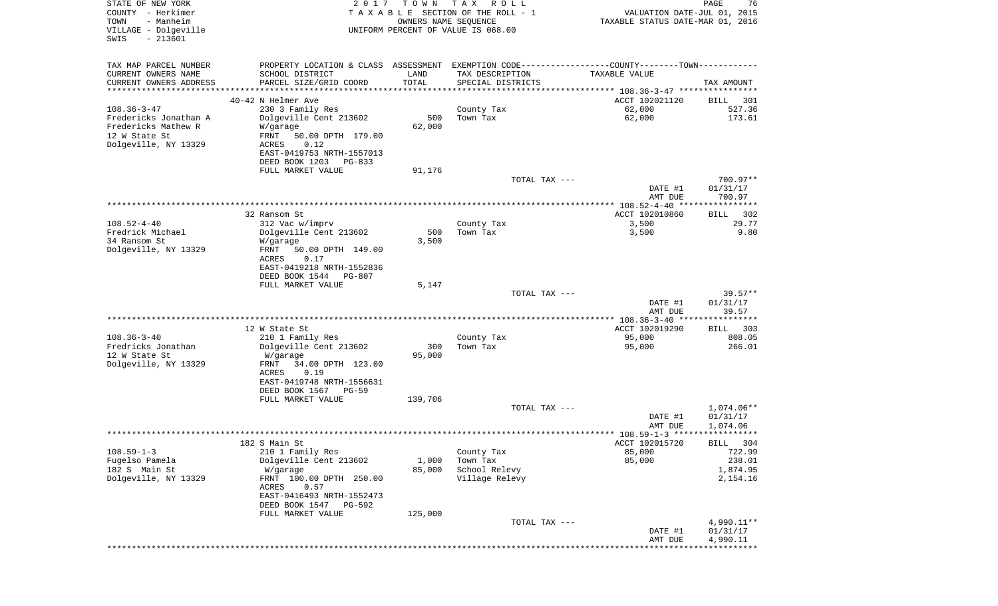| STATE OF NEW YORK<br>COUNTY - Herkimer<br>TOWN<br>- Manheim<br>VILLAGE - Dolgeville<br>$-213601$<br>SWIS | 2 0 1 7                                                                                       | T O W N<br>OWNERS NAME SEQUENCE | T A X<br>R O L L<br>TAXABLE SECTION OF THE ROLL - 1<br>UNIFORM PERCENT OF VALUE IS 068.00 | VALUATION DATE-JUL 01, 2015<br>TAXABLE STATUS DATE-MAR 01, 2016 | PAGE<br>76              |
|----------------------------------------------------------------------------------------------------------|-----------------------------------------------------------------------------------------------|---------------------------------|-------------------------------------------------------------------------------------------|-----------------------------------------------------------------|-------------------------|
| TAX MAP PARCEL NUMBER                                                                                    | PROPERTY LOCATION & CLASS ASSESSMENT EXEMPTION CODE---------------COUNTY-------TOWN---------- |                                 |                                                                                           |                                                                 |                         |
| CURRENT OWNERS NAME                                                                                      | SCHOOL DISTRICT                                                                               | LAND                            | TAX DESCRIPTION                                                                           | TAXABLE VALUE                                                   |                         |
| CURRENT OWNERS ADDRESS<br>**********************                                                         | PARCEL SIZE/GRID COORD                                                                        | TOTAL                           | SPECIAL DISTRICTS                                                                         |                                                                 | TAX AMOUNT              |
|                                                                                                          | 40-42 N Helmer Ave                                                                            |                                 |                                                                                           | ACCT 102021120                                                  | BILL<br>301             |
| $108.36 - 3 - 47$                                                                                        | 230 3 Family Res                                                                              |                                 | County Tax                                                                                | 62,000                                                          | 527.36                  |
| Fredericks Jonathan A                                                                                    | Dolgeville Cent 213602                                                                        | 500                             | Town Tax                                                                                  | 62,000                                                          | 173.61                  |
| Fredericks Mathew R                                                                                      | W/garage                                                                                      | 62,000                          |                                                                                           |                                                                 |                         |
| 12 W State St<br>Dolgeville, NY 13329                                                                    | FRNT<br>50.00 DPTH 179.00<br>0.12                                                             |                                 |                                                                                           |                                                                 |                         |
|                                                                                                          | ACRES<br>EAST-0419753 NRTH-1557013                                                            |                                 |                                                                                           |                                                                 |                         |
|                                                                                                          | DEED BOOK 1203<br>PG-833                                                                      |                                 |                                                                                           |                                                                 |                         |
|                                                                                                          | FULL MARKET VALUE                                                                             | 91,176                          |                                                                                           |                                                                 |                         |
|                                                                                                          |                                                                                               |                                 | TOTAL TAX ---                                                                             |                                                                 | 700.97**                |
|                                                                                                          |                                                                                               |                                 |                                                                                           | DATE #1<br>AMT DUE                                              | 01/31/17<br>700.97      |
|                                                                                                          |                                                                                               |                                 |                                                                                           |                                                                 |                         |
|                                                                                                          | 32 Ransom St                                                                                  |                                 |                                                                                           | ACCT 102010860                                                  | 302<br>BILL             |
| $108.52 - 4 - 40$                                                                                        | 312 Vac w/imprv                                                                               |                                 | County Tax                                                                                | 3,500                                                           | 29.77                   |
| Fredrick Michael<br>34 Ransom St                                                                         | Dolgeville Cent 213602<br>W/garage                                                            | 500<br>3,500                    | Town Tax                                                                                  | 3,500                                                           | 9.80                    |
| Dolgeville, NY 13329                                                                                     | FRNT<br>50.00 DPTH 149.00                                                                     |                                 |                                                                                           |                                                                 |                         |
|                                                                                                          | ACRES<br>0.17                                                                                 |                                 |                                                                                           |                                                                 |                         |
|                                                                                                          | EAST-0419218 NRTH-1552836                                                                     |                                 |                                                                                           |                                                                 |                         |
|                                                                                                          | DEED BOOK 1544<br>PG-807<br>FULL MARKET VALUE                                                 | 5,147                           |                                                                                           |                                                                 |                         |
|                                                                                                          |                                                                                               |                                 | TOTAL TAX ---                                                                             |                                                                 | $39.57**$               |
|                                                                                                          |                                                                                               |                                 |                                                                                           | DATE #1                                                         | 01/31/17                |
|                                                                                                          |                                                                                               |                                 |                                                                                           | AMT DUE                                                         | 39.57                   |
|                                                                                                          | 12 W State St                                                                                 |                                 |                                                                                           | ACCT 102019290                                                  | 303                     |
| $108.36 - 3 - 40$                                                                                        | 210 1 Family Res                                                                              |                                 | County Tax                                                                                | 95,000                                                          | BILL<br>808.05          |
| Fredricks Jonathan                                                                                       | Dolgeville Cent 213602                                                                        | 300                             | Town Tax                                                                                  | 95,000                                                          | 266.01                  |
| 12 W State St                                                                                            | W/garage                                                                                      | 95,000                          |                                                                                           |                                                                 |                         |
| Dolgeville, NY 13329                                                                                     | FRNT<br>34.00 DPTH 123.00                                                                     |                                 |                                                                                           |                                                                 |                         |
|                                                                                                          | ACRES<br>0.19<br>EAST-0419748 NRTH-1556631                                                    |                                 |                                                                                           |                                                                 |                         |
|                                                                                                          | DEED BOOK 1567<br>$PG-59$                                                                     |                                 |                                                                                           |                                                                 |                         |
|                                                                                                          | FULL MARKET VALUE                                                                             | 139,706                         |                                                                                           |                                                                 |                         |
|                                                                                                          |                                                                                               |                                 | TOTAL TAX ---                                                                             |                                                                 | 1,074.06**              |
|                                                                                                          |                                                                                               |                                 |                                                                                           | DATE #1<br>AMT DUE                                              | 01/31/17<br>1,074.06    |
|                                                                                                          |                                                                                               |                                 |                                                                                           |                                                                 |                         |
|                                                                                                          | 182 S Main St                                                                                 |                                 |                                                                                           | ACCT 102015720                                                  | BILL 304                |
| $108.59 - 1 - 3$                                                                                         | 210 1 Family Res                                                                              |                                 | County Tax                                                                                | 85,000                                                          | 722.99                  |
| Fugelso Pamela<br>182 S Main St                                                                          | Dolgeville Cent 213602                                                                        | 1,000                           | Town Tax<br>School Relevy                                                                 | 85,000                                                          | 238.01<br>1,874.95      |
| Dolgeville, NY 13329                                                                                     | W/garage<br>FRNT 100.00 DPTH 250.00                                                           | 85,000                          | Village Relevy                                                                            |                                                                 | 2,154.16                |
|                                                                                                          | ACRES<br>0.57                                                                                 |                                 |                                                                                           |                                                                 |                         |
|                                                                                                          | EAST-0416493 NRTH-1552473                                                                     |                                 |                                                                                           |                                                                 |                         |
|                                                                                                          | DEED BOOK 1547<br>PG-592                                                                      |                                 |                                                                                           |                                                                 |                         |
|                                                                                                          | FULL MARKET VALUE                                                                             | 125,000                         | TOTAL TAX ---                                                                             |                                                                 | 4,990.11**              |
|                                                                                                          |                                                                                               |                                 |                                                                                           | DATE #1                                                         | 01/31/17                |
|                                                                                                          |                                                                                               |                                 |                                                                                           | AMT DUE                                                         | 4,990.11                |
|                                                                                                          |                                                                                               |                                 |                                                                                           |                                                                 | * * * * * * * * * * * * |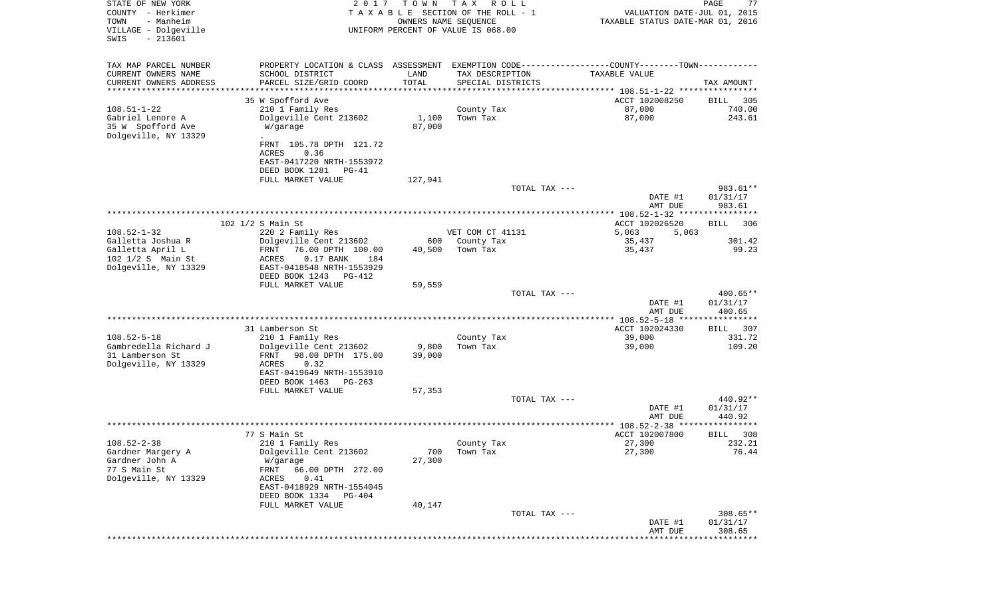| STATE OF NEW YORK<br>COUNTY - Herkimer<br>TOWN<br>- Manheim<br>VILLAGE - Dolgeville<br>$-213601$<br>SWIS | 2 0 1 7                                                                                                               | T O W N | TAX ROLL<br>TAXABLE SECTION OF THE ROLL - 1<br>OWNERS NAME SEQUENCE<br>UNIFORM PERCENT OF VALUE IS 068.00 | VALUATION DATE-JUL 01, 2015<br>TAXABLE STATUS DATE-MAR 01, 2016 | PAGE<br>77             |
|----------------------------------------------------------------------------------------------------------|-----------------------------------------------------------------------------------------------------------------------|---------|-----------------------------------------------------------------------------------------------------------|-----------------------------------------------------------------|------------------------|
| TAX MAP PARCEL NUMBER                                                                                    | PROPERTY LOCATION & CLASS ASSESSMENT EXEMPTION CODE----------------COUNTY--------TOWN----------                       |         |                                                                                                           |                                                                 |                        |
| CURRENT OWNERS NAME                                                                                      | SCHOOL DISTRICT                                                                                                       | LAND    | TAX DESCRIPTION                                                                                           | TAXABLE VALUE                                                   |                        |
| CURRENT OWNERS ADDRESS<br>*********************                                                          | PARCEL SIZE/GRID COORD                                                                                                | TOTAL   | SPECIAL DISTRICTS                                                                                         |                                                                 | TAX AMOUNT             |
|                                                                                                          | 35 W Spofford Ave                                                                                                     |         |                                                                                                           | ACCT 102008250                                                  | 305<br>BILL            |
| $108.51 - 1 - 22$                                                                                        | 210 1 Family Res                                                                                                      |         | County Tax                                                                                                | 87,000                                                          | 740.00                 |
| Gabriel Lenore A                                                                                         | Dolgeville Cent 213602                                                                                                | 1,100   | Town Tax                                                                                                  | 87,000                                                          | 243.61                 |
| 35 W Spofford Ave                                                                                        | W/garage                                                                                                              | 87,000  |                                                                                                           |                                                                 |                        |
| Dolgeville, NY 13329                                                                                     | FRNT 105.78 DPTH 121.72<br>ACRES<br>0.36<br>EAST-0417220 NRTH-1553972<br>DEED BOOK 1281<br>PG-41<br>FULL MARKET VALUE | 127,941 |                                                                                                           |                                                                 |                        |
|                                                                                                          |                                                                                                                       |         | TOTAL TAX ---                                                                                             |                                                                 | 983.61**               |
|                                                                                                          |                                                                                                                       |         |                                                                                                           | DATE #1<br>AMT DUE                                              | 01/31/17<br>983.61     |
|                                                                                                          |                                                                                                                       |         |                                                                                                           |                                                                 |                        |
| $108.52 - 1 - 32$                                                                                        | 102 1/2 S Main St<br>220 2 Family Res                                                                                 |         | VET COM CT 41131                                                                                          | ACCT 102026520<br>5,063<br>5,063                                | 306<br>BILL            |
| Galletta Joshua R                                                                                        | Dolgeville Cent 213602                                                                                                | 600     | County Tax                                                                                                | 35,437                                                          | 301.42                 |
| Galletta April L<br>102 1/2 S Main St<br>Dolgeville, NY 13329                                            | FRNT<br>76.00 DPTH 100.00<br>$0.17$ BANK<br>ACRES<br>184<br>EAST-0418548 NRTH-1553929<br>DEED BOOK 1243<br>PG-412     | 40,500  | Town Tax                                                                                                  | 35,437                                                          | 99.23                  |
|                                                                                                          | FULL MARKET VALUE                                                                                                     | 59,559  |                                                                                                           |                                                                 |                        |
|                                                                                                          |                                                                                                                       |         | TOTAL TAX ---                                                                                             | DATE #1                                                         | $400.65**$<br>01/31/17 |
|                                                                                                          |                                                                                                                       |         |                                                                                                           | AMT DUE                                                         | 400.65                 |
|                                                                                                          |                                                                                                                       |         |                                                                                                           |                                                                 |                        |
|                                                                                                          | 31 Lamberson St                                                                                                       |         |                                                                                                           | ACCT 102024330                                                  | 307<br>BILL            |
| $108.52 - 5 - 18$<br>Gambredella Richard J                                                               | 210 1 Family Res<br>Dolgeville Cent 213602                                                                            | 9,800   | County Tax<br>Town Tax                                                                                    | 39,000<br>39,000                                                | 331.72<br>109.20       |
| 31 Lamberson St                                                                                          | FRNT<br>98.00 DPTH 175.00                                                                                             | 39,000  |                                                                                                           |                                                                 |                        |
| Dolgeville, NY 13329                                                                                     | ACRES<br>0.32                                                                                                         |         |                                                                                                           |                                                                 |                        |
|                                                                                                          | EAST-0419649 NRTH-1553910                                                                                             |         |                                                                                                           |                                                                 |                        |
|                                                                                                          | DEED BOOK 1463<br>PG-263                                                                                              |         |                                                                                                           |                                                                 |                        |
|                                                                                                          | FULL MARKET VALUE                                                                                                     | 57,353  | TOTAL TAX ---                                                                                             |                                                                 | 440.92**               |
|                                                                                                          |                                                                                                                       |         |                                                                                                           | DATE #1                                                         | 01/31/17               |
|                                                                                                          |                                                                                                                       |         |                                                                                                           | AMT DUE                                                         | 440.92                 |
|                                                                                                          |                                                                                                                       |         |                                                                                                           |                                                                 | ******                 |
| $108.52 - 2 - 38$                                                                                        | 77 S Main St<br>210 1 Family Res                                                                                      |         | County Tax                                                                                                | ACCT 102007800<br>27,300                                        | 308<br>BILL<br>232.21  |
| Gardner Margery A                                                                                        | Dolgeville Cent 213602                                                                                                | 700     | Town Tax                                                                                                  | 27,300                                                          | 76.44                  |
| Gardner John A                                                                                           | W/garage                                                                                                              | 27,300  |                                                                                                           |                                                                 |                        |
| 77 S Main St                                                                                             | 66.00 DPTH 272.00<br>FRNT                                                                                             |         |                                                                                                           |                                                                 |                        |
| Dolgeville, NY 13329                                                                                     | 0.41<br>ACRES<br>EAST-0418929 NRTH-1554045                                                                            |         |                                                                                                           |                                                                 |                        |
|                                                                                                          | DEED BOOK 1334 PG-404                                                                                                 |         |                                                                                                           |                                                                 |                        |
|                                                                                                          | FULL MARKET VALUE                                                                                                     | 40,147  |                                                                                                           |                                                                 |                        |
|                                                                                                          |                                                                                                                       |         | TOTAL TAX ---                                                                                             |                                                                 | $308.65**$             |
|                                                                                                          |                                                                                                                       |         |                                                                                                           | DATE #1<br>AMT DUE                                              | 01/31/17<br>308.65     |
|                                                                                                          |                                                                                                                       |         |                                                                                                           |                                                                 |                        |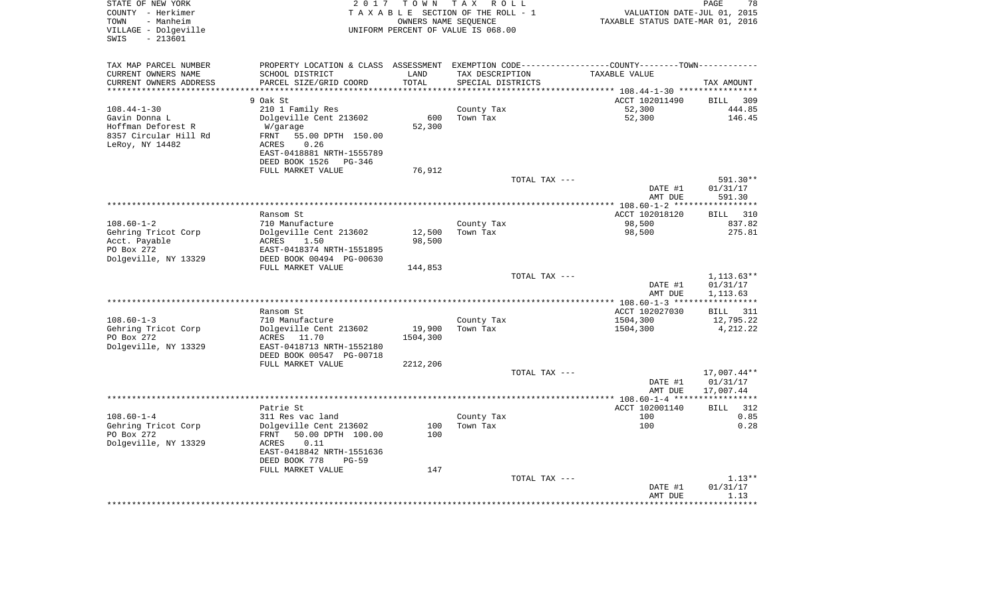| STATE OF NEW YORK<br>COUNTY - Herkimer<br>TOWN<br>- Manheim<br>VILLAGE - Dolgeville<br>$-213601$<br>SWIS | 2017                                                                                          | OWNERS NAME SEOUENCE | TOWN TAX ROLL<br>TAXABLE SECTION OF THE ROLL - 1<br>UNIFORM PERCENT OF VALUE IS 068.00 |               | VALUATION DATE-JUL 01, 2015<br>TAXABLE STATUS DATE-MAR 01, 2016 | PAGE                       | 78            |
|----------------------------------------------------------------------------------------------------------|-----------------------------------------------------------------------------------------------|----------------------|----------------------------------------------------------------------------------------|---------------|-----------------------------------------------------------------|----------------------------|---------------|
| TAX MAP PARCEL NUMBER                                                                                    | PROPERTY LOCATION & CLASS ASSESSMENT EXEMPTION CODE---------------COUNTY-------TOWN---------- |                      |                                                                                        |               |                                                                 |                            |               |
| CURRENT OWNERS NAME                                                                                      | SCHOOL DISTRICT                                                                               | LAND                 | TAX DESCRIPTION                                                                        |               | TAXABLE VALUE                                                   |                            |               |
| CURRENT OWNERS ADDRESS                                                                                   | PARCEL SIZE/GRID COORD                                                                        | TOTAL                | SPECIAL DISTRICTS                                                                      |               |                                                                 | TAX AMOUNT                 |               |
|                                                                                                          |                                                                                               |                      |                                                                                        |               | ********** 108.44-1-30 ***********                              |                            |               |
| $108.44 - 1 - 30$                                                                                        | 9 Oak St<br>210 1 Family Res                                                                  |                      | County Tax                                                                             |               | ACCT 102011490<br>52,300                                        | <b>BILL</b>                | 309<br>444.85 |
| Gavin Donna L                                                                                            | Dolgeville Cent 213602                                                                        | 600                  | Town Tax                                                                               |               | 52,300                                                          |                            | 146.45        |
| Hoffman Deforest R                                                                                       | W/garage                                                                                      | 52,300               |                                                                                        |               |                                                                 |                            |               |
| 8357 Circular Hill Rd                                                                                    | FRNT<br>55.00 DPTH 150.00                                                                     |                      |                                                                                        |               |                                                                 |                            |               |
| LeRoy, NY 14482                                                                                          | 0.26<br>ACRES                                                                                 |                      |                                                                                        |               |                                                                 |                            |               |
|                                                                                                          | EAST-0418881 NRTH-1555789                                                                     |                      |                                                                                        |               |                                                                 |                            |               |
|                                                                                                          | DEED BOOK 1526<br>PG-346                                                                      |                      |                                                                                        |               |                                                                 |                            |               |
|                                                                                                          | FULL MARKET VALUE                                                                             | 76,912               |                                                                                        | TOTAL TAX --- |                                                                 | 591.30**                   |               |
|                                                                                                          |                                                                                               |                      |                                                                                        |               | DATE #1                                                         | 01/31/17                   |               |
|                                                                                                          |                                                                                               |                      |                                                                                        |               | AMT DUE                                                         | 591.30                     |               |
|                                                                                                          |                                                                                               |                      |                                                                                        |               |                                                                 | **********                 |               |
|                                                                                                          | Ransom St                                                                                     |                      |                                                                                        |               | ACCT 102018120                                                  | BILL                       | 310           |
| $108.60 - 1 - 2$                                                                                         | 710 Manufacture                                                                               |                      | County Tax                                                                             |               | 98,500                                                          |                            | 837.82        |
| Gehring Tricot Corp                                                                                      | Dolgeville Cent 213602                                                                        | 12,500               | Town Tax                                                                               |               | 98,500                                                          |                            | 275.81        |
| Acct. Payable<br>PO Box 272                                                                              | ACRES<br>1.50<br>EAST-0418374 NRTH-1551895                                                    | 98,500               |                                                                                        |               |                                                                 |                            |               |
| Dolgeville, NY 13329                                                                                     | DEED BOOK 00494 PG-00630                                                                      |                      |                                                                                        |               |                                                                 |                            |               |
|                                                                                                          | FULL MARKET VALUE                                                                             | 144,853              |                                                                                        |               |                                                                 |                            |               |
|                                                                                                          |                                                                                               |                      |                                                                                        | TOTAL TAX --- |                                                                 | $1,113.63**$               |               |
|                                                                                                          |                                                                                               |                      |                                                                                        |               | DATE #1                                                         | 01/31/17                   |               |
|                                                                                                          |                                                                                               |                      |                                                                                        |               | AMT DUE                                                         | 1,113.63                   |               |
|                                                                                                          | Ransom St                                                                                     |                      |                                                                                        |               | ACCT 102027030                                                  | ***********<br><b>BILL</b> | 311           |
| $108.60 - 1 - 3$                                                                                         | 710 Manufacture                                                                               |                      | County Tax                                                                             |               | 1504,300                                                        | 12,795.22                  |               |
| Gehring Tricot Corp                                                                                      | Dolgeville Cent 213602                                                                        | 19,900               | Town Tax                                                                               |               | 1504,300                                                        | 4,212.22                   |               |
| PO Box 272                                                                                               | ACRES 11.70                                                                                   | 1504,300             |                                                                                        |               |                                                                 |                            |               |
| Dolgeville, NY 13329                                                                                     | EAST-0418713 NRTH-1552180                                                                     |                      |                                                                                        |               |                                                                 |                            |               |
|                                                                                                          | DEED BOOK 00547 PG-00718                                                                      |                      |                                                                                        |               |                                                                 |                            |               |
|                                                                                                          | FULL MARKET VALUE                                                                             | 2212,206             |                                                                                        |               |                                                                 |                            |               |
|                                                                                                          |                                                                                               |                      |                                                                                        | TOTAL TAX --- |                                                                 | 17,007.44**                |               |
|                                                                                                          |                                                                                               |                      |                                                                                        |               | DATE #1<br>AMT DUE                                              | 01/31/17<br>17,007.44      |               |
|                                                                                                          |                                                                                               |                      | **********************************                                                     |               | *** 108.60-1-4 ***                                              | ************               |               |
|                                                                                                          | Patrie St                                                                                     |                      |                                                                                        |               | ACCT 102001140                                                  | <b>BILL</b>                | 312           |
| $108.60 - 1 - 4$                                                                                         | 311 Res vac land                                                                              |                      | County Tax                                                                             |               | 100                                                             |                            | 0.85          |
| Gehring Tricot Corp                                                                                      | Dolgeville Cent 213602                                                                        | 100                  | Town Tax                                                                               |               | 100                                                             |                            | 0.28          |
| PO Box 272                                                                                               | FRNT<br>50.00 DPTH 100.00                                                                     | 100                  |                                                                                        |               |                                                                 |                            |               |
| Dolgeville, NY 13329                                                                                     | ACRES<br>0.11<br>EAST-0418842 NRTH-1551636                                                    |                      |                                                                                        |               |                                                                 |                            |               |
|                                                                                                          | DEED BOOK 778<br>$PG-59$                                                                      |                      |                                                                                        |               |                                                                 |                            |               |
|                                                                                                          | FULL MARKET VALUE                                                                             | 147                  |                                                                                        |               |                                                                 |                            |               |
|                                                                                                          |                                                                                               |                      |                                                                                        | TOTAL TAX --- |                                                                 |                            | $1.13**$      |
|                                                                                                          |                                                                                               |                      |                                                                                        |               | DATE #1                                                         | 01/31/17                   |               |
|                                                                                                          |                                                                                               |                      |                                                                                        |               | AMT DUE                                                         | 1.13                       |               |
|                                                                                                          |                                                                                               |                      |                                                                                        |               |                                                                 |                            |               |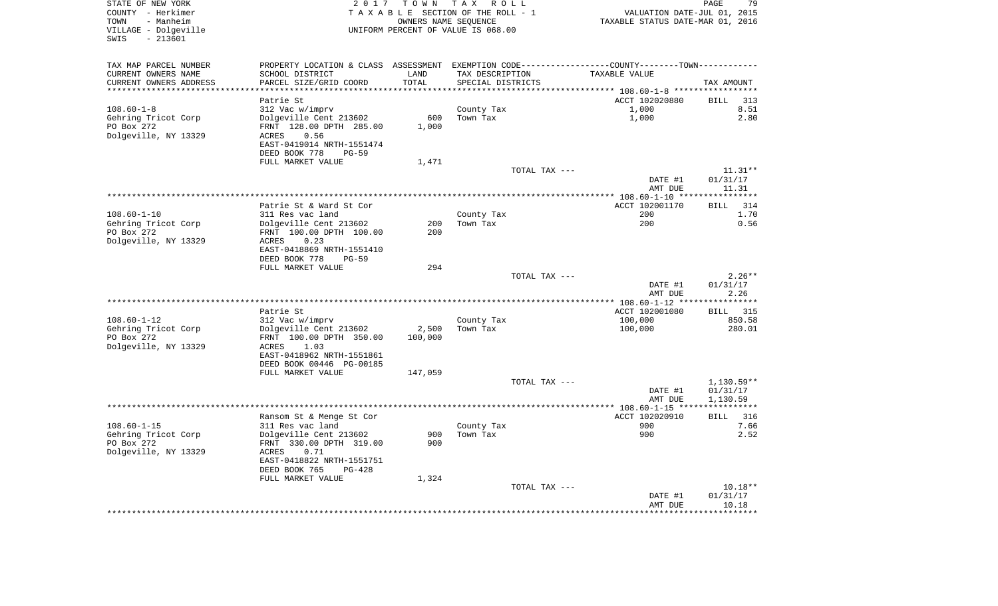| STATE OF NEW YORK      |                                                       |                      | 2017 TOWN TAX ROLL                 |                                                                                                  | PAGE<br>79         |
|------------------------|-------------------------------------------------------|----------------------|------------------------------------|--------------------------------------------------------------------------------------------------|--------------------|
| COUNTY - Herkimer      |                                                       |                      | TAXABLE SECTION OF THE ROLL - 1    | VALUATION DATE-JUL 01, 2015                                                                      |                    |
| TOWN<br>- Manheim      |                                                       | OWNERS NAME SEQUENCE |                                    | TAXABLE STATUS DATE-MAR 01, 2016                                                                 |                    |
| VILLAGE - Dolgeville   |                                                       |                      | UNIFORM PERCENT OF VALUE IS 068.00 |                                                                                                  |                    |
| SWIS<br>$-213601$      |                                                       |                      |                                    |                                                                                                  |                    |
|                        |                                                       |                      |                                    |                                                                                                  |                    |
| TAX MAP PARCEL NUMBER  |                                                       |                      |                                    | PROPERTY LOCATION & CLASS ASSESSMENT EXEMPTION CODE----------------COUNTY--------TOWN----------- |                    |
| CURRENT OWNERS NAME    | SCHOOL DISTRICT                                       | LAND                 | TAX DESCRIPTION                    | TAXABLE VALUE                                                                                    |                    |
| CURRENT OWNERS ADDRESS | PARCEL SIZE/GRID COORD                                | TOTAL                | SPECIAL DISTRICTS                  |                                                                                                  | TAX AMOUNT         |
| ********************** |                                                       |                      |                                    |                                                                                                  |                    |
|                        | Patrie St                                             |                      |                                    | ACCT 102020880                                                                                   | BILL<br>313        |
| $108.60 - 1 - 8$       | 312 Vac w/imprv                                       |                      | County Tax                         | 1,000                                                                                            | 8.51               |
| Gehring Tricot Corp    | Dolgeville Cent 213602                                | 600                  | Town Tax                           | 1,000                                                                                            | 2.80               |
| PO Box 272             | FRNT 128.00 DPTH 285.00                               | 1,000                |                                    |                                                                                                  |                    |
| Dolgeville, NY 13329   | ACRES<br>0.56                                         |                      |                                    |                                                                                                  |                    |
|                        | EAST-0419014 NRTH-1551474                             |                      |                                    |                                                                                                  |                    |
|                        | DEED BOOK 778<br>$PG-59$                              |                      |                                    |                                                                                                  |                    |
|                        | FULL MARKET VALUE                                     | 1,471                |                                    |                                                                                                  |                    |
|                        |                                                       |                      | TOTAL TAX ---                      |                                                                                                  | $11.31**$          |
|                        |                                                       |                      |                                    | DATE #1                                                                                          | 01/31/17           |
|                        |                                                       |                      |                                    | AMT DUE                                                                                          | 11.31              |
|                        |                                                       |                      |                                    |                                                                                                  |                    |
|                        | Patrie St & Ward St Cor                               |                      |                                    | ACCT 102001170                                                                                   | 314<br><b>BILL</b> |
| $108.60 - 1 - 10$      | 311 Res vac land                                      |                      | County Tax                         | 200                                                                                              | 1.70               |
| Gehring Tricot Corp    | Dolgeville Cent 213602                                | 200<br>200           | Town Tax                           | 200                                                                                              | 0.56               |
| PO Box 272             | FRNT 100.00 DPTH 100.00                               |                      |                                    |                                                                                                  |                    |
| Dolgeville, NY 13329   | ACRES<br>0.23                                         |                      |                                    |                                                                                                  |                    |
|                        | EAST-0418869 NRTH-1551410<br>DEED BOOK 778<br>$PG-59$ |                      |                                    |                                                                                                  |                    |
|                        | FULL MARKET VALUE                                     | 294                  |                                    |                                                                                                  |                    |
|                        |                                                       |                      | TOTAL TAX ---                      |                                                                                                  | $2.26**$           |
|                        |                                                       |                      |                                    | DATE #1                                                                                          | 01/31/17           |
|                        |                                                       |                      |                                    | AMT DUE                                                                                          | 2.26               |
|                        |                                                       |                      |                                    |                                                                                                  |                    |
|                        | Patrie St                                             |                      |                                    | ACCT 102001080                                                                                   | <b>BILL</b> 315    |
| $108.60 - 1 - 12$      | 312 Vac w/imprv                                       |                      | County Tax                         | 100,000                                                                                          | 850.58             |
| Gehring Tricot Corp    | Dolgeville Cent 213602                                | 2,500                | Town Tax                           | 100,000                                                                                          | 280.01             |
| PO Box 272             | FRNT 100.00 DPTH 350.00                               | 100,000              |                                    |                                                                                                  |                    |
| Dolgeville, NY 13329   | 1.03<br>ACRES                                         |                      |                                    |                                                                                                  |                    |
|                        | EAST-0418962 NRTH-1551861                             |                      |                                    |                                                                                                  |                    |
|                        | DEED BOOK 00446 PG-00185                              |                      |                                    |                                                                                                  |                    |
|                        | FULL MARKET VALUE                                     | 147,059              |                                    |                                                                                                  |                    |
|                        |                                                       |                      | TOTAL TAX ---                      |                                                                                                  | $1,130.59**$       |
|                        |                                                       |                      |                                    | DATE #1                                                                                          | 01/31/17           |
|                        |                                                       |                      |                                    | AMT DUE                                                                                          | 1,130.59           |
|                        |                                                       |                      |                                    |                                                                                                  |                    |
|                        | Ransom St & Menge St Cor                              |                      |                                    | ACCT 102020910                                                                                   | <b>BILL</b><br>316 |
| $108.60 - 1 - 15$      | 311 Res vac land                                      |                      | County Tax                         | 900                                                                                              | 7.66               |
| Gehring Tricot Corp    | Dolgeville Cent 213602                                | 900                  | Town Tax                           | 900                                                                                              | 2.52               |
| PO Box 272             | FRNT 330.00 DPTH 319.00                               | 900                  |                                    |                                                                                                  |                    |
| Dolgeville, NY 13329   | 0.71<br>ACRES                                         |                      |                                    |                                                                                                  |                    |
|                        | EAST-0418822 NRTH-1551751                             |                      |                                    |                                                                                                  |                    |
|                        | DEED BOOK 765<br>PG-428                               |                      |                                    |                                                                                                  |                    |
|                        | FULL MARKET VALUE                                     | 1,324                |                                    |                                                                                                  |                    |
|                        |                                                       |                      | TOTAL TAX ---                      |                                                                                                  | $10.18**$          |
|                        |                                                       |                      |                                    | DATE #1                                                                                          |                    |
|                        |                                                       |                      |                                    | AMT DUE                                                                                          | 01/31/17<br>10.18  |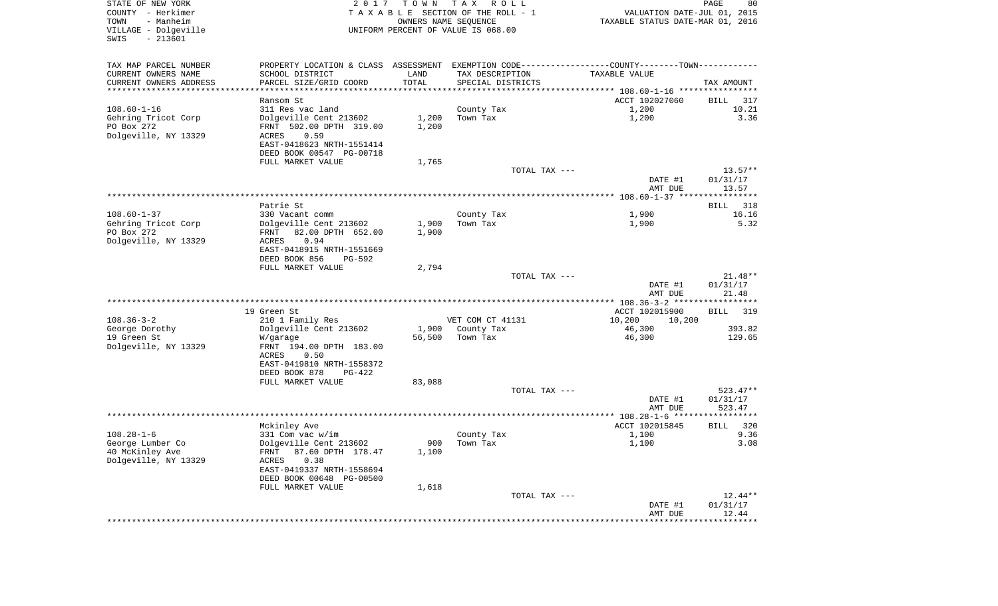| STATE OF NEW YORK                         | 2017                                                                                          | T O W N | T A X<br>R O L L                      |                                  | 80<br>PAGE  |
|-------------------------------------------|-----------------------------------------------------------------------------------------------|---------|---------------------------------------|----------------------------------|-------------|
| COUNTY - Herkimer                         |                                                                                               |         | T A X A B L E SECTION OF THE ROLL - 1 | VALUATION DATE-JUL 01, 2015      |             |
| TOWN<br>- Manheim                         |                                                                                               |         | OWNERS NAME SEQUENCE                  | TAXABLE STATUS DATE-MAR 01, 2016 |             |
| VILLAGE - Dolgeville<br>$-213601$<br>SWIS |                                                                                               |         | UNIFORM PERCENT OF VALUE IS 068.00    |                                  |             |
|                                           |                                                                                               |         |                                       |                                  |             |
|                                           |                                                                                               |         |                                       |                                  |             |
| TAX MAP PARCEL NUMBER                     | PROPERTY LOCATION & CLASS ASSESSMENT EXEMPTION CODE---------------COUNTY-------TOWN---------- |         |                                       |                                  |             |
| CURRENT OWNERS NAME                       | SCHOOL DISTRICT                                                                               | LAND    | TAX DESCRIPTION                       | TAXABLE VALUE                    |             |
| CURRENT OWNERS ADDRESS                    | PARCEL SIZE/GRID COORD                                                                        | TOTAL   | SPECIAL DISTRICTS                     |                                  | TAX AMOUNT  |
| ***********************                   |                                                                                               |         |                                       |                                  |             |
|                                           | Ransom St                                                                                     |         |                                       | ACCT 102027060                   | BILL 317    |
| 108.60-1-16                               | 311 Res vac land                                                                              |         | County Tax<br>Town Tax                | 1,200                            | 10.21       |
| Gehring Tricot Corp<br>PO Box 272         | Dolgeville Cent 213602<br>FRNT 502.00 DPTH 319.00                                             | 1,200   |                                       | 1,200                            | 3.36        |
| Dolgeville, NY 13329                      | ACRES<br>0.59                                                                                 | 1,200   |                                       |                                  |             |
|                                           | EAST-0418623 NRTH-1551414                                                                     |         |                                       |                                  |             |
|                                           | DEED BOOK 00547 PG-00718                                                                      |         |                                       |                                  |             |
|                                           | FULL MARKET VALUE                                                                             | 1,765   |                                       |                                  |             |
|                                           |                                                                                               |         | TOTAL TAX ---                         |                                  | $13.57**$   |
|                                           |                                                                                               |         |                                       | DATE #1                          | 01/31/17    |
|                                           |                                                                                               |         |                                       | AMT DUE                          | 13.57       |
|                                           |                                                                                               |         |                                       |                                  |             |
|                                           | Patrie St                                                                                     |         |                                       |                                  | BILL 318    |
| $108.60 - 1 - 37$                         | 330 Vacant comm                                                                               |         | County Tax                            | 1,900                            | 16.16       |
| Gehring Tricot Corp                       | Dolgeville Cent 213602                                                                        | 1,900   | Town Tax                              | 1,900                            | 5.32        |
| PO Box 272                                | 82.00 DPTH 652.00<br>FRNT                                                                     | 1,900   |                                       |                                  |             |
| Dolgeville, NY 13329                      | ACRES<br>0.94                                                                                 |         |                                       |                                  |             |
|                                           | EAST-0418915 NRTH-1551669                                                                     |         |                                       |                                  |             |
|                                           | DEED BOOK 856<br>PG-592                                                                       |         |                                       |                                  |             |
|                                           | FULL MARKET VALUE                                                                             | 2,794   |                                       |                                  |             |
|                                           |                                                                                               |         | TOTAL TAX ---                         |                                  | $21.48**$   |
|                                           |                                                                                               |         |                                       | DATE #1                          | 01/31/17    |
|                                           |                                                                                               |         |                                       | AMT DUE                          | 21.48       |
|                                           |                                                                                               |         |                                       |                                  |             |
|                                           | 19 Green St                                                                                   |         |                                       | ACCT 102015900                   | BILL 319    |
| $108.36 - 3 - 2$                          | 210 1 Family Res                                                                              |         | VET COM CT 41131                      | 10,200<br>10,200                 |             |
| George Dorothy                            | Dolgeville Cent 213602                                                                        | 1,900   | County Tax                            | 46,300                           | 393.82      |
| 19 Green St                               | W/garage                                                                                      | 56,500  | Town Tax                              | 46,300                           | 129.65      |
| Dolgeville, NY 13329                      | FRNT 194.00 DPTH 183.00                                                                       |         |                                       |                                  |             |
|                                           | 0.50<br>ACRES                                                                                 |         |                                       |                                  |             |
|                                           | EAST-0419810 NRTH-1558372                                                                     |         |                                       |                                  |             |
|                                           | DEED BOOK 878<br>PG-422                                                                       |         |                                       |                                  |             |
|                                           | FULL MARKET VALUE                                                                             | 83,088  |                                       |                                  |             |
|                                           |                                                                                               |         | TOTAL TAX ---                         |                                  | 523.47**    |
|                                           |                                                                                               |         |                                       | DATE #1                          | 01/31/17    |
|                                           |                                                                                               |         |                                       | AMT DUE                          | 523.47      |
|                                           |                                                                                               |         |                                       | ACCT 102015845                   | 320<br>BILL |
| 108.28-1-6                                | Mckinley Ave<br>331 Com vac w/im                                                              |         | County Tax                            | 1,100                            | 9.36        |
| George Lumber Co                          | Dolgeville Cent 213602                                                                        | 900     | Town Tax                              | 1,100                            | 3.08        |
| 40 McKinley Ave                           | 87.60 DPTH 178.47<br>FRNT                                                                     | 1,100   |                                       |                                  |             |
| Dolgeville, NY 13329                      | 0.38<br>ACRES                                                                                 |         |                                       |                                  |             |
|                                           | EAST-0419337 NRTH-1558694                                                                     |         |                                       |                                  |             |
|                                           | DEED BOOK 00648 PG-00500                                                                      |         |                                       |                                  |             |
|                                           | FULL MARKET VALUE                                                                             | 1,618   |                                       |                                  |             |
|                                           |                                                                                               |         | TOTAL TAX ---                         |                                  | $12.44**$   |
|                                           |                                                                                               |         |                                       | DATE #1                          | 01/31/17    |
|                                           |                                                                                               |         |                                       | AMT DUE                          | 12.44       |
|                                           |                                                                                               |         |                                       |                                  |             |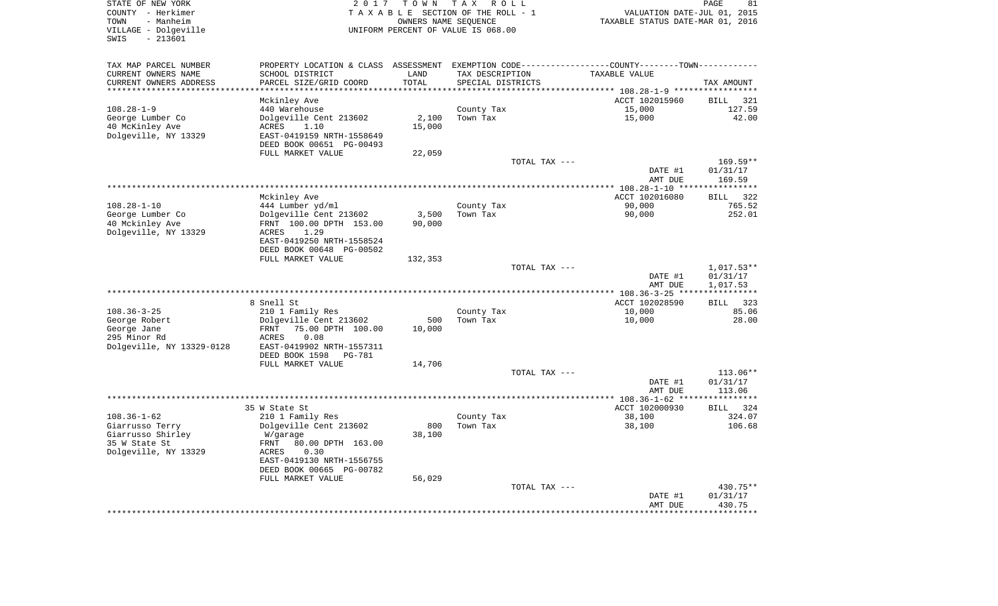| STATE OF NEW YORK         | 2017                                                                                          | T O W N              | TAX ROLL                           |                                  | PAGE<br>81           |
|---------------------------|-----------------------------------------------------------------------------------------------|----------------------|------------------------------------|----------------------------------|----------------------|
| COUNTY - Herkimer         |                                                                                               |                      | TAXABLE SECTION OF THE ROLL - 1    | VALUATION DATE-JUL 01, 2015      |                      |
| TOWN<br>- Manheim         |                                                                                               | OWNERS NAME SEQUENCE |                                    | TAXABLE STATUS DATE-MAR 01, 2016 |                      |
| VILLAGE - Dolgeville      |                                                                                               |                      | UNIFORM PERCENT OF VALUE IS 068.00 |                                  |                      |
| SWIS<br>$-213601$         |                                                                                               |                      |                                    |                                  |                      |
|                           |                                                                                               |                      |                                    |                                  |                      |
| TAX MAP PARCEL NUMBER     | PROPERTY LOCATION & CLASS ASSESSMENT EXEMPTION CODE---------------COUNTY-------TOWN---------- |                      |                                    |                                  |                      |
| CURRENT OWNERS NAME       | SCHOOL DISTRICT                                                                               | LAND                 | TAX DESCRIPTION                    | TAXABLE VALUE                    |                      |
| CURRENT OWNERS ADDRESS    | PARCEL SIZE/GRID COORD                                                                        | TOTAL                | SPECIAL DISTRICTS                  |                                  | TAX AMOUNT           |
| **********************    | ***********************                                                                       |                      |                                    |                                  |                      |
|                           | Mckinley Ave                                                                                  |                      |                                    | ACCT 102015960                   | 321<br>BILL          |
| $108.28 - 1 - 9$          | 440 Warehouse                                                                                 |                      | County Tax                         | 15,000                           | 127.59               |
| George Lumber Co          | Dolgeville Cent 213602                                                                        | 2,100                | Town Tax                           | 15,000                           | 42.00                |
| 40 McKinley Ave           | ACRES<br>1.10                                                                                 | 15,000               |                                    |                                  |                      |
| Dolgeville, NY 13329      | EAST-0419159 NRTH-1558649                                                                     |                      |                                    |                                  |                      |
|                           | DEED BOOK 00651 PG-00493                                                                      |                      |                                    |                                  |                      |
|                           | FULL MARKET VALUE                                                                             | 22,059               |                                    |                                  |                      |
|                           |                                                                                               |                      | TOTAL TAX ---                      |                                  | 169.59**             |
|                           |                                                                                               |                      |                                    | DATE #1                          | 01/31/17             |
|                           |                                                                                               |                      |                                    | AMT DUE                          | 169.59               |
|                           |                                                                                               |                      |                                    |                                  |                      |
|                           | Mckinley Ave                                                                                  |                      |                                    | ACCT 102016080                   | <b>BILL</b><br>322   |
| 108.28-1-10               | 444 Lumber yd/ml                                                                              |                      | County Tax                         | 90,000                           | 765.52               |
| George Lumber Co          | Dolgeville Cent 213602                                                                        | 3,500                | Town Tax                           | 90,000                           | 252.01               |
| 40 Mckinley Ave           | FRNT 100.00 DPTH 153.00                                                                       | 90,000               |                                    |                                  |                      |
| Dolgeville, NY 13329      | 1.29<br>ACRES                                                                                 |                      |                                    |                                  |                      |
|                           | EAST-0419250 NRTH-1558524                                                                     |                      |                                    |                                  |                      |
|                           | DEED BOOK 00648 PG-00502                                                                      |                      |                                    |                                  |                      |
|                           | FULL MARKET VALUE                                                                             | 132,353              |                                    |                                  |                      |
|                           |                                                                                               |                      | TOTAL TAX ---                      |                                  | $1,017.53**$         |
|                           |                                                                                               |                      |                                    | DATE #1                          | 01/31/17             |
|                           |                                                                                               |                      |                                    |                                  | 1,017.53             |
|                           |                                                                                               |                      |                                    | AMT DUE                          |                      |
|                           | 8 Snell St                                                                                    |                      |                                    | ACCT 102028590                   | 323<br><b>BILL</b>   |
| $108.36 - 3 - 25$         | 210 1 Family Res                                                                              |                      | County Tax                         | 10,000                           | 85.06                |
|                           | Dolgeville Cent 213602                                                                        | 500                  | Town Tax                           | 10,000                           | 28.00                |
| George Robert             |                                                                                               |                      |                                    |                                  |                      |
| George Jane               | 75.00 DPTH 100.00<br>FRNT                                                                     | 10,000               |                                    |                                  |                      |
| 295 Minor Rd              | ACRES<br>0.08                                                                                 |                      |                                    |                                  |                      |
| Dolgeville, NY 13329-0128 | EAST-0419902 NRTH-1557311                                                                     |                      |                                    |                                  |                      |
|                           | DEED BOOK 1598<br>PG-781                                                                      |                      |                                    |                                  |                      |
|                           | FULL MARKET VALUE                                                                             | 14,706               |                                    |                                  |                      |
|                           |                                                                                               |                      | TOTAL TAX ---                      |                                  | 113.06**             |
|                           |                                                                                               |                      |                                    | DATE #1                          | 01/31/17             |
|                           |                                                                                               |                      |                                    | AMT DUE                          | 113.06<br>********** |
|                           |                                                                                               |                      |                                    |                                  |                      |
|                           | 35 W State St                                                                                 |                      |                                    | ACCT 102000930                   | BILL 324             |
| $108.36 - 1 - 62$         | 210 1 Family Res                                                                              |                      | County Tax                         | 38,100                           | 324.07               |
| Giarrusso Terry           | Dolgeville Cent 213602                                                                        | 800                  | Town Tax                           | 38,100                           | 106.68               |
| Giarrusso Shirley         | W/garage                                                                                      | 38,100               |                                    |                                  |                      |
| 35 W State St             | FRNT<br>80.00 DPTH 163.00                                                                     |                      |                                    |                                  |                      |
| Dolgeville, NY 13329      | 0.30<br>ACRES                                                                                 |                      |                                    |                                  |                      |
|                           | EAST-0419130 NRTH-1556755                                                                     |                      |                                    |                                  |                      |
|                           | DEED BOOK 00665 PG-00782                                                                      |                      |                                    |                                  |                      |
|                           | FULL MARKET VALUE                                                                             | 56,029               |                                    |                                  |                      |
|                           |                                                                                               |                      | TOTAL TAX ---                      |                                  | 430.75**             |
|                           |                                                                                               |                      |                                    | DATE #1                          | 01/31/17             |
|                           |                                                                                               |                      |                                    | AMT DUE                          | 430.75               |
|                           |                                                                                               |                      |                                    |                                  | ***********          |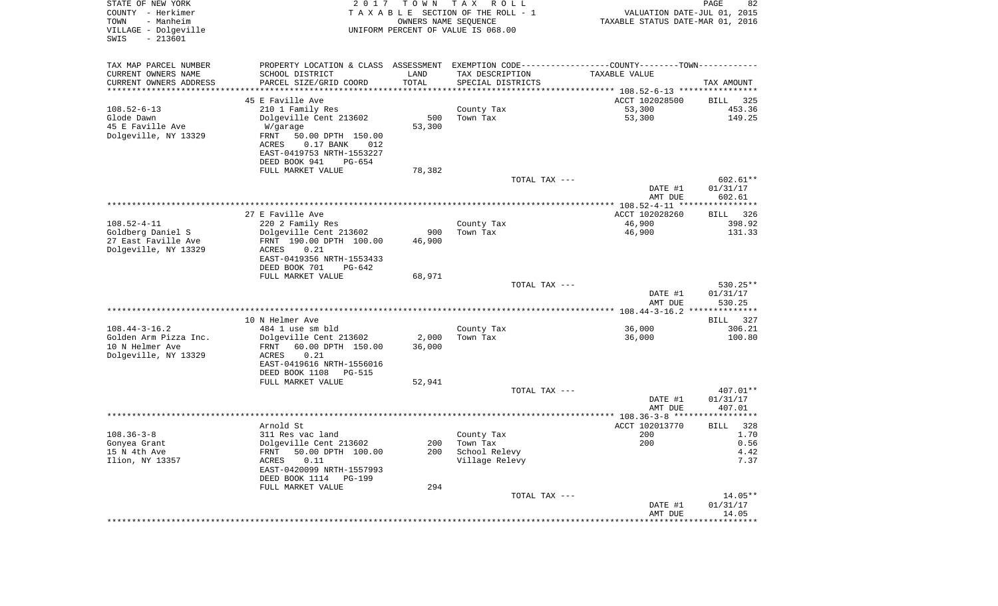| STATE OF NEW YORK<br>COUNTY - Herkimer<br>TOWN<br>- Manheim<br>VILLAGE - Dolgeville<br>SWIS<br>$-213601$ | 2017                                                                                          | T O W N<br>OWNERS NAME SEQUENCE | T A X<br>R O L L<br>TAXABLE SECTION OF THE ROLL - 1<br>UNIFORM PERCENT OF VALUE IS 068.00 | VALUATION DATE-JUL 01, 2015<br>TAXABLE STATUS DATE-MAR 01, 2016 | PAGE<br>82           |
|----------------------------------------------------------------------------------------------------------|-----------------------------------------------------------------------------------------------|---------------------------------|-------------------------------------------------------------------------------------------|-----------------------------------------------------------------|----------------------|
| TAX MAP PARCEL NUMBER                                                                                    | PROPERTY LOCATION & CLASS ASSESSMENT EXEMPTION CODE---------------COUNTY-------TOWN---------- |                                 |                                                                                           |                                                                 |                      |
| CURRENT OWNERS NAME                                                                                      | SCHOOL DISTRICT                                                                               | LAND                            | TAX DESCRIPTION                                                                           | TAXABLE VALUE                                                   |                      |
| CURRENT OWNERS ADDRESS<br>*********************                                                          | PARCEL SIZE/GRID COORD                                                                        | TOTAL<br>* * * * * * * * * * *  | SPECIAL DISTRICTS                                                                         |                                                                 | TAX AMOUNT           |
|                                                                                                          | 45 E Faville Ave                                                                              |                                 |                                                                                           | ACCT 102028500                                                  | BILL<br>325          |
| $108.52 - 6 - 13$                                                                                        | 210 1 Family Res                                                                              |                                 | County Tax                                                                                | 53,300                                                          | 453.36               |
| Glode Dawn                                                                                               | Dolgeville Cent 213602                                                                        | 500                             | Town Tax                                                                                  | 53,300                                                          | 149.25               |
| 45 E Faville Ave                                                                                         | W/garage                                                                                      | 53,300                          |                                                                                           |                                                                 |                      |
| Dolgeville, NY 13329                                                                                     | FRNT<br>50.00 DPTH 150.00<br>$0.17$ BANK<br>ACRES<br>012<br>EAST-0419753 NRTH-1553227         |                                 |                                                                                           |                                                                 |                      |
|                                                                                                          | DEED BOOK 941<br>PG-654                                                                       |                                 |                                                                                           |                                                                 |                      |
|                                                                                                          | FULL MARKET VALUE                                                                             | 78,382                          |                                                                                           |                                                                 |                      |
|                                                                                                          |                                                                                               |                                 | TOTAL TAX ---                                                                             | DATE #1                                                         | 602.61**<br>01/31/17 |
|                                                                                                          |                                                                                               |                                 |                                                                                           | AMT DUE                                                         | 602.61               |
|                                                                                                          |                                                                                               |                                 |                                                                                           |                                                                 |                      |
|                                                                                                          | 27 E Faville Ave                                                                              |                                 |                                                                                           | ACCT 102028260                                                  | BILL 326             |
| $108.52 - 4 - 11$                                                                                        | 220 2 Family Res                                                                              |                                 | County Tax                                                                                | 46,900                                                          | 398.92               |
| Goldberg Daniel S<br>27 East Faville Ave                                                                 | Dolgeville Cent 213602                                                                        | 900<br>46,900                   | Town Tax                                                                                  | 46,900                                                          | 131.33               |
| Dolgeville, NY 13329                                                                                     | FRNT 190.00 DPTH 100.00<br>ACRES<br>0.21                                                      |                                 |                                                                                           |                                                                 |                      |
|                                                                                                          | EAST-0419356 NRTH-1553433                                                                     |                                 |                                                                                           |                                                                 |                      |
|                                                                                                          | DEED BOOK 701<br>$PG-642$                                                                     |                                 |                                                                                           |                                                                 |                      |
|                                                                                                          | FULL MARKET VALUE                                                                             | 68,971                          |                                                                                           |                                                                 |                      |
|                                                                                                          |                                                                                               |                                 | TOTAL TAX ---                                                                             |                                                                 | $530.25**$           |
|                                                                                                          |                                                                                               |                                 |                                                                                           | DATE #1<br>AMT DUE                                              | 01/31/17<br>530.25   |
|                                                                                                          |                                                                                               |                                 |                                                                                           |                                                                 | **************       |
|                                                                                                          | 10 N Helmer Ave                                                                               |                                 |                                                                                           |                                                                 | <b>BILL</b><br>327   |
| $108.44 - 3 - 16.2$                                                                                      | 484 1 use sm bld                                                                              |                                 | County Tax                                                                                | 36,000                                                          | 306.21               |
| Golden Arm Pizza Inc.                                                                                    | Dolgeville Cent 213602                                                                        | 2,000                           | Town Tax                                                                                  | 36,000                                                          | 100.80               |
| 10 N Helmer Ave                                                                                          | 60.00 DPTH 150.00<br>FRNT                                                                     | 36,000                          |                                                                                           |                                                                 |                      |
| Dolgeville, NY 13329                                                                                     | ACRES<br>0.21<br>EAST-0419616 NRTH-1556016                                                    |                                 |                                                                                           |                                                                 |                      |
|                                                                                                          | DEED BOOK 1108<br>PG-515                                                                      |                                 |                                                                                           |                                                                 |                      |
|                                                                                                          | FULL MARKET VALUE                                                                             | 52,941                          |                                                                                           |                                                                 |                      |
|                                                                                                          |                                                                                               |                                 | TOTAL TAX ---                                                                             |                                                                 | 407.01**             |
|                                                                                                          |                                                                                               |                                 |                                                                                           | DATE #1                                                         | 01/31/17             |
|                                                                                                          |                                                                                               |                                 |                                                                                           | AMT DUE                                                         | 407.01               |
|                                                                                                          | Arnold St                                                                                     |                                 |                                                                                           | ACCT 102013770                                                  | 328<br><b>BILL</b>   |
| $108.36 - 3 - 8$                                                                                         | 311 Res vac land                                                                              |                                 | County Tax                                                                                | 200                                                             | 1.70                 |
| Gonyea Grant                                                                                             | Dolgeville Cent 213602                                                                        |                                 | 200 Town Tax                                                                              | 200                                                             | 0.56                 |
| 15 N 4th Ave                                                                                             | FRNT 50.00 DPTH 100.00                                                                        | 200                             | School Relevy                                                                             |                                                                 | 4.42                 |
| Ilion, NY 13357                                                                                          | 0.11<br>ACRES                                                                                 |                                 | Village Relevy                                                                            |                                                                 | 7.37                 |
|                                                                                                          | EAST-0420099 NRTH-1557993<br>DEED BOOK 1114 PG-199                                            |                                 |                                                                                           |                                                                 |                      |
|                                                                                                          | FULL MARKET VALUE                                                                             | 294                             |                                                                                           |                                                                 |                      |
|                                                                                                          |                                                                                               |                                 | TOTAL TAX ---                                                                             |                                                                 | $14.05**$            |
|                                                                                                          |                                                                                               |                                 |                                                                                           | DATE #1                                                         | 01/31/17             |
|                                                                                                          |                                                                                               |                                 |                                                                                           | AMT DUE                                                         | 14.05                |
|                                                                                                          |                                                                                               |                                 |                                                                                           |                                                                 |                      |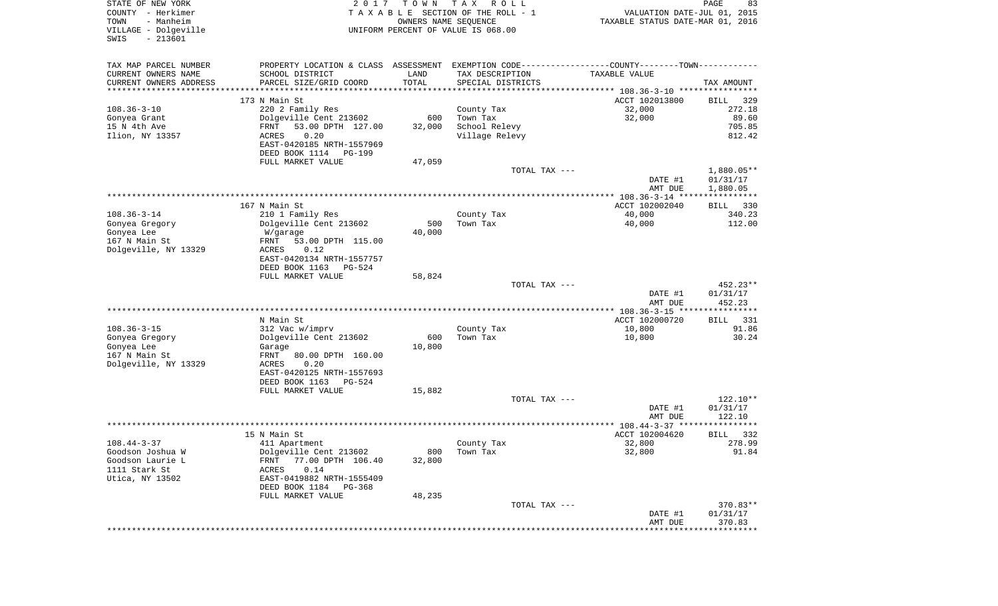| STATE OF NEW YORK<br>COUNTY - Herkimer<br>- Manheim<br>TOWN<br>VILLAGE - Dolgeville | 2017                                       | TOWN   | TAX ROLL<br>TAXABLE SECTION OF THE ROLL - 1<br>OWNERS NAME SEQUENCE<br>UNIFORM PERCENT OF VALUE IS 068.00 | VALUATION DATE-JUL 01, 2015<br>TAXABLE STATUS DATE-MAR 01, 2016                                | PAGE<br>83            |
|-------------------------------------------------------------------------------------|--------------------------------------------|--------|-----------------------------------------------------------------------------------------------------------|------------------------------------------------------------------------------------------------|-----------------------|
| SWIS<br>$-213601$                                                                   |                                            |        |                                                                                                           |                                                                                                |                       |
| TAX MAP PARCEL NUMBER                                                               |                                            |        |                                                                                                           | PROPERTY LOCATION & CLASS ASSESSMENT EXEMPTION CODE----------------COUNTY-------TOWN---------- |                       |
| CURRENT OWNERS NAME                                                                 | SCHOOL DISTRICT                            | LAND   | TAX DESCRIPTION                                                                                           | TAXABLE VALUE                                                                                  |                       |
| CURRENT OWNERS ADDRESS                                                              | PARCEL SIZE/GRID COORD                     | TOTAL  | SPECIAL DISTRICTS                                                                                         |                                                                                                | TAX AMOUNT            |
| **********************                                                              | **************************                 |        |                                                                                                           |                                                                                                |                       |
| $108.36 - 3 - 10$                                                                   | 173 N Main St<br>220 2 Family Res          |        | County Tax                                                                                                | ACCT 102013800<br>32,000                                                                       | BILL<br>329<br>272.18 |
| Gonyea Grant                                                                        | Dolgeville Cent 213602                     | 600    | Town Tax                                                                                                  | 32,000                                                                                         | 89.60                 |
| 15 N 4th Ave                                                                        | FRNT<br>53.00 DPTH 127.00                  | 32,000 | School Relevy                                                                                             |                                                                                                | 705.85                |
| Ilion, NY 13357                                                                     | ACRES<br>0.20                              |        | Village Relevy                                                                                            |                                                                                                | 812.42                |
|                                                                                     | EAST-0420185 NRTH-1557969                  |        |                                                                                                           |                                                                                                |                       |
|                                                                                     | DEED BOOK 1114 PG-199                      |        |                                                                                                           |                                                                                                |                       |
|                                                                                     | FULL MARKET VALUE                          | 47,059 |                                                                                                           |                                                                                                |                       |
|                                                                                     |                                            |        | TOTAL TAX ---                                                                                             |                                                                                                | 1,880.05**            |
|                                                                                     |                                            |        |                                                                                                           | DATE #1                                                                                        | 01/31/17              |
|                                                                                     |                                            |        |                                                                                                           | AMT DUE                                                                                        | 1,880.05              |
|                                                                                     |                                            |        |                                                                                                           |                                                                                                |                       |
| $108.36 - 3 - 14$                                                                   | 167 N Main St                              |        |                                                                                                           | ACCT 102002040<br>40,000                                                                       | 330<br>BILL           |
| Gonyea Gregory                                                                      | 210 1 Family Res<br>Dolgeville Cent 213602 | 500    | County Tax<br>Town Tax                                                                                    | 40,000                                                                                         | 340.23<br>112.00      |
| Gonyea Lee                                                                          | W/garage                                   | 40,000 |                                                                                                           |                                                                                                |                       |
| 167 N Main St                                                                       | FRNT<br>53.00 DPTH 115.00                  |        |                                                                                                           |                                                                                                |                       |
| Dolgeville, NY 13329                                                                | 0.12<br>ACRES                              |        |                                                                                                           |                                                                                                |                       |
|                                                                                     | EAST-0420134 NRTH-1557757                  |        |                                                                                                           |                                                                                                |                       |
|                                                                                     | DEED BOOK 1163<br>PG-524                   |        |                                                                                                           |                                                                                                |                       |
|                                                                                     | FULL MARKET VALUE                          | 58,824 |                                                                                                           |                                                                                                |                       |
|                                                                                     |                                            |        | TOTAL TAX ---                                                                                             |                                                                                                | 452.23**              |
|                                                                                     |                                            |        |                                                                                                           | DATE #1                                                                                        | 01/31/17              |
|                                                                                     |                                            |        |                                                                                                           | AMT DUE                                                                                        | 452.23                |
|                                                                                     | N Main St                                  |        |                                                                                                           | ************* 108.36-3-15 *****************<br>ACCT 102000720                                  | <b>BILL</b><br>331    |
| $108.36 - 3 - 15$                                                                   | 312 Vac w/imprv                            |        | County Tax                                                                                                | 10,800                                                                                         | 91.86                 |
| Gonyea Gregory                                                                      | Dolgeville Cent 213602                     | 600    | Town Tax                                                                                                  | 10,800                                                                                         | 30.24                 |
| Gonyea Lee                                                                          | Garage                                     | 10,800 |                                                                                                           |                                                                                                |                       |
| 167 N Main St                                                                       | FRNT<br>80.00 DPTH 160.00                  |        |                                                                                                           |                                                                                                |                       |
| Dolgeville, NY 13329                                                                | ACRES<br>0.20                              |        |                                                                                                           |                                                                                                |                       |
|                                                                                     | EAST-0420125 NRTH-1557693                  |        |                                                                                                           |                                                                                                |                       |
|                                                                                     | DEED BOOK 1163 PG-524                      |        |                                                                                                           |                                                                                                |                       |
|                                                                                     | FULL MARKET VALUE                          | 15,882 |                                                                                                           |                                                                                                |                       |
|                                                                                     |                                            |        | TOTAL TAX ---                                                                                             |                                                                                                | 122.10**              |
|                                                                                     |                                            |        |                                                                                                           | DATE #1                                                                                        | 01/31/17              |
|                                                                                     |                                            |        |                                                                                                           | AMT DUE                                                                                        | 122.10                |
|                                                                                     | 15 N Main St                               |        |                                                                                                           | ACCT 102004620                                                                                 | 332<br>BILL           |
| $108.44 - 3 - 37$                                                                   | 411 Apartment                              |        | County Tax                                                                                                | 32,800                                                                                         | 278.99                |
| Goodson Joshua W                                                                    | Dolgeville Cent 213602                     | 800    | Town Tax                                                                                                  | 32,800                                                                                         | 91.84                 |
| Goodson Laurie L                                                                    | 77.00 DPTH 106.40<br>FRNT                  | 32,800 |                                                                                                           |                                                                                                |                       |
| 1111 Stark St                                                                       | 0.14<br>ACRES                              |        |                                                                                                           |                                                                                                |                       |
| Utica, NY 13502                                                                     | EAST-0419882 NRTH-1555409                  |        |                                                                                                           |                                                                                                |                       |
|                                                                                     | DEED BOOK 1184 PG-368                      |        |                                                                                                           |                                                                                                |                       |
|                                                                                     | FULL MARKET VALUE                          | 48,235 |                                                                                                           |                                                                                                |                       |
|                                                                                     |                                            |        | TOTAL TAX ---                                                                                             |                                                                                                | 370.83**              |
|                                                                                     |                                            |        |                                                                                                           | DATE #1                                                                                        | 01/31/17              |
|                                                                                     |                                            |        |                                                                                                           | AMT DUE                                                                                        | 370.83                |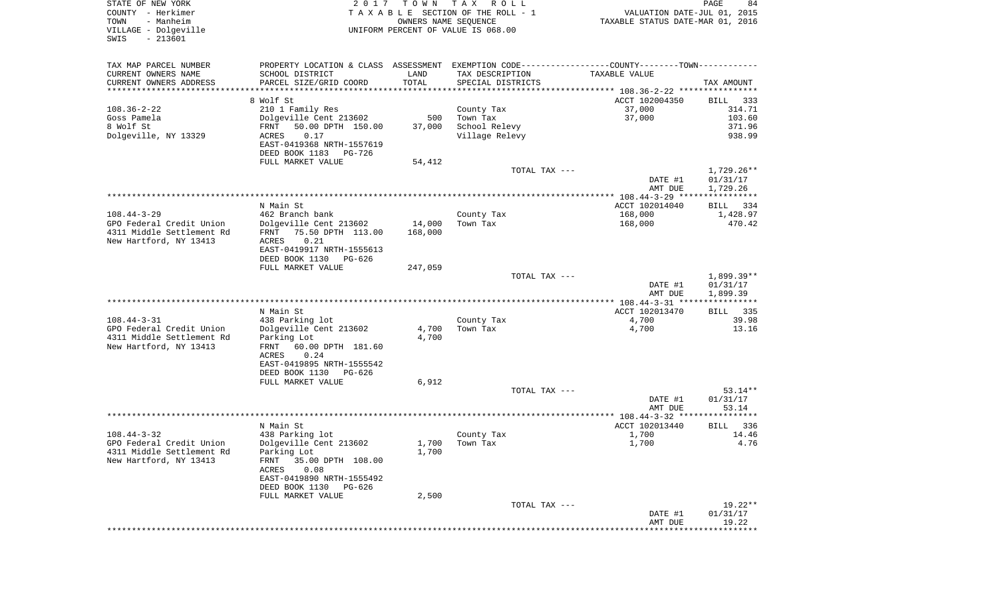| VILLAGE - Dolgeville<br>$-213601$<br>SWIS        |                           | 2017<br>T O W N | TAX ROLL<br>TAXABLE SECTION OF THE ROLL - 1<br>OWNERS NAME SEQUENCE<br>UNIFORM PERCENT OF VALUE IS 068.00 | VALUATION DATE-JUL 01, 2015<br>TAXABLE STATUS DATE-MAR 01, 2016 | PAGE<br>84           |
|--------------------------------------------------|---------------------------|-----------------|-----------------------------------------------------------------------------------------------------------|-----------------------------------------------------------------|----------------------|
| TAX MAP PARCEL NUMBER                            |                           |                 | PROPERTY LOCATION & CLASS ASSESSMENT EXEMPTION CODE---------------COUNTY-------TOWN----------             |                                                                 |                      |
| CURRENT OWNERS NAME                              | SCHOOL DISTRICT           | LAND            | TAX DESCRIPTION                                                                                           | TAXABLE VALUE                                                   |                      |
| CURRENT OWNERS ADDRESS<br>********************** | PARCEL SIZE/GRID COORD    | TOTAL           | SPECIAL DISTRICTS                                                                                         |                                                                 | TAX AMOUNT           |
|                                                  | 8 Wolf St                 |                 |                                                                                                           | ACCT 102004350                                                  | BILL 333             |
| $108.36 - 2 - 22$                                | 210 1 Family Res          |                 | County Tax                                                                                                | 37,000                                                          | 314.71               |
| Goss Pamela                                      | Dolgeville Cent 213602    | 500             | Town Tax                                                                                                  | 37,000                                                          | 103.60               |
| 8 Wolf St                                        | 50.00 DPTH 150.00<br>FRNT | 37,000          | School Relevy                                                                                             |                                                                 | 371.96               |
| Dolgeville, NY 13329                             | ACRES<br>0.17             |                 | Village Relevy                                                                                            |                                                                 | 938.99               |
|                                                  | EAST-0419368 NRTH-1557619 |                 |                                                                                                           |                                                                 |                      |
|                                                  | DEED BOOK 1183 PG-726     |                 |                                                                                                           |                                                                 |                      |
|                                                  | FULL MARKET VALUE         | 54,412          |                                                                                                           |                                                                 |                      |
|                                                  |                           |                 | TOTAL TAX ---                                                                                             |                                                                 | 1,729.26**           |
|                                                  |                           |                 |                                                                                                           | DATE #1                                                         | 01/31/17             |
|                                                  |                           |                 |                                                                                                           | AMT DUE                                                         | 1,729.26             |
|                                                  | N Main St                 |                 |                                                                                                           | ACCT 102014040                                                  | BILL 334             |
| $108.44 - 3 - 29$                                | 462 Branch bank           |                 | County Tax                                                                                                | 168,000                                                         | 1,428.97             |
| GPO Federal Credit Union                         | Dolgeville Cent 213602    | 14,000          | Town Tax                                                                                                  | 168,000                                                         | 470.42               |
| 4311 Middle Settlement Rd                        | 75.50 DPTH 113.00<br>FRNT | 168,000         |                                                                                                           |                                                                 |                      |
| New Hartford, NY 13413                           | 0.21<br>ACRES             |                 |                                                                                                           |                                                                 |                      |
|                                                  | EAST-0419917 NRTH-1555613 |                 |                                                                                                           |                                                                 |                      |
|                                                  | DEED BOOK 1130 PG-626     |                 |                                                                                                           |                                                                 |                      |
|                                                  | FULL MARKET VALUE         | 247,059         | TOTAL TAX ---                                                                                             |                                                                 | $1,899.39**$         |
|                                                  |                           |                 |                                                                                                           | DATE #1                                                         | 01/31/17             |
|                                                  |                           |                 |                                                                                                           |                                                                 |                      |
|                                                  |                           |                 |                                                                                                           | AMT DUE                                                         |                      |
|                                                  |                           |                 |                                                                                                           |                                                                 | 1,899.39             |
|                                                  | N Main St                 |                 |                                                                                                           | ACCT 102013470                                                  | BILL 335             |
| $108.44 - 3 - 31$                                | 438 Parking lot           |                 | County Tax                                                                                                | 4,700                                                           | 39.98                |
| GPO Federal Credit Union                         | Dolgeville Cent 213602    | 4,700           | Town Tax                                                                                                  | 4,700                                                           | 13.16                |
| 4311 Middle Settlement Rd                        | Parking Lot               | 4,700           |                                                                                                           |                                                                 |                      |
| New Hartford, NY 13413                           | 60.00 DPTH 181.60<br>FRNT |                 |                                                                                                           |                                                                 |                      |
|                                                  | ACRES<br>0.24             |                 |                                                                                                           |                                                                 |                      |
|                                                  | EAST-0419895 NRTH-1555542 |                 |                                                                                                           |                                                                 |                      |
|                                                  | DEED BOOK 1130 PG-626     |                 |                                                                                                           |                                                                 |                      |
|                                                  | FULL MARKET VALUE         | 6,912           |                                                                                                           |                                                                 |                      |
|                                                  |                           |                 | TOTAL TAX ---                                                                                             |                                                                 | $53.14**$            |
|                                                  |                           |                 |                                                                                                           | DATE #1<br>AMT DUE                                              | 01/31/17<br>53.14    |
|                                                  |                           |                 |                                                                                                           |                                                                 |                      |
|                                                  | N Main St                 |                 |                                                                                                           | ACCT 102013440                                                  | <b>BILL</b>          |
| $108.44 - 3 - 32$                                | 438 Parking lot           |                 | County Tax                                                                                                | 1,700                                                           |                      |
| GPO Federal Credit Union                         | Dolgeville Cent 213602    |                 | 1,700 Town Tax                                                                                            | 1,700                                                           |                      |
| 4311 Middle Settlement Rd                        | Parking Lot               | 1,700           |                                                                                                           |                                                                 |                      |
| New Hartford, NY 13413                           | FRNT<br>35.00 DPTH 108.00 |                 |                                                                                                           |                                                                 |                      |
|                                                  | ACRES<br>0.08             |                 |                                                                                                           |                                                                 |                      |
|                                                  | EAST-0419890 NRTH-1555492 |                 |                                                                                                           |                                                                 |                      |
|                                                  | DEED BOOK 1130 PG-626     |                 |                                                                                                           |                                                                 | 336<br>14.46<br>4.76 |
|                                                  | FULL MARKET VALUE         | 2,500           | TOTAL TAX ---                                                                                             |                                                                 |                      |
|                                                  |                           |                 |                                                                                                           | DATE #1                                                         | 19.22**<br>01/31/17  |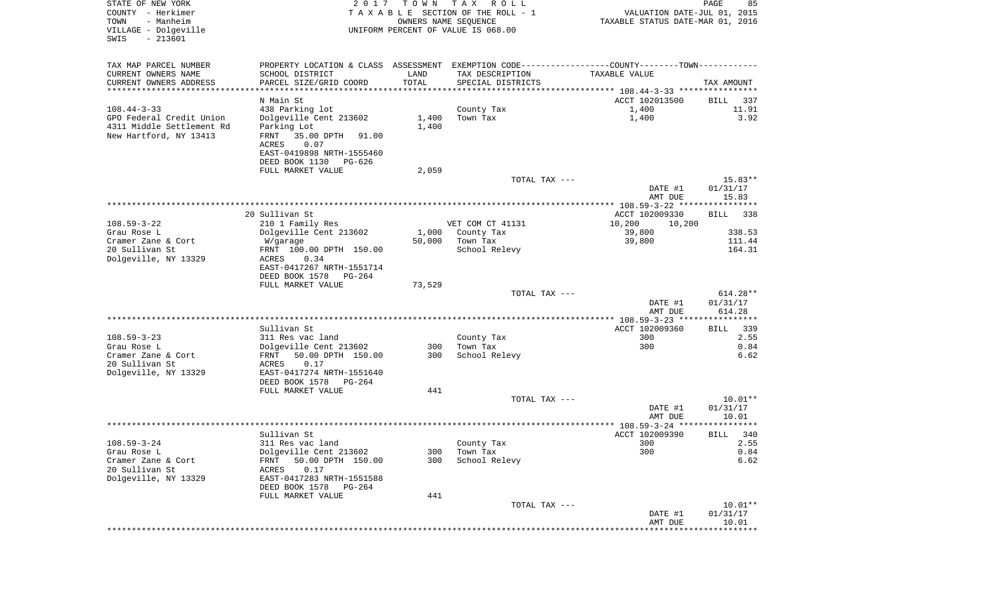| STATE OF NEW YORK<br>COUNTY - Herkimer<br>- Manheim<br>TOWN<br>VILLAGE - Dolgeville<br>$-213601$<br>SWIS | 2017                                                                                          | T O W N<br>OWNERS NAME SEQUENCE | T A X<br>R O L L<br>TAXABLE SECTION OF THE ROLL - 1<br>UNIFORM PERCENT OF VALUE IS 068.00 | VALUATION DATE-JUL 01, 2015<br>TAXABLE STATUS DATE-MAR 01, 2016 | PAGE<br>85         |
|----------------------------------------------------------------------------------------------------------|-----------------------------------------------------------------------------------------------|---------------------------------|-------------------------------------------------------------------------------------------|-----------------------------------------------------------------|--------------------|
| TAX MAP PARCEL NUMBER                                                                                    | PROPERTY LOCATION & CLASS ASSESSMENT EXEMPTION CODE---------------COUNTY-------TOWN---------- |                                 |                                                                                           |                                                                 |                    |
| CURRENT OWNERS NAME                                                                                      | SCHOOL DISTRICT                                                                               | LAND                            | TAX DESCRIPTION                                                                           | TAXABLE VALUE                                                   |                    |
| CURRENT OWNERS ADDRESS<br>**********************                                                         | PARCEL SIZE/GRID COORD<br>***************************                                         | TOTAL                           | SPECIAL DISTRICTS                                                                         |                                                                 | TAX AMOUNT         |
|                                                                                                          | N Main St                                                                                     |                                 |                                                                                           | ACCT 102013500                                                  | BILL<br>337        |
| $108.44 - 3 - 33$                                                                                        | 438 Parking lot                                                                               |                                 | County Tax                                                                                | 1,400                                                           | 11.91              |
| GPO Federal Credit Union                                                                                 | Dolgeville Cent 213602                                                                        | 1,400                           | Town Tax                                                                                  | 1,400                                                           | 3.92               |
| 4311 Middle Settlement Rd                                                                                | Parking Lot                                                                                   | 1,400                           |                                                                                           |                                                                 |                    |
| New Hartford, NY 13413                                                                                   | FRNT<br>35.00 DPTH<br>91.00                                                                   |                                 |                                                                                           |                                                                 |                    |
|                                                                                                          | ACRES<br>0.07                                                                                 |                                 |                                                                                           |                                                                 |                    |
|                                                                                                          | EAST-0419898 NRTH-1555460                                                                     |                                 |                                                                                           |                                                                 |                    |
|                                                                                                          | DEED BOOK 1130<br>PG-626                                                                      |                                 |                                                                                           |                                                                 |                    |
|                                                                                                          | FULL MARKET VALUE                                                                             | 2,059                           | TOTAL TAX ---                                                                             |                                                                 | $15.83**$          |
|                                                                                                          |                                                                                               |                                 |                                                                                           | DATE #1                                                         | 01/31/17           |
|                                                                                                          |                                                                                               |                                 |                                                                                           | AMT DUE                                                         | 15.83              |
|                                                                                                          |                                                                                               |                                 |                                                                                           |                                                                 |                    |
|                                                                                                          | 20 Sullivan St                                                                                |                                 |                                                                                           | ACCT 102009330                                                  | 338<br>BILL        |
| $108.59 - 3 - 22$                                                                                        | 210 1 Family Res                                                                              |                                 | VET COM CT 41131                                                                          | 10,200<br>10,200                                                |                    |
| Grau Rose L<br>Cramer Zane & Cort                                                                        | Dolgeville Cent 213602                                                                        | 1,000                           | County Tax                                                                                | 39,800                                                          | 338.53             |
| 20 Sullivan St                                                                                           | W/garage<br>FRNT 100.00 DPTH 150.00                                                           | 50,000                          | Town Tax<br>School Relevy                                                                 | 39,800                                                          | 111.44<br>164.31   |
| Dolgeville, NY 13329                                                                                     | ACRES<br>0.34                                                                                 |                                 |                                                                                           |                                                                 |                    |
|                                                                                                          | EAST-0417267 NRTH-1551714                                                                     |                                 |                                                                                           |                                                                 |                    |
|                                                                                                          | DEED BOOK 1578<br>PG-264                                                                      |                                 |                                                                                           |                                                                 |                    |
|                                                                                                          | FULL MARKET VALUE                                                                             | 73,529                          |                                                                                           |                                                                 |                    |
|                                                                                                          |                                                                                               |                                 | TOTAL TAX ---                                                                             |                                                                 | $614.28**$         |
|                                                                                                          |                                                                                               |                                 |                                                                                           | DATE #1<br>AMT DUE                                              | 01/31/17<br>614.28 |
|                                                                                                          |                                                                                               |                                 |                                                                                           |                                                                 |                    |
|                                                                                                          | Sullivan St                                                                                   |                                 |                                                                                           | ACCT 102009360                                                  | - 339<br>BILL      |
| $108.59 - 3 - 23$                                                                                        | 311 Res vac land                                                                              |                                 | County Tax                                                                                | 300                                                             | 2.55               |
| Grau Rose L                                                                                              | Dolgeville Cent 213602                                                                        | 300                             | Town Tax                                                                                  | 300                                                             | 0.84               |
| Cramer Zane & Cort                                                                                       | FRNT<br>50.00 DPTH 150.00                                                                     | 300                             | School Relevy                                                                             |                                                                 | 6.62               |
| 20 Sullivan St                                                                                           | ACRES<br>0.17                                                                                 |                                 |                                                                                           |                                                                 |                    |
| Dolgeville, NY 13329                                                                                     | EAST-0417274 NRTH-1551640<br>DEED BOOK 1578<br>PG-264                                         |                                 |                                                                                           |                                                                 |                    |
|                                                                                                          | FULL MARKET VALUE                                                                             | 441                             |                                                                                           |                                                                 |                    |
|                                                                                                          |                                                                                               |                                 | TOTAL TAX ---                                                                             |                                                                 | $10.01**$          |
|                                                                                                          |                                                                                               |                                 |                                                                                           | DATE #1                                                         | 01/31/17           |
|                                                                                                          |                                                                                               |                                 |                                                                                           | AMT DUE                                                         | 10.01              |
|                                                                                                          |                                                                                               |                                 |                                                                                           |                                                                 |                    |
|                                                                                                          | Sullivan St                                                                                   |                                 |                                                                                           | ACCT 102009390                                                  | 340<br>BILL        |
| $108.59 - 3 - 24$<br>Grau Rose L                                                                         | 311 Res vac land<br>Dolgeville Cent 213602                                                    | 300                             | County Tax<br>Town Tax                                                                    | 300<br>300                                                      | 2.55<br>0.84       |
| Cramer Zane & Cort                                                                                       | 50.00 DPTH 150.00<br>FRNT                                                                     | 300                             | School Relevy                                                                             |                                                                 | 6.62               |
| 20 Sullivan St                                                                                           | 0.17<br>ACRES                                                                                 |                                 |                                                                                           |                                                                 |                    |
| Dolgeville, NY 13329                                                                                     | EAST-0417283 NRTH-1551588                                                                     |                                 |                                                                                           |                                                                 |                    |
|                                                                                                          | DEED BOOK 1578<br>PG-264                                                                      |                                 |                                                                                           |                                                                 |                    |
|                                                                                                          | FULL MARKET VALUE                                                                             | 441                             |                                                                                           |                                                                 |                    |
|                                                                                                          |                                                                                               |                                 | TOTAL TAX ---                                                                             |                                                                 | $10.01**$          |
|                                                                                                          |                                                                                               |                                 |                                                                                           | DATE #1                                                         | 01/31/17<br>10.01  |
|                                                                                                          |                                                                                               |                                 |                                                                                           | AMT DUE                                                         | ***********        |
|                                                                                                          |                                                                                               |                                 |                                                                                           |                                                                 |                    |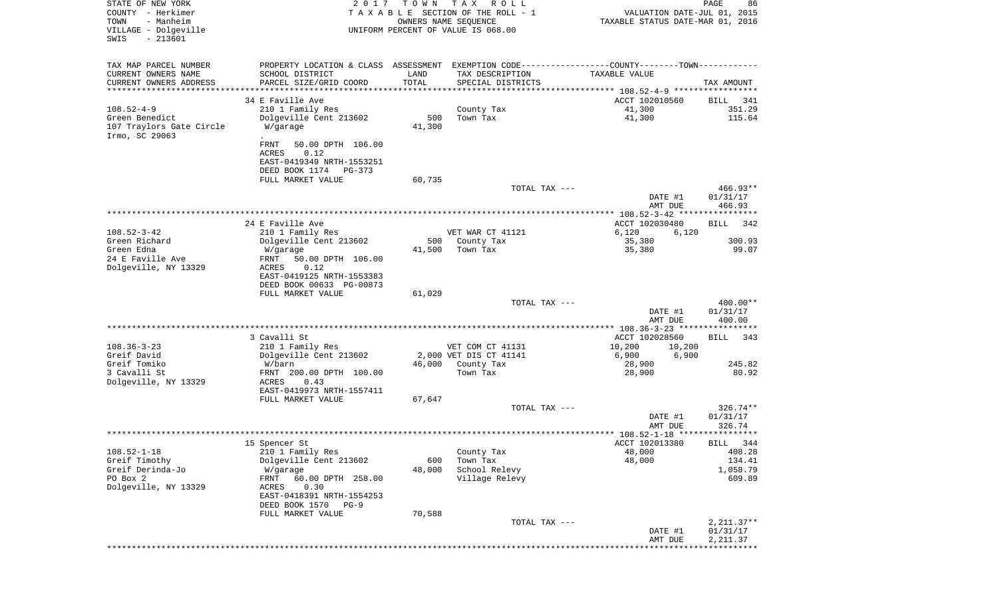| STATE OF NEW YORK<br>COUNTY - Herkimer<br>- Manheim<br>TOWN<br>VILLAGE - Dolgeville<br>$-213601$<br>SWIS | 2 0 1 7                                               | T O W N                  | T A X<br>R O L L<br>TAXABLE SECTION OF THE ROLL - 1<br>OWNERS NAME SEQUENCE<br>UNIFORM PERCENT OF VALUE IS 068.00 | VALUATION DATE-JUL 01, 2015<br>TAXABLE STATUS DATE-MAR 01, 2016 | PAGE<br>86               |
|----------------------------------------------------------------------------------------------------------|-------------------------------------------------------|--------------------------|-------------------------------------------------------------------------------------------------------------------|-----------------------------------------------------------------|--------------------------|
| TAX MAP PARCEL NUMBER                                                                                    |                                                       |                          | PROPERTY LOCATION & CLASS ASSESSMENT EXEMPTION CODE---------------COUNTY-------TOWN----------                     |                                                                 |                          |
| CURRENT OWNERS NAME                                                                                      | SCHOOL DISTRICT                                       | LAND                     | TAX DESCRIPTION                                                                                                   | TAXABLE VALUE                                                   |                          |
| CURRENT OWNERS ADDRESS<br>**********************                                                         | PARCEL SIZE/GRID COORD                                | TOTAL<br>*************** | SPECIAL DISTRICTS                                                                                                 |                                                                 | TAX AMOUNT               |
|                                                                                                          | 34 E Faville Ave                                      |                          |                                                                                                                   | ACCT 102010560                                                  | BILL<br>341              |
| $108.52 - 4 - 9$                                                                                         | 210 1 Family Res                                      |                          | County Tax                                                                                                        | 41,300                                                          | 351.29                   |
| Green Benedict                                                                                           | Dolgeville Cent 213602                                | 500                      | Town Tax                                                                                                          | 41,300                                                          | 115.64                   |
| 107 Traylors Gate Circle<br>Irmo, SC 29063                                                               | W/garage                                              | 41,300                   |                                                                                                                   |                                                                 |                          |
|                                                                                                          | FRNT<br>50.00 DPTH 106.00                             |                          |                                                                                                                   |                                                                 |                          |
|                                                                                                          | ACRES<br>0.12                                         |                          |                                                                                                                   |                                                                 |                          |
|                                                                                                          | EAST-0419349 NRTH-1553251<br>DEED BOOK 1174<br>PG-373 |                          |                                                                                                                   |                                                                 |                          |
|                                                                                                          | FULL MARKET VALUE                                     | 60,735                   |                                                                                                                   |                                                                 |                          |
|                                                                                                          |                                                       |                          | TOTAL TAX ---                                                                                                     |                                                                 | 466.93**                 |
|                                                                                                          |                                                       |                          |                                                                                                                   | DATE #1<br>AMT DUE                                              | 01/31/17<br>466.93       |
|                                                                                                          |                                                       |                          |                                                                                                                   |                                                                 |                          |
| $108.52 - 3 - 42$                                                                                        | 24 E Faville Ave<br>210 1 Family Res                  |                          | VET WAR CT 41121                                                                                                  | ACCT 102030480<br>6,120<br>6,120                                | 342<br>BILL              |
| Green Richard                                                                                            | Dolgeville Cent 213602                                | 500                      | County Tax                                                                                                        | 35,380                                                          | 300.93                   |
| Green Edna                                                                                               | W/garage                                              | 41,500                   | Town Tax                                                                                                          | 35,380                                                          | 99.07                    |
| 24 E Faville Ave                                                                                         | FRNT<br>50.00 DPTH 106.00                             |                          |                                                                                                                   |                                                                 |                          |
| Dolgeville, NY 13329                                                                                     | 0.12<br>ACRES                                         |                          |                                                                                                                   |                                                                 |                          |
|                                                                                                          | EAST-0419125 NRTH-1553383                             |                          |                                                                                                                   |                                                                 |                          |
|                                                                                                          | DEED BOOK 00633 PG-00873<br>FULL MARKET VALUE         | 61,029                   |                                                                                                                   |                                                                 |                          |
|                                                                                                          |                                                       |                          | TOTAL TAX ---                                                                                                     |                                                                 | 400.00**                 |
|                                                                                                          |                                                       |                          |                                                                                                                   | DATE #1<br>AMT DUE                                              | 01/31/17<br>400.00       |
|                                                                                                          |                                                       |                          |                                                                                                                   | ************** 108.36-3-23 *****************                    |                          |
|                                                                                                          | 3 Cavalli St                                          |                          |                                                                                                                   | ACCT 102028560                                                  | BILL<br>343              |
| $108.36 - 3 - 23$                                                                                        | 210 1 Family Res                                      |                          | VET COM CT 41131                                                                                                  | 10,200<br>10,200                                                |                          |
| Greif David                                                                                              | Dolgeville Cent 213602                                |                          | 2,000 VET DIS CT 41141                                                                                            | 6,900<br>6,900                                                  |                          |
| Greif Tomiko<br>3 Cavalli St                                                                             | W/barn<br>FRNT 200.00 DPTH 100.00                     | 46,000                   | County Tax<br>Town Tax                                                                                            | 28,900<br>28,900                                                | 245.82<br>80.92          |
| Dolgeville, NY 13329                                                                                     | ACRES<br>0.43                                         |                          |                                                                                                                   |                                                                 |                          |
|                                                                                                          | EAST-0419973 NRTH-1557411                             |                          |                                                                                                                   |                                                                 |                          |
|                                                                                                          | FULL MARKET VALUE                                     | 67,647                   |                                                                                                                   |                                                                 |                          |
|                                                                                                          |                                                       |                          | TOTAL TAX ---                                                                                                     |                                                                 | $326.74**$               |
|                                                                                                          |                                                       |                          |                                                                                                                   | DATE #1<br>AMT DUE                                              | 01/31/17<br>326.74       |
|                                                                                                          |                                                       |                          |                                                                                                                   |                                                                 |                          |
|                                                                                                          | 15 Spencer St                                         |                          |                                                                                                                   | ACCT 102013380                                                  | BILL 344                 |
| $108.52 - 1 - 18$                                                                                        | 210 1 Family Res                                      |                          | County Tax                                                                                                        | 48,000                                                          | 408.28                   |
| Greif Timothy                                                                                            | Dolgeville Cent 213602                                | 600                      | Town Tax                                                                                                          | 48,000                                                          | 134.41                   |
| Greif Derinda-Jo<br>PO Box 2                                                                             | W/garage<br>60.00 DPTH 258.00<br>FRNT                 | 48,000                   | School Relevy<br>Village Relevy                                                                                   |                                                                 | 1,058.79<br>609.89       |
| Dolgeville, NY 13329                                                                                     | ACRES<br>0.30                                         |                          |                                                                                                                   |                                                                 |                          |
|                                                                                                          | EAST-0418391 NRTH-1554253                             |                          |                                                                                                                   |                                                                 |                          |
|                                                                                                          | DEED BOOK 1570<br>PG-9                                |                          |                                                                                                                   |                                                                 |                          |
|                                                                                                          | FULL MARKET VALUE                                     | 70,588                   |                                                                                                                   |                                                                 |                          |
|                                                                                                          |                                                       |                          | TOTAL TAX ---                                                                                                     | DATE #1                                                         | $2,211.37**$<br>01/31/17 |
|                                                                                                          |                                                       |                          |                                                                                                                   | AMT DUE                                                         | 2,211.37                 |
|                                                                                                          |                                                       |                          |                                                                                                                   |                                                                 | ************             |
|                                                                                                          |                                                       |                          |                                                                                                                   |                                                                 |                          |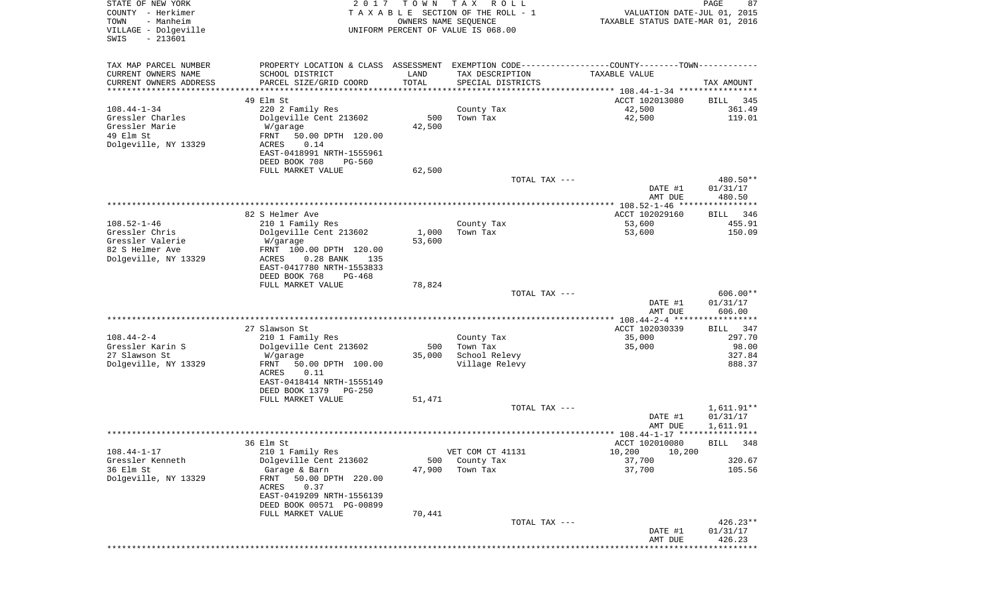| PROPERTY LOCATION & CLASS ASSESSMENT EXEMPTION CODE---------------COUNTY-------TOWN----------<br>CURRENT OWNERS NAME<br>SCHOOL DISTRICT<br>LAND<br>TAX DESCRIPTION<br>TAXABLE VALUE<br>TOTAL<br>CURRENT OWNERS ADDRESS<br>PARCEL SIZE/GRID COORD<br>SPECIAL DISTRICTS<br>TAX AMOUNT<br>*********************<br>49 Elm St<br>ACCT 102013080<br>345<br>BILL<br>42,500<br>361.49<br>$108.44 - 1 - 34$<br>220 2 Family Res<br>County Tax<br>500<br>42,500<br>Gressler Charles<br>Dolgeville Cent 213602<br>Town Tax<br>119.01<br>Gressler Marie<br>42,500<br>W/garage<br>49 Elm St<br>FRNT<br>50.00 DPTH 120.00<br>Dolgeville, NY 13329<br>0.14<br>ACRES<br>EAST-0418991 NRTH-1555961<br>DEED BOOK 708<br><b>PG-560</b><br>FULL MARKET VALUE<br>62,500<br>480.50**<br>TOTAL TAX ---<br>01/31/17<br>DATE #1<br>480.50<br>AMT DUE<br>**************** 108.52-1-46 ****************<br>82 S Helmer Ave<br>ACCT 102029160<br>346<br>BILL<br>$108.52 - 1 - 46$<br>455.91<br>210 1 Family Res<br>County Tax<br>53,600<br>Gressler Chris<br>1,000<br>150.09<br>Dolgeville Cent 213602<br>Town Tax<br>53,600<br>Gressler Valerie<br>53,600<br>W/garage<br>82 S Helmer Ave<br>FRNT 100.00 DPTH 120.00<br>Dolgeville, NY 13329<br>ACRES<br>$0.28$ BANK<br>135<br>EAST-0417780 NRTH-1553833<br>DEED BOOK 768<br>$PG-468$<br>FULL MARKET VALUE<br>78,824<br>$606.00**$<br>TOTAL TAX ---<br>DATE #1<br>01/31/17<br>AMT DUE<br>606.00<br>************* 108.44-2-4 *****<br>************<br>ACCT 102030339<br>27 Slawson St<br>347<br>BILL<br>$108.44 - 2 - 4$<br>297.70<br>210 1 Family Res<br>35,000<br>County Tax<br>Gressler Karin S<br>Town Tax<br>98.00<br>Dolgeville Cent 213602<br>500<br>35,000<br>27 Slawson St<br>School Relevy<br>327.84<br>35,000<br>W/garage<br>Dolgeville, NY 13329<br>Village Relevy<br>888.37<br>FRNT<br>50.00 DPTH 100.00<br>ACRES<br>0.11<br>EAST-0418414 NRTH-1555149<br>DEED BOOK 1379<br><b>PG-250</b><br>FULL MARKET VALUE<br>51,471<br>1,611.91**<br>TOTAL TAX ---<br>DATE #1<br>01/31/17<br>AMT DUE<br>1,611.91<br>36 Elm St<br>ACCT 102010080<br>BILL 348<br>$108.44 - 1 - 17$<br>VET COM CT 41131<br>210 1 Family Res<br>10,200<br>10,200<br>Gressler Kenneth<br>Dolgeville Cent 213602<br>County Tax<br>37,700<br>320.67<br>500<br>36 Elm St<br>105.56<br>Garage & Barn<br>47,900<br>Town Tax<br>37,700<br>Dolgeville, NY 13329<br>50.00 DPTH 220.00<br>FRNT<br>ACRES<br>0.37<br>EAST-0419209 NRTH-1556139<br>DEED BOOK 00571 PG-00899<br>70,441<br>FULL MARKET VALUE<br>$426.23**$<br>TOTAL TAX ---<br>DATE #1<br>01/31/17<br>AMT DUE<br>426.23<br>********************************** | STATE OF NEW YORK<br>COUNTY - Herkimer<br>TOWN<br>- Manheim<br>VILLAGE - Dolgeville<br>$-213601$<br>SWIS | 2 0 1 7 | T O W N<br>OWNERS NAME SEQUENCE | T A X<br>R O L L<br>TAXABLE SECTION OF THE ROLL - 1<br>UNIFORM PERCENT OF VALUE IS 068.00 | VALUATION DATE-JUL 01, 2015<br>TAXABLE STATUS DATE-MAR 01, 2016 | PAGE<br>87 |
|------------------------------------------------------------------------------------------------------------------------------------------------------------------------------------------------------------------------------------------------------------------------------------------------------------------------------------------------------------------------------------------------------------------------------------------------------------------------------------------------------------------------------------------------------------------------------------------------------------------------------------------------------------------------------------------------------------------------------------------------------------------------------------------------------------------------------------------------------------------------------------------------------------------------------------------------------------------------------------------------------------------------------------------------------------------------------------------------------------------------------------------------------------------------------------------------------------------------------------------------------------------------------------------------------------------------------------------------------------------------------------------------------------------------------------------------------------------------------------------------------------------------------------------------------------------------------------------------------------------------------------------------------------------------------------------------------------------------------------------------------------------------------------------------------------------------------------------------------------------------------------------------------------------------------------------------------------------------------------------------------------------------------------------------------------------------------------------------------------------------------------------------------------------------------------------------------------------------------------------------------------------------------------------------------------------------------------------------------------------------------------------------------------------------------------------------------------------------------------------------------------------------------------------------------------------------------------------------------------------|----------------------------------------------------------------------------------------------------------|---------|---------------------------------|-------------------------------------------------------------------------------------------|-----------------------------------------------------------------|------------|
|                                                                                                                                                                                                                                                                                                                                                                                                                                                                                                                                                                                                                                                                                                                                                                                                                                                                                                                                                                                                                                                                                                                                                                                                                                                                                                                                                                                                                                                                                                                                                                                                                                                                                                                                                                                                                                                                                                                                                                                                                                                                                                                                                                                                                                                                                                                                                                                                                                                                                                                                                                                                                  | TAX MAP PARCEL NUMBER                                                                                    |         |                                 |                                                                                           |                                                                 |            |
|                                                                                                                                                                                                                                                                                                                                                                                                                                                                                                                                                                                                                                                                                                                                                                                                                                                                                                                                                                                                                                                                                                                                                                                                                                                                                                                                                                                                                                                                                                                                                                                                                                                                                                                                                                                                                                                                                                                                                                                                                                                                                                                                                                                                                                                                                                                                                                                                                                                                                                                                                                                                                  |                                                                                                          |         |                                 |                                                                                           |                                                                 |            |
|                                                                                                                                                                                                                                                                                                                                                                                                                                                                                                                                                                                                                                                                                                                                                                                                                                                                                                                                                                                                                                                                                                                                                                                                                                                                                                                                                                                                                                                                                                                                                                                                                                                                                                                                                                                                                                                                                                                                                                                                                                                                                                                                                                                                                                                                                                                                                                                                                                                                                                                                                                                                                  |                                                                                                          |         |                                 |                                                                                           |                                                                 |            |
|                                                                                                                                                                                                                                                                                                                                                                                                                                                                                                                                                                                                                                                                                                                                                                                                                                                                                                                                                                                                                                                                                                                                                                                                                                                                                                                                                                                                                                                                                                                                                                                                                                                                                                                                                                                                                                                                                                                                                                                                                                                                                                                                                                                                                                                                                                                                                                                                                                                                                                                                                                                                                  |                                                                                                          |         |                                 |                                                                                           |                                                                 |            |
|                                                                                                                                                                                                                                                                                                                                                                                                                                                                                                                                                                                                                                                                                                                                                                                                                                                                                                                                                                                                                                                                                                                                                                                                                                                                                                                                                                                                                                                                                                                                                                                                                                                                                                                                                                                                                                                                                                                                                                                                                                                                                                                                                                                                                                                                                                                                                                                                                                                                                                                                                                                                                  |                                                                                                          |         |                                 |                                                                                           |                                                                 |            |
|                                                                                                                                                                                                                                                                                                                                                                                                                                                                                                                                                                                                                                                                                                                                                                                                                                                                                                                                                                                                                                                                                                                                                                                                                                                                                                                                                                                                                                                                                                                                                                                                                                                                                                                                                                                                                                                                                                                                                                                                                                                                                                                                                                                                                                                                                                                                                                                                                                                                                                                                                                                                                  |                                                                                                          |         |                                 |                                                                                           |                                                                 |            |
|                                                                                                                                                                                                                                                                                                                                                                                                                                                                                                                                                                                                                                                                                                                                                                                                                                                                                                                                                                                                                                                                                                                                                                                                                                                                                                                                                                                                                                                                                                                                                                                                                                                                                                                                                                                                                                                                                                                                                                                                                                                                                                                                                                                                                                                                                                                                                                                                                                                                                                                                                                                                                  |                                                                                                          |         |                                 |                                                                                           |                                                                 |            |
|                                                                                                                                                                                                                                                                                                                                                                                                                                                                                                                                                                                                                                                                                                                                                                                                                                                                                                                                                                                                                                                                                                                                                                                                                                                                                                                                                                                                                                                                                                                                                                                                                                                                                                                                                                                                                                                                                                                                                                                                                                                                                                                                                                                                                                                                                                                                                                                                                                                                                                                                                                                                                  |                                                                                                          |         |                                 |                                                                                           |                                                                 |            |
|                                                                                                                                                                                                                                                                                                                                                                                                                                                                                                                                                                                                                                                                                                                                                                                                                                                                                                                                                                                                                                                                                                                                                                                                                                                                                                                                                                                                                                                                                                                                                                                                                                                                                                                                                                                                                                                                                                                                                                                                                                                                                                                                                                                                                                                                                                                                                                                                                                                                                                                                                                                                                  |                                                                                                          |         |                                 |                                                                                           |                                                                 |            |
|                                                                                                                                                                                                                                                                                                                                                                                                                                                                                                                                                                                                                                                                                                                                                                                                                                                                                                                                                                                                                                                                                                                                                                                                                                                                                                                                                                                                                                                                                                                                                                                                                                                                                                                                                                                                                                                                                                                                                                                                                                                                                                                                                                                                                                                                                                                                                                                                                                                                                                                                                                                                                  |                                                                                                          |         |                                 |                                                                                           |                                                                 |            |
|                                                                                                                                                                                                                                                                                                                                                                                                                                                                                                                                                                                                                                                                                                                                                                                                                                                                                                                                                                                                                                                                                                                                                                                                                                                                                                                                                                                                                                                                                                                                                                                                                                                                                                                                                                                                                                                                                                                                                                                                                                                                                                                                                                                                                                                                                                                                                                                                                                                                                                                                                                                                                  |                                                                                                          |         |                                 |                                                                                           |                                                                 |            |
|                                                                                                                                                                                                                                                                                                                                                                                                                                                                                                                                                                                                                                                                                                                                                                                                                                                                                                                                                                                                                                                                                                                                                                                                                                                                                                                                                                                                                                                                                                                                                                                                                                                                                                                                                                                                                                                                                                                                                                                                                                                                                                                                                                                                                                                                                                                                                                                                                                                                                                                                                                                                                  |                                                                                                          |         |                                 |                                                                                           |                                                                 |            |
|                                                                                                                                                                                                                                                                                                                                                                                                                                                                                                                                                                                                                                                                                                                                                                                                                                                                                                                                                                                                                                                                                                                                                                                                                                                                                                                                                                                                                                                                                                                                                                                                                                                                                                                                                                                                                                                                                                                                                                                                                                                                                                                                                                                                                                                                                                                                                                                                                                                                                                                                                                                                                  |                                                                                                          |         |                                 |                                                                                           |                                                                 |            |
|                                                                                                                                                                                                                                                                                                                                                                                                                                                                                                                                                                                                                                                                                                                                                                                                                                                                                                                                                                                                                                                                                                                                                                                                                                                                                                                                                                                                                                                                                                                                                                                                                                                                                                                                                                                                                                                                                                                                                                                                                                                                                                                                                                                                                                                                                                                                                                                                                                                                                                                                                                                                                  |                                                                                                          |         |                                 |                                                                                           |                                                                 |            |
|                                                                                                                                                                                                                                                                                                                                                                                                                                                                                                                                                                                                                                                                                                                                                                                                                                                                                                                                                                                                                                                                                                                                                                                                                                                                                                                                                                                                                                                                                                                                                                                                                                                                                                                                                                                                                                                                                                                                                                                                                                                                                                                                                                                                                                                                                                                                                                                                                                                                                                                                                                                                                  |                                                                                                          |         |                                 |                                                                                           |                                                                 |            |
|                                                                                                                                                                                                                                                                                                                                                                                                                                                                                                                                                                                                                                                                                                                                                                                                                                                                                                                                                                                                                                                                                                                                                                                                                                                                                                                                                                                                                                                                                                                                                                                                                                                                                                                                                                                                                                                                                                                                                                                                                                                                                                                                                                                                                                                                                                                                                                                                                                                                                                                                                                                                                  |                                                                                                          |         |                                 |                                                                                           |                                                                 |            |
|                                                                                                                                                                                                                                                                                                                                                                                                                                                                                                                                                                                                                                                                                                                                                                                                                                                                                                                                                                                                                                                                                                                                                                                                                                                                                                                                                                                                                                                                                                                                                                                                                                                                                                                                                                                                                                                                                                                                                                                                                                                                                                                                                                                                                                                                                                                                                                                                                                                                                                                                                                                                                  |                                                                                                          |         |                                 |                                                                                           |                                                                 |            |
|                                                                                                                                                                                                                                                                                                                                                                                                                                                                                                                                                                                                                                                                                                                                                                                                                                                                                                                                                                                                                                                                                                                                                                                                                                                                                                                                                                                                                                                                                                                                                                                                                                                                                                                                                                                                                                                                                                                                                                                                                                                                                                                                                                                                                                                                                                                                                                                                                                                                                                                                                                                                                  |                                                                                                          |         |                                 |                                                                                           |                                                                 |            |
|                                                                                                                                                                                                                                                                                                                                                                                                                                                                                                                                                                                                                                                                                                                                                                                                                                                                                                                                                                                                                                                                                                                                                                                                                                                                                                                                                                                                                                                                                                                                                                                                                                                                                                                                                                                                                                                                                                                                                                                                                                                                                                                                                                                                                                                                                                                                                                                                                                                                                                                                                                                                                  |                                                                                                          |         |                                 |                                                                                           |                                                                 |            |
|                                                                                                                                                                                                                                                                                                                                                                                                                                                                                                                                                                                                                                                                                                                                                                                                                                                                                                                                                                                                                                                                                                                                                                                                                                                                                                                                                                                                                                                                                                                                                                                                                                                                                                                                                                                                                                                                                                                                                                                                                                                                                                                                                                                                                                                                                                                                                                                                                                                                                                                                                                                                                  |                                                                                                          |         |                                 |                                                                                           |                                                                 |            |
|                                                                                                                                                                                                                                                                                                                                                                                                                                                                                                                                                                                                                                                                                                                                                                                                                                                                                                                                                                                                                                                                                                                                                                                                                                                                                                                                                                                                                                                                                                                                                                                                                                                                                                                                                                                                                                                                                                                                                                                                                                                                                                                                                                                                                                                                                                                                                                                                                                                                                                                                                                                                                  |                                                                                                          |         |                                 |                                                                                           |                                                                 |            |
|                                                                                                                                                                                                                                                                                                                                                                                                                                                                                                                                                                                                                                                                                                                                                                                                                                                                                                                                                                                                                                                                                                                                                                                                                                                                                                                                                                                                                                                                                                                                                                                                                                                                                                                                                                                                                                                                                                                                                                                                                                                                                                                                                                                                                                                                                                                                                                                                                                                                                                                                                                                                                  |                                                                                                          |         |                                 |                                                                                           |                                                                 |            |
|                                                                                                                                                                                                                                                                                                                                                                                                                                                                                                                                                                                                                                                                                                                                                                                                                                                                                                                                                                                                                                                                                                                                                                                                                                                                                                                                                                                                                                                                                                                                                                                                                                                                                                                                                                                                                                                                                                                                                                                                                                                                                                                                                                                                                                                                                                                                                                                                                                                                                                                                                                                                                  |                                                                                                          |         |                                 |                                                                                           |                                                                 |            |
|                                                                                                                                                                                                                                                                                                                                                                                                                                                                                                                                                                                                                                                                                                                                                                                                                                                                                                                                                                                                                                                                                                                                                                                                                                                                                                                                                                                                                                                                                                                                                                                                                                                                                                                                                                                                                                                                                                                                                                                                                                                                                                                                                                                                                                                                                                                                                                                                                                                                                                                                                                                                                  |                                                                                                          |         |                                 |                                                                                           |                                                                 |            |
|                                                                                                                                                                                                                                                                                                                                                                                                                                                                                                                                                                                                                                                                                                                                                                                                                                                                                                                                                                                                                                                                                                                                                                                                                                                                                                                                                                                                                                                                                                                                                                                                                                                                                                                                                                                                                                                                                                                                                                                                                                                                                                                                                                                                                                                                                                                                                                                                                                                                                                                                                                                                                  |                                                                                                          |         |                                 |                                                                                           |                                                                 |            |
|                                                                                                                                                                                                                                                                                                                                                                                                                                                                                                                                                                                                                                                                                                                                                                                                                                                                                                                                                                                                                                                                                                                                                                                                                                                                                                                                                                                                                                                                                                                                                                                                                                                                                                                                                                                                                                                                                                                                                                                                                                                                                                                                                                                                                                                                                                                                                                                                                                                                                                                                                                                                                  |                                                                                                          |         |                                 |                                                                                           |                                                                 |            |
|                                                                                                                                                                                                                                                                                                                                                                                                                                                                                                                                                                                                                                                                                                                                                                                                                                                                                                                                                                                                                                                                                                                                                                                                                                                                                                                                                                                                                                                                                                                                                                                                                                                                                                                                                                                                                                                                                                                                                                                                                                                                                                                                                                                                                                                                                                                                                                                                                                                                                                                                                                                                                  |                                                                                                          |         |                                 |                                                                                           |                                                                 |            |
|                                                                                                                                                                                                                                                                                                                                                                                                                                                                                                                                                                                                                                                                                                                                                                                                                                                                                                                                                                                                                                                                                                                                                                                                                                                                                                                                                                                                                                                                                                                                                                                                                                                                                                                                                                                                                                                                                                                                                                                                                                                                                                                                                                                                                                                                                                                                                                                                                                                                                                                                                                                                                  |                                                                                                          |         |                                 |                                                                                           |                                                                 |            |
|                                                                                                                                                                                                                                                                                                                                                                                                                                                                                                                                                                                                                                                                                                                                                                                                                                                                                                                                                                                                                                                                                                                                                                                                                                                                                                                                                                                                                                                                                                                                                                                                                                                                                                                                                                                                                                                                                                                                                                                                                                                                                                                                                                                                                                                                                                                                                                                                                                                                                                                                                                                                                  |                                                                                                          |         |                                 |                                                                                           |                                                                 |            |
|                                                                                                                                                                                                                                                                                                                                                                                                                                                                                                                                                                                                                                                                                                                                                                                                                                                                                                                                                                                                                                                                                                                                                                                                                                                                                                                                                                                                                                                                                                                                                                                                                                                                                                                                                                                                                                                                                                                                                                                                                                                                                                                                                                                                                                                                                                                                                                                                                                                                                                                                                                                                                  |                                                                                                          |         |                                 |                                                                                           |                                                                 |            |
|                                                                                                                                                                                                                                                                                                                                                                                                                                                                                                                                                                                                                                                                                                                                                                                                                                                                                                                                                                                                                                                                                                                                                                                                                                                                                                                                                                                                                                                                                                                                                                                                                                                                                                                                                                                                                                                                                                                                                                                                                                                                                                                                                                                                                                                                                                                                                                                                                                                                                                                                                                                                                  |                                                                                                          |         |                                 |                                                                                           |                                                                 |            |
|                                                                                                                                                                                                                                                                                                                                                                                                                                                                                                                                                                                                                                                                                                                                                                                                                                                                                                                                                                                                                                                                                                                                                                                                                                                                                                                                                                                                                                                                                                                                                                                                                                                                                                                                                                                                                                                                                                                                                                                                                                                                                                                                                                                                                                                                                                                                                                                                                                                                                                                                                                                                                  |                                                                                                          |         |                                 |                                                                                           |                                                                 |            |
|                                                                                                                                                                                                                                                                                                                                                                                                                                                                                                                                                                                                                                                                                                                                                                                                                                                                                                                                                                                                                                                                                                                                                                                                                                                                                                                                                                                                                                                                                                                                                                                                                                                                                                                                                                                                                                                                                                                                                                                                                                                                                                                                                                                                                                                                                                                                                                                                                                                                                                                                                                                                                  |                                                                                                          |         |                                 |                                                                                           |                                                                 |            |
|                                                                                                                                                                                                                                                                                                                                                                                                                                                                                                                                                                                                                                                                                                                                                                                                                                                                                                                                                                                                                                                                                                                                                                                                                                                                                                                                                                                                                                                                                                                                                                                                                                                                                                                                                                                                                                                                                                                                                                                                                                                                                                                                                                                                                                                                                                                                                                                                                                                                                                                                                                                                                  |                                                                                                          |         |                                 |                                                                                           |                                                                 |            |
|                                                                                                                                                                                                                                                                                                                                                                                                                                                                                                                                                                                                                                                                                                                                                                                                                                                                                                                                                                                                                                                                                                                                                                                                                                                                                                                                                                                                                                                                                                                                                                                                                                                                                                                                                                                                                                                                                                                                                                                                                                                                                                                                                                                                                                                                                                                                                                                                                                                                                                                                                                                                                  |                                                                                                          |         |                                 |                                                                                           |                                                                 |            |
|                                                                                                                                                                                                                                                                                                                                                                                                                                                                                                                                                                                                                                                                                                                                                                                                                                                                                                                                                                                                                                                                                                                                                                                                                                                                                                                                                                                                                                                                                                                                                                                                                                                                                                                                                                                                                                                                                                                                                                                                                                                                                                                                                                                                                                                                                                                                                                                                                                                                                                                                                                                                                  |                                                                                                          |         |                                 |                                                                                           |                                                                 |            |
|                                                                                                                                                                                                                                                                                                                                                                                                                                                                                                                                                                                                                                                                                                                                                                                                                                                                                                                                                                                                                                                                                                                                                                                                                                                                                                                                                                                                                                                                                                                                                                                                                                                                                                                                                                                                                                                                                                                                                                                                                                                                                                                                                                                                                                                                                                                                                                                                                                                                                                                                                                                                                  |                                                                                                          |         |                                 |                                                                                           |                                                                 |            |
|                                                                                                                                                                                                                                                                                                                                                                                                                                                                                                                                                                                                                                                                                                                                                                                                                                                                                                                                                                                                                                                                                                                                                                                                                                                                                                                                                                                                                                                                                                                                                                                                                                                                                                                                                                                                                                                                                                                                                                                                                                                                                                                                                                                                                                                                                                                                                                                                                                                                                                                                                                                                                  |                                                                                                          |         |                                 |                                                                                           |                                                                 |            |
|                                                                                                                                                                                                                                                                                                                                                                                                                                                                                                                                                                                                                                                                                                                                                                                                                                                                                                                                                                                                                                                                                                                                                                                                                                                                                                                                                                                                                                                                                                                                                                                                                                                                                                                                                                                                                                                                                                                                                                                                                                                                                                                                                                                                                                                                                                                                                                                                                                                                                                                                                                                                                  |                                                                                                          |         |                                 |                                                                                           |                                                                 |            |
|                                                                                                                                                                                                                                                                                                                                                                                                                                                                                                                                                                                                                                                                                                                                                                                                                                                                                                                                                                                                                                                                                                                                                                                                                                                                                                                                                                                                                                                                                                                                                                                                                                                                                                                                                                                                                                                                                                                                                                                                                                                                                                                                                                                                                                                                                                                                                                                                                                                                                                                                                                                                                  |                                                                                                          |         |                                 |                                                                                           |                                                                 |            |
|                                                                                                                                                                                                                                                                                                                                                                                                                                                                                                                                                                                                                                                                                                                                                                                                                                                                                                                                                                                                                                                                                                                                                                                                                                                                                                                                                                                                                                                                                                                                                                                                                                                                                                                                                                                                                                                                                                                                                                                                                                                                                                                                                                                                                                                                                                                                                                                                                                                                                                                                                                                                                  |                                                                                                          |         |                                 |                                                                                           |                                                                 |            |
|                                                                                                                                                                                                                                                                                                                                                                                                                                                                                                                                                                                                                                                                                                                                                                                                                                                                                                                                                                                                                                                                                                                                                                                                                                                                                                                                                                                                                                                                                                                                                                                                                                                                                                                                                                                                                                                                                                                                                                                                                                                                                                                                                                                                                                                                                                                                                                                                                                                                                                                                                                                                                  |                                                                                                          |         |                                 |                                                                                           |                                                                 |            |
|                                                                                                                                                                                                                                                                                                                                                                                                                                                                                                                                                                                                                                                                                                                                                                                                                                                                                                                                                                                                                                                                                                                                                                                                                                                                                                                                                                                                                                                                                                                                                                                                                                                                                                                                                                                                                                                                                                                                                                                                                                                                                                                                                                                                                                                                                                                                                                                                                                                                                                                                                                                                                  |                                                                                                          |         |                                 |                                                                                           |                                                                 |            |
|                                                                                                                                                                                                                                                                                                                                                                                                                                                                                                                                                                                                                                                                                                                                                                                                                                                                                                                                                                                                                                                                                                                                                                                                                                                                                                                                                                                                                                                                                                                                                                                                                                                                                                                                                                                                                                                                                                                                                                                                                                                                                                                                                                                                                                                                                                                                                                                                                                                                                                                                                                                                                  |                                                                                                          |         |                                 |                                                                                           |                                                                 |            |
|                                                                                                                                                                                                                                                                                                                                                                                                                                                                                                                                                                                                                                                                                                                                                                                                                                                                                                                                                                                                                                                                                                                                                                                                                                                                                                                                                                                                                                                                                                                                                                                                                                                                                                                                                                                                                                                                                                                                                                                                                                                                                                                                                                                                                                                                                                                                                                                                                                                                                                                                                                                                                  |                                                                                                          |         |                                 |                                                                                           |                                                                 |            |
|                                                                                                                                                                                                                                                                                                                                                                                                                                                                                                                                                                                                                                                                                                                                                                                                                                                                                                                                                                                                                                                                                                                                                                                                                                                                                                                                                                                                                                                                                                                                                                                                                                                                                                                                                                                                                                                                                                                                                                                                                                                                                                                                                                                                                                                                                                                                                                                                                                                                                                                                                                                                                  |                                                                                                          |         |                                 |                                                                                           |                                                                 |            |
|                                                                                                                                                                                                                                                                                                                                                                                                                                                                                                                                                                                                                                                                                                                                                                                                                                                                                                                                                                                                                                                                                                                                                                                                                                                                                                                                                                                                                                                                                                                                                                                                                                                                                                                                                                                                                                                                                                                                                                                                                                                                                                                                                                                                                                                                                                                                                                                                                                                                                                                                                                                                                  |                                                                                                          |         |                                 |                                                                                           |                                                                 |            |
|                                                                                                                                                                                                                                                                                                                                                                                                                                                                                                                                                                                                                                                                                                                                                                                                                                                                                                                                                                                                                                                                                                                                                                                                                                                                                                                                                                                                                                                                                                                                                                                                                                                                                                                                                                                                                                                                                                                                                                                                                                                                                                                                                                                                                                                                                                                                                                                                                                                                                                                                                                                                                  |                                                                                                          |         |                                 |                                                                                           |                                                                 |            |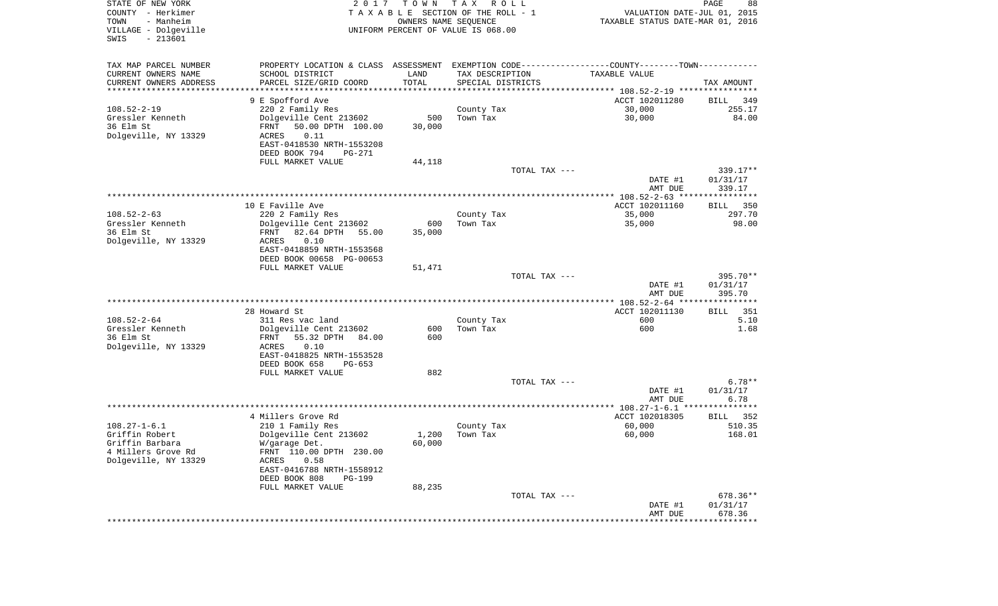| STATE OF NEW YORK<br>COUNTY - Herkimer<br>- Manheim<br>TOWN<br>VILLAGE - Dolgeville<br>SWIS<br>$-213601$ | 2017                                                                                          | T O W N | T A X<br>R O L L<br>TAXABLE SECTION OF THE ROLL - 1<br>OWNERS NAME SEQUENCE<br>UNIFORM PERCENT OF VALUE IS 068.00 | VALUATION DATE-JUL 01, 2015<br>TAXABLE STATUS DATE-MAR 01, 2016 | PAGE<br>88         |
|----------------------------------------------------------------------------------------------------------|-----------------------------------------------------------------------------------------------|---------|-------------------------------------------------------------------------------------------------------------------|-----------------------------------------------------------------|--------------------|
| TAX MAP PARCEL NUMBER                                                                                    | PROPERTY LOCATION & CLASS ASSESSMENT EXEMPTION CODE---------------COUNTY-------TOWN---------- |         |                                                                                                                   |                                                                 |                    |
| CURRENT OWNERS NAME                                                                                      | SCHOOL DISTRICT                                                                               | LAND    | TAX DESCRIPTION                                                                                                   | TAXABLE VALUE                                                   |                    |
| CURRENT OWNERS ADDRESS<br>*********************                                                          | PARCEL SIZE/GRID COORD                                                                        | TOTAL   | SPECIAL DISTRICTS                                                                                                 |                                                                 | TAX AMOUNT         |
|                                                                                                          | 9 E Spofford Ave                                                                              |         |                                                                                                                   | ACCT 102011280                                                  | BILL<br>349        |
| $108.52 - 2 - 19$                                                                                        | 220 2 Family Res                                                                              |         | County Tax                                                                                                        | 30,000                                                          | 255.17             |
| Gressler Kenneth                                                                                         | Dolgeville Cent 213602                                                                        | 500     | Town Tax                                                                                                          | 30,000                                                          | 84.00              |
| 36 Elm St                                                                                                | FRNT<br>50.00 DPTH 100.00                                                                     | 30,000  |                                                                                                                   |                                                                 |                    |
| Dolgeville, NY 13329                                                                                     | ACRES<br>0.11                                                                                 |         |                                                                                                                   |                                                                 |                    |
|                                                                                                          | EAST-0418530 NRTH-1553208<br>DEED BOOK 794<br>PG-271                                          |         |                                                                                                                   |                                                                 |                    |
|                                                                                                          | FULL MARKET VALUE                                                                             | 44,118  |                                                                                                                   |                                                                 |                    |
|                                                                                                          |                                                                                               |         | TOTAL TAX ---                                                                                                     |                                                                 | 339.17**           |
|                                                                                                          |                                                                                               |         |                                                                                                                   | DATE #1                                                         | 01/31/17           |
|                                                                                                          |                                                                                               |         |                                                                                                                   | AMT DUE                                                         | 339.17             |
|                                                                                                          | 10 E Faville Ave                                                                              |         |                                                                                                                   | ACCT 102011160                                                  | 350<br>BILL        |
| $108.52 - 2 - 63$                                                                                        | 220 2 Family Res                                                                              |         | County Tax                                                                                                        | 35,000                                                          | 297.70             |
| Gressler Kenneth                                                                                         | Dolgeville Cent 213602                                                                        | 600     | Town Tax                                                                                                          | 35,000                                                          | 98.00              |
| 36 Elm St                                                                                                | 82.64 DPTH<br>FRNT<br>55.00                                                                   | 35,000  |                                                                                                                   |                                                                 |                    |
| Dolgeville, NY 13329                                                                                     | 0.10<br>ACRES<br>EAST-0418859 NRTH-1553568                                                    |         |                                                                                                                   |                                                                 |                    |
|                                                                                                          | DEED BOOK 00658 PG-00653                                                                      |         |                                                                                                                   |                                                                 |                    |
|                                                                                                          | FULL MARKET VALUE                                                                             | 51,471  |                                                                                                                   |                                                                 |                    |
|                                                                                                          |                                                                                               |         | TOTAL TAX ---                                                                                                     |                                                                 | 395.70**           |
|                                                                                                          |                                                                                               |         |                                                                                                                   | DATE #1                                                         | 01/31/17           |
|                                                                                                          |                                                                                               |         |                                                                                                                   | AMT DUE                                                         | 395.70             |
|                                                                                                          | 28 Howard St                                                                                  |         |                                                                                                                   | ACCT 102011130                                                  | <b>BILL</b><br>351 |
| $108.52 - 2 - 64$                                                                                        | 311 Res vac land                                                                              |         | County Tax                                                                                                        | 600                                                             | 5.10               |
| Gressler Kenneth                                                                                         | Dolgeville Cent 213602                                                                        | 600     | Town Tax                                                                                                          | 600                                                             | 1.68               |
| 36 Elm St                                                                                                | 55.32 DPTH<br>84.00<br>FRNT                                                                   | 600     |                                                                                                                   |                                                                 |                    |
| Dolgeville, NY 13329                                                                                     | ACRES<br>0.10                                                                                 |         |                                                                                                                   |                                                                 |                    |
|                                                                                                          | EAST-0418825 NRTH-1553528<br>DEED BOOK 658<br>$PG-653$                                        |         |                                                                                                                   |                                                                 |                    |
|                                                                                                          | FULL MARKET VALUE                                                                             | 882     |                                                                                                                   |                                                                 |                    |
|                                                                                                          |                                                                                               |         | TOTAL TAX ---                                                                                                     |                                                                 | $6.78**$           |
|                                                                                                          |                                                                                               |         |                                                                                                                   | DATE #1                                                         | 01/31/17           |
|                                                                                                          |                                                                                               |         |                                                                                                                   | AMT DUE                                                         | 6.78               |
|                                                                                                          | 4 Millers Grove Rd                                                                            |         |                                                                                                                   | ACCT 102018305                                                  | 352<br>BILL        |
| $108.27 - 1 - 6.1$                                                                                       | 210 1 Family Res                                                                              |         | County Tax                                                                                                        | 60,000                                                          | 510.35             |
| Griffin Robert                                                                                           | Dolgeville Cent 213602                                                                        | 1,200   | Town Tax                                                                                                          | 60,000                                                          | 168.01             |
| Griffin Barbara                                                                                          | W/garage Det.                                                                                 | 60,000  |                                                                                                                   |                                                                 |                    |
| 4 Millers Grove Rd<br>Dolgeville, NY 13329                                                               | FRNT 110.00 DPTH 230.00<br>ACRES<br>0.58                                                      |         |                                                                                                                   |                                                                 |                    |
|                                                                                                          | EAST-0416788 NRTH-1558912                                                                     |         |                                                                                                                   |                                                                 |                    |
|                                                                                                          | DEED BOOK 808<br><b>PG-199</b>                                                                |         |                                                                                                                   |                                                                 |                    |
|                                                                                                          | FULL MARKET VALUE                                                                             | 88,235  |                                                                                                                   |                                                                 |                    |
|                                                                                                          |                                                                                               |         | TOTAL TAX ---                                                                                                     |                                                                 | 678.36**           |
|                                                                                                          |                                                                                               |         |                                                                                                                   | DATE #1<br>AMT DUE                                              | 01/31/17<br>678.36 |
|                                                                                                          |                                                                                               |         |                                                                                                                   | ********************                                            | **************     |
|                                                                                                          |                                                                                               |         |                                                                                                                   |                                                                 |                    |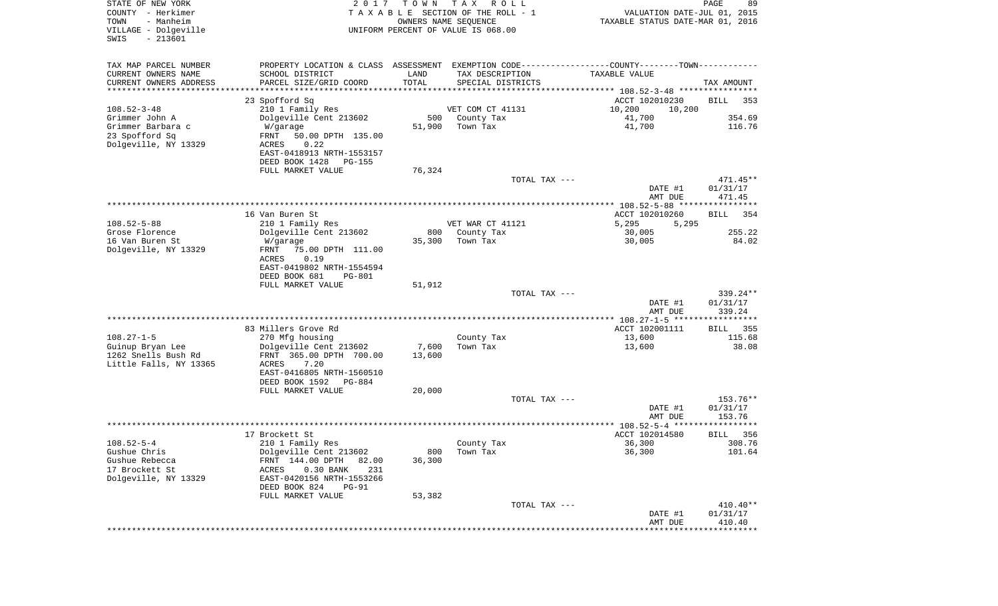| STATE OF NEW YORK<br>COUNTY - Herkimer<br>- Manheim<br>TOWN<br>VILLAGE - Dolgeville<br>$-213601$<br>SWIS | 2017                                                   | T O W N | T A X<br>R O L L<br>TAXABLE SECTION OF THE ROLL - 1<br>OWNERS NAME SEQUENCE<br>UNIFORM PERCENT OF VALUE IS 068.00 | VALUATION DATE-JUL 01, 2015<br>TAXABLE STATUS DATE-MAR 01, 2016 | PAGE<br>89  |
|----------------------------------------------------------------------------------------------------------|--------------------------------------------------------|---------|-------------------------------------------------------------------------------------------------------------------|-----------------------------------------------------------------|-------------|
| TAX MAP PARCEL NUMBER                                                                                    |                                                        |         | PROPERTY LOCATION & CLASS ASSESSMENT EXEMPTION CODE---------------COUNTY-------TOWN----------                     |                                                                 |             |
| CURRENT OWNERS NAME                                                                                      | SCHOOL DISTRICT                                        | LAND    | TAX DESCRIPTION                                                                                                   | TAXABLE VALUE                                                   |             |
| CURRENT OWNERS ADDRESS<br>*********************                                                          | PARCEL SIZE/GRID COORD                                 | TOTAL   | SPECIAL DISTRICTS                                                                                                 |                                                                 | TAX AMOUNT  |
|                                                                                                          | 23 Spofford Sq                                         |         |                                                                                                                   | ACCT 102010230                                                  | BILL<br>353 |
| $108.52 - 3 - 48$                                                                                        | 210 1 Family Res                                       |         | VET COM CT 41131                                                                                                  | 10,200<br>10,200                                                |             |
| Grimmer John A                                                                                           | Dolgeville Cent 213602                                 | 500     | County Tax                                                                                                        | 41,700                                                          | 354.69      |
| Grimmer Barbara c                                                                                        | W/garage                                               | 51,900  | Town Tax                                                                                                          | 41,700                                                          | 116.76      |
| 23 Spofford Sq                                                                                           | FRNT<br>50.00 DPTH 135.00                              |         |                                                                                                                   |                                                                 |             |
| Dolgeville, NY 13329                                                                                     | 0.22<br>ACRES                                          |         |                                                                                                                   |                                                                 |             |
|                                                                                                          | EAST-0418913 NRTH-1553157                              |         |                                                                                                                   |                                                                 |             |
|                                                                                                          | DEED BOOK 1428<br>PG-155                               |         |                                                                                                                   |                                                                 |             |
|                                                                                                          | FULL MARKET VALUE                                      | 76,324  |                                                                                                                   |                                                                 | $471.45**$  |
|                                                                                                          |                                                        |         | TOTAL TAX ---                                                                                                     | DATE #1                                                         | 01/31/17    |
|                                                                                                          |                                                        |         |                                                                                                                   | AMT DUE                                                         | 471.45      |
|                                                                                                          |                                                        |         |                                                                                                                   |                                                                 |             |
|                                                                                                          | 16 Van Buren St                                        |         |                                                                                                                   | ACCT 102010260                                                  | 354<br>BILL |
| $108.52 - 5 - 88$                                                                                        | 210 1 Family Res                                       |         | VET WAR CT 41121                                                                                                  | 5,295<br>5,295                                                  |             |
| Grose Florence                                                                                           | Dolgeville Cent 213602                                 | 800     | County Tax                                                                                                        | 30,005                                                          | 255.22      |
| 16 Van Buren St<br>Dolgeville, NY 13329                                                                  | W/garage                                               | 35,300  | Town Tax                                                                                                          | 30,005                                                          | 84.02       |
|                                                                                                          | FRNT<br>75.00 DPTH 111.00<br>ACRES<br>0.19             |         |                                                                                                                   |                                                                 |             |
|                                                                                                          | EAST-0419802 NRTH-1554594                              |         |                                                                                                                   |                                                                 |             |
|                                                                                                          | DEED BOOK 681<br><b>PG-801</b>                         |         |                                                                                                                   |                                                                 |             |
|                                                                                                          | FULL MARKET VALUE                                      | 51,912  |                                                                                                                   |                                                                 |             |
|                                                                                                          |                                                        |         | TOTAL TAX ---                                                                                                     |                                                                 | 339.24**    |
|                                                                                                          |                                                        |         |                                                                                                                   | DATE #1                                                         | 01/31/17    |
|                                                                                                          |                                                        |         |                                                                                                                   | AMT DUE                                                         | 339.24      |
|                                                                                                          | 83 Millers Grove Rd                                    |         |                                                                                                                   | ACCT 102001111                                                  | 355<br>BILL |
| $108.27 - 1 - 5$                                                                                         | 270 Mfg housing                                        |         | County Tax                                                                                                        | 13,600                                                          | 115.68      |
| Guinup Bryan Lee                                                                                         | Dolgeville Cent 213602                                 | 7,600   | Town Tax                                                                                                          | 13,600                                                          | 38.08       |
| 1262 Snells Bush Rd                                                                                      | FRNT 365.00 DPTH 700.00                                | 13,600  |                                                                                                                   |                                                                 |             |
| Little Falls, NY 13365                                                                                   | ACRES<br>7.20                                          |         |                                                                                                                   |                                                                 |             |
|                                                                                                          | EAST-0416805 NRTH-1560510                              |         |                                                                                                                   |                                                                 |             |
|                                                                                                          | DEED BOOK 1592 PG-884                                  |         |                                                                                                                   |                                                                 |             |
|                                                                                                          | FULL MARKET VALUE                                      | 20,000  | TOTAL TAX ---                                                                                                     |                                                                 | 153.76**    |
|                                                                                                          |                                                        |         |                                                                                                                   | DATE #1                                                         | 01/31/17    |
|                                                                                                          |                                                        |         |                                                                                                                   | AMT DUE                                                         | 153.76      |
|                                                                                                          |                                                        |         |                                                                                                                   |                                                                 |             |
|                                                                                                          | 17 Brockett St                                         |         |                                                                                                                   | ACCT 102014580                                                  | 356<br>BILL |
| $108.52 - 5 - 4$                                                                                         | 210 1 Family Res                                       |         | County Tax                                                                                                        | 36,300                                                          | 308.76      |
| Gushue Chris                                                                                             | Dolgeville Cent 213602                                 | 800     | Town Tax                                                                                                          | 36,300                                                          | 101.64      |
| Gushue Rebecca<br>17 Brockett St                                                                         | FRNT 144.00 DPTH<br>82.00<br>ACRES<br>0.30 BANK<br>231 | 36,300  |                                                                                                                   |                                                                 |             |
| Dolgeville, NY 13329                                                                                     | EAST-0420156 NRTH-1553266                              |         |                                                                                                                   |                                                                 |             |
|                                                                                                          | DEED BOOK 824<br><b>PG-91</b>                          |         |                                                                                                                   |                                                                 |             |
|                                                                                                          | FULL MARKET VALUE                                      | 53,382  |                                                                                                                   |                                                                 |             |
|                                                                                                          |                                                        |         | TOTAL TAX ---                                                                                                     |                                                                 | $410.40**$  |
|                                                                                                          |                                                        |         |                                                                                                                   | DATE #1                                                         | 01/31/17    |
|                                                                                                          |                                                        |         |                                                                                                                   | AMT DUE<br>****************************                         | 410.40      |
|                                                                                                          |                                                        |         |                                                                                                                   |                                                                 |             |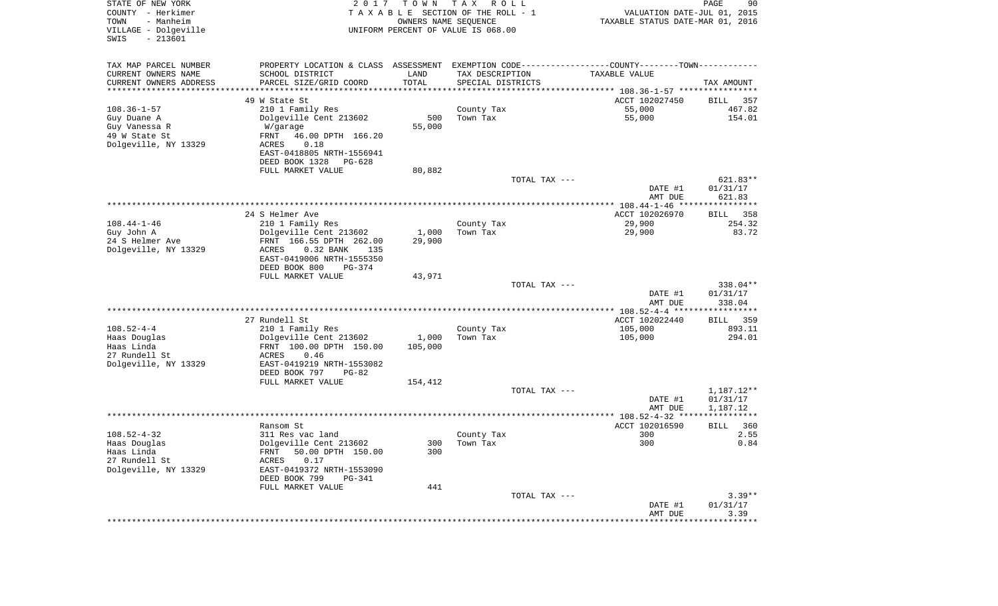| STATE OF NEW YORK<br>COUNTY - Herkimer<br>- Manheim<br>TOWN<br>VILLAGE - Dolgeville<br>$-213601$<br>SWIS | 2017                                                                                           | T O W N               | T A X<br>R O L L<br>TAXABLE SECTION OF THE ROLL - 1<br>OWNERS NAME SEQUENCE<br>UNIFORM PERCENT OF VALUE IS 068.00 |               | VALUATION DATE-JUL 01, 2015<br>TAXABLE STATUS DATE-MAR 01, 2016 | $\mathop{\mathtt{PAGE}}$<br>90 |
|----------------------------------------------------------------------------------------------------------|------------------------------------------------------------------------------------------------|-----------------------|-------------------------------------------------------------------------------------------------------------------|---------------|-----------------------------------------------------------------|--------------------------------|
| TAX MAP PARCEL NUMBER                                                                                    | PROPERTY LOCATION & CLASS ASSESSMENT EXEMPTION CODE----------------COUNTY-------TOWN---------- |                       |                                                                                                                   |               |                                                                 |                                |
| CURRENT OWNERS NAME                                                                                      | SCHOOL DISTRICT                                                                                | LAND                  | TAX DESCRIPTION                                                                                                   |               | TAXABLE VALUE                                                   |                                |
| CURRENT OWNERS ADDRESS                                                                                   | PARCEL SIZE/GRID COORD                                                                         | TOTAL                 | SPECIAL DISTRICTS                                                                                                 |               |                                                                 | TAX AMOUNT                     |
| *********************                                                                                    |                                                                                                | * * * * * * * * * * * |                                                                                                                   |               |                                                                 |                                |
|                                                                                                          | 49 W State St                                                                                  |                       |                                                                                                                   |               | ACCT 102027450                                                  | 357<br>BILL                    |
| $108.36 - 1 - 57$                                                                                        | 210 1 Family Res                                                                               | 500                   | County Tax<br>Town Tax                                                                                            |               | 55,000<br>55,000                                                | 467.82<br>154.01               |
| Guy Duane A<br>Guy Vanessa R                                                                             | Dolgeville Cent 213602<br>W/garage                                                             | 55,000                |                                                                                                                   |               |                                                                 |                                |
| 49 W State St                                                                                            | FRNT<br>46.00 DPTH 166.20                                                                      |                       |                                                                                                                   |               |                                                                 |                                |
| Dolgeville, NY 13329                                                                                     | ACRES<br>0.18                                                                                  |                       |                                                                                                                   |               |                                                                 |                                |
|                                                                                                          | EAST-0418805 NRTH-1556941                                                                      |                       |                                                                                                                   |               |                                                                 |                                |
|                                                                                                          | DEED BOOK 1328<br>PG-628                                                                       |                       |                                                                                                                   |               |                                                                 |                                |
|                                                                                                          | FULL MARKET VALUE                                                                              | 80,882                |                                                                                                                   |               |                                                                 |                                |
|                                                                                                          |                                                                                                |                       |                                                                                                                   | TOTAL TAX --- |                                                                 | 621.83**                       |
|                                                                                                          |                                                                                                |                       |                                                                                                                   |               | DATE #1<br>AMT DUE                                              | 01/31/17<br>621.83             |
|                                                                                                          |                                                                                                |                       |                                                                                                                   |               |                                                                 |                                |
|                                                                                                          | 24 S Helmer Ave                                                                                |                       |                                                                                                                   |               | ACCT 102026970                                                  | BILL 358                       |
| $108.44 - 1 - 46$                                                                                        | 210 1 Family Res                                                                               |                       | County Tax                                                                                                        |               | 29,900                                                          | 254.32                         |
| Guy John A                                                                                               | Dolgeville Cent 213602                                                                         | 1,000                 | Town Tax                                                                                                          |               | 29,900                                                          | 83.72                          |
| 24 S Helmer Ave                                                                                          | FRNT 166.55 DPTH 262.00                                                                        | 29,900                |                                                                                                                   |               |                                                                 |                                |
| Dolgeville, NY 13329                                                                                     | ACRES<br>0.32 BANK<br>135<br>EAST-0419006 NRTH-1555350                                         |                       |                                                                                                                   |               |                                                                 |                                |
|                                                                                                          | DEED BOOK 800<br>PG-374                                                                        |                       |                                                                                                                   |               |                                                                 |                                |
|                                                                                                          | FULL MARKET VALUE                                                                              | 43,971                |                                                                                                                   |               |                                                                 |                                |
|                                                                                                          |                                                                                                |                       |                                                                                                                   | TOTAL TAX --- |                                                                 | 338.04**                       |
|                                                                                                          |                                                                                                |                       |                                                                                                                   |               | DATE #1                                                         | 01/31/17                       |
|                                                                                                          |                                                                                                |                       |                                                                                                                   |               | AMT DUE                                                         | 338.04                         |
|                                                                                                          |                                                                                                |                       |                                                                                                                   |               | ************* 108.52-4-4 ******************                     |                                |
| $108.52 - 4 - 4$                                                                                         | 27 Rundell St<br>210 1 Family Res                                                              |                       | County Tax                                                                                                        |               | ACCT 102022440<br>105,000                                       | 359<br>BILL<br>893.11          |
| Haas Douglas                                                                                             | Dolgeville Cent 213602                                                                         | 1,000                 | Town Tax                                                                                                          |               | 105,000                                                         | 294.01                         |
| Haas Linda                                                                                               | FRNT 100.00 DPTH 150.00                                                                        | 105,000               |                                                                                                                   |               |                                                                 |                                |
| 27 Rundell St                                                                                            | ACRES<br>0.46                                                                                  |                       |                                                                                                                   |               |                                                                 |                                |
| Dolgeville, NY 13329                                                                                     | EAST-0419219 NRTH-1553082                                                                      |                       |                                                                                                                   |               |                                                                 |                                |
|                                                                                                          | DEED BOOK 797<br>$PG-82$                                                                       |                       |                                                                                                                   |               |                                                                 |                                |
|                                                                                                          | FULL MARKET VALUE                                                                              | 154,412               |                                                                                                                   | TOTAL TAX --- |                                                                 |                                |
|                                                                                                          |                                                                                                |                       |                                                                                                                   |               | DATE #1                                                         | 1,187.12**<br>01/31/17         |
|                                                                                                          |                                                                                                |                       |                                                                                                                   |               | AMT DUE                                                         | 1,187.12                       |
|                                                                                                          |                                                                                                |                       |                                                                                                                   |               |                                                                 | ************                   |
|                                                                                                          | Ransom St                                                                                      |                       |                                                                                                                   |               | ACCT 102016590                                                  | 360<br>BILL                    |
| $108.52 - 4 - 32$                                                                                        | 311 Res vac land                                                                               |                       | County Tax                                                                                                        |               | 300                                                             | 2.55                           |
| Haas Douglas                                                                                             | Dolgeville Cent 213602                                                                         |                       | 300 Town Tax                                                                                                      |               | 300                                                             | 0.84                           |
| Haas Linda<br>27 Rundell St                                                                              | 50.00 DPTH 150.00<br>FRNT<br>0.17<br>ACRES                                                     | 300                   |                                                                                                                   |               |                                                                 |                                |
| Dolgeville, NY 13329                                                                                     | EAST-0419372 NRTH-1553090                                                                      |                       |                                                                                                                   |               |                                                                 |                                |
|                                                                                                          | DEED BOOK 799<br>PG-341                                                                        |                       |                                                                                                                   |               |                                                                 |                                |
|                                                                                                          | FULL MARKET VALUE                                                                              | 441                   |                                                                                                                   |               |                                                                 |                                |
|                                                                                                          |                                                                                                |                       |                                                                                                                   | TOTAL TAX --- |                                                                 | $3.39**$                       |
|                                                                                                          |                                                                                                |                       |                                                                                                                   |               | DATE #1                                                         | 01/31/17                       |
|                                                                                                          |                                                                                                |                       |                                                                                                                   |               | AMT DUE                                                         | 3.39                           |
|                                                                                                          |                                                                                                |                       |                                                                                                                   |               |                                                                 |                                |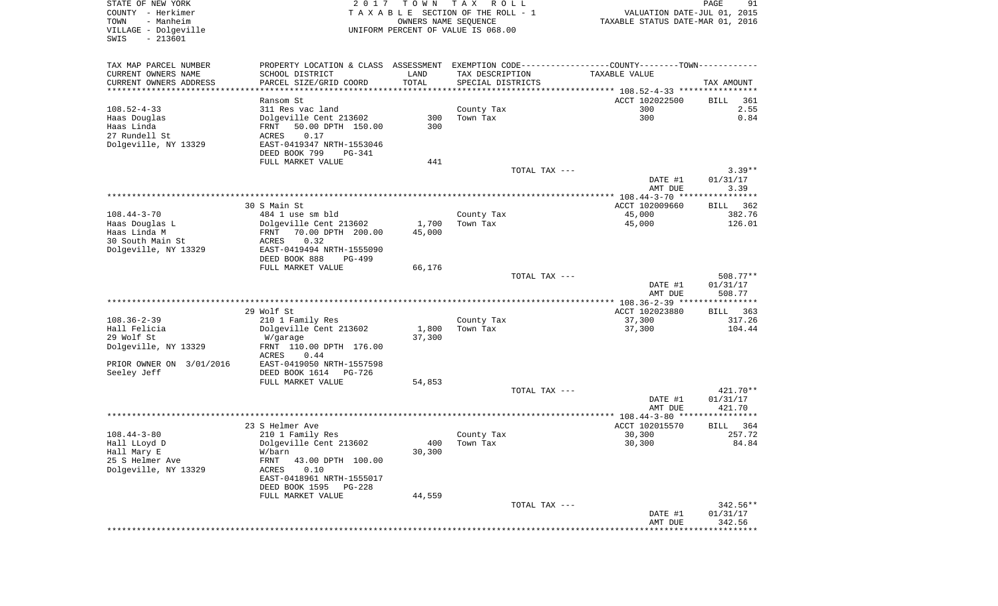| TOWN<br>- Manheim<br>OWNERS NAME SEQUENCE<br>TAXABLE STATUS DATE-MAR 01, 2016<br>VILLAGE - Dolgeville<br>UNIFORM PERCENT OF VALUE IS 068.00<br>$-213601$<br>SWIS<br>PROPERTY LOCATION & CLASS ASSESSMENT EXEMPTION CODE---------------COUNTY-------TOWN----------<br>TAX MAP PARCEL NUMBER<br>CURRENT OWNERS NAME<br>SCHOOL DISTRICT<br>LAND<br>TAX DESCRIPTION<br>TAXABLE VALUE<br>TOTAL<br>CURRENT OWNERS ADDRESS<br>PARCEL SIZE/GRID COORD<br>SPECIAL DISTRICTS<br>***********************<br>ACCT 102022500<br>Ransom St | TAX AMOUNT       |
|------------------------------------------------------------------------------------------------------------------------------------------------------------------------------------------------------------------------------------------------------------------------------------------------------------------------------------------------------------------------------------------------------------------------------------------------------------------------------------------------------------------------------|------------------|
|                                                                                                                                                                                                                                                                                                                                                                                                                                                                                                                              |                  |
|                                                                                                                                                                                                                                                                                                                                                                                                                                                                                                                              |                  |
|                                                                                                                                                                                                                                                                                                                                                                                                                                                                                                                              |                  |
|                                                                                                                                                                                                                                                                                                                                                                                                                                                                                                                              |                  |
|                                                                                                                                                                                                                                                                                                                                                                                                                                                                                                                              |                  |
|                                                                                                                                                                                                                                                                                                                                                                                                                                                                                                                              | BILL<br>361      |
| $108.52 - 4 - 33$<br>300<br>311 Res vac land<br>County Tax                                                                                                                                                                                                                                                                                                                                                                                                                                                                   | 2.55             |
| 300<br>Dolgeville Cent 213602<br>300<br>Haas Douglas<br>Town Tax                                                                                                                                                                                                                                                                                                                                                                                                                                                             | 0.84             |
| Haas Linda<br>50.00 DPTH 150.00<br>300<br>FRNT                                                                                                                                                                                                                                                                                                                                                                                                                                                                               |                  |
| 0.17<br>27 Rundell St<br>ACRES                                                                                                                                                                                                                                                                                                                                                                                                                                                                                               |                  |
| Dolgeville, NY 13329<br>EAST-0419347 NRTH-1553046                                                                                                                                                                                                                                                                                                                                                                                                                                                                            |                  |
| DEED BOOK 799<br>PG-341                                                                                                                                                                                                                                                                                                                                                                                                                                                                                                      |                  |
| FULL MARKET VALUE<br>441                                                                                                                                                                                                                                                                                                                                                                                                                                                                                                     |                  |
| TOTAL TAX ---                                                                                                                                                                                                                                                                                                                                                                                                                                                                                                                | $3.39**$         |
| DATE #1<br>AMT DUE                                                                                                                                                                                                                                                                                                                                                                                                                                                                                                           | 01/31/17<br>3.39 |
|                                                                                                                                                                                                                                                                                                                                                                                                                                                                                                                              |                  |
| 30 S Main St<br>ACCT 102009660                                                                                                                                                                                                                                                                                                                                                                                                                                                                                               | BILL 362         |
| 108.44-3-70<br>484 1 use sm bld<br>County Tax<br>45,000                                                                                                                                                                                                                                                                                                                                                                                                                                                                      | 382.76           |
| Haas Douglas L<br>Dolgeville Cent 213602<br>1,700<br>Town Tax<br>45,000                                                                                                                                                                                                                                                                                                                                                                                                                                                      | 126.01           |
| Haas Linda M<br>70.00 DPTH 200.00<br>45,000<br>FRNT                                                                                                                                                                                                                                                                                                                                                                                                                                                                          |                  |
| 30 South Main St<br>ACRES<br>0.32                                                                                                                                                                                                                                                                                                                                                                                                                                                                                            |                  |
| Dolgeville, NY 13329<br>EAST-0419494 NRTH-1555090                                                                                                                                                                                                                                                                                                                                                                                                                                                                            |                  |
| DEED BOOK 888<br>PG-499                                                                                                                                                                                                                                                                                                                                                                                                                                                                                                      |                  |
| FULL MARKET VALUE<br>66,176                                                                                                                                                                                                                                                                                                                                                                                                                                                                                                  |                  |
| TOTAL TAX ---                                                                                                                                                                                                                                                                                                                                                                                                                                                                                                                | 508.77**         |
| DATE #1                                                                                                                                                                                                                                                                                                                                                                                                                                                                                                                      | 01/31/17         |
| AMT DUE                                                                                                                                                                                                                                                                                                                                                                                                                                                                                                                      | 508.77           |
| 29 Wolf St<br>ACCT 102023880                                                                                                                                                                                                                                                                                                                                                                                                                                                                                                 | BILL 363         |
| 108.36-2-39<br>210 1 Family Res<br>37,300<br>County Tax                                                                                                                                                                                                                                                                                                                                                                                                                                                                      | 317.26           |
| Hall Felicia<br>Dolgeville Cent 213602<br>1,800<br>37,300<br>Town Tax                                                                                                                                                                                                                                                                                                                                                                                                                                                        | 104.44           |
| 29 Wolf St<br>37,300<br>W/garage                                                                                                                                                                                                                                                                                                                                                                                                                                                                                             |                  |
| Dolgeville, NY 13329<br>FRNT 110.00 DPTH 176.00                                                                                                                                                                                                                                                                                                                                                                                                                                                                              |                  |
| 0.44<br>ACRES                                                                                                                                                                                                                                                                                                                                                                                                                                                                                                                |                  |
| PRIOR OWNER ON 3/01/2016<br>EAST-0419050 NRTH-1557598                                                                                                                                                                                                                                                                                                                                                                                                                                                                        |                  |
| Seeley Jeff<br>DEED BOOK 1614<br>PG-726                                                                                                                                                                                                                                                                                                                                                                                                                                                                                      |                  |
| FULL MARKET VALUE<br>54,853                                                                                                                                                                                                                                                                                                                                                                                                                                                                                                  |                  |
| TOTAL TAX ---                                                                                                                                                                                                                                                                                                                                                                                                                                                                                                                | 421.70**         |
| DATE #1                                                                                                                                                                                                                                                                                                                                                                                                                                                                                                                      | 01/31/17         |
| AMT DUE                                                                                                                                                                                                                                                                                                                                                                                                                                                                                                                      | 421.70           |
| 23 S Helmer Ave<br>ACCT 102015570                                                                                                                                                                                                                                                                                                                                                                                                                                                                                            | BILL<br>364      |
| $108.44 - 3 - 80$<br>30,300<br>210 1 Family Res<br>County Tax                                                                                                                                                                                                                                                                                                                                                                                                                                                                | 257.72           |
| Hall LLoyd D<br>Dolgeville Cent 213602<br>400<br>30,300<br>Town Tax                                                                                                                                                                                                                                                                                                                                                                                                                                                          | 84.84            |
| Hall Mary E<br>30,300<br>W/barn                                                                                                                                                                                                                                                                                                                                                                                                                                                                                              |                  |
| 25 S Helmer Ave<br>FRNT<br>43.00 DPTH 100.00                                                                                                                                                                                                                                                                                                                                                                                                                                                                                 |                  |
| Dolgeville, NY 13329<br><b>ACRES</b><br>0.10                                                                                                                                                                                                                                                                                                                                                                                                                                                                                 |                  |
| EAST-0418961 NRTH-1555017                                                                                                                                                                                                                                                                                                                                                                                                                                                                                                    |                  |
| DEED BOOK 1595<br>PG-228                                                                                                                                                                                                                                                                                                                                                                                                                                                                                                     |                  |
| FULL MARKET VALUE<br>44,559                                                                                                                                                                                                                                                                                                                                                                                                                                                                                                  |                  |
| TOTAL TAX ---                                                                                                                                                                                                                                                                                                                                                                                                                                                                                                                | 342.56**         |
| DATE #1                                                                                                                                                                                                                                                                                                                                                                                                                                                                                                                      | 01/31/17         |
| AMT DUE                                                                                                                                                                                                                                                                                                                                                                                                                                                                                                                      | 342.56           |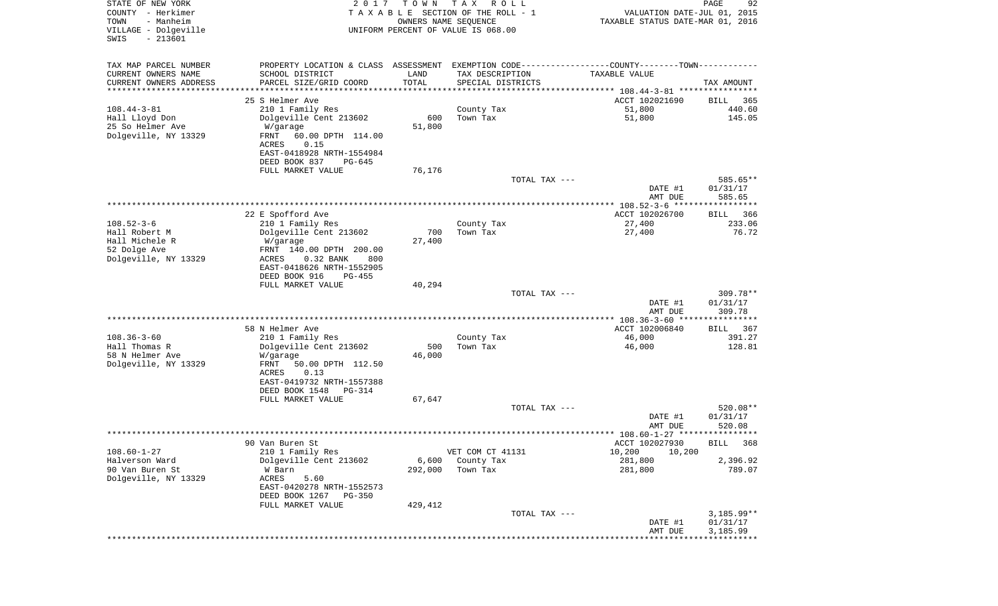| STATE OF NEW YORK<br>COUNTY - Herkimer<br>TOWN<br>- Manheim | 2 0 1 7                                                                                       | T O W N       | T A X<br>R O L L<br>TAXABLE SECTION OF THE ROLL - 1<br>OWNERS NAME SEQUENCE | VALUATION DATE-JUL 01, 2015<br>TAXABLE STATUS DATE-MAR 01, 2016 | PAGE<br>92             |
|-------------------------------------------------------------|-----------------------------------------------------------------------------------------------|---------------|-----------------------------------------------------------------------------|-----------------------------------------------------------------|------------------------|
| VILLAGE - Dolgeville<br>$-213601$<br>SWIS                   |                                                                                               |               | UNIFORM PERCENT OF VALUE IS 068.00                                          |                                                                 |                        |
| TAX MAP PARCEL NUMBER                                       | PROPERTY LOCATION & CLASS ASSESSMENT EXEMPTION CODE---------------COUNTY-------TOWN---------- |               |                                                                             |                                                                 |                        |
| CURRENT OWNERS NAME                                         | SCHOOL DISTRICT                                                                               | LAND          | TAX DESCRIPTION                                                             | TAXABLE VALUE                                                   |                        |
| CURRENT OWNERS ADDRESS                                      | PARCEL SIZE/GRID COORD                                                                        | TOTAL         | SPECIAL DISTRICTS                                                           |                                                                 | TAX AMOUNT             |
| *********************                                       | **********************                                                                        | ************* |                                                                             |                                                                 |                        |
|                                                             | 25 S Helmer Ave                                                                               |               |                                                                             | ACCT 102021690                                                  | BILL<br>365            |
| $108.44 - 3 - 81$                                           | 210 1 Family Res                                                                              |               | County Tax                                                                  | 51,800                                                          | 440.60                 |
| Hall Lloyd Don                                              | Dolgeville Cent 213602                                                                        | 600<br>51,800 | Town Tax                                                                    | 51,800                                                          | 145.05                 |
| 25 So Helmer Ave<br>Dolgeville, NY 13329                    | W/garage<br>FRNT<br>60.00 DPTH 114.00<br>0.15<br><b>ACRES</b>                                 |               |                                                                             |                                                                 |                        |
|                                                             | EAST-0418928 NRTH-1554984                                                                     |               |                                                                             |                                                                 |                        |
|                                                             | DEED BOOK 837<br>PG-645<br>FULL MARKET VALUE                                                  | 76,176        |                                                                             |                                                                 |                        |
|                                                             |                                                                                               |               | TOTAL TAX ---                                                               |                                                                 | 585.65**               |
|                                                             |                                                                                               |               |                                                                             | DATE #1<br>AMT DUE                                              | 01/31/17<br>585.65     |
|                                                             |                                                                                               |               |                                                                             |                                                                 |                        |
|                                                             | 22 E Spofford Ave                                                                             |               |                                                                             | ACCT 102026700                                                  | 366<br>BILL            |
| $108.52 - 3 - 6$                                            | 210 1 Family Res                                                                              |               | County Tax                                                                  | 27,400                                                          | 233.06                 |
| Hall Robert M                                               | Dolgeville Cent 213602                                                                        | 700           | Town Tax                                                                    | 27,400                                                          | 76.72                  |
| Hall Michele R                                              | W/garage                                                                                      | 27,400        |                                                                             |                                                                 |                        |
| 52 Dolge Ave<br>Dolgeville, NY 13329                        | FRNT 140.00 DPTH 200.00<br>0.32 BANK<br>ACRES<br>800                                          |               |                                                                             |                                                                 |                        |
|                                                             | EAST-0418626 NRTH-1552905                                                                     |               |                                                                             |                                                                 |                        |
|                                                             | DEED BOOK 916<br>$PG-455$                                                                     |               |                                                                             |                                                                 |                        |
|                                                             | FULL MARKET VALUE                                                                             | 40,294        |                                                                             |                                                                 |                        |
|                                                             |                                                                                               |               | TOTAL TAX ---                                                               |                                                                 | 309.78**               |
|                                                             |                                                                                               |               |                                                                             | DATE #1                                                         | 01/31/17               |
|                                                             |                                                                                               |               |                                                                             | AMT DUE                                                         | 309.78<br>************ |
|                                                             | 58 N Helmer Ave                                                                               |               |                                                                             | ACCT 102006840                                                  | 367<br>BILL            |
| $108.36 - 3 - 60$                                           | 210 1 Family Res                                                                              |               | County Tax                                                                  | 46,000                                                          | 391.27                 |
| Hall Thomas R                                               | Dolgeville Cent 213602                                                                        | 500           | Town Tax                                                                    | 46,000                                                          | 128.81                 |
| 58 N Helmer Ave                                             | W/garage                                                                                      | 46,000        |                                                                             |                                                                 |                        |
| Dolgeville, NY 13329                                        | FRNT<br>50.00 DPTH 112.50                                                                     |               |                                                                             |                                                                 |                        |
|                                                             | ACRES<br>0.13                                                                                 |               |                                                                             |                                                                 |                        |
|                                                             | EAST-0419732 NRTH-1557388                                                                     |               |                                                                             |                                                                 |                        |
|                                                             | DEED BOOK 1548<br>PG-314                                                                      | 67,647        |                                                                             |                                                                 |                        |
|                                                             | FULL MARKET VALUE                                                                             |               | TOTAL TAX ---                                                               |                                                                 | 520.08**               |
|                                                             |                                                                                               |               |                                                                             | DATE #1                                                         | 01/31/17               |
|                                                             |                                                                                               |               |                                                                             | AMT DUE                                                         | 520.08                 |
|                                                             |                                                                                               |               |                                                                             |                                                                 |                        |
|                                                             | 90 Van Buren St                                                                               |               |                                                                             | ACCT 102027930                                                  | BILL 368               |
| $108.60 - 1 - 27$                                           | 210 1 Family Res                                                                              |               | VET COM CT 41131                                                            | 10,200<br>10,200                                                |                        |
| Halverson Ward<br>90 Van Buren St                           | Dolgeville Cent 213602                                                                        | 6,600         | County Tax                                                                  | 281,800                                                         | 2,396.92               |
| Dolgeville, NY 13329                                        | W Barn<br>ACRES<br>5.60                                                                       | 292,000       | Town Tax                                                                    | 281,800                                                         | 789.07                 |
|                                                             | EAST-0420278 NRTH-1552573                                                                     |               |                                                                             |                                                                 |                        |
|                                                             | DEED BOOK 1267<br><b>PG-350</b>                                                               |               |                                                                             |                                                                 |                        |
|                                                             | FULL MARKET VALUE                                                                             | 429,412       |                                                                             |                                                                 |                        |
|                                                             |                                                                                               |               | TOTAL TAX ---                                                               |                                                                 | $3,185.99**$           |
|                                                             |                                                                                               |               |                                                                             | DATE #1                                                         | 01/31/17               |
|                                                             |                                                                                               |               |                                                                             | AMT DUE                                                         | 3,185.99               |
|                                                             |                                                                                               |               |                                                                             |                                                                 |                        |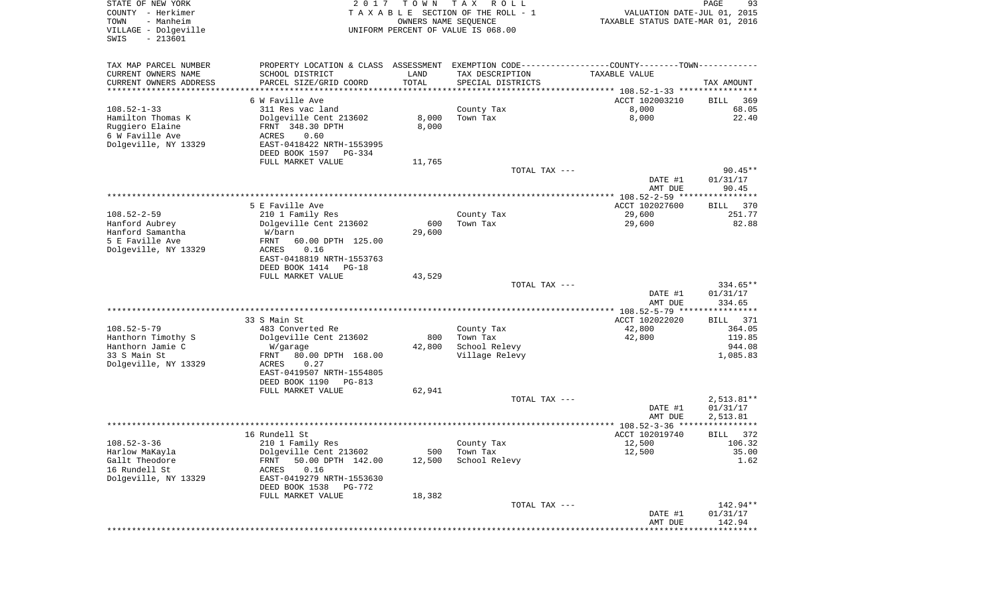| STATE OF NEW YORK<br>COUNTY - Herkimer<br>TOWN<br>- Manheim<br>VILLAGE - Dolgeville<br>$-213601$<br>SWIS | 2 0 1 7                                                                                       | T O W N<br>OWNERS NAME SEQUENCE | T A X<br>R O L L<br>TAXABLE SECTION OF THE ROLL - 1<br>UNIFORM PERCENT OF VALUE IS 068.00 | VALUATION DATE-JUL 01, 2015<br>TAXABLE STATUS DATE-MAR 01, 2016 | PAGE<br>93              |
|----------------------------------------------------------------------------------------------------------|-----------------------------------------------------------------------------------------------|---------------------------------|-------------------------------------------------------------------------------------------|-----------------------------------------------------------------|-------------------------|
| TAX MAP PARCEL NUMBER                                                                                    | PROPERTY LOCATION & CLASS ASSESSMENT EXEMPTION CODE---------------COUNTY-------TOWN---------- |                                 |                                                                                           |                                                                 |                         |
| CURRENT OWNERS NAME                                                                                      | SCHOOL DISTRICT                                                                               | LAND                            | TAX DESCRIPTION                                                                           | TAXABLE VALUE                                                   |                         |
| CURRENT OWNERS ADDRESS                                                                                   | PARCEL SIZE/GRID COORD                                                                        | TOTAL                           | SPECIAL DISTRICTS                                                                         |                                                                 | TAX AMOUNT              |
| *********************                                                                                    |                                                                                               | *************                   |                                                                                           |                                                                 |                         |
| $108.52 - 1 - 33$                                                                                        | 6 W Faville Ave                                                                               |                                 |                                                                                           | ACCT 102003210<br>8,000                                         | BILL<br>369             |
| Hamilton Thomas K                                                                                        | 311 Res vac land<br>Dolgeville Cent 213602                                                    | 8,000                           | County Tax<br>Town Tax                                                                    | 8,000                                                           | 68.05<br>22.40          |
| Ruggiero Elaine                                                                                          | FRNT 348.30 DPTH                                                                              | 8,000                           |                                                                                           |                                                                 |                         |
| 6 W Faville Ave                                                                                          | ACRES<br>0.60                                                                                 |                                 |                                                                                           |                                                                 |                         |
| Dolgeville, NY 13329                                                                                     | EAST-0418422 NRTH-1553995                                                                     |                                 |                                                                                           |                                                                 |                         |
|                                                                                                          | DEED BOOK 1597<br>PG-334                                                                      |                                 |                                                                                           |                                                                 |                         |
|                                                                                                          | FULL MARKET VALUE                                                                             | 11,765                          | TOTAL TAX ---                                                                             |                                                                 | $90.45**$               |
|                                                                                                          |                                                                                               |                                 |                                                                                           | DATE #1<br>AMT DUE                                              | 01/31/17<br>90.45       |
|                                                                                                          |                                                                                               |                                 |                                                                                           |                                                                 |                         |
|                                                                                                          | 5 E Faville Ave                                                                               |                                 |                                                                                           | ACCT 102027600                                                  | 370<br>BILL             |
| $108.52 - 2 - 59$                                                                                        | 210 1 Family Res                                                                              |                                 | County Tax                                                                                | 29,600                                                          | 251.77                  |
| Hanford Aubrey                                                                                           | Dolgeville Cent 213602                                                                        | 600                             | Town Tax                                                                                  | 29,600                                                          | 82.88                   |
| Hanford Samantha<br>5 E Faville Ave                                                                      | W/barn<br>60.00 DPTH 125.00<br>FRNT                                                           | 29,600                          |                                                                                           |                                                                 |                         |
| Dolgeville, NY 13329                                                                                     | ACRES<br>0.16                                                                                 |                                 |                                                                                           |                                                                 |                         |
|                                                                                                          | EAST-0418819 NRTH-1553763                                                                     |                                 |                                                                                           |                                                                 |                         |
|                                                                                                          | DEED BOOK 1414<br>$PG-18$                                                                     |                                 |                                                                                           |                                                                 |                         |
|                                                                                                          | FULL MARKET VALUE                                                                             | 43,529                          | TOTAL TAX ---                                                                             |                                                                 | 334.65**                |
|                                                                                                          |                                                                                               |                                 |                                                                                           | DATE #1<br>AMT DUE                                              | 01/31/17<br>334.65      |
|                                                                                                          |                                                                                               |                                 |                                                                                           | ************ 108.52-5-79 ****                                   | * * * * * * * * * * * * |
|                                                                                                          | 33 S Main St                                                                                  |                                 |                                                                                           | ACCT 102022020                                                  | BILL<br>371             |
| $108.52 - 5 - 79$                                                                                        | 483 Converted Re                                                                              |                                 | County Tax                                                                                | 42,800                                                          | 364.05                  |
| Hanthorn Timothy S                                                                                       | Dolgeville Cent 213602                                                                        | 800                             | Town Tax                                                                                  | 42,800                                                          | 119.85                  |
| Hanthorn Jamie C<br>33 S Main St                                                                         | W/garage<br>FRNT<br>80.00 DPTH 168.00                                                         | 42,800                          | School Relevy<br>Village Relevy                                                           |                                                                 | 944.08<br>1,085.83      |
| Dolgeville, NY 13329                                                                                     | <b>ACRES</b><br>0.27                                                                          |                                 |                                                                                           |                                                                 |                         |
|                                                                                                          | EAST-0419507 NRTH-1554805                                                                     |                                 |                                                                                           |                                                                 |                         |
|                                                                                                          | DEED BOOK 1190<br>PG-813                                                                      |                                 |                                                                                           |                                                                 |                         |
|                                                                                                          | FULL MARKET VALUE                                                                             | 62,941                          | TOTAL TAX ---                                                                             |                                                                 | 2,513.81**              |
|                                                                                                          |                                                                                               |                                 |                                                                                           | DATE #1                                                         | 01/31/17                |
|                                                                                                          |                                                                                               |                                 |                                                                                           | AMT DUE                                                         | 2,513.81                |
|                                                                                                          |                                                                                               |                                 |                                                                                           |                                                                 | ***********             |
|                                                                                                          | 16 Rundell St                                                                                 |                                 |                                                                                           | ACCT 102019740                                                  | 372<br>BILL             |
| $108.52 - 3 - 36$<br>Harlow MaKayla                                                                      | 210 1 Family Res<br>Dolgeville Cent 213602                                                    | 500                             | County Tax<br>Town Tax                                                                    | 12,500<br>12,500                                                | 106.32<br>35.00         |
| Gallt Theodore                                                                                           | 50.00 DPTH 142.00<br>FRNT                                                                     | 12,500                          | School Relevy                                                                             |                                                                 | 1.62                    |
| 16 Rundell St                                                                                            | 0.16<br>ACRES                                                                                 |                                 |                                                                                           |                                                                 |                         |
| Dolgeville, NY 13329                                                                                     | EAST-0419279 NRTH-1553630<br>DEED BOOK 1538<br>PG-772                                         |                                 |                                                                                           |                                                                 |                         |
|                                                                                                          | FULL MARKET VALUE                                                                             | 18,382                          |                                                                                           |                                                                 |                         |
|                                                                                                          |                                                                                               |                                 | TOTAL TAX ---                                                                             |                                                                 | 142.94**                |
|                                                                                                          |                                                                                               |                                 |                                                                                           | DATE #1<br>AMT DUE                                              | 01/31/17<br>142.94      |
|                                                                                                          |                                                                                               |                                 |                                                                                           | ****************************                                    |                         |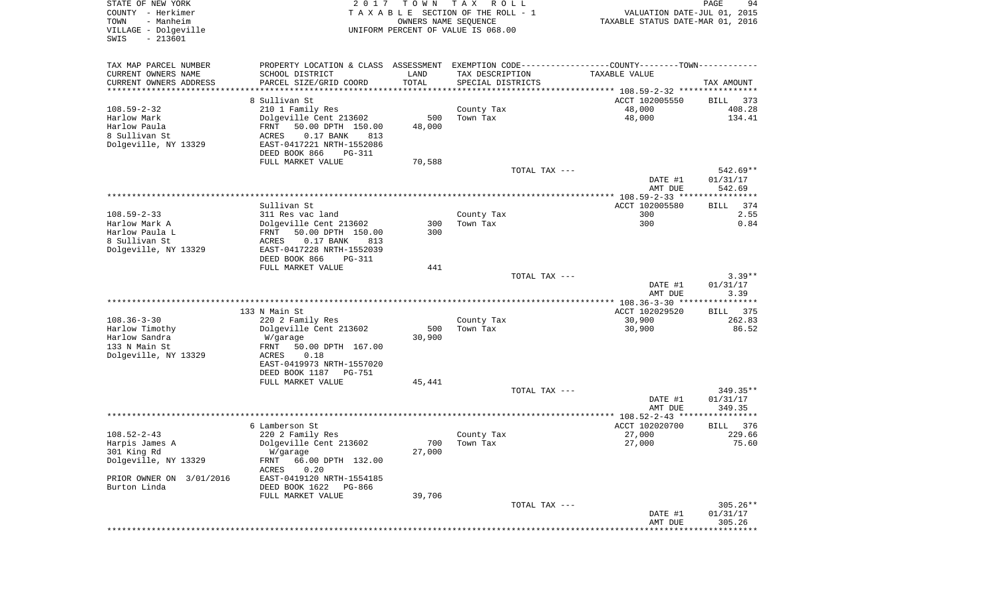| STATE OF NEW YORK<br>COUNTY - Herkimer<br>TOWN<br>- Manheim<br>VILLAGE - Dolgeville<br>$-213601$ | 2017                                                                                          | T O W N<br>OWNERS NAME SEOUENCE | TAX ROLL<br>TAXABLE SECTION OF THE ROLL - 1<br>UNIFORM PERCENT OF VALUE IS 068.00 |               | VALUATION DATE-JUL 01, 2015<br>TAXABLE STATUS DATE-MAR 01, 2016 | 94<br>PAGE  |
|--------------------------------------------------------------------------------------------------|-----------------------------------------------------------------------------------------------|---------------------------------|-----------------------------------------------------------------------------------|---------------|-----------------------------------------------------------------|-------------|
| SWIS                                                                                             |                                                                                               |                                 |                                                                                   |               |                                                                 |             |
| TAX MAP PARCEL NUMBER                                                                            | PROPERTY LOCATION & CLASS ASSESSMENT EXEMPTION CODE---------------COUNTY-------TOWN---------- |                                 |                                                                                   |               |                                                                 |             |
| CURRENT OWNERS NAME                                                                              | SCHOOL DISTRICT                                                                               | LAND                            | TAX DESCRIPTION                                                                   |               | TAXABLE VALUE                                                   |             |
| CURRENT OWNERS ADDRESS<br>**********************                                                 | PARCEL SIZE/GRID COORD                                                                        | TOTAL                           | SPECIAL DISTRICTS                                                                 |               |                                                                 | TAX AMOUNT  |
|                                                                                                  | 8 Sullivan St                                                                                 |                                 |                                                                                   |               | ACCT 102005550                                                  | BILL 373    |
| 108.59-2-32                                                                                      | 210 1 Family Res                                                                              |                                 | County Tax                                                                        |               | 48,000                                                          | 408.28      |
| Harlow Mark                                                                                      | Dolgeville Cent 213602                                                                        | 500                             | Town Tax                                                                          |               | 48,000                                                          | 134.41      |
| Harlow Paula                                                                                     | 50.00 DPTH 150.00<br>FRNT                                                                     | 48,000                          |                                                                                   |               |                                                                 |             |
| 8 Sullivan St                                                                                    | ACRES<br>0.17 BANK<br>813                                                                     |                                 |                                                                                   |               |                                                                 |             |
| Dolgeville, NY 13329                                                                             | EAST-0417221 NRTH-1552086                                                                     |                                 |                                                                                   |               |                                                                 |             |
|                                                                                                  | DEED BOOK 866<br>PG-311                                                                       |                                 |                                                                                   |               |                                                                 |             |
|                                                                                                  | FULL MARKET VALUE                                                                             | 70,588                          |                                                                                   | TOTAL TAX --- |                                                                 | 542.69**    |
|                                                                                                  |                                                                                               |                                 |                                                                                   |               | DATE #1                                                         | 01/31/17    |
|                                                                                                  |                                                                                               |                                 |                                                                                   |               | AMT DUE                                                         | 542.69      |
|                                                                                                  |                                                                                               |                                 |                                                                                   |               |                                                                 |             |
|                                                                                                  | Sullivan St                                                                                   |                                 |                                                                                   |               | ACCT 102005580                                                  | BILL<br>374 |
| 108.59-2-33                                                                                      | 311 Res vac land                                                                              |                                 | County Tax                                                                        |               | 300                                                             | 2.55        |
| Harlow Mark A                                                                                    | Dolgeville Cent 213602                                                                        | 300                             | Town Tax                                                                          |               | 300                                                             | 0.84        |
| Harlow Paula L                                                                                   | 50.00 DPTH 150.00<br>FRNT                                                                     | 300                             |                                                                                   |               |                                                                 |             |
| 8 Sullivan St                                                                                    | ACRES<br>0.17 BANK<br>813                                                                     |                                 |                                                                                   |               |                                                                 |             |
| Dolgeville, NY 13329                                                                             | EAST-0417228 NRTH-1552039                                                                     |                                 |                                                                                   |               |                                                                 |             |
|                                                                                                  | DEED BOOK 866<br><b>PG-311</b>                                                                |                                 |                                                                                   |               |                                                                 |             |
|                                                                                                  | FULL MARKET VALUE                                                                             | 441                             |                                                                                   | TOTAL TAX --- |                                                                 | $3.39**$    |
|                                                                                                  |                                                                                               |                                 |                                                                                   |               | DATE #1                                                         | 01/31/17    |
|                                                                                                  |                                                                                               |                                 |                                                                                   |               | AMT DUE                                                         | 3.39        |
|                                                                                                  |                                                                                               |                                 |                                                                                   |               |                                                                 |             |
|                                                                                                  | 133 N Main St                                                                                 |                                 |                                                                                   |               | ACCT 102029520                                                  | BILL 375    |
| 108.36-3-30                                                                                      | 220 2 Family Res                                                                              |                                 | County Tax                                                                        |               | 30,900                                                          | 262.83      |
| Harlow Timothy                                                                                   | Dolgeville Cent 213602                                                                        | 500                             | Town Tax                                                                          |               | 30,900                                                          | 86.52       |
| Harlow Sandra                                                                                    | W/garage                                                                                      | 30,900                          |                                                                                   |               |                                                                 |             |
| 133 N Main St                                                                                    | 50.00 DPTH 167.00<br>FRNT                                                                     |                                 |                                                                                   |               |                                                                 |             |
| Dolgeville, NY 13329                                                                             | 0.18<br>ACRES                                                                                 |                                 |                                                                                   |               |                                                                 |             |
|                                                                                                  | EAST-0419973 NRTH-1557020                                                                     |                                 |                                                                                   |               |                                                                 |             |
|                                                                                                  | DEED BOOK 1187<br>PG-751<br>FULL MARKET VALUE                                                 | 45,441                          |                                                                                   |               |                                                                 |             |
|                                                                                                  |                                                                                               |                                 |                                                                                   | TOTAL TAX --- |                                                                 | 349.35**    |
|                                                                                                  |                                                                                               |                                 |                                                                                   |               | DATE #1                                                         | 01/31/17    |
|                                                                                                  |                                                                                               |                                 |                                                                                   |               | AMT DUE                                                         | 349.35      |
|                                                                                                  |                                                                                               |                                 |                                                                                   |               |                                                                 |             |
|                                                                                                  | 6 Lamberson St                                                                                |                                 |                                                                                   |               | ACCT 102020700                                                  | BILL<br>376 |
| 108.52-2-43                                                                                      | 220 2 Family Res                                                                              |                                 | County Tax                                                                        |               | 27,000                                                          | 229.66      |
| Harpis James A                                                                                   | Dolgeville Cent 213602                                                                        | 700                             | Town Tax                                                                          |               | 27,000                                                          | 75.60       |
| 301 King Rd                                                                                      | W/garage                                                                                      | 27,000                          |                                                                                   |               |                                                                 |             |
| Dolgeville, NY 13329                                                                             | FRNT<br>66.00 DPTH 132.00                                                                     |                                 |                                                                                   |               |                                                                 |             |
|                                                                                                  | 0.20<br>ACRES                                                                                 |                                 |                                                                                   |               |                                                                 |             |
| PRIOR OWNER ON 3/01/2016                                                                         | EAST-0419120 NRTH-1554185                                                                     |                                 |                                                                                   |               |                                                                 |             |
| Burton Linda                                                                                     | DEED BOOK 1622<br>PG-866                                                                      |                                 |                                                                                   |               |                                                                 |             |
|                                                                                                  | FULL MARKET VALUE                                                                             | 39,706                          |                                                                                   | TOTAL TAX --- |                                                                 | $305.26**$  |
|                                                                                                  |                                                                                               |                                 |                                                                                   |               | DATE #1                                                         | 01/31/17    |
|                                                                                                  |                                                                                               |                                 |                                                                                   |               | AMT DUE                                                         | 305.26      |
|                                                                                                  |                                                                                               |                                 |                                                                                   |               |                                                                 |             |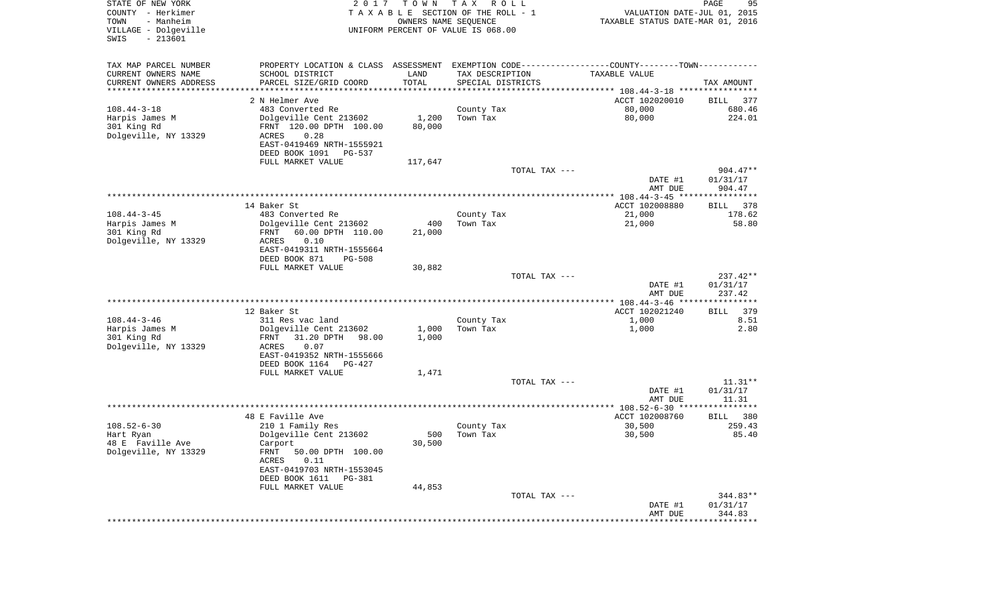| STATE OF NEW YORK<br>COUNTY - Herkimer<br>- Manheim<br>TOWN<br>VILLAGE - Dolgeville<br>$-213601$<br>SWIS | 2 0 1 7                                    | T O W N<br>OWNERS NAME SEQUENCE | T A X<br>R O L L<br>TAXABLE SECTION OF THE ROLL - 1<br>UNIFORM PERCENT OF VALUE IS 068.00 | VALUATION DATE-JUL 01, 2015<br>TAXABLE STATUS DATE-MAR 01, 2016                                | PAGE<br>95                 |
|----------------------------------------------------------------------------------------------------------|--------------------------------------------|---------------------------------|-------------------------------------------------------------------------------------------|------------------------------------------------------------------------------------------------|----------------------------|
| TAX MAP PARCEL NUMBER                                                                                    |                                            |                                 |                                                                                           | PROPERTY LOCATION & CLASS ASSESSMENT EXEMPTION CODE----------------COUNTY-------TOWN---------- |                            |
| CURRENT OWNERS NAME                                                                                      | SCHOOL DISTRICT                            | LAND                            | TAX DESCRIPTION                                                                           | TAXABLE VALUE                                                                                  |                            |
| CURRENT OWNERS ADDRESS                                                                                   | PARCEL SIZE/GRID COORD                     | TOTAL<br>***************        | SPECIAL DISTRICTS                                                                         |                                                                                                | TAX AMOUNT                 |
| *********************                                                                                    |                                            |                                 |                                                                                           |                                                                                                |                            |
| $108.44 - 3 - 18$                                                                                        | 2 N Helmer Ave<br>483 Converted Re         |                                 |                                                                                           | ACCT 102020010<br>80,000                                                                       | BILL 377<br>680.46         |
| Harpis James M                                                                                           | Dolgeville Cent 213602                     | 1,200                           | County Tax<br>Town Tax                                                                    | 80,000                                                                                         | 224.01                     |
| 301 King Rd                                                                                              | FRNT 120.00 DPTH 100.00                    | 80,000                          |                                                                                           |                                                                                                |                            |
| Dolgeville, NY 13329                                                                                     | 0.28<br>ACRES                              |                                 |                                                                                           |                                                                                                |                            |
|                                                                                                          | EAST-0419469 NRTH-1555921                  |                                 |                                                                                           |                                                                                                |                            |
|                                                                                                          | DEED BOOK 1091<br>PG-537                   |                                 |                                                                                           |                                                                                                |                            |
|                                                                                                          | FULL MARKET VALUE                          | 117,647                         |                                                                                           |                                                                                                |                            |
|                                                                                                          |                                            |                                 | TOTAL TAX ---                                                                             |                                                                                                | $904.47**$                 |
|                                                                                                          |                                            |                                 |                                                                                           | DATE #1<br>AMT DUE                                                                             | 01/31/17<br>904.47         |
|                                                                                                          |                                            |                                 |                                                                                           |                                                                                                |                            |
|                                                                                                          | 14 Baker St                                |                                 |                                                                                           | ACCT 102008880                                                                                 | BILL<br>378                |
| $108.44 - 3 - 45$                                                                                        | 483 Converted Re                           |                                 | County Tax                                                                                | 21,000                                                                                         | 178.62                     |
| Harpis James M                                                                                           | Dolgeville Cent 213602                     | 400                             | Town Tax                                                                                  | 21,000                                                                                         | 58.80                      |
| 301 King Rd                                                                                              | 60.00 DPTH 110.00<br>FRNT                  | 21,000                          |                                                                                           |                                                                                                |                            |
| Dolgeville, NY 13329                                                                                     | 0.10<br>ACRES<br>EAST-0419311 NRTH-1555664 |                                 |                                                                                           |                                                                                                |                            |
|                                                                                                          | DEED BOOK 871<br>$PG-508$                  |                                 |                                                                                           |                                                                                                |                            |
|                                                                                                          | FULL MARKET VALUE                          | 30,882                          | TOTAL TAX ---                                                                             |                                                                                                | 237.42**                   |
|                                                                                                          |                                            |                                 |                                                                                           | DATE #1                                                                                        | 01/31/17                   |
|                                                                                                          |                                            |                                 |                                                                                           | AMT DUE                                                                                        | 237.42                     |
|                                                                                                          |                                            |                                 |                                                                                           |                                                                                                |                            |
| $108.44 - 3 - 46$                                                                                        | 12 Baker St<br>311 Res vac land            |                                 | County Tax                                                                                | ACCT 102021240<br>1,000                                                                        | <b>BILL</b><br>379<br>8.51 |
| Harpis James M                                                                                           | Dolgeville Cent 213602                     | 1,000                           | Town Tax                                                                                  | 1,000                                                                                          | 2.80                       |
| 301 King Rd                                                                                              | 31.20 DPTH<br>98.00<br>FRNT                | 1,000                           |                                                                                           |                                                                                                |                            |
| Dolgeville, NY 13329                                                                                     | ACRES<br>0.07                              |                                 |                                                                                           |                                                                                                |                            |
|                                                                                                          | EAST-0419352 NRTH-1555666                  |                                 |                                                                                           |                                                                                                |                            |
|                                                                                                          | DEED BOOK 1164<br>PG-427                   |                                 |                                                                                           |                                                                                                |                            |
|                                                                                                          | FULL MARKET VALUE                          | 1,471                           |                                                                                           |                                                                                                |                            |
|                                                                                                          |                                            |                                 | TOTAL TAX ---                                                                             | DATE #1                                                                                        | $11.31**$<br>01/31/17      |
|                                                                                                          |                                            |                                 |                                                                                           | AMT DUE                                                                                        | 11.31                      |
|                                                                                                          |                                            |                                 |                                                                                           |                                                                                                |                            |
|                                                                                                          | 48 E Faville Ave                           |                                 |                                                                                           | ACCT 102008760                                                                                 | 380<br>BILL                |
| $108.52 - 6 - 30$                                                                                        | 210 1 Family Res                           |                                 | County Tax                                                                                | 30,500                                                                                         | 259.43                     |
| Hart Ryan                                                                                                | Dolgeville Cent 213602                     | 500                             | Town Tax                                                                                  | 30,500                                                                                         | 85.40                      |
| 48 E Faville Ave<br>Dolgeville, NY 13329                                                                 | Carport<br>FRNT 50.00 DPTH 100.00          | 30,500                          |                                                                                           |                                                                                                |                            |
|                                                                                                          | ACRES<br>0.11                              |                                 |                                                                                           |                                                                                                |                            |
|                                                                                                          | EAST-0419703 NRTH-1553045                  |                                 |                                                                                           |                                                                                                |                            |
|                                                                                                          | DEED BOOK 1611 PG-381                      |                                 |                                                                                           |                                                                                                |                            |
|                                                                                                          | FULL MARKET VALUE                          | 44,853                          |                                                                                           |                                                                                                |                            |
|                                                                                                          |                                            |                                 | TOTAL TAX ---                                                                             |                                                                                                | $344.83**$                 |
|                                                                                                          |                                            |                                 |                                                                                           | DATE #1<br>AMT DUE                                                                             | 01/31/17<br>344.83         |
|                                                                                                          |                                            |                                 |                                                                                           | *********************                                                                          | **************             |
|                                                                                                          |                                            |                                 |                                                                                           |                                                                                                |                            |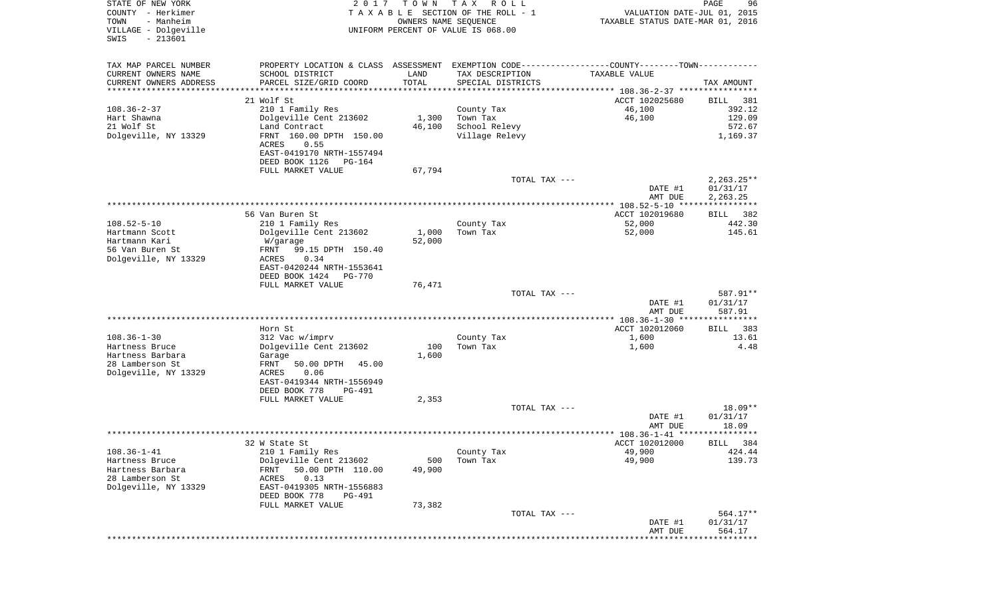| STATE OF NEW YORK<br>COUNTY - Herkimer<br>TOWN<br>- Manheim<br>VILLAGE - Dolgeville<br>$-213601$<br>SWIS | 2 0 1 7                                                                                       | T O W N<br>OWNERS NAME SEQUENCE | T A X<br>R O L L<br>TAXABLE SECTION OF THE ROLL - 1<br>UNIFORM PERCENT OF VALUE IS 068.00 | VALUATION DATE-JUL 01, 2015<br>TAXABLE STATUS DATE-MAR 01, 2016 | PAGE<br>96         |
|----------------------------------------------------------------------------------------------------------|-----------------------------------------------------------------------------------------------|---------------------------------|-------------------------------------------------------------------------------------------|-----------------------------------------------------------------|--------------------|
|                                                                                                          |                                                                                               |                                 |                                                                                           |                                                                 |                    |
| TAX MAP PARCEL NUMBER                                                                                    | PROPERTY LOCATION & CLASS ASSESSMENT EXEMPTION CODE---------------COUNTY-------TOWN---------- |                                 |                                                                                           |                                                                 |                    |
| CURRENT OWNERS NAME                                                                                      | SCHOOL DISTRICT                                                                               | LAND                            | TAX DESCRIPTION                                                                           | TAXABLE VALUE                                                   |                    |
| CURRENT OWNERS ADDRESS<br>********************                                                           | PARCEL SIZE/GRID COORD                                                                        | TOTAL                           | SPECIAL DISTRICTS                                                                         |                                                                 | TAX AMOUNT         |
|                                                                                                          | 21 Wolf St                                                                                    |                                 |                                                                                           | ACCT 102025680                                                  | 381<br>BILL        |
| $108.36 - 2 - 37$                                                                                        | 210 1 Family Res                                                                              |                                 | County Tax                                                                                | 46,100                                                          | 392.12             |
| Hart Shawna                                                                                              | Dolgeville Cent 213602                                                                        | 1,300                           | Town Tax                                                                                  | 46,100                                                          | 129.09             |
| 21 Wolf St                                                                                               | Land Contract                                                                                 | 46,100                          | School Relevy                                                                             |                                                                 | 572.67             |
| Dolgeville, NY 13329                                                                                     | FRNT 160.00 DPTH 150.00<br>ACRES<br>0.55                                                      |                                 | Village Relevy                                                                            |                                                                 | 1,169.37           |
|                                                                                                          | EAST-0419170 NRTH-1557494<br>DEED BOOK 1126<br>PG-164                                         |                                 |                                                                                           |                                                                 |                    |
|                                                                                                          | FULL MARKET VALUE                                                                             | 67,794                          |                                                                                           |                                                                 |                    |
|                                                                                                          |                                                                                               |                                 | TOTAL TAX ---                                                                             |                                                                 | $2,263.25**$       |
|                                                                                                          |                                                                                               |                                 |                                                                                           | DATE #1                                                         | 01/31/17           |
|                                                                                                          |                                                                                               |                                 |                                                                                           | AMT DUE<br>**************** 108.52-5-10 ****************        | 2,263.25           |
|                                                                                                          | 56 Van Buren St                                                                               |                                 |                                                                                           | ACCT 102019680                                                  | BILL<br>382        |
| $108.52 - 5 - 10$                                                                                        | 210 1 Family Res                                                                              |                                 | County Tax                                                                                | 52,000                                                          | 442.30             |
| Hartmann Scott                                                                                           | Dolgeville Cent 213602                                                                        | 1,000                           | Town Tax                                                                                  | 52,000                                                          | 145.61             |
| Hartmann Kari<br>56 Van Buren St                                                                         | W/garage<br>FRNT<br>99.15 DPTH 150.40                                                         | 52,000                          |                                                                                           |                                                                 |                    |
| Dolgeville, NY 13329                                                                                     | 0.34<br>ACRES                                                                                 |                                 |                                                                                           |                                                                 |                    |
|                                                                                                          | EAST-0420244 NRTH-1553641                                                                     |                                 |                                                                                           |                                                                 |                    |
|                                                                                                          | DEED BOOK 1424<br><b>PG-770</b>                                                               |                                 |                                                                                           |                                                                 |                    |
|                                                                                                          | FULL MARKET VALUE                                                                             | 76,471                          |                                                                                           |                                                                 |                    |
|                                                                                                          |                                                                                               |                                 | TOTAL TAX ---                                                                             |                                                                 | 587.91**           |
|                                                                                                          |                                                                                               |                                 |                                                                                           | DATE #1<br>AMT DUE                                              | 01/31/17<br>587.91 |
|                                                                                                          |                                                                                               |                                 |                                                                                           |                                                                 | ************       |
|                                                                                                          | Horn St                                                                                       |                                 |                                                                                           | ACCT 102012060                                                  | 383<br>BILL        |
| $108.36 - 1 - 30$                                                                                        | 312 Vac w/imprv                                                                               |                                 | County Tax                                                                                | 1,600                                                           | 13.61              |
| Hartness Bruce                                                                                           | Dolgeville Cent 213602                                                                        | 100                             | Town Tax                                                                                  | 1,600                                                           | 4.48               |
| Hartness Barbara                                                                                         | Garage                                                                                        | 1,600                           |                                                                                           |                                                                 |                    |
| 28 Lamberson St                                                                                          | FRNT<br>50.00 DPTH<br>45.00                                                                   |                                 |                                                                                           |                                                                 |                    |
| Dolgeville, NY 13329                                                                                     | ACRES<br>0.06                                                                                 |                                 |                                                                                           |                                                                 |                    |
|                                                                                                          | EAST-0419344 NRTH-1556949                                                                     |                                 |                                                                                           |                                                                 |                    |
|                                                                                                          | DEED BOOK 778<br>PG-491<br>FULL MARKET VALUE                                                  | 2,353                           |                                                                                           |                                                                 |                    |
|                                                                                                          |                                                                                               |                                 | TOTAL TAX ---                                                                             |                                                                 | 18.09**            |
|                                                                                                          |                                                                                               |                                 |                                                                                           | DATE #1                                                         | 01/31/17           |
|                                                                                                          |                                                                                               |                                 |                                                                                           | AMT DUE                                                         | 18.09              |
|                                                                                                          |                                                                                               |                                 |                                                                                           |                                                                 |                    |
|                                                                                                          | 32 W State St                                                                                 |                                 |                                                                                           | ACCT 102012000                                                  | BILL 384           |
| $108.36 - 1 - 41$                                                                                        | 210 1 Family Res                                                                              |                                 | County Tax                                                                                | 49,900                                                          | 424.44             |
| Hartness Bruce                                                                                           | Dolgeville Cent 213602                                                                        | 500                             | Town Tax                                                                                  | 49,900                                                          | 139.73             |
| Hartness Barbara<br>28 Lamberson St                                                                      | 50.00 DPTH 110.00<br>FRNT<br>0.13<br>ACRES                                                    | 49,900                          |                                                                                           |                                                                 |                    |
| Dolgeville, NY 13329                                                                                     | EAST-0419305 NRTH-1556883                                                                     |                                 |                                                                                           |                                                                 |                    |
|                                                                                                          | DEED BOOK 778<br><b>PG-491</b>                                                                |                                 |                                                                                           |                                                                 |                    |
|                                                                                                          | FULL MARKET VALUE                                                                             | 73,382                          |                                                                                           |                                                                 |                    |
|                                                                                                          |                                                                                               |                                 | TOTAL TAX ---                                                                             |                                                                 | $564.17**$         |
|                                                                                                          |                                                                                               |                                 |                                                                                           | DATE #1                                                         | 01/31/17           |
|                                                                                                          |                                                                                               |                                 |                                                                                           | AMT DUE                                                         | 564.17             |
|                                                                                                          |                                                                                               |                                 |                                                                                           |                                                                 |                    |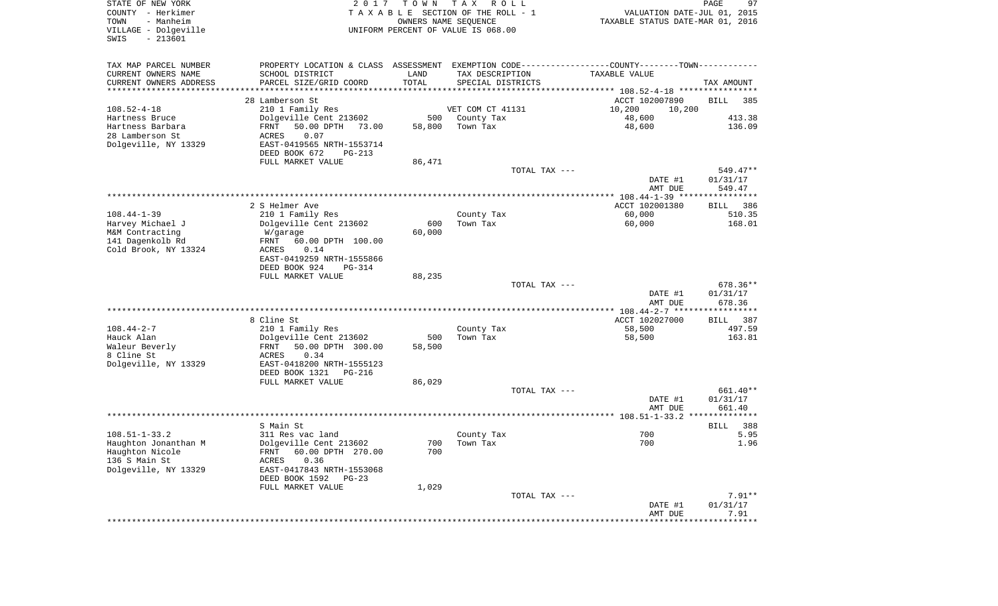| PROPERTY LOCATION & CLASS ASSESSMENT EXEMPTION CODE---------------COUNTY-------TOWN----------<br>TAX MAP PARCEL NUMBER<br>CURRENT OWNERS NAME<br>SCHOOL DISTRICT<br>LAND<br>TAX DESCRIPTION<br>TAXABLE VALUE<br>TOTAL<br>CURRENT OWNERS ADDRESS<br>PARCEL SIZE/GRID COORD<br>SPECIAL DISTRICTS<br>TAX AMOUNT<br>*********************<br>28 Lamberson St<br>ACCT 102007890<br>BILL | 385<br>413.38<br>136.09<br>549.47** |
|------------------------------------------------------------------------------------------------------------------------------------------------------------------------------------------------------------------------------------------------------------------------------------------------------------------------------------------------------------------------------------|-------------------------------------|
|                                                                                                                                                                                                                                                                                                                                                                                    |                                     |
|                                                                                                                                                                                                                                                                                                                                                                                    |                                     |
|                                                                                                                                                                                                                                                                                                                                                                                    |                                     |
|                                                                                                                                                                                                                                                                                                                                                                                    |                                     |
| $108.52 - 4 - 18$<br>VET COM CT 41131<br>210 1 Family Res<br>10,200<br>10,200                                                                                                                                                                                                                                                                                                      |                                     |
| Hartness Bruce<br>Dolgeville Cent 213602<br>500<br>County Tax<br>48,600                                                                                                                                                                                                                                                                                                            |                                     |
| Hartness Barbara<br>50.00 DPTH 73.00<br>FRNT<br>58,800<br>Town Tax<br>48,600                                                                                                                                                                                                                                                                                                       |                                     |
| 28 Lamberson St<br>0.07<br>ACRES                                                                                                                                                                                                                                                                                                                                                   |                                     |
| Dolgeville, NY 13329<br>EAST-0419565 NRTH-1553714<br>DEED BOOK 672<br>PG-213                                                                                                                                                                                                                                                                                                       |                                     |
| FULL MARKET VALUE<br>86,471                                                                                                                                                                                                                                                                                                                                                        |                                     |
| TOTAL TAX ---                                                                                                                                                                                                                                                                                                                                                                      |                                     |
| DATE #1<br>01/31/17                                                                                                                                                                                                                                                                                                                                                                |                                     |
| AMT DUE                                                                                                                                                                                                                                                                                                                                                                            | 549.47                              |
|                                                                                                                                                                                                                                                                                                                                                                                    |                                     |
| 2 S Helmer Ave<br>ACCT 102001380<br>BILL<br>$108.44 - 1 - 39$<br>60,000<br>210 1 Family Res<br>County Tax                                                                                                                                                                                                                                                                          | 386<br>510.35                       |
| 60,000<br>Harvey Michael J<br>Dolgeville Cent 213602<br>600<br>Town Tax                                                                                                                                                                                                                                                                                                            | 168.01                              |
| 60,000<br>M&M Contracting<br>W/garage                                                                                                                                                                                                                                                                                                                                              |                                     |
| 141 Dagenkolb Rd<br>60.00 DPTH 100.00<br>FRNT                                                                                                                                                                                                                                                                                                                                      |                                     |
| Cold Brook, NY 13324<br>ACRES<br>0.14                                                                                                                                                                                                                                                                                                                                              |                                     |
| EAST-0419259 NRTH-1555866                                                                                                                                                                                                                                                                                                                                                          |                                     |
| DEED BOOK 924<br>PG-314<br>FULL MARKET VALUE<br>88,235                                                                                                                                                                                                                                                                                                                             |                                     |
| TOTAL TAX ---                                                                                                                                                                                                                                                                                                                                                                      | 678.36**                            |
| 01/31/17<br>DATE #1                                                                                                                                                                                                                                                                                                                                                                |                                     |
| AMT DUE                                                                                                                                                                                                                                                                                                                                                                            | 678.36                              |
| *************** 108.44-2-7 ******************                                                                                                                                                                                                                                                                                                                                      |                                     |
| 8 Cline St<br>ACCT 102027000<br>BILL<br>$108.44 - 2 - 7$<br>210 1 Family Res<br>58,500<br>County Tax                                                                                                                                                                                                                                                                               | 387<br>497.59                       |
| Hauck Alan<br>Dolgeville Cent 213602<br>500<br>Town Tax<br>58,500                                                                                                                                                                                                                                                                                                                  | 163.81                              |
| Waleur Beverly<br>FRNT<br>50.00 DPTH 300.00<br>58,500                                                                                                                                                                                                                                                                                                                              |                                     |
| 8 Cline St<br>ACRES<br>0.34                                                                                                                                                                                                                                                                                                                                                        |                                     |
| Dolgeville, NY 13329<br>EAST-0418200 NRTH-1555123                                                                                                                                                                                                                                                                                                                                  |                                     |
| DEED BOOK 1321<br>PG-216                                                                                                                                                                                                                                                                                                                                                           |                                     |
| FULL MARKET VALUE<br>86,029<br>TOTAL TAX ---                                                                                                                                                                                                                                                                                                                                       | 661.40**                            |
| 01/31/17<br>DATE #1                                                                                                                                                                                                                                                                                                                                                                |                                     |
| AMT DUE                                                                                                                                                                                                                                                                                                                                                                            | 661.40                              |
| **************                                                                                                                                                                                                                                                                                                                                                                     |                                     |
| S Main St<br>BILL                                                                                                                                                                                                                                                                                                                                                                  | 388                                 |
| $108.51 - 1 - 33.2$<br>700<br>311 Res vac land<br>County Tax<br>Dolgeville Cent 213602<br>700<br>700 Town Tax                                                                                                                                                                                                                                                                      | 5.95<br>1.96                        |
| Haughton Jonanthan M<br>Haughton Nicole<br>60.00 DPTH 270.00<br>700<br>FRNT                                                                                                                                                                                                                                                                                                        |                                     |
| 136 S Main St<br>0.36<br>ACRES                                                                                                                                                                                                                                                                                                                                                     |                                     |
| Dolgeville, NY 13329<br>EAST-0417843 NRTH-1553068                                                                                                                                                                                                                                                                                                                                  |                                     |
| DEED BOOK 1592<br>$PG-23$                                                                                                                                                                                                                                                                                                                                                          |                                     |
| FULL MARKET VALUE<br>1,029                                                                                                                                                                                                                                                                                                                                                         |                                     |
| TOTAL TAX ---<br>DATE #1<br>01/31/17                                                                                                                                                                                                                                                                                                                                               | $7.91**$                            |
| AMT DUE                                                                                                                                                                                                                                                                                                                                                                            | 7.91                                |
|                                                                                                                                                                                                                                                                                                                                                                                    |                                     |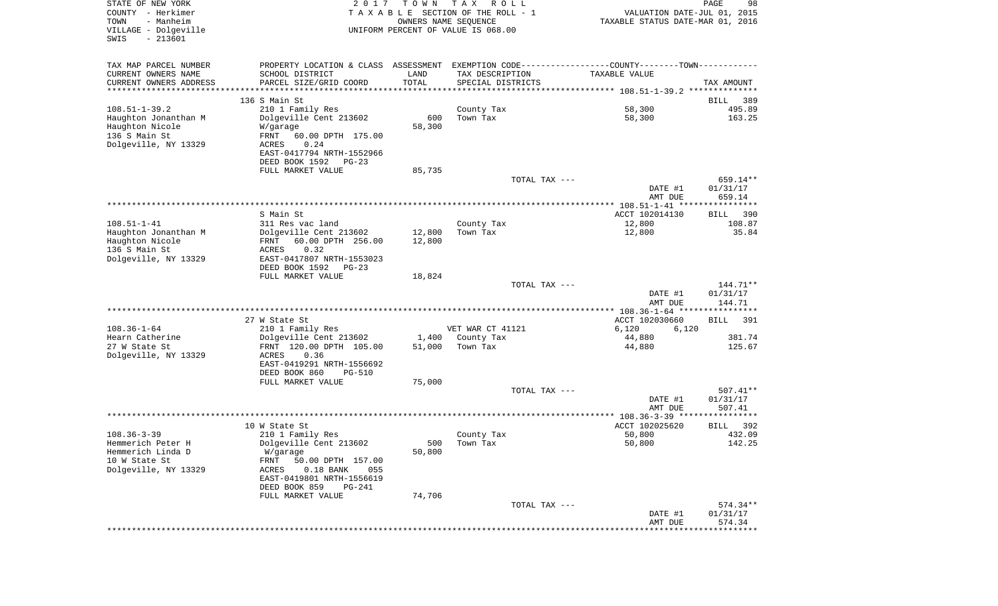| STATE OF NEW YORK<br>COUNTY - Herkimer<br>- Manheim<br>TOWN<br>VILLAGE - Dolgeville<br>$-213601$<br>SWIS | 2 0 1 7                                                                                        | T O W N<br>OWNERS NAME SEQUENCE | TAX ROLL<br>TAXABLE SECTION OF THE ROLL - 1<br>UNIFORM PERCENT OF VALUE IS 068.00 | VALUATION DATE-JUL 01, 2015<br>TAXABLE STATUS DATE-MAR 01, 2016 | PAGE<br>98         |
|----------------------------------------------------------------------------------------------------------|------------------------------------------------------------------------------------------------|---------------------------------|-----------------------------------------------------------------------------------|-----------------------------------------------------------------|--------------------|
| TAX MAP PARCEL NUMBER                                                                                    | PROPERTY LOCATION & CLASS ASSESSMENT EXEMPTION CODE----------------COUNTY-------TOWN---------- |                                 |                                                                                   |                                                                 |                    |
| CURRENT OWNERS NAME                                                                                      | SCHOOL DISTRICT                                                                                | LAND                            | TAX DESCRIPTION                                                                   | TAXABLE VALUE                                                   |                    |
| CURRENT OWNERS ADDRESS                                                                                   | PARCEL SIZE/GRID COORD                                                                         | TOTAL                           | SPECIAL DISTRICTS                                                                 |                                                                 | TAX AMOUNT         |
| *********************                                                                                    | *****************************                                                                  | * * * * * * * * * * *           |                                                                                   |                                                                 |                    |
|                                                                                                          | 136 S Main St                                                                                  |                                 |                                                                                   |                                                                 | BILL<br>389        |
| $108.51 - 1 - 39.2$                                                                                      | 210 1 Family Res                                                                               |                                 | County Tax                                                                        | 58,300                                                          | 495.89             |
| Haughton Jonanthan M                                                                                     | Dolgeville Cent 213602                                                                         | 600                             | Town Tax                                                                          | 58,300                                                          | 163.25             |
| Haughton Nicole                                                                                          | W/garage                                                                                       | 58,300                          |                                                                                   |                                                                 |                    |
| 136 S Main St                                                                                            | FRNT<br>60.00 DPTH 175.00                                                                      |                                 |                                                                                   |                                                                 |                    |
| Dolgeville, NY 13329                                                                                     | 0.24<br>ACRES                                                                                  |                                 |                                                                                   |                                                                 |                    |
|                                                                                                          | EAST-0417794 NRTH-1552966                                                                      |                                 |                                                                                   |                                                                 |                    |
|                                                                                                          | DEED BOOK 1592 PG-23                                                                           |                                 |                                                                                   |                                                                 |                    |
|                                                                                                          | FULL MARKET VALUE                                                                              | 85,735                          | TOTAL TAX ---                                                                     |                                                                 | 659.14**           |
|                                                                                                          |                                                                                                |                                 |                                                                                   | DATE #1                                                         | 01/31/17           |
|                                                                                                          |                                                                                                |                                 |                                                                                   | AMT DUE                                                         | 659.14             |
|                                                                                                          |                                                                                                |                                 |                                                                                   |                                                                 |                    |
|                                                                                                          | S Main St                                                                                      |                                 |                                                                                   | ACCT 102014130                                                  | 390<br>BILL        |
| $108.51 - 1 - 41$                                                                                        | 311 Res vac land                                                                               |                                 | County Tax                                                                        | 12,800                                                          | 108.87             |
| Haughton Jonanthan M                                                                                     | Dolgeville Cent 213602                                                                         | 12,800                          | Town Tax                                                                          | 12,800                                                          | 35.84              |
| Haughton Nicole                                                                                          | FRNT<br>60.00 DPTH 256.00                                                                      | 12,800                          |                                                                                   |                                                                 |                    |
| 136 S Main St                                                                                            | 0.32<br>ACRES                                                                                  |                                 |                                                                                   |                                                                 |                    |
| Dolgeville, NY 13329                                                                                     | EAST-0417807 NRTH-1553023                                                                      |                                 |                                                                                   |                                                                 |                    |
|                                                                                                          | DEED BOOK 1592<br>$PG-23$                                                                      |                                 |                                                                                   |                                                                 |                    |
|                                                                                                          | FULL MARKET VALUE                                                                              | 18,824                          |                                                                                   |                                                                 |                    |
|                                                                                                          |                                                                                                |                                 | TOTAL TAX ---                                                                     |                                                                 | 144.71**           |
|                                                                                                          |                                                                                                |                                 |                                                                                   | DATE #1<br>AMT DUE                                              | 01/31/17<br>144.71 |
|                                                                                                          |                                                                                                |                                 |                                                                                   | ************ 108.36-1-64 *****************                      |                    |
|                                                                                                          | 27 W State St                                                                                  |                                 |                                                                                   | ACCT 102030660                                                  | <b>BILL</b><br>391 |
| $108.36 - 1 - 64$                                                                                        | 210 1 Family Res                                                                               |                                 | VET WAR CT 41121                                                                  | 6,120<br>6,120                                                  |                    |
| Hearn Catherine<br>27 W State St                                                                         | Dolgeville Cent 213602                                                                         | 51,000                          | 1,400 County Tax<br>Town Tax                                                      | 44,880                                                          | 381.74<br>125.67   |
| Dolgeville, NY 13329                                                                                     | FRNT 120.00 DPTH 105.00<br>ACRES<br>0.36                                                       |                                 |                                                                                   | 44,880                                                          |                    |
|                                                                                                          | EAST-0419291 NRTH-1556692                                                                      |                                 |                                                                                   |                                                                 |                    |
|                                                                                                          | DEED BOOK 860<br>PG-510                                                                        |                                 |                                                                                   |                                                                 |                    |
|                                                                                                          | FULL MARKET VALUE                                                                              | 75,000                          |                                                                                   |                                                                 |                    |
|                                                                                                          |                                                                                                |                                 | TOTAL TAX ---                                                                     |                                                                 | $507.41**$         |
|                                                                                                          |                                                                                                |                                 |                                                                                   | DATE #1                                                         | 01/31/17           |
|                                                                                                          |                                                                                                |                                 |                                                                                   | AMT DUE                                                         | 507.41             |
|                                                                                                          |                                                                                                |                                 |                                                                                   |                                                                 |                    |
|                                                                                                          | 10 W State St                                                                                  |                                 |                                                                                   | ACCT 102025620                                                  | 392<br>BILL        |
| $108.36 - 3 - 39$                                                                                        | 210 1 Family Res                                                                               |                                 | County Tax                                                                        | 50,800                                                          | 432.09             |
| Hemmerich Peter H                                                                                        | Dolgeville Cent 213602                                                                         |                                 | 500 Town Tax                                                                      | 50,800                                                          | 142.25             |
| Hemmerich Linda D                                                                                        | W/garage                                                                                       | 50,800                          |                                                                                   |                                                                 |                    |
| 10 W State St                                                                                            | FRNT<br>50.00 DPTH 157.00                                                                      |                                 |                                                                                   |                                                                 |                    |
| Dolgeville, NY 13329                                                                                     | ACRES<br>$0.18$ BANK<br>055                                                                    |                                 |                                                                                   |                                                                 |                    |
|                                                                                                          | EAST-0419801 NRTH-1556619                                                                      |                                 |                                                                                   |                                                                 |                    |
|                                                                                                          | DEED BOOK 859<br>PG-241                                                                        |                                 |                                                                                   |                                                                 |                    |
|                                                                                                          | FULL MARKET VALUE                                                                              | 74,706                          |                                                                                   |                                                                 |                    |
|                                                                                                          |                                                                                                |                                 | TOTAL TAX ---                                                                     |                                                                 | 574.34**           |
|                                                                                                          |                                                                                                |                                 |                                                                                   | DATE #1                                                         | 01/31/17<br>574.34 |
|                                                                                                          |                                                                                                |                                 |                                                                                   | AMT DUE                                                         |                    |
|                                                                                                          |                                                                                                |                                 |                                                                                   |                                                                 |                    |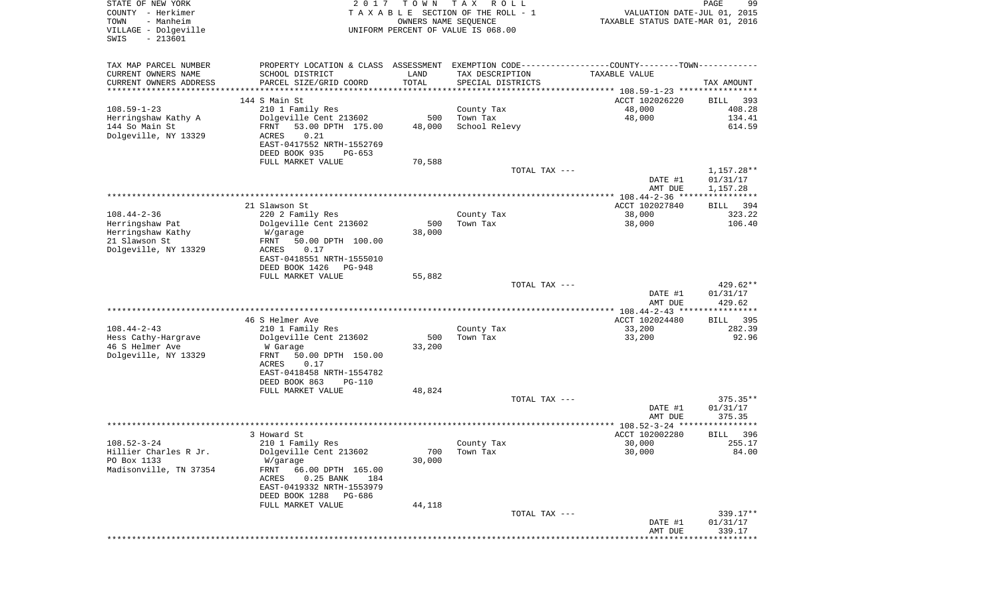| STATE OF NEW YORK<br>COUNTY - Herkimer<br>- Manheim<br>TOWN<br>VILLAGE - Dolgeville<br>$-213601$<br>SWIS | 2 0 1 7                                                                                        | T O W N<br>OWNERS NAME SEQUENCE | T A X<br>R O L L<br>TAXABLE SECTION OF THE ROLL - 1<br>UNIFORM PERCENT OF VALUE IS 068.00 | VALUATION DATE-JUL 01, 2015<br>TAXABLE STATUS DATE-MAR 01, 2016 | PAGE<br>99                         |
|----------------------------------------------------------------------------------------------------------|------------------------------------------------------------------------------------------------|---------------------------------|-------------------------------------------------------------------------------------------|-----------------------------------------------------------------|------------------------------------|
| TAX MAP PARCEL NUMBER                                                                                    | PROPERTY LOCATION & CLASS ASSESSMENT EXEMPTION CODE----------------COUNTY-------TOWN---------- |                                 |                                                                                           |                                                                 |                                    |
| CURRENT OWNERS NAME<br>CURRENT OWNERS ADDRESS                                                            | SCHOOL DISTRICT<br>PARCEL SIZE/GRID COORD                                                      | LAND<br>TOTAL                   | TAX DESCRIPTION<br>SPECIAL DISTRICTS                                                      | <b>TAXABLE VALUE</b>                                            | TAX AMOUNT                         |
| *********************                                                                                    | **********************                                                                         | * * * * * * * * * * *           |                                                                                           |                                                                 |                                    |
| $108.59 - 1 - 23$                                                                                        | 144 S Main St                                                                                  |                                 |                                                                                           | ACCT 102026220                                                  | 393<br>BILL<br>408.28              |
| Herringshaw Kathy A                                                                                      | 210 1 Family Res<br>Dolgeville Cent 213602                                                     | 500                             | County Tax<br>Town Tax                                                                    | 48,000<br>48,000                                                | 134.41                             |
| 144 So Main St<br>Dolgeville, NY 13329                                                                   | 53.00 DPTH 175.00<br>FRNT<br>0.21<br>ACRES                                                     | 48,000                          | School Relevy                                                                             |                                                                 | 614.59                             |
|                                                                                                          | EAST-0417552 NRTH-1552769<br>DEED BOOK 935<br>$PG-653$                                         |                                 |                                                                                           |                                                                 |                                    |
|                                                                                                          | FULL MARKET VALUE                                                                              | 70,588                          |                                                                                           |                                                                 |                                    |
|                                                                                                          |                                                                                                |                                 | TOTAL TAX ---                                                                             | DATE #1<br>AMT DUE                                              | 1,157.28**<br>01/31/17<br>1,157.28 |
|                                                                                                          |                                                                                                |                                 |                                                                                           |                                                                 |                                    |
|                                                                                                          | 21 Slawson St                                                                                  |                                 |                                                                                           | ACCT 102027840                                                  | 394<br>BILL                        |
| $108.44 - 2 - 36$<br>Herringshaw Pat                                                                     | 220 2 Family Res                                                                               | 500                             | County Tax                                                                                | 38,000                                                          | 323.22<br>106.40                   |
| Herringshaw Kathy                                                                                        | Dolgeville Cent 213602<br>W/garage                                                             | 38,000                          | Town Tax                                                                                  | 38,000                                                          |                                    |
| 21 Slawson St                                                                                            | 50.00 DPTH 100.00<br>FRNT                                                                      |                                 |                                                                                           |                                                                 |                                    |
| Dolgeville, NY 13329                                                                                     | ACRES<br>0.17                                                                                  |                                 |                                                                                           |                                                                 |                                    |
|                                                                                                          | EAST-0418551 NRTH-1555010                                                                      |                                 |                                                                                           |                                                                 |                                    |
|                                                                                                          | DEED BOOK 1426<br>PG-948<br>FULL MARKET VALUE                                                  | 55,882                          |                                                                                           |                                                                 |                                    |
|                                                                                                          |                                                                                                |                                 | TOTAL TAX ---                                                                             |                                                                 | 429.62**                           |
|                                                                                                          |                                                                                                |                                 |                                                                                           | DATE #1                                                         | 01/31/17                           |
|                                                                                                          |                                                                                                |                                 |                                                                                           | AMT DUE                                                         | 429.62                             |
|                                                                                                          |                                                                                                |                                 |                                                                                           | ************* 108.44-2-43 *****************                     |                                    |
| $108.44 - 2 - 43$                                                                                        | 46 S Helmer Ave<br>210 1 Family Res                                                            |                                 | County Tax                                                                                | ACCT 102024480<br>33,200                                        | 395<br>BILL<br>282.39              |
| Hess Cathy-Hargrave                                                                                      | Dolgeville Cent 213602                                                                         | 500                             | Town Tax                                                                                  | 33,200                                                          | 92.96                              |
| 46 S Helmer Ave                                                                                          | W Garage                                                                                       | 33,200                          |                                                                                           |                                                                 |                                    |
| Dolgeville, NY 13329                                                                                     | FRNT<br>50.00 DPTH 150.00                                                                      |                                 |                                                                                           |                                                                 |                                    |
|                                                                                                          | ACRES<br>0.17                                                                                  |                                 |                                                                                           |                                                                 |                                    |
|                                                                                                          | EAST-0418458 NRTH-1554782<br>DEED BOOK 863<br><b>PG-110</b>                                    |                                 |                                                                                           |                                                                 |                                    |
|                                                                                                          | FULL MARKET VALUE                                                                              | 48,824                          |                                                                                           |                                                                 |                                    |
|                                                                                                          |                                                                                                |                                 | TOTAL TAX ---                                                                             |                                                                 | $375.35**$                         |
|                                                                                                          |                                                                                                |                                 |                                                                                           | DATE #1                                                         | 01/31/17                           |
|                                                                                                          |                                                                                                |                                 |                                                                                           | AMT DUE                                                         | 375.35<br>************             |
|                                                                                                          | 3 Howard St                                                                                    |                                 |                                                                                           | ACCT 102002280                                                  | 396<br>BILL                        |
| $108.52 - 3 - 24$                                                                                        | 210 1 Family Res                                                                               |                                 | County Tax                                                                                | 30,000                                                          | 255.17                             |
| Hillier Charles R Jr.                                                                                    | Dolgeville Cent 213602                                                                         | 700                             | Town Tax                                                                                  | 30,000                                                          | 84.00                              |
| PO Box 1133                                                                                              | W/garage                                                                                       | 30,000                          |                                                                                           |                                                                 |                                    |
| Madisonville, TN 37354                                                                                   | FRNT<br>66.00 DPTH 165.00                                                                      |                                 |                                                                                           |                                                                 |                                    |
|                                                                                                          | $0.25$ BANK<br>ACRES<br>184<br>EAST-0419332 NRTH-1553979                                       |                                 |                                                                                           |                                                                 |                                    |
|                                                                                                          | DEED BOOK 1288 PG-686                                                                          |                                 |                                                                                           |                                                                 |                                    |
|                                                                                                          | FULL MARKET VALUE                                                                              | 44,118                          |                                                                                           |                                                                 |                                    |
|                                                                                                          |                                                                                                |                                 | TOTAL TAX ---                                                                             |                                                                 | 339.17**                           |
|                                                                                                          |                                                                                                |                                 |                                                                                           | DATE #1                                                         | 01/31/17                           |
|                                                                                                          |                                                                                                |                                 |                                                                                           | AMT DUE                                                         | 339.17                             |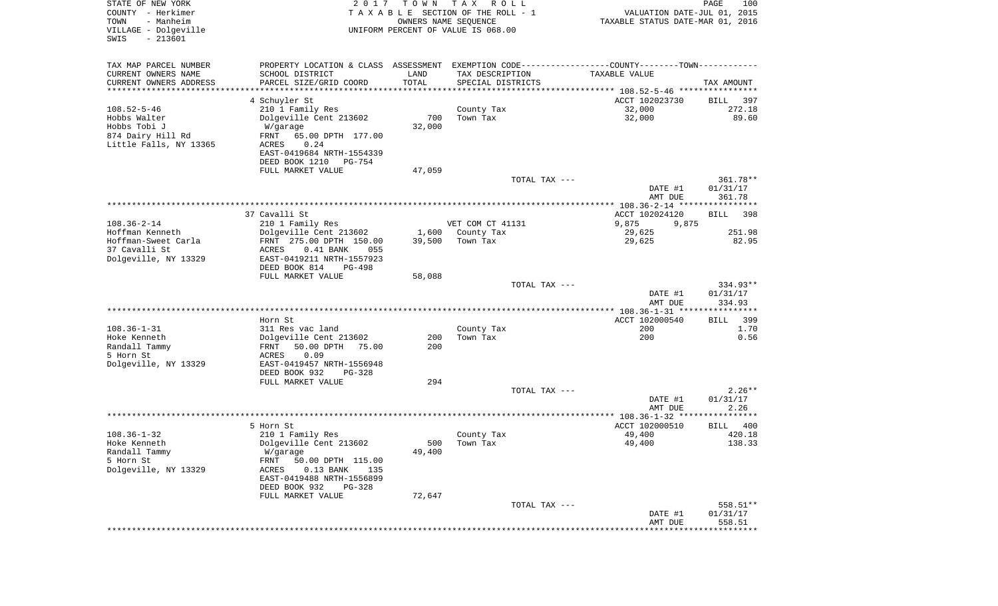| STATE OF NEW YORK<br>COUNTY - Herkimer<br>- Manheim<br>TOWN<br>VILLAGE - Dolgeville<br>$-213601$<br>SWIS | 2 0 1 7                                                                                       | T O W N<br>OWNERS NAME SEQUENCE | T A X<br>R O L L<br>TAXABLE SECTION OF THE ROLL - 1<br>UNIFORM PERCENT OF VALUE IS 068.00 | VALUATION DATE-JUL 01, 2015<br>TAXABLE STATUS DATE-MAR 01, 2016 | PAGE<br>100 |
|----------------------------------------------------------------------------------------------------------|-----------------------------------------------------------------------------------------------|---------------------------------|-------------------------------------------------------------------------------------------|-----------------------------------------------------------------|-------------|
| TAX MAP PARCEL NUMBER                                                                                    | PROPERTY LOCATION & CLASS ASSESSMENT EXEMPTION CODE---------------COUNTY-------TOWN---------- |                                 |                                                                                           |                                                                 |             |
| CURRENT OWNERS NAME                                                                                      | SCHOOL DISTRICT                                                                               | LAND                            | TAX DESCRIPTION                                                                           | TAXABLE VALUE                                                   |             |
| CURRENT OWNERS ADDRESS<br>*********************                                                          | PARCEL SIZE/GRID COORD<br>************************                                            | TOTAL<br>**********             | SPECIAL DISTRICTS                                                                         |                                                                 | TAX AMOUNT  |
|                                                                                                          | 4 Schuyler St                                                                                 |                                 |                                                                                           | ACCT 102023730                                                  | BILL<br>397 |
| $108.52 - 5 - 46$                                                                                        | 210 1 Family Res                                                                              |                                 | County Tax                                                                                | 32,000                                                          | 272.18      |
| Hobbs Walter                                                                                             | Dolgeville Cent 213602                                                                        | 700                             | Town Tax                                                                                  | 32,000                                                          | 89.60       |
| Hobbs Tobi J                                                                                             | W/garage                                                                                      | 32,000                          |                                                                                           |                                                                 |             |
| 874 Dairy Hill Rd                                                                                        | FRNT<br>65.00 DPTH 177.00                                                                     |                                 |                                                                                           |                                                                 |             |
| Little Falls, NY 13365                                                                                   | 0.24<br>ACRES                                                                                 |                                 |                                                                                           |                                                                 |             |
|                                                                                                          | EAST-0419684 NRTH-1554339                                                                     |                                 |                                                                                           |                                                                 |             |
|                                                                                                          | DEED BOOK 1210<br>PG-754                                                                      |                                 |                                                                                           |                                                                 |             |
|                                                                                                          | FULL MARKET VALUE                                                                             | 47,059                          | TOTAL TAX ---                                                                             |                                                                 | 361.78**    |
|                                                                                                          |                                                                                               |                                 |                                                                                           | DATE #1                                                         | 01/31/17    |
|                                                                                                          |                                                                                               |                                 |                                                                                           | AMT DUE                                                         | 361.78      |
|                                                                                                          |                                                                                               |                                 |                                                                                           |                                                                 |             |
|                                                                                                          | 37 Cavalli St                                                                                 |                                 |                                                                                           | ACCT 102024120                                                  | 398<br>BILL |
| $108.36 - 2 - 14$                                                                                        | 210 1 Family Res                                                                              |                                 | VET COM CT 41131                                                                          | 9,875<br>9,875                                                  |             |
| Hoffman Kenneth                                                                                          | Dolgeville Cent 213602                                                                        | 1,600                           | County Tax                                                                                | 29,625                                                          | 251.98      |
| Hoffman-Sweet Carla<br>37 Cavalli St                                                                     | FRNT 275.00 DPTH 150.00<br>055                                                                | 39,500                          | Town Tax                                                                                  | 29,625                                                          | 82.95       |
| Dolgeville, NY 13329                                                                                     | ACRES<br>$0.41$ BANK<br>EAST-0419211 NRTH-1557923                                             |                                 |                                                                                           |                                                                 |             |
|                                                                                                          | DEED BOOK 814<br>PG-498                                                                       |                                 |                                                                                           |                                                                 |             |
|                                                                                                          | FULL MARKET VALUE                                                                             | 58,088                          |                                                                                           |                                                                 |             |
|                                                                                                          |                                                                                               |                                 | TOTAL TAX ---                                                                             |                                                                 | $334.93**$  |
|                                                                                                          |                                                                                               |                                 |                                                                                           | DATE #1                                                         | 01/31/17    |
|                                                                                                          |                                                                                               |                                 |                                                                                           | AMT DUE<br>**************** 108.36-1-31 *****************       | 334.93      |
|                                                                                                          | Horn St                                                                                       |                                 |                                                                                           | ACCT 102000540                                                  | 399<br>BILL |
| $108.36 - 1 - 31$                                                                                        | 311 Res vac land                                                                              |                                 | County Tax                                                                                | 200                                                             | 1.70        |
| Hoke Kenneth                                                                                             | Dolgeville Cent 213602                                                                        | 200                             | Town Tax                                                                                  | 200                                                             | 0.56        |
| Randall Tammy                                                                                            | 50.00 DPTH<br>75.00<br>FRNT                                                                   | 200                             |                                                                                           |                                                                 |             |
| 5 Horn St                                                                                                | 0.09<br>ACRES                                                                                 |                                 |                                                                                           |                                                                 |             |
| Dolgeville, NY 13329                                                                                     | EAST-0419457 NRTH-1556948                                                                     |                                 |                                                                                           |                                                                 |             |
|                                                                                                          | DEED BOOK 932<br>PG-328                                                                       |                                 |                                                                                           |                                                                 |             |
|                                                                                                          | FULL MARKET VALUE                                                                             | 294                             | TOTAL TAX ---                                                                             |                                                                 | $2.26**$    |
|                                                                                                          |                                                                                               |                                 |                                                                                           | DATE #1                                                         | 01/31/17    |
|                                                                                                          |                                                                                               |                                 |                                                                                           | AMT DUE                                                         | 2.26        |
|                                                                                                          |                                                                                               |                                 |                                                                                           |                                                                 |             |
|                                                                                                          | 5 Horn St                                                                                     |                                 |                                                                                           | ACCT 102000510                                                  | 400<br>BILL |
| $108.36 - 1 - 32$                                                                                        | 210 1 Family Res                                                                              |                                 | County Tax                                                                                | 49,400                                                          | 420.18      |
| Hoke Kenneth                                                                                             | Dolgeville Cent 213602                                                                        |                                 | 500 Town Tax                                                                              | 49,400                                                          | 138.33      |
| Randall Tammy<br>5 Horn St                                                                               | W/garage<br>FRNT<br>50.00 DPTH 115.00                                                         | 49,400                          |                                                                                           |                                                                 |             |
| Dolgeville, NY 13329                                                                                     | ACRES<br>$0.13$ BANK<br>135                                                                   |                                 |                                                                                           |                                                                 |             |
|                                                                                                          | EAST-0419488 NRTH-1556899                                                                     |                                 |                                                                                           |                                                                 |             |
|                                                                                                          | DEED BOOK 932<br>PG-328                                                                       |                                 |                                                                                           |                                                                 |             |
|                                                                                                          | FULL MARKET VALUE                                                                             | 72,647                          |                                                                                           |                                                                 |             |
|                                                                                                          |                                                                                               |                                 | TOTAL TAX ---                                                                             |                                                                 | 558.51**    |
|                                                                                                          |                                                                                               |                                 |                                                                                           | DATE #1                                                         | 01/31/17    |
|                                                                                                          |                                                                                               |                                 |                                                                                           | AMT DUE                                                         | 558.51      |
|                                                                                                          |                                                                                               |                                 |                                                                                           |                                                                 |             |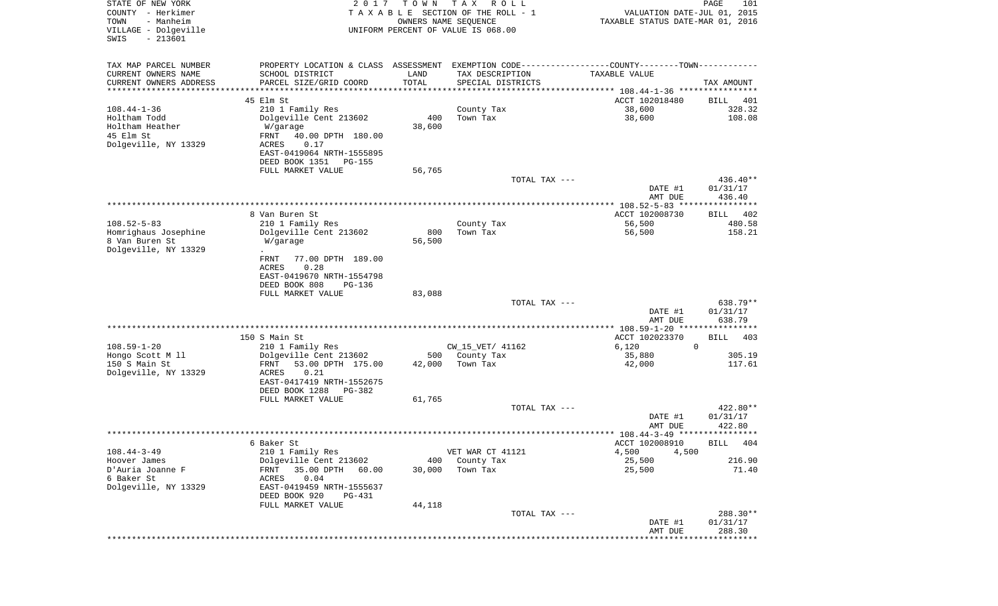| STATE OF NEW YORK<br>COUNTY - Herkimer<br>- Manheim<br>TOWN<br>VILLAGE - Dolgeville | 2 0 1 7                                              | T O W N<br>OWNERS NAME SEQUENCE | T A X<br>R O L L<br>TAXABLE SECTION OF THE ROLL - 1<br>UNIFORM PERCENT OF VALUE IS 068.00      | VALUATION DATE-JUL 01, 2015<br>TAXABLE STATUS DATE-MAR 01, 2016 | PAGE<br>101          |
|-------------------------------------------------------------------------------------|------------------------------------------------------|---------------------------------|------------------------------------------------------------------------------------------------|-----------------------------------------------------------------|----------------------|
| $-213601$<br>SWIS                                                                   |                                                      |                                 |                                                                                                |                                                                 |                      |
| TAX MAP PARCEL NUMBER                                                               |                                                      |                                 | PROPERTY LOCATION & CLASS ASSESSMENT EXEMPTION CODE----------------COUNTY-------TOWN---------- |                                                                 |                      |
| CURRENT OWNERS NAME                                                                 | SCHOOL DISTRICT                                      | LAND                            | TAX DESCRIPTION                                                                                | TAXABLE VALUE                                                   |                      |
| CURRENT OWNERS ADDRESS                                                              | PARCEL SIZE/GRID COORD                               | TOTAL                           | SPECIAL DISTRICTS                                                                              |                                                                 | TAX AMOUNT           |
| *********************                                                               |                                                      | * * * * * * * * * * *           |                                                                                                |                                                                 |                      |
|                                                                                     | 45 Elm St                                            |                                 |                                                                                                | ACCT 102018480                                                  | BILL<br>401          |
| $108.44 - 1 - 36$<br>Holtham Todd                                                   | 210 1 Family Res<br>Dolgeville Cent 213602           | 400                             | County Tax<br>Town Tax                                                                         | 38,600                                                          | 328.32<br>108.08     |
| Holtham Heather                                                                     | W/garage                                             | 38,600                          |                                                                                                | 38,600                                                          |                      |
| 45 Elm St                                                                           | FRNT<br>40.00 DPTH 180.00                            |                                 |                                                                                                |                                                                 |                      |
| Dolgeville, NY 13329                                                                | 0.17<br>ACRES                                        |                                 |                                                                                                |                                                                 |                      |
|                                                                                     | EAST-0419064 NRTH-1555895                            |                                 |                                                                                                |                                                                 |                      |
|                                                                                     | DEED BOOK 1351<br><b>PG-155</b>                      |                                 |                                                                                                |                                                                 |                      |
|                                                                                     | FULL MARKET VALUE                                    | 56,765                          |                                                                                                |                                                                 |                      |
|                                                                                     |                                                      |                                 | TOTAL TAX ---                                                                                  |                                                                 | 436.40**             |
|                                                                                     |                                                      |                                 |                                                                                                | DATE #1<br>AMT DUE                                              | 01/31/17<br>436.40   |
|                                                                                     |                                                      |                                 |                                                                                                | ***************** 108.52-5-83 ****************                  |                      |
|                                                                                     | 8 Van Buren St                                       |                                 |                                                                                                | ACCT 102008730                                                  | BILL<br>402          |
| $108.52 - 5 - 83$                                                                   | 210 1 Family Res                                     |                                 | County Tax                                                                                     | 56,500                                                          | 480.58               |
| Homrighaus Josephine                                                                | Dolgeville Cent 213602                               | 800                             | Town Tax                                                                                       | 56,500                                                          | 158.21               |
| 8 Van Buren St                                                                      | W/garage                                             | 56,500                          |                                                                                                |                                                                 |                      |
| Dolgeville, NY 13329                                                                | 77.00 DPTH 189.00<br>FRNT                            |                                 |                                                                                                |                                                                 |                      |
|                                                                                     | 0.28<br><b>ACRES</b>                                 |                                 |                                                                                                |                                                                 |                      |
|                                                                                     | EAST-0419670 NRTH-1554798                            |                                 |                                                                                                |                                                                 |                      |
|                                                                                     | DEED BOOK 808<br>$PG-136$                            |                                 |                                                                                                |                                                                 |                      |
|                                                                                     | FULL MARKET VALUE                                    | 83,088                          |                                                                                                |                                                                 |                      |
|                                                                                     |                                                      |                                 | TOTAL TAX ---                                                                                  | DATE #1                                                         | 638.79**<br>01/31/17 |
|                                                                                     |                                                      |                                 |                                                                                                | AMT DUE                                                         | 638.79               |
|                                                                                     |                                                      |                                 |                                                                                                | ************** 108.59-1-20 *****************                    |                      |
|                                                                                     | 150 S Main St                                        |                                 |                                                                                                | ACCT 102023370                                                  | BILL<br>403          |
| $108.59 - 1 - 20$                                                                   | 210 1 Family Res                                     |                                 | CW_15_VET/ 41162                                                                               | 6,120<br>0                                                      |                      |
| Hongo Scott M 11                                                                    | Dolgeville Cent 213602                               | 500                             | County Tax                                                                                     | 35,880                                                          | 305.19               |
| 150 S Main St<br>Dolgeville, NY 13329                                               | FRNT<br>53.00 DPTH 175.00<br>ACRES<br>0.21           | 42,000                          | Town Tax                                                                                       | 42,000                                                          | 117.61               |
|                                                                                     | EAST-0417419 NRTH-1552675                            |                                 |                                                                                                |                                                                 |                      |
|                                                                                     | DEED BOOK 1288<br>$PG-382$                           |                                 |                                                                                                |                                                                 |                      |
|                                                                                     | FULL MARKET VALUE                                    | 61,765                          |                                                                                                |                                                                 |                      |
|                                                                                     |                                                      |                                 | TOTAL TAX ---                                                                                  |                                                                 | 422.80**             |
|                                                                                     |                                                      |                                 |                                                                                                | DATE #1                                                         | 01/31/17             |
|                                                                                     |                                                      |                                 |                                                                                                | AMT DUE                                                         | 422.80               |
|                                                                                     | 6 Baker St                                           |                                 |                                                                                                | ACCT 102008910                                                  | BILL 404             |
| $108.44 - 3 - 49$                                                                   | 210 1 Family Res                                     |                                 | VET WAR CT 41121                                                                               | 4,500<br>4,500                                                  |                      |
| Hoover James                                                                        | Dolgeville Cent 213602                               | 400                             | County Tax                                                                                     | 25,500                                                          | 216.90               |
| D'Auria Joanne F                                                                    | 35.00 DPTH<br>FRNT<br>60.00                          | 30,000                          | Town Tax                                                                                       | 25,500                                                          | 71.40                |
| 6 Baker St                                                                          | 0.04<br>ACRES                                        |                                 |                                                                                                |                                                                 |                      |
| Dolgeville, NY 13329                                                                | EAST-0419459 NRTH-1555637<br>DEED BOOK 920<br>PG-431 |                                 |                                                                                                |                                                                 |                      |
|                                                                                     | FULL MARKET VALUE                                    | 44,118                          |                                                                                                |                                                                 |                      |
|                                                                                     |                                                      |                                 | TOTAL TAX ---                                                                                  |                                                                 | 288.30**             |
|                                                                                     |                                                      |                                 |                                                                                                | DATE #1                                                         | 01/31/17             |
|                                                                                     |                                                      |                                 |                                                                                                | AMT DUE                                                         | 288.30               |
|                                                                                     |                                                      |                                 |                                                                                                |                                                                 | * * * * * * * * *    |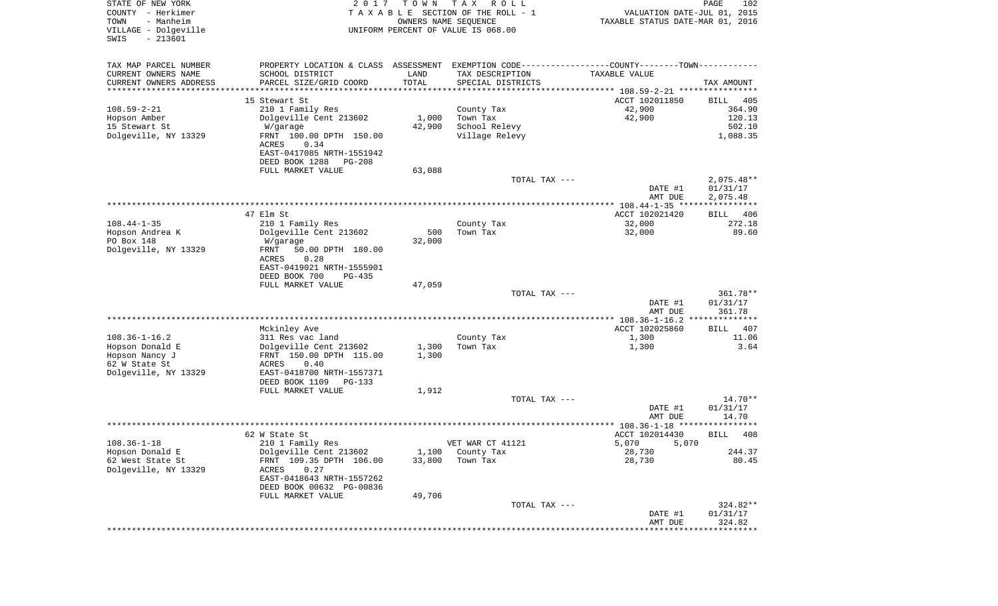| STATE OF NEW YORK<br>COUNTY - Herkimer<br>TOWN<br>- Manheim<br>VILLAGE - Dolgeville<br>$-213601$<br>SWIS | 2 0 1 7                                                      | T O W N | T A X<br>R O L L<br>TAXABLE SECTION OF THE ROLL - 1<br>OWNERS NAME SEQUENCE<br>UNIFORM PERCENT OF VALUE IS 068.00 | VALUATION DATE-JUL 01, 2015<br>TAXABLE STATUS DATE-MAR 01, 2016 | $\mathop{\mathtt{PAGE}}$<br>102 |
|----------------------------------------------------------------------------------------------------------|--------------------------------------------------------------|---------|-------------------------------------------------------------------------------------------------------------------|-----------------------------------------------------------------|---------------------------------|
| TAX MAP PARCEL NUMBER                                                                                    | PROPERTY LOCATION & CLASS ASSESSMENT                         |         | EXEMPTION CODE-----------------COUNTY-------TOWN-----------                                                       |                                                                 |                                 |
| CURRENT OWNERS NAME                                                                                      | SCHOOL DISTRICT                                              | LAND    | TAX DESCRIPTION                                                                                                   | TAXABLE VALUE                                                   |                                 |
| CURRENT OWNERS ADDRESS                                                                                   | PARCEL SIZE/GRID COORD                                       | TOTAL   | SPECIAL DISTRICTS                                                                                                 |                                                                 | TAX AMOUNT                      |
| ********************                                                                                     | 15 Stewart St                                                |         |                                                                                                                   | ACCT 102011850                                                  | BILL<br>405                     |
| $108.59 - 2 - 21$                                                                                        | 210 1 Family Res                                             |         | County Tax                                                                                                        | 42,900                                                          | 364.90                          |
| Hopson Amber                                                                                             | Dolgeville Cent 213602                                       | 1,000   | Town Tax                                                                                                          | 42,900                                                          | 120.13                          |
| 15 Stewart St                                                                                            | W/garage                                                     | 42,900  | School Relevy                                                                                                     |                                                                 | 502.10                          |
| Dolgeville, NY 13329                                                                                     | FRNT 100.00 DPTH 150.00<br>ACRES<br>0.34                     |         | Village Relevy                                                                                                    |                                                                 | 1,088.35                        |
|                                                                                                          | EAST-0417085 NRTH-1551942<br>DEED BOOK 1288<br><b>PG-208</b> |         |                                                                                                                   |                                                                 |                                 |
|                                                                                                          | FULL MARKET VALUE                                            | 63,088  |                                                                                                                   |                                                                 |                                 |
|                                                                                                          |                                                              |         | TOTAL TAX ---                                                                                                     |                                                                 | $2,075.48**$                    |
|                                                                                                          |                                                              |         |                                                                                                                   | DATE #1<br>AMT DUE                                              | 01/31/17<br>2,075.48            |
|                                                                                                          |                                                              |         |                                                                                                                   | ***************** 108.44-1-35 *****************                 |                                 |
| $108.44 - 1 - 35$                                                                                        | 47 Elm St<br>210 1 Family Res                                |         | County Tax                                                                                                        | ACCT 102021420<br>32,000                                        | BILL<br>406<br>272.18           |
| Hopson Andrea K                                                                                          | Dolgeville Cent 213602                                       | 500     | Town Tax                                                                                                          | 32,000                                                          | 89.60                           |
| PO Box 148                                                                                               | W/garage                                                     | 32,000  |                                                                                                                   |                                                                 |                                 |
| Dolgeville, NY 13329                                                                                     | 50.00 DPTH 180.00<br>FRNT                                    |         |                                                                                                                   |                                                                 |                                 |
|                                                                                                          | <b>ACRES</b><br>0.28<br>EAST-0419021 NRTH-1555901            |         |                                                                                                                   |                                                                 |                                 |
|                                                                                                          | DEED BOOK 700<br>$PG-435$                                    |         |                                                                                                                   |                                                                 |                                 |
|                                                                                                          | FULL MARKET VALUE                                            | 47,059  |                                                                                                                   |                                                                 |                                 |
|                                                                                                          |                                                              |         | TOTAL TAX ---                                                                                                     |                                                                 | 361.78**                        |
|                                                                                                          |                                                              |         |                                                                                                                   | DATE #1<br>AMT DUE                                              | 01/31/17<br>361.78              |
|                                                                                                          |                                                              |         |                                                                                                                   |                                                                 |                                 |
|                                                                                                          | Mckinley Ave                                                 |         |                                                                                                                   | ACCT 102025860                                                  | 407<br>BILL                     |
| $108.36 - 1 - 16.2$<br>Hopson Donald E                                                                   | 311 Res vac land<br>Dolgeville Cent 213602                   | 1,300   | County Tax<br>Town Tax                                                                                            | 1,300<br>1,300                                                  | 11.06<br>3.64                   |
| Hopson Nancy J                                                                                           | FRNT 150.00 DPTH 115.00                                      | 1,300   |                                                                                                                   |                                                                 |                                 |
| 62 W State St                                                                                            | ACRES<br>0.40                                                |         |                                                                                                                   |                                                                 |                                 |
| Dolgeville, NY 13329                                                                                     | EAST-0418700 NRTH-1557371                                    |         |                                                                                                                   |                                                                 |                                 |
|                                                                                                          | DEED BOOK 1109<br>PG-133                                     |         |                                                                                                                   |                                                                 |                                 |
|                                                                                                          | FULL MARKET VALUE                                            | 1,912   |                                                                                                                   |                                                                 |                                 |
|                                                                                                          |                                                              |         | TOTAL TAX ---                                                                                                     |                                                                 | 14.70**                         |
|                                                                                                          |                                                              |         |                                                                                                                   | DATE #1<br>AMT DUE<br>***************** 108.36-1-18 *****       | 01/31/17<br>14.70<br>****       |
|                                                                                                          | 62 W State St                                                |         |                                                                                                                   | ACCT 102014430                                                  | 408<br>BILL                     |
| $108.36 - 1 - 18$                                                                                        | 210 1 Family Res                                             |         | VET WAR CT 41121                                                                                                  | 5,070<br>5,070                                                  |                                 |
| Hopson Donald E                                                                                          | Dolgeville Cent 213602                                       | 1,100   | County Tax                                                                                                        | 28,730                                                          | 244.37                          |
| 62 West State St                                                                                         | FRNT 109.35 DPTH 106.00                                      | 33,800  | Town Tax                                                                                                          | 28,730                                                          | 80.45                           |
| Dolgeville, NY 13329                                                                                     | <b>ACRES</b><br>0.27<br>EAST-0418643 NRTH-1557262            |         |                                                                                                                   |                                                                 |                                 |
|                                                                                                          | DEED BOOK 00632 PG-00836                                     |         |                                                                                                                   |                                                                 |                                 |
|                                                                                                          | FULL MARKET VALUE                                            | 49,706  | TOTAL TAX ---                                                                                                     |                                                                 | 324.82**                        |
|                                                                                                          |                                                              |         |                                                                                                                   | DATE #1                                                         | 01/31/17                        |
|                                                                                                          |                                                              |         |                                                                                                                   | AMT DUE                                                         | 324.82                          |
|                                                                                                          |                                                              |         |                                                                                                                   |                                                                 |                                 |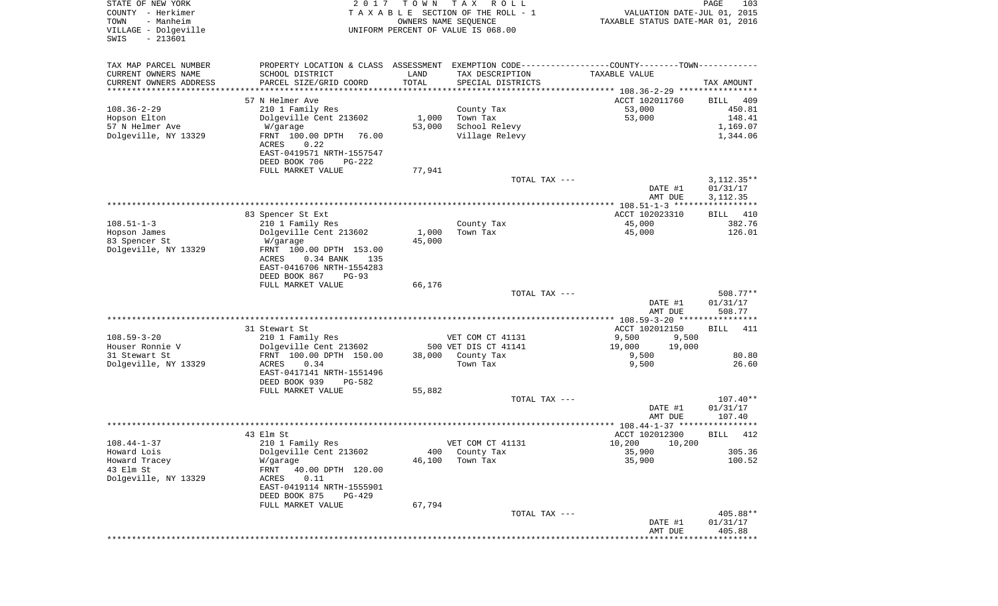| COUNTY<br>- Herkimer<br>- Manheim<br>TOWN | TAXABLE                                       | OWNERS NAME SEQUENCE | SECTION OF THE ROLL - 1                                                | VALUATION DATE-JUL 01, 2015<br>TAXABLE STATUS DATE-MAR 01, 2016 |                   |
|-------------------------------------------|-----------------------------------------------|----------------------|------------------------------------------------------------------------|-----------------------------------------------------------------|-------------------|
| VILLAGE - Dolgeville<br>$-213601$<br>SWIS |                                               |                      | UNIFORM PERCENT OF VALUE IS 068.00                                     |                                                                 |                   |
| TAX MAP PARCEL NUMBER                     | PROPERTY LOCATION & CLASS                     |                      | ASSESSMENT EXEMPTION CODE-----------------COUNTY-------TOWN----------- |                                                                 |                   |
| CURRENT OWNERS NAME                       | SCHOOL DISTRICT                               | LAND                 | TAX DESCRIPTION                                                        | TAXABLE VALUE                                                   |                   |
| CURRENT OWNERS ADDRESS                    | PARCEL SIZE/GRID COORD                        | TOTAL                | SPECIAL DISTRICTS                                                      |                                                                 | TAX AMOUNT        |
| ********************                      |                                               |                      |                                                                        |                                                                 |                   |
|                                           | 57 N Helmer Ave                               |                      |                                                                        | ACCT 102011760                                                  | BILL<br>409       |
| $108.36 - 2 - 29$                         | 210 1 Family Res                              |                      | County Tax                                                             | 53,000                                                          | 450.81            |
| Hopson Elton                              | Dolgeville Cent 213602                        | 1,000                | Town Tax                                                               | 53,000                                                          | 148.41            |
| 57 N Helmer Ave                           | W/garage                                      | 53,000               | School Relevy                                                          |                                                                 | 1,169.07          |
| Dolgeville, NY 13329                      | FRNT 100.00 DPTH<br>76.00                     |                      | Village Relevy                                                         |                                                                 | 1,344.06          |
|                                           | 0.22<br>ACRES                                 |                      |                                                                        |                                                                 |                   |
|                                           | EAST-0419571 NRTH-1557547                     |                      |                                                                        |                                                                 |                   |
|                                           | DEED BOOK 706<br>PG-222<br>FULL MARKET VALUE  | 77,941               |                                                                        |                                                                 |                   |
|                                           |                                               |                      | TOTAL TAX ---                                                          |                                                                 | $3,112.35**$      |
|                                           |                                               |                      |                                                                        | DATE #1                                                         | 01/31/17          |
|                                           |                                               |                      |                                                                        | AMT DUE                                                         | 3, 112. 35        |
|                                           |                                               |                      |                                                                        |                                                                 |                   |
|                                           | 83 Spencer St Ext                             |                      |                                                                        | ACCT 102023310                                                  | BILL<br>410       |
| $108.51 - 1 - 3$                          | 210 1 Family Res                              |                      | County Tax                                                             | 45,000                                                          | 382.76            |
| Hopson James                              | Dolgeville Cent 213602                        | 1,000                | Town Tax                                                               | 45,000                                                          | 126.01            |
| 83 Spencer St                             | W/garage                                      | 45,000               |                                                                        |                                                                 |                   |
| Dolgeville, NY 13329                      | FRNT 100.00 DPTH 153.00                       |                      |                                                                        |                                                                 |                   |
|                                           | ACRES<br>0.34 BANK<br>135                     |                      |                                                                        |                                                                 |                   |
|                                           | EAST-0416706 NRTH-1554283                     |                      |                                                                        |                                                                 |                   |
|                                           | DEED BOOK 867<br>$PG-93$<br>FULL MARKET VALUE | 66,176               |                                                                        |                                                                 |                   |
|                                           |                                               |                      | TOTAL TAX ---                                                          |                                                                 | 508.77**          |
|                                           |                                               |                      |                                                                        | DATE #1                                                         | 01/31/17          |
|                                           |                                               |                      |                                                                        | AMT DUE                                                         | 508.77            |
|                                           |                                               |                      |                                                                        | ************ 108.59-3-20 ******                                 | * * * * * * * * * |
|                                           | 31 Stewart St                                 |                      |                                                                        | ACCT 102012150                                                  | 411<br>BILL       |
| $108.59 - 3 - 20$                         | 210 1 Family Res                              |                      | VET COM CT 41131                                                       | 9,500<br>9,500                                                  |                   |
| Houser Ronnie V                           | Dolgeville Cent 213602                        |                      | 500 VET DIS CT 41141                                                   | 19,000<br>19,000                                                |                   |
| 31 Stewart St                             | FRNT 100.00 DPTH 150.00                       | 38,000               | County Tax                                                             | 9,500                                                           | 80.80             |
| Dolgeville, NY 13329                      | 0.34<br>ACRES                                 |                      | Town Tax                                                               | 9,500                                                           | 26.60             |
|                                           | EAST-0417141 NRTH-1551496                     |                      |                                                                        |                                                                 |                   |
|                                           | DEED BOOK 939<br>PG-582                       |                      |                                                                        |                                                                 |                   |
|                                           | FULL MARKET VALUE                             | 55,882               | TOTAL TAX ---                                                          |                                                                 | $107.40**$        |
|                                           |                                               |                      |                                                                        | DATE #1                                                         | 01/31/17          |
|                                           |                                               |                      |                                                                        | AMT DUE                                                         | 107.40            |
|                                           |                                               |                      |                                                                        |                                                                 |                   |
|                                           | 43 Elm St                                     |                      |                                                                        | ACCT 102012300                                                  | BILL<br>412       |
| $108.44 - 1 - 37$                         | 210 1 Family Res                              |                      | VET COM CT 41131                                                       | 10,200<br>10,200                                                |                   |
| Howard Lois                               | Dolgeville Cent 213602                        | 400                  | County Tax                                                             | 35,900                                                          | 305.36            |
| Howard Tracey                             | W/garage                                      | 46,100               | Town Tax                                                               | 35,900                                                          | 100.52            |
| 43 Elm St                                 | FRNT<br>40.00 DPTH 120.00                     |                      |                                                                        |                                                                 |                   |
| Dolgeville, NY 13329                      | ACRES<br>0.11                                 |                      |                                                                        |                                                                 |                   |
|                                           | EAST-0419114 NRTH-1555901                     |                      |                                                                        |                                                                 |                   |
|                                           | DEED BOOK 875<br><b>PG-429</b>                |                      |                                                                        |                                                                 |                   |
|                                           | FULL MARKET VALUE                             | 67,794               | TOTAL TAX ---                                                          |                                                                 | 405.88**          |
|                                           |                                               |                      |                                                                        | DATE #1                                                         | 01/31/17          |
|                                           |                                               |                      |                                                                        | AMT DUE                                                         | 405.88            |
|                                           |                                               |                      |                                                                        |                                                                 |                   |

STATE OF NEW YORK **EXECUTE:**  $2017$  TOWN TAX ROLL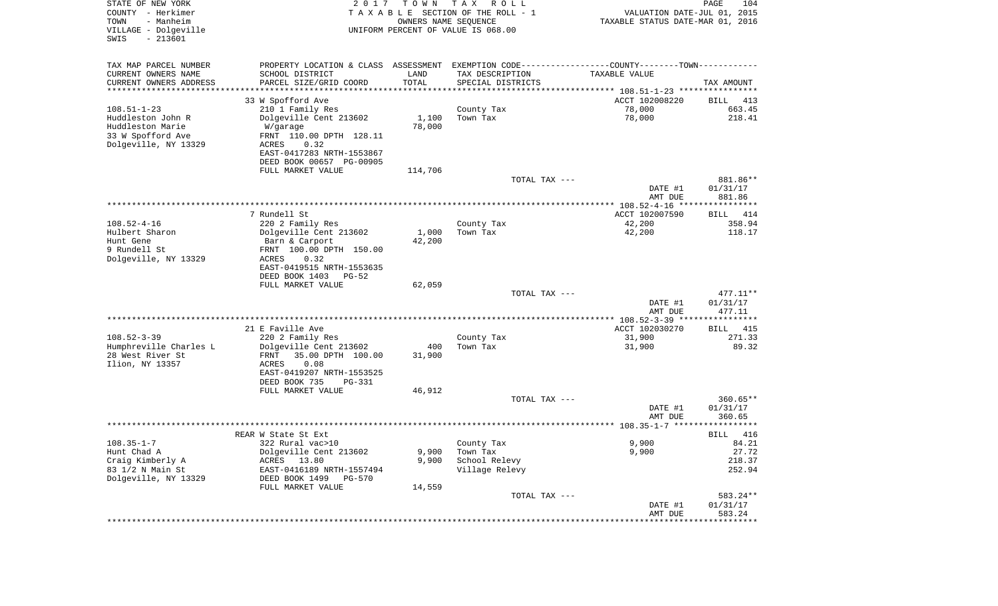| STATE OF NEW YORK<br>COUNTY - Herkimer<br>- Manheim<br>TOWN<br>VILLAGE - Dolgeville<br>$-213601$<br>SWIS | 2017                                                                                          | T O W N       | T A X<br>R O L L<br>TAXABLE SECTION OF THE ROLL - 1<br>OWNERS NAME SEQUENCE<br>UNIFORM PERCENT OF VALUE IS 068.00 | VALUATION DATE-JUL 01, 2015<br>TAXABLE STATUS DATE-MAR 01, 2016 | PAGE<br>104           |
|----------------------------------------------------------------------------------------------------------|-----------------------------------------------------------------------------------------------|---------------|-------------------------------------------------------------------------------------------------------------------|-----------------------------------------------------------------|-----------------------|
| TAX MAP PARCEL NUMBER                                                                                    | PROPERTY LOCATION & CLASS ASSESSMENT EXEMPTION CODE---------------COUNTY-------TOWN---------- |               |                                                                                                                   |                                                                 |                       |
| CURRENT OWNERS NAME                                                                                      | SCHOOL DISTRICT                                                                               | LAND          | TAX DESCRIPTION                                                                                                   | TAXABLE VALUE                                                   |                       |
| CURRENT OWNERS ADDRESS<br>********************                                                           | PARCEL SIZE/GRID COORD                                                                        | TOTAL         | SPECIAL DISTRICTS                                                                                                 |                                                                 | TAX AMOUNT            |
|                                                                                                          | 33 W Spofford Ave                                                                             |               |                                                                                                                   | ACCT 102008220                                                  | BILL<br>413           |
| $108.51 - 1 - 23$                                                                                        | 210 1 Family Res                                                                              |               | County Tax                                                                                                        | 78,000                                                          | 663.45                |
| Huddleston John R                                                                                        | Dolgeville Cent 213602                                                                        | 1,100         | Town Tax                                                                                                          | 78,000                                                          | 218.41                |
| Huddleston Marie                                                                                         | W/garage                                                                                      | 78,000        |                                                                                                                   |                                                                 |                       |
| 33 W Spofford Ave                                                                                        | FRNT 110.00 DPTH 128.11                                                                       |               |                                                                                                                   |                                                                 |                       |
| Dolgeville, NY 13329                                                                                     | ACRES<br>0.32                                                                                 |               |                                                                                                                   |                                                                 |                       |
|                                                                                                          | EAST-0417283 NRTH-1553867<br>DEED BOOK 00657 PG-00905                                         |               |                                                                                                                   |                                                                 |                       |
|                                                                                                          | FULL MARKET VALUE                                                                             | 114,706       |                                                                                                                   |                                                                 |                       |
|                                                                                                          |                                                                                               |               | TOTAL TAX ---                                                                                                     |                                                                 | 881.86**              |
|                                                                                                          |                                                                                               |               |                                                                                                                   | DATE #1                                                         | 01/31/17              |
|                                                                                                          |                                                                                               |               |                                                                                                                   | AMT DUE                                                         | 881.86                |
|                                                                                                          |                                                                                               |               |                                                                                                                   |                                                                 |                       |
| $108.52 - 4 - 16$                                                                                        | 7 Rundell St                                                                                  |               |                                                                                                                   | ACCT 102007590                                                  | BILL<br>414<br>358.94 |
| Hulbert Sharon                                                                                           | 220 2 Family Res<br>Dolgeville Cent 213602                                                    | 1,000         | County Tax<br>Town Tax                                                                                            | 42,200<br>42,200                                                | 118.17                |
| Hunt Gene                                                                                                | Barn & Carport                                                                                | 42,200        |                                                                                                                   |                                                                 |                       |
| 9 Rundell St                                                                                             | FRNT 100.00 DPTH 150.00                                                                       |               |                                                                                                                   |                                                                 |                       |
| Dolgeville, NY 13329                                                                                     | 0.32<br>ACRES                                                                                 |               |                                                                                                                   |                                                                 |                       |
|                                                                                                          | EAST-0419515 NRTH-1553635                                                                     |               |                                                                                                                   |                                                                 |                       |
|                                                                                                          | DEED BOOK 1403<br>$PG-52$                                                                     |               |                                                                                                                   |                                                                 |                       |
|                                                                                                          | FULL MARKET VALUE                                                                             | 62,059        | TOTAL TAX ---                                                                                                     |                                                                 | 477.11**              |
|                                                                                                          |                                                                                               |               |                                                                                                                   | DATE #1                                                         | 01/31/17              |
|                                                                                                          |                                                                                               |               |                                                                                                                   | AMT DUE                                                         | 477.11                |
|                                                                                                          |                                                                                               |               |                                                                                                                   |                                                                 |                       |
|                                                                                                          | 21 E Faville Ave                                                                              |               |                                                                                                                   | ACCT 102030270                                                  | 415<br>BILL           |
| $108.52 - 3 - 39$                                                                                        | 220 2 Family Res                                                                              |               | County Tax                                                                                                        | 31,900                                                          | 271.33                |
| Humphreville Charles L<br>28 West River St                                                               | Dolgeville Cent 213602<br>FRNT<br>35.00 DPTH 100.00                                           | 400<br>31,900 | Town Tax                                                                                                          | 31,900                                                          | 89.32                 |
| Ilion, NY 13357                                                                                          | ACRES<br>0.08                                                                                 |               |                                                                                                                   |                                                                 |                       |
|                                                                                                          | EAST-0419207 NRTH-1553525                                                                     |               |                                                                                                                   |                                                                 |                       |
|                                                                                                          | DEED BOOK 735<br>PG-331                                                                       |               |                                                                                                                   |                                                                 |                       |
|                                                                                                          | FULL MARKET VALUE                                                                             | 46,912        |                                                                                                                   |                                                                 |                       |
|                                                                                                          |                                                                                               |               | TOTAL TAX ---                                                                                                     |                                                                 | $360.65**$            |
|                                                                                                          |                                                                                               |               |                                                                                                                   | DATE #1                                                         | 01/31/17              |
|                                                                                                          |                                                                                               |               |                                                                                                                   | AMT DUE                                                         | 360.65                |
|                                                                                                          | REAR W State St Ext                                                                           |               |                                                                                                                   |                                                                 | 416<br>BILL           |
| $108.35 - 1 - 7$                                                                                         | 322 Rural vac>10                                                                              |               | County Tax                                                                                                        | 9,900                                                           | 84.21                 |
| Hunt Chad A                                                                                              | Dolgeville Cent 213602                                                                        | 9,900         | Town Tax                                                                                                          | 9,900                                                           | 27.72                 |
| Craig Kimberly A                                                                                         | ACRES 13.80                                                                                   | 9,900         | School Relevy                                                                                                     |                                                                 | 218.37                |
| 83 1/2 N Main St                                                                                         | EAST-0416189 NRTH-1557494                                                                     |               | Village Relevy                                                                                                    |                                                                 | 252.94                |
| Dolgeville, NY 13329                                                                                     | DEED BOOK 1499<br>PG-570                                                                      |               |                                                                                                                   |                                                                 |                       |
|                                                                                                          | FULL MARKET VALUE                                                                             | 14,559        | TOTAL TAX ---                                                                                                     |                                                                 | 583.24**              |
|                                                                                                          |                                                                                               |               |                                                                                                                   | DATE #1                                                         | 01/31/17              |
|                                                                                                          |                                                                                               |               |                                                                                                                   | AMT DUE                                                         | 583.24                |
|                                                                                                          |                                                                                               |               |                                                                                                                   |                                                                 |                       |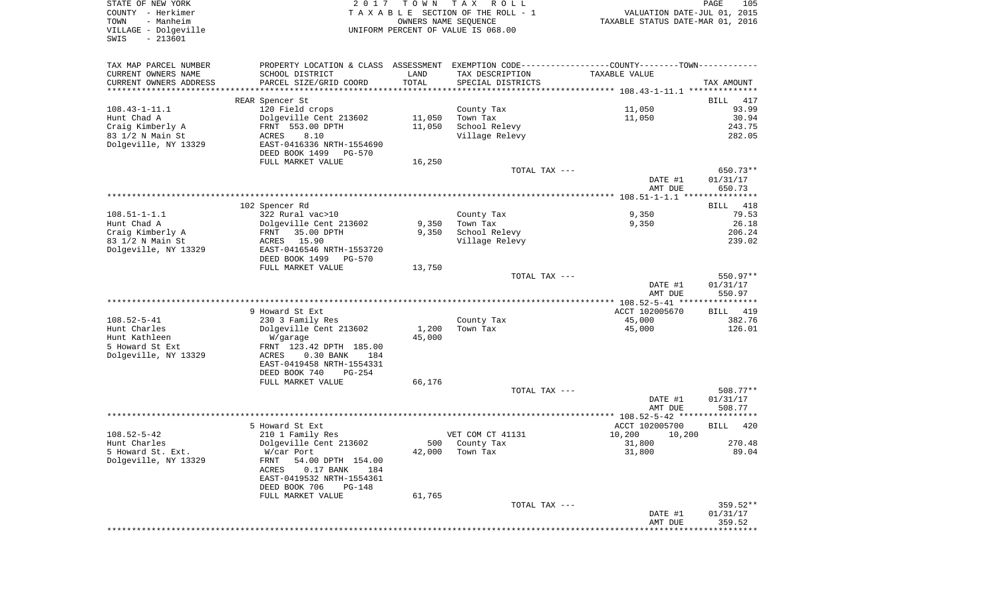| COUNTY<br>– Herkimer<br>TOWN<br>- Manheim |                                                        | T A X A B L E SECTION OF THE ROLL - 1<br>OWNERS NAME SEOUENCE<br>UNIFORM PERCENT OF VALUE IS 068.00 |                                 | VALUATION DATE-JUL 01, 2015<br>TAXABLE STATUS DATE-MAR 01, 2016                                 |                    |
|-------------------------------------------|--------------------------------------------------------|-----------------------------------------------------------------------------------------------------|---------------------------------|-------------------------------------------------------------------------------------------------|--------------------|
| VILLAGE - Dolgeville<br>$-213601$<br>SWIS |                                                        |                                                                                                     |                                 |                                                                                                 |                    |
| TAX MAP PARCEL NUMBER                     |                                                        |                                                                                                     |                                 | PROPERTY LOCATION & CLASS ASSESSMENT EXEMPTION CODE----------------COUNTY--------TOWN---------- |                    |
| CURRENT OWNERS NAME                       | SCHOOL DISTRICT                                        | LAND                                                                                                | TAX DESCRIPTION                 | TAXABLE VALUE                                                                                   |                    |
| CURRENT OWNERS ADDRESS                    | PARCEL SIZE/GRID COORD                                 | TOTAL                                                                                               | SPECIAL DISTRICTS               |                                                                                                 | TAX AMOUNT         |
|                                           |                                                        |                                                                                                     |                                 |                                                                                                 |                    |
|                                           | REAR Spencer St                                        |                                                                                                     |                                 |                                                                                                 | BILL<br>417        |
| 108.43-1-11.1                             | 120 Field crops                                        |                                                                                                     | County Tax                      | 11,050                                                                                          | 93.99              |
| Hunt Chad A                               | Dolgeville Cent 213602                                 | 11,050                                                                                              | Town Tax                        | 11,050                                                                                          | 30.94              |
| Craig Kimberly A<br>83 1/2 N Main St      | FRNT 553.00 DPTH<br>ACRES<br>8.10                      | 11,050                                                                                              | School Relevy<br>Village Relevy |                                                                                                 | 243.75<br>282.05   |
| Dolgeville, NY 13329                      | EAST-0416336 NRTH-1554690                              |                                                                                                     |                                 |                                                                                                 |                    |
|                                           | DEED BOOK 1499<br>PG-570                               |                                                                                                     |                                 |                                                                                                 |                    |
|                                           | FULL MARKET VALUE                                      | 16,250                                                                                              |                                 |                                                                                                 |                    |
|                                           |                                                        |                                                                                                     | TOTAL TAX ---                   |                                                                                                 | 650.73**           |
|                                           |                                                        |                                                                                                     |                                 | DATE #1<br>AMT DUE                                                                              | 01/31/17<br>650.73 |
|                                           |                                                        |                                                                                                     |                                 |                                                                                                 |                    |
|                                           | 102 Spencer Rd                                         |                                                                                                     |                                 |                                                                                                 | 418<br>BILL        |
| $108.51 - 1 - 1.1$                        | 322 Rural vac>10                                       |                                                                                                     | County Tax                      | 9,350                                                                                           | 79.53              |
| Hunt Chad A                               | Dolgeville Cent 213602                                 | 9,350                                                                                               | Town Tax                        | 9,350                                                                                           | 26.18              |
| Craig Kimberly A                          | 35.00 DPTH<br>FRNT                                     | 9,350                                                                                               | School Relevy                   |                                                                                                 | 206.24             |
| 83 1/2 N Main St                          | 15.90<br>ACRES                                         |                                                                                                     | Village Relevy                  |                                                                                                 | 239.02             |
| Dolgeville, NY 13329                      | EAST-0416546 NRTH-1553720<br>DEED BOOK 1499<br>PG-570  |                                                                                                     |                                 |                                                                                                 |                    |
|                                           | FULL MARKET VALUE                                      | 13,750                                                                                              |                                 |                                                                                                 |                    |
|                                           |                                                        |                                                                                                     | TOTAL TAX ---                   |                                                                                                 | $550.97**$         |
|                                           |                                                        |                                                                                                     |                                 | DATE #1<br>AMT DUE                                                                              | 01/31/17<br>550.97 |
|                                           |                                                        |                                                                                                     |                                 |                                                                                                 |                    |
|                                           | 9 Howard St Ext                                        |                                                                                                     |                                 | ACCT 102005670                                                                                  | 419<br>BILL        |
| 108.52-5-41                               | 230 3 Family Res                                       |                                                                                                     | County Tax                      | 45,000                                                                                          | 382.76             |
| Hunt Charles                              | Dolgeville Cent 213602                                 | 1,200                                                                                               | Town Tax                        | 45,000                                                                                          | 126.01             |
| Hunt Kathleen                             | W/garage                                               | 45,000                                                                                              |                                 |                                                                                                 |                    |
| 5 Howard St Ext                           | FRNT 123.42 DPTH 185.00                                |                                                                                                     |                                 |                                                                                                 |                    |
| Dolgeville, NY 13329                      | $0.30$ BANK<br>ACRES<br>184                            |                                                                                                     |                                 |                                                                                                 |                    |
|                                           | EAST-0419458 NRTH-1554331<br>DEED BOOK 740<br>$PG-254$ |                                                                                                     |                                 |                                                                                                 |                    |
|                                           | FULL MARKET VALUE                                      | 66,176                                                                                              |                                 |                                                                                                 |                    |
|                                           |                                                        |                                                                                                     | TOTAL TAX ---                   |                                                                                                 | $508.77**$         |
|                                           |                                                        |                                                                                                     |                                 | DATE #1                                                                                         | 01/31/17           |
|                                           |                                                        |                                                                                                     |                                 | AMT DUE                                                                                         | 508.77             |
|                                           |                                                        |                                                                                                     |                                 |                                                                                                 |                    |
|                                           | 5 Howard St Ext                                        |                                                                                                     |                                 | ACCT 102005700                                                                                  | <b>BILL</b><br>420 |
| 108.52-5-42                               | 210 1 Family Res                                       |                                                                                                     | VET COM CT 41131                | 10,200<br>10,200                                                                                |                    |
| Hunt Charles                              | Dolgeville Cent 213602                                 | 500                                                                                                 | County Tax                      | 31,800                                                                                          | 270.48             |
| 5 Howard St. Ext.<br>Dolgeville, NY 13329 | W/car Port<br>FRNT<br>54.00 DPTH 154.00                |                                                                                                     | 42,000 Town Tax                 | 31,800                                                                                          | 89.04              |
|                                           | ACRES<br>0.17 BANK<br>184                              |                                                                                                     |                                 |                                                                                                 |                    |
|                                           | EAST-0419532 NRTH-1554361                              |                                                                                                     |                                 |                                                                                                 |                    |
|                                           | DEED BOOK 706<br>PG-148                                |                                                                                                     |                                 |                                                                                                 |                    |
|                                           | FULL MARKET VALUE                                      | 61,765                                                                                              |                                 |                                                                                                 |                    |
|                                           |                                                        |                                                                                                     | TOTAL TAX ---                   |                                                                                                 | 359.52**           |
|                                           |                                                        |                                                                                                     |                                 | DATE #1                                                                                         | 01/31/17           |
|                                           |                                                        |                                                                                                     |                                 | AMT DUE                                                                                         | 359.52             |
|                                           |                                                        |                                                                                                     |                                 |                                                                                                 |                    |

STATE OF NEW YORK **EXECUTE:**  $2017$  TOWN TAX ROLL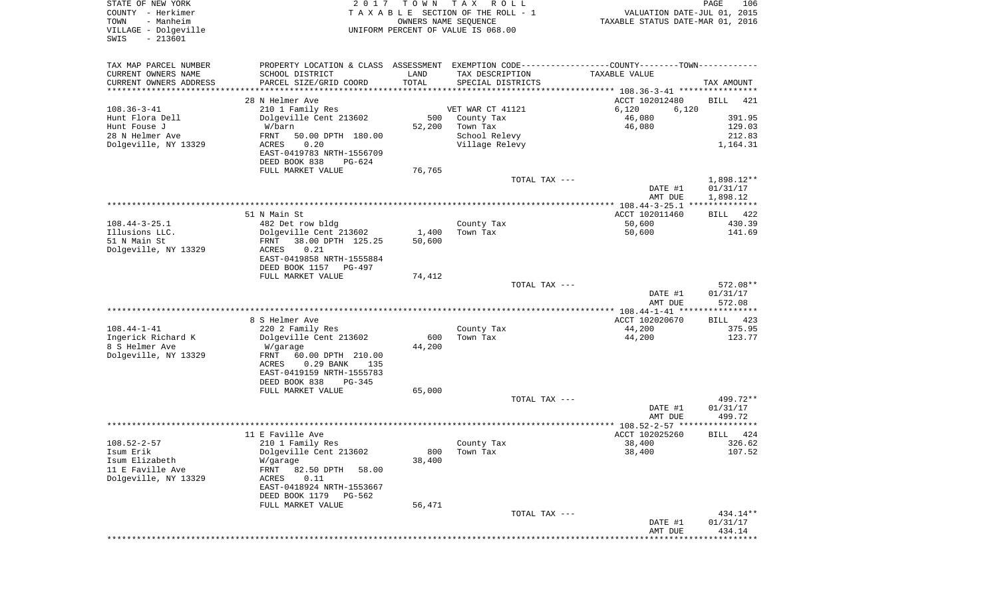| STATE OF NEW YORK<br>COUNTY - Herkimer<br>- Manheim<br>TOWN<br>VILLAGE - Dolgeville<br>$-213601$<br>SWIS | 2017                                                                                          | T O W N<br>OWNERS NAME SEQUENCE | T A X<br>R O L L<br>TAXABLE SECTION OF THE ROLL - 1<br>UNIFORM PERCENT OF VALUE IS 068.00 | VALUATION DATE-JUL 01, 2015<br>TAXABLE STATUS DATE-MAR 01, 2016 | PAGE<br>106        |
|----------------------------------------------------------------------------------------------------------|-----------------------------------------------------------------------------------------------|---------------------------------|-------------------------------------------------------------------------------------------|-----------------------------------------------------------------|--------------------|
| TAX MAP PARCEL NUMBER                                                                                    | PROPERTY LOCATION & CLASS ASSESSMENT EXEMPTION CODE---------------COUNTY-------TOWN---------- |                                 |                                                                                           |                                                                 |                    |
| CURRENT OWNERS NAME                                                                                      | SCHOOL DISTRICT                                                                               | LAND                            | TAX DESCRIPTION                                                                           | TAXABLE VALUE                                                   |                    |
| CURRENT OWNERS ADDRESS                                                                                   | PARCEL SIZE/GRID COORD                                                                        | TOTAL                           | SPECIAL DISTRICTS                                                                         |                                                                 | TAX AMOUNT         |
| ********************                                                                                     | ********************                                                                          |                                 |                                                                                           |                                                                 |                    |
| $108.36 - 3 - 41$                                                                                        | 28 N Helmer Ave<br>210 1 Family Res                                                           |                                 | VET WAR CT 41121                                                                          | ACCT 102012480<br>6,120<br>6,120                                | <b>BILL</b><br>421 |
| Hunt Flora Dell                                                                                          | Dolgeville Cent 213602                                                                        | 500                             | County Tax                                                                                | 46,080                                                          | 391.95             |
| Hunt Fouse J                                                                                             | W/barn                                                                                        | 52,200                          | Town Tax                                                                                  | 46,080                                                          | 129.03             |
| 28 N Helmer Ave                                                                                          | FRNT<br>50.00 DPTH 180.00                                                                     |                                 | School Relevy                                                                             |                                                                 | 212.83             |
| Dolgeville, NY 13329                                                                                     | ACRES<br>0.20                                                                                 |                                 | Village Relevy                                                                            |                                                                 | 1,164.31           |
|                                                                                                          | EAST-0419783 NRTH-1556709<br>DEED BOOK 838<br>PG-624                                          |                                 |                                                                                           |                                                                 |                    |
|                                                                                                          | FULL MARKET VALUE                                                                             | 76,765                          |                                                                                           |                                                                 |                    |
|                                                                                                          |                                                                                               |                                 | TOTAL TAX ---                                                                             |                                                                 | $1,898.12**$       |
|                                                                                                          |                                                                                               |                                 |                                                                                           | DATE #1                                                         | 01/31/17           |
|                                                                                                          |                                                                                               |                                 |                                                                                           | AMT DUE<br>**************** 108.44-3-25.1 **************        | 1,898.12           |
|                                                                                                          | 51 N Main St                                                                                  |                                 |                                                                                           | ACCT 102011460                                                  | 422<br>BILL        |
| $108.44 - 3 - 25.1$                                                                                      | 482 Det row bldg                                                                              |                                 | County Tax                                                                                | 50,600                                                          | 430.39             |
| Illusions LLC.                                                                                           | Dolgeville Cent 213602                                                                        | 1,400                           | Town Tax                                                                                  | 50,600                                                          | 141.69             |
| 51 N Main St                                                                                             | FRNT<br>38.00 DPTH 125.25                                                                     | 50,600                          |                                                                                           |                                                                 |                    |
| Dolgeville, NY 13329                                                                                     | ACRES<br>0.21                                                                                 |                                 |                                                                                           |                                                                 |                    |
|                                                                                                          | EAST-0419858 NRTH-1555884<br>DEED BOOK 1157<br>PG-497                                         |                                 |                                                                                           |                                                                 |                    |
|                                                                                                          | FULL MARKET VALUE                                                                             | 74,412                          |                                                                                           |                                                                 |                    |
|                                                                                                          |                                                                                               |                                 | TOTAL TAX ---                                                                             |                                                                 | 572.08**           |
|                                                                                                          |                                                                                               |                                 |                                                                                           | DATE #1                                                         | 01/31/17           |
|                                                                                                          |                                                                                               |                                 |                                                                                           | AMT DUE                                                         | 572.08             |
|                                                                                                          | 8 S Helmer Ave                                                                                |                                 |                                                                                           | *********** 108.44-1-41 *****************<br>ACCT 102020670     | 423<br>BILL        |
| $108.44 - 1 - 41$                                                                                        | 220 2 Family Res                                                                              |                                 | County Tax                                                                                | 44,200                                                          | 375.95             |
| Ingerick Richard K                                                                                       | Dolgeville Cent 213602                                                                        | 600                             | Town Tax                                                                                  | 44,200                                                          | 123.77             |
| 8 S Helmer Ave                                                                                           | W/garage                                                                                      | 44,200                          |                                                                                           |                                                                 |                    |
| Dolgeville, NY 13329                                                                                     | FRNT<br>60.00 DPTH 210.00                                                                     |                                 |                                                                                           |                                                                 |                    |
|                                                                                                          | <b>ACRES</b><br>$0.29$ BANK<br>135                                                            |                                 |                                                                                           |                                                                 |                    |
|                                                                                                          | EAST-0419159 NRTH-1555783<br>DEED BOOK 838<br>PG-345                                          |                                 |                                                                                           |                                                                 |                    |
|                                                                                                          | FULL MARKET VALUE                                                                             | 65,000                          |                                                                                           |                                                                 |                    |
|                                                                                                          |                                                                                               |                                 | TOTAL TAX ---                                                                             |                                                                 | 499.72**           |
|                                                                                                          |                                                                                               |                                 |                                                                                           | DATE #1                                                         | 01/31/17           |
|                                                                                                          |                                                                                               |                                 |                                                                                           | AMT DUE                                                         | 499.72<br>****     |
|                                                                                                          | 11 E Faville Ave                                                                              |                                 |                                                                                           | *************** 108.52-2-57 ********<br>ACCT 102025260          | 424<br>BILL        |
| $108.52 - 2 - 57$                                                                                        | 210 1 Family Res                                                                              |                                 | County Tax                                                                                | 38,400                                                          | 326.62             |
| Isum Erik                                                                                                | Dolgeville Cent 213602                                                                        | 800                             | Town Tax                                                                                  | 38,400                                                          | 107.52             |
| Isum Elizabeth                                                                                           | W/garage                                                                                      | 38,400                          |                                                                                           |                                                                 |                    |
| 11 E Faville Ave                                                                                         | 82.50 DPTH<br>FRNT<br>58.00                                                                   |                                 |                                                                                           |                                                                 |                    |
| Dolgeville, NY 13329                                                                                     | 0.11<br>ACRES                                                                                 |                                 |                                                                                           |                                                                 |                    |
|                                                                                                          | EAST-0418924 NRTH-1553667<br>DEED BOOK 1179 PG-562                                            |                                 |                                                                                           |                                                                 |                    |
|                                                                                                          | FULL MARKET VALUE                                                                             | 56,471                          |                                                                                           |                                                                 |                    |
|                                                                                                          |                                                                                               |                                 | TOTAL TAX ---                                                                             |                                                                 | 434.14**           |
|                                                                                                          |                                                                                               |                                 |                                                                                           | DATE #1                                                         | 01/31/17           |
|                                                                                                          |                                                                                               |                                 |                                                                                           | AMT DUE                                                         | 434.14             |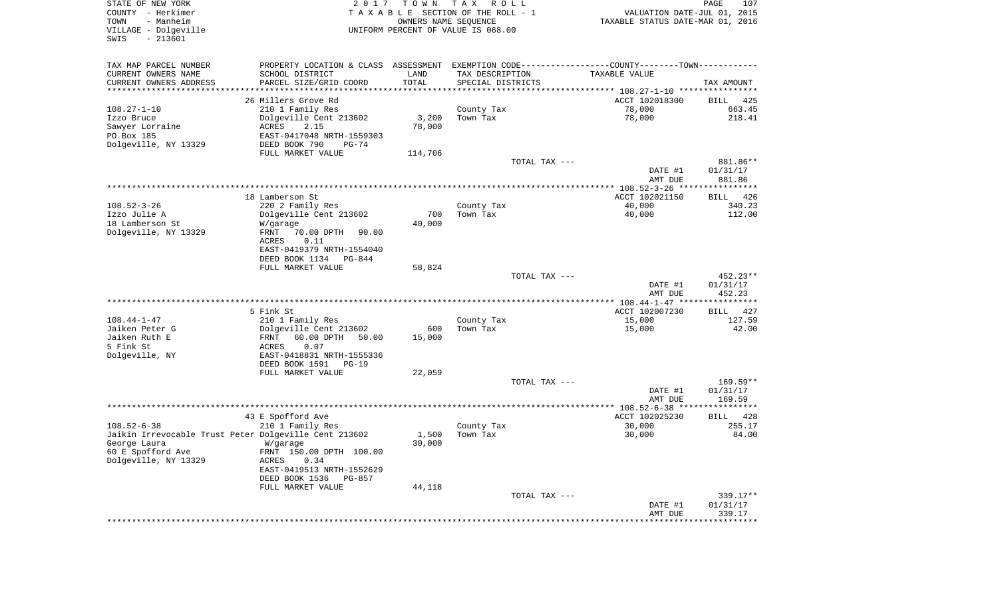| STATE OF NEW YORK<br>COUNTY - Herkimer<br>- Manheim<br>TOWN<br>VILLAGE - Dolgeville<br>SWIS<br>$-213601$ | 2 0 1 7                                               | TOWN<br>OWNERS NAME SEQUENCE | T A X<br>R O L L<br>TAXABLE SECTION OF THE ROLL - 1<br>UNIFORM PERCENT OF VALUE IS 068.00 | VALUATION DATE-JUL 01, 2015<br>TAXABLE STATUS DATE-MAR 01, 2016                               | 107<br>PAGE            |
|----------------------------------------------------------------------------------------------------------|-------------------------------------------------------|------------------------------|-------------------------------------------------------------------------------------------|-----------------------------------------------------------------------------------------------|------------------------|
| TAX MAP PARCEL NUMBER                                                                                    |                                                       |                              |                                                                                           | PROPERTY LOCATION & CLASS ASSESSMENT EXEMPTION CODE---------------COUNTY-------TOWN---------- |                        |
| CURRENT OWNERS NAME                                                                                      | SCHOOL DISTRICT                                       | LAND                         | TAX DESCRIPTION                                                                           | TAXABLE VALUE                                                                                 |                        |
| CURRENT OWNERS ADDRESS<br>*********************                                                          | PARCEL SIZE/GRID COORD                                | TOTAL                        | SPECIAL DISTRICTS                                                                         |                                                                                               | TAX AMOUNT             |
|                                                                                                          | 26 Millers Grove Rd                                   |                              |                                                                                           | ACCT 102018300                                                                                | BILL<br>425            |
| $108.27 - 1 - 10$                                                                                        | 210 1 Family Res                                      |                              | County Tax                                                                                | 78,000                                                                                        | 663.45                 |
| Izzo Bruce                                                                                               | Dolgeville Cent 213602                                | 3,200                        | Town Tax                                                                                  | 78,000                                                                                        | 218.41                 |
| Sawyer Lorraine                                                                                          | ACRES<br>2.15                                         | 78,000                       |                                                                                           |                                                                                               |                        |
| PO Box 185                                                                                               | EAST-0417048 NRTH-1559303                             |                              |                                                                                           |                                                                                               |                        |
| Dolgeville, NY 13329                                                                                     | DEED BOOK 790<br>$PG-74$                              |                              |                                                                                           |                                                                                               |                        |
|                                                                                                          | FULL MARKET VALUE                                     | 114,706                      |                                                                                           |                                                                                               |                        |
|                                                                                                          |                                                       |                              | TOTAL TAX ---                                                                             |                                                                                               | 881.86**               |
|                                                                                                          |                                                       |                              |                                                                                           | DATE #1<br>AMT DUE                                                                            | 01/31/17<br>881.86     |
|                                                                                                          |                                                       |                              |                                                                                           |                                                                                               |                        |
|                                                                                                          | 18 Lamberson St                                       |                              |                                                                                           | ACCT 102021150                                                                                | 426<br>BILL            |
| $108.52 - 3 - 26$                                                                                        | 220 2 Family Res                                      |                              | County Tax                                                                                | 40,000                                                                                        | 340.23                 |
| Izzo Julie A                                                                                             | Dolgeville Cent 213602                                | 700                          | Town Tax                                                                                  | 40,000                                                                                        | 112.00                 |
| 18 Lamberson St                                                                                          | W/garage                                              | 40,000                       |                                                                                           |                                                                                               |                        |
| Dolgeville, NY 13329                                                                                     | FRNT<br>70.00 DPTH<br>90.00                           |                              |                                                                                           |                                                                                               |                        |
|                                                                                                          | 0.11<br>ACRES                                         |                              |                                                                                           |                                                                                               |                        |
|                                                                                                          | EAST-0419379 NRTH-1554040<br>DEED BOOK 1134<br>PG-844 |                              |                                                                                           |                                                                                               |                        |
|                                                                                                          | FULL MARKET VALUE                                     | 58,824                       |                                                                                           |                                                                                               |                        |
|                                                                                                          |                                                       |                              | TOTAL TAX ---                                                                             |                                                                                               | 452.23**               |
|                                                                                                          |                                                       |                              |                                                                                           | DATE #1                                                                                       | 01/31/17               |
|                                                                                                          |                                                       |                              |                                                                                           | AMT DUE                                                                                       | 452.23                 |
|                                                                                                          | 5 Fink St                                             |                              |                                                                                           | ACCT 102007230                                                                                | BILL 427               |
| $108.44 - 1 - 47$                                                                                        | 210 1 Family Res                                      |                              | County Tax                                                                                | 15,000                                                                                        | 127.59                 |
| Jaiken Peter G                                                                                           | Dolgeville Cent 213602                                | 600                          | Town Tax                                                                                  | 15,000                                                                                        | 42.00                  |
| Jaiken Ruth E                                                                                            | 60.00 DPTH<br>50.00<br>FRNT                           | 15,000                       |                                                                                           |                                                                                               |                        |
| 5 Fink St                                                                                                | ACRES<br>0.07                                         |                              |                                                                                           |                                                                                               |                        |
| Dolgeville, NY                                                                                           | EAST-0418831 NRTH-1555336                             |                              |                                                                                           |                                                                                               |                        |
|                                                                                                          | DEED BOOK 1591<br>$PG-19$                             |                              |                                                                                           |                                                                                               |                        |
|                                                                                                          | FULL MARKET VALUE                                     | 22,059                       |                                                                                           |                                                                                               |                        |
|                                                                                                          |                                                       |                              | TOTAL TAX ---                                                                             | DATE #1                                                                                       | $169.59**$<br>01/31/17 |
|                                                                                                          |                                                       |                              |                                                                                           | AMT DUE                                                                                       | 169.59                 |
|                                                                                                          |                                                       |                              |                                                                                           |                                                                                               |                        |
|                                                                                                          | 43 E Spofford Ave                                     |                              |                                                                                           | ACCT 102025230                                                                                | BILL<br>428            |
| $108.52 - 6 - 38$                                                                                        | 210 1 Family Res                                      |                              | County Tax                                                                                | 30,000                                                                                        | 255.17                 |
| Jaikin Irrevocable Trust Peter Dolgeville Cent 213602                                                    |                                                       | 1,500                        | Town Tax                                                                                  | 30,000                                                                                        | 84.00                  |
| George Laura<br>60 E Spofford Ave                                                                        | W/garage<br>FRNT 150.00 DPTH 100.00                   | 30,000                       |                                                                                           |                                                                                               |                        |
| Dolgeville, NY 13329                                                                                     | ACRES<br>0.34                                         |                              |                                                                                           |                                                                                               |                        |
|                                                                                                          | EAST-0419513 NRTH-1552629                             |                              |                                                                                           |                                                                                               |                        |
|                                                                                                          | DEED BOOK 1536<br>PG-857                              |                              |                                                                                           |                                                                                               |                        |
|                                                                                                          | FULL MARKET VALUE                                     | 44,118                       |                                                                                           |                                                                                               |                        |
|                                                                                                          |                                                       |                              | TOTAL TAX ---                                                                             |                                                                                               | 339.17**               |
|                                                                                                          |                                                       |                              |                                                                                           | DATE #1<br>AMT DUE                                                                            | 01/31/17<br>339.17     |
|                                                                                                          |                                                       |                              |                                                                                           | **********************************                                                            |                        |
|                                                                                                          |                                                       |                              |                                                                                           |                                                                                               |                        |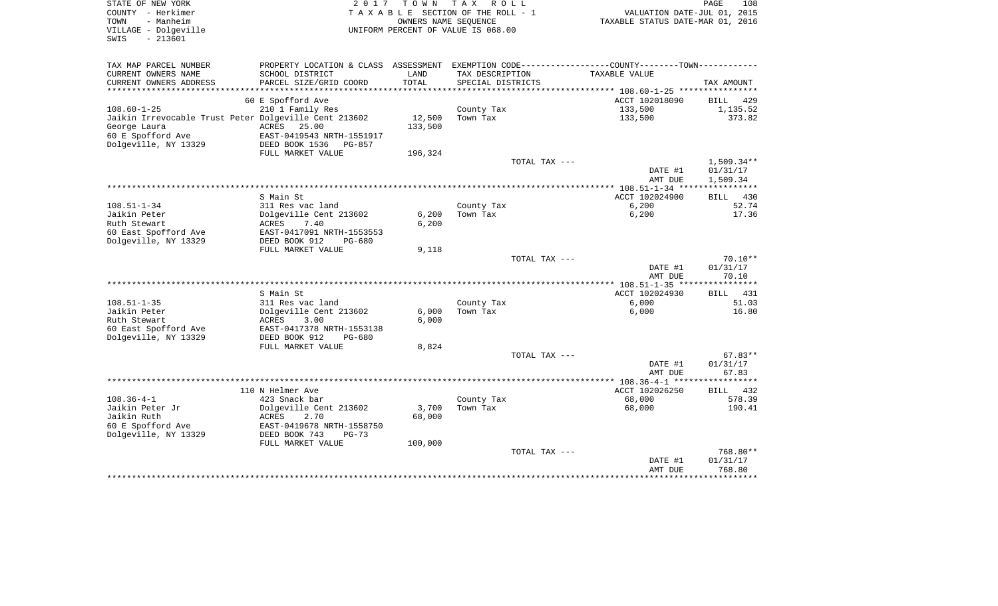| STATE OF NEW YORK<br>COUNTY - Herkimer<br>- Manheim<br>TOWN<br>VILLAGE - Dolgeville<br>$-213601$<br>SWIS | 2017                                                  | T O W N | TAX ROLL<br>TAXABLE SECTION OF THE ROLL - 1<br>OWNERS NAME SEQUENCE<br>UNIFORM PERCENT OF VALUE IS 068.00 |               | VALUATION DATE-JUL 01, 2015<br>TAXABLE STATUS DATE-MAR 01, 2016 | PAGE<br>108        |
|----------------------------------------------------------------------------------------------------------|-------------------------------------------------------|---------|-----------------------------------------------------------------------------------------------------------|---------------|-----------------------------------------------------------------|--------------------|
| TAX MAP PARCEL NUMBER                                                                                    | PROPERTY LOCATION & CLASS ASSESSMENT                  |         |                                                                                                           |               | EXEMPTION CODE-----------------COUNTY-------TOWN-----------     |                    |
| CURRENT OWNERS NAME                                                                                      | SCHOOL DISTRICT                                       | LAND    | TAX DESCRIPTION                                                                                           |               | TAXABLE VALUE                                                   |                    |
| CURRENT OWNERS ADDRESS                                                                                   | PARCEL SIZE/GRID COORD                                | TOTAL   | SPECIAL DISTRICTS                                                                                         |               |                                                                 | TAX AMOUNT         |
|                                                                                                          |                                                       |         |                                                                                                           |               |                                                                 |                    |
|                                                                                                          | 60 E Spofford Ave                                     |         |                                                                                                           |               | ACCT 102018090                                                  | BILL 429           |
| $108.60 - 1 - 25$                                                                                        | 210 1 Family Res                                      |         | County Tax                                                                                                |               | 133,500                                                         | 1,135.52           |
| Jaikin Irrevocable Trust Peter Dolgeville Cent 213602                                                    |                                                       | 12,500  | Town Tax                                                                                                  |               | 133,500                                                         | 373.82             |
| George Laura                                                                                             | ACRES 25.00                                           | 133,500 |                                                                                                           |               |                                                                 |                    |
| 60 E Spofford Ave<br>Dolgeville, NY 13329                                                                | EAST-0419543 NRTH-1551917<br>DEED BOOK 1536<br>PG-857 |         |                                                                                                           |               |                                                                 |                    |
|                                                                                                          | FULL MARKET VALUE                                     | 196,324 |                                                                                                           |               |                                                                 |                    |
|                                                                                                          |                                                       |         |                                                                                                           | TOTAL TAX --- |                                                                 | $1,509.34**$       |
|                                                                                                          |                                                       |         |                                                                                                           |               | DATE #1                                                         | 01/31/17           |
|                                                                                                          |                                                       |         |                                                                                                           |               | AMT DUE                                                         | 1,509.34           |
|                                                                                                          |                                                       |         |                                                                                                           |               |                                                                 |                    |
|                                                                                                          | S Main St                                             |         |                                                                                                           |               | ACCT 102024900                                                  | 430<br><b>BILL</b> |
| $108.51 - 1 - 34$<br>Jaikin Peter                                                                        | 311 Res vac land<br>Dolgeville Cent 213602            | 6,200   | County Tax<br>Town Tax                                                                                    |               | 6,200<br>6,200                                                  | 52.74<br>17.36     |
| Ruth Stewart                                                                                             | ACRES<br>7.40                                         | 6,200   |                                                                                                           |               |                                                                 |                    |
| 60 East Spofford Ave                                                                                     | EAST-0417091 NRTH-1553553                             |         |                                                                                                           |               |                                                                 |                    |
| Dolgeville, NY 13329                                                                                     | DEED BOOK 912<br>$PG-680$                             |         |                                                                                                           |               |                                                                 |                    |
|                                                                                                          | FULL MARKET VALUE                                     | 9,118   |                                                                                                           |               |                                                                 |                    |
|                                                                                                          |                                                       |         |                                                                                                           | TOTAL TAX --- |                                                                 | $70.10**$          |
|                                                                                                          |                                                       |         |                                                                                                           |               | DATE #1                                                         | 01/31/17           |
|                                                                                                          |                                                       |         |                                                                                                           |               | AMT DUE                                                         | 70.10              |
|                                                                                                          |                                                       |         |                                                                                                           |               |                                                                 |                    |
|                                                                                                          | S Main St                                             |         |                                                                                                           |               | ACCT 102024930                                                  | 431<br>BILL        |
| $108.51 - 1 - 35$<br>Jaikin Peter                                                                        | 311 Res vac land<br>Dolgeville Cent 213602            | 6,000   | County Tax<br>Town Tax                                                                                    |               | 6,000<br>6,000                                                  | 51.03<br>16.80     |
| Ruth Stewart                                                                                             | ACRES<br>3.00                                         | 6.000   |                                                                                                           |               |                                                                 |                    |
| 60 East Spofford Ave                                                                                     | EAST-0417378 NRTH-1553138                             |         |                                                                                                           |               |                                                                 |                    |
| Dolgeville, NY 13329                                                                                     | DEED BOOK 912<br>$PG-680$                             |         |                                                                                                           |               |                                                                 |                    |
|                                                                                                          | FULL MARKET VALUE                                     | 8,824   |                                                                                                           |               |                                                                 |                    |
|                                                                                                          |                                                       |         |                                                                                                           | TOTAL TAX --- |                                                                 | $67.83**$          |
|                                                                                                          |                                                       |         |                                                                                                           |               | DATE #1                                                         | 01/31/17           |
|                                                                                                          |                                                       |         |                                                                                                           |               | AMT DUE                                                         | 67.83              |
|                                                                                                          |                                                       |         |                                                                                                           |               | *** $108.36 - 4 - 1$ *****                                      | **********         |
|                                                                                                          | 110 N Helmer Ave                                      |         |                                                                                                           |               | ACCT 102026250                                                  | BILL 432           |
| $108.36 - 4 - 1$<br>Jaikin Peter Jr                                                                      | 423 Snack bar<br>Dolgeville Cent 213602               | 3,700   | County Tax<br>Town Tax                                                                                    |               | 68,000<br>68,000                                                | 578.39<br>190.41   |
| Jaikin Ruth                                                                                              | <b>ACRES</b><br>2.70                                  | 68,000  |                                                                                                           |               |                                                                 |                    |
| 60 E Spofford Ave                                                                                        | EAST-0419678 NRTH-1558750                             |         |                                                                                                           |               |                                                                 |                    |
| Dolgeville, NY 13329                                                                                     | DEED BOOK 743<br>$PG-73$                              |         |                                                                                                           |               |                                                                 |                    |
|                                                                                                          | FULL MARKET VALUE                                     | 100,000 |                                                                                                           |               |                                                                 |                    |
|                                                                                                          |                                                       |         |                                                                                                           | TOTAL TAX --- |                                                                 | 768.80**           |
|                                                                                                          |                                                       |         |                                                                                                           |               | DATE #1                                                         | 01/31/17           |
|                                                                                                          |                                                       |         |                                                                                                           |               | AMT DUE                                                         | 768.80             |
|                                                                                                          |                                                       |         |                                                                                                           |               |                                                                 |                    |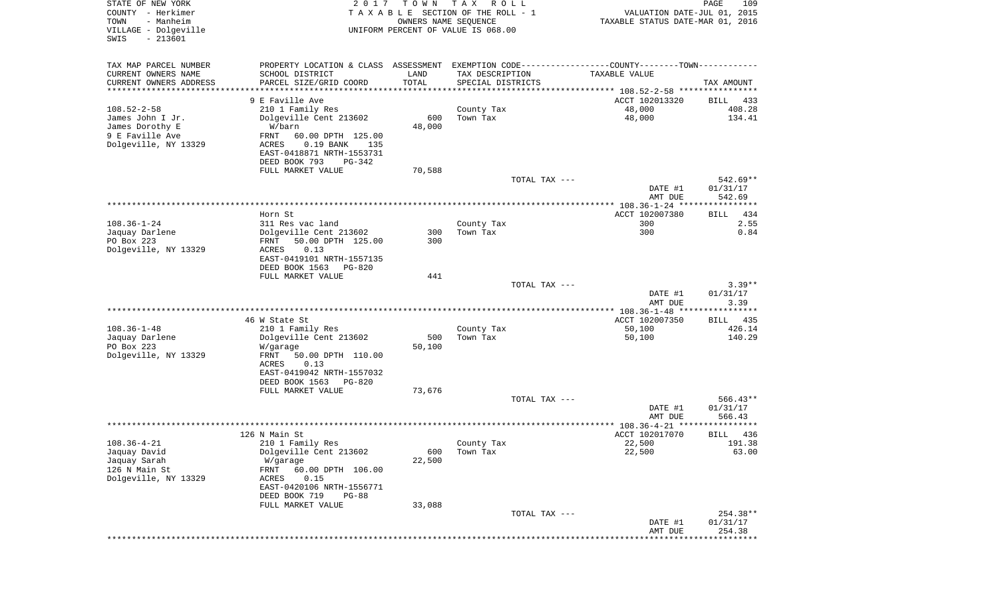| STATE OF NEW YORK<br>COUNTY - Herkimer<br>- Manheim<br>TOWN<br>VILLAGE - Dolgeville<br>$-213601$<br>SWIS | 2017                                                                                          | T O W N<br>OWNERS NAME SEQUENCE | T A X<br>R O L L<br>TAXABLE SECTION OF THE ROLL - 1<br>UNIFORM PERCENT OF VALUE IS 068.00 |               | VALUATION DATE-JUL 01, 2015<br>TAXABLE STATUS DATE-MAR 01, 2016 | PAGE<br>109                       |
|----------------------------------------------------------------------------------------------------------|-----------------------------------------------------------------------------------------------|---------------------------------|-------------------------------------------------------------------------------------------|---------------|-----------------------------------------------------------------|-----------------------------------|
| TAX MAP PARCEL NUMBER                                                                                    | PROPERTY LOCATION & CLASS ASSESSMENT EXEMPTION CODE---------------COUNTY-------TOWN---------- |                                 |                                                                                           |               |                                                                 |                                   |
| CURRENT OWNERS NAME                                                                                      | SCHOOL DISTRICT                                                                               | LAND                            | TAX DESCRIPTION                                                                           |               | TAXABLE VALUE                                                   |                                   |
| CURRENT OWNERS ADDRESS<br>*********************                                                          | PARCEL SIZE/GRID COORD                                                                        | TOTAL<br>* * * * * * * * * * *  | SPECIAL DISTRICTS                                                                         |               |                                                                 | TAX AMOUNT                        |
|                                                                                                          | 9 E Faville Ave                                                                               |                                 |                                                                                           |               | ACCT 102013320                                                  | BILL<br>433                       |
| $108.52 - 2 - 58$                                                                                        | 210 1 Family Res                                                                              |                                 | County Tax                                                                                |               | 48,000                                                          | 408.28                            |
| James John I Jr.                                                                                         | Dolgeville Cent 213602                                                                        | 600                             | Town Tax                                                                                  |               | 48,000                                                          | 134.41                            |
| James Dorothy E                                                                                          | W/barn                                                                                        | 48,000                          |                                                                                           |               |                                                                 |                                   |
| 9 E Faville Ave                                                                                          | FRNT<br>60.00 DPTH 125.00                                                                     |                                 |                                                                                           |               |                                                                 |                                   |
| Dolgeville, NY 13329                                                                                     | $0.19$ BANK<br>ACRES<br>135                                                                   |                                 |                                                                                           |               |                                                                 |                                   |
|                                                                                                          | EAST-0418871 NRTH-1553731<br>DEED BOOK 793<br>PG-342                                          |                                 |                                                                                           |               |                                                                 |                                   |
|                                                                                                          | FULL MARKET VALUE                                                                             | 70,588                          |                                                                                           |               |                                                                 |                                   |
|                                                                                                          |                                                                                               |                                 |                                                                                           | TOTAL TAX --- |                                                                 | 542.69**                          |
|                                                                                                          |                                                                                               |                                 |                                                                                           |               | DATE #1                                                         | 01/31/17                          |
|                                                                                                          |                                                                                               |                                 |                                                                                           |               | AMT DUE                                                         | 542.69                            |
|                                                                                                          | Horn St                                                                                       |                                 |                                                                                           |               | ACCT 102007380                                                  | 434<br>BILL                       |
| $108.36 - 1 - 24$                                                                                        | 311 Res vac land                                                                              |                                 | County Tax                                                                                |               | 300                                                             | 2.55                              |
| Jaquay Darlene                                                                                           | Dolgeville Cent 213602                                                                        | 300                             | Town Tax                                                                                  |               | 300                                                             | 0.84                              |
| PO Box 223                                                                                               | 50.00 DPTH 125.00<br>FRNT                                                                     | 300                             |                                                                                           |               |                                                                 |                                   |
| Dolgeville, NY 13329                                                                                     | ACRES<br>0.13                                                                                 |                                 |                                                                                           |               |                                                                 |                                   |
|                                                                                                          | EAST-0419101 NRTH-1557135                                                                     |                                 |                                                                                           |               |                                                                 |                                   |
|                                                                                                          | DEED BOOK 1563<br>PG-820<br>FULL MARKET VALUE                                                 | 441                             |                                                                                           |               |                                                                 |                                   |
|                                                                                                          |                                                                                               |                                 |                                                                                           | TOTAL TAX --- |                                                                 | $3.39**$                          |
|                                                                                                          |                                                                                               |                                 |                                                                                           |               | DATE #1                                                         | 01/31/17                          |
|                                                                                                          |                                                                                               |                                 |                                                                                           |               | AMT DUE                                                         | 3.39                              |
|                                                                                                          |                                                                                               |                                 |                                                                                           |               | ************** 108.36-1-48 *****************                    |                                   |
| $108.36 - 1 - 48$                                                                                        | 46 W State St<br>210 1 Family Res                                                             |                                 | County Tax                                                                                |               | ACCT 102007350<br>50,100                                        | 435<br>BILL<br>426.14             |
| Jaquay Darlene                                                                                           | Dolgeville Cent 213602                                                                        | 500                             | Town Tax                                                                                  |               | 50,100                                                          | 140.29                            |
| PO Box 223                                                                                               | W/garage                                                                                      | 50,100                          |                                                                                           |               |                                                                 |                                   |
| Dolgeville, NY 13329                                                                                     | FRNT<br>50.00 DPTH 110.00                                                                     |                                 |                                                                                           |               |                                                                 |                                   |
|                                                                                                          | ACRES<br>0.13                                                                                 |                                 |                                                                                           |               |                                                                 |                                   |
|                                                                                                          | EAST-0419042 NRTH-1557032<br>DEED BOOK 1563<br>PG-820                                         |                                 |                                                                                           |               |                                                                 |                                   |
|                                                                                                          | FULL MARKET VALUE                                                                             | 73,676                          |                                                                                           |               |                                                                 |                                   |
|                                                                                                          |                                                                                               |                                 |                                                                                           | TOTAL TAX --- |                                                                 | $566.43**$                        |
|                                                                                                          |                                                                                               |                                 |                                                                                           |               | DATE #1                                                         | 01/31/17                          |
|                                                                                                          |                                                                                               |                                 |                                                                                           |               | AMT DUE                                                         | 566.43                            |
|                                                                                                          |                                                                                               |                                 |                                                                                           |               |                                                                 | * * * * * *                       |
| $108.36 - 4 - 21$                                                                                        | 126 N Main St<br>210 1 Family Res                                                             |                                 | County Tax                                                                                |               | ACCT 102017070<br>22,500                                        | 436<br>BILL<br>191.38             |
| Jaquay David                                                                                             | Dolgeville Cent 213602                                                                        | 600                             | Town Tax                                                                                  |               | 22,500                                                          | 63.00                             |
| Jaquay Sarah                                                                                             | W/garage                                                                                      | 22,500                          |                                                                                           |               |                                                                 |                                   |
| 126 N Main St                                                                                            | 60.00 DPTH 106.00<br>FRNT                                                                     |                                 |                                                                                           |               |                                                                 |                                   |
| Dolgeville, NY 13329                                                                                     | 0.15<br>ACRES                                                                                 |                                 |                                                                                           |               |                                                                 |                                   |
|                                                                                                          | EAST-0420106 NRTH-1556771<br>DEED BOOK 719<br>$PG-88$                                         |                                 |                                                                                           |               |                                                                 |                                   |
|                                                                                                          | FULL MARKET VALUE                                                                             | 33,088                          |                                                                                           |               |                                                                 |                                   |
|                                                                                                          |                                                                                               |                                 |                                                                                           | TOTAL TAX --- |                                                                 | 254.38**                          |
|                                                                                                          |                                                                                               |                                 |                                                                                           |               | DATE #1                                                         | 01/31/17                          |
|                                                                                                          |                                                                                               |                                 |                                                                                           |               | AMT DUE                                                         | 254.38<br>*********************** |
|                                                                                                          |                                                                                               |                                 |                                                                                           |               |                                                                 |                                   |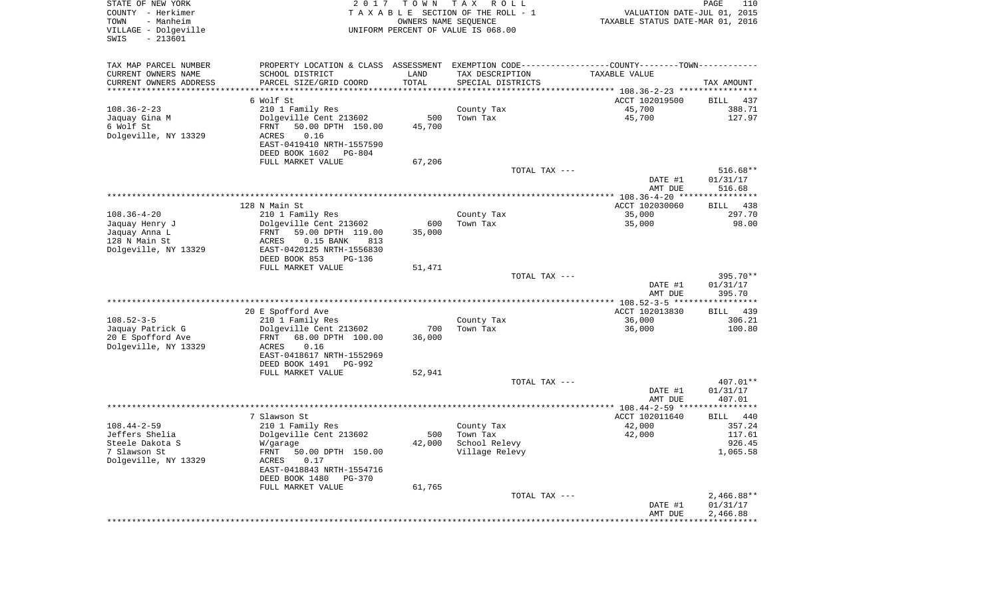| STATE OF NEW YORK<br>COUNTY - Herkimer<br>- Manheim<br>TOWN<br>VILLAGE - Dolgeville<br>$-213601$ | 2017                                                                                          | TOWN<br>OWNERS NAME SEQUENCE | T A X<br>R O L L<br>TAXABLE SECTION OF THE ROLL - 1<br>UNIFORM PERCENT OF VALUE IS 068.00 | VALUATION DATE-JUL 01, 2015<br>TAXABLE STATUS DATE-MAR 01, 2016 | 110<br>PAGE          |
|--------------------------------------------------------------------------------------------------|-----------------------------------------------------------------------------------------------|------------------------------|-------------------------------------------------------------------------------------------|-----------------------------------------------------------------|----------------------|
| SWIS                                                                                             |                                                                                               |                              |                                                                                           |                                                                 |                      |
| TAX MAP PARCEL NUMBER                                                                            | PROPERTY LOCATION & CLASS ASSESSMENT EXEMPTION CODE---------------COUNTY-------TOWN---------- |                              |                                                                                           |                                                                 |                      |
| CURRENT OWNERS NAME                                                                              | SCHOOL DISTRICT                                                                               | LAND                         | TAX DESCRIPTION                                                                           | TAXABLE VALUE                                                   |                      |
| CURRENT OWNERS ADDRESS                                                                           | PARCEL SIZE/GRID COORD                                                                        | TOTAL                        | SPECIAL DISTRICTS                                                                         |                                                                 | TAX AMOUNT           |
| **********************                                                                           |                                                                                               |                              |                                                                                           |                                                                 |                      |
|                                                                                                  | 6 Wolf St                                                                                     |                              |                                                                                           | ACCT 102019500                                                  | BILL<br>437          |
| $108.36 - 2 - 23$                                                                                | 210 1 Family Res                                                                              |                              | County Tax                                                                                | 45,700                                                          | 388.71               |
| Jaquay Gina M<br>6 Wolf St                                                                       | Dolgeville Cent 213602<br>50.00 DPTH 150.00<br>FRNT                                           | 500<br>45,700                | Town Tax                                                                                  | 45,700                                                          | 127.97               |
| Dolgeville, NY 13329                                                                             | ACRES<br>0.16                                                                                 |                              |                                                                                           |                                                                 |                      |
|                                                                                                  | EAST-0419410 NRTH-1557590                                                                     |                              |                                                                                           |                                                                 |                      |
|                                                                                                  | DEED BOOK 1602<br>PG-804                                                                      |                              |                                                                                           |                                                                 |                      |
|                                                                                                  | FULL MARKET VALUE                                                                             | 67,206                       |                                                                                           |                                                                 |                      |
|                                                                                                  |                                                                                               |                              | TOTAL TAX ---                                                                             |                                                                 | 516.68**             |
|                                                                                                  |                                                                                               |                              |                                                                                           | DATE #1                                                         | 01/31/17             |
|                                                                                                  |                                                                                               |                              |                                                                                           | AMT DUE                                                         | 516.68               |
|                                                                                                  | 128 N Main St                                                                                 |                              |                                                                                           | ACCT 102030060                                                  | 438<br>BILL          |
| $108.36 - 4 - 20$                                                                                | 210 1 Family Res                                                                              |                              | County Tax                                                                                | 35,000                                                          | 297.70               |
| Jaquay Henry J                                                                                   | Dolgeville Cent 213602                                                                        | 600                          | Town Tax                                                                                  | 35,000                                                          | 98.00                |
| Jaquay Anna L                                                                                    | 59.00 DPTH 119.00<br>FRNT                                                                     | 35,000                       |                                                                                           |                                                                 |                      |
| 128 N Main St                                                                                    | ACRES<br>$0.15$ BANK<br>813                                                                   |                              |                                                                                           |                                                                 |                      |
| Dolgeville, NY 13329                                                                             | EAST-0420125 NRTH-1556830                                                                     |                              |                                                                                           |                                                                 |                      |
|                                                                                                  | DEED BOOK 853<br><b>PG-136</b><br>FULL MARKET VALUE                                           | 51,471                       |                                                                                           |                                                                 |                      |
|                                                                                                  |                                                                                               |                              | TOTAL TAX ---                                                                             |                                                                 | 395.70**             |
|                                                                                                  |                                                                                               |                              |                                                                                           | DATE #1                                                         | 01/31/17             |
|                                                                                                  |                                                                                               |                              |                                                                                           | AMT DUE                                                         | 395.70               |
|                                                                                                  |                                                                                               |                              |                                                                                           |                                                                 |                      |
|                                                                                                  | 20 E Spofford Ave                                                                             |                              |                                                                                           | ACCT 102013830                                                  | <b>BILL</b><br>439   |
| $108.52 - 3 - 5$                                                                                 | 210 1 Family Res<br>Dolgeville Cent 213602                                                    | 700                          | County Tax<br>Town Tax                                                                    | 36,000<br>36,000                                                | 306.21<br>100.80     |
| Jaquay Patrick G<br>20 E Spofford Ave                                                            | 68.00 DPTH 100.00<br>FRNT                                                                     | 36,000                       |                                                                                           |                                                                 |                      |
| Dolgeville, NY 13329                                                                             | ACRES<br>0.16                                                                                 |                              |                                                                                           |                                                                 |                      |
|                                                                                                  | EAST-0418617 NRTH-1552969                                                                     |                              |                                                                                           |                                                                 |                      |
|                                                                                                  | DEED BOOK 1491<br><b>PG-992</b>                                                               |                              |                                                                                           |                                                                 |                      |
|                                                                                                  | FULL MARKET VALUE                                                                             | 52,941                       |                                                                                           |                                                                 |                      |
|                                                                                                  |                                                                                               |                              | TOTAL TAX ---                                                                             | DATE #1                                                         | 407.01**<br>01/31/17 |
|                                                                                                  |                                                                                               |                              |                                                                                           | AMT DUE                                                         | 407.01               |
|                                                                                                  |                                                                                               |                              |                                                                                           |                                                                 |                      |
|                                                                                                  | 7 Slawson St                                                                                  |                              |                                                                                           | ACCT 102011640                                                  | BILL<br>440          |
| $108.44 - 2 - 59$                                                                                | 210 1 Family Res                                                                              |                              | County Tax                                                                                | 42,000                                                          | 357.24               |
| Jeffers Shelia                                                                                   | Dolgeville Cent 213602                                                                        | 500                          | Town Tax                                                                                  | 42,000                                                          | 117.61               |
| Steele Dakota S<br>7 Slawson St                                                                  | W/garage<br>FRNT 50.00 DPTH 150.00                                                            | 42,000                       | School Relevy<br>Village Relevy                                                           |                                                                 | 926.45<br>1,065.58   |
| Dolgeville, NY 13329                                                                             | ACRES<br>0.17                                                                                 |                              |                                                                                           |                                                                 |                      |
|                                                                                                  | EAST-0418843 NRTH-1554716                                                                     |                              |                                                                                           |                                                                 |                      |
|                                                                                                  | DEED BOOK 1480<br>$PG-370$                                                                    |                              |                                                                                           |                                                                 |                      |
|                                                                                                  | FULL MARKET VALUE                                                                             | 61,765                       |                                                                                           |                                                                 |                      |
|                                                                                                  |                                                                                               |                              | TOTAL TAX ---                                                                             |                                                                 | $2,466.88**$         |
|                                                                                                  |                                                                                               |                              |                                                                                           | DATE #1<br>AMT DUE                                              | 01/31/17<br>2,466.88 |
|                                                                                                  |                                                                                               |                              |                                                                                           |                                                                 |                      |
|                                                                                                  |                                                                                               |                              |                                                                                           |                                                                 |                      |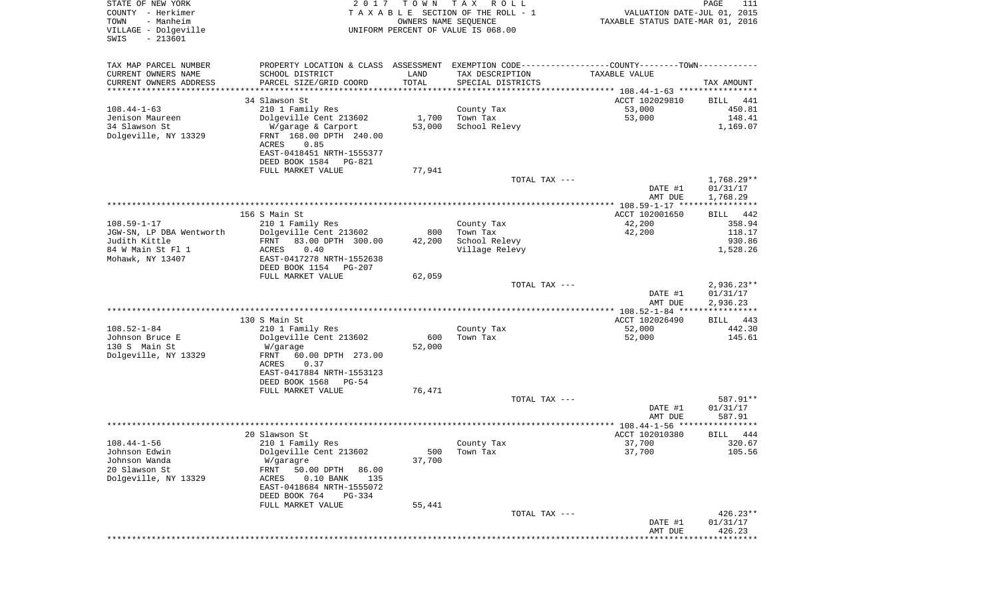| STATE OF NEW YORK<br>COUNTY - Herkimer<br>- Manheim<br>TOWN | 2 0 1 7                                                                                       | T O W N<br>OWNERS NAME SEQUENCE | T A X<br>R O L L<br>TAXABLE SECTION OF THE ROLL - 1 | VALUATION DATE-JUL 01, 2015<br>TAXABLE STATUS DATE-MAR 01, 2016                   | PAGE<br>111           |
|-------------------------------------------------------------|-----------------------------------------------------------------------------------------------|---------------------------------|-----------------------------------------------------|-----------------------------------------------------------------------------------|-----------------------|
| VILLAGE - Dolgeville<br>$-213601$<br>SWIS                   |                                                                                               |                                 | UNIFORM PERCENT OF VALUE IS 068.00                  |                                                                                   |                       |
| TAX MAP PARCEL NUMBER                                       | PROPERTY LOCATION & CLASS ASSESSMENT EXEMPTION CODE---------------COUNTY-------TOWN---------- |                                 |                                                     |                                                                                   |                       |
| CURRENT OWNERS NAME                                         | SCHOOL DISTRICT                                                                               | LAND                            | TAX DESCRIPTION                                     | TAXABLE VALUE                                                                     |                       |
| CURRENT OWNERS ADDRESS<br>********************              | PARCEL SIZE/GRID COORD                                                                        | TOTAL<br>* * * * * * * * * * *  | SPECIAL DISTRICTS                                   |                                                                                   | TAX AMOUNT            |
|                                                             | 34 Slawson St                                                                                 |                                 |                                                     | ********************************** 108.44-1-63 ****************<br>ACCT 102029810 | BILL<br>441           |
| $108.44 - 1 - 63$                                           | 210 1 Family Res                                                                              |                                 | County Tax                                          | 53,000                                                                            | 450.81                |
| Jenison Maureen                                             | Dolgeville Cent 213602                                                                        | 1,700                           | Town Tax                                            | 53,000                                                                            | 148.41                |
| 34 Slawson St<br>Dolgeville, NY 13329                       | W/garage & Carport<br>FRNT 168.00 DPTH 240.00                                                 | 53,000                          | School Relevy                                       |                                                                                   | 1,169.07              |
|                                                             | 0.85<br>ACRES<br>EAST-0418451 NRTH-1555377                                                    |                                 |                                                     |                                                                                   |                       |
|                                                             | DEED BOOK 1584<br>PG-821                                                                      |                                 |                                                     |                                                                                   |                       |
|                                                             | FULL MARKET VALUE                                                                             | 77,941                          | TOTAL TAX ---                                       |                                                                                   | $1,768.29**$          |
|                                                             |                                                                                               |                                 |                                                     | DATE #1                                                                           | 01/31/17              |
|                                                             |                                                                                               |                                 |                                                     | AMT DUE                                                                           | 1,768.29              |
|                                                             |                                                                                               |                                 |                                                     |                                                                                   |                       |
| $108.59 - 1 - 17$                                           | 156 S Main St<br>210 1 Family Res                                                             |                                 | County Tax                                          | ACCT 102001650<br>42,200                                                          | BILL<br>442<br>358.94 |
| JGW-SN, LP DBA Wentworth                                    | Dolgeville Cent 213602                                                                        | 800                             | Town Tax                                            | 42,200                                                                            | 118.17                |
| Judith Kittle                                               | FRNT<br>83.00 DPTH 300.00                                                                     | 42,200                          | School Relevy                                       |                                                                                   | 930.86                |
| 84 W Main St Fl 1                                           | ACRES<br>0.40                                                                                 |                                 | Village Relevy                                      |                                                                                   | 1,528.26              |
| Mohawk, NY 13407                                            | EAST-0417278 NRTH-1552638                                                                     |                                 |                                                     |                                                                                   |                       |
|                                                             | DEED BOOK 1154<br>$PG-207$<br>FULL MARKET VALUE                                               | 62,059                          |                                                     |                                                                                   |                       |
|                                                             |                                                                                               |                                 | TOTAL TAX ---                                       |                                                                                   | $2,936.23**$          |
|                                                             |                                                                                               |                                 |                                                     | DATE #1                                                                           | 01/31/17              |
|                                                             |                                                                                               |                                 |                                                     | AMT DUE                                                                           | 2,936.23              |
|                                                             | 130 S Main St                                                                                 |                                 |                                                     | *********** 108.52-1-84 *****************<br>ACCT 102026490                       | BILL<br>443           |
| $108.52 - 1 - 84$                                           | 210 1 Family Res                                                                              |                                 | County Tax                                          | 52,000                                                                            | 442.30                |
| Johnson Bruce E                                             | Dolgeville Cent 213602                                                                        | 600                             | Town Tax                                            | 52,000                                                                            | 145.61                |
| 130 S Main St                                               | W/garage                                                                                      | 52,000                          |                                                     |                                                                                   |                       |
| Dolgeville, NY 13329                                        | FRNT<br>60.00 DPTH 273.00                                                                     |                                 |                                                     |                                                                                   |                       |
|                                                             | ACRES<br>0.37<br>EAST-0417884 NRTH-1553123                                                    |                                 |                                                     |                                                                                   |                       |
|                                                             | DEED BOOK 1568<br>$PG-54$                                                                     |                                 |                                                     |                                                                                   |                       |
|                                                             | FULL MARKET VALUE                                                                             | 76,471                          |                                                     |                                                                                   |                       |
|                                                             |                                                                                               |                                 | TOTAL TAX ---                                       |                                                                                   | 587.91**              |
|                                                             |                                                                                               |                                 |                                                     | DATE #1<br>AMT DUE                                                                | 01/31/17<br>587.91    |
|                                                             |                                                                                               |                                 |                                                     | ******************* 108.44-1-56 *********                                         |                       |
|                                                             | 20 Slawson St                                                                                 |                                 |                                                     | ACCT 102010380                                                                    | 444<br>BILL           |
| $108.44 - 1 - 56$                                           | 210 1 Family Res                                                                              |                                 | County Tax                                          | 37,700                                                                            | 320.67                |
| Johnson Edwin                                               | Dolgeville Cent 213602                                                                        | 500                             | Town Tax                                            | 37,700                                                                            | 105.56                |
| Johnson Wanda<br>20 Slawson St                              | W/garagre<br>50.00 DPTH<br>86.00<br>FRNT                                                      | 37,700                          |                                                     |                                                                                   |                       |
| Dolgeville, NY 13329                                        | $0.10$ BANK<br>135<br>ACRES                                                                   |                                 |                                                     |                                                                                   |                       |
|                                                             | EAST-0418684 NRTH-1555072                                                                     |                                 |                                                     |                                                                                   |                       |
|                                                             | DEED BOOK 764<br>$PG-334$                                                                     |                                 |                                                     |                                                                                   |                       |
|                                                             | FULL MARKET VALUE                                                                             | 55,441                          | TOTAL TAX ---                                       |                                                                                   | $426.23**$            |
|                                                             |                                                                                               |                                 |                                                     | DATE #1                                                                           | 01/31/17              |
|                                                             |                                                                                               |                                 |                                                     | AMT DUE<br>***************************                                            | 426.23                |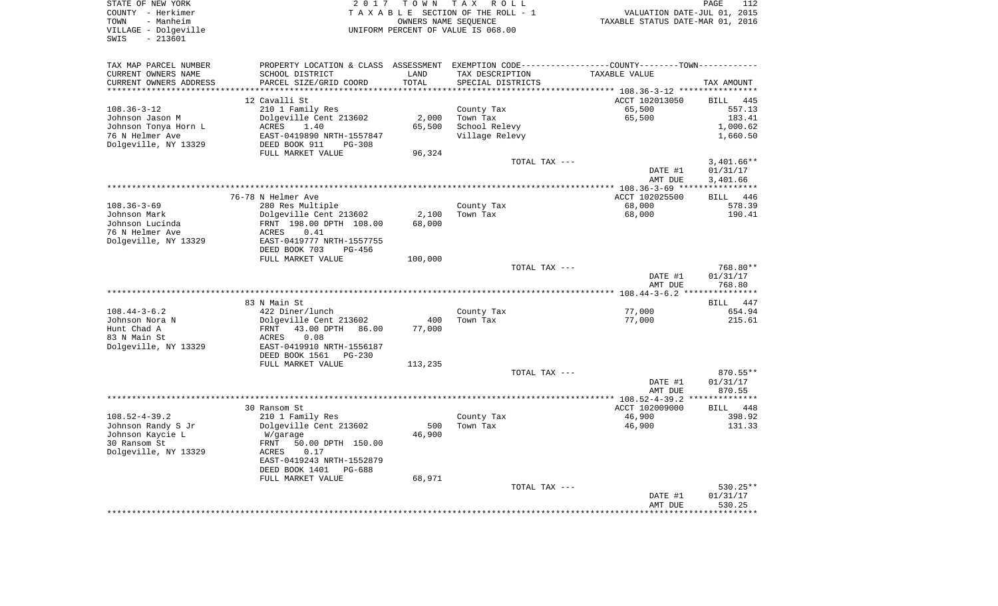| STATE OF NEW YORK<br>COUNTY - Herkimer<br>TOWN<br>- Manheim<br>VILLAGE - Dolgeville<br>$-213601$<br>SWIS |                                                        |                      | 2017 TOWN TAX ROLL<br>TAXABLE SECTION OF THE ROLL - 1<br>OWNERS NAME SEQUENCE<br>UNIFORM PERCENT OF VALUE IS 068.00 | VALUATION DATE-JUL 01, 2015<br>TAXABLE STATUS DATE-MAR 01, 2016                                  | PAGE<br>112        |
|----------------------------------------------------------------------------------------------------------|--------------------------------------------------------|----------------------|---------------------------------------------------------------------------------------------------------------------|--------------------------------------------------------------------------------------------------|--------------------|
| TAX MAP PARCEL NUMBER                                                                                    |                                                        |                      |                                                                                                                     | PROPERTY LOCATION & CLASS ASSESSMENT EXEMPTION CODE----------------COUNTY--------TOWN----------- |                    |
| CURRENT OWNERS NAME                                                                                      | SCHOOL DISTRICT                                        | LAND                 | TAX DESCRIPTION                                                                                                     | TAXABLE VALUE                                                                                    |                    |
| CURRENT OWNERS ADDRESS<br>*********************                                                          | PARCEL SIZE/GRID COORD<br>**************************** | TOTAL<br>*********** | SPECIAL DISTRICTS                                                                                                   |                                                                                                  | TAX AMOUNT         |
|                                                                                                          |                                                        |                      |                                                                                                                     | ACCT 102013050                                                                                   | <b>BILL</b><br>445 |
| $108.36 - 3 - 12$                                                                                        | 12 Cavalli St<br>210 1 Family Res                      |                      | County Tax                                                                                                          | 65,500                                                                                           | 557.13             |
| Johnson Jason M                                                                                          | Dolgeville Cent 213602                                 | 2,000                | Town Tax                                                                                                            | 65,500                                                                                           | 183.41             |
| Johnson Tonya Horn L                                                                                     | ACRES<br>1.40                                          |                      | 65,500 School Relevy                                                                                                |                                                                                                  | 1,000.62           |
| 76 N Helmer Ave                                                                                          | EAST-0419890 NRTH-1557847                              |                      | Village Relevy                                                                                                      |                                                                                                  | 1,660.50           |
| Dolgeville, NY 13329                                                                                     | DEED BOOK 911<br>PG-308                                |                      |                                                                                                                     |                                                                                                  |                    |
|                                                                                                          | FULL MARKET VALUE                                      | 96,324               |                                                                                                                     |                                                                                                  |                    |
|                                                                                                          |                                                        |                      | TOTAL TAX ---                                                                                                       |                                                                                                  | $3.401.66**$       |
|                                                                                                          |                                                        |                      |                                                                                                                     | DATE #1                                                                                          | 01/31/17           |
|                                                                                                          |                                                        |                      |                                                                                                                     | AMT DUE                                                                                          | 3,401.66           |
|                                                                                                          |                                                        |                      |                                                                                                                     | *************** 108.36-3-69 *****************                                                    |                    |
|                                                                                                          | 76-78 N Helmer Ave                                     |                      |                                                                                                                     | ACCT 102025500                                                                                   | <b>BILL</b><br>446 |
| $108.36 - 3 - 69$                                                                                        | 280 Res Multiple                                       |                      | County Tax                                                                                                          | 68,000                                                                                           | 578.39             |
| Johnson Mark                                                                                             | Dolgeville Cent 213602                                 | 2,100                | Town Tax                                                                                                            | 68,000                                                                                           | 190.41             |
| Johnson Lucinda                                                                                          | FRNT 198.00 DPTH 108.00                                | 68,000               |                                                                                                                     |                                                                                                  |                    |
| 76 N Helmer Ave                                                                                          | 0.41<br>ACRES                                          |                      |                                                                                                                     |                                                                                                  |                    |
| Dolgeville, NY 13329                                                                                     | EAST-0419777 NRTH-1557755                              |                      |                                                                                                                     |                                                                                                  |                    |
|                                                                                                          | DEED BOOK 703<br>PG-456<br>FULL MARKET VALUE           | 100,000              |                                                                                                                     |                                                                                                  |                    |
|                                                                                                          |                                                        |                      | TOTAL TAX ---                                                                                                       |                                                                                                  | 768.80**           |
|                                                                                                          |                                                        |                      |                                                                                                                     | DATE #1                                                                                          | 01/31/17           |
|                                                                                                          |                                                        |                      |                                                                                                                     | AMT DUE                                                                                          | 768.80             |
|                                                                                                          |                                                        |                      |                                                                                                                     |                                                                                                  |                    |
|                                                                                                          | 83 N Main St                                           |                      |                                                                                                                     |                                                                                                  | BILL 447           |
| $108.44 - 3 - 6.2$                                                                                       | 422 Diner/lunch                                        |                      | County Tax                                                                                                          | 77,000                                                                                           | 654.94             |
| Johnson Nora N                                                                                           | Dolgeville Cent 213602                                 | 400                  | Town Tax                                                                                                            | 77,000                                                                                           | 215.61             |
| Hunt Chad A                                                                                              | FRNT 43.00 DPTH 86.00                                  | 77,000               |                                                                                                                     |                                                                                                  |                    |
| 83 N Main St                                                                                             | 0.08<br>ACRES                                          |                      |                                                                                                                     |                                                                                                  |                    |
| Dolgeville, NY 13329                                                                                     | EAST-0419910 NRTH-1556187                              |                      |                                                                                                                     |                                                                                                  |                    |
|                                                                                                          | DEED BOOK 1561 PG-230                                  |                      |                                                                                                                     |                                                                                                  |                    |
|                                                                                                          | FULL MARKET VALUE                                      | 113,235              |                                                                                                                     |                                                                                                  |                    |
|                                                                                                          |                                                        |                      | TOTAL TAX ---                                                                                                       |                                                                                                  | 870.55**           |
|                                                                                                          |                                                        |                      |                                                                                                                     | DATE #1                                                                                          | 01/31/17           |
|                                                                                                          |                                                        |                      |                                                                                                                     | AMT DUE                                                                                          | 870.55             |
|                                                                                                          |                                                        |                      |                                                                                                                     |                                                                                                  |                    |
|                                                                                                          | 30 Ransom St                                           |                      |                                                                                                                     | ACCT 102009000<br>46,900                                                                         | 448<br>BILL        |
| $108.52 - 4 - 39.2$<br>Johnson Randy S Jr                                                                | 210 1 Family Res<br>Dolgeville Cent 213602             | 500                  | County Tax<br>Town Tax                                                                                              | 46,900                                                                                           | 398.92<br>131.33   |
| Johnson Kaycie L                                                                                         | W/garage                                               | 46,900               |                                                                                                                     |                                                                                                  |                    |
| 30 Ransom St                                                                                             | FRNT<br>50.00 DPTH 150.00                              |                      |                                                                                                                     |                                                                                                  |                    |
| Dolgeville, NY 13329                                                                                     | 0.17<br>ACRES                                          |                      |                                                                                                                     |                                                                                                  |                    |
|                                                                                                          | EAST-0419243 NRTH-1552879                              |                      |                                                                                                                     |                                                                                                  |                    |
|                                                                                                          | DEED BOOK 1401 PG-688                                  |                      |                                                                                                                     |                                                                                                  |                    |
|                                                                                                          | FULL MARKET VALUE                                      | 68,971               |                                                                                                                     |                                                                                                  |                    |
|                                                                                                          |                                                        |                      | TOTAL TAX ---                                                                                                       |                                                                                                  | 530.25**           |
|                                                                                                          |                                                        |                      |                                                                                                                     | DATE #1                                                                                          | 01/31/17           |
|                                                                                                          |                                                        |                      |                                                                                                                     | AMT DUE                                                                                          | 530.25             |
|                                                                                                          |                                                        |                      |                                                                                                                     |                                                                                                  | * * * * * * * * *  |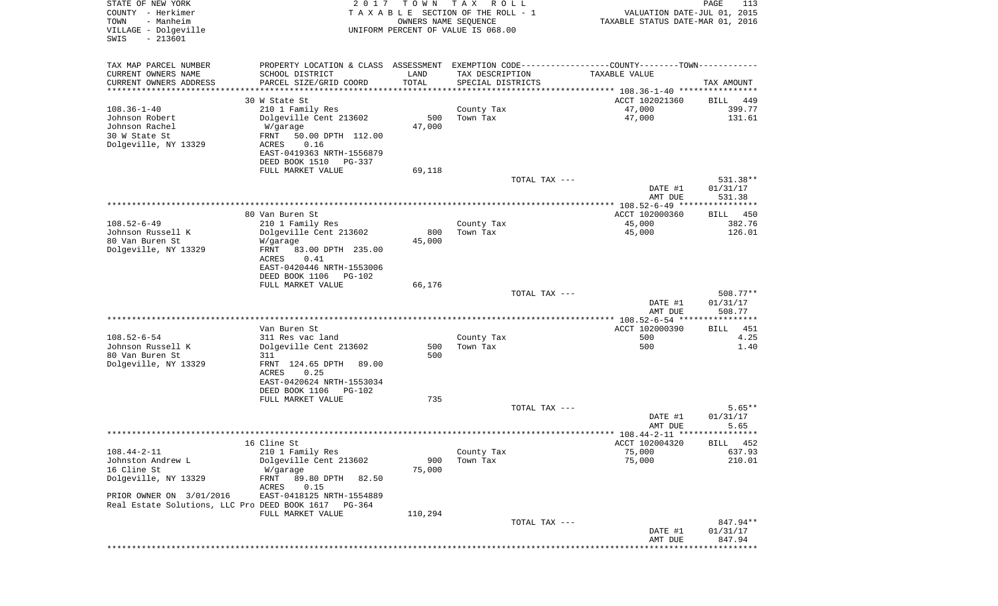| STATE OF NEW YORK<br>COUNTY - Herkimer<br>TOWN<br>- Manheim<br>VILLAGE - Dolgeville<br>SWIS<br>$-213601$ | 2 0 1 7                                                                                                          | T O W N               | T A X<br>R O L L<br>TAXABLE SECTION OF THE ROLL - 1<br>OWNERS NAME SEQUENCE<br>UNIFORM PERCENT OF VALUE IS 068.00 |               | VALUATION DATE-JUL 01, 2015<br>TAXABLE STATUS DATE-MAR 01, 2016 | PAGE<br>113          |
|----------------------------------------------------------------------------------------------------------|------------------------------------------------------------------------------------------------------------------|-----------------------|-------------------------------------------------------------------------------------------------------------------|---------------|-----------------------------------------------------------------|----------------------|
|                                                                                                          |                                                                                                                  |                       |                                                                                                                   |               |                                                                 |                      |
| TAX MAP PARCEL NUMBER<br>CURRENT OWNERS NAME                                                             | PROPERTY LOCATION & CLASS ASSESSMENT EXEMPTION CODE---------------COUNTY-------TOWN----------<br>SCHOOL DISTRICT | LAND                  | TAX DESCRIPTION                                                                                                   |               | TAXABLE VALUE                                                   |                      |
| CURRENT OWNERS ADDRESS                                                                                   | PARCEL SIZE/GRID COORD                                                                                           | TOTAL                 | SPECIAL DISTRICTS                                                                                                 |               |                                                                 | TAX AMOUNT           |
| ********************                                                                                     |                                                                                                                  | * * * * * * * * * * * |                                                                                                                   |               |                                                                 |                      |
|                                                                                                          | 30 W State St                                                                                                    |                       |                                                                                                                   |               | ACCT 102021360                                                  | BILL<br>449          |
| $108.36 - 1 - 40$                                                                                        | 210 1 Family Res                                                                                                 |                       | County Tax                                                                                                        |               | 47,000                                                          | 399.77               |
| Johnson Robert                                                                                           | Dolgeville Cent 213602                                                                                           | 500                   | Town Tax                                                                                                          |               | 47,000                                                          | 131.61               |
| Johnson Rachel                                                                                           | W/garage                                                                                                         | 47,000                |                                                                                                                   |               |                                                                 |                      |
| 30 W State St<br>Dolgeville, NY 13329                                                                    | 50.00 DPTH 112.00<br>FRNT<br>ACRES<br>0.16                                                                       |                       |                                                                                                                   |               |                                                                 |                      |
|                                                                                                          | EAST-0419363 NRTH-1556879                                                                                        |                       |                                                                                                                   |               |                                                                 |                      |
|                                                                                                          | DEED BOOK 1510<br>PG-337                                                                                         |                       |                                                                                                                   |               |                                                                 |                      |
|                                                                                                          | FULL MARKET VALUE                                                                                                | 69,118                |                                                                                                                   |               |                                                                 |                      |
|                                                                                                          |                                                                                                                  |                       |                                                                                                                   | TOTAL TAX --- |                                                                 | 531.38**             |
|                                                                                                          |                                                                                                                  |                       |                                                                                                                   |               | DATE #1                                                         | 01/31/17             |
|                                                                                                          |                                                                                                                  |                       |                                                                                                                   |               | AMT DUE                                                         | 531.38               |
|                                                                                                          | 80 Van Buren St                                                                                                  |                       |                                                                                                                   |               | ACCT 102000360                                                  | BILL<br>450          |
| $108.52 - 6 - 49$                                                                                        | 210 1 Family Res                                                                                                 |                       | County Tax                                                                                                        |               | 45,000                                                          | 382.76               |
| Johnson Russell K                                                                                        | Dolgeville Cent 213602                                                                                           | 800                   | Town Tax                                                                                                          |               | 45,000                                                          | 126.01               |
| 80 Van Buren St                                                                                          | W/garage                                                                                                         | 45,000                |                                                                                                                   |               |                                                                 |                      |
| Dolgeville, NY 13329                                                                                     | FRNT<br>83.00 DPTH 235.00<br>ACRES<br>0.41                                                                       |                       |                                                                                                                   |               |                                                                 |                      |
|                                                                                                          | EAST-0420446 NRTH-1553006                                                                                        |                       |                                                                                                                   |               |                                                                 |                      |
|                                                                                                          | DEED BOOK 1106<br>PG-102                                                                                         |                       |                                                                                                                   |               |                                                                 |                      |
|                                                                                                          | FULL MARKET VALUE                                                                                                | 66,176                |                                                                                                                   |               |                                                                 |                      |
|                                                                                                          |                                                                                                                  |                       |                                                                                                                   | TOTAL TAX --- |                                                                 | $508.77**$           |
|                                                                                                          |                                                                                                                  |                       |                                                                                                                   |               | DATE #1                                                         | 01/31/17<br>508.77   |
|                                                                                                          |                                                                                                                  |                       |                                                                                                                   |               | AMT DUE                                                         |                      |
|                                                                                                          | Van Buren St                                                                                                     |                       |                                                                                                                   |               | ACCT 102000390                                                  | 451<br>BILL          |
| $108.52 - 6 - 54$                                                                                        | 311 Res vac land                                                                                                 |                       | County Tax                                                                                                        |               | 500                                                             | 4.25                 |
| Johnson Russell K                                                                                        | Dolgeville Cent 213602                                                                                           | 500                   | Town Tax                                                                                                          |               | 500                                                             | 1.40                 |
| 80 Van Buren St                                                                                          | 311                                                                                                              | 500                   |                                                                                                                   |               |                                                                 |                      |
| Dolgeville, NY 13329                                                                                     | FRNT 124.65 DPTH<br>89.00<br>ACRES<br>0.25                                                                       |                       |                                                                                                                   |               |                                                                 |                      |
|                                                                                                          | EAST-0420624 NRTH-1553034                                                                                        |                       |                                                                                                                   |               |                                                                 |                      |
|                                                                                                          | DEED BOOK 1106<br>PG-102                                                                                         |                       |                                                                                                                   |               |                                                                 |                      |
|                                                                                                          | FULL MARKET VALUE                                                                                                | 735                   |                                                                                                                   |               |                                                                 |                      |
|                                                                                                          |                                                                                                                  |                       |                                                                                                                   | TOTAL TAX --- |                                                                 | $5.65**$             |
|                                                                                                          |                                                                                                                  |                       |                                                                                                                   |               | DATE #1                                                         | 01/31/17             |
|                                                                                                          |                                                                                                                  |                       |                                                                                                                   |               | AMT DUE                                                         | 5.65                 |
|                                                                                                          | 16 Cline St                                                                                                      |                       |                                                                                                                   |               | ACCT 102004320                                                  | BILL 452             |
| $108.44 - 2 - 11$                                                                                        | 210 1 Family Res                                                                                                 |                       | County Tax                                                                                                        |               | 75,000                                                          | 637.93               |
| Johnston Andrew L                                                                                        | Dolgeville Cent 213602                                                                                           | 900                   | Town Tax                                                                                                          |               | 75,000                                                          | 210.01               |
| 16 Cline St                                                                                              | W/garage                                                                                                         | 75,000                |                                                                                                                   |               |                                                                 |                      |
| Dolgeville, NY 13329                                                                                     | 89.80 DPTH<br>FRNT<br>82.50                                                                                      |                       |                                                                                                                   |               |                                                                 |                      |
| PRIOR OWNER ON 3/01/2016                                                                                 | ACRES<br>0.15<br>EAST-0418125 NRTH-1554889                                                                       |                       |                                                                                                                   |               |                                                                 |                      |
| Real Estate Solutions, LLC Pro DEED BOOK 1617                                                            | PG-364                                                                                                           |                       |                                                                                                                   |               |                                                                 |                      |
|                                                                                                          | FULL MARKET VALUE                                                                                                | 110,294               |                                                                                                                   |               |                                                                 |                      |
|                                                                                                          |                                                                                                                  |                       |                                                                                                                   | TOTAL TAX --- |                                                                 | 847.94**             |
|                                                                                                          |                                                                                                                  |                       |                                                                                                                   |               | DATE #1                                                         | 01/31/17             |
|                                                                                                          |                                                                                                                  |                       |                                                                                                                   |               | AMT DUE                                                         | 847.94<br>********** |
|                                                                                                          |                                                                                                                  |                       |                                                                                                                   |               |                                                                 |                      |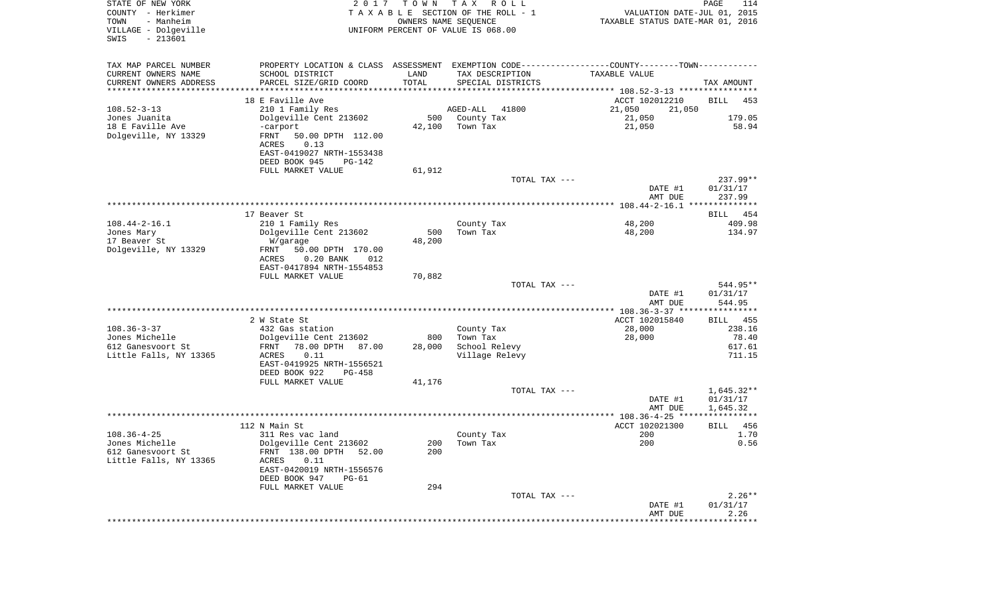| STATE OF NEW YORK<br>COUNTY - Herkimer<br>- Manheim<br>TOWN<br>VILLAGE - Dolgeville<br>$-213601$<br>SWIS | 2017                                                                                          | T O W N       | T A X<br>R O L L<br>TAXABLE SECTION OF THE ROLL - 1<br>OWNERS NAME SEQUENCE<br>UNIFORM PERCENT OF VALUE IS 068.00 | VALUATION DATE-JUL 01, 2015<br>TAXABLE STATUS DATE-MAR 01, 2016 | PAGE<br>114          |
|----------------------------------------------------------------------------------------------------------|-----------------------------------------------------------------------------------------------|---------------|-------------------------------------------------------------------------------------------------------------------|-----------------------------------------------------------------|----------------------|
| TAX MAP PARCEL NUMBER                                                                                    | PROPERTY LOCATION & CLASS ASSESSMENT EXEMPTION CODE---------------COUNTY-------TOWN---------- |               |                                                                                                                   |                                                                 |                      |
| CURRENT OWNERS NAME                                                                                      | SCHOOL DISTRICT                                                                               | LAND          | TAX DESCRIPTION                                                                                                   | TAXABLE VALUE                                                   |                      |
| CURRENT OWNERS ADDRESS<br>********************                                                           | PARCEL SIZE/GRID COORD                                                                        | TOTAL         | SPECIAL DISTRICTS                                                                                                 |                                                                 | TAX AMOUNT           |
|                                                                                                          | 18 E Faville Ave                                                                              |               |                                                                                                                   | ACCT 102012210                                                  | <b>BILL</b><br>453   |
| $108.52 - 3 - 13$                                                                                        | 210 1 Family Res                                                                              |               | AGED-ALL<br>41800                                                                                                 | 21,050<br>21,050                                                |                      |
| Jones Juanita                                                                                            | Dolgeville Cent 213602                                                                        | 500           | County Tax                                                                                                        | 21,050                                                          | 179.05               |
| 18 E Faville Ave                                                                                         | -carport                                                                                      | 42,100        | Town Tax                                                                                                          | 21,050                                                          | 58.94                |
| Dolgeville, NY 13329                                                                                     | FRNT<br>50.00 DPTH 112.00                                                                     |               |                                                                                                                   |                                                                 |                      |
|                                                                                                          | <b>ACRES</b><br>0.13                                                                          |               |                                                                                                                   |                                                                 |                      |
|                                                                                                          | EAST-0419027 NRTH-1553438                                                                     |               |                                                                                                                   |                                                                 |                      |
|                                                                                                          | DEED BOOK 945<br>PG-142                                                                       |               |                                                                                                                   |                                                                 |                      |
|                                                                                                          | FULL MARKET VALUE                                                                             | 61,912        | TOTAL TAX ---                                                                                                     |                                                                 | $237.99**$           |
|                                                                                                          |                                                                                               |               |                                                                                                                   | DATE #1                                                         | 01/31/17             |
|                                                                                                          |                                                                                               |               |                                                                                                                   | AMT DUE                                                         | 237.99               |
|                                                                                                          |                                                                                               |               |                                                                                                                   |                                                                 |                      |
|                                                                                                          | 17 Beaver St                                                                                  |               |                                                                                                                   |                                                                 | BILL 454             |
| $108.44 - 2 - 16.1$                                                                                      | 210 1 Family Res                                                                              |               | County Tax                                                                                                        | 48,200                                                          | 409.98               |
| Jones Mary<br>17 Beaver St                                                                               | Dolgeville Cent 213602<br>W/garage                                                            | 500<br>48,200 | Town Tax                                                                                                          | 48,200                                                          | 134.97               |
| Dolgeville, NY 13329                                                                                     | 50.00 DPTH 170.00<br>FRNT                                                                     |               |                                                                                                                   |                                                                 |                      |
|                                                                                                          | ACRES<br>$0.20$ BANK<br>012                                                                   |               |                                                                                                                   |                                                                 |                      |
|                                                                                                          | EAST-0417894 NRTH-1554853                                                                     |               |                                                                                                                   |                                                                 |                      |
|                                                                                                          | FULL MARKET VALUE                                                                             | 70,882        |                                                                                                                   |                                                                 |                      |
|                                                                                                          |                                                                                               |               | TOTAL TAX ---                                                                                                     |                                                                 | 544.95**             |
|                                                                                                          |                                                                                               |               |                                                                                                                   | DATE #1                                                         | 01/31/17             |
|                                                                                                          |                                                                                               |               |                                                                                                                   | AMT DUE<br>*************** 108.36-3-37 *****************        | 544.95               |
|                                                                                                          | 2 W State St                                                                                  |               |                                                                                                                   | ACCT 102015840                                                  | BILL<br>455          |
| $108.36 - 3 - 37$                                                                                        | 432 Gas station                                                                               |               | County Tax                                                                                                        | 28,000                                                          | 238.16               |
| Jones Michelle                                                                                           | Dolgeville Cent 213602                                                                        | 800           | Town Tax                                                                                                          | 28,000                                                          | 78.40                |
| 612 Ganesvoort St                                                                                        | 78.00 DPTH<br>87.00<br>FRNT                                                                   | 28,000        | School Relevy                                                                                                     |                                                                 | 617.61               |
| Little Falls, NY 13365                                                                                   | ACRES<br>0.11                                                                                 |               | Village Relevy                                                                                                    |                                                                 | 711.15               |
|                                                                                                          | EAST-0419925 NRTH-1556521<br>DEED BOOK 922<br>PG-458                                          |               |                                                                                                                   |                                                                 |                      |
|                                                                                                          | FULL MARKET VALUE                                                                             | 41,176        |                                                                                                                   |                                                                 |                      |
|                                                                                                          |                                                                                               |               | TOTAL TAX ---                                                                                                     |                                                                 | $1,645.32**$         |
|                                                                                                          |                                                                                               |               |                                                                                                                   | DATE #1                                                         | 01/31/17             |
|                                                                                                          |                                                                                               |               |                                                                                                                   | AMT DUE                                                         | 1,645.32             |
|                                                                                                          |                                                                                               |               |                                                                                                                   |                                                                 |                      |
|                                                                                                          | 112 N Main St                                                                                 |               |                                                                                                                   | ACCT 102021300                                                  | 456<br>BILL          |
| $108.36 - 4 - 25$<br>Jones Michelle                                                                      | 311 Res vac land<br>Dolgeville Cent 213602                                                    | 200           | County Tax<br>Town Tax                                                                                            | 200<br>200                                                      | 1.70<br>0.56         |
| 612 Ganesvoort St                                                                                        | FRNT 138.00 DPTH 52.00                                                                        | 200           |                                                                                                                   |                                                                 |                      |
| Little Falls, NY 13365                                                                                   | ACRES<br>0.11                                                                                 |               |                                                                                                                   |                                                                 |                      |
|                                                                                                          | EAST-0420019 NRTH-1556576                                                                     |               |                                                                                                                   |                                                                 |                      |
|                                                                                                          | DEED BOOK 947<br>$PG-61$                                                                      |               |                                                                                                                   |                                                                 |                      |
|                                                                                                          | FULL MARKET VALUE                                                                             | 294           |                                                                                                                   |                                                                 |                      |
|                                                                                                          |                                                                                               |               | TOTAL TAX ---                                                                                                     | DATE #1                                                         | $2.26**$<br>01/31/17 |
|                                                                                                          |                                                                                               |               |                                                                                                                   | AMT DUE                                                         | 2.26                 |
|                                                                                                          |                                                                                               |               |                                                                                                                   | *************************************                           |                      |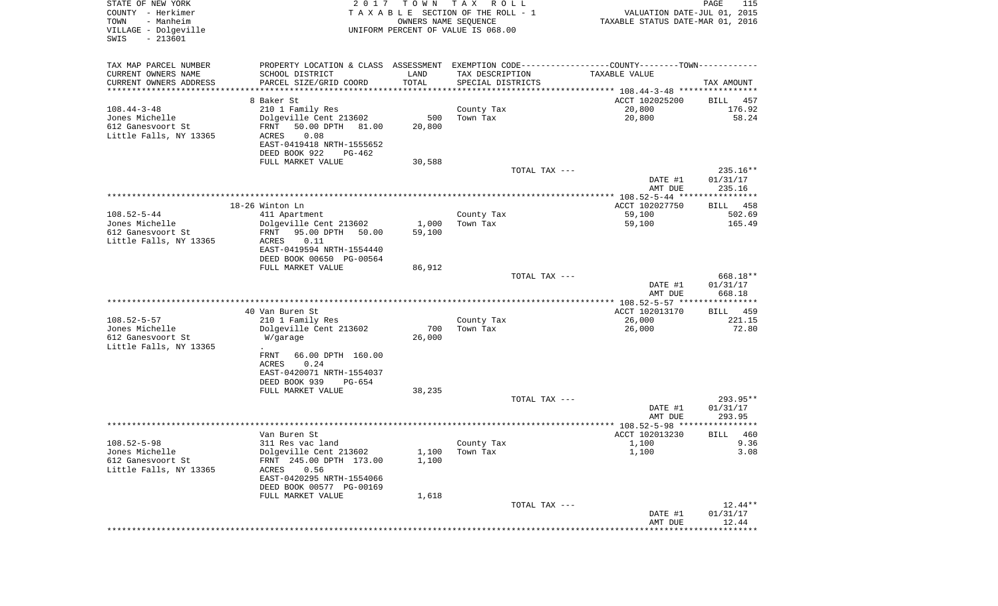| STATE OF NEW YORK<br>COUNTY - Herkimer<br>- Manheim<br>TOWN<br>VILLAGE - Dolgeville<br>SWIS<br>$-213601$ | 2 0 1 7                                               | T O W N<br>OWNERS NAME SEQUENCE | T A X<br>R O L L<br>TAXABLE SECTION OF THE ROLL - 1<br>UNIFORM PERCENT OF VALUE IS 068.00 | VALUATION DATE-JUL 01, 2015<br>TAXABLE STATUS DATE-MAR 01, 2016                                | PAGE<br>115        |
|----------------------------------------------------------------------------------------------------------|-------------------------------------------------------|---------------------------------|-------------------------------------------------------------------------------------------|------------------------------------------------------------------------------------------------|--------------------|
| TAX MAP PARCEL NUMBER                                                                                    |                                                       |                                 |                                                                                           | PROPERTY LOCATION & CLASS ASSESSMENT EXEMPTION CODE----------------COUNTY-------TOWN---------- |                    |
| CURRENT OWNERS NAME                                                                                      | SCHOOL DISTRICT                                       | LAND                            | TAX DESCRIPTION                                                                           | TAXABLE VALUE                                                                                  |                    |
| CURRENT OWNERS ADDRESS<br>*********************                                                          | PARCEL SIZE/GRID COORD                                | TOTAL<br>***********            | SPECIAL DISTRICTS                                                                         |                                                                                                | TAX AMOUNT         |
|                                                                                                          | 8 Baker St                                            |                                 |                                                                                           | ACCT 102025200                                                                                 | BILL<br>457        |
| $108.44 - 3 - 48$                                                                                        | 210 1 Family Res                                      |                                 | County Tax                                                                                | 20,800                                                                                         | 176.92             |
| Jones Michelle                                                                                           | Dolgeville Cent 213602                                | 500                             | Town Tax                                                                                  | 20,800                                                                                         | 58.24              |
| 612 Ganesvoort St                                                                                        | FRNT<br>50.00 DPTH<br>81.00                           | 20,800                          |                                                                                           |                                                                                                |                    |
| Little Falls, NY 13365                                                                                   | 0.08<br>ACRES<br>EAST-0419418 NRTH-1555652            |                                 |                                                                                           |                                                                                                |                    |
|                                                                                                          | DEED BOOK 922<br>PG-462                               |                                 |                                                                                           |                                                                                                |                    |
|                                                                                                          | FULL MARKET VALUE                                     | 30,588                          |                                                                                           |                                                                                                |                    |
|                                                                                                          |                                                       |                                 | TOTAL TAX ---                                                                             |                                                                                                | 235.16**           |
|                                                                                                          |                                                       |                                 |                                                                                           | DATE #1<br>AMT DUE                                                                             | 01/31/17<br>235.16 |
|                                                                                                          |                                                       |                                 |                                                                                           |                                                                                                |                    |
|                                                                                                          | 18-26 Winton Ln                                       |                                 |                                                                                           | ACCT 102027750                                                                                 | BILL<br>458        |
| $108.52 - 5 - 44$                                                                                        | 411 Apartment                                         |                                 | County Tax                                                                                | 59,100                                                                                         | 502.69             |
| Jones Michelle<br>612 Ganesvoort St                                                                      | Dolgeville Cent 213602<br>FRNT<br>95.00 DPTH<br>50.00 | 1,000<br>59,100                 | Town Tax                                                                                  | 59,100                                                                                         | 165.49             |
| Little Falls, NY 13365                                                                                   | 0.11<br>ACRES                                         |                                 |                                                                                           |                                                                                                |                    |
|                                                                                                          | EAST-0419594 NRTH-1554440                             |                                 |                                                                                           |                                                                                                |                    |
|                                                                                                          | DEED BOOK 00650 PG-00564                              |                                 |                                                                                           |                                                                                                |                    |
|                                                                                                          | FULL MARKET VALUE                                     | 86,912                          | TOTAL TAX ---                                                                             |                                                                                                | 668.18**           |
|                                                                                                          |                                                       |                                 |                                                                                           | DATE #1                                                                                        | 01/31/17           |
|                                                                                                          |                                                       |                                 |                                                                                           | AMT DUE                                                                                        | 668.18             |
|                                                                                                          |                                                       |                                 |                                                                                           |                                                                                                |                    |
| $108.52 - 5 - 57$                                                                                        | 40 Van Buren St<br>210 1 Family Res                   |                                 |                                                                                           | ACCT 102013170<br>26,000                                                                       | BILL 459<br>221.15 |
| Jones Michelle                                                                                           | Dolgeville Cent 213602                                | 700                             | County Tax<br>Town Tax                                                                    | 26,000                                                                                         | 72.80              |
| 612 Ganesvoort St                                                                                        | W/garage                                              | 26,000                          |                                                                                           |                                                                                                |                    |
| Little Falls, NY 13365                                                                                   | $\ddot{\phantom{1}}$                                  |                                 |                                                                                           |                                                                                                |                    |
|                                                                                                          | <b>FRNT</b><br>66.00 DPTH 160.00                      |                                 |                                                                                           |                                                                                                |                    |
|                                                                                                          | ACRES<br>0.24<br>EAST-0420071 NRTH-1554037            |                                 |                                                                                           |                                                                                                |                    |
|                                                                                                          | DEED BOOK 939<br>PG-654                               |                                 |                                                                                           |                                                                                                |                    |
|                                                                                                          | FULL MARKET VALUE                                     | 38,235                          |                                                                                           |                                                                                                |                    |
|                                                                                                          |                                                       |                                 | TOTAL TAX ---                                                                             |                                                                                                | 293.95**           |
|                                                                                                          |                                                       |                                 |                                                                                           | DATE #1<br>AMT DUE                                                                             | 01/31/17<br>293.95 |
|                                                                                                          |                                                       |                                 |                                                                                           |                                                                                                | * * * * *          |
|                                                                                                          | Van Buren St                                          |                                 |                                                                                           | ACCT 102013230                                                                                 | BILL<br>460        |
| $108.52 - 5 - 98$<br>Jones Michelle                                                                      | 311 Res vac land<br>Dolgeville Cent 213602            |                                 | County Tax                                                                                | 1,100<br>1,100                                                                                 | 9.36               |
| 612 Ganesvoort St                                                                                        | FRNT 245.00 DPTH 173.00                               | 1,100<br>1,100                  | Town Tax                                                                                  |                                                                                                | 3.08               |
| Little Falls, NY 13365                                                                                   | 0.56<br>ACRES                                         |                                 |                                                                                           |                                                                                                |                    |
|                                                                                                          | EAST-0420295 NRTH-1554066                             |                                 |                                                                                           |                                                                                                |                    |
|                                                                                                          | DEED BOOK 00577 PG-00169                              |                                 |                                                                                           |                                                                                                |                    |
|                                                                                                          | FULL MARKET VALUE                                     | 1,618                           | TOTAL TAX ---                                                                             |                                                                                                | 12.44**            |
|                                                                                                          |                                                       |                                 |                                                                                           | DATE #1                                                                                        | 01/31/17           |
|                                                                                                          |                                                       |                                 |                                                                                           | AMT DUE                                                                                        | 12.44              |
|                                                                                                          |                                                       |                                 |                                                                                           |                                                                                                |                    |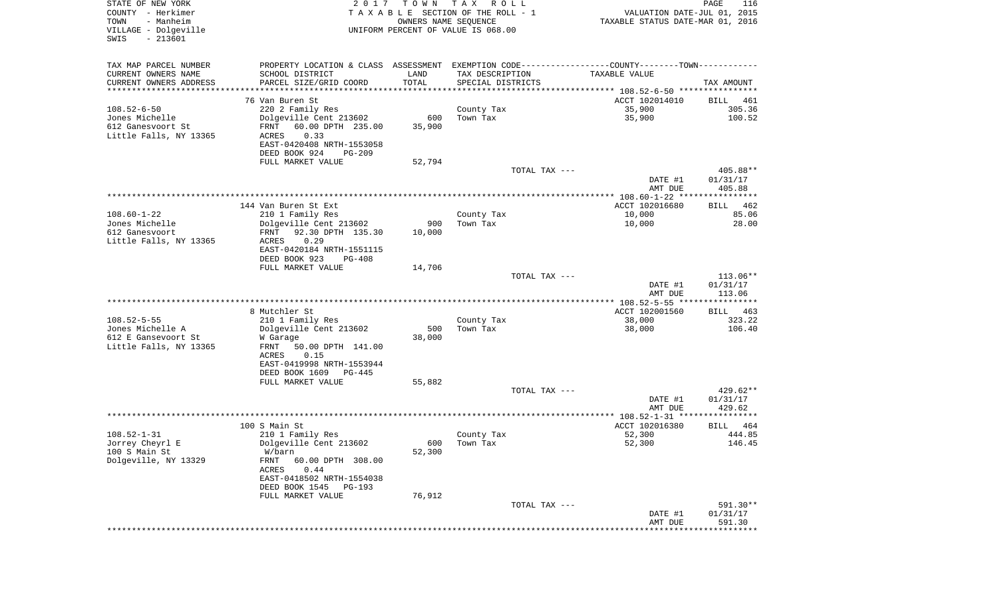| STATE OF NEW YORK<br>COUNTY - Herkimer<br>TOWN<br>- Manheim<br>VILLAGE - Dolgeville<br>SWIS<br>$-213601$ | 2017                                                                                          | TOWN TAX                  | R O L L<br>TAXABLE SECTION OF THE ROLL - 1<br>OWNERS NAME SEQUENCE<br>UNIFORM PERCENT OF VALUE IS 068.00 | VALUATION DATE-JUL 01, 2015<br>TAXABLE STATUS DATE-MAR 01, 2016 | PAGE<br>116            |
|----------------------------------------------------------------------------------------------------------|-----------------------------------------------------------------------------------------------|---------------------------|----------------------------------------------------------------------------------------------------------|-----------------------------------------------------------------|------------------------|
| TAX MAP PARCEL NUMBER                                                                                    | PROPERTY LOCATION & CLASS ASSESSMENT EXEMPTION CODE---------------COUNTY-------TOWN---------- |                           |                                                                                                          |                                                                 |                        |
| CURRENT OWNERS NAME                                                                                      | SCHOOL DISTRICT                                                                               | LAND                      | TAX DESCRIPTION                                                                                          | TAXABLE VALUE                                                   |                        |
| CURRENT OWNERS ADDRESS<br>**********************                                                         | PARCEL SIZE/GRID COORD                                                                        | TOTAL<br>**************** | SPECIAL DISTRICTS                                                                                        |                                                                 | TAX AMOUNT             |
|                                                                                                          | 76 Van Buren St                                                                               |                           |                                                                                                          | ACCT 102014010                                                  | BILL 461               |
| $108.52 - 6 - 50$                                                                                        | 220 2 Family Res                                                                              |                           | County Tax                                                                                               | 35,900                                                          | 305.36                 |
| Jones Michelle                                                                                           | Dolgeville Cent 213602                                                                        | 600                       | Town Tax                                                                                                 | 35,900                                                          | 100.52                 |
| 612 Ganesvoort St                                                                                        | FRNT<br>60.00 DPTH 235.00                                                                     | 35,900                    |                                                                                                          |                                                                 |                        |
| Little Falls, NY 13365                                                                                   | ACRES<br>0.33                                                                                 |                           |                                                                                                          |                                                                 |                        |
|                                                                                                          | EAST-0420408 NRTH-1553058                                                                     |                           |                                                                                                          |                                                                 |                        |
|                                                                                                          | DEED BOOK 924<br>PG-209                                                                       |                           |                                                                                                          |                                                                 |                        |
|                                                                                                          | FULL MARKET VALUE                                                                             | 52,794                    | TOTAL TAX ---                                                                                            |                                                                 | 405.88**               |
|                                                                                                          |                                                                                               |                           |                                                                                                          | DATE #1<br>AMT DUE                                              | 01/31/17<br>405.88     |
|                                                                                                          |                                                                                               |                           |                                                                                                          |                                                                 |                        |
|                                                                                                          | 144 Van Buren St Ext                                                                          |                           |                                                                                                          | ACCT 102016680                                                  | BILL 462               |
| $108.60 - 1 - 22$<br>Jones Michelle                                                                      | 210 1 Family Res<br>Dolgeville Cent 213602                                                    | 900                       | County Tax<br>Town Tax                                                                                   | 10,000<br>10,000                                                | 85.06<br>28.00         |
| 612 Ganesvoort                                                                                           | 92.30 DPTH 135.30<br>FRNT                                                                     | 10,000                    |                                                                                                          |                                                                 |                        |
| Little Falls, NY 13365                                                                                   | 0.29<br>ACRES                                                                                 |                           |                                                                                                          |                                                                 |                        |
|                                                                                                          | EAST-0420184 NRTH-1551115                                                                     |                           |                                                                                                          |                                                                 |                        |
|                                                                                                          | DEED BOOK 923<br>$PG-408$                                                                     |                           |                                                                                                          |                                                                 |                        |
|                                                                                                          | FULL MARKET VALUE                                                                             | 14,706                    |                                                                                                          |                                                                 |                        |
|                                                                                                          |                                                                                               |                           | TOTAL TAX ---                                                                                            | DATE #1                                                         | $113.06**$<br>01/31/17 |
|                                                                                                          |                                                                                               |                           |                                                                                                          | AMT DUE                                                         | 113.06                 |
|                                                                                                          |                                                                                               |                           |                                                                                                          |                                                                 |                        |
|                                                                                                          | 8 Mutchler St                                                                                 |                           |                                                                                                          | ACCT 102001560                                                  | BILL 463               |
| $108.52 - 5 - 55$                                                                                        | 210 1 Family Res                                                                              |                           | County Tax                                                                                               | 38,000                                                          | 323.22                 |
| Jones Michelle A<br>612 E Gansevoort St                                                                  | Dolgeville Cent 213602<br>W Garage                                                            | 500<br>38,000             | Town Tax                                                                                                 | 38,000                                                          | 106.40                 |
| Little Falls, NY 13365                                                                                   | FRNT<br>50.00 DPTH 141.00                                                                     |                           |                                                                                                          |                                                                 |                        |
|                                                                                                          | ACRES<br>0.15                                                                                 |                           |                                                                                                          |                                                                 |                        |
|                                                                                                          | EAST-0419998 NRTH-1553944                                                                     |                           |                                                                                                          |                                                                 |                        |
|                                                                                                          | DEED BOOK 1609<br>PG-445                                                                      |                           |                                                                                                          |                                                                 |                        |
|                                                                                                          | FULL MARKET VALUE                                                                             | 55,882                    | TOTAL TAX ---                                                                                            |                                                                 | $429.62**$             |
|                                                                                                          |                                                                                               |                           |                                                                                                          | DATE #1                                                         | 01/31/17               |
|                                                                                                          |                                                                                               |                           |                                                                                                          | AMT DUE                                                         | 429.62                 |
|                                                                                                          |                                                                                               |                           |                                                                                                          |                                                                 |                        |
|                                                                                                          | 100 S Main St                                                                                 |                           |                                                                                                          | ACCT 102016380                                                  | 464<br>BILL            |
| $108.52 - 1 - 31$                                                                                        | 210 1 Family Res                                                                              |                           | County Tax                                                                                               | 52,300                                                          | 444.85                 |
| Jorrey Cheyrl E<br>100 S Main St                                                                         | Dolgeville Cent 213602<br>W/barn                                                              | 52,300                    | 600 Town Tax                                                                                             | 52,300                                                          | 146.45                 |
| Dolgeville, NY 13329                                                                                     | FRNT<br>60.00 DPTH 308.00                                                                     |                           |                                                                                                          |                                                                 |                        |
|                                                                                                          | ACRES<br>0.44                                                                                 |                           |                                                                                                          |                                                                 |                        |
|                                                                                                          | EAST-0418502 NRTH-1554038                                                                     |                           |                                                                                                          |                                                                 |                        |
|                                                                                                          | DEED BOOK 1545<br>PG-193                                                                      |                           |                                                                                                          |                                                                 |                        |
|                                                                                                          | FULL MARKET VALUE                                                                             | 76,912                    |                                                                                                          |                                                                 |                        |
|                                                                                                          |                                                                                               |                           | TOTAL TAX ---                                                                                            | DATE #1                                                         | 591.30**<br>01/31/17   |
|                                                                                                          |                                                                                               |                           |                                                                                                          | AMT DUE                                                         | 591.30                 |
|                                                                                                          |                                                                                               |                           |                                                                                                          | ***************************                                     |                        |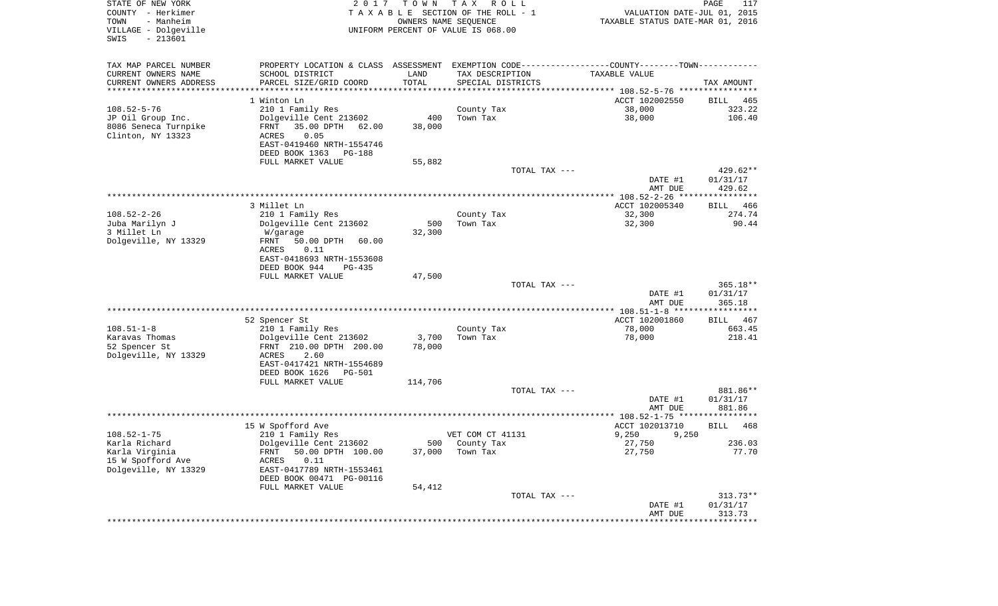| STATE OF NEW YORK<br>COUNTY - Herkimer<br>- Manheim<br>TOWN<br>VILLAGE - Dolgeville<br>$-213601$<br>SWIS | 2017                                                                                          | T O W N         | T A X<br>R O L L<br>TAXABLE SECTION OF THE ROLL - 1<br>OWNERS NAME SEQUENCE<br>UNIFORM PERCENT OF VALUE IS 068.00 | VALUATION DATE-JUL 01, 2015<br>TAXABLE STATUS DATE-MAR 01, 2016 | PAGE<br>117        |
|----------------------------------------------------------------------------------------------------------|-----------------------------------------------------------------------------------------------|-----------------|-------------------------------------------------------------------------------------------------------------------|-----------------------------------------------------------------|--------------------|
| TAX MAP PARCEL NUMBER                                                                                    | PROPERTY LOCATION & CLASS ASSESSMENT EXEMPTION CODE---------------COUNTY-------TOWN---------- |                 |                                                                                                                   |                                                                 |                    |
| CURRENT OWNERS NAME                                                                                      | SCHOOL DISTRICT                                                                               | LAND            | TAX DESCRIPTION                                                                                                   | TAXABLE VALUE                                                   |                    |
| CURRENT OWNERS ADDRESS<br>***********************                                                        | PARCEL SIZE/GRID COORD                                                                        | TOTAL           | SPECIAL DISTRICTS                                                                                                 |                                                                 | TAX AMOUNT         |
|                                                                                                          | 1 Winton Ln                                                                                   |                 |                                                                                                                   | ACCT 102002550                                                  | BILL<br>465        |
| $108.52 - 5 - 76$                                                                                        | 210 1 Family Res                                                                              |                 | County Tax                                                                                                        | 38,000                                                          | 323.22             |
| JP Oil Group Inc.                                                                                        | Dolgeville Cent 213602                                                                        | 400             | Town Tax                                                                                                          | 38,000                                                          | 106.40             |
| 8086 Seneca Turnpike                                                                                     | FRNT<br>35.00 DPTH<br>62.00                                                                   | 38,000          |                                                                                                                   |                                                                 |                    |
| Clinton, NY 13323                                                                                        | ACRES<br>0.05                                                                                 |                 |                                                                                                                   |                                                                 |                    |
|                                                                                                          | EAST-0419460 NRTH-1554746                                                                     |                 |                                                                                                                   |                                                                 |                    |
|                                                                                                          | DEED BOOK 1363<br>PG-188<br>FULL MARKET VALUE                                                 | 55,882          |                                                                                                                   |                                                                 |                    |
|                                                                                                          |                                                                                               |                 | TOTAL TAX ---                                                                                                     |                                                                 | 429.62**           |
|                                                                                                          |                                                                                               |                 |                                                                                                                   | DATE #1                                                         | 01/31/17           |
|                                                                                                          |                                                                                               |                 |                                                                                                                   | AMT DUE                                                         | 429.62             |
|                                                                                                          |                                                                                               |                 |                                                                                                                   |                                                                 |                    |
|                                                                                                          | 3 Millet Ln                                                                                   |                 |                                                                                                                   | ACCT 102005340                                                  | 466<br>BILL        |
| $108.52 - 2 - 26$<br>Juba Marilyn J                                                                      | 210 1 Family Res<br>Dolgeville Cent 213602                                                    | 500             | County Tax<br>Town Tax                                                                                            | 32,300<br>32,300                                                | 274.74<br>90.44    |
| 3 Millet Ln                                                                                              | W/garage                                                                                      | 32,300          |                                                                                                                   |                                                                 |                    |
| Dolgeville, NY 13329                                                                                     | 50.00 DPTH<br>FRNT<br>60.00                                                                   |                 |                                                                                                                   |                                                                 |                    |
|                                                                                                          | ACRES<br>0.11                                                                                 |                 |                                                                                                                   |                                                                 |                    |
|                                                                                                          | EAST-0418693 NRTH-1553608                                                                     |                 |                                                                                                                   |                                                                 |                    |
|                                                                                                          | DEED BOOK 944<br>$PG-435$                                                                     |                 |                                                                                                                   |                                                                 |                    |
|                                                                                                          | FULL MARKET VALUE                                                                             | 47,500          | TOTAL TAX ---                                                                                                     |                                                                 | $365.18**$         |
|                                                                                                          |                                                                                               |                 |                                                                                                                   | DATE #1                                                         | 01/31/17           |
|                                                                                                          |                                                                                               |                 |                                                                                                                   | AMT DUE                                                         | 365.18             |
|                                                                                                          |                                                                                               |                 |                                                                                                                   | ************* 108.51-1-8 ******************                     |                    |
|                                                                                                          | 52 Spencer St                                                                                 |                 |                                                                                                                   | ACCT 102001860                                                  | <b>BILL</b><br>467 |
| $108.51 - 1 - 8$                                                                                         | 210 1 Family Res                                                                              |                 | County Tax                                                                                                        | 78,000                                                          | 663.45             |
| Karavas Thomas<br>52 Spencer St                                                                          | Dolgeville Cent 213602<br>FRNT 210.00 DPTH 200.00                                             | 3,700<br>78,000 | Town Tax                                                                                                          | 78,000                                                          | 218.41             |
| Dolgeville, NY 13329                                                                                     | ACRES<br>2.60                                                                                 |                 |                                                                                                                   |                                                                 |                    |
|                                                                                                          | EAST-0417421 NRTH-1554689                                                                     |                 |                                                                                                                   |                                                                 |                    |
|                                                                                                          | DEED BOOK 1626<br>PG-501                                                                      |                 |                                                                                                                   |                                                                 |                    |
|                                                                                                          | FULL MARKET VALUE                                                                             | 114,706         |                                                                                                                   |                                                                 |                    |
|                                                                                                          |                                                                                               |                 | TOTAL TAX ---                                                                                                     |                                                                 | 881.86**           |
|                                                                                                          |                                                                                               |                 |                                                                                                                   | DATE #1<br>AMT DUE                                              | 01/31/17<br>881.86 |
|                                                                                                          |                                                                                               |                 |                                                                                                                   |                                                                 |                    |
|                                                                                                          | 15 W Spofford Ave                                                                             |                 |                                                                                                                   | ACCT 102013710                                                  | 468<br>BILL        |
| $108.52 - 1 - 75$                                                                                        | 210 1 Family Res                                                                              |                 | VET COM CT 41131                                                                                                  | 9,250<br>9,250                                                  |                    |
| Karla Richard                                                                                            | Dolgeville Cent 213602                                                                        |                 | 500 County Tax                                                                                                    | 27,750                                                          | 236.03             |
| Karla Virginia<br>15 W Spofford Ave                                                                      | 50.00 DPTH 100.00<br>FRNT                                                                     | 37,000          | Town Tax                                                                                                          | 27,750                                                          | 77.70              |
| Dolgeville, NY 13329                                                                                     | ACRES<br>0.11<br>EAST-0417789 NRTH-1553461                                                    |                 |                                                                                                                   |                                                                 |                    |
|                                                                                                          | DEED BOOK 00471 PG-00116                                                                      |                 |                                                                                                                   |                                                                 |                    |
|                                                                                                          | FULL MARKET VALUE                                                                             | 54,412          |                                                                                                                   |                                                                 |                    |
|                                                                                                          |                                                                                               |                 | TOTAL TAX ---                                                                                                     |                                                                 | $313.73**$         |
|                                                                                                          |                                                                                               |                 |                                                                                                                   | DATE #1                                                         | 01/31/17           |
|                                                                                                          |                                                                                               |                 |                                                                                                                   | AMT DUE                                                         | 313.73             |
|                                                                                                          |                                                                                               |                 |                                                                                                                   |                                                                 |                    |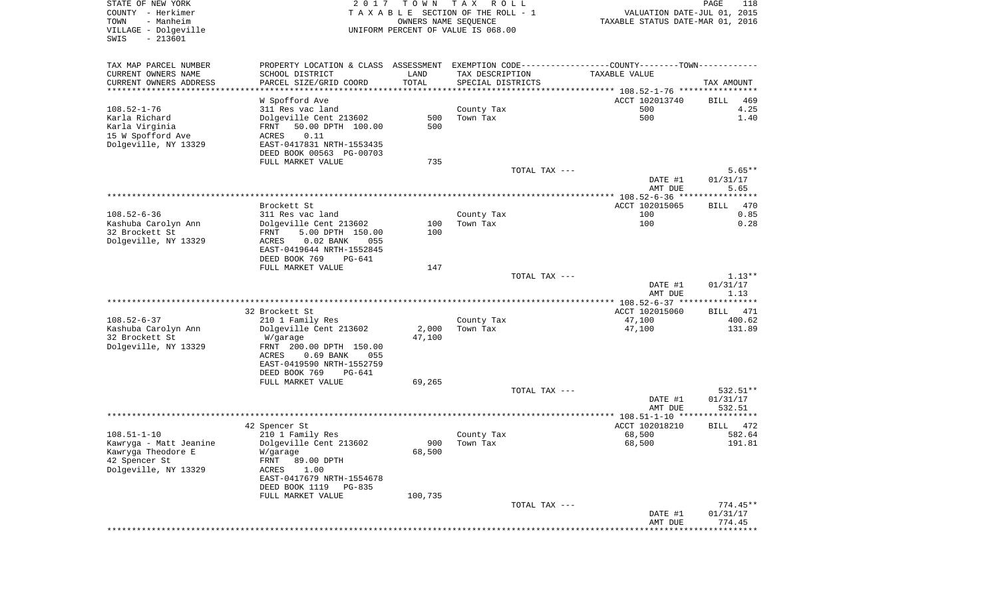| STATE OF NEW YORK<br>COUNTY - Herkimer<br>TOWN<br>- Manheim | 2017                                                                                          | OWNERS NAME SEQUENCE | TOWN TAX ROLL<br>TAXABLE SECTION OF THE ROLL - 1 |               | VALUATION DATE-JUL 01, 2015<br>TAXABLE STATUS DATE-MAR 01, 2016   | 118<br>PAGE |
|-------------------------------------------------------------|-----------------------------------------------------------------------------------------------|----------------------|--------------------------------------------------|---------------|-------------------------------------------------------------------|-------------|
| VILLAGE - Dolgeville<br>SWIS<br>$-213601$                   |                                                                                               |                      | UNIFORM PERCENT OF VALUE IS 068.00               |               |                                                                   |             |
| TAX MAP PARCEL NUMBER                                       | PROPERTY LOCATION & CLASS ASSESSMENT EXEMPTION CODE---------------COUNTY-------TOWN---------- |                      |                                                  |               |                                                                   |             |
| CURRENT OWNERS NAME<br>CURRENT OWNERS ADDRESS               | SCHOOL DISTRICT<br>PARCEL SIZE/GRID COORD                                                     | LAND<br>TOTAL        | TAX DESCRIPTION<br>SPECIAL DISTRICTS             |               | TAXABLE VALUE                                                     |             |
|                                                             |                                                                                               |                      |                                                  |               |                                                                   | TAX AMOUNT  |
|                                                             | W Spofford Ave                                                                                |                      |                                                  |               | ACCT 102013740                                                    | BILL<br>469 |
| $108.52 - 1 - 76$                                           | 311 Res vac land                                                                              |                      | County Tax                                       |               | 500                                                               | 4.25        |
| Karla Richard                                               | Dolgeville Cent 213602                                                                        | 500                  | Town Tax                                         |               | 500                                                               | 1.40        |
| Karla Virginia                                              | 50.00 DPTH 100.00<br>FRNT<br>0.11<br>ACRES                                                    | 500                  |                                                  |               |                                                                   |             |
| 15 W Spofford Ave<br>Dolgeville, NY 13329                   | EAST-0417831 NRTH-1553435                                                                     |                      |                                                  |               |                                                                   |             |
|                                                             | DEED BOOK 00563 PG-00703                                                                      |                      |                                                  |               |                                                                   |             |
|                                                             | FULL MARKET VALUE                                                                             | 735                  |                                                  |               |                                                                   |             |
|                                                             |                                                                                               |                      |                                                  | TOTAL TAX --- |                                                                   | $5.65**$    |
|                                                             |                                                                                               |                      |                                                  |               | DATE #1                                                           | 01/31/17    |
|                                                             |                                                                                               |                      |                                                  |               | AMT DUE                                                           | 5.65        |
|                                                             | Brockett St                                                                                   |                      |                                                  |               | ACCT 102015065                                                    | BILL<br>470 |
| $108.52 - 6 - 36$                                           | 311 Res vac land                                                                              |                      | County Tax                                       |               | 100                                                               | 0.85        |
| Kashuba Carolyn Ann                                         | Dolgeville Cent 213602                                                                        | 100                  | Town Tax                                         |               | 100                                                               | 0.28        |
| 32 Brockett St                                              | 5.00 DPTH 150.00<br>FRNT                                                                      | 100                  |                                                  |               |                                                                   |             |
| Dolgeville, NY 13329                                        | $0.02$ BANK<br>ACRES<br>055                                                                   |                      |                                                  |               |                                                                   |             |
|                                                             | EAST-0419644 NRTH-1552845<br>DEED BOOK 769<br>PG-641                                          |                      |                                                  |               |                                                                   |             |
|                                                             | FULL MARKET VALUE                                                                             | 147                  |                                                  |               |                                                                   |             |
|                                                             |                                                                                               |                      |                                                  | TOTAL TAX --- |                                                                   | $1.13**$    |
|                                                             |                                                                                               |                      |                                                  |               | DATE #1                                                           | 01/31/17    |
|                                                             |                                                                                               |                      |                                                  |               | AMT DUE                                                           | 1.13        |
|                                                             | 32 Brockett St                                                                                |                      |                                                  |               | ***************** 108.52-6-37 *****************<br>ACCT 102015060 | BILL 471    |
| 108.52-6-37                                                 | 210 1 Family Res                                                                              |                      | County Tax                                       |               | 47,100                                                            | 400.62      |
| Kashuba Carolyn Ann                                         | Dolgeville Cent 213602                                                                        | 2,000                | Town Tax                                         |               | 47,100                                                            | 131.89      |
| 32 Brockett St                                              | W/garage                                                                                      | 47,100               |                                                  |               |                                                                   |             |
| Dolgeville, NY 13329                                        | FRNT 200.00 DPTH 150.00                                                                       |                      |                                                  |               |                                                                   |             |
|                                                             | $0.69$ BANK<br>ACRES<br>055                                                                   |                      |                                                  |               |                                                                   |             |
|                                                             | EAST-0419590 NRTH-1552759<br>DEED BOOK 769<br>PG-641                                          |                      |                                                  |               |                                                                   |             |
|                                                             | FULL MARKET VALUE                                                                             | 69,265               |                                                  |               |                                                                   |             |
|                                                             |                                                                                               |                      |                                                  | TOTAL TAX --- |                                                                   | 532.51**    |
|                                                             |                                                                                               |                      |                                                  |               | DATE #1                                                           | 01/31/17    |
|                                                             |                                                                                               |                      |                                                  |               | AMT DUE                                                           | 532.51      |
|                                                             |                                                                                               |                      |                                                  |               | ACCT 102018210                                                    | BILL 472    |
| 108.51-1-10                                                 | 42 Spencer St<br>210 1 Family Res                                                             |                      | County Tax                                       |               | 68,500                                                            | 582.64      |
| Kawryga - Matt Jeanine                                      | Dolgeville Cent 213602                                                                        | 900                  | Town Tax                                         |               | 68,500                                                            | 191.81      |
| Kawryga Theodore E                                          | W/garage                                                                                      | 68,500               |                                                  |               |                                                                   |             |
| 42 Spencer St                                               | FRNT<br>89.00 DPTH                                                                            |                      |                                                  |               |                                                                   |             |
| Dolgeville, NY 13329                                        | ACRES<br>1.00                                                                                 |                      |                                                  |               |                                                                   |             |
|                                                             | EAST-0417679 NRTH-1554678<br>DEED BOOK 1119                                                   |                      |                                                  |               |                                                                   |             |
|                                                             | PG-835<br>FULL MARKET VALUE                                                                   | 100,735              |                                                  |               |                                                                   |             |
|                                                             |                                                                                               |                      |                                                  | TOTAL TAX --- |                                                                   | $774.45**$  |
|                                                             |                                                                                               |                      |                                                  |               |                                                                   |             |
|                                                             |                                                                                               |                      |                                                  |               | DATE #1                                                           | 01/31/17    |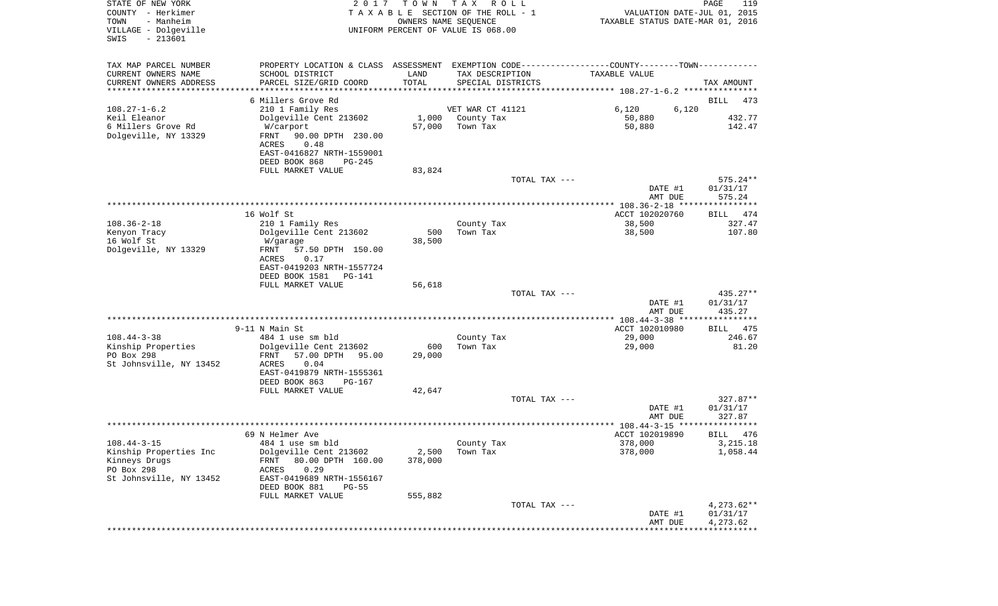| STATE OF NEW YORK<br>COUNTY - Herkimer<br>TOWN<br>- Manheim<br>VILLAGE - Dolgeville<br>$-213601$<br>SWIS | 2017<br>T O W N<br>TAXABLE SECTION OF THE ROLL - 1<br>UNIFORM PERCENT OF VALUE IS 068.00 | T A X<br>R O L L<br>OWNERS NAME SEQUENCE | VALUATION DATE-JUL 01, 2015<br>TAXABLE STATUS DATE-MAR 01, 2016                               | PAGE<br>119        |
|----------------------------------------------------------------------------------------------------------|------------------------------------------------------------------------------------------|------------------------------------------|-----------------------------------------------------------------------------------------------|--------------------|
| TAX MAP PARCEL NUMBER                                                                                    |                                                                                          |                                          | PROPERTY LOCATION & CLASS ASSESSMENT EXEMPTION CODE---------------COUNTY-------TOWN---------- |                    |
| CURRENT OWNERS NAME<br>SCHOOL DISTRICT                                                                   | LAND                                                                                     | TAX DESCRIPTION                          | TAXABLE VALUE                                                                                 |                    |
| CURRENT OWNERS ADDRESS<br>PARCEL SIZE/GRID COORD                                                         | TOTAL                                                                                    | SPECIAL DISTRICTS                        |                                                                                               | TAX AMOUNT         |
| *********************<br>6 Millers Grove Rd                                                              |                                                                                          |                                          |                                                                                               | BILL<br>473        |
| $108.27 - 1 - 6.2$<br>210 1 Family Res                                                                   |                                                                                          | VET WAR CT 41121                         | 6,120<br>6,120                                                                                |                    |
| Keil Eleanor<br>Dolgeville Cent 213602                                                                   | 1,000                                                                                    | County Tax                               | 50,880                                                                                        | 432.77             |
| 6 Millers Grove Rd<br>W/carport                                                                          | 57,000                                                                                   | Town Tax                                 | 50,880                                                                                        | 142.47             |
| Dolgeville, NY 13329<br>FRNT<br>90.00 DPTH 230.00<br>ACRES<br>0.48                                       |                                                                                          |                                          |                                                                                               |                    |
| EAST-0416827 NRTH-1559001<br>DEED BOOK 868                                                               | $PG-245$                                                                                 |                                          |                                                                                               |                    |
| FULL MARKET VALUE                                                                                        | 83,824                                                                                   |                                          |                                                                                               |                    |
|                                                                                                          |                                                                                          | TOTAL TAX ---                            |                                                                                               | $575.24**$         |
|                                                                                                          |                                                                                          |                                          | DATE #1                                                                                       | 01/31/17           |
|                                                                                                          |                                                                                          |                                          | AMT DUE                                                                                       | 575.24             |
| 16 Wolf St                                                                                               |                                                                                          |                                          | ACCT 102020760                                                                                | BILL 474           |
| $108.36 - 2 - 18$<br>210 1 Family Res                                                                    |                                                                                          | County Tax                               | 38,500                                                                                        | 327.47             |
| Dolgeville Cent 213602<br>Kenyon Tracy                                                                   | 500                                                                                      | Town Tax                                 | 38,500                                                                                        | 107.80             |
| 16 Wolf St<br>W/garage                                                                                   | 38,500                                                                                   |                                          |                                                                                               |                    |
| Dolgeville, NY 13329<br>57.50 DPTH 150.00<br>FRNT<br>ACRES<br>0.17                                       |                                                                                          |                                          |                                                                                               |                    |
| EAST-0419203 NRTH-1557724                                                                                |                                                                                          |                                          |                                                                                               |                    |
| DEED BOOK 1581                                                                                           | PG-141                                                                                   |                                          |                                                                                               |                    |
| FULL MARKET VALUE                                                                                        | 56,618                                                                                   |                                          |                                                                                               |                    |
|                                                                                                          |                                                                                          | TOTAL TAX ---                            |                                                                                               | $435.27**$         |
|                                                                                                          |                                                                                          |                                          | DATE #1<br>AMT DUE                                                                            | 01/31/17<br>435.27 |
|                                                                                                          |                                                                                          |                                          |                                                                                               |                    |
| 9-11 N Main St                                                                                           |                                                                                          |                                          | ACCT 102010980                                                                                | 475<br>BILL        |
| $108.44 - 3 - 38$<br>484 1 use sm bld                                                                    |                                                                                          | County Tax                               | 29,000                                                                                        | 246.67             |
| Kinship Properties<br>Dolgeville Cent 213602                                                             | 600                                                                                      | Town Tax                                 | 29,000                                                                                        | 81.20              |
| PO Box 298<br>FRNT<br>57.00 DPTH<br>St Johnsville, NY 13452<br>ACRES<br>0.04                             | 29,000<br>95.00                                                                          |                                          |                                                                                               |                    |
| EAST-0419879 NRTH-1555361                                                                                |                                                                                          |                                          |                                                                                               |                    |
| DEED BOOK 863                                                                                            | PG-167                                                                                   |                                          |                                                                                               |                    |
| FULL MARKET VALUE                                                                                        | 42,647                                                                                   |                                          |                                                                                               |                    |
|                                                                                                          |                                                                                          | TOTAL TAX ---                            |                                                                                               | $327.87**$         |
|                                                                                                          |                                                                                          |                                          | DATE #1<br>AMT DUE                                                                            | 01/31/17<br>327.87 |
|                                                                                                          |                                                                                          |                                          |                                                                                               |                    |
| 69 N Helmer Ave                                                                                          |                                                                                          |                                          | ACCT 102019890                                                                                | 476<br>BILL        |
| $108.44 - 3 - 15$<br>484 1 use sm bld                                                                    |                                                                                          | County Tax                               | 378,000                                                                                       | 3,215.18           |
| Kinship Properties Inc<br>Dolgeville Cent 213602                                                         | 2,500                                                                                    | Town Tax                                 | 378,000                                                                                       | 1,058.44           |
| 80.00 DPTH 160.00<br>Kinneys Drugs<br>FRNT                                                               | 378,000                                                                                  |                                          |                                                                                               |                    |
| PO Box 298<br>0.29<br>ACRES<br>St Johnsville, NY 13452<br>EAST-0419689 NRTH-1556167                      |                                                                                          |                                          |                                                                                               |                    |
| DEED BOOK 881                                                                                            | $PG-55$                                                                                  |                                          |                                                                                               |                    |
| FULL MARKET VALUE                                                                                        | 555,882                                                                                  |                                          |                                                                                               |                    |
|                                                                                                          |                                                                                          | TOTAL TAX ---                            |                                                                                               | $4,273.62**$       |
|                                                                                                          |                                                                                          |                                          | DATE #1                                                                                       | 01/31/17           |
|                                                                                                          |                                                                                          |                                          | AMT DUE                                                                                       | 4,273.62           |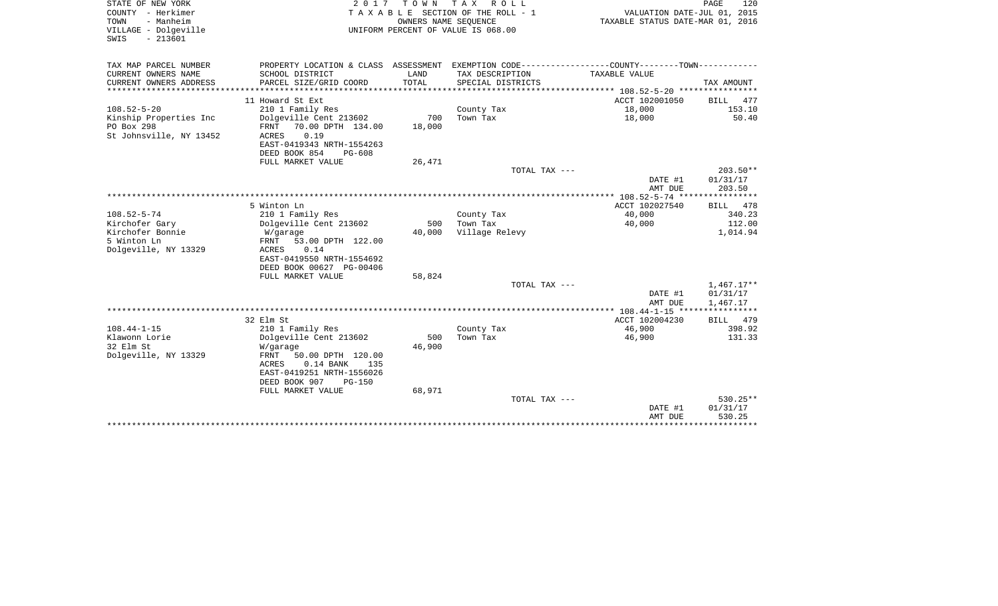| STATE OF NEW YORK<br>COUNTY - Herkimer<br>- Manheim<br>TOWN<br>VILLAGE - Dolgeville<br>$-213601$<br>SWIS | 2017                                              | TOWN          | T A X<br>R O L L<br>T A X A B L E SECTION OF THE ROLL - 1<br>OWNERS NAME SEOUENCE<br>UNIFORM PERCENT OF VALUE IS 068.00 | VALUATION DATE-JUL 01, 2015<br>TAXABLE STATUS DATE-MAR 01, 2016 | PAGE<br>120                  |
|----------------------------------------------------------------------------------------------------------|---------------------------------------------------|---------------|-------------------------------------------------------------------------------------------------------------------------|-----------------------------------------------------------------|------------------------------|
| TAX MAP PARCEL NUMBER                                                                                    |                                                   |               | PROPERTY LOCATION & CLASS ASSESSMENT EXEMPTION CODE----------------COUNTY-------TOWN----------                          |                                                                 |                              |
| CURRENT OWNERS NAME<br>CURRENT OWNERS ADDRESS                                                            | SCHOOL DISTRICT<br>PARCEL SIZE/GRID COORD         | LAND<br>TOTAL | TAX DESCRIPTION<br>SPECIAL DISTRICTS                                                                                    | TAXABLE VALUE                                                   | TAX AMOUNT                   |
|                                                                                                          |                                                   |               |                                                                                                                         |                                                                 |                              |
|                                                                                                          | 11 Howard St Ext                                  |               |                                                                                                                         | ACCT 102001050                                                  | <b>BILL</b><br>477           |
| $108.52 - 5 - 20$                                                                                        | 210 1 Family Res                                  |               | County Tax                                                                                                              | 18,000                                                          | 153.10                       |
| Kinship Properties Inc                                                                                   | Dolgeville Cent 213602                            | 700           | Town Tax                                                                                                                | 18,000                                                          | 50.40                        |
| PO Box 298                                                                                               | 70.00 DPTH 134.00<br>FRNT                         | 18,000        |                                                                                                                         |                                                                 |                              |
| St Johnsville, NY 13452                                                                                  | <b>ACRES</b><br>0.19<br>EAST-0419343 NRTH-1554263 |               |                                                                                                                         |                                                                 |                              |
|                                                                                                          | DEED BOOK 854<br>$PG-608$                         |               |                                                                                                                         |                                                                 |                              |
|                                                                                                          | FULL MARKET VALUE                                 | 26,471        |                                                                                                                         |                                                                 |                              |
|                                                                                                          |                                                   |               | TOTAL TAX ---                                                                                                           |                                                                 | 203.50**                     |
|                                                                                                          |                                                   |               |                                                                                                                         | DATE #1                                                         | 01/31/17                     |
|                                                                                                          |                                                   |               |                                                                                                                         | AMT DUE                                                         | 203.50                       |
|                                                                                                          |                                                   |               |                                                                                                                         | ************ 108.52-5-74 *****************                      |                              |
| $108.52 - 5 - 74$                                                                                        | 5 Winton Ln<br>210 1 Family Res                   |               | County Tax                                                                                                              | ACCT 102027540<br>40,000                                        | <b>BILL</b><br>478<br>340.23 |
| Kirchofer Gary                                                                                           | Dolgeville Cent 213602                            | 500           | Town Tax                                                                                                                | 40,000                                                          | 112.00                       |
| Kirchofer Bonnie                                                                                         | W/garage                                          | 40,000        | Village Relevy                                                                                                          |                                                                 | 1,014.94                     |
| 5 Winton Ln                                                                                              | 53.00 DPTH 122.00<br>FRNT                         |               |                                                                                                                         |                                                                 |                              |
| Dolgeville, NY 13329                                                                                     | 0.14<br>ACRES                                     |               |                                                                                                                         |                                                                 |                              |
|                                                                                                          | EAST-0419550 NRTH-1554692                         |               |                                                                                                                         |                                                                 |                              |
|                                                                                                          | DEED BOOK 00627 PG-00406                          |               |                                                                                                                         |                                                                 |                              |
|                                                                                                          | FULL MARKET VALUE                                 | 58,824        | TOTAL TAX ---                                                                                                           |                                                                 | $1,467.17**$                 |
|                                                                                                          |                                                   |               |                                                                                                                         | DATE #1                                                         | 01/31/17                     |
|                                                                                                          |                                                   |               |                                                                                                                         | AMT DUE                                                         | 1,467.17                     |
|                                                                                                          |                                                   |               |                                                                                                                         |                                                                 |                              |
|                                                                                                          | 32 Elm St                                         |               |                                                                                                                         | ACCT 102004230                                                  | BILL<br>479                  |
| $108.44 - 1 - 15$                                                                                        | 210 1 Family Res                                  |               | County Tax                                                                                                              | 46,900                                                          | 398.92                       |
| Klawonn Lorie                                                                                            | Dolgeville Cent 213602                            | 500           | Town Tax                                                                                                                | 46,900                                                          | 131.33                       |
| 32 Elm St<br>Dolgeville, NY 13329                                                                        | W/garage<br>FRNT<br>50.00 DPTH 120.00             | 46,900        |                                                                                                                         |                                                                 |                              |
|                                                                                                          | $0.14$ BANK<br>ACRES<br>135                       |               |                                                                                                                         |                                                                 |                              |
|                                                                                                          | EAST-0419251 NRTH-1556026                         |               |                                                                                                                         |                                                                 |                              |
|                                                                                                          | DEED BOOK 907<br>$PG-150$                         |               |                                                                                                                         |                                                                 |                              |
|                                                                                                          | FULL MARKET VALUE                                 | 68,971        |                                                                                                                         |                                                                 |                              |
|                                                                                                          |                                                   |               | TOTAL TAX ---                                                                                                           |                                                                 | $530.25**$                   |
|                                                                                                          |                                                   |               |                                                                                                                         | DATE #1                                                         | 01/31/17                     |
|                                                                                                          |                                                   |               |                                                                                                                         | AMT DUE<br>*******************************                      | 530.25                       |
|                                                                                                          |                                                   |               |                                                                                                                         |                                                                 |                              |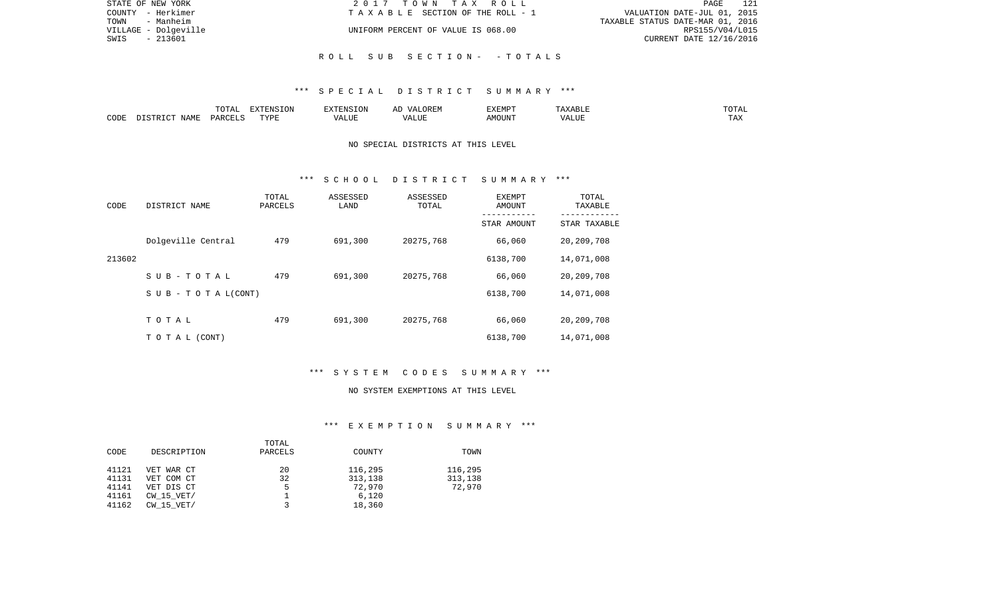| STATE OF NEW YORK    | 2017 TOWN TAX ROLL                 | 121<br>PAGE                      |
|----------------------|------------------------------------|----------------------------------|
| COUNTY - Herkimer    | TAXABLE SECTION OF THE ROLL - 1    | VALUATION DATE-JUL 01, 2015      |
| - Manheim<br>TOWN    |                                    | TAXABLE STATUS DATE-MAR 01, 2016 |
| VILLAGE - Dolgeville | UNIFORM PERCENT OF VALUE IS 068.00 | RPS155/V04/L015                  |
| - 213601<br>SWIS     |                                    | CURRENT DATE 12/16/2016          |
|                      |                                    |                                  |
|                      | ROLL SUB SECTION- - TOTALS         |                                  |

### \*\*\* S P E C I A L D I S T R I C T S U M M A R Y \*\*\*

|      |      | $T$ $\cap$ $T$ $\cap$ $T$ $\cap$<br>- ∪ ⊥ ⊓⊥ | $\blacksquare$<br>L ON<br>1 V 1 7 | . NTC          |                   | EXEMPT          | .                     | $m \wedge m$<br>---- |
|------|------|----------------------------------------------|-----------------------------------|----------------|-------------------|-----------------|-----------------------|----------------------|
| CODE | ᇧᅀᄴᄛ | ח ם ב                                        | TVDI<br>.                         | - ---<br>LILIP | - ---<br>,,,<br>. | .)UN"<br>A IVI. | <b></b><br>$\sqrt{1}$ | ----<br>.AZ          |

## NO SPECIAL DISTRICTS AT THIS LEVEL

#### \*\*\* S C H O O L D I S T R I C T S U M M A R Y \*\*\*

| CODE   | DISTRICT NAME             | TOTAL<br>PARCELS | ASSESSED<br>LAND | ASSESSED<br>TOTAL | EXEMPT<br>AMOUNT | TOTAL<br>TAXABLE<br>-------- |
|--------|---------------------------|------------------|------------------|-------------------|------------------|------------------------------|
|        |                           |                  |                  |                   | STAR AMOUNT      | STAR TAXABLE                 |
|        | Dolgeville Central        | 479              | 691,300          | 20275,768         | 66,060           | 20,209,708                   |
| 213602 |                           |                  |                  |                   | 6138,700         | 14,071,008                   |
|        | $S$ U B - T O T A L       | 479              | 691,300          | 20275,768         | 66,060           | 20,209,708                   |
|        | S U B - T O T A $L(CONT)$ |                  |                  |                   | 6138,700         | 14,071,008                   |
|        |                           |                  |                  |                   |                  |                              |
|        | TOTAL                     | 479              | 691,300          | 20275,768         | 66,060           | 20,209,708                   |
|        | T O T A L (CONT)          |                  |                  |                   | 6138,700         | 14,071,008                   |

# \*\*\* S Y S T E M C O D E S S U M M A R Y \*\*\*

#### NO SYSTEM EXEMPTIONS AT THIS LEVEL

# \*\*\* E X E M P T I O N S U M M A R Y \*\*\*

|       |                | TOTAL   |         |         |
|-------|----------------|---------|---------|---------|
| CODE  | DESCRIPTION    | PARCELS | COUNTY  | TOWN    |
|       |                |         |         |         |
| 41121 | VET WAR CT     | 20      | 116,295 | 116,295 |
| 41131 | VET COM CT     | 32      | 313,138 | 313,138 |
| 41141 | VET DIS CT     | 5       | 72,970  | 72,970  |
| 41161 | $CW$ 15 $VET/$ |         | 6,120   |         |
| 41162 | $CW$ 15 $VET/$ |         | 18,360  |         |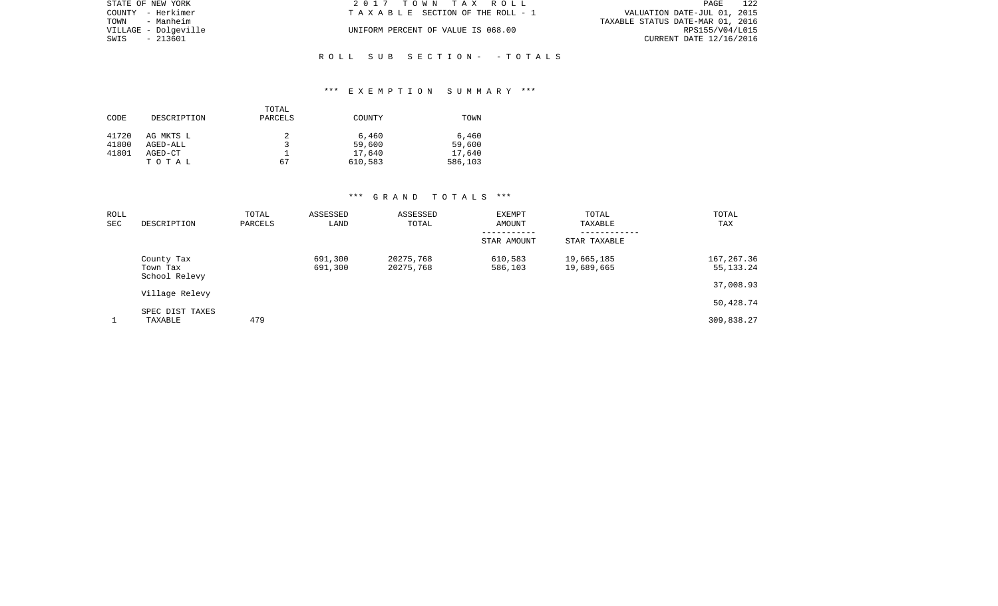| STATE OF NEW YORK    | 2017 TOWN TAX ROLL                 | 122<br>PAGE                      |
|----------------------|------------------------------------|----------------------------------|
| COUNTY - Herkimer    | TAXABLE SECTION OF THE ROLL - 1    | VALUATION DATE-JUL 01, 2015      |
| TOWN - Manheim       |                                    | TAXABLE STATUS DATE-MAR 01, 2016 |
| VILLAGE - Dolgeville | UNIFORM PERCENT OF VALUE IS 068.00 | RPS155/V04/L015                  |
| SWIS<br>- 213601     |                                    | CURRENT DATE 12/16/2016          |
|                      |                                    |                                  |
|                      | ROLL SUB SECTION- -TOTALS          |                                  |

## \*\*\* E X E M P T I O N S U M M A R Y \*\*\*

| CODE           | DESCRIPTION           | TOTAL<br>PARCELS | COUNTY          | TOWN            |
|----------------|-----------------------|------------------|-----------------|-----------------|
| 41720<br>41800 | AG MKTS L<br>AGED-ALL |                  | 6,460<br>59,600 | 6,460<br>59,600 |
| 41801          | AGED-CT               |                  | 17,640          | 17,640          |
|                | TOTAL                 | 67               | 610,583         | 586,103         |

# \*\*\* G R A N D T O T A L S \*\*\*

| ROLL<br>SEC | DESCRIPTION                             | TOTAL<br>PARCELS | ASSESSED<br>LAND   | ASSESSED<br>TOTAL      | EXEMPT<br>AMOUNT   | TOTAL<br>TAXABLE<br>--------- | TOTAL<br>TAX               |
|-------------|-----------------------------------------|------------------|--------------------|------------------------|--------------------|-------------------------------|----------------------------|
|             |                                         |                  |                    |                        | STAR AMOUNT        | STAR TAXABLE                  |                            |
|             | County Tax<br>Town Tax<br>School Relevy |                  | 691,300<br>691,300 | 20275,768<br>20275,768 | 610,583<br>586,103 | 19,665,185<br>19,689,665      | 167, 267.36<br>55, 133. 24 |
|             | Village Relevy                          |                  |                    |                        |                    |                               | 37,008.93                  |
|             |                                         |                  |                    |                        |                    |                               | 50,428.74                  |
|             | SPEC DIST TAXES<br>TAXABLE              | 479              |                    |                        |                    |                               | 309,838.27                 |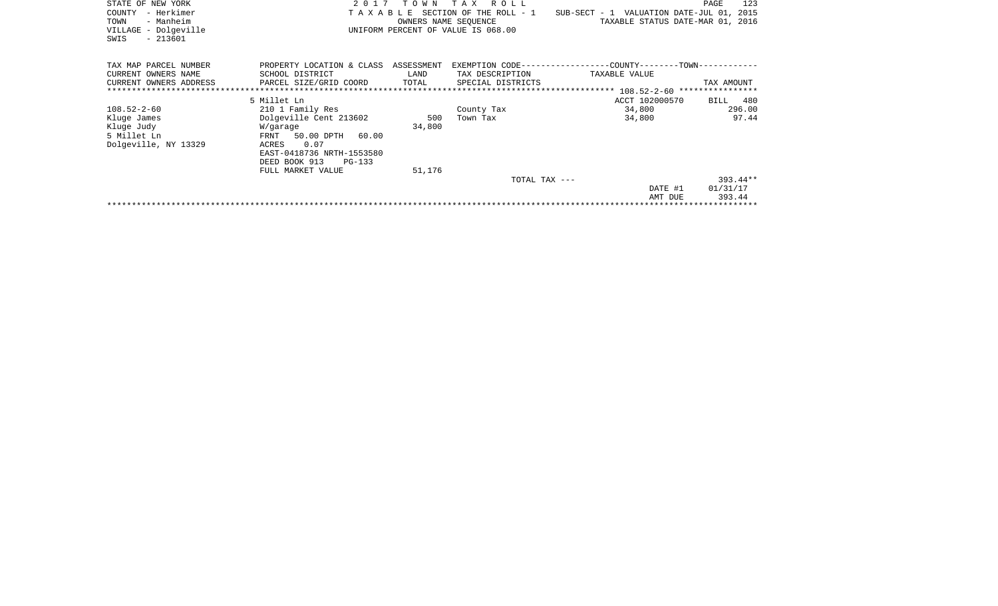| STATE OF NEW YORK<br>- Herkimer<br>COUNTY<br>- Manheim<br>TOWN<br>VILLAGE - Dolgeville<br>$-213601$<br>SWIS |                                                                                                                                                                               |                         | 2017 TOWN TAX ROLL<br>OWNERS NAME SEOUENCE<br>UNIFORM PERCENT OF VALUE IS 068.00 | T A X A B L E SECTION OF THE ROLL - 1 SUB-SECT - 1 VALUATION DATE-JUL 01, 2015<br>TAXABLE STATUS DATE-MAR 01, 2016 | 123<br>PAGE                      |
|-------------------------------------------------------------------------------------------------------------|-------------------------------------------------------------------------------------------------------------------------------------------------------------------------------|-------------------------|----------------------------------------------------------------------------------|--------------------------------------------------------------------------------------------------------------------|----------------------------------|
| TAX MAP PARCEL NUMBER<br>CURRENT OWNERS NAME<br>CURRENT OWNERS ADDRESS                                      | PROPERTY LOCATION & CLASS ASSESSMENT<br>SCHOOL DISTRICT<br>PARCEL SIZE/GRID COORD                                                                                             | LAND<br>TOTAL           | TAX DESCRIPTION<br>SPECIAL DISTRICTS                                             | EXEMPTION CODE-----------------COUNTY-------TOWN------------<br>TAXABLE VALUE                                      | TAX AMOUNT                       |
|                                                                                                             | 5 Millet Ln                                                                                                                                                                   |                         |                                                                                  | ACCT 102000570                                                                                                     | BILL 480                         |
| $108.52 - 2 - 60$<br>Kluge James<br>Kluge Judy<br>5 Millet Ln<br>Dolgeville, NY 13329                       | 210 1 Family Res<br>Dolgeville Cent 213602<br>W/garage<br>FRNT 50.00 DPTH 60.00<br>0.07<br>ACRES<br>EAST-0418736 NRTH-1553580<br>DEED BOOK 913<br>PG-133<br>FULL MARKET VALUE | 500<br>34,800<br>51,176 | County Tax<br>Town Tax                                                           | 34,800<br>34,800                                                                                                   | 296.00<br>97.44                  |
|                                                                                                             |                                                                                                                                                                               |                         | TOTAL TAX ---                                                                    | DATE #1<br>AMT DUE                                                                                                 | $393.44**$<br>01/31/17<br>393.44 |
|                                                                                                             |                                                                                                                                                                               |                         |                                                                                  |                                                                                                                    |                                  |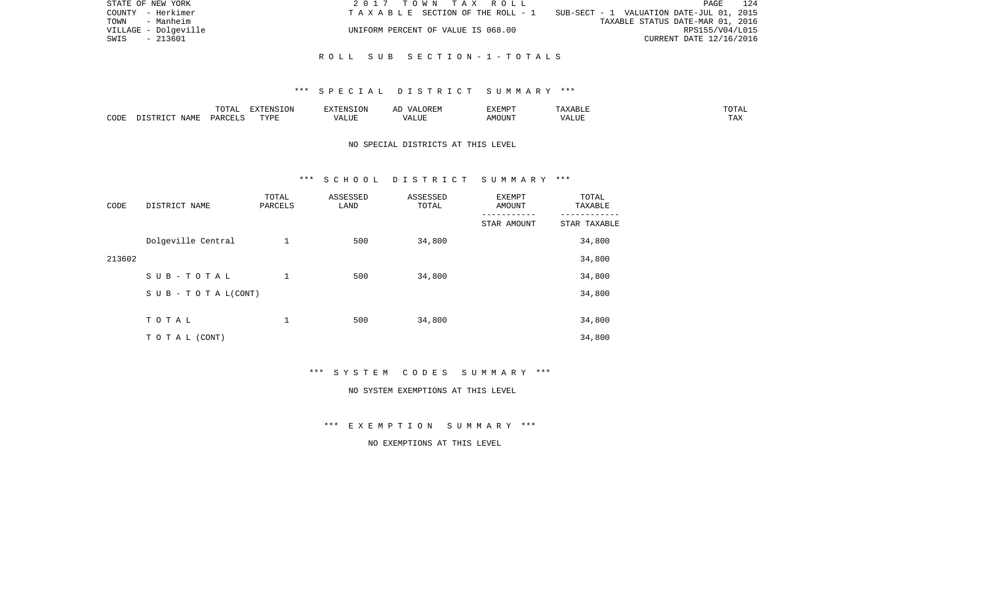| STATE OF NEW YORK    | 2017 TOWN TAX ROLL                 | 124<br>PAGE                                   |
|----------------------|------------------------------------|-----------------------------------------------|
| COUNTY - Herkimer    | TAXABLE SECTION OF THE ROLL - 1    | $SUB-SECTION - 1$ VALUATION DATE-JUL 01, 2015 |
| TOWN - Manheim       |                                    | TAXABLE STATUS DATE-MAR 01, 2016              |
| VILLAGE - Dolgeville | UNIFORM PERCENT OF VALUE IS 068.00 | RPS155/V04/L015                               |
| SWIS<br>- 213601     |                                    | CURRENT DATE 12/16/2016                       |
|                      |                                    |                                               |

## R O L L S U B S E C T I O N - 1 - T O T A L S

### \*\*\* S P E C I A L D I S T R I C T S U M M A R Y \*\*\*

|      |             | $m \wedge m \wedge n$<br>◡∸⊷ | $\Box$<br>NS<br>LUN | ™™                                      | 17 D<br>$\overline{\phantom{a}}$ | <b>EXEMP1</b> |      | .                  |
|------|-------------|------------------------------|---------------------|-----------------------------------------|----------------------------------|---------------|------|--------------------|
| CODE | <b>NAME</b> | יהומת<br>レムト                 | TVDI                | $\overline{\phantom{a}}$<br>۳۵ تا ۱۳۰۰. | $- - - - -$<br>۳۰ تا سند.        | $1.55 \cap T$ | ៶៸ ៸ | <b>TRV</b><br>LT22 |

# NO SPECIAL DISTRICTS AT THIS LEVEL

#### \*\*\* S C H O O L D I S T R I C T S U M M A R Y \*\*\*

| CODE   | DISTRICT NAME                    | TOTAL<br>PARCELS | ASSESSED<br>LAND | ASSESSED<br>TOTAL | <b>EXEMPT</b><br>AMOUNT | TOTAL<br>TAXABLE |
|--------|----------------------------------|------------------|------------------|-------------------|-------------------------|------------------|
|        |                                  |                  |                  |                   | STAR AMOUNT             | STAR TAXABLE     |
|        | Dolgeville Central               | 1                | 500              | 34,800            |                         | 34,800           |
| 213602 |                                  |                  |                  |                   |                         | 34,800           |
|        | SUB-TOTAL                        | 1                | 500              | 34,800            |                         | 34,800           |
|        | $S \cup B - T \cup T A L (CONT)$ |                  |                  |                   |                         | 34,800           |
|        |                                  |                  |                  |                   |                         |                  |
|        | TOTAL                            | 1                | 500              | 34,800            |                         | 34,800           |
|        | TO TAL (CONT)                    |                  |                  |                   |                         | 34,800           |

\*\*\* S Y S T E M C O D E S S U M M A R Y \*\*\*

#### NO SYSTEM EXEMPTIONS AT THIS LEVEL

\*\*\* E X E M P T I O N S U M M A R Y \*\*\*

NO EXEMPTIONS AT THIS LEVEL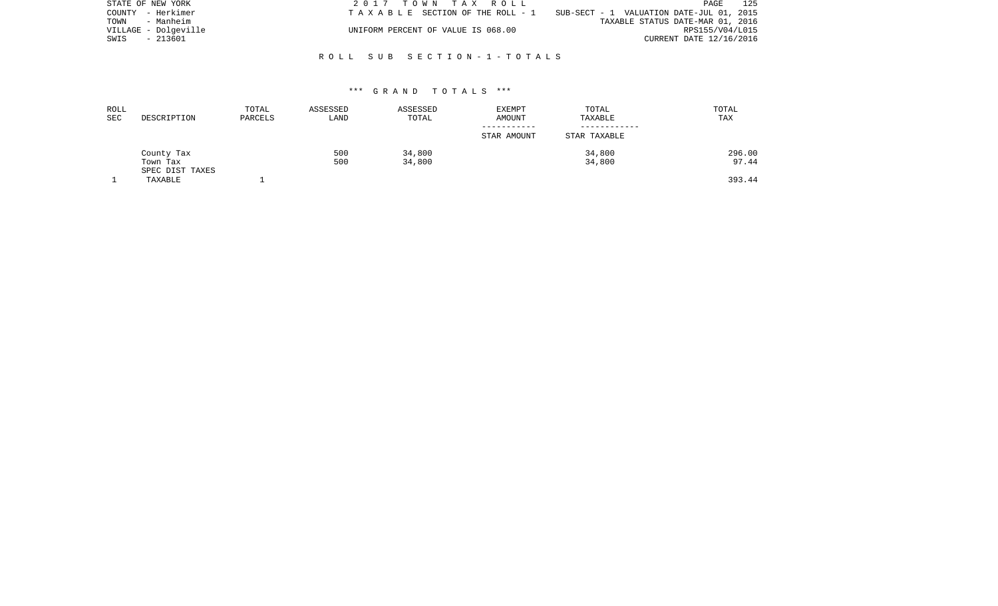| STATE OF NEW YORK    | 2017 TOWN TAX ROLL                 | 125<br>PAGE                              |
|----------------------|------------------------------------|------------------------------------------|
| COUNTY - Herkimer    | TAXABLE SECTION OF THE ROLL - 1    | SUB-SECT - 1 VALUATION DATE-JUL 01, 2015 |
| TOWN<br>- Manheim    |                                    | TAXABLE STATUS DATE-MAR 01, 2016         |
| VILLAGE - Dolqeville | UNIFORM PERCENT OF VALUE IS 068.00 | RPS155/V04/L015                          |
| SWIS - 213601        |                                    | CURRENT DATE 12/16/2016                  |
|                      |                                    |                                          |

## R O L L S U B S E C T I O N - 1 - T O T A L S

### \*\*\* G R A N D T O T A L S \*\*\*

| ROLL<br>SEC | DESCRIPTION                 | TOTAL<br>PARCELS | ASSESSED<br>LAND | ASSESSED<br>TOTAL | <b>EXEMPT</b><br>AMOUNT | TOTAL<br>TAXABLE | TOTAL<br>TAX |
|-------------|-----------------------------|------------------|------------------|-------------------|-------------------------|------------------|--------------|
|             |                             |                  |                  |                   | STAR AMOUNT             | STAR TAXABLE     |              |
|             | County Tax                  |                  | 500              | 34,800            |                         | 34,800           | 296.00       |
|             | Town Tax<br>SPEC DIST TAXES |                  | 500              | 34,800            |                         | 34,800           | 97.44        |
|             | TAXABLE                     |                  |                  |                   |                         |                  | 393.44       |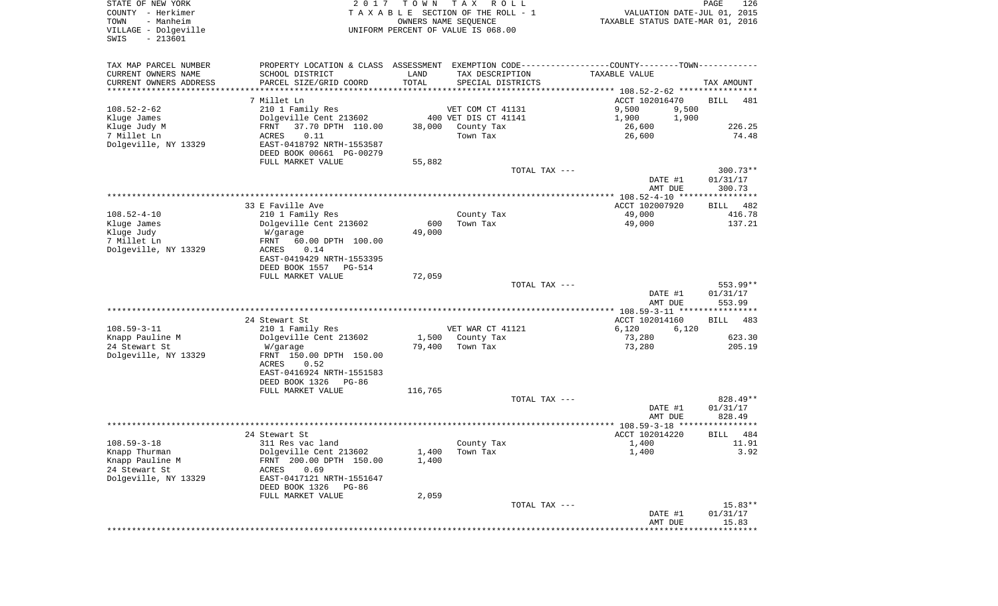| STATE OF NEW YORK<br>COUNTY - Herkimer<br>TOWN<br>- Manheim | 2017                                       | T O W N       | T A X<br>R O L L<br>TAXABLE SECTION OF THE ROLL - 1<br>OWNERS NAME SEQUENCE | VALUATION DATE-JUL 01, 2015<br>TAXABLE STATUS DATE-MAR 01, 2016 | 126<br>PAGE         |
|-------------------------------------------------------------|--------------------------------------------|---------------|-----------------------------------------------------------------------------|-----------------------------------------------------------------|---------------------|
| VILLAGE - Dolgeville<br>$-213601$<br>SWIS                   |                                            |               | UNIFORM PERCENT OF VALUE IS 068.00                                          |                                                                 |                     |
| TAX MAP PARCEL NUMBER                                       | PROPERTY LOCATION & CLASS ASSESSMENT       |               |                                                                             | EXEMPTION CODE----------------COUNTY-------TOWN----------       |                     |
| CURRENT OWNERS NAME                                         | SCHOOL DISTRICT                            | LAND          | TAX DESCRIPTION                                                             | TAXABLE VALUE                                                   |                     |
| CURRENT OWNERS ADDRESS<br>********************              | PARCEL SIZE/GRID COORD                     | TOTAL         | SPECIAL DISTRICTS                                                           |                                                                 | TAX AMOUNT          |
|                                                             | 7 Millet Ln                                |               |                                                                             | ACCT 102016470                                                  | <b>BILL</b><br>481  |
| $108.52 - 2 - 62$                                           | 210 1 Family Res                           |               | VET COM CT 41131                                                            | 9,500<br>9,500                                                  |                     |
| Kluge James                                                 | Dolgeville Cent 213602                     |               | 400 VET DIS CT 41141                                                        | 1,900<br>1,900                                                  |                     |
| Kluge Judy M                                                | FRNT<br>37.70 DPTH 110.00                  | 38,000        | County Tax                                                                  | 26,600                                                          | 226.25              |
| 7 Millet Ln                                                 | ACRES<br>0.11                              |               | Town Tax                                                                    | 26,600                                                          | 74.48               |
| Dolgeville, NY 13329                                        | EAST-0418792 NRTH-1553587                  |               |                                                                             |                                                                 |                     |
|                                                             | DEED BOOK 00661 PG-00279                   |               |                                                                             |                                                                 |                     |
|                                                             | FULL MARKET VALUE                          | 55,882        | TOTAL TAX ---                                                               |                                                                 | $300.73**$          |
|                                                             |                                            |               |                                                                             | DATE #1<br>AMT DUE                                              | 01/31/17<br>300.73  |
|                                                             |                                            |               |                                                                             |                                                                 |                     |
|                                                             | 33 E Faville Ave                           |               |                                                                             | ACCT 102007920                                                  | 482<br>BILL         |
| $108.52 - 4 - 10$                                           | 210 1 Family Res                           |               | County Tax                                                                  | 49,000                                                          | 416.78              |
| Kluge James<br>Kluge Judy                                   | Dolgeville Cent 213602<br>W/garage         | 600<br>49,000 | Town Tax                                                                    | 49,000                                                          | 137.21              |
| 7 Millet Ln                                                 | 60.00 DPTH 100.00<br>FRNT                  |               |                                                                             |                                                                 |                     |
| Dolgeville, NY 13329                                        | ACRES<br>0.14                              |               |                                                                             |                                                                 |                     |
|                                                             | EAST-0419429 NRTH-1553395                  |               |                                                                             |                                                                 |                     |
|                                                             | DEED BOOK 1557<br>PG-514                   |               |                                                                             |                                                                 |                     |
|                                                             | FULL MARKET VALUE                          | 72,059        |                                                                             |                                                                 |                     |
|                                                             |                                            |               | TOTAL TAX ---                                                               |                                                                 | $553.99**$          |
|                                                             |                                            |               |                                                                             | DATE #1<br>AMT DUE                                              | 01/31/17<br>553.99  |
|                                                             |                                            |               |                                                                             | ******** 108.59-3-11 *****************                          |                     |
|                                                             | 24 Stewart St                              |               |                                                                             | ACCT 102014160                                                  | <b>BILL</b><br>483  |
| $108.59 - 3 - 11$                                           | 210 1 Family Res                           |               | VET WAR CT 41121                                                            | 6,120<br>6,120                                                  |                     |
| Knapp Pauline M                                             | Dolgeville Cent 213602                     | 1,500         | County Tax                                                                  | 73,280                                                          | 623.30              |
| 24 Stewart St                                               | W/garage                                   | 79,400        | Town Tax                                                                    | 73,280                                                          | 205.19              |
| Dolgeville, NY 13329                                        | FRNT 150.00 DPTH 150.00                    |               |                                                                             |                                                                 |                     |
|                                                             | ACRES<br>0.52<br>EAST-0416924 NRTH-1551583 |               |                                                                             |                                                                 |                     |
|                                                             | DEED BOOK 1326<br>PG-86                    |               |                                                                             |                                                                 |                     |
|                                                             | FULL MARKET VALUE                          | 116,765       |                                                                             |                                                                 |                     |
|                                                             |                                            |               | TOTAL TAX ---                                                               |                                                                 | 828.49**            |
|                                                             |                                            |               |                                                                             | DATE #1                                                         | 01/31/17            |
|                                                             |                                            |               |                                                                             | AMT DUE                                                         | 828.49<br>* * * * * |
|                                                             | 24 Stewart St                              |               |                                                                             | ***************** 108.59-3-18 *********<br>ACCT 102014220       | 484<br>BILL         |
| $108.59 - 3 - 18$                                           | 311 Res vac land                           |               | County Tax                                                                  | 1,400                                                           | 11.91               |
| Knapp Thurman                                               | Dolgeville Cent 213602                     | 1,400         | Town Tax                                                                    | 1,400                                                           | 3.92                |
| Knapp Pauline M                                             | FRNT 200.00 DPTH 150.00                    | 1,400         |                                                                             |                                                                 |                     |
| 24 Stewart St                                               | 0.69<br>ACRES                              |               |                                                                             |                                                                 |                     |
| Dolgeville, NY 13329                                        | EAST-0417121 NRTH-1551647                  |               |                                                                             |                                                                 |                     |
|                                                             | DEED BOOK 1326<br>PG-86                    |               |                                                                             |                                                                 |                     |
|                                                             | FULL MARKET VALUE                          | 2,059         |                                                                             |                                                                 | $15.83**$           |
|                                                             |                                            |               | TOTAL TAX ---                                                               | DATE #1                                                         | 01/31/17            |
|                                                             |                                            |               |                                                                             | AMT DUE                                                         | 15.83               |
|                                                             |                                            |               |                                                                             |                                                                 |                     |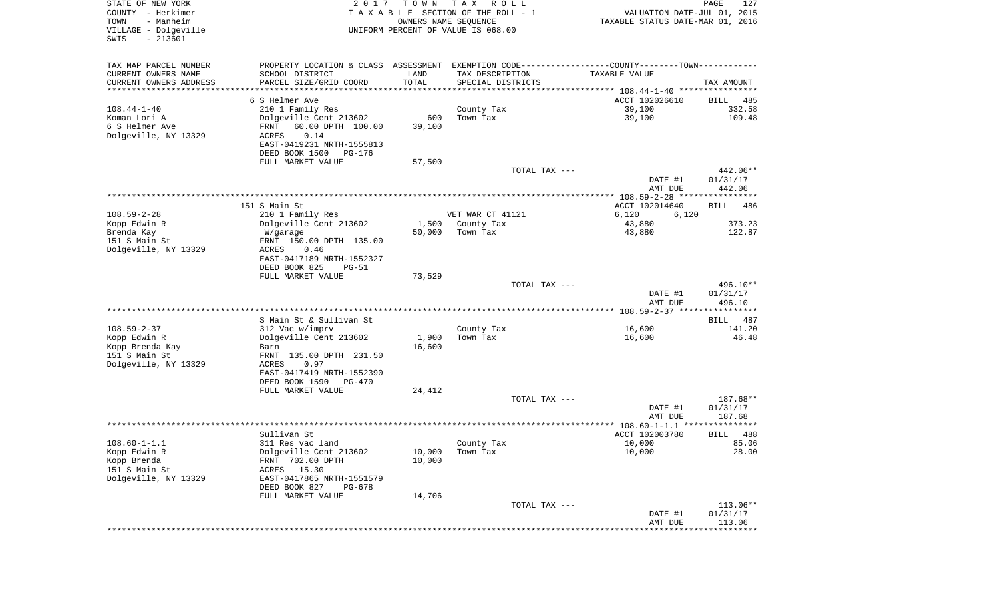| STATE OF NEW YORK<br>COUNTY - Herkimer<br>TOWN<br>- Manheim<br>VILLAGE - Dolgeville<br>$-213601$<br>SWIS | 2017                                                                                          | T O W N         | T A X<br>R O L L<br>TAXABLE SECTION OF THE ROLL - 1<br>OWNERS NAME SEQUENCE<br>UNIFORM PERCENT OF VALUE IS 068.00 | VALUATION DATE-JUL 01, 2015<br>TAXABLE STATUS DATE-MAR 01, 2016 | PAGE<br>127          |
|----------------------------------------------------------------------------------------------------------|-----------------------------------------------------------------------------------------------|-----------------|-------------------------------------------------------------------------------------------------------------------|-----------------------------------------------------------------|----------------------|
| TAX MAP PARCEL NUMBER                                                                                    | PROPERTY LOCATION & CLASS ASSESSMENT EXEMPTION CODE---------------COUNTY-------TOWN---------- |                 |                                                                                                                   |                                                                 |                      |
| CURRENT OWNERS NAME                                                                                      | SCHOOL DISTRICT                                                                               | LAND            | TAX DESCRIPTION                                                                                                   | TAXABLE VALUE                                                   |                      |
| CURRENT OWNERS ADDRESS<br>**********************                                                         | PARCEL SIZE/GRID COORD                                                                        | TOTAL           | SPECIAL DISTRICTS                                                                                                 |                                                                 | TAX AMOUNT           |
|                                                                                                          | 6 S Helmer Ave                                                                                |                 |                                                                                                                   | ACCT 102026610                                                  | BILL<br>485          |
| $108.44 - 1 - 40$                                                                                        | 210 1 Family Res                                                                              |                 | County Tax                                                                                                        | 39,100                                                          | 332.58               |
| Koman Lori A                                                                                             | Dolgeville Cent 213602                                                                        | 600             | Town Tax                                                                                                          | 39,100                                                          | 109.48               |
| 6 S Helmer Ave<br>Dolgeville, NY 13329                                                                   | 60.00 DPTH 100.00<br>FRNT<br>ACRES<br>0.14                                                    | 39,100          |                                                                                                                   |                                                                 |                      |
|                                                                                                          | EAST-0419231 NRTH-1555813                                                                     |                 |                                                                                                                   |                                                                 |                      |
|                                                                                                          | DEED BOOK 1500<br>PG-176                                                                      |                 |                                                                                                                   |                                                                 |                      |
|                                                                                                          | FULL MARKET VALUE                                                                             | 57,500          |                                                                                                                   |                                                                 |                      |
|                                                                                                          |                                                                                               |                 | TOTAL TAX ---                                                                                                     | DATE #1                                                         | 442.06**<br>01/31/17 |
|                                                                                                          |                                                                                               |                 |                                                                                                                   | AMT DUE                                                         | 442.06               |
|                                                                                                          |                                                                                               |                 |                                                                                                                   |                                                                 |                      |
|                                                                                                          | 151 S Main St                                                                                 |                 |                                                                                                                   | ACCT 102014640                                                  | <b>BILL</b><br>486   |
| $108.59 - 2 - 28$<br>Kopp Edwin R                                                                        | 210 1 Family Res<br>Dolgeville Cent 213602                                                    | 1,500           | VET WAR CT 41121<br>County Tax                                                                                    | 6,120<br>6,120<br>43,880                                        | 373.23               |
| Brenda Kay                                                                                               | W/garage                                                                                      | 50,000          | Town Tax                                                                                                          | 43,880                                                          | 122.87               |
| 151 S Main St                                                                                            | FRNT 150.00 DPTH 135.00                                                                       |                 |                                                                                                                   |                                                                 |                      |
| Dolgeville, NY 13329                                                                                     | ACRES<br>0.46<br>EAST-0417189 NRTH-1552327                                                    |                 |                                                                                                                   |                                                                 |                      |
|                                                                                                          | DEED BOOK 825<br>$PG-51$                                                                      |                 |                                                                                                                   |                                                                 |                      |
|                                                                                                          | FULL MARKET VALUE                                                                             | 73,529          |                                                                                                                   |                                                                 |                      |
|                                                                                                          |                                                                                               |                 | TOTAL TAX ---                                                                                                     |                                                                 | 496.10**             |
|                                                                                                          |                                                                                               |                 |                                                                                                                   | DATE #1<br>AMT DUE                                              | 01/31/17<br>496.10   |
|                                                                                                          |                                                                                               |                 |                                                                                                                   |                                                                 |                      |
|                                                                                                          | S Main St & Sullivan St                                                                       |                 |                                                                                                                   |                                                                 | BILL<br>487          |
| $108.59 - 2 - 37$                                                                                        | 312 Vac w/imprv                                                                               |                 | County Tax                                                                                                        | 16,600                                                          | 141.20               |
| Kopp Edwin R<br>Kopp Brenda Kay                                                                          | Dolgeville Cent 213602<br>Barn                                                                | 1,900<br>16,600 | Town Tax                                                                                                          | 16,600                                                          | 46.48                |
| 151 S Main St                                                                                            | FRNT 135.00 DPTH 231.50                                                                       |                 |                                                                                                                   |                                                                 |                      |
| Dolgeville, NY 13329                                                                                     | ACRES<br>0.97                                                                                 |                 |                                                                                                                   |                                                                 |                      |
|                                                                                                          | EAST-0417419 NRTH-1552390<br>DEED BOOK 1590<br>PG-470                                         |                 |                                                                                                                   |                                                                 |                      |
|                                                                                                          | FULL MARKET VALUE                                                                             | 24,412          |                                                                                                                   |                                                                 |                      |
|                                                                                                          |                                                                                               |                 | TOTAL TAX ---                                                                                                     |                                                                 | 187.68**             |
|                                                                                                          |                                                                                               |                 |                                                                                                                   | DATE #1                                                         | 01/31/17             |
|                                                                                                          |                                                                                               |                 |                                                                                                                   | AMT DUE                                                         | 187.68<br>*******    |
|                                                                                                          | Sullivan St                                                                                   |                 |                                                                                                                   | ACCT 102003780                                                  | 488<br>BILL          |
| $108.60 - 1 - 1.1$                                                                                       | 311 Res vac land                                                                              |                 | County Tax                                                                                                        | 10,000                                                          | 85.06                |
| Kopp Edwin R                                                                                             | Dolgeville Cent 213602                                                                        | 10,000          | Town Tax                                                                                                          | 10,000                                                          | 28.00                |
| Kopp Brenda<br>151 S Main St                                                                             | FRNT 702.00 DPTH<br>ACRES 15.30                                                               | 10,000          |                                                                                                                   |                                                                 |                      |
| Dolgeville, NY 13329                                                                                     | EAST-0417865 NRTH-1551579                                                                     |                 |                                                                                                                   |                                                                 |                      |
|                                                                                                          | DEED BOOK 827<br>PG-678                                                                       |                 |                                                                                                                   |                                                                 |                      |
|                                                                                                          | FULL MARKET VALUE                                                                             | 14,706          | TOTAL TAX ---                                                                                                     |                                                                 |                      |
|                                                                                                          |                                                                                               |                 |                                                                                                                   | DATE #1                                                         | 113.06**<br>01/31/17 |
|                                                                                                          |                                                                                               |                 |                                                                                                                   | AMT DUE                                                         | 113.06               |
|                                                                                                          |                                                                                               |                 |                                                                                                                   | **************************                                      |                      |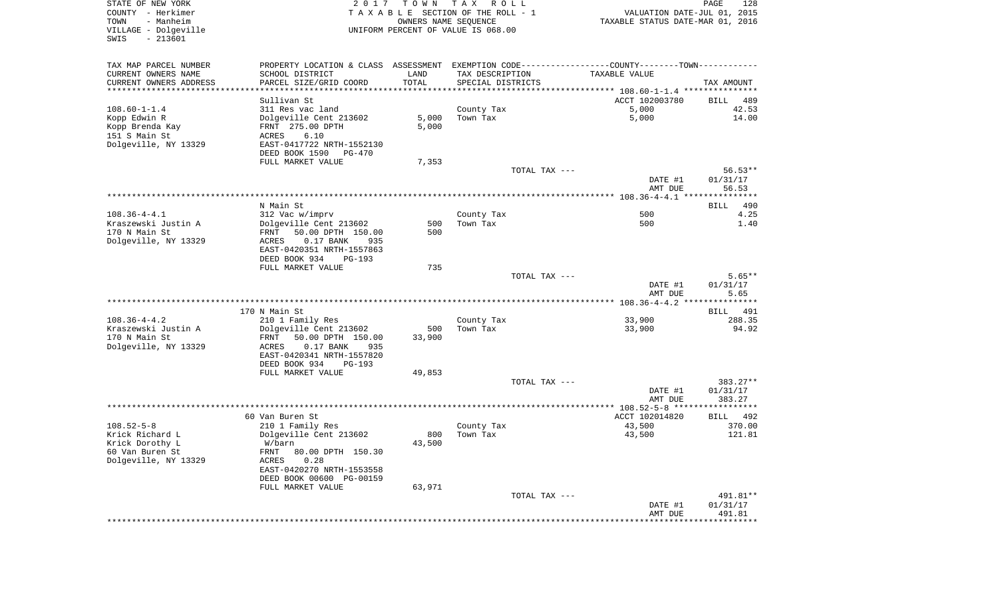| STATE OF NEW YORK<br>COUNTY - Herkimer                         | 2017                                                                                          | T O W N              | TAX ROLL<br>TAXABLE SECTION OF THE ROLL - 1 | VALUATION DATE-JUL 01, 2015      | PAGE<br>128        |
|----------------------------------------------------------------|-----------------------------------------------------------------------------------------------|----------------------|---------------------------------------------|----------------------------------|--------------------|
| TOWN<br>- Manheim<br>VILLAGE - Dolgeville<br>SWIS<br>$-213601$ |                                                                                               | OWNERS NAME SEQUENCE | UNIFORM PERCENT OF VALUE IS 068.00          | TAXABLE STATUS DATE-MAR 01, 2016 |                    |
| TAX MAP PARCEL NUMBER                                          | PROPERTY LOCATION & CLASS ASSESSMENT EXEMPTION CODE---------------COUNTY-------TOWN---------- |                      |                                             |                                  |                    |
| CURRENT OWNERS NAME                                            | SCHOOL DISTRICT                                                                               | LAND                 | TAX DESCRIPTION                             | <b>TAXABLE VALUE</b>             |                    |
| CURRENT OWNERS ADDRESS<br>**********************               | PARCEL SIZE/GRID COORD                                                                        | TOTAL                | SPECIAL DISTRICTS                           |                                  | TAX AMOUNT         |
|                                                                | Sullivan St                                                                                   |                      |                                             | ACCT 102003780                   | BILL 489           |
| $108.60 - 1 - 1.4$                                             | 311 Res vac land                                                                              |                      | County Tax                                  | 5,000                            | 42.53              |
| Kopp Edwin R                                                   | Dolgeville Cent 213602                                                                        | 5,000                | Town Tax                                    | 5,000                            | 14.00              |
| Kopp Brenda Kay                                                | FRNT 275.00 DPTH                                                                              | 5,000                |                                             |                                  |                    |
| 151 S Main St                                                  | ACRES<br>6.10                                                                                 |                      |                                             |                                  |                    |
| Dolgeville, NY 13329                                           | EAST-0417722 NRTH-1552130                                                                     |                      |                                             |                                  |                    |
|                                                                | DEED BOOK 1590<br>PG-470<br>FULL MARKET VALUE                                                 | 7,353                |                                             |                                  |                    |
|                                                                |                                                                                               |                      | TOTAL TAX ---                               |                                  | $56.53**$          |
|                                                                |                                                                                               |                      |                                             | DATE #1                          | 01/31/17           |
|                                                                |                                                                                               |                      |                                             | AMT DUE                          | 56.53              |
|                                                                |                                                                                               |                      |                                             |                                  |                    |
|                                                                | N Main St                                                                                     |                      |                                             | 500                              | 490<br>BILL        |
| $108.36 - 4 - 4.1$<br>Kraszewski Justin A                      | 312 Vac w/imprv<br>Dolgeville Cent 213602                                                     | 500                  | County Tax<br>Town Tax                      | 500                              | 4.25<br>1.40       |
| 170 N Main St                                                  | 50.00 DPTH 150.00<br>FRNT                                                                     | 500                  |                                             |                                  |                    |
| Dolgeville, NY 13329                                           | $0.17$ BANK<br>935<br>ACRES                                                                   |                      |                                             |                                  |                    |
|                                                                | EAST-0420351 NRTH-1557863                                                                     |                      |                                             |                                  |                    |
|                                                                | DEED BOOK 934<br>PG-193                                                                       |                      |                                             |                                  |                    |
|                                                                | FULL MARKET VALUE                                                                             | 735                  | TOTAL TAX ---                               |                                  | $5.65**$           |
|                                                                |                                                                                               |                      |                                             | DATE #1                          | 01/31/17           |
|                                                                |                                                                                               |                      |                                             | AMT DUE                          | 5.65               |
|                                                                |                                                                                               |                      |                                             |                                  |                    |
|                                                                | 170 N Main St                                                                                 |                      |                                             |                                  | BILL 491           |
| $108.36 - 4 - 4.2$                                             | 210 1 Family Res                                                                              |                      | County Tax                                  | 33,900                           | 288.35             |
| Kraszewski Justin A<br>170 N Main St                           | Dolgeville Cent 213602<br>50.00 DPTH 150.00<br>FRNT                                           | 500<br>33,900        | Town Tax                                    | 33,900                           | 94.92              |
| Dolgeville, NY 13329                                           | ACRES<br>$0.17$ BANK<br>935                                                                   |                      |                                             |                                  |                    |
|                                                                | EAST-0420341 NRTH-1557820                                                                     |                      |                                             |                                  |                    |
|                                                                | DEED BOOK 934<br>PG-193                                                                       |                      |                                             |                                  |                    |
|                                                                | FULL MARKET VALUE                                                                             | 49,853               |                                             |                                  |                    |
|                                                                |                                                                                               |                      | TOTAL TAX ---                               |                                  | 383.27**           |
|                                                                |                                                                                               |                      |                                             | DATE #1<br>AMT DUE               | 01/31/17<br>383.27 |
|                                                                |                                                                                               |                      |                                             |                                  |                    |
|                                                                | 60 Van Buren St                                                                               |                      |                                             | ACCT 102014820                   | BILL 492           |
| $108.52 - 5 - 8$                                               | 210 1 Family Res                                                                              |                      | County Tax                                  | 43,500                           | 370.00             |
| Krick Richard L                                                | Dolgeville Cent 213602                                                                        | 800                  | Town Tax                                    | 43,500                           | 121.81             |
| Krick Dorothy L<br>60 Van Buren St                             | W/barn<br>80.00 DPTH 150.30<br>FRNT                                                           | 43,500               |                                             |                                  |                    |
| Dolgeville, NY 13329                                           | 0.28<br>ACRES                                                                                 |                      |                                             |                                  |                    |
|                                                                | EAST-0420270 NRTH-1553558                                                                     |                      |                                             |                                  |                    |
|                                                                | DEED BOOK 00600 PG-00159                                                                      |                      |                                             |                                  |                    |
|                                                                | FULL MARKET VALUE                                                                             | 63,971               |                                             |                                  |                    |
|                                                                |                                                                                               |                      | TOTAL TAX ---                               |                                  | 491.81**           |
|                                                                |                                                                                               |                      |                                             | DATE #1<br>AMT DUE               | 01/31/17<br>491.81 |
|                                                                |                                                                                               |                      |                                             |                                  |                    |
|                                                                |                                                                                               |                      |                                             |                                  |                    |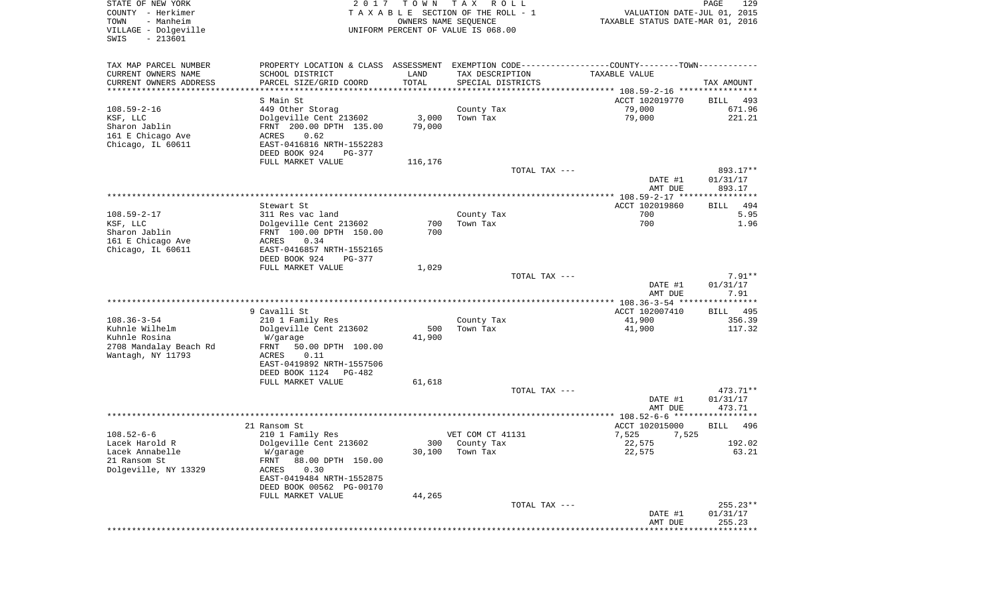| STATE OF NEW YORK<br>COUNTY - Herkimer<br>TOWN<br>- Manheim<br>VILLAGE - Dolgeville<br>$-213601$<br>SWIS | 2 0 1 7                                                                                                                    | T O W N<br>OWNERS NAME SEQUENCE | TAX ROLL<br>TAXABLE SECTION OF THE ROLL - 1<br>UNIFORM PERCENT OF VALUE IS 068.00 | VALUATION DATE-JUL 01, 2015<br>TAXABLE STATUS DATE-MAR 01, 2016 | 129<br>PAGE                      |
|----------------------------------------------------------------------------------------------------------|----------------------------------------------------------------------------------------------------------------------------|---------------------------------|-----------------------------------------------------------------------------------|-----------------------------------------------------------------|----------------------------------|
| TAX MAP PARCEL NUMBER                                                                                    | PROPERTY LOCATION & CLASS ASSESSMENT EXEMPTION CODE---------------COUNTY-------TOWN----------                              |                                 |                                                                                   |                                                                 |                                  |
| CURRENT OWNERS NAME<br>CURRENT OWNERS ADDRESS<br>***********************                                 | SCHOOL DISTRICT<br>PARCEL SIZE/GRID COORD                                                                                  | LAND<br>TOTAL                   | TAX DESCRIPTION<br>SPECIAL DISTRICTS                                              | TAXABLE VALUE                                                   | TAX AMOUNT                       |
|                                                                                                          | S Main St                                                                                                                  |                                 |                                                                                   | ACCT 102019770                                                  | BILL<br>493                      |
| 108.59-2-16                                                                                              | 449 Other Storag                                                                                                           |                                 | County Tax                                                                        | 79,000                                                          | 671.96                           |
| KSF, LLC<br>Sharon Jablin<br>161 E Chicago Ave<br>Chicago, IL 60611                                      | Dolgeville Cent 213602<br>FRNT 200.00 DPTH 135.00<br>ACRES<br>0.62<br>EAST-0416816 NRTH-1552283                            | 3,000<br>79,000                 | Town Tax                                                                          | 79,000                                                          | 221.21                           |
|                                                                                                          | DEED BOOK 924<br>PG-377                                                                                                    |                                 |                                                                                   |                                                                 |                                  |
|                                                                                                          | FULL MARKET VALUE                                                                                                          | 116,176                         | TOTAL TAX ---                                                                     | DATE #1<br>AMT DUE                                              | 893.17**<br>01/31/17<br>893.17   |
|                                                                                                          |                                                                                                                            |                                 |                                                                                   |                                                                 |                                  |
| 108.59-2-17                                                                                              | Stewart St<br>311 Res vac land                                                                                             |                                 | County Tax                                                                        | ACCT 102019860<br>700                                           | BILL<br>494<br>5.95              |
| KSF, LLC<br>Sharon Jablin<br>161 E Chicago Ave<br>Chicago, IL 60611                                      | Dolgeville Cent 213602<br>FRNT 100.00 DPTH 150.00<br>ACRES<br>0.34<br>EAST-0416857 NRTH-1552165<br>DEED BOOK 924<br>PG-377 | 700<br>700                      | Town Tax                                                                          | 700                                                             | 1.96                             |
|                                                                                                          | FULL MARKET VALUE                                                                                                          | 1,029                           |                                                                                   |                                                                 |                                  |
|                                                                                                          |                                                                                                                            |                                 | TOTAL TAX ---                                                                     | DATE #1                                                         | $7.91**$<br>01/31/17             |
|                                                                                                          | 9 Cavalli St                                                                                                               |                                 |                                                                                   | AMT DUE<br>ACCT 102007410                                       | 7.91<br>BILL 495                 |
| 108.36-3-54                                                                                              | 210 1 Family Res                                                                                                           |                                 | County Tax                                                                        | 41,900                                                          | 356.39                           |
| Kuhnle Wilhelm<br>Kuhnle Rosina<br>2708 Mandalay Beach Rd<br>Wantagh, NY 11793                           | Dolgeville Cent 213602<br>W/garage<br>FRNT<br>50.00 DPTH 100.00<br>0.11<br>ACRES<br>EAST-0419892 NRTH-1557506              | 500<br>41,900                   | Town Tax                                                                          | 41,900                                                          | 117.32                           |
|                                                                                                          | DEED BOOK 1124<br>PG-482                                                                                                   |                                 |                                                                                   |                                                                 |                                  |
|                                                                                                          | FULL MARKET VALUE                                                                                                          | 61,618                          | TOTAL TAX ---                                                                     | DATE #1                                                         | 473.71**<br>01/31/17             |
|                                                                                                          |                                                                                                                            |                                 |                                                                                   | AMT DUE                                                         | 473.71                           |
|                                                                                                          |                                                                                                                            |                                 |                                                                                   |                                                                 |                                  |
|                                                                                                          | 21 Ransom St                                                                                                               |                                 |                                                                                   | ACCT 102015000                                                  | BILL<br>496                      |
| 108.52-6-6<br>Lacek Harold R                                                                             | 210 1 Family Res<br>Dolgeville Cent 213602                                                                                 |                                 | VET COM CT 41131<br>300 County Tax                                                | 7,525<br>7,525<br>22,575                                        | 192.02                           |
| Lacek Annabelle                                                                                          | W/garage                                                                                                                   | 30,100                          | Town Tax                                                                          | 22,575                                                          | 63.21                            |
| 21 Ransom St<br>Dolgeville, NY 13329                                                                     | FRNT<br>88.00 DPTH 150.00<br>0.30<br>ACRES<br>EAST-0419484 NRTH-1552875<br>DEED BOOK 00562 PG-00170                        |                                 |                                                                                   |                                                                 |                                  |
|                                                                                                          | FULL MARKET VALUE                                                                                                          | 44,265                          |                                                                                   |                                                                 |                                  |
|                                                                                                          |                                                                                                                            |                                 | TOTAL TAX ---                                                                     | DATE #1<br>AMT DUE                                              | $255.23**$<br>01/31/17<br>255.23 |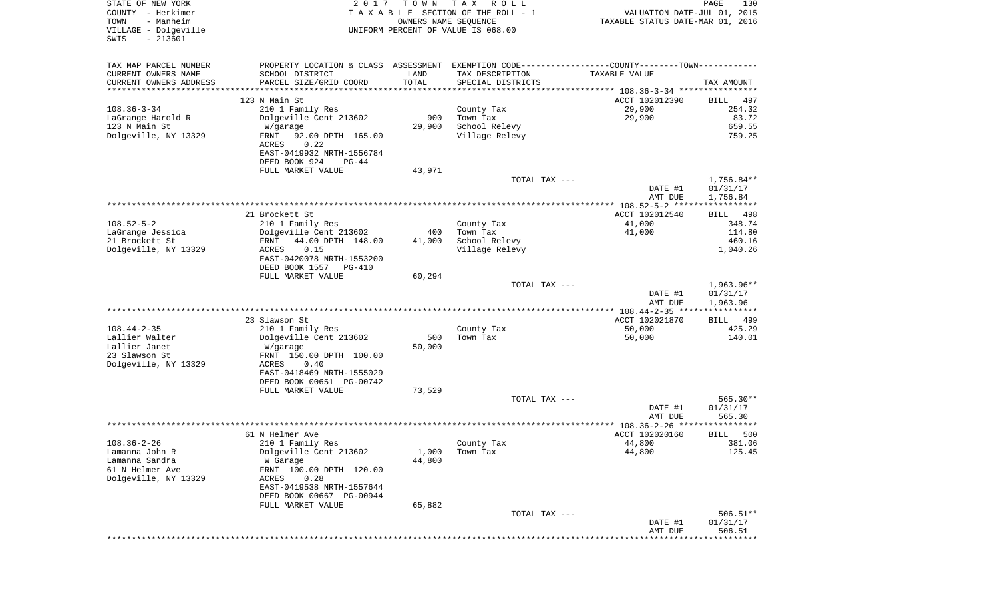| STATE OF NEW YORK<br>COUNTY - Herkimer<br>- Manheim<br>TOWN<br>VILLAGE - Dolgeville<br>$-213601$<br>SWIS | 2 0 1 7                                                                 | T O W N<br>OWNERS NAME SEQUENCE | T A X<br>R O L L<br>TAXABLE SECTION OF THE ROLL - 1<br>UNIFORM PERCENT OF VALUE IS 068.00 | VALUATION DATE-JUL 01, 2015<br>TAXABLE STATUS DATE-MAR 01, 2016 | PAGE<br>130                        |
|----------------------------------------------------------------------------------------------------------|-------------------------------------------------------------------------|---------------------------------|-------------------------------------------------------------------------------------------|-----------------------------------------------------------------|------------------------------------|
| TAX MAP PARCEL NUMBER                                                                                    | PROPERTY LOCATION & CLASS ASSESSMENT                                    |                                 |                                                                                           | EXEMPTION CODE-----------------COUNTY-------TOWN-----------     |                                    |
| CURRENT OWNERS NAME<br>CURRENT OWNERS ADDRESS<br>*********************                                   | SCHOOL DISTRICT<br>PARCEL SIZE/GRID COORD                               | LAND<br>TOTAL<br>**********     | TAX DESCRIPTION<br>SPECIAL DISTRICTS                                                      | TAXABLE VALUE                                                   | TAX AMOUNT                         |
|                                                                                                          | 123 N Main St                                                           |                                 |                                                                                           | ACCT 102012390                                                  | BILL<br>497                        |
| $108.36 - 3 - 34$                                                                                        | 210 1 Family Res                                                        |                                 | County Tax                                                                                | 29,900                                                          | 254.32                             |
| LaGrange Harold R                                                                                        | Dolgeville Cent 213602                                                  | 900                             | Town Tax                                                                                  | 29,900                                                          | 83.72                              |
| 123 N Main St<br>Dolgeville, NY 13329                                                                    | W/garage<br>FRNT<br>92.00 DPTH 165.00<br>0.22<br>ACRES                  | 29,900                          | School Relevy<br>Village Relevy                                                           |                                                                 | 659.55<br>759.25                   |
|                                                                                                          | EAST-0419932 NRTH-1556784<br>DEED BOOK 924<br>$PG-44$                   |                                 |                                                                                           |                                                                 |                                    |
|                                                                                                          | FULL MARKET VALUE                                                       | 43,971                          |                                                                                           |                                                                 |                                    |
|                                                                                                          |                                                                         |                                 | TOTAL TAX ---                                                                             | DATE #1<br>AMT DUE                                              | 1,756.84**<br>01/31/17<br>1,756.84 |
|                                                                                                          |                                                                         |                                 |                                                                                           | **************** 108.52-5-2 ******************                  |                                    |
|                                                                                                          | 21 Brockett St                                                          |                                 |                                                                                           | ACCT 102012540                                                  | 498<br>BILL                        |
| $108.52 - 5 - 2$                                                                                         | 210 1 Family Res                                                        |                                 | County Tax                                                                                | 41,000                                                          | 348.74                             |
| LaGrange Jessica                                                                                         | Dolgeville Cent 213602                                                  | 400                             | Town Tax                                                                                  | 41,000                                                          | 114.80                             |
| 21 Brockett St<br>Dolgeville, NY 13329                                                                   | 44.00 DPTH 148.00<br>FRNT<br>0.15<br>ACRES<br>EAST-0420078 NRTH-1553200 | 41,000                          | School Relevy<br>Village Relevy                                                           |                                                                 | 460.16<br>1,040.26                 |
|                                                                                                          | DEED BOOK 1557<br>PG-410                                                |                                 |                                                                                           |                                                                 |                                    |
|                                                                                                          | FULL MARKET VALUE                                                       | 60,294                          |                                                                                           |                                                                 |                                    |
|                                                                                                          |                                                                         |                                 | TOTAL TAX ---                                                                             | DATE #1<br>AMT DUE                                              | 1,963.96**<br>01/31/17<br>1,963.96 |
|                                                                                                          |                                                                         |                                 |                                                                                           | ************ 108.44-2-35 *****************                      |                                    |
|                                                                                                          | 23 Slawson St                                                           |                                 |                                                                                           | ACCT 102021870                                                  | <b>BILL</b><br>499                 |
| $108.44 - 2 - 35$                                                                                        | 210 1 Family Res                                                        |                                 | County Tax                                                                                | 50,000                                                          | 425.29                             |
| Lallier Walter<br>Lallier Janet                                                                          | Dolgeville Cent 213602                                                  | 500<br>50,000                   | Town Tax                                                                                  | 50,000                                                          | 140.01                             |
| 23 Slawson St                                                                                            | W/garage<br>FRNT 150.00 DPTH 100.00                                     |                                 |                                                                                           |                                                                 |                                    |
| Dolgeville, NY 13329                                                                                     | <b>ACRES</b><br>0.40                                                    |                                 |                                                                                           |                                                                 |                                    |
|                                                                                                          | EAST-0418469 NRTH-1555029                                               |                                 |                                                                                           |                                                                 |                                    |
|                                                                                                          | DEED BOOK 00651 PG-00742                                                |                                 |                                                                                           |                                                                 |                                    |
|                                                                                                          | FULL MARKET VALUE                                                       | 73,529                          |                                                                                           |                                                                 | 565.30**                           |
|                                                                                                          |                                                                         |                                 | TOTAL TAX ---                                                                             | DATE #1                                                         | 01/31/17                           |
|                                                                                                          |                                                                         |                                 |                                                                                           | AMT DUE                                                         | 565.30                             |
|                                                                                                          |                                                                         |                                 |                                                                                           |                                                                 |                                    |
|                                                                                                          | 61 N Helmer Ave                                                         |                                 |                                                                                           | ACCT 102020160                                                  | 500<br>BILL                        |
| $108.36 - 2 - 26$<br>Lamanna John R                                                                      | 210 1 Family Res<br>Dolgeville Cent 213602                              | 1,000                           | County Tax<br>Town Tax                                                                    | 44,800<br>44,800                                                | 381.06<br>125.45                   |
| Lamanna Sandra                                                                                           | W Garage                                                                | 44,800                          |                                                                                           |                                                                 |                                    |
| 61 N Helmer Ave                                                                                          | FRNT 100.00 DPTH 120.00                                                 |                                 |                                                                                           |                                                                 |                                    |
| Dolgeville, NY 13329                                                                                     | 0.28<br>ACRES                                                           |                                 |                                                                                           |                                                                 |                                    |
|                                                                                                          | EAST-0419538 NRTH-1557644                                               |                                 |                                                                                           |                                                                 |                                    |
|                                                                                                          | DEED BOOK 00667 PG-00944<br>FULL MARKET VALUE                           |                                 |                                                                                           |                                                                 |                                    |
|                                                                                                          |                                                                         | 65,882                          | TOTAL TAX ---                                                                             |                                                                 | $506.51**$                         |
|                                                                                                          |                                                                         |                                 |                                                                                           | DATE #1                                                         | 01/31/17                           |
|                                                                                                          |                                                                         |                                 |                                                                                           | AMT DUE                                                         | 506.51<br>***********************  |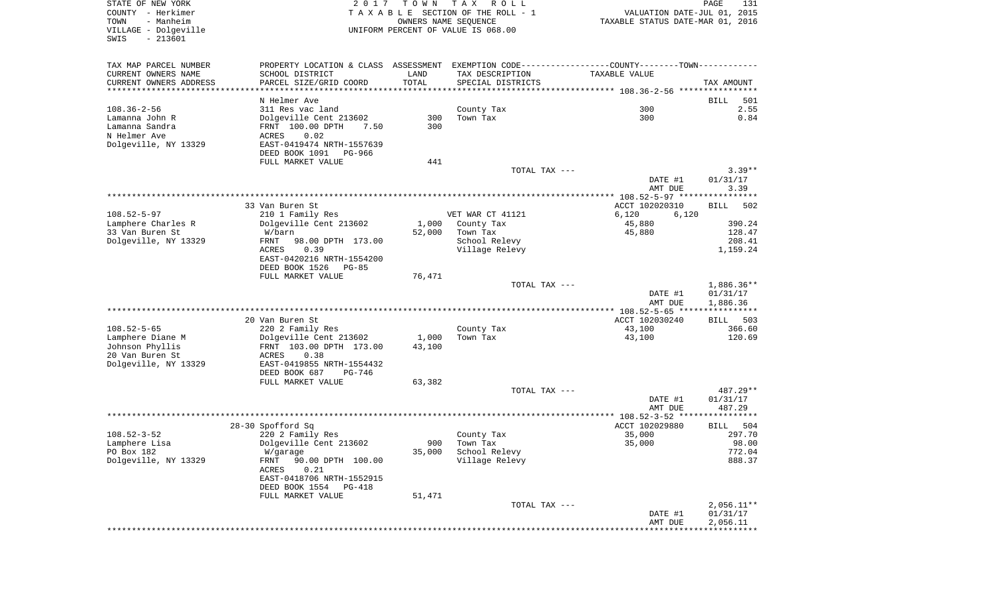| STATE OF NEW YORK<br>COUNTY - Herkimer            | 2017                                                                                          | T O W N | T A X<br>R O L L<br>TAXABLE SECTION OF THE ROLL - 1 | VALUATION DATE-JUL 01, 2015                | PAGE<br>131                         |
|---------------------------------------------------|-----------------------------------------------------------------------------------------------|---------|-----------------------------------------------------|--------------------------------------------|-------------------------------------|
| TOWN<br>- Manheim                                 |                                                                                               |         | OWNERS NAME SEQUENCE                                | TAXABLE STATUS DATE-MAR 01, 2016           |                                     |
| VILLAGE - Dolgeville<br>$-213601$<br>SWIS         |                                                                                               |         | UNIFORM PERCENT OF VALUE IS 068.00                  |                                            |                                     |
| TAX MAP PARCEL NUMBER                             | PROPERTY LOCATION & CLASS ASSESSMENT EXEMPTION CODE---------------COUNTY-------TOWN---------- |         |                                                     |                                            |                                     |
| CURRENT OWNERS NAME                               | SCHOOL DISTRICT                                                                               | LAND    | TAX DESCRIPTION                                     | TAXABLE VALUE                              |                                     |
| CURRENT OWNERS ADDRESS<br>*********************** | PARCEL SIZE/GRID COORD                                                                        | TOTAL   | SPECIAL DISTRICTS                                   |                                            | TAX AMOUNT                          |
|                                                   | N Helmer Ave                                                                                  |         |                                                     |                                            | 501<br>BILL                         |
| $108.36 - 2 - 56$                                 | 311 Res vac land                                                                              |         | County Tax                                          | 300                                        | 2.55                                |
| Lamanna John R                                    | Dolgeville Cent 213602                                                                        | 300     | Town Tax                                            | 300                                        | 0.84                                |
| Lamanna Sandra                                    | FRNT 100.00 DPTH<br>7.50                                                                      | 300     |                                                     |                                            |                                     |
| N Helmer Ave                                      | ACRES<br>0.02                                                                                 |         |                                                     |                                            |                                     |
| Dolgeville, NY 13329                              | EAST-0419474 NRTH-1557639                                                                     |         |                                                     |                                            |                                     |
|                                                   | DEED BOOK 1091<br>PG-966<br>FULL MARKET VALUE                                                 | 441     |                                                     |                                            |                                     |
|                                                   |                                                                                               |         | TOTAL TAX ---                                       |                                            | $3.39**$                            |
|                                                   |                                                                                               |         |                                                     | DATE #1                                    | 01/31/17                            |
|                                                   |                                                                                               |         |                                                     | AMT DUE                                    | 3.39                                |
|                                                   |                                                                                               |         |                                                     |                                            | 502                                 |
| $108.52 - 5 - 97$                                 | 33 Van Buren St<br>210 1 Family Res                                                           |         | VET WAR CT 41121                                    | ACCT 102020310<br>6,120<br>6,120           | <b>BILL</b>                         |
| Lamphere Charles R                                | Dolgeville Cent 213602                                                                        | 1,000   | County Tax                                          | 45,880                                     | 390.24                              |
| 33 Van Buren St                                   | W/barn                                                                                        | 52,000  | Town Tax                                            | 45,880                                     | 128.47                              |
| Dolgeville, NY 13329                              | FRNT<br>98.00 DPTH 173.00                                                                     |         | School Relevy                                       |                                            | 208.41                              |
|                                                   | ACRES<br>0.39                                                                                 |         | Village Relevy                                      |                                            | 1,159.24                            |
|                                                   | EAST-0420216 NRTH-1554200<br>DEED BOOK 1526<br>PG-85                                          |         |                                                     |                                            |                                     |
|                                                   | FULL MARKET VALUE                                                                             | 76,471  |                                                     |                                            |                                     |
|                                                   |                                                                                               |         | TOTAL TAX ---                                       |                                            | 1,886.36**                          |
|                                                   |                                                                                               |         |                                                     | DATE #1                                    | 01/31/17                            |
|                                                   |                                                                                               |         |                                                     | AMT DUE<br>************** 108.52-5-65 **** | 1,886.36<br>* * * * * * * * * * * * |
|                                                   | 20 Van Buren St                                                                               |         |                                                     | ACCT 102030240                             | 503<br>BILL                         |
| $108.52 - 5 - 65$                                 | 220 2 Family Res                                                                              |         | County Tax                                          | 43,100                                     | 366.60                              |
| Lamphere Diane M                                  | Dolgeville Cent 213602                                                                        | 1,000   | Town Tax                                            | 43,100                                     | 120.69                              |
| Johnson Phyllis                                   | FRNT 103.00 DPTH 173.00                                                                       | 43,100  |                                                     |                                            |                                     |
| 20 Van Buren St                                   | ACRES<br>0.38                                                                                 |         |                                                     |                                            |                                     |
| Dolgeville, NY 13329                              | EAST-0419855 NRTH-1554432<br>DEED BOOK 687<br>PG-746                                          |         |                                                     |                                            |                                     |
|                                                   | FULL MARKET VALUE                                                                             | 63,382  |                                                     |                                            |                                     |
|                                                   |                                                                                               |         | TOTAL TAX ---                                       |                                            | 487.29**                            |
|                                                   |                                                                                               |         |                                                     | DATE #1                                    | 01/31/17                            |
|                                                   |                                                                                               |         |                                                     | AMT DUE                                    | 487.29                              |
|                                                   | 28-30 Spofford Sq                                                                             |         |                                                     | ACCT 102029880                             | 504<br><b>BILL</b>                  |
| $108.52 - 3 - 52$                                 | 220 2 Family Res                                                                              |         | County Tax                                          | 35,000                                     | 297.70                              |
| Lamphere Lisa                                     | Dolgeville Cent 213602                                                                        | 900     | Town Tax                                            | 35,000                                     | 98.00                               |
| PO Box 182                                        | W/garage                                                                                      | 35,000  | School Relevy                                       |                                            | 772.04                              |
| Dolgeville, NY 13329                              | FRNT<br>90.00 DPTH 100.00                                                                     |         | Village Relevy                                      |                                            | 888.37                              |
|                                                   | ACRES<br>0.21<br>EAST-0418706 NRTH-1552915                                                    |         |                                                     |                                            |                                     |
|                                                   | DEED BOOK 1554<br>PG-418                                                                      |         |                                                     |                                            |                                     |
|                                                   | FULL MARKET VALUE                                                                             | 51,471  |                                                     |                                            |                                     |
|                                                   |                                                                                               |         | TOTAL TAX ---                                       |                                            | $2,056.11**$                        |
|                                                   |                                                                                               |         |                                                     | DATE #1                                    | 01/31/17<br>2,056.11                |
|                                                   |                                                                                               |         |                                                     | AMT DUE<br>**********************          |                                     |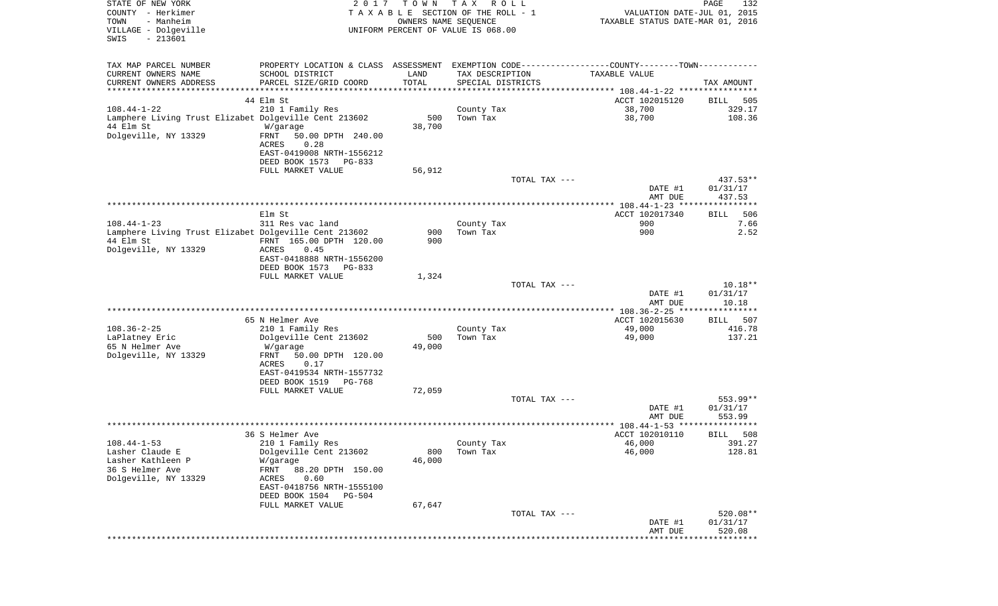| STATE OF NEW YORK<br>COUNTY - Herkimer<br>- Manheim<br>TOWN<br>VILLAGE - Dolgeville<br>$-213601$<br>SWIS | 2017                                                            | T O W N<br>OWNERS NAME SEQUENCE | T A X<br>R O L L<br>T A X A B L E SECTION OF THE ROLL - 1<br>UNIFORM PERCENT OF VALUE IS 068.00 |               | VALUATION DATE-JUL 01, 2015<br>TAXABLE STATUS DATE-MAR 01, 2016 | PAGE<br>132          |
|----------------------------------------------------------------------------------------------------------|-----------------------------------------------------------------|---------------------------------|-------------------------------------------------------------------------------------------------|---------------|-----------------------------------------------------------------|----------------------|
| TAX MAP PARCEL NUMBER                                                                                    | PROPERTY LOCATION & CLASS ASSESSMENT                            |                                 |                                                                                                 |               | EXEMPTION CODE----------------COUNTY-------TOWN-----------      |                      |
| CURRENT OWNERS NAME                                                                                      | SCHOOL DISTRICT                                                 | LAND                            | TAX DESCRIPTION                                                                                 |               | TAXABLE VALUE                                                   |                      |
| CURRENT OWNERS ADDRESS<br>**********************                                                         | PARCEL SIZE/GRID COORD<br>* * * * * * * * * * * * * * * * * * * | TOTAL                           | SPECIAL DISTRICTS                                                                               |               |                                                                 | TAX AMOUNT           |
|                                                                                                          | 44 Elm St                                                       |                                 |                                                                                                 |               | ACCT 102015120                                                  | BILL<br>505          |
| $108.44 - 1 - 22$                                                                                        | 210 1 Family Res                                                |                                 | County Tax                                                                                      |               | 38,700                                                          | 329.17               |
| Lamphere Living Trust Elizabet Dolgeville Cent 213602                                                    |                                                                 | 500                             | Town Tax                                                                                        |               | 38,700                                                          | 108.36               |
| 44 Elm St                                                                                                | W/garage                                                        | 38,700                          |                                                                                                 |               |                                                                 |                      |
| Dolgeville, NY 13329                                                                                     | FRNT<br>50.00 DPTH 240.00                                       |                                 |                                                                                                 |               |                                                                 |                      |
|                                                                                                          | 0.28<br>ACRES<br>EAST-0419008 NRTH-1556212                      |                                 |                                                                                                 |               |                                                                 |                      |
|                                                                                                          | DEED BOOK 1573<br>PG-833                                        |                                 |                                                                                                 |               |                                                                 |                      |
|                                                                                                          | FULL MARKET VALUE                                               | 56,912                          |                                                                                                 |               |                                                                 |                      |
|                                                                                                          |                                                                 |                                 |                                                                                                 | TOTAL TAX --- |                                                                 | $437.53**$           |
|                                                                                                          |                                                                 |                                 |                                                                                                 |               | DATE #1                                                         | 01/31/17             |
|                                                                                                          |                                                                 |                                 |                                                                                                 |               | AMT DUE                                                         | 437.53               |
|                                                                                                          | Elm St                                                          |                                 |                                                                                                 |               | ACCT 102017340                                                  | 506<br>BILL          |
| $108.44 - 1 - 23$                                                                                        | 311 Res vac land                                                |                                 | County Tax                                                                                      |               | 900                                                             | 7.66                 |
| Lamphere Living Trust Elizabet Dolgeville Cent 213602                                                    |                                                                 | 900                             | Town Tax                                                                                        |               | 900                                                             | 2.52                 |
| 44 Elm St                                                                                                | FRNT 165.00 DPTH 120.00                                         | 900                             |                                                                                                 |               |                                                                 |                      |
| Dolgeville, NY 13329                                                                                     | ACRES<br>0.45<br>EAST-0418888 NRTH-1556200                      |                                 |                                                                                                 |               |                                                                 |                      |
|                                                                                                          | DEED BOOK 1573<br>PG-833                                        |                                 |                                                                                                 |               |                                                                 |                      |
|                                                                                                          | FULL MARKET VALUE                                               | 1,324                           |                                                                                                 |               |                                                                 |                      |
|                                                                                                          |                                                                 |                                 |                                                                                                 | TOTAL TAX --- |                                                                 | $10.18**$            |
|                                                                                                          |                                                                 |                                 |                                                                                                 |               | DATE #1<br>AMT DUE                                              | 01/31/17<br>10.18    |
|                                                                                                          |                                                                 |                                 |                                                                                                 |               | ************ 108.36-2-25 *****************                      |                      |
|                                                                                                          | 65 N Helmer Ave                                                 |                                 |                                                                                                 |               | ACCT 102015630                                                  | 507<br>BILL          |
| $108.36 - 2 - 25$                                                                                        | 210 1 Family Res                                                |                                 | County Tax                                                                                      |               | 49,000                                                          | 416.78               |
| LaPlatney Eric                                                                                           | Dolgeville Cent 213602                                          | 500                             | Town Tax                                                                                        |               | 49,000                                                          | 137.21               |
| 65 N Helmer Ave<br>Dolgeville, NY 13329                                                                  | W/garage<br>FRNT<br>50.00 DPTH 120.00                           | 49,000                          |                                                                                                 |               |                                                                 |                      |
|                                                                                                          | ACRES<br>0.17                                                   |                                 |                                                                                                 |               |                                                                 |                      |
|                                                                                                          | EAST-0419534 NRTH-1557732                                       |                                 |                                                                                                 |               |                                                                 |                      |
|                                                                                                          | DEED BOOK 1519<br>PG-768                                        |                                 |                                                                                                 |               |                                                                 |                      |
|                                                                                                          | FULL MARKET VALUE                                               | 72,059                          |                                                                                                 |               |                                                                 |                      |
|                                                                                                          |                                                                 |                                 |                                                                                                 | TOTAL TAX --- | DATE #1                                                         | 553.99**<br>01/31/17 |
|                                                                                                          |                                                                 |                                 |                                                                                                 |               | AMT DUE                                                         | 553.99               |
|                                                                                                          |                                                                 |                                 |                                                                                                 |               | ***************** 108.44-1-53 *********                         | ****                 |
|                                                                                                          | 36 S Helmer Ave                                                 |                                 |                                                                                                 |               | ACCT 102010110                                                  | 508<br>BILL          |
| $108.44 - 1 - 53$                                                                                        | 210 1 Family Res                                                |                                 | County Tax                                                                                      |               | 46,000                                                          | 391.27               |
| Lasher Claude E<br>Lasher Kathleen P                                                                     | Dolgeville Cent 213602<br>W/garage                              | 800<br>46,000                   | Town Tax                                                                                        |               | 46,000                                                          | 128.81               |
| 36 S Helmer Ave                                                                                          | FRNT<br>88.20 DPTH 150.00                                       |                                 |                                                                                                 |               |                                                                 |                      |
| Dolgeville, NY 13329                                                                                     | ACRES<br>0.60                                                   |                                 |                                                                                                 |               |                                                                 |                      |
|                                                                                                          | EAST-0418756 NRTH-1555100                                       |                                 |                                                                                                 |               |                                                                 |                      |
|                                                                                                          | DEED BOOK 1504<br>PG-504                                        |                                 |                                                                                                 |               |                                                                 |                      |
|                                                                                                          | FULL MARKET VALUE                                               | 67,647                          |                                                                                                 | TOTAL TAX --- |                                                                 | 520.08**             |
|                                                                                                          |                                                                 |                                 |                                                                                                 |               | DATE #1                                                         | 01/31/17             |
|                                                                                                          |                                                                 |                                 |                                                                                                 |               | AMT DUE                                                         | 520.08               |
|                                                                                                          |                                                                 |                                 |                                                                                                 |               |                                                                 |                      |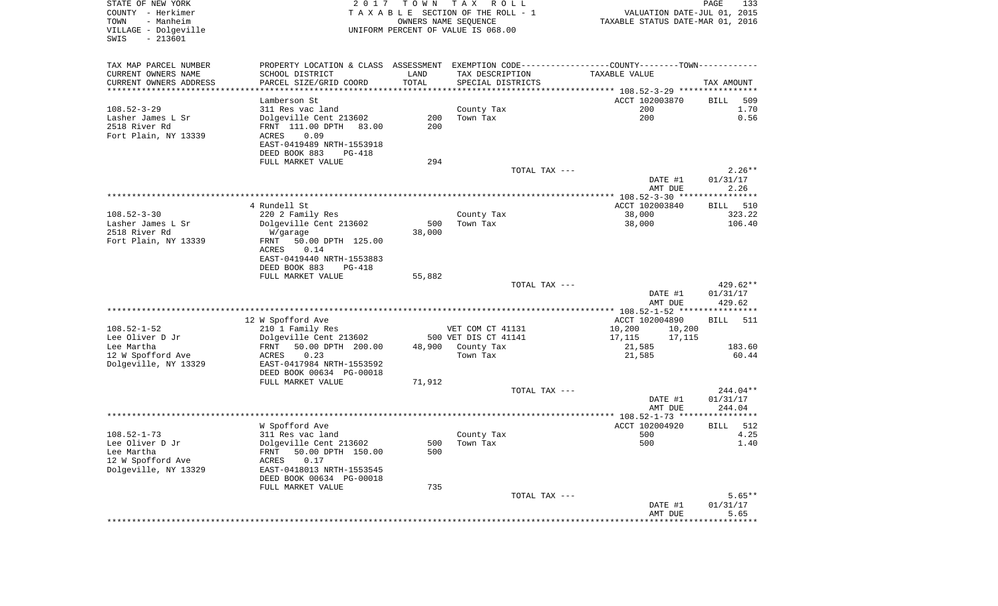| STATE OF NEW YORK<br>COUNTY - Herkimer<br>TOWN<br>- Manheim<br>VILLAGE - Dolgeville<br>$-213601$<br>SWIS | 2017                                                | T O W N | T A X<br>R O L L<br>TAXABLE SECTION OF THE ROLL - 1<br>OWNERS NAME SEQUENCE<br>UNIFORM PERCENT OF VALUE IS 068.00 | VALUATION DATE-JUL 01, 2015<br>TAXABLE STATUS DATE-MAR 01, 2016                               | PAGE<br>133          |
|----------------------------------------------------------------------------------------------------------|-----------------------------------------------------|---------|-------------------------------------------------------------------------------------------------------------------|-----------------------------------------------------------------------------------------------|----------------------|
| TAX MAP PARCEL NUMBER                                                                                    |                                                     |         |                                                                                                                   | PROPERTY LOCATION & CLASS ASSESSMENT EXEMPTION CODE---------------COUNTY-------TOWN---------- |                      |
| CURRENT OWNERS NAME                                                                                      | SCHOOL DISTRICT                                     | LAND    | TAX DESCRIPTION                                                                                                   | TAXABLE VALUE                                                                                 |                      |
| CURRENT OWNERS ADDRESS<br>**********************                                                         | PARCEL SIZE/GRID COORD                              | TOTAL   | SPECIAL DISTRICTS                                                                                                 |                                                                                               | TAX AMOUNT           |
|                                                                                                          | Lamberson St                                        |         |                                                                                                                   | ACCT 102003870                                                                                | BILL<br>509          |
| $108.52 - 3 - 29$                                                                                        | 311 Res vac land                                    |         | County Tax                                                                                                        | 200                                                                                           | 1.70                 |
| Lasher James L Sr                                                                                        | Dolgeville Cent 213602                              | 200     | Town Tax                                                                                                          | 200                                                                                           | 0.56                 |
| 2518 River Rd                                                                                            | FRNT 111.00 DPTH 83.00                              | 200     |                                                                                                                   |                                                                                               |                      |
| Fort Plain, NY 13339                                                                                     | ACRES<br>0.09                                       |         |                                                                                                                   |                                                                                               |                      |
|                                                                                                          | EAST-0419489 NRTH-1553918                           |         |                                                                                                                   |                                                                                               |                      |
|                                                                                                          | DEED BOOK 883<br>PG-418                             |         |                                                                                                                   |                                                                                               |                      |
|                                                                                                          | FULL MARKET VALUE                                   | 294     |                                                                                                                   |                                                                                               |                      |
|                                                                                                          |                                                     |         | TOTAL TAX ---                                                                                                     |                                                                                               | $2.26**$             |
|                                                                                                          |                                                     |         |                                                                                                                   | DATE #1<br>AMT DUE                                                                            | 01/31/17<br>2.26     |
|                                                                                                          |                                                     |         |                                                                                                                   |                                                                                               |                      |
|                                                                                                          | 4 Rundell St                                        |         |                                                                                                                   | ACCT 102003840                                                                                | 510<br>BILL          |
| $108.52 - 3 - 30$                                                                                        | 220 2 Family Res                                    |         | County Tax                                                                                                        | 38,000                                                                                        | 323.22               |
| Lasher James L Sr                                                                                        | Dolgeville Cent 213602                              | 500     | Town Tax                                                                                                          | 38,000                                                                                        | 106.40               |
| 2518 River Rd                                                                                            | W/garage                                            | 38,000  |                                                                                                                   |                                                                                               |                      |
| Fort Plain, NY 13339                                                                                     | 50.00 DPTH 125.00<br>FRNT                           |         |                                                                                                                   |                                                                                               |                      |
|                                                                                                          | ACRES<br>0.14                                       |         |                                                                                                                   |                                                                                               |                      |
|                                                                                                          | EAST-0419440 NRTH-1553883<br>$PG-418$               |         |                                                                                                                   |                                                                                               |                      |
|                                                                                                          | DEED BOOK 883<br>FULL MARKET VALUE                  | 55,882  |                                                                                                                   |                                                                                               |                      |
|                                                                                                          |                                                     |         | TOTAL TAX ---                                                                                                     |                                                                                               | $429.62**$           |
|                                                                                                          |                                                     |         |                                                                                                                   | DATE #1                                                                                       | 01/31/17             |
|                                                                                                          |                                                     |         |                                                                                                                   | AMT DUE                                                                                       | 429.62               |
|                                                                                                          |                                                     |         |                                                                                                                   | ************* 108.52-1-52 *****************                                                   |                      |
|                                                                                                          | 12 W Spofford Ave                                   |         |                                                                                                                   | ACCT 102004890                                                                                | <b>BILL</b><br>511   |
| $108.52 - 1 - 52$<br>Lee Oliver D Jr                                                                     | 210 1 Family Res                                    |         | VET COM CT 41131<br>500 VET DIS CT 41141                                                                          | 10,200<br>10,200<br>17,115<br>17,115                                                          |                      |
| Lee Martha                                                                                               | Dolgeville Cent 213602<br>50.00 DPTH 200.00<br>FRNT | 48,900  | County Tax                                                                                                        | 21,585                                                                                        | 183.60               |
| 12 W Spofford Ave                                                                                        | ACRES<br>0.23                                       |         | Town Tax                                                                                                          | 21,585                                                                                        | 60.44                |
| Dolgeville, NY 13329                                                                                     | EAST-0417984 NRTH-1553592                           |         |                                                                                                                   |                                                                                               |                      |
|                                                                                                          | DEED BOOK 00634 PG-00018                            |         |                                                                                                                   |                                                                                               |                      |
|                                                                                                          | FULL MARKET VALUE                                   | 71,912  |                                                                                                                   |                                                                                               |                      |
|                                                                                                          |                                                     |         | TOTAL TAX ---                                                                                                     |                                                                                               | 244.04**             |
|                                                                                                          |                                                     |         |                                                                                                                   | DATE #1                                                                                       | 01/31/17             |
|                                                                                                          |                                                     |         |                                                                                                                   | AMT DUE                                                                                       | 244.04               |
|                                                                                                          | W Spofford Ave                                      |         |                                                                                                                   | ACCT 102004920                                                                                | 512<br>BILL          |
| $108.52 - 1 - 73$                                                                                        | 311 Res vac land                                    |         | County Tax                                                                                                        | 500                                                                                           | 4.25                 |
| Lee Oliver D Jr                                                                                          | Dolgeville Cent 213602                              |         | 500 Town Tax                                                                                                      | 500                                                                                           | 1.40                 |
| Lee Martha                                                                                               | 50.00 DPTH 150.00<br>FRNT                           | 500     |                                                                                                                   |                                                                                               |                      |
| 12 W Spofford Ave                                                                                        | 0.17<br>ACRES                                       |         |                                                                                                                   |                                                                                               |                      |
| Dolgeville, NY 13329                                                                                     | EAST-0418013 NRTH-1553545                           |         |                                                                                                                   |                                                                                               |                      |
|                                                                                                          | DEED BOOK 00634 PG-00018                            |         |                                                                                                                   |                                                                                               |                      |
|                                                                                                          | FULL MARKET VALUE                                   | 735     |                                                                                                                   |                                                                                               |                      |
|                                                                                                          |                                                     |         | TOTAL TAX ---                                                                                                     | DATE #1                                                                                       | $5.65**$<br>01/31/17 |
|                                                                                                          |                                                     |         |                                                                                                                   | AMT DUE                                                                                       | 5.65                 |
|                                                                                                          |                                                     |         |                                                                                                                   | ********************                                                                          | ************         |
|                                                                                                          |                                                     |         |                                                                                                                   |                                                                                               |                      |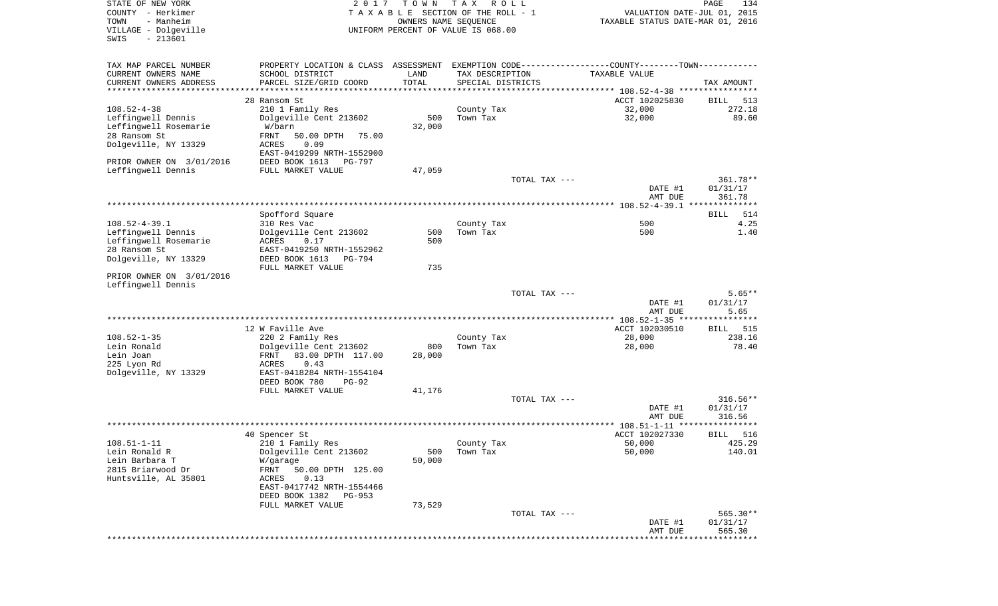| STATE OF NEW YORK<br>COUNTY - Herkimer<br>- Manheim<br>TOWN<br>VILLAGE - Dolgeville<br>$-213601$<br>SWIS | 2017                                                                                                                                       | T O W N<br>OWNERS NAME SEQUENCE | T A X<br>R O L L<br>TAXABLE SECTION OF THE ROLL - 1<br>UNIFORM PERCENT OF VALUE IS 068.00 |               | VALUATION DATE-JUL 01, 2015<br>TAXABLE STATUS DATE-MAR 01, 2016   | PAGE<br>134          |
|----------------------------------------------------------------------------------------------------------|--------------------------------------------------------------------------------------------------------------------------------------------|---------------------------------|-------------------------------------------------------------------------------------------|---------------|-------------------------------------------------------------------|----------------------|
| TAX MAP PARCEL NUMBER<br>CURRENT OWNERS NAME<br>CURRENT OWNERS ADDRESS                                   | PROPERTY LOCATION & CLASS ASSESSMENT EXEMPTION CODE---------------COUNTY-------TOWN----------<br>SCHOOL DISTRICT<br>PARCEL SIZE/GRID COORD | LAND<br>TOTAL                   | TAX DESCRIPTION<br>SPECIAL DISTRICTS                                                      |               | TAXABLE VALUE                                                     | TAX AMOUNT           |
| **********************                                                                                   | *****************************                                                                                                              | * * * * * * * * * * *           |                                                                                           |               | ************************************ 108.52-4-38 **************** |                      |
|                                                                                                          | 28 Ransom St                                                                                                                               |                                 |                                                                                           |               | ACCT 102025830                                                    | BILL<br>513          |
| $108.52 - 4 - 38$                                                                                        | 210 1 Family Res                                                                                                                           |                                 | County Tax                                                                                |               | 32,000                                                            | 272.18               |
| Leffingwell Dennis<br>Leffingwell Rosemarie                                                              | Dolgeville Cent 213602<br>W/barn                                                                                                           | 500<br>32,000                   | Town Tax                                                                                  |               | 32,000                                                            | 89.60                |
| 28 Ransom St                                                                                             | FRNT<br>50.00 DPTH<br>75.00                                                                                                                |                                 |                                                                                           |               |                                                                   |                      |
| Dolgeville, NY 13329                                                                                     | ACRES<br>0.09<br>EAST-0419299 NRTH-1552900                                                                                                 |                                 |                                                                                           |               |                                                                   |                      |
| PRIOR OWNER ON 3/01/2016                                                                                 | DEED BOOK 1613<br>PG-797                                                                                                                   |                                 |                                                                                           |               |                                                                   |                      |
| Leffingwell Dennis                                                                                       | FULL MARKET VALUE                                                                                                                          | 47,059                          |                                                                                           |               |                                                                   |                      |
|                                                                                                          |                                                                                                                                            |                                 |                                                                                           | TOTAL TAX --- | DATE #1                                                           | 361.78**<br>01/31/17 |
|                                                                                                          |                                                                                                                                            |                                 |                                                                                           |               | AMT DUE                                                           | 361.78               |
|                                                                                                          |                                                                                                                                            |                                 |                                                                                           |               |                                                                   |                      |
| $108.52 - 4 - 39.1$                                                                                      | Spofford Square<br>310 Res Vac                                                                                                             |                                 | County Tax                                                                                |               | 500                                                               | 514<br>BILL<br>4.25  |
| Leffingwell Dennis                                                                                       | Dolgeville Cent 213602                                                                                                                     | 500                             | Town Tax                                                                                  |               | 500                                                               | 1.40                 |
| Leffingwell Rosemarie                                                                                    | ACRES<br>0.17                                                                                                                              | 500                             |                                                                                           |               |                                                                   |                      |
| 28 Ransom St                                                                                             | EAST-0419250 NRTH-1552962                                                                                                                  |                                 |                                                                                           |               |                                                                   |                      |
| Dolgeville, NY 13329                                                                                     | DEED BOOK 1613<br>PG-794<br>FULL MARKET VALUE                                                                                              | 735                             |                                                                                           |               |                                                                   |                      |
| PRIOR OWNER ON 3/01/2016<br>Leffingwell Dennis                                                           |                                                                                                                                            |                                 |                                                                                           |               |                                                                   |                      |
|                                                                                                          |                                                                                                                                            |                                 |                                                                                           | TOTAL TAX --- |                                                                   | $5.65**$             |
|                                                                                                          |                                                                                                                                            |                                 |                                                                                           |               | DATE #1                                                           | 01/31/17             |
|                                                                                                          |                                                                                                                                            |                                 |                                                                                           |               | AMT DUE                                                           | 5.65                 |
|                                                                                                          | 12 W Faville Ave                                                                                                                           |                                 |                                                                                           |               | ACCT 102030510                                                    | 515<br>BILL          |
| $108.52 - 1 - 35$                                                                                        | 220 2 Family Res                                                                                                                           |                                 | County Tax                                                                                |               | 28,000                                                            | 238.16               |
| Lein Ronald                                                                                              | Dolgeville Cent 213602                                                                                                                     | 800                             | Town Tax                                                                                  |               | 28,000                                                            | 78.40                |
| Lein Joan                                                                                                | FRNT<br>83.00 DPTH 117.00                                                                                                                  | 28,000                          |                                                                                           |               |                                                                   |                      |
| 225 Lyon Rd                                                                                              | ACRES<br>0.43                                                                                                                              |                                 |                                                                                           |               |                                                                   |                      |
| Dolgeville, NY 13329                                                                                     | EAST-0418284 NRTH-1554104<br>DEED BOOK 780<br>$PG-92$                                                                                      |                                 |                                                                                           |               |                                                                   |                      |
|                                                                                                          | FULL MARKET VALUE                                                                                                                          | 41,176                          |                                                                                           |               |                                                                   |                      |
|                                                                                                          |                                                                                                                                            |                                 |                                                                                           | TOTAL TAX --- |                                                                   | $316.56**$           |
|                                                                                                          |                                                                                                                                            |                                 |                                                                                           |               | DATE #1                                                           | 01/31/17             |
|                                                                                                          |                                                                                                                                            |                                 |                                                                                           |               | AMT DUE                                                           | 316.56<br>******     |
|                                                                                                          | 40 Spencer St                                                                                                                              |                                 |                                                                                           |               | ACCT 102027330                                                    | 516<br>BILL          |
| $108.51 - 1 - 11$                                                                                        | 210 1 Family Res                                                                                                                           |                                 | County Tax                                                                                |               | 50,000                                                            | 425.29               |
| Lein Ronald R                                                                                            | Dolgeville Cent 213602                                                                                                                     | 500                             | Town Tax                                                                                  |               | 50,000                                                            | 140.01               |
| Lein Barbara T                                                                                           | W/garage                                                                                                                                   | 50,000                          |                                                                                           |               |                                                                   |                      |
| 2815 Briarwood Dr                                                                                        | FRNT<br>50.00 DPTH 125.00<br>0.13                                                                                                          |                                 |                                                                                           |               |                                                                   |                      |
| Huntsville, AL 35801                                                                                     | ACRES<br>EAST-0417742 NRTH-1554466                                                                                                         |                                 |                                                                                           |               |                                                                   |                      |
|                                                                                                          | DEED BOOK 1382 PG-953                                                                                                                      |                                 |                                                                                           |               |                                                                   |                      |
|                                                                                                          | FULL MARKET VALUE                                                                                                                          | 73,529                          |                                                                                           |               |                                                                   |                      |
|                                                                                                          |                                                                                                                                            |                                 |                                                                                           | TOTAL TAX --- |                                                                   | $565.30**$           |
|                                                                                                          |                                                                                                                                            |                                 |                                                                                           |               | DATE #1<br>AMT DUE                                                | 01/31/17<br>565.30   |
|                                                                                                          |                                                                                                                                            |                                 |                                                                                           |               |                                                                   |                      |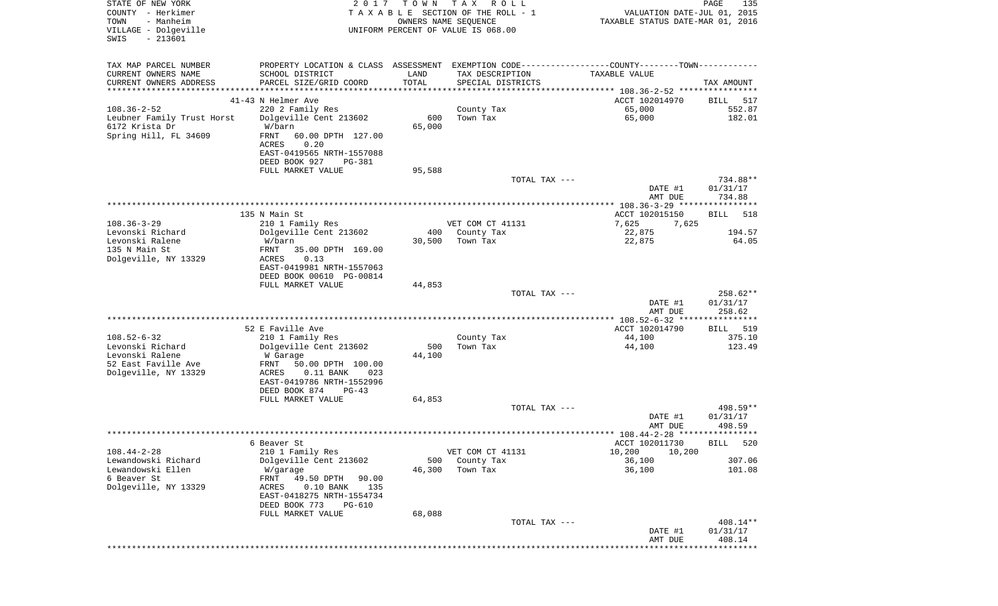| STATE OF NEW YORK<br>COUNTY - Herkimer<br>TOWN<br>- Manheim<br>VILLAGE - Dolgeville<br>$-213601$<br>SWIS | 2017                                                     | T O W N       | T A X<br>R O L L<br>TAXABLE SECTION OF THE ROLL - 1<br>OWNERS NAME SEQUENCE<br>UNIFORM PERCENT OF VALUE IS 068.00 | VALUATION DATE-JUL 01, 2015<br>TAXABLE STATUS DATE-MAR 01, 2016                               | PAGE<br>135         |
|----------------------------------------------------------------------------------------------------------|----------------------------------------------------------|---------------|-------------------------------------------------------------------------------------------------------------------|-----------------------------------------------------------------------------------------------|---------------------|
| TAX MAP PARCEL NUMBER                                                                                    |                                                          |               |                                                                                                                   | PROPERTY LOCATION & CLASS ASSESSMENT EXEMPTION CODE---------------COUNTY-------TOWN---------- |                     |
| CURRENT OWNERS NAME                                                                                      | SCHOOL DISTRICT                                          | LAND          | TAX DESCRIPTION                                                                                                   | TAXABLE VALUE                                                                                 |                     |
| CURRENT OWNERS ADDRESS                                                                                   | PARCEL SIZE/GRID COORD                                   | TOTAL         | SPECIAL DISTRICTS                                                                                                 |                                                                                               | TAX AMOUNT          |
| ************************                                                                                 | 41-43 N Helmer Ave                                       |               |                                                                                                                   | ACCT 102014970                                                                                | 517<br>BILL         |
| $108.36 - 2 - 52$                                                                                        | 220 2 Family Res                                         |               | County Tax                                                                                                        | 65,000                                                                                        | 552.87              |
| Leubner Family Trust Horst                                                                               | Dolgeville Cent 213602                                   | 600           | Town Tax                                                                                                          | 65,000                                                                                        | 182.01              |
| 6172 Krista Dr                                                                                           | W/barn                                                   | 65,000        |                                                                                                                   |                                                                                               |                     |
| Spring Hill, FL 34609                                                                                    | FRNT<br>60.00 DPTH 127.00<br>ACRES<br>0.20               |               |                                                                                                                   |                                                                                               |                     |
|                                                                                                          | EAST-0419565 NRTH-1557088<br>DEED BOOK 927<br>PG-381     |               |                                                                                                                   |                                                                                               |                     |
|                                                                                                          | FULL MARKET VALUE                                        | 95,588        |                                                                                                                   |                                                                                               |                     |
|                                                                                                          |                                                          |               | TOTAL TAX ---                                                                                                     |                                                                                               | 734.88**            |
|                                                                                                          |                                                          |               |                                                                                                                   | DATE #1                                                                                       | 01/31/17            |
|                                                                                                          |                                                          |               |                                                                                                                   | AMT DUE                                                                                       | 734.88              |
|                                                                                                          | 135 N Main St                                            |               |                                                                                                                   | ACCT 102015150                                                                                | 518<br>BILL         |
| $108.36 - 3 - 29$                                                                                        | 210 1 Family Res                                         |               | VET COM CT 41131                                                                                                  | 7,625<br>7,625                                                                                |                     |
| Levonski Richard<br>Levonski Ralene                                                                      | Dolgeville Cent 213602<br>W/barn                         | 400<br>30,500 | County Tax<br>Town Tax                                                                                            | 22,875                                                                                        | 194.57              |
| 135 N Main St                                                                                            | FRNT<br>35.00 DPTH 169.00                                |               |                                                                                                                   | 22,875                                                                                        | 64.05               |
| Dolgeville, NY 13329                                                                                     | ACRES<br>0.13                                            |               |                                                                                                                   |                                                                                               |                     |
|                                                                                                          | EAST-0419981 NRTH-1557063                                |               |                                                                                                                   |                                                                                               |                     |
|                                                                                                          | DEED BOOK 00610 PG-00814                                 |               |                                                                                                                   |                                                                                               |                     |
|                                                                                                          | FULL MARKET VALUE                                        | 44,853        | TOTAL TAX ---                                                                                                     |                                                                                               | 258.62**            |
|                                                                                                          |                                                          |               |                                                                                                                   | DATE #1                                                                                       | 01/31/17            |
|                                                                                                          |                                                          |               |                                                                                                                   | AMT DUE                                                                                       | 258.62              |
|                                                                                                          | 52 E Faville Ave                                         |               |                                                                                                                   | ACCT 102014790                                                                                | BILL 519            |
| $108.52 - 6 - 32$                                                                                        | 210 1 Family Res                                         |               | County Tax                                                                                                        | 44,100                                                                                        | 375.10              |
| Levonski Richard                                                                                         | Dolgeville Cent 213602                                   | 500           | Town Tax                                                                                                          | 44,100                                                                                        | 123.49              |
| Levonski Ralene                                                                                          | W Garage                                                 | 44,100        |                                                                                                                   |                                                                                               |                     |
| 52 East Faville Ave<br>Dolgeville, NY 13329                                                              | FRNT<br>50.00 DPTH 100.00<br>$0.11$ BANK<br>ACRES<br>023 |               |                                                                                                                   |                                                                                               |                     |
|                                                                                                          | EAST-0419786 NRTH-1552996                                |               |                                                                                                                   |                                                                                               |                     |
|                                                                                                          | DEED BOOK 874<br>$PG-43$                                 |               |                                                                                                                   |                                                                                               |                     |
|                                                                                                          | FULL MARKET VALUE                                        | 64,853        |                                                                                                                   |                                                                                               | 498.59**            |
|                                                                                                          |                                                          |               | TOTAL TAX ---                                                                                                     | DATE #1                                                                                       | 01/31/17            |
|                                                                                                          |                                                          |               |                                                                                                                   | AMT DUE                                                                                       | 498.59              |
|                                                                                                          |                                                          |               |                                                                                                                   |                                                                                               |                     |
| $108.44 - 2 - 28$                                                                                        | 6 Beaver St                                              |               | VET COM CT 41131                                                                                                  | ACCT 102011730<br>10,200                                                                      | 520<br>BILL         |
| Lewandowski Richard                                                                                      | 210 1 Family Res<br>Dolgeville Cent 213602               | 500           | County Tax                                                                                                        | 10,200<br>36,100                                                                              | 307.06              |
| Lewandowski Ellen                                                                                        | W/garage                                                 | 46,300        | Town Tax                                                                                                          | 36,100                                                                                        | 101.08              |
| 6 Beaver St                                                                                              | FRNT<br>49.50 DPTH<br>90.00                              |               |                                                                                                                   |                                                                                               |                     |
| Dolgeville, NY 13329                                                                                     | $0.10$ BANK<br>135<br>ACRES<br>EAST-0418275 NRTH-1554734 |               |                                                                                                                   |                                                                                               |                     |
|                                                                                                          | DEED BOOK 773<br>PG-610                                  |               |                                                                                                                   |                                                                                               |                     |
|                                                                                                          | FULL MARKET VALUE                                        | 68,088        |                                                                                                                   |                                                                                               |                     |
|                                                                                                          |                                                          |               | TOTAL TAX ---                                                                                                     |                                                                                               | 408.14**            |
|                                                                                                          |                                                          |               |                                                                                                                   | DATE #1<br>AMT DUE                                                                            | 01/31/17<br>408.14  |
|                                                                                                          |                                                          |               |                                                                                                                   | ******************                                                                            | * * * * * * * * * * |
|                                                                                                          |                                                          |               |                                                                                                                   |                                                                                               |                     |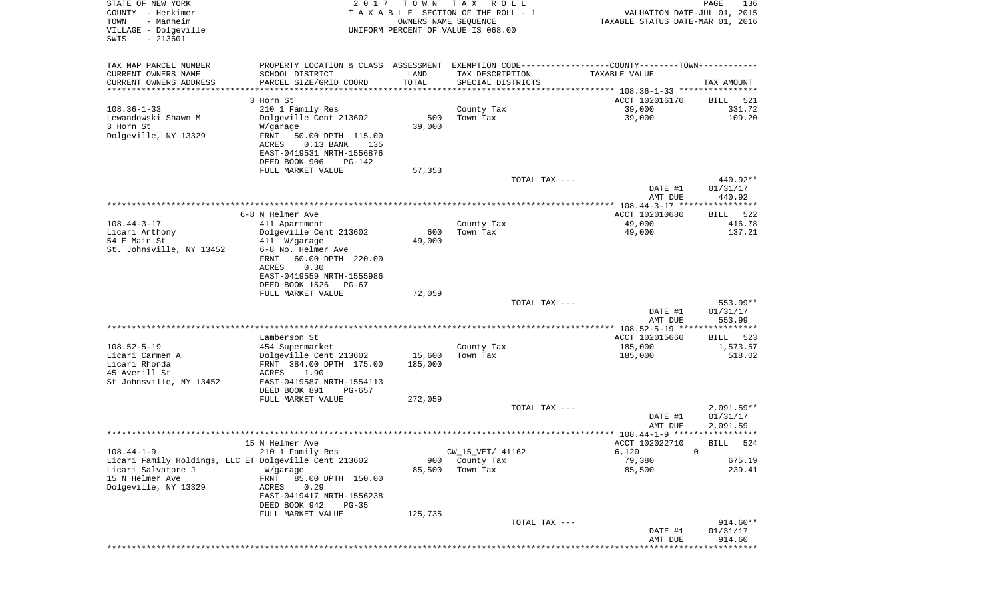| STATE OF NEW YORK<br>COUNTY - Herkimer<br>- Manheim<br>TOWN<br>VILLAGE - Dolgeville | 2 0 1 7                                                                                       | T O W N      | T A X<br>R O L L<br>TAXABLE SECTION OF THE ROLL - 1<br>OWNERS NAME SEQUENCE<br>UNIFORM PERCENT OF VALUE IS 068.00 | VALUATION DATE-JUL 01, 2015<br>TAXABLE STATUS DATE-MAR 01, 2016 | PAGE<br>136                |
|-------------------------------------------------------------------------------------|-----------------------------------------------------------------------------------------------|--------------|-------------------------------------------------------------------------------------------------------------------|-----------------------------------------------------------------|----------------------------|
| $-213601$<br>SWIS                                                                   |                                                                                               |              |                                                                                                                   |                                                                 |                            |
| TAX MAP PARCEL NUMBER                                                               | PROPERTY LOCATION & CLASS ASSESSMENT EXEMPTION CODE---------------COUNTY-------TOWN---------- |              |                                                                                                                   |                                                                 |                            |
| CURRENT OWNERS NAME                                                                 | SCHOOL DISTRICT                                                                               | LAND         | TAX DESCRIPTION                                                                                                   | TAXABLE VALUE                                                   |                            |
| CURRENT OWNERS ADDRESS                                                              | PARCEL SIZE/GRID COORD                                                                        | TOTAL        | SPECIAL DISTRICTS                                                                                                 |                                                                 | TAX AMOUNT                 |
| *********************                                                               | **********************                                                                        | ************ |                                                                                                                   |                                                                 |                            |
| $108.36 - 1 - 33$                                                                   | 3 Horn St<br>210 1 Family Res                                                                 |              | County Tax                                                                                                        | ACCT 102016170<br>39,000                                        | BILL<br>521<br>331.72      |
| Lewandowski Shawn M                                                                 | Dolgeville Cent 213602                                                                        | 500          | Town Tax                                                                                                          | 39,000                                                          | 109.20                     |
| 3 Horn St                                                                           | W/garage                                                                                      | 39,000       |                                                                                                                   |                                                                 |                            |
| Dolgeville, NY 13329                                                                | FRNT<br>50.00 DPTH 115.00                                                                     |              |                                                                                                                   |                                                                 |                            |
|                                                                                     | $0.13$ BANK<br>ACRES<br>135                                                                   |              |                                                                                                                   |                                                                 |                            |
|                                                                                     | EAST-0419531 NRTH-1556876<br>DEED BOOK 906<br>PG-142                                          |              |                                                                                                                   |                                                                 |                            |
|                                                                                     | FULL MARKET VALUE                                                                             | 57,353       |                                                                                                                   |                                                                 |                            |
|                                                                                     |                                                                                               |              | TOTAL TAX ---                                                                                                     |                                                                 | 440.92**                   |
|                                                                                     |                                                                                               |              |                                                                                                                   | DATE #1                                                         | 01/31/17                   |
|                                                                                     |                                                                                               |              |                                                                                                                   | AMT DUE                                                         | 440.92                     |
|                                                                                     | 6-8 N Helmer Ave                                                                              |              |                                                                                                                   | ACCT 102010680                                                  | 522<br>BILL                |
| $108.44 - 3 - 17$                                                                   | 411 Apartment                                                                                 |              | County Tax                                                                                                        | 49,000                                                          | 416.78                     |
| Licari Anthony                                                                      | Dolgeville Cent 213602                                                                        | 600          | Town Tax                                                                                                          | 49,000                                                          | 137.21                     |
| 54 E Main St                                                                        | 411 W/garage                                                                                  | 49,000       |                                                                                                                   |                                                                 |                            |
| St. Johnsville, NY 13452                                                            | 6-8 No. Helmer Ave<br>FRNT<br>60.00 DPTH 220.00                                               |              |                                                                                                                   |                                                                 |                            |
|                                                                                     | ACRES<br>0.30                                                                                 |              |                                                                                                                   |                                                                 |                            |
|                                                                                     | EAST-0419559 NRTH-1555986                                                                     |              |                                                                                                                   |                                                                 |                            |
|                                                                                     | DEED BOOK 1526<br>PG-67                                                                       |              |                                                                                                                   |                                                                 |                            |
|                                                                                     | FULL MARKET VALUE                                                                             | 72,059       |                                                                                                                   |                                                                 |                            |
|                                                                                     |                                                                                               |              | TOTAL TAX ---                                                                                                     | DATE #1                                                         | 553.99**<br>01/31/17       |
|                                                                                     |                                                                                               |              |                                                                                                                   | AMT DUE                                                         | 553.99                     |
|                                                                                     |                                                                                               |              |                                                                                                                   | **************** 108.52-5-19 ****************                   |                            |
|                                                                                     | Lamberson St                                                                                  |              |                                                                                                                   | ACCT 102015660                                                  | BILL<br>523                |
| $108.52 - 5 - 19$<br>Licari Carmen A                                                | 454 Supermarket                                                                               | 15,600       | County Tax<br>Town Tax                                                                                            | 185,000<br>185,000                                              | 1,573.57<br>518.02         |
| Licari Rhonda                                                                       | Dolgeville Cent 213602<br>FRNT 384.00 DPTH 175.00                                             | 185,000      |                                                                                                                   |                                                                 |                            |
| 45 Averill St                                                                       | ACRES<br>1.90                                                                                 |              |                                                                                                                   |                                                                 |                            |
| St Johnsville, NY 13452                                                             | EAST-0419587 NRTH-1554113                                                                     |              |                                                                                                                   |                                                                 |                            |
|                                                                                     | DEED BOOK 891<br>PG-657                                                                       |              |                                                                                                                   |                                                                 |                            |
|                                                                                     | FULL MARKET VALUE                                                                             | 272,059      | TOTAL TAX ---                                                                                                     |                                                                 | $2,091.59**$               |
|                                                                                     |                                                                                               |              |                                                                                                                   | DATE #1                                                         | 01/31/17                   |
|                                                                                     |                                                                                               |              |                                                                                                                   | AMT DUE                                                         | 2,091.59                   |
|                                                                                     |                                                                                               |              |                                                                                                                   |                                                                 |                            |
| $108.44 - 1 - 9$                                                                    | 15 N Helmer Ave<br>210 1 Family Res                                                           |              | CW_15_VET/ 41162                                                                                                  | ACCT 102022710<br>6,120                                         | 524<br>BILL<br>$\mathbf 0$ |
| Licari Family Holdings, LLC ET Dolgeville Cent 213602                               |                                                                                               | 900          | County Tax                                                                                                        | 79,380                                                          | 675.19                     |
| Licari Salvatore J                                                                  | W/garage                                                                                      | 85,500       | Town Tax                                                                                                          | 85,500                                                          | 239.41                     |
| 15 N Helmer Ave                                                                     | FRNT<br>85.00 DPTH 150.00                                                                     |              |                                                                                                                   |                                                                 |                            |
| Dolgeville, NY 13329                                                                | 0.29<br>ACRES                                                                                 |              |                                                                                                                   |                                                                 |                            |
|                                                                                     | EAST-0419417 NRTH-1556238<br>DEED BOOK 942<br>$PG-35$                                         |              |                                                                                                                   |                                                                 |                            |
|                                                                                     | FULL MARKET VALUE                                                                             | 125,735      |                                                                                                                   |                                                                 |                            |
|                                                                                     |                                                                                               |              | TOTAL TAX ---                                                                                                     |                                                                 | 914.60**                   |
|                                                                                     |                                                                                               |              |                                                                                                                   | DATE #1                                                         | 01/31/17                   |
|                                                                                     |                                                                                               |              |                                                                                                                   | AMT DUE                                                         | 914.60<br>**********       |
|                                                                                     |                                                                                               |              |                                                                                                                   |                                                                 |                            |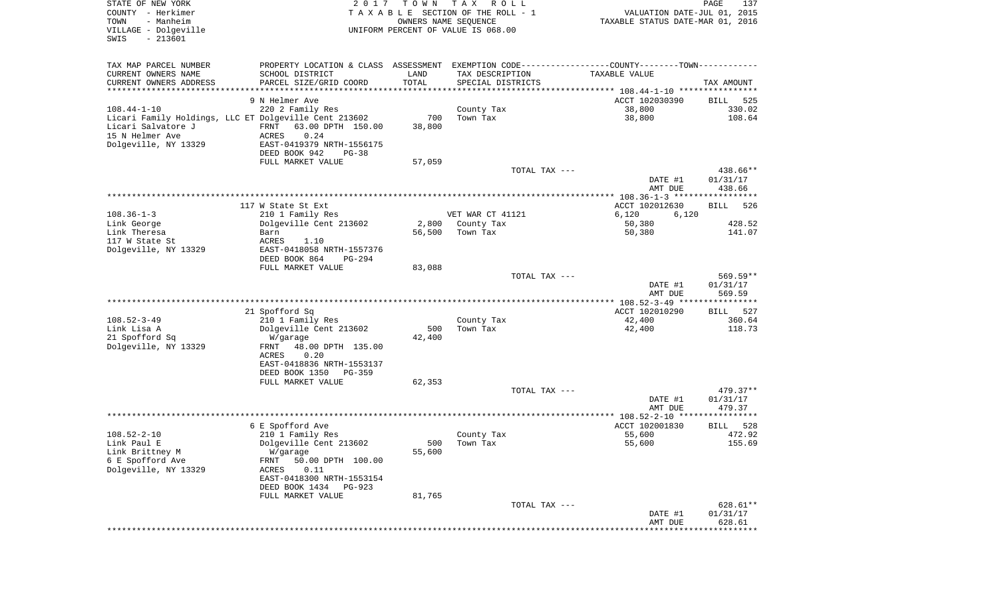| STATE OF NEW YORK                                     | 2017                      | T O W N              | T A X<br>R O L L                   |                                                                                               | PAGE<br>137        |
|-------------------------------------------------------|---------------------------|----------------------|------------------------------------|-----------------------------------------------------------------------------------------------|--------------------|
| COUNTY - Herkimer                                     |                           |                      | TAXABLE SECTION OF THE ROLL - 1    | VALUATION DATE-JUL 01, 2015                                                                   |                    |
| TOWN<br>- Manheim                                     |                           | OWNERS NAME SEQUENCE |                                    | TAXABLE STATUS DATE-MAR 01, 2016                                                              |                    |
| VILLAGE - Dolgeville<br>SWIS<br>$-213601$             |                           |                      | UNIFORM PERCENT OF VALUE IS 068.00 |                                                                                               |                    |
|                                                       |                           |                      |                                    |                                                                                               |                    |
|                                                       |                           |                      |                                    |                                                                                               |                    |
| TAX MAP PARCEL NUMBER                                 |                           |                      |                                    | PROPERTY LOCATION & CLASS ASSESSMENT EXEMPTION CODE---------------COUNTY-------TOWN---------- |                    |
| CURRENT OWNERS NAME                                   | SCHOOL DISTRICT           | LAND                 | TAX DESCRIPTION                    | TAXABLE VALUE                                                                                 |                    |
| CURRENT OWNERS ADDRESS<br>**********************      | PARCEL SIZE/GRID COORD    | TOTAL                | SPECIAL DISTRICTS                  |                                                                                               | TAX AMOUNT         |
|                                                       | 9 N Helmer Ave            |                      |                                    | ACCT 102030390                                                                                | BILL<br>525        |
| 108.44-1-10                                           | 220 2 Family Res          |                      | County Tax                         | 38,800                                                                                        | 330.02             |
| Licari Family Holdings, LLC ET Dolgeville Cent 213602 |                           | 700                  | Town Tax                           | 38,800                                                                                        | 108.64             |
| Licari Salvatore J                                    | FRNT<br>63.00 DPTH 150.00 | 38,800               |                                    |                                                                                               |                    |
| 15 N Helmer Ave                                       | 0.24<br>ACRES             |                      |                                    |                                                                                               |                    |
| Dolgeville, NY 13329                                  | EAST-0419379 NRTH-1556175 |                      |                                    |                                                                                               |                    |
|                                                       | DEED BOOK 942<br>$PG-38$  |                      |                                    |                                                                                               |                    |
|                                                       | FULL MARKET VALUE         | 57,059               |                                    |                                                                                               |                    |
|                                                       |                           |                      | TOTAL TAX ---                      |                                                                                               | 438.66**           |
|                                                       |                           |                      |                                    | DATE #1                                                                                       | 01/31/17           |
|                                                       |                           |                      |                                    | AMT DUE                                                                                       | 438.66             |
|                                                       |                           |                      |                                    |                                                                                               |                    |
|                                                       | 117 W State St Ext        |                      |                                    | ACCT 102012630                                                                                | <b>BILL</b><br>526 |
| $108.36 - 1 - 3$                                      | 210 1 Family Res          |                      | VET WAR CT 41121                   | 6,120<br>6,120                                                                                |                    |
| Link George                                           | Dolgeville Cent 213602    | 2,800                | County Tax                         | 50,380                                                                                        | 428.52             |
| Link Theresa                                          | Barn                      | 56,500               | Town Tax                           | 50,380                                                                                        | 141.07             |
| 117 W State St                                        | ACRES<br>1.10             |                      |                                    |                                                                                               |                    |
| Dolgeville, NY 13329                                  | EAST-0418058 NRTH-1557376 |                      |                                    |                                                                                               |                    |
|                                                       | DEED BOOK 864<br>PG-294   |                      |                                    |                                                                                               |                    |
|                                                       | FULL MARKET VALUE         | 83,088               |                                    |                                                                                               |                    |
|                                                       |                           |                      | TOTAL TAX ---                      |                                                                                               | 569.59**           |
|                                                       |                           |                      |                                    | DATE #1                                                                                       | 01/31/17           |
|                                                       |                           |                      |                                    | AMT DUE                                                                                       | 569.59             |
|                                                       | 21 Spofford Sq            |                      |                                    | ACCT 102010290                                                                                | BILL 527           |
| 108.52-3-49                                           | 210 1 Family Res          |                      | County Tax                         | 42,400                                                                                        | 360.64             |
| Link Lisa A                                           | Dolgeville Cent 213602    | 500                  | Town Tax                           | 42,400                                                                                        | 118.73             |
| 21 Spofford Sq                                        | W/garage                  | 42,400               |                                    |                                                                                               |                    |
| Dolgeville, NY 13329                                  | 48.00 DPTH 135.00<br>FRNT |                      |                                    |                                                                                               |                    |
|                                                       | ACRES<br>0.20             |                      |                                    |                                                                                               |                    |
|                                                       | EAST-0418836 NRTH-1553137 |                      |                                    |                                                                                               |                    |
|                                                       | DEED BOOK 1350<br>PG-359  |                      |                                    |                                                                                               |                    |
|                                                       | FULL MARKET VALUE         | 62,353               |                                    |                                                                                               |                    |
|                                                       |                           |                      | TOTAL TAX ---                      |                                                                                               | 479.37**           |
|                                                       |                           |                      |                                    | DATE #1                                                                                       | 01/31/17           |
|                                                       |                           |                      |                                    | AMT DUE                                                                                       | 479.37             |
|                                                       |                           |                      |                                    |                                                                                               |                    |
|                                                       | 6 E Spofford Ave          |                      |                                    | ACCT 102001830                                                                                | BILL<br>528        |
| 108.52-2-10                                           | 210 1 Family Res          |                      | County Tax                         | 55,600                                                                                        | 472.92             |
| Link Paul E                                           | Dolgeville Cent 213602    | 500                  | Town Tax                           | 55,600                                                                                        | 155.69             |
| Link Brittney M                                       | W/garage                  | 55,600               |                                    |                                                                                               |                    |
| 6 E Spofford Ave                                      | FRNT<br>50.00 DPTH 100.00 |                      |                                    |                                                                                               |                    |
| Dolgeville, NY 13329                                  | 0.11<br>ACRES             |                      |                                    |                                                                                               |                    |
|                                                       | EAST-0418300 NRTH-1553154 |                      |                                    |                                                                                               |                    |
|                                                       | DEED BOOK 1434<br>PG-923  |                      |                                    |                                                                                               |                    |
|                                                       | FULL MARKET VALUE         | 81,765               |                                    |                                                                                               |                    |
|                                                       |                           |                      | TOTAL TAX ---                      |                                                                                               | 628.61**           |
|                                                       |                           |                      |                                    | DATE #1                                                                                       | 01/31/17           |
|                                                       |                           |                      |                                    | AMT DUE                                                                                       | 628.61             |
|                                                       |                           |                      |                                    |                                                                                               |                    |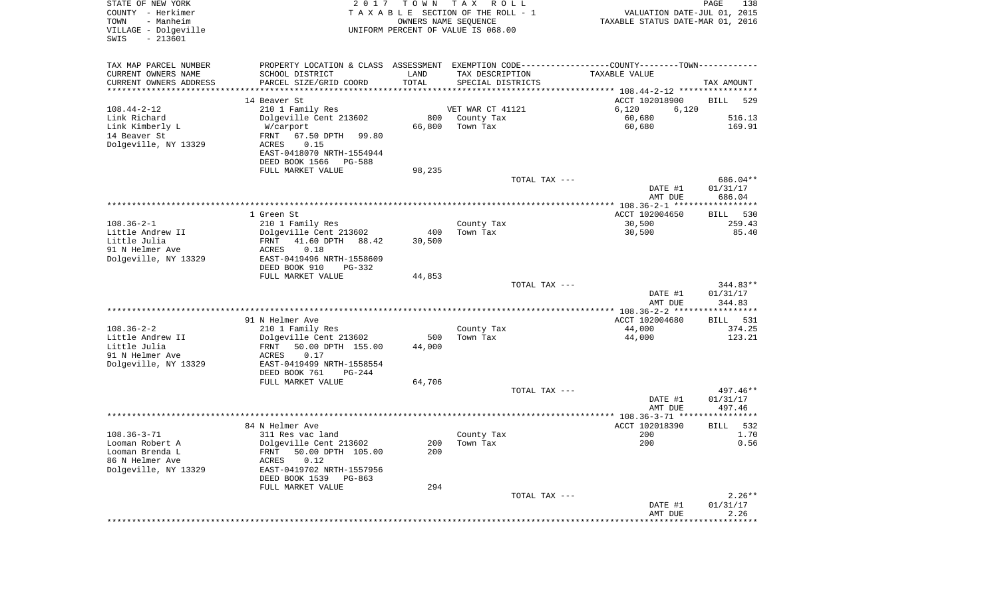| STATE OF NEW YORK<br>COUNTY - Herkimer<br>- Manheim<br>TOWN<br>VILLAGE - Dolgeville<br>$-213601$<br>SWIS | 2017                                                                                          | T O W N    | T A X<br>R O L L<br>TAXABLE SECTION OF THE ROLL - 1<br>OWNERS NAME SEQUENCE<br>UNIFORM PERCENT OF VALUE IS 068.00 | VALUATION DATE-JUL 01, 2015<br>TAXABLE STATUS DATE-MAR 01, 2016 | PAGE<br>138           |
|----------------------------------------------------------------------------------------------------------|-----------------------------------------------------------------------------------------------|------------|-------------------------------------------------------------------------------------------------------------------|-----------------------------------------------------------------|-----------------------|
| TAX MAP PARCEL NUMBER                                                                                    | PROPERTY LOCATION & CLASS ASSESSMENT EXEMPTION CODE---------------COUNTY-------TOWN---------- |            |                                                                                                                   |                                                                 |                       |
| CURRENT OWNERS NAME                                                                                      | SCHOOL DISTRICT                                                                               | LAND       | TAX DESCRIPTION                                                                                                   | TAXABLE VALUE                                                   |                       |
| CURRENT OWNERS ADDRESS<br>********************                                                           | PARCEL SIZE/GRID COORD                                                                        | TOTAL      | SPECIAL DISTRICTS                                                                                                 |                                                                 | TAX AMOUNT            |
|                                                                                                          | 14 Beaver St                                                                                  |            |                                                                                                                   | ACCT 102018900                                                  | 529<br>BILL           |
| $108.44 - 2 - 12$                                                                                        | 210 1 Family Res                                                                              |            | VET WAR CT 41121                                                                                                  | 6,120<br>6,120                                                  |                       |
| Link Richard                                                                                             | Dolgeville Cent 213602                                                                        | 800        | County Tax                                                                                                        | 60,680                                                          | 516.13                |
| Link Kimberly L                                                                                          | W/carport                                                                                     | 66,800     | Town Tax                                                                                                          | 60,680                                                          | 169.91                |
| 14 Beaver St                                                                                             | FRNT<br>67.50 DPTH<br>99.80                                                                   |            |                                                                                                                   |                                                                 |                       |
| Dolgeville, NY 13329                                                                                     | ACRES<br>0.15                                                                                 |            |                                                                                                                   |                                                                 |                       |
|                                                                                                          | EAST-0418070 NRTH-1554944                                                                     |            |                                                                                                                   |                                                                 |                       |
|                                                                                                          | DEED BOOK 1566<br>PG-588<br>FULL MARKET VALUE                                                 | 98,235     |                                                                                                                   |                                                                 |                       |
|                                                                                                          |                                                                                               |            | TOTAL TAX ---                                                                                                     |                                                                 | 686.04**              |
|                                                                                                          |                                                                                               |            |                                                                                                                   | DATE #1                                                         | 01/31/17              |
|                                                                                                          |                                                                                               |            |                                                                                                                   | AMT DUE                                                         | 686.04                |
|                                                                                                          |                                                                                               |            |                                                                                                                   |                                                                 |                       |
| $108.36 - 2 - 1$                                                                                         | 1 Green St<br>210 1 Family Res                                                                |            |                                                                                                                   | ACCT 102004650<br>30,500                                        | 530<br>BILL<br>259.43 |
| Little Andrew II                                                                                         | Dolgeville Cent 213602                                                                        | 400        | County Tax<br>Town Tax                                                                                            | 30,500                                                          | 85.40                 |
| Little Julia                                                                                             | 41.60 DPTH<br>88.42<br>FRNT                                                                   | 30,500     |                                                                                                                   |                                                                 |                       |
| 91 N Helmer Ave                                                                                          | ACRES<br>0.18                                                                                 |            |                                                                                                                   |                                                                 |                       |
| Dolgeville, NY 13329                                                                                     | EAST-0419496 NRTH-1558609                                                                     |            |                                                                                                                   |                                                                 |                       |
|                                                                                                          | DEED BOOK 910<br>PG-332                                                                       |            |                                                                                                                   |                                                                 |                       |
|                                                                                                          | FULL MARKET VALUE                                                                             | 44,853     | TOTAL TAX ---                                                                                                     |                                                                 | $344.83**$            |
|                                                                                                          |                                                                                               |            |                                                                                                                   | DATE #1                                                         | 01/31/17              |
|                                                                                                          |                                                                                               |            |                                                                                                                   | AMT DUE                                                         | 344.83                |
|                                                                                                          |                                                                                               |            |                                                                                                                   | *************** 108.36-2-2 ******************                   |                       |
|                                                                                                          | 91 N Helmer Ave                                                                               |            |                                                                                                                   | ACCT 102004680                                                  | 531<br>BILL           |
| $108.36 - 2 - 2$<br>Little Andrew II                                                                     | 210 1 Family Res<br>Dolgeville Cent 213602                                                    | 500        | County Tax<br>Town Tax                                                                                            | 44,000<br>44,000                                                | 374.25<br>123.21      |
| Little Julia                                                                                             | 50.00 DPTH 155.00<br>FRNT                                                                     | 44,000     |                                                                                                                   |                                                                 |                       |
| 91 N Helmer Ave                                                                                          | ACRES<br>0.17                                                                                 |            |                                                                                                                   |                                                                 |                       |
| Dolgeville, NY 13329                                                                                     | EAST-0419499 NRTH-1558554                                                                     |            |                                                                                                                   |                                                                 |                       |
|                                                                                                          | DEED BOOK 761<br>$PG-244$                                                                     |            |                                                                                                                   |                                                                 |                       |
|                                                                                                          | FULL MARKET VALUE                                                                             | 64,706     |                                                                                                                   |                                                                 |                       |
|                                                                                                          |                                                                                               |            | TOTAL TAX ---                                                                                                     | DATE #1                                                         | 497.46**<br>01/31/17  |
|                                                                                                          |                                                                                               |            |                                                                                                                   | AMT DUE                                                         | 497.46                |
|                                                                                                          |                                                                                               |            |                                                                                                                   |                                                                 |                       |
|                                                                                                          | 84 N Helmer Ave                                                                               |            |                                                                                                                   | ACCT 102018390                                                  | 532<br>BILL           |
| $108.36 - 3 - 71$                                                                                        | 311 Res vac land                                                                              |            | County Tax                                                                                                        | 200                                                             | 1.70                  |
| Looman Robert A<br>Looman Brenda L                                                                       | Dolgeville Cent 213602<br>50.00 DPTH 105.00<br>FRNT                                           | 200<br>200 | Town Tax                                                                                                          | 200                                                             | 0.56                  |
| 86 N Helmer Ave                                                                                          | 0.12<br>ACRES                                                                                 |            |                                                                                                                   |                                                                 |                       |
| Dolgeville, NY 13329                                                                                     | EAST-0419702 NRTH-1557956                                                                     |            |                                                                                                                   |                                                                 |                       |
|                                                                                                          | DEED BOOK 1539 PG-863                                                                         |            |                                                                                                                   |                                                                 |                       |
|                                                                                                          | FULL MARKET VALUE                                                                             | 294        |                                                                                                                   |                                                                 |                       |
|                                                                                                          |                                                                                               |            | TOTAL TAX ---                                                                                                     |                                                                 | $2.26**$              |
|                                                                                                          |                                                                                               |            |                                                                                                                   | DATE #1<br>AMT DUE                                              | 01/31/17<br>2.26      |
|                                                                                                          |                                                                                               |            |                                                                                                                   | *********************                                           | **************        |
|                                                                                                          |                                                                                               |            |                                                                                                                   |                                                                 |                       |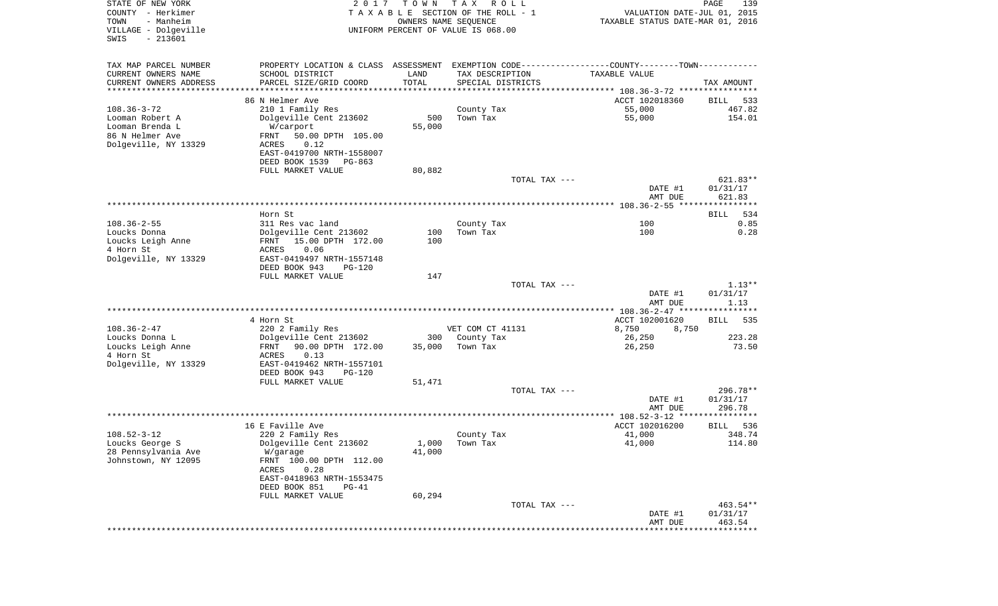| STATE OF NEW YORK<br>COUNTY - Herkimer<br>- Manheim<br>TOWN<br>VILLAGE - Dolgeville<br>$-213601$<br>SWIS | 2017                                                                                          | T O W N<br>OWNERS NAME SEQUENCE | T A X<br>R O L L<br>TAXABLE SECTION OF THE ROLL - 1<br>UNIFORM PERCENT OF VALUE IS 068.00 | VALUATION DATE-JUL 01, 2015<br>TAXABLE STATUS DATE-MAR 01, 2016 | PAGE<br>139          |
|----------------------------------------------------------------------------------------------------------|-----------------------------------------------------------------------------------------------|---------------------------------|-------------------------------------------------------------------------------------------|-----------------------------------------------------------------|----------------------|
| TAX MAP PARCEL NUMBER                                                                                    | PROPERTY LOCATION & CLASS ASSESSMENT EXEMPTION CODE---------------COUNTY-------TOWN---------- |                                 |                                                                                           |                                                                 |                      |
| CURRENT OWNERS NAME                                                                                      | SCHOOL DISTRICT                                                                               | LAND                            | TAX DESCRIPTION                                                                           | TAXABLE VALUE                                                   |                      |
| CURRENT OWNERS ADDRESS<br>*********************                                                          | PARCEL SIZE/GRID COORD<br>********************                                                | TOTAL<br>***********            | SPECIAL DISTRICTS                                                                         |                                                                 | TAX AMOUNT           |
|                                                                                                          | 86 N Helmer Ave                                                                               |                                 |                                                                                           | ACCT 102018360                                                  | BILL<br>533          |
| $108.36 - 3 - 72$                                                                                        | 210 1 Family Res                                                                              |                                 | County Tax                                                                                | 55,000                                                          | 467.82               |
| Looman Robert A                                                                                          | Dolgeville Cent 213602                                                                        | 500                             | Town Tax                                                                                  | 55,000                                                          | 154.01               |
| Looman Brenda L                                                                                          | W/carport                                                                                     | 55,000                          |                                                                                           |                                                                 |                      |
| 86 N Helmer Ave                                                                                          | 50.00 DPTH 105.00<br>FRNT                                                                     |                                 |                                                                                           |                                                                 |                      |
| Dolgeville, NY 13329                                                                                     | 0.12<br>ACRES                                                                                 |                                 |                                                                                           |                                                                 |                      |
|                                                                                                          | EAST-0419700 NRTH-1558007                                                                     |                                 |                                                                                           |                                                                 |                      |
|                                                                                                          | DEED BOOK 1539<br>PG-863<br>FULL MARKET VALUE                                                 | 80,882                          |                                                                                           |                                                                 |                      |
|                                                                                                          |                                                                                               |                                 | TOTAL TAX ---                                                                             |                                                                 | 621.83**             |
|                                                                                                          |                                                                                               |                                 |                                                                                           | DATE #1                                                         | 01/31/17             |
|                                                                                                          |                                                                                               |                                 |                                                                                           | AMT DUE                                                         | 621.83               |
|                                                                                                          |                                                                                               |                                 |                                                                                           |                                                                 |                      |
| $108.36 - 2 - 55$                                                                                        | Horn St                                                                                       |                                 |                                                                                           | 100                                                             | 534<br>BILL<br>0.85  |
| Loucks Donna                                                                                             | 311 Res vac land<br>Dolgeville Cent 213602                                                    | 100                             | County Tax<br>Town Tax                                                                    | 100                                                             | 0.28                 |
| Loucks Leigh Anne                                                                                        | 15.00 DPTH 172.00<br>FRNT                                                                     | 100                             |                                                                                           |                                                                 |                      |
| 4 Horn St                                                                                                | ACRES<br>0.06                                                                                 |                                 |                                                                                           |                                                                 |                      |
| Dolgeville, NY 13329                                                                                     | EAST-0419497 NRTH-1557148                                                                     |                                 |                                                                                           |                                                                 |                      |
|                                                                                                          | DEED BOOK 943<br>PG-120                                                                       |                                 |                                                                                           |                                                                 |                      |
|                                                                                                          | FULL MARKET VALUE                                                                             | 147                             |                                                                                           |                                                                 |                      |
|                                                                                                          |                                                                                               |                                 | TOTAL TAX ---                                                                             | DATE #1                                                         | $1.13**$<br>01/31/17 |
|                                                                                                          |                                                                                               |                                 |                                                                                           | AMT DUE                                                         | 1.13                 |
|                                                                                                          |                                                                                               |                                 |                                                                                           | *************** 108.36-2-47 *****************                   |                      |
|                                                                                                          | 4 Horn St                                                                                     |                                 |                                                                                           | ACCT 102001620                                                  | 535<br>BILL          |
| $108.36 - 2 - 47$                                                                                        | 220 2 Family Res                                                                              |                                 | VET COM CT 41131                                                                          | 8,750<br>8,750                                                  |                      |
| Loucks Donna L                                                                                           | Dolgeville Cent 213602                                                                        | 300                             | County Tax                                                                                | 26,250                                                          | 223.28               |
| Loucks Leigh Anne<br>4 Horn St                                                                           | 90.00 DPTH 172.00<br>FRNT<br>ACRES<br>0.13                                                    | 35,000                          | Town Tax                                                                                  | 26,250                                                          | 73.50                |
| Dolgeville, NY 13329                                                                                     | EAST-0419462 NRTH-1557101                                                                     |                                 |                                                                                           |                                                                 |                      |
|                                                                                                          | DEED BOOK 943<br>PG-120                                                                       |                                 |                                                                                           |                                                                 |                      |
|                                                                                                          | FULL MARKET VALUE                                                                             | 51,471                          |                                                                                           |                                                                 |                      |
|                                                                                                          |                                                                                               |                                 | TOTAL TAX ---                                                                             |                                                                 | 296.78**             |
|                                                                                                          |                                                                                               |                                 |                                                                                           | DATE #1                                                         | 01/31/17             |
|                                                                                                          |                                                                                               |                                 |                                                                                           | AMT DUE                                                         | 296.78               |
|                                                                                                          | 16 E Faville Ave                                                                              |                                 |                                                                                           | ACCT 102016200                                                  | 536<br>BILL          |
| $108.52 - 3 - 12$                                                                                        | 220 2 Family Res                                                                              |                                 | County Tax                                                                                | 41,000                                                          | 348.74               |
| Loucks George S                                                                                          | Dolgeville Cent 213602                                                                        | 1,000                           | Town Tax                                                                                  | 41,000                                                          | 114.80               |
| 28 Pennsylvania Ave                                                                                      | W/garage                                                                                      | 41,000                          |                                                                                           |                                                                 |                      |
| Johnstown, NY 12095                                                                                      | FRNT 100.00 DPTH 112.00                                                                       |                                 |                                                                                           |                                                                 |                      |
|                                                                                                          | 0.28<br>ACRES<br>EAST-0418963 NRTH-1553475                                                    |                                 |                                                                                           |                                                                 |                      |
|                                                                                                          | DEED BOOK 851<br>$PG-41$                                                                      |                                 |                                                                                           |                                                                 |                      |
|                                                                                                          | FULL MARKET VALUE                                                                             | 60,294                          |                                                                                           |                                                                 |                      |
|                                                                                                          |                                                                                               |                                 | TOTAL TAX ---                                                                             |                                                                 | 463.54**             |
|                                                                                                          |                                                                                               |                                 |                                                                                           | DATE #1                                                         | 01/31/17             |
|                                                                                                          |                                                                                               |                                 |                                                                                           | AMT DUE                                                         | 463.54               |
|                                                                                                          |                                                                                               |                                 |                                                                                           |                                                                 |                      |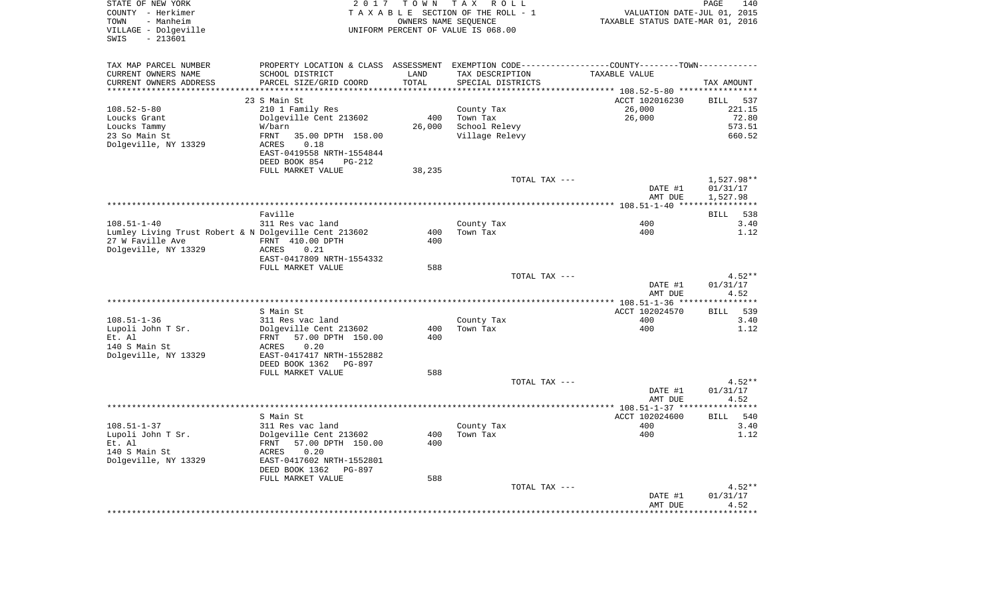| STATE OF NEW YORK<br>COUNTY - Herkimer<br>- Manheim<br>TOWN<br>VILLAGE - Dolgeville<br>$-213601$<br>SWIS | 2017                                          | OWNERS NAME SEQUENCE | TOWN TAX ROLL<br>TAXABLE SECTION OF THE ROLL - 1<br>UNIFORM PERCENT OF VALUE IS 068.00 | VALUATION DATE-JUL 01, 2015<br>TAXABLE STATUS DATE-MAR 01, 2016                               | PAGE<br>140          |
|----------------------------------------------------------------------------------------------------------|-----------------------------------------------|----------------------|----------------------------------------------------------------------------------------|-----------------------------------------------------------------------------------------------|----------------------|
| TAX MAP PARCEL NUMBER                                                                                    |                                               |                      |                                                                                        | PROPERTY LOCATION & CLASS ASSESSMENT EXEMPTION CODE---------------COUNTY-------TOWN---------- |                      |
| CURRENT OWNERS NAME                                                                                      | SCHOOL DISTRICT                               | LAND                 | TAX DESCRIPTION                                                                        | TAXABLE VALUE                                                                                 |                      |
| CURRENT OWNERS ADDRESS                                                                                   | PARCEL SIZE/GRID COORD                        | TOTAL                | SPECIAL DISTRICTS                                                                      |                                                                                               | TAX AMOUNT           |
| *******************                                                                                      |                                               | ******               |                                                                                        | ******* 108.52-5-80 *****************                                                         |                      |
|                                                                                                          | 23 S Main St                                  |                      |                                                                                        | ACCT 102016230                                                                                | <b>BILL</b><br>537   |
| $108.52 - 5 - 80$                                                                                        | 210 1 Family Res                              |                      | County Tax                                                                             | 26,000                                                                                        | 221.15               |
| Loucks Grant                                                                                             | Dolgeville Cent 213602                        | 400<br>26,000        | Town Tax<br>School Relevy                                                              | 26,000                                                                                        | 72.80<br>573.51      |
| Loucks Tammy<br>23 So Main St                                                                            | W/barn<br><b>FRNT</b><br>35.00 DPTH 158.00    |                      | Village Relevy                                                                         |                                                                                               | 660.52               |
| Dolgeville, NY 13329                                                                                     | <b>ACRES</b><br>0.18                          |                      |                                                                                        |                                                                                               |                      |
|                                                                                                          | EAST-0419558 NRTH-1554844                     |                      |                                                                                        |                                                                                               |                      |
|                                                                                                          | DEED BOOK 854<br>$PG-212$                     |                      |                                                                                        |                                                                                               |                      |
|                                                                                                          | FULL MARKET VALUE                             | 38,235               |                                                                                        |                                                                                               |                      |
|                                                                                                          |                                               |                      | TOTAL TAX ---                                                                          |                                                                                               | 1,527.98**           |
|                                                                                                          |                                               |                      |                                                                                        | DATE #1<br>AMT DUE                                                                            | 01/31/17<br>1,527.98 |
|                                                                                                          |                                               |                      |                                                                                        |                                                                                               |                      |
|                                                                                                          | Faville                                       |                      |                                                                                        |                                                                                               | 538<br>BILL          |
| $108.51 - 1 - 40$                                                                                        | 311 Res vac land                              |                      | County Tax                                                                             | 400                                                                                           | 3.40                 |
| Lumley Living Trust Robert & N Dolgeville Cent 213602                                                    |                                               | 400                  | Town Tax                                                                               | 400                                                                                           | 1.12                 |
| 27 W Faville Ave                                                                                         | FRNT 410.00 DPTH                              | 400                  |                                                                                        |                                                                                               |                      |
| Dolgeville, NY 13329                                                                                     | ACRES<br>0.21<br>EAST-0417809 NRTH-1554332    |                      |                                                                                        |                                                                                               |                      |
|                                                                                                          | FULL MARKET VALUE                             | 588                  |                                                                                        |                                                                                               |                      |
|                                                                                                          |                                               |                      | TOTAL TAX ---                                                                          |                                                                                               | $4.52**$             |
|                                                                                                          |                                               |                      |                                                                                        | DATE #1                                                                                       | 01/31/17             |
|                                                                                                          |                                               |                      |                                                                                        | AMT DUE                                                                                       | 4.52                 |
|                                                                                                          |                                               |                      |                                                                                        |                                                                                               |                      |
|                                                                                                          | S Main St                                     |                      |                                                                                        | ACCT 102024570                                                                                | 539<br>BILL          |
| $108.51 - 1 - 36$                                                                                        | 311 Res vac land                              |                      | County Tax                                                                             | 400                                                                                           | 3.40                 |
| Lupoli John T Sr.                                                                                        | Dolgeville Cent 213602                        | 400                  | Town Tax                                                                               | 400                                                                                           | 1.12                 |
| Et. Al                                                                                                   | FRNT<br>57.00 DPTH 150.00                     | 400                  |                                                                                        |                                                                                               |                      |
| 140 S Main St                                                                                            | 0.20<br>ACRES                                 |                      |                                                                                        |                                                                                               |                      |
| Dolgeville, NY 13329                                                                                     | EAST-0417417 NRTH-1552882                     |                      |                                                                                        |                                                                                               |                      |
|                                                                                                          | DEED BOOK 1362<br>PG-897<br>FULL MARKET VALUE | 588                  |                                                                                        |                                                                                               |                      |
|                                                                                                          |                                               |                      | TOTAL TAX ---                                                                          |                                                                                               | $4.52**$             |
|                                                                                                          |                                               |                      |                                                                                        | DATE #1                                                                                       | 01/31/17             |
|                                                                                                          |                                               |                      |                                                                                        | AMT DUE                                                                                       | 4.52                 |
|                                                                                                          |                                               |                      |                                                                                        |                                                                                               |                      |
|                                                                                                          | S Main St                                     |                      |                                                                                        | ACCT 102024600                                                                                | <b>BILL</b><br>540   |
| $108.51 - 1 - 37$                                                                                        | 311 Res vac land                              |                      | County Tax                                                                             | 400                                                                                           | 3.40                 |
| Lupoli John T Sr.                                                                                        | Dolgeville Cent 213602                        | 400                  | Town Tax                                                                               | 400                                                                                           | 1.12                 |
| Et. Al                                                                                                   | FRNT<br>57.00 DPTH 150.00                     | 400                  |                                                                                        |                                                                                               |                      |
| 140 S Main St                                                                                            | 0.20<br>ACRES                                 |                      |                                                                                        |                                                                                               |                      |
| Dolgeville, NY 13329                                                                                     | EAST-0417602 NRTH-1552801                     |                      |                                                                                        |                                                                                               |                      |
|                                                                                                          | DEED BOOK 1362<br>PG-897                      |                      |                                                                                        |                                                                                               |                      |
|                                                                                                          | FULL MARKET VALUE                             | 588                  |                                                                                        |                                                                                               |                      |
|                                                                                                          |                                               |                      | TOTAL TAX ---                                                                          | DATE #1                                                                                       | $4.52**$<br>01/31/17 |
|                                                                                                          |                                               |                      |                                                                                        | AMT DUE                                                                                       | 4.52                 |
|                                                                                                          |                                               |                      |                                                                                        |                                                                                               |                      |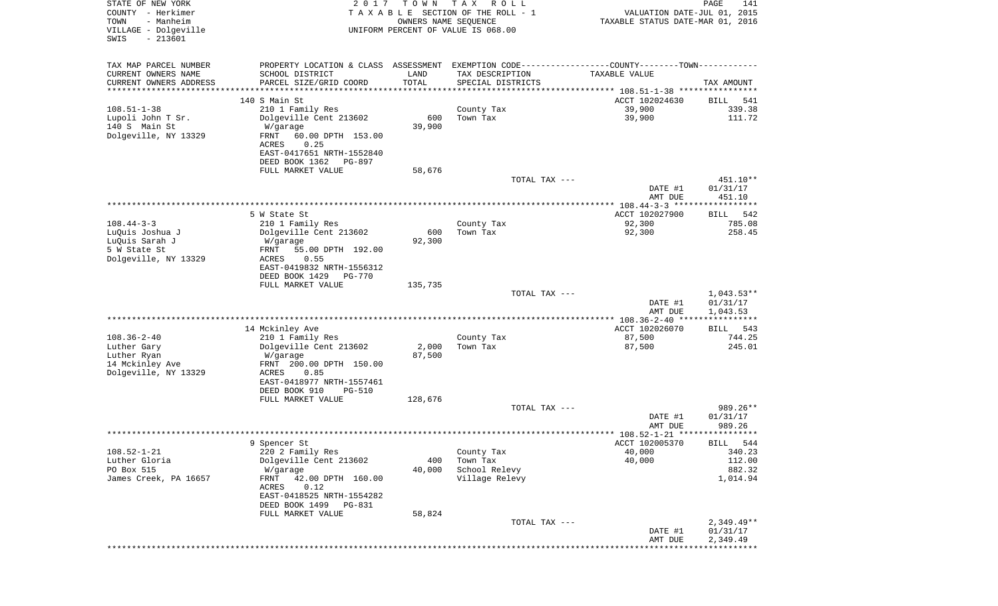| STATE OF NEW YORK<br>COUNTY - Herkimer<br>TOWN<br>- Manheim<br>VILLAGE - Dolgeville<br>$-213601$<br>SWIS | 2 0 1 7                                                                                       | T O W N<br>OWNERS NAME SEQUENCE | T A X<br>R O L L<br>TAXABLE SECTION OF THE ROLL - 1<br>UNIFORM PERCENT OF VALUE IS 068.00 | VALUATION DATE-JUL 01, 2015<br>TAXABLE STATUS DATE-MAR 01, 2016 | $\mathop{\mathtt{PAGE}}$<br>141 |
|----------------------------------------------------------------------------------------------------------|-----------------------------------------------------------------------------------------------|---------------------------------|-------------------------------------------------------------------------------------------|-----------------------------------------------------------------|---------------------------------|
| TAX MAP PARCEL NUMBER                                                                                    | PROPERTY LOCATION & CLASS ASSESSMENT EXEMPTION CODE---------------COUNTY-------TOWN---------- |                                 |                                                                                           |                                                                 |                                 |
| CURRENT OWNERS NAME                                                                                      | SCHOOL DISTRICT                                                                               | LAND                            | TAX DESCRIPTION                                                                           | TAXABLE VALUE                                                   |                                 |
| CURRENT OWNERS ADDRESS<br>**********************                                                         | PARCEL SIZE/GRID COORD                                                                        | TOTAL<br>***************        | SPECIAL DISTRICTS                                                                         |                                                                 | TAX AMOUNT                      |
|                                                                                                          | 140 S Main St                                                                                 |                                 |                                                                                           | ACCT 102024630                                                  | 541<br>BILL                     |
| $108.51 - 1 - 38$                                                                                        | 210 1 Family Res                                                                              |                                 | County Tax                                                                                | 39,900                                                          | 339.38                          |
| Lupoli John T Sr.                                                                                        | Dolgeville Cent 213602                                                                        | 600                             | Town Tax                                                                                  | 39,900                                                          | 111.72                          |
| 140 S Main St                                                                                            | W/garage                                                                                      | 39,900                          |                                                                                           |                                                                 |                                 |
| Dolgeville, NY 13329                                                                                     | FRNT<br>60.00 DPTH 153.00<br>0.25<br>ACRES                                                    |                                 |                                                                                           |                                                                 |                                 |
|                                                                                                          | EAST-0417651 NRTH-1552840                                                                     |                                 |                                                                                           |                                                                 |                                 |
|                                                                                                          | DEED BOOK 1362<br>PG-897                                                                      |                                 |                                                                                           |                                                                 |                                 |
|                                                                                                          | FULL MARKET VALUE                                                                             | 58,676                          |                                                                                           |                                                                 |                                 |
|                                                                                                          |                                                                                               |                                 | TOTAL TAX ---                                                                             |                                                                 | 451.10**                        |
|                                                                                                          |                                                                                               |                                 |                                                                                           | DATE #1<br>AMT DUE                                              | 01/31/17<br>451.10              |
|                                                                                                          |                                                                                               |                                 |                                                                                           |                                                                 |                                 |
|                                                                                                          | 5 W State St                                                                                  |                                 |                                                                                           | ACCT 102027900                                                  | BILL<br>542                     |
| $108.44 - 3 - 3$<br>LuQuis Joshua J                                                                      | 210 1 Family Res<br>Dolgeville Cent 213602                                                    | 600                             | County Tax<br>Town Tax                                                                    | 92,300<br>92,300                                                | 785.08<br>258.45                |
| LuQuis Sarah J                                                                                           | W/garage                                                                                      | 92,300                          |                                                                                           |                                                                 |                                 |
| 5 W State St                                                                                             | 55.00 DPTH 192.00<br>FRNT                                                                     |                                 |                                                                                           |                                                                 |                                 |
| Dolgeville, NY 13329                                                                                     | ACRES<br>0.55                                                                                 |                                 |                                                                                           |                                                                 |                                 |
|                                                                                                          | EAST-0419832 NRTH-1556312<br>DEED BOOK 1429<br><b>PG-770</b>                                  |                                 |                                                                                           |                                                                 |                                 |
|                                                                                                          | FULL MARKET VALUE                                                                             | 135,735                         |                                                                                           |                                                                 |                                 |
|                                                                                                          |                                                                                               |                                 | TOTAL TAX ---                                                                             |                                                                 | $1,043.53**$                    |
|                                                                                                          |                                                                                               |                                 |                                                                                           | DATE #1                                                         | 01/31/17                        |
|                                                                                                          |                                                                                               |                                 |                                                                                           | AMT DUE                                                         | 1,043.53<br>************        |
|                                                                                                          | 14 Mckinley Ave                                                                               |                                 |                                                                                           | ACCT 102026070                                                  | 543<br>BILL                     |
| $108.36 - 2 - 40$                                                                                        | 210 1 Family Res                                                                              |                                 | County Tax                                                                                | 87,500                                                          | 744.25                          |
| Luther Gary                                                                                              | Dolgeville Cent 213602                                                                        | 2,000                           | Town Tax                                                                                  | 87,500                                                          | 245.01                          |
| Luther Ryan<br>14 Mckinley Ave                                                                           | W/garage<br>FRNT 200.00 DPTH 150.00                                                           | 87,500                          |                                                                                           |                                                                 |                                 |
| Dolgeville, NY 13329                                                                                     | ACRES<br>0.85                                                                                 |                                 |                                                                                           |                                                                 |                                 |
|                                                                                                          | EAST-0418977 NRTH-1557461                                                                     |                                 |                                                                                           |                                                                 |                                 |
|                                                                                                          | DEED BOOK 910<br><b>PG-510</b>                                                                |                                 |                                                                                           |                                                                 |                                 |
|                                                                                                          | FULL MARKET VALUE                                                                             | 128,676                         | TOTAL TAX ---                                                                             |                                                                 | 989.26**                        |
|                                                                                                          |                                                                                               |                                 |                                                                                           | DATE #1                                                         | 01/31/17                        |
|                                                                                                          |                                                                                               |                                 |                                                                                           | AMT DUE                                                         | 989.26                          |
|                                                                                                          |                                                                                               |                                 |                                                                                           |                                                                 |                                 |
| $108.52 - 1 - 21$                                                                                        | 9 Spencer St<br>220 2 Family Res                                                              |                                 | County Tax                                                                                | ACCT 102005370<br>40,000                                        | BILL 544<br>340.23              |
| Luther Gloria                                                                                            | Dolgeville Cent 213602                                                                        | 400                             | Town Tax                                                                                  | 40,000                                                          | 112.00                          |
| PO Box 515                                                                                               | W/garage                                                                                      | 40,000                          | School Relevy                                                                             |                                                                 | 882.32                          |
| James Creek, PA 16657                                                                                    | FRNT<br>42.00 DPTH 160.00                                                                     |                                 | Village Relevy                                                                            |                                                                 | 1,014.94                        |
|                                                                                                          | ACRES<br>0.12<br>EAST-0418525 NRTH-1554282                                                    |                                 |                                                                                           |                                                                 |                                 |
|                                                                                                          | DEED BOOK 1499<br>PG-831                                                                      |                                 |                                                                                           |                                                                 |                                 |
|                                                                                                          | FULL MARKET VALUE                                                                             | 58,824                          |                                                                                           |                                                                 |                                 |
|                                                                                                          |                                                                                               |                                 | TOTAL TAX ---                                                                             | DATE #1                                                         | $2,349.49**$                    |
|                                                                                                          |                                                                                               |                                 |                                                                                           | AMT DUE                                                         | 01/31/17<br>2,349.49            |
|                                                                                                          |                                                                                               |                                 |                                                                                           | ********************************                                |                                 |
|                                                                                                          |                                                                                               |                                 |                                                                                           |                                                                 |                                 |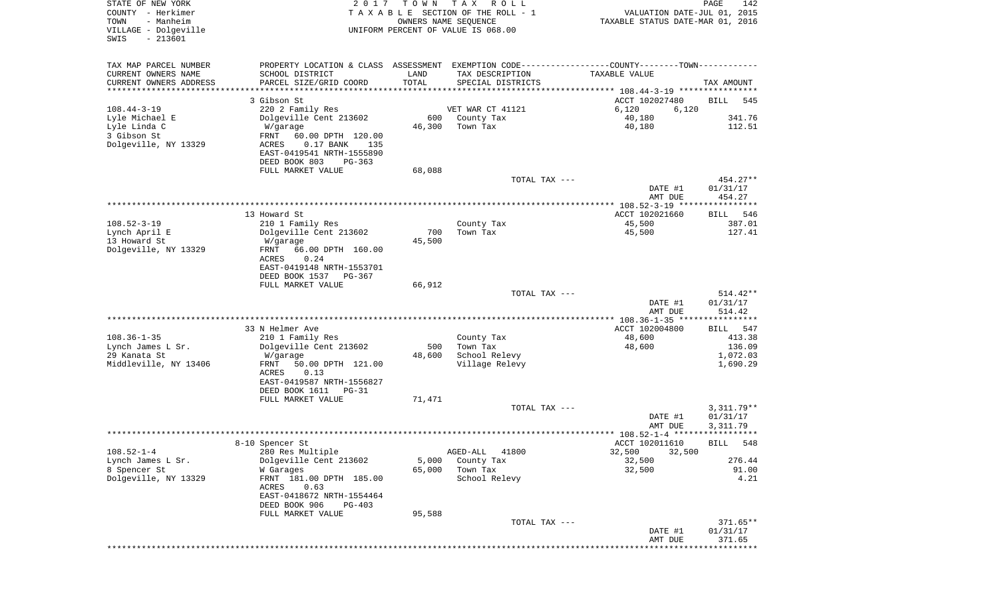| STATE OF NEW YORK<br>COUNTY - Herkimer<br>TOWN<br>- Manheim<br>VILLAGE - Dolgeville<br>$-213601$<br>SWIS | 2 0 1 7                                                | T O W N | T A X<br>R O L L<br>TAXABLE SECTION OF THE ROLL - 1<br>OWNERS NAME SEQUENCE<br>UNIFORM PERCENT OF VALUE IS 068.00 | VALUATION DATE-JUL 01, 2015<br>TAXABLE STATUS DATE-MAR 01, 2016 | PAGE<br>142           |
|----------------------------------------------------------------------------------------------------------|--------------------------------------------------------|---------|-------------------------------------------------------------------------------------------------------------------|-----------------------------------------------------------------|-----------------------|
| TAX MAP PARCEL NUMBER                                                                                    |                                                        |         | PROPERTY LOCATION & CLASS ASSESSMENT EXEMPTION CODE---------------COUNTY-------TOWN----------                     |                                                                 |                       |
| CURRENT OWNERS NAME                                                                                      | SCHOOL DISTRICT                                        | LAND    | TAX DESCRIPTION                                                                                                   | TAXABLE VALUE                                                   |                       |
| CURRENT OWNERS ADDRESS<br>********************                                                           | PARCEL SIZE/GRID COORD<br>*********************        | TOTAL   | SPECIAL DISTRICTS                                                                                                 |                                                                 | TAX AMOUNT            |
|                                                                                                          | 3 Gibson St                                            |         |                                                                                                                   | ACCT 102027480                                                  | BILL<br>545           |
| $108.44 - 3 - 19$                                                                                        | 220 2 Family Res                                       |         | VET WAR CT 41121                                                                                                  | 6,120<br>6,120                                                  |                       |
| Lyle Michael E                                                                                           | Dolgeville Cent 213602                                 | 600     | County Tax                                                                                                        | 40,180                                                          | 341.76                |
| Lyle Linda C                                                                                             | W/garage                                               | 46,300  | Town Tax                                                                                                          | 40,180                                                          | 112.51                |
| 3 Gibson St<br>Dolgeville, NY 13329                                                                      | FRNT<br>60.00 DPTH 120.00<br>0.17 BANK<br>ACRES<br>135 |         |                                                                                                                   |                                                                 |                       |
|                                                                                                          | EAST-0419541 NRTH-1555890                              |         |                                                                                                                   |                                                                 |                       |
|                                                                                                          | DEED BOOK 803<br>$PG-363$                              |         |                                                                                                                   |                                                                 |                       |
|                                                                                                          | FULL MARKET VALUE                                      | 68,088  |                                                                                                                   |                                                                 |                       |
|                                                                                                          |                                                        |         | TOTAL TAX ---                                                                                                     | DATE #1                                                         | 454.27**<br>01/31/17  |
|                                                                                                          |                                                        |         |                                                                                                                   | AMT DUE                                                         | 454.27                |
|                                                                                                          |                                                        |         |                                                                                                                   |                                                                 |                       |
|                                                                                                          | 13 Howard St                                           |         |                                                                                                                   | ACCT 102021660                                                  | 546<br>BILL           |
| $108.52 - 3 - 19$<br>Lynch April E                                                                       | 210 1 Family Res<br>Dolgeville Cent 213602             | 700     | County Tax<br>Town Tax                                                                                            | 45,500<br>45,500                                                | 387.01<br>127.41      |
| 13 Howard St                                                                                             | W/garage                                               | 45,500  |                                                                                                                   |                                                                 |                       |
| Dolgeville, NY 13329                                                                                     | 66.00 DPTH 160.00<br>FRNT                              |         |                                                                                                                   |                                                                 |                       |
|                                                                                                          | ACRES<br>0.24                                          |         |                                                                                                                   |                                                                 |                       |
|                                                                                                          | EAST-0419148 NRTH-1553701<br>DEED BOOK 1537<br>PG-367  |         |                                                                                                                   |                                                                 |                       |
|                                                                                                          | FULL MARKET VALUE                                      | 66,912  |                                                                                                                   |                                                                 |                       |
|                                                                                                          |                                                        |         | TOTAL TAX ---                                                                                                     |                                                                 | $514.42**$            |
|                                                                                                          |                                                        |         |                                                                                                                   | DATE #1                                                         | 01/31/17              |
|                                                                                                          |                                                        |         |                                                                                                                   | AMT DUE                                                         | 514.42                |
|                                                                                                          | 33 N Helmer Ave                                        |         |                                                                                                                   | ACCT 102004800                                                  | 547<br>BILL           |
| $108.36 - 1 - 35$                                                                                        | 210 1 Family Res                                       |         | County Tax                                                                                                        | 48,600                                                          | 413.38                |
| Lynch James L Sr.                                                                                        | Dolgeville Cent 213602                                 | 500     | Town Tax                                                                                                          | 48,600                                                          | 136.09                |
| 29 Kanata St<br>Middleville, NY 13406                                                                    | W/garage<br>FRNT<br>50.00 DPTH 121.00                  | 48,600  | School Relevy<br>Village Relevy                                                                                   |                                                                 | 1,072.03<br>1,690.29  |
|                                                                                                          | ACRES<br>0.13                                          |         |                                                                                                                   |                                                                 |                       |
|                                                                                                          | EAST-0419587 NRTH-1556827                              |         |                                                                                                                   |                                                                 |                       |
|                                                                                                          | DEED BOOK 1611<br>$PG-31$                              |         |                                                                                                                   |                                                                 |                       |
|                                                                                                          | FULL MARKET VALUE                                      | 71,471  | TOTAL TAX ---                                                                                                     |                                                                 | $3,311.79**$          |
|                                                                                                          |                                                        |         |                                                                                                                   | DATE #1                                                         | 01/31/17              |
|                                                                                                          |                                                        |         |                                                                                                                   | AMT DUE                                                         | 3,311.79              |
|                                                                                                          |                                                        |         |                                                                                                                   |                                                                 |                       |
| $108.52 - 1 - 4$                                                                                         | 8-10 Spencer St<br>280 Res Multiple                    |         | 41800<br>AGED-ALL                                                                                                 | ACCT 102011610<br>32,500<br>32,500                              | 548<br>BILL           |
| Lynch James L Sr.                                                                                        | Dolgeville Cent 213602                                 | 5,000   | County Tax                                                                                                        | 32,500                                                          | 276.44                |
| 8 Spencer St                                                                                             | W Garages                                              | 65,000  | Town Tax                                                                                                          | 32,500                                                          | 91.00                 |
| Dolgeville, NY 13329                                                                                     | FRNT 181.00 DPTH 185.00                                |         | School Relevy                                                                                                     |                                                                 | 4.21                  |
|                                                                                                          | ACRES<br>0.63                                          |         |                                                                                                                   |                                                                 |                       |
|                                                                                                          | EAST-0418672 NRTH-1554464<br>DEED BOOK 906<br>PG-403   |         |                                                                                                                   |                                                                 |                       |
|                                                                                                          | FULL MARKET VALUE                                      | 95,588  |                                                                                                                   |                                                                 |                       |
|                                                                                                          |                                                        |         | TOTAL TAX ---                                                                                                     |                                                                 | 371.65**              |
|                                                                                                          |                                                        |         |                                                                                                                   | DATE #1                                                         | 01/31/17              |
|                                                                                                          |                                                        |         |                                                                                                                   | AMT DUE                                                         | 371.65<br>*********** |
|                                                                                                          |                                                        |         |                                                                                                                   |                                                                 |                       |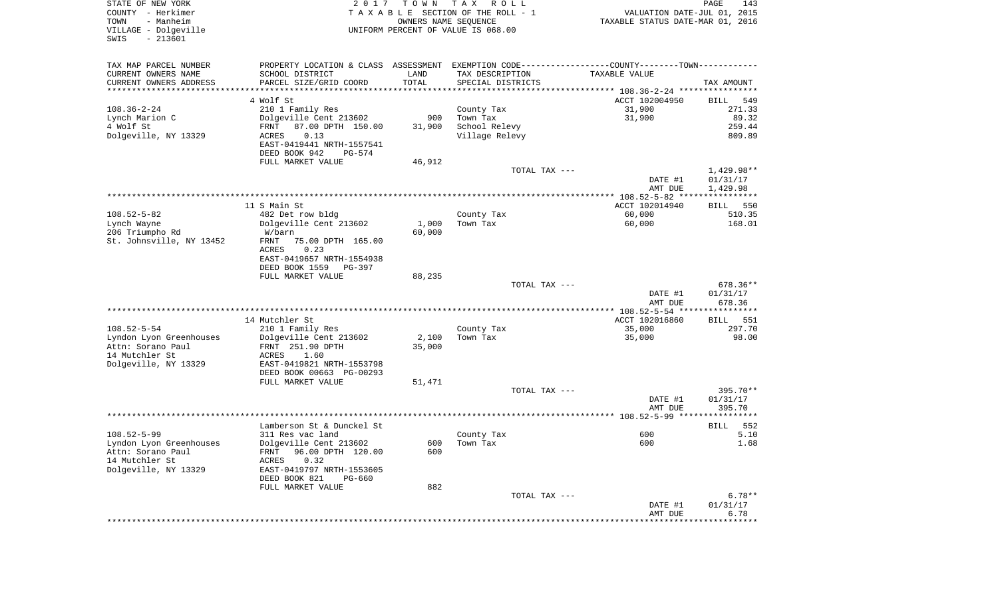| STATE OF NEW YORK<br>COUNTY - Herkimer<br>- Manheim<br>TOWN<br>VILLAGE - Dolgeville<br>$-213601$<br>SWIS | 2 0 1 7                                                                                       | T O W N<br>OWNERS NAME SEQUENCE | T A X<br>R O L L<br>TAXABLE SECTION OF THE ROLL - 1<br>UNIFORM PERCENT OF VALUE IS 068.00 | VALUATION DATE-JUL 01, 2015<br>TAXABLE STATUS DATE-MAR 01, 2016 | PAGE<br>143 |
|----------------------------------------------------------------------------------------------------------|-----------------------------------------------------------------------------------------------|---------------------------------|-------------------------------------------------------------------------------------------|-----------------------------------------------------------------|-------------|
| TAX MAP PARCEL NUMBER                                                                                    | PROPERTY LOCATION & CLASS ASSESSMENT EXEMPTION CODE---------------COUNTY-------TOWN---------- |                                 |                                                                                           |                                                                 |             |
| CURRENT OWNERS NAME                                                                                      | SCHOOL DISTRICT                                                                               | LAND                            | TAX DESCRIPTION                                                                           | TAXABLE VALUE                                                   |             |
| CURRENT OWNERS ADDRESS<br>**********************                                                         | PARCEL SIZE/GRID COORD<br>*******************                                                 | TOTAL<br>***********            | SPECIAL DISTRICTS                                                                         |                                                                 | TAX AMOUNT  |
|                                                                                                          | 4 Wolf St                                                                                     |                                 |                                                                                           | ACCT 102004950                                                  | 549<br>BILL |
| $108.36 - 2 - 24$                                                                                        | 210 1 Family Res                                                                              |                                 | County Tax                                                                                | 31,900                                                          | 271.33      |
| Lynch Marion C                                                                                           | Dolgeville Cent 213602                                                                        | 900                             | Town Tax                                                                                  | 31,900                                                          | 89.32       |
| 4 Wolf St                                                                                                | 87.00 DPTH 150.00<br>FRNT                                                                     | 31,900                          | School Relevy                                                                             |                                                                 | 259.44      |
| Dolgeville, NY 13329                                                                                     | 0.13<br>ACRES                                                                                 |                                 | Village Relevy                                                                            |                                                                 | 809.89      |
|                                                                                                          | EAST-0419441 NRTH-1557541                                                                     |                                 |                                                                                           |                                                                 |             |
|                                                                                                          | DEED BOOK 942<br>PG-574                                                                       |                                 |                                                                                           |                                                                 |             |
|                                                                                                          | FULL MARKET VALUE                                                                             | 46,912                          |                                                                                           |                                                                 |             |
|                                                                                                          |                                                                                               |                                 | TOTAL TAX ---                                                                             |                                                                 | 1,429.98**  |
|                                                                                                          |                                                                                               |                                 |                                                                                           | DATE #1                                                         | 01/31/17    |
|                                                                                                          |                                                                                               |                                 |                                                                                           | AMT DUE                                                         | 1,429.98    |
|                                                                                                          | 11 S Main St                                                                                  |                                 |                                                                                           | ACCT 102014940                                                  | 550<br>BILL |
| $108.52 - 5 - 82$                                                                                        | 482 Det row bldg                                                                              |                                 | County Tax                                                                                | 60,000                                                          | 510.35      |
| Lynch Wayne                                                                                              | Dolgeville Cent 213602                                                                        | 1,000                           | Town Tax                                                                                  | 60,000                                                          | 168.01      |
| 206 Triumpho Rd                                                                                          | W/barn                                                                                        | 60,000                          |                                                                                           |                                                                 |             |
| St. Johnsville, NY 13452                                                                                 | FRNT<br>75.00 DPTH 165.00                                                                     |                                 |                                                                                           |                                                                 |             |
|                                                                                                          | ACRES<br>0.23                                                                                 |                                 |                                                                                           |                                                                 |             |
|                                                                                                          | EAST-0419657 NRTH-1554938<br>DEED BOOK 1559<br>PG-397                                         |                                 |                                                                                           |                                                                 |             |
|                                                                                                          | FULL MARKET VALUE                                                                             | 88,235                          |                                                                                           |                                                                 |             |
|                                                                                                          |                                                                                               |                                 | TOTAL TAX ---                                                                             |                                                                 | 678.36**    |
|                                                                                                          |                                                                                               |                                 |                                                                                           | DATE #1                                                         | 01/31/17    |
|                                                                                                          |                                                                                               |                                 |                                                                                           | AMT DUE                                                         | 678.36      |
|                                                                                                          |                                                                                               |                                 |                                                                                           | *************** 108.52-5-54 *****************                   |             |
|                                                                                                          | 14 Mutchler St                                                                                |                                 |                                                                                           | ACCT 102016860                                                  | 551<br>BILL |
| $108.52 - 5 - 54$                                                                                        | 210 1 Family Res                                                                              |                                 | County Tax                                                                                | 35,000                                                          | 297.70      |
| Lyndon Lyon Greenhouses<br>Attn: Sorano Paul                                                             | Dolgeville Cent 213602<br>FRNT 251.90 DPTH                                                    | 2,100<br>35,000                 | Town Tax                                                                                  | 35,000                                                          | 98.00       |
| 14 Mutchler St                                                                                           | ACRES<br>1.60                                                                                 |                                 |                                                                                           |                                                                 |             |
| Dolgeville, NY 13329                                                                                     | EAST-0419821 NRTH-1553798                                                                     |                                 |                                                                                           |                                                                 |             |
|                                                                                                          | DEED BOOK 00663 PG-00293                                                                      |                                 |                                                                                           |                                                                 |             |
|                                                                                                          | FULL MARKET VALUE                                                                             | 51,471                          |                                                                                           |                                                                 |             |
|                                                                                                          |                                                                                               |                                 | TOTAL TAX ---                                                                             |                                                                 | 395.70**    |
|                                                                                                          |                                                                                               |                                 |                                                                                           | DATE #1                                                         | 01/31/17    |
|                                                                                                          |                                                                                               |                                 |                                                                                           | AMT DUE                                                         | 395.70      |
|                                                                                                          | Lamberson St & Dunckel St                                                                     |                                 |                                                                                           |                                                                 | 552<br>BILL |
| $108.52 - 5 - 99$                                                                                        | 311 Res vac land                                                                              |                                 | County Tax                                                                                | 600                                                             | 5.10        |
| Lyndon Lyon Greenhouses                                                                                  | Dolgeville Cent 213602                                                                        |                                 | 600 Town Tax                                                                              | 600                                                             | 1.68        |
| Attn: Sorano Paul                                                                                        | FRNT 96.00 DPTH 120.00                                                                        | 600                             |                                                                                           |                                                                 |             |
| 14 Mutchler St                                                                                           | 0.32<br>ACRES                                                                                 |                                 |                                                                                           |                                                                 |             |
| Dolgeville, NY 13329                                                                                     | EAST-0419797 NRTH-1553605                                                                     |                                 |                                                                                           |                                                                 |             |
|                                                                                                          | DEED BOOK 821<br>PG-660<br>FULL MARKET VALUE                                                  | 882                             |                                                                                           |                                                                 |             |
|                                                                                                          |                                                                                               |                                 | TOTAL TAX ---                                                                             |                                                                 | $6.78**$    |
|                                                                                                          |                                                                                               |                                 |                                                                                           | DATE #1                                                         | 01/31/17    |
|                                                                                                          |                                                                                               |                                 |                                                                                           | AMT DUE                                                         | 6.78        |
|                                                                                                          |                                                                                               |                                 |                                                                                           |                                                                 |             |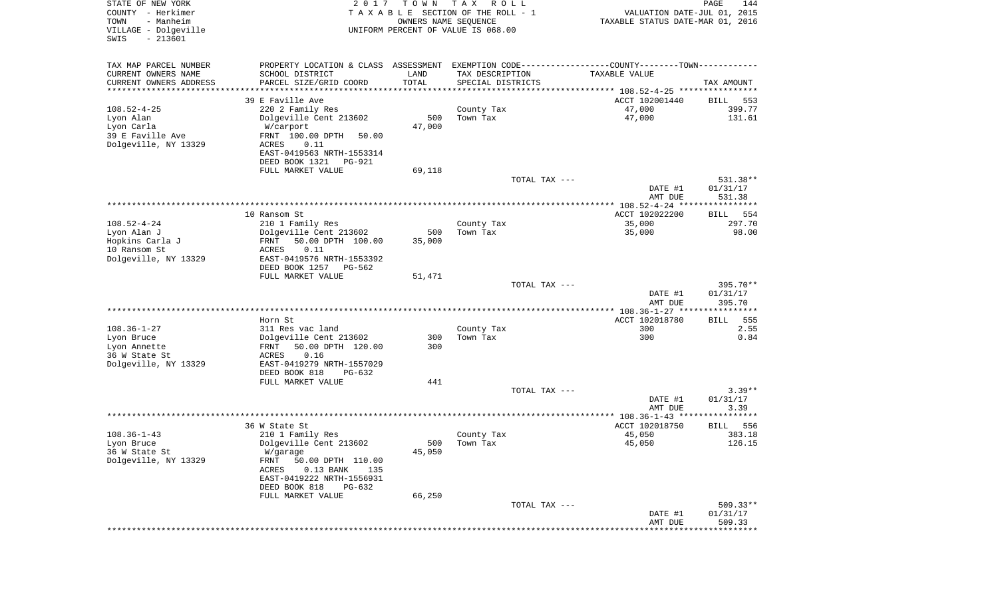| STATE OF NEW YORK<br>COUNTY - Herkimer<br>- Manheim<br>TOWN<br>VILLAGE - Dolgeville<br>$-213601$<br>SWIS | 2017                                                                                          | T O W N<br>OWNERS NAME SEQUENCE | T A X<br>R O L L<br>TAXABLE SECTION OF THE ROLL - 1<br>UNIFORM PERCENT OF VALUE IS 068.00 | VALUATION DATE-JUL 01, 2015<br>TAXABLE STATUS DATE-MAR 01, 2016 | PAGE<br>144            |
|----------------------------------------------------------------------------------------------------------|-----------------------------------------------------------------------------------------------|---------------------------------|-------------------------------------------------------------------------------------------|-----------------------------------------------------------------|------------------------|
| TAX MAP PARCEL NUMBER                                                                                    | PROPERTY LOCATION & CLASS ASSESSMENT EXEMPTION CODE---------------COUNTY-------TOWN---------- |                                 |                                                                                           |                                                                 |                        |
| CURRENT OWNERS NAME                                                                                      | SCHOOL DISTRICT                                                                               | LAND                            | TAX DESCRIPTION                                                                           | TAXABLE VALUE                                                   |                        |
| CURRENT OWNERS ADDRESS<br>********************                                                           | PARCEL SIZE/GRID COORD<br>*********************                                               | TOTAL<br>***********            | SPECIAL DISTRICTS                                                                         |                                                                 | TAX AMOUNT             |
|                                                                                                          | 39 E Faville Ave                                                                              |                                 |                                                                                           | ACCT 102001440                                                  | BILL<br>553            |
| $108.52 - 4 - 25$                                                                                        | 220 2 Family Res                                                                              |                                 | County Tax                                                                                | 47,000                                                          | 399.77                 |
| Lyon Alan                                                                                                | Dolgeville Cent 213602                                                                        | 500                             | Town Tax                                                                                  | 47,000                                                          | 131.61                 |
| Lyon Carla                                                                                               | W/carport                                                                                     | 47,000                          |                                                                                           |                                                                 |                        |
| 39 E Faville Ave                                                                                         | FRNT 100.00 DPTH<br>50.00                                                                     |                                 |                                                                                           |                                                                 |                        |
| Dolgeville, NY 13329                                                                                     | ACRES<br>0.11                                                                                 |                                 |                                                                                           |                                                                 |                        |
|                                                                                                          | EAST-0419563 NRTH-1553314                                                                     |                                 |                                                                                           |                                                                 |                        |
|                                                                                                          | DEED BOOK 1321<br>PG-921<br>FULL MARKET VALUE                                                 | 69,118                          |                                                                                           |                                                                 |                        |
|                                                                                                          |                                                                                               |                                 | TOTAL TAX ---                                                                             |                                                                 | 531.38**               |
|                                                                                                          |                                                                                               |                                 |                                                                                           | DATE #1                                                         | 01/31/17               |
|                                                                                                          |                                                                                               |                                 |                                                                                           | AMT DUE                                                         | 531.38                 |
|                                                                                                          |                                                                                               |                                 |                                                                                           |                                                                 |                        |
|                                                                                                          | 10 Ransom St                                                                                  |                                 |                                                                                           | ACCT 102022200                                                  | 554<br>BILL            |
| $108.52 - 4 - 24$<br>Lyon Alan J                                                                         | 210 1 Family Res<br>Dolgeville Cent 213602                                                    | 500                             | County Tax<br>Town Tax                                                                    | 35,000<br>35,000                                                | 297.70<br>98.00        |
| Hopkins Carla J                                                                                          | 50.00 DPTH 100.00<br>FRNT                                                                     | 35,000                          |                                                                                           |                                                                 |                        |
| 10 Ransom St                                                                                             | ACRES<br>0.11                                                                                 |                                 |                                                                                           |                                                                 |                        |
| Dolgeville, NY 13329                                                                                     | EAST-0419576 NRTH-1553392                                                                     |                                 |                                                                                           |                                                                 |                        |
|                                                                                                          | DEED BOOK 1257<br>$PG-562$                                                                    |                                 |                                                                                           |                                                                 |                        |
|                                                                                                          | FULL MARKET VALUE                                                                             | 51,471                          |                                                                                           |                                                                 |                        |
|                                                                                                          |                                                                                               |                                 | TOTAL TAX ---                                                                             |                                                                 | 395.70**               |
|                                                                                                          |                                                                                               |                                 |                                                                                           | DATE #1<br>AMT DUE                                              | 01/31/17<br>395.70     |
|                                                                                                          |                                                                                               |                                 |                                                                                           | ************** 108.36-1-27 *****                                | * * * * * * * * * * *  |
|                                                                                                          | Horn St                                                                                       |                                 |                                                                                           | ACCT 102018780                                                  | 555<br>BILL            |
| $108.36 - 1 - 27$                                                                                        | 311 Res vac land                                                                              |                                 | County Tax                                                                                | 300                                                             | 2.55                   |
| Lyon Bruce                                                                                               | Dolgeville Cent 213602                                                                        | 300                             | Town Tax                                                                                  | 300                                                             | 0.84                   |
| Lyon Annette                                                                                             | 50.00 DPTH 120.00<br>FRNT                                                                     | 300                             |                                                                                           |                                                                 |                        |
| 36 W State St                                                                                            | ACRES<br>0.16                                                                                 |                                 |                                                                                           |                                                                 |                        |
| Dolgeville, NY 13329                                                                                     | EAST-0419279 NRTH-1557029<br>DEED BOOK 818<br>$PG-632$                                        |                                 |                                                                                           |                                                                 |                        |
|                                                                                                          | FULL MARKET VALUE                                                                             | 441                             |                                                                                           |                                                                 |                        |
|                                                                                                          |                                                                                               |                                 | TOTAL TAX ---                                                                             |                                                                 | $3.39**$               |
|                                                                                                          |                                                                                               |                                 |                                                                                           | DATE #1                                                         | 01/31/17               |
|                                                                                                          |                                                                                               |                                 |                                                                                           | AMT DUE                                                         | 3.39                   |
|                                                                                                          |                                                                                               |                                 |                                                                                           |                                                                 |                        |
|                                                                                                          | 36 W State St                                                                                 |                                 |                                                                                           | ACCT 102018750                                                  | 556<br>BILL            |
| $108.36 - 1 - 43$<br>Lyon Bruce                                                                          | 210 1 Family Res<br>Dolgeville Cent 213602                                                    | 500                             | County Tax<br>Town Tax                                                                    | 45,050<br>45,050                                                | 383.18<br>126.15       |
| 36 W State St                                                                                            | W/garage                                                                                      | 45,050                          |                                                                                           |                                                                 |                        |
| Dolgeville, NY 13329                                                                                     | FRNT<br>50.00 DPTH 110.00                                                                     |                                 |                                                                                           |                                                                 |                        |
|                                                                                                          | $0.13$ BANK<br>ACRES<br>135                                                                   |                                 |                                                                                           |                                                                 |                        |
|                                                                                                          | EAST-0419222 NRTH-1556931                                                                     |                                 |                                                                                           |                                                                 |                        |
|                                                                                                          | DEED BOOK 818<br>PG-632                                                                       |                                 |                                                                                           |                                                                 |                        |
|                                                                                                          | FULL MARKET VALUE                                                                             | 66,250                          |                                                                                           |                                                                 |                        |
|                                                                                                          |                                                                                               |                                 | TOTAL TAX ---                                                                             | DATE #1                                                         | $509.33**$<br>01/31/17 |
|                                                                                                          |                                                                                               |                                 |                                                                                           | AMT DUE                                                         | 509.33                 |
|                                                                                                          |                                                                                               |                                 |                                                                                           |                                                                 |                        |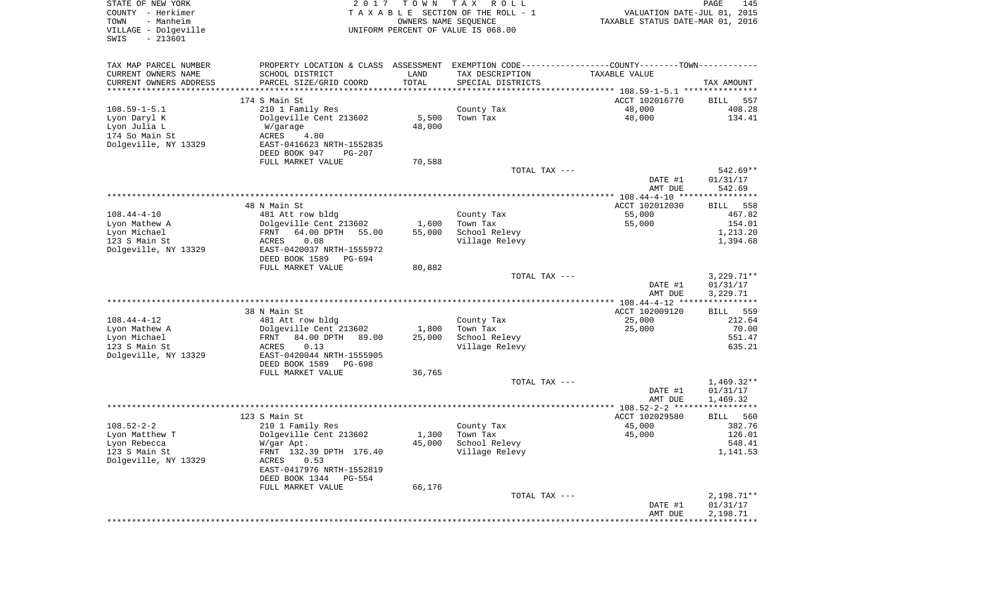| STATE OF NEW YORK<br>COUNTY - Herkimer<br>- Manheim<br>TOWN<br>VILLAGE - Dolgeville<br>$-213601$<br>SWIS | 2 0 1 7                                                                                       | TOWN<br>OWNERS NAME SEQUENCE | T A X<br>R O L L<br>TAXABLE SECTION OF THE ROLL - 1<br>UNIFORM PERCENT OF VALUE IS 068.00 | VALUATION DATE-JUL 01, 2015<br>TAXABLE STATUS DATE-MAR 01, 2016      | 145<br>PAGE           |
|----------------------------------------------------------------------------------------------------------|-----------------------------------------------------------------------------------------------|------------------------------|-------------------------------------------------------------------------------------------|----------------------------------------------------------------------|-----------------------|
| TAX MAP PARCEL NUMBER                                                                                    | PROPERTY LOCATION & CLASS ASSESSMENT EXEMPTION CODE---------------COUNTY-------TOWN---------- |                              |                                                                                           |                                                                      |                       |
| CURRENT OWNERS NAME                                                                                      | SCHOOL DISTRICT                                                                               | LAND                         | TAX DESCRIPTION                                                                           | TAXABLE VALUE                                                        |                       |
| CURRENT OWNERS ADDRESS<br>*********************                                                          | PARCEL SIZE/GRID COORD<br>******************                                                  | TOTAL<br>****************    | SPECIAL DISTRICTS                                                                         | ************************************** 108.59-1-5.1 **************** | TAX AMOUNT            |
|                                                                                                          | 174 S Main St                                                                                 |                              |                                                                                           | ACCT 102016770                                                       | 557<br>BILL           |
| $108.59 - 1 - 5.1$                                                                                       | 210 1 Family Res                                                                              |                              | County Tax                                                                                | 48,000                                                               | 408.28                |
| Lyon Daryl K                                                                                             | Dolgeville Cent 213602                                                                        | 5,500                        | Town Tax                                                                                  | 48,000                                                               | 134.41                |
| Lyon Julia L                                                                                             | W/garage                                                                                      | 48,000                       |                                                                                           |                                                                      |                       |
| 174 So Main St                                                                                           | ACRES<br>4.80                                                                                 |                              |                                                                                           |                                                                      |                       |
| Dolgeville, NY 13329                                                                                     | EAST-0416623 NRTH-1552835                                                                     |                              |                                                                                           |                                                                      |                       |
|                                                                                                          | DEED BOOK 947<br>PG-207                                                                       |                              |                                                                                           |                                                                      |                       |
|                                                                                                          | FULL MARKET VALUE                                                                             | 70,588                       |                                                                                           |                                                                      |                       |
|                                                                                                          |                                                                                               |                              | TOTAL TAX ---                                                                             | DATE #1                                                              | 542.69**<br>01/31/17  |
|                                                                                                          |                                                                                               |                              |                                                                                           | AMT DUE                                                              | 542.69                |
|                                                                                                          |                                                                                               |                              |                                                                                           |                                                                      |                       |
|                                                                                                          | 48 N Main St                                                                                  |                              |                                                                                           | ACCT 102012030                                                       | <b>BILL</b><br>558    |
| $108.44 - 4 - 10$                                                                                        | 481 Att row bldg                                                                              |                              | County Tax                                                                                | 55,000                                                               | 467.82                |
| Lyon Mathew A                                                                                            | Dolgeville Cent 213602                                                                        | 1,600                        | Town Tax                                                                                  | 55,000                                                               | 154.01                |
| Lyon Michael<br>123 S Main St                                                                            | FRNT<br>64.00 DPTH<br>55.00<br>0.08<br>ACRES                                                  | 55,000                       | School Relevy                                                                             |                                                                      | 1,213.20<br>1,394.68  |
| Dolgeville, NY 13329                                                                                     | EAST-0420037 NRTH-1555972                                                                     |                              | Village Relevy                                                                            |                                                                      |                       |
|                                                                                                          | DEED BOOK 1589<br>$PG-694$                                                                    |                              |                                                                                           |                                                                      |                       |
|                                                                                                          | FULL MARKET VALUE                                                                             | 80,882                       |                                                                                           |                                                                      |                       |
|                                                                                                          |                                                                                               |                              | TOTAL TAX ---                                                                             |                                                                      | $3,229.71**$          |
|                                                                                                          |                                                                                               |                              |                                                                                           | DATE #1                                                              | 01/31/17              |
|                                                                                                          |                                                                                               |                              |                                                                                           | AMT DUE                                                              | 3,229.71              |
|                                                                                                          | 38 N Main St                                                                                  |                              |                                                                                           | ACCT 102009120                                                       | <b>BILL</b><br>559    |
| $108.44 - 4 - 12$                                                                                        | 481 Att row bldg                                                                              |                              | County Tax                                                                                | 25,000                                                               | 212.64                |
| Lyon Mathew A                                                                                            | Dolgeville Cent 213602                                                                        | 1,800                        | Town Tax                                                                                  | 25,000                                                               | 70.00                 |
| Lyon Michael                                                                                             | FRNT<br>84.00 DPTH<br>89.00                                                                   | 25,000                       | School Relevy                                                                             |                                                                      | 551.47                |
| 123 S Main St                                                                                            | 0.13<br>ACRES                                                                                 |                              | Village Relevy                                                                            |                                                                      | 635.21                |
| Dolgeville, NY 13329                                                                                     | EAST-0420044 NRTH-1555905<br>DEED BOOK 1589                                                   |                              |                                                                                           |                                                                      |                       |
|                                                                                                          | PG-698<br>FULL MARKET VALUE                                                                   | 36,765                       |                                                                                           |                                                                      |                       |
|                                                                                                          |                                                                                               |                              | TOTAL TAX ---                                                                             |                                                                      | $1,469.32**$          |
|                                                                                                          |                                                                                               |                              |                                                                                           | DATE #1                                                              | 01/31/17              |
|                                                                                                          |                                                                                               |                              |                                                                                           | AMT DUE                                                              | 1,469.32              |
|                                                                                                          |                                                                                               |                              |                                                                                           |                                                                      |                       |
| $108.52 - 2 - 2$                                                                                         | 123 S Main St<br>210 1 Family Res                                                             |                              | County Tax                                                                                | ACCT 102029580<br>45,000                                             | 560<br>BILL<br>382.76 |
| Lyon Matthew T                                                                                           | Dolgeville Cent 213602                                                                        | 1,300                        | Town Tax                                                                                  | 45,000                                                               | 126.01                |
| Lyon Rebecca                                                                                             | W/gar Apt.                                                                                    | 45,000                       | School Relevy                                                                             |                                                                      | 548.41                |
| 123 S Main St                                                                                            | FRNT 132.39 DPTH 176.40                                                                       |                              | Village Relevy                                                                            |                                                                      | 1,141.53              |
| Dolgeville, NY 13329                                                                                     | ACRES<br>0.53                                                                                 |                              |                                                                                           |                                                                      |                       |
|                                                                                                          | EAST-0417976 NRTH-1552819                                                                     |                              |                                                                                           |                                                                      |                       |
|                                                                                                          | DEED BOOK 1344<br>PG-554<br>FULL MARKET VALUE                                                 |                              |                                                                                           |                                                                      |                       |
|                                                                                                          |                                                                                               | 66,176                       | TOTAL TAX ---                                                                             |                                                                      | $2,198.71**$          |
|                                                                                                          |                                                                                               |                              |                                                                                           | DATE #1                                                              | 01/31/17              |
|                                                                                                          |                                                                                               |                              |                                                                                           | AMT DUE                                                              | 2,198.71              |
|                                                                                                          |                                                                                               |                              |                                                                                           |                                                                      |                       |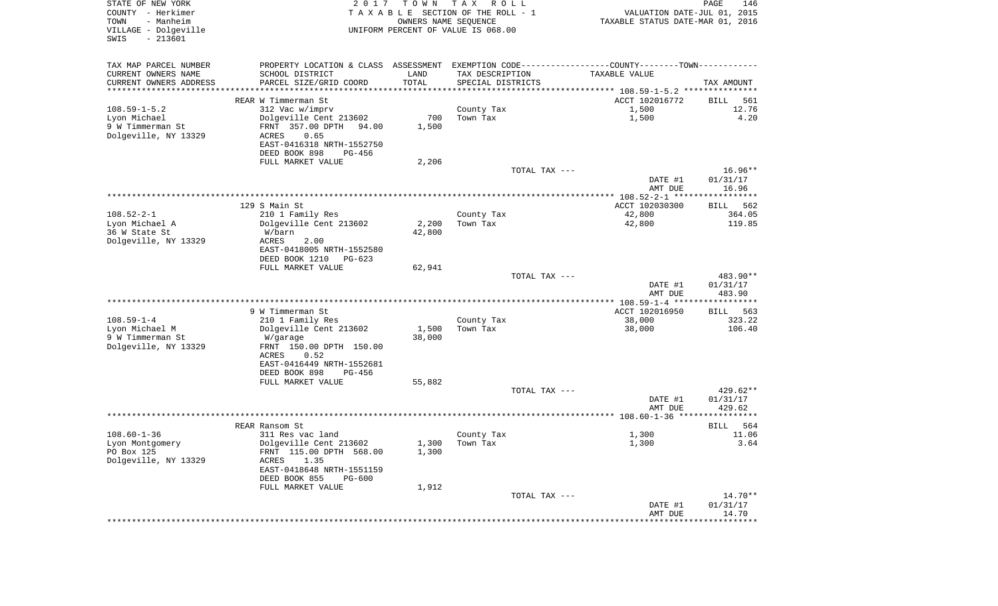| COUNTY - Herkimer<br>- Manheim<br>TOWN<br>VILLAGE - Dolgeville<br>SWIS<br>$-213601$ |                                                                                                |        | TAXABLE SECTION OF THE ROLL - 1<br>OWNERS NAME SEOUENCE<br>UNIFORM PERCENT OF VALUE IS 068.00 | VALUATION DATE-JUL 01, 2015<br>TAXABLE STATUS DATE-MAR 01, 2016 |                   |
|-------------------------------------------------------------------------------------|------------------------------------------------------------------------------------------------|--------|-----------------------------------------------------------------------------------------------|-----------------------------------------------------------------|-------------------|
| TAX MAP PARCEL NUMBER                                                               | PROPERTY LOCATION & CLASS ASSESSMENT EXEMPTION CODE----------------COUNTY-------TOWN---------- |        |                                                                                               |                                                                 |                   |
| CURRENT OWNERS NAME                                                                 | SCHOOL DISTRICT                                                                                | LAND   | TAX DESCRIPTION                                                                               | TAXABLE VALUE                                                   |                   |
| CURRENT OWNERS ADDRESS                                                              | PARCEL SIZE/GRID COORD                                                                         | TOTAL  | SPECIAL DISTRICTS                                                                             |                                                                 | TAX AMOUNT        |
| ************************                                                            |                                                                                                |        |                                                                                               |                                                                 |                   |
|                                                                                     | REAR W Timmerman St                                                                            |        |                                                                                               | ACCT 102016772                                                  | BILL              |
| $108.59 - 1 - 5.2$                                                                  | 312 Vac w/imprv                                                                                |        | County Tax                                                                                    | 1,500                                                           | 12.76             |
| Lyon Michael                                                                        | Dolgeville Cent 213602                                                                         | 700    | Town Tax                                                                                      | 1,500                                                           |                   |
| 9 W Timmerman St                                                                    | FRNT 357.00 DPTH 94.00                                                                         | 1,500  |                                                                                               |                                                                 |                   |
| Dolgeville, NY 13329                                                                | 0.65<br>ACRES<br>EAST-0416318 NRTH-1552750                                                     |        |                                                                                               |                                                                 |                   |
|                                                                                     | DEED BOOK 898<br>PG-456                                                                        |        |                                                                                               |                                                                 |                   |
|                                                                                     | FULL MARKET VALUE                                                                              | 2,206  |                                                                                               |                                                                 |                   |
|                                                                                     |                                                                                                |        | TOTAL TAX ---                                                                                 |                                                                 | $16.96**$         |
|                                                                                     |                                                                                                |        |                                                                                               | DATE #1                                                         | 01/31/17          |
|                                                                                     |                                                                                                |        |                                                                                               | AMT DUE                                                         | 16.96             |
|                                                                                     |                                                                                                |        |                                                                                               |                                                                 |                   |
|                                                                                     | 129 S Main St                                                                                  |        |                                                                                               | ACCT 102030300                                                  | BILL 562          |
| $108.52 - 2 - 1$                                                                    | 210 1 Family Res                                                                               |        | County Tax                                                                                    | 42,800                                                          | 364.05            |
| Lyon Michael A                                                                      | Dolgeville Cent 213602                                                                         | 2,200  | Town Tax                                                                                      | 42,800                                                          | 119.85            |
| 36 W State St                                                                       | W/barn                                                                                         | 42,800 |                                                                                               |                                                                 |                   |
| Dolgeville, NY 13329                                                                | ACRES<br>2.00                                                                                  |        |                                                                                               |                                                                 |                   |
|                                                                                     | EAST-0418005 NRTH-1552580                                                                      |        |                                                                                               |                                                                 |                   |
|                                                                                     | DEED BOOK 1210<br>PG-623                                                                       |        |                                                                                               |                                                                 |                   |
|                                                                                     | FULL MARKET VALUE                                                                              | 62,941 | TOTAL TAX ---                                                                                 |                                                                 | 483.90**          |
|                                                                                     |                                                                                                |        |                                                                                               | DATE #1                                                         | 01/31/17          |
|                                                                                     |                                                                                                |        |                                                                                               | AMT DUE                                                         | 483.90            |
|                                                                                     |                                                                                                |        |                                                                                               |                                                                 |                   |
|                                                                                     | 9 W Timmerman St                                                                               |        |                                                                                               | ACCT 102016950                                                  | BILL 563          |
| $108.59 - 1 - 4$                                                                    | 210 1 Family Res                                                                               |        | County Tax                                                                                    | 38,000                                                          | 323.22            |
| Lyon Michael M                                                                      | Dolgeville Cent 213602                                                                         | 1,500  | Town Tax                                                                                      | 38,000                                                          | 106.40            |
| 9 W Timmerman St                                                                    | W/garage                                                                                       | 38,000 |                                                                                               |                                                                 |                   |
| Dolgeville, NY 13329                                                                | FRNT 150.00 DPTH 150.00                                                                        |        |                                                                                               |                                                                 |                   |
|                                                                                     | 0.52<br>ACRES                                                                                  |        |                                                                                               |                                                                 |                   |
|                                                                                     | EAST-0416449 NRTH-1552681                                                                      |        |                                                                                               |                                                                 |                   |
|                                                                                     | DEED BOOK 898<br>PG-456                                                                        |        |                                                                                               |                                                                 |                   |
|                                                                                     | FULL MARKET VALUE                                                                              | 55,882 | TOTAL TAX ---                                                                                 |                                                                 | $429.62**$        |
|                                                                                     |                                                                                                |        |                                                                                               | DATE #1                                                         | 01/31/17          |
|                                                                                     |                                                                                                |        |                                                                                               | AMT DUE                                                         | 429.62            |
|                                                                                     |                                                                                                |        |                                                                                               |                                                                 |                   |
|                                                                                     | REAR Ransom St                                                                                 |        |                                                                                               |                                                                 | BILL<br>564       |
| $108.60 - 1 - 36$                                                                   | 311 Res vac land                                                                               |        | County Tax                                                                                    | 1,300                                                           | 11.06             |
| Lyon Montgomery                                                                     | Dolgeville Cent 213602                                                                         | 1,300  | Town Tax                                                                                      | 1,300                                                           |                   |
| PO Box 125                                                                          | FRNT 115.00 DPTH 568.00                                                                        | 1,300  |                                                                                               |                                                                 |                   |
| Dolgeville, NY 13329                                                                | ACRES<br>1.35                                                                                  |        |                                                                                               |                                                                 |                   |
|                                                                                     | EAST-0418648 NRTH-1551159                                                                      |        |                                                                                               |                                                                 |                   |
|                                                                                     | DEED BOOK 855<br>PG-600                                                                        |        |                                                                                               |                                                                 |                   |
|                                                                                     | FULL MARKET VALUE                                                                              | 1,912  |                                                                                               |                                                                 |                   |
|                                                                                     |                                                                                                |        | TOTAL TAX ---                                                                                 |                                                                 | 14.70**           |
|                                                                                     |                                                                                                |        |                                                                                               | DATE #1<br>AMT DUE                                              | 01/31/17<br>14.70 |
|                                                                                     |                                                                                                |        |                                                                                               |                                                                 |                   |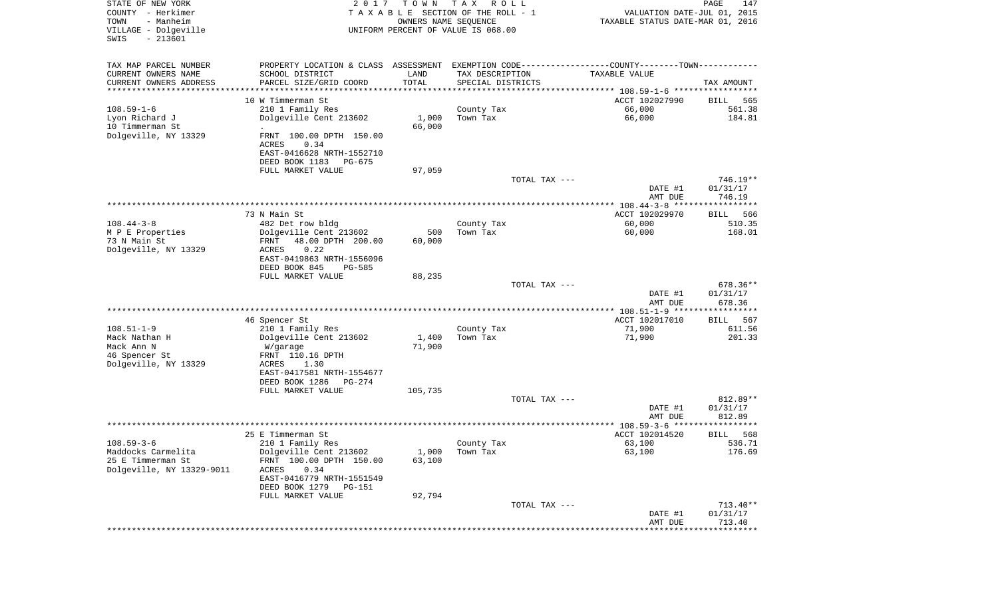| STATE OF NEW YORK<br>COUNTY - Herkimer<br>TOWN<br>- Manheim<br>VILLAGE - Dolgeville<br>$-213601$<br>SWIS | 2 0 1 7                                    | T O W N                      | T A X<br>R O L L<br>TAXABLE SECTION OF THE ROLL - 1<br>OWNERS NAME SEQUENCE<br>UNIFORM PERCENT OF VALUE IS 068.00 | VALUATION DATE-JUL 01, 2015<br>TAXABLE STATUS DATE-MAR 01, 2016 | PAGE<br>147            |
|----------------------------------------------------------------------------------------------------------|--------------------------------------------|------------------------------|-------------------------------------------------------------------------------------------------------------------|-----------------------------------------------------------------|------------------------|
| TAX MAP PARCEL NUMBER                                                                                    | PROPERTY LOCATION & CLASS ASSESSMENT       |                              | EXEMPTION CODE-----------------COUNTY-------TOWN----------                                                        |                                                                 |                        |
| CURRENT OWNERS NAME                                                                                      | SCHOOL DISTRICT                            | LAND                         | TAX DESCRIPTION                                                                                                   | TAXABLE VALUE                                                   |                        |
| CURRENT OWNERS ADDRESS<br>*******************                                                            | PARCEL SIZE/GRID COORD                     | TOTAL<br>* * * * * * * * * * | SPECIAL DISTRICTS                                                                                                 | ********************************** 108.59-1-6 ***************** | TAX AMOUNT             |
|                                                                                                          | 10 W Timmerman St                          |                              |                                                                                                                   | ACCT 102027990                                                  | BILL<br>565            |
| $108.59 - 1 - 6$                                                                                         | 210 1 Family Res                           |                              | County Tax                                                                                                        | 66,000                                                          | 561.38                 |
| Lyon Richard J                                                                                           | Dolgeville Cent 213602                     | 1,000                        | Town Tax                                                                                                          | 66,000                                                          | 184.81                 |
| 10 Timmerman St                                                                                          |                                            | 66,000                       |                                                                                                                   |                                                                 |                        |
| Dolgeville, NY 13329                                                                                     | FRNT 100.00 DPTH 150.00<br>ACRES<br>0.34   |                              |                                                                                                                   |                                                                 |                        |
|                                                                                                          | EAST-0416628 NRTH-1552710                  |                              |                                                                                                                   |                                                                 |                        |
|                                                                                                          | DEED BOOK 1183<br>PG-675                   |                              |                                                                                                                   |                                                                 |                        |
|                                                                                                          | FULL MARKET VALUE                          | 97,059                       | TOTAL TAX ---                                                                                                     |                                                                 | $746.19**$             |
|                                                                                                          |                                            |                              |                                                                                                                   | DATE #1                                                         | 01/31/17               |
|                                                                                                          |                                            |                              |                                                                                                                   | AMT DUE                                                         | 746.19                 |
|                                                                                                          |                                            |                              |                                                                                                                   | *************** 108.44-3-8 ******************                   |                        |
|                                                                                                          | 73 N Main St                               |                              |                                                                                                                   | ACCT 102029970                                                  | BILL<br>566            |
| $108.44 - 3 - 8$                                                                                         | 482 Det row bldg<br>Dolgeville Cent 213602 | 500                          | County Tax<br>Town Tax                                                                                            | 60,000<br>60,000                                                | 510.35<br>168.01       |
| M P E Properties<br>73 N Main St                                                                         | 48.00 DPTH 200.00<br>FRNT                  | 60,000                       |                                                                                                                   |                                                                 |                        |
| Dolgeville, NY 13329                                                                                     | <b>ACRES</b><br>0.22                       |                              |                                                                                                                   |                                                                 |                        |
|                                                                                                          | EAST-0419863 NRTH-1556096                  |                              |                                                                                                                   |                                                                 |                        |
|                                                                                                          | DEED BOOK 845<br>$PG-585$                  |                              |                                                                                                                   |                                                                 |                        |
|                                                                                                          | FULL MARKET VALUE                          | 88,235                       |                                                                                                                   |                                                                 |                        |
|                                                                                                          |                                            |                              | TOTAL TAX ---                                                                                                     | DATE #1                                                         | 678.36**<br>01/31/17   |
|                                                                                                          |                                            |                              |                                                                                                                   | AMT DUE<br>*********** 108.51-1-9 ******************            | 678.36                 |
|                                                                                                          | 46 Spencer St                              |                              |                                                                                                                   | ACCT 102017010                                                  | 567<br>BILL            |
| $108.51 - 1 - 9$                                                                                         | 210 1 Family Res                           |                              | County Tax                                                                                                        | 71,900                                                          | 611.56                 |
| Mack Nathan H                                                                                            | Dolgeville Cent 213602                     | 1,400                        | Town Tax                                                                                                          | 71,900                                                          | 201.33                 |
| Mack Ann N                                                                                               | W/garage                                   | 71,900                       |                                                                                                                   |                                                                 |                        |
| 46 Spencer St                                                                                            | FRNT 110.16 DPTH                           |                              |                                                                                                                   |                                                                 |                        |
| Dolgeville, NY 13329                                                                                     | ACRES<br>1.30<br>EAST-0417581 NRTH-1554677 |                              |                                                                                                                   |                                                                 |                        |
|                                                                                                          | DEED BOOK 1286<br>PG-274                   |                              |                                                                                                                   |                                                                 |                        |
|                                                                                                          | FULL MARKET VALUE                          | 105,735                      |                                                                                                                   |                                                                 |                        |
|                                                                                                          |                                            |                              | TOTAL TAX ---                                                                                                     |                                                                 | 812.89**               |
|                                                                                                          |                                            |                              |                                                                                                                   | DATE #1<br>AMT DUE                                              | 01/31/17<br>812.89     |
|                                                                                                          |                                            |                              |                                                                                                                   | ******************* 108.59-3-6<br>*******                       | * * * *                |
|                                                                                                          | 25 E Timmerman St                          |                              |                                                                                                                   | ACCT 102014520                                                  | 568<br>BILL            |
| $108.59 - 3 - 6$<br>Maddocks Carmelita                                                                   | 210 1 Family Res<br>Dolgeville Cent 213602 | 1,000                        | County Tax<br>Town Tax                                                                                            | 63,100<br>63,100                                                | 536.71<br>176.69       |
| 25 E Timmerman St                                                                                        | FRNT 100.00 DPTH 150.00                    | 63,100                       |                                                                                                                   |                                                                 |                        |
| Dolgeville, NY 13329-9011                                                                                | 0.34<br><b>ACRES</b>                       |                              |                                                                                                                   |                                                                 |                        |
|                                                                                                          | EAST-0416779 NRTH-1551549                  |                              |                                                                                                                   |                                                                 |                        |
|                                                                                                          | DEED BOOK 1279<br>PG-151                   |                              |                                                                                                                   |                                                                 |                        |
|                                                                                                          | FULL MARKET VALUE                          | 92,794                       |                                                                                                                   |                                                                 |                        |
|                                                                                                          |                                            |                              | TOTAL TAX ---                                                                                                     | DATE #1                                                         | $713.40**$<br>01/31/17 |
|                                                                                                          |                                            |                              |                                                                                                                   | AMT DUE                                                         | 713.40                 |
|                                                                                                          |                                            |                              |                                                                                                                   | ****************************                                    |                        |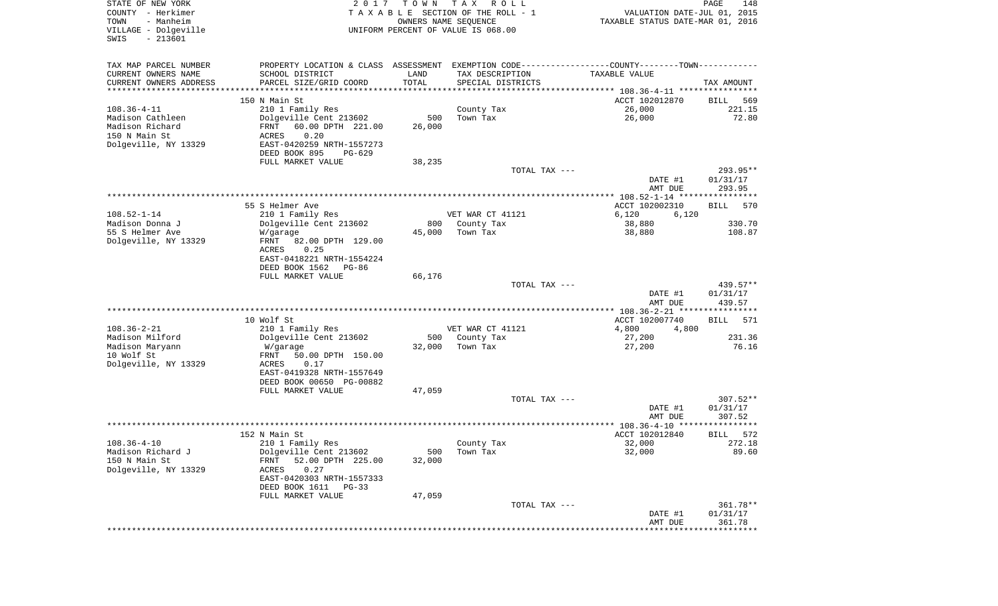| STATE OF NEW YORK<br>COUNTY - Herkimer<br>TOWN<br>- Manheim<br>VILLAGE - Dolgeville<br>$-213601$<br>SWIS | 2017                                                                                          | TOWN          | T A X<br>R O L L<br>TAXABLE SECTION OF THE ROLL - 1<br>OWNERS NAME SEQUENCE<br>UNIFORM PERCENT OF VALUE IS 068.00 | VALUATION DATE-JUL 01, 2015<br>TAXABLE STATUS DATE-MAR 01, 2016 | PAGE<br>148            |
|----------------------------------------------------------------------------------------------------------|-----------------------------------------------------------------------------------------------|---------------|-------------------------------------------------------------------------------------------------------------------|-----------------------------------------------------------------|------------------------|
| TAX MAP PARCEL NUMBER                                                                                    | PROPERTY LOCATION & CLASS ASSESSMENT EXEMPTION CODE---------------COUNTY-------TOWN---------- |               |                                                                                                                   |                                                                 |                        |
| CURRENT OWNERS NAME                                                                                      | SCHOOL DISTRICT                                                                               | LAND          | TAX DESCRIPTION                                                                                                   | TAXABLE VALUE                                                   |                        |
| CURRENT OWNERS ADDRESS<br>**********************                                                         | PARCEL SIZE/GRID COORD                                                                        | TOTAL         | SPECIAL DISTRICTS                                                                                                 |                                                                 | TAX AMOUNT             |
|                                                                                                          | 150 N Main St                                                                                 |               |                                                                                                                   | ACCT 102012870                                                  | 569<br>BILL            |
| $108.36 - 4 - 11$                                                                                        | 210 1 Family Res                                                                              |               | County Tax                                                                                                        | 26,000                                                          | 221.15                 |
| Madison Cathleen                                                                                         | Dolgeville Cent 213602                                                                        | 500           | Town Tax                                                                                                          | 26,000                                                          | 72.80                  |
| Madison Richard                                                                                          | 60.00 DPTH 221.00<br>FRNT                                                                     | 26,000        |                                                                                                                   |                                                                 |                        |
| 150 N Main St                                                                                            | ACRES<br>0.20                                                                                 |               |                                                                                                                   |                                                                 |                        |
| Dolgeville, NY 13329                                                                                     | EAST-0420259 NRTH-1557273<br>DEED BOOK 895<br>PG-629                                          |               |                                                                                                                   |                                                                 |                        |
|                                                                                                          | FULL MARKET VALUE                                                                             | 38,235        |                                                                                                                   |                                                                 |                        |
|                                                                                                          |                                                                                               |               | TOTAL TAX ---                                                                                                     |                                                                 | 293.95**               |
|                                                                                                          |                                                                                               |               |                                                                                                                   | DATE #1                                                         | 01/31/17               |
|                                                                                                          |                                                                                               |               |                                                                                                                   | AMT DUE                                                         | 293.95                 |
|                                                                                                          | 55 S Helmer Ave                                                                               |               |                                                                                                                   | ACCT 102002310                                                  | <b>BILL</b><br>570     |
| $108.52 - 1 - 14$                                                                                        | 210 1 Family Res                                                                              |               | VET WAR CT 41121                                                                                                  | 6,120<br>6,120                                                  |                        |
| Madison Donna J                                                                                          | Dolgeville Cent 213602                                                                        | 800           | County Tax                                                                                                        | 38,880                                                          | 330.70                 |
| 55 S Helmer Ave                                                                                          | W/garage                                                                                      | 45,000        | Town Tax                                                                                                          | 38,880                                                          | 108.87                 |
| Dolgeville, NY 13329                                                                                     | FRNT<br>82.00 DPTH 129.00                                                                     |               |                                                                                                                   |                                                                 |                        |
|                                                                                                          | ACRES<br>0.25<br>EAST-0418221 NRTH-1554224                                                    |               |                                                                                                                   |                                                                 |                        |
|                                                                                                          | DEED BOOK 1562<br>PG-86                                                                       |               |                                                                                                                   |                                                                 |                        |
|                                                                                                          | FULL MARKET VALUE                                                                             | 66,176        |                                                                                                                   |                                                                 |                        |
|                                                                                                          |                                                                                               |               | TOTAL TAX ---                                                                                                     |                                                                 | 439.57**               |
|                                                                                                          |                                                                                               |               |                                                                                                                   | DATE #1<br>AMT DUE                                              | 01/31/17<br>439.57     |
|                                                                                                          |                                                                                               |               |                                                                                                                   | ************ 108.36-2-21 *****************                      |                        |
|                                                                                                          | 10 Wolf St                                                                                    |               |                                                                                                                   | ACCT 102007740                                                  | 571<br>BILL            |
| $108.36 - 2 - 21$                                                                                        | 210 1 Family Res                                                                              |               | VET WAR CT 41121                                                                                                  | 4,800<br>4,800                                                  |                        |
| Madison Milford                                                                                          | Dolgeville Cent 213602                                                                        | 500           | County Tax                                                                                                        | 27,200                                                          | 231.36                 |
| Madison Maryann<br>10 Wolf St                                                                            | W/garage<br>FRNT<br>50.00 DPTH 150.00                                                         | 32,000        | Town Tax                                                                                                          | 27,200                                                          | 76.16                  |
| Dolgeville, NY 13329                                                                                     | ACRES<br>0.17                                                                                 |               |                                                                                                                   |                                                                 |                        |
|                                                                                                          | EAST-0419328 NRTH-1557649                                                                     |               |                                                                                                                   |                                                                 |                        |
|                                                                                                          | DEED BOOK 00650 PG-00882                                                                      |               |                                                                                                                   |                                                                 |                        |
|                                                                                                          | FULL MARKET VALUE                                                                             | 47,059        |                                                                                                                   |                                                                 |                        |
|                                                                                                          |                                                                                               |               | TOTAL TAX ---                                                                                                     | DATE #1                                                         | $307.52**$<br>01/31/17 |
|                                                                                                          |                                                                                               |               |                                                                                                                   | AMT DUE                                                         | 307.52                 |
|                                                                                                          |                                                                                               |               |                                                                                                                   |                                                                 | * * * * * *            |
|                                                                                                          | 152 N Main St                                                                                 |               |                                                                                                                   | ACCT 102012840                                                  | BILL<br>572            |
| $108.36 - 4 - 10$                                                                                        | 210 1 Family Res                                                                              |               | County Tax                                                                                                        | 32,000                                                          | 272.18                 |
| Madison Richard J<br>150 N Main St                                                                       | Dolgeville Cent 213602<br>52.00 DPTH 225.00<br>FRNT                                           | 500<br>32,000 | Town Tax                                                                                                          | 32,000                                                          | 89.60                  |
| Dolgeville, NY 13329                                                                                     | 0.27<br>ACRES                                                                                 |               |                                                                                                                   |                                                                 |                        |
|                                                                                                          | EAST-0420303 NRTH-1557333                                                                     |               |                                                                                                                   |                                                                 |                        |
|                                                                                                          | DEED BOOK 1611 PG-33                                                                          |               |                                                                                                                   |                                                                 |                        |
|                                                                                                          | FULL MARKET VALUE                                                                             | 47,059        |                                                                                                                   |                                                                 |                        |
|                                                                                                          |                                                                                               |               | TOTAL TAX ---                                                                                                     | DATE #1                                                         | 361.78**<br>01/31/17   |
|                                                                                                          |                                                                                               |               |                                                                                                                   | AMT DUE                                                         | 361.78                 |
|                                                                                                          |                                                                                               |               |                                                                                                                   | ****************************                                    |                        |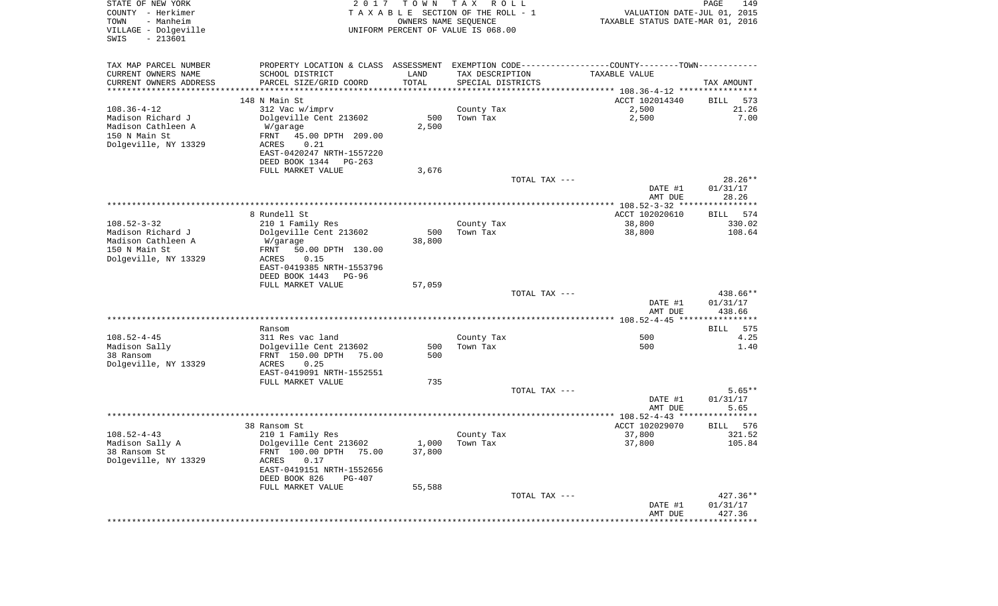| STATE OF NEW YORK<br>COUNTY - Herkimer<br>- Manheim<br>TOWN<br>VILLAGE - Dolgeville<br>$-213601$<br>SWIS | 2017                                                                                          | T O W N<br>OWNERS NAME SEQUENCE | T A X<br>R O L L<br>TAXABLE SECTION OF THE ROLL - 1<br>UNIFORM PERCENT OF VALUE IS 068.00 | VALUATION DATE-JUL 01, 2015<br>TAXABLE STATUS DATE-MAR 01, 2016 | PAGE<br>149           |
|----------------------------------------------------------------------------------------------------------|-----------------------------------------------------------------------------------------------|---------------------------------|-------------------------------------------------------------------------------------------|-----------------------------------------------------------------|-----------------------|
| TAX MAP PARCEL NUMBER                                                                                    | PROPERTY LOCATION & CLASS ASSESSMENT EXEMPTION CODE---------------COUNTY-------TOWN---------- |                                 |                                                                                           |                                                                 |                       |
| CURRENT OWNERS NAME                                                                                      | SCHOOL DISTRICT                                                                               | LAND                            | TAX DESCRIPTION                                                                           | <b>TAXABLE VALUE</b>                                            |                       |
| CURRENT OWNERS ADDRESS                                                                                   | PARCEL SIZE/GRID COORD                                                                        | TOTAL                           | SPECIAL DISTRICTS                                                                         |                                                                 | TAX AMOUNT            |
| **********************                                                                                   | 148 N Main St                                                                                 |                                 |                                                                                           | ACCT 102014340                                                  | 573<br>BILL           |
| $108.36 - 4 - 12$                                                                                        | 312 Vac w/imprv                                                                               |                                 | County Tax                                                                                | 2,500                                                           | 21.26                 |
| Madison Richard J                                                                                        | Dolgeville Cent 213602                                                                        | 500                             | Town Tax                                                                                  | 2,500                                                           | 7.00                  |
| Madison Cathleen A                                                                                       | W/garage                                                                                      | 2,500                           |                                                                                           |                                                                 |                       |
| 150 N Main St                                                                                            | FRNT<br>45.00 DPTH 209.00                                                                     |                                 |                                                                                           |                                                                 |                       |
| Dolgeville, NY 13329                                                                                     | ACRES<br>0.21                                                                                 |                                 |                                                                                           |                                                                 |                       |
|                                                                                                          | EAST-0420247 NRTH-1557220                                                                     |                                 |                                                                                           |                                                                 |                       |
|                                                                                                          | DEED BOOK 1344<br>PG-263<br>FULL MARKET VALUE                                                 | 3,676                           |                                                                                           |                                                                 |                       |
|                                                                                                          |                                                                                               |                                 | TOTAL TAX ---                                                                             |                                                                 | $28.26**$             |
|                                                                                                          |                                                                                               |                                 |                                                                                           | DATE #1                                                         | 01/31/17              |
|                                                                                                          |                                                                                               |                                 |                                                                                           | AMT DUE                                                         | 28.26                 |
|                                                                                                          |                                                                                               |                                 |                                                                                           |                                                                 |                       |
| $108.52 - 3 - 32$                                                                                        | 8 Rundell St<br>210 1 Family Res                                                              |                                 | County Tax                                                                                | ACCT 102020610<br>38,800                                        | BILL<br>574<br>330.02 |
| Madison Richard J                                                                                        | Dolgeville Cent 213602                                                                        | 500                             | Town Tax                                                                                  | 38,800                                                          | 108.64                |
| Madison Cathleen A                                                                                       | W/garage                                                                                      | 38,800                          |                                                                                           |                                                                 |                       |
| 150 N Main St                                                                                            | 50.00 DPTH 130.00<br>FRNT                                                                     |                                 |                                                                                           |                                                                 |                       |
| Dolgeville, NY 13329                                                                                     | ACRES<br>0.15                                                                                 |                                 |                                                                                           |                                                                 |                       |
|                                                                                                          | EAST-0419385 NRTH-1553796<br>DEED BOOK 1443<br>PG-96                                          |                                 |                                                                                           |                                                                 |                       |
|                                                                                                          | FULL MARKET VALUE                                                                             | 57,059                          |                                                                                           |                                                                 |                       |
|                                                                                                          |                                                                                               |                                 | TOTAL TAX ---                                                                             |                                                                 | 438.66**              |
|                                                                                                          |                                                                                               |                                 |                                                                                           | DATE #1                                                         | 01/31/17              |
|                                                                                                          |                                                                                               |                                 |                                                                                           | AMT DUE                                                         | 438.66                |
|                                                                                                          | Ransom                                                                                        |                                 |                                                                                           |                                                                 | 575<br>BILL           |
| $108.52 - 4 - 45$                                                                                        | 311 Res vac land                                                                              |                                 | County Tax                                                                                | 500                                                             | 4.25                  |
| Madison Sally                                                                                            | Dolgeville Cent 213602                                                                        | 500                             | Town Tax                                                                                  | 500                                                             | 1.40                  |
| 38 Ransom                                                                                                | FRNT 150.00 DPTH<br>75.00                                                                     | 500                             |                                                                                           |                                                                 |                       |
| Dolgeville, NY 13329                                                                                     | ACRES<br>0.25                                                                                 |                                 |                                                                                           |                                                                 |                       |
|                                                                                                          | EAST-0419091 NRTH-1552551<br>FULL MARKET VALUE                                                | 735                             |                                                                                           |                                                                 |                       |
|                                                                                                          |                                                                                               |                                 | TOTAL TAX ---                                                                             |                                                                 | $5.65**$              |
|                                                                                                          |                                                                                               |                                 |                                                                                           | DATE #1                                                         | 01/31/17              |
|                                                                                                          |                                                                                               |                                 |                                                                                           | AMT DUE                                                         | 5.65                  |
|                                                                                                          |                                                                                               |                                 |                                                                                           |                                                                 |                       |
| $108.52 - 4 - 43$                                                                                        | 38 Ransom St<br>210 1 Family Res                                                              |                                 | County Tax                                                                                | ACCT 102029070<br>37,800                                        | 576<br>BILL<br>321.52 |
| Madison Sally A                                                                                          | Dolgeville Cent 213602                                                                        | 1,000                           | Town Tax                                                                                  | 37,800                                                          | 105.84                |
| 38 Ransom St                                                                                             | FRNT 100.00 DPTH 75.00                                                                        | 37,800                          |                                                                                           |                                                                 |                       |
| Dolgeville, NY 13329                                                                                     | ACRES<br>0.17                                                                                 |                                 |                                                                                           |                                                                 |                       |
|                                                                                                          | EAST-0419151 NRTH-1552656                                                                     |                                 |                                                                                           |                                                                 |                       |
|                                                                                                          | DEED BOOK 826<br>PG-407<br>FULL MARKET VALUE                                                  | 55,588                          |                                                                                           |                                                                 |                       |
|                                                                                                          |                                                                                               |                                 | TOTAL TAX ---                                                                             |                                                                 | $427.36**$            |
|                                                                                                          |                                                                                               |                                 |                                                                                           | DATE #1                                                         | 01/31/17              |
|                                                                                                          |                                                                                               |                                 |                                                                                           | AMT DUE                                                         | 427.36                |
|                                                                                                          |                                                                                               |                                 |                                                                                           |                                                                 |                       |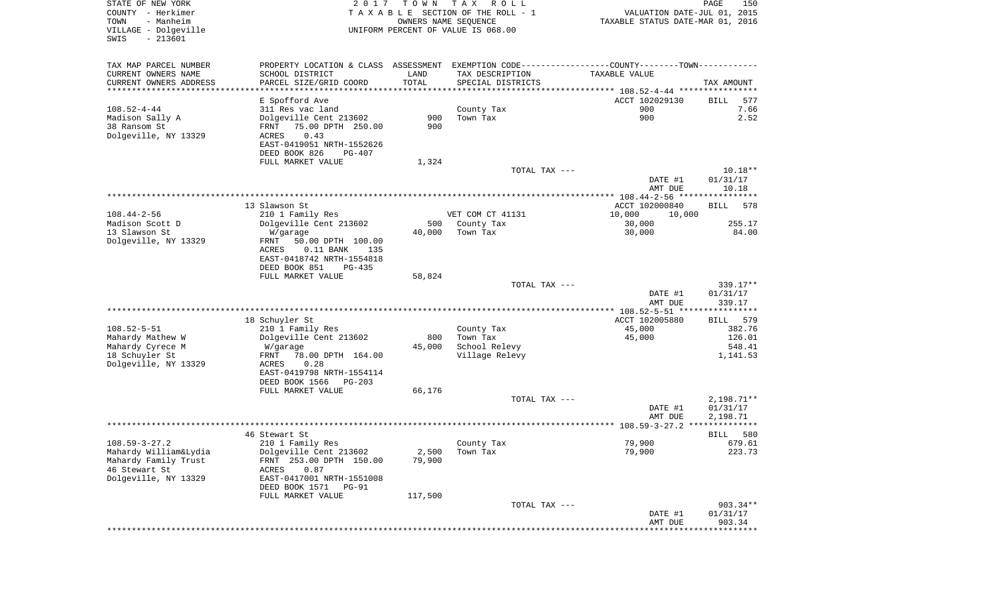| STATE OF NEW YORK<br>COUNTY - Herkimer<br>- Manheim<br>TOWN<br>VILLAGE - Dolgeville<br>$-213601$<br>SWIS | 2 0 1 7                                                                                         | T O W N<br>OWNERS NAME SEQUENCE | T A X<br>R O L L<br>TAXABLE SECTION OF THE ROLL - 1<br>UNIFORM PERCENT OF VALUE IS 068.00 | VALUATION DATE-JUL 01, 2015<br>TAXABLE STATUS DATE-MAR 01, 2016 | PAGE<br>150          |
|----------------------------------------------------------------------------------------------------------|-------------------------------------------------------------------------------------------------|---------------------------------|-------------------------------------------------------------------------------------------|-----------------------------------------------------------------|----------------------|
| TAX MAP PARCEL NUMBER                                                                                    | PROPERTY LOCATION & CLASS ASSESSMENT EXEMPTION CODE----------------COUNTY--------TOWN---------- |                                 |                                                                                           |                                                                 |                      |
| CURRENT OWNERS NAME                                                                                      | SCHOOL DISTRICT                                                                                 | LAND                            | TAX DESCRIPTION                                                                           | TAXABLE VALUE                                                   |                      |
| CURRENT OWNERS ADDRESS<br>**********************                                                         | PARCEL SIZE/GRID COORD<br>***********************                                               | TOTAL<br>****************       | SPECIAL DISTRICTS                                                                         |                                                                 | TAX AMOUNT           |
|                                                                                                          | E Spofford Ave                                                                                  |                                 |                                                                                           | ACCT 102029130                                                  | 577<br>BILL          |
| $108.52 - 4 - 44$                                                                                        | 311 Res vac land                                                                                |                                 | County Tax                                                                                | 900                                                             | 7.66                 |
| Madison Sally A                                                                                          | Dolgeville Cent 213602                                                                          | 900                             | Town Tax                                                                                  | 900                                                             | 2.52                 |
| 38 Ransom St                                                                                             | 75.00 DPTH 250.00<br>FRNT                                                                       | 900                             |                                                                                           |                                                                 |                      |
| Dolgeville, NY 13329                                                                                     | 0.43<br>ACRES<br>EAST-0419051 NRTH-1552626                                                      |                                 |                                                                                           |                                                                 |                      |
|                                                                                                          | DEED BOOK 826<br>PG-407                                                                         |                                 |                                                                                           |                                                                 |                      |
|                                                                                                          | FULL MARKET VALUE                                                                               | 1,324                           |                                                                                           |                                                                 |                      |
|                                                                                                          |                                                                                                 |                                 | TOTAL TAX ---                                                                             |                                                                 | $10.18**$            |
|                                                                                                          |                                                                                                 |                                 |                                                                                           | DATE #1<br>AMT DUE                                              | 01/31/17<br>10.18    |
|                                                                                                          |                                                                                                 |                                 |                                                                                           |                                                                 |                      |
|                                                                                                          | 13 Slawson St                                                                                   |                                 |                                                                                           | ACCT 102000840                                                  | <b>BILL</b><br>578   |
| $108.44 - 2 - 56$                                                                                        | 210 1 Family Res                                                                                |                                 | VET COM CT 41131                                                                          | 10,000<br>10,000                                                |                      |
| Madison Scott D<br>13 Slawson St                                                                         | Dolgeville Cent 213602                                                                          | 500<br>40,000                   | County Tax<br>Town Tax                                                                    | 30,000                                                          | 255.17<br>84.00      |
| Dolgeville, NY 13329                                                                                     | W/garage<br>FRNT<br>50.00 DPTH 100.00                                                           |                                 |                                                                                           | 30,000                                                          |                      |
|                                                                                                          | ACRES<br>$0.11$ BANK<br>135                                                                     |                                 |                                                                                           |                                                                 |                      |
|                                                                                                          | EAST-0418742 NRTH-1554818                                                                       |                                 |                                                                                           |                                                                 |                      |
|                                                                                                          | DEED BOOK 851<br>PG-435                                                                         |                                 |                                                                                           |                                                                 |                      |
|                                                                                                          | FULL MARKET VALUE                                                                               | 58,824                          | TOTAL TAX ---                                                                             |                                                                 | 339.17**             |
|                                                                                                          |                                                                                                 |                                 |                                                                                           | DATE #1                                                         | 01/31/17             |
|                                                                                                          |                                                                                                 |                                 |                                                                                           | AMT DUE                                                         | 339.17               |
|                                                                                                          |                                                                                                 |                                 |                                                                                           | ************* 108.52-5-51 *****************                     | 579                  |
| $108.52 - 5 - 51$                                                                                        | 18 Schuyler St<br>210 1 Family Res                                                              |                                 | County Tax                                                                                | ACCT 102005880<br>45,000                                        | BILL<br>382.76       |
| Mahardy Mathew W                                                                                         | Dolgeville Cent 213602                                                                          | 800                             | Town Tax                                                                                  | 45,000                                                          | 126.01               |
| Mahardy Cyrece M                                                                                         | W/garage                                                                                        | 45,000                          | School Relevy                                                                             |                                                                 | 548.41               |
| 18 Schuyler St                                                                                           | FRNT<br>78.00 DPTH 164.00                                                                       |                                 | Village Relevy                                                                            |                                                                 | 1,141.53             |
| Dolgeville, NY 13329                                                                                     | ACRES<br>0.28<br>EAST-0419798 NRTH-1554114                                                      |                                 |                                                                                           |                                                                 |                      |
|                                                                                                          | DEED BOOK 1566<br>PG-203                                                                        |                                 |                                                                                           |                                                                 |                      |
|                                                                                                          | FULL MARKET VALUE                                                                               | 66,176                          |                                                                                           |                                                                 |                      |
|                                                                                                          |                                                                                                 |                                 | TOTAL TAX ---                                                                             |                                                                 | $2,198.71**$         |
|                                                                                                          |                                                                                                 |                                 |                                                                                           | DATE #1<br>AMT DUE                                              | 01/31/17<br>2,198.71 |
|                                                                                                          |                                                                                                 |                                 |                                                                                           |                                                                 | *****                |
|                                                                                                          | 46 Stewart St                                                                                   |                                 |                                                                                           |                                                                 | 580<br>BILL          |
| $108.59 - 3 - 27.2$                                                                                      | 210 1 Family Res                                                                                |                                 | County Tax                                                                                | 79,900                                                          | 679.61               |
| Mahardy William&Lydia<br>Mahardy Family Trust                                                            | Dolgeville Cent 213602<br>FRNT 253.00 DPTH 150.00                                               | 2,500<br>79,900                 | Town Tax                                                                                  | 79,900                                                          | 223.73               |
| 46 Stewart St                                                                                            | 0.87<br>ACRES                                                                                   |                                 |                                                                                           |                                                                 |                      |
| Dolgeville, NY 13329                                                                                     | EAST-0417001 NRTH-1551008                                                                       |                                 |                                                                                           |                                                                 |                      |
|                                                                                                          | DEED BOOK 1571<br>PG-91                                                                         |                                 |                                                                                           |                                                                 |                      |
|                                                                                                          | FULL MARKET VALUE                                                                               | 117,500                         | TOTAL TAX ---                                                                             |                                                                 | 903.34**             |
|                                                                                                          |                                                                                                 |                                 |                                                                                           | DATE #1                                                         | 01/31/17             |
|                                                                                                          |                                                                                                 |                                 |                                                                                           | AMT DUE                                                         | 903.34               |
|                                                                                                          |                                                                                                 |                                 |                                                                                           |                                                                 |                      |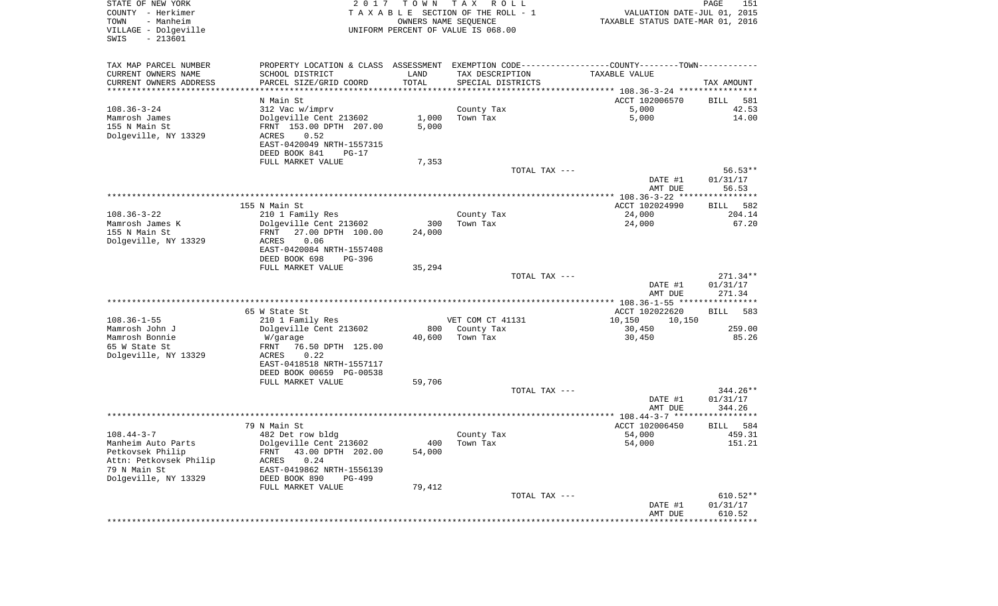| STATE OF NEW YORK<br>COUNTY - Herkimer<br>TOWN<br>- Manheim<br>VILLAGE - Dolgeville<br>SWIS<br>$-213601$ | 2 0 1 7                                                                                       | T O W N | T A X<br>R O L L<br>TAXABLE SECTION OF THE ROLL - 1<br>OWNERS NAME SEQUENCE<br>UNIFORM PERCENT OF VALUE IS 068.00 | VALUATION DATE-JUL 01, 2015<br>TAXABLE STATUS DATE-MAR 01, 2016 | PAGE<br>151                      |
|----------------------------------------------------------------------------------------------------------|-----------------------------------------------------------------------------------------------|---------|-------------------------------------------------------------------------------------------------------------------|-----------------------------------------------------------------|----------------------------------|
| TAX MAP PARCEL NUMBER                                                                                    | PROPERTY LOCATION & CLASS ASSESSMENT EXEMPTION CODE---------------COUNTY-------TOWN---------- |         |                                                                                                                   |                                                                 |                                  |
| CURRENT OWNERS NAME                                                                                      | SCHOOL DISTRICT                                                                               | LAND    | TAX DESCRIPTION                                                                                                   | TAXABLE VALUE                                                   |                                  |
| CURRENT OWNERS ADDRESS<br>*********************                                                          | PARCEL SIZE/GRID COORD                                                                        | TOTAL   | SPECIAL DISTRICTS                                                                                                 |                                                                 | TAX AMOUNT                       |
|                                                                                                          | N Main St                                                                                     |         |                                                                                                                   | ACCT 102006570                                                  | BILL<br>581                      |
| $108.36 - 3 - 24$                                                                                        | 312 Vac w/imprv                                                                               |         | County Tax                                                                                                        | 5,000                                                           | 42.53                            |
| Mamrosh James                                                                                            | Dolgeville Cent 213602                                                                        | 1,000   | Town Tax                                                                                                          | 5,000                                                           | 14.00                            |
| 155 N Main St                                                                                            | FRNT 153.00 DPTH 207.00                                                                       | 5,000   |                                                                                                                   |                                                                 |                                  |
| Dolgeville, NY 13329                                                                                     | ACRES<br>0.52                                                                                 |         |                                                                                                                   |                                                                 |                                  |
|                                                                                                          | EAST-0420049 NRTH-1557315                                                                     |         |                                                                                                                   |                                                                 |                                  |
|                                                                                                          | DEED BOOK 841<br>$PG-17$<br>FULL MARKET VALUE                                                 | 7,353   |                                                                                                                   |                                                                 |                                  |
|                                                                                                          |                                                                                               |         | TOTAL TAX ---                                                                                                     |                                                                 | $56.53**$                        |
|                                                                                                          |                                                                                               |         |                                                                                                                   | DATE #1                                                         | 01/31/17                         |
|                                                                                                          |                                                                                               |         |                                                                                                                   | AMT DUE                                                         | 56.53                            |
|                                                                                                          |                                                                                               |         |                                                                                                                   |                                                                 |                                  |
| $108.36 - 3 - 22$                                                                                        | 155 N Main St<br>210 1 Family Res                                                             |         | County Tax                                                                                                        | ACCT 102024990<br>24,000                                        | 582<br>BILL<br>204.14            |
| Mamrosh James K                                                                                          | Dolgeville Cent 213602                                                                        | 300     | Town Tax                                                                                                          | 24,000                                                          | 67.20                            |
| 155 N Main St                                                                                            | 27.00 DPTH 100.00<br>FRNT                                                                     | 24,000  |                                                                                                                   |                                                                 |                                  |
| Dolgeville, NY 13329                                                                                     | 0.06<br>ACRES                                                                                 |         |                                                                                                                   |                                                                 |                                  |
|                                                                                                          | EAST-0420084 NRTH-1557408<br>DEED BOOK 698<br>PG-396                                          |         |                                                                                                                   |                                                                 |                                  |
|                                                                                                          | FULL MARKET VALUE                                                                             | 35,294  |                                                                                                                   |                                                                 |                                  |
|                                                                                                          |                                                                                               |         | TOTAL TAX ---                                                                                                     | DATE #1<br>AMT DUE                                              | $271.34**$<br>01/31/17<br>271.34 |
|                                                                                                          |                                                                                               |         |                                                                                                                   |                                                                 |                                  |
|                                                                                                          | 65 W State St                                                                                 |         |                                                                                                                   | ACCT 102022620                                                  | <b>BILL</b><br>583               |
| $108.36 - 1 - 55$                                                                                        | 210 1 Family Res                                                                              |         | VET COM CT 41131                                                                                                  | 10,150<br>10,150                                                |                                  |
| Mamrosh John J                                                                                           | Dolgeville Cent 213602                                                                        | 800     | County Tax                                                                                                        | 30,450                                                          | 259.00                           |
| Mamrosh Bonnie<br>65 W State St                                                                          | W/garage<br>76.50 DPTH 125.00<br>FRNT                                                         | 40,600  | Town Tax                                                                                                          | 30,450                                                          | 85.26                            |
| Dolgeville, NY 13329                                                                                     | ACRES<br>0.22                                                                                 |         |                                                                                                                   |                                                                 |                                  |
|                                                                                                          | EAST-0418518 NRTH-1557117                                                                     |         |                                                                                                                   |                                                                 |                                  |
|                                                                                                          | DEED BOOK 00659 PG-00538                                                                      |         |                                                                                                                   |                                                                 |                                  |
|                                                                                                          | FULL MARKET VALUE                                                                             | 59,706  |                                                                                                                   |                                                                 |                                  |
|                                                                                                          |                                                                                               |         | TOTAL TAX ---                                                                                                     |                                                                 | 344.26**                         |
|                                                                                                          |                                                                                               |         |                                                                                                                   | DATE #1<br>AMT DUE                                              | 01/31/17<br>344.26               |
|                                                                                                          |                                                                                               |         |                                                                                                                   |                                                                 |                                  |
|                                                                                                          | 79 N Main St                                                                                  |         |                                                                                                                   | ACCT 102006450                                                  | 584<br>BILL                      |
| $108.44 - 3 - 7$                                                                                         | 482 Det row bldg                                                                              |         | County Tax                                                                                                        | 54,000                                                          | 459.31                           |
| Manheim Auto Parts                                                                                       | Dolgeville Cent 213602                                                                        |         | 400 Town Tax                                                                                                      | 54,000                                                          | 151.21                           |
| Petkovsek Philip<br>Attn: Petkovsek Philip                                                               | FRNT 43.00 DPTH 202.00<br><b>ACRES</b><br>0.24                                                | 54,000  |                                                                                                                   |                                                                 |                                  |
| 79 N Main St                                                                                             | EAST-0419862 NRTH-1556139                                                                     |         |                                                                                                                   |                                                                 |                                  |
| Dolgeville, NY 13329                                                                                     | DEED BOOK 890<br>PG-499                                                                       |         |                                                                                                                   |                                                                 |                                  |
|                                                                                                          | FULL MARKET VALUE                                                                             | 79,412  |                                                                                                                   |                                                                 |                                  |
|                                                                                                          |                                                                                               |         | TOTAL TAX ---                                                                                                     |                                                                 | $610.52**$                       |
|                                                                                                          |                                                                                               |         |                                                                                                                   | DATE #1<br>AMT DUE                                              | 01/31/17<br>610.52               |
|                                                                                                          |                                                                                               |         |                                                                                                                   | *******************                                             | * * * * * * * * * * * * * *      |
|                                                                                                          |                                                                                               |         |                                                                                                                   |                                                                 |                                  |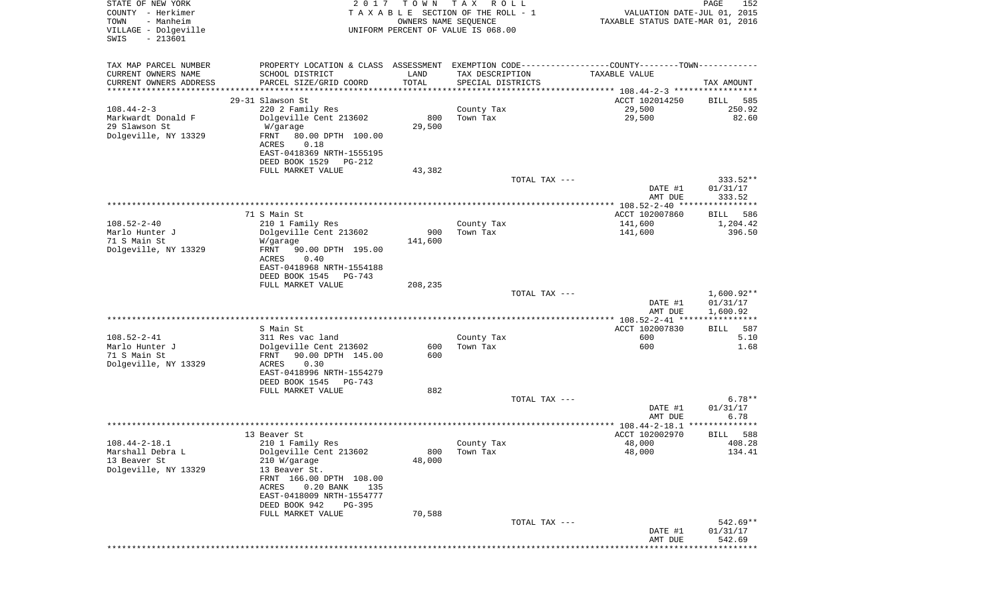| STATE OF NEW YORK<br>COUNTY - Herkimer<br>TOWN<br>- Manheim<br>VILLAGE - Dolgeville<br>$-213601$<br>SWIS | 2017                                                                                                                                                                                                                               | T O W N<br>OWNERS NAME SEQUENCE | T A X<br>R O L L<br>TAXABLE SECTION OF THE ROLL - 1<br>UNIFORM PERCENT OF VALUE IS 068.00 | VALUATION DATE-JUL 01, 2015<br>TAXABLE STATUS DATE-MAR 01, 2016                                                | PAGE<br>152                          |
|----------------------------------------------------------------------------------------------------------|------------------------------------------------------------------------------------------------------------------------------------------------------------------------------------------------------------------------------------|---------------------------------|-------------------------------------------------------------------------------------------|----------------------------------------------------------------------------------------------------------------|--------------------------------------|
| TAX MAP PARCEL NUMBER<br>CURRENT OWNERS NAME<br>CURRENT OWNERS ADDRESS<br>************************       | SCHOOL DISTRICT<br>PARCEL SIZE/GRID COORD                                                                                                                                                                                          | LAND<br>TOTAL                   | TAX DESCRIPTION<br>SPECIAL DISTRICTS                                                      | PROPERTY LOCATION & CLASS ASSESSMENT EXEMPTION CODE---------------COUNTY-------TOWN----------<br>TAXABLE VALUE | TAX AMOUNT                           |
| $108.44 - 2 - 3$<br>Markwardt Donald F<br>29 Slawson St<br>Dolgeville, NY 13329                          | 29-31 Slawson St<br>220 2 Family Res<br>Dolgeville Cent 213602<br>W/garage<br>FRNT<br>80.00 DPTH 100.00<br>ACRES<br>0.18<br>EAST-0418369 NRTH-1555195<br>DEED BOOK 1529<br>PG-212<br>FULL MARKET VALUE                             | 800<br>29,500<br>43,382         | County Tax<br>Town Tax                                                                    | ACCT 102014250<br>29,500<br>29,500                                                                             | 585<br>BILL<br>250.92<br>82.60       |
|                                                                                                          |                                                                                                                                                                                                                                    |                                 | TOTAL TAX ---                                                                             | DATE #1<br>AMT DUE                                                                                             | 333.52**<br>01/31/17<br>333.52       |
|                                                                                                          | 71 S Main St                                                                                                                                                                                                                       |                                 |                                                                                           | ACCT 102007860                                                                                                 | BILL<br>586                          |
| $108.52 - 2 - 40$<br>Marlo Hunter J<br>71 S Main St<br>Dolgeville, NY 13329                              | 210 1 Family Res<br>Dolgeville Cent 213602<br>W/garage<br>90.00 DPTH 195.00<br>FRNT<br>0.40<br>ACRES<br>EAST-0418968 NRTH-1554188<br>DEED BOOK 1545<br>PG-743                                                                      | 900<br>141,600                  | County Tax<br>Town Tax                                                                    | 141,600<br>141,600                                                                                             | 1,204.42<br>396.50                   |
|                                                                                                          | FULL MARKET VALUE                                                                                                                                                                                                                  | 208,235                         | TOTAL TAX ---                                                                             | DATE #1<br>AMT DUE                                                                                             | $1,600.92**$<br>01/31/17<br>1,600.92 |
|                                                                                                          |                                                                                                                                                                                                                                    |                                 |                                                                                           |                                                                                                                | * * * * * * * * * * * *              |
| $108.52 - 2 - 41$<br>Marlo Hunter J<br>71 S Main St<br>Dolgeville, NY 13329                              | S Main St<br>311 Res vac land<br>Dolgeville Cent 213602<br>FRNT<br>90.00 DPTH 145.00<br><b>ACRES</b><br>0.30<br>EAST-0418996 NRTH-1554279<br>DEED BOOK 1545<br>PG-743                                                              | 600<br>600                      | County Tax<br>Town Tax                                                                    | ACCT 102007830<br>600<br>600                                                                                   | BILL<br>587<br>5.10<br>1.68          |
|                                                                                                          | FULL MARKET VALUE                                                                                                                                                                                                                  | 882                             |                                                                                           |                                                                                                                |                                      |
|                                                                                                          |                                                                                                                                                                                                                                    |                                 | TOTAL TAX ---                                                                             | DATE #1<br>AMT DUE                                                                                             | $6.78**$<br>01/31/17<br>6.78         |
|                                                                                                          |                                                                                                                                                                                                                                    |                                 |                                                                                           |                                                                                                                |                                      |
| $108.44 - 2 - 18.1$<br>Marshall Debra L<br>13 Beaver St<br>Dolgeville, NY 13329                          | 13 Beaver St<br>210 1 Family Res<br>Dolgeville Cent 213602<br>210 W/garage<br>13 Beaver St.<br>FRNT 166.00 DPTH 108.00<br>$0.20$ BANK<br>ACRES<br>135<br>EAST-0418009 NRTH-1554777<br>DEED BOOK 942<br>PG-395<br>FULL MARKET VALUE | 800<br>48,000<br>70,588         | County Tax<br>Town Tax                                                                    | ACCT 102002970<br>48,000<br>48,000                                                                             | 588<br>BILL<br>408.28<br>134.41      |
|                                                                                                          |                                                                                                                                                                                                                                    |                                 | TOTAL TAX ---                                                                             | DATE #1<br>AMT DUE                                                                                             | $542.69**$<br>01/31/17<br>542.69     |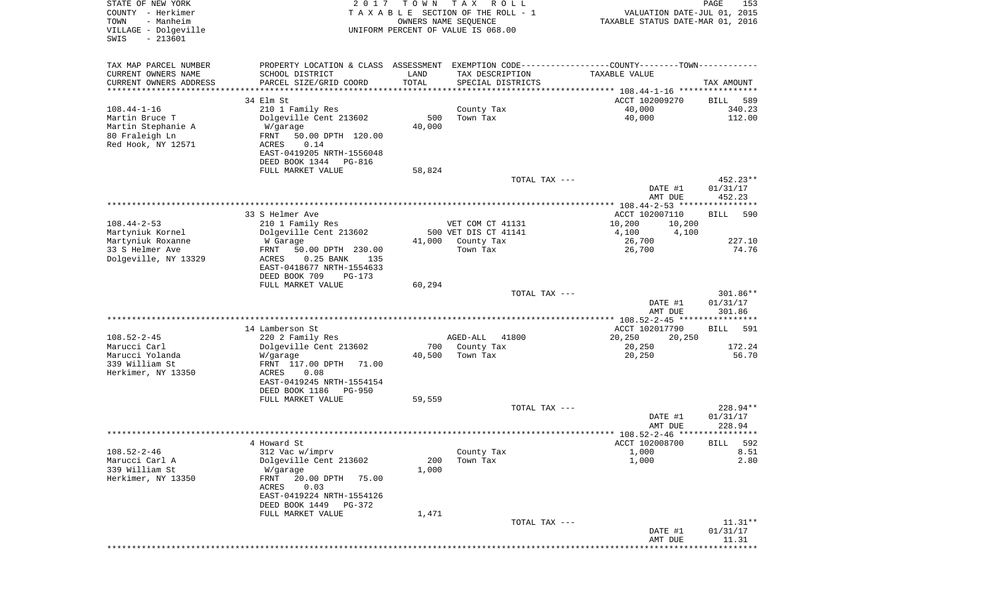| STATE OF NEW YORK<br>COUNTY - Herkimer<br>- Manheim<br>TOWN<br>VILLAGE - Dolgeville<br>$-213601$<br>SWIS | 2 0 1 7                                                                                         | T O W N                        | T A X<br>R O L L<br>TAXABLE SECTION OF THE ROLL - 1<br>OWNERS NAME SEQUENCE<br>UNIFORM PERCENT OF VALUE IS 068.00 | VALUATION DATE-JUL 01, 2015<br>TAXABLE STATUS DATE-MAR 01, 2016 | 153<br>PAGE         |
|----------------------------------------------------------------------------------------------------------|-------------------------------------------------------------------------------------------------|--------------------------------|-------------------------------------------------------------------------------------------------------------------|-----------------------------------------------------------------|---------------------|
|                                                                                                          |                                                                                                 |                                |                                                                                                                   |                                                                 |                     |
| TAX MAP PARCEL NUMBER                                                                                    | PROPERTY LOCATION & CLASS ASSESSMENT EXEMPTION CODE----------------COUNTY--------TOWN---------- |                                |                                                                                                                   |                                                                 |                     |
| CURRENT OWNERS NAME                                                                                      | SCHOOL DISTRICT                                                                                 | LAND                           | TAX DESCRIPTION                                                                                                   | TAXABLE VALUE                                                   |                     |
| CURRENT OWNERS ADDRESS<br>*********************                                                          | PARCEL SIZE/GRID COORD<br>************************                                              | TOTAL<br>* * * * * * * * * * * | SPECIAL DISTRICTS                                                                                                 |                                                                 | TAX AMOUNT          |
|                                                                                                          | 34 Elm St                                                                                       |                                |                                                                                                                   | ACCT 102009270                                                  | 589<br>BILL         |
| $108.44 - 1 - 16$                                                                                        | 210 1 Family Res                                                                                |                                | County Tax                                                                                                        | 40,000                                                          | 340.23              |
| Martin Bruce T                                                                                           | Dolgeville Cent 213602                                                                          | 500                            | Town Tax                                                                                                          | 40,000                                                          | 112.00              |
| Martin Stephanie A                                                                                       | W/garage                                                                                        | 40,000                         |                                                                                                                   |                                                                 |                     |
| 80 Fraleigh Ln<br>Red Hook, NY 12571                                                                     | FRNT<br>50.00 DPTH 120.00<br>0.14<br>ACRES                                                      |                                |                                                                                                                   |                                                                 |                     |
|                                                                                                          | EAST-0419205 NRTH-1556048                                                                       |                                |                                                                                                                   |                                                                 |                     |
|                                                                                                          | DEED BOOK 1344<br>PG-816                                                                        |                                |                                                                                                                   |                                                                 |                     |
|                                                                                                          | FULL MARKET VALUE                                                                               | 58,824                         |                                                                                                                   |                                                                 |                     |
|                                                                                                          |                                                                                                 |                                | TOTAL TAX ---                                                                                                     |                                                                 | 452.23**            |
|                                                                                                          |                                                                                                 |                                |                                                                                                                   | DATE #1<br>AMT DUE                                              | 01/31/17<br>452.23  |
|                                                                                                          |                                                                                                 |                                |                                                                                                                   |                                                                 |                     |
|                                                                                                          | 33 S Helmer Ave                                                                                 |                                |                                                                                                                   | ACCT 102007110                                                  | 590<br>BILL         |
| $108.44 - 2 - 53$<br>Martyniuk Kornel                                                                    | 210 1 Family Res                                                                                |                                | VET COM CT 41131                                                                                                  | 10,200<br>10,200                                                |                     |
| Martyniuk Roxanne                                                                                        | Dolgeville Cent 213602<br>W Garage                                                              | 41,000                         | 500 VET DIS CT 41141<br>County Tax                                                                                | 4,100<br>4,100<br>26,700                                        | 227.10              |
| 33 S Helmer Ave                                                                                          | 50.00 DPTH 230.00<br>FRNT                                                                       |                                | Town Tax                                                                                                          | 26,700                                                          | 74.76               |
| Dolgeville, NY 13329                                                                                     | ACRES<br>$0.25$ BANK<br>135                                                                     |                                |                                                                                                                   |                                                                 |                     |
|                                                                                                          | EAST-0418677 NRTH-1554633                                                                       |                                |                                                                                                                   |                                                                 |                     |
|                                                                                                          | DEED BOOK 709<br>PG-173<br>FULL MARKET VALUE                                                    | 60,294                         |                                                                                                                   |                                                                 |                     |
|                                                                                                          |                                                                                                 |                                | TOTAL TAX ---                                                                                                     |                                                                 | 301.86**            |
|                                                                                                          |                                                                                                 |                                |                                                                                                                   | DATE #1                                                         | 01/31/17            |
|                                                                                                          |                                                                                                 |                                |                                                                                                                   | AMT DUE                                                         | 301.86              |
|                                                                                                          | 14 Lamberson St                                                                                 |                                |                                                                                                                   | ACCT 102017790                                                  | 591<br>BILL         |
| $108.52 - 2 - 45$                                                                                        | 220 2 Family Res                                                                                |                                | AGED-ALL<br>41800                                                                                                 | 20,250<br>20,250                                                |                     |
| Marucci Carl                                                                                             | Dolgeville Cent 213602                                                                          | 700                            | County Tax                                                                                                        | 20,250                                                          | 172.24              |
| Marucci Yolanda<br>339 William St                                                                        | W/garage                                                                                        | 40,500                         | Town Tax                                                                                                          | 20,250                                                          | 56.70               |
| Herkimer, NY 13350                                                                                       | FRNT 117.00 DPTH<br>71.00<br>ACRES<br>0.08                                                      |                                |                                                                                                                   |                                                                 |                     |
|                                                                                                          | EAST-0419245 NRTH-1554154                                                                       |                                |                                                                                                                   |                                                                 |                     |
|                                                                                                          | DEED BOOK 1186<br>PG-950                                                                        |                                |                                                                                                                   |                                                                 |                     |
|                                                                                                          | FULL MARKET VALUE                                                                               | 59,559                         | TOTAL TAX ---                                                                                                     |                                                                 | 228.94**            |
|                                                                                                          |                                                                                                 |                                |                                                                                                                   | DATE #1                                                         | 01/31/17            |
|                                                                                                          |                                                                                                 |                                |                                                                                                                   | AMT DUE                                                         | 228.94              |
|                                                                                                          |                                                                                                 |                                |                                                                                                                   |                                                                 |                     |
|                                                                                                          | 4 Howard St                                                                                     |                                |                                                                                                                   | ACCT 102008700                                                  | 592<br><b>BILL</b>  |
| $108.52 - 2 - 46$<br>Marucci Carl A                                                                      | 312 Vac w/imprv<br>Dolgeville Cent 213602                                                       | 200                            | County Tax<br>Town Tax                                                                                            | 1,000<br>1,000                                                  | 8.51<br>2.80        |
| 339 William St                                                                                           | W/garage                                                                                        | 1,000                          |                                                                                                                   |                                                                 |                     |
| Herkimer, NY 13350                                                                                       | 20.00 DPTH<br>FRNT<br>75.00                                                                     |                                |                                                                                                                   |                                                                 |                     |
|                                                                                                          | ACRES<br>0.03                                                                                   |                                |                                                                                                                   |                                                                 |                     |
|                                                                                                          | EAST-0419224 NRTH-1554126<br>DEED BOOK 1449<br>PG-372                                           |                                |                                                                                                                   |                                                                 |                     |
|                                                                                                          | FULL MARKET VALUE                                                                               | 1,471                          |                                                                                                                   |                                                                 |                     |
|                                                                                                          |                                                                                                 |                                | TOTAL TAX ---                                                                                                     |                                                                 | $11.31**$           |
|                                                                                                          |                                                                                                 |                                |                                                                                                                   | DATE #1                                                         | 01/31/17            |
|                                                                                                          |                                                                                                 |                                |                                                                                                                   | AMT DUE                                                         | 11.31<br>********** |
|                                                                                                          |                                                                                                 |                                |                                                                                                                   |                                                                 |                     |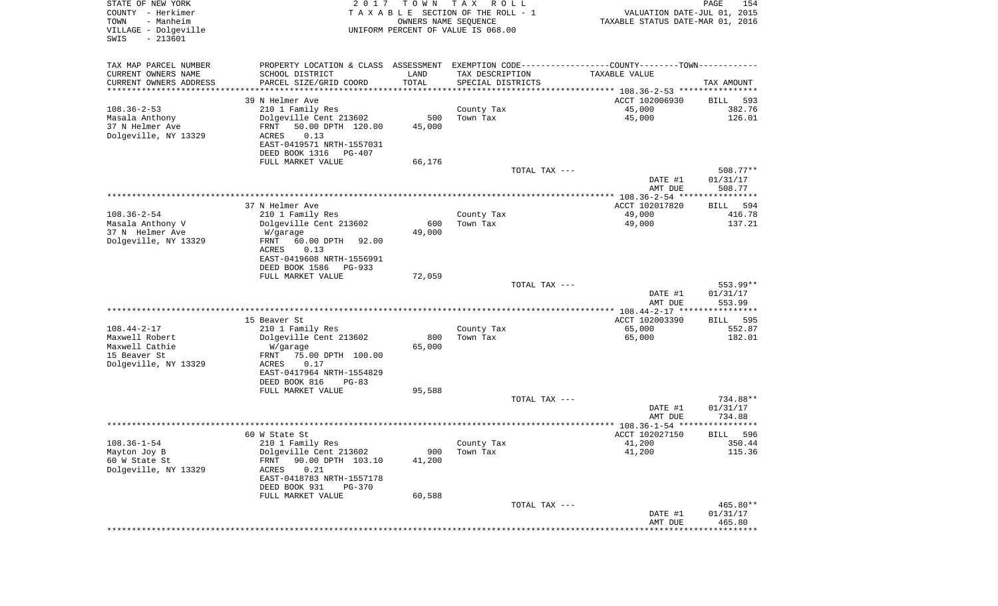| STATE OF NEW YORK<br>COUNTY - Herkimer<br>- Manheim<br>TOWN<br>VILLAGE - Dolgeville<br>$-213601$<br>SWIS | 2017                                                                                           | T O W N<br>OWNERS NAME SEQUENCE | T A X<br>R O L L<br>TAXABLE SECTION OF THE ROLL - 1<br>UNIFORM PERCENT OF VALUE IS 068.00 | VALUATION DATE-JUL 01, 2015<br>TAXABLE STATUS DATE-MAR 01, 2016 | PAGE<br>154           |
|----------------------------------------------------------------------------------------------------------|------------------------------------------------------------------------------------------------|---------------------------------|-------------------------------------------------------------------------------------------|-----------------------------------------------------------------|-----------------------|
| TAX MAP PARCEL NUMBER                                                                                    | PROPERTY LOCATION & CLASS ASSESSMENT EXEMPTION CODE----------------COUNTY-------TOWN---------- |                                 |                                                                                           |                                                                 |                       |
| CURRENT OWNERS NAME                                                                                      | SCHOOL DISTRICT                                                                                | LAND                            | TAX DESCRIPTION                                                                           | TAXABLE VALUE                                                   |                       |
| CURRENT OWNERS ADDRESS<br>********************                                                           | PARCEL SIZE/GRID COORD                                                                         | TOTAL<br>* * * * * * * * * * *  | SPECIAL DISTRICTS                                                                         |                                                                 | TAX AMOUNT            |
|                                                                                                          | 39 N Helmer Ave                                                                                |                                 |                                                                                           | ACCT 102006930                                                  | 593<br>BILL           |
| $108.36 - 2 - 53$                                                                                        | 210 1 Family Res                                                                               |                                 | County Tax                                                                                | 45,000                                                          | 382.76                |
| Masala Anthony                                                                                           | Dolgeville Cent 213602                                                                         | 500                             | Town Tax                                                                                  | 45,000                                                          | 126.01                |
| 37 N Helmer Ave                                                                                          | 50.00 DPTH 120.00<br>FRNT                                                                      | 45,000                          |                                                                                           |                                                                 |                       |
| Dolgeville, NY 13329                                                                                     | 0.13<br>ACRES                                                                                  |                                 |                                                                                           |                                                                 |                       |
|                                                                                                          | EAST-0419571 NRTH-1557031                                                                      |                                 |                                                                                           |                                                                 |                       |
|                                                                                                          | DEED BOOK 1316<br>PG-407<br>FULL MARKET VALUE                                                  | 66,176                          |                                                                                           |                                                                 |                       |
|                                                                                                          |                                                                                                |                                 | TOTAL TAX ---                                                                             |                                                                 | $508.77**$            |
|                                                                                                          |                                                                                                |                                 |                                                                                           | DATE #1<br>AMT DUE                                              | 01/31/17<br>508.77    |
|                                                                                                          |                                                                                                |                                 |                                                                                           |                                                                 |                       |
|                                                                                                          | 37 N Helmer Ave                                                                                |                                 |                                                                                           | ACCT 102017820                                                  | 594<br>BILL           |
| $108.36 - 2 - 54$<br>Masala Anthony V                                                                    | 210 1 Family Res<br>Dolgeville Cent 213602                                                     | 600                             | County Tax<br>Town Tax                                                                    | 49,000<br>49,000                                                | 416.78<br>137.21      |
| 37 N Helmer Ave                                                                                          | W/garage                                                                                       | 49,000                          |                                                                                           |                                                                 |                       |
| Dolgeville, NY 13329                                                                                     | FRNT<br>60.00 DPTH<br>92.00                                                                    |                                 |                                                                                           |                                                                 |                       |
|                                                                                                          | ACRES<br>0.13                                                                                  |                                 |                                                                                           |                                                                 |                       |
|                                                                                                          | EAST-0419608 NRTH-1556991                                                                      |                                 |                                                                                           |                                                                 |                       |
|                                                                                                          | DEED BOOK 1586<br>PG-933<br>FULL MARKET VALUE                                                  | 72,059                          |                                                                                           |                                                                 |                       |
|                                                                                                          |                                                                                                |                                 | TOTAL TAX ---                                                                             |                                                                 | $553.99**$            |
|                                                                                                          |                                                                                                |                                 |                                                                                           | DATE #1<br>AMT DUE                                              | 01/31/17<br>553.99    |
|                                                                                                          |                                                                                                |                                 |                                                                                           | *********** 108.44-2-17 *****************                       |                       |
|                                                                                                          | 15 Beaver St                                                                                   |                                 |                                                                                           | ACCT 102003390                                                  | 595<br>BILL           |
| $108.44 - 2 - 17$<br>Maxwell Robert                                                                      | 210 1 Family Res<br>Dolgeville Cent 213602                                                     | 800                             | County Tax<br>Town Tax                                                                    | 65,000<br>65,000                                                | 552.87<br>182.01      |
| Maxwell Cathie                                                                                           | W/garage                                                                                       | 65,000                          |                                                                                           |                                                                 |                       |
| 15 Beaver St                                                                                             | 75.00 DPTH 100.00<br>FRNT                                                                      |                                 |                                                                                           |                                                                 |                       |
| Dolgeville, NY 13329                                                                                     | ACRES<br>0.17                                                                                  |                                 |                                                                                           |                                                                 |                       |
|                                                                                                          | EAST-0417964 NRTH-1554829                                                                      |                                 |                                                                                           |                                                                 |                       |
|                                                                                                          | DEED BOOK 816<br>$PG-83$<br>FULL MARKET VALUE                                                  | 95,588                          |                                                                                           |                                                                 |                       |
|                                                                                                          |                                                                                                |                                 | TOTAL TAX ---                                                                             |                                                                 | 734.88**              |
|                                                                                                          |                                                                                                |                                 |                                                                                           | DATE #1                                                         | 01/31/17              |
|                                                                                                          |                                                                                                |                                 |                                                                                           | AMT DUE                                                         | 734.88                |
|                                                                                                          |                                                                                                |                                 |                                                                                           |                                                                 | * * * * * * *         |
| $108.36 - 1 - 54$                                                                                        | 60 W State St<br>210 1 Family Res                                                              |                                 |                                                                                           | ACCT 102027150<br>41,200                                        | 596<br>BILL<br>350.44 |
| Mayton Joy B                                                                                             | Dolgeville Cent 213602                                                                         | 900                             | County Tax<br>Town Tax                                                                    | 41,200                                                          | 115.36                |
| 60 W State St                                                                                            | 90.00 DPTH 103.10<br>FRNT                                                                      | 41,200                          |                                                                                           |                                                                 |                       |
| Dolgeville, NY 13329                                                                                     | 0.21<br>ACRES                                                                                  |                                 |                                                                                           |                                                                 |                       |
|                                                                                                          | EAST-0418783 NRTH-1557178                                                                      |                                 |                                                                                           |                                                                 |                       |
|                                                                                                          | DEED BOOK 931<br><b>PG-370</b>                                                                 |                                 |                                                                                           |                                                                 |                       |
|                                                                                                          | FULL MARKET VALUE                                                                              | 60,588                          | TOTAL TAX ---                                                                             |                                                                 | 465.80**              |
|                                                                                                          |                                                                                                |                                 |                                                                                           | DATE #1                                                         | 01/31/17              |
|                                                                                                          |                                                                                                |                                 |                                                                                           | AMT DUE                                                         | 465.80                |
|                                                                                                          |                                                                                                |                                 |                                                                                           | ***************************                                     |                       |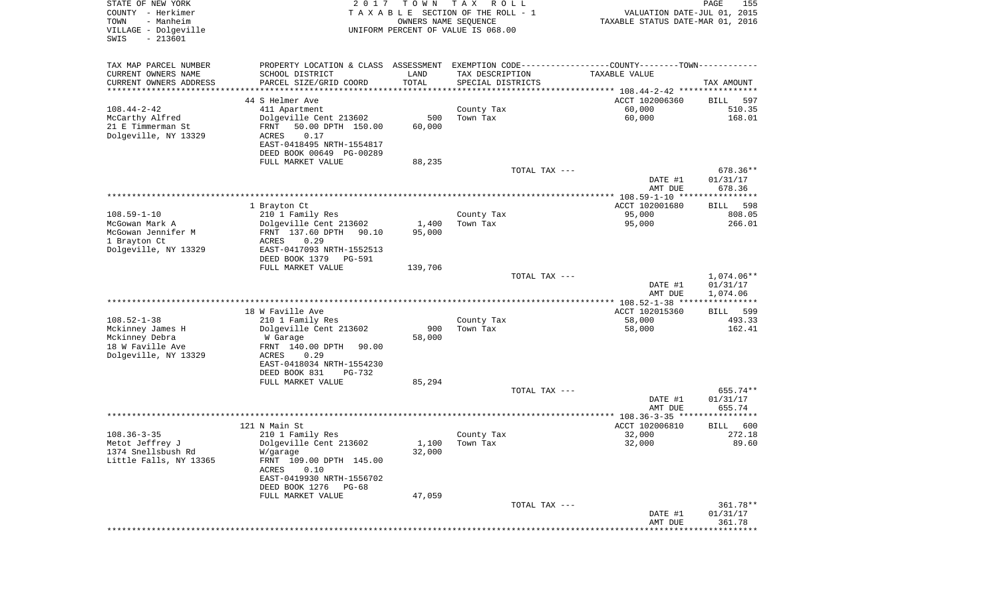| STATE OF NEW YORK<br>COUNTY - Herkimer<br>TOWN<br>- Manheim<br>VILLAGE - Dolgeville<br>$-213601$<br>SWIS | 2017                                                  | T O W N<br>OWNERS NAME SEQUENCE | T A X<br>R O L L<br>TAXABLE SECTION OF THE ROLL - 1<br>UNIFORM PERCENT OF VALUE IS 068.00 | VALUATION DATE-JUL 01, 2015<br>TAXABLE STATUS DATE-MAR 01, 2016                               | PAGE<br>155                    |
|----------------------------------------------------------------------------------------------------------|-------------------------------------------------------|---------------------------------|-------------------------------------------------------------------------------------------|-----------------------------------------------------------------------------------------------|--------------------------------|
| TAX MAP PARCEL NUMBER                                                                                    |                                                       |                                 |                                                                                           | PROPERTY LOCATION & CLASS ASSESSMENT EXEMPTION CODE---------------COUNTY-------TOWN---------- |                                |
| CURRENT OWNERS NAME                                                                                      | SCHOOL DISTRICT                                       | LAND                            | TAX DESCRIPTION                                                                           | TAXABLE VALUE                                                                                 |                                |
| CURRENT OWNERS ADDRESS<br>**********************                                                         | PARCEL SIZE/GRID COORD                                | TOTAL<br>**************         | SPECIAL DISTRICTS                                                                         |                                                                                               | TAX AMOUNT                     |
|                                                                                                          | 44 S Helmer Ave                                       |                                 |                                                                                           | ACCT 102006360                                                                                | BILL<br>597                    |
| $108.44 - 2 - 42$                                                                                        | 411 Apartment                                         |                                 | County Tax                                                                                | 60,000                                                                                        | 510.35                         |
| McCarthy Alfred                                                                                          | Dolgeville Cent 213602                                | 500                             | Town Tax                                                                                  | 60,000                                                                                        | 168.01                         |
| 21 E Timmerman St                                                                                        | 50.00 DPTH 150.00<br>FRNT                             | 60,000                          |                                                                                           |                                                                                               |                                |
| Dolgeville, NY 13329                                                                                     | ACRES<br>0.17                                         |                                 |                                                                                           |                                                                                               |                                |
|                                                                                                          | EAST-0418495 NRTH-1554817                             |                                 |                                                                                           |                                                                                               |                                |
|                                                                                                          | DEED BOOK 00649 PG-00289                              |                                 |                                                                                           |                                                                                               |                                |
|                                                                                                          | FULL MARKET VALUE                                     | 88,235                          |                                                                                           |                                                                                               |                                |
|                                                                                                          |                                                       |                                 | TOTAL TAX ---                                                                             | DATE #1<br>AMT DUE                                                                            | 678.36**<br>01/31/17<br>678.36 |
|                                                                                                          |                                                       |                                 |                                                                                           |                                                                                               |                                |
|                                                                                                          | 1 Brayton Ct                                          |                                 |                                                                                           | ACCT 102001680                                                                                | 598<br>BILL                    |
| $108.59 - 1 - 10$                                                                                        | 210 1 Family Res                                      |                                 | County Tax                                                                                | 95,000                                                                                        | 808.05                         |
| McGowan Mark A                                                                                           | Dolgeville Cent 213602                                | 1,400                           | Town Tax                                                                                  | 95,000                                                                                        | 266.01                         |
| McGowan Jennifer M                                                                                       | FRNT 137.60 DPTH<br>90.10                             | 95,000                          |                                                                                           |                                                                                               |                                |
| 1 Brayton Ct                                                                                             | ACRES<br>0.29                                         |                                 |                                                                                           |                                                                                               |                                |
| Dolgeville, NY 13329                                                                                     | EAST-0417093 NRTH-1552513<br>DEED BOOK 1379<br>PG-591 |                                 |                                                                                           |                                                                                               |                                |
|                                                                                                          | FULL MARKET VALUE                                     | 139,706                         |                                                                                           |                                                                                               |                                |
|                                                                                                          |                                                       |                                 | TOTAL TAX ---                                                                             |                                                                                               | 1,074.06**                     |
|                                                                                                          |                                                       |                                 |                                                                                           | DATE #1                                                                                       | 01/31/17                       |
|                                                                                                          |                                                       |                                 |                                                                                           | AMT DUE                                                                                       | 1,074.06                       |
|                                                                                                          |                                                       |                                 |                                                                                           |                                                                                               |                                |
| $108.52 - 1 - 38$                                                                                        | 18 W Faville Ave                                      |                                 |                                                                                           | ACCT 102015360                                                                                | BILL<br>599<br>493.33          |
| Mckinney James H                                                                                         | 210 1 Family Res<br>Dolgeville Cent 213602            | 900                             | County Tax<br>Town Tax                                                                    | 58,000<br>58,000                                                                              | 162.41                         |
| Mckinney Debra                                                                                           | W Garage                                              | 58,000                          |                                                                                           |                                                                                               |                                |
| 18 W Faville Ave                                                                                         | FRNT 140.00 DPTH<br>90.00                             |                                 |                                                                                           |                                                                                               |                                |
| Dolgeville, NY 13329                                                                                     | ACRES<br>0.29                                         |                                 |                                                                                           |                                                                                               |                                |
|                                                                                                          | EAST-0418034 NRTH-1554230                             |                                 |                                                                                           |                                                                                               |                                |
|                                                                                                          | DEED BOOK 831<br>PG-732                               |                                 |                                                                                           |                                                                                               |                                |
|                                                                                                          | FULL MARKET VALUE                                     | 85,294                          |                                                                                           |                                                                                               |                                |
|                                                                                                          |                                                       |                                 | TOTAL TAX ---                                                                             |                                                                                               | 655.74**                       |
|                                                                                                          |                                                       |                                 |                                                                                           | DATE #1                                                                                       | 01/31/17                       |
|                                                                                                          |                                                       |                                 |                                                                                           | AMT DUE                                                                                       | 655.74                         |
|                                                                                                          | 121 N Main St                                         |                                 |                                                                                           | ACCT 102006810                                                                                | 600<br>BILL                    |
| $108.36 - 3 - 35$                                                                                        | 210 1 Family Res                                      |                                 | County Tax                                                                                | 32,000                                                                                        | 272.18                         |
| Metot Jeffrey J                                                                                          | Dolgeville Cent 213602                                |                                 | $1,100$ Town Tax                                                                          | 32,000                                                                                        | 89.60                          |
| 1374 Snellsbush Rd                                                                                       | W/garage                                              | 32,000                          |                                                                                           |                                                                                               |                                |
| Little Falls, NY 13365                                                                                   | FRNT 109.00 DPTH 145.00                               |                                 |                                                                                           |                                                                                               |                                |
|                                                                                                          | ACRES<br>0.10                                         |                                 |                                                                                           |                                                                                               |                                |
|                                                                                                          | EAST-0419930 NRTH-1556702                             |                                 |                                                                                           |                                                                                               |                                |
|                                                                                                          | DEED BOOK 1276<br>PG-68<br>FULL MARKET VALUE          |                                 |                                                                                           |                                                                                               |                                |
|                                                                                                          |                                                       | 47,059                          | TOTAL TAX ---                                                                             |                                                                                               | 361.78**                       |
|                                                                                                          |                                                       |                                 |                                                                                           | DATE #1                                                                                       | 01/31/17                       |
|                                                                                                          |                                                       |                                 |                                                                                           | AMT DUE                                                                                       | 361.78                         |
|                                                                                                          |                                                       |                                 |                                                                                           |                                                                                               |                                |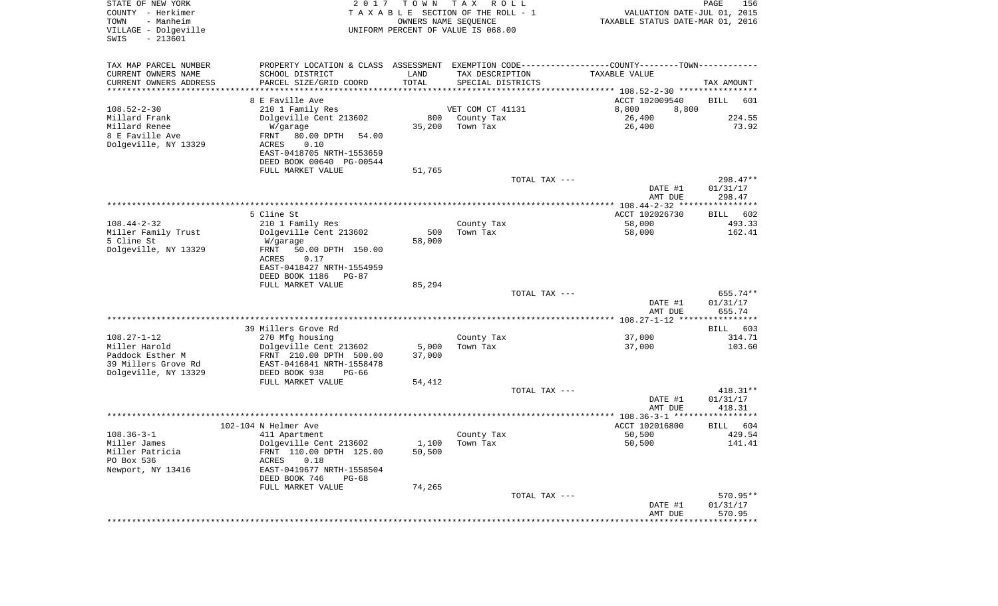| STATE OF NEW YORK<br>COUNTY - Herkimer<br>TOWN<br>- Manheim     | 2 0 1 7                                                                                                          | T O W N         | T A X<br>R O L L<br>TAXABLE SECTION OF THE ROLL - 1<br>OWNERS NAME SEQUENCE | VALUATION DATE-JUL 01, 2015<br>TAXABLE STATUS DATE-MAR 01, 2016 | PAGE<br>156                    |
|-----------------------------------------------------------------|------------------------------------------------------------------------------------------------------------------|-----------------|-----------------------------------------------------------------------------|-----------------------------------------------------------------|--------------------------------|
| VILLAGE - Dolgeville<br>$-213601$<br>SWIS                       |                                                                                                                  |                 | UNIFORM PERCENT OF VALUE IS 068.00                                          |                                                                 |                                |
| TAX MAP PARCEL NUMBER<br>CURRENT OWNERS NAME                    | PROPERTY LOCATION & CLASS ASSESSMENT EXEMPTION CODE---------------COUNTY-------TOWN----------<br>SCHOOL DISTRICT | LAND            | TAX DESCRIPTION                                                             | TAXABLE VALUE                                                   |                                |
| CURRENT OWNERS ADDRESS<br>*********************                 | PARCEL SIZE/GRID COORD                                                                                           | TOTAL           | SPECIAL DISTRICTS                                                           |                                                                 | TAX AMOUNT                     |
|                                                                 | 8 E Faville Ave                                                                                                  |                 |                                                                             | ACCT 102009540                                                  | BILL<br>601                    |
| $108.52 - 2 - 30$                                               | 210 1 Family Res                                                                                                 |                 | VET COM CT 41131                                                            | 8,800<br>8,800                                                  |                                |
| Millard Frank                                                   | Dolgeville Cent 213602                                                                                           | 800             | County Tax                                                                  | 26,400                                                          | 224.55                         |
| Millard Renee                                                   | W/garage                                                                                                         | 35,200          | Town Tax                                                                    | 26,400                                                          | 73.92                          |
| 8 E Faville Ave<br>Dolgeville, NY 13329                         | 80.00 DPTH<br>FRNT<br>54.00<br>ACRES<br>0.10<br>EAST-0418705 NRTH-1553659<br>DEED BOOK 00640 PG-00544            |                 |                                                                             |                                                                 |                                |
|                                                                 | FULL MARKET VALUE                                                                                                | 51,765          |                                                                             |                                                                 |                                |
|                                                                 |                                                                                                                  |                 | TOTAL TAX ---                                                               |                                                                 | 298.47**                       |
|                                                                 |                                                                                                                  |                 |                                                                             | DATE #1<br>AMT DUE                                              | 01/31/17<br>298.47             |
|                                                                 |                                                                                                                  |                 |                                                                             |                                                                 |                                |
| $108.44 - 2 - 32$                                               | 5 Cline St                                                                                                       |                 |                                                                             | ACCT 102026730<br>58,000                                        | BILL<br>602<br>493.33          |
| Miller Family Trust                                             | 210 1 Family Res<br>Dolgeville Cent 213602                                                                       | 500             | County Tax<br>Town Tax                                                      | 58,000                                                          | 162.41                         |
| 5 Cline St                                                      | W/garage                                                                                                         | 58,000          |                                                                             |                                                                 |                                |
| Dolgeville, NY 13329                                            | 50.00 DPTH 150.00<br>FRNT<br>ACRES<br>0.17<br>EAST-0418427 NRTH-1554959                                          |                 |                                                                             |                                                                 |                                |
|                                                                 | DEED BOOK 1186<br>PG-87<br>FULL MARKET VALUE                                                                     | 85,294          |                                                                             |                                                                 |                                |
|                                                                 |                                                                                                                  |                 | TOTAL TAX ---                                                               |                                                                 | 655.74**                       |
|                                                                 |                                                                                                                  |                 |                                                                             | DATE #1<br>AMT DUE                                              | 01/31/17<br>655.74             |
|                                                                 |                                                                                                                  |                 |                                                                             |                                                                 |                                |
|                                                                 | 39 Millers Grove Rd                                                                                              |                 |                                                                             |                                                                 | BILL 603                       |
| $108.27 - 1 - 12$<br>Miller Harold                              | 270 Mfg housing                                                                                                  |                 | County Tax<br>Town Tax                                                      | 37,000                                                          | 314.71<br>103.60               |
| Paddock Esther M<br>39 Millers Grove Rd<br>Dolgeville, NY 13329 | Dolgeville Cent 213602<br>FRNT 210.00 DPTH 500.00<br>EAST-0416841 NRTH-1558478<br>DEED BOOK 938<br>PG-66         | 5,000<br>37,000 |                                                                             | 37,000                                                          |                                |
|                                                                 | FULL MARKET VALUE                                                                                                | 54,412          |                                                                             |                                                                 |                                |
|                                                                 |                                                                                                                  |                 | TOTAL TAX ---                                                               |                                                                 | $418.31**$                     |
|                                                                 |                                                                                                                  |                 |                                                                             | DATE #1<br>AMT DUE                                              | 01/31/17<br>418.31             |
|                                                                 |                                                                                                                  |                 |                                                                             |                                                                 |                                |
|                                                                 | 102-104 N Helmer Ave                                                                                             |                 |                                                                             | ACCT 102016800                                                  | 604<br>BILL                    |
| $108.36 - 3 - 1$                                                | 411 Apartment                                                                                                    |                 | County Tax                                                                  | 50,500                                                          | 429.54                         |
| Miller James<br>Miller Patricia<br>PO Box 536                   | Dolgeville Cent 213602<br>FRNT 110.00 DPTH 125.00<br>ACRES<br>0.18                                               | 50,500          | $1,100$ Town Tax                                                            | 50,500                                                          | 141.41                         |
| Newport, NY 13416                                               | EAST-0419677 NRTH-1558504<br>DEED BOOK 746<br>PG-68                                                              |                 |                                                                             |                                                                 |                                |
|                                                                 | FULL MARKET VALUE                                                                                                | 74,265          |                                                                             |                                                                 |                                |
|                                                                 |                                                                                                                  |                 | TOTAL TAX ---                                                               | DATE #1<br>AMT DUE                                              | 570.95**<br>01/31/17<br>570.95 |
|                                                                 |                                                                                                                  |                 |                                                                             | ************************************                            |                                |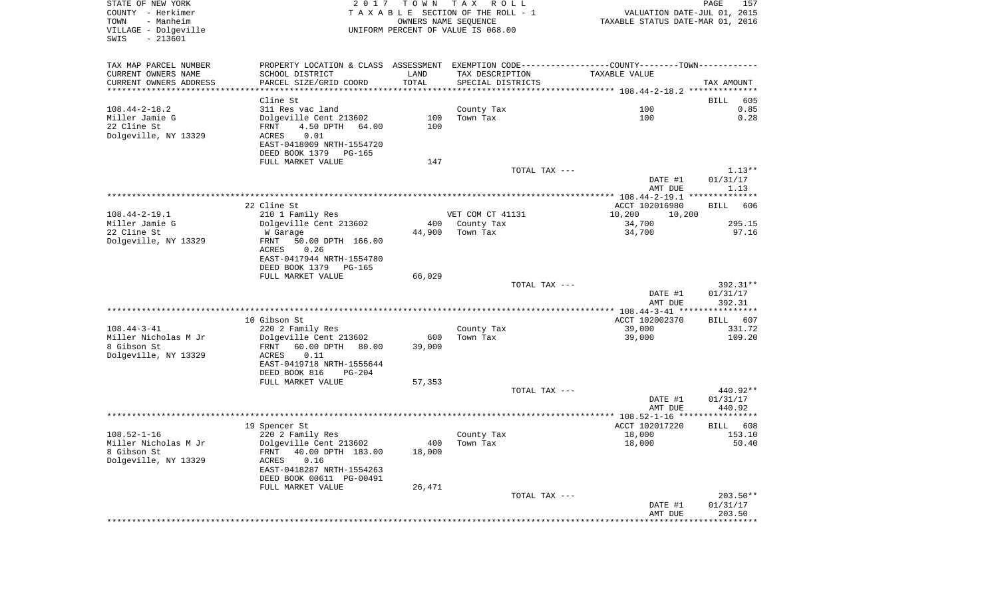| STATE OF NEW YORK<br>COUNTY - Herkimer<br>- Manheim<br>TOWN<br>VILLAGE - Dolgeville<br>$-213601$<br>SWIS | 2017                                                                                          | T O W N<br>OWNERS NAME SEQUENCE | T A X<br>R O L L<br>TAXABLE SECTION OF THE ROLL - 1<br>UNIFORM PERCENT OF VALUE IS 068.00 | VALUATION DATE-JUL 01, 2015<br>TAXABLE STATUS DATE-MAR 01, 2016 | PAGE<br>157           |
|----------------------------------------------------------------------------------------------------------|-----------------------------------------------------------------------------------------------|---------------------------------|-------------------------------------------------------------------------------------------|-----------------------------------------------------------------|-----------------------|
| TAX MAP PARCEL NUMBER                                                                                    | PROPERTY LOCATION & CLASS ASSESSMENT EXEMPTION CODE---------------COUNTY-------TOWN---------- |                                 |                                                                                           |                                                                 |                       |
| CURRENT OWNERS NAME                                                                                      | SCHOOL DISTRICT                                                                               | LAND                            | TAX DESCRIPTION                                                                           | TAXABLE VALUE                                                   |                       |
| CURRENT OWNERS ADDRESS                                                                                   | PARCEL SIZE/GRID COORD                                                                        | TOTAL                           | SPECIAL DISTRICTS                                                                         |                                                                 | TAX AMOUNT            |
| ************************                                                                                 | Cline St                                                                                      |                                 |                                                                                           |                                                                 |                       |
| $108.44 - 2 - 18.2$                                                                                      | 311 Res vac land                                                                              |                                 | County Tax                                                                                | 100                                                             | 605<br>BILL<br>0.85   |
| Miller Jamie G                                                                                           | Dolgeville Cent 213602                                                                        | 100                             | Town Tax                                                                                  | 100                                                             | 0.28                  |
| 22 Cline St                                                                                              | FRNT<br>4.50 DPTH<br>64.00                                                                    | 100                             |                                                                                           |                                                                 |                       |
| Dolgeville, NY 13329                                                                                     | 0.01<br>ACRES                                                                                 |                                 |                                                                                           |                                                                 |                       |
|                                                                                                          | EAST-0418009 NRTH-1554720                                                                     |                                 |                                                                                           |                                                                 |                       |
|                                                                                                          | DEED BOOK 1379<br>PG-165                                                                      |                                 |                                                                                           |                                                                 |                       |
|                                                                                                          | FULL MARKET VALUE                                                                             | 147                             | TOTAL TAX ---                                                                             |                                                                 | $1.13**$              |
|                                                                                                          |                                                                                               |                                 |                                                                                           | DATE #1                                                         | 01/31/17              |
|                                                                                                          |                                                                                               |                                 |                                                                                           | AMT DUE                                                         | 1.13                  |
|                                                                                                          |                                                                                               |                                 |                                                                                           |                                                                 |                       |
|                                                                                                          | 22 Cline St                                                                                   |                                 |                                                                                           | ACCT 102016980                                                  | BILL<br>606           |
| $108.44 - 2 - 19.1$<br>Miller Jamie G                                                                    | 210 1 Family Res<br>Dolgeville Cent 213602                                                    | 400                             | VET COM CT 41131<br>County Tax                                                            | 10,200<br>10,200<br>34,700                                      | 295.15                |
| 22 Cline St                                                                                              | W Garage                                                                                      | 44,900                          | Town Tax                                                                                  | 34,700                                                          | 97.16                 |
| Dolgeville, NY 13329                                                                                     | FRNT<br>50.00 DPTH 166.00                                                                     |                                 |                                                                                           |                                                                 |                       |
|                                                                                                          | 0.26<br>ACRES                                                                                 |                                 |                                                                                           |                                                                 |                       |
|                                                                                                          | EAST-0417944 NRTH-1554780                                                                     |                                 |                                                                                           |                                                                 |                       |
|                                                                                                          | DEED BOOK 1379<br>PG-165<br>FULL MARKET VALUE                                                 |                                 |                                                                                           |                                                                 |                       |
|                                                                                                          |                                                                                               | 66,029                          | TOTAL TAX ---                                                                             |                                                                 | 392.31**              |
|                                                                                                          |                                                                                               |                                 |                                                                                           | DATE #1                                                         | 01/31/17              |
|                                                                                                          |                                                                                               |                                 |                                                                                           | AMT DUE                                                         | 392.31                |
|                                                                                                          |                                                                                               |                                 |                                                                                           | ************** 108.44-3-41 *****************                    |                       |
| $108.44 - 3 - 41$                                                                                        | 10 Gibson St                                                                                  |                                 |                                                                                           | ACCT 102002370                                                  | 607<br>BILL<br>331.72 |
| Miller Nicholas M Jr                                                                                     | 220 2 Family Res<br>Dolgeville Cent 213602                                                    | 600                             | County Tax<br>Town Tax                                                                    | 39,000<br>39,000                                                | 109.20                |
| 8 Gibson St                                                                                              | FRNT<br>60.00 DPTH<br>80.00                                                                   | 39,000                          |                                                                                           |                                                                 |                       |
| Dolgeville, NY 13329                                                                                     | ACRES<br>0.11                                                                                 |                                 |                                                                                           |                                                                 |                       |
|                                                                                                          | EAST-0419718 NRTH-1555644                                                                     |                                 |                                                                                           |                                                                 |                       |
|                                                                                                          | DEED BOOK 816<br>PG-204                                                                       |                                 |                                                                                           |                                                                 |                       |
|                                                                                                          | FULL MARKET VALUE                                                                             | 57,353                          | TOTAL TAX ---                                                                             |                                                                 | 440.92**              |
|                                                                                                          |                                                                                               |                                 |                                                                                           | DATE #1                                                         | 01/31/17              |
|                                                                                                          |                                                                                               |                                 |                                                                                           | AMT DUE                                                         | 440.92                |
|                                                                                                          |                                                                                               |                                 |                                                                                           |                                                                 |                       |
|                                                                                                          | 19 Spencer St                                                                                 |                                 |                                                                                           | ACCT 102017220                                                  | 608<br>BILL<br>153.10 |
| $108.52 - 1 - 16$<br>Miller Nicholas M Jr                                                                | 220 2 Family Res<br>Dolgeville Cent 213602                                                    |                                 | County Tax<br>400 Town Tax                                                                | 18,000<br>18,000                                                | 50.40                 |
| 8 Gibson St                                                                                              | 40.00 DPTH 183.00<br>FRNT                                                                     | 18,000                          |                                                                                           |                                                                 |                       |
| Dolgeville, NY 13329                                                                                     | ACRES<br>0.16                                                                                 |                                 |                                                                                           |                                                                 |                       |
|                                                                                                          | EAST-0418287 NRTH-1554263                                                                     |                                 |                                                                                           |                                                                 |                       |
|                                                                                                          | DEED BOOK 00611 PG-00491                                                                      |                                 |                                                                                           |                                                                 |                       |
|                                                                                                          | FULL MARKET VALUE                                                                             | 26,471                          | TOTAL TAX ---                                                                             |                                                                 | 203.50**              |
|                                                                                                          |                                                                                               |                                 |                                                                                           | DATE #1                                                         | 01/31/17              |
|                                                                                                          |                                                                                               |                                 |                                                                                           | AMT DUE                                                         | 203.50                |
|                                                                                                          |                                                                                               |                                 |                                                                                           |                                                                 |                       |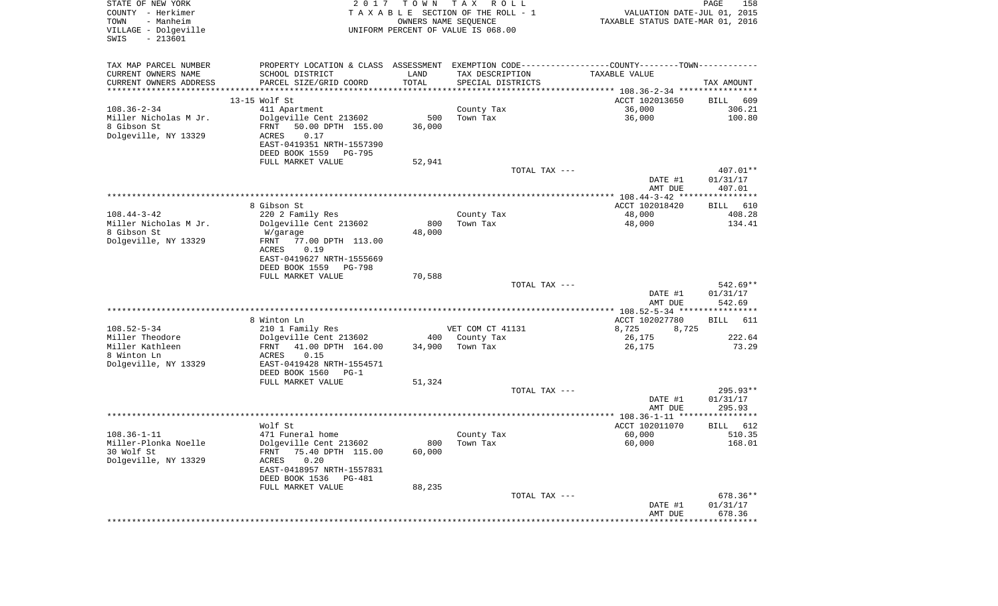| STATE OF NEW YORK<br>COUNTY - Herkimer<br>- Manheim<br>TOWN<br>VILLAGE - Dolgeville<br>$-213601$<br>SWIS | 2 0 1 7                                                                                       | T O W N<br>OWNERS NAME SEQUENCE | T A X<br>R O L L<br>TAXABLE SECTION OF THE ROLL - 1<br>UNIFORM PERCENT OF VALUE IS 068.00 | VALUATION DATE-JUL 01, 2015<br>TAXABLE STATUS DATE-MAR 01, 2016 | 158<br>PAGE          |
|----------------------------------------------------------------------------------------------------------|-----------------------------------------------------------------------------------------------|---------------------------------|-------------------------------------------------------------------------------------------|-----------------------------------------------------------------|----------------------|
| TAX MAP PARCEL NUMBER                                                                                    | PROPERTY LOCATION & CLASS ASSESSMENT EXEMPTION CODE---------------COUNTY-------TOWN---------- |                                 |                                                                                           |                                                                 |                      |
| CURRENT OWNERS NAME                                                                                      | SCHOOL DISTRICT                                                                               | LAND                            | TAX DESCRIPTION                                                                           | TAXABLE VALUE                                                   |                      |
| CURRENT OWNERS ADDRESS<br>*************************                                                      | PARCEL SIZE/GRID COORD<br>*************************************                               | TOTAL                           | SPECIAL DISTRICTS                                                                         |                                                                 | TAX AMOUNT           |
|                                                                                                          | 13-15 Wolf St                                                                                 |                                 |                                                                                           | ACCT 102013650                                                  | 609<br>BILL          |
| $108.36 - 2 - 34$                                                                                        | 411 Apartment                                                                                 |                                 | County Tax                                                                                | 36,000                                                          | 306.21               |
| Miller Nicholas M Jr.                                                                                    | Dolgeville Cent 213602                                                                        | 500                             | Town Tax                                                                                  | 36,000                                                          | 100.80               |
| 8 Gibson St                                                                                              | 50.00 DPTH 155.00<br>FRNT                                                                     | 36,000                          |                                                                                           |                                                                 |                      |
| Dolgeville, NY 13329                                                                                     | ACRES<br>0.17                                                                                 |                                 |                                                                                           |                                                                 |                      |
|                                                                                                          | EAST-0419351 NRTH-1557390                                                                     |                                 |                                                                                           |                                                                 |                      |
|                                                                                                          | DEED BOOK 1559<br>PG-795                                                                      |                                 |                                                                                           |                                                                 |                      |
|                                                                                                          | FULL MARKET VALUE                                                                             | 52,941                          |                                                                                           |                                                                 |                      |
|                                                                                                          |                                                                                               |                                 | TOTAL TAX ---                                                                             |                                                                 | 407.01**             |
|                                                                                                          |                                                                                               |                                 |                                                                                           | DATE #1<br>AMT DUE                                              | 01/31/17<br>407.01   |
|                                                                                                          |                                                                                               |                                 |                                                                                           |                                                                 |                      |
|                                                                                                          | 8 Gibson St                                                                                   |                                 |                                                                                           | ACCT 102018420                                                  | 610<br>BILL          |
| $108.44 - 3 - 42$                                                                                        | 220 2 Family Res                                                                              |                                 | County Tax                                                                                | 48,000                                                          | 408.28               |
| Miller Nicholas M Jr.                                                                                    | Dolgeville Cent 213602                                                                        | 800                             | Town Tax                                                                                  | 48,000                                                          | 134.41               |
| 8 Gibson St                                                                                              | W/garage                                                                                      | 48,000                          |                                                                                           |                                                                 |                      |
| Dolgeville, NY 13329                                                                                     | FRNT<br>77.00 DPTH 113.00                                                                     |                                 |                                                                                           |                                                                 |                      |
|                                                                                                          | ACRES<br>0.19                                                                                 |                                 |                                                                                           |                                                                 |                      |
|                                                                                                          | EAST-0419627 NRTH-1555669<br>DEED BOOK 1559<br>PG-798                                         |                                 |                                                                                           |                                                                 |                      |
|                                                                                                          | FULL MARKET VALUE                                                                             | 70,588                          |                                                                                           |                                                                 |                      |
|                                                                                                          |                                                                                               |                                 | TOTAL TAX ---                                                                             |                                                                 | $542.69**$           |
|                                                                                                          |                                                                                               |                                 |                                                                                           | DATE #1<br>AMT DUE                                              | 01/31/17<br>542.69   |
|                                                                                                          |                                                                                               |                                 |                                                                                           | ************ 108.52-5-34 *****************                      |                      |
|                                                                                                          | 8 Winton Ln                                                                                   |                                 |                                                                                           | ACCT 102027780                                                  | <b>BILL</b><br>611   |
| $108.52 - 5 - 34$<br>Miller Theodore                                                                     | 210 1 Family Res                                                                              |                                 | VET COM CT 41131                                                                          | 8,725<br>8,725                                                  | 222.64               |
| Miller Kathleen                                                                                          | Dolgeville Cent 213602<br>FRNT<br>41.00 DPTH 164.00                                           | 400<br>34,900                   | County Tax<br>Town Tax                                                                    | 26,175<br>26,175                                                | 73.29                |
| 8 Winton Ln                                                                                              | ACRES<br>0.15                                                                                 |                                 |                                                                                           |                                                                 |                      |
| Dolgeville, NY 13329                                                                                     | EAST-0419428 NRTH-1554571                                                                     |                                 |                                                                                           |                                                                 |                      |
|                                                                                                          | DEED BOOK 1560<br>$PG-1$                                                                      |                                 |                                                                                           |                                                                 |                      |
|                                                                                                          | FULL MARKET VALUE                                                                             | 51,324                          |                                                                                           |                                                                 |                      |
|                                                                                                          |                                                                                               |                                 | TOTAL TAX ---                                                                             |                                                                 | 295.93**             |
|                                                                                                          |                                                                                               |                                 |                                                                                           | DATE #1                                                         | 01/31/17             |
|                                                                                                          |                                                                                               |                                 |                                                                                           | AMT DUE                                                         | 295.93               |
|                                                                                                          | Wolf St                                                                                       |                                 |                                                                                           | ACCT 102011070                                                  | 612<br>BILL          |
| $108.36 - 1 - 11$                                                                                        | 471 Funeral home                                                                              |                                 | County Tax                                                                                | 60,000                                                          | 510.35               |
| Miller-Plonka Noelle                                                                                     | Dolgeville Cent 213602                                                                        |                                 | 800 Town Tax                                                                              | 60,000                                                          | 168.01               |
| 30 Wolf St                                                                                               | 75.40 DPTH 115.00<br>FRNT                                                                     | 60,000                          |                                                                                           |                                                                 |                      |
| Dolgeville, NY 13329                                                                                     | ACRES<br>0.20                                                                                 |                                 |                                                                                           |                                                                 |                      |
|                                                                                                          | EAST-0418957 NRTH-1557831                                                                     |                                 |                                                                                           |                                                                 |                      |
|                                                                                                          | DEED BOOK 1536<br>PG-481                                                                      |                                 |                                                                                           |                                                                 |                      |
|                                                                                                          | FULL MARKET VALUE                                                                             | 88,235                          |                                                                                           |                                                                 |                      |
|                                                                                                          |                                                                                               |                                 | TOTAL TAX ---                                                                             | DATE #1                                                         | 678.36**<br>01/31/17 |
|                                                                                                          |                                                                                               |                                 |                                                                                           | AMT DUE                                                         | 678.36               |
|                                                                                                          |                                                                                               |                                 |                                                                                           | *********************                                           | **************       |
|                                                                                                          |                                                                                               |                                 |                                                                                           |                                                                 |                      |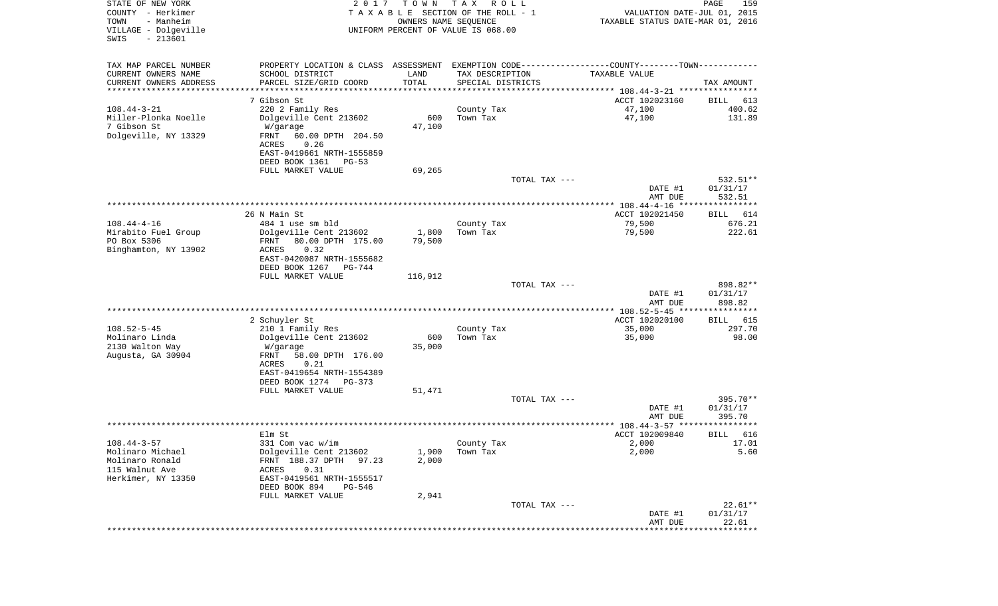| STATE OF NEW YORK<br>COUNTY - Herkimer<br>- Manheim<br>TOWN<br>VILLAGE - Dolgeville<br>SWIS<br>$-213601$ | T O W N<br>2017<br>UNIFORM PERCENT OF VALUE IS 068.00 |         | T A X<br>R O L L<br>T A X A B L E SECTION OF THE ROLL - 1<br>OWNERS NAME SEQUENCE |                                                                    | PAGE<br>VALUATION DATE-JUL 01, 2015<br>TAXABLE STATUS DATE-MAR 01, 2016 | 159                  |
|----------------------------------------------------------------------------------------------------------|-------------------------------------------------------|---------|-----------------------------------------------------------------------------------|--------------------------------------------------------------------|-------------------------------------------------------------------------|----------------------|
| TAX MAP PARCEL NUMBER                                                                                    | PROPERTY LOCATION & CLASS ASSESSMENT                  |         |                                                                                   | EXEMPTION CODE-----------------COUNTY-------TOWN-----------        |                                                                         |                      |
| CURRENT OWNERS NAME<br>SCHOOL DISTRICT                                                                   | LAND                                                  |         | TAX DESCRIPTION                                                                   | TAXABLE VALUE                                                      |                                                                         |                      |
| CURRENT OWNERS ADDRESS<br>PARCEL SIZE/GRID COORD<br>********************                                 | TOTAL                                                 |         | SPECIAL DISTRICTS                                                                 | ************************************* 108.44-3-21 **************** |                                                                         | TAX AMOUNT           |
| 7 Gibson St                                                                                              |                                                       |         |                                                                                   | ACCT 102023160                                                     | BILL                                                                    | 613                  |
| $108.44 - 3 - 21$<br>220 2 Family Res                                                                    |                                                       |         | County Tax                                                                        | 47,100                                                             |                                                                         | 400.62               |
| Miller-Plonka Noelle<br>Dolgeville Cent 213602                                                           |                                                       | 600     | Town Tax                                                                          | 47,100                                                             |                                                                         | 131.89               |
| 7 Gibson St<br>W/garage                                                                                  |                                                       | 47,100  |                                                                                   |                                                                    |                                                                         |                      |
| Dolgeville, NY 13329<br>FRNT                                                                             | 60.00 DPTH 204.50                                     |         |                                                                                   |                                                                    |                                                                         |                      |
| 0.26<br>ACRES<br>EAST-0419661 NRTH-1555859                                                               |                                                       |         |                                                                                   |                                                                    |                                                                         |                      |
| DEED BOOK 1361                                                                                           | $PG-53$                                               |         |                                                                                   |                                                                    |                                                                         |                      |
| FULL MARKET VALUE                                                                                        |                                                       | 69,265  |                                                                                   |                                                                    |                                                                         |                      |
|                                                                                                          |                                                       |         | TOTAL TAX ---                                                                     |                                                                    |                                                                         | 532.51**             |
|                                                                                                          |                                                       |         |                                                                                   |                                                                    | DATE #1<br>AMT DUE                                                      | 01/31/17<br>532.51   |
|                                                                                                          |                                                       |         |                                                                                   | ***************** 108.44-4-16 *****************                    |                                                                         |                      |
| 26 N Main St                                                                                             |                                                       |         |                                                                                   | ACCT 102021450                                                     | BILL                                                                    | 614                  |
| $108.44 - 4 - 16$<br>484 1 use sm bld                                                                    |                                                       |         | County Tax                                                                        | 79,500                                                             |                                                                         | 676.21               |
| Mirabito Fuel Group<br>Dolgeville Cent 213602<br>PO Box 5306                                             | 80.00 DPTH 175.00                                     | 1,800   | Town Tax                                                                          | 79,500                                                             |                                                                         | 222.61               |
| FRNT<br>Binghamton, NY 13902<br>ACRES<br>0.32                                                            |                                                       | 79,500  |                                                                                   |                                                                    |                                                                         |                      |
| EAST-0420087 NRTH-1555682                                                                                |                                                       |         |                                                                                   |                                                                    |                                                                         |                      |
| DEED BOOK 1267                                                                                           | $PG-744$                                              |         |                                                                                   |                                                                    |                                                                         |                      |
| FULL MARKET VALUE                                                                                        |                                                       | 116,912 |                                                                                   |                                                                    |                                                                         |                      |
|                                                                                                          |                                                       |         | TOTAL TAX ---                                                                     |                                                                    | DATE #1                                                                 | 898.82**<br>01/31/17 |
|                                                                                                          |                                                       |         |                                                                                   |                                                                    | AMT DUE                                                                 | 898.82               |
|                                                                                                          |                                                       |         |                                                                                   | ************ 108.52-5-45 *****************                         |                                                                         |                      |
| 2 Schuyler St                                                                                            |                                                       |         |                                                                                   | ACCT 102020100                                                     | BILL                                                                    | 615                  |
| $108.52 - 5 - 45$<br>210 1 Family Res<br>Molinaro Linda<br>Dolgeville Cent 213602                        |                                                       | 600     | County Tax<br>Town Tax                                                            | 35,000<br>35,000                                                   |                                                                         | 297.70<br>98.00      |
| 2130 Walton Way<br>W/garage                                                                              |                                                       | 35,000  |                                                                                   |                                                                    |                                                                         |                      |
| Augusta, GA 30904<br>FRNT                                                                                | 58.00 DPTH 176.00                                     |         |                                                                                   |                                                                    |                                                                         |                      |
| ACRES<br>0.21                                                                                            |                                                       |         |                                                                                   |                                                                    |                                                                         |                      |
| EAST-0419654 NRTH-1554389<br>DEED BOOK 1274 PG-373                                                       |                                                       |         |                                                                                   |                                                                    |                                                                         |                      |
| FULL MARKET VALUE                                                                                        |                                                       | 51,471  |                                                                                   |                                                                    |                                                                         |                      |
|                                                                                                          |                                                       |         | TOTAL TAX ---                                                                     |                                                                    |                                                                         | 395.70**             |
|                                                                                                          |                                                       |         |                                                                                   |                                                                    | DATE #1                                                                 | 01/31/17             |
|                                                                                                          |                                                       |         |                                                                                   |                                                                    | AMT DUE                                                                 | 395.70<br>******     |
| Elm St                                                                                                   |                                                       |         |                                                                                   | ***************** 108.44-3-57 *********<br>ACCT 102009840          | BILL                                                                    | 616                  |
| $108.44 - 3 - 57$<br>331 Com vac w/im                                                                    |                                                       |         | County Tax                                                                        | 2,000                                                              |                                                                         | 17.01                |
| Molinaro Michael<br>Dolgeville Cent 213602                                                               |                                                       | 1,900   | Town Tax                                                                          | 2,000                                                              |                                                                         | 5.60                 |
| Molinaro Ronald<br>FRNT 188.37 DPTH                                                                      | 97.23                                                 | 2,000   |                                                                                   |                                                                    |                                                                         |                      |
| 115 Walnut Ave<br>ACRES<br>0.31<br>Herkimer, NY 13350<br>EAST-0419561 NRTH-1555517                       |                                                       |         |                                                                                   |                                                                    |                                                                         |                      |
| DEED BOOK 894                                                                                            | PG-546                                                |         |                                                                                   |                                                                    |                                                                         |                      |
| FULL MARKET VALUE                                                                                        |                                                       | 2,941   |                                                                                   |                                                                    |                                                                         |                      |
|                                                                                                          |                                                       |         | TOTAL TAX ---                                                                     |                                                                    |                                                                         | $22.61**$            |
|                                                                                                          |                                                       |         |                                                                                   |                                                                    | DATE #1                                                                 | 01/31/17             |
|                                                                                                          |                                                       |         |                                                                                   |                                                                    | AMT DUE<br>***************************                                  | 22.61                |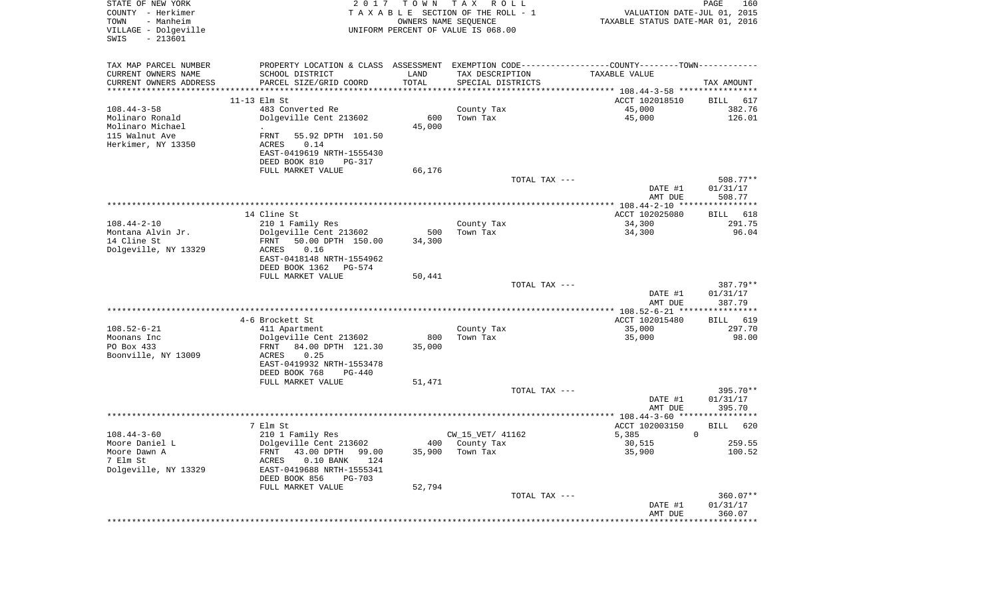| STATE OF NEW YORK<br>COUNTY - Herkimer<br>- Manheim<br>TOWN<br>VILLAGE - Dolgeville<br>$-213601$<br>SWIS | T O W N<br>2 0 1 7<br>UNIFORM PERCENT OF VALUE IS 068.00 | TAX ROLL<br>TAXABLE SECTION OF THE ROLL - 1<br>OWNERS NAME SEQUENCE | TAXABLE STATUS DATE-MAR 01, 2016                                                              | PAGE<br>160<br>VALUATION DATE-JUL 01, 2015 |
|----------------------------------------------------------------------------------------------------------|----------------------------------------------------------|---------------------------------------------------------------------|-----------------------------------------------------------------------------------------------|--------------------------------------------|
| TAX MAP PARCEL NUMBER                                                                                    |                                                          |                                                                     | PROPERTY LOCATION & CLASS ASSESSMENT EXEMPTION CODE---------------COUNTY-------TOWN---------- |                                            |
| CURRENT OWNERS NAME<br>SCHOOL DISTRICT                                                                   | LAND                                                     | TAX DESCRIPTION                                                     | TAXABLE VALUE                                                                                 |                                            |
| CURRENT OWNERS ADDRESS<br>PARCEL SIZE/GRID COORD<br>************************                             | TOTAL<br>***********************************             | SPECIAL DISTRICTS                                                   |                                                                                               | TAX AMOUNT                                 |
| $11-13$ Elm St                                                                                           |                                                          |                                                                     | ACCT 102018510                                                                                | BILL<br>617                                |
| $108.44 - 3 - 58$<br>483 Converted Re                                                                    |                                                          | County Tax                                                          | 45,000                                                                                        | 382.76                                     |
| Molinaro Ronald<br>Dolgeville Cent 213602                                                                | 600                                                      | Town Tax                                                            | 45,000                                                                                        | 126.01                                     |
| Molinaro Michael<br>$\bullet$                                                                            | 45,000                                                   |                                                                     |                                                                                               |                                            |
| 115 Walnut Ave<br>55.92 DPTH 101.50<br>FRNT                                                              |                                                          |                                                                     |                                                                                               |                                            |
| Herkimer, NY 13350<br>0.14<br>ACRES                                                                      |                                                          |                                                                     |                                                                                               |                                            |
| EAST-0419619 NRTH-1555430                                                                                |                                                          |                                                                     |                                                                                               |                                            |
| DEED BOOK 810                                                                                            | PG-317                                                   |                                                                     |                                                                                               |                                            |
| FULL MARKET VALUE                                                                                        | 66,176                                                   |                                                                     |                                                                                               |                                            |
|                                                                                                          |                                                          | TOTAL TAX ---                                                       |                                                                                               | 508.77**                                   |
|                                                                                                          |                                                          |                                                                     | DATE #1                                                                                       | 01/31/17                                   |
|                                                                                                          |                                                          |                                                                     | AMT DUE                                                                                       | 508.77                                     |
| 14 Cline St                                                                                              |                                                          |                                                                     | ACCT 102025080                                                                                | BILL<br>618                                |
| $108.44 - 2 - 10$<br>210 1 Family Res                                                                    |                                                          | County Tax                                                          | 34,300                                                                                        | 291.75                                     |
| Montana Alvin Jr.<br>Dolgeville Cent 213602                                                              | 500                                                      | Town Tax                                                            | 34,300                                                                                        | 96.04                                      |
| 14 Cline St<br>FRNT<br>50.00 DPTH 150.00                                                                 | 34,300                                                   |                                                                     |                                                                                               |                                            |
| Dolgeville, NY 13329<br>0.16<br>ACRES                                                                    |                                                          |                                                                     |                                                                                               |                                            |
| EAST-0418148 NRTH-1554962                                                                                |                                                          |                                                                     |                                                                                               |                                            |
| DEED BOOK 1362                                                                                           | PG-574                                                   |                                                                     |                                                                                               |                                            |
| FULL MARKET VALUE                                                                                        | 50,441                                                   |                                                                     |                                                                                               |                                            |
|                                                                                                          |                                                          | TOTAL TAX ---                                                       |                                                                                               | 387.79**                                   |
|                                                                                                          |                                                          |                                                                     | DATE #1<br>AMT DUE                                                                            | 01/31/17<br>387.79                         |
|                                                                                                          |                                                          |                                                                     |                                                                                               |                                            |
| 4-6 Brockett St                                                                                          |                                                          |                                                                     | ACCT 102015480                                                                                | 619<br>BILL                                |
| $108.52 - 6 - 21$<br>411 Apartment                                                                       |                                                          | County Tax                                                          | 35,000                                                                                        | 297.70                                     |
| Moonans Inc<br>Dolgeville Cent 213602                                                                    | 800                                                      | Town Tax                                                            | 35,000                                                                                        | 98.00                                      |
| PO Box 433<br>84.00 DPTH 121.30<br>FRNT                                                                  | 35,000                                                   |                                                                     |                                                                                               |                                            |
| Boonville, NY 13009<br>ACRES<br>0.25                                                                     |                                                          |                                                                     |                                                                                               |                                            |
| EAST-0419932 NRTH-1553478                                                                                |                                                          |                                                                     |                                                                                               |                                            |
| DEED BOOK 768                                                                                            | PG-440                                                   |                                                                     |                                                                                               |                                            |
| FULL MARKET VALUE                                                                                        | 51,471                                                   |                                                                     |                                                                                               |                                            |
|                                                                                                          |                                                          | TOTAL TAX ---                                                       | DATE #1                                                                                       | 395.70**<br>01/31/17                       |
|                                                                                                          |                                                          |                                                                     | AMT DUE                                                                                       | 395.70                                     |
|                                                                                                          |                                                          |                                                                     |                                                                                               |                                            |
| 7 Elm St                                                                                                 |                                                          |                                                                     | ACCT 102003150                                                                                | <b>BILL</b><br>620                         |
| $108.44 - 3 - 60$<br>210 1 Family Res                                                                    |                                                          | CW_15_VET/ 41162                                                    | 5,385                                                                                         | $\mathbf 0$                                |
| Moore Daniel L<br>Dolgeville Cent 213602                                                                 |                                                          | 400 County Tax                                                      | 30,515                                                                                        | 259.55                                     |
| Moore Dawn A<br>FRNT 43.00 DPTH 99.00                                                                    | 35,900                                                   | Town Tax                                                            | 35,900                                                                                        | 100.52                                     |
| 7 Elm St<br>ACRES<br>$0.10$ BANK                                                                         | 124                                                      |                                                                     |                                                                                               |                                            |
| Dolgeville, NY 13329<br>EAST-0419688 NRTH-1555341                                                        |                                                          |                                                                     |                                                                                               |                                            |
| DEED BOOK 856                                                                                            | PG-703                                                   |                                                                     |                                                                                               |                                            |
| FULL MARKET VALUE                                                                                        | 52,794                                                   | TOTAL TAX ---                                                       |                                                                                               | $360.07**$                                 |
|                                                                                                          |                                                          |                                                                     | DATE #1                                                                                       | 01/31/17                                   |
|                                                                                                          |                                                          |                                                                     | AMT DUE                                                                                       | 360.07                                     |
|                                                                                                          |                                                          |                                                                     |                                                                                               |                                            |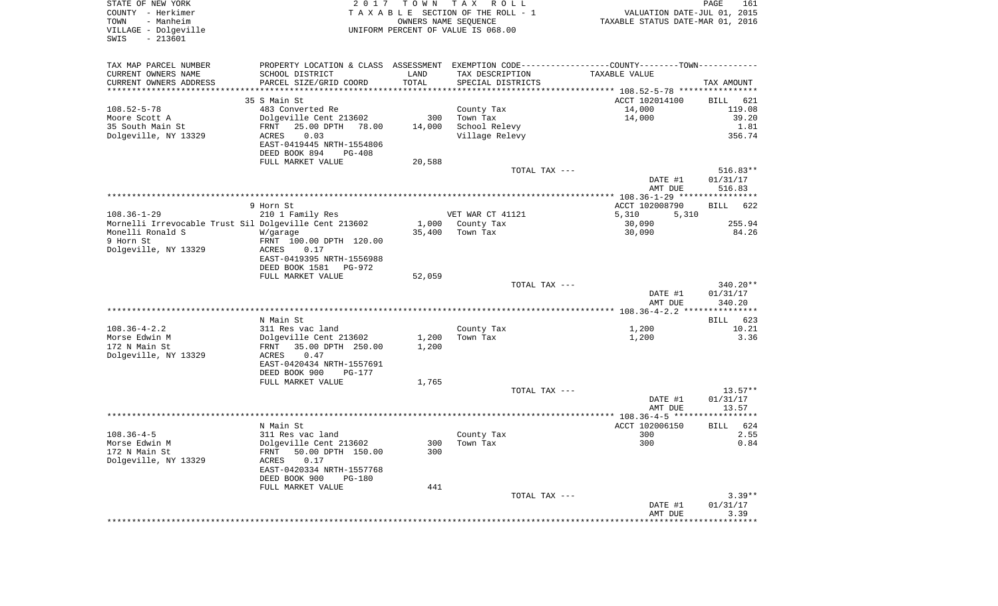| STATE OF NEW YORK<br>COUNTY - Herkimer<br>- Manheim<br>TOWN<br>VILLAGE - Dolgeville<br>$-213601$<br>SWIS | 2017                                                 | T O W N               | T A X<br>R O L L<br>TAXABLE SECTION OF THE ROLL - 1<br>OWNERS NAME SEQUENCE<br>UNIFORM PERCENT OF VALUE IS 068.00 | VALUATION DATE-JUL 01, 2015<br>TAXABLE STATUS DATE-MAR 01, 2016                               | PAGE<br>161           |
|----------------------------------------------------------------------------------------------------------|------------------------------------------------------|-----------------------|-------------------------------------------------------------------------------------------------------------------|-----------------------------------------------------------------------------------------------|-----------------------|
| TAX MAP PARCEL NUMBER                                                                                    |                                                      |                       |                                                                                                                   | PROPERTY LOCATION & CLASS ASSESSMENT EXEMPTION CODE---------------COUNTY-------TOWN---------- |                       |
| CURRENT OWNERS NAME                                                                                      | SCHOOL DISTRICT                                      | LAND                  | TAX DESCRIPTION                                                                                                   | TAXABLE VALUE                                                                                 |                       |
| CURRENT OWNERS ADDRESS                                                                                   | PARCEL SIZE/GRID COORD                               | TOTAL                 | SPECIAL DISTRICTS                                                                                                 |                                                                                               | TAX AMOUNT            |
| **********************                                                                                   | *********************                                | * * * * * * * * * * * |                                                                                                                   |                                                                                               |                       |
| $108.52 - 5 - 78$                                                                                        | 35 S Main St<br>483 Converted Re                     |                       | County Tax                                                                                                        | ACCT 102014100<br>14,000                                                                      | BILL<br>621<br>119.08 |
| Moore Scott A                                                                                            | Dolgeville Cent 213602                               | 300                   | Town Tax                                                                                                          | 14,000                                                                                        | 39.20                 |
| 35 South Main St                                                                                         | FRNT<br>25.00 DPTH<br>78.00                          | 14,000                | School Relevy                                                                                                     |                                                                                               | 1.81                  |
| Dolgeville, NY 13329                                                                                     | 0.03<br>ACRES                                        |                       | Village Relevy                                                                                                    |                                                                                               | 356.74                |
|                                                                                                          | EAST-0419445 NRTH-1554806                            |                       |                                                                                                                   |                                                                                               |                       |
|                                                                                                          | DEED BOOK 894<br>PG-408                              |                       |                                                                                                                   |                                                                                               |                       |
|                                                                                                          | FULL MARKET VALUE                                    | 20,588                |                                                                                                                   |                                                                                               |                       |
|                                                                                                          |                                                      |                       | TOTAL TAX ---                                                                                                     |                                                                                               | $516.83**$            |
|                                                                                                          |                                                      |                       |                                                                                                                   | DATE #1                                                                                       | 01/31/17              |
|                                                                                                          |                                                      |                       |                                                                                                                   | AMT DUE                                                                                       | 516.83                |
|                                                                                                          |                                                      |                       |                                                                                                                   |                                                                                               |                       |
| $108.36 - 1 - 29$                                                                                        | 9 Horn St<br>210 1 Family Res                        |                       | VET WAR CT 41121                                                                                                  | ACCT 102008790<br>5,310<br>5,310                                                              | <b>BILL</b><br>622    |
| Mornelli Irrevocable Trust Sil Dolgeville Cent 213602                                                    |                                                      | 1,000                 | County Tax                                                                                                        | 30,090                                                                                        | 255.94                |
| Monelli Ronald S                                                                                         | W/garage                                             | 35,400                | Town Tax                                                                                                          | 30,090                                                                                        | 84.26                 |
| 9 Horn St                                                                                                | FRNT 100.00 DPTH 120.00                              |                       |                                                                                                                   |                                                                                               |                       |
| Dolgeville, NY 13329                                                                                     | ACRES<br>0.17                                        |                       |                                                                                                                   |                                                                                               |                       |
|                                                                                                          | EAST-0419395 NRTH-1556988                            |                       |                                                                                                                   |                                                                                               |                       |
|                                                                                                          | DEED BOOK 1581<br>PG-972                             |                       |                                                                                                                   |                                                                                               |                       |
|                                                                                                          | FULL MARKET VALUE                                    | 52,059                |                                                                                                                   |                                                                                               |                       |
|                                                                                                          |                                                      |                       | TOTAL TAX ---                                                                                                     | DATE #1                                                                                       | 340.20**<br>01/31/17  |
|                                                                                                          |                                                      |                       |                                                                                                                   | AMT DUE                                                                                       | 340.20                |
|                                                                                                          |                                                      |                       |                                                                                                                   |                                                                                               |                       |
|                                                                                                          | N Main St                                            |                       |                                                                                                                   |                                                                                               | 623<br>BILL           |
| $108.36 - 4 - 2.2$                                                                                       | 311 Res vac land                                     |                       | County Tax                                                                                                        | 1,200                                                                                         | 10.21                 |
| Morse Edwin M                                                                                            | Dolgeville Cent 213602                               | 1,200                 | Town Tax                                                                                                          | 1,200                                                                                         | 3.36                  |
| 172 N Main St                                                                                            | FRNT<br>35.00 DPTH 250.00                            | 1,200                 |                                                                                                                   |                                                                                               |                       |
| Dolgeville, NY 13329                                                                                     | ACRES<br>0.47                                        |                       |                                                                                                                   |                                                                                               |                       |
|                                                                                                          | EAST-0420434 NRTH-1557691                            |                       |                                                                                                                   |                                                                                               |                       |
|                                                                                                          | DEED BOOK 900<br>PG-177                              |                       |                                                                                                                   |                                                                                               |                       |
|                                                                                                          | FULL MARKET VALUE                                    | 1,765                 | TOTAL TAX ---                                                                                                     |                                                                                               | $13.57**$             |
|                                                                                                          |                                                      |                       |                                                                                                                   | DATE #1                                                                                       | 01/31/17              |
|                                                                                                          |                                                      |                       |                                                                                                                   | AMT DUE                                                                                       | 13.57                 |
|                                                                                                          |                                                      |                       |                                                                                                                   |                                                                                               |                       |
|                                                                                                          | N Main St                                            |                       |                                                                                                                   | ACCT 102006150                                                                                | 624<br>BILL           |
| $108.36 - 4 - 5$                                                                                         | 311 Res vac land                                     |                       | County Tax                                                                                                        | 300                                                                                           | 2.55                  |
| Morse Edwin M                                                                                            | Dolgeville Cent 213602                               |                       | 300 Town Tax                                                                                                      | 300                                                                                           | 0.84                  |
| 172 N Main St                                                                                            | 50.00 DPTH 150.00<br>FRNT                            | 300                   |                                                                                                                   |                                                                                               |                       |
| Dolgeville, NY 13329                                                                                     | 0.17<br>ACRES                                        |                       |                                                                                                                   |                                                                                               |                       |
|                                                                                                          | EAST-0420334 NRTH-1557768<br>DEED BOOK 900<br>PG-180 |                       |                                                                                                                   |                                                                                               |                       |
|                                                                                                          | FULL MARKET VALUE                                    | 441                   |                                                                                                                   |                                                                                               |                       |
|                                                                                                          |                                                      |                       | TOTAL TAX ---                                                                                                     |                                                                                               | $3.39**$              |
|                                                                                                          |                                                      |                       |                                                                                                                   | DATE #1                                                                                       | 01/31/17              |
|                                                                                                          |                                                      |                       |                                                                                                                   | AMT DUE                                                                                       | 3.39                  |
|                                                                                                          |                                                      |                       |                                                                                                                   |                                                                                               |                       |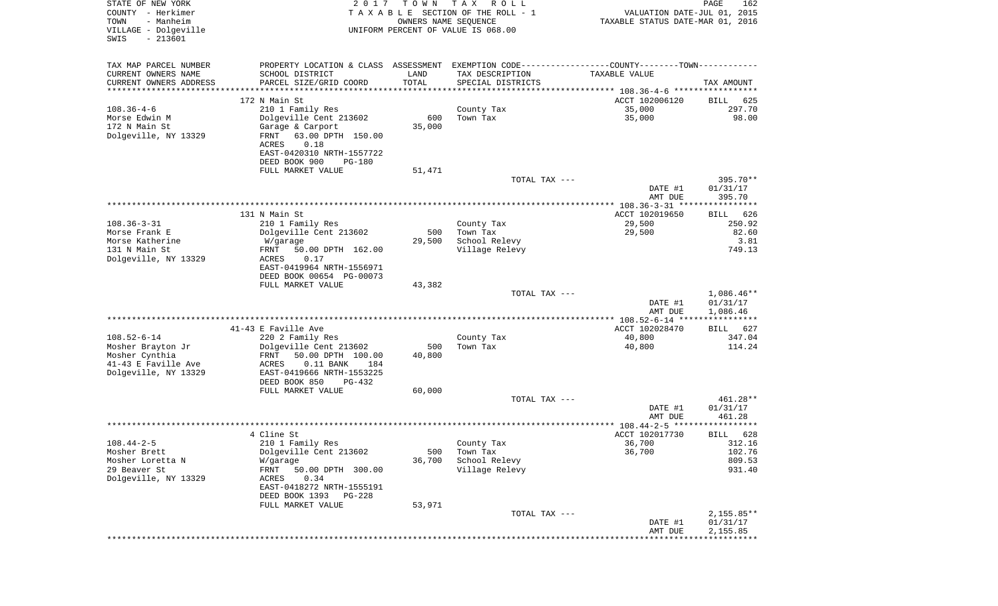| STATE OF NEW YORK<br>COUNTY - Herkimer<br>- Manheim<br>TOWN<br>VILLAGE - Dolgeville<br>$-213601$<br>SWIS | 2017                                                 | T O W N<br>OWNERS NAME SEQUENCE | T A X<br>R O L L<br>TAXABLE SECTION OF THE ROLL - 1<br>UNIFORM PERCENT OF VALUE IS 068.00     | VALUATION DATE-JUL 01, 2015<br>TAXABLE STATUS DATE-MAR 01, 2016 | PAGE<br>162              |
|----------------------------------------------------------------------------------------------------------|------------------------------------------------------|---------------------------------|-----------------------------------------------------------------------------------------------|-----------------------------------------------------------------|--------------------------|
| TAX MAP PARCEL NUMBER                                                                                    |                                                      |                                 | PROPERTY LOCATION & CLASS ASSESSMENT EXEMPTION CODE---------------COUNTY-------TOWN---------- |                                                                 |                          |
| CURRENT OWNERS NAME                                                                                      | SCHOOL DISTRICT                                      | LAND                            | TAX DESCRIPTION                                                                               | TAXABLE VALUE                                                   |                          |
| CURRENT OWNERS ADDRESS                                                                                   | PARCEL SIZE/GRID COORD                               | TOTAL                           | SPECIAL DISTRICTS                                                                             |                                                                 | TAX AMOUNT               |
| ********************                                                                                     |                                                      | * * * * * * * * * * *           |                                                                                               |                                                                 |                          |
| $108.36 - 4 - 6$                                                                                         | 172 N Main St<br>210 1 Family Res                    |                                 | County Tax                                                                                    | ACCT 102006120<br>35,000                                        | BILL<br>625<br>297.70    |
| Morse Edwin M                                                                                            | Dolgeville Cent 213602                               | 600                             | Town Tax                                                                                      | 35,000                                                          | 98.00                    |
| 172 N Main St                                                                                            | Garage & Carport                                     | 35,000                          |                                                                                               |                                                                 |                          |
| Dolgeville, NY 13329                                                                                     | FRNT<br>63.00 DPTH 150.00<br>ACRES<br>0.18           |                                 |                                                                                               |                                                                 |                          |
|                                                                                                          | EAST-0420310 NRTH-1557722<br>DEED BOOK 900<br>PG-180 |                                 |                                                                                               |                                                                 |                          |
|                                                                                                          | FULL MARKET VALUE                                    | 51,471                          |                                                                                               |                                                                 |                          |
|                                                                                                          |                                                      |                                 | TOTAL TAX ---                                                                                 |                                                                 | 395.70**                 |
|                                                                                                          |                                                      |                                 |                                                                                               | DATE #1<br>AMT DUE                                              | 01/31/17<br>395.70       |
|                                                                                                          |                                                      |                                 |                                                                                               |                                                                 |                          |
| $108.36 - 3 - 31$                                                                                        | 131 N Main St                                        |                                 |                                                                                               | ACCT 102019650                                                  | 626<br>BILL              |
| Morse Frank E                                                                                            | 210 1 Family Res<br>Dolgeville Cent 213602           | 500                             | County Tax<br>Town Tax                                                                        | 29,500<br>29,500                                                | 250.92<br>82.60          |
| Morse Katherine                                                                                          | W/garage                                             | 29,500                          | School Relevy                                                                                 |                                                                 | 3.81                     |
| 131 N Main St                                                                                            | FRNT<br>50.00 DPTH 162.00                            |                                 | Village Relevy                                                                                |                                                                 | 749.13                   |
| Dolgeville, NY 13329                                                                                     | ACRES<br>0.17                                        |                                 |                                                                                               |                                                                 |                          |
|                                                                                                          | EAST-0419964 NRTH-1556971                            |                                 |                                                                                               |                                                                 |                          |
|                                                                                                          | DEED BOOK 00654 PG-00073<br>FULL MARKET VALUE        | 43,382                          |                                                                                               |                                                                 |                          |
|                                                                                                          |                                                      |                                 | TOTAL TAX ---                                                                                 |                                                                 | $1,086.46**$             |
|                                                                                                          |                                                      |                                 |                                                                                               | DATE #1                                                         | 01/31/17                 |
|                                                                                                          |                                                      |                                 |                                                                                               | AMT DUE                                                         | 1,086.46                 |
|                                                                                                          |                                                      |                                 |                                                                                               |                                                                 |                          |
| $108.52 - 6 - 14$                                                                                        | 41-43 E Faville Ave<br>220 2 Family Res              |                                 | County Tax                                                                                    | ACCT 102028470<br>40,800                                        | 627<br>BILL<br>347.04    |
| Mosher Brayton Jr                                                                                        | Dolgeville Cent 213602                               | 500                             | Town Tax                                                                                      | 40,800                                                          | 114.24                   |
| Mosher Cynthia                                                                                           | FRNT<br>50.00 DPTH 100.00                            | 40,800                          |                                                                                               |                                                                 |                          |
| 41-43 E Faville Ave                                                                                      | ACRES<br>$0.11$ BANK<br>184                          |                                 |                                                                                               |                                                                 |                          |
| Dolgeville, NY 13329                                                                                     | EAST-0419666 NRTH-1553225                            |                                 |                                                                                               |                                                                 |                          |
|                                                                                                          | DEED BOOK 850<br>PG-432                              |                                 |                                                                                               |                                                                 |                          |
|                                                                                                          | FULL MARKET VALUE                                    | 60,000                          | TOTAL TAX ---                                                                                 |                                                                 | 461.28**                 |
|                                                                                                          |                                                      |                                 |                                                                                               | DATE #1                                                         | 01/31/17                 |
|                                                                                                          |                                                      |                                 |                                                                                               | AMT DUE                                                         | 461.28                   |
|                                                                                                          |                                                      |                                 |                                                                                               |                                                                 |                          |
|                                                                                                          | 4 Cline St                                           |                                 |                                                                                               | ACCT 102017730                                                  | 628<br>BILL              |
| $108.44 - 2 - 5$                                                                                         | 210 1 Family Res                                     |                                 | County Tax                                                                                    | 36,700                                                          | 312.16                   |
| Mosher Brett<br>Mosher Loretta N                                                                         | Dolgeville Cent 213602<br>W/garage                   | 500<br>36,700                   | Town Tax<br>School Relevy                                                                     | 36,700                                                          | 102.76<br>809.53         |
| 29 Beaver St                                                                                             | FRNT<br>50.00 DPTH 300.00                            |                                 | Village Relevy                                                                                |                                                                 | 931.40                   |
| Dolgeville, NY 13329                                                                                     | 0.34<br>ACRES                                        |                                 |                                                                                               |                                                                 |                          |
|                                                                                                          | EAST-0418272 NRTH-1555191                            |                                 |                                                                                               |                                                                 |                          |
|                                                                                                          | DEED BOOK 1393<br>PG-228                             |                                 |                                                                                               |                                                                 |                          |
|                                                                                                          | FULL MARKET VALUE                                    | 53,971                          |                                                                                               |                                                                 |                          |
|                                                                                                          |                                                      |                                 | TOTAL TAX ---                                                                                 | DATE #1                                                         | $2,155.85**$<br>01/31/17 |
|                                                                                                          |                                                      |                                 |                                                                                               | AMT DUE                                                         | 2,155.85                 |
|                                                                                                          |                                                      |                                 |                                                                                               | *****************************                                   |                          |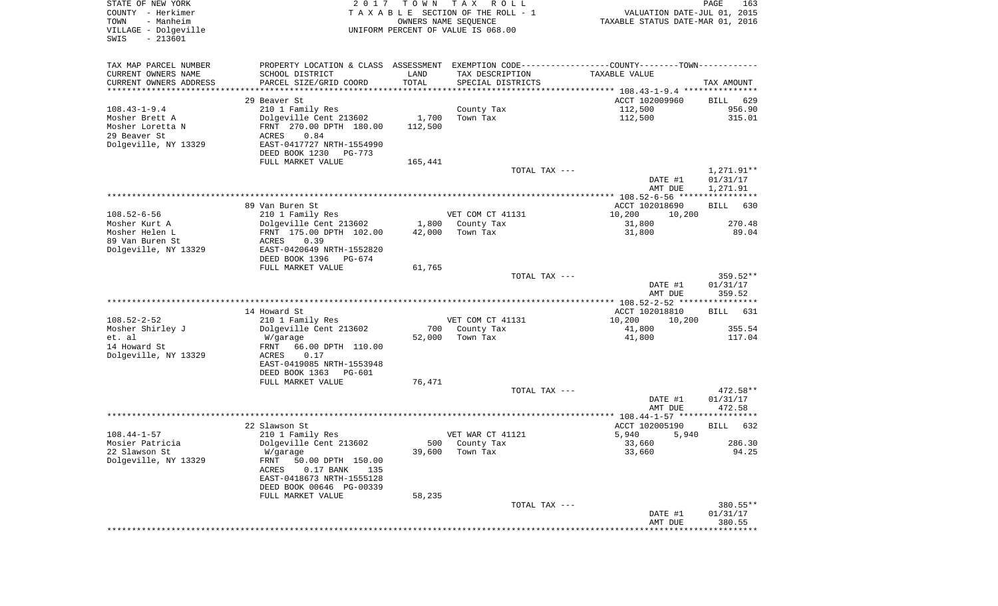| STATE OF NEW YORK<br>COUNTY - Herkimer<br>TOWN<br>- Manheim<br>VILLAGE - Dolgeville<br>$-213601$<br>SWIS | 2017                                                                                          | T O W N | TAX ROLL<br>TAXABLE SECTION OF THE ROLL - 1<br>OWNERS NAME SEQUENCE<br>UNIFORM PERCENT OF VALUE IS 068.00 | VALUATION DATE-JUL 01, 2015<br>TAXABLE STATUS DATE-MAR 01, 2016 | PAGE<br>163        |
|----------------------------------------------------------------------------------------------------------|-----------------------------------------------------------------------------------------------|---------|-----------------------------------------------------------------------------------------------------------|-----------------------------------------------------------------|--------------------|
| TAX MAP PARCEL NUMBER                                                                                    | PROPERTY LOCATION & CLASS ASSESSMENT EXEMPTION CODE---------------COUNTY-------TOWN---------- |         |                                                                                                           |                                                                 |                    |
| CURRENT OWNERS NAME                                                                                      | SCHOOL DISTRICT                                                                               | LAND    | TAX DESCRIPTION                                                                                           | TAXABLE VALUE                                                   |                    |
| CURRENT OWNERS ADDRESS<br>*********************                                                          | PARCEL SIZE/GRID COORD                                                                        | TOTAL   | SPECIAL DISTRICTS                                                                                         |                                                                 | TAX AMOUNT         |
|                                                                                                          | 29 Beaver St                                                                                  |         |                                                                                                           | ACCT 102009960                                                  | 629<br>BILL        |
| $108.43 - 1 - 9.4$                                                                                       | 210 1 Family Res                                                                              |         | County Tax                                                                                                | 112,500                                                         | 956.90             |
| Mosher Brett A                                                                                           | Dolgeville Cent 213602                                                                        | 1,700   | Town Tax                                                                                                  | 112,500                                                         | 315.01             |
| Mosher Loretta N                                                                                         | FRNT 270.00 DPTH 180.00                                                                       | 112,500 |                                                                                                           |                                                                 |                    |
| 29 Beaver St                                                                                             | ACRES<br>0.84                                                                                 |         |                                                                                                           |                                                                 |                    |
| Dolgeville, NY 13329                                                                                     | EAST-0417727 NRTH-1554990                                                                     |         |                                                                                                           |                                                                 |                    |
|                                                                                                          | DEED BOOK 1230<br>PG-773<br>FULL MARKET VALUE                                                 | 165,441 |                                                                                                           |                                                                 |                    |
|                                                                                                          |                                                                                               |         | TOTAL TAX ---                                                                                             |                                                                 | 1,271.91**         |
|                                                                                                          |                                                                                               |         |                                                                                                           | DATE #1                                                         | 01/31/17           |
|                                                                                                          |                                                                                               |         |                                                                                                           | AMT DUE                                                         | 1,271.91           |
|                                                                                                          |                                                                                               |         |                                                                                                           |                                                                 |                    |
| $108.52 - 6 - 56$                                                                                        | 89 Van Buren St<br>210 1 Family Res                                                           |         | VET COM CT 41131                                                                                          | ACCT 102018690<br>10,200<br>10,200                              | 630<br>BILL        |
| Mosher Kurt A                                                                                            | Dolgeville Cent 213602                                                                        | 1,800   | County Tax                                                                                                | 31,800                                                          | 270.48             |
| Mosher Helen L                                                                                           | FRNT 175.00 DPTH 102.00                                                                       | 42,000  | Town Tax                                                                                                  | 31,800                                                          | 89.04              |
| 89 Van Buren St                                                                                          | 0.39<br>ACRES                                                                                 |         |                                                                                                           |                                                                 |                    |
| Dolgeville, NY 13329                                                                                     | EAST-0420649 NRTH-1552820                                                                     |         |                                                                                                           |                                                                 |                    |
|                                                                                                          | DEED BOOK 1396<br>PG-674<br>FULL MARKET VALUE                                                 | 61,765  |                                                                                                           |                                                                 |                    |
|                                                                                                          |                                                                                               |         | TOTAL TAX ---                                                                                             |                                                                 | $359.52**$         |
|                                                                                                          |                                                                                               |         |                                                                                                           | DATE #1<br>AMT DUE                                              | 01/31/17<br>359.52 |
|                                                                                                          |                                                                                               |         |                                                                                                           |                                                                 |                    |
| $108.52 - 2 - 52$                                                                                        | 14 Howard St                                                                                  |         |                                                                                                           | ACCT 102018810                                                  | <b>BILL</b><br>631 |
| Mosher Shirley J                                                                                         | 210 1 Family Res<br>Dolgeville Cent 213602                                                    | 700     | VET COM CT 41131<br>County Tax                                                                            | 10,200<br>10,200<br>41,800                                      | 355.54             |
| et. al                                                                                                   | W/garage                                                                                      | 52,000  | Town Tax                                                                                                  | 41,800                                                          | 117.04             |
| 14 Howard St                                                                                             | FRNT<br>66.00 DPTH 110.00                                                                     |         |                                                                                                           |                                                                 |                    |
| Dolgeville, NY 13329                                                                                     | ACRES<br>0.17                                                                                 |         |                                                                                                           |                                                                 |                    |
|                                                                                                          | EAST-0419085 NRTH-1553948                                                                     |         |                                                                                                           |                                                                 |                    |
|                                                                                                          | DEED BOOK 1363<br>PG-601<br>FULL MARKET VALUE                                                 | 76,471  |                                                                                                           |                                                                 |                    |
|                                                                                                          |                                                                                               |         | TOTAL TAX ---                                                                                             |                                                                 | 472.58**           |
|                                                                                                          |                                                                                               |         |                                                                                                           | DATE #1                                                         | 01/31/17           |
|                                                                                                          |                                                                                               |         |                                                                                                           | AMT DUE                                                         | 472.58             |
|                                                                                                          |                                                                                               |         |                                                                                                           |                                                                 |                    |
| $108.44 - 1 - 57$                                                                                        | 22 Slawson St<br>210 1 Family Res                                                             |         | VET WAR CT 41121                                                                                          | ACCT 102005190<br>5,940<br>5,940                                | <b>BILL</b><br>632 |
| Mosier Patricia                                                                                          | Dolgeville Cent 213602                                                                        |         | 500 County Tax                                                                                            | 33,660                                                          | 286.30             |
| 22 Slawson St                                                                                            | W/garage                                                                                      | 39,600  | Town Tax                                                                                                  | 33,660                                                          | 94.25              |
| Dolgeville, NY 13329                                                                                     | FRNT<br>50.00 DPTH 150.00                                                                     |         |                                                                                                           |                                                                 |                    |
|                                                                                                          | ACRES<br>$0.17$ BANK<br>135                                                                   |         |                                                                                                           |                                                                 |                    |
|                                                                                                          | EAST-0418673 NRTH-1555128<br>DEED BOOK 00646 PG-00339                                         |         |                                                                                                           |                                                                 |                    |
|                                                                                                          | FULL MARKET VALUE                                                                             | 58,235  |                                                                                                           |                                                                 |                    |
|                                                                                                          |                                                                                               |         | TOTAL TAX ---                                                                                             |                                                                 | 380.55**           |
|                                                                                                          |                                                                                               |         |                                                                                                           | DATE #1                                                         | 01/31/17           |
|                                                                                                          |                                                                                               |         |                                                                                                           | AMT DUE                                                         | 380.55             |
|                                                                                                          |                                                                                               |         |                                                                                                           | ****************************                                    |                    |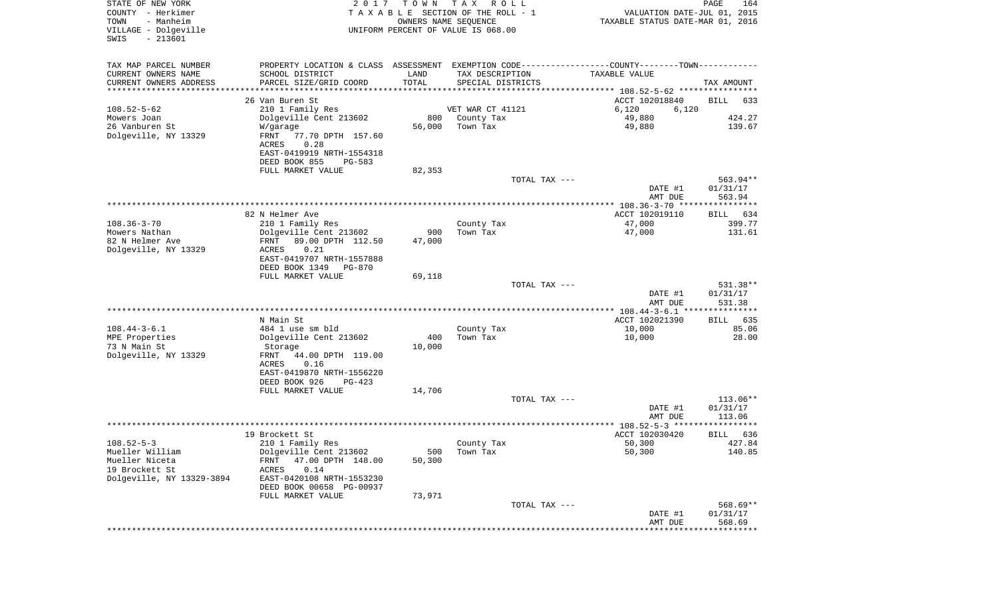| STATE OF NEW YORK<br>COUNTY - Herkimer<br>TOWN<br>- Manheim<br>VILLAGE - Dolgeville<br>$-213601$<br>SWIS | 2017                                                                                          | T O W N<br>OWNERS NAME SEQUENCE | T A X<br>R O L L<br>T A X A B L E SECTION OF THE ROLL - 1<br>UNIFORM PERCENT OF VALUE IS 068.00 | VALUATION DATE-JUL 01, 2015<br>TAXABLE STATUS DATE-MAR 01, 2016 | PAGE<br>164          |
|----------------------------------------------------------------------------------------------------------|-----------------------------------------------------------------------------------------------|---------------------------------|-------------------------------------------------------------------------------------------------|-----------------------------------------------------------------|----------------------|
| TAX MAP PARCEL NUMBER                                                                                    | PROPERTY LOCATION & CLASS ASSESSMENT EXEMPTION CODE---------------COUNTY-------TOWN---------- |                                 |                                                                                                 |                                                                 |                      |
| CURRENT OWNERS NAME                                                                                      | SCHOOL DISTRICT                                                                               | LAND                            | TAX DESCRIPTION                                                                                 | <b>TAXABLE VALUE</b>                                            |                      |
| CURRENT OWNERS ADDRESS                                                                                   | PARCEL SIZE/GRID COORD                                                                        | TOTAL                           | SPECIAL DISTRICTS                                                                               |                                                                 | TAX AMOUNT           |
| ********************                                                                                     |                                                                                               |                                 |                                                                                                 |                                                                 |                      |
| $108.52 - 5 - 62$                                                                                        | 26 Van Buren St<br>210 1 Family Res                                                           |                                 | VET WAR CT 41121                                                                                | ACCT 102018840<br>6,120<br>6,120                                | <b>BILL</b><br>633   |
| Mowers Joan                                                                                              | Dolgeville Cent 213602                                                                        | 800                             | County Tax                                                                                      | 49,880                                                          | 424.27               |
| 26 Vanburen St                                                                                           | W/garage                                                                                      | 56,000                          | Town Tax                                                                                        | 49,880                                                          | 139.67               |
| Dolgeville, NY 13329                                                                                     | 77.70 DPTH 157.60<br>FRNT<br>0.28<br>ACRES                                                    |                                 |                                                                                                 |                                                                 |                      |
|                                                                                                          | EAST-0419919 NRTH-1554318<br>DEED BOOK 855<br>PG-583                                          |                                 |                                                                                                 |                                                                 |                      |
|                                                                                                          | FULL MARKET VALUE                                                                             | 82,353                          |                                                                                                 |                                                                 |                      |
|                                                                                                          |                                                                                               |                                 | TOTAL TAX ---                                                                                   | DATE #1                                                         | 563.94**<br>01/31/17 |
|                                                                                                          |                                                                                               |                                 |                                                                                                 | AMT DUE<br>***************** 108.36-3-70 ****************       | 563.94               |
|                                                                                                          | 82 N Helmer Ave                                                                               |                                 |                                                                                                 | ACCT 102019110                                                  | 634<br>BILL          |
| $108.36 - 3 - 70$                                                                                        | 210 1 Family Res                                                                              |                                 | County Tax                                                                                      | 47,000                                                          | 399.77               |
| Mowers Nathan                                                                                            | Dolgeville Cent 213602                                                                        | 900                             | Town Tax                                                                                        | 47,000                                                          | 131.61               |
| 82 N Helmer Ave                                                                                          | 89.00 DPTH 112.50<br>FRNT                                                                     | 47,000                          |                                                                                                 |                                                                 |                      |
| Dolgeville, NY 13329                                                                                     | ACRES<br>0.21<br>EAST-0419707 NRTH-1557888<br>DEED BOOK 1349<br><b>PG-870</b>                 |                                 |                                                                                                 |                                                                 |                      |
|                                                                                                          | FULL MARKET VALUE                                                                             | 69,118                          |                                                                                                 |                                                                 |                      |
|                                                                                                          |                                                                                               |                                 | TOTAL TAX ---                                                                                   | DATE #1                                                         | 531.38**<br>01/31/17 |
|                                                                                                          |                                                                                               |                                 |                                                                                                 | AMT DUE                                                         | 531.38               |
|                                                                                                          |                                                                                               |                                 |                                                                                                 | ********* 108.44-3-6.1 ****************                         |                      |
| $108.44 - 3 - 6.1$                                                                                       | N Main St<br>484 1 use sm bld                                                                 |                                 | County Tax                                                                                      | ACCT 102021390<br>10,000                                        | 635<br>BILL<br>85.06 |
| MPE Properties                                                                                           | Dolgeville Cent 213602                                                                        | 400                             | Town Tax                                                                                        | 10,000                                                          | 28.00                |
| 73 N Main St                                                                                             | Storage                                                                                       | 10,000                          |                                                                                                 |                                                                 |                      |
| Dolgeville, NY 13329                                                                                     | FRNT<br>44.00 DPTH 119.00                                                                     |                                 |                                                                                                 |                                                                 |                      |
|                                                                                                          | ACRES<br>0.16                                                                                 |                                 |                                                                                                 |                                                                 |                      |
|                                                                                                          | EAST-0419870 NRTH-1556220                                                                     |                                 |                                                                                                 |                                                                 |                      |
|                                                                                                          | DEED BOOK 926<br>$PG-423$<br>FULL MARKET VALUE                                                | 14,706                          |                                                                                                 |                                                                 |                      |
|                                                                                                          |                                                                                               |                                 | TOTAL TAX ---                                                                                   |                                                                 | 113.06**             |
|                                                                                                          |                                                                                               |                                 |                                                                                                 | DATE #1<br>AMT DUE                                              | 01/31/17<br>113.06   |
|                                                                                                          |                                                                                               |                                 |                                                                                                 | **************** 108.52-5-3 *****************                   |                      |
|                                                                                                          | 19 Brockett St                                                                                |                                 |                                                                                                 | ACCT 102030420                                                  | 636<br>BILL          |
| $108.52 - 5 - 3$<br>Mueller William                                                                      | 210 1 Family Res<br>Dolgeville Cent 213602                                                    | 500                             | County Tax<br>Town Tax                                                                          | 50,300<br>50,300                                                | 427.84<br>140.85     |
| Mueller Niceta                                                                                           | 47.00 DPTH 148.00<br>FRNT                                                                     | 50,300                          |                                                                                                 |                                                                 |                      |
| 19 Brockett St                                                                                           | 0.14<br>ACRES                                                                                 |                                 |                                                                                                 |                                                                 |                      |
| Dolgeville, NY 13329-3894                                                                                | EAST-0420108 NRTH-1553230<br>DEED BOOK 00658 PG-00937                                         |                                 |                                                                                                 |                                                                 |                      |
|                                                                                                          | FULL MARKET VALUE                                                                             | 73,971                          |                                                                                                 |                                                                 |                      |
|                                                                                                          |                                                                                               |                                 | TOTAL TAX ---                                                                                   |                                                                 | 568.69**             |
|                                                                                                          |                                                                                               |                                 |                                                                                                 | DATE #1<br>AMT DUE                                              | 01/31/17<br>568.69   |
|                                                                                                          |                                                                                               |                                 |                                                                                                 |                                                                 |                      |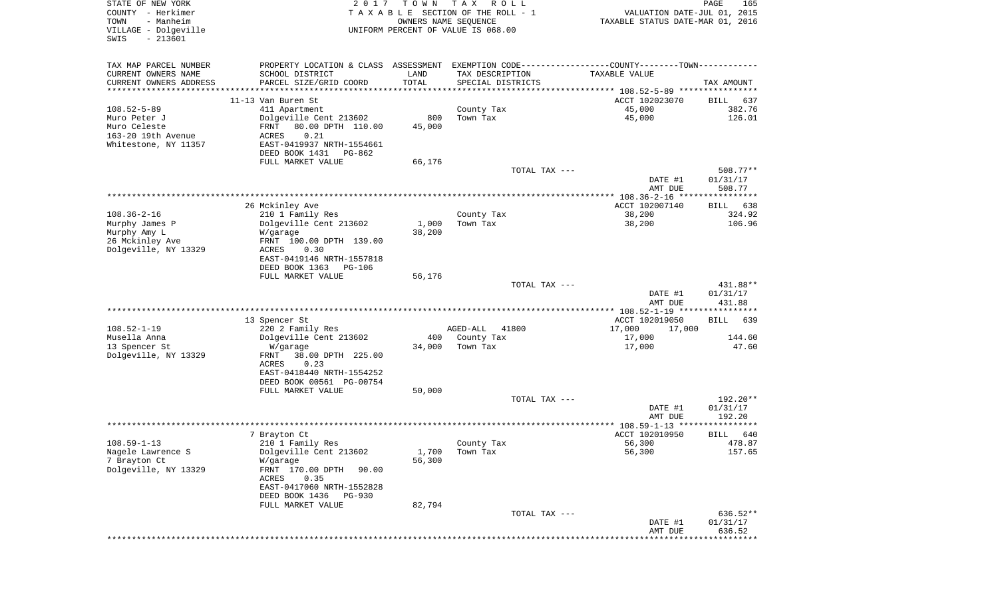| STATE OF NEW YORK<br>COUNTY - Herkimer<br>TOWN<br>- Manheim<br>VILLAGE - Dolgeville<br>$-213601$<br>SWIS | 2 0 1 7                                                                                       | T O W N<br>OWNERS NAME SEQUENCE | T A X<br>R O L L<br>TAXABLE SECTION OF THE ROLL - 1<br>UNIFORM PERCENT OF VALUE IS 068.00 | VALUATION DATE-JUL 01, 2015<br>TAXABLE STATUS DATE-MAR 01, 2016 | PAGE<br>165          |
|----------------------------------------------------------------------------------------------------------|-----------------------------------------------------------------------------------------------|---------------------------------|-------------------------------------------------------------------------------------------|-----------------------------------------------------------------|----------------------|
|                                                                                                          |                                                                                               |                                 |                                                                                           |                                                                 |                      |
| TAX MAP PARCEL NUMBER                                                                                    | PROPERTY LOCATION & CLASS ASSESSMENT EXEMPTION CODE---------------COUNTY-------TOWN---------- |                                 |                                                                                           |                                                                 |                      |
| CURRENT OWNERS NAME                                                                                      | SCHOOL DISTRICT                                                                               | LAND                            | TAX DESCRIPTION                                                                           | TAXABLE VALUE                                                   |                      |
| CURRENT OWNERS ADDRESS<br>**********************                                                         | PARCEL SIZE/GRID COORD                                                                        | TOTAL<br>**************         | SPECIAL DISTRICTS                                                                         |                                                                 | TAX AMOUNT           |
|                                                                                                          | 11-13 Van Buren St                                                                            |                                 |                                                                                           | ACCT 102023070                                                  | 637<br>BILL          |
| $108.52 - 5 - 89$                                                                                        | 411 Apartment                                                                                 |                                 | County Tax                                                                                | 45,000                                                          | 382.76               |
| Muro Peter J                                                                                             | Dolgeville Cent 213602                                                                        | 800                             | Town Tax                                                                                  | 45,000                                                          | 126.01               |
| Muro Celeste                                                                                             | 80.00 DPTH 110.00<br>FRNT                                                                     | 45,000                          |                                                                                           |                                                                 |                      |
| 163-20 19th Avenue<br>Whitestone, NY 11357                                                               | ACRES<br>0.21<br>EAST-0419937 NRTH-1554661                                                    |                                 |                                                                                           |                                                                 |                      |
|                                                                                                          | DEED BOOK 1431<br>PG-862                                                                      |                                 |                                                                                           |                                                                 |                      |
|                                                                                                          | FULL MARKET VALUE                                                                             | 66,176                          |                                                                                           |                                                                 |                      |
|                                                                                                          |                                                                                               |                                 | TOTAL TAX ---                                                                             |                                                                 | 508.77**             |
|                                                                                                          |                                                                                               |                                 |                                                                                           | DATE #1<br>AMT DUE                                              | 01/31/17<br>508.77   |
|                                                                                                          |                                                                                               |                                 |                                                                                           |                                                                 |                      |
|                                                                                                          | 26 Mckinley Ave                                                                               |                                 |                                                                                           | ACCT 102007140                                                  | 638<br>BILL          |
| $108.36 - 2 - 16$                                                                                        | 210 1 Family Res                                                                              |                                 | County Tax                                                                                | 38,200                                                          | 324.92               |
| Murphy James P<br>Murphy Amy L                                                                           | Dolgeville Cent 213602<br>W/garage                                                            | 1,000<br>38,200                 | Town Tax                                                                                  | 38,200                                                          | 106.96               |
| 26 Mckinley Ave                                                                                          | FRNT 100.00 DPTH 139.00                                                                       |                                 |                                                                                           |                                                                 |                      |
| Dolgeville, NY 13329                                                                                     | <b>ACRES</b><br>0.30                                                                          |                                 |                                                                                           |                                                                 |                      |
|                                                                                                          | EAST-0419146 NRTH-1557818                                                                     |                                 |                                                                                           |                                                                 |                      |
|                                                                                                          | DEED BOOK 1363<br><b>PG-106</b><br>FULL MARKET VALUE                                          | 56,176                          |                                                                                           |                                                                 |                      |
|                                                                                                          |                                                                                               |                                 | TOTAL TAX ---                                                                             |                                                                 | 431.88**             |
|                                                                                                          |                                                                                               |                                 |                                                                                           | DATE #1                                                         | 01/31/17             |
|                                                                                                          |                                                                                               |                                 |                                                                                           | AMT DUE                                                         | 431.88               |
|                                                                                                          | 13 Spencer St                                                                                 |                                 |                                                                                           | ************ 108.52-1-19 *****************<br>ACCT 102019050    | <b>BILL</b><br>639   |
| $108.52 - 1 - 19$                                                                                        | 220 2 Family Res                                                                              |                                 | AGED-ALL<br>41800                                                                         | 17,000<br>17,000                                                |                      |
| Musella Anna                                                                                             | Dolgeville Cent 213602                                                                        | 400                             | County Tax                                                                                | 17,000                                                          | 144.60               |
| 13 Spencer St                                                                                            | W/garage                                                                                      | 34,000                          | Town Tax                                                                                  | 17,000                                                          | 47.60                |
| Dolgeville, NY 13329                                                                                     | FRNT<br>38.00 DPTH 225.00<br>ACRES<br>0.23                                                    |                                 |                                                                                           |                                                                 |                      |
|                                                                                                          | EAST-0418440 NRTH-1554252                                                                     |                                 |                                                                                           |                                                                 |                      |
|                                                                                                          | DEED BOOK 00561 PG-00754                                                                      |                                 |                                                                                           |                                                                 |                      |
|                                                                                                          | FULL MARKET VALUE                                                                             | 50,000                          |                                                                                           |                                                                 |                      |
|                                                                                                          |                                                                                               |                                 | TOTAL TAX ---                                                                             | DATE #1                                                         | 192.20**<br>01/31/17 |
|                                                                                                          |                                                                                               |                                 |                                                                                           | AMT DUE                                                         | 192.20               |
|                                                                                                          |                                                                                               |                                 |                                                                                           |                                                                 |                      |
|                                                                                                          | 7 Brayton Ct                                                                                  |                                 |                                                                                           | ACCT 102010950                                                  | 640<br>BILL          |
| $108.59 - 1 - 13$<br>Nagele Lawrence S                                                                   | 210 1 Family Res<br>Dolgeville Cent 213602                                                    | 1,700                           | County Tax<br>Town Tax                                                                    | 56,300<br>56,300                                                | 478.87<br>157.65     |
| 7 Brayton Ct                                                                                             | W/garage                                                                                      | 56,300                          |                                                                                           |                                                                 |                      |
| Dolgeville, NY 13329                                                                                     | FRNT 170.00 DPTH<br>90.00                                                                     |                                 |                                                                                           |                                                                 |                      |
|                                                                                                          | 0.35<br>ACRES                                                                                 |                                 |                                                                                           |                                                                 |                      |
|                                                                                                          | EAST-0417060 NRTH-1552828<br>DEED BOOK 1436<br>PG-930                                         |                                 |                                                                                           |                                                                 |                      |
|                                                                                                          | FULL MARKET VALUE                                                                             | 82,794                          |                                                                                           |                                                                 |                      |
|                                                                                                          |                                                                                               |                                 | TOTAL TAX ---                                                                             |                                                                 | 636.52**             |
|                                                                                                          |                                                                                               |                                 |                                                                                           | DATE #1                                                         | 01/31/17             |
|                                                                                                          |                                                                                               |                                 |                                                                                           | AMT DUE                                                         | 636.52               |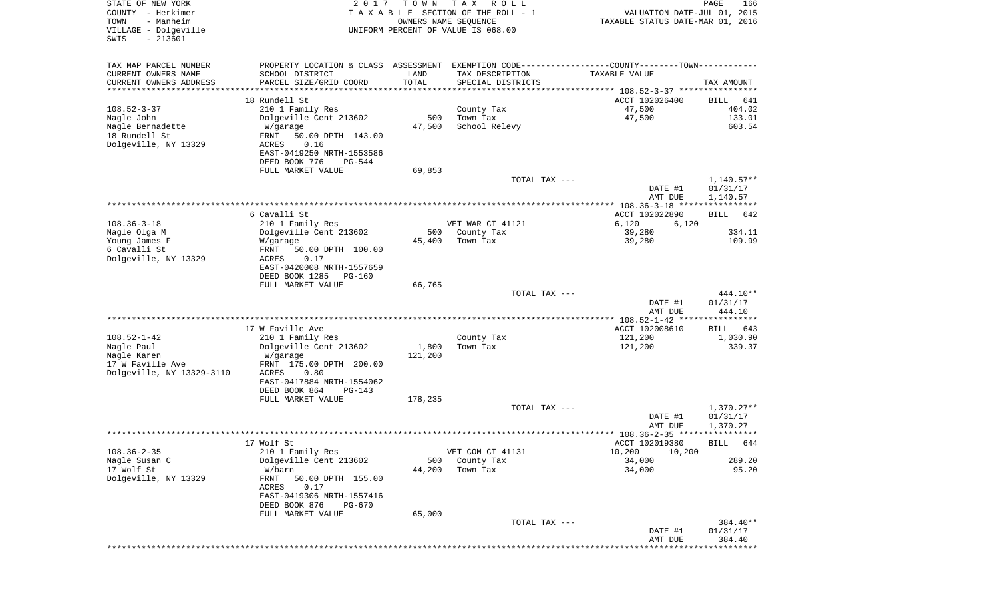| STATE OF NEW YORK<br>COUNTY - Herkimer<br>TOWN<br>- Manheim<br>VILLAGE - Dolgeville | 2 0 1 7                                                                                       | T O W N               | T A X<br>R O L L<br>TAXABLE SECTION OF THE ROLL - 1<br>OWNERS NAME SEQUENCE<br>UNIFORM PERCENT OF VALUE IS 068.00 | VALUATION DATE-JUL 01, 2015<br>TAXABLE STATUS DATE-MAR 01, 2016  | PAGE<br>166           |
|-------------------------------------------------------------------------------------|-----------------------------------------------------------------------------------------------|-----------------------|-------------------------------------------------------------------------------------------------------------------|------------------------------------------------------------------|-----------------------|
| $-213601$<br>SWIS                                                                   |                                                                                               |                       |                                                                                                                   |                                                                  |                       |
| TAX MAP PARCEL NUMBER                                                               | PROPERTY LOCATION & CLASS ASSESSMENT EXEMPTION CODE---------------COUNTY-------TOWN---------- |                       |                                                                                                                   |                                                                  |                       |
| CURRENT OWNERS NAME                                                                 | SCHOOL DISTRICT                                                                               | LAND                  | TAX DESCRIPTION                                                                                                   | TAXABLE VALUE                                                    |                       |
| CURRENT OWNERS ADDRESS                                                              | PARCEL SIZE/GRID COORD                                                                        | TOTAL                 | SPECIAL DISTRICTS                                                                                                 |                                                                  | TAX AMOUNT            |
| ********************                                                                |                                                                                               | * * * * * * * * * * * |                                                                                                                   |                                                                  |                       |
| $108.52 - 3 - 37$                                                                   | 18 Rundell St<br>210 1 Family Res                                                             |                       | County Tax                                                                                                        | ACCT 102026400<br>47,500                                         | BILL<br>641<br>404.02 |
| Nagle John                                                                          | Dolgeville Cent 213602                                                                        | 500                   | Town Tax                                                                                                          | 47,500                                                           | 133.01                |
| Nagle Bernadette                                                                    | W/garage                                                                                      | 47,500                | School Relevy                                                                                                     |                                                                  | 603.54                |
| 18 Rundell St                                                                       | 50.00 DPTH 143.00<br>FRNT                                                                     |                       |                                                                                                                   |                                                                  |                       |
| Dolgeville, NY 13329                                                                | ACRES<br>0.16                                                                                 |                       |                                                                                                                   |                                                                  |                       |
|                                                                                     | EAST-0419250 NRTH-1553586                                                                     |                       |                                                                                                                   |                                                                  |                       |
|                                                                                     | DEED BOOK 776<br>PG-544<br>FULL MARKET VALUE                                                  | 69,853                |                                                                                                                   |                                                                  |                       |
|                                                                                     |                                                                                               |                       | TOTAL TAX ---                                                                                                     |                                                                  | $1,140.57**$          |
|                                                                                     |                                                                                               |                       |                                                                                                                   | DATE #1                                                          | 01/31/17              |
|                                                                                     |                                                                                               |                       |                                                                                                                   | AMT DUE                                                          | 1,140.57              |
|                                                                                     | 6 Cavalli St                                                                                  |                       |                                                                                                                   | **************** 108.36-3-18 *****************<br>ACCT 102022890 | 642<br>BILL           |
| $108.36 - 3 - 18$                                                                   | 210 1 Family Res                                                                              |                       | VET WAR CT 41121                                                                                                  | 6,120<br>6,120                                                   |                       |
| Nagle Olga M                                                                        | Dolgeville Cent 213602                                                                        | 500                   | County Tax                                                                                                        | 39,280                                                           | 334.11                |
| Young James F                                                                       | W/garage                                                                                      | 45,400                | Town Tax                                                                                                          | 39,280                                                           | 109.99                |
| 6 Cavalli St                                                                        | FRNT<br>50.00 DPTH 100.00                                                                     |                       |                                                                                                                   |                                                                  |                       |
| Dolgeville, NY 13329                                                                | ACRES<br>0.17<br>EAST-0420008 NRTH-1557659                                                    |                       |                                                                                                                   |                                                                  |                       |
|                                                                                     | DEED BOOK 1285<br>PG-160                                                                      |                       |                                                                                                                   |                                                                  |                       |
|                                                                                     | FULL MARKET VALUE                                                                             | 66,765                |                                                                                                                   |                                                                  |                       |
|                                                                                     |                                                                                               |                       | TOTAL TAX ---                                                                                                     |                                                                  | 444.10**              |
|                                                                                     |                                                                                               |                       |                                                                                                                   | DATE #1<br>AMT DUE                                               | 01/31/17<br>444.10    |
|                                                                                     |                                                                                               |                       |                                                                                                                   |                                                                  |                       |
|                                                                                     | 17 W Faville Ave                                                                              |                       |                                                                                                                   | ACCT 102008610                                                   | BILL<br>643           |
| $108.52 - 1 - 42$                                                                   | 210 1 Family Res                                                                              |                       | County Tax                                                                                                        | 121,200                                                          | 1,030.90              |
| Nagle Paul                                                                          | Dolgeville Cent 213602                                                                        | 1,800                 | Town Tax                                                                                                          | 121,200                                                          | 339.37                |
| Nagle Karen<br>17 W Faville Ave                                                     | W/garage<br>FRNT 175.00 DPTH 200.00                                                           | 121,200               |                                                                                                                   |                                                                  |                       |
| Dolgeville, NY 13329-3110                                                           | ACRES<br>0.80                                                                                 |                       |                                                                                                                   |                                                                  |                       |
|                                                                                     | EAST-0417884 NRTH-1554062                                                                     |                       |                                                                                                                   |                                                                  |                       |
|                                                                                     | DEED BOOK 864<br>PG-143                                                                       |                       |                                                                                                                   |                                                                  |                       |
|                                                                                     | FULL MARKET VALUE                                                                             | 178,235               | TOTAL TAX ---                                                                                                     |                                                                  | $1,370.27**$          |
|                                                                                     |                                                                                               |                       |                                                                                                                   | DATE #1                                                          | 01/31/17              |
|                                                                                     |                                                                                               |                       |                                                                                                                   | AMT DUE                                                          | 1,370.27              |
|                                                                                     |                                                                                               |                       |                                                                                                                   |                                                                  |                       |
|                                                                                     | 17 Wolf St                                                                                    |                       |                                                                                                                   | ACCT 102019380                                                   | BILL 644              |
| $108.36 - 2 - 35$<br>Nagle Susan C                                                  | 210 1 Family Res<br>Dolgeville Cent 213602                                                    | 500                   | VET COM CT 41131<br>County Tax                                                                                    | 10,200<br>10,200<br>34,000                                       | 289.20                |
| 17 Wolf St                                                                          | W/barn                                                                                        | 44,200                | Town Tax                                                                                                          | 34,000                                                           | 95.20                 |
| Dolgeville, NY 13329                                                                | 50.00 DPTH 155.00<br>FRNT                                                                     |                       |                                                                                                                   |                                                                  |                       |
|                                                                                     | ACRES<br>0.17                                                                                 |                       |                                                                                                                   |                                                                  |                       |
|                                                                                     | EAST-0419306 NRTH-1557416                                                                     |                       |                                                                                                                   |                                                                  |                       |
|                                                                                     | DEED BOOK 876<br>PG-670<br>FULL MARKET VALUE                                                  | 65,000                |                                                                                                                   |                                                                  |                       |
|                                                                                     |                                                                                               |                       | TOTAL TAX ---                                                                                                     |                                                                  | 384.40**              |
|                                                                                     |                                                                                               |                       |                                                                                                                   | DATE #1                                                          | 01/31/17              |
|                                                                                     |                                                                                               |                       |                                                                                                                   | AMT DUE                                                          | 384.40<br>**********  |
|                                                                                     |                                                                                               |                       |                                                                                                                   |                                                                  |                       |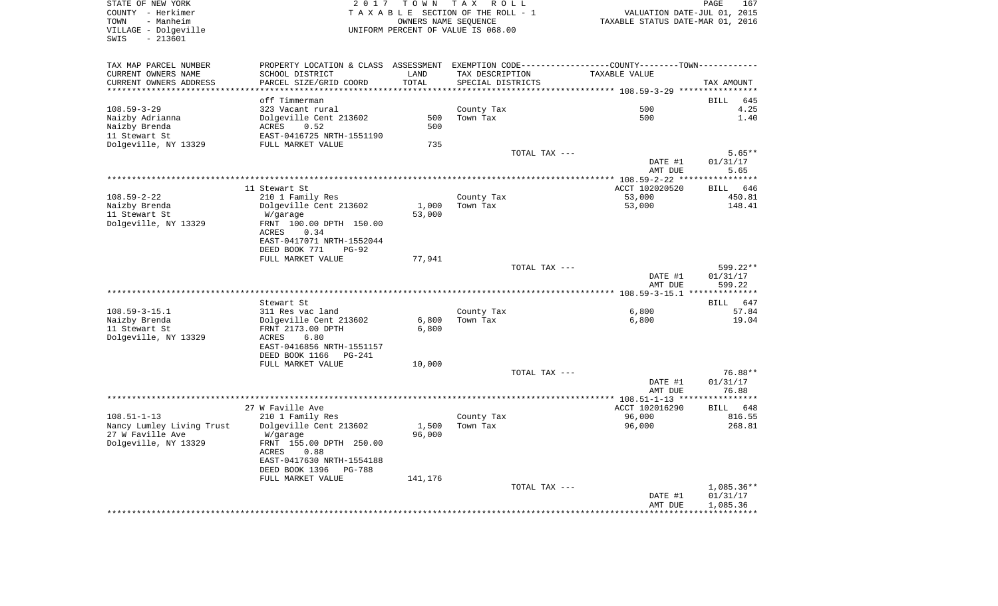STATE OF NEW YORK 2 0 1 7 T O W N T A X R O L L PAGE 167COUNTY - Herkimer **T A X A B L E** SECTION OF THE ROLL - 1 VALUATION DATE-JUL 01, 2015 TOWN - Manheim OWNERS NAME SEQUENCE TAXABLE STATUS DATE-MAR 01, 2016 VILLAGE - Dolgeville UNIFORM PERCENT OF VALUE IS 068.00 SWIS - 213601TAX MAP PARCEL NUMBER PROPERTY LOCATION & CLASS ASSESSMENT EXEMPTION CODE------------------COUNTY--------TOWN------------ CURRENT OWNERS NAME SCHOOL DISTRICT LAND TAX DESCRIPTION TAXABLE VALUECURRENT OWNERS ADDRESS PARCEL SIZE/GRID COORD TOTAL SPECIAL DISTRICTS TAX AMOUNT \*\*\*\*\*\*\*\*\*\*\*\*\*\*\*\*\*\*\*\*\*\*\*\*\*\*\*\*\*\*\*\*\*\*\*\*\*\*\*\*\*\*\*\*\*\*\*\*\*\*\*\*\*\*\*\*\*\*\*\*\*\*\*\*\*\*\*\*\*\*\*\*\*\*\*\*\*\*\*\*\*\*\*\*\*\*\*\*\*\*\*\*\*\*\*\*\*\*\*\*\*\*\* 108.59-3-29 \*\*\*\*\*\*\*\*\*\*\*\*\*\*\*\* off Timmerman BILL 6454.25 108.59-3-29 323 Vacant rural County Tax 500 4.25 Naizby Adrianna Dolgeville Cent 213602 500 Town Tax 500 1.40 Naizby Brenda ACRES 0.52 500 11 Stewart St EAST-0416725 NRTH-1551190Dolgeville, NY 13329 FULL MARKET VALUE 735 TOTAL TAX  $---$  5.65\*\* DATE #1 01/31/17 AMT DUE 5.65 \*\*\*\*\*\*\*\*\*\*\*\*\*\*\*\*\*\*\*\*\*\*\*\*\*\*\*\*\*\*\*\*\*\*\*\*\*\*\*\*\*\*\*\*\*\*\*\*\*\*\*\*\*\*\*\*\*\*\*\*\*\*\*\*\*\*\*\*\*\*\*\*\*\*\*\*\*\*\*\*\*\*\*\*\*\*\*\*\*\*\*\*\*\*\*\*\*\*\*\*\*\*\* 108.59-2-22 \*\*\*\*\*\*\*\*\*\*\*\*\*\*\*\*BILL 646 11 Stewart St. According to the ACCT 102020520 BILL 6466 BILL 6466 BILL 6466 BILL 6466 BILL 6466 BILL 6466 BILL 6466 BILL 6466 BILL 6466 BILL 6466 BILL 6466 BILL 6466 BILL 6466 BILL 6466 BILL 6466 BILL 6466 BILL 6466 BILL 108.59-2-22 210 1 Family Res County Tax 53,000 450.81 Naizby Brenda Dolgeville Cent 213602 1,000 Town Tax 53,000 148.41 11 Stewart St W/garage 53,000 Dolgeville, NY 13329 FRNT 100.00 DPTH 150.00 ACRES 0.34 EAST-0417071 NRTH-1552044 DEED BOOK 771 PG-92FULL MARKET VALUE 77,941 TOTAL TAX --- 599.22\*\* DATE #1 01/31/17 AMT DUE 599.22 \*\*\*\*\*\*\*\*\*\*\*\*\*\*\*\*\*\*\*\*\*\*\*\*\*\*\*\*\*\*\*\*\*\*\*\*\*\*\*\*\*\*\*\*\*\*\*\*\*\*\*\*\*\*\*\*\*\*\*\*\*\*\*\*\*\*\*\*\*\*\*\*\*\*\*\*\*\*\*\*\*\*\*\*\*\*\*\*\*\*\*\*\*\*\*\*\*\*\*\*\*\*\* 108.59-3-15.1 \*\*\*\*\*\*\*\*\*\*\*\*\*\* Stewart St BILL 64757.84 108.59-3-15.1 311 Res vac land County Tax 6,800 57.84 Naizby Brenda Dolgeville Cent 213602 6,800 Town Tax 6,800 19.04 11 Stewart St FRNT 2173.00 DPTH 6,800 Dolgeville, NY 13329 ACRES 6.80 EAST-0416856 NRTH-1551157 DEED BOOK 1166 PG-241FULL MARKET VALUE 10,000 TOTAL TAX --- 76.88\*\* DATE #1 01/31/17 AMT DUE 76.88 \*\*\*\*\*\*\*\*\*\*\*\*\*\*\*\*\*\*\*\*\*\*\*\*\*\*\*\*\*\*\*\*\*\*\*\*\*\*\*\*\*\*\*\*\*\*\*\*\*\*\*\*\*\*\*\*\*\*\*\*\*\*\*\*\*\*\*\*\*\*\*\*\*\*\*\*\*\*\*\*\*\*\*\*\*\*\*\*\*\*\*\*\*\*\*\*\*\*\*\*\*\*\* 108.51-1-13 \*\*\*\*\*\*\*\*\*\*\*\*\*\*\*\*27 W Faville Ave **ACCT 102016290** BILL 648 816.55 108.51-1-13 210 1 Family Res County Tax 36,000 Nancy Lumley Living Trust 50 Dolgeville Cent 213602 1,500 Town Tax 36,000 96,000 268.81 27 W Faville Ave W/garage 96,000 Dolgeville, NY 13329 FRNT 155.00 DPTH 250.00 ACRES 0.88 EAST-0417630 NRTH-1554188 DEED BOOK 1396 PG-788FULL MARKET VALUE 141,176 TOTAL TAX --- 1,085.36\*\* DATE #1 01/31/17 AMT DUE 1,085.36

\*\*\*\*\*\*\*\*\*\*\*\*\*\*\*\*\*\*\*\*\*\*\*\*\*\*\*\*\*\*\*\*\*\*\*\*\*\*\*\*\*\*\*\*\*\*\*\*\*\*\*\*\*\*\*\*\*\*\*\*\*\*\*\*\*\*\*\*\*\*\*\*\*\*\*\*\*\*\*\*\*\*\*\*\*\*\*\*\*\*\*\*\*\*\*\*\*\*\*\*\*\*\*\*\*\*\*\*\*\*\*\*\*\*\*\*\*\*\*\*\*\*\*\*\*\*\*\*\*\*\*\*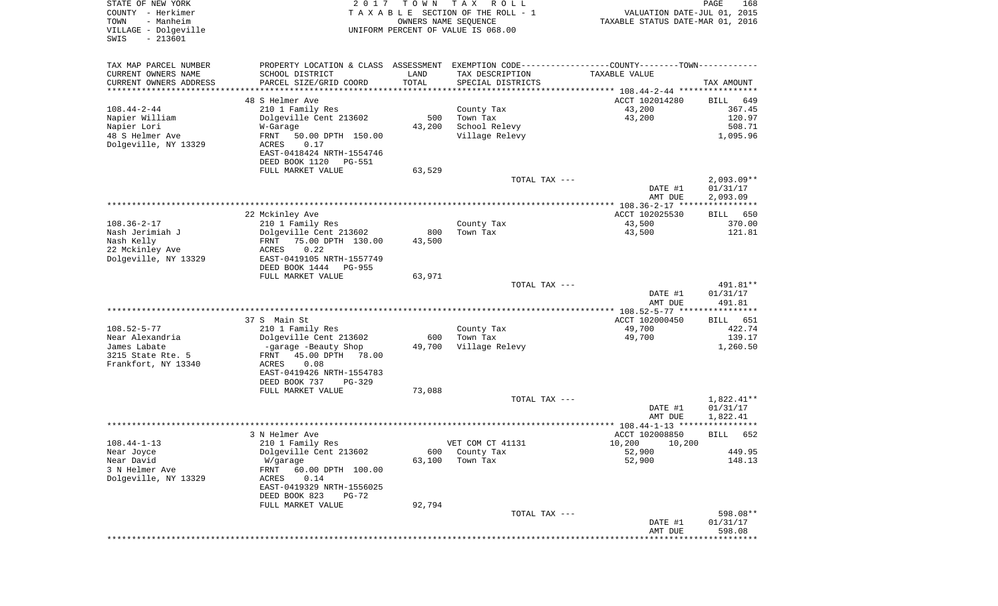| STATE OF NEW YORK<br>COUNTY - Herkimer<br>TOWN<br>- Manheim<br>VILLAGE - Dolgeville | 2017                                                         | T O W N<br>OWNERS NAME SEQUENCE | T A X<br>R O L L<br>TAXABLE SECTION OF THE ROLL - 1         | VALUATION DATE-JUL 01, 2015<br>TAXABLE STATUS DATE-MAR 01, 2016 | PAGE<br>168              |
|-------------------------------------------------------------------------------------|--------------------------------------------------------------|---------------------------------|-------------------------------------------------------------|-----------------------------------------------------------------|--------------------------|
| $-213601$<br>SWIS                                                                   |                                                              |                                 | UNIFORM PERCENT OF VALUE IS 068.00                          |                                                                 |                          |
| TAX MAP PARCEL NUMBER                                                               | PROPERTY LOCATION & CLASS ASSESSMENT                         |                                 | EXEMPTION CODE-----------------COUNTY-------TOWN----------- |                                                                 |                          |
| CURRENT OWNERS NAME                                                                 | SCHOOL DISTRICT                                              | LAND                            | TAX DESCRIPTION                                             | TAXABLE VALUE                                                   |                          |
| CURRENT OWNERS ADDRESS<br>*******************                                       | PARCEL SIZE/GRID COORD                                       | TOTAL<br>* * * * * * * * * *    | SPECIAL DISTRICTS                                           |                                                                 | TAX AMOUNT               |
|                                                                                     | 48 S Helmer Ave                                              |                                 |                                                             | ACCT 102014280                                                  | BILL<br>649              |
| $108.44 - 2 - 44$                                                                   | 210 1 Family Res                                             |                                 | County Tax                                                  | 43,200                                                          | 367.45                   |
| Napier William                                                                      | Dolgeville Cent 213602                                       | 500                             | Town Tax                                                    | 43,200                                                          | 120.97                   |
| Napier Lori                                                                         | W-Garage                                                     | 43,200                          | School Relevy                                               |                                                                 | 508.71                   |
| 48 S Helmer Ave<br>Dolgeville, NY 13329                                             | FRNT<br>50.00 DPTH 150.00<br>ACRES<br>0.17                   |                                 | Village Relevy                                              |                                                                 | 1,095.96                 |
|                                                                                     | EAST-0418424 NRTH-1554746<br>DEED BOOK 1120<br><b>PG-551</b> |                                 |                                                             |                                                                 |                          |
|                                                                                     | FULL MARKET VALUE                                            | 63,529                          |                                                             |                                                                 |                          |
|                                                                                     |                                                              |                                 | TOTAL TAX ---                                               |                                                                 | $2,093.09**$             |
|                                                                                     |                                                              |                                 |                                                             | DATE #1                                                         | 01/31/17                 |
|                                                                                     |                                                              |                                 |                                                             | AMT DUE<br>*************** 108.36-2-17 *****************        | 2,093.09                 |
|                                                                                     | 22 Mckinley Ave                                              |                                 |                                                             | ACCT 102025530                                                  | BILL<br>650              |
| $108.36 - 2 - 17$                                                                   | 210 1 Family Res                                             |                                 | County Tax                                                  | 43,500                                                          | 370.00                   |
| Nash Jerimiah J                                                                     | Dolgeville Cent 213602                                       | 800                             | Town Tax                                                    | 43,500                                                          | 121.81                   |
| Nash Kelly                                                                          | 75.00 DPTH 130.00<br>FRNT                                    | 43,500                          |                                                             |                                                                 |                          |
| 22 Mckinley Ave<br>Dolgeville, NY 13329                                             | 0.22<br>ACRES<br>EAST-0419105 NRTH-1557749                   |                                 |                                                             |                                                                 |                          |
|                                                                                     | DEED BOOK 1444<br><b>PG-955</b>                              |                                 |                                                             |                                                                 |                          |
|                                                                                     | FULL MARKET VALUE                                            | 63,971                          |                                                             |                                                                 |                          |
|                                                                                     |                                                              |                                 | TOTAL TAX ---                                               |                                                                 | 491.81**                 |
|                                                                                     |                                                              |                                 |                                                             | DATE #1<br>AMT DUE                                              | 01/31/17<br>491.81       |
|                                                                                     |                                                              |                                 |                                                             | *********** 108.52-5-77 *****************                       |                          |
|                                                                                     | 37 S Main St                                                 |                                 |                                                             | ACCT 102000450                                                  | 651<br>BILL              |
| $108.52 - 5 - 77$                                                                   | 210 1 Family Res                                             |                                 | County Tax                                                  | 49,700                                                          | 422.74                   |
| Near Alexandria                                                                     | Dolgeville Cent 213602                                       | 600                             | Town Tax                                                    | 49,700                                                          | 139.17                   |
| James Labate<br>3215 State Rte. 5                                                   | -garage -Beauty Shop<br>45.00 DPTH<br>78.00<br>FRNT          | 49,700                          | Village Relevy                                              |                                                                 | 1,260.50                 |
| Frankfort, NY 13340                                                                 | ACRES<br>0.08                                                |                                 |                                                             |                                                                 |                          |
|                                                                                     | EAST-0419426 NRTH-1554783                                    |                                 |                                                             |                                                                 |                          |
|                                                                                     | DEED BOOK 737<br>PG-329                                      |                                 |                                                             |                                                                 |                          |
|                                                                                     | FULL MARKET VALUE                                            | 73,088                          | TOTAL TAX ---                                               |                                                                 |                          |
|                                                                                     |                                                              |                                 |                                                             | DATE #1                                                         | $1,822.41**$<br>01/31/17 |
|                                                                                     |                                                              |                                 |                                                             | AMT DUE                                                         | 1,822.41                 |
|                                                                                     |                                                              |                                 |                                                             | *************** 108.44-1-13 *****                               | * * * *                  |
|                                                                                     | 3 N Helmer Ave                                               |                                 |                                                             | ACCT 102008850                                                  | 652<br>BILL              |
| $108.44 - 1 - 13$<br>Near Joyce                                                     | 210 1 Family Res<br>Dolgeville Cent 213602                   | 600                             | VET COM CT 41131<br>County Tax                              | 10,200 10,200<br>52,900                                         | 449.95                   |
| Near David                                                                          | W/garage                                                     | 63,100                          | Town Tax                                                    | 52,900                                                          | 148.13                   |
| 3 N Helmer Ave                                                                      | 60.00 DPTH 100.00<br>FRNT                                    |                                 |                                                             |                                                                 |                          |
| Dolgeville, NY 13329                                                                | ACRES<br>0.14                                                |                                 |                                                             |                                                                 |                          |
|                                                                                     | EAST-0419329 NRTH-1556025                                    |                                 |                                                             |                                                                 |                          |
|                                                                                     | DEED BOOK 823<br>$PG-72$<br>FULL MARKET VALUE                | 92,794                          |                                                             |                                                                 |                          |
|                                                                                     |                                                              |                                 | TOTAL TAX ---                                               |                                                                 | 598.08**                 |
|                                                                                     |                                                              |                                 |                                                             | DATE #1                                                         | 01/31/17                 |
|                                                                                     |                                                              |                                 |                                                             | AMT DUE<br>***************************                          | 598.08                   |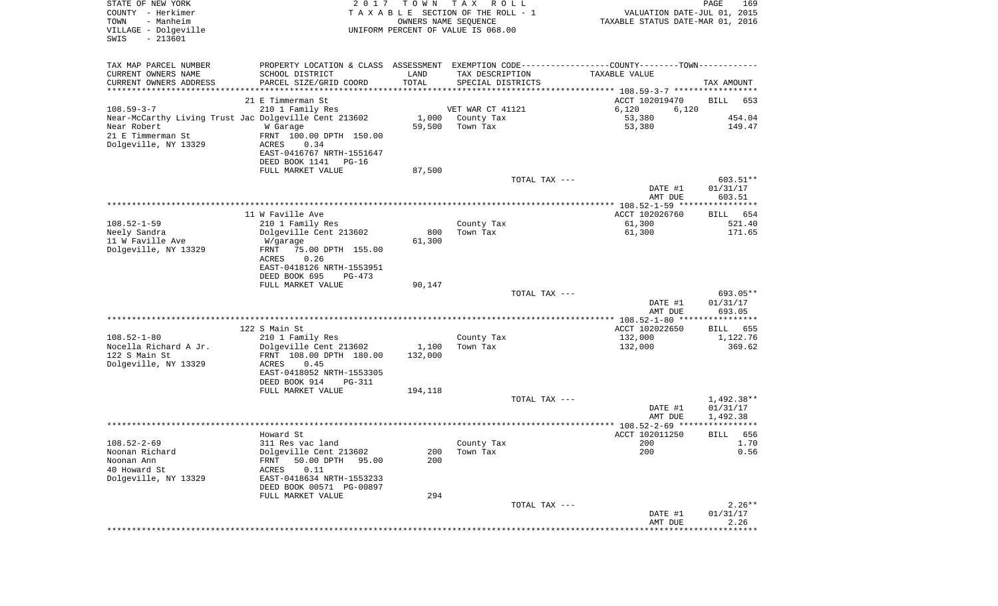| STATE OF NEW YORK<br>COUNTY - Herkimer<br>TOWN<br>- Manheim<br>VILLAGE - Dolgeville<br>$-213601$<br>SWIS | 2017                                              | T O W N          | T A X<br>R O L L<br>TAXABLE SECTION OF THE ROLL - 1<br>OWNERS NAME SEQUENCE<br>UNIFORM PERCENT OF VALUE IS 068.00 | VALUATION DATE-JUL 01, 2015<br>TAXABLE STATUS DATE-MAR 01, 2016                                | PAGE<br>169          |
|----------------------------------------------------------------------------------------------------------|---------------------------------------------------|------------------|-------------------------------------------------------------------------------------------------------------------|------------------------------------------------------------------------------------------------|----------------------|
| TAX MAP PARCEL NUMBER                                                                                    |                                                   |                  |                                                                                                                   | PROPERTY LOCATION & CLASS ASSESSMENT EXEMPTION CODE----------------COUNTY-------TOWN---------- |                      |
| CURRENT OWNERS NAME                                                                                      | SCHOOL DISTRICT                                   | LAND             | TAX DESCRIPTION                                                                                                   | TAXABLE VALUE                                                                                  |                      |
| CURRENT OWNERS ADDRESS<br>*********************                                                          | PARCEL SIZE/GRID COORD                            | TOTAL            | SPECIAL DISTRICTS                                                                                                 |                                                                                                | TAX AMOUNT           |
|                                                                                                          | 21 E Timmerman St                                 |                  |                                                                                                                   | ACCT 102019470                                                                                 | BILL<br>653          |
| $108.59 - 3 - 7$                                                                                         | 210 1 Family Res                                  |                  | VET WAR CT 41121                                                                                                  | 6,120<br>6,120                                                                                 |                      |
| Near-McCarthy Living Trust Jac Dolgeville Cent 213602                                                    |                                                   | 1,000            | County Tax                                                                                                        | 53,380                                                                                         | 454.04               |
| Near Robert                                                                                              | W Garage                                          | 59,500           | Town Tax                                                                                                          | 53,380                                                                                         | 149.47               |
| 21 E Timmerman St                                                                                        | FRNT 100.00 DPTH 150.00                           |                  |                                                                                                                   |                                                                                                |                      |
| Dolgeville, NY 13329                                                                                     | 0.34<br>ACRES                                     |                  |                                                                                                                   |                                                                                                |                      |
|                                                                                                          | EAST-0416767 NRTH-1551647                         |                  |                                                                                                                   |                                                                                                |                      |
|                                                                                                          | DEED BOOK 1141<br>PG-16                           |                  |                                                                                                                   |                                                                                                |                      |
|                                                                                                          | FULL MARKET VALUE                                 | 87,500           | TOTAL TAX ---                                                                                                     |                                                                                                | 603.51**             |
|                                                                                                          |                                                   |                  |                                                                                                                   | DATE #1                                                                                        | 01/31/17             |
|                                                                                                          |                                                   |                  |                                                                                                                   | AMT DUE                                                                                        | 603.51               |
|                                                                                                          |                                                   |                  |                                                                                                                   |                                                                                                |                      |
|                                                                                                          | 11 W Faville Ave                                  |                  |                                                                                                                   | ACCT 102026760                                                                                 | 654<br>BILL          |
| $108.52 - 1 - 59$<br>Neely Sandra                                                                        | 210 1 Family Res<br>Dolgeville Cent 213602        | 800              | County Tax<br>Town Tax                                                                                            | 61,300<br>61,300                                                                               | 521.40<br>171.65     |
| 11 W Faville Ave                                                                                         | W/garage                                          | 61,300           |                                                                                                                   |                                                                                                |                      |
| Dolgeville, NY 13329                                                                                     | 75.00 DPTH 155.00<br>FRNT                         |                  |                                                                                                                   |                                                                                                |                      |
|                                                                                                          | 0.26<br>ACRES                                     |                  |                                                                                                                   |                                                                                                |                      |
|                                                                                                          | EAST-0418126 NRTH-1553951                         |                  |                                                                                                                   |                                                                                                |                      |
|                                                                                                          | DEED BOOK 695<br>PG-473                           |                  |                                                                                                                   |                                                                                                |                      |
|                                                                                                          | FULL MARKET VALUE                                 | 90,147           | TOTAL TAX ---                                                                                                     |                                                                                                | 693.05**             |
|                                                                                                          |                                                   |                  |                                                                                                                   | DATE #1                                                                                        | 01/31/17             |
|                                                                                                          |                                                   |                  |                                                                                                                   | AMT DUE                                                                                        | 693.05               |
|                                                                                                          |                                                   |                  |                                                                                                                   |                                                                                                |                      |
|                                                                                                          | 122 S Main St                                     |                  |                                                                                                                   | ACCT 102022650                                                                                 | 655<br>BILL          |
| $108.52 - 1 - 80$                                                                                        | 210 1 Family Res                                  |                  | County Tax                                                                                                        | 132,000                                                                                        | 1,122.76             |
| Nocella Richard A Jr.<br>122 S Main St                                                                   | Dolgeville Cent 213602<br>FRNT 108.00 DPTH 180.00 | 1,100<br>132,000 | Town Tax                                                                                                          | 132,000                                                                                        | 369.62               |
| Dolgeville, NY 13329                                                                                     | ACRES<br>0.45                                     |                  |                                                                                                                   |                                                                                                |                      |
|                                                                                                          | EAST-0418052 NRTH-1553305                         |                  |                                                                                                                   |                                                                                                |                      |
|                                                                                                          | DEED BOOK 914<br>PG-311                           |                  |                                                                                                                   |                                                                                                |                      |
|                                                                                                          | FULL MARKET VALUE                                 | 194,118          |                                                                                                                   |                                                                                                |                      |
|                                                                                                          |                                                   |                  | TOTAL TAX ---                                                                                                     |                                                                                                | 1,492.38**           |
|                                                                                                          |                                                   |                  |                                                                                                                   | DATE #1<br>AMT DUE                                                                             | 01/31/17<br>1,492.38 |
|                                                                                                          |                                                   |                  |                                                                                                                   |                                                                                                | *****                |
|                                                                                                          | Howard St                                         |                  |                                                                                                                   | ACCT 102011250                                                                                 | 656<br>BILL          |
| $108.52 - 2 - 69$                                                                                        | 311 Res vac land                                  |                  | County Tax                                                                                                        | 200                                                                                            | 1.70                 |
| Noonan Richard                                                                                           | Dolgeville Cent 213602                            | 200              | Town Tax                                                                                                          | 200                                                                                            | 0.56                 |
| Noonan Ann                                                                                               | 50.00 DPTH<br>FRNT<br>95.00                       | 200              |                                                                                                                   |                                                                                                |                      |
| 40 Howard St<br>Dolgeville, NY 13329                                                                     | 0.11<br>ACRES<br>EAST-0418634 NRTH-1553233        |                  |                                                                                                                   |                                                                                                |                      |
|                                                                                                          | DEED BOOK 00571 PG-00897                          |                  |                                                                                                                   |                                                                                                |                      |
|                                                                                                          | FULL MARKET VALUE                                 | 294              |                                                                                                                   |                                                                                                |                      |
|                                                                                                          |                                                   |                  | TOTAL TAX ---                                                                                                     |                                                                                                | $2.26**$             |
|                                                                                                          |                                                   |                  |                                                                                                                   | DATE #1                                                                                        | 01/31/17             |
|                                                                                                          |                                                   |                  |                                                                                                                   | AMT DUE                                                                                        | 2.26                 |
|                                                                                                          |                                                   |                  |                                                                                                                   |                                                                                                |                      |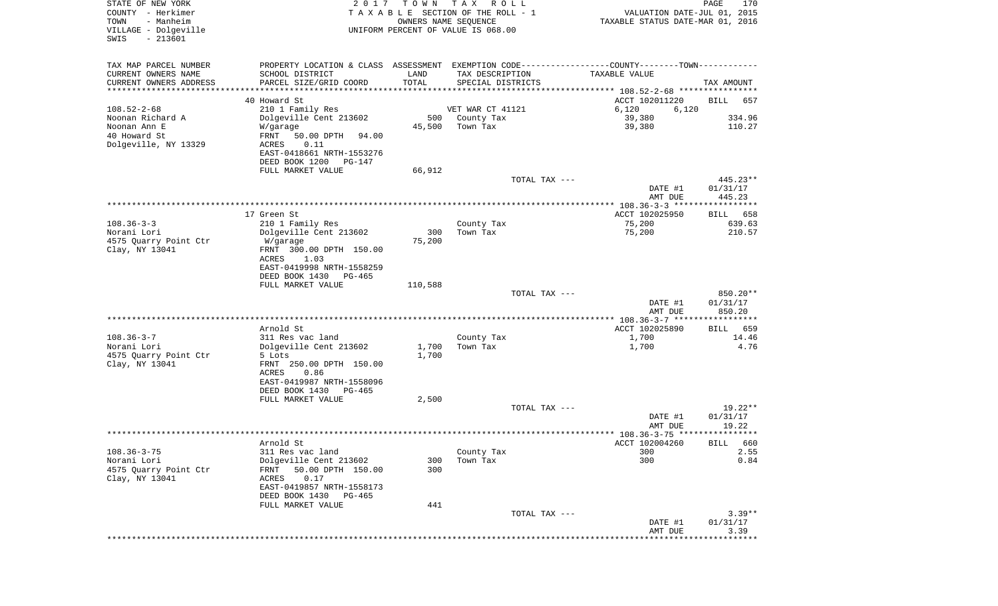| UNIFORM PERCENT OF VALUE IS 068.00<br>$-213601$<br>SWIS<br>TAX MAP PARCEL NUMBER<br>PROPERTY LOCATION & CLASS ASSESSMENT EXEMPTION CODE---------------COUNTY-------TOWN----------<br>CURRENT OWNERS NAME<br>SCHOOL DISTRICT<br>LAND<br>TAX DESCRIPTION<br>TAXABLE VALUE<br>TOTAL<br>CURRENT OWNERS ADDRESS<br>PARCEL SIZE/GRID COORD<br>SPECIAL DISTRICTS<br>TAX AMOUNT<br>**********************<br>40 Howard St<br>ACCT 102011220<br>BILL<br>657<br>$108.52 - 2 - 68$<br>VET WAR CT 41121<br>210 1 Family Res<br>6,120<br>6,120<br>Noonan Richard A<br>Dolgeville Cent 213602<br>500<br>County Tax<br>39,380<br>334.96<br>Noonan Ann E<br>45,500<br>Town Tax<br>39,380<br>110.27<br>W/garage<br>40 Howard St<br>FRNT<br>50.00 DPTH<br>94.00<br>Dolgeville, NY 13329<br>0.11<br>ACRES<br>EAST-0418661 NRTH-1553276<br>DEED BOOK 1200<br>PG-147<br>FULL MARKET VALUE<br>66,912<br>TOTAL TAX ---<br>$445.23**$<br>DATE #1<br>01/31/17<br>445.23<br>AMT DUE<br>17 Green St<br>ACCT 102025950<br>BILL 658<br>$108.36 - 3 - 3$<br>75,200<br>639.63<br>210 1 Family Res<br>County Tax<br>210.57<br>Norani Lori<br>Dolgeville Cent 213602<br>300<br>Town Tax<br>75,200<br>75,200<br>4575 Quarry Point Ctr<br>W/garage<br>Clay, NY 13041<br>FRNT 300.00 DPTH 150.00<br>ACRES<br>1.03<br>EAST-0419998 NRTH-1558259<br>DEED BOOK 1430<br>PG-465<br>FULL MARKET VALUE<br>110,588<br>850.20**<br>TOTAL TAX ---<br>DATE #1<br>01/31/17<br>AMT DUE<br>850.20<br>Arnold St<br>ACCT 102025890<br>659<br>BILL<br>$108.36 - 3 - 7$<br>311 Res vac land<br>County Tax<br>1,700<br>14.46<br>Norani Lori<br>4.76<br>Dolgeville Cent 213602<br>1,700<br>Town Tax<br>1,700<br>1,700<br>4575 Quarry Point Ctr<br>5 Lots<br>Clay, NY 13041<br>FRNT 250.00 DPTH 150.00<br>ACRES<br>0.86<br>EAST-0419987 NRTH-1558096<br>DEED BOOK 1430<br>PG-465<br>2,500<br>FULL MARKET VALUE<br>$19.22**$<br>TOTAL TAX ---<br>01/31/17<br>DATE #1<br>19.22<br>AMT DUE<br>ACCT 102004260<br>Arnold St<br>BILL 660<br>$108.36 - 3 - 75$<br>311 Res vac land<br>County Tax<br>300<br>2.55<br>300<br>Norani Lori<br>Dolgeville Cent 213602<br>300<br>Town Tax<br>0.84<br>4575 Quarry Point Ctr<br>50.00 DPTH 150.00<br>300<br>FRNT<br>Clay, NY 13041<br>0.17<br>ACRES<br>EAST-0419857 NRTH-1558173<br>DEED BOOK 1430<br>PG-465<br>441<br>FULL MARKET VALUE<br>$3.39**$<br>TOTAL TAX ---<br>01/31/17<br>DATE #1<br>3.39<br>AMT DUE | STATE OF NEW YORK<br>COUNTY - Herkimer<br>TOWN<br>- Manheim<br>VILLAGE - Dolgeville | 2 0 1 7 | T O W N<br>OWNERS NAME SEQUENCE | T A X<br>R O L L<br>TAXABLE SECTION OF THE ROLL - 1 | VALUATION DATE-JUL 01, 2015<br>TAXABLE STATUS DATE-MAR 01, 2016 | $\mathop{\mathtt{PAGE}}$<br>170 |
|----------------------------------------------------------------------------------------------------------------------------------------------------------------------------------------------------------------------------------------------------------------------------------------------------------------------------------------------------------------------------------------------------------------------------------------------------------------------------------------------------------------------------------------------------------------------------------------------------------------------------------------------------------------------------------------------------------------------------------------------------------------------------------------------------------------------------------------------------------------------------------------------------------------------------------------------------------------------------------------------------------------------------------------------------------------------------------------------------------------------------------------------------------------------------------------------------------------------------------------------------------------------------------------------------------------------------------------------------------------------------------------------------------------------------------------------------------------------------------------------------------------------------------------------------------------------------------------------------------------------------------------------------------------------------------------------------------------------------------------------------------------------------------------------------------------------------------------------------------------------------------------------------------------------------------------------------------------------------------------------------------------------------------------------------------------------------------------------------------------------------------------------------------------------------------------------------------------------------------------------------------------------------------------------------------------------------------------------------------------------------------------|-------------------------------------------------------------------------------------|---------|---------------------------------|-----------------------------------------------------|-----------------------------------------------------------------|---------------------------------|
|                                                                                                                                                                                                                                                                                                                                                                                                                                                                                                                                                                                                                                                                                                                                                                                                                                                                                                                                                                                                                                                                                                                                                                                                                                                                                                                                                                                                                                                                                                                                                                                                                                                                                                                                                                                                                                                                                                                                                                                                                                                                                                                                                                                                                                                                                                                                                                                        |                                                                                     |         |                                 |                                                     |                                                                 |                                 |
|                                                                                                                                                                                                                                                                                                                                                                                                                                                                                                                                                                                                                                                                                                                                                                                                                                                                                                                                                                                                                                                                                                                                                                                                                                                                                                                                                                                                                                                                                                                                                                                                                                                                                                                                                                                                                                                                                                                                                                                                                                                                                                                                                                                                                                                                                                                                                                                        |                                                                                     |         |                                 |                                                     |                                                                 |                                 |
|                                                                                                                                                                                                                                                                                                                                                                                                                                                                                                                                                                                                                                                                                                                                                                                                                                                                                                                                                                                                                                                                                                                                                                                                                                                                                                                                                                                                                                                                                                                                                                                                                                                                                                                                                                                                                                                                                                                                                                                                                                                                                                                                                                                                                                                                                                                                                                                        |                                                                                     |         |                                 |                                                     |                                                                 |                                 |
|                                                                                                                                                                                                                                                                                                                                                                                                                                                                                                                                                                                                                                                                                                                                                                                                                                                                                                                                                                                                                                                                                                                                                                                                                                                                                                                                                                                                                                                                                                                                                                                                                                                                                                                                                                                                                                                                                                                                                                                                                                                                                                                                                                                                                                                                                                                                                                                        |                                                                                     |         |                                 |                                                     |                                                                 |                                 |
|                                                                                                                                                                                                                                                                                                                                                                                                                                                                                                                                                                                                                                                                                                                                                                                                                                                                                                                                                                                                                                                                                                                                                                                                                                                                                                                                                                                                                                                                                                                                                                                                                                                                                                                                                                                                                                                                                                                                                                                                                                                                                                                                                                                                                                                                                                                                                                                        |                                                                                     |         |                                 |                                                     |                                                                 |                                 |
|                                                                                                                                                                                                                                                                                                                                                                                                                                                                                                                                                                                                                                                                                                                                                                                                                                                                                                                                                                                                                                                                                                                                                                                                                                                                                                                                                                                                                                                                                                                                                                                                                                                                                                                                                                                                                                                                                                                                                                                                                                                                                                                                                                                                                                                                                                                                                                                        |                                                                                     |         |                                 |                                                     |                                                                 |                                 |
|                                                                                                                                                                                                                                                                                                                                                                                                                                                                                                                                                                                                                                                                                                                                                                                                                                                                                                                                                                                                                                                                                                                                                                                                                                                                                                                                                                                                                                                                                                                                                                                                                                                                                                                                                                                                                                                                                                                                                                                                                                                                                                                                                                                                                                                                                                                                                                                        |                                                                                     |         |                                 |                                                     |                                                                 |                                 |
|                                                                                                                                                                                                                                                                                                                                                                                                                                                                                                                                                                                                                                                                                                                                                                                                                                                                                                                                                                                                                                                                                                                                                                                                                                                                                                                                                                                                                                                                                                                                                                                                                                                                                                                                                                                                                                                                                                                                                                                                                                                                                                                                                                                                                                                                                                                                                                                        |                                                                                     |         |                                 |                                                     |                                                                 |                                 |
|                                                                                                                                                                                                                                                                                                                                                                                                                                                                                                                                                                                                                                                                                                                                                                                                                                                                                                                                                                                                                                                                                                                                                                                                                                                                                                                                                                                                                                                                                                                                                                                                                                                                                                                                                                                                                                                                                                                                                                                                                                                                                                                                                                                                                                                                                                                                                                                        |                                                                                     |         |                                 |                                                     |                                                                 |                                 |
|                                                                                                                                                                                                                                                                                                                                                                                                                                                                                                                                                                                                                                                                                                                                                                                                                                                                                                                                                                                                                                                                                                                                                                                                                                                                                                                                                                                                                                                                                                                                                                                                                                                                                                                                                                                                                                                                                                                                                                                                                                                                                                                                                                                                                                                                                                                                                                                        |                                                                                     |         |                                 |                                                     |                                                                 |                                 |
|                                                                                                                                                                                                                                                                                                                                                                                                                                                                                                                                                                                                                                                                                                                                                                                                                                                                                                                                                                                                                                                                                                                                                                                                                                                                                                                                                                                                                                                                                                                                                                                                                                                                                                                                                                                                                                                                                                                                                                                                                                                                                                                                                                                                                                                                                                                                                                                        |                                                                                     |         |                                 |                                                     |                                                                 |                                 |
|                                                                                                                                                                                                                                                                                                                                                                                                                                                                                                                                                                                                                                                                                                                                                                                                                                                                                                                                                                                                                                                                                                                                                                                                                                                                                                                                                                                                                                                                                                                                                                                                                                                                                                                                                                                                                                                                                                                                                                                                                                                                                                                                                                                                                                                                                                                                                                                        |                                                                                     |         |                                 |                                                     |                                                                 |                                 |
|                                                                                                                                                                                                                                                                                                                                                                                                                                                                                                                                                                                                                                                                                                                                                                                                                                                                                                                                                                                                                                                                                                                                                                                                                                                                                                                                                                                                                                                                                                                                                                                                                                                                                                                                                                                                                                                                                                                                                                                                                                                                                                                                                                                                                                                                                                                                                                                        |                                                                                     |         |                                 |                                                     |                                                                 |                                 |
|                                                                                                                                                                                                                                                                                                                                                                                                                                                                                                                                                                                                                                                                                                                                                                                                                                                                                                                                                                                                                                                                                                                                                                                                                                                                                                                                                                                                                                                                                                                                                                                                                                                                                                                                                                                                                                                                                                                                                                                                                                                                                                                                                                                                                                                                                                                                                                                        |                                                                                     |         |                                 |                                                     |                                                                 |                                 |
|                                                                                                                                                                                                                                                                                                                                                                                                                                                                                                                                                                                                                                                                                                                                                                                                                                                                                                                                                                                                                                                                                                                                                                                                                                                                                                                                                                                                                                                                                                                                                                                                                                                                                                                                                                                                                                                                                                                                                                                                                                                                                                                                                                                                                                                                                                                                                                                        |                                                                                     |         |                                 |                                                     |                                                                 |                                 |
|                                                                                                                                                                                                                                                                                                                                                                                                                                                                                                                                                                                                                                                                                                                                                                                                                                                                                                                                                                                                                                                                                                                                                                                                                                                                                                                                                                                                                                                                                                                                                                                                                                                                                                                                                                                                                                                                                                                                                                                                                                                                                                                                                                                                                                                                                                                                                                                        |                                                                                     |         |                                 |                                                     |                                                                 |                                 |
|                                                                                                                                                                                                                                                                                                                                                                                                                                                                                                                                                                                                                                                                                                                                                                                                                                                                                                                                                                                                                                                                                                                                                                                                                                                                                                                                                                                                                                                                                                                                                                                                                                                                                                                                                                                                                                                                                                                                                                                                                                                                                                                                                                                                                                                                                                                                                                                        |                                                                                     |         |                                 |                                                     |                                                                 |                                 |
|                                                                                                                                                                                                                                                                                                                                                                                                                                                                                                                                                                                                                                                                                                                                                                                                                                                                                                                                                                                                                                                                                                                                                                                                                                                                                                                                                                                                                                                                                                                                                                                                                                                                                                                                                                                                                                                                                                                                                                                                                                                                                                                                                                                                                                                                                                                                                                                        |                                                                                     |         |                                 |                                                     |                                                                 |                                 |
|                                                                                                                                                                                                                                                                                                                                                                                                                                                                                                                                                                                                                                                                                                                                                                                                                                                                                                                                                                                                                                                                                                                                                                                                                                                                                                                                                                                                                                                                                                                                                                                                                                                                                                                                                                                                                                                                                                                                                                                                                                                                                                                                                                                                                                                                                                                                                                                        |                                                                                     |         |                                 |                                                     |                                                                 |                                 |
|                                                                                                                                                                                                                                                                                                                                                                                                                                                                                                                                                                                                                                                                                                                                                                                                                                                                                                                                                                                                                                                                                                                                                                                                                                                                                                                                                                                                                                                                                                                                                                                                                                                                                                                                                                                                                                                                                                                                                                                                                                                                                                                                                                                                                                                                                                                                                                                        |                                                                                     |         |                                 |                                                     |                                                                 |                                 |
|                                                                                                                                                                                                                                                                                                                                                                                                                                                                                                                                                                                                                                                                                                                                                                                                                                                                                                                                                                                                                                                                                                                                                                                                                                                                                                                                                                                                                                                                                                                                                                                                                                                                                                                                                                                                                                                                                                                                                                                                                                                                                                                                                                                                                                                                                                                                                                                        |                                                                                     |         |                                 |                                                     |                                                                 |                                 |
|                                                                                                                                                                                                                                                                                                                                                                                                                                                                                                                                                                                                                                                                                                                                                                                                                                                                                                                                                                                                                                                                                                                                                                                                                                                                                                                                                                                                                                                                                                                                                                                                                                                                                                                                                                                                                                                                                                                                                                                                                                                                                                                                                                                                                                                                                                                                                                                        |                                                                                     |         |                                 |                                                     |                                                                 |                                 |
|                                                                                                                                                                                                                                                                                                                                                                                                                                                                                                                                                                                                                                                                                                                                                                                                                                                                                                                                                                                                                                                                                                                                                                                                                                                                                                                                                                                                                                                                                                                                                                                                                                                                                                                                                                                                                                                                                                                                                                                                                                                                                                                                                                                                                                                                                                                                                                                        |                                                                                     |         |                                 |                                                     |                                                                 |                                 |
|                                                                                                                                                                                                                                                                                                                                                                                                                                                                                                                                                                                                                                                                                                                                                                                                                                                                                                                                                                                                                                                                                                                                                                                                                                                                                                                                                                                                                                                                                                                                                                                                                                                                                                                                                                                                                                                                                                                                                                                                                                                                                                                                                                                                                                                                                                                                                                                        |                                                                                     |         |                                 |                                                     |                                                                 |                                 |
|                                                                                                                                                                                                                                                                                                                                                                                                                                                                                                                                                                                                                                                                                                                                                                                                                                                                                                                                                                                                                                                                                                                                                                                                                                                                                                                                                                                                                                                                                                                                                                                                                                                                                                                                                                                                                                                                                                                                                                                                                                                                                                                                                                                                                                                                                                                                                                                        |                                                                                     |         |                                 |                                                     |                                                                 |                                 |
|                                                                                                                                                                                                                                                                                                                                                                                                                                                                                                                                                                                                                                                                                                                                                                                                                                                                                                                                                                                                                                                                                                                                                                                                                                                                                                                                                                                                                                                                                                                                                                                                                                                                                                                                                                                                                                                                                                                                                                                                                                                                                                                                                                                                                                                                                                                                                                                        |                                                                                     |         |                                 |                                                     |                                                                 |                                 |
|                                                                                                                                                                                                                                                                                                                                                                                                                                                                                                                                                                                                                                                                                                                                                                                                                                                                                                                                                                                                                                                                                                                                                                                                                                                                                                                                                                                                                                                                                                                                                                                                                                                                                                                                                                                                                                                                                                                                                                                                                                                                                                                                                                                                                                                                                                                                                                                        |                                                                                     |         |                                 |                                                     |                                                                 |                                 |
|                                                                                                                                                                                                                                                                                                                                                                                                                                                                                                                                                                                                                                                                                                                                                                                                                                                                                                                                                                                                                                                                                                                                                                                                                                                                                                                                                                                                                                                                                                                                                                                                                                                                                                                                                                                                                                                                                                                                                                                                                                                                                                                                                                                                                                                                                                                                                                                        |                                                                                     |         |                                 |                                                     |                                                                 |                                 |
|                                                                                                                                                                                                                                                                                                                                                                                                                                                                                                                                                                                                                                                                                                                                                                                                                                                                                                                                                                                                                                                                                                                                                                                                                                                                                                                                                                                                                                                                                                                                                                                                                                                                                                                                                                                                                                                                                                                                                                                                                                                                                                                                                                                                                                                                                                                                                                                        |                                                                                     |         |                                 |                                                     |                                                                 |                                 |
|                                                                                                                                                                                                                                                                                                                                                                                                                                                                                                                                                                                                                                                                                                                                                                                                                                                                                                                                                                                                                                                                                                                                                                                                                                                                                                                                                                                                                                                                                                                                                                                                                                                                                                                                                                                                                                                                                                                                                                                                                                                                                                                                                                                                                                                                                                                                                                                        |                                                                                     |         |                                 |                                                     |                                                                 |                                 |
|                                                                                                                                                                                                                                                                                                                                                                                                                                                                                                                                                                                                                                                                                                                                                                                                                                                                                                                                                                                                                                                                                                                                                                                                                                                                                                                                                                                                                                                                                                                                                                                                                                                                                                                                                                                                                                                                                                                                                                                                                                                                                                                                                                                                                                                                                                                                                                                        |                                                                                     |         |                                 |                                                     |                                                                 |                                 |
|                                                                                                                                                                                                                                                                                                                                                                                                                                                                                                                                                                                                                                                                                                                                                                                                                                                                                                                                                                                                                                                                                                                                                                                                                                                                                                                                                                                                                                                                                                                                                                                                                                                                                                                                                                                                                                                                                                                                                                                                                                                                                                                                                                                                                                                                                                                                                                                        |                                                                                     |         |                                 |                                                     |                                                                 |                                 |
|                                                                                                                                                                                                                                                                                                                                                                                                                                                                                                                                                                                                                                                                                                                                                                                                                                                                                                                                                                                                                                                                                                                                                                                                                                                                                                                                                                                                                                                                                                                                                                                                                                                                                                                                                                                                                                                                                                                                                                                                                                                                                                                                                                                                                                                                                                                                                                                        |                                                                                     |         |                                 |                                                     |                                                                 |                                 |
|                                                                                                                                                                                                                                                                                                                                                                                                                                                                                                                                                                                                                                                                                                                                                                                                                                                                                                                                                                                                                                                                                                                                                                                                                                                                                                                                                                                                                                                                                                                                                                                                                                                                                                                                                                                                                                                                                                                                                                                                                                                                                                                                                                                                                                                                                                                                                                                        |                                                                                     |         |                                 |                                                     |                                                                 |                                 |
|                                                                                                                                                                                                                                                                                                                                                                                                                                                                                                                                                                                                                                                                                                                                                                                                                                                                                                                                                                                                                                                                                                                                                                                                                                                                                                                                                                                                                                                                                                                                                                                                                                                                                                                                                                                                                                                                                                                                                                                                                                                                                                                                                                                                                                                                                                                                                                                        |                                                                                     |         |                                 |                                                     |                                                                 |                                 |
|                                                                                                                                                                                                                                                                                                                                                                                                                                                                                                                                                                                                                                                                                                                                                                                                                                                                                                                                                                                                                                                                                                                                                                                                                                                                                                                                                                                                                                                                                                                                                                                                                                                                                                                                                                                                                                                                                                                                                                                                                                                                                                                                                                                                                                                                                                                                                                                        |                                                                                     |         |                                 |                                                     |                                                                 |                                 |
|                                                                                                                                                                                                                                                                                                                                                                                                                                                                                                                                                                                                                                                                                                                                                                                                                                                                                                                                                                                                                                                                                                                                                                                                                                                                                                                                                                                                                                                                                                                                                                                                                                                                                                                                                                                                                                                                                                                                                                                                                                                                                                                                                                                                                                                                                                                                                                                        |                                                                                     |         |                                 |                                                     |                                                                 |                                 |
|                                                                                                                                                                                                                                                                                                                                                                                                                                                                                                                                                                                                                                                                                                                                                                                                                                                                                                                                                                                                                                                                                                                                                                                                                                                                                                                                                                                                                                                                                                                                                                                                                                                                                                                                                                                                                                                                                                                                                                                                                                                                                                                                                                                                                                                                                                                                                                                        |                                                                                     |         |                                 |                                                     |                                                                 |                                 |
|                                                                                                                                                                                                                                                                                                                                                                                                                                                                                                                                                                                                                                                                                                                                                                                                                                                                                                                                                                                                                                                                                                                                                                                                                                                                                                                                                                                                                                                                                                                                                                                                                                                                                                                                                                                                                                                                                                                                                                                                                                                                                                                                                                                                                                                                                                                                                                                        |                                                                                     |         |                                 |                                                     |                                                                 |                                 |
|                                                                                                                                                                                                                                                                                                                                                                                                                                                                                                                                                                                                                                                                                                                                                                                                                                                                                                                                                                                                                                                                                                                                                                                                                                                                                                                                                                                                                                                                                                                                                                                                                                                                                                                                                                                                                                                                                                                                                                                                                                                                                                                                                                                                                                                                                                                                                                                        |                                                                                     |         |                                 |                                                     |                                                                 |                                 |
|                                                                                                                                                                                                                                                                                                                                                                                                                                                                                                                                                                                                                                                                                                                                                                                                                                                                                                                                                                                                                                                                                                                                                                                                                                                                                                                                                                                                                                                                                                                                                                                                                                                                                                                                                                                                                                                                                                                                                                                                                                                                                                                                                                                                                                                                                                                                                                                        |                                                                                     |         |                                 |                                                     |                                                                 |                                 |
|                                                                                                                                                                                                                                                                                                                                                                                                                                                                                                                                                                                                                                                                                                                                                                                                                                                                                                                                                                                                                                                                                                                                                                                                                                                                                                                                                                                                                                                                                                                                                                                                                                                                                                                                                                                                                                                                                                                                                                                                                                                                                                                                                                                                                                                                                                                                                                                        |                                                                                     |         |                                 |                                                     |                                                                 |                                 |
|                                                                                                                                                                                                                                                                                                                                                                                                                                                                                                                                                                                                                                                                                                                                                                                                                                                                                                                                                                                                                                                                                                                                                                                                                                                                                                                                                                                                                                                                                                                                                                                                                                                                                                                                                                                                                                                                                                                                                                                                                                                                                                                                                                                                                                                                                                                                                                                        |                                                                                     |         |                                 |                                                     |                                                                 |                                 |
|                                                                                                                                                                                                                                                                                                                                                                                                                                                                                                                                                                                                                                                                                                                                                                                                                                                                                                                                                                                                                                                                                                                                                                                                                                                                                                                                                                                                                                                                                                                                                                                                                                                                                                                                                                                                                                                                                                                                                                                                                                                                                                                                                                                                                                                                                                                                                                                        |                                                                                     |         |                                 |                                                     |                                                                 |                                 |
|                                                                                                                                                                                                                                                                                                                                                                                                                                                                                                                                                                                                                                                                                                                                                                                                                                                                                                                                                                                                                                                                                                                                                                                                                                                                                                                                                                                                                                                                                                                                                                                                                                                                                                                                                                                                                                                                                                                                                                                                                                                                                                                                                                                                                                                                                                                                                                                        |                                                                                     |         |                                 |                                                     |                                                                 |                                 |
|                                                                                                                                                                                                                                                                                                                                                                                                                                                                                                                                                                                                                                                                                                                                                                                                                                                                                                                                                                                                                                                                                                                                                                                                                                                                                                                                                                                                                                                                                                                                                                                                                                                                                                                                                                                                                                                                                                                                                                                                                                                                                                                                                                                                                                                                                                                                                                                        |                                                                                     |         |                                 |                                                     |                                                                 |                                 |
|                                                                                                                                                                                                                                                                                                                                                                                                                                                                                                                                                                                                                                                                                                                                                                                                                                                                                                                                                                                                                                                                                                                                                                                                                                                                                                                                                                                                                                                                                                                                                                                                                                                                                                                                                                                                                                                                                                                                                                                                                                                                                                                                                                                                                                                                                                                                                                                        |                                                                                     |         |                                 |                                                     |                                                                 |                                 |
|                                                                                                                                                                                                                                                                                                                                                                                                                                                                                                                                                                                                                                                                                                                                                                                                                                                                                                                                                                                                                                                                                                                                                                                                                                                                                                                                                                                                                                                                                                                                                                                                                                                                                                                                                                                                                                                                                                                                                                                                                                                                                                                                                                                                                                                                                                                                                                                        |                                                                                     |         |                                 |                                                     |                                                                 |                                 |
|                                                                                                                                                                                                                                                                                                                                                                                                                                                                                                                                                                                                                                                                                                                                                                                                                                                                                                                                                                                                                                                                                                                                                                                                                                                                                                                                                                                                                                                                                                                                                                                                                                                                                                                                                                                                                                                                                                                                                                                                                                                                                                                                                                                                                                                                                                                                                                                        |                                                                                     |         |                                 |                                                     |                                                                 |                                 |
|                                                                                                                                                                                                                                                                                                                                                                                                                                                                                                                                                                                                                                                                                                                                                                                                                                                                                                                                                                                                                                                                                                                                                                                                                                                                                                                                                                                                                                                                                                                                                                                                                                                                                                                                                                                                                                                                                                                                                                                                                                                                                                                                                                                                                                                                                                                                                                                        |                                                                                     |         |                                 |                                                     |                                                                 |                                 |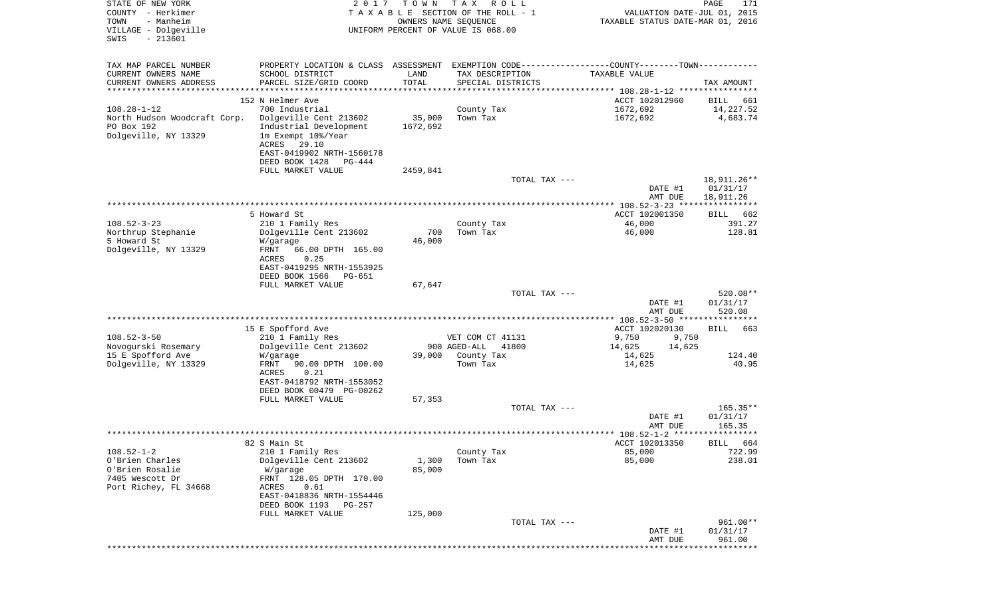| STATE OF NEW YORK<br>COUNTY - Herkimer<br>TOWN<br>- Manheim<br>VILLAGE - Dolgeville | 2 0 1 7                                               | T O W N       | T A X<br>R O L L<br>TAXABLE SECTION OF THE ROLL - 1<br>OWNERS NAME SEQUENCE<br>UNIFORM PERCENT OF VALUE IS 068.00 | VALUATION DATE-JUL 01, 2015<br>TAXABLE STATUS DATE-MAR 01, 2016                               | PAGE<br>171              |
|-------------------------------------------------------------------------------------|-------------------------------------------------------|---------------|-------------------------------------------------------------------------------------------------------------------|-----------------------------------------------------------------------------------------------|--------------------------|
| $-213601$<br>SWIS                                                                   |                                                       |               |                                                                                                                   |                                                                                               |                          |
| TAX MAP PARCEL NUMBER                                                               |                                                       |               |                                                                                                                   | PROPERTY LOCATION & CLASS ASSESSMENT EXEMPTION CODE---------------COUNTY-------TOWN---------- |                          |
| CURRENT OWNERS NAME                                                                 | SCHOOL DISTRICT                                       | LAND          | TAX DESCRIPTION                                                                                                   | TAXABLE VALUE                                                                                 |                          |
| CURRENT OWNERS ADDRESS                                                              | PARCEL SIZE/GRID COORD                                | TOTAL         | SPECIAL DISTRICTS                                                                                                 |                                                                                               | TAX AMOUNT               |
| **********************                                                              |                                                       |               |                                                                                                                   |                                                                                               |                          |
| $108.28 - 1 - 12$                                                                   | 152 N Helmer Ave<br>700 Industrial                    |               | County Tax                                                                                                        | ACCT 102012960<br>1672,692                                                                    | BILL<br>661<br>14,227.52 |
| North Hudson Woodcraft Corp.                                                        | Dolgeville Cent 213602                                | 35,000        | Town Tax                                                                                                          | 1672,692                                                                                      | 4,683.74                 |
| PO Box 192                                                                          | Industrial Development                                | 1672,692      |                                                                                                                   |                                                                                               |                          |
| Dolgeville, NY 13329                                                                | 1m Exempt 10%/Year                                    |               |                                                                                                                   |                                                                                               |                          |
|                                                                                     | ACRES<br>29.10<br>EAST-0419902 NRTH-1560178           |               |                                                                                                                   |                                                                                               |                          |
|                                                                                     | DEED BOOK 1428<br>PG-444                              |               |                                                                                                                   |                                                                                               |                          |
|                                                                                     | FULL MARKET VALUE                                     | 2459,841      |                                                                                                                   |                                                                                               |                          |
|                                                                                     |                                                       |               | TOTAL TAX ---                                                                                                     |                                                                                               | 18,911.26**              |
|                                                                                     |                                                       |               |                                                                                                                   | DATE #1<br>AMT DUE                                                                            | 01/31/17                 |
|                                                                                     |                                                       |               |                                                                                                                   |                                                                                               | 18,911.26                |
|                                                                                     | 5 Howard St                                           |               |                                                                                                                   | ACCT 102001350                                                                                | BILL<br>662              |
| $108.52 - 3 - 23$                                                                   | 210 1 Family Res                                      |               | County Tax                                                                                                        | 46,000                                                                                        | 391.27                   |
| Northrup Stephanie<br>5 Howard St                                                   | Dolgeville Cent 213602                                | 700<br>46,000 | Town Tax                                                                                                          | 46,000                                                                                        | 128.81                   |
| Dolgeville, NY 13329                                                                | W/garage<br>FRNT<br>66.00 DPTH 165.00                 |               |                                                                                                                   |                                                                                               |                          |
|                                                                                     | ACRES<br>0.25                                         |               |                                                                                                                   |                                                                                               |                          |
|                                                                                     | EAST-0419295 NRTH-1553925                             |               |                                                                                                                   |                                                                                               |                          |
|                                                                                     | DEED BOOK 1566<br>PG-651<br>FULL MARKET VALUE         | 67,647        |                                                                                                                   |                                                                                               |                          |
|                                                                                     |                                                       |               | TOTAL TAX ---                                                                                                     |                                                                                               | 520.08**                 |
|                                                                                     |                                                       |               |                                                                                                                   | DATE #1                                                                                       | 01/31/17                 |
|                                                                                     |                                                       |               |                                                                                                                   | AMT DUE                                                                                       | 520.08                   |
|                                                                                     | 15 E Spofford Ave                                     |               |                                                                                                                   | ACCT 102020130                                                                                | BILL<br>663              |
| $108.52 - 3 - 50$                                                                   | 210 1 Family Res                                      |               | VET COM CT 41131                                                                                                  | 9,750<br>9,750                                                                                |                          |
| Novogurski Rosemary                                                                 | Dolgeville Cent 213602                                |               | 900 AGED-ALL<br>41800                                                                                             | 14,625<br>14,625                                                                              |                          |
| 15 E Spofford Ave                                                                   | W/garage                                              | 39,000        | County Tax                                                                                                        | 14,625                                                                                        | 124.40                   |
| Dolgeville, NY 13329                                                                | FRNT<br>90.00 DPTH 100.00<br>ACRES<br>0.21            |               | Town Tax                                                                                                          | 14,625                                                                                        | 40.95                    |
|                                                                                     | EAST-0418792 NRTH-1553052                             |               |                                                                                                                   |                                                                                               |                          |
|                                                                                     | DEED BOOK 00479 PG-00262                              |               |                                                                                                                   |                                                                                               |                          |
|                                                                                     | FULL MARKET VALUE                                     | 57,353        |                                                                                                                   |                                                                                               | $165.35**$               |
|                                                                                     |                                                       |               | TOTAL TAX ---                                                                                                     | DATE #1                                                                                       | 01/31/17                 |
|                                                                                     |                                                       |               |                                                                                                                   | AMT DUE                                                                                       | 165.35                   |
|                                                                                     |                                                       |               |                                                                                                                   |                                                                                               |                          |
| $108.52 - 1 - 2$                                                                    | 82 S Main St                                          |               |                                                                                                                   | ACCT 102013350                                                                                | BILL 664                 |
| O'Brien Charles                                                                     | 210 1 Family Res<br>Dolgeville Cent 213602            | 1,300         | County Tax<br>Town Tax                                                                                            | 85,000<br>85,000                                                                              | 722.99<br>238.01         |
| O'Brien Rosalie                                                                     | W/garage                                              | 85,000        |                                                                                                                   |                                                                                               |                          |
| 7405 Wescott Dr                                                                     | FRNT 128.05 DPTH 170.00                               |               |                                                                                                                   |                                                                                               |                          |
| Port Richey, FL 34668                                                               | ACRES<br>0.61                                         |               |                                                                                                                   |                                                                                               |                          |
|                                                                                     | EAST-0418836 NRTH-1554446<br>DEED BOOK 1193<br>PG-257 |               |                                                                                                                   |                                                                                               |                          |
|                                                                                     | FULL MARKET VALUE                                     | 125,000       |                                                                                                                   |                                                                                               |                          |
|                                                                                     |                                                       |               | TOTAL TAX ---                                                                                                     |                                                                                               | 961.00**                 |
|                                                                                     |                                                       |               |                                                                                                                   | DATE #1<br>AMT DUE                                                                            | 01/31/17<br>961.00       |
|                                                                                     |                                                       |               |                                                                                                                   |                                                                                               | *********                |
|                                                                                     |                                                       |               |                                                                                                                   |                                                                                               |                          |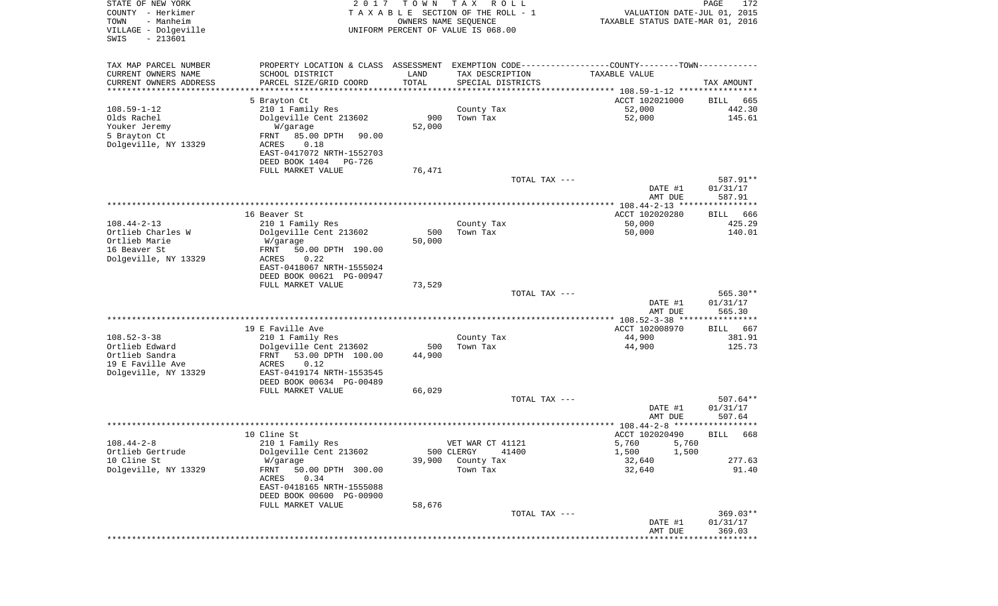| STATE OF NEW YORK<br>COUNTY - Herkimer<br>TOWN<br>- Manheim<br>VILLAGE - Dolgeville<br>$-213601$<br>SWIS | 2 0 1 7                                    | T O W N       | T A X<br>R O L L<br>TAXABLE SECTION OF THE ROLL - 1<br>OWNERS NAME SEQUENCE<br>UNIFORM PERCENT OF VALUE IS 068.00 | VALUATION DATE-JUL 01, 2015<br>TAXABLE STATUS DATE-MAR 01, 2016     | PAGE<br>172           |
|----------------------------------------------------------------------------------------------------------|--------------------------------------------|---------------|-------------------------------------------------------------------------------------------------------------------|---------------------------------------------------------------------|-----------------------|
|                                                                                                          |                                            |               |                                                                                                                   |                                                                     |                       |
| TAX MAP PARCEL NUMBER                                                                                    | PROPERTY LOCATION & CLASS ASSESSMENT       |               | EXEMPTION CODE-----------------COUNTY--------TOWN-----------                                                      |                                                                     |                       |
| CURRENT OWNERS NAME                                                                                      | SCHOOL DISTRICT                            | LAND          | TAX DESCRIPTION                                                                                                   | TAXABLE VALUE                                                       |                       |
| CURRENT OWNERS ADDRESS                                                                                   | PARCEL SIZE/GRID COORD                     | TOTAL         | SPECIAL DISTRICTS                                                                                                 |                                                                     | TAX AMOUNT            |
| ********************                                                                                     |                                            |               |                                                                                                                   | ************************************* 108.59-1-12 ***************** |                       |
| $108.59 - 1 - 12$                                                                                        | 5 Brayton Ct<br>210 1 Family Res           |               | County Tax                                                                                                        | ACCT 102021000<br>52,000                                            | BILL<br>665<br>442.30 |
| Olds Rachel                                                                                              | Dolgeville Cent 213602                     | 900           | Town Tax                                                                                                          | 52,000                                                              | 145.61                |
| Youker Jeremy                                                                                            | W/garage                                   | 52,000        |                                                                                                                   |                                                                     |                       |
| 5 Brayton Ct                                                                                             | 85.00 DPTH<br>FRNT<br>90.00                |               |                                                                                                                   |                                                                     |                       |
| Dolgeville, NY 13329                                                                                     | ACRES<br>0.18                              |               |                                                                                                                   |                                                                     |                       |
|                                                                                                          | EAST-0417072 NRTH-1552703                  |               |                                                                                                                   |                                                                     |                       |
|                                                                                                          | DEED BOOK 1404<br>PG-726                   |               |                                                                                                                   |                                                                     |                       |
|                                                                                                          | FULL MARKET VALUE                          | 76,471        | TOTAL TAX ---                                                                                                     |                                                                     | 587.91**              |
|                                                                                                          |                                            |               |                                                                                                                   | DATE #1                                                             | 01/31/17              |
|                                                                                                          |                                            |               |                                                                                                                   | AMT DUE                                                             | 587.91                |
|                                                                                                          |                                            |               |                                                                                                                   | *************** 108.44-2-13 *****************                       |                       |
|                                                                                                          | 16 Beaver St                               |               |                                                                                                                   | ACCT 102020280                                                      | BILL<br>666           |
| $108.44 - 2 - 13$                                                                                        | 210 1 Family Res                           |               | County Tax                                                                                                        | 50,000                                                              | 425.29                |
| Ortlieb Charles W<br>Ortlieb Marie                                                                       | Dolgeville Cent 213602<br>W/garage         | 500<br>50,000 | Town Tax                                                                                                          | 50,000                                                              | 140.01                |
| 16 Beaver St                                                                                             | 50.00 DPTH 190.00<br>FRNT                  |               |                                                                                                                   |                                                                     |                       |
| Dolgeville, NY 13329                                                                                     | ACRES<br>0.22                              |               |                                                                                                                   |                                                                     |                       |
|                                                                                                          | EAST-0418067 NRTH-1555024                  |               |                                                                                                                   |                                                                     |                       |
|                                                                                                          | DEED BOOK 00621 PG-00947                   |               |                                                                                                                   |                                                                     |                       |
|                                                                                                          | FULL MARKET VALUE                          | 73,529        |                                                                                                                   |                                                                     |                       |
|                                                                                                          |                                            |               | TOTAL TAX ---                                                                                                     | DATE #1                                                             | 565.30**<br>01/31/17  |
|                                                                                                          |                                            |               |                                                                                                                   | AMT DUE                                                             | 565.30                |
|                                                                                                          |                                            |               |                                                                                                                   | ************** 108.52-3-38 *****************                        |                       |
|                                                                                                          | 19 E Faville Ave                           |               |                                                                                                                   | ACCT 102008970                                                      | 667<br>BILL           |
| $108.52 - 3 - 38$                                                                                        | 210 1 Family Res                           |               | County Tax                                                                                                        | 44,900                                                              | 381.91                |
| Ortlieb Edward                                                                                           | Dolgeville Cent 213602                     | 500           | Town Tax                                                                                                          | 44,900                                                              | 125.73                |
| Ortlieb Sandra<br>19 E Faville Ave                                                                       | FRNT<br>53.00 DPTH 100.00<br>ACRES<br>0.12 | 44,900        |                                                                                                                   |                                                                     |                       |
| Dolgeville, NY 13329                                                                                     | EAST-0419174 NRTH-1553545                  |               |                                                                                                                   |                                                                     |                       |
|                                                                                                          | DEED BOOK 00634 PG-00489                   |               |                                                                                                                   |                                                                     |                       |
|                                                                                                          | FULL MARKET VALUE                          | 66,029        |                                                                                                                   |                                                                     |                       |
|                                                                                                          |                                            |               | TOTAL TAX ---                                                                                                     |                                                                     | $507.64**$            |
|                                                                                                          |                                            |               |                                                                                                                   | DATE #1                                                             | 01/31/17              |
|                                                                                                          |                                            |               |                                                                                                                   | AMT DUE<br>************** 108.44-2-8 *******                        | 507.64<br>****        |
|                                                                                                          | 10 Cline St                                |               |                                                                                                                   | ACCT 102020490                                                      | 668<br>BILL           |
| $108.44 - 2 - 8$                                                                                         | 210 1 Family Res                           |               | VET WAR CT 41121                                                                                                  | 5,760<br>5,760                                                      |                       |
| Ortlieb Gertrude                                                                                         | Dolgeville Cent 213602                     |               | 500 CLERGY<br>41400                                                                                               | 1,500<br>1,500                                                      |                       |
| 10 Cline St                                                                                              | W/garage                                   | 39,900        | County Tax                                                                                                        | 32,640                                                              | 277.63                |
| Dolgeville, NY 13329                                                                                     | 50.00 DPTH 300.00<br>FRNT                  |               | Town Tax                                                                                                          | 32,640                                                              | 91.40                 |
|                                                                                                          | 0.34<br>ACRES<br>EAST-0418165 NRTH-1555088 |               |                                                                                                                   |                                                                     |                       |
|                                                                                                          | DEED BOOK 00600 PG-00900                   |               |                                                                                                                   |                                                                     |                       |
|                                                                                                          | FULL MARKET VALUE                          | 58,676        |                                                                                                                   |                                                                     |                       |
|                                                                                                          |                                            |               | TOTAL TAX ---                                                                                                     |                                                                     | $369.03**$            |
|                                                                                                          |                                            |               |                                                                                                                   | DATE #1                                                             | 01/31/17              |
|                                                                                                          |                                            |               |                                                                                                                   | AMT DUE                                                             | 369.03                |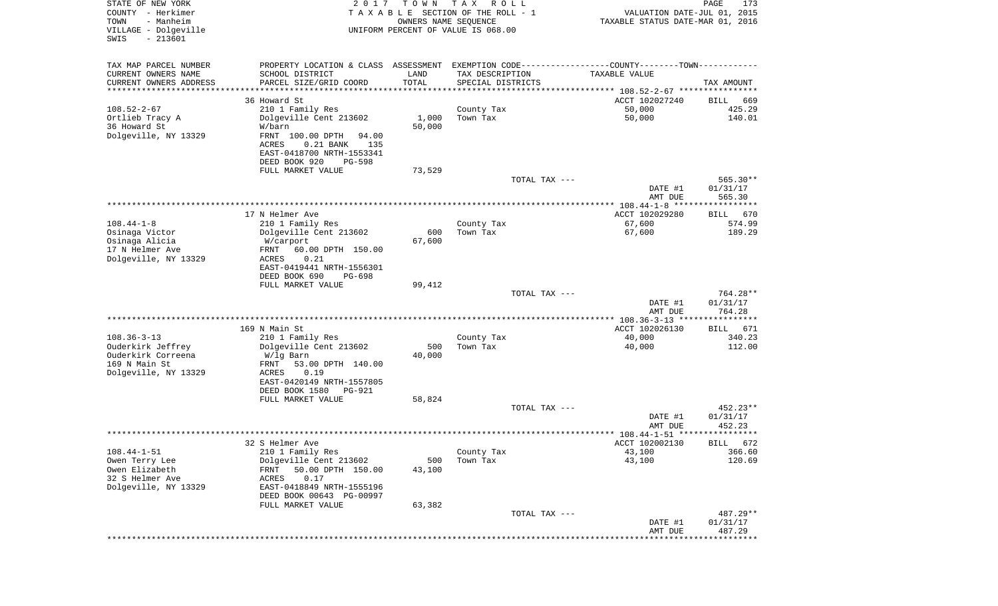| STATE OF NEW YORK<br>COUNTY - Herkimer<br>TOWN<br>- Manheim | 2 0 1 7                                                                                       | T O W N<br>OWNERS NAME SEQUENCE | T A X<br>R O L L<br>TAXABLE SECTION OF THE ROLL - 1 | VALUATION DATE-JUL 01, 2015<br>TAXABLE STATUS DATE-MAR 01, 2016 | PAGE<br>173           |
|-------------------------------------------------------------|-----------------------------------------------------------------------------------------------|---------------------------------|-----------------------------------------------------|-----------------------------------------------------------------|-----------------------|
| VILLAGE - Dolgeville<br>$-213601$<br>SWIS                   |                                                                                               |                                 | UNIFORM PERCENT OF VALUE IS 068.00                  |                                                                 |                       |
| TAX MAP PARCEL NUMBER                                       | PROPERTY LOCATION & CLASS ASSESSMENT EXEMPTION CODE---------------COUNTY-------TOWN---------- |                                 |                                                     |                                                                 |                       |
| CURRENT OWNERS NAME                                         | SCHOOL DISTRICT                                                                               | LAND                            | TAX DESCRIPTION                                     | TAXABLE VALUE                                                   |                       |
| CURRENT OWNERS ADDRESS                                      | PARCEL SIZE/GRID COORD                                                                        | TOTAL                           | SPECIAL DISTRICTS                                   |                                                                 | TAX AMOUNT            |
| *********************                                       |                                                                                               |                                 |                                                     |                                                                 |                       |
| $108.52 - 2 - 67$                                           | 36 Howard St<br>210 1 Family Res                                                              |                                 | County Tax                                          | ACCT 102027240<br>50,000                                        | 669<br>BILL<br>425.29 |
| Ortlieb Tracy A                                             | Dolgeville Cent 213602                                                                        | 1,000                           | Town Tax                                            | 50,000                                                          | 140.01                |
| 36 Howard St                                                | W/barn                                                                                        | 50,000                          |                                                     |                                                                 |                       |
| Dolgeville, NY 13329                                        | FRNT 100.00 DPTH<br>94.00                                                                     |                                 |                                                     |                                                                 |                       |
|                                                             | ACRES<br>$0.21$ BANK<br>135                                                                   |                                 |                                                     |                                                                 |                       |
|                                                             | EAST-0418700 NRTH-1553341                                                                     |                                 |                                                     |                                                                 |                       |
|                                                             | DEED BOOK 920<br>PG-598                                                                       |                                 |                                                     |                                                                 |                       |
|                                                             | FULL MARKET VALUE                                                                             | 73,529                          | TOTAL TAX ---                                       |                                                                 | $565.30**$            |
|                                                             |                                                                                               |                                 |                                                     | DATE #1                                                         | 01/31/17              |
|                                                             |                                                                                               |                                 |                                                     | AMT DUE                                                         | 565.30                |
|                                                             |                                                                                               |                                 |                                                     |                                                                 |                       |
|                                                             | 17 N Helmer Ave                                                                               |                                 |                                                     | ACCT 102029280                                                  | 670<br>BILL           |
| $108.44 - 1 - 8$                                            | 210 1 Family Res                                                                              |                                 | County Tax                                          | 67,600                                                          | 574.99                |
| Osinaga Victor                                              | Dolgeville Cent 213602                                                                        | 600                             | Town Tax                                            | 67,600                                                          | 189.29                |
| Osinaga Alicia<br>17 N Helmer Ave                           | W/carport<br>60.00 DPTH 150.00<br>FRNT                                                        | 67,600                          |                                                     |                                                                 |                       |
| Dolgeville, NY 13329                                        | 0.21<br>ACRES                                                                                 |                                 |                                                     |                                                                 |                       |
|                                                             | EAST-0419441 NRTH-1556301                                                                     |                                 |                                                     |                                                                 |                       |
|                                                             | DEED BOOK 690<br>PG-698                                                                       |                                 |                                                     |                                                                 |                       |
|                                                             | FULL MARKET VALUE                                                                             | 99,412                          |                                                     |                                                                 |                       |
|                                                             |                                                                                               |                                 | TOTAL TAX ---                                       |                                                                 | 764.28**              |
|                                                             |                                                                                               |                                 |                                                     | DATE #1<br>AMT DUE                                              | 01/31/17<br>764.28    |
|                                                             |                                                                                               |                                 |                                                     |                                                                 | ************          |
|                                                             | 169 N Main St                                                                                 |                                 |                                                     | ACCT 102026130                                                  | BILL 671              |
| $108.36 - 3 - 13$                                           | 210 1 Family Res                                                                              |                                 | County Tax                                          | 40,000                                                          | 340.23                |
| Ouderkirk Jeffrey                                           | Dolgeville Cent 213602                                                                        | 500                             | Town Tax                                            | 40,000                                                          | 112.00                |
| Ouderkirk Correena                                          | W/lg Barn                                                                                     | 40,000                          |                                                     |                                                                 |                       |
| 169 N Main St<br>Dolgeville, NY 13329                       | FRNT<br>53.00 DPTH 140.00<br>ACRES<br>0.19                                                    |                                 |                                                     |                                                                 |                       |
|                                                             | EAST-0420149 NRTH-1557805                                                                     |                                 |                                                     |                                                                 |                       |
|                                                             | DEED BOOK 1580<br><b>PG-921</b>                                                               |                                 |                                                     |                                                                 |                       |
|                                                             | FULL MARKET VALUE                                                                             | 58,824                          |                                                     |                                                                 |                       |
|                                                             |                                                                                               |                                 | TOTAL TAX ---                                       |                                                                 | 452.23**              |
|                                                             |                                                                                               |                                 |                                                     | DATE #1                                                         | 01/31/17<br>452.23    |
|                                                             |                                                                                               |                                 |                                                     | AMT DUE                                                         |                       |
|                                                             | 32 S Helmer Ave                                                                               |                                 |                                                     | ACCT 102002130                                                  | BILL 672              |
| $108.44 - 1 - 51$                                           | 210 1 Family Res                                                                              |                                 | County Tax                                          | 43,100                                                          | 366.60                |
| Owen Terry Lee                                              | Dolgeville Cent 213602                                                                        | 500                             | Town Tax                                            | 43,100                                                          | 120.69                |
| Owen Elizabeth                                              | 50.00 DPTH 150.00<br>FRNT                                                                     | 43,100                          |                                                     |                                                                 |                       |
| 32 S Helmer Ave                                             | 0.17<br>ACRES                                                                                 |                                 |                                                     |                                                                 |                       |
| Dolgeville, NY 13329                                        | EAST-0418849 NRTH-1555196<br>DEED BOOK 00643 PG-00997                                         |                                 |                                                     |                                                                 |                       |
|                                                             | FULL MARKET VALUE                                                                             | 63,382                          |                                                     |                                                                 |                       |
|                                                             |                                                                                               |                                 | TOTAL TAX ---                                       |                                                                 | 487.29**              |
|                                                             |                                                                                               |                                 |                                                     | DATE #1                                                         | 01/31/17              |
|                                                             |                                                                                               |                                 |                                                     | AMT DUE                                                         | 487.29                |
|                                                             |                                                                                               |                                 |                                                     |                                                                 | * * * * * * * * *     |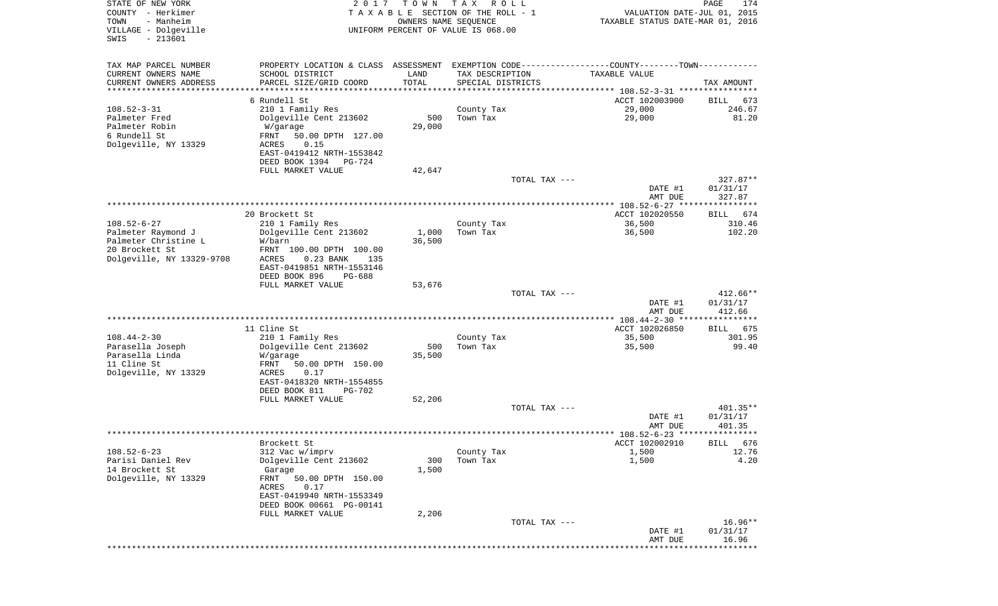| STATE OF NEW YORK<br>COUNTY - Herkimer<br>- Manheim<br>TOWN<br>VILLAGE - Dolgeville<br>$-213601$<br>SWIS | 2 0 1 7                                                                                       | T O W N              | T A X<br>R O L L<br>TAXABLE SECTION OF THE ROLL - 1<br>OWNERS NAME SEQUENCE<br>UNIFORM PERCENT OF VALUE IS 068.00 |               | VALUATION DATE-JUL 01, 2015<br>TAXABLE STATUS DATE-MAR 01, 2016 | 174<br>PAGE         |
|----------------------------------------------------------------------------------------------------------|-----------------------------------------------------------------------------------------------|----------------------|-------------------------------------------------------------------------------------------------------------------|---------------|-----------------------------------------------------------------|---------------------|
| TAX MAP PARCEL NUMBER                                                                                    | PROPERTY LOCATION & CLASS ASSESSMENT EXEMPTION CODE---------------COUNTY-------TOWN---------- |                      |                                                                                                                   |               |                                                                 |                     |
| CURRENT OWNERS NAME                                                                                      | SCHOOL DISTRICT                                                                               | LAND                 | TAX DESCRIPTION                                                                                                   |               | TAXABLE VALUE                                                   |                     |
| CURRENT OWNERS ADDRESS<br>**********************                                                         | PARCEL SIZE/GRID COORD<br>*******************                                                 | TOTAL<br>*********** | SPECIAL DISTRICTS                                                                                                 |               |                                                                 | TAX AMOUNT          |
|                                                                                                          | 6 Rundell St                                                                                  |                      |                                                                                                                   |               | ACCT 102003900                                                  | BILL<br>673         |
| $108.52 - 3 - 31$                                                                                        | 210 1 Family Res                                                                              |                      | County Tax                                                                                                        |               | 29,000                                                          | 246.67              |
| Palmeter Fred                                                                                            | Dolgeville Cent 213602                                                                        | 500                  | Town Tax                                                                                                          |               | 29,000                                                          | 81.20               |
| Palmeter Robin<br>6 Rundell St                                                                           | W/garage<br>FRNT<br>50.00 DPTH 127.00                                                         | 29,000               |                                                                                                                   |               |                                                                 |                     |
| Dolgeville, NY 13329                                                                                     | 0.15<br>ACRES                                                                                 |                      |                                                                                                                   |               |                                                                 |                     |
|                                                                                                          | EAST-0419412 NRTH-1553842                                                                     |                      |                                                                                                                   |               |                                                                 |                     |
|                                                                                                          | DEED BOOK 1394<br>PG-724<br>FULL MARKET VALUE                                                 | 42,647               |                                                                                                                   |               |                                                                 |                     |
|                                                                                                          |                                                                                               |                      |                                                                                                                   | TOTAL TAX --- |                                                                 | $327.87**$          |
|                                                                                                          |                                                                                               |                      |                                                                                                                   |               | DATE #1                                                         | 01/31/17            |
|                                                                                                          |                                                                                               |                      |                                                                                                                   |               | AMT DUE<br>***************** 108.52-6-27 *****************      | 327.87              |
|                                                                                                          | 20 Brockett St                                                                                |                      |                                                                                                                   |               | ACCT 102020550                                                  | 674<br>BILL         |
| $108.52 - 6 - 27$                                                                                        | 210 1 Family Res                                                                              |                      | County Tax                                                                                                        |               | 36,500                                                          | 310.46              |
| Palmeter Raymond J                                                                                       | Dolgeville Cent 213602                                                                        | 1,000                | Town Tax                                                                                                          |               | 36,500                                                          | 102.20              |
| Palmeter Christine L<br>20 Brockett St                                                                   | W/barn<br>FRNT 100.00 DPTH 100.00                                                             | 36,500               |                                                                                                                   |               |                                                                 |                     |
| Dolgeville, NY 13329-9708                                                                                | ACRES<br>$0.23$ BANK<br>135                                                                   |                      |                                                                                                                   |               |                                                                 |                     |
|                                                                                                          | EAST-0419851 NRTH-1553146                                                                     |                      |                                                                                                                   |               |                                                                 |                     |
|                                                                                                          | DEED BOOK 896<br><b>PG-688</b><br>FULL MARKET VALUE                                           | 53,676               |                                                                                                                   |               |                                                                 |                     |
|                                                                                                          |                                                                                               |                      |                                                                                                                   | TOTAL TAX --- |                                                                 | 412.66**            |
|                                                                                                          |                                                                                               |                      |                                                                                                                   |               | DATE #1                                                         | 01/31/17            |
|                                                                                                          |                                                                                               |                      |                                                                                                                   |               | AMT DUE                                                         | 412.66              |
|                                                                                                          | 11 Cline St                                                                                   |                      |                                                                                                                   |               | ACCT 102026850                                                  | 675<br>BILL         |
| $108.44 - 2 - 30$                                                                                        | 210 1 Family Res                                                                              |                      | County Tax                                                                                                        |               | 35,500                                                          | 301.95              |
| Parasella Joseph                                                                                         | Dolgeville Cent 213602                                                                        | 500                  | Town Tax                                                                                                          |               | 35,500                                                          | 99.40               |
| Parasella Linda<br>11 Cline St                                                                           | W/garage<br>FRNT<br>50.00 DPTH 150.00                                                         | 35,500               |                                                                                                                   |               |                                                                 |                     |
| Dolgeville, NY 13329                                                                                     | ACRES<br>0.17                                                                                 |                      |                                                                                                                   |               |                                                                 |                     |
|                                                                                                          | EAST-0418320 NRTH-1554855                                                                     |                      |                                                                                                                   |               |                                                                 |                     |
|                                                                                                          | DEED BOOK 811<br><b>PG-702</b><br>FULL MARKET VALUE                                           | 52,206               |                                                                                                                   |               |                                                                 |                     |
|                                                                                                          |                                                                                               |                      |                                                                                                                   | TOTAL TAX --- |                                                                 | 401.35**            |
|                                                                                                          |                                                                                               |                      |                                                                                                                   |               | DATE #1                                                         | 01/31/17            |
|                                                                                                          |                                                                                               |                      |                                                                                                                   |               | AMT DUE                                                         | 401.35              |
|                                                                                                          | Brockett St                                                                                   |                      |                                                                                                                   |               | ACCT 102002910                                                  | BILL 676            |
| $108.52 - 6 - 23$                                                                                        | 312 Vac w/imprv                                                                               |                      | County Tax                                                                                                        |               | 1,500                                                           | 12.76               |
| Parisi Daniel Rev                                                                                        | Dolgeville Cent 213602                                                                        | 300                  | Town Tax                                                                                                          |               | 1,500                                                           | 4.20                |
| 14 Brockett St<br>Dolgeville, NY 13329                                                                   | Garage<br>FRNT<br>50.00 DPTH 150.00                                                           | 1,500                |                                                                                                                   |               |                                                                 |                     |
|                                                                                                          | ACRES<br>0.17                                                                                 |                      |                                                                                                                   |               |                                                                 |                     |
|                                                                                                          | EAST-0419940 NRTH-1553349                                                                     |                      |                                                                                                                   |               |                                                                 |                     |
|                                                                                                          | DEED BOOK 00661 PG-00141<br>FULL MARKET VALUE                                                 |                      |                                                                                                                   |               |                                                                 |                     |
|                                                                                                          |                                                                                               | 2,206                |                                                                                                                   | TOTAL TAX --- |                                                                 | 16.96**             |
|                                                                                                          |                                                                                               |                      |                                                                                                                   |               | DATE #1                                                         | 01/31/17            |
|                                                                                                          |                                                                                               |                      |                                                                                                                   |               | AMT DUE                                                         | 16.96<br>********** |
|                                                                                                          |                                                                                               |                      |                                                                                                                   |               |                                                                 |                     |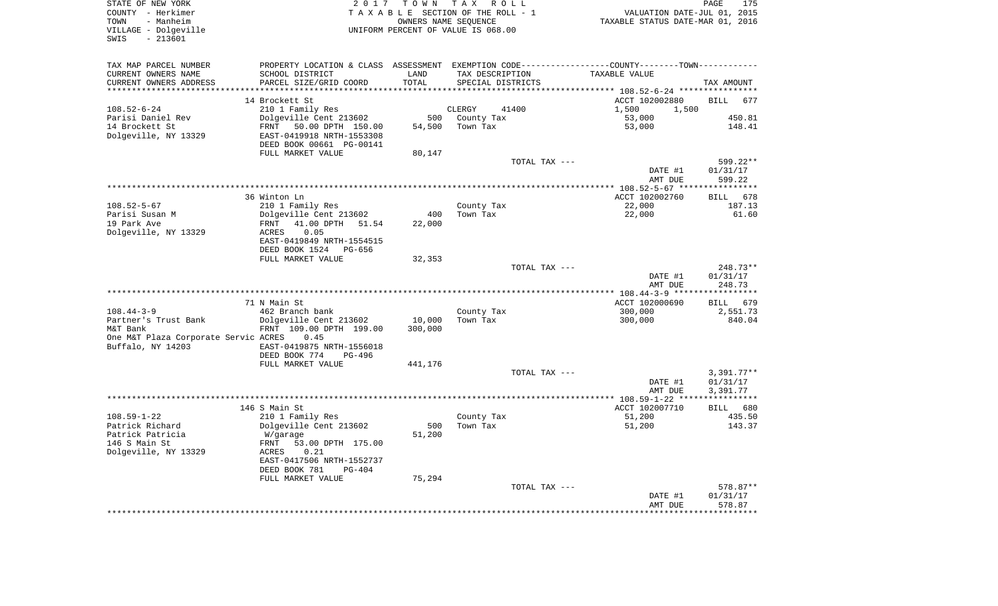| COUNTY - Herkimer<br>- Manheim<br>TOWN    | TAXABLE SECTION OF THE ROLL - 1<br>OWNERS NAME SEOUENCE |         |                                    | VALUATION DATE-JUL 01, 2015<br>TAXABLE STATUS DATE-MAR 01, 2016                                  |                                   |  |
|-------------------------------------------|---------------------------------------------------------|---------|------------------------------------|--------------------------------------------------------------------------------------------------|-----------------------------------|--|
| VILLAGE - Dolgeville<br>$-213601$<br>SWIS |                                                         |         | UNIFORM PERCENT OF VALUE IS 068.00 |                                                                                                  |                                   |  |
| TAX MAP PARCEL NUMBER                     |                                                         |         |                                    | PROPERTY LOCATION & CLASS ASSESSMENT EXEMPTION CODE----------------COUNTY--------TOWN----------- |                                   |  |
| CURRENT OWNERS NAME                       | SCHOOL DISTRICT                                         | LAND    | TAX DESCRIPTION                    | TAXABLE VALUE                                                                                    |                                   |  |
| CURRENT OWNERS ADDRESS                    | PARCEL SIZE/GRID COORD                                  | TOTAL   | SPECIAL DISTRICTS                  |                                                                                                  | TAX AMOUNT                        |  |
| ***********************                   |                                                         |         |                                    |                                                                                                  |                                   |  |
|                                           | 14 Brockett St                                          |         |                                    | ACCT 102002880                                                                                   | BILL 677                          |  |
| $108.52 - 6 - 24$                         | 210 1 Family Res                                        |         | 41400<br>CLERGY                    | 1,500<br>1,500<br>53,000                                                                         |                                   |  |
| Parisi Daniel Rev<br>14 Brockett St       | Dolgeville Cent 213602<br>FRNT 50.00 DPTH 150.00        |         | 500 County Tax<br>54,500 Town Tax  | 53,000                                                                                           | 450.81<br>148.41                  |  |
| Dolgeville, NY 13329                      | EAST-0419918 NRTH-1553308                               |         |                                    |                                                                                                  |                                   |  |
|                                           | DEED BOOK 00661 PG-00141                                |         |                                    |                                                                                                  |                                   |  |
|                                           | FULL MARKET VALUE                                       | 80,147  |                                    |                                                                                                  |                                   |  |
|                                           |                                                         |         | TOTAL TAX ---                      |                                                                                                  | 599.22**                          |  |
|                                           |                                                         |         |                                    | DATE #1                                                                                          | 01/31/17                          |  |
|                                           |                                                         |         |                                    | AMT DUE                                                                                          | 599.22                            |  |
|                                           |                                                         |         |                                    |                                                                                                  |                                   |  |
|                                           | 36 Winton Ln                                            |         |                                    | ACCT 102002760                                                                                   | <b>BILL</b><br>678                |  |
| $108.52 - 5 - 67$                         | 210 1 Family Res                                        |         | County Tax                         | 22,000                                                                                           | 187.13                            |  |
| Parisi Susan M                            | Dolgeville Cent 213602                                  | 400     | Town Tax                           | 22,000                                                                                           | 61.60                             |  |
| 19 Park Ave<br>Dolgeville, NY 13329       | FRNT<br>41.00 DPTH 51.54<br>ACRES<br>0.05               | 22,000  |                                    |                                                                                                  |                                   |  |
|                                           | EAST-0419849 NRTH-1554515                               |         |                                    |                                                                                                  |                                   |  |
|                                           | DEED BOOK 1524 PG-656                                   |         |                                    |                                                                                                  |                                   |  |
|                                           | FULL MARKET VALUE                                       | 32,353  |                                    |                                                                                                  |                                   |  |
|                                           |                                                         |         | TOTAL TAX ---                      |                                                                                                  | 248.73**                          |  |
|                                           |                                                         |         |                                    | DATE #1                                                                                          | 01/31/17                          |  |
|                                           |                                                         |         |                                    | AMT DUE                                                                                          | 248.73                            |  |
|                                           |                                                         |         |                                    |                                                                                                  |                                   |  |
| $108.44 - 3 - 9$                          | 71 N Main St<br>462 Branch bank                         |         | County Tax                         | ACCT 102000690<br>300,000                                                                        | BILL 679<br>2,551.73              |  |
| Partner's Trust Bank                      | Dolgeville Cent 213602                                  | 10,000  | Town Tax                           | 300,000                                                                                          | 840.04                            |  |
| M&T Bank                                  | FRNT 109.00 DPTH 199.00                                 | 300,000 |                                    |                                                                                                  |                                   |  |
| One M&T Plaza Corporate Servic ACRES      | 0.45                                                    |         |                                    |                                                                                                  |                                   |  |
| Buffalo, NY 14203                         | EAST-0419875 NRTH-1556018                               |         |                                    |                                                                                                  |                                   |  |
|                                           | DEED BOOK 774<br>PG-496                                 |         |                                    |                                                                                                  |                                   |  |
|                                           | FULL MARKET VALUE                                       | 441,176 |                                    |                                                                                                  |                                   |  |
|                                           |                                                         |         | TOTAL TAX ---                      |                                                                                                  | $3,391.77**$                      |  |
|                                           |                                                         |         |                                    | DATE #1                                                                                          | 01/31/17                          |  |
|                                           |                                                         |         |                                    | AMT DUE                                                                                          | 3,391.77<br>* * * * * * * * * * * |  |
|                                           | 146 S Main St                                           |         |                                    | ACCT 102007710                                                                                   | BILL 680                          |  |
| $108.59 - 1 - 22$                         | 210 1 Family Res                                        |         | County Tax                         | 51,200                                                                                           | 435.50                            |  |
| Patrick Richard                           | Dolgeville Cent 213602                                  | 500     | Town Tax                           | 51,200                                                                                           | 143.37                            |  |
| Patrick Patricia                          | W/garage                                                | 51,200  |                                    |                                                                                                  |                                   |  |
| 146 S Main St                             | FRNT<br>53.00 DPTH 175.00                               |         |                                    |                                                                                                  |                                   |  |
| Dolgeville, NY 13329                      | 0.21<br>ACRES                                           |         |                                    |                                                                                                  |                                   |  |
|                                           | EAST-0417506 NRTH-1552737                               |         |                                    |                                                                                                  |                                   |  |
|                                           | DEED BOOK 781<br>$PG-404$                               |         |                                    |                                                                                                  |                                   |  |
|                                           | FULL MARKET VALUE                                       | 75,294  |                                    |                                                                                                  |                                   |  |
|                                           |                                                         |         | TOTAL TAX ---                      | DATE #1                                                                                          | 578.87**<br>01/31/17              |  |
|                                           |                                                         |         |                                    | AMT DUE                                                                                          | 578.87                            |  |
|                                           |                                                         |         |                                    |                                                                                                  |                                   |  |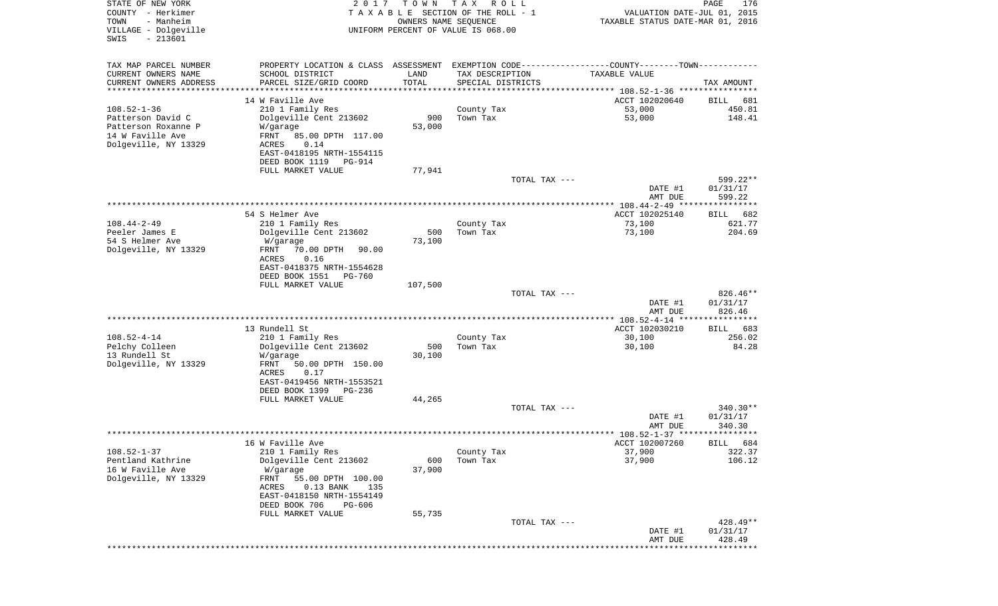| STATE OF NEW YORK<br>COUNTY - Herkimer<br>TOWN<br>- Manheim<br>VILLAGE - Dolgeville<br>$-213601$<br>SWIS | 2 0 1 7                                            | T O W N                        | T A X<br>R O L L<br>TAXABLE SECTION OF THE ROLL - 1<br>OWNERS NAME SEQUENCE<br>UNIFORM PERCENT OF VALUE IS 068.00 | VALUATION DATE-JUL 01, 2015<br>TAXABLE STATUS DATE-MAR 01, 2016                               | PAGE<br>176                     |
|----------------------------------------------------------------------------------------------------------|----------------------------------------------------|--------------------------------|-------------------------------------------------------------------------------------------------------------------|-----------------------------------------------------------------------------------------------|---------------------------------|
| TAX MAP PARCEL NUMBER                                                                                    |                                                    |                                |                                                                                                                   | PROPERTY LOCATION & CLASS ASSESSMENT EXEMPTION CODE---------------COUNTY-------TOWN---------- |                                 |
| CURRENT OWNERS NAME                                                                                      | SCHOOL DISTRICT                                    | LAND                           | TAX DESCRIPTION                                                                                                   | TAXABLE VALUE                                                                                 |                                 |
| CURRENT OWNERS ADDRESS<br>********************                                                           | PARCEL SIZE/GRID COORD<br>************************ | TOTAL<br>* * * * * * * * * * * | SPECIAL DISTRICTS                                                                                                 |                                                                                               | TAX AMOUNT                      |
|                                                                                                          | 14 W Faville Ave                                   |                                |                                                                                                                   | ACCT 102020640                                                                                | BILL<br>681                     |
| $108.52 - 1 - 36$                                                                                        | 210 1 Family Res                                   |                                | County Tax                                                                                                        | 53,000                                                                                        | 450.81                          |
| Patterson David C                                                                                        | Dolgeville Cent 213602                             | 900                            | Town Tax                                                                                                          | 53,000                                                                                        | 148.41                          |
| Patterson Roxanne P<br>14 W Faville Ave                                                                  | W/garage<br>FRNT<br>85.00 DPTH 117.00              | 53,000                         |                                                                                                                   |                                                                                               |                                 |
| Dolgeville, NY 13329                                                                                     | ACRES<br>0.14                                      |                                |                                                                                                                   |                                                                                               |                                 |
|                                                                                                          | EAST-0418195 NRTH-1554115                          |                                |                                                                                                                   |                                                                                               |                                 |
|                                                                                                          | DEED BOOK 1119<br>PG-914<br>FULL MARKET VALUE      | 77,941                         |                                                                                                                   |                                                                                               |                                 |
|                                                                                                          |                                                    |                                |                                                                                                                   | TOTAL TAX ---                                                                                 | 599.22**                        |
|                                                                                                          |                                                    |                                |                                                                                                                   | DATE #1                                                                                       | 01/31/17                        |
|                                                                                                          |                                                    |                                |                                                                                                                   | AMT DUE                                                                                       | 599.22                          |
|                                                                                                          | 54 S Helmer Ave                                    |                                |                                                                                                                   | ACCT 102025140                                                                                | BILL<br>682                     |
| $108.44 - 2 - 49$                                                                                        | 210 1 Family Res                                   |                                | County Tax                                                                                                        | 73,100                                                                                        | 621.77                          |
| Peeler James E                                                                                           | Dolgeville Cent 213602                             | 500                            | Town Tax                                                                                                          | 73,100                                                                                        | 204.69                          |
| 54 S Helmer Ave<br>Dolgeville, NY 13329                                                                  | W/garage<br>FRNT<br>70.00 DPTH<br>90.00            | 73,100                         |                                                                                                                   |                                                                                               |                                 |
|                                                                                                          | 0.16<br>ACRES                                      |                                |                                                                                                                   |                                                                                               |                                 |
|                                                                                                          | EAST-0418375 NRTH-1554628                          |                                |                                                                                                                   |                                                                                               |                                 |
|                                                                                                          | DEED BOOK 1551<br>PG-760<br>FULL MARKET VALUE      | 107,500                        |                                                                                                                   |                                                                                               |                                 |
|                                                                                                          |                                                    |                                |                                                                                                                   | TOTAL TAX ---                                                                                 | 826.46**                        |
|                                                                                                          |                                                    |                                |                                                                                                                   | DATE #1                                                                                       | 01/31/17                        |
|                                                                                                          |                                                    |                                |                                                                                                                   | AMT DUE                                                                                       | 826.46                          |
|                                                                                                          | 13 Rundell St                                      |                                |                                                                                                                   | ACCT 102030210                                                                                | 683<br>BILL                     |
| $108.52 - 4 - 14$                                                                                        | 210 1 Family Res                                   |                                | County Tax                                                                                                        | 30,100                                                                                        | 256.02                          |
| Pelchy Colleen                                                                                           | Dolgeville Cent 213602                             | 500                            | Town Tax                                                                                                          | 30,100                                                                                        | 84.28                           |
| 13 Rundell St<br>Dolgeville, NY 13329                                                                    | W/garage<br>FRNT<br>50.00 DPTH 150.00              | 30,100                         |                                                                                                                   |                                                                                               |                                 |
|                                                                                                          | ACRES<br>0.17                                      |                                |                                                                                                                   |                                                                                               |                                 |
|                                                                                                          | EAST-0419456 NRTH-1553521                          |                                |                                                                                                                   |                                                                                               |                                 |
|                                                                                                          | DEED BOOK 1399<br>PG-236<br>FULL MARKET VALUE      | 44,265                         |                                                                                                                   |                                                                                               |                                 |
|                                                                                                          |                                                    |                                |                                                                                                                   | TOTAL TAX ---                                                                                 | $340.30**$                      |
|                                                                                                          |                                                    |                                |                                                                                                                   | DATE #1                                                                                       | 01/31/17                        |
|                                                                                                          |                                                    |                                |                                                                                                                   | AMT DUE                                                                                       | 340.30                          |
|                                                                                                          | 16 W Faville Ave                                   |                                |                                                                                                                   | ACCT 102007260                                                                                | BILL 684                        |
| $108.52 - 1 - 37$                                                                                        | 210 1 Family Res                                   |                                | County Tax                                                                                                        | 37,900                                                                                        | 322.37                          |
| Pentland Kathrine                                                                                        | Dolgeville Cent 213602                             | 600                            | Town Tax                                                                                                          | 37,900                                                                                        | 106.12                          |
| 16 W Faville Ave<br>Dolgeville, NY 13329                                                                 | W/garage<br>FRNT<br>55.00 DPTH 100.00              | 37,900                         |                                                                                                                   |                                                                                               |                                 |
|                                                                                                          | 0.13 BANK<br>ACRES<br>135                          |                                |                                                                                                                   |                                                                                               |                                 |
|                                                                                                          | EAST-0418150 NRTH-1554149                          |                                |                                                                                                                   |                                                                                               |                                 |
|                                                                                                          | DEED BOOK 706<br>PG-606<br>FULL MARKET VALUE       | 55,735                         |                                                                                                                   |                                                                                               |                                 |
|                                                                                                          |                                                    |                                |                                                                                                                   | TOTAL TAX ---                                                                                 | $428.49**$                      |
|                                                                                                          |                                                    |                                |                                                                                                                   | DATE #1                                                                                       | 01/31/17                        |
|                                                                                                          |                                                    |                                |                                                                                                                   | AMT DUE<br>******************                                                                 | 428.49<br>* * * * * * * * * * * |
|                                                                                                          |                                                    |                                |                                                                                                                   |                                                                                               |                                 |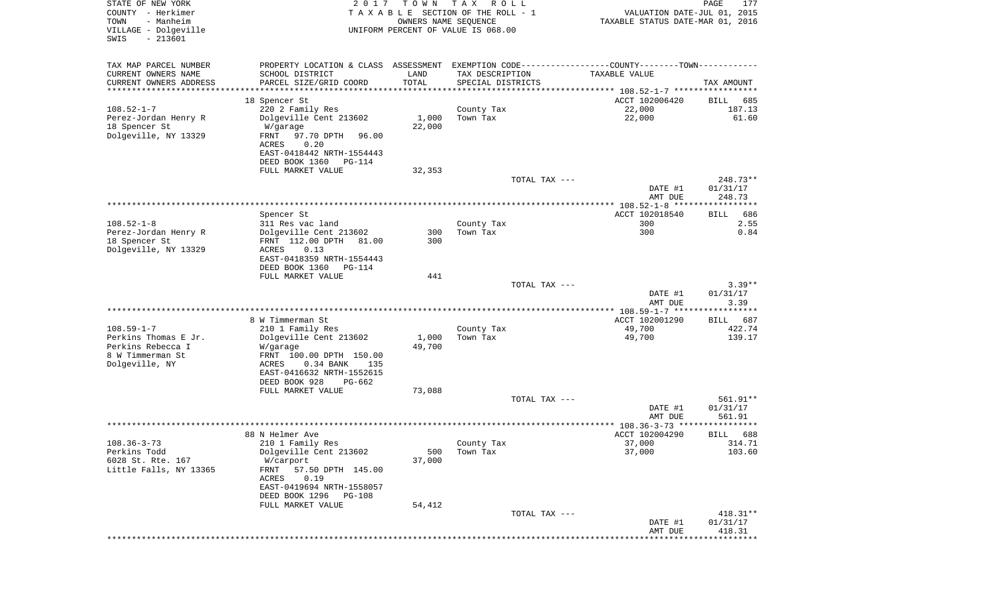| STATE OF NEW YORK<br>COUNTY - Herkimer<br>TOWN<br>- Manheim<br>VILLAGE - Dolgeville<br>$-213601$<br>SWIS | 2 0 1 7                                               | T O W N<br>OWNERS NAME SEQUENCE | T A X<br>R O L L<br>TAXABLE SECTION OF THE ROLL - 1<br>UNIFORM PERCENT OF VALUE IS 068.00 |               | VALUATION DATE-JUL 01, 2015<br>TAXABLE STATUS DATE-MAR 01, 2016                                | $\mathop{\mathtt{PAGE}}$<br>177 |
|----------------------------------------------------------------------------------------------------------|-------------------------------------------------------|---------------------------------|-------------------------------------------------------------------------------------------|---------------|------------------------------------------------------------------------------------------------|---------------------------------|
| TAX MAP PARCEL NUMBER                                                                                    |                                                       |                                 |                                                                                           |               | PROPERTY LOCATION & CLASS ASSESSMENT EXEMPTION CODE----------------COUNTY-------TOWN---------- |                                 |
| CURRENT OWNERS NAME                                                                                      | SCHOOL DISTRICT                                       | LAND                            | TAX DESCRIPTION                                                                           |               | TAXABLE VALUE                                                                                  |                                 |
| CURRENT OWNERS ADDRESS<br>*********************                                                          | PARCEL SIZE/GRID COORD<br>******************          | TOTAL<br>***********            | SPECIAL DISTRICTS                                                                         |               |                                                                                                | TAX AMOUNT                      |
| 18 Spencer St                                                                                            |                                                       |                                 |                                                                                           |               | ACCT 102006420                                                                                 | BILL<br>685                     |
| $108.52 - 1 - 7$                                                                                         | 220 2 Family Res                                      |                                 | County Tax                                                                                |               | 22,000                                                                                         | 187.13                          |
| Perez-Jordan Henry R                                                                                     | Dolgeville Cent 213602                                | 1,000                           | Town Tax                                                                                  |               | 22,000                                                                                         | 61.60                           |
| 18 Spencer St<br>W/garage<br>Dolgeville, NY 13329<br>FRNT<br>ACRES                                       | 97.70 DPTH<br>96.00<br>0.20                           | 22,000                          |                                                                                           |               |                                                                                                |                                 |
|                                                                                                          | EAST-0418442 NRTH-1554443<br>DEED BOOK 1360<br>PG-114 |                                 |                                                                                           |               |                                                                                                |                                 |
|                                                                                                          | FULL MARKET VALUE                                     | 32,353                          |                                                                                           |               |                                                                                                |                                 |
|                                                                                                          |                                                       |                                 |                                                                                           | TOTAL TAX --- |                                                                                                | $248.73**$                      |
|                                                                                                          |                                                       |                                 |                                                                                           |               | DATE #1<br>AMT DUE                                                                             | 01/31/17<br>248.73              |
|                                                                                                          |                                                       |                                 |                                                                                           |               |                                                                                                |                                 |
| Spencer St                                                                                               |                                                       |                                 |                                                                                           |               | ACCT 102018540                                                                                 | 686<br>BILL                     |
| $108.52 - 1 - 8$                                                                                         | 311 Res vac land                                      |                                 | County Tax                                                                                |               | 300<br>300                                                                                     | 2.55<br>0.84                    |
| Perez-Jordan Henry R<br>18 Spencer St                                                                    | Dolgeville Cent 213602<br>FRNT 112.00 DPTH<br>81.00   | 300<br>300                      | Town Tax                                                                                  |               |                                                                                                |                                 |
| Dolgeville, NY 13329<br>ACRES                                                                            | 0.13                                                  |                                 |                                                                                           |               |                                                                                                |                                 |
|                                                                                                          | EAST-0418359 NRTH-1554443<br>DEED BOOK 1360           |                                 |                                                                                           |               |                                                                                                |                                 |
|                                                                                                          | PG-114<br>FULL MARKET VALUE                           | 441                             |                                                                                           |               |                                                                                                |                                 |
|                                                                                                          |                                                       |                                 |                                                                                           | TOTAL TAX --- |                                                                                                | $3.39**$                        |
|                                                                                                          |                                                       |                                 |                                                                                           |               | DATE #1                                                                                        | 01/31/17                        |
|                                                                                                          |                                                       |                                 |                                                                                           |               | AMT DUE                                                                                        | 3.39                            |
|                                                                                                          | 8 W Timmerman St                                      |                                 |                                                                                           |               | ************** 108.59-1-7 ******************<br>ACCT 102001290                                 | 687<br>BILL                     |
| $108.59 - 1 - 7$                                                                                         | 210 1 Family Res                                      |                                 | County Tax                                                                                |               | 49,700                                                                                         | 422.74                          |
| Perkins Thomas E Jr.                                                                                     | Dolgeville Cent 213602                                | 1,000                           | Town Tax                                                                                  |               | 49,700                                                                                         | 139.17                          |
| Perkins Rebecca I<br>W/garage                                                                            |                                                       | 49,700                          |                                                                                           |               |                                                                                                |                                 |
| 8 W Timmerman St<br>Dolgeville, NY<br>ACRES                                                              | FRNT 100.00 DPTH 150.00<br>0.34 BANK<br>135           |                                 |                                                                                           |               |                                                                                                |                                 |
|                                                                                                          | EAST-0416632 NRTH-1552615                             |                                 |                                                                                           |               |                                                                                                |                                 |
|                                                                                                          | DEED BOOK 928<br>PG-662                               |                                 |                                                                                           |               |                                                                                                |                                 |
|                                                                                                          | FULL MARKET VALUE                                     | 73,088                          |                                                                                           |               |                                                                                                |                                 |
|                                                                                                          |                                                       |                                 |                                                                                           | TOTAL TAX --- | DATE #1                                                                                        | 561.91**<br>01/31/17            |
|                                                                                                          |                                                       |                                 |                                                                                           |               | AMT DUE                                                                                        | 561.91                          |
|                                                                                                          |                                                       |                                 |                                                                                           |               |                                                                                                | ****                            |
| 88 N Helmer Ave                                                                                          |                                                       |                                 |                                                                                           |               | ACCT 102004290                                                                                 | 688<br>BILL                     |
| $108.36 - 3 - 73$                                                                                        | 210 1 Family Res                                      |                                 | County Tax                                                                                |               | 37,000                                                                                         | 314.71                          |
| Perkins Todd<br>6028 St. Rte. 167<br>W/carport                                                           | Dolgeville Cent 213602                                | 500<br>37,000                   | Town Tax                                                                                  |               | 37,000                                                                                         | 103.60                          |
| Little Falls, NY 13365<br>FRNT                                                                           | 57.50 DPTH 145.00                                     |                                 |                                                                                           |               |                                                                                                |                                 |
| ACRES                                                                                                    | 0.19                                                  |                                 |                                                                                           |               |                                                                                                |                                 |
|                                                                                                          | EAST-0419694 NRTH-1558057                             |                                 |                                                                                           |               |                                                                                                |                                 |
|                                                                                                          | DEED BOOK 1296 PG-108<br>FULL MARKET VALUE            | 54,412                          |                                                                                           |               |                                                                                                |                                 |
|                                                                                                          |                                                       |                                 |                                                                                           | TOTAL TAX --- |                                                                                                | $418.31**$                      |
|                                                                                                          |                                                       |                                 |                                                                                           |               | DATE #1                                                                                        | 01/31/17                        |
|                                                                                                          |                                                       |                                 |                                                                                           |               | AMT DUE<br>***************************                                                         | 418.31                          |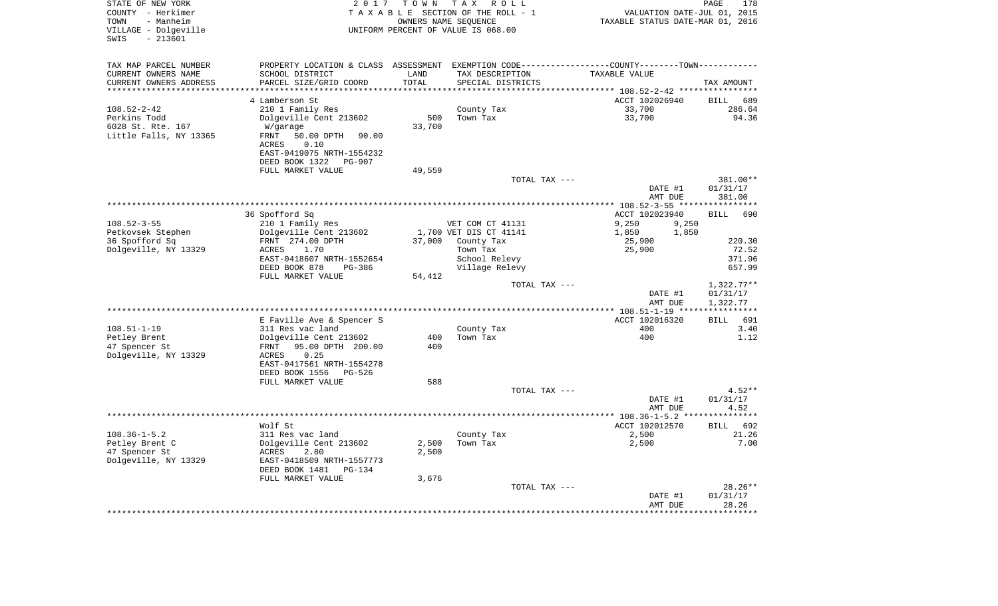| STATE OF NEW YORK<br>COUNTY - Herkimer<br>- Manheim<br>TOWN<br>VILLAGE - Dolgeville<br>$-213601$<br>SWIS | 2 0 1 7                                               | TOWN<br>OWNERS NAME SEQUENCE | T A X<br>R O L L<br>TAXABLE SECTION OF THE ROLL - 1<br>UNIFORM PERCENT OF VALUE IS 068.00      | VALUATION DATE-JUL 01, 2015<br>TAXABLE STATUS DATE-MAR 01, 2016 | PAGE<br>178        |
|----------------------------------------------------------------------------------------------------------|-------------------------------------------------------|------------------------------|------------------------------------------------------------------------------------------------|-----------------------------------------------------------------|--------------------|
| TAX MAP PARCEL NUMBER                                                                                    |                                                       |                              | PROPERTY LOCATION & CLASS ASSESSMENT EXEMPTION CODE----------------COUNTY-------TOWN---------- |                                                                 |                    |
| CURRENT OWNERS NAME                                                                                      | SCHOOL DISTRICT                                       | LAND                         | TAX DESCRIPTION                                                                                | TAXABLE VALUE                                                   |                    |
| CURRENT OWNERS ADDRESS                                                                                   | PARCEL SIZE/GRID COORD                                | TOTAL                        | SPECIAL DISTRICTS                                                                              |                                                                 | TAX AMOUNT         |
| *********************                                                                                    | *********************                                 | * * * * * * * * *            |                                                                                                | **************************** 108.52-2-42 ****************       |                    |
|                                                                                                          | 4 Lamberson St                                        |                              |                                                                                                | ACCT 102026940                                                  | <b>BILL</b><br>689 |
| $108.52 - 2 - 42$                                                                                        | 210 1 Family Res                                      |                              | County Tax                                                                                     | 33,700                                                          | 286.64             |
| Perkins Todd                                                                                             | Dolgeville Cent 213602                                | 500                          | Town Tax                                                                                       | 33,700                                                          | 94.36              |
| 6028 St. Rte. 167                                                                                        | W/garage                                              | 33,700                       |                                                                                                |                                                                 |                    |
| Little Falls, NY 13365                                                                                   | FRNT<br>50.00 DPTH<br>90.00<br>ACRES<br>0.10          |                              |                                                                                                |                                                                 |                    |
|                                                                                                          | EAST-0419075 NRTH-1554232                             |                              |                                                                                                |                                                                 |                    |
|                                                                                                          | DEED BOOK 1322<br><b>PG-907</b>                       |                              |                                                                                                |                                                                 |                    |
|                                                                                                          | FULL MARKET VALUE                                     | 49,559                       |                                                                                                |                                                                 |                    |
|                                                                                                          |                                                       |                              | TOTAL TAX ---                                                                                  |                                                                 | 381.00**           |
|                                                                                                          |                                                       |                              |                                                                                                | DATE #1                                                         | 01/31/17           |
|                                                                                                          |                                                       |                              |                                                                                                | AMT DUE                                                         | 381.00             |
|                                                                                                          |                                                       |                              | ********************************                                                               | $*$ 108.52-3-55 $**$                                            |                    |
|                                                                                                          | 36 Spofford Sq                                        |                              |                                                                                                | ACCT 102023940                                                  | 690<br><b>BILL</b> |
| $108.52 - 3 - 55$                                                                                        | 210 1 Family Res                                      |                              | VET COM CT 41131                                                                               | 9,250<br>9,250                                                  |                    |
| Petkovsek Stephen                                                                                        | Dolgeville Cent 213602                                |                              | 1,700 VET DIS CT 41141                                                                         | 1,850<br>1,850                                                  |                    |
| 36 Spofford Sq                                                                                           | FRNT 274.00 DPTH                                      | 37,000                       | County Tax                                                                                     | 25,900                                                          | 220.30             |
| Dolgeville, NY 13329                                                                                     | 1.70<br>ACRES                                         |                              | Town Tax                                                                                       | 25,900                                                          | 72.52              |
|                                                                                                          | EAST-0418607 NRTH-1552654<br>DEED BOOK 878<br>PG-386  |                              | School Relevy<br>Village Relevy                                                                |                                                                 | 371.96<br>657.99   |
|                                                                                                          | FULL MARKET VALUE                                     | 54,412                       |                                                                                                |                                                                 |                    |
|                                                                                                          |                                                       |                              | TOTAL TAX ---                                                                                  |                                                                 | $1,322.77**$       |
|                                                                                                          |                                                       |                              |                                                                                                | DATE #1                                                         | 01/31/17           |
|                                                                                                          |                                                       |                              |                                                                                                | AMT DUE                                                         | 1,322.77           |
| **********************                                                                                   |                                                       |                              |                                                                                                | *************** 108.51-1-19 *****************                   |                    |
|                                                                                                          | E Faville Ave & Spencer S                             |                              |                                                                                                | ACCT 102016320                                                  | <b>BILL</b><br>691 |
| $108.51 - 1 - 19$                                                                                        | 311 Res vac land                                      |                              | County Tax                                                                                     | 400                                                             | 3.40               |
| Petley Brent                                                                                             | Dolgeville Cent 213602                                | 400                          | Town Tax                                                                                       | 400                                                             | 1.12               |
| 47 Spencer St                                                                                            | FRNT<br>95.00 DPTH 200.00                             | 400                          |                                                                                                |                                                                 |                    |
| Dolgeville, NY 13329                                                                                     | 0.25<br>ACRES                                         |                              |                                                                                                |                                                                 |                    |
|                                                                                                          | EAST-0417561 NRTH-1554278<br>DEED BOOK 1556<br>PG-526 |                              |                                                                                                |                                                                 |                    |
|                                                                                                          | FULL MARKET VALUE                                     | 588                          |                                                                                                |                                                                 |                    |
|                                                                                                          |                                                       |                              | TOTAL TAX ---                                                                                  |                                                                 | $4.52**$           |
|                                                                                                          |                                                       |                              |                                                                                                | DATE #1                                                         | 01/31/17           |
|                                                                                                          |                                                       |                              |                                                                                                | AMT DUE                                                         | 4.52               |
|                                                                                                          |                                                       |                              | *****************************                                                                  | *********** 108.36-1-5.2 **                                     | $******$           |
|                                                                                                          | Wolf St                                               |                              |                                                                                                | ACCT 102012570                                                  | 692<br><b>BILL</b> |
| $108.36 - 1 - 5.2$                                                                                       | 311 Res vac land                                      |                              | County Tax                                                                                     | 2,500                                                           | 21.26              |
| Petley Brent C                                                                                           | Dolgeville Cent 213602                                | 2,500                        | Town Tax                                                                                       | 2,500                                                           | 7.00               |
| 47 Spencer St                                                                                            | ACRES<br>2.80                                         | 2,500                        |                                                                                                |                                                                 |                    |
| Dolgeville, NY 13329                                                                                     | EAST-0418509 NRTH-1557773                             |                              |                                                                                                |                                                                 |                    |
|                                                                                                          | DEED BOOK 1481<br><b>PG-134</b>                       |                              |                                                                                                |                                                                 |                    |
|                                                                                                          | FULL MARKET VALUE                                     | 3,676                        | TOTAL TAX ---                                                                                  |                                                                 | 28.26**            |
|                                                                                                          |                                                       |                              |                                                                                                | DATE #1                                                         | 01/31/17           |
|                                                                                                          |                                                       |                              |                                                                                                | AMT DUE                                                         | 28.26              |
|                                                                                                          |                                                       |                              |                                                                                                |                                                                 |                    |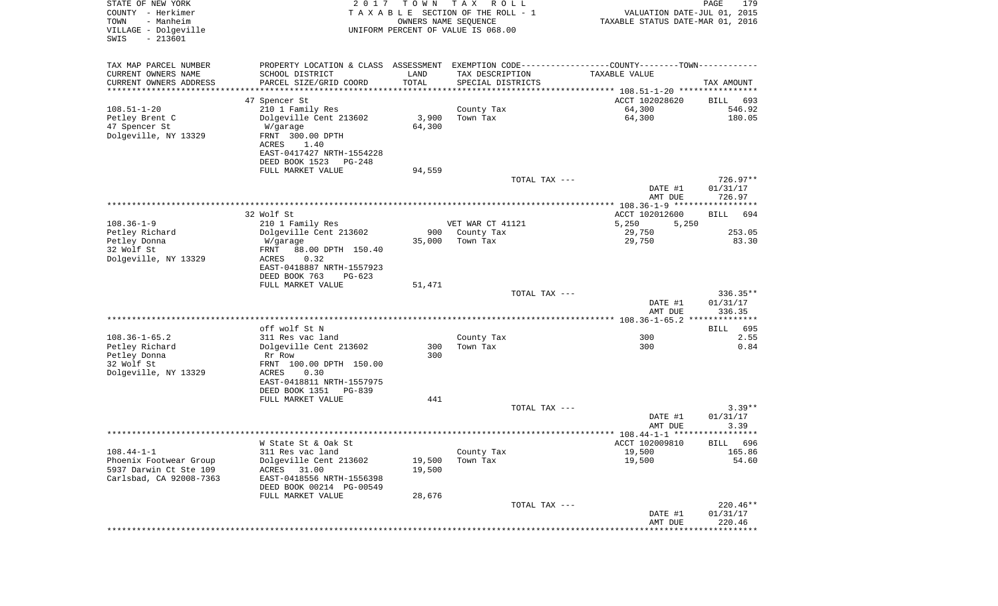| STATE OF NEW YORK<br>COUNTY - Herkimer<br>TOWN<br>- Manheim<br>VILLAGE - Dolgeville<br>$-213601$<br>SWIS | 2 0 1 7                                                                                       | T O W N    | T A X<br>R O L L<br>TAXABLE SECTION OF THE ROLL - 1<br>OWNERS NAME SEQUENCE<br>UNIFORM PERCENT OF VALUE IS 068.00 |               | VALUATION DATE-JUL 01, 2015<br>TAXABLE STATUS DATE-MAR 01, 2016 | PAGE<br>179      |
|----------------------------------------------------------------------------------------------------------|-----------------------------------------------------------------------------------------------|------------|-------------------------------------------------------------------------------------------------------------------|---------------|-----------------------------------------------------------------|------------------|
| TAX MAP PARCEL NUMBER                                                                                    | PROPERTY LOCATION & CLASS ASSESSMENT EXEMPTION CODE---------------COUNTY-------TOWN---------- |            |                                                                                                                   |               |                                                                 |                  |
| CURRENT OWNERS NAME                                                                                      | SCHOOL DISTRICT                                                                               | LAND       | TAX DESCRIPTION                                                                                                   |               | TAXABLE VALUE                                                   |                  |
| CURRENT OWNERS ADDRESS<br>**********************                                                         | PARCEL SIZE/GRID COORD                                                                        | TOTAL      | SPECIAL DISTRICTS                                                                                                 |               |                                                                 | TAX AMOUNT       |
|                                                                                                          | 47 Spencer St                                                                                 |            |                                                                                                                   |               | ACCT 102028620                                                  | 693<br>BILL      |
| $108.51 - 1 - 20$                                                                                        | 210 1 Family Res                                                                              |            | County Tax                                                                                                        |               | 64,300                                                          | 546.92           |
| Petley Brent C                                                                                           | Dolgeville Cent 213602                                                                        | 3,900      | Town Tax                                                                                                          |               | 64,300                                                          | 180.05           |
| 47 Spencer St                                                                                            | W/garage                                                                                      | 64,300     |                                                                                                                   |               |                                                                 |                  |
| Dolgeville, NY 13329                                                                                     | FRNT 300.00 DPTH                                                                              |            |                                                                                                                   |               |                                                                 |                  |
|                                                                                                          | ACRES<br>1.40                                                                                 |            |                                                                                                                   |               |                                                                 |                  |
|                                                                                                          | EAST-0417427 NRTH-1554228                                                                     |            |                                                                                                                   |               |                                                                 |                  |
|                                                                                                          | DEED BOOK 1523<br>PG-248<br>FULL MARKET VALUE                                                 | 94,559     |                                                                                                                   |               |                                                                 |                  |
|                                                                                                          |                                                                                               |            |                                                                                                                   | TOTAL TAX --- |                                                                 | $726.97**$       |
|                                                                                                          |                                                                                               |            |                                                                                                                   |               | DATE #1                                                         | 01/31/17         |
|                                                                                                          |                                                                                               |            |                                                                                                                   |               | AMT DUE                                                         | 726.97           |
|                                                                                                          |                                                                                               |            |                                                                                                                   |               |                                                                 |                  |
|                                                                                                          | 32 Wolf St                                                                                    |            |                                                                                                                   |               | ACCT 102012600                                                  | BILL<br>694      |
| $108.36 - 1 - 9$<br>Petley Richard                                                                       | 210 1 Family Res<br>Dolgeville Cent 213602                                                    | 900        | VET WAR CT 41121<br>County Tax                                                                                    |               | 5,250<br>5,250<br>29,750                                        | 253.05           |
| Petley Donna                                                                                             | W/garage                                                                                      | 35,000     | Town Tax                                                                                                          |               | 29,750                                                          | 83.30            |
| 32 Wolf St                                                                                               | 88.00 DPTH 150.40<br>FRNT                                                                     |            |                                                                                                                   |               |                                                                 |                  |
| Dolgeville, NY 13329                                                                                     | 0.32<br>ACRES                                                                                 |            |                                                                                                                   |               |                                                                 |                  |
|                                                                                                          | EAST-0418887 NRTH-1557923                                                                     |            |                                                                                                                   |               |                                                                 |                  |
|                                                                                                          | DEED BOOK 763<br>$PG-623$                                                                     |            |                                                                                                                   |               |                                                                 |                  |
|                                                                                                          | FULL MARKET VALUE                                                                             | 51,471     |                                                                                                                   | TOTAL TAX --- |                                                                 | $336.35**$       |
|                                                                                                          |                                                                                               |            |                                                                                                                   |               | DATE #1                                                         | 01/31/17         |
|                                                                                                          |                                                                                               |            |                                                                                                                   |               | AMT DUE                                                         | 336.35           |
|                                                                                                          |                                                                                               |            |                                                                                                                   |               |                                                                 | **************   |
|                                                                                                          | off wolf St N                                                                                 |            |                                                                                                                   |               |                                                                 | 695<br>BILL      |
| $108.36 - 1 - 65.2$                                                                                      | 311 Res vac land                                                                              |            | County Tax                                                                                                        |               | 300                                                             | 2.55             |
| Petley Richard                                                                                           | Dolgeville Cent 213602                                                                        | 300<br>300 | Town Tax                                                                                                          |               | 300                                                             | 0.84             |
| Petley Donna<br>32 Wolf St                                                                               | Rr Row<br>FRNT 100.00 DPTH 150.00                                                             |            |                                                                                                                   |               |                                                                 |                  |
| Dolgeville, NY 13329                                                                                     | ACRES<br>0.30                                                                                 |            |                                                                                                                   |               |                                                                 |                  |
|                                                                                                          | EAST-0418811 NRTH-1557975                                                                     |            |                                                                                                                   |               |                                                                 |                  |
|                                                                                                          | DEED BOOK 1351<br>PG-839                                                                      |            |                                                                                                                   |               |                                                                 |                  |
|                                                                                                          | FULL MARKET VALUE                                                                             | 441        |                                                                                                                   |               |                                                                 |                  |
|                                                                                                          |                                                                                               |            |                                                                                                                   | TOTAL TAX --- |                                                                 | $3.39**$         |
|                                                                                                          |                                                                                               |            |                                                                                                                   |               | DATE #1<br>AMT DUE                                              | 01/31/17<br>3.39 |
|                                                                                                          |                                                                                               |            |                                                                                                                   |               |                                                                 |                  |
|                                                                                                          | W State St & Oak St                                                                           |            |                                                                                                                   |               | ACCT 102009810                                                  | BILL 696         |
| $108.44 - 1 - 1$                                                                                         | 311 Res vac land                                                                              |            | County Tax                                                                                                        |               | 19,500                                                          | 165.86           |
| Phoenix Footwear Group                                                                                   | Dolgeville Cent 213602                                                                        | 19,500     | Town Tax                                                                                                          |               | 19,500                                                          | 54.60            |
| 5937 Darwin Ct Ste 109                                                                                   | 31.00<br>ACRES                                                                                | 19,500     |                                                                                                                   |               |                                                                 |                  |
| Carlsbad, CA 92008-7363                                                                                  | EAST-0418556 NRTH-1556398<br>DEED BOOK 00214 PG-00549                                         |            |                                                                                                                   |               |                                                                 |                  |
|                                                                                                          | FULL MARKET VALUE                                                                             | 28,676     |                                                                                                                   |               |                                                                 |                  |
|                                                                                                          |                                                                                               |            |                                                                                                                   | TOTAL TAX --- |                                                                 | 220.46**         |
|                                                                                                          |                                                                                               |            |                                                                                                                   |               | DATE #1                                                         | 01/31/17         |
|                                                                                                          |                                                                                               |            |                                                                                                                   |               | AMT DUE                                                         | 220.46           |
|                                                                                                          |                                                                                               |            |                                                                                                                   |               |                                                                 |                  |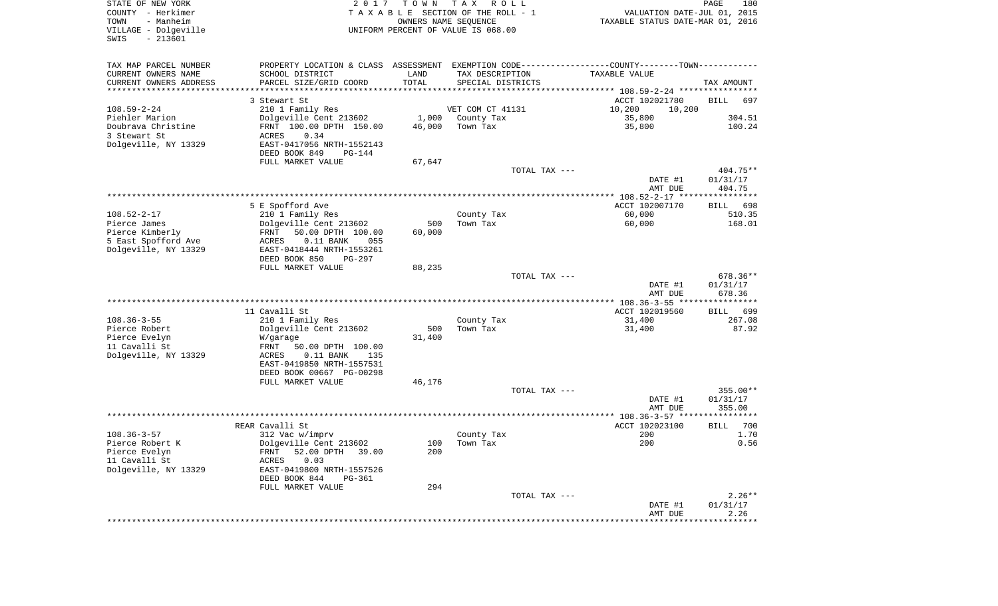| STATE OF NEW YORK<br>COUNTY - Herkimer<br>- Manheim<br>TOWN<br>VILLAGE - Dolgeville<br>$-213601$<br>SWIS | 2 0 1 7                                                  | T O W N       | T A X<br>R O L L<br>TAXABLE SECTION OF THE ROLL - 1<br>OWNERS NAME SEQUENCE<br>UNIFORM PERCENT OF VALUE IS 068.00 | VALUATION DATE-JUL 01, 2015<br>TAXABLE STATUS DATE-MAR 01, 2016                                                | PAGE<br>180        |
|----------------------------------------------------------------------------------------------------------|----------------------------------------------------------|---------------|-------------------------------------------------------------------------------------------------------------------|----------------------------------------------------------------------------------------------------------------|--------------------|
| TAX MAP PARCEL NUMBER<br>CURRENT OWNERS NAME<br>CURRENT OWNERS ADDRESS                                   | SCHOOL DISTRICT<br>PARCEL SIZE/GRID COORD                | LAND<br>TOTAL | TAX DESCRIPTION<br>SPECIAL DISTRICTS                                                                              | PROPERTY LOCATION & CLASS ASSESSMENT EXEMPTION CODE---------------COUNTY-------TOWN----------<br>TAXABLE VALUE | TAX AMOUNT         |
| *********************                                                                                    |                                                          |               |                                                                                                                   |                                                                                                                |                    |
|                                                                                                          | 3 Stewart St                                             |               |                                                                                                                   | ACCT 102021780                                                                                                 | <b>BILL</b><br>697 |
| $108.59 - 2 - 24$                                                                                        | 210 1 Family Res                                         |               | VET COM CT 41131                                                                                                  | 10,200<br>10,200                                                                                               |                    |
| Piehler Marion                                                                                           | Dolgeville Cent 213602                                   | 1,000         | County Tax                                                                                                        | 35,800                                                                                                         | 304.51             |
| Doubrava Christine                                                                                       | FRNT 100.00 DPTH 150.00                                  | 46,000        | Town Tax                                                                                                          | 35,800                                                                                                         | 100.24             |
| 3 Stewart St                                                                                             | 0.34<br>ACRES                                            |               |                                                                                                                   |                                                                                                                |                    |
| Dolgeville, NY 13329                                                                                     | EAST-0417056 NRTH-1552143                                |               |                                                                                                                   |                                                                                                                |                    |
|                                                                                                          | DEED BOOK 849<br><b>PG-144</b>                           |               |                                                                                                                   |                                                                                                                |                    |
|                                                                                                          | FULL MARKET VALUE                                        | 67,647        |                                                                                                                   |                                                                                                                |                    |
|                                                                                                          |                                                          |               | TOTAL TAX ---                                                                                                     |                                                                                                                | $404.75**$         |
|                                                                                                          |                                                          |               |                                                                                                                   | DATE #1                                                                                                        | 01/31/17           |
|                                                                                                          |                                                          |               |                                                                                                                   | AMT DUE                                                                                                        | 404.75             |
|                                                                                                          |                                                          |               |                                                                                                                   |                                                                                                                |                    |
|                                                                                                          | 5 E Spofford Ave                                         |               |                                                                                                                   | ACCT 102007170                                                                                                 | 698<br>BILL        |
| $108.52 - 2 - 17$                                                                                        | 210 1 Family Res                                         |               | County Tax                                                                                                        | 60,000                                                                                                         | 510.35             |
| Pierce James                                                                                             | Dolgeville Cent 213602                                   | 500           | Town Tax                                                                                                          | 60,000                                                                                                         | 168.01             |
| Pierce Kimberly                                                                                          | 50.00 DPTH 100.00<br>FRNT<br>ACRES<br>$0.11$ BANK<br>055 | 60,000        |                                                                                                                   |                                                                                                                |                    |
| 5 East Spofford Ave<br>Dolgeville, NY 13329                                                              | EAST-0418444 NRTH-1553261                                |               |                                                                                                                   |                                                                                                                |                    |
|                                                                                                          | DEED BOOK 850<br><b>PG-297</b>                           |               |                                                                                                                   |                                                                                                                |                    |
|                                                                                                          | FULL MARKET VALUE                                        | 88,235        |                                                                                                                   |                                                                                                                |                    |
|                                                                                                          |                                                          |               | TOTAL TAX ---                                                                                                     |                                                                                                                | 678.36**           |
|                                                                                                          |                                                          |               |                                                                                                                   | DATE #1                                                                                                        | 01/31/17           |
|                                                                                                          |                                                          |               |                                                                                                                   | AMT DUE                                                                                                        | 678.36             |
|                                                                                                          |                                                          |               |                                                                                                                   |                                                                                                                |                    |
|                                                                                                          | 11 Cavalli St                                            |               |                                                                                                                   | ACCT 102019560                                                                                                 | <b>BILL</b><br>699 |
| $108.36 - 3 - 55$                                                                                        | 210 1 Family Res                                         |               | County Tax                                                                                                        | 31,400                                                                                                         | 267.08             |
| Pierce Robert                                                                                            | Dolgeville Cent 213602                                   | 500           | Town Tax                                                                                                          | 31,400                                                                                                         | 87.92              |
| Pierce Evelyn                                                                                            | W/garage                                                 | 31,400        |                                                                                                                   |                                                                                                                |                    |
| 11 Cavalli St                                                                                            | FRNT<br>50.00 DPTH 100.00                                |               |                                                                                                                   |                                                                                                                |                    |
| Dolgeville, NY 13329                                                                                     | ACRES<br>$0.11$ BANK<br>135                              |               |                                                                                                                   |                                                                                                                |                    |
|                                                                                                          | EAST-0419850 NRTH-1557531                                |               |                                                                                                                   |                                                                                                                |                    |
|                                                                                                          | DEED BOOK 00667 PG-00298                                 |               |                                                                                                                   |                                                                                                                |                    |
|                                                                                                          | FULL MARKET VALUE                                        | 46,176        |                                                                                                                   |                                                                                                                |                    |
|                                                                                                          |                                                          |               | TOTAL TAX ---                                                                                                     |                                                                                                                | $355.00**$         |
|                                                                                                          |                                                          |               |                                                                                                                   | DATE #1                                                                                                        | 01/31/17           |
|                                                                                                          |                                                          |               |                                                                                                                   | AMT DUE                                                                                                        | 355.00             |
|                                                                                                          |                                                          |               |                                                                                                                   |                                                                                                                |                    |
|                                                                                                          | REAR Cavalli St                                          |               |                                                                                                                   | ACCT 102023100                                                                                                 | 700<br><b>BILL</b> |
| $108.36 - 3 - 57$                                                                                        | 312 Vac w/imprv                                          |               | County Tax                                                                                                        | 200                                                                                                            | 1.70               |
| Pierce Robert K                                                                                          | Dolgeville Cent 213602                                   |               | 100 Town Tax                                                                                                      | 200                                                                                                            | 0.56               |
| Pierce Evelyn<br>11 Cavalli St                                                                           | 52.00 DPTH 39.00<br>FRNT<br>0.03<br>ACRES                | 200           |                                                                                                                   |                                                                                                                |                    |
| Dolgeville, NY 13329                                                                                     |                                                          |               |                                                                                                                   |                                                                                                                |                    |
|                                                                                                          | EAST-0419800 NRTH-1557526<br>DEED BOOK 844<br>PG-361     |               |                                                                                                                   |                                                                                                                |                    |
|                                                                                                          | FULL MARKET VALUE                                        | 294           |                                                                                                                   |                                                                                                                |                    |
|                                                                                                          |                                                          |               | TOTAL TAX ---                                                                                                     |                                                                                                                | $2.26**$           |
|                                                                                                          |                                                          |               |                                                                                                                   | DATE #1                                                                                                        | 01/31/17           |
|                                                                                                          |                                                          |               |                                                                                                                   | AMT DUE                                                                                                        | 2.26               |
|                                                                                                          |                                                          |               |                                                                                                                   | *******************                                                                                            | ***********        |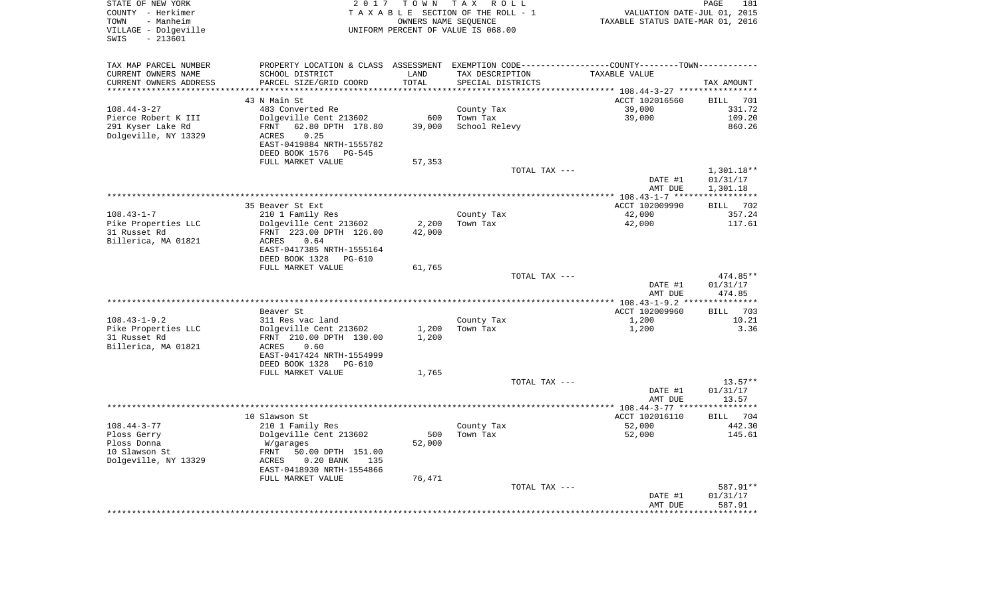| STATE OF NEW YORK<br>COUNTY - Herkimer<br>TOWN<br>- Manheim<br>VILLAGE - Dolgeville<br>$-213601$<br>SWIS | 2 0 1 7                                    | T O W N             | T A X<br>R O L L<br>TAXABLE SECTION OF THE ROLL - 1<br>OWNERS NAME SEQUENCE<br>UNIFORM PERCENT OF VALUE IS 068.00 | VALUATION DATE-JUL 01, 2015<br>TAXABLE STATUS DATE-MAR 01, 2016 | PAGE<br>181             |
|----------------------------------------------------------------------------------------------------------|--------------------------------------------|---------------------|-------------------------------------------------------------------------------------------------------------------|-----------------------------------------------------------------|-------------------------|
|                                                                                                          |                                            |                     |                                                                                                                   |                                                                 |                         |
| TAX MAP PARCEL NUMBER                                                                                    | PROPERTY LOCATION & CLASS ASSESSMENT       |                     |                                                                                                                   | EXEMPTION CODE-----------------COUNTY-------TOWN-----------     |                         |
| CURRENT OWNERS NAME                                                                                      | SCHOOL DISTRICT                            | LAND                | TAX DESCRIPTION                                                                                                   | TAXABLE VALUE                                                   |                         |
| CURRENT OWNERS ADDRESS<br>********************                                                           | PARCEL SIZE/GRID COORD                     | TOTAL<br>********** | SPECIAL DISTRICTS                                                                                                 |                                                                 | TAX AMOUNT              |
|                                                                                                          | 43 N Main St                               |                     |                                                                                                                   | ACCT 102016560                                                  | <b>BILL</b><br>701      |
| $108.44 - 3 - 27$                                                                                        | 483 Converted Re                           |                     | County Tax                                                                                                        | 39,000                                                          | 331.72                  |
| Pierce Robert K III                                                                                      | Dolgeville Cent 213602                     | 600                 | Town Tax                                                                                                          | 39,000                                                          | 109.20                  |
| 291 Kyser Lake Rd                                                                                        | 62.80 DPTH 178.80<br>FRNT                  | 39,000              | School Relevy                                                                                                     |                                                                 | 860.26                  |
| Dolgeville, NY 13329                                                                                     | 0.25<br>ACRES                              |                     |                                                                                                                   |                                                                 |                         |
|                                                                                                          | EAST-0419884 NRTH-1555782                  |                     |                                                                                                                   |                                                                 |                         |
|                                                                                                          | DEED BOOK 1576<br>PG-545                   |                     |                                                                                                                   |                                                                 |                         |
|                                                                                                          | FULL MARKET VALUE                          | 57,353              |                                                                                                                   |                                                                 |                         |
|                                                                                                          |                                            |                     | TOTAL TAX ---                                                                                                     |                                                                 | $1,301.18**$            |
|                                                                                                          |                                            |                     |                                                                                                                   | DATE #1                                                         | 01/31/17                |
|                                                                                                          |                                            |                     |                                                                                                                   | AMT DUE<br>******* 108.43-1-7 *****                             | 1,301.18<br>*********** |
|                                                                                                          | 35 Beaver St Ext                           |                     |                                                                                                                   | ACCT 102009990                                                  | 702<br><b>BILL</b>      |
| $108.43 - 1 - 7$                                                                                         | 210 1 Family Res                           |                     | County Tax                                                                                                        | 42,000                                                          | 357.24                  |
| Pike Properties LLC                                                                                      | Dolgeville Cent 213602                     | 2,200               | Town Tax                                                                                                          | 42,000                                                          | 117.61                  |
| 31 Russet Rd                                                                                             | FRNT 223.00 DPTH 126.00                    | 42,000              |                                                                                                                   |                                                                 |                         |
| Billerica, MA 01821                                                                                      | 0.64<br>ACRES                              |                     |                                                                                                                   |                                                                 |                         |
|                                                                                                          | EAST-0417385 NRTH-1555164                  |                     |                                                                                                                   |                                                                 |                         |
|                                                                                                          | DEED BOOK 1328<br><b>PG-610</b>            |                     |                                                                                                                   |                                                                 |                         |
|                                                                                                          | FULL MARKET VALUE                          | 61,765              | TOTAL TAX ---                                                                                                     |                                                                 | 474.85**                |
|                                                                                                          |                                            |                     |                                                                                                                   | DATE #1                                                         | 01/31/17                |
|                                                                                                          |                                            |                     |                                                                                                                   | AMT DUE                                                         | 474.85                  |
|                                                                                                          |                                            |                     | *******************                                                                                               | *** 108.43-1-9.2 *                                              |                         |
|                                                                                                          | Beaver St                                  |                     |                                                                                                                   | ACCT 102009960                                                  | 703<br><b>BILL</b>      |
| $108.43 - 1 - 9.2$                                                                                       | 311 Res vac land                           |                     | County Tax                                                                                                        | 1,200                                                           | 10.21                   |
| Pike Properties LLC                                                                                      | Dolgeville Cent 213602                     | 1,200               | Town Tax                                                                                                          | 1,200                                                           | 3.36                    |
| 31 Russet Rd                                                                                             | FRNT 210.00 DPTH 130.00                    | 1,200               |                                                                                                                   |                                                                 |                         |
| Billerica, MA 01821                                                                                      | ACRES<br>0.60<br>EAST-0417424 NRTH-1554999 |                     |                                                                                                                   |                                                                 |                         |
|                                                                                                          | DEED BOOK 1328<br>PG-610                   |                     |                                                                                                                   |                                                                 |                         |
|                                                                                                          | FULL MARKET VALUE                          | 1,765               |                                                                                                                   |                                                                 |                         |
|                                                                                                          |                                            |                     | TOTAL TAX ---                                                                                                     |                                                                 | 13.57**                 |
|                                                                                                          |                                            |                     |                                                                                                                   | DATE #1                                                         | 01/31/17                |
|                                                                                                          |                                            |                     |                                                                                                                   | AMT DUE                                                         | 13.57                   |
|                                                                                                          |                                            |                     |                                                                                                                   | ***************** 108.44-3-77 ****                              | ********                |
|                                                                                                          | 10 Slawson St                              |                     |                                                                                                                   | ACCT 102016110                                                  | BILL<br>704             |
| $108.44 - 3 - 77$<br>Ploss Gerry                                                                         | 210 1 Family Res                           | 500                 | County Tax<br>Town Tax                                                                                            | 52,000                                                          | 442.30<br>145.61        |
| Ploss Donna                                                                                              | Dolgeville Cent 213602<br>W/garages        | 52,000              |                                                                                                                   | 52,000                                                          |                         |
| 10 Slawson St                                                                                            | FRNT<br>50.00 DPTH 151.00                  |                     |                                                                                                                   |                                                                 |                         |
| Dolgeville, NY 13329                                                                                     | $0.20$ BANK<br>ACRES<br>135                |                     |                                                                                                                   |                                                                 |                         |
|                                                                                                          | EAST-0418930 NRTH-1554866                  |                     |                                                                                                                   |                                                                 |                         |
|                                                                                                          | FULL MARKET VALUE                          | 76,471              |                                                                                                                   |                                                                 |                         |
|                                                                                                          |                                            |                     | TOTAL TAX ---                                                                                                     |                                                                 | 587.91**                |
|                                                                                                          |                                            |                     |                                                                                                                   | DATE #1                                                         | 01/31/17                |
|                                                                                                          |                                            |                     |                                                                                                                   | AMT DUE                                                         | 587.91                  |
|                                                                                                          |                                            |                     |                                                                                                                   |                                                                 |                         |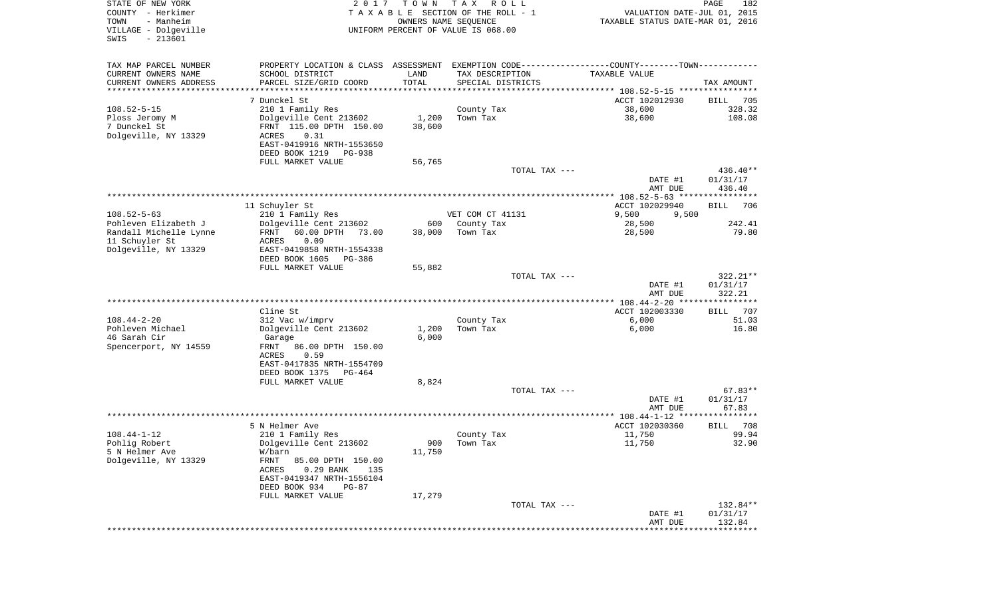| STATE OF NEW YORK<br>COUNTY - Herkimer<br>- Manheim<br>TOWN<br>VILLAGE - Dolgeville<br>SWIS<br>$-213601$ | 2 0 1 7                                      | T O W N<br>OWNERS NAME SEQUENCE | T A X<br>R O L L<br>T A X A B L E SECTION OF THE ROLL - 1<br>UNIFORM PERCENT OF VALUE IS 068.00 | VALUATION DATE-JUL 01, 2015<br>TAXABLE STATUS DATE-MAR 01, 2016                               | PAGE<br>182                    |
|----------------------------------------------------------------------------------------------------------|----------------------------------------------|---------------------------------|-------------------------------------------------------------------------------------------------|-----------------------------------------------------------------------------------------------|--------------------------------|
| TAX MAP PARCEL NUMBER                                                                                    |                                              |                                 |                                                                                                 | PROPERTY LOCATION & CLASS ASSESSMENT EXEMPTION CODE---------------COUNTY-------TOWN---------- |                                |
| CURRENT OWNERS NAME                                                                                      | SCHOOL DISTRICT                              | LAND                            | TAX DESCRIPTION                                                                                 | TAXABLE VALUE                                                                                 |                                |
| CURRENT OWNERS ADDRESS<br>********************                                                           | PARCEL SIZE/GRID COORD                       | TOTAL<br>* * * * * * * * * * *  | SPECIAL DISTRICTS                                                                               |                                                                                               | TAX AMOUNT                     |
|                                                                                                          | 7 Dunckel St                                 |                                 |                                                                                                 | ACCT 102012930                                                                                | 705<br>BILL                    |
| $108.52 - 5 - 15$                                                                                        | 210 1 Family Res                             |                                 | County Tax                                                                                      | 38,600                                                                                        | 328.32                         |
| Ploss Jeromy M                                                                                           | Dolgeville Cent 213602                       | 1,200                           | Town Tax                                                                                        | 38,600                                                                                        | 108.08                         |
| 7 Dunckel St                                                                                             | FRNT 115.00 DPTH 150.00                      | 38,600                          |                                                                                                 |                                                                                               |                                |
| Dolgeville, NY 13329                                                                                     | ACRES<br>0.31                                |                                 |                                                                                                 |                                                                                               |                                |
|                                                                                                          | EAST-0419916 NRTH-1553650                    |                                 |                                                                                                 |                                                                                               |                                |
|                                                                                                          | DEED BOOK 1219<br>PG-938                     |                                 |                                                                                                 |                                                                                               |                                |
|                                                                                                          | FULL MARKET VALUE                            | 56,765                          |                                                                                                 |                                                                                               |                                |
|                                                                                                          |                                              |                                 | TOTAL TAX ---                                                                                   | DATE #1<br>AMT DUE                                                                            | 436.40**<br>01/31/17<br>436.40 |
|                                                                                                          |                                              |                                 |                                                                                                 |                                                                                               |                                |
|                                                                                                          | 11 Schuyler St                               |                                 |                                                                                                 | ACCT 102029940                                                                                | <b>BILL</b><br>706             |
| $108.52 - 5 - 63$                                                                                        | 210 1 Family Res                             |                                 | VET COM CT 41131                                                                                | 9,500<br>9,500                                                                                |                                |
| Pohleven Elizabeth J                                                                                     | Dolgeville Cent 213602                       | 600                             | County Tax                                                                                      | 28,500                                                                                        | 242.41                         |
| Randall Michelle Lynne<br>11 Schuyler St                                                                 | FRNT<br>60.00 DPTH<br>73.00<br>0.09<br>ACRES | 38,000                          | Town Tax                                                                                        | 28,500                                                                                        | 79.80                          |
| Dolgeville, NY 13329                                                                                     | EAST-0419858 NRTH-1554338                    |                                 |                                                                                                 |                                                                                               |                                |
|                                                                                                          | DEED BOOK 1605<br>PG-386                     |                                 |                                                                                                 |                                                                                               |                                |
|                                                                                                          | FULL MARKET VALUE                            | 55,882                          |                                                                                                 |                                                                                               |                                |
|                                                                                                          |                                              |                                 | TOTAL TAX ---                                                                                   |                                                                                               | $322.21**$                     |
|                                                                                                          |                                              |                                 |                                                                                                 | DATE #1<br>AMT DUE                                                                            | 01/31/17<br>322.21             |
|                                                                                                          |                                              |                                 |                                                                                                 |                                                                                               |                                |
|                                                                                                          | Cline St                                     |                                 |                                                                                                 | ACCT 102003330                                                                                | 707<br>BILL                    |
| $108.44 - 2 - 20$<br>Pohleven Michael                                                                    | 312 Vac w/imprv                              |                                 | County Tax<br>Town Tax                                                                          | 6,000                                                                                         | 51.03<br>16.80                 |
| 46 Sarah Cir                                                                                             | Dolgeville Cent 213602<br>Garage             | 1,200<br>6,000                  |                                                                                                 | 6,000                                                                                         |                                |
| Spencerport, NY 14559                                                                                    | FRNT<br>86.00 DPTH 150.00                    |                                 |                                                                                                 |                                                                                               |                                |
|                                                                                                          | ACRES<br>0.59                                |                                 |                                                                                                 |                                                                                               |                                |
|                                                                                                          | EAST-0417835 NRTH-1554709                    |                                 |                                                                                                 |                                                                                               |                                |
|                                                                                                          | DEED BOOK 1375<br>PG-464                     |                                 |                                                                                                 |                                                                                               |                                |
|                                                                                                          | FULL MARKET VALUE                            | 8,824                           | TOTAL TAX ---                                                                                   |                                                                                               | $67.83**$                      |
|                                                                                                          |                                              |                                 |                                                                                                 | DATE #1                                                                                       | 01/31/17                       |
|                                                                                                          |                                              |                                 |                                                                                                 | AMT DUE                                                                                       | 67.83                          |
|                                                                                                          |                                              |                                 |                                                                                                 |                                                                                               |                                |
|                                                                                                          | 5 N Helmer Ave                               |                                 |                                                                                                 | ACCT 102030360                                                                                | 708<br>BILL                    |
| $108.44 - 1 - 12$                                                                                        | 210 1 Family Res                             |                                 | County Tax                                                                                      | 11,750                                                                                        | 99.94                          |
| Pohlig Robert<br>5 N Helmer Ave                                                                          | Dolgeville Cent 213602<br>W/barn             | 11,750                          | 900 Town Tax                                                                                    | 11,750                                                                                        | 32.90                          |
| Dolgeville, NY 13329                                                                                     | FRNT<br>85.00 DPTH 150.00                    |                                 |                                                                                                 |                                                                                               |                                |
|                                                                                                          | ACRES<br>$0.29$ BANK<br>135                  |                                 |                                                                                                 |                                                                                               |                                |
|                                                                                                          | EAST-0419347 NRTH-1556104                    |                                 |                                                                                                 |                                                                                               |                                |
|                                                                                                          | DEED BOOK 934<br>PG-87                       |                                 |                                                                                                 |                                                                                               |                                |
|                                                                                                          | FULL MARKET VALUE                            | 17,279                          |                                                                                                 |                                                                                               |                                |
|                                                                                                          |                                              |                                 | TOTAL TAX ---                                                                                   | DATE #1                                                                                       | 132.84**<br>01/31/17           |
|                                                                                                          |                                              |                                 |                                                                                                 | AMT DUE                                                                                       | 132.84                         |
|                                                                                                          |                                              |                                 |                                                                                                 | ***************************                                                                   |                                |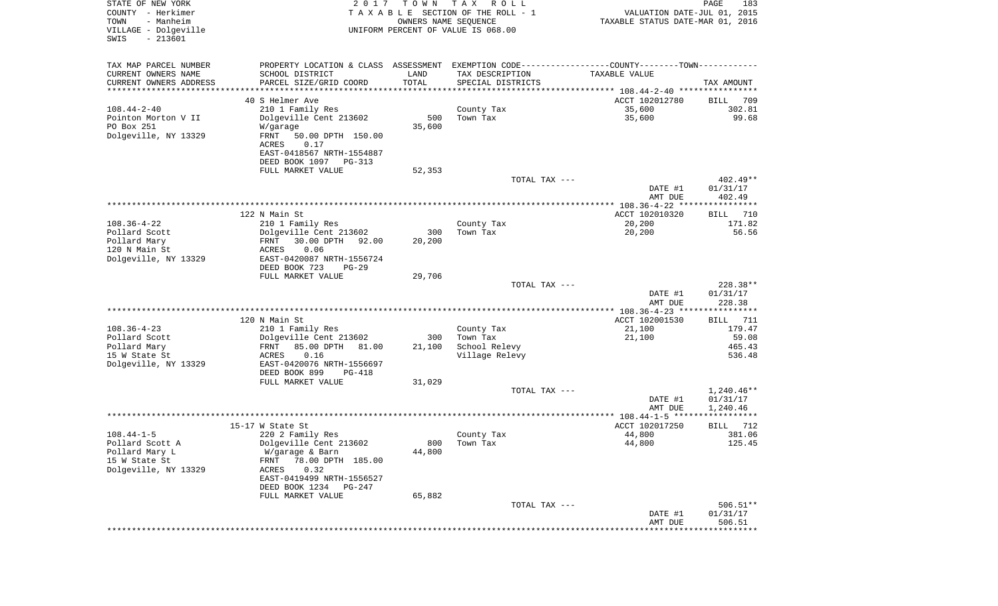| STATE OF NEW YORK<br>COUNTY - Herkimer<br>- Manheim<br>TOWN<br>VILLAGE - Dolgeville<br>$-213601$<br>SWIS | 2017                                                  | T O W N<br>OWNERS NAME SEQUENCE | T A X<br>R O L L<br>TAXABLE SECTION OF THE ROLL - 1<br>UNIFORM PERCENT OF VALUE IS 068.00 | VALUATION DATE-JUL 01, 2015<br>TAXABLE STATUS DATE-MAR 01, 2016 | PAGE<br>183        |
|----------------------------------------------------------------------------------------------------------|-------------------------------------------------------|---------------------------------|-------------------------------------------------------------------------------------------|-----------------------------------------------------------------|--------------------|
| TAX MAP PARCEL NUMBER                                                                                    | PROPERTY LOCATION & CLASS ASSESSMENT                  |                                 | EXEMPTION CODE----------------COUNTY-------TOWN-----------                                |                                                                 |                    |
| CURRENT OWNERS NAME                                                                                      | SCHOOL DISTRICT                                       | LAND                            | TAX DESCRIPTION                                                                           | TAXABLE VALUE                                                   |                    |
| CURRENT OWNERS ADDRESS<br>********************                                                           | PARCEL SIZE/GRID COORD<br>**********************      | TOTAL<br>* * * * * * * * * *    | SPECIAL DISTRICTS                                                                         |                                                                 | TAX AMOUNT         |
|                                                                                                          | 40 S Helmer Ave                                       |                                 |                                                                                           | ACCT 102012780                                                  | 709<br>BILL        |
| $108.44 - 2 - 40$                                                                                        | 210 1 Family Res                                      |                                 | County Tax                                                                                | 35,600                                                          | 302.81             |
| Pointon Morton V II                                                                                      | Dolgeville Cent 213602                                | 500                             | Town Tax                                                                                  | 35,600                                                          | 99.68              |
| PO Box 251                                                                                               | W/garage                                              | 35,600                          |                                                                                           |                                                                 |                    |
| Dolgeville, NY 13329                                                                                     | FRNT<br>50.00 DPTH 150.00                             |                                 |                                                                                           |                                                                 |                    |
|                                                                                                          | ACRES<br>0.17                                         |                                 |                                                                                           |                                                                 |                    |
|                                                                                                          | EAST-0418567 NRTH-1554887                             |                                 |                                                                                           |                                                                 |                    |
|                                                                                                          | DEED BOOK 1097<br>PG-313<br>FULL MARKET VALUE         | 52,353                          |                                                                                           |                                                                 |                    |
|                                                                                                          |                                                       |                                 | TOTAL TAX ---                                                                             |                                                                 | $402.49**$         |
|                                                                                                          |                                                       |                                 |                                                                                           | DATE #1                                                         | 01/31/17           |
|                                                                                                          |                                                       |                                 |                                                                                           | AMT DUE                                                         | 402.49             |
|                                                                                                          |                                                       |                                 |                                                                                           |                                                                 |                    |
|                                                                                                          | 122 N Main St                                         |                                 |                                                                                           | ACCT 102010320                                                  | 710<br>BILL        |
| $108.36 - 4 - 22$                                                                                        | 210 1 Family Res                                      |                                 | County Tax<br>Town Tax                                                                    | 20,200<br>20,200                                                | 171.82<br>56.56    |
| Pollard Scott<br>Pollard Mary                                                                            | Dolgeville Cent 213602<br>30.00 DPTH<br>FRNT<br>92.00 | 300<br>20,200                   |                                                                                           |                                                                 |                    |
| 120 N Main St                                                                                            | 0.06<br>ACRES                                         |                                 |                                                                                           |                                                                 |                    |
| Dolgeville, NY 13329                                                                                     | EAST-0420087 NRTH-1556724                             |                                 |                                                                                           |                                                                 |                    |
|                                                                                                          | DEED BOOK 723<br>$PG-29$                              |                                 |                                                                                           |                                                                 |                    |
|                                                                                                          | FULL MARKET VALUE                                     | 29,706                          |                                                                                           |                                                                 |                    |
|                                                                                                          |                                                       |                                 | TOTAL TAX ---                                                                             |                                                                 | 228.38**           |
|                                                                                                          |                                                       |                                 |                                                                                           | DATE #1<br>AMT DUE                                              | 01/31/17<br>228.38 |
|                                                                                                          |                                                       |                                 |                                                                                           | ************* 108.36-4-23 *****************                     |                    |
|                                                                                                          | 120 N Main St                                         |                                 |                                                                                           | ACCT 102001530                                                  | 711<br>BILL        |
| $108.36 - 4 - 23$                                                                                        | 210 1 Family Res                                      |                                 | County Tax                                                                                | 21,100                                                          | 179.47             |
| Pollard Scott                                                                                            | Dolgeville Cent 213602                                | 300                             | Town Tax                                                                                  | 21,100                                                          | 59.08              |
| Pollard Mary                                                                                             | 85.00 DPTH<br>FRNT<br>81.00                           | 21,100                          | School Relevy                                                                             |                                                                 | 465.43             |
| 15 W State St<br>Dolgeville, NY 13329                                                                    | 0.16<br>ACRES<br>EAST-0420076 NRTH-1556697            |                                 | Village Relevy                                                                            |                                                                 | 536.48             |
|                                                                                                          | DEED BOOK 899<br>PG-418                               |                                 |                                                                                           |                                                                 |                    |
|                                                                                                          | FULL MARKET VALUE                                     | 31,029                          |                                                                                           |                                                                 |                    |
|                                                                                                          |                                                       |                                 | TOTAL TAX ---                                                                             |                                                                 | $1,240.46**$       |
|                                                                                                          |                                                       |                                 |                                                                                           | DATE #1                                                         | 01/31/17           |
|                                                                                                          |                                                       |                                 |                                                                                           | AMT DUE                                                         | 1,240.46           |
|                                                                                                          | 15-17 W State St                                      |                                 |                                                                                           | ACCT 102017250                                                  | 712<br>BILL        |
| $108.44 - 1 - 5$                                                                                         | 220 2 Family Res                                      |                                 | County Tax                                                                                | 44,800                                                          | 381.06             |
| Pollard Scott A                                                                                          | Dolgeville Cent 213602                                |                                 | 800 Town Tax                                                                              | 44,800                                                          | 125.45             |
| Pollard Mary L                                                                                           | W/garage & Barn                                       | 44,800                          |                                                                                           |                                                                 |                    |
| 15 W State St                                                                                            | 78.00 DPTH 185.00<br>FRNT                             |                                 |                                                                                           |                                                                 |                    |
| Dolgeville, NY 13329                                                                                     | 0.32<br>ACRES                                         |                                 |                                                                                           |                                                                 |                    |
|                                                                                                          | EAST-0419499 NRTH-1556527<br>DEED BOOK 1234<br>PG-247 |                                 |                                                                                           |                                                                 |                    |
|                                                                                                          | FULL MARKET VALUE                                     | 65,882                          |                                                                                           |                                                                 |                    |
|                                                                                                          |                                                       |                                 | TOTAL TAX ---                                                                             |                                                                 | $506.51**$         |
|                                                                                                          |                                                       |                                 |                                                                                           | DATE #1                                                         | 01/31/17           |
|                                                                                                          |                                                       |                                 |                                                                                           | AMT DUE                                                         | 506.51             |
|                                                                                                          |                                                       |                                 |                                                                                           |                                                                 |                    |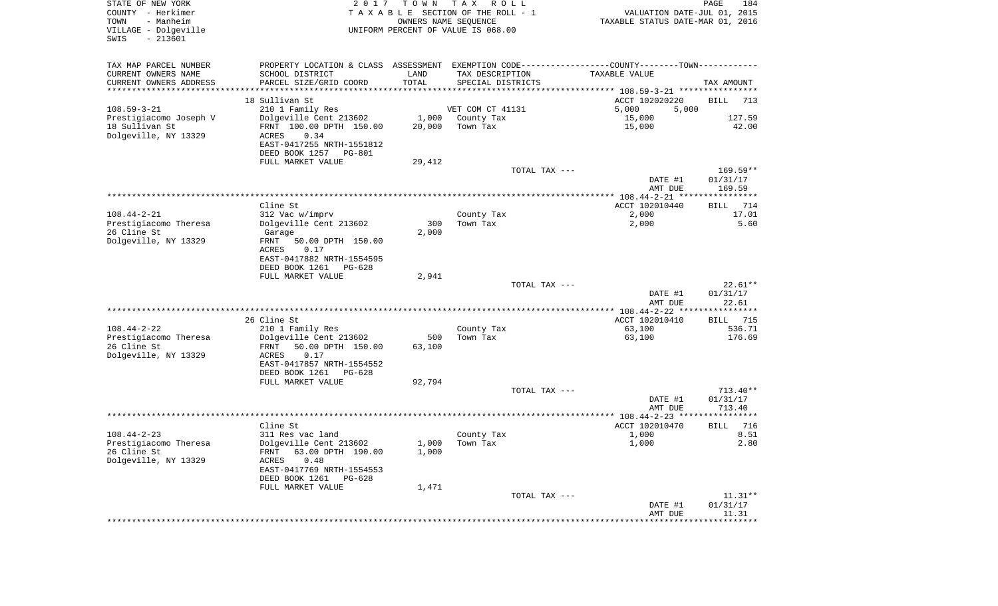| STATE OF NEW YORK<br>COUNTY - Herkimer<br>- Manheim<br>TOWN<br>VILLAGE - Dolgeville<br>$-213601$<br>SWIS | 2 0 1 7                                                                                                          | T O W N | T A X<br>R O L L<br>TAXABLE SECTION OF THE ROLL - 1<br>OWNERS NAME SEQUENCE<br>UNIFORM PERCENT OF VALUE IS 068.00 | VALUATION DATE-JUL 01, 2015<br>TAXABLE STATUS DATE-MAR 01, 2016 | PAGE<br>184           |
|----------------------------------------------------------------------------------------------------------|------------------------------------------------------------------------------------------------------------------|---------|-------------------------------------------------------------------------------------------------------------------|-----------------------------------------------------------------|-----------------------|
| TAX MAP PARCEL NUMBER<br>CURRENT OWNERS NAME                                                             | PROPERTY LOCATION & CLASS ASSESSMENT EXEMPTION CODE---------------COUNTY-------TOWN----------<br>SCHOOL DISTRICT | LAND    | TAX DESCRIPTION                                                                                                   | TAXABLE VALUE                                                   |                       |
| CURRENT OWNERS ADDRESS                                                                                   | PARCEL SIZE/GRID COORD                                                                                           | TOTAL   | SPECIAL DISTRICTS                                                                                                 |                                                                 | TAX AMOUNT            |
| **********************                                                                                   |                                                                                                                  |         |                                                                                                                   |                                                                 |                       |
|                                                                                                          | 18 Sullivan St                                                                                                   |         |                                                                                                                   | ACCT 102020220                                                  | BILL<br>713           |
| $108.59 - 3 - 21$<br>Prestigiacomo Joseph V                                                              | 210 1 Family Res<br>Dolgeville Cent 213602                                                                       |         | VET COM CT 41131<br>1,000 County Tax                                                                              | 5,000<br>5,000<br>15,000                                        | 127.59                |
| 18 Sullivan St                                                                                           | FRNT 100.00 DPTH 150.00                                                                                          | 20,000  | Town Tax                                                                                                          | 15,000                                                          | 42.00                 |
| Dolgeville, NY 13329                                                                                     | ACRES<br>0.34<br>EAST-0417255 NRTH-1551812                                                                       |         |                                                                                                                   |                                                                 |                       |
|                                                                                                          | DEED BOOK 1257 PG-801<br>FULL MARKET VALUE                                                                       | 29,412  |                                                                                                                   |                                                                 |                       |
|                                                                                                          |                                                                                                                  |         | TOTAL TAX ---                                                                                                     |                                                                 | 169.59**              |
|                                                                                                          |                                                                                                                  |         |                                                                                                                   | DATE #1<br>AMT DUE                                              | 01/31/17<br>169.59    |
|                                                                                                          |                                                                                                                  |         |                                                                                                                   |                                                                 |                       |
|                                                                                                          | Cline St                                                                                                         |         |                                                                                                                   | ACCT 102010440                                                  | 714<br>BILL           |
| $108.44 - 2 - 21$<br>Prestigiacomo Theresa                                                               | 312 Vac w/imprv<br>Dolgeville Cent 213602                                                                        | 300     | County Tax<br>Town Tax                                                                                            | 2,000<br>2,000                                                  | 17.01<br>5.60         |
| 26 Cline St                                                                                              | Garage                                                                                                           | 2,000   |                                                                                                                   |                                                                 |                       |
| Dolgeville, NY 13329                                                                                     | FRNT<br>50.00 DPTH 150.00                                                                                        |         |                                                                                                                   |                                                                 |                       |
|                                                                                                          | ACRES<br>0.17                                                                                                    |         |                                                                                                                   |                                                                 |                       |
|                                                                                                          | EAST-0417882 NRTH-1554595                                                                                        |         |                                                                                                                   |                                                                 |                       |
|                                                                                                          | DEED BOOK 1261<br>$PG-628$<br>FULL MARKET VALUE                                                                  | 2,941   |                                                                                                                   |                                                                 |                       |
|                                                                                                          |                                                                                                                  |         | TOTAL TAX ---                                                                                                     |                                                                 | $22.61**$             |
|                                                                                                          |                                                                                                                  |         |                                                                                                                   | DATE #1<br>AMT DUE                                              | 01/31/17<br>22.61     |
|                                                                                                          |                                                                                                                  |         |                                                                                                                   | *************** 108.44-2-22 *****************                   |                       |
|                                                                                                          | 26 Cline St                                                                                                      |         |                                                                                                                   | ACCT 102010410                                                  | 715<br>BILL           |
| $108.44 - 2 - 22$<br>Prestigiacomo Theresa                                                               | 210 1 Family Res<br>Dolgeville Cent 213602                                                                       | 500     | County Tax<br>Town Tax                                                                                            | 63,100<br>63,100                                                | 536.71<br>176.69      |
| 26 Cline St                                                                                              | FRNT<br>50.00 DPTH 150.00                                                                                        | 63,100  |                                                                                                                   |                                                                 |                       |
| Dolgeville, NY 13329                                                                                     | ACRES<br>0.17                                                                                                    |         |                                                                                                                   |                                                                 |                       |
|                                                                                                          | EAST-0417857 NRTH-1554552                                                                                        |         |                                                                                                                   |                                                                 |                       |
|                                                                                                          | DEED BOOK 1261<br>PG-628                                                                                         |         |                                                                                                                   |                                                                 |                       |
|                                                                                                          | FULL MARKET VALUE                                                                                                | 92,794  | TOTAL TAX ---                                                                                                     |                                                                 | $713.40**$            |
|                                                                                                          |                                                                                                                  |         |                                                                                                                   | DATE #1                                                         | 01/31/17              |
|                                                                                                          |                                                                                                                  |         |                                                                                                                   | AMT DUE                                                         | 713.40                |
|                                                                                                          |                                                                                                                  |         |                                                                                                                   |                                                                 |                       |
|                                                                                                          | Cline St                                                                                                         |         |                                                                                                                   | ACCT 102010470                                                  | 716<br>BILL           |
| $108.44 - 2 - 23$                                                                                        | 311 Res vac land                                                                                                 |         | County Tax                                                                                                        | 1,000                                                           | 8.51                  |
| Prestigiacomo Theresa<br>26 Cline St                                                                     | Dolgeville Cent 213602<br>63.00 DPTH 190.00<br>FRNT                                                              | 1,000   | $1,000$ Town Tax                                                                                                  | 1,000                                                           | 2.80                  |
| Dolgeville, NY 13329                                                                                     | 0.48<br>ACRES                                                                                                    |         |                                                                                                                   |                                                                 |                       |
|                                                                                                          | EAST-0417769 NRTH-1554553                                                                                        |         |                                                                                                                   |                                                                 |                       |
|                                                                                                          | DEED BOOK 1261<br>PG-628                                                                                         |         |                                                                                                                   |                                                                 |                       |
|                                                                                                          | FULL MARKET VALUE                                                                                                | 1,471   |                                                                                                                   |                                                                 |                       |
|                                                                                                          |                                                                                                                  |         | TOTAL TAX ---                                                                                                     | DATE #1                                                         | $11.31**$<br>01/31/17 |
|                                                                                                          |                                                                                                                  |         |                                                                                                                   | AMT DUE                                                         | 11.31                 |
|                                                                                                          |                                                                                                                  |         |                                                                                                                   |                                                                 |                       |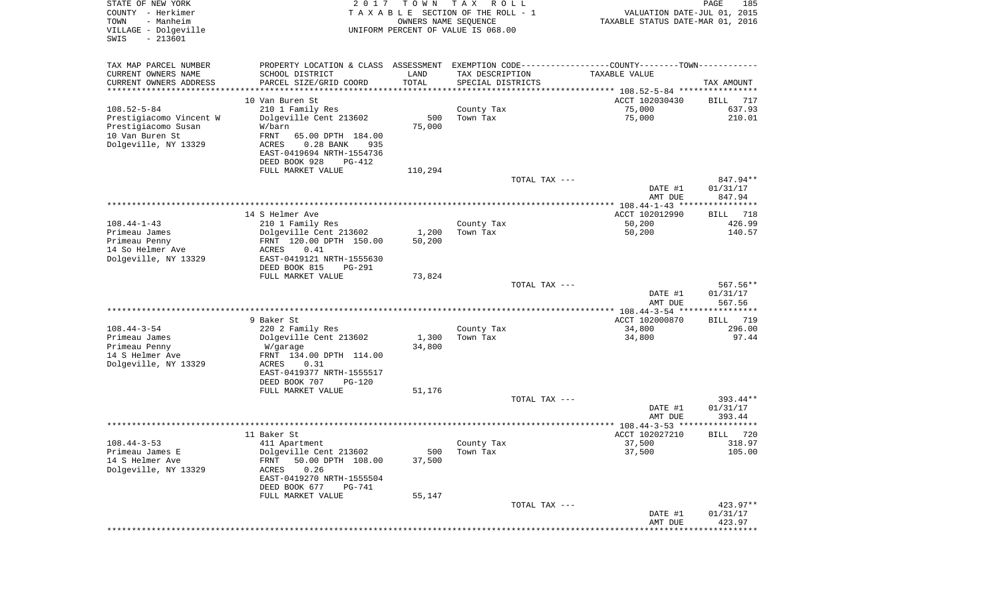| STATE OF NEW YORK<br>COUNTY - Herkimer<br>TOWN<br>- Manheim<br>VILLAGE - Dolgeville<br>$-213601$<br>SWIS | 2 0 1 7                                                  | TOWN<br>OWNERS NAME SEQUENCE | T A X<br>R O L L<br>TAXABLE SECTION OF THE ROLL - 1<br>UNIFORM PERCENT OF VALUE IS 068.00 | VALUATION DATE-JUL 01, 2015<br>TAXABLE STATUS DATE-MAR 01, 2016     | PAGE<br>185           |
|----------------------------------------------------------------------------------------------------------|----------------------------------------------------------|------------------------------|-------------------------------------------------------------------------------------------|---------------------------------------------------------------------|-----------------------|
| TAX MAP PARCEL NUMBER                                                                                    | PROPERTY LOCATION & CLASS ASSESSMENT                     |                              | EXEMPTION CODE-----------------COUNTY-------TOWN----------                                |                                                                     |                       |
| CURRENT OWNERS NAME                                                                                      | SCHOOL DISTRICT                                          | LAND                         | TAX DESCRIPTION                                                                           | TAXABLE VALUE                                                       |                       |
| CURRENT OWNERS ADDRESS<br>********************                                                           | PARCEL SIZE/GRID COORD<br>***********************        | TOTAL<br>* * * * * * * * * * | SPECIAL DISTRICTS<br>************************************** 108.52-5-84 ***************** |                                                                     | TAX AMOUNT            |
|                                                                                                          | 10 Van Buren St                                          |                              |                                                                                           | ACCT 102030430                                                      | 717<br>BILL           |
| $108.52 - 5 - 84$                                                                                        | 210 1 Family Res                                         |                              | County Tax                                                                                | 75,000                                                              | 637.93                |
| Prestigiacomo Vincent W                                                                                  | Dolgeville Cent 213602                                   | 500                          | Town Tax                                                                                  | 75,000                                                              | 210.01                |
| Prestigiacomo Susan                                                                                      | W/barn                                                   | 75,000                       |                                                                                           |                                                                     |                       |
| 10 Van Buren St<br>Dolgeville, NY 13329                                                                  | FRNT<br>65.00 DPTH 184.00<br>$0.28$ BANK<br>ACRES<br>935 |                              |                                                                                           |                                                                     |                       |
|                                                                                                          | EAST-0419694 NRTH-1554736                                |                              |                                                                                           |                                                                     |                       |
|                                                                                                          | DEED BOOK 928<br>PG-412                                  |                              |                                                                                           |                                                                     |                       |
|                                                                                                          | FULL MARKET VALUE                                        | 110,294                      |                                                                                           |                                                                     |                       |
|                                                                                                          |                                                          |                              | TOTAL TAX ---                                                                             |                                                                     | 847.94**              |
|                                                                                                          |                                                          |                              |                                                                                           | DATE #1<br>AMT DUE                                                  | 01/31/17<br>847.94    |
|                                                                                                          |                                                          |                              |                                                                                           |                                                                     |                       |
|                                                                                                          | 14 S Helmer Ave                                          |                              |                                                                                           | ACCT 102012990                                                      | 718<br>BILL           |
| $108.44 - 1 - 43$                                                                                        | 210 1 Family Res                                         |                              | County Tax                                                                                | 50,200                                                              | 426.99                |
| Primeau James<br>Primeau Penny                                                                           | Dolgeville Cent 213602<br>FRNT 120.00 DPTH 150.00        | 1,200<br>50,200              | Town Tax                                                                                  | 50,200                                                              | 140.57                |
| 14 So Helmer Ave                                                                                         | ACRES<br>0.41                                            |                              |                                                                                           |                                                                     |                       |
| Dolgeville, NY 13329                                                                                     | EAST-0419121 NRTH-1555630                                |                              |                                                                                           |                                                                     |                       |
|                                                                                                          | DEED BOOK 815<br>PG-291                                  |                              |                                                                                           |                                                                     |                       |
|                                                                                                          | FULL MARKET VALUE                                        | 73,824                       | TOTAL TAX ---                                                                             |                                                                     | $567.56**$            |
|                                                                                                          |                                                          |                              |                                                                                           | DATE #1<br>AMT DUE                                                  | 01/31/17<br>567.56    |
|                                                                                                          |                                                          |                              |                                                                                           | *********** 108.44-3-54 ***                                         | * * * * * * * * * * * |
|                                                                                                          | 9 Baker St                                               |                              |                                                                                           | ACCT 102000870                                                      | 719<br>BILL           |
| $108.44 - 3 - 54$<br>Primeau James                                                                       | 220 2 Family Res<br>Dolgeville Cent 213602               | 1,300                        | County Tax<br>Town Tax                                                                    | 34,800<br>34,800                                                    | 296.00<br>97.44       |
| Primeau Penny                                                                                            | W/garage                                                 | 34,800                       |                                                                                           |                                                                     |                       |
| 14 S Helmer Ave                                                                                          | FRNT 134.00 DPTH 114.00                                  |                              |                                                                                           |                                                                     |                       |
| Dolgeville, NY 13329                                                                                     | <b>ACRES</b><br>0.31                                     |                              |                                                                                           |                                                                     |                       |
|                                                                                                          | EAST-0419377 NRTH-1555517<br>DEED BOOK 707<br>PG-120     |                              |                                                                                           |                                                                     |                       |
|                                                                                                          | FULL MARKET VALUE                                        | 51,176                       |                                                                                           |                                                                     |                       |
|                                                                                                          |                                                          |                              | TOTAL TAX ---                                                                             |                                                                     | 393.44**              |
|                                                                                                          |                                                          |                              |                                                                                           | DATE #1                                                             | 01/31/17              |
|                                                                                                          | 11 Baker St                                              |                              |                                                                                           | AMT DUE<br>******************* 108.44-3-53 ******<br>ACCT 102027210 | 393.44<br>720         |
| $108.44 - 3 - 53$                                                                                        | 411 Apartment                                            |                              | County Tax                                                                                | 37,500                                                              | BILL<br>318.97        |
| Primeau James E                                                                                          | Dolgeville Cent 213602                                   | 500                          | Town Tax                                                                                  | 37,500                                                              | 105.00                |
| 14 S Helmer Ave                                                                                          | 50.00 DPTH 108.00<br>FRNT                                | 37,500                       |                                                                                           |                                                                     |                       |
| Dolgeville, NY 13329                                                                                     | 0.26<br>ACRES                                            |                              |                                                                                           |                                                                     |                       |
|                                                                                                          | EAST-0419270 NRTH-1555504<br>DEED BOOK 677<br>PG-741     |                              |                                                                                           |                                                                     |                       |
|                                                                                                          | FULL MARKET VALUE                                        | 55,147                       |                                                                                           |                                                                     |                       |
|                                                                                                          |                                                          |                              | TOTAL TAX ---                                                                             |                                                                     | 423.97**              |
|                                                                                                          |                                                          |                              |                                                                                           | DATE #1                                                             | 01/31/17              |
|                                                                                                          |                                                          |                              |                                                                                           | AMT DUE<br>***************************                              | 423.97                |
|                                                                                                          |                                                          |                              |                                                                                           |                                                                     |                       |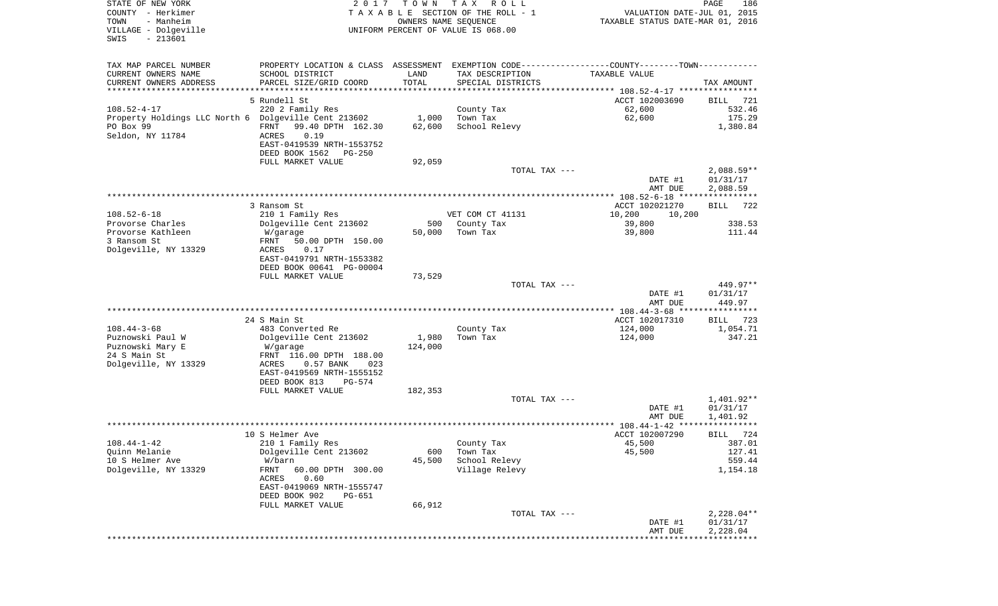| STATE OF NEW YORK<br>COUNTY - Herkimer<br>- Manheim<br>TOWN<br>VILLAGE - Dolgeville<br>$-213601$<br>SWIS | 2 0 1 7                                                                             | T O W N             | T A X<br>R O L L<br>TAXABLE SECTION OF THE ROLL - 1<br>OWNERS NAME SEQUENCE<br>UNIFORM PERCENT OF VALUE IS 068.00 | VALUATION DATE-JUL 01, 2015<br>TAXABLE STATUS DATE-MAR 01, 2016              | PAGE<br>186                    |
|----------------------------------------------------------------------------------------------------------|-------------------------------------------------------------------------------------|---------------------|-------------------------------------------------------------------------------------------------------------------|------------------------------------------------------------------------------|--------------------------------|
| TAX MAP PARCEL NUMBER<br>CURRENT OWNERS NAME                                                             | PROPERTY LOCATION & CLASS ASSESSMENT<br>SCHOOL DISTRICT                             | LAND                | TAX DESCRIPTION                                                                                                   | EXEMPTION CODE-----------------COUNTY-------TOWN-----------<br>TAXABLE VALUE |                                |
| CURRENT OWNERS ADDRESS<br>*********************                                                          | PARCEL SIZE/GRID COORD                                                              | TOTAL<br>********** | SPECIAL DISTRICTS                                                                                                 |                                                                              | TAX AMOUNT                     |
|                                                                                                          | 5 Rundell St                                                                        |                     |                                                                                                                   | ACCT 102003690                                                               | BILL<br>721                    |
| $108.52 - 4 - 17$                                                                                        | 220 2 Family Res                                                                    |                     | County Tax                                                                                                        | 62,600                                                                       | 532.46                         |
| Property Holdings LLC North 6 Dolgeville Cent 213602<br>PO Box 99<br>Seldon, NY 11784                    | FRNT<br>99.40 DPTH 162.30<br>0.19<br>ACRES                                          | 1,000<br>62,600     | Town Tax<br>School Relevy                                                                                         | 62,600                                                                       | 175.29<br>1,380.84             |
|                                                                                                          | EAST-0419539 NRTH-1553752<br>DEED BOOK 1562<br>PG-250                               |                     |                                                                                                                   |                                                                              |                                |
|                                                                                                          | FULL MARKET VALUE                                                                   | 92,059              | TOTAL TAX ---                                                                                                     |                                                                              | $2,088.59**$                   |
|                                                                                                          |                                                                                     |                     |                                                                                                                   | DATE #1<br>AMT DUE                                                           | 01/31/17<br>2,088.59           |
|                                                                                                          | 3 Ransom St                                                                         |                     |                                                                                                                   | ACCT 102021270                                                               | 722<br>BILL                    |
| $108.52 - 6 - 18$                                                                                        | 210 1 Family Res                                                                    |                     | VET COM CT 41131                                                                                                  | 10,200<br>10,200                                                             |                                |
| Provorse Charles                                                                                         | Dolgeville Cent 213602                                                              | 500                 | County Tax                                                                                                        | 39,800                                                                       | 338.53                         |
| Provorse Kathleen<br>3 Ransom St                                                                         | W/garage<br>50.00 DPTH 150.00<br>FRNT                                               | 50,000              | Town Tax                                                                                                          | 39,800                                                                       | 111.44                         |
| Dolgeville, NY 13329                                                                                     | ACRES<br>0.17<br>EAST-0419791 NRTH-1553382<br>DEED BOOK 00641 PG-00004              |                     |                                                                                                                   |                                                                              |                                |
|                                                                                                          | FULL MARKET VALUE                                                                   | 73,529              |                                                                                                                   |                                                                              |                                |
|                                                                                                          |                                                                                     |                     | TOTAL TAX ---                                                                                                     | DATE #1<br>AMT DUE                                                           | 449.97**<br>01/31/17<br>449.97 |
|                                                                                                          |                                                                                     |                     |                                                                                                                   | ************* 108.44-3-68 *****************                                  |                                |
|                                                                                                          | 24 S Main St                                                                        |                     |                                                                                                                   | ACCT 102017310                                                               | 723<br>BILL                    |
| $108.44 - 3 - 68$<br>Puznowski Paul W<br>Puznowski Mary E                                                | 483 Converted Re<br>Dolgeville Cent 213602<br>W/garage                              | 1,980<br>124,000    | County Tax<br>Town Tax                                                                                            | 124,000<br>124,000                                                           | 1,054.71<br>347.21             |
| 24 S Main St<br>Dolgeville, NY 13329                                                                     | FRNT 116.00 DPTH 188.00<br>ACRES<br>$0.57$ BANK<br>023<br>EAST-0419569 NRTH-1555152 |                     |                                                                                                                   |                                                                              |                                |
|                                                                                                          | DEED BOOK 813<br>PG-574                                                             |                     |                                                                                                                   |                                                                              |                                |
|                                                                                                          | FULL MARKET VALUE                                                                   | 182,353             | TOTAL TAX ---                                                                                                     |                                                                              | 1,401.92**                     |
|                                                                                                          |                                                                                     |                     |                                                                                                                   | DATE #1<br>AMT DUE                                                           | 01/31/17<br>1,401.92           |
|                                                                                                          |                                                                                     |                     |                                                                                                                   |                                                                              | *****                          |
| $108.44 - 1 - 42$                                                                                        | 10 S Helmer Ave<br>210 1 Family Res                                                 |                     | County Tax                                                                                                        | ACCT 102007290<br>45,500                                                     | 724<br>BILL<br>387.01          |
| Quinn Melanie                                                                                            | Dolgeville Cent 213602                                                              | 600                 | Town Tax                                                                                                          | 45,500                                                                       | 127.41                         |
| 10 S Helmer Ave                                                                                          | W/barn                                                                              | 45,500              | School Relevy                                                                                                     |                                                                              | 559.44                         |
| Dolgeville, NY 13329                                                                                     | 60.00 DPTH 300.00<br>FRNT<br>0.60<br>ACRES<br>EAST-0419069 NRTH-1555747             |                     | Village Relevy                                                                                                    |                                                                              | 1,154.18                       |
|                                                                                                          | DEED BOOK 902<br>PG-651<br>FULL MARKET VALUE                                        | 66,912              |                                                                                                                   |                                                                              |                                |
|                                                                                                          |                                                                                     |                     | TOTAL TAX ---                                                                                                     |                                                                              | $2,228.04**$                   |
|                                                                                                          |                                                                                     |                     |                                                                                                                   | DATE #1<br>AMT DUE                                                           | 01/31/17<br>2,228.04           |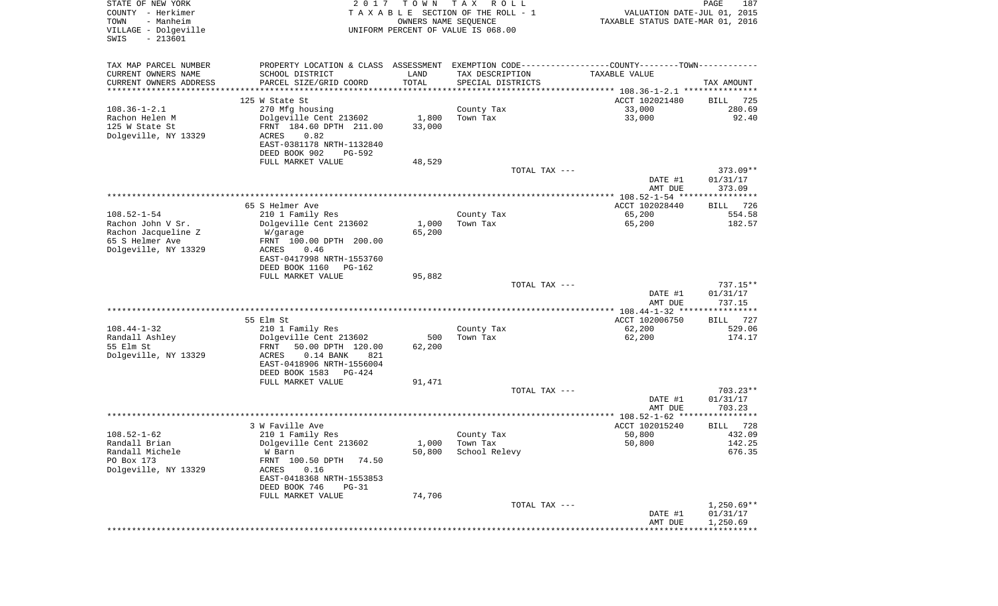| STATE OF NEW YORK<br>COUNTY - Herkimer<br>TOWN<br>- Manheim<br>VILLAGE - Dolgeville<br>$-213601$<br>SWIS | 2 0 1 7                                                                                       | T O W N<br>OWNERS NAME SEQUENCE | T A X<br>R O L L<br>TAXABLE SECTION OF THE ROLL - 1<br>UNIFORM PERCENT OF VALUE IS 068.00 | VALUATION DATE-JUL 01, 2015<br>TAXABLE STATUS DATE-MAR 01, 2016 | $\mathop{\mathtt{PAGE}}$<br>187 |
|----------------------------------------------------------------------------------------------------------|-----------------------------------------------------------------------------------------------|---------------------------------|-------------------------------------------------------------------------------------------|-----------------------------------------------------------------|---------------------------------|
| TAX MAP PARCEL NUMBER                                                                                    | PROPERTY LOCATION & CLASS ASSESSMENT EXEMPTION CODE---------------COUNTY-------TOWN---------- |                                 |                                                                                           |                                                                 |                                 |
| CURRENT OWNERS NAME                                                                                      | SCHOOL DISTRICT                                                                               | LAND                            | TAX DESCRIPTION                                                                           | TAXABLE VALUE                                                   |                                 |
| CURRENT OWNERS ADDRESS<br>*********************                                                          | PARCEL SIZE/GRID COORD                                                                        | TOTAL                           | SPECIAL DISTRICTS                                                                         |                                                                 | TAX AMOUNT                      |
|                                                                                                          | 125 W State St                                                                                |                                 |                                                                                           | ACCT 102021480                                                  | 725<br>BILL                     |
| $108.36 - 1 - 2.1$                                                                                       | 270 Mfg housing                                                                               |                                 | County Tax                                                                                | 33,000                                                          | 280.69                          |
| Rachon Helen M                                                                                           | Dolgeville Cent 213602                                                                        | 1,800                           | Town Tax                                                                                  | 33,000                                                          | 92.40                           |
| 125 W State St                                                                                           | FRNT 184.60 DPTH 211.00                                                                       | 33,000                          |                                                                                           |                                                                 |                                 |
| Dolgeville, NY 13329                                                                                     | ACRES<br>0.82                                                                                 |                                 |                                                                                           |                                                                 |                                 |
|                                                                                                          | EAST-0381178 NRTH-1132840                                                                     |                                 |                                                                                           |                                                                 |                                 |
|                                                                                                          | DEED BOOK 902<br>PG-592<br>FULL MARKET VALUE                                                  | 48,529                          |                                                                                           |                                                                 |                                 |
|                                                                                                          |                                                                                               |                                 | TOTAL TAX ---                                                                             |                                                                 | 373.09**                        |
|                                                                                                          |                                                                                               |                                 |                                                                                           | DATE #1<br>AMT DUE                                              | 01/31/17<br>373.09              |
|                                                                                                          |                                                                                               |                                 |                                                                                           |                                                                 |                                 |
|                                                                                                          | 65 S Helmer Ave                                                                               |                                 |                                                                                           | ACCT 102028440                                                  | 726<br>BILL                     |
| $108.52 - 1 - 54$                                                                                        | 210 1 Family Res                                                                              |                                 | County Tax                                                                                | 65,200                                                          | 554.58                          |
| Rachon John V Sr.<br>Rachon Jacqueline Z                                                                 | Dolgeville Cent 213602<br>W/garage                                                            | 1,000<br>65,200                 | Town Tax                                                                                  | 65,200                                                          | 182.57                          |
| 65 S Helmer Ave                                                                                          | FRNT 100.00 DPTH 200.00                                                                       |                                 |                                                                                           |                                                                 |                                 |
| Dolgeville, NY 13329                                                                                     | ACRES<br>0.46                                                                                 |                                 |                                                                                           |                                                                 |                                 |
|                                                                                                          | EAST-0417998 NRTH-1553760                                                                     |                                 |                                                                                           |                                                                 |                                 |
|                                                                                                          | DEED BOOK 1160<br>PG-162                                                                      |                                 |                                                                                           |                                                                 |                                 |
|                                                                                                          | FULL MARKET VALUE                                                                             | 95,882                          | TOTAL TAX ---                                                                             |                                                                 | $737.15**$                      |
|                                                                                                          |                                                                                               |                                 |                                                                                           | DATE #1<br>AMT DUE                                              | 01/31/17<br>737.15              |
|                                                                                                          |                                                                                               |                                 |                                                                                           | ************* 108.44-1-32 *****************                     |                                 |
|                                                                                                          | 55 Elm St                                                                                     |                                 |                                                                                           | ACCT 102006750                                                  | 727<br>BILL                     |
| $108.44 - 1 - 32$                                                                                        | 210 1 Family Res                                                                              |                                 | County Tax                                                                                | 62,200                                                          | 529.06                          |
| Randall Ashley                                                                                           | Dolgeville Cent 213602                                                                        | 500                             | Town Tax                                                                                  | 62,200                                                          | 174.17                          |
| 55 Elm St<br>Dolgeville, NY 13329                                                                        | FRNT<br>50.00 DPTH 120.00<br>ACRES<br>$0.14$ BANK<br>821                                      | 62,200                          |                                                                                           |                                                                 |                                 |
|                                                                                                          | EAST-0418906 NRTH-1556004                                                                     |                                 |                                                                                           |                                                                 |                                 |
|                                                                                                          | DEED BOOK 1583<br>PG-424                                                                      |                                 |                                                                                           |                                                                 |                                 |
|                                                                                                          | FULL MARKET VALUE                                                                             | 91,471                          |                                                                                           |                                                                 |                                 |
|                                                                                                          |                                                                                               |                                 | TOTAL TAX ---                                                                             |                                                                 | $703.23**$                      |
|                                                                                                          |                                                                                               |                                 |                                                                                           | DATE #1                                                         | 01/31/17<br>703.23              |
|                                                                                                          |                                                                                               |                                 |                                                                                           | AMT DUE                                                         |                                 |
|                                                                                                          | 3 W Faville Ave                                                                               |                                 |                                                                                           | ACCT 102015240                                                  | 728<br>BILL                     |
| $108.52 - 1 - 62$                                                                                        | 210 1 Family Res                                                                              |                                 | County Tax                                                                                | 50,800                                                          | 432.09                          |
| Randall Brian                                                                                            | Dolgeville Cent 213602                                                                        |                                 | $1,000$ Town Tax                                                                          | 50,800                                                          | 142.25                          |
| Randall Michele                                                                                          | W Barn                                                                                        | 50,800                          | School Relevy                                                                             |                                                                 | 676.35                          |
| PO Box 173<br>Dolgeville, NY 13329                                                                       | FRNT 100.50 DPTH 74.50                                                                        |                                 |                                                                                           |                                                                 |                                 |
|                                                                                                          | ACRES<br>0.16<br>EAST-0418368 NRTH-1553853                                                    |                                 |                                                                                           |                                                                 |                                 |
|                                                                                                          | DEED BOOK 746<br>PG-31                                                                        |                                 |                                                                                           |                                                                 |                                 |
|                                                                                                          | FULL MARKET VALUE                                                                             | 74,706                          |                                                                                           |                                                                 |                                 |
|                                                                                                          |                                                                                               |                                 | TOTAL TAX ---                                                                             |                                                                 | $1,250.69**$                    |
|                                                                                                          |                                                                                               |                                 |                                                                                           | DATE #1                                                         | 01/31/17                        |
|                                                                                                          |                                                                                               |                                 |                                                                                           | AMT DUE                                                         | 1,250.69                        |
|                                                                                                          |                                                                                               |                                 |                                                                                           |                                                                 |                                 |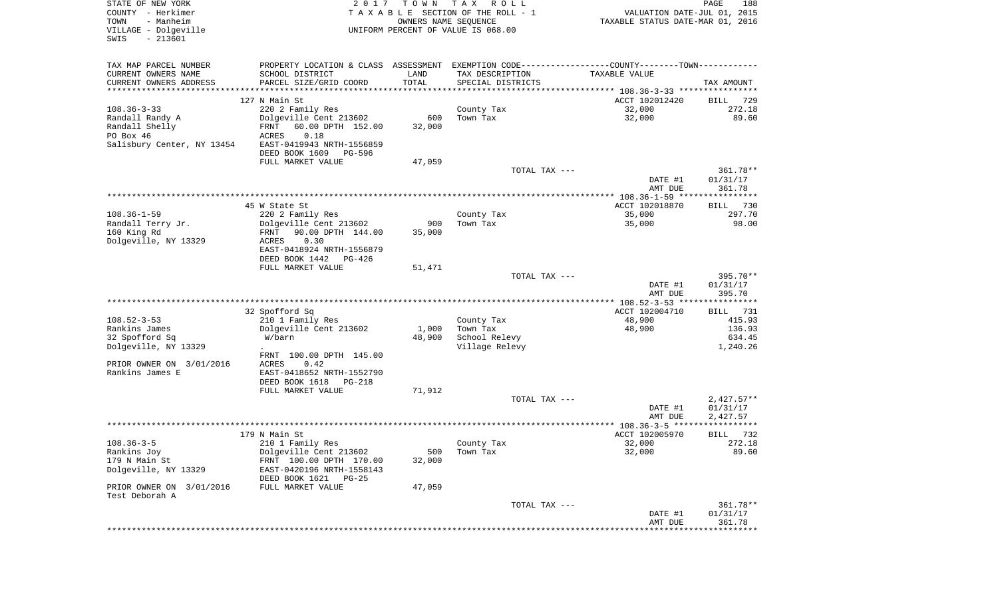| STATE OF NEW YORK<br>COUNTY - Herkimer<br>TOWN<br>- Manheim | 2017<br>TAXABLE SECTION OF THE ROLL - 1                                                       | PAGE<br>188<br>VALUATION DATE-JUL 01, 2015<br>TAXABLE STATUS DATE-MAR 01, 2016 |                                    |                                            |                                |
|-------------------------------------------------------------|-----------------------------------------------------------------------------------------------|--------------------------------------------------------------------------------|------------------------------------|--------------------------------------------|--------------------------------|
| VILLAGE - Dolgeville<br>SWIS<br>$-213601$                   |                                                                                               |                                                                                | UNIFORM PERCENT OF VALUE IS 068.00 |                                            |                                |
| TAX MAP PARCEL NUMBER                                       | PROPERTY LOCATION & CLASS ASSESSMENT EXEMPTION CODE---------------COUNTY-------TOWN---------- |                                                                                |                                    |                                            |                                |
| CURRENT OWNERS NAME                                         | SCHOOL DISTRICT                                                                               | LAND                                                                           | TAX DESCRIPTION                    | TAXABLE VALUE                              |                                |
| CURRENT OWNERS ADDRESS<br>**********************            | PARCEL SIZE/GRID COORD                                                                        | TOTAL                                                                          | SPECIAL DISTRICTS                  |                                            | TAX AMOUNT                     |
|                                                             | 127 N Main St                                                                                 |                                                                                |                                    | ACCT 102012420                             | 729<br>BILL                    |
| $108.36 - 3 - 33$                                           | 220 2 Family Res                                                                              |                                                                                | County Tax                         | 32,000                                     | 272.18                         |
| Randall Randy A                                             | Dolgeville Cent 213602                                                                        | 600                                                                            | Town Tax                           | 32,000                                     | 89.60                          |
| Randall Shelly                                              | 60.00 DPTH 152.00<br>FRNT                                                                     | 32,000                                                                         |                                    |                                            |                                |
| PO Box 46                                                   | ACRES<br>0.18                                                                                 |                                                                                |                                    |                                            |                                |
| Salisbury Center, NY 13454                                  | EAST-0419943 NRTH-1556859<br>DEED BOOK 1609<br>PG-596                                         |                                                                                |                                    |                                            |                                |
|                                                             | FULL MARKET VALUE                                                                             | 47,059                                                                         |                                    |                                            |                                |
|                                                             |                                                                                               |                                                                                | TOTAL TAX ---                      | DATE #1<br>AMT DUE                         | 361.78**<br>01/31/17<br>361.78 |
|                                                             |                                                                                               |                                                                                |                                    |                                            |                                |
|                                                             | 45 W State St                                                                                 |                                                                                |                                    | ACCT 102018870                             | BILL<br>730                    |
| $108.36 - 1 - 59$                                           | 220 2 Family Res                                                                              |                                                                                | County Tax                         | 35,000                                     | 297.70                         |
| Randall Terry Jr.                                           | Dolgeville Cent 213602                                                                        | 900                                                                            | Town Tax                           | 35,000                                     | 98.00                          |
| 160 King Rd                                                 | 90.00 DPTH 144.00<br>FRNT                                                                     | 35,000                                                                         |                                    |                                            |                                |
| Dolgeville, NY 13329                                        | 0.30<br>ACRES<br>EAST-0418924 NRTH-1556879                                                    |                                                                                |                                    |                                            |                                |
|                                                             | DEED BOOK 1442<br>PG-426                                                                      |                                                                                |                                    |                                            |                                |
|                                                             | FULL MARKET VALUE                                                                             | 51,471                                                                         |                                    |                                            |                                |
|                                                             |                                                                                               |                                                                                | TOTAL TAX ---                      |                                            | 395.70**                       |
|                                                             |                                                                                               |                                                                                |                                    | DATE #1                                    | 01/31/17                       |
|                                                             |                                                                                               |                                                                                |                                    | AMT DUE                                    | 395.70                         |
|                                                             | 32 Spofford Sq                                                                                |                                                                                |                                    | ACCT 102004710                             | BILL 731                       |
| $108.52 - 3 - 53$                                           | 210 1 Family Res                                                                              |                                                                                | County Tax                         | 48,900                                     | 415.93                         |
| Rankins James                                               | Dolgeville Cent 213602                                                                        | 1,000                                                                          | Town Tax                           | 48,900                                     | 136.93                         |
| 32 Spofford Sq                                              | W/barn                                                                                        | 48,900                                                                         | School Relevy                      |                                            | 634.45                         |
| Dolgeville, NY 13329                                        | $\ddot{\phantom{0}}$                                                                          |                                                                                | Village Relevy                     |                                            | 1,240.26                       |
|                                                             | FRNT 100.00 DPTH 145.00<br><b>ACRES</b><br>0.42                                               |                                                                                |                                    |                                            |                                |
| PRIOR OWNER ON 3/01/2016<br>Rankins James E                 | EAST-0418652 NRTH-1552790                                                                     |                                                                                |                                    |                                            |                                |
|                                                             | DEED BOOK 1618<br>PG-218                                                                      |                                                                                |                                    |                                            |                                |
|                                                             | FULL MARKET VALUE                                                                             | 71,912                                                                         |                                    |                                            |                                |
|                                                             |                                                                                               |                                                                                | TOTAL TAX ---                      |                                            | $2,427.57**$                   |
|                                                             |                                                                                               |                                                                                |                                    | DATE #1                                    | 01/31/17                       |
|                                                             |                                                                                               |                                                                                |                                    | AMT DUE                                    | 2,427.57<br>************       |
|                                                             | 179 N Main St                                                                                 |                                                                                |                                    | ACCT 102005970                             | 732<br>BILL                    |
| $108.36 - 3 - 5$                                            | 210 1 Family Res                                                                              |                                                                                | County Tax                         | 32,000                                     | 272.18                         |
| Rankins Joy                                                 | Dolgeville Cent 213602                                                                        | 500                                                                            | Town Tax                           | 32,000                                     | 89.60                          |
| 179 N Main St                                               | FRNT 100.00 DPTH 170.00                                                                       | 32,000                                                                         |                                    |                                            |                                |
| Dolgeville, NY 13329                                        | EAST-0420196 NRTH-1558143<br>DEED BOOK 1621<br>PG-25                                          |                                                                                |                                    |                                            |                                |
| PRIOR OWNER ON 3/01/2016<br>Test Deborah A                  | FULL MARKET VALUE                                                                             | 47,059                                                                         |                                    |                                            |                                |
|                                                             |                                                                                               |                                                                                | TOTAL TAX ---                      |                                            | 361.78**                       |
|                                                             |                                                                                               |                                                                                |                                    | DATE #1                                    | 01/31/17                       |
|                                                             |                                                                                               |                                                                                |                                    | AMT DUE<br>******************************* | 361.78                         |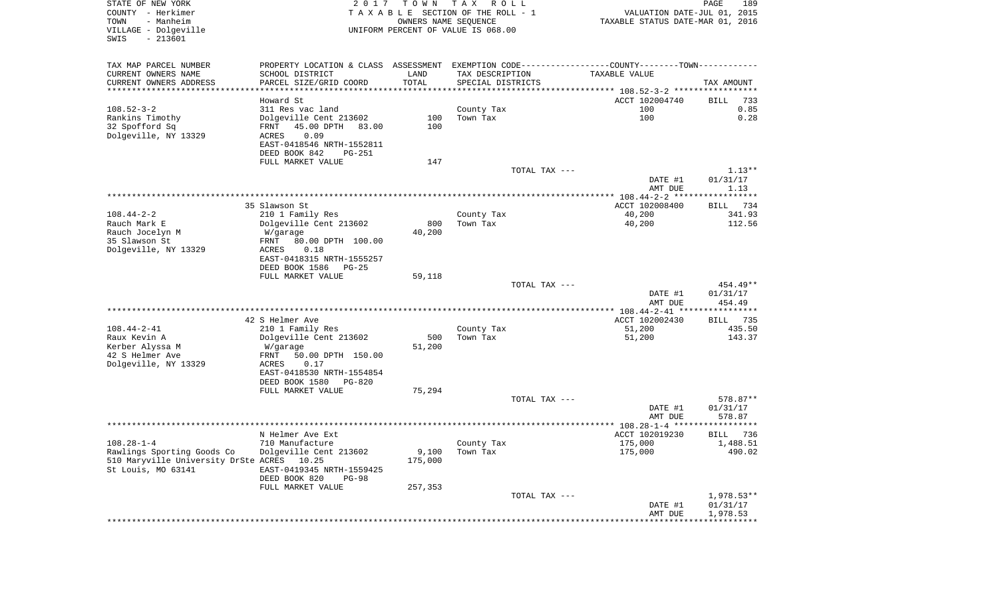| STATE OF NEW YORK<br>COUNTY - Herkimer<br>- Manheim<br>TOWN<br>VILLAGE - Dolgeville<br>$-213601$<br>SWIS | 2017                                                                                          | T O W N<br>OWNERS NAME SEQUENCE | T A X<br>R O L L<br>T A X A B L E SECTION OF THE ROLL - 1<br>UNIFORM PERCENT OF VALUE IS 068.00 |               | VALUATION DATE-JUL 01, 2015<br>TAXABLE STATUS DATE-MAR 01, 2016 | PAGE       | 189              |
|----------------------------------------------------------------------------------------------------------|-----------------------------------------------------------------------------------------------|---------------------------------|-------------------------------------------------------------------------------------------------|---------------|-----------------------------------------------------------------|------------|------------------|
| TAX MAP PARCEL NUMBER                                                                                    | PROPERTY LOCATION & CLASS ASSESSMENT EXEMPTION CODE---------------COUNTY-------TOWN---------- |                                 |                                                                                                 |               |                                                                 |            |                  |
| CURRENT OWNERS NAME                                                                                      | SCHOOL DISTRICT                                                                               | LAND                            | TAX DESCRIPTION                                                                                 |               | TAXABLE VALUE                                                   |            |                  |
| CURRENT OWNERS ADDRESS                                                                                   | PARCEL SIZE/GRID COORD                                                                        | TOTAL                           | SPECIAL DISTRICTS                                                                               |               |                                                                 | TAX AMOUNT |                  |
| ***********************                                                                                  |                                                                                               |                                 |                                                                                                 |               |                                                                 |            |                  |
|                                                                                                          | Howard St                                                                                     |                                 |                                                                                                 |               | ACCT 102004740                                                  | BILL       | 733              |
| $108.52 - 3 - 2$<br>Rankins Timothy                                                                      | 311 Res vac land<br>Dolgeville Cent 213602                                                    | 100                             | County Tax<br>Town Tax                                                                          |               | 100<br>100                                                      |            | 0.85<br>0.28     |
| 32 Spofford Sq                                                                                           | 45.00 DPTH<br>83.00<br>FRNT                                                                   | 100                             |                                                                                                 |               |                                                                 |            |                  |
| Dolgeville, NY 13329                                                                                     | 0.09<br>ACRES                                                                                 |                                 |                                                                                                 |               |                                                                 |            |                  |
|                                                                                                          | EAST-0418546 NRTH-1552811                                                                     |                                 |                                                                                                 |               |                                                                 |            |                  |
|                                                                                                          | DEED BOOK 842<br>PG-251                                                                       |                                 |                                                                                                 |               |                                                                 |            |                  |
|                                                                                                          | FULL MARKET VALUE                                                                             | 147                             |                                                                                                 |               |                                                                 |            |                  |
|                                                                                                          |                                                                                               |                                 |                                                                                                 | TOTAL TAX --- |                                                                 |            | $1.13**$         |
|                                                                                                          |                                                                                               |                                 |                                                                                                 |               | DATE #1                                                         | 01/31/17   |                  |
|                                                                                                          |                                                                                               |                                 |                                                                                                 |               | AMT DUE                                                         |            | 1.13             |
|                                                                                                          | 35 Slawson St                                                                                 |                                 |                                                                                                 |               | ACCT 102008400                                                  | BILL       | 734              |
| $108.44 - 2 - 2$                                                                                         | 210 1 Family Res                                                                              |                                 | County Tax                                                                                      |               | 40,200                                                          |            | 341.93           |
| Rauch Mark E                                                                                             | Dolgeville Cent 213602                                                                        | 800                             | Town Tax                                                                                        |               | 40,200                                                          |            | 112.56           |
| Rauch Jocelyn M                                                                                          | W/garage                                                                                      | 40,200                          |                                                                                                 |               |                                                                 |            |                  |
| 35 Slawson St                                                                                            | 80.00 DPTH 100.00<br>FRNT                                                                     |                                 |                                                                                                 |               |                                                                 |            |                  |
| Dolgeville, NY 13329                                                                                     | ACRES<br>0.18                                                                                 |                                 |                                                                                                 |               |                                                                 |            |                  |
|                                                                                                          | EAST-0418315 NRTH-1555257                                                                     |                                 |                                                                                                 |               |                                                                 |            |                  |
|                                                                                                          | DEED BOOK 1586<br>PG-25<br>FULL MARKET VALUE                                                  | 59,118                          |                                                                                                 |               |                                                                 |            |                  |
|                                                                                                          |                                                                                               |                                 |                                                                                                 | TOTAL TAX --- |                                                                 |            | 454.49**         |
|                                                                                                          |                                                                                               |                                 |                                                                                                 |               | DATE #1                                                         | 01/31/17   |                  |
|                                                                                                          |                                                                                               |                                 |                                                                                                 |               | AMT DUE                                                         |            | 454.49           |
|                                                                                                          |                                                                                               |                                 |                                                                                                 |               | ************ 108.44-2-41 *****************                      |            |                  |
|                                                                                                          | 42 S Helmer Ave                                                                               |                                 |                                                                                                 |               | ACCT 102002430                                                  | BILL       | 735              |
| $108.44 - 2 - 41$<br>Raux Kevin A                                                                        | 210 1 Family Res<br>Dolgeville Cent 213602                                                    | 500                             | County Tax<br>Town Tax                                                                          |               | 51,200<br>51,200                                                |            | 435.50<br>143.37 |
| Kerber Alyssa M                                                                                          | W/garage                                                                                      | 51,200                          |                                                                                                 |               |                                                                 |            |                  |
| 42 S Helmer Ave                                                                                          | FRNT<br>50.00 DPTH 150.00                                                                     |                                 |                                                                                                 |               |                                                                 |            |                  |
| Dolgeville, NY 13329                                                                                     | ACRES<br>0.17                                                                                 |                                 |                                                                                                 |               |                                                                 |            |                  |
|                                                                                                          | EAST-0418530 NRTH-1554854                                                                     |                                 |                                                                                                 |               |                                                                 |            |                  |
|                                                                                                          | DEED BOOK 1580 PG-820                                                                         |                                 |                                                                                                 |               |                                                                 |            |                  |
|                                                                                                          | FULL MARKET VALUE                                                                             | 75,294                          |                                                                                                 |               |                                                                 |            |                  |
|                                                                                                          |                                                                                               |                                 |                                                                                                 | TOTAL TAX --- | DATE #1                                                         | 01/31/17   | 578.87**         |
|                                                                                                          |                                                                                               |                                 |                                                                                                 |               | AMT DUE                                                         |            | 578.87           |
|                                                                                                          |                                                                                               |                                 |                                                                                                 |               |                                                                 |            |                  |
|                                                                                                          | N Helmer Ave Ext                                                                              |                                 |                                                                                                 |               | ACCT 102019230                                                  | BILL       | 736              |
| $108.28 - 1 - 4$                                                                                         | 710 Manufacture                                                                               |                                 | County Tax                                                                                      |               | 175,000                                                         |            | 1,488.51         |
| Rawlings Sporting Goods Co                                                                               | Dolgeville Cent 213602                                                                        | 9,100                           | Town Tax                                                                                        |               | 175,000                                                         |            | 490.02           |
| 510 Maryville University DrSte ACRES                                                                     | 10.25                                                                                         | 175,000                         |                                                                                                 |               |                                                                 |            |                  |
| St Louis, MO 63141                                                                                       | EAST-0419345 NRTH-1559425<br>DEED BOOK 820<br><b>PG-98</b>                                    |                                 |                                                                                                 |               |                                                                 |            |                  |
|                                                                                                          | FULL MARKET VALUE                                                                             | 257,353                         |                                                                                                 |               |                                                                 |            |                  |
|                                                                                                          |                                                                                               |                                 |                                                                                                 | TOTAL TAX --- |                                                                 |            | $1,978.53**$     |
|                                                                                                          |                                                                                               |                                 |                                                                                                 |               | DATE #1                                                         | 01/31/17   |                  |
|                                                                                                          |                                                                                               |                                 |                                                                                                 |               | AMT DUE                                                         | 1,978.53   |                  |
|                                                                                                          |                                                                                               |                                 |                                                                                                 |               |                                                                 |            |                  |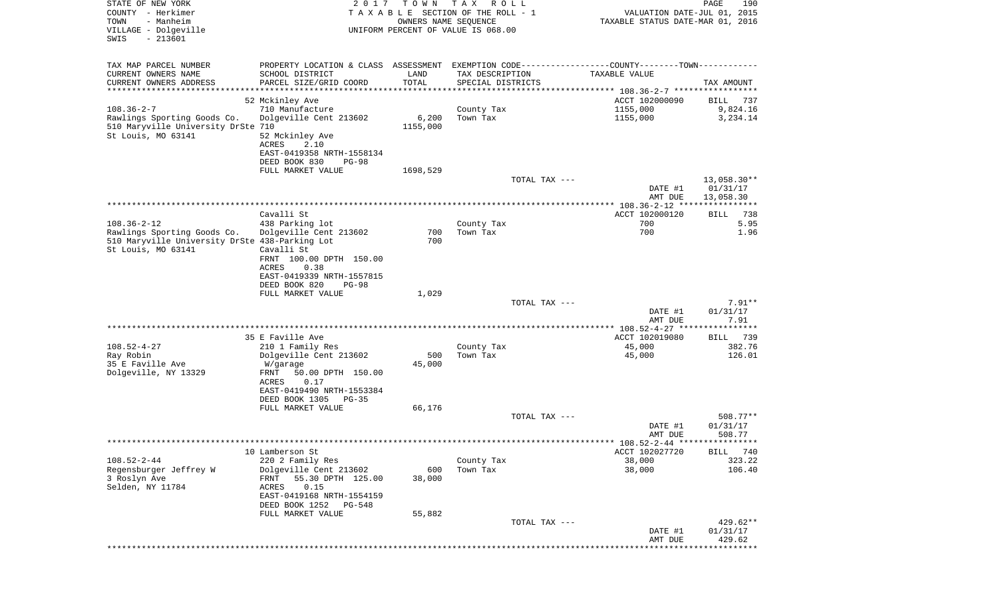| STATE OF NEW YORK<br>COUNTY - Herkimer<br>- Manheim<br>TOWN<br>VILLAGE - Dolgeville<br>$-213601$<br>SWIS                 | 2017                                                                                                                                                                       | T O W N<br>OWNERS NAME SEQUENCE  | TAX ROLL<br>TAXABLE SECTION OF THE ROLL - 1<br>UNIFORM PERCENT OF VALUE IS 068.00 | VALUATION DATE-JUL 01, 2015<br>TAXABLE STATUS DATE-MAR 01, 2016 | PAGE<br>190                          |
|--------------------------------------------------------------------------------------------------------------------------|----------------------------------------------------------------------------------------------------------------------------------------------------------------------------|----------------------------------|-----------------------------------------------------------------------------------|-----------------------------------------------------------------|--------------------------------------|
| TAX MAP PARCEL NUMBER<br>CURRENT OWNERS NAME<br>CURRENT OWNERS ADDRESS<br>*********************                          | PROPERTY LOCATION & CLASS ASSESSMENT EXEMPTION CODE---------------COUNTY-------TOWN----------<br>SCHOOL DISTRICT<br>PARCEL SIZE/GRID COORD                                 | LAND<br>TOTAL<br>*************** | TAX DESCRIPTION<br>SPECIAL DISTRICTS                                              | TAXABLE VALUE                                                   | TAX AMOUNT                           |
| $108.36 - 2 - 7$<br>Rawlings Sporting Goods Co.<br>510 Maryville University DrSte 710<br>St Louis, MO 63141              | 52 Mckinley Ave<br>710 Manufacture<br>Dolgeville Cent 213602<br>52 Mckinley Ave<br>ACRES<br>2.10<br>EAST-0419358 NRTH-1558134<br>DEED BOOK 830<br>$PG-98$                  | 6,200<br>1155,000                | County Tax<br>Town Tax                                                            | ACCT 102000090<br>1155,000<br>1155,000                          | BILL<br>737<br>9,824.16<br>3,234.14  |
|                                                                                                                          | FULL MARKET VALUE                                                                                                                                                          | 1698,529                         | TOTAL TAX ---                                                                     | DATE #1<br>AMT DUE                                              | 13,058.30**<br>01/31/17<br>13,058.30 |
|                                                                                                                          |                                                                                                                                                                            |                                  |                                                                                   |                                                                 |                                      |
| $108.36 - 2 - 12$<br>Rawlings Sporting Goods Co.<br>510 Maryville University DrSte 438-Parking Lot<br>St Louis, MO 63141 | Cavalli St<br>438 Parking lot<br>Dolgeville Cent 213602<br>Cavalli St<br>FRNT 100.00 DPTH 150.00<br>ACRES<br>0.38<br>EAST-0419339 NRTH-1557815<br>DEED BOOK 820<br>$PG-98$ | 700<br>700                       | County Tax<br>Town Tax                                                            | ACCT 102000120<br>700<br>700                                    | 738<br>BILL<br>5.95<br>1.96          |
|                                                                                                                          | FULL MARKET VALUE                                                                                                                                                          | 1,029                            |                                                                                   |                                                                 |                                      |
|                                                                                                                          |                                                                                                                                                                            |                                  | TOTAL TAX ---                                                                     | DATE #1<br>AMT DUE                                              | $7.91**$<br>01/31/17<br>7.91         |
|                                                                                                                          | 35 E Faville Ave                                                                                                                                                           |                                  |                                                                                   | ACCT 102019080                                                  | 739<br><b>BILL</b>                   |
| $108.52 - 4 - 27$<br>Ray Robin<br>35 E Faville Ave<br>Dolgeville, NY 13329                                               | 210 1 Family Res<br>Dolgeville Cent 213602<br>W/garage<br>FRNT<br>50.00 DPTH 150.00<br>0.17<br>ACRES<br>EAST-0419490 NRTH-1553384<br>DEED BOOK 1305<br>PG-35               | 500<br>45,000                    | County Tax<br>Town Tax                                                            | 45,000<br>45,000                                                | 382.76<br>126.01                     |
|                                                                                                                          | FULL MARKET VALUE                                                                                                                                                          | 66,176                           | TOTAL TAX ---                                                                     |                                                                 | 508.77**                             |
|                                                                                                                          |                                                                                                                                                                            |                                  |                                                                                   | DATE #1<br>AMT DUE                                              | 01/31/17<br>508.77                   |
|                                                                                                                          | 10 Lamberson St                                                                                                                                                            |                                  |                                                                                   | ********** 108.52-2-44 *****************<br>ACCT 102027720      |                                      |
| $108.52 - 2 - 44$<br>Regensburger Jeffrey W<br>3 Roslyn Ave<br>Selden, NY 11784                                          | 220 2 Family Res<br>Dolgeville Cent 213602<br>55.30 DPTH 125.00<br>FRNT<br>ACRES<br>0.15<br>EAST-0419168 NRTH-1554159<br>DEED BOOK 1252<br>PG-548                          | 600<br>38,000                    | County Tax<br>Town Tax                                                            | 38,000<br>38,000                                                | 740<br>BILL<br>323.22<br>106.40      |
|                                                                                                                          | FULL MARKET VALUE                                                                                                                                                          | 55,882                           | TOTAL TAX ---                                                                     | DATE #1<br>AMT DUE                                              | 429.62**<br>01/31/17<br>429.62       |
|                                                                                                                          |                                                                                                                                                                            |                                  |                                                                                   |                                                                 | ********                             |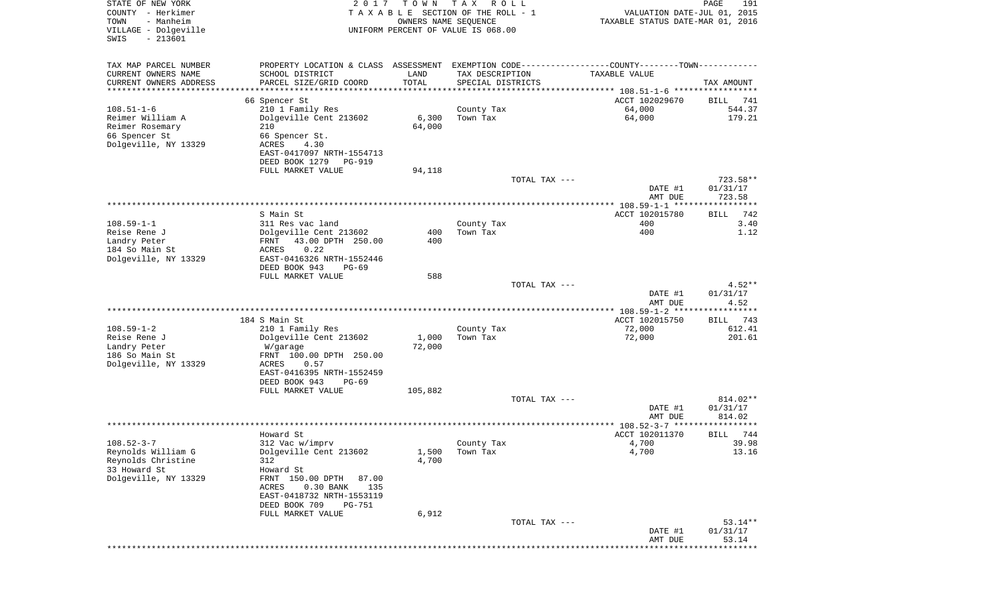| STATE OF NEW YORK<br>COUNTY - Herkimer<br>TOWN<br>- Manheim<br>VILLAGE - Dolgeville<br>$-213601$<br>SWIS | 2 0 1 7                                                                                                                                                                                             | T O W N<br>OWNERS NAME SEQUENCE | T A X<br>R O L L<br>TAXABLE SECTION OF THE ROLL - 1<br>UNIFORM PERCENT OF VALUE IS 068.00            | VALUATION DATE-JUL 01, 2015<br>TAXABLE STATUS DATE-MAR 01, 2016 | PAGE<br>191                    |
|----------------------------------------------------------------------------------------------------------|-----------------------------------------------------------------------------------------------------------------------------------------------------------------------------------------------------|---------------------------------|------------------------------------------------------------------------------------------------------|-----------------------------------------------------------------|--------------------------------|
| TAX MAP PARCEL NUMBER<br>CURRENT OWNERS NAME<br>CURRENT OWNERS ADDRESS<br>*********************          | PROPERTY LOCATION & CLASS ASSESSMENT<br>SCHOOL DISTRICT<br>PARCEL SIZE/GRID COORD                                                                                                                   | LAND<br>TOTAL<br>***********    | EXEMPTION CODE-----------------COUNTY--------TOWN-----------<br>TAX DESCRIPTION<br>SPECIAL DISTRICTS | TAXABLE VALUE                                                   | TAX AMOUNT                     |
|                                                                                                          | 66 Spencer St                                                                                                                                                                                       |                                 |                                                                                                      | ACCT 102029670                                                  | BILL<br>741                    |
| $108.51 - 1 - 6$<br>Reimer William A<br>Reimer Rosemary<br>66 Spencer St<br>Dolgeville, NY 13329         | 210 1 Family Res<br>Dolgeville Cent 213602<br>210<br>66 Spencer St.<br>ACRES<br>4.30<br>EAST-0417097 NRTH-1554713                                                                                   | 6,300<br>64,000                 | County Tax<br>Town Tax                                                                               | 64,000<br>64,000                                                | 544.37<br>179.21               |
|                                                                                                          | DEED BOOK 1279<br>PG-919<br>FULL MARKET VALUE                                                                                                                                                       | 94,118                          |                                                                                                      |                                                                 |                                |
|                                                                                                          |                                                                                                                                                                                                     |                                 | TOTAL TAX ---                                                                                        | DATE #1<br>AMT DUE                                              | 723.58**<br>01/31/17<br>723.58 |
|                                                                                                          |                                                                                                                                                                                                     |                                 |                                                                                                      |                                                                 |                                |
| $108.59 - 1 - 1$<br>Reise Rene J<br>Landry Peter<br>184 So Main St                                       | S Main St<br>311 Res vac land<br>Dolgeville Cent 213602<br>43.00 DPTH 250.00<br>FRNT<br>ACRES<br>0.22                                                                                               | 400<br>400                      | County Tax<br>Town Tax                                                                               | ACCT 102015780<br>400<br>400                                    | 742<br>BILL<br>3.40<br>1.12    |
| Dolgeville, NY 13329                                                                                     | EAST-0416326 NRTH-1552446<br>DEED BOOK 943<br>$PG-69$                                                                                                                                               |                                 |                                                                                                      |                                                                 |                                |
|                                                                                                          | FULL MARKET VALUE                                                                                                                                                                                   | 588                             |                                                                                                      |                                                                 |                                |
|                                                                                                          |                                                                                                                                                                                                     |                                 | TOTAL TAX ---                                                                                        | DATE #1<br>AMT DUE                                              | $4.52**$<br>01/31/17<br>4.52   |
|                                                                                                          |                                                                                                                                                                                                     |                                 |                                                                                                      | ************* 108.59-1-2 ******************                     |                                |
| $108.59 - 1 - 2$                                                                                         | 184 S Main St<br>210 1 Family Res                                                                                                                                                                   |                                 | County Tax                                                                                           | ACCT 102015750<br>72,000                                        | 743<br>BILL<br>612.41          |
| Reise Rene J<br>Landry Peter<br>186 So Main St<br>Dolgeville, NY 13329                                   | Dolgeville Cent 213602<br>W/garage<br>FRNT 100.00 DPTH 250.00<br>ACRES<br>0.57<br>EAST-0416395 NRTH-1552459<br>DEED BOOK 943<br>$PG-69$                                                             | 1,000<br>72,000                 | Town Tax                                                                                             | 72,000                                                          | 201.61                         |
|                                                                                                          | FULL MARKET VALUE                                                                                                                                                                                   | 105,882                         |                                                                                                      |                                                                 |                                |
|                                                                                                          |                                                                                                                                                                                                     |                                 | TOTAL TAX ---                                                                                        | DATE #1<br>AMT DUE                                              | 814.02**<br>01/31/17<br>814.02 |
|                                                                                                          |                                                                                                                                                                                                     |                                 |                                                                                                      |                                                                 | ****                           |
| $108.52 - 3 - 7$<br>Reynolds William G<br>Reynolds Christine<br>33 Howard St<br>Dolgeville, NY 13329     | Howard St<br>312 Vac w/imprv<br>Dolgeville Cent 213602<br>312<br>Howard St<br>FRNT 150.00 DPTH<br>87.00<br>ACRES<br>0.30 BANK<br>135<br>EAST-0418732 NRTH-1553119<br>DEED BOOK 709<br><b>PG-751</b> | 1,500<br>4,700                  | County Tax<br>Town Tax                                                                               | ACCT 102011370<br>4,700<br>4,700                                | 744<br>BILL<br>39.98<br>13.16  |
|                                                                                                          | FULL MARKET VALUE                                                                                                                                                                                   | 6,912                           | TOTAL TAX ---                                                                                        | DATE #1                                                         | $53.14**$<br>01/31/17          |
|                                                                                                          |                                                                                                                                                                                                     |                                 |                                                                                                      | AMT DUE                                                         | 53.14                          |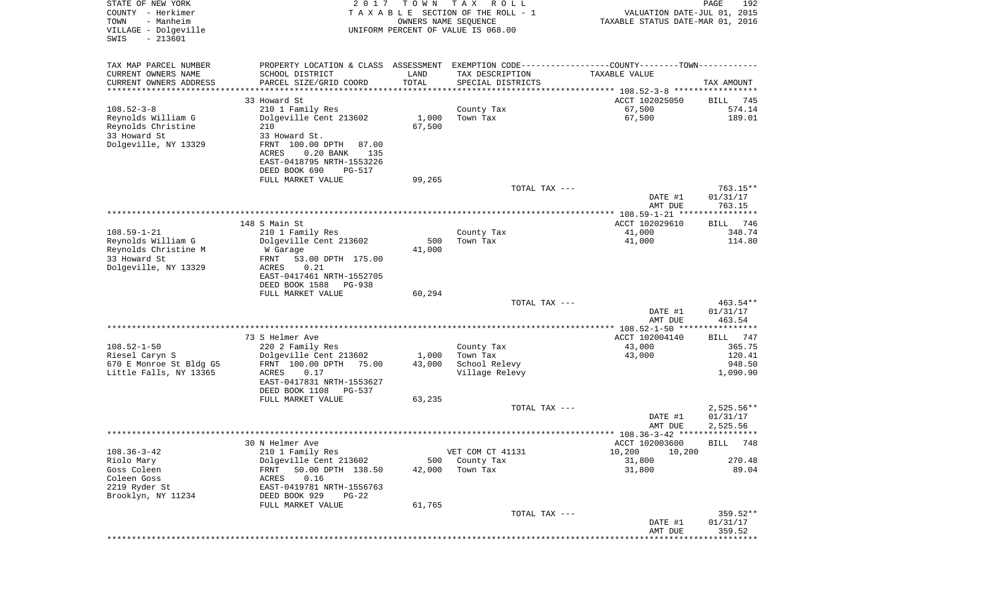| STATE OF NEW YORK<br>COUNTY - Herkimer<br>TOWN<br>- Manheim<br>VILLAGE - Dolgeville<br>$-213601$<br>SWIS | 2 0 1 7                                       | T O W N<br>OWNERS NAME SEQUENCE | T A X<br>R O L L<br>TAXABLE SECTION OF THE ROLL - 1<br>UNIFORM PERCENT OF VALUE IS 068.00     | VALUATION DATE-JUL 01, 2015<br>TAXABLE STATUS DATE-MAR 01, 2016 | PAGE<br>192          |
|----------------------------------------------------------------------------------------------------------|-----------------------------------------------|---------------------------------|-----------------------------------------------------------------------------------------------|-----------------------------------------------------------------|----------------------|
|                                                                                                          |                                               |                                 |                                                                                               |                                                                 |                      |
| TAX MAP PARCEL NUMBER                                                                                    |                                               |                                 | PROPERTY LOCATION & CLASS ASSESSMENT EXEMPTION CODE---------------COUNTY-------TOWN---------- |                                                                 |                      |
| CURRENT OWNERS NAME                                                                                      | SCHOOL DISTRICT                               | LAND                            | TAX DESCRIPTION                                                                               | TAXABLE VALUE                                                   |                      |
| CURRENT OWNERS ADDRESS                                                                                   | PARCEL SIZE/GRID COORD                        | TOTAL                           | SPECIAL DISTRICTS                                                                             |                                                                 | TAX AMOUNT           |
| ********************                                                                                     |                                               | *************                   |                                                                                               |                                                                 |                      |
|                                                                                                          | 33 Howard St                                  |                                 |                                                                                               | ACCT 102025050                                                  | BILL<br>745          |
| $108.52 - 3 - 8$                                                                                         | 210 1 Family Res                              |                                 | County Tax                                                                                    | 67,500                                                          | 574.14               |
| Reynolds William G<br>Reynolds Christine                                                                 | Dolgeville Cent 213602<br>210                 | 1,000<br>67,500                 | Town Tax                                                                                      | 67,500                                                          | 189.01               |
| 33 Howard St                                                                                             | 33 Howard St.                                 |                                 |                                                                                               |                                                                 |                      |
| Dolgeville, NY 13329                                                                                     | FRNT 100.00 DPTH<br>87.00                     |                                 |                                                                                               |                                                                 |                      |
|                                                                                                          | $0.20$ BANK<br>ACRES<br>135                   |                                 |                                                                                               |                                                                 |                      |
|                                                                                                          | EAST-0418795 NRTH-1553226                     |                                 |                                                                                               |                                                                 |                      |
|                                                                                                          | DEED BOOK 690<br><b>PG-517</b>                |                                 |                                                                                               |                                                                 |                      |
|                                                                                                          | FULL MARKET VALUE                             | 99,265                          |                                                                                               |                                                                 |                      |
|                                                                                                          |                                               |                                 | TOTAL TAX ---                                                                                 |                                                                 | $763.15**$           |
|                                                                                                          |                                               |                                 |                                                                                               | DATE #1                                                         | 01/31/17             |
|                                                                                                          |                                               |                                 |                                                                                               | AMT DUE                                                         | 763.15               |
|                                                                                                          | 148 S Main St                                 |                                 |                                                                                               | ACCT 102029610                                                  | 746<br>BILL          |
| $108.59 - 1 - 21$                                                                                        | 210 1 Family Res                              |                                 | County Tax                                                                                    | 41,000                                                          | 348.74               |
| Reynolds William G                                                                                       | Dolgeville Cent 213602                        | 500                             | Town Tax                                                                                      | 41,000                                                          | 114.80               |
| Reynolds Christine M                                                                                     | W Garage                                      | 41,000                          |                                                                                               |                                                                 |                      |
| 33 Howard St                                                                                             | 53.00 DPTH 175.00<br>FRNT                     |                                 |                                                                                               |                                                                 |                      |
| Dolgeville, NY 13329                                                                                     | ACRES<br>0.21                                 |                                 |                                                                                               |                                                                 |                      |
|                                                                                                          | EAST-0417461 NRTH-1552705                     |                                 |                                                                                               |                                                                 |                      |
|                                                                                                          | DEED BOOK 1588<br>PG-938                      |                                 |                                                                                               |                                                                 |                      |
|                                                                                                          | FULL MARKET VALUE                             | 60,294                          |                                                                                               |                                                                 |                      |
|                                                                                                          |                                               |                                 | TOTAL TAX ---                                                                                 | DATE #1                                                         | 463.54**<br>01/31/17 |
|                                                                                                          |                                               |                                 |                                                                                               | AMT DUE                                                         | 463.54               |
|                                                                                                          |                                               |                                 |                                                                                               | **************** 108.52-1-50 *****************                  |                      |
|                                                                                                          | 73 S Helmer Ave                               |                                 |                                                                                               | ACCT 102004140                                                  | 747<br>BILL          |
| $108.52 - 1 - 50$                                                                                        | 220 2 Family Res                              |                                 | County Tax                                                                                    | 43,000                                                          | 365.75               |
| Riesel Caryn S                                                                                           | Dolgeville Cent 213602                        | 1,000                           | Town Tax                                                                                      | 43,000                                                          | 120.41               |
| 670 E Monroe St Bldg G5                                                                                  | FRNT 100.00 DPTH<br>75.00                     | 43,000                          | School Relevy                                                                                 |                                                                 | 948.50               |
| Little Falls, NY 13365                                                                                   | ACRES<br>0.17                                 |                                 | Village Relevy                                                                                |                                                                 | 1,090.90             |
|                                                                                                          | EAST-0417831 NRTH-1553627                     |                                 |                                                                                               |                                                                 |                      |
|                                                                                                          | DEED BOOK 1108<br>PG-537<br>FULL MARKET VALUE | 63,235                          |                                                                                               |                                                                 |                      |
|                                                                                                          |                                               |                                 | TOTAL TAX ---                                                                                 |                                                                 | $2,525.56**$         |
|                                                                                                          |                                               |                                 |                                                                                               | DATE #1                                                         | 01/31/17             |
|                                                                                                          |                                               |                                 |                                                                                               | AMT DUE                                                         | 2,525.56             |
|                                                                                                          |                                               |                                 |                                                                                               |                                                                 |                      |
|                                                                                                          | 30 N Helmer Ave                               |                                 |                                                                                               | ACCT 102003600                                                  | BILL 748             |
| $108.36 - 3 - 42$                                                                                        | 210 1 Family Res                              |                                 | VET COM CT 41131                                                                              | 10,200<br>10,200                                                |                      |
| Riolo Mary                                                                                               | Dolgeville Cent 213602                        | 500                             | County Tax                                                                                    | 31,800                                                          | 270.48               |
| Goss Coleen                                                                                              | 50.00 DPTH 138.50<br>FRNT                     | 42,000                          | Town Tax                                                                                      | 31,800                                                          | 89.04                |
| Coleen Goss<br>2219 Ryder St                                                                             | 0.16<br>ACRES<br>EAST-0419781 NRTH-1556763    |                                 |                                                                                               |                                                                 |                      |
| Brooklyn, NY 11234                                                                                       | DEED BOOK 929<br>$PG-22$                      |                                 |                                                                                               |                                                                 |                      |
|                                                                                                          | FULL MARKET VALUE                             | 61,765                          |                                                                                               |                                                                 |                      |
|                                                                                                          |                                               |                                 | TOTAL TAX ---                                                                                 |                                                                 | 359.52**             |
|                                                                                                          |                                               |                                 |                                                                                               | DATE #1                                                         | 01/31/17             |
|                                                                                                          |                                               |                                 |                                                                                               | AMT DUE                                                         | 359.52               |
|                                                                                                          |                                               |                                 |                                                                                               |                                                                 | * * * * * * * * *    |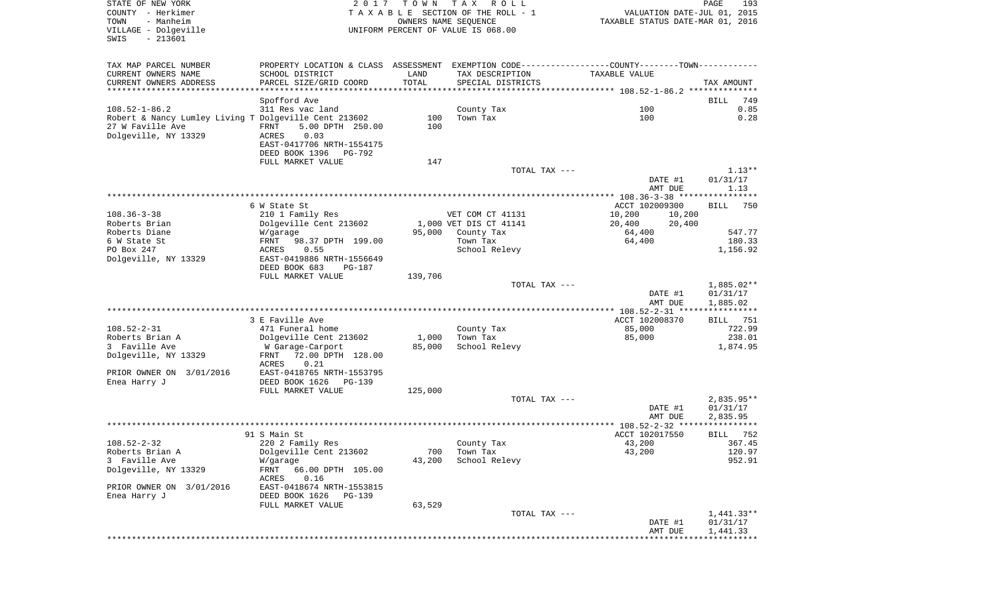| STATE OF NEW YORK<br>COUNTY - Herkimer<br>- Manheim<br>TOWN<br>VILLAGE - Dolgeville<br>$-213601$<br>SWIS | 2017                                                                                                             | T O W N    | TAX ROLL<br>TAXABLE SECTION OF THE ROLL - 1<br>OWNERS NAME SEQUENCE<br>UNIFORM PERCENT OF VALUE IS 068.00 | VALUATION DATE-JUL 01, 2015<br>TAXABLE STATUS DATE-MAR 01, 2016 | PAGE<br>193            |
|----------------------------------------------------------------------------------------------------------|------------------------------------------------------------------------------------------------------------------|------------|-----------------------------------------------------------------------------------------------------------|-----------------------------------------------------------------|------------------------|
| TAX MAP PARCEL NUMBER<br>CURRENT OWNERS NAME                                                             | PROPERTY LOCATION & CLASS ASSESSMENT EXEMPTION CODE---------------COUNTY-------TOWN----------<br>SCHOOL DISTRICT | LAND       | TAX DESCRIPTION                                                                                           | TAXABLE VALUE                                                   |                        |
| CURRENT OWNERS ADDRESS<br>**********************                                                         | PARCEL SIZE/GRID COORD                                                                                           | TOTAL      | SPECIAL DISTRICTS                                                                                         |                                                                 | TAX AMOUNT             |
|                                                                                                          | Spofford Ave                                                                                                     |            |                                                                                                           |                                                                 | <b>BILL</b><br>749     |
| $108.52 - 1 - 86.2$                                                                                      | 311 Res vac land                                                                                                 |            | County Tax                                                                                                | 100                                                             | 0.85                   |
| Robert & Nancy Lumley Living T Dolgeville Cent 213602<br>27 W Faville Ave<br>Dolgeville, NY 13329        | 5.00 DPTH 250.00<br>FRNT<br>0.03<br>ACRES<br>EAST-0417706 NRTH-1554175                                           | 100<br>100 | Town Tax                                                                                                  | 100                                                             | 0.28                   |
|                                                                                                          | DEED BOOK 1396<br>PG-792                                                                                         |            |                                                                                                           |                                                                 |                        |
|                                                                                                          | FULL MARKET VALUE                                                                                                | 147        |                                                                                                           |                                                                 |                        |
|                                                                                                          |                                                                                                                  |            | TOTAL TAX ---                                                                                             | DATE #1                                                         | $1.13**$<br>01/31/17   |
|                                                                                                          |                                                                                                                  |            |                                                                                                           | AMT DUE                                                         | 1.13                   |
|                                                                                                          |                                                                                                                  |            |                                                                                                           |                                                                 |                        |
|                                                                                                          | 6 W State St                                                                                                     |            |                                                                                                           | ACCT 102009300                                                  | <b>BILL</b><br>750     |
| $108.36 - 3 - 38$<br>Roberts Brian                                                                       | 210 1 Family Res                                                                                                 |            | VET COM CT 41131<br>1,000 VET DIS CT 41141                                                                | 10,200<br>10,200<br>20,400                                      |                        |
| Roberts Diane                                                                                            | Dolgeville Cent 213602<br>W/garage                                                                               | 95,000     | County Tax                                                                                                | 20,400<br>64,400                                                | 547.77                 |
| 6 W State St                                                                                             | FRNT<br>98.37 DPTH 199.00                                                                                        |            | Town Tax                                                                                                  | 64,400                                                          | 180.33                 |
| PO Box 247                                                                                               | ACRES<br>0.55                                                                                                    |            | School Relevy                                                                                             |                                                                 | 1,156.92               |
| Dolgeville, NY 13329                                                                                     | EAST-0419886 NRTH-1556649<br>DEED BOOK 683<br>PG-187                                                             |            |                                                                                                           |                                                                 |                        |
|                                                                                                          | FULL MARKET VALUE                                                                                                | 139,706    |                                                                                                           |                                                                 |                        |
|                                                                                                          |                                                                                                                  |            | TOTAL TAX ---                                                                                             |                                                                 | 1,885.02**             |
|                                                                                                          |                                                                                                                  |            |                                                                                                           | DATE #1                                                         | 01/31/17               |
|                                                                                                          |                                                                                                                  |            |                                                                                                           | AMT DUE<br>************ 108.52-2-31 *****************           | 1,885.02               |
|                                                                                                          | 3 E Faville Ave                                                                                                  |            |                                                                                                           | ACCT 102008370                                                  | BILL 751               |
| $108.52 - 2 - 31$                                                                                        | 471 Funeral home                                                                                                 |            | County Tax                                                                                                | 85,000                                                          | 722.99                 |
| Roberts Brian A                                                                                          | Dolgeville Cent 213602                                                                                           | 1,000      | Town Tax                                                                                                  | 85,000                                                          | 238.01                 |
| 3 Faville Ave                                                                                            | W Garage-Carport                                                                                                 | 85,000     | School Relevy                                                                                             |                                                                 | 1,874.95               |
| Dolgeville, NY 13329                                                                                     | 72.00 DPTH 128.00<br>FRNT                                                                                        |            |                                                                                                           |                                                                 |                        |
| PRIOR OWNER ON 3/01/2016                                                                                 | ACRES<br>0.21<br>EAST-0418765 NRTH-1553795                                                                       |            |                                                                                                           |                                                                 |                        |
| Enea Harry J                                                                                             | DEED BOOK 1626<br>PG-139                                                                                         |            |                                                                                                           |                                                                 |                        |
|                                                                                                          | FULL MARKET VALUE                                                                                                | 125,000    |                                                                                                           |                                                                 |                        |
|                                                                                                          |                                                                                                                  |            | TOTAL TAX ---                                                                                             |                                                                 | 2,835.95**             |
|                                                                                                          |                                                                                                                  |            |                                                                                                           | DATE #1                                                         | 01/31/17               |
|                                                                                                          |                                                                                                                  |            |                                                                                                           | AMT DUE                                                         | 2,835.95               |
|                                                                                                          | 91 S Main St                                                                                                     |            |                                                                                                           | ACCT 102017550                                                  | 752<br>BILL            |
| $108.52 - 2 - 32$                                                                                        | 220 2 Family Res                                                                                                 |            | County Tax                                                                                                | 43,200                                                          | 367.45                 |
| Roberts Brian A                                                                                          | Dolgeville Cent 213602                                                                                           | 700        | Town Tax                                                                                                  | 43,200                                                          | 120.97                 |
| 3 Faville Ave                                                                                            | W/garage                                                                                                         | 43,200     | School Relevy                                                                                             |                                                                 | 952.91                 |
| Dolgeville, NY 13329                                                                                     | FRNT<br>66.00 DPTH 105.00<br>0.16<br>ACRES                                                                       |            |                                                                                                           |                                                                 |                        |
| PRIOR OWNER ON 3/01/2016                                                                                 | EAST-0418674 NRTH-1553815                                                                                        |            |                                                                                                           |                                                                 |                        |
| Enea Harry J                                                                                             | DEED BOOK 1626<br>PG-139                                                                                         |            |                                                                                                           |                                                                 |                        |
|                                                                                                          | FULL MARKET VALUE                                                                                                | 63,529     |                                                                                                           |                                                                 |                        |
|                                                                                                          |                                                                                                                  |            | TOTAL TAX ---                                                                                             | DATE #1                                                         | 1,441.33**<br>01/31/17 |
|                                                                                                          |                                                                                                                  |            |                                                                                                           | AMT DUE                                                         | 1,441.33               |
|                                                                                                          |                                                                                                                  |            |                                                                                                           |                                                                 |                        |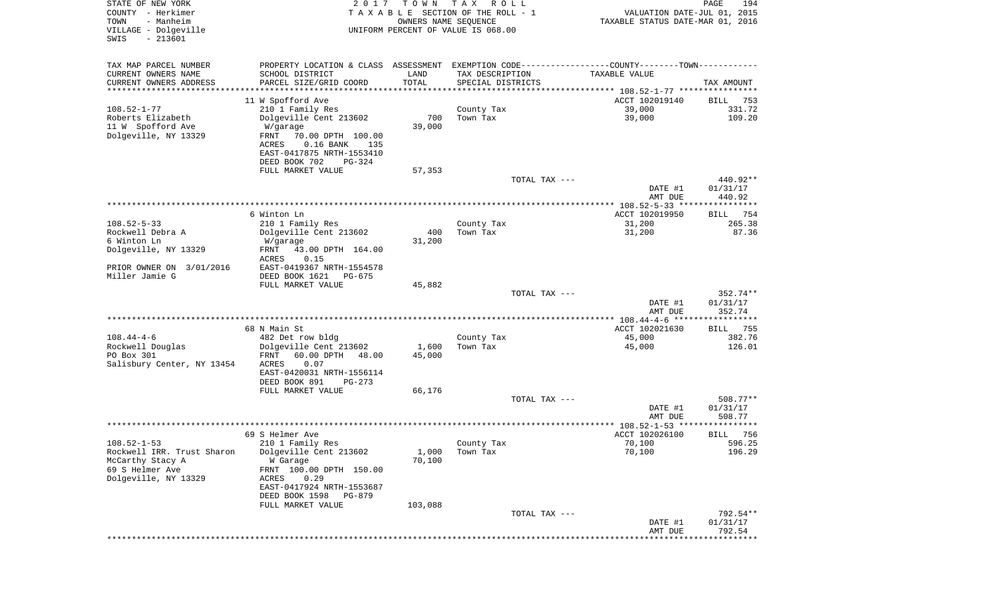| STATE OF NEW YORK<br>COUNTY - Herkimer<br>TOWN<br>- Manheim | 2 0 1 7                                                                                         | T O W N<br>OWNERS NAME SEQUENCE | T A X<br>R O L L<br>TAXABLE SECTION OF THE ROLL - 1 | VALUATION DATE-JUL 01, 2015<br>TAXABLE STATUS DATE-MAR 01, 2016 | PAGE<br>194                 |
|-------------------------------------------------------------|-------------------------------------------------------------------------------------------------|---------------------------------|-----------------------------------------------------|-----------------------------------------------------------------|-----------------------------|
| VILLAGE - Dolgeville<br>$-213601$<br>SWIS                   |                                                                                                 |                                 | UNIFORM PERCENT OF VALUE IS 068.00                  |                                                                 |                             |
| TAX MAP PARCEL NUMBER                                       | PROPERTY LOCATION & CLASS ASSESSMENT EXEMPTION CODE----------------COUNTY--------TOWN---------- |                                 |                                                     |                                                                 |                             |
| CURRENT OWNERS NAME                                         | SCHOOL DISTRICT                                                                                 | LAND                            | TAX DESCRIPTION                                     | TAXABLE VALUE                                                   |                             |
| CURRENT OWNERS ADDRESS<br>*********************             | PARCEL SIZE/GRID COORD                                                                          | TOTAL                           | SPECIAL DISTRICTS                                   |                                                                 | TAX AMOUNT                  |
|                                                             | 11 W Spofford Ave                                                                               |                                 |                                                     | ACCT 102019140                                                  | 753<br>BILL                 |
| $108.52 - 1 - 77$                                           | 210 1 Family Res                                                                                |                                 | County Tax                                          | 39,000                                                          | 331.72                      |
| Roberts Elizabeth                                           | Dolgeville Cent 213602                                                                          | 700                             | Town Tax                                            | 39,000                                                          | 109.20                      |
| 11 W Spofford Ave                                           | W/garage                                                                                        | 39,000                          |                                                     |                                                                 |                             |
| Dolgeville, NY 13329                                        | FRNT<br>70.00 DPTH 100.00<br>$0.16$ BANK<br>ACRES<br>135                                        |                                 |                                                     |                                                                 |                             |
|                                                             | EAST-0417875 NRTH-1553410                                                                       |                                 |                                                     |                                                                 |                             |
|                                                             | DEED BOOK 702<br>PG-324                                                                         |                                 |                                                     |                                                                 |                             |
|                                                             | FULL MARKET VALUE                                                                               | 57,353                          |                                                     |                                                                 |                             |
|                                                             |                                                                                                 |                                 | TOTAL TAX ---                                       |                                                                 | 440.92**                    |
|                                                             |                                                                                                 |                                 |                                                     | DATE #1<br>AMT DUE                                              | 01/31/17<br>440.92          |
|                                                             |                                                                                                 |                                 |                                                     |                                                                 |                             |
|                                                             | 6 Winton Ln                                                                                     |                                 |                                                     | ACCT 102019950                                                  | 754<br>BILL                 |
| $108.52 - 5 - 33$                                           | 210 1 Family Res                                                                                |                                 | County Tax                                          | 31,200                                                          | 265.38                      |
| Rockwell Debra A<br>6 Winton Ln                             | Dolgeville Cent 213602                                                                          | 400                             | Town Tax                                            | 31,200                                                          | 87.36                       |
| Dolgeville, NY 13329                                        | W/garage<br>FRNT<br>43.00 DPTH 164.00                                                           | 31,200                          |                                                     |                                                                 |                             |
|                                                             | ACRES<br>0.15                                                                                   |                                 |                                                     |                                                                 |                             |
| PRIOR OWNER ON 3/01/2016                                    | EAST-0419367 NRTH-1554578                                                                       |                                 |                                                     |                                                                 |                             |
| Miller Jamie G                                              | DEED BOOK 1621<br>PG-675                                                                        |                                 |                                                     |                                                                 |                             |
|                                                             | FULL MARKET VALUE                                                                               | 45,882                          | TOTAL TAX ---                                       |                                                                 | 352.74**                    |
|                                                             |                                                                                                 |                                 |                                                     | DATE #1                                                         | 01/31/17                    |
|                                                             |                                                                                                 |                                 |                                                     | AMT DUE                                                         | 352.74                      |
|                                                             |                                                                                                 |                                 |                                                     |                                                                 |                             |
| $108.44 - 4 - 6$                                            | 68 N Main St<br>482 Det row bldg                                                                |                                 | County Tax                                          | ACCT 102021630<br>45,000                                        | 755<br>BILL<br>382.76       |
| Rockwell Douglas                                            | Dolgeville Cent 213602                                                                          | 1,600                           | Town Tax                                            | 45,000                                                          | 126.01                      |
| PO Box 301                                                  | FRNT<br>60.00 DPTH<br>48.00                                                                     | 45,000                          |                                                     |                                                                 |                             |
| Salisbury Center, NY 13454                                  | ACRES<br>0.07                                                                                   |                                 |                                                     |                                                                 |                             |
|                                                             | EAST-0420031 NRTH-1556114                                                                       |                                 |                                                     |                                                                 |                             |
|                                                             | DEED BOOK 891<br>$PG-273$<br>FULL MARKET VALUE                                                  | 66,176                          |                                                     |                                                                 |                             |
|                                                             |                                                                                                 |                                 | TOTAL TAX ---                                       |                                                                 | 508.77**                    |
|                                                             |                                                                                                 |                                 |                                                     | DATE #1                                                         | 01/31/17                    |
|                                                             |                                                                                                 |                                 |                                                     | AMT DUE                                                         | 508.77                      |
|                                                             |                                                                                                 |                                 |                                                     |                                                                 | ****                        |
| $108.52 - 1 - 53$                                           | 69 S Helmer Ave<br>210 1 Family Res                                                             |                                 | County Tax                                          | ACCT 102026100<br>70,100                                        | 756<br>BILL<br>596.25       |
| Rockwell IRR. Trust Sharon                                  | Dolgeville Cent 213602                                                                          | 1,000                           | Town Tax                                            | 70,100                                                          | 196.29                      |
| McCarthy Stacy A                                            | W Garage                                                                                        | 70,100                          |                                                     |                                                                 |                             |
| 69 S Helmer Ave                                             | FRNT 100.00 DPTH 150.00                                                                         |                                 |                                                     |                                                                 |                             |
| Dolgeville, NY 13329                                        | 0.29<br>ACRES                                                                                   |                                 |                                                     |                                                                 |                             |
|                                                             | EAST-0417924 NRTH-1553687<br>DEED BOOK 1598<br>PG-879                                           |                                 |                                                     |                                                                 |                             |
|                                                             | FULL MARKET VALUE                                                                               | 103,088                         |                                                     |                                                                 |                             |
|                                                             |                                                                                                 |                                 | TOTAL TAX ---                                       |                                                                 | 792.54**                    |
|                                                             |                                                                                                 |                                 |                                                     | DATE #1                                                         | 01/31/17                    |
|                                                             |                                                                                                 |                                 |                                                     | AMT DUE<br>* * * * * * * * *                                    | 792.54<br>* * * * * * * * * |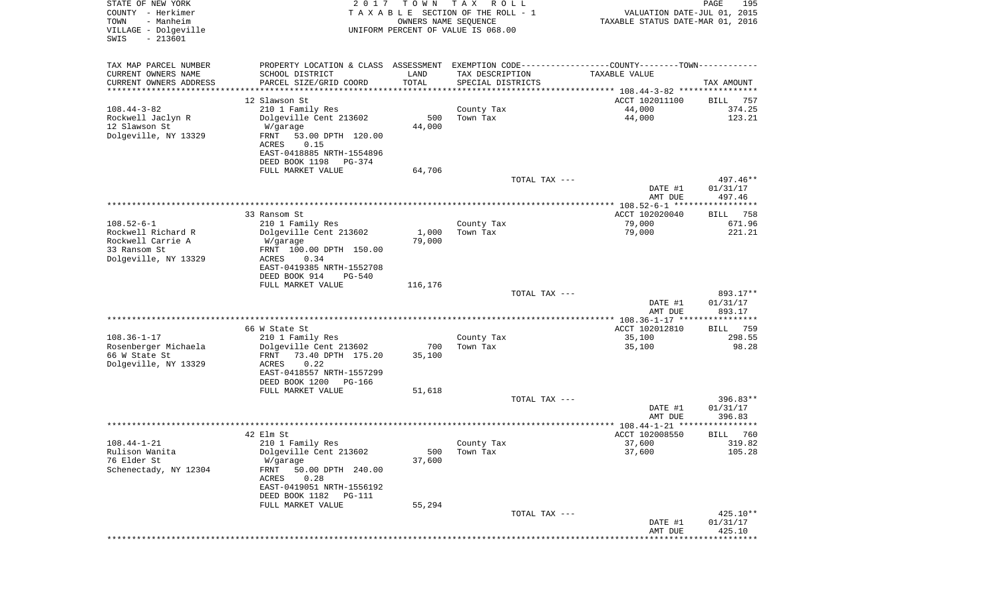| STATE OF NEW YORK<br>COUNTY - Herkimer<br>TOWN<br>- Manheim | 2 0 1 7                                    | T O W N<br>OWNERS NAME SEQUENCE | T A X<br>R O L L<br>TAXABLE SECTION OF THE ROLL - 1        | VALUATION DATE-JUL 01, 2015<br>TAXABLE STATUS DATE-MAR 01, 2016 | $\mathop{\mathtt{PAGE}}$<br>195 |
|-------------------------------------------------------------|--------------------------------------------|---------------------------------|------------------------------------------------------------|-----------------------------------------------------------------|---------------------------------|
| VILLAGE - Dolgeville<br>$-213601$<br>SWIS                   |                                            |                                 | UNIFORM PERCENT OF VALUE IS 068.00                         |                                                                 |                                 |
| TAX MAP PARCEL NUMBER                                       | PROPERTY LOCATION & CLASS ASSESSMENT       |                                 | EXEMPTION CODE----------------COUNTY-------TOWN----------- |                                                                 |                                 |
| CURRENT OWNERS NAME                                         | SCHOOL DISTRICT                            | LAND                            | TAX DESCRIPTION                                            | TAXABLE VALUE                                                   |                                 |
| CURRENT OWNERS ADDRESS<br>*********************             | PARCEL SIZE/GRID COORD                     | TOTAL<br>**********             | SPECIAL DISTRICTS                                          |                                                                 | TAX AMOUNT                      |
|                                                             | 12 Slawson St                              |                                 |                                                            | ACCT 102011100                                                  | 757<br>BILL                     |
| $108.44 - 3 - 82$                                           | 210 1 Family Res                           |                                 | County Tax                                                 | 44,000                                                          | 374.25                          |
| Rockwell Jaclyn R                                           | Dolgeville Cent 213602                     | 500                             | Town Tax                                                   | 44,000                                                          | 123.21                          |
| 12 Slawson St                                               | W/garage                                   | 44,000                          |                                                            |                                                                 |                                 |
| Dolgeville, NY 13329                                        | FRNT<br>53.00 DPTH 120.00                  |                                 |                                                            |                                                                 |                                 |
|                                                             | 0.15<br>ACRES<br>EAST-0418885 NRTH-1554896 |                                 |                                                            |                                                                 |                                 |
|                                                             | DEED BOOK 1198<br>PG-374                   |                                 |                                                            |                                                                 |                                 |
|                                                             | FULL MARKET VALUE                          | 64,706                          |                                                            |                                                                 |                                 |
|                                                             |                                            |                                 | TOTAL TAX ---                                              |                                                                 | 497.46**                        |
|                                                             |                                            |                                 |                                                            | DATE #1                                                         | 01/31/17                        |
|                                                             |                                            |                                 |                                                            | AMT DUE<br>***************** 108.52-6-1 ******************      | 497.46                          |
|                                                             | 33 Ransom St                               |                                 |                                                            | ACCT 102020040                                                  | 758<br>BILL                     |
| $108.52 - 6 - 1$                                            | 210 1 Family Res                           |                                 | County Tax                                                 | 79,000                                                          | 671.96                          |
| Rockwell Richard R                                          | Dolgeville Cent 213602                     | 1,000                           | Town Tax                                                   | 79,000                                                          | 221.21                          |
| Rockwell Carrie A                                           | W/garage                                   | 79,000                          |                                                            |                                                                 |                                 |
| 33 Ransom St                                                | FRNT 100.00 DPTH 150.00                    |                                 |                                                            |                                                                 |                                 |
| Dolgeville, NY 13329                                        | ACRES<br>0.34<br>EAST-0419385 NRTH-1552708 |                                 |                                                            |                                                                 |                                 |
|                                                             | DEED BOOK 914<br><b>PG-540</b>             |                                 |                                                            |                                                                 |                                 |
|                                                             | FULL MARKET VALUE                          | 116,176                         |                                                            |                                                                 |                                 |
|                                                             |                                            |                                 | TOTAL TAX ---                                              |                                                                 | 893.17**                        |
|                                                             |                                            |                                 |                                                            | DATE #1                                                         | 01/31/17                        |
|                                                             |                                            |                                 |                                                            | AMT DUE                                                         | 893.17                          |
|                                                             | 66 W State St                              |                                 |                                                            | ACCT 102012810                                                  | 759<br>BILL                     |
| $108.36 - 1 - 17$                                           | 210 1 Family Res                           |                                 | County Tax                                                 | 35,100                                                          | 298.55                          |
| Rosenberger Michaela                                        | Dolgeville Cent 213602                     | 700                             | Town Tax                                                   | 35,100                                                          | 98.28                           |
| 66 W State St                                               | FRNT<br>73.40 DPTH 175.20                  | 35,100                          |                                                            |                                                                 |                                 |
| Dolgeville, NY 13329                                        | ACRES<br>0.22<br>EAST-0418557 NRTH-1557299 |                                 |                                                            |                                                                 |                                 |
|                                                             | DEED BOOK 1200<br>PG-166                   |                                 |                                                            |                                                                 |                                 |
|                                                             | FULL MARKET VALUE                          | 51,618                          |                                                            |                                                                 |                                 |
|                                                             |                                            |                                 | TOTAL TAX ---                                              |                                                                 | $396.83**$                      |
|                                                             |                                            |                                 |                                                            | DATE #1                                                         | 01/31/17                        |
|                                                             |                                            |                                 |                                                            | AMT DUE                                                         | 396.83<br>****                  |
|                                                             | 42 Elm St                                  |                                 |                                                            | ****************** 108.44-1-21 ******<br>ACCT 102008550         | 760<br>BILL                     |
| $108.44 - 1 - 21$                                           | 210 1 Family Res                           |                                 | County Tax                                                 | 37,600                                                          | 319.82                          |
| Rulison Wanita                                              | Dolgeville Cent 213602                     | 500                             | Town Tax                                                   | 37,600                                                          | 105.28                          |
| 76 Elder St                                                 | W/garage                                   | 37,600                          |                                                            |                                                                 |                                 |
| Schenectady, NY 12304                                       | 50.00 DPTH 240.00<br>FRNT                  |                                 |                                                            |                                                                 |                                 |
|                                                             | 0.28<br>ACRES<br>EAST-0419051 NRTH-1556192 |                                 |                                                            |                                                                 |                                 |
|                                                             | DEED BOOK 1182 PG-111                      |                                 |                                                            |                                                                 |                                 |
|                                                             | FULL MARKET VALUE                          | 55,294                          |                                                            |                                                                 |                                 |
|                                                             |                                            |                                 | TOTAL TAX ---                                              |                                                                 | 425.10**                        |
|                                                             |                                            |                                 |                                                            | DATE #1                                                         | 01/31/17                        |
|                                                             |                                            |                                 |                                                            | AMT DUE                                                         | 425.10                          |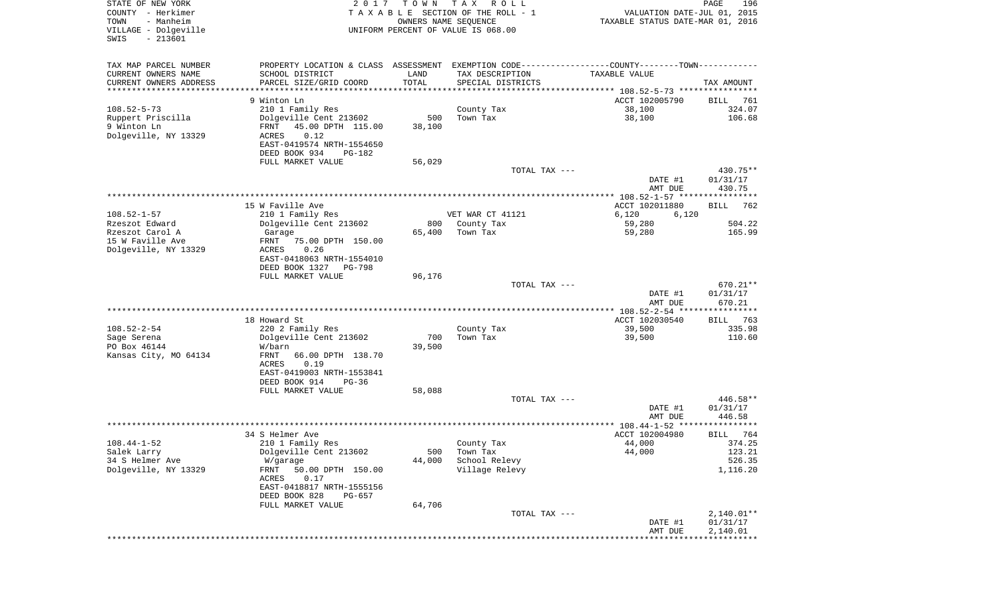| STATE OF NEW YORK<br>COUNTY - Herkimer<br>- Manheim<br>TOWN<br>VILLAGE - Dolgeville<br>SWIS<br>$-213601$ | 2017                                                                                                                                                                        | T O W N                     | T A X<br>R O L L<br>TAXABLE SECTION OF THE ROLL - 1<br>OWNERS NAME SEQUENCE<br>UNIFORM PERCENT OF VALUE IS 068.00 | VALUATION DATE-JUL 01, 2015<br>TAXABLE STATUS DATE-MAR 01, 2016 | PAGE<br>196                              |
|----------------------------------------------------------------------------------------------------------|-----------------------------------------------------------------------------------------------------------------------------------------------------------------------------|-----------------------------|-------------------------------------------------------------------------------------------------------------------|-----------------------------------------------------------------|------------------------------------------|
| TAX MAP PARCEL NUMBER<br>CURRENT OWNERS NAME<br>CURRENT OWNERS ADDRESS<br>********************           | PROPERTY LOCATION & CLASS ASSESSMENT<br>SCHOOL DISTRICT<br>PARCEL SIZE/GRID COORD                                                                                           | LAND<br>TOTAL<br>********** | EXEMPTION CODE----------------COUNTY-------TOWN----------<br>TAX DESCRIPTION<br>SPECIAL DISTRICTS                 | TAXABLE VALUE                                                   | TAX AMOUNT                               |
| $108.52 - 5 - 73$<br>Ruppert Priscilla<br>9 Winton Ln<br>Dolgeville, NY 13329                            | 9 Winton Ln<br>210 1 Family Res<br>Dolgeville Cent 213602<br>FRNT<br>45.00 DPTH 115.00<br>0.12<br>ACRES<br>EAST-0419574 NRTH-1554650                                        | 500<br>38,100               | County Tax<br>Town Tax                                                                                            | ACCT 102005790<br>38,100<br>38,100                              | BILL<br>761<br>324.07<br>106.68          |
|                                                                                                          | DEED BOOK 934<br>PG-182<br>FULL MARKET VALUE                                                                                                                                | 56,029                      | TOTAL TAX ---                                                                                                     |                                                                 | 430.75**                                 |
|                                                                                                          | 15 W Faville Ave                                                                                                                                                            |                             |                                                                                                                   | DATE #1<br>AMT DUE<br>ACCT 102011880                            | 01/31/17<br>430.75<br><b>BILL</b><br>762 |
| $108.52 - 1 - 57$                                                                                        | 210 1 Family Res                                                                                                                                                            |                             | VET WAR CT 41121                                                                                                  | 6,120<br>6,120                                                  |                                          |
| Rzeszot Edward<br>Rzeszot Carol A<br>15 W Faville Ave<br>Dolgeville, NY 13329                            | Dolgeville Cent 213602<br>Garage<br>FRNT<br>75.00 DPTH 150.00<br>ACRES<br>0.26<br>EAST-0418063 NRTH-1554010<br>DEED BOOK 1327<br>PG-798                                     | 800<br>65,400               | County Tax<br>Town Tax                                                                                            | 59,280<br>59,280                                                | 504.22<br>165.99                         |
|                                                                                                          | FULL MARKET VALUE                                                                                                                                                           | 96,176                      | TOTAL TAX ---                                                                                                     | DATE #1<br>AMT DUE                                              | 670.21**<br>01/31/17<br>670.21           |
|                                                                                                          |                                                                                                                                                                             |                             |                                                                                                                   | *********** 108.52-2-54 *****************                       |                                          |
| $108.52 - 2 - 54$<br>Sage Serena<br>PO Box 46144<br>Kansas City, MO 64134                                | 18 Howard St<br>220 2 Family Res<br>Dolgeville Cent 213602<br>W/barn<br>FRNT<br>66.00 DPTH 138.70<br>ACRES<br>0.19<br>EAST-0419003 NRTH-1553841<br>DEED BOOK 914<br>$PG-36$ | 700<br>39,500               | County Tax<br>Town Tax                                                                                            | ACCT 102030540<br>39,500<br>39,500                              | 763<br>BILL<br>335.98<br>110.60          |
|                                                                                                          | FULL MARKET VALUE                                                                                                                                                           | 58,088                      | TOTAL TAX ---                                                                                                     | DATE #1                                                         | 446.58**<br>01/31/17                     |
|                                                                                                          |                                                                                                                                                                             |                             |                                                                                                                   | AMT DUE<br>***************** 108.44-1-52 *********              | 446.58<br>******                         |
|                                                                                                          | 34 S Helmer Ave                                                                                                                                                             |                             |                                                                                                                   | ACCT 102004980                                                  | 764<br>BILL                              |
| $108.44 - 1 - 52$<br>Salek Larry<br>34 S Helmer Ave<br>Dolgeville, NY 13329                              | 210 1 Family Res<br>Dolgeville Cent 213602<br>W/garage<br>50.00 DPTH 150.00<br>FRNT<br>0.17<br>ACRES<br>EAST-0418817 NRTH-1555156<br>DEED BOOK 828<br>PG-657                | 500<br>44,000               | County Tax<br>Town Tax<br>School Relevy<br>Village Relevy                                                         | 44,000<br>44,000                                                | 374.25<br>123.21<br>526.35<br>1,116.20   |
|                                                                                                          | FULL MARKET VALUE                                                                                                                                                           | 64,706                      |                                                                                                                   |                                                                 |                                          |
|                                                                                                          |                                                                                                                                                                             |                             | TOTAL TAX ---                                                                                                     | DATE #1<br>AMT DUE<br>*********************************         | $2,140.01**$<br>01/31/17<br>2,140.01     |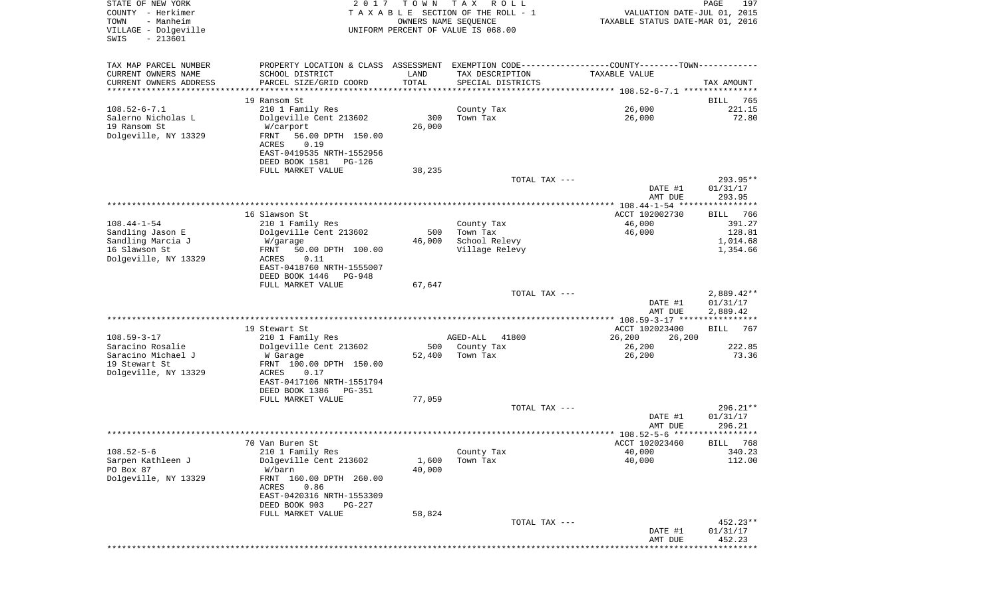| STATE OF NEW YORK<br>COUNTY - Herkimer<br>- Manheim<br>TOWN<br>VILLAGE - Dolgeville<br>$-213601$<br>SWIS | 2017                                                                                          | T O W N<br>OWNERS NAME SEQUENCE | T A X<br>R O L L<br>TAXABLE SECTION OF THE ROLL - 1<br>UNIFORM PERCENT OF VALUE IS 068.00 | VALUATION DATE-JUL 01, 2015<br>TAXABLE STATUS DATE-MAR 01, 2016 | PAGE<br>197          |
|----------------------------------------------------------------------------------------------------------|-----------------------------------------------------------------------------------------------|---------------------------------|-------------------------------------------------------------------------------------------|-----------------------------------------------------------------|----------------------|
| TAX MAP PARCEL NUMBER                                                                                    | PROPERTY LOCATION & CLASS ASSESSMENT EXEMPTION CODE---------------COUNTY-------TOWN---------- |                                 |                                                                                           |                                                                 |                      |
| CURRENT OWNERS NAME                                                                                      | SCHOOL DISTRICT                                                                               | LAND                            | TAX DESCRIPTION                                                                           | TAXABLE VALUE                                                   |                      |
| CURRENT OWNERS ADDRESS                                                                                   | PARCEL SIZE/GRID COORD                                                                        | TOTAL                           | SPECIAL DISTRICTS                                                                         |                                                                 | TAX AMOUNT           |
| *********************                                                                                    |                                                                                               |                                 |                                                                                           |                                                                 |                      |
|                                                                                                          | 19 Ransom St                                                                                  |                                 |                                                                                           |                                                                 | 765<br>BILL          |
| $108.52 - 6 - 7.1$<br>Salerno Nicholas L                                                                 | 210 1 Family Res<br>Dolgeville Cent 213602                                                    | 300                             | County Tax<br>Town Tax                                                                    | 26,000<br>26,000                                                | 221.15<br>72.80      |
| 19 Ransom St                                                                                             | W/carport                                                                                     | 26,000                          |                                                                                           |                                                                 |                      |
| Dolgeville, NY 13329                                                                                     | FRNT<br>56.00 DPTH 150.00                                                                     |                                 |                                                                                           |                                                                 |                      |
|                                                                                                          | ACRES<br>0.19                                                                                 |                                 |                                                                                           |                                                                 |                      |
|                                                                                                          | EAST-0419535 NRTH-1552956                                                                     |                                 |                                                                                           |                                                                 |                      |
|                                                                                                          | DEED BOOK 1581<br>PG-126<br>FULL MARKET VALUE                                                 | 38,235                          |                                                                                           |                                                                 |                      |
|                                                                                                          |                                                                                               |                                 | TOTAL TAX ---                                                                             |                                                                 | 293.95**             |
|                                                                                                          |                                                                                               |                                 |                                                                                           | DATE #1                                                         | 01/31/17             |
|                                                                                                          |                                                                                               |                                 |                                                                                           | AMT DUE                                                         | 293.95               |
|                                                                                                          | 16 Slawson St                                                                                 |                                 |                                                                                           | ACCT 102002730                                                  | 766<br>BILL          |
| $108.44 - 1 - 54$                                                                                        | 210 1 Family Res                                                                              |                                 | County Tax                                                                                | 46,000                                                          | 391.27               |
| Sandling Jason E                                                                                         | Dolgeville Cent 213602                                                                        | 500                             | Town Tax                                                                                  | 46,000                                                          | 128.81               |
| Sandling Marcia J                                                                                        | W/garage                                                                                      | 46,000                          | School Relevy                                                                             |                                                                 | 1,014.68             |
| 16 Slawson St<br>Dolgeville, NY 13329                                                                    | FRNT<br>50.00 DPTH 100.00<br>0.11                                                             |                                 | Village Relevy                                                                            |                                                                 | 1,354.66             |
|                                                                                                          | ACRES<br>EAST-0418760 NRTH-1555007                                                            |                                 |                                                                                           |                                                                 |                      |
|                                                                                                          | DEED BOOK 1446<br><b>PG-948</b>                                                               |                                 |                                                                                           |                                                                 |                      |
|                                                                                                          | FULL MARKET VALUE                                                                             | 67,647                          |                                                                                           |                                                                 |                      |
|                                                                                                          |                                                                                               |                                 | TOTAL TAX ---                                                                             |                                                                 | $2,889.42**$         |
|                                                                                                          |                                                                                               |                                 |                                                                                           | DATE #1<br>AMT DUE                                              | 01/31/17<br>2,889.42 |
|                                                                                                          |                                                                                               |                                 |                                                                                           |                                                                 |                      |
|                                                                                                          | 19 Stewart St                                                                                 |                                 |                                                                                           | ACCT 102023400                                                  | 767<br>BILL          |
| $108.59 - 3 - 17$                                                                                        | 210 1 Family Res                                                                              |                                 | 41800<br>AGED-ALL                                                                         | 26,200<br>26,200                                                |                      |
| Saracino Rosalie                                                                                         | Dolgeville Cent 213602                                                                        | 500                             | County Tax                                                                                | 26,200                                                          | 222.85               |
| Saracino Michael J<br>19 Stewart St                                                                      | W Garage<br>FRNT 100.00 DPTH 150.00                                                           | 52,400                          | Town Tax                                                                                  | 26,200                                                          | 73.36                |
| Dolgeville, NY 13329                                                                                     | ACRES<br>0.17                                                                                 |                                 |                                                                                           |                                                                 |                      |
|                                                                                                          | EAST-0417106 NRTH-1551794                                                                     |                                 |                                                                                           |                                                                 |                      |
|                                                                                                          | DEED BOOK 1386<br>PG-351                                                                      |                                 |                                                                                           |                                                                 |                      |
|                                                                                                          | FULL MARKET VALUE                                                                             | 77,059                          | TOTAL TAX ---                                                                             |                                                                 | 296.21**             |
|                                                                                                          |                                                                                               |                                 |                                                                                           | DATE #1                                                         | 01/31/17             |
|                                                                                                          |                                                                                               |                                 |                                                                                           | AMT DUE                                                         | 296.21               |
|                                                                                                          |                                                                                               |                                 |                                                                                           |                                                                 |                      |
| $108.52 - 5 - 6$                                                                                         | 70 Van Buren St<br>210 1 Family Res                                                           |                                 | County Tax                                                                                | ACCT 102023460<br>40,000                                        | BILL 768<br>340.23   |
| Sarpen Kathleen J                                                                                        | Dolgeville Cent 213602                                                                        | 1,600                           | Town Tax                                                                                  | 40,000                                                          | 112.00               |
| PO Box 87                                                                                                | W/barn                                                                                        | 40,000                          |                                                                                           |                                                                 |                      |
| Dolgeville, NY 13329                                                                                     | FRNT 160.00 DPTH 260.00                                                                       |                                 |                                                                                           |                                                                 |                      |
|                                                                                                          | ACRES<br>0.86                                                                                 |                                 |                                                                                           |                                                                 |                      |
|                                                                                                          | EAST-0420316 NRTH-1553309<br>DEED BOOK 903<br>PG-227                                          |                                 |                                                                                           |                                                                 |                      |
|                                                                                                          | FULL MARKET VALUE                                                                             | 58,824                          |                                                                                           |                                                                 |                      |
|                                                                                                          |                                                                                               |                                 | TOTAL TAX ---                                                                             |                                                                 | 452.23**             |
|                                                                                                          |                                                                                               |                                 |                                                                                           | DATE #1                                                         | 01/31/17             |
|                                                                                                          |                                                                                               |                                 |                                                                                           | AMT DUE<br>****************************                         | 452.23               |
|                                                                                                          |                                                                                               |                                 |                                                                                           |                                                                 |                      |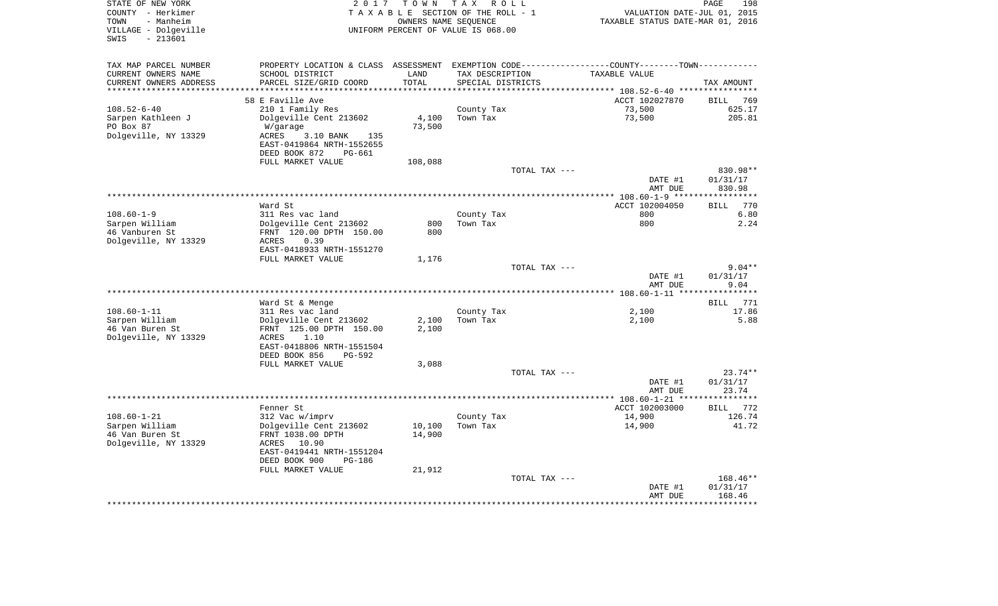| TAX MAP PARCEL NUMBER<br>PROPERTY LOCATION & CLASS ASSESSMENT EXEMPTION CODE---------------COUNTY-------TOWN----------<br>CURRENT OWNERS NAME<br>SCHOOL DISTRICT<br>LAND<br>TAX DESCRIPTION<br>TAXABLE VALUE<br>TOTAL<br>CURRENT OWNERS ADDRESS<br>PARCEL SIZE/GRID COORD<br>SPECIAL DISTRICTS<br>TAX AMOUNT<br>************************* 108.52-6-40 **********<br>58 E Faville Ave<br>ACCT 102027870<br><b>BILL</b><br>769<br>210 1 Family Res<br>73,500<br>$108.52 - 6 - 40$<br>County Tax<br>625.17<br>73,500<br>Sarpen Kathleen J<br>Dolgeville Cent 213602<br>4,100<br>Town Tax<br>205.81<br>PO Box 87<br>73,500<br>W/garage<br>Dolgeville, NY 13329<br>3.10 BANK<br>ACRES<br>135<br>EAST-0419864 NRTH-1552655<br>DEED BOOK 872<br>PG-661<br>FULL MARKET VALUE<br>108,088<br>TOTAL TAX ---<br>830.98**<br>DATE #1<br>01/31/17<br>AMT DUE<br>830.98<br>**************************************<br>**********<br>*************** 108.60-1-9 ***<br>770<br>Ward St<br>ACCT 102004050<br><b>BILL</b><br>$108.60 - 1 - 9$<br>6.80<br>311 Res vac land<br>County Tax<br>800<br>Sarpen William<br>Dolgeville Cent 213602<br>800<br>2.24<br>800<br>Town Tax<br>46 Vanburen St<br>FRNT 120.00 DPTH 150.00<br>800<br>Dolgeville, NY 13329<br>0.39<br>ACRES<br>EAST-0418933 NRTH-1551270<br>FULL MARKET VALUE<br>1,176<br>$9.04**$<br>TOTAL TAX ---<br>01/31/17<br>DATE #1<br>9.04<br>AMT DUE<br>***********<br>Ward St & Menge<br><b>BILL</b><br>771<br>$108.60 - 1 - 11$<br>311 Res vac land<br>County Tax<br>2,100<br>17.86<br>Sarpen William<br>Dolgeville Cent 213602<br>2,100<br>Town Tax<br>2,100<br>5.88<br>46 Van Buren St<br>FRNT 125.00 DPTH 150.00<br>2,100<br>Dolgeville, NY 13329<br>1.10<br>ACRES<br>EAST-0418806 NRTH-1551504<br>DEED BOOK 856<br>$PG-592$<br>FULL MARKET VALUE<br>3,088<br>$23.74**$<br>TOTAL TAX ---<br>01/31/17<br>DATE #1<br>23.74<br>AMT DUE<br>***********<br>Fenner St<br>ACCT 102003000<br><b>BILL</b><br>772<br>$108.60 - 1 - 21$<br>312 Vac w/imprv<br>County Tax<br>14,900<br>126.74<br>Sarpen William<br>Dolgeville Cent 213602<br>Town Tax<br>41.72<br>10,100<br>14,900<br>46 Van Buren St<br>FRNT 1038.00 DPTH<br>14,900<br>Dolgeville, NY 13329<br>ACRES 10.90<br>EAST-0419441 NRTH-1551204<br>DEED BOOK 900<br>$PG-186$<br>FULL MARKET VALUE<br>21,912<br>168.46**<br>TOTAL TAX ---<br>01/31/17<br>DATE #1<br>AMT DUE<br>168.46 | STATE OF NEW YORK<br>COUNTY - Herkimer<br>- Manheim<br>TOWN<br>VILLAGE - Dolgeville<br>$-213601$<br>SWIS | 2 0 1 7 | T O W N<br>OWNERS NAME SEOUENCE | T A X<br>R O L L<br>TAXABLE SECTION OF THE ROLL - 1<br>UNIFORM PERCENT OF VALUE IS 068.00 | VALUATION DATE-JUL 01, 2015<br>TAXABLE STATUS DATE-MAR 01, 2016 | PAGE | 198 |
|---------------------------------------------------------------------------------------------------------------------------------------------------------------------------------------------------------------------------------------------------------------------------------------------------------------------------------------------------------------------------------------------------------------------------------------------------------------------------------------------------------------------------------------------------------------------------------------------------------------------------------------------------------------------------------------------------------------------------------------------------------------------------------------------------------------------------------------------------------------------------------------------------------------------------------------------------------------------------------------------------------------------------------------------------------------------------------------------------------------------------------------------------------------------------------------------------------------------------------------------------------------------------------------------------------------------------------------------------------------------------------------------------------------------------------------------------------------------------------------------------------------------------------------------------------------------------------------------------------------------------------------------------------------------------------------------------------------------------------------------------------------------------------------------------------------------------------------------------------------------------------------------------------------------------------------------------------------------------------------------------------------------------------------------------------------------------------------------------------------------------------------------------------------------------------------------------------------------------------------------------------------------------------------------------------------------------------------------------------------------------|----------------------------------------------------------------------------------------------------------|---------|---------------------------------|-------------------------------------------------------------------------------------------|-----------------------------------------------------------------|------|-----|
|                                                                                                                                                                                                                                                                                                                                                                                                                                                                                                                                                                                                                                                                                                                                                                                                                                                                                                                                                                                                                                                                                                                                                                                                                                                                                                                                                                                                                                                                                                                                                                                                                                                                                                                                                                                                                                                                                                                                                                                                                                                                                                                                                                                                                                                                                                                                                                           |                                                                                                          |         |                                 |                                                                                           |                                                                 |      |     |
|                                                                                                                                                                                                                                                                                                                                                                                                                                                                                                                                                                                                                                                                                                                                                                                                                                                                                                                                                                                                                                                                                                                                                                                                                                                                                                                                                                                                                                                                                                                                                                                                                                                                                                                                                                                                                                                                                                                                                                                                                                                                                                                                                                                                                                                                                                                                                                           |                                                                                                          |         |                                 |                                                                                           |                                                                 |      |     |
|                                                                                                                                                                                                                                                                                                                                                                                                                                                                                                                                                                                                                                                                                                                                                                                                                                                                                                                                                                                                                                                                                                                                                                                                                                                                                                                                                                                                                                                                                                                                                                                                                                                                                                                                                                                                                                                                                                                                                                                                                                                                                                                                                                                                                                                                                                                                                                           |                                                                                                          |         |                                 |                                                                                           |                                                                 |      |     |
|                                                                                                                                                                                                                                                                                                                                                                                                                                                                                                                                                                                                                                                                                                                                                                                                                                                                                                                                                                                                                                                                                                                                                                                                                                                                                                                                                                                                                                                                                                                                                                                                                                                                                                                                                                                                                                                                                                                                                                                                                                                                                                                                                                                                                                                                                                                                                                           |                                                                                                          |         |                                 |                                                                                           |                                                                 |      |     |
|                                                                                                                                                                                                                                                                                                                                                                                                                                                                                                                                                                                                                                                                                                                                                                                                                                                                                                                                                                                                                                                                                                                                                                                                                                                                                                                                                                                                                                                                                                                                                                                                                                                                                                                                                                                                                                                                                                                                                                                                                                                                                                                                                                                                                                                                                                                                                                           |                                                                                                          |         |                                 |                                                                                           |                                                                 |      |     |
|                                                                                                                                                                                                                                                                                                                                                                                                                                                                                                                                                                                                                                                                                                                                                                                                                                                                                                                                                                                                                                                                                                                                                                                                                                                                                                                                                                                                                                                                                                                                                                                                                                                                                                                                                                                                                                                                                                                                                                                                                                                                                                                                                                                                                                                                                                                                                                           |                                                                                                          |         |                                 |                                                                                           |                                                                 |      |     |
|                                                                                                                                                                                                                                                                                                                                                                                                                                                                                                                                                                                                                                                                                                                                                                                                                                                                                                                                                                                                                                                                                                                                                                                                                                                                                                                                                                                                                                                                                                                                                                                                                                                                                                                                                                                                                                                                                                                                                                                                                                                                                                                                                                                                                                                                                                                                                                           |                                                                                                          |         |                                 |                                                                                           |                                                                 |      |     |
|                                                                                                                                                                                                                                                                                                                                                                                                                                                                                                                                                                                                                                                                                                                                                                                                                                                                                                                                                                                                                                                                                                                                                                                                                                                                                                                                                                                                                                                                                                                                                                                                                                                                                                                                                                                                                                                                                                                                                                                                                                                                                                                                                                                                                                                                                                                                                                           |                                                                                                          |         |                                 |                                                                                           |                                                                 |      |     |
|                                                                                                                                                                                                                                                                                                                                                                                                                                                                                                                                                                                                                                                                                                                                                                                                                                                                                                                                                                                                                                                                                                                                                                                                                                                                                                                                                                                                                                                                                                                                                                                                                                                                                                                                                                                                                                                                                                                                                                                                                                                                                                                                                                                                                                                                                                                                                                           |                                                                                                          |         |                                 |                                                                                           |                                                                 |      |     |
|                                                                                                                                                                                                                                                                                                                                                                                                                                                                                                                                                                                                                                                                                                                                                                                                                                                                                                                                                                                                                                                                                                                                                                                                                                                                                                                                                                                                                                                                                                                                                                                                                                                                                                                                                                                                                                                                                                                                                                                                                                                                                                                                                                                                                                                                                                                                                                           |                                                                                                          |         |                                 |                                                                                           |                                                                 |      |     |
|                                                                                                                                                                                                                                                                                                                                                                                                                                                                                                                                                                                                                                                                                                                                                                                                                                                                                                                                                                                                                                                                                                                                                                                                                                                                                                                                                                                                                                                                                                                                                                                                                                                                                                                                                                                                                                                                                                                                                                                                                                                                                                                                                                                                                                                                                                                                                                           |                                                                                                          |         |                                 |                                                                                           |                                                                 |      |     |
|                                                                                                                                                                                                                                                                                                                                                                                                                                                                                                                                                                                                                                                                                                                                                                                                                                                                                                                                                                                                                                                                                                                                                                                                                                                                                                                                                                                                                                                                                                                                                                                                                                                                                                                                                                                                                                                                                                                                                                                                                                                                                                                                                                                                                                                                                                                                                                           |                                                                                                          |         |                                 |                                                                                           |                                                                 |      |     |
|                                                                                                                                                                                                                                                                                                                                                                                                                                                                                                                                                                                                                                                                                                                                                                                                                                                                                                                                                                                                                                                                                                                                                                                                                                                                                                                                                                                                                                                                                                                                                                                                                                                                                                                                                                                                                                                                                                                                                                                                                                                                                                                                                                                                                                                                                                                                                                           |                                                                                                          |         |                                 |                                                                                           |                                                                 |      |     |
|                                                                                                                                                                                                                                                                                                                                                                                                                                                                                                                                                                                                                                                                                                                                                                                                                                                                                                                                                                                                                                                                                                                                                                                                                                                                                                                                                                                                                                                                                                                                                                                                                                                                                                                                                                                                                                                                                                                                                                                                                                                                                                                                                                                                                                                                                                                                                                           |                                                                                                          |         |                                 |                                                                                           |                                                                 |      |     |
|                                                                                                                                                                                                                                                                                                                                                                                                                                                                                                                                                                                                                                                                                                                                                                                                                                                                                                                                                                                                                                                                                                                                                                                                                                                                                                                                                                                                                                                                                                                                                                                                                                                                                                                                                                                                                                                                                                                                                                                                                                                                                                                                                                                                                                                                                                                                                                           |                                                                                                          |         |                                 |                                                                                           |                                                                 |      |     |
|                                                                                                                                                                                                                                                                                                                                                                                                                                                                                                                                                                                                                                                                                                                                                                                                                                                                                                                                                                                                                                                                                                                                                                                                                                                                                                                                                                                                                                                                                                                                                                                                                                                                                                                                                                                                                                                                                                                                                                                                                                                                                                                                                                                                                                                                                                                                                                           |                                                                                                          |         |                                 |                                                                                           |                                                                 |      |     |
|                                                                                                                                                                                                                                                                                                                                                                                                                                                                                                                                                                                                                                                                                                                                                                                                                                                                                                                                                                                                                                                                                                                                                                                                                                                                                                                                                                                                                                                                                                                                                                                                                                                                                                                                                                                                                                                                                                                                                                                                                                                                                                                                                                                                                                                                                                                                                                           |                                                                                                          |         |                                 |                                                                                           |                                                                 |      |     |
|                                                                                                                                                                                                                                                                                                                                                                                                                                                                                                                                                                                                                                                                                                                                                                                                                                                                                                                                                                                                                                                                                                                                                                                                                                                                                                                                                                                                                                                                                                                                                                                                                                                                                                                                                                                                                                                                                                                                                                                                                                                                                                                                                                                                                                                                                                                                                                           |                                                                                                          |         |                                 |                                                                                           |                                                                 |      |     |
|                                                                                                                                                                                                                                                                                                                                                                                                                                                                                                                                                                                                                                                                                                                                                                                                                                                                                                                                                                                                                                                                                                                                                                                                                                                                                                                                                                                                                                                                                                                                                                                                                                                                                                                                                                                                                                                                                                                                                                                                                                                                                                                                                                                                                                                                                                                                                                           |                                                                                                          |         |                                 |                                                                                           |                                                                 |      |     |
|                                                                                                                                                                                                                                                                                                                                                                                                                                                                                                                                                                                                                                                                                                                                                                                                                                                                                                                                                                                                                                                                                                                                                                                                                                                                                                                                                                                                                                                                                                                                                                                                                                                                                                                                                                                                                                                                                                                                                                                                                                                                                                                                                                                                                                                                                                                                                                           |                                                                                                          |         |                                 |                                                                                           |                                                                 |      |     |
|                                                                                                                                                                                                                                                                                                                                                                                                                                                                                                                                                                                                                                                                                                                                                                                                                                                                                                                                                                                                                                                                                                                                                                                                                                                                                                                                                                                                                                                                                                                                                                                                                                                                                                                                                                                                                                                                                                                                                                                                                                                                                                                                                                                                                                                                                                                                                                           |                                                                                                          |         |                                 |                                                                                           |                                                                 |      |     |
|                                                                                                                                                                                                                                                                                                                                                                                                                                                                                                                                                                                                                                                                                                                                                                                                                                                                                                                                                                                                                                                                                                                                                                                                                                                                                                                                                                                                                                                                                                                                                                                                                                                                                                                                                                                                                                                                                                                                                                                                                                                                                                                                                                                                                                                                                                                                                                           |                                                                                                          |         |                                 |                                                                                           |                                                                 |      |     |
|                                                                                                                                                                                                                                                                                                                                                                                                                                                                                                                                                                                                                                                                                                                                                                                                                                                                                                                                                                                                                                                                                                                                                                                                                                                                                                                                                                                                                                                                                                                                                                                                                                                                                                                                                                                                                                                                                                                                                                                                                                                                                                                                                                                                                                                                                                                                                                           |                                                                                                          |         |                                 |                                                                                           |                                                                 |      |     |
|                                                                                                                                                                                                                                                                                                                                                                                                                                                                                                                                                                                                                                                                                                                                                                                                                                                                                                                                                                                                                                                                                                                                                                                                                                                                                                                                                                                                                                                                                                                                                                                                                                                                                                                                                                                                                                                                                                                                                                                                                                                                                                                                                                                                                                                                                                                                                                           |                                                                                                          |         |                                 |                                                                                           |                                                                 |      |     |
|                                                                                                                                                                                                                                                                                                                                                                                                                                                                                                                                                                                                                                                                                                                                                                                                                                                                                                                                                                                                                                                                                                                                                                                                                                                                                                                                                                                                                                                                                                                                                                                                                                                                                                                                                                                                                                                                                                                                                                                                                                                                                                                                                                                                                                                                                                                                                                           |                                                                                                          |         |                                 |                                                                                           |                                                                 |      |     |
|                                                                                                                                                                                                                                                                                                                                                                                                                                                                                                                                                                                                                                                                                                                                                                                                                                                                                                                                                                                                                                                                                                                                                                                                                                                                                                                                                                                                                                                                                                                                                                                                                                                                                                                                                                                                                                                                                                                                                                                                                                                                                                                                                                                                                                                                                                                                                                           |                                                                                                          |         |                                 |                                                                                           |                                                                 |      |     |
|                                                                                                                                                                                                                                                                                                                                                                                                                                                                                                                                                                                                                                                                                                                                                                                                                                                                                                                                                                                                                                                                                                                                                                                                                                                                                                                                                                                                                                                                                                                                                                                                                                                                                                                                                                                                                                                                                                                                                                                                                                                                                                                                                                                                                                                                                                                                                                           |                                                                                                          |         |                                 |                                                                                           |                                                                 |      |     |
|                                                                                                                                                                                                                                                                                                                                                                                                                                                                                                                                                                                                                                                                                                                                                                                                                                                                                                                                                                                                                                                                                                                                                                                                                                                                                                                                                                                                                                                                                                                                                                                                                                                                                                                                                                                                                                                                                                                                                                                                                                                                                                                                                                                                                                                                                                                                                                           |                                                                                                          |         |                                 |                                                                                           |                                                                 |      |     |
|                                                                                                                                                                                                                                                                                                                                                                                                                                                                                                                                                                                                                                                                                                                                                                                                                                                                                                                                                                                                                                                                                                                                                                                                                                                                                                                                                                                                                                                                                                                                                                                                                                                                                                                                                                                                                                                                                                                                                                                                                                                                                                                                                                                                                                                                                                                                                                           |                                                                                                          |         |                                 |                                                                                           |                                                                 |      |     |
|                                                                                                                                                                                                                                                                                                                                                                                                                                                                                                                                                                                                                                                                                                                                                                                                                                                                                                                                                                                                                                                                                                                                                                                                                                                                                                                                                                                                                                                                                                                                                                                                                                                                                                                                                                                                                                                                                                                                                                                                                                                                                                                                                                                                                                                                                                                                                                           |                                                                                                          |         |                                 |                                                                                           |                                                                 |      |     |
|                                                                                                                                                                                                                                                                                                                                                                                                                                                                                                                                                                                                                                                                                                                                                                                                                                                                                                                                                                                                                                                                                                                                                                                                                                                                                                                                                                                                                                                                                                                                                                                                                                                                                                                                                                                                                                                                                                                                                                                                                                                                                                                                                                                                                                                                                                                                                                           |                                                                                                          |         |                                 |                                                                                           |                                                                 |      |     |
|                                                                                                                                                                                                                                                                                                                                                                                                                                                                                                                                                                                                                                                                                                                                                                                                                                                                                                                                                                                                                                                                                                                                                                                                                                                                                                                                                                                                                                                                                                                                                                                                                                                                                                                                                                                                                                                                                                                                                                                                                                                                                                                                                                                                                                                                                                                                                                           |                                                                                                          |         |                                 |                                                                                           |                                                                 |      |     |
|                                                                                                                                                                                                                                                                                                                                                                                                                                                                                                                                                                                                                                                                                                                                                                                                                                                                                                                                                                                                                                                                                                                                                                                                                                                                                                                                                                                                                                                                                                                                                                                                                                                                                                                                                                                                                                                                                                                                                                                                                                                                                                                                                                                                                                                                                                                                                                           |                                                                                                          |         |                                 |                                                                                           |                                                                 |      |     |
|                                                                                                                                                                                                                                                                                                                                                                                                                                                                                                                                                                                                                                                                                                                                                                                                                                                                                                                                                                                                                                                                                                                                                                                                                                                                                                                                                                                                                                                                                                                                                                                                                                                                                                                                                                                                                                                                                                                                                                                                                                                                                                                                                                                                                                                                                                                                                                           |                                                                                                          |         |                                 |                                                                                           |                                                                 |      |     |
|                                                                                                                                                                                                                                                                                                                                                                                                                                                                                                                                                                                                                                                                                                                                                                                                                                                                                                                                                                                                                                                                                                                                                                                                                                                                                                                                                                                                                                                                                                                                                                                                                                                                                                                                                                                                                                                                                                                                                                                                                                                                                                                                                                                                                                                                                                                                                                           |                                                                                                          |         |                                 |                                                                                           |                                                                 |      |     |
|                                                                                                                                                                                                                                                                                                                                                                                                                                                                                                                                                                                                                                                                                                                                                                                                                                                                                                                                                                                                                                                                                                                                                                                                                                                                                                                                                                                                                                                                                                                                                                                                                                                                                                                                                                                                                                                                                                                                                                                                                                                                                                                                                                                                                                                                                                                                                                           |                                                                                                          |         |                                 |                                                                                           |                                                                 |      |     |
|                                                                                                                                                                                                                                                                                                                                                                                                                                                                                                                                                                                                                                                                                                                                                                                                                                                                                                                                                                                                                                                                                                                                                                                                                                                                                                                                                                                                                                                                                                                                                                                                                                                                                                                                                                                                                                                                                                                                                                                                                                                                                                                                                                                                                                                                                                                                                                           |                                                                                                          |         |                                 |                                                                                           |                                                                 |      |     |
|                                                                                                                                                                                                                                                                                                                                                                                                                                                                                                                                                                                                                                                                                                                                                                                                                                                                                                                                                                                                                                                                                                                                                                                                                                                                                                                                                                                                                                                                                                                                                                                                                                                                                                                                                                                                                                                                                                                                                                                                                                                                                                                                                                                                                                                                                                                                                                           |                                                                                                          |         |                                 |                                                                                           |                                                                 |      |     |
|                                                                                                                                                                                                                                                                                                                                                                                                                                                                                                                                                                                                                                                                                                                                                                                                                                                                                                                                                                                                                                                                                                                                                                                                                                                                                                                                                                                                                                                                                                                                                                                                                                                                                                                                                                                                                                                                                                                                                                                                                                                                                                                                                                                                                                                                                                                                                                           |                                                                                                          |         |                                 |                                                                                           |                                                                 |      |     |
|                                                                                                                                                                                                                                                                                                                                                                                                                                                                                                                                                                                                                                                                                                                                                                                                                                                                                                                                                                                                                                                                                                                                                                                                                                                                                                                                                                                                                                                                                                                                                                                                                                                                                                                                                                                                                                                                                                                                                                                                                                                                                                                                                                                                                                                                                                                                                                           |                                                                                                          |         |                                 |                                                                                           |                                                                 |      |     |
|                                                                                                                                                                                                                                                                                                                                                                                                                                                                                                                                                                                                                                                                                                                                                                                                                                                                                                                                                                                                                                                                                                                                                                                                                                                                                                                                                                                                                                                                                                                                                                                                                                                                                                                                                                                                                                                                                                                                                                                                                                                                                                                                                                                                                                                                                                                                                                           |                                                                                                          |         |                                 |                                                                                           |                                                                 |      |     |
|                                                                                                                                                                                                                                                                                                                                                                                                                                                                                                                                                                                                                                                                                                                                                                                                                                                                                                                                                                                                                                                                                                                                                                                                                                                                                                                                                                                                                                                                                                                                                                                                                                                                                                                                                                                                                                                                                                                                                                                                                                                                                                                                                                                                                                                                                                                                                                           |                                                                                                          |         |                                 |                                                                                           |                                                                 |      |     |
|                                                                                                                                                                                                                                                                                                                                                                                                                                                                                                                                                                                                                                                                                                                                                                                                                                                                                                                                                                                                                                                                                                                                                                                                                                                                                                                                                                                                                                                                                                                                                                                                                                                                                                                                                                                                                                                                                                                                                                                                                                                                                                                                                                                                                                                                                                                                                                           |                                                                                                          |         |                                 |                                                                                           |                                                                 |      |     |
|                                                                                                                                                                                                                                                                                                                                                                                                                                                                                                                                                                                                                                                                                                                                                                                                                                                                                                                                                                                                                                                                                                                                                                                                                                                                                                                                                                                                                                                                                                                                                                                                                                                                                                                                                                                                                                                                                                                                                                                                                                                                                                                                                                                                                                                                                                                                                                           |                                                                                                          |         |                                 |                                                                                           |                                                                 |      |     |
|                                                                                                                                                                                                                                                                                                                                                                                                                                                                                                                                                                                                                                                                                                                                                                                                                                                                                                                                                                                                                                                                                                                                                                                                                                                                                                                                                                                                                                                                                                                                                                                                                                                                                                                                                                                                                                                                                                                                                                                                                                                                                                                                                                                                                                                                                                                                                                           |                                                                                                          |         |                                 |                                                                                           |                                                                 |      |     |
|                                                                                                                                                                                                                                                                                                                                                                                                                                                                                                                                                                                                                                                                                                                                                                                                                                                                                                                                                                                                                                                                                                                                                                                                                                                                                                                                                                                                                                                                                                                                                                                                                                                                                                                                                                                                                                                                                                                                                                                                                                                                                                                                                                                                                                                                                                                                                                           |                                                                                                          |         |                                 |                                                                                           |                                                                 |      |     |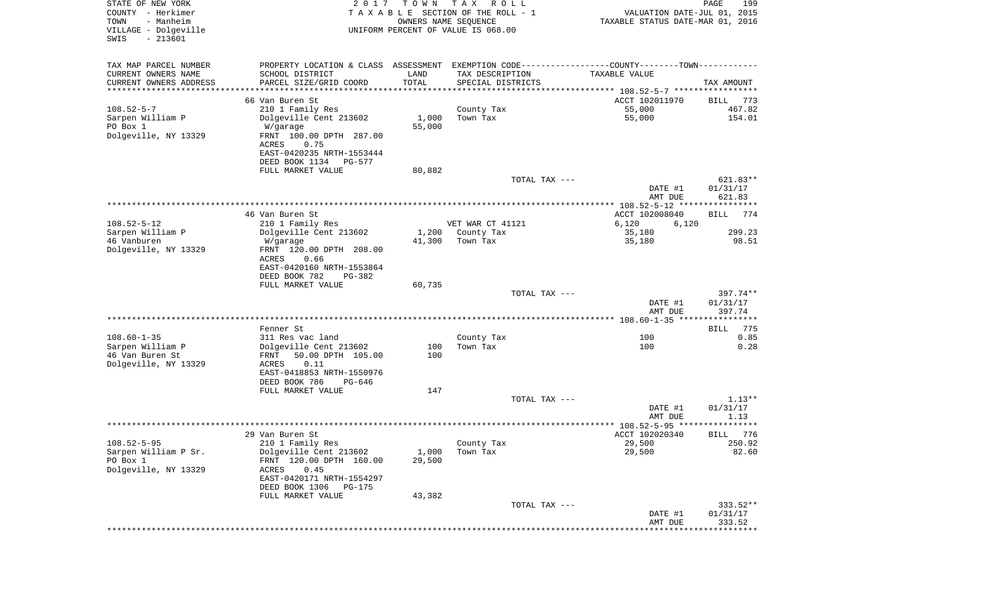| STATE OF NEW YORK<br>COUNTY - Herkimer<br>TOWN<br>- Manheim<br>VILLAGE - Dolgeville<br>$-213601$<br>SWIS | 2017                                                                                            | T O W N<br>OWNERS NAME SEQUENCE          | T A X<br>R O L L<br>TAXABLE SECTION OF THE ROLL - 1<br>UNIFORM PERCENT OF VALUE IS 068.00 | VALUATION DATE-JUL 01, 2015<br>TAXABLE STATUS DATE-MAR 01, 2016 | PAGE<br>199            |
|----------------------------------------------------------------------------------------------------------|-------------------------------------------------------------------------------------------------|------------------------------------------|-------------------------------------------------------------------------------------------|-----------------------------------------------------------------|------------------------|
| TAX MAP PARCEL NUMBER                                                                                    | PROPERTY LOCATION & CLASS ASSESSMENT EXEMPTION CODE----------------COUNTY--------TOWN---------- |                                          |                                                                                           |                                                                 |                        |
| CURRENT OWNERS NAME                                                                                      | SCHOOL DISTRICT                                                                                 | LAND                                     | TAX DESCRIPTION                                                                           | TAXABLE VALUE                                                   |                        |
| CURRENT OWNERS ADDRESS<br>********************                                                           | PARCEL SIZE/GRID COORD<br>**************************                                            | TOTAL<br>* * * * * * * * * * * * * * * * | SPECIAL DISTRICTS                                                                         | ********************************* 108.52-5-7 *****************  | TAX AMOUNT             |
|                                                                                                          | 66 Van Buren St                                                                                 |                                          |                                                                                           | ACCT 102011970                                                  | BILL<br>773            |
| $108.52 - 5 - 7$                                                                                         | 210 1 Family Res                                                                                |                                          | County Tax                                                                                | 55,000                                                          | 467.82                 |
| Sarpen William P                                                                                         | Dolgeville Cent 213602                                                                          | 1,000                                    | Town Tax                                                                                  | 55,000                                                          | 154.01                 |
| PO Box 1                                                                                                 | W/garage                                                                                        | 55,000                                   |                                                                                           |                                                                 |                        |
| Dolgeville, NY 13329                                                                                     | FRNT 100.00 DPTH 287.00<br>ACRES<br>0.75                                                        |                                          |                                                                                           |                                                                 |                        |
|                                                                                                          | EAST-0420235 NRTH-1553444                                                                       |                                          |                                                                                           |                                                                 |                        |
|                                                                                                          | DEED BOOK 1134<br><b>PG-577</b>                                                                 |                                          |                                                                                           |                                                                 |                        |
|                                                                                                          | FULL MARKET VALUE                                                                               | 80,882                                   |                                                                                           |                                                                 |                        |
|                                                                                                          |                                                                                                 |                                          | TOTAL TAX ---                                                                             |                                                                 | 621.83**               |
|                                                                                                          |                                                                                                 |                                          |                                                                                           | DATE #1<br>AMT DUE                                              | 01/31/17<br>621.83     |
|                                                                                                          |                                                                                                 |                                          |                                                                                           |                                                                 |                        |
|                                                                                                          | 46 Van Buren St                                                                                 |                                          |                                                                                           | ACCT 102008040                                                  | 774<br>BILL            |
| $108.52 - 5 - 12$                                                                                        | 210 1 Family Res                                                                                |                                          | VET WAR CT 41121                                                                          | 6,120<br>6,120                                                  |                        |
| Sarpen William P                                                                                         | Dolgeville Cent 213602                                                                          | 1,200                                    | County Tax                                                                                | 35,180                                                          | 299.23                 |
| 46 Vanburen<br>Dolgeville, NY 13329                                                                      | W/garage<br>FRNT 120.00 DPTH 208.00                                                             | 41,300                                   | Town Tax                                                                                  | 35,180                                                          | 98.51                  |
|                                                                                                          | 0.66<br>ACRES                                                                                   |                                          |                                                                                           |                                                                 |                        |
|                                                                                                          | EAST-0420160 NRTH-1553864                                                                       |                                          |                                                                                           |                                                                 |                        |
|                                                                                                          | DEED BOOK 782<br>PG-382                                                                         |                                          |                                                                                           |                                                                 |                        |
|                                                                                                          | FULL MARKET VALUE                                                                               | 60,735                                   |                                                                                           |                                                                 |                        |
|                                                                                                          |                                                                                                 |                                          | TOTAL TAX ---                                                                             | DATE #1                                                         | $397.74**$<br>01/31/17 |
|                                                                                                          |                                                                                                 |                                          |                                                                                           | AMT DUE                                                         | 397.74                 |
|                                                                                                          |                                                                                                 |                                          |                                                                                           |                                                                 |                        |
|                                                                                                          | Fenner St                                                                                       |                                          |                                                                                           |                                                                 | 775<br>BILL            |
| $108.60 - 1 - 35$<br>Sarpen William P                                                                    | 311 Res vac land<br>Dolgeville Cent 213602                                                      | 100                                      | County Tax<br>Town Tax                                                                    | 100<br>100                                                      | 0.85<br>0.28           |
| 46 Van Buren St                                                                                          | FRNT<br>50.00 DPTH 105.00                                                                       | 100                                      |                                                                                           |                                                                 |                        |
| Dolgeville, NY 13329                                                                                     | ACRES<br>0.11                                                                                   |                                          |                                                                                           |                                                                 |                        |
|                                                                                                          | EAST-0418853 NRTH-1550976                                                                       |                                          |                                                                                           |                                                                 |                        |
|                                                                                                          | DEED BOOK 786<br>PG-646                                                                         |                                          |                                                                                           |                                                                 |                        |
|                                                                                                          | FULL MARKET VALUE                                                                               | 147                                      | TOTAL TAX ---                                                                             |                                                                 | $1.13**$               |
|                                                                                                          |                                                                                                 |                                          |                                                                                           | DATE #1                                                         | 01/31/17               |
|                                                                                                          |                                                                                                 |                                          |                                                                                           | AMT DUE                                                         | 1.13                   |
|                                                                                                          |                                                                                                 |                                          |                                                                                           |                                                                 | ******                 |
|                                                                                                          | 29 Van Buren St                                                                                 |                                          |                                                                                           | ACCT 102020340                                                  | 776<br>BILL            |
| $108.52 - 5 - 95$<br>Sarpen William P Sr.                                                                | 210 1 Family Res<br>Dolgeville Cent 213602                                                      | 1,000                                    | County Tax<br>Town Tax                                                                    | 29,500<br>29,500                                                | 250.92<br>82.60        |
| PO Box 1                                                                                                 | FRNT 120.00 DPTH 160.00                                                                         | 29,500                                   |                                                                                           |                                                                 |                        |
| Dolgeville, NY 13329                                                                                     | 0.45<br>ACRES                                                                                   |                                          |                                                                                           |                                                                 |                        |
|                                                                                                          | EAST-0420171 NRTH-1554297                                                                       |                                          |                                                                                           |                                                                 |                        |
|                                                                                                          | DEED BOOK 1306<br><b>PG-175</b>                                                                 |                                          |                                                                                           |                                                                 |                        |
|                                                                                                          | FULL MARKET VALUE                                                                               | 43,382                                   | TOTAL TAX ---                                                                             |                                                                 | $333.52**$             |
|                                                                                                          |                                                                                                 |                                          |                                                                                           | DATE #1                                                         | 01/31/17               |
|                                                                                                          |                                                                                                 |                                          |                                                                                           | AMT DUE                                                         | 333.52                 |
|                                                                                                          |                                                                                                 |                                          |                                                                                           | ****************************                                    |                        |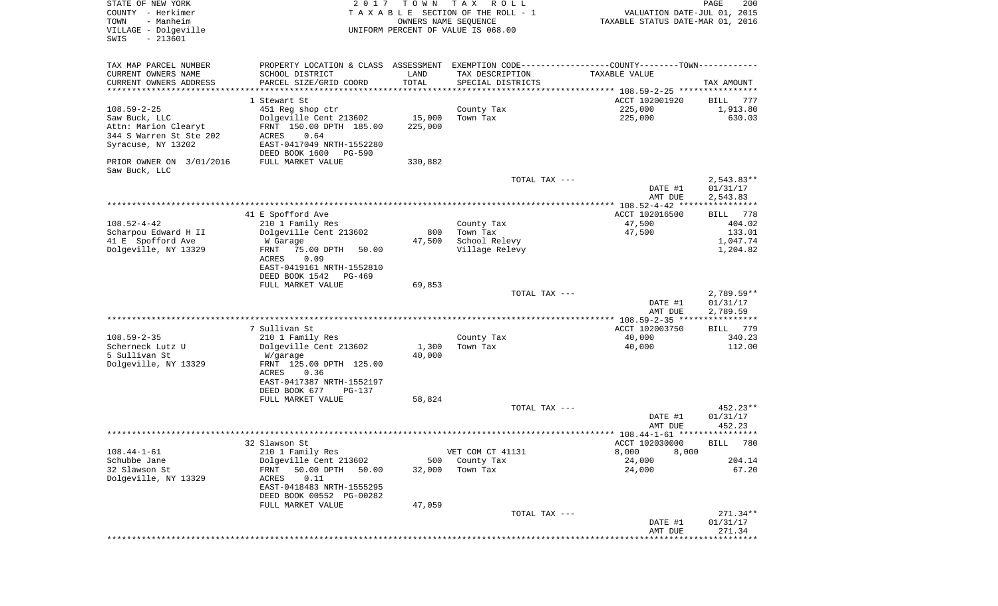| STATE OF NEW YORK<br>COUNTY - Herkimer<br>- Manheim<br>TOWN<br>VILLAGE - Dolgeville | 2017                                                                                          | T O W N<br>OWNERS NAME SEQUENCE | T A X<br>R O L L<br>TAXABLE SECTION OF THE ROLL - 1<br>UNIFORM PERCENT OF VALUE IS 068.00 | VALUATION DATE-JUL 01, 2015<br>TAXABLE STATUS DATE-MAR 01, 2016 | PAGE<br>200        |
|-------------------------------------------------------------------------------------|-----------------------------------------------------------------------------------------------|---------------------------------|-------------------------------------------------------------------------------------------|-----------------------------------------------------------------|--------------------|
| $-213601$<br>SWIS                                                                   |                                                                                               |                                 |                                                                                           |                                                                 |                    |
| TAX MAP PARCEL NUMBER                                                               | PROPERTY LOCATION & CLASS ASSESSMENT EXEMPTION CODE---------------COUNTY-------TOWN---------- |                                 |                                                                                           |                                                                 |                    |
| CURRENT OWNERS NAME                                                                 | SCHOOL DISTRICT                                                                               | LAND                            | TAX DESCRIPTION                                                                           | TAXABLE VALUE                                                   |                    |
| CURRENT OWNERS ADDRESS                                                              | PARCEL SIZE/GRID COORD                                                                        | TOTAL                           | SPECIAL DISTRICTS                                                                         |                                                                 | TAX AMOUNT         |
| **********************                                                              |                                                                                               | * * * * * * * * * * *           |                                                                                           |                                                                 |                    |
|                                                                                     | 1 Stewart St                                                                                  |                                 |                                                                                           | ACCT 102001920                                                  | 777<br>BILL        |
| $108.59 - 2 - 25$                                                                   | 451 Reg shop ctr                                                                              |                                 | County Tax                                                                                | 225,000                                                         | 1,913.80           |
| Saw Buck, LLC                                                                       | Dolgeville Cent 213602                                                                        | 15,000                          | Town Tax                                                                                  | 225,000                                                         | 630.03             |
| Attn: Marion Clearyt                                                                | FRNT 150.00 DPTH 185.00                                                                       | 225,000                         |                                                                                           |                                                                 |                    |
| 344 S Warren St Ste 202                                                             | ACRES<br>0.64                                                                                 |                                 |                                                                                           |                                                                 |                    |
| Syracuse, NY 13202                                                                  | EAST-0417049 NRTH-1552280                                                                     |                                 |                                                                                           |                                                                 |                    |
|                                                                                     | DEED BOOK 1600<br>PG-590                                                                      |                                 |                                                                                           |                                                                 |                    |
| PRIOR OWNER ON 3/01/2016                                                            | FULL MARKET VALUE                                                                             | 330,882                         |                                                                                           |                                                                 |                    |
| Saw Buck, LLC                                                                       |                                                                                               |                                 |                                                                                           |                                                                 |                    |
|                                                                                     |                                                                                               |                                 | TOTAL TAX ---                                                                             |                                                                 | $2,543.83**$       |
|                                                                                     |                                                                                               |                                 |                                                                                           | DATE #1                                                         | 01/31/17           |
|                                                                                     |                                                                                               |                                 |                                                                                           | AMT DUE                                                         | 2,543.83           |
|                                                                                     |                                                                                               |                                 |                                                                                           | ACCT 102016500                                                  |                    |
| $108.52 - 4 - 42$                                                                   | 41 E Spofford Ave<br>210 1 Family Res                                                         |                                 | County Tax                                                                                | 47,500                                                          | BILL 778<br>404.02 |
| Scharpou Edward H II                                                                | Dolgeville Cent 213602                                                                        | 800                             | Town Tax                                                                                  | 47,500                                                          | 133.01             |
| 41 E Spofford Ave                                                                   | W Garage                                                                                      | 47,500                          | School Relevy                                                                             |                                                                 | 1,047.74           |
| Dolgeville, NY 13329                                                                | 75.00 DPTH<br>50.00<br>FRNT                                                                   |                                 | Village Relevy                                                                            |                                                                 | 1,204.82           |
|                                                                                     | ACRES<br>0.09                                                                                 |                                 |                                                                                           |                                                                 |                    |
|                                                                                     | EAST-0419161 NRTH-1552810                                                                     |                                 |                                                                                           |                                                                 |                    |
|                                                                                     | DEED BOOK 1542<br>PG-469                                                                      |                                 |                                                                                           |                                                                 |                    |
|                                                                                     | FULL MARKET VALUE                                                                             | 69,853                          |                                                                                           |                                                                 |                    |
|                                                                                     |                                                                                               |                                 | TOTAL TAX ---                                                                             |                                                                 | $2,789.59**$       |
|                                                                                     |                                                                                               |                                 |                                                                                           | DATE #1                                                         | 01/31/17           |
|                                                                                     |                                                                                               |                                 |                                                                                           | AMT DUE                                                         | 2,789.59           |
|                                                                                     |                                                                                               |                                 |                                                                                           |                                                                 |                    |
|                                                                                     | 7 Sullivan St                                                                                 |                                 |                                                                                           | ACCT 102003750                                                  | 779<br>BILL        |
| $108.59 - 2 - 35$                                                                   | 210 1 Family Res                                                                              |                                 | County Tax                                                                                | 40,000                                                          | 340.23             |
| Scherneck Lutz U                                                                    | Dolgeville Cent 213602                                                                        | 1,300                           | Town Tax                                                                                  | 40,000                                                          | 112.00             |
| 5 Sullivan St                                                                       | W/garage                                                                                      | 40,000                          |                                                                                           |                                                                 |                    |
| Dolgeville, NY 13329                                                                | FRNT 125.00 DPTH 125.00                                                                       |                                 |                                                                                           |                                                                 |                    |
|                                                                                     | ACRES<br>0.36                                                                                 |                                 |                                                                                           |                                                                 |                    |
|                                                                                     | EAST-0417387 NRTH-1552197                                                                     |                                 |                                                                                           |                                                                 |                    |
|                                                                                     | DEED BOOK 677<br>PG-137<br>FULL MARKET VALUE                                                  | 58,824                          |                                                                                           |                                                                 |                    |
|                                                                                     |                                                                                               |                                 | TOTAL TAX ---                                                                             |                                                                 | 452.23**           |
|                                                                                     |                                                                                               |                                 |                                                                                           | DATE #1                                                         | 01/31/17           |
|                                                                                     |                                                                                               |                                 |                                                                                           | AMT DUE                                                         | 452.23             |
|                                                                                     |                                                                                               |                                 |                                                                                           |                                                                 |                    |
|                                                                                     | 32 Slawson St                                                                                 |                                 |                                                                                           | ACCT 102030000                                                  | BILL 780           |
| $108.44 - 1 - 61$                                                                   | 210 1 Family Res                                                                              |                                 | VET COM CT 41131                                                                          | 8,000<br>8,000                                                  |                    |
| Schubbe Jane                                                                        | Dolgeville Cent 213602                                                                        | 500                             | County Tax                                                                                | 24,000                                                          | 204.14             |
| 32 Slawson St                                                                       | 50.00 DPTH<br>FRNT<br>50.00                                                                   | 32,000                          | Town Tax                                                                                  | 24,000                                                          | 67.20              |
| Dolgeville, NY 13329                                                                | 0.11<br>ACRES                                                                                 |                                 |                                                                                           |                                                                 |                    |
|                                                                                     | EAST-0418483 NRTH-1555295                                                                     |                                 |                                                                                           |                                                                 |                    |
|                                                                                     | DEED BOOK 00552 PG-00282                                                                      |                                 |                                                                                           |                                                                 |                    |
|                                                                                     | FULL MARKET VALUE                                                                             | 47,059                          |                                                                                           |                                                                 |                    |
|                                                                                     |                                                                                               |                                 | TOTAL TAX ---                                                                             |                                                                 | 271.34**           |
|                                                                                     |                                                                                               |                                 |                                                                                           | DATE #1                                                         | 01/31/17<br>271.34 |
|                                                                                     |                                                                                               |                                 |                                                                                           | AMT DUE                                                         |                    |
|                                                                                     |                                                                                               |                                 |                                                                                           |                                                                 |                    |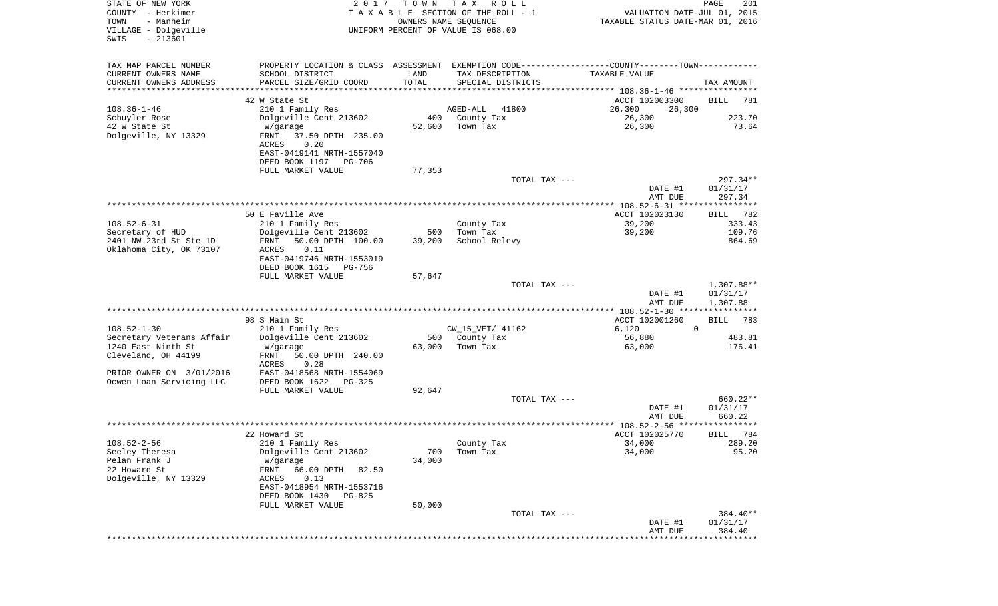| STATE OF NEW YORK<br>COUNTY - Herkimer<br>- Manheim<br>TOWN<br>VILLAGE - Dolgeville | 2017                                                                                          | T O W N<br>OWNERS NAME SEQUENCE | T A X<br>R O L L<br>TAXABLE SECTION OF THE ROLL - 1 | VALUATION DATE-JUL 01, 2015<br>TAXABLE STATUS DATE-MAR 01, 2016 | PAGE<br>201          |
|-------------------------------------------------------------------------------------|-----------------------------------------------------------------------------------------------|---------------------------------|-----------------------------------------------------|-----------------------------------------------------------------|----------------------|
| $-213601$<br>SWIS                                                                   |                                                                                               |                                 | UNIFORM PERCENT OF VALUE IS 068.00                  |                                                                 |                      |
| TAX MAP PARCEL NUMBER                                                               | PROPERTY LOCATION & CLASS ASSESSMENT EXEMPTION CODE---------------COUNTY-------TOWN---------- |                                 |                                                     |                                                                 |                      |
| CURRENT OWNERS NAME                                                                 | SCHOOL DISTRICT                                                                               | LAND                            | TAX DESCRIPTION                                     | TAXABLE VALUE                                                   |                      |
| CURRENT OWNERS ADDRESS                                                              | PARCEL SIZE/GRID COORD                                                                        | TOTAL                           | SPECIAL DISTRICTS                                   |                                                                 | TAX AMOUNT           |
| ********************                                                                | 42 W State St                                                                                 |                                 |                                                     |                                                                 |                      |
| $108.36 - 1 - 46$                                                                   | 210 1 Family Res                                                                              |                                 | 41800<br>AGED-ALL                                   | ACCT 102003300<br>26,300<br>26,300                              | <b>BILL</b><br>781   |
| Schuyler Rose                                                                       | Dolgeville Cent 213602                                                                        | 400                             | County Tax                                          | 26,300                                                          | 223.70               |
| 42 W State St                                                                       | W/garage                                                                                      | 52,600                          | Town Tax                                            | 26,300                                                          | 73.64                |
| Dolgeville, NY 13329                                                                | 37.50 DPTH 235.00<br>FRNT<br>0.20<br>ACRES                                                    |                                 |                                                     |                                                                 |                      |
|                                                                                     | EAST-0419141 NRTH-1557040<br>DEED BOOK 1197<br>PG-706                                         |                                 |                                                     |                                                                 |                      |
|                                                                                     | FULL MARKET VALUE                                                                             | 77,353                          |                                                     |                                                                 |                      |
|                                                                                     |                                                                                               |                                 | TOTAL TAX ---                                       |                                                                 | $297.34**$           |
|                                                                                     |                                                                                               |                                 |                                                     | DATE #1                                                         | 01/31/17             |
|                                                                                     |                                                                                               |                                 |                                                     | AMT DUE<br>*************** 108.52-6-31 *****************        | 297.34               |
|                                                                                     | 50 E Faville Ave                                                                              |                                 |                                                     | ACCT 102023130                                                  | 782<br>BILL          |
| $108.52 - 6 - 31$                                                                   | 210 1 Family Res                                                                              |                                 | County Tax                                          | 39,200                                                          | 333.43               |
| Secretary of HUD                                                                    | Dolgeville Cent 213602                                                                        | 500                             | Town Tax                                            | 39,200                                                          | 109.76               |
| 2401 NW 23rd St Ste 1D                                                              | FRNT<br>50.00 DPTH 100.00                                                                     | 39,200                          | School Relevy                                       |                                                                 | 864.69               |
| Oklahoma City, OK 73107                                                             | ACRES<br>0.11                                                                                 |                                 |                                                     |                                                                 |                      |
|                                                                                     | EAST-0419746 NRTH-1553019<br>DEED BOOK 1615<br>PG-756                                         |                                 |                                                     |                                                                 |                      |
|                                                                                     | FULL MARKET VALUE                                                                             | 57,647                          |                                                     |                                                                 |                      |
|                                                                                     |                                                                                               |                                 | TOTAL TAX ---                                       |                                                                 | 1,307.88**           |
|                                                                                     |                                                                                               |                                 |                                                     | DATE #1                                                         | 01/31/17             |
|                                                                                     |                                                                                               |                                 |                                                     | AMT DUE                                                         | 1,307.88             |
|                                                                                     | 98 S Main St                                                                                  |                                 |                                                     | ********* 108.52-1-30 ****************<br>ACCT 102001260        |                      |
| $108.52 - 1 - 30$                                                                   | 210 1 Family Res                                                                              |                                 | CW_15_VET/ 41162                                    | 6,120<br>$\mathbf 0$                                            | BILL<br>783          |
| Secretary Veterans Affair                                                           | Dolgeville Cent 213602                                                                        |                                 | 500 County Tax                                      | 56,880                                                          | 483.81               |
| 1240 East Ninth St                                                                  | W/garage                                                                                      | 63,000                          | Town Tax                                            | 63,000                                                          | 176.41               |
| Cleveland, OH 44199                                                                 | FRNT<br>50.00 DPTH 240.00<br>ACRES<br>0.28                                                    |                                 |                                                     |                                                                 |                      |
| PRIOR OWNER ON 3/01/2016                                                            | EAST-0418568 NRTH-1554069                                                                     |                                 |                                                     |                                                                 |                      |
| Ocwen Loan Servicing LLC                                                            | DEED BOOK 1622<br>PG-325                                                                      |                                 |                                                     |                                                                 |                      |
|                                                                                     | FULL MARKET VALUE                                                                             | 92,647                          | TOTAL TAX ---                                       |                                                                 | 660.22**             |
|                                                                                     |                                                                                               |                                 |                                                     | DATE #1                                                         | 01/31/17             |
|                                                                                     |                                                                                               |                                 |                                                     | AMT DUE                                                         | 660.22               |
|                                                                                     |                                                                                               |                                 |                                                     | ******************* 108.52-2-56 *********                       | * * * * *            |
|                                                                                     | 22 Howard St                                                                                  |                                 |                                                     | ACCT 102025770                                                  | 784<br>BILL          |
| $108.52 - 2 - 56$                                                                   | 210 1 Family Res                                                                              |                                 | County Tax                                          | 34,000                                                          | 289.20               |
| Seeley Theresa<br>Pelan Frank J                                                     | Dolgeville Cent 213602<br>W/garage                                                            | 700<br>34,000                   | Town Tax                                            | 34,000                                                          | 95.20                |
| 22 Howard St                                                                        | 66.00 DPTH<br>82.50<br>FRNT                                                                   |                                 |                                                     |                                                                 |                      |
| Dolgeville, NY 13329                                                                | ACRES<br>0.13                                                                                 |                                 |                                                     |                                                                 |                      |
|                                                                                     | EAST-0418954 NRTH-1553716                                                                     |                                 |                                                     |                                                                 |                      |
|                                                                                     | DEED BOOK 1430<br>PG-825                                                                      |                                 |                                                     |                                                                 |                      |
|                                                                                     | FULL MARKET VALUE                                                                             | 50,000                          |                                                     |                                                                 |                      |
|                                                                                     |                                                                                               |                                 | TOTAL TAX ---                                       | DATE #1                                                         | 384.40**<br>01/31/17 |
|                                                                                     |                                                                                               |                                 |                                                     | AMT DUE                                                         | 384.40               |
|                                                                                     |                                                                                               |                                 |                                                     | ***************************                                     |                      |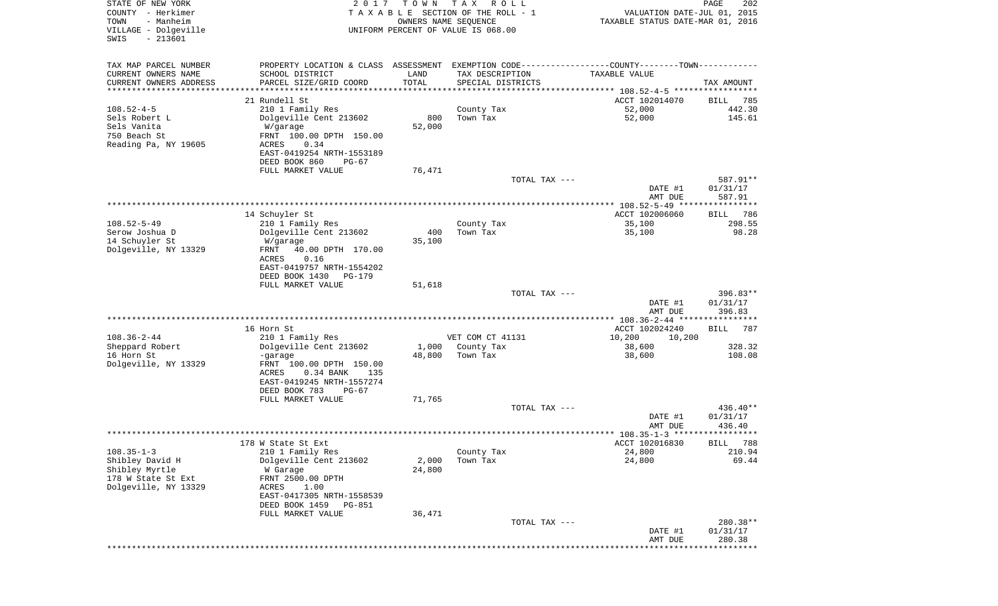| STATE OF NEW YORK<br>COUNTY - Herkimer<br>TOWN<br>- Manheim<br>VILLAGE - Dolgeville<br>$-213601$<br>SWIS | 2 0 1 7                                                                                       | T O W N               | T A X<br>R O L L<br>TAXABLE SECTION OF THE ROLL - 1<br>OWNERS NAME SEQUENCE<br>UNIFORM PERCENT OF VALUE IS 068.00 | VALUATION DATE-JUL 01, 2015<br>TAXABLE STATUS DATE-MAR 01, 2016 | PAGE<br>202            |
|----------------------------------------------------------------------------------------------------------|-----------------------------------------------------------------------------------------------|-----------------------|-------------------------------------------------------------------------------------------------------------------|-----------------------------------------------------------------|------------------------|
| TAX MAP PARCEL NUMBER                                                                                    | PROPERTY LOCATION & CLASS ASSESSMENT EXEMPTION CODE---------------COUNTY-------TOWN---------- |                       |                                                                                                                   |                                                                 |                        |
| CURRENT OWNERS NAME                                                                                      | SCHOOL DISTRICT                                                                               | LAND                  | TAX DESCRIPTION                                                                                                   | TAXABLE VALUE                                                   |                        |
| CURRENT OWNERS ADDRESS                                                                                   | PARCEL SIZE/GRID COORD                                                                        | TOTAL                 | SPECIAL DISTRICTS                                                                                                 |                                                                 | TAX AMOUNT             |
| ********************                                                                                     | 21 Rundell St                                                                                 | * * * * * * * * * * * |                                                                                                                   | ACCT 102014070                                                  | 785<br>BILL            |
| $108.52 - 4 - 5$                                                                                         | 210 1 Family Res                                                                              |                       | County Tax                                                                                                        | 52,000                                                          | 442.30                 |
| Sels Robert L                                                                                            | Dolgeville Cent 213602                                                                        | 800                   | Town Tax                                                                                                          | 52,000                                                          | 145.61                 |
| Sels Vanita                                                                                              | W/garage                                                                                      | 52,000                |                                                                                                                   |                                                                 |                        |
| 750 Beach St                                                                                             | FRNT 100.00 DPTH 150.00                                                                       |                       |                                                                                                                   |                                                                 |                        |
| Reading Pa, NY 19605                                                                                     | ACRES<br>0.34<br>EAST-0419254 NRTH-1553189                                                    |                       |                                                                                                                   |                                                                 |                        |
|                                                                                                          | DEED BOOK 860<br>PG-67                                                                        |                       |                                                                                                                   |                                                                 |                        |
|                                                                                                          | FULL MARKET VALUE                                                                             | 76,471                |                                                                                                                   |                                                                 |                        |
|                                                                                                          |                                                                                               |                       | TOTAL TAX ---                                                                                                     | DATE #1                                                         | 587.91**<br>01/31/17   |
|                                                                                                          |                                                                                               |                       |                                                                                                                   | AMT DUE                                                         | 587.91                 |
|                                                                                                          |                                                                                               |                       |                                                                                                                   |                                                                 |                        |
| $108.52 - 5 - 49$                                                                                        | 14 Schuyler St                                                                                |                       |                                                                                                                   | ACCT 102006060<br>35,100                                        | BILL<br>786<br>298.55  |
| Serow Joshua D                                                                                           | 210 1 Family Res<br>Dolgeville Cent 213602                                                    | 400                   | County Tax<br>Town Tax                                                                                            | 35,100                                                          | 98.28                  |
| 14 Schuyler St                                                                                           | W/garage                                                                                      | 35,100                |                                                                                                                   |                                                                 |                        |
| Dolgeville, NY 13329                                                                                     | FRNT<br>40.00 DPTH 170.00                                                                     |                       |                                                                                                                   |                                                                 |                        |
|                                                                                                          | 0.16<br>ACRES<br>EAST-0419757 NRTH-1554202                                                    |                       |                                                                                                                   |                                                                 |                        |
|                                                                                                          | DEED BOOK 1430<br>PG-179                                                                      |                       |                                                                                                                   |                                                                 |                        |
|                                                                                                          | FULL MARKET VALUE                                                                             | 51,618                |                                                                                                                   |                                                                 |                        |
|                                                                                                          |                                                                                               |                       | TOTAL TAX ---                                                                                                     | DATE #1                                                         | $396.83**$<br>01/31/17 |
|                                                                                                          |                                                                                               |                       |                                                                                                                   | AMT DUE                                                         | 396.83                 |
|                                                                                                          |                                                                                               |                       |                                                                                                                   |                                                                 |                        |
| $108.36 - 2 - 44$                                                                                        | 16 Horn St                                                                                    |                       | VET COM CT 41131                                                                                                  | ACCT 102024240<br>10,200<br>10,200                              | 787<br>BILL            |
| Sheppard Robert                                                                                          | 210 1 Family Res<br>Dolgeville Cent 213602                                                    | 1,000                 | County Tax                                                                                                        | 38,600                                                          | 328.32                 |
| 16 Horn St                                                                                               | -garage                                                                                       | 48,800                | Town Tax                                                                                                          | 38,600                                                          | 108.08                 |
| Dolgeville, NY 13329                                                                                     | FRNT 100.00 DPTH 150.00                                                                       |                       |                                                                                                                   |                                                                 |                        |
|                                                                                                          | ACRES<br>$0.34$ BANK<br>135<br>EAST-0419245 NRTH-1557274                                      |                       |                                                                                                                   |                                                                 |                        |
|                                                                                                          | DEED BOOK 783<br>PG-67                                                                        |                       |                                                                                                                   |                                                                 |                        |
|                                                                                                          | FULL MARKET VALUE                                                                             | 71,765                |                                                                                                                   |                                                                 |                        |
|                                                                                                          |                                                                                               |                       | TOTAL TAX ---                                                                                                     |                                                                 | $436.40**$             |
|                                                                                                          |                                                                                               |                       |                                                                                                                   | DATE #1<br>AMT DUE                                              | 01/31/17<br>436.40     |
|                                                                                                          |                                                                                               |                       |                                                                                                                   |                                                                 |                        |
|                                                                                                          | 178 W State St Ext                                                                            |                       |                                                                                                                   | ACCT 102016830                                                  | BILL 788               |
| $108.35 - 1 - 3$<br>Shibley David H                                                                      | 210 1 Family Res<br>Dolgeville Cent 213602                                                    | 2,000                 | County Tax<br>Town Tax                                                                                            | 24,800<br>24,800                                                | 210.94<br>69.44        |
| Shibley Myrtle                                                                                           | W Garage                                                                                      | 24,800                |                                                                                                                   |                                                                 |                        |
| 178 W State St Ext                                                                                       | FRNT 2500.00 DPTH                                                                             |                       |                                                                                                                   |                                                                 |                        |
| Dolgeville, NY 13329                                                                                     | ACRES<br>1.00                                                                                 |                       |                                                                                                                   |                                                                 |                        |
|                                                                                                          | EAST-0417305 NRTH-1558539<br>DEED BOOK 1459<br>PG-851                                         |                       |                                                                                                                   |                                                                 |                        |
|                                                                                                          | FULL MARKET VALUE                                                                             | 36,471                |                                                                                                                   |                                                                 |                        |
|                                                                                                          |                                                                                               |                       | TOTAL TAX ---                                                                                                     |                                                                 | 280.38**               |
|                                                                                                          |                                                                                               |                       |                                                                                                                   | DATE #1<br>AMT DUE                                              | 01/31/17<br>280.38     |
|                                                                                                          |                                                                                               |                       |                                                                                                                   |                                                                 | **********             |
|                                                                                                          |                                                                                               |                       |                                                                                                                   |                                                                 |                        |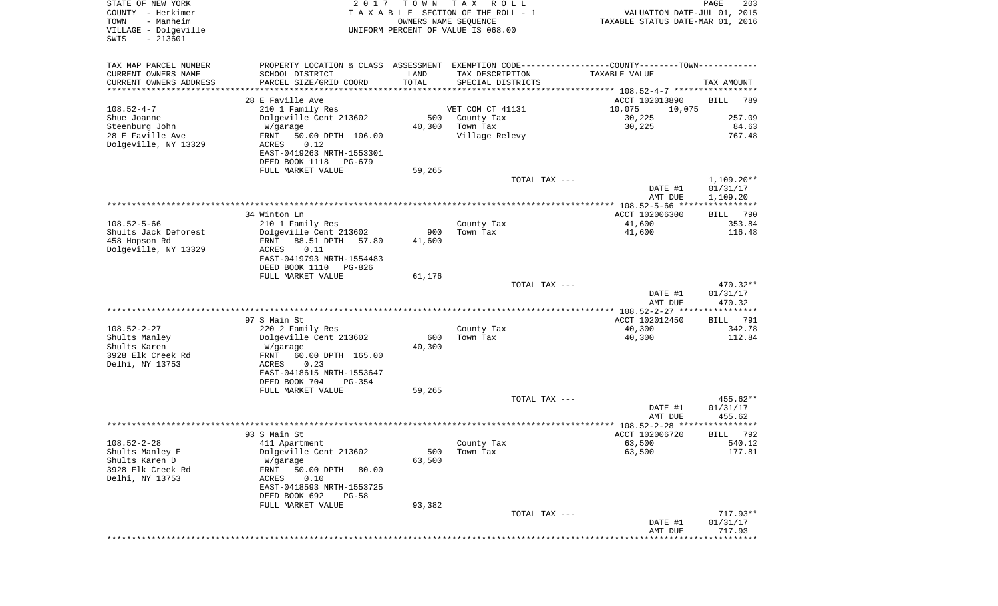| STATE OF NEW YORK<br>COUNTY - Herkimer<br>- Manheim<br>TOWN<br>VILLAGE - Dolgeville<br>$-213601$<br>SWIS | 2017                                                  | T O W N<br>OWNERS NAME SEQUENCE | T A X<br>R O L L<br>TAXABLE SECTION OF THE ROLL - 1<br>UNIFORM PERCENT OF VALUE IS 068.00 | VALUATION DATE-JUL 01, 2015<br>TAXABLE STATUS DATE-MAR 01, 2016                                | PAGE<br>203           |
|----------------------------------------------------------------------------------------------------------|-------------------------------------------------------|---------------------------------|-------------------------------------------------------------------------------------------|------------------------------------------------------------------------------------------------|-----------------------|
| TAX MAP PARCEL NUMBER                                                                                    |                                                       |                                 |                                                                                           | PROPERTY LOCATION & CLASS ASSESSMENT EXEMPTION CODE----------------COUNTY-------TOWN---------- |                       |
| CURRENT OWNERS NAME                                                                                      | SCHOOL DISTRICT                                       | LAND                            | TAX DESCRIPTION                                                                           | TAXABLE VALUE                                                                                  |                       |
| CURRENT OWNERS ADDRESS                                                                                   | PARCEL SIZE/GRID COORD                                | TOTAL                           | SPECIAL DISTRICTS                                                                         |                                                                                                | TAX AMOUNT            |
| *******************                                                                                      | ********************                                  |                                 |                                                                                           |                                                                                                |                       |
| $108.52 - 4 - 7$                                                                                         | 28 E Faville Ave                                      |                                 | VET COM CT 41131                                                                          | ACCT 102013890<br>10,075                                                                       | <b>BILL</b><br>789    |
| Shue Joanne                                                                                              | 210 1 Family Res<br>Dolgeville Cent 213602            | 500                             | County Tax                                                                                | 10,075<br>30,225                                                                               | 257.09                |
| Steenburg John                                                                                           | W/garage                                              | 40,300                          | Town Tax                                                                                  | 30,225                                                                                         | 84.63                 |
| 28 E Faville Ave<br>Dolgeville, NY 13329                                                                 | FRNT<br>50.00 DPTH 106.00<br>0.12<br>ACRES            |                                 | Village Relevy                                                                            |                                                                                                | 767.48                |
|                                                                                                          | EAST-0419263 NRTH-1553301<br>DEED BOOK 1118<br>PG-679 |                                 |                                                                                           |                                                                                                |                       |
|                                                                                                          | FULL MARKET VALUE                                     | 59,265                          |                                                                                           |                                                                                                |                       |
|                                                                                                          |                                                       |                                 |                                                                                           | TOTAL TAX ---                                                                                  | $1,109.20**$          |
|                                                                                                          |                                                       |                                 |                                                                                           | DATE #1                                                                                        | 01/31/17              |
|                                                                                                          |                                                       |                                 |                                                                                           | AMT DUE                                                                                        | 1,109.20              |
|                                                                                                          |                                                       |                                 |                                                                                           | **************** 108.52-5-66 *****************                                                 |                       |
| $108.52 - 5 - 66$                                                                                        | 34 Winton Ln<br>210 1 Family Res                      |                                 | County Tax                                                                                | ACCT 102006300<br>41,600                                                                       | 790<br>BILL<br>353.84 |
| Shults Jack Deforest                                                                                     | Dolgeville Cent 213602                                | 900                             | Town Tax                                                                                  | 41,600                                                                                         | 116.48                |
| 458 Hopson Rd                                                                                            | 88.51 DPTH<br>FRNT<br>57.80                           | 41,600                          |                                                                                           |                                                                                                |                       |
| Dolgeville, NY 13329                                                                                     | 0.11<br>ACRES                                         |                                 |                                                                                           |                                                                                                |                       |
|                                                                                                          | EAST-0419793 NRTH-1554483                             |                                 |                                                                                           |                                                                                                |                       |
|                                                                                                          | DEED BOOK 1110<br>PG-826                              |                                 |                                                                                           |                                                                                                |                       |
|                                                                                                          | FULL MARKET VALUE                                     | 61,176                          |                                                                                           | TOTAL TAX ---                                                                                  |                       |
|                                                                                                          |                                                       |                                 |                                                                                           | DATE #1                                                                                        | 470.32**<br>01/31/17  |
|                                                                                                          |                                                       |                                 |                                                                                           | AMT DUE                                                                                        | 470.32                |
|                                                                                                          |                                                       |                                 |                                                                                           | *********** 108.52-2-27 ****************                                                       |                       |
|                                                                                                          | 97 S Main St                                          |                                 |                                                                                           | ACCT 102012450                                                                                 | 791<br>BILL           |
| $108.52 - 2 - 27$                                                                                        | 220 2 Family Res                                      |                                 | County Tax                                                                                | 40,300                                                                                         | 342.78                |
| Shults Manley<br>Shults Karen                                                                            | Dolgeville Cent 213602                                | 600<br>40,300                   | Town Tax                                                                                  | 40,300                                                                                         | 112.84                |
| 3928 Elk Creek Rd                                                                                        | W/garage<br>FRNT<br>60.00 DPTH 165.00                 |                                 |                                                                                           |                                                                                                |                       |
| Delhi, NY 13753                                                                                          | ACRES<br>0.23                                         |                                 |                                                                                           |                                                                                                |                       |
|                                                                                                          | EAST-0418615 NRTH-1553647                             |                                 |                                                                                           |                                                                                                |                       |
|                                                                                                          | DEED BOOK 704<br>PG-354                               |                                 |                                                                                           |                                                                                                |                       |
|                                                                                                          | FULL MARKET VALUE                                     | 59,265                          |                                                                                           |                                                                                                |                       |
|                                                                                                          |                                                       |                                 |                                                                                           | TOTAL TAX ---                                                                                  | 455.62**              |
|                                                                                                          |                                                       |                                 |                                                                                           | DATE #1<br>AMT DUE                                                                             | 01/31/17<br>455.62    |
|                                                                                                          |                                                       |                                 |                                                                                           | **************** 108.52-2-28 *****                                                             | * * * *               |
|                                                                                                          | 93 S Main St                                          |                                 |                                                                                           | ACCT 102006720                                                                                 | 792<br>BILL           |
| $108.52 - 2 - 28$                                                                                        | 411 Apartment                                         |                                 | County Tax                                                                                | 63,500                                                                                         | 540.12                |
| Shults Manley E                                                                                          | Dolgeville Cent 213602                                | 500                             | Town Tax                                                                                  | 63,500                                                                                         | 177.81                |
| Shults Karen D<br>3928 Elk Creek Rd                                                                      | W/garage<br>FRNT<br>50.00 DPTH<br>80.00               | 63,500                          |                                                                                           |                                                                                                |                       |
| Delhi, NY 13753                                                                                          | 0.10<br>ACRES                                         |                                 |                                                                                           |                                                                                                |                       |
|                                                                                                          | EAST-0418593 NRTH-1553725                             |                                 |                                                                                           |                                                                                                |                       |
|                                                                                                          | DEED BOOK 692<br>$PG-58$                              |                                 |                                                                                           |                                                                                                |                       |
|                                                                                                          | FULL MARKET VALUE                                     | 93,382                          |                                                                                           |                                                                                                |                       |
|                                                                                                          |                                                       |                                 |                                                                                           | TOTAL TAX ---                                                                                  | 717.93**              |
|                                                                                                          |                                                       |                                 |                                                                                           | DATE #1<br>AMT DUE                                                                             | 01/31/17              |
|                                                                                                          |                                                       |                                 |                                                                                           |                                                                                                | 717.93                |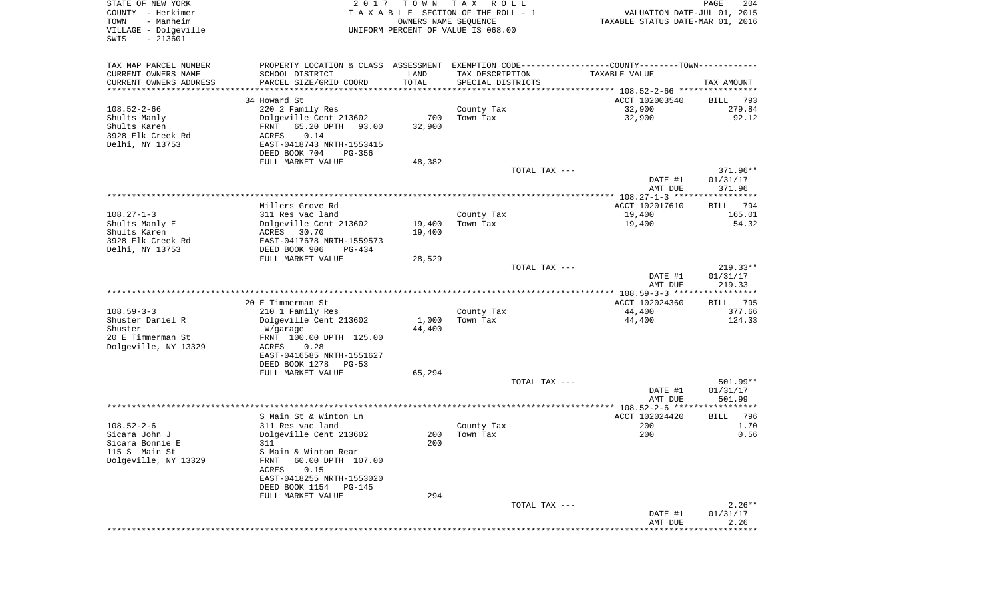| STATE OF NEW YORK<br>COUNTY - Herkimer                                   | 2017                                                                                                | T O W N              | TAX ROLL<br>TAXABLE SECTION OF THE ROLL - 1 |               | VALUATION DATE-JUL 01, 2015      | 204<br>PAGE                  |
|--------------------------------------------------------------------------|-----------------------------------------------------------------------------------------------------|----------------------|---------------------------------------------|---------------|----------------------------------|------------------------------|
| TOWN<br>- Manheim<br>VILLAGE - Dolgeville<br>$-213601$<br>SWIS           |                                                                                                     | OWNERS NAME SEOUENCE | UNIFORM PERCENT OF VALUE IS 068.00          |               | TAXABLE STATUS DATE-MAR 01, 2016 |                              |
| TAX MAP PARCEL NUMBER                                                    | PROPERTY LOCATION & CLASS ASSESSMENT EXEMPTION CODE---------------COUNTY-------TOWN----------       |                      |                                             |               |                                  |                              |
| CURRENT OWNERS NAME<br>CURRENT OWNERS ADDRESS<br>*********************** | SCHOOL DISTRICT<br>PARCEL SIZE/GRID COORD                                                           | LAND<br>TOTAL        | TAX DESCRIPTION<br>SPECIAL DISTRICTS        |               | TAXABLE VALUE                    | TAX AMOUNT                   |
|                                                                          | 34 Howard St                                                                                        |                      |                                             |               | ACCT 102003540                   | BILL 793                     |
| 108.52-2-66                                                              | 220 2 Family Res                                                                                    |                      | County Tax                                  |               | 32,900                           | 279.84                       |
| Shults Manly<br>Shults Karen<br>3928 Elk Creek Rd                        | Dolgeville Cent 213602<br>65.20 DPTH 93.00<br>FRNT<br>0.14<br>ACRES                                 | 700<br>32,900        | Town Tax                                    |               | 32,900                           | 92.12                        |
| Delhi, NY 13753                                                          | EAST-0418743 NRTH-1553415<br>DEED BOOK 704<br>PG-356                                                |                      |                                             |               |                                  |                              |
|                                                                          | FULL MARKET VALUE                                                                                   | 48,382               |                                             | TOTAL TAX --- | DATE #1                          | 371.96**<br>01/31/17         |
|                                                                          |                                                                                                     |                      |                                             |               | AMT DUE                          | 371.96                       |
|                                                                          | Millers Grove Rd                                                                                    |                      |                                             |               | ACCT 102017610                   | BILL 794                     |
| $108.27 - 1 - 3$<br>Shults Manly E<br>Shults Karen                       | 311 Res vac land<br>Dolgeville Cent 213602<br>ACRES<br>30.70<br>EAST-0417678 NRTH-1559573           | 19,400<br>19,400     | County Tax<br>Town Tax                      |               | 19,400<br>19,400                 | 165.01<br>54.32              |
| 3928 Elk Creek Rd<br>Delhi, NY 13753                                     | DEED BOOK 906<br>PG-434<br>FULL MARKET VALUE                                                        | 28,529               |                                             |               |                                  |                              |
|                                                                          |                                                                                                     |                      |                                             | TOTAL TAX --- |                                  | $219.33**$                   |
|                                                                          |                                                                                                     |                      |                                             |               | DATE #1<br>AMT DUE               | 01/31/17<br>219.33           |
|                                                                          | 20 E Timmerman St                                                                                   |                      |                                             |               | ACCT 102024360                   | BILL 795                     |
| $108.59 - 3 - 3$                                                         | 210 1 Family Res                                                                                    |                      | County Tax                                  |               | 44,400                           | 377.66                       |
| Shuster Daniel R<br>Shuster<br>20 E Timmerman St                         | Dolgeville Cent 213602<br>W/garage<br>FRNT 100.00 DPTH 125.00                                       | 1,000<br>44,400      | Town Tax                                    |               | 44,400                           | 124.33                       |
| Dolgeville, NY 13329                                                     | ACRES<br>0.28<br>EAST-0416585 NRTH-1551627<br>DEED BOOK 1278<br>$PG-53$                             |                      |                                             |               |                                  |                              |
|                                                                          | FULL MARKET VALUE                                                                                   | 65,294               |                                             |               |                                  |                              |
|                                                                          |                                                                                                     |                      |                                             | TOTAL TAX --- | DATE #1                          | 501.99**<br>01/31/17         |
|                                                                          |                                                                                                     |                      |                                             |               | AMT DUE                          | 501.99                       |
|                                                                          | S Main St & Winton Ln                                                                               |                      |                                             |               | ACCT 102024420                   | 796<br>BILL                  |
| 108.52-2-6                                                               | 311 Res vac land                                                                                    |                      | County Tax                                  |               | 200                              | 1.70                         |
| Sicara John J<br>Sicara Bonnie E<br>115 S Main St                        | Dolgeville Cent 213602<br>311<br>S Main & Winton Rear                                               | 200<br>200           | Town Tax                                    |               | 200                              | 0.56                         |
| Dolgeville, NY 13329                                                     | 60.00 DPTH 107.00<br>FRNT<br>ACRES<br>0.15<br>EAST-0418255 NRTH-1553020<br>DEED BOOK 1154<br>PG-145 |                      |                                             |               |                                  |                              |
|                                                                          | FULL MARKET VALUE                                                                                   | 294                  |                                             |               |                                  |                              |
|                                                                          |                                                                                                     |                      |                                             | TOTAL TAX --- | DATE #1<br>AMT DUE               | $2.26**$<br>01/31/17<br>2.26 |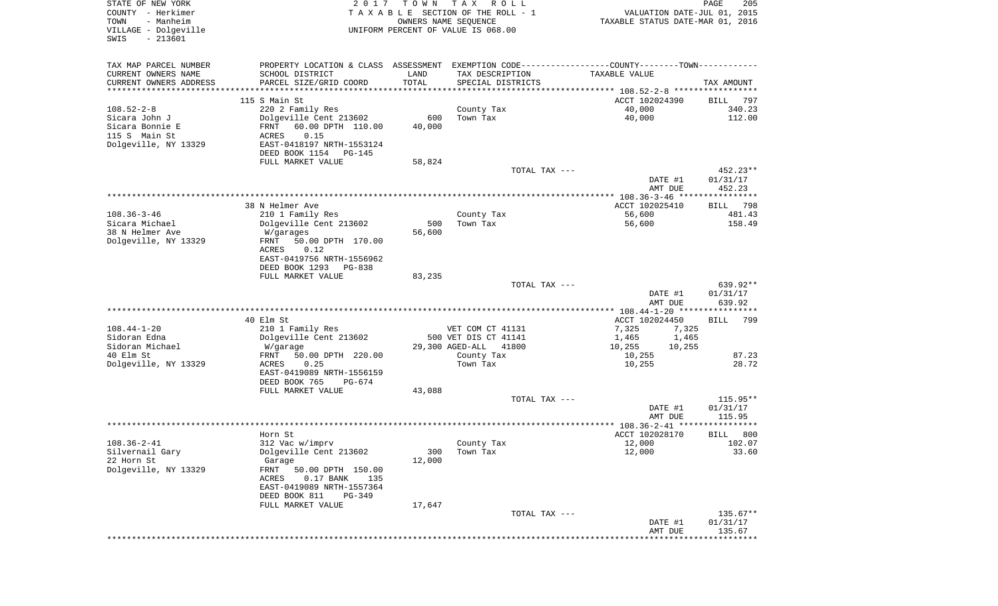| STATE OF NEW YORK<br>COUNTY - Herkimer<br>- Manheim<br>TOWN<br>VILLAGE - Dolgeville<br>$-213601$<br>SWIS | 2017                                                                                                                                                  | T O W N               | T A X<br>R O L L<br>TAXABLE SECTION OF THE ROLL - 1<br>OWNERS NAME SEQUENCE<br>UNIFORM PERCENT OF VALUE IS 068.00                     | VALUATION DATE-JUL 01, 2015<br>TAXABLE STATUS DATE-MAR 01, 2016 | PAGE<br>205                     |
|----------------------------------------------------------------------------------------------------------|-------------------------------------------------------------------------------------------------------------------------------------------------------|-----------------------|---------------------------------------------------------------------------------------------------------------------------------------|-----------------------------------------------------------------|---------------------------------|
| TAX MAP PARCEL NUMBER<br>CURRENT OWNERS NAME<br>CURRENT OWNERS ADDRESS                                   | SCHOOL DISTRICT<br>PARCEL SIZE/GRID COORD                                                                                                             | LAND<br>TOTAL         | PROPERTY LOCATION & CLASS ASSESSMENT EXEMPTION CODE---------------COUNTY-------TOWN----------<br>TAX DESCRIPTION<br>SPECIAL DISTRICTS | TAXABLE VALUE                                                   | TAX AMOUNT                      |
| **********************                                                                                   |                                                                                                                                                       | * * * * * * * * * * * |                                                                                                                                       |                                                                 |                                 |
| $108.52 - 2 - 8$                                                                                         | 115 S Main St<br>220 2 Family Res                                                                                                                     |                       | County Tax                                                                                                                            | ACCT 102024390<br>40,000                                        | 797<br>BILL<br>340.23           |
| Sicara John J<br>Sicara Bonnie E<br>115 S Main St<br>Dolgeville, NY 13329                                | Dolgeville Cent 213602<br>FRNT<br>60.00 DPTH 110.00<br>0.15<br>ACRES<br>EAST-0418197 NRTH-1553124                                                     | 600<br>40,000         | Town Tax                                                                                                                              | 40,000                                                          | 112.00                          |
|                                                                                                          | DEED BOOK 1154<br>PG-145<br>FULL MARKET VALUE                                                                                                         | 58,824                |                                                                                                                                       |                                                                 |                                 |
|                                                                                                          |                                                                                                                                                       |                       | TOTAL TAX ---                                                                                                                         | DATE #1<br>AMT DUE                                              | 452.23**<br>01/31/17<br>452.23  |
|                                                                                                          |                                                                                                                                                       |                       |                                                                                                                                       |                                                                 |                                 |
| $108.36 - 3 - 46$<br>Sicara Michael<br>38 N Helmer Ave<br>Dolgeville, NY 13329                           | 38 N Helmer Ave<br>210 1 Family Res<br>Dolgeville Cent 213602<br>W/garages<br>FRNT<br>50.00 DPTH 170.00<br>ACRES<br>0.12<br>EAST-0419756 NRTH-1556962 | 500<br>56,600         | County Tax<br>Town Tax                                                                                                                | ACCT 102025410<br>56,600<br>56,600                              | 798<br>BILL<br>481.43<br>158.49 |
|                                                                                                          | DEED BOOK 1293<br>PG-838                                                                                                                              |                       |                                                                                                                                       |                                                                 |                                 |
|                                                                                                          | FULL MARKET VALUE                                                                                                                                     | 83,235                |                                                                                                                                       |                                                                 |                                 |
|                                                                                                          |                                                                                                                                                       |                       | TOTAL TAX ---                                                                                                                         | DATE #1<br>AMT DUE                                              | 639.92**<br>01/31/17<br>639.92  |
|                                                                                                          |                                                                                                                                                       |                       |                                                                                                                                       | *********** 108.44-1-20 ****************                        |                                 |
|                                                                                                          | 40 Elm St                                                                                                                                             |                       |                                                                                                                                       | ACCT 102024450                                                  | 799<br>BILL                     |
| $108.44 - 1 - 20$<br>Sidoran Edna                                                                        | 210 1 Family Res<br>Dolgeville Cent 213602                                                                                                            |                       | VET COM CT 41131<br>500 VET DIS CT 41141                                                                                              | 7,325<br>7,325<br>1,465<br>1,465                                |                                 |
| Sidoran Michael                                                                                          | W/garage                                                                                                                                              |                       | 29,300 AGED-ALL<br>41800                                                                                                              | 10,255<br>10,255                                                |                                 |
| 40 Elm St                                                                                                | FRNT<br>50.00 DPTH 220.00                                                                                                                             |                       | County Tax                                                                                                                            | 10,255                                                          | 87.23                           |
| Dolgeville, NY 13329                                                                                     | ACRES<br>0.25<br>EAST-0419089 NRTH-1556159<br>DEED BOOK 765<br>PG-674                                                                                 |                       | Town Tax                                                                                                                              | 10,255                                                          | 28.72                           |
|                                                                                                          | FULL MARKET VALUE                                                                                                                                     | 43,088                |                                                                                                                                       |                                                                 |                                 |
|                                                                                                          |                                                                                                                                                       |                       | TOTAL TAX ---                                                                                                                         |                                                                 | 115.95**                        |
|                                                                                                          |                                                                                                                                                       |                       |                                                                                                                                       | DATE #1                                                         | 01/31/17                        |
|                                                                                                          |                                                                                                                                                       |                       |                                                                                                                                       | AMT DUE                                                         | 115.95                          |
|                                                                                                          | Horn St                                                                                                                                               |                       |                                                                                                                                       | ACCT 102028170                                                  | 800<br>BILL                     |
| $108.36 - 2 - 41$                                                                                        | 312 Vac w/imprv                                                                                                                                       |                       | County Tax                                                                                                                            | 12,000                                                          | 102.07                          |
| Silvernail Gary<br>22 Horn St<br>Dolgeville, NY 13329                                                    | Dolgeville Cent 213602<br>Garage<br>FRNT<br>50.00 DPTH 150.00<br>$0.17$ BANK<br>ACRES<br>135<br>EAST-0419089 NRTH-1557364<br>DEED BOOK 811<br>PG-349  | 300<br>12,000         | Town Tax                                                                                                                              | 12,000                                                          | 33.60                           |
|                                                                                                          | FULL MARKET VALUE                                                                                                                                     | 17,647                |                                                                                                                                       |                                                                 |                                 |
|                                                                                                          |                                                                                                                                                       |                       | TOTAL TAX ---                                                                                                                         |                                                                 | $135.67**$                      |
|                                                                                                          |                                                                                                                                                       |                       |                                                                                                                                       | DATE #1<br>AMT DUE                                              | 01/31/17<br>135.67              |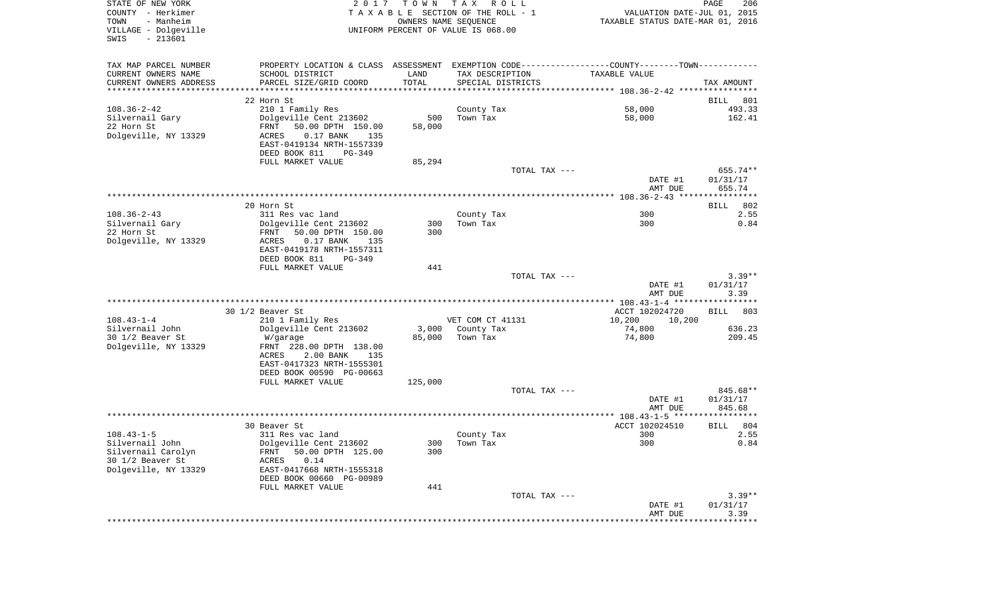| STATE OF NEW YORK<br>COUNTY - Herkimer<br>- Manheim<br>TOWN<br>VILLAGE - Dolgeville<br>$-213601$<br>SWIS | 2017                                                                                          | T O W N | T A X<br>R O L L<br>TAXABLE SECTION OF THE ROLL - 1<br>OWNERS NAME SEQUENCE<br>UNIFORM PERCENT OF VALUE IS 068.00 | VALUATION DATE-JUL 01, 2015<br>TAXABLE STATUS DATE-MAR 01, 2016 | PAGE<br>206        |
|----------------------------------------------------------------------------------------------------------|-----------------------------------------------------------------------------------------------|---------|-------------------------------------------------------------------------------------------------------------------|-----------------------------------------------------------------|--------------------|
| TAX MAP PARCEL NUMBER                                                                                    | PROPERTY LOCATION & CLASS ASSESSMENT EXEMPTION CODE---------------COUNTY-------TOWN---------- |         |                                                                                                                   |                                                                 |                    |
| CURRENT OWNERS NAME                                                                                      | SCHOOL DISTRICT                                                                               | LAND    | TAX DESCRIPTION                                                                                                   | TAXABLE VALUE                                                   |                    |
| CURRENT OWNERS ADDRESS<br>***********************                                                        | PARCEL SIZE/GRID COORD                                                                        | TOTAL   | SPECIAL DISTRICTS                                                                                                 |                                                                 | TAX AMOUNT         |
|                                                                                                          | 22 Horn St                                                                                    |         |                                                                                                                   |                                                                 | BILL<br>801        |
| $108.36 - 2 - 42$                                                                                        | 210 1 Family Res                                                                              |         | County Tax                                                                                                        | 58,000                                                          | 493.33             |
| Silvernail Gary                                                                                          | Dolgeville Cent 213602                                                                        | 500     | Town Tax                                                                                                          | 58,000                                                          | 162.41             |
| 22 Horn St                                                                                               | FRNT<br>50.00 DPTH 150.00                                                                     | 58,000  |                                                                                                                   |                                                                 |                    |
| Dolgeville, NY 13329                                                                                     | ACRES<br>$0.17$ BANK<br>135                                                                   |         |                                                                                                                   |                                                                 |                    |
|                                                                                                          | EAST-0419134 NRTH-1557339<br>DEED BOOK 811<br>PG-349                                          |         |                                                                                                                   |                                                                 |                    |
|                                                                                                          | FULL MARKET VALUE                                                                             | 85,294  |                                                                                                                   |                                                                 |                    |
|                                                                                                          |                                                                                               |         | TOTAL TAX ---                                                                                                     |                                                                 | 655.74**           |
|                                                                                                          |                                                                                               |         |                                                                                                                   | DATE #1                                                         | 01/31/17           |
|                                                                                                          |                                                                                               |         |                                                                                                                   | AMT DUE                                                         | 655.74             |
|                                                                                                          | 20 Horn St                                                                                    |         |                                                                                                                   |                                                                 | 802<br>BILL        |
| $108.36 - 2 - 43$                                                                                        | 311 Res vac land                                                                              |         | County Tax                                                                                                        | 300                                                             | 2.55               |
| Silvernail Gary                                                                                          | Dolgeville Cent 213602                                                                        | 300     | Town Tax                                                                                                          | 300                                                             | 0.84               |
| 22 Horn St                                                                                               | 50.00 DPTH 150.00<br>FRNT                                                                     | 300     |                                                                                                                   |                                                                 |                    |
| Dolgeville, NY 13329                                                                                     | ACRES<br>$0.17$ BANK<br>135                                                                   |         |                                                                                                                   |                                                                 |                    |
|                                                                                                          | EAST-0419178 NRTH-1557311<br>DEED BOOK 811<br>$PG-349$                                        |         |                                                                                                                   |                                                                 |                    |
|                                                                                                          | FULL MARKET VALUE                                                                             | 441     |                                                                                                                   |                                                                 |                    |
|                                                                                                          |                                                                                               |         | TOTAL TAX ---                                                                                                     |                                                                 | $3.39**$           |
|                                                                                                          |                                                                                               |         |                                                                                                                   | DATE #1                                                         | 01/31/17           |
|                                                                                                          |                                                                                               |         |                                                                                                                   | AMT DUE                                                         | 3.39               |
|                                                                                                          | 30 1/2 Beaver St                                                                              |         |                                                                                                                   | ACCT 102024720                                                  | <b>BILL</b><br>803 |
| $108.43 - 1 - 4$                                                                                         | 210 1 Family Res                                                                              |         | VET COM CT 41131                                                                                                  | 10,200<br>10,200                                                |                    |
| Silvernail John                                                                                          | Dolgeville Cent 213602                                                                        | 3,000   | County Tax                                                                                                        | 74,800                                                          | 636.23             |
| 30 1/2 Beaver St                                                                                         | W/garage                                                                                      | 85,000  | Town Tax                                                                                                          | 74,800                                                          | 209.45             |
| Dolgeville, NY 13329                                                                                     | FRNT 228.00 DPTH 138.00<br>135                                                                |         |                                                                                                                   |                                                                 |                    |
|                                                                                                          | ACRES<br>2.00 BANK<br>EAST-0417323 NRTH-1555301                                               |         |                                                                                                                   |                                                                 |                    |
|                                                                                                          | DEED BOOK 00590 PG-00663                                                                      |         |                                                                                                                   |                                                                 |                    |
|                                                                                                          | FULL MARKET VALUE                                                                             | 125,000 |                                                                                                                   |                                                                 |                    |
|                                                                                                          |                                                                                               |         | TOTAL TAX ---                                                                                                     |                                                                 | 845.68**           |
|                                                                                                          |                                                                                               |         |                                                                                                                   | DATE #1<br>AMT DUE                                              | 01/31/17<br>845.68 |
|                                                                                                          |                                                                                               |         |                                                                                                                   |                                                                 |                    |
|                                                                                                          | 30 Beaver St                                                                                  |         |                                                                                                                   | ACCT 102024510                                                  | BILL<br>804        |
| $108.43 - 1 - 5$                                                                                         | 311 Res vac land                                                                              |         | County Tax                                                                                                        | 300                                                             | 2.55               |
| Silvernail John                                                                                          | Dolgeville Cent 213602                                                                        |         | 300 Town Tax                                                                                                      | 300                                                             | 0.84               |
| Silvernail Carolyn<br>30 1/2 Beaver St                                                                   | 50.00 DPTH 125.00<br>FRNT<br>0.14<br>ACRES                                                    | 300     |                                                                                                                   |                                                                 |                    |
| Dolgeville, NY 13329                                                                                     | EAST-0417668 NRTH-1555318                                                                     |         |                                                                                                                   |                                                                 |                    |
|                                                                                                          | DEED BOOK 00660 PG-00989                                                                      |         |                                                                                                                   |                                                                 |                    |
|                                                                                                          | FULL MARKET VALUE                                                                             | 441     |                                                                                                                   |                                                                 |                    |
|                                                                                                          |                                                                                               |         | TOTAL TAX ---                                                                                                     |                                                                 | $3.39**$           |
|                                                                                                          |                                                                                               |         |                                                                                                                   | DATE #1<br>AMT DUE                                              | 01/31/17<br>3.39   |
|                                                                                                          |                                                                                               |         | *****************************                                                                                     | *****************                                               | ***********        |
|                                                                                                          |                                                                                               |         |                                                                                                                   |                                                                 |                    |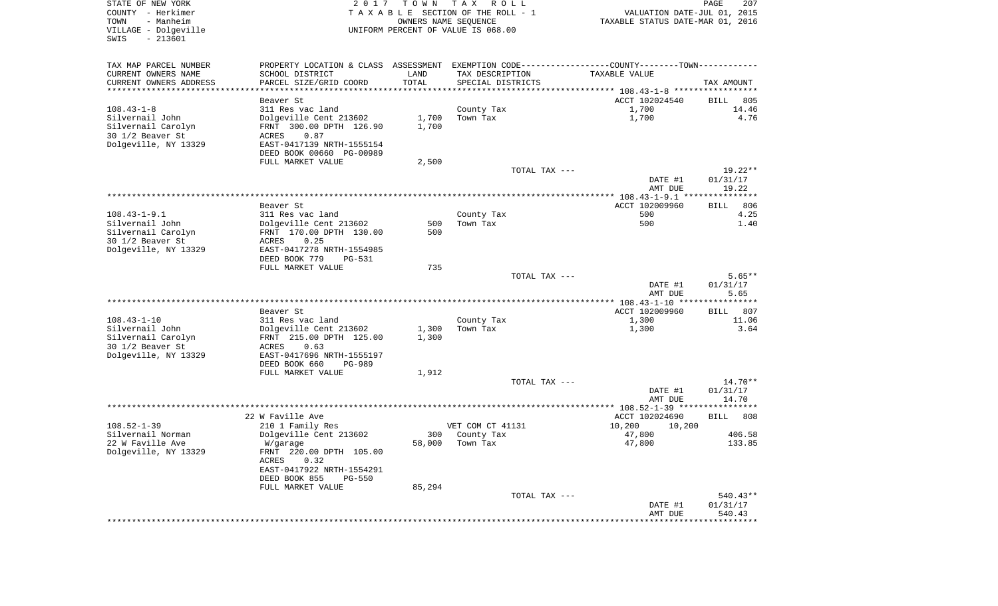| STATE OF NEW YORK<br>COUNTY - Herkimer                         | 2017                                                                                          |        | TOWN TAX ROLL<br>T A X A B L E SECTION OF THE ROLL - 1     | VALUATION DATE-JUL 01, 2015      | 207<br>PAGE               |
|----------------------------------------------------------------|-----------------------------------------------------------------------------------------------|--------|------------------------------------------------------------|----------------------------------|---------------------------|
| TOWN<br>- Manheim<br>VILLAGE - Dolgeville<br>SWIS<br>$-213601$ |                                                                                               |        | OWNERS NAME SEQUENCE<br>UNIFORM PERCENT OF VALUE IS 068.00 | TAXABLE STATUS DATE-MAR 01, 2016 |                           |
| TAX MAP PARCEL NUMBER                                          | PROPERTY LOCATION & CLASS ASSESSMENT EXEMPTION CODE---------------COUNTY-------TOWN---------- |        |                                                            |                                  |                           |
| CURRENT OWNERS NAME                                            | SCHOOL DISTRICT                                                                               | LAND   | TAX DESCRIPTION                                            | TAXABLE VALUE                    |                           |
| CURRENT OWNERS ADDRESS<br>***********************              | PARCEL SIZE/GRID COORD                                                                        | TOTAL  | SPECIAL DISTRICTS                                          |                                  | TAX AMOUNT                |
|                                                                | Beaver St                                                                                     |        |                                                            | ACCT 102024540                   | BILL 805                  |
| $108.43 - 1 - 8$                                               | 311 Res vac land                                                                              |        | County Tax                                                 | 1,700                            | 14.46                     |
| Silvernail John                                                | Dolgeville Cent 213602                                                                        | 1,700  | Town Tax                                                   | 1,700                            | 4.76                      |
| Silvernail Carolyn                                             | FRNT 300.00 DPTH 126.90                                                                       | 1,700  |                                                            |                                  |                           |
| 30 1/2 Beaver St                                               | 0.87<br>ACRES                                                                                 |        |                                                            |                                  |                           |
| Dolgeville, NY 13329                                           | EAST-0417139 NRTH-1555154                                                                     |        |                                                            |                                  |                           |
|                                                                | DEED BOOK 00660 PG-00989                                                                      |        |                                                            |                                  |                           |
|                                                                | FULL MARKET VALUE                                                                             | 2,500  |                                                            |                                  |                           |
|                                                                |                                                                                               |        | TOTAL TAX ---                                              | DATE #1                          | $19.22**$<br>01/31/17     |
|                                                                |                                                                                               |        |                                                            | AMT DUE                          | 19.22                     |
|                                                                |                                                                                               |        |                                                            |                                  |                           |
|                                                                | Beaver St                                                                                     |        |                                                            | ACCT 102009960                   | BILL<br>806               |
| $108.43 - 1 - 9.1$                                             | 311 Res vac land                                                                              |        | County Tax                                                 | 500                              | 4.25                      |
| Silvernail John                                                | Dolgeville Cent 213602                                                                        | 500    | Town Tax                                                   | 500                              | 1.40                      |
| Silvernail Carolyn<br>30 1/2 Beaver St                         | FRNT 170.00 DPTH 130.00<br>ACRES<br>0.25                                                      | 500    |                                                            |                                  |                           |
| Dolgeville, NY 13329                                           | EAST-0417278 NRTH-1554985                                                                     |        |                                                            |                                  |                           |
|                                                                | DEED BOOK 779<br>PG-531                                                                       |        |                                                            |                                  |                           |
|                                                                | FULL MARKET VALUE                                                                             | 735    |                                                            |                                  |                           |
|                                                                |                                                                                               |        | TOTAL TAX ---                                              |                                  | $5.65**$                  |
|                                                                |                                                                                               |        |                                                            | DATE #1                          | 01/31/17                  |
|                                                                |                                                                                               |        |                                                            | AMT DUE                          | 5.65                      |
|                                                                | Beaver St                                                                                     |        |                                                            | ACCT 102009960                   | BILL 807                  |
| $108.43 - 1 - 10$                                              | 311 Res vac land                                                                              |        | County Tax                                                 | 1,300                            | 11.06                     |
| Silvernail John                                                | Dolgeville Cent 213602                                                                        | 1,300  | Town Tax                                                   | 1,300                            | 3.64                      |
| Silvernail Carolyn                                             | FRNT 215.00 DPTH 125.00                                                                       | 1,300  |                                                            |                                  |                           |
| 30 1/2 Beaver St                                               | ACRES<br>0.63                                                                                 |        |                                                            |                                  |                           |
| Dolgeville, NY 13329                                           | EAST-0417696 NRTH-1555197<br>DEED BOOK 660<br>PG-989                                          |        |                                                            |                                  |                           |
|                                                                | FULL MARKET VALUE                                                                             | 1,912  |                                                            |                                  |                           |
|                                                                |                                                                                               |        | TOTAL TAX ---                                              |                                  | 14.70**                   |
|                                                                |                                                                                               |        |                                                            | DATE #1                          | 01/31/17                  |
|                                                                |                                                                                               |        |                                                            | AMT DUE                          | 14.70                     |
|                                                                | 22 W Faville Ave                                                                              |        |                                                            | ACCT 102024690                   | BILL 808                  |
| $108.52 - 1 - 39$                                              | 210 1 Family Res                                                                              |        | VET COM CT 41131                                           | 10,200<br>10,200                 |                           |
| Silvernail Norman                                              | Dolgeville Cent 213602                                                                        |        | 300 County Tax                                             | 47,800                           | 406.58                    |
| 22 W Faville Ave                                               | W/garage                                                                                      | 58,000 | Town Tax                                                   | 47,800                           | 133.85                    |
| Dolgeville, NY 13329                                           | FRNT 220.00 DPTH 105.00                                                                       |        |                                                            |                                  |                           |
|                                                                | 0.32<br>ACRES                                                                                 |        |                                                            |                                  |                           |
|                                                                | EAST-0417922 NRTH-1554291                                                                     |        |                                                            |                                  |                           |
|                                                                | DEED BOOK 855<br>PG-550<br>FULL MARKET VALUE                                                  | 85,294 |                                                            |                                  |                           |
|                                                                |                                                                                               |        | TOTAL TAX ---                                              |                                  | 540.43**                  |
|                                                                |                                                                                               |        |                                                            | DATE #1                          | 01/31/17                  |
|                                                                |                                                                                               |        |                                                            | AMT DUE                          | 540.43                    |
|                                                                |                                                                                               |        |                                                            | **************                   | * * * * * * * * * * * * * |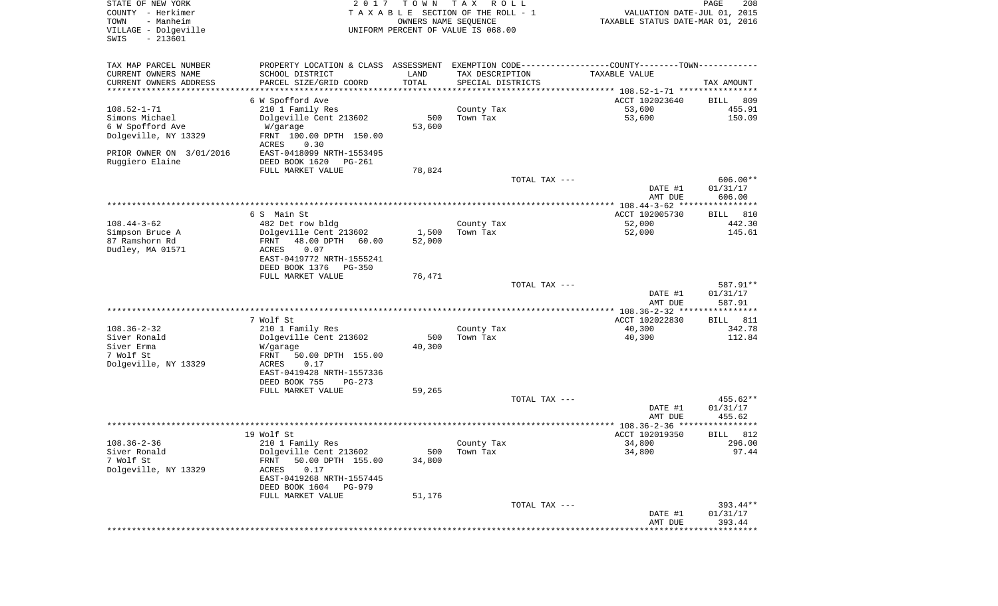| STATE OF NEW YORK<br>COUNTY - Herkimer<br>- Manheim<br>TOWN<br>VILLAGE - Dolgeville<br>$-213601$<br>SWIS | 2 0 1 7                                                                                       | T O W N<br>OWNERS NAME SEQUENCE | T A X<br>R O L L<br>TAXABLE SECTION OF THE ROLL - 1<br>UNIFORM PERCENT OF VALUE IS 068.00 | VALUATION DATE-JUL 01, 2015<br>TAXABLE STATUS DATE-MAR 01, 2016 | PAGE<br>208        |
|----------------------------------------------------------------------------------------------------------|-----------------------------------------------------------------------------------------------|---------------------------------|-------------------------------------------------------------------------------------------|-----------------------------------------------------------------|--------------------|
| TAX MAP PARCEL NUMBER                                                                                    | PROPERTY LOCATION & CLASS ASSESSMENT EXEMPTION CODE---------------COUNTY-------TOWN---------- |                                 |                                                                                           |                                                                 |                    |
| CURRENT OWNERS NAME                                                                                      | SCHOOL DISTRICT                                                                               | LAND                            | TAX DESCRIPTION                                                                           | TAXABLE VALUE                                                   |                    |
| CURRENT OWNERS ADDRESS<br>**********************                                                         | PARCEL SIZE/GRID COORD<br>**************************************                              | TOTAL                           | SPECIAL DISTRICTS                                                                         |                                                                 | TAX AMOUNT         |
|                                                                                                          | 6 W Spofford Ave                                                                              |                                 |                                                                                           | ACCT 102023640                                                  | 809<br>BILL        |
| $108.52 - 1 - 71$                                                                                        | 210 1 Family Res                                                                              |                                 | County Tax                                                                                | 53,600                                                          | 455.91             |
| Simons Michael                                                                                           | Dolgeville Cent 213602                                                                        | 500                             | Town Tax                                                                                  | 53,600                                                          | 150.09             |
| 6 W Spofford Ave                                                                                         | W/garage                                                                                      | 53,600                          |                                                                                           |                                                                 |                    |
| Dolgeville, NY 13329                                                                                     | FRNT 100.00 DPTH 150.00<br>ACRES<br>0.30                                                      |                                 |                                                                                           |                                                                 |                    |
| PRIOR OWNER ON 3/01/2016                                                                                 | EAST-0418099 NRTH-1553495                                                                     |                                 |                                                                                           |                                                                 |                    |
| Ruggiero Elaine                                                                                          | DEED BOOK 1620<br>PG-261                                                                      |                                 |                                                                                           |                                                                 |                    |
|                                                                                                          | FULL MARKET VALUE                                                                             | 78,824                          | TOTAL TAX ---                                                                             |                                                                 | 606.00**           |
|                                                                                                          |                                                                                               |                                 |                                                                                           | DATE #1                                                         | 01/31/17           |
|                                                                                                          |                                                                                               |                                 |                                                                                           | AMT DUE                                                         | 606.00             |
|                                                                                                          |                                                                                               |                                 |                                                                                           |                                                                 |                    |
|                                                                                                          | 6 S Main St                                                                                   |                                 |                                                                                           | ACCT 102005730                                                  | 810<br>BILL        |
| $108.44 - 3 - 62$                                                                                        | 482 Det row bldg                                                                              |                                 | County Tax                                                                                | 52,000                                                          | 442.30             |
| Simpson Bruce A<br>87 Ramshorn Rd                                                                        | Dolgeville Cent 213602<br>FRNT<br>48.00 DPTH<br>60.00                                         | 1,500<br>52,000                 | Town Tax                                                                                  | 52,000                                                          | 145.61             |
| Dudley, MA 01571                                                                                         | ACRES<br>0.07                                                                                 |                                 |                                                                                           |                                                                 |                    |
|                                                                                                          | EAST-0419772 NRTH-1555241                                                                     |                                 |                                                                                           |                                                                 |                    |
|                                                                                                          | DEED BOOK 1376<br>PG-350                                                                      |                                 |                                                                                           |                                                                 |                    |
|                                                                                                          | FULL MARKET VALUE                                                                             | 76,471                          |                                                                                           |                                                                 |                    |
|                                                                                                          |                                                                                               |                                 | TOTAL TAX ---                                                                             |                                                                 | 587.91**           |
|                                                                                                          |                                                                                               |                                 |                                                                                           | DATE #1<br>AMT DUE                                              | 01/31/17<br>587.91 |
|                                                                                                          |                                                                                               |                                 |                                                                                           | ************ 108.36-2-32 *****************                      |                    |
|                                                                                                          | 7 Wolf St                                                                                     |                                 |                                                                                           | ACCT 102022830                                                  | <b>BILL</b><br>811 |
| $108.36 - 2 - 32$                                                                                        | 210 1 Family Res                                                                              |                                 | County Tax                                                                                | 40,300                                                          | 342.78             |
| Siver Ronald                                                                                             | Dolgeville Cent 213602                                                                        | 500                             | Town Tax                                                                                  | 40,300                                                          | 112.84             |
| Siver Erma                                                                                               | W/garage                                                                                      | 40,300                          |                                                                                           |                                                                 |                    |
| 7 Wolf St                                                                                                | FRNT<br>50.00 DPTH 155.00                                                                     |                                 |                                                                                           |                                                                 |                    |
| Dolgeville, NY 13329                                                                                     | ACRES<br>0.17<br>EAST-0419428 NRTH-1557336                                                    |                                 |                                                                                           |                                                                 |                    |
|                                                                                                          | DEED BOOK 755<br>$PG-273$                                                                     |                                 |                                                                                           |                                                                 |                    |
|                                                                                                          | FULL MARKET VALUE                                                                             | 59,265                          |                                                                                           |                                                                 |                    |
|                                                                                                          |                                                                                               |                                 | TOTAL TAX ---                                                                             |                                                                 | 455.62**           |
|                                                                                                          |                                                                                               |                                 |                                                                                           | DATE #1                                                         | 01/31/17           |
|                                                                                                          |                                                                                               |                                 |                                                                                           | AMT DUE                                                         | 455.62<br>******   |
|                                                                                                          | 19 Wolf St                                                                                    |                                 |                                                                                           | ACCT 102019350                                                  | 812<br>BILL        |
| $108.36 - 2 - 36$                                                                                        | 210 1 Family Res                                                                              |                                 | County Tax                                                                                | 34,800                                                          | 296.00             |
| Siver Ronald                                                                                             | Dolgeville Cent 213602                                                                        | 500                             | Town Tax                                                                                  | 34,800                                                          | 97.44              |
| 7 Wolf St                                                                                                | 50.00 DPTH 155.00<br>FRNT                                                                     | 34,800                          |                                                                                           |                                                                 |                    |
| Dolgeville, NY 13329                                                                                     | 0.17<br>ACRES                                                                                 |                                 |                                                                                           |                                                                 |                    |
|                                                                                                          | EAST-0419268 NRTH-1557445                                                                     |                                 |                                                                                           |                                                                 |                    |
|                                                                                                          | DEED BOOK 1604<br>PG-979                                                                      | 51,176                          |                                                                                           |                                                                 |                    |
|                                                                                                          | FULL MARKET VALUE                                                                             |                                 | TOTAL TAX ---                                                                             |                                                                 | 393.44**           |
|                                                                                                          |                                                                                               |                                 |                                                                                           | DATE #1                                                         | 01/31/17           |
|                                                                                                          |                                                                                               |                                 |                                                                                           | AMT DUE                                                         | 393.44             |
|                                                                                                          |                                                                                               |                                 |                                                                                           |                                                                 |                    |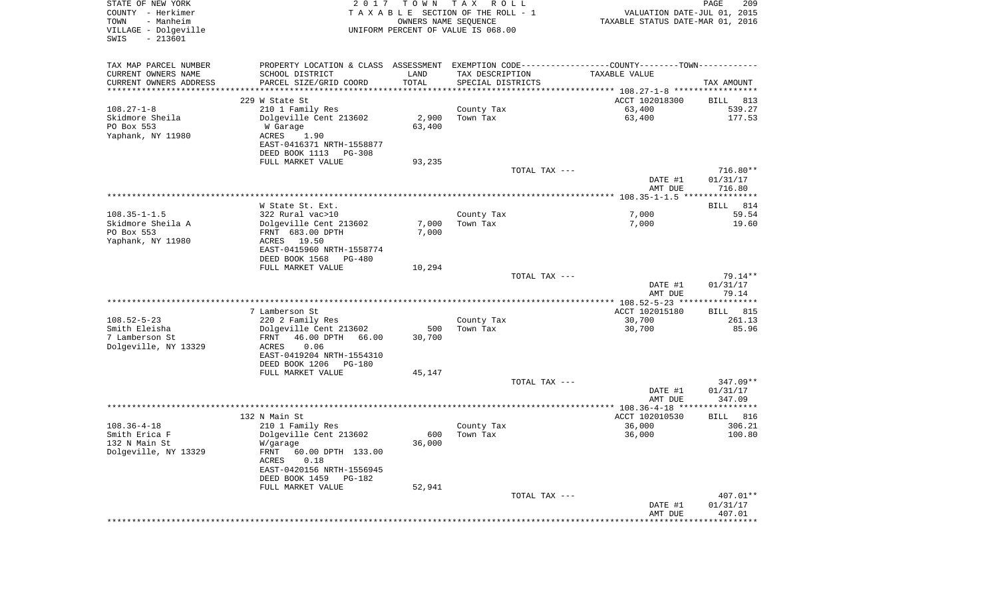| STATE OF NEW YORK<br>COUNTY - Herkimer<br>- Manheim<br>TOWN<br>VILLAGE - Dolgeville<br>$-213601$<br>SWIS | 2 0 1 7                                       | T O W N<br>OWNERS NAME SEQUENCE | T A X<br>R O L L<br>TAXABLE SECTION OF THE ROLL - 1<br>UNIFORM PERCENT OF VALUE IS 068.00 | VALUATION DATE-JUL 01, 2015<br>TAXABLE STATUS DATE-MAR 01, 2016                               | PAGE<br>209         |
|----------------------------------------------------------------------------------------------------------|-----------------------------------------------|---------------------------------|-------------------------------------------------------------------------------------------|-----------------------------------------------------------------------------------------------|---------------------|
| TAX MAP PARCEL NUMBER                                                                                    |                                               |                                 |                                                                                           | PROPERTY LOCATION & CLASS ASSESSMENT EXEMPTION CODE---------------COUNTY-------TOWN---------- |                     |
| CURRENT OWNERS NAME                                                                                      | SCHOOL DISTRICT                               | LAND                            | TAX DESCRIPTION                                                                           | TAXABLE VALUE                                                                                 |                     |
| CURRENT OWNERS ADDRESS<br>**********************                                                         | PARCEL SIZE/GRID COORD                        | TOTAL<br>****************       | SPECIAL DISTRICTS                                                                         |                                                                                               | TAX AMOUNT          |
|                                                                                                          | 229 W State St                                |                                 |                                                                                           | ACCT 102018300                                                                                | 813<br>BILL         |
| $108.27 - 1 - 8$                                                                                         | 210 1 Family Res                              |                                 | County Tax                                                                                | 63,400                                                                                        | 539.27              |
| Skidmore Sheila                                                                                          | Dolgeville Cent 213602                        | 2,900                           | Town Tax                                                                                  | 63,400                                                                                        | 177.53              |
| PO Box 553                                                                                               | W Garage                                      | 63,400                          |                                                                                           |                                                                                               |                     |
| Yaphank, NY 11980                                                                                        | ACRES<br>1.90                                 |                                 |                                                                                           |                                                                                               |                     |
|                                                                                                          | EAST-0416371 NRTH-1558877                     |                                 |                                                                                           |                                                                                               |                     |
|                                                                                                          | DEED BOOK 1113<br>PG-308<br>FULL MARKET VALUE | 93,235                          |                                                                                           |                                                                                               |                     |
|                                                                                                          |                                               |                                 | TOTAL TAX ---                                                                             |                                                                                               | $716.80**$          |
|                                                                                                          |                                               |                                 |                                                                                           | DATE #1                                                                                       | 01/31/17            |
|                                                                                                          |                                               |                                 |                                                                                           | AMT DUE                                                                                       | 716.80              |
|                                                                                                          |                                               |                                 |                                                                                           |                                                                                               |                     |
|                                                                                                          | W State St. Ext.                              |                                 |                                                                                           |                                                                                               | 814<br>BILL         |
| $108.35 - 1 - 1.5$<br>Skidmore Sheila A                                                                  | 322 Rural vac>10<br>Dolgeville Cent 213602    | 7,000                           | County Tax<br>Town Tax                                                                    | 7,000<br>7,000                                                                                | 59.54<br>19.60      |
| PO Box 553                                                                                               | FRNT 683.00 DPTH                              | 7,000                           |                                                                                           |                                                                                               |                     |
| Yaphank, NY 11980                                                                                        | 19.50<br>ACRES                                |                                 |                                                                                           |                                                                                               |                     |
|                                                                                                          | EAST-0415960 NRTH-1558774                     |                                 |                                                                                           |                                                                                               |                     |
|                                                                                                          | DEED BOOK 1568<br>$PG-480$                    |                                 |                                                                                           |                                                                                               |                     |
|                                                                                                          | FULL MARKET VALUE                             | 10,294                          |                                                                                           |                                                                                               |                     |
|                                                                                                          |                                               |                                 | TOTAL TAX ---                                                                             | DATE #1                                                                                       | 79.14**<br>01/31/17 |
|                                                                                                          |                                               |                                 |                                                                                           | AMT DUE                                                                                       | 79.14               |
|                                                                                                          |                                               |                                 |                                                                                           |                                                                                               |                     |
|                                                                                                          | 7 Lamberson St                                |                                 |                                                                                           | ACCT 102015180                                                                                | BILL 815            |
| $108.52 - 5 - 23$                                                                                        | 220 2 Family Res                              |                                 | County Tax                                                                                | 30,700                                                                                        | 261.13              |
| Smith Eleisha<br>7 Lamberson St                                                                          | Dolgeville Cent 213602                        | 500                             | Town Tax                                                                                  | 30,700                                                                                        | 85.96               |
| Dolgeville, NY 13329                                                                                     | FRNT<br>46.00 DPTH<br>66.00<br>ACRES<br>0.06  | 30,700                          |                                                                                           |                                                                                               |                     |
|                                                                                                          | EAST-0419204 NRTH-1554310                     |                                 |                                                                                           |                                                                                               |                     |
|                                                                                                          | DEED BOOK 1206<br><b>PG-180</b>               |                                 |                                                                                           |                                                                                               |                     |
|                                                                                                          | FULL MARKET VALUE                             | 45,147                          |                                                                                           |                                                                                               |                     |
|                                                                                                          |                                               |                                 | TOTAL TAX ---                                                                             |                                                                                               | $347.09**$          |
|                                                                                                          |                                               |                                 |                                                                                           | DATE #1                                                                                       | 01/31/17<br>347.09  |
|                                                                                                          |                                               |                                 |                                                                                           | AMT DUE                                                                                       |                     |
|                                                                                                          | 132 N Main St                                 |                                 |                                                                                           | ACCT 102010530                                                                                | 816<br>BILL         |
| $108.36 - 4 - 18$                                                                                        | 210 1 Family Res                              |                                 | County Tax                                                                                | 36,000                                                                                        | 306.21              |
| Smith Erica F                                                                                            | Dolgeville Cent 213602                        | 600                             | Town Tax                                                                                  | 36,000                                                                                        | 100.80              |
| 132 N Main St                                                                                            | W/garage                                      | 36,000                          |                                                                                           |                                                                                               |                     |
| Dolgeville, NY 13329                                                                                     | FRNT 60.00 DPTH 133.00<br>0.18<br>ACRES       |                                 |                                                                                           |                                                                                               |                     |
|                                                                                                          | EAST-0420156 NRTH-1556945                     |                                 |                                                                                           |                                                                                               |                     |
|                                                                                                          | DEED BOOK 1459 PG-182                         |                                 |                                                                                           |                                                                                               |                     |
|                                                                                                          | FULL MARKET VALUE                             | 52,941                          |                                                                                           |                                                                                               |                     |
|                                                                                                          |                                               |                                 | TOTAL TAX ---                                                                             |                                                                                               | 407.01**            |
|                                                                                                          |                                               |                                 |                                                                                           | DATE #1                                                                                       | 01/31/17            |
|                                                                                                          |                                               |                                 |                                                                                           | AMT DUE<br>**************************************                                             | 407.01              |
|                                                                                                          |                                               |                                 |                                                                                           |                                                                                               |                     |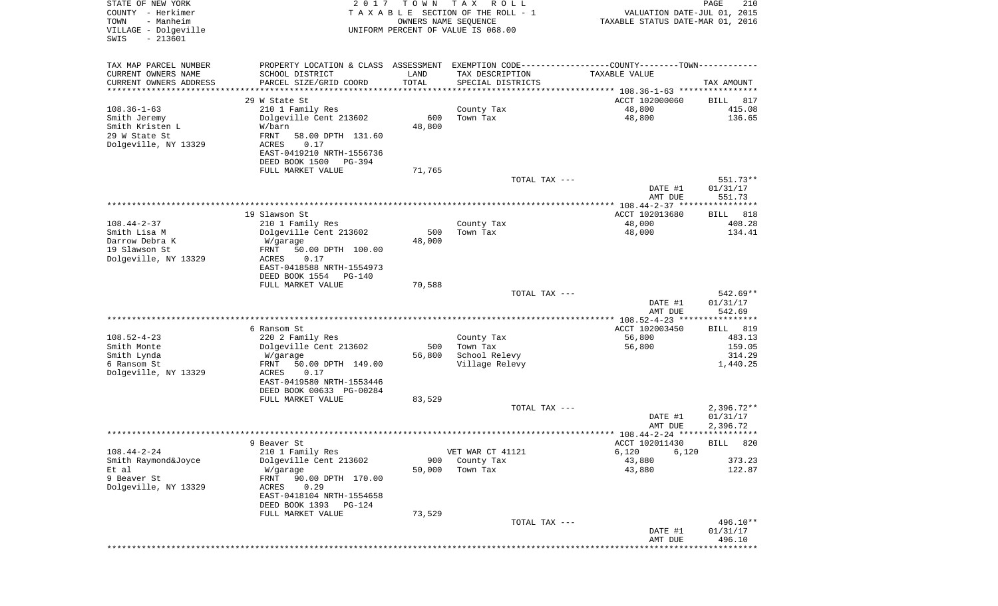| STATE OF NEW YORK<br>COUNTY - Herkimer<br>- Manheim<br>TOWN<br>VILLAGE - Dolgeville<br>$-213601$<br>SWIS | 2 0 1 7                                                                                       | T O W N<br>OWNERS NAME SEQUENCE | T A X<br>R O L L<br>TAXABLE SECTION OF THE ROLL - 1<br>UNIFORM PERCENT OF VALUE IS 068.00 | VALUATION DATE-JUL 01, 2015<br>TAXABLE STATUS DATE-MAR 01, 2016 | PAGE<br>210           |
|----------------------------------------------------------------------------------------------------------|-----------------------------------------------------------------------------------------------|---------------------------------|-------------------------------------------------------------------------------------------|-----------------------------------------------------------------|-----------------------|
|                                                                                                          |                                                                                               |                                 |                                                                                           |                                                                 |                       |
| TAX MAP PARCEL NUMBER                                                                                    | PROPERTY LOCATION & CLASS ASSESSMENT EXEMPTION CODE---------------COUNTY-------TOWN---------- |                                 |                                                                                           |                                                                 |                       |
| CURRENT OWNERS NAME                                                                                      | SCHOOL DISTRICT                                                                               | LAND                            | TAX DESCRIPTION                                                                           | TAXABLE VALUE                                                   |                       |
| CURRENT OWNERS ADDRESS                                                                                   | PARCEL SIZE/GRID COORD                                                                        | TOTAL                           | SPECIAL DISTRICTS                                                                         |                                                                 | TAX AMOUNT            |
| *********************                                                                                    |                                                                                               | *************                   |                                                                                           |                                                                 |                       |
| $108.36 - 1 - 63$                                                                                        | 29 W State St<br>210 1 Family Res                                                             |                                 | County Tax                                                                                | ACCT 102000060<br>48,800                                        | 817<br>BILL<br>415.08 |
| Smith Jeremy                                                                                             | Dolgeville Cent 213602                                                                        | 600                             | Town Tax                                                                                  | 48,800                                                          | 136.65                |
| Smith Kristen L                                                                                          | W/barn                                                                                        | 48,800                          |                                                                                           |                                                                 |                       |
| 29 W State St                                                                                            | FRNT<br>58.00 DPTH 131.60                                                                     |                                 |                                                                                           |                                                                 |                       |
| Dolgeville, NY 13329                                                                                     | ACRES<br>0.17                                                                                 |                                 |                                                                                           |                                                                 |                       |
|                                                                                                          | EAST-0419210 NRTH-1556736<br>DEED BOOK 1500<br>PG-394                                         |                                 |                                                                                           |                                                                 |                       |
|                                                                                                          | FULL MARKET VALUE                                                                             | 71,765                          |                                                                                           |                                                                 |                       |
|                                                                                                          |                                                                                               |                                 | TOTAL TAX ---                                                                             |                                                                 | 551.73**              |
|                                                                                                          |                                                                                               |                                 |                                                                                           | DATE #1                                                         | 01/31/17              |
|                                                                                                          |                                                                                               |                                 |                                                                                           | AMT DUE                                                         | 551.73                |
|                                                                                                          | 19 Slawson St                                                                                 |                                 |                                                                                           | ACCT 102013680                                                  | 818<br>BILL           |
| $108.44 - 2 - 37$                                                                                        | 210 1 Family Res                                                                              |                                 | County Tax                                                                                | 48,000                                                          | 408.28                |
| Smith Lisa M                                                                                             | Dolgeville Cent 213602                                                                        | 500                             | Town Tax                                                                                  | 48,000                                                          | 134.41                |
| Darrow Debra K<br>19 Slawson St                                                                          | W/garage                                                                                      | 48,000                          |                                                                                           |                                                                 |                       |
| Dolgeville, NY 13329                                                                                     | FRNT<br>50.00 DPTH 100.00<br>ACRES<br>0.17                                                    |                                 |                                                                                           |                                                                 |                       |
|                                                                                                          | EAST-0418588 NRTH-1554973                                                                     |                                 |                                                                                           |                                                                 |                       |
|                                                                                                          | DEED BOOK 1554<br>PG-140                                                                      |                                 |                                                                                           |                                                                 |                       |
|                                                                                                          | FULL MARKET VALUE                                                                             | 70,588                          |                                                                                           |                                                                 |                       |
|                                                                                                          |                                                                                               |                                 | TOTAL TAX ---                                                                             | DATE #1                                                         | 542.69**<br>01/31/17  |
|                                                                                                          |                                                                                               |                                 |                                                                                           | AMT DUE                                                         | 542.69                |
|                                                                                                          |                                                                                               |                                 |                                                                                           | ************* 108.52-4-23 *****************                     |                       |
|                                                                                                          | 6 Ransom St                                                                                   |                                 |                                                                                           | ACCT 102003450                                                  | 819<br>BILL           |
| $108.52 - 4 - 23$<br>Smith Monte                                                                         | 220 2 Family Res<br>Dolgeville Cent 213602                                                    | 500                             | County Tax<br>Town Tax                                                                    | 56,800                                                          | 483.13<br>159.05      |
| Smith Lynda                                                                                              | W/garage                                                                                      | 56,800                          | School Relevy                                                                             | 56,800                                                          | 314.29                |
| 6 Ransom St                                                                                              | FRNT<br>50.00 DPTH 149.00                                                                     |                                 | Village Relevy                                                                            |                                                                 | 1,440.25              |
| Dolgeville, NY 13329                                                                                     | ACRES<br>0.17                                                                                 |                                 |                                                                                           |                                                                 |                       |
|                                                                                                          | EAST-0419580 NRTH-1553446                                                                     |                                 |                                                                                           |                                                                 |                       |
|                                                                                                          | DEED BOOK 00633 PG-00284<br>FULL MARKET VALUE                                                 | 83,529                          |                                                                                           |                                                                 |                       |
|                                                                                                          |                                                                                               |                                 | TOTAL TAX ---                                                                             |                                                                 | $2,396.72**$          |
|                                                                                                          |                                                                                               |                                 |                                                                                           | DATE #1                                                         | 01/31/17              |
|                                                                                                          |                                                                                               |                                 |                                                                                           | AMT DUE                                                         | 2,396.72              |
|                                                                                                          | 9 Beaver St                                                                                   |                                 |                                                                                           | ACCT 102011430                                                  | BILL 820              |
| $108.44 - 2 - 24$                                                                                        | 210 1 Family Res                                                                              |                                 | VET WAR CT 41121                                                                          | 6,120<br>6,120                                                  |                       |
| Smith Raymond&Joyce                                                                                      | Dolgeville Cent 213602                                                                        | 900                             | County Tax                                                                                | 43,880                                                          | 373.23                |
| Et al                                                                                                    | W/garage                                                                                      | 50,000                          | Town Tax                                                                                  | 43,880                                                          | 122.87                |
| 9 Beaver St                                                                                              | 90.00 DPTH 170.00<br>FRNT                                                                     |                                 |                                                                                           |                                                                 |                       |
| Dolgeville, NY 13329                                                                                     | ACRES<br>0.29<br>EAST-0418104 NRTH-1554658                                                    |                                 |                                                                                           |                                                                 |                       |
|                                                                                                          | DEED BOOK 1393<br>PG-124                                                                      |                                 |                                                                                           |                                                                 |                       |
|                                                                                                          | FULL MARKET VALUE                                                                             | 73,529                          |                                                                                           |                                                                 |                       |
|                                                                                                          |                                                                                               |                                 | TOTAL TAX ---                                                                             |                                                                 | 496.10**              |
|                                                                                                          |                                                                                               |                                 |                                                                                           | DATE #1<br>AMT DUE                                              | 01/31/17<br>496.10    |
|                                                                                                          |                                                                                               |                                 |                                                                                           |                                                                 | * * * * * * * * *     |
|                                                                                                          |                                                                                               |                                 |                                                                                           |                                                                 |                       |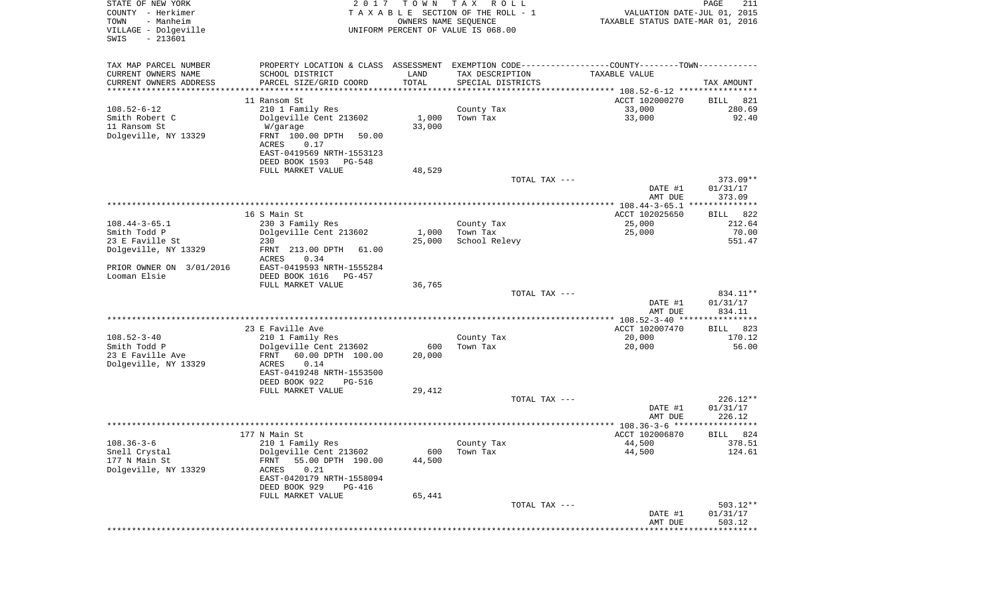| STATE OF NEW YORK<br>COUNTY - Herkimer<br>- Manheim<br>TOWN<br>VILLAGE - Dolgeville<br>$-213601$<br>SWIS | 2017                                          | T O W N | T A X<br>R O L L<br>TAXABLE SECTION OF THE ROLL - 1<br>OWNERS NAME SEQUENCE<br>UNIFORM PERCENT OF VALUE IS 068.00 | VALUATION DATE-JUL 01, 2015<br>TAXABLE STATUS DATE-MAR 01, 2016 | PAGE<br>211            |
|----------------------------------------------------------------------------------------------------------|-----------------------------------------------|---------|-------------------------------------------------------------------------------------------------------------------|-----------------------------------------------------------------|------------------------|
| TAX MAP PARCEL NUMBER                                                                                    | PROPERTY LOCATION & CLASS ASSESSMENT          |         | EXEMPTION CODE----------------COUNTY-------TOWN----------                                                         |                                                                 |                        |
| CURRENT OWNERS NAME                                                                                      | SCHOOL DISTRICT                               | LAND    | TAX DESCRIPTION                                                                                                   | TAXABLE VALUE                                                   |                        |
| CURRENT OWNERS ADDRESS<br>********************                                                           | PARCEL SIZE/GRID COORD                        | TOTAL   | SPECIAL DISTRICTS                                                                                                 |                                                                 | TAX AMOUNT             |
|                                                                                                          | 11 Ransom St                                  |         |                                                                                                                   | ACCT 102000270                                                  | 821<br>BILL            |
| $108.52 - 6 - 12$                                                                                        | 210 1 Family Res                              |         | County Tax                                                                                                        | 33,000                                                          | 280.69                 |
| Smith Robert C                                                                                           | Dolgeville Cent 213602                        | 1,000   | Town Tax                                                                                                          | 33,000                                                          | 92.40                  |
| 11 Ransom St                                                                                             | W/garage                                      | 33,000  |                                                                                                                   |                                                                 |                        |
| Dolgeville, NY 13329                                                                                     | FRNT 100.00 DPTH<br>50.00                     |         |                                                                                                                   |                                                                 |                        |
|                                                                                                          | ACRES<br>0.17                                 |         |                                                                                                                   |                                                                 |                        |
|                                                                                                          | EAST-0419569 NRTH-1553123                     |         |                                                                                                                   |                                                                 |                        |
|                                                                                                          | DEED BOOK 1593<br>PG-548<br>FULL MARKET VALUE | 48,529  |                                                                                                                   |                                                                 |                        |
|                                                                                                          |                                               |         | TOTAL TAX ---                                                                                                     |                                                                 | $373.09**$             |
|                                                                                                          |                                               |         |                                                                                                                   | DATE #1                                                         | 01/31/17               |
|                                                                                                          |                                               |         |                                                                                                                   | AMT DUE                                                         | 373.09                 |
|                                                                                                          |                                               |         |                                                                                                                   | ***************** 108.44-3-65.1 **************                  |                        |
| $108.44 - 3 - 65.1$                                                                                      | 16 S Main St                                  |         |                                                                                                                   | ACCT 102025650<br>25,000                                        | 822<br>BILL<br>212.64  |
| Smith Todd P                                                                                             | 230 3 Family Res<br>Dolgeville Cent 213602    | 1,000   | County Tax<br>Town Tax                                                                                            | 25,000                                                          | 70.00                  |
| 23 E Faville St                                                                                          | 230                                           | 25,000  | School Relevy                                                                                                     |                                                                 | 551.47                 |
| Dolgeville, NY 13329                                                                                     | FRNT 213.00 DPTH<br>61.00                     |         |                                                                                                                   |                                                                 |                        |
|                                                                                                          | ACRES<br>0.34                                 |         |                                                                                                                   |                                                                 |                        |
| PRIOR OWNER ON 3/01/2016                                                                                 | EAST-0419593 NRTH-1555284                     |         |                                                                                                                   |                                                                 |                        |
| Looman Elsie                                                                                             | DEED BOOK 1616<br>$PG-457$                    |         |                                                                                                                   |                                                                 |                        |
|                                                                                                          | FULL MARKET VALUE                             | 36,765  | TOTAL TAX ---                                                                                                     |                                                                 | 834.11**               |
|                                                                                                          |                                               |         |                                                                                                                   | DATE #1                                                         | 01/31/17               |
|                                                                                                          |                                               |         |                                                                                                                   | AMT DUE                                                         | 834.11                 |
|                                                                                                          |                                               |         |                                                                                                                   | ***************** 108.52-3-40 ****************                  |                        |
|                                                                                                          | 23 E Faville Ave                              |         |                                                                                                                   | ACCT 102007470                                                  | 823<br>BILL            |
| $108.52 - 3 - 40$<br>Smith Todd P                                                                        | 210 1 Family Res<br>Dolgeville Cent 213602    | 600     | County Tax<br>Town Tax                                                                                            | 20,000<br>20,000                                                | 170.12<br>56.00        |
| 23 E Faville Ave                                                                                         | 60.00 DPTH 100.00<br>FRNT                     | 20,000  |                                                                                                                   |                                                                 |                        |
| Dolgeville, NY 13329                                                                                     | ACRES<br>0.14                                 |         |                                                                                                                   |                                                                 |                        |
|                                                                                                          | EAST-0419248 NRTH-1553500                     |         |                                                                                                                   |                                                                 |                        |
|                                                                                                          | DEED BOOK 922<br>PG-516                       |         |                                                                                                                   |                                                                 |                        |
|                                                                                                          | FULL MARKET VALUE                             | 29,412  |                                                                                                                   |                                                                 |                        |
|                                                                                                          |                                               |         | TOTAL TAX ---                                                                                                     | DATE #1                                                         | $226.12**$<br>01/31/17 |
|                                                                                                          |                                               |         |                                                                                                                   | AMT DUE                                                         | 226.12                 |
|                                                                                                          |                                               |         |                                                                                                                   |                                                                 | *****<br>**********    |
|                                                                                                          | 177 N Main St                                 |         |                                                                                                                   | ACCT 102006870                                                  | 824<br>BILL            |
| $108.36 - 3 - 6$                                                                                         | 210 1 Family Res                              |         | County Tax                                                                                                        | 44,500                                                          | 378.51                 |
| Snell Crystal                                                                                            | Dolgeville Cent 213602                        | 600     | Town Tax                                                                                                          | 44,500                                                          | 124.61                 |
| 177 N Main St<br>Dolgeville, NY 13329                                                                    | 55.00 DPTH 190.00<br>FRNT<br>0.21<br>ACRES    | 44,500  |                                                                                                                   |                                                                 |                        |
|                                                                                                          | EAST-0420179 NRTH-1558094                     |         |                                                                                                                   |                                                                 |                        |
|                                                                                                          | DEED BOOK 929<br>PG-416                       |         |                                                                                                                   |                                                                 |                        |
|                                                                                                          | FULL MARKET VALUE                             | 65,441  |                                                                                                                   |                                                                 |                        |
|                                                                                                          |                                               |         | TOTAL TAX ---                                                                                                     |                                                                 | $503.12**$             |
|                                                                                                          |                                               |         |                                                                                                                   | DATE #1<br>AMT DUE                                              | 01/31/17<br>503.12     |
|                                                                                                          |                                               |         |                                                                                                                   | ****************************                                    |                        |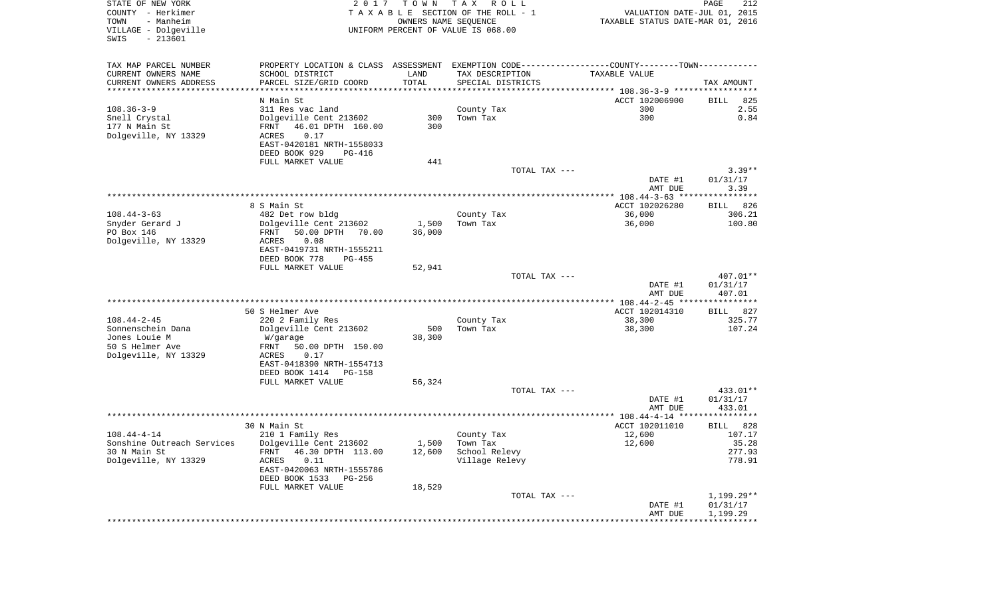| STATE OF NEW YORK<br>COUNTY - Herkimer<br>TOWN<br>- Manheim<br>VILLAGE - Dolgeville<br>$-213601$<br>SWIS | 2 0 1 7                                                                                       | T O W N<br>OWNERS NAME SEOUENCE | TAX ROLL<br>TAXABLE SECTION OF THE ROLL - 1<br>UNIFORM PERCENT OF VALUE IS 068.00 | VALUATION DATE-JUL 01, 2015<br>TAXABLE STATUS DATE-MAR 01, 2016 | 212<br>PAGE        |
|----------------------------------------------------------------------------------------------------------|-----------------------------------------------------------------------------------------------|---------------------------------|-----------------------------------------------------------------------------------|-----------------------------------------------------------------|--------------------|
| TAX MAP PARCEL NUMBER                                                                                    | PROPERTY LOCATION & CLASS ASSESSMENT EXEMPTION CODE---------------COUNTY-------TOWN---------- |                                 |                                                                                   |                                                                 |                    |
| CURRENT OWNERS NAME                                                                                      | SCHOOL DISTRICT                                                                               | LAND                            | TAX DESCRIPTION                                                                   | TAXABLE VALUE                                                   |                    |
| CURRENT OWNERS ADDRESS                                                                                   | PARCEL SIZE/GRID COORD                                                                        | TOTAL                           | SPECIAL DISTRICTS                                                                 |                                                                 | TAX AMOUNT         |
|                                                                                                          | N Main St                                                                                     |                                 |                                                                                   | ACCT 102006900                                                  | 825<br>BILL        |
| 108.36-3-9                                                                                               | 311 Res vac land                                                                              |                                 | County Tax                                                                        | 300                                                             | 2.55               |
| Snell Crystal                                                                                            | Dolgeville Cent 213602                                                                        | 300                             | Town Tax                                                                          | 300                                                             | 0.84               |
| 177 N Main St                                                                                            | 46.01 DPTH 160.00<br>FRNT                                                                     | 300                             |                                                                                   |                                                                 |                    |
| Dolgeville, NY 13329                                                                                     | 0.17<br>ACRES<br>EAST-0420181 NRTH-1558033                                                    |                                 |                                                                                   |                                                                 |                    |
|                                                                                                          | DEED BOOK 929<br>PG-416                                                                       |                                 |                                                                                   |                                                                 |                    |
|                                                                                                          | FULL MARKET VALUE                                                                             | 441                             |                                                                                   |                                                                 |                    |
|                                                                                                          |                                                                                               |                                 | TOTAL TAX ---                                                                     |                                                                 | $3.39**$           |
|                                                                                                          |                                                                                               |                                 |                                                                                   | DATE #1                                                         | 01/31/17           |
|                                                                                                          |                                                                                               |                                 |                                                                                   | AMT DUE                                                         | 3.39               |
|                                                                                                          | 8 S Main St                                                                                   |                                 |                                                                                   | ACCT 102026280                                                  | BILL 826           |
| $108.44 - 3 - 63$                                                                                        | 482 Det row bldg                                                                              |                                 | County Tax                                                                        | 36,000                                                          | 306.21             |
| Snyder Gerard J                                                                                          | Dolgeville Cent 213602                                                                        | 1,500                           | Town Tax                                                                          | 36,000                                                          | 100.80             |
| PO Box 146                                                                                               | 50.00 DPTH 70.00<br>FRNT<br>ACRES                                                             | 36,000                          |                                                                                   |                                                                 |                    |
| Dolgeville, NY 13329                                                                                     | 0.08<br>EAST-0419731 NRTH-1555211                                                             |                                 |                                                                                   |                                                                 |                    |
|                                                                                                          | DEED BOOK 778<br>PG-455                                                                       |                                 |                                                                                   |                                                                 |                    |
|                                                                                                          | FULL MARKET VALUE                                                                             | 52,941                          |                                                                                   |                                                                 |                    |
|                                                                                                          |                                                                                               |                                 | TOTAL TAX ---                                                                     |                                                                 | 407.01**           |
|                                                                                                          |                                                                                               |                                 |                                                                                   | DATE #1<br>AMT DUE                                              | 01/31/17<br>407.01 |
|                                                                                                          |                                                                                               |                                 |                                                                                   |                                                                 |                    |
|                                                                                                          | 50 S Helmer Ave                                                                               |                                 |                                                                                   | ACCT 102014310                                                  | BILL 827           |
| 108.44-2-45                                                                                              | 220 2 Family Res                                                                              |                                 | County Tax                                                                        | 38,300                                                          | 325.77             |
| Sonnenschein Dana                                                                                        | Dolgeville Cent 213602                                                                        | 500                             | Town Tax                                                                          | 38,300                                                          | 107.24             |
| Jones Louie M<br>50 S Helmer Ave                                                                         | W/garage<br>FRNT<br>50.00 DPTH 150.00                                                         | 38,300                          |                                                                                   |                                                                 |                    |
| Dolgeville, NY 13329                                                                                     | 0.17<br>ACRES                                                                                 |                                 |                                                                                   |                                                                 |                    |
|                                                                                                          | EAST-0418390 NRTH-1554713                                                                     |                                 |                                                                                   |                                                                 |                    |
|                                                                                                          | DEED BOOK 1414<br>PG-158                                                                      |                                 |                                                                                   |                                                                 |                    |
|                                                                                                          | FULL MARKET VALUE                                                                             | 56,324                          | TOTAL TAX ---                                                                     |                                                                 | 433.01**           |
|                                                                                                          |                                                                                               |                                 |                                                                                   | DATE #1                                                         | 01/31/17           |
|                                                                                                          |                                                                                               |                                 |                                                                                   | AMT DUE                                                         | 433.01             |
|                                                                                                          |                                                                                               |                                 |                                                                                   |                                                                 |                    |
|                                                                                                          | 30 N Main St                                                                                  |                                 |                                                                                   | ACCT 102011010                                                  | BILL 828           |
| 108.44-4-14<br>Sonshine Outreach Services                                                                | 210 1 Family Res<br>Dolgeville Cent 213602                                                    | 1,500                           | County Tax<br>Town Tax                                                            | 12,600<br>12,600                                                | 107.17<br>35.28    |
| 30 N Main St                                                                                             | 46.30 DPTH 113.00<br>FRNT                                                                     | 12,600                          | School Relevy                                                                     |                                                                 | 277.93             |
| Dolgeville, NY 13329                                                                                     | ACRES<br>0.11                                                                                 |                                 | Village Relevy                                                                    |                                                                 | 778.91             |
|                                                                                                          | EAST-0420063 NRTH-1555786                                                                     |                                 |                                                                                   |                                                                 |                    |
|                                                                                                          | DEED BOOK 1533<br>PG-256                                                                      |                                 |                                                                                   |                                                                 |                    |
|                                                                                                          | FULL MARKET VALUE                                                                             | 18,529                          | TOTAL TAX ---                                                                     |                                                                 | $1,199.29**$       |
|                                                                                                          |                                                                                               |                                 |                                                                                   | DATE #1                                                         | 01/31/17           |
|                                                                                                          |                                                                                               |                                 |                                                                                   | AMT DUE                                                         | 1,199.29           |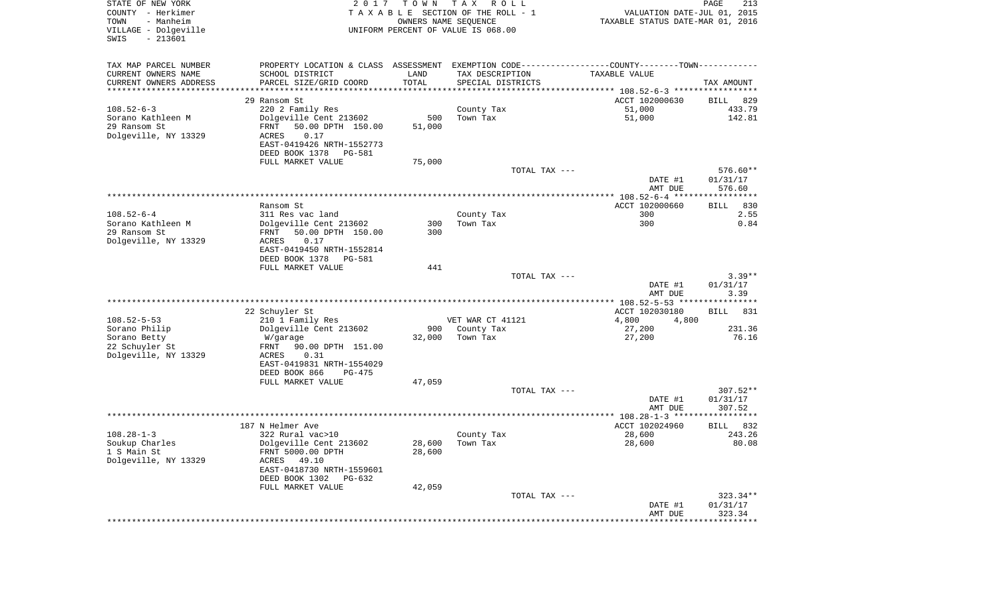| STATE OF NEW YORK<br>COUNTY - Herkimer<br>- Manheim<br>TOWN<br>VILLAGE - Dolgeville<br>$-213601$<br>SWIS | 2017                                                                                          | T O W N<br>OWNERS NAME SEQUENCE | T A X<br>R O L L<br>TAXABLE SECTION OF THE ROLL - 1<br>UNIFORM PERCENT OF VALUE IS 068.00 | VALUATION DATE-JUL 01, 2015<br>TAXABLE STATUS DATE-MAR 01, 2016 | PAGE<br>213            |
|----------------------------------------------------------------------------------------------------------|-----------------------------------------------------------------------------------------------|---------------------------------|-------------------------------------------------------------------------------------------|-----------------------------------------------------------------|------------------------|
| TAX MAP PARCEL NUMBER                                                                                    | PROPERTY LOCATION & CLASS ASSESSMENT EXEMPTION CODE---------------COUNTY-------TOWN---------- |                                 |                                                                                           |                                                                 |                        |
| CURRENT OWNERS NAME                                                                                      | SCHOOL DISTRICT                                                                               | LAND                            | TAX DESCRIPTION                                                                           | <b>TAXABLE VALUE</b>                                            |                        |
| CURRENT OWNERS ADDRESS<br>**********************                                                         | PARCEL SIZE/GRID COORD<br>***********************************                                 | TOTAL                           | SPECIAL DISTRICTS                                                                         |                                                                 | TAX AMOUNT             |
|                                                                                                          | 29 Ransom St                                                                                  |                                 |                                                                                           |                                                                 | 829                    |
| $108.52 - 6 - 3$                                                                                         | 220 2 Family Res                                                                              |                                 | County Tax                                                                                | ACCT 102000630<br>51,000                                        | BILL<br>433.79         |
| Sorano Kathleen M                                                                                        | Dolgeville Cent 213602                                                                        | 500                             | Town Tax                                                                                  | 51,000                                                          | 142.81                 |
| 29 Ransom St                                                                                             | 50.00 DPTH 150.00<br>FRNT                                                                     | 51,000                          |                                                                                           |                                                                 |                        |
| Dolgeville, NY 13329                                                                                     | 0.17<br>ACRES                                                                                 |                                 |                                                                                           |                                                                 |                        |
|                                                                                                          | EAST-0419426 NRTH-1552773                                                                     |                                 |                                                                                           |                                                                 |                        |
|                                                                                                          | DEED BOOK 1378<br>PG-581                                                                      |                                 |                                                                                           |                                                                 |                        |
|                                                                                                          | FULL MARKET VALUE                                                                             | 75,000                          | TOTAL TAX ---                                                                             |                                                                 | 576.60**               |
|                                                                                                          |                                                                                               |                                 |                                                                                           | DATE #1<br>AMT DUE                                              | 01/31/17<br>576.60     |
|                                                                                                          |                                                                                               |                                 |                                                                                           |                                                                 |                        |
|                                                                                                          | Ransom St                                                                                     |                                 |                                                                                           | ACCT 102000660                                                  | 830<br>BILL            |
| $108.52 - 6 - 4$                                                                                         | 311 Res vac land                                                                              |                                 | County Tax                                                                                | 300                                                             | 2.55                   |
| Sorano Kathleen M<br>29 Ransom St                                                                        | Dolgeville Cent 213602<br>50.00 DPTH 150.00<br>FRNT                                           | 300<br>300                      | Town Tax                                                                                  | 300                                                             | 0.84                   |
| Dolgeville, NY 13329                                                                                     | 0.17<br>ACRES                                                                                 |                                 |                                                                                           |                                                                 |                        |
|                                                                                                          | EAST-0419450 NRTH-1552814                                                                     |                                 |                                                                                           |                                                                 |                        |
|                                                                                                          | DEED BOOK 1378<br>PG-581                                                                      |                                 |                                                                                           |                                                                 |                        |
|                                                                                                          | FULL MARKET VALUE                                                                             | 441                             |                                                                                           |                                                                 |                        |
|                                                                                                          |                                                                                               |                                 | TOTAL TAX ---                                                                             |                                                                 | $3.39**$               |
|                                                                                                          |                                                                                               |                                 |                                                                                           | DATE #1<br>AMT DUE                                              | 01/31/17<br>3.39       |
|                                                                                                          |                                                                                               |                                 |                                                                                           |                                                                 |                        |
|                                                                                                          | 22 Schuyler St                                                                                |                                 |                                                                                           | ACCT 102030180                                                  | <b>BILL</b><br>831     |
| $108.52 - 5 - 53$                                                                                        | 210 1 Family Res                                                                              |                                 | VET WAR CT 41121                                                                          | 4,800<br>4,800                                                  |                        |
| Sorano Philip                                                                                            | Dolgeville Cent 213602                                                                        | 900                             | County Tax                                                                                | 27,200                                                          | 231.36                 |
| Sorano Betty<br>22 Schuyler St                                                                           | W/garage<br>FRNT<br>90.00 DPTH 151.00                                                         | 32,000                          | Town Tax                                                                                  | 27,200                                                          | 76.16                  |
| Dolgeville, NY 13329                                                                                     | ACRES<br>0.31                                                                                 |                                 |                                                                                           |                                                                 |                        |
|                                                                                                          | EAST-0419831 NRTH-1554029                                                                     |                                 |                                                                                           |                                                                 |                        |
|                                                                                                          | DEED BOOK 866<br>PG-475                                                                       |                                 |                                                                                           |                                                                 |                        |
|                                                                                                          | FULL MARKET VALUE                                                                             | 47,059                          |                                                                                           |                                                                 |                        |
|                                                                                                          |                                                                                               |                                 | TOTAL TAX ---                                                                             | DATE #1                                                         | $307.52**$<br>01/31/17 |
|                                                                                                          |                                                                                               |                                 |                                                                                           | AMT DUE                                                         | 307.52                 |
|                                                                                                          |                                                                                               |                                 |                                                                                           |                                                                 |                        |
|                                                                                                          | 187 N Helmer Ave                                                                              |                                 |                                                                                           | ACCT 102024960                                                  | 832<br>BILL            |
| $108.28 - 1 - 3$                                                                                         | 322 Rural vac>10                                                                              |                                 | County Tax                                                                                | 28,600                                                          | 243.26                 |
| Soukup Charles                                                                                           | Dolgeville Cent 213602                                                                        | 28,600                          | Town Tax                                                                                  | 28,600                                                          | 80.08                  |
| 1 S Main St<br>Dolgeville, NY 13329                                                                      | FRNT 5000.00 DPTH<br>ACRES<br>49.10                                                           | 28,600                          |                                                                                           |                                                                 |                        |
|                                                                                                          | EAST-0418730 NRTH-1559601                                                                     |                                 |                                                                                           |                                                                 |                        |
|                                                                                                          | DEED BOOK 1302 PG-632                                                                         |                                 |                                                                                           |                                                                 |                        |
|                                                                                                          | FULL MARKET VALUE                                                                             | 42,059                          |                                                                                           |                                                                 |                        |
|                                                                                                          |                                                                                               |                                 | TOTAL TAX ---                                                                             |                                                                 | 323.34**               |
|                                                                                                          |                                                                                               |                                 |                                                                                           | DATE #1<br>AMT DUE                                              | 01/31/17<br>323.34     |
|                                                                                                          |                                                                                               |                                 |                                                                                           |                                                                 |                        |
|                                                                                                          |                                                                                               |                                 |                                                                                           |                                                                 |                        |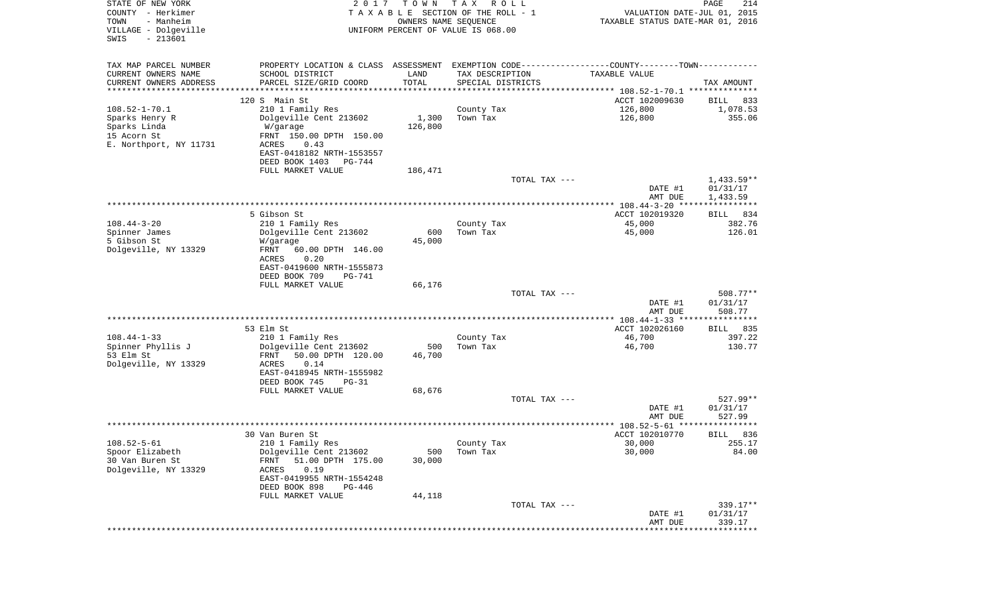| STATE OF NEW YORK<br>COUNTY - Herkimer<br>TOWN<br>- Manheim<br>VILLAGE - Dolgeville<br>$-213601$<br>SWIS | 2017                                                 | T O W N<br>OWNERS NAME SEQUENCE | T A X<br>R O L L<br>TAXABLE SECTION OF THE ROLL - 1<br>UNIFORM PERCENT OF VALUE IS 068.00 | VALUATION DATE-JUL 01, 2015<br>TAXABLE STATUS DATE-MAR 01, 2016                               | PAGE<br>214              |
|----------------------------------------------------------------------------------------------------------|------------------------------------------------------|---------------------------------|-------------------------------------------------------------------------------------------|-----------------------------------------------------------------------------------------------|--------------------------|
| TAX MAP PARCEL NUMBER                                                                                    |                                                      |                                 |                                                                                           | PROPERTY LOCATION & CLASS ASSESSMENT EXEMPTION CODE---------------COUNTY-------TOWN---------- |                          |
| CURRENT OWNERS NAME                                                                                      | SCHOOL DISTRICT                                      | LAND                            | TAX DESCRIPTION                                                                           | TAXABLE VALUE                                                                                 |                          |
| CURRENT OWNERS ADDRESS<br>*********************                                                          | PARCEL SIZE/GRID COORD                               | TOTAL<br>***********            | SPECIAL DISTRICTS                                                                         | ********************************* 108.52-1-70.1 **************                                | TAX AMOUNT               |
|                                                                                                          | 120 S Main St                                        |                                 |                                                                                           | ACCT 102009630                                                                                | BILL<br>833              |
| $108.52 - 1 - 70.1$                                                                                      | 210 1 Family Res                                     |                                 | County Tax                                                                                | 126,800                                                                                       | 1,078.53                 |
| Sparks Henry R                                                                                           | Dolgeville Cent 213602                               | 1,300                           | Town Tax                                                                                  | 126,800                                                                                       | 355.06                   |
| Sparks Linda                                                                                             | W/garage                                             | 126,800                         |                                                                                           |                                                                                               |                          |
| 15 Acorn St                                                                                              | FRNT 150.00 DPTH 150.00                              |                                 |                                                                                           |                                                                                               |                          |
| E. Northport, NY 11731                                                                                   | ACRES<br>0.43                                        |                                 |                                                                                           |                                                                                               |                          |
|                                                                                                          | EAST-0418182 NRTH-1553557                            |                                 |                                                                                           |                                                                                               |                          |
|                                                                                                          | DEED BOOK 1403<br>PG-744                             |                                 |                                                                                           |                                                                                               |                          |
|                                                                                                          | FULL MARKET VALUE                                    | 186,471                         |                                                                                           |                                                                                               |                          |
|                                                                                                          |                                                      |                                 | TOTAL TAX ---                                                                             | DATE #1                                                                                       | $1,433.59**$<br>01/31/17 |
|                                                                                                          |                                                      |                                 |                                                                                           | AMT DUE                                                                                       | 1,433.59                 |
|                                                                                                          |                                                      |                                 |                                                                                           |                                                                                               |                          |
|                                                                                                          | 5 Gibson St                                          |                                 |                                                                                           | ACCT 102019320                                                                                | 834<br>BILL              |
| $108.44 - 3 - 20$                                                                                        | 210 1 Family Res                                     |                                 | County Tax                                                                                | 45,000                                                                                        | 382.76                   |
| Spinner James                                                                                            | Dolgeville Cent 213602                               | 600                             | Town Tax                                                                                  | 45,000                                                                                        | 126.01                   |
| 5 Gibson St                                                                                              | W/garage                                             | 45,000                          |                                                                                           |                                                                                               |                          |
| Dolgeville, NY 13329                                                                                     | 60.00 DPTH 146.00<br>FRNT<br><b>ACRES</b><br>0.20    |                                 |                                                                                           |                                                                                               |                          |
|                                                                                                          | EAST-0419600 NRTH-1555873                            |                                 |                                                                                           |                                                                                               |                          |
|                                                                                                          | DEED BOOK 709<br>PG-741                              |                                 |                                                                                           |                                                                                               |                          |
|                                                                                                          | FULL MARKET VALUE                                    | 66,176                          |                                                                                           |                                                                                               |                          |
|                                                                                                          |                                                      |                                 | TOTAL TAX ---                                                                             |                                                                                               | $508.77**$               |
|                                                                                                          |                                                      |                                 |                                                                                           | DATE #1                                                                                       | 01/31/17                 |
|                                                                                                          |                                                      |                                 |                                                                                           | AMT DUE                                                                                       | 508.77                   |
|                                                                                                          | 53 Elm St                                            |                                 |                                                                                           | ACCT 102026160                                                                                | 835                      |
| $108.44 - 1 - 33$                                                                                        | 210 1 Family Res                                     |                                 | County Tax                                                                                | 46,700                                                                                        | BILL<br>397.22           |
| Spinner Phyllis J                                                                                        | Dolgeville Cent 213602                               | 500                             | Town Tax                                                                                  | 46,700                                                                                        | 130.77                   |
| 53 Elm St                                                                                                | FRNT<br>50.00 DPTH 120.00                            | 46,700                          |                                                                                           |                                                                                               |                          |
| Dolgeville, NY 13329                                                                                     | <b>ACRES</b><br>0.14                                 |                                 |                                                                                           |                                                                                               |                          |
|                                                                                                          | EAST-0418945 NRTH-1555982                            |                                 |                                                                                           |                                                                                               |                          |
|                                                                                                          | DEED BOOK 745<br>$PG-31$                             |                                 |                                                                                           |                                                                                               |                          |
|                                                                                                          | FULL MARKET VALUE                                    | 68,676                          |                                                                                           |                                                                                               |                          |
|                                                                                                          |                                                      |                                 | TOTAL TAX ---                                                                             | DATE #1                                                                                       | $527.99**$<br>01/31/17   |
|                                                                                                          |                                                      |                                 |                                                                                           | AMT DUE                                                                                       | 527.99                   |
|                                                                                                          |                                                      |                                 |                                                                                           |                                                                                               | *****                    |
|                                                                                                          | 30 Van Buren St                                      |                                 |                                                                                           | ACCT 102010770                                                                                | 836<br>BILL              |
| $108.52 - 5 - 61$                                                                                        | 210 1 Family Res                                     |                                 | County Tax                                                                                | 30,000                                                                                        | 255.17                   |
| Spoor Elizabeth                                                                                          | Dolgeville Cent 213602                               | 500                             | Town Tax                                                                                  | 30,000                                                                                        | 84.00                    |
| 30 Van Buren St                                                                                          | 51.00 DPTH 175.00<br>FRNT                            | 30,000                          |                                                                                           |                                                                                               |                          |
| Dolgeville, NY 13329                                                                                     | 0.19<br>ACRES                                        |                                 |                                                                                           |                                                                                               |                          |
|                                                                                                          | EAST-0419955 NRTH-1554248<br>DEED BOOK 898<br>PG-446 |                                 |                                                                                           |                                                                                               |                          |
|                                                                                                          | FULL MARKET VALUE                                    | 44,118                          |                                                                                           |                                                                                               |                          |
|                                                                                                          |                                                      |                                 | TOTAL TAX ---                                                                             |                                                                                               | 339.17**                 |
|                                                                                                          |                                                      |                                 |                                                                                           | DATE #1                                                                                       | 01/31/17                 |
|                                                                                                          |                                                      |                                 |                                                                                           | AMT DUE                                                                                       | 339.17                   |
|                                                                                                          |                                                      |                                 |                                                                                           | ****************************                                                                  |                          |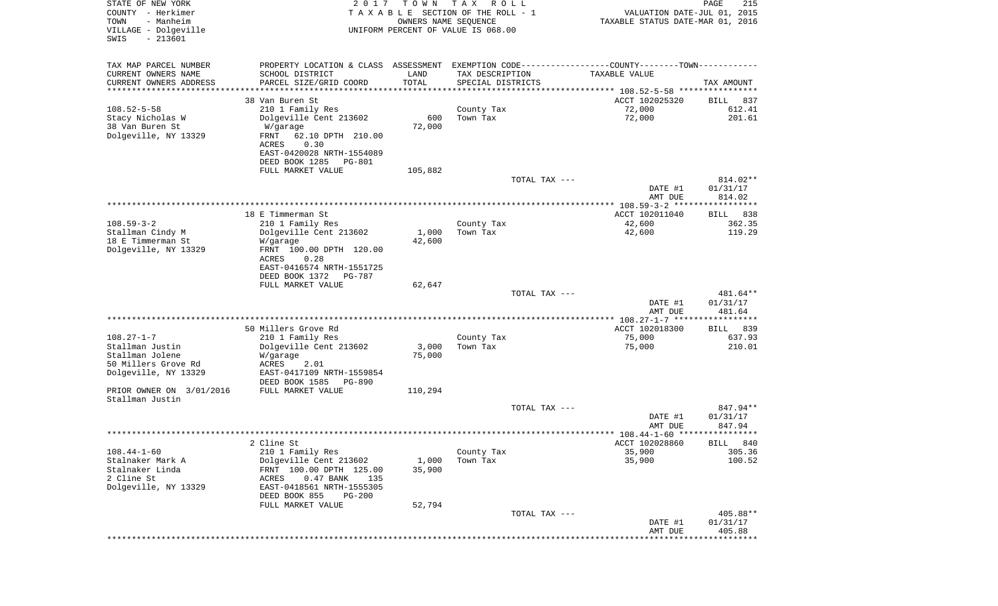| STATE OF NEW YORK<br>COUNTY - Herkimer<br>TOWN<br>- Manheim | 2 0 1 7                                                                                       | T O W N<br>OWNERS NAME SEQUENCE | T A X<br>R O L L<br>T A X A B L E SECTION OF THE ROLL - 1 | VALUATION DATE-JUL 01, 2015<br>TAXABLE STATUS DATE-MAR 01, 2016 | $\mathop{\mathtt{PAGE}}$<br>215 |
|-------------------------------------------------------------|-----------------------------------------------------------------------------------------------|---------------------------------|-----------------------------------------------------------|-----------------------------------------------------------------|---------------------------------|
| VILLAGE - Dolgeville<br>$-213601$<br>SWIS                   |                                                                                               |                                 | UNIFORM PERCENT OF VALUE IS 068.00                        |                                                                 |                                 |
| TAX MAP PARCEL NUMBER                                       | PROPERTY LOCATION & CLASS ASSESSMENT EXEMPTION CODE---------------COUNTY-------TOWN---------- |                                 |                                                           |                                                                 |                                 |
| CURRENT OWNERS NAME                                         | SCHOOL DISTRICT                                                                               | LAND                            | TAX DESCRIPTION                                           | TAXABLE VALUE                                                   |                                 |
| CURRENT OWNERS ADDRESS                                      | PARCEL SIZE/GRID COORD                                                                        | TOTAL                           | SPECIAL DISTRICTS                                         |                                                                 | TAX AMOUNT                      |
| ********************                                        |                                                                                               | **************                  |                                                           |                                                                 |                                 |
| $108.52 - 5 - 58$                                           | 38 Van Buren St                                                                               |                                 |                                                           | ACCT 102025320                                                  | 837<br>BILL<br>612.41           |
| Stacy Nicholas W                                            | 210 1 Family Res<br>Dolgeville Cent 213602                                                    | 600                             | County Tax<br>Town Tax                                    | 72,000<br>72,000                                                | 201.61                          |
| 38 Van Buren St                                             | W/garage                                                                                      | 72,000                          |                                                           |                                                                 |                                 |
| Dolgeville, NY 13329                                        | FRNT<br>62.10 DPTH 210.00<br>0.30<br>ACRES                                                    |                                 |                                                           |                                                                 |                                 |
|                                                             | EAST-0420028 NRTH-1554089<br>DEED BOOK 1285<br>PG-801                                         |                                 |                                                           |                                                                 |                                 |
|                                                             | FULL MARKET VALUE                                                                             | 105,882                         |                                                           |                                                                 |                                 |
|                                                             |                                                                                               |                                 | TOTAL TAX ---                                             |                                                                 | 814.02**                        |
|                                                             |                                                                                               |                                 |                                                           | DATE #1<br>AMT DUE                                              | 01/31/17<br>814.02              |
|                                                             |                                                                                               |                                 |                                                           | ***************** 108.59-3-2 ******************                 |                                 |
| $108.59 - 3 - 2$                                            | 18 E Timmerman St                                                                             |                                 |                                                           | ACCT 102011040<br>42,600                                        | 838<br>BILL<br>362.35           |
| Stallman Cindy M                                            | 210 1 Family Res<br>Dolgeville Cent 213602                                                    | 1,000                           | County Tax<br>Town Tax                                    | 42,600                                                          | 119.29                          |
| 18 E Timmerman St                                           | W/garage                                                                                      | 42,600                          |                                                           |                                                                 |                                 |
| Dolgeville, NY 13329                                        | FRNT 100.00 DPTH 120.00                                                                       |                                 |                                                           |                                                                 |                                 |
|                                                             | ACRES<br>0.28                                                                                 |                                 |                                                           |                                                                 |                                 |
|                                                             | EAST-0416574 NRTH-1551725                                                                     |                                 |                                                           |                                                                 |                                 |
|                                                             | DEED BOOK 1372<br>PG-787<br>FULL MARKET VALUE                                                 | 62,647                          |                                                           |                                                                 |                                 |
|                                                             |                                                                                               |                                 | TOTAL TAX ---                                             |                                                                 | 481.64**                        |
|                                                             |                                                                                               |                                 |                                                           | DATE #1                                                         | 01/31/17                        |
|                                                             |                                                                                               |                                 |                                                           | AMT DUE                                                         | 481.64                          |
|                                                             |                                                                                               |                                 |                                                           |                                                                 |                                 |
| $108.27 - 1 - 7$                                            | 50 Millers Grove Rd<br>210 1 Family Res                                                       |                                 | County Tax                                                | ACCT 102018300<br>75,000                                        | 839<br>BILL<br>637.93           |
| Stallman Justin                                             | Dolgeville Cent 213602                                                                        | 3,000                           | Town Tax                                                  | 75,000                                                          | 210.01                          |
| Stallman Jolene                                             | W/garage                                                                                      | 75,000                          |                                                           |                                                                 |                                 |
| 50 Millers Grove Rd                                         | ACRES<br>2.01                                                                                 |                                 |                                                           |                                                                 |                                 |
| Dolgeville, NY 13329                                        | EAST-0417109 NRTH-1559854                                                                     |                                 |                                                           |                                                                 |                                 |
|                                                             | DEED BOOK 1585<br>PG-890                                                                      |                                 |                                                           |                                                                 |                                 |
| PRIOR OWNER ON 3/01/2016<br>Stallman Justin                 | FULL MARKET VALUE                                                                             | 110,294                         |                                                           |                                                                 |                                 |
|                                                             |                                                                                               |                                 | TOTAL TAX ---                                             |                                                                 | 847.94**                        |
|                                                             |                                                                                               |                                 |                                                           | DATE #1                                                         | 01/31/17                        |
|                                                             |                                                                                               |                                 |                                                           | AMT DUE                                                         | 847.94                          |
|                                                             |                                                                                               |                                 |                                                           |                                                                 |                                 |
| $108.44 - 1 - 60$                                           | $2$ Cline $St$                                                                                |                                 |                                                           | ACCT 102028860                                                  | BILL 840                        |
| Stalnaker Mark A                                            | 210 1 Family Res<br>Dolgeville Cent 213602                                                    | 1,000                           | County Tax<br>Town Tax                                    | 35,900<br>35,900                                                | 305.36<br>100.52                |
| Stalnaker Linda                                             | FRNT 100.00 DPTH 125.00                                                                       | 35,900                          |                                                           |                                                                 |                                 |
| 2 Cline St                                                  | 0.47 BANK<br>ACRES<br>135                                                                     |                                 |                                                           |                                                                 |                                 |
| Dolgeville, NY 13329                                        | EAST-0418561 NRTH-1555305                                                                     |                                 |                                                           |                                                                 |                                 |
|                                                             | DEED BOOK 855<br>PG-200                                                                       |                                 |                                                           |                                                                 |                                 |
|                                                             | FULL MARKET VALUE                                                                             | 52,794                          |                                                           |                                                                 |                                 |
|                                                             |                                                                                               |                                 | TOTAL TAX ---                                             | DATE #1                                                         | 405.88**<br>01/31/17            |
|                                                             |                                                                                               |                                 |                                                           | AMT DUE                                                         | 405.88                          |
|                                                             |                                                                                               |                                 |                                                           |                                                                 | * * * * * * * * *               |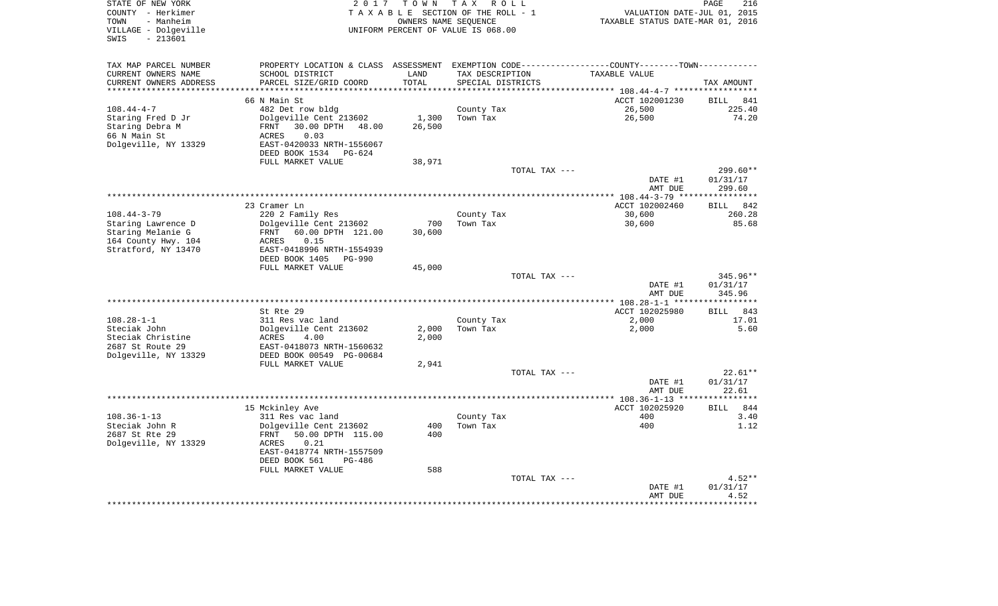| STATE OF NEW YORK<br>COUNTY - Herkimer<br>- Manheim<br>TOWN<br>VILLAGE - Dolgeville<br>$-213601$<br>SWIS | 2 0 1 7                                                                                       | T O W N    | TAX ROLL<br>TAXABLE SECTION OF THE ROLL - 1<br>OWNERS NAME SEOUENCE<br>UNIFORM PERCENT OF VALUE IS 068.00 |               | VALUATION DATE-JUL 01, 2015<br>TAXABLE STATUS DATE-MAR 01, 2016 | PAGE                  | 216           |
|----------------------------------------------------------------------------------------------------------|-----------------------------------------------------------------------------------------------|------------|-----------------------------------------------------------------------------------------------------------|---------------|-----------------------------------------------------------------|-----------------------|---------------|
| TAX MAP PARCEL NUMBER                                                                                    | PROPERTY LOCATION & CLASS ASSESSMENT EXEMPTION CODE---------------COUNTY-------TOWN---------- |            |                                                                                                           |               |                                                                 |                       |               |
| CURRENT OWNERS NAME                                                                                      | SCHOOL DISTRICT                                                                               | LAND       | TAX DESCRIPTION                                                                                           |               | TAXABLE VALUE                                                   |                       |               |
| CURRENT OWNERS ADDRESS                                                                                   | PARCEL SIZE/GRID COORD                                                                        | TOTAL      | SPECIAL DISTRICTS                                                                                         |               |                                                                 | TAX AMOUNT            |               |
|                                                                                                          |                                                                                               | *******    |                                                                                                           |               | ********* 108.44-4-7 ************                               |                       |               |
|                                                                                                          | 66 N Main St                                                                                  |            |                                                                                                           |               | ACCT 102001230                                                  | <b>BILL</b>           | 841<br>225.40 |
| $108.44 - 4 - 7$<br>Staring Fred D Jr                                                                    | 482 Det row bldg<br>Dolgeville Cent 213602                                                    | 1,300      | County Tax<br>Town Tax                                                                                    |               | 26,500<br>26,500                                                |                       | 74.20         |
| Staring Debra M                                                                                          | FRNT<br>30.00 DPTH 48.00                                                                      | 26,500     |                                                                                                           |               |                                                                 |                       |               |
| 66 N Main St                                                                                             | 0.03<br>ACRES                                                                                 |            |                                                                                                           |               |                                                                 |                       |               |
| Dolgeville, NY 13329                                                                                     | EAST-0420033 NRTH-1556067                                                                     |            |                                                                                                           |               |                                                                 |                       |               |
|                                                                                                          | DEED BOOK 1534 PG-624                                                                         |            |                                                                                                           |               |                                                                 |                       |               |
|                                                                                                          | FULL MARKET VALUE                                                                             | 38,971     |                                                                                                           |               |                                                                 |                       |               |
|                                                                                                          |                                                                                               |            |                                                                                                           | TOTAL TAX --- | DATE #1                                                         |                       | $299.60**$    |
|                                                                                                          |                                                                                               |            |                                                                                                           |               | AMT DUE                                                         | 01/31/17<br>299.60    |               |
|                                                                                                          |                                                                                               |            |                                                                                                           |               | ******** 108.44-3-79 **                                         | * * * * * * * * * * * |               |
|                                                                                                          | 23 Cramer Ln                                                                                  |            |                                                                                                           |               | ACCT 102002460                                                  | BILL                  | 842           |
| $108.44 - 3 - 79$                                                                                        | 220 2 Family Res                                                                              |            | County Tax                                                                                                |               | 30,600                                                          |                       | 260.28        |
| Staring Lawrence D                                                                                       | Dolgeville Cent 213602                                                                        | 700        | Town Tax                                                                                                  |               | 30,600                                                          |                       | 85.68         |
| Staring Melanie G                                                                                        | 60.00 DPTH 121.00<br>FRNT<br>0.15                                                             | 30,600     |                                                                                                           |               |                                                                 |                       |               |
| 164 County Hwy. 104<br>Stratford, NY 13470                                                               | ACRES<br>EAST-0418996 NRTH-1554939                                                            |            |                                                                                                           |               |                                                                 |                       |               |
|                                                                                                          | DEED BOOK 1405 PG-990                                                                         |            |                                                                                                           |               |                                                                 |                       |               |
|                                                                                                          | FULL MARKET VALUE                                                                             | 45,000     |                                                                                                           |               |                                                                 |                       |               |
|                                                                                                          |                                                                                               |            |                                                                                                           | TOTAL TAX --- |                                                                 |                       | 345.96**      |
|                                                                                                          |                                                                                               |            |                                                                                                           |               | DATE #1                                                         | 01/31/17              |               |
|                                                                                                          |                                                                                               |            |                                                                                                           |               | AMT DUE                                                         | 345.96<br>**********  |               |
|                                                                                                          | St. Rte 29                                                                                    |            |                                                                                                           |               | ACCT 102025980                                                  | <b>BILL</b>           | 843           |
| $108.28 - 1 - 1$                                                                                         | 311 Res vac land                                                                              |            | County Tax                                                                                                |               | 2,000                                                           |                       | 17.01         |
| Steciak John                                                                                             | Dolgeville Cent 213602                                                                        | 2,000      | Town Tax                                                                                                  |               | 2,000                                                           |                       | 5.60          |
| Steciak Christine                                                                                        | ACRES<br>4.00                                                                                 | 2,000      |                                                                                                           |               |                                                                 |                       |               |
| 2687 St Route 29                                                                                         | EAST-0418073 NRTH-1560632                                                                     |            |                                                                                                           |               |                                                                 |                       |               |
| Dolgeville, NY 13329                                                                                     | DEED BOOK 00549 PG-00684                                                                      |            |                                                                                                           |               |                                                                 |                       |               |
|                                                                                                          | FULL MARKET VALUE                                                                             | 2,941      |                                                                                                           | TOTAL TAX --- |                                                                 |                       | $22.61**$     |
|                                                                                                          |                                                                                               |            |                                                                                                           |               | DATE #1                                                         | 01/31/17              |               |
|                                                                                                          |                                                                                               |            |                                                                                                           |               | AMT DUE                                                         | 22.61                 |               |
|                                                                                                          |                                                                                               |            | ***********************                                                                                   |               | $* 108.36 - 1 - 13$ **                                          |                       | *******       |
|                                                                                                          | 15 Mckinley Ave                                                                               |            |                                                                                                           |               | ACCT 102025920                                                  | <b>BILL</b>           | 844           |
| $108.36 - 1 - 13$                                                                                        | 311 Res vac land                                                                              |            | County Tax                                                                                                |               | 400                                                             |                       | 3.40          |
| Steciak John R<br>2687 St Rte 29                                                                         | Dolgeville Cent 213602<br>50.00 DPTH 115.00<br>FRNT                                           | 400<br>400 | Town Tax                                                                                                  |               | 400                                                             |                       | 1.12          |
| Dolgeville, NY 13329                                                                                     | 0.21<br>ACRES                                                                                 |            |                                                                                                           |               |                                                                 |                       |               |
|                                                                                                          | EAST-0418774 NRTH-1557509                                                                     |            |                                                                                                           |               |                                                                 |                       |               |
|                                                                                                          | DEED BOOK 561<br><b>PG-486</b>                                                                |            |                                                                                                           |               |                                                                 |                       |               |
|                                                                                                          | FULL MARKET VALUE                                                                             | 588        |                                                                                                           |               |                                                                 |                       |               |
|                                                                                                          |                                                                                               |            |                                                                                                           | TOTAL TAX --- |                                                                 |                       | $4.52**$      |
|                                                                                                          |                                                                                               |            |                                                                                                           |               | DATE #1<br>AMT DUE                                              | 01/31/17              | 4.52          |
|                                                                                                          |                                                                                               |            |                                                                                                           |               |                                                                 |                       |               |
|                                                                                                          |                                                                                               |            |                                                                                                           |               |                                                                 |                       |               |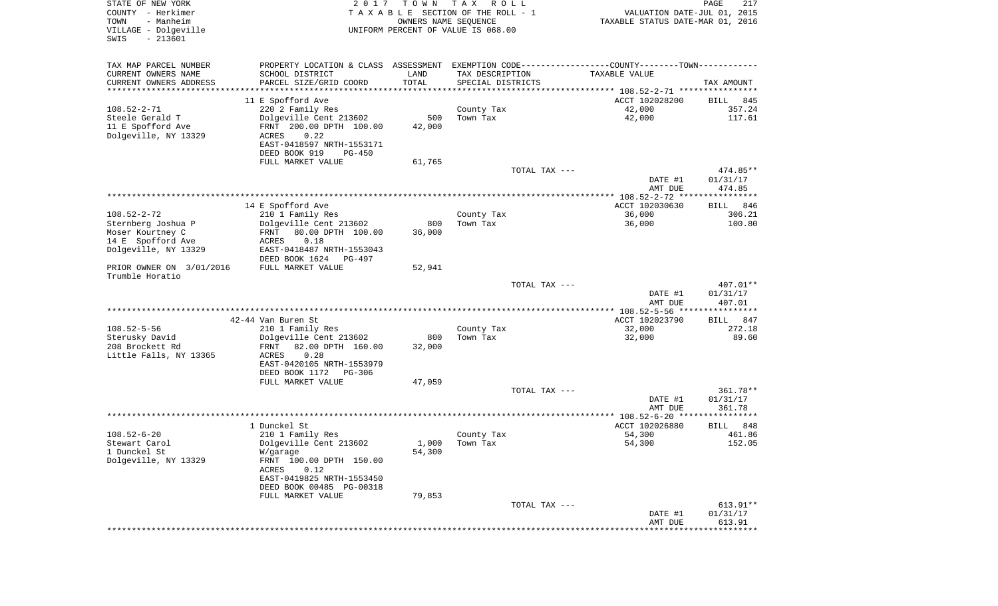| STATE OF NEW YORK<br>COUNTY - Herkimer<br>TOWN<br>- Manheim<br>VILLAGE - Dolgeville<br>$-213601$<br>SWIS | 2017                                                  | T O W N<br>OWNERS NAME SEQUENCE | T A X<br>R O L L<br>TAXABLE SECTION OF THE ROLL - 1<br>UNIFORM PERCENT OF VALUE IS 068.00 | VALUATION DATE-JUL 01, 2015<br>TAXABLE STATUS DATE-MAR 01, 2016                               | PAGE<br>217          |
|----------------------------------------------------------------------------------------------------------|-------------------------------------------------------|---------------------------------|-------------------------------------------------------------------------------------------|-----------------------------------------------------------------------------------------------|----------------------|
| TAX MAP PARCEL NUMBER                                                                                    |                                                       |                                 |                                                                                           | PROPERTY LOCATION & CLASS ASSESSMENT EXEMPTION CODE---------------COUNTY-------TOWN---------- |                      |
| CURRENT OWNERS NAME                                                                                      | SCHOOL DISTRICT                                       | LAND                            | TAX DESCRIPTION                                                                           | TAXABLE VALUE                                                                                 |                      |
| CURRENT OWNERS ADDRESS<br>**********************                                                         | PARCEL SIZE/GRID COORD                                | TOTAL                           | SPECIAL DISTRICTS                                                                         |                                                                                               | TAX AMOUNT           |
|                                                                                                          | 11 E Spofford Ave                                     |                                 |                                                                                           | ACCT 102028200                                                                                | BILL<br>845          |
| $108.52 - 2 - 71$                                                                                        | 220 2 Family Res                                      |                                 | County Tax                                                                                | 42,000                                                                                        | 357.24               |
| Steele Gerald T                                                                                          | Dolgeville Cent 213602                                | 500                             | Town Tax                                                                                  | 42,000                                                                                        | 117.61               |
| 11 E Spofford Ave                                                                                        | FRNT 200.00 DPTH 100.00                               | 42,000                          |                                                                                           |                                                                                               |                      |
| Dolgeville, NY 13329                                                                                     | ACRES<br>0.22                                         |                                 |                                                                                           |                                                                                               |                      |
|                                                                                                          | EAST-0418597 NRTH-1553171<br>DEED BOOK 919<br>PG-450  |                                 |                                                                                           |                                                                                               |                      |
|                                                                                                          | FULL MARKET VALUE                                     | 61,765                          |                                                                                           |                                                                                               |                      |
|                                                                                                          |                                                       |                                 | TOTAL TAX ---                                                                             |                                                                                               | 474.85**             |
|                                                                                                          |                                                       |                                 |                                                                                           | DATE #1                                                                                       | 01/31/17             |
|                                                                                                          |                                                       |                                 |                                                                                           | AMT DUE                                                                                       | 474.85               |
|                                                                                                          | 14 E Spofford Ave                                     |                                 |                                                                                           | ACCT 102030630                                                                                | 846<br>BILL          |
| $108.52 - 2 - 72$                                                                                        | 210 1 Family Res                                      |                                 | County Tax                                                                                | 36,000                                                                                        | 306.21               |
| Sternberg Joshua P                                                                                       | Dolgeville Cent 213602                                | 800                             | Town Tax                                                                                  | 36,000                                                                                        | 100.80               |
| Moser Kourtney C                                                                                         | 80.00 DPTH 100.00<br>FRNT                             | 36,000                          |                                                                                           |                                                                                               |                      |
| 14 E Spofford Ave                                                                                        | 0.18<br>ACRES                                         |                                 |                                                                                           |                                                                                               |                      |
| Dolgeville, NY 13329                                                                                     | EAST-0418487 NRTH-1553043<br>DEED BOOK 1624<br>PG-497 |                                 |                                                                                           |                                                                                               |                      |
| PRIOR OWNER ON 3/01/2016                                                                                 | FULL MARKET VALUE                                     | 52,941                          |                                                                                           |                                                                                               |                      |
| Trumble Horatio                                                                                          |                                                       |                                 |                                                                                           |                                                                                               |                      |
|                                                                                                          |                                                       |                                 | TOTAL TAX ---                                                                             |                                                                                               | 407.01**             |
|                                                                                                          |                                                       |                                 |                                                                                           | DATE #1<br>AMT DUE                                                                            | 01/31/17<br>407.01   |
|                                                                                                          |                                                       |                                 |                                                                                           | ***************** 108.52-5-56 ****************                                                |                      |
|                                                                                                          | 42-44 Van Buren St                                    |                                 |                                                                                           | ACCT 102023790                                                                                | 847<br>BILL          |
| $108.52 - 5 - 56$                                                                                        | 210 1 Family Res                                      |                                 | County Tax                                                                                | 32,000                                                                                        | 272.18               |
| Sterusky David                                                                                           | Dolgeville Cent 213602                                | 800                             | Town Tax                                                                                  | 32,000                                                                                        | 89.60                |
| 208 Brockett Rd<br>Little Falls, NY 13365                                                                | 82.00 DPTH 160.00<br>FRNT<br>ACRES<br>0.28            | 32,000                          |                                                                                           |                                                                                               |                      |
|                                                                                                          | EAST-0420105 NRTH-1553979                             |                                 |                                                                                           |                                                                                               |                      |
|                                                                                                          | DEED BOOK 1172<br>PG-306                              |                                 |                                                                                           |                                                                                               |                      |
|                                                                                                          | FULL MARKET VALUE                                     | 47,059                          |                                                                                           |                                                                                               |                      |
|                                                                                                          |                                                       |                                 | TOTAL TAX ---                                                                             |                                                                                               | 361.78**             |
|                                                                                                          |                                                       |                                 |                                                                                           | DATE #1<br>AMT DUE                                                                            | 01/31/17<br>361.78   |
|                                                                                                          |                                                       |                                 |                                                                                           |                                                                                               |                      |
|                                                                                                          | 1 Dunckel St                                          |                                 |                                                                                           | ACCT 102026880                                                                                | 848<br>BILL          |
| $108.52 - 6 - 20$                                                                                        | 210 1 Family Res                                      |                                 | County Tax                                                                                | 54,300                                                                                        | 461.86               |
| Stewart Carol                                                                                            | Dolgeville Cent 213602                                |                                 | $1,000$ Town Tax                                                                          | 54,300                                                                                        | 152.05               |
| 1 Dunckel St<br>Dolgeville, NY 13329                                                                     | W/garage<br>FRNT 100.00 DPTH 150.00                   | 54,300                          |                                                                                           |                                                                                               |                      |
|                                                                                                          | ACRES<br>0.12                                         |                                 |                                                                                           |                                                                                               |                      |
|                                                                                                          | EAST-0419825 NRTH-1553450                             |                                 |                                                                                           |                                                                                               |                      |
|                                                                                                          | DEED BOOK 00485 PG-00318                              |                                 |                                                                                           |                                                                                               |                      |
|                                                                                                          | FULL MARKET VALUE                                     | 79,853                          |                                                                                           |                                                                                               |                      |
|                                                                                                          |                                                       |                                 | TOTAL TAX ---                                                                             | DATE #1                                                                                       | 613.91**<br>01/31/17 |
|                                                                                                          |                                                       |                                 |                                                                                           | AMT DUE                                                                                       | 613.91               |
|                                                                                                          |                                                       |                                 |                                                                                           |                                                                                               |                      |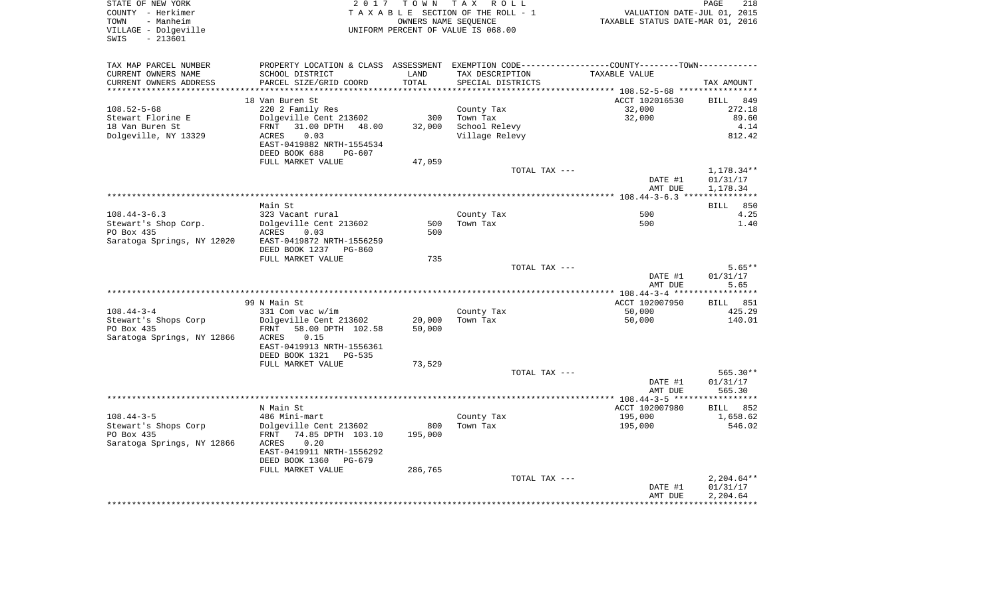| STATE OF NEW YORK<br>COUNTY - Herkimer<br>TOWN<br>- Manheim |                                                                                               |         | 2017 TOWN TAX ROLL<br>TAXABLE SECTION OF THE ROLL - 1<br>OWNERS NAME SEOUENCE | VALUATION DATE-JUL 01, 2015<br>TAXABLE STATUS DATE-MAR 01, 2016 | PAGE                 |
|-------------------------------------------------------------|-----------------------------------------------------------------------------------------------|---------|-------------------------------------------------------------------------------|-----------------------------------------------------------------|----------------------|
| VILLAGE - Dolgeville<br>$-213601$<br>SWIS                   | UNIFORM PERCENT OF VALUE IS 068.00                                                            |         |                                                                               |                                                                 |                      |
| TAX MAP PARCEL NUMBER                                       | PROPERTY LOCATION & CLASS ASSESSMENT EXEMPTION CODE---------------COUNTY-------TOWN---------- |         |                                                                               |                                                                 |                      |
| CURRENT OWNERS NAME                                         | SCHOOL DISTRICT                                                                               | LAND    | TAX DESCRIPTION                                                               | TAXABLE VALUE                                                   |                      |
| CURRENT OWNERS ADDRESS                                      | PARCEL SIZE/GRID COORD                                                                        | TOTAL   | SPECIAL DISTRICTS                                                             |                                                                 | TAX AMOUNT           |
| ***********************                                     |                                                                                               |         |                                                                               |                                                                 |                      |
|                                                             | 18 Van Buren St                                                                               |         |                                                                               | ACCT 102016530                                                  | <b>BILL</b>          |
| $108.52 - 5 - 68$                                           | 220 2 Family Res                                                                              |         | County Tax                                                                    | 32,000                                                          | 272.18               |
| Stewart Florine E                                           | Dolgeville Cent 213602                                                                        | 300     | Town Tax                                                                      | 32,000                                                          | 89.60                |
| 18 Van Buren St                                             | 31.00 DPTH 48.00<br>FRNT                                                                      | 32,000  | School Relevy                                                                 |                                                                 |                      |
| Dolgeville, NY 13329                                        | 0.03<br>ACRES<br>EAST-0419882 NRTH-1554534<br>DEED BOOK 688<br>PG-607                         |         | Village Relevy                                                                |                                                                 | 812.42               |
|                                                             | FULL MARKET VALUE                                                                             | 47,059  |                                                                               |                                                                 |                      |
|                                                             |                                                                                               |         | TOTAL TAX ---                                                                 |                                                                 | 1,178.34**           |
|                                                             |                                                                                               |         |                                                                               | DATE #1                                                         | 01/31/17             |
|                                                             |                                                                                               |         |                                                                               | AMT DUE                                                         | 1,178.34             |
|                                                             |                                                                                               |         |                                                                               |                                                                 |                      |
|                                                             | Main St                                                                                       |         |                                                                               |                                                                 | BILL                 |
| $108.44 - 3 - 6.3$                                          | 323 Vacant rural                                                                              |         | County Tax                                                                    | 500                                                             |                      |
| Stewart's Shop Corp.                                        | Dolgeville Cent 213602                                                                        | 500     | Town Tax                                                                      | 500                                                             |                      |
| PO Box 435                                                  | ACRES<br>0.03                                                                                 | 500     |                                                                               |                                                                 |                      |
| Saratoga Springs, NY 12020                                  | EAST-0419872 NRTH-1556259                                                                     |         |                                                                               |                                                                 |                      |
|                                                             | DEED BOOK 1237 PG-860                                                                         | 735     |                                                                               |                                                                 |                      |
|                                                             | FULL MARKET VALUE                                                                             |         | TOTAL TAX ---                                                                 |                                                                 | $5.65**$             |
|                                                             |                                                                                               |         |                                                                               | DATE #1                                                         | 01/31/17             |
|                                                             |                                                                                               |         |                                                                               | AMT DUE                                                         | 5.65                 |
|                                                             |                                                                                               |         |                                                                               |                                                                 |                      |
|                                                             | 99 N Main St                                                                                  |         |                                                                               | ACCT 102007950                                                  | <b>BILL</b>          |
| $108.44 - 3 - 4$                                            | 331 Com vac w/im                                                                              |         | County Tax                                                                    | 50,000                                                          | 425.29               |
| Stewart's Shops Corp                                        | Dolgeville Cent 213602                                                                        | 20,000  | Town Tax                                                                      | 50,000                                                          | 140.01               |
| PO Box 435                                                  | FRNT<br>58.00 DPTH 102.58                                                                     | 50,000  |                                                                               |                                                                 |                      |
| Saratoga Springs, NY 12866                                  | 0.15<br>ACRES                                                                                 |         |                                                                               |                                                                 |                      |
|                                                             | EAST-0419913 NRTH-1556361                                                                     |         |                                                                               |                                                                 |                      |
|                                                             | DEED BOOK 1321 PG-535                                                                         |         |                                                                               |                                                                 |                      |
|                                                             | FULL MARKET VALUE                                                                             | 73,529  |                                                                               |                                                                 |                      |
|                                                             |                                                                                               |         | TOTAL TAX ---                                                                 | DATE #1                                                         | 565.30**<br>01/31/17 |
|                                                             |                                                                                               |         |                                                                               | AMT DUE                                                         | 565.30               |
|                                                             |                                                                                               |         |                                                                               |                                                                 |                      |
|                                                             | N Main St                                                                                     |         |                                                                               | ACCT 102007980                                                  | BILL                 |
| $108.44 - 3 - 5$                                            | 486 Mini-mart                                                                                 |         | County Tax                                                                    | 195,000                                                         | 1,658.62             |
| Stewart's Shops Corp                                        | Dolgeville Cent 213602                                                                        | 800     | Town Tax                                                                      | 195,000                                                         | 546.02               |
| PO Box 435                                                  | FRNT 74.85 DPTH 103.10                                                                        | 195,000 |                                                                               |                                                                 |                      |
| Saratoga Springs, NY 12866                                  | 0.20<br>ACRES                                                                                 |         |                                                                               |                                                                 |                      |
|                                                             | EAST-0419911 NRTH-1556292                                                                     |         |                                                                               |                                                                 |                      |
|                                                             | DEED BOOK 1360 PG-679                                                                         |         |                                                                               |                                                                 |                      |
|                                                             | FULL MARKET VALUE                                                                             | 286,765 |                                                                               |                                                                 |                      |
|                                                             |                                                                                               |         | TOTAL TAX ---                                                                 |                                                                 | $2,204.64**$         |
|                                                             |                                                                                               |         |                                                                               | DATE #1                                                         | 01/31/17             |
|                                                             |                                                                                               |         |                                                                               | AMT DUE                                                         | 2,204.64             |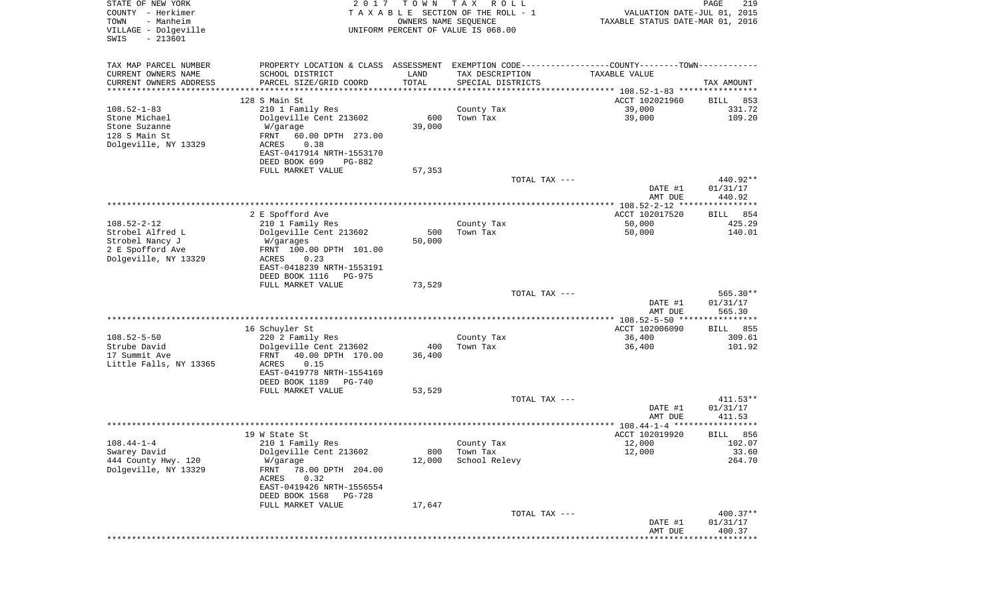| STATE OF NEW YORK<br>COUNTY - Herkimer<br>TOWN<br>- Manheim | 2 0 1 7                                              | T O W N<br>OWNERS NAME SEQUENCE | T A X<br>R O L L<br>TAXABLE SECTION OF THE ROLL - 1        | VALUATION DATE-JUL 01, 2015<br>TAXABLE STATUS DATE-MAR 01, 2016 | PAGE<br>219        |
|-------------------------------------------------------------|------------------------------------------------------|---------------------------------|------------------------------------------------------------|-----------------------------------------------------------------|--------------------|
| VILLAGE - Dolgeville<br>$-213601$<br>SWIS                   |                                                      |                                 | UNIFORM PERCENT OF VALUE IS 068.00                         |                                                                 |                    |
| TAX MAP PARCEL NUMBER                                       | PROPERTY LOCATION & CLASS ASSESSMENT                 |                                 | EXEMPTION CODE----------------COUNTY-------TOWN----------- |                                                                 |                    |
| CURRENT OWNERS NAME                                         | SCHOOL DISTRICT                                      | LAND                            | TAX DESCRIPTION                                            | TAXABLE VALUE                                                   |                    |
| CURRENT OWNERS ADDRESS<br>*********************             | PARCEL SIZE/GRID COORD                               | TOTAL<br>**********             | SPECIAL DISTRICTS                                          |                                                                 | TAX AMOUNT         |
|                                                             | 128 S Main St                                        |                                 |                                                            | ACCT 102021960                                                  | BILL<br>853        |
| $108.52 - 1 - 83$                                           | 210 1 Family Res                                     |                                 | County Tax                                                 | 39,000                                                          | 331.72             |
| Stone Michael                                               | Dolgeville Cent 213602                               | 600                             | Town Tax                                                   | 39,000                                                          | 109.20             |
| Stone Suzanne                                               | W/garage                                             | 39,000                          |                                                            |                                                                 |                    |
| 128 S Main St                                               | FRNT<br>60.00 DPTH 273.00                            |                                 |                                                            |                                                                 |                    |
| Dolgeville, NY 13329                                        | ACRES<br>0.38                                        |                                 |                                                            |                                                                 |                    |
|                                                             | EAST-0417914 NRTH-1553170<br>DEED BOOK 699<br>PG-882 |                                 |                                                            |                                                                 |                    |
|                                                             | FULL MARKET VALUE                                    | 57,353                          |                                                            |                                                                 |                    |
|                                                             |                                                      |                                 | TOTAL TAX ---                                              |                                                                 | 440.92**           |
|                                                             |                                                      |                                 |                                                            | DATE #1                                                         | 01/31/17           |
|                                                             |                                                      |                                 |                                                            | AMT DUE<br>****************** 108.52-2-12 *****************     | 440.92             |
|                                                             | 2 E Spofford Ave                                     |                                 |                                                            | ACCT 102017520                                                  | BILL<br>854        |
| $108.52 - 2 - 12$                                           | 210 1 Family Res                                     |                                 | County Tax                                                 | 50,000                                                          | 425.29             |
| Strobel Alfred L                                            | Dolgeville Cent 213602                               | 500                             | Town Tax                                                   | 50,000                                                          | 140.01             |
| Strobel Nancy J                                             | W/garages                                            | 50,000                          |                                                            |                                                                 |                    |
| 2 E Spofford Ave                                            | FRNT 100.00 DPTH 101.00                              |                                 |                                                            |                                                                 |                    |
| Dolgeville, NY 13329                                        | ACRES<br>0.23<br>EAST-0418239 NRTH-1553191           |                                 |                                                            |                                                                 |                    |
|                                                             | DEED BOOK 1116<br>PG-975                             |                                 |                                                            |                                                                 |                    |
|                                                             | FULL MARKET VALUE                                    | 73,529                          |                                                            |                                                                 |                    |
|                                                             |                                                      |                                 | TOTAL TAX ---                                              |                                                                 | 565.30**           |
|                                                             |                                                      |                                 |                                                            | DATE #1                                                         | 01/31/17           |
|                                                             |                                                      |                                 |                                                            | AMT DUE                                                         | 565.30             |
|                                                             | 16 Schuyler St                                       |                                 |                                                            | ACCT 102006090                                                  | 855<br>BILL        |
| $108.52 - 5 - 50$                                           | 220 2 Family Res                                     |                                 | County Tax                                                 | 36,400                                                          | 309.61             |
| Strube David                                                | Dolgeville Cent 213602                               | 400                             | Town Tax                                                   | 36,400                                                          | 101.92             |
| 17 Summit Ave                                               | FRNT<br>40.00 DPTH 170.00                            | 36,400                          |                                                            |                                                                 |                    |
| Little Falls, NY 13365                                      | ACRES<br>0.15<br>EAST-0419778 NRTH-1554169           |                                 |                                                            |                                                                 |                    |
|                                                             | DEED BOOK 1189<br>PG-740                             |                                 |                                                            |                                                                 |                    |
|                                                             | FULL MARKET VALUE                                    | 53,529                          |                                                            |                                                                 |                    |
|                                                             |                                                      |                                 | TOTAL TAX ---                                              |                                                                 | $411.53**$         |
|                                                             |                                                      |                                 |                                                            | DATE #1                                                         | 01/31/17           |
|                                                             |                                                      |                                 |                                                            | AMT DUE                                                         | 411.53<br>*****    |
|                                                             | 19 W State St                                        |                                 |                                                            | ACCT 102019920                                                  | BILL<br>856        |
| $108.44 - 1 - 4$                                            | 210 1 Family Res                                     |                                 | County Tax                                                 | 12,000                                                          | 102.07             |
| Swarey David                                                | Dolgeville Cent 213602                               | 800                             | Town Tax                                                   | 12,000                                                          | 33.60              |
| 444 County Hwy. 120                                         | W/garage                                             | 12,000                          | School Relevy                                              |                                                                 | 264.70             |
| Dolgeville, NY 13329                                        | 78.00 DPTH 204.00<br>FRNT<br>0.32<br>ACRES           |                                 |                                                            |                                                                 |                    |
|                                                             | EAST-0419426 NRTH-1556554                            |                                 |                                                            |                                                                 |                    |
|                                                             | DEED BOOK 1568<br>PG-728                             |                                 |                                                            |                                                                 |                    |
|                                                             | FULL MARKET VALUE                                    | 17,647                          |                                                            |                                                                 |                    |
|                                                             |                                                      |                                 | TOTAL TAX ---                                              |                                                                 | 400.37**           |
|                                                             |                                                      |                                 |                                                            | DATE #1<br>AMT DUE                                              | 01/31/17<br>400.37 |
|                                                             |                                                      |                                 |                                                            |                                                                 | * * * * * * * * *  |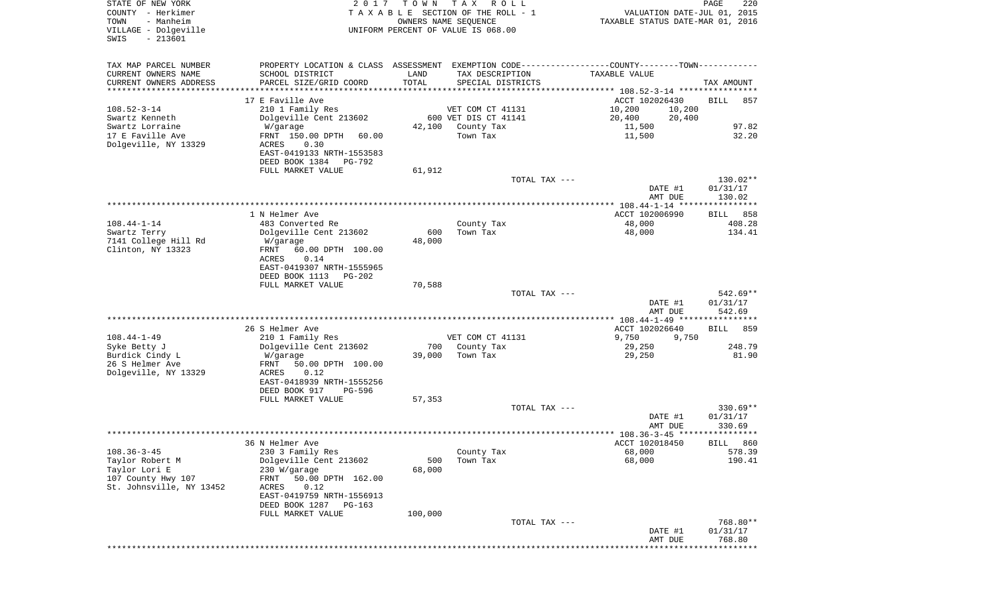| STATE OF NEW YORK<br>COUNTY - Herkimer<br>- Manheim<br>TOWN<br>VILLAGE - Dolgeville<br>$-213601$<br>SWIS | 2 0 1 7                                                                                       | T O W N | T A X<br>R O L L<br>TAXABLE SECTION OF THE ROLL - 1<br>OWNERS NAME SEQUENCE<br>UNIFORM PERCENT OF VALUE IS 068.00 |               | VALUATION DATE-JUL 01, 2015<br>TAXABLE STATUS DATE-MAR 01, 2016 | PAGE                 | 220              |
|----------------------------------------------------------------------------------------------------------|-----------------------------------------------------------------------------------------------|---------|-------------------------------------------------------------------------------------------------------------------|---------------|-----------------------------------------------------------------|----------------------|------------------|
| TAX MAP PARCEL NUMBER                                                                                    | PROPERTY LOCATION & CLASS ASSESSMENT EXEMPTION CODE---------------COUNTY-------TOWN---------- |         |                                                                                                                   |               |                                                                 |                      |                  |
| CURRENT OWNERS NAME                                                                                      | SCHOOL DISTRICT                                                                               | LAND    | TAX DESCRIPTION                                                                                                   |               | TAXABLE VALUE                                                   |                      |                  |
| CURRENT OWNERS ADDRESS<br>*********************                                                          | PARCEL SIZE/GRID COORD                                                                        | TOTAL   | SPECIAL DISTRICTS                                                                                                 |               |                                                                 | TAX AMOUNT           |                  |
|                                                                                                          | 17 E Faville Ave                                                                              |         |                                                                                                                   |               | ACCT 102026430                                                  | BILL                 | 857              |
| $108.52 - 3 - 14$                                                                                        | 210 1 Family Res                                                                              |         | VET COM CT 41131                                                                                                  |               | 10,200<br>10,200                                                |                      |                  |
| Swartz Kenneth                                                                                           | Dolgeville Cent 213602                                                                        |         | 600 VET DIS CT 41141                                                                                              |               | 20,400<br>20,400                                                |                      |                  |
| Swartz Lorraine                                                                                          | W/garage                                                                                      | 42,100  | County Tax                                                                                                        |               | 11,500                                                          |                      | 97.82            |
| 17 E Faville Ave<br>Dolgeville, NY 13329                                                                 | FRNT 150.00 DPTH<br>60.00                                                                     |         | Town Tax                                                                                                          |               | 11,500                                                          |                      | 32.20            |
|                                                                                                          | ACRES<br>0.30<br>EAST-0419133 NRTH-1553583                                                    |         |                                                                                                                   |               |                                                                 |                      |                  |
|                                                                                                          | DEED BOOK 1384<br>PG-792                                                                      |         |                                                                                                                   |               |                                                                 |                      |                  |
|                                                                                                          | FULL MARKET VALUE                                                                             | 61,912  |                                                                                                                   |               |                                                                 |                      |                  |
|                                                                                                          |                                                                                               |         |                                                                                                                   | TOTAL TAX --- |                                                                 | 130.02**             |                  |
|                                                                                                          |                                                                                               |         |                                                                                                                   |               | DATE #1<br>AMT DUE                                              | 01/31/17<br>130.02   |                  |
|                                                                                                          |                                                                                               |         |                                                                                                                   |               |                                                                 |                      |                  |
|                                                                                                          | 1 N Helmer Ave                                                                                |         |                                                                                                                   |               | ACCT 102006990                                                  | BILL 858             |                  |
| $108.44 - 1 - 14$<br>Swartz Terry                                                                        | 483 Converted Re<br>Dolgeville Cent 213602                                                    | 600     | County Tax<br>Town Tax                                                                                            |               | 48,000<br>48,000                                                |                      | 408.28<br>134.41 |
| 7141 College Hill Rd                                                                                     | W/garage                                                                                      | 48,000  |                                                                                                                   |               |                                                                 |                      |                  |
| Clinton, NY 13323                                                                                        | FRNT<br>60.00 DPTH 100.00                                                                     |         |                                                                                                                   |               |                                                                 |                      |                  |
|                                                                                                          | ACRES<br>0.14                                                                                 |         |                                                                                                                   |               |                                                                 |                      |                  |
|                                                                                                          | EAST-0419307 NRTH-1555965<br>DEED BOOK 1113<br>$PG-202$                                       |         |                                                                                                                   |               |                                                                 |                      |                  |
|                                                                                                          | FULL MARKET VALUE                                                                             | 70,588  |                                                                                                                   |               |                                                                 |                      |                  |
|                                                                                                          |                                                                                               |         |                                                                                                                   | TOTAL TAX --- |                                                                 | 542.69**             |                  |
|                                                                                                          |                                                                                               |         |                                                                                                                   |               | DATE #1                                                         | 01/31/17             |                  |
|                                                                                                          |                                                                                               |         |                                                                                                                   |               | AMT DUE                                                         | 542.69               |                  |
|                                                                                                          | 26 S Helmer Ave                                                                               |         |                                                                                                                   |               | ACCT 102026640                                                  | <b>BILL</b>          | 859              |
| $108.44 - 1 - 49$                                                                                        | 210 1 Family Res                                                                              |         | VET COM CT 41131                                                                                                  |               | 9,750<br>9,750                                                  |                      |                  |
| Syke Betty J                                                                                             | Dolgeville Cent 213602                                                                        | 700     | County Tax                                                                                                        |               | 29,250                                                          |                      | 248.79           |
| Burdick Cindy L<br>26 S Helmer Ave                                                                       | W/garage<br>FRNT<br>50.00 DPTH 100.00                                                         | 39,000  | Town Tax                                                                                                          |               | 29,250                                                          |                      | 81.90            |
| Dolgeville, NY 13329                                                                                     | ACRES<br>0.12                                                                                 |         |                                                                                                                   |               |                                                                 |                      |                  |
|                                                                                                          | EAST-0418939 NRTH-1555256                                                                     |         |                                                                                                                   |               |                                                                 |                      |                  |
|                                                                                                          | DEED BOOK 917<br>PG-596                                                                       |         |                                                                                                                   |               |                                                                 |                      |                  |
|                                                                                                          | FULL MARKET VALUE                                                                             | 57,353  |                                                                                                                   | TOTAL TAX --- |                                                                 | $330.69**$           |                  |
|                                                                                                          |                                                                                               |         |                                                                                                                   |               | DATE #1                                                         | 01/31/17             |                  |
|                                                                                                          |                                                                                               |         |                                                                                                                   |               | AMT DUE                                                         | 330.69               |                  |
|                                                                                                          |                                                                                               |         |                                                                                                                   |               |                                                                 |                      |                  |
| $108.36 - 3 - 45$                                                                                        | 36 N Helmer Ave<br>230 3 Family Res                                                           |         | County Tax                                                                                                        |               | ACCT 102018450<br>68,000                                        | BILL 860             | 578.39           |
| Taylor Robert M                                                                                          | Dolgeville Cent 213602                                                                        | 500     | Town Tax                                                                                                          |               | 68,000                                                          |                      | 190.41           |
| Taylor Lori E                                                                                            | 230 W/garage                                                                                  | 68,000  |                                                                                                                   |               |                                                                 |                      |                  |
| 107 County Hwy 107                                                                                       | 50.00 DPTH 162.00<br>FRNT                                                                     |         |                                                                                                                   |               |                                                                 |                      |                  |
| St. Johnsville, NY 13452                                                                                 | ACRES<br>0.12<br>EAST-0419759 NRTH-1556913                                                    |         |                                                                                                                   |               |                                                                 |                      |                  |
|                                                                                                          | DEED BOOK 1287<br>$PG-163$                                                                    |         |                                                                                                                   |               |                                                                 |                      |                  |
|                                                                                                          | FULL MARKET VALUE                                                                             | 100,000 |                                                                                                                   |               |                                                                 |                      |                  |
|                                                                                                          |                                                                                               |         |                                                                                                                   | TOTAL TAX --- | DATE #1                                                         | 768.80**<br>01/31/17 |                  |
|                                                                                                          |                                                                                               |         |                                                                                                                   |               | AMT DUE                                                         | 768.80               |                  |
|                                                                                                          |                                                                                               |         |                                                                                                                   |               |                                                                 | **********           |                  |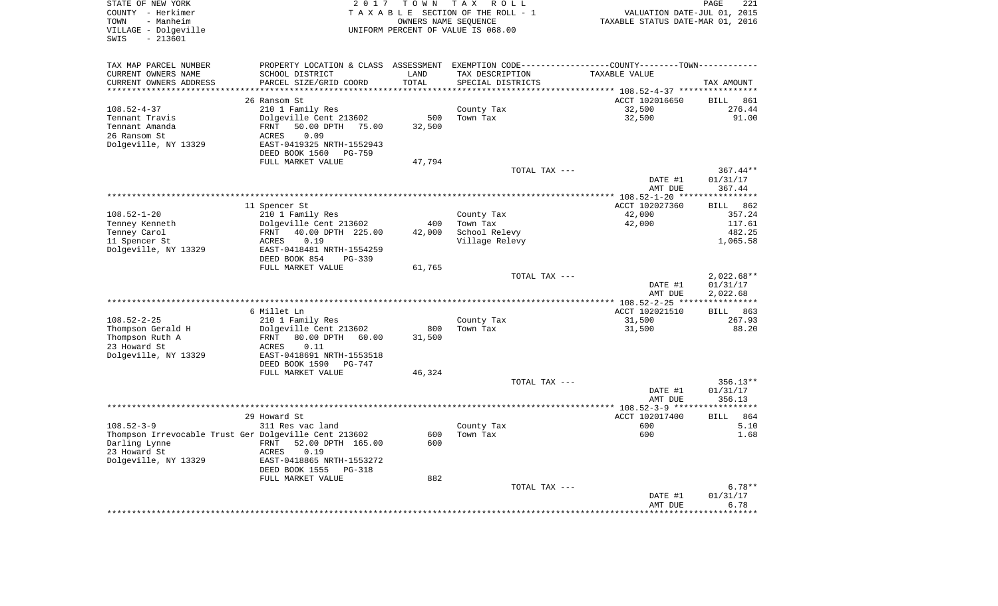| STATE OF NEW YORK<br>COUNTY - Herkimer<br>TOWN<br>- Manheim<br>VILLAGE - Dolgeville                                                                                                           | 2017                                                                                                                                                                                                                                   | T O W N<br>OWNERS NAME SEQUENCE       | T A X<br>R O L L<br>TAXABLE SECTION OF THE ROLL - 1<br>UNIFORM PERCENT OF VALUE IS 068.00 | VALUATION DATE-JUL 01, 2015<br>TAXABLE STATUS DATE-MAR 01, 2016 | PAGE<br>221           |
|-----------------------------------------------------------------------------------------------------------------------------------------------------------------------------------------------|----------------------------------------------------------------------------------------------------------------------------------------------------------------------------------------------------------------------------------------|---------------------------------------|-------------------------------------------------------------------------------------------|-----------------------------------------------------------------|-----------------------|
| $-213601$<br>SWIS                                                                                                                                                                             |                                                                                                                                                                                                                                        |                                       |                                                                                           |                                                                 |                       |
| TAX MAP PARCEL NUMBER                                                                                                                                                                         | PROPERTY LOCATION & CLASS ASSESSMENT EXEMPTION CODE---------------COUNTY-------TOWN----------                                                                                                                                          |                                       |                                                                                           |                                                                 |                       |
| CURRENT OWNERS NAME                                                                                                                                                                           | SCHOOL DISTRICT                                                                                                                                                                                                                        | LAND                                  | TAX DESCRIPTION                                                                           | TAXABLE VALUE                                                   |                       |
| CURRENT OWNERS ADDRESS<br>****************                                                                                                                                                    | PARCEL SIZE/GRID COORD<br>***********************                                                                                                                                                                                      | TOTAL<br>*************                | SPECIAL DISTRICTS                                                                         |                                                                 | TAX AMOUNT            |
|                                                                                                                                                                                               | 26 Ransom St                                                                                                                                                                                                                           |                                       |                                                                                           | ACCT 102016650                                                  | BILL<br>861           |
| $108.52 - 4 - 37$                                                                                                                                                                             | 210 1 Family Res                                                                                                                                                                                                                       |                                       | County Tax                                                                                | 32,500                                                          | 276.44                |
| Tennant Travis                                                                                                                                                                                | Dolgeville Cent 213602                                                                                                                                                                                                                 | 500                                   | Town Tax                                                                                  | 32,500                                                          | 91.00                 |
| Tennant Amanda                                                                                                                                                                                | FRNT<br>50.00 DPTH 75.00                                                                                                                                                                                                               | 32,500                                |                                                                                           |                                                                 |                       |
| 26 Ransom St                                                                                                                                                                                  | 0.09<br>ACRES                                                                                                                                                                                                                          |                                       |                                                                                           |                                                                 |                       |
| Dolgeville, NY 13329                                                                                                                                                                          | EAST-0419325 NRTH-1552943                                                                                                                                                                                                              |                                       |                                                                                           |                                                                 |                       |
|                                                                                                                                                                                               | DEED BOOK 1560<br>PG-759                                                                                                                                                                                                               |                                       |                                                                                           |                                                                 |                       |
|                                                                                                                                                                                               | FULL MARKET VALUE                                                                                                                                                                                                                      | 47,794                                |                                                                                           |                                                                 |                       |
|                                                                                                                                                                                               |                                                                                                                                                                                                                                        |                                       | TOTAL TAX ---                                                                             |                                                                 | $367.44**$            |
|                                                                                                                                                                                               |                                                                                                                                                                                                                                        |                                       |                                                                                           | DATE #1<br>AMT DUE                                              | 01/31/17<br>367.44    |
|                                                                                                                                                                                               |                                                                                                                                                                                                                                        |                                       |                                                                                           |                                                                 |                       |
|                                                                                                                                                                                               | 11 Spencer St                                                                                                                                                                                                                          |                                       |                                                                                           | ACCT 102027360                                                  | <b>BILL</b><br>862    |
| $108.52 - 1 - 20$                                                                                                                                                                             | 210 1 Family Res                                                                                                                                                                                                                       |                                       | County Tax                                                                                | 42,000                                                          | 357.24                |
| Tenney Kenneth                                                                                                                                                                                | Dolgeville Cent 213602                                                                                                                                                                                                                 | 400                                   | Town Tax                                                                                  | 42,000                                                          | 117.61                |
| Tenney Carol                                                                                                                                                                                  | 40.00 DPTH 225.00<br>FRNT                                                                                                                                                                                                              | 42,000                                | School Relevy                                                                             |                                                                 | 482.25                |
| 11 Spencer St                                                                                                                                                                                 | 0.19<br>ACRES                                                                                                                                                                                                                          |                                       | Village Relevy                                                                            |                                                                 | 1,065.58              |
| Dolgeville, NY 13329                                                                                                                                                                          | EAST-0418481 NRTH-1554259                                                                                                                                                                                                              |                                       |                                                                                           |                                                                 |                       |
|                                                                                                                                                                                               | DEED BOOK 854<br>PG-339                                                                                                                                                                                                                |                                       |                                                                                           |                                                                 |                       |
|                                                                                                                                                                                               | FULL MARKET VALUE                                                                                                                                                                                                                      | 61,765                                | TOTAL TAX ---                                                                             |                                                                 | $2,022.68**$          |
|                                                                                                                                                                                               |                                                                                                                                                                                                                                        |                                       |                                                                                           | DATE #1                                                         | 01/31/17              |
|                                                                                                                                                                                               |                                                                                                                                                                                                                                        |                                       |                                                                                           | AMT DUE                                                         | 2,022.68              |
|                                                                                                                                                                                               |                                                                                                                                                                                                                                        |                                       | ********************                                                                      | **** 108.52-2-25 **                                             | * * * * * * * * * * * |
|                                                                                                                                                                                               | 6 Millet Ln                                                                                                                                                                                                                            |                                       |                                                                                           | ACCT 102021510                                                  | BILL 863              |
| $108.52 - 2 - 25$                                                                                                                                                                             | 210 1 Family Res                                                                                                                                                                                                                       |                                       | County Tax                                                                                | 31,500                                                          | 267.93                |
| Thompson Gerald H                                                                                                                                                                             | Dolgeville Cent 213602                                                                                                                                                                                                                 |                                       | Town Tax                                                                                  | 31,500                                                          | 88.20                 |
|                                                                                                                                                                                               |                                                                                                                                                                                                                                        |                                       |                                                                                           |                                                                 |                       |
|                                                                                                                                                                                               |                                                                                                                                                                                                                                        |                                       |                                                                                           |                                                                 |                       |
|                                                                                                                                                                                               |                                                                                                                                                                                                                                        |                                       |                                                                                           |                                                                 |                       |
|                                                                                                                                                                                               |                                                                                                                                                                                                                                        |                                       |                                                                                           |                                                                 |                       |
|                                                                                                                                                                                               |                                                                                                                                                                                                                                        |                                       | TOTAL TAX ---                                                                             |                                                                 | 356.13**              |
|                                                                                                                                                                                               |                                                                                                                                                                                                                                        |                                       |                                                                                           | DATE #1                                                         | 01/31/17              |
|                                                                                                                                                                                               |                                                                                                                                                                                                                                        |                                       |                                                                                           | AMT DUE                                                         | 356.13                |
|                                                                                                                                                                                               |                                                                                                                                                                                                                                        |                                       |                                                                                           |                                                                 |                       |
|                                                                                                                                                                                               |                                                                                                                                                                                                                                        |                                       |                                                                                           |                                                                 | 864                   |
|                                                                                                                                                                                               |                                                                                                                                                                                                                                        |                                       |                                                                                           |                                                                 | 5.10<br>1.68          |
|                                                                                                                                                                                               |                                                                                                                                                                                                                                        |                                       |                                                                                           |                                                                 |                       |
|                                                                                                                                                                                               |                                                                                                                                                                                                                                        |                                       |                                                                                           |                                                                 |                       |
|                                                                                                                                                                                               |                                                                                                                                                                                                                                        |                                       |                                                                                           |                                                                 |                       |
|                                                                                                                                                                                               | DEED BOOK 1555<br>$PG-318$                                                                                                                                                                                                             |                                       |                                                                                           |                                                                 |                       |
|                                                                                                                                                                                               | FULL MARKET VALUE                                                                                                                                                                                                                      | 882                                   |                                                                                           |                                                                 |                       |
|                                                                                                                                                                                               |                                                                                                                                                                                                                                        |                                       | TOTAL TAX ---                                                                             |                                                                 | $6.78**$              |
|                                                                                                                                                                                               |                                                                                                                                                                                                                                        |                                       |                                                                                           | DATE #1                                                         | 01/31/17              |
|                                                                                                                                                                                               |                                                                                                                                                                                                                                        |                                       |                                                                                           |                                                                 | 6.78<br>*********     |
| Thompson Ruth A<br>23 Howard St<br>Dolgeville, NY 13329<br>$108.52 - 3 - 9$<br>Thompson Irrevocable Trust Ger Dolgeville Cent 213602<br>Darling Lynne<br>23 Howard St<br>Dolgeville, NY 13329 | 80.00 DPTH 60.00<br>FRNT<br>ACRES<br>0.11<br>EAST-0418691 NRTH-1553518<br>DEED BOOK 1590<br>PG-747<br>FULL MARKET VALUE<br>29 Howard St<br>311 Res vac land<br>FRNT<br>52.00 DPTH 165.00<br>ACRES<br>0.19<br>EAST-0418865 NRTH-1553272 | 800<br>31,500<br>46,324<br>600<br>600 | County Tax<br>Town Tax                                                                    | ACCT 102017400<br>600<br>600<br>AMT DUE                         | <b>BILL</b>           |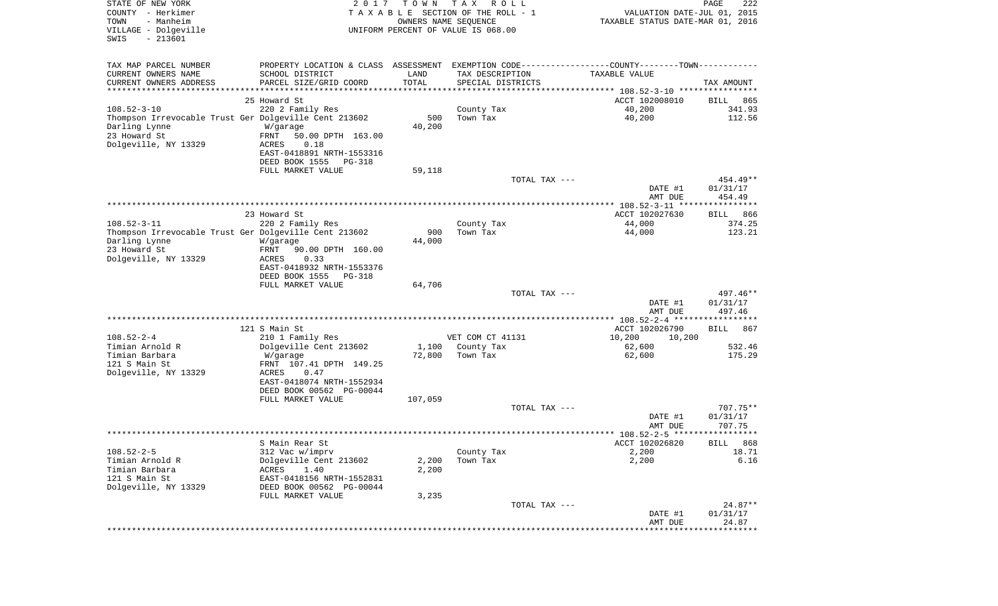| STATE OF NEW YORK<br>COUNTY - Herkimer<br>- Manheim<br>TOWN<br>VILLAGE - Dolgeville<br>$-213601$<br>SWIS | 2 0 1 7                                                                                       | T O W N<br>OWNERS NAME SEQUENCE | T A X<br>R O L L<br>TAXABLE SECTION OF THE ROLL - 1<br>UNIFORM PERCENT OF VALUE IS 068.00 | VALUATION DATE-JUL 01, 2015<br>TAXABLE STATUS DATE-MAR 01, 2016 | $\mathop{\mathtt{PAGE}}$<br>222 |
|----------------------------------------------------------------------------------------------------------|-----------------------------------------------------------------------------------------------|---------------------------------|-------------------------------------------------------------------------------------------|-----------------------------------------------------------------|---------------------------------|
| TAX MAP PARCEL NUMBER                                                                                    | PROPERTY LOCATION & CLASS ASSESSMENT EXEMPTION CODE---------------COUNTY-------TOWN---------- |                                 |                                                                                           |                                                                 |                                 |
| CURRENT OWNERS NAME                                                                                      | SCHOOL DISTRICT                                                                               | LAND                            | TAX DESCRIPTION                                                                           | TAXABLE VALUE                                                   |                                 |
| CURRENT OWNERS ADDRESS<br>***********************                                                        | PARCEL SIZE/GRID COORD                                                                        | TOTAL<br>***********            | SPECIAL DISTRICTS                                                                         |                                                                 | TAX AMOUNT                      |
|                                                                                                          | 25 Howard St                                                                                  |                                 |                                                                                           | ACCT 102008010                                                  | 865<br>BILL                     |
| $108.52 - 3 - 10$                                                                                        | 220 2 Family Res                                                                              |                                 | County Tax                                                                                | 40,200                                                          | 341.93                          |
| Thompson Irrevocable Trust Ger Dolgeville Cent 213602                                                    |                                                                                               | 500                             | Town Tax                                                                                  | 40,200                                                          | 112.56                          |
| Darling Lynne<br>23 Howard St                                                                            | W/garage<br>FRNT<br>50.00 DPTH 163.00                                                         | 40,200                          |                                                                                           |                                                                 |                                 |
| Dolgeville, NY 13329                                                                                     | 0.18<br>ACRES                                                                                 |                                 |                                                                                           |                                                                 |                                 |
|                                                                                                          | EAST-0418891 NRTH-1553316                                                                     |                                 |                                                                                           |                                                                 |                                 |
|                                                                                                          | DEED BOOK 1555<br>PG-318                                                                      |                                 |                                                                                           |                                                                 |                                 |
|                                                                                                          | FULL MARKET VALUE                                                                             | 59,118                          | TOTAL TAX ---                                                                             |                                                                 | 454.49**                        |
|                                                                                                          |                                                                                               |                                 |                                                                                           | DATE #1                                                         | 01/31/17                        |
|                                                                                                          |                                                                                               |                                 |                                                                                           | AMT DUE                                                         | 454.49                          |
|                                                                                                          |                                                                                               |                                 |                                                                                           |                                                                 |                                 |
| $108.52 - 3 - 11$                                                                                        | 23 Howard St<br>220 2 Family Res                                                              |                                 | County Tax                                                                                | ACCT 102027630<br>44,000                                        | 866<br>BILL<br>374.25           |
| Thompson Irrevocable Trust Ger Dolgeville Cent 213602                                                    |                                                                                               | 900                             | Town Tax                                                                                  | 44,000                                                          | 123.21                          |
| Darling Lynne                                                                                            | W/garage                                                                                      | 44,000                          |                                                                                           |                                                                 |                                 |
| 23 Howard St                                                                                             | FRNT<br>90.00 DPTH 160.00                                                                     |                                 |                                                                                           |                                                                 |                                 |
| Dolgeville, NY 13329                                                                                     | ACRES<br>0.33<br>EAST-0418932 NRTH-1553376                                                    |                                 |                                                                                           |                                                                 |                                 |
|                                                                                                          | DEED BOOK 1555<br><b>PG-318</b>                                                               |                                 |                                                                                           |                                                                 |                                 |
|                                                                                                          | FULL MARKET VALUE                                                                             | 64,706                          |                                                                                           |                                                                 |                                 |
|                                                                                                          |                                                                                               |                                 | TOTAL TAX ---                                                                             |                                                                 | 497.46**                        |
|                                                                                                          |                                                                                               |                                 |                                                                                           | DATE #1<br>AMT DUE                                              | 01/31/17<br>497.46              |
|                                                                                                          |                                                                                               |                                 |                                                                                           |                                                                 |                                 |
|                                                                                                          | 121 S Main St                                                                                 |                                 |                                                                                           | ACCT 102026790                                                  | 867<br>BILL                     |
| $108.52 - 2 - 4$                                                                                         | 210 1 Family Res                                                                              |                                 | VET COM CT 41131                                                                          | 10,200<br>10,200                                                |                                 |
| Timian Arnold R<br>Timian Barbara                                                                        | Dolgeville Cent 213602<br>W/garage                                                            | 1,100<br>72,800                 | County Tax<br>Town Tax                                                                    | 62,600<br>62,600                                                | 532.46<br>175.29                |
| 121 S Main St                                                                                            | FRNT 107.41 DPTH 149.25                                                                       |                                 |                                                                                           |                                                                 |                                 |
| Dolgeville, NY 13329                                                                                     | ACRES<br>0.47                                                                                 |                                 |                                                                                           |                                                                 |                                 |
|                                                                                                          | EAST-0418074 NRTH-1552934                                                                     |                                 |                                                                                           |                                                                 |                                 |
|                                                                                                          | DEED BOOK 00562 PG-00044<br>FULL MARKET VALUE                                                 | 107,059                         |                                                                                           |                                                                 |                                 |
|                                                                                                          |                                                                                               |                                 | TOTAL TAX ---                                                                             |                                                                 | $707.75**$                      |
|                                                                                                          |                                                                                               |                                 |                                                                                           | DATE #1                                                         | 01/31/17                        |
|                                                                                                          |                                                                                               |                                 |                                                                                           | AMT DUE                                                         | 707.75                          |
|                                                                                                          | S Main Rear St                                                                                |                                 |                                                                                           | ACCT 102026820                                                  | BILL 868                        |
| $108.52 - 2 - 5$                                                                                         | 312 Vac w/imprv                                                                               |                                 | County Tax                                                                                | 2,200                                                           | 18.71                           |
| Timian Arnold R                                                                                          | Dolgeville Cent 213602                                                                        | 2,200                           | Town Tax                                                                                  | 2,200                                                           | 6.16                            |
| Timian Barbara                                                                                           | 1.40<br>ACRES                                                                                 | 2,200                           |                                                                                           |                                                                 |                                 |
| 121 S Main St<br>Dolgeville, NY 13329                                                                    | EAST-0418156 NRTH-1552831<br>DEED BOOK 00562 PG-00044                                         |                                 |                                                                                           |                                                                 |                                 |
|                                                                                                          | FULL MARKET VALUE                                                                             | 3,235                           |                                                                                           |                                                                 |                                 |
|                                                                                                          |                                                                                               |                                 | TOTAL TAX ---                                                                             |                                                                 | $24.87**$                       |
|                                                                                                          |                                                                                               |                                 |                                                                                           | DATE #1                                                         | 01/31/17                        |
|                                                                                                          |                                                                                               |                                 |                                                                                           | AMT DUE                                                         | 24.87                           |
|                                                                                                          |                                                                                               |                                 |                                                                                           |                                                                 |                                 |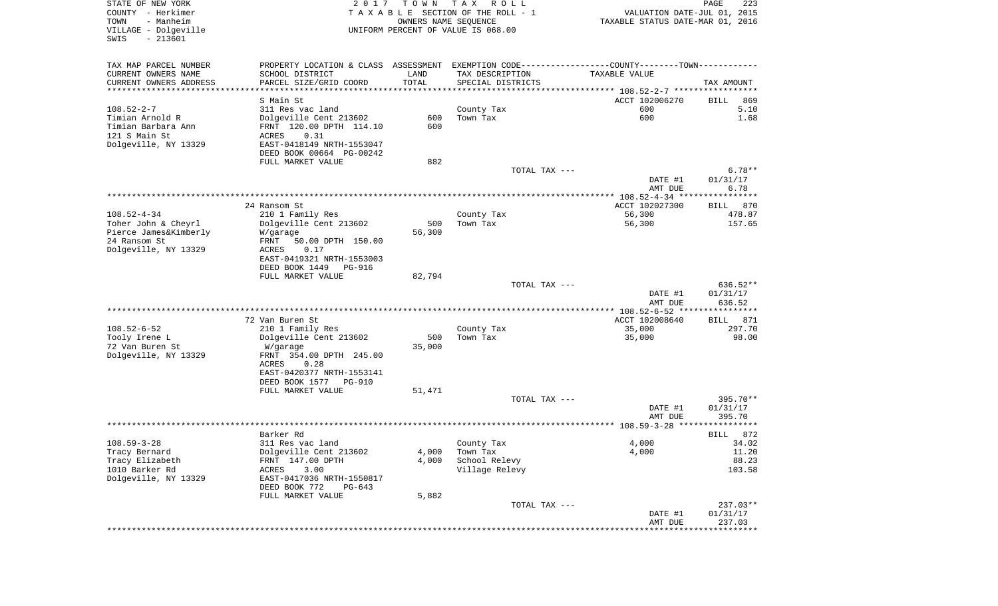| STATE OF NEW YORK<br>COUNTY - Herkimer<br>- Manheim<br>TOWN<br>VILLAGE - Dolgeville<br>$-213601$<br>SWIS | 2 0 1 7                                                                                       | T O W N<br>OWNERS NAME SEQUENCE | T A X<br>R O L L<br>TAXABLE SECTION OF THE ROLL - 1<br>UNIFORM PERCENT OF VALUE IS 068.00 | VALUATION DATE-JUL 01, 2015<br>TAXABLE STATUS DATE-MAR 01, 2016 | PAGE<br>223                     |
|----------------------------------------------------------------------------------------------------------|-----------------------------------------------------------------------------------------------|---------------------------------|-------------------------------------------------------------------------------------------|-----------------------------------------------------------------|---------------------------------|
| TAX MAP PARCEL NUMBER                                                                                    | PROPERTY LOCATION & CLASS ASSESSMENT EXEMPTION CODE---------------COUNTY-------TOWN---------- |                                 |                                                                                           |                                                                 |                                 |
| CURRENT OWNERS NAME                                                                                      | SCHOOL DISTRICT                                                                               | LAND                            | TAX DESCRIPTION                                                                           | TAXABLE VALUE                                                   |                                 |
| CURRENT OWNERS ADDRESS<br>**********************                                                         | PARCEL SIZE/GRID COORD                                                                        | TOTAL<br>***********            | SPECIAL DISTRICTS                                                                         |                                                                 | TAX AMOUNT                      |
|                                                                                                          |                                                                                               |                                 |                                                                                           |                                                                 |                                 |
| $108.52 - 2 - 7$                                                                                         | S Main St<br>311 Res vac land                                                                 |                                 | County Tax                                                                                | ACCT 102006270<br>600                                           | 869<br>BILL<br>5.10             |
| Timian Arnold R                                                                                          | Dolgeville Cent 213602                                                                        | 600                             | Town Tax                                                                                  | 600                                                             | 1.68                            |
| Timian Barbara Ann                                                                                       | FRNT 120.00 DPTH 114.10                                                                       | 600                             |                                                                                           |                                                                 |                                 |
| 121 S Main St                                                                                            | ACRES<br>0.31                                                                                 |                                 |                                                                                           |                                                                 |                                 |
| Dolgeville, NY 13329                                                                                     | EAST-0418149 NRTH-1553047                                                                     |                                 |                                                                                           |                                                                 |                                 |
|                                                                                                          | DEED BOOK 00664 PG-00242                                                                      |                                 |                                                                                           |                                                                 |                                 |
|                                                                                                          | FULL MARKET VALUE                                                                             | 882                             |                                                                                           |                                                                 |                                 |
|                                                                                                          |                                                                                               |                                 | TOTAL TAX ---                                                                             |                                                                 | $6.78**$                        |
|                                                                                                          |                                                                                               |                                 |                                                                                           | DATE #1<br>AMT DUE                                              | 01/31/17<br>6.78                |
|                                                                                                          |                                                                                               |                                 |                                                                                           |                                                                 |                                 |
|                                                                                                          | 24 Ransom St                                                                                  |                                 |                                                                                           | ACCT 102027300                                                  | 870<br>BILL                     |
| $108.52 - 4 - 34$                                                                                        | 210 1 Family Res                                                                              |                                 | County Tax                                                                                | 56,300                                                          | 478.87                          |
| Toher John & Cheyrl                                                                                      | Dolgeville Cent 213602                                                                        | 500                             | Town Tax                                                                                  | 56,300                                                          | 157.65                          |
| Pierce James&Kimberly                                                                                    | W/garage                                                                                      | 56,300                          |                                                                                           |                                                                 |                                 |
| 24 Ransom St                                                                                             | FRNT<br>50.00 DPTH 150.00                                                                     |                                 |                                                                                           |                                                                 |                                 |
| Dolgeville, NY 13329                                                                                     | ACRES<br>0.17                                                                                 |                                 |                                                                                           |                                                                 |                                 |
|                                                                                                          | EAST-0419321 NRTH-1553003<br>DEED BOOK 1449<br><b>PG-916</b>                                  |                                 |                                                                                           |                                                                 |                                 |
|                                                                                                          | FULL MARKET VALUE                                                                             | 82,794                          |                                                                                           |                                                                 |                                 |
|                                                                                                          |                                                                                               |                                 | TOTAL TAX ---                                                                             |                                                                 | 636.52**                        |
|                                                                                                          |                                                                                               |                                 |                                                                                           | DATE #1                                                         | 01/31/17                        |
|                                                                                                          |                                                                                               |                                 |                                                                                           | AMT DUE                                                         | 636.52                          |
|                                                                                                          | 72 Van Buren St                                                                               |                                 |                                                                                           | ********** 108.52-6-52 ***********<br>ACCT 102008640            | * * * * *<br><b>BILL</b><br>871 |
| $108.52 - 6 - 52$                                                                                        | 210 1 Family Res                                                                              |                                 | County Tax                                                                                | 35,000                                                          | 297.70                          |
| Tooly Irene L                                                                                            | Dolgeville Cent 213602                                                                        | 500                             | Town Tax                                                                                  | 35,000                                                          | 98.00                           |
| 72 Van Buren St                                                                                          | W/garage                                                                                      | 35,000                          |                                                                                           |                                                                 |                                 |
| Dolgeville, NY 13329                                                                                     | FRNT 354.00 DPTH 245.00                                                                       |                                 |                                                                                           |                                                                 |                                 |
|                                                                                                          | 0.28<br>ACRES                                                                                 |                                 |                                                                                           |                                                                 |                                 |
|                                                                                                          | EAST-0420377 NRTH-1553141                                                                     |                                 |                                                                                           |                                                                 |                                 |
|                                                                                                          | DEED BOOK 1577 PG-910                                                                         |                                 |                                                                                           |                                                                 |                                 |
|                                                                                                          | FULL MARKET VALUE                                                                             | 51,471                          | TOTAL TAX ---                                                                             |                                                                 | 395.70**                        |
|                                                                                                          |                                                                                               |                                 |                                                                                           | DATE #1                                                         | 01/31/17                        |
|                                                                                                          |                                                                                               |                                 |                                                                                           | AMT DUE                                                         | 395.70                          |
|                                                                                                          |                                                                                               |                                 |                                                                                           |                                                                 |                                 |
|                                                                                                          | Barker Rd                                                                                     |                                 |                                                                                           |                                                                 | 872<br>BILL                     |
| $108.59 - 3 - 28$                                                                                        | 311 Res vac land                                                                              |                                 | County Tax                                                                                | 4,000                                                           | 34.02                           |
| Tracy Bernard                                                                                            | Dolgeville Cent 213602                                                                        | 4,000                           | Town Tax                                                                                  | 4,000                                                           | 11.20                           |
| Tracy Elizabeth<br>1010 Barker Rd                                                                        | FRNT 147.00 DPTH<br>3.00<br>ACRES                                                             | 4,000                           | School Relevy<br>Village Relevy                                                           |                                                                 | 88.23<br>103.58                 |
| Dolgeville, NY 13329                                                                                     | EAST-0417036 NRTH-1550817                                                                     |                                 |                                                                                           |                                                                 |                                 |
|                                                                                                          | DEED BOOK 772<br>$PG-643$                                                                     |                                 |                                                                                           |                                                                 |                                 |
|                                                                                                          | FULL MARKET VALUE                                                                             | 5,882                           |                                                                                           |                                                                 |                                 |
|                                                                                                          |                                                                                               |                                 | TOTAL TAX ---                                                                             |                                                                 | 237.03**                        |
|                                                                                                          |                                                                                               |                                 |                                                                                           | DATE #1                                                         | 01/31/17                        |
|                                                                                                          |                                                                                               |                                 |                                                                                           | AMT DUE<br>********************************                     | 237.03                          |
|                                                                                                          |                                                                                               |                                 |                                                                                           |                                                                 |                                 |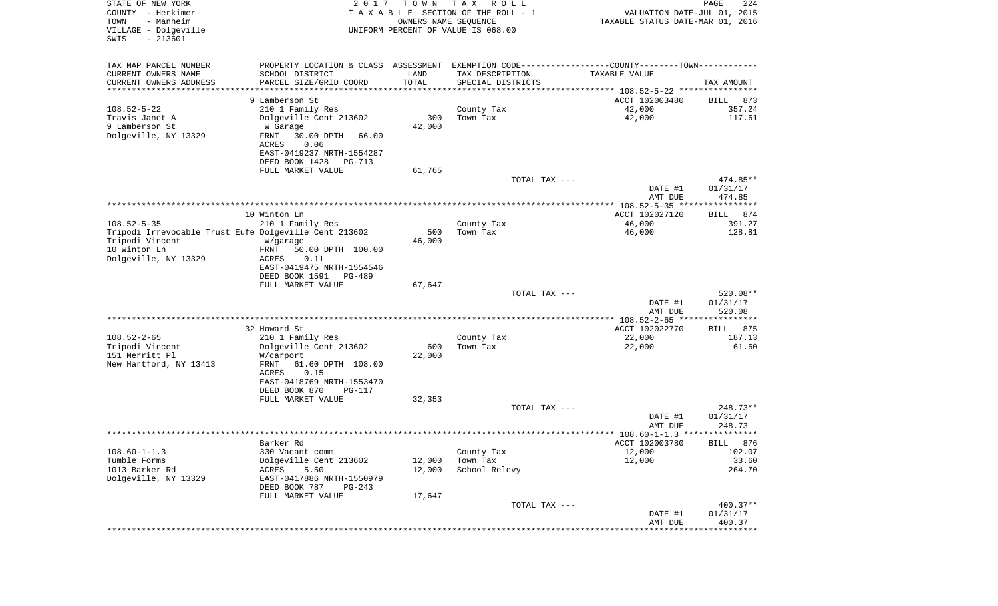| STATE OF NEW YORK<br>COUNTY - Herkimer<br>TOWN<br>- Manheim<br>VILLAGE - Dolgeville<br>$-213601$<br>SWIS | 2 0 1 7                                                                                         | T O W N<br>OWNERS NAME SEQUENCE | T A X<br>R O L L<br>TAXABLE SECTION OF THE ROLL - 1<br>UNIFORM PERCENT OF VALUE IS 068.00 | VALUATION DATE-JUL 01, 2015<br>TAXABLE STATUS DATE-MAR 01, 2016 | $\mathop{\mathtt{PAGE}}$<br>224 |
|----------------------------------------------------------------------------------------------------------|-------------------------------------------------------------------------------------------------|---------------------------------|-------------------------------------------------------------------------------------------|-----------------------------------------------------------------|---------------------------------|
| TAX MAP PARCEL NUMBER                                                                                    | PROPERTY LOCATION & CLASS ASSESSMENT EXEMPTION CODE----------------COUNTY--------TOWN---------- |                                 |                                                                                           |                                                                 |                                 |
| CURRENT OWNERS NAME                                                                                      | SCHOOL DISTRICT                                                                                 | LAND                            | TAX DESCRIPTION                                                                           | TAXABLE VALUE                                                   |                                 |
| CURRENT OWNERS ADDRESS<br>********************                                                           | PARCEL SIZE/GRID COORD                                                                          | TOTAL<br>* * * * * * * * * * *  | SPECIAL DISTRICTS                                                                         |                                                                 | TAX AMOUNT                      |
|                                                                                                          | 9 Lamberson St                                                                                  |                                 |                                                                                           | ACCT 102003480                                                  | 873<br>BILL                     |
| $108.52 - 5 - 22$                                                                                        | 210 1 Family Res                                                                                |                                 | County Tax                                                                                | 42,000                                                          | 357.24                          |
| Travis Janet A                                                                                           | Dolgeville Cent 213602                                                                          | 300                             | Town Tax                                                                                  | 42,000                                                          | 117.61                          |
| 9 Lamberson St                                                                                           | W Garage                                                                                        | 42,000                          |                                                                                           |                                                                 |                                 |
| Dolgeville, NY 13329                                                                                     | FRNT<br>30.00 DPTH<br>66.00<br>ACRES<br>0.06                                                    |                                 |                                                                                           |                                                                 |                                 |
|                                                                                                          | EAST-0419237 NRTH-1554287<br>DEED BOOK 1428<br>PG-713                                           |                                 |                                                                                           |                                                                 |                                 |
|                                                                                                          | FULL MARKET VALUE                                                                               | 61,765                          |                                                                                           |                                                                 |                                 |
|                                                                                                          |                                                                                                 |                                 | TOTAL TAX ---                                                                             | DATE #1                                                         | 474.85**<br>01/31/17            |
|                                                                                                          |                                                                                                 |                                 |                                                                                           | AMT DUE                                                         | 474.85                          |
|                                                                                                          |                                                                                                 |                                 |                                                                                           | ***************** 108.52-5-35 *****************                 |                                 |
|                                                                                                          | 10 Winton Ln                                                                                    |                                 |                                                                                           | ACCT 102027120                                                  | 874<br>BILL                     |
| $108.52 - 5 - 35$                                                                                        | 210 1 Family Res                                                                                |                                 | County Tax                                                                                | 46,000                                                          | 391.27                          |
| Tripodi Irrevocable Trust Eufe Dolgeville Cent 213602                                                    |                                                                                                 | 500                             | Town Tax                                                                                  | 46,000                                                          | 128.81                          |
| Tripodi Vincent<br>10 Winton Ln                                                                          | W/garage<br>FRNT<br>50.00 DPTH 100.00                                                           | 46,000                          |                                                                                           |                                                                 |                                 |
| Dolgeville, NY 13329                                                                                     | ACRES<br>0.11                                                                                   |                                 |                                                                                           |                                                                 |                                 |
|                                                                                                          | EAST-0419475 NRTH-1554546                                                                       |                                 |                                                                                           |                                                                 |                                 |
|                                                                                                          | DEED BOOK 1591<br>PG-489                                                                        |                                 |                                                                                           |                                                                 |                                 |
|                                                                                                          | FULL MARKET VALUE                                                                               | 67,647                          |                                                                                           |                                                                 |                                 |
|                                                                                                          |                                                                                                 |                                 | TOTAL TAX ---                                                                             | DATE #1                                                         | 520.08**<br>01/31/17            |
|                                                                                                          |                                                                                                 |                                 |                                                                                           | AMT DUE                                                         | 520.08                          |
|                                                                                                          |                                                                                                 |                                 |                                                                                           | ************** 108.52-2-65 *****************                    |                                 |
|                                                                                                          | 32 Howard St                                                                                    |                                 |                                                                                           | ACCT 102022770                                                  | 875<br>BILL                     |
| $108.52 - 2 - 65$                                                                                        | 210 1 Family Res                                                                                |                                 | County Tax                                                                                | 22,000                                                          | 187.13                          |
| Tripodi Vincent                                                                                          | Dolgeville Cent 213602                                                                          | 600                             | Town Tax                                                                                  | 22,000                                                          | 61.60                           |
| 151 Merritt Pl<br>New Hartford, NY 13413                                                                 | W/carport<br>FRNT<br>61.60 DPTH 108.00                                                          | 22,000                          |                                                                                           |                                                                 |                                 |
|                                                                                                          | ACRES<br>0.15                                                                                   |                                 |                                                                                           |                                                                 |                                 |
|                                                                                                          | EAST-0418769 NRTH-1553470                                                                       |                                 |                                                                                           |                                                                 |                                 |
|                                                                                                          | DEED BOOK 870<br><b>PG-117</b>                                                                  |                                 |                                                                                           |                                                                 |                                 |
|                                                                                                          | FULL MARKET VALUE                                                                               | 32,353                          | TOTAL TAX ---                                                                             |                                                                 | $248.73**$                      |
|                                                                                                          |                                                                                                 |                                 |                                                                                           | DATE #1                                                         | 01/31/17                        |
|                                                                                                          |                                                                                                 |                                 |                                                                                           | AMT DUE                                                         | 248.73                          |
|                                                                                                          |                                                                                                 |                                 |                                                                                           |                                                                 |                                 |
|                                                                                                          | Barker Rd                                                                                       |                                 |                                                                                           | ACCT 102003780                                                  | BILL 876                        |
| $108.60 - 1 - 1.3$                                                                                       | 330 Vacant comm                                                                                 |                                 | County Tax                                                                                | 12,000                                                          | 102.07                          |
| Tumble Forms<br>1013 Barker Rd                                                                           | Dolgeville Cent 213602<br>5.50<br>ACRES                                                         | 12,000<br>12,000                | Town Tax<br>School Relevy                                                                 | 12,000                                                          | 33.60<br>264.70                 |
| Dolgeville, NY 13329                                                                                     | EAST-0417886 NRTH-1550979                                                                       |                                 |                                                                                           |                                                                 |                                 |
|                                                                                                          | DEED BOOK 787<br>PG-243                                                                         |                                 |                                                                                           |                                                                 |                                 |
|                                                                                                          | FULL MARKET VALUE                                                                               | 17,647                          |                                                                                           |                                                                 |                                 |
|                                                                                                          |                                                                                                 |                                 | TOTAL TAX ---                                                                             |                                                                 | 400.37**                        |
|                                                                                                          |                                                                                                 |                                 |                                                                                           | DATE #1                                                         | 01/31/17                        |
|                                                                                                          |                                                                                                 |                                 |                                                                                           | AMT DUE                                                         | 400.37<br>************          |
|                                                                                                          |                                                                                                 |                                 |                                                                                           |                                                                 |                                 |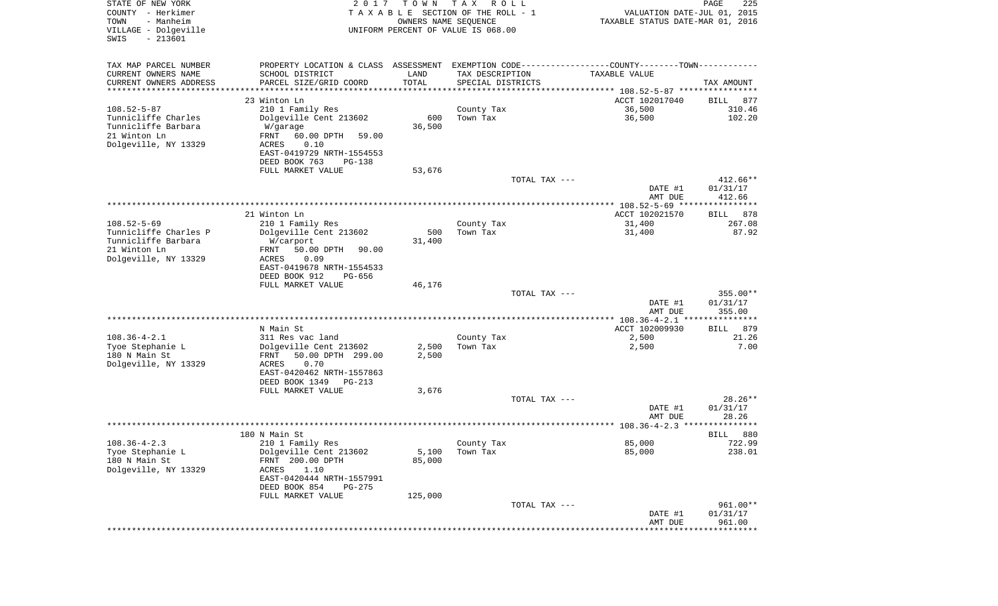| STATE OF NEW YORK<br>COUNTY - Herkimer<br>- Manheim<br>TOWN<br>VILLAGE - Dolgeville<br>$-213601$<br>SWIS | 2 0 1 7                                                                                       | T O W N             | T A X<br>R O L L<br>TAXABLE SECTION OF THE ROLL - 1<br>OWNERS NAME SEQUENCE<br>UNIFORM PERCENT OF VALUE IS 068.00 | VALUATION DATE-JUL 01, 2015<br>TAXABLE STATUS DATE-MAR 01, 2016 | $\mathop{\mathtt{PAGE}}$<br>225 |
|----------------------------------------------------------------------------------------------------------|-----------------------------------------------------------------------------------------------|---------------------|-------------------------------------------------------------------------------------------------------------------|-----------------------------------------------------------------|---------------------------------|
| TAX MAP PARCEL NUMBER                                                                                    | PROPERTY LOCATION & CLASS ASSESSMENT EXEMPTION CODE---------------COUNTY-------TOWN---------- |                     |                                                                                                                   |                                                                 |                                 |
| CURRENT OWNERS NAME                                                                                      | SCHOOL DISTRICT                                                                               | LAND                | TAX DESCRIPTION                                                                                                   | TAXABLE VALUE                                                   |                                 |
| CURRENT OWNERS ADDRESS<br>*********************                                                          | PARCEL SIZE/GRID COORD                                                                        | TOTAL<br>********** | SPECIAL DISTRICTS                                                                                                 |                                                                 | TAX AMOUNT                      |
|                                                                                                          | 23 Winton Ln                                                                                  |                     |                                                                                                                   | ACCT 102017040                                                  | 877<br>BILL                     |
| $108.52 - 5 - 87$                                                                                        | 210 1 Family Res                                                                              |                     | County Tax                                                                                                        | 36,500                                                          | 310.46                          |
| Tunnicliffe Charles                                                                                      | Dolgeville Cent 213602                                                                        | 600                 | Town Tax                                                                                                          | 36,500                                                          | 102.20                          |
| Tunnicliffe Barbara                                                                                      | W/garage                                                                                      | 36,500              |                                                                                                                   |                                                                 |                                 |
| 21 Winton Ln                                                                                             | FRNT<br>60.00 DPTH<br>59.00                                                                   |                     |                                                                                                                   |                                                                 |                                 |
| Dolgeville, NY 13329                                                                                     | ACRES<br>0.10<br>EAST-0419729 NRTH-1554553                                                    |                     |                                                                                                                   |                                                                 |                                 |
|                                                                                                          | DEED BOOK 763<br><b>PG-138</b>                                                                |                     |                                                                                                                   |                                                                 |                                 |
|                                                                                                          | FULL MARKET VALUE                                                                             | 53,676              |                                                                                                                   |                                                                 |                                 |
|                                                                                                          |                                                                                               |                     | TOTAL TAX ---                                                                                                     |                                                                 | $412.66**$                      |
|                                                                                                          |                                                                                               |                     |                                                                                                                   | DATE #1                                                         | 01/31/17                        |
|                                                                                                          |                                                                                               |                     |                                                                                                                   | AMT DUE                                                         | 412.66                          |
|                                                                                                          | 21 Winton Ln                                                                                  |                     |                                                                                                                   | ACCT 102021570                                                  | 878<br>BILL                     |
| $108.52 - 5 - 69$                                                                                        | 210 1 Family Res                                                                              |                     | County Tax                                                                                                        | 31,400                                                          | 267.08                          |
| Tunnicliffe Charles P                                                                                    | Dolgeville Cent 213602                                                                        | 500                 | Town Tax                                                                                                          | 31,400                                                          | 87.92                           |
| Tunnicliffe Barbara<br>21 Winton Ln                                                                      | W/carport<br>50.00 DPTH                                                                       | 31,400              |                                                                                                                   |                                                                 |                                 |
| Dolgeville, NY 13329                                                                                     | FRNT<br>90.00<br>ACRES<br>0.09                                                                |                     |                                                                                                                   |                                                                 |                                 |
|                                                                                                          | EAST-0419678 NRTH-1554533                                                                     |                     |                                                                                                                   |                                                                 |                                 |
|                                                                                                          | DEED BOOK 912<br><b>PG-656</b>                                                                |                     |                                                                                                                   |                                                                 |                                 |
|                                                                                                          | FULL MARKET VALUE                                                                             | 46,176              |                                                                                                                   |                                                                 |                                 |
|                                                                                                          |                                                                                               |                     | TOTAL TAX ---                                                                                                     | DATE #1                                                         | $355.00**$<br>01/31/17          |
|                                                                                                          |                                                                                               |                     |                                                                                                                   | AMT DUE                                                         | 355.00                          |
|                                                                                                          |                                                                                               |                     |                                                                                                                   |                                                                 |                                 |
|                                                                                                          | N Main St                                                                                     |                     |                                                                                                                   | ACCT 102009930                                                  | 879<br>BILL                     |
| $108.36 - 4 - 2.1$                                                                                       | 311 Res vac land                                                                              |                     | County Tax                                                                                                        | 2,500                                                           | 21.26                           |
| Tyoe Stephanie L<br>180 N Main St                                                                        | Dolgeville Cent 213602<br>FRNT<br>50.00 DPTH 299.00                                           | 2,500<br>2,500      | Town Tax                                                                                                          | 2,500                                                           | 7.00                            |
| Dolgeville, NY 13329                                                                                     | ACRES<br>0.70                                                                                 |                     |                                                                                                                   |                                                                 |                                 |
|                                                                                                          | EAST-0420462 NRTH-1557863                                                                     |                     |                                                                                                                   |                                                                 |                                 |
|                                                                                                          | DEED BOOK 1349<br>PG-213                                                                      |                     |                                                                                                                   |                                                                 |                                 |
|                                                                                                          | FULL MARKET VALUE                                                                             | 3,676               |                                                                                                                   |                                                                 |                                 |
|                                                                                                          |                                                                                               |                     | TOTAL TAX ---                                                                                                     | DATE #1                                                         | 28.26**<br>01/31/17             |
|                                                                                                          |                                                                                               |                     |                                                                                                                   | AMT DUE                                                         | 28.26                           |
|                                                                                                          |                                                                                               |                     |                                                                                                                   |                                                                 |                                 |
|                                                                                                          | 180 N Main St                                                                                 |                     |                                                                                                                   |                                                                 | 880<br>BILL                     |
| $108.36 - 4 - 2.3$                                                                                       | 210 1 Family Res                                                                              |                     | County Tax                                                                                                        | 85,000                                                          | 722.99                          |
| Tyoe Stephanie L<br>180 N Main St                                                                        | Dolgeville Cent 213602<br>FRNT 200.00 DPTH                                                    | 5,100<br>85,000     | Town Tax                                                                                                          | 85,000                                                          | 238.01                          |
| Dolgeville, NY 13329                                                                                     | 1.10<br>ACRES                                                                                 |                     |                                                                                                                   |                                                                 |                                 |
|                                                                                                          | EAST-0420444 NRTH-1557991                                                                     |                     |                                                                                                                   |                                                                 |                                 |
|                                                                                                          | DEED BOOK 854<br>PG-275                                                                       |                     |                                                                                                                   |                                                                 |                                 |
|                                                                                                          | FULL MARKET VALUE                                                                             | 125,000             |                                                                                                                   |                                                                 |                                 |
|                                                                                                          |                                                                                               |                     | TOTAL TAX ---                                                                                                     | DATE #1                                                         | 961.00**<br>01/31/17            |
|                                                                                                          |                                                                                               |                     |                                                                                                                   | AMT DUE                                                         | 961.00                          |
|                                                                                                          |                                                                                               |                     |                                                                                                                   | **************************                                      |                                 |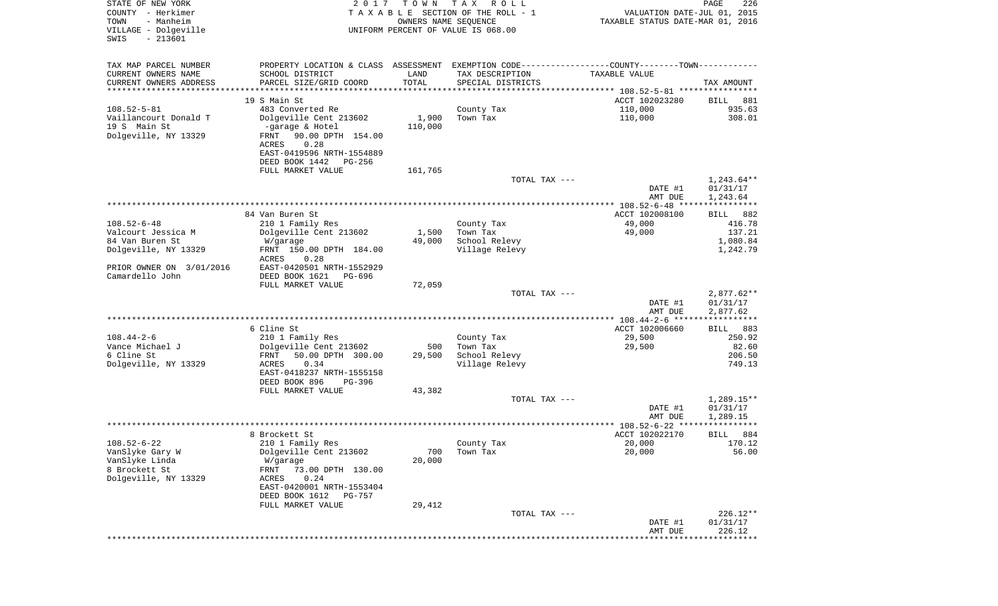| STATE OF NEW YORK<br>COUNTY - Herkimer<br>- Manheim<br>TOWN<br>VILLAGE - Dolgeville<br>$-213601$<br>SWIS | 2 0 1 7                                                                                              | T O W N<br>OWNERS NAME SEQUENCE | T A X<br>R O L L<br>TAXABLE SECTION OF THE ROLL - 1<br>UNIFORM PERCENT OF VALUE IS 068.00     | VALUATION DATE-JUL 01, 2015<br>TAXABLE STATUS DATE-MAR 01, 2016 | PAGE<br>226                          |
|----------------------------------------------------------------------------------------------------------|------------------------------------------------------------------------------------------------------|---------------------------------|-----------------------------------------------------------------------------------------------|-----------------------------------------------------------------|--------------------------------------|
| TAX MAP PARCEL NUMBER                                                                                    |                                                                                                      |                                 | PROPERTY LOCATION & CLASS ASSESSMENT EXEMPTION CODE---------------COUNTY-------TOWN---------- |                                                                 |                                      |
| CURRENT OWNERS NAME                                                                                      | SCHOOL DISTRICT                                                                                      | LAND                            | TAX DESCRIPTION                                                                               | TAXABLE VALUE                                                   |                                      |
| CURRENT OWNERS ADDRESS<br>*********************                                                          | PARCEL SIZE/GRID COORD                                                                               | TOTAL<br>***********            | SPECIAL DISTRICTS                                                                             |                                                                 | TAX AMOUNT                           |
|                                                                                                          | 19 S Main St                                                                                         |                                 |                                                                                               | ACCT 102023280                                                  | BILL<br>881                          |
| $108.52 - 5 - 81$                                                                                        | 483 Converted Re                                                                                     |                                 | County Tax                                                                                    | 110,000                                                         | 935.63                               |
| Vaillancourt Donald T                                                                                    | Dolgeville Cent 213602                                                                               | 1,900                           | Town Tax                                                                                      | 110,000                                                         | 308.01                               |
| 19 S Main St<br>Dolgeville, NY 13329                                                                     | -garage & Hotel<br>90.00 DPTH 154.00<br>FRNT<br>0.28<br>ACRES                                        | 110,000                         |                                                                                               |                                                                 |                                      |
|                                                                                                          | EAST-0419596 NRTH-1554889<br>DEED BOOK 1442<br>PG-256                                                |                                 |                                                                                               |                                                                 |                                      |
|                                                                                                          | FULL MARKET VALUE                                                                                    | 161,765                         |                                                                                               |                                                                 |                                      |
|                                                                                                          |                                                                                                      |                                 | TOTAL TAX ---                                                                                 | DATE #1<br>AMT DUE                                              | $1,243.64**$<br>01/31/17             |
|                                                                                                          |                                                                                                      |                                 |                                                                                               |                                                                 | 1,243.64                             |
|                                                                                                          | 84 Van Buren St                                                                                      |                                 |                                                                                               | ACCT 102008100                                                  | 882<br>BILL                          |
| $108.52 - 6 - 48$                                                                                        | 210 1 Family Res                                                                                     |                                 | County Tax                                                                                    | 49,000                                                          | 416.78                               |
| Valcourt Jessica M                                                                                       | Dolgeville Cent 213602                                                                               | 1,500                           | Town Tax                                                                                      | 49,000                                                          | 137.21                               |
| 84 Van Buren St<br>Dolgeville, NY 13329                                                                  | W/garage<br>FRNT 150.00 DPTH 184.00<br>ACRES<br>0.28                                                 | 49,000                          | School Relevy<br>Village Relevy                                                               |                                                                 | 1,080.84<br>1,242.79                 |
| PRIOR OWNER ON 3/01/2016<br>Camardello John                                                              | EAST-0420501 NRTH-1552929<br>DEED BOOK 1621<br>PG-696                                                |                                 |                                                                                               |                                                                 |                                      |
|                                                                                                          | FULL MARKET VALUE                                                                                    | 72,059                          |                                                                                               |                                                                 |                                      |
|                                                                                                          |                                                                                                      |                                 | TOTAL TAX ---                                                                                 | DATE #1                                                         | $2,877.62**$<br>01/31/17             |
|                                                                                                          |                                                                                                      |                                 |                                                                                               | AMT DUE<br>*************** 108.44-2-6 ******************        | 2,877.62                             |
|                                                                                                          | 6 Cline St                                                                                           |                                 |                                                                                               | ACCT 102006660                                                  | 883<br>BILL                          |
| $108.44 - 2 - 6$                                                                                         | 210 1 Family Res                                                                                     |                                 | County Tax                                                                                    | 29,500                                                          | 250.92                               |
| Vance Michael J                                                                                          | Dolgeville Cent 213602                                                                               | 500                             | Town Tax                                                                                      | 29,500                                                          | 82.60                                |
| 6 Cline St<br>Dolgeville, NY 13329                                                                       | FRNT<br>50.00 DPTH 300.00<br>ACRES<br>0.34                                                           | 29,500                          | School Relevy<br>Village Relevy                                                               |                                                                 | 206.50<br>749.13                     |
|                                                                                                          | EAST-0418237 NRTH-1555158<br>DEED BOOK 896<br>PG-396                                                 |                                 |                                                                                               |                                                                 |                                      |
|                                                                                                          | FULL MARKET VALUE                                                                                    | 43,382                          |                                                                                               |                                                                 |                                      |
|                                                                                                          |                                                                                                      |                                 | TOTAL TAX ---                                                                                 | DATE #1<br>AMT DUE                                              | $1,289.15**$<br>01/31/17<br>1,289.15 |
|                                                                                                          |                                                                                                      |                                 |                                                                                               |                                                                 | ******                               |
|                                                                                                          | 8 Brockett St                                                                                        |                                 |                                                                                               | ACCT 102022170                                                  | 884<br>BILL                          |
| $108.52 - 6 - 22$<br>VanSlyke Gary W<br>VanSlyke Linda<br>8 Brockett St<br>Dolgeville, NY 13329          | 210 1 Family Res<br>Dolgeville Cent 213602<br>W/garage<br>73.00 DPTH 130.00<br>FRNT<br>0.24<br>ACRES | 700<br>20,000                   | County Tax<br>Town Tax                                                                        | 20,000<br>20,000                                                | 170.12<br>56.00                      |
|                                                                                                          | EAST-0420001 NRTH-1553404<br>DEED BOOK 1612<br>PG-757                                                |                                 |                                                                                               |                                                                 |                                      |
|                                                                                                          | FULL MARKET VALUE                                                                                    | 29,412                          |                                                                                               |                                                                 |                                      |
|                                                                                                          |                                                                                                      |                                 | TOTAL TAX ---                                                                                 | DATE #1<br>AMT DUE                                              | $226.12**$<br>01/31/17<br>226.12     |
|                                                                                                          |                                                                                                      |                                 |                                                                                               |                                                                 | ***********                          |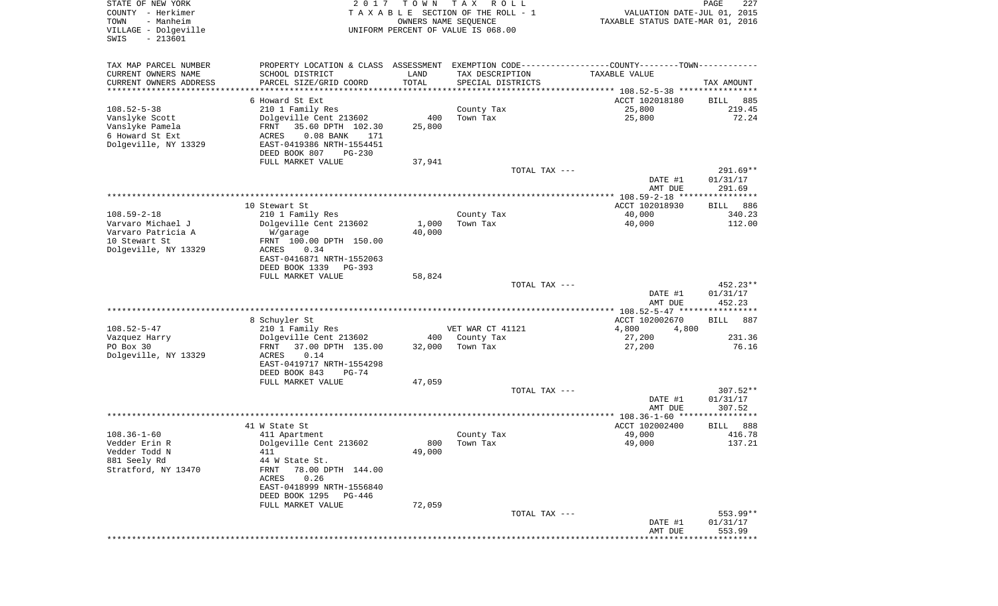| STATE OF NEW YORK<br>COUNTY - Herkimer<br>TOWN<br>- Manheim<br>VILLAGE - Dolgeville<br>$-213601$<br>SWIS | 2 0 1 7                                                                                       | TOWN<br>OWNERS NAME SEQUENCE | T A X<br>R O L L<br>TAXABLE SECTION OF THE ROLL - 1<br>UNIFORM PERCENT OF VALUE IS 068.00 | VALUATION DATE-JUL 01, 2015<br>TAXABLE STATUS DATE-MAR 01, 2016 | 227<br>PAGE                 |
|----------------------------------------------------------------------------------------------------------|-----------------------------------------------------------------------------------------------|------------------------------|-------------------------------------------------------------------------------------------|-----------------------------------------------------------------|-----------------------------|
| TAX MAP PARCEL NUMBER                                                                                    | PROPERTY LOCATION & CLASS ASSESSMENT EXEMPTION CODE---------------COUNTY-------TOWN---------- |                              |                                                                                           |                                                                 |                             |
| CURRENT OWNERS NAME                                                                                      | SCHOOL DISTRICT                                                                               | LAND                         | TAX DESCRIPTION                                                                           | TAXABLE VALUE                                                   |                             |
| CURRENT OWNERS ADDRESS                                                                                   | PARCEL SIZE/GRID COORD                                                                        | TOTAL                        | SPECIAL DISTRICTS                                                                         |                                                                 | TAX AMOUNT                  |
| ********************                                                                                     |                                                                                               | * * * * * * * * * * *        |                                                                                           |                                                                 |                             |
| $108.52 - 5 - 38$                                                                                        | 6 Howard St Ext<br>210 1 Family Res                                                           |                              | County Tax                                                                                | ACCT 102018180<br>25,800                                        | 885<br>BILL<br>219.45       |
| Vanslyke Scott                                                                                           | Dolgeville Cent 213602                                                                        | 400                          | Town Tax                                                                                  | 25,800                                                          | 72.24                       |
| Vanslyke Pamela                                                                                          | 35.60 DPTH 102.30<br>FRNT                                                                     | 25,800                       |                                                                                           |                                                                 |                             |
| 6 Howard St Ext                                                                                          | ACRES<br>$0.08$ BANK<br>171                                                                   |                              |                                                                                           |                                                                 |                             |
| Dolgeville, NY 13329                                                                                     | EAST-0419386 NRTH-1554451                                                                     |                              |                                                                                           |                                                                 |                             |
|                                                                                                          | DEED BOOK 807<br>PG-230<br>FULL MARKET VALUE                                                  | 37,941                       |                                                                                           |                                                                 |                             |
|                                                                                                          |                                                                                               |                              | TOTAL TAX ---                                                                             |                                                                 | 291.69**                    |
|                                                                                                          |                                                                                               |                              |                                                                                           | DATE #1                                                         | 01/31/17                    |
|                                                                                                          |                                                                                               |                              |                                                                                           | AMT DUE                                                         | 291.69                      |
|                                                                                                          | 10 Stewart St                                                                                 |                              |                                                                                           | ACCT 102018930                                                  | 886<br>BILL                 |
| $108.59 - 2 - 18$                                                                                        | 210 1 Family Res                                                                              |                              | County Tax                                                                                | 40,000                                                          | 340.23                      |
| Varvaro Michael J                                                                                        | Dolgeville Cent 213602                                                                        | 1,000                        | Town Tax                                                                                  | 40,000                                                          | 112.00                      |
| Varvaro Patricia A                                                                                       | W/garage                                                                                      | 40,000                       |                                                                                           |                                                                 |                             |
| 10 Stewart St<br>Dolgeville, NY 13329                                                                    | FRNT 100.00 DPTH 150.00<br>ACRES<br>0.34                                                      |                              |                                                                                           |                                                                 |                             |
|                                                                                                          | EAST-0416871 NRTH-1552063                                                                     |                              |                                                                                           |                                                                 |                             |
|                                                                                                          | DEED BOOK 1339<br>PG-393                                                                      |                              |                                                                                           |                                                                 |                             |
|                                                                                                          | FULL MARKET VALUE                                                                             | 58,824                       |                                                                                           |                                                                 |                             |
|                                                                                                          |                                                                                               |                              | TOTAL TAX ---                                                                             |                                                                 | $452.23**$<br>01/31/17      |
|                                                                                                          |                                                                                               |                              |                                                                                           | DATE #1<br>AMT DUE                                              | 452.23                      |
|                                                                                                          |                                                                                               |                              |                                                                                           | *********** 108.52-5-47 *****************                       |                             |
|                                                                                                          | 8 Schuyler St                                                                                 |                              |                                                                                           | ACCT 102002670                                                  | 887<br>BILL                 |
| $108.52 - 5 - 47$                                                                                        | 210 1 Family Res                                                                              |                              | VET WAR CT 41121                                                                          | 4,800<br>4,800                                                  |                             |
| Vazquez Harry<br>PO Box 30                                                                               | Dolgeville Cent 213602<br>37.00 DPTH 135.00<br>FRNT                                           | 400<br>32,000                | County Tax<br>Town Tax                                                                    | 27,200<br>27,200                                                | 231.36<br>76.16             |
| Dolgeville, NY 13329                                                                                     | 0.14<br>ACRES                                                                                 |                              |                                                                                           |                                                                 |                             |
|                                                                                                          | EAST-0419717 NRTH-1554298                                                                     |                              |                                                                                           |                                                                 |                             |
|                                                                                                          | DEED BOOK 843<br>PG-74                                                                        |                              |                                                                                           |                                                                 |                             |
|                                                                                                          | FULL MARKET VALUE                                                                             | 47,059                       | TOTAL TAX ---                                                                             |                                                                 | $307.52**$                  |
|                                                                                                          |                                                                                               |                              |                                                                                           | DATE #1                                                         | 01/31/17                    |
|                                                                                                          |                                                                                               |                              |                                                                                           | AMT DUE                                                         | 307.52                      |
|                                                                                                          |                                                                                               |                              |                                                                                           |                                                                 |                             |
| $108.36 - 1 - 60$                                                                                        | 41 W State St<br>411 Apartment                                                                |                              |                                                                                           | ACCT 102002400<br>49,000                                        | 888<br>BILL<br>416.78       |
| Vedder Erin R                                                                                            | Dolgeville Cent 213602                                                                        |                              | County Tax<br>800 Town Tax                                                                | 49,000                                                          | 137.21                      |
| Vedder Todd N                                                                                            | 411                                                                                           | 49,000                       |                                                                                           |                                                                 |                             |
| 881 Seely Rd                                                                                             | 44 W State St.                                                                                |                              |                                                                                           |                                                                 |                             |
| Stratford, NY 13470                                                                                      | 78.00 DPTH 144.00<br>FRNT                                                                     |                              |                                                                                           |                                                                 |                             |
|                                                                                                          | 0.26<br>ACRES<br>EAST-0418999 NRTH-1556840                                                    |                              |                                                                                           |                                                                 |                             |
|                                                                                                          | DEED BOOK 1295<br>PG-446                                                                      |                              |                                                                                           |                                                                 |                             |
|                                                                                                          | FULL MARKET VALUE                                                                             | 72,059                       |                                                                                           |                                                                 |                             |
|                                                                                                          |                                                                                               |                              | TOTAL TAX ---                                                                             |                                                                 | $553.99**$                  |
|                                                                                                          |                                                                                               |                              |                                                                                           | DATE #1<br>AMT DUE                                              | 01/31/17<br>553.99          |
|                                                                                                          |                                                                                               |                              |                                                                                           |                                                                 | * * * * * * * * * * * * * * |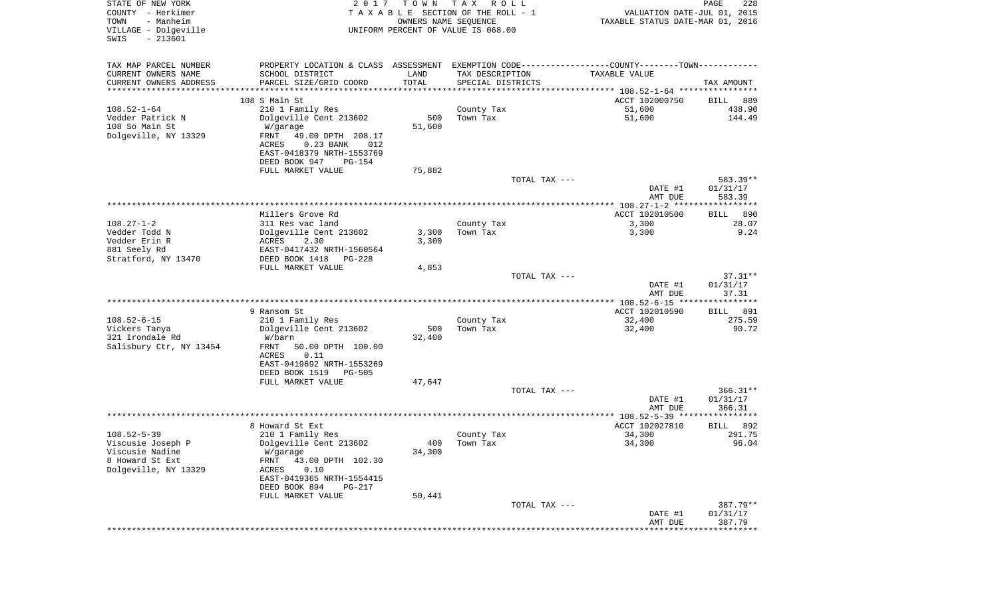| STATE OF NEW YORK<br>COUNTY - Herkimer<br>- Manheim<br>TOWN<br>VILLAGE - Dolgeville<br>$-213601$<br>SWIS | 2 0 1 7                                                                                       | T O W N<br>OWNERS NAME SEQUENCE | T A X<br>R O L L<br>TAXABLE SECTION OF THE ROLL - 1<br>UNIFORM PERCENT OF VALUE IS 068.00 |               | VALUATION DATE-JUL 01, 2015<br>TAXABLE STATUS DATE-MAR 01, 2016 | PAGE<br>228           |
|----------------------------------------------------------------------------------------------------------|-----------------------------------------------------------------------------------------------|---------------------------------|-------------------------------------------------------------------------------------------|---------------|-----------------------------------------------------------------|-----------------------|
| TAX MAP PARCEL NUMBER                                                                                    | PROPERTY LOCATION & CLASS ASSESSMENT EXEMPTION CODE---------------COUNTY-------TOWN---------- |                                 |                                                                                           |               |                                                                 |                       |
| CURRENT OWNERS NAME                                                                                      | SCHOOL DISTRICT                                                                               | LAND                            | TAX DESCRIPTION                                                                           |               | TAXABLE VALUE                                                   |                       |
| CURRENT OWNERS ADDRESS                                                                                   | PARCEL SIZE/GRID COORD                                                                        | TOTAL                           | SPECIAL DISTRICTS                                                                         |               |                                                                 | TAX AMOUNT            |
| **********************                                                                                   |                                                                                               |                                 |                                                                                           |               |                                                                 |                       |
| $108.52 - 1 - 64$                                                                                        | 108 S Main St<br>210 1 Family Res                                                             |                                 | County Tax                                                                                |               | ACCT 102000750<br>51,600                                        | 889<br>BILL<br>438.90 |
| Vedder Patrick N                                                                                         | Dolgeville Cent 213602                                                                        | 500                             | Town Tax                                                                                  |               | 51,600                                                          | 144.49                |
| 108 So Main St                                                                                           | W/garage                                                                                      | 51,600                          |                                                                                           |               |                                                                 |                       |
| Dolgeville, NY 13329                                                                                     | FRNT<br>49.00 DPTH 208.17                                                                     |                                 |                                                                                           |               |                                                                 |                       |
|                                                                                                          | ACRES<br>$0.23$ BANK<br>012                                                                   |                                 |                                                                                           |               |                                                                 |                       |
|                                                                                                          | EAST-0418379 NRTH-1553769                                                                     |                                 |                                                                                           |               |                                                                 |                       |
|                                                                                                          | DEED BOOK 947<br><b>PG-154</b>                                                                |                                 |                                                                                           |               |                                                                 |                       |
|                                                                                                          | FULL MARKET VALUE                                                                             | 75,882                          |                                                                                           | TOTAL TAX --- |                                                                 | 583.39**              |
|                                                                                                          |                                                                                               |                                 |                                                                                           |               | DATE #1                                                         | 01/31/17              |
|                                                                                                          |                                                                                               |                                 |                                                                                           |               | AMT DUE                                                         | 583.39                |
|                                                                                                          |                                                                                               |                                 |                                                                                           |               |                                                                 |                       |
|                                                                                                          | Millers Grove Rd                                                                              |                                 |                                                                                           |               | ACCT 102010500                                                  | 890<br>BILL           |
| $108.27 - 1 - 2$                                                                                         | 311 Res vac land                                                                              |                                 | County Tax                                                                                |               | 3,300                                                           | 28.07                 |
| Vedder Todd N<br>Vedder Erin R                                                                           | Dolgeville Cent 213602<br>ACRES<br>2.30                                                       | 3,300<br>3,300                  | Town Tax                                                                                  |               | 3,300                                                           | 9.24                  |
| 881 Seely Rd                                                                                             | EAST-0417432 NRTH-1560564                                                                     |                                 |                                                                                           |               |                                                                 |                       |
| Stratford, NY 13470                                                                                      | DEED BOOK 1418<br>PG-228                                                                      |                                 |                                                                                           |               |                                                                 |                       |
|                                                                                                          | FULL MARKET VALUE                                                                             | 4,853                           |                                                                                           |               |                                                                 |                       |
|                                                                                                          |                                                                                               |                                 |                                                                                           | TOTAL TAX --- |                                                                 | 37.31**               |
|                                                                                                          |                                                                                               |                                 |                                                                                           |               | DATE #1                                                         | 01/31/17              |
|                                                                                                          |                                                                                               |                                 |                                                                                           |               | AMT DUE                                                         | 37.31                 |
|                                                                                                          | 9 Ransom St                                                                                   |                                 |                                                                                           |               | ACCT 102010590                                                  | <b>BILL</b><br>891    |
| $108.52 - 6 - 15$                                                                                        | 210 1 Family Res                                                                              |                                 | County Tax                                                                                |               | 32,400                                                          | 275.59                |
| Vickers Tanya                                                                                            | Dolgeville Cent 213602                                                                        | 500                             | Town Tax                                                                                  |               | 32,400                                                          | 90.72                 |
| 321 Irondale Rd                                                                                          | W/barn                                                                                        | 32,400                          |                                                                                           |               |                                                                 |                       |
| Salisbury Ctr, NY 13454                                                                                  | FRNT<br>50.00 DPTH 100.00                                                                     |                                 |                                                                                           |               |                                                                 |                       |
|                                                                                                          | 0.11<br>ACRES<br>EAST-0419692 NRTH-1553269                                                    |                                 |                                                                                           |               |                                                                 |                       |
|                                                                                                          | DEED BOOK 1519<br><b>PG-505</b>                                                               |                                 |                                                                                           |               |                                                                 |                       |
|                                                                                                          | FULL MARKET VALUE                                                                             | 47,647                          |                                                                                           |               |                                                                 |                       |
|                                                                                                          |                                                                                               |                                 |                                                                                           | TOTAL TAX --- |                                                                 | $366.31**$            |
|                                                                                                          |                                                                                               |                                 |                                                                                           |               | DATE #1                                                         | 01/31/17              |
|                                                                                                          |                                                                                               |                                 |                                                                                           |               | AMT DUE                                                         | 366.31                |
|                                                                                                          | 8 Howard St Ext                                                                               |                                 |                                                                                           |               | ACCT 102027810                                                  | 892<br>BILL           |
| $108.52 - 5 - 39$                                                                                        | 210 1 Family Res                                                                              |                                 | County Tax                                                                                |               | 34,300                                                          | 291.75                |
| Viscusie Joseph P                                                                                        | Dolgeville Cent 213602                                                                        |                                 | 400 Town Tax                                                                              |               | 34,300                                                          | 96.04                 |
| Viscusie Nadine                                                                                          | W/garage                                                                                      | 34,300                          |                                                                                           |               |                                                                 |                       |
| 8 Howard St Ext                                                                                          | FRNT<br>43.00 DPTH 102.30                                                                     |                                 |                                                                                           |               |                                                                 |                       |
| Dolgeville, NY 13329                                                                                     | ACRES<br>0.10                                                                                 |                                 |                                                                                           |               |                                                                 |                       |
|                                                                                                          | EAST-0419365 NRTH-1554415<br>DEED BOOK 894<br>PG-217                                          |                                 |                                                                                           |               |                                                                 |                       |
|                                                                                                          | FULL MARKET VALUE                                                                             | 50,441                          |                                                                                           |               |                                                                 |                       |
|                                                                                                          |                                                                                               |                                 |                                                                                           | TOTAL TAX --- |                                                                 | 387.79**              |
|                                                                                                          |                                                                                               |                                 |                                                                                           |               | DATE #1                                                         | 01/31/17              |
|                                                                                                          |                                                                                               |                                 |                                                                                           |               | AMT DUE                                                         | 387.79                |
|                                                                                                          |                                                                                               |                                 |                                                                                           |               |                                                                 |                       |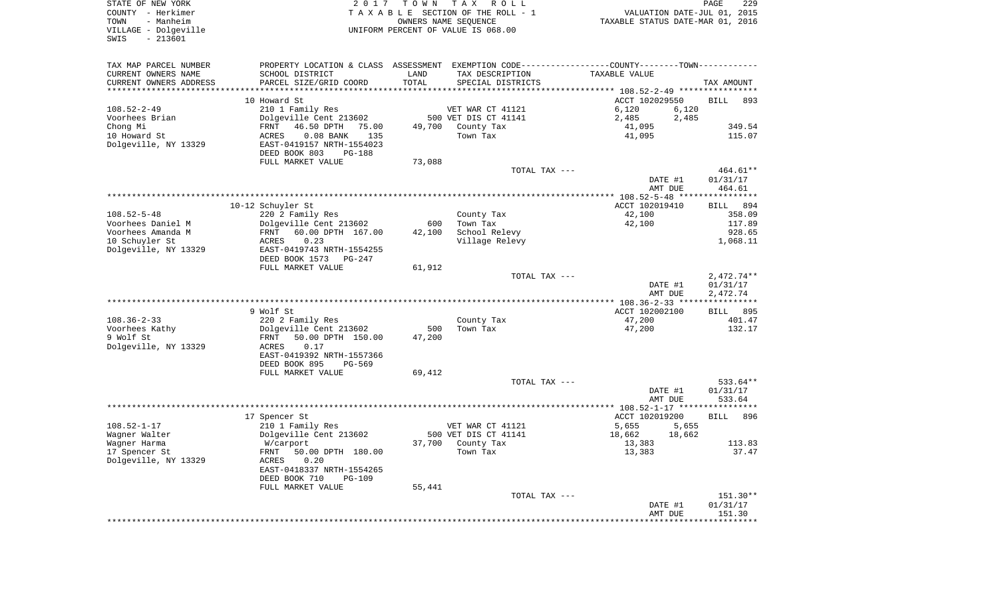| STATE OF NEW YORK<br>COUNTY - Herkimer<br>- Manheim<br>TOWN<br>VILLAGE - Dolgeville<br>$-213601$<br>SWIS | 2017                                                                                            | T O W N | T A X<br>R O L L<br>T A X A B L E SECTION OF THE ROLL - 1<br>OWNERS NAME SEQUENCE<br>UNIFORM PERCENT OF VALUE IS 068.00 | VALUATION DATE-JUL 01, 2015<br>TAXABLE STATUS DATE-MAR 01, 2016 | PAGE<br>229                  |
|----------------------------------------------------------------------------------------------------------|-------------------------------------------------------------------------------------------------|---------|-------------------------------------------------------------------------------------------------------------------------|-----------------------------------------------------------------|------------------------------|
| TAX MAP PARCEL NUMBER                                                                                    | PROPERTY LOCATION & CLASS ASSESSMENT EXEMPTION CODE----------------COUNTY--------TOWN---------- |         |                                                                                                                         |                                                                 |                              |
| CURRENT OWNERS NAME                                                                                      | SCHOOL DISTRICT                                                                                 | LAND    | TAX DESCRIPTION                                                                                                         | TAXABLE VALUE                                                   |                              |
| CURRENT OWNERS ADDRESS                                                                                   | PARCEL SIZE/GRID COORD                                                                          | TOTAL   | SPECIAL DISTRICTS                                                                                                       |                                                                 | TAX AMOUNT                   |
| *********************                                                                                    |                                                                                                 |         |                                                                                                                         |                                                                 |                              |
| $108.52 - 2 - 49$                                                                                        | 10 Howard St                                                                                    |         |                                                                                                                         | ACCT 102029550                                                  | <b>BILL</b><br>893           |
| Voorhees Brian                                                                                           | 210 1 Family Res<br>Dolgeville Cent 213602                                                      |         | VET WAR CT 41121<br>500 VET DIS CT 41141                                                                                | 6,120<br>6,120<br>2,485<br>2,485                                |                              |
| Chong Mi                                                                                                 | 46.50 DPTH<br>FRNT<br>75.00                                                                     | 49,700  | County Tax                                                                                                              | 41,095                                                          | 349.54                       |
| 10 Howard St                                                                                             | $0.08$ BANK<br>135<br>ACRES                                                                     |         | Town Tax                                                                                                                | 41,095                                                          | 115.07                       |
| Dolgeville, NY 13329                                                                                     | EAST-0419157 NRTH-1554023<br>DEED BOOK 803<br>PG-188                                            |         |                                                                                                                         |                                                                 |                              |
|                                                                                                          | FULL MARKET VALUE                                                                               | 73,088  |                                                                                                                         |                                                                 |                              |
|                                                                                                          |                                                                                                 |         | TOTAL TAX ---                                                                                                           |                                                                 | 464.61**                     |
|                                                                                                          |                                                                                                 |         |                                                                                                                         | DATE #1                                                         | 01/31/17                     |
|                                                                                                          |                                                                                                 |         |                                                                                                                         | AMT DUE                                                         | 464.61                       |
|                                                                                                          |                                                                                                 |         |                                                                                                                         |                                                                 |                              |
|                                                                                                          | 10-12 Schuyler St                                                                               |         |                                                                                                                         | ACCT 102019410                                                  | <b>BILL</b><br>894           |
| $108.52 - 5 - 48$                                                                                        | 220 2 Family Res                                                                                |         | County Tax                                                                                                              | 42,100                                                          | 358.09                       |
| Voorhees Daniel M<br>Voorhees Amanda M                                                                   | Dolgeville Cent 213602<br>FRNT                                                                  | 600     | Town Tax<br>School Relevy                                                                                               | 42,100                                                          | 117.89<br>928.65             |
| 10 Schuyler St                                                                                           | 60.00 DPTH 167.00<br>0.23<br>ACRES                                                              | 42,100  | Village Relevy                                                                                                          |                                                                 | 1,068.11                     |
| Dolgeville, NY 13329                                                                                     | EAST-0419743 NRTH-1554255                                                                       |         |                                                                                                                         |                                                                 |                              |
|                                                                                                          | DEED BOOK 1573<br>PG-247                                                                        |         |                                                                                                                         |                                                                 |                              |
|                                                                                                          | FULL MARKET VALUE                                                                               | 61,912  |                                                                                                                         |                                                                 |                              |
|                                                                                                          |                                                                                                 |         | TOTAL TAX ---                                                                                                           |                                                                 | $2,472.74**$                 |
|                                                                                                          |                                                                                                 |         |                                                                                                                         | DATE #1                                                         | 01/31/17                     |
|                                                                                                          |                                                                                                 |         |                                                                                                                         | AMT DUE                                                         | 2,472.74                     |
|                                                                                                          | 9 Wolf St                                                                                       |         |                                                                                                                         | ACCT 102002100                                                  |                              |
| $108.36 - 2 - 33$                                                                                        | 220 2 Family Res                                                                                |         | County Tax                                                                                                              | 47,200                                                          | <b>BILL</b><br>895<br>401.47 |
| Voorhees Kathy                                                                                           | Dolgeville Cent 213602                                                                          | 500     | Town Tax                                                                                                                | 47,200                                                          | 132.17                       |
| 9 Wolf St                                                                                                | FRNT<br>50.00 DPTH 150.00                                                                       | 47,200  |                                                                                                                         |                                                                 |                              |
| Dolgeville, NY 13329                                                                                     | ACRES<br>0.17                                                                                   |         |                                                                                                                         |                                                                 |                              |
|                                                                                                          | EAST-0419392 NRTH-1557366                                                                       |         |                                                                                                                         |                                                                 |                              |
|                                                                                                          | DEED BOOK 895<br>PG-569                                                                         |         |                                                                                                                         |                                                                 |                              |
|                                                                                                          | FULL MARKET VALUE                                                                               | 69,412  |                                                                                                                         |                                                                 |                              |
|                                                                                                          |                                                                                                 |         | TOTAL TAX ---                                                                                                           |                                                                 | 533.64**                     |
|                                                                                                          |                                                                                                 |         |                                                                                                                         | DATE #1                                                         | 01/31/17                     |
|                                                                                                          |                                                                                                 |         |                                                                                                                         | AMT DUE                                                         | 533.64                       |
|                                                                                                          | 17 Spencer St                                                                                   |         |                                                                                                                         | ACCT 102019200                                                  | 896<br>BILL                  |
| $108.52 - 1 - 17$                                                                                        | 210 1 Family Res                                                                                |         | VET WAR CT 41121                                                                                                        | 5,655<br>5,655                                                  |                              |
| Wagner Walter                                                                                            | Dolgeville Cent 213602                                                                          |         | 500 VET DIS CT 41141                                                                                                    | 18,662<br>18,662                                                |                              |
| Wagner Harma                                                                                             | W/carport                                                                                       |         | 37,700 County Tax                                                                                                       | 13,383                                                          | 113.83                       |
| 17 Spencer St                                                                                            | FRNT 50.00 DPTH 180.00                                                                          |         | Town Tax                                                                                                                | 13,383                                                          | 37.47                        |
| Dolgeville, NY 13329                                                                                     | ACRES<br>0.20                                                                                   |         |                                                                                                                         |                                                                 |                              |
|                                                                                                          | EAST-0418337 NRTH-1554265                                                                       |         |                                                                                                                         |                                                                 |                              |
|                                                                                                          | DEED BOOK 710<br><b>PG-109</b><br>FULL MARKET VALUE                                             | 55,441  |                                                                                                                         |                                                                 |                              |
|                                                                                                          |                                                                                                 |         | TOTAL TAX ---                                                                                                           |                                                                 | 151.30**                     |
|                                                                                                          |                                                                                                 |         |                                                                                                                         | DATE #1                                                         | 01/31/17                     |
|                                                                                                          |                                                                                                 |         |                                                                                                                         | AMT DUE                                                         | 151.30                       |
|                                                                                                          |                                                                                                 |         |                                                                                                                         |                                                                 |                              |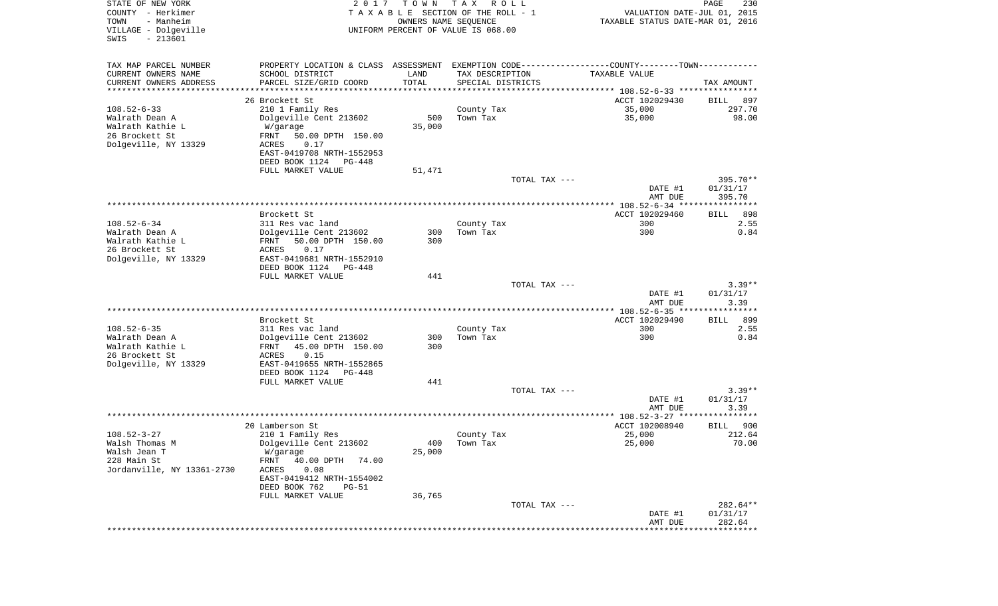| STATE OF NEW YORK<br>COUNTY - Herkimer<br>- Manheim<br>TOWN<br>VILLAGE - Dolgeville<br>$-213601$<br>SWIS | 2017                                               | T O W N<br>OWNERS NAME SEQUENCE | T A X<br>R O L L<br>TAXABLE SECTION OF THE ROLL - 1<br>UNIFORM PERCENT OF VALUE IS 068.00 | VALUATION DATE-JUL 01, 2015<br>TAXABLE STATUS DATE-MAR 01, 2016                                | PAGE<br>230           |
|----------------------------------------------------------------------------------------------------------|----------------------------------------------------|---------------------------------|-------------------------------------------------------------------------------------------|------------------------------------------------------------------------------------------------|-----------------------|
| TAX MAP PARCEL NUMBER                                                                                    |                                                    |                                 |                                                                                           | PROPERTY LOCATION & CLASS ASSESSMENT EXEMPTION CODE----------------COUNTY-------TOWN---------- |                       |
| CURRENT OWNERS NAME                                                                                      | SCHOOL DISTRICT                                    | LAND                            | TAX DESCRIPTION                                                                           | TAXABLE VALUE                                                                                  |                       |
| CURRENT OWNERS ADDRESS                                                                                   | PARCEL SIZE/GRID COORD                             | TOTAL                           | SPECIAL DISTRICTS                                                                         |                                                                                                | TAX AMOUNT            |
| *********************                                                                                    | ************************                           | * * * * * * * * * * *           |                                                                                           |                                                                                                |                       |
| $108.52 - 6 - 33$                                                                                        | 26 Brockett St<br>210 1 Family Res                 |                                 |                                                                                           | ACCT 102029430<br>35,000                                                                       | BILL<br>897<br>297.70 |
| Walrath Dean A                                                                                           | Dolgeville Cent 213602                             | 500                             | County Tax<br>Town Tax                                                                    | 35,000                                                                                         | 98.00                 |
| Walrath Kathie L                                                                                         | W/garage                                           | 35,000                          |                                                                                           |                                                                                                |                       |
| 26 Brockett St                                                                                           | FRNT<br>50.00 DPTH 150.00                          |                                 |                                                                                           |                                                                                                |                       |
| Dolgeville, NY 13329                                                                                     | 0.17<br>ACRES                                      |                                 |                                                                                           |                                                                                                |                       |
|                                                                                                          | EAST-0419708 NRTH-1552953                          |                                 |                                                                                           |                                                                                                |                       |
|                                                                                                          | DEED BOOK 1124 PG-448                              |                                 |                                                                                           |                                                                                                |                       |
|                                                                                                          | FULL MARKET VALUE                                  | 51,471                          |                                                                                           |                                                                                                |                       |
|                                                                                                          |                                                    |                                 | TOTAL TAX ---                                                                             |                                                                                                | 395.70**              |
|                                                                                                          |                                                    |                                 |                                                                                           | DATE #1<br>AMT DUE                                                                             | 01/31/17<br>395.70    |
|                                                                                                          |                                                    |                                 |                                                                                           |                                                                                                |                       |
|                                                                                                          | Brockett St                                        |                                 |                                                                                           | ACCT 102029460                                                                                 | 898<br>BILL           |
| $108.52 - 6 - 34$                                                                                        | 311 Res vac land                                   |                                 | County Tax                                                                                | 300                                                                                            | 2.55                  |
| Walrath Dean A                                                                                           | Dolgeville Cent 213602                             | 300                             | Town Tax                                                                                  | 300                                                                                            | 0.84                  |
| Walrath Kathie L                                                                                         | FRNT<br>50.00 DPTH 150.00                          | 300                             |                                                                                           |                                                                                                |                       |
| 26 Brockett St                                                                                           | 0.17<br>ACRES                                      |                                 |                                                                                           |                                                                                                |                       |
| Dolgeville, NY 13329                                                                                     | EAST-0419681 NRTH-1552910<br>DEED BOOK 1124 PG-448 |                                 |                                                                                           |                                                                                                |                       |
|                                                                                                          | FULL MARKET VALUE                                  | 441                             |                                                                                           |                                                                                                |                       |
|                                                                                                          |                                                    |                                 | TOTAL TAX ---                                                                             |                                                                                                | $3.39**$              |
|                                                                                                          |                                                    |                                 |                                                                                           | DATE #1                                                                                        | 01/31/17              |
|                                                                                                          |                                                    |                                 |                                                                                           | AMT DUE                                                                                        | 3.39                  |
|                                                                                                          |                                                    |                                 |                                                                                           | **************** 108.52-6-35 *****************                                                 |                       |
| $108.52 - 6 - 35$                                                                                        | Brockett St                                        |                                 |                                                                                           | ACCT 102029490<br>300                                                                          | 899<br>BILL<br>2.55   |
| Walrath Dean A                                                                                           | 311 Res vac land<br>Dolgeville Cent 213602         | 300                             | County Tax<br>Town Tax                                                                    | 300                                                                                            | 0.84                  |
| Walrath Kathie L                                                                                         | FRNT<br>45.00 DPTH 150.00                          | 300                             |                                                                                           |                                                                                                |                       |
| 26 Brockett St                                                                                           | ACRES<br>0.15                                      |                                 |                                                                                           |                                                                                                |                       |
| Dolgeville, NY 13329                                                                                     | EAST-0419655 NRTH-1552865                          |                                 |                                                                                           |                                                                                                |                       |
|                                                                                                          | DEED BOOK 1124 PG-448                              |                                 |                                                                                           |                                                                                                |                       |
|                                                                                                          | FULL MARKET VALUE                                  | 441                             |                                                                                           |                                                                                                |                       |
|                                                                                                          |                                                    |                                 | TOTAL TAX ---                                                                             | DATE #1                                                                                        | $3.39**$<br>01/31/17  |
|                                                                                                          |                                                    |                                 |                                                                                           | AMT DUE                                                                                        | 3.39                  |
|                                                                                                          |                                                    |                                 |                                                                                           |                                                                                                |                       |
|                                                                                                          | 20 Lamberson St                                    |                                 |                                                                                           | ACCT 102008940                                                                                 | 900<br>BILL           |
| $108.52 - 3 - 27$                                                                                        | 210 1 Family Res                                   |                                 | County Tax                                                                                | 25,000                                                                                         | 212.64                |
| Walsh Thomas M                                                                                           | Dolgeville Cent 213602                             |                                 | 400 Town Tax                                                                              | 25,000                                                                                         | 70.00                 |
| Walsh Jean T                                                                                             | W/garage                                           | 25,000                          |                                                                                           |                                                                                                |                       |
| 228 Main St                                                                                              | FRNT<br>40.00 DPTH<br>74.00                        |                                 |                                                                                           |                                                                                                |                       |
| Jordanville, NY 13361-2730                                                                               | ACRES<br>0.08<br>EAST-0419412 NRTH-1554002         |                                 |                                                                                           |                                                                                                |                       |
|                                                                                                          | DEED BOOK 762<br><b>PG-51</b>                      |                                 |                                                                                           |                                                                                                |                       |
|                                                                                                          | FULL MARKET VALUE                                  | 36,765                          |                                                                                           |                                                                                                |                       |
|                                                                                                          |                                                    |                                 | TOTAL TAX ---                                                                             |                                                                                                | 282.64**              |
|                                                                                                          |                                                    |                                 |                                                                                           | DATE #1                                                                                        | 01/31/17              |
|                                                                                                          |                                                    |                                 |                                                                                           | AMT DUE                                                                                        | 282.64                |
|                                                                                                          |                                                    |                                 |                                                                                           |                                                                                                |                       |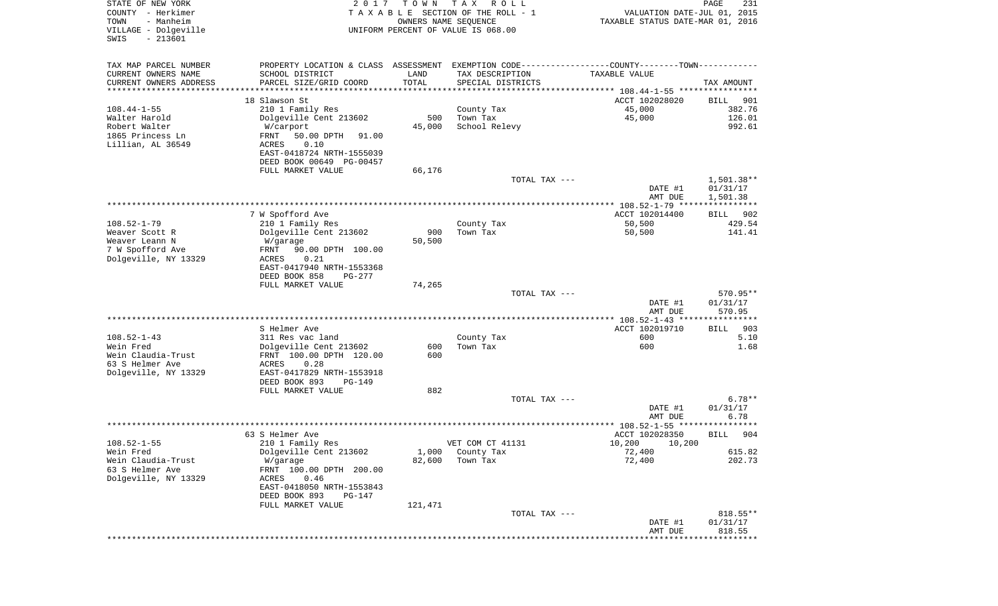| STATE OF NEW YORK<br>COUNTY - Herkimer<br>TOWN<br>- Manheim | 2 0 1 7                                           | T O W N              | T A X<br>R O L L<br>TAXABLE SECTION OF THE ROLL - 1<br>OWNERS NAME SEQUENCE                   | VALUATION DATE-JUL 01, 2015<br>TAXABLE STATUS DATE-MAR 01, 2016 | PAGE<br>231               |
|-------------------------------------------------------------|---------------------------------------------------|----------------------|-----------------------------------------------------------------------------------------------|-----------------------------------------------------------------|---------------------------|
| VILLAGE - Dolgeville<br>$-213601$<br>SWIS                   |                                                   |                      | UNIFORM PERCENT OF VALUE IS 068.00                                                            |                                                                 |                           |
| TAX MAP PARCEL NUMBER                                       |                                                   |                      | PROPERTY LOCATION & CLASS ASSESSMENT EXEMPTION CODE---------------COUNTY-------TOWN---------- |                                                                 |                           |
| CURRENT OWNERS NAME                                         | SCHOOL DISTRICT                                   | LAND                 | TAX DESCRIPTION                                                                               | TAXABLE VALUE                                                   |                           |
| CURRENT OWNERS ADDRESS<br>********************              | PARCEL SIZE/GRID COORD                            | TOTAL<br>*********** | SPECIAL DISTRICTS                                                                             |                                                                 | TAX AMOUNT                |
|                                                             | 18 Slawson St                                     |                      |                                                                                               | ACCT 102028020                                                  | BILL<br>901               |
| $108.44 - 1 - 55$                                           | 210 1 Family Res                                  |                      | County Tax                                                                                    | 45,000                                                          | 382.76                    |
| Walter Harold                                               | Dolgeville Cent 213602                            | 500                  | Town Tax                                                                                      | 45,000                                                          | 126.01                    |
| Robert Walter                                               | W/carport                                         | 45,000               | School Relevy                                                                                 |                                                                 | 992.61                    |
| 1865 Princess Ln<br>Lillian, AL 36549                       | FRNT<br>50.00 DPTH<br>91.00                       |                      |                                                                                               |                                                                 |                           |
|                                                             | ACRES<br>0.10<br>EAST-0418724 NRTH-1555039        |                      |                                                                                               |                                                                 |                           |
|                                                             | DEED BOOK 00649 PG-00457                          |                      |                                                                                               |                                                                 |                           |
|                                                             | FULL MARKET VALUE                                 | 66,176               |                                                                                               |                                                                 |                           |
|                                                             |                                                   |                      | TOTAL TAX ---                                                                                 |                                                                 | $1,501.38**$              |
|                                                             |                                                   |                      |                                                                                               | DATE #1                                                         | 01/31/17                  |
|                                                             |                                                   |                      |                                                                                               | AMT DUE                                                         | 1,501.38                  |
|                                                             | 7 W Spofford Ave                                  |                      |                                                                                               | ACCT 102014400                                                  | BILL<br>902               |
| $108.52 - 1 - 79$                                           | 210 1 Family Res                                  |                      | County Tax                                                                                    | 50,500                                                          | 429.54                    |
| Weaver Scott R                                              | Dolgeville Cent 213602                            | 900                  | Town Tax                                                                                      | 50,500                                                          | 141.41                    |
| Weaver Leann N                                              | W/garage                                          | 50,500               |                                                                                               |                                                                 |                           |
| 7 W Spofford Ave<br>Dolgeville, NY 13329                    | 90.00 DPTH 100.00<br>FRNT<br>0.21<br>ACRES        |                      |                                                                                               |                                                                 |                           |
|                                                             | EAST-0417940 NRTH-1553368                         |                      |                                                                                               |                                                                 |                           |
|                                                             | DEED BOOK 858<br>PG-277                           |                      |                                                                                               |                                                                 |                           |
|                                                             | FULL MARKET VALUE                                 | 74,265               |                                                                                               |                                                                 |                           |
|                                                             |                                                   |                      | TOTAL TAX ---                                                                                 |                                                                 | 570.95**                  |
|                                                             |                                                   |                      |                                                                                               | DATE #1<br>AMT DUE                                              | 01/31/17<br>570.95        |
|                                                             |                                                   |                      |                                                                                               |                                                                 |                           |
|                                                             | S Helmer Ave                                      |                      |                                                                                               | ACCT 102019710                                                  | 903<br>BILL               |
| $108.52 - 1 - 43$                                           | 311 Res vac land                                  |                      | County Tax                                                                                    | 600                                                             | 5.10                      |
| Wein Fred<br>Wein Claudia-Trust                             | Dolgeville Cent 213602<br>FRNT 100.00 DPTH 120.00 | 600<br>600           | Town Tax                                                                                      | 600                                                             | 1.68                      |
| 63 S Helmer Ave                                             | <b>ACRES</b><br>0.28                              |                      |                                                                                               |                                                                 |                           |
| Dolgeville, NY 13329                                        | EAST-0417829 NRTH-1553918                         |                      |                                                                                               |                                                                 |                           |
|                                                             | DEED BOOK 893<br>PG-149                           |                      |                                                                                               |                                                                 |                           |
|                                                             | FULL MARKET VALUE                                 | 882                  |                                                                                               |                                                                 |                           |
|                                                             |                                                   |                      | TOTAL TAX ---                                                                                 | DATE #1                                                         | $6.78**$<br>01/31/17      |
|                                                             |                                                   |                      |                                                                                               | AMT DUE                                                         | 6.78                      |
|                                                             |                                                   |                      |                                                                                               | ***************** 108.52-1-55 ****                              | * * * * * *               |
|                                                             | 63 S Helmer Ave                                   |                      |                                                                                               | ACCT 102028350                                                  | 904<br>BILL               |
| $108.52 - 1 - 55$                                           | 210 1 Family Res                                  |                      | VET COM CT 41131                                                                              | 10,200 10,200                                                   |                           |
| Wein Fred<br>Wein Claudia-Trust                             | Dolgeville Cent 213602<br>W/garage                | 1,000<br>82,600      | County Tax<br>Town Tax                                                                        | 72,400<br>72,400                                                | 615.82<br>202.73          |
| 63 S Helmer Ave                                             | FRNT 100.00 DPTH 200.00                           |                      |                                                                                               |                                                                 |                           |
| Dolgeville, NY 13329                                        | 0.46<br>ACRES                                     |                      |                                                                                               |                                                                 |                           |
|                                                             | EAST-0418050 NRTH-1553843                         |                      |                                                                                               |                                                                 |                           |
|                                                             | DEED BOOK 893<br>PG-147                           |                      |                                                                                               |                                                                 |                           |
|                                                             | FULL MARKET VALUE                                 | 121,471              | TOTAL TAX ---                                                                                 |                                                                 | 818.55**                  |
|                                                             |                                                   |                      |                                                                                               | DATE #1                                                         | 01/31/17                  |
|                                                             |                                                   |                      |                                                                                               | AMT DUE                                                         | 818.55                    |
|                                                             |                                                   |                      |                                                                                               |                                                                 | ************************* |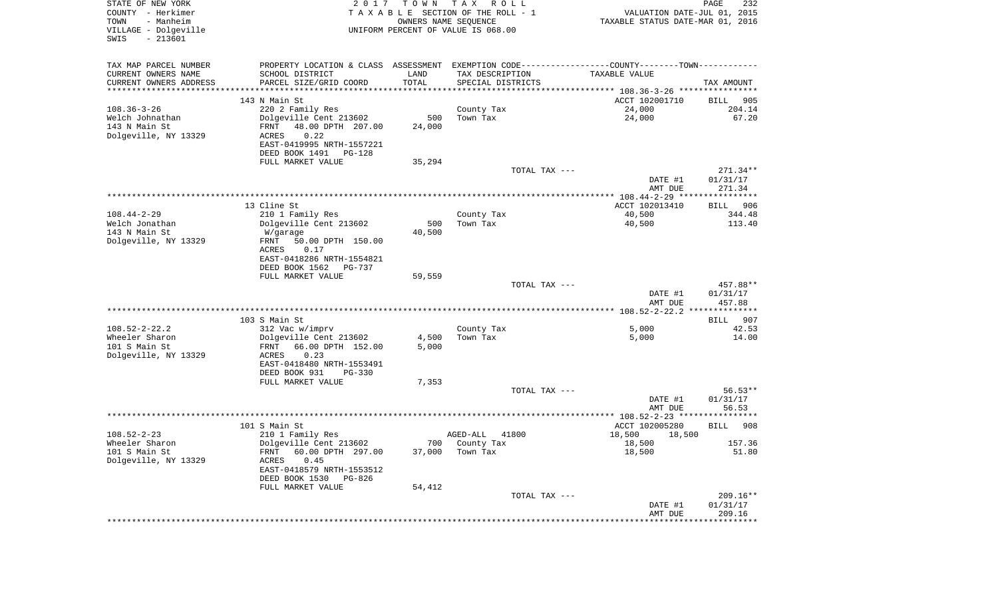| STATE OF NEW YORK<br>COUNTY - Herkimer<br>- Manheim<br>TOWN<br>VILLAGE - Dolgeville<br>$-213601$<br>SWIS | 2017                                                                                          | T O W N | T A X<br>R O L L<br>TAXABLE SECTION OF THE ROLL - 1<br>OWNERS NAME SEQUENCE<br>UNIFORM PERCENT OF VALUE IS 068.00 | VALUATION DATE-JUL 01, 2015<br>TAXABLE STATUS DATE-MAR 01, 2016 | 232<br>PAGE           |
|----------------------------------------------------------------------------------------------------------|-----------------------------------------------------------------------------------------------|---------|-------------------------------------------------------------------------------------------------------------------|-----------------------------------------------------------------|-----------------------|
| TAX MAP PARCEL NUMBER                                                                                    | PROPERTY LOCATION & CLASS ASSESSMENT EXEMPTION CODE---------------COUNTY-------TOWN---------- |         |                                                                                                                   |                                                                 |                       |
| CURRENT OWNERS NAME                                                                                      | SCHOOL DISTRICT                                                                               | LAND    | TAX DESCRIPTION                                                                                                   | TAXABLE VALUE                                                   |                       |
| CURRENT OWNERS ADDRESS<br>*************************                                                      | PARCEL SIZE/GRID COORD                                                                        | TOTAL   | SPECIAL DISTRICTS                                                                                                 |                                                                 | TAX AMOUNT            |
|                                                                                                          | 143 N Main St                                                                                 |         |                                                                                                                   | ACCT 102001710                                                  | BILL<br>905           |
| $108.36 - 3 - 26$                                                                                        | 220 2 Family Res                                                                              |         | County Tax                                                                                                        | 24,000                                                          | 204.14                |
| Welch Johnathan                                                                                          | Dolgeville Cent 213602                                                                        | 500     | Town Tax                                                                                                          | 24,000                                                          | 67.20                 |
| 143 N Main St                                                                                            | FRNT<br>48.00 DPTH 207.00                                                                     | 24,000  |                                                                                                                   |                                                                 |                       |
| Dolgeville, NY 13329                                                                                     | 0.22<br>ACRES                                                                                 |         |                                                                                                                   |                                                                 |                       |
|                                                                                                          | EAST-0419995 NRTH-1557221                                                                     |         |                                                                                                                   |                                                                 |                       |
|                                                                                                          | DEED BOOK 1491<br>PG-128<br>FULL MARKET VALUE                                                 | 35,294  |                                                                                                                   |                                                                 |                       |
|                                                                                                          |                                                                                               |         | TOTAL TAX ---                                                                                                     |                                                                 | $271.34**$            |
|                                                                                                          |                                                                                               |         |                                                                                                                   | DATE #1                                                         | 01/31/17              |
|                                                                                                          |                                                                                               |         |                                                                                                                   | AMT DUE                                                         | 271.34                |
|                                                                                                          |                                                                                               |         |                                                                                                                   |                                                                 |                       |
|                                                                                                          | 13 Cline St                                                                                   |         |                                                                                                                   | ACCT 102013410                                                  | 906<br>BILL           |
| $108.44 - 2 - 29$<br>Welch Jonathan                                                                      | 210 1 Family Res<br>Dolgeville Cent 213602                                                    | 500     | County Tax<br>Town Tax                                                                                            | 40,500<br>40,500                                                | 344.48<br>113.40      |
| 143 N Main St                                                                                            | W/garage                                                                                      | 40,500  |                                                                                                                   |                                                                 |                       |
| Dolgeville, NY 13329                                                                                     | FRNT<br>50.00 DPTH 150.00                                                                     |         |                                                                                                                   |                                                                 |                       |
|                                                                                                          | ACRES<br>0.17                                                                                 |         |                                                                                                                   |                                                                 |                       |
|                                                                                                          | EAST-0418286 NRTH-1554821                                                                     |         |                                                                                                                   |                                                                 |                       |
|                                                                                                          | DEED BOOK 1562<br>PG-737                                                                      |         |                                                                                                                   |                                                                 |                       |
|                                                                                                          | FULL MARKET VALUE                                                                             | 59,559  | TOTAL TAX ---                                                                                                     |                                                                 | 457.88**              |
|                                                                                                          |                                                                                               |         |                                                                                                                   | DATE #1<br>AMT DUE                                              | 01/31/17<br>457.88    |
|                                                                                                          |                                                                                               |         |                                                                                                                   |                                                                 |                       |
|                                                                                                          | 103 S Main St                                                                                 |         |                                                                                                                   |                                                                 | BILL 907              |
| $108.52 - 2 - 22.2$<br>Wheeler Sharon                                                                    | 312 Vac w/imprv<br>Dolgeville Cent 213602                                                     | 4,500   | County Tax<br>Town Tax                                                                                            | 5,000<br>5,000                                                  | 42.53<br>14.00        |
| 101 S Main St                                                                                            | FRNT<br>66.00 DPTH 152.00                                                                     | 5,000   |                                                                                                                   |                                                                 |                       |
| Dolgeville, NY 13329                                                                                     | ACRES<br>0.23                                                                                 |         |                                                                                                                   |                                                                 |                       |
|                                                                                                          | EAST-0418480 NRTH-1553491                                                                     |         |                                                                                                                   |                                                                 |                       |
|                                                                                                          | DEED BOOK 931<br><b>PG-330</b>                                                                |         |                                                                                                                   |                                                                 |                       |
|                                                                                                          | FULL MARKET VALUE                                                                             | 7,353   |                                                                                                                   |                                                                 |                       |
|                                                                                                          |                                                                                               |         | TOTAL TAX ---                                                                                                     | DATE #1                                                         | $56.53**$<br>01/31/17 |
|                                                                                                          |                                                                                               |         |                                                                                                                   | AMT DUE                                                         | 56.53                 |
|                                                                                                          |                                                                                               |         |                                                                                                                   |                                                                 |                       |
|                                                                                                          | 101 S Main St                                                                                 |         |                                                                                                                   | ACCT 102005280                                                  | 908<br>BILL           |
| $108.52 - 2 - 23$                                                                                        | 210 1 Family Res                                                                              |         | 41800<br>AGED-ALL                                                                                                 | 18,500<br>18,500                                                |                       |
| Wheeler Sharon<br>101 S Main St                                                                          | Dolgeville Cent 213602<br>FRNT 60.00 DPTH 297.00                                              | 37,000  | 700 County Tax<br>Town Tax                                                                                        | 18,500<br>18,500                                                | 157.36<br>51.80       |
| Dolgeville, NY 13329                                                                                     | ACRES<br>0.45                                                                                 |         |                                                                                                                   |                                                                 |                       |
|                                                                                                          | EAST-0418579 NRTH-1553512                                                                     |         |                                                                                                                   |                                                                 |                       |
|                                                                                                          | DEED BOOK 1530 PG-826                                                                         |         |                                                                                                                   |                                                                 |                       |
|                                                                                                          | FULL MARKET VALUE                                                                             | 54,412  |                                                                                                                   |                                                                 |                       |
|                                                                                                          |                                                                                               |         | TOTAL TAX ---                                                                                                     |                                                                 | $209.16**$            |
|                                                                                                          |                                                                                               |         |                                                                                                                   | DATE #1<br>AMT DUE                                              | 01/31/17<br>209.16    |
|                                                                                                          |                                                                                               |         |                                                                                                                   |                                                                 |                       |
|                                                                                                          |                                                                                               |         |                                                                                                                   |                                                                 |                       |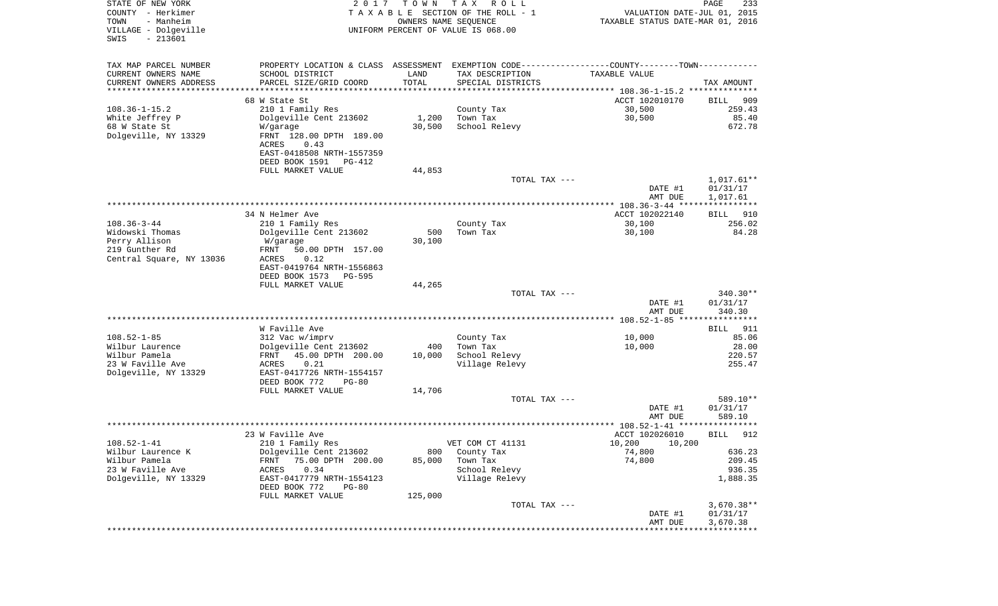| STATE OF NEW YORK<br>COUNTY - Herkimer<br>- Manheim<br>TOWN<br>VILLAGE - Dolgeville<br>$-213601$<br>SWIS | 2 0 1 7                                                                                        | T O W N<br>OWNERS NAME SEQUENCE | T A X<br>R O L L<br>TAXABLE SECTION OF THE ROLL - 1<br>UNIFORM PERCENT OF VALUE IS 068.00 | VALUATION DATE-JUL 01, 2015<br>TAXABLE STATUS DATE-MAR 01, 2016  | PAGE<br>233          |
|----------------------------------------------------------------------------------------------------------|------------------------------------------------------------------------------------------------|---------------------------------|-------------------------------------------------------------------------------------------|------------------------------------------------------------------|----------------------|
| TAX MAP PARCEL NUMBER                                                                                    | PROPERTY LOCATION & CLASS ASSESSMENT EXEMPTION CODE----------------COUNTY-------TOWN---------- |                                 |                                                                                           |                                                                  |                      |
| CURRENT OWNERS NAME                                                                                      | SCHOOL DISTRICT                                                                                | LAND                            | TAX DESCRIPTION                                                                           | TAXABLE VALUE                                                    |                      |
| CURRENT OWNERS ADDRESS<br>*********************                                                          | PARCEL SIZE/GRID COORD                                                                         | TOTAL<br>* * * * * * * * * * *  | SPECIAL DISTRICTS                                                                         |                                                                  | TAX AMOUNT           |
|                                                                                                          | 68 W State St                                                                                  |                                 |                                                                                           | ACCT 102010170                                                   | 909<br>BILL          |
| $108.36 - 1 - 15.2$                                                                                      | 210 1 Family Res                                                                               |                                 | County Tax                                                                                | 30,500                                                           | 259.43               |
| White Jeffrey P                                                                                          | Dolgeville Cent 213602                                                                         | 1,200                           | Town Tax                                                                                  | 30,500                                                           | 85.40                |
| 68 W State St                                                                                            | W/garage                                                                                       | 30,500                          | School Relevy                                                                             |                                                                  | 672.78               |
| Dolgeville, NY 13329                                                                                     | FRNT 128.00 DPTH 189.00<br>ACRES<br>0.43                                                       |                                 |                                                                                           |                                                                  |                      |
|                                                                                                          | EAST-0418508 NRTH-1557359<br>DEED BOOK 1591<br>PG-412                                          |                                 |                                                                                           |                                                                  |                      |
|                                                                                                          | FULL MARKET VALUE                                                                              | 44,853                          |                                                                                           |                                                                  |                      |
|                                                                                                          |                                                                                                |                                 | TOTAL TAX ---                                                                             |                                                                  | $1,017.61**$         |
|                                                                                                          |                                                                                                |                                 |                                                                                           | DATE #1<br>AMT DUE                                               | 01/31/17<br>1,017.61 |
|                                                                                                          | 34 N Helmer Ave                                                                                |                                 |                                                                                           | **************** 108.36-3-44 *****************<br>ACCT 102022140 | BILL<br>910          |
| $108.36 - 3 - 44$                                                                                        | 210 1 Family Res                                                                               |                                 | County Tax                                                                                | 30,100                                                           | 256.02               |
| Widowski Thomas                                                                                          | Dolgeville Cent 213602                                                                         | 500                             | Town Tax                                                                                  | 30,100                                                           | 84.28                |
| Perry Allison                                                                                            | W/garage                                                                                       | 30,100                          |                                                                                           |                                                                  |                      |
| 219 Gunther Rd                                                                                           | FRNT<br>50.00 DPTH 157.00                                                                      |                                 |                                                                                           |                                                                  |                      |
| Central Square, NY 13036                                                                                 | ACRES<br>0.12<br>EAST-0419764 NRTH-1556863<br>DEED BOOK 1573                                   |                                 |                                                                                           |                                                                  |                      |
|                                                                                                          | PG-595<br>FULL MARKET VALUE                                                                    | 44,265                          |                                                                                           |                                                                  |                      |
|                                                                                                          |                                                                                                |                                 | TOTAL TAX ---                                                                             |                                                                  | $340.30**$           |
|                                                                                                          |                                                                                                |                                 |                                                                                           | DATE #1<br>AMT DUE                                               | 01/31/17<br>340.30   |
|                                                                                                          |                                                                                                |                                 |                                                                                           |                                                                  |                      |
|                                                                                                          | W Faville Ave                                                                                  |                                 |                                                                                           |                                                                  | 911<br>BILL          |
| $108.52 - 1 - 85$<br>Wilbur Laurence                                                                     | 312 Vac w/imprv<br>Dolgeville Cent 213602                                                      | 400                             | County Tax<br>Town Tax                                                                    | 10,000<br>10,000                                                 | 85.06<br>28.00       |
| Wilbur Pamela                                                                                            | FRNT<br>45.00 DPTH 200.00                                                                      | 10,000                          | School Relevy                                                                             |                                                                  | 220.57               |
| 23 W Faville Ave                                                                                         | ACRES<br>0.21                                                                                  |                                 | Village Relevy                                                                            |                                                                  | 255.47               |
| Dolgeville, NY 13329                                                                                     | EAST-0417726 NRTH-1554157                                                                      |                                 |                                                                                           |                                                                  |                      |
|                                                                                                          | DEED BOOK 772<br>$PG-80$<br>FULL MARKET VALUE                                                  | 14,706                          |                                                                                           |                                                                  |                      |
|                                                                                                          |                                                                                                |                                 | TOTAL TAX ---                                                                             |                                                                  | 589.10**             |
|                                                                                                          |                                                                                                |                                 |                                                                                           | DATE #1<br>AMT DUE                                               | 01/31/17<br>589.10   |
|                                                                                                          |                                                                                                |                                 |                                                                                           |                                                                  | ******               |
|                                                                                                          | 23 W Faville Ave                                                                               |                                 |                                                                                           | ACCT 102026010                                                   | 912<br>BILL          |
| $108.52 - 1 - 41$                                                                                        | 210 1 Family Res                                                                               |                                 | VET COM CT 41131                                                                          | 10,200 10,200                                                    |                      |
| Wilbur Laurence K<br>Wilbur Pamela                                                                       | Dolgeville Cent 213602<br>75.00 DPTH 200.00<br>FRNT                                            | 800<br>85,000                   | County Tax<br>Town Tax                                                                    | 74,800<br>74,800                                                 | 636.23<br>209.45     |
| 23 W Faville Ave                                                                                         | 0.34<br>ACRES                                                                                  |                                 | School Relevy                                                                             |                                                                  | 936.35               |
| Dolgeville, NY 13329                                                                                     | EAST-0417779 NRTH-1554123<br>DEED BOOK 772<br>$PG-80$                                          |                                 | Village Relevy                                                                            |                                                                  | 1,888.35             |
|                                                                                                          | FULL MARKET VALUE                                                                              | 125,000                         |                                                                                           |                                                                  |                      |
|                                                                                                          |                                                                                                |                                 | TOTAL TAX ---                                                                             |                                                                  | $3,670.38**$         |
|                                                                                                          |                                                                                                |                                 |                                                                                           | DATE #1                                                          | 01/31/17             |
|                                                                                                          |                                                                                                |                                 |                                                                                           | AMT DUE                                                          | 3,670.38             |
|                                                                                                          |                                                                                                |                                 |                                                                                           |                                                                  |                      |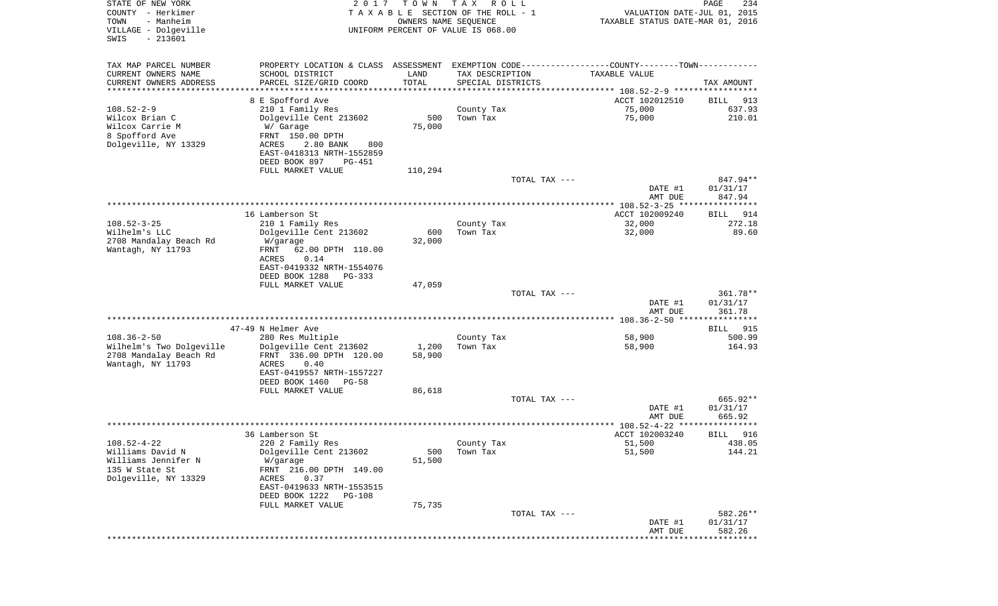| STATE OF NEW YORK<br>COUNTY - Herkimer<br>TOWN<br>- Manheim | 2 0 1 7                                                                                        | T O W N<br>OWNERS NAME SEQUENCE | T A X<br>R O L L<br>T A X A B L E SECTION OF THE ROLL - 1 |               | VALUATION DATE-JUL 01, 2015<br>TAXABLE STATUS DATE-MAR 01, 2016 | $\mathop{\mathtt{PAGE}}$<br>234 |
|-------------------------------------------------------------|------------------------------------------------------------------------------------------------|---------------------------------|-----------------------------------------------------------|---------------|-----------------------------------------------------------------|---------------------------------|
| VILLAGE - Dolgeville<br>$-213601$<br>SWIS                   |                                                                                                |                                 | UNIFORM PERCENT OF VALUE IS 068.00                        |               |                                                                 |                                 |
| TAX MAP PARCEL NUMBER                                       | PROPERTY LOCATION & CLASS ASSESSMENT EXEMPTION CODE----------------COUNTY-------TOWN---------- |                                 |                                                           |               |                                                                 |                                 |
| CURRENT OWNERS NAME                                         | SCHOOL DISTRICT                                                                                | LAND                            | TAX DESCRIPTION                                           |               | TAXABLE VALUE                                                   |                                 |
| CURRENT OWNERS ADDRESS<br>********************              | PARCEL SIZE/GRID COORD                                                                         | TOTAL<br>***************        | SPECIAL DISTRICTS                                         |               |                                                                 | TAX AMOUNT                      |
|                                                             | 8 E Spofford Ave                                                                               |                                 |                                                           |               | ACCT 102012510                                                  | BILL<br>913                     |
| $108.52 - 2 - 9$                                            | 210 1 Family Res                                                                               |                                 | County Tax                                                |               | 75,000                                                          | 637.93                          |
| Wilcox Brian C                                              | Dolgeville Cent 213602                                                                         | 500                             | Town Tax                                                  |               | 75,000                                                          | 210.01                          |
| Wilcox Carrie M<br>8 Spofford Ave                           | W/ Garage                                                                                      | 75,000                          |                                                           |               |                                                                 |                                 |
| Dolgeville, NY 13329                                        | FRNT 150.00 DPTH<br>ACRES<br>2.80 BANK<br>800                                                  |                                 |                                                           |               |                                                                 |                                 |
|                                                             | EAST-0418313 NRTH-1552859                                                                      |                                 |                                                           |               |                                                                 |                                 |
|                                                             | DEED BOOK 897<br>PG-451                                                                        |                                 |                                                           |               |                                                                 |                                 |
|                                                             | FULL MARKET VALUE                                                                              | 110,294                         |                                                           |               |                                                                 |                                 |
|                                                             |                                                                                                |                                 |                                                           | TOTAL TAX --- | DATE #1                                                         | 847.94**<br>01/31/17            |
|                                                             |                                                                                                |                                 |                                                           |               | AMT DUE                                                         | 847.94                          |
|                                                             |                                                                                                |                                 |                                                           |               | ***************** 108.52-3-25 *****************                 |                                 |
|                                                             | 16 Lamberson St                                                                                |                                 |                                                           |               | ACCT 102009240                                                  | BILL<br>914                     |
| $108.52 - 3 - 25$<br>Wilhelm's LLC                          | 210 1 Family Res<br>Dolgeville Cent 213602                                                     | 600                             | County Tax<br>Town Tax                                    |               | 32,000<br>32,000                                                | 272.18<br>89.60                 |
| 2708 Mandalay Beach Rd                                      | W/garage                                                                                       | 32,000                          |                                                           |               |                                                                 |                                 |
| Wantagh, NY 11793                                           | 62.00 DPTH 110.00<br>FRNT                                                                      |                                 |                                                           |               |                                                                 |                                 |
|                                                             | ACRES<br>0.14                                                                                  |                                 |                                                           |               |                                                                 |                                 |
|                                                             | EAST-0419332 NRTH-1554076                                                                      |                                 |                                                           |               |                                                                 |                                 |
|                                                             | DEED BOOK 1288<br>PG-333<br>FULL MARKET VALUE                                                  | 47,059                          |                                                           |               |                                                                 |                                 |
|                                                             |                                                                                                |                                 |                                                           | TOTAL TAX --- |                                                                 | 361.78**                        |
|                                                             |                                                                                                |                                 |                                                           |               | DATE #1                                                         | 01/31/17                        |
|                                                             |                                                                                                |                                 |                                                           |               | AMT DUE                                                         | 361.78                          |
|                                                             | 47-49 N Helmer Ave                                                                             |                                 |                                                           |               |                                                                 | 915<br>BILL                     |
| $108.36 - 2 - 50$                                           | 280 Res Multiple                                                                               |                                 | County Tax                                                |               | 58,900                                                          | 500.99                          |
| Wilhelm's Two Dolgeville                                    | Dolgeville Cent 213602                                                                         | 1,200                           | Town Tax                                                  |               | 58,900                                                          | 164.93                          |
| 2708 Mandalay Beach Rd                                      | FRNT 336.00 DPTH 120.00                                                                        | 58,900                          |                                                           |               |                                                                 |                                 |
| Wantagh, NY 11793                                           | ACRES<br>0.40<br>EAST-0419557 NRTH-1557227                                                     |                                 |                                                           |               |                                                                 |                                 |
|                                                             | DEED BOOK 1460<br>$PG-58$                                                                      |                                 |                                                           |               |                                                                 |                                 |
|                                                             | FULL MARKET VALUE                                                                              | 86,618                          |                                                           |               |                                                                 |                                 |
|                                                             |                                                                                                |                                 |                                                           | TOTAL TAX --- |                                                                 | 665.92**                        |
|                                                             |                                                                                                |                                 |                                                           |               | DATE #1                                                         | 01/31/17                        |
|                                                             |                                                                                                |                                 |                                                           |               | AMT DUE<br>***************** 108.52-4-22 ****                   | 665.92<br>* * * * * *           |
|                                                             | 36 Lamberson St                                                                                |                                 |                                                           |               | ACCT 102003240                                                  | 916<br>BILL                     |
| $108.52 - 4 - 22$                                           | 220 2 Family Res                                                                               |                                 | County Tax                                                |               | 51,500                                                          | 438.05                          |
| Williams David N                                            | Dolgeville Cent 213602                                                                         | 500                             | Town Tax                                                  |               | 51,500                                                          | 144.21                          |
| Williams Jennifer N<br>135 W State St                       | W/garage<br>FRNT 216.00 DPTH 149.00                                                            | 51,500                          |                                                           |               |                                                                 |                                 |
| Dolgeville, NY 13329                                        | 0.37<br>ACRES                                                                                  |                                 |                                                           |               |                                                                 |                                 |
|                                                             | EAST-0419633 NRTH-1553515                                                                      |                                 |                                                           |               |                                                                 |                                 |
|                                                             | DEED BOOK 1222<br>PG-108                                                                       |                                 |                                                           |               |                                                                 |                                 |
|                                                             | FULL MARKET VALUE                                                                              | 75,735                          |                                                           |               |                                                                 |                                 |
|                                                             |                                                                                                |                                 |                                                           | TOTAL TAX --- | DATE #1                                                         | 582.26**<br>01/31/17            |
|                                                             |                                                                                                |                                 |                                                           |               | AMT DUE                                                         | 582.26                          |
|                                                             |                                                                                                |                                 |                                                           |               |                                                                 |                                 |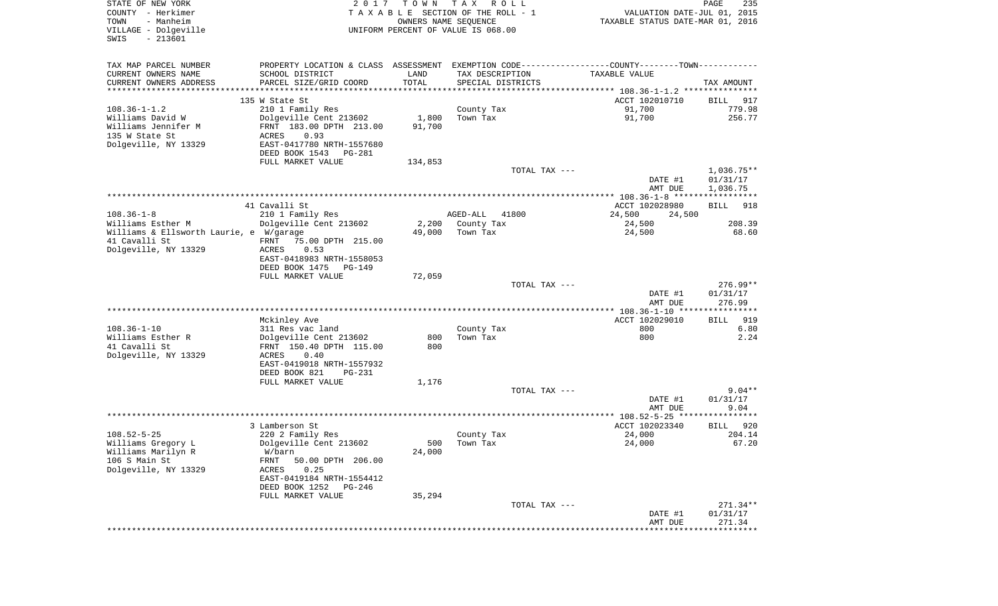| STATE OF NEW YORK<br>COUNTY - Herkimer<br>- Manheim<br>TOWN<br>VILLAGE - Dolgeville<br>$-213601$<br>SWIS | 2 0 1 7                                                                                       | T O W N | TAX ROLL<br>TAXABLE SECTION OF THE ROLL - 1<br>OWNERS NAME SEQUENCE<br>UNIFORM PERCENT OF VALUE IS 068.00 | VALUATION DATE-JUL 01, 2015<br>TAXABLE STATUS DATE-MAR 01, 2016 | PAGE<br>235        |
|----------------------------------------------------------------------------------------------------------|-----------------------------------------------------------------------------------------------|---------|-----------------------------------------------------------------------------------------------------------|-----------------------------------------------------------------|--------------------|
| TAX MAP PARCEL NUMBER                                                                                    | PROPERTY LOCATION & CLASS ASSESSMENT EXEMPTION CODE---------------COUNTY-------TOWN---------- |         |                                                                                                           |                                                                 |                    |
| CURRENT OWNERS NAME                                                                                      | SCHOOL DISTRICT                                                                               | LAND    | TAX DESCRIPTION                                                                                           | TAXABLE VALUE                                                   |                    |
| CURRENT OWNERS ADDRESS<br>**********************                                                         | PARCEL SIZE/GRID COORD                                                                        | TOTAL   | SPECIAL DISTRICTS                                                                                         |                                                                 | TAX AMOUNT         |
|                                                                                                          | 135 W State St                                                                                |         |                                                                                                           | ACCT 102010710                                                  | BILL<br>917        |
| $108.36 - 1 - 1.2$                                                                                       | 210 1 Family Res                                                                              |         | County Tax                                                                                                | 91,700                                                          | 779.98             |
| Williams David W                                                                                         | Dolgeville Cent 213602                                                                        | 1,800   | Town Tax                                                                                                  | 91,700                                                          | 256.77             |
| Williams Jennifer M                                                                                      | FRNT 183.00 DPTH 213.00                                                                       | 91,700  |                                                                                                           |                                                                 |                    |
| 135 W State St<br>Dolgeville, NY 13329                                                                   | ACRES<br>0.93<br>EAST-0417780 NRTH-1557680                                                    |         |                                                                                                           |                                                                 |                    |
|                                                                                                          | DEED BOOK 1543<br>PG-281                                                                      |         |                                                                                                           |                                                                 |                    |
|                                                                                                          | FULL MARKET VALUE                                                                             | 134,853 |                                                                                                           |                                                                 |                    |
|                                                                                                          |                                                                                               |         | TOTAL TAX ---                                                                                             |                                                                 | $1,036.75**$       |
|                                                                                                          |                                                                                               |         |                                                                                                           | DATE #1                                                         | 01/31/17           |
|                                                                                                          |                                                                                               |         |                                                                                                           | AMT DUE                                                         | 1,036.75           |
|                                                                                                          | 41 Cavalli St                                                                                 |         |                                                                                                           | ACCT 102028980                                                  | <b>BILL</b><br>918 |
| $108.36 - 1 - 8$                                                                                         | 210 1 Family Res                                                                              |         | AGED-ALL<br>41800                                                                                         | 24,500<br>24,500                                                |                    |
| Williams Esther M                                                                                        | Dolgeville Cent 213602                                                                        | 2,200   | County Tax                                                                                                | 24,500                                                          | 208.39             |
| Williams & Ellsworth Laurie, e W/garage<br>41 Cavalli St                                                 | FRNT<br>75.00 DPTH 215.00                                                                     | 49,000  | Town Tax                                                                                                  | 24,500                                                          | 68.60              |
| Dolgeville, NY 13329                                                                                     | <b>ACRES</b><br>0.53                                                                          |         |                                                                                                           |                                                                 |                    |
|                                                                                                          | EAST-0418983 NRTH-1558053                                                                     |         |                                                                                                           |                                                                 |                    |
|                                                                                                          | DEED BOOK 1475<br><b>PG-149</b>                                                               |         |                                                                                                           |                                                                 |                    |
|                                                                                                          | FULL MARKET VALUE                                                                             | 72,059  | TOTAL TAX ---                                                                                             |                                                                 | $276.99**$         |
|                                                                                                          |                                                                                               |         |                                                                                                           | DATE #1                                                         | 01/31/17           |
|                                                                                                          |                                                                                               |         |                                                                                                           | AMT DUE                                                         | 276.99             |
|                                                                                                          |                                                                                               |         |                                                                                                           |                                                                 |                    |
| $108.36 - 1 - 10$                                                                                        | Mckinley Ave                                                                                  |         |                                                                                                           | ACCT 102029010                                                  | 919<br>BILL        |
| Williams Esther R                                                                                        | 311 Res vac land<br>Dolgeville Cent 213602                                                    | 800     | County Tax<br>Town Tax                                                                                    | 800<br>800                                                      | 6.80<br>2.24       |
| 41 Cavalli St                                                                                            | FRNT 150.40 DPTH 115.00                                                                       | 800     |                                                                                                           |                                                                 |                    |
| Dolgeville, NY 13329                                                                                     | ACRES<br>0.40                                                                                 |         |                                                                                                           |                                                                 |                    |
|                                                                                                          | EAST-0419018 NRTH-1557932                                                                     |         |                                                                                                           |                                                                 |                    |
|                                                                                                          | DEED BOOK 821<br>PG-231<br>FULL MARKET VALUE                                                  | 1,176   |                                                                                                           |                                                                 |                    |
|                                                                                                          |                                                                                               |         | TOTAL TAX ---                                                                                             |                                                                 | $9.04**$           |
|                                                                                                          |                                                                                               |         |                                                                                                           | DATE #1                                                         | 01/31/17           |
|                                                                                                          |                                                                                               |         |                                                                                                           | AMT DUE                                                         | 9.04               |
|                                                                                                          | 3 Lamberson St                                                                                |         |                                                                                                           | ACCT 102023340                                                  | 920<br>BILL        |
| $108.52 - 5 - 25$                                                                                        | 220 2 Family Res                                                                              |         | County Tax                                                                                                | 24,000                                                          | 204.14             |
| Williams Gregory L                                                                                       | Dolgeville Cent 213602                                                                        |         | 500 Town Tax                                                                                              | 24,000                                                          | 67.20              |
| Williams Marilyn R                                                                                       | W/barn                                                                                        | 24,000  |                                                                                                           |                                                                 |                    |
| 106 S Main St                                                                                            | FRNT<br>50.00 DPTH 206.00                                                                     |         |                                                                                                           |                                                                 |                    |
| Dolgeville, NY 13329                                                                                     | ACRES<br>0.25<br>EAST-0419184 NRTH-1554412                                                    |         |                                                                                                           |                                                                 |                    |
|                                                                                                          | DEED BOOK 1252<br>PG-246                                                                      |         |                                                                                                           |                                                                 |                    |
|                                                                                                          | FULL MARKET VALUE                                                                             | 35,294  |                                                                                                           |                                                                 |                    |
|                                                                                                          |                                                                                               |         | TOTAL TAX ---                                                                                             |                                                                 | $271.34**$         |
|                                                                                                          |                                                                                               |         |                                                                                                           | DATE #1<br>AMT DUE                                              | 01/31/17<br>271.34 |
|                                                                                                          |                                                                                               |         |                                                                                                           | ***************************                                     |                    |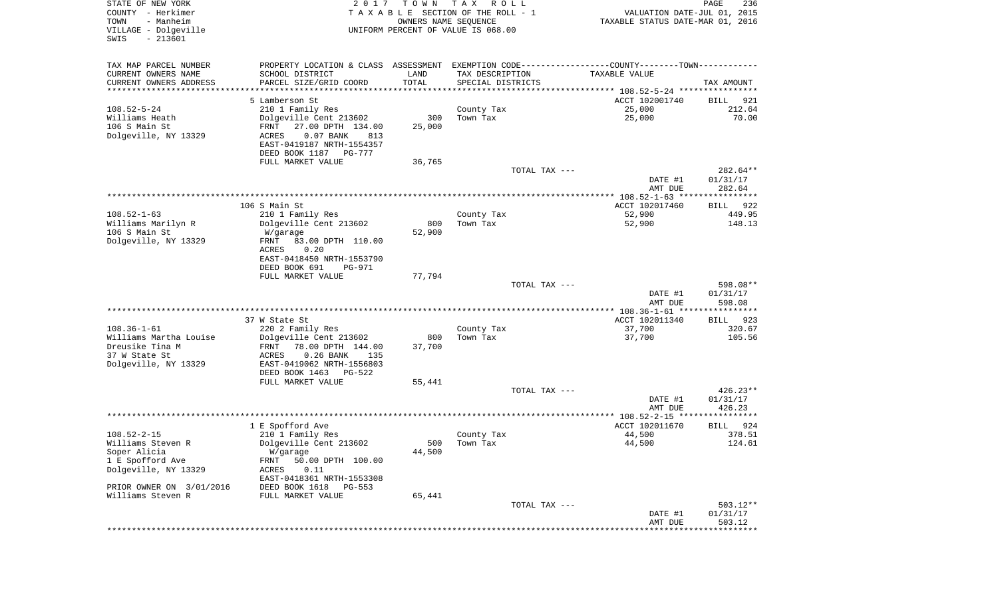| STATE OF NEW YORK<br>COUNTY - Herkimer<br>TOWN<br>- Manheim<br>VILLAGE - Dolgeville<br>$-213601$<br>SWIS | 2017                                                                                          | T O W N       | T A X<br>R O L L<br>TAXABLE SECTION OF THE ROLL - 1<br>OWNERS NAME SEQUENCE<br>UNIFORM PERCENT OF VALUE IS 068.00 | VALUATION DATE-JUL 01, 2015<br>TAXABLE STATUS DATE-MAR 01, 2016 | PAGE<br>236          |
|----------------------------------------------------------------------------------------------------------|-----------------------------------------------------------------------------------------------|---------------|-------------------------------------------------------------------------------------------------------------------|-----------------------------------------------------------------|----------------------|
| TAX MAP PARCEL NUMBER                                                                                    | PROPERTY LOCATION & CLASS ASSESSMENT EXEMPTION CODE---------------COUNTY-------TOWN---------- |               |                                                                                                                   |                                                                 |                      |
| CURRENT OWNERS NAME                                                                                      | SCHOOL DISTRICT                                                                               | LAND          | TAX DESCRIPTION                                                                                                   | TAXABLE VALUE                                                   |                      |
| CURRENT OWNERS ADDRESS<br>*********************                                                          | PARCEL SIZE/GRID COORD<br>************************************                                | TOTAL         | SPECIAL DISTRICTS                                                                                                 |                                                                 | TAX AMOUNT           |
|                                                                                                          | 5 Lamberson St                                                                                |               |                                                                                                                   | ACCT 102001740                                                  | BILL<br>921          |
| $108.52 - 5 - 24$                                                                                        | 210 1 Family Res                                                                              |               | County Tax                                                                                                        | 25,000                                                          | 212.64               |
| Williams Heath                                                                                           | Dolgeville Cent 213602                                                                        | 300           | Town Tax                                                                                                          | 25,000                                                          | 70.00                |
| 106 S Main St                                                                                            | 27.00 DPTH 134.00<br>FRNT                                                                     | 25,000        |                                                                                                                   |                                                                 |                      |
| Dolgeville, NY 13329                                                                                     | ACRES<br>$0.07$ BANK<br>813                                                                   |               |                                                                                                                   |                                                                 |                      |
|                                                                                                          | EAST-0419187 NRTH-1554357                                                                     |               |                                                                                                                   |                                                                 |                      |
|                                                                                                          | DEED BOOK 1187 PG-777                                                                         |               |                                                                                                                   |                                                                 |                      |
|                                                                                                          | FULL MARKET VALUE                                                                             | 36,765        |                                                                                                                   |                                                                 |                      |
|                                                                                                          |                                                                                               |               | TOTAL TAX ---                                                                                                     | DATE #1                                                         | 282.64**<br>01/31/17 |
|                                                                                                          |                                                                                               |               |                                                                                                                   | AMT DUE                                                         | 282.64               |
|                                                                                                          |                                                                                               |               |                                                                                                                   |                                                                 |                      |
|                                                                                                          | 106 S Main St                                                                                 |               |                                                                                                                   | ACCT 102017460                                                  | <b>BILL</b><br>922   |
| $108.52 - 1 - 63$                                                                                        | 210 1 Family Res                                                                              |               | County Tax                                                                                                        | 52,900                                                          | 449.95               |
| Williams Marilyn R<br>106 S Main St                                                                      | Dolgeville Cent 213602                                                                        | 800<br>52,900 | Town Tax                                                                                                          | 52,900                                                          | 148.13               |
| Dolgeville, NY 13329                                                                                     | W/garage<br>FRNT<br>83.00 DPTH 110.00                                                         |               |                                                                                                                   |                                                                 |                      |
|                                                                                                          | ACRES<br>0.20                                                                                 |               |                                                                                                                   |                                                                 |                      |
|                                                                                                          | EAST-0418450 NRTH-1553790                                                                     |               |                                                                                                                   |                                                                 |                      |
|                                                                                                          | DEED BOOK 691<br><b>PG-971</b>                                                                |               |                                                                                                                   |                                                                 |                      |
|                                                                                                          | FULL MARKET VALUE                                                                             | 77,794        |                                                                                                                   |                                                                 |                      |
|                                                                                                          |                                                                                               |               | TOTAL TAX ---                                                                                                     |                                                                 | 598.08**             |
|                                                                                                          |                                                                                               |               |                                                                                                                   | DATE #1<br>AMT DUE                                              | 01/31/17<br>598.08   |
|                                                                                                          |                                                                                               |               |                                                                                                                   | ************** 108.36-1-61 *****************                    |                      |
|                                                                                                          | 37 W State St                                                                                 |               |                                                                                                                   | ACCT 102011340                                                  | 923<br>BILL          |
| $108.36 - 1 - 61$                                                                                        | 220 2 Family Res                                                                              |               | County Tax                                                                                                        | 37,700                                                          | 320.67               |
| Williams Martha Louise                                                                                   | Dolgeville Cent 213602                                                                        | 800           | Town Tax                                                                                                          | 37,700                                                          | 105.56               |
| Dreusike Tina M                                                                                          | FRNT<br>78.00 DPTH 144.00                                                                     | 37,700        |                                                                                                                   |                                                                 |                      |
| 37 W State St                                                                                            | ACRES<br>$0.26$ BANK<br>135                                                                   |               |                                                                                                                   |                                                                 |                      |
| Dolgeville, NY 13329                                                                                     | EAST-0419062 NRTH-1556803<br>DEED BOOK 1463<br>PG-522                                         |               |                                                                                                                   |                                                                 |                      |
|                                                                                                          | FULL MARKET VALUE                                                                             | 55,441        |                                                                                                                   |                                                                 |                      |
|                                                                                                          |                                                                                               |               | TOTAL TAX ---                                                                                                     |                                                                 | $426.23**$           |
|                                                                                                          |                                                                                               |               |                                                                                                                   | DATE #1                                                         | 01/31/17             |
|                                                                                                          |                                                                                               |               |                                                                                                                   | AMT DUE                                                         | 426.23               |
|                                                                                                          |                                                                                               |               |                                                                                                                   |                                                                 |                      |
|                                                                                                          | 1 E Spofford Ave                                                                              |               |                                                                                                                   | ACCT 102011670                                                  | 924<br>BILL          |
| $108.52 - 2 - 15$<br>Williams Steven R                                                                   | 210 1 Family Res<br>Dolgeville Cent 213602                                                    |               | County Tax<br>500 Town Tax                                                                                        | 44,500<br>44,500                                                | 378.51<br>124.61     |
| Soper Alicia                                                                                             | W/garage                                                                                      | 44,500        |                                                                                                                   |                                                                 |                      |
| 1 E Spofford Ave                                                                                         | 50.00 DPTH 100.00<br>FRNT                                                                     |               |                                                                                                                   |                                                                 |                      |
| Dolgeville, NY 13329                                                                                     | ACRES<br>0.11                                                                                 |               |                                                                                                                   |                                                                 |                      |
|                                                                                                          | EAST-0418361 NRTH-1553308                                                                     |               |                                                                                                                   |                                                                 |                      |
| PRIOR OWNER ON 3/01/2016                                                                                 | DEED BOOK 1618<br>PG-553                                                                      |               |                                                                                                                   |                                                                 |                      |
| Williams Steven R                                                                                        | FULL MARKET VALUE                                                                             | 65,441        |                                                                                                                   |                                                                 |                      |
|                                                                                                          |                                                                                               |               | TOTAL TAX ---                                                                                                     | DATE #1                                                         | 503.12**             |
|                                                                                                          |                                                                                               |               |                                                                                                                   | AMT DUE                                                         | 01/31/17<br>503.12   |
|                                                                                                          |                                                                                               |               |                                                                                                                   | **************************                                      |                      |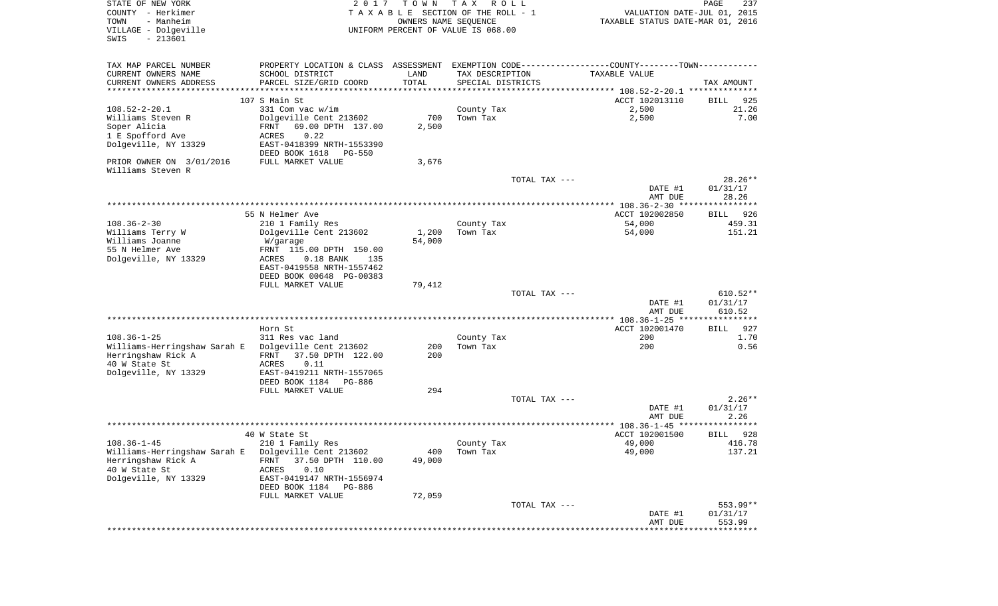| STATE OF NEW YORK<br>COUNTY - Herkimer<br>- Manheim<br>TOWN<br>VILLAGE - Dolgeville<br>$-213601$<br>SWIS | 2017                                                                                          | T O W N<br>OWNERS NAME SEQUENCE | T A X<br>R O L L<br>TAXABLE SECTION OF THE ROLL - 1<br>UNIFORM PERCENT OF VALUE IS 068.00 |               | VALUATION DATE-JUL 01, 2015<br>TAXABLE STATUS DATE-MAR 01, 2016 | PAGE<br>237          |
|----------------------------------------------------------------------------------------------------------|-----------------------------------------------------------------------------------------------|---------------------------------|-------------------------------------------------------------------------------------------|---------------|-----------------------------------------------------------------|----------------------|
| TAX MAP PARCEL NUMBER                                                                                    | PROPERTY LOCATION & CLASS ASSESSMENT EXEMPTION CODE---------------COUNTY-------TOWN---------- |                                 |                                                                                           |               |                                                                 |                      |
| CURRENT OWNERS NAME                                                                                      | SCHOOL DISTRICT                                                                               | LAND                            | TAX DESCRIPTION                                                                           |               | TAXABLE VALUE                                                   |                      |
| CURRENT OWNERS ADDRESS<br>**********************                                                         | PARCEL SIZE/GRID COORD<br>*****************************                                       | TOTAL<br>* * * * * * * * * * *  | SPECIAL DISTRICTS                                                                         |               |                                                                 | TAX AMOUNT           |
|                                                                                                          | 107 S Main St                                                                                 |                                 |                                                                                           |               | ACCT 102013110                                                  | 925<br>BILL          |
| $108.52 - 2 - 20.1$                                                                                      | 331 Com vac w/im                                                                              |                                 | County Tax                                                                                |               | 2,500                                                           | 21.26                |
| Williams Steven R                                                                                        | Dolgeville Cent 213602                                                                        | 700                             | Town Tax                                                                                  |               | 2,500                                                           | 7.00                 |
| Soper Alicia                                                                                             | FRNT<br>69.00 DPTH 137.00                                                                     | 2,500                           |                                                                                           |               |                                                                 |                      |
| 1 E Spofford Ave                                                                                         | 0.22<br>ACRES                                                                                 |                                 |                                                                                           |               |                                                                 |                      |
| Dolgeville, NY 13329                                                                                     | EAST-0418399 NRTH-1553390                                                                     |                                 |                                                                                           |               |                                                                 |                      |
| PRIOR OWNER ON 3/01/2016                                                                                 | DEED BOOK 1618<br>PG-550<br>FULL MARKET VALUE                                                 | 3,676                           |                                                                                           |               |                                                                 |                      |
| Williams Steven R                                                                                        |                                                                                               |                                 |                                                                                           |               |                                                                 |                      |
|                                                                                                          |                                                                                               |                                 |                                                                                           | TOTAL TAX --- |                                                                 | $28.26**$            |
|                                                                                                          |                                                                                               |                                 |                                                                                           |               | DATE #1                                                         | 01/31/17             |
|                                                                                                          |                                                                                               |                                 |                                                                                           |               | AMT DUE                                                         | 28.26                |
|                                                                                                          | 55 N Helmer Ave                                                                               |                                 |                                                                                           |               | ACCT 102002850                                                  | 926<br>BILL          |
| $108.36 - 2 - 30$                                                                                        | 210 1 Family Res                                                                              |                                 | County Tax                                                                                |               | 54,000                                                          | 459.31               |
| Williams Terry W                                                                                         | Dolgeville Cent 213602                                                                        | 1,200                           | Town Tax                                                                                  |               | 54,000                                                          | 151.21               |
| Williams Joanne                                                                                          | W/garage                                                                                      | 54,000                          |                                                                                           |               |                                                                 |                      |
| 55 N Helmer Ave<br>Dolgeville, NY 13329                                                                  | FRNT 115.00 DPTH 150.00<br>ACRES<br>$0.18$ BANK<br>135                                        |                                 |                                                                                           |               |                                                                 |                      |
|                                                                                                          | EAST-0419558 NRTH-1557462                                                                     |                                 |                                                                                           |               |                                                                 |                      |
|                                                                                                          | DEED BOOK 00648 PG-00383                                                                      |                                 |                                                                                           |               |                                                                 |                      |
|                                                                                                          | FULL MARKET VALUE                                                                             | 79,412                          |                                                                                           |               |                                                                 |                      |
|                                                                                                          |                                                                                               |                                 |                                                                                           | TOTAL TAX --- |                                                                 | $610.52**$           |
|                                                                                                          |                                                                                               |                                 |                                                                                           |               | DATE #1<br>AMT DUE                                              | 01/31/17<br>610.52   |
|                                                                                                          |                                                                                               |                                 |                                                                                           |               |                                                                 |                      |
|                                                                                                          | Horn St                                                                                       |                                 |                                                                                           |               | ACCT 102001470                                                  | 927<br>BILL          |
| $108.36 - 1 - 25$                                                                                        | 311 Res vac land                                                                              |                                 | County Tax                                                                                |               | 200                                                             | 1.70                 |
| Williams-Herringshaw Sarah E<br>Herringshaw Rick A                                                       | Dolgeville Cent 213602<br>FRNT<br>37.50 DPTH 122.00                                           | 200<br>200                      | Town Tax                                                                                  |               | 200                                                             | 0.56                 |
| 40 W State St                                                                                            | ACRES<br>0.11                                                                                 |                                 |                                                                                           |               |                                                                 |                      |
| Dolgeville, NY 13329                                                                                     | EAST-0419211 NRTH-1557065                                                                     |                                 |                                                                                           |               |                                                                 |                      |
|                                                                                                          | DEED BOOK 1184 PG-886                                                                         |                                 |                                                                                           |               |                                                                 |                      |
|                                                                                                          | FULL MARKET VALUE                                                                             | 294                             |                                                                                           |               |                                                                 |                      |
|                                                                                                          |                                                                                               |                                 |                                                                                           | TOTAL TAX --- | DATE #1                                                         | $2.26**$<br>01/31/17 |
|                                                                                                          |                                                                                               |                                 |                                                                                           |               | AMT DUE                                                         | 2.26                 |
|                                                                                                          |                                                                                               |                                 |                                                                                           |               |                                                                 | ******               |
|                                                                                                          | 40 W State St                                                                                 |                                 |                                                                                           |               | ACCT 102001500                                                  | 928<br>BILL          |
| $108.36 - 1 - 45$                                                                                        | 210 1 Family Res                                                                              |                                 | County Tax                                                                                |               | 49,000                                                          | 416.78               |
| Williams-Herringshaw Sarah E<br>Herringshaw Rick A                                                       | Dolgeville Cent 213602<br>37.50 DPTH 110.00<br>FRNT                                           | 400<br>49,000                   | Town Tax                                                                                  |               | 49,000                                                          | 137.21               |
| 40 W State St                                                                                            | 0.10<br><b>ACRES</b>                                                                          |                                 |                                                                                           |               |                                                                 |                      |
| Dolgeville, NY 13329                                                                                     | EAST-0419147 NRTH-1556974                                                                     |                                 |                                                                                           |               |                                                                 |                      |
|                                                                                                          | DEED BOOK 1184<br>PG-886                                                                      |                                 |                                                                                           |               |                                                                 |                      |
|                                                                                                          | FULL MARKET VALUE                                                                             | 72,059                          |                                                                                           |               |                                                                 |                      |
|                                                                                                          |                                                                                               |                                 |                                                                                           | TOTAL TAX --- | DATE #1                                                         | 553.99**<br>01/31/17 |
|                                                                                                          |                                                                                               |                                 |                                                                                           |               | AMT DUE                                                         | 553.99               |
|                                                                                                          |                                                                                               |                                 |                                                                                           |               | ****************************                                    |                      |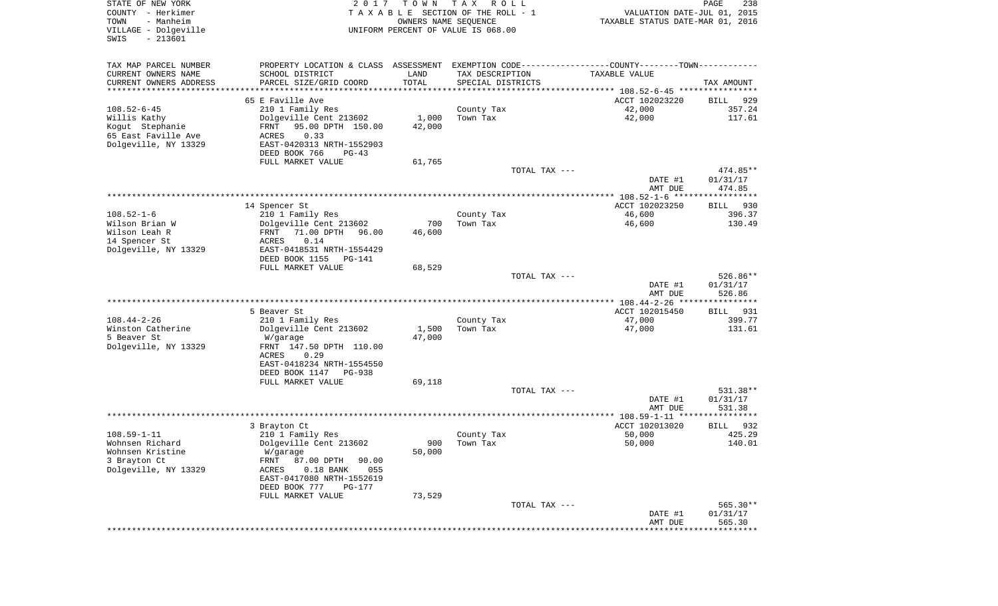| STATE OF NEW YORK<br>COUNTY - Herkimer<br>TOWN<br>- Manheim<br>VILLAGE - Dolgeville<br>$-213601$<br>SWIS | 2 0 1 7                                       | T O W N        | T A X<br>R O L L<br>TAXABLE SECTION OF THE ROLL - 1<br>OWNERS NAME SEQUENCE<br>UNIFORM PERCENT OF VALUE IS 068.00 | VALUATION DATE-JUL 01, 2015<br>TAXABLE STATUS DATE-MAR 01, 2016                               | $\mathop{\mathtt{PAGE}}$<br>238 |
|----------------------------------------------------------------------------------------------------------|-----------------------------------------------|----------------|-------------------------------------------------------------------------------------------------------------------|-----------------------------------------------------------------------------------------------|---------------------------------|
| TAX MAP PARCEL NUMBER                                                                                    |                                               |                |                                                                                                                   | PROPERTY LOCATION & CLASS ASSESSMENT EXEMPTION CODE---------------COUNTY-------TOWN---------- |                                 |
| CURRENT OWNERS NAME                                                                                      | SCHOOL DISTRICT                               | LAND           | TAX DESCRIPTION                                                                                                   | TAXABLE VALUE                                                                                 |                                 |
| CURRENT OWNERS ADDRESS                                                                                   | PARCEL SIZE/GRID COORD                        | TOTAL          | SPECIAL DISTRICTS                                                                                                 |                                                                                               | TAX AMOUNT                      |
| *********************                                                                                    |                                               | ************** |                                                                                                                   | ********************************* 108.52-6-45 ****************<br>ACCT 102023220              |                                 |
| $108.52 - 6 - 45$                                                                                        | 65 E Faville Ave<br>210 1 Family Res          |                | County Tax                                                                                                        | 42,000                                                                                        | 929<br>BILL<br>357.24           |
| Willis Kathy                                                                                             | Dolgeville Cent 213602                        | 1,000          | Town Tax                                                                                                          | 42,000                                                                                        | 117.61                          |
| Kogut Stephanie                                                                                          | 95.00 DPTH 150.00<br>FRNT                     | 42,000         |                                                                                                                   |                                                                                               |                                 |
| 65 East Faville Ave                                                                                      | ACRES<br>0.33                                 |                |                                                                                                                   |                                                                                               |                                 |
| Dolgeville, NY 13329                                                                                     | EAST-0420313 NRTH-1552903                     |                |                                                                                                                   |                                                                                               |                                 |
|                                                                                                          | DEED BOOK 766<br>$PG-43$<br>FULL MARKET VALUE | 61,765         |                                                                                                                   |                                                                                               |                                 |
|                                                                                                          |                                               |                | TOTAL TAX ---                                                                                                     |                                                                                               | 474.85**                        |
|                                                                                                          |                                               |                |                                                                                                                   | DATE #1<br>AMT DUE                                                                            | 01/31/17<br>474.85              |
|                                                                                                          |                                               |                |                                                                                                                   |                                                                                               |                                 |
|                                                                                                          | 14 Spencer St                                 |                |                                                                                                                   | ACCT 102023250                                                                                | 930<br>BILL                     |
| $108.52 - 1 - 6$<br>Wilson Brian W                                                                       | 210 1 Family Res<br>Dolgeville Cent 213602    | 700            | County Tax<br>Town Tax                                                                                            | 46,600<br>46,600                                                                              | 396.37<br>130.49                |
| Wilson Leah R                                                                                            | 71.00 DPTH<br>FRNT<br>96.00                   | 46,600         |                                                                                                                   |                                                                                               |                                 |
| 14 Spencer St                                                                                            | 0.14<br>ACRES                                 |                |                                                                                                                   |                                                                                               |                                 |
| Dolgeville, NY 13329                                                                                     | EAST-0418531 NRTH-1554429                     |                |                                                                                                                   |                                                                                               |                                 |
|                                                                                                          | DEED BOOK 1155<br>PG-141                      |                |                                                                                                                   |                                                                                               |                                 |
|                                                                                                          | FULL MARKET VALUE                             | 68,529         | TOTAL TAX ---                                                                                                     |                                                                                               | 526.86**                        |
|                                                                                                          |                                               |                |                                                                                                                   | DATE #1                                                                                       | 01/31/17                        |
|                                                                                                          |                                               |                |                                                                                                                   | AMT DUE                                                                                       | 526.86                          |
|                                                                                                          |                                               |                |                                                                                                                   |                                                                                               |                                 |
| $108.44 - 2 - 26$                                                                                        | 5 Beaver St<br>210 1 Family Res               |                | County Tax                                                                                                        | ACCT 102015450<br>47,000                                                                      | BILL<br>931<br>399.77           |
| Winston Catherine                                                                                        | Dolgeville Cent 213602                        | 1,500          | Town Tax                                                                                                          | 47,000                                                                                        | 131.61                          |
| 5 Beaver St                                                                                              | W/garage                                      | 47,000         |                                                                                                                   |                                                                                               |                                 |
| Dolgeville, NY 13329                                                                                     | FRNT 147.50 DPTH 110.00                       |                |                                                                                                                   |                                                                                               |                                 |
|                                                                                                          | ACRES<br>0.29<br>EAST-0418234 NRTH-1554550    |                |                                                                                                                   |                                                                                               |                                 |
|                                                                                                          | DEED BOOK 1147<br>PG-938                      |                |                                                                                                                   |                                                                                               |                                 |
|                                                                                                          | FULL MARKET VALUE                             | 69,118         |                                                                                                                   |                                                                                               |                                 |
|                                                                                                          |                                               |                | TOTAL TAX ---                                                                                                     |                                                                                               | 531.38**                        |
|                                                                                                          |                                               |                |                                                                                                                   | DATE #1                                                                                       | 01/31/17                        |
|                                                                                                          |                                               |                |                                                                                                                   | AMT DUE                                                                                       | 531.38                          |
|                                                                                                          | 3 Brayton Ct                                  |                |                                                                                                                   | ACCT 102013020                                                                                | 932<br>BILL                     |
| $108.59 - 1 - 11$                                                                                        | 210 1 Family Res                              |                | County Tax                                                                                                        | 50,000                                                                                        | 425.29                          |
| Wohnsen Richard                                                                                          | Dolgeville Cent 213602                        |                | 900 Town Tax                                                                                                      | 50,000                                                                                        | 140.01                          |
| Wohnsen Kristine<br>3 Brayton Ct                                                                         | W/garage<br>87.00 DPTH<br>FRNT<br>90.00       | 50,000         |                                                                                                                   |                                                                                               |                                 |
| Dolgeville, NY 13329                                                                                     | 055<br>ACRES<br>$0.18$ BANK                   |                |                                                                                                                   |                                                                                               |                                 |
|                                                                                                          | EAST-0417080 NRTH-1552619                     |                |                                                                                                                   |                                                                                               |                                 |
|                                                                                                          | DEED BOOK 777<br>PG-177                       |                |                                                                                                                   |                                                                                               |                                 |
|                                                                                                          | FULL MARKET VALUE                             | 73,529         |                                                                                                                   |                                                                                               |                                 |
|                                                                                                          |                                               |                | TOTAL TAX ---                                                                                                     | DATE #1                                                                                       | 565.30**<br>01/31/17            |
|                                                                                                          |                                               |                |                                                                                                                   | AMT DUE                                                                                       | 565.30                          |
|                                                                                                          |                                               |                |                                                                                                                   | ***************************                                                                   |                                 |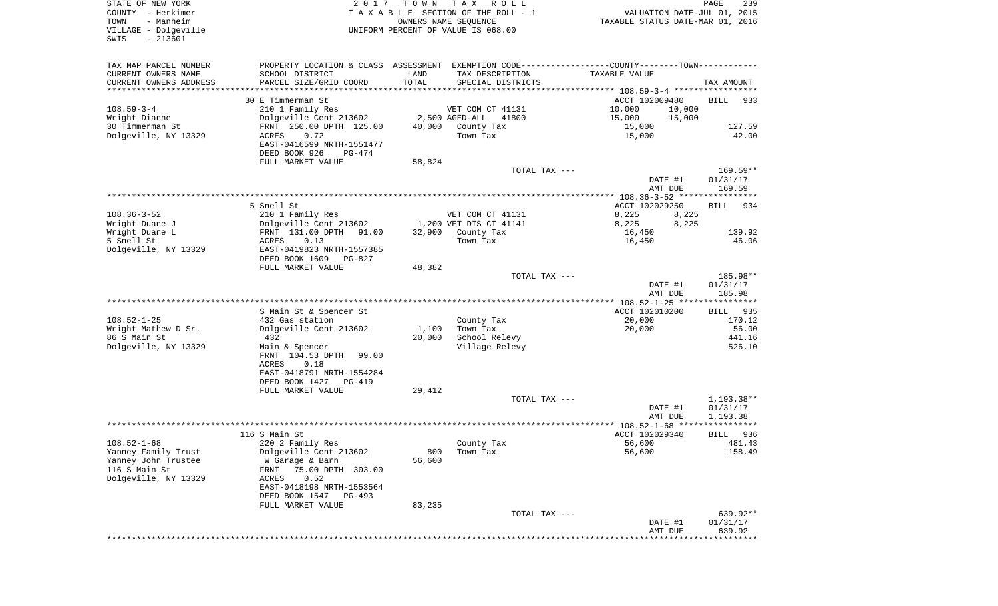| STATE OF NEW YORK<br>COUNTY - Herkimer<br>- Manheim<br>TOWN<br>VILLAGE - Dolgeville | 2017                                                                                          | T O W N       | TAX ROLL<br>TAXABLE SECTION OF THE ROLL - 1<br>OWNERS NAME SEQUENCE<br>UNIFORM PERCENT OF VALUE IS 068.00 |                                     |                    | PAGE<br>239<br>VALUATION DATE-JUL 01, 2015<br>TAXABLE STATUS DATE-MAR 01, 2016 |
|-------------------------------------------------------------------------------------|-----------------------------------------------------------------------------------------------|---------------|-----------------------------------------------------------------------------------------------------------|-------------------------------------|--------------------|--------------------------------------------------------------------------------|
| $-213601$<br>SWIS                                                                   |                                                                                               |               |                                                                                                           |                                     |                    |                                                                                |
| TAX MAP PARCEL NUMBER                                                               | PROPERTY LOCATION & CLASS ASSESSMENT EXEMPTION CODE---------------COUNTY-------TOWN---------- |               |                                                                                                           |                                     |                    |                                                                                |
| CURRENT OWNERS NAME                                                                 | SCHOOL DISTRICT                                                                               | LAND          | TAX DESCRIPTION                                                                                           | TAXABLE VALUE                       |                    |                                                                                |
| CURRENT OWNERS ADDRESS<br>*********************                                     | PARCEL SIZE/GRID COORD                                                                        | TOTAL         | SPECIAL DISTRICTS                                                                                         |                                     |                    | TAX AMOUNT                                                                     |
|                                                                                     | 30 E Timmerman St                                                                             |               |                                                                                                           | ACCT 102009480                      |                    | <b>BILL</b><br>933                                                             |
| $108.59 - 3 - 4$                                                                    | 210 1 Family Res                                                                              |               | VET COM CT 41131                                                                                          | 10,000                              | 10,000             |                                                                                |
| Wright Dianne                                                                       | Dolgeville Cent 213602                                                                        |               | 2,500 AGED-ALL<br>41800                                                                                   | 15,000                              | 15,000             |                                                                                |
| 30 Timmerman St                                                                     | FRNT 250.00 DPTH 125.00                                                                       | 40,000        | County Tax                                                                                                | 15,000                              |                    | 127.59                                                                         |
| Dolgeville, NY 13329                                                                | 0.72<br>ACRES<br>EAST-0416599 NRTH-1551477                                                    |               | Town Tax                                                                                                  | 15,000                              |                    | 42.00                                                                          |
|                                                                                     | DEED BOOK 926<br>PG-474                                                                       |               |                                                                                                           |                                     |                    |                                                                                |
|                                                                                     | FULL MARKET VALUE                                                                             | 58,824        |                                                                                                           |                                     |                    |                                                                                |
|                                                                                     |                                                                                               |               | TOTAL TAX ---                                                                                             |                                     |                    | $169.59**$                                                                     |
|                                                                                     |                                                                                               |               |                                                                                                           |                                     | DATE #1<br>AMT DUE | 01/31/17<br>169.59                                                             |
|                                                                                     |                                                                                               |               |                                                                                                           |                                     |                    |                                                                                |
|                                                                                     | 5 Snell St                                                                                    |               |                                                                                                           | ACCT 102029250                      |                    | <b>BILL</b><br>934                                                             |
| $108.36 - 3 - 52$                                                                   | 210 1 Family Res                                                                              |               | VET COM CT 41131                                                                                          | 8,225                               | 8,225              |                                                                                |
| Wright Duane J<br>Wright Duane L                                                    | Dolgeville Cent 213602                                                                        | 32,900        | 1,200 VET DIS CT 41141                                                                                    | 8,225                               | 8,225              | 139.92                                                                         |
| 5 Snell St                                                                          | FRNT 131.00 DPTH<br>91.00<br>0.13<br>ACRES                                                    |               | County Tax<br>Town Tax                                                                                    | 16,450<br>16,450                    |                    | 46.06                                                                          |
| Dolgeville, NY 13329                                                                | EAST-0419823 NRTH-1557385                                                                     |               |                                                                                                           |                                     |                    |                                                                                |
|                                                                                     | DEED BOOK 1609<br>PG-827                                                                      |               |                                                                                                           |                                     |                    |                                                                                |
|                                                                                     | FULL MARKET VALUE                                                                             | 48,382        |                                                                                                           |                                     |                    |                                                                                |
|                                                                                     |                                                                                               |               | TOTAL TAX ---                                                                                             |                                     | DATE #1            | 185.98**<br>01/31/17                                                           |
|                                                                                     |                                                                                               |               |                                                                                                           |                                     | AMT DUE            | 185.98                                                                         |
|                                                                                     |                                                                                               |               |                                                                                                           |                                     |                    |                                                                                |
| $108.52 - 1 - 25$                                                                   | S Main St & Spencer St                                                                        |               |                                                                                                           | ACCT 102010200                      |                    | <b>BILL</b><br>935                                                             |
| Wright Mathew D Sr.                                                                 | 432 Gas station<br>Dolgeville Cent 213602                                                     | 1,100         | County Tax<br>Town Tax                                                                                    | 20,000<br>20,000                    |                    | 170.12<br>56.00                                                                |
| 86 S Main St                                                                        | 432                                                                                           | 20,000        | School Relevy                                                                                             |                                     |                    | 441.16                                                                         |
| Dolgeville, NY 13329                                                                | Main & Spencer                                                                                |               | Village Relevy                                                                                            |                                     |                    | 526.10                                                                         |
|                                                                                     | FRNT 104.53 DPTH<br>99.00                                                                     |               |                                                                                                           |                                     |                    |                                                                                |
|                                                                                     | ACRES<br>0.18<br>EAST-0418791 NRTH-1554284                                                    |               |                                                                                                           |                                     |                    |                                                                                |
|                                                                                     | DEED BOOK 1427<br>PG-419                                                                      |               |                                                                                                           |                                     |                    |                                                                                |
|                                                                                     | FULL MARKET VALUE                                                                             | 29,412        |                                                                                                           |                                     |                    |                                                                                |
|                                                                                     |                                                                                               |               | TOTAL TAX ---                                                                                             |                                     |                    | 1,193.38**                                                                     |
|                                                                                     |                                                                                               |               |                                                                                                           |                                     | DATE #1<br>AMT DUE | 01/31/17<br>1,193.38                                                           |
|                                                                                     |                                                                                               |               |                                                                                                           | ·**************** 108.52-1-68 ***** |                    | ****                                                                           |
|                                                                                     | 116 S Main St                                                                                 |               |                                                                                                           | ACCT 102029340                      |                    | 936<br>BILL                                                                    |
| $108.52 - 1 - 68$                                                                   | 220 2 Family Res                                                                              |               | County Tax                                                                                                | 56,600                              |                    | 481.43                                                                         |
| Yanney Family Trust<br>Yanney John Trustee                                          | Dolgeville Cent 213602<br>W Garage & Barn                                                     | 800<br>56,600 | Town Tax                                                                                                  | 56,600                              |                    | 158.49                                                                         |
| 116 S Main St                                                                       | 75.00 DPTH 303.00<br>FRNT                                                                     |               |                                                                                                           |                                     |                    |                                                                                |
| Dolgeville, NY 13329                                                                | ACRES<br>0.52                                                                                 |               |                                                                                                           |                                     |                    |                                                                                |
|                                                                                     | EAST-0418198 NRTH-1553564                                                                     |               |                                                                                                           |                                     |                    |                                                                                |
|                                                                                     | DEED BOOK 1547<br>$PG-493$<br>FULL MARKET VALUE                                               | 83,235        |                                                                                                           |                                     |                    |                                                                                |
|                                                                                     |                                                                                               |               | TOTAL TAX ---                                                                                             |                                     |                    | 639.92**                                                                       |
|                                                                                     |                                                                                               |               |                                                                                                           |                                     | DATE #1            | 01/31/17                                                                       |
|                                                                                     |                                                                                               |               |                                                                                                           |                                     | AMT DUE            | 639.92<br>* * * * * * * * *                                                    |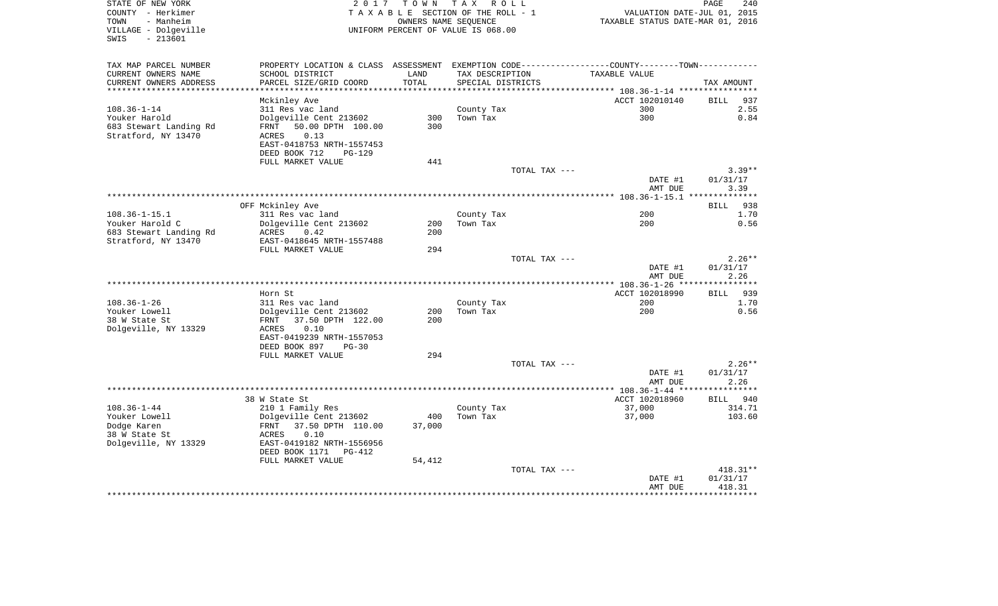| STATE OF NEW YORK<br>COUNTY - Herkimer<br>TOWN<br>- Manheim<br>VILLAGE - Dolgeville |                                                      |        | 2017 TOWN TAX ROLL<br>TAXABLE SECTION OF THE ROLL - 1<br>OWNERS NAME SEQUENCE<br>UNIFORM PERCENT OF VALUE IS 068.00 | VALUATION DATE-JUL 01, 2015<br>TAXABLE STATUS DATE-MAR 01, 2016                               | PAGE<br>240        |
|-------------------------------------------------------------------------------------|------------------------------------------------------|--------|---------------------------------------------------------------------------------------------------------------------|-----------------------------------------------------------------------------------------------|--------------------|
| $-213601$<br>SWIS                                                                   |                                                      |        |                                                                                                                     |                                                                                               |                    |
| TAX MAP PARCEL NUMBER                                                               |                                                      |        |                                                                                                                     | PROPERTY LOCATION & CLASS ASSESSMENT EXEMPTION CODE---------------COUNTY-------TOWN---------- |                    |
| CURRENT OWNERS NAME                                                                 | SCHOOL DISTRICT                                      | LAND   | TAX DESCRIPTION                                                                                                     | TAXABLE VALUE                                                                                 |                    |
| CURRENT OWNERS ADDRESS<br>***********************                                   | PARCEL SIZE/GRID COORD                               | TOTAL  | SPECIAL DISTRICTS                                                                                                   |                                                                                               | TAX AMOUNT         |
|                                                                                     | Mckinley Ave                                         |        |                                                                                                                     | ACCT 102010140                                                                                | <b>BILL</b><br>937 |
| $108.36 - 1 - 14$                                                                   | 311 Res vac land                                     |        | County Tax                                                                                                          | 300                                                                                           | 2.55               |
| Youker Harold                                                                       | Dolgeville Cent 213602                               | 300    | Town Tax                                                                                                            | 300                                                                                           | 0.84               |
| 683 Stewart Landing Rd                                                              | 50.00 DPTH 100.00<br>FRNT                            | 300    |                                                                                                                     |                                                                                               |                    |
| Stratford, NY 13470                                                                 | 0.13<br>ACRES                                        |        |                                                                                                                     |                                                                                               |                    |
|                                                                                     | EAST-0418753 NRTH-1557453<br>DEED BOOK 712<br>PG-129 |        |                                                                                                                     |                                                                                               |                    |
|                                                                                     | FULL MARKET VALUE                                    | 441    |                                                                                                                     |                                                                                               |                    |
|                                                                                     |                                                      |        | TOTAL TAX ---                                                                                                       |                                                                                               | $3.39**$           |
|                                                                                     |                                                      |        |                                                                                                                     | DATE #1                                                                                       | 01/31/17           |
|                                                                                     |                                                      |        |                                                                                                                     | AMT DUE                                                                                       | 3.39               |
|                                                                                     |                                                      |        |                                                                                                                     |                                                                                               |                    |
|                                                                                     | OFF Mckinley Ave                                     |        |                                                                                                                     |                                                                                               | <b>BILL</b><br>938 |
| $108.36 - 1 - 15.1$<br>Youker Harold C                                              | 311 Res vac land<br>Dolgeville Cent 213602           | 200    | County Tax<br>Town Tax                                                                                              | 200<br>200                                                                                    | 1.70<br>0.56       |
| 683 Stewart Landing Rd                                                              | ACRES<br>0.42                                        | 200    |                                                                                                                     |                                                                                               |                    |
| Stratford, NY 13470                                                                 | EAST-0418645 NRTH-1557488                            |        |                                                                                                                     |                                                                                               |                    |
|                                                                                     | FULL MARKET VALUE                                    | 294    |                                                                                                                     |                                                                                               |                    |
|                                                                                     |                                                      |        | TOTAL TAX ---                                                                                                       |                                                                                               | $2.26**$           |
|                                                                                     |                                                      |        |                                                                                                                     | DATE #1                                                                                       | 01/31/17           |
|                                                                                     |                                                      |        |                                                                                                                     | AMT DUE                                                                                       | 2.26               |
|                                                                                     | Horn St                                              |        |                                                                                                                     | ACCT 102018990                                                                                | BILL 939           |
| $108.36 - 1 - 26$                                                                   | 311 Res vac land                                     |        | County Tax                                                                                                          | 200                                                                                           | 1.70               |
| Youker Lowell                                                                       | Dolgeville Cent 213602                               | 200    | Town Tax                                                                                                            | 200                                                                                           | 0.56               |
| 38 W State St                                                                       | FRNT<br>37.50 DPTH 122.00                            | 200    |                                                                                                                     |                                                                                               |                    |
| Dolgeville, NY 13329                                                                | ACRES<br>0.10                                        |        |                                                                                                                     |                                                                                               |                    |
|                                                                                     | EAST-0419239 NRTH-1557053                            |        |                                                                                                                     |                                                                                               |                    |
|                                                                                     | DEED BOOK 897<br>PG-30                               |        |                                                                                                                     |                                                                                               |                    |
|                                                                                     | FULL MARKET VALUE                                    | 294    | TOTAL TAX ---                                                                                                       |                                                                                               | $2.26**$           |
|                                                                                     |                                                      |        |                                                                                                                     | DATE #1                                                                                       | 01/31/17           |
|                                                                                     |                                                      |        |                                                                                                                     | AMT DUE                                                                                       | 2.26               |
|                                                                                     |                                                      |        |                                                                                                                     |                                                                                               |                    |
|                                                                                     | 38 W State St                                        |        |                                                                                                                     | ACCT 102018960                                                                                | BILL 940           |
| $108.36 - 1 - 44$                                                                   | 210 1 Family Res                                     |        | County Tax                                                                                                          | 37,000                                                                                        | 314.71             |
| Youker Lowell                                                                       | Dolgeville Cent 213602                               | 400    | Town Tax                                                                                                            | 37,000                                                                                        | 103.60             |
| Dodge Karen<br>38 W State St                                                        | 37.50 DPTH 110.00<br>FRNT<br>ACRES<br>0.10           | 37,000 |                                                                                                                     |                                                                                               |                    |
| Dolgeville, NY 13329                                                                | EAST-0419182 NRTH-1556956                            |        |                                                                                                                     |                                                                                               |                    |
|                                                                                     | DEED BOOK 1171<br>PG-412                             |        |                                                                                                                     |                                                                                               |                    |
|                                                                                     | FULL MARKET VALUE                                    | 54,412 |                                                                                                                     |                                                                                               |                    |
|                                                                                     |                                                      |        | TOTAL TAX ---                                                                                                       |                                                                                               | 418.31**           |
|                                                                                     |                                                      |        |                                                                                                                     | DATE #1                                                                                       | 01/31/17           |
|                                                                                     |                                                      |        |                                                                                                                     | AMT DUE                                                                                       | 418.31             |
|                                                                                     |                                                      |        |                                                                                                                     |                                                                                               |                    |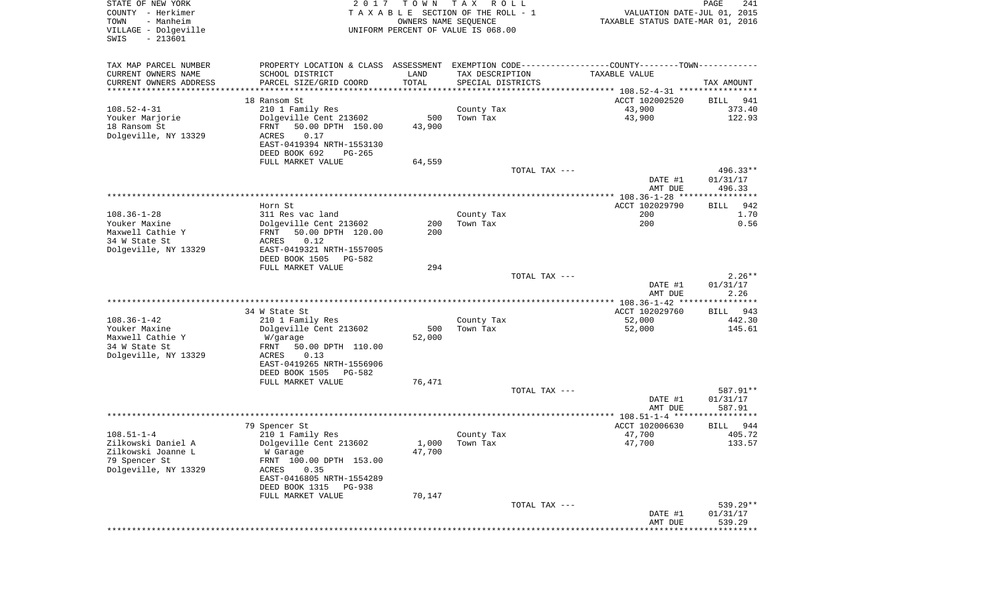| STATE OF NEW YORK<br>COUNTY - Herkimer<br>- Manheim<br>TOWN<br>VILLAGE - Dolgeville<br>SWIS<br>$-213601$ | 2 0 1 7                                                                                       | T O W N<br>OWNERS NAME SEQUENCE | T A X<br>R O L L<br>TAXABLE SECTION OF THE ROLL - 1<br>UNIFORM PERCENT OF VALUE IS 068.00 |               | VALUATION DATE-JUL 01, 2015<br>TAXABLE STATUS DATE-MAR 01, 2016 | PAGE<br>241        |
|----------------------------------------------------------------------------------------------------------|-----------------------------------------------------------------------------------------------|---------------------------------|-------------------------------------------------------------------------------------------|---------------|-----------------------------------------------------------------|--------------------|
| TAX MAP PARCEL NUMBER                                                                                    | PROPERTY LOCATION & CLASS ASSESSMENT EXEMPTION CODE---------------COUNTY-------TOWN---------- |                                 |                                                                                           |               |                                                                 |                    |
| CURRENT OWNERS NAME                                                                                      | SCHOOL DISTRICT                                                                               | LAND                            | TAX DESCRIPTION                                                                           |               | TAXABLE VALUE                                                   |                    |
| CURRENT OWNERS ADDRESS<br>*********************                                                          | PARCEL SIZE/GRID COORD                                                                        | TOTAL<br>***********            | SPECIAL DISTRICTS                                                                         |               |                                                                 | TAX AMOUNT         |
|                                                                                                          | 18 Ransom St                                                                                  |                                 |                                                                                           |               | ACCT 102002520                                                  | BILL<br>941        |
| $108.52 - 4 - 31$                                                                                        | 210 1 Family Res                                                                              |                                 | County Tax                                                                                |               | 43,900                                                          | 373.40             |
| Youker Marjorie                                                                                          | Dolgeville Cent 213602                                                                        | 500                             | Town Tax                                                                                  |               | 43,900                                                          | 122.93             |
| 18 Ransom St                                                                                             | FRNT<br>50.00 DPTH 150.00                                                                     | 43,900                          |                                                                                           |               |                                                                 |                    |
| Dolgeville, NY 13329                                                                                     | ACRES<br>0.17                                                                                 |                                 |                                                                                           |               |                                                                 |                    |
|                                                                                                          | EAST-0419394 NRTH-1553130                                                                     |                                 |                                                                                           |               |                                                                 |                    |
|                                                                                                          | DEED BOOK 692<br>PG-265<br>FULL MARKET VALUE                                                  | 64,559                          |                                                                                           |               |                                                                 |                    |
|                                                                                                          |                                                                                               |                                 |                                                                                           | TOTAL TAX --- |                                                                 | 496.33**           |
|                                                                                                          |                                                                                               |                                 |                                                                                           |               | DATE #1<br>AMT DUE                                              | 01/31/17<br>496.33 |
|                                                                                                          |                                                                                               |                                 |                                                                                           |               |                                                                 |                    |
|                                                                                                          | Horn St                                                                                       |                                 |                                                                                           |               | ACCT 102029790                                                  | <b>BILL</b><br>942 |
| $108.36 - 1 - 28$                                                                                        | 311 Res vac land                                                                              |                                 | County Tax                                                                                |               | 200                                                             | 1.70               |
| Youker Maxine<br>Maxwell Cathie Y                                                                        | Dolgeville Cent 213602                                                                        | 200                             | Town Tax                                                                                  |               | 200                                                             | 0.56               |
| 34 W State St                                                                                            | 50.00 DPTH 120.00<br>FRNT<br>0.12<br>ACRES                                                    | 200                             |                                                                                           |               |                                                                 |                    |
| Dolgeville, NY 13329                                                                                     | EAST-0419321 NRTH-1557005                                                                     |                                 |                                                                                           |               |                                                                 |                    |
|                                                                                                          | DEED BOOK 1505<br>PG-582                                                                      |                                 |                                                                                           |               |                                                                 |                    |
|                                                                                                          | FULL MARKET VALUE                                                                             | 294                             |                                                                                           |               |                                                                 |                    |
|                                                                                                          |                                                                                               |                                 |                                                                                           | TOTAL TAX --- |                                                                 | $2.26**$           |
|                                                                                                          |                                                                                               |                                 |                                                                                           |               | DATE #1                                                         | 01/31/17           |
|                                                                                                          |                                                                                               |                                 |                                                                                           |               | AMT DUE                                                         | 2.26               |
|                                                                                                          | 34 W State St                                                                                 |                                 |                                                                                           |               | ACCT 102029760                                                  | BILL 943           |
| $108.36 - 1 - 42$                                                                                        | 210 1 Family Res                                                                              |                                 | County Tax                                                                                |               | 52,000                                                          | 442.30             |
| Youker Maxine                                                                                            | Dolgeville Cent 213602                                                                        | 500                             | Town Tax                                                                                  |               | 52,000                                                          | 145.61             |
| Maxwell Cathie Y                                                                                         | W/garage                                                                                      | 52,000                          |                                                                                           |               |                                                                 |                    |
| 34 W State St                                                                                            | FRNT<br>50.00 DPTH 110.00                                                                     |                                 |                                                                                           |               |                                                                 |                    |
| Dolgeville, NY 13329                                                                                     | ACRES<br>0.13<br>EAST-0419265 NRTH-1556906                                                    |                                 |                                                                                           |               |                                                                 |                    |
|                                                                                                          | DEED BOOK 1505<br>PG-582                                                                      |                                 |                                                                                           |               |                                                                 |                    |
|                                                                                                          | FULL MARKET VALUE                                                                             | 76,471                          |                                                                                           |               |                                                                 |                    |
|                                                                                                          |                                                                                               |                                 |                                                                                           | TOTAL TAX --- |                                                                 | 587.91**           |
|                                                                                                          |                                                                                               |                                 |                                                                                           |               | DATE #1                                                         | 01/31/17           |
|                                                                                                          |                                                                                               |                                 |                                                                                           |               | AMT DUE                                                         | 587.91             |
|                                                                                                          | 79 Spencer St                                                                                 |                                 |                                                                                           |               | ACCT 102006630                                                  | 944<br>BILL        |
| $108.51 - 1 - 4$                                                                                         | 210 1 Family Res                                                                              |                                 | County Tax                                                                                |               | 47,700                                                          | 405.72             |
| Zilkowski Daniel A                                                                                       | Dolgeville Cent 213602                                                                        | 1,000                           | Town Tax                                                                                  |               | 47,700                                                          | 133.57             |
| Zilkowski Joanne L                                                                                       | W Garage                                                                                      | 47,700                          |                                                                                           |               |                                                                 |                    |
| 79 Spencer St                                                                                            | FRNT 100.00 DPTH 153.00                                                                       |                                 |                                                                                           |               |                                                                 |                    |
| Dolgeville, NY 13329                                                                                     | 0.35<br>ACRES                                                                                 |                                 |                                                                                           |               |                                                                 |                    |
|                                                                                                          | EAST-0416805 NRTH-1554289                                                                     |                                 |                                                                                           |               |                                                                 |                    |
|                                                                                                          | DEED BOOK 1315<br>PG-938<br>FULL MARKET VALUE                                                 | 70,147                          |                                                                                           |               |                                                                 |                    |
|                                                                                                          |                                                                                               |                                 |                                                                                           | TOTAL TAX --- |                                                                 | 539.29**           |
|                                                                                                          |                                                                                               |                                 |                                                                                           |               | DATE #1                                                         | 01/31/17           |
|                                                                                                          |                                                                                               |                                 |                                                                                           |               | AMT DUE                                                         | 539.29             |
|                                                                                                          |                                                                                               |                                 |                                                                                           |               |                                                                 |                    |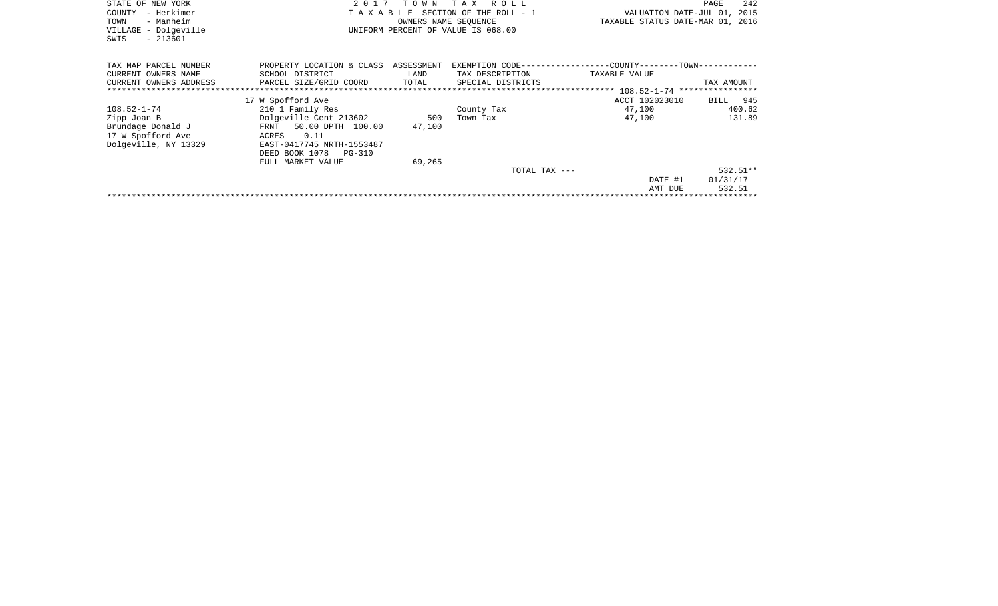| STATE OF NEW YORK<br>COUNTY<br>- Herkimer<br>- Manheim<br>TOWN<br>VILLAGE - Dolgeville<br>$-213601$<br>SWIS |                                                                                                                                                                  | 2017 TOWN<br>OWNERS NAME SEOUENCE | TAX ROLL<br>TAXABLE SECTION OF THE ROLL - 1<br>UNIFORM PERCENT OF VALUE IS 068.00 | VALUATION DATE-JUL 01, 2015<br>TAXABLE STATUS DATE-MAR 01, 2016             | 242<br>PAGE                      |
|-------------------------------------------------------------------------------------------------------------|------------------------------------------------------------------------------------------------------------------------------------------------------------------|-----------------------------------|-----------------------------------------------------------------------------------|-----------------------------------------------------------------------------|----------------------------------|
| TAX MAP PARCEL NUMBER<br>CURRENT OWNERS NAME<br>CURRENT OWNERS ADDRESS                                      | PROPERTY LOCATION & CLASS ASSESSMENT<br>SCHOOL DISTRICT<br>PARCEL SIZE/GRID COORD                                                                                | LAND<br>TOTAL                     | TAX DESCRIPTION<br>SPECIAL DISTRICTS                                              | EXEMPTION CODE----------------COUNTY-------TOWN-----------<br>TAXABLE VALUE | TAX AMOUNT                       |
|                                                                                                             | 17 W Spofford Ave                                                                                                                                                |                                   |                                                                                   | ACCT 102023010                                                              | BILL 945                         |
| 108.52-1-74<br>Zipp Joan B<br>Brundage Donald J<br>17 W Spofford Ave<br>Dolgeville, NY 13329                | 210 1 Family Res<br>Dolgeville Cent 213602<br>FRNT 50.00 DPTH 100.00<br>0.11<br>ACRES<br>EAST-0417745 NRTH-1553487<br>DEED BOOK 1078 PG-310<br>FULL MARKET VALUE | 500<br>47,100<br>69,265           | County Tax<br>Town Tax                                                            | 47,100<br>47,100                                                            | 400.62<br>131.89                 |
|                                                                                                             |                                                                                                                                                                  |                                   | TOTAL TAX ---                                                                     | DATE #1<br>AMT DUE                                                          | $532.51**$<br>01/31/17<br>532.51 |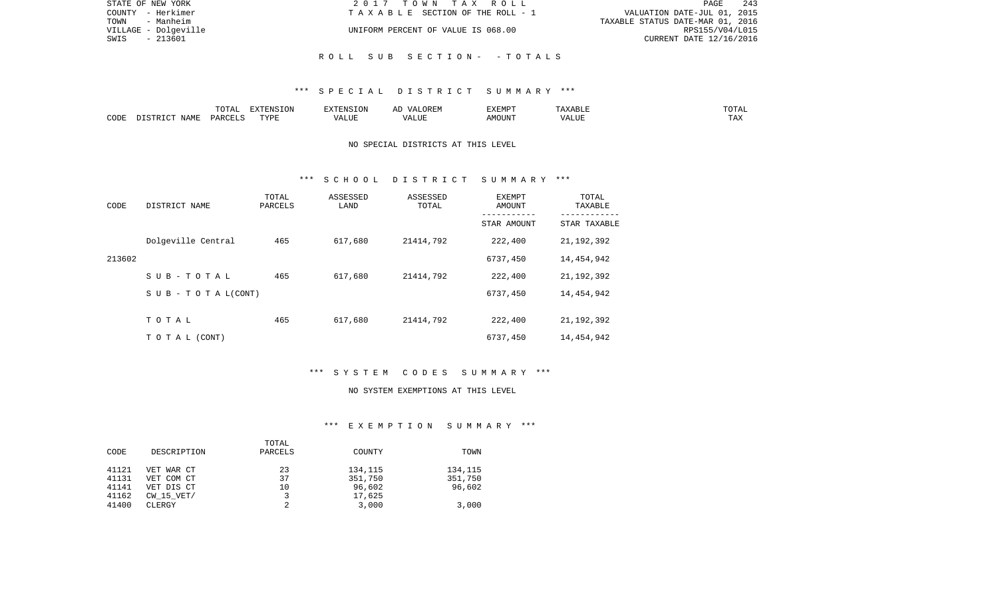| STATE OF NEW YORK    | 2017 TOWN TAX ROLL                 | 243<br>PAGE                      |
|----------------------|------------------------------------|----------------------------------|
| COUNTY - Herkimer    | TAXABLE SECTION OF THE ROLL - 1    | VALUATION DATE-JUL 01, 2015      |
| - Manheim<br>TOWN    |                                    | TAXABLE STATUS DATE-MAR 01, 2016 |
| VILLAGE - Dolgeville | UNIFORM PERCENT OF VALUE IS 068.00 | RPS155/V04/L015                  |
| - 213601<br>SWIS     |                                    | CURRENT DATE 12/16/2016          |
|                      |                                    |                                  |
|                      | ROLL SUB SECTION- - TOTALS         |                                  |

# \*\*\* S P E C I A L D I S T R I C T S U M M A R Y \*\*\*

|      |             |               | $\Box$<br>11 L<br>$\left( \right)$ |   | HIV | EXEMPT | .<br>n 1                   | $\overline{\phantom{a}}$ |
|------|-------------|---------------|------------------------------------|---|-----|--------|----------------------------|--------------------------|
| CODE | ΝΔМϜ<br>. . | <b>PARCEL</b> | TVDT                               | . | ,,, | AMOUNT | , <del>,</del> , , , , , , | ---<br>.A2               |

### NO SPECIAL DISTRICTS AT THIS LEVEL

### \*\*\* S C H O O L D I S T R I C T S U M M A R Y \*\*\*

| CODE   | DISTRICT NAME             | TOTAL<br>PARCELS | ASSESSED<br>LAND | ASSESSED<br>TOTAL | EXEMPT<br>AMOUNT<br>-------- | TOTAL<br>TAXABLE<br>---------- |
|--------|---------------------------|------------------|------------------|-------------------|------------------------------|--------------------------------|
|        |                           |                  |                  |                   | STAR AMOUNT                  | STAR TAXABLE                   |
|        | Dolgeville Central        | 465              | 617,680          | 21414,792         | 222,400                      | 21, 192, 392                   |
| 213602 |                           |                  |                  |                   | 6737,450                     | 14,454,942                     |
|        | $S$ U B - T O T A L       | 465              | 617,680          | 21414,792         | 222,400                      | 21, 192, 392                   |
|        | S U B - T O T A $L(CONT)$ |                  |                  |                   | 6737,450                     | 14,454,942                     |
|        |                           |                  |                  |                   |                              |                                |
|        | TOTAL                     | 465              | 617,680          | 21414,792         | 222,400                      | 21, 192, 392                   |
|        | TO TAL (CONT)             |                  |                  |                   | 6737,450                     | 14,454,942                     |

# \*\*\* S Y S T E M C O D E S S U M M A R Y \*\*\*

#### NO SYSTEM EXEMPTIONS AT THIS LEVEL

# \*\*\* E X E M P T I O N S U M M A R Y \*\*\*

|       |                | TOTAL   |         |         |
|-------|----------------|---------|---------|---------|
| CODE  | DESCRIPTION    | PARCELS | COUNTY  | TOWN    |
|       |                |         |         |         |
| 41121 | VET WAR CT     | 23      | 134,115 | 134,115 |
| 41131 | VET COM CT     | 37      | 351,750 | 351,750 |
| 41141 | VET DIS CT     | 10      | 96,602  | 96,602  |
| 41162 | $CW$ 15 $VET/$ |         | 17,625  |         |
| 41400 | CLERGY         | ◠       | 3,000   | 3,000   |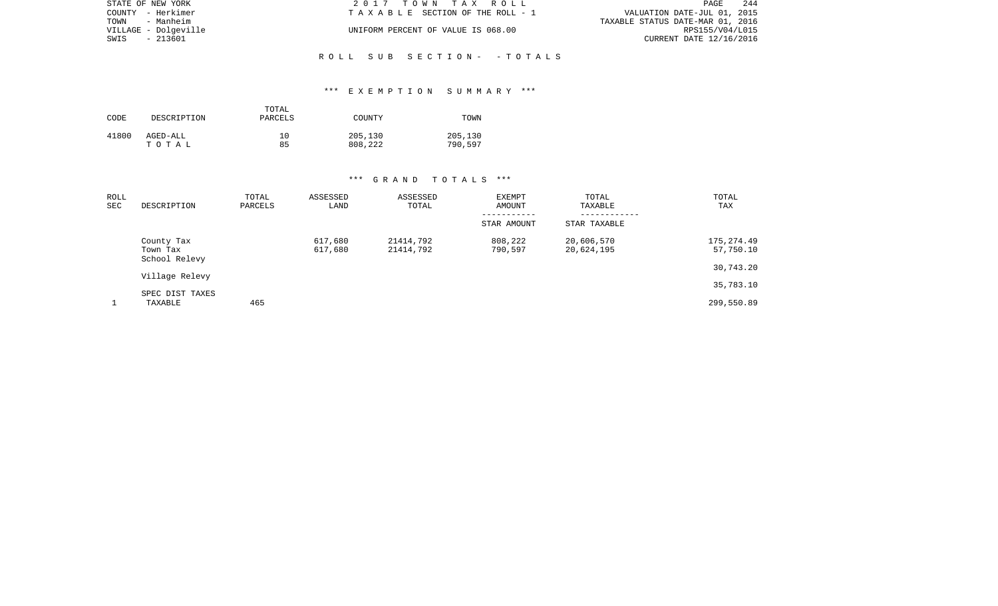| STATE OF NEW YORK    | 2017 TOWN TAX ROLL                 | 244<br>PAGE                      |
|----------------------|------------------------------------|----------------------------------|
| COUNTY - Herkimer    | TAXABLE SECTION OF THE ROLL - 1    | VALUATION DATE-JUL 01, 2015      |
| TOWN - Manheim       |                                    | TAXABLE STATUS DATE-MAR 01, 2016 |
| VILLAGE - Dolgeville | UNIFORM PERCENT OF VALUE IS 068.00 | RPS155/V04/L015                  |
| SWIS<br>- 213601     |                                    | CURRENT DATE 12/16/2016          |
|                      |                                    |                                  |
|                      | ROLL SUB SECTION- -TOTALS          |                                  |

### \*\*\* E X E M P T I O N S U M M A R Y \*\*\*

| CODE  | DESCRIPTION | TOTAL<br>PARCELS | COUNTY  | TOWN    |
|-------|-------------|------------------|---------|---------|
| 41800 | AGED-ALL    | 10               | 205,130 | 205,130 |
|       | тотаь       | 85               | 808,222 | 790,597 |

| ROLL<br>SEC | DESCRIPTION                             | TOTAL<br>PARCELS | ASSESSED<br>LAND   | ASSESSED<br>TOTAL      | <b>EXEMPT</b><br>AMOUNT | TOTAL<br>TAXABLE         | TOTAL<br><b>TAX</b>     |
|-------------|-----------------------------------------|------------------|--------------------|------------------------|-------------------------|--------------------------|-------------------------|
|             |                                         |                  |                    |                        | STAR AMOUNT             | STAR TAXABLE             |                         |
|             | County Tax<br>Town Tax<br>School Relevy |                  | 617,680<br>617,680 | 21414,792<br>21414,792 | 808,222<br>790,597      | 20,606,570<br>20,624,195 | 175,274.49<br>57,750.10 |
|             |                                         |                  |                    |                        |                         |                          | 30,743.20               |
|             | Village Relevy                          |                  |                    |                        |                         |                          | 35,783.10               |
|             | SPEC DIST TAXES<br>TAXABLE              | 465              |                    |                        |                         |                          | 299,550.89              |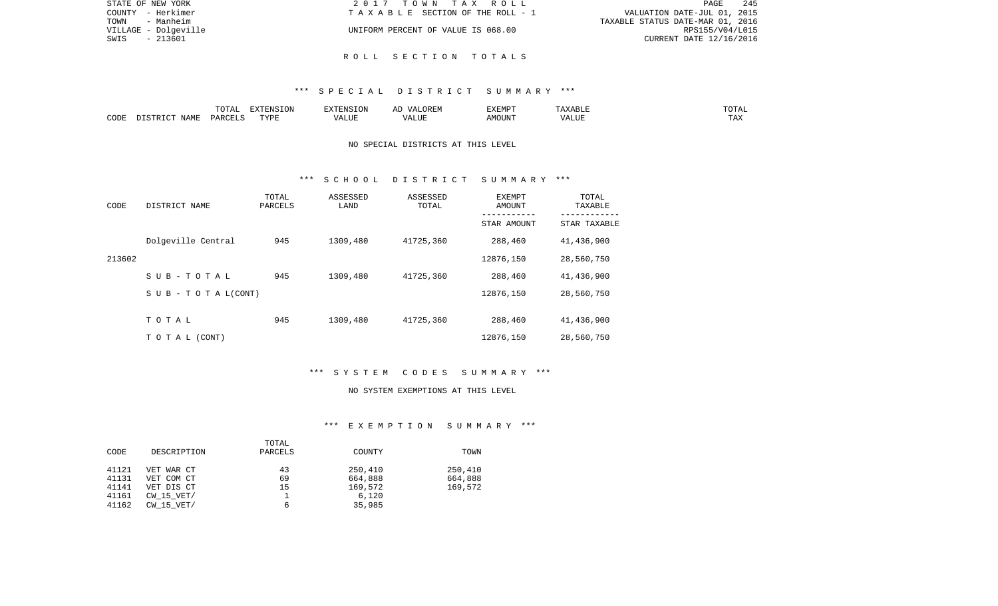| STATE OF NEW YORK    |           | 2017 TOWN TAX ROLL                 | PAGE                             | 245 |
|----------------------|-----------|------------------------------------|----------------------------------|-----|
| COUNTY - Herkimer    |           | TAXABLE SECTION OF THE ROLL - 1    | VALUATION DATE-JUL 01, 2015      |     |
| TOWN                 | - Manheim |                                    | TAXABLE STATUS DATE-MAR 01, 2016 |     |
| VILLAGE - Dolgeville |           | UNIFORM PERCENT OF VALUE IS 068.00 | RPS155/V04/L015                  |     |
| SWIS                 | - 213601  |                                    | CURRENT DATE 12/16/2016          |     |
|                      |           |                                    |                                  |     |

### \*\*\* S P E C I A L D I S T R I C T S U M M A R Y \*\*\*

R O L L S E C T I O N T O T A L S

|      |                       | $\overline{\phantom{a}}$<br>▵<br>--- | <b>EXTENSION</b> | TATO T | ~~<br>vд<br>1 H H IV | <b>EXEMP</b><br>۰۰ تند که ب<br>. | `BLL<br>ີ   | . U 1 1 1 1 |
|------|-----------------------|--------------------------------------|------------------|--------|----------------------|----------------------------------|-------------|-------------|
| CODE | JAME<br>$\sim$ $\sim$ | PARCELS                              | <b>TRIA</b><br>. | ALUF   | LUF<br>$\sqrt{ }$    | \MOUN'.                          | 77T<br>ALUE | may<br>د د  |

### NO SPECIAL DISTRICTS AT THIS LEVEL

### \*\*\* S C H O O L D I S T R I C T S U M M A R Y \*\*\*

| CODE   | DISTRICT NAME             | TOTAL<br>PARCELS | ASSESSED<br>LAND | ASSESSED<br>TOTAL | EXEMPT<br>AMOUNT | TOTAL<br>TAXABLE |
|--------|---------------------------|------------------|------------------|-------------------|------------------|------------------|
|        |                           |                  |                  |                   | STAR AMOUNT      | STAR TAXABLE     |
|        | Dolgeville Central        | 945              | 1309,480         | 41725,360         | 288,460          | 41,436,900       |
| 213602 |                           |                  |                  |                   | 12876,150        | 28,560,750       |
|        | SUB-TOTAL                 | 945              | 1309,480         | 41725,360         | 288,460          | 41,436,900       |
|        | S U B - T O T A $L(CONT)$ |                  |                  |                   | 12876,150        | 28,560,750       |
|        |                           |                  |                  |                   |                  |                  |
|        | TOTAL                     | 945              | 1309,480         | 41725,360         | 288,460          | 41,436,900       |
|        | T O T A L (CONT)          |                  |                  |                   | 12876,150        | 28,560,750       |

# \*\*\* S Y S T E M C O D E S S U M M A R Y \*\*\*

#### NO SYSTEM EXEMPTIONS AT THIS LEVEL

# \*\*\* E X E M P T I O N S U M M A R Y \*\*\*

|       |                | TOTAL   |         |         |
|-------|----------------|---------|---------|---------|
| CODE  | DESCRIPTION    | PARCELS | COUNTY  | TOWN    |
|       |                |         |         |         |
| 41121 | VET WAR CT     | 43      | 250,410 | 250,410 |
| 41131 | VET COM CT     | 69      | 664,888 | 664,888 |
| 41141 | VET DIS CT     | 15      | 169,572 | 169,572 |
| 41161 | $CW$ 15 $VET/$ |         | 6,120   |         |
| 41162 | $CW$ 15 $VET/$ |         | 35,985  |         |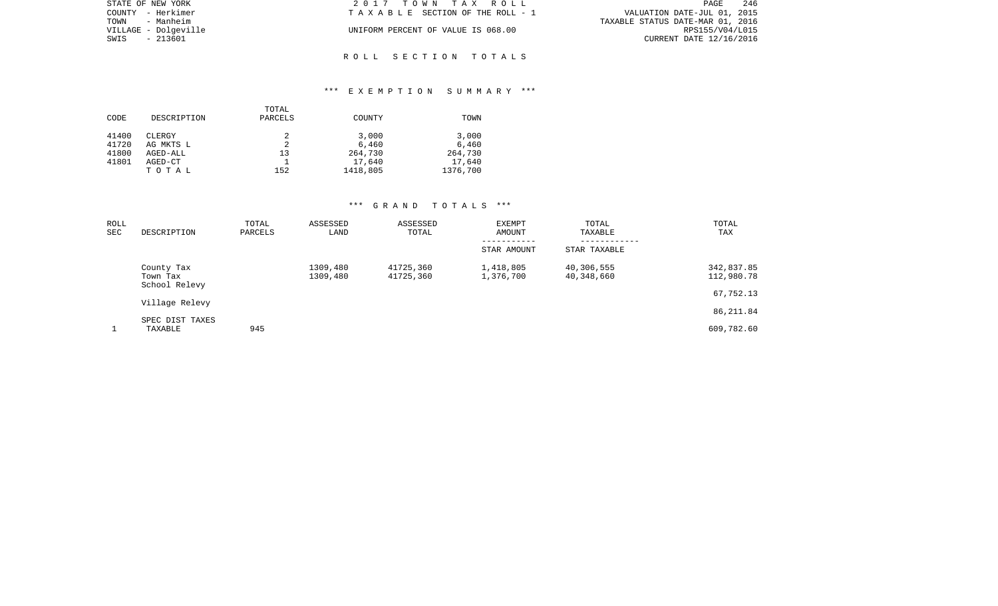| STATE OF NEW YORK    | 2017 TOWN TAX ROLL                 | 246<br><b>PAGE</b>               |
|----------------------|------------------------------------|----------------------------------|
| COUNTY - Herkimer    | TAXABLE SECTION OF THE ROLL - 1    | VALUATION DATE-JUL 01, 2015      |
| TOWN<br>- Manheim    |                                    | TAXABLE STATUS DATE-MAR 01, 2016 |
| VILLAGE - Dolgeville | UNIFORM PERCENT OF VALUE IS 068.00 | RPS155/V04/L015                  |
| SWIS<br>- 213601     |                                    | CURRENT DATE 12/16/2016          |
|                      |                                    |                                  |

### \*\*\* E X E M P T I O N S U M M A R Y \*\*\*

R O L L S E C T I O N T O T A L S

|       |             | TOTAL   |          |          |
|-------|-------------|---------|----------|----------|
| CODE  | DESCRIPTION | PARCELS | COUNTY   | TOWN     |
|       |             |         |          |          |
| 41400 | CLERGY      |         | 3,000    | 3,000    |
| 41720 | AG MKTS L   |         | 6,460    | 6,460    |
| 41800 | AGED-ALL    | 13      | 264,730  | 264,730  |
| 41801 | AGED-CT     |         | 17,640   | 17,640   |
|       | TOTAL       | 152     | 1418,805 | 1376,700 |

| ROLL<br>SEC | DESCRIPTION                             | TOTAL<br>PARCELS | ASSESSED<br>LAND     | ASSESSED<br>TOTAL      | <b>EXEMPT</b><br>AMOUNT | TOTAL<br>TAXABLE         | TOTAL<br><b>TAX</b>      |
|-------------|-----------------------------------------|------------------|----------------------|------------------------|-------------------------|--------------------------|--------------------------|
|             |                                         |                  |                      |                        | STAR AMOUNT             | STAR TAXABLE             |                          |
|             | County Tax<br>Town Tax<br>School Relevy |                  | 1309,480<br>1309,480 | 41725,360<br>41725,360 | 1,418,805<br>1,376,700  | 40,306,555<br>40,348,660 | 342,837.85<br>112,980.78 |
|             | Village Relevy                          |                  |                      |                        |                         |                          | 67,752.13                |
|             |                                         |                  |                      |                        |                         |                          | 86,211.84                |
|             | SPEC DIST TAXES<br>TAXABLE              | 945              |                      |                        |                         |                          | 609,782.60               |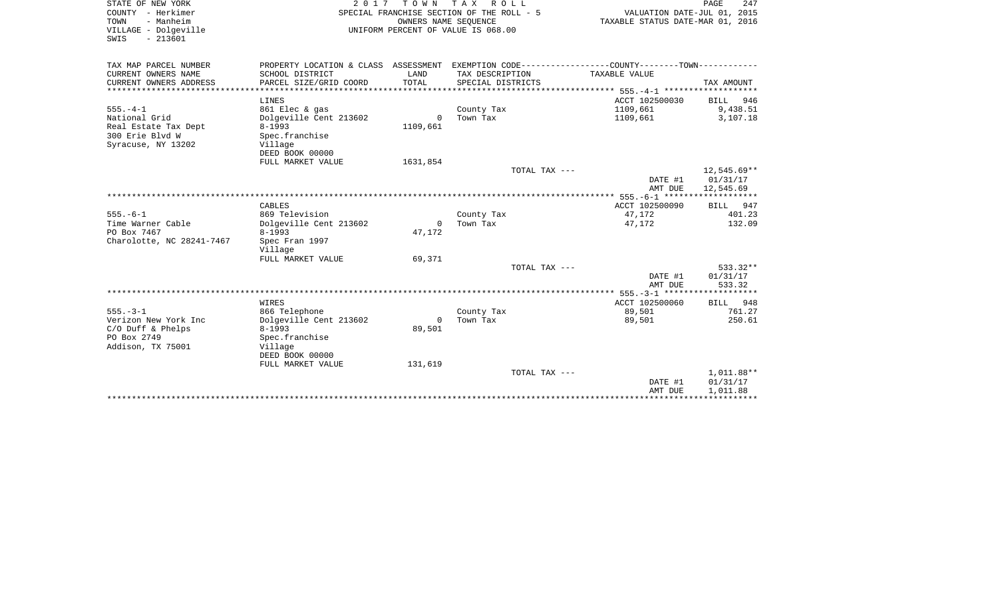| STATE OF NEW YORK<br>COUNTY - Herkimer<br>TOWN<br>- Manheim<br>VILLAGE - Dolgeville<br>$-213601$<br>SWIS | 2017                                                       | TOWN TAX<br>OWNERS NAME SEOUENCE | R O L L<br>SPECIAL FRANCHISE SECTION OF THE ROLL - 5<br>UNIFORM PERCENT OF VALUE IS 068.00   | VALUATION DATE-JUL 01, 2015<br>TAXABLE STATUS DATE-MAR 01, 2016 | PAGE<br>247                          |
|----------------------------------------------------------------------------------------------------------|------------------------------------------------------------|----------------------------------|----------------------------------------------------------------------------------------------|-----------------------------------------------------------------|--------------------------------------|
| TAX MAP PARCEL NUMBER                                                                                    |                                                            |                                  | PROPERTY LOCATION & CLASS ASSESSMENT EXEMPTION CODE---------------COUNTY-------TOWN--------- |                                                                 |                                      |
| CURRENT OWNERS NAME<br>CURRENT OWNERS ADDRESS<br>****************                                        | SCHOOL DISTRICT<br>PARCEL SIZE/GRID COORD                  | LAND<br>TOTAL                    | TAX DESCRIPTION<br>SPECIAL DISTRICTS                                                         | TAXABLE VALUE                                                   | TAX AMOUNT                           |
|                                                                                                          | LINES                                                      |                                  |                                                                                              | ACCT 102500030                                                  | BILL 946                             |
| $555. - 4 - 1$<br>National Grid                                                                          | 861 Elec & gas<br>Dolgeville Cent 213602                   | $\Omega$                         | County Tax<br>Town Tax                                                                       | 1109,661<br>1109,661                                            | 9,438.51<br>3,107.18                 |
| Real Estate Tax Dept<br>300 Erie Blvd W<br>Syracuse, NY 13202                                            | $8 - 1993$<br>Spec.franchise<br>Village<br>DEED BOOK 00000 | 1109,661                         |                                                                                              |                                                                 |                                      |
|                                                                                                          | FULL MARKET VALUE                                          | 1631,854                         |                                                                                              |                                                                 |                                      |
|                                                                                                          |                                                            |                                  | TOTAL TAX ---                                                                                | DATE #1<br>AMT DUE                                              | 12,545.69**<br>01/31/17<br>12,545.69 |
|                                                                                                          |                                                            |                                  |                                                                                              |                                                                 |                                      |
|                                                                                                          | CABLES                                                     |                                  |                                                                                              | ACCT 102500090                                                  | BILL 947                             |
| $555. - 6 - 1$                                                                                           | 869 Television                                             |                                  | County Tax                                                                                   | 47,172                                                          | 401.23                               |
| Time Warner Cable<br>PO Box 7467<br>Charolotte, NC 28241-7467                                            | Dolgeville Cent 213602<br>$8 - 1993$<br>Spec Fran 1997     | $\Omega$<br>47,172               | Town Tax                                                                                     | 47,172                                                          | 132.09                               |
|                                                                                                          | Village                                                    |                                  |                                                                                              |                                                                 |                                      |
|                                                                                                          | FULL MARKET VALUE                                          | 69,371                           |                                                                                              |                                                                 |                                      |
|                                                                                                          |                                                            |                                  | TOTAL TAX ---                                                                                | DATE #1<br>AMT DUE                                              | 533.32**<br>01/31/17<br>533.32       |
|                                                                                                          |                                                            |                                  |                                                                                              |                                                                 |                                      |
|                                                                                                          | WIRES                                                      |                                  |                                                                                              | ACCT 102500060                                                  | BILL 948                             |
| $555. - 3 - 1$                                                                                           | 866 Telephone                                              |                                  | County Tax                                                                                   | 89,501                                                          | 761.27                               |
| Verizon New York Inc                                                                                     | Dolgeville Cent 213602                                     | $\Omega$                         | Town Tax                                                                                     | 89,501                                                          | 250.61                               |
| $C/O$ Duff & Phelps                                                                                      | $8 - 1993$                                                 | 89,501                           |                                                                                              |                                                                 |                                      |
| PO Box 2749<br>Addison, TX 75001                                                                         | Spec.franchise<br>Village                                  |                                  |                                                                                              |                                                                 |                                      |
|                                                                                                          | DEED BOOK 00000                                            |                                  |                                                                                              |                                                                 |                                      |
|                                                                                                          | FULL MARKET VALUE                                          | 131,619                          |                                                                                              |                                                                 |                                      |
|                                                                                                          |                                                            |                                  | TOTAL TAX $---$                                                                              |                                                                 | $1,011.88**$                         |
|                                                                                                          |                                                            |                                  |                                                                                              | DATE #1                                                         | 01/31/17                             |
|                                                                                                          |                                                            |                                  |                                                                                              | AMT DUE                                                         | 1,011.88                             |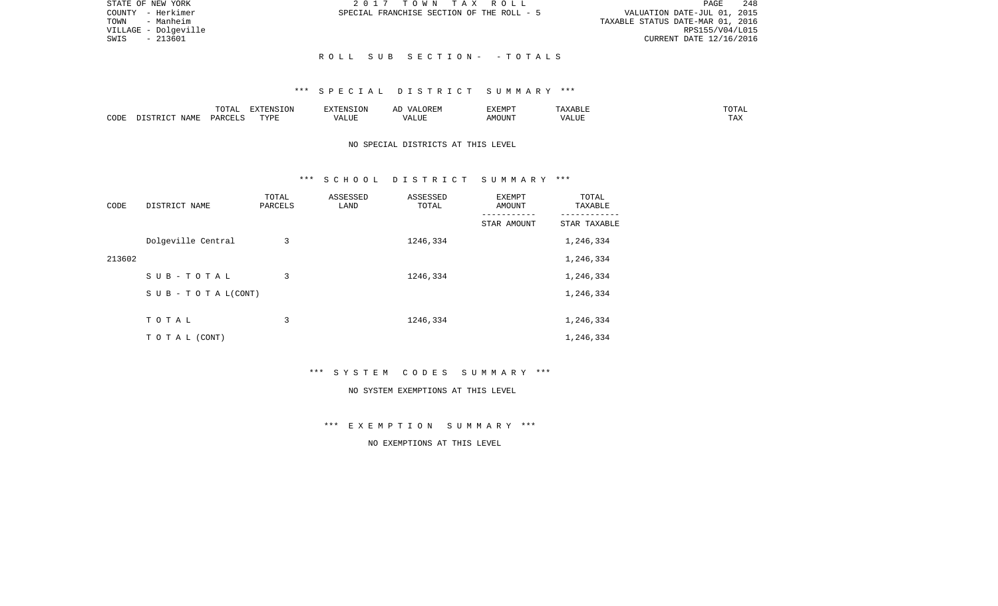| STATE OF NEW YORK    | 2017 TOWN TAX ROLL                        | 248<br>PAGE                      |
|----------------------|-------------------------------------------|----------------------------------|
| COUNTY - Herkimer    | SPECIAL FRANCHISE SECTION OF THE ROLL - 5 | VALUATION DATE-JUL 01, 2015      |
| TOWN - Manheim       |                                           | TAXABLE STATUS DATE-MAR 01, 2016 |
| VILLAGE - Dolgeville |                                           | RPS155/V04/L015                  |
| SWIS - 213601        |                                           | CURRENT DATE 12/16/2016          |
|                      |                                           |                                  |
|                      | ROLL SUB SECTION- -TOTALS                 |                                  |

### \*\*\* S P E C I A L D I S T R I C T S U M M A R Y \*\*\*

|      |      | ----                                                                                | ה∩דפתידעים  | 111  | $\cdots$ |      |      | UIAL |
|------|------|-------------------------------------------------------------------------------------|-------------|------|----------|------|------|------|
| CODE | NAME | $\overline{D}$ $\Delta$ $\overline{D}$ $\overline{D}$ $\overline{D}$ $\overline{D}$ | <b>TIZE</b> | JU P |          | .OUN | ---- |      |

### NO SPECIAL DISTRICTS AT THIS LEVEL

### \*\*\* S C H O O L D I S T R I C T S U M M A R Y \*\*\*

| CODE   | DISTRICT NAME                    | TOTAL<br>PARCELS | ASSESSED<br>LAND | ASSESSED<br>TOTAL | <b>EXEMPT</b><br>AMOUNT | TOTAL<br>TAXABLE |
|--------|----------------------------------|------------------|------------------|-------------------|-------------------------|------------------|
|        |                                  |                  |                  |                   | STAR AMOUNT             | STAR TAXABLE     |
|        | Dolgeville Central               | 3                |                  | 1246,334          |                         | 1,246,334        |
| 213602 |                                  |                  |                  |                   |                         | 1,246,334        |
|        | SUB-TOTAL                        | 3                |                  | 1246,334          |                         | 1,246,334        |
|        | $S \cup B - T \cup T A L (CONT)$ |                  |                  |                   |                         | 1,246,334        |
|        |                                  |                  |                  |                   |                         |                  |
|        | TOTAL                            | 3                |                  | 1246,334          |                         | 1,246,334        |
|        | T O T A L (CONT)                 |                  |                  |                   |                         | 1,246,334        |

\*\*\* S Y S T E M C O D E S S U M M A R Y \*\*\*

#### NO SYSTEM EXEMPTIONS AT THIS LEVEL

\*\*\* E X E M P T I O N S U M M A R Y \*\*\*

NO EXEMPTIONS AT THIS LEVEL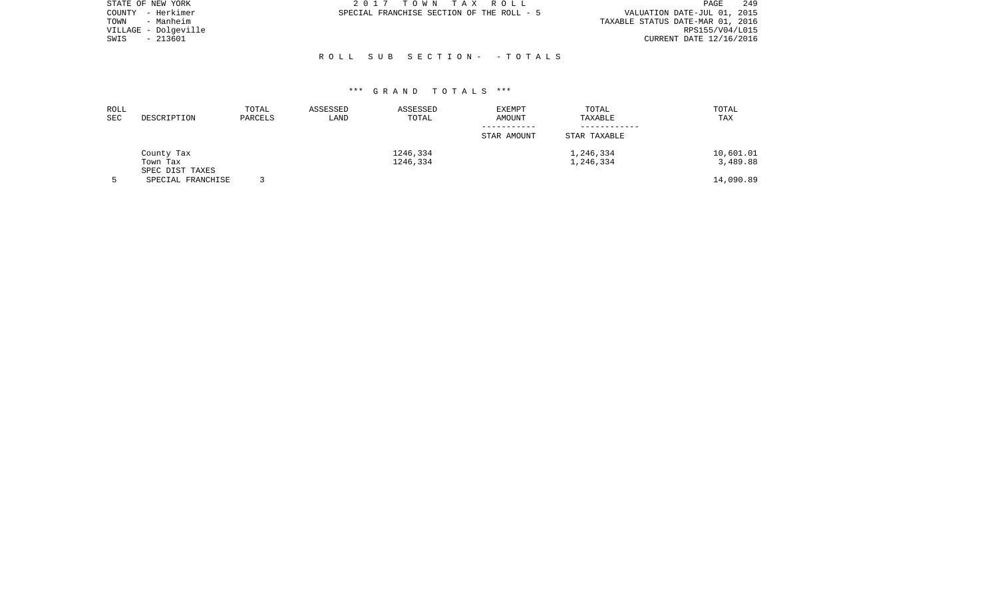| STATE OF NEW YORK    | 2017 TOWN TAX ROLL                        | 249<br>PAGE                      |
|----------------------|-------------------------------------------|----------------------------------|
| COUNTY - Herkimer    | SPECIAL FRANCHISE SECTION OF THE ROLL - 5 | VALUATION DATE-JUL 01, 2015      |
| - Manheim<br>TOWN    |                                           | TAXABLE STATUS DATE-MAR 01, 2016 |
| VILLAGE - Dolgeville |                                           | RPS155/V04/L015                  |
| - 213601<br>SWIS     |                                           | CURRENT DATE 12/16/2016          |
|                      |                                           |                                  |
|                      | ROLL SUB SECTION- -TOTALS                 |                                  |

| ROLL<br>SEC | DESCRIPTION                          | TOTAL<br>PARCELS | ASSESSED<br>LAND | ASSESSED<br>TOTAL | <b>EXEMPT</b><br>AMOUNT | TOTAL<br>TAXABLE | TOTAL<br>TAX |
|-------------|--------------------------------------|------------------|------------------|-------------------|-------------------------|------------------|--------------|
|             |                                      |                  |                  |                   | STAR AMOUNT             | STAR TAXABLE     |              |
|             | County Tax                           |                  |                  | 1246,334          |                         | 1,246,334        | 10,601.01    |
|             | Town Tax                             |                  |                  | 1246,334          |                         | 1,246,334        | 3,489.88     |
|             | SPEC DIST TAXES<br>SPECIAL FRANCHISE |                  |                  |                   |                         |                  | 14,090.89    |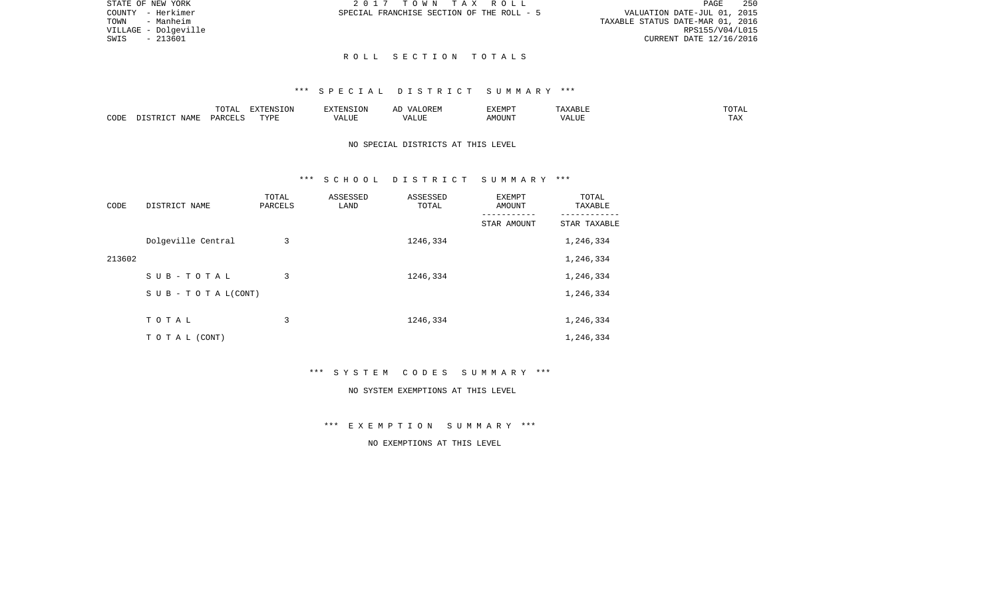PAGE 250 TOWN - Manheim TAXABLE STATUS DATE-MAR 01, 2016 RPS155/V04/L015 RPS155/V04/L015<br>SWIS - 213601 CURRENT DATE 12/16/2016 CURRENT DATE 12/16/2016

STATE OF NEW YORK **2017** TOWN TAX ROLL COUNTY - Herkimer SPECIAL FRANCHISE SECTION OF THE ROLL - 5 VALUATION DATE-JUL 01, 2015

### R O L L S E C T I O N T O T A L S

## \*\*\* S P E C I A L D I S T R I C T S U M M A R Y \*\*\*

|      |             | ◡∸⊷   | <b>DEAIGE ONT</b><br>w |                    | <b>DIEDIS</b><br>A M P | ABLE<br>. . | ⊼ה∩ר<br>---          |
|------|-------------|-------|------------------------|--------------------|------------------------|-------------|----------------------|
| CODE | <b>NAME</b> | D ∆ ⊦ | <b>TVDI</b>            | $- - - -$<br>LIU F |                        | $- - - -$   | $m \times n$<br>⊥ ≞∡ |

NO SPECIAL DISTRICTS AT THIS LEVEL

### \*\*\* S C H O O L D I S T R I C T S U M M A R Y \*\*\*

| CODE   | DISTRICT NAME                    | TOTAL<br>PARCELS | ASSESSED<br>LAND | ASSESSED<br>TOTAL | EXEMPT<br><b>AMOUNT</b><br>--------- | TOTAL<br>TAXABLE<br>-------- |
|--------|----------------------------------|------------------|------------------|-------------------|--------------------------------------|------------------------------|
|        |                                  |                  |                  |                   | STAR AMOUNT                          | STAR TAXABLE                 |
|        | Dolgeville Central               | 3                |                  | 1246,334          |                                      | 1,246,334                    |
| 213602 |                                  |                  |                  |                   |                                      | 1,246,334                    |
|        | SUB-TOTAL                        | 3                |                  | 1246,334          |                                      | 1,246,334                    |
|        | $S \cup B - T \cup T A L (CONT)$ |                  |                  |                   |                                      | 1,246,334                    |
|        |                                  |                  |                  |                   |                                      |                              |
|        | TOTAL                            | 3                |                  | 1246,334          |                                      | 1,246,334                    |
|        | TO TAL (CONT)                    |                  |                  |                   |                                      | 1,246,334                    |

\*\*\* S Y S T E M C O D E S S U M M A R Y \*\*\*

#### NO SYSTEM EXEMPTIONS AT THIS LEVEL

\*\*\* E X E M P T I O N S U M M A R Y \*\*\*

NO EXEMPTIONS AT THIS LEVEL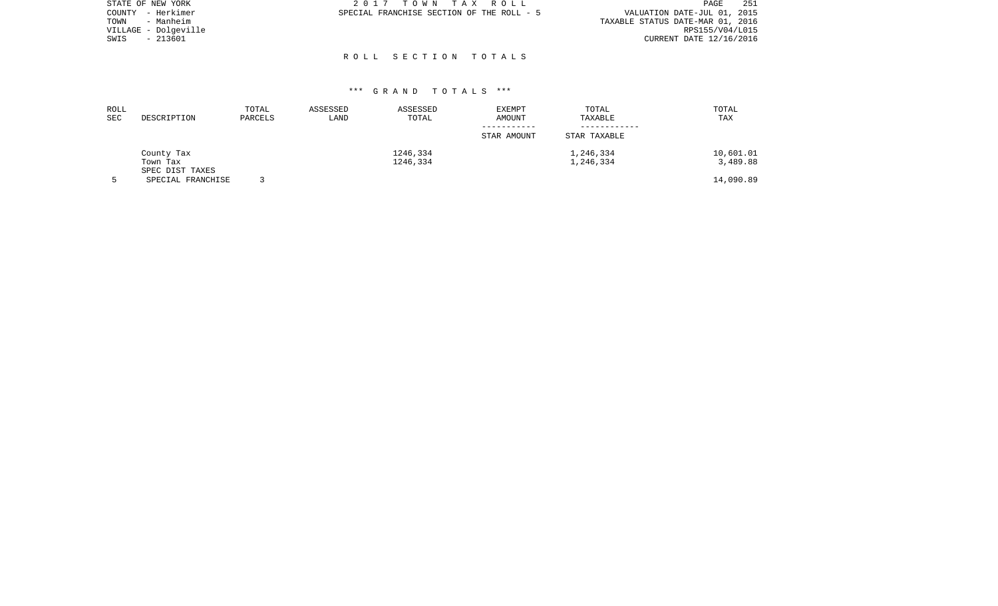|      | STATE OF NEW YORK    | 2017 TOWN TAX ROLL                        | PAGE                        | 251 |
|------|----------------------|-------------------------------------------|-----------------------------|-----|
|      | COUNTY - Herkimer    | SPECIAL FRANCHISE SECTION OF THE ROLL - 5 | VALUATION DATE-JUL 01, 2015 |     |
| TOWN | - Manheim            | TAXABLE STATUS DATE-MAR 01, 2016          |                             |     |
|      | VILLAGE - Dolgeville |                                           | RPS155/V04/L015             |     |
| SWIS | - 213601             |                                           | CURRENT DATE 12/16/2016     |     |
|      |                      |                                           |                             |     |

R O L L S E C T I O N T O T A L S

| ROLL<br>SEC | DESCRIPTION                          | TOTAL<br>PARCELS | ASSESSED<br>LAND | ASSESSED<br>TOTAL    | EXEMPT<br>AMOUNT<br>-----------<br>STAR AMOUNT | TOTAL<br>TAXABLE<br>STAR TAXABLE | TOTAL<br>TAX          |
|-------------|--------------------------------------|------------------|------------------|----------------------|------------------------------------------------|----------------------------------|-----------------------|
|             | County Tax<br>Town Tax               |                  |                  | 1246,334<br>1246,334 |                                                | 1,246,334<br>1,246,334           | 10,601.01<br>3,489.88 |
|             | SPEC DIST TAXES<br>SPECIAL FRANCHISE |                  |                  |                      |                                                |                                  | 14,090.89             |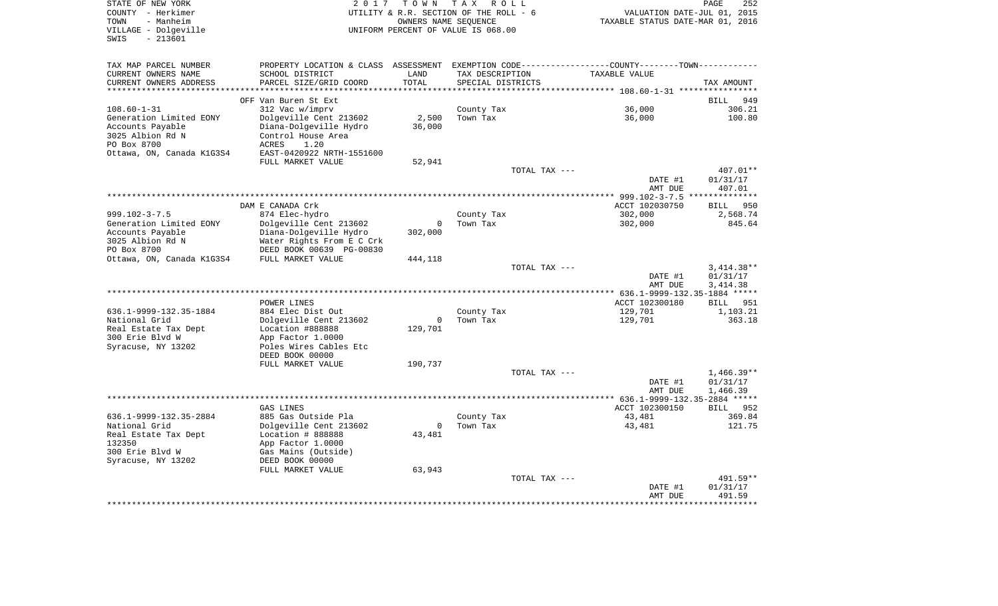| STATE OF NEW YORK<br>COUNTY - Herkimer<br>TOWN<br>- Manheim<br>VILLAGE - Dolgeville |                                                                                                 |                 | 2017 TOWN TAX ROLL<br>UTILITY & R.R. SECTION OF THE ROLL - 6<br>OWNERS NAME SEOUENCE<br>UNIFORM PERCENT OF VALUE IS 068.00 | VALUATION DATE-JUL 01, 2015<br>TAXABLE STATUS DATE-MAR 01, 2016 | PAGE         |
|-------------------------------------------------------------------------------------|-------------------------------------------------------------------------------------------------|-----------------|----------------------------------------------------------------------------------------------------------------------------|-----------------------------------------------------------------|--------------|
| $-213601$<br>SWIS                                                                   |                                                                                                 |                 |                                                                                                                            |                                                                 |              |
| TAX MAP PARCEL NUMBER                                                               | PROPERTY LOCATION & CLASS ASSESSMENT EXEMPTION CODE----------------COUNTY--------TOWN---------- |                 |                                                                                                                            |                                                                 |              |
| CURRENT OWNERS NAME                                                                 | SCHOOL DISTRICT                                                                                 | LAND            | TAX DESCRIPTION                                                                                                            | TAXABLE VALUE                                                   |              |
| CURRENT OWNERS ADDRESS                                                              | PARCEL SIZE/GRID COORD                                                                          | TOTAL           | SPECIAL DISTRICTS                                                                                                          |                                                                 | TAX AMOUNT   |
| ************************                                                            |                                                                                                 |                 |                                                                                                                            |                                                                 |              |
|                                                                                     | OFF Van Buren St Ext                                                                            |                 |                                                                                                                            |                                                                 | BILL         |
| $108.60 - 1 - 31$                                                                   | 312 Vac w/imprv                                                                                 |                 | County Tax<br>Town Tax                                                                                                     | 36,000                                                          | 306.21       |
| Generation Limited EONY<br>Accounts Payable                                         | Dolgeville Cent 213602<br>Diana-Dolgeville Hydro                                                | 2,500<br>36,000 |                                                                                                                            | 36,000                                                          | 100.80       |
| 3025 Albion Rd N                                                                    | Control House Area                                                                              |                 |                                                                                                                            |                                                                 |              |
| PO Box 8700                                                                         | ACRES 1.20                                                                                      |                 |                                                                                                                            |                                                                 |              |
| Ottawa, ON, Canada K1G3S4                                                           | EAST-0420922 NRTH-1551600                                                                       |                 |                                                                                                                            |                                                                 |              |
|                                                                                     | FULL MARKET VALUE                                                                               | 52,941          |                                                                                                                            |                                                                 |              |
|                                                                                     |                                                                                                 |                 | TOTAL TAX ---                                                                                                              |                                                                 | 407.01**     |
|                                                                                     |                                                                                                 |                 |                                                                                                                            | DATE #1                                                         | 01/31/17     |
|                                                                                     |                                                                                                 |                 |                                                                                                                            | AMT DUE                                                         | 407.01       |
|                                                                                     |                                                                                                 |                 |                                                                                                                            |                                                                 |              |
|                                                                                     | DAM E CANADA Crk                                                                                |                 |                                                                                                                            | ACCT 102030750                                                  | BILL 950     |
| $999.102 - 3 - 7.5$                                                                 | 874 Elec-hydro                                                                                  |                 | County Tax                                                                                                                 | 302,000                                                         | 2,568.74     |
| Generation Limited EONY                                                             | Dolgeville Cent 213602                                                                          | $\overline{0}$  | Town Tax                                                                                                                   | 302,000                                                         | 845.64       |
| Accounts Payable                                                                    | Diana-Dolgeville Hydro                                                                          | 302,000         |                                                                                                                            |                                                                 |              |
| 3025 Albion Rd N<br>PO Box 8700                                                     | Water Rights From E C Crk<br>DEED BOOK 00639 PG-00830                                           |                 |                                                                                                                            |                                                                 |              |
| Ottawa, ON, Canada K1G3S4 FULL MARKET VALUE                                         |                                                                                                 | 444,118         |                                                                                                                            |                                                                 |              |
|                                                                                     |                                                                                                 |                 | TOTAL TAX ---                                                                                                              |                                                                 | $3,414.38**$ |
|                                                                                     |                                                                                                 |                 |                                                                                                                            | DATE #1                                                         | 01/31/17     |
|                                                                                     |                                                                                                 |                 |                                                                                                                            | AMT DUE                                                         | 3,414.38     |
|                                                                                     |                                                                                                 |                 |                                                                                                                            |                                                                 |              |
|                                                                                     | POWER LINES                                                                                     |                 |                                                                                                                            | ACCT 102300180                                                  | BILL 951     |
| 636.1-9999-132.35-1884                                                              | 884 Elec Dist Out                                                                               |                 | County Tax                                                                                                                 | 129,701                                                         | 1,103.21     |
| National Grid                                                                       | Dolgeville Cent 213602                                                                          | $\overline{0}$  | Town Tax                                                                                                                   | 129,701                                                         | 363.18       |
| Real Estate Tax Dept                                                                | Location #888888                                                                                | 129,701         |                                                                                                                            |                                                                 |              |
| 300 Erie Blvd W                                                                     | App Factor 1.0000                                                                               |                 |                                                                                                                            |                                                                 |              |
| Syracuse, NY 13202                                                                  | Poles Wires Cables Etc<br>DEED BOOK 00000                                                       |                 |                                                                                                                            |                                                                 |              |
|                                                                                     | FULL MARKET VALUE                                                                               | 190,737         |                                                                                                                            |                                                                 |              |
|                                                                                     |                                                                                                 |                 | TOTAL TAX ---                                                                                                              |                                                                 | $1,466.39**$ |
|                                                                                     |                                                                                                 |                 |                                                                                                                            | DATE #1                                                         | 01/31/17     |
|                                                                                     |                                                                                                 |                 |                                                                                                                            | AMT DUE                                                         | 1,466.39     |
|                                                                                     |                                                                                                 |                 |                                                                                                                            |                                                                 |              |
|                                                                                     | GAS LINES                                                                                       |                 |                                                                                                                            | ACCT 102300150                                                  | BILL 952     |
| 636.1-9999-132.35-2884                                                              | 885 Gas Outside Pla                                                                             |                 | County Tax                                                                                                                 | 43,481                                                          | 369.84       |
| National Grid                                                                       | Dolgeville Cent 213602                                                                          | $\overline{0}$  | Town Tax                                                                                                                   | 43,481                                                          | 121.75       |
| Real Estate Tax Dept                                                                | Location # 888888                                                                               | 43,481          |                                                                                                                            |                                                                 |              |
| 132350                                                                              | App Factor 1.0000                                                                               |                 |                                                                                                                            |                                                                 |              |
| 300 Erie Blvd W                                                                     | Gas Mains (Outside)                                                                             |                 |                                                                                                                            |                                                                 |              |
| Syracuse, NY 13202                                                                  | DEED BOOK 00000<br>FULL MARKET VALUE                                                            | 63,943          |                                                                                                                            |                                                                 |              |
|                                                                                     |                                                                                                 |                 | TOTAL TAX ---                                                                                                              |                                                                 | 491.59**     |
|                                                                                     |                                                                                                 |                 |                                                                                                                            | DATE #1                                                         | 01/31/17     |
|                                                                                     |                                                                                                 |                 |                                                                                                                            | AMT DUE                                                         | 491.59       |
|                                                                                     |                                                                                                 |                 |                                                                                                                            | ******************                                              |              |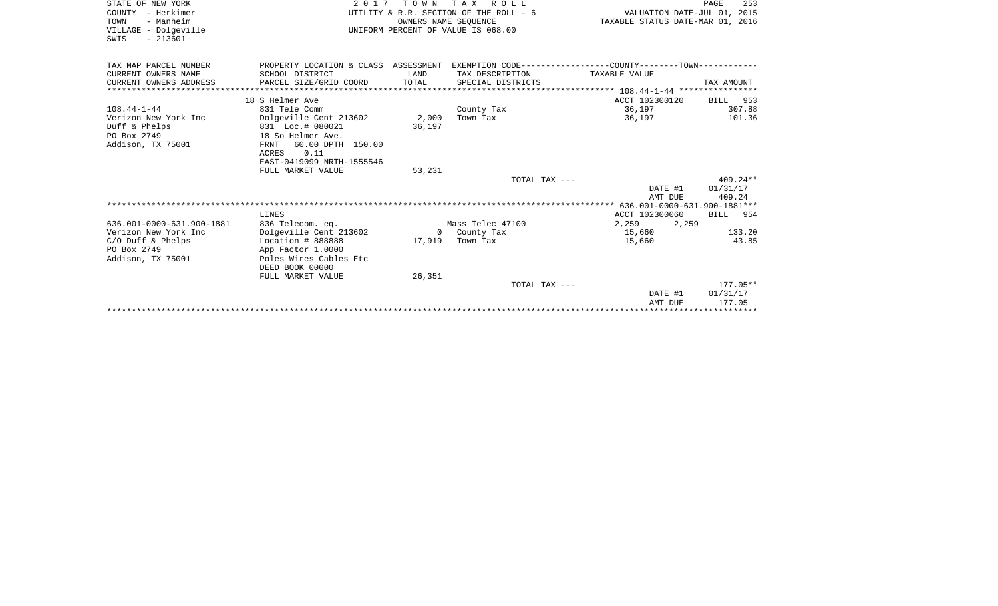| STATE OF NEW YORK         | 2017                                                                                         |        | TOWN TAX ROLL                          |                                  | PAGE<br>253 |
|---------------------------|----------------------------------------------------------------------------------------------|--------|----------------------------------------|----------------------------------|-------------|
| COUNTY - Herkimer         |                                                                                              |        | UTILITY & R.R. SECTION OF THE ROLL - 6 | VALUATION DATE-JUL 01, 2015      |             |
| TOWN<br>- Manheim         |                                                                                              |        | OWNERS NAME SEQUENCE                   | TAXABLE STATUS DATE-MAR 01, 2016 |             |
| VILLAGE - Dolgeville      |                                                                                              |        | UNIFORM PERCENT OF VALUE IS 068.00     |                                  |             |
| $-213601$<br>SWIS         |                                                                                              |        |                                        |                                  |             |
|                           |                                                                                              |        |                                        |                                  |             |
| TAX MAP PARCEL NUMBER     | PROPERTY LOCATION & CLASS ASSESSMENT EXEMPTION CODE---------------COUNTY-------TOWN--------- |        |                                        |                                  |             |
| CURRENT OWNERS NAME       | SCHOOL DISTRICT                                                                              | LAND   | TAX DESCRIPTION                        | TAXABLE VALUE                    |             |
| CURRENT OWNERS ADDRESS    | PARCEL SIZE/GRID COORD                                                                       | TOTAL  | SPECIAL DISTRICTS                      |                                  | TAX AMOUNT  |
|                           |                                                                                              |        |                                        |                                  |             |
|                           | 18 S Helmer Ave                                                                              |        |                                        | ACCT 102300120                   | BILL 953    |
| $108.44 - 1 - 44$         | 831 Tele Comm                                                                                |        | County Tax                             | 36,197                           | 307.88      |
| Verizon New York Inc      | Dolgeville Cent 213602                                                                       | 2,000  | Town Tax                               | 36,197                           | 101.36      |
| Duff & Phelps             | 831 Loc.# 080021                                                                             | 36,197 |                                        |                                  |             |
| PO Box 2749               | 18 So Helmer Ave.                                                                            |        |                                        |                                  |             |
| Addison, TX 75001         | 60.00 DPTH 150.00<br>FRNT                                                                    |        |                                        |                                  |             |
|                           | ACRES 0.11                                                                                   |        |                                        |                                  |             |
|                           | EAST-0419099 NRTH-1555546                                                                    |        |                                        |                                  |             |
|                           | FULL MARKET VALUE                                                                            | 53,231 |                                        |                                  |             |
|                           |                                                                                              |        | TOTAL TAX ---                          |                                  | $409.24**$  |
|                           |                                                                                              |        |                                        | DATE #1                          | 01/31/17    |
|                           |                                                                                              |        |                                        | AMT DUE                          | 409.24      |
|                           |                                                                                              |        |                                        |                                  |             |
|                           | LINES                                                                                        |        |                                        | ACCT 102300060                   | BILL 954    |
| 636.001-0000-631.900-1881 | 836 Telecom. eq.                                                                             |        | Mass Telec 47100                       | 2,259 2,259                      |             |
| Verizon New York Inc      | Dolgeville Cent 213602                                                                       |        | 0 County Tax                           | 15,660                           | 133.20      |
| $C/O$ Duff & Phelps       | Location # 888888                                                                            | 17,919 | Town Tax                               | 15,660                           | 43.85       |
| PO Box 2749               | App Factor 1.0000                                                                            |        |                                        |                                  |             |
| Addison, TX 75001         | Poles Wires Cables Etc                                                                       |        |                                        |                                  |             |
|                           | DEED BOOK 00000                                                                              |        |                                        |                                  |             |
|                           | FULL MARKET VALUE                                                                            | 26,351 |                                        |                                  |             |
|                           |                                                                                              |        | TOTAL TAX ---                          |                                  | $177.05**$  |
|                           |                                                                                              |        |                                        | DATE #1                          | 01/31/17    |
|                           |                                                                                              |        |                                        | AMT DUE                          | 177.05      |
|                           |                                                                                              |        |                                        |                                  |             |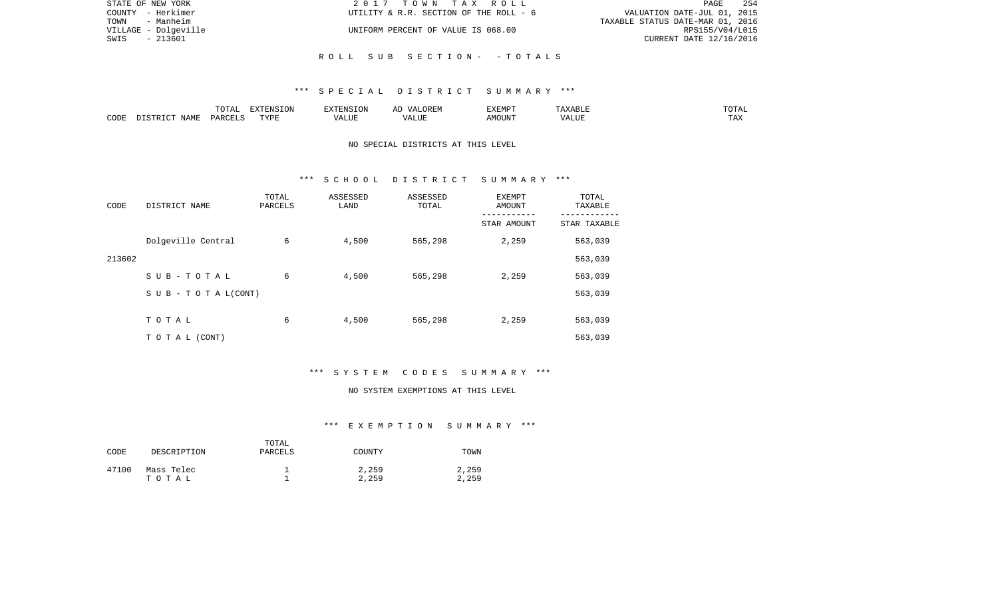| STATE OF NEW YORK    | 2017 TOWN TAX ROLL                     | 254<br>PAGE                      |
|----------------------|----------------------------------------|----------------------------------|
| COUNTY - Herkimer    | UTILITY & R.R. SECTION OF THE ROLL - 6 | VALUATION DATE-JUL 01, 2015      |
| - Manheim<br>TOWN    |                                        | TAXABLE STATUS DATE-MAR 01, 2016 |
| VILLAGE - Dolgeville | UNIFORM PERCENT OF VALUE IS 068.00     | RPS155/V04/L015                  |
| - 213601<br>SWIS     |                                        | CURRENT DATE 12/16/2016          |
|                      |                                        |                                  |
|                      | ROLL SUB SECTION- -TOTALS              |                                  |

### \*\*\* S P E C I A L D I S T R I C T S U M M A R Y \*\*\*

|      |             |               | $\blacksquare$<br>11 L<br>. ON |     | EXEMPT       | ABL.           | $m \wedge m$<br>$  -$ |
|------|-------------|---------------|--------------------------------|-----|--------------|----------------|-----------------------|
| CODE | NAME<br>. . | <b>DARCET</b> | TVDI                           | ,,, | 'תוזכ<br>∆M∩ | . <del>.</del> | $- - -$<br>.AZ        |

## NO SPECIAL DISTRICTS AT THIS LEVEL

#### \*\*\* S C H O O L D I S T R I C T S U M M A R Y \*\*\*

| CODE   | DISTRICT NAME                    | TOTAL<br>PARCELS | ASSESSED<br>LAND | ASSESSED<br>TOTAL | <b>EXEMPT</b><br>AMOUNT<br>STAR AMOUNT | TOTAL<br>TAXABLE<br>STAR TAXABLE |
|--------|----------------------------------|------------------|------------------|-------------------|----------------------------------------|----------------------------------|
|        | Dolgeville Central               | 6                | 4,500            | 565,298           | 2,259                                  | 563,039                          |
| 213602 |                                  |                  |                  |                   |                                        | 563,039                          |
|        | SUB-TOTAL                        | 6                | 4,500            | 565,298           | 2,259                                  | 563,039                          |
|        | $S \cup B - T \cup T A L (CONT)$ |                  |                  |                   |                                        | 563,039                          |
|        | TOTAL                            | 6                | 4,500            | 565,298           | 2,259                                  | 563,039                          |
|        |                                  |                  |                  |                   |                                        |                                  |
|        | T O T A L (CONT)                 |                  |                  |                   |                                        | 563,039                          |

# \*\*\* S Y S T E M C O D E S S U M M A R Y \*\*\*

#### NO SYSTEM EXEMPTIONS AT THIS LEVEL

# \*\*\* E X E M P T I O N S U M M A R Y \*\*\*

| CODE  | DESCRIPTION         | TOTAL<br>PARCELS | COUNTY         | TOWN           |
|-------|---------------------|------------------|----------------|----------------|
| 47100 | Mass Telec<br>тотаь |                  | 2,259<br>2,259 | 2,259<br>2,259 |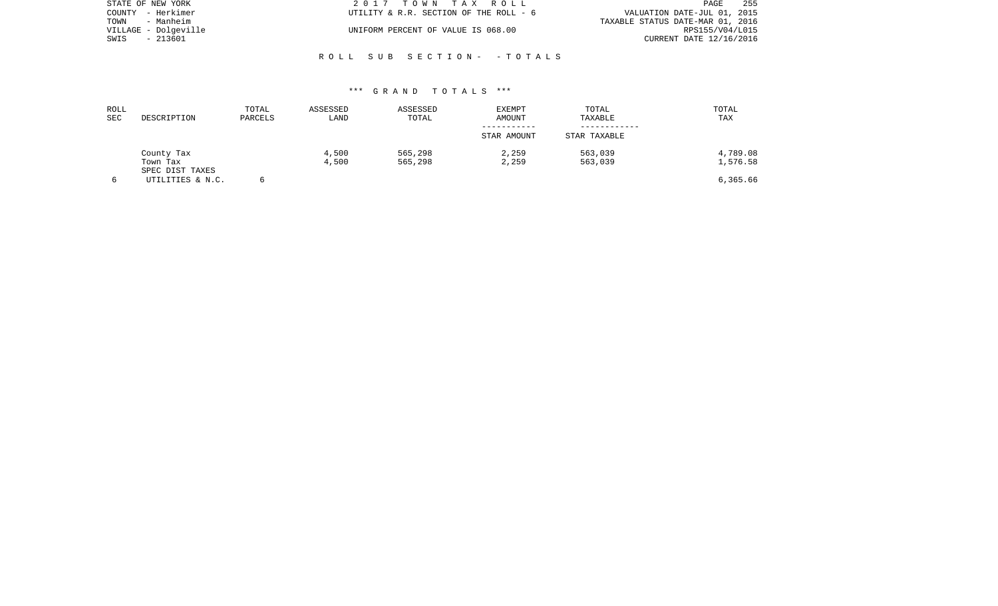| STATE OF NEW YORK    | 2017 TOWN TAX ROLL                     | 255<br>PAGE                      |
|----------------------|----------------------------------------|----------------------------------|
| COUNTY - Herkimer    | UTILITY & R.R. SECTION OF THE ROLL - 6 | VALUATION DATE-JUL 01, 2015      |
| TOWN - Manheim       |                                        | TAXABLE STATUS DATE-MAR 01, 2016 |
| VILLAGE - Dolgeville | UNIFORM PERCENT OF VALUE IS 068.00     | RPS155/V04/L015                  |
| SWIS<br>- 213601     |                                        | CURRENT DATE 12/16/2016          |
|                      |                                        |                                  |

## \*\*\* G R A N D T O T A L S \*\*\*

R O L L S U B S E C T I O N - - T O T A L S

| ROLL<br>SEC | DESCRIPTION                 | TOTAL<br>PARCELS | ASSESSED<br>LAND | ASSESSED<br>TOTAL | <b>EXEMPT</b><br>AMOUNT | TOTAL<br>TAXABLE | TOTAL<br>TAX |
|-------------|-----------------------------|------------------|------------------|-------------------|-------------------------|------------------|--------------|
|             |                             |                  |                  |                   | STAR AMOUNT             | STAR TAXABLE     |              |
|             | County Tax                  |                  | 4,500            | 565,298           | 2,259                   | 563,039          | 4,789.08     |
|             | Town Tax<br>SPEC DIST TAXES |                  | 4,500            | 565,298           | 2,259                   | 563,039          | 1,576.58     |
|             | UTILITIES & N.C.            |                  |                  |                   |                         |                  | 6,365.66     |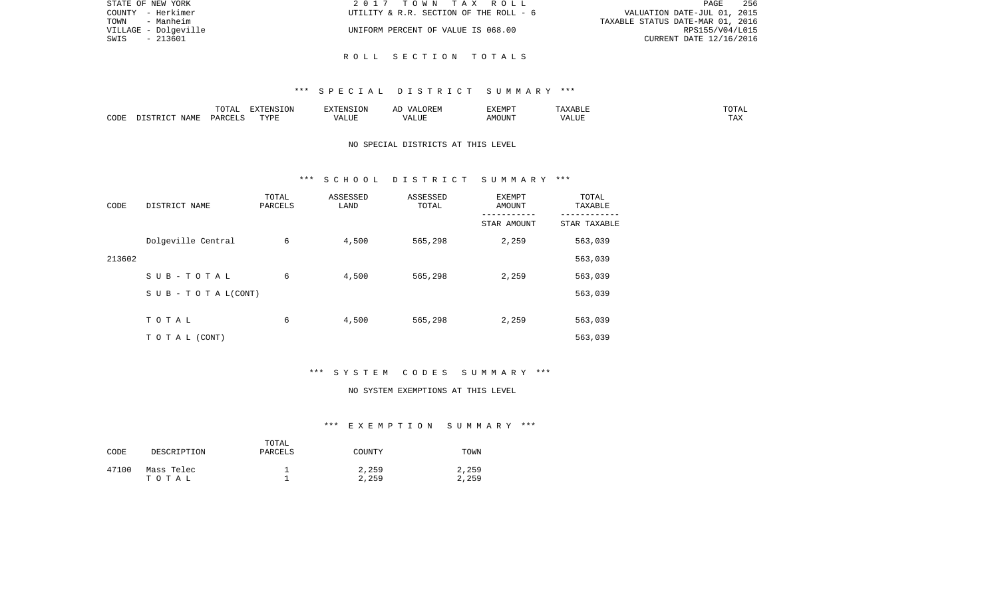| STATE OF NEW YORK    | 2017 TOWN TAX ROLL                     | - 256<br>PAGE                    |
|----------------------|----------------------------------------|----------------------------------|
| COUNTY - Herkimer    | UTILITY & R.R. SECTION OF THE ROLL - 6 | VALUATION DATE-JUL 01, 2015      |
| TOWN<br>- Manheim    |                                        | TAXABLE STATUS DATE-MAR 01, 2016 |
| VILLAGE - Dolgeville | UNIFORM PERCENT OF VALUE IS 068.00     | RPS155/V04/L015                  |
| SWIS<br>- 213601     |                                        | CURRENT DATE 12/16/2016          |
|                      |                                        |                                  |

### R O L L S E C T I O N T O T A L S

### \*\*\* S P E C I A L D I S T R I C T S U M M A R Y \*\*\*

|      |      | $m \wedge m \wedge n$<br>⊥∪⊥⊓⊥ | EXTENSION | $\frac{1}{2}$     | $H$ $\mathbb{R}$ $\mathbb{R}$<br>, , , | EXEMP. | D Lu<br>.                 | $\sqrt{2}$<br>---   |
|------|------|--------------------------------|-----------|-------------------|----------------------------------------|--------|---------------------------|---------------------|
| CODE | ΝЪΜЋ | DADC                           | TVDI<br>. | $T$ $T$ $T$ $T$ . | .TTI                                   | OUN    | 77T<br>$\sqrt{ }$<br>ALU. | $m \times n$<br>T W |

## NO SPECIAL DISTRICTS AT THIS LEVEL

#### \*\*\* S C H O O L D I S T R I C T S U M M A R Y \*\*\*

| CODE   | DISTRICT NAME                    | TOTAL<br>PARCELS | ASSESSED<br>LAND | ASSESSED<br>TOTAL | <b>EXEMPT</b><br><b>AMOUNT</b> | TOTAL<br>TAXABLE |
|--------|----------------------------------|------------------|------------------|-------------------|--------------------------------|------------------|
|        |                                  |                  |                  |                   | STAR AMOUNT                    | STAR TAXABLE     |
|        | Dolgeville Central               | 6                | 4,500            | 565,298           | 2,259                          | 563,039          |
| 213602 |                                  |                  |                  |                   |                                | 563,039          |
|        | SUB-TOTAL                        | 6                | 4,500            | 565,298           | 2,259                          | 563,039          |
|        | $S \cup B - T \cup T A L (CONT)$ |                  |                  |                   |                                | 563,039          |
|        |                                  |                  |                  |                   |                                |                  |
|        | TOTAL                            | 6                | 4,500            | 565,298           | 2,259                          | 563,039          |
|        | T O T A L (CONT)                 |                  |                  |                   |                                | 563,039          |

# \*\*\* S Y S T E M C O D E S S U M M A R Y \*\*\*

#### NO SYSTEM EXEMPTIONS AT THIS LEVEL

# \*\*\* E X E M P T I O N S U M M A R Y \*\*\*

| CODE  | DESCRIPTION         | TOTAL<br>PARCELS | COUNTY         | TOWN           |
|-------|---------------------|------------------|----------------|----------------|
| 47100 | Mass Telec<br>тотаь |                  | 2,259<br>2,259 | 2,259<br>2,259 |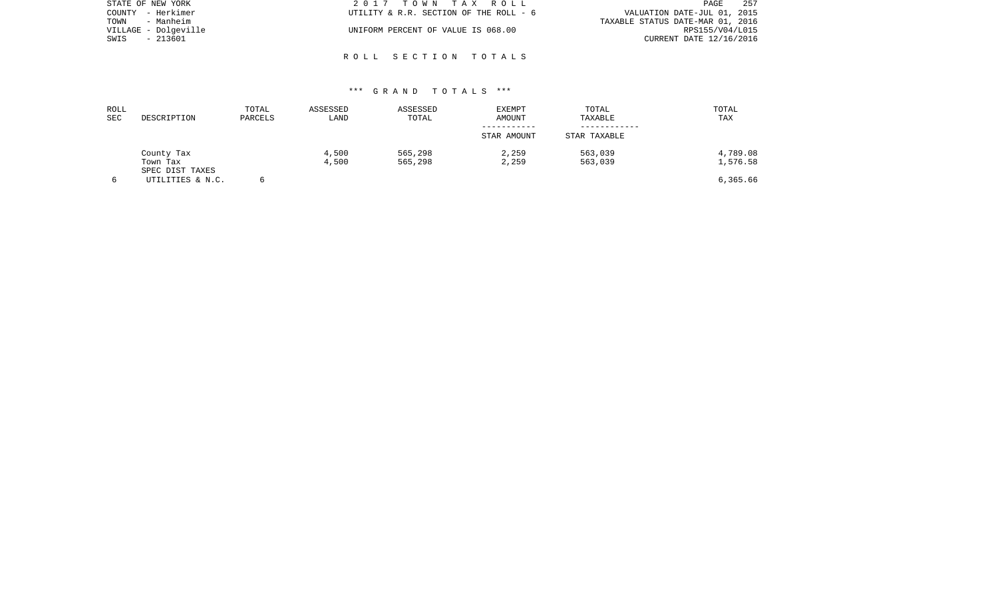| STATE OF NEW YORK    | 2017 TOWN TAX ROLL                     | 257<br>PAGE                      |
|----------------------|----------------------------------------|----------------------------------|
| COUNTY - Herkimer    | UTILITY & R.R. SECTION OF THE ROLL - 6 | VALUATION DATE-JUL 01, 2015      |
| TOWN<br>- Manheim    |                                        | TAXABLE STATUS DATE-MAR 01, 2016 |
| VILLAGE - Dolgeville | UNIFORM PERCENT OF VALUE IS 068.00     | RPS155/V04/L015                  |
| - 213601<br>SWIS     |                                        | CURRENT DATE 12/16/2016          |
|                      |                                        |                                  |

## \*\*\* G R A N D T O T A L S \*\*\*

R O L L S E C T I O N T O T A L S

| ROLL<br>SEC | DESCRIPTION                 | TOTAL<br>PARCELS | ASSESSED<br>LAND | ASSESSED<br>TOTAL | <b>EXEMPT</b><br>AMOUNT | TOTAL<br>TAXABLE | TOTAL<br>TAX |
|-------------|-----------------------------|------------------|------------------|-------------------|-------------------------|------------------|--------------|
|             |                             |                  |                  |                   | STAR AMOUNT             | STAR TAXABLE     |              |
|             | County Tax                  |                  | 4,500            | 565,298           | 2,259                   | 563,039          | 4,789.08     |
|             | Town Tax<br>SPEC DIST TAXES |                  | 4,500            | 565,298           | 2,259                   | 563,039          | 1,576.58     |
|             | UTILITIES & N.C.            |                  |                  |                   |                         |                  | 6,365.66     |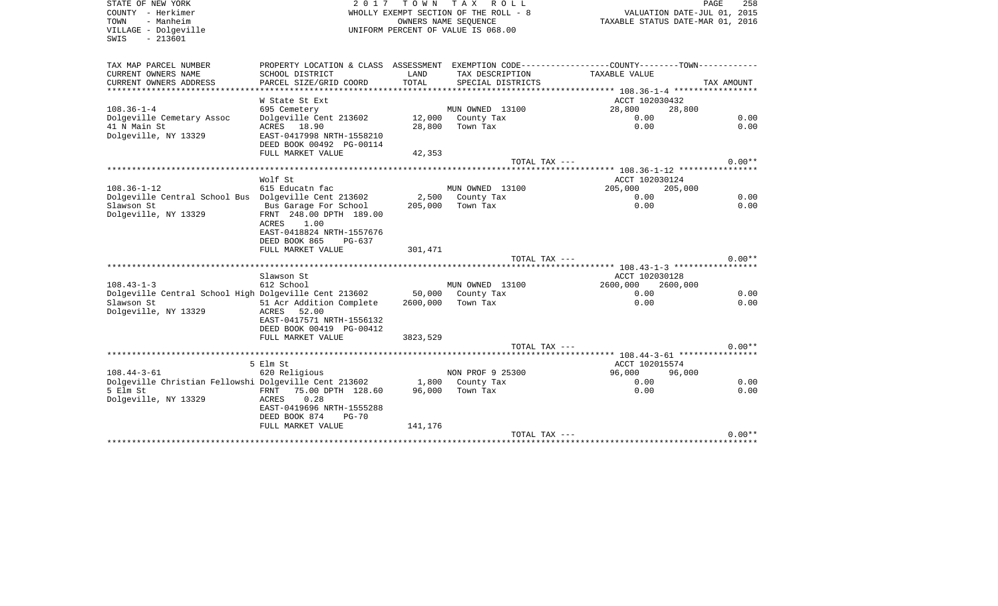SWIS - 213601

STATE OF NEW YORK 2 0 1 7 T O W N T A X R O L L PAGE 258COUNTY - Herkimer WHOLLY EXEMPT SECTION OF THE ROLL - 8 TOWN - Manheim OWNERS NAME SEQUENCE TAXABLE STATUS DATE-MAR 01, 2016 UNIFORM PERCENT OF VALUE IS 068.00

PAGE 258

| TAX MAP PARCEL NUMBER<br>CURRENT OWNERS NAME<br>CURRENT OWNERS ADDRESS | PROPERTY LOCATION & CLASS ASSESSMENT<br>SCHOOL DISTRICT<br>PARCEL SIZE/GRID COORD | LAND<br>TOTAL | EXEMPTION CODE----------------COUNTY-------TOWN-----------<br>TAX DESCRIPTION<br>SPECIAL DISTRICTS | TAXABLE VALUE     | TAX AMOUNT |
|------------------------------------------------------------------------|-----------------------------------------------------------------------------------|---------------|----------------------------------------------------------------------------------------------------|-------------------|------------|
|                                                                        | W State St Ext                                                                    |               |                                                                                                    | ACCT 102030432    |            |
| $108.36 - 1 - 4$                                                       | 695 Cemetery                                                                      |               | MUN OWNED 13100                                                                                    | 28,800            | 28,800     |
| Dolgeville Cemetary Assoc                                              | Dolgeville Cent 213602                                                            |               | 12,000 County Tax                                                                                  | 0.00              | 0.00       |
| 41 N Main St                                                           | ACRES 18.90                                                                       | 28,800        | Town Tax                                                                                           | 0.00              | 0.00       |
| Dolgeville, NY 13329                                                   | EAST-0417998 NRTH-1558210<br>DEED BOOK 00492 PG-00114                             |               |                                                                                                    |                   |            |
|                                                                        | FULL MARKET VALUE                                                                 | 42,353        |                                                                                                    |                   |            |
|                                                                        |                                                                                   |               | TOTAL TAX $---$                                                                                    |                   | $0.00**$   |
|                                                                        |                                                                                   |               |                                                                                                    |                   |            |
|                                                                        | Wolf St                                                                           |               |                                                                                                    | ACCT 102030124    |            |
| $108.36 - 1 - 12$                                                      | 615 Educatn fac                                                                   |               | MUN OWNED 13100                                                                                    | 205,000           | 205,000    |
| Dolgeville Central School Bus Dolgeville Cent 213602                   |                                                                                   |               | 2,500 County Tax                                                                                   | 0.00              | 0.00       |
| Slawson St                                                             | Bus Garage For School                                                             | 205,000       | Town Tax                                                                                           | 0.00              | 0.00       |
| Dolgeville, NY 13329                                                   | FRNT 248.00 DPTH 189.00                                                           |               |                                                                                                    |                   |            |
|                                                                        | ACRES<br>1.00                                                                     |               |                                                                                                    |                   |            |
|                                                                        | EAST-0418824 NRTH-1557676                                                         |               |                                                                                                    |                   |            |
|                                                                        | DEED BOOK 865<br>PG-637<br>FULL MARKET VALUE                                      |               |                                                                                                    |                   |            |
|                                                                        |                                                                                   | 301,471       | TOTAL TAX ---                                                                                      |                   | $0.00**$   |
|                                                                        |                                                                                   |               |                                                                                                    |                   |            |
|                                                                        | Slawson St                                                                        |               |                                                                                                    | ACCT 102030128    |            |
| $108.43 - 1 - 3$                                                       | 612 School                                                                        |               | MUN OWNED 13100                                                                                    | 2600,000 2600,000 |            |
| Dolgeville Central School High Dolgeville Cent 213602                  |                                                                                   |               | 50,000 County Tax                                                                                  | 0.00              | 0.00       |
| Slawson St<br>Dolgeville, NY 13329                                     | 51 Acr Addition Complete<br>ACRES<br>52.00                                        | 2600,000      | Town Tax                                                                                           | 0.00              | 0.00       |
|                                                                        | EAST-0417571 NRTH-1556132                                                         |               |                                                                                                    |                   |            |
|                                                                        | DEED BOOK 00419 PG-00412                                                          |               |                                                                                                    |                   |            |
|                                                                        | FULL MARKET VALUE                                                                 | 3823,529      |                                                                                                    |                   |            |
|                                                                        |                                                                                   |               | TOTAL TAX ---                                                                                      |                   | $0.00**$   |
|                                                                        |                                                                                   |               |                                                                                                    |                   |            |
|                                                                        | 5 Elm St                                                                          |               |                                                                                                    | ACCT 102015574    |            |
| $108.44 - 3 - 61$                                                      | 620 Religious                                                                     |               | NON PROF 9 25300                                                                                   | 96,000            | 96,000     |
| Dolgeville Christian Fellowshi Dolgeville Cent 213602                  |                                                                                   |               | 1,800 County Tax                                                                                   | 0.00              | 0.00       |
| 5 Elm St                                                               | FRNT 75.00 DPTH 128.60                                                            | 96,000        | Town Tax                                                                                           | 0.00              | 0.00       |
| Dolgeville, NY 13329                                                   | ACRES<br>0.28                                                                     |               |                                                                                                    |                   |            |
|                                                                        | EAST-0419696 NRTH-1555288                                                         |               |                                                                                                    |                   |            |
|                                                                        | DEED BOOK 874<br>$PG-70$                                                          |               |                                                                                                    |                   |            |
|                                                                        | FULL MARKET VALUE                                                                 | 141,176       |                                                                                                    |                   |            |
|                                                                        |                                                                                   |               | TOTAL TAX ---                                                                                      |                   | $0.00**$   |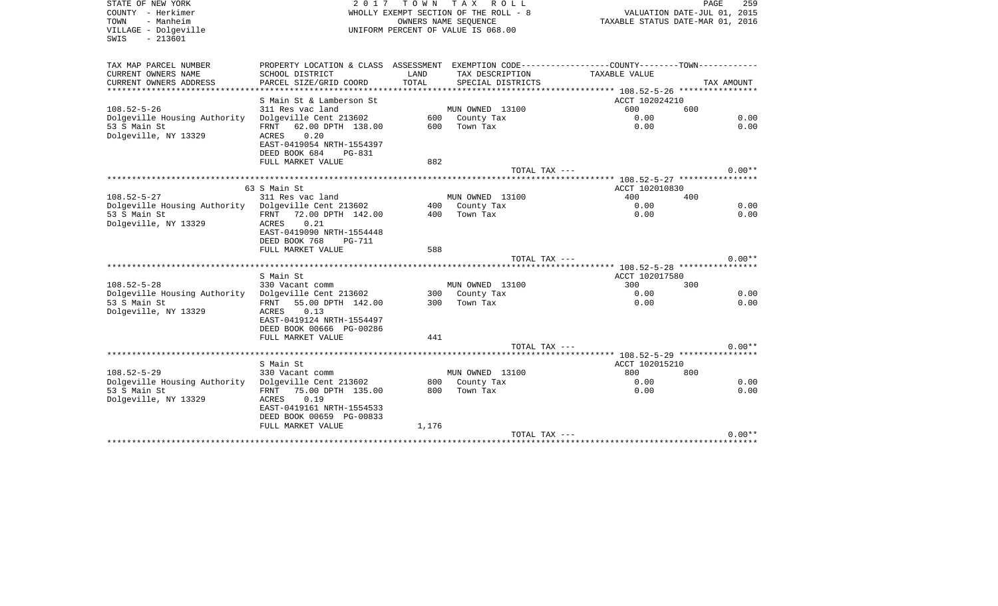| STATE OF NEW YORK<br>COUNTY - Herkimer<br>- Manheim<br>TOWN<br>VILLAGE - Dolgeville<br>$-213601$<br>SWIS | 2 0 1 7                                                                                       | TOWN  | T A X<br>R O L L<br>WHOLLY EXEMPT SECTION OF THE ROLL - 8<br>OWNERS NAME SEOUENCE<br>UNIFORM PERCENT OF VALUE IS 068.00 | TAXABLE STATUS DATE-MAR 01, 2016 | PAGE<br>259<br>VALUATION DATE-JUL 01, 2015 |
|----------------------------------------------------------------------------------------------------------|-----------------------------------------------------------------------------------------------|-------|-------------------------------------------------------------------------------------------------------------------------|----------------------------------|--------------------------------------------|
| TAX MAP PARCEL NUMBER                                                                                    | PROPERTY LOCATION & CLASS ASSESSMENT EXEMPTION CODE---------------COUNTY-------TOWN---------- |       |                                                                                                                         |                                  |                                            |
| CURRENT OWNERS NAME                                                                                      | SCHOOL DISTRICT                                                                               | LAND  | TAX DESCRIPTION                                                                                                         | TAXABLE VALUE                    |                                            |
| CURRENT OWNERS ADDRESS                                                                                   | PARCEL SIZE/GRID COORD                                                                        | TOTAL | SPECIAL DISTRICTS                                                                                                       |                                  | TAX AMOUNT                                 |
| *************************                                                                                |                                                                                               |       |                                                                                                                         |                                  |                                            |
|                                                                                                          | S Main St & Lamberson St                                                                      |       |                                                                                                                         | ACCT 102024210<br>600            | 600                                        |
| $108.52 - 5 - 26$<br>Dolgeville Housing Authority                                                        | 311 Res vac land<br>Dolgeville Cent 213602                                                    |       | MUN OWNED 13100<br>600 County Tax                                                                                       | 0.00                             | 0.00                                       |
| 53 S Main St                                                                                             | 62.00 DPTH 138.00<br>FRNT                                                                     | 600   | Town Tax                                                                                                                | 0.00                             | 0.00                                       |
| Dolgeville, NY 13329                                                                                     | 0.20<br>ACRES                                                                                 |       |                                                                                                                         |                                  |                                            |
|                                                                                                          | EAST-0419054 NRTH-1554397                                                                     |       |                                                                                                                         |                                  |                                            |
|                                                                                                          | DEED BOOK 684<br>PG-831                                                                       |       |                                                                                                                         |                                  |                                            |
|                                                                                                          | FULL MARKET VALUE                                                                             | 882   |                                                                                                                         |                                  |                                            |
|                                                                                                          |                                                                                               |       | TOTAL TAX ---                                                                                                           |                                  | $0.00**$                                   |
|                                                                                                          |                                                                                               |       |                                                                                                                         |                                  |                                            |
|                                                                                                          | 63 S Main St                                                                                  |       |                                                                                                                         | ACCT 102010830                   |                                            |
| $108.52 - 5 - 27$<br>Dolgeville Housing Authority                                                        | 311 Res vac land<br>Dolgeville Cent 213602                                                    | 400   | MUN OWNED 13100<br>County Tax                                                                                           | 400<br>0.00                      | 400<br>0.00                                |
| 53 S Main St                                                                                             | FRNT 72.00 DPTH 142.00                                                                        | 400   | Town Tax                                                                                                                | 0.00                             | 0.00                                       |
| Dolgeville, NY 13329                                                                                     | 0.21<br>ACRES                                                                                 |       |                                                                                                                         |                                  |                                            |
|                                                                                                          | EAST-0419090 NRTH-1554448                                                                     |       |                                                                                                                         |                                  |                                            |
|                                                                                                          | DEED BOOK 768<br><b>PG-711</b>                                                                |       |                                                                                                                         |                                  |                                            |
|                                                                                                          | FULL MARKET VALUE                                                                             | 588   |                                                                                                                         |                                  |                                            |
|                                                                                                          |                                                                                               |       | TOTAL TAX ---                                                                                                           |                                  | $0.00**$                                   |
|                                                                                                          | S Main St                                                                                     |       |                                                                                                                         | ACCT 102017580                   |                                            |
| $108.52 - 5 - 28$                                                                                        | 330 Vacant comm                                                                               |       | MUN OWNED 13100                                                                                                         | 300                              | 300                                        |
| Dolgeville Housing Authority                                                                             | Dolgeville Cent 213602                                                                        | 300   | County Tax                                                                                                              | 0.00                             | 0.00                                       |
| 53 S Main St                                                                                             | FRNT<br>55.00 DPTH 142.00                                                                     | 300   | Town Tax                                                                                                                | 0.00                             | 0.00                                       |
| Dolgeville, NY 13329                                                                                     | 0.13<br>ACRES                                                                                 |       |                                                                                                                         |                                  |                                            |
|                                                                                                          | EAST-0419124 NRTH-1554497                                                                     |       |                                                                                                                         |                                  |                                            |
|                                                                                                          | DEED BOOK 00666 PG-00286                                                                      |       |                                                                                                                         |                                  |                                            |
|                                                                                                          | FULL MARKET VALUE                                                                             | 441   |                                                                                                                         |                                  |                                            |
|                                                                                                          |                                                                                               |       | TOTAL TAX ---                                                                                                           |                                  | $0.00**$                                   |
|                                                                                                          | S Main St                                                                                     |       |                                                                                                                         | ACCT 102015210                   |                                            |
| $108.52 - 5 - 29$                                                                                        | 330 Vacant comm                                                                               |       | MUN OWNED 13100                                                                                                         | 800                              | 800                                        |
| Dolgeville Housing Authority                                                                             | Dolgeville Cent 213602                                                                        | 800   | County Tax                                                                                                              | 0.00                             | 0.00                                       |
| 53 S Main St                                                                                             | FRNT<br>75.00 DPTH 135.00                                                                     | 800   | Town Tax                                                                                                                | 0.00                             | 0.00                                       |
| Dolgeville, NY 13329                                                                                     | 0.19<br>ACRES                                                                                 |       |                                                                                                                         |                                  |                                            |
|                                                                                                          | EAST-0419161 NRTH-1554533                                                                     |       |                                                                                                                         |                                  |                                            |
|                                                                                                          | DEED BOOK 00659 PG-00833                                                                      |       |                                                                                                                         |                                  |                                            |
|                                                                                                          | FULL MARKET VALUE                                                                             | 1,176 |                                                                                                                         |                                  |                                            |
|                                                                                                          |                                                                                               |       | TOTAL TAX ---                                                                                                           |                                  | $0.00**$                                   |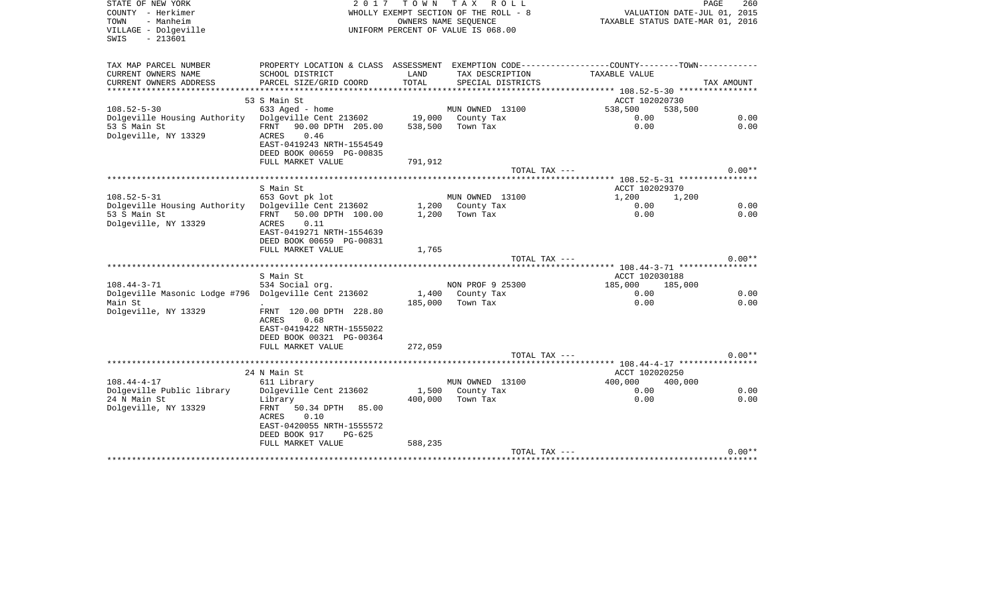| STATE OF NEW YORK<br>COUNTY - Herkimer<br>TOWN<br>- Manheim<br>VILLAGE - Dolgeville<br>$-213601$<br>SWIS | 2017                                                                                             | T O W N       | TAX ROLL<br>WHOLLY EXEMPT SECTION OF THE ROLL - 8<br>OWNERS NAME SEOUENCE<br>UNIFORM PERCENT OF VALUE IS 068.00 | VALUATION DATE-JUL 01, 2015<br>TAXABLE STATUS DATE-MAR 01, 2016                               | PAGE<br>260 |
|----------------------------------------------------------------------------------------------------------|--------------------------------------------------------------------------------------------------|---------------|-----------------------------------------------------------------------------------------------------------------|-----------------------------------------------------------------------------------------------|-------------|
| TAX MAP PARCEL NUMBER                                                                                    |                                                                                                  |               |                                                                                                                 | PROPERTY LOCATION & CLASS ASSESSMENT EXEMPTION CODE---------------COUNTY-------TOWN---------- |             |
| CURRENT OWNERS NAME<br>CURRENT OWNERS ADDRESS                                                            | SCHOOL DISTRICT<br>PARCEL SIZE/GRID COORD                                                        | LAND<br>TOTAL | TAX DESCRIPTION<br>SPECIAL DISTRICTS                                                                            | TAXABLE VALUE                                                                                 | TAX AMOUNT  |
|                                                                                                          |                                                                                                  |               |                                                                                                                 |                                                                                               |             |
|                                                                                                          | 53 S Main St                                                                                     |               |                                                                                                                 | ACCT 102020730                                                                                |             |
| $108.52 - 5 - 30$                                                                                        | 633 Aged - home                                                                                  |               | MUN OWNED 13100                                                                                                 | 538,500<br>538,500                                                                            |             |
| Dolgeville Housing Authority Dolgeville Cent 213602                                                      |                                                                                                  |               | 19,000 County Tax                                                                                               | 0.00                                                                                          | 0.00        |
| 53 S Main St<br>Dolgeville, NY 13329                                                                     | FRNT 90.00 DPTH 205.00<br>0.46<br>ACRES<br>EAST-0419243 NRTH-1554549<br>DEED BOOK 00659 PG-00835 | 538,500       | Town Tax                                                                                                        | 0.00                                                                                          | 0.00        |
|                                                                                                          | FULL MARKET VALUE                                                                                | 791,912       |                                                                                                                 |                                                                                               |             |
|                                                                                                          |                                                                                                  |               | TOTAL TAX ---                                                                                                   |                                                                                               | $0.00**$    |
|                                                                                                          | S Main St                                                                                        |               |                                                                                                                 | ******** 108.52-5-31 *****************<br>ACCT 102029370                                      |             |
| $108.52 - 5 - 31$                                                                                        | 653 Govt pk lot                                                                                  |               | MUN OWNED 13100                                                                                                 | 1,200<br>1,200                                                                                |             |
| Dolgeville Housing Authority                                                                             | Dolgeville Cent 213602                                                                           |               | 1,200 County Tax                                                                                                | 0.00                                                                                          | 0.00        |
| 53 S Main St                                                                                             | FRNT 50.00 DPTH 100.00                                                                           | 1,200         | Town Tax                                                                                                        | 0.00                                                                                          | 0.00        |
| Dolgeville, NY 13329                                                                                     | 0.11<br>ACRES<br>EAST-0419271 NRTH-1554639<br>DEED BOOK 00659 PG-00831                           |               |                                                                                                                 |                                                                                               |             |
|                                                                                                          | FULL MARKET VALUE                                                                                | 1,765         |                                                                                                                 |                                                                                               |             |
|                                                                                                          |                                                                                                  |               | TOTAL TAX ---                                                                                                   |                                                                                               | $0.00**$    |
|                                                                                                          | S Main St                                                                                        |               |                                                                                                                 | ACCT 102030188                                                                                |             |
| $108.44 - 3 - 71$                                                                                        | 534 Social org.                                                                                  |               | NON PROF 9 25300                                                                                                | 185,000 185,000                                                                               |             |
| Dolgeville Masonic Lodge #796 Dolgeville Cent 213602                                                     |                                                                                                  | 1,400         | County Tax                                                                                                      | 0.00                                                                                          | 0.00        |
| Main St                                                                                                  |                                                                                                  | 185,000       | Town Tax                                                                                                        | 0.00                                                                                          | 0.00        |
| Dolgeville, NY 13329                                                                                     | FRNT 120.00 DPTH 228.80<br>0.68<br>ACRES                                                         |               |                                                                                                                 |                                                                                               |             |
|                                                                                                          | EAST-0419422 NRTH-1555022                                                                        |               |                                                                                                                 |                                                                                               |             |
|                                                                                                          | DEED BOOK 00321 PG-00364                                                                         |               |                                                                                                                 |                                                                                               |             |
|                                                                                                          | FULL MARKET VALUE                                                                                | 272,059       |                                                                                                                 |                                                                                               |             |
|                                                                                                          |                                                                                                  |               | TOTAL TAX ---                                                                                                   |                                                                                               | $0.00**$    |
|                                                                                                          |                                                                                                  |               |                                                                                                                 | *********** 108.44-4-17 *****************                                                     |             |
| $108.44 - 4 - 17$                                                                                        | 24 N Main St<br>611 Library                                                                      |               | MUN OWNED 13100                                                                                                 | ACCT 102020250<br>400,000<br>400,000                                                          |             |
| Dolgeville Public library                                                                                | Dolgeville Cent 213602                                                                           |               | 1,500 County Tax                                                                                                | 0.00                                                                                          | 0.00        |
| 24 N Main St                                                                                             | Library                                                                                          | 400,000       | Town Tax                                                                                                        | 0.00                                                                                          | 0.00        |
| Dolgeville, NY 13329                                                                                     | FRNT 50.34 DPTH<br>85.00                                                                         |               |                                                                                                                 |                                                                                               |             |
|                                                                                                          | ACRES<br>0.10                                                                                    |               |                                                                                                                 |                                                                                               |             |
|                                                                                                          | EAST-0420055 NRTH-1555572<br>DEED BOOK 917<br>$PG-625$                                           |               |                                                                                                                 |                                                                                               |             |
|                                                                                                          | FULL MARKET VALUE                                                                                | 588,235       |                                                                                                                 |                                                                                               |             |
|                                                                                                          |                                                                                                  |               | TOTAL TAX ---                                                                                                   |                                                                                               | $0.00**$    |
|                                                                                                          |                                                                                                  |               |                                                                                                                 |                                                                                               |             |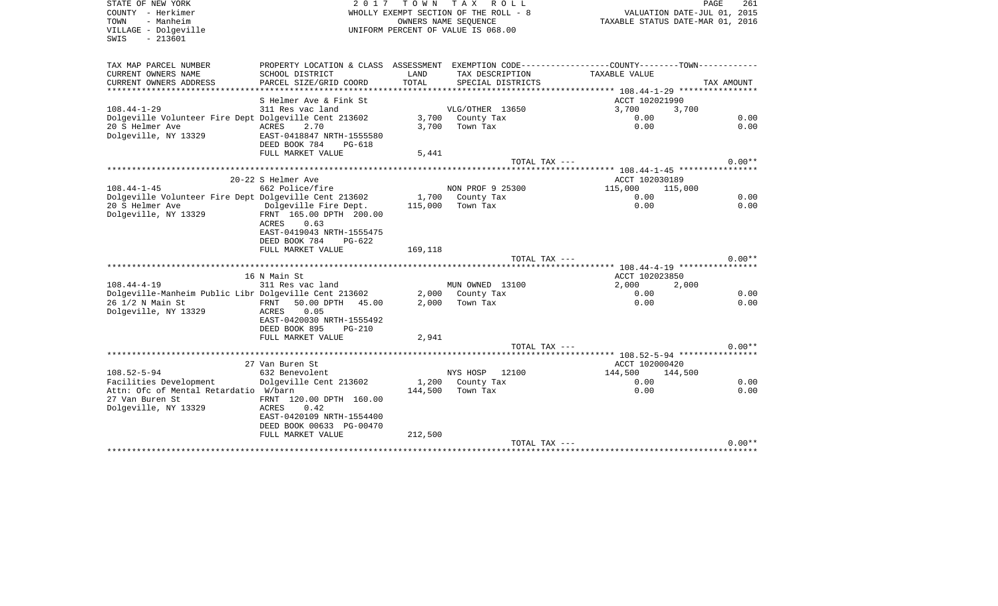SWIS - 213601

STATE OF NEW YORK **EXECUTE:** A G L 2 0 1 7 T O W N T A X R O L L COUNTY - Herkimer WHOLLY EXEMPT SECTION OF THE ROLL - 8 TOWN - Manheim OWNERS NAME SEQUENCE TAXABLE STATUS DATE-MAR 01, 2016 VILLAGE - Dolgeville UNIFORM PERCENT OF VALUE IS 068.00

| TAX MAP PARCEL NUMBER                                 | PROPERTY LOCATION & CLASS ASSESSMENT |         |                   |                                  |            |
|-------------------------------------------------------|--------------------------------------|---------|-------------------|----------------------------------|------------|
| CURRENT OWNERS NAME                                   | SCHOOL DISTRICT                      | LAND    | TAX DESCRIPTION   | TAXABLE VALUE                    |            |
| CURRENT OWNERS ADDRESS                                | PARCEL SIZE/GRID COORD               | TOTAL   | SPECIAL DISTRICTS |                                  | TAX AMOUNT |
|                                                       |                                      |         |                   |                                  |            |
|                                                       | S Helmer Ave & Fink St               |         |                   | ACCT 102021990                   |            |
| $108.44 - 1 - 29$                                     | 311 Res vac land                     |         | VLG/OTHER 13650   | 3,700<br>3,700                   |            |
| Dolgeville Volunteer Fire Dept Dolgeville Cent 213602 |                                      |         | 3,700 County Tax  | 0.00                             | 0.00       |
| 20 S Helmer Ave                                       | ACRES<br>2.70                        | 3,700   | Town Tax          | 0.00                             | 0.00       |
| Dolgeville, NY 13329                                  | EAST-0418847 NRTH-1555580            |         |                   |                                  |            |
|                                                       | DEED BOOK 784<br>PG-618              |         |                   |                                  |            |
|                                                       | FULL MARKET VALUE                    | 5,441   |                   |                                  |            |
|                                                       |                                      |         | TOTAL TAX ---     |                                  | $0.00**$   |
|                                                       |                                      |         |                   |                                  |            |
|                                                       | 20-22 S Helmer Ave                   |         |                   | ACCT 102030189                   |            |
| $108.44 - 1 - 45$                                     | 662 Police/fire                      |         | NON PROF 9 25300  | 115,000<br>115,000               |            |
| Dolgeville Volunteer Fire Dept Dolgeville Cent 213602 |                                      |         | 1,700 County Tax  | 0.00                             | 0.00       |
| 20 S Helmer Ave                                       | Dolgeville Fire Dept.                | 115,000 | Town Tax          | 0.00                             | 0.00       |
| Dolgeville, NY 13329                                  | FRNT 165.00 DPTH 200.00              |         |                   |                                  |            |
|                                                       | 0.63<br>ACRES                        |         |                   |                                  |            |
|                                                       | EAST-0419043 NRTH-1555475            |         |                   |                                  |            |
|                                                       | DEED BOOK 784<br>$PG-622$            |         |                   |                                  |            |
|                                                       | FULL MARKET VALUE                    | 169,118 |                   |                                  |            |
|                                                       |                                      |         | TOTAL TAX ---     |                                  | $0.00**$   |
|                                                       |                                      |         |                   |                                  |            |
| $108.44 - 4 - 19$                                     | 16 N Main St<br>311 Res vac land     |         | MUN OWNED 13100   | ACCT 102023850<br>2,000<br>2,000 |            |
| Dolgeville-Manheim Public Libr Dolgeville Cent 213602 |                                      |         | 2,000 County Tax  | 0.00                             | 0.00       |
| 26 1/2 N Main St                                      | 50.00 DPTH<br>FRNT<br>45.00          | 2,000   | Town Tax          | 0.00                             | 0.00       |
| Dolgeville, NY 13329                                  | 0.05<br>ACRES                        |         |                   |                                  |            |
|                                                       | EAST-0420030 NRTH-1555492            |         |                   |                                  |            |
|                                                       | DEED BOOK 895<br><b>PG-210</b>       |         |                   |                                  |            |
|                                                       | FULL MARKET VALUE                    | 2,941   |                   |                                  |            |
|                                                       |                                      |         | TOTAL TAX ---     |                                  | $0.00**$   |
|                                                       |                                      |         |                   |                                  |            |
|                                                       | 27 Van Buren St                      |         |                   | ACCT 102000420                   |            |
| $108.52 - 5 - 94$                                     | 632 Benevolent                       |         | NYS HOSP<br>12100 | 144,500<br>144,500               |            |
| Facilities Development                                | Dolgeville Cent 213602               |         | 1,200 County Tax  | 0.00                             | 0.00       |
| Attn: Ofc of Mental Retardatio W/barn                 |                                      | 144,500 | Town Tax          | 0.00                             | 0.00       |
| 27 Van Buren St                                       | FRNT 120.00 DPTH 160.00              |         |                   |                                  |            |
| Dolgeville, NY 13329                                  | ACRES<br>0.42                        |         |                   |                                  |            |
|                                                       | EAST-0420109 NRTH-1554400            |         |                   |                                  |            |
|                                                       | DEED BOOK 00633 PG-00470             |         |                   |                                  |            |
|                                                       | FULL MARKET VALUE                    | 212,500 |                   |                                  |            |
|                                                       |                                      |         | TOTAL TAX ---     |                                  | $0.00**$   |
|                                                       |                                      |         |                   |                                  |            |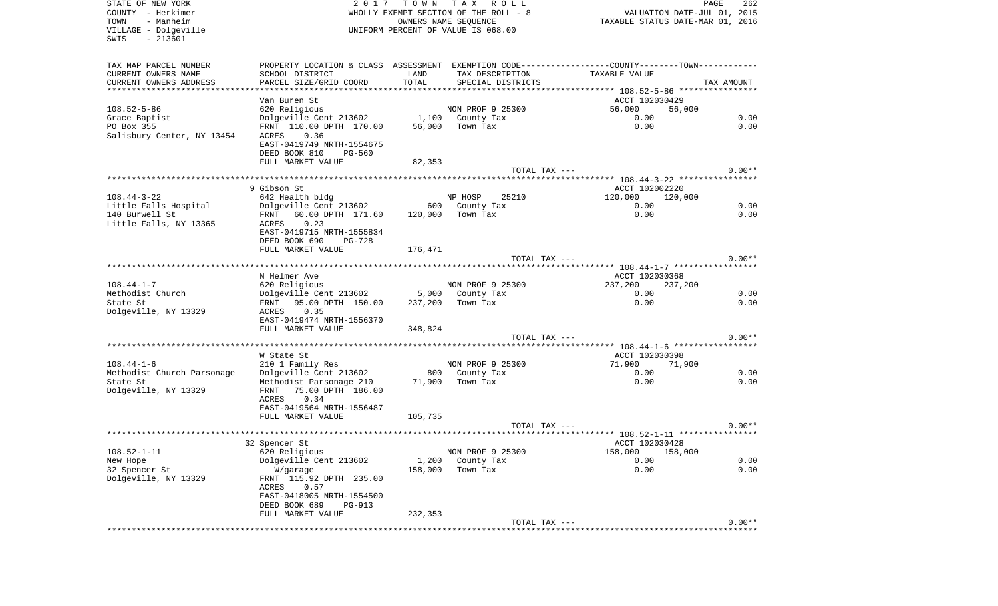| STATE OF NEW YORK<br>COUNTY - Herkimer<br>- Manheim<br>TOWN<br>VILLAGE - Dolgeville<br>$-213601$<br>SWIS | TOWN TAX<br>2017<br>R O L L<br>WHOLLY EXEMPT SECTION OF THE ROLL - 8<br>OWNERS NAME SEQUENCE<br>UNIFORM PERCENT OF VALUE IS 068.00 |         |                                      | PAGE<br>VALUATION DATE-JUL 01, 2015<br>TAXABLE STATUS DATE-MAR 01, 2016                       |            |  |
|----------------------------------------------------------------------------------------------------------|------------------------------------------------------------------------------------------------------------------------------------|---------|--------------------------------------|-----------------------------------------------------------------------------------------------|------------|--|
|                                                                                                          |                                                                                                                                    |         |                                      |                                                                                               |            |  |
| TAX MAP PARCEL NUMBER                                                                                    |                                                                                                                                    |         |                                      | PROPERTY LOCATION & CLASS ASSESSMENT EXEMPTION CODE---------------COUNTY-------TOWN---------- |            |  |
| CURRENT OWNERS NAME                                                                                      | SCHOOL DISTRICT                                                                                                                    | LAND    | TAX DESCRIPTION                      | TAXABLE VALUE                                                                                 |            |  |
| CURRENT OWNERS ADDRESS                                                                                   | PARCEL SIZE/GRID COORD                                                                                                             | TOTAL   | SPECIAL DISTRICTS                    |                                                                                               | TAX AMOUNT |  |
| *************************                                                                                |                                                                                                                                    |         |                                      |                                                                                               |            |  |
|                                                                                                          | Van Buren St                                                                                                                       |         |                                      | ACCT 102030429                                                                                |            |  |
| $108.52 - 5 - 86$<br>Grace Baptist                                                                       | 620 Religious<br>Dolgeville Cent 213602                                                                                            |         | NON PROF 9 25300<br>1,100 County Tax | 56,000<br>56,000<br>0.00                                                                      | 0.00       |  |
| PO Box 355                                                                                               | FRNT 110.00 DPTH 170.00                                                                                                            | 56,000  | Town Tax                             | 0.00                                                                                          | 0.00       |  |
| Salisbury Center, NY 13454                                                                               | 0.36<br>ACRES                                                                                                                      |         |                                      |                                                                                               |            |  |
|                                                                                                          | EAST-0419749 NRTH-1554675                                                                                                          |         |                                      |                                                                                               |            |  |
|                                                                                                          | DEED BOOK 810<br><b>PG-560</b>                                                                                                     |         |                                      |                                                                                               |            |  |
|                                                                                                          | FULL MARKET VALUE                                                                                                                  | 82,353  |                                      |                                                                                               |            |  |
|                                                                                                          |                                                                                                                                    |         | TOTAL TAX ---                        |                                                                                               | $0.00**$   |  |
|                                                                                                          |                                                                                                                                    |         |                                      |                                                                                               |            |  |
|                                                                                                          | 9 Gibson St                                                                                                                        |         |                                      | ACCT 102002220                                                                                |            |  |
| $108.44 - 3 - 22$                                                                                        | 642 Health bldg                                                                                                                    |         | NP HOSP<br>25210                     | 120,000<br>120,000                                                                            |            |  |
| Little Falls Hospital                                                                                    | Dolgeville Cent 213602                                                                                                             |         | 600 County Tax                       | 0.00                                                                                          | 0.00       |  |
| 140 Burwell St                                                                                           | 60.00 DPTH 171.60<br>FRNT<br>0.23<br>ACRES                                                                                         |         | 120,000 Town Tax                     | 0.00                                                                                          | 0.00       |  |
| Little Falls, NY 13365                                                                                   | EAST-0419715 NRTH-1555834                                                                                                          |         |                                      |                                                                                               |            |  |
|                                                                                                          | DEED BOOK 690<br><b>PG-728</b>                                                                                                     |         |                                      |                                                                                               |            |  |
|                                                                                                          | FULL MARKET VALUE                                                                                                                  | 176,471 |                                      |                                                                                               |            |  |
|                                                                                                          |                                                                                                                                    |         | TOTAL TAX ---                        |                                                                                               | $0.00**$   |  |
|                                                                                                          |                                                                                                                                    |         |                                      |                                                                                               |            |  |
|                                                                                                          | N Helmer Ave                                                                                                                       |         |                                      | ACCT 102030368                                                                                |            |  |
| $108.44 - 1 - 7$                                                                                         | 620 Religious                                                                                                                      |         | NON PROF 9 25300                     | 237,200<br>237,200                                                                            |            |  |
| Methodist Church                                                                                         | Dolgeville Cent 213602                                                                                                             | 5,000   | County Tax                           | 0.00                                                                                          | 0.00       |  |
| State St                                                                                                 | FRNT 95.00 DPTH 150.00                                                                                                             | 237,200 | Town Tax                             | 0.00                                                                                          | 0.00       |  |
| Dolgeville, NY 13329                                                                                     | 0.35<br>ACRES                                                                                                                      |         |                                      |                                                                                               |            |  |
|                                                                                                          | EAST-0419474 NRTH-1556370<br>FULL MARKET VALUE                                                                                     |         |                                      |                                                                                               |            |  |
|                                                                                                          |                                                                                                                                    | 348,824 | TOTAL TAX ---                        |                                                                                               | $0.00**$   |  |
|                                                                                                          |                                                                                                                                    |         |                                      |                                                                                               |            |  |
|                                                                                                          | W State St                                                                                                                         |         |                                      | ACCT 102030398                                                                                |            |  |
| $108.44 - 1 - 6$                                                                                         | 210 1 Family Res                                                                                                                   |         | NON PROF 9 25300                     | 71,900<br>71,900                                                                              |            |  |
| Methodist Church Parsonage                                                                               | Dolgeville Cent 213602                                                                                                             |         | 800 County Tax                       | 0.00                                                                                          | 0.00       |  |
| State St                                                                                                 | Methodist Parsonage 210                                                                                                            | 71,900  | Town Tax                             | 0.00                                                                                          | 0.00       |  |
| Dolgeville, NY 13329                                                                                     | 75.00 DPTH 186.00<br>FRNT                                                                                                          |         |                                      |                                                                                               |            |  |
|                                                                                                          | ACRES<br>0.34                                                                                                                      |         |                                      |                                                                                               |            |  |
|                                                                                                          | EAST-0419564 NRTH-1556487                                                                                                          |         |                                      |                                                                                               |            |  |
|                                                                                                          | FULL MARKET VALUE                                                                                                                  | 105,735 |                                      |                                                                                               |            |  |
|                                                                                                          |                                                                                                                                    |         | TOTAL TAX ---                        |                                                                                               | $0.00**$   |  |
|                                                                                                          | 32 Spencer St                                                                                                                      |         |                                      | ACCT 102030428                                                                                |            |  |
| $108.52 - 1 - 11$                                                                                        | 620 Religious                                                                                                                      |         | NON PROF 9 25300                     | 158,000 158,000                                                                               |            |  |
| New Hope                                                                                                 | Dolgeville Cent 213602                                                                                                             | 1,200   | County Tax                           | 0.00                                                                                          | 0.00       |  |
| 32 Spencer St                                                                                            | W/garage                                                                                                                           | 158,000 | Town Tax                             | 0.00                                                                                          | 0.00       |  |
| Dolgeville, NY 13329                                                                                     | FRNT 115.92 DPTH 235.00                                                                                                            |         |                                      |                                                                                               |            |  |
|                                                                                                          | ACRES<br>0.57                                                                                                                      |         |                                      |                                                                                               |            |  |
|                                                                                                          | EAST-0418005 NRTH-1554500                                                                                                          |         |                                      |                                                                                               |            |  |
|                                                                                                          | DEED BOOK 689<br>PG-913                                                                                                            |         |                                      |                                                                                               |            |  |
|                                                                                                          | FULL MARKET VALUE                                                                                                                  | 232,353 |                                      |                                                                                               |            |  |
|                                                                                                          |                                                                                                                                    |         | TOTAL TAX ---                        |                                                                                               | $0.00**$   |  |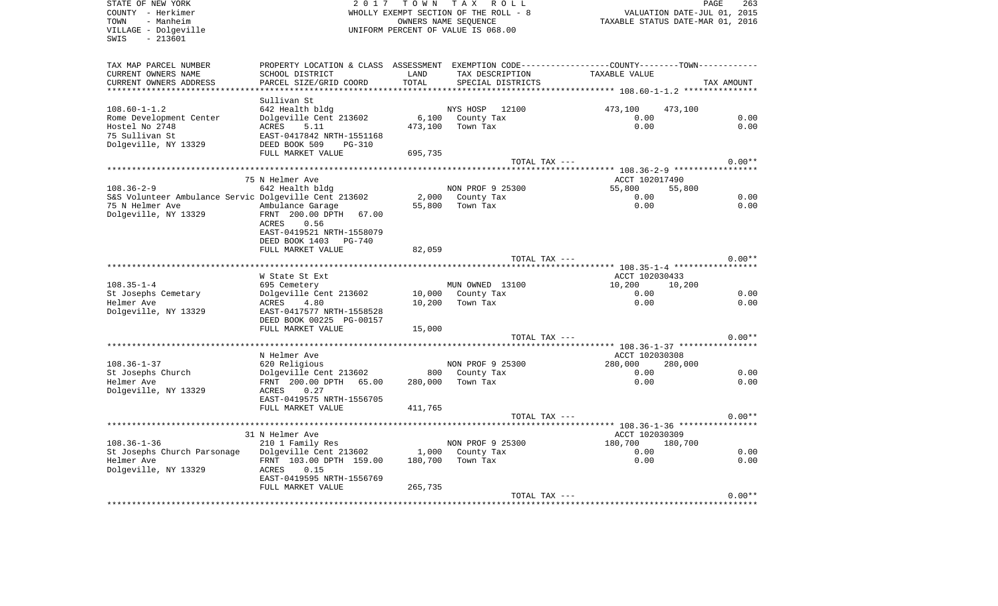COUNTY - Herkimer WHOLLY EXEMPT SECTION OF THE ROLL - 8 VALUATION DATE-JUL 01, 2015 TOWN - Manheim OWNERS NAME SEQUENCE TAXABLE STATUS DATE-MAR 01, 2016 VILLAGE - Dolgeville UNIFORM PERCENT OF VALUE IS 068.00 SWIS - 213601TAX MAP PARCEL NUMBER PROPERTY LOCATION & CLASS ASSESSMENT EXEMPTION CODE------------------COUNTY--------TOWN------------ CURRENT OWNERS NAME SCHOOL DISTRICT LAND TAX DESCRIPTION TAXABLE VALUECURRENT OWNERS ADDRESS PARCEL SIZE/GRID COORD TOTAL SPECIAL DISTRICTS TAX AMOUNT \*\*\*\*\*\*\*\*\*\*\*\*\*\*\*\*\*\*\*\*\*\*\*\*\*\*\*\*\*\*\*\*\*\*\*\*\*\*\*\*\*\*\*\*\*\*\*\*\*\*\*\*\*\*\*\*\*\*\*\*\*\*\*\*\*\*\*\*\*\*\*\*\*\*\*\*\*\*\*\*\*\*\*\*\*\*\*\*\*\*\*\*\*\*\*\*\*\*\*\*\*\*\* 108.60-1-1.2 \*\*\*\*\*\*\*\*\*\*\*\*\*\*\* Sullivan St642 Health bldg 108.60-1-1.2 642 Health bldg NYS HOSP 12100 473,100 473,100 Rome Development Center bolgeville Cent 213602 6,100 County Tax 0.00 0.00 0.00 0.00 Hostel No 2748 **ACRES** 5.11 473,100 Town Tax 0.00 0.00 0.00 75 Sullivan St EAST-0417842 NRTH-1551168Dolgeville, NY 13329 DEED BOOK 509 PG-310 FULL MARKET VALUE 695,735 TOTAL TAX --- 0.00\*\* \*\*\*\*\*\*\*\*\*\*\*\*\*\*\*\*\*\*\*\*\*\*\*\*\*\*\*\*\*\*\*\*\*\*\*\*\*\*\*\*\*\*\*\*\*\*\*\*\*\*\*\*\*\*\*\*\*\*\*\*\*\*\*\*\*\*\*\*\*\*\*\*\*\*\*\*\*\*\*\*\*\*\*\*\*\*\*\*\*\*\*\*\*\*\*\*\*\*\*\*\*\*\* 108.36-2-9 \*\*\*\*\*\*\*\*\*\*\*\*\*\*\*\*\* The Music of the Music of the Music of the Music of the Music of the Music of the ACCT 102017490 108.36-2-9 642 Health bldg NON PROF 9 25300 55,800 55,800 S&S Volunteer Ambulance Servic Dolgeville Cent 213602 2,000 County Tax 0.00 0.00 75 N Helmer Ave Ambulance Garage 55,800 Town Tax 0.00 0.00 Dolgeville, NY 13329 FRNT 200.00 DPTH 67.00 ACRES 0.56 EAST-0419521 NRTH-1558079 DEED BOOK 1403 PG-740FULL MARKET VALUE 82,059 TOTAL TAX  $---$  0.00\*\* \*\*\*\*\*\*\*\*\*\*\*\*\*\*\*\*\*\*\*\*\*\*\*\*\*\*\*\*\*\*\*\*\*\*\*\*\*\*\*\*\*\*\*\*\*\*\*\*\*\*\*\*\*\*\*\*\*\*\*\*\*\*\*\*\*\*\*\*\*\*\*\*\*\*\*\*\*\*\*\*\*\*\*\*\*\*\*\*\*\*\*\*\*\*\*\*\*\*\*\*\*\*\* 108.35-1-4 \*\*\*\*\*\*\*\*\*\*\*\*\*\*\*\*\*W State St Ext ACCT 102030433 108.35-1-4 695 Cemetery MUN OWNED 13100 10,200 10,200 St Josephs Cemetary 10,000 County Tax 0.00 0.00 0.00 0.00 Helmer Ave ACRES 4.80 10,200 Town Tax 0.00 0.00 Dolgeville, NY 13329 EAST-0417577 NRTH-1558528 DEED BOOK 00225 PG-00157FULL MARKET VALUE 15,000 TOTAL TAX  $---$  0.00\*\* \*\*\*\*\*\*\*\*\*\*\*\*\*\*\*\*\*\*\*\*\*\*\*\*\*\*\*\*\*\*\*\*\*\*\*\*\*\*\*\*\*\*\*\*\*\*\*\*\*\*\*\*\*\*\*\*\*\*\*\*\*\*\*\*\*\*\*\*\*\*\*\*\*\*\*\*\*\*\*\*\*\*\*\*\*\*\*\*\*\*\*\*\*\*\*\*\*\*\*\*\*\*\* 108.36-1-37 \*\*\*\*\*\*\*\*\*\*\*\*\*\*\*\* N Helmer Ave Accredit 202030308 N Helmer Ave Accredit 202030308 108.36-1-37 620 Religious NON PROF 9 25300 280,000 280,000 St Josephs Church Dolgeville Cent 213602 800 County Tax 0.00 0.00 Helmer Ave FRNT 200.00 DPTH 65.00 280,000 Town Tax 0.00 0.00 Dolgeville, NY 13329 ACRES 0.27 EAST-0419575 NRTH-1556705FULL MARKET VALUE 411.765 TOTAL TAX  $---$  0.00\*\* \*\*\*\*\*\*\*\*\*\*\*\*\*\*\*\*\*\*\*\*\*\*\*\*\*\*\*\*\*\*\*\*\*\*\*\*\*\*\*\*\*\*\*\*\*\*\*\*\*\*\*\*\*\*\*\*\*\*\*\*\*\*\*\*\*\*\*\*\*\*\*\*\*\*\*\*\*\*\*\*\*\*\*\*\*\*\*\*\*\*\*\*\*\*\*\*\*\*\*\*\*\*\* 108.36-1-36 \*\*\*\*\*\*\*\*\*\*\*\*\*\*\*\*31 N Helmer Ave 2012 2020 12:00 12:00 12:00 12:00 12:00 12:00 12:00 12:00 12:00 12:00 12:00 12:00 12:00 12:00 1 108.36-1-36 210 1 Family Res NON PROF 9 25300 180,700 180,700 St Josephs Church Parsonage Dolgeville Cent 213602 1,000 County Tax 0.00 0.00 0.00 0.00 Helmer Ave FRNT 103.00 DPTH 159.00 180,700 Town Tax 0.00 0.00 Dolgeville, NY 13329 ACRES 0.15 EAST-0419595 NRTH-1556769FULL MARKET VALUE 265,735 TOTAL TAX  $---$  0.00\*\* \*\*\*\*\*\*\*\*\*\*\*\*\*\*\*\*\*\*\*\*\*\*\*\*\*\*\*\*\*\*\*\*\*\*\*\*\*\*\*\*\*\*\*\*\*\*\*\*\*\*\*\*\*\*\*\*\*\*\*\*\*\*\*\*\*\*\*\*\*\*\*\*\*\*\*\*\*\*\*\*\*\*\*\*\*\*\*\*\*\*\*\*\*\*\*\*\*\*\*\*\*\*\*\*\*\*\*\*\*\*\*\*\*\*\*\*\*\*\*\*\*\*\*\*\*\*\*\*\*\*\*\*

STATE OF NEW YORK 2 0 1 7 T O W N T A X R O L L PAGE 263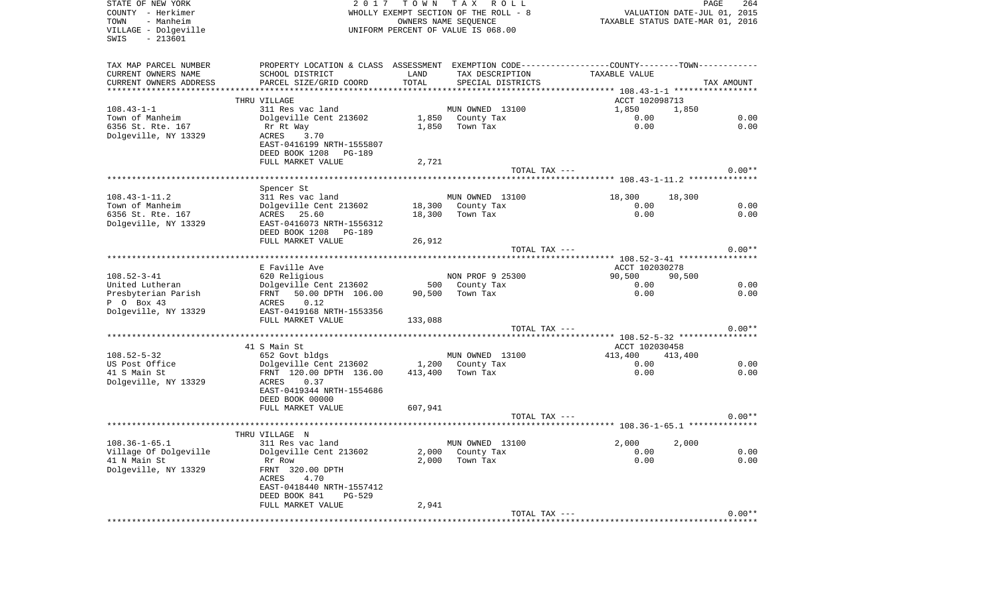| STATE OF NEW YORK<br>COUNTY - Herkimer<br>- Manheim<br>TOWN<br>VILLAGE - Dolgeville<br>$-213601$<br>SWIS | 2017                                                                                          |         | TOWN TAX ROLL<br>WHOLLY EXEMPT SECTION OF THE ROLL - 8<br>OWNERS NAME SEQUENCE<br>UNIFORM PERCENT OF VALUE IS 068.00 |                                       | PAGE<br>264<br>VALUATION DATE-JUL 01, 2015<br>TAXABLE STATUS DATE-MAR 01, 2016 |
|----------------------------------------------------------------------------------------------------------|-----------------------------------------------------------------------------------------------|---------|----------------------------------------------------------------------------------------------------------------------|---------------------------------------|--------------------------------------------------------------------------------|
| TAX MAP PARCEL NUMBER                                                                                    | PROPERTY LOCATION & CLASS ASSESSMENT EXEMPTION CODE---------------COUNTY-------TOWN---------- |         |                                                                                                                      |                                       |                                                                                |
| CURRENT OWNERS NAME                                                                                      | SCHOOL DISTRICT                                                                               | LAND    | TAX DESCRIPTION                                                                                                      | TAXABLE VALUE                         |                                                                                |
| CURRENT OWNERS ADDRESS<br>************************                                                       | PARCEL SIZE/GRID COORD                                                                        | TOTAL   | SPECIAL DISTRICTS                                                                                                    |                                       | TAX AMOUNT                                                                     |
|                                                                                                          | THRU VILLAGE                                                                                  |         |                                                                                                                      |                                       |                                                                                |
| $108.43 - 1 - 1$                                                                                         | 311 Res vac land                                                                              |         | MUN OWNED 13100                                                                                                      | ACCT 102098713<br>1,850               | 1,850                                                                          |
| Town of Manheim                                                                                          | Dolgeville Cent 213602                                                                        |         | 1,850 County Tax                                                                                                     | 0.00                                  | 0.00                                                                           |
| 6356 St. Rte. 167                                                                                        | Rr Rt Way                                                                                     | 1,850   | Town Tax                                                                                                             | 0.00                                  | 0.00                                                                           |
| Dolgeville, NY 13329                                                                                     | ACRES 3.70                                                                                    |         |                                                                                                                      |                                       |                                                                                |
|                                                                                                          | EAST-0416199 NRTH-1555807                                                                     |         |                                                                                                                      |                                       |                                                                                |
|                                                                                                          | DEED BOOK 1208 PG-189                                                                         |         |                                                                                                                      |                                       |                                                                                |
|                                                                                                          | FULL MARKET VALUE                                                                             | 2,721   |                                                                                                                      |                                       |                                                                                |
|                                                                                                          |                                                                                               |         | TOTAL TAX ---                                                                                                        |                                       | $0.00**$                                                                       |
|                                                                                                          |                                                                                               |         |                                                                                                                      |                                       |                                                                                |
| $108.43 - 1 - 11.2$                                                                                      | Spencer St<br>311 Res vac land                                                                |         | MUN OWNED 13100                                                                                                      | 18,300                                | 18,300                                                                         |
| Town of Manheim                                                                                          | Dolgeville Cent 213602                                                                        |         | 18,300 County Tax                                                                                                    | 0.00                                  | 0.00                                                                           |
| 6356 St. Rte. 167                                                                                        | ACRES 25.60                                                                                   | 18,300  | Town Tax                                                                                                             | 0.00                                  | 0.00                                                                           |
| Dolgeville, NY 13329                                                                                     | EAST-0416073 NRTH-1556312                                                                     |         |                                                                                                                      |                                       |                                                                                |
|                                                                                                          | DEED BOOK 1208 PG-189                                                                         |         |                                                                                                                      |                                       |                                                                                |
|                                                                                                          | FULL MARKET VALUE                                                                             | 26,912  |                                                                                                                      |                                       |                                                                                |
|                                                                                                          |                                                                                               |         | TOTAL TAX ---                                                                                                        |                                       | $0.00**$                                                                       |
|                                                                                                          |                                                                                               |         |                                                                                                                      |                                       |                                                                                |
| $108.52 - 3 - 41$                                                                                        | E Faville Ave<br>620 Religious                                                                |         | NON PROF 9 25300                                                                                                     | ACCT 102030278<br>90,500              | 90,500                                                                         |
| United Lutheran                                                                                          | Dolgeville Cent 213602                                                                        |         | 500 County Tax                                                                                                       | 0.00                                  | 0.00                                                                           |
| Presbyterian Parish                                                                                      | 50.00 DPTH 106.00<br>FRNT                                                                     | 90,500  | Town Tax                                                                                                             | 0.00                                  | 0.00                                                                           |
| P 0 Box 43                                                                                               | 0.12<br>ACRES                                                                                 |         |                                                                                                                      |                                       |                                                                                |
| Dolgeville, NY 13329                                                                                     | EAST-0419168 NRTH-1553356                                                                     |         |                                                                                                                      |                                       |                                                                                |
|                                                                                                          | FULL MARKET VALUE                                                                             | 133,088 |                                                                                                                      |                                       |                                                                                |
|                                                                                                          |                                                                                               |         | TOTAL TAX ---                                                                                                        |                                       | $0.00**$                                                                       |
|                                                                                                          |                                                                                               |         |                                                                                                                      | ******** 108.52-5-32 **************** |                                                                                |
| $108.52 - 5 - 32$                                                                                        | 41 S Main St                                                                                  |         |                                                                                                                      | ACCT 102030458<br>413,400             |                                                                                |
| US Post Office                                                                                           | 652 Govt bldgs<br>Dolgeville Cent 213602                                                      | 1,200   | MUN OWNED 13100<br>County Tax                                                                                        | 0.00                                  | 413,400<br>0.00                                                                |
| 41 S Main St                                                                                             | FRNT 120.00 DPTH 136.00                                                                       | 413,400 | Town Tax                                                                                                             | 0.00                                  | 0.00                                                                           |
| Dolgeville, NY 13329                                                                                     | ACRES<br>0.37                                                                                 |         |                                                                                                                      |                                       |                                                                                |
|                                                                                                          | EAST-0419344 NRTH-1554686                                                                     |         |                                                                                                                      |                                       |                                                                                |
|                                                                                                          | DEED BOOK 00000                                                                               |         |                                                                                                                      |                                       |                                                                                |
|                                                                                                          | FULL MARKET VALUE                                                                             | 607,941 |                                                                                                                      |                                       |                                                                                |
|                                                                                                          |                                                                                               |         | TOTAL TAX ---                                                                                                        |                                       | $0.00**$                                                                       |
|                                                                                                          | THRU VILLAGE N                                                                                |         |                                                                                                                      |                                       |                                                                                |
| $108.36 - 1 - 65.1$                                                                                      | 311 Res vac land                                                                              |         | MUN OWNED 13100                                                                                                      | 2,000                                 | 2,000                                                                          |
| Village Of Dolgeville                                                                                    | Dolgeville Cent 213602                                                                        |         | 2,000 County Tax                                                                                                     | 0.00                                  | 0.00                                                                           |
| 41 N Main St                                                                                             | Rr Row                                                                                        | 2,000   | Town Tax                                                                                                             | 0.00                                  | 0.00                                                                           |
| Dolgeville, NY 13329                                                                                     | FRNT 320.00 DPTH                                                                              |         |                                                                                                                      |                                       |                                                                                |
|                                                                                                          | 4.70<br>ACRES                                                                                 |         |                                                                                                                      |                                       |                                                                                |
|                                                                                                          | EAST-0418440 NRTH-1557412                                                                     |         |                                                                                                                      |                                       |                                                                                |
|                                                                                                          | DEED BOOK 841<br>$PG-529$                                                                     |         |                                                                                                                      |                                       |                                                                                |
|                                                                                                          | FULL MARKET VALUE                                                                             | 2,941   |                                                                                                                      |                                       | $0.00**$                                                                       |
|                                                                                                          |                                                                                               |         | TOTAL TAX ---                                                                                                        |                                       |                                                                                |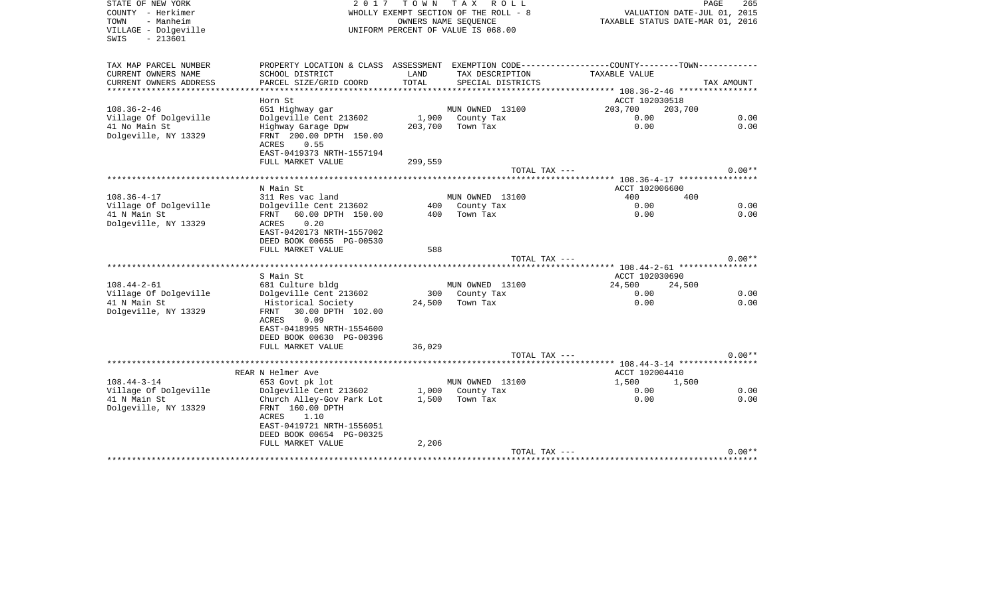| STATE OF NEW YORK<br>COUNTY - Herkimer<br>TOWN<br>- Manheim<br>VILLAGE - Dolgeville<br>$-213601$<br>SWIS | 2017                                                                                        | T O W N       | T A X<br>R O L L<br>WHOLLY EXEMPT SECTION OF THE ROLL - 8<br>OWNERS NAME SEOUENCE<br>UNIFORM PERCENT OF VALUE IS 068.00 | VALUATION DATE-JUL 01, 2015<br>TAXABLE STATUS DATE-MAR 01, 2016                               | PAGE<br>265  |
|----------------------------------------------------------------------------------------------------------|---------------------------------------------------------------------------------------------|---------------|-------------------------------------------------------------------------------------------------------------------------|-----------------------------------------------------------------------------------------------|--------------|
| TAX MAP PARCEL NUMBER                                                                                    |                                                                                             |               |                                                                                                                         | PROPERTY LOCATION & CLASS ASSESSMENT EXEMPTION CODE---------------COUNTY-------TOWN---------- |              |
| CURRENT OWNERS NAME<br>CURRENT OWNERS ADDRESS                                                            | SCHOOL DISTRICT<br>PARCEL SIZE/GRID COORD                                                   | LAND<br>TOTAL | TAX DESCRIPTION<br>SPECIAL DISTRICTS                                                                                    | TAXABLE VALUE                                                                                 | TAX AMOUNT   |
|                                                                                                          |                                                                                             |               |                                                                                                                         |                                                                                               |              |
|                                                                                                          | Horn St                                                                                     |               |                                                                                                                         | ACCT 102030518                                                                                |              |
| $108.36 - 2 - 46$                                                                                        | 651 Highway gar                                                                             |               | MUN OWNED 13100                                                                                                         | 203,700<br>203,700                                                                            |              |
| Village Of Dolgeville                                                                                    | Dolgeville Cent 213602                                                                      | 1,900         | County Tax                                                                                                              | 0.00                                                                                          | 0.00         |
| 41 No Main St<br>Dolgeville, NY 13329                                                                    | Highway Garage Dpw<br>FRNT 200.00 DPTH 150.00<br>ACRES<br>0.55<br>EAST-0419373 NRTH-1557194 | 203,700       | Town Tax                                                                                                                | 0.00                                                                                          | 0.00         |
|                                                                                                          | FULL MARKET VALUE                                                                           | 299,559       |                                                                                                                         |                                                                                               |              |
|                                                                                                          |                                                                                             |               | TOTAL TAX ---                                                                                                           |                                                                                               | $0.00**$     |
|                                                                                                          | N Main St                                                                                   |               |                                                                                                                         | ACCT 102006600                                                                                |              |
| $108.36 - 4 - 17$                                                                                        | 311 Res vac land                                                                            |               | MUN OWNED 13100                                                                                                         | 400<br>400                                                                                    |              |
| Village Of Dolgeville                                                                                    | Dolgeville Cent 213602                                                                      | 400           | County Tax                                                                                                              | 0.00                                                                                          | 0.00         |
| 41 N Main St                                                                                             | FRNT 60.00 DPTH 150.00                                                                      | 400           | Town Tax                                                                                                                | 0.00                                                                                          | 0.00         |
| Dolgeville, NY 13329                                                                                     | 0.20<br>ACRES<br>EAST-0420173 NRTH-1557002                                                  |               |                                                                                                                         |                                                                                               |              |
|                                                                                                          | DEED BOOK 00655 PG-00530                                                                    |               |                                                                                                                         |                                                                                               |              |
|                                                                                                          | FULL MARKET VALUE                                                                           | 588           |                                                                                                                         |                                                                                               |              |
|                                                                                                          |                                                                                             |               | TOTAL TAX ---                                                                                                           |                                                                                               | $0.00**$     |
|                                                                                                          |                                                                                             |               |                                                                                                                         |                                                                                               |              |
| $108.44 - 2 - 61$                                                                                        | S Main St<br>681 Culture bldg                                                               |               | MUN OWNED 13100                                                                                                         | ACCT 102030690<br>24,500<br>24,500                                                            |              |
| Village Of Dolgeville                                                                                    | Dolgeville Cent 213602                                                                      | 300           | County Tax                                                                                                              | 0.00                                                                                          | 0.00         |
| 41 N Main St                                                                                             | Historical Society                                                                          | 24,500        | Town Tax                                                                                                                | 0.00                                                                                          | 0.00         |
| Dolgeville, NY 13329                                                                                     | 30.00 DPTH 102.00<br>FRNT                                                                   |               |                                                                                                                         |                                                                                               |              |
|                                                                                                          | ACRES<br>0.09                                                                               |               |                                                                                                                         |                                                                                               |              |
|                                                                                                          | EAST-0418995 NRTH-1554600<br>DEED BOOK 00630 PG-00396                                       |               |                                                                                                                         |                                                                                               |              |
|                                                                                                          | FULL MARKET VALUE                                                                           | 36,029        |                                                                                                                         |                                                                                               |              |
|                                                                                                          |                                                                                             |               | TOTAL TAX ---                                                                                                           |                                                                                               | $0.00**$     |
|                                                                                                          |                                                                                             |               |                                                                                                                         | ******** 108.44-3-14 *****************                                                        |              |
|                                                                                                          | REAR N Helmer Ave                                                                           |               |                                                                                                                         | ACCT 102004410                                                                                |              |
| $108.44 - 3 - 14$                                                                                        | 653 Govt pk lot                                                                             |               | MUN OWNED 13100                                                                                                         | 1,500<br>1,500                                                                                |              |
| Village Of Dolgeville<br>41 N Main St                                                                    | Dolgeville Cent 213602<br>Church Alley-Gov Park Lot                                         | 1,500         | 1,000 County Tax<br>Town Tax                                                                                            | 0.00<br>0.00                                                                                  | 0.00<br>0.00 |
| Dolgeville, NY 13329                                                                                     | FRNT 160.00 DPTH                                                                            |               |                                                                                                                         |                                                                                               |              |
|                                                                                                          | ACRES<br>1.10                                                                               |               |                                                                                                                         |                                                                                               |              |
|                                                                                                          | EAST-0419721 NRTH-1556051                                                                   |               |                                                                                                                         |                                                                                               |              |
|                                                                                                          | DEED BOOK 00654 PG-00325                                                                    |               |                                                                                                                         |                                                                                               |              |
|                                                                                                          | FULL MARKET VALUE                                                                           | 2,206         | TOTAL TAX ---                                                                                                           |                                                                                               | $0.00**$     |
|                                                                                                          |                                                                                             |               |                                                                                                                         |                                                                                               |              |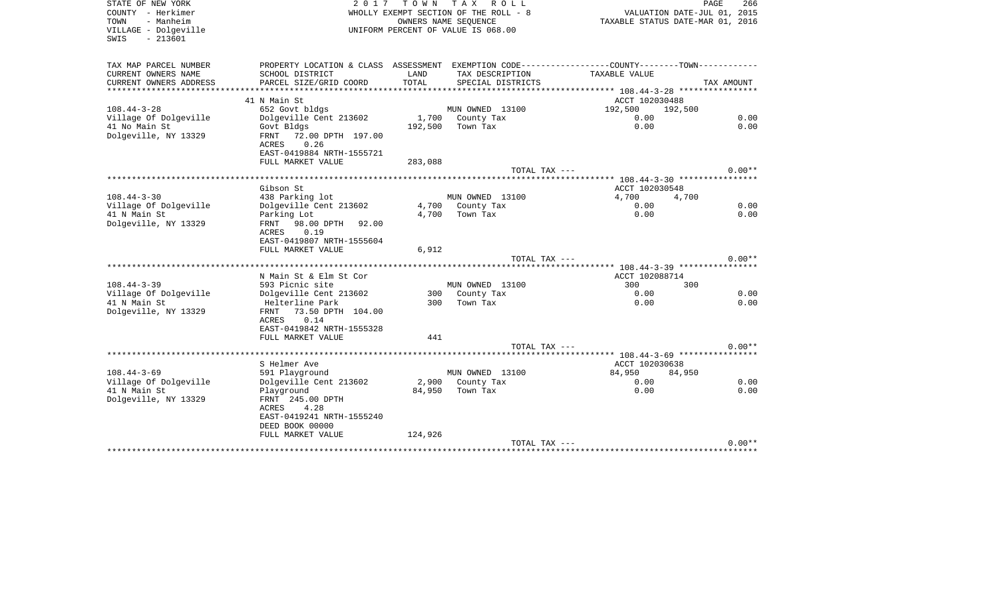| STATE OF NEW YORK<br>COUNTY - Herkimer<br>- Manheim<br>TOWN<br>VILLAGE - Dolgeville<br>$-213601$<br>SWIS | 2 0 1 7                                           | T O W N<br>OWNERS NAME SEOUENCE | T A X<br>R O L L<br>WHOLLY EXEMPT SECTION OF THE ROLL - 8<br>UNIFORM PERCENT OF VALUE IS 068.00 | VALUATION DATE-JUL 01, 2015<br>TAXABLE STATUS DATE-MAR 01, 2016 | PAGE<br>266 |
|----------------------------------------------------------------------------------------------------------|---------------------------------------------------|---------------------------------|-------------------------------------------------------------------------------------------------|-----------------------------------------------------------------|-------------|
| TAX MAP PARCEL NUMBER                                                                                    | PROPERTY LOCATION & CLASS ASSESSMENT              |                                 |                                                                                                 | EXEMPTION CODE----------------COUNTY-------TOWN-------          |             |
| CURRENT OWNERS NAME<br>CURRENT OWNERS ADDRESS                                                            | SCHOOL DISTRICT<br>PARCEL SIZE/GRID COORD         | LAND<br>TOTAL                   | TAX DESCRIPTION<br>SPECIAL DISTRICTS                                                            | TAXABLE VALUE                                                   | TAX AMOUNT  |
| **********************                                                                                   | ***************************                       |                                 |                                                                                                 |                                                                 |             |
|                                                                                                          | 41 N Main St                                      |                                 |                                                                                                 | ACCT 102030488                                                  |             |
| $108.44 - 3 - 28$                                                                                        | 652 Govt bldgs                                    |                                 | MUN OWNED 13100                                                                                 | 192,500<br>192,500                                              |             |
| Village Of Dolgeville                                                                                    | Dolgeville Cent 213602                            | 1,700                           | County Tax                                                                                      | 0.00                                                            | 0.00        |
| 41 No Main St                                                                                            | Govt Bldgs                                        | 192,500                         | Town Tax                                                                                        | 0.00                                                            | 0.00        |
| Dolgeville, NY 13329                                                                                     | 72.00 DPTH 197.00<br><b>FRNT</b><br>0.26<br>ACRES |                                 |                                                                                                 |                                                                 |             |
|                                                                                                          | EAST-0419884 NRTH-1555721                         |                                 |                                                                                                 |                                                                 |             |
|                                                                                                          | FULL MARKET VALUE                                 | 283,088                         |                                                                                                 |                                                                 |             |
|                                                                                                          |                                                   |                                 | TOTAL TAX ---                                                                                   |                                                                 | $0.00**$    |
|                                                                                                          |                                                   |                                 |                                                                                                 |                                                                 |             |
|                                                                                                          | Gibson St                                         |                                 |                                                                                                 | ACCT 102030548                                                  |             |
| $108.44 - 3 - 30$                                                                                        | 438 Parking lot                                   |                                 | MUN OWNED 13100                                                                                 | 4,700<br>4,700                                                  |             |
| Village Of Dolgeville                                                                                    | Dolgeville Cent 213602                            | 4,700                           | County Tax                                                                                      | 0.00                                                            | 0.00        |
| 41 N Main St<br>Dolgeville, NY 13329                                                                     | Parking Lot                                       | 4,700                           | Town Tax                                                                                        | 0.00                                                            | 0.00        |
|                                                                                                          | FRNT 98.00 DPTH<br>92.00<br>0.19<br>ACRES         |                                 |                                                                                                 |                                                                 |             |
|                                                                                                          | EAST-0419807 NRTH-1555604                         |                                 |                                                                                                 |                                                                 |             |
|                                                                                                          | FULL MARKET VALUE                                 | 6,912                           |                                                                                                 |                                                                 |             |
|                                                                                                          |                                                   |                                 | TOTAL TAX ---                                                                                   |                                                                 | $0.00**$    |
|                                                                                                          |                                                   |                                 |                                                                                                 |                                                                 |             |
|                                                                                                          | N Main St & Elm St Cor                            |                                 |                                                                                                 | ACCT 102088714                                                  |             |
| $108.44 - 3 - 39$                                                                                        | 593 Picnic site                                   |                                 | MUN OWNED 13100                                                                                 | 300<br>300                                                      |             |
| Village Of Dolgeville                                                                                    | Dolgeville Cent 213602                            | 300                             | County Tax                                                                                      | 0.00                                                            | 0.00        |
| 41 N Main St                                                                                             | Helterline Park<br>73.50 DPTH 104.00<br>FRNT      | 300                             | Town Tax                                                                                        | 0.00                                                            | 0.00        |
| Dolgeville, NY 13329                                                                                     | 0.14<br><b>ACRES</b>                              |                                 |                                                                                                 |                                                                 |             |
|                                                                                                          | EAST-0419842 NRTH-1555328                         |                                 |                                                                                                 |                                                                 |             |
|                                                                                                          | FULL MARKET VALUE                                 | 441                             |                                                                                                 |                                                                 |             |
|                                                                                                          |                                                   |                                 | TOTAL TAX ---                                                                                   |                                                                 | $0.00**$    |
|                                                                                                          | **********************                            |                                 |                                                                                                 | ****** 108.44-3-69 ****************                             |             |
|                                                                                                          | S Helmer Ave                                      |                                 |                                                                                                 | ACCT 102030638                                                  |             |
| $108.44 - 3 - 69$                                                                                        | 591 Playground                                    |                                 | MUN OWNED 13100                                                                                 | 84,950<br>84,950                                                |             |
| Village Of Dolgeville                                                                                    | Dolgeville Cent 213602                            | 2,900                           | County Tax                                                                                      | 0.00                                                            | 0.00        |
| 41 N Main St                                                                                             | Playground                                        | 84,950                          | Town Tax                                                                                        | 0.00                                                            | 0.00        |
| Dolgeville, NY 13329                                                                                     | FRNT 245.00 DPTH                                  |                                 |                                                                                                 |                                                                 |             |
|                                                                                                          | 4.28<br>ACRES                                     |                                 |                                                                                                 |                                                                 |             |
|                                                                                                          | EAST-0419241 NRTH-1555240<br>DEED BOOK 00000      |                                 |                                                                                                 |                                                                 |             |
|                                                                                                          | FULL MARKET VALUE                                 | 124,926                         |                                                                                                 |                                                                 |             |
|                                                                                                          |                                                   |                                 | TOTAL TAX ---                                                                                   |                                                                 | $0.00**$    |
|                                                                                                          |                                                   |                                 |                                                                                                 |                                                                 |             |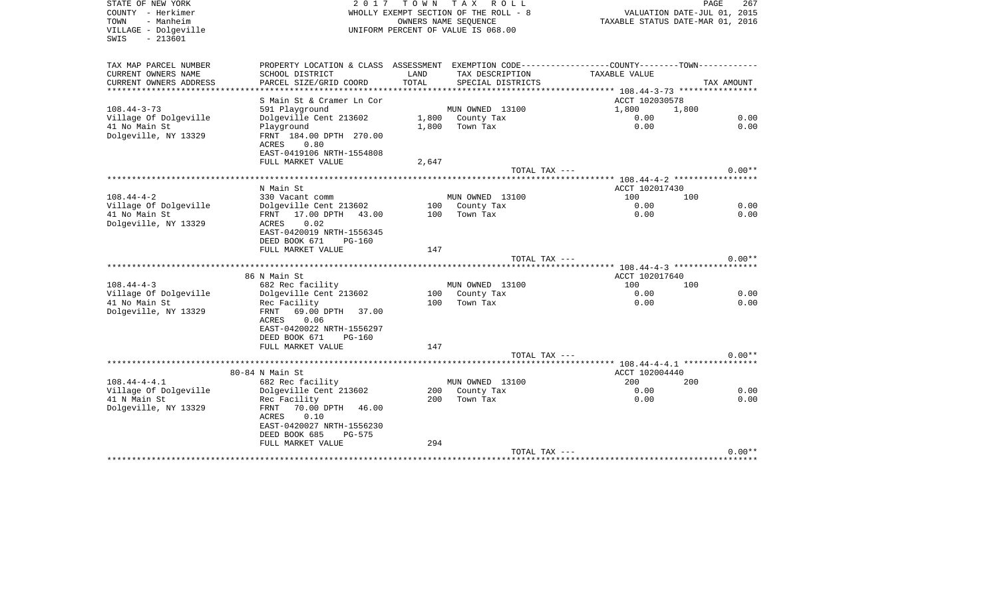| STATE OF NEW YORK<br>COUNTY - Herkimer<br>- Manheim<br>TOWN<br>VILLAGE - Dolgeville<br>$-213601$<br>SWIS | 2 0 1 7                                                                                                                     | T O W N       | T A X<br>R O L L<br>WHOLLY EXEMPT SECTION OF THE ROLL - 8<br>OWNERS NAME SEOUENCE<br>UNIFORM PERCENT OF VALUE IS 068.00 | TAXABLE STATUS DATE-MAR 01, 2016             | PAGE<br>267<br>VALUATION DATE-JUL 01, 2015 |
|----------------------------------------------------------------------------------------------------------|-----------------------------------------------------------------------------------------------------------------------------|---------------|-------------------------------------------------------------------------------------------------------------------------|----------------------------------------------|--------------------------------------------|
| TAX MAP PARCEL NUMBER                                                                                    | PROPERTY LOCATION & CLASS ASSESSMENT EXEMPTION CODE----------------COUNTY-------TOWN----------                              |               |                                                                                                                         |                                              |                                            |
| CURRENT OWNERS NAME<br>CURRENT OWNERS ADDRESS                                                            | SCHOOL DISTRICT<br>PARCEL SIZE/GRID COORD                                                                                   | LAND<br>TOTAL | TAX DESCRIPTION<br>SPECIAL DISTRICTS                                                                                    | TAXABLE VALUE                                | TAX AMOUNT                                 |
| ****************                                                                                         |                                                                                                                             |               |                                                                                                                         | ************** 108.44-3-73 ***************** |                                            |
|                                                                                                          | S Main St & Cramer Ln Cor                                                                                                   |               |                                                                                                                         | ACCT 102030578                               |                                            |
| $108.44 - 3 - 73$                                                                                        | 591 Playground                                                                                                              |               | MUN OWNED 13100                                                                                                         | 1,800                                        | 1,800                                      |
| Village Of Dolgeville                                                                                    | Dolgeville Cent 213602                                                                                                      |               | 1,800 County Tax                                                                                                        | 0.00                                         | 0.00                                       |
| 41 No Main St<br>Dolgeville, NY 13329                                                                    | Playground<br>FRNT 184.00 DPTH 270.00<br>ACRES<br>0.80<br>EAST-0419106 NRTH-1554808                                         | 1,800         | Town Tax                                                                                                                | 0.00                                         | 0.00                                       |
|                                                                                                          | FULL MARKET VALUE                                                                                                           | 2,647         |                                                                                                                         |                                              |                                            |
|                                                                                                          |                                                                                                                             |               | TOTAL TAX ---                                                                                                           |                                              | $0.00**$                                   |
|                                                                                                          | N Main St                                                                                                                   |               |                                                                                                                         | ACCT 102017430                               |                                            |
| $108.44 - 4 - 2$                                                                                         | 330 Vacant comm                                                                                                             |               | MUN OWNED 13100                                                                                                         | 100                                          | 100                                        |
| Village Of Dolgeville                                                                                    | Dolgeville Cent 213602                                                                                                      | 100           | County Tax                                                                                                              | 0.00                                         | 0.00                                       |
| 41 No Main St                                                                                            | 17.00 DPTH 43.00<br>FRNT                                                                                                    | 100           | Town Tax                                                                                                                | 0.00                                         | 0.00                                       |
| Dolgeville, NY 13329                                                                                     | 0.02<br>ACRES<br>EAST-0420019 NRTH-1556345<br>DEED BOOK 671<br><b>PG-160</b>                                                |               |                                                                                                                         |                                              |                                            |
|                                                                                                          | FULL MARKET VALUE                                                                                                           | 147           | TOTAL TAX ---                                                                                                           |                                              | $0.00**$                                   |
|                                                                                                          |                                                                                                                             |               |                                                                                                                         |                                              |                                            |
|                                                                                                          | 86 N Main St                                                                                                                |               |                                                                                                                         | ACCT 102017640                               |                                            |
| $108.44 - 4 - 3$                                                                                         | 682 Rec facility                                                                                                            |               | MUN OWNED 13100                                                                                                         | 100                                          | 100                                        |
| Village Of Dolgeville                                                                                    | Dolgeville Cent 213602                                                                                                      | 100           | County Tax                                                                                                              | 0.00                                         | 0.00                                       |
| 41 No Main St<br>Dolgeville, NY 13329                                                                    | Rec Facility<br>69.00 DPTH<br>FRNT<br>37.00<br>0.06<br>ACRES<br>EAST-0420022 NRTH-1556297<br>DEED BOOK 671<br><b>PG-160</b> | 100           | Town Tax                                                                                                                | 0.00                                         | 0.00                                       |
|                                                                                                          | FULL MARKET VALUE                                                                                                           | 147           |                                                                                                                         |                                              |                                            |
|                                                                                                          |                                                                                                                             |               | TOTAL TAX ---                                                                                                           | ********** 108.44-4-4.1 ****************     | $0.00**$                                   |
|                                                                                                          | 80-84 N Main St                                                                                                             |               |                                                                                                                         | ACCT 102004440                               |                                            |
| $108.44 - 4 - 4.1$                                                                                       | 682 Rec facility                                                                                                            |               | MUN OWNED 13100                                                                                                         | 200                                          | 200                                        |
| Village Of Dolgeville<br>41 N Main St<br>Dolgeville, NY 13329                                            | Dolgeville Cent 213602<br>Rec Facility<br>70.00 DPTH<br>FRNT<br>46.00                                                       | 200           | 200 County Tax<br>Town Tax                                                                                              | 0.00<br>0.00                                 | 0.00<br>0.00                               |
|                                                                                                          | ACRES<br>0.10<br>EAST-0420027 NRTH-1556230<br>DEED BOOK 685<br>$PG-575$<br>FULL MARKET VALUE                                | 294           |                                                                                                                         |                                              |                                            |
|                                                                                                          |                                                                                                                             |               | TOTAL TAX ---                                                                                                           |                                              | $0.00**$                                   |
|                                                                                                          |                                                                                                                             |               |                                                                                                                         |                                              |                                            |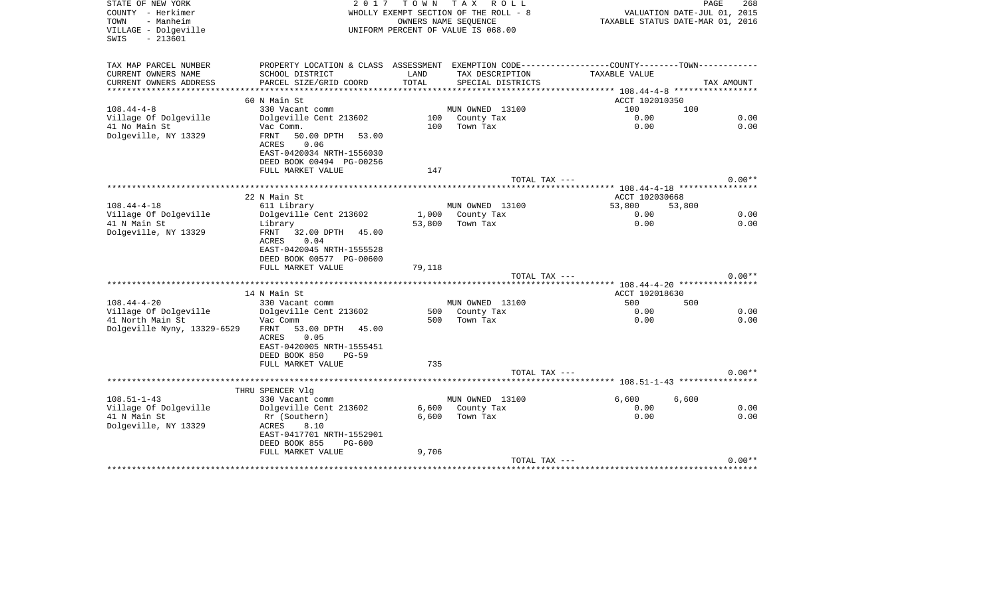| STATE OF NEW YORK<br>COUNTY - Herkimer<br>TOWN<br>- Manheim<br>VILLAGE - Dolgeville<br>$-213601$<br>SWIS | 2 0 1 7                                                                                                           | T O W N    | T A X<br>R O L L<br>WHOLLY EXEMPT SECTION OF THE ROLL - 8<br>OWNERS NAME SEOUENCE<br>UNIFORM PERCENT OF VALUE IS 068.00 |                                                                   | PAGE<br>268<br>VALUATION DATE-JUL 01, 2015<br>TAXABLE STATUS DATE-MAR 01, 2016 |
|----------------------------------------------------------------------------------------------------------|-------------------------------------------------------------------------------------------------------------------|------------|-------------------------------------------------------------------------------------------------------------------------|-------------------------------------------------------------------|--------------------------------------------------------------------------------|
| TAX MAP PARCEL NUMBER                                                                                    | PROPERTY LOCATION & CLASS ASSESSMENT                                                                              |            |                                                                                                                         | EXEMPTION CODE-----------------COUNTY-------TOWN-----------       |                                                                                |
| CURRENT OWNERS NAME                                                                                      | SCHOOL DISTRICT                                                                                                   | LAND       | TAX DESCRIPTION                                                                                                         | TAXABLE VALUE                                                     |                                                                                |
| CURRENT OWNERS ADDRESS<br>***************                                                                | PARCEL SIZE/GRID COORD                                                                                            | TOTAL      | SPECIAL DISTRICTS                                                                                                       |                                                                   | TAX AMOUNT                                                                     |
|                                                                                                          | 60 N Main St                                                                                                      |            |                                                                                                                         | ***************** 108.44-4-8 ******************<br>ACCT 102010350 |                                                                                |
| $108.44 - 4 - 8$                                                                                         | 330 Vacant comm                                                                                                   |            | MUN OWNED 13100                                                                                                         | 100                                                               | 100                                                                            |
| Village Of Dolgeville                                                                                    | Dolgeville Cent 213602                                                                                            |            | 100 County Tax                                                                                                          | 0.00                                                              | 0.00                                                                           |
| 41 No Main St                                                                                            | Vac Comm.                                                                                                         | 100        | Town Tax                                                                                                                | 0.00                                                              | 0.00                                                                           |
| Dolgeville, NY 13329                                                                                     | FRNT<br>50.00 DPTH<br>53.00                                                                                       |            |                                                                                                                         |                                                                   |                                                                                |
|                                                                                                          | 0.06<br><b>ACRES</b>                                                                                              |            |                                                                                                                         |                                                                   |                                                                                |
|                                                                                                          | EAST-0420034 NRTH-1556030                                                                                         |            |                                                                                                                         |                                                                   |                                                                                |
|                                                                                                          | DEED BOOK 00494 PG-00256                                                                                          |            |                                                                                                                         |                                                                   |                                                                                |
|                                                                                                          | FULL MARKET VALUE                                                                                                 | 147        |                                                                                                                         |                                                                   | $0.00**$                                                                       |
|                                                                                                          |                                                                                                                   |            | TOTAL TAX ---                                                                                                           |                                                                   |                                                                                |
|                                                                                                          | 22 N Main St                                                                                                      |            |                                                                                                                         | ACCT 102030668                                                    |                                                                                |
| $108.44 - 4 - 18$                                                                                        | 611 Library                                                                                                       |            | MUN OWNED 13100                                                                                                         | 53,800                                                            | 53,800                                                                         |
| Village Of Dolgeville                                                                                    | Dolgeville Cent 213602                                                                                            |            | 1,000 County Tax                                                                                                        | 0.00                                                              | 0.00                                                                           |
| 41 N Main St                                                                                             | Library                                                                                                           | 53,800     | Town Tax                                                                                                                | 0.00                                                              | 0.00                                                                           |
| Dolgeville, NY 13329                                                                                     | FRNT<br>32.00 DPTH 45.00<br>ACRES<br>0.04<br>EAST-0420045 NRTH-1555528<br>DEED BOOK 00577 PG-00600                |            |                                                                                                                         |                                                                   |                                                                                |
|                                                                                                          | FULL MARKET VALUE                                                                                                 | 79,118     |                                                                                                                         |                                                                   |                                                                                |
|                                                                                                          |                                                                                                                   |            | TOTAL TAX ---                                                                                                           |                                                                   | $0.00**$                                                                       |
|                                                                                                          |                                                                                                                   |            |                                                                                                                         |                                                                   |                                                                                |
|                                                                                                          | 14 N Main St                                                                                                      |            |                                                                                                                         | ACCT 102018630                                                    |                                                                                |
| $108.44 - 4 - 20$                                                                                        | 330 Vacant comm                                                                                                   |            | MUN OWNED 13100                                                                                                         | 500                                                               | 500                                                                            |
| Village Of Dolgeville                                                                                    | Dolgeville Cent 213602                                                                                            | 500<br>500 | County Tax<br>Town Tax                                                                                                  | 0.00                                                              | 0.00<br>0.00                                                                   |
| 41 North Main St<br>Dolgeville Nyny, 13329-6529                                                          | Vac Comm<br>53.00 DPTH<br>FRNT<br>45.00<br>ACRES<br>0.05<br>EAST-0420005 NRTH-1555451<br>DEED BOOK 850<br>$PG-59$ |            |                                                                                                                         | 0.00                                                              |                                                                                |
|                                                                                                          | FULL MARKET VALUE                                                                                                 | 735        |                                                                                                                         |                                                                   |                                                                                |
|                                                                                                          |                                                                                                                   |            | TOTAL TAX ---                                                                                                           |                                                                   | $0.00**$                                                                       |
|                                                                                                          |                                                                                                                   |            |                                                                                                                         |                                                                   |                                                                                |
| $108.51 - 1 - 43$                                                                                        | THRU SPENCER Vlg                                                                                                  |            |                                                                                                                         | 6,600                                                             |                                                                                |
| Village Of Dolgeville                                                                                    | 330 Vacant comm<br>Dolgeville Cent 213602                                                                         |            | MUN OWNED 13100<br>6,600 County Tax                                                                                     | 0.00                                                              | 6,600<br>0.00                                                                  |
| 41 N Main St                                                                                             | Rr (Southern)                                                                                                     | 6.600      | Town Tax                                                                                                                | 0.00                                                              | 0.00                                                                           |
| Dolgeville, NY 13329                                                                                     | 8.10<br>ACRES                                                                                                     |            |                                                                                                                         |                                                                   |                                                                                |
|                                                                                                          | EAST-0417701 NRTH-1552901                                                                                         |            |                                                                                                                         |                                                                   |                                                                                |
|                                                                                                          | DEED BOOK 855<br>PG-600                                                                                           |            |                                                                                                                         |                                                                   |                                                                                |
|                                                                                                          | FULL MARKET VALUE                                                                                                 | 9,706      |                                                                                                                         |                                                                   |                                                                                |
|                                                                                                          |                                                                                                                   |            | TOTAL TAX ---                                                                                                           |                                                                   | $0.00**$<br>**********************************                                 |
|                                                                                                          |                                                                                                                   |            |                                                                                                                         |                                                                   |                                                                                |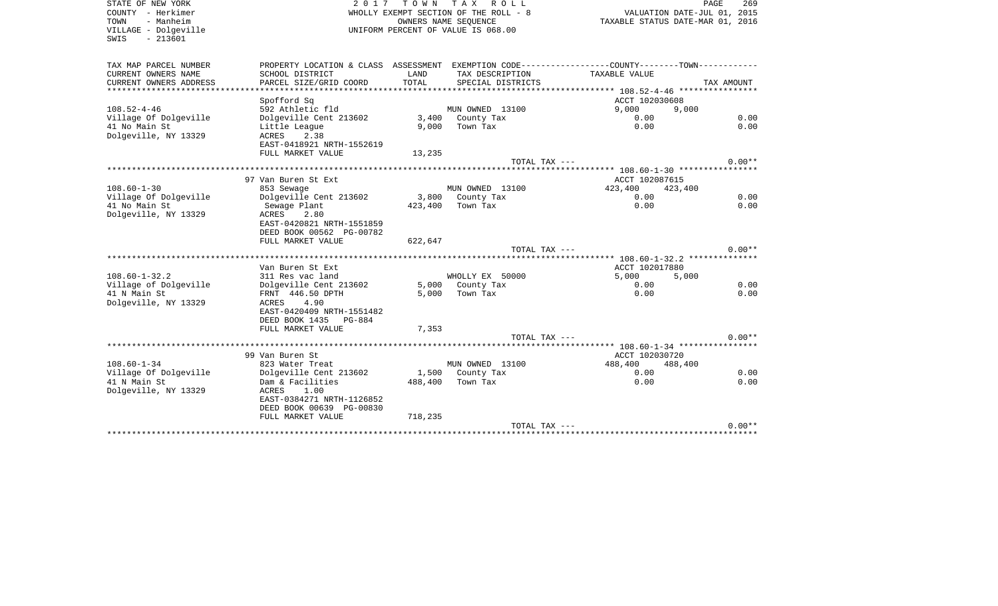SWIS - 213601

STATE OF NEW YORK FOR A STATE OF NEW YORK A STATE OF NEW YORK AND PAGE 269<br>COUNTY - Herkimer The Roll of The Roll - 8 and the COUNTY - Herkimer (1, 2015)<br>COUNTY - Herkimer (1, 2016) COUNTY - Herkimer WHOLLY EXEMPT SECTION OF THE ROLL - 8 VALUATION DATE-JUL 01, 2015 TOWN - Manheim OWNERS NAME SEQUENCE TAXABLE STATUS DATE-MAR 01, 2016 VILLAGE - Dolgeville UNIFORM PERCENT OF VALUE IS 068.00

PAGE 269

| TAX MAP PARCEL NUMBER  | PROPERTY LOCATION & CLASS ASSESSMENT    |         |                     | EXEMPTION CODE----------------COUNTY-------TOWN----------- |            |
|------------------------|-----------------------------------------|---------|---------------------|------------------------------------------------------------|------------|
| CURRENT OWNERS NAME    | SCHOOL DISTRICT                         | LAND    | TAX DESCRIPTION     | TAXABLE VALUE                                              |            |
| CURRENT OWNERS ADDRESS | PARCEL SIZE/GRID COORD                  | TOTAL   | SPECIAL DISTRICTS   |                                                            | TAX AMOUNT |
|                        | Spofford Sq                             |         |                     | ACCT 102030608                                             |            |
| $108.52 - 4 - 46$      | 592 Athletic fld                        |         | MUN OWNED 13100     | 9,000                                                      |            |
| Village Of Dolgeville  |                                         |         | 3,400 County Tax    | 9,000<br>0.00                                              | 0.00       |
| 41 No Main St          | Dolgeville Cent 213602<br>Little League | 9,000   | Town Tax            | 0.00                                                       | 0.00       |
| Dolgeville, NY 13329   | <b>ACRES</b><br>2.38                    |         |                     |                                                            |            |
|                        | EAST-0418921 NRTH-1552619               |         |                     |                                                            |            |
|                        | FULL MARKET VALUE                       | 13,235  |                     |                                                            |            |
|                        |                                         |         | TOTAL TAX ---       |                                                            | $0.00**$   |
|                        |                                         |         |                     |                                                            |            |
|                        | 97 Van Buren St Ext                     |         |                     | ACCT 102087615                                             |            |
| $108.60 - 1 - 30$      | 853 Sewage                              |         | MUN OWNED 13100     | 423,400<br>423,400                                         |            |
| Village Of Dolgeville  | Dolgeville Cent 213602                  |         | 3,800 County Tax    | 0.00                                                       | 0.00       |
| 41 No Main St          | Sewage Plant                            | 423,400 | Town Tax            | 0.00                                                       | 0.00       |
| Dolgeville, NY 13329   | ACRES<br>2.80                           |         |                     |                                                            |            |
|                        | EAST-0420821 NRTH-1551859               |         |                     |                                                            |            |
|                        | DEED BOOK 00562 PG-00782                |         |                     |                                                            |            |
|                        | FULL MARKET VALUE                       | 622,647 |                     |                                                            |            |
|                        |                                         |         | TOTAL TAX ---       |                                                            | $0.00**$   |
|                        |                                         |         |                     |                                                            |            |
|                        | Van Buren St Ext                        |         |                     | ACCT 102017880                                             |            |
| $108.60 - 1 - 32.2$    | 311 Res vac land                        |         | WHOLLY EX 50000     | 5.000<br>5,000                                             |            |
| Village of Dolgeville  | Dolgeville Cent 213602                  |         | 5,000 County Tax    | 0.00                                                       | 0.00       |
| 41 N Main St           | FRNT 446.50 DPTH                        | 5.000   | Town Tax            | 0.00                                                       | 0.00       |
| Dolgeville, NY 13329   | 4.90<br>ACRES                           |         |                     |                                                            |            |
|                        | EAST-0420409 NRTH-1551482               |         |                     |                                                            |            |
|                        | DEED BOOK 1435 PG-884                   |         |                     |                                                            |            |
|                        | FULL MARKET VALUE                       | 7,353   |                     |                                                            |            |
|                        |                                         |         | $TOTAL$ $TAX$ $---$ |                                                            | $0.00**$   |
|                        |                                         |         |                     |                                                            |            |
|                        | 99 Van Buren St.                        |         |                     | ACCT 102030720                                             |            |
| $108.60 - 1 - 34$      | 823 Water Treat                         |         | MUN OWNED 13100     | 488,400<br>488,400                                         |            |
| Village Of Dolgeville  | Dolgeville Cent 213602                  |         | 1,500 County Tax    | 0.00                                                       | 0.00       |
| 41 N Main St           | Dam & Facilities                        | 488,400 | Town Tax            | 0.00                                                       | 0.00       |
| Dolgeville, NY 13329   | 1.00<br>ACRES                           |         |                     |                                                            |            |
|                        | EAST-0384271 NRTH-1126852               |         |                     |                                                            |            |
|                        | DEED BOOK 00639 PG-00830                |         |                     |                                                            |            |
|                        | FULL MARKET VALUE                       | 718,235 |                     |                                                            | $0.00**$   |
|                        |                                         |         | TOTAL TAX ---       |                                                            |            |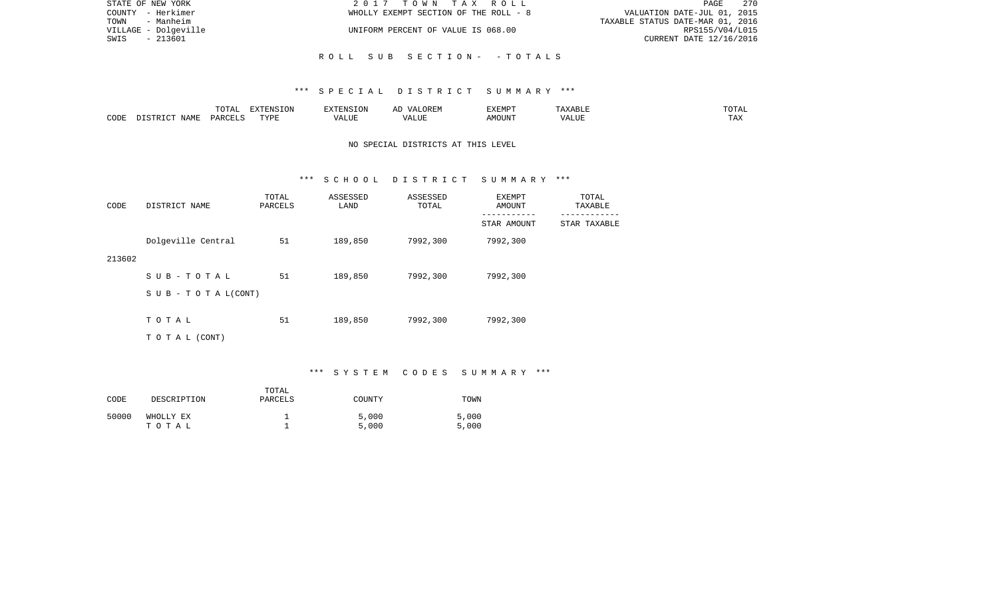| STATE OF NEW YORK    | 2017 TOWN TAX ROLL                    | 270<br>PAGE                      |
|----------------------|---------------------------------------|----------------------------------|
| COUNTY - Herkimer    | WHOLLY EXEMPT SECTION OF THE ROLL - 8 | VALUATION DATE-JUL 01, 2015      |
| - Manheim<br>TOWN    |                                       | TAXABLE STATUS DATE-MAR 01, 2016 |
| VILLAGE - Dolgeville | UNIFORM PERCENT OF VALUE IS 068.00    | RPS155/V04/L015                  |
| - 213601<br>SWIS     |                                       | CURRENT DATE 12/16/2016          |
|                      |                                       |                                  |
|                      | ROLL SUB SECTION- - TOTALS            |                                  |

### \*\*\* S P E C I A L D I S T R I C T S U M M A R Y \*\*\*

|      |      | $m \wedge m \wedge n$<br>TATAT | <b>DENICE ONT</b><br>LUN | <b>GMC</b>               | 17 D<br>$\rightarrow$ | <b>EXEMPT</b>        | .                          | . סדעה                |
|------|------|--------------------------------|--------------------------|--------------------------|-----------------------|----------------------|----------------------------|-----------------------|
| CODE | NAME | ∩ ¤ ∆ ∪                        | TVDI<br>.                | $\sim$ $  -$<br>الماسلة. | ۳ تا سد.              | $0.56$ $0.75$ $0.75$ | ודד ה<br><u>уд</u><br>ALU! | m 7<br>L <i>L</i> 14. |

## NO SPECIAL DISTRICTS AT THIS LEVEL

#### \*\*\* S C H O O L D I S T R I C T S U M M A R Y \*\*\*

| CODE   | DISTRICT NAME                    | TOTAL<br>PARCELS | ASSESSED<br>LAND | ASSESSED<br>TOTAL | EXEMPT<br>AMOUNT<br>--------- | TOTAL<br>TAXABLE<br>-------- |
|--------|----------------------------------|------------------|------------------|-------------------|-------------------------------|------------------------------|
|        |                                  |                  |                  |                   | STAR AMOUNT                   | STAR TAXABLE                 |
|        | Dolgeville Central               | 51               | 189,850          | 7992,300          | 7992,300                      |                              |
| 213602 |                                  |                  |                  |                   |                               |                              |
|        | SUB-TOTAL                        | 51               | 189,850          | 7992,300          | 7992,300                      |                              |
|        | $S \cup B - T \cup T A L (CONT)$ |                  |                  |                   |                               |                              |
|        |                                  |                  |                  |                   |                               |                              |
|        | TOTAL                            | 51               | 189,850          | 7992,300          | 7992,300                      |                              |
|        | TO TAL (CONT)                    |                  |                  |                   |                               |                              |

# \*\*\* S Y S T E M C O D E S S U M M A R Y \*\*\*

| CODE  | DESCRIPTION        | TOTAL<br>PARCELS | COUNTY         | TOWN           |
|-------|--------------------|------------------|----------------|----------------|
| 50000 | WHOLLY EX<br>TOTAL |                  | 5,000<br>5,000 | 5,000<br>5,000 |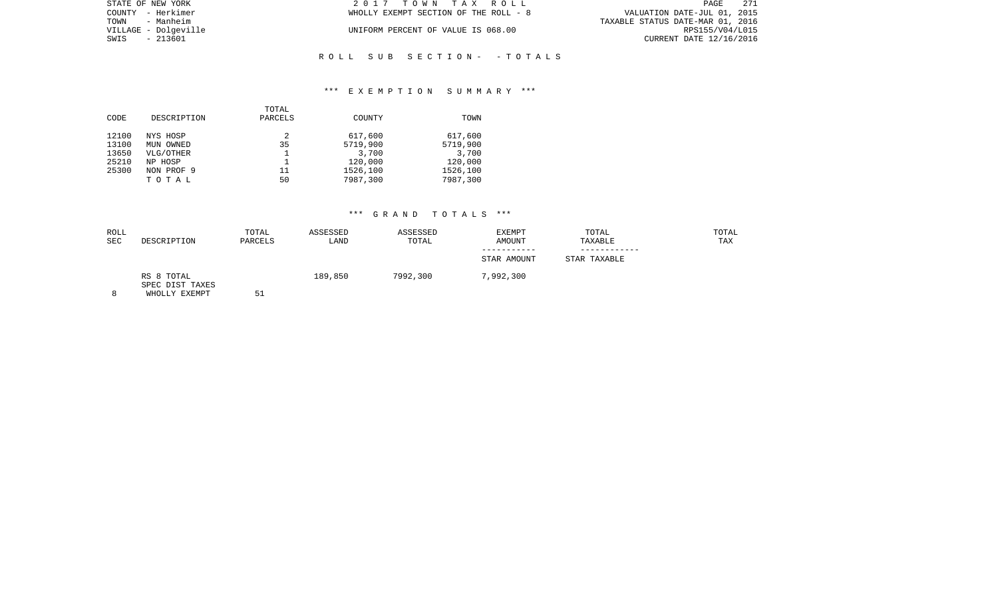| STATE OF NEW YORK    | 2017 TOWN TAX ROLL                    | 271<br>PAGE                      |  |
|----------------------|---------------------------------------|----------------------------------|--|
| COUNTY - Herkimer    | WHOLLY EXEMPT SECTION OF THE ROLL - 8 | VALUATION DATE-JUL 01, 2015      |  |
| TOWN - Manheim       |                                       | TAXABLE STATUS DATE-MAR 01, 2016 |  |
| VILLAGE - Dolqeville | UNIFORM PERCENT OF VALUE IS 068.00    | RPS155/V04/L015                  |  |
| SWIS<br>$-213601$    |                                       | CURRENT DATE 12/16/2016          |  |
|                      |                                       |                                  |  |

## \*\*\* E X E M P T I O N S U M M A R Y \*\*\*

R O L L S U B S E C T I O N - - T O T A L S

|       |             | TOTAL   |          |          |
|-------|-------------|---------|----------|----------|
| CODE  | DESCRIPTION | PARCELS | COUNTY   | TOWN     |
| 12100 | NYS HOSP    | 2       | 617,600  | 617,600  |
| 13100 | MUN OWNED   | 35      | 5719,900 | 5719,900 |
| 13650 | VLG/OTHER   |         | 3,700    | 3,700    |
| 25210 | NP HOSP     |         | 120,000  | 120,000  |
| 25300 | NON PROF 9  | 11      | 1526,100 | 1526,100 |
|       | TOTAL       | 50      | 7987,300 | 7987,300 |
|       |             |         |          |          |

| ROLL       |                                                | TOTAL   | ASSESSED | ASSESSED | EXEMPT      | TOTAL        | TOTAL |
|------------|------------------------------------------------|---------|----------|----------|-------------|--------------|-------|
| <b>SEC</b> | DESCRIPTION                                    | PARCELS | LAND     | TOTAL    | AMOUNT      | TAXABLE      | TAX   |
|            |                                                |         |          |          | STAR AMOUNT | STAR TAXABLE |       |
| 8          | RS 8 TOTAL<br>SPEC DIST TAXES<br>WHOLLY EXEMPT | 51      | 189,850  | 7992,300 | 7,992,300   |              |       |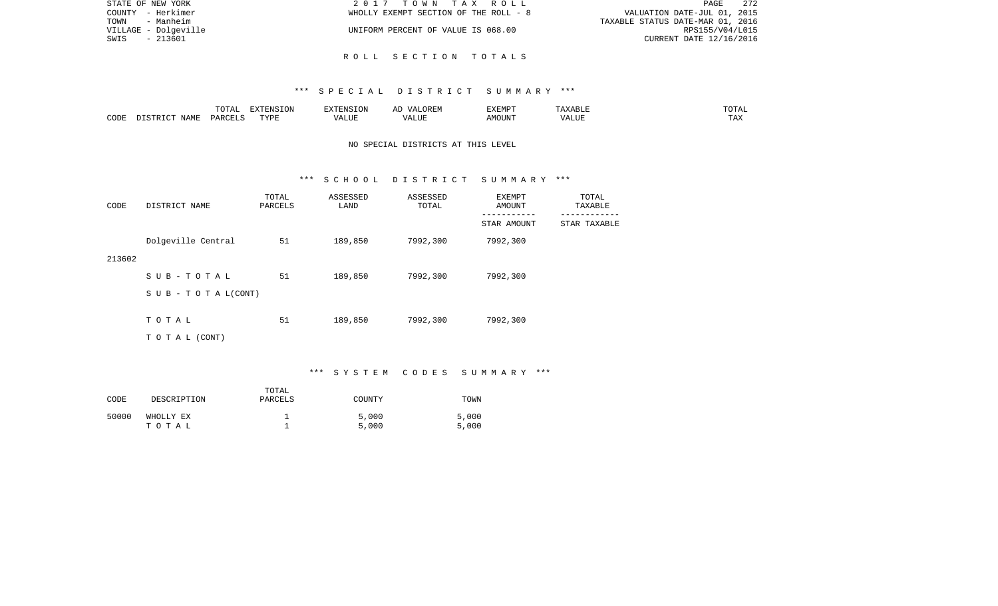| STATE OF NEW YORK    | 2017 TOWN TAX ROLL                    | -272<br>PAGE                     |
|----------------------|---------------------------------------|----------------------------------|
| COUNTY - Herkimer    | WHOLLY EXEMPT SECTION OF THE ROLL - 8 | VALUATION DATE-JUL 01, 2015      |
| TOWN<br>- Manheim    |                                       | TAXABLE STATUS DATE-MAR 01, 2016 |
| VILLAGE - Dolgeville | UNIFORM PERCENT OF VALUE IS 068.00    | RPS155/V04/L015                  |
| SWIS<br>- 213601     |                                       | CURRENT DATE 12/16/2016          |
|                      |                                       |                                  |

## R O L L S E C T I O N T O T A L S

### \*\*\* S P E C I A L D I S T R I C T S U M M A R Y \*\*\*

|      |                                 | $- - -$<br>$\cdots$<br>- ⊂ + + + + + + + | ----      |             | .)REM<br>$\Lambda/\Delta$ . | EXEMPT |              | $1^{\sim}$<br>$\sim$ $\sim$ $\sim$ $\sim$ $\sim$ |
|------|---------------------------------|------------------------------------------|-----------|-------------|-----------------------------|--------|--------------|--------------------------------------------------|
| CODE | $\Lambda \Delta M$ <sup>T</sup> | ∘ סו∧ כ                                  | TVDF<br>. | <b>TTTT</b> | $\sqrt{ }$<br>பப            | MOUN'  | T T T<br>ப்ப | $\mathbf{m} \times \mathbf{r}$<br>IAZ.           |

## NO SPECIAL DISTRICTS AT THIS LEVEL

#### \*\*\* S C H O O L D I S T R I C T S U M M A R Y \*\*\*

| CODE   | DISTRICT NAME             | TOTAL<br>PARCELS | ASSESSED<br>LAND | ASSESSED<br>TOTAL | EXEMPT<br>AMOUNT         | TOTAL<br>TAXABLE         |
|--------|---------------------------|------------------|------------------|-------------------|--------------------------|--------------------------|
|        |                           |                  |                  |                   | ---------<br>STAR AMOUNT | --------<br>STAR TAXABLE |
|        | Dolgeville Central        | 51               | 189,850          | 7992,300          | 7992,300                 |                          |
| 213602 |                           |                  |                  |                   |                          |                          |
|        | SUB-TOTAL                 | 51               | 189,850          | 7992,300          | 7992,300                 |                          |
|        | S U B - T O T A $L(CONT)$ |                  |                  |                   |                          |                          |
|        |                           |                  |                  |                   |                          |                          |
|        | TOTAL                     | 51               | 189,850          | 7992,300          | 7992,300                 |                          |
|        | TO TAL (CONT)             |                  |                  |                   |                          |                          |

# \*\*\* S Y S T E M C O D E S S U M M A R Y \*\*\*

| CODE  | DESCRIPTION        | TOTAL<br>PARCELS | COUNTY         | TOWN           |
|-------|--------------------|------------------|----------------|----------------|
| 50000 | WHOLLY EX<br>тотаь |                  | 5,000<br>5,000 | 5,000<br>5,000 |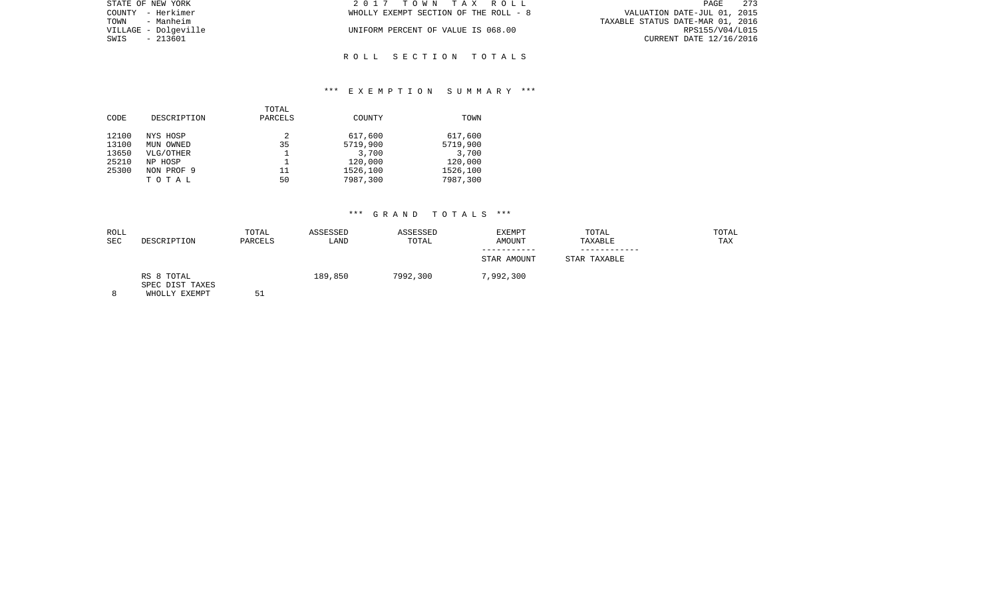| STATE OF NEW YORK    | 2017 TOWN TAX ROLL                    | - 273<br>PAGE                    |
|----------------------|---------------------------------------|----------------------------------|
| COUNTY - Herkimer    | WHOLLY EXEMPT SECTION OF THE ROLL - 8 | VALUATION DATE-JUL 01, 2015      |
| TOWN - Manheim       |                                       | TAXABLE STATUS DATE-MAR 01, 2016 |
| VILLAGE - Dolgeville | UNIFORM PERCENT OF VALUE IS 068.00    | RPS155/V04/L015                  |
| SWIS - 213601        |                                       | CURRENT DATE 12/16/2016          |
|                      |                                       |                                  |

R O L L S E C T I O N T O T A L S

## \*\*\* E X E M P T I O N S U M M A R Y \*\*\*

|       |             | TOTAL   |          |          |
|-------|-------------|---------|----------|----------|
| CODE  | DESCRIPTION | PARCELS | COUNTY   | TOWN     |
| 12100 | NYS HOSP    | 2       | 617,600  | 617,600  |
| 13100 | MUN OWNED   | 35      | 5719,900 | 5719,900 |
| 13650 | VLG/OTHER   |         | 3,700    | 3,700    |
| 25210 | NP HOSP     |         | 120,000  | 120,000  |
| 25300 | NON PROF 9  | 11      | 1526,100 | 1526,100 |
|       | TOTAL       | 50      | 7987,300 | 7987,300 |
|       |             |         |          |          |

| ROLL<br><b>SEC</b> | DESCRIPTION                                    | TOTAL<br>PARCELS | ASSESSED<br>LAND | ASSESSED<br>TOTAL | EXEMPT<br>AMOUNT | TOTAL<br>TAXABLE | TOTAL<br>TAX |
|--------------------|------------------------------------------------|------------------|------------------|-------------------|------------------|------------------|--------------|
|                    |                                                |                  |                  |                   | STAR AMOUNT      | STAR TAXABLE     |              |
| 8                  | RS 8 TOTAL<br>SPEC DIST TAXES<br>WHOLLY EXEMPT | 51               | 189,850          | 7992,300          | 7,992,300        |                  |              |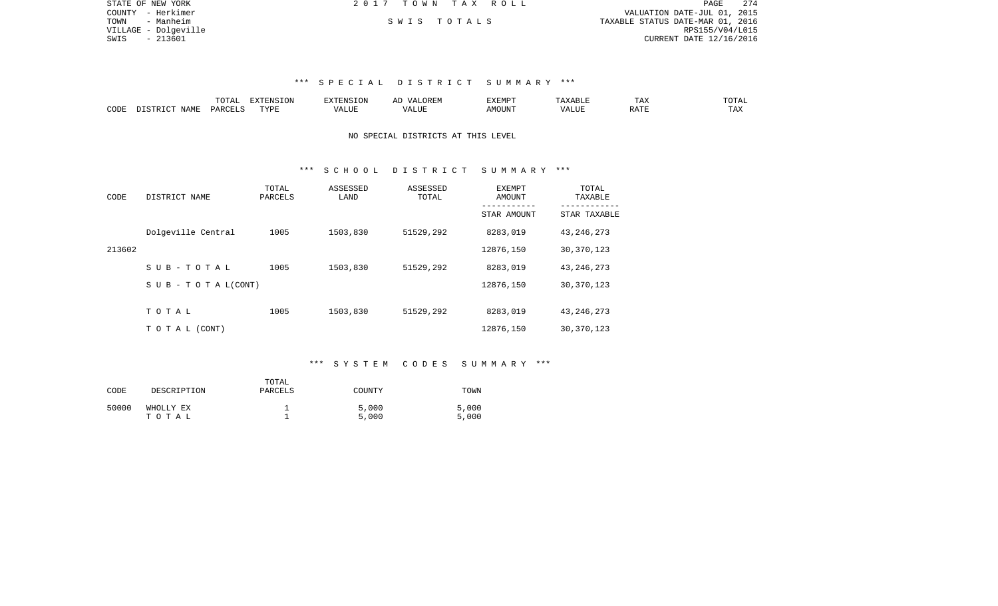| STATE OF NEW YORK    | 2017 TOWN TAX ROLL | - 274<br>PAGE                    |
|----------------------|--------------------|----------------------------------|
| COUNTY - Herkimer    |                    | VALUATION DATE-JUL 01, 2015      |
| TOWN<br>- Manheim    | SWIS TOTALS        | TAXABLE STATUS DATE-MAR 01, 2016 |
| VILLAGE - Dolqeville |                    | RPS155/V04/L015                  |
| SWIS - 213601        |                    | CURRENT DATE 12/16/2016          |
|                      |                    |                                  |
|                      |                    |                                  |

### \*\*\* S P E C I A L D I S T R I C T S U M M A R Y \*\*\*

|      |                            | ----<br>. שבת | $\n  z = 0.375$<br>E INF<br>17 J L CT | <b>FNS</b> | A L'     | 777735555<br>⊐∡⊾⊥⊥∵⊥⊥ |      | $\overline{\phantom{a}}$<br>⊥ டு∡ | $T$ $\cap$ $T$ $\cap$ $\cap$<br>JTAL |
|------|----------------------------|---------------|---------------------------------------|------------|----------|-----------------------|------|-----------------------------------|--------------------------------------|
| CODE | <b>NAME</b><br>$ \sim$ $-$ |               | TVDI                                  | كاللبد     | ا "الله⊾ | MOUNT                 | JJF. | $0.7 \text{ m}$<br>RAI.           | ⊥ 冖∡                                 |

## NO SPECIAL DISTRICTS AT THIS LEVEL

#### \*\*\* S C H O O L D I S T R I C T S U M M A R Y \*\*\*

| CODE   | DISTRICT NAME                    | TOTAL<br>PARCELS | ASSESSED<br>LAND | ASSESSED<br>TOTAL | EXEMPT<br>AMOUNT | TOTAL<br>TAXABLE |
|--------|----------------------------------|------------------|------------------|-------------------|------------------|------------------|
|        |                                  |                  |                  |                   | STAR AMOUNT      | STAR TAXABLE     |
|        | Dolgeville Central               | 1005             | 1503,830         | 51529,292         | 8283,019         | 43, 246, 273     |
| 213602 |                                  |                  |                  |                   | 12876,150        | 30, 370, 123     |
|        | $S$ UB-TOTAL                     | 1005             | 1503,830         | 51529,292         | 8283,019         | 43, 246, 273     |
|        | $S \cup B - T \cup T A L (CONT)$ |                  |                  |                   | 12876,150        | 30, 370, 123     |
|        |                                  |                  |                  |                   |                  |                  |
|        | TOTAL                            | 1005             | 1503,830         | 51529,292         | 8283,019         | 43, 246, 273     |
|        | TO TAL (CONT)                    |                  |                  |                   | 12876,150        | 30, 370, 123     |

### \*\*\* S Y S T E M C O D E S S U M M A R Y \*\*\*

| CODE  | DESCRIPTION        | TOTAL<br>PARCELS | COUNTY         | TOWN           |
|-------|--------------------|------------------|----------------|----------------|
| 50000 | WHOLLY EX<br>тотаь |                  | 5,000<br>5,000 | 5,000<br>5,000 |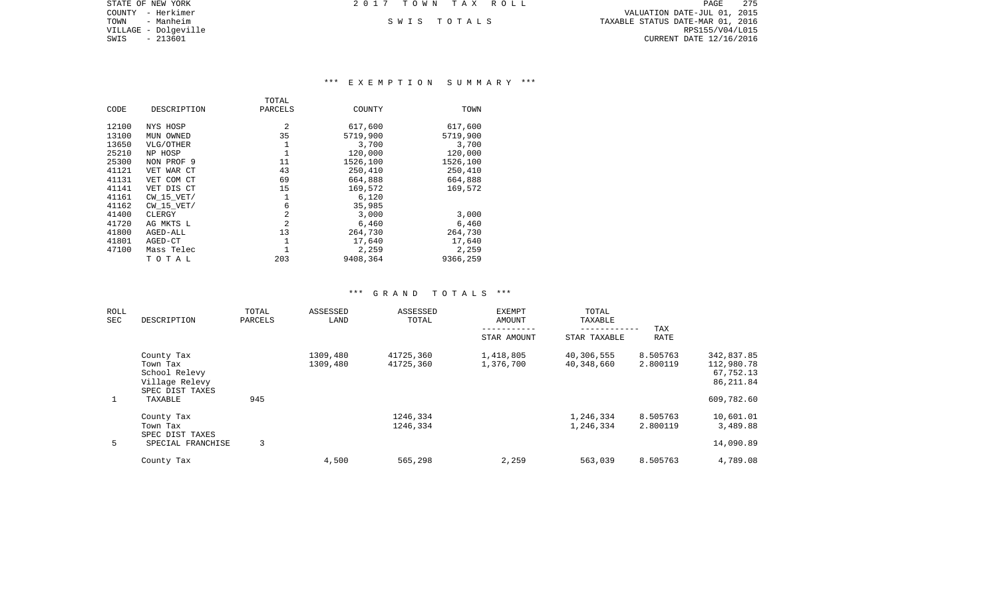COUNTY - Herkimer VALUATION DATE-JUL 01, 2015 TOWN - Manheim S W I S T O T A L S TAXABLE STATUS DATE-MAR 01, 2016 VILLAGE - Dolgeville RPS155/V04/L015 CURRENT DATE 12/16/2016

STATE OF NEW YORK **2017 TOWN TAX ROLL** 

# \*\*\* E X E M P T I O N S U M M A R Y \*\*\*

|       |                | TOTAL          |          |          |
|-------|----------------|----------------|----------|----------|
| CODE  | DESCRIPTION    | PARCELS        | COUNTY   | TOWN     |
|       |                |                |          |          |
| 12100 | NYS HOSP       | 2              | 617,600  | 617,600  |
| 13100 | MUN OWNED      | 35             | 5719,900 | 5719,900 |
| 13650 | VLG/OTHER      | 1              | 3,700    | 3,700    |
| 25210 | NP HOSP        | 1              | 120,000  | 120,000  |
| 25300 | NON PROF 9     | 11             | 1526,100 | 1526,100 |
| 41121 | VET WAR CT     | 43             | 250,410  | 250,410  |
| 41131 | VET COM CT     | 69             | 664,888  | 664,888  |
| 41141 | VET DIS CT     | 15             | 169,572  | 169,572  |
| 41161 | $CW$ 15 $VET/$ | 1              | 6,120    |          |
| 41162 | $CW$ 15 $VET/$ | 6              | 35,985   |          |
| 41400 | CLERGY         | 2              | 3,000    | 3,000    |
| 41720 | AG MKTS L      | $\overline{c}$ | 6,460    | 6,460    |
| 41800 | AGED-ALL       | 13             | 264,730  | 264,730  |
| 41801 | AGED-CT        |                | 17,640   | 17,640   |
| 47100 | Mass Telec     |                | 2,259    | 2,259    |
|       | ТОТАЬ          | 203            | 9408,364 | 9366,259 |
|       |                |                |          |          |

| ROLL<br><b>SEC</b> | DESCRIPTION       | TOTAL<br>PARCELS | ASSESSED<br>LAND | ASSESSED<br>TOTAL | <b>EXEMPT</b><br><b>AMOUNT</b> | TOTAL<br>TAXABLE |          |            |
|--------------------|-------------------|------------------|------------------|-------------------|--------------------------------|------------------|----------|------------|
|                    |                   |                  |                  |                   |                                |                  | TAX      |            |
|                    |                   |                  |                  |                   | STAR AMOUNT                    | STAR TAXABLE     | RATE     |            |
|                    | County Tax        |                  | 1309,480         | 41725,360         | 1,418,805                      | 40,306,555       | 8.505763 | 342,837.85 |
|                    | Town Tax          |                  | 1309,480         | 41725,360         | 1,376,700                      | 40,348,660       | 2.800119 | 112,980.78 |
|                    | School Relevy     |                  |                  |                   |                                |                  |          | 67,752.13  |
|                    | Village Relevy    |                  |                  |                   |                                |                  |          | 86,211.84  |
|                    | SPEC DIST TAXES   |                  |                  |                   |                                |                  |          |            |
| $\mathbf{1}$       | TAXABLE           | 945              |                  |                   |                                |                  |          | 609,782.60 |
|                    | County Tax        |                  |                  | 1246,334          |                                | 1,246,334        | 8.505763 | 10,601.01  |
|                    | Town Tax          |                  |                  | 1246,334          |                                | 1,246,334        | 2.800119 | 3,489.88   |
|                    | SPEC DIST TAXES   |                  |                  |                   |                                |                  |          |            |
| 5                  | SPECIAL FRANCHISE | 3                |                  |                   |                                |                  |          | 14,090.89  |
|                    | County Tax        |                  | 4,500            | 565,298           | 2,259                          | 563,039          | 8.505763 | 4,789.08   |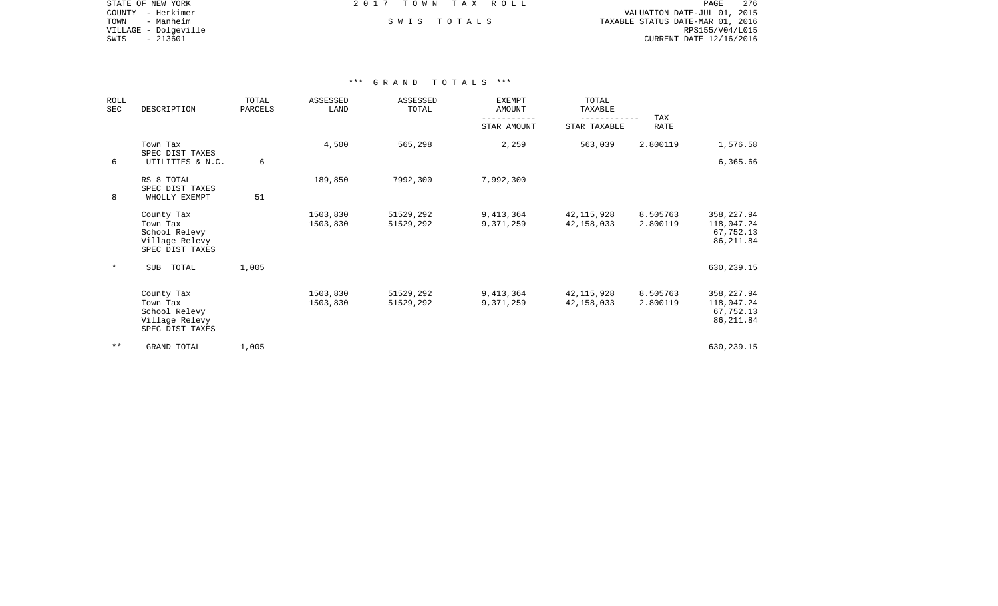STATE OF NEW YORK **EXECUTE:** TOWN TAX ROLL COUNTY - Herkimer VALUATION DATE-JUL 01, 2015 TOWN - Manheim S W I S T O T A L S TAXABLE STATUS DATE-MAR 01, 2016 VILLAGE - Dolgeville RPS155/V04/L015 CURRENT DATE 12/16/2016

| <b>ROLL</b><br><b>SEC</b> | DESCRIPTION                                                                  | TOTAL<br>PARCELS | <b>ASSESSED</b><br>LAND | ASSESSED<br>TOTAL      | <b>EXEMPT</b><br>AMOUNT | TOTAL<br>TAXABLE<br>------------ | TAX                  |                                                     |
|---------------------------|------------------------------------------------------------------------------|------------------|-------------------------|------------------------|-------------------------|----------------------------------|----------------------|-----------------------------------------------------|
|                           |                                                                              |                  |                         |                        | STAR AMOUNT             | STAR TAXABLE                     | <b>RATE</b>          |                                                     |
|                           | Town Tax<br>SPEC DIST TAXES                                                  |                  | 4,500                   | 565,298                | 2,259                   | 563,039                          | 2.800119             | 1,576.58                                            |
| 6                         | UTILITIES & N.C.                                                             | 6                |                         |                        |                         |                                  |                      | 6,365.66                                            |
|                           | RS 8 TOTAL<br>SPEC DIST TAXES                                                |                  | 189,850                 | 7992,300               | 7,992,300               |                                  |                      |                                                     |
| 8                         | WHOLLY EXEMPT                                                                | 51               |                         |                        |                         |                                  |                      |                                                     |
|                           | County Tax<br>Town Tax<br>School Relevy<br>Village Relevy<br>SPEC DIST TAXES |                  | 1503,830<br>1503,830    | 51529,292<br>51529,292 | 9,413,364<br>9,371,259  | 42,115,928<br>42, 158, 033       | 8.505763<br>2.800119 | 358,227.94<br>118,047.24<br>67,752.13<br>86, 211.84 |
| $\star$                   | <b>SUB</b><br>TOTAL                                                          | 1,005            |                         |                        |                         |                                  |                      | 630,239.15                                          |
|                           | County Tax<br>Town Tax<br>School Relevy<br>Village Relevy<br>SPEC DIST TAXES |                  | 1503,830<br>1503,830    | 51529,292<br>51529,292 | 9,413,364<br>9,371,259  | 42,115,928<br>42,158,033         | 8.505763<br>2.800119 | 358,227.94<br>118,047.24<br>67,752.13<br>86, 211.84 |
| $***$                     | GRAND TOTAL                                                                  | 1,005            |                         |                        |                         |                                  |                      | 630,239.15                                          |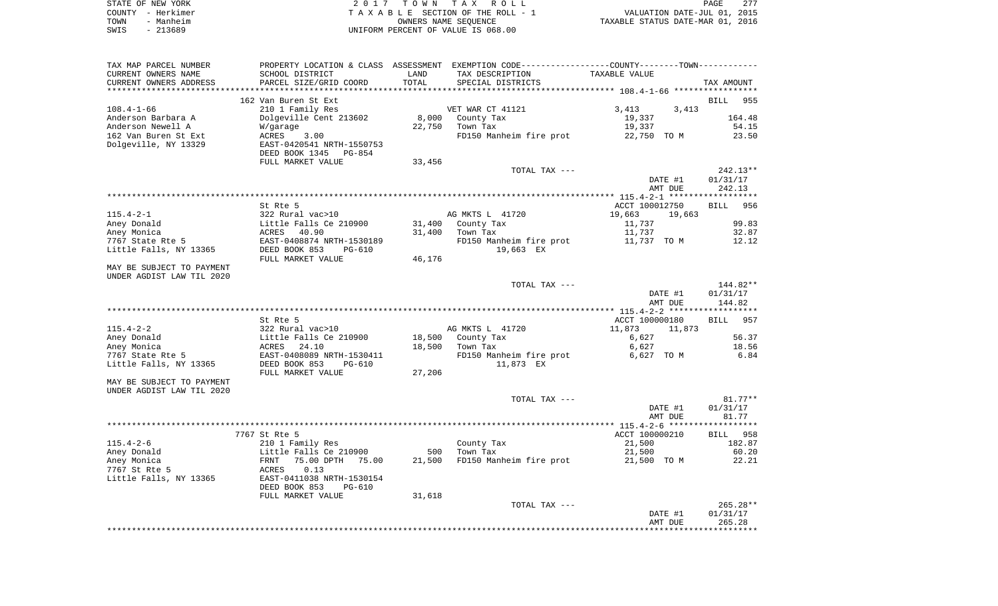| STATE OF NEW YORK |           | 2017 TOWN TAX ROLL                 |                      |  |                                  |                             | PAGE | 2.77 |
|-------------------|-----------|------------------------------------|----------------------|--|----------------------------------|-----------------------------|------|------|
| COUNTY - Herkimer |           | TAXABLE SECTION OF THE ROLL - 1    |                      |  |                                  | VALUATION DATE-JUL 01, 2015 |      |      |
| TOWN              | - Manheim |                                    | OWNERS NAME SEOUENCE |  | TAXABLE STATUS DATE-MAR 01, 2016 |                             |      |      |
| - 213689<br>SWIS  |           | UNIFORM PERCENT OF VALUE IS 068.00 |                      |  |                                  |                             |      |      |

| TAX MAP PARCEL NUMBER     |                             |        | PROPERTY LOCATION & CLASS ASSESSMENT EXEMPTION CODE----------------COUNTY--------TOWN---------- |                |         |                    |
|---------------------------|-----------------------------|--------|-------------------------------------------------------------------------------------------------|----------------|---------|--------------------|
| CURRENT OWNERS NAME       | SCHOOL DISTRICT             | LAND   | TAX DESCRIPTION                                                                                 | TAXABLE VALUE  |         |                    |
| CURRENT OWNERS ADDRESS    | PARCEL SIZE/GRID COORD      | TOTAL  | SPECIAL DISTRICTS                                                                               |                |         | TAX AMOUNT         |
|                           |                             |        |                                                                                                 |                |         |                    |
|                           | 162 Van Buren St Ext        |        |                                                                                                 |                |         | BILL 955           |
| $108.4 - 1 - 66$          | 210 1 Family Res            |        | VET WAR CT 41121                                                                                | 3,413          | 3,413   |                    |
| Anderson Barbara A        | Dolgeville Cent 213602      | 8,000  | County Tax                                                                                      | 19,337         |         | 164.48             |
| Anderson Newell A         | W/garage                    | 22,750 | Town Tax                                                                                        | 19,337         |         | 54.15              |
| 162 Van Buren St Ext      | ACRES<br>3.00               |        | FD150 Manheim fire prot                                                                         | 22,750 TO M    |         | 23.50              |
| Dolgeville, NY 13329      | EAST-0420541 NRTH-1550753   |        |                                                                                                 |                |         |                    |
|                           | DEED BOOK 1345<br>PG-854    |        |                                                                                                 |                |         |                    |
|                           | FULL MARKET VALUE           | 33,456 |                                                                                                 |                |         |                    |
|                           |                             |        | TOTAL TAX ---                                                                                   |                |         | $242.13**$         |
|                           |                             |        |                                                                                                 |                | DATE #1 | 01/31/17           |
|                           |                             |        |                                                                                                 |                | AMT DUE | 242.13             |
|                           |                             |        |                                                                                                 |                |         |                    |
|                           | St Rte 5                    |        |                                                                                                 | ACCT 100012750 |         | 956<br><b>BILL</b> |
| $115.4 - 2 - 1$           | 322 Rural vac>10            |        | AG MKTS L 41720                                                                                 | 19,663         | 19,663  |                    |
|                           |                             |        |                                                                                                 |                |         |                    |
| Aney Donald               | Little Falls Ce 210900      |        | 31,400 County Tax                                                                               | 11,737         |         | 99.83              |
| Aney Monica               | ACRES<br>40.90              | 31,400 | Town Tax                                                                                        | 11,737         |         | 32.87              |
| 7767 State Rte 5          | EAST-0408874 NRTH-1530189   |        | FD150 Manheim fire prot 11,737 TO M                                                             |                |         | 12.12              |
| Little Falls, NY 13365    | DEED BOOK 853<br>$PG-610$   |        | 19,663 EX                                                                                       |                |         |                    |
|                           | FULL MARKET VALUE           | 46,176 |                                                                                                 |                |         |                    |
| MAY BE SUBJECT TO PAYMENT |                             |        |                                                                                                 |                |         |                    |
| UNDER AGDIST LAW TIL 2020 |                             |        |                                                                                                 |                |         |                    |
|                           |                             |        | TOTAL TAX ---                                                                                   |                |         | 144.82**           |
|                           |                             |        |                                                                                                 |                | DATE #1 | 01/31/17           |
|                           |                             |        |                                                                                                 |                | AMT DUE | 144.82             |
|                           |                             |        |                                                                                                 |                |         |                    |
|                           | St Rte 5                    |        |                                                                                                 | ACCT 100000180 |         | <b>BILL</b><br>957 |
| $115.4 - 2 - 2$           | 322 Rural vac>10            |        | AG MKTS L 41720                                                                                 | 11,873         | 11,873  |                    |
| Aney Donald               | Little Falls Ce 210900      | 18,500 | County Tax                                                                                      | 6,627          |         | 56.37              |
| Aney Monica               | ACRES 24.10                 | 18,500 | Town Tax                                                                                        | 6,627          |         | 18.56              |
| 7767 State Rte 5          | EAST-0408089 NRTH-1530411   |        | FD150 Manheim fire prot                                                                         | 6,627 TO M     |         | 6.84               |
| Little Falls, NY 13365    | DEED BOOK 853<br>$PG-610$   |        | 11,873 EX                                                                                       |                |         |                    |
|                           | FULL MARKET VALUE           | 27,206 |                                                                                                 |                |         |                    |
| MAY BE SUBJECT TO PAYMENT |                             |        |                                                                                                 |                |         |                    |
| UNDER AGDIST LAW TIL 2020 |                             |        |                                                                                                 |                |         |                    |
|                           |                             |        | TOTAL TAX ---                                                                                   |                |         | $81.77**$          |
|                           |                             |        |                                                                                                 |                | DATE #1 | 01/31/17           |
|                           |                             |        |                                                                                                 |                | AMT DUE | 81.77              |
|                           |                             |        |                                                                                                 |                |         |                    |
|                           | 7767 St Rte 5               |        |                                                                                                 | ACCT 100000210 |         | BILL 958           |
| $115.4 - 2 - 6$           | 210 1 Family Res            |        | County Tax                                                                                      | 21,500         |         | 182.87             |
| Aney Donald               | Little Falls Ce 210900      | 500    | Town Tax                                                                                        | 21,500         |         | 60.20              |
| Aney Monica               | 75.00 DPTH<br>FRNT<br>75.00 | 21,500 | FD150 Manheim fire prot                                                                         | 21,500 TO M    |         | 22.21              |
| 7767 St Rte 5             | 0.13<br>ACRES               |        |                                                                                                 |                |         |                    |
| Little Falls, NY 13365    | EAST-0411038 NRTH-1530154   |        |                                                                                                 |                |         |                    |
|                           | DEED BOOK 853<br>PG-610     |        |                                                                                                 |                |         |                    |
|                           | FULL MARKET VALUE           | 31,618 |                                                                                                 |                |         |                    |
|                           |                             |        | TOTAL TAX ---                                                                                   |                |         | $265.28**$         |
|                           |                             |        |                                                                                                 |                | DATE #1 | 01/31/17           |
|                           |                             |        |                                                                                                 |                | AMT DUE | 265.28             |
|                           |                             |        |                                                                                                 |                |         |                    |
|                           |                             |        |                                                                                                 |                |         |                    |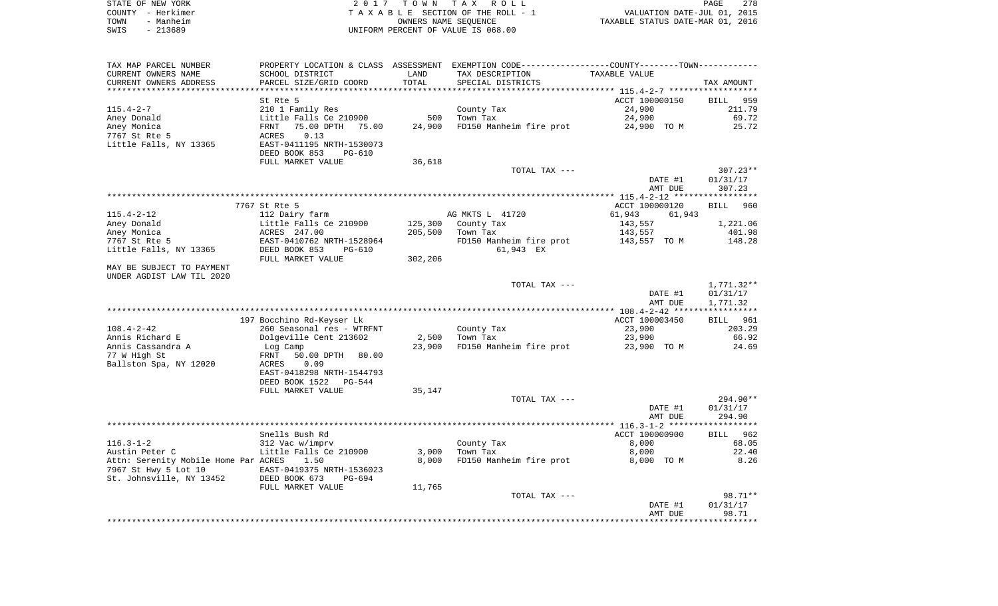|      | STATE OF NEW YORK | 2017 TOWN TAX ROLL                 | <b>PAGE</b>                      | 278 |
|------|-------------------|------------------------------------|----------------------------------|-----|
|      | COUNTY – Herkimer | TAXABLE SECTION OF THE ROLL - 1    | VALUATION DATE-JUL 01, 2015      |     |
| TOWN | - Manheim         | OWNERS NAME SEOUENCE               | TAXABLE STATUS DATE-MAR 01, 2016 |     |
| SWIS | - 213689          | UNIFORM PERCENT OF VALUE IS 068.00 |                                  |     |

| TAX MAP PARCEL NUMBER                | PROPERTY LOCATION & CLASS ASSESSMENT |                | EXEMPTION CODE-----------------COUNTY--------TOWN----------- |                  |                    |
|--------------------------------------|--------------------------------------|----------------|--------------------------------------------------------------|------------------|--------------------|
| CURRENT OWNERS NAME                  | SCHOOL DISTRICT                      | LAND           | TAX DESCRIPTION                                              | TAXABLE VALUE    |                    |
| CURRENT OWNERS ADDRESS               | PARCEL SIZE/GRID COORD               | TOTAL          | SPECIAL DISTRICTS                                            |                  | TAX AMOUNT         |
| *********************                | **********************               | ************** |                                                              |                  |                    |
|                                      | St Rte 5                             |                |                                                              | ACCT 100000150   | <b>BILL</b><br>959 |
| $115.4 - 2 - 7$                      | 210 1 Family Res                     |                | County Tax                                                   | 24,900           | 211.79             |
| Aney Donald                          | Little Falls Ce 210900               | 500            | Town Tax                                                     | 24,900           | 69.72              |
| Aney Monica                          | 75.00 DPTH<br>75.00<br>FRNT          | 24,900         | FD150 Manheim fire prot                                      | 24,900 TO M      | 25.72              |
| 7767 St Rte 5                        | 0.13<br>ACRES                        |                |                                                              |                  |                    |
| Little Falls, NY 13365               | EAST-0411195 NRTH-1530073            |                |                                                              |                  |                    |
|                                      | DEED BOOK 853<br><b>PG-610</b>       |                |                                                              |                  |                    |
|                                      | FULL MARKET VALUE                    | 36,618         |                                                              |                  |                    |
|                                      |                                      |                | TOTAL TAX ---                                                |                  | $307.23**$         |
|                                      |                                      |                |                                                              | DATE #1          | 01/31/17           |
|                                      |                                      |                |                                                              | AMT DUE          | 307.23             |
|                                      |                                      |                |                                                              |                  |                    |
|                                      | 7767 St Rte 5                        |                |                                                              | ACCT 100000120   | <b>BILL</b><br>960 |
| $115.4 - 2 - 12$                     | 112 Dairy farm                       |                | AG MKTS L 41720                                              | 61,943<br>61,943 |                    |
| Aney Donald                          | Little Falls Ce 210900               | 125,300        | County Tax                                                   | 143,557          | 1,221.06           |
| Aney Monica                          | ACRES 247.00                         | 205,500        | Town Tax                                                     | 143,557          | 401.98             |
| 7767 St Rte 5                        | EAST-0410762 NRTH-1528964            |                | FD150 Manheim fire prot                                      | 143,557 TO M     | 148.28             |
| Little Falls, NY 13365               | DEED BOOK 853<br>$PG-610$            |                | 61,943 EX                                                    |                  |                    |
|                                      | FULL MARKET VALUE                    | 302,206        |                                                              |                  |                    |
| MAY BE SUBJECT TO PAYMENT            |                                      |                |                                                              |                  |                    |
| UNDER AGDIST LAW TIL 2020            |                                      |                |                                                              |                  |                    |
|                                      |                                      |                | TOTAL TAX ---                                                |                  | 1,771.32**         |
|                                      |                                      |                |                                                              | DATE #1          | 01/31/17           |
|                                      |                                      |                |                                                              | AMT DUE          | 1,771.32           |
|                                      |                                      |                |                                                              |                  |                    |
|                                      | 197 Bocchino Rd-Keyser Lk            |                |                                                              | ACCT 100003450   | <b>BILL</b> 961    |
| $108.4 - 2 - 42$                     | 260 Seasonal res - WTRFNT            |                | County Tax                                                   | 23,900           | 203.29             |
| Annis Richard E                      | Dolgeville Cent 213602               | 2,500          | Town Tax                                                     | 23,900           | 66.92              |
| Annis Cassandra A                    | Log Camp                             | 23,900         | FD150 Manheim fire prot                                      | 23,900 TO M      | 24.69              |
| 77 W High St                         | FRNT<br>50.00 DPTH<br>80.00          |                |                                                              |                  |                    |
| Ballston Spa, NY 12020               | 0.09<br>ACRES                        |                |                                                              |                  |                    |
|                                      | EAST-0418298 NRTH-1544793            |                |                                                              |                  |                    |
|                                      | DEED BOOK 1522<br><b>PG-544</b>      |                |                                                              |                  |                    |
|                                      | FULL MARKET VALUE                    | 35,147         |                                                              |                  |                    |
|                                      |                                      |                | TOTAL TAX ---                                                |                  | $294.90**$         |
|                                      |                                      |                |                                                              | DATE #1          | 01/31/17           |
|                                      |                                      |                |                                                              | AMT DUE          | 294.90             |
|                                      |                                      |                |                                                              |                  |                    |
|                                      | Snells Bush Rd                       |                |                                                              | ACCT 100000900   | BILL 962           |
| $116.3 - 1 - 2$                      | 312 Vac w/imprv                      |                | County Tax                                                   | 8,000            | 68.05              |
| Austin Peter C                       | Little Falls Ce 210900               | 3,000          | Town Tax                                                     | 8,000            | 22.40              |
| Attn: Serenity Mobile Home Par ACRES | 1.50                                 | 8,000          | FD150 Manheim fire prot                                      | 8,000 TO M       | 8.26               |
| 7967 St Hwy 5 Lot 10                 | EAST-0419375 NRTH-1536023            |                |                                                              |                  |                    |
| St. Johnsville, NY 13452             | DEED BOOK 673<br>PG-694              |                |                                                              |                  |                    |
|                                      | FULL MARKET VALUE                    | 11,765         |                                                              |                  |                    |
|                                      |                                      |                | TOTAL TAX ---                                                |                  | 98.71**            |
|                                      |                                      |                |                                                              | DATE #1          | 01/31/17           |
|                                      |                                      |                |                                                              | AMT DUE          | 98.71<br>*******   |
|                                      |                                      |                |                                                              |                  |                    |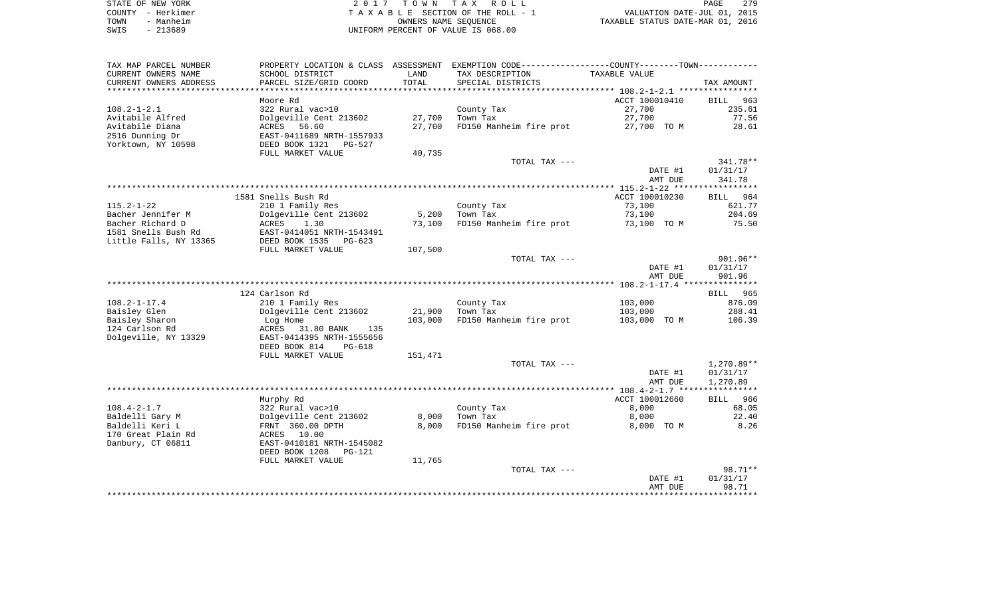| STATE OF NEW YORK | 2017 TOWN TAX ROLL                 | 279<br>PAGE                      |
|-------------------|------------------------------------|----------------------------------|
| COUNTY - Herkimer | TAXABLE SECTION OF THE ROLL - 1    | VALUATION DATE-JUL 01, 2015      |
| - Manheim<br>TOWN | OWNERS NAME SEOUENCE               | TAXABLE STATUS DATE-MAR 01, 2016 |
| $-213689$<br>SWIS | UNIFORM PERCENT OF VALUE IS 068.00 |                                  |

| TAX MAP PARCEL NUMBER              |                                            |                | PROPERTY LOCATION & CLASS ASSESSMENT EXEMPTION CODE---------------COUNTY-------TOWN---------- |                     |                    |
|------------------------------------|--------------------------------------------|----------------|-----------------------------------------------------------------------------------------------|---------------------|--------------------|
| CURRENT OWNERS NAME                | SCHOOL DISTRICT                            | LAND           | TAX DESCRIPTION                                                                               | TAXABLE VALUE       |                    |
| CURRENT OWNERS ADDRESS             | PARCEL SIZE/GRID COORD                     | TOTAL          | SPECIAL DISTRICTS                                                                             |                     | TAX AMOUNT         |
| **********************             |                                            |                |                                                                                               |                     |                    |
|                                    | Moore Rd                                   |                |                                                                                               | ACCT 100010410      | <b>BILL</b><br>963 |
| $108.2 - 1 - 2.1$                  | 322 Rural vac>10                           |                | County Tax                                                                                    | 27,700              | 235.61             |
| Avitabile Alfred                   | Dolgeville Cent 213602                     | 27,700         | Town Tax                                                                                      | 27,700              | 77.56              |
| Avitabile Diana                    | ACRES<br>56.60                             | 27,700         | FD150 Manheim fire prot                                                                       | 27,700 TO M         | 28.61              |
| 2516 Dunning Dr                    | EAST-0411689 NRTH-1557933                  |                |                                                                                               |                     |                    |
| Yorktown, NY 10598                 | DEED BOOK 1321<br>PG-527                   |                |                                                                                               |                     |                    |
|                                    | FULL MARKET VALUE                          | 40,735         |                                                                                               |                     |                    |
|                                    |                                            |                | TOTAL TAX ---                                                                                 |                     | $341.78**$         |
|                                    |                                            |                |                                                                                               | DATE #1             | 01/31/17           |
|                                    |                                            |                |                                                                                               | AMT DUE             | 341.78             |
|                                    |                                            |                |                                                                                               |                     |                    |
|                                    | 1581 Snells Bush Rd                        |                |                                                                                               | ACCT 100010230      | BILL 964           |
| $115.2 - 1 - 22$                   | 210 1 Family Res                           |                | County Tax                                                                                    | 73,100              | 621.77             |
| Bacher Jennifer M                  | Dolgeville Cent 213602                     | 5,200          | Town Tax                                                                                      | 73,100              | 204.69             |
| Bacher Richard D                   | ACRES<br>1.30                              | 73,100         | FD150 Manheim fire prot                                                                       | 73,100 TO M         | 75.50              |
| 1581 Snells Bush Rd                | EAST-0414051 NRTH-1543491                  |                |                                                                                               |                     |                    |
| Little Falls, NY 13365             | DEED BOOK 1535<br>$PG-623$                 |                |                                                                                               |                     |                    |
|                                    | FULL MARKET VALUE                          | 107,500        |                                                                                               |                     |                    |
|                                    |                                            |                | TOTAL TAX ---                                                                                 |                     | 901.96**           |
|                                    |                                            |                |                                                                                               | DATE #1             | 01/31/17           |
|                                    |                                            |                |                                                                                               | AMT DUE             | 901.96             |
|                                    |                                            |                |                                                                                               |                     |                    |
|                                    | 124 Carlson Rd                             |                |                                                                                               |                     | BILL 965           |
| $108.2 - 1 - 17.4$                 | 210 1 Family Res                           |                | County Tax                                                                                    | 103,000             | 876.09             |
| Baisley Glen                       | Dolgeville Cent 213602                     | 21,900         | Town Tax                                                                                      | 103,000             | 288.41             |
| Baisley Sharon                     | Log Home                                   | 103,000        | FD150 Manheim fire prot                                                                       | 103,000 TO M        | 106.39             |
| 124 Carlson Rd                     | ACRES<br>31.80 BANK<br>135                 |                |                                                                                               |                     |                    |
| Dolgeville, NY 13329               | EAST-0414395 NRTH-1555656                  |                |                                                                                               |                     |                    |
|                                    | DEED BOOK 814<br>$PG-618$                  |                |                                                                                               |                     |                    |
|                                    | FULL MARKET VALUE                          | 151,471        |                                                                                               |                     |                    |
|                                    |                                            |                | TOTAL TAX ---                                                                                 |                     | 1,270.89**         |
|                                    |                                            |                |                                                                                               | DATE #1             | 01/31/17           |
|                                    |                                            |                |                                                                                               | AMT DUE             | 1,270.89           |
|                                    |                                            |                |                                                                                               |                     |                    |
|                                    | Murphy Rd                                  |                |                                                                                               | ACCT 100012660      | <b>BILL</b><br>966 |
| $108.4 - 2 - 1.7$                  | 322 Rural vac>10                           |                | County Tax<br>Town Tax                                                                        | 8,000               | 68.05              |
| Baldelli Gary M<br>Baldelli Keri L | Dolgeville Cent 213602<br>FRNT 360.00 DPTH | 8,000<br>8,000 | FD150 Manheim fire prot                                                                       | 8,000<br>8,000 TO M | 22.40<br>8.26      |
| 170 Great Plain Rd                 | ACRES 10.00                                |                |                                                                                               |                     |                    |
| Danbury, CT 06811                  | EAST-0410181 NRTH-1545082                  |                |                                                                                               |                     |                    |
|                                    | DEED BOOK 1208<br><b>PG-121</b>            |                |                                                                                               |                     |                    |
|                                    | FULL MARKET VALUE                          | 11,765         |                                                                                               |                     |                    |
|                                    |                                            |                | TOTAL TAX ---                                                                                 |                     | $98.71**$          |
|                                    |                                            |                |                                                                                               | DATE #1             | 01/31/17           |
|                                    |                                            |                |                                                                                               | AMT DUE             | 98.71              |
|                                    |                                            |                |                                                                                               |                     |                    |
|                                    |                                            |                |                                                                                               |                     |                    |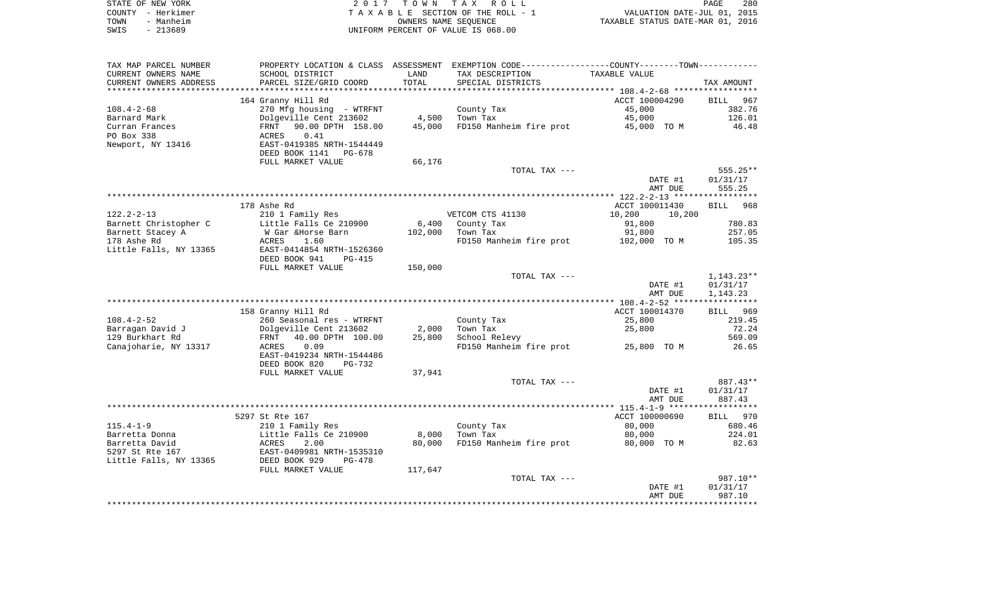|      | STATE OF NEW YORK | 2017 TOWN TAX ROLL                 | PAGE                             | 280 |
|------|-------------------|------------------------------------|----------------------------------|-----|
|      | COUNTY - Herkimer | TAXABLE SECTION OF THE ROLL - 1    | VALUATION DATE-JUL 01, 2015      |     |
| TOWN | - Manheim         | OWNERS NAME SEOUENCE               | TAXABLE STATUS DATE-MAR 01, 2016 |     |
| SWIS | - 213689          | UNIFORM PERCENT OF VALUE IS 068.00 |                                  |     |

| TAX MAP PARCEL NUMBER  |                                |         | PROPERTY LOCATION & CLASS ASSESSMENT EXEMPTION CODE-----------------COUNTY-------TOWN----------- |                  |            |
|------------------------|--------------------------------|---------|--------------------------------------------------------------------------------------------------|------------------|------------|
| CURRENT OWNERS NAME    | SCHOOL DISTRICT                | LAND    | TAX DESCRIPTION                                                                                  | TAXABLE VALUE    |            |
| CURRENT OWNERS ADDRESS | PARCEL SIZE/GRID COORD         | TOTAL   | SPECIAL DISTRICTS                                                                                |                  | TAX AMOUNT |
|                        |                                |         |                                                                                                  |                  |            |
|                        | 164 Granny Hill Rd             |         |                                                                                                  | ACCT 100004290   | BILL 967   |
| $108.4 - 2 - 68$       | 270 Mfg housing - WTRFNT       |         | County Tax                                                                                       | 45,000           | 382.76     |
| Barnard Mark           | Dolgeville Cent 213602         | 4,500   | Town Tax                                                                                         | 45,000           | 126.01     |
| Curran Frances         | FRNT 90.00 DPTH 158.00         |         |                                                                                                  |                  | 46.48      |
|                        |                                | 45,000  | FD150 Manheim fire prot                                                                          | 45,000 TO M      |            |
| PO Box 338             | 0.41<br>ACRES                  |         |                                                                                                  |                  |            |
| Newport, NY 13416      | EAST-0419385 NRTH-1544449      |         |                                                                                                  |                  |            |
|                        | DEED BOOK 1141 PG-678          |         |                                                                                                  |                  |            |
|                        | FULL MARKET VALUE              | 66,176  |                                                                                                  |                  |            |
|                        |                                |         | TOTAL TAX ---                                                                                    |                  | 555.25**   |
|                        |                                |         |                                                                                                  | DATE #1          | 01/31/17   |
|                        |                                |         |                                                                                                  | AMT DUE          | 555.25     |
|                        |                                |         |                                                                                                  |                  |            |
|                        | 178 Ashe Rd                    |         |                                                                                                  | ACCT 100011430   | BILL 968   |
| $122.2 - 2 - 13$       | 210 1 Family Res               |         | VETCOM CTS 41130                                                                                 | 10,200<br>10,200 |            |
| Barnett Christopher C  | Little Falls Ce 210900         | 6,400   | County Tax                                                                                       | 91,800           | 780.83     |
|                        |                                |         |                                                                                                  |                  |            |
| Barnett Stacey A       | W Gar &Horse Barn              | 102,000 | Town Tax                                                                                         | 91,800           | 257.05     |
| 178 Ashe Rd            | ACRES<br>1.60                  |         | FD150 Manheim fire prot                                                                          | 102,000 TO M     | 105.35     |
| Little Falls, NY 13365 | EAST-0414854 NRTH-1526360      |         |                                                                                                  |                  |            |
|                        | DEED BOOK 941<br><b>PG-415</b> |         |                                                                                                  |                  |            |
|                        | FULL MARKET VALUE              | 150,000 |                                                                                                  |                  |            |
|                        |                                |         | TOTAL TAX ---                                                                                    |                  | 1,143.23** |
|                        |                                |         |                                                                                                  | DATE #1          | 01/31/17   |
|                        |                                |         |                                                                                                  | AMT DUE          | 1,143.23   |
|                        |                                |         |                                                                                                  |                  |            |
|                        | 158 Granny Hill Rd             |         |                                                                                                  | ACCT 100014370   | BILL 969   |
| $108.4 - 2 - 52$       | 260 Seasonal res - WTRFNT      |         | County Tax                                                                                       | 25,800           | 219.45     |
| Barragan David J       | Dolgeville Cent 213602         | 2,000   | Town Tax                                                                                         | 25,800           | 72.24      |
| 129 Burkhart Rd        | FRNT<br>40.00 DPTH 100.00      | 25,800  | School Relevy                                                                                    |                  | 569.09     |
| Canajoharie, NY 13317  | ACRES<br>0.09                  |         | FD150 Manheim fire prot                                                                          | 25,800 TO M      | 26.65      |
|                        |                                |         |                                                                                                  |                  |            |
|                        | EAST-0419234 NRTH-1544486      |         |                                                                                                  |                  |            |
|                        | DEED BOOK 820<br>PG-732        |         |                                                                                                  |                  |            |
|                        | FULL MARKET VALUE              | 37,941  |                                                                                                  |                  |            |
|                        |                                |         | TOTAL TAX ---                                                                                    |                  | 887.43**   |
|                        |                                |         |                                                                                                  | DATE #1          | 01/31/17   |
|                        |                                |         |                                                                                                  | AMT DUE          | 887.43     |
|                        |                                |         |                                                                                                  |                  |            |
|                        | 5297 St Rte 167                |         |                                                                                                  | ACCT 100000690   | BILL 970   |
| $115.4 - 1 - 9$        | 210 1 Family Res               |         | County Tax                                                                                       | 80,000           | 680.46     |
| Barretta Donna         | Little Falls Ce 210900         | 8,000   | Town Tax                                                                                         | 80,000           | 224.01     |
| Barretta David         | 2.00<br>ACRES                  | 80,000  | FD150 Manheim fire prot                                                                          | 80,000 TO M      | 82.63      |
| 5297 St Rte 167        | EAST-0409981 NRTH-1535310      |         |                                                                                                  |                  |            |
| Little Falls, NY 13365 | DEED BOOK 929<br>$PG-478$      |         |                                                                                                  |                  |            |
|                        |                                |         |                                                                                                  |                  |            |
|                        | FULL MARKET VALUE              | 117,647 |                                                                                                  |                  |            |
|                        |                                |         | TOTAL TAX ---                                                                                    |                  | 987.10**   |
|                        |                                |         |                                                                                                  | DATE #1          | 01/31/17   |
|                        |                                |         |                                                                                                  | AMT DUE          | 987.10     |
|                        |                                |         |                                                                                                  |                  |            |
|                        |                                |         |                                                                                                  |                  |            |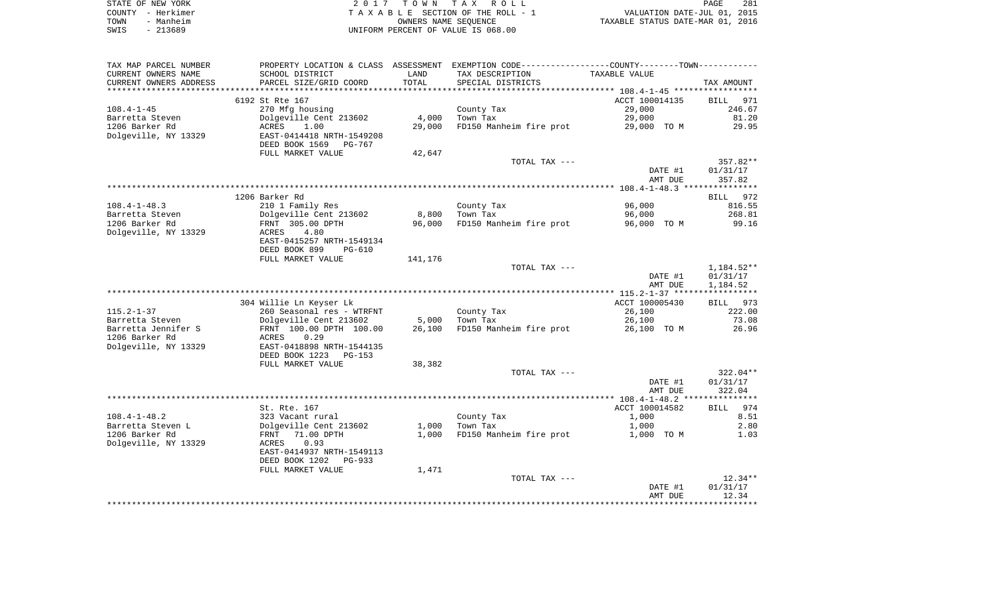| STATE OF NEW YORK | 2017 TOWN TAX ROLL                 | 281<br>PAGE                      |
|-------------------|------------------------------------|----------------------------------|
| COUNTY - Herkimer | TAXABLE SECTION OF THE ROLL - 1    | VALUATION DATE-JUL 01, 2015      |
| - Manheim<br>TOWN | OWNERS NAME SEOUENCE               | TAXABLE STATUS DATE-MAR 01, 2016 |
| $-213689$<br>SWIS | UNIFORM PERCENT OF VALUE IS 068.00 |                                  |

|                        | PROPERTY LOCATION & CLASS ASSESSMENT EXEMPTION CODE---------------COUNTY-------TOWN--------- |         |                         |                    |                   |
|------------------------|----------------------------------------------------------------------------------------------|---------|-------------------------|--------------------|-------------------|
| CURRENT OWNERS NAME    | SCHOOL DISTRICT                                                                              | LAND    | TAX DESCRIPTION         | TAXABLE VALUE      |                   |
| CURRENT OWNERS ADDRESS | PARCEL SIZE/GRID COORD                                                                       | TOTAL   | SPECIAL DISTRICTS       |                    | TAX AMOUNT        |
|                        |                                                                                              |         |                         |                    |                   |
|                        | 6192 St Rte 167                                                                              |         |                         | ACCT 100014135     | BILL<br>971       |
| $108.4 - 1 - 45$       | 270 Mfg housing                                                                              |         | County Tax              | 29,000             | 246.67            |
| Barretta Steven        | Dolgeville Cent 213602                                                                       | 4,000   | Town Tax                | 29,000             | 81.20             |
| 1206 Barker Rd         | ACRES<br>1.00                                                                                | 29,000  | FD150 Manheim fire prot | 29,000 TO M        | 29.95             |
| Dolgeville, NY 13329   | EAST-0414418 NRTH-1549208                                                                    |         |                         |                    |                   |
|                        | DEED BOOK 1569 PG-767                                                                        |         |                         |                    |                   |
|                        | FULL MARKET VALUE                                                                            | 42,647  |                         |                    |                   |
|                        |                                                                                              |         | TOTAL TAX ---           |                    | 357.82**          |
|                        |                                                                                              |         |                         | DATE #1            | 01/31/17          |
|                        |                                                                                              |         |                         | AMT DUE            | 357.82            |
|                        |                                                                                              |         |                         |                    |                   |
|                        | 1206 Barker Rd                                                                               |         |                         |                    | 972<br>BILL       |
| $108.4 - 1 - 48.3$     | 210 1 Family Res                                                                             |         | County Tax              | 96,000             | 816.55            |
| Barretta Steven        | Dolgeville Cent 213602                                                                       | 8,800   | Town Tax                | 96,000             | 268.81            |
| 1206 Barker Rd         | FRNT 305.00 DPTH                                                                             | 96,000  | FD150 Manheim fire prot | 96,000 TO M        | 99.16             |
| Dolgeville, NY 13329   | ACRES<br>4.80                                                                                |         |                         |                    |                   |
|                        | EAST-0415257 NRTH-1549134                                                                    |         |                         |                    |                   |
|                        | DEED BOOK 899<br>$PG-610$                                                                    |         |                         |                    |                   |
|                        | FULL MARKET VALUE                                                                            | 141,176 |                         |                    |                   |
|                        |                                                                                              |         | TOTAL TAX ---           |                    | 1,184.52**        |
|                        |                                                                                              |         |                         | DATE #1            | 01/31/17          |
|                        |                                                                                              |         |                         | AMT DUE            | 1,184.52          |
|                        |                                                                                              |         |                         |                    |                   |
|                        | 304 Willie Ln Keyser Lk                                                                      |         |                         | ACCT 100005430     | BILL 973          |
| $115.2 - 1 - 37$       | 260 Seasonal res - WTRFNT                                                                    |         | County Tax              | 26,100             | 222.00            |
| Barretta Steven        | Dolgeville Cent 213602                                                                       | 5,000   | Town Tax                | 26,100             | 73.08             |
| Barretta Jennifer S    | FRNT 100.00 DPTH 100.00                                                                      | 26,100  | FD150 Manheim fire prot | 26,100 TO M        | 26.96             |
| 1206 Barker Rd         | 0.29<br>ACRES                                                                                |         |                         |                    |                   |
| Dolgeville, NY 13329   | EAST-0418898 NRTH-1544135                                                                    |         |                         |                    |                   |
|                        | DEED BOOK 1223<br>PG-153                                                                     |         |                         |                    |                   |
|                        | FULL MARKET VALUE                                                                            | 38,382  |                         |                    |                   |
|                        |                                                                                              |         | TOTAL TAX ---           |                    | $322.04**$        |
|                        |                                                                                              |         |                         | DATE #1            | 01/31/17          |
|                        |                                                                                              |         |                         | AMT DUE            | 322.04            |
|                        |                                                                                              |         |                         |                    |                   |
|                        | St. Rte. 167                                                                                 |         |                         | ACCT 100014582     | 974<br>BILL       |
| $108.4 - 1 - 48.2$     | 323 Vacant rural                                                                             |         | County Tax              | 1,000              | 8.51              |
| Barretta Steven L      | Dolgeville Cent 213602                                                                       | 1,000   | Town Tax                | 1,000              | 2.80              |
| 1206 Barker Rd         | 71.00 DPTH<br>FRNT                                                                           | 1,000   | FD150 Manheim fire prot | 1,000 TO M         | 1.03              |
|                        | ACRES<br>0.93                                                                                |         |                         |                    |                   |
|                        | EAST-0414937 NRTH-1549113                                                                    |         |                         |                    |                   |
| Dolgeville, NY 13329   |                                                                                              |         |                         |                    |                   |
|                        |                                                                                              |         |                         |                    |                   |
|                        | DEED BOOK 1202<br>PG-933                                                                     |         |                         |                    |                   |
|                        | FULL MARKET VALUE                                                                            | 1,471   |                         |                    |                   |
|                        |                                                                                              |         | TOTAL TAX ---           |                    | $12.34**$         |
|                        |                                                                                              |         |                         | DATE #1<br>AMT DUE | 01/31/17<br>12.34 |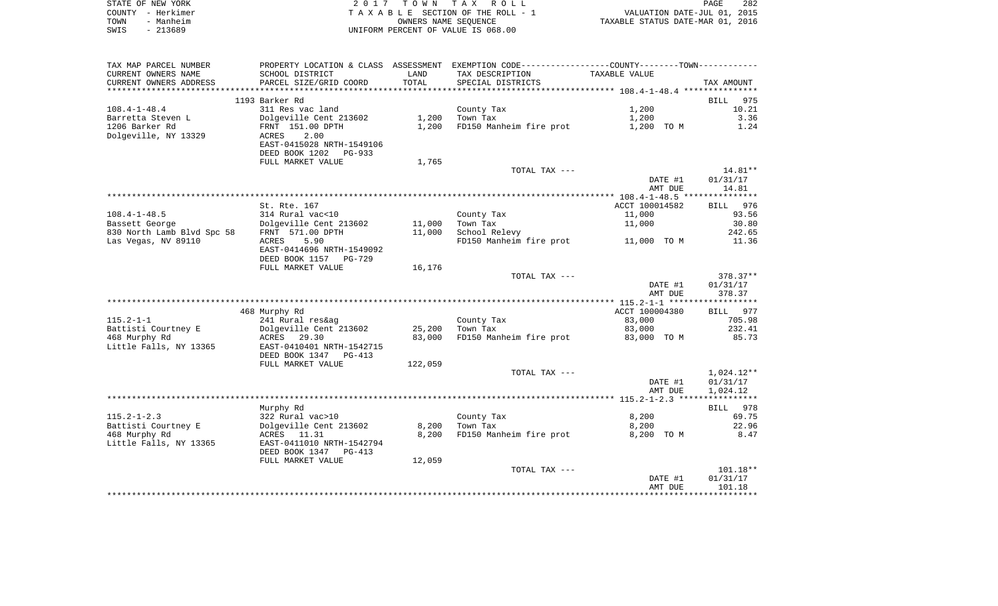|      | STATE OF NEW YORK | 2017 TOWN TAX ROLL                 | <b>PAGE</b>                      | 282 |
|------|-------------------|------------------------------------|----------------------------------|-----|
|      | COUNTY - Herkimer | TAXABLE SECTION OF THE ROLL - 1    | VALUATION DATE-JUL 01, 2015      |     |
| TOWN | - Manheim         | OWNERS NAME SEOUENCE               | TAXABLE STATUS DATE-MAR 01, 2016 |     |
| SWIS | - 213689          | UNIFORM PERCENT OF VALUE IS 068.00 |                                  |     |

| TAX MAP PARCEL NUMBER      |                           |         | PROPERTY LOCATION & CLASS ASSESSMENT EXEMPTION CODE---------------COUNTY-------TOWN---------- |                |             |
|----------------------------|---------------------------|---------|-----------------------------------------------------------------------------------------------|----------------|-------------|
| CURRENT OWNERS NAME        | SCHOOL DISTRICT           | LAND    | TAX DESCRIPTION                                                                               | TAXABLE VALUE  |             |
| CURRENT OWNERS ADDRESS     | PARCEL SIZE/GRID COORD    | TOTAL   | SPECIAL DISTRICTS                                                                             |                | TAX AMOUNT  |
|                            |                           |         |                                                                                               |                |             |
|                            | 1193 Barker Rd            |         |                                                                                               |                | BILL<br>975 |
| $108.4 - 1 - 48.4$         | 311 Res vac land          |         | County Tax                                                                                    | 1,200          | 10.21       |
| Barretta Steven L          | Dolgeville Cent 213602    | 1,200   | Town Tax                                                                                      | 1,200          | 3.36        |
| 1206 Barker Rd             | FRNT 151.00 DPTH          | 1,200   | FD150 Manheim fire prot                                                                       | 1,200 TO M     | 1.24        |
| Dolgeville, NY 13329       | 2.00<br>ACRES             |         |                                                                                               |                |             |
|                            | EAST-0415028 NRTH-1549106 |         |                                                                                               |                |             |
|                            | DEED BOOK 1202 PG-933     |         |                                                                                               |                |             |
|                            | FULL MARKET VALUE         | 1,765   |                                                                                               |                |             |
|                            |                           |         | TOTAL TAX ---                                                                                 |                | $14.81**$   |
|                            |                           |         |                                                                                               | DATE #1        | 01/31/17    |
|                            |                           |         |                                                                                               | AMT DUE        | 14.81       |
|                            |                           |         |                                                                                               |                |             |
|                            | St. Rte. 167              |         |                                                                                               | ACCT 100014582 | BILL 976    |
| $108.4 - 1 - 48.5$         | 314 Rural vac<10          |         | County Tax                                                                                    | 11,000         | 93.56       |
| Bassett George             | Dolgeville Cent 213602    | 11,000  | Town Tax                                                                                      | 11,000         | 30.80       |
| 830 North Lamb Blvd Spc 58 | FRNT 571.00 DPTH          | 11,000  | School Relevy                                                                                 |                | 242.65      |
| Las Vegas, NV 89110        | 5.90<br>ACRES             |         | FD150 Manheim fire prot 11,000 TO M                                                           |                | 11.36       |
|                            | EAST-0414696 NRTH-1549092 |         |                                                                                               |                |             |
|                            | DEED BOOK 1157 PG-729     |         |                                                                                               |                |             |
|                            | FULL MARKET VALUE         | 16,176  |                                                                                               |                |             |
|                            |                           |         | TOTAL TAX ---                                                                                 |                | 378.37**    |
|                            |                           |         |                                                                                               | DATE #1        | 01/31/17    |
|                            |                           |         |                                                                                               | AMT DUE        | 378.37      |
|                            |                           |         |                                                                                               |                |             |
|                            | 468 Murphy Rd             |         |                                                                                               | ACCT 100004380 | BILL 977    |
| $115.2 - 1 - 1$            | 241 Rural res&ag          |         | County Tax                                                                                    | 83,000         | 705.98      |
| Battisti Courtney E        | Dolgeville Cent 213602    | 25,200  | Town Tax                                                                                      | 83,000         | 232.41      |
| 468 Murphy Rd              | ACRES 29.30               | 83,000  | FD150 Manheim fire prot                                                                       | 83,000 TO M    | 85.73       |
| Little Falls, NY 13365     | EAST-0410401 NRTH-1542715 |         |                                                                                               |                |             |
|                            | DEED BOOK 1347 PG-413     |         |                                                                                               |                |             |
|                            | FULL MARKET VALUE         | 122,059 |                                                                                               |                |             |
|                            |                           |         | TOTAL TAX ---                                                                                 |                | 1,024.12**  |
|                            |                           |         |                                                                                               | DATE #1        | 01/31/17    |
|                            |                           |         |                                                                                               | AMT DUE        | 1,024.12    |
|                            |                           |         |                                                                                               |                |             |
|                            | Murphy Rd                 |         |                                                                                               |                | BILL 978    |
| $115.2 - 1 - 2.3$          | 322 Rural vac>10          |         | County Tax                                                                                    | 8,200          | 69.75       |
| Battisti Courtney E        | Dolgeville Cent 213602    | 8,200   | Town Tax                                                                                      | 8,200          | 22.96       |
| 468 Murphy Rd              | ACRES 11.31               | 8,200   | FD150 Manheim fire prot                                                                       | 8,200 TO M     | 8.47        |
| Little Falls, NY 13365     | EAST-0411010 NRTH-1542794 |         |                                                                                               |                |             |
|                            | DEED BOOK 1347 PG-413     |         |                                                                                               |                |             |
|                            | FULL MARKET VALUE         | 12,059  |                                                                                               |                |             |
|                            |                           |         | TOTAL TAX ---                                                                                 |                | $101.18**$  |
|                            |                           |         |                                                                                               | DATE #1        | 01/31/17    |
|                            |                           |         |                                                                                               | AMT DUE        | 101.18      |
|                            |                           |         |                                                                                               |                |             |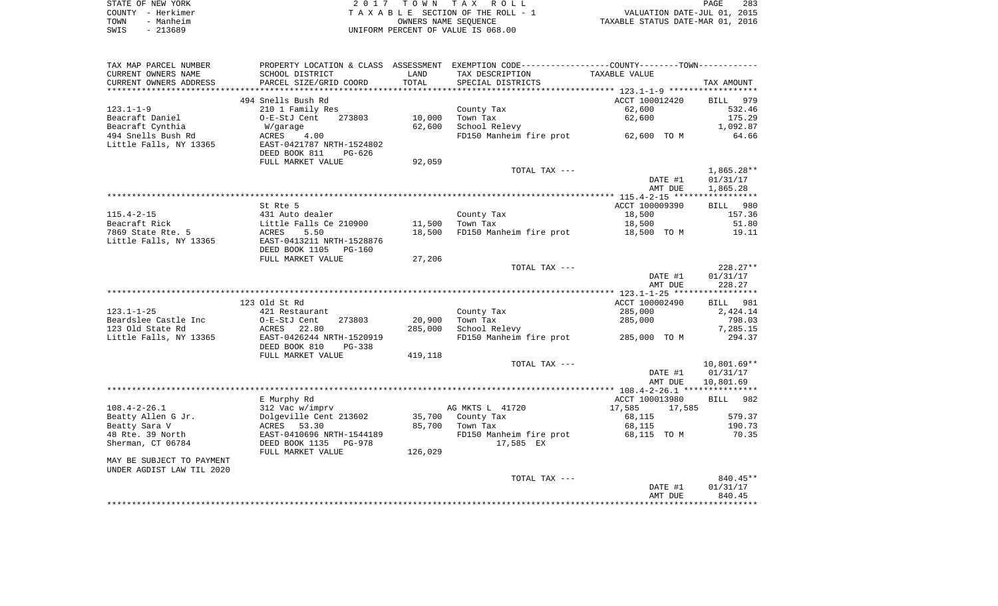| STATE OF NEW YORK |           | 2017 TOWN TAX ROLL                 | 283<br>PAGE                      |
|-------------------|-----------|------------------------------------|----------------------------------|
| COUNTY - Herkimer |           | TAXABLE SECTION OF THE ROLL - 1    | VALUATION DATE-JUL 01, 2015      |
| TOWN              | - Manheim | OWNERS NAME SEOUENCE               | TAXABLE STATUS DATE-MAR 01, 2016 |
| SWIS              | $-213689$ | UNIFORM PERCENT OF VALUE IS 068.00 |                                  |

| TAX MAP PARCEL NUMBER     |                                                        |         | PROPERTY LOCATION & CLASS ASSESSMENT EXEMPTION CODE---------------COUNTY-------TOWN---------- |                  |                    |
|---------------------------|--------------------------------------------------------|---------|-----------------------------------------------------------------------------------------------|------------------|--------------------|
| CURRENT OWNERS NAME       | SCHOOL DISTRICT                                        | LAND    | TAX DESCRIPTION                                                                               | TAXABLE VALUE    |                    |
| CURRENT OWNERS ADDRESS    | PARCEL SIZE/GRID COORD                                 | TOTAL   | SPECIAL DISTRICTS                                                                             |                  | TAX AMOUNT         |
|                           |                                                        |         |                                                                                               |                  |                    |
|                           | 494 Snells Bush Rd                                     |         |                                                                                               | ACCT 100012420   | BILL 979           |
| $123.1 - 1 - 9$           | 210 1 Family Res                                       |         | County Tax                                                                                    | 62,600           | 532.46             |
| Beacraft Daniel           | O-E-StJ Cent<br>273803                                 | 10,000  | Town Tax                                                                                      | 62,600           | 175.29             |
| Beacraft Cynthia          | W/garage                                               | 62,600  | School Relevy                                                                                 |                  | 1,092.87           |
| 494 Snells Bush Rd        | ACRES<br>4.00                                          |         | FD150 Manheim fire prot 62,600 TO M                                                           |                  | 64.66              |
| Little Falls, NY 13365    | EAST-0421787 NRTH-1524802                              |         |                                                                                               |                  |                    |
|                           | DEED BOOK 811<br>PG-626                                |         |                                                                                               |                  |                    |
|                           | FULL MARKET VALUE                                      | 92,059  |                                                                                               |                  |                    |
|                           |                                                        |         | TOTAL TAX ---                                                                                 |                  | $1,865.28**$       |
|                           |                                                        |         |                                                                                               | DATE #1          | 01/31/17           |
|                           |                                                        |         |                                                                                               | AMT DUE          | 1,865.28           |
|                           |                                                        |         |                                                                                               |                  |                    |
|                           | St Rte 5                                               |         |                                                                                               | ACCT 100009390   | BILL 980           |
| $115.4 - 2 - 15$          | 431 Auto dealer                                        |         | County Tax                                                                                    | 18,500           | 157.36             |
| Beacraft Rick             | Little Falls Ce 210900                                 | 11,500  | Town Tax                                                                                      | 18,500           | 51.80              |
| 7869 State Rte. 5         | ACRES<br>5.50                                          | 18,500  | FD150 Manheim fire prot 18,500 TO M                                                           |                  | 19.11              |
| Little Falls, NY 13365    | EAST-0413211 NRTH-1528876                              |         |                                                                                               |                  |                    |
|                           | DEED BOOK 1105<br>PG-160                               |         |                                                                                               |                  |                    |
|                           | FULL MARKET VALUE                                      | 27,206  |                                                                                               |                  |                    |
|                           |                                                        |         | TOTAL TAX ---                                                                                 |                  | $228.27**$         |
|                           |                                                        |         |                                                                                               | DATE #1          | 01/31/17           |
|                           |                                                        |         |                                                                                               | AMT DUE          | 228.27             |
|                           |                                                        |         |                                                                                               |                  |                    |
| $123.1 - 1 - 25$          | 123 Old St Rd                                          |         |                                                                                               | ACCT 100002490   | BILL 981           |
|                           | 421 Restaurant                                         |         | County Tax                                                                                    | 285,000          | 2,424.14           |
| Beardslee Castle Inc      | O-E-StJ Cent<br>273803                                 | 20,900  | Town Tax                                                                                      | 285,000          | 798.03             |
| 123 Old State Rd          | ACRES<br>22.80                                         | 285,000 | School Relevy                                                                                 | 285,000 TO M     | 7,285.15<br>294.37 |
| Little Falls, NY 13365    | EAST-0426244 NRTH-1520919<br>DEED BOOK 810<br>$PG-338$ |         | FD150 Manheim fire prot                                                                       |                  |                    |
|                           | FULL MARKET VALUE                                      | 419,118 |                                                                                               |                  |                    |
|                           |                                                        |         | TOTAL TAX ---                                                                                 |                  | $10,801.69**$      |
|                           |                                                        |         |                                                                                               | DATE #1          | 01/31/17           |
|                           |                                                        |         |                                                                                               | AMT DUE          | 10,801.69          |
|                           |                                                        |         |                                                                                               |                  |                    |
|                           | E Murphy Rd                                            |         |                                                                                               | ACCT 100013980   | BILL 982           |
| $108.4 - 2 - 26.1$        | 312 Vac w/imprv                                        |         | AG MKTS L 41720                                                                               | 17,585<br>17,585 |                    |
| Beatty Allen G Jr.        | Dolgeville Cent 213602                                 |         | 35,700 County Tax                                                                             | 68,115           | 579.37             |
| Beatty Sara V             | ACRES 53.30                                            |         | 85,700 Town Tax                                                                               | 68,115           | 190.73             |
| 48 Rte. 39 North          | EAST-0410696 NRTH-1544189                              |         | FD150 Manheim fire prot                                                                       | 68,115  TO M     | 70.35              |
| Sherman, CT 06784         | DEED BOOK 1135<br>PG-978                               |         | 17,585 EX                                                                                     |                  |                    |
|                           | FULL MARKET VALUE                                      | 126,029 |                                                                                               |                  |                    |
| MAY BE SUBJECT TO PAYMENT |                                                        |         |                                                                                               |                  |                    |
| UNDER AGDIST LAW TIL 2020 |                                                        |         |                                                                                               |                  |                    |
|                           |                                                        |         | TOTAL TAX ---                                                                                 |                  | $840.45**$         |
|                           |                                                        |         |                                                                                               | DATE #1          | 01/31/17           |
|                           |                                                        |         |                                                                                               | AMT DUE          | 840.45             |
|                           |                                                        |         |                                                                                               |                  |                    |
|                           |                                                        |         |                                                                                               |                  |                    |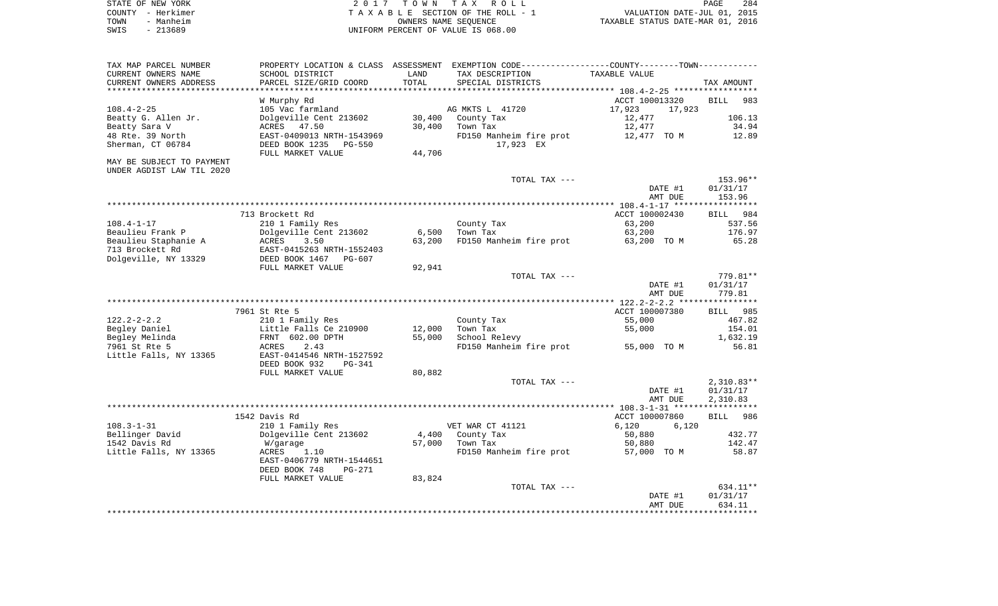| STATE OF NEW YORK | 2017 TOWN TAX ROLL                 | 284<br>PAGE                      |
|-------------------|------------------------------------|----------------------------------|
| COUNTY - Herkimer | TAXABLE SECTION OF THE ROLL - 1    | VALUATION DATE-JUL 01, 2015      |
| - Manheim<br>TOWN | OWNERS NAME SEOUENCE               | TAXABLE STATUS DATE-MAR 01, 2016 |
| SWIS<br>- 213689  | UNIFORM PERCENT OF VALUE IS 068.00 |                                  |

| TAX MAP PARCEL NUMBER     |                                                                  |        | PROPERTY LOCATION & CLASS ASSESSMENT EXEMPTION CODE---------------COUNTY-------TOWN---------- |                  |                    |
|---------------------------|------------------------------------------------------------------|--------|-----------------------------------------------------------------------------------------------|------------------|--------------------|
| CURRENT OWNERS NAME       | SCHOOL DISTRICT                                                  | LAND   | TAX DESCRIPTION                                                                               | TAXABLE VALUE    |                    |
| CURRENT OWNERS ADDRESS    | PARCEL SIZE/GRID COORD                                           | TOTAL  | SPECIAL DISTRICTS                                                                             |                  | TAX AMOUNT         |
| **********************    |                                                                  |        |                                                                                               |                  |                    |
|                           | W Murphy Rd                                                      |        |                                                                                               | ACCT 100013320   | <b>BILL</b><br>983 |
| $108.4 - 2 - 25$          | 105 Vac farmland                                                 |        | AG MKTS L 41720                                                                               | 17,923<br>17,923 |                    |
| Beatty G. Allen Jr.       | Dolgeville Cent 213602                                           |        | 30,400 County Tax                                                                             | 12,477           | 106.13             |
| Beatty Sara V             | ACRES 47.50                                                      | 30,400 | Town Tax                                                                                      | 12,477           | 34.94              |
| 48 Rte. 39 North          | EAST-0409013 NRTH-1543969                                        |        | FD150 Manheim fire prot                                                                       | 12,477 TO M      | 12.89              |
| Sherman, CT 06784         | DEED BOOK 1235<br>PG-550                                         |        | 17,923 EX                                                                                     |                  |                    |
|                           | FULL MARKET VALUE                                                | 44,706 |                                                                                               |                  |                    |
| MAY BE SUBJECT TO PAYMENT |                                                                  |        |                                                                                               |                  |                    |
| UNDER AGDIST LAW TIL 2020 |                                                                  |        |                                                                                               |                  |                    |
|                           |                                                                  |        | TOTAL TAX ---                                                                                 |                  | 153.96**           |
|                           |                                                                  |        |                                                                                               | DATE #1          | 01/31/17           |
|                           |                                                                  |        |                                                                                               | AMT DUE          | 153.96             |
|                           |                                                                  |        |                                                                                               |                  |                    |
|                           | 713 Brockett Rd                                                  |        |                                                                                               | ACCT 100002430   | BILL 984           |
| $108.4 - 1 - 17$          | 210 1 Family Res                                                 |        | County Tax                                                                                    | 63,200           | 537.56             |
| Beaulieu Frank P          | Dolgeville Cent 213602                                           | 6,500  | Town Tax                                                                                      | 63,200           | 176.97             |
| Beaulieu Staphanie A      | ACRES<br>3.50                                                    | 63,200 | FD150 Manheim fire prot                                                                       | 63,200 TO M      | 65.28              |
| 713 Brockett Rd           | EAST-0415263 NRTH-1552403                                        |        |                                                                                               |                  |                    |
| Dolgeville, NY 13329      | DEED BOOK 1467 PG-607                                            |        |                                                                                               |                  |                    |
|                           | FULL MARKET VALUE                                                | 92,941 |                                                                                               |                  |                    |
|                           |                                                                  |        | TOTAL TAX ---                                                                                 |                  | 779.81**           |
|                           |                                                                  |        |                                                                                               | DATE #1          | 01/31/17           |
|                           |                                                                  |        |                                                                                               | AMT DUE          | 779.81             |
|                           |                                                                  |        |                                                                                               |                  |                    |
|                           | 7961 St Rte 5                                                    |        |                                                                                               | ACCT 100007380   | BILL 985           |
| $122.2 - 2 - 2.2$         | 210 1 Family Res                                                 |        | County Tax                                                                                    | 55,000           | 467.82             |
| Begley Daniel             | Little Falls Ce 210900<br>LITTIE FAIIS CE ZI<br>FRNT 602.00 DPTH | 12,000 | Town Tax                                                                                      | 55,000           | 154.01             |
| Begley Melinda            |                                                                  | 55,000 | School Relevy                                                                                 |                  | 1,632.19           |
| 7961 St Rte 5             | 2.43<br>ACRES                                                    |        | FD150 Manheim fire prot 55,000 TO M                                                           |                  | 56.81              |
| Little Falls, NY 13365    | EAST-0414546 NRTH-1527592                                        |        |                                                                                               |                  |                    |
|                           | DEED BOOK 932<br>PG-341                                          |        |                                                                                               |                  |                    |
|                           | FULL MARKET VALUE                                                | 80,882 | TOTAL TAX ---                                                                                 |                  | $2,310.83**$       |
|                           |                                                                  |        |                                                                                               | DATE #1          | 01/31/17           |
|                           |                                                                  |        |                                                                                               | AMT DUE          | 2,310.83           |
|                           |                                                                  |        |                                                                                               |                  |                    |
|                           | 1542 Davis Rd                                                    |        |                                                                                               | ACCT 100007860   | 986<br><b>BILL</b> |
| $108.3 - 1 - 31$          | 210 1 Family Res                                                 |        | VET WAR CT 41121                                                                              | 6,120<br>6,120   |                    |
| Bellinger David           | Dolgeville Cent 213602                                           | 4,400  | County Tax                                                                                    | 50,880           | 432.77             |
| 1542 Davis Rd             | W/garage                                                         | 57,000 | Town Tax                                                                                      | 50,880           | 142.47             |
| Little Falls, NY 13365    | ACRES<br>1.10                                                    |        | FD150 Manheim fire prot                                                                       | 57,000 TO M      | 58.87              |
|                           | EAST-0406779 NRTH-1544651                                        |        |                                                                                               |                  |                    |
|                           | DEED BOOK 748<br>PG-271                                          |        |                                                                                               |                  |                    |
|                           | FULL MARKET VALUE                                                | 83,824 |                                                                                               |                  |                    |
|                           |                                                                  |        | TOTAL TAX ---                                                                                 |                  | 634.11**           |
|                           |                                                                  |        |                                                                                               | DATE #1          | 01/31/17           |
|                           |                                                                  |        |                                                                                               | AMT DUE          | 634.11             |
|                           |                                                                  |        |                                                                                               |                  |                    |
|                           |                                                                  |        |                                                                                               |                  |                    |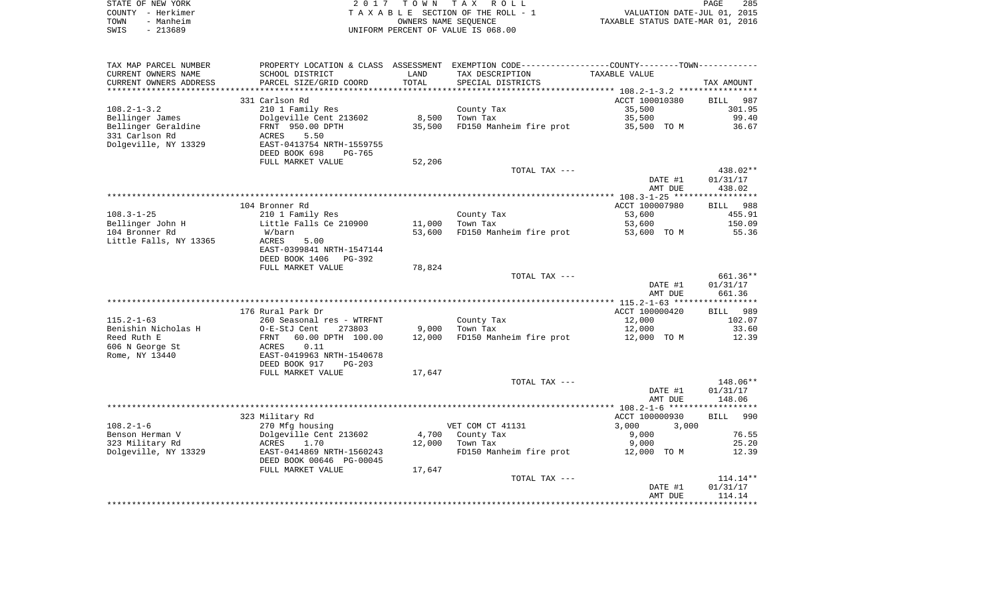| STATE OF NEW YORK | 2017 TOWN TAX ROLL                 | 285<br><b>PAGE</b>               |
|-------------------|------------------------------------|----------------------------------|
| COUNTY - Herkimer | TAXABLE SECTION OF THE ROLL - 1    | VALUATION DATE-JUL 01, 2015      |
| - Manheim<br>TOWN | OWNERS NAME SEOUENCE               | TAXABLE STATUS DATE-MAR 01, 2016 |
| - 213689<br>SWIS  | UNIFORM PERCENT OF VALUE IS 068.00 |                                  |

| TAX MAP PARCEL NUMBER  |                                |        | PROPERTY LOCATION & CLASS ASSESSMENT EXEMPTION CODE----------------COUNTY--------TOWN----------- |                    |             |
|------------------------|--------------------------------|--------|--------------------------------------------------------------------------------------------------|--------------------|-------------|
| CURRENT OWNERS NAME    | SCHOOL DISTRICT                | LAND   | TAX DESCRIPTION                                                                                  | TAXABLE VALUE      |             |
| CURRENT OWNERS ADDRESS | PARCEL SIZE/GRID COORD         | TOTAL  | SPECIAL DISTRICTS                                                                                |                    | TAX AMOUNT  |
| ********************** | **************************     |        |                                                                                                  |                    |             |
|                        | 331 Carlson Rd                 |        |                                                                                                  | ACCT 100010380     | BILL<br>987 |
| $108.2 - 1 - 3.2$      | 210 1 Family Res               |        | County Tax                                                                                       | 35,500             | 301.95      |
| Bellinger James        | Dolgeville Cent 213602         | 8,500  | Town Tax                                                                                         | 35,500             | 99.40       |
| Bellinger Geraldine    | FRNT 950.00 DPTH               | 35,500 | FD150 Manheim fire prot                                                                          | 35,500 TO M        | 36.67       |
| 331 Carlson Rd         | <b>ACRES</b><br>5.50           |        |                                                                                                  |                    |             |
| Dolgeville, NY 13329   | EAST-0413754 NRTH-1559755      |        |                                                                                                  |                    |             |
|                        | DEED BOOK 698<br><b>PG-765</b> |        |                                                                                                  |                    |             |
|                        | FULL MARKET VALUE              | 52,206 |                                                                                                  |                    |             |
|                        |                                |        | TOTAL TAX ---                                                                                    |                    | 438.02**    |
|                        |                                |        |                                                                                                  | DATE #1            | 01/31/17    |
|                        |                                |        |                                                                                                  | AMT DUE            | 438.02      |
|                        |                                |        |                                                                                                  |                    |             |
|                        | 104 Bronner Rd                 |        |                                                                                                  | ACCT 100007980     | BILL 988    |
| $108.3 - 1 - 25$       | 210 1 Family Res               |        | County Tax                                                                                       | 53,600             | 455.91      |
| Bellinger John H       | Little Falls Ce 210900         | 11,000 | Town Tax                                                                                         | 53,600             | 150.09      |
| 104 Bronner Rd         | W/barn                         | 53,600 | FD150 Manheim fire prot                                                                          | 53,600 TO M        | 55.36       |
| Little Falls, NY 13365 | ACRES<br>5.00                  |        |                                                                                                  |                    |             |
|                        | EAST-0399841 NRTH-1547144      |        |                                                                                                  |                    |             |
|                        | DEED BOOK 1406<br>PG-392       |        |                                                                                                  |                    |             |
|                        | FULL MARKET VALUE              | 78,824 |                                                                                                  |                    |             |
|                        |                                |        | TOTAL TAX ---                                                                                    |                    | 661.36**    |
|                        |                                |        |                                                                                                  | DATE #1<br>AMT DUE | 01/31/17    |
|                        |                                |        |                                                                                                  |                    | 661.36      |
|                        | 176 Rural Park Dr              |        |                                                                                                  | ACCT 100000420     | 989<br>BILL |
| $115.2 - 1 - 63$       | 260 Seasonal res - WTRFNT      |        | County Tax                                                                                       | 12,000             | 102.07      |
| Benishin Nicholas H    | 273803<br>O-E-StJ Cent         | 9,000  | Town Tax                                                                                         | 12,000             | 33.60       |
| Reed Ruth E            | 60.00 DPTH 100.00<br>FRNT      | 12,000 | FD150 Manheim fire prot                                                                          | 12,000 TO M        | 12.39       |
| 606 N George St        | ACRES<br>0.11                  |        |                                                                                                  |                    |             |
| Rome, NY 13440         | EAST-0419963 NRTH-1540678      |        |                                                                                                  |                    |             |
|                        | DEED BOOK 917<br>$PG-203$      |        |                                                                                                  |                    |             |
|                        | FULL MARKET VALUE              | 17,647 |                                                                                                  |                    |             |
|                        |                                |        | TOTAL TAX ---                                                                                    |                    | 148.06**    |
|                        |                                |        |                                                                                                  | DATE #1            | 01/31/17    |
|                        |                                |        |                                                                                                  | AMT DUE            | 148.06      |
|                        |                                |        |                                                                                                  |                    |             |
|                        | 323 Military Rd                |        |                                                                                                  | ACCT 100000930     | 990<br>BILL |
| $108.2 - 1 - 6$        | 270 Mfg housing                |        | VET COM CT 41131                                                                                 | 3,000<br>3,000     |             |
| Benson Herman V        | Dolgeville Cent 213602         | 4,700  | County Tax                                                                                       | 9,000              | 76.55       |
| 323 Military Rd        | ACRES<br>1.70                  | 12,000 | Town Tax                                                                                         | 9,000              | 25.20       |
| Dolgeville, NY 13329   | EAST-0414869 NRTH-1560243      |        | FD150 Manheim fire prot                                                                          | 12,000 TO M        | 12.39       |
|                        | DEED BOOK 00646 PG-00045       |        |                                                                                                  |                    |             |
|                        | FULL MARKET VALUE              | 17,647 |                                                                                                  |                    |             |
|                        |                                |        | TOTAL TAX ---                                                                                    |                    | $114.14**$  |
|                        |                                |        |                                                                                                  | DATE #1            | 01/31/17    |
|                        |                                |        |                                                                                                  | AMT DUE            | 114.14      |
|                        |                                |        |                                                                                                  |                    |             |
|                        |                                |        |                                                                                                  |                    |             |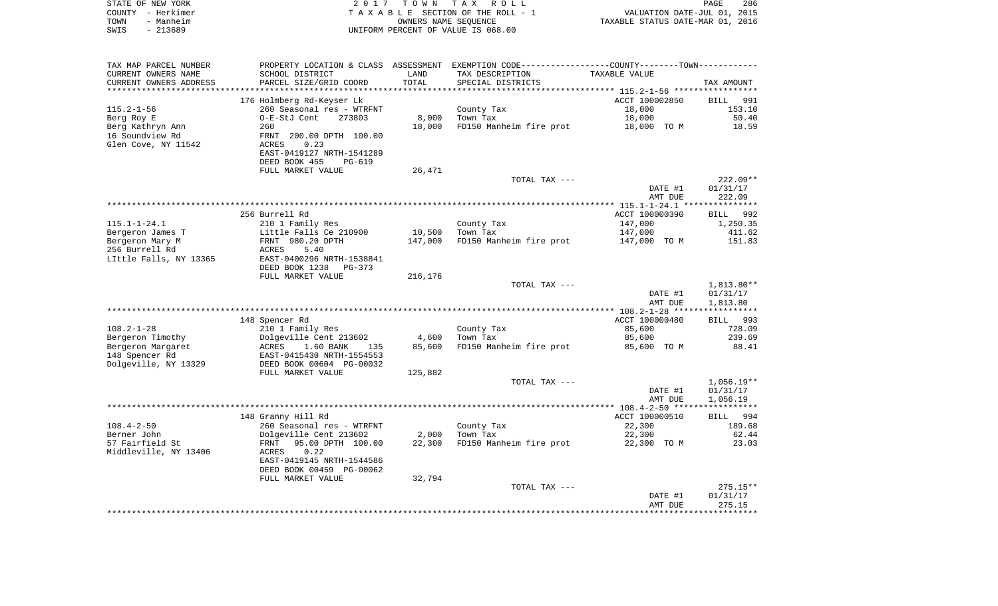| STATE OF NEW YORK | 2017 TOWN TAX ROLL                 | <b>PAGE</b>                      | 286 |
|-------------------|------------------------------------|----------------------------------|-----|
| COUNTY - Herkimer | TAXABLE SECTION OF THE ROLL - 1    | VALUATION DATE-JUL 01, 2015      |     |
| - Manheim<br>TOWN | OWNERS NAME SEOUENCE               | TAXABLE STATUS DATE-MAR 01, 2016 |     |
| - 213689<br>SWIS  | UNIFORM PERCENT OF VALUE IS 068.00 |                                  |     |

| TAX MAP PARCEL NUMBER                         | SCHOOL DISTRICT           |               | PROPERTY LOCATION & CLASS ASSESSMENT EXEMPTION CODE----------------COUNTY--------TOWN---------- | TAXABLE VALUE      |                          |
|-----------------------------------------------|---------------------------|---------------|-------------------------------------------------------------------------------------------------|--------------------|--------------------------|
| CURRENT OWNERS NAME<br>CURRENT OWNERS ADDRESS | PARCEL SIZE/GRID COORD    | LAND<br>TOTAL | TAX DESCRIPTION<br>SPECIAL DISTRICTS                                                            |                    |                          |
|                                               |                           |               |                                                                                                 |                    | TAX AMOUNT               |
|                                               | 176 Holmberg Rd-Keyser Lk |               |                                                                                                 | ACCT 100002850     | <b>BILL</b><br>991       |
| $115.2 - 1 - 56$                              | 260 Seasonal res - WTRFNT |               | County Tax                                                                                      | 18,000             | 153.10                   |
| Berg Roy E                                    | O-E-StJ Cent<br>273803    | 8,000         | Town Tax                                                                                        | 18,000             | 50.40                    |
| Berg Kathryn Ann                              | 260                       | 18,000        | FD150 Manheim fire prot                                                                         | 18,000 TO M        | 18.59                    |
| 16 Soundview Rd                               | FRNT 200.00 DPTH 100.00   |               |                                                                                                 |                    |                          |
| Glen Cove, NY 11542                           | 0.23<br>ACRES             |               |                                                                                                 |                    |                          |
|                                               | EAST-0419127 NRTH-1541289 |               |                                                                                                 |                    |                          |
|                                               | DEED BOOK 455<br>PG-619   |               |                                                                                                 |                    |                          |
|                                               | FULL MARKET VALUE         | 26,471        |                                                                                                 |                    |                          |
|                                               |                           |               | TOTAL TAX ---                                                                                   |                    | $222.09**$               |
|                                               |                           |               |                                                                                                 | DATE #1            | 01/31/17                 |
|                                               |                           |               |                                                                                                 | AMT DUE            | 222.09                   |
|                                               |                           |               |                                                                                                 |                    |                          |
|                                               | 256 Burrell Rd            |               |                                                                                                 | ACCT 100000390     | BILL 992                 |
| $115.1 - 1 - 24.1$                            | 210 1 Family Res          |               | County Tax                                                                                      | 147,000            | 1,250.35                 |
| Bergeron James T                              | Little Falls Ce 210900    | 10,500        | Town Tax                                                                                        | 147,000            | 411.62                   |
| Bergeron Mary M                               | FRNT 980.20 DPTH          | 147,000       | FD150 Manheim fire prot                                                                         | 147,000 TO M       | 151.83                   |
| 256 Burrell Rd                                | ACRES<br>5.40             |               |                                                                                                 |                    |                          |
| LIttle Falls, NY 13365                        | EAST-0400296 NRTH-1538841 |               |                                                                                                 |                    |                          |
|                                               | DEED BOOK 1238<br>PG-373  |               |                                                                                                 |                    |                          |
|                                               | FULL MARKET VALUE         | 216,176       | TOTAL TAX ---                                                                                   |                    |                          |
|                                               |                           |               |                                                                                                 |                    | $1,813.80**$<br>01/31/17 |
|                                               |                           |               |                                                                                                 | DATE #1<br>AMT DUE | 1,813.80                 |
|                                               |                           |               |                                                                                                 |                    |                          |
|                                               | 148 Spencer Rd            |               |                                                                                                 | ACCT 100000480     | BILL 993                 |
| $108.2 - 1 - 28$                              | 210 1 Family Res          |               | County Tax                                                                                      | 85,600             | 728.09                   |
| Bergeron Timothy                              | Dolgeville Cent 213602    | 4,600         | Town Tax                                                                                        | 85,600             | 239.69                   |
| Bergeron Margaret                             | 1.60 BANK<br>ACRES<br>135 | 85,600        | FD150 Manheim fire prot                                                                         | 85,600 TO M        | 88.41                    |
| 148 Spencer Rd                                | EAST-0415430 NRTH-1554553 |               |                                                                                                 |                    |                          |
| Dolgeville, NY 13329                          | DEED BOOK 00604 PG-00032  |               |                                                                                                 |                    |                          |
|                                               | FULL MARKET VALUE         | 125,882       |                                                                                                 |                    |                          |
|                                               |                           |               | TOTAL TAX ---                                                                                   |                    | $1,056.19**$             |
|                                               |                           |               |                                                                                                 | DATE #1            | 01/31/17                 |
|                                               |                           |               |                                                                                                 | AMT DUE            | 1,056.19                 |
|                                               |                           |               |                                                                                                 |                    |                          |
|                                               | 148 Granny Hill Rd        |               |                                                                                                 | ACCT 100000510     | BILL 994                 |
| $108.4 - 2 - 50$                              | 260 Seasonal res - WTRFNT |               | County Tax                                                                                      | 22,300             | 189.68                   |
| Berner John                                   | Dolgeville Cent 213602    | 2,000         | Town Tax                                                                                        | 22,300             | 62.44                    |
| 57 Fairfield St                               | 95.00 DPTH 100.00<br>FRNT | 22,300        | FD150 Manheim fire prot                                                                         | 22,300 TO M        | 23.03                    |
| Middleville, NY 13406                         | 0.22<br>ACRES             |               |                                                                                                 |                    |                          |
|                                               | EAST-0419145 NRTH-1544586 |               |                                                                                                 |                    |                          |
|                                               | DEED BOOK 00459 PG-00062  |               |                                                                                                 |                    |                          |
|                                               | FULL MARKET VALUE         | 32,794        |                                                                                                 |                    |                          |
|                                               |                           |               | TOTAL TAX ---                                                                                   |                    | $275.15**$               |
|                                               |                           |               |                                                                                                 | DATE #1<br>AMT DUE | 01/31/17<br>275.15       |
|                                               |                           |               |                                                                                                 |                    |                          |
|                                               |                           |               |                                                                                                 |                    |                          |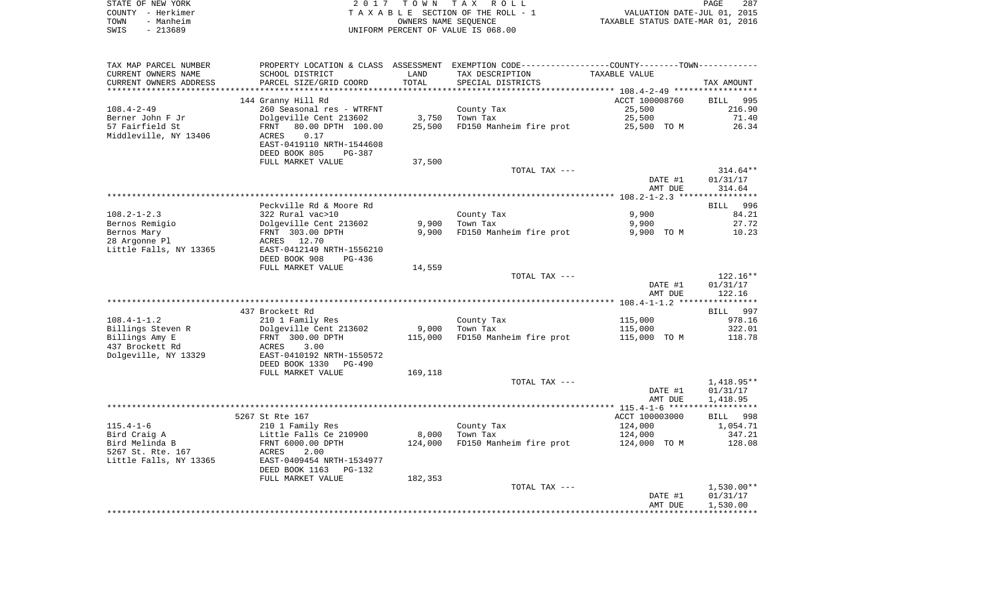|      | STATE OF NEW YORK | 2017 TOWN TAX ROLL                 | PAGE                             | 287 |
|------|-------------------|------------------------------------|----------------------------------|-----|
|      | COUNTY - Herkimer | TAXABLE SECTION OF THE ROLL - 1    | VALUATION DATE-JUL 01, 2015      |     |
| TOWN | - Manheim         | OWNERS NAME SEOUENCE               | TAXABLE STATUS DATE-MAR 01, 2016 |     |
| SWIS | $-213689$         | UNIFORM PERCENT OF VALUE IS 068.00 |                                  |     |

| TAX MAP PARCEL NUMBER<br>CURRENT OWNERS NAME | PROPERTY LOCATION & CLASS ASSESSMENT<br>SCHOOL DISTRICT | LAND             | EXEMPTION CODE-----------------COUNTY-------TOWN-----------<br>TAX DESCRIPTION | TAXABLE VALUE                              |                       |
|----------------------------------------------|---------------------------------------------------------|------------------|--------------------------------------------------------------------------------|--------------------------------------------|-----------------------|
| CURRENT OWNERS ADDRESS                       | PARCEL SIZE/GRID COORD                                  | TOTAL<br>******* | SPECIAL DISTRICTS                                                              | ************************** 108.4-2-49 **** | TAX AMOUNT            |
|                                              |                                                         |                  |                                                                                | ACCT 100008760                             | 995                   |
| $108.4 - 2 - 49$                             | 144 Granny Hill Rd<br>260 Seasonal res - WTRFNT         |                  | County Tax                                                                     | 25,500                                     | <b>BILL</b><br>216.90 |
| Berner John F Jr                             | Dolgeville Cent 213602                                  | 3,750            | Town Tax                                                                       | 25,500                                     | 71.40                 |
| 57 Fairfield St                              | 80.00 DPTH 100.00<br>FRNT                               | 25,500           | FD150 Manheim fire prot                                                        | 25,500 TO M                                | 26.34                 |
| Middleville, NY 13406                        | 0.17<br>ACRES                                           |                  |                                                                                |                                            |                       |
|                                              | EAST-0419110 NRTH-1544608                               |                  |                                                                                |                                            |                       |
|                                              | DEED BOOK 805<br>PG-387                                 |                  |                                                                                |                                            |                       |
|                                              | FULL MARKET VALUE                                       | 37,500           |                                                                                |                                            |                       |
|                                              |                                                         |                  | TOTAL TAX ---                                                                  |                                            | $314.64**$            |
|                                              |                                                         |                  |                                                                                | DATE #1                                    | 01/31/17              |
|                                              |                                                         |                  |                                                                                | AMT DUE                                    | 314.64                |
|                                              |                                                         |                  |                                                                                |                                            |                       |
|                                              | Peckville Rd & Moore Rd                                 |                  |                                                                                |                                            | 996<br>BILL           |
| $108.2 - 1 - 2.3$                            | 322 Rural vac>10                                        |                  | County Tax                                                                     | 9,900                                      | 84.21                 |
| Bernos Remigio                               | Dolgeville Cent 213602                                  | 9,900            | Town Tax                                                                       | 9,900                                      | 27.72                 |
| Bernos Mary                                  | FRNT 303.00 DPTH                                        | 9,900            | FD150 Manheim fire prot                                                        | 9,900 TO M                                 | 10.23                 |
| 28 Argonne Pl                                | ACRES 12.70                                             |                  |                                                                                |                                            |                       |
| Little Falls, NY 13365                       | EAST-0412149 NRTH-1556210                               |                  |                                                                                |                                            |                       |
|                                              | DEED BOOK 908<br>PG-436                                 |                  |                                                                                |                                            |                       |
|                                              | FULL MARKET VALUE                                       | 14,559           | TOTAL TAX ---                                                                  |                                            | $122.16**$            |
|                                              |                                                         |                  |                                                                                | DATE #1                                    | 01/31/17              |
|                                              |                                                         |                  |                                                                                | AMT DUE                                    | 122.16                |
|                                              |                                                         |                  |                                                                                |                                            |                       |
|                                              | 437 Brockett Rd                                         |                  |                                                                                |                                            | 997<br><b>BILL</b>    |
| $108.4 - 1 - 1.2$                            | 210 1 Family Res                                        |                  | County Tax                                                                     | 115,000                                    | 978.16                |
| Billings Steven R                            | Dolgeville Cent 213602                                  | 9,000            | Town Tax                                                                       | 115,000                                    | 322.01                |
| Billings Amy E                               | FRNT 300.00 DPTH                                        | 115,000          | FD150 Manheim fire prot                                                        | 115,000 TO M                               | 118.78                |
| 437 Brockett Rd                              | 3.00<br>ACRES                                           |                  |                                                                                |                                            |                       |
| Dolgeville, NY 13329                         | EAST-0410192 NRTH-1550572                               |                  |                                                                                |                                            |                       |
|                                              | DEED BOOK 1330<br>$PG-490$                              |                  |                                                                                |                                            |                       |
|                                              | FULL MARKET VALUE                                       | 169,118          |                                                                                |                                            |                       |
|                                              |                                                         |                  | TOTAL TAX ---                                                                  |                                            | $1,418.95**$          |
|                                              |                                                         |                  |                                                                                | DATE #1                                    | 01/31/17              |
|                                              |                                                         |                  |                                                                                | AMT DUE                                    | 1,418.95              |
|                                              | 5267 St Rte 167                                         |                  |                                                                                | ACCT 100003000                             | BILL 998              |
| $115.4 - 1 - 6$                              | 210 1 Family Res                                        |                  | County Tax                                                                     | 124,000                                    | 1,054.71              |
| Bird Craig A                                 | Little Falls Ce 210900                                  | 8,000            | Town Tax                                                                       | 124,000                                    | 347.21                |
| Bird Melinda B                               | FRNT 6000.00 DPTH                                       | 124,000          | FD150 Manheim fire prot                                                        | 124,000 TO M                               | 128.08                |
| 5267 St. Rte. 167                            | ACRES<br>2.00                                           |                  |                                                                                |                                            |                       |
| Little Falls, NY 13365                       | EAST-0409454 NRTH-1534977                               |                  |                                                                                |                                            |                       |
|                                              | DEED BOOK 1163<br>$PG-132$                              |                  |                                                                                |                                            |                       |
|                                              | FULL MARKET VALUE                                       | 182,353          |                                                                                |                                            |                       |
|                                              |                                                         |                  | TOTAL TAX ---                                                                  |                                            | $1,530.00**$          |
|                                              |                                                         |                  |                                                                                | DATE #1                                    | 01/31/17              |
|                                              |                                                         |                  |                                                                                | AMT DUE                                    | 1,530.00              |
|                                              |                                                         |                  |                                                                                |                                            |                       |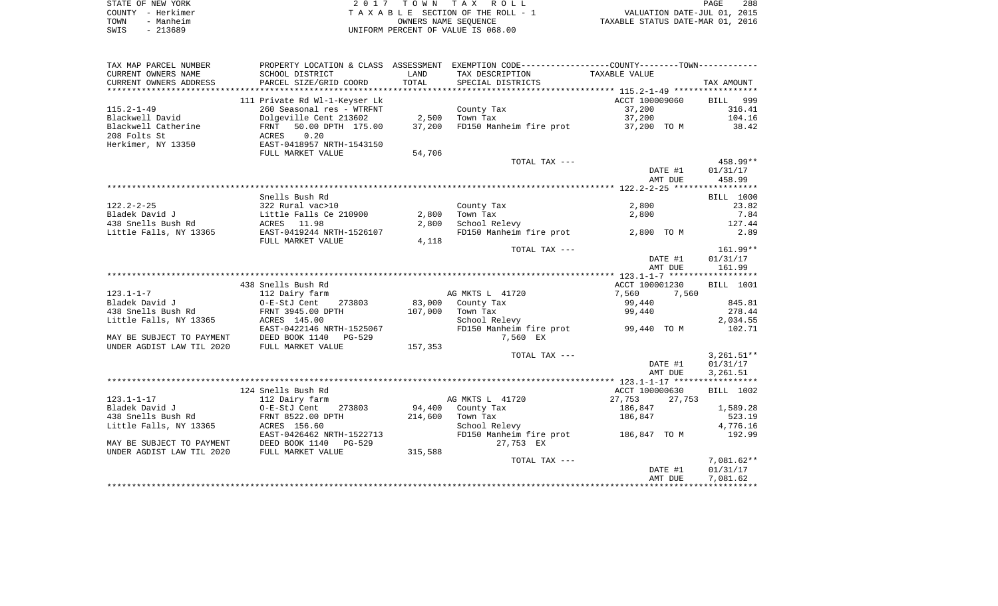|      | STATE OF NEW YORK | 2017 TOWN TAX ROLL                 | <b>PAGE</b>                      | 288 |
|------|-------------------|------------------------------------|----------------------------------|-----|
|      | COUNTY - Herkimer | TAXABLE SECTION OF THE ROLL - 1    | VALUATION DATE-JUL 01, 2015      |     |
| TOWN | - Manheim         | OWNERS NAME SEOUENCE               | TAXABLE STATUS DATE-MAR 01, 2016 |     |
| SWIS | - 213689          | UNIFORM PERCENT OF VALUE IS 068.00 |                                  |     |

| TAX MAP PARCEL NUMBER     |                               |         | PROPERTY LOCATION & CLASS ASSESSMENT EXEMPTION CODE---------------COUNTY-------TOWN---------- |                  |                  |
|---------------------------|-------------------------------|---------|-----------------------------------------------------------------------------------------------|------------------|------------------|
| CURRENT OWNERS NAME       | SCHOOL DISTRICT               | LAND    | TAX DESCRIPTION                                                                               | TAXABLE VALUE    |                  |
| CURRENT OWNERS ADDRESS    | PARCEL SIZE/GRID COORD        | TOTAL   | SPECIAL DISTRICTS                                                                             |                  | TAX AMOUNT       |
|                           |                               |         |                                                                                               |                  |                  |
|                           | 111 Private Rd Wl-1-Keyser Lk |         |                                                                                               | ACCT 100009060   | 999<br>BILL      |
| $115.2 - 1 - 49$          | 260 Seasonal res - WTRFNT     |         | County Tax                                                                                    | 37,200           | 316.41           |
| Blackwell David           | Dolgeville Cent 213602        | 2,500   | Town Tax                                                                                      | 37,200           | 104.16           |
| Blackwell Catherine       | 50.00 DPTH 175.00<br>FRNT     | 37,200  | FD150 Manheim fire prot                                                                       | 37,200 TO M      | 38.42            |
| 208 Folts St              | 0.20<br>ACRES                 |         |                                                                                               |                  |                  |
| Herkimer, NY 13350        | EAST-0418957 NRTH-1543150     |         |                                                                                               |                  |                  |
|                           | FULL MARKET VALUE             | 54,706  |                                                                                               |                  |                  |
|                           |                               |         | TOTAL TAX ---                                                                                 |                  | $458.99**$       |
|                           |                               |         |                                                                                               | DATE #1          | 01/31/17         |
|                           |                               |         |                                                                                               | AMT DUE          | 458.99           |
|                           |                               |         |                                                                                               |                  |                  |
|                           | Snells Bush Rd                |         |                                                                                               |                  | <b>BILL 1000</b> |
| $122.2 - 2 - 25$          | 322 Rural vac>10              |         | County Tax                                                                                    | 2,800            | 23.82            |
| Bladek David J            |                               | 2,800   | Town Tax                                                                                      | 2,800            | 7.84             |
|                           | Little Falls Ce 210900        |         |                                                                                               |                  |                  |
| 438 Snells Bush Rd        | ACRES 11.98                   | 2,800   | School Relevy                                                                                 |                  | 127.44           |
| Little Falls, NY 13365    | EAST-0419244 NRTH-1526107     |         | FD150 Manheim fire prot                                                                       | 2,800 TO M       | 2.89             |
|                           | FULL MARKET VALUE             | 4,118   |                                                                                               |                  |                  |
|                           |                               |         | TOTAL TAX ---                                                                                 |                  | $161.99**$       |
|                           |                               |         |                                                                                               | DATE #1          | 01/31/17         |
|                           |                               |         |                                                                                               | AMT DUE          | 161.99           |
|                           |                               |         |                                                                                               |                  |                  |
|                           | 438 Snells Bush Rd            |         |                                                                                               | ACCT 100001230   | BILL 1001        |
| $123.1 - 1 - 7$           | 112 Dairy farm                |         | AG MKTS L 41720                                                                               | 7,560<br>7,560   |                  |
| Bladek David J            | O-E-StJ Cent<br>273803        | 83,000  | County Tax                                                                                    | 99,440           | 845.81           |
| 438 Snells Bush Rd        | FRNT 3945.00 DPTH             | 107,000 | Town Tax                                                                                      | 99,440           | 278.44           |
| Little Falls, NY 13365    | ACRES 145.00                  |         | School Relevy                                                                                 |                  | 2,034.55         |
|                           | EAST-0422146 NRTH-1525067     |         | FD150 Manheim fire prot 99,440 TO M                                                           |                  | 102.71           |
| MAY BE SUBJECT TO PAYMENT | DEED BOOK 1140 PG-529         |         | 7,560 EX                                                                                      |                  |                  |
| UNDER AGDIST LAW TIL 2020 | FULL MARKET VALUE             | 157,353 |                                                                                               |                  |                  |
|                           |                               |         | TOTAL TAX ---                                                                                 |                  | $3,261.51**$     |
|                           |                               |         |                                                                                               | DATE #1          | 01/31/17         |
|                           |                               |         |                                                                                               | AMT DUE          | 3,261.51         |
|                           |                               |         |                                                                                               |                  |                  |
|                           | 124 Snells Bush Rd            |         |                                                                                               | ACCT 100000630   | BILL 1002        |
| $123.1 - 1 - 17$          | 112 Dairy farm                |         | AG MKTS L 41720                                                                               | 27,753<br>27,753 |                  |
| Bladek David J            | O-E-StJ Cent<br>273803        |         | 94,400 County Tax                                                                             | 186,847          | 1,589.28         |
| 438 Snells Bush Rd        | FRNT 8522.00 DPTH             | 214,600 | Town Tax                                                                                      | 186,847          | 523.19           |
| Little Falls, NY 13365    | ACRES 156.60                  |         | School Relevy                                                                                 |                  | 4,776.16         |
|                           | EAST-0426462 NRTH-1522713     |         | FD150 Manheim fire prot 186,847 TO M                                                          |                  | 192.99           |
| MAY BE SUBJECT TO PAYMENT | DEED BOOK 1140<br>PG-529      |         | 27,753 EX                                                                                     |                  |                  |
|                           |                               |         |                                                                                               |                  |                  |
| UNDER AGDIST LAW TIL 2020 | FULL MARKET VALUE             | 315,588 |                                                                                               |                  |                  |
|                           |                               |         | TOTAL TAX ---                                                                                 |                  | $7,081.62**$     |
|                           |                               |         |                                                                                               | DATE #1          | 01/31/17         |
|                           |                               |         |                                                                                               | AMT DUE          | 7,081.62         |
|                           |                               |         |                                                                                               |                  |                  |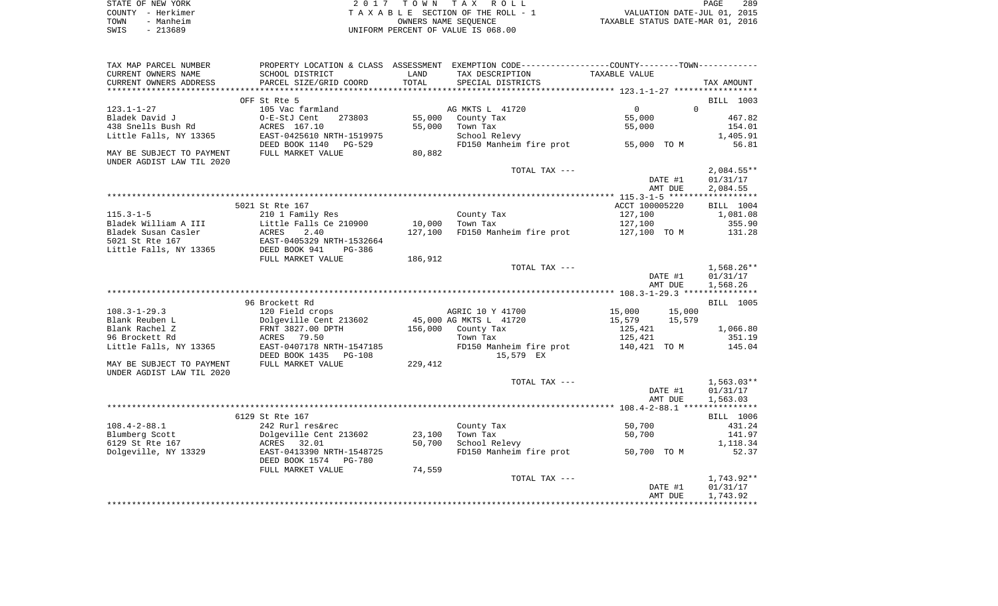| STATE OF NEW YORK | 2017 TOWN TAX ROLL                 | 289<br>PAGE                      |
|-------------------|------------------------------------|----------------------------------|
| COUNTY - Herkimer | TAXABLE SECTION OF THE ROLL - 1    | VALUATION DATE-JUL 01, 2015      |
| TOWN<br>- Manheim | OWNERS NAME SEOUENCE               | TAXABLE STATUS DATE-MAR 01, 2016 |
| $-213689$<br>SWIS | UNIFORM PERCENT OF VALUE IS 068.00 |                                  |

| TAX MAP PARCEL NUMBER     | PROPERTY LOCATION & CLASS ASSESSMENT |         | EXEMPTION CODE-----------------COUNTY--------TOWN----------- |                  |                   |
|---------------------------|--------------------------------------|---------|--------------------------------------------------------------|------------------|-------------------|
| CURRENT OWNERS NAME       | SCHOOL DISTRICT                      | LAND    | TAX DESCRIPTION                                              | TAXABLE VALUE    |                   |
| CURRENT OWNERS ADDRESS    | PARCEL SIZE/GRID COORD               | TOTAL   | SPECIAL DISTRICTS                                            |                  | TAX AMOUNT        |
|                           |                                      |         |                                                              |                  |                   |
|                           | OFF St Rte 5                         |         |                                                              |                  | BILL 1003         |
| $123.1 - 1 - 27$          | 105 Vac farmland                     |         | AG MKTS L 41720                                              | $\Omega$         | $\Omega$          |
| Bladek David J            | 273803<br>O-E-StJ Cent               | 55,000  | County Tax                                                   | 55,000           | 467.82            |
| 438 Snells Bush Rd        | ACRES 167.10                         | 55,000  | Town Tax                                                     | 55,000           | 154.01            |
| Little Falls, NY 13365    | EAST-0425610 NRTH-1519975            |         | School Relevy                                                |                  | 1,405.91          |
|                           | DEED BOOK 1140 PG-529                |         | FD150 Manheim fire prot                                      | 55,000 TO M      | 56.81             |
| MAY BE SUBJECT TO PAYMENT | FULL MARKET VALUE                    | 80,882  |                                                              |                  |                   |
| UNDER AGDIST LAW TIL 2020 |                                      |         |                                                              |                  |                   |
|                           |                                      |         | TOTAL TAX ---                                                |                  | $2,084.55**$      |
|                           |                                      |         |                                                              | DATE #1          | 01/31/17          |
|                           |                                      |         |                                                              | AMT DUE          | 2,084.55          |
|                           |                                      |         |                                                              |                  |                   |
|                           | 5021 St Rte 167                      |         |                                                              | ACCT 100005220   | BILL 1004         |
| $115.3 - 1 - 5$           | 210 1 Family Res                     |         | County Tax                                                   | 127,100          | 1,081.08          |
| Bladek William A III      | Little Falls Ce 210900               | 10,000  | Town Tax                                                     | 127,100          | 355.90            |
| Bladek Susan Casler       | ACRES<br>2.40                        | 127,100 | FD150 Manheim fire prot 127,100 TO M                         |                  | 131.28            |
| 5021 St Rte 167           | EAST-0405329 NRTH-1532664            |         |                                                              |                  |                   |
| Little Falls, NY 13365    | DEED BOOK 941<br>PG-386              |         |                                                              |                  |                   |
|                           | FULL MARKET VALUE                    | 186,912 |                                                              |                  |                   |
|                           |                                      |         | TOTAL TAX ---                                                |                  | $1,568.26**$      |
|                           |                                      |         |                                                              | DATE #1          | 01/31/17          |
|                           |                                      |         |                                                              | AMT DUE          | 1,568.26          |
|                           |                                      |         |                                                              |                  |                   |
|                           | 96 Brockett Rd                       |         |                                                              |                  | BILL 1005         |
| $108.3 - 1 - 29.3$        | 120 Field crops                      |         | AGRIC 10 Y 41700                                             | 15,000<br>15,000 |                   |
| Blank Reuben L            | Dolgeville Cent 213602               |         | 45,000 AG MKTS L 41720                                       | 15,579<br>15,579 |                   |
| Blank Rachel Z            | FRNT 3827.00 DPTH                    | 156,000 | County Tax                                                   | 125,421          | 1,066.80          |
| 96 Brockett Rd            | ACRES 79.50                          |         | Town Tax                                                     | 125,421          | 351.19            |
| Little Falls, NY 13365    | EAST-0407178 NRTH-1547185            |         | FD150 Manheim fire prot 140,421 TO M                         |                  | 145.04            |
|                           | DEED BOOK 1435 PG-108                |         | 15,579 EX                                                    |                  |                   |
| MAY BE SUBJECT TO PAYMENT | FULL MARKET VALUE                    | 229,412 |                                                              |                  |                   |
| UNDER AGDIST LAW TIL 2020 |                                      |         |                                                              |                  |                   |
|                           |                                      |         | TOTAL TAX ---                                                |                  | $1,563.03**$      |
|                           |                                      |         |                                                              | DATE #1          | 01/31/17          |
|                           |                                      |         |                                                              | AMT DUE          | 1,563.03          |
|                           |                                      |         |                                                              |                  |                   |
|                           | 6129 St Rte 167                      |         |                                                              |                  | BILL 1006         |
| $108.4 - 2 - 88.1$        | 242 Rurl res&rec                     |         | County Tax                                                   | 50,700           | 431.24            |
| Blumberg Scott            | Dolgeville Cent 213602               | 23,100  | Town Tax                                                     | 50,700           | 141.97            |
| 6129 St Rte 167           | ACRES 32.01                          | 50,700  | School Relevy<br>FD150 Manheim fire prot                     |                  | 1,118.34<br>52.37 |
| Dolgeville, NY 13329      | EAST-0413390 NRTH-1548725            |         |                                                              | 50,700 TO M      |                   |
|                           | DEED BOOK 1574<br>PG-780             |         |                                                              |                  |                   |
|                           | FULL MARKET VALUE                    | 74,559  | TOTAL TAX ---                                                |                  | 1,743.92**        |
|                           |                                      |         |                                                              |                  |                   |
|                           |                                      |         |                                                              | DATE #1          | 01/31/17          |
|                           |                                      |         |                                                              | AMT DUE          | 1,743.92          |
|                           |                                      |         |                                                              |                  |                   |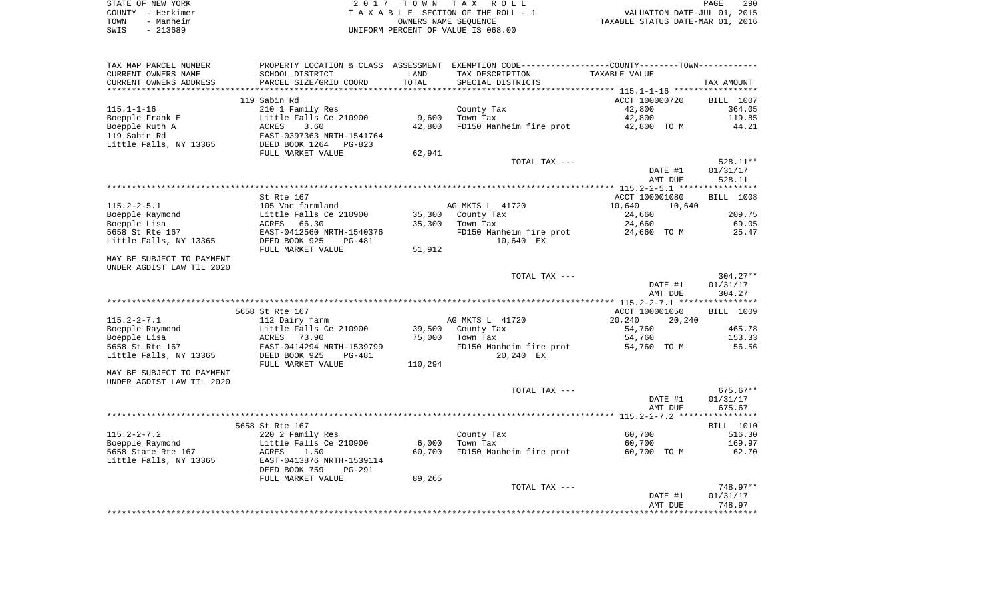|      | STATE OF NEW YORK | 2017 TOWN TAX ROLL                 | PAGE                             | 290 |
|------|-------------------|------------------------------------|----------------------------------|-----|
|      | COUNTY – Herkimer | TAXABLE SECTION OF THE ROLL - 1    | VALUATION DATE-JUL 01, 2015      |     |
| TOWN | - Manheim         | OWNERS NAME SEOUENCE               | TAXABLE STATUS DATE-MAR 01, 2016 |     |
| SWIS | $-213689$         | UNIFORM PERCENT OF VALUE IS 068.00 |                                  |     |

| TAX MAP PARCEL NUMBER     | PROPERTY LOCATION & CLASS ASSESSMENT EXEMPTION CODE---------------COUNTY-------TOWN---------- |         |                         |                                    |                        |
|---------------------------|-----------------------------------------------------------------------------------------------|---------|-------------------------|------------------------------------|------------------------|
| CURRENT OWNERS NAME       | SCHOOL DISTRICT                                                                               | LAND    | TAX DESCRIPTION         | TAXABLE VALUE                      |                        |
| CURRENT OWNERS ADDRESS    | PARCEL SIZE/GRID COORD                                                                        | TOTAL   | SPECIAL DISTRICTS       |                                    | TAX AMOUNT             |
|                           |                                                                                               |         |                         |                                    |                        |
|                           | 119 Sabin Rd                                                                                  |         |                         | ACCT 100000720                     | <b>BILL</b> 1007       |
| $115.1 - 1 - 16$          | 210 1 Family Res                                                                              |         | County Tax              | 42,800                             | 364.05                 |
| Boepple Frank E           | Little Falls Ce 210900                                                                        | 9,600   | Town Tax                | 42,800                             | 119.85                 |
| Boepple Ruth A            | ACRES<br>3.60                                                                                 | 42,800  | FD150 Manheim fire prot | 42,800 TO M                        | 44.21                  |
| 119 Sabin Rd              | EAST-0397363 NRTH-1541764<br>DEED BOOK 1264 PG-823                                            |         |                         |                                    |                        |
| Little Falls, NY 13365    |                                                                                               |         |                         |                                    |                        |
|                           | FULL MARKET VALUE                                                                             | 62,941  |                         |                                    |                        |
|                           |                                                                                               |         | TOTAL TAX ---           |                                    | 528.11**               |
|                           |                                                                                               |         |                         | DATE #1                            | 01/31/17               |
|                           |                                                                                               |         |                         | AMT DUE                            | 528.11                 |
|                           |                                                                                               |         |                         |                                    |                        |
| $115.2 - 2 - 5.1$         | St Rte 167<br>105 Vac farmland                                                                |         | AG MKTS L 41720         | ACCT 100001080<br>10,640<br>10,640 | <b>BILL</b> 1008       |
| Boepple Raymond           | Little Falls Ce 210900                                                                        | 35,300  | County Tax              | 24,660                             | 209.75                 |
| Boepple Lisa              | ACRES<br>66.30                                                                                | 35,300  | Town Tax                | 24,660                             | 69.05                  |
| 5658 St Rte 167           | EAST-0412560 NRTH-1540376                                                                     |         | FD150 Manheim fire prot | 24,660 TO M                        | 25.47                  |
| Little Falls, NY 13365    | DEED BOOK 925<br>PG-481                                                                       |         | 10,640 EX               |                                    |                        |
|                           | FULL MARKET VALUE                                                                             | 51,912  |                         |                                    |                        |
| MAY BE SUBJECT TO PAYMENT |                                                                                               |         |                         |                                    |                        |
| UNDER AGDIST LAW TIL 2020 |                                                                                               |         |                         |                                    |                        |
|                           |                                                                                               |         | TOTAL TAX ---           |                                    | $304.27**$             |
|                           |                                                                                               |         |                         | DATE #1                            | 01/31/17               |
|                           |                                                                                               |         |                         | AMT DUE                            | 304.27                 |
|                           |                                                                                               |         |                         |                                    |                        |
|                           | 5658 St Rte 167                                                                               |         |                         | ACCT 100001050                     | <b>BILL 1009</b>       |
| $115.2 - 2 - 7.1$         | 112 Dairy farm                                                                                |         | AG MKTS L 41720         | 20,240<br>20,240                   |                        |
| Boepple Raymond           | Little Falls Ce 210900                                                                        | 39,500  | County Tax              | 54,760                             | 465.78                 |
| Boepple Lisa              | ACRES 73.90                                                                                   | 75,000  | Town Tax                | 54,760                             | 153.33                 |
| 5658 St Rte 167           | EAST-0414294 NRTH-1539799                                                                     |         | FD150 Manheim fire prot | 54,760 TO M                        | 56.56                  |
| Little Falls, NY 13365    | DEED BOOK 925<br>PG-481                                                                       |         | 20,240 EX               |                                    |                        |
|                           | FULL MARKET VALUE                                                                             | 110,294 |                         |                                    |                        |
| MAY BE SUBJECT TO PAYMENT |                                                                                               |         |                         |                                    |                        |
| UNDER AGDIST LAW TIL 2020 |                                                                                               |         |                         |                                    |                        |
|                           |                                                                                               |         | TOTAL TAX ---           | DATE #1                            | $675.67**$<br>01/31/17 |
|                           |                                                                                               |         |                         | AMT DUE                            | 675.67                 |
|                           |                                                                                               |         |                         |                                    |                        |
|                           | 5658 St Rte 167                                                                               |         |                         |                                    | <b>BILL</b> 1010       |
| $115.2 - 2 - 7.2$         | 220 2 Family Res                                                                              |         | County Tax              | 60,700                             | 516.30                 |
| Boepple Raymond           | Little Falls Ce 210900                                                                        | 6,000   | Town Tax                | 60,700                             | 169.97                 |
| 5658 State Rte 167        | 1.50<br>ACRES                                                                                 | 60,700  | FD150 Manheim fire prot | 60,700 TO M                        | 62.70                  |
| Little Falls, NY 13365    | EAST-0413876 NRTH-1539114                                                                     |         |                         |                                    |                        |
|                           | DEED BOOK 759<br><b>PG-291</b>                                                                |         |                         |                                    |                        |
|                           | FULL MARKET VALUE                                                                             | 89,265  |                         |                                    |                        |
|                           |                                                                                               |         | TOTAL TAX ---           |                                    | 748.97**               |
|                           |                                                                                               |         |                         | DATE #1                            | 01/31/17               |
|                           |                                                                                               |         |                         | AMT DUE                            | 748.97                 |
|                           |                                                                                               |         |                         |                                    |                        |
|                           |                                                                                               |         |                         |                                    |                        |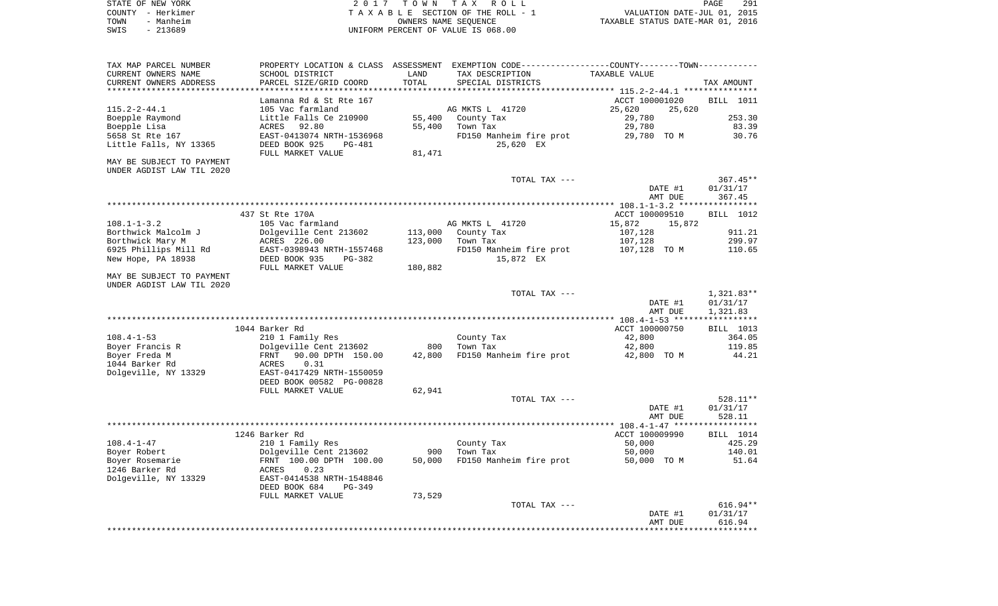| STATE OF NEW YORK | 2017 TOWN TAX ROLL                 | 291<br>PAGE                      |
|-------------------|------------------------------------|----------------------------------|
| COUNTY - Herkimer | TAXABLE SECTION OF THE ROLL - 1    | VALUATION DATE-JUL 01, 2015      |
| TOWN<br>- Manheim | OWNERS NAME SEOUENCE               | TAXABLE STATUS DATE-MAR 01, 2016 |
| $-213689$<br>SWIS | UNIFORM PERCENT OF VALUE IS 068.00 |                                  |

| TAX MAP PARCEL NUMBER     |                                                       |         | PROPERTY LOCATION & CLASS ASSESSMENT EXEMPTION CODE---------------COUNTY-------TOWN---------- |                  |                  |
|---------------------------|-------------------------------------------------------|---------|-----------------------------------------------------------------------------------------------|------------------|------------------|
| CURRENT OWNERS NAME       | SCHOOL DISTRICT                                       | LAND    | TAX DESCRIPTION                                                                               | TAXABLE VALUE    |                  |
| CURRENT OWNERS ADDRESS    | PARCEL SIZE/GRID COORD                                | TOTAL   | SPECIAL DISTRICTS                                                                             |                  | TAX AMOUNT       |
|                           |                                                       |         |                                                                                               |                  |                  |
|                           | Lamanna Rd & St Rte 167                               |         |                                                                                               | ACCT 100001020   | BILL 1011        |
| $115.2 - 2 - 44.1$        | 105 Vac farmland                                      |         | AG MKTS L 41720                                                                               | 25,620<br>25,620 |                  |
| Boepple Raymond           | Little Falls Ce 210900                                | 55,400  | County Tax                                                                                    | 29,780           | 253.30           |
| Boepple Lisa              | 92.80<br>ACRES                                        | 55,400  | Town Tax                                                                                      | 29,780           | 83.39            |
| 5658 St Rte 167           | EAST-0413074 NRTH-1536968                             |         | FD150 Manheim fire prot                                                                       | 29,780 TO M      | 30.76            |
| Little Falls, NY 13365    | DEED BOOK 925<br>PG-481                               |         | 25,620 EX                                                                                     |                  |                  |
|                           | FULL MARKET VALUE                                     | 81,471  |                                                                                               |                  |                  |
| MAY BE SUBJECT TO PAYMENT |                                                       |         |                                                                                               |                  |                  |
| UNDER AGDIST LAW TIL 2020 |                                                       |         |                                                                                               |                  |                  |
|                           |                                                       |         | TOTAL TAX ---                                                                                 |                  | $367.45**$       |
|                           |                                                       |         |                                                                                               | DATE #1          | 01/31/17         |
|                           |                                                       |         |                                                                                               | AMT DUE          | 367.45           |
|                           |                                                       |         |                                                                                               |                  |                  |
|                           | 437 St Rte 170A                                       |         |                                                                                               | ACCT 100009510   | BILL 1012        |
| $108.1 - 1 - 3.2$         | 105 Vac farmland                                      |         | AG MKTS L 41720                                                                               | 15,872<br>15,872 |                  |
| Borthwick Malcolm J       | Dolgeville Cent 213602                                | 113,000 | County Tax                                                                                    | 107,128          | 911.21           |
| Borthwick Mary M          | ACRES 226.00                                          | 123,000 | Town Tax                                                                                      | 107,128          | 299.97           |
| 6925 Phillips Mill Rd     | EAST-0398943 NRTH-1557468                             |         | FD150 Manheim fire prot                                                                       | 107,128 TO M     | 110.65           |
| New Hope, PA 18938        | DEED BOOK 935<br>PG-382                               |         | 15,872 EX                                                                                     |                  |                  |
|                           | FULL MARKET VALUE                                     | 180,882 |                                                                                               |                  |                  |
| MAY BE SUBJECT TO PAYMENT |                                                       |         |                                                                                               |                  |                  |
| UNDER AGDIST LAW TIL 2020 |                                                       |         |                                                                                               |                  |                  |
|                           |                                                       |         | TOTAL TAX ---                                                                                 |                  | 1,321.83**       |
|                           |                                                       |         |                                                                                               | DATE #1          | 01/31/17         |
|                           |                                                       |         |                                                                                               | AMT DUE          | 1,321.83         |
|                           |                                                       |         |                                                                                               |                  |                  |
| $108.4 - 1 - 53$          | 1044 Barker Rd                                        |         |                                                                                               | ACCT 100000750   | BILL 1013        |
|                           | 210 1 Family Res                                      | 800     | County Tax                                                                                    | 42,800           | 364.05           |
| Boyer Francis R           | Dolgeville Cent 213602                                |         | Town Tax                                                                                      | 42,800           | 119.85           |
| Boyer Freda M             | FRNT<br>90.00 DPTH 150.00                             | 42,800  | FD150 Manheim fire prot                                                                       | 42,800 TO M      | 44.21            |
| 1044 Barker Rd            | 0.31<br>ACRES                                         |         |                                                                                               |                  |                  |
| Dolgeville, NY 13329      | EAST-0417429 NRTH-1550059<br>DEED BOOK 00582 PG-00828 |         |                                                                                               |                  |                  |
|                           | FULL MARKET VALUE                                     | 62,941  |                                                                                               |                  |                  |
|                           |                                                       |         | TOTAL TAX ---                                                                                 |                  | 528.11**         |
|                           |                                                       |         |                                                                                               | DATE #1          | 01/31/17         |
|                           |                                                       |         |                                                                                               | AMT DUE          | 528.11           |
|                           |                                                       |         |                                                                                               |                  |                  |
|                           | 1246 Barker Rd                                        |         |                                                                                               | ACCT 100009990   | <b>BILL</b> 1014 |
| $108.4 - 1 - 47$          | 210 1 Family Res                                      |         | County Tax                                                                                    | 50,000           | 425.29           |
| Boyer Robert              | Dolgeville Cent 213602                                | 900     | Town Tax                                                                                      | 50,000           | 140.01           |
| Boyer Rosemarie           | FRNT 100.00 DPTH 100.00                               | 50,000  | FD150 Manheim fire prot                                                                       | 50,000 TO M      | 51.64            |
| 1246 Barker Rd            | ACRES<br>0.23                                         |         |                                                                                               |                  |                  |
| Dolgeville, NY 13329      | EAST-0414538 NRTH-1548846                             |         |                                                                                               |                  |                  |
|                           | DEED BOOK 684<br>$PG-349$                             |         |                                                                                               |                  |                  |
|                           | FULL MARKET VALUE                                     | 73,529  |                                                                                               |                  |                  |
|                           |                                                       |         | TOTAL TAX ---                                                                                 |                  | $616.94**$       |
|                           |                                                       |         |                                                                                               | DATE #1          | 01/31/17         |
|                           |                                                       |         |                                                                                               | AMT DUE          | 616.94           |
|                           |                                                       |         |                                                                                               |                  |                  |
|                           |                                                       |         |                                                                                               |                  |                  |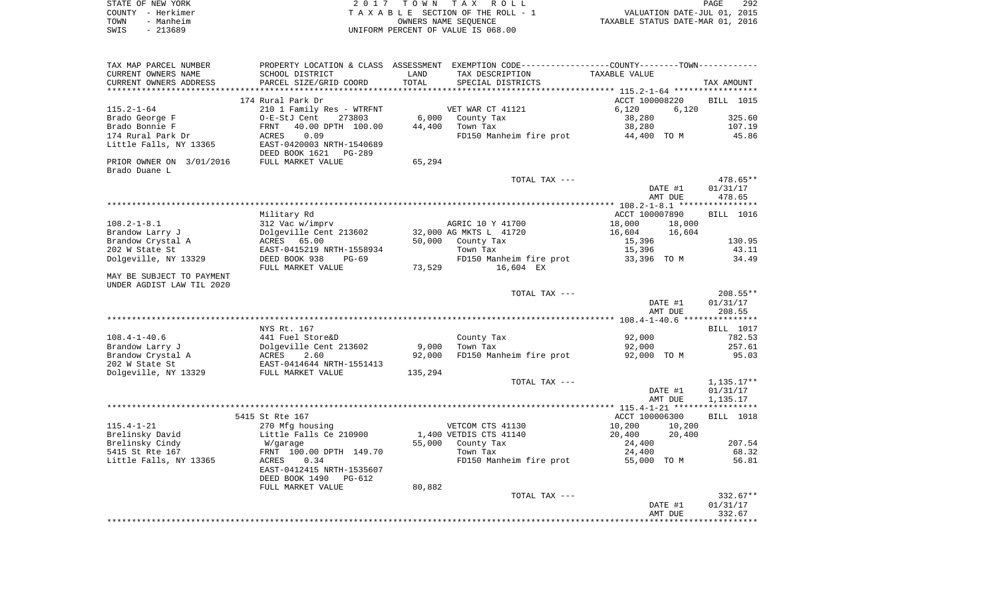|      | STATE OF NEW YORK | 2017 TOWN TAX ROLL                 | PAGE                             | 292 |
|------|-------------------|------------------------------------|----------------------------------|-----|
|      | COUNTY - Herkimer | TAXABLE SECTION OF THE ROLL - 1    | VALUATION DATE-JUL 01, 2015      |     |
| TOWN | - Manheim         | OWNERS NAME SEOUENCE               | TAXABLE STATUS DATE-MAR 01, 2016 |     |
| SWIS | - 213689          | UNIFORM PERCENT OF VALUE IS 068.00 |                                  |     |

| TAX MAP PARCEL NUMBER                      |                                                                                                                                           |         | PROPERTY LOCATION & CLASS ASSESSMENT EXEMPTION CODE----------------COUNTY-------TOWN---------- |                  |                  |
|--------------------------------------------|-------------------------------------------------------------------------------------------------------------------------------------------|---------|------------------------------------------------------------------------------------------------|------------------|------------------|
| CURRENT OWNERS NAME                        | SCHOOL DISTRICT                                                                                                                           | LAND    | TAX DESCRIPTION                                                                                | TAXABLE VALUE    |                  |
| CURRENT OWNERS ADDRESS                     | PARCEL SIZE/GRID COORD                                                                                                                    | TOTAL   | SPECIAL DISTRICTS                                                                              |                  | TAX AMOUNT       |
|                                            |                                                                                                                                           |         |                                                                                                |                  |                  |
|                                            | 174 Rural Park Dr                                                                                                                         |         |                                                                                                | ACCT 100008220   | <b>BILL</b> 1015 |
| $115.2 - 1 - 64$                           | 210 1 Family Res - WTRFNT                                                                                                                 |         | VET WAR CT 41121                                                                               | 6,120<br>6,120   |                  |
| Brado George F                             | 273803<br>O-E-StJ Cent                                                                                                                    |         | 6,000 County Tax                                                                               | 38,280           | 325.60           |
| Brado Bonnie F                             | FRNT<br>40.00 DPTH 100.00                                                                                                                 | 44,400  | Town Tax                                                                                       | 38,280           | 107.19           |
| 174 Rural Park Dr                          | 0.09<br>ACRES                                                                                                                             |         | FD150 Manheim fire prot 44,400 TO M                                                            |                  | 45.86            |
| Little Falls, NY 13365                     | EAST-0420003 NRTH-1540689                                                                                                                 |         |                                                                                                |                  |                  |
|                                            | DEED BOOK 1621 PG-289                                                                                                                     |         |                                                                                                |                  |                  |
| PRIOR OWNER ON 3/01/2016 FULL MARKET VALUE |                                                                                                                                           | 65,294  |                                                                                                |                  |                  |
| Brado Duane L                              |                                                                                                                                           |         |                                                                                                |                  |                  |
|                                            |                                                                                                                                           |         | TOTAL TAX ---                                                                                  |                  | 478.65**         |
|                                            |                                                                                                                                           |         |                                                                                                | DATE #1          | 01/31/17         |
|                                            |                                                                                                                                           |         |                                                                                                | AMT DUE          | 478.65           |
|                                            |                                                                                                                                           |         |                                                                                                |                  |                  |
|                                            |                                                                                                                                           |         |                                                                                                |                  |                  |
|                                            | Military Rd                                                                                                                               |         |                                                                                                | ACCT 100007890   | BILL 1016        |
| $108.2 - 1 - 8.1$                          | 312 Vac w/imprv                                                                                                                           |         | AGRIC 10 Y 41700                                                                               | 18,000<br>18,000 |                  |
| Brandow Larry J                            | Dolgeville Cent 213602                                                                                                                    |         | 32,000 AG MKTS L 41720                                                                         | 16,604<br>16,604 |                  |
| Brandow Crystal A                          | ACRES 65.00                                                                                                                               |         | 50,000 County Tax                                                                              | 15,396           | 130.95           |
| 202 W State St                             | EAST-0415219 NRTH-1558934                                                                                                                 |         | Town Tax                                                                                       | 15,396           | 43.11            |
| Dolgeville, NY 13329                       | DEED BOOK 938<br>$PG-69$                                                                                                                  |         | FD150 Manheim fire prot 33,396 TO M                                                            |                  | 34.49            |
|                                            | FULL MARKET VALUE                                                                                                                         | 73,529  | 16,604 EX                                                                                      |                  |                  |
| MAY BE SUBJECT TO PAYMENT                  |                                                                                                                                           |         |                                                                                                |                  |                  |
| UNDER AGDIST LAW TIL 2020                  |                                                                                                                                           |         |                                                                                                |                  |                  |
|                                            |                                                                                                                                           |         | TOTAL TAX ---                                                                                  |                  | $208.55**$       |
|                                            |                                                                                                                                           |         |                                                                                                | DATE #1          | 01/31/17         |
|                                            |                                                                                                                                           |         |                                                                                                | AMT DUE          | 208.55           |
|                                            |                                                                                                                                           |         |                                                                                                |                  |                  |
|                                            | NYS Rt. 167                                                                                                                               |         |                                                                                                |                  | <b>BILL</b> 1017 |
| $108.4 - 1 - 40.6$                         | 441 Fuel Store&D                                                                                                                          |         | County Tax                                                                                     | 92,000           | 782.53           |
|                                            |                                                                                                                                           | 9,000   | Town Tax                                                                                       | 92,000           | 257.61           |
|                                            |                                                                                                                                           | 92,000  | FD150 Manheim fire prot                                                                        | 92,000 TO M      | 95.03            |
|                                            | Brandow Larry J<br>Brandow Crystal A (ACRES 2.60)<br>202 W State St (BAST-0414644 NRTH-1551413<br>Dolgeville, NY 13329 (FULL MARKET VALUE |         |                                                                                                |                  |                  |
|                                            |                                                                                                                                           | 135,294 |                                                                                                |                  |                  |
|                                            |                                                                                                                                           |         | TOTAL TAX ---                                                                                  |                  | $1,135.17**$     |
|                                            |                                                                                                                                           |         |                                                                                                | DATE #1          | 01/31/17         |
|                                            |                                                                                                                                           |         |                                                                                                | AMT DUE          | 1,135.17         |
|                                            |                                                                                                                                           |         |                                                                                                |                  |                  |
|                                            | 5415 St Rte 167                                                                                                                           |         |                                                                                                | ACCT 100006300   | <b>BILL</b> 1018 |
| $115.4 - 1 - 21$                           | 270 Mfg housing                                                                                                                           |         | VETCOM CTS 41130                                                                               | 10,200<br>10,200 |                  |
| Brelinsky David                            | Little Falls Ce 210900                                                                                                                    |         | 1,400 VETDIS CTS 41140                                                                         | 20,400<br>20,400 |                  |
|                                            |                                                                                                                                           |         |                                                                                                |                  |                  |
| Brelinsky Cindy                            | W/garage                                                                                                                                  |         | 55,000 County Tax<br>Town Tax                                                                  | 24,400           | 207.54           |
| 5415 St Rte 167                            | FRNT 100.00 DPTH 149.70                                                                                                                   |         |                                                                                                | 24,400           | 68.32            |
| Little Falls, NY 13365                     | 0.34<br>ACRES                                                                                                                             |         | FD150 Manheim fire prot                                                                        | 55,000 TO M      | 56.81            |
|                                            | EAST-0412415 NRTH-1535607                                                                                                                 |         |                                                                                                |                  |                  |
|                                            | DEED BOOK 1490<br>PG-612                                                                                                                  |         |                                                                                                |                  |                  |
|                                            | FULL MARKET VALUE                                                                                                                         | 80,882  |                                                                                                |                  |                  |
|                                            |                                                                                                                                           |         | TOTAL TAX ---                                                                                  |                  | $332.67**$       |
|                                            |                                                                                                                                           |         |                                                                                                | DATE #1          | 01/31/17         |
|                                            |                                                                                                                                           |         |                                                                                                | AMT DUE          | 332.67           |
|                                            |                                                                                                                                           |         |                                                                                                |                  |                  |
|                                            |                                                                                                                                           |         |                                                                                                |                  |                  |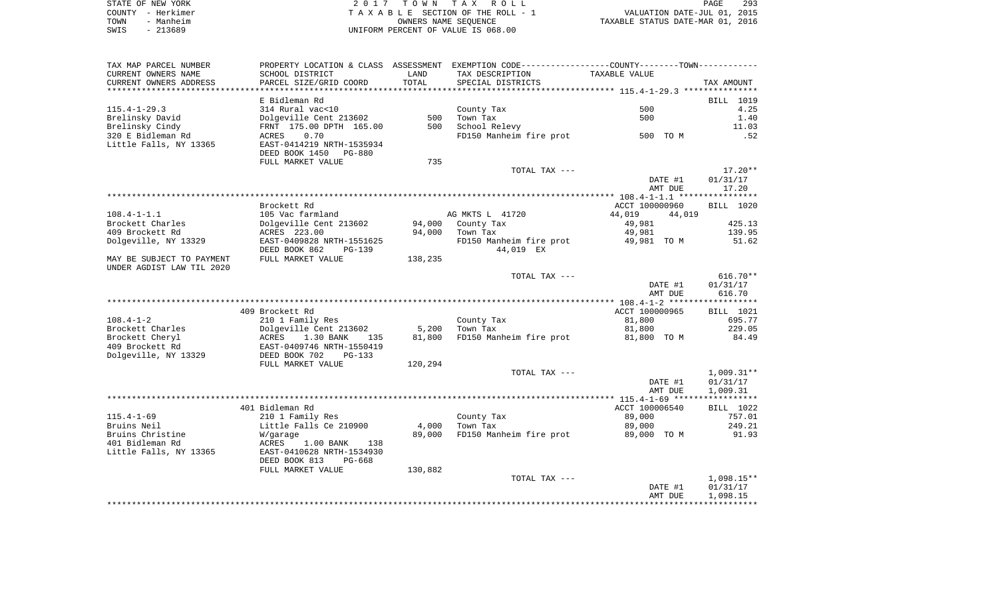|      | STATE OF NEW YORK | 2017 TOWN TAX ROLL                 | 293<br>PAGE                      |
|------|-------------------|------------------------------------|----------------------------------|
|      | COUNTY – Herkimer | TAXABLE SECTION OF THE ROLL - 1    | VALUATION DATE-JUL 01, 2015      |
| TOWN | - Manheim         | OWNERS NAME SEOUENCE               | TAXABLE STATUS DATE-MAR 01, 2016 |
| SWIS | - 213689          | UNIFORM PERCENT OF VALUE IS 068.00 |                                  |

| TAX MAP PARCEL NUMBER     |                                 |         | PROPERTY LOCATION & CLASS ASSESSMENT EXEMPTION CODE---------------COUNTY-------TOWN--------- |                  |                  |
|---------------------------|---------------------------------|---------|----------------------------------------------------------------------------------------------|------------------|------------------|
| CURRENT OWNERS NAME       | SCHOOL DISTRICT                 | LAND    | TAX DESCRIPTION                                                                              | TAXABLE VALUE    |                  |
| CURRENT OWNERS ADDRESS    | PARCEL SIZE/GRID COORD          | TOTAL   | SPECIAL DISTRICTS                                                                            |                  | TAX AMOUNT       |
|                           |                                 |         |                                                                                              |                  |                  |
|                           | E Bidleman Rd                   |         |                                                                                              |                  | BILL 1019        |
| $115.4 - 1 - 29.3$        | 314 Rural vac<10                |         | County Tax                                                                                   | 500              | 4.25             |
| Brelinsky David           | Dolgeville Cent 213602          | 500     | Town Tax                                                                                     | 500              | 1.40             |
| Brelinsky Cindy           | FRNT 175.00 DPTH 165.00         | 500     | School Relevy                                                                                |                  | 11.03            |
| 320 E Bidleman Rd         | 0.70<br>ACRES                   |         | FD150 Manheim fire prot                                                                      | 500 TO M         | .52              |
| Little Falls, NY 13365    | EAST-0414219 NRTH-1535934       |         |                                                                                              |                  |                  |
|                           | DEED BOOK 1450<br><b>PG-880</b> |         |                                                                                              |                  |                  |
|                           | FULL MARKET VALUE               | 735     |                                                                                              |                  |                  |
|                           |                                 |         | TOTAL TAX ---                                                                                |                  | $17.20**$        |
|                           |                                 |         |                                                                                              | DATE #1          | 01/31/17         |
|                           |                                 |         |                                                                                              | AMT DUE          | 17.20            |
|                           |                                 |         |                                                                                              |                  |                  |
|                           | Brockett Rd                     |         |                                                                                              | ACCT 100000960   | <b>BILL 1020</b> |
| $108.4 - 1 - 1.1$         | 105 Vac farmland                |         | AG MKTS L 41720                                                                              | 44,019<br>44,019 |                  |
| Brockett Charles          | Dolgeville Cent 213602          | 94,000  | County Tax                                                                                   | 49,981           | 425.13           |
| 409 Brockett Rd           | ACRES 223.00                    | 94,000  | Town Tax                                                                                     | 49,981           | 139.95           |
| Dolgeville, NY 13329      | EAST-0409828 NRTH-1551625       |         | FD150 Manheim fire prot                                                                      | 49,981 TO M      | 51.62            |
|                           | DEED BOOK 862<br>$PG-139$       |         | 44,019 EX                                                                                    |                  |                  |
| MAY BE SUBJECT TO PAYMENT | FULL MARKET VALUE               | 138,235 |                                                                                              |                  |                  |
| UNDER AGDIST LAW TIL 2020 |                                 |         |                                                                                              |                  |                  |
|                           |                                 |         | TOTAL TAX ---                                                                                |                  | $616.70**$       |
|                           |                                 |         |                                                                                              | DATE #1          | 01/31/17         |
|                           |                                 |         |                                                                                              | AMT DUE          | 616.70           |
|                           |                                 |         |                                                                                              |                  |                  |
|                           | 409 Brockett Rd                 |         |                                                                                              | ACCT 100000965   | BILL 1021        |
| $108.4 - 1 - 2$           | 210 1 Family Res                |         | County Tax                                                                                   | 81,800           | 695.77           |
| Brockett Charles          | Dolgeville Cent 213602          | 5,200   | Town Tax                                                                                     | 81,800           | 229.05           |
| Brockett Cheryl           | ACRES<br>1.30 BANK<br>135       | 81,800  | FD150 Manheim fire prot                                                                      | 81,800 TO M      | 84.49            |
| 409 Brockett Rd           | EAST-0409746 NRTH-1550419       |         |                                                                                              |                  |                  |
| Dolgeville, NY 13329      | DEED BOOK 702<br>$PG-133$       |         |                                                                                              |                  |                  |
|                           | FULL MARKET VALUE               | 120,294 |                                                                                              |                  |                  |
|                           |                                 |         | TOTAL TAX ---                                                                                |                  | $1,009.31**$     |
|                           |                                 |         |                                                                                              | DATE #1          | 01/31/17         |
|                           |                                 |         |                                                                                              | AMT DUE          | 1,009.31         |
|                           |                                 |         |                                                                                              |                  |                  |
|                           | 401 Bidleman Rd                 |         |                                                                                              | ACCT 100006540   | BILL 1022        |
| $115.4 - 1 - 69$          | 210 1 Family Res                |         | County Tax                                                                                   | 89,000           | 757.01           |
| Bruins Neil               | Little Falls Ce 210900          | 4,000   | Town Tax                                                                                     | 89,000           | 249.21           |
| Bruins Christine          | W/garage                        | 89,000  | FD150 Manheim fire prot                                                                      | 89,000 TO M      | 91.93            |
| 401 Bidleman Rd           | ACRES<br>1.00 BANK<br>138       |         |                                                                                              |                  |                  |
| Little Falls, NY 13365    | EAST-0410628 NRTH-1534930       |         |                                                                                              |                  |                  |
|                           | DEED BOOK 813<br>PG-668         |         |                                                                                              |                  |                  |
|                           | FULL MARKET VALUE               | 130,882 |                                                                                              |                  |                  |
|                           |                                 |         | TOTAL TAX ---                                                                                |                  | $1,098.15**$     |
|                           |                                 |         |                                                                                              | DATE #1          | 01/31/17         |
|                           |                                 |         |                                                                                              | AMT DUE          | 1,098.15         |
|                           |                                 |         |                                                                                              |                  |                  |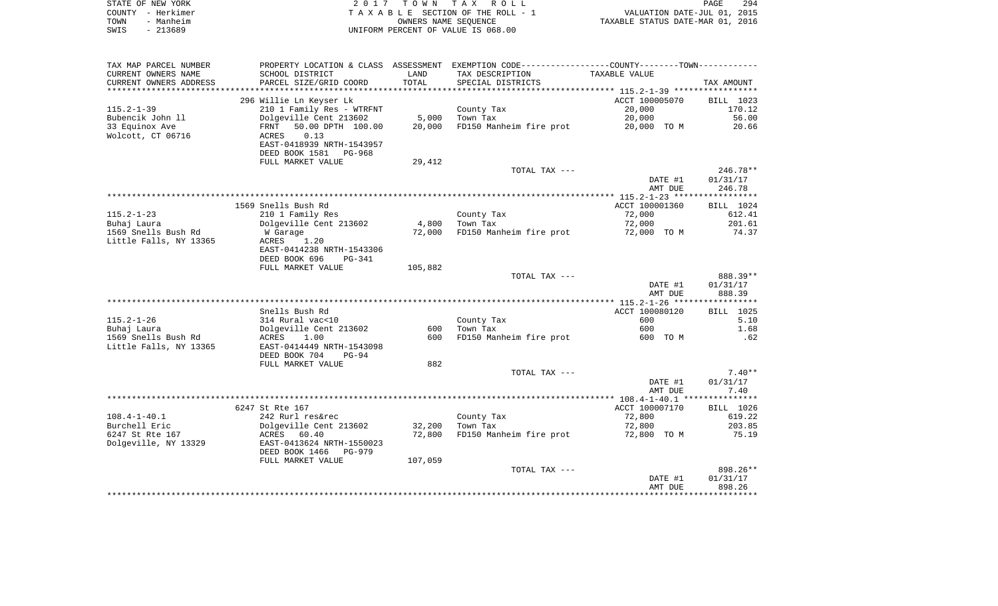| STATE OF NEW YORK | 2017 TOWN TAX ROLL                                             | <b>PAGE</b> | 294 |
|-------------------|----------------------------------------------------------------|-------------|-----|
| COUNTY - Herkimer | VALUATION DATE-JUL 01, 2015<br>TAXABLE SECTION OF THE ROLL - 1 |             |     |
| - Manheim<br>TOWN | TAXABLE STATUS DATE-MAR 01, 2016<br>OWNERS NAME SEOUENCE       |             |     |
| - 213689<br>SWIS  | UNIFORM PERCENT OF VALUE IS 068.00                             |             |     |

| TAX MAP PARCEL NUMBER  |                           |         | PROPERTY LOCATION & CLASS ASSESSMENT EXEMPTION CODE----------------COUNTY-------TOWN--------- |                |            |
|------------------------|---------------------------|---------|-----------------------------------------------------------------------------------------------|----------------|------------|
| CURRENT OWNERS NAME    | SCHOOL DISTRICT           | LAND    | TAX DESCRIPTION                                                                               | TAXABLE VALUE  |            |
| CURRENT OWNERS ADDRESS | PARCEL SIZE/GRID COORD    | TOTAL   | SPECIAL DISTRICTS                                                                             |                | TAX AMOUNT |
|                        |                           |         |                                                                                               |                |            |
|                        | 296 Willie Ln Keyser Lk   |         |                                                                                               | ACCT 100005070 | BILL 1023  |
| $115.2 - 1 - 39$       | 210 1 Family Res - WTRFNT |         | County Tax                                                                                    | 20,000         | 170.12     |
| Bubencik John 11       | Dolgeville Cent 213602    | 5,000   | Town Tax                                                                                      | 20,000         | 56.00      |
| 33 Equinox Ave         | FRNT<br>50.00 DPTH 100.00 | 20,000  | FD150 Manheim fire prot                                                                       | 20,000 TO M    | 20.66      |
| Wolcott, CT 06716      | ACRES<br>0.13             |         |                                                                                               |                |            |
|                        | EAST-0418939 NRTH-1543957 |         |                                                                                               |                |            |
|                        | DEED BOOK 1581 PG-968     |         |                                                                                               |                |            |
|                        | FULL MARKET VALUE         | 29,412  |                                                                                               |                |            |
|                        |                           |         | TOTAL TAX ---                                                                                 |                | $246.78**$ |
|                        |                           |         |                                                                                               | DATE #1        | 01/31/17   |
|                        |                           |         |                                                                                               |                | 246.78     |
|                        |                           |         |                                                                                               | AMT DUE        |            |
|                        |                           |         |                                                                                               |                |            |
|                        | 1569 Snells Bush Rd       |         |                                                                                               | ACCT 100001360 | BILL 1024  |
| $115.2 - 1 - 23$       | 210 1 Family Res          |         | County Tax                                                                                    | 72,000         | 612.41     |
| Buhaj Laura            | Dolgeville Cent 213602    | 4,800   | Town Tax                                                                                      | 72,000         | 201.61     |
| 1569 Snells Bush Rd    | W Garage                  | 72,000  | FD150 Manheim fire prot                                                                       | 72,000 TO M    | 74.37      |
| Little Falls, NY 13365 | 1.20<br>ACRES             |         |                                                                                               |                |            |
|                        | EAST-0414238 NRTH-1543306 |         |                                                                                               |                |            |
|                        | DEED BOOK 696<br>PG-341   |         |                                                                                               |                |            |
|                        | FULL MARKET VALUE         | 105,882 |                                                                                               |                |            |
|                        |                           |         | TOTAL TAX ---                                                                                 |                | 888.39**   |
|                        |                           |         |                                                                                               | DATE #1        | 01/31/17   |
|                        |                           |         |                                                                                               | AMT DUE        | 888.39     |
|                        |                           |         |                                                                                               |                |            |
|                        | Snells Bush Rd            |         |                                                                                               | ACCT 100080120 | BILL 1025  |
| $115.2 - 1 - 26$       | 314 Rural vac<10          |         | County Tax                                                                                    | 600            | 5.10       |
| Buhaj Laura            | Dolgeville Cent 213602    | 600     | Town Tax                                                                                      | 600            | 1.68       |
| 1569 Snells Bush Rd    | ACRES<br>1.00             | 600     | FD150 Manheim fire prot                                                                       | 600 TO M       | .62        |
| Little Falls, NY 13365 | EAST-0414449 NRTH-1543098 |         |                                                                                               |                |            |
|                        | DEED BOOK 704<br>$PG-94$  |         |                                                                                               |                |            |
|                        | FULL MARKET VALUE         | 882     |                                                                                               |                |            |
|                        |                           |         | TOTAL TAX ---                                                                                 |                | $7.40**$   |
|                        |                           |         |                                                                                               | DATE #1        | 01/31/17   |
|                        |                           |         |                                                                                               | AMT DUE        | 7.40       |
|                        |                           |         |                                                                                               |                |            |
|                        | 6247 St Rte 167           |         |                                                                                               | ACCT 100007170 | BILL 1026  |
| $108.4 - 1 - 40.1$     | 242 Rurl res&rec          |         | County Tax                                                                                    | 72,800         | 619.22     |
| Burchell Eric          | Dolgeville Cent 213602    | 32,200  | Town Tax                                                                                      | 72,800         | 203.85     |
| 6247 St Rte 167        | ACRES 60.40               | 72,800  | FD150 Manheim fire prot                                                                       | 72,800 TO M    | 75.19      |
| Dolgeville, NY 13329   | EAST-0413624 NRTH-1550023 |         |                                                                                               |                |            |
|                        | DEED BOOK 1466 PG-979     |         |                                                                                               |                |            |
|                        | FULL MARKET VALUE         | 107,059 |                                                                                               |                |            |
|                        |                           |         | TOTAL TAX ---                                                                                 |                | 898.26**   |
|                        |                           |         |                                                                                               | DATE #1        | 01/31/17   |
|                        |                           |         |                                                                                               | AMT DUE        | 898.26     |
|                        |                           |         |                                                                                               |                |            |
|                        |                           |         |                                                                                               |                |            |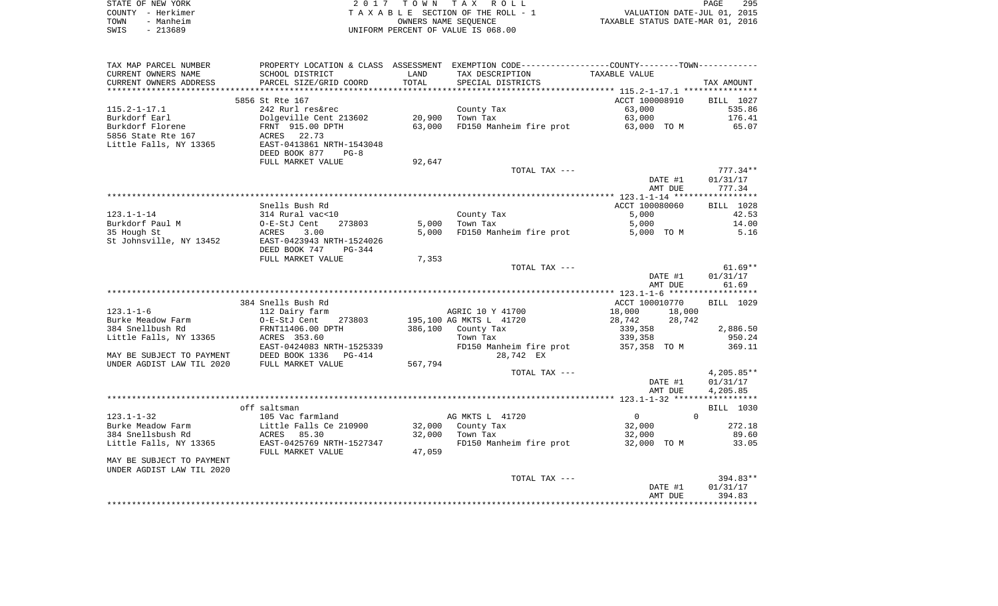| STATE OF NEW YORK | 2017 TOWN TAX ROLL                 | 295<br><b>PAGE</b>               |
|-------------------|------------------------------------|----------------------------------|
| COUNTY - Herkimer | TAXABLE SECTION OF THE ROLL - 1    | VALUATION DATE-JUL 01, 2015      |
| - Manheim<br>TOWN | OWNERS NAME SEOUENCE               | TAXABLE STATUS DATE-MAR 01, 2016 |
| - 213689<br>SWIS  | UNIFORM PERCENT OF VALUE IS 068.00 |                                  |

| TAX MAP PARCEL NUMBER     |                           |         | PROPERTY LOCATION & CLASS ASSESSMENT EXEMPTION CODE----------------COUNTY--------TOWN----------- |                               |              |
|---------------------------|---------------------------|---------|--------------------------------------------------------------------------------------------------|-------------------------------|--------------|
| CURRENT OWNERS NAME       | SCHOOL DISTRICT           | LAND    | TAX DESCRIPTION                                                                                  | TAXABLE VALUE                 |              |
| CURRENT OWNERS ADDRESS    | PARCEL SIZE/GRID COORD    | TOTAL   | SPECIAL DISTRICTS                                                                                |                               | TAX AMOUNT   |
|                           |                           |         |                                                                                                  |                               |              |
|                           | 5856 St Rte 167           |         |                                                                                                  | ACCT 100008910                | BILL 1027    |
| $115.2 - 1 - 17.1$        | 242 Rurl res&rec          |         | County Tax                                                                                       | 63,000                        | 535.86       |
| Burkdorf Earl             | Dolgeville Cent 213602    | 20,900  | Town Tax                                                                                         | 63,000                        | 176.41       |
| Burkdorf Florene          | FRNT 915.00 DPTH          | 63,000  | FD150 Manheim fire prot 63,000 TO M                                                              |                               | 65.07        |
| 5856 State Rte 167        | ACRES 22.73               |         |                                                                                                  |                               |              |
| Little Falls, NY 13365    | EAST-0413861 NRTH-1543048 |         |                                                                                                  |                               |              |
|                           | DEED BOOK 877<br>$PG-8$   |         |                                                                                                  |                               |              |
|                           | FULL MARKET VALUE         | 92,647  | TOTAL TAX ---                                                                                    |                               | $777.34**$   |
|                           |                           |         |                                                                                                  | DATE #1                       | 01/31/17     |
|                           |                           |         |                                                                                                  | AMT DUE                       | 777.34       |
|                           |                           |         |                                                                                                  |                               |              |
|                           | Snells Bush Rd            |         |                                                                                                  | ACCT 100080060                | BILL 1028    |
| $123.1 - 1 - 14$          | 314 Rural vac<10          |         | County Tax                                                                                       | 5,000                         | 42.53        |
| Burkdorf Paul M           | 273803<br>O-E-StJ Cent    | 5,000   | Town Tax                                                                                         | 5,000                         | 14.00        |
| 35 Hough St               | 3.00<br>ACRES             | 5,000   | FD150 Manheim fire prot                                                                          | 5,000 TO M                    | 5.16         |
| St Johnsville, NY 13452   | EAST-0423943 NRTH-1524026 |         |                                                                                                  |                               |              |
|                           | DEED BOOK 747<br>PG-344   |         |                                                                                                  |                               |              |
|                           | FULL MARKET VALUE         | 7,353   |                                                                                                  |                               |              |
|                           |                           |         | TOTAL TAX ---                                                                                    |                               | $61.69**$    |
|                           |                           |         |                                                                                                  | DATE #1                       | 01/31/17     |
|                           |                           |         |                                                                                                  | AMT DUE                       | 61.69        |
|                           |                           |         |                                                                                                  |                               |              |
|                           | 384 Snells Bush Rd        |         |                                                                                                  | ACCT 100010770                | BILL 1029    |
| $123.1 - 1 - 6$           | 112 Dairy farm            |         | AGRIC 10 Y 41700                                                                                 | 18,000<br>18,000              |              |
| Burke Meadow Farm         | O-E-StJ Cent<br>273803    |         | 195,100 AG MKTS L 41720                                                                          | 28,742<br>28,742              |              |
| 384 Snellbush Rd          | FRNT11406.00 DPTH         | 386,100 | County Tax                                                                                       | 339,358                       | 2,886.50     |
| Little Falls, NY 13365    | ACRES 353.60              |         | Town Tax                                                                                         | 339,358                       | 950.24       |
|                           | EAST-0424083 NRTH-1525339 |         | FD150 Manheim fire prot                                                                          | 357,358 TO M                  | 369.11       |
| MAY BE SUBJECT TO PAYMENT | DEED BOOK 1336 PG-414     |         | 28,742 EX                                                                                        |                               |              |
| UNDER AGDIST LAW TIL 2020 | FULL MARKET VALUE         | 567,794 | TOTAL TAX ---                                                                                    |                               | $4,205.85**$ |
|                           |                           |         |                                                                                                  | DATE #1                       | 01/31/17     |
|                           |                           |         |                                                                                                  | AMT DUE                       | 4,205.85     |
|                           |                           |         |                                                                                                  |                               |              |
|                           | off saltsman              |         |                                                                                                  |                               | BILL 1030    |
| $123.1 - 1 - 32$          | 105 Vac farmland          |         | AG MKTS L 41720                                                                                  | $\Omega$<br>$0 \qquad \qquad$ |              |
| Burke Meadow Farm         | Little Falls Ce 210900    | 32,000  |                                                                                                  | 32,000                        | 272.18       |
| 384 Snellsbush Rd         | ACRES 85.30               | 32,000  | County Tax<br>Town Tax                                                                           | 32,000                        | 89.60        |
| Little Falls, NY 13365    | EAST-0425769 NRTH-1527347 |         | FD150 Manheim fire prot                                                                          | 32,000 TO M                   | 33.05        |
|                           | FULL MARKET VALUE         | 47,059  |                                                                                                  |                               |              |
| MAY BE SUBJECT TO PAYMENT |                           |         |                                                                                                  |                               |              |
| UNDER AGDIST LAW TIL 2020 |                           |         |                                                                                                  |                               |              |
|                           |                           |         | TOTAL TAX ---                                                                                    |                               | 394.83**     |
|                           |                           |         |                                                                                                  | DATE #1                       | 01/31/17     |
|                           |                           |         |                                                                                                  | AMT DUE                       | 394.83       |
|                           |                           |         |                                                                                                  |                               |              |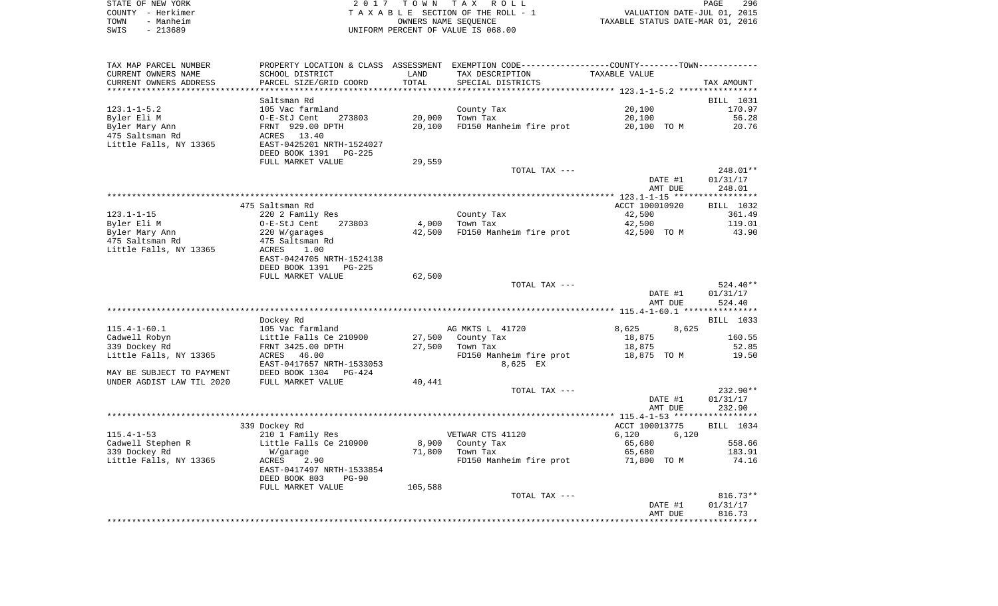| STATE OF NEW YORK |           | 2017 TOWN TAX ROLL                 | PAGE                             | 296 |
|-------------------|-----------|------------------------------------|----------------------------------|-----|
| COUNTY - Herkimer |           | TAXABLE SECTION OF THE ROLL - 1    | VALUATION DATE-JUL 01, 2015      |     |
| TOWN              | - Manheim | OWNERS NAME SEOUENCE               | TAXABLE STATUS DATE-MAR 01, 2016 |     |
| SWIS              | - 213689  | UNIFORM PERCENT OF VALUE IS 068.00 |                                  |     |

| TAX MAP PARCEL NUMBER             |                                                       |                 | PROPERTY LOCATION & CLASS ASSESSMENT EXEMPTION CODE---------------COUNTY-------TOWN---------- |                       |                        |
|-----------------------------------|-------------------------------------------------------|-----------------|-----------------------------------------------------------------------------------------------|-----------------------|------------------------|
| CURRENT OWNERS NAME               | SCHOOL DISTRICT                                       | LAND            | TAX DESCRIPTION                                                                               | TAXABLE VALUE         |                        |
| CURRENT OWNERS ADDRESS            | PARCEL SIZE/GRID COORD                                | TOTAL           | SPECIAL DISTRICTS                                                                             |                       | TAX AMOUNT             |
|                                   |                                                       |                 |                                                                                               |                       |                        |
|                                   | Saltsman Rd                                           |                 |                                                                                               |                       | BILL 1031              |
| $123.1 - 1 - 5.2$                 | 105 Vac farmland                                      |                 | County Tax                                                                                    | 20,100                | 170.97                 |
| Byler Eli M                       | O-E-StJ Cent<br>273803                                | 20,000          | Town Tax                                                                                      | 20,100                | 56.28                  |
| Byler Mary Ann                    | FRNT 929.00 DPTH                                      | 20,100          | FD150 Manheim fire prot                                                                       | 20,100 TO M           | 20.76                  |
| 475 Saltsman Rd                   | ACRES 13.40<br>EAST-0425201 NRTH-1524027              |                 |                                                                                               |                       |                        |
| Little Falls, NY 13365            | DEED BOOK 1391<br>PG-225                              |                 |                                                                                               |                       |                        |
|                                   | FULL MARKET VALUE                                     | 29,559          |                                                                                               |                       |                        |
|                                   |                                                       |                 | TOTAL TAX ---                                                                                 |                       | 248.01**               |
|                                   |                                                       |                 |                                                                                               | DATE #1               | 01/31/17               |
|                                   |                                                       |                 |                                                                                               | AMT DUE               | 248.01                 |
|                                   |                                                       |                 |                                                                                               |                       |                        |
|                                   | 475 Saltsman Rd                                       |                 |                                                                                               | ACCT 100010920        | BILL 1032              |
| $123.1 - 1 - 15$                  | 220 2 Family Res                                      |                 | County Tax                                                                                    | 42,500                | 361.49                 |
| Byler Eli M                       | O-E-StJ Cent<br>273803                                | 4,000<br>42,500 | Town Tax<br>FD150 Manheim fire prot                                                           | 42,500<br>42,500 TO M | 119.01<br>43.90        |
| Byler Mary Ann<br>475 Saltsman Rd | 220 W/garages<br>475 Saltsman Rd                      |                 |                                                                                               |                       |                        |
| Little Falls, NY 13365            | 1.00<br>ACRES                                         |                 |                                                                                               |                       |                        |
|                                   | EAST-0424705 NRTH-1524138                             |                 |                                                                                               |                       |                        |
|                                   | DEED BOOK 1391<br>$PG-225$                            |                 |                                                                                               |                       |                        |
|                                   | FULL MARKET VALUE                                     | 62,500          |                                                                                               |                       |                        |
|                                   |                                                       |                 | TOTAL TAX ---                                                                                 |                       | 524.40**               |
|                                   |                                                       |                 |                                                                                               | DATE #1               | 01/31/17               |
|                                   |                                                       |                 |                                                                                               | AMT DUE               | 524.40                 |
|                                   |                                                       |                 |                                                                                               |                       |                        |
|                                   | Dockey Rd                                             |                 |                                                                                               |                       | BILL 1033              |
| $115.4 - 1 - 60.1$                | 105 Vac farmland                                      |                 | AG MKTS L 41720                                                                               | 8,625<br>8,625        |                        |
| Cadwell Robyn                     | Little Falls Ce 210900                                | 27,500          | County Tax                                                                                    | 18,875                | 160.55                 |
| 339 Dockey Rd                     | FRNT 3425.00 DPTH                                     | 27,500          | Town Tax                                                                                      | 18,875                | 52.85                  |
| Little Falls, NY 13365            | ACRES 46.00                                           |                 | FD150 Manheim fire prot                                                                       | 18,875 TO M           | 19.50                  |
|                                   | EAST-0417657 NRTH-1533053                             |                 | 8,625 EX                                                                                      |                       |                        |
| MAY BE SUBJECT TO PAYMENT         | DEED BOOK 1304<br>PG-424                              |                 |                                                                                               |                       |                        |
| UNDER AGDIST LAW TIL 2020         | FULL MARKET VALUE                                     | 40,441          |                                                                                               |                       |                        |
|                                   |                                                       |                 | TOTAL TAX ---                                                                                 | DATE #1               | $232.90**$<br>01/31/17 |
|                                   |                                                       |                 |                                                                                               | AMT DUE               | 232.90                 |
|                                   |                                                       |                 |                                                                                               |                       |                        |
|                                   | 339 Dockey Rd                                         |                 |                                                                                               | ACCT 100013775        | BILL 1034              |
| $115.4 - 1 - 53$                  | 210 1 Family Res                                      |                 | VETWAR CTS 41120                                                                              | 6,120<br>6,120        |                        |
| Cadwell Stephen R                 | Little Falls Ce 210900                                | 8,900           | County Tax                                                                                    | 65,680                | 558.66                 |
| 339 Dockey Rd                     | W/garage                                              | 71,800          | Town Tax                                                                                      | 65,680                | 183.91                 |
| Little Falls, NY 13365            | ACRES<br>2.90                                         |                 | FD150 Manheim fire prot                                                                       | 71,800 TO M           | 74.16                  |
|                                   | EAST-0417497 NRTH-1533854<br>DEED BOOK 803<br>$PG-90$ |                 |                                                                                               |                       |                        |
|                                   | FULL MARKET VALUE                                     | 105,588         |                                                                                               |                       |                        |
|                                   |                                                       |                 | TOTAL TAX ---                                                                                 |                       | $816.73**$             |
|                                   |                                                       |                 |                                                                                               | DATE #1               | 01/31/17               |
|                                   |                                                       |                 |                                                                                               | AMT DUE               | 816.73                 |
|                                   |                                                       |                 |                                                                                               |                       |                        |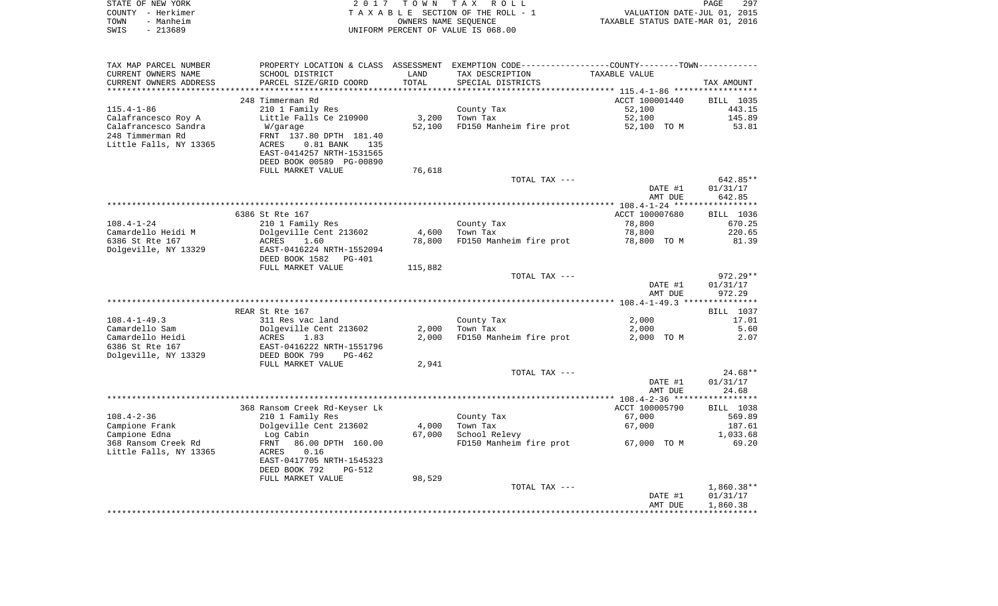|      | STATE OF NEW YORK | 2017 TOWN TAX ROLL                 | PAGE                             | 297 |
|------|-------------------|------------------------------------|----------------------------------|-----|
|      | COUNTY - Herkimer | TAXABLE SECTION OF THE ROLL - 1    | VALUATION DATE-JUL 01, 2015      |     |
| TOWN | - Manheim         | OWNERS NAME SEOUENCE               | TAXABLE STATUS DATE-MAR 01, 2016 |     |
| SWIS | - 213689          | UNIFORM PERCENT OF VALUE IS 068.00 |                                  |     |

| TAX MAP PARCEL NUMBER  | PROPERTY LOCATION & CLASS ASSESSMENT EXEMPTION CODE-----------------COUNTY-------TOWN-------- |         |                                     |                |                        |
|------------------------|-----------------------------------------------------------------------------------------------|---------|-------------------------------------|----------------|------------------------|
| CURRENT OWNERS NAME    | SCHOOL DISTRICT                                                                               | LAND    | TAX DESCRIPTION                     | TAXABLE VALUE  |                        |
| CURRENT OWNERS ADDRESS | PARCEL SIZE/GRID COORD                                                                        | TOTAL   | SPECIAL DISTRICTS                   |                | TAX AMOUNT             |
|                        |                                                                                               |         |                                     |                |                        |
|                        | 248 Timmerman Rd                                                                              |         |                                     | ACCT 100001440 | BILL 1035              |
| $115.4 - 1 - 86$       | 210 1 Family Res                                                                              |         | County Tax                          | 52,100         | 443.15                 |
| Calafrancesco Roy A    | Little Falls Ce 210900                                                                        | 3,200   | Town Tax                            | 52,100         | 145.89                 |
| Calafrancesco Sandra   | W/garage                                                                                      | 52,100  | FD150 Manheim fire prot             | 52,100 TO M    | 53.81                  |
| 248 Timmerman Rd       | FRNT 137.80 DPTH 181.40                                                                       |         |                                     |                |                        |
| Little Falls, NY 13365 | ACRES<br>$0.81$ BANK<br>135                                                                   |         |                                     |                |                        |
|                        | EAST-0414257 NRTH-1531565                                                                     |         |                                     |                |                        |
|                        | DEED BOOK 00589 PG-00890                                                                      |         |                                     |                |                        |
|                        | FULL MARKET VALUE                                                                             | 76,618  |                                     |                |                        |
|                        |                                                                                               |         | TOTAL TAX ---                       |                | 642.85**               |
|                        |                                                                                               |         |                                     | DATE #1        | 01/31/17               |
|                        |                                                                                               |         |                                     | AMT DUE        | 642.85<br>***********  |
|                        |                                                                                               |         |                                     |                |                        |
|                        | 6386 St Rte 167                                                                               |         |                                     | ACCT 100007680 | BILL 1036              |
| $108.4 - 1 - 24$       | 210 1 Family Res                                                                              |         | County Tax                          | 78,800         | 670.25                 |
| Camardello Heidi M     | Dolgeville Cent 213602                                                                        | 4,600   | Town Tax                            | 78,800         | 220.65                 |
| 6386 St Rte 167        | ACRES<br>1.60                                                                                 | 78,800  | FD150 Manheim fire prot 78,800 TO M |                | 81.39                  |
| Dolgeville, NY 13329   | EAST-0416224 NRTH-1552094                                                                     |         |                                     |                |                        |
|                        | DEED BOOK 1582 PG-401                                                                         |         |                                     |                |                        |
|                        | FULL MARKET VALUE                                                                             | 115,882 |                                     |                |                        |
|                        |                                                                                               |         | TOTAL TAX ---                       | DATE #1        | $972.29**$<br>01/31/17 |
|                        |                                                                                               |         |                                     | AMT DUE        | 972.29                 |
|                        |                                                                                               |         |                                     |                |                        |
|                        | REAR St Rte 167                                                                               |         |                                     |                | BILL 1037              |
| $108.4 - 1 - 49.3$     | 311 Res vac land                                                                              |         | County Tax                          | 2,000          | 17.01                  |
| Camardello Sam         | Dolgeville Cent 213602                                                                        | 2,000   | Town Tax                            | 2,000          | 5.60                   |
| Camardello Heidi       | ACRES<br>1.83                                                                                 | 2,000   | FD150 Manheim fire prot             | 2,000 TO M     | 2.07                   |
| 6386 St Rte 167        | EAST-0416222 NRTH-1551796                                                                     |         |                                     |                |                        |
| Dolgeville, NY 13329   | DEED BOOK 799<br>$PG-462$                                                                     |         |                                     |                |                        |
|                        | FULL MARKET VALUE                                                                             | 2,941   |                                     |                |                        |
|                        |                                                                                               |         | TOTAL TAX ---                       |                | $24.68**$              |
|                        |                                                                                               |         |                                     | DATE #1        | 01/31/17               |
|                        |                                                                                               |         |                                     | AMT DUE        | 24.68                  |
|                        |                                                                                               |         |                                     |                |                        |
|                        | 368 Ransom Creek Rd-Keyser Lk                                                                 |         |                                     | ACCT 100005790 | BILL 1038              |
| $108.4 - 2 - 36$       | 210 1 Family Res                                                                              |         | County Tax                          | 67,000         | 569.89                 |
| Campione Frank         | Dolgeville Cent 213602                                                                        | 4,000   | Town Tax                            | 67,000         | 187.61                 |
| Campione Edna          | Log Cabin                                                                                     | 67,000  | School Relevy                       |                | 1,033.68               |
| 368 Ransom Creek Rd    | FRNT<br>86.00 DPTH 160.00                                                                     |         | FD150 Manheim fire prot 67,000 TO M |                | 69.20                  |
| Little Falls, NY 13365 | ACRES<br>0.16                                                                                 |         |                                     |                |                        |
|                        | EAST-0417705 NRTH-1545323                                                                     |         |                                     |                |                        |
|                        | DEED BOOK 792<br>$PG-512$                                                                     |         |                                     |                |                        |
|                        | FULL MARKET VALUE                                                                             | 98,529  |                                     |                |                        |
|                        |                                                                                               |         | TOTAL TAX ---                       |                | $1,860.38**$           |
|                        |                                                                                               |         |                                     | DATE #1        | 01/31/17               |
|                        |                                                                                               |         |                                     | AMT DUE        | 1,860.38               |
|                        |                                                                                               |         |                                     |                |                        |
|                        |                                                                                               |         |                                     |                |                        |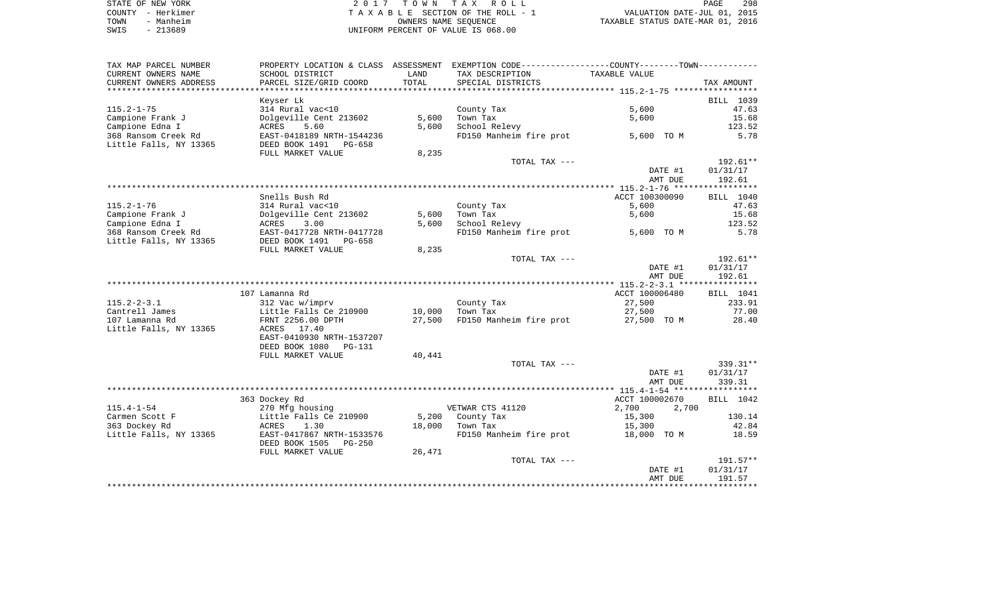| STATE OF NEW YORK | 2017 TOWN TAX ROLL                 | 298<br>PAGE                      |
|-------------------|------------------------------------|----------------------------------|
| COUNTY - Herkimer | TAXABLE SECTION OF THE ROLL - 1    | VALUATION DATE-JUL 01, 2015      |
| - Manheim<br>TOWN | OWNERS NAME SEOUENCE               | TAXABLE STATUS DATE-MAR 01, 2016 |
| $-213689$<br>SWIS | UNIFORM PERCENT OF VALUE IS 068.00 |                                  |

| TAX MAP PARCEL NUMBER  |                           |               | PROPERTY LOCATION & CLASS ASSESSMENT EXEMPTION CODE---------------COUNTY-------TOWN---------- |                |            |
|------------------------|---------------------------|---------------|-----------------------------------------------------------------------------------------------|----------------|------------|
| CURRENT OWNERS NAME    | SCHOOL DISTRICT           | LAND          | TAX DESCRIPTION                                                                               | TAXABLE VALUE  |            |
| CURRENT OWNERS ADDRESS | PARCEL SIZE/GRID COORD    | TOTAL         | SPECIAL DISTRICTS                                                                             |                | TAX AMOUNT |
|                        |                           | ************* |                                                                                               |                |            |
|                        | Keyser Lk                 |               |                                                                                               |                | BILL 1039  |
| $115.2 - 1 - 75$       | 314 Rural vac<10          |               | County Tax                                                                                    | 5,600          | 47.63      |
| Campione Frank J       | Dolgeville Cent 213602    | 5,600         | Town Tax                                                                                      | 5,600          | 15.68      |
| Campione Edna I        | 5.60<br>ACRES             | 5,600         | School Relevy                                                                                 |                | 123.52     |
| 368 Ransom Creek Rd    | EAST-0418189 NRTH-1544236 |               | FD150 Manheim fire prot                                                                       | 5,600 TO M     | 5.78       |
| Little Falls, NY 13365 | DEED BOOK 1491 PG-658     |               |                                                                                               |                |            |
|                        | FULL MARKET VALUE         | 8,235         |                                                                                               |                |            |
|                        |                           |               | TOTAL TAX ---                                                                                 |                | 192.61**   |
|                        |                           |               |                                                                                               | DATE #1        | 01/31/17   |
|                        |                           |               |                                                                                               | AMT DUE        | 192.61     |
|                        |                           |               |                                                                                               |                |            |
|                        | Snells Bush Rd            |               |                                                                                               | ACCT 100300090 | BILL 1040  |
| $115.2 - 1 - 76$       | 314 Rural vac<10          |               | County Tax                                                                                    | 5,600          | 47.63      |
| Campione Frank J       | Dolgeville Cent 213602    | 5,600         | Town Tax                                                                                      | 5,600          | 15.68      |
| Campione Edna I        | ACRES<br>3.00             | 5,600         | School Relevy                                                                                 |                | 123.52     |
| 368 Ransom Creek Rd    | EAST-0417728 NRTH-0417728 |               | FD150 Manheim fire prot                                                                       | 5,600 TO M     | 5.78       |
| Little Falls, NY 13365 | DEED BOOK 1491<br>PG-658  |               |                                                                                               |                |            |
|                        | FULL MARKET VALUE         | 8,235         |                                                                                               |                |            |
|                        |                           |               | TOTAL TAX ---                                                                                 |                | 192.61**   |
|                        |                           |               |                                                                                               | DATE #1        | 01/31/17   |
|                        |                           |               |                                                                                               | AMT DUE        | 192.61     |
|                        |                           |               |                                                                                               |                |            |
|                        | 107 Lamanna Rd            |               |                                                                                               | ACCT 100006480 | BILL 1041  |
| $115.2 - 2 - 3.1$      | 312 Vac w/imprv           |               | County Tax                                                                                    | 27,500         | 233.91     |
| Cantrell James         | Little Falls Ce 210900    | 10,000        | Town Tax                                                                                      | 27,500         | 77.00      |
| 107 Lamanna Rd         | FRNT 2256.00 DPTH         | 27,500        | FD150 Manheim fire prot                                                                       | 27,500 TO M    | 28.40      |
| Little Falls, NY 13365 | 17.40<br>ACRES            |               |                                                                                               |                |            |
|                        | EAST-0410930 NRTH-1537207 |               |                                                                                               |                |            |
|                        | DEED BOOK 1080<br>PG-131  |               |                                                                                               |                |            |
|                        | FULL MARKET VALUE         | 40,441        |                                                                                               |                |            |
|                        |                           |               | TOTAL TAX ---                                                                                 |                | 339.31**   |
|                        |                           |               |                                                                                               | DATE #1        | 01/31/17   |
|                        |                           |               |                                                                                               | AMT DUE        | 339.31     |
|                        |                           |               |                                                                                               |                |            |
|                        | 363 Dockey Rd             |               |                                                                                               | ACCT 100002670 | BILL 1042  |
| $115.4 - 1 - 54$       | 270 Mfg housing           |               | VETWAR CTS 41120                                                                              | 2,700<br>2,700 |            |
| Carmen Scott F         | Little Falls Ce 210900    | 5,200         | County Tax                                                                                    | 15,300         | 130.14     |
| 363 Dockey Rd          | ACRES<br>1.30             | 18,000        | Town Tax                                                                                      | 15,300         | 42.84      |
| Little Falls, NY 13365 | EAST-0417867 NRTH-1533576 |               | FD150 Manheim fire prot                                                                       | 18,000 TO M    | 18.59      |
|                        | DEED BOOK 1505<br>PG-250  |               |                                                                                               |                |            |
|                        | FULL MARKET VALUE         | 26,471        |                                                                                               |                |            |
|                        |                           |               | TOTAL TAX ---                                                                                 |                | 191.57**   |
|                        |                           |               |                                                                                               | DATE #1        | 01/31/17   |
|                        |                           |               |                                                                                               | AMT DUE        | 191.57     |
|                        |                           |               |                                                                                               |                |            |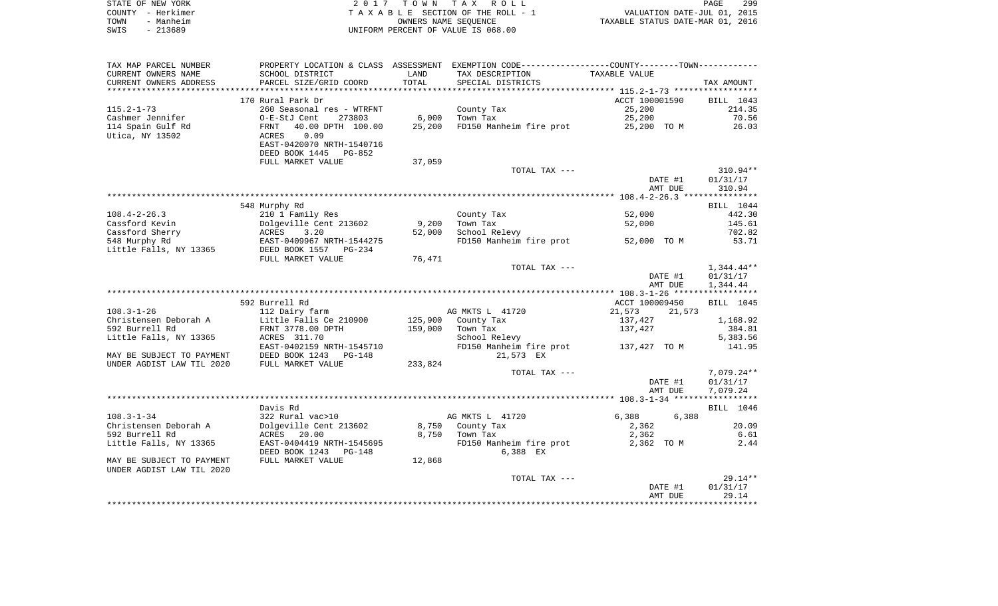| STATE OF NEW YORK | 2017 TOWN TAX ROLL                 | 299<br>PAGE                      |
|-------------------|------------------------------------|----------------------------------|
| COUNTY - Herkimer | TAXABLE SECTION OF THE ROLL - 1    | VALUATION DATE-JUL 01, 2015      |
| TOWN<br>- Manheim | OWNERS NAME SEOUENCE               | TAXABLE STATUS DATE-MAR 01, 2016 |
| SWIS<br>- 213689  | UNIFORM PERCENT OF VALUE IS 068.00 |                                  |

| SCHOOL DISTRICT<br>TAXABLE VALUE<br>LAND<br>TAX DESCRIPTION<br>TOTAL<br>PARCEL SIZE/GRID COORD<br>SPECIAL DISTRICTS<br>TAX AMOUNT<br>**********************<br>170 Rural Park Dr<br>ACCT 100001590<br>BILL 1043<br>County Tax<br>214.35<br>260 Seasonal res - WTRFNT<br>25,200<br>6,000<br>Town Tax<br>25,200<br>70.56<br>O-E-StJ Cent<br>273803<br>FD150 Manheim fire prot<br>40.00 DPTH 100.00<br>25,200<br>25,200 TO M<br>26.03<br>FRNT<br>Utica, NY 13502<br>0.09<br>ACRES<br>EAST-0420070 NRTH-1540716<br>DEED BOOK 1445<br>PG-852<br>FULL MARKET VALUE<br>37,059<br>TOTAL TAX ---<br>310.94**<br>DATE #1<br>01/31/17<br>310.94<br>AMT DUE<br>548 Murphy Rd<br>BILL 1044<br>$108.4 - 2 - 26.3$<br>442.30<br>210 1 Family Res<br>County Tax<br>52,000<br>Cassford Kevin<br>Dolgeville Cent 213602<br>9,200<br>Town Tax<br>52,000<br>145.61<br>Cassford Sherry<br>3.20<br>52,000<br>School Relevy<br>702.82<br>ACRES<br>548 Murphy Rd<br>FD150 Manheim fire prot<br>EAST-0409967 NRTH-1544275<br>52,000 TO M<br>53.71<br>Little Falls, NY 13365<br>DEED BOOK 1557<br>PG-234<br>76,471<br>FULL MARKET VALUE<br>$1,344.44**$<br>TOTAL TAX ---<br>DATE #1<br>01/31/17<br>AMT DUE<br>1,344.44<br>592 Burrell Rd<br>ACCT 100009450<br>BILL 1045<br>$108.3 - 1 - 26$<br>112 Dairy farm<br>AG MKTS L 41720<br>21,573<br>21,573<br>Christensen Deborah A<br>Little Falls Ce 210900<br>125,900<br>County Tax<br>137,427<br>1,168.92<br>592 Burrell Rd<br>FRNT 3778.00 DPTH<br>159,000<br>Town Tax<br>384.81<br>137,427<br>Little Falls, NY 13365<br>ACRES 311.70<br>School Relevy<br>5,383.56<br>EAST-0402159 NRTH-1545710<br>141.95<br>FD150 Manheim fire prot<br>137,427 TO M<br>DEED BOOK 1243<br>21,573 EX<br>MAY BE SUBJECT TO PAYMENT<br>$PG-148$<br>UNDER AGDIST LAW TIL 2020<br>FULL MARKET VALUE<br>233,824<br>$7,079.24**$<br>TOTAL TAX ---<br>DATE #1<br>01/31/17<br>AMT DUE<br>7,079.24<br>BILL 1046<br>Davis Rd<br>322 Rural vac>10<br>AG MKTS L 41720<br>6,388<br>6,388<br>20.09<br>Dolgeville Cent 213602<br>8,750<br>County Tax<br>2,362<br>8,750<br>6.61<br>ACRES 20.00<br>Town Tax<br>2,362<br>Little Falls, NY 13365<br>EAST-0404419 NRTH-1545695<br>FD150 Manheim fire prot<br>2,362 TO M<br>2.44<br>DEED BOOK 1243<br>6,388 EX<br>PG-148<br>FULL MARKET VALUE<br>12,868<br>$29.14**$<br>TOTAL TAX ---<br>DATE #1<br>01/31/17<br>29.14<br>AMT DUE | TAX MAP PARCEL NUMBER     |  | PROPERTY LOCATION & CLASS ASSESSMENT EXEMPTION CODE---------------COUNTY-------TOWN---------- |  |
|-----------------------------------------------------------------------------------------------------------------------------------------------------------------------------------------------------------------------------------------------------------------------------------------------------------------------------------------------------------------------------------------------------------------------------------------------------------------------------------------------------------------------------------------------------------------------------------------------------------------------------------------------------------------------------------------------------------------------------------------------------------------------------------------------------------------------------------------------------------------------------------------------------------------------------------------------------------------------------------------------------------------------------------------------------------------------------------------------------------------------------------------------------------------------------------------------------------------------------------------------------------------------------------------------------------------------------------------------------------------------------------------------------------------------------------------------------------------------------------------------------------------------------------------------------------------------------------------------------------------------------------------------------------------------------------------------------------------------------------------------------------------------------------------------------------------------------------------------------------------------------------------------------------------------------------------------------------------------------------------------------------------------------------------------------------------------------------------------------------------------------------------------------------------------------------------------------------------------------------------------------------------------------------------------------------------------------------------------------------------|---------------------------|--|-----------------------------------------------------------------------------------------------|--|
|                                                                                                                                                                                                                                                                                                                                                                                                                                                                                                                                                                                                                                                                                                                                                                                                                                                                                                                                                                                                                                                                                                                                                                                                                                                                                                                                                                                                                                                                                                                                                                                                                                                                                                                                                                                                                                                                                                                                                                                                                                                                                                                                                                                                                                                                                                                                                                 | CURRENT OWNERS NAME       |  |                                                                                               |  |
|                                                                                                                                                                                                                                                                                                                                                                                                                                                                                                                                                                                                                                                                                                                                                                                                                                                                                                                                                                                                                                                                                                                                                                                                                                                                                                                                                                                                                                                                                                                                                                                                                                                                                                                                                                                                                                                                                                                                                                                                                                                                                                                                                                                                                                                                                                                                                                 | CURRENT OWNERS ADDRESS    |  |                                                                                               |  |
|                                                                                                                                                                                                                                                                                                                                                                                                                                                                                                                                                                                                                                                                                                                                                                                                                                                                                                                                                                                                                                                                                                                                                                                                                                                                                                                                                                                                                                                                                                                                                                                                                                                                                                                                                                                                                                                                                                                                                                                                                                                                                                                                                                                                                                                                                                                                                                 |                           |  |                                                                                               |  |
|                                                                                                                                                                                                                                                                                                                                                                                                                                                                                                                                                                                                                                                                                                                                                                                                                                                                                                                                                                                                                                                                                                                                                                                                                                                                                                                                                                                                                                                                                                                                                                                                                                                                                                                                                                                                                                                                                                                                                                                                                                                                                                                                                                                                                                                                                                                                                                 |                           |  |                                                                                               |  |
|                                                                                                                                                                                                                                                                                                                                                                                                                                                                                                                                                                                                                                                                                                                                                                                                                                                                                                                                                                                                                                                                                                                                                                                                                                                                                                                                                                                                                                                                                                                                                                                                                                                                                                                                                                                                                                                                                                                                                                                                                                                                                                                                                                                                                                                                                                                                                                 | $115.2 - 1 - 73$          |  |                                                                                               |  |
|                                                                                                                                                                                                                                                                                                                                                                                                                                                                                                                                                                                                                                                                                                                                                                                                                                                                                                                                                                                                                                                                                                                                                                                                                                                                                                                                                                                                                                                                                                                                                                                                                                                                                                                                                                                                                                                                                                                                                                                                                                                                                                                                                                                                                                                                                                                                                                 | Cashmer Jennifer          |  |                                                                                               |  |
|                                                                                                                                                                                                                                                                                                                                                                                                                                                                                                                                                                                                                                                                                                                                                                                                                                                                                                                                                                                                                                                                                                                                                                                                                                                                                                                                                                                                                                                                                                                                                                                                                                                                                                                                                                                                                                                                                                                                                                                                                                                                                                                                                                                                                                                                                                                                                                 | 114 Spain Gulf Rd         |  |                                                                                               |  |
|                                                                                                                                                                                                                                                                                                                                                                                                                                                                                                                                                                                                                                                                                                                                                                                                                                                                                                                                                                                                                                                                                                                                                                                                                                                                                                                                                                                                                                                                                                                                                                                                                                                                                                                                                                                                                                                                                                                                                                                                                                                                                                                                                                                                                                                                                                                                                                 |                           |  |                                                                                               |  |
|                                                                                                                                                                                                                                                                                                                                                                                                                                                                                                                                                                                                                                                                                                                                                                                                                                                                                                                                                                                                                                                                                                                                                                                                                                                                                                                                                                                                                                                                                                                                                                                                                                                                                                                                                                                                                                                                                                                                                                                                                                                                                                                                                                                                                                                                                                                                                                 |                           |  |                                                                                               |  |
|                                                                                                                                                                                                                                                                                                                                                                                                                                                                                                                                                                                                                                                                                                                                                                                                                                                                                                                                                                                                                                                                                                                                                                                                                                                                                                                                                                                                                                                                                                                                                                                                                                                                                                                                                                                                                                                                                                                                                                                                                                                                                                                                                                                                                                                                                                                                                                 |                           |  |                                                                                               |  |
|                                                                                                                                                                                                                                                                                                                                                                                                                                                                                                                                                                                                                                                                                                                                                                                                                                                                                                                                                                                                                                                                                                                                                                                                                                                                                                                                                                                                                                                                                                                                                                                                                                                                                                                                                                                                                                                                                                                                                                                                                                                                                                                                                                                                                                                                                                                                                                 |                           |  |                                                                                               |  |
|                                                                                                                                                                                                                                                                                                                                                                                                                                                                                                                                                                                                                                                                                                                                                                                                                                                                                                                                                                                                                                                                                                                                                                                                                                                                                                                                                                                                                                                                                                                                                                                                                                                                                                                                                                                                                                                                                                                                                                                                                                                                                                                                                                                                                                                                                                                                                                 |                           |  |                                                                                               |  |
|                                                                                                                                                                                                                                                                                                                                                                                                                                                                                                                                                                                                                                                                                                                                                                                                                                                                                                                                                                                                                                                                                                                                                                                                                                                                                                                                                                                                                                                                                                                                                                                                                                                                                                                                                                                                                                                                                                                                                                                                                                                                                                                                                                                                                                                                                                                                                                 |                           |  |                                                                                               |  |
|                                                                                                                                                                                                                                                                                                                                                                                                                                                                                                                                                                                                                                                                                                                                                                                                                                                                                                                                                                                                                                                                                                                                                                                                                                                                                                                                                                                                                                                                                                                                                                                                                                                                                                                                                                                                                                                                                                                                                                                                                                                                                                                                                                                                                                                                                                                                                                 |                           |  |                                                                                               |  |
|                                                                                                                                                                                                                                                                                                                                                                                                                                                                                                                                                                                                                                                                                                                                                                                                                                                                                                                                                                                                                                                                                                                                                                                                                                                                                                                                                                                                                                                                                                                                                                                                                                                                                                                                                                                                                                                                                                                                                                                                                                                                                                                                                                                                                                                                                                                                                                 |                           |  |                                                                                               |  |
|                                                                                                                                                                                                                                                                                                                                                                                                                                                                                                                                                                                                                                                                                                                                                                                                                                                                                                                                                                                                                                                                                                                                                                                                                                                                                                                                                                                                                                                                                                                                                                                                                                                                                                                                                                                                                                                                                                                                                                                                                                                                                                                                                                                                                                                                                                                                                                 |                           |  |                                                                                               |  |
|                                                                                                                                                                                                                                                                                                                                                                                                                                                                                                                                                                                                                                                                                                                                                                                                                                                                                                                                                                                                                                                                                                                                                                                                                                                                                                                                                                                                                                                                                                                                                                                                                                                                                                                                                                                                                                                                                                                                                                                                                                                                                                                                                                                                                                                                                                                                                                 |                           |  |                                                                                               |  |
|                                                                                                                                                                                                                                                                                                                                                                                                                                                                                                                                                                                                                                                                                                                                                                                                                                                                                                                                                                                                                                                                                                                                                                                                                                                                                                                                                                                                                                                                                                                                                                                                                                                                                                                                                                                                                                                                                                                                                                                                                                                                                                                                                                                                                                                                                                                                                                 |                           |  |                                                                                               |  |
|                                                                                                                                                                                                                                                                                                                                                                                                                                                                                                                                                                                                                                                                                                                                                                                                                                                                                                                                                                                                                                                                                                                                                                                                                                                                                                                                                                                                                                                                                                                                                                                                                                                                                                                                                                                                                                                                                                                                                                                                                                                                                                                                                                                                                                                                                                                                                                 |                           |  |                                                                                               |  |
|                                                                                                                                                                                                                                                                                                                                                                                                                                                                                                                                                                                                                                                                                                                                                                                                                                                                                                                                                                                                                                                                                                                                                                                                                                                                                                                                                                                                                                                                                                                                                                                                                                                                                                                                                                                                                                                                                                                                                                                                                                                                                                                                                                                                                                                                                                                                                                 |                           |  |                                                                                               |  |
|                                                                                                                                                                                                                                                                                                                                                                                                                                                                                                                                                                                                                                                                                                                                                                                                                                                                                                                                                                                                                                                                                                                                                                                                                                                                                                                                                                                                                                                                                                                                                                                                                                                                                                                                                                                                                                                                                                                                                                                                                                                                                                                                                                                                                                                                                                                                                                 |                           |  |                                                                                               |  |
|                                                                                                                                                                                                                                                                                                                                                                                                                                                                                                                                                                                                                                                                                                                                                                                                                                                                                                                                                                                                                                                                                                                                                                                                                                                                                                                                                                                                                                                                                                                                                                                                                                                                                                                                                                                                                                                                                                                                                                                                                                                                                                                                                                                                                                                                                                                                                                 |                           |  |                                                                                               |  |
|                                                                                                                                                                                                                                                                                                                                                                                                                                                                                                                                                                                                                                                                                                                                                                                                                                                                                                                                                                                                                                                                                                                                                                                                                                                                                                                                                                                                                                                                                                                                                                                                                                                                                                                                                                                                                                                                                                                                                                                                                                                                                                                                                                                                                                                                                                                                                                 |                           |  |                                                                                               |  |
|                                                                                                                                                                                                                                                                                                                                                                                                                                                                                                                                                                                                                                                                                                                                                                                                                                                                                                                                                                                                                                                                                                                                                                                                                                                                                                                                                                                                                                                                                                                                                                                                                                                                                                                                                                                                                                                                                                                                                                                                                                                                                                                                                                                                                                                                                                                                                                 |                           |  |                                                                                               |  |
|                                                                                                                                                                                                                                                                                                                                                                                                                                                                                                                                                                                                                                                                                                                                                                                                                                                                                                                                                                                                                                                                                                                                                                                                                                                                                                                                                                                                                                                                                                                                                                                                                                                                                                                                                                                                                                                                                                                                                                                                                                                                                                                                                                                                                                                                                                                                                                 |                           |  |                                                                                               |  |
|                                                                                                                                                                                                                                                                                                                                                                                                                                                                                                                                                                                                                                                                                                                                                                                                                                                                                                                                                                                                                                                                                                                                                                                                                                                                                                                                                                                                                                                                                                                                                                                                                                                                                                                                                                                                                                                                                                                                                                                                                                                                                                                                                                                                                                                                                                                                                                 |                           |  |                                                                                               |  |
|                                                                                                                                                                                                                                                                                                                                                                                                                                                                                                                                                                                                                                                                                                                                                                                                                                                                                                                                                                                                                                                                                                                                                                                                                                                                                                                                                                                                                                                                                                                                                                                                                                                                                                                                                                                                                                                                                                                                                                                                                                                                                                                                                                                                                                                                                                                                                                 |                           |  |                                                                                               |  |
|                                                                                                                                                                                                                                                                                                                                                                                                                                                                                                                                                                                                                                                                                                                                                                                                                                                                                                                                                                                                                                                                                                                                                                                                                                                                                                                                                                                                                                                                                                                                                                                                                                                                                                                                                                                                                                                                                                                                                                                                                                                                                                                                                                                                                                                                                                                                                                 |                           |  |                                                                                               |  |
|                                                                                                                                                                                                                                                                                                                                                                                                                                                                                                                                                                                                                                                                                                                                                                                                                                                                                                                                                                                                                                                                                                                                                                                                                                                                                                                                                                                                                                                                                                                                                                                                                                                                                                                                                                                                                                                                                                                                                                                                                                                                                                                                                                                                                                                                                                                                                                 |                           |  |                                                                                               |  |
|                                                                                                                                                                                                                                                                                                                                                                                                                                                                                                                                                                                                                                                                                                                                                                                                                                                                                                                                                                                                                                                                                                                                                                                                                                                                                                                                                                                                                                                                                                                                                                                                                                                                                                                                                                                                                                                                                                                                                                                                                                                                                                                                                                                                                                                                                                                                                                 |                           |  |                                                                                               |  |
|                                                                                                                                                                                                                                                                                                                                                                                                                                                                                                                                                                                                                                                                                                                                                                                                                                                                                                                                                                                                                                                                                                                                                                                                                                                                                                                                                                                                                                                                                                                                                                                                                                                                                                                                                                                                                                                                                                                                                                                                                                                                                                                                                                                                                                                                                                                                                                 |                           |  |                                                                                               |  |
|                                                                                                                                                                                                                                                                                                                                                                                                                                                                                                                                                                                                                                                                                                                                                                                                                                                                                                                                                                                                                                                                                                                                                                                                                                                                                                                                                                                                                                                                                                                                                                                                                                                                                                                                                                                                                                                                                                                                                                                                                                                                                                                                                                                                                                                                                                                                                                 |                           |  |                                                                                               |  |
|                                                                                                                                                                                                                                                                                                                                                                                                                                                                                                                                                                                                                                                                                                                                                                                                                                                                                                                                                                                                                                                                                                                                                                                                                                                                                                                                                                                                                                                                                                                                                                                                                                                                                                                                                                                                                                                                                                                                                                                                                                                                                                                                                                                                                                                                                                                                                                 |                           |  |                                                                                               |  |
|                                                                                                                                                                                                                                                                                                                                                                                                                                                                                                                                                                                                                                                                                                                                                                                                                                                                                                                                                                                                                                                                                                                                                                                                                                                                                                                                                                                                                                                                                                                                                                                                                                                                                                                                                                                                                                                                                                                                                                                                                                                                                                                                                                                                                                                                                                                                                                 |                           |  |                                                                                               |  |
|                                                                                                                                                                                                                                                                                                                                                                                                                                                                                                                                                                                                                                                                                                                                                                                                                                                                                                                                                                                                                                                                                                                                                                                                                                                                                                                                                                                                                                                                                                                                                                                                                                                                                                                                                                                                                                                                                                                                                                                                                                                                                                                                                                                                                                                                                                                                                                 |                           |  |                                                                                               |  |
|                                                                                                                                                                                                                                                                                                                                                                                                                                                                                                                                                                                                                                                                                                                                                                                                                                                                                                                                                                                                                                                                                                                                                                                                                                                                                                                                                                                                                                                                                                                                                                                                                                                                                                                                                                                                                                                                                                                                                                                                                                                                                                                                                                                                                                                                                                                                                                 |                           |  |                                                                                               |  |
|                                                                                                                                                                                                                                                                                                                                                                                                                                                                                                                                                                                                                                                                                                                                                                                                                                                                                                                                                                                                                                                                                                                                                                                                                                                                                                                                                                                                                                                                                                                                                                                                                                                                                                                                                                                                                                                                                                                                                                                                                                                                                                                                                                                                                                                                                                                                                                 |                           |  |                                                                                               |  |
|                                                                                                                                                                                                                                                                                                                                                                                                                                                                                                                                                                                                                                                                                                                                                                                                                                                                                                                                                                                                                                                                                                                                                                                                                                                                                                                                                                                                                                                                                                                                                                                                                                                                                                                                                                                                                                                                                                                                                                                                                                                                                                                                                                                                                                                                                                                                                                 |                           |  |                                                                                               |  |
|                                                                                                                                                                                                                                                                                                                                                                                                                                                                                                                                                                                                                                                                                                                                                                                                                                                                                                                                                                                                                                                                                                                                                                                                                                                                                                                                                                                                                                                                                                                                                                                                                                                                                                                                                                                                                                                                                                                                                                                                                                                                                                                                                                                                                                                                                                                                                                 | $108.3 - 1 - 34$          |  |                                                                                               |  |
|                                                                                                                                                                                                                                                                                                                                                                                                                                                                                                                                                                                                                                                                                                                                                                                                                                                                                                                                                                                                                                                                                                                                                                                                                                                                                                                                                                                                                                                                                                                                                                                                                                                                                                                                                                                                                                                                                                                                                                                                                                                                                                                                                                                                                                                                                                                                                                 | Christensen Deborah A     |  |                                                                                               |  |
|                                                                                                                                                                                                                                                                                                                                                                                                                                                                                                                                                                                                                                                                                                                                                                                                                                                                                                                                                                                                                                                                                                                                                                                                                                                                                                                                                                                                                                                                                                                                                                                                                                                                                                                                                                                                                                                                                                                                                                                                                                                                                                                                                                                                                                                                                                                                                                 | 592 Burrell Rd            |  |                                                                                               |  |
|                                                                                                                                                                                                                                                                                                                                                                                                                                                                                                                                                                                                                                                                                                                                                                                                                                                                                                                                                                                                                                                                                                                                                                                                                                                                                                                                                                                                                                                                                                                                                                                                                                                                                                                                                                                                                                                                                                                                                                                                                                                                                                                                                                                                                                                                                                                                                                 |                           |  |                                                                                               |  |
|                                                                                                                                                                                                                                                                                                                                                                                                                                                                                                                                                                                                                                                                                                                                                                                                                                                                                                                                                                                                                                                                                                                                                                                                                                                                                                                                                                                                                                                                                                                                                                                                                                                                                                                                                                                                                                                                                                                                                                                                                                                                                                                                                                                                                                                                                                                                                                 |                           |  |                                                                                               |  |
|                                                                                                                                                                                                                                                                                                                                                                                                                                                                                                                                                                                                                                                                                                                                                                                                                                                                                                                                                                                                                                                                                                                                                                                                                                                                                                                                                                                                                                                                                                                                                                                                                                                                                                                                                                                                                                                                                                                                                                                                                                                                                                                                                                                                                                                                                                                                                                 | MAY BE SUBJECT TO PAYMENT |  |                                                                                               |  |
|                                                                                                                                                                                                                                                                                                                                                                                                                                                                                                                                                                                                                                                                                                                                                                                                                                                                                                                                                                                                                                                                                                                                                                                                                                                                                                                                                                                                                                                                                                                                                                                                                                                                                                                                                                                                                                                                                                                                                                                                                                                                                                                                                                                                                                                                                                                                                                 | UNDER AGDIST LAW TIL 2020 |  |                                                                                               |  |
|                                                                                                                                                                                                                                                                                                                                                                                                                                                                                                                                                                                                                                                                                                                                                                                                                                                                                                                                                                                                                                                                                                                                                                                                                                                                                                                                                                                                                                                                                                                                                                                                                                                                                                                                                                                                                                                                                                                                                                                                                                                                                                                                                                                                                                                                                                                                                                 |                           |  |                                                                                               |  |
|                                                                                                                                                                                                                                                                                                                                                                                                                                                                                                                                                                                                                                                                                                                                                                                                                                                                                                                                                                                                                                                                                                                                                                                                                                                                                                                                                                                                                                                                                                                                                                                                                                                                                                                                                                                                                                                                                                                                                                                                                                                                                                                                                                                                                                                                                                                                                                 |                           |  |                                                                                               |  |
|                                                                                                                                                                                                                                                                                                                                                                                                                                                                                                                                                                                                                                                                                                                                                                                                                                                                                                                                                                                                                                                                                                                                                                                                                                                                                                                                                                                                                                                                                                                                                                                                                                                                                                                                                                                                                                                                                                                                                                                                                                                                                                                                                                                                                                                                                                                                                                 |                           |  |                                                                                               |  |
|                                                                                                                                                                                                                                                                                                                                                                                                                                                                                                                                                                                                                                                                                                                                                                                                                                                                                                                                                                                                                                                                                                                                                                                                                                                                                                                                                                                                                                                                                                                                                                                                                                                                                                                                                                                                                                                                                                                                                                                                                                                                                                                                                                                                                                                                                                                                                                 |                           |  |                                                                                               |  |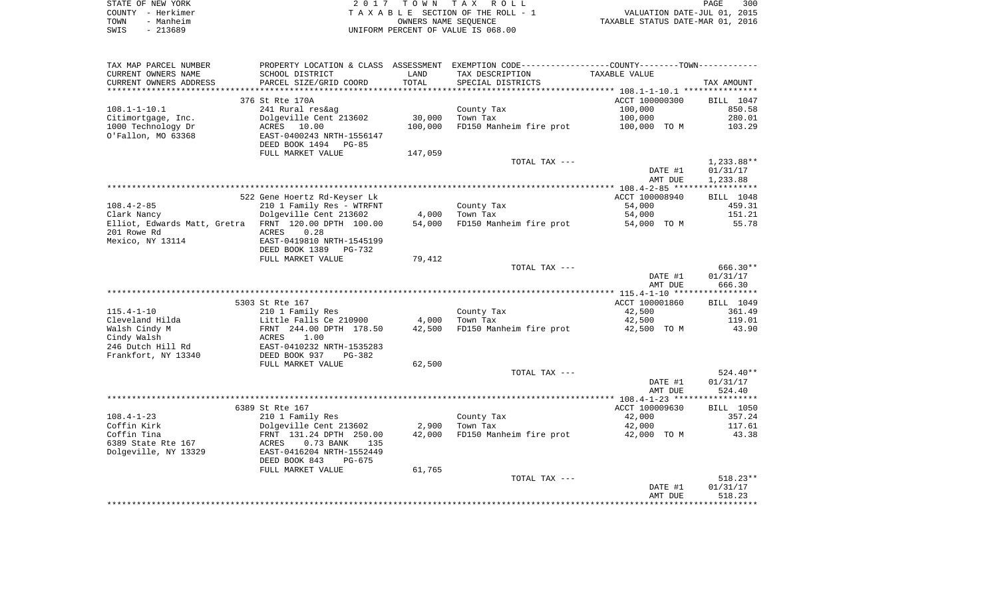|      | STATE OF NEW YORK | 2017 TOWN TAX ROLL                 | PAGE                             | 300 |
|------|-------------------|------------------------------------|----------------------------------|-----|
|      | COUNTY - Herkimer | TAXABLE SECTION OF THE ROLL - 1    | VALUATION DATE-JUL 01, 2015      |     |
| TOWN | - Manheim         | OWNERS NAME SEOUENCE               | TAXABLE STATUS DATE-MAR 01, 2016 |     |
| SWIS | $-213689$         | UNIFORM PERCENT OF VALUE IS 068.00 |                                  |     |

| TAX MAP PARCEL NUMBER                                |                              |         | PROPERTY LOCATION & CLASS ASSESSMENT EXEMPTION CODE----------------COUNTY--------TOWN----------- |                    |                        |
|------------------------------------------------------|------------------------------|---------|--------------------------------------------------------------------------------------------------|--------------------|------------------------|
| CURRENT OWNERS NAME                                  | SCHOOL DISTRICT              | LAND    | TAX DESCRIPTION                                                                                  | TAXABLE VALUE      |                        |
| CURRENT OWNERS ADDRESS                               | PARCEL SIZE/GRID COORD       | TOTAL   | SPECIAL DISTRICTS                                                                                |                    | TAX AMOUNT             |
| *********************                                | **************************** |         |                                                                                                  |                    |                        |
|                                                      | 376 St Rte 170A              |         |                                                                                                  | ACCT 100000300     | BILL 1047              |
| $108.1 - 1 - 10.1$                                   | 241 Rural res&ag             |         | County Tax                                                                                       | 100,000            | 850.58                 |
| Citimortgage, Inc.                                   | Dolgeville Cent 213602       | 30,000  | Town Tax                                                                                         | 100,000            | 280.01                 |
| 1000 Technology Dr                                   | ACRES 10.00                  | 100,000 | FD150 Manheim fire prot                                                                          | 100,000 TO M       | 103.29                 |
| O'Fallon, MO 63368                                   | EAST-0400243 NRTH-1556147    |         |                                                                                                  |                    |                        |
|                                                      | DEED BOOK 1494 PG-85         |         |                                                                                                  |                    |                        |
|                                                      | FULL MARKET VALUE            | 147,059 |                                                                                                  |                    |                        |
|                                                      |                              |         | TOTAL TAX ---                                                                                    |                    | $1,233.88**$           |
|                                                      |                              |         |                                                                                                  | DATE #1            | 01/31/17               |
|                                                      |                              |         |                                                                                                  | AMT DUE            | 1,233.88               |
|                                                      |                              |         |                                                                                                  |                    |                        |
|                                                      | 522 Gene Hoertz Rd-Keyser Lk |         |                                                                                                  | ACCT 100008940     | BILL 1048              |
| $108.4 - 2 - 85$                                     | 210 1 Family Res - WTRFNT    |         | County Tax                                                                                       | 54,000             | 459.31                 |
| Clark Nancy                                          | Dolgeville Cent 213602       | 4,000   | Town Tax                                                                                         | 54,000             | 151.21                 |
| Elliot, Edwards Matt, Gretra FRNT 120.00 DPTH 100.00 |                              | 54,000  | FD150 Manheim fire prot                                                                          | 54,000 TO M        | 55.78                  |
| 201 Rowe Rd                                          | <b>ACRES</b><br>0.28         |         |                                                                                                  |                    |                        |
| Mexico, NY 13114                                     | EAST-0419810 NRTH-1545199    |         |                                                                                                  |                    |                        |
|                                                      | DEED BOOK 1389<br>PG-732     |         |                                                                                                  |                    |                        |
|                                                      | FULL MARKET VALUE            | 79,412  |                                                                                                  |                    |                        |
|                                                      |                              |         | TOTAL TAX ---                                                                                    |                    | 666.30**               |
|                                                      |                              |         |                                                                                                  | DATE #1            | 01/31/17               |
|                                                      |                              |         |                                                                                                  | AMT DUE            | 666.30                 |
|                                                      |                              |         |                                                                                                  |                    |                        |
|                                                      | 5303 St Rte 167              |         |                                                                                                  | ACCT 100001860     | BILL 1049              |
| $115.4 - 1 - 10$                                     | 210 1 Family Res             |         | County Tax                                                                                       | 42,500             | 361.49                 |
| Cleveland Hilda                                      | Little Falls Ce 210900       | 4,000   | Town Tax                                                                                         | 42,500             | 119.01                 |
| Walsh Cindy M                                        | FRNT 244.00 DPTH 178.50      | 42,500  | FD150 Manheim fire prot                                                                          | 42,500 TO M        | 43.90                  |
| Cindy Walsh                                          | ACRES<br>1.00                |         |                                                                                                  |                    |                        |
| 246 Dutch Hill Rd                                    | EAST-0410232 NRTH-1535283    |         |                                                                                                  |                    |                        |
| Frankfort, NY 13340                                  | DEED BOOK 937<br>PG-382      |         |                                                                                                  |                    |                        |
|                                                      | FULL MARKET VALUE            | 62,500  |                                                                                                  |                    |                        |
|                                                      |                              |         | TOTAL TAX ---                                                                                    |                    | $524.40**$             |
|                                                      |                              |         |                                                                                                  | DATE #1            | 01/31/17               |
|                                                      |                              |         |                                                                                                  | AMT DUE            | 524.40                 |
|                                                      |                              |         |                                                                                                  |                    |                        |
|                                                      | 6389 St Rte 167              |         |                                                                                                  | ACCT 100009630     | BILL 1050              |
| $108.4 - 1 - 23$                                     | 210 1 Family Res             |         | County Tax                                                                                       | 42,000             | 357.24                 |
| Coffin Kirk                                          | Dolgeville Cent 213602       | 2,900   | Town Tax                                                                                         | 42,000             | 117.61                 |
| Coffin Tina                                          | FRNT 131.24 DPTH 250.00      | 42,000  | FD150 Manheim fire prot                                                                          | 42,000 TO M        | 43.38                  |
| 6389 State Rte 167                                   | ACRES<br>0.73 BANK<br>135    |         |                                                                                                  |                    |                        |
| Dolgeville, NY 13329                                 | EAST-0416204 NRTH-1552449    |         |                                                                                                  |                    |                        |
|                                                      | DEED BOOK 843<br>PG-675      |         |                                                                                                  |                    |                        |
|                                                      | FULL MARKET VALUE            | 61,765  |                                                                                                  |                    |                        |
|                                                      |                              |         | TOTAL TAX ---                                                                                    |                    | $518.23**$<br>01/31/17 |
|                                                      |                              |         |                                                                                                  | DATE #1<br>AMT DUE |                        |
|                                                      |                              |         |                                                                                                  |                    | 518.23                 |
|                                                      |                              |         |                                                                                                  |                    |                        |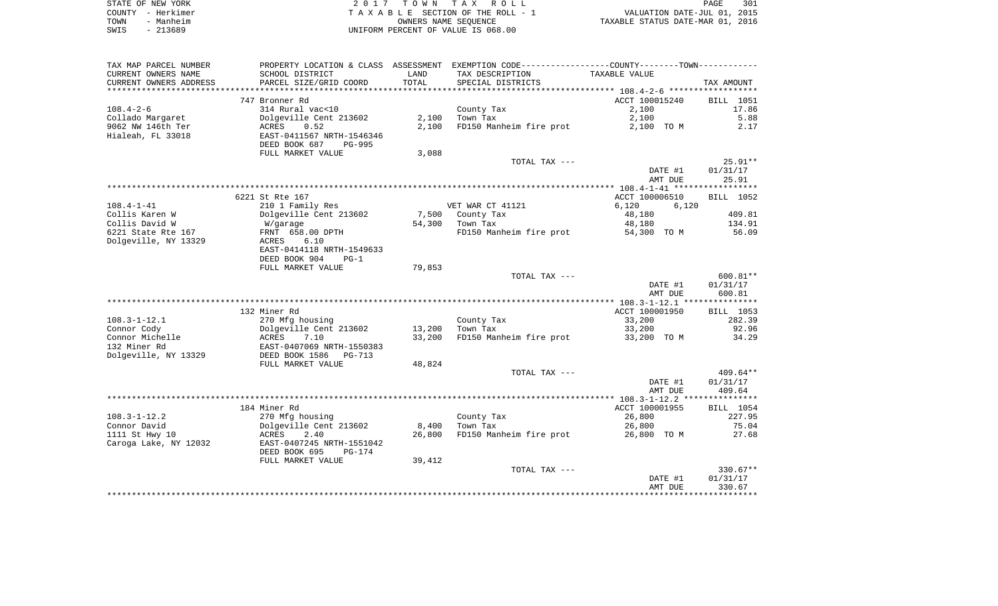|      | STATE OF NEW YORK | 2017 TOWN TAX ROLL                 | 301<br><b>PAGE</b>               |
|------|-------------------|------------------------------------|----------------------------------|
|      | COUNTY - Herkimer | TAXABLE SECTION OF THE ROLL - 1    | VALUATION DATE-JUL 01, 2015      |
| TOWN | - Manheim         | OWNERS NAME SEOUENCE               | TAXABLE STATUS DATE-MAR 01, 2016 |
| SWIS | - 213689          | UNIFORM PERCENT OF VALUE IS 068.00 |                                  |

| TAX MAP PARCEL NUMBER  | PROPERTY LOCATION & CLASS ASSESSMENT |                 | EXEMPTION CODE-----------------COUNTY-------TOWN----------- |                |                  |
|------------------------|--------------------------------------|-----------------|-------------------------------------------------------------|----------------|------------------|
| CURRENT OWNERS NAME    | SCHOOL DISTRICT                      | LAND            | TAX DESCRIPTION                                             | TAXABLE VALUE  |                  |
| CURRENT OWNERS ADDRESS | PARCEL SIZE/GRID COORD               | TOTAL           | SPECIAL DISTRICTS                                           |                | TAX AMOUNT       |
| *******************    |                                      | *************** |                                                             |                |                  |
|                        | 747 Bronner Rd                       |                 |                                                             | ACCT 100015240 | <b>BILL</b> 1051 |
| $108.4 - 2 - 6$        | 314 Rural vac<10                     |                 | County Tax                                                  | 2,100          | 17.86            |
| Collado Margaret       | Dolgeville Cent 213602               | 2,100           | Town Tax                                                    | 2,100          | 5.88             |
| 9062 NW 146th Ter      | ACRES<br>0.52                        | 2,100           | FD150 Manheim fire prot                                     | 2,100 TO M     | 2.17             |
| Hialeah, FL 33018      | EAST-0411567 NRTH-1546346            |                 |                                                             |                |                  |
|                        | DEED BOOK 687<br>PG-995              |                 |                                                             |                |                  |
|                        | FULL MARKET VALUE                    | 3,088           |                                                             |                |                  |
|                        |                                      |                 | TOTAL TAX ---                                               |                | $25.91**$        |
|                        |                                      |                 |                                                             | DATE #1        | 01/31/17         |
|                        |                                      |                 |                                                             | AMT DUE        | 25.91            |
|                        |                                      |                 |                                                             |                |                  |
|                        | 6221 St Rte 167                      |                 |                                                             | ACCT 100006510 | BILL 1052        |
| $108.4 - 1 - 41$       | 210 1 Family Res                     |                 | VET WAR CT 41121                                            | 6,120<br>6,120 |                  |
| Collis Karen W         | Dolgeville Cent 213602               | 7,500           | County Tax                                                  | 48,180         | 409.81           |
| Collis David W         | W/garage                             | 54,300          | Town Tax                                                    | 48,180         | 134.91           |
| 6221 State Rte 167     | FRNT 658.00 DPTH                     |                 | FD150 Manheim fire prot                                     | 54,300 TO M    | 56.09            |
| Dolgeville, NY 13329   | ACRES<br>6.10                        |                 |                                                             |                |                  |
|                        | EAST-0414118 NRTH-1549633            |                 |                                                             |                |                  |
|                        | DEED BOOK 904<br>$PG-1$              |                 |                                                             |                |                  |
|                        | FULL MARKET VALUE                    | 79,853          | TOTAL TAX ---                                               |                | 600.81**         |
|                        |                                      |                 |                                                             | DATE #1        | 01/31/17         |
|                        |                                      |                 |                                                             | AMT DUE        | 600.81           |
|                        |                                      |                 |                                                             |                |                  |
|                        | 132 Miner Rd                         |                 |                                                             | ACCT 100001950 | BILL 1053        |
| $108.3 - 1 - 12.1$     | 270 Mfg housing                      |                 | County Tax                                                  | 33,200         | 282.39           |
| Connor Cody            | Dolgeville Cent 213602               | 13,200          | Town Tax                                                    | 33,200         | 92.96            |
| Connor Michelle        | ACRES<br>7.10                        | 33,200          | FD150 Manheim fire prot                                     | 33,200 TO M    | 34.29            |
| 132 Miner Rd           | EAST-0407069 NRTH-1550383            |                 |                                                             |                |                  |
| Dolgeville, NY 13329   | DEED BOOK 1586<br>$PG-713$           |                 |                                                             |                |                  |
|                        | FULL MARKET VALUE                    | 48,824          |                                                             |                |                  |
|                        |                                      |                 | TOTAL TAX ---                                               |                | $409.64**$       |
|                        |                                      |                 |                                                             | DATE #1        | 01/31/17         |
|                        |                                      |                 |                                                             | AMT DUE        | 409.64           |
|                        |                                      |                 |                                                             |                |                  |
|                        | 184 Miner Rd                         |                 |                                                             | ACCT 100001955 | BILL 1054        |
| $108.3 - 1 - 12.2$     | 270 Mfg housing                      |                 | County Tax                                                  | 26,800         | 227.95           |
| Connor David           | Dolgeville Cent 213602               | 8,400           | Town Tax                                                    | 26,800         | 75.04            |
| 1111 St Hwy 10         | 2.40<br>ACRES                        | 26,800          | FD150 Manheim fire prot                                     | 26,800 TO M    | 27.68            |
| Caroga Lake, NY 12032  | EAST-0407245 NRTH-1551042            |                 |                                                             |                |                  |
|                        | DEED BOOK 695<br>$PG-174$            |                 |                                                             |                |                  |
|                        | FULL MARKET VALUE                    | 39,412          |                                                             |                |                  |
|                        |                                      |                 | TOTAL TAX ---                                               |                | $330.67**$       |
|                        |                                      |                 |                                                             | DATE #1        | 01/31/17         |
|                        |                                      |                 |                                                             | AMT DUE        | 330.67           |
|                        |                                      |                 |                                                             |                |                  |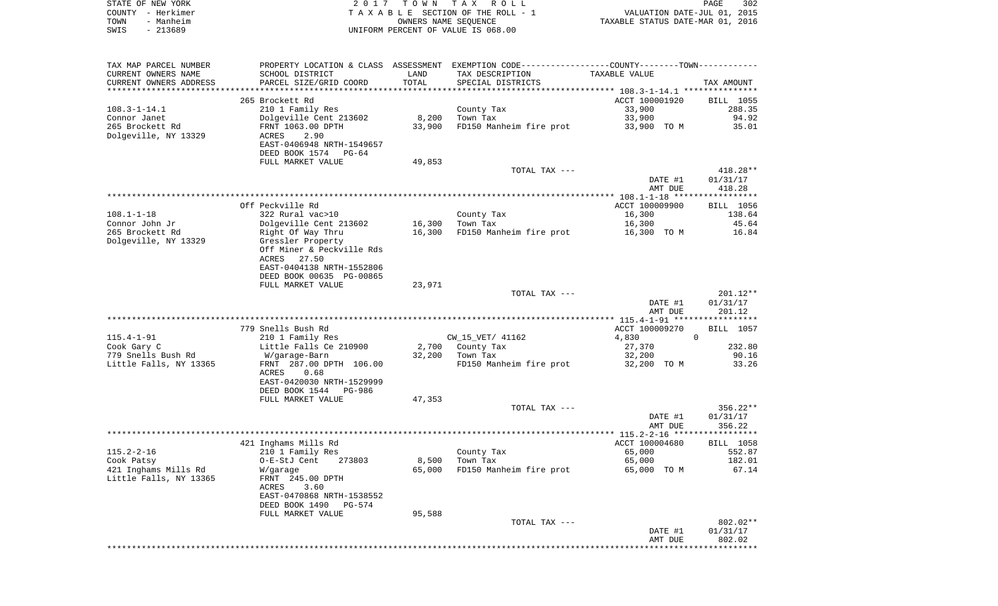|      | STATE OF NEW YORK | 2017 TOWN TAX ROLL                 | PAGE                             | 302 |
|------|-------------------|------------------------------------|----------------------------------|-----|
|      | COUNTY - Herkimer | TAXABLE SECTION OF THE ROLL - 1    | VALUATION DATE-JUL 01, 2015      |     |
| TOWN | - Manheim         | OWNERS NAME SEOUENCE               | TAXABLE STATUS DATE-MAR 01, 2016 |     |
| SWIS | - 213689          | UNIFORM PERCENT OF VALUE IS 068.00 |                                  |     |
|      |                   |                                    |                                  |     |

| TAX MAP PARCEL NUMBER  |                           |        | PROPERTY LOCATION & CLASS ASSESSMENT EXEMPTION CODE---------------COUNTY-------TOWN---------- |                |                       |
|------------------------|---------------------------|--------|-----------------------------------------------------------------------------------------------|----------------|-----------------------|
| CURRENT OWNERS NAME    | SCHOOL DISTRICT           | LAND   | TAX DESCRIPTION                                                                               | TAXABLE VALUE  |                       |
| CURRENT OWNERS ADDRESS | PARCEL SIZE/GRID COORD    | TOTAL  | SPECIAL DISTRICTS                                                                             |                | TAX AMOUNT            |
|                        |                           |        |                                                                                               |                |                       |
|                        | 265 Brockett Rd           |        |                                                                                               | ACCT 100001920 | BILL 1055             |
| $108.3 - 1 - 14.1$     | 210 1 Family Res          |        | County Tax                                                                                    | 33,900         | 288.35                |
| Connor Janet           | Dolgeville Cent 213602    | 8,200  | Town Tax                                                                                      | 33,900         | 94.92                 |
| 265 Brockett Rd        | FRNT 1063.00 DPTH         | 33,900 | FD150 Manheim fire prot                                                                       | 33,900 TO M    | 35.01                 |
| Dolgeville, NY 13329   | ACRES<br>2.90             |        |                                                                                               |                |                       |
|                        | EAST-0406948 NRTH-1549657 |        |                                                                                               |                |                       |
|                        | DEED BOOK 1574 PG-64      |        |                                                                                               |                |                       |
|                        | FULL MARKET VALUE         | 49,853 |                                                                                               |                |                       |
|                        |                           |        | TOTAL TAX ---                                                                                 |                | $418.28**$            |
|                        |                           |        |                                                                                               | DATE #1        | 01/31/17              |
|                        |                           |        |                                                                                               | AMT DUE        | 418.28                |
|                        |                           |        |                                                                                               |                | * * * * * * * * * * * |
|                        | Off Peckville Rd          |        |                                                                                               | ACCT 100009900 | BILL 1056             |
| $108.1 - 1 - 18$       | 322 Rural vac>10          |        | County Tax                                                                                    | 16,300         | 138.64                |
| Connor John Jr         | Dolgeville Cent 213602    | 16,300 | Town Tax                                                                                      | 16,300         | 45.64                 |
| 265 Brockett Rd        | Right Of Way Thru         | 16,300 | FD150 Manheim fire prot                                                                       | 16,300 TO M    | 16.84                 |
| Dolgeville, NY 13329   | Gressler Property         |        |                                                                                               |                |                       |
|                        | Off Miner & Peckville Rds |        |                                                                                               |                |                       |
|                        | 27.50<br>ACRES            |        |                                                                                               |                |                       |
|                        | EAST-0404138 NRTH-1552806 |        |                                                                                               |                |                       |
|                        | DEED BOOK 00635 PG-00865  | 23,971 |                                                                                               |                |                       |
|                        | FULL MARKET VALUE         |        | TOTAL TAX ---                                                                                 |                | $201.12**$            |
|                        |                           |        |                                                                                               | DATE #1        | 01/31/17              |
|                        |                           |        |                                                                                               | AMT DUE        | 201.12                |
|                        |                           |        |                                                                                               |                |                       |
|                        | 779 Snells Bush Rd        |        |                                                                                               | ACCT 100009270 | BILL 1057             |
| $115.4 - 1 - 91$       | 210 1 Family Res          |        | CW_15_VET/ 41162                                                                              | 4,830          | $\Omega$              |
| Cook Gary C            | Little Falls Ce 210900    |        | 2,700 County Tax                                                                              | 27,370         | 232.80                |
| 779 Snells Bush Rd     | W/garage-Barn             |        | 32,200 Town Tax                                                                               | 32,200         | 90.16                 |
| Little Falls, NY 13365 | FRNT 287.00 DPTH 106.00   |        | FD150 Manheim fire prot                                                                       | 32,200 TO M    | 33.26                 |
|                        | ACRES<br>0.68             |        |                                                                                               |                |                       |
|                        | EAST-0420030 NRTH-1529999 |        |                                                                                               |                |                       |
|                        | DEED BOOK 1544<br>PG-986  |        |                                                                                               |                |                       |
|                        | FULL MARKET VALUE         | 47,353 |                                                                                               |                |                       |
|                        |                           |        | TOTAL TAX ---                                                                                 |                | $356.22**$            |
|                        |                           |        |                                                                                               | DATE #1        | 01/31/17              |
|                        |                           |        |                                                                                               | AMT DUE        | 356.22                |
|                        |                           |        |                                                                                               |                |                       |
|                        | 421 Inghams Mills Rd      |        |                                                                                               | ACCT 100004680 | <b>BILL 1058</b>      |
| $115.2 - 2 - 16$       | 210 1 Family Res          |        | County Tax                                                                                    | 65,000         | 552.87                |
| Cook Patsy             | O-E-StJ Cent 273803       | 8,500  | Town Tax                                                                                      | 65,000         | 182.01                |
| 421 Inghams Mills Rd   | W/garage                  | 65,000 | FD150 Manheim fire prot                                                                       | 65,000 TO M    | 67.14                 |
| Little Falls, NY 13365 | FRNT 245.00 DPTH          |        |                                                                                               |                |                       |
|                        | ACRES<br>3.60             |        |                                                                                               |                |                       |
|                        | EAST-0470868 NRTH-1538552 |        |                                                                                               |                |                       |
|                        | DEED BOOK 1490<br>PG-574  |        |                                                                                               |                |                       |
|                        | FULL MARKET VALUE         | 95,588 |                                                                                               |                |                       |
|                        |                           |        | TOTAL TAX ---                                                                                 |                | 802.02**              |
|                        |                           |        |                                                                                               | DATE #1        | 01/31/17<br>802.02    |
|                        |                           |        |                                                                                               | AMT DUE        | *********             |
|                        |                           |        |                                                                                               |                |                       |
|                        |                           |        |                                                                                               |                |                       |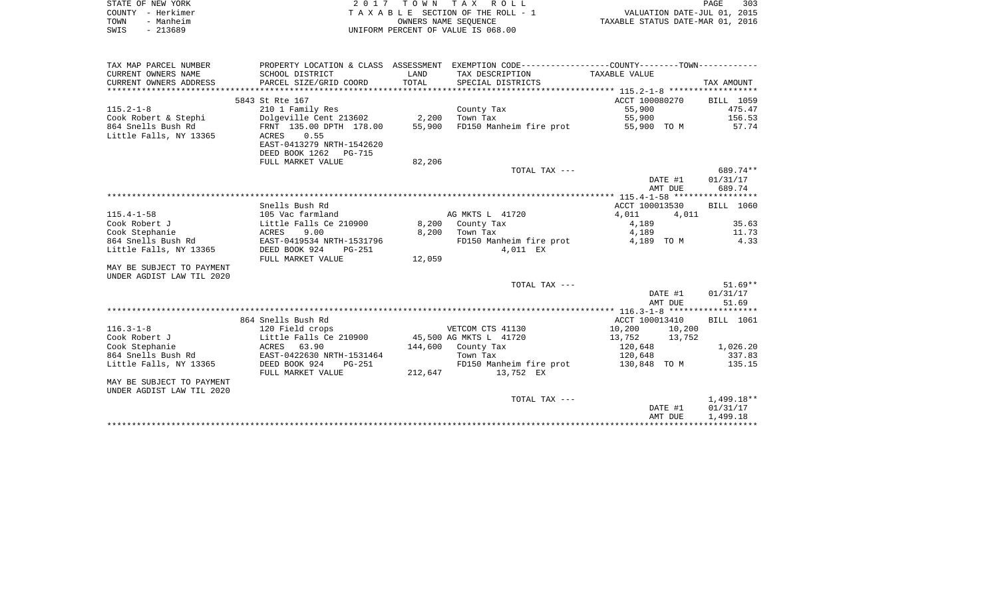| STATE OF NEW YORK | 2017 TOWN TAX ROLL                 | 303<br>PAGE                      |
|-------------------|------------------------------------|----------------------------------|
| COUNTY - Herkimer | TAXABLE SECTION OF THE ROLL - 1    | VALUATION DATE-JUL 01, 2015      |
| - Manheim<br>TOWN | OWNERS NAME SEOUENCE               | TAXABLE STATUS DATE-MAR 01, 2016 |
| - 213689<br>SWIS  | UNIFORM PERCENT OF VALUE IS 068.00 |                                  |

| TAX MAP PARCEL NUMBER     |                              |         | PROPERTY LOCATION & CLASS ASSESSMENT EXEMPTION CODE---------------COUNTY-------TOWN---------- |                  |            |
|---------------------------|------------------------------|---------|-----------------------------------------------------------------------------------------------|------------------|------------|
| CURRENT OWNERS NAME       | SCHOOL DISTRICT              | LAND    | TAX DESCRIPTION                                                                               | TAXABLE VALUE    |            |
| CURRENT OWNERS ADDRESS    | PARCEL SIZE/GRID COORD       | TOTAL   | SPECIAL DISTRICTS                                                                             |                  | TAX AMOUNT |
|                           |                              |         |                                                                                               |                  |            |
|                           | 5843 St Rte 167              |         |                                                                                               | ACCT 100080270   | BILL 1059  |
| $115.2 - 1 - 8$           | 210 1 Family Res             |         | County Tax                                                                                    | 55,900           | 475.47     |
| Cook Robert & Stephi      | Dolgeville Cent 213602 2,200 |         | Town Tax                                                                                      | 55,900           | 156.53     |
| 864 Snells Bush Rd        | FRNT 135.00 DPTH 178.00      | 55,900  | FD150 Manheim fire prot                                                                       | 55,900 TO M      | 57.74      |
| Little Falls, NY 13365    | 0.55<br>ACRES                |         |                                                                                               |                  |            |
|                           | EAST-0413279 NRTH-1542620    |         |                                                                                               |                  |            |
|                           | DEED BOOK 1262 PG-715        |         |                                                                                               |                  |            |
|                           | FULL MARKET VALUE            | 82,206  |                                                                                               |                  |            |
|                           |                              |         | TOTAL TAX ---                                                                                 |                  | 689.74**   |
|                           |                              |         |                                                                                               | DATE #1          | 01/31/17   |
|                           |                              |         |                                                                                               | AMT DUE          | 689.74     |
|                           |                              |         |                                                                                               |                  |            |
|                           | Snells Bush Rd               |         |                                                                                               | ACCT 100013530   | BILL 1060  |
|                           |                              |         |                                                                                               |                  |            |
| $115.4 - 1 - 58$          | 105 Vac farmland             |         | AG MKTS L 41720                                                                               | 4,011<br>4,011   |            |
| Cook Robert J             | Little Falls Ce 210900       |         | 8,200 County Tax                                                                              | 4,189            | 35.63      |
| Cook Stephanie            | ACRES<br>9.00                | 8,200   | Town Tax                                                                                      | 4,189            | 11.73      |
| 864 Snells Bush Rd        | EAST-0419534 NRTH-1531796    |         | FD150 Manheim fire prot                                                                       | 4,189 TO M       | 4.33       |
| Little Falls, NY 13365    | DEED BOOK 924<br>PG-251      |         | 4,011 EX                                                                                      |                  |            |
|                           | FULL MARKET VALUE            | 12,059  |                                                                                               |                  |            |
| MAY BE SUBJECT TO PAYMENT |                              |         |                                                                                               |                  |            |
| UNDER AGDIST LAW TIL 2020 |                              |         |                                                                                               |                  |            |
|                           |                              |         | TOTAL TAX ---                                                                                 |                  | $51.69**$  |
|                           |                              |         |                                                                                               | DATE #1          | 01/31/17   |
|                           |                              |         |                                                                                               | AMT DUE          | 51.69      |
|                           |                              |         |                                                                                               |                  |            |
|                           | 864 Snells Bush Rd           |         |                                                                                               | ACCT 100013410   | BILL 1061  |
| $116.3 - 1 - 8$           | 120 Field crops              |         | VETCOM CTS 41130                                                                              | 10,200<br>10,200 |            |
| Cook Robert J             | Little Falls Ce 210900       |         | 45,500 AG MKTS L 41720                                                                        | 13,752<br>13,752 |            |
| Cook Stephanie            | ACRES 63.90                  |         | 144,600 County Tax                                                                            | 120,648          | 1,026.20   |
| 864 Snells Bush Rd        | EAST-0422630 NRTH-1531464    |         | Town Tax                                                                                      | 120,648          | 337.83     |
| Little Falls, NY 13365    | DEED BOOK 924<br>PG-251      |         | FD150 Manheim fire prot                                                                       | 130,848 TO M     | 135.15     |
|                           | FULL MARKET VALUE            | 212,647 | 13,752 EX                                                                                     |                  |            |
| MAY BE SUBJECT TO PAYMENT |                              |         |                                                                                               |                  |            |
| UNDER AGDIST LAW TIL 2020 |                              |         |                                                                                               |                  |            |
|                           |                              |         | TOTAL TAX ---                                                                                 |                  | 1,499.18** |
|                           |                              |         |                                                                                               | DATE #1          | 01/31/17   |
|                           |                              |         |                                                                                               | AMT DUE          | 1,499.18   |
|                           |                              |         |                                                                                               |                  |            |
|                           |                              |         |                                                                                               |                  |            |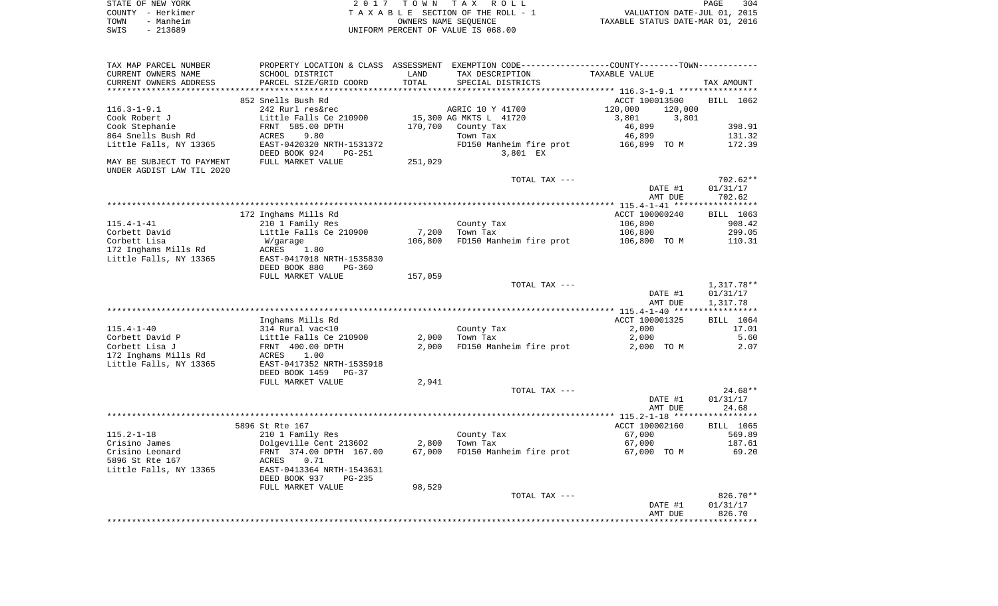|      | STATE OF NEW YORK | 2017 TOWN TAX ROLL                 | PAGE                             | 304 |
|------|-------------------|------------------------------------|----------------------------------|-----|
|      | COUNTY - Herkimer | TAXABLE SECTION OF THE ROLL - 1    | VALUATION DATE-JUL 01, 2015      |     |
| TOWN | - Manheim         | OWNERS NAME SEOUENCE               | TAXABLE STATUS DATE-MAR 01, 2016 |     |
| SWIS | - 213689          | UNIFORM PERCENT OF VALUE IS 068.00 |                                  |     |

| TAX MAP PARCEL NUMBER                          |                                                        |                  | PROPERTY LOCATION & CLASS ASSESSMENT EXEMPTION CODE---------------COUNTY-------TOWN---------- |                                      |                  |
|------------------------------------------------|--------------------------------------------------------|------------------|-----------------------------------------------------------------------------------------------|--------------------------------------|------------------|
| CURRENT OWNERS NAME                            | SCHOOL DISTRICT                                        | LAND             | TAX DESCRIPTION                                                                               | TAXABLE VALUE                        |                  |
| CURRENT OWNERS ADDRESS                         | PARCEL SIZE/GRID COORD                                 | TOTAL            | SPECIAL DISTRICTS                                                                             |                                      | TAX AMOUNT       |
|                                                | 852 Snells Bush Rd                                     |                  |                                                                                               | ACCT 100013500                       | BILL 1062        |
| $116.3 - 1 - 9.1$                              | 242 Rurl res&rec                                       |                  |                                                                                               |                                      |                  |
| Cook Robert J                                  | Little Falls Ce 210900                                 |                  | AGRIC 10 Y 41700<br>15,300 AG MKTS L 41720                                                    | 120,000<br>120,000<br>3,801<br>3,801 |                  |
| Cook Stephanie                                 | FRNT 585.00 DPTH                                       | 170,700          | County Tax                                                                                    | 46,899                               | 398.91           |
| 864 Snells Bush Rd                             | 9.80<br>ACRES                                          |                  | Town Tax                                                                                      | 46,899                               | 131.32           |
| Little Falls, NY 13365                         | EAST-0420320 NRTH-1531372                              |                  | FD150 Manheim fire prot                                                                       | 166,899 TO M                         | 172.39           |
|                                                | DEED BOOK 924<br><b>PG-251</b>                         |                  | 3,801 EX                                                                                      |                                      |                  |
| MAY BE SUBJECT TO PAYMENT                      | FULL MARKET VALUE                                      | 251,029          |                                                                                               |                                      |                  |
| UNDER AGDIST LAW TIL 2020                      |                                                        |                  |                                                                                               |                                      |                  |
|                                                |                                                        |                  | TOTAL TAX ---                                                                                 |                                      | $702.62**$       |
|                                                |                                                        |                  |                                                                                               | DATE #1                              | 01/31/17         |
|                                                |                                                        |                  |                                                                                               | AMT DUE                              | 702.62           |
|                                                |                                                        |                  |                                                                                               |                                      |                  |
|                                                | 172 Inghams Mills Rd                                   |                  |                                                                                               | ACCT 100000240                       | BILL 1063        |
| $115.4 - 1 - 41$                               | 210 1 Family Res                                       |                  | County Tax                                                                                    | 106,800                              | 908.42           |
| Corbett David<br>Corbett Lisa                  | Little Falls Ce 210900                                 | 7,200<br>106,800 | Town Tax<br>FD150 Manheim fire prot                                                           | 106,800                              | 299.05<br>110.31 |
| 172 Inghams Mills Rd                           | W/garage<br>1.80<br>ACRES                              |                  |                                                                                               | 106,800 TO M                         |                  |
| Little Falls, NY 13365                         | EAST-0417018 NRTH-1535830                              |                  |                                                                                               |                                      |                  |
|                                                | DEED BOOK 880<br>PG-360                                |                  |                                                                                               |                                      |                  |
|                                                | FULL MARKET VALUE                                      | 157,059          |                                                                                               |                                      |                  |
|                                                |                                                        |                  | TOTAL TAX ---                                                                                 |                                      | 1,317.78**       |
|                                                |                                                        |                  |                                                                                               | DATE #1                              | 01/31/17         |
|                                                |                                                        |                  |                                                                                               | AMT DUE                              | 1,317.78         |
|                                                |                                                        |                  |                                                                                               |                                      | ************     |
|                                                | Inghams Mills Rd                                       |                  |                                                                                               | ACCT 100001325                       | BILL 1064        |
| $115.4 - 1 - 40$                               | 314 Rural vac<10                                       |                  | County Tax                                                                                    | 2,000                                | 17.01            |
| Corbett David P                                | Little Falls Ce 210900                                 | 2,000            | Town Tax                                                                                      | 2,000                                | 5.60             |
| Corbett Lisa J                                 | FRNT 400.00 DPTH                                       | 2,000            | FD150 Manheim fire prot                                                                       | 2,000 TO M                           | 2.07             |
| 172 Inghams Mills Rd<br>Little Falls, NY 13365 | ACRES<br>1.00<br>EAST-0417352 NRTH-1535918             |                  |                                                                                               |                                      |                  |
|                                                | DEED BOOK 1459<br>$PG-37$                              |                  |                                                                                               |                                      |                  |
|                                                | FULL MARKET VALUE                                      | 2,941            |                                                                                               |                                      |                  |
|                                                |                                                        |                  | TOTAL TAX ---                                                                                 |                                      | $24.68**$        |
|                                                |                                                        |                  |                                                                                               | DATE #1                              | 01/31/17         |
|                                                |                                                        |                  |                                                                                               | AMT DUE                              | 24.68            |
|                                                |                                                        |                  |                                                                                               |                                      |                  |
|                                                | 5896 St Rte 167                                        |                  |                                                                                               | ACCT 100002160                       | BILL 1065        |
| $115.2 - 1 - 18$                               | 210 1 Family Res                                       |                  | County Tax                                                                                    | 67,000                               | 569.89           |
| Crisino James                                  | Dolgeville Cent 213602                                 | 2,800            | Town Tax                                                                                      | 67,000                               | 187.61           |
| Crisino Leonard                                | FRNT 374.00 DPTH 167.00                                | 67,000           | FD150 Manheim fire prot                                                                       | 67,000 TO M                          | 69.20            |
| 5896 St Rte 167                                | 0.71<br>ACRES                                          |                  |                                                                                               |                                      |                  |
| Little Falls, NY 13365                         | EAST-0413364 NRTH-1543631<br>DEED BOOK 937<br>$PG-235$ |                  |                                                                                               |                                      |                  |
|                                                | FULL MARKET VALUE                                      | 98,529           |                                                                                               |                                      |                  |
|                                                |                                                        |                  | TOTAL TAX ---                                                                                 |                                      | 826.70**         |
|                                                |                                                        |                  |                                                                                               | DATE #1                              | 01/31/17         |
|                                                |                                                        |                  |                                                                                               | AMT DUE                              | 826.70           |
|                                                |                                                        |                  |                                                                                               |                                      |                  |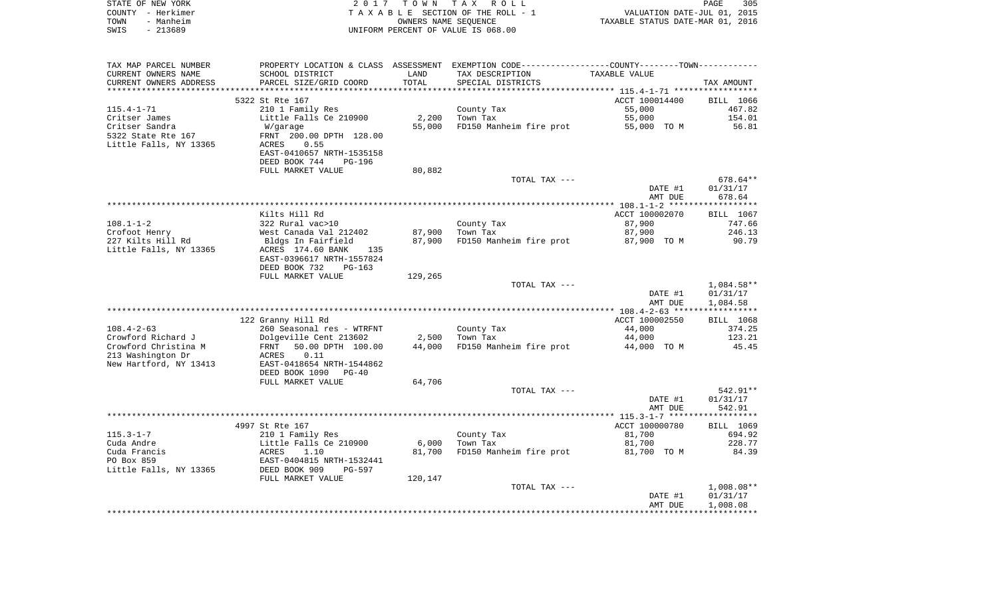|      | STATE OF NEW YORK | 2017 TOWN TAX ROLL                 |                                  | PAGE | - 305 |
|------|-------------------|------------------------------------|----------------------------------|------|-------|
|      | COUNTY - Herkimer | TAXABLE SECTION OF THE ROLL - 1    | VALUATION DATE-JUL 01, 2015      |      |       |
| TOWN | - Manheim         | OWNERS NAME SEOUENCE               | TAXABLE STATUS DATE-MAR 01, 2016 |      |       |
| SWIS | - 213689          | UNIFORM PERCENT OF VALUE IS 068.00 |                                  |      |       |
|      |                   |                                    |                                  |      |       |
|      |                   |                                    |                                  |      |       |
|      |                   |                                    |                                  |      |       |

| TAX MAP PARCEL NUMBER  | PROPERTY LOCATION & CLASS ASSESSMENT EXEMPTION CODE----------------COUNTY--------TOWN-------- |         |                         |                |              |
|------------------------|-----------------------------------------------------------------------------------------------|---------|-------------------------|----------------|--------------|
| CURRENT OWNERS NAME    | SCHOOL DISTRICT                                                                               | LAND    | TAX DESCRIPTION         | TAXABLE VALUE  |              |
| CURRENT OWNERS ADDRESS | PARCEL SIZE/GRID COORD                                                                        | TOTAL   | SPECIAL DISTRICTS       |                | TAX AMOUNT   |
|                        |                                                                                               |         |                         |                |              |
|                        | 5322 St Rte 167                                                                               |         |                         | ACCT 100014400 | BILL 1066    |
| $115.4 - 1 - 71$       | 210 1 Family Res                                                                              |         | County Tax              | 55,000         | 467.82       |
| Critser James          | Little Falls Ce 210900                                                                        | 2,200   | Town Tax                | 55,000         | 154.01       |
| Critser Sandra         | W/garage                                                                                      | 55,000  | FD150 Manheim fire prot | 55,000 TO M    | 56.81        |
| 5322 State Rte 167     | FRNT 200.00 DPTH 128.00                                                                       |         |                         |                |              |
| Little Falls, NY 13365 | ACRES<br>0.55                                                                                 |         |                         |                |              |
|                        | EAST-0410657 NRTH-1535158                                                                     |         |                         |                |              |
|                        | DEED BOOK 744<br>PG-196                                                                       |         |                         |                |              |
|                        | FULL MARKET VALUE                                                                             | 80,882  |                         |                |              |
|                        |                                                                                               |         | TOTAL TAX ---           |                | $678.64**$   |
|                        |                                                                                               |         |                         | DATE #1        | 01/31/17     |
|                        |                                                                                               |         |                         | AMT DUE        | 678.64       |
|                        |                                                                                               |         |                         |                |              |
|                        |                                                                                               |         |                         |                |              |
|                        | Kilts Hill Rd                                                                                 |         |                         | ACCT 100002070 | BILL 1067    |
| $108.1 - 1 - 2$        | 322 Rural vac>10                                                                              |         | County Tax              | 87,900         | 747.66       |
| Crofoot Henry          | West Canada Val 212402                                                                        | 87,900  | Town Tax                | 87,900         | 246.13       |
| 227 Kilts Hill Rd      | Bldgs In Fairfield                                                                            | 87,900  | FD150 Manheim fire prot | 87,900 TO M    | 90.79        |
| Little Falls, NY 13365 | ACRES 174.60 BANK<br>135                                                                      |         |                         |                |              |
|                        | EAST-0396617 NRTH-1557824                                                                     |         |                         |                |              |
|                        | DEED BOOK 732<br>PG-163                                                                       |         |                         |                |              |
|                        | FULL MARKET VALUE                                                                             | 129,265 |                         |                |              |
|                        |                                                                                               |         | TOTAL TAX ---           |                | $1,084.58**$ |
|                        |                                                                                               |         |                         | DATE #1        | 01/31/17     |
|                        |                                                                                               |         |                         | AMT DUE        | 1,084.58     |
|                        |                                                                                               |         |                         |                |              |
|                        | 122 Granny Hill Rd                                                                            |         |                         | ACCT 100002550 | BILL 1068    |
| $108.4 - 2 - 63$       | 260 Seasonal res - WTRFNT                                                                     |         | County Tax              | 44,000         | 374.25       |
| Crowford Richard J     | Dolgeville Cent 213602                                                                        | 2,500   | Town Tax                | 44,000         | 123.21       |
| Crowford Christina M   | 50.00 DPTH 100.00<br>FRNT                                                                     | 44,000  | FD150 Manheim fire prot | 44,000 TO M    | 45.45        |
| 213 Washington Dr      | 0.11<br>ACRES                                                                                 |         |                         |                |              |
| New Hartford, NY 13413 | EAST-0418654 NRTH-1544862                                                                     |         |                         |                |              |
|                        | DEED BOOK 1090 PG-40                                                                          |         |                         |                |              |
|                        | FULL MARKET VALUE                                                                             | 64,706  |                         |                |              |
|                        |                                                                                               |         | TOTAL TAX ---           |                | 542.91**     |
|                        |                                                                                               |         |                         | DATE #1        | 01/31/17     |
|                        |                                                                                               |         |                         | AMT DUE        | 542.91       |
|                        |                                                                                               |         |                         |                |              |
|                        | 4997 St Rte 167                                                                               |         |                         | ACCT 100000780 | BILL 1069    |
| $115.3 - 1 - 7$        | 210 1 Family Res                                                                              |         | County Tax              | 81,700         | 694.92       |
| Cuda Andre             | Little Falls Ce 210900                                                                        | 6,000   | Town Tax                | 81,700         | 228.77       |
| Cuda Francis           | ACRES<br>1.10                                                                                 | 81,700  | FD150 Manheim fire prot | 81,700 TO M    | 84.39        |
| PO Box 859             | EAST-0404815 NRTH-1532441                                                                     |         |                         |                |              |
| Little Falls, NY 13365 | DEED BOOK 909<br>PG-597                                                                       |         |                         |                |              |
|                        | FULL MARKET VALUE                                                                             | 120,147 |                         |                |              |
|                        |                                                                                               |         | TOTAL TAX ---           |                | $1,008.08**$ |
|                        |                                                                                               |         |                         | DATE #1        | 01/31/17     |
|                        |                                                                                               |         |                         | AMT DUE        | 1,008.08     |
|                        |                                                                                               |         |                         |                |              |
|                        |                                                                                               |         |                         |                |              |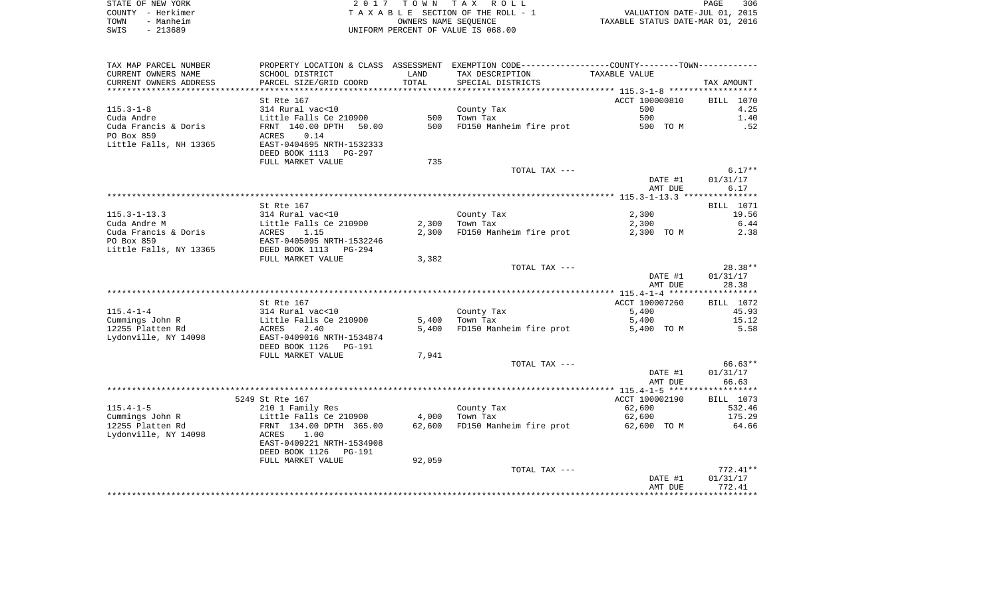| STATE OF NEW YORK | 2017 TOWN TAX ROLL                 | 306<br>PAGE                      |
|-------------------|------------------------------------|----------------------------------|
| COUNTY - Herkimer | TAXABLE SECTION OF THE ROLL - 1    | VALUATION DATE-JUL 01, 2015      |
| - Manheim<br>TOWN | OWNERS NAME SEOUENCE               | TAXABLE STATUS DATE-MAR 01, 2016 |
| - 213689<br>SWIS  | UNIFORM PERCENT OF VALUE IS 068.00 |                                  |

| TAX MAP PARCEL NUMBER              |                                               |        | PROPERTY LOCATION & CLASS ASSESSMENT EXEMPTION CODE---------------COUNTY--------TOWN---------- |                |            |
|------------------------------------|-----------------------------------------------|--------|------------------------------------------------------------------------------------------------|----------------|------------|
| CURRENT OWNERS NAME                | SCHOOL DISTRICT                               | LAND   | TAX DESCRIPTION                                                                                | TAXABLE VALUE  |            |
| CURRENT OWNERS ADDRESS             | PARCEL SIZE/GRID COORD                        | TOTAL  | SPECIAL DISTRICTS                                                                              |                | TAX AMOUNT |
| **********************             |                                               |        |                                                                                                |                |            |
|                                    | St Rte 167                                    |        |                                                                                                | ACCT 100000810 | BILL 1070  |
| $115.3 - 1 - 8$                    | 314 Rural vac<10                              |        | County Tax                                                                                     | 500            | 4.25       |
| Cuda Andre                         | Little Falls Ce 210900                        | 500    | Town Tax                                                                                       | 500            | 1.40       |
| Cuda Francis & Doris               | FRNT 140.00 DPTH<br>50.00                     | 500    | FD150 Manheim fire prot                                                                        | 500 TO M       | .52        |
| PO Box 859                         | 0.14<br>ACRES                                 |        |                                                                                                |                |            |
| Little Falls, NH 13365             | EAST-0404695 NRTH-1532333                     |        |                                                                                                |                |            |
|                                    | DEED BOOK 1113 PG-297                         |        |                                                                                                |                |            |
|                                    | FULL MARKET VALUE                             | 735    |                                                                                                |                |            |
|                                    |                                               |        | TOTAL TAX ---                                                                                  |                | $6.17**$   |
|                                    |                                               |        |                                                                                                | DATE #1        | 01/31/17   |
|                                    |                                               |        |                                                                                                | AMT DUE        | 6.17       |
|                                    |                                               |        |                                                                                                |                |            |
|                                    | St Rte 167                                    |        |                                                                                                |                | BILL 1071  |
| $115.3 - 1 - 13.3$                 | 314 Rural vac<10                              |        | County Tax                                                                                     | 2,300          | 19.56      |
| Cuda Andre M                       | Little Falls Ce 210900                        | 2,300  | Town Tax<br>FD150 Manheim fire prot                                                            | 2,300          | 6.44       |
| Cuda Francis & Doris<br>PO Box 859 | ACRES 1.15<br>EAST-0405095 NRTH-1532246       | 2,300  |                                                                                                | 2,300 TO M     | 2.38       |
|                                    |                                               |        |                                                                                                |                |            |
| Little Falls, NY 13365             | DEED BOOK 1113<br>PG-294<br>FULL MARKET VALUE | 3,382  |                                                                                                |                |            |
|                                    |                                               |        | TOTAL TAX ---                                                                                  |                | $28.38**$  |
|                                    |                                               |        |                                                                                                | DATE #1        | 01/31/17   |
|                                    |                                               |        |                                                                                                | AMT DUE        | 28.38      |
|                                    |                                               |        |                                                                                                |                |            |
|                                    | St Rte 167                                    |        |                                                                                                | ACCT 100007260 | BILL 1072  |
| $115.4 - 1 - 4$                    | 314 Rural vac<10                              |        | County Tax                                                                                     | 5,400          | 45.93      |
| Cummings John R                    |                                               | 5,400  | Town Tax                                                                                       | 5,400          | 15.12      |
| 12255 Platten Rd                   | Little Falls Ce 210900<br>ACRES 2.40          | 5,400  | FD150 Manheim fire prot                                                                        | 5,400 TO M     | 5.58       |
| Lydonville, NY 14098               | EAST-0409016 NRTH-1534874                     |        |                                                                                                |                |            |
|                                    | DEED BOOK 1126<br>PG-191                      |        |                                                                                                |                |            |
|                                    | FULL MARKET VALUE                             | 7,941  |                                                                                                |                |            |
|                                    |                                               |        | TOTAL TAX ---                                                                                  |                | 66.63**    |
|                                    |                                               |        |                                                                                                | DATE #1        | 01/31/17   |
|                                    |                                               |        |                                                                                                | AMT DUE        | 66.63      |
|                                    |                                               |        |                                                                                                |                |            |
|                                    | 5249 St Rte 167                               |        |                                                                                                | ACCT 100002190 | BILL 1073  |
| $115.4 - 1 - 5$                    | 210 1 Family Res                              |        | County Tax                                                                                     | 62,600         | 532.46     |
| Cummings John R                    | Little Falls Ce 210900                        | 4,000  | Town Tax                                                                                       | 62,600         | 175.29     |
| 12255 Platten Rd                   | FRNT 134.00 DPTH 365.00                       |        | 62,600 FD150 Manheim fire prot                                                                 | 62,600 TO M    | 64.66      |
| Lydonville, NY 14098               | ACRES<br>1.00                                 |        |                                                                                                |                |            |
|                                    | EAST-0409221 NRTH-1534908                     |        |                                                                                                |                |            |
|                                    | DEED BOOK 1126<br>PG-191                      |        |                                                                                                |                |            |
|                                    | FULL MARKET VALUE                             | 92,059 |                                                                                                |                |            |
|                                    |                                               |        | TOTAL TAX ---                                                                                  |                | 772.41**   |
|                                    |                                               |        |                                                                                                | DATE #1        | 01/31/17   |
|                                    |                                               |        |                                                                                                | AMT DUE        | 772.41     |
|                                    |                                               |        |                                                                                                |                |            |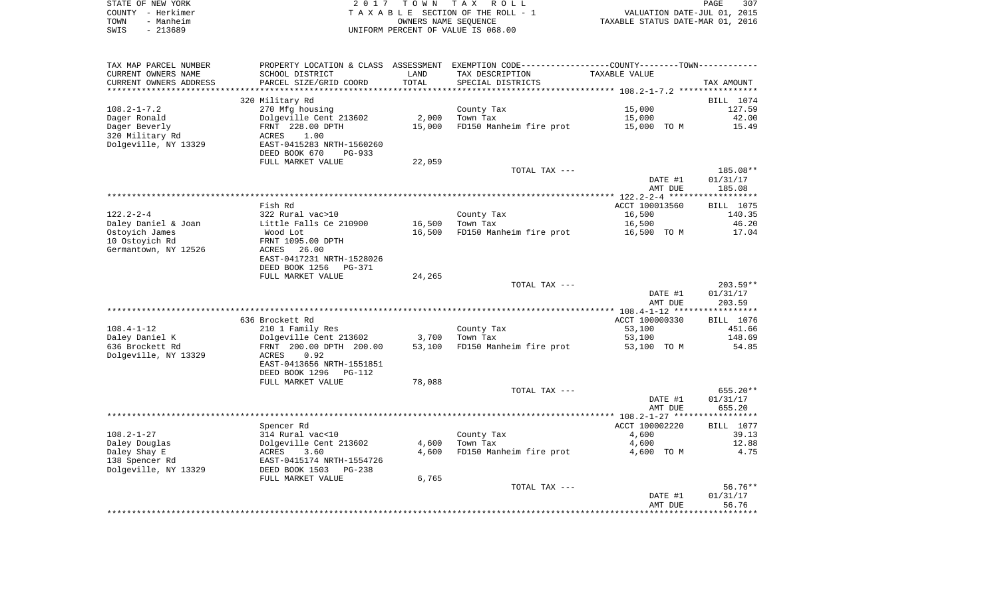| STATE OF NEW YORK | 2017 TOWN TAX ROLL                 | 307<br>PAGE                      |
|-------------------|------------------------------------|----------------------------------|
| COUNTY - Herkimer | TAXABLE SECTION OF THE ROLL - 1    | VALUATION DATE-JUL 01, 2015      |
| TOWN<br>- Manheim | OWNERS NAME SEOUENCE               | TAXABLE STATUS DATE-MAR 01, 2016 |
| SWIS<br>- 213689  | UNIFORM PERCENT OF VALUE IS 068.00 |                                  |

| TAX MAP PARCEL NUMBER  | PROPERTY LOCATION & CLASS ASSESSMENT EXEMPTION CODE----------------COUNTY-------TOWN---------- |        |                         |                    |                   |
|------------------------|------------------------------------------------------------------------------------------------|--------|-------------------------|--------------------|-------------------|
| CURRENT OWNERS NAME    | SCHOOL DISTRICT                                                                                | LAND   | TAX DESCRIPTION         | TAXABLE VALUE      |                   |
| CURRENT OWNERS ADDRESS | PARCEL SIZE/GRID COORD                                                                         | TOTAL  | SPECIAL DISTRICTS       |                    | TAX AMOUNT        |
| ********************** |                                                                                                |        |                         |                    |                   |
|                        | 320 Military Rd                                                                                |        |                         |                    | BILL 1074         |
| $108.2 - 1 - 7.2$      | 270 Mfg housing                                                                                |        | County Tax              | 15,000             | 127.59            |
| Dager Ronald           | Dolgeville Cent 213602                                                                         | 2,000  | Town Tax                | 15,000             | 42.00             |
| Dager Beverly          | FRNT 228.00 DPTH                                                                               | 15,000 | FD150 Manheim fire prot | 15,000 TO M        | 15.49             |
| 320 Military Rd        | 1.00<br>ACRES                                                                                  |        |                         |                    |                   |
| Dolgeville, NY 13329   | EAST-0415283 NRTH-1560260                                                                      |        |                         |                    |                   |
|                        | DEED BOOK 670<br>PG-933                                                                        |        |                         |                    |                   |
|                        | FULL MARKET VALUE                                                                              | 22,059 |                         |                    |                   |
|                        |                                                                                                |        | TOTAL TAX ---           |                    | 185.08**          |
|                        |                                                                                                |        |                         | DATE #1            | 01/31/17          |
|                        |                                                                                                |        |                         | AMT DUE            | 185.08            |
|                        |                                                                                                |        |                         |                    |                   |
|                        | Fish Rd                                                                                        |        |                         | ACCT 100013560     | BILL 1075         |
| $122.2 - 2 - 4$        | 322 Rural vac>10                                                                               |        | County Tax              | 16,500             | 140.35            |
| Daley Daniel & Joan    | Little Falls Ce 210900                                                                         | 16,500 | Town Tax                | 16,500             | 46.20             |
| Ostoyich James         | Wood Lot                                                                                       | 16,500 | FD150 Manheim fire prot | 16,500 TO M        | 17.04             |
| 10 Ostoyich Rd         | FRNT 1095.00 DPTH                                                                              |        |                         |                    |                   |
| Germantown, NY 12526   | ACRES<br>26.00                                                                                 |        |                         |                    |                   |
|                        | EAST-0417231 NRTH-1528026                                                                      |        |                         |                    |                   |
|                        | DEED BOOK 1256<br>PG-371                                                                       |        |                         |                    |                   |
|                        | FULL MARKET VALUE                                                                              | 24,265 |                         |                    |                   |
|                        |                                                                                                |        | TOTAL TAX ---           |                    | $203.59**$        |
|                        |                                                                                                |        |                         | DATE #1            | 01/31/17          |
|                        |                                                                                                |        |                         | AMT DUE            | 203.59            |
|                        |                                                                                                |        |                         |                    |                   |
|                        | 636 Brockett Rd                                                                                |        |                         | ACCT 100000330     | BILL 1076         |
| $108.4 - 1 - 12$       | 210 1 Family Res                                                                               |        | County Tax              | 53,100             | 451.66            |
| Daley Daniel K         | Dolgeville Cent 213602                                                                         | 3,700  | Town Tax                | 53,100             | 148.69            |
| 636 Brockett Rd        | FRNT 200.00 DPTH 200.00                                                                        | 53,100 | FD150 Manheim fire prot | 53,100 TO M        | 54.85             |
| Dolgeville, NY 13329   | ACRES<br>0.92                                                                                  |        |                         |                    |                   |
|                        | EAST-0413656 NRTH-1551851                                                                      |        |                         |                    |                   |
|                        | DEED BOOK 1296<br>PG-112                                                                       |        |                         |                    |                   |
|                        | FULL MARKET VALUE                                                                              | 78,088 |                         |                    |                   |
|                        |                                                                                                |        | TOTAL TAX ---           |                    | 655.20**          |
|                        |                                                                                                |        |                         | DATE #1            | 01/31/17          |
|                        |                                                                                                |        |                         | AMT DUE            | 655.20            |
|                        |                                                                                                |        |                         |                    |                   |
|                        | Spencer Rd                                                                                     |        |                         | ACCT 100002220     | BILL 1077         |
| $108.2 - 1 - 27$       | 314 Rural vac<10                                                                               |        | County Tax              | 4,600              | 39.13             |
| Daley Douglas          | Dolgeville Cent 213602<br>3.60                                                                 | 4,600  | Town Tax                | 4,600              | 12.88             |
| Daley Shay E           | ACRES                                                                                          | 4,600  | FD150 Manheim fire prot | 4,600 TO M         | 4.75              |
| 138 Spencer Rd         | EAST-0415174 NRTH-1554726                                                                      |        |                         |                    |                   |
| Dolgeville, NY 13329   | DEED BOOK 1503<br>PG-238                                                                       |        |                         |                    |                   |
|                        | FULL MARKET VALUE                                                                              | 6,765  | TOTAL TAX ---           |                    | $56.76**$         |
|                        |                                                                                                |        |                         |                    |                   |
|                        |                                                                                                |        |                         | DATE #1<br>AMT DUE | 01/31/17<br>56.76 |
|                        |                                                                                                |        |                         |                    |                   |
|                        |                                                                                                |        |                         |                    |                   |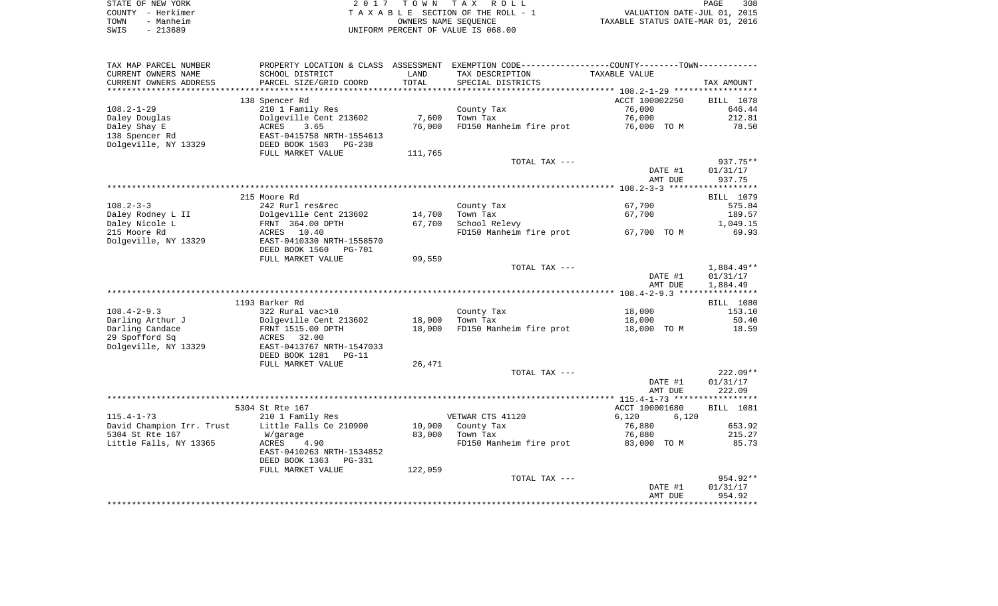| STATE OF NEW YORK | 2017 TOWN TAX ROLL                 |                                  | PAGE | 308 |
|-------------------|------------------------------------|----------------------------------|------|-----|
| COUNTY - Herkimer | TAXABLE SECTION OF THE ROLL - 1    | VALUATION DATE-JUL 01, 2015      |      |     |
| - Manheim<br>TOWN | OWNERS NAME SEOUENCE               | TAXABLE STATUS DATE-MAR 01, 2016 |      |     |
| - 213689<br>SWIS  | UNIFORM PERCENT OF VALUE IS 068.00 |                                  |      |     |

308<br>2015

| TAX MAP PARCEL NUMBER                        |                                  |         | PROPERTY LOCATION & CLASS ASSESSMENT EXEMPTION CODE---------------COUNTY-------TOWN---------- |                    |              |
|----------------------------------------------|----------------------------------|---------|-----------------------------------------------------------------------------------------------|--------------------|--------------|
| CURRENT OWNERS NAME                          | SCHOOL DISTRICT                  | LAND    | TAX DESCRIPTION                                                                               | TAXABLE VALUE      |              |
| CURRENT OWNERS ADDRESS                       | PARCEL SIZE/GRID COORD           | TOTAL   | SPECIAL DISTRICTS                                                                             |                    | TAX AMOUNT   |
| ********************                         | **************************       |         |                                                                                               |                    |              |
|                                              | 138 Spencer Rd                   |         |                                                                                               | ACCT 100002250     | BILL 1078    |
| $108.2 - 1 - 29$                             | 210 1 Family Res                 |         | County Tax                                                                                    | 76,000             | 646.44       |
| Daley Douglas                                | Dolgeville Cent 213602           | 7,600   | Town Tax                                                                                      | 76,000             | 212.81       |
| Daley Shay E                                 | 3.65<br>ACRES                    | 76,000  | FD150 Manheim fire prot                                                                       | 76,000 TO M        | 78.50        |
| 138 Spencer Rd                               | EAST-0415758 NRTH-1554613        |         |                                                                                               |                    |              |
| Dolgeville, NY 13329                         | DEED BOOK 1503<br>PG-238         |         |                                                                                               |                    |              |
|                                              | FULL MARKET VALUE                | 111,765 |                                                                                               |                    |              |
|                                              |                                  |         | TOTAL TAX ---                                                                                 |                    | 937.75**     |
|                                              |                                  |         |                                                                                               | DATE #1            | 01/31/17     |
|                                              |                                  |         |                                                                                               | AMT DUE            | 937.75       |
|                                              |                                  |         |                                                                                               |                    |              |
|                                              | 215 Moore Rd                     |         |                                                                                               |                    | BILL 1079    |
| $108.2 - 3 - 3$                              | 242 Rurl res&rec                 |         | County Tax                                                                                    | 67,700             | 575.84       |
| Daley Rodney L II                            | Dolgeville Cent 213602           | 14,700  | Town Tax                                                                                      | 67,700             | 189.57       |
| Daley Nicole L                               | FRNT 364.00 DPTH                 | 67,700  | School Relevy                                                                                 |                    | 1,049.15     |
| 215 Moore Rd                                 | ACRES<br>10.40                   |         | FD150 Manheim fire prot                                                                       | 67,700 TO M        | 69.93        |
| Dolgeville, NY 13329                         | EAST-0410330 NRTH-1558570        |         |                                                                                               |                    |              |
|                                              | DEED BOOK 1560<br><b>PG-701</b>  |         |                                                                                               |                    |              |
|                                              | FULL MARKET VALUE                | 99,559  |                                                                                               |                    |              |
|                                              |                                  |         | TOTAL TAX ---                                                                                 |                    | $1,884.49**$ |
|                                              |                                  |         |                                                                                               | DATE #1            | 01/31/17     |
|                                              |                                  |         |                                                                                               | AMT DUE            | 1,884.49     |
|                                              |                                  |         |                                                                                               |                    |              |
|                                              | 1193 Barker Rd                   |         |                                                                                               |                    | BILL 1080    |
| $108.4 - 2 - 9.3$                            | 322 Rural vac>10                 |         | County Tax                                                                                    | 18,000             | 153.10       |
| Darling Arthur J                             | Dolgeville Cent 213602           | 18,000  | Town Tax                                                                                      | 18,000             | 50.40        |
| Darling Candace                              | FRNT 1515.00 DPTH                | 18,000  | FD150 Manheim fire prot                                                                       | 18,000 TO M        | 18.59        |
| 29 Spofford Sq                               | ACRES 32.00                      |         |                                                                                               |                    |              |
| Dolgeville, NY 13329                         | EAST-0413767 NRTH-1547033        |         |                                                                                               |                    |              |
|                                              | DEED BOOK 1281<br>$PG-11$        |         |                                                                                               |                    |              |
|                                              | FULL MARKET VALUE                | 26,471  |                                                                                               |                    |              |
|                                              |                                  |         | TOTAL TAX ---                                                                                 |                    | $222.09**$   |
|                                              |                                  |         |                                                                                               | DATE #1<br>AMT DUE | 01/31/17     |
|                                              |                                  |         |                                                                                               |                    | 222.09       |
|                                              | 5304 St Rte 167                  |         |                                                                                               | ACCT 100001680     | BILL 1081    |
| $115.4 - 1 - 73$                             | 210 1 Family Res                 |         | VETWAR CTS 41120                                                                              | 6,120<br>6,120     |              |
|                                              | Little Falls Ce 210900           | 10,900  | County Tax                                                                                    | 76,880             | 653.92       |
| David Champion Irr. Trust<br>5304 St Rte 167 |                                  | 83,000  | Town Tax                                                                                      | 76,880             | 215.27       |
| Little Falls, NY 13365                       | W/garage<br><b>ACRES</b><br>4.90 |         | FD150 Manheim fire prot                                                                       | 83,000 TO M        | 85.73        |
|                                              | EAST-0410263 NRTH-1534852        |         |                                                                                               |                    |              |
|                                              | DEED BOOK 1363<br><b>PG-331</b>  |         |                                                                                               |                    |              |
|                                              | FULL MARKET VALUE                | 122,059 |                                                                                               |                    |              |
|                                              |                                  |         | TOTAL TAX ---                                                                                 |                    | 954.92**     |
|                                              |                                  |         |                                                                                               | DATE #1            | 01/31/17     |
|                                              |                                  |         |                                                                                               | AMT DUE            | 954.92       |
|                                              |                                  |         |                                                                                               |                    |              |
|                                              |                                  |         |                                                                                               |                    |              |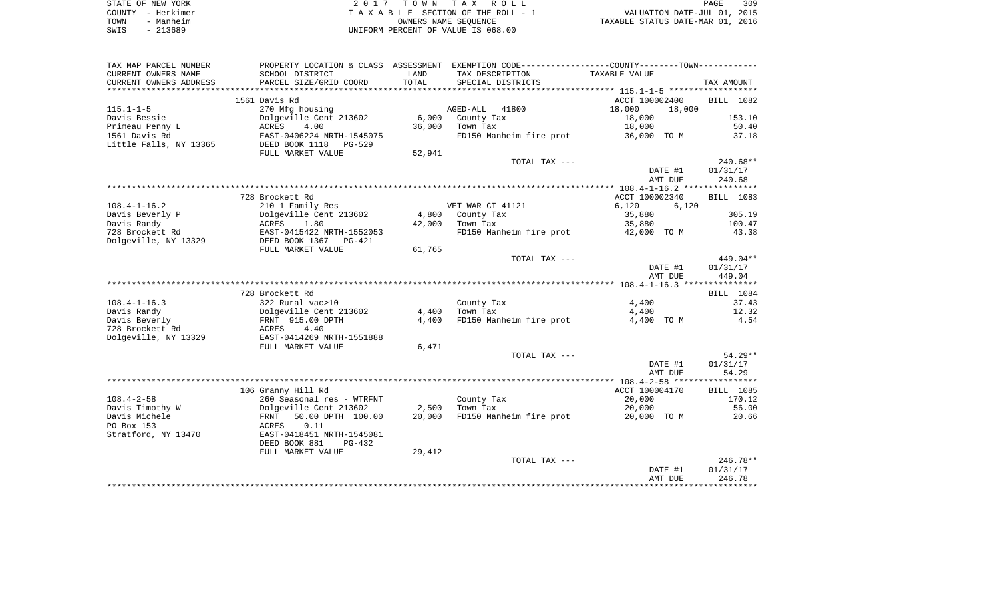|      | STATE OF NEW YORK | 2017 TOWN TAX ROLL                 | PAGE                             | 309 |
|------|-------------------|------------------------------------|----------------------------------|-----|
|      | COUNTY - Herkimer | TAXABLE SECTION OF THE ROLL - 1    | VALUATION DATE-JUL 01, 2015      |     |
| TOWN | - Manheim         | OWNERS NAME SEOUENCE               | TAXABLE STATUS DATE-MAR 01, 2016 |     |
| SWIS | - 213689          | UNIFORM PERCENT OF VALUE IS 068.00 |                                  |     |

309<br>2015

| TAX MAP PARCEL NUMBER   |                               |        | PROPERTY LOCATION & CLASS ASSESSMENT EXEMPTION CODE---------------COUNTY-------TOWN--------- |                  |            |
|-------------------------|-------------------------------|--------|----------------------------------------------------------------------------------------------|------------------|------------|
| CURRENT OWNERS NAME     | SCHOOL DISTRICT               | LAND   | TAX DESCRIPTION                                                                              | TAXABLE VALUE    |            |
| CURRENT OWNERS ADDRESS  | PARCEL SIZE/GRID COORD        | TOTAL  | SPECIAL DISTRICTS                                                                            |                  | TAX AMOUNT |
| *********************** | ***************************** |        |                                                                                              |                  |            |
|                         | 1561 Davis Rd                 |        |                                                                                              | ACCT 100002400   | BILL 1082  |
| $115.1 - 1 - 5$         | 270 Mfg housing               |        | AGED-ALL 41800                                                                               | 18,000<br>18,000 |            |
| Davis Bessie            | Dolgeville Cent 213602        | 6,000  | County Tax                                                                                   | 18,000           | 153.10     |
| Primeau Penny L         | ACRES<br>4.00                 | 36,000 | Town Tax                                                                                     | 18,000           | 50.40      |
| 1561 Davis Rd           | EAST-0406224 NRTH-1545075     |        | FD150 Manheim fire prot                                                                      | 36,000 TO M      | 37.18      |
| Little Falls, NY 13365  | DEED BOOK 1118<br>PG-529      |        |                                                                                              |                  |            |
|                         | FULL MARKET VALUE             | 52,941 |                                                                                              |                  |            |
|                         |                               |        | TOTAL TAX ---                                                                                |                  | $240.68**$ |
|                         |                               |        |                                                                                              | DATE #1          | 01/31/17   |
|                         |                               |        |                                                                                              | AMT DUE          | 240.68     |
|                         |                               |        |                                                                                              |                  |            |
|                         | 728 Brockett Rd               |        |                                                                                              | ACCT 100002340   | BILL 1083  |
| $108.4 - 1 - 16.2$      | 210 1 Family Res              |        | VET WAR CT 41121                                                                             | 6,120<br>6,120   |            |
| Davis Beverly P         | Dolgeville Cent 213602        | 4,800  | County Tax                                                                                   | 35,880           | 305.19     |
| Davis Randy             | ACRES<br>1.80                 | 42,000 | Town Tax                                                                                     | 35,880           | 100.47     |
| 728 Brockett Rd         | EAST-0415422 NRTH-1552053     |        | FD150 Manheim fire prot                                                                      | 42,000 TO M      | 43.38      |
| Dolgeville, NY 13329    | DEED BOOK 1367<br>PG-421      |        |                                                                                              |                  |            |
|                         |                               |        |                                                                                              |                  |            |
|                         | FULL MARKET VALUE             | 61,765 | TOTAL TAX ---                                                                                |                  | $449.04**$ |
|                         |                               |        |                                                                                              |                  |            |
|                         |                               |        |                                                                                              | DATE #1          | 01/31/17   |
|                         |                               |        |                                                                                              | AMT DUE          | 449.04     |
|                         |                               |        |                                                                                              |                  |            |
|                         | 728 Brockett Rd               |        |                                                                                              |                  | BILL 1084  |
| $108.4 - 1 - 16.3$      | 322 Rural vac>10              |        | County Tax                                                                                   | 4,400            | 37.43      |
| Davis Randy             | Dolgeville Cent 213602        | 4,400  | Town Tax                                                                                     | 4,400            | 12.32      |
| Davis Beverly           | FRNT 915.00 DPTH              | 4,400  | FD150 Manheim fire prot                                                                      | 4,400 TO M       | 4.54       |
| 728 Brockett Rd         | ACRES<br>4.40                 |        |                                                                                              |                  |            |
| Dolgeville, NY 13329    | EAST-0414269 NRTH-1551888     |        |                                                                                              |                  |            |
|                         | FULL MARKET VALUE             | 6,471  |                                                                                              |                  |            |
|                         |                               |        | TOTAL TAX ---                                                                                |                  | $54.29**$  |
|                         |                               |        |                                                                                              | DATE #1          | 01/31/17   |
|                         |                               |        |                                                                                              | AMT DUE          | 54.29      |
|                         |                               |        |                                                                                              |                  |            |
|                         | 106 Granny Hill Rd            |        |                                                                                              | ACCT 100004170   | BILL 1085  |
| $108.4 - 2 - 58$        | 260 Seasonal res - WTRFNT     |        | County Tax                                                                                   | 20,000           | 170.12     |
| Davis Timothy W         | Dolgeville Cent 213602        | 2,500  | Town Tax                                                                                     | 20,000           | 56.00      |
| Davis Michele           | 50.00 DPTH 100.00<br>FRNT     | 20,000 | FD150 Manheim fire prot                                                                      | 20,000 TO M      | 20.66      |
| PO Box 153              | ACRES<br>0.11                 |        |                                                                                              |                  |            |
| Stratford, NY 13470     | EAST-0418451 NRTH-1545081     |        |                                                                                              |                  |            |
|                         | DEED BOOK 881<br>PG-432       |        |                                                                                              |                  |            |
|                         | FULL MARKET VALUE             | 29,412 |                                                                                              |                  |            |
|                         |                               |        | TOTAL TAX ---                                                                                |                  | $246.78**$ |
|                         |                               |        |                                                                                              | DATE #1          | 01/31/17   |
|                         |                               |        |                                                                                              | AMT DUE          | 246.78     |
|                         |                               |        |                                                                                              |                  |            |
|                         |                               |        |                                                                                              |                  |            |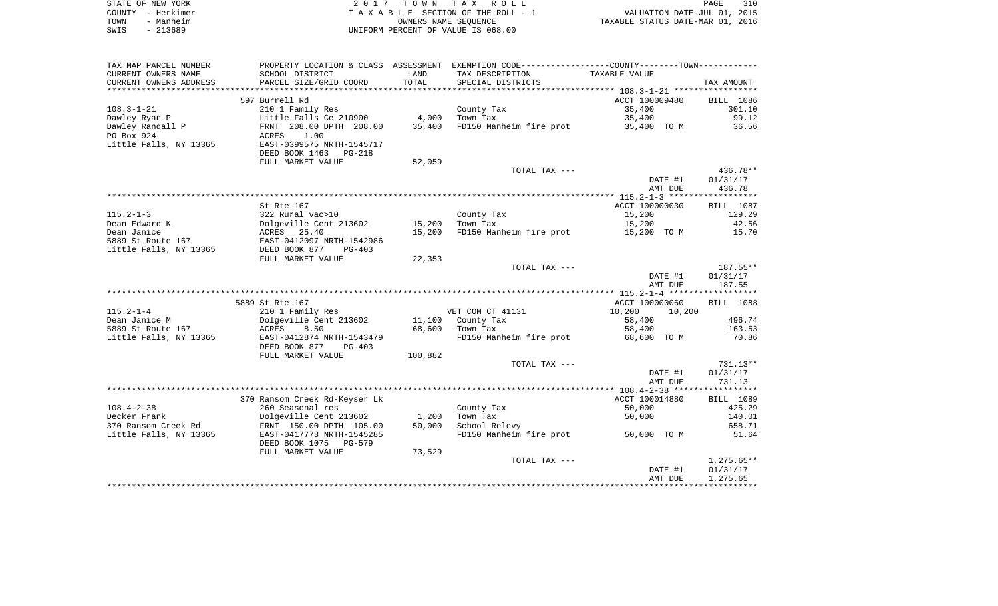| STATE OF NEW YORK | 2017 TOWN TAX ROLL                 | 310<br>PAGE                      |
|-------------------|------------------------------------|----------------------------------|
| COUNTY - Herkimer | TAXABLE SECTION OF THE ROLL - 1    | VALUATION DATE-JUL 01, 2015      |
| TOWN<br>- Manheim | OWNERS NAME SEOUENCE               | TAXABLE STATUS DATE-MAR 01, 2016 |
| $-213689$<br>SWIS | UNIFORM PERCENT OF VALUE IS 068.00 |                                  |

| TAX MAP PARCEL NUMBER  | PROPERTY LOCATION & CLASS ASSESSMENT                 |         | EXEMPTION CODE-----------------COUNTY-------TOWN----------- |                  |                  |
|------------------------|------------------------------------------------------|---------|-------------------------------------------------------------|------------------|------------------|
| CURRENT OWNERS NAME    | SCHOOL DISTRICT                                      | LAND    | TAX DESCRIPTION                                             | TAXABLE VALUE    |                  |
| CURRENT OWNERS ADDRESS | PARCEL SIZE/GRID COORD                               | TOTAL   | SPECIAL DISTRICTS                                           |                  | TAX AMOUNT       |
|                        |                                                      |         |                                                             |                  |                  |
|                        | 597 Burrell Rd                                       |         |                                                             | ACCT 100009480   | BILL 1086        |
| $108.3 - 1 - 21$       | 210 1 Family Res                                     |         | County Tax                                                  | 35,400           | 301.10           |
| Dawley Ryan P          | Little Falls Ce 210900                               | 4,000   | Town Tax                                                    | 35,400           | 99.12            |
| Dawley Randall P       | FRNT 208.00 DPTH 208.00                              | 35,400  | FD150 Manheim fire prot                                     | 35,400 TO M      | 36.56            |
| PO Box 924             | 1.00<br>ACRES                                        |         |                                                             |                  |                  |
| Little Falls, NY 13365 | EAST-0399575 NRTH-1545717                            |         |                                                             |                  |                  |
|                        | DEED BOOK 1463 PG-218                                |         |                                                             |                  |                  |
|                        | FULL MARKET VALUE                                    | 52,059  |                                                             |                  |                  |
|                        |                                                      |         | TOTAL TAX ---                                               |                  | 436.78**         |
|                        |                                                      |         |                                                             | DATE #1          | 01/31/17         |
|                        |                                                      |         |                                                             | AMT DUE          | 436.78           |
|                        |                                                      |         |                                                             |                  |                  |
|                        | St Rte 167                                           |         |                                                             | ACCT 100000030   | BILL 1087        |
| $115.2 - 1 - 3$        | 322 Rural vac>10                                     |         | County Tax                                                  | 15,200           | 129.29           |
| Dean Edward K          | Dolgeville Cent 213602                               | 15,200  | Town Tax                                                    | 15,200           | 42.56            |
| Dean Janice            | ACRES 25.40                                          | 15,200  | FD150 Manheim fire prot                                     | 15,200 TO M      | 15.70            |
| 5889 St Route 167      | EAST-0412097 NRTH-1542986                            |         |                                                             |                  |                  |
| Little Falls, NY 13365 | DEED BOOK 877<br>$PG-403$                            |         |                                                             |                  |                  |
|                        | FULL MARKET VALUE                                    | 22,353  |                                                             |                  |                  |
|                        |                                                      |         | TOTAL TAX ---                                               |                  | $187.55**$       |
|                        |                                                      |         |                                                             | DATE #1          | 01/31/17         |
|                        |                                                      |         |                                                             | AMT DUE          | 187.55           |
|                        |                                                      |         |                                                             |                  |                  |
|                        | 5889 St Rte 167                                      |         |                                                             | ACCT 100000060   | <b>BILL</b> 1088 |
| $115.2 - 1 - 4$        | 210 1 Family Res                                     |         | VET COM CT 41131                                            | 10,200<br>10,200 |                  |
| Dean Janice M          | Dolgeville Cent 213602                               | 11,100  | County Tax                                                  | 58,400           | 496.74           |
| 5889 St Route 167      | ACRES<br>8.50                                        | 68,600  | Town Tax                                                    | 58,400           | 163.53           |
| Little Falls, NY 13365 | EAST-0412874 NRTH-1543479<br>DEED BOOK 877<br>PG-403 |         | FD150 Manheim fire prot                                     | 68,600 TO M      | 70.86            |
|                        | FULL MARKET VALUE                                    | 100,882 |                                                             |                  |                  |
|                        |                                                      |         | TOTAL TAX ---                                               |                  | 731.13**         |
|                        |                                                      |         |                                                             | DATE #1          | 01/31/17         |
|                        |                                                      |         |                                                             | AMT DUE          | 731.13           |
|                        |                                                      |         |                                                             |                  |                  |
|                        | 370 Ransom Creek Rd-Keyser Lk                        |         |                                                             | ACCT 100014880   | BILL 1089        |
| $108.4 - 2 - 38$       | 260 Seasonal res                                     |         | County Tax                                                  | 50,000           | 425.29           |
| Decker Frank           | Dolgeville Cent 213602                               | 1,200   | Town Tax                                                    | 50,000           | 140.01           |
| 370 Ransom Creek Rd    | FRNT 150.00 DPTH 105.00                              | 50,000  | School Relevy                                               |                  | 658.71           |
| Little Falls, NY 13365 | EAST-0417773 NRTH-1545285                            |         | FD150 Manheim fire prot                                     | 50,000 TO M      | 51.64            |
|                        | DEED BOOK 1075 PG-579                                |         |                                                             |                  |                  |
|                        | FULL MARKET VALUE                                    | 73,529  |                                                             |                  |                  |
|                        |                                                      |         | TOTAL TAX ---                                               |                  | $1,275.65**$     |
|                        |                                                      |         |                                                             | DATE #1          | 01/31/17         |
|                        |                                                      |         |                                                             | AMT DUE          |                  |
|                        |                                                      |         |                                                             |                  | 1,275.65         |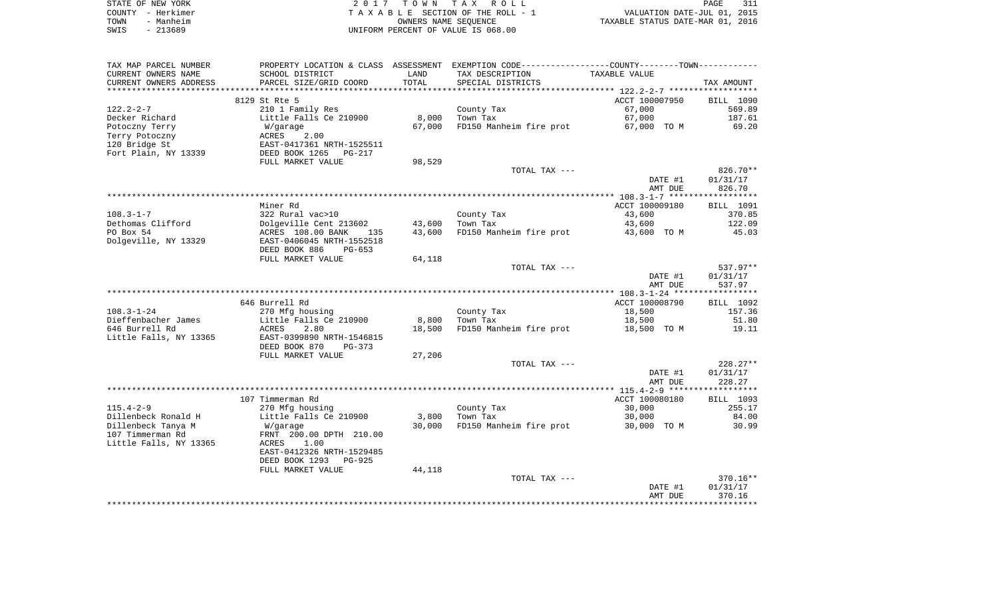|      | STATE OF NEW YORK | 2017 TOWN TAX ROLL                 | PAGE                             | 311 |
|------|-------------------|------------------------------------|----------------------------------|-----|
|      | COUNTY - Herkimer | TAXABLE SECTION OF THE ROLL - 1    | VALUATION DATE-JUL 01, 2015      |     |
| TOWN | - Manheim         | OWNERS NAME SEOUENCE               | TAXABLE STATUS DATE-MAR 01, 2016 |     |
| SWIS | - 213689          | UNIFORM PERCENT OF VALUE IS 068.00 |                                  |     |

| TAX MAP PARCEL NUMBER           |                               |        | PROPERTY LOCATION & CLASS ASSESSMENT EXEMPTION CODE----------------COUNTY--------TOWN----------- |                |                        |
|---------------------------------|-------------------------------|--------|--------------------------------------------------------------------------------------------------|----------------|------------------------|
| CURRENT OWNERS NAME             | SCHOOL DISTRICT               | LAND   | TAX DESCRIPTION                                                                                  | TAXABLE VALUE  |                        |
| CURRENT OWNERS ADDRESS          | PARCEL SIZE/GRID COORD        | TOTAL  | SPECIAL DISTRICTS                                                                                |                | TAX AMOUNT             |
| **********************          | ***************************** |        |                                                                                                  |                |                        |
|                                 | 8129 St Rte 5                 |        |                                                                                                  | ACCT 100007950 | BILL 1090              |
| $122.2 - 2 - 7$                 | 210 1 Family Res              |        | County Tax<br>Town Tax                                                                           | 67,000         | 569.89                 |
| Decker Richard                  | Little Falls Ce 210900        | 8,000  |                                                                                                  | 67,000         | 187.61<br>69.20        |
| Potoczny Terry                  | W/garage<br>ACRES<br>2.00     | 67,000 | FD150 Manheim fire prot                                                                          | 67,000 TO M    |                        |
| Terry Potoczny<br>120 Bridge St | EAST-0417361 NRTH-1525511     |        |                                                                                                  |                |                        |
| Fort Plain, NY 13339            | DEED BOOK 1265<br>PG-217      |        |                                                                                                  |                |                        |
|                                 | FULL MARKET VALUE             | 98,529 |                                                                                                  |                |                        |
|                                 |                               |        | TOTAL TAX ---                                                                                    |                | 826.70**               |
|                                 |                               |        |                                                                                                  | DATE #1        | 01/31/17               |
|                                 |                               |        |                                                                                                  | AMT DUE        | 826.70                 |
|                                 |                               |        |                                                                                                  |                |                        |
|                                 | Miner Rd                      |        |                                                                                                  | ACCT 100009180 | BILL 1091              |
| $108.3 - 1 - 7$                 | 322 Rural vac>10              |        | County Tax                                                                                       | 43,600         | 370.85                 |
| Dethomas Clifford               | Dolgeville Cent 213602        | 43,600 | Town Tax                                                                                         | 43,600         | 122.09                 |
| PO Box 54                       | ACRES 108.00 BANK<br>135      | 43,600 | FD150 Manheim fire prot                                                                          | 43,600 TO M    | 45.03                  |
| Dolgeville, NY 13329            | EAST-0406045 NRTH-1552518     |        |                                                                                                  |                |                        |
|                                 | DEED BOOK 886<br>PG-653       |        |                                                                                                  |                |                        |
|                                 | FULL MARKET VALUE             | 64,118 |                                                                                                  |                |                        |
|                                 |                               |        | TOTAL TAX ---                                                                                    |                | 537.97**               |
|                                 |                               |        |                                                                                                  | DATE #1        | 01/31/17               |
|                                 |                               |        |                                                                                                  | AMT DUE        | 537.97                 |
|                                 |                               |        |                                                                                                  |                |                        |
|                                 | 646 Burrell Rd                |        |                                                                                                  | ACCT 100008790 | BILL 1092              |
| $108.3 - 1 - 24$                | 270 Mfg housing               |        | County Tax                                                                                       | 18,500         | 157.36                 |
| Dieffenbacher James             | Little Falls Ce 210900        | 8,800  | Town Tax                                                                                         | 18,500         | 51.80                  |
| 646 Burrell Rd                  | ACRES<br>2.80                 | 18,500 | FD150 Manheim fire prot                                                                          | 18,500 TO M    | 19.11                  |
| Little Falls, NY 13365          | EAST-0399890 NRTH-1546815     |        |                                                                                                  |                |                        |
|                                 | DEED BOOK 870<br>$PG-373$     |        |                                                                                                  |                |                        |
|                                 | FULL MARKET VALUE             | 27,206 |                                                                                                  |                |                        |
|                                 |                               |        | TOTAL TAX ---                                                                                    | DATE #1        | $228.27**$<br>01/31/17 |
|                                 |                               |        |                                                                                                  | AMT DUE        | 228.27                 |
|                                 |                               |        |                                                                                                  |                |                        |
|                                 | 107 Timmerman Rd              |        |                                                                                                  | ACCT 100080180 | BILL 1093              |
| $115.4 - 2 - 9$                 | 270 Mfg housing               |        | County Tax                                                                                       | 30,000         | 255.17                 |
| Dillenbeck Ronald H             | Little Falls Ce 210900        | 3,800  | Town Tax                                                                                         | 30,000         | 84.00                  |
| Dillenbeck Tanya M              | W/garage                      | 30,000 | FD150 Manheim fire prot                                                                          | 30,000 TO M    | 30.99                  |
| 107 Timmerman Rd                | FRNT 200.00 DPTH 210.00       |        |                                                                                                  |                |                        |
| Little Falls, NY 13365          | ACRES<br>1.00                 |        |                                                                                                  |                |                        |
|                                 | EAST-0412326 NRTH-1529485     |        |                                                                                                  |                |                        |
|                                 | DEED BOOK 1293<br>PG-925      |        |                                                                                                  |                |                        |
|                                 | FULL MARKET VALUE             | 44,118 |                                                                                                  |                |                        |
|                                 |                               |        | TOTAL TAX ---                                                                                    |                | 370.16**               |
|                                 |                               |        |                                                                                                  | DATE #1        | 01/31/17               |
|                                 |                               |        |                                                                                                  | AMT DUE        | 370.16                 |
|                                 |                               |        |                                                                                                  |                |                        |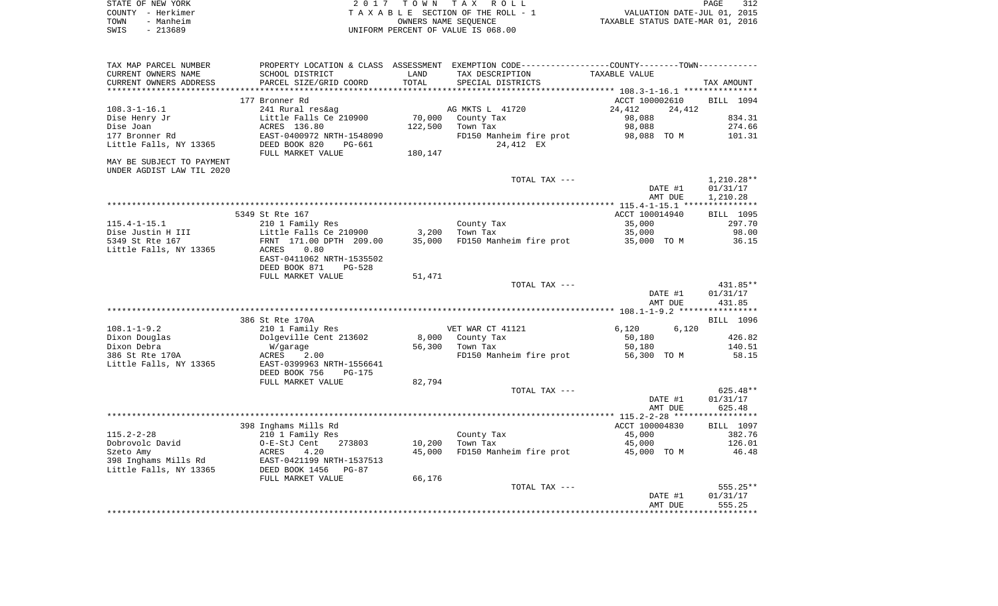|      | STATE OF NEW YORK | 2017 TOWN TAX ROLL                 | PAGE                             | 312 |
|------|-------------------|------------------------------------|----------------------------------|-----|
|      | COUNTY - Herkimer | TAXABLE SECTION OF THE ROLL - 1    | VALUATION DATE-JUL 01, 2015      |     |
| TOWN | - Manheim         | OWNERS NAME SEOUENCE               | TAXABLE STATUS DATE-MAR 01, 2016 |     |
| SWIS | - 213689          | UNIFORM PERCENT OF VALUE IS 068.00 |                                  |     |

|                    | PROPERTY LOCATION & CLASS ASSESSMENT EXEMPTION CODE-----------------COUNTY-------TOWN- |                |                         |         |                           |                           |
|--------------------|----------------------------------------------------------------------------------------|----------------|-------------------------|---------|---------------------------|---------------------------|
|                    |                                                                                        | TAXABLE VALUE  | TAX DESCRIPTION         | LAND    | SCHOOL DISTRICT           | CURRENT OWNERS NAME       |
| TAX AMOUNT         |                                                                                        |                | SPECIAL DISTRICTS       | TOTAL   | PARCEL SIZE/GRID COORD    | CURRENT OWNERS ADDRESS    |
|                    |                                                                                        |                |                         |         |                           |                           |
| BILL 1094          |                                                                                        | ACCT 100002610 |                         |         | 177 Bronner Rd            |                           |
|                    | 24,412                                                                                 | 24,412         | AG MKTS L 41720         |         | 241 Rural res&ag          | $108.3 - 1 - 16.1$        |
| 834.31             |                                                                                        | 98,088         | County Tax              | 70,000  | Little Falls Ce 210900    | Dise Henry Jr             |
| 274.66             |                                                                                        | 98,088         | Town Tax                | 122,500 | ACRES 136.80              | Dise Joan                 |
| 101.31             | 98,088 TO M                                                                            |                | FD150 Manheim fire prot |         | EAST-0400972 NRTH-1548090 | 177 Bronner Rd            |
|                    |                                                                                        |                | 24,412 EX               |         | DEED BOOK 820<br>PG-661   | Little Falls, NY 13365    |
|                    |                                                                                        |                |                         | 180,147 | FULL MARKET VALUE         |                           |
|                    |                                                                                        |                |                         |         |                           | MAY BE SUBJECT TO PAYMENT |
|                    |                                                                                        |                |                         |         |                           | UNDER AGDIST LAW TIL 2020 |
| $1,210.28**$       |                                                                                        |                | TOTAL TAX ---           |         |                           |                           |
| 01/31/17           | DATE #1                                                                                |                |                         |         |                           |                           |
| 1,210.28           | AMT DUE                                                                                |                |                         |         |                           |                           |
|                    |                                                                                        |                |                         |         |                           |                           |
| <b>BILL 1095</b>   |                                                                                        | ACCT 100014940 |                         |         | 5349 St Rte 167           |                           |
| 297.70             |                                                                                        | 35,000         | County Tax              |         | 210 1 Family Res          | $115.4 - 1 - 15.1$        |
| 98.00              |                                                                                        | 35,000         | Town Tax                | 3,200   | Little Falls Ce 210900    | Dise Justin H III         |
| 36.15              | 35,000 TO M                                                                            |                | FD150 Manheim fire prot | 35,000  | FRNT 171.00 DPTH 209.00   | 5349 St Rte 167           |
|                    |                                                                                        |                |                         |         | 0.80<br>ACRES             | Little Falls, NY 13365    |
|                    |                                                                                        |                |                         |         | EAST-0411062 NRTH-1535502 |                           |
|                    |                                                                                        |                |                         |         | DEED BOOK 871<br>$PG-528$ |                           |
|                    |                                                                                        |                |                         | 51,471  | FULL MARKET VALUE         |                           |
| 431.85**           |                                                                                        |                | TOTAL TAX ---           |         |                           |                           |
| 01/31/17           | DATE #1                                                                                |                |                         |         |                           |                           |
| 431.85             | AMT DUE                                                                                |                |                         |         |                           |                           |
|                    |                                                                                        |                |                         |         |                           |                           |
| BILL 1096          |                                                                                        |                |                         |         | 386 St Rte 170A           |                           |
|                    | 6,120                                                                                  | 6,120          | VET WAR CT 41121        |         | 210 1 Family Res          | $108.1 - 1 - 9.2$         |
|                    |                                                                                        |                | 8,000 County Tax        |         | Dolgeville Cent 213602    | Dixon Douglas             |
| 426.82             |                                                                                        | 50,180         |                         |         | W/garage                  |                           |
| 140.51             |                                                                                        | 50,180         | 56,300 Town Tax         |         |                           | Dixon Debra               |
| 58.15              | 56,300 TO M                                                                            |                | FD150 Manheim fire prot |         | ACRES<br>2.00             | 386 St Rte 170A           |
|                    |                                                                                        |                |                         |         | EAST-0399963 NRTH-1556641 | Little Falls, NY 13365    |
|                    |                                                                                        |                |                         |         | DEED BOOK 756<br>$PG-175$ |                           |
|                    |                                                                                        |                |                         | 82,794  | FULL MARKET VALUE         |                           |
| $625.48**$         |                                                                                        |                | TOTAL TAX ---           |         |                           |                           |
| 01/31/17           | DATE #1                                                                                |                |                         |         |                           |                           |
| 625.48             | AMT DUE                                                                                |                |                         |         |                           |                           |
|                    |                                                                                        |                |                         |         |                           |                           |
| BILL 1097          |                                                                                        | ACCT 100004830 |                         |         | 398 Inghams Mills Rd      |                           |
| 382.76             |                                                                                        | 45,000         | County Tax              |         | 210 1 Family Res          | $115.2 - 2 - 28$          |
| 126.01             |                                                                                        | 45,000         | Town Tax                | 10,200  | O-E-StJ Cent<br>273803    | Dobrovolc David           |
| 46.48              | 45,000 TO M                                                                            |                | FD150 Manheim fire prot | 45,000  | ACRES<br>4.20             | Szeto Amy                 |
|                    |                                                                                        |                |                         |         | EAST-0421199 NRTH-1537513 | 398 Inghams Mills Rd      |
|                    |                                                                                        |                |                         |         | DEED BOOK 1456<br>$PG-87$ | Little Falls, NY 13365    |
|                    |                                                                                        |                |                         | 66,176  | FULL MARKET VALUE         |                           |
| 555.25**           |                                                                                        |                | TOTAL TAX ---           |         |                           |                           |
| 01/31/17<br>555.25 | DATE #1<br>AMT DUE                                                                     |                |                         |         |                           |                           |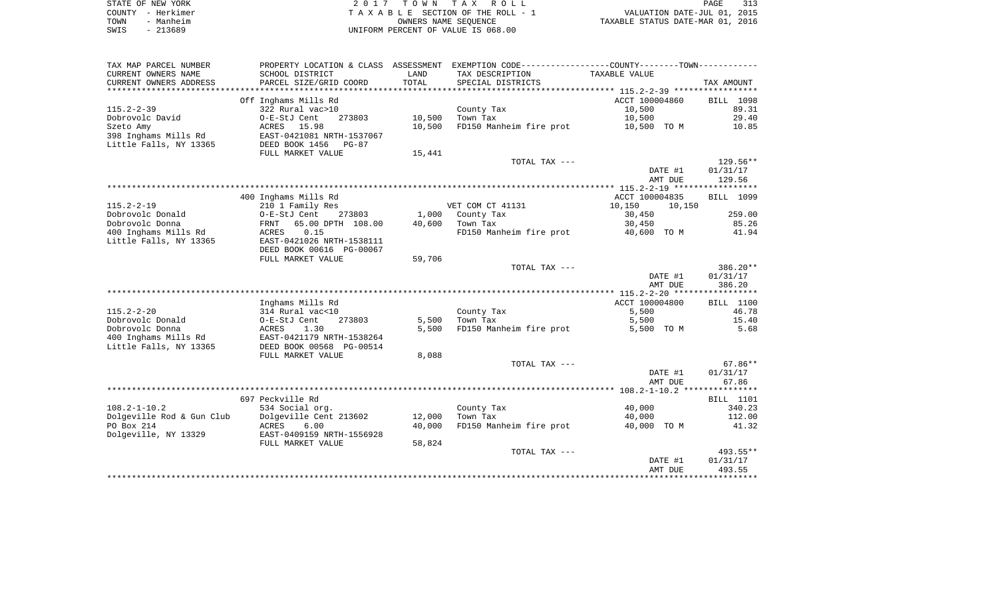|      | STATE OF NEW YORK | 2017 TOWN TAX ROLL                 | 313<br>PAGE                      |
|------|-------------------|------------------------------------|----------------------------------|
|      | COUNTY - Herkimer | TAXABLE SECTION OF THE ROLL - 1    | VALUATION DATE-JUL 01, 2015      |
| TOWN | - Manheim         | OWNERS NAME SEOUENCE               | TAXABLE STATUS DATE-MAR 01, 2016 |
| SWIS | - 213689          | UNIFORM PERCENT OF VALUE IS 068.00 |                                  |

| TAX MAP PARCEL NUMBER                   | PROPERTY LOCATION & CLASS ASSESSMENT    |                  | EXEMPTION CODE-----------------COUNTY--------TOWN----------- |                       |                  |
|-----------------------------------------|-----------------------------------------|------------------|--------------------------------------------------------------|-----------------------|------------------|
| CURRENT OWNERS NAME                     | SCHOOL DISTRICT                         | LAND             | TAX DESCRIPTION                                              | TAXABLE VALUE         |                  |
| CURRENT OWNERS ADDRESS                  | PARCEL SIZE/GRID COORD                  | TOTAL            | SPECIAL DISTRICTS                                            |                       | TAX AMOUNT       |
| *******************                     |                                         |                  |                                                              |                       |                  |
|                                         | Off Inghams Mills Rd                    |                  |                                                              | ACCT 100004860        | BILL 1098        |
| $115.2 - 2 - 39$                        | 322 Rural vac>10                        |                  | County Tax                                                   | 10,500                | 89.31            |
| Dobrovolc David                         | 273803<br>O-E-StJ Cent                  | 10,500           | Town Tax                                                     | 10,500                | 29.40            |
| Szeto Amy                               | ACRES<br>15.98                          | 10,500           | FD150 Manheim fire prot                                      | 10,500 TO M           | 10.85            |
| 398 Inghams Mills Rd                    | EAST-0421081 NRTH-1537067               |                  |                                                              |                       |                  |
| Little Falls, NY 13365                  | DEED BOOK 1456<br>$PG-87$               |                  |                                                              |                       |                  |
|                                         | FULL MARKET VALUE                       | 15,441           |                                                              |                       |                  |
|                                         |                                         |                  | TOTAL TAX ---                                                |                       | 129.56**         |
|                                         |                                         |                  |                                                              | DATE #1               | 01/31/17         |
|                                         |                                         |                  |                                                              | AMT DUE               | 129.56           |
|                                         |                                         |                  |                                                              |                       |                  |
|                                         | 400 Inghams Mills Rd                    |                  |                                                              | ACCT 100004835        | BILL 1099        |
| $115.2 - 2 - 19$                        | 210 1 Family Res                        |                  | VET COM CT 41131                                             | 10,150<br>10,150      |                  |
| Dobrovolc Donald                        | 273803<br>O-E-StJ Cent                  | 1,000            | County Tax                                                   | 30,450                | 259.00           |
| Dobrovolc Donna                         | 65.00 DPTH 108.00<br>FRNT               | 40,600           | Town Tax                                                     | 30,450                | 85.26            |
| 400 Inghams Mills Rd                    | 0.15<br>ACRES                           |                  | FD150 Manheim fire prot                                      | 40,600 TO M           | 41.94            |
| Little Falls, NY 13365                  | EAST-0421026 NRTH-1538111               |                  |                                                              |                       |                  |
|                                         | DEED BOOK 00616 PG-00067                |                  |                                                              |                       |                  |
|                                         | FULL MARKET VALUE                       | 59,706           |                                                              |                       |                  |
|                                         |                                         |                  | TOTAL TAX ---                                                |                       | 386.20**         |
|                                         |                                         |                  |                                                              | DATE #1               | 01/31/17         |
|                                         |                                         |                  |                                                              | AMT DUE               | 386.20           |
|                                         |                                         |                  |                                                              |                       |                  |
|                                         | Inghams Mills Rd                        |                  |                                                              | ACCT 100004800        | BILL 1100        |
| $115.2 - 2 - 20$                        | 314 Rural vac<10                        |                  | County Tax                                                   | 5,500                 | 46.78            |
| Dobrovolc Donald                        | 273803<br>O-E-StJ Cent                  | 5,500            | Town Tax                                                     | 5,500                 | 15.40            |
| Dobrovolc Donna                         | 1.30<br>ACRES                           | 5,500            | FD150 Manheim fire prot                                      | 5,500 TO M            | 5.68             |
| 400 Inghams Mills Rd                    | EAST-0421179 NRTH-1538264               |                  |                                                              |                       |                  |
| Little Falls, NY 13365                  | DEED BOOK 00568 PG-00514                |                  |                                                              |                       |                  |
|                                         | FULL MARKET VALUE                       | 8,088            |                                                              |                       |                  |
|                                         |                                         |                  | TOTAL TAX ---                                                |                       | $67.86**$        |
|                                         |                                         |                  |                                                              | DATE #1               | 01/31/17         |
|                                         |                                         |                  |                                                              | AMT DUE               | 67.86            |
|                                         | 697 Peckville Rd                        |                  |                                                              |                       |                  |
|                                         |                                         |                  |                                                              |                       | <b>BILL</b> 1101 |
| $108.2 - 1 - 10.2$                      | 534 Social org.                         |                  | County Tax                                                   | 40,000                | 340.23           |
| Dolgeville Rod & Gun Club<br>PO Box 214 | Dolgeville Cent 213602<br>ACRES<br>6.00 | 12,000<br>40,000 | Town Tax<br>FD150 Manheim fire prot                          | 40,000<br>40,000 TO M | 112.00<br>41.32  |
| Dolgeville, NY 13329                    | EAST-0409159 NRTH-1556928               |                  |                                                              |                       |                  |
|                                         |                                         |                  |                                                              |                       |                  |
|                                         | FULL MARKET VALUE                       | 58,824           | TOTAL TAX ---                                                |                       | 493.55**         |
|                                         |                                         |                  |                                                              | DATE #1               | 01/31/17         |
|                                         |                                         |                  |                                                              | AMT DUE               | 493.55           |
|                                         |                                         |                  |                                                              |                       |                  |
|                                         |                                         |                  |                                                              |                       |                  |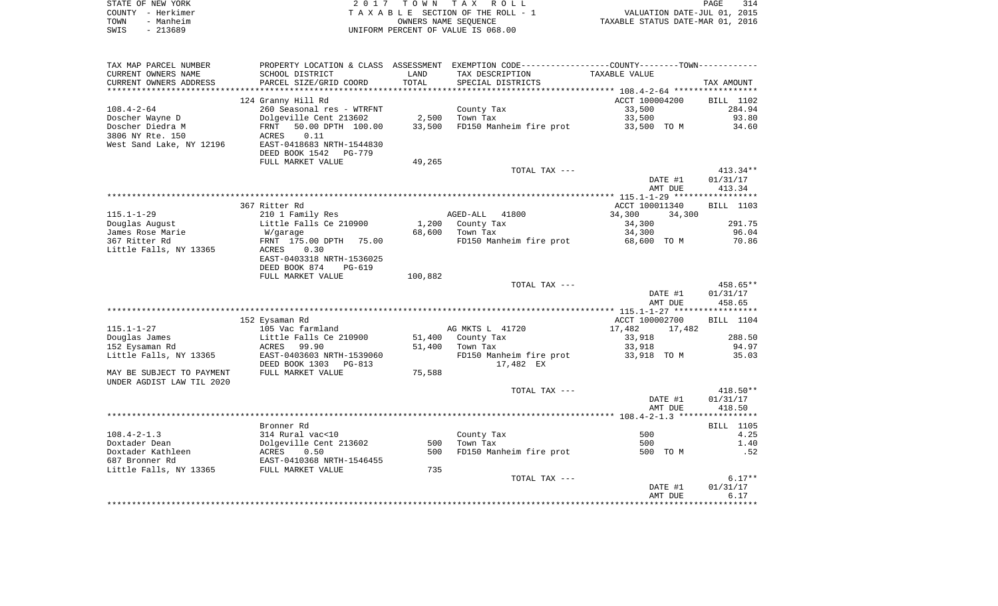|      | STATE OF NEW YORK | 2017 TOWN TAX ROLL                 | 314<br>PAGE                      |
|------|-------------------|------------------------------------|----------------------------------|
|      | COUNTY - Herkimer | TAXABLE SECTION OF THE ROLL - 1    | VALUATION DATE-JUL 01, 2015      |
| TOWN | - Manheim         | OWNERS NAME SEOUENCE               | TAXABLE STATUS DATE-MAR 01, 2016 |
| SWIS | - 213689          | UNIFORM PERCENT OF VALUE IS 068.00 |                                  |

| TAX MAP PARCEL NUMBER                    |                                                                               |                 | PROPERTY LOCATION & CLASS ASSESSMENT EXEMPTION CODE---------------COUNTY-------TOWN--------- |                  |                  |
|------------------------------------------|-------------------------------------------------------------------------------|-----------------|----------------------------------------------------------------------------------------------|------------------|------------------|
| CURRENT OWNERS NAME                      | SCHOOL DISTRICT                                                               | LAND            | TAX DESCRIPTION                                                                              | TAXABLE VALUE    |                  |
| CURRENT OWNERS ADDRESS                   | PARCEL SIZE/GRID COORD                                                        | TOTAL           | SPECIAL DISTRICTS                                                                            |                  | TAX AMOUNT       |
|                                          |                                                                               |                 |                                                                                              |                  |                  |
|                                          | 124 Granny Hill Rd                                                            |                 |                                                                                              | ACCT 100004200   | BILL 1102        |
| $108.4 - 2 - 64$                         | 260 Seasonal res - WTRFNT                                                     |                 | County Tax                                                                                   | 33,500           | 284.94           |
| Doscher Wayne D                          | Dolgeville Cent 213602                                                        | 2,500<br>33,500 | Town Tax                                                                                     | 33,500           | 93.80            |
| Doscher Diedra M                         | FRNT 50.00 DPTH 100.00                                                        |                 | FD150 Manheim fire prot                                                                      | 33,500 TO M      | 34.60            |
| 3806 NY Rte. 150                         | ACRES 0.11                                                                    |                 |                                                                                              |                  |                  |
| West Sand Lake, NY 12196                 | EAST-0418683 NRTH-1544830                                                     |                 |                                                                                              |                  |                  |
|                                          | DEED BOOK 1542 PG-779                                                         |                 |                                                                                              |                  |                  |
|                                          | FULL MARKET VALUE                                                             | 49,265          |                                                                                              |                  |                  |
|                                          |                                                                               |                 | TOTAL TAX ---                                                                                |                  | $413.34**$       |
|                                          |                                                                               |                 |                                                                                              | DATE #1          | 01/31/17         |
|                                          |                                                                               |                 |                                                                                              | AMT DUE          | 413.34           |
|                                          |                                                                               |                 |                                                                                              |                  |                  |
|                                          | 367 Ritter Rd                                                                 |                 |                                                                                              | ACCT 100011340   | BILL 1103        |
| $115.1 - 1 - 29$                         | 210 1 Family Res                                                              |                 | AGED-ALL 41800                                                                               | 34,300<br>34,300 |                  |
| Douglas August                           | Little Falls Ce 210900                                                        |                 | 1,200 County Tax                                                                             | 34,300           | 291.75           |
| James Rose Marie                         | W/garage                                                                      |                 | $\mathbf{x} = \mathbf{x}$<br>68,600 Town Tax                                                 | 34,300           | 96.04            |
| 367 Ritter Rd                            | FRNT 175.00 DPTH 75.00                                                        |                 | FD150 Manheim fire prot                                                                      | 68,600 TO M      | 70.86            |
| Little Falls, NY 13365                   | 0.30<br>ACRES                                                                 |                 |                                                                                              |                  |                  |
|                                          | EAST-0403318 NRTH-1536025                                                     |                 |                                                                                              |                  |                  |
|                                          | DEED BOOK 874<br>PG-619                                                       |                 |                                                                                              |                  |                  |
|                                          | FULL MARKET VALUE                                                             | 100,882         |                                                                                              |                  |                  |
|                                          |                                                                               |                 | TOTAL TAX ---                                                                                |                  | 458.65**         |
|                                          |                                                                               |                 |                                                                                              | DATE #1          | 01/31/17         |
|                                          |                                                                               |                 |                                                                                              | AMT DUE          | 458.65           |
|                                          |                                                                               |                 |                                                                                              |                  |                  |
|                                          | 152 Eysaman Rd                                                                |                 |                                                                                              | ACCT 100002700   | BILL 1104        |
| $115.1 - 1 - 27$                         | 105 Vac farmland                                                              |                 | AG MKTS L 41720                                                                              | 17,482 17,482    |                  |
| Douglas James                            | Little Falls Ce 210900                                                        |                 | 51,400 County Tax                                                                            | 33,918           | 288.50           |
| 152 Eysaman Rd                           | ACRES 99.90                                                                   |                 | 51,400 Town Tax                                                                              | 33,918           | 94.97            |
| Little Falls, NY 13365                   | EAST-0403603 NRTH-1539060                                                     |                 | FD150 Manheim fire prot                                                                      | 33,918 TO M      | 35.03            |
|                                          | DEED BOOK 1303 PG-813                                                         |                 | 17,482 EX                                                                                    |                  |                  |
| MAY BE SUBJECT TO PAYMENT                | FULL MARKET VALUE                                                             | 75,588          |                                                                                              |                  |                  |
| UNDER AGDIST LAW TIL 2020                |                                                                               |                 |                                                                                              |                  |                  |
|                                          |                                                                               |                 | TOTAL TAX ---                                                                                |                  | $418.50**$       |
|                                          |                                                                               |                 |                                                                                              | DATE #1          | 01/31/17         |
|                                          |                                                                               |                 |                                                                                              | AMT DUE          | 418.50           |
|                                          |                                                                               |                 |                                                                                              |                  |                  |
|                                          | Bronner Rd                                                                    |                 |                                                                                              |                  | <b>BILL</b> 1105 |
| $108.4 - 2 - 1.3$                        | 314 Rural vac<10                                                              |                 | County Tax                                                                                   | 500              | 4.25             |
| Doxtader Dean                            | Dolgeville Cent 213602<br>ROLgeville Cent 213602<br>RAST-0410368 NRTH-1546455 |                 | 500 Town Tax                                                                                 | 500              | 1.40             |
| Doxtader Kathleen                        |                                                                               | 500             | FD150 Manheim fire prot                                                                      | 500 TO M         | .52              |
| 687 Bronner Rd                           |                                                                               |                 |                                                                                              |                  |                  |
| Little Falls, NY 13365 FULL MARKET VALUE |                                                                               | 735             |                                                                                              |                  |                  |
|                                          |                                                                               |                 | TOTAL TAX ---                                                                                |                  | $6.17**$         |
|                                          |                                                                               |                 |                                                                                              | DATE #1          | 01/31/17         |
|                                          |                                                                               |                 |                                                                                              | AMT DUE          | 6.17             |
|                                          |                                                                               |                 |                                                                                              |                  |                  |
|                                          |                                                                               |                 |                                                                                              |                  |                  |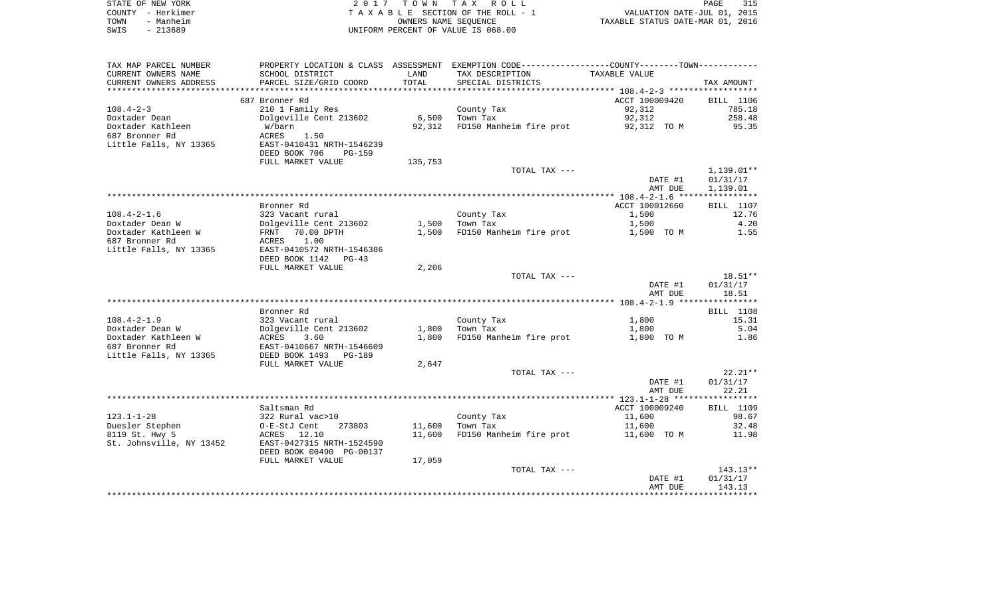| STATE OF NEW YORK |           | 2017 TOWN TAX ROLL                 | PAGE                             | 315 |
|-------------------|-----------|------------------------------------|----------------------------------|-----|
| COUNTY - Herkimer |           | TAXABLE SECTION OF THE ROLL - 1    | VALUATION DATE-JUL 01, 2015      |     |
| TOWN              | - Manheim | OWNERS NAME SEOUENCE               | TAXABLE STATUS DATE-MAR 01, 2016 |     |
| SWIS              | - 213689  | UNIFORM PERCENT OF VALUE IS 068.00 |                                  |     |

| TAX MAP PARCEL NUMBER    |                                            |         | PROPERTY LOCATION & CLASS ASSESSMENT EXEMPTION CODE----------------COUNTY-------TOWN---------- |                |                  |
|--------------------------|--------------------------------------------|---------|------------------------------------------------------------------------------------------------|----------------|------------------|
| CURRENT OWNERS NAME      | SCHOOL DISTRICT                            | LAND    | TAX DESCRIPTION                                                                                | TAXABLE VALUE  |                  |
| CURRENT OWNERS ADDRESS   | PARCEL SIZE/GRID COORD                     | TOTAL   | SPECIAL DISTRICTS                                                                              |                | TAX AMOUNT       |
|                          |                                            |         |                                                                                                |                |                  |
|                          | 687 Bronner Rd                             |         |                                                                                                | ACCT 100009420 | <b>BILL</b> 1106 |
| $108.4 - 2 - 3$          | 210 1 Family Res                           |         | County Tax                                                                                     | 92,312         | 785.18           |
| Doxtader Dean            | Dolgeville Cent 213602                     | 6,500   | Town Tax                                                                                       | 92,312         | 258.48           |
| Doxtader Kathleen        | W/barn                                     | 92,312  | FD150 Manheim fire prot                                                                        | 92,312 TO M    | 95.35            |
| 687 Bronner Rd           | 1.50<br>ACRES                              |         |                                                                                                |                |                  |
| Little Falls, NY 13365   | EAST-0410431 NRTH-1546239                  |         |                                                                                                |                |                  |
|                          | DEED BOOK 706<br><b>PG-159</b>             |         |                                                                                                |                |                  |
|                          | FULL MARKET VALUE                          | 135,753 |                                                                                                |                |                  |
|                          |                                            |         | TOTAL TAX ---                                                                                  |                | 1,139.01**       |
|                          |                                            |         |                                                                                                | DATE #1        | 01/31/17         |
|                          |                                            |         |                                                                                                | AMT DUE        | 1,139.01         |
|                          |                                            |         |                                                                                                |                |                  |
|                          | Bronner Rd                                 |         |                                                                                                | ACCT 100012660 | BILL 1107        |
| $108.4 - 2 - 1.6$        | 323 Vacant rural                           |         | County Tax                                                                                     | 1,500          | 12.76            |
| Doxtader Dean W          | Dolgeville Cent 213602                     | 1,500   | Town Tax                                                                                       | 1,500          | 4.20             |
| Doxtader Kathleen W      | FRNT 70.00 DPTH                            | 1,500   | FD150 Manheim fire prot                                                                        | 1,500 TO M     | 1.55             |
| 687 Bronner Rd           | 1.00<br>ACRES                              |         |                                                                                                |                |                  |
| Little Falls, NY 13365   | EAST-0410572 NRTH-1546386                  |         |                                                                                                |                |                  |
|                          | DEED BOOK 1142 PG-43                       |         |                                                                                                |                |                  |
|                          | FULL MARKET VALUE                          | 2,206   |                                                                                                |                |                  |
|                          |                                            |         | TOTAL TAX ---                                                                                  |                | $18.51**$        |
|                          |                                            |         |                                                                                                | DATE #1        | 01/31/17         |
|                          |                                            |         |                                                                                                | AMT DUE        | 18.51            |
|                          |                                            |         |                                                                                                |                |                  |
|                          | Bronner Rd                                 |         |                                                                                                |                | BILL 1108        |
| $108.4 - 2 - 1.9$        | 323 Vacant rural                           |         | County Tax                                                                                     | 1,800          | 15.31            |
| Doxtader Dean W          | Dolgeville Cent 213602                     | 1,800   | Town Tax                                                                                       | 1,800          | 5.04             |
| Doxtader Kathleen W      | ACRES<br>3.60                              | 1,800   | FD150 Manheim fire prot                                                                        | 1,800 TO M     | 1.86             |
| 687 Bronner Rd           | EAST-0410667 NRTH-1546609                  |         |                                                                                                |                |                  |
| Little Falls, NY 13365   | DEED BOOK 1493 PG-189                      |         |                                                                                                |                |                  |
|                          | FULL MARKET VALUE                          | 2,647   |                                                                                                |                |                  |
|                          |                                            |         | TOTAL TAX ---                                                                                  |                | $22.21**$        |
|                          |                                            |         |                                                                                                | DATE #1        | 01/31/17         |
|                          |                                            |         |                                                                                                | AMT DUE        | 22.21            |
|                          | Saltsman Rd                                |         |                                                                                                | ACCT 100009240 | BILL 1109        |
| $123.1 - 1 - 28$         |                                            |         |                                                                                                | 11,600         | 98.67            |
| Duesler Stephen          | 322 Rural vac>10<br>O-E-StJ Cent<br>273803 | 11,600  | County Tax<br>Town Tax                                                                         | 11,600         | 32.48            |
| 8119 St. Hwy 5           | ACRES 12.10                                | 11,600  | FD150 Manheim fire prot 11,600 TO M                                                            |                | 11.98            |
| St. Johnsville, NY 13452 | EAST-0427315 NRTH-1524590                  |         |                                                                                                |                |                  |
|                          | DEED BOOK 00490 PG-00137                   |         |                                                                                                |                |                  |
|                          | FULL MARKET VALUE                          | 17,059  |                                                                                                |                |                  |
|                          |                                            |         | TOTAL TAX ---                                                                                  |                | $143.13**$       |
|                          |                                            |         |                                                                                                | DATE #1        | 01/31/17         |
|                          |                                            |         |                                                                                                | AMT DUE        | 143.13           |
|                          |                                            |         |                                                                                                |                |                  |
|                          |                                            |         |                                                                                                |                |                  |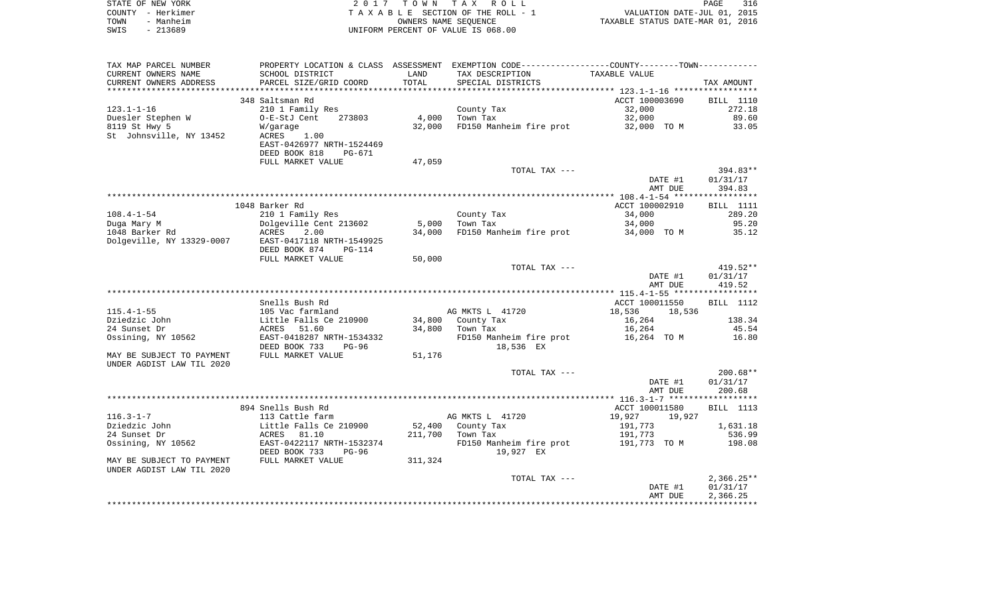|      | STATE OF NEW YORK | 2017 TOWN TAX ROLL                 | 316<br>PAGE                      |  |
|------|-------------------|------------------------------------|----------------------------------|--|
|      | COUNTY – Herkimer | TAXABLE SECTION OF THE ROLL - 1    | VALUATION DATE-JUL 01, 2015      |  |
| TOWN | - Manheim         | OWNERS NAME SEOUENCE               | TAXABLE STATUS DATE-MAR 01, 2016 |  |
| SWIS | - 213689          | UNIFORM PERCENT OF VALUE IS 068.00 |                                  |  |

| TAX MAP PARCEL NUMBER     |                           |         | PROPERTY LOCATION & CLASS ASSESSMENT EXEMPTION CODE----------------COUNTY-------TOWN---------- |                  |                  |
|---------------------------|---------------------------|---------|------------------------------------------------------------------------------------------------|------------------|------------------|
| CURRENT OWNERS NAME       | SCHOOL DISTRICT           | LAND    | TAX DESCRIPTION                                                                                | TAXABLE VALUE    |                  |
| CURRENT OWNERS ADDRESS    | PARCEL SIZE/GRID COORD    | TOTAL   | SPECIAL DISTRICTS                                                                              |                  | TAX AMOUNT       |
|                           |                           |         |                                                                                                |                  |                  |
|                           | 348 Saltsman Rd           |         |                                                                                                | ACCT 100003690   | BILL 1110        |
| $123.1 - 1 - 16$          | 210 1 Family Res          |         | County Tax                                                                                     | 32,000           | 272.18           |
| Duesler Stephen W         | 273803<br>O-E-StJ Cent    | 4,000   | Town Tax                                                                                       | 32,000           | 89.60            |
| 8119 St Hwy 5             | W/garage                  | 32,000  | FD150 Manheim fire prot                                                                        | 32,000 TO M      | 33.05            |
| St Johnsville, NY 13452   | 1.00<br>ACRES             |         |                                                                                                |                  |                  |
|                           | EAST-0426977 NRTH-1524469 |         |                                                                                                |                  |                  |
|                           | DEED BOOK 818<br>PG-671   |         |                                                                                                |                  |                  |
|                           | FULL MARKET VALUE         | 47,059  |                                                                                                |                  |                  |
|                           |                           |         | TOTAL TAX ---                                                                                  |                  | $394.83**$       |
|                           |                           |         |                                                                                                | DATE #1          | 01/31/17         |
|                           |                           |         |                                                                                                | AMT DUE          | 394.83           |
|                           |                           |         |                                                                                                |                  |                  |
|                           | 1048 Barker Rd            |         |                                                                                                | ACCT 100002910   | <b>BILL</b> 1111 |
| $108.4 - 1 - 54$          | 210 1 Family Res          |         | County Tax                                                                                     | 34,000           | 289.20           |
| Duga Mary M               | Dolgeville Cent 213602    | 5,000   | Town Tax                                                                                       | 34,000           | 95.20            |
| 1048 Barker Rd            | ACRES<br>2.00             | 34,000  | FD150 Manheim fire prot 34,000 TO M                                                            |                  | 35.12            |
| Dolgeville, NY 13329-0007 | EAST-0417118 NRTH-1549925 |         |                                                                                                |                  |                  |
|                           | DEED BOOK 874<br>$PG-114$ |         |                                                                                                |                  |                  |
|                           | FULL MARKET VALUE         | 50,000  |                                                                                                |                  |                  |
|                           |                           |         | TOTAL TAX ---                                                                                  |                  | $419.52**$       |
|                           |                           |         |                                                                                                | DATE #1          | 01/31/17         |
|                           |                           |         |                                                                                                | AMT DUE          | 419.52           |
|                           |                           |         |                                                                                                |                  |                  |
|                           | Snells Bush Rd            |         |                                                                                                | ACCT 100011550   | BILL 1112        |
| $115.4 - 1 - 55$          | 105 Vac farmland          |         | AG MKTS L 41720                                                                                | 18,536<br>18,536 |                  |
| Dziedzic John             | Little Falls Ce 210900    |         | 34,800 County Tax                                                                              | 16,264           | 138.34           |
| 24 Sunset Dr              | 51.60<br>ACRES            |         | 34,800 Town Tax                                                                                | 16,264           | 45.54            |
| Ossining, NY 10562        | EAST-0418287 NRTH-1534332 |         | FD150 Manheim fire prot                                                                        | 16,264 TO M      | 16.80            |
|                           | DEED BOOK 733<br>PG-96    |         | 18,536 EX                                                                                      |                  |                  |
| MAY BE SUBJECT TO PAYMENT | FULL MARKET VALUE         | 51,176  |                                                                                                |                  |                  |
| UNDER AGDIST LAW TIL 2020 |                           |         |                                                                                                |                  |                  |
|                           |                           |         | TOTAL TAX ---                                                                                  |                  | $200.68**$       |
|                           |                           |         |                                                                                                | DATE #1          | 01/31/17         |
|                           |                           |         |                                                                                                | AMT DUE          | 200.68           |
|                           |                           |         |                                                                                                |                  |                  |
|                           | 894 Snells Bush Rd        |         |                                                                                                | ACCT 100011580   | BILL 1113        |
| $116.3 - 1 - 7$           | 113 Cattle farm           |         | AG MKTS L 41720                                                                                | 19,927<br>19,927 |                  |
| Dziedzic John             | Little Falls Ce 210900    |         | 52,400 County Tax                                                                              | 191,773          | 1,631.18         |
| 24 Sunset Dr              | ACRES 81.10               |         | 211,700 Town Tax                                                                               | 191,773          | 536.99           |
| Ossining, NY 10562        | EAST-0422117 NRTH-1532374 |         | FD150 Manheim fire prot                                                                        | 191,773 TO M     | 198.08           |
|                           | DEED BOOK 733<br>PG-96    |         | 19,927 EX                                                                                      |                  |                  |
| MAY BE SUBJECT TO PAYMENT | FULL MARKET VALUE         | 311,324 |                                                                                                |                  |                  |
| UNDER AGDIST LAW TIL 2020 |                           |         |                                                                                                |                  |                  |
|                           |                           |         | TOTAL TAX ---                                                                                  |                  | $2,366.25**$     |
|                           |                           |         |                                                                                                | DATE #1          | 01/31/17         |
|                           |                           |         |                                                                                                | AMT DUE          | 2,366.25         |
|                           |                           |         |                                                                                                |                  |                  |
|                           |                           |         |                                                                                                |                  |                  |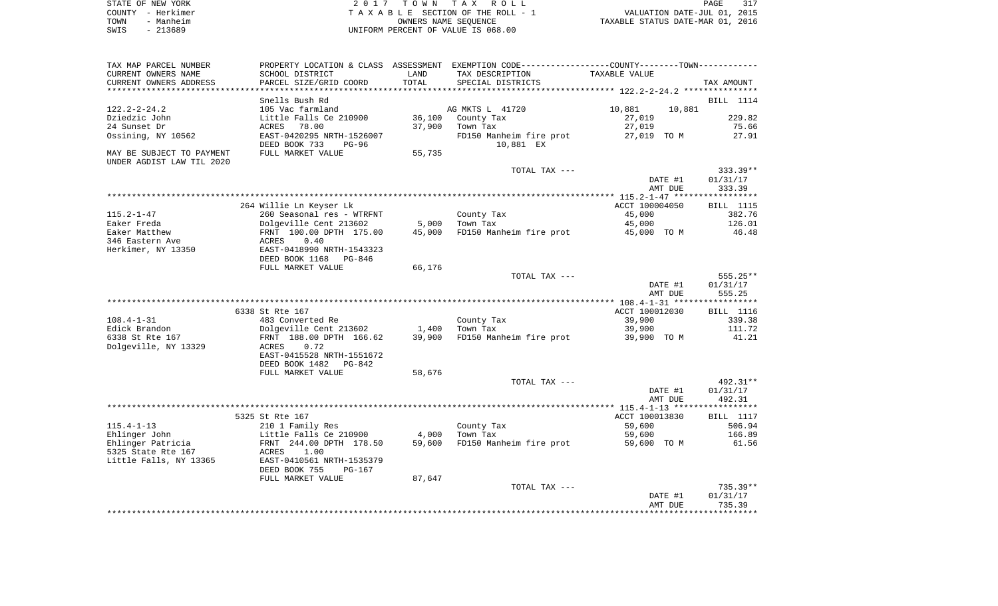|      | STATE OF NEW YORK | 2017 TOWN TAX ROLL                 | PAGE                             | 317 |
|------|-------------------|------------------------------------|----------------------------------|-----|
|      | COUNTY – Herkimer | TAXABLE SECTION OF THE ROLL - 1    | VALUATION DATE-JUL 01, 2015      |     |
| TOWN | - Manheim         | OWNERS NAME SEOUENCE               | TAXABLE STATUS DATE-MAR 01, 2016 |     |
| SWIS | $-213689$         | UNIFORM PERCENT OF VALUE IS 068.00 |                                  |     |

| TAX MAP PARCEL NUMBER     | PROPERTY LOCATION & CLASS ASSESSMENT EXEMPTION CODE---------------COUNTY-------TOWN---------- |        |                                |                  |                  |
|---------------------------|-----------------------------------------------------------------------------------------------|--------|--------------------------------|------------------|------------------|
| CURRENT OWNERS NAME       | SCHOOL DISTRICT                                                                               | LAND   | TAX DESCRIPTION                | TAXABLE VALUE    |                  |
| CURRENT OWNERS ADDRESS    | PARCEL SIZE/GRID COORD                                                                        | TOTAL  | SPECIAL DISTRICTS              |                  | TAX AMOUNT       |
|                           |                                                                                               |        |                                |                  |                  |
|                           | Snells Bush Rd                                                                                |        |                                |                  | BILL 1114        |
| $122.2 - 2 - 24.2$        | 105 Vac farmland                                                                              |        | AG MKTS L 41720                | 10,881<br>10,881 |                  |
| Dziedzic John             | Little Falls Ce 210900                                                                        |        | 36,100 County Tax              | 27,019           | 229.82           |
| 24 Sunset Dr              | 78.00<br>ACRES                                                                                | 37,900 | Town Tax                       | 27,019           | 75.66            |
| Ossining, NY 10562        | EAST-0420295 NRTH-1526007                                                                     |        | FD150 Manheim fire prot        | 27,019 TO M      | 27.91            |
|                           | DEED BOOK 733<br>PG-96                                                                        |        | 10,881 EX                      |                  |                  |
|                           |                                                                                               |        |                                |                  |                  |
| MAY BE SUBJECT TO PAYMENT | FULL MARKET VALUE                                                                             | 55,735 |                                |                  |                  |
| UNDER AGDIST LAW TIL 2020 |                                                                                               |        |                                |                  |                  |
|                           |                                                                                               |        | TOTAL TAX ---                  |                  | $333.39**$       |
|                           |                                                                                               |        |                                | DATE #1          | 01/31/17         |
|                           |                                                                                               |        |                                | AMT DUE          | 333.39           |
|                           |                                                                                               |        |                                |                  |                  |
|                           | 264 Willie Ln Keyser Lk                                                                       |        |                                | ACCT 100004050   | BILL 1115        |
| $115.2 - 1 - 47$          | 260 Seasonal res - WTRFNT                                                                     |        | County Tax                     | 45,000           | 382.76           |
| Eaker Freda               |                                                                                               | 5,000  | Town Tax                       | 45,000           | 126.01           |
| Eaker Matthew             |                                                                                               |        | 45,000 FD150 Manheim fire prot | 45,000 TO M      | 46.48            |
| 346 Eastern Ave           |                                                                                               |        |                                |                  |                  |
| Herkimer, NY 13350        | Dolgeville Cent 213602<br>FRNT 100.00 DPTH 175.00<br>ACRES 0.40<br>EAST-0418990 NRTH-1543323  |        |                                |                  |                  |
|                           | DEED BOOK 1168 PG-846                                                                         |        |                                |                  |                  |
|                           | FULL MARKET VALUE                                                                             | 66,176 |                                |                  |                  |
|                           |                                                                                               |        | TOTAL TAX ---                  |                  | 555.25**         |
|                           |                                                                                               |        |                                |                  |                  |
|                           |                                                                                               |        |                                | DATE #1          | 01/31/17         |
|                           |                                                                                               |        |                                | AMT DUE          | 555.25           |
|                           |                                                                                               |        |                                |                  |                  |
|                           | 6338 St Rte 167                                                                               |        |                                | ACCT 100012030   | <b>BILL</b> 1116 |
| 108.4-1-31                | 483 Converted Re                                                                              |        | County Tax                     | 39,900           | 339.38           |
| Edick Brandon             | Dolgeville Cent 213602 1,400<br>FRNT 188.00 DPTH 166.62 39,900                                |        | Town Tax                       | 39,900           | 111.72           |
| 6338 St Rte 167           |                                                                                               |        | FD150 Manheim fire prot        | 39,900 TO M      | 41.21            |
| Dolgeville, NY 13329      | ACRES<br>0.72                                                                                 |        |                                |                  |                  |
|                           | EAST-0415528 NRTH-1551672                                                                     |        |                                |                  |                  |
|                           | DEED BOOK 1482<br>PG-842                                                                      |        |                                |                  |                  |
|                           | FULL MARKET VALUE                                                                             | 58,676 |                                |                  |                  |
|                           |                                                                                               |        | TOTAL TAX ---                  |                  | 492.31**         |
|                           |                                                                                               |        |                                | DATE #1          | 01/31/17         |
|                           |                                                                                               |        |                                | AMT DUE          | 492.31           |
|                           |                                                                                               |        |                                |                  |                  |
|                           | 5325 St Rte 167                                                                               |        |                                | ACCT 100013830   | BILL 1117        |
| $115.4 - 1 - 13$          |                                                                                               |        | County Tax                     | 59,600           | 506.94           |
|                           | 210 1 Family Res<br>Little Falls Ce 210900                                                    |        |                                |                  |                  |
| Ehlinger John             |                                                                                               | 4,000  | Town Tax                       | 59,600           | 166.89           |
| Ehlinger Patricia         | FRNT 244.00 DPTH 178.50                                                                       |        | 59,600 FD150 Manheim fire prot | 59,600 TO M      | 61.56            |
| 5325 State Rte 167        | ACRES<br>1.00                                                                                 |        |                                |                  |                  |
| Little Falls, NY 13365    | EAST-0410561 NRTH-1535379                                                                     |        |                                |                  |                  |
|                           | DEED BOOK 755<br>PG-167                                                                       |        |                                |                  |                  |
|                           | FULL MARKET VALUE                                                                             | 87,647 |                                |                  |                  |
|                           |                                                                                               |        |                                |                  |                  |
|                           |                                                                                               |        | TOTAL TAX ---                  |                  | 735.39**         |
|                           |                                                                                               |        |                                | DATE #1          | 01/31/17         |
|                           |                                                                                               |        |                                | AMT DUE          | 735.39           |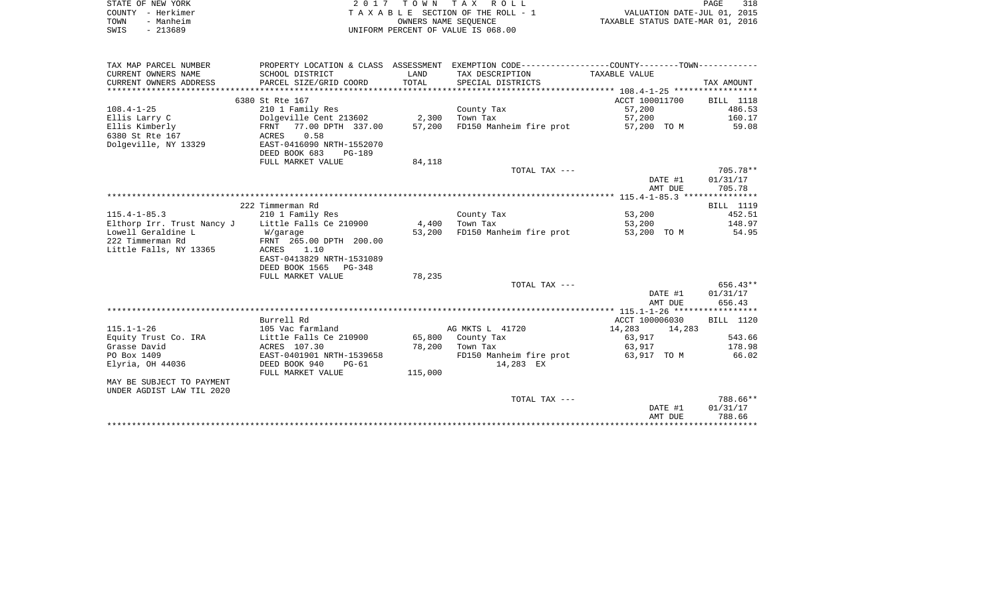| STATE OF NEW YORK |           | 2017 TOWN TAX ROLL                 |                      |                                  | PAGE | 318 |
|-------------------|-----------|------------------------------------|----------------------|----------------------------------|------|-----|
| COUNTY - Herkimer |           | TAXABLE SECTION OF THE ROLL - 1    |                      | VALUATION DATE-JUL 01, 2015      |      |     |
| TOWN              | - Manheim |                                    | OWNERS NAME SEOUENCE | TAXABLE STATUS DATE-MAR 01, 2016 |      |     |
| SWIS              | - 213689  | UNIFORM PERCENT OF VALUE IS 068.00 |                      |                                  |      |     |

| TAX MAP PARCEL NUMBER      |                                |         | PROPERTY LOCATION & CLASS ASSESSMENT EXEMPTION CODE---------------COUNTY-------TOWN---------- |                  |                  |
|----------------------------|--------------------------------|---------|-----------------------------------------------------------------------------------------------|------------------|------------------|
| CURRENT OWNERS NAME        | SCHOOL DISTRICT                | LAND    | TAX DESCRIPTION                                                                               | TAXABLE VALUE    |                  |
| CURRENT OWNERS ADDRESS     | PARCEL SIZE/GRID COORD         | TOTAL   | SPECIAL DISTRICTS                                                                             |                  | TAX AMOUNT       |
|                            |                                |         |                                                                                               |                  |                  |
|                            | 6380 St Rte 167                |         |                                                                                               | ACCT 100011700   | BILL 1118        |
| $108.4 - 1 - 25$           | 210 1 Family Res               |         | County Tax                                                                                    | 57,200           | 486.53           |
| Ellis Larry C              | Dolgeville Cent 213602 2,300   |         | Town Tax                                                                                      | 57,200           | 160.17           |
|                            |                                |         |                                                                                               |                  |                  |
| Ellis Kimberly             | FRNT 77.00 DPTH 337.00         | 57,200  | FD150 Manheim fire prot                                                                       | 57,200 TO M      | 59.08            |
| 6380 St Rte 167            | 0.58<br>ACRES                  |         |                                                                                               |                  |                  |
| Dolgeville, NY 13329       | EAST-0416090 NRTH-1552070      |         |                                                                                               |                  |                  |
|                            | DEED BOOK 683<br><b>PG-189</b> |         |                                                                                               |                  |                  |
|                            | FULL MARKET VALUE              | 84,118  |                                                                                               |                  |                  |
|                            |                                |         | TOTAL TAX ---                                                                                 |                  | 705.78**         |
|                            |                                |         |                                                                                               | DATE #1          | 01/31/17         |
|                            |                                |         |                                                                                               | AMT DUE          | 705.78           |
|                            |                                |         |                                                                                               |                  |                  |
|                            | 222 Timmerman Rd               |         |                                                                                               |                  | <b>BILL</b> 1119 |
| $115.4 - 1 - 85.3$         | 210 1 Family Res               |         | County Tax                                                                                    | 53,200           | 452.51           |
| Elthorp Irr. Trust Nancy J | Little Falls Ce 210900         | 4,400   | Town Tax                                                                                      | 53,200           | 148.97           |
| Lowell Geraldine L         |                                | 53,200  | FD150 Manheim fire prot                                                                       | 53,200 TO M      | 54.95            |
|                            | W/garage                       |         |                                                                                               |                  |                  |
| 222 Timmerman Rd           | FRNT 265.00 DPTH 200.00        |         |                                                                                               |                  |                  |
| Little Falls, NY 13365     | ACRES 1.10                     |         |                                                                                               |                  |                  |
|                            | EAST-0413829 NRTH-1531089      |         |                                                                                               |                  |                  |
|                            | DEED BOOK 1565 PG-348          |         |                                                                                               |                  |                  |
|                            | FULL MARKET VALUE              | 78,235  |                                                                                               |                  |                  |
|                            |                                |         | TOTAL TAX ---                                                                                 |                  | 656.43**         |
|                            |                                |         |                                                                                               | DATE #1          | 01/31/17         |
|                            |                                |         |                                                                                               | AMT DUE          | 656.43           |
|                            |                                |         |                                                                                               |                  |                  |
|                            | Burrell Rd                     |         |                                                                                               | ACCT 100006030   | BILL 1120        |
| $115.1 - 1 - 26$           | 105 Vac farmland               |         | AG MKTS L 41720                                                                               | 14,283<br>14,283 |                  |
| Equity Trust Co. IRA       | Little Falls Ce 210900         |         | 65,800 County Tax                                                                             | 63,917           | 543.66           |
| Grasse David               | ACRES 107.30                   | 78,200  | Town Tax                                                                                      | 63,917           | 178.98           |
| PO Box 1409                | EAST-0401901 NRTH-1539658      |         | FD150 Manheim fire prot                                                                       | 63,917 TO M      | 66.02            |
|                            |                                |         |                                                                                               |                  |                  |
| Elyria, OH 44036           | DEED BOOK 940<br>PG-61         |         | 14,283 EX                                                                                     |                  |                  |
|                            | FULL MARKET VALUE              | 115,000 |                                                                                               |                  |                  |
| MAY BE SUBJECT TO PAYMENT  |                                |         |                                                                                               |                  |                  |
| UNDER AGDIST LAW TIL 2020  |                                |         |                                                                                               |                  |                  |
|                            |                                |         | TOTAL TAX ---                                                                                 |                  | 788.66**         |
|                            |                                |         |                                                                                               | DATE #1          | 01/31/17         |
|                            |                                |         |                                                                                               | AMT DUE          | 788.66           |
|                            |                                |         |                                                                                               |                  |                  |
|                            |                                |         |                                                                                               |                  |                  |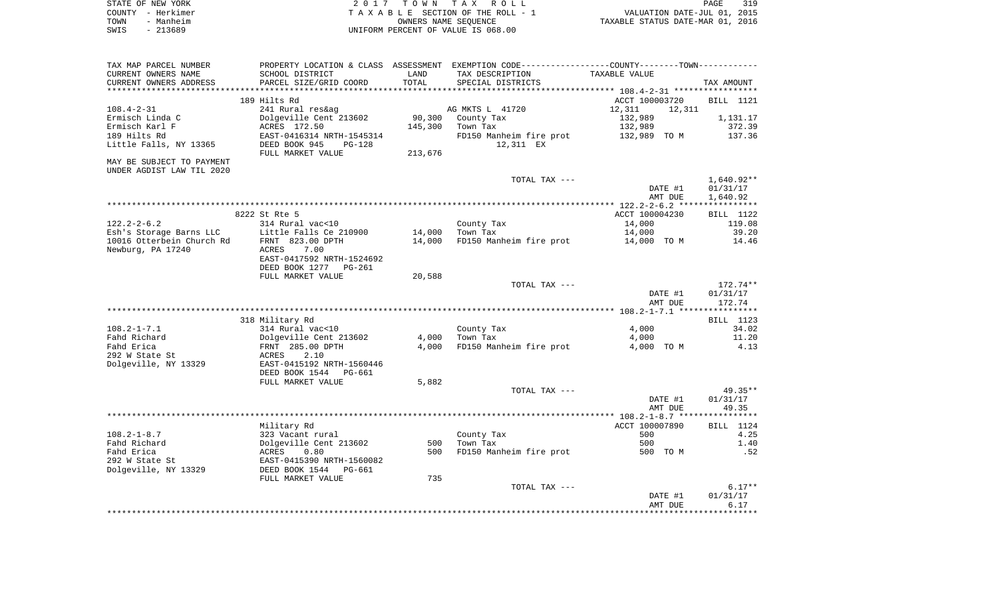| STATE OF NEW YORK<br>COUNTY - Herkimer                 |                                                                                                              |                  | 2017 TOWN TAX ROLL<br>TAXABLE SECTION OF THE ROLL - 1      | VALUATION DATE-JUL 01, 2015      | PAGE<br>319        |
|--------------------------------------------------------|--------------------------------------------------------------------------------------------------------------|------------------|------------------------------------------------------------|----------------------------------|--------------------|
| TOWN<br>- Manheim<br>SWIS<br>$-213689$                 |                                                                                                              |                  | OWNERS NAME SEQUENCE<br>UNIFORM PERCENT OF VALUE IS 068.00 | TAXABLE STATUS DATE-MAR 01, 2016 |                    |
| TAX MAP PARCEL NUMBER                                  | PROPERTY LOCATION & CLASS ASSESSMENT EXEMPTION CODE----------------COUNTY-------TOWN----------               |                  |                                                            |                                  |                    |
| CURRENT OWNERS NAME                                    | SCHOOL DISTRICT                                                                                              | LAND             | TAX DESCRIPTION                                            | TAXABLE VALUE                    |                    |
| CURRENT OWNERS ADDRESS                                 | PARCEL SIZE/GRID COORD                                                                                       | TOTAL            | SPECIAL DISTRICTS                                          |                                  | TAX AMOUNT         |
|                                                        | 189 Hilts Rd                                                                                                 |                  |                                                            | ACCT 100003720                   | BILL 1121          |
| $108.4 - 2 - 31$                                       | 241 Rural res&ag                                                                                             |                  | AG MKTS L 41720                                            | 12,311<br>12,311                 |                    |
| Ermisch Linda C                                        | Dolgeville Cent 213602                                                                                       |                  | 90,300 County Tax                                          | 132,989                          | 1,131.17           |
| Ermisch Karl F                                         | ACRES 172.50                                                                                                 | 145,300          | Town Tax                                                   | 132,989                          | 372.39             |
| 189 Hilts Rd<br>Little Falls, NY 13365                 | EAST-0416314 NRTH-1545314<br>DEED BOOK 945<br>PG-128                                                         |                  | FD150 Manheim fire prot<br>12,311 EX                       | 132,989 TO M                     | 137.36             |
| MAY BE SUBJECT TO PAYMENT<br>UNDER AGDIST LAW TIL 2020 | FULL MARKET VALUE                                                                                            | 213,676          |                                                            |                                  |                    |
|                                                        |                                                                                                              |                  | TOTAL TAX ---                                              |                                  | 1,640.92**         |
|                                                        |                                                                                                              |                  |                                                            | DATE #1                          | 01/31/17           |
|                                                        |                                                                                                              |                  |                                                            | AMT DUE                          | 1,640.92           |
|                                                        | 8222 St Rte 5                                                                                                |                  |                                                            | ACCT 100004230                   | BILL 1122          |
| $122.2 - 2 - 6.2$                                      | 314 Rural vac<10                                                                                             |                  | County Tax                                                 | 14,000                           | 119.08             |
| Esh's Storage Barns LLC                                | Little Falls Ce 210900                                                                                       |                  | 14,000 Town Tax                                            | 14,000                           | 39.20              |
| 10016 Otterbein Church Rd<br>Newburg, PA 17240         | FRNT 823.00 DPTH<br>ACRES<br>7.00<br>EAST-0417592 NRTH-1524692<br>DEED BOOK 1277 PG-261<br>FULL MARKET VALUE | 14,000<br>20,588 | FD150 Manheim fire prot                                    | 14,000 TO M                      | 14.46              |
|                                                        |                                                                                                              |                  | TOTAL TAX ---                                              |                                  | 172.74**           |
|                                                        |                                                                                                              |                  |                                                            | DATE #1<br>AMT DUE               | 01/31/17<br>172.74 |
|                                                        |                                                                                                              |                  |                                                            |                                  |                    |
| $108.2 - 1 - 7.1$                                      | 318 Military Rd<br>314 Rural vac<10                                                                          |                  | County Tax                                                 | 4,000                            | BILL 1123<br>34.02 |
| Fahd Richard                                           |                                                                                                              | 4,000            | Town Tax                                                   | 4,000                            | 11.20              |
| Fahd Erica                                             | Dolgeville Cent 213602<br>FRNT 285.00 DPTH                                                                   |                  | 4,000 FD150 Manheim fire prot                              | 4,000 TO M                       | 4.13               |
| 292 W State St<br>Dolgeville, NY 13329                 | ACRES<br>2.10<br>EAST-0415192 NRTH-1560446<br>DEED BOOK 1544 PG-661                                          |                  |                                                            |                                  |                    |
|                                                        | FULL MARKET VALUE                                                                                            | 5,882            |                                                            |                                  |                    |
|                                                        |                                                                                                              |                  | TOTAL TAX ---                                              |                                  | 49.35**            |
|                                                        |                                                                                                              |                  |                                                            | DATE #1<br>AMT DUE               | 01/31/17<br>49.35  |
|                                                        |                                                                                                              |                  |                                                            | ACCT 100007890                   | BILL 1124          |
| 108.2-1-8.7                                            | Military Rd                                                                                                  |                  | County Tax                                                 | 500                              | 4.25               |
| Fahd Richard                                           |                                                                                                              | 500              | Town Tax                                                   | 500                              | 1.40               |
| Fahd Erica                                             | 323 Vacant rural<br>Dolgeville Cent 213602<br>ACRES 0.80<br>EAST-0415390 NRTH-1560082                        | 500              | FD150 Manheim fire prot                                    | 500 TO M                         | .52                |
| 292 W State St<br>Dolgeville, NY 13329                 | DEED BOOK 1544 PG-661                                                                                        |                  |                                                            |                                  |                    |
|                                                        | FULL MARKET VALUE                                                                                            | 735              | TOTAL TAX ---                                              |                                  | $6.17**$           |
|                                                        |                                                                                                              |                  |                                                            | DATE #1<br>AMT DUE               | 01/31/17<br>6.17   |

\*\*\*\*\*\*\*\*\*\*\*\*\*\*\*\*\*\*\*\*\*\*\*\*\*\*\*\*\*\*\*\*\*\*\*\*\*\*\*\*\*\*\*\*\*\*\*\*\*\*\*\*\*\*\*\*\*\*\*\*\*\*\*\*\*\*\*\*\*\*\*\*\*\*\*\*\*\*\*\*\*\*\*\*\*\*\*\*\*\*\*\*\*\*\*\*\*\*\*\*\*\*\*\*\*\*\*\*\*\*\*\*\*\*\*\*\*\*\*\*\*\*\*\*\*\*\*\*\*\*\*\*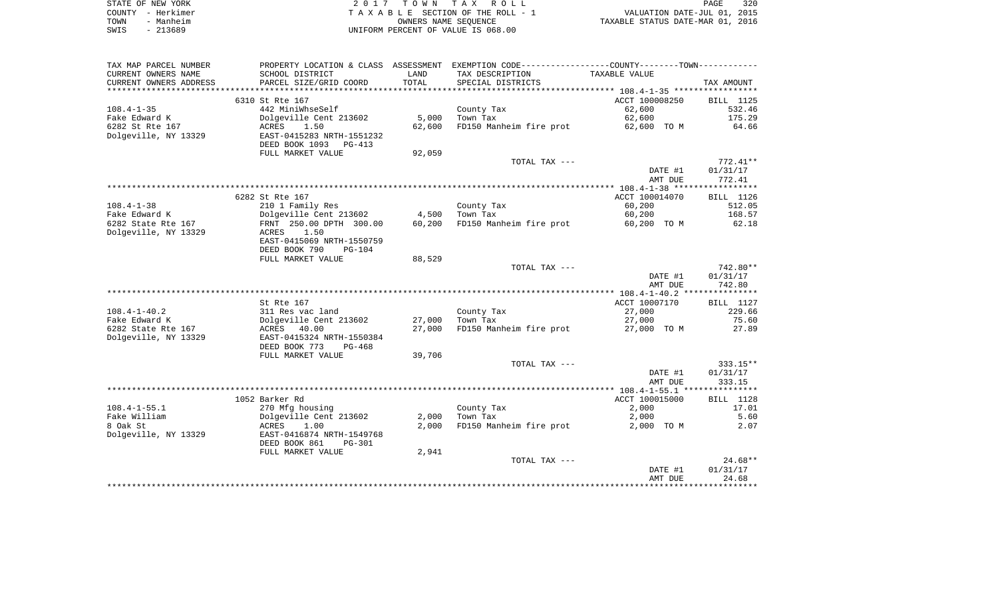| STATE OF NEW YORK | 2017 TOWN TAX ROLL                 |                                  | PAGE | 320 |
|-------------------|------------------------------------|----------------------------------|------|-----|
| COUNTY - Herkimer | TAXABLE SECTION OF THE ROLL - 1    | VALUATION DATE-JUL 01, 2015      |      |     |
| TOWN<br>- Manheim | OWNERS NAME SEOUENCE               | TAXABLE STATUS DATE-MAR 01, 2016 |      |     |
| SWIS<br>- 213689  | UNIFORM PERCENT OF VALUE IS 068.00 |                                  |      |     |

| TAX MAP PARCEL NUMBER  | PROPERTY LOCATION & CLASS ASSESSMENT |        | EXEMPTION CODE----------------COUNTY-------TOWN----------- |                |            |
|------------------------|--------------------------------------|--------|------------------------------------------------------------|----------------|------------|
| CURRENT OWNERS NAME    | SCHOOL DISTRICT                      | LAND   | TAX DESCRIPTION                                            | TAXABLE VALUE  |            |
| CURRENT OWNERS ADDRESS | PARCEL SIZE/GRID COORD               | TOTAL  | SPECIAL DISTRICTS                                          |                | TAX AMOUNT |
|                        |                                      |        |                                                            |                |            |
|                        | 6310 St Rte 167                      |        |                                                            | ACCT 100008250 | BILL 1125  |
| $108.4 - 1 - 35$       | 442 MiniWhseSelf                     |        | County Tax                                                 | 62,600         | 532.46     |
| Fake Edward K          | Dolgeville Cent 213602               | 5,000  | Town Tax                                                   | 62,600         | 175.29     |
| 6282 St Rte 167        | 1.50<br>ACRES                        | 62,600 | FD150 Manheim fire prot                                    | 62,600 TO M    | 64.66      |
| Dolgeville, NY 13329   | EAST-0415283 NRTH-1551232            |        |                                                            |                |            |
|                        | DEED BOOK 1093<br>PG-413             |        |                                                            |                |            |
|                        | FULL MARKET VALUE                    | 92,059 |                                                            |                |            |
|                        |                                      |        | TOTAL TAX ---                                              |                | 772.41**   |
|                        |                                      |        |                                                            | DATE #1        | 01/31/17   |
|                        |                                      |        |                                                            | AMT DUE        | 772.41     |
|                        |                                      |        |                                                            |                |            |
|                        | 6282 St Rte 167                      |        |                                                            | ACCT 100014070 | BILL 1126  |
| $108.4 - 1 - 38$       | 210 1 Family Res                     |        | County Tax                                                 | 60,200         | 512.05     |
| Fake Edward K          | Dolgeville Cent 213602               | 4,500  | Town Tax                                                   | 60,200         | 168.57     |
| 6282 State Rte 167     | FRNT 250.00 DPTH 300.00              | 60,200 | FD150 Manheim fire prot                                    | 60,200 TO M    | 62.18      |
| Dolgeville, NY 13329   | 1.50<br>ACRES                        |        |                                                            |                |            |
|                        | EAST-0415069 NRTH-1550759            |        |                                                            |                |            |
|                        | DEED BOOK 790<br>$PG-104$            |        |                                                            |                |            |
|                        | FULL MARKET VALUE                    | 88,529 |                                                            |                |            |
|                        |                                      |        | TOTAL TAX ---                                              |                | 742.80**   |
|                        |                                      |        |                                                            | DATE #1        | 01/31/17   |
|                        |                                      |        |                                                            | AMT DUE        | 742.80     |
|                        |                                      |        |                                                            |                |            |
|                        | St Rte 167                           |        |                                                            | ACCT 10007170  | BILL 1127  |
| $108.4 - 1 - 40.2$     | 311 Res vac land                     |        | County Tax                                                 | 27,000         | 229.66     |
| Fake Edward K          | Dolgeville Cent 213602               | 27,000 | Town Tax                                                   | 27,000         | 75.60      |
| 6282 State Rte 167     | ACRES 40.00                          | 27,000 | FD150 Manheim fire prot                                    | 27,000 TO M    | 27.89      |
| Dolgeville, NY 13329   | EAST-0415324 NRTH-1550384            |        |                                                            |                |            |
|                        | DEED BOOK 773<br>PG-468              |        |                                                            |                |            |
|                        | FULL MARKET VALUE                    | 39,706 |                                                            |                |            |
|                        |                                      |        | TOTAL TAX ---                                              |                | $333.15**$ |
|                        |                                      |        |                                                            | DATE #1        | 01/31/17   |
|                        |                                      |        |                                                            | AMT DUE        | 333.15     |
|                        |                                      |        |                                                            |                |            |
|                        | 1052 Barker Rd                       |        |                                                            | ACCT 100015000 | BILL 1128  |
| $108.4 - 1 - 55.1$     | 270 Mfg housing                      |        | County Tax                                                 | 2,000          | 17.01      |
| Fake William           | Dolgeville Cent 213602               | 2,000  | Town Tax                                                   | 2,000          | 5.60       |
| 8 Oak St               | 1.00<br>ACRES                        | 2,000  | FD150 Manheim fire prot                                    | 2,000 TO M     | 2.07       |
| Dolgeville, NY 13329   | EAST-0416874 NRTH-1549768            |        |                                                            |                |            |
|                        | DEED BOOK 861<br>PG-301              |        |                                                            |                |            |
|                        | FULL MARKET VALUE                    | 2,941  |                                                            |                |            |
|                        |                                      |        | TOTAL TAX ---                                              |                | $24.68**$  |
|                        |                                      |        |                                                            | DATE #1        | 01/31/17   |
|                        |                                      |        |                                                            | AMT DUE        | 24.68      |
|                        |                                      |        |                                                            |                |            |
|                        |                                      |        |                                                            |                |            |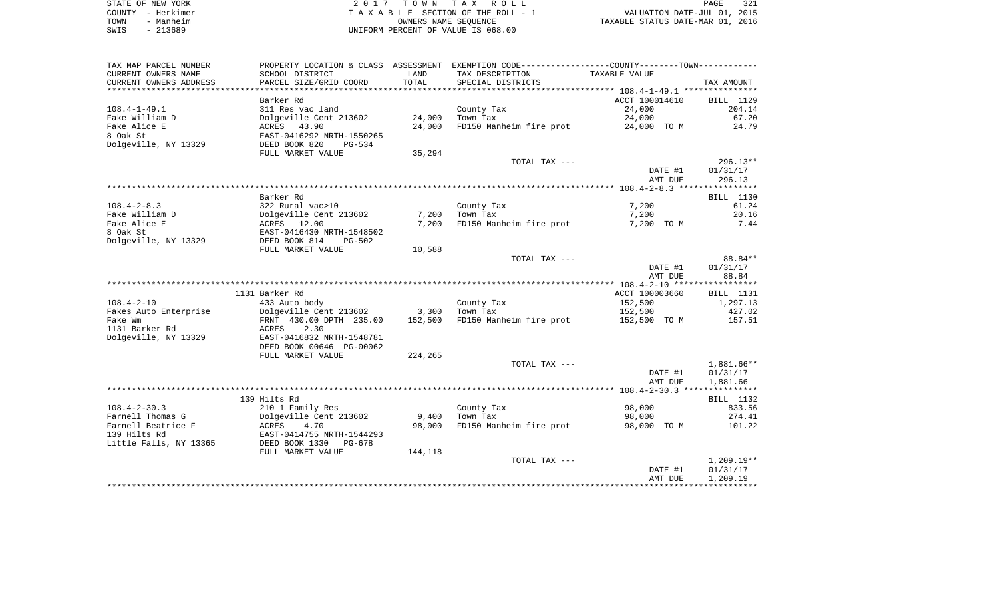| STATE OF NEW YORK | 2017 TOWN TAX ROLL                 | 321<br>PAGE                      |
|-------------------|------------------------------------|----------------------------------|
| COUNTY - Herkimer | TAXABLE SECTION OF THE ROLL - 1    | VALUATION DATE-JUL 01, 2015      |
| - Manheim<br>TOWN | OWNERS NAME SEOUENCE               | TAXABLE STATUS DATE-MAR 01, 2016 |
| $-213689$<br>SWIS | UNIFORM PERCENT OF VALUE IS 068.00 |                                  |

| TAX MAP PARCEL NUMBER<br>CURRENT OWNERS NAME | SCHOOL DISTRICT                                      | LAND    | PROPERTY LOCATION & CLASS ASSESSMENT EXEMPTION CODE---------------COUNTY-------TOWN----------<br>TAX DESCRIPTION | TAXABLE VALUE  |                  |
|----------------------------------------------|------------------------------------------------------|---------|------------------------------------------------------------------------------------------------------------------|----------------|------------------|
| CURRENT OWNERS ADDRESS                       | PARCEL SIZE/GRID COORD                               | TOTAL   | SPECIAL DISTRICTS                                                                                                |                | TAX AMOUNT       |
|                                              |                                                      |         |                                                                                                                  |                |                  |
|                                              | Barker Rd                                            |         |                                                                                                                  | ACCT 100014610 | BILL 1129        |
| $108.4 - 1 - 49.1$                           | 311 Res vac land                                     |         | County Tax                                                                                                       | 24,000         | 204.14           |
| Fake William D                               | Dolgeville Cent 213602                               | 24,000  | Town Tax                                                                                                         | 24,000         | 67.20            |
| Fake Alice E                                 | ACRES<br>43.90                                       | 24,000  | FD150 Manheim fire prot                                                                                          | 24,000 TO M    | 24.79            |
| 8 Oak St<br>Dolgeville, NY 13329             | EAST-0416292 NRTH-1550265<br>DEED BOOK 820<br>PG-534 |         |                                                                                                                  |                |                  |
|                                              | FULL MARKET VALUE                                    | 35,294  |                                                                                                                  |                |                  |
|                                              |                                                      |         | TOTAL TAX ---                                                                                                    |                | $296.13**$       |
|                                              |                                                      |         |                                                                                                                  | DATE #1        | 01/31/17         |
|                                              |                                                      |         |                                                                                                                  | AMT DUE        | 296.13           |
|                                              |                                                      |         |                                                                                                                  |                |                  |
|                                              | Barker Rd                                            |         |                                                                                                                  |                | BILL 1130        |
| $108.4 - 2 - 8.3$                            | 322 Rural vac>10                                     |         | County Tax                                                                                                       | 7,200          | 61.24            |
| Fake William D                               | Dolgeville Cent 213602                               | 7,200   | Town Tax                                                                                                         | 7,200          | 20.16            |
| Fake Alice E                                 | ACRES 12.00                                          | 7,200   | FD150 Manheim fire prot                                                                                          | 7,200 TO M     | 7.44             |
| 8 Oak St                                     | EAST-0416430 NRTH-1548502                            |         |                                                                                                                  |                |                  |
| Dolgeville, NY 13329                         | DEED BOOK 814<br><b>PG-502</b>                       |         |                                                                                                                  |                |                  |
|                                              | FULL MARKET VALUE                                    | 10,588  |                                                                                                                  |                |                  |
|                                              |                                                      |         | TOTAL TAX ---                                                                                                    |                | 88.84**          |
|                                              |                                                      |         |                                                                                                                  | DATE #1        | 01/31/17         |
|                                              |                                                      |         |                                                                                                                  | AMT DUE        | 88.84            |
|                                              | 1131 Barker Rd                                       |         |                                                                                                                  | ACCT 100003660 | <b>BILL</b> 1131 |
| $108.4 - 2 - 10$                             | 433 Auto body                                        |         | County Tax                                                                                                       | 152,500        | 1,297.13         |
| Fakes Auto Enterprise                        | Dolgeville Cent 213602                               | 3,300   | Town Tax                                                                                                         | 152,500        | 427.02           |
| Fake Wm                                      | FRNT 430.00 DPTH 235.00                              | 152,500 | FD150 Manheim fire prot                                                                                          | 152,500 TO M   | 157.51           |
| 1131 Barker Rd                               | 2.30<br>ACRES                                        |         |                                                                                                                  |                |                  |
| Dolgeville, NY 13329                         | EAST-0416832 NRTH-1548781                            |         |                                                                                                                  |                |                  |
|                                              | DEED BOOK 00646 PG-00062                             |         |                                                                                                                  |                |                  |
|                                              | FULL MARKET VALUE                                    | 224,265 |                                                                                                                  |                |                  |
|                                              |                                                      |         | TOTAL TAX ---                                                                                                    |                | 1,881.66**       |
|                                              |                                                      |         |                                                                                                                  | DATE #1        | 01/31/17         |
|                                              |                                                      |         |                                                                                                                  | AMT DUE        | 1,881.66         |
|                                              | 139 Hilts Rd                                         |         |                                                                                                                  |                | BILL 1132        |
| $108.4 - 2 - 30.3$                           | 210 1 Family Res                                     |         | County Tax                                                                                                       | 98,000         | 833.56           |
| Farnell Thomas G                             | Dolgeville Cent 213602                               | 9,400   | Town Tax                                                                                                         | 98,000         | 274.41           |
| Farnell Beatrice F                           | ACRES<br>4.70                                        | 98,000  | FD150 Manheim fire prot                                                                                          | 98,000 TO M    | 101.22           |
| 139 Hilts Rd                                 | EAST-0414755 NRTH-1544293                            |         |                                                                                                                  |                |                  |
| Little Falls, NY 13365                       | DEED BOOK 1330<br>PG-678                             |         |                                                                                                                  |                |                  |
|                                              | FULL MARKET VALUE                                    | 144,118 |                                                                                                                  |                |                  |
|                                              |                                                      |         | TOTAL TAX ---                                                                                                    |                | $1,209.19**$     |
|                                              |                                                      |         |                                                                                                                  | DATE #1        | 01/31/17         |
|                                              |                                                      |         |                                                                                                                  | AMT DUE        | 1,209.19         |
|                                              |                                                      |         |                                                                                                                  |                |                  |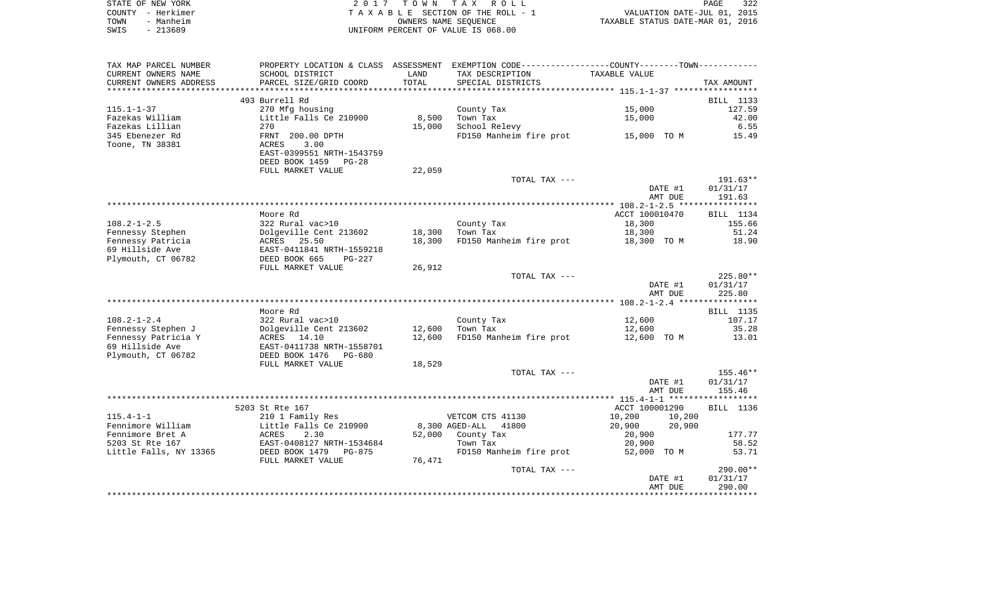| STATE OF NEW YORK | 2017 TOWN TAX ROLL                 | 322<br>PAGE                      |
|-------------------|------------------------------------|----------------------------------|
| COUNTY - Herkimer | TAXABLE SECTION OF THE ROLL - 1    | VALUATION DATE-JUL 01, 2015      |
| - Manheim<br>TOWN | OWNERS NAME SEOUENCE               | TAXABLE STATUS DATE-MAR 01, 2016 |
| SWIS<br>- 213689  | UNIFORM PERCENT OF VALUE IS 068.00 |                                  |

| TAX MAP PARCEL NUMBER                 |                                                   |        | PROPERTY LOCATION & CLASS ASSESSMENT EXEMPTION CODE---------------COUNTY-------TOWN---------- |                  |            |
|---------------------------------------|---------------------------------------------------|--------|-----------------------------------------------------------------------------------------------|------------------|------------|
| CURRENT OWNERS NAME                   | SCHOOL DISTRICT                                   | LAND   | TAX DESCRIPTION                                                                               | TAXABLE VALUE    |            |
| CURRENT OWNERS ADDRESS                | PARCEL SIZE/GRID COORD                            | TOTAL  | SPECIAL DISTRICTS                                                                             |                  | TAX AMOUNT |
| *********************                 |                                                   |        |                                                                                               |                  |            |
|                                       | 493 Burrell Rd                                    |        |                                                                                               |                  | BILL 1133  |
| $115.1 - 1 - 37$                      | 270 Mfg housing                                   |        | County Tax                                                                                    | 15,000           | 127.59     |
| Fazekas William                       | Little Falls Ce 210900                            | 8,500  | Town Tax                                                                                      | 15,000           | 42.00      |
| Fazekas Lillian                       | 270                                               | 15,000 | School Relevy                                                                                 |                  | 6.55       |
| 345 Ebenezer Rd                       | FRNT 200.00 DPTH                                  |        | FD150 Manheim fire prot 15,000 TO M                                                           |                  | 15.49      |
| Toone, TN 38381                       | ACRES<br>3.00                                     |        |                                                                                               |                  |            |
|                                       | EAST-0399551 NRTH-1543759<br>DEED BOOK 1459 PG-28 |        |                                                                                               |                  |            |
|                                       | FULL MARKET VALUE                                 | 22,059 |                                                                                               |                  |            |
|                                       |                                                   |        | TOTAL TAX ---                                                                                 |                  | 191.63**   |
|                                       |                                                   |        |                                                                                               | DATE #1          | 01/31/17   |
|                                       |                                                   |        |                                                                                               | AMT DUE          | 191.63     |
|                                       |                                                   |        |                                                                                               |                  |            |
|                                       | Moore Rd                                          |        |                                                                                               | ACCT 100010470   | BILL 1134  |
| $108.2 - 1 - 2.5$                     | 322 Rural vac>10                                  |        | County $\text{Tax}$                                                                           | 18,300           | 155.66     |
| Fennessy Stephen                      | Dolgeville Cent 213602 18,300                     |        |                                                                                               | 18,300           | 51.24      |
| Fennessy Patricia                     | ACRES 25.50                                       | 18,300 | FD150 Manheim fire prot                                                                       | 18,300 TO M      | 18.90      |
| 69 Hillside Ave                       | EAST-0411841 NRTH-1559218                         |        |                                                                                               |                  |            |
| Plymouth, CT 06782                    | DEED BOOK 665<br>PG-227                           |        |                                                                                               |                  |            |
|                                       | FULL MARKET VALUE                                 | 26,912 |                                                                                               |                  |            |
|                                       |                                                   |        | TOTAL TAX ---                                                                                 |                  | $225.80**$ |
|                                       |                                                   |        |                                                                                               | DATE #1          | 01/31/17   |
|                                       |                                                   |        |                                                                                               | AMT DUE          | 225.80     |
|                                       |                                                   |        |                                                                                               |                  |            |
|                                       | Moore Rd                                          |        |                                                                                               |                  | BILL 1135  |
| $108.2 - 1 - 2.4$                     | 322 Rural vac>10                                  |        | County Tax                                                                                    | 12,600           | 107.17     |
| Fennessy Stephen J                    | Dolgeville Cent 213602                            |        | 12,600 Town Tax                                                                               | 12,600           | 35.28      |
| Fennessy Patricia Y                   | ACRES 14.10                                       | 12,600 | FD150 Manheim fire prot 12,600 TO M                                                           |                  | 13.01      |
| 69 Hillside Ave<br>Plymouth, CT 06782 | EAST-0411738 NRTH-1558701                         |        |                                                                                               |                  |            |
|                                       | DEED BOOK 1476 PG-680<br>FULL MARKET VALUE        | 18,529 |                                                                                               |                  |            |
|                                       |                                                   |        | TOTAL TAX ---                                                                                 |                  | 155.46**   |
|                                       |                                                   |        |                                                                                               | DATE #1          | 01/31/17   |
|                                       |                                                   |        |                                                                                               | AMT DUE          | 155.46     |
|                                       |                                                   |        |                                                                                               |                  |            |
|                                       | 5203 St Rte 167                                   |        |                                                                                               | ACCT 100001290   | BILL 1136  |
| $115.4 - 1 - 1$                       | 210 1 Family Res                                  |        | VETCOM CTS 41130                                                                              | 10,200<br>10,200 |            |
| Fennimore William                     | Little Falls Ce 210900                            |        | 8,300 AGED-ALL 41800                                                                          | 20,900<br>20,900 |            |
| Fennimore Bret A                      | Little<br>ACRES<br>2.30                           |        | 52,000 County Tax                                                                             | 20,900           | 177.77     |
| 5203 St Rte 167                       | EAST-0408127 NRTH-1534684                         |        | Town Tax                                                                                      | 20,900           | 58.52      |
| Little Falls, NY 13365                |                                                   |        | FD150 Manheim fire prot                                                                       | 52,000 TO M      | 53.71      |
|                                       | FULL MARKET VALUE                                 | 76,471 |                                                                                               |                  |            |
|                                       |                                                   |        | TOTAL TAX ---                                                                                 |                  | 290.00**   |
|                                       |                                                   |        |                                                                                               | DATE #1          | 01/31/17   |
|                                       |                                                   |        |                                                                                               | AMT DUE          | 290.00     |
|                                       |                                                   |        |                                                                                               |                  |            |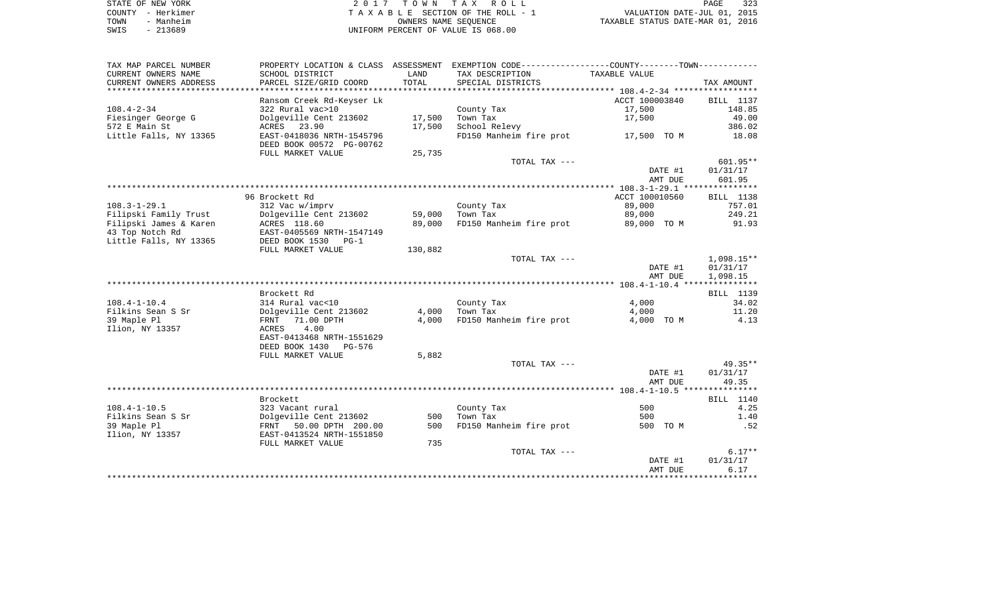| STATE OF NEW YORK | 2017 TOWN TAX ROLL                 |                      |                                  | PAGE | 323 |
|-------------------|------------------------------------|----------------------|----------------------------------|------|-----|
| COUNTY - Herkimer | TAXABLE SECTION OF THE ROLL - 1    |                      | VALUATION DATE-JUL 01, 2015      |      |     |
| TOWN<br>- Manheim |                                    | OWNERS NAME SEOUENCE | TAXABLE STATUS DATE-MAR 01, 2016 |      |     |
| $-213689$<br>SWIS | UNIFORM PERCENT OF VALUE IS 068.00 |                      |                                  |      |     |

| TAX MAP PARCEL NUMBER          | PROPERTY LOCATION & CLASS ASSESSMENT                                                         |         | EXEMPTION CODE-----------------COUNTY-------TOWN----------- |                    |                    |
|--------------------------------|----------------------------------------------------------------------------------------------|---------|-------------------------------------------------------------|--------------------|--------------------|
| CURRENT OWNERS NAME            | SCHOOL DISTRICT                                                                              | LAND    | TAX DESCRIPTION                                             | TAXABLE VALUE      |                    |
| CURRENT OWNERS ADDRESS         | PARCEL SIZE/GRID COORD                                                                       | TOTAL   | SPECIAL DISTRICTS                                           |                    | TAX AMOUNT         |
| *********************          | ************************                                                                     |         |                                                             |                    |                    |
|                                | Ransom Creek Rd-Keyser Lk                                                                    |         |                                                             | ACCT 100003840     | BILL 1137          |
| $108.4 - 2 - 34$               | 322 Rural vac>10                                                                             |         | County Tax                                                  | 17,500             | 148.85             |
| Fiesinger George G             | Dolgeville Cent 213602                                                                       | 17,500  | Town Tax                                                    | 17,500             | 49.00              |
| 572 E Main St                  | ACRES 23.90                                                                                  | 17,500  | School Relevy                                               |                    | 386.02             |
| Little Falls, NY 13365         | EAST-0418036 NRTH-1545796<br>DEED BOOK 00572 PG-00762                                        |         | FD150 Manheim fire prot                                     | 17,500 TO M        | 18.08              |
|                                | FULL MARKET VALUE                                                                            | 25,735  |                                                             |                    |                    |
|                                |                                                                                              |         | TOTAL TAX ---                                               |                    | 601.95**           |
|                                |                                                                                              |         |                                                             | DATE #1<br>AMT DUE | 01/31/17<br>601.95 |
|                                |                                                                                              |         |                                                             |                    |                    |
|                                | 96 Brockett Rd                                                                               |         |                                                             | ACCT 100010560     | BILL 1138          |
| $108.3 - 1 - 29.1$             | 312 Vac w/imprv                                                                              |         | County Tax                                                  | 89,000             | 757.01             |
| Filipski Family Trust          | Dolgeville Cent 213602                                                                       | 59,000  | Town Tax                                                    | 89,000             | 249.21             |
| Filipski James & Karen         | ACRES 118.60                                                                                 | 89,000  | FD150 Manheim fire prot                                     | 89,000 TO M        | 91.93              |
| 43 Top Notch Rd                | EAST-0405569 NRTH-1547149                                                                    |         |                                                             |                    |                    |
| Little Falls, NY 13365         | DEED BOOK 1530<br>$PG-1$                                                                     |         |                                                             |                    |                    |
|                                | FULL MARKET VALUE                                                                            | 130,882 |                                                             |                    |                    |
|                                |                                                                                              |         | TOTAL TAX ---                                               |                    | $1,098.15**$       |
|                                |                                                                                              |         |                                                             | DATE #1            | 01/31/17           |
|                                |                                                                                              |         |                                                             | AMT DUE            | 1,098.15           |
|                                |                                                                                              |         |                                                             |                    |                    |
|                                | Brockett Rd                                                                                  |         |                                                             |                    | BILL 1139          |
| $108.4 - 1 - 10.4$             | 314 Rural vac<10                                                                             |         | County Tax                                                  | 4,000              | 34.02              |
| Filkins Sean S Sr              | Dolgeville Cent 213602                                                                       | 4,000   | Town Tax                                                    | 4,000              | 11.20              |
| 39 Maple Pl<br>Ilion, NY 13357 | 71.00 DPTH<br>FRNT<br>4.00<br>ACRES<br>EAST-0413468 NRTH-1551629<br>DEED BOOK 1430<br>PG-576 | 4,000   | FD150 Manheim fire prot                                     | 4,000 TO M         | 4.13               |
|                                | FULL MARKET VALUE                                                                            | 5,882   |                                                             |                    |                    |
|                                |                                                                                              |         | TOTAL TAX ---                                               |                    | 49.35**            |
|                                |                                                                                              |         |                                                             | DATE #1            | 01/31/17           |
|                                |                                                                                              |         |                                                             | AMT DUE            | 49.35              |
|                                |                                                                                              |         |                                                             |                    |                    |
|                                | Brockett                                                                                     |         |                                                             |                    | BILL 1140          |
| $108.4 - 1 - 10.5$             | 323 Vacant rural                                                                             |         | County Tax                                                  | 500                | 4.25               |
| Filkins Sean S Sr              | Dolgeville Cent 213602                                                                       | 500     | Town Tax                                                    | 500                | 1.40               |
| 39 Maple Pl                    | FRNT 50.00 DPTH 200.00                                                                       | 500     | FD150 Manheim fire prot                                     | 500 TO M           | .52                |
| Ilion, NY 13357                | EAST-0413524 NRTH-1551850                                                                    |         |                                                             |                    |                    |
|                                | FULL MARKET VALUE                                                                            | 735     |                                                             |                    |                    |
|                                |                                                                                              |         | TOTAL TAX ---                                               |                    | $6.17**$           |
|                                |                                                                                              |         |                                                             | DATE #1            | 01/31/17           |
|                                |                                                                                              |         |                                                             | AMT DUE            | 6.17               |
|                                |                                                                                              |         |                                                             |                    |                    |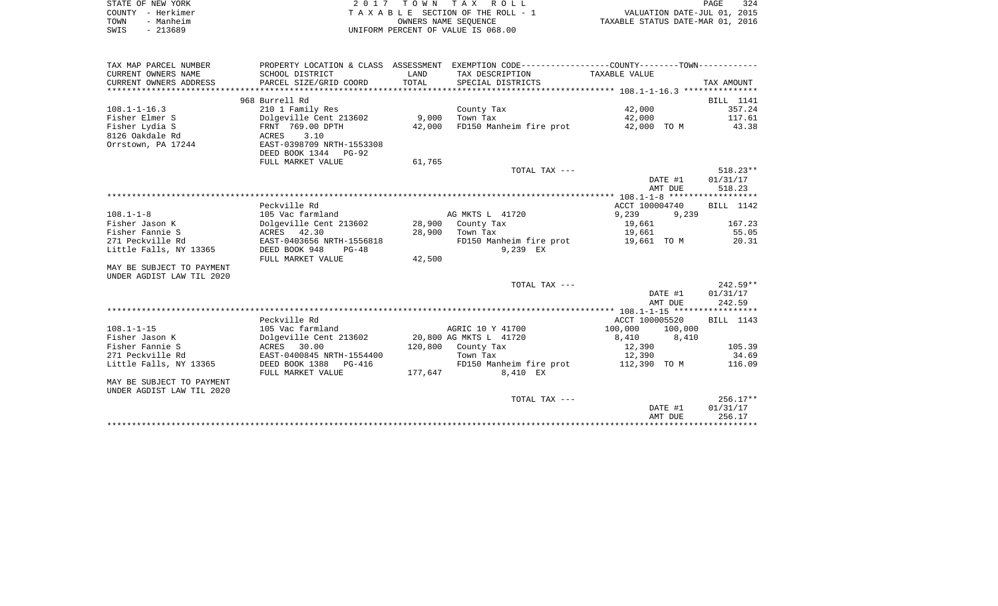| STATE OF NEW YORK | 2017 TOWN TAX ROLL                 | 324<br>PAGE                      |
|-------------------|------------------------------------|----------------------------------|
| COUNTY - Herkimer | TAXABLE SECTION OF THE ROLL - 1    | VALUATION DATE-JUL 01, 2015      |
| TOWN<br>- Manheim | OWNERS NAME SEOUENCE               | TAXABLE STATUS DATE-MAR 01, 2016 |
| $-213689$<br>SWIS | UNIFORM PERCENT OF VALUE IS 068.00 |                                  |

| TAX MAP PARCEL NUMBER     | PROPERTY LOCATION & CLASS ASSESSMENT     |         | EXEMPTION CODE-----------------COUNTY-------TOWN----------- |                 |            |
|---------------------------|------------------------------------------|---------|-------------------------------------------------------------|-----------------|------------|
| CURRENT OWNERS NAME       | SCHOOL DISTRICT                          | LAND    | TAX DESCRIPTION                                             | TAXABLE VALUE   |            |
| CURRENT OWNERS ADDRESS    | PARCEL SIZE/GRID COORD                   | TOTAL   | SPECIAL DISTRICTS                                           |                 | TAX AMOUNT |
|                           |                                          |         |                                                             |                 |            |
|                           | 968 Burrell Rd                           |         |                                                             |                 | BILL 1141  |
| $108.1 - 1 - 16.3$        | 210 1 Family Res                         |         | County Tax                                                  | 42,000          | 357.24     |
| Fisher Elmer S            | Dolgeville Cent 213602                   | 9,000   | Town Tax                                                    | 42,000          | 117.61     |
| Fisher Lydia S            | FRNT 769.00 DPTH                         | 42,000  | FD150 Manheim fire prot                                     | 42,000 TO M     | 43.38      |
| 8126 Oakdale Rd           | 3.10<br>ACRES                            |         |                                                             |                 |            |
| Orrstown, PA 17244        | EAST-0398709 NRTH-1553308                |         |                                                             |                 |            |
|                           | DEED BOOK 1344 PG-92                     |         |                                                             |                 |            |
|                           | FULL MARKET VALUE                        | 61,765  |                                                             |                 |            |
|                           |                                          |         | TOTAL TAX ---                                               |                 | $518.23**$ |
|                           |                                          |         |                                                             | DATE #1         | 01/31/17   |
|                           |                                          |         |                                                             | AMT DUE         | 518.23     |
|                           |                                          |         |                                                             |                 |            |
|                           | Peckville Rd                             |         |                                                             | ACCT 100004740  | BILL 1142  |
| $108.1 - 1 - 8$           | 105 Vac farmland                         |         | AG MKTS L 41720                                             | 9,239<br>9,239  |            |
| Fisher Jason K            | Dolgeville Cent 213602 28,900 County Tax |         |                                                             | 19,661          | 167.23     |
| Fisher Fannie S           | ACRES 42.30                              | 28,900  | Town Tax                                                    | 19,661          | 55.05      |
| 271 Peckville Rd          | EAST-0403656 NRTH-1556818                |         | FD150 Manheim fire prot 19,661 TO M                         |                 | 20.31      |
| Little Falls, NY 13365    | DEED BOOK 948<br>PG-48                   |         | 9,239 EX                                                    |                 |            |
|                           | FULL MARKET VALUE                        | 42,500  |                                                             |                 |            |
| MAY BE SUBJECT TO PAYMENT |                                          |         |                                                             |                 |            |
| UNDER AGDIST LAW TIL 2020 |                                          |         |                                                             |                 |            |
|                           |                                          |         | TOTAL TAX ---                                               |                 | $242.59**$ |
|                           |                                          |         |                                                             | DATE #1         | 01/31/17   |
|                           |                                          |         |                                                             | AMT DUE         | 242.59     |
|                           |                                          |         |                                                             |                 |            |
|                           | Peckville Rd                             |         |                                                             | ACCT 100005520  | BILL 1143  |
| $108.1 - 1 - 15$          | 105 Vac farmland                         |         | AGRIC 10 Y 41700                                            | 100,000 100,000 |            |
| Fisher Jason K            | Dolgeville Cent 213602                   |         | 20,800 AG MKTS L 41720                                      | 8,410 8,410     |            |
| Fisher Fannie S           | ACRES 30.00                              |         | 120,800 County Tax                                          | 12,390          | 105.39     |
| 271 Peckville Rd          | EAST-0400845 NRTH-1554400                |         | Town Tax                                                    | 12,390          | 34.69      |
| Little Falls, NY 13365    | DEED BOOK 1388 PG-416                    |         | FD150 Manheim fire prot 112,390 TO M                        |                 | 116.09     |
|                           | FULL MARKET VALUE                        | 177,647 | 8,410 EX                                                    |                 |            |
| MAY BE SUBJECT TO PAYMENT |                                          |         |                                                             |                 |            |
| UNDER AGDIST LAW TIL 2020 |                                          |         |                                                             |                 |            |
|                           |                                          |         | TOTAL TAX ---                                               |                 | $256.17**$ |
|                           |                                          |         |                                                             | DATE #1         | 01/31/17   |
|                           |                                          |         |                                                             | AMT DUE         | 256.17     |
|                           |                                          |         |                                                             |                 |            |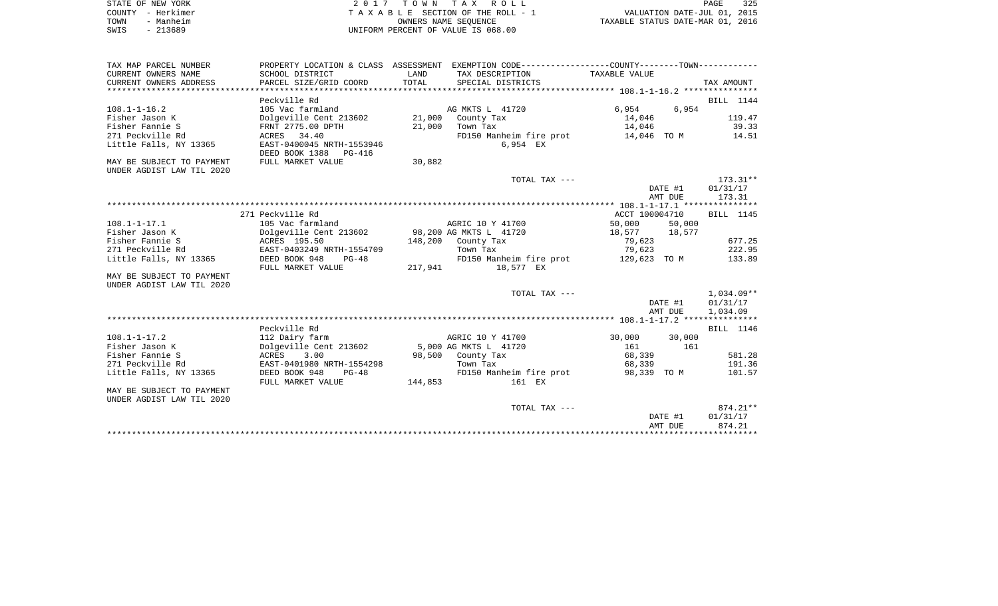| STATE OF NEW YORK | 2017 TOWN TAX ROLL                 | 325<br>PAGE                      |
|-------------------|------------------------------------|----------------------------------|
| COUNTY - Herkimer | TAXABLE SECTION OF THE ROLL - 1    | VALUATION DATE-JUL 01, 2015      |
| TOWN<br>- Manheim | OWNERS NAME SEOUENCE               | TAXABLE STATUS DATE-MAR 01, 2016 |
| SWIS<br>- 213689  | UNIFORM PERCENT OF VALUE IS 068.00 |                                  |

| CURRENT OWNERS NAME<br>SCHOOL DISTRICT<br>LAND<br>TAX DESCRIPTION<br>TAXABLE VALUE<br>CURRENT OWNERS ADDRESS<br>PARCEL SIZE/GRID COORD<br>TOTAL<br>SPECIAL DISTRICTS<br>TAX AMOUNT<br>Peckville Rd<br>BILL 1144<br>$108.1 - 1 - 16.2$<br>105 Vac farmland<br>AG MKTS L 41720<br>$6,954$ 6,954<br>Dolgeville Cent 213602 21,000 County Tax<br>Fisher Jason K<br>14,046<br>14,046<br>119.47<br>39.33<br>Fisher Fannie S<br>FRNT 2775.00 DPTH<br>21,000 Town Tax<br>FD150 Manheim fire prot 14,046 TO M 14.51<br>271 Peckville Rd<br>ACRES 34.40<br>EAST-0400045 NRTH-1553946<br>Little Falls, NY 13365<br>6,954 EX<br>DEED BOOK 1388 PG-416<br>FULL MARKET VALUE<br>30,882<br>MAY BE SUBJECT TO PAYMENT<br>UNDER AGDIST LAW TIL 2020<br>$173.31***$<br>TOTAL TAX ---<br>DATE #1<br>01/31/17<br>AMT DUE<br>173.31<br>271 Peckville Rd<br>ACCT 100004710<br>BILL 1145<br>$108.1 - 1 - 17.1$<br>105 Vac farmland<br>AGRIC 10 Y 41700<br>50,000 50,000<br>Fisher Jason K<br>ACRES 195.50<br>79,623<br>677.25<br>Fisher Fannie S<br>148,200 County Tax<br>EAST-0403249 NRTH-1554709<br>222.95<br>271 Peckville Rd<br>Town Tax<br>79,623<br>Little Falls, NY 13365<br>DEED BOOK 948<br>FD150 Manheim fire prot 129,623 TO M<br>133.89<br>PG-48<br>217,941 18,577 EX<br>FULL MARKET VALUE<br>MAY BE SUBJECT TO PAYMENT<br>UNDER AGDIST LAW TIL 2020<br>1,034.09**<br>TOTAL TAX ---<br>01/31/17<br>DATE #1<br>AMT DUE<br>1,034.09<br>Peckville Rd<br>BILL 1146<br>AGRIC 10 Y 41700 30,000 30,000<br>$108.1 - 1 - 17.2$<br>112 Dairy farm<br>Dolgeville Cent 213602 5,000 AG MKTS L 41720<br>Fisher Jason K<br>161<br>161<br>Fisher Fannie S<br>ACRES 3.00<br>EAST-0401980<br>98,500 County Tax<br>68,339<br>581.28<br>271 Peckville Rd<br>EAST-0401980 NRTH-1554298<br>68,339<br>191.36<br>Town Tax<br>FD150 Manheim fire prot 98,339 TO M<br>Little Falls, NY 13365<br>DEED BOOK 948<br>$PG-48$<br>101.57<br>144,853<br>FULL MARKET VALUE<br>161 EX<br>MAY BE SUBJECT TO PAYMENT<br>UNDER AGDIST LAW TIL 2020<br>$874.21**$<br>TOTAL TAX ---<br>DATE #1<br>01/31/17<br>AMT DUE<br>874.21 | TAX MAP PARCEL NUMBER |  | PROPERTY LOCATION & CLASS ASSESSMENT EXEMPTION CODE---------------COUNTY-------TOWN---------- |  |  |
|---------------------------------------------------------------------------------------------------------------------------------------------------------------------------------------------------------------------------------------------------------------------------------------------------------------------------------------------------------------------------------------------------------------------------------------------------------------------------------------------------------------------------------------------------------------------------------------------------------------------------------------------------------------------------------------------------------------------------------------------------------------------------------------------------------------------------------------------------------------------------------------------------------------------------------------------------------------------------------------------------------------------------------------------------------------------------------------------------------------------------------------------------------------------------------------------------------------------------------------------------------------------------------------------------------------------------------------------------------------------------------------------------------------------------------------------------------------------------------------------------------------------------------------------------------------------------------------------------------------------------------------------------------------------------------------------------------------------------------------------------------------------------------------------------------------------------------------------------------------------------------------------------------------------------------------------------------------------------------------------------------------------------------------------------------------------------------|-----------------------|--|-----------------------------------------------------------------------------------------------|--|--|
|                                                                                                                                                                                                                                                                                                                                                                                                                                                                                                                                                                                                                                                                                                                                                                                                                                                                                                                                                                                                                                                                                                                                                                                                                                                                                                                                                                                                                                                                                                                                                                                                                                                                                                                                                                                                                                                                                                                                                                                                                                                                                 |                       |  |                                                                                               |  |  |
|                                                                                                                                                                                                                                                                                                                                                                                                                                                                                                                                                                                                                                                                                                                                                                                                                                                                                                                                                                                                                                                                                                                                                                                                                                                                                                                                                                                                                                                                                                                                                                                                                                                                                                                                                                                                                                                                                                                                                                                                                                                                                 |                       |  |                                                                                               |  |  |
|                                                                                                                                                                                                                                                                                                                                                                                                                                                                                                                                                                                                                                                                                                                                                                                                                                                                                                                                                                                                                                                                                                                                                                                                                                                                                                                                                                                                                                                                                                                                                                                                                                                                                                                                                                                                                                                                                                                                                                                                                                                                                 |                       |  |                                                                                               |  |  |
|                                                                                                                                                                                                                                                                                                                                                                                                                                                                                                                                                                                                                                                                                                                                                                                                                                                                                                                                                                                                                                                                                                                                                                                                                                                                                                                                                                                                                                                                                                                                                                                                                                                                                                                                                                                                                                                                                                                                                                                                                                                                                 |                       |  |                                                                                               |  |  |
|                                                                                                                                                                                                                                                                                                                                                                                                                                                                                                                                                                                                                                                                                                                                                                                                                                                                                                                                                                                                                                                                                                                                                                                                                                                                                                                                                                                                                                                                                                                                                                                                                                                                                                                                                                                                                                                                                                                                                                                                                                                                                 |                       |  |                                                                                               |  |  |
|                                                                                                                                                                                                                                                                                                                                                                                                                                                                                                                                                                                                                                                                                                                                                                                                                                                                                                                                                                                                                                                                                                                                                                                                                                                                                                                                                                                                                                                                                                                                                                                                                                                                                                                                                                                                                                                                                                                                                                                                                                                                                 |                       |  |                                                                                               |  |  |
|                                                                                                                                                                                                                                                                                                                                                                                                                                                                                                                                                                                                                                                                                                                                                                                                                                                                                                                                                                                                                                                                                                                                                                                                                                                                                                                                                                                                                                                                                                                                                                                                                                                                                                                                                                                                                                                                                                                                                                                                                                                                                 |                       |  |                                                                                               |  |  |
|                                                                                                                                                                                                                                                                                                                                                                                                                                                                                                                                                                                                                                                                                                                                                                                                                                                                                                                                                                                                                                                                                                                                                                                                                                                                                                                                                                                                                                                                                                                                                                                                                                                                                                                                                                                                                                                                                                                                                                                                                                                                                 |                       |  |                                                                                               |  |  |
|                                                                                                                                                                                                                                                                                                                                                                                                                                                                                                                                                                                                                                                                                                                                                                                                                                                                                                                                                                                                                                                                                                                                                                                                                                                                                                                                                                                                                                                                                                                                                                                                                                                                                                                                                                                                                                                                                                                                                                                                                                                                                 |                       |  |                                                                                               |  |  |
|                                                                                                                                                                                                                                                                                                                                                                                                                                                                                                                                                                                                                                                                                                                                                                                                                                                                                                                                                                                                                                                                                                                                                                                                                                                                                                                                                                                                                                                                                                                                                                                                                                                                                                                                                                                                                                                                                                                                                                                                                                                                                 |                       |  |                                                                                               |  |  |
|                                                                                                                                                                                                                                                                                                                                                                                                                                                                                                                                                                                                                                                                                                                                                                                                                                                                                                                                                                                                                                                                                                                                                                                                                                                                                                                                                                                                                                                                                                                                                                                                                                                                                                                                                                                                                                                                                                                                                                                                                                                                                 |                       |  |                                                                                               |  |  |
|                                                                                                                                                                                                                                                                                                                                                                                                                                                                                                                                                                                                                                                                                                                                                                                                                                                                                                                                                                                                                                                                                                                                                                                                                                                                                                                                                                                                                                                                                                                                                                                                                                                                                                                                                                                                                                                                                                                                                                                                                                                                                 |                       |  |                                                                                               |  |  |
|                                                                                                                                                                                                                                                                                                                                                                                                                                                                                                                                                                                                                                                                                                                                                                                                                                                                                                                                                                                                                                                                                                                                                                                                                                                                                                                                                                                                                                                                                                                                                                                                                                                                                                                                                                                                                                                                                                                                                                                                                                                                                 |                       |  |                                                                                               |  |  |
|                                                                                                                                                                                                                                                                                                                                                                                                                                                                                                                                                                                                                                                                                                                                                                                                                                                                                                                                                                                                                                                                                                                                                                                                                                                                                                                                                                                                                                                                                                                                                                                                                                                                                                                                                                                                                                                                                                                                                                                                                                                                                 |                       |  |                                                                                               |  |  |
|                                                                                                                                                                                                                                                                                                                                                                                                                                                                                                                                                                                                                                                                                                                                                                                                                                                                                                                                                                                                                                                                                                                                                                                                                                                                                                                                                                                                                                                                                                                                                                                                                                                                                                                                                                                                                                                                                                                                                                                                                                                                                 |                       |  |                                                                                               |  |  |
|                                                                                                                                                                                                                                                                                                                                                                                                                                                                                                                                                                                                                                                                                                                                                                                                                                                                                                                                                                                                                                                                                                                                                                                                                                                                                                                                                                                                                                                                                                                                                                                                                                                                                                                                                                                                                                                                                                                                                                                                                                                                                 |                       |  |                                                                                               |  |  |
|                                                                                                                                                                                                                                                                                                                                                                                                                                                                                                                                                                                                                                                                                                                                                                                                                                                                                                                                                                                                                                                                                                                                                                                                                                                                                                                                                                                                                                                                                                                                                                                                                                                                                                                                                                                                                                                                                                                                                                                                                                                                                 |                       |  |                                                                                               |  |  |
|                                                                                                                                                                                                                                                                                                                                                                                                                                                                                                                                                                                                                                                                                                                                                                                                                                                                                                                                                                                                                                                                                                                                                                                                                                                                                                                                                                                                                                                                                                                                                                                                                                                                                                                                                                                                                                                                                                                                                                                                                                                                                 |                       |  |                                                                                               |  |  |
|                                                                                                                                                                                                                                                                                                                                                                                                                                                                                                                                                                                                                                                                                                                                                                                                                                                                                                                                                                                                                                                                                                                                                                                                                                                                                                                                                                                                                                                                                                                                                                                                                                                                                                                                                                                                                                                                                                                                                                                                                                                                                 |                       |  |                                                                                               |  |  |
|                                                                                                                                                                                                                                                                                                                                                                                                                                                                                                                                                                                                                                                                                                                                                                                                                                                                                                                                                                                                                                                                                                                                                                                                                                                                                                                                                                                                                                                                                                                                                                                                                                                                                                                                                                                                                                                                                                                                                                                                                                                                                 |                       |  |                                                                                               |  |  |
|                                                                                                                                                                                                                                                                                                                                                                                                                                                                                                                                                                                                                                                                                                                                                                                                                                                                                                                                                                                                                                                                                                                                                                                                                                                                                                                                                                                                                                                                                                                                                                                                                                                                                                                                                                                                                                                                                                                                                                                                                                                                                 |                       |  |                                                                                               |  |  |
|                                                                                                                                                                                                                                                                                                                                                                                                                                                                                                                                                                                                                                                                                                                                                                                                                                                                                                                                                                                                                                                                                                                                                                                                                                                                                                                                                                                                                                                                                                                                                                                                                                                                                                                                                                                                                                                                                                                                                                                                                                                                                 |                       |  |                                                                                               |  |  |
|                                                                                                                                                                                                                                                                                                                                                                                                                                                                                                                                                                                                                                                                                                                                                                                                                                                                                                                                                                                                                                                                                                                                                                                                                                                                                                                                                                                                                                                                                                                                                                                                                                                                                                                                                                                                                                                                                                                                                                                                                                                                                 |                       |  |                                                                                               |  |  |
|                                                                                                                                                                                                                                                                                                                                                                                                                                                                                                                                                                                                                                                                                                                                                                                                                                                                                                                                                                                                                                                                                                                                                                                                                                                                                                                                                                                                                                                                                                                                                                                                                                                                                                                                                                                                                                                                                                                                                                                                                                                                                 |                       |  |                                                                                               |  |  |
|                                                                                                                                                                                                                                                                                                                                                                                                                                                                                                                                                                                                                                                                                                                                                                                                                                                                                                                                                                                                                                                                                                                                                                                                                                                                                                                                                                                                                                                                                                                                                                                                                                                                                                                                                                                                                                                                                                                                                                                                                                                                                 |                       |  |                                                                                               |  |  |
|                                                                                                                                                                                                                                                                                                                                                                                                                                                                                                                                                                                                                                                                                                                                                                                                                                                                                                                                                                                                                                                                                                                                                                                                                                                                                                                                                                                                                                                                                                                                                                                                                                                                                                                                                                                                                                                                                                                                                                                                                                                                                 |                       |  |                                                                                               |  |  |
|                                                                                                                                                                                                                                                                                                                                                                                                                                                                                                                                                                                                                                                                                                                                                                                                                                                                                                                                                                                                                                                                                                                                                                                                                                                                                                                                                                                                                                                                                                                                                                                                                                                                                                                                                                                                                                                                                                                                                                                                                                                                                 |                       |  |                                                                                               |  |  |
|                                                                                                                                                                                                                                                                                                                                                                                                                                                                                                                                                                                                                                                                                                                                                                                                                                                                                                                                                                                                                                                                                                                                                                                                                                                                                                                                                                                                                                                                                                                                                                                                                                                                                                                                                                                                                                                                                                                                                                                                                                                                                 |                       |  |                                                                                               |  |  |
|                                                                                                                                                                                                                                                                                                                                                                                                                                                                                                                                                                                                                                                                                                                                                                                                                                                                                                                                                                                                                                                                                                                                                                                                                                                                                                                                                                                                                                                                                                                                                                                                                                                                                                                                                                                                                                                                                                                                                                                                                                                                                 |                       |  |                                                                                               |  |  |
|                                                                                                                                                                                                                                                                                                                                                                                                                                                                                                                                                                                                                                                                                                                                                                                                                                                                                                                                                                                                                                                                                                                                                                                                                                                                                                                                                                                                                                                                                                                                                                                                                                                                                                                                                                                                                                                                                                                                                                                                                                                                                 |                       |  |                                                                                               |  |  |
|                                                                                                                                                                                                                                                                                                                                                                                                                                                                                                                                                                                                                                                                                                                                                                                                                                                                                                                                                                                                                                                                                                                                                                                                                                                                                                                                                                                                                                                                                                                                                                                                                                                                                                                                                                                                                                                                                                                                                                                                                                                                                 |                       |  |                                                                                               |  |  |
|                                                                                                                                                                                                                                                                                                                                                                                                                                                                                                                                                                                                                                                                                                                                                                                                                                                                                                                                                                                                                                                                                                                                                                                                                                                                                                                                                                                                                                                                                                                                                                                                                                                                                                                                                                                                                                                                                                                                                                                                                                                                                 |                       |  |                                                                                               |  |  |
|                                                                                                                                                                                                                                                                                                                                                                                                                                                                                                                                                                                                                                                                                                                                                                                                                                                                                                                                                                                                                                                                                                                                                                                                                                                                                                                                                                                                                                                                                                                                                                                                                                                                                                                                                                                                                                                                                                                                                                                                                                                                                 |                       |  |                                                                                               |  |  |
|                                                                                                                                                                                                                                                                                                                                                                                                                                                                                                                                                                                                                                                                                                                                                                                                                                                                                                                                                                                                                                                                                                                                                                                                                                                                                                                                                                                                                                                                                                                                                                                                                                                                                                                                                                                                                                                                                                                                                                                                                                                                                 |                       |  |                                                                                               |  |  |
|                                                                                                                                                                                                                                                                                                                                                                                                                                                                                                                                                                                                                                                                                                                                                                                                                                                                                                                                                                                                                                                                                                                                                                                                                                                                                                                                                                                                                                                                                                                                                                                                                                                                                                                                                                                                                                                                                                                                                                                                                                                                                 |                       |  |                                                                                               |  |  |
|                                                                                                                                                                                                                                                                                                                                                                                                                                                                                                                                                                                                                                                                                                                                                                                                                                                                                                                                                                                                                                                                                                                                                                                                                                                                                                                                                                                                                                                                                                                                                                                                                                                                                                                                                                                                                                                                                                                                                                                                                                                                                 |                       |  |                                                                                               |  |  |
|                                                                                                                                                                                                                                                                                                                                                                                                                                                                                                                                                                                                                                                                                                                                                                                                                                                                                                                                                                                                                                                                                                                                                                                                                                                                                                                                                                                                                                                                                                                                                                                                                                                                                                                                                                                                                                                                                                                                                                                                                                                                                 |                       |  |                                                                                               |  |  |
|                                                                                                                                                                                                                                                                                                                                                                                                                                                                                                                                                                                                                                                                                                                                                                                                                                                                                                                                                                                                                                                                                                                                                                                                                                                                                                                                                                                                                                                                                                                                                                                                                                                                                                                                                                                                                                                                                                                                                                                                                                                                                 |                       |  |                                                                                               |  |  |
|                                                                                                                                                                                                                                                                                                                                                                                                                                                                                                                                                                                                                                                                                                                                                                                                                                                                                                                                                                                                                                                                                                                                                                                                                                                                                                                                                                                                                                                                                                                                                                                                                                                                                                                                                                                                                                                                                                                                                                                                                                                                                 |                       |  |                                                                                               |  |  |
|                                                                                                                                                                                                                                                                                                                                                                                                                                                                                                                                                                                                                                                                                                                                                                                                                                                                                                                                                                                                                                                                                                                                                                                                                                                                                                                                                                                                                                                                                                                                                                                                                                                                                                                                                                                                                                                                                                                                                                                                                                                                                 |                       |  |                                                                                               |  |  |
|                                                                                                                                                                                                                                                                                                                                                                                                                                                                                                                                                                                                                                                                                                                                                                                                                                                                                                                                                                                                                                                                                                                                                                                                                                                                                                                                                                                                                                                                                                                                                                                                                                                                                                                                                                                                                                                                                                                                                                                                                                                                                 |                       |  |                                                                                               |  |  |
|                                                                                                                                                                                                                                                                                                                                                                                                                                                                                                                                                                                                                                                                                                                                                                                                                                                                                                                                                                                                                                                                                                                                                                                                                                                                                                                                                                                                                                                                                                                                                                                                                                                                                                                                                                                                                                                                                                                                                                                                                                                                                 |                       |  |                                                                                               |  |  |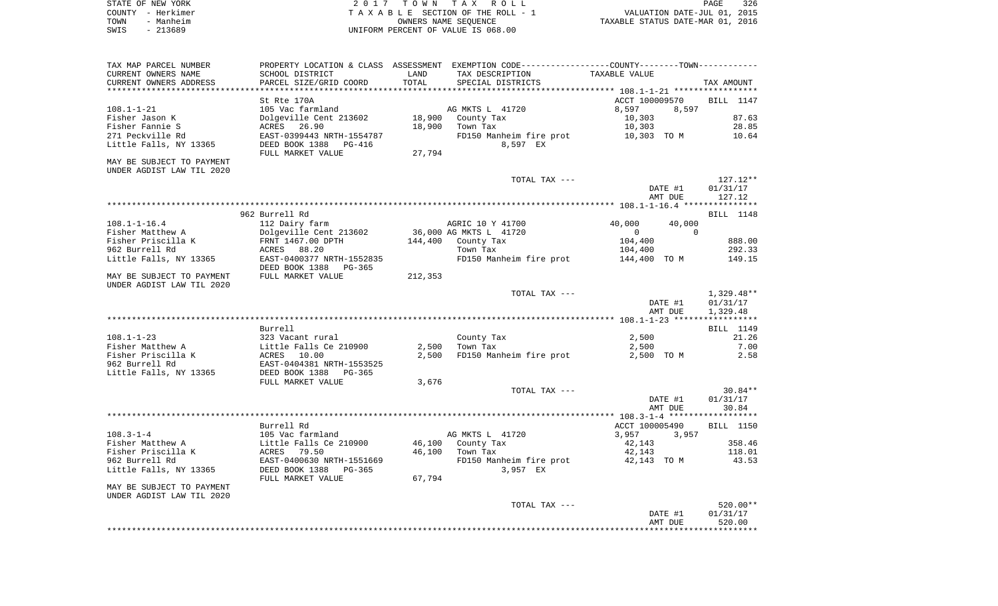|      | STATE OF NEW YORK | 2017 TOWN TAX ROLL                 | PAGE                             | 326 |
|------|-------------------|------------------------------------|----------------------------------|-----|
|      | COUNTY - Herkimer | TAXABLE SECTION OF THE ROLL - 1    | VALUATION DATE-JUL 01, 2015      |     |
| TOWN | - Manheim         | OWNERS NAME SEOUENCE               | TAXABLE STATUS DATE-MAR 01, 2016 |     |
| SWIS | - 213689          | UNIFORM PERCENT OF VALUE IS 068.00 |                                  |     |

| TAX MAP PARCEL NUMBER                                  |                                       |                  | PROPERTY LOCATION & CLASS ASSESSMENT EXEMPTION CODE---------------COUNTY-------TOWN---------- |                            |                       |
|--------------------------------------------------------|---------------------------------------|------------------|-----------------------------------------------------------------------------------------------|----------------------------|-----------------------|
| CURRENT OWNERS NAME                                    | SCHOOL DISTRICT                       | LAND             | TAX DESCRIPTION                                                                               | TAXABLE VALUE              |                       |
| CURRENT OWNERS ADDRESS                                 | PARCEL SIZE/GRID COORD                | TOTAL            | SPECIAL DISTRICTS                                                                             |                            | TAX AMOUNT            |
| ************************                               |                                       |                  |                                                                                               |                            |                       |
|                                                        | St Rte 170A                           |                  |                                                                                               | ACCT 100009570             | BILL 1147             |
| $108.1 - 1 - 21$                                       | 105 Vac farmland                      |                  | AG MKTS L 41720                                                                               | 8,597<br>8,597<br>10,303   | 87.63                 |
| Fisher Jason K<br>Fisher Fannie S                      | Dolgeville Cent 213602<br>ACRES 26.90 | 18,900<br>18,900 | County Tax<br>Town Tax                                                                        | 10,303                     | 28.85                 |
| 271 Peckville Rd                                       | EAST-0399443 NRTH-1554787             |                  | FD150 Manheim fire prot                                                                       | 10,303 TO M                | 10.64                 |
| Little Falls, NY 13365                                 | DEED BOOK 1388<br>PG-416              |                  | 8,597 EX                                                                                      |                            |                       |
|                                                        | FULL MARKET VALUE                     | 27,794           |                                                                                               |                            |                       |
| MAY BE SUBJECT TO PAYMENT                              |                                       |                  |                                                                                               |                            |                       |
| UNDER AGDIST LAW TIL 2020                              |                                       |                  |                                                                                               |                            |                       |
|                                                        |                                       |                  | TOTAL TAX ---                                                                                 |                            | 127.12**              |
|                                                        |                                       |                  |                                                                                               | DATE #1                    | 01/31/17              |
|                                                        |                                       |                  |                                                                                               | AMT DUE                    | 127.12                |
|                                                        | 962 Burrell Rd                        |                  |                                                                                               |                            | BILL 1148             |
| 108.1-1-16.4                                           | 112 Dairy farm                        |                  | AGRIC 10 Y 41700                                                                              | 40,000<br>40,000           |                       |
| Fisher Matthew A                                       | Dolgeville Cent 213602                |                  | 36,000 AG MKTS L 41720                                                                        | $\Omega$<br>$\overline{0}$ |                       |
| Fisher Priscilla K                                     | FRNT 1467.00 DPTH                     | 144,400          | County Tax                                                                                    | 104,400                    | 888.00                |
| 962 Burrell Rd                                         | ACRES 88.20                           |                  | Town Tax                                                                                      | 104,400                    | 292.33                |
| Little Falls, NY 13365                                 | EAST-0400377 NRTH-1552835             |                  | FD150 Manheim fire prot                                                                       | 144,400 TO M               | 149.15                |
|                                                        | DEED BOOK 1388<br>PG-365              |                  |                                                                                               |                            |                       |
| MAY BE SUBJECT TO PAYMENT                              | FULL MARKET VALUE                     | 212,353          |                                                                                               |                            |                       |
| UNDER AGDIST LAW TIL 2020                              |                                       |                  |                                                                                               |                            |                       |
|                                                        |                                       |                  | TOTAL TAX ---                                                                                 |                            | $1,329.48**$          |
|                                                        |                                       |                  |                                                                                               | DATE #1<br>AMT DUE         | 01/31/17<br>1,329.48  |
|                                                        |                                       |                  |                                                                                               |                            |                       |
|                                                        | Burrell                               |                  |                                                                                               |                            | BILL 1149             |
| $108.1 - 1 - 23$                                       | 323 Vacant rural                      |                  | County Tax                                                                                    | 2,500                      | 21.26                 |
| Fisher Matthew A                                       | Little Falls Ce 210900                | 2,500            | Town Tax                                                                                      | 2,500                      | 7.00                  |
| Fisher Priscilla K                                     | ACRES 10.00                           | 2,500            | FD150 Manheim fire prot                                                                       | 2,500 TO M                 | 2.58                  |
| 962 Burrell Rd                                         | EAST-0404381 NRTH-1553525             |                  |                                                                                               |                            |                       |
| Little Falls, NY 13365                                 | DEED BOOK 1388<br>PG-365              |                  |                                                                                               |                            |                       |
|                                                        | FULL MARKET VALUE                     | 3,676            |                                                                                               |                            |                       |
|                                                        |                                       |                  | TOTAL TAX ---                                                                                 | DATE #1                    | $30.84**$<br>01/31/17 |
|                                                        |                                       |                  |                                                                                               | AMT DUE                    | 30.84                 |
|                                                        |                                       |                  |                                                                                               |                            |                       |
|                                                        | Burrell Rd                            |                  |                                                                                               | ACCT 100005490             | BILL 1150             |
| $108.3 - 1 - 4$                                        | 105 Vac farmland                      |                  | AG MKTS L 41720                                                                               | 3,957<br>3,957             |                       |
| Fisher Matthew A                                       | Little Falls Ce 210900                | 46,100           | County Tax                                                                                    | 42,143                     | 358.46                |
| Fisher Priscilla K                                     | ACRES<br>79.50                        | 46,100           | Town Tax                                                                                      | 42,143                     | 118.01                |
| 962 Burrell Rd                                         | EAST-0400630 NRTH-1551669             |                  | FD150 Manheim fire prot                                                                       | 42,143 TO M                | 43.53                 |
| Little Falls, NY 13365                                 | DEED BOOK 1388<br>PG-365              |                  | 3,957 EX                                                                                      |                            |                       |
|                                                        | FULL MARKET VALUE                     | 67,794           |                                                                                               |                            |                       |
| MAY BE SUBJECT TO PAYMENT<br>UNDER AGDIST LAW TIL 2020 |                                       |                  |                                                                                               |                            |                       |
|                                                        |                                       |                  | TOTAL TAX ---                                                                                 |                            | 520.00**              |
|                                                        |                                       |                  |                                                                                               | DATE #1                    | 01/31/17              |
|                                                        |                                       |                  |                                                                                               | AMT DUE                    | 520.00                |
|                                                        |                                       |                  |                                                                                               |                            |                       |
|                                                        |                                       |                  |                                                                                               |                            |                       |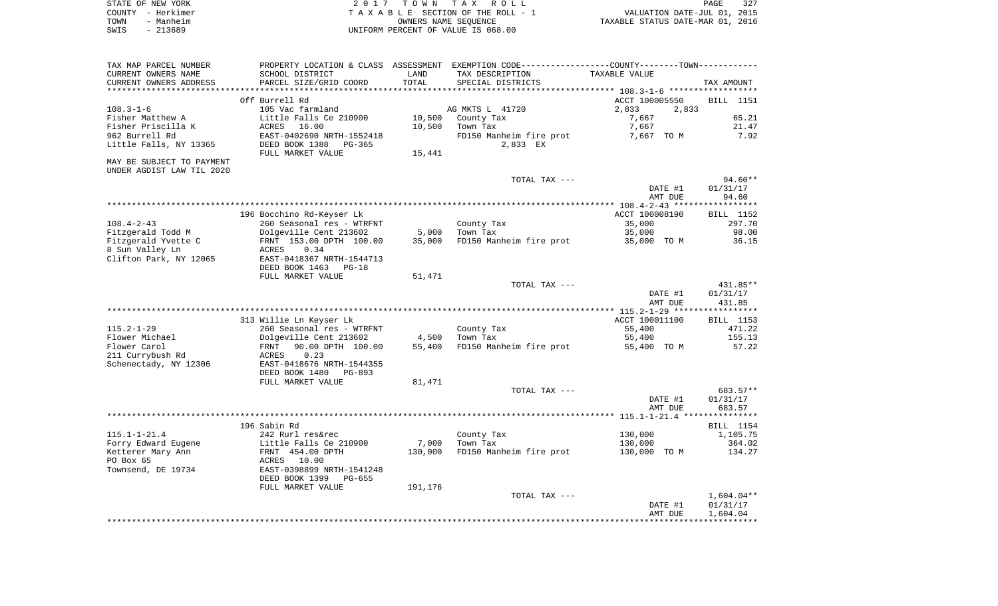| STATE OF NEW YORK | 2017 TOWN TAX ROLL                 | PAGE                             | 327 |
|-------------------|------------------------------------|----------------------------------|-----|
| COUNTY - Herkimer | TAXABLE SECTION OF THE ROLL - 1    | VALUATION DATE-JUL 01, 2015      |     |
| TOWN<br>- Manheim | OWNERS NAME SEOUENCE               | TAXABLE STATUS DATE-MAR 01, 2016 |     |
| SWIS<br>- 213689  | UNIFORM PERCENT OF VALUE IS 068.00 |                                  |     |

| TAX MAP PARCEL NUMBER                  | PROPERTY LOCATION & CLASS ASSESSMENT EXEMPTION CODE---------------COUNTY-------TOWN---------- |         |                               |                         |                          |
|----------------------------------------|-----------------------------------------------------------------------------------------------|---------|-------------------------------|-------------------------|--------------------------|
| CURRENT OWNERS NAME                    | SCHOOL DISTRICT                                                                               | LAND    | TAX DESCRIPTION               | TAXABLE VALUE           |                          |
| CURRENT OWNERS ADDRESS                 | PARCEL SIZE/GRID COORD                                                                        | TOTAL   | SPECIAL DISTRICTS             |                         | TAX AMOUNT               |
|                                        |                                                                                               |         |                               |                         |                          |
|                                        | Off Burrell Rd                                                                                |         |                               | ACCT 100005550          | BILL 1151                |
| $108.3 - 1 - 6$<br>Fisher Matthew A    | 105 Vac farmland<br>Little Falls Ce 210900                                                    | 10,500  | AG MKTS L 41720<br>County Tax | 2,833<br>2,833<br>7,667 | 65.21                    |
| Fisher Priscilla K                     | ACRES<br>16.00                                                                                | 10,500  | Town Tax                      | 7,667                   | 21.47                    |
| 962 Burrell Rd                         | EAST-0402690 NRTH-1552418                                                                     |         | FD150 Manheim fire prot       | 7,667 TO M              | 7.92                     |
| Little Falls, NY 13365                 | DEED BOOK 1388<br>PG-365                                                                      |         | 2,833 EX                      |                         |                          |
|                                        | FULL MARKET VALUE                                                                             | 15,441  |                               |                         |                          |
| MAY BE SUBJECT TO PAYMENT              |                                                                                               |         |                               |                         |                          |
| UNDER AGDIST LAW TIL 2020              |                                                                                               |         |                               |                         |                          |
|                                        |                                                                                               |         | TOTAL TAX ---                 |                         | 94.60**                  |
|                                        |                                                                                               |         |                               | DATE #1                 | 01/31/17                 |
|                                        |                                                                                               |         |                               | AMT DUE                 | 94.60                    |
|                                        |                                                                                               |         |                               |                         |                          |
|                                        | 196 Bocchino Rd-Keyser Lk                                                                     |         |                               | ACCT 100008190          | BILL 1152                |
| $108.4 - 2 - 43$                       | 260 Seasonal res - WTRFNT                                                                     |         | County Tax                    | 35,000                  | 297.70                   |
| Fitzgerald Todd M                      | Dolgeville Cent 213602                                                                        | 5,000   | Town Tax                      | 35,000                  | 98.00                    |
| Fitzgerald Yvette C<br>8 Sun Valley Ln | FRNT 153.00 DPTH 100.00<br>0.34<br>ACRES                                                      | 35,000  | FD150 Manheim fire prot       | 35,000 TO M             | 36.15                    |
| Clifton Park, NY 12065                 | EAST-0418367 NRTH-1544713                                                                     |         |                               |                         |                          |
|                                        | DEED BOOK 1463<br>PG-18                                                                       |         |                               |                         |                          |
|                                        | FULL MARKET VALUE                                                                             | 51,471  |                               |                         |                          |
|                                        |                                                                                               |         | TOTAL TAX ---                 |                         | 431.85**                 |
|                                        |                                                                                               |         |                               | DATE #1                 | 01/31/17                 |
|                                        |                                                                                               |         |                               | AMT DUE                 | 431.85                   |
|                                        |                                                                                               |         |                               |                         |                          |
|                                        | 313 Willie Ln Keyser Lk                                                                       |         |                               | ACCT 100011100          | BILL 1153                |
| $115.2 - 1 - 29$                       | 260 Seasonal res - WTRFNT                                                                     |         | County Tax                    | 55,400                  | 471.22                   |
| Flower Michael                         | Dolgeville Cent 213602                                                                        | 4,500   | Town Tax                      | 55,400                  | 155.13                   |
| Flower Carol                           | FRNT<br>90.00 DPTH 100.00                                                                     | 55,400  | FD150 Manheim fire prot       | 55,400 TO M             | 57.22                    |
| 211 Currybush Rd                       | 0.23<br>ACRES                                                                                 |         |                               |                         |                          |
| Schenectady, NY 12306                  | EAST-0418676 NRTH-1544355<br>DEED BOOK 1480<br>PG-893                                         |         |                               |                         |                          |
|                                        | FULL MARKET VALUE                                                                             | 81,471  |                               |                         |                          |
|                                        |                                                                                               |         | TOTAL TAX ---                 |                         | 683.57**                 |
|                                        |                                                                                               |         |                               | DATE #1                 | 01/31/17                 |
|                                        |                                                                                               |         |                               | AMT DUE                 | 683.57                   |
|                                        |                                                                                               |         |                               |                         |                          |
|                                        | 196 Sabin Rd                                                                                  |         |                               |                         | BILL 1154                |
| $115.1 - 1 - 21.4$                     | 242 Rurl res&rec                                                                              |         | County Tax                    | 130,000                 | 1,105.75                 |
| Forry Edward Eugene                    | Little Falls Ce 210900                                                                        | 7,000   | Town Tax                      | 130,000                 | 364.02                   |
| Ketterer Mary Ann                      | FRNT 454.00 DPTH                                                                              | 130,000 | FD150 Manheim fire prot       | 130,000 TO M            | 134.27                   |
| PO Box 65                              | ACRES<br>10.00                                                                                |         |                               |                         |                          |
| Townsend, DE 19734                     | EAST-0398899 NRTH-1541248                                                                     |         |                               |                         |                          |
|                                        | DEED BOOK 1399<br>PG-655                                                                      |         |                               |                         |                          |
|                                        | FULL MARKET VALUE                                                                             | 191,176 |                               |                         |                          |
|                                        |                                                                                               |         | TOTAL TAX ---                 | DATE #1                 | $1,604.04**$<br>01/31/17 |
|                                        |                                                                                               |         |                               | AMT DUE                 | 1,604.04                 |
|                                        |                                                                                               |         |                               |                         |                          |
|                                        |                                                                                               |         |                               |                         |                          |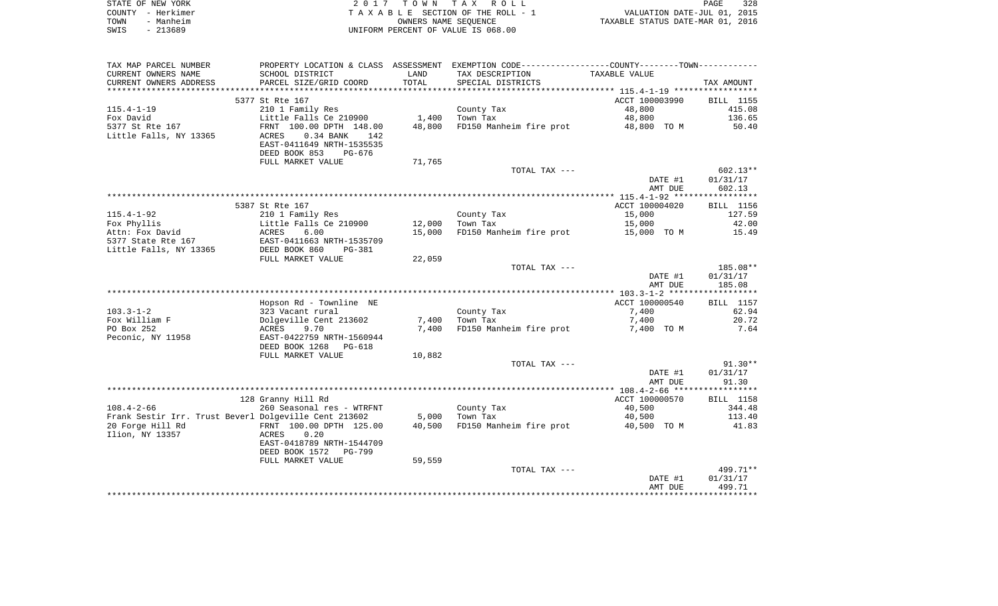|      | STATE OF NEW YORK | 2017 TOWN TAX ROLL                 | PAGE                             | 328 |
|------|-------------------|------------------------------------|----------------------------------|-----|
|      | COUNTY - Herkimer | TAXABLE SECTION OF THE ROLL - 1    | VALUATION DATE-JUL 01, 2015      |     |
| TOWN | - Manheim         | OWNERS NAME SEOUENCE               | TAXABLE STATUS DATE-MAR 01, 2016 |     |
| SWIS | - 213689          | UNIFORM PERCENT OF VALUE IS 068.00 |                                  |     |

| TAX MAP PARCEL NUMBER                                 |                             |        | PROPERTY LOCATION & CLASS ASSESSMENT EXEMPTION CODE---------------COUNTY-------TOWN---------- |                |            |
|-------------------------------------------------------|-----------------------------|--------|-----------------------------------------------------------------------------------------------|----------------|------------|
| CURRENT OWNERS NAME                                   | SCHOOL DISTRICT             | LAND   | TAX DESCRIPTION                                                                               | TAXABLE VALUE  |            |
| CURRENT OWNERS ADDRESS                                | PARCEL SIZE/GRID COORD      | TOTAL  | SPECIAL DISTRICTS                                                                             |                | TAX AMOUNT |
|                                                       |                             |        |                                                                                               |                |            |
|                                                       | 5377 St Rte 167             |        |                                                                                               | ACCT 100003990 | BILL 1155  |
| $115.4 - 1 - 19$                                      | 210 1 Family Res            |        | County Tax                                                                                    | 48,800         | 415.08     |
| Fox David                                             | Little Falls Ce 210900      | 1,400  | Town Tax                                                                                      | 48,800         | 136.65     |
| 5377 St Rte 167                                       | FRNT 100.00 DPTH 148.00     | 48,800 | FD150 Manheim fire prot                                                                       | 48,800 TO M    | 50.40      |
| Little Falls, NY 13365                                | $0.34$ BANK<br>ACRES<br>142 |        |                                                                                               |                |            |
|                                                       | EAST-0411649 NRTH-1535535   |        |                                                                                               |                |            |
|                                                       | DEED BOOK 853<br>PG-676     |        |                                                                                               |                |            |
|                                                       | FULL MARKET VALUE           | 71,765 |                                                                                               |                |            |
|                                                       |                             |        | TOTAL TAX ---                                                                                 |                | $602.13**$ |
|                                                       |                             |        |                                                                                               | DATE #1        | 01/31/17   |
|                                                       |                             |        |                                                                                               | AMT DUE        | 602.13     |
|                                                       |                             |        |                                                                                               |                |            |
|                                                       | 5387 St Rte 167             |        |                                                                                               | ACCT 100004020 | BILL 1156  |
| $115.4 - 1 - 92$                                      | 210 1 Family Res            |        | County Tax                                                                                    | 15,000         | 127.59     |
| Fox Phyllis                                           | Little Falls Ce 210900      | 12,000 | Town Tax                                                                                      | 15,000         | 42.00      |
| Attn: Fox David                                       | ACRES<br>6.00               | 15,000 | FD150 Manheim fire prot                                                                       | 15,000 TO M    | 15.49      |
| 5377 State Rte 167                                    | EAST-0411663 NRTH-1535709   |        |                                                                                               |                |            |
| Little Falls, NY 13365                                | DEED BOOK 860<br>PG-381     |        |                                                                                               |                |            |
|                                                       | FULL MARKET VALUE           | 22,059 |                                                                                               |                |            |
|                                                       |                             |        | TOTAL TAX ---                                                                                 |                | 185.08**   |
|                                                       |                             |        |                                                                                               | DATE #1        | 01/31/17   |
|                                                       |                             |        |                                                                                               | AMT DUE        | 185.08     |
|                                                       |                             |        |                                                                                               |                |            |
|                                                       | Hopson Rd - Townline NE     |        |                                                                                               | ACCT 100000540 | BILL 1157  |
| $103.3 - 1 - 2$                                       | 323 Vacant rural            |        | County Tax                                                                                    | 7,400          | 62.94      |
| Fox William F                                         | Dolgeville Cent 213602      |        | 7,400 Town Tax                                                                                | 7,400          | 20.72      |
| PO Box 252                                            | 9.70<br>ACRES               | 7,400  | FD150 Manheim fire prot                                                                       | 7,400 TO M     | 7.64       |
| Peconic, NY 11958                                     | EAST-0422759 NRTH-1560944   |        |                                                                                               |                |            |
|                                                       | DEED BOOK 1268 PG-618       |        |                                                                                               |                |            |
|                                                       | FULL MARKET VALUE           | 10,882 | TOTAL TAX ---                                                                                 |                | $91.30**$  |
|                                                       |                             |        |                                                                                               | DATE #1        | 01/31/17   |
|                                                       |                             |        |                                                                                               | AMT DUE        | 91.30      |
|                                                       |                             |        |                                                                                               |                |            |
|                                                       | 128 Granny Hill Rd          |        |                                                                                               | ACCT 100000570 | BILL 1158  |
| $108.4 - 2 - 66$                                      | 260 Seasonal res - WTRFNT   |        |                                                                                               | 40,500         | 344.48     |
| Frank Sestir Irr. Trust Beverl Dolgeville Cent 213602 |                             | 5,000  | County Tax<br>Time Tay                                                                        | 40,500         | 113.40     |
| 20 Forge Hill Rd                                      | FRNT 100.00 DPTH 125.00     | 40,500 | FD150 Manheim fire prot                                                                       | 40,500 TO M    | 41.83      |
| Ilion, NY 13357                                       | ACRES<br>0.20               |        |                                                                                               |                |            |
|                                                       | EAST-0418789 NRTH-1544709   |        |                                                                                               |                |            |
|                                                       | DEED BOOK 1572 PG-799       |        |                                                                                               |                |            |
|                                                       | FULL MARKET VALUE           | 59,559 |                                                                                               |                |            |
|                                                       |                             |        | TOTAL TAX ---                                                                                 |                | 499.71**   |
|                                                       |                             |        |                                                                                               | DATE #1        | 01/31/17   |
|                                                       |                             |        |                                                                                               | AMT DUE        | 499.71     |
|                                                       |                             |        |                                                                                               |                |            |
|                                                       |                             |        |                                                                                               |                |            |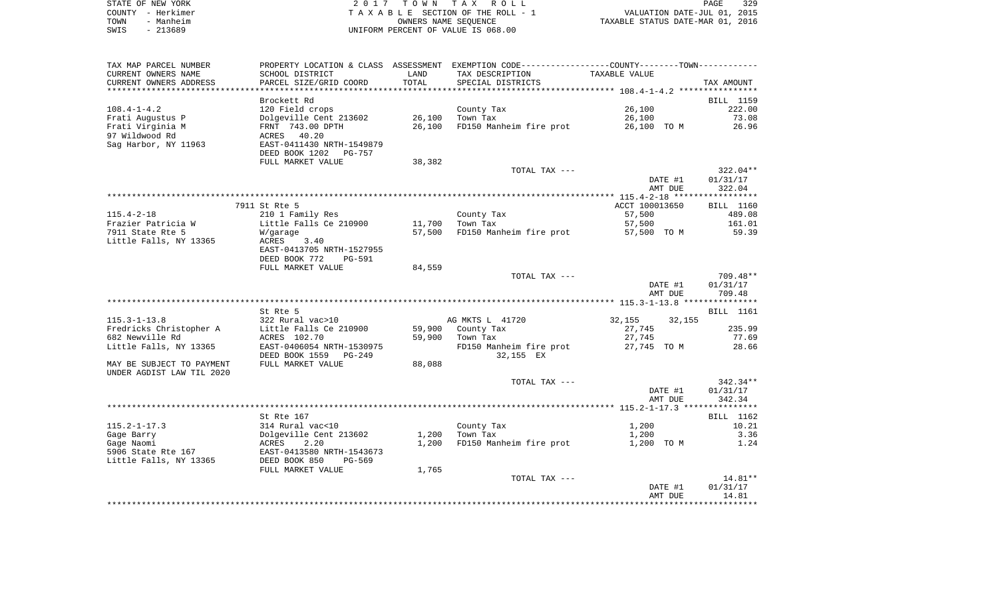|      | STATE OF NEW YORK | 2017 TOWN TAX ROLL                 | 329<br>PAGE                      |
|------|-------------------|------------------------------------|----------------------------------|
|      | COUNTY - Herkimer | TAXABLE SECTION OF THE ROLL - 1    | VALUATION DATE-JUL 01, 2015      |
| TOWN | - Manheim         | OWNERS NAME SEOUENCE               | TAXABLE STATUS DATE-MAR 01, 2016 |
| SWIS | - 213689          | UNIFORM PERCENT OF VALUE IS 068.00 |                                  |

| TAX MAP PARCEL NUMBER                        |                                                        |            | PROPERTY LOCATION & CLASS ASSESSMENT EXEMPTION CODE---------------COUNTY-------TOWN--------- |                  |                  |
|----------------------------------------------|--------------------------------------------------------|------------|----------------------------------------------------------------------------------------------|------------------|------------------|
| CURRENT OWNERS NAME                          | SCHOOL DISTRICT                                        | LAND       | TAX DESCRIPTION                                                                              | TAXABLE VALUE    |                  |
| CURRENT OWNERS ADDRESS                       | PARCEL SIZE/GRID COORD                                 | TOTAL      | SPECIAL DISTRICTS                                                                            |                  | TAX AMOUNT       |
|                                              |                                                        | ********** |                                                                                              |                  |                  |
|                                              | Brockett Rd                                            |            |                                                                                              |                  | BILL 1159        |
| $108.4 - 1 - 4.2$                            | 120 Field crops                                        |            | County Tax                                                                                   | 26,100           | 222.00           |
| Frati Augustus P                             | Dolgeville Cent 213602                                 | 26,100     | Town Tax                                                                                     | 26,100           | 73.08            |
| Frati Virginia M                             | FRNT 743.00 DPTH                                       | 26,100     | FD150 Manheim fire prot                                                                      | 26,100 TO M      | 26.96            |
| 97 Wildwood Rd                               | 40.20<br>ACRES                                         |            |                                                                                              |                  |                  |
| Sag Harbor, NY 11963                         | EAST-0411430 NRTH-1549879                              |            |                                                                                              |                  |                  |
|                                              | DEED BOOK 1202<br>PG-757                               |            |                                                                                              |                  |                  |
|                                              | FULL MARKET VALUE                                      | 38,382     |                                                                                              |                  |                  |
|                                              |                                                        |            | TOTAL TAX ---                                                                                |                  | $322.04**$       |
|                                              |                                                        |            |                                                                                              | DATE #1          | 01/31/17         |
|                                              |                                                        |            |                                                                                              | AMT DUE          | 322.04           |
|                                              |                                                        |            |                                                                                              |                  |                  |
|                                              | 7911 St Rte 5                                          |            |                                                                                              | ACCT 100013650   | BILL 1160        |
| $115.4 - 2 - 18$                             | 210 1 Family Res                                       |            | County Tax                                                                                   | 57,500           | 489.08           |
| Frazier Patricia W                           | Little Falls Ce 210900                                 | 11,700     | Town Tax                                                                                     | 57,500           | 161.01           |
| 7911 State Rte 5                             | W/garage                                               | 57,500     | FD150 Manheim fire prot                                                                      | 57,500 TO M      | 59.39            |
| Little Falls, NY 13365                       | ACRES<br>3.40<br>EAST-0413705 NRTH-1527955             |            |                                                                                              |                  |                  |
|                                              | DEED BOOK 772<br><b>PG-591</b>                         |            |                                                                                              |                  |                  |
|                                              | FULL MARKET VALUE                                      | 84,559     |                                                                                              |                  |                  |
|                                              |                                                        |            | TOTAL TAX ---                                                                                |                  | 709.48**         |
|                                              |                                                        |            |                                                                                              | DATE #1          | 01/31/17         |
|                                              |                                                        |            |                                                                                              | AMT DUE          | 709.48           |
|                                              |                                                        |            |                                                                                              |                  |                  |
|                                              | St Rte 5                                               |            |                                                                                              |                  | <b>BILL</b> 1161 |
| $115.3 - 1 - 13.8$                           | 322 Rural vac>10                                       |            | AG MKTS L 41720                                                                              | 32,155<br>32,155 |                  |
| Fredricks Christopher A                      | Little Falls Ce 210900                                 | 59,900     | County Tax                                                                                   | 27,745           | 235.99           |
| 682 Newville Rd                              | ACRES 102.70                                           | 59,900     | Town Tax                                                                                     | 27,745           | 77.69            |
| Little Falls, NY 13365                       | EAST-0406054 NRTH-1530975                              |            | FD150 Manheim fire prot                                                                      | 27,745 TO M      | 28.66            |
|                                              | DEED BOOK 1559<br>$PG-249$                             |            | 32,155 EX                                                                                    |                  |                  |
| MAY BE SUBJECT TO PAYMENT                    | FULL MARKET VALUE                                      | 88,088     |                                                                                              |                  |                  |
| UNDER AGDIST LAW TIL 2020                    |                                                        |            |                                                                                              |                  |                  |
|                                              |                                                        |            | TOTAL TAX ---                                                                                |                  | $342.34**$       |
|                                              |                                                        |            |                                                                                              | DATE #1          | 01/31/17         |
|                                              |                                                        |            |                                                                                              | AMT DUE          | 342.34           |
|                                              |                                                        |            |                                                                                              |                  |                  |
|                                              | St Rte 167                                             |            |                                                                                              |                  | BILL 1162        |
| $115.2 - 1 - 17.3$                           | 314 Rural vac<10                                       |            | County Tax                                                                                   | 1,200            | 10.21            |
| Gage Barry                                   | Dolgeville Cent 213602                                 | 1,200      | Town Tax                                                                                     | 1,200            | 3.36             |
| Gage Naomi                                   | ACRES<br>2.20                                          | 1,200      | FD150 Manheim fire prot                                                                      | 1,200 TO M       | 1.24             |
| 5906 State Rte 167<br>Little Falls, NY 13365 | EAST-0413580 NRTH-1543673<br>DEED BOOK 850<br>$PG-569$ |            |                                                                                              |                  |                  |
|                                              |                                                        |            |                                                                                              |                  |                  |
|                                              | FULL MARKET VALUE                                      | 1,765      | TOTAL TAX ---                                                                                |                  | 14.81**          |
|                                              |                                                        |            |                                                                                              | DATE #1          | 01/31/17         |
|                                              |                                                        |            |                                                                                              | AMT DUE          | 14.81            |
|                                              |                                                        |            |                                                                                              |                  |                  |
|                                              |                                                        |            |                                                                                              |                  |                  |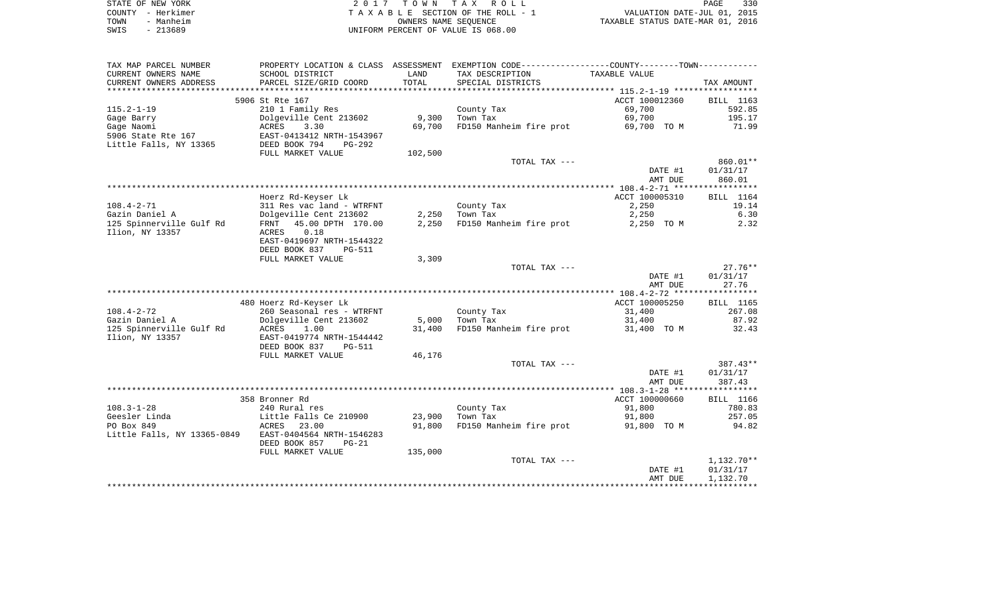| STATE OF NEW YORK | 2017 TOWN TAX ROLL                 | 330<br>PAGE                      |
|-------------------|------------------------------------|----------------------------------|
| COUNTY - Herkimer | TAXABLE SECTION OF THE ROLL - 1    | VALUATION DATE-JUL 01, 2015      |
| - Manheim<br>TOWN | OWNERS NAME SEOUENCE               | TAXABLE STATUS DATE-MAR 01, 2016 |
| SWIS<br>$-213689$ | UNIFORM PERCENT OF VALUE IS 068.00 |                                  |

| TAX MAP PARCEL NUMBER                      | PROPERTY LOCATION & CLASS ASSESSMENT       |         | EXEMPTION CODE-----------------COUNTY-------TOWN----------- |                |              |
|--------------------------------------------|--------------------------------------------|---------|-------------------------------------------------------------|----------------|--------------|
| CURRENT OWNERS NAME                        | SCHOOL DISTRICT                            | LAND    | TAX DESCRIPTION                                             | TAXABLE VALUE  |              |
| CURRENT OWNERS ADDRESS                     | PARCEL SIZE/GRID COORD                     | TOTAL   | SPECIAL DISTRICTS                                           |                | TAX AMOUNT   |
| *******************                        |                                            |         |                                                             |                |              |
|                                            | 5906 St Rte 167                            |         |                                                             | ACCT 100012360 | BILL 1163    |
| $115.2 - 1 - 19$                           | 210 1 Family Res                           |         | County Tax                                                  | 69,700         | 592.85       |
| Gage Barry                                 | Dolgeville Cent 213602                     | 9,300   | Town Tax                                                    | 69,700         | 195.17       |
| Gage Naomi                                 | 3.30<br>ACRES                              | 69,700  | FD150 Manheim fire prot                                     | 69,700 TO M    | 71.99        |
| 5906 State Rte 167                         | EAST-0413412 NRTH-1543967                  |         |                                                             |                |              |
| Little Falls, NY 13365                     | DEED BOOK 794<br>$PG-292$                  |         |                                                             |                |              |
|                                            | FULL MARKET VALUE                          | 102,500 | TOTAL TAX ---                                               |                | 860.01**     |
|                                            |                                            |         |                                                             | DATE #1        | 01/31/17     |
|                                            |                                            |         |                                                             | AMT DUE        | 860.01       |
|                                            |                                            |         |                                                             |                |              |
|                                            | Hoerz Rd-Keyser Lk                         |         |                                                             | ACCT 100005310 | BILL 1164    |
| $108.4 - 2 - 71$                           | 311 Res vac land - WTRFNT                  |         | County Tax                                                  | 2,250          | 19.14        |
| Gazin Daniel A                             | Dolgeville Cent 213602                     | 2,250   | Town Tax                                                    | 2,250          | 6.30         |
| 125 Spinnerville Gulf Rd                   | 45.00 DPTH 170.00<br>FRNT                  | 2,250   | FD150 Manheim fire prot                                     | 2,250 TO M     | 2.32         |
| Ilion, NY 13357                            | 0.18<br>ACRES                              |         |                                                             |                |              |
|                                            | EAST-0419697 NRTH-1544322                  |         |                                                             |                |              |
|                                            | DEED BOOK 837<br><b>PG-511</b>             |         |                                                             |                |              |
|                                            | FULL MARKET VALUE                          | 3,309   |                                                             |                |              |
|                                            |                                            |         | TOTAL TAX ---                                               |                | $27.76**$    |
|                                            |                                            |         |                                                             | DATE #1        | 01/31/17     |
|                                            |                                            |         |                                                             | AMT DUE        | 27.76        |
|                                            |                                            |         |                                                             |                |              |
|                                            | 480 Hoerz Rd-Keyser Lk                     |         |                                                             | ACCT 100005250 | BILL 1165    |
| $108.4 - 2 - 72$                           | 260 Seasonal res - WTRFNT                  |         | County Tax                                                  | 31,400         | 267.08       |
| Gazin Daniel A<br>125 Spinnerville Gulf Rd | Dolgeville Cent 213602                     | 5,000   | Town Tax<br>FD150 Manheim fire prot                         | 31,400         | 87.92        |
| Ilion, NY 13357                            | 1.00<br>ACRES<br>EAST-0419774 NRTH-1544442 | 31,400  |                                                             | 31,400 TO M    | 32.43        |
|                                            | DEED BOOK 837<br><b>PG-511</b>             |         |                                                             |                |              |
|                                            | FULL MARKET VALUE                          | 46,176  |                                                             |                |              |
|                                            |                                            |         | TOTAL TAX ---                                               |                | 387.43**     |
|                                            |                                            |         |                                                             | DATE #1        | 01/31/17     |
|                                            |                                            |         |                                                             | AMT DUE        | 387.43       |
|                                            |                                            |         |                                                             |                |              |
|                                            | 358 Bronner Rd                             |         |                                                             | ACCT 100000660 | BILL 1166    |
| $108.3 - 1 - 28$                           | 240 Rural res                              |         | County Tax                                                  | 91,800         | 780.83       |
| Geesler Linda                              | Little Falls Ce 210900                     | 23,900  | Town Tax                                                    | 91,800         | 257.05       |
| PO Box 849                                 | ACRES<br>23.00                             | 91,800  | FD150 Manheim fire prot                                     | 91,800 TO M    | 94.82        |
| Little Falls, NY 13365-0849                | EAST-0404564 NRTH-1546283                  |         |                                                             |                |              |
|                                            | DEED BOOK 857<br>$PG-21$                   |         |                                                             |                |              |
|                                            | FULL MARKET VALUE                          | 135,000 |                                                             |                |              |
|                                            |                                            |         | TOTAL TAX ---                                               |                | $1,132.70**$ |
|                                            |                                            |         |                                                             | DATE #1        | 01/31/17     |
|                                            |                                            |         |                                                             | AMT DUE        | 1,132.70     |
|                                            |                                            |         |                                                             |                |              |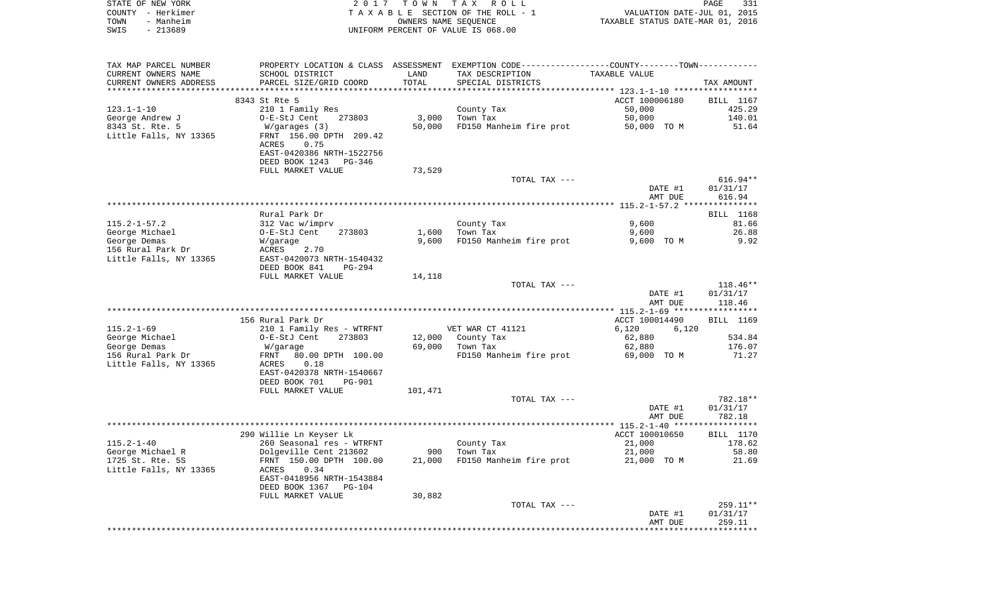|      | STATE OF NEW YORK | 2017 TOWN TAX ROLL                 | PAGE                             | 331 |
|------|-------------------|------------------------------------|----------------------------------|-----|
|      | COUNTY - Herkimer | TAXABLE SECTION OF THE ROLL - 1    | VALUATION DATE-JUL 01, 2015      |     |
| TOWN | - Manheim         | OWNERS NAME SEOUENCE               | TAXABLE STATUS DATE-MAR 01, 2016 |     |
| SWIS | - 213689          | UNIFORM PERCENT OF VALUE IS 068.00 |                                  |     |

| TAX MAP PARCEL NUMBER  | PROPERTY LOCATION & CLASS ASSESSMENT EXEMPTION CODE----------------COUNTY-------TOWN---------- |                       |                         |                                                 |                  |
|------------------------|------------------------------------------------------------------------------------------------|-----------------------|-------------------------|-------------------------------------------------|------------------|
| CURRENT OWNERS NAME    | SCHOOL DISTRICT                                                                                | LAND                  | TAX DESCRIPTION         | TAXABLE VALUE                                   |                  |
| CURRENT OWNERS ADDRESS | PARCEL SIZE/GRID COORD                                                                         | TOTAL                 | SPECIAL DISTRICTS       |                                                 | TAX AMOUNT       |
|                        | *************************                                                                      | ********************* |                         | ***************** 123.1-1-10 ****************** |                  |
|                        | 8343 St Rte 5                                                                                  |                       |                         | ACCT 100006180                                  | BILL 1167        |
| $123.1 - 1 - 10$       | 210 1 Family Res                                                                               |                       | County Tax              | 50,000                                          | 425.29           |
| George Andrew J        | O-E-StJ Cent<br>273803                                                                         | 3,000                 | Town Tax                | 50,000                                          | 140.01           |
| 8343 St. Rte. 5        | W/garages (3)                                                                                  | 50,000                | FD150 Manheim fire prot | 50,000 TO M                                     | 51.64            |
| Little Falls, NY 13365 | FRNT 156.00 DPTH 209.42                                                                        |                       |                         |                                                 |                  |
|                        | 0.75<br>ACRES                                                                                  |                       |                         |                                                 |                  |
|                        | EAST-0420386 NRTH-1522756                                                                      |                       |                         |                                                 |                  |
|                        | DEED BOOK 1243 PG-346                                                                          |                       |                         |                                                 |                  |
|                        | FULL MARKET VALUE                                                                              | 73,529                |                         |                                                 |                  |
|                        |                                                                                                |                       | TOTAL TAX ---           |                                                 | $616.94**$       |
|                        |                                                                                                |                       |                         | DATE #1                                         | 01/31/17         |
|                        |                                                                                                |                       |                         | AMT DUE                                         | 616.94           |
|                        |                                                                                                |                       |                         |                                                 |                  |
|                        | Rural Park Dr                                                                                  |                       |                         |                                                 | BILL 1168        |
|                        |                                                                                                |                       |                         |                                                 |                  |
| $115.2 - 1 - 57.2$     | 312 Vac w/imprv                                                                                |                       | County Tax              | 9,600                                           | 81.66            |
| George Michael         | O-E-StJ Cent<br>273803                                                                         | 1,600                 | Town Tax                | 9,600                                           | 26.88            |
| George Demas           | W/garage                                                                                       | 9,600                 | FD150 Manheim fire prot | 9,600 TO M                                      | 9.92             |
| 156 Rural Park Dr      | ACRES<br>2.70                                                                                  |                       |                         |                                                 |                  |
| Little Falls, NY 13365 | EAST-0420073 NRTH-1540432                                                                      |                       |                         |                                                 |                  |
|                        | DEED BOOK 841<br>$PG-294$                                                                      |                       |                         |                                                 |                  |
|                        | FULL MARKET VALUE                                                                              | 14,118                |                         |                                                 |                  |
|                        |                                                                                                |                       | TOTAL TAX ---           |                                                 | $118.46**$       |
|                        |                                                                                                |                       |                         | DATE #1                                         | 01/31/17         |
|                        |                                                                                                |                       |                         | AMT DUE                                         | 118.46           |
|                        |                                                                                                |                       |                         |                                                 |                  |
|                        | 156 Rural Park Dr                                                                              |                       |                         | ACCT 100014490                                  | BILL 1169        |
| $115.2 - 1 - 69$       | 210 1 Family Res - WTRFNT                                                                      |                       | VET WAR CT 41121        | 6,120<br>6,120                                  |                  |
| George Michael         | O-E-StJ Cent<br>273803                                                                         |                       | 12,000 County Tax       | 62,880                                          | 534.84           |
| George Demas           | W/garage                                                                                       | 69,000                | Town Tax                | 62,880                                          | 176.07           |
| 156 Rural Park Dr      | 80.00 DPTH 100.00<br>FRNT                                                                      |                       | FD150 Manheim fire prot | 69,000 TO M                                     | 71.27            |
| Little Falls, NY 13365 | 0.18<br>ACRES                                                                                  |                       |                         |                                                 |                  |
|                        | EAST-0420378 NRTH-1540667                                                                      |                       |                         |                                                 |                  |
|                        | DEED BOOK 701<br><b>PG-901</b>                                                                 |                       |                         |                                                 |                  |
|                        | FULL MARKET VALUE                                                                              | 101,471               |                         |                                                 |                  |
|                        |                                                                                                |                       | TOTAL TAX ---           |                                                 | 782.18**         |
|                        |                                                                                                |                       |                         | DATE #1                                         | 01/31/17         |
|                        |                                                                                                |                       |                         | AMT DUE                                         | 782.18           |
|                        |                                                                                                |                       |                         |                                                 |                  |
|                        | 290 Willie Ln Keyser Lk                                                                        |                       |                         | ACCT 100010650                                  | <b>BILL</b> 1170 |
| $115.2 - 1 - 40$       | 260 Seasonal res - WTRFNT                                                                      |                       | County Tax              | 21,000                                          | 178.62           |
| George Michael R       | Dolgeville Cent 213602                                                                         | 900                   | Town Tax                | 21,000                                          | 58.80            |
| 1725 St. Rte. 5S       | FRNT 150.00 DPTH 100.00                                                                        | 21,000                | FD150 Manheim fire prot | 21,000 TO M                                     | 21.69            |
| Little Falls, NY 13365 | 0.34<br>ACRES                                                                                  |                       |                         |                                                 |                  |
|                        | EAST-0418956 NRTH-1543884                                                                      |                       |                         |                                                 |                  |
|                        | DEED BOOK 1367 PG-104                                                                          |                       |                         |                                                 |                  |
|                        | FULL MARKET VALUE                                                                              | 30,882                |                         |                                                 |                  |
|                        |                                                                                                |                       | TOTAL TAX ---           |                                                 | $259.11**$       |
|                        |                                                                                                |                       |                         | DATE #1                                         | 01/31/17         |
|                        |                                                                                                |                       |                         | AMT DUE                                         | 259.11           |
|                        |                                                                                                |                       |                         |                                                 |                  |
|                        |                                                                                                |                       |                         |                                                 |                  |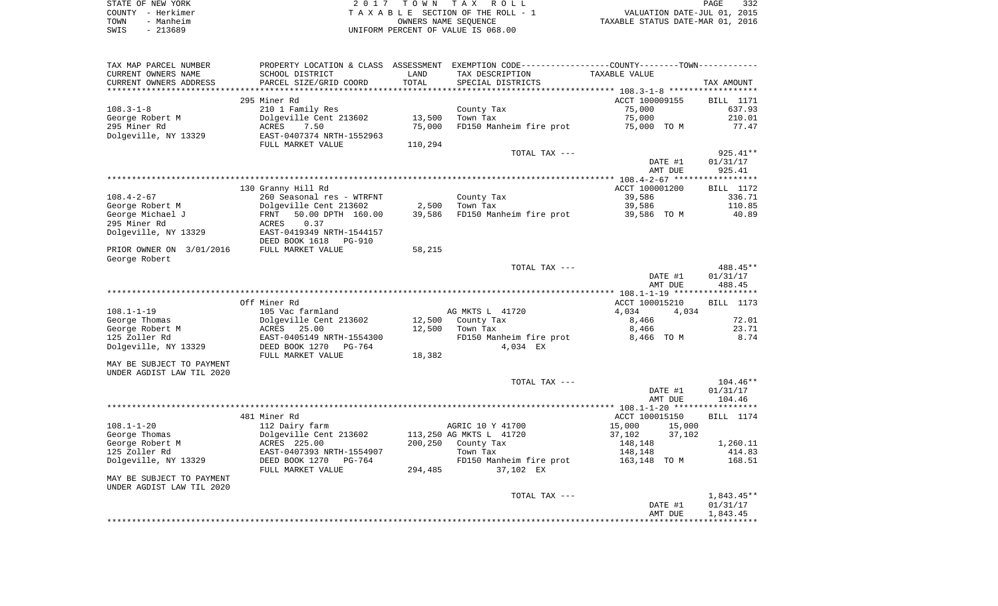|      | STATE OF NEW YORK | 2017 TOWN TAX ROLL                 |                                  | PAGE | 332 |
|------|-------------------|------------------------------------|----------------------------------|------|-----|
|      | COUNTY - Herkimer | TAXABLE SECTION OF THE ROLL - 1    | VALUATION DATE-JUL 01, 2015      |      |     |
| TOWN | - Manheim         | OWNERS NAME SEOUENCE               | TAXABLE STATUS DATE-MAR 01, 2016 |      |     |
| SWIS | - 213689          | UNIFORM PERCENT OF VALUE IS 068.00 |                                  |      |     |
|      |                   |                                    |                                  |      |     |

| TAX MAP PARCEL NUMBER     |                           |         | PROPERTY LOCATION & CLASS ASSESSMENT EXEMPTION CODE----------------COUNTY-------TOWN---------- |                                               |              |
|---------------------------|---------------------------|---------|------------------------------------------------------------------------------------------------|-----------------------------------------------|--------------|
| CURRENT OWNERS NAME       | SCHOOL DISTRICT           | LAND    | TAX DESCRIPTION                                                                                | TAXABLE VALUE                                 |              |
| CURRENT OWNERS ADDRESS    | PARCEL SIZE/GRID COORD    | TOTAL   | SPECIAL DISTRICTS                                                                              |                                               | TAX AMOUNT   |
| ************************  |                           |         |                                                                                                |                                               |              |
|                           | 295 Miner Rd              |         |                                                                                                | ACCT 100009155                                | BILL 1171    |
| $108.3 - 1 - 8$           | 210 1 Family Res          |         | County Tax                                                                                     | 75,000                                        | 637.93       |
| George Robert M           | Dolgeville Cent 213602    | 13,500  | Town Tax                                                                                       | 75,000                                        | 210.01       |
| 295 Miner Rd              | <b>ACRES</b><br>7.50      | 75,000  | FD150 Manheim fire prot                                                                        | 75,000 TO M                                   | 77.47        |
| Dolgeville, NY 13329      | EAST-0407374 NRTH-1552963 |         |                                                                                                |                                               |              |
|                           | FULL MARKET VALUE         | 110,294 |                                                                                                |                                               |              |
|                           |                           |         | TOTAL TAX ---                                                                                  |                                               | 925.41**     |
|                           |                           |         |                                                                                                | DATE #1                                       | 01/31/17     |
|                           |                           |         |                                                                                                | AMT DUE                                       | 925.41       |
|                           | 130 Granny Hill Rd        |         |                                                                                                | ACCT 100001200                                | BILL 1172    |
| $108.4 - 2 - 67$          | 260 Seasonal res - WTRFNT |         | County Tax                                                                                     | 39,586                                        | 336.71       |
| George Robert M           | Dolgeville Cent 213602    | 2,500   | Town Tax                                                                                       | 39,586                                        | 110.85       |
| George Michael J          | 50.00 DPTH 160.00<br>FRNT | 39,586  | FD150 Manheim fire prot                                                                        | 39,586 TO M                                   | 40.89        |
| 295 Miner Rd              | <b>ACRES</b><br>0.37      |         |                                                                                                |                                               |              |
| Dolgeville, NY 13329      | EAST-0419349 NRTH-1544157 |         |                                                                                                |                                               |              |
|                           | DEED BOOK 1618 PG-910     |         |                                                                                                |                                               |              |
| PRIOR OWNER ON 3/01/2016  | FULL MARKET VALUE         | 58,215  |                                                                                                |                                               |              |
| George Robert             |                           |         |                                                                                                |                                               |              |
|                           |                           |         | TOTAL TAX ---                                                                                  |                                               | 488.45**     |
|                           |                           |         |                                                                                                | DATE #1                                       | 01/31/17     |
|                           |                           |         |                                                                                                | AMT DUE                                       | 488.45       |
|                           |                           |         |                                                                                                | *************** 108.1-1-19 ****************** |              |
|                           | Off Miner Rd              |         |                                                                                                | ACCT 100015210                                | BILL 1173    |
| $108.1 - 1 - 19$          | 105 Vac farmland          |         | AG MKTS L 41720                                                                                | 4,034<br>4,034                                |              |
| George Thomas             | Dolgeville Cent 213602    |         | 12,500 County Tax                                                                              | 8,466                                         | 72.01        |
| George Robert M           | ACRES 25.00               | 12,500  | Town Tax                                                                                       | 8,466                                         | 23.71        |
| 125 Zoller Rd             | EAST-0405149 NRTH-1554300 |         | FD150 Manheim fire prot                                                                        | 8,466 TO M                                    | 8.74         |
| Dolgeville, NY 13329      | DEED BOOK 1270 PG-764     |         | 4,034 EX                                                                                       |                                               |              |
|                           | FULL MARKET VALUE         | 18,382  |                                                                                                |                                               |              |
| MAY BE SUBJECT TO PAYMENT |                           |         |                                                                                                |                                               |              |
| UNDER AGDIST LAW TIL 2020 |                           |         |                                                                                                |                                               |              |
|                           |                           |         | TOTAL TAX ---                                                                                  |                                               | $104.46**$   |
|                           |                           |         |                                                                                                | DATE #1                                       | 01/31/17     |
|                           |                           |         |                                                                                                | AMT DUE                                       | 104.46       |
|                           | 481 Miner Rd              |         |                                                                                                | ACCT 100015150                                | BILL 1174    |
| $108.1 - 1 - 20$          | 112 Dairy farm            |         | AGRIC 10 Y 41700                                                                               | 15,000<br>15,000                              |              |
| George Thomas             | Dolgeville Cent 213602    |         | 113,250 AG MKTS L 41720                                                                        | 37,102<br>37,102                              |              |
| George Robert M           | ACRES 225.00              | 200,250 | County Tax                                                                                     | 148,148                                       | 1,260.11     |
| 125 Zoller Rd             | EAST-0407393 NRTH-1554907 |         | Town Tax                                                                                       | 148,148                                       | 414.83       |
| Dolgeville, NY 13329      | DEED BOOK 1270<br>PG-764  |         | FD150 Manheim fire prot                                                                        | 163,148 TO M                                  | 168.51       |
|                           | FULL MARKET VALUE         | 294,485 | 37,102 EX                                                                                      |                                               |              |
| MAY BE SUBJECT TO PAYMENT |                           |         |                                                                                                |                                               |              |
| UNDER AGDIST LAW TIL 2020 |                           |         |                                                                                                |                                               |              |
|                           |                           |         | TOTAL TAX ---                                                                                  |                                               | $1,843.45**$ |
|                           |                           |         |                                                                                                | DATE #1                                       | 01/31/17     |
|                           |                           |         |                                                                                                | AMT DUE                                       | 1,843.45     |
|                           |                           |         |                                                                                                |                                               |              |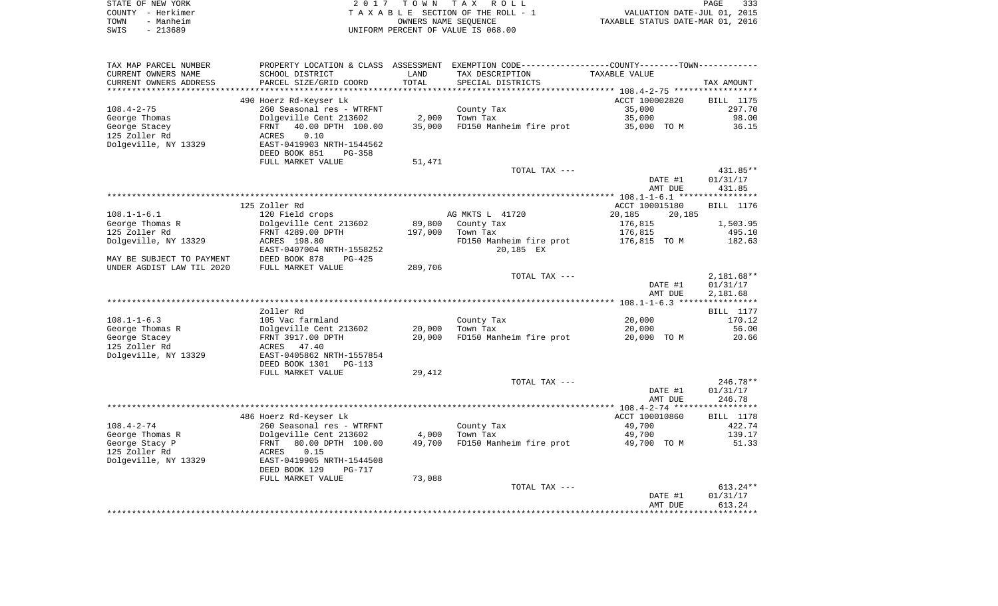| STATE OF NEW YORK | 2017 TOWN TAX ROLL                 |                                  | PAGE | 333 |
|-------------------|------------------------------------|----------------------------------|------|-----|
| COUNTY - Herkimer | TAXABLE SECTION OF THE ROLL - 1    | VALUATION DATE-JUL 01, 2015      |      |     |
| - Manheim<br>TOWN | OWNERS NAME SEOUENCE               | TAXABLE STATUS DATE-MAR 01, 2016 |      |     |
| - 213689<br>SWIS  | UNIFORM PERCENT OF VALUE IS 068.00 |                                  |      |     |

| TAX MAP PARCEL NUMBER     | PROPERTY LOCATION & CLASS      | ASSESSMENT | EXEMPTION CODE-----------------COUNTY-------TOWN----------- |                  |              |
|---------------------------|--------------------------------|------------|-------------------------------------------------------------|------------------|--------------|
| CURRENT OWNERS NAME       | SCHOOL DISTRICT                | LAND       | TAX DESCRIPTION                                             | TAXABLE VALUE    |              |
| CURRENT OWNERS ADDRESS    | PARCEL SIZE/GRID COORD         | TOTAL      | SPECIAL DISTRICTS                                           |                  | TAX AMOUNT   |
| *******************       |                                |            |                                                             |                  |              |
|                           | 490 Hoerz Rd-Keyser Lk         |            |                                                             | ACCT 100002820   | BILL 1175    |
| $108.4 - 2 - 75$          | 260 Seasonal res - WTRFNT      |            | County Tax                                                  | 35,000           | 297.70       |
| George Thomas             | Dolgeville Cent 213602         | 2,000      | Town Tax                                                    | 35,000           | 98.00        |
| George Stacey             | 40.00 DPTH 100.00<br>FRNT      | 35,000     | FD150 Manheim fire prot                                     | 35,000 TO M      | 36.15        |
| 125 Zoller Rd             | 0.10<br>ACRES                  |            |                                                             |                  |              |
| Dolgeville, NY 13329      | EAST-0419903 NRTH-1544562      |            |                                                             |                  |              |
|                           | DEED BOOK 851<br><b>PG-358</b> |            |                                                             |                  |              |
|                           | FULL MARKET VALUE              | 51,471     |                                                             |                  |              |
|                           |                                |            | TOTAL TAX ---                                               |                  | 431.85**     |
|                           |                                |            |                                                             | DATE #1          | 01/31/17     |
|                           |                                |            |                                                             | AMT DUE          | 431.85       |
|                           |                                |            |                                                             |                  |              |
|                           | 125 Zoller Rd                  |            |                                                             | ACCT 100015180   | BILL 1176    |
| $108.1 - 1 - 6.1$         | 120 Field crops                |            | AG MKTS L 41720                                             | 20,185<br>20,185 |              |
| George Thomas R           | Dolgeville Cent 213602         | 89,800     | County Tax                                                  | 176,815          | 1,503.95     |
| 125 Zoller Rd             | FRNT 4289.00 DPTH              | 197,000    | Town Tax                                                    | 176,815          | 495.10       |
| Dolgeville, NY 13329      | ACRES 198.80                   |            | FD150 Manheim fire prot                                     | 176,815 TO M     | 182.63       |
|                           | EAST-0407004 NRTH-1558252      |            | 20,185 EX                                                   |                  |              |
| MAY BE SUBJECT TO PAYMENT | DEED BOOK 878<br>$PG-425$      |            |                                                             |                  |              |
| UNDER AGDIST LAW TIL 2020 | FULL MARKET VALUE              | 289,706    |                                                             |                  |              |
|                           |                                |            | TOTAL TAX ---                                               |                  | $2,181.68**$ |
|                           |                                |            |                                                             | DATE #1          | 01/31/17     |
|                           |                                |            |                                                             | AMT DUE          | 2,181.68     |
|                           |                                |            |                                                             |                  |              |
|                           | Zoller Rd                      |            |                                                             |                  | BILL 1177    |
| $108.1 - 1 - 6.3$         | 105 Vac farmland               |            | County Tax                                                  | 20,000           | 170.12       |
| George Thomas R           | Dolgeville Cent 213602         | 20,000     | Town Tax                                                    | 20,000           | 56.00        |
| George Stacey             | FRNT 3917.00 DPTH              | 20,000     | FD150 Manheim fire prot                                     | 20,000 TO M      | 20.66        |
| 125 Zoller Rd             | 47.40<br>ACRES                 |            |                                                             |                  |              |
| Dolgeville, NY 13329      | EAST-0405862 NRTH-1557854      |            |                                                             |                  |              |
|                           | DEED BOOK 1301<br>$PG-113$     |            |                                                             |                  |              |
|                           | FULL MARKET VALUE              | 29,412     |                                                             |                  |              |
|                           |                                |            | TOTAL TAX ---                                               |                  | 246.78**     |
|                           |                                |            |                                                             | DATE #1          | 01/31/17     |
|                           |                                |            |                                                             | AMT DUE          | 246.78       |
|                           |                                |            |                                                             |                  |              |
|                           | 486 Hoerz Rd-Keyser Lk         |            |                                                             | ACCT 100010860   | BILL 1178    |
| $108.4 - 2 - 74$          | 260 Seasonal res - WTRFNT      |            | County Tax                                                  | 49,700           | 422.74       |
| George Thomas R           | Dolgeville Cent 213602         | 4,000      | Town Tax                                                    | 49,700           | 139.17       |
| George Stacy P            | 80.00 DPTH 100.00<br>FRNT      | 49,700     | FD150 Manheim fire prot                                     | 49,700 TO M      | 51.33        |
| 125 Zoller Rd             | 0.15<br>ACRES                  |            |                                                             |                  |              |
| Dolgeville, NY 13329      | EAST-0419905 NRTH-1544508      |            |                                                             |                  |              |
|                           | DEED BOOK 129<br>$PG-717$      |            |                                                             |                  |              |
|                           | FULL MARKET VALUE              | 73,088     |                                                             |                  |              |
|                           |                                |            | TOTAL TAX ---                                               |                  | $613.24**$   |
|                           |                                |            |                                                             | DATE #1          | 01/31/17     |
|                           |                                |            |                                                             | AMT DUE          | 613.24       |
|                           |                                |            |                                                             |                  |              |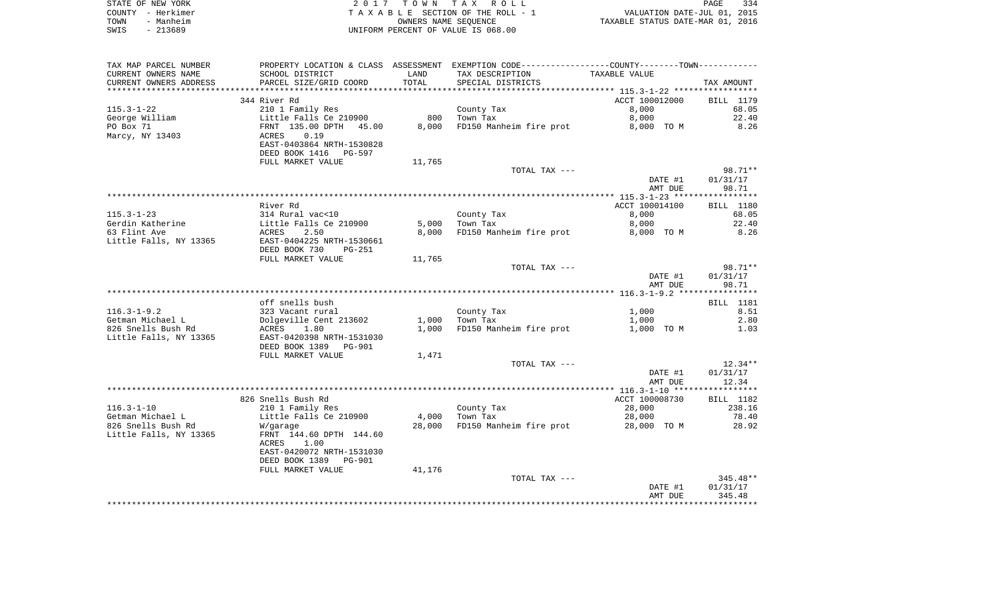|      | STATE OF NEW YORK | 2017 TOWN TAX ROLL                 | PAGE                             | 334 |
|------|-------------------|------------------------------------|----------------------------------|-----|
|      | COUNTY - Herkimer | TAXABLE SECTION OF THE ROLL - 1    | VALUATION DATE-JUL 01, 2015      |     |
| TOWN | - Manheim         | OWNERS NAME SEOUENCE               | TAXABLE STATUS DATE-MAR 01, 2016 |     |
| SWIS | $-213689$         | UNIFORM PERCENT OF VALUE IS 068.00 |                                  |     |

| TAX MAP PARCEL NUMBER  |                                          |        | PROPERTY LOCATION & CLASS ASSESSMENT EXEMPTION CODE----------------COUNTY-------TOWN----------- |                |                   |
|------------------------|------------------------------------------|--------|-------------------------------------------------------------------------------------------------|----------------|-------------------|
| CURRENT OWNERS NAME    | SCHOOL DISTRICT                          | LAND   | TAX DESCRIPTION                                                                                 | TAXABLE VALUE  |                   |
| CURRENT OWNERS ADDRESS | PARCEL SIZE/GRID COORD                   | TOTAL  | SPECIAL DISTRICTS                                                                               |                | TAX AMOUNT        |
| ********************** | ****************************             |        |                                                                                                 |                |                   |
|                        | 344 River Rd                             |        |                                                                                                 | ACCT 100012000 | BILL 1179         |
| $115.3 - 1 - 22$       | 210 1 Family Res                         |        | County Tax                                                                                      | 8,000          | 68.05             |
| George William         | Little Falls Ce 210900                   | 800    | Town Tax                                                                                        | 8,000          | 22.40             |
| PO Box 71              | FRNT 135.00 DPTH<br>45.00                | 8,000  | FD150 Manheim fire prot                                                                         | 8,000 TO M     | 8.26              |
| Marcy, NY 13403        | 0.19<br>ACRES                            |        |                                                                                                 |                |                   |
|                        | EAST-0403864 NRTH-1530828                |        |                                                                                                 |                |                   |
|                        | DEED BOOK 1416<br>PG-597                 |        |                                                                                                 |                |                   |
|                        | FULL MARKET VALUE                        | 11,765 |                                                                                                 |                |                   |
|                        |                                          |        | TOTAL TAX ---                                                                                   |                | 98.71**           |
|                        |                                          |        |                                                                                                 | DATE #1        | 01/31/17<br>98.71 |
|                        |                                          |        |                                                                                                 | AMT DUE        |                   |
|                        | River Rd                                 |        |                                                                                                 | ACCT 100014100 | BILL 1180         |
| $115.3 - 1 - 23$       | 314 Rural vac<10                         |        | County Tax                                                                                      | 8,000          | 68.05             |
| Gerdin Katherine       | Little Falls Ce 210900                   | 5,000  | Town Tax                                                                                        | 8,000          | 22.40             |
| 63 Flint Ave           | ACRES<br>2.50                            | 8,000  | FD150 Manheim fire prot                                                                         | 8,000 TO M     | 8.26              |
| Little Falls, NY 13365 | EAST-0404225 NRTH-1530661                |        |                                                                                                 |                |                   |
|                        | DEED BOOK 730<br>$PG-251$                |        |                                                                                                 |                |                   |
|                        | FULL MARKET VALUE                        | 11,765 |                                                                                                 |                |                   |
|                        |                                          |        | TOTAL TAX ---                                                                                   |                | 98.71**           |
|                        |                                          |        |                                                                                                 | DATE #1        | 01/31/17          |
|                        |                                          |        |                                                                                                 | AMT DUE        | 98.71             |
|                        |                                          |        |                                                                                                 |                |                   |
|                        | off snells bush                          |        |                                                                                                 |                | BILL 1181         |
| $116.3 - 1 - 9.2$      | 323 Vacant rural                         |        | County Tax                                                                                      | 1,000          | 8.51              |
| Getman Michael L       | Dolgeville Cent 213602                   | 1,000  | Town Tax                                                                                        | 1,000          | 2.80              |
| 826 Snells Bush Rd     | 1.80<br>ACRES                            | 1,000  | FD150 Manheim fire prot                                                                         | 1,000 TO M     | 1.03              |
| Little Falls, NY 13365 | EAST-0420398 NRTH-1531030                |        |                                                                                                 |                |                   |
|                        | DEED BOOK 1389<br><b>PG-901</b>          |        |                                                                                                 |                |                   |
|                        | FULL MARKET VALUE                        | 1,471  |                                                                                                 |                |                   |
|                        |                                          |        | TOTAL TAX ---                                                                                   |                | $12.34**$         |
|                        |                                          |        |                                                                                                 | DATE #1        | 01/31/17          |
|                        |                                          |        |                                                                                                 | AMT DUE        | 12.34             |
|                        |                                          |        |                                                                                                 |                |                   |
|                        | 826 Snells Bush Rd                       |        |                                                                                                 | ACCT 100008730 | BILL 1182         |
| $116.3 - 1 - 10$       | 210 1 Family Res                         |        | County Tax                                                                                      | 28,000         | 238.16            |
| Getman Michael L       | Little Falls Ce 210900                   | 4,000  | Town Tax                                                                                        | 28,000         | 78.40             |
| 826 Snells Bush Rd     | W/garage                                 | 28,000 | FD150 Manheim fire prot                                                                         | 28,000 TO M    | 28.92             |
| Little Falls, NY 13365 | FRNT 144.60 DPTH 144.60<br>ACRES<br>1.00 |        |                                                                                                 |                |                   |
|                        | EAST-0420072 NRTH-1531030                |        |                                                                                                 |                |                   |
|                        | DEED BOOK 1389<br><b>PG-901</b>          |        |                                                                                                 |                |                   |
|                        | FULL MARKET VALUE                        | 41,176 |                                                                                                 |                |                   |
|                        |                                          |        | TOTAL TAX ---                                                                                   |                | $345.48**$        |
|                        |                                          |        |                                                                                                 | DATE #1        | 01/31/17          |
|                        |                                          |        |                                                                                                 | AMT DUE        | 345.48            |
|                        |                                          |        |                                                                                                 |                |                   |
|                        |                                          |        |                                                                                                 |                |                   |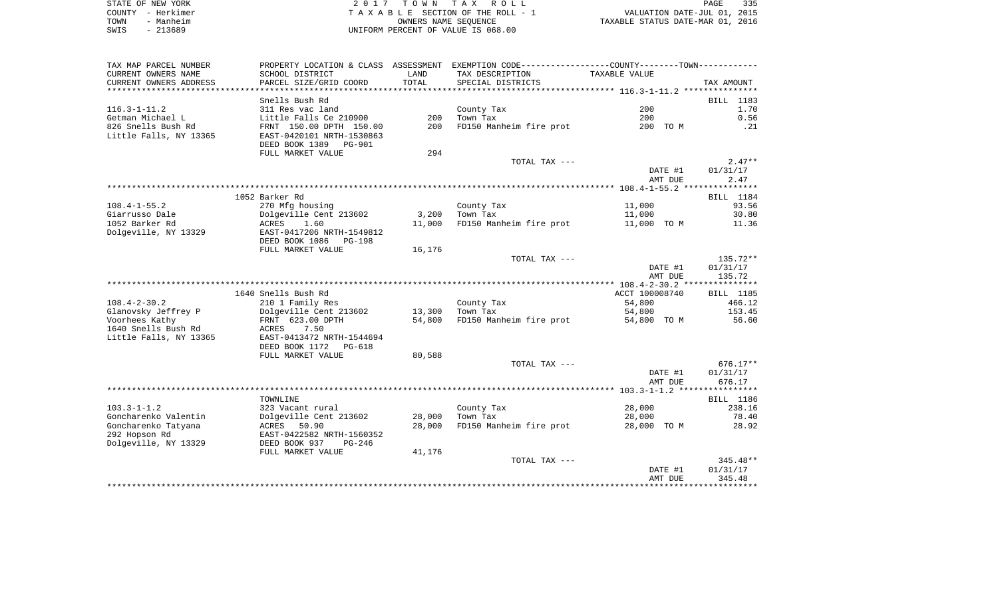|      | STATE OF NEW YORK | 2017 TOWN TAX ROLL                 | 335<br>PAGE                      |
|------|-------------------|------------------------------------|----------------------------------|
|      | COUNTY - Herkimer | TAXABLE SECTION OF THE ROLL - 1    | VALUATION DATE-JUL 01, 2015      |
| TOWN | - Manheim         | OWNERS NAME SEOUENCE               | TAXABLE STATUS DATE-MAR 01, 2016 |
| SWIS | - 213689          | UNIFORM PERCENT OF VALUE IS 068.00 |                                  |

| TAX MAP PARCEL NUMBER                                        |                                                                                                              |            | PROPERTY LOCATION & CLASS ASSESSMENT EXEMPTION CODE---------------COUNTY-------TOWN---------- |                    |                    |
|--------------------------------------------------------------|--------------------------------------------------------------------------------------------------------------|------------|-----------------------------------------------------------------------------------------------|--------------------|--------------------|
| CURRENT OWNERS NAME                                          | SCHOOL DISTRICT                                                                                              | LAND       | TAX DESCRIPTION                                                                               | TAXABLE VALUE      |                    |
| CURRENT OWNERS ADDRESS                                       | PARCEL SIZE/GRID COORD                                                                                       | TOTAL      | SPECIAL DISTRICTS                                                                             |                    | TAX AMOUNT         |
|                                                              |                                                                                                              |            |                                                                                               |                    |                    |
|                                                              | Snells Bush Rd                                                                                               |            |                                                                                               |                    | BILL 1183          |
| $116.3 - 1 - 11.2$                                           | 311 Res vac land                                                                                             |            | County Tax                                                                                    | 200                | 1.70               |
| Getman Michael L                                             | Little Falls Ce 210900                                                                                       | 200        | Town Tax                                                                                      | 200                | 0.56               |
| 826 Snells Bush Rd<br>Little Falls, NY 13365                 | FRNT 150.00 DPTH 150.00<br>EAST-0420101 NRTH-1530863<br>DEED BOOK 1389<br><b>PG-901</b><br>FULL MARKET VALUE | 200<br>294 | FD150 Manheim fire prot                                                                       | 200 TO M           | .21                |
|                                                              |                                                                                                              |            | TOTAL TAX ---                                                                                 |                    | $2.47**$           |
|                                                              |                                                                                                              |            |                                                                                               | DATE #1            | 01/31/17           |
|                                                              |                                                                                                              |            |                                                                                               | AMT DUE            | 2.47               |
|                                                              |                                                                                                              |            |                                                                                               |                    |                    |
|                                                              | 1052 Barker Rd                                                                                               |            |                                                                                               |                    | BILL 1184          |
| $108.4 - 1 - 55.2$                                           | 270 Mfg housing                                                                                              |            | County Tax                                                                                    | 11,000             | 93.56              |
| Giarrusso Dale                                               | Dolgeville Cent 213602                                                                                       | 3,200      | Town Tax                                                                                      | 11,000             | 30.80              |
| 1052 Barker Rd                                               | ACRES<br>1.60                                                                                                | 11,000     | FD150 Manheim fire prot                                                                       | 11,000 TO M        | 11.36              |
| Dolgeville, NY 13329                                         | EAST-0417206 NRTH-1549812<br>DEED BOOK 1086<br>PG-198                                                        |            |                                                                                               |                    |                    |
|                                                              | FULL MARKET VALUE                                                                                            | 16,176     |                                                                                               |                    |                    |
|                                                              |                                                                                                              |            | TOTAL TAX ---                                                                                 |                    | 135.72**           |
|                                                              |                                                                                                              |            |                                                                                               | DATE #1            | 01/31/17           |
|                                                              |                                                                                                              |            |                                                                                               | AMT DUE            | 135.72             |
|                                                              |                                                                                                              |            |                                                                                               |                    |                    |
|                                                              | 1640 Snells Bush Rd                                                                                          |            |                                                                                               | ACCT 100008740     | BILL 1185          |
| $108.4 - 2 - 30.2$                                           | 210 1 Family Res                                                                                             |            | County Tax                                                                                    | 54,800             | 466.12             |
| Glanovsky Jeffrey P                                          | Dolgeville Cent 213602                                                                                       | 13,300     | Town Tax                                                                                      | 54,800             | 153.45             |
| Voorhees Kathy                                               | FRNT 623.00 DPTH                                                                                             | 54,800     | FD150 Manheim fire prot                                                                       | 54,800 TO M        | 56.60              |
| 1640 Snells Bush Rd<br>Little Falls, NY 13365                | 7.50<br>ACRES<br>EAST-0413472 NRTH-1544694<br>DEED BOOK 1172 PG-618                                          |            |                                                                                               |                    |                    |
|                                                              | FULL MARKET VALUE                                                                                            | 80,588     |                                                                                               |                    |                    |
|                                                              |                                                                                                              |            | TOTAL TAX ---                                                                                 |                    | $676.17**$         |
|                                                              |                                                                                                              |            |                                                                                               | DATE #1<br>AMT DUE | 01/31/17<br>676.17 |
|                                                              |                                                                                                              |            |                                                                                               |                    |                    |
|                                                              | TOWNLINE                                                                                                     |            |                                                                                               |                    | BILL 1186          |
| $103.3 - 1 - 1.2$                                            | 323 Vacant rural                                                                                             |            | County Tax                                                                                    | 28,000             | 238.16             |
| Goncharenko Valentin                                         | Dolgeville Cent 213602                                                                                       | 28,000     | Town Tax                                                                                      | 28,000             | 78.40              |
| Goncharenko Tatyana<br>292 Hopson Rd<br>Dolgeville, NY 13329 | ACRES<br>50.90<br>EAST-0422582 NRTH-1560352<br>DEED BOOK 937<br>$PG-246$                                     | 28,000     | FD150 Manheim fire prot                                                                       | 28,000 TO M        | 28.92              |
|                                                              | FULL MARKET VALUE                                                                                            | 41,176     |                                                                                               |                    |                    |
|                                                              |                                                                                                              |            | TOTAL TAX ---                                                                                 |                    | $345.48**$         |
|                                                              |                                                                                                              |            |                                                                                               | DATE #1<br>AMT DUE | 01/31/17<br>345.48 |
|                                                              |                                                                                                              |            |                                                                                               |                    |                    |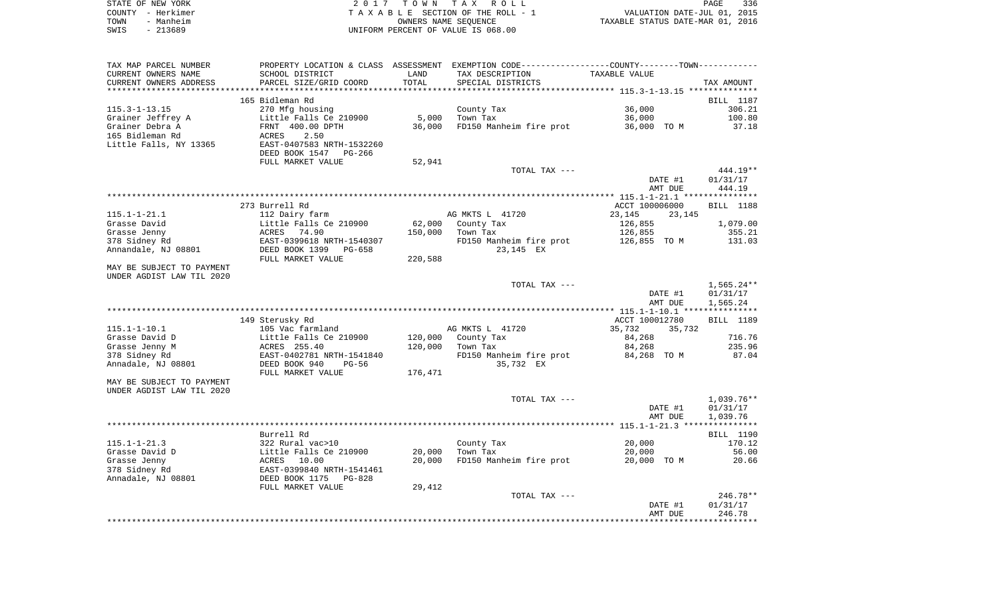| STATE OF NEW YORK | 2017 TOWN TAX ROLL                 | 336<br><b>PAGE</b>               |
|-------------------|------------------------------------|----------------------------------|
| COUNTY - Herkimer | TAXABLE SECTION OF THE ROLL - 1    | VALUATION DATE-JUL 01, 2015      |
| - Manheim<br>TOWN | OWNERS NAME SEOUENCE               | TAXABLE STATUS DATE-MAR 01, 2016 |
| - 213689<br>SWIS  | UNIFORM PERCENT OF VALUE IS 068.00 |                                  |

| TAX MAP PARCEL NUMBER     | PROPERTY LOCATION & CLASS  | ASSESSMENT    | EXEMPTION CODE-----------------COUNTY-------TOWN----------- |                                                          |                  |
|---------------------------|----------------------------|---------------|-------------------------------------------------------------|----------------------------------------------------------|------------------|
| CURRENT OWNERS NAME       | SCHOOL DISTRICT            | LAND          | TAX DESCRIPTION                                             | TAXABLE VALUE                                            |                  |
| CURRENT OWNERS ADDRESS    | PARCEL SIZE/GRID COORD     | TOTAL         | SPECIAL DISTRICTS                                           |                                                          | TAX AMOUNT       |
| *******************       | *******************        | ************* |                                                             | *************************** 115.3-1-13.15 ************** |                  |
|                           | 165 Bidleman Rd            |               |                                                             |                                                          | BILL 1187        |
| $115.3 - 1 - 13.15$       | 270 Mfg housing            |               | County Tax                                                  | 36,000                                                   | 306.21           |
| Grainer Jeffrey A         | Little Falls Ce 210900     | 5,000         | Town Tax                                                    | 36,000                                                   | 100.80           |
| Grainer Debra A           | FRNT 400.00 DPTH           | 36,000        | FD150 Manheim fire prot                                     | 36,000 TO M                                              | 37.18            |
| 165 Bidleman Rd           | 2.50<br>ACRES              |               |                                                             |                                                          |                  |
| Little Falls, NY 13365    | EAST-0407583 NRTH-1532260  |               |                                                             |                                                          |                  |
|                           | DEED BOOK 1547<br>PG-266   |               |                                                             |                                                          |                  |
|                           | FULL MARKET VALUE          | 52,941        |                                                             |                                                          |                  |
|                           |                            |               | TOTAL TAX ---                                               |                                                          | $444.19**$       |
|                           |                            |               |                                                             | DATE #1                                                  | 01/31/17         |
|                           |                            |               |                                                             | AMT DUE                                                  | 444.19           |
|                           |                            |               |                                                             |                                                          |                  |
|                           | 273 Burrell Rd             |               |                                                             | ACCT 100006000                                           | <b>BILL</b> 1188 |
| $115.1 - 1 - 21.1$        | 112 Dairy farm             |               | AG MKTS L 41720                                             | 23,145<br>23,145                                         |                  |
| Grasse David              | Little Falls Ce 210900     | 62,000        | County Tax                                                  | 126,855                                                  | 1,079.00         |
| Grasse Jenny              | ACRES<br>74.90             | 150,000       | Town Tax                                                    | 126,855                                                  | 355.21           |
| 378 Sidney Rd             | EAST-0399618 NRTH-1540307  |               | FD150 Manheim fire prot                                     | 126,855 TO M                                             | 131.03           |
| Annandale, NJ 08801       | DEED BOOK 1399<br>$PG-658$ |               | 23,145 EX                                                   |                                                          |                  |
|                           | FULL MARKET VALUE          | 220,588       |                                                             |                                                          |                  |
| MAY BE SUBJECT TO PAYMENT |                            |               |                                                             |                                                          |                  |
| UNDER AGDIST LAW TIL 2020 |                            |               |                                                             |                                                          |                  |
|                           |                            |               | TOTAL TAX ---                                               |                                                          | $1,565.24**$     |
|                           |                            |               |                                                             | DATE #1                                                  | 01/31/17         |
|                           |                            |               |                                                             | AMT DUE                                                  | 1,565.24         |
|                           |                            |               |                                                             |                                                          |                  |
|                           | 149 Sterusky Rd            |               |                                                             | ACCT 100012780                                           | BILL 1189        |
| $115.1 - 1 - 10.1$        | 105 Vac farmland           |               | AG MKTS L 41720                                             | 35,732<br>35,732                                         |                  |
| Grasse David D            | Little Falls Ce 210900     | 120,000       | County Tax                                                  | 84,268                                                   | 716.76           |
| Grasse Jenny M            | ACRES 255.40               | 120,000       | Town Tax                                                    | 84,268                                                   | 235.96           |
| 378 Sidney Rd             | EAST-0402781 NRTH-1541840  |               | FD150 Manheim fire prot                                     | 84,268 TO M                                              | 87.04            |
| Annadale, NJ 08801        | DEED BOOK 940<br>$PG-56$   |               | 35,732 EX                                                   |                                                          |                  |
|                           | FULL MARKET VALUE          | 176,471       |                                                             |                                                          |                  |
| MAY BE SUBJECT TO PAYMENT |                            |               |                                                             |                                                          |                  |
| UNDER AGDIST LAW TIL 2020 |                            |               |                                                             |                                                          |                  |
|                           |                            |               | TOTAL TAX ---                                               |                                                          | $1,039.76**$     |
|                           |                            |               |                                                             | DATE #1                                                  | 01/31/17         |
|                           |                            |               |                                                             | AMT DUE                                                  | 1,039.76         |
|                           |                            |               |                                                             |                                                          |                  |
|                           | Burrell Rd                 |               |                                                             |                                                          | BILL 1190        |
| $115.1 - 1 - 21.3$        | 322 Rural vac>10           |               | County Tax                                                  | 20,000                                                   | 170.12           |
| Grasse David D            | Little Falls Ce 210900     | 20,000        | Town Tax                                                    | 20,000                                                   | 56.00            |
| Grasse Jenny              | 10.00<br>ACRES             | 20,000        | FD150 Manheim fire prot                                     | 20,000 TO M                                              | 20.66            |
| 378 Sidney Rd             | EAST-0399840 NRTH-1541461  |               |                                                             |                                                          |                  |
| Annadale, NJ 08801        | DEED BOOK 1175<br>$PG-828$ |               |                                                             |                                                          |                  |
|                           | FULL MARKET VALUE          | 29,412        |                                                             |                                                          |                  |
|                           |                            |               | TOTAL TAX ---                                               |                                                          | 246.78**         |
|                           |                            |               |                                                             | DATE #1                                                  | 01/31/17         |
|                           |                            |               |                                                             | AMT DUE                                                  | 246.78           |
|                           |                            |               |                                                             |                                                          |                  |
|                           |                            |               |                                                             |                                                          |                  |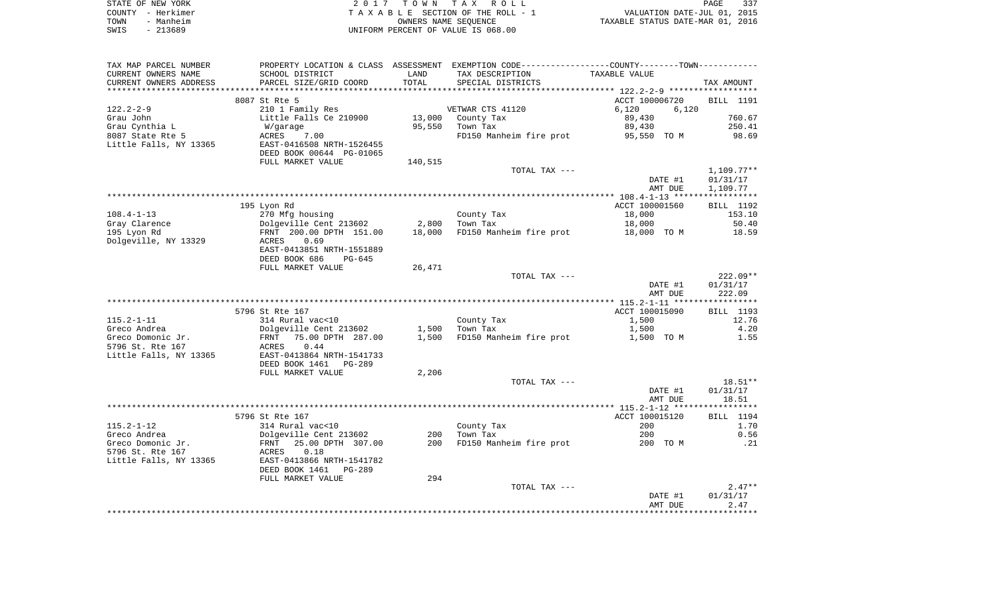|      | STATE OF NEW YORK | 2017 TOWN TAX ROLL                 | PAGE                             | 337 |
|------|-------------------|------------------------------------|----------------------------------|-----|
|      | COUNTY - Herkimer | TAXABLE SECTION OF THE ROLL - 1    | VALUATION DATE-JUL 01, 2015      |     |
| TOWN | - Manheim         | OWNERS NAME SEOUENCE               | TAXABLE STATUS DATE-MAR 01, 2016 |     |
| SWIS | - 213689          | UNIFORM PERCENT OF VALUE IS 068.00 |                                  |     |

| TAX MAP PARCEL NUMBER<br>CURRENT OWNERS NAME<br>CURRENT OWNERS ADDRESS | PROPERTY LOCATION & CLASS ASSESSMENT<br>SCHOOL DISTRICT<br>PARCEL SIZE/GRID COORD | LAND<br>TOTAL | EXEMPTION CODE-----------------COUNTY-------TOWN-----------<br>TAX DESCRIPTION<br>SPECIAL DISTRICTS | TAXABLE VALUE                                              | TAX AMOUNT               |
|------------------------------------------------------------------------|-----------------------------------------------------------------------------------|---------------|-----------------------------------------------------------------------------------------------------|------------------------------------------------------------|--------------------------|
| ******************                                                     |                                                                                   | ********      |                                                                                                     | ***************************** 122.2-2-9 ****************** |                          |
|                                                                        | 8087 St Rte 5                                                                     |               |                                                                                                     | ACCT 100006720                                             | BILL 1191                |
| $122.2 - 2 - 9$                                                        | 210 1 Family Res                                                                  |               | VETWAR CTS 41120                                                                                    | 6,120<br>6,120                                             |                          |
| Grau John                                                              | Little Falls Ce 210900                                                            | 13,000        | County Tax                                                                                          | 89,430                                                     | 760.67                   |
| Grau Cynthia L                                                         | W/garage                                                                          | 95,550        | Town Tax                                                                                            | 89,430                                                     | 250.41                   |
| 8087 State Rte 5                                                       | ACRES<br>7.00                                                                     |               | FD150 Manheim fire prot                                                                             | 95,550 TO M                                                | 98.69                    |
| Little Falls, NY 13365                                                 | EAST-0416508 NRTH-1526455                                                         |               |                                                                                                     |                                                            |                          |
|                                                                        | DEED BOOK 00644 PG-01065                                                          |               |                                                                                                     |                                                            |                          |
|                                                                        | FULL MARKET VALUE                                                                 | 140,515       |                                                                                                     |                                                            |                          |
|                                                                        |                                                                                   |               | TOTAL TAX ---                                                                                       | DATE #1                                                    | $1,109.77**$<br>01/31/17 |
|                                                                        |                                                                                   |               |                                                                                                     | AMT DUE                                                    | 1,109.77                 |
|                                                                        |                                                                                   |               |                                                                                                     |                                                            |                          |
|                                                                        | 195 Lyon Rd                                                                       |               |                                                                                                     | ACCT 100001560                                             | BILL 1192                |
| $108.4 - 1 - 13$                                                       | 270 Mfg housing                                                                   |               | County Tax                                                                                          | 18,000                                                     | 153.10                   |
| Gray Clarence                                                          | Dolgeville Cent 213602                                                            | 2,800         | Town Tax                                                                                            | 18,000                                                     | 50.40                    |
| 195 Lyon Rd                                                            | FRNT 200.00 DPTH 151.00                                                           | 18,000        | FD150 Manheim fire prot                                                                             | 18,000 TO M                                                | 18.59                    |
| Dolgeville, NY 13329                                                   | 0.69<br>ACRES                                                                     |               |                                                                                                     |                                                            |                          |
|                                                                        | EAST-0413851 NRTH-1551889                                                         |               |                                                                                                     |                                                            |                          |
|                                                                        | DEED BOOK 686<br>PG-645                                                           |               |                                                                                                     |                                                            |                          |
|                                                                        | FULL MARKET VALUE                                                                 | 26,471        | TOTAL TAX ---                                                                                       |                                                            | $222.09**$               |
|                                                                        |                                                                                   |               |                                                                                                     | DATE #1                                                    | 01/31/17                 |
|                                                                        |                                                                                   |               |                                                                                                     | AMT DUE                                                    | 222.09                   |
|                                                                        |                                                                                   |               |                                                                                                     |                                                            |                          |
|                                                                        | 5796 St Rte 167                                                                   |               |                                                                                                     | ACCT 100015090                                             | BILL 1193                |
| $115.2 - 1 - 11$                                                       | 314 Rural vac<10                                                                  |               | County Tax                                                                                          | 1,500                                                      | 12.76                    |
| Greco Andrea                                                           | Dolgeville Cent 213602                                                            | 1,500         | Town Tax                                                                                            | 1,500                                                      | 4.20                     |
| Greco Domonic Jr.                                                      | 75.00 DPTH 287.00<br>FRNT                                                         | 1,500         | FD150 Manheim fire prot                                                                             | 1,500 TO M                                                 | 1.55                     |
| 5796 St. Rte 167                                                       | 0.44<br>ACRES                                                                     |               |                                                                                                     |                                                            |                          |
| Little Falls, NY 13365                                                 | EAST-0413864 NRTH-1541733                                                         |               |                                                                                                     |                                                            |                          |
|                                                                        | DEED BOOK 1461<br>PG-289<br>FULL MARKET VALUE                                     | 2,206         |                                                                                                     |                                                            |                          |
|                                                                        |                                                                                   |               | TOTAL TAX ---                                                                                       |                                                            | $18.51**$                |
|                                                                        |                                                                                   |               |                                                                                                     | DATE #1                                                    | 01/31/17                 |
|                                                                        |                                                                                   |               |                                                                                                     | AMT DUE                                                    | 18.51                    |
|                                                                        |                                                                                   |               |                                                                                                     |                                                            |                          |
|                                                                        | 5796 St Rte 167                                                                   |               |                                                                                                     | ACCT 100015120                                             | BILL 1194                |
| $115.2 - 1 - 12$                                                       | 314 Rural vac<10                                                                  |               | County Tax                                                                                          | 200                                                        | 1.70                     |
| Greco Andrea                                                           | Dolgeville Cent 213602                                                            | 200           | Town Tax                                                                                            | 200                                                        | 0.56                     |
| Greco Domonic Jr.                                                      | 25.00 DPTH 307.00<br>FRNT                                                         | 200           | FD150 Manheim fire prot                                                                             | 200 TO M                                                   | .21                      |
| 5796 St. Rte 167                                                       | 0.18<br>ACRES                                                                     |               |                                                                                                     |                                                            |                          |
| Little Falls, NY 13365                                                 | EAST-0413866 NRTH-1541782<br>DEED BOOK 1461 PG-289                                |               |                                                                                                     |                                                            |                          |
|                                                                        | FULL MARKET VALUE                                                                 | 294           |                                                                                                     |                                                            |                          |
|                                                                        |                                                                                   |               | TOTAL TAX ---                                                                                       |                                                            | $2.47**$                 |
|                                                                        |                                                                                   |               |                                                                                                     | DATE #1                                                    | 01/31/17                 |
|                                                                        |                                                                                   |               |                                                                                                     | AMT DUE                                                    | 2.47                     |
|                                                                        |                                                                                   |               |                                                                                                     |                                                            |                          |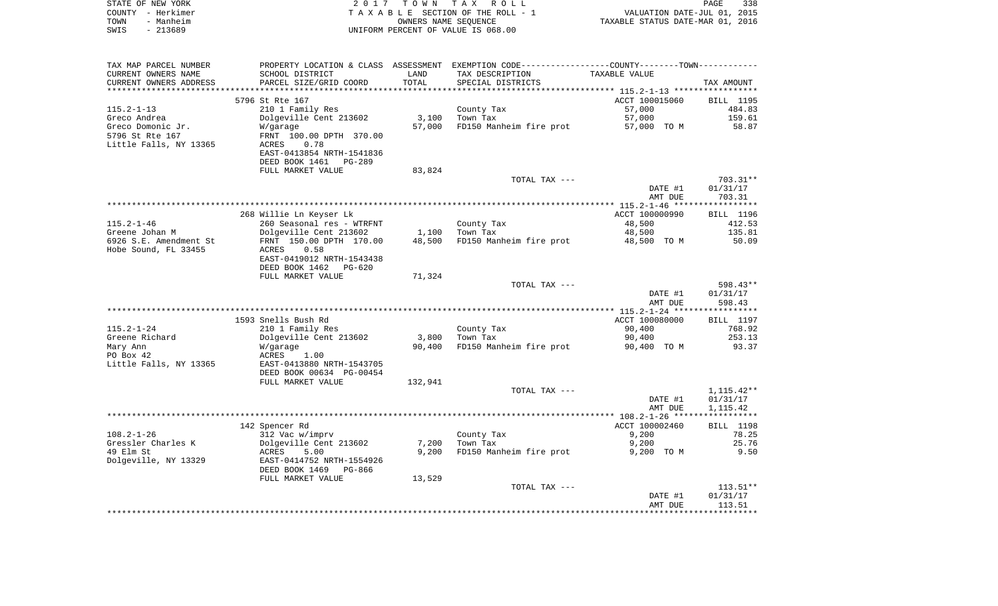| STATE OF NEW YORK                        |                                                   |                | 2017 TOWN TAX ROLL                                                                            |                       | PAGE<br>338                 |
|------------------------------------------|---------------------------------------------------|----------------|-----------------------------------------------------------------------------------------------|-----------------------|-----------------------------|
| COUNTY - Herkimer                        |                                                   |                | T A X A B L E SECTION OF THE ROLL - 1                                                         |                       | VALUATION DATE-JUL 01, 2015 |
| - Manheim<br>TOWN                        | OWNERS NAME SEQUENCE                              |                | TAXABLE STATUS DATE-MAR 01, 2016                                                              |                       |                             |
| SWIS<br>$-213689$                        |                                                   |                | UNIFORM PERCENT OF VALUE IS 068.00                                                            |                       |                             |
|                                          |                                                   |                |                                                                                               |                       |                             |
| TAX MAP PARCEL NUMBER                    |                                                   |                | PROPERTY LOCATION & CLASS ASSESSMENT EXEMPTION CODE---------------COUNTY-------TOWN---------- |                       |                             |
| CURRENT OWNERS NAME                      | SCHOOL DISTRICT                                   | LAND           | TAX DESCRIPTION                                                                               | TAXABLE VALUE         |                             |
| CURRENT OWNERS ADDRESS                   | PARCEL SIZE/GRID COORD                            | TOTAL          | SPECIAL DISTRICTS                                                                             |                       | TAX AMOUNT                  |
|                                          | 5796 St Rte 167                                   |                |                                                                                               | ACCT 100015060        | BILL 1195                   |
| $115.2 - 1 - 13$                         | 210 1 Family Res                                  |                | County Tax                                                                                    | 57,000                | 484.83                      |
| Greco Andrea                             | Dolgeville Cent 213602                            | 3,100          | Town Tax                                                                                      | 57,000                | 159.61                      |
| Greco Domonic Jr.                        | W/garage                                          | 57,000         | FD150 Manheim fire prot                                                                       | 57,000 TO M           | 58.87                       |
| 5796 St Rte 167                          | FRNT 100.00 DPTH 370.00                           |                |                                                                                               |                       |                             |
| Little Falls, NY 13365                   | ACRES<br>0.78                                     |                |                                                                                               |                       |                             |
|                                          | EAST-0413854 NRTH-1541836                         |                |                                                                                               |                       |                             |
|                                          | DEED BOOK 1461 PG-289<br>FULL MARKET VALUE        | 83,824         |                                                                                               |                       |                             |
|                                          |                                                   |                | TOTAL TAX ---                                                                                 |                       | 703.31**                    |
|                                          |                                                   |                |                                                                                               | DATE #1               | 01/31/17                    |
|                                          |                                                   |                |                                                                                               | AMT DUE               | 703.31                      |
|                                          |                                                   |                |                                                                                               |                       |                             |
|                                          | 268 Willie Ln Keyser Lk                           |                |                                                                                               | ACCT 100000990        | BILL 1196                   |
| $115.2 - 1 - 46$                         | 260 Seasonal res - WTRFNT                         |                | County Tax                                                                                    | 48,500                | 412.53                      |
| Greene Johan M<br>6926 S.E. Amendment St | Dolgeville Cent 213602<br>FRNT 150.00 DPTH 170.00 | 48,500         | $1,100$ Town Tax<br>FD150 Manheim fire prot                                                   | 48,500<br>48,500 TO M | 135.81<br>50.09             |
| Hobe Sound, FL 33455                     | ACRES<br>0.58                                     |                |                                                                                               |                       |                             |
|                                          | EAST-0419012 NRTH-1543438                         |                |                                                                                               |                       |                             |
|                                          | DEED BOOK 1462 PG-620                             |                |                                                                                               |                       |                             |
|                                          | FULL MARKET VALUE                                 | 71,324         |                                                                                               |                       |                             |
|                                          |                                                   |                | TOTAL TAX ---                                                                                 |                       | 598.43**                    |
|                                          |                                                   |                |                                                                                               | DATE #1               | 01/31/17                    |
|                                          |                                                   |                |                                                                                               | AMT DUE               | 598.43                      |
|                                          | 1593 Snells Bush Rd                               |                |                                                                                               | ACCT 100080000        | BILL 1197                   |
| $115.2 - 1 - 24$                         | 210 1 Family Res                                  |                | County Tax                                                                                    | 90,400                | 768.92                      |
| Greene Richard                           | Dolgeville Cent 213602                            | 3,800          | Town Tax                                                                                      | 90,400                | 253.13                      |
| Mary Ann                                 | W/garage                                          | 90,400         | FD150 Manheim fire prot                                                                       | 90,400 TO M           | 93.37                       |
| PO Box 42                                | ACRES<br>1.00                                     |                |                                                                                               |                       |                             |
| Little Falls, NY 13365                   | EAST-0413880 NRTH-1543705                         |                |                                                                                               |                       |                             |
|                                          | DEED BOOK 00634 PG-00454<br>FULL MARKET VALUE     | 132,941        |                                                                                               |                       |                             |
|                                          |                                                   |                | TOTAL TAX ---                                                                                 |                       | 1,115.42**                  |
|                                          |                                                   |                |                                                                                               | DATE #1               | 01/31/17                    |
|                                          |                                                   |                |                                                                                               | AMT DUE               | 1,115.42                    |
|                                          |                                                   |                |                                                                                               |                       |                             |
|                                          | 142 Spencer Rd                                    |                |                                                                                               | ACCT 100002460        | BILL 1198                   |
| $108.2 - 1 - 26$<br>Gressler Charles K   | 312 Vac w/imprv                                   |                | County Tax                                                                                    | 9,200                 | 78.25<br>25.76              |
| 49 Elm St                                | Dolgeville Cent 213602<br>ACRES<br>5.00           | 7,200<br>9,200 | Town Tax<br>FD150 Manheim fire prot                                                           | 9,200<br>9,200 TO M   | 9.50                        |
| Dolgeville, NY 13329                     | EAST-0414752 NRTH-1554926                         |                |                                                                                               |                       |                             |

| DEED BOOK 1469<br>PG-866 |        |               |         |            |
|--------------------------|--------|---------------|---------|------------|
| FULL MARKET VALUE        | 13,529 |               |         |            |
|                          |        | TOTAL TAX --- |         | $113.51**$ |
|                          |        |               | DATE #1 | 01/31/17   |
|                          |        |               | AMT DUE | 113.51     |
|                          |        |               |         |            |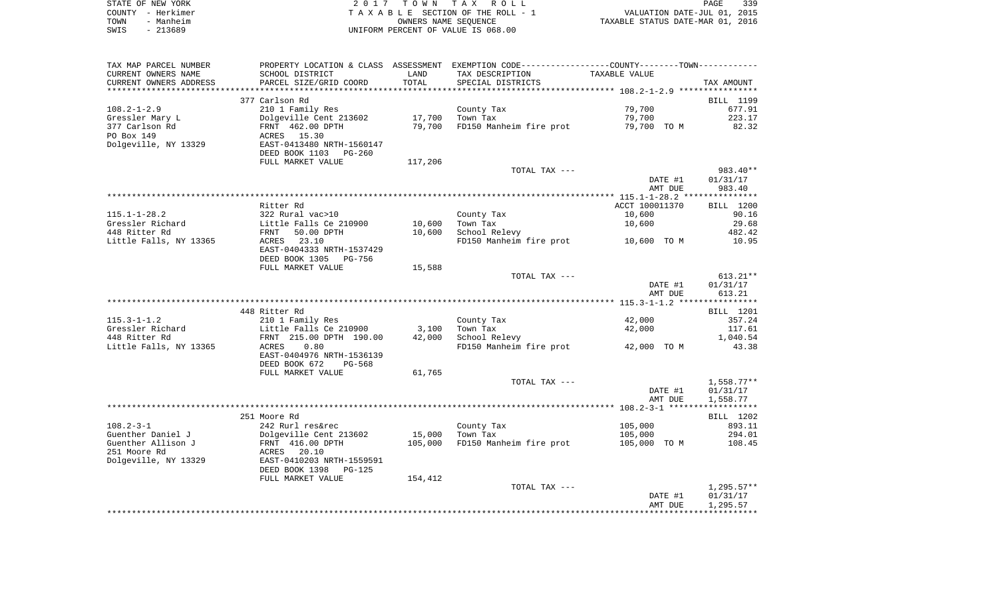| STATE OF NEW YORK | 2017 TOWN TAX ROLL<br>PAGE                                     | 339 |
|-------------------|----------------------------------------------------------------|-----|
| COUNTY - Herkimer | VALUATION DATE-JUL 01, 2015<br>TAXABLE SECTION OF THE ROLL - 1 |     |
| - Manheim<br>TOWN | TAXABLE STATUS DATE-MAR 01, 2016<br>OWNERS NAME SEOUENCE       |     |
| $-213689$<br>SWIS | UNIFORM PERCENT OF VALUE IS 068.00                             |     |

| TAX MAP PARCEL NUMBER   |                                |         | PROPERTY LOCATION & CLASS ASSESSMENT EXEMPTION CODE----------------COUNTY-------TOWN----------- |                |              |
|-------------------------|--------------------------------|---------|-------------------------------------------------------------------------------------------------|----------------|--------------|
| CURRENT OWNERS NAME     | SCHOOL DISTRICT                | LAND    | TAX DESCRIPTION                                                                                 | TAXABLE VALUE  |              |
| CURRENT OWNERS ADDRESS  | PARCEL SIZE/GRID COORD         | TOTAL   | SPECIAL DISTRICTS                                                                               |                | TAX AMOUNT   |
| *********************** | ****************************** |         |                                                                                                 |                |              |
|                         | 377 Carlson Rd                 |         |                                                                                                 |                | BILL 1199    |
| $108.2 - 1 - 2.9$       | 210 1 Family Res               |         | County Tax                                                                                      | 79,700         | 677.91       |
| Gressler Mary L         | Dolgeville Cent 213602         | 17,700  | Town Tax                                                                                        | 79,700         | 223.17       |
|                         |                                |         |                                                                                                 |                |              |
| 377 Carlson Rd          | FRNT 462.00 DPTH               | 79,700  | FD150 Manheim fire prot                                                                         | 79,700 TO M    | 82.32        |
| PO Box 149              | ACRES 15.30                    |         |                                                                                                 |                |              |
| Dolgeville, NY 13329    | EAST-0413480 NRTH-1560147      |         |                                                                                                 |                |              |
|                         | DEED BOOK 1103<br>PG-260       |         |                                                                                                 |                |              |
|                         | FULL MARKET VALUE              | 117,206 |                                                                                                 |                |              |
|                         |                                |         | TOTAL TAX ---                                                                                   |                | 983.40**     |
|                         |                                |         |                                                                                                 | DATE #1        | 01/31/17     |
|                         |                                |         |                                                                                                 | AMT DUE        | 983.40       |
|                         |                                |         |                                                                                                 |                |              |
|                         | Ritter Rd                      |         |                                                                                                 | ACCT 100011370 | BILL 1200    |
| $115.1 - 1 - 28.2$      | 322 Rural vac>10               |         | County Tax                                                                                      | 10,600         | 90.16        |
| Gressler Richard        | Little Falls Ce 210900         | 10,600  | Town Tax                                                                                        | 10,600         | 29.68        |
| 448 Ritter Rd           |                                |         |                                                                                                 |                |              |
|                         | FRNT<br>50.00 DPTH             | 10,600  | School Relevy                                                                                   |                | 482.42       |
| Little Falls, NY 13365  | 23.10<br>ACRES                 |         | FD150 Manheim fire prot                                                                         | 10,600 TO M    | 10.95        |
|                         | EAST-0404333 NRTH-1537429      |         |                                                                                                 |                |              |
|                         | DEED BOOK 1305<br>PG-756       |         |                                                                                                 |                |              |
|                         | FULL MARKET VALUE              | 15,588  |                                                                                                 |                |              |
|                         |                                |         | TOTAL TAX ---                                                                                   |                | $613.21**$   |
|                         |                                |         |                                                                                                 | DATE #1        | 01/31/17     |
|                         |                                |         |                                                                                                 | AMT DUE        | 613.21       |
|                         |                                |         |                                                                                                 |                |              |
|                         | 448 Ritter Rd                  |         |                                                                                                 |                |              |
|                         |                                |         |                                                                                                 |                | BILL 1201    |
| $115.3 - 1 - 1.2$       | 210 1 Family Res               |         | County Tax                                                                                      | 42,000         | 357.24       |
| Gressler Richard        | Little Falls Ce 210900         | 3,100   | Town Tax                                                                                        | 42,000         | 117.61       |
| 448 Ritter Rd           | FRNT 215.00 DPTH 190.00        | 42,000  | School Relevy                                                                                   |                | 1,040.54     |
| Little Falls, NY 13365  | 0.80<br>ACRES                  |         | FD150 Manheim fire prot                                                                         | 42,000 TO M    | 43.38        |
|                         | EAST-0404976 NRTH-1536139      |         |                                                                                                 |                |              |
|                         | DEED BOOK 672<br>PG-568        |         |                                                                                                 |                |              |
|                         | FULL MARKET VALUE              | 61,765  |                                                                                                 |                |              |
|                         |                                |         | TOTAL TAX ---                                                                                   |                | $1,558.77**$ |
|                         |                                |         |                                                                                                 |                |              |
|                         |                                |         |                                                                                                 | DATE #1        | 01/31/17     |
|                         |                                |         |                                                                                                 | AMT DUE        | 1,558.77     |
|                         |                                |         |                                                                                                 |                |              |
|                         | 251 Moore Rd                   |         |                                                                                                 |                | BILL 1202    |
| $108.2 - 3 - 1$         | 242 Rurl res&rec               |         | County Tax                                                                                      | 105,000        | 893.11       |
| Guenther Daniel J       | Dolgeville Cent 213602         | 15,000  | Town Tax                                                                                        | 105,000        | 294.01       |
| Guenther Allison J      | FRNT 416.00 DPTH               | 105,000 | FD150 Manheim fire prot                                                                         | 105,000 TO M   | 108.45       |
| 251 Moore Rd            | ACRES 20.10                    |         |                                                                                                 |                |              |
| Dolgeville, NY 13329    | EAST-0410203 NRTH-1559591      |         |                                                                                                 |                |              |
|                         |                                |         |                                                                                                 |                |              |
|                         | DEED BOOK 1398<br>PG-125       |         |                                                                                                 |                |              |
|                         | FULL MARKET VALUE              | 154,412 |                                                                                                 |                |              |
|                         |                                |         | TOTAL TAX ---                                                                                   |                | $1,295.57**$ |
|                         |                                |         |                                                                                                 | DATE #1        | 01/31/17     |
|                         |                                |         |                                                                                                 | AMT DUE        | 1,295.57     |
|                         |                                |         |                                                                                                 |                |              |
|                         |                                |         |                                                                                                 |                |              |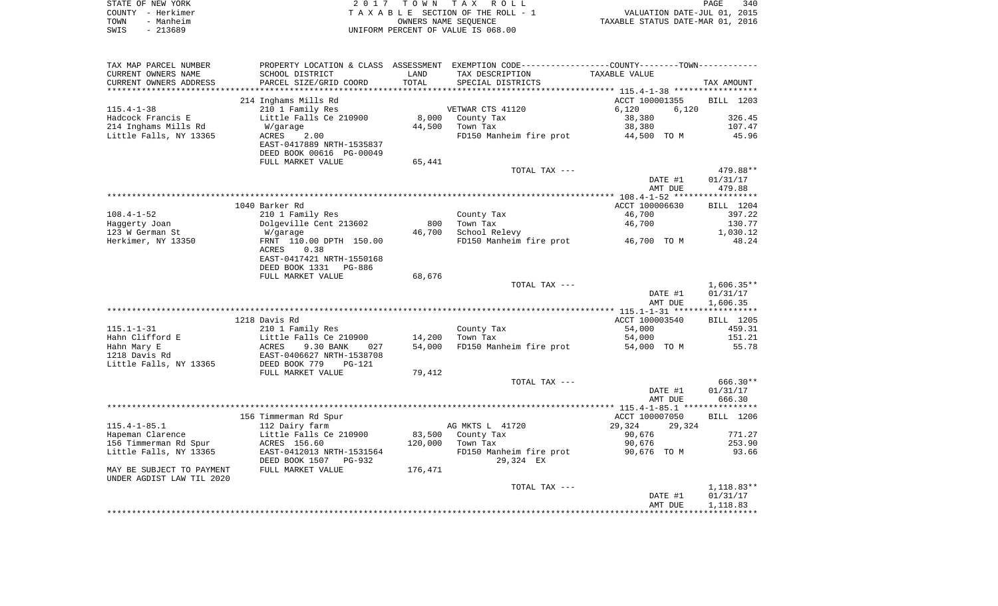|      | STATE OF NEW YORK | 2017 TOWN TAX ROLL                 | 340<br><b>PAGE</b>               |
|------|-------------------|------------------------------------|----------------------------------|
|      | COUNTY - Herkimer | TAXABLE SECTION OF THE ROLL - 1    | VALUATION DATE-JUL 01, 2015      |
| TOWN | - Manheim         | OWNERS NAME SEOUENCE               | TAXABLE STATUS DATE-MAR 01, 2016 |
| SWIS | - 213689          | UNIFORM PERCENT OF VALUE IS 068.00 |                                  |

| TAX MAP PARCEL NUMBER     |                           |                          | PROPERTY LOCATION & CLASS ASSESSMENT EXEMPTION CODE---------------COUNTY-------TOWN---------- |                                                 |              |
|---------------------------|---------------------------|--------------------------|-----------------------------------------------------------------------------------------------|-------------------------------------------------|--------------|
| CURRENT OWNERS NAME       | SCHOOL DISTRICT           | LAND                     | TAX DESCRIPTION                                                                               | TAXABLE VALUE                                   |              |
| CURRENT OWNERS ADDRESS    | PARCEL SIZE/GRID COORD    | TOTAL                    | SPECIAL DISTRICTS                                                                             |                                                 | TAX AMOUNT   |
|                           |                           | ************************ |                                                                                               | ***************** 115.4-1-38 ****************** |              |
|                           | 214 Inghams Mills Rd      |                          |                                                                                               | ACCT 100001355                                  | BILL 1203    |
| $115.4 - 1 - 38$          | 210 1 Family Res          |                          | VETWAR CTS 41120                                                                              | 6,120<br>6,120                                  |              |
| Hadcock Francis E         | Little Falls Ce 210900    | 8,000                    | County Tax                                                                                    | 38,380                                          | 326.45       |
| 214 Inghams Mills Rd      | W/garage                  | 44,500                   | Town Tax                                                                                      | 38,380                                          | 107.47       |
| Little Falls, NY 13365    | 2.00<br>ACRES             |                          | FD150 Manheim fire prot                                                                       |                                                 | 45.96        |
|                           |                           |                          |                                                                                               | 44,500 TO M                                     |              |
|                           | EAST-0417889 NRTH-1535837 |                          |                                                                                               |                                                 |              |
|                           | DEED BOOK 00616 PG-00049  |                          |                                                                                               |                                                 |              |
|                           | FULL MARKET VALUE         | 65,441                   |                                                                                               |                                                 |              |
|                           |                           |                          | TOTAL TAX ---                                                                                 |                                                 | 479.88**     |
|                           |                           |                          |                                                                                               | DATE #1                                         | 01/31/17     |
|                           |                           |                          |                                                                                               | AMT DUE                                         | 479.88       |
|                           |                           |                          |                                                                                               |                                                 |              |
|                           | 1040 Barker Rd            |                          |                                                                                               | ACCT 100006630                                  | BILL 1204    |
| $108.4 - 1 - 52$          | 210 1 Family Res          |                          | County Tax                                                                                    | 46,700                                          | 397.22       |
| Haggerty Joan             | Dolgeville Cent 213602    | 800                      | Town Tax                                                                                      | 46,700                                          | 130.77       |
| 123 W German St           | W/garage                  | 46,700                   | School Relevy                                                                                 |                                                 | 1,030.12     |
| Herkimer, NY 13350        | FRNT 110.00 DPTH 150.00   |                          | FD150 Manheim fire prot                                                                       | 46,700 TO M                                     | 48.24        |
|                           | <b>ACRES</b><br>0.38      |                          |                                                                                               |                                                 |              |
|                           | EAST-0417421 NRTH-1550168 |                          |                                                                                               |                                                 |              |
|                           | DEED BOOK 1331<br>PG-886  |                          |                                                                                               |                                                 |              |
|                           |                           |                          |                                                                                               |                                                 |              |
|                           | FULL MARKET VALUE         | 68,676                   |                                                                                               |                                                 |              |
|                           |                           |                          | TOTAL TAX ---                                                                                 |                                                 | $1,606.35**$ |
|                           |                           |                          |                                                                                               | DATE #1                                         | 01/31/17     |
|                           |                           |                          |                                                                                               | AMT DUE                                         | 1,606.35     |
|                           |                           |                          |                                                                                               |                                                 |              |
|                           | 1218 Davis Rd             |                          |                                                                                               | ACCT 100003540                                  | BILL 1205    |
| $115.1 - 1 - 31$          | 210 1 Family Res          |                          | County Tax                                                                                    | 54,000                                          | 459.31       |
| Hahn Clifford E           | Little Falls Ce 210900    | 14,200                   | Town Tax                                                                                      | 54,000                                          | 151.21       |
| Hahn Mary E               | ACRES<br>9.30 BANK<br>027 | 54,000                   | FD150 Manheim fire prot                                                                       | 54,000 TO M                                     | 55.78        |
| 1218 Davis Rd             | EAST-0406627 NRTH-1538708 |                          |                                                                                               |                                                 |              |
| Little Falls, NY 13365    | DEED BOOK 779<br>$PG-121$ |                          |                                                                                               |                                                 |              |
|                           | FULL MARKET VALUE         | 79,412                   |                                                                                               |                                                 |              |
|                           |                           |                          | TOTAL TAX ---                                                                                 |                                                 | 666.30**     |
|                           |                           |                          |                                                                                               | DATE #1                                         | 01/31/17     |
|                           |                           |                          |                                                                                               | AMT DUE                                         | 666.30       |
|                           |                           |                          |                                                                                               |                                                 |              |
|                           | 156 Timmerman Rd Spur     |                          |                                                                                               | ACCT 100007050                                  | BILL 1206    |
|                           |                           |                          |                                                                                               |                                                 |              |
| $115.4 - 1 - 85.1$        | 112 Dairy farm            |                          | AG MKTS L 41720                                                                               | 29,324<br>29,324                                |              |
| Hapeman Clarence          | Little Falls Ce 210900    | 83,500                   | County Tax                                                                                    | 90,676                                          | 771.27       |
| 156 Timmerman Rd Spur     | ACRES 156.60              | 120,000                  | Town Tax                                                                                      | 90,676                                          | 253.90       |
| Little Falls, NY 13365    | EAST-0412013 NRTH-1531564 |                          | FD150 Manheim fire prot                                                                       | 90,676 TO M                                     | 93.66        |
|                           | DEED BOOK 1507<br>PG-932  |                          | 29,324 EX                                                                                     |                                                 |              |
| MAY BE SUBJECT TO PAYMENT | FULL MARKET VALUE         | 176,471                  |                                                                                               |                                                 |              |
| UNDER AGDIST LAW TIL 2020 |                           |                          |                                                                                               |                                                 |              |
|                           |                           |                          | TOTAL TAX ---                                                                                 |                                                 | $1,118.83**$ |
|                           |                           |                          |                                                                                               | DATE #1                                         | 01/31/17     |
|                           |                           |                          |                                                                                               | AMT DUE                                         | 1,118.83     |
|                           |                           |                          |                                                                                               |                                                 |              |
|                           |                           |                          |                                                                                               |                                                 |              |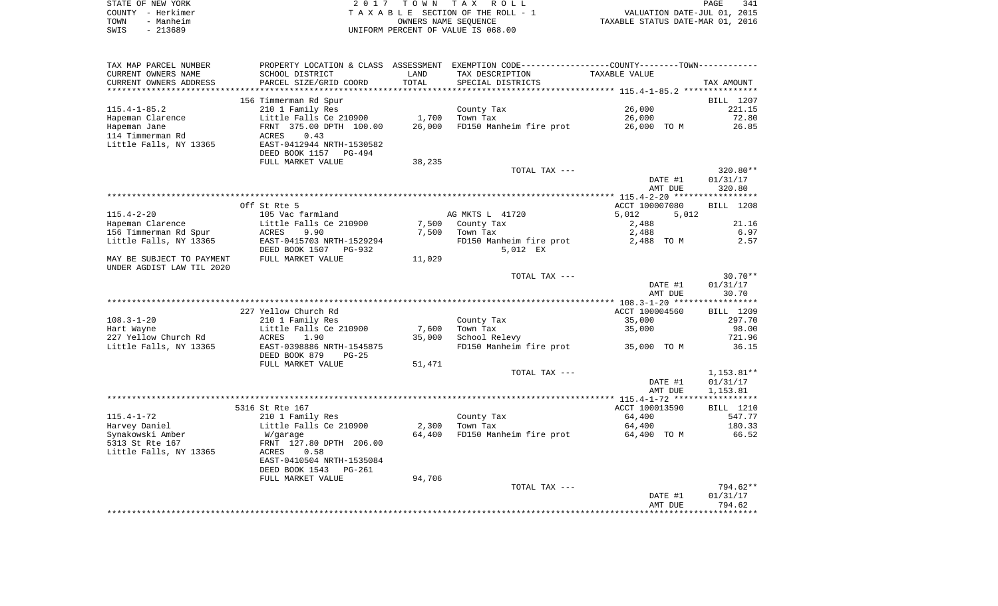| STATE OF NEW YORK | 2017 TOWN TAX ROLL                    | 341<br>PAGE                      |
|-------------------|---------------------------------------|----------------------------------|
| COUNTY - Herkimer | T A X A B L E SECTION OF THE ROLL - 1 | VALUATION DATE-JUL 01, 2015      |
| TOWN<br>- Manheim | OWNERS NAME SEOUENCE                  | TAXABLE STATUS DATE-MAR 01, 2016 |
| $-213689$<br>SWIS | UNIFORM PERCENT OF VALUE IS 068.00    |                                  |

| TAX MAP PARCEL NUMBER     | PROPERTY LOCATION & CLASS ASSESSMENT |        | EXEMPTION CODE-----------------COUNTY-------TOWN----------- |                |                  |
|---------------------------|--------------------------------------|--------|-------------------------------------------------------------|----------------|------------------|
| CURRENT OWNERS NAME       | SCHOOL DISTRICT                      | LAND   | TAX DESCRIPTION                                             | TAXABLE VALUE  |                  |
| CURRENT OWNERS ADDRESS    | PARCEL SIZE/GRID COORD               | TOTAL  | SPECIAL DISTRICTS                                           |                | TAX AMOUNT       |
|                           |                                      |        |                                                             |                |                  |
|                           | 156 Timmerman Rd Spur                |        |                                                             |                | <b>BILL</b> 1207 |
| $115.4 - 1 - 85.2$        | 210 1 Family Res                     |        | County Tax                                                  | 26,000         | 221.15           |
| Hapeman Clarence          | Little Falls Ce 210900               | 1,700  | Town Tax                                                    | 26,000         | 72.80            |
|                           |                                      | 26,000 | FD150 Manheim fire prot                                     |                | 26.85            |
| Hapeman Jane              | FRNT 375.00 DPTH 100.00              |        |                                                             | 26,000 TO M    |                  |
| 114 Timmerman Rd          | 0.43<br>ACRES                        |        |                                                             |                |                  |
| Little Falls, NY 13365    | EAST-0412944 NRTH-1530582            |        |                                                             |                |                  |
|                           | DEED BOOK 1157 PG-494                |        |                                                             |                |                  |
|                           | FULL MARKET VALUE                    | 38,235 |                                                             |                |                  |
|                           |                                      |        | TOTAL TAX ---                                               |                | 320.80**         |
|                           |                                      |        |                                                             | DATE #1        | 01/31/17         |
|                           |                                      |        |                                                             | AMT DUE        | 320.80           |
|                           |                                      |        |                                                             |                |                  |
|                           | Off St Rte 5                         |        |                                                             | ACCT 100007080 | BILL 1208        |
| $115.4 - 2 - 20$          | 105 Vac farmland                     |        | AG MKTS L 41720                                             | 5,012<br>5,012 |                  |
| Hapeman Clarence          | Little Falls Ce 210900               | 7,500  | County Tax                                                  | 2,488          | 21.16            |
| 156 Timmerman Rd Spur     | ACRES<br>9.90                        | 7,500  | Town Tax                                                    | 2,488          | 6.97             |
| Little Falls, NY 13365    | EAST-0415703 NRTH-1529294            |        | FD150 Manheim fire prot                                     | 2,488 TO M     | 2.57             |
|                           |                                      |        |                                                             |                |                  |
|                           | DEED BOOK 1507<br>PG-932             |        | 5,012 EX                                                    |                |                  |
| MAY BE SUBJECT TO PAYMENT | FULL MARKET VALUE                    | 11,029 |                                                             |                |                  |
| UNDER AGDIST LAW TIL 2020 |                                      |        |                                                             |                |                  |
|                           |                                      |        | TOTAL TAX ---                                               |                | $30.70**$        |
|                           |                                      |        |                                                             | DATE #1        | 01/31/17         |
|                           |                                      |        |                                                             | AMT DUE        | 30.70            |
|                           |                                      |        |                                                             |                | ***********      |
|                           | 227 Yellow Church Rd                 |        |                                                             | ACCT 100004560 | BILL 1209        |
| $108.3 - 1 - 20$          | 210 1 Family Res                     |        | County Tax                                                  | 35,000         | 297.70           |
| Hart Wayne                | Little Falls Ce 210900               | 7,600  | Town Tax                                                    | 35,000         | 98.00            |
| 227 Yellow Church Rd      | ACRES<br>1.90                        | 35,000 | School Relevy                                               |                | 721.96           |
| Little Falls, NY 13365    | EAST-0398886 NRTH-1545875            |        | FD150 Manheim fire prot                                     | 35,000 TO M    | 36.15            |
|                           | DEED BOOK 879<br>$PG-25$             |        |                                                             |                |                  |
|                           | FULL MARKET VALUE                    | 51,471 |                                                             |                |                  |
|                           |                                      |        | TOTAL TAX ---                                               |                | $1,153.81**$     |
|                           |                                      |        |                                                             |                |                  |
|                           |                                      |        |                                                             | DATE #1        | 01/31/17         |
|                           |                                      |        |                                                             | AMT DUE        | 1,153.81         |
|                           |                                      |        |                                                             |                |                  |
|                           | 5316 St Rte 167                      |        |                                                             | ACCT 100013590 | BILL 1210        |
| $115.4 - 1 - 72$          | 210 1 Family Res                     |        | County Tax                                                  | 64,400         | 547.77           |
| Harvey Daniel             | Little Falls Ce 210900               | 2,300  | Town Tax                                                    | 64,400         | 180.33           |
| Synakowski Amber          | W/garage                             | 64,400 | FD150 Manheim fire prot                                     | 64,400 TO M    | 66.52            |
| 5313 St Rte 167           | FRNT 127.80 DPTH 206.00              |        |                                                             |                |                  |
| Little Falls, NY 13365    | 0.58<br>ACRES                        |        |                                                             |                |                  |
|                           | EAST-0410504 NRTH-1535084            |        |                                                             |                |                  |
|                           | DEED BOOK 1543<br>$PG-261$           |        |                                                             |                |                  |
|                           | FULL MARKET VALUE                    | 94,706 |                                                             |                |                  |
|                           |                                      |        | TOTAL TAX ---                                               |                | 794.62**         |
|                           |                                      |        |                                                             | DATE #1        | 01/31/17         |
|                           |                                      |        |                                                             |                |                  |
|                           |                                      |        |                                                             |                |                  |
|                           |                                      |        |                                                             | AMT DUE        | 794.62           |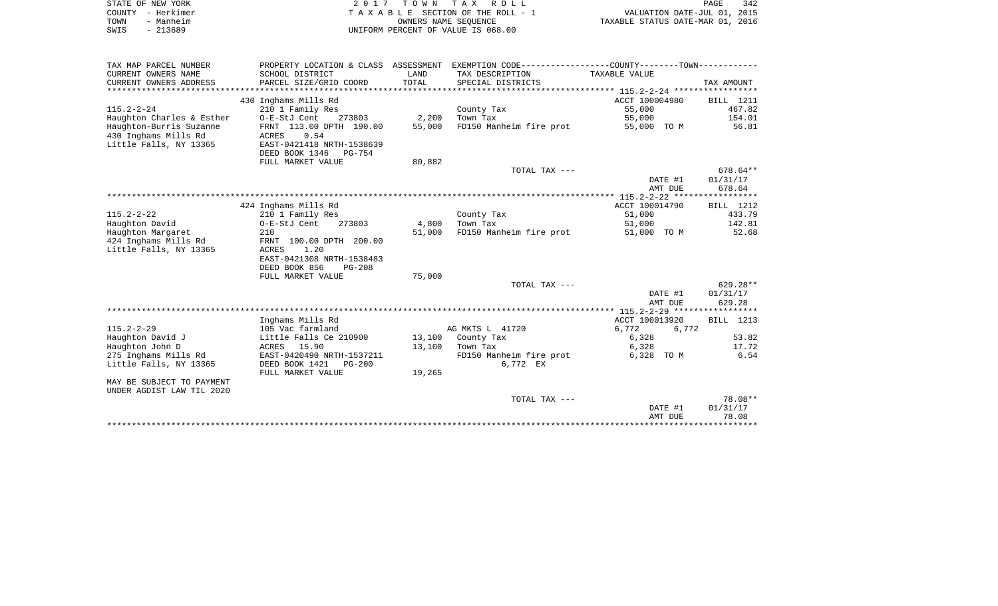| STATE OF NEW YORK | 2017 TOWN TAX ROLL                 |                                  | PAGE | 342 |
|-------------------|------------------------------------|----------------------------------|------|-----|
| COUNTY - Herkimer | TAXABLE SECTION OF THE ROLL - 1    | VALUATION DATE-JUL 01, 2015      |      |     |
| - Manheim<br>TOWN | OWNERS NAME SEOUENCE               | TAXABLE STATUS DATE-MAR 01, 2016 |      |     |
| - 213689<br>SWIS  | UNIFORM PERCENT OF VALUE IS 068.00 |                                  |      |     |

| TAX MAP PARCEL NUMBER     | PROPERTY LOCATION & CLASS ASSESSMENT |        | EXEMPTION CODE----------------COUNTY-------TOWN----------- |                |            |
|---------------------------|--------------------------------------|--------|------------------------------------------------------------|----------------|------------|
| CURRENT OWNERS NAME       | SCHOOL DISTRICT                      | LAND   | TAX DESCRIPTION                                            | TAXABLE VALUE  |            |
| CURRENT OWNERS ADDRESS    | PARCEL SIZE/GRID COORD               | TOTAL  | SPECIAL DISTRICTS                                          |                | TAX AMOUNT |
|                           |                                      |        |                                                            |                |            |
|                           | 430 Inghams Mills Rd                 |        |                                                            | ACCT 100004980 | BILL 1211  |
| $115.2 - 2 - 24$          | 210 1 Family Res                     |        | County Tax                                                 | 55,000         | 467.82     |
| Haughton Charles & Esther | 273803<br>O-E-StJ Cent               | 2,200  | Town Tax                                                   | 55,000         | 154.01     |
| Haughton-Burris Suzanne   | FRNT 113.00 DPTH 190.00              | 55,000 | FD150 Manheim fire prot                                    | 55,000 TO M    | 56.81      |
| 430 Inghams Mills Rd      | ACRES<br>0.54                        |        |                                                            |                |            |
| Little Falls, NY 13365    | EAST-0421418 NRTH-1538639            |        |                                                            |                |            |
|                           | DEED BOOK 1346<br>PG-754             |        |                                                            |                |            |
|                           | FULL MARKET VALUE                    | 80,882 |                                                            |                |            |
|                           |                                      |        | TOTAL TAX ---                                              |                | $678.64**$ |
|                           |                                      |        |                                                            | DATE #1        | 01/31/17   |
|                           |                                      |        |                                                            | AMT DUE        | 678.64     |
|                           |                                      |        |                                                            |                |            |
|                           | 424 Inghams Mills Rd                 |        |                                                            | ACCT 100014790 | BILL 1212  |
| $115.2 - 2 - 22$          | 210 1 Family Res                     |        | County Tax                                                 | 51,000         | 433.79     |
| Haughton David            | O-E-StJ Cent<br>273803               | 4,800  | Town Tax                                                   | 51,000         | 142.81     |
| Haughton Margaret         | 210                                  | 51,000 | FD150 Manheim fire prot                                    | 51,000 TO M    | 52.68      |
| 424 Inghams Mills Rd      | FRNT 100.00 DPTH 200.00              |        |                                                            |                |            |
| Little Falls, NY 13365    | ACRES<br>1.20                        |        |                                                            |                |            |
|                           | EAST-0421308 NRTH-1538483            |        |                                                            |                |            |
|                           | DEED BOOK 856<br><b>PG-208</b>       |        |                                                            |                |            |
|                           | FULL MARKET VALUE                    | 75,000 |                                                            |                |            |
|                           |                                      |        | TOTAL TAX ---                                              |                | $629.28**$ |
|                           |                                      |        |                                                            | DATE #1        | 01/31/17   |
|                           |                                      |        |                                                            | AMT DUE        | 629.28     |
|                           |                                      |        |                                                            |                |            |
|                           | Inghams Mills Rd                     |        |                                                            | ACCT 100013920 | BILL 1213  |
| $115.2 - 2 - 29$          | 105 Vac farmland                     |        | AG MKTS L 41720                                            | 6,772<br>6,772 |            |
| Haughton David J          | Little Falls Ce 210900               |        | 13,100 County Tax                                          | 6,328          | 53.82      |
| Haughton John D           | ACRES 15.90                          | 13,100 | Town Tax                                                   | 6,328          | 17.72      |
| 275 Inghams Mills Rd      | EAST-0420490 NRTH-1537211            |        | FD150 Manheim fire prot                                    | 6,328 TO M     | 6.54       |
| Little Falls, NY 13365    | DEED BOOK 1421<br>PG-200             |        | 6,772 EX                                                   |                |            |
|                           | FULL MARKET VALUE                    | 19,265 |                                                            |                |            |
| MAY BE SUBJECT TO PAYMENT |                                      |        |                                                            |                |            |
| UNDER AGDIST LAW TIL 2020 |                                      |        |                                                            |                |            |
|                           |                                      |        | TOTAL TAX ---                                              |                | 78.08**    |
|                           |                                      |        |                                                            | DATE #1        | 01/31/17   |
|                           |                                      |        |                                                            | AMT DUE        | 78.08      |
|                           |                                      |        |                                                            |                |            |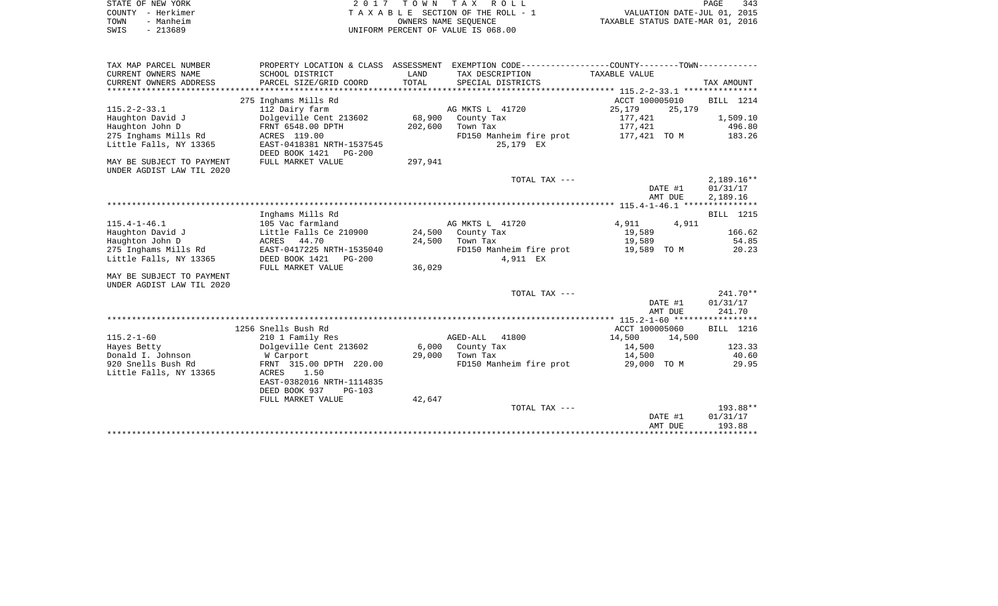| STATE OF NEW YORK |                   | 2017 TOWN TAX ROLL                 | PAGE                             | 343 |
|-------------------|-------------------|------------------------------------|----------------------------------|-----|
|                   | COUNTY - Herkimer | TAXABLE SECTION OF THE ROLL - 1    | VALUATION DATE-JUL 01, 2015      |     |
| TOWN              | - Manheim         | OWNERS NAME SEOUENCE               | TAXABLE STATUS DATE-MAR 01, 2016 |     |
| SWIS              | - 213689          | UNIFORM PERCENT OF VALUE IS 068.00 |                                  |     |

| TAX MAP PARCEL NUMBER<br>CURRENT OWNERS NAME           | PROPERTY LOCATION & CLASS<br>SCHOOL DISTRICT | ASSESSMENT<br>LAND | EXEMPTION CODE-----------------COUNTY-------TOWN-<br>TAX DESCRIPTION | TAXABLE VALUE    |                  |
|--------------------------------------------------------|----------------------------------------------|--------------------|----------------------------------------------------------------------|------------------|------------------|
| CURRENT OWNERS ADDRESS                                 | PARCEL SIZE/GRID COORD                       | TOTAL              | SPECIAL DISTRICTS                                                    |                  | TAX AMOUNT       |
| *************************                              |                                              |                    |                                                                      |                  |                  |
|                                                        | 275 Inghams Mills Rd                         |                    |                                                                      | ACCT 100005010   | <b>BILL</b> 1214 |
| $115.2 - 2 - 33.1$                                     | 112 Dairy farm                               |                    | AG MKTS L 41720                                                      | 25,179<br>25,179 |                  |
| Haughton David J                                       | Dolgeville Cent 213602                       | 68,900             | County Tax                                                           | 177,421          | 1,509.10         |
| Haughton John D                                        | FRNT 6548.00 DPTH                            | 202,600            | Town Tax                                                             | 177,421          | 496.80           |
| 275 Inghams Mills Rd                                   | ACRES 119.00                                 |                    | FD150 Manheim fire prot                                              | 177,421 TO M     | 183.26           |
| Little Falls, NY 13365                                 | EAST-0418381 NRTH-1537545                    |                    | 25,179 EX                                                            |                  |                  |
|                                                        | DEED BOOK 1421<br><b>PG-200</b>              |                    |                                                                      |                  |                  |
| MAY BE SUBJECT TO PAYMENT<br>UNDER AGDIST LAW TIL 2020 | FULL MARKET VALUE                            | 297,941            |                                                                      |                  |                  |
|                                                        |                                              |                    | TOTAL TAX ---                                                        |                  | $2,189.16**$     |
|                                                        |                                              |                    |                                                                      | DATE #1          | 01/31/17         |
|                                                        |                                              |                    |                                                                      | AMT DUE          | 2,189.16         |
|                                                        |                                              |                    |                                                                      |                  |                  |
|                                                        | Inghams Mills Rd                             |                    |                                                                      |                  | <b>BILL</b> 1215 |
| $115.4 - 1 - 46.1$                                     | 105 Vac farmland                             |                    | AG MKTS L 41720                                                      | 4,911<br>4,911   |                  |
| Haughton David J                                       | Little Falls Ce 210900                       | 24,500             | County Tax                                                           | 19,589           | 166.62           |
| Haughton John D                                        | ACRES 44.70                                  | 24,500             | Town Tax                                                             | 19,589           | 54.85            |
| 275 Inghams Mills Rd                                   | EAST-0417225 NRTH-1535040                    |                    | FD150 Manheim fire prot                                              | 19,589 TO M      | 20.23            |
| Little Falls, NY 13365                                 | DEED BOOK 1421<br>PG-200                     |                    | 4,911 EX                                                             |                  |                  |
|                                                        | FULL MARKET VALUE                            | 36,029             |                                                                      |                  |                  |
| MAY BE SUBJECT TO PAYMENT                              |                                              |                    |                                                                      |                  |                  |
| UNDER AGDIST LAW TIL 2020                              |                                              |                    | TOTAL TAX ---                                                        |                  | $241.70**$       |
|                                                        |                                              |                    |                                                                      | DATE #1          | 01/31/17         |
|                                                        |                                              |                    |                                                                      | AMT DUE          | 241.70           |
|                                                        |                                              |                    |                                                                      |                  |                  |
|                                                        | 1256 Snells Bush Rd                          |                    |                                                                      | ACCT 100005060   | BILL 1216        |
| $115.2 - 1 - 60$                                       | 210 1 Family Res                             |                    | AGED-ALL<br>41800                                                    | 14,500<br>14,500 |                  |
| Hayes Betty                                            | Dolgeville Cent 213602                       | 6,000              | County Tax                                                           | 14,500           | 123.33           |
| Donald I. Johnson                                      | W Carport                                    | 29,000             | Town Tax                                                             | 14,500           | 40.60            |
| 920 Snells Bush Rd                                     | FRNT 315.00 DPTH 220.00                      |                    | FD150 Manheim fire prot                                              | 29,000 TO M      | 29.95            |
| Little Falls, NY 13365                                 | 1.50<br>ACRES                                |                    |                                                                      |                  |                  |
|                                                        | EAST-0382016 NRTH-1114835                    |                    |                                                                      |                  |                  |
|                                                        | DEED BOOK 937<br>$PG-103$                    |                    |                                                                      |                  |                  |
|                                                        | FULL MARKET VALUE                            | 42,647             | TOTAL TAX ---                                                        |                  | $193.88**$       |
|                                                        |                                              |                    |                                                                      | DATE #1          | 01/31/17         |
|                                                        |                                              |                    |                                                                      | AMT DUE          | 193.88           |
|                                                        |                                              |                    |                                                                      |                  |                  |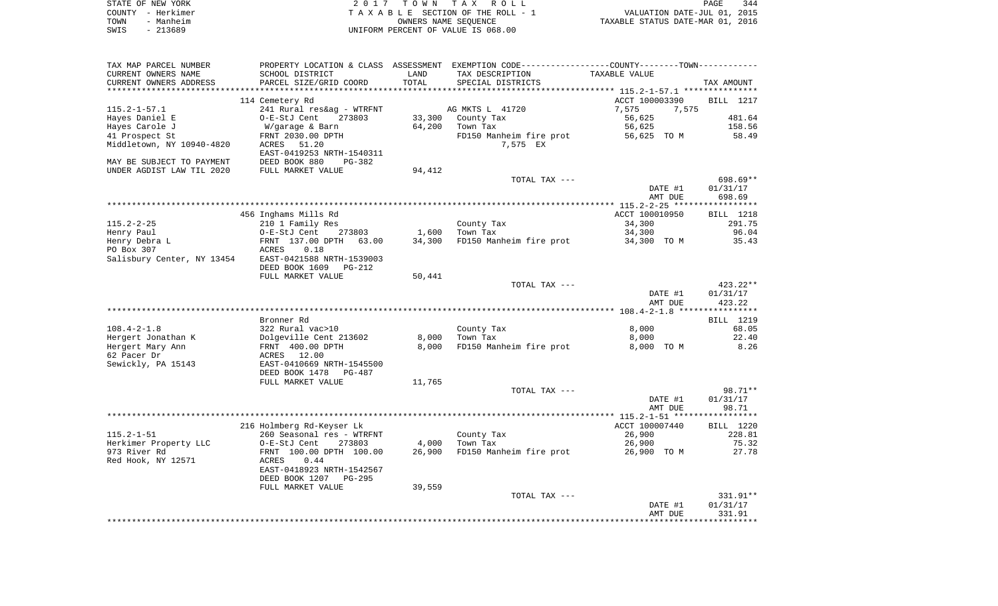|      | STATE OF NEW YORK | 2017 TOWN TAX ROLL                 | PAGE                             | 344 |
|------|-------------------|------------------------------------|----------------------------------|-----|
|      | COUNTY - Herkimer | TAXABLE SECTION OF THE ROLL - 1    | VALUATION DATE-JUL 01, 2015      |     |
| TOWN | - Manheim         | OWNERS NAME SEOUENCE               | TAXABLE STATUS DATE-MAR 01, 2016 |     |
| SWIS | - 213689          | UNIFORM PERCENT OF VALUE IS 068.00 |                                  |     |

| TAX MAP PARCEL NUMBER     |                                                      |        | PROPERTY LOCATION & CLASS ASSESSMENT EXEMPTION CODE----------------COUNTY--------TOWN----------- |                |                  |
|---------------------------|------------------------------------------------------|--------|--------------------------------------------------------------------------------------------------|----------------|------------------|
| CURRENT OWNERS NAME       | SCHOOL DISTRICT                                      | LAND   | TAX DESCRIPTION                                                                                  | TAXABLE VALUE  |                  |
| CURRENT OWNERS ADDRESS    | PARCEL SIZE/GRID COORD                               | TOTAL  | SPECIAL DISTRICTS                                                                                |                | TAX AMOUNT       |
|                           |                                                      |        |                                                                                                  |                |                  |
|                           | 114 Cemetery Rd                                      |        |                                                                                                  | ACCT 100003390 | <b>BILL</b> 1217 |
| $115.2 - 1 - 57.1$        | 241 Rural res&ag - WTRFNT                            |        | AG MKTS L 41720                                                                                  | 7,575<br>7,575 |                  |
| Hayes Daniel E            | O-E-StJ Cent<br>273803                               |        | 33,300 County Tax                                                                                | 56,625         | 481.64           |
| Hayes Carole J            | W/garage & Barn                                      | 64,200 | Town Tax                                                                                         | 56,625         | 158.56           |
| 41 Prospect St            | FRNT 2030.00 DPTH                                    |        | FD150 Manheim fire prot                                                                          |                | 58.49            |
| Middletown, NY 10940-4820 | ACRES 51.20                                          |        | 7,575 EX                                                                                         |                |                  |
|                           | EAST-0419253 NRTH-1540311                            |        |                                                                                                  |                |                  |
| MAY BE SUBJECT TO PAYMENT | DEED BOOK 880<br>$PG-382$                            |        |                                                                                                  |                |                  |
| UNDER AGDIST LAW TIL 2020 | DEED BOOK 880 F<br>FULL MARKET VALUE                 | 94,412 |                                                                                                  |                |                  |
|                           |                                                      |        | TOTAL TAX ---                                                                                    |                | 698.69**         |
|                           |                                                      |        |                                                                                                  | DATE #1        | 01/31/17         |
|                           |                                                      |        |                                                                                                  | AMT DUE        | 698.69           |
|                           |                                                      |        |                                                                                                  |                |                  |
|                           | 456 Inghams Mills Rd                                 |        |                                                                                                  | ACCT 100010950 | BILL 1218        |
| $115.2 - 2 - 25$          | 210 1 Family Res                                     |        | County Tax                                                                                       | 34,300         | 291.75           |
| Henry Paul                | O-E-StJ Cent<br>273803                               |        | 1,600 Town Tax                                                                                   | 34,300         | 96.04            |
| Henry Debra L             | FRNT 137.00 DPTH 63.00                               | 34,300 | FD150 Manheim fire prot                                                                          | 34,300 TO M    | 35.43            |
| PO Box 307                | 0.18<br>ACRES                                        |        |                                                                                                  |                |                  |
|                           | Salisbury Center, NY 13454 EAST-0421588 NRTH-1539003 |        |                                                                                                  |                |                  |
|                           | DEED BOOK 1609<br>PG-212                             |        |                                                                                                  |                |                  |
|                           | FULL MARKET VALUE                                    | 50,441 |                                                                                                  |                |                  |
|                           |                                                      |        | TOTAL TAX ---                                                                                    |                | 423.22**         |
|                           |                                                      |        |                                                                                                  | DATE #1        | 01/31/17         |
|                           |                                                      |        |                                                                                                  | AMT DUE        | 423.22           |
|                           |                                                      |        |                                                                                                  |                |                  |
|                           | Bronner Rd                                           |        |                                                                                                  |                | BILL 1219        |
| $108.4 - 2 - 1.8$         | 322 Rural vac>10                                     |        | County Tax                                                                                       | 8,000          | 68.05            |
| Hergert Jonathan K        | Dolgeville Cent 213602<br>FRNT  400.00 DPTH          |        | 8,000 Town Tax                                                                                   | 8,000          | 22.40            |
| Hergert Mary Ann          |                                                      | 8,000  | FD150 Manheim fire prot                                                                          | 8,000 TO M     | 8.26             |
| 62 Pacer Dr               | ACRES 12.00                                          |        |                                                                                                  |                |                  |
| Sewickly, PA 15143        | EAST-0410669 NRTH-1545500                            |        |                                                                                                  |                |                  |
|                           | DEED BOOK 1478<br>PG-487                             |        |                                                                                                  |                |                  |
|                           | FULL MARKET VALUE                                    | 11,765 |                                                                                                  |                |                  |
|                           |                                                      |        | TOTAL TAX ---                                                                                    |                | 98.71**          |
|                           |                                                      |        |                                                                                                  | DATE #1        | 01/31/17         |
|                           |                                                      |        |                                                                                                  | AMT DUE        | 98.71            |
|                           |                                                      |        |                                                                                                  |                |                  |
|                           | 216 Holmberg Rd-Keyser Lk                            |        |                                                                                                  | ACCT 100007440 | BILL 1220        |
| $115.2 - 1 - 51$          | 260 Seasonal res - WTRFNT                            |        | County Tax                                                                                       | 26,900         | 228.81           |
| Herkimer Property LLC     | O-E-StJ Cent<br>273803                               |        | $4,000$ Town Tax                                                                                 | 26,900         | 75.32            |
| 973 River Rd              | FRNT 100.00 DPTH 100.00                              | 26,900 | FD150 Manheim fire prot 26,900 TO M                                                              |                | 27.78            |
| Red Hook, NY 12571        | 0.44<br>ACRES                                        |        |                                                                                                  |                |                  |
|                           | EAST-0418923 NRTH-1542567                            |        |                                                                                                  |                |                  |
|                           | DEED BOOK 1207<br>PG-295                             |        |                                                                                                  |                |                  |
|                           | FULL MARKET VALUE                                    | 39,559 |                                                                                                  |                |                  |
|                           |                                                      |        | TOTAL TAX ---                                                                                    |                | 331.91**         |
|                           |                                                      |        |                                                                                                  | DATE #1        | 01/31/17         |
|                           |                                                      |        |                                                                                                  | AMT DUE        | 331.91           |
|                           |                                                      |        |                                                                                                  |                |                  |
|                           |                                                      |        |                                                                                                  |                |                  |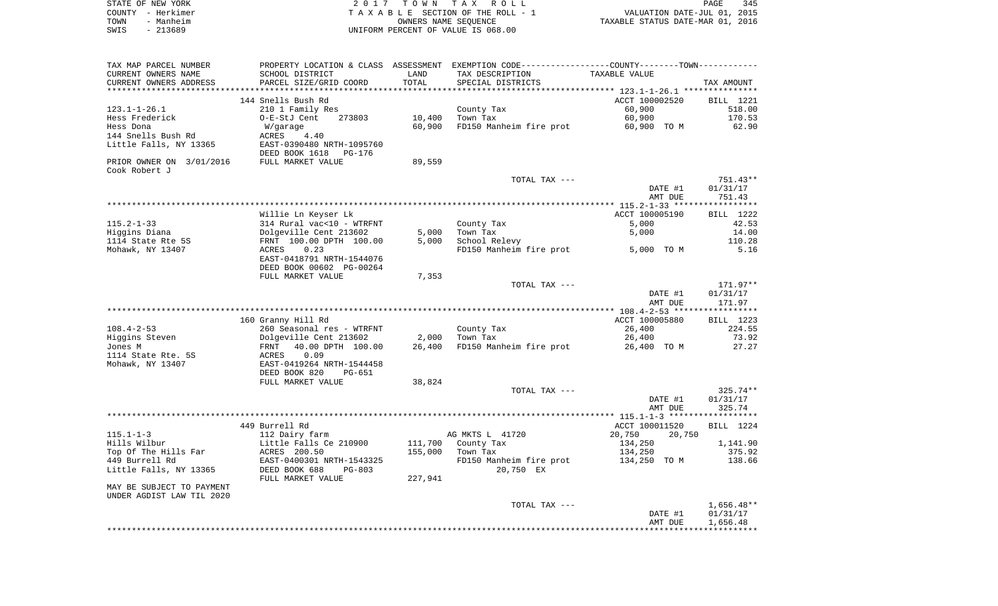|      | STATE OF NEW YORK | 2017 TOWN TAX ROLL                 |                                  | PAGE | 345 |
|------|-------------------|------------------------------------|----------------------------------|------|-----|
|      | COUNTY - Herkimer | TAXABLE SECTION OF THE ROLL - 1    | VALUATION DATE-JUL 01, 2015      |      |     |
| TOWN | - Manheim         | OWNERS NAME SEOUENCE               | TAXABLE STATUS DATE-MAR 01, 2016 |      |     |
| SWIS | $-213689$         | UNIFORM PERCENT OF VALUE IS 068.00 |                                  |      |     |
|      |                   |                                    |                                  |      |     |
|      |                   |                                    |                                  |      |     |

| TAX MAP PARCEL NUMBER     | PROPERTY LOCATION & CLASS ASSESSMENT EXEMPTION CODE---------------COUNTY-------TOWN---------- |         |                         |                    |                      |
|---------------------------|-----------------------------------------------------------------------------------------------|---------|-------------------------|--------------------|----------------------|
| CURRENT OWNERS NAME       | SCHOOL DISTRICT                                                                               | LAND    | TAX DESCRIPTION         | TAXABLE VALUE      |                      |
| CURRENT OWNERS ADDRESS    | PARCEL SIZE/GRID COORD                                                                        | TOTAL   | SPECIAL DISTRICTS       |                    | TAX AMOUNT           |
|                           |                                                                                               |         |                         |                    |                      |
|                           | 144 Snells Bush Rd                                                                            |         |                         | ACCT 100002520     | BILL 1221            |
| $123.1 - 1 - 26.1$        | 210 1 Family Res                                                                              |         | County Tax              | 60,900             | 518.00               |
| Hess Frederick            | O-E-StJ Cent<br>273803                                                                        | 10,400  | Town Tax                | 60,900             | 170.53               |
| Hess Dona                 | W/garage                                                                                      | 60,900  | FD150 Manheim fire prot | 60,900 TO M        | 62.90                |
| 144 Snells Bush Rd        | ACRES<br>4.40                                                                                 |         |                         |                    |                      |
| Little Falls, NY 13365    | EAST-0390480 NRTH-1095760                                                                     |         |                         |                    |                      |
|                           | DEED BOOK 1618 PG-176                                                                         |         |                         |                    |                      |
| PRIOR OWNER ON 3/01/2016  | FULL MARKET VALUE                                                                             | 89,559  |                         |                    |                      |
| Cook Robert J             |                                                                                               |         |                         |                    |                      |
|                           |                                                                                               |         | TOTAL TAX ---           |                    | $751.43**$           |
|                           |                                                                                               |         |                         | DATE #1            | 01/31/17             |
|                           |                                                                                               |         |                         | AMT DUE            | 751.43               |
|                           |                                                                                               |         |                         |                    |                      |
|                           | Willie Ln Keyser Lk                                                                           |         |                         | ACCT 100005190     | BILL 1222            |
| $115.2 - 1 - 33$          | 314 Rural vac<10 - WTRFNT                                                                     |         | County Tax              | 5,000              | 42.53                |
| Higgins Diana             | Dolgeville Cent 213602                                                                        | 5,000   | Town Tax                | 5,000              | 14.00                |
| 1114 State Rte 5S         | FRNT 100.00 DPTH 100.00                                                                       | 5,000   | School Relevy           |                    | 110.28               |
| Mohawk, NY 13407          | ACRES<br>0.23                                                                                 |         | FD150 Manheim fire prot | 5,000 TO M         | 5.16                 |
|                           | EAST-0418791 NRTH-1544076                                                                     |         |                         |                    |                      |
|                           | DEED BOOK 00602 PG-00264                                                                      |         |                         |                    |                      |
|                           | FULL MARKET VALUE                                                                             | 7,353   |                         |                    |                      |
|                           |                                                                                               |         | TOTAL TAX ---           |                    | 171.97**             |
|                           |                                                                                               |         |                         | DATE #1            | 01/31/17             |
|                           |                                                                                               |         |                         | AMT DUE            | 171.97               |
|                           |                                                                                               |         |                         |                    |                      |
|                           | 160 Granny Hill Rd                                                                            |         |                         | ACCT 100005880     | BILL 1223            |
| $108.4 - 2 - 53$          | 260 Seasonal res - WTRFNT                                                                     |         | County Tax              | 26,400             | 224.55               |
| Higgins Steven            | Dolgeville Cent 213602<br>FRNT 40.00 DPTH 100.                                                | 2,000   | Town Tax                | 26,400             | 73.92                |
| Jones M                   | 40.00 DPTH 100.00                                                                             | 26,400  | FD150 Manheim fire prot | 26,400 TO M        | 27.27                |
| 1114 State Rte. 5S        | 0.09<br>ACRES                                                                                 |         |                         |                    |                      |
| Mohawk, NY 13407          | EAST-0419264 NRTH-1544458<br>DEED BOOK 820                                                    |         |                         |                    |                      |
|                           | PG-651                                                                                        |         |                         |                    |                      |
|                           | FULL MARKET VALUE                                                                             | 38,824  | TOTAL TAX ---           |                    | 325.74**             |
|                           |                                                                                               |         |                         | DATE #1            | 01/31/17             |
|                           |                                                                                               |         |                         | AMT DUE            | 325.74               |
|                           |                                                                                               |         |                         |                    |                      |
|                           | 449 Burrell Rd                                                                                |         |                         | ACCT 100011520     | BILL 1224            |
| $115.1 - 1 - 3$           | 112 Dairy farm                                                                                |         | AG MKTS L 41720         | 20,750<br>20,750   |                      |
| Hills Wilbur              | Little Falls Ce 210900                                                                        | 111,700 | County Tax              | 134,250            | 1,141.90             |
| Top Of The Hills Far      | ACRES 200.50                                                                                  | 155,000 | Town Tax                | 134,250            | 375.92               |
| 449 Burrell Rd            | EAST-0400301 NRTH-1543325                                                                     |         | FD150 Manheim fire prot | 134,250 TO M       | 138.66               |
| Little Falls, NY 13365    | DEED BOOK 688<br>PG-803                                                                       |         | 20,750 EX               |                    |                      |
|                           | FULL MARKET VALUE                                                                             | 227,941 |                         |                    |                      |
|                           |                                                                                               |         |                         |                    |                      |
|                           |                                                                                               |         |                         |                    |                      |
| MAY BE SUBJECT TO PAYMENT |                                                                                               |         |                         |                    |                      |
| UNDER AGDIST LAW TIL 2020 |                                                                                               |         | TOTAL TAX ---           |                    |                      |
|                           |                                                                                               |         |                         |                    | $1,656.48**$         |
|                           |                                                                                               |         |                         | DATE #1<br>AMT DUE | 01/31/17<br>1,656.48 |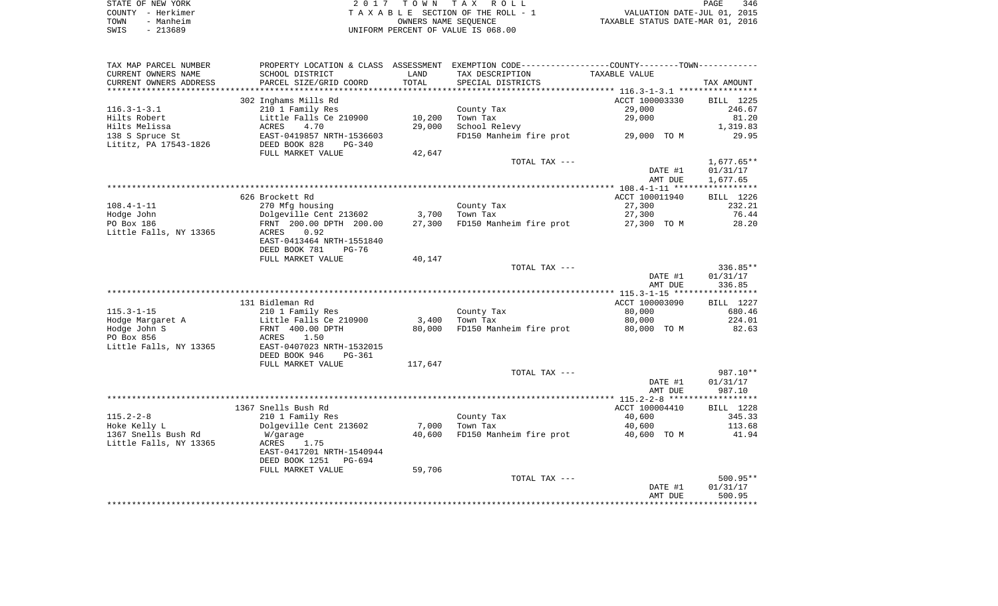|      | STATE OF NEW YORK | 2017 TOWN TAX ROLL                 | <b>PAGE</b>                      | 346 |
|------|-------------------|------------------------------------|----------------------------------|-----|
|      | COUNTY - Herkimer | TAXABLE SECTION OF THE ROLL - 1    | VALUATION DATE-JUL 01, 2015      |     |
| TOWN | - Manheim         | OWNERS NAME SEOUENCE               | TAXABLE STATUS DATE-MAR 01, 2016 |     |
| SWIS | - 213689          | UNIFORM PERCENT OF VALUE IS 068.00 |                                  |     |

| TAX MAP PARCEL NUMBER    |                              |         | PROPERTY LOCATION & CLASS ASSESSMENT EXEMPTION CODE----------------COUNTY--------TOWN---------- |                |              |
|--------------------------|------------------------------|---------|-------------------------------------------------------------------------------------------------|----------------|--------------|
| CURRENT OWNERS NAME      | SCHOOL DISTRICT              | LAND    | TAX DESCRIPTION                                                                                 | TAXABLE VALUE  |              |
| CURRENT OWNERS ADDRESS   | PARCEL SIZE/GRID COORD       | TOTAL   | SPECIAL DISTRICTS                                                                               |                | TAX AMOUNT   |
| ************************ |                              |         |                                                                                                 |                |              |
|                          | 302 Inghams Mills Rd         |         |                                                                                                 | ACCT 100003330 | BILL 1225    |
| $116.3 - 1 - 3.1$        | 210 1 Family Res             |         | County Tax                                                                                      | 29,000         | 246.67       |
| Hilts Robert             | Little Falls Ce 210900       | 10,200  | Town Tax                                                                                        | 29,000         | 81.20        |
| Hilts Melissa            | 4.70<br>ACRES                | 29,000  | School Relevy                                                                                   |                | 1,319.83     |
| 138 S Spruce St          | EAST-0419857 NRTH-1536603    |         | FD150 Manheim fire prot 29,000 TO M                                                             |                | 29.95        |
| Lititz, PA 17543-1826    | DEED BOOK 828<br>PG-340      |         |                                                                                                 |                |              |
|                          | FULL MARKET VALUE            | 42,647  |                                                                                                 |                |              |
|                          |                              |         | TOTAL TAX ---                                                                                   |                | $1,677.65**$ |
|                          |                              |         |                                                                                                 | DATE #1        | 01/31/17     |
|                          |                              |         |                                                                                                 | AMT DUE        | 1,677.65     |
|                          |                              |         |                                                                                                 |                |              |
|                          | 626 Brockett Rd              |         |                                                                                                 | ACCT 100011940 | BILL 1226    |
| $108.4 - 1 - 11$         | 270 Mfg housing              |         | County Tax                                                                                      | 27,300         | 232.21       |
| Hodge John               | Dolgeville Cent 213602 3,700 |         | Town Tax                                                                                        | 27,300         | 76.44        |
| PO Box 186               | FRNT 200.00 DPTH 200.00      | 27,300  | FD150 Manheim fire prot                                                                         | 27,300 TO M    | 28.20        |
| Little Falls, NY 13365   | ACRES<br>0.92                |         |                                                                                                 |                |              |
|                          | EAST-0413464 NRTH-1551840    |         |                                                                                                 |                |              |
|                          | DEED BOOK 781<br>PG-76       |         |                                                                                                 |                |              |
|                          | FULL MARKET VALUE            | 40,147  |                                                                                                 |                |              |
|                          |                              |         | TOTAL TAX ---                                                                                   |                | 336.85**     |
|                          |                              |         |                                                                                                 | DATE #1        | 01/31/17     |
|                          |                              |         |                                                                                                 | AMT DUE        | 336.85       |
|                          |                              |         |                                                                                                 |                |              |
|                          | 131 Bidleman Rd              |         |                                                                                                 | ACCT 100003090 | BILL 1227    |
| $115.3 - 1 - 15$         | 210 1 Family Res             |         | County Tax                                                                                      | 80,000         | 680.46       |
| Hodge Margaret A         | Little Falls Ce 210900       | 3,400   | Town Tax                                                                                        | 80,000         | 224.01       |
| Hodge John S             | FRNT 400.00 DPTH             | 80,000  | FD150 Manheim fire prot                                                                         | 80,000 TO M    | 82.63        |
| PO Box 856               | ACRES<br>1.50                |         |                                                                                                 |                |              |
| Little Falls, NY 13365   | EAST-0407023 NRTH-1532015    |         |                                                                                                 |                |              |
|                          | DEED BOOK 946<br>PG-361      |         |                                                                                                 |                |              |
|                          | FULL MARKET VALUE            | 117,647 |                                                                                                 |                |              |
|                          |                              |         | TOTAL TAX ---                                                                                   |                | 987.10**     |
|                          |                              |         |                                                                                                 | DATE #1        | 01/31/17     |
|                          |                              |         |                                                                                                 | AMT DUE        | 987.10       |
|                          |                              |         |                                                                                                 |                |              |
|                          | 1367 Snells Bush Rd          |         |                                                                                                 | ACCT 100004410 | BILL 1228    |
| $115.2 - 2 - 8$          | 210 1 Family Res             |         | County Tax                                                                                      | 40,600         | 345.33       |
| Hoke Kelly L             | Dolgeville Cent 213602       | 7,000   | Town Tax                                                                                        | 40,600         | 113.68       |
| 1367 Snells Bush Rd      | W/garage                     | 40,600  | FD150 Manheim fire prot                                                                         | 40,600 TO M    | 41.94        |
| Little Falls, NY 13365   | ACRES<br>1.75                |         |                                                                                                 |                |              |
|                          | EAST-0417201 NRTH-1540944    |         |                                                                                                 |                |              |
|                          | DEED BOOK 1251<br>PG-694     |         |                                                                                                 |                |              |
|                          | FULL MARKET VALUE            | 59,706  |                                                                                                 |                |              |
|                          |                              |         | TOTAL TAX ---                                                                                   |                | $500.95**$   |
|                          |                              |         |                                                                                                 | DATE #1        | 01/31/17     |
|                          |                              |         |                                                                                                 | AMT DUE        | 500.95       |
|                          |                              |         |                                                                                                 |                |              |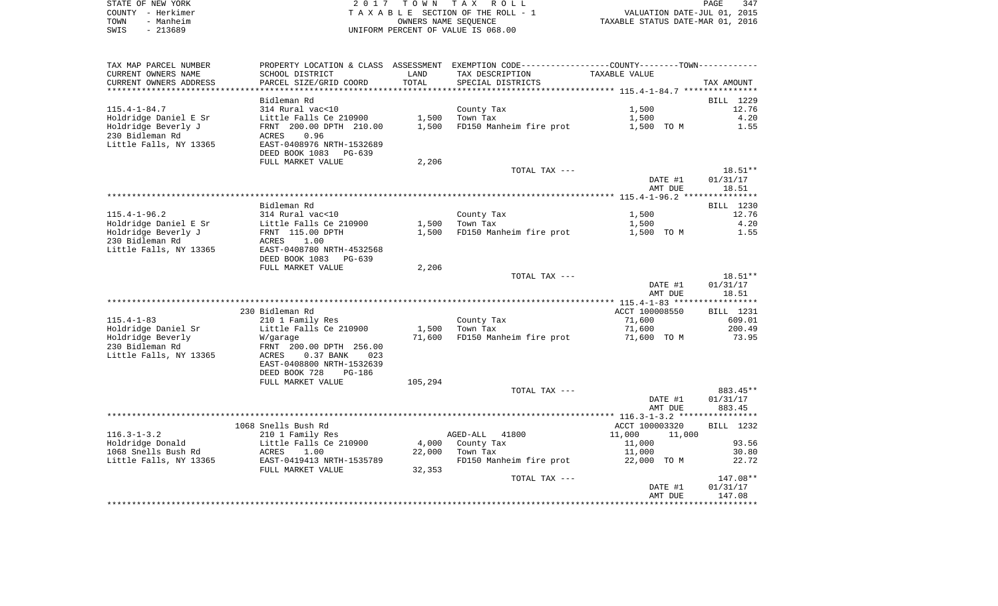| STATE OF NEW YORK |           | 2017 TOWN TAX ROLL                 | PAGE                             | 347 |
|-------------------|-----------|------------------------------------|----------------------------------|-----|
| COUNTY - Herkimer |           | TAXABLE SECTION OF THE ROLL - 1    | VALUATION DATE-JUL 01, 2015      |     |
| TOWN              | - Manheim | OWNERS NAME SEOUENCE               | TAXABLE STATUS DATE-MAR 01, 2016 |     |
| SWIS              | $-213689$ | UNIFORM PERCENT OF VALUE IS 068.00 |                                  |     |

| TAX MAP PARCEL NUMBER  |                                    |         | PROPERTY LOCATION & CLASS ASSESSMENT EXEMPTION CODE----------------COUNTY-------TOWN----------- |                  |                     |
|------------------------|------------------------------------|---------|-------------------------------------------------------------------------------------------------|------------------|---------------------|
| CURRENT OWNERS NAME    | SCHOOL DISTRICT                    | LAND    | TAX DESCRIPTION                                                                                 | TAXABLE VALUE    |                     |
| CURRENT OWNERS ADDRESS | PARCEL SIZE/GRID COORD             | TOTAL   | SPECIAL DISTRICTS                                                                               |                  | TAX AMOUNT          |
|                        |                                    |         |                                                                                                 |                  |                     |
|                        | Bidleman Rd                        |         |                                                                                                 |                  | BILL 1229           |
| $115.4 - 1 - 84.7$     | 314 Rural vac<10                   |         | County Tax                                                                                      | 1,500            | 12.76               |
| Holdridge Daniel E Sr  | Little Falls Ce 210900             | 1,500   | Town Tax                                                                                        | 1,500            | 4.20                |
| Holdridge Beverly J    | FRNT 200.00 DPTH 210.00            | 1,500   | FD150 Manheim fire prot                                                                         | 1,500 TO M       | 1.55                |
| 230 Bidleman Rd        | 0.96<br>ACRES                      |         |                                                                                                 |                  |                     |
| Little Falls, NY 13365 | EAST-0408976 NRTH-1532689          |         |                                                                                                 |                  |                     |
|                        | DEED BOOK 1083<br>PG-639           |         |                                                                                                 |                  |                     |
|                        | FULL MARKET VALUE                  | 2,206   |                                                                                                 |                  |                     |
|                        |                                    |         | TOTAL TAX ---                                                                                   |                  | $18.51**$           |
|                        |                                    |         |                                                                                                 | DATE #1          | 01/31/17            |
|                        |                                    |         |                                                                                                 | AMT DUE          | 18.51               |
|                        |                                    |         |                                                                                                 |                  |                     |
|                        | Bidleman Rd                        |         |                                                                                                 |                  | BILL 1230           |
| $115.4 - 1 - 96.2$     | 314 Rural vac<10                   |         | County Tax                                                                                      | 1,500            | 12.76               |
| Holdridge Daniel E Sr  | Little Falls Ce 210900             | 1,500   | Town Tax                                                                                        | 1,500            | 4.20                |
| Holdridge Beverly J    | FRNT 115.00 DPTH                   | 1,500   | FD150 Manheim fire prot                                                                         | 1,500 TO M       | 1.55                |
| 230 Bidleman Rd        | ACRES<br>1.00                      |         |                                                                                                 |                  |                     |
| Little Falls, NY 13365 | EAST-0408780 NRTH-4532568          |         |                                                                                                 |                  |                     |
|                        | DEED BOOK 1083<br>PG-639           |         |                                                                                                 |                  |                     |
|                        | FULL MARKET VALUE                  | 2,206   |                                                                                                 |                  |                     |
|                        |                                    |         | TOTAL TAX ---                                                                                   | DATE #1          | 18.51**<br>01/31/17 |
|                        |                                    |         |                                                                                                 | AMT DUE          | 18.51               |
|                        |                                    |         |                                                                                                 |                  |                     |
|                        | 230 Bidleman Rd                    |         |                                                                                                 | ACCT 100008550   | BILL 1231           |
| $115.4 - 1 - 83$       | 210 1 Family Res                   |         | County Tax                                                                                      | 71,600           | 609.01              |
| Holdridge Daniel Sr    | Little Falls Ce 210900             | 1,500   | Town Tax                                                                                        | 71,600           | 200.49              |
| Holdridge Beverly      | W/garage                           | 71,600  | FD150 Manheim fire prot                                                                         | 71,600 TO M      | 73.95               |
| 230 Bidleman Rd        | FRNT 200.00 DPTH 256.00            |         |                                                                                                 |                  |                     |
| Little Falls, NY 13365 | $0.37$ BANK<br><b>ACRES</b><br>023 |         |                                                                                                 |                  |                     |
|                        | EAST-0408800 NRTH-1532639          |         |                                                                                                 |                  |                     |
|                        | DEED BOOK 728<br><b>PG-186</b>     |         |                                                                                                 |                  |                     |
|                        | FULL MARKET VALUE                  | 105,294 |                                                                                                 |                  |                     |
|                        |                                    |         | TOTAL TAX ---                                                                                   |                  | 883.45**            |
|                        |                                    |         |                                                                                                 | DATE #1          | 01/31/17            |
|                        |                                    |         |                                                                                                 | AMT DUE          | 883.45              |
|                        |                                    |         |                                                                                                 |                  |                     |
|                        | 1068 Snells Bush Rd                |         |                                                                                                 | ACCT 100003320   | BILL 1232           |
| $116.3 - 1 - 3.2$      | 210 1 Family Res                   |         | AGED-ALL<br>41800                                                                               | 11,000<br>11,000 |                     |
| Holdridge Donald       | Little Falls Ce 210900             | 4,000   | County Tax                                                                                      | 11,000           | 93.56               |
| 1068 Snells Bush Rd    | ACRES<br>1.00                      | 22,000  | Town Tax                                                                                        | 11,000           | 30.80               |
| Little Falls, NY 13365 | EAST-0419413 NRTH-1535789          |         | FD150 Manheim fire prot                                                                         | 22,000 TO M      | 22.72               |
|                        | FULL MARKET VALUE                  | 32,353  |                                                                                                 |                  |                     |
|                        |                                    |         | TOTAL TAX ---                                                                                   |                  | 147.08**            |
|                        |                                    |         |                                                                                                 | DATE #1          | 01/31/17            |
|                        |                                    |         |                                                                                                 | AMT DUE          | 147.08              |
|                        |                                    |         |                                                                                                 |                  |                     |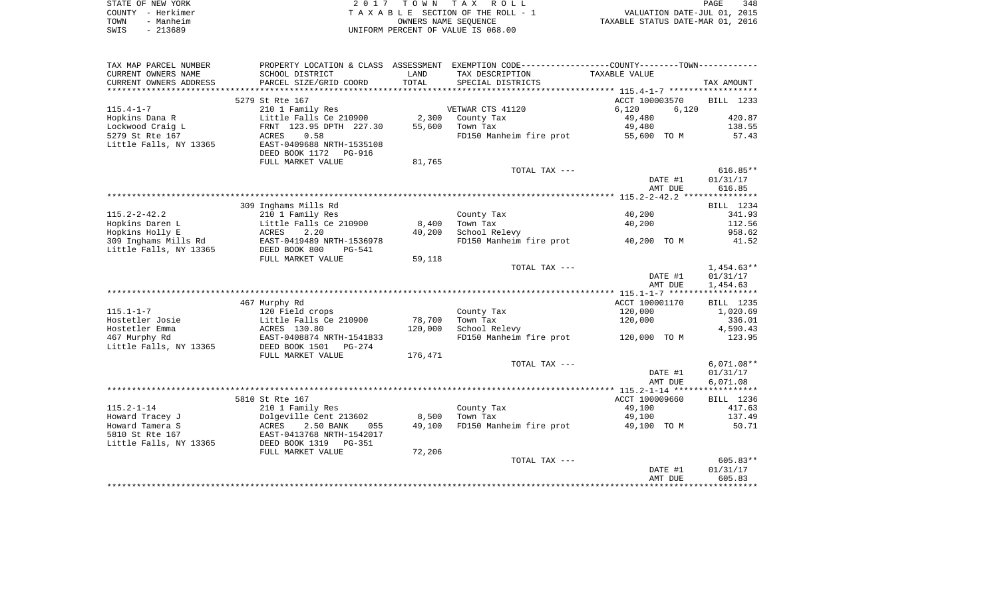| STATE OF NEW YORK |                   | 2017 TOWN TAX ROLL                 | PAGE                             | 348 |
|-------------------|-------------------|------------------------------------|----------------------------------|-----|
|                   | COUNTY - Herkimer | TAXABLE SECTION OF THE ROLL - 1    | VALUATION DATE-JUL 01, 2015      |     |
| TOWN              | - Manheim         | OWNERS NAME SEOUENCE               | TAXABLE STATUS DATE-MAR 01, 2016 |     |
| SWIS              | - 213689          | UNIFORM PERCENT OF VALUE IS 068.00 |                                  |     |

| TAX MAP PARCEL NUMBER  | PROPERTY LOCATION & CLASS   |         | ASSESSMENT EXEMPTION CODE-----------------COUNTY-------TOWN----------- |                |              |
|------------------------|-----------------------------|---------|------------------------------------------------------------------------|----------------|--------------|
| CURRENT OWNERS NAME    | SCHOOL DISTRICT             | LAND    | TAX DESCRIPTION                                                        | TAXABLE VALUE  |              |
| CURRENT OWNERS ADDRESS | PARCEL SIZE/GRID COORD      | TOTAL   | SPECIAL DISTRICTS                                                      |                | TAX AMOUNT   |
|                        |                             |         |                                                                        |                |              |
|                        | 5279 St Rte 167             |         |                                                                        | ACCT 100003570 | BILL 1233    |
| $115.4 - 1 - 7$        | 210 1 Family Res            |         | VETWAR CTS 41120                                                       | 6,120<br>6,120 |              |
| Hopkins Dana R         | Little Falls Ce 210900      | 2,300   | County Tax                                                             | 49,480         | 420.87       |
| Lockwood Craig L       | FRNT 123.95 DPTH 227.30     | 55,600  | Town Tax                                                               | 49,480         | 138.55       |
| 5279 St Rte 167        | 0.58<br>ACRES               |         | FD150 Manheim fire prot                                                | 55,600 TO M    | 57.43        |
| Little Falls, NY 13365 | EAST-0409688 NRTH-1535108   |         |                                                                        |                |              |
|                        | DEED BOOK 1172<br>PG-916    |         |                                                                        |                |              |
|                        | FULL MARKET VALUE           | 81,765  |                                                                        |                |              |
|                        |                             |         | TOTAL TAX ---                                                          |                | $616.85**$   |
|                        |                             |         |                                                                        | DATE #1        | 01/31/17     |
|                        |                             |         |                                                                        | AMT DUE        | 616.85       |
|                        |                             |         |                                                                        |                |              |
|                        | 309 Inghams Mills Rd        |         |                                                                        |                | BILL 1234    |
| $115.2 - 2 - 42.2$     | 210 1 Family Res            |         | County Tax                                                             | 40,200         | 341.93       |
| Hopkins Daren L        | Little Falls Ce 210900      | 8,400   | Town Tax                                                               | 40,200         | 112.56       |
| Hopkins Holly E        | 2.20<br>ACRES               | 40,200  | School Relevy                                                          |                | 958.62       |
| 309 Inghams Mills Rd   | EAST-0419489 NRTH-1536978   |         | FD150 Manheim fire prot                                                | 40,200 TO M    | 41.52        |
| Little Falls, NY 13365 | DEED BOOK 800<br>$PG - 541$ |         |                                                                        |                |              |
|                        | FULL MARKET VALUE           | 59,118  |                                                                        |                |              |
|                        |                             |         | TOTAL TAX ---                                                          |                | $1,454.63**$ |
|                        |                             |         |                                                                        | DATE #1        | 01/31/17     |
|                        |                             |         |                                                                        | AMT DUE        | 1,454.63     |
|                        |                             |         |                                                                        |                |              |
|                        | 467 Murphy Rd               |         |                                                                        | ACCT 100001170 | BILL 1235    |
| $115.1 - 1 - 7$        | 120 Field crops             |         | County Tax                                                             | 120,000        | 1,020.69     |
| Hostetler Josie        | Little Falls Ce 210900      | 78,700  | Town Tax                                                               | 120,000        | 336.01       |
| Hostetler Emma         | ACRES 130.80                | 120,000 | School Relevy                                                          |                | 4,590.43     |
| 467 Murphy Rd          | EAST-0408874 NRTH-1541833   |         | FD150 Manheim fire prot                                                | 120,000 TO M   | 123.95       |
| Little Falls, NY 13365 | DEED BOOK 1501<br>PG-274    |         |                                                                        |                |              |
|                        | FULL MARKET VALUE           | 176,471 |                                                                        |                |              |
|                        |                             |         | TOTAL TAX ---                                                          |                | $6,071.08**$ |
|                        |                             |         |                                                                        | DATE #1        | 01/31/17     |
|                        |                             |         |                                                                        | AMT DUE        | 6,071.08     |
|                        |                             |         |                                                                        |                |              |
|                        | 5810 St Rte 167             |         |                                                                        | ACCT 100009660 | BILL 1236    |
| $115.2 - 1 - 14$       | 210 1 Family Res            |         | County Tax                                                             | 49,100         | 417.63       |
| Howard Tracey J        | Dolgeville Cent 213602      | 8,500   | Town Tax                                                               | 49,100         | 137.49       |
| Howard Tamera S        | 2.50 BANK<br>ACRES<br>055   | 49,100  | FD150 Manheim fire prot                                                | 49,100 TO M    | 50.71        |
| 5810 St Rte 167        | EAST-0413768 NRTH-1542017   |         |                                                                        |                |              |
| Little Falls, NY 13365 | DEED BOOK 1319<br>PG-351    |         |                                                                        |                |              |
|                        | FULL MARKET VALUE           | 72,206  |                                                                        |                |              |
|                        |                             |         | TOTAL TAX ---                                                          |                | $605.83**$   |
|                        |                             |         |                                                                        | DATE #1        | 01/31/17     |
|                        |                             |         |                                                                        | AMT DUE        | 605.83       |
|                        |                             |         |                                                                        |                |              |
|                        |                             |         |                                                                        |                |              |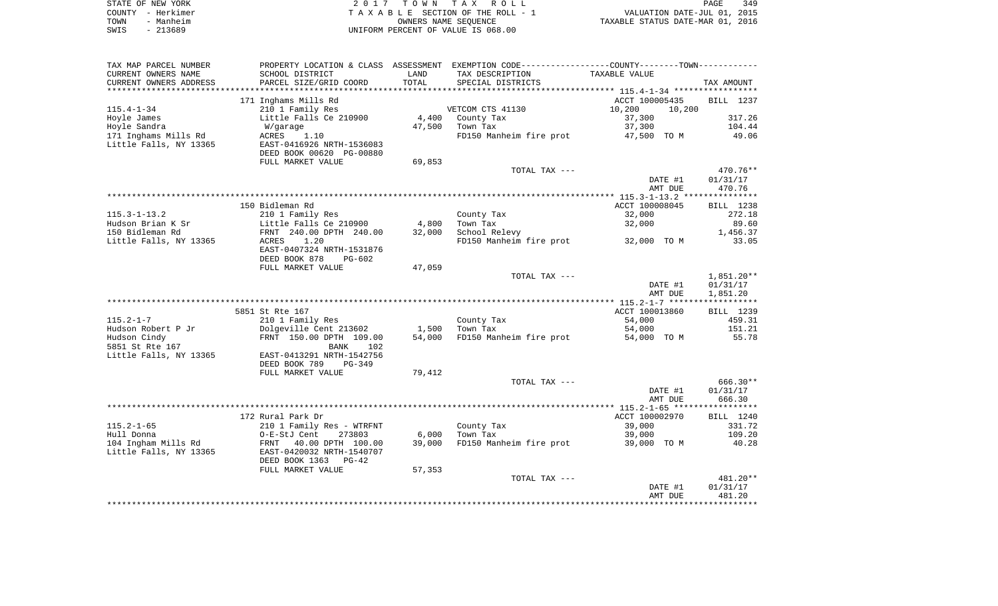| STATE OF NEW YORK | 2017 TOWN TAX ROLL                 | 349<br>PAGE                      |
|-------------------|------------------------------------|----------------------------------|
| COUNTY - Herkimer | TAXABLE SECTION OF THE ROLL - 1    | VALUATION DATE-JUL 01, 2015      |
| TOWN<br>- Manheim | OWNERS NAME SEOUENCE               | TAXABLE STATUS DATE-MAR 01, 2016 |
| $-213689$<br>SWIS | UNIFORM PERCENT OF VALUE IS 068.00 |                                  |

| TAX MAP PARCEL NUMBER   |                           |        | PROPERTY LOCATION & CLASS ASSESSMENT EXEMPTION CODE----------------COUNTY--------TOWN----------- |                  |                  |
|-------------------------|---------------------------|--------|--------------------------------------------------------------------------------------------------|------------------|------------------|
| CURRENT OWNERS NAME     | SCHOOL DISTRICT           | LAND   | TAX DESCRIPTION                                                                                  | TAXABLE VALUE    |                  |
| CURRENT OWNERS ADDRESS  | PARCEL SIZE/GRID COORD    | TOTAL  | SPECIAL DISTRICTS                                                                                |                  | TAX AMOUNT       |
| *********************** |                           |        |                                                                                                  |                  |                  |
|                         | 171 Inghams Mills Rd      |        |                                                                                                  | ACCT 100005435   | BILL 1237        |
| $115.4 - 1 - 34$        | 210 1 Family Res          |        | VETCOM CTS 41130                                                                                 | 10,200<br>10,200 |                  |
| Hoyle James             | Little Falls Ce 210900    | 4,400  | County Tax                                                                                       | 37,300           | 317.26           |
| Hoyle Sandra            | W/garage                  | 47,500 | Town Tax                                                                                         | 37,300           | 104.44           |
| 171 Inghams Mills Rd    | ACRES<br>1.10             |        | FD150 Manheim fire prot                                                                          | 47,500 TO M      | 49.06            |
| Little Falls, NY 13365  | EAST-0416926 NRTH-1536083 |        |                                                                                                  |                  |                  |
|                         | DEED BOOK 00620 PG-00880  |        |                                                                                                  |                  |                  |
|                         | FULL MARKET VALUE         | 69,853 |                                                                                                  |                  |                  |
|                         |                           |        | TOTAL TAX ---                                                                                    |                  | 470.76**         |
|                         |                           |        |                                                                                                  | DATE #1          | 01/31/17         |
|                         |                           |        |                                                                                                  | AMT DUE          | 470.76           |
|                         |                           |        |                                                                                                  |                  |                  |
|                         | 150 Bidleman Rd           |        |                                                                                                  | ACCT 100008045   | <b>BILL</b> 1238 |
| $115.3 - 1 - 13.2$      | 210 1 Family Res          |        | County Tax                                                                                       | 32,000           | 272.18           |
| Hudson Brian K Sr       | Little Falls Ce 210900    | 4,800  | Town Tax                                                                                         | 32,000           | 89.60            |
| 150 Bidleman Rd         | FRNT 240.00 DPTH 240.00   | 32,000 | School Relevy                                                                                    |                  | 1,456.37         |
| Little Falls, NY 13365  | 1.20<br>ACRES             |        | FD150 Manheim fire prot                                                                          | 32,000 TO M      | 33.05            |
|                         | EAST-0407324 NRTH-1531876 |        |                                                                                                  |                  |                  |
|                         | DEED BOOK 878<br>PG-602   |        |                                                                                                  |                  |                  |
|                         | FULL MARKET VALUE         | 47,059 |                                                                                                  |                  |                  |
|                         |                           |        | TOTAL TAX ---                                                                                    |                  | 1,851.20**       |
|                         |                           |        |                                                                                                  | DATE #1          | 01/31/17         |
|                         |                           |        |                                                                                                  | AMT DUE          | 1,851.20         |
|                         |                           |        |                                                                                                  |                  |                  |
|                         | 5851 St Rte 167           |        |                                                                                                  | ACCT 100013860   | BILL 1239        |
| $115.2 - 1 - 7$         | 210 1 Family Res          |        | County Tax                                                                                       | 54,000           | 459.31           |
| Hudson Robert P Jr      | Dolgeville Cent 213602    | 1,500  | Town Tax                                                                                         | 54,000           | 151.21           |
| Hudson Cindy            | FRNT 150.00 DPTH 109.00   | 54,000 | FD150 Manheim fire prot                                                                          | 54,000 TO M      | 55.78            |
| 5851 St Rte 167         | <b>BANK</b><br>102        |        |                                                                                                  |                  |                  |
| Little Falls, NY 13365  | EAST-0413291 NRTH-1542756 |        |                                                                                                  |                  |                  |
|                         | DEED BOOK 789<br>$PG-349$ |        |                                                                                                  |                  |                  |
|                         | FULL MARKET VALUE         | 79,412 |                                                                                                  |                  |                  |
|                         |                           |        | TOTAL TAX ---                                                                                    |                  | $666.30**$       |
|                         |                           |        |                                                                                                  | DATE #1          | 01/31/17         |
|                         |                           |        |                                                                                                  | AMT DUE          | 666.30           |
|                         |                           |        |                                                                                                  |                  |                  |
|                         | 172 Rural Park Dr         |        |                                                                                                  | ACCT 100002970   | BILL 1240        |
| $115.2 - 1 - 65$        | 210 1 Family Res - WTRFNT |        | County Tax                                                                                       | 39,000           | 331.72           |
| Hull Donna              | O-E-StJ Cent<br>273803    | 6,000  | Town Tax                                                                                         | 39,000           | 109.20           |
| 104 Ingham Mills Rd     | FRNT<br>40.00 DPTH 100.00 | 39,000 | FD150 Manheim fire prot                                                                          | 39,000 TO M      | 40.28            |
| Little Falls, NY 13365  | EAST-0420032 NRTH-1540707 |        |                                                                                                  |                  |                  |
|                         | DEED BOOK 1363<br>$PG-42$ |        |                                                                                                  |                  |                  |
|                         | FULL MARKET VALUE         | 57,353 |                                                                                                  |                  |                  |
|                         |                           |        | TOTAL TAX ---                                                                                    |                  | 481.20**         |
|                         |                           |        |                                                                                                  | DATE #1          | 01/31/17         |
|                         |                           |        |                                                                                                  | AMT DUE          | 481.20           |
|                         |                           |        |                                                                                                  |                  |                  |
|                         |                           |        |                                                                                                  |                  |                  |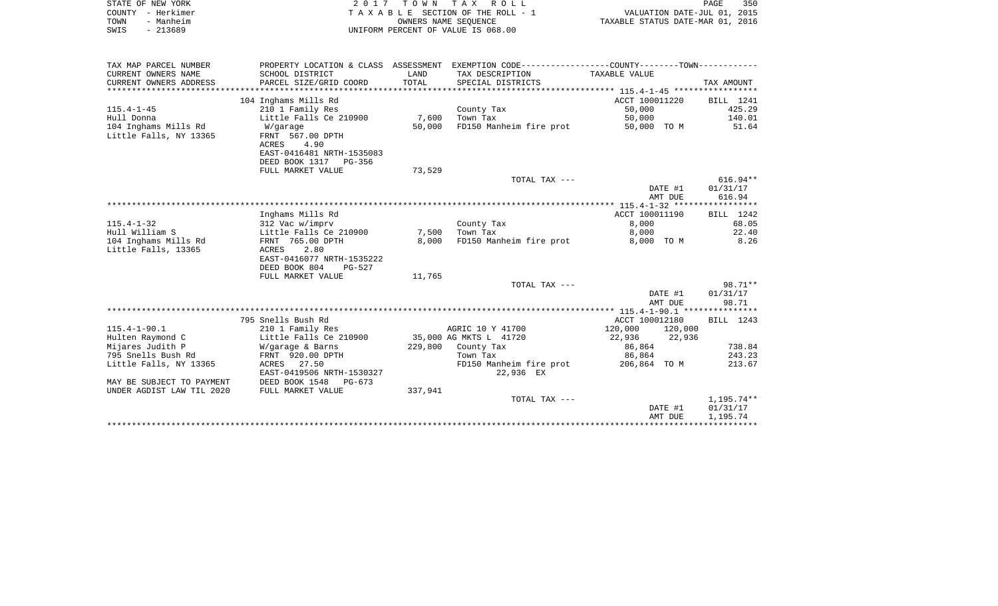|      | STATE OF NEW YORK | 2017 TOWN TAX ROLL                 | PAGE                             | 350 |
|------|-------------------|------------------------------------|----------------------------------|-----|
|      | COUNTY - Herkimer | TAXABLE SECTION OF THE ROLL - 1    | VALUATION DATE-JUL 01, 2015      |     |
| TOWN | - Manheim         | OWNERS NAME SEOUENCE               | TAXABLE STATUS DATE-MAR 01, 2016 |     |
| SWIS | - 213689          | UNIFORM PERCENT OF VALUE IS 068.00 |                                  |     |

| TAX MAP PARCEL NUMBER     |                           |         | PROPERTY LOCATION & CLASS ASSESSMENT EXEMPTION CODE---------------COUNTY-------TOWN---------- |                    |            |
|---------------------------|---------------------------|---------|-----------------------------------------------------------------------------------------------|--------------------|------------|
| CURRENT OWNERS NAME       | SCHOOL DISTRICT           | LAND    | TAX DESCRIPTION                                                                               | TAXABLE VALUE      |            |
| CURRENT OWNERS ADDRESS    | PARCEL SIZE/GRID COORD    | TOTAL   | SPECIAL DISTRICTS                                                                             |                    | TAX AMOUNT |
|                           |                           |         |                                                                                               |                    |            |
|                           | 104 Inghams Mills Rd      |         |                                                                                               | ACCT 100011220     | BILL 1241  |
| $115.4 - 1 - 45$          | 210 1 Family Res          |         | County Tax                                                                                    | 50,000             | 425.29     |
| Hull Donna                | Little Falls Ce 210900    | 7,600   | Town Tax                                                                                      | 50,000             | 140.01     |
| 104 Inghams Mills Rd      | W/garage                  | 50,000  | FD150 Manheim fire prot                                                                       | 50,000 TO M        | 51.64      |
| Little Falls, NY 13365    | FRNT 567.00 DPTH          |         |                                                                                               |                    |            |
|                           | ACRES<br>4.90             |         |                                                                                               |                    |            |
|                           | EAST-0416481 NRTH-1535083 |         |                                                                                               |                    |            |
|                           | DEED BOOK 1317 PG-356     |         |                                                                                               |                    |            |
|                           | FULL MARKET VALUE         | 73,529  |                                                                                               |                    |            |
|                           |                           |         | TOTAL TAX ---                                                                                 |                    | $616.94**$ |
|                           |                           |         |                                                                                               | DATE #1            | 01/31/17   |
|                           |                           |         |                                                                                               | AMT DUE            | 616.94     |
|                           |                           |         |                                                                                               |                    |            |
|                           | Inghams Mills Rd          |         |                                                                                               | ACCT 100011190     | BILL 1242  |
| $115.4 - 1 - 32$          | 312 Vac w/imprv           |         | County Tax                                                                                    | 8,000              | 68.05      |
| Hull William S            | Little Falls Ce 210900    | 7,500   | Town Tax                                                                                      | 8,000              | 22.40      |
| 104 Inghams Mills Rd      | FRNT 765.00 DPTH          | 8,000   | FD150 Manheim fire prot                                                                       | 8,000 TO M         | 8.26       |
| Little Falls, 13365       | <b>ACRES</b><br>2.80      |         |                                                                                               |                    |            |
|                           | EAST-0416077 NRTH-1535222 |         |                                                                                               |                    |            |
|                           | DEED BOOK 804<br>PG-527   |         |                                                                                               |                    |            |
|                           | FULL MARKET VALUE         | 11,765  |                                                                                               |                    |            |
|                           |                           |         | TOTAL TAX ---                                                                                 |                    | 98.71**    |
|                           |                           |         |                                                                                               | DATE #1            | 01/31/17   |
|                           |                           |         |                                                                                               | AMT DUE            | 98.71      |
|                           |                           |         |                                                                                               |                    |            |
|                           | 795 Snells Bush Rd        |         |                                                                                               | ACCT 100012180     | BILL 1243  |
| $115.4 - 1 - 90.1$        | 210 1 Family Res          |         | AGRIC 10 Y 41700                                                                              | 120,000<br>120,000 |            |
| Hulten Raymond C          | Little Falls Ce 210900    |         | 35,000 AG MKTS L 41720                                                                        | 22,936 22,936      |            |
| Mijares Judith P          | W/garage & Barns          |         | 229,800 County Tax                                                                            | 86,864             | 738.84     |
| 795 Snells Bush Rd        | FRNT 920.00 DPTH          |         | Town Tax                                                                                      | 86,864             | 243.23     |
| Little Falls, NY 13365    | ACRES 27.50               |         | FD150 Manheim fire prot                                                                       | 206,864 TO M       | 213.67     |
|                           | EAST-0419506 NRTH-1530327 |         | 22,936 EX                                                                                     |                    |            |
| MAY BE SUBJECT TO PAYMENT | DEED BOOK 1548 PG-673     |         |                                                                                               |                    |            |
| UNDER AGDIST LAW TIL 2020 | FULL MARKET VALUE         | 337,941 |                                                                                               |                    |            |
|                           |                           |         | TOTAL TAX ---                                                                                 |                    | 1,195.74** |
|                           |                           |         |                                                                                               | DATE #1            | 01/31/17   |
|                           |                           |         |                                                                                               | AMT DUE            | 1,195.74   |
|                           |                           |         |                                                                                               |                    |            |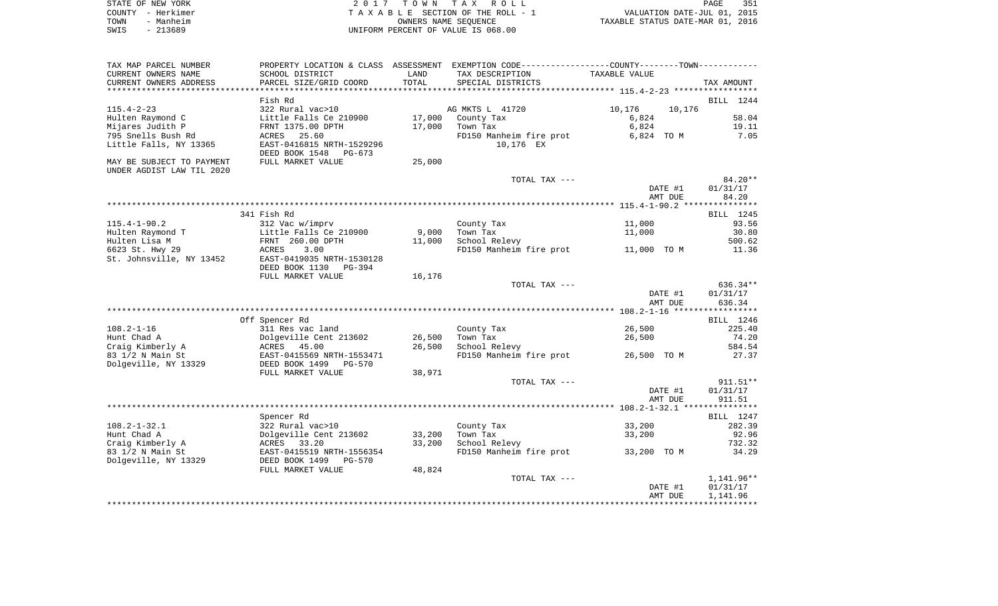| STATE OF NEW YORK |                   | 2017 TOWN TAX ROLL                 | PAGE                             | 351 |
|-------------------|-------------------|------------------------------------|----------------------------------|-----|
|                   | COUNTY - Herkimer | TAXABLE SECTION OF THE ROLL - 1    | VALUATION DATE-JUL 01, 2015      |     |
| TOWN              | - Manheim         | OWNERS NAME SEOUENCE               | TAXABLE STATUS DATE-MAR 01, 2016 |     |
| SWIS              | - 213689          | UNIFORM PERCENT OF VALUE IS 068.00 |                                  |     |

| TAX MAP PARCEL NUMBER     | PROPERTY LOCATION & CLASS ASSESSMENT |        | EXEMPTION CODE-----------------COUNTY--------TOWN----------- |                  |            |
|---------------------------|--------------------------------------|--------|--------------------------------------------------------------|------------------|------------|
| CURRENT OWNERS NAME       | SCHOOL DISTRICT                      | LAND   | TAX DESCRIPTION                                              | TAXABLE VALUE    |            |
| CURRENT OWNERS ADDRESS    | PARCEL SIZE/GRID COORD               | TOTAL  | SPECIAL DISTRICTS                                            |                  | TAX AMOUNT |
|                           |                                      |        |                                                              |                  |            |
|                           | Fish Rd                              |        |                                                              |                  | BILL 1244  |
| $115.4 - 2 - 23$          | 322 Rural vac>10                     |        | AG MKTS L 41720                                              | 10,176<br>10,176 |            |
| Hulten Raymond C          | Little Falls Ce 210900               | 17,000 | County Tax                                                   | 6,824            | 58.04      |
| Mijares Judith P          | FRNT 1375.00 DPTH                    | 17,000 | Town Tax                                                     | 6,824            | 19.11      |
| 795 Snells Bush Rd        | ACRES<br>25.60                       |        | FD150 Manheim fire prot                                      | 6,824 TO M       | 7.05       |
| Little Falls, NY 13365    | EAST-0416815 NRTH-1529296            |        | 10,176 EX                                                    |                  |            |
|                           | DEED BOOK 1548<br>$PG-673$           |        |                                                              |                  |            |
| MAY BE SUBJECT TO PAYMENT | FULL MARKET VALUE                    | 25,000 |                                                              |                  |            |
| UNDER AGDIST LAW TIL 2020 |                                      |        |                                                              |                  |            |
|                           |                                      |        | TOTAL TAX ---                                                |                  | $84.20**$  |
|                           |                                      |        |                                                              | DATE #1          | 01/31/17   |
|                           |                                      |        |                                                              | AMT DUE          | 84.20      |
|                           |                                      |        |                                                              |                  |            |
|                           | 341 Fish Rd                          |        |                                                              |                  | BILL 1245  |
| $115.4 - 1 - 90.2$        | 312 Vac w/imprv                      |        | County Tax                                                   | 11,000           | 93.56      |
| Hulten Raymond T          | Little Falls Ce 210900               | 9,000  | Town Tax                                                     | 11,000           | 30.80      |
| Hulten Lisa M             | FRNT 260.00 DPTH                     | 11,000 | School Relevy                                                |                  | 500.62     |
| 6623 St. Hwy 29           | ACRES<br>3.00                        |        | FD150 Manheim fire prot                                      | 11,000 TO M      | 11.36      |
| St. Johnsville, NY 13452  | EAST-0419035 NRTH-1530128            |        |                                                              |                  |            |
|                           | DEED BOOK 1130<br>PG-394             |        |                                                              |                  |            |
|                           | FULL MARKET VALUE                    | 16,176 |                                                              |                  |            |
|                           |                                      |        | TOTAL TAX ---                                                |                  | $636.34**$ |
|                           |                                      |        |                                                              | DATE #1          | 01/31/17   |
|                           |                                      |        |                                                              | AMT DUE          | 636.34     |
|                           |                                      |        |                                                              |                  |            |
|                           | Off Spencer Rd                       |        |                                                              |                  | BILL 1246  |
| $108.2 - 1 - 16$          | 311 Res vac land                     |        | County Tax                                                   | 26,500           | 225.40     |
| Hunt Chad A               | Dolgeville Cent 213602               | 26,500 | Town Tax                                                     | 26,500           | 74.20      |
| Craig Kimberly A          | ACRES 45.00                          | 26,500 | School Relevy                                                |                  | 584.54     |
| 83 1/2 N Main St          | EAST-0415569 NRTH-1553471            |        | FD150 Manheim fire prot                                      | 26,500 TO M      | 27.37      |
| Dolgeville, NY 13329      | DEED BOOK 1499<br>$PG-570$           |        |                                                              |                  |            |
|                           | FULL MARKET VALUE                    | 38,971 |                                                              |                  |            |
|                           |                                      |        | TOTAL TAX ---                                                |                  | $911.51**$ |
|                           |                                      |        |                                                              | DATE #1          | 01/31/17   |
|                           |                                      |        |                                                              | AMT DUE          | 911.51     |
|                           |                                      |        |                                                              |                  |            |
|                           | Spencer Rd                           |        |                                                              |                  | BILL 1247  |
| $108.2 - 1 - 32.1$        | 322 Rural vac>10                     |        | County Tax                                                   | 33,200           | 282.39     |
| Hunt Chad A               | Dolgeville Cent 213602               | 33,200 | Town Tax                                                     | 33,200           | 92.96      |
| Craig Kimberly A          | ACRES<br>33.20                       | 33,200 | School Relevy                                                |                  | 732.32     |
| 83 1/2 N Main St          | EAST-0415519 NRTH-1556354            |        | FD150 Manheim fire prot                                      | 33,200 TO M      | 34.29      |
| Dolgeville, NY 13329      | DEED BOOK 1499<br>$PG-570$           |        |                                                              |                  |            |
|                           | FULL MARKET VALUE                    | 48,824 |                                                              |                  |            |
|                           |                                      |        | TOTAL TAX ---                                                |                  | 1,141.96** |
|                           |                                      |        |                                                              | DATE #1          | 01/31/17   |
|                           |                                      |        |                                                              | AMT DUE          | 1,141.96   |
|                           |                                      |        |                                                              |                  |            |
|                           |                                      |        |                                                              |                  |            |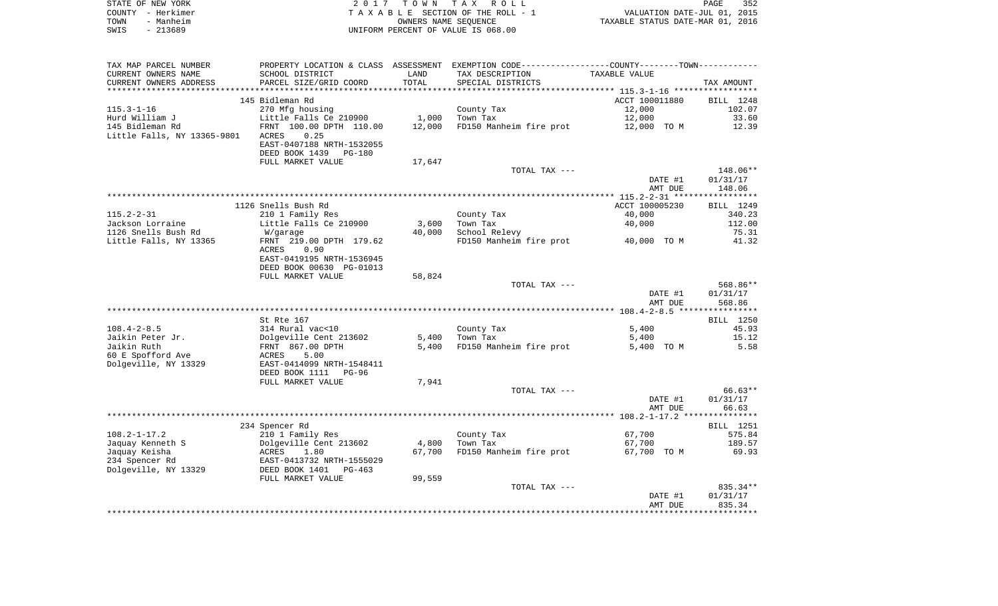|      | STATE OF NEW YORK | 2017 TOWN TAX ROLL                 | PAGE                             | 352 |
|------|-------------------|------------------------------------|----------------------------------|-----|
|      | COUNTY - Herkimer | TAXABLE SECTION OF THE ROLL - 1    | VALUATION DATE-JUL 01, 2015      |     |
| TOWN | - Manheim         | OWNERS NAME SEOUENCE               | TAXABLE STATUS DATE-MAR 01, 2016 |     |
| SWIS | - 213689          | UNIFORM PERCENT OF VALUE IS 068.00 |                                  |     |

| TAX MAP PARCEL NUMBER       | PROPERTY LOCATION & CLASS ASSESSMENT EXEMPTION CODE---------------COUNTY-------TOWN---------- |        |                         |                |            |
|-----------------------------|-----------------------------------------------------------------------------------------------|--------|-------------------------|----------------|------------|
| CURRENT OWNERS NAME         | SCHOOL DISTRICT                                                                               | LAND   | TAX DESCRIPTION         | TAXABLE VALUE  |            |
| CURRENT OWNERS ADDRESS      | PARCEL SIZE/GRID COORD                                                                        | TOTAL  | SPECIAL DISTRICTS       |                | TAX AMOUNT |
|                             |                                                                                               |        |                         |                |            |
|                             | 145 Bidleman Rd                                                                               |        |                         | ACCT 100011880 | BILL 1248  |
| $115.3 - 1 - 16$            | 270 Mfg housing                                                                               |        | County Tax              | 12,000         | 102.07     |
| Hurd William J              | Little Falls Ce 210900                                                                        | 1,000  | Town Tax                | 12,000         | 33.60      |
| 145 Bidleman Rd             | FRNT 100.00 DPTH 110.00                                                                       | 12,000 | FD150 Manheim fire prot | 12,000 TO M    | 12.39      |
| Little Falls, NY 13365-9801 | 0.25<br>ACRES                                                                                 |        |                         |                |            |
|                             | EAST-0407188 NRTH-1532055                                                                     |        |                         |                |            |
|                             | DEED BOOK 1439<br><b>PG-180</b>                                                               |        |                         |                |            |
|                             | FULL MARKET VALUE                                                                             | 17,647 |                         |                |            |
|                             |                                                                                               |        | TOTAL TAX ---           |                | 148.06**   |
|                             |                                                                                               |        |                         | DATE #1        | 01/31/17   |
|                             |                                                                                               |        |                         | AMT DUE        | 148.06     |
|                             |                                                                                               |        |                         |                |            |
|                             | 1126 Snells Bush Rd                                                                           |        |                         | ACCT 100005230 | BILL 1249  |
| $115.2 - 2 - 31$            | 210 1 Family Res                                                                              |        | County Tax              | 40,000         | 340.23     |
| Jackson Lorraine            | Little Falls Ce 210900                                                                        | 3,600  | Town Tax                | 40,000         | 112.00     |
| 1126 Snells Bush Rd         | W/garage                                                                                      | 40,000 | School Relevy           |                | 75.31      |
| Little Falls, NY 13365      | FRNT 219.00 DPTH 179.62                                                                       |        | FD150 Manheim fire prot | 40,000 TO M    | 41.32      |
|                             | ACRES<br>0.90                                                                                 |        |                         |                |            |
|                             | EAST-0419195 NRTH-1536945                                                                     |        |                         |                |            |
|                             | DEED BOOK 00630 PG-01013                                                                      |        |                         |                |            |
|                             | FULL MARKET VALUE                                                                             | 58,824 |                         |                |            |
|                             |                                                                                               |        | TOTAL TAX ---           |                | 568.86**   |
|                             |                                                                                               |        |                         | DATE #1        | 01/31/17   |
|                             |                                                                                               |        |                         | AMT DUE        | 568.86     |
|                             |                                                                                               |        |                         |                |            |
|                             | St Rte 167                                                                                    |        |                         |                | BILL 1250  |
| $108.4 - 2 - 8.5$           | 314 Rural vac<10                                                                              |        | County Tax              | 5.400          | 45.93      |
| Jaikin Peter Jr.            | Dolgeville Cent 213602                                                                        | 5,400  | Town Tax                | 5,400          | 15.12      |
| Jaikin Ruth                 | FRNT 867.00 DPTH                                                                              | 5,400  | FD150 Manheim fire prot | 5,400 TO M     | 5.58       |
| 60 E Spofford Ave           | ACRES<br>5.00                                                                                 |        |                         |                |            |
| Dolgeville, NY 13329        | EAST-0414099 NRTH-1548411                                                                     |        |                         |                |            |
|                             | DEED BOOK 1111<br><b>PG-96</b>                                                                |        |                         |                |            |
|                             | FULL MARKET VALUE                                                                             | 7,941  |                         |                |            |
|                             |                                                                                               |        | TOTAL TAX ---           |                | 66.63**    |
|                             |                                                                                               |        |                         | DATE #1        | 01/31/17   |
|                             |                                                                                               |        |                         | AMT DUE        | 66.63      |
|                             |                                                                                               |        |                         |                |            |
|                             | 234 Spencer Rd                                                                                |        |                         |                | BILL 1251  |
| $108.2 - 1 - 17.2$          | 210 1 Family Res                                                                              |        | County Tax              | 67,700         | 575.84     |
| Jaquay Kenneth S            | Dolgeville Cent 213602                                                                        | 4,800  | Town Tax                | 67,700         | 189.57     |
| Jaquay Keisha               | ACRES<br>1.80                                                                                 | 67,700 | FD150 Manheim fire prot | 67,700 TO M    | 69.93      |
| 234 Spencer Rd              | EAST-0413732 NRTH-1555029                                                                     |        |                         |                |            |
| Dolgeville, NY 13329        | DEED BOOK 1401<br>PG-463                                                                      |        |                         |                |            |
|                             | FULL MARKET VALUE                                                                             | 99,559 |                         |                |            |
|                             |                                                                                               |        | TOTAL TAX ---           |                | 835.34**   |
|                             |                                                                                               |        |                         | DATE #1        | 01/31/17   |
|                             |                                                                                               |        |                         | AMT DUE        | 835.34     |
|                             |                                                                                               |        |                         |                |            |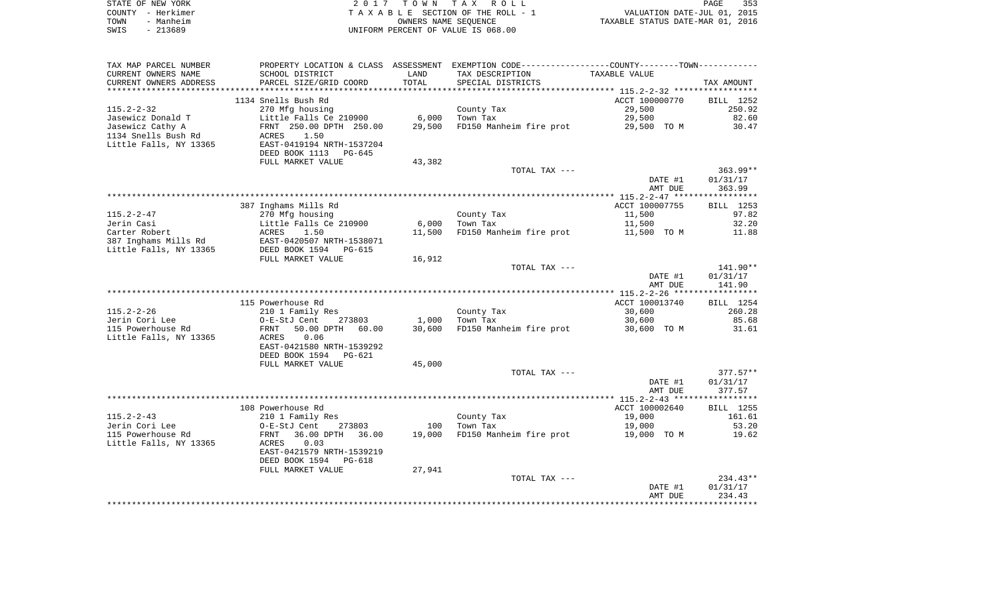|      | STATE OF NEW YORK | 2017 TOWN TAX ROLL                 | 353<br>PAGE                      |
|------|-------------------|------------------------------------|----------------------------------|
|      | COUNTY - Herkimer | TAXABLE SECTION OF THE ROLL - 1    | VALUATION DATE-JUL 01, 2015      |
| TOWN | - Manheim         | OWNERS NAME SEOUENCE               | TAXABLE STATUS DATE-MAR 01, 2016 |
| SWIS | - 213689          | UNIFORM PERCENT OF VALUE IS 068.00 |                                  |

| TAX MAP PARCEL NUMBER  |                              |        | PROPERTY LOCATION & CLASS ASSESSMENT EXEMPTION CODE----------------COUNTY-------TOWN----------- |                |            |
|------------------------|------------------------------|--------|-------------------------------------------------------------------------------------------------|----------------|------------|
| CURRENT OWNERS NAME    | SCHOOL DISTRICT              | LAND   | TAX DESCRIPTION                                                                                 | TAXABLE VALUE  |            |
| CURRENT OWNERS ADDRESS | PARCEL SIZE/GRID COORD       | TOTAL  | SPECIAL DISTRICTS                                                                               |                | TAX AMOUNT |
| ********************** | **************************** |        |                                                                                                 |                |            |
|                        | 1134 Snells Bush Rd          |        |                                                                                                 | ACCT 100000770 | BILL 1252  |
| $115.2 - 2 - 32$       | 270 Mfg housing              |        | County Tax                                                                                      | 29,500         | 250.92     |
| Jasewicz Donald T      | Little Falls Ce 210900       | 6,000  | Town Tax                                                                                        | 29,500         | 82.60      |
| Jasewicz Cathy A       | FRNT 250.00 DPTH 250.00      | 29,500 | FD150 Manheim fire prot                                                                         | 29,500 TO M    | 30.47      |
| 1134 Snells Bush Rd    | ACRES<br>1.50                |        |                                                                                                 |                |            |
| Little Falls, NY 13365 | EAST-0419194 NRTH-1537204    |        |                                                                                                 |                |            |
|                        | DEED BOOK 1113<br>PG-645     |        |                                                                                                 |                |            |
|                        | FULL MARKET VALUE            | 43,382 |                                                                                                 |                |            |
|                        |                              |        | TOTAL TAX ---                                                                                   |                | $363.99**$ |
|                        |                              |        |                                                                                                 | DATE #1        | 01/31/17   |
|                        |                              |        |                                                                                                 | AMT DUE        | 363.99     |
|                        |                              |        |                                                                                                 |                |            |
|                        | 387 Inghams Mills Rd         |        |                                                                                                 | ACCT 100007755 | BILL 1253  |
| $115.2 - 2 - 47$       | 270 Mfg housing              |        | County Tax                                                                                      | 11,500         | 97.82      |
| Jerin Casi             | Little Falls Ce 210900       | 6,000  | Town Tax                                                                                        | 11,500         | 32.20      |
| Carter Robert          | ACRES<br>1.50                | 11,500 | FD150 Manheim fire prot 11,500 TO M                                                             |                | 11.88      |
| 387 Inghams Mills Rd   | EAST-0420507 NRTH-1538071    |        |                                                                                                 |                |            |
| Little Falls, NY 13365 | DEED BOOK 1594<br>PG-615     |        |                                                                                                 |                |            |
|                        | FULL MARKET VALUE            | 16,912 |                                                                                                 |                |            |
|                        |                              |        | TOTAL TAX ---                                                                                   |                | 141.90**   |
|                        |                              |        |                                                                                                 | DATE #1        | 01/31/17   |
|                        |                              |        |                                                                                                 | AMT DUE        | 141.90     |
|                        |                              |        |                                                                                                 |                |            |
|                        | 115 Powerhouse Rd            |        |                                                                                                 | ACCT 100013740 | BILL 1254  |
| $115.2 - 2 - 26$       | 210 1 Family Res             |        | County Tax                                                                                      | 30,600         | 260.28     |
| Jerin Cori Lee         | O-E-StJ Cent<br>273803       | 1,000  | Town Tax                                                                                        | 30,600         | 85.68      |
| 115 Powerhouse Rd      | FRNT<br>50.00 DPTH<br>60.00  | 30,600 | FD150 Manheim fire prot                                                                         | 30,600 TO M    | 31.61      |
| Little Falls, NY 13365 | ACRES<br>0.06                |        |                                                                                                 |                |            |
|                        | EAST-0421580 NRTH-1539292    |        |                                                                                                 |                |            |
|                        | DEED BOOK 1594<br>PG-621     |        |                                                                                                 |                |            |
|                        | FULL MARKET VALUE            | 45,000 |                                                                                                 |                |            |
|                        |                              |        | TOTAL TAX ---                                                                                   |                | $377.57**$ |
|                        |                              |        |                                                                                                 | DATE #1        | 01/31/17   |
|                        |                              |        |                                                                                                 | AMT DUE        | 377.57     |
|                        |                              |        |                                                                                                 |                |            |
|                        | 108 Powerhouse Rd            |        |                                                                                                 | ACCT 100002640 | BILL 1255  |
| $115.2 - 2 - 43$       | 210 1 Family Res             |        | County Tax                                                                                      | 19,000         | 161.61     |
| Jerin Cori Lee         | O-E-StJ Cent<br>273803       | 100    | Town Tax                                                                                        | 19,000         | 53.20      |
| 115 Powerhouse Rd      | 36.00 DPTH<br>FRNT<br>36.00  |        | 19,000 FD150 Manheim fire prot                                                                  | 19,000 TO M    | 19.62      |
| Little Falls, NY 13365 | ACRES<br>0.03                |        |                                                                                                 |                |            |
|                        | EAST-0421579 NRTH-1539219    |        |                                                                                                 |                |            |
|                        | DEED BOOK 1594<br>PG-618     |        |                                                                                                 |                |            |
|                        | FULL MARKET VALUE            | 27,941 |                                                                                                 |                |            |
|                        |                              |        | TOTAL TAX ---                                                                                   |                | $234.43**$ |
|                        |                              |        |                                                                                                 | DATE #1        | 01/31/17   |
|                        |                              |        |                                                                                                 | AMT DUE        | 234.43     |
|                        |                              |        |                                                                                                 |                |            |
|                        |                              |        |                                                                                                 |                |            |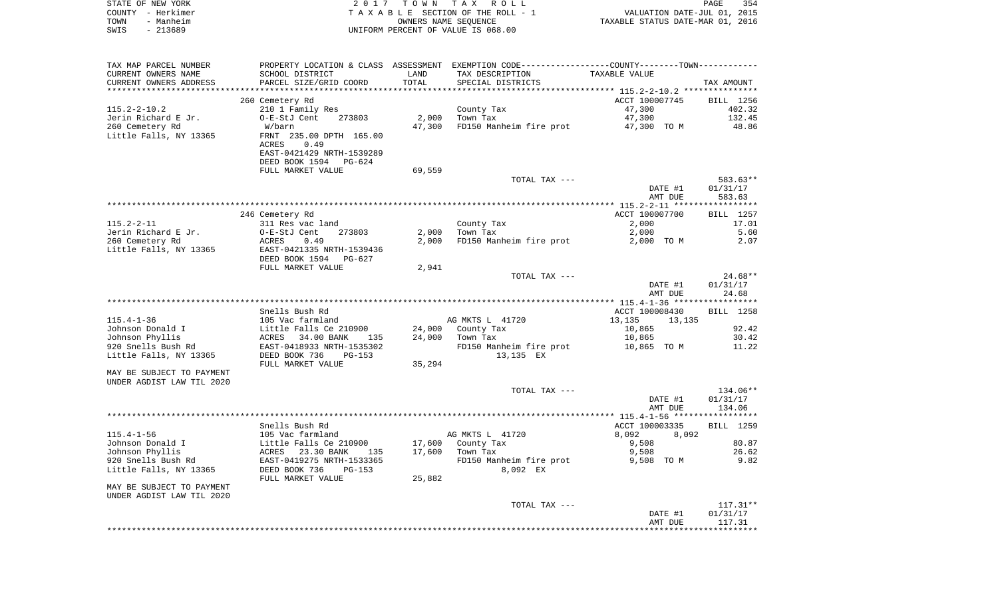| STATE OF NEW YORK      |                                      |       | 2017 TOWN TAX ROLL                 |                                                             | PAGE                        | 354 |
|------------------------|--------------------------------------|-------|------------------------------------|-------------------------------------------------------------|-----------------------------|-----|
| - Herkimer<br>COUNTY   |                                      |       | TAXABLE SECTION OF THE ROLL - 1    |                                                             | VALUATION DATE-JUL 01, 2015 |     |
| - Manheim<br>TOWN      |                                      |       | OWNERS NAME SEOUENCE               | TAXABLE STATUS DATE-MAR 01, 2016                            |                             |     |
| $-213689$<br>SWIS      |                                      |       | UNIFORM PERCENT OF VALUE IS 068.00 |                                                             |                             |     |
|                        |                                      |       |                                    |                                                             |                             |     |
|                        |                                      |       |                                    |                                                             |                             |     |
| TAX MAP PARCEL NUMBER  | PROPERTY LOCATION & CLASS ASSESSMENT |       |                                    | EXEMPTION CODE-----------------COUNTY-------TOWN----------- |                             |     |
| CURRENT OWNERS NAME    | SCHOOL DISTRICT                      | LAND  | TAX DESCRIPTION                    | TAXABLE VALUE                                               |                             |     |
| CURRENT OWNERS ADDRESS | PARCEL SIZE/GRID COORD               | TOTAL | SPECIAL DISTRICTS                  |                                                             | TAX AMOUNT                  |     |
|                        |                                      |       |                                    |                                                             |                             |     |

|                           | 260 Cemetery Rd           |        |                         | ACCT 100007745   | BILL 1256        |
|---------------------------|---------------------------|--------|-------------------------|------------------|------------------|
| $115.2 - 2 - 10.2$        | 210 1 Family Res          |        | County Tax              | 47,300           | 402.32           |
| Jerin Richard E Jr.       | O-E-StJ Cent<br>273803    | 2,000  | Town Tax                | 47,300           | 132.45           |
| 260 Cemetery Rd           | W/barn                    | 47,300 | FD150 Manheim fire prot | 47,300 TO M      | 48.86            |
| Little Falls, NY 13365    | FRNT 235.00 DPTH 165.00   |        |                         |                  |                  |
|                           | 0.49<br><b>ACRES</b>      |        |                         |                  |                  |
|                           | EAST-0421429 NRTH-1539289 |        |                         |                  |                  |
|                           | DEED BOOK 1594 PG-624     |        |                         |                  |                  |
|                           | FULL MARKET VALUE         | 69,559 |                         |                  |                  |
|                           |                           |        | TOTAL TAX ---           |                  | 583.63**         |
|                           |                           |        |                         | DATE #1          | 01/31/17         |
|                           |                           |        |                         | AMT DUE          | 583.63           |
|                           |                           |        |                         |                  |                  |
|                           | 246 Cemetery Rd           |        |                         | ACCT 100007700   | BILL 1257        |
| $115.2 - 2 - 11$          | 311 Res vac land          |        | County Tax              | 2,000            | 17.01            |
| Jerin Richard E Jr.       | 273803<br>O-E-StJ Cent    | 2,000  | Town Tax                | 2,000            | 5.60             |
| 260 Cemetery Rd           | 0.49<br>ACRES             | 2,000  | FD150 Manheim fire prot | 2,000 TO M       | 2.07             |
| Little Falls, NY 13365    | EAST-0421335 NRTH-1539436 |        |                         |                  |                  |
|                           | DEED BOOK 1594 PG-627     |        |                         |                  |                  |
|                           | FULL MARKET VALUE         | 2,941  |                         |                  |                  |
|                           |                           |        | TOTAL TAX ---           |                  | $24.68**$        |
|                           |                           |        |                         | DATE #1          | 01/31/17         |
|                           |                           |        |                         | AMT DUE          | 24.68            |
|                           |                           |        |                         |                  |                  |
|                           | Snells Bush Rd            |        |                         | ACCT 100008430   | <b>BILL</b> 1258 |
| $115.4 - 1 - 36$          | 105 Vac farmland          |        | AG MKTS L 41720         | 13,135<br>13,135 |                  |
| Johnson Donald I          | Little Falls Ce 210900    |        | 24,000 County Tax       | 10,865           | 92.42            |
| Johnson Phyllis           | ACRES 34.00 BANK<br>135   | 24,000 | Town Tax                | 10,865           | 30.42            |
| 920 Snells Bush Rd        | EAST-0418933 NRTH-1535302 |        | FD150 Manheim fire prot | 10,865 TO M      | 11.22            |
| Little Falls, NY 13365    | DEED BOOK 736<br>PG-153   |        | 13,135 EX               |                  |                  |
|                           | FULL MARKET VALUE         | 35,294 |                         |                  |                  |
| MAY BE SUBJECT TO PAYMENT |                           |        |                         |                  |                  |
| UNDER AGDIST LAW TIL 2020 |                           |        |                         |                  |                  |
|                           |                           |        | TOTAL TAX ---           |                  | 134.06**         |
|                           |                           |        |                         | DATE #1          | 01/31/17         |
|                           |                           |        |                         | AMT DUE          | 134.06           |
|                           |                           |        |                         |                  |                  |

|                           |                            |        |                         | AMI DUE          |       | 134.06     |
|---------------------------|----------------------------|--------|-------------------------|------------------|-------|------------|
|                           |                            |        |                         |                  |       |            |
|                           | Snells Bush Rd             |        |                         | ACCT 100003335   |       | BILL 1259  |
| $115.4 - 1 - 56$          | 105 Vac farmland           |        | AG MKTS L 41720         | 8,092            | 8,092 |            |
| Johnson Donald I          | Little Falls Ce 210900     | 17,600 | County Tax              | 9,508            |       | 80.87      |
| Johnson Phyllis           | 23.30 BANK<br>135<br>ACRES | 17,600 | Town Tax                | 9,508            |       | 26.62      |
| 920 Snells Bush Rd        | EAST-0419275 NRTH-1533365  |        | FD150 Manheim fire prot | 9,508<br>TO M    |       | 9.82       |
| Little Falls, NY 13365    | DEED BOOK 736<br>$PG-153$  |        | 8,092 EX                |                  |       |            |
|                           | FULL MARKET VALUE          | 25,882 |                         |                  |       |            |
| MAY BE SUBJECT TO PAYMENT |                            |        |                         |                  |       |            |
| UNDER AGDIST LAW TIL 2020 |                            |        |                         |                  |       |            |
|                           |                            |        | TOTAL TAX ---           |                  |       | $117.31**$ |
|                           |                            |        |                         | <b>0.1 קידות</b> |       | 01/21/17   |

 DATE #1 01/31/17 AMT DUE 117.31\*\*\*\*\*\*\*\*\*\*\*\*\*\*\*\*\*\*\*\*\*\*\*\*\*\*\*\*\*\*\*\*\*\*\*\*\*\*\*\*\*\*\*\*\*\*\*\*\*\*\*\*\*\*\*\*\*\*\*\*\*\*\*\*\*\*\*\*\*\*\*\*\*\*\*\*\*\*\*\*\*\*\*\*\*\*\*\*\*\*\*\*\*\*\*\*\*\*\*\*\*\*\*\*\*\*\*\*\*\*\*\*\*\*\*\*\*\*\*\*\*\*\*\*\*\*\*\*\*\*\*\*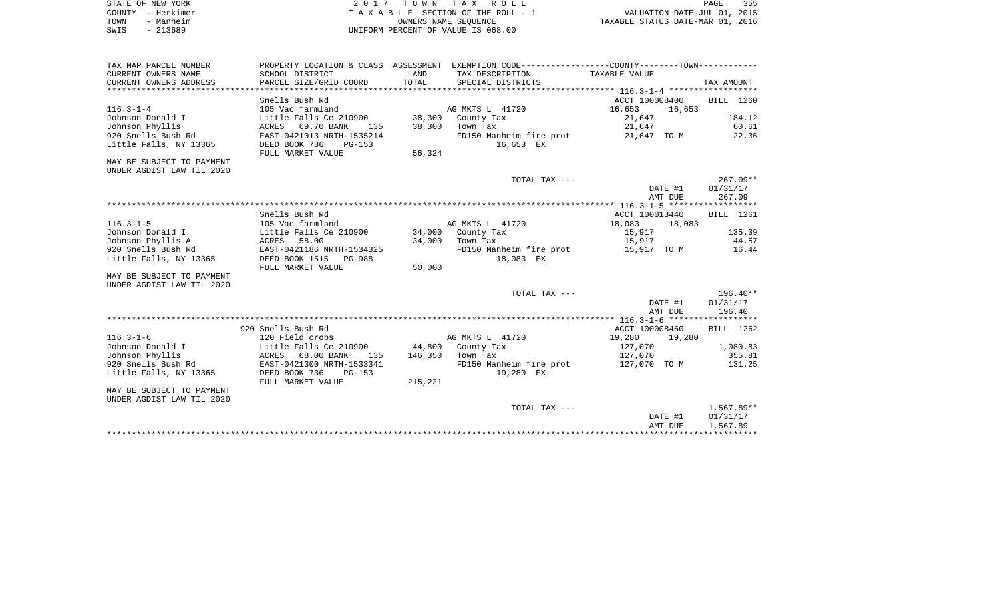| STATE OF NEW YORK | 2017 TOWN TAX ROLL                 | 355<br>PAGE                      |
|-------------------|------------------------------------|----------------------------------|
| COUNTY - Herkimer | TAXABLE SECTION OF THE ROLL - 1    | VALUATION DATE-JUL 01, 2015      |
| - Manheim<br>TOWN | OWNERS NAME SEOUENCE               | TAXABLE STATUS DATE-MAR 01, 2016 |
| - 213689<br>SWIS  | UNIFORM PERCENT OF VALUE IS 068.00 |                                  |

| TAX MAP PARCEL NUMBER     |                            |         | PROPERTY LOCATION & CLASS ASSESSMENT EXEMPTION CODE----------------COUNTY--------TOWN---------- |                |         |                    |
|---------------------------|----------------------------|---------|-------------------------------------------------------------------------------------------------|----------------|---------|--------------------|
| CURRENT OWNERS NAME       | SCHOOL DISTRICT            | LAND    | TAX DESCRIPTION                                                                                 | TAXABLE VALUE  |         |                    |
| CURRENT OWNERS ADDRESS    | PARCEL SIZE/GRID COORD     | TOTAL   | SPECIAL DISTRICTS                                                                               |                |         | TAX AMOUNT         |
|                           |                            |         |                                                                                                 |                |         |                    |
|                           | Snells Bush Rd             |         |                                                                                                 | ACCT 100008400 |         | BILL 1260          |
| $116.3 - 1 - 4$           | 105 Vac farmland           |         | AG MKTS L 41720                                                                                 | 16,653         | 16,653  |                    |
| Johnson Donald I          | Little Falls Ce 210900     | 38,300  | County Tax                                                                                      | 21,647         |         | 184.12             |
| Johnson Phyllis           | 69.70 BANK<br>ACRES<br>135 | 38,300  | Town Tax                                                                                        | 21,647         |         | 60.61              |
| 920 Snells Bush Rd        | EAST-0421013 NRTH-1535214  |         | FD150 Manheim fire prot                                                                         | 21,647 TO M    |         | 22.36              |
| Little Falls, NY 13365    | DEED BOOK 736<br>$PG-153$  |         | 16,653 EX                                                                                       |                |         |                    |
|                           | FULL MARKET VALUE          | 56,324  |                                                                                                 |                |         |                    |
| MAY BE SUBJECT TO PAYMENT |                            |         |                                                                                                 |                |         |                    |
| UNDER AGDIST LAW TIL 2020 |                            |         |                                                                                                 |                |         |                    |
|                           |                            |         | TOTAL TAX ---                                                                                   |                |         | $267.09**$         |
|                           |                            |         |                                                                                                 |                | DATE #1 | 01/31/17           |
|                           |                            |         |                                                                                                 |                | AMT DUE | 267.09             |
|                           |                            |         |                                                                                                 |                |         | ****************** |
|                           | Snells Bush Rd             |         |                                                                                                 | ACCT 100013440 |         | BILL 1261          |
| $116.3 - 1 - 5$           | 105 Vac farmland           |         | AG MKTS L 41720                                                                                 | 18,083         | 18,083  |                    |
| Johnson Donald I          | Little Falls Ce 210900     |         | 34,000 County Tax                                                                               | 15,917         |         | 135.39             |
| Johnson Phyllis A         | 58.00<br>ACRES             | 34,000  | Town Tax                                                                                        | 15,917         |         | 44.57              |
| 920 Snells Bush Rd        | EAST-0421186 NRTH-1534325  |         | FD150 Manheim fire prot                                                                         | 15,917 TO M    |         | 16.44              |
| Little Falls, NY 13365    | DEED BOOK 1515<br>PG-988   |         | 18,083 EX                                                                                       |                |         |                    |
|                           | FULL MARKET VALUE          | 50,000  |                                                                                                 |                |         |                    |
| MAY BE SUBJECT TO PAYMENT |                            |         |                                                                                                 |                |         |                    |
| UNDER AGDIST LAW TIL 2020 |                            |         |                                                                                                 |                |         |                    |
|                           |                            |         | TOTAL TAX ---                                                                                   |                |         | $196.40**$         |
|                           |                            |         |                                                                                                 |                | DATE #1 | 01/31/17           |
|                           |                            |         |                                                                                                 |                | AMT DUE | 196.40             |
|                           |                            |         |                                                                                                 |                |         |                    |
|                           | 920 Snells Bush Rd         |         |                                                                                                 | ACCT 100008460 |         | BILL 1262          |
| $116.3 - 1 - 6$           | 120 Field crops            |         | AG MKTS L 41720                                                                                 | 19,280         | 19,280  |                    |
| Johnson Donald I          | Little Falls Ce 210900     | 44,800  | County Tax                                                                                      | 127,070        |         | 1,080.83           |
| Johnson Phyllis           | 68.00 BANK<br>ACRES<br>135 | 146,350 | Town Tax                                                                                        | 127,070        |         | 355.81             |
| 920 Snells Bush Rd        | EAST-0421300 NRTH-1533341  |         | FD150 Manheim fire prot                                                                         | 127,070 TO M   |         | 131.25             |
| Little Falls, NY 13365    | DEED BOOK 736<br>$PG-153$  |         | 19,280 EX                                                                                       |                |         |                    |
|                           | FULL MARKET VALUE          | 215,221 |                                                                                                 |                |         |                    |
| MAY BE SUBJECT TO PAYMENT |                            |         |                                                                                                 |                |         |                    |
| UNDER AGDIST LAW TIL 2020 |                            |         |                                                                                                 |                |         |                    |
|                           |                            |         | TOTAL TAX ---                                                                                   |                |         | 1,567.89**         |
|                           |                            |         |                                                                                                 |                | DATE #1 | 01/31/17           |
|                           |                            |         |                                                                                                 |                | AMT DUE | 1,567.89           |
|                           |                            |         |                                                                                                 |                |         |                    |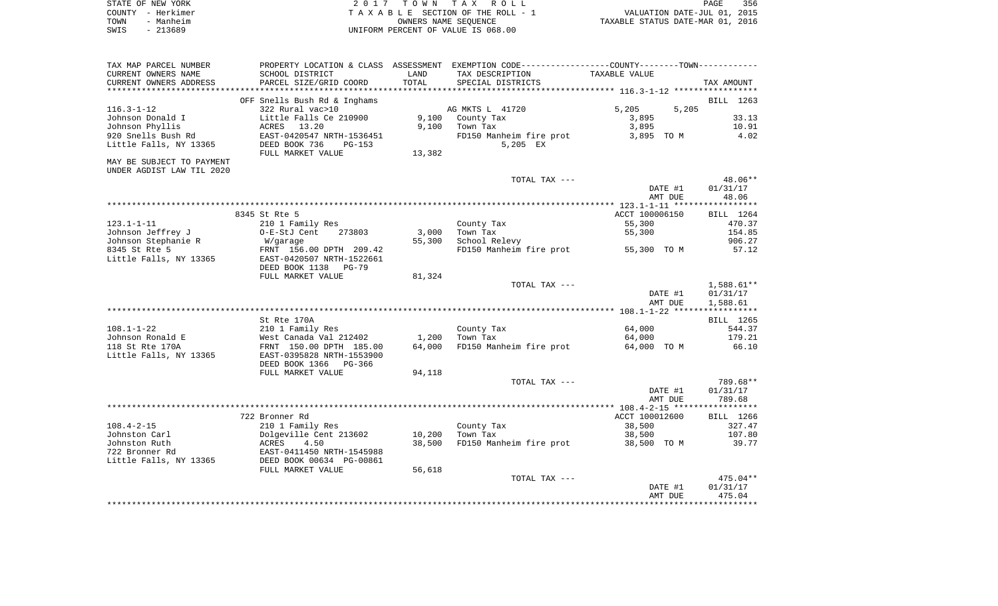| STATE OF NEW YORK | 2017 TOWN TAX ROLL                 | 356<br>PAGE                      |
|-------------------|------------------------------------|----------------------------------|
| COUNTY - Herkimer | TAXABLE SECTION OF THE ROLL - 1    | VALUATION DATE-JUL 01, 2015      |
| TOWN<br>- Manheim | OWNERS NAME SEOUENCE               | TAXABLE STATUS DATE-MAR 01, 2016 |
| $-213689$<br>SWIS | UNIFORM PERCENT OF VALUE IS 068.00 |                                  |

| TAX MAP PARCEL NUMBER     |                              |        | PROPERTY LOCATION & CLASS ASSESSMENT EXEMPTION CODE---------------COUNTY-------TOWN---------- |                |              |
|---------------------------|------------------------------|--------|-----------------------------------------------------------------------------------------------|----------------|--------------|
| CURRENT OWNERS NAME       | SCHOOL DISTRICT              | LAND   | TAX DESCRIPTION                                                                               | TAXABLE VALUE  |              |
| CURRENT OWNERS ADDRESS    | PARCEL SIZE/GRID COORD       | TOTAL  | SPECIAL DISTRICTS                                                                             |                | TAX AMOUNT   |
| ***********************   | **************************   |        |                                                                                               |                |              |
|                           | OFF Snells Bush Rd & Inghams |        |                                                                                               |                | BILL 1263    |
| $116.3 - 1 - 12$          | 322 Rural vac>10             |        | AG MKTS L 41720                                                                               | 5,205<br>5,205 |              |
| Johnson Donald I          | Little Falls Ce 210900       | 9,100  | County Tax                                                                                    | 3,895          | 33.13        |
| Johnson Phyllis           | ACRES 13.20                  | 9,100  | Town Tax                                                                                      | 3,895          | 10.91        |
| 920 Snells Bush Rd        | EAST-0420547 NRTH-1536451    |        | FD150 Manheim fire prot                                                                       | 3,895 TO M     | 4.02         |
| Little Falls, NY 13365    | DEED BOOK 736<br>$PG-153$    |        | 5,205 EX                                                                                      |                |              |
|                           | FULL MARKET VALUE            | 13,382 |                                                                                               |                |              |
| MAY BE SUBJECT TO PAYMENT |                              |        |                                                                                               |                |              |
| UNDER AGDIST LAW TIL 2020 |                              |        |                                                                                               |                |              |
|                           |                              |        | TOTAL TAX ---                                                                                 |                | 48.06**      |
|                           |                              |        |                                                                                               | DATE #1        | 01/31/17     |
|                           |                              |        |                                                                                               | AMT DUE        | 48.06        |
|                           |                              |        |                                                                                               |                |              |
|                           | 8345 St Rte 5                |        |                                                                                               | ACCT 100006150 | BILL 1264    |
| $123.1 - 1 - 11$          | 210 1 Family Res             |        | County Tax                                                                                    | 55,300         | 470.37       |
| Johnson Jeffrey J         | O-E-StJ Cent<br>273803       | 3,000  | Town Tax                                                                                      | 55,300         | 154.85       |
| Johnson Stephanie R       | W/garage                     | 55,300 | School Relevy                                                                                 |                | 906.27       |
| 8345 St Rte 5             | FRNT 156.00 DPTH 209.42      |        | FD150 Manheim fire prot                                                                       | 55,300 TO M    | 57.12        |
| Little Falls, NY 13365    | EAST-0420507 NRTH-1522661    |        |                                                                                               |                |              |
|                           | DEED BOOK 1138<br>PG-79      |        |                                                                                               |                |              |
|                           | FULL MARKET VALUE            | 81,324 |                                                                                               |                |              |
|                           |                              |        | TOTAL TAX ---                                                                                 |                | $1,588.61**$ |
|                           |                              |        |                                                                                               | DATE #1        | 01/31/17     |
|                           |                              |        |                                                                                               | AMT DUE        | 1,588.61     |
|                           |                              |        |                                                                                               |                |              |
|                           | St Rte 170A                  |        |                                                                                               |                | BILL 1265    |
| $108.1 - 1 - 22$          | 210 1 Family Res             |        | County Tax                                                                                    | 64,000         | 544.37       |
| Johnson Ronald E          | West Canada Val 212402       | 1,200  | Town Tax                                                                                      | 64,000         | 179.21       |
| 118 St Rte 170A           | FRNT 150.00 DPTH 185.00      | 64,000 | FD150 Manheim fire prot                                                                       | 64,000 TO M    | 66.10        |
| Little Falls, NY 13365    | EAST-0395828 NRTH-1553900    |        |                                                                                               |                |              |
|                           | DEED BOOK 1366<br>PG-366     |        |                                                                                               |                |              |
|                           | FULL MARKET VALUE            | 94,118 |                                                                                               |                |              |
|                           |                              |        | TOTAL TAX ---                                                                                 |                | 789.68**     |
|                           |                              |        |                                                                                               | DATE #1        | 01/31/17     |
|                           |                              |        |                                                                                               | AMT DUE        | 789.68       |
|                           |                              |        |                                                                                               |                |              |
|                           | 722 Bronner Rd               |        |                                                                                               | ACCT 100012600 | BILL 1266    |
| $108.4 - 2 - 15$          | 210 1 Family Res             |        | County Tax                                                                                    | 38,500         | 327.47       |
| Johnston Carl             | Dolgeville Cent 213602       | 10,200 | Town Tax                                                                                      | 38,500         | 107.80       |
| Johnston Ruth             | <b>ACRES</b><br>4.50         | 38,500 | FD150 Manheim fire prot                                                                       | 38,500 TO M    | 39.77        |
| 722 Bronner Rd            | EAST-0411450 NRTH-1545988    |        |                                                                                               |                |              |
| Little Falls, NY 13365    | DEED BOOK 00634 PG-00861     |        |                                                                                               |                |              |
|                           | FULL MARKET VALUE            | 56,618 |                                                                                               |                |              |
|                           |                              |        | TOTAL TAX ---                                                                                 |                | $475.04**$   |
|                           |                              |        |                                                                                               | DATE #1        | 01/31/17     |
|                           |                              |        |                                                                                               | AMT DUE        | 475.04       |
|                           |                              |        |                                                                                               |                |              |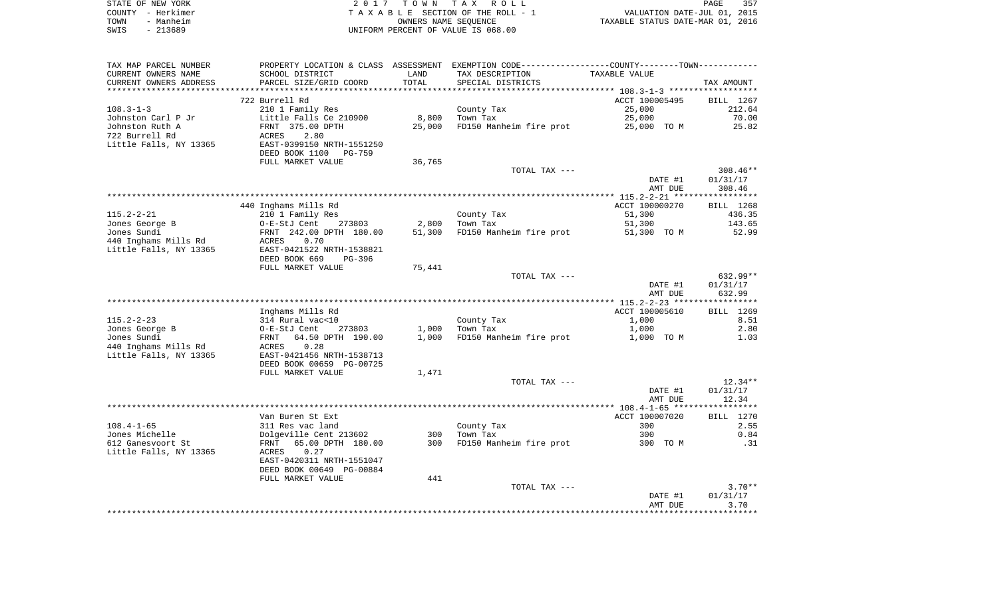| STATE OF NEW YORK |                   | 2017 TOWN TAX ROLL                 | 357<br>PAGE                      |
|-------------------|-------------------|------------------------------------|----------------------------------|
|                   | COUNTY - Herkimer | TAXABLE SECTION OF THE ROLL - 1    | VALUATION DATE-JUL 01, 2015      |
| TOWN              | - Manheim         | OWNERS NAME SEOUENCE               | TAXABLE STATUS DATE-MAR 01, 2016 |
| SWIS              | $-213689$         | UNIFORM PERCENT OF VALUE IS 068.00 |                                  |

| TAX MAP PARCEL NUMBER  | PROPERTY LOCATION & CLASS ASSESSMENT EXEMPTION CODE----------------COUNTY--------TOWN---------- |        |                         |                       |                        |
|------------------------|-------------------------------------------------------------------------------------------------|--------|-------------------------|-----------------------|------------------------|
| CURRENT OWNERS NAME    | SCHOOL DISTRICT                                                                                 | LAND   | TAX DESCRIPTION         | TAXABLE VALUE         |                        |
| CURRENT OWNERS ADDRESS | PARCEL SIZE/GRID COORD                                                                          | TOTAL  | SPECIAL DISTRICTS       |                       | TAX AMOUNT             |
|                        |                                                                                                 |        |                         |                       |                        |
|                        | 722 Burrell Rd                                                                                  |        |                         | ACCT 100005495        | BILL 1267              |
| $108.3 - 1 - 3$        | 210 1 Family Res                                                                                |        | County Tax              | 25,000                | 212.64                 |
| Johnston Carl P Jr     | Little Falls Ce 210900                                                                          | 8,800  | Town Tax                | 25,000                | 70.00                  |
| Johnston Ruth A        | FRNT 375.00 DPTH                                                                                | 25,000 | FD150 Manheim fire prot | 25,000 TO M           | 25.82                  |
| 722 Burrell Rd         | ACRES<br>2.80                                                                                   |        |                         |                       |                        |
| Little Falls, NY 13365 | EAST-0399150 NRTH-1551250                                                                       |        |                         |                       |                        |
|                        | DEED BOOK 1100<br><b>PG-759</b>                                                                 |        |                         |                       |                        |
|                        | FULL MARKET VALUE                                                                               | 36,765 |                         |                       |                        |
|                        |                                                                                                 |        | TOTAL TAX ---           | DATE #1               | $308.46**$<br>01/31/17 |
|                        |                                                                                                 |        |                         |                       | 308.46                 |
|                        |                                                                                                 |        |                         | AMT DUE               |                        |
|                        | 440 Inghams Mills Rd                                                                            |        |                         | ACCT 100000270        | BILL 1268              |
| $115.2 - 2 - 21$       | 210 1 Family Res                                                                                |        | County Tax              | 51,300                | 436.35                 |
| Jones George B         | O-E-StJ Cent<br>273803                                                                          | 2,800  | Town Tax                |                       | 143.65                 |
| Jones Sundi            | FRNT 242.00 DPTH 180.00                                                                         | 51,300 | FD150 Manheim fire prot | 51,300<br>51,300 TO M | 52.99                  |
| 440 Inghams Mills Rd   | 0.70<br>ACRES                                                                                   |        |                         |                       |                        |
| Little Falls, NY 13365 | EAST-0421522 NRTH-1538821                                                                       |        |                         |                       |                        |
|                        | DEED BOOK 669<br>PG-396                                                                         |        |                         |                       |                        |
|                        | FULL MARKET VALUE                                                                               | 75,441 |                         |                       |                        |
|                        |                                                                                                 |        | TOTAL TAX ---           |                       | $632.99**$             |
|                        |                                                                                                 |        |                         | DATE #1               | 01/31/17               |
|                        |                                                                                                 |        |                         | AMT DUE               | 632.99                 |
|                        |                                                                                                 |        |                         |                       |                        |
|                        | Inghams Mills Rd                                                                                |        |                         | ACCT 100005610        | BILL 1269              |
| $115.2 - 2 - 23$       |                                                                                                 |        | County Tax              | 1,000                 | 8.51                   |
| Jones George B         | 314 Rural vac<10<br>O-E-StJ Cent<br>273803                                                      | 1,000  | Town Tax                | 1,000                 | 2.80                   |
| Jones Sundi            | FRNT 64.50 DPTH 190.00                                                                          | 1,000  | FD150 Manheim fire prot | 1,000 TO M            | 1.03                   |
| 440 Inghams Mills Rd   | 0.28<br>ACRES                                                                                   |        |                         |                       |                        |
| Little Falls, NY 13365 | EAST-0421456 NRTH-1538713                                                                       |        |                         |                       |                        |
|                        | DEED BOOK 00659 PG-00725                                                                        |        |                         |                       |                        |
|                        | FULL MARKET VALUE                                                                               | 1,471  |                         |                       |                        |
|                        |                                                                                                 |        | TOTAL TAX ---           |                       | $12.34**$              |
|                        |                                                                                                 |        |                         | DATE #1               | 01/31/17               |
|                        |                                                                                                 |        |                         | AMT DUE               | 12.34                  |
|                        |                                                                                                 |        |                         |                       |                        |
|                        | Van Buren St Ext                                                                                |        |                         | ACCT 100007020        | <b>BILL</b> 1270       |
| $108.4 - 1 - 65$       | 311 Res vac land                                                                                |        | County Tax              | 300                   | 2.55                   |
| Jones Michelle         | Dolgeville Cent 213602                                                                          | 300    | Town Tax                | 300                   | 0.84                   |
| 612 Ganesvoort St      | FRNT 65.00 DPTH 180.00                                                                          | 300    | FD150 Manheim fire prot | 300 TO M              | .31                    |
| Little Falls, NY 13365 | ACRES 0.27                                                                                      |        |                         |                       |                        |
|                        | EAST-0420311 NRTH-1551047                                                                       |        |                         |                       |                        |
|                        | DEED BOOK 00649 PG-00884                                                                        |        |                         |                       |                        |
|                        | FULL MARKET VALUE                                                                               | 441    |                         |                       |                        |
|                        |                                                                                                 |        | TOTAL TAX ---           |                       | $3.70**$               |
|                        |                                                                                                 |        |                         | DATE #1               | 01/31/17               |
|                        |                                                                                                 |        |                         |                       |                        |
|                        |                                                                                                 |        |                         | AMT DUE               | 3.70                   |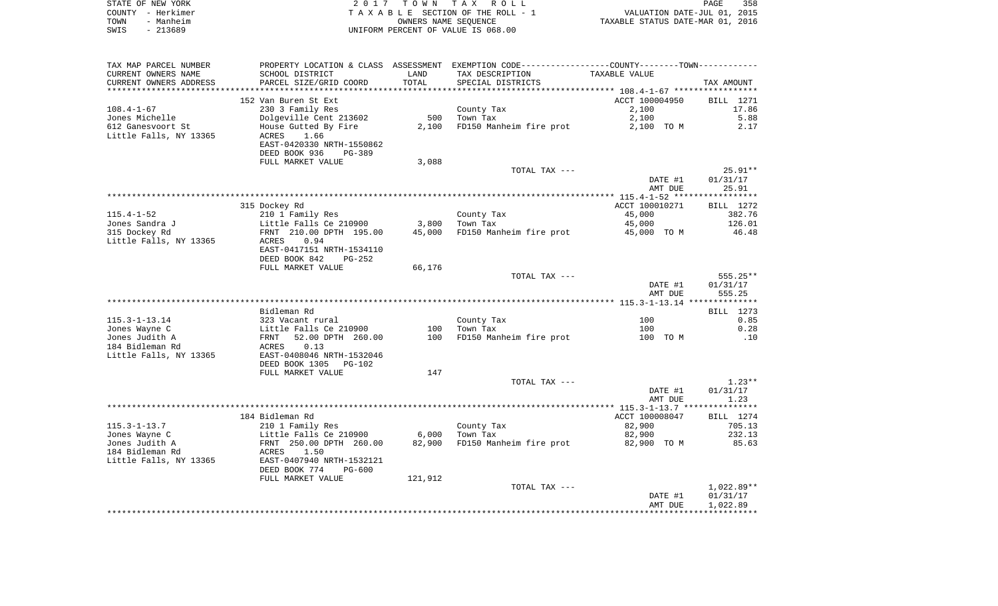|      | STATE OF NEW YORK | 2017 TOWN TAX ROLL                 | PAGE                             | 358 |
|------|-------------------|------------------------------------|----------------------------------|-----|
|      | COUNTY - Herkimer | TAXABLE SECTION OF THE ROLL - 1    | VALUATION DATE-JUL 01, 2015      |     |
| TOWN | - Manheim         | OWNERS NAME SEOUENCE               | TAXABLE STATUS DATE-MAR 01, 2016 |     |
| SWIS | - 213689          | UNIFORM PERCENT OF VALUE IS 068.00 |                                  |     |

| TAX MAP PARCEL NUMBER  |                                 |         | PROPERTY LOCATION & CLASS ASSESSMENT EXEMPTION CODE----------------COUNTY-------TOWN---------- |                                                    |                  |
|------------------------|---------------------------------|---------|------------------------------------------------------------------------------------------------|----------------------------------------------------|------------------|
| CURRENT OWNERS NAME    | SCHOOL DISTRICT                 | LAND    | TAX DESCRIPTION                                                                                | TAXABLE VALUE                                      |                  |
| CURRENT OWNERS ADDRESS | PARCEL SIZE/GRID COORD          | TOTAL   | SPECIAL DISTRICTS                                                                              |                                                    | TAX AMOUNT       |
|                        |                                 |         |                                                                                                | ******************** 108.4-1-67 ****************** |                  |
|                        | 152 Van Buren St Ext            |         |                                                                                                | ACCT 100004950                                     | BILL 1271        |
| $108.4 - 1 - 67$       | 230 3 Family Res                |         | County Tax                                                                                     | 2,100                                              | 17.86            |
| Jones Michelle         | Dolgeville Cent 213602          | 500     | Town Tax                                                                                       | 2,100                                              | 5.88             |
|                        |                                 |         |                                                                                                |                                                    |                  |
| 612 Ganesvoort St      | House Gutted By Fire            | 2,100   | FD150 Manheim fire prot                                                                        | 2,100 TO M                                         | 2.17             |
| Little Falls, NY 13365 | ACRES<br>1.66                   |         |                                                                                                |                                                    |                  |
|                        | EAST-0420330 NRTH-1550862       |         |                                                                                                |                                                    |                  |
|                        | DEED BOOK 936<br><b>PG-389</b>  |         |                                                                                                |                                                    |                  |
|                        | FULL MARKET VALUE               | 3,088   |                                                                                                |                                                    |                  |
|                        |                                 |         | TOTAL TAX ---                                                                                  |                                                    | $25.91**$        |
|                        |                                 |         |                                                                                                | DATE #1                                            | 01/31/17         |
|                        |                                 |         |                                                                                                | AMT DUE                                            | 25.91            |
|                        |                                 |         |                                                                                                |                                                    |                  |
|                        | 315 Dockey Rd                   |         |                                                                                                | ACCT 100010271                                     | BILL 1272        |
| $115.4 - 1 - 52$       | 210 1 Family Res                |         | County Tax                                                                                     | 45,000                                             | 382.76           |
| Jones Sandra J         | Little Falls Ce 210900          | 3,800   | Town Tax                                                                                       | 45,000                                             | 126.01           |
|                        |                                 |         |                                                                                                |                                                    |                  |
| 315 Dockey Rd          | FRNT 210.00 DPTH 195.00         | 45,000  | FD150 Manheim fire prot                                                                        | 45,000 TO M                                        | 46.48            |
| Little Falls, NY 13365 | ACRES<br>0.94                   |         |                                                                                                |                                                    |                  |
|                        | EAST-0417151 NRTH-1534110       |         |                                                                                                |                                                    |                  |
|                        | DEED BOOK 842<br>PG-252         |         |                                                                                                |                                                    |                  |
|                        | FULL MARKET VALUE               | 66,176  |                                                                                                |                                                    |                  |
|                        |                                 |         | TOTAL TAX ---                                                                                  |                                                    | $555.25**$       |
|                        |                                 |         |                                                                                                | DATE #1                                            | 01/31/17         |
|                        |                                 |         |                                                                                                | AMT DUE                                            | 555.25           |
|                        |                                 |         |                                                                                                |                                                    |                  |
|                        | Bidleman Rd                     |         |                                                                                                |                                                    | BILL 1273        |
| $115.3 - 1 - 13.14$    | 323 Vacant rural                |         | County Tax                                                                                     | 100                                                | 0.85             |
| Jones Wayne C          | Little Falls Ce 210900          | 100     | Town Tax                                                                                       | 100                                                | 0.28             |
| Jones Judith A         | 52.00 DPTH 260.00<br>FRNT       | 100     | FD150 Manheim fire prot                                                                        | 100 TO M                                           | .10              |
| 184 Bidleman Rd        | 0.13                            |         |                                                                                                |                                                    |                  |
|                        | ACRES                           |         |                                                                                                |                                                    |                  |
| Little Falls, NY 13365 | EAST-0408046 NRTH-1532046       |         |                                                                                                |                                                    |                  |
|                        | DEED BOOK 1305<br><b>PG-102</b> |         |                                                                                                |                                                    |                  |
|                        | FULL MARKET VALUE               | 147     |                                                                                                |                                                    |                  |
|                        |                                 |         | TOTAL TAX ---                                                                                  |                                                    | $1.23**$         |
|                        |                                 |         |                                                                                                | DATE #1                                            | 01/31/17         |
|                        |                                 |         |                                                                                                | AMT DUE                                            | 1.23             |
|                        |                                 |         |                                                                                                |                                                    |                  |
|                        | 184 Bidleman Rd                 |         |                                                                                                | ACCT 100008047                                     | <b>BILL</b> 1274 |
| $115.3 - 1 - 13.7$     | 210 1 Family Res                |         | County Tax                                                                                     | 82,900                                             | 705.13           |
| Jones Wayne C          | Little Falls Ce 210900          | 6,000   | Town Tax                                                                                       | 82,900                                             | 232.13           |
| Jones Judith A         | FRNT 250.00 DPTH 260.00         | 82,900  | FD150 Manheim fire prot                                                                        | 82,900 TO M                                        | 85.63            |
| 184 Bidleman Rd        | 1.50<br>ACRES                   |         |                                                                                                |                                                    |                  |
|                        |                                 |         |                                                                                                |                                                    |                  |
| Little Falls, NY 13365 | EAST-0407940 NRTH-1532121       |         |                                                                                                |                                                    |                  |
|                        | DEED BOOK 774<br>$PG-600$       |         |                                                                                                |                                                    |                  |
|                        | FULL MARKET VALUE               | 121,912 |                                                                                                |                                                    |                  |
|                        |                                 |         | TOTAL TAX ---                                                                                  |                                                    | $1,022.89**$     |
|                        |                                 |         |                                                                                                | DATE #1                                            | 01/31/17         |
|                        |                                 |         |                                                                                                | AMT DUE                                            | 1,022.89         |
|                        |                                 |         |                                                                                                |                                                    |                  |
|                        |                                 |         |                                                                                                |                                                    |                  |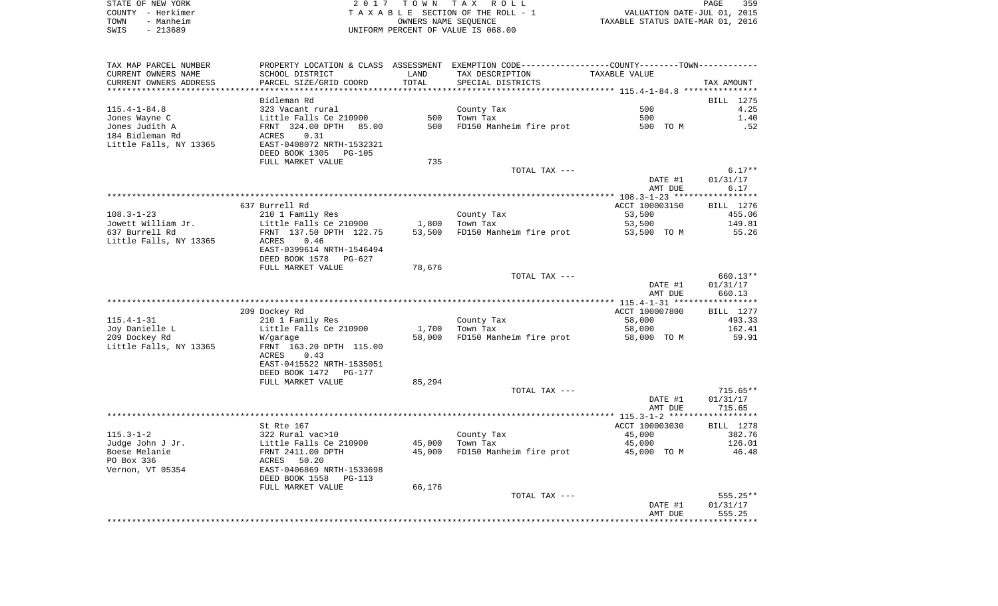| STATE OF NEW YORK | 2017 TOWN TAX ROLL                 | 359<br>PAGE                      |
|-------------------|------------------------------------|----------------------------------|
| COUNTY - Herkimer | TAXABLE SECTION OF THE ROLL - 1    | VALUATION DATE-JUL 01, 2015      |
| - Manheim<br>TOWN | OWNERS NAME SEOUENCE               | TAXABLE STATUS DATE-MAR 01, 2016 |
| SWIS<br>- 213689  | UNIFORM PERCENT OF VALUE IS 068.00 |                                  |

| TAX MAP PARCEL NUMBER<br>CURRENT OWNERS NAME | SCHOOL DISTRICT                                  | LAND       | PROPERTY LOCATION & CLASS ASSESSMENT EXEMPTION CODE---------------COUNTY-------TOWN----------<br>TAX DESCRIPTION | TAXABLE VALUE   |                      |
|----------------------------------------------|--------------------------------------------------|------------|------------------------------------------------------------------------------------------------------------------|-----------------|----------------------|
| CURRENT OWNERS ADDRESS                       | PARCEL SIZE/GRID COORD                           | TOTAL      | SPECIAL DISTRICTS                                                                                                |                 | TAX AMOUNT           |
|                                              |                                                  |            |                                                                                                                  |                 |                      |
|                                              | Bidleman Rd                                      |            |                                                                                                                  |                 | BILL 1275            |
| $115.4 - 1 - 84.8$                           | 323 Vacant rural                                 |            | County Tax                                                                                                       | 500             | 4.25                 |
| Jones Wayne C<br>Jones Judith A              | Little Falls Ce 210900<br>FRNT 324.00 DPTH 85.00 | 500<br>500 | Town Tax                                                                                                         | 500<br>500 TO M | 1.40<br>.52          |
| 184 Bidleman Rd                              | 0.31<br>ACRES                                    |            | FD150 Manheim fire prot                                                                                          |                 |                      |
| Little Falls, NY 13365                       | EAST-0408072 NRTH-1532321                        |            |                                                                                                                  |                 |                      |
|                                              | DEED BOOK 1305<br>PG-105                         |            |                                                                                                                  |                 |                      |
|                                              | FULL MARKET VALUE                                | 735        |                                                                                                                  |                 |                      |
|                                              |                                                  |            | TOTAL TAX ---                                                                                                    |                 | $6.17**$             |
|                                              |                                                  |            |                                                                                                                  | DATE #1         | 01/31/17             |
|                                              |                                                  |            |                                                                                                                  | AMT DUE         | 6.17                 |
|                                              |                                                  |            |                                                                                                                  |                 |                      |
|                                              | 637 Burrell Rd                                   |            |                                                                                                                  | ACCT 100003150  | BILL 1276            |
| $108.3 - 1 - 23$                             | 210 1 Family Res                                 |            | County Tax                                                                                                       | 53,500          | 455.06               |
| Jowett William Jr.                           | Little Falls Ce 210900                           | 1,800      | Town Tax                                                                                                         | 53,500          | 149.81               |
| 637 Burrell Rd                               | FRNT 137.50 DPTH 122.75                          | 53,500     | FD150 Manheim fire prot                                                                                          | 53,500 TO M     | 55.26                |
| Little Falls, NY 13365                       | ACRES<br>0.46                                    |            |                                                                                                                  |                 |                      |
|                                              | EAST-0399614 NRTH-1546494                        |            |                                                                                                                  |                 |                      |
|                                              | DEED BOOK 1578<br>PG-627                         |            |                                                                                                                  |                 |                      |
|                                              | FULL MARKET VALUE                                | 78,676     |                                                                                                                  |                 |                      |
|                                              |                                                  |            | TOTAL TAX ---                                                                                                    | DATE #1         | 660.13**<br>01/31/17 |
|                                              |                                                  |            |                                                                                                                  | AMT DUE         | 660.13               |
|                                              |                                                  |            |                                                                                                                  |                 |                      |
|                                              | 209 Dockey Rd                                    |            |                                                                                                                  | ACCT 100007800  | BILL 1277            |
| $115.4 - 1 - 31$                             | 210 1 Family Res                                 |            | County Tax                                                                                                       | 58,000          | 493.33               |
| Joy Danielle L                               | Little Falls Ce 210900                           | 1,700      | Town Tax                                                                                                         | 58,000          | 162.41               |
| 209 Dockey Rd                                | W/garage                                         | 58,000     | FD150 Manheim fire prot                                                                                          | 58,000 TO M     | 59.91                |
| Little Falls, NY 13365                       | FRNT 163.20 DPTH 115.00                          |            |                                                                                                                  |                 |                      |
|                                              | ACRES<br>0.43                                    |            |                                                                                                                  |                 |                      |
|                                              | EAST-0415522 NRTH-1535051                        |            |                                                                                                                  |                 |                      |
|                                              | DEED BOOK 1472<br>PG-177                         |            |                                                                                                                  |                 |                      |
|                                              | FULL MARKET VALUE                                | 85,294     |                                                                                                                  |                 |                      |
|                                              |                                                  |            | TOTAL TAX ---                                                                                                    |                 | $715.65**$           |
|                                              |                                                  |            |                                                                                                                  | DATE #1         | 01/31/17             |
|                                              |                                                  |            |                                                                                                                  | AMT DUE         | 715.65               |
|                                              | St Rte 167                                       |            |                                                                                                                  | ACCT 100003030  | BILL 1278            |
| $115.3 - 1 - 2$                              | 322 Rural vac>10                                 |            | County Tax                                                                                                       | 45,000          | 382.76               |
| Judge John J Jr.                             | Little Falls Ce 210900                           | 45,000     | Town Tax                                                                                                         | 45,000          | 126.01               |
| Boese Melanie                                | FRNT 2411.00 DPTH                                | 45,000     | FD150 Manheim fire prot                                                                                          | 45,000 TO M     | 46.48                |
| PO Box 336                                   | ACRES 50.20                                      |            |                                                                                                                  |                 |                      |
| Vernon, VT 05354                             | EAST-0406869 NRTH-1533698                        |            |                                                                                                                  |                 |                      |
|                                              | DEED BOOK 1558<br>$PG-113$                       |            |                                                                                                                  |                 |                      |
|                                              | FULL MARKET VALUE                                | 66,176     |                                                                                                                  |                 |                      |
|                                              |                                                  |            | TOTAL TAX ---                                                                                                    |                 | 555.25**             |
|                                              |                                                  |            |                                                                                                                  | DATE #1         | 01/31/17             |
|                                              |                                                  |            |                                                                                                                  | AMT DUE         | 555.25               |
|                                              |                                                  |            |                                                                                                                  |                 |                      |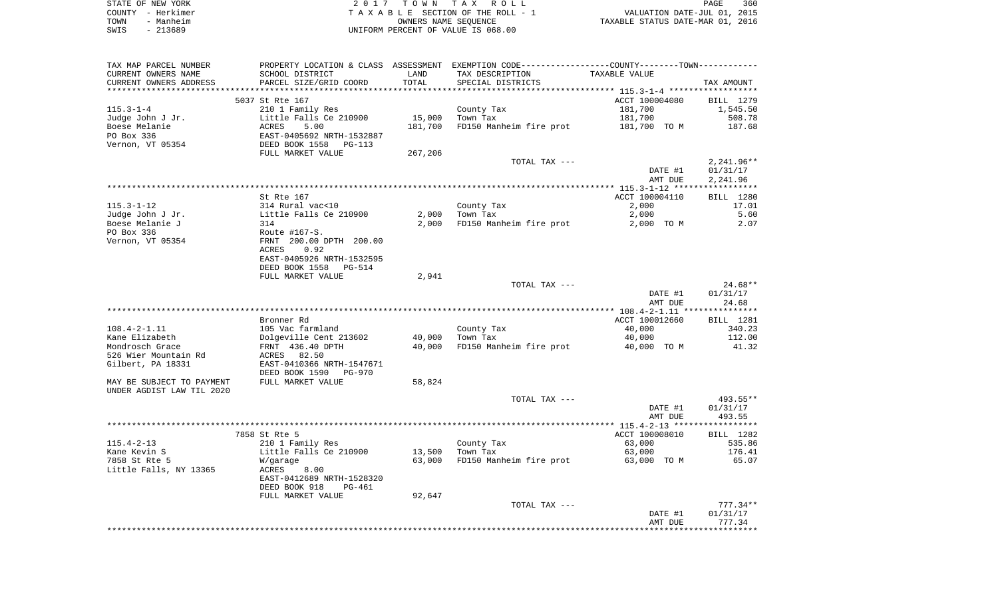|      | STATE OF NEW YORK | 2017 TOWN TAX ROLL                 | 360<br>PAGE                      |  |
|------|-------------------|------------------------------------|----------------------------------|--|
|      | COUNTY - Herkimer | TAXABLE SECTION OF THE ROLL - 1    | VALUATION DATE-JUL 01, 2015      |  |
| TOWN | - Manheim         | OWNERS NAME SEOUENCE               | TAXABLE STATUS DATE-MAR 01, 2016 |  |
| SWIS | - 213689          | UNIFORM PERCENT OF VALUE IS 068.00 |                                  |  |

| TAX MAP PARCEL NUMBER<br>CURRENT OWNERS NAME<br>CURRENT OWNERS ADDRESS | SCHOOL DISTRICT<br>PARCEL SIZE/GRID COORD          | LAND<br>TOTAL | PROPERTY LOCATION & CLASS ASSESSMENT EXEMPTION CODE----------------COUNTY-------TOWN----------<br>TAX DESCRIPTION<br>SPECIAL DISTRICTS | TAXABLE VALUE  | TAX AMOUNT   |
|------------------------------------------------------------------------|----------------------------------------------------|---------------|----------------------------------------------------------------------------------------------------------------------------------------|----------------|--------------|
|                                                                        |                                                    |               |                                                                                                                                        |                |              |
|                                                                        | 5037 St Rte 167                                    |               |                                                                                                                                        | ACCT 100004080 | BILL 1279    |
| $115.3 - 1 - 4$                                                        | 210 1 Family Res                                   |               | County Tax                                                                                                                             | 181,700        | 1,545.50     |
| Judge John J Jr.                                                       | Little Falls Ce 210900                             | 15,000        | Town Tax                                                                                                                               | 181,700        | 508.78       |
| Boese Melanie                                                          | 5.00<br>ACRES                                      | 181,700       | FD150 Manheim fire prot                                                                                                                | 181,700 TO M   | 187.68       |
| PO Box 336                                                             |                                                    |               |                                                                                                                                        |                |              |
| Vernon, VT 05354                                                       | EAST-0405692 NRTH-1532887<br>DEED BOOK 1558 PG-113 |               |                                                                                                                                        |                |              |
|                                                                        | FULL MARKET VALUE                                  | 267,206       |                                                                                                                                        |                |              |
|                                                                        |                                                    |               | TOTAL TAX ---                                                                                                                          |                | $2,241.96**$ |
|                                                                        |                                                    |               |                                                                                                                                        | DATE #1        | 01/31/17     |
|                                                                        |                                                    |               |                                                                                                                                        | AMT DUE        | 2,241.96     |
|                                                                        |                                                    |               |                                                                                                                                        |                |              |
|                                                                        | St Rte 167                                         |               |                                                                                                                                        | ACCT 100004110 | BILL 1280    |
| 115.3-1-12                                                             | 314 Rural vac<10                                   |               | County Tax                                                                                                                             | 2,000          | 17.01        |
| Judge John J Jr.                                                       | Little Falls Ce 210900                             | 2,000         | Town Tax                                                                                                                               | 2,000          | 5.60         |
| Boese Melanie J<br>PO Box 336                                          | 314<br>Route #167-S.                               | 2,000         | FD150 Manheim fire prot                                                                                                                | 2,000 TO M     | 2.07         |
| Vernon, VT 05354                                                       | FRNT 200.00 DPTH 200.00                            |               |                                                                                                                                        |                |              |
|                                                                        | 0.92<br>ACRES                                      |               |                                                                                                                                        |                |              |
|                                                                        | EAST-0405926 NRTH-1532595                          |               |                                                                                                                                        |                |              |
|                                                                        | DEED BOOK 1558<br><b>PG-514</b>                    |               |                                                                                                                                        |                |              |
|                                                                        | FULL MARKET VALUE                                  | 2,941         |                                                                                                                                        |                |              |
|                                                                        |                                                    |               | TOTAL TAX ---                                                                                                                          |                | 24.68**      |
|                                                                        |                                                    |               |                                                                                                                                        | DATE #1        | 01/31/17     |
|                                                                        |                                                    |               |                                                                                                                                        | AMT DUE        | 24.68        |
|                                                                        |                                                    |               |                                                                                                                                        |                |              |
|                                                                        | Bronner Rd                                         |               |                                                                                                                                        | ACCT 100012660 | BILL 1281    |
| 108.4-2-1.11                                                           | 105 Vac farmland                                   |               | County Tax                                                                                                                             | 40,000         | 340.23       |
| Kane Elizabeth                                                         | Dolgeville Cent 213602                             | 40,000        | Town Tax                                                                                                                               | 40,000         | 112.00       |
| Mondrosch Grace                                                        | FRNT 436.40 DPTH                                   | 40,000        | FD150 Manheim fire prot                                                                                                                | 40,000 TO M    | 41.32        |
| 526 Wier Mountain Rd                                                   | ACRES 82.50                                        |               |                                                                                                                                        |                |              |
| Gilbert, PA 18331                                                      | EAST-0410366 NRTH-1547671                          |               |                                                                                                                                        |                |              |
|                                                                        | DEED BOOK 1590 PG-970                              |               |                                                                                                                                        |                |              |
| MAY BE SUBJECT TO PAYMENT                                              | FULL MARKET VALUE                                  | 58,824        |                                                                                                                                        |                |              |
| UNDER AGDIST LAW TIL 2020                                              |                                                    |               | TOTAL TAX ---                                                                                                                          |                | 493.55**     |
|                                                                        |                                                    |               |                                                                                                                                        | DATE #1        | 01/31/17     |
|                                                                        |                                                    |               |                                                                                                                                        | AMT DUE        | 493.55       |
|                                                                        |                                                    |               |                                                                                                                                        |                |              |
|                                                                        | 7858 St Rte 5                                      |               |                                                                                                                                        | ACCT 100008010 | BILL 1282    |
| 115.4-2-13                                                             | 210 1 Family Res                                   |               | County Tax                                                                                                                             | 63,000         | 535.86       |
| Kane Kevin S                                                           | Little Falls Ce 210900                             | 13,500        | Town Tax                                                                                                                               | 63,000         | 176.41       |
| 7858 St Rte 5                                                          | W/garage                                           | 63,000        | FD150 Manheim fire prot                                                                                                                | 63,000 TO M    | 65.07        |
| Little Falls, NY 13365                                                 | 8.00<br>ACRES                                      |               |                                                                                                                                        |                |              |
|                                                                        | EAST-0412689 NRTH-1528320                          |               |                                                                                                                                        |                |              |
|                                                                        | DEED BOOK 918<br>PG-461                            |               |                                                                                                                                        |                |              |
|                                                                        | FULL MARKET VALUE                                  | 92,647        |                                                                                                                                        |                |              |
|                                                                        |                                                    |               | TOTAL TAX ---                                                                                                                          |                | $777.34**$   |
|                                                                        |                                                    |               |                                                                                                                                        | DATE #1        | 01/31/17     |
|                                                                        |                                                    |               |                                                                                                                                        | AMT DUE        | 777.34       |
|                                                                        |                                                    |               |                                                                                                                                        |                |              |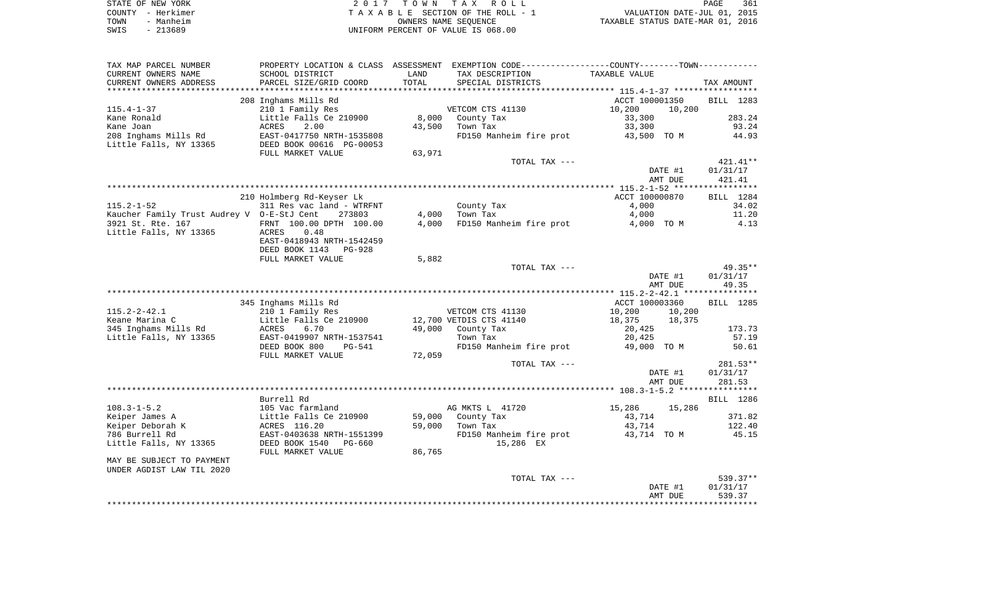| STATE OF NEW YORK | 2017 TOWN TAX ROLL                 | 361<br>PAGE                      |
|-------------------|------------------------------------|----------------------------------|
| COUNTY - Herkimer | TAXABLE SECTION OF THE ROLL - 1    | VALUATION DATE-JUL 01, 2015      |
| - Manheim<br>TOWN | OWNERS NAME SEOUENCE               | TAXABLE STATUS DATE-MAR 01, 2016 |
| SWIS<br>- 213689  | UNIFORM PERCENT OF VALUE IS 068.00 |                                  |

| TAX MAP PARCEL NUMBER                        |                                                  |        | PROPERTY LOCATION & CLASS ASSESSMENT EXEMPTION CODE---------------COUNTY-------TOWN---------- |                  |             |
|----------------------------------------------|--------------------------------------------------|--------|-----------------------------------------------------------------------------------------------|------------------|-------------|
| CURRENT OWNERS NAME                          | SCHOOL DISTRICT                                  | LAND   | TAX DESCRIPTION                                                                               | TAXABLE VALUE    |             |
| CURRENT OWNERS ADDRESS<br>****************** | PARCEL SIZE/GRID COORD<br>********************** | TOTAL  | SPECIAL DISTRICTS                                                                             |                  | TAX AMOUNT  |
|                                              | 208 Inghams Mills Rd                             |        |                                                                                               | ACCT 100001350   | BILL 1283   |
| $115.4 - 1 - 37$                             | 210 1 Family Res                                 |        | VETCOM CTS 41130                                                                              | 10,200<br>10,200 |             |
| Kane Ronald                                  | Little Falls Ce 210900                           | 8,000  | County Tax                                                                                    | 33,300           | 283.24      |
| Kane Joan                                    | 2.00<br>ACRES                                    | 43,500 | Town Tax                                                                                      | 33,300           | 93.24       |
| 208 Inghams Mills Rd                         | EAST-0417750 NRTH-1535808                        |        | FD150 Manheim fire prot                                                                       | 43,500 TO M      | 44.93       |
| Little Falls, NY 13365                       | DEED BOOK 00616 PG-00053                         |        |                                                                                               |                  |             |
|                                              | FULL MARKET VALUE                                | 63,971 |                                                                                               |                  |             |
|                                              |                                                  |        | TOTAL TAX ---                                                                                 |                  | $421.41**$  |
|                                              |                                                  |        |                                                                                               | DATE #1          | 01/31/17    |
|                                              |                                                  |        |                                                                                               | AMT DUE          | 421.41      |
|                                              |                                                  |        |                                                                                               |                  | *********** |
|                                              | 210 Holmberg Rd-Keyser Lk                        |        |                                                                                               | ACCT 100000870   | BILL 1284   |
| $115.2 - 1 - 52$                             | 311 Res vac land - WTRFNT                        |        | County Tax                                                                                    | 4,000            | 34.02       |
| Kaucher Family Trust Audrey V 0-E-StJ Cent   | 273803                                           | 4,000  | Town Tax                                                                                      | 4,000            | 11.20       |
| 3921 St. Rte. 167                            | FRNT 100.00 DPTH 100.00                          | 4,000  | FD150 Manheim fire prot                                                                       | 4,000 TO M       | 4.13        |
| Little Falls, NY 13365                       | ACRES<br>0.48                                    |        |                                                                                               |                  |             |
|                                              | EAST-0418943 NRTH-1542459                        |        |                                                                                               |                  |             |
|                                              | DEED BOOK 1143<br>PG-928                         |        |                                                                                               |                  |             |
|                                              | FULL MARKET VALUE                                | 5,882  | TOTAL TAX ---                                                                                 |                  | 49.35**     |
|                                              |                                                  |        |                                                                                               | DATE #1          | 01/31/17    |
|                                              |                                                  |        |                                                                                               | AMT DUE          | 49.35       |
|                                              |                                                  |        |                                                                                               |                  |             |
|                                              | 345 Inghams Mills Rd                             |        |                                                                                               | ACCT 100003360   | BILL 1285   |
| $115.2 - 2 - 42.1$                           | 210 1 Family Res                                 |        | VETCOM CTS 41130                                                                              | 10,200<br>10,200 |             |
| Keane Marina C                               | Little Falls Ce 210900                           |        | 12,700 VETDIS CTS 41140                                                                       | 18,375<br>18,375 |             |
| 345 Inghams Mills Rd                         | ACRES<br>6.70                                    | 49,000 | County Tax                                                                                    | 20,425           | 173.73      |
| Little Falls, NY 13365                       | EAST-0419907 NRTH-1537541                        |        | Town Tax                                                                                      | 20,425           | 57.19       |
|                                              | DEED BOOK 800<br>PG-541                          |        | FD150 Manheim fire prot                                                                       | 49,000 TO M      | 50.61       |
|                                              | FULL MARKET VALUE                                | 72,059 |                                                                                               |                  |             |
|                                              |                                                  |        | TOTAL TAX ---                                                                                 |                  | 281.53**    |
|                                              |                                                  |        |                                                                                               | DATE #1          | 01/31/17    |
|                                              |                                                  |        |                                                                                               | AMT DUE          | 281.53      |
|                                              | Burrell Rd                                       |        |                                                                                               |                  |             |
| $108.3 - 1 - 5.2$                            | 105 Vac farmland                                 |        |                                                                                               | 15,286           | BILL 1286   |
| Keiper James A                               | Little Falls Ce 210900                           | 59,000 | AG MKTS L 41720<br>County Tax                                                                 | 15,286<br>43,714 | 371.82      |
| Keiper Deborah K                             | ACRES 116.20                                     | 59,000 | Town Tax                                                                                      | 43,714           | 122.40      |
| 786 Burrell Rd                               | EAST-0403638 NRTH-1551399                        |        | FD150 Manheim fire prot                                                                       | 43,714 TO M      | 45.15       |
| Little Falls, NY 13365                       | DEED BOOK 1540<br>PG-660                         |        | 15,286 EX                                                                                     |                  |             |
|                                              | FULL MARKET VALUE                                | 86,765 |                                                                                               |                  |             |
| MAY BE SUBJECT TO PAYMENT                    |                                                  |        |                                                                                               |                  |             |
| UNDER AGDIST LAW TIL 2020                    |                                                  |        |                                                                                               |                  |             |
|                                              |                                                  |        | TOTAL TAX ---                                                                                 |                  | 539.37**    |
|                                              |                                                  |        |                                                                                               | DATE #1          | 01/31/17    |
|                                              |                                                  |        |                                                                                               | AMT DUE          | 539.37      |
|                                              |                                                  |        |                                                                                               |                  |             |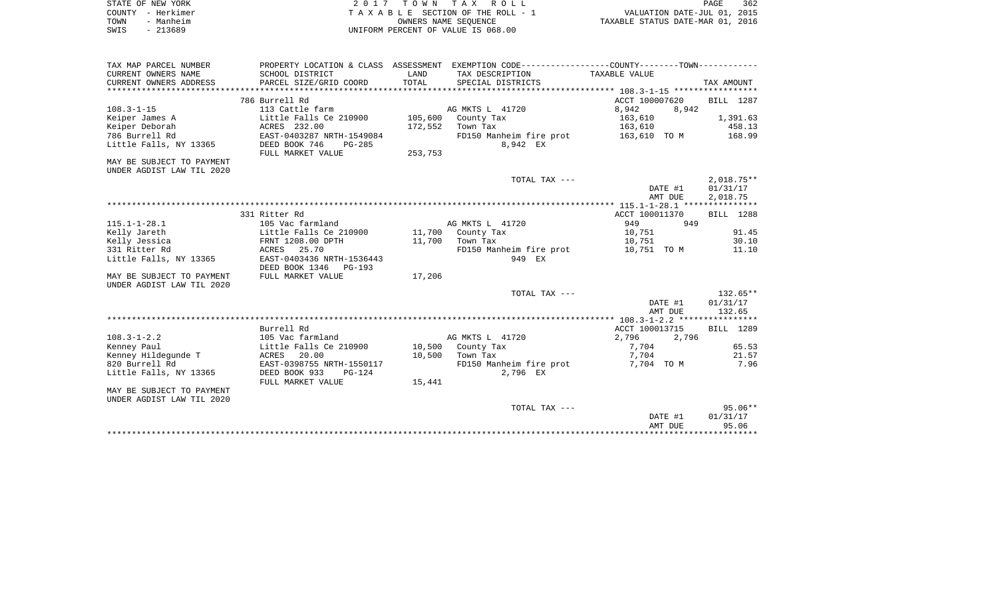| STATE OF NEW YORK | 2017 TOWN TAX ROLL                 | 362<br>PAGE                      |
|-------------------|------------------------------------|----------------------------------|
| COUNTY - Herkimer | TAXABLE SECTION OF THE ROLL - 1    | VALUATION DATE-JUL 01, 2015      |
| TOWN<br>- Manheim | OWNERS NAME SEOUENCE               | TAXABLE STATUS DATE-MAR 01, 2016 |
| $-213689$<br>SWIS | UNIFORM PERCENT OF VALUE IS 068.00 |                                  |

| TAX MAP PARCEL NUMBER<br>CURRENT OWNERS NAME | SCHOOL DISTRICT                       | LAND    | PROPERTY LOCATION & CLASS ASSESSMENT EXEMPTION CODE---------------COUNTY-------TOWN---------<br>TAX DESCRIPTION | TAXABLE VALUE  |                  |
|----------------------------------------------|---------------------------------------|---------|-----------------------------------------------------------------------------------------------------------------|----------------|------------------|
| CURRENT OWNERS ADDRESS                       | PARCEL SIZE/GRID COORD                | TOTAL   | SPECIAL DISTRICTS                                                                                               |                | TAX AMOUNT       |
| *************************                    |                                       |         |                                                                                                                 |                |                  |
|                                              | 786 Burrell Rd                        |         |                                                                                                                 | ACCT 100007620 | BILL 1287        |
| $108.3 - 1 - 15$                             | 113 Cattle farm                       |         | AG MKTS L 41720                                                                                                 | 8,942<br>8,942 |                  |
| Keiper James A                               | Little Falls Ce 210900                | 105,600 | County Tax                                                                                                      | 163,610        | 1,391.63         |
| Keiper Deborah                               | ACRES 232.00                          | 172,552 | Town Tax                                                                                                        | 163,610        | 458.13           |
| 786 Burrell Rd                               | EAST-0403287 NRTH-1549084             |         | FD150 Manheim fire prot 163,610 TO M                                                                            |                | 168.99           |
| Little Falls, NY 13365                       | DEED BOOK 746<br>PG-285               |         | 8,942 EX                                                                                                        |                |                  |
|                                              | FULL MARKET VALUE                     | 253,753 |                                                                                                                 |                |                  |
| MAY BE SUBJECT TO PAYMENT                    |                                       |         |                                                                                                                 |                |                  |
| UNDER AGDIST LAW TIL 2020                    |                                       |         |                                                                                                                 |                |                  |
|                                              |                                       |         | TOTAL TAX ---                                                                                                   |                | $2,018.75**$     |
|                                              |                                       |         |                                                                                                                 | DATE #1        | 01/31/17         |
|                                              |                                       |         |                                                                                                                 | AMT DUE        | 2,018.75         |
|                                              | 331 Ritter Rd                         |         |                                                                                                                 | ACCT 100011370 | <b>BILL</b> 1288 |
| $115.1 - 1 - 28.1$                           | 105 Vac farmland                      |         | AG MKTS L 41720                                                                                                 | 949<br>949     |                  |
| Kelly Jareth                                 | Little Falls Ce 210900                |         | 11,700 County Tax                                                                                               | 10,751         | 91.45            |
| Kelly Jessica                                | FRNT 1208.00 DPTH                     | 11,700  | Town Tax                                                                                                        | 10,751         | 30.10            |
| 331 Ritter Rd                                | ACRES 25.70                           |         | FD150 Manheim fire prot                                                                                         | 10,751 TO M    | 11.10            |
| Little Falls, NY 13365                       | EAST-0403436 NRTH-1536443             |         | 949 EX                                                                                                          |                |                  |
|                                              | DEED BOOK 1346 PG-193                 |         |                                                                                                                 |                |                  |
| MAY BE SUBJECT TO PAYMENT                    | FULL MARKET VALUE                     | 17,206  |                                                                                                                 |                |                  |
| UNDER AGDIST LAW TIL 2020                    |                                       |         |                                                                                                                 |                |                  |
|                                              |                                       |         | TOTAL TAX ---                                                                                                   |                | $132.65**$       |
|                                              |                                       |         |                                                                                                                 | DATE #1        | 01/31/17         |
|                                              |                                       |         |                                                                                                                 | AMT DUE        | 132.65           |
|                                              |                                       |         |                                                                                                                 |                |                  |
|                                              | Burrell Rd                            |         |                                                                                                                 | ACCT 100013715 | <b>BILL</b> 1289 |
| $108.3 - 1 - 2.2$                            | 105 Vac farmland                      |         | AG MKTS L 41720                                                                                                 | 2,796<br>2,796 |                  |
| Kenney Paul                                  | Little Falls Ce 210900                |         | 10,500 County Tax                                                                                               | 7,704          | 65.53            |
| Kenney Hildequnde T                          | ACRES 20.00                           | 10,500  | Town Tax                                                                                                        | 7,704          | 21.57<br>7.96    |
| 820 Burrell Rd                               | EAST-0398755 NRTH-1550117<br>$PG-124$ |         | FD150 Manheim fire prot<br>2,796 EX                                                                             | 7,704 TO M     |                  |
| Little Falls, NY 13365                       | DEED BOOK 933<br>FULL MARKET VALUE    | 15,441  |                                                                                                                 |                |                  |
| MAY BE SUBJECT TO PAYMENT                    |                                       |         |                                                                                                                 |                |                  |
| UNDER AGDIST LAW TIL 2020                    |                                       |         |                                                                                                                 |                |                  |
|                                              |                                       |         | TOTAL TAX ---                                                                                                   |                | $95.06**$        |
|                                              |                                       |         |                                                                                                                 | DATE #1        | 01/31/17         |
|                                              |                                       |         |                                                                                                                 | AMT DUE        | 95.06            |
|                                              |                                       |         |                                                                                                                 |                |                  |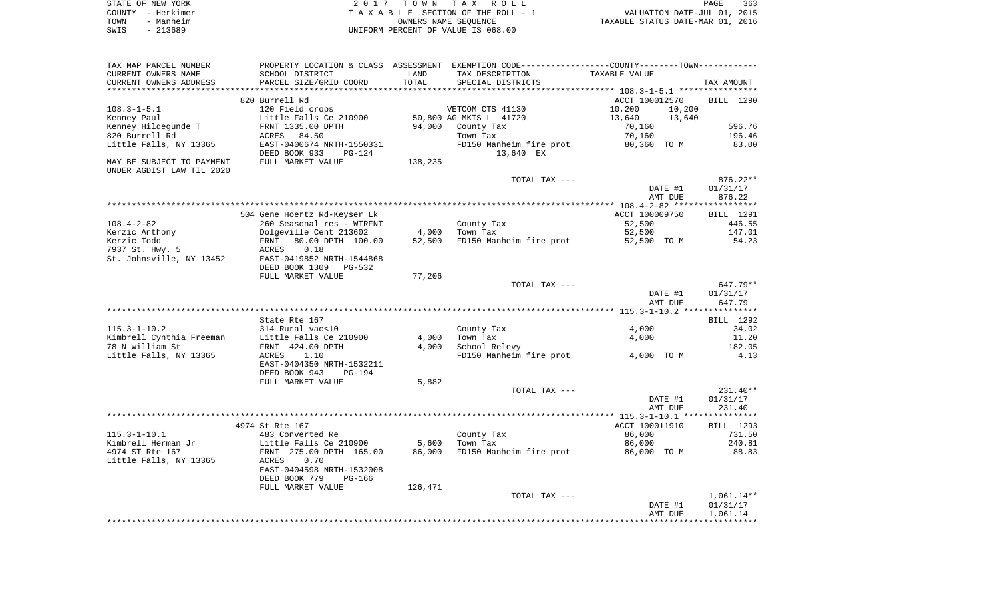|      | STATE OF NEW YORK | 2017 TOWN TAX ROLL                 | PAGE                             | 363 |
|------|-------------------|------------------------------------|----------------------------------|-----|
|      | COUNTY - Herkimer | TAXABLE SECTION OF THE ROLL - 1    | VALUATION DATE-JUL 01, 2015      |     |
| TOWN | - Manheim         | OWNERS NAME SEOUENCE               | TAXABLE STATUS DATE-MAR 01, 2016 |     |
| SWIS | - 213689          | UNIFORM PERCENT OF VALUE IS 068.00 |                                  |     |

| TAX MAP PARCEL NUMBER                       |                                                     |                 | PROPERTY LOCATION & CLASS ASSESSMENT EXEMPTION CODE---------------COUNTY-------TOWN---------- |                  |                     |
|---------------------------------------------|-----------------------------------------------------|-----------------|-----------------------------------------------------------------------------------------------|------------------|---------------------|
| CURRENT OWNERS NAME                         | SCHOOL DISTRICT                                     | LAND            | TAX DESCRIPTION                                                                               | TAXABLE VALUE    |                     |
| CURRENT OWNERS ADDRESS                      | PARCEL SIZE/GRID COORD                              | TOTAL           | SPECIAL DISTRICTS                                                                             |                  | TAX AMOUNT          |
|                                             | 820 Burrell Rd                                      |                 |                                                                                               | ACCT 100012570   | BILL 1290           |
| $108.3 - 1 - 5.1$                           | 120 Field crops                                     |                 | VETCOM CTS 41130                                                                              | 10,200<br>10,200 |                     |
| Kenney Paul                                 | Little Falls Ce 210900                              |                 | 50,800 AG MKTS L 41720                                                                        | 13,640<br>13,640 |                     |
| Kenney Hildegunde T                         | FRNT 1335.00 DPTH                                   |                 | 94,000 County Tax                                                                             | 70,160           | 596.76              |
| 820 Burrell Rd                              | ACRES 84.50                                         |                 | Town Tax                                                                                      | 70,160           | 196.46              |
| Little Falls, NY 13365                      | EAST-0400674 NRTH-1550331                           |                 | FD150 Manheim fire prot                                                                       | 80,360 TO M      | 83.00               |
|                                             | DEED BOOK 933<br>PG-124                             |                 | 13,640 EX                                                                                     |                  |                     |
| MAY BE SUBJECT TO PAYMENT                   | FULL MARKET VALUE                                   | 138,235         |                                                                                               |                  |                     |
| UNDER AGDIST LAW TIL 2020                   |                                                     |                 |                                                                                               |                  |                     |
|                                             |                                                     |                 | TOTAL TAX ---                                                                                 |                  | $876.22**$          |
|                                             |                                                     |                 |                                                                                               | DATE #1          | 01/31/17            |
|                                             |                                                     |                 |                                                                                               | AMT DUE          | 876.22              |
|                                             |                                                     |                 |                                                                                               |                  |                     |
| $108.4 - 2 - 82$                            | 504 Gene Hoertz Rd-Keyser Lk                        |                 |                                                                                               | ACCT 100009750   | BILL 1291<br>446.55 |
| Kerzic Anthony                              | 260 Seasonal res - WTRFNT<br>Dolgeville Cent 213602 | 4,000           | County Tax<br>Town Tax                                                                        | 52,500<br>52,500 | 147.01              |
| Kerzic Todd                                 | 80.00 DPTH 100.00<br>FRNT                           | 52,500          | FD150 Manheim fire prot                                                                       | 52,500 TO M      | 54.23               |
| 7937 St. Hwy. 5                             | 0.18<br>ACRES                                       |                 |                                                                                               |                  |                     |
| St. Johnsville, NY 13452                    | EAST-0419852 NRTH-1544868                           |                 |                                                                                               |                  |                     |
|                                             | DEED BOOK 1309 PG-532                               |                 |                                                                                               |                  |                     |
|                                             | FULL MARKET VALUE                                   | 77,206          |                                                                                               |                  |                     |
|                                             |                                                     |                 | TOTAL TAX ---                                                                                 |                  | 647.79**            |
|                                             |                                                     |                 |                                                                                               | DATE #1          | 01/31/17            |
|                                             |                                                     |                 |                                                                                               | AMT DUE          | 647.79              |
|                                             |                                                     |                 |                                                                                               |                  |                     |
|                                             | State Rte 167                                       |                 |                                                                                               |                  | BILL 1292           |
| $115.3 - 1 - 10.2$                          | 314 Rural vac<10                                    |                 | County Tax<br>Town Tax                                                                        | 4,000            | 34.02<br>11.20      |
| Kimbrell Cynthia Freeman<br>78 N William St | Little Falls Ce 210900<br>FRNT 424.00 DPTH          | 4,000<br>4,000  | School Relevy                                                                                 | 4,000            | 182.05              |
| Little Falls, NY 13365                      | ACRES<br>1.10                                       |                 | FD150 Manheim fire prot                                                                       | 4,000 TO M       | 4.13                |
|                                             | EAST-0404350 NRTH-1532211                           |                 |                                                                                               |                  |                     |
|                                             | DEED BOOK 943<br>PG-194                             |                 |                                                                                               |                  |                     |
|                                             | FULL MARKET VALUE                                   | 5,882           |                                                                                               |                  |                     |
|                                             |                                                     |                 | TOTAL TAX ---                                                                                 |                  | $231.40**$          |
|                                             |                                                     |                 |                                                                                               | DATE #1          | 01/31/17            |
|                                             |                                                     |                 |                                                                                               | AMT DUE          | 231.40              |
|                                             |                                                     |                 |                                                                                               |                  |                     |
|                                             | 4974 St Rte 167                                     |                 |                                                                                               | ACCT 100011910   | BILL 1293           |
| $115.3 - 1 - 10.1$                          | 483 Converted Re                                    |                 | County Tax                                                                                    | 86,000           | 731.50              |
| Kimbrell Herman Jr<br>4974 ST Rte 167       | Little Falls Ce 210900                              | 5,600<br>86,000 | Town Tax<br>FD150 Manheim fire prot                                                           | 86,000           | 240.81<br>88.83     |
| Little Falls, NY 13365                      | FRNT 275.00 DPTH 165.00<br>ACRES<br>0.70            |                 |                                                                                               | 86,000 TO M      |                     |
|                                             | EAST-0404598 NRTH-1532008                           |                 |                                                                                               |                  |                     |
|                                             | DEED BOOK 779<br>PG-166                             |                 |                                                                                               |                  |                     |
|                                             | FULL MARKET VALUE                                   | 126,471         |                                                                                               |                  |                     |
|                                             |                                                     |                 | TOTAL TAX ---                                                                                 |                  | $1,061.14**$        |
|                                             |                                                     |                 |                                                                                               | DATE #1          | 01/31/17            |
|                                             |                                                     |                 |                                                                                               | AMT DUE          | 1,061.14            |
|                                             |                                                     |                 |                                                                                               |                  |                     |
|                                             |                                                     |                 |                                                                                               |                  |                     |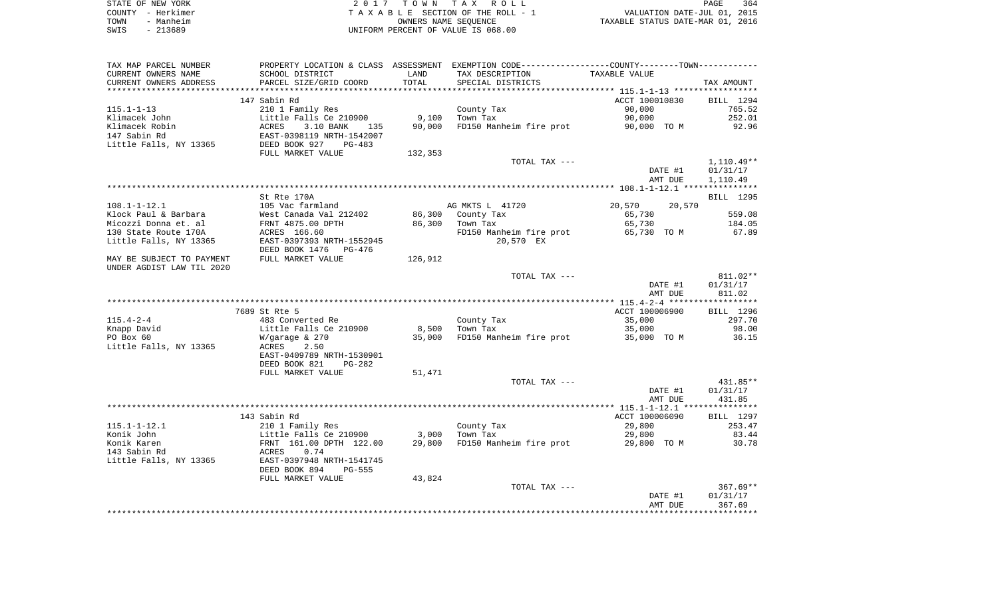| STATE OF NEW YORK | 2017 TOWN TAX ROLL                 | 364<br>PAGE                      |
|-------------------|------------------------------------|----------------------------------|
| COUNTY - Herkimer | TAXABLE SECTION OF THE ROLL - 1    | VALUATION DATE-JUL 01, 2015      |
| - Manheim<br>TOWN | OWNERS NAME SEOUENCE               | TAXABLE STATUS DATE-MAR 01, 2016 |
| - 213689<br>SWIS  | UNIFORM PERCENT OF VALUE IS 068.00 |                                  |

| TAX MAP PARCEL NUMBER     | PROPERTY LOCATION & CLASS ASSESSMENT EXEMPTION CODE----------------COUNTY-------TOWN---------- |         |                                     |                  |              |
|---------------------------|------------------------------------------------------------------------------------------------|---------|-------------------------------------|------------------|--------------|
| CURRENT OWNERS NAME       | SCHOOL DISTRICT                                                                                | LAND    | TAX DESCRIPTION                     | TAXABLE VALUE    |              |
| CURRENT OWNERS ADDRESS    | PARCEL SIZE/GRID COORD                                                                         | TOTAL   | SPECIAL DISTRICTS                   |                  | TAX AMOUNT   |
|                           |                                                                                                |         |                                     |                  |              |
|                           | 147 Sabin Rd                                                                                   |         |                                     | ACCT 100010830   | BILL 1294    |
| $115.1 - 1 - 13$          | 210 1 Family Res                                                                               |         | County Tax                          | 90,000           | 765.52       |
| Klimacek John             | Little Falls Ce 210900                                                                         | 9,100   | Town Tax                            | 90,000           | 252.01       |
| Klimacek Robin            | ACRES<br>3.10 BANK<br>135                                                                      | 90,000  | FD150 Manheim fire prot 90,000 TO M |                  | 92.96        |
| 147 Sabin Rd              | EAST-0398119 NRTH-1542007                                                                      |         |                                     |                  |              |
| Little Falls, NY 13365    | DEED BOOK 927<br>PG-483                                                                        |         |                                     |                  |              |
|                           | FULL MARKET VALUE                                                                              | 132,353 |                                     |                  |              |
|                           |                                                                                                |         |                                     |                  |              |
|                           |                                                                                                |         | TOTAL TAX ---                       |                  | $1,110.49**$ |
|                           |                                                                                                |         |                                     | DATE #1          | 01/31/17     |
|                           |                                                                                                |         |                                     | AMT DUE          | 1,110.49     |
|                           |                                                                                                |         |                                     |                  |              |
|                           | St Rte 170A                                                                                    |         |                                     |                  | BILL 1295    |
| $108.1 - 1 - 12.1$        | 105 Vac farmland                                                                               |         | AG MKTS L 41720                     | 20,570<br>20,570 |              |
| Klock Paul & Barbara      | West Canada Val 212402                                                                         | 86,300  | County Tax                          | 65,730           | 559.08       |
| Micozzi Donna et. al      | FRNT 4875.00 DPTH                                                                              | 86,300  | Town Tax                            | 65,730           | 184.05       |
| 130 State Route 170A      | ACRES 166.60                                                                                   |         | FD150 Manheim fire prot             | 65,730 TO M      | 67.89        |
| Little Falls, NY 13365    | EAST-0397393 NRTH-1552945                                                                      |         | 20,570 EX                           |                  |              |
|                           | DEED BOOK 1476<br>PG-476                                                                       |         |                                     |                  |              |
| MAY BE SUBJECT TO PAYMENT | FULL MARKET VALUE                                                                              | 126,912 |                                     |                  |              |
| UNDER AGDIST LAW TIL 2020 |                                                                                                |         |                                     |                  |              |
|                           |                                                                                                |         | TOTAL TAX ---                       |                  | 811.02**     |
|                           |                                                                                                |         |                                     | DATE #1          | 01/31/17     |
|                           |                                                                                                |         |                                     |                  |              |
|                           |                                                                                                |         |                                     | AMT DUE          | 811.02       |
|                           |                                                                                                |         |                                     |                  |              |
|                           | 7689 St Rte 5                                                                                  |         |                                     | ACCT 100006900   | BILL 1296    |
| $115.4 - 2 - 4$           | 483 Converted Re                                                                               |         | County Tax                          | 35,000           | 297.70       |
| Knapp David               | Little Falls Ce 210900                                                                         | 8,500   | Town Tax                            | 35,000           | 98.00        |
| PO Box 60                 | $W/q$ araqe & 270                                                                              | 35,000  | FD150 Manheim fire prot             | 35,000 TO M      | 36.15        |
| Little Falls, NY 13365    | ACRES<br>2.50                                                                                  |         |                                     |                  |              |
|                           | EAST-0409789 NRTH-1530901                                                                      |         |                                     |                  |              |
|                           | DEED BOOK 821<br>$PG-282$                                                                      |         |                                     |                  |              |
|                           | FULL MARKET VALUE                                                                              | 51,471  |                                     |                  |              |
|                           |                                                                                                |         | TOTAL TAX ---                       |                  | $431.85**$   |
|                           |                                                                                                |         |                                     | DATE #1          | 01/31/17     |
|                           |                                                                                                |         |                                     | AMT DUE          | 431.85       |
|                           |                                                                                                |         |                                     |                  |              |
|                           | 143 Sabin Rd                                                                                   |         |                                     | ACCT 100006090   | BILL 1297    |
| $115.1 - 1 - 12.1$        | 210 1 Family Res                                                                               |         | County Tax                          | 29,800           | 253.47       |
| Konik John                | Little Falls Ce 210900                                                                         | 3,000   | Town Tax                            | 29,800           | 83.44        |
| Konik Karen               | FRNT 161.00 DPTH 122.00                                                                        | 29,800  | FD150 Manheim fire prot             | 29,800 TO M      | 30.78        |
| 143 Sabin Rd              | 0.74<br>ACRES                                                                                  |         |                                     |                  |              |
|                           |                                                                                                |         |                                     |                  |              |
| Little Falls, NY 13365    | EAST-0397948 NRTH-1541745                                                                      |         |                                     |                  |              |
|                           | DEED BOOK 894<br><b>PG-555</b>                                                                 |         |                                     |                  |              |
|                           | FULL MARKET VALUE                                                                              | 43,824  |                                     |                  |              |
|                           |                                                                                                |         | TOTAL TAX ---                       |                  | $367.69**$   |
|                           |                                                                                                |         |                                     | DATE #1          | 01/31/17     |
|                           |                                                                                                |         |                                     | AMT DUE          | 367.69       |
|                           |                                                                                                |         |                                     |                  |              |
|                           |                                                                                                |         |                                     |                  |              |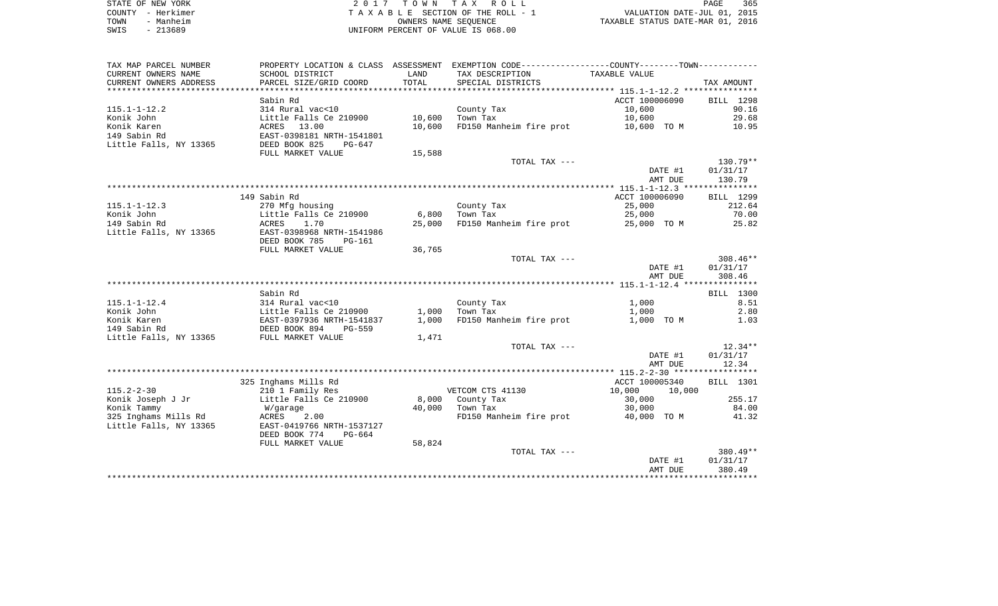| STATE OF NEW YORK | 2017 TOWN TAX ROLL                 | 365<br>PAGE                      |
|-------------------|------------------------------------|----------------------------------|
| COUNTY - Herkimer | TAXABLE SECTION OF THE ROLL - 1    | VALUATION DATE-JUL 01, 2015      |
| - Manheim<br>TOWN | OWNERS NAME SEOUENCE               | TAXABLE STATUS DATE-MAR 01, 2016 |
| $-213689$<br>SWIS | UNIFORM PERCENT OF VALUE IS 068.00 |                                  |

| TAX MAP PARCEL NUMBER  |                           |        | PROPERTY LOCATION & CLASS ASSESSMENT EXEMPTION CODE----------------COUNTY--------TOWN---------- |                  |            |
|------------------------|---------------------------|--------|-------------------------------------------------------------------------------------------------|------------------|------------|
| CURRENT OWNERS NAME    | SCHOOL DISTRICT           | LAND   | TAX DESCRIPTION                                                                                 | TAXABLE VALUE    |            |
| CURRENT OWNERS ADDRESS | PARCEL SIZE/GRID COORD    | TOTAL  | SPECIAL DISTRICTS                                                                               |                  | TAX AMOUNT |
|                        |                           |        |                                                                                                 |                  |            |
|                        | Sabin Rd                  |        |                                                                                                 | ACCT 100006090   | BILL 1298  |
| $115.1 - 1 - 12.2$     | 314 Rural vac<10          |        | County Tax                                                                                      | 10,600           | 90.16      |
| Konik John             | Little Falls Ce 210900    | 10,600 | Town Tax                                                                                        | 10,600           | 29.68      |
| Konik Karen            | ACRES 13.00               | 10,600 | FD150 Manheim fire prot                                                                         | 10,600 TO M      | 10.95      |
| 149 Sabin Rd           | EAST-0398181 NRTH-1541801 |        |                                                                                                 |                  |            |
| Little Falls, NY 13365 | DEED BOOK 825<br>PG-647   |        |                                                                                                 |                  |            |
|                        | FULL MARKET VALUE         | 15,588 |                                                                                                 |                  |            |
|                        |                           |        | TOTAL TAX ---                                                                                   |                  | 130.79**   |
|                        |                           |        |                                                                                                 | DATE #1          | 01/31/17   |
|                        |                           |        |                                                                                                 | AMT DUE          | 130.79     |
|                        |                           |        |                                                                                                 |                  |            |
|                        | 149 Sabin Rd              |        |                                                                                                 | ACCT 100006090   | BILL 1299  |
| $115.1 - 1 - 12.3$     | 270 Mfg housing           |        | County Tax                                                                                      | 25,000           | 212.64     |
| Konik John             | Little Falls Ce 210900    | 6,800  | Town Tax                                                                                        | 25,000           | 70.00      |
| 149 Sabin Rd           | 1.70<br>ACRES             | 25,000 | FD150 Manheim fire prot                                                                         | 25,000 TO M      | 25.82      |
| Little Falls, NY 13365 | EAST-0398968 NRTH-1541986 |        |                                                                                                 |                  |            |
|                        | DEED BOOK 785<br>PG-161   |        |                                                                                                 |                  |            |
|                        | FULL MARKET VALUE         | 36,765 |                                                                                                 |                  |            |
|                        |                           |        | TOTAL TAX ---                                                                                   |                  | $308.46**$ |
|                        |                           |        |                                                                                                 | DATE #1          | 01/31/17   |
|                        |                           |        |                                                                                                 | AMT DUE          | 308.46     |
|                        |                           |        |                                                                                                 |                  |            |
|                        | Sabin Rd                  |        |                                                                                                 |                  | BILL 1300  |
| $115.1 - 1 - 12.4$     | 314 Rural vac<10          |        | County Tax                                                                                      | 1,000            | 8.51       |
| Konik John             | Little Falls Ce 210900    | 1,000  | Town Tax                                                                                        | 1,000            | 2.80       |
| Konik Karen            |                           | 1,000  | FD150 Manheim fire prot                                                                         | 1,000 TO M       | 1.03       |
| 149 Sabin Rd           |                           |        |                                                                                                 |                  |            |
| Little Falls, NY 13365 | FULL MARKET VALUE         | 1,471  |                                                                                                 |                  |            |
|                        |                           |        | TOTAL TAX ---                                                                                   |                  | $12.34**$  |
|                        |                           |        |                                                                                                 | DATE #1          | 01/31/17   |
|                        |                           |        |                                                                                                 | AMT DUE          | 12.34      |
|                        | 325 Inghams Mills Rd      |        |                                                                                                 | ACCT 100005340   | BILL 1301  |
| $115.2 - 2 - 30$       | 210 1 Family Res          |        | VETCOM CTS 41130                                                                                | 10,000<br>10,000 |            |
| Konik Joseph J Jr      | Little Falls Ce 210900    | 8,000  | County Tax                                                                                      | 30,000           | 255.17     |
| Konik Tammy            | W/garage                  | 40,000 | Town Tax                                                                                        | 30,000           | 84.00      |
| 325 Inghams Mills Rd   | ACRES<br>2.00             |        | FD150 Manheim fire prot                                                                         | 40,000 TO M      | 41.32      |
| Little Falls, NY 13365 | EAST-0419766 NRTH-1537127 |        |                                                                                                 |                  |            |
|                        | DEED BOOK 774<br>PG-664   |        |                                                                                                 |                  |            |
|                        | FULL MARKET VALUE         | 58,824 |                                                                                                 |                  |            |
|                        |                           |        | TOTAL TAX ---                                                                                   |                  | 380.49**   |
|                        |                           |        |                                                                                                 | DATE #1          | 01/31/17   |
|                        |                           |        |                                                                                                 | AMT DUE          | 380.49     |
|                        |                           |        |                                                                                                 |                  |            |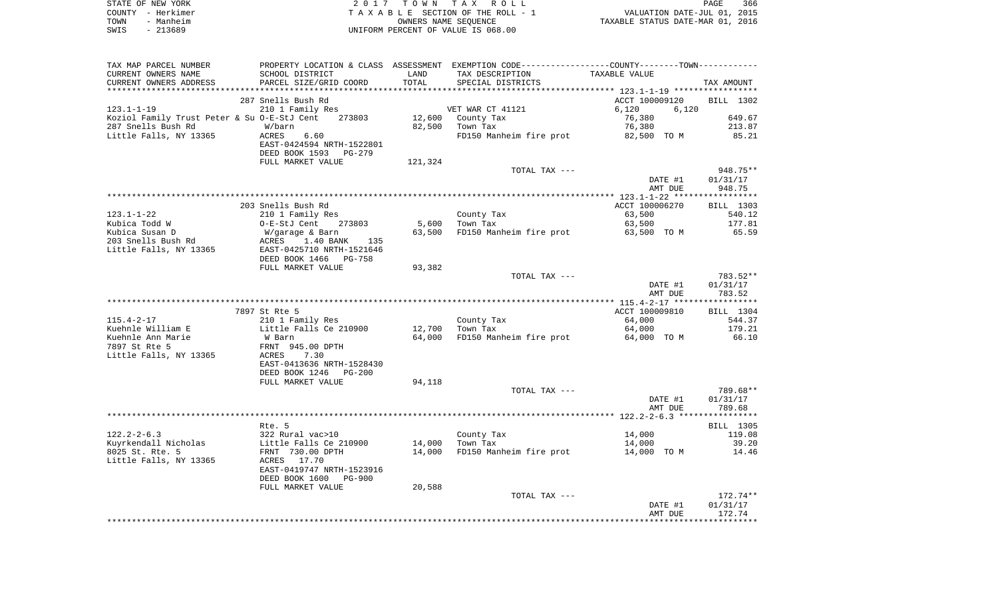|      | STATE OF NEW YORK | 2017 TOWN TAX ROLL                 | 366<br>PAGE                      |
|------|-------------------|------------------------------------|----------------------------------|
|      | COUNTY - Herkimer | TAXABLE SECTION OF THE ROLL - 1    | VALUATION DATE-JUL 01, 2015      |
| TOWN | - Manheim         | OWNERS NAME SEOUENCE               | TAXABLE STATUS DATE-MAR 01, 2016 |
| SWIS | - 213689          | UNIFORM PERCENT OF VALUE IS 068.00 |                                  |

| TAX MAP PARCEL NUMBER                        |                                                                                 |         | PROPERTY LOCATION & CLASS ASSESSMENT EXEMPTION CODE----------------COUNTY--------TOWN----------- |                    |                      |
|----------------------------------------------|---------------------------------------------------------------------------------|---------|--------------------------------------------------------------------------------------------------|--------------------|----------------------|
| CURRENT OWNERS NAME                          | SCHOOL DISTRICT                                                                 | LAND    | TAX DESCRIPTION                                                                                  | TAXABLE VALUE      |                      |
| CURRENT OWNERS ADDRESS                       | PARCEL SIZE/GRID COORD                                                          | TOTAL   | SPECIAL DISTRICTS                                                                                |                    | TAX AMOUNT           |
|                                              |                                                                                 |         |                                                                                                  |                    |                      |
|                                              | 287 Snells Bush Rd                                                              |         |                                                                                                  | ACCT 100009120     | BILL 1302            |
| $123.1 - 1 - 19$                             | 210 1 Family Res                                                                |         | VET WAR CT 41121                                                                                 | 6,120<br>6,120     |                      |
| Koziol Family Trust Peter & Su O-E-StJ Cent  | 273803                                                                          |         | 12,600 County Tax                                                                                | 76,380             | 649.67               |
| 287 Snells Bush Rd                           | W/barn                                                                          |         | 82,500 Town Tax                                                                                  | 76,380             | 213.87               |
| Little Falls, NY 13365                       | ACRES<br>6.60<br>EAST-0424594 NRTH-1522801<br>DEED BOOK 1593<br>PG-279          |         | FD150 Manheim fire prot                                                                          | 82,500 TO M        | 85.21                |
|                                              | FULL MARKET VALUE                                                               | 121,324 |                                                                                                  |                    |                      |
|                                              |                                                                                 |         | TOTAL TAX ---                                                                                    |                    | 948.75**             |
|                                              |                                                                                 |         |                                                                                                  | DATE #1            | 01/31/17             |
|                                              |                                                                                 |         |                                                                                                  | AMT DUE            | 948.75               |
|                                              |                                                                                 |         |                                                                                                  |                    |                      |
|                                              | 203 Snells Bush Rd                                                              |         |                                                                                                  | ACCT 100006270     | BILL 1303            |
| $123.1 - 1 - 22$                             | 210 1 Family Res                                                                |         | County Tax                                                                                       | 63,500             | 540.12               |
| Kubica Todd W                                | O-E-StJ Cent<br>273803                                                          | 5,600   | Town Tax                                                                                         | 63,500             | 177.81               |
| Kubica Susan D                               | W/garage & Barn                                                                 | 63,500  | FD150 Manheim fire prot 63,500 TO M                                                              |                    | 65.59                |
| 203 Snells Bush Rd<br>Little Falls, NY 13365 | ACRES<br>1.40 BANK 135<br>EAST-0425710 NRTH-1521646<br>DEED BOOK 1466<br>PG-758 |         |                                                                                                  |                    |                      |
|                                              | FULL MARKET VALUE                                                               | 93,382  |                                                                                                  |                    |                      |
|                                              |                                                                                 |         | TOTAL TAX ---                                                                                    | DATE #1            | 783.52**<br>01/31/17 |
|                                              |                                                                                 |         |                                                                                                  | AMT DUE            | 783.52               |
|                                              |                                                                                 |         |                                                                                                  |                    |                      |
|                                              | 7897 St Rte 5                                                                   |         |                                                                                                  | ACCT 100009810     | BILL 1304            |
| $115.4 - 2 - 17$                             | 210 1 Family Res                                                                |         | County Tax                                                                                       | 64,000             | 544.37               |
| Kuehnle William E                            | Little Falls Ce 210900                                                          | 12,700  | Town Tax                                                                                         | 64,000             | 179.21               |
| Kuehnle Ann Marie                            | W Barn                                                                          | 64,000  | FD150 Manheim fire prot                                                                          | 64,000 TO M        | 66.10                |
| 7897 St Rte 5                                | FRNT 945.00 DPTH                                                                |         |                                                                                                  |                    |                      |
| Little Falls, NY 13365                       | 7.30<br>ACRES                                                                   |         |                                                                                                  |                    |                      |
|                                              | EAST-0413636 NRTH-1528430<br>DEED BOOK 1246<br>PG-200                           |         |                                                                                                  |                    |                      |
|                                              | FULL MARKET VALUE                                                               | 94,118  |                                                                                                  |                    | 789.68**             |
|                                              |                                                                                 |         | TOTAL TAX ---                                                                                    | DATE #1<br>AMT DUE | 01/31/17<br>789.68   |
|                                              |                                                                                 |         |                                                                                                  |                    |                      |
|                                              | Rte. 5                                                                          |         |                                                                                                  |                    | BILL 1305            |
| $122.2 - 2 - 6.3$                            | 322 Rural vac>10                                                                |         | County Tax                                                                                       | 14,000             | 119.08               |
| Kuyrkendall Nicholas                         | Little Falls Ce 210900                                                          | 14,000  | Town Tax                                                                                         | 14,000             | 39.20                |
| 8025 St. Rte. 5                              | FRNT 730.00 DPTH                                                                | 14,000  | FD150 Manheim fire prot                                                                          | 14,000 TO M        | 14.46                |
| Little Falls, NY 13365                       | 17.70<br>ACRES                                                                  |         |                                                                                                  |                    |                      |
|                                              | EAST-0419747 NRTH-1523916<br>DEED BOOK 1600<br>PG-900                           |         |                                                                                                  |                    |                      |
|                                              | FULL MARKET VALUE                                                               | 20,588  |                                                                                                  |                    |                      |
|                                              |                                                                                 |         | TOTAL TAX ---                                                                                    |                    | 172.74**             |
|                                              |                                                                                 |         |                                                                                                  | DATE #1            | 01/31/17             |
|                                              |                                                                                 |         |                                                                                                  | AMT DUE            | 172.74               |
|                                              |                                                                                 |         |                                                                                                  |                    |                      |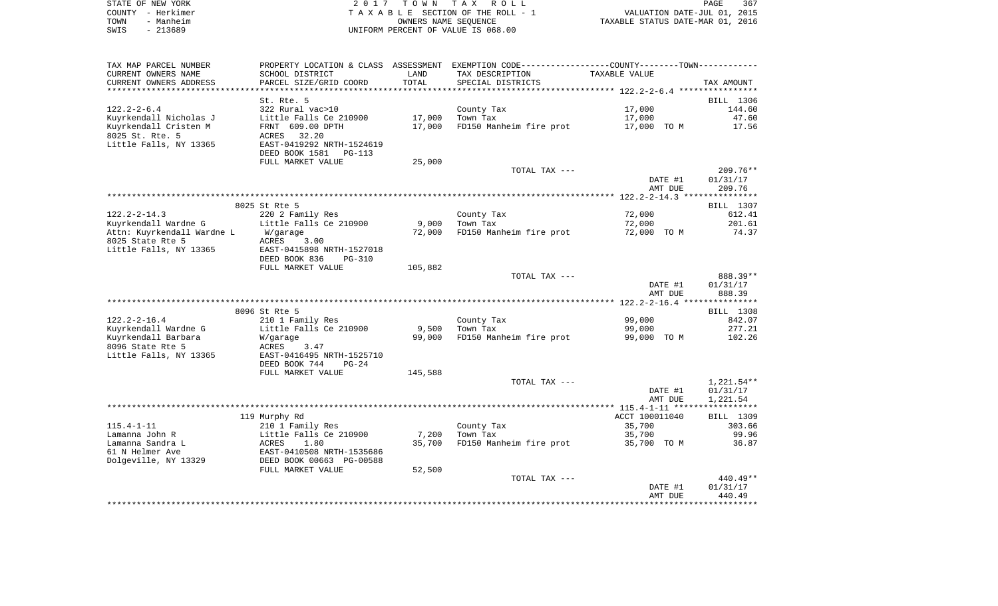| STATE OF NEW YORK | 2017 TOWN TAX ROLL                 | PAGE                             | 367 |
|-------------------|------------------------------------|----------------------------------|-----|
| COUNTY – Herkimer | TAXABLE SECTION OF THE ROLL - 1    | VALUATION DATE-JUL 01, 2015      |     |
| - Manheim<br>TOWN | OWNERS NAME SEOUENCE               | TAXABLE STATUS DATE-MAR 01, 2016 |     |
| $-213689$<br>SWIS | UNIFORM PERCENT OF VALUE IS 068.00 |                                  |     |

| TAX MAP PARCEL NUMBER      |                            |         | PROPERTY LOCATION & CLASS ASSESSMENT EXEMPTION CODE----------------COUNTY--------TOWN----------- |                    |                      |
|----------------------------|----------------------------|---------|--------------------------------------------------------------------------------------------------|--------------------|----------------------|
| CURRENT OWNERS NAME        | SCHOOL DISTRICT            | LAND    | TAX DESCRIPTION                                                                                  | TAXABLE VALUE      |                      |
| CURRENT OWNERS ADDRESS     | PARCEL SIZE/GRID COORD     | TOTAL   | SPECIAL DISTRICTS                                                                                |                    | TAX AMOUNT           |
| ********************       | *******************        |         |                                                                                                  |                    |                      |
|                            | St. Rte. 5                 |         |                                                                                                  |                    | BILL 1306            |
| $122.2 - 2 - 6.4$          | 322 Rural vac>10           |         | County Tax                                                                                       | 17,000             | 144.60               |
| Kuyrkendall Nicholas J     | Little Falls Ce 210900     | 17,000  | Town Tax                                                                                         | 17,000             | 47.60                |
| Kuyrkendall Cristen M      | FRNT 609.00 DPTH           | 17,000  | FD150 Manheim fire prot                                                                          | 17,000 TO M        | 17.56                |
| 8025 St. Rte. 5            | 32.20<br>ACRES             |         |                                                                                                  |                    |                      |
| Little Falls, NY 13365     | EAST-0419292 NRTH-1524619  |         |                                                                                                  |                    |                      |
|                            | DEED BOOK 1581<br>$PG-113$ |         |                                                                                                  |                    |                      |
|                            | FULL MARKET VALUE          | 25,000  |                                                                                                  |                    |                      |
|                            |                            |         | TOTAL TAX ---                                                                                    |                    | $209.76**$           |
|                            |                            |         |                                                                                                  | DATE #1            | 01/31/17             |
|                            |                            |         |                                                                                                  | AMT DUE            | 209.76               |
|                            |                            |         |                                                                                                  |                    |                      |
|                            | 8025 St Rte 5              |         |                                                                                                  |                    | BILL 1307            |
| $122.2 - 2 - 14.3$         | 220 2 Family Res           |         | County Tax                                                                                       | 72,000             | 612.41               |
| Kuyrkendall Wardne G       | Little Falls Ce 210900     | 9,000   | Town Tax                                                                                         | 72,000             | 201.61               |
| Attn: Kuyrkendall Wardne L | W/garage                   | 72,000  | FD150 Manheim fire prot                                                                          | 72,000 TO M        | 74.37                |
| 8025 State Rte 5           | ACRES<br>3.00              |         |                                                                                                  |                    |                      |
| Little Falls, NY 13365     | EAST-0415898 NRTH-1527018  |         |                                                                                                  |                    |                      |
|                            | DEED BOOK 836<br>$PG-310$  |         |                                                                                                  |                    |                      |
|                            | FULL MARKET VALUE          | 105,882 |                                                                                                  |                    |                      |
|                            |                            |         | TOTAL TAX ---                                                                                    |                    | 888.39**             |
|                            |                            |         |                                                                                                  | DATE #1            | 01/31/17             |
|                            |                            |         |                                                                                                  | AMT DUE            | 888.39               |
|                            |                            |         |                                                                                                  |                    |                      |
|                            | 8096 St Rte 5              |         |                                                                                                  |                    | BILL 1308            |
| $122.2 - 2 - 16.4$         | 210 1 Family Res           |         | County Tax                                                                                       | 99,000             | 842.07               |
| Kuyrkendall Wardne G       | Little Falls Ce 210900     | 9,500   | Town Tax                                                                                         | 99,000             | 277.21               |
| Kuyrkendall Barbara        | W/garage                   | 99,000  | FD150 Manheim fire prot                                                                          | 99,000 TO M        | 102.26               |
| 8096 State Rte 5           | ACRES<br>3.47              |         |                                                                                                  |                    |                      |
| Little Falls, NY 13365     | EAST-0416495 NRTH-1525710  |         |                                                                                                  |                    |                      |
|                            | DEED BOOK 744<br>$PG-24$   |         |                                                                                                  |                    |                      |
|                            | FULL MARKET VALUE          | 145,588 |                                                                                                  |                    |                      |
|                            |                            |         | TOTAL TAX ---                                                                                    |                    | $1,221.54**$         |
|                            |                            |         |                                                                                                  | DATE #1<br>AMT DUE | 01/31/17<br>1,221.54 |
|                            |                            |         |                                                                                                  |                    |                      |
|                            | 119 Murphy Rd              |         |                                                                                                  | ACCT 100011040     | BILL 1309            |
| $115.4 - 1 - 11$           | 210 1 Family Res           |         | County Tax                                                                                       | 35,700             | 303.66               |
| Lamanna John R             | Little Falls Ce 210900     | 7,200   | Town Tax                                                                                         | 35,700             | 99.96                |
| Lamanna Sandra L           | ACRES<br>1.80              | 35,700  | FD150 Manheim fire prot                                                                          | 35,700 TO M        | 36.87                |
| 61 N Helmer Ave            | EAST-0410508 NRTH-1535686  |         |                                                                                                  |                    |                      |
| Dolgeville, NY 13329       | DEED BOOK 00663 PG-00588   |         |                                                                                                  |                    |                      |
|                            | FULL MARKET VALUE          | 52,500  |                                                                                                  |                    |                      |
|                            |                            |         | TOTAL TAX ---                                                                                    |                    | $440.49**$           |
|                            |                            |         |                                                                                                  | DATE #1            | 01/31/17             |
|                            |                            |         |                                                                                                  | AMT DUE            | 440.49               |
|                            |                            |         |                                                                                                  |                    |                      |
|                            |                            |         |                                                                                                  |                    |                      |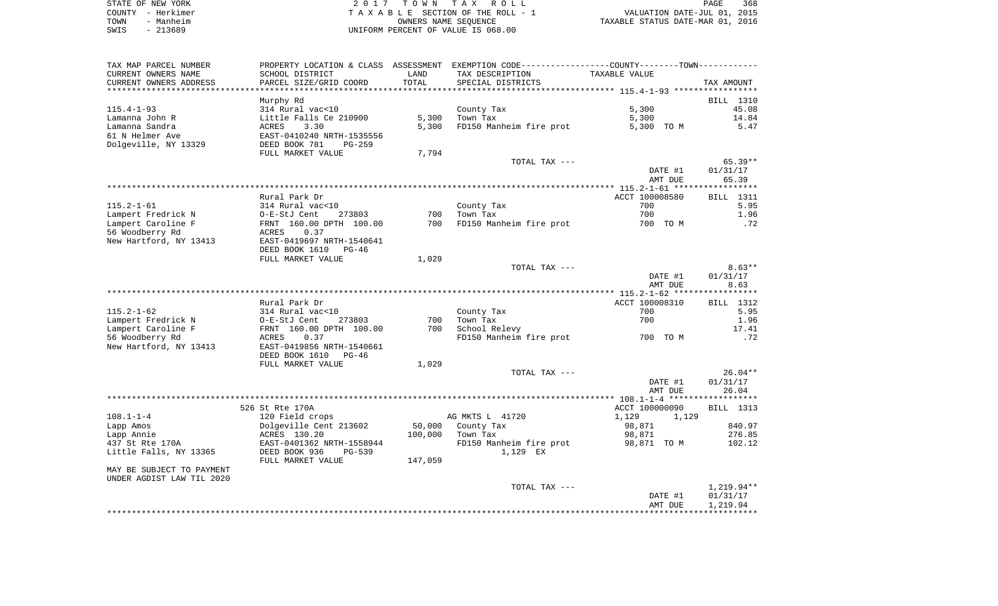| STATE OF NEW YORK | 2017 TOWN TAX ROLL                 | 368<br>PAGE                      |
|-------------------|------------------------------------|----------------------------------|
| COUNTY - Herkimer | TAXABLE SECTION OF THE ROLL - 1    | VALUATION DATE-JUL 01, 2015      |
| TOWN<br>- Manheim | OWNERS NAME SEOUENCE               | TAXABLE STATUS DATE-MAR 01, 2016 |
| $-213689$<br>SWIS | UNIFORM PERCENT OF VALUE IS 068.00 |                                  |

| TAX MAP PARCEL NUMBER<br>CURRENT OWNERS NAME        | SCHOOL DISTRICT                                        | LAND    | PROPERTY LOCATION & CLASS ASSESSMENT EXEMPTION CODE---------------COUNTY-------TOWN---------<br>TAX DESCRIPTION | TAXABLE VALUE      |                   |
|-----------------------------------------------------|--------------------------------------------------------|---------|-----------------------------------------------------------------------------------------------------------------|--------------------|-------------------|
| CURRENT OWNERS ADDRESS<br>************************* | PARCEL SIZE/GRID COORD                                 | TOTAL   | SPECIAL DISTRICTS                                                                                               |                    | TAX AMOUNT        |
|                                                     | Murphy Rd                                              |         |                                                                                                                 |                    | BILL 1310         |
| $115.4 - 1 - 93$                                    | 314 Rural vac<10                                       |         | County Tax                                                                                                      | 5,300              | 45.08             |
| Lamanna John R                                      | Little Falls Ce 210900                                 | 5,300   | Town Tax                                                                                                        | 5,300              | 14.84             |
| Lamanna Sandra                                      | ACRES<br>3.30                                          | 5,300   | FD150 Manheim fire prot                                                                                         | 5,300 TO M         | 5.47              |
| 61 N Helmer Ave<br>Dolgeville, NY 13329             | EAST-0410240 NRTH-1535556<br>DEED BOOK 781<br>$PG-259$ |         |                                                                                                                 |                    |                   |
|                                                     | FULL MARKET VALUE                                      | 7,794   | TOTAL TAX ---                                                                                                   |                    | $65.39**$         |
|                                                     |                                                        |         |                                                                                                                 | DATE #1<br>AMT DUE | 01/31/17<br>65.39 |
|                                                     |                                                        |         |                                                                                                                 |                    |                   |
|                                                     | Rural Park Dr                                          |         |                                                                                                                 | ACCT 100008580     | BILL 1311         |
| 115.2-1-61                                          | 314 Rural vac<10                                       |         | County Tax                                                                                                      | 700                | 5.95              |
| Lampert Fredrick N                                  | O-E-StJ Cent<br>273803                                 | 700     | Town Tax                                                                                                        | 700                | 1.96              |
| Lampert Caroline F                                  | FRNT 160.00 DPTH 100.00                                | 700     | FD150 Manheim fire prot                                                                                         | 700 TO M           | .72               |
| 56 Woodberry Rd                                     | 0.37<br>ACRES                                          |         |                                                                                                                 |                    |                   |
| New Hartford, NY 13413                              | EAST-0419697 NRTH-1540641                              |         |                                                                                                                 |                    |                   |
|                                                     | DEED BOOK 1610<br>$PG-46$<br>FULL MARKET VALUE         | 1,029   |                                                                                                                 |                    |                   |
|                                                     |                                                        |         | TOTAL TAX ---                                                                                                   |                    | $8.63**$          |
|                                                     |                                                        |         |                                                                                                                 | DATE #1            | 01/31/17          |
|                                                     |                                                        |         |                                                                                                                 | AMT DUE            | 8.63              |
|                                                     |                                                        |         |                                                                                                                 |                    |                   |
|                                                     | Rural Park Dr                                          |         |                                                                                                                 | ACCT 100008310     | BILL 1312         |
| $115.2 - 1 - 62$                                    | 314 Rural vac<10                                       |         | County Tax                                                                                                      | 700                | 5.95              |
| Lampert Fredrick N                                  | O-E-StJ Cent<br>273803                                 | 700     | Town Tax                                                                                                        | 700                | 1.96              |
| Lampert Caroline F                                  | FRNT 160.00 DPTH 100.00                                | 700     | School Relevy                                                                                                   |                    | 17.41             |
| 56 Woodberry Rd                                     | ACRES<br>0.37                                          |         | FD150 Manheim fire prot                                                                                         | 700 TO M           | .72               |
| New Hartford, NY 13413                              | EAST-0419856 NRTH-1540661                              |         |                                                                                                                 |                    |                   |
|                                                     | DEED BOOK 1610<br>PG-46<br>FULL MARKET VALUE           | 1,029   |                                                                                                                 |                    |                   |
|                                                     |                                                        |         | TOTAL TAX ---                                                                                                   |                    | $26.04**$         |
|                                                     |                                                        |         |                                                                                                                 | DATE #1            | 01/31/17          |
|                                                     |                                                        |         |                                                                                                                 | AMT DUE            | 26.04             |
|                                                     |                                                        |         |                                                                                                                 |                    |                   |
|                                                     | 526 St Rte 170A                                        |         |                                                                                                                 | ACCT 100000090     | BILL 1313         |
| $108.1 - 1 - 4$                                     | 120 Field crops                                        |         | AG MKTS L 41720                                                                                                 | 1,129<br>1,129     |                   |
| Lapp Amos                                           | Dolgeville Cent 213602                                 | 50,000  | County Tax                                                                                                      | 98,871             | 840.97            |
| Lapp Annie                                          | ACRES 130.20                                           | 100,000 | Town Tax                                                                                                        | 98,871             | 276.85            |
| 437 St Rte 170A<br>Little Falls, NY 13365           | EAST-0401362 NRTH-1558944<br>DEED BOOK 936<br>$PG-539$ |         | FD150 Manheim fire prot<br>1,129 EX                                                                             | 98,871 TO M        | 102.12            |
|                                                     | FULL MARKET VALUE                                      | 147,059 |                                                                                                                 |                    |                   |
| MAY BE SUBJECT TO PAYMENT                           |                                                        |         |                                                                                                                 |                    |                   |
| UNDER AGDIST LAW TIL 2020                           |                                                        |         |                                                                                                                 |                    |                   |
|                                                     |                                                        |         | TOTAL TAX ---                                                                                                   |                    | 1,219.94**        |
|                                                     |                                                        |         |                                                                                                                 | DATE #1            | 01/31/17          |
|                                                     |                                                        |         |                                                                                                                 | AMT DUE            | 1,219.94          |
|                                                     |                                                        |         |                                                                                                                 |                    |                   |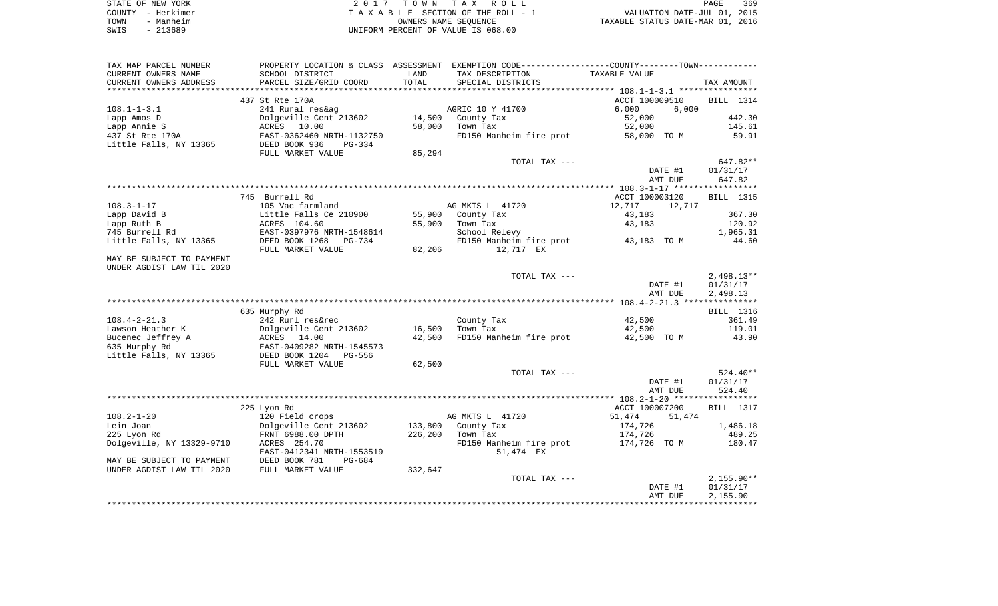|      | STATE OF NEW YORK | 2017 TOWN TAX ROLL                 | 369<br>PAGE                      |
|------|-------------------|------------------------------------|----------------------------------|
|      | COUNTY – Herkimer | TAXABLE SECTION OF THE ROLL - 1    | VALUATION DATE-JUL 01, 2015      |
| TOWN | - Manheim         | OWNERS NAME SEOUENCE               | TAXABLE STATUS DATE-MAR 01, 2016 |
| SWIS | $-213689$         | UNIFORM PERCENT OF VALUE IS 068.00 |                                  |

| TAX MAP PARCEL NUMBER     |                            |              | PROPERTY LOCATION & CLASS ASSESSMENT EXEMPTION CODE---------------COUNTY-------TOWN---------- |                  |                  |
|---------------------------|----------------------------|--------------|-----------------------------------------------------------------------------------------------|------------------|------------------|
| CURRENT OWNERS NAME       | SCHOOL DISTRICT            | LAND         | TAX DESCRIPTION                                                                               | TAXABLE VALUE    |                  |
| CURRENT OWNERS ADDRESS    | PARCEL SIZE/GRID COORD     | <b>TOTAL</b> | SPECIAL DISTRICTS                                                                             |                  | TAX AMOUNT       |
|                           |                            |              |                                                                                               |                  |                  |
|                           | 437 St Rte 170A            |              |                                                                                               | ACCT 100009510   | <b>BILL</b> 1314 |
| $108.1 - 1 - 3.1$         | 241 Rural res&ag           |              | AGRIC 10 Y 41700                                                                              | 6,000<br>6,000   |                  |
| Lapp Amos D               | Dolgeville Cent 213602     | 14,500       | County Tax                                                                                    | 52,000           | 442.30           |
| Lapp Annie S              | ACRES 10.00                | 58,000       | Town Tax                                                                                      | 52,000           | 145.61           |
| 437 St Rte 170A           | EAST-0362460 NRTH-1132750  |              | FD150 Manheim fire prot                                                                       | 58,000 TO M      | 59.91            |
| Little Falls, NY 13365    | DEED BOOK 936<br>$PG-334$  |              |                                                                                               |                  |                  |
|                           | FULL MARKET VALUE          | 85,294       |                                                                                               |                  |                  |
|                           |                            |              | TOTAL TAX ---                                                                                 |                  | 647.82**         |
|                           |                            |              |                                                                                               | DATE #1          | 01/31/17         |
|                           |                            |              |                                                                                               | AMT DUE          | 647.82           |
|                           |                            |              |                                                                                               |                  |                  |
|                           | 745 Burrell Rd             |              |                                                                                               | ACCT 100003120   | BILL 1315        |
| $108.3 - 1 - 17$          | 105 Vac farmland           |              | AG MKTS L 41720                                                                               | 12,717<br>12,717 |                  |
| Lapp David B              | Little Falls Ce 210900     | 55,900       | County Tax                                                                                    | 43,183           | 367.30           |
| Lapp Ruth B               | ACRES 104.60               | 55,900       | Town Tax                                                                                      | 43,183           | 120.92           |
| 745 Burrell Rd            | EAST-0397976 NRTH-1548614  |              | School Relevy                                                                                 |                  | 1,965.31         |
| Little Falls, NY 13365    | DEED BOOK 1268<br>$PG-734$ |              | FD150 Manheim fire prot                                                                       | 43,183 TO M      | 44.60            |
|                           | FULL MARKET VALUE          | 82,206       | 12,717 EX                                                                                     |                  |                  |
| MAY BE SUBJECT TO PAYMENT |                            |              |                                                                                               |                  |                  |
| UNDER AGDIST LAW TIL 2020 |                            |              |                                                                                               |                  |                  |
|                           |                            |              | TOTAL TAX ---                                                                                 |                  | $2,498.13**$     |
|                           |                            |              |                                                                                               | DATE #1          | 01/31/17         |
|                           |                            |              |                                                                                               | AMT DUE          | 2,498.13         |
|                           |                            |              |                                                                                               |                  |                  |
|                           | 635 Murphy Rd              |              |                                                                                               |                  | BILL 1316        |
| $108.4 - 2 - 21.3$        | 242 Rurl res&rec           |              | County Tax                                                                                    | 42,500           | 361.49           |
| Lawson Heather K          | Dolgeville Cent 213602     | 16,500       | Town Tax                                                                                      | 42,500           | 119.01           |
| Bucenec Jeffrey A         | ACRES 14.00                | 42,500       | FD150 Manheim fire prot                                                                       | 42,500 TO M      | 43.90            |
| 635 Murphy Rd             | EAST-0409282 NRTH-1545573  |              |                                                                                               |                  |                  |
| Little Falls, NY 13365    | DEED BOOK 1204<br>PG-556   |              |                                                                                               |                  |                  |
|                           | FULL MARKET VALUE          | 62,500       |                                                                                               |                  |                  |
|                           |                            |              | TOTAL TAX ---                                                                                 |                  | $524.40**$       |
|                           |                            |              |                                                                                               | DATE #1          | 01/31/17         |
|                           |                            |              |                                                                                               | AMT DUE          | 524.40           |
|                           |                            |              |                                                                                               |                  |                  |
|                           | 225 Lyon Rd                |              |                                                                                               | ACCT 100007200   | <b>BILL</b> 1317 |
| $108.2 - 1 - 20$          | 120 Field crops            |              | AG MKTS L 41720                                                                               | 51,474<br>51,474 |                  |
| Lein Joan                 | Dolgeville Cent 213602     | 133,800      | County Tax                                                                                    | 174,726          | 1,486.18         |
| 225 Lyon Rd               | FRNT 6988.00 DPTH          | 226,200      | Town Tax                                                                                      | 174,726          | 489.25           |
| Dolgeville, NY 13329-9710 | ACRES 254.70               |              | FD150 Manheim fire prot                                                                       | 174,726 TO M     | 180.47           |
|                           | EAST-0412341 NRTH-1553519  |              | 51,474 EX                                                                                     |                  |                  |
| MAY BE SUBJECT TO PAYMENT | DEED BOOK 781<br>$PG-684$  |              |                                                                                               |                  |                  |
| UNDER AGDIST LAW TIL 2020 | FULL MARKET VALUE          | 332,647      |                                                                                               |                  |                  |
|                           |                            |              | TOTAL TAX ---                                                                                 |                  | $2,155.90**$     |
|                           |                            |              |                                                                                               | DATE #1          | 01/31/17         |
|                           |                            |              |                                                                                               | AMT DUE          | 2,155.90         |
|                           |                            |              |                                                                                               |                  |                  |
|                           |                            |              |                                                                                               |                  |                  |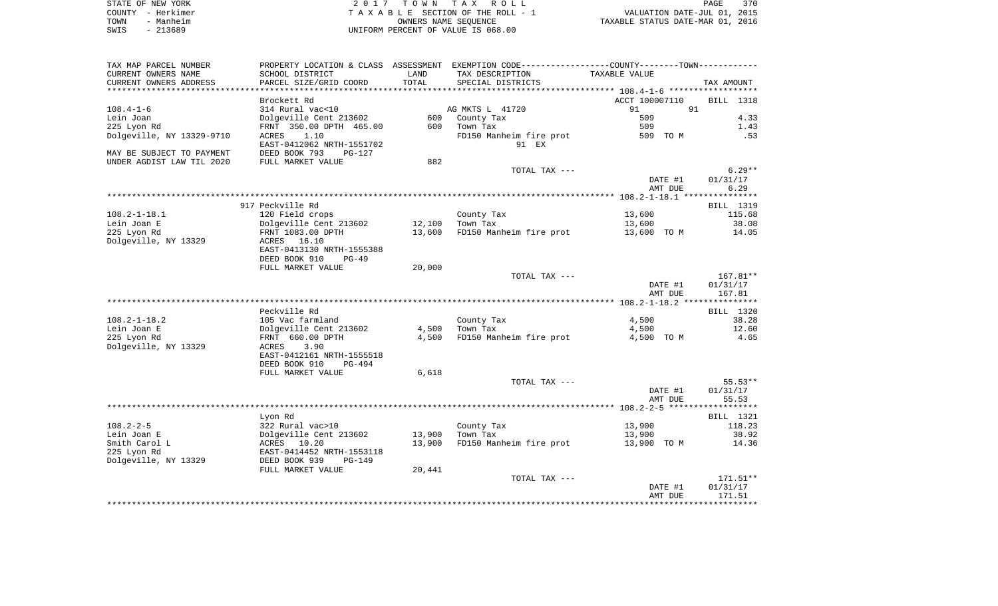|      | STATE OF NEW YORK | 2017 TOWN TAX ROLL                 | 370<br>PAGE                      |
|------|-------------------|------------------------------------|----------------------------------|
|      | COUNTY – Herkimer | TAXABLE SECTION OF THE ROLL - 1    | VALUATION DATE-JUL 01, 2015      |
| TOWN | - Manheim         | OWNERS NAME SEOUENCE               | TAXABLE STATUS DATE-MAR 01, 2016 |
| SWIS | - 213689          | UNIFORM PERCENT OF VALUE IS 068.00 |                                  |

| TAX MAP PARCEL NUMBER     | PROPERTY LOCATION & CLASS ASSESSMENT    |                 | EXEMPTION CODE-----------------COUNTY--------TOWN----------- |                |                  |
|---------------------------|-----------------------------------------|-----------------|--------------------------------------------------------------|----------------|------------------|
| CURRENT OWNERS NAME       | SCHOOL DISTRICT                         | LAND            | TAX DESCRIPTION                                              | TAXABLE VALUE  |                  |
| CURRENT OWNERS ADDRESS    | PARCEL SIZE/GRID COORD                  | TOTAL           | SPECIAL DISTRICTS                                            |                | TAX AMOUNT       |
| *********************     | * * * * * * * * * * * * * * * * * * * * | *************** |                                                              |                |                  |
|                           | Brockett Rd                             |                 |                                                              | ACCT 100007110 | <b>BILL</b> 1318 |
| $108.4 - 1 - 6$           | 314 Rural vac<10                        |                 | AG MKTS L 41720                                              | 91             | 91               |
| Lein Joan                 | Dolgeville Cent 213602                  | 600             | County Tax                                                   | 509            | 4.33             |
| 225 Lyon Rd               | FRNT 350.00 DPTH 465.00                 | 600             | Town Tax                                                     | 509            | 1.43             |
| Dolgeville, NY 13329-9710 | 1.10<br>ACRES                           |                 | FD150 Manheim fire prot                                      | 509 TO M       | .53              |
|                           | EAST-0412062 NRTH-1551702               |                 | 91 EX                                                        |                |                  |
| MAY BE SUBJECT TO PAYMENT | DEED BOOK 793<br>$PG-127$               |                 |                                                              |                |                  |
| UNDER AGDIST LAW TIL 2020 | FULL MARKET VALUE                       | 882             |                                                              |                |                  |
|                           |                                         |                 | TOTAL TAX ---                                                |                | $6.29**$         |
|                           |                                         |                 |                                                              | DATE #1        | 01/31/17         |
|                           |                                         |                 |                                                              | AMT DUE        | 6.29             |
|                           |                                         |                 |                                                              |                |                  |
|                           | 917 Peckville Rd                        |                 |                                                              |                | BILL 1319        |
| $108.2 - 1 - 18.1$        | 120 Field crops                         |                 | County Tax                                                   | 13,600         | 115.68           |
| Lein Joan E               | Dolgeville Cent 213602                  | 12,100          | Town Tax                                                     | 13,600         | 38.08            |
| 225 Lyon Rd               | FRNT 1083.00 DPTH                       | 13,600          | FD150 Manheim fire prot                                      | 13,600 TO M    | 14.05            |
| Dolgeville, NY 13329      | ACRES 16.10                             |                 |                                                              |                |                  |
|                           | EAST-0413130 NRTH-1555388               |                 |                                                              |                |                  |
|                           | DEED BOOK 910<br>$PG-49$                |                 |                                                              |                |                  |
|                           | FULL MARKET VALUE                       | 20,000          |                                                              |                |                  |
|                           |                                         |                 | TOTAL TAX ---                                                |                | 167.81**         |
|                           |                                         |                 |                                                              | DATE #1        | 01/31/17         |
|                           |                                         |                 |                                                              | AMT DUE        | 167.81           |
|                           |                                         |                 |                                                              |                |                  |
|                           | Peckville Rd                            |                 |                                                              |                | BILL 1320        |
| $108.2 - 1 - 18.2$        | 105 Vac farmland                        |                 | County Tax                                                   | 4,500          | 38.28            |
| Lein Joan E               | Dolgeville Cent 213602                  | 4,500           | Town Tax                                                     | 4,500          | 12.60            |
| 225 Lyon Rd               | FRNT 660.00 DPTH                        | 4,500           | FD150 Manheim fire prot                                      | 4,500 TO M     | 4.65             |
| Dolgeville, NY 13329      | 3.90<br>ACRES                           |                 |                                                              |                |                  |
|                           | EAST-0412161 NRTH-1555518               |                 |                                                              |                |                  |
|                           | DEED BOOK 910<br>$PG-494$               |                 |                                                              |                |                  |
|                           | FULL MARKET VALUE                       | 6,618           |                                                              |                |                  |
|                           |                                         |                 | TOTAL TAX ---                                                |                | $55.53**$        |
|                           |                                         |                 |                                                              | DATE #1        | 01/31/17         |
|                           |                                         |                 |                                                              | AMT DUE        | 55.53            |
|                           |                                         |                 |                                                              |                |                  |
|                           | Lyon Rd                                 |                 |                                                              |                | <b>BILL</b> 1321 |
| $108.2 - 2 - 5$           | 322 Rural vac>10                        |                 | County Tax                                                   | 13,900         | 118.23           |
| Lein Joan E               | Dolgeville Cent 213602                  | 13,900          | Town Tax                                                     | 13,900         | 38.92            |
| Smith Carol L             | ACRES<br>10.20                          | 13,900          | FD150 Manheim fire prot                                      | 13,900 TO M    | 14.36            |
| 225 Lyon Rd               | EAST-0414452 NRTH-1553118               |                 |                                                              |                |                  |
| Dolgeville, NY 13329      | DEED BOOK 939<br>$PG-149$               |                 |                                                              |                |                  |
|                           | FULL MARKET VALUE                       | 20,441          |                                                              |                |                  |
|                           |                                         |                 | TOTAL TAX ---                                                |                | 171.51**         |
|                           |                                         |                 |                                                              | DATE #1        | 01/31/17         |
|                           |                                         |                 |                                                              | AMT DUE        | 171.51           |
|                           |                                         |                 |                                                              |                |                  |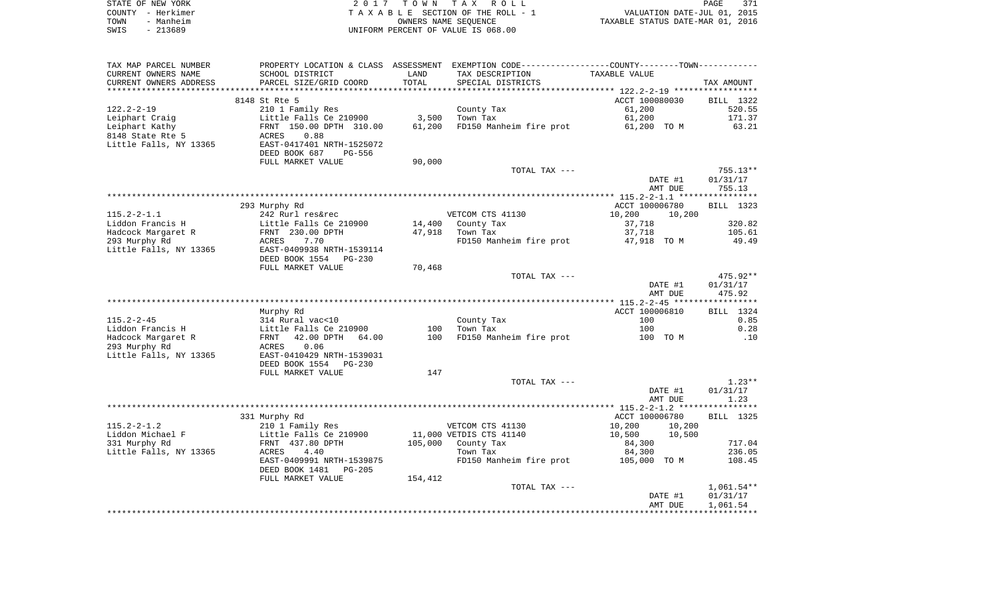|      | STATE OF NEW YORK | 2017 TOWN TAX ROLL                 | PAGE                             | 371 |
|------|-------------------|------------------------------------|----------------------------------|-----|
|      | COUNTY - Herkimer | TAXABLE SECTION OF THE ROLL - 1    | VALUATION DATE-JUL 01, 2015      |     |
| TOWN | - Manheim         | OWNERS NAME SEOUENCE               | TAXABLE STATUS DATE-MAR 01, 2016 |     |
| SWIS | - 213689          | UNIFORM PERCENT OF VALUE IS 068.00 |                                  |     |

| TAX MAP PARCEL NUMBER<br>CURRENT OWNERS NAME<br>CURRENT OWNERS ADDRESS | PROPERTY LOCATION & CLASS ASSESSMENT<br>SCHOOL DISTRICT<br>PARCEL SIZE/GRID COORD | LAND<br>TOTAL | EXEMPTION CODE-----------------COUNTY-------TOWN-----------<br>TAX DESCRIPTION | TAXABLE VALUE                                             |                  |
|------------------------------------------------------------------------|-----------------------------------------------------------------------------------|---------------|--------------------------------------------------------------------------------|-----------------------------------------------------------|------------------|
|                                                                        |                                                                                   | ********      | SPECIAL DISTRICTS                                                              | **************************** 122.2-2-19 ***************** | TAX AMOUNT       |
|                                                                        | 8148 St Rte 5                                                                     |               |                                                                                | ACCT 100080030                                            | <b>BILL</b> 1322 |
| $122.2 - 2 - 19$                                                       | 210 1 Family Res                                                                  |               | County Tax                                                                     | 61,200                                                    | 520.55           |
| Leiphart Craig                                                         | Little Falls Ce 210900                                                            | 3,500         | Town Tax                                                                       | 61,200                                                    | 171.37           |
| Leiphart Kathy                                                         | FRNT 150.00 DPTH 310.00                                                           | 61,200        | FD150 Manheim fire prot                                                        | 61,200 TO M                                               | 63.21            |
| 8148 State Rte 5                                                       | 0.88<br>ACRES                                                                     |               |                                                                                |                                                           |                  |
| Little Falls, NY 13365                                                 | EAST-0417401 NRTH-1525072                                                         |               |                                                                                |                                                           |                  |
|                                                                        | DEED BOOK 687<br>PG-556                                                           |               |                                                                                |                                                           |                  |
|                                                                        | FULL MARKET VALUE                                                                 | 90,000        | TOTAL TAX ---                                                                  |                                                           | $755.13**$       |
|                                                                        |                                                                                   |               |                                                                                | DATE #1                                                   | 01/31/17         |
|                                                                        |                                                                                   |               |                                                                                | AMT DUE                                                   | 755.13           |
|                                                                        |                                                                                   |               |                                                                                |                                                           |                  |
|                                                                        | 293 Murphy Rd                                                                     |               |                                                                                | ACCT 100006780                                            | BILL 1323        |
| $115.2 - 2 - 1.1$                                                      | 242 Rurl res&rec                                                                  |               | VETCOM CTS 41130                                                               | 10,200<br>10,200                                          |                  |
| Liddon Francis H                                                       | Little Falls Ce 210900                                                            | 14,400        | County Tax                                                                     | 37,718                                                    | 320.82           |
| Hadcock Margaret R                                                     | FRNT 230.00 DPTH                                                                  | 47,918        | Town Tax                                                                       | 37,718                                                    | 105.61           |
| 293 Murphy Rd                                                          | 7.70<br>ACRES                                                                     |               | FD150 Manheim fire prot                                                        | 47,918 TO M                                               | 49.49            |
| Little Falls, NY 13365                                                 | EAST-0409938 NRTH-1539114                                                         |               |                                                                                |                                                           |                  |
|                                                                        | DEED BOOK 1554<br>$PG-230$                                                        |               |                                                                                |                                                           |                  |
|                                                                        | FULL MARKET VALUE                                                                 | 70,468        | TOTAL TAX ---                                                                  |                                                           | 475.92**         |
|                                                                        |                                                                                   |               |                                                                                | DATE #1                                                   | 01/31/17         |
|                                                                        |                                                                                   |               |                                                                                | AMT DUE                                                   | 475.92           |
|                                                                        |                                                                                   |               |                                                                                |                                                           |                  |
|                                                                        | Murphy Rd                                                                         |               |                                                                                | ACCT 100006810                                            | BILL 1324        |
| $115.2 - 2 - 45$                                                       | 314 Rural vac<10                                                                  |               | County Tax                                                                     | 100                                                       | 0.85             |
| Liddon Francis H                                                       | Little Falls Ce 210900                                                            | 100           | Town Tax                                                                       | 100                                                       | 0.28             |
| Hadcock Margaret R                                                     | 42.00 DPTH<br>64.00<br>FRNT                                                       | 100           | FD150 Manheim fire prot                                                        | 100 TO M                                                  | .10              |
| 293 Murphy Rd                                                          | ACRES<br>0.06                                                                     |               |                                                                                |                                                           |                  |
| Little Falls, NY 13365                                                 | EAST-0410429 NRTH-1539031                                                         |               |                                                                                |                                                           |                  |
|                                                                        | DEED BOOK 1554<br>$PG-230$<br>FULL MARKET VALUE                                   | 147           |                                                                                |                                                           |                  |
|                                                                        |                                                                                   |               | TOTAL TAX ---                                                                  |                                                           | $1.23**$         |
|                                                                        |                                                                                   |               |                                                                                | DATE #1                                                   | 01/31/17         |
|                                                                        |                                                                                   |               |                                                                                | AMT DUE                                                   | 1.23             |
|                                                                        |                                                                                   |               |                                                                                |                                                           |                  |
|                                                                        | 331 Murphy Rd                                                                     |               |                                                                                | ACCT 100006780                                            | BILL 1325        |
| $115.2 - 2 - 1.2$                                                      | 210 1 Family Res                                                                  |               | VETCOM CTS 41130                                                               | 10,200<br>10,200                                          |                  |
| Liddon Michael F                                                       | Little Falls Ce 210900                                                            |               | 11,000 VETDIS CTS 41140                                                        | 10,500<br>10,500                                          |                  |
| 331 Murphy Rd                                                          | FRNT 437.80 DPTH                                                                  | 105,000       | County Tax                                                                     | 84,300                                                    | 717.04           |
| Little Falls, NY 13365                                                 | <b>ACRES</b><br>4.40                                                              |               | Town Tax                                                                       | 84,300                                                    | 236.05           |
|                                                                        | EAST-0409991 NRTH-1539875<br>DEED BOOK 1481<br>$PG-205$                           |               | FD150 Manheim fire prot                                                        | 105,000<br>TO M                                           | 108.45           |
|                                                                        | FULL MARKET VALUE                                                                 | 154,412       |                                                                                |                                                           |                  |
|                                                                        |                                                                                   |               | TOTAL TAX ---                                                                  |                                                           | $1,061.54**$     |
|                                                                        |                                                                                   |               |                                                                                | DATE #1                                                   | 01/31/17         |
|                                                                        |                                                                                   |               |                                                                                | AMT DUE                                                   | 1,061.54         |
|                                                                        |                                                                                   |               |                                                                                |                                                           |                  |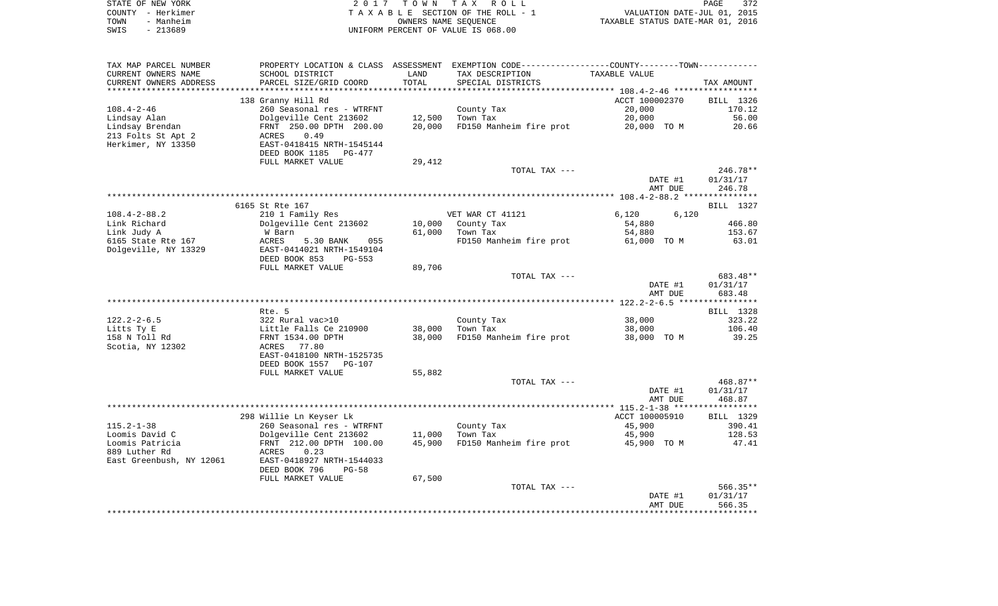|      | STATE OF NEW YORK | 2017 TOWN TAX ROLL                 | PAGE                             | 372 |
|------|-------------------|------------------------------------|----------------------------------|-----|
|      | COUNTY - Herkimer | TAXABLE SECTION OF THE ROLL - 1    | VALUATION DATE-JUL 01, 2015      |     |
| TOWN | - Manheim         | OWNERS NAME SEOUENCE               | TAXABLE STATUS DATE-MAR 01, 2016 |     |
| SWIS | - 213689          | UNIFORM PERCENT OF VALUE IS 068.00 |                                  |     |

| TAX MAP PARCEL NUMBER<br>CURRENT OWNERS NAME | PROPERTY LOCATION & CLASS ASSESSMENT<br>SCHOOL DISTRICT | LAND            | EXEMPTION CODE-----------------COUNTY-------TOWN-----------<br>TAX DESCRIPTION | TAXABLE VALUE                                            |                      |
|----------------------------------------------|---------------------------------------------------------|-----------------|--------------------------------------------------------------------------------|----------------------------------------------------------|----------------------|
| CURRENT OWNERS ADDRESS                       | PARCEL SIZE/GRID COORD                                  | TOTAL<br>****** | SPECIAL DISTRICTS                                                              | *************************** 108.4-2-46 ***************** | TAX AMOUNT           |
|                                              | 138 Granny Hill Rd                                      |                 |                                                                                | ACCT 100002370                                           | BILL 1326            |
| $108.4 - 2 - 46$                             | 260 Seasonal res - WTRFNT                               |                 | County Tax                                                                     | 20,000                                                   | 170.12               |
| Lindsay Alan                                 | Dolgeville Cent 213602                                  | 12,500          | Town Tax                                                                       | 20,000                                                   | 56.00                |
| Lindsay Brendan                              | FRNT 250.00 DPTH 200.00                                 | 20,000          | FD150 Manheim fire prot                                                        | 20,000 TO M                                              | 20.66                |
| 213 Folts St Apt 2                           | 0.49<br>ACRES                                           |                 |                                                                                |                                                          |                      |
| Herkimer, NY 13350                           | EAST-0418415 NRTH-1545144                               |                 |                                                                                |                                                          |                      |
|                                              | DEED BOOK 1185<br>PG-477                                |                 |                                                                                |                                                          |                      |
|                                              | FULL MARKET VALUE                                       | 29,412          |                                                                                |                                                          |                      |
|                                              |                                                         |                 | TOTAL TAX ---                                                                  | DATE #1                                                  | 246.78**<br>01/31/17 |
|                                              |                                                         |                 |                                                                                | AMT DUE                                                  | 246.78               |
|                                              |                                                         |                 |                                                                                |                                                          |                      |
|                                              | 6165 St Rte 167                                         |                 |                                                                                |                                                          | BILL 1327            |
| $108.4 - 2 - 88.2$                           | 210 1 Family Res                                        |                 | VET WAR CT 41121                                                               | 6,120<br>6,120                                           |                      |
| Link Richard                                 | Dolgeville Cent 213602                                  | 10,000          | County Tax                                                                     | 54,880                                                   | 466.80               |
| Link Judy A                                  | W Barn                                                  | 61,000          | Town Tax                                                                       | 54,880                                                   | 153.67               |
| 6165 State Rte 167                           | ACRES<br>5.30 BANK<br>055                               |                 | FD150 Manheim fire prot                                                        | 61,000 TO M                                              | 63.01                |
| Dolgeville, NY 13329                         | EAST-0414021 NRTH-1549104                               |                 |                                                                                |                                                          |                      |
|                                              | DEED BOOK 853<br>PG-553<br>FULL MARKET VALUE            | 89,706          |                                                                                |                                                          |                      |
|                                              |                                                         |                 | TOTAL TAX ---                                                                  |                                                          | 683.48**             |
|                                              |                                                         |                 |                                                                                | DATE #1                                                  | 01/31/17             |
|                                              |                                                         |                 |                                                                                | AMT DUE                                                  | 683.48               |
|                                              |                                                         |                 |                                                                                |                                                          |                      |
|                                              | Rte. 5                                                  |                 |                                                                                |                                                          | BILL 1328            |
| $122.2 - 2 - 6.5$                            | 322 Rural vac>10                                        |                 | County Tax                                                                     | 38,000                                                   | 323.22               |
| Litts Ty E                                   | Little Falls Ce 210900                                  | 38,000          | Town Tax                                                                       | 38,000                                                   | 106.40               |
| 158 N Toll Rd<br>Scotia, NY 12302            | FRNT 1534.00 DPTH<br>ACRES<br>77.80                     | 38,000          | FD150 Manheim fire prot                                                        | 38,000 TO M                                              | 39.25                |
|                                              | EAST-0418100 NRTH-1525735                               |                 |                                                                                |                                                          |                      |
|                                              | DEED BOOK 1557<br><b>PG-107</b>                         |                 |                                                                                |                                                          |                      |
|                                              | FULL MARKET VALUE                                       | 55,882          |                                                                                |                                                          |                      |
|                                              |                                                         |                 | TOTAL TAX ---                                                                  |                                                          | 468.87**             |
|                                              |                                                         |                 |                                                                                | DATE #1                                                  | 01/31/17             |
|                                              |                                                         |                 |                                                                                | AMT DUE                                                  | 468.87               |
|                                              |                                                         |                 |                                                                                |                                                          |                      |
| $115.2 - 1 - 38$                             | 298 Willie Ln Keyser Lk                                 |                 |                                                                                | ACCT 100005910                                           | BILL 1329            |
| Loomis David C                               | 260 Seasonal res - WTRFNT<br>Dolgeville Cent 213602     | 11,000          | County Tax<br>Town Tax                                                         | 45,900<br>45,900                                         | 390.41<br>128.53     |
| Loomis Patricia                              | FRNT 212.00 DPTH 100.00                                 | 45,900          | FD150 Manheim fire prot                                                        | 45,900 TO M                                              | 47.41                |
| 889 Luther Rd                                | ACRES<br>0.23                                           |                 |                                                                                |                                                          |                      |
| East Greenbush, NY 12061                     | EAST-0418927 NRTH-1544033                               |                 |                                                                                |                                                          |                      |
|                                              | DEED BOOK 796<br>$PG-58$                                |                 |                                                                                |                                                          |                      |
|                                              | FULL MARKET VALUE                                       | 67,500          |                                                                                |                                                          |                      |
|                                              |                                                         |                 | TOTAL TAX ---                                                                  |                                                          | $566.35**$           |
|                                              |                                                         |                 |                                                                                | DATE #1                                                  | 01/31/17             |
|                                              |                                                         |                 |                                                                                | AMT DUE                                                  | 566.35               |
|                                              |                                                         |                 |                                                                                |                                                          |                      |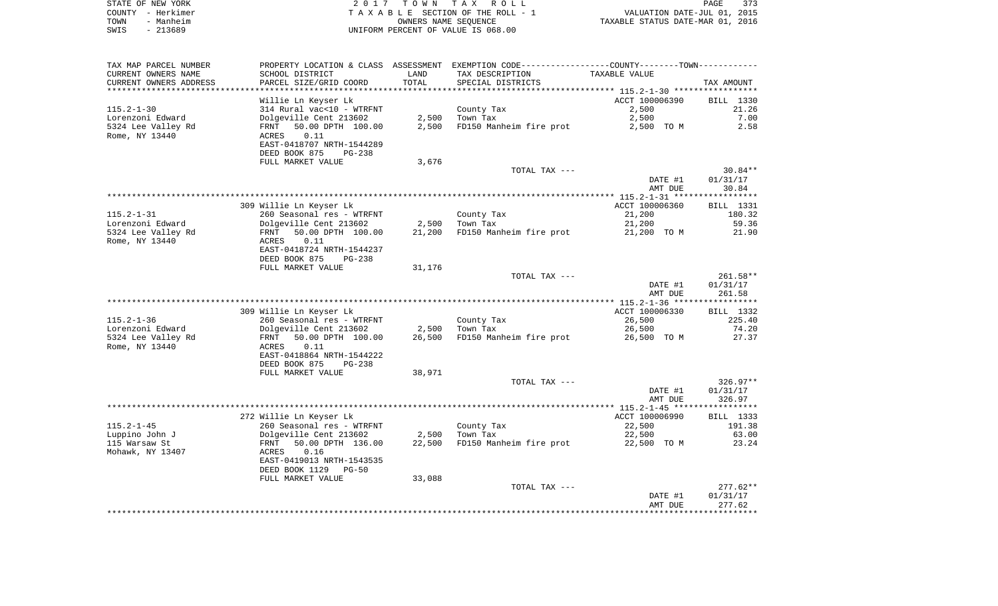| STATE OF NEW YORK |           | 2017 TOWN TAX ROLL                 | 373<br>PAGE                      |
|-------------------|-----------|------------------------------------|----------------------------------|
| COUNTY - Herkimer |           | TAXABLE SECTION OF THE ROLL - 1    | VALUATION DATE-JUL 01, 2015      |
| TOWN              | - Manheim | OWNERS NAME SEOUENCE               | TAXABLE STATUS DATE-MAR 01, 2016 |
| SWIS              | $-213689$ | UNIFORM PERCENT OF VALUE IS 068.00 |                                  |

| TAX MAP PARCEL NUMBER  |                                            |        | PROPERTY LOCATION & CLASS ASSESSMENT EXEMPTION CODE---------------COUNTY-------TOWN---------- |                    |                    |
|------------------------|--------------------------------------------|--------|-----------------------------------------------------------------------------------------------|--------------------|--------------------|
| CURRENT OWNERS NAME    | SCHOOL DISTRICT                            | LAND   | TAX DESCRIPTION                                                                               | TAXABLE VALUE      |                    |
| CURRENT OWNERS ADDRESS | PARCEL SIZE/GRID COORD                     | TOTAL  | SPECIAL DISTRICTS                                                                             |                    | TAX AMOUNT         |
| ********************** |                                            |        |                                                                                               |                    |                    |
|                        | Willie Ln Keyser Lk                        |        |                                                                                               | ACCT 100006390     | BILL 1330          |
| $115.2 - 1 - 30$       | 314 Rural vac<10 - WTRFNT                  |        | County Tax                                                                                    | 2,500              | 21.26              |
| Lorenzoni Edward       | Dolgeville Cent 213602                     | 2,500  | Town Tax                                                                                      | 2,500              | 7.00               |
| 5324 Lee Valley Rd     | 50.00 DPTH 100.00<br>FRNT                  | 2,500  | FD150 Manheim fire prot                                                                       | 2,500 TO M         | 2.58               |
| Rome, NY 13440         | 0.11<br>ACRES<br>EAST-0418707 NRTH-1544289 |        |                                                                                               |                    |                    |
|                        | DEED BOOK 875<br><b>PG-238</b>             |        |                                                                                               |                    |                    |
|                        | FULL MARKET VALUE                          | 3,676  |                                                                                               |                    |                    |
|                        |                                            |        | TOTAL TAX ---                                                                                 |                    | $30.84**$          |
|                        |                                            |        |                                                                                               | DATE #1            | 01/31/17           |
|                        |                                            |        |                                                                                               | AMT DUE            | 30.84              |
|                        |                                            |        |                                                                                               |                    |                    |
|                        | 309 Willie Ln Keyser Lk                    |        |                                                                                               | ACCT 100006360     | BILL 1331          |
| $115.2 - 1 - 31$       | 260 Seasonal res - WTRFNT                  |        | County Tax                                                                                    | 21,200             | 180.32             |
| Lorenzoni Edward       | Dolgeville Cent 213602                     | 2,500  | Town Tax                                                                                      | 21,200             | 59.36              |
| 5324 Lee Valley Rd     | 50.00 DPTH 100.00<br>FRNT                  | 21,200 | FD150 Manheim fire prot                                                                       | 21,200 TO M        | 21.90              |
| Rome, NY 13440         | 0.11<br>ACRES                              |        |                                                                                               |                    |                    |
|                        | EAST-0418724 NRTH-1544237                  |        |                                                                                               |                    |                    |
|                        | DEED BOOK 875<br><b>PG-238</b>             |        |                                                                                               |                    |                    |
|                        | FULL MARKET VALUE                          | 31,176 |                                                                                               |                    | $261.58**$         |
|                        |                                            |        | TOTAL TAX ---                                                                                 | DATE #1            | 01/31/17           |
|                        |                                            |        |                                                                                               | AMT DUE            | 261.58             |
|                        |                                            |        |                                                                                               |                    |                    |
|                        | 309 Willie Ln Keyser Lk                    |        |                                                                                               | ACCT 100006330     | BILL 1332          |
| $115.2 - 1 - 36$       | 260 Seasonal res - WTRFNT                  |        | County Tax                                                                                    | 26,500             | 225.40             |
| Lorenzoni Edward       | Dolgeville Cent 213602                     | 2,500  | Town Tax                                                                                      | 26,500             | 74.20              |
| 5324 Lee Valley Rd     | 50.00 DPTH 100.00<br>FRNT                  | 26,500 | FD150 Manheim fire prot                                                                       | 26,500 TO M        | 27.37              |
| Rome, NY 13440         | ACRES<br>0.11                              |        |                                                                                               |                    |                    |
|                        | EAST-0418864 NRTH-1544222                  |        |                                                                                               |                    |                    |
|                        | DEED BOOK 875<br>$PG-238$                  |        |                                                                                               |                    |                    |
|                        | FULL MARKET VALUE                          | 38,971 |                                                                                               |                    |                    |
|                        |                                            |        | TOTAL TAX ---                                                                                 |                    | $326.97**$         |
|                        |                                            |        |                                                                                               | DATE #1<br>AMT DUE | 01/31/17<br>326.97 |
|                        |                                            |        |                                                                                               |                    |                    |
|                        | 272 Willie Ln Keyser Lk                    |        |                                                                                               | ACCT 100006990     | BILL 1333          |
| $115.2 - 1 - 45$       | 260 Seasonal res - WTRFNT                  |        | County Tax                                                                                    | 22,500             | 191.38             |
| Luppino John J         | Dolgeville Cent 213602                     | 2,500  | Town Tax                                                                                      | 22,500             | 63.00              |
| 115 Warsaw St          | FRNT<br>50.00 DPTH 136.00                  | 22,500 | FD150 Manheim fire prot                                                                       | 22,500 TO M        | 23.24              |
| Mohawk, NY 13407       | 0.16<br>ACRES                              |        |                                                                                               |                    |                    |
|                        | EAST-0419013 NRTH-1543535                  |        |                                                                                               |                    |                    |
|                        | DEED BOOK 1129<br>PG-50                    |        |                                                                                               |                    |                    |
|                        | FULL MARKET VALUE                          | 33,088 |                                                                                               |                    |                    |
|                        |                                            |        | TOTAL TAX ---                                                                                 |                    | $277.62**$         |
|                        |                                            |        |                                                                                               | DATE #1            | 01/31/17           |
|                        |                                            |        |                                                                                               | AMT DUE            | 277.62             |
|                        |                                            |        |                                                                                               |                    |                    |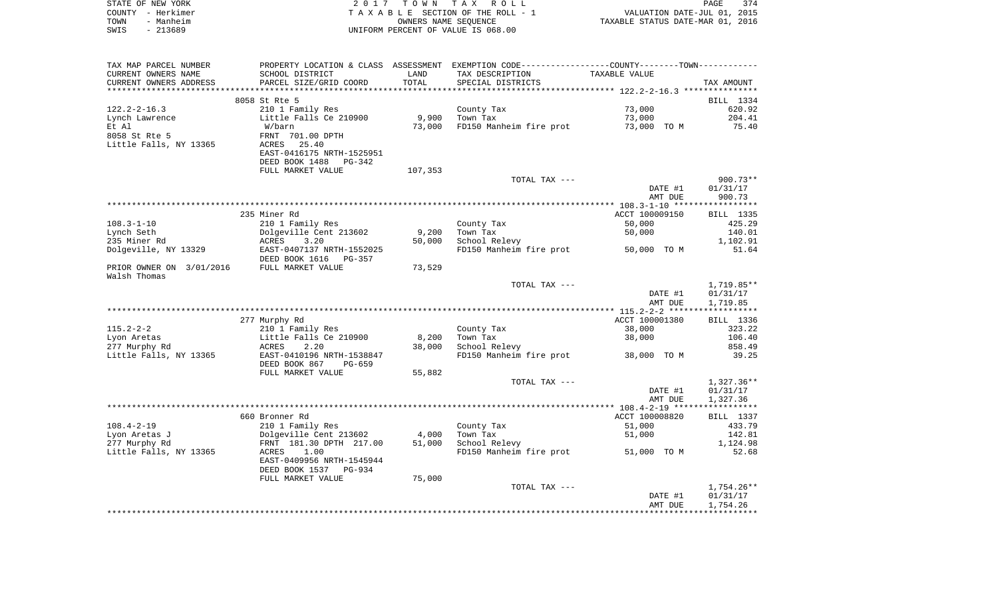|      | STATE OF NEW YORK | 2017 TOWN TAX ROLL                 | PAGE                             | 374 |
|------|-------------------|------------------------------------|----------------------------------|-----|
|      | COUNTY - Herkimer | TAXABLE SECTION OF THE ROLL - 1    | VALUATION DATE-JUL 01, 2015      |     |
| TOWN | - Manheim         | OWNERS NAME SEOUENCE               | TAXABLE STATUS DATE-MAR 01, 2016 |     |
| SWIS | - 213689          | UNIFORM PERCENT OF VALUE IS 068.00 |                                  |     |
|      |                   |                                    |                                  |     |

| CURRENT OWNERS NAME<br>SCHOOL DISTRICT<br>LAND<br>TAX DESCRIPTION<br>TAXABLE VALUE<br>TOTAL<br>CURRENT OWNERS ADDRESS<br>PARCEL SIZE/GRID COORD<br>SPECIAL DISTRICTS<br>TAX AMOUNT<br>********************* 122.2-2-16.3 ****************<br>*******************************<br>**************************<br>8058 St Rte 5<br>BILL 1334<br>$122.2 - 2 - 16.3$<br>73,000<br>210 1 Family Res<br>620.92<br>County Tax<br>Little Falls Ce 210900<br>9,900<br>Town Tax<br>73,000<br>204.41<br>Lynch Lawrence<br>73,000<br>FD150 Manheim fire prot<br>73,000 TO M<br>75.40<br>Et Al<br>W/barn<br>8058 St Rte 5<br>FRNT 701.00 DPTH<br>Little Falls, NY 13365<br>ACRES<br>25.40<br>EAST-0416175 NRTH-1525951<br>DEED BOOK 1488<br>PG-342<br>FULL MARKET VALUE<br>107,353<br>$900.73**$<br>TOTAL TAX ---<br>01/31/17<br>DATE #1<br>AMT DUE<br>900.73<br>235 Miner Rd<br>ACCT 100009150<br>BILL 1335<br>$108.3 - 1 - 10$<br>210 1 Family Res<br>County Tax<br>50,000<br>425.29<br>Lynch Seth<br>Dolgeville Cent 213602<br>9,200<br>Town Tax<br>50,000<br>140.01<br>School Relevy<br>ACRES<br>3.20<br>50,000<br>1,102.91<br>EAST-0407137 NRTH-1552025<br>FD150 Manheim fire prot<br>50,000 TO M<br>51.64<br>DEED BOOK 1616<br>PG-357<br>PRIOR OWNER ON 3/01/2016<br>FULL MARKET VALUE<br>73,529<br>1,719.85**<br>TOTAL TAX ---<br>DATE #1<br>01/31/17<br>AMT DUE<br>1,719.85<br>ACCT 100001380<br>277 Murphy Rd<br>BILL 1336<br>$115.2 - 2 - 2$<br>210 1 Family Res<br>County Tax<br>38,000<br>323.22<br>Little Falls Ce 210900<br>Town Tax<br>Lyon Aretas<br>8,200<br>38,000<br>106.40<br>277 Murphy Rd<br>38,000<br>858.49<br>ACRES<br>2.20<br>School Relevy<br>Little Falls, NY 13365<br>EAST-0410196 NRTH-1538847<br>39.25<br>FD150 Manheim fire prot<br>38,000 TO M<br>DEED BOOK 867<br>PG-659<br>FULL MARKET VALUE<br>55,882<br>$1,327.36**$<br>TOTAL TAX ---<br>01/31/17<br>DATE #1<br>AMT DUE<br>1,327.36<br>660 Bronner Rd<br>ACCT 100008820<br>BILL 1337<br>$108.4 - 2 - 19$<br>210 1 Family Res<br>County Tax<br>433.79<br>51,000<br>Town Tax<br>142.81<br>Lyon Aretas J<br>Dolgeville Cent 213602<br>4,000<br>51,000<br>277 Murphy Rd<br>FRNT 181.30 DPTH 217.00<br>51,000<br>School Relevy<br>1,124.98<br>Little Falls, NY 13365<br>FD150 Manheim fire prot<br>ACRES<br>1.00<br>51,000 TO M<br>52.68<br>EAST-0409956 NRTH-1545944<br>DEED BOOK 1537 PG-934<br>75,000<br>FULL MARKET VALUE<br>TOTAL TAX ---<br>$1,754.26**$<br>01/31/17<br>DATE #1<br>1,754.26<br>AMT DUE | TAX MAP PARCEL NUMBER | PROPERTY LOCATION & CLASS ASSESSMENT EXEMPTION CODE---------------COUNTY-------TOWN--------- |  |  |
|-------------------------------------------------------------------------------------------------------------------------------------------------------------------------------------------------------------------------------------------------------------------------------------------------------------------------------------------------------------------------------------------------------------------------------------------------------------------------------------------------------------------------------------------------------------------------------------------------------------------------------------------------------------------------------------------------------------------------------------------------------------------------------------------------------------------------------------------------------------------------------------------------------------------------------------------------------------------------------------------------------------------------------------------------------------------------------------------------------------------------------------------------------------------------------------------------------------------------------------------------------------------------------------------------------------------------------------------------------------------------------------------------------------------------------------------------------------------------------------------------------------------------------------------------------------------------------------------------------------------------------------------------------------------------------------------------------------------------------------------------------------------------------------------------------------------------------------------------------------------------------------------------------------------------------------------------------------------------------------------------------------------------------------------------------------------------------------------------------------------------------------------------------------------------------------------------------------------------------------------------------------------------------------------------------------------------------------------------------------------------------------------------------------------------------------------------------------------------------|-----------------------|----------------------------------------------------------------------------------------------|--|--|
|                                                                                                                                                                                                                                                                                                                                                                                                                                                                                                                                                                                                                                                                                                                                                                                                                                                                                                                                                                                                                                                                                                                                                                                                                                                                                                                                                                                                                                                                                                                                                                                                                                                                                                                                                                                                                                                                                                                                                                                                                                                                                                                                                                                                                                                                                                                                                                                                                                                                               |                       |                                                                                              |  |  |
|                                                                                                                                                                                                                                                                                                                                                                                                                                                                                                                                                                                                                                                                                                                                                                                                                                                                                                                                                                                                                                                                                                                                                                                                                                                                                                                                                                                                                                                                                                                                                                                                                                                                                                                                                                                                                                                                                                                                                                                                                                                                                                                                                                                                                                                                                                                                                                                                                                                                               |                       |                                                                                              |  |  |
|                                                                                                                                                                                                                                                                                                                                                                                                                                                                                                                                                                                                                                                                                                                                                                                                                                                                                                                                                                                                                                                                                                                                                                                                                                                                                                                                                                                                                                                                                                                                                                                                                                                                                                                                                                                                                                                                                                                                                                                                                                                                                                                                                                                                                                                                                                                                                                                                                                                                               |                       |                                                                                              |  |  |
|                                                                                                                                                                                                                                                                                                                                                                                                                                                                                                                                                                                                                                                                                                                                                                                                                                                                                                                                                                                                                                                                                                                                                                                                                                                                                                                                                                                                                                                                                                                                                                                                                                                                                                                                                                                                                                                                                                                                                                                                                                                                                                                                                                                                                                                                                                                                                                                                                                                                               |                       |                                                                                              |  |  |
|                                                                                                                                                                                                                                                                                                                                                                                                                                                                                                                                                                                                                                                                                                                                                                                                                                                                                                                                                                                                                                                                                                                                                                                                                                                                                                                                                                                                                                                                                                                                                                                                                                                                                                                                                                                                                                                                                                                                                                                                                                                                                                                                                                                                                                                                                                                                                                                                                                                                               |                       |                                                                                              |  |  |
|                                                                                                                                                                                                                                                                                                                                                                                                                                                                                                                                                                                                                                                                                                                                                                                                                                                                                                                                                                                                                                                                                                                                                                                                                                                                                                                                                                                                                                                                                                                                                                                                                                                                                                                                                                                                                                                                                                                                                                                                                                                                                                                                                                                                                                                                                                                                                                                                                                                                               |                       |                                                                                              |  |  |
|                                                                                                                                                                                                                                                                                                                                                                                                                                                                                                                                                                                                                                                                                                                                                                                                                                                                                                                                                                                                                                                                                                                                                                                                                                                                                                                                                                                                                                                                                                                                                                                                                                                                                                                                                                                                                                                                                                                                                                                                                                                                                                                                                                                                                                                                                                                                                                                                                                                                               |                       |                                                                                              |  |  |
|                                                                                                                                                                                                                                                                                                                                                                                                                                                                                                                                                                                                                                                                                                                                                                                                                                                                                                                                                                                                                                                                                                                                                                                                                                                                                                                                                                                                                                                                                                                                                                                                                                                                                                                                                                                                                                                                                                                                                                                                                                                                                                                                                                                                                                                                                                                                                                                                                                                                               |                       |                                                                                              |  |  |
|                                                                                                                                                                                                                                                                                                                                                                                                                                                                                                                                                                                                                                                                                                                                                                                                                                                                                                                                                                                                                                                                                                                                                                                                                                                                                                                                                                                                                                                                                                                                                                                                                                                                                                                                                                                                                                                                                                                                                                                                                                                                                                                                                                                                                                                                                                                                                                                                                                                                               |                       |                                                                                              |  |  |
|                                                                                                                                                                                                                                                                                                                                                                                                                                                                                                                                                                                                                                                                                                                                                                                                                                                                                                                                                                                                                                                                                                                                                                                                                                                                                                                                                                                                                                                                                                                                                                                                                                                                                                                                                                                                                                                                                                                                                                                                                                                                                                                                                                                                                                                                                                                                                                                                                                                                               |                       |                                                                                              |  |  |
|                                                                                                                                                                                                                                                                                                                                                                                                                                                                                                                                                                                                                                                                                                                                                                                                                                                                                                                                                                                                                                                                                                                                                                                                                                                                                                                                                                                                                                                                                                                                                                                                                                                                                                                                                                                                                                                                                                                                                                                                                                                                                                                                                                                                                                                                                                                                                                                                                                                                               |                       |                                                                                              |  |  |
|                                                                                                                                                                                                                                                                                                                                                                                                                                                                                                                                                                                                                                                                                                                                                                                                                                                                                                                                                                                                                                                                                                                                                                                                                                                                                                                                                                                                                                                                                                                                                                                                                                                                                                                                                                                                                                                                                                                                                                                                                                                                                                                                                                                                                                                                                                                                                                                                                                                                               |                       |                                                                                              |  |  |
|                                                                                                                                                                                                                                                                                                                                                                                                                                                                                                                                                                                                                                                                                                                                                                                                                                                                                                                                                                                                                                                                                                                                                                                                                                                                                                                                                                                                                                                                                                                                                                                                                                                                                                                                                                                                                                                                                                                                                                                                                                                                                                                                                                                                                                                                                                                                                                                                                                                                               |                       |                                                                                              |  |  |
|                                                                                                                                                                                                                                                                                                                                                                                                                                                                                                                                                                                                                                                                                                                                                                                                                                                                                                                                                                                                                                                                                                                                                                                                                                                                                                                                                                                                                                                                                                                                                                                                                                                                                                                                                                                                                                                                                                                                                                                                                                                                                                                                                                                                                                                                                                                                                                                                                                                                               |                       |                                                                                              |  |  |
|                                                                                                                                                                                                                                                                                                                                                                                                                                                                                                                                                                                                                                                                                                                                                                                                                                                                                                                                                                                                                                                                                                                                                                                                                                                                                                                                                                                                                                                                                                                                                                                                                                                                                                                                                                                                                                                                                                                                                                                                                                                                                                                                                                                                                                                                                                                                                                                                                                                                               |                       |                                                                                              |  |  |
|                                                                                                                                                                                                                                                                                                                                                                                                                                                                                                                                                                                                                                                                                                                                                                                                                                                                                                                                                                                                                                                                                                                                                                                                                                                                                                                                                                                                                                                                                                                                                                                                                                                                                                                                                                                                                                                                                                                                                                                                                                                                                                                                                                                                                                                                                                                                                                                                                                                                               |                       |                                                                                              |  |  |
|                                                                                                                                                                                                                                                                                                                                                                                                                                                                                                                                                                                                                                                                                                                                                                                                                                                                                                                                                                                                                                                                                                                                                                                                                                                                                                                                                                                                                                                                                                                                                                                                                                                                                                                                                                                                                                                                                                                                                                                                                                                                                                                                                                                                                                                                                                                                                                                                                                                                               |                       |                                                                                              |  |  |
|                                                                                                                                                                                                                                                                                                                                                                                                                                                                                                                                                                                                                                                                                                                                                                                                                                                                                                                                                                                                                                                                                                                                                                                                                                                                                                                                                                                                                                                                                                                                                                                                                                                                                                                                                                                                                                                                                                                                                                                                                                                                                                                                                                                                                                                                                                                                                                                                                                                                               |                       |                                                                                              |  |  |
|                                                                                                                                                                                                                                                                                                                                                                                                                                                                                                                                                                                                                                                                                                                                                                                                                                                                                                                                                                                                                                                                                                                                                                                                                                                                                                                                                                                                                                                                                                                                                                                                                                                                                                                                                                                                                                                                                                                                                                                                                                                                                                                                                                                                                                                                                                                                                                                                                                                                               |                       |                                                                                              |  |  |
|                                                                                                                                                                                                                                                                                                                                                                                                                                                                                                                                                                                                                                                                                                                                                                                                                                                                                                                                                                                                                                                                                                                                                                                                                                                                                                                                                                                                                                                                                                                                                                                                                                                                                                                                                                                                                                                                                                                                                                                                                                                                                                                                                                                                                                                                                                                                                                                                                                                                               |                       |                                                                                              |  |  |
|                                                                                                                                                                                                                                                                                                                                                                                                                                                                                                                                                                                                                                                                                                                                                                                                                                                                                                                                                                                                                                                                                                                                                                                                                                                                                                                                                                                                                                                                                                                                                                                                                                                                                                                                                                                                                                                                                                                                                                                                                                                                                                                                                                                                                                                                                                                                                                                                                                                                               | 235 Miner Rd          |                                                                                              |  |  |
|                                                                                                                                                                                                                                                                                                                                                                                                                                                                                                                                                                                                                                                                                                                                                                                                                                                                                                                                                                                                                                                                                                                                                                                                                                                                                                                                                                                                                                                                                                                                                                                                                                                                                                                                                                                                                                                                                                                                                                                                                                                                                                                                                                                                                                                                                                                                                                                                                                                                               | Dolgeville, NY 13329  |                                                                                              |  |  |
|                                                                                                                                                                                                                                                                                                                                                                                                                                                                                                                                                                                                                                                                                                                                                                                                                                                                                                                                                                                                                                                                                                                                                                                                                                                                                                                                                                                                                                                                                                                                                                                                                                                                                                                                                                                                                                                                                                                                                                                                                                                                                                                                                                                                                                                                                                                                                                                                                                                                               |                       |                                                                                              |  |  |
|                                                                                                                                                                                                                                                                                                                                                                                                                                                                                                                                                                                                                                                                                                                                                                                                                                                                                                                                                                                                                                                                                                                                                                                                                                                                                                                                                                                                                                                                                                                                                                                                                                                                                                                                                                                                                                                                                                                                                                                                                                                                                                                                                                                                                                                                                                                                                                                                                                                                               |                       |                                                                                              |  |  |
|                                                                                                                                                                                                                                                                                                                                                                                                                                                                                                                                                                                                                                                                                                                                                                                                                                                                                                                                                                                                                                                                                                                                                                                                                                                                                                                                                                                                                                                                                                                                                                                                                                                                                                                                                                                                                                                                                                                                                                                                                                                                                                                                                                                                                                                                                                                                                                                                                                                                               | Walsh Thomas          |                                                                                              |  |  |
|                                                                                                                                                                                                                                                                                                                                                                                                                                                                                                                                                                                                                                                                                                                                                                                                                                                                                                                                                                                                                                                                                                                                                                                                                                                                                                                                                                                                                                                                                                                                                                                                                                                                                                                                                                                                                                                                                                                                                                                                                                                                                                                                                                                                                                                                                                                                                                                                                                                                               |                       |                                                                                              |  |  |
|                                                                                                                                                                                                                                                                                                                                                                                                                                                                                                                                                                                                                                                                                                                                                                                                                                                                                                                                                                                                                                                                                                                                                                                                                                                                                                                                                                                                                                                                                                                                                                                                                                                                                                                                                                                                                                                                                                                                                                                                                                                                                                                                                                                                                                                                                                                                                                                                                                                                               |                       |                                                                                              |  |  |
|                                                                                                                                                                                                                                                                                                                                                                                                                                                                                                                                                                                                                                                                                                                                                                                                                                                                                                                                                                                                                                                                                                                                                                                                                                                                                                                                                                                                                                                                                                                                                                                                                                                                                                                                                                                                                                                                                                                                                                                                                                                                                                                                                                                                                                                                                                                                                                                                                                                                               |                       |                                                                                              |  |  |
|                                                                                                                                                                                                                                                                                                                                                                                                                                                                                                                                                                                                                                                                                                                                                                                                                                                                                                                                                                                                                                                                                                                                                                                                                                                                                                                                                                                                                                                                                                                                                                                                                                                                                                                                                                                                                                                                                                                                                                                                                                                                                                                                                                                                                                                                                                                                                                                                                                                                               |                       |                                                                                              |  |  |
|                                                                                                                                                                                                                                                                                                                                                                                                                                                                                                                                                                                                                                                                                                                                                                                                                                                                                                                                                                                                                                                                                                                                                                                                                                                                                                                                                                                                                                                                                                                                                                                                                                                                                                                                                                                                                                                                                                                                                                                                                                                                                                                                                                                                                                                                                                                                                                                                                                                                               |                       |                                                                                              |  |  |
|                                                                                                                                                                                                                                                                                                                                                                                                                                                                                                                                                                                                                                                                                                                                                                                                                                                                                                                                                                                                                                                                                                                                                                                                                                                                                                                                                                                                                                                                                                                                                                                                                                                                                                                                                                                                                                                                                                                                                                                                                                                                                                                                                                                                                                                                                                                                                                                                                                                                               |                       |                                                                                              |  |  |
|                                                                                                                                                                                                                                                                                                                                                                                                                                                                                                                                                                                                                                                                                                                                                                                                                                                                                                                                                                                                                                                                                                                                                                                                                                                                                                                                                                                                                                                                                                                                                                                                                                                                                                                                                                                                                                                                                                                                                                                                                                                                                                                                                                                                                                                                                                                                                                                                                                                                               |                       |                                                                                              |  |  |
|                                                                                                                                                                                                                                                                                                                                                                                                                                                                                                                                                                                                                                                                                                                                                                                                                                                                                                                                                                                                                                                                                                                                                                                                                                                                                                                                                                                                                                                                                                                                                                                                                                                                                                                                                                                                                                                                                                                                                                                                                                                                                                                                                                                                                                                                                                                                                                                                                                                                               |                       |                                                                                              |  |  |
|                                                                                                                                                                                                                                                                                                                                                                                                                                                                                                                                                                                                                                                                                                                                                                                                                                                                                                                                                                                                                                                                                                                                                                                                                                                                                                                                                                                                                                                                                                                                                                                                                                                                                                                                                                                                                                                                                                                                                                                                                                                                                                                                                                                                                                                                                                                                                                                                                                                                               |                       |                                                                                              |  |  |
|                                                                                                                                                                                                                                                                                                                                                                                                                                                                                                                                                                                                                                                                                                                                                                                                                                                                                                                                                                                                                                                                                                                                                                                                                                                                                                                                                                                                                                                                                                                                                                                                                                                                                                                                                                                                                                                                                                                                                                                                                                                                                                                                                                                                                                                                                                                                                                                                                                                                               |                       |                                                                                              |  |  |
|                                                                                                                                                                                                                                                                                                                                                                                                                                                                                                                                                                                                                                                                                                                                                                                                                                                                                                                                                                                                                                                                                                                                                                                                                                                                                                                                                                                                                                                                                                                                                                                                                                                                                                                                                                                                                                                                                                                                                                                                                                                                                                                                                                                                                                                                                                                                                                                                                                                                               |                       |                                                                                              |  |  |
|                                                                                                                                                                                                                                                                                                                                                                                                                                                                                                                                                                                                                                                                                                                                                                                                                                                                                                                                                                                                                                                                                                                                                                                                                                                                                                                                                                                                                                                                                                                                                                                                                                                                                                                                                                                                                                                                                                                                                                                                                                                                                                                                                                                                                                                                                                                                                                                                                                                                               |                       |                                                                                              |  |  |
|                                                                                                                                                                                                                                                                                                                                                                                                                                                                                                                                                                                                                                                                                                                                                                                                                                                                                                                                                                                                                                                                                                                                                                                                                                                                                                                                                                                                                                                                                                                                                                                                                                                                                                                                                                                                                                                                                                                                                                                                                                                                                                                                                                                                                                                                                                                                                                                                                                                                               |                       |                                                                                              |  |  |
|                                                                                                                                                                                                                                                                                                                                                                                                                                                                                                                                                                                                                                                                                                                                                                                                                                                                                                                                                                                                                                                                                                                                                                                                                                                                                                                                                                                                                                                                                                                                                                                                                                                                                                                                                                                                                                                                                                                                                                                                                                                                                                                                                                                                                                                                                                                                                                                                                                                                               |                       |                                                                                              |  |  |
|                                                                                                                                                                                                                                                                                                                                                                                                                                                                                                                                                                                                                                                                                                                                                                                                                                                                                                                                                                                                                                                                                                                                                                                                                                                                                                                                                                                                                                                                                                                                                                                                                                                                                                                                                                                                                                                                                                                                                                                                                                                                                                                                                                                                                                                                                                                                                                                                                                                                               |                       |                                                                                              |  |  |
|                                                                                                                                                                                                                                                                                                                                                                                                                                                                                                                                                                                                                                                                                                                                                                                                                                                                                                                                                                                                                                                                                                                                                                                                                                                                                                                                                                                                                                                                                                                                                                                                                                                                                                                                                                                                                                                                                                                                                                                                                                                                                                                                                                                                                                                                                                                                                                                                                                                                               |                       |                                                                                              |  |  |
|                                                                                                                                                                                                                                                                                                                                                                                                                                                                                                                                                                                                                                                                                                                                                                                                                                                                                                                                                                                                                                                                                                                                                                                                                                                                                                                                                                                                                                                                                                                                                                                                                                                                                                                                                                                                                                                                                                                                                                                                                                                                                                                                                                                                                                                                                                                                                                                                                                                                               |                       |                                                                                              |  |  |
|                                                                                                                                                                                                                                                                                                                                                                                                                                                                                                                                                                                                                                                                                                                                                                                                                                                                                                                                                                                                                                                                                                                                                                                                                                                                                                                                                                                                                                                                                                                                                                                                                                                                                                                                                                                                                                                                                                                                                                                                                                                                                                                                                                                                                                                                                                                                                                                                                                                                               |                       |                                                                                              |  |  |
|                                                                                                                                                                                                                                                                                                                                                                                                                                                                                                                                                                                                                                                                                                                                                                                                                                                                                                                                                                                                                                                                                                                                                                                                                                                                                                                                                                                                                                                                                                                                                                                                                                                                                                                                                                                                                                                                                                                                                                                                                                                                                                                                                                                                                                                                                                                                                                                                                                                                               |                       |                                                                                              |  |  |
|                                                                                                                                                                                                                                                                                                                                                                                                                                                                                                                                                                                                                                                                                                                                                                                                                                                                                                                                                                                                                                                                                                                                                                                                                                                                                                                                                                                                                                                                                                                                                                                                                                                                                                                                                                                                                                                                                                                                                                                                                                                                                                                                                                                                                                                                                                                                                                                                                                                                               |                       |                                                                                              |  |  |
|                                                                                                                                                                                                                                                                                                                                                                                                                                                                                                                                                                                                                                                                                                                                                                                                                                                                                                                                                                                                                                                                                                                                                                                                                                                                                                                                                                                                                                                                                                                                                                                                                                                                                                                                                                                                                                                                                                                                                                                                                                                                                                                                                                                                                                                                                                                                                                                                                                                                               |                       |                                                                                              |  |  |
|                                                                                                                                                                                                                                                                                                                                                                                                                                                                                                                                                                                                                                                                                                                                                                                                                                                                                                                                                                                                                                                                                                                                                                                                                                                                                                                                                                                                                                                                                                                                                                                                                                                                                                                                                                                                                                                                                                                                                                                                                                                                                                                                                                                                                                                                                                                                                                                                                                                                               |                       |                                                                                              |  |  |
|                                                                                                                                                                                                                                                                                                                                                                                                                                                                                                                                                                                                                                                                                                                                                                                                                                                                                                                                                                                                                                                                                                                                                                                                                                                                                                                                                                                                                                                                                                                                                                                                                                                                                                                                                                                                                                                                                                                                                                                                                                                                                                                                                                                                                                                                                                                                                                                                                                                                               |                       |                                                                                              |  |  |
|                                                                                                                                                                                                                                                                                                                                                                                                                                                                                                                                                                                                                                                                                                                                                                                                                                                                                                                                                                                                                                                                                                                                                                                                                                                                                                                                                                                                                                                                                                                                                                                                                                                                                                                                                                                                                                                                                                                                                                                                                                                                                                                                                                                                                                                                                                                                                                                                                                                                               |                       |                                                                                              |  |  |
|                                                                                                                                                                                                                                                                                                                                                                                                                                                                                                                                                                                                                                                                                                                                                                                                                                                                                                                                                                                                                                                                                                                                                                                                                                                                                                                                                                                                                                                                                                                                                                                                                                                                                                                                                                                                                                                                                                                                                                                                                                                                                                                                                                                                                                                                                                                                                                                                                                                                               |                       |                                                                                              |  |  |
|                                                                                                                                                                                                                                                                                                                                                                                                                                                                                                                                                                                                                                                                                                                                                                                                                                                                                                                                                                                                                                                                                                                                                                                                                                                                                                                                                                                                                                                                                                                                                                                                                                                                                                                                                                                                                                                                                                                                                                                                                                                                                                                                                                                                                                                                                                                                                                                                                                                                               |                       |                                                                                              |  |  |
|                                                                                                                                                                                                                                                                                                                                                                                                                                                                                                                                                                                                                                                                                                                                                                                                                                                                                                                                                                                                                                                                                                                                                                                                                                                                                                                                                                                                                                                                                                                                                                                                                                                                                                                                                                                                                                                                                                                                                                                                                                                                                                                                                                                                                                                                                                                                                                                                                                                                               |                       |                                                                                              |  |  |
|                                                                                                                                                                                                                                                                                                                                                                                                                                                                                                                                                                                                                                                                                                                                                                                                                                                                                                                                                                                                                                                                                                                                                                                                                                                                                                                                                                                                                                                                                                                                                                                                                                                                                                                                                                                                                                                                                                                                                                                                                                                                                                                                                                                                                                                                                                                                                                                                                                                                               |                       |                                                                                              |  |  |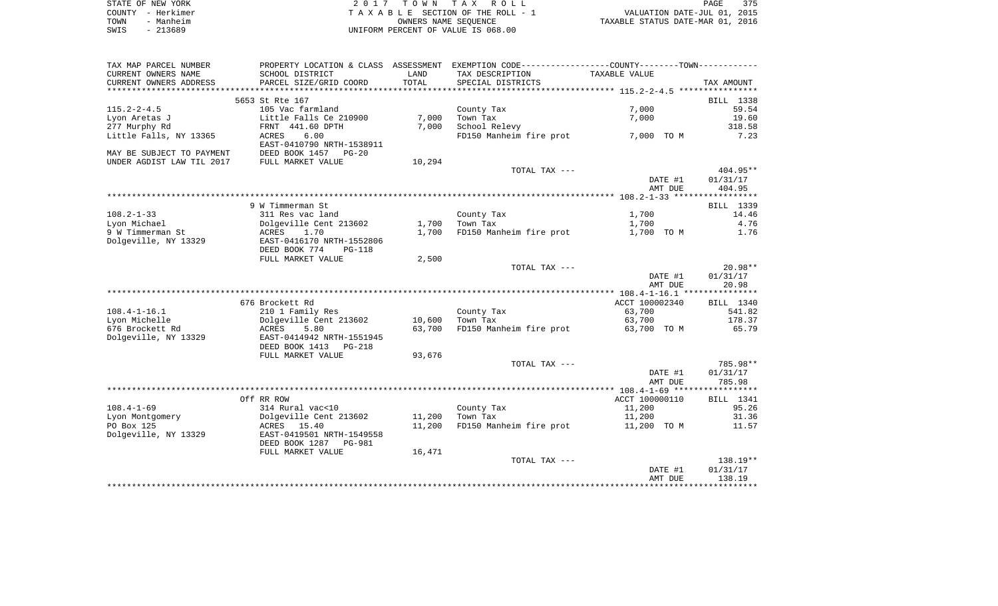| STATE OF NEW YORK |                   | 2017 TOWN TAX ROLL                 | PAGE                             | 375 |
|-------------------|-------------------|------------------------------------|----------------------------------|-----|
|                   | COUNTY - Herkimer | TAXABLE SECTION OF THE ROLL - 1    | VALUATION DATE-JUL 01, 2015      |     |
| TOWN              | - Manheim         | OWNERS NAME SEOUENCE               | TAXABLE STATUS DATE-MAR 01, 2016 |     |
| SWIS              | - 213689          | UNIFORM PERCENT OF VALUE IS 068.00 |                                  |     |

| TAX MAP PARCEL NUMBER     |                                 |                | PROPERTY LOCATION & CLASS ASSESSMENT EXEMPTION CODE---------------COUNTY-------TOWN---------- |                |            |
|---------------------------|---------------------------------|----------------|-----------------------------------------------------------------------------------------------|----------------|------------|
| CURRENT OWNERS NAME       | SCHOOL DISTRICT                 | LAND           | TAX DESCRIPTION                                                                               | TAXABLE VALUE  |            |
| CURRENT OWNERS ADDRESS    | PARCEL SIZE/GRID COORD          | TOTAL          | SPECIAL DISTRICTS                                                                             |                | TAX AMOUNT |
| *******************       | **************************      | ************** | ************************************ 115.2-2-4.5 *****************                            |                |            |
|                           | 5653 St Rte 167                 |                |                                                                                               |                | BILL 1338  |
| $115.2 - 2 - 4.5$         | 105 Vac farmland                |                | County Tax                                                                                    | 7,000          | 59.54      |
| Lyon Aretas J             | Little Falls Ce 210900          | 7,000          | Town Tax                                                                                      | 7,000          | 19.60      |
| 277 Murphy Rd             | FRNT 441.60 DPTH                | 7,000          | School Relevy                                                                                 |                | 318.58     |
| Little Falls, NY 13365    | 6.00<br>ACRES                   |                | FD150 Manheim fire prot                                                                       | 7,000 TO M     | 7.23       |
|                           | EAST-0410790 NRTH-1538911       |                |                                                                                               |                |            |
| MAY BE SUBJECT TO PAYMENT | DEED BOOK 1457<br>$PG-20$       |                |                                                                                               |                |            |
| UNDER AGDIST LAW TIL 2017 | FULL MARKET VALUE               | 10,294         |                                                                                               |                |            |
|                           |                                 |                | TOTAL TAX ---                                                                                 |                | $404.95**$ |
|                           |                                 |                |                                                                                               | DATE #1        | 01/31/17   |
|                           |                                 |                |                                                                                               | AMT DUE        | 404.95     |
|                           |                                 |                |                                                                                               |                |            |
|                           | 9 W Timmerman St                |                |                                                                                               |                | BILL 1339  |
| $108.2 - 1 - 33$          | 311 Res vac land                |                | County Tax                                                                                    | 1,700          | 14.46      |
| Lyon Michael              | Dolgeville Cent 213602          | 1,700          | Town Tax                                                                                      | 1,700          | 4.76       |
| 9 W Timmerman St          | ACRES<br>1.70                   | 1,700          | FD150 Manheim fire prot                                                                       | 1,700 TO M     | 1.76       |
| Dolgeville, NY 13329      | EAST-0416170 NRTH-1552806       |                |                                                                                               |                |            |
|                           | DEED BOOK 774<br>$PG-118$       |                |                                                                                               |                |            |
|                           | FULL MARKET VALUE               | 2,500          |                                                                                               |                |            |
|                           |                                 |                | TOTAL TAX ---                                                                                 |                | $20.98**$  |
|                           |                                 |                |                                                                                               | DATE #1        | 01/31/17   |
|                           |                                 |                |                                                                                               | AMT DUE        | 20.98      |
|                           |                                 |                |                                                                                               |                |            |
|                           | 676 Brockett Rd                 |                |                                                                                               | ACCT 100002340 | BILL 1340  |
| $108.4 - 1 - 16.1$        | 210 1 Family Res                |                |                                                                                               |                | 541.82     |
|                           |                                 |                | County Tax                                                                                    | 63,700         |            |
| Lyon Michelle             | Dolgeville Cent 213602          | 10,600         | Town Tax                                                                                      | 63,700         | 178.37     |
| 676 Brockett Rd           | ACRES<br>5.80                   | 63,700         | FD150 Manheim fire prot                                                                       | 63,700 TO M    | 65.79      |
| Dolgeville, NY 13329      | EAST-0414942 NRTH-1551945       |                |                                                                                               |                |            |
|                           | DEED BOOK 1413<br>$PG-218$      |                |                                                                                               |                |            |
|                           | FULL MARKET VALUE               | 93,676         |                                                                                               |                |            |
|                           |                                 |                | TOTAL TAX ---                                                                                 |                | 785.98**   |
|                           |                                 |                |                                                                                               | DATE #1        | 01/31/17   |
|                           |                                 |                |                                                                                               | AMT DUE        | 785.98     |
|                           |                                 |                |                                                                                               |                |            |
|                           | Off RR ROW                      |                |                                                                                               | ACCT 100000110 | BILL 1341  |
| $108.4 - 1 - 69$          | 314 Rural vac<10                |                | County Tax                                                                                    | 11,200         | 95.26      |
| Lyon Montgomery           | Dolgeville Cent 213602          | 11,200         | Town Tax                                                                                      | 11,200         | 31.36      |
| PO Box 125                | ACRES 15.40                     | 11,200         | FD150 Manheim fire prot                                                                       | 11,200 TO M    | 11.57      |
| Dolgeville, NY 13329      | EAST-0419501 NRTH-1549558       |                |                                                                                               |                |            |
|                           | DEED BOOK 1287<br><b>PG-981</b> |                |                                                                                               |                |            |
|                           | FULL MARKET VALUE               | 16,471         |                                                                                               |                |            |
|                           |                                 |                | TOTAL TAX ---                                                                                 |                | $138.19**$ |
|                           |                                 |                |                                                                                               | DATE #1        | 01/31/17   |
|                           |                                 |                |                                                                                               | AMT DUE        | 138.19     |
|                           |                                 |                |                                                                                               |                |            |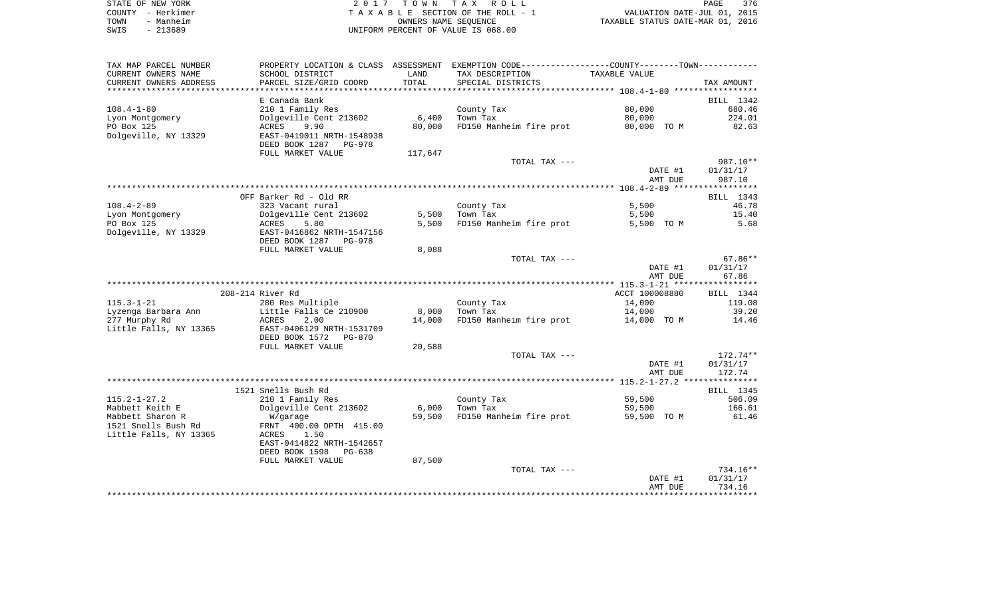| STATE OF NEW YORK | 2017 TOWN TAX ROLL                 | 376<br>PAGE                      |
|-------------------|------------------------------------|----------------------------------|
| COUNTY - Herkimer | TAXABLE SECTION OF THE ROLL - 1    | VALUATION DATE-JUL 01, 2015      |
| - Manheim<br>TOWN | OWNERS NAME SEOUENCE               | TAXABLE STATUS DATE-MAR 01, 2016 |
| - 213689<br>SWIS  | UNIFORM PERCENT OF VALUE IS 068.00 |                                  |

| TAX MAP PARCEL NUMBER  |                           |         | PROPERTY LOCATION & CLASS ASSESSMENT EXEMPTION CODE----------------COUNTY-------TOWN---------- |                |                  |
|------------------------|---------------------------|---------|------------------------------------------------------------------------------------------------|----------------|------------------|
| CURRENT OWNERS NAME    | SCHOOL DISTRICT           | LAND    | TAX DESCRIPTION                                                                                | TAXABLE VALUE  |                  |
| CURRENT OWNERS ADDRESS | PARCEL SIZE/GRID COORD    | TOTAL   | SPECIAL DISTRICTS                                                                              |                | TAX AMOUNT       |
|                        |                           |         |                                                                                                |                |                  |
|                        | E Canada Bank             |         |                                                                                                |                | BILL 1342        |
| $108.4 - 1 - 80$       | 210 1 Family Res          |         | County Tax                                                                                     | 80,000         | 680.46           |
| Lyon Montgomery        | Dolgeville Cent 213602    | 6,400   | Town Tax                                                                                       | 80,000         | 224.01           |
| PO Box 125             | ACRES<br>9.90             | 80,000  | FD150 Manheim fire prot                                                                        | 80,000 TO M    | 82.63            |
| Dolgeville, NY 13329   | EAST-0419011 NRTH-1548938 |         |                                                                                                |                |                  |
|                        | DEED BOOK 1287<br>PG-978  |         |                                                                                                |                |                  |
|                        | FULL MARKET VALUE         | 117,647 |                                                                                                |                |                  |
|                        |                           |         | TOTAL TAX ---                                                                                  |                | 987.10**         |
|                        |                           |         |                                                                                                | DATE #1        | 01/31/17         |
|                        |                           |         |                                                                                                | AMT DUE        | 987.10           |
|                        |                           |         |                                                                                                |                |                  |
|                        | OFF Barker Rd - Old RR    |         |                                                                                                |                | BILL 1343        |
| $108.4 - 2 - 89$       | 323 Vacant rural          |         | County Tax                                                                                     | 5,500          | 46.78            |
| Lyon Montgomery        | Dolgeville Cent 213602    | 5,500   | Town Tax                                                                                       | 5,500          | 15.40            |
| PO Box 125             | 5.80<br>ACRES             | 5,500   | FD150 Manheim fire prot                                                                        | 5,500 TO M     | 5.68             |
| Dolgeville, NY 13329   | EAST-0416862 NRTH-1547156 |         |                                                                                                |                |                  |
|                        | DEED BOOK 1287 PG-978     |         |                                                                                                |                |                  |
|                        | FULL MARKET VALUE         | 8,088   |                                                                                                |                |                  |
|                        |                           |         | TOTAL TAX ---                                                                                  |                | $67.86**$        |
|                        |                           |         |                                                                                                | DATE #1        | 01/31/17         |
|                        |                           |         |                                                                                                | AMT DUE        | 67.86            |
|                        |                           |         |                                                                                                |                |                  |
|                        | 208-214 River Rd          |         |                                                                                                | ACCT 100008880 | BILL 1344        |
| $115.3 - 1 - 21$       | 280 Res Multiple          |         | County Tax                                                                                     | 14,000         | 119.08           |
| Lyzenga Barbara Ann    | Little Falls Ce 210900    | 8,000   | Town Tax                                                                                       | 14,000         | 39.20            |
| 277 Murphy Rd          | ACRES<br>2.00             | 14,000  | FD150 Manheim fire prot                                                                        | 14,000 TO M    | 14.46            |
| Little Falls, NY 13365 | EAST-0406129 NRTH-1531709 |         |                                                                                                |                |                  |
|                        | DEED BOOK 1572<br>PG-870  |         |                                                                                                |                |                  |
|                        | FULL MARKET VALUE         | 20,588  |                                                                                                |                |                  |
|                        |                           |         | TOTAL TAX ---                                                                                  |                | $172.74**$       |
|                        |                           |         |                                                                                                | DATE #1        | 01/31/17         |
|                        |                           |         |                                                                                                | AMT DUE        | 172.74           |
|                        |                           |         |                                                                                                |                |                  |
|                        | 1521 Snells Bush Rd       |         |                                                                                                |                | <b>BILL</b> 1345 |
| $115.2 - 1 - 27.2$     | 210 1 Family Res          |         | County Tax                                                                                     | 59,500         | 506.09           |
| Mabbett Keith E        | Dolgeville Cent 213602    | 6,000   | Town Tax                                                                                       | 59,500         | 166.61           |
| Mabbett Sharon R       | W/garage                  | 59,500  | FD150 Manheim fire prot                                                                        | 59,500 TO M    | 61.46            |
| 1521 Snells Bush Rd    | FRNT 400.00 DPTH 415.00   |         |                                                                                                |                |                  |
| Little Falls, NY 13365 | ACRES<br>1.50             |         |                                                                                                |                |                  |
|                        | EAST-0414822 NRTH-1542657 |         |                                                                                                |                |                  |
|                        | DEED BOOK 1598<br>PG-638  |         |                                                                                                |                |                  |
|                        | FULL MARKET VALUE         | 87,500  |                                                                                                |                |                  |
|                        |                           |         | TOTAL TAX ---                                                                                  |                | $734.16**$       |
|                        |                           |         |                                                                                                | DATE #1        | 01/31/17         |
|                        |                           |         |                                                                                                | AMT DUE        | 734.16           |
|                        |                           |         |                                                                                                |                |                  |
|                        |                           |         |                                                                                                |                |                  |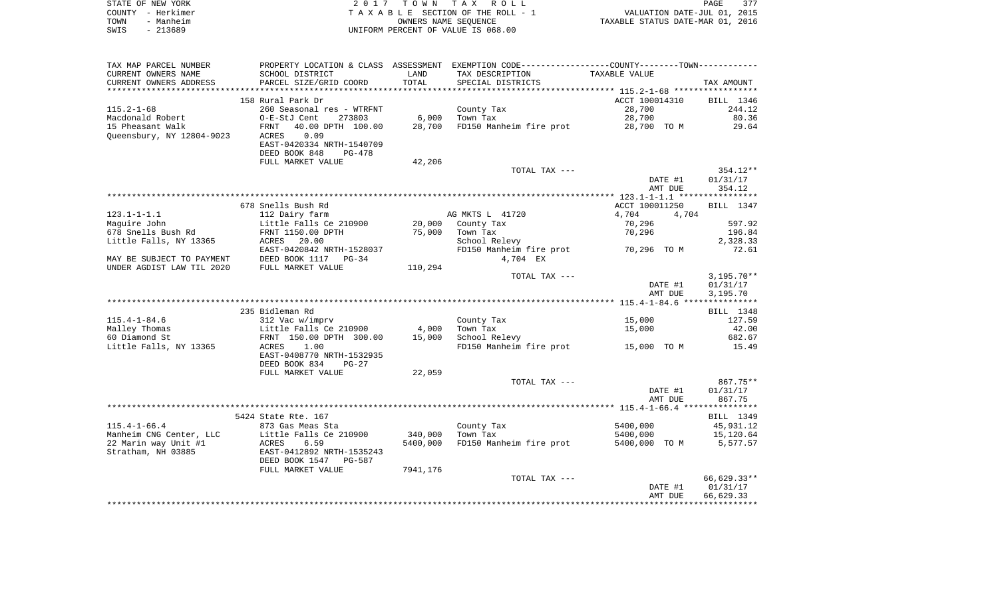|      | STATE OF NEW YORK | 2017 TOWN TAX ROLL                 | PAGE                             | 377 |
|------|-------------------|------------------------------------|----------------------------------|-----|
|      | COUNTY - Herkimer | TAXABLE SECTION OF THE ROLL - 1    | VALUATION DATE-JUL 01, 2015      |     |
| TOWN | - Manheim         | OWNERS NAME SEOUENCE               | TAXABLE STATUS DATE-MAR 01, 2016 |     |
| SWIS | $-213689$         | UNIFORM PERCENT OF VALUE IS 068.00 |                                  |     |

| TAX MAP PARCEL NUMBER     |                                            |          | PROPERTY LOCATION & CLASS ASSESSMENT EXEMPTION CODE----------------COUNTY--------TOWN----------- |                |              |
|---------------------------|--------------------------------------------|----------|--------------------------------------------------------------------------------------------------|----------------|--------------|
| CURRENT OWNERS NAME       | SCHOOL DISTRICT                            | LAND     | TAX DESCRIPTION                                                                                  | TAXABLE VALUE  |              |
| CURRENT OWNERS ADDRESS    | PARCEL SIZE/GRID COORD                     | TOTAL    | SPECIAL DISTRICTS                                                                                |                | TAX AMOUNT   |
| ***********************   | *****************************              |          |                                                                                                  |                |              |
|                           | 158 Rural Park Dr                          |          |                                                                                                  | ACCT 100014310 | BILL 1346    |
| $115.2 - 1 - 68$          | 260 Seasonal res - WTRFNT                  |          | County Tax                                                                                       | 28,700         | 244.12       |
| Macdonald Robert          | 273803<br>O-E-StJ Cent                     | 6,000    | Town Tax                                                                                         | 28,700         | 80.36        |
| 15 Pheasant Walk          | 40.00 DPTH 100.00<br>FRNT                  | 28,700   | FD150 Manheim fire prot                                                                          | 28,700 TO M    | 29.64        |
| Queensbury, NY 12804-9023 | 0.09<br>ACRES                              |          |                                                                                                  |                |              |
|                           | EAST-0420334 NRTH-1540709                  |          |                                                                                                  |                |              |
|                           | DEED BOOK 848<br>PG-478                    |          |                                                                                                  |                |              |
|                           | FULL MARKET VALUE                          | 42,206   |                                                                                                  |                |              |
|                           |                                            |          | TOTAL TAX ---                                                                                    |                | 354.12**     |
|                           |                                            |          |                                                                                                  | DATE #1        | 01/31/17     |
|                           |                                            |          |                                                                                                  | AMT DUE        | 354.12       |
|                           |                                            |          |                                                                                                  |                |              |
|                           | 678 Snells Bush Rd                         |          |                                                                                                  | ACCT 100011250 | BILL 1347    |
| $123.1 - 1 - 1.1$         | 112 Dairy farm                             |          | AG MKTS L 41720                                                                                  | 4,704<br>4,704 |              |
| Maquire John              | Little Falls Ce 210900                     | 20,000   | County Tax                                                                                       | 70,296         | 597.92       |
| 678 Snells Bush Rd        | FRNT 1150.00 DPTH                          | 75,000   | Town Tax                                                                                         | 70,296         | 196.84       |
| Little Falls, NY 13365    | ACRES<br>20.00                             |          | School Relevy                                                                                    |                | 2,328.33     |
|                           | EAST-0420842 NRTH-1528037                  |          | FD150 Manheim fire prot                                                                          | 70,296 TO M    | 72.61        |
| MAY BE SUBJECT TO PAYMENT | DEED BOOK 1117<br>$PG-34$                  |          | 4,704 EX                                                                                         |                |              |
| UNDER AGDIST LAW TIL 2020 | FULL MARKET VALUE                          | 110,294  |                                                                                                  |                |              |
|                           |                                            |          | TOTAL TAX ---                                                                                    |                | $3,195.70**$ |
|                           |                                            |          |                                                                                                  | DATE #1        | 01/31/17     |
|                           |                                            |          |                                                                                                  | AMT DUE        | 3,195.70     |
|                           |                                            |          |                                                                                                  |                |              |
|                           | 235 Bidleman Rd                            |          |                                                                                                  |                | BILL 1348    |
| $115.4 - 1 - 84.6$        | 312 Vac w/imprv                            |          | County Tax                                                                                       | 15,000         | 127.59       |
| Malley Thomas             | Little Falls Ce 210900                     | 4,000    | Town Tax                                                                                         | 15,000         | 42.00        |
| 60 Diamond St             | FRNT 150.00 DPTH 300.00                    | 15,000   | School Relevy                                                                                    |                | 682.67       |
| Little Falls, NY 13365    | 1.00<br>ACRES                              |          | FD150 Manheim fire prot                                                                          | 15,000 TO M    | 15.49        |
|                           | EAST-0408770 NRTH-1532935<br>DEED BOOK 834 |          |                                                                                                  |                |              |
|                           | $PG-27$<br>FULL MARKET VALUE               | 22,059   |                                                                                                  |                |              |
|                           |                                            |          | TOTAL TAX ---                                                                                    |                | $867.75**$   |
|                           |                                            |          |                                                                                                  | DATE #1        | 01/31/17     |
|                           |                                            |          |                                                                                                  | AMT DUE        | 867.75       |
|                           |                                            |          |                                                                                                  |                |              |
|                           | 5424 State Rte. 167                        |          |                                                                                                  |                | BILL 1349    |
| $115.4 - 1 - 66.4$        | 873 Gas Meas Sta                           |          | County Tax                                                                                       | 5400,000       | 45,931.12    |
| Manheim CNG Center, LLC   | Little Falls Ce 210900                     | 340,000  | Town Tax                                                                                         | 5400,000       | 15,120.64    |
| 22 Marin way Unit #1      | 6.59<br>ACRES                              | 5400,000 | FD150 Manheim fire prot                                                                          | 5400,000 TO M  | 5,577.57     |
| Stratham, NH 03885        | EAST-0412892 NRTH-1535243                  |          |                                                                                                  |                |              |
|                           | DEED BOOK 1547<br>PG-587                   |          |                                                                                                  |                |              |
|                           | FULL MARKET VALUE                          | 7941,176 |                                                                                                  |                |              |
|                           |                                            |          | TOTAL TAX ---                                                                                    |                | 66,629.33**  |
|                           |                                            |          |                                                                                                  | DATE #1        | 01/31/17     |
|                           |                                            |          |                                                                                                  | AMT DUE        | 66,629.33    |
|                           |                                            |          |                                                                                                  |                |              |
|                           |                                            |          |                                                                                                  |                |              |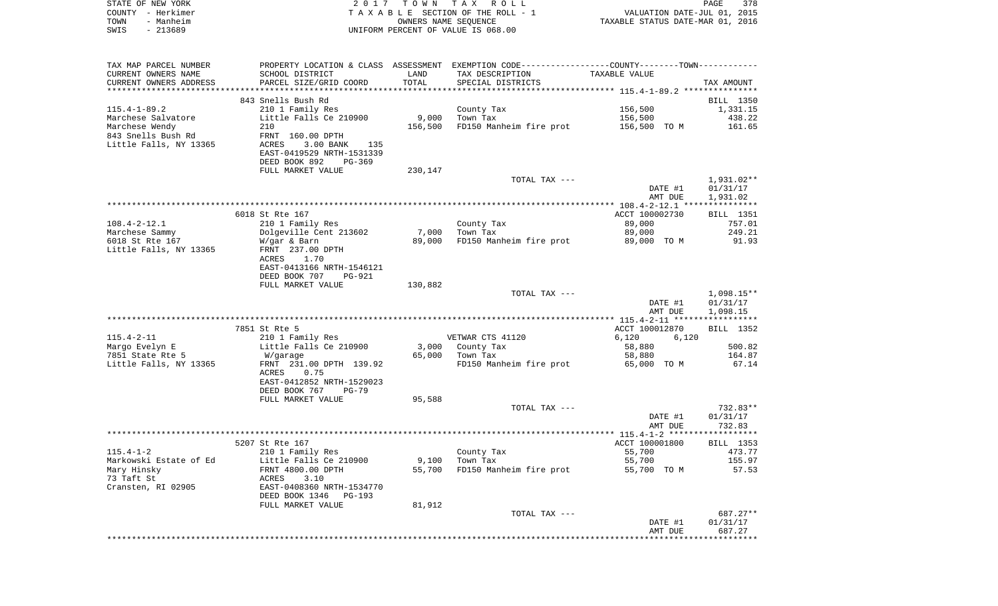| STATE OF NEW YORK<br>COUNTY - Herkimer<br>TOWN<br>- Manheim<br>SWIS<br>$-213689$ | 2 0 1 7                                                                                       | T O W N<br>OWNERS NAME SEQUENCE | TAX ROLL<br>TAXABLE SECTION OF THE ROLL - 1<br>UNIFORM PERCENT OF VALUE IS 068.00 | VALUATION DATE-JUL 01, 2015<br>TAXABLE STATUS DATE-MAR 01, 2016 | PAGE<br>378            |
|----------------------------------------------------------------------------------|-----------------------------------------------------------------------------------------------|---------------------------------|-----------------------------------------------------------------------------------|-----------------------------------------------------------------|------------------------|
| TAX MAP PARCEL NUMBER                                                            | PROPERTY LOCATION & CLASS ASSESSMENT EXEMPTION CODE---------------COUNTY-------TOWN---------- |                                 |                                                                                   |                                                                 |                        |
| CURRENT OWNERS NAME                                                              | SCHOOL DISTRICT                                                                               | LAND                            | TAX DESCRIPTION                                                                   | TAXABLE VALUE                                                   |                        |
| CURRENT OWNERS ADDRESS                                                           | PARCEL SIZE/GRID COORD                                                                        | TOTAL                           | SPECIAL DISTRICTS                                                                 |                                                                 | TAX AMOUNT             |
| **********************                                                           | ****************************                                                                  |                                 |                                                                                   |                                                                 |                        |
| 115.4-1-89.2                                                                     | 843 Snells Bush Rd<br>210 1 Family Res                                                        |                                 | County Tax                                                                        | 156,500                                                         | BILL 1350<br>1,331.15  |
| Marchese Salvatore                                                               | Little Falls Ce 210900                                                                        | 9,000                           | Town Tax                                                                          | 156,500                                                         | 438.22                 |
| Marchese Wendy                                                                   | 210                                                                                           | 156,500                         | FD150 Manheim fire prot                                                           | 156,500 TO M                                                    | 161.65                 |
| 843 Snells Bush Rd                                                               | FRNT 160.00 DPTH                                                                              |                                 |                                                                                   |                                                                 |                        |
| Little Falls, NY 13365                                                           | ACRES<br>$3.00$ BANK<br>135                                                                   |                                 |                                                                                   |                                                                 |                        |
|                                                                                  | EAST-0419529 NRTH-1531339                                                                     |                                 |                                                                                   |                                                                 |                        |
|                                                                                  | DEED BOOK 892<br>PG-369                                                                       |                                 |                                                                                   |                                                                 |                        |
|                                                                                  | FULL MARKET VALUE                                                                             | 230,147                         | TOTAL TAX ---                                                                     |                                                                 | 1,931.02**             |
|                                                                                  |                                                                                               |                                 |                                                                                   | DATE #1                                                         | 01/31/17               |
|                                                                                  |                                                                                               |                                 |                                                                                   | AMT DUE                                                         | 1,931.02               |
|                                                                                  |                                                                                               |                                 |                                                                                   |                                                                 |                        |
|                                                                                  | 6018 St Rte 167                                                                               |                                 |                                                                                   | ACCT 100002730                                                  | BILL 1351              |
| $108.4 - 2 - 12.1$                                                               | 210 1 Family Res                                                                              |                                 | County Tax                                                                        | 89,000                                                          | 757.01                 |
| Marchese Sammy<br>6018 St Rte 167                                                | Dolgeville Cent 213602<br>W/gar & Barn                                                        | 7,000<br>89,000                 | Town Tax<br>FD150 Manheim fire prot                                               | 89,000<br>89,000 TO M                                           | 249.21<br>91.93        |
| Little Falls, NY 13365                                                           | FRNT 237.00 DPTH                                                                              |                                 |                                                                                   |                                                                 |                        |
|                                                                                  | ACRES<br>1.70                                                                                 |                                 |                                                                                   |                                                                 |                        |
|                                                                                  | EAST-0413166 NRTH-1546121                                                                     |                                 |                                                                                   |                                                                 |                        |
|                                                                                  | DEED BOOK 707<br>PG-921                                                                       |                                 |                                                                                   |                                                                 |                        |
|                                                                                  | FULL MARKET VALUE                                                                             | 130,882                         | TOTAL TAX ---                                                                     |                                                                 | 1,098.15**             |
|                                                                                  |                                                                                               |                                 |                                                                                   | DATE #1                                                         | 01/31/17               |
|                                                                                  |                                                                                               |                                 |                                                                                   | AMT DUE                                                         | 1,098.15               |
|                                                                                  |                                                                                               |                                 |                                                                                   |                                                                 |                        |
|                                                                                  | 7851 St Rte 5                                                                                 |                                 |                                                                                   | ACCT 100012870                                                  | BILL 1352              |
| 115.4-2-11                                                                       | 210 1 Family Res                                                                              |                                 | VETWAR CTS 41120                                                                  | 6,120<br>6,120                                                  |                        |
| Margo Evelyn E<br>7851 State Rte 5                                               | Little Falls Ce 210900<br>W/garage                                                            | 3,000<br>65,000                 | County Tax<br>Town Tax                                                            | 58,880<br>58,880                                                | 500.82<br>164.87       |
| Little Falls, NY 13365                                                           | FRNT 231.00 DPTH 139.92                                                                       |                                 | FD150 Manheim fire prot                                                           | 65,000 TO M                                                     | 67.14                  |
|                                                                                  | ACRES<br>0.75                                                                                 |                                 |                                                                                   |                                                                 |                        |
|                                                                                  | EAST-0412852 NRTH-1529023                                                                     |                                 |                                                                                   |                                                                 |                        |
|                                                                                  | DEED BOOK 767<br>$PG-79$                                                                      |                                 |                                                                                   |                                                                 |                        |
|                                                                                  | FULL MARKET VALUE                                                                             | 95,588                          |                                                                                   |                                                                 |                        |
|                                                                                  |                                                                                               |                                 | TOTAL TAX ---                                                                     | DATE #1                                                         | $732.83**$<br>01/31/17 |
|                                                                                  |                                                                                               |                                 |                                                                                   | AMT DUE                                                         | 732.83                 |
|                                                                                  |                                                                                               |                                 |                                                                                   |                                                                 |                        |
|                                                                                  | 5207 St Rte 167                                                                               |                                 |                                                                                   | ACCT 100001800                                                  | BILL 1353              |
| $115.4 - 1 - 2$                                                                  | 210 1 Family Res                                                                              |                                 | County Tax                                                                        | 55,700                                                          | 473.77                 |
| Markowski Estate of Ed                                                           | Little Falls Ce 210900                                                                        | 9,100                           | Town Tax                                                                          | 55,700                                                          | 155.97                 |
| Mary Hinsky<br>73 Taft St                                                        | FRNT 4800.00 DPTH<br>3.10<br>ACRES                                                            | 55,700                          | FD150 Manheim fire prot                                                           | 55,700 TO M                                                     | 57.53                  |
| Cransten, RI 02905                                                               | EAST-0408360 NRTH-1534770                                                                     |                                 |                                                                                   |                                                                 |                        |
|                                                                                  | DEED BOOK 1346<br>PG-193                                                                      |                                 |                                                                                   |                                                                 |                        |
|                                                                                  | FULL MARKET VALUE                                                                             | 81,912                          |                                                                                   |                                                                 |                        |
|                                                                                  |                                                                                               |                                 | TOTAL TAX ---                                                                     |                                                                 | 687.27**               |
|                                                                                  |                                                                                               |                                 |                                                                                   | DATE #1                                                         | 01/31/17               |
|                                                                                  |                                                                                               |                                 |                                                                                   | AMT DUE<br>***************************                          | 687.27                 |
|                                                                                  |                                                                                               |                                 |                                                                                   |                                                                 |                        |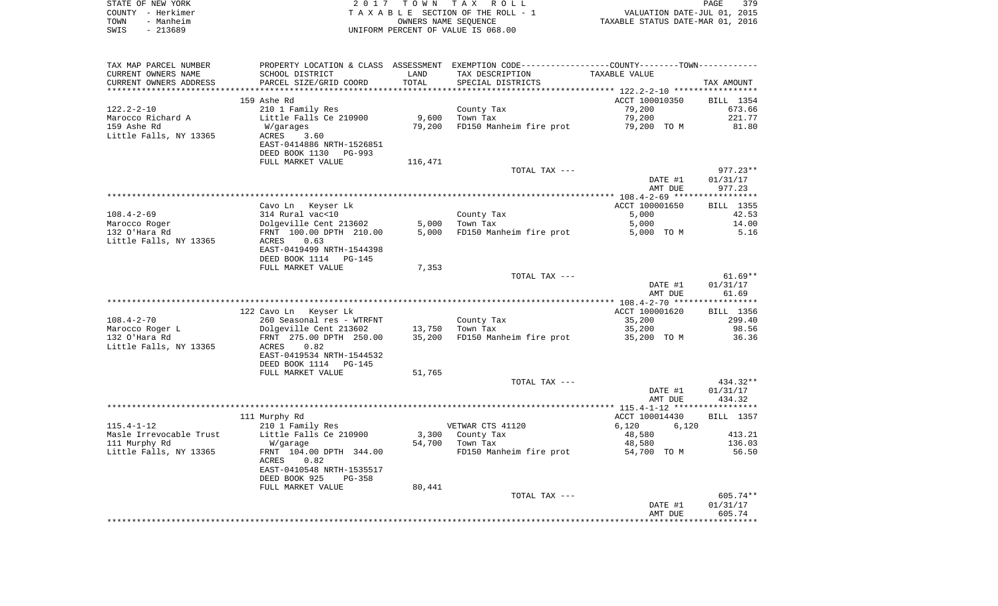|      | STATE OF NEW YORK | 2017 TOWN TAX ROLL                 | PAGE                             | 379 |
|------|-------------------|------------------------------------|----------------------------------|-----|
|      | COUNTY - Herkimer | TAXABLE SECTION OF THE ROLL - 1    | VALUATION DATE-JUL 01, 2015      |     |
| TOWN | - Manheim         | OWNERS NAME SEOUENCE               | TAXABLE STATUS DATE-MAR 01, 2016 |     |
| SWIS | - 213689          | UNIFORM PERCENT OF VALUE IS 068.00 |                                  |     |

| TAX MAP PARCEL NUMBER   |                                                   |         | PROPERTY LOCATION & CLASS ASSESSMENT EXEMPTION CODE---------------COUNTY-------TOWN---------- |                |            |
|-------------------------|---------------------------------------------------|---------|-----------------------------------------------------------------------------------------------|----------------|------------|
| CURRENT OWNERS NAME     | SCHOOL DISTRICT                                   | LAND    | TAX DESCRIPTION                                                                               | TAXABLE VALUE  |            |
| CURRENT OWNERS ADDRESS  | PARCEL SIZE/GRID COORD                            | TOTAL   | SPECIAL DISTRICTS                                                                             |                | TAX AMOUNT |
|                         |                                                   |         |                                                                                               |                |            |
|                         | 159 Ashe Rd                                       |         |                                                                                               | ACCT 100010350 | BILL 1354  |
| $122.2 - 2 - 10$        | 210 1 Family Res                                  |         | County Tax                                                                                    | 79,200         | 673.66     |
| Marocco Richard A       | Little Falls Ce 210900                            |         | 9,600 Town Tax                                                                                | 79,200         | 221.77     |
| 159 Ashe Rd             | W/garages                                         | 79,200  | FD150 Manheim fire prot 79,200 TO M                                                           |                | 81.80      |
| Little Falls, NY 13365  | ACRES<br>3.60                                     |         |                                                                                               |                |            |
|                         | EAST-0414886 NRTH-1526851                         |         |                                                                                               |                |            |
|                         | DEED BOOK 1130<br>PG-993                          |         |                                                                                               |                |            |
|                         | FULL MARKET VALUE                                 | 116,471 |                                                                                               |                |            |
|                         |                                                   |         | TOTAL TAX ---                                                                                 |                | $977.23**$ |
|                         |                                                   |         |                                                                                               | DATE #1        | 01/31/17   |
|                         |                                                   |         |                                                                                               | AMT DUE        | 977.23     |
|                         |                                                   |         |                                                                                               |                |            |
|                         |                                                   |         |                                                                                               | ACCT 100001650 | BILL 1355  |
|                         | Cavo Ln Keyser Lk                                 |         |                                                                                               |                |            |
| $108.4 - 2 - 69$        | 314 Rural vac<10                                  |         | County Tax                                                                                    | 5,000          | 42.53      |
| Marocco Roger           | Dolgeville Cent 213602<br>FRNT 100.00 DPTH 210.00 |         | 5,000 Town Tax                                                                                | 5,000          | 14.00      |
| 132 O'Hara Rd           |                                                   | 5,000   | FD150 Manheim fire prot                                                                       | 5,000 TO M     | 5.16       |
| Little Falls, NY 13365  | ACRES<br>0.63                                     |         |                                                                                               |                |            |
|                         | EAST-0419499 NRTH-1544398                         |         |                                                                                               |                |            |
|                         | DEED BOOK 1114<br>PG-145                          |         |                                                                                               |                |            |
|                         | FULL MARKET VALUE                                 | 7,353   |                                                                                               |                |            |
|                         |                                                   |         | TOTAL TAX ---                                                                                 |                | 61.69**    |
|                         |                                                   |         |                                                                                               | DATE #1        | 01/31/17   |
|                         |                                                   |         |                                                                                               | AMT DUE        | 61.69      |
|                         |                                                   |         |                                                                                               |                |            |
|                         | 122 Cavo Ln Keyser Lk                             |         |                                                                                               | ACCT 100001620 | BILL 1356  |
| $108.4 - 2 - 70$        | 260 Seasonal res - WTRFNT                         |         | County Tax $\frac{1}{2}$                                                                      | 35,200         | 299.40     |
| Marocco Roger L         | Dolgeville Cent 213602                            | 13,750  |                                                                                               | 35,200         | 98.56      |
| 132 O'Hara Rd           | FRNT 275.00 DPTH 250.00                           |         | 35,200 FD150 Manheim fire prot                                                                | 35,200 TO M    | 36.36      |
| Little Falls, NY 13365  | 0.82<br>ACRES                                     |         |                                                                                               |                |            |
|                         | EAST-0419534 NRTH-1544532                         |         |                                                                                               |                |            |
|                         | DEED BOOK 1114 PG-145                             |         |                                                                                               |                |            |
|                         | FULL MARKET VALUE                                 | 51,765  |                                                                                               |                |            |
|                         |                                                   |         | TOTAL TAX ---                                                                                 |                | 434.32**   |
|                         |                                                   |         |                                                                                               | DATE #1        | 01/31/17   |
|                         |                                                   |         |                                                                                               | AMT DUE        | 434.32     |
|                         |                                                   |         |                                                                                               |                |            |
|                         | 111 Murphy Rd                                     |         |                                                                                               | ACCT 100014430 | BILL 1357  |
| $115.4 - 1 - 12$        | 210 1 Family Res                                  |         | VETWAR CTS 41120                                                                              | 6,120<br>6,120 |            |
|                         |                                                   |         |                                                                                               |                |            |
| Masle Irrevocable Trust | Little Falls Ce 210900                            |         | 3,300 County Tax                                                                              | 48,580         | 413.21     |
| 111 Murphy Rd           | W/garage                                          |         | 54,700 Town Tax                                                                               | 48,580         | 136.03     |
| Little Falls, NY 13365  | FRNT 104.00 DPTH 344.00                           |         | FD150 Manheim fire prot                                                                       | 54,700 TO M    | 56.50      |
|                         | 0.82<br>ACRES                                     |         |                                                                                               |                |            |
|                         | EAST-0410548 NRTH-1535517                         |         |                                                                                               |                |            |
|                         | DEED BOOK 925<br>PG-358                           |         |                                                                                               |                |            |
|                         | FULL MARKET VALUE                                 | 80,441  |                                                                                               |                |            |
|                         |                                                   |         | TOTAL TAX ---                                                                                 |                | 605.74**   |
|                         |                                                   |         |                                                                                               | DATE #1        | 01/31/17   |
|                         |                                                   |         |                                                                                               | AMT DUE        | 605.74     |
|                         |                                                   |         |                                                                                               |                |            |
|                         |                                                   |         |                                                                                               |                |            |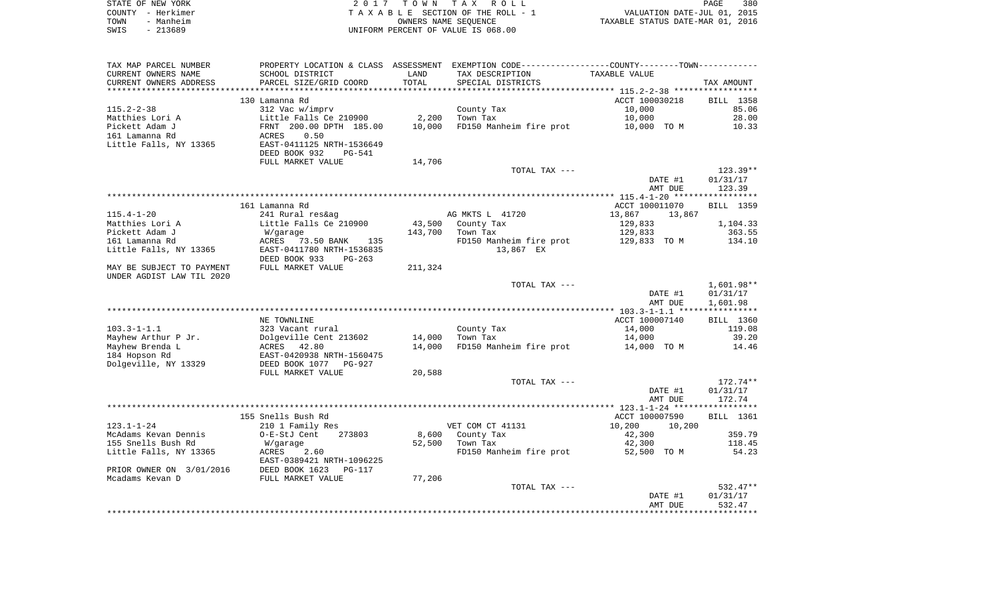|      | STATE OF NEW YORK | 2017 TOWN TAX ROLL                 | PAGE                             | 380 |
|------|-------------------|------------------------------------|----------------------------------|-----|
|      | COUNTY - Herkimer | TAXABLE SECTION OF THE ROLL - 1    | VALUATION DATE-JUL 01, 2015      |     |
| TOWN | - Manheim         | OWNERS NAME SEOUENCE               | TAXABLE STATUS DATE-MAR 01, 2016 |     |
| SWIS | - 213689          | UNIFORM PERCENT OF VALUE IS 068.00 |                                  |     |

| TAX MAP PARCEL NUMBER     | PROPERTY LOCATION & CLASS ASSESSMENT |         | EXEMPTION CODE-----------------COUNTY--------TOWN----------- |                  |            |
|---------------------------|--------------------------------------|---------|--------------------------------------------------------------|------------------|------------|
| CURRENT OWNERS NAME       | SCHOOL DISTRICT                      | LAND    | TAX DESCRIPTION                                              | TAXABLE VALUE    |            |
| CURRENT OWNERS ADDRESS    | PARCEL SIZE/GRID COORD               | TOTAL   | SPECIAL DISTRICTS                                            |                  | TAX AMOUNT |
|                           | *************************            |         |                                                              |                  |            |
|                           | 130 Lamanna Rd                       |         |                                                              | ACCT 100030218   | BILL 1358  |
| $115.2 - 2 - 38$          | 312 Vac w/imprv                      |         | County Tax                                                   | 10,000           | 85.06      |
| Matthies Lori A           | Little Falls Ce 210900               | 2,200   | Town Tax                                                     | 10,000           | 28.00      |
| Pickett Adam J            | FRNT 200.00 DPTH 185.00              | 10,000  | FD150 Manheim fire prot                                      | 10,000 TO M      | 10.33      |
| 161 Lamanna Rd            | 0.50<br>ACRES                        |         |                                                              |                  |            |
|                           | EAST-0411125 NRTH-1536649            |         |                                                              |                  |            |
| Little Falls, NY 13365    |                                      |         |                                                              |                  |            |
|                           | DEED BOOK 932<br><b>PG-541</b>       |         |                                                              |                  |            |
|                           | FULL MARKET VALUE                    | 14,706  |                                                              |                  |            |
|                           |                                      |         | TOTAL TAX ---                                                |                  | $123.39**$ |
|                           |                                      |         |                                                              | DATE #1          | 01/31/17   |
|                           |                                      |         |                                                              | AMT DUE          | 123.39     |
|                           |                                      |         |                                                              |                  |            |
|                           | 161 Lamanna Rd                       |         |                                                              | ACCT 100011070   | BILL 1359  |
| $115.4 - 1 - 20$          | 241 Rural res&ag                     |         | AG MKTS L 41720                                              | 13,867<br>13,867 |            |
| Matthies Lori A           | Little Falls Ce 210900               | 43,500  | County Tax                                                   | 129,833          | 1,104.33   |
| Pickett Adam J            | W/garage                             | 143,700 | Town Tax                                                     | 129,833          | 363.55     |
| 161 Lamanna Rd            | ACRES<br>73.50 BANK<br>135           |         | FD150 Manheim fire prot                                      | 129,833 TO M     | 134.10     |
| Little Falls, NY 13365    | EAST-0411780 NRTH-1536835            |         | 13,867 EX                                                    |                  |            |
|                           | DEED BOOK 933<br>$PG-263$            |         |                                                              |                  |            |
|                           |                                      |         |                                                              |                  |            |
| MAY BE SUBJECT TO PAYMENT | FULL MARKET VALUE                    | 211,324 |                                                              |                  |            |
| UNDER AGDIST LAW TIL 2020 |                                      |         |                                                              |                  |            |
|                           |                                      |         | TOTAL TAX ---                                                |                  | 1,601.98** |
|                           |                                      |         |                                                              | DATE #1          | 01/31/17   |
|                           |                                      |         |                                                              | AMT DUE          | 1,601.98   |
|                           |                                      |         |                                                              |                  |            |
|                           | NE TOWNLINE                          |         |                                                              | ACCT 100007140   | BILL 1360  |
| $103.3 - 1 - 1.1$         | 323 Vacant rural                     |         | County Tax                                                   | 14,000           | 119.08     |
| Mayhew Arthur P Jr.       | Dolgeville Cent 213602               | 14,000  | Town Tax                                                     | 14,000           | 39.20      |
| Mayhew Brenda L           | 42.80<br>ACRES                       | 14,000  | FD150 Manheim fire prot                                      | 14,000 TO M      | 14.46      |
| 184 Hopson Rd             | EAST-0420938 NRTH-1560475            |         |                                                              |                  |            |
| Dolgeville, NY 13329      | DEED BOOK 1077<br>PG-927             |         |                                                              |                  |            |
|                           | FULL MARKET VALUE                    | 20,588  |                                                              |                  |            |
|                           |                                      |         | TOTAL TAX ---                                                |                  | 172.74**   |
|                           |                                      |         |                                                              | DATE #1          | 01/31/17   |
|                           |                                      |         |                                                              | AMT DUE          | 172.74     |
|                           |                                      |         |                                                              |                  |            |
|                           | 155 Snells Bush Rd                   |         |                                                              | ACCT 100007590   | BILL 1361  |
| $123.1 - 1 - 24$          | 210 1 Family Res                     |         | VET COM CT 41131                                             | 10,200<br>10,200 |            |
|                           |                                      |         |                                                              |                  |            |
| McAdams Kevan Dennis      | O-E-StJ Cent<br>273803               | 8,600   | County Tax                                                   | 42,300           | 359.79     |
| 155 Snells Bush Rd        | W/garage                             | 52,500  | Town Tax                                                     | 42,300           | 118.45     |
| Little Falls, NY 13365    | ACRES<br>2.60                        |         | FD150 Manheim fire prot                                      | 52,500 TO M      | 54.23      |
|                           | EAST-0389421 NRTH-1096225            |         |                                                              |                  |            |
| PRIOR OWNER ON 3/01/2016  | DEED BOOK 1623<br>$PG-117$           |         |                                                              |                  |            |
| Mcadams Kevan D           | FULL MARKET VALUE                    | 77,206  |                                                              |                  |            |
|                           |                                      |         | TOTAL TAX ---                                                |                  | 532.47**   |
|                           |                                      |         |                                                              | DATE #1          | 01/31/17   |
|                           |                                      |         |                                                              | AMT DUE          | 532.47     |
|                           |                                      |         |                                                              |                  |            |
|                           |                                      |         |                                                              |                  |            |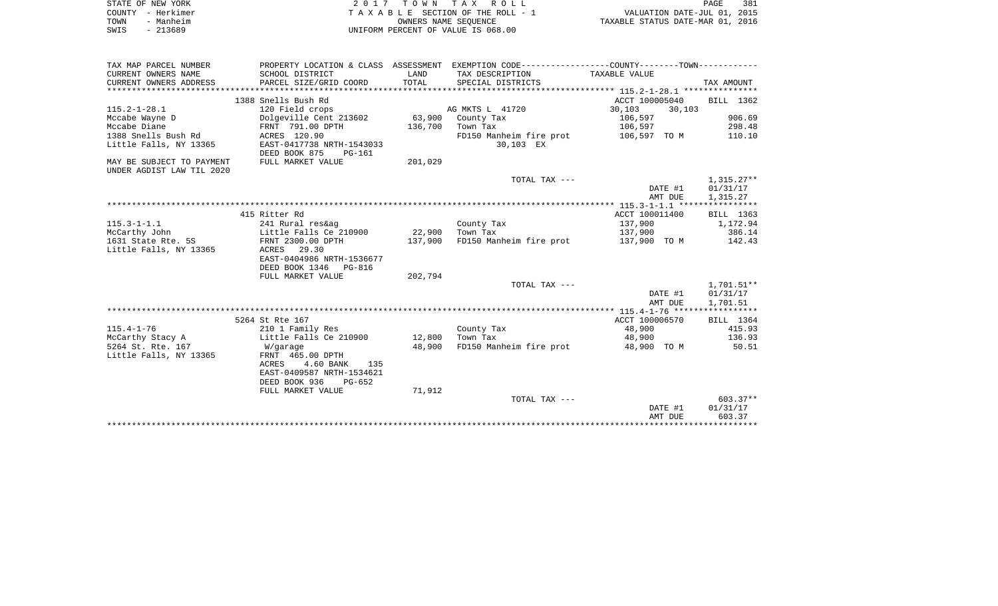| STATE OF NEW YORK | 2017 TOWN TAX ROLL                                             | PAGE | 381 |
|-------------------|----------------------------------------------------------------|------|-----|
| COUNTY - Herkimer | VALUATION DATE-JUL 01, 2015<br>TAXABLE SECTION OF THE ROLL - 1 |      |     |
| - Manheim<br>TOWN | TAXABLE STATUS DATE-MAR 01, 2016<br>OWNERS NAME SEOUENCE       |      |     |
| - 213689<br>SWIS  | UNIFORM PERCENT OF VALUE IS 068.00                             |      |     |

| TAX MAP PARCEL NUMBER     |                           |         | PROPERTY LOCATION & CLASS ASSESSMENT EXEMPTION CODE----------------COUNTY--------TOWN---------- |                  |              |
|---------------------------|---------------------------|---------|-------------------------------------------------------------------------------------------------|------------------|--------------|
| CURRENT OWNERS NAME       | SCHOOL DISTRICT           | LAND    | TAX DESCRIPTION                                                                                 | TAXABLE VALUE    |              |
| CURRENT OWNERS ADDRESS    | PARCEL SIZE/GRID COORD    | TOTAL   | SPECIAL DISTRICTS                                                                               |                  | TAX AMOUNT   |
|                           |                           |         |                                                                                                 |                  |              |
|                           | 1388 Snells Bush Rd       |         |                                                                                                 | ACCT 100005040   | BILL 1362    |
| $115.2 - 1 - 28.1$        | 120 Field crops           |         | AG MKTS L 41720                                                                                 | 30,103<br>30,103 |              |
| Mccabe Wayne D            | Dolgeville Cent 213602    | 63,900  | County Tax                                                                                      | 106,597          | 906.69       |
| Mccabe Diane              | FRNT 791.00 DPTH          | 136,700 | Town Tax                                                                                        | 106,597          | 298.48       |
| 1388 Snells Bush Rd       | ACRES 120.90              |         | FD150 Manheim fire prot                                                                         | 106,597 TO M     | 110.10       |
| Little Falls, NY 13365    | EAST-0417738 NRTH-1543033 |         | 30,103 EX                                                                                       |                  |              |
|                           | DEED BOOK 875<br>PG-161   |         |                                                                                                 |                  |              |
| MAY BE SUBJECT TO PAYMENT | FULL MARKET VALUE         | 201,029 |                                                                                                 |                  |              |
| UNDER AGDIST LAW TIL 2020 |                           |         |                                                                                                 |                  |              |
|                           |                           |         | TOTAL TAX ---                                                                                   |                  | $1,315.27**$ |
|                           |                           |         |                                                                                                 | DATE #1          | 01/31/17     |
|                           |                           |         |                                                                                                 | AMT DUE          | 1,315.27     |
|                           |                           |         |                                                                                                 |                  |              |
|                           | 415 Ritter Rd             |         |                                                                                                 | ACCT 100011400   | BILL 1363    |
| $115.3 - 1 - 1.1$         | 241 Rural res&ag          |         | County Tax                                                                                      | 137,900          | 1,172.94     |
| McCarthy John             | Little Falls Ce 210900    | 22,900  | Town Tax                                                                                        | 137,900          | 386.14       |
| 1631 State Rte. 5S        | FRNT 2300.00 DPTH         | 137,900 | FD150 Manheim fire prot 137,900 TO M                                                            |                  | 142.43       |
| Little Falls, NY 13365    | ACRES 29.30               |         |                                                                                                 |                  |              |
|                           | EAST-0404986 NRTH-1536677 |         |                                                                                                 |                  |              |
|                           | DEED BOOK 1346 PG-816     |         |                                                                                                 |                  |              |
|                           | FULL MARKET VALUE         | 202,794 |                                                                                                 |                  |              |
|                           |                           |         | TOTAL TAX ---                                                                                   |                  | 1,701.51**   |
|                           |                           |         |                                                                                                 | DATE #1          | 01/31/17     |
|                           |                           |         |                                                                                                 | AMT DUE          | 1,701.51     |
|                           |                           |         |                                                                                                 |                  |              |
|                           | 5264 St Rte 167           |         |                                                                                                 | ACCT 100006570   | BILL 1364    |
| $115.4 - 1 - 76$          | 210 1 Family Res          |         | County Tax                                                                                      | 48,900           | 415.93       |
| McCarthy Stacy A          | Little Falls Ce 210900    | 12,800  | Town Tax                                                                                        | 48,900           | 136.93       |
| 5264 St. Rte. 167         | W/garage                  | 48,900  | FD150 Manheim fire prot                                                                         | 48,900 TO M      | 50.51        |
| Little Falls, NY 13365    | FRNT 465.00 DPTH          |         |                                                                                                 |                  |              |
|                           | ACRES<br>4.60 BANK<br>135 |         |                                                                                                 |                  |              |
|                           | EAST-0409587 NRTH-1534621 |         |                                                                                                 |                  |              |
|                           | DEED BOOK 936<br>PG-652   |         |                                                                                                 |                  |              |
|                           | FULL MARKET VALUE         | 71,912  |                                                                                                 |                  |              |
|                           |                           |         | TOTAL TAX ---                                                                                   |                  | 603.37**     |
|                           |                           |         |                                                                                                 | DATE #1          | 01/31/17     |
|                           |                           |         |                                                                                                 | AMT DUE          | 603.37       |
|                           |                           |         |                                                                                                 |                  |              |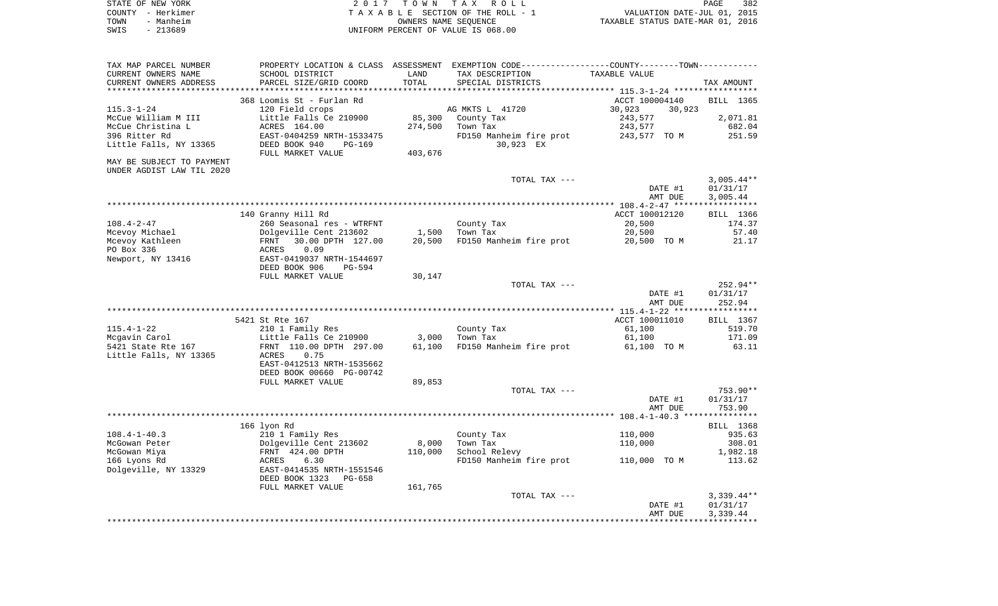|      | STATE OF NEW YORK | 2017 TOWN TAX ROLL                 | <b>PAGE</b>                      | 382 |
|------|-------------------|------------------------------------|----------------------------------|-----|
|      | COUNTY - Herkimer | TAXABLE SECTION OF THE ROLL - 1    | VALUATION DATE-JUL 01, 2015      |     |
| TOWN | - Manheim         | OWNERS NAME SEOUENCE               | TAXABLE STATUS DATE-MAR 01, 2016 |     |
| SWIS | - 213689          | UNIFORM PERCENT OF VALUE IS 068.00 |                                  |     |

| TAX MAP PARCEL NUMBER     |                           |         | PROPERTY LOCATION & CLASS ASSESSMENT EXEMPTION CODE----------------COUNTY-------TOWN---------- |                  |              |
|---------------------------|---------------------------|---------|------------------------------------------------------------------------------------------------|------------------|--------------|
| CURRENT OWNERS NAME       | SCHOOL DISTRICT           | LAND    | TAX DESCRIPTION                                                                                | TAXABLE VALUE    |              |
| CURRENT OWNERS ADDRESS    | PARCEL SIZE/GRID COORD    | TOTAL   | SPECIAL DISTRICTS                                                                              |                  | TAX AMOUNT   |
|                           |                           |         |                                                                                                |                  |              |
|                           | 368 Loomis St - Furlan Rd |         |                                                                                                | ACCT 100004140   | BILL 1365    |
| $115.3 - 1 - 24$          | 120 Field crops           |         | AG MKTS L 41720                                                                                | 30,923<br>30,923 |              |
|                           | Little Falls Ce 210900    | 85,300  |                                                                                                |                  | 2,071.81     |
| McCue William M III       |                           |         | County Tax                                                                                     | 243,577          |              |
| McCue Christina L         | ACRES 164.00              | 274,500 | Town Tax                                                                                       | 243,577          | 682.04       |
| 396 Ritter Rd             | EAST-0404259 NRTH-1533475 |         | FD150 Manheim fire prot                                                                        | 243,577 TO M     | 251.59       |
| Little Falls, NY 13365    | DEED BOOK 940<br>PG-169   |         | 30,923 EX                                                                                      |                  |              |
|                           | FULL MARKET VALUE         | 403,676 |                                                                                                |                  |              |
| MAY BE SUBJECT TO PAYMENT |                           |         |                                                                                                |                  |              |
| UNDER AGDIST LAW TIL 2020 |                           |         |                                                                                                |                  |              |
|                           |                           |         | TOTAL TAX ---                                                                                  |                  | $3,005.44**$ |
|                           |                           |         |                                                                                                | DATE #1          | 01/31/17     |
|                           |                           |         |                                                                                                | AMT DUE          | 3,005.44     |
|                           |                           |         |                                                                                                |                  |              |
|                           |                           |         |                                                                                                |                  |              |
|                           | 140 Granny Hill Rd        |         |                                                                                                | ACCT 100012120   | BILL 1366    |
| $108.4 - 2 - 47$          | 260 Seasonal res - WTRFNT |         | County Tax                                                                                     | 20,500           | 174.37       |
| Mcevoy Michael            | Dolgeville Cent 213602    | 1,500   | Town Tax                                                                                       | 20,500           | 57.40        |
| Mcevoy Kathleen           | 30.00 DPTH 127.00<br>FRNT | 20,500  | FD150 Manheim fire prot                                                                        | 20,500 TO M      | 21.17        |
| PO Box 336                | 0.09<br>ACRES             |         |                                                                                                |                  |              |
| Newport, NY 13416         | EAST-0419037 NRTH-1544697 |         |                                                                                                |                  |              |
|                           | DEED BOOK 906<br>PG-594   |         |                                                                                                |                  |              |
|                           | FULL MARKET VALUE         | 30,147  |                                                                                                |                  |              |
|                           |                           |         | TOTAL TAX ---                                                                                  |                  | $252.94**$   |
|                           |                           |         |                                                                                                | DATE #1          | 01/31/17     |
|                           |                           |         |                                                                                                | AMT DUE          | 252.94       |
|                           |                           |         |                                                                                                |                  |              |
|                           |                           |         |                                                                                                | ACCT 100011010   |              |
|                           | 5421 St Rte 167           |         |                                                                                                |                  | BILL 1367    |
| $115.4 - 1 - 22$          | 210 1 Family Res          |         | County Tax                                                                                     | 61,100           | 519.70       |
| Mcgavin Carol             | Little Falls Ce 210900    | 3,000   | Town Tax                                                                                       | 61,100           | 171.09       |
| 5421 State Rte 167        | FRNT 110.00 DPTH 297.00   | 61,100  | FD150 Manheim fire prot                                                                        | 61,100 TO M      | 63.11        |
| Little Falls, NY 13365    | 0.75<br>ACRES             |         |                                                                                                |                  |              |
|                           | EAST-0412513 NRTH-1535662 |         |                                                                                                |                  |              |
|                           | DEED BOOK 00660 PG-00742  |         |                                                                                                |                  |              |
|                           | FULL MARKET VALUE         | 89,853  |                                                                                                |                  |              |
|                           |                           |         | TOTAL TAX ---                                                                                  |                  | 753.90**     |
|                           |                           |         |                                                                                                | DATE #1          | 01/31/17     |
|                           |                           |         |                                                                                                | AMT DUE          | 753.90       |
|                           |                           |         |                                                                                                |                  |              |
|                           | 166 lyon Rd               |         |                                                                                                |                  | BILL 1368    |
| $108.4 - 1 - 40.3$        |                           |         |                                                                                                |                  | 935.63       |
|                           | 210 1 Family Res          |         | County Tax                                                                                     | 110,000          |              |
| McGowan Peter             | Dolgeville Cent 213602    | 8,000   | Town Tax                                                                                       | 110,000          | 308.01       |
| McGowan Miya              | FRNT 424.00 DPTH          | 110,000 | School Relevy                                                                                  |                  | 1,982.18     |
| 166 Lyons Rd              | ACRES<br>6.30             |         | FD150 Manheim fire prot                                                                        | 110,000 TO M     | 113.62       |
| Dolgeville, NY 13329      | EAST-0414535 NRTH-1551546 |         |                                                                                                |                  |              |
|                           | DEED BOOK 1323<br>PG-658  |         |                                                                                                |                  |              |
|                           | FULL MARKET VALUE         | 161,765 |                                                                                                |                  |              |
|                           |                           |         | TOTAL TAX ---                                                                                  |                  | $3,339.44**$ |
|                           |                           |         |                                                                                                | DATE #1          | 01/31/17     |
|                           |                           |         |                                                                                                | AMT DUE          | 3,339.44     |
|                           |                           |         |                                                                                                |                  |              |
|                           |                           |         |                                                                                                |                  |              |
|                           |                           |         |                                                                                                |                  |              |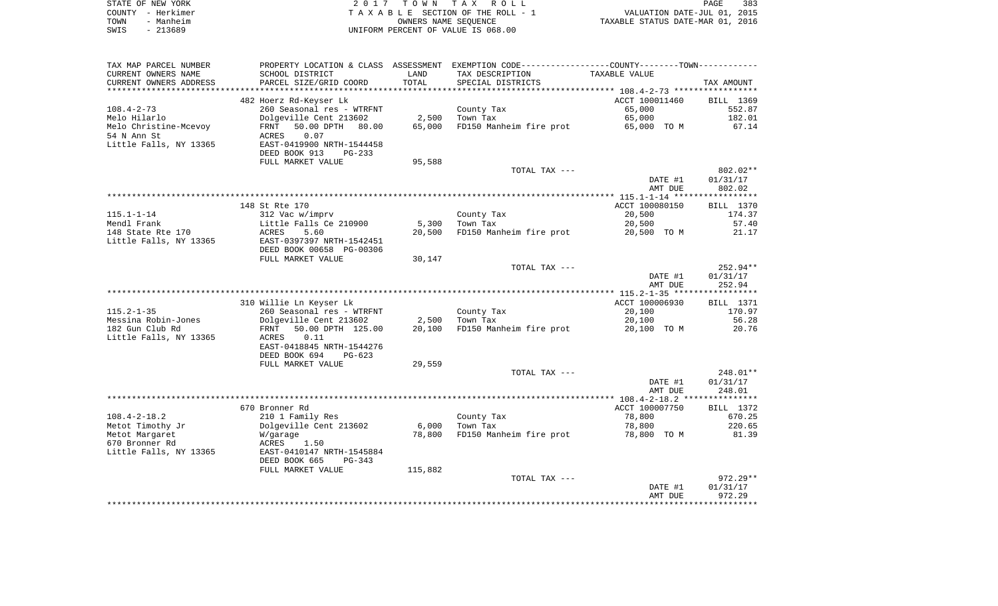| STATE OF NEW YORK | 2017 TOWN TAX ROLL                 | 383<br>PAGE                      |
|-------------------|------------------------------------|----------------------------------|
| COUNTY - Herkimer | TAXABLE SECTION OF THE ROLL - 1    | VALUATION DATE-JUL 01, 2015      |
| - Manheim<br>TOWN | OWNERS NAME SEOUENCE               | TAXABLE STATUS DATE-MAR 01, 2016 |
| - 213689<br>SWIS  | UNIFORM PERCENT OF VALUE IS 068.00 |                                  |

| TAX MAP PARCEL NUMBER  |                             |         | PROPERTY LOCATION & CLASS ASSESSMENT EXEMPTION CODE-----------------COUNTY--------TOWN--------- |                |            |
|------------------------|-----------------------------|---------|-------------------------------------------------------------------------------------------------|----------------|------------|
| CURRENT OWNERS NAME    | SCHOOL DISTRICT             | LAND    | TAX DESCRIPTION                                                                                 | TAXABLE VALUE  |            |
| CURRENT OWNERS ADDRESS | PARCEL SIZE/GRID COORD      | TOTAL   | SPECIAL DISTRICTS                                                                               |                | TAX AMOUNT |
|                        |                             |         |                                                                                                 |                |            |
|                        | 482 Hoerz Rd-Keyser Lk      |         |                                                                                                 | ACCT 100011460 | BILL 1369  |
| $108.4 - 2 - 73$       | 260 Seasonal res - WTRFNT   |         | County Tax                                                                                      | 65,000         | 552.87     |
| Melo Hilarlo           | Dolgeville Cent 213602      | 2,500   | Town Tax                                                                                        | 65,000         | 182.01     |
| Melo Christine-Mcevoy  | 50.00 DPTH<br>80.00<br>FRNT | 65,000  | FD150 Manheim fire prot                                                                         | 65,000 TO M    | 67.14      |
| 54 N Ann St            | 0.07<br>ACRES               |         |                                                                                                 |                |            |
| Little Falls, NY 13365 | EAST-0419900 NRTH-1544458   |         |                                                                                                 |                |            |
|                        | DEED BOOK 913<br>$PG-233$   |         |                                                                                                 |                |            |
|                        | FULL MARKET VALUE           |         |                                                                                                 |                |            |
|                        |                             | 95,588  |                                                                                                 |                |            |
|                        |                             |         | TOTAL TAX ---                                                                                   |                | $802.02**$ |
|                        |                             |         |                                                                                                 | DATE #1        | 01/31/17   |
|                        |                             |         |                                                                                                 | AMT DUE        | 802.02     |
|                        |                             |         |                                                                                                 |                |            |
|                        | 148 St Rte 170              |         |                                                                                                 | ACCT 100080150 | BILL 1370  |
| $115.1 - 1 - 14$       | 312 Vac w/imprv             |         | County Tax                                                                                      | 20,500         | 174.37     |
| Mendl Frank            | Little Falls Ce 210900      | 5,300   | Town Tax                                                                                        | 20,500         | 57.40      |
| 148 State Rte 170      | ACRES<br>5.60               | 20,500  | FD150 Manheim fire prot                                                                         | 20,500 TO M    | 21.17      |
| Little Falls, NY 13365 | EAST-0397397 NRTH-1542451   |         |                                                                                                 |                |            |
|                        | DEED BOOK 00658 PG-00306    |         |                                                                                                 |                |            |
|                        | FULL MARKET VALUE           | 30,147  |                                                                                                 |                |            |
|                        |                             |         | TOTAL TAX ---                                                                                   |                | 252.94**   |
|                        |                             |         |                                                                                                 | DATE #1        | 01/31/17   |
|                        |                             |         |                                                                                                 | AMT DUE        | 252.94     |
|                        |                             |         |                                                                                                 |                |            |
|                        | 310 Willie Ln Keyser Lk     |         |                                                                                                 | ACCT 100006930 | BILL 1371  |
| $115.2 - 1 - 35$       | 260 Seasonal res - WTRFNT   |         | County Tax                                                                                      | 20,100         | 170.97     |
| Messina Robin-Jones    | Dolgeville Cent 213602      | 2,500   | Town Tax                                                                                        | 20,100         | 56.28      |
| 182 Gun Club Rd        | 50.00 DPTH 125.00<br>FRNT   | 20,100  | FD150 Manheim fire prot                                                                         | 20,100 TO M    | 20.76      |
| Little Falls, NY 13365 | ACRES<br>0.11               |         |                                                                                                 |                |            |
|                        | EAST-0418845 NRTH-1544276   |         |                                                                                                 |                |            |
|                        | DEED BOOK 694<br>$PG-623$   |         |                                                                                                 |                |            |
|                        | FULL MARKET VALUE           | 29,559  |                                                                                                 |                |            |
|                        |                             |         | TOTAL TAX ---                                                                                   |                | 248.01**   |
|                        |                             |         |                                                                                                 | DATE #1        | 01/31/17   |
|                        |                             |         |                                                                                                 | AMT DUE        | 248.01     |
|                        |                             |         |                                                                                                 |                |            |
|                        | 670 Bronner Rd              |         |                                                                                                 | ACCT 100007750 |            |
|                        |                             |         |                                                                                                 |                | BILL 1372  |
| $108.4 - 2 - 18.2$     | 210 1 Family Res            |         | County Tax                                                                                      | 78,800         | 670.25     |
| Metot Timothy Jr       | Dolgeville Cent 213602      | 6,000   | Town Tax                                                                                        | 78,800         | 220.65     |
| Metot Margaret         | W/garage                    | 78,800  | FD150 Manheim fire prot                                                                         | 78,800 TO M    | 81.39      |
| 670 Bronner Rd         | 1.50<br>ACRES               |         |                                                                                                 |                |            |
| Little Falls, NY 13365 | EAST-0410147 NRTH-1545884   |         |                                                                                                 |                |            |
|                        | DEED BOOK 665<br>PG-343     |         |                                                                                                 |                |            |
|                        | FULL MARKET VALUE           | 115,882 |                                                                                                 |                |            |
|                        |                             |         | TOTAL TAX ---                                                                                   |                | $972.29**$ |
|                        |                             |         |                                                                                                 | DATE #1        | 01/31/17   |
|                        |                             |         |                                                                                                 | AMT DUE        | 972.29     |
|                        |                             |         |                                                                                                 |                |            |
|                        |                             |         |                                                                                                 |                |            |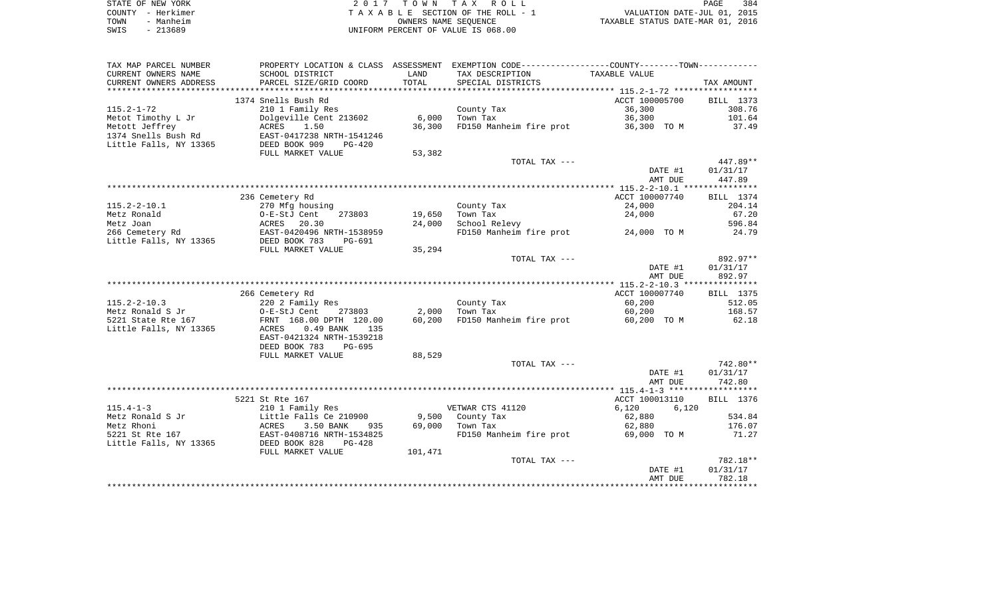| STATE OF NEW YORK | 2017 TOWN TAX ROLL                 | 384<br>PAGE                      |
|-------------------|------------------------------------|----------------------------------|
| COUNTY - Herkimer | TAXABLE SECTION OF THE ROLL - 1    | VALUATION DATE-JUL 01, 2015      |
| TOWN<br>- Manheim | OWNERS NAME SEOUENCE               | TAXABLE STATUS DATE-MAR 01, 2016 |
| SWIS<br>- 213689  | UNIFORM PERCENT OF VALUE IS 068.00 |                                  |

| TAX MAP PARCEL NUMBER  | PROPERTY LOCATION & CLASS ASSESSMENT |         | EXEMPTION CODE-----------------COUNTY-------TOWN----------- |                |                  |
|------------------------|--------------------------------------|---------|-------------------------------------------------------------|----------------|------------------|
| CURRENT OWNERS NAME    | SCHOOL DISTRICT                      | LAND    | TAX DESCRIPTION                                             | TAXABLE VALUE  |                  |
| CURRENT OWNERS ADDRESS | PARCEL SIZE/GRID COORD               | TOTAL   | SPECIAL DISTRICTS                                           |                | TAX AMOUNT       |
|                        |                                      |         |                                                             |                |                  |
|                        | 1374 Snells Bush Rd                  |         |                                                             | ACCT 100005700 | <b>BILL</b> 1373 |
| $115.2 - 1 - 72$       | 210 1 Family Res                     |         | County Tax                                                  | 36,300         | 308.76           |
| Metot Timothy L Jr     | Dolgeville Cent 213602               | 6,000   | Town Tax                                                    | 36,300         | 101.64           |
| Metott Jeffrey         | 1.50<br>ACRES                        | 36,300  | FD150 Manheim fire prot                                     | 36,300 TO M    | 37.49            |
| 1374 Snells Bush Rd    | EAST-0417238 NRTH-1541246            |         |                                                             |                |                  |
| Little Falls, NY 13365 | DEED BOOK 909<br>$PG-420$            |         |                                                             |                |                  |
|                        | FULL MARKET VALUE                    | 53,382  |                                                             |                |                  |
|                        |                                      |         | TOTAL TAX ---                                               |                | 447.89**         |
|                        |                                      |         |                                                             | DATE #1        | 01/31/17         |
|                        |                                      |         |                                                             | AMT DUE        | 447.89           |
|                        | 236 Cemetery Rd                      |         |                                                             | ACCT 100007740 | BILL 1374        |
| $115.2 - 2 - 10.1$     | 270 Mfg housing                      |         | County Tax                                                  | 24,000         | 204.14           |
| Metz Ronald            | O-E-StJ Cent<br>273803               | 19,650  | Town Tax                                                    | 24,000         | 67.20            |
| Metz Joan              | ACRES<br>20.30                       | 24,000  | School Relevy                                               |                | 596.84           |
| 266 Cemetery Rd        | EAST-0420496 NRTH-1538959            |         | FD150 Manheim fire prot 24,000 TO M                         |                | 24.79            |
| Little Falls, NY 13365 | DEED BOOK 783<br>PG-691              |         |                                                             |                |                  |
|                        | FULL MARKET VALUE                    | 35,294  |                                                             |                |                  |
|                        |                                      |         | TOTAL TAX ---                                               |                | 892.97**         |
|                        |                                      |         |                                                             | DATE #1        | 01/31/17         |
|                        |                                      |         |                                                             | AMT DUE        | 892.97           |
|                        |                                      |         |                                                             |                |                  |
|                        | 266 Cemetery Rd                      |         |                                                             | ACCT 100007740 | <b>BILL</b> 1375 |
| $115.2 - 2 - 10.3$     | 220 2 Family Res                     |         | County Tax                                                  | 60,200         | 512.05           |
| Metz Ronald S Jr       | 273803<br>O-E-StJ Cent               | 2,000   | Town Tax                                                    | 60,200         | 168.57           |
| 5221 State Rte 167     | FRNT 168.00 DPTH 120.00              | 60,200  | FD150 Manheim fire prot                                     | 60,200 TO M    | 62.18            |
| Little Falls, NY 13365 | $0.49$ BANK<br>ACRES<br>135          |         |                                                             |                |                  |
|                        | EAST-0421324 NRTH-1539218            |         |                                                             |                |                  |
|                        | DEED BOOK 783<br>PG-695              |         |                                                             |                |                  |
|                        | FULL MARKET VALUE                    | 88,529  |                                                             |                |                  |
|                        |                                      |         | TOTAL TAX ---                                               |                | 742.80**         |
|                        |                                      |         |                                                             | DATE #1        | 01/31/17         |
|                        |                                      |         |                                                             | AMT DUE        | 742.80           |
|                        | 5221 St Rte 167                      |         |                                                             | ACCT 100013110 | BILL 1376        |
| $115.4 - 1 - 3$        | 210 1 Family Res                     |         | VETWAR CTS 41120                                            | 6,120<br>6,120 |                  |
| Metz Ronald S Jr       | Little Falls Ce 210900               | 9,500   | County Tax                                                  | 62,880         | 534.84           |
| Metz Rhoni             | ACRES<br>3.50 BANK<br>935            | 69,000  | Town Tax                                                    | 62,880         | 176.07           |
| 5221 St Rte 167        | EAST-0408716 NRTH-1534825            |         | FD150 Manheim fire prot                                     | 69,000 TO M    | 71.27            |
| Little Falls, NY 13365 | DEED BOOK 828<br>$PG-428$            |         |                                                             |                |                  |
|                        | FULL MARKET VALUE                    | 101,471 |                                                             |                |                  |
|                        |                                      |         | TOTAL TAX ---                                               |                | 782.18**         |
|                        |                                      |         |                                                             | DATE #1        | 01/31/17         |
|                        |                                      |         |                                                             | AMT DUE        | 782.18           |
|                        |                                      |         |                                                             |                |                  |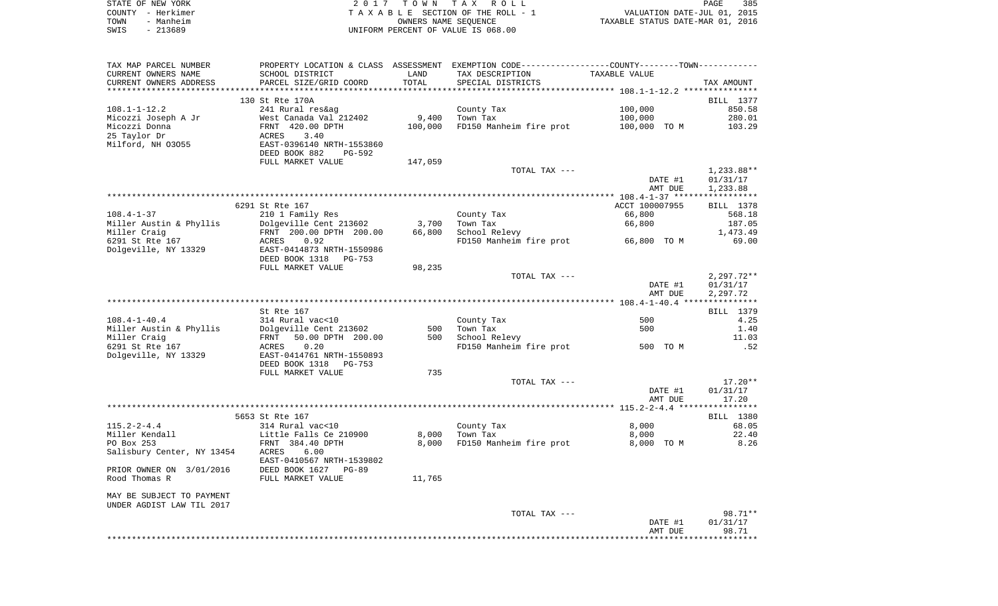| STATE OF NEW YORK | 2017 TOWN TAX ROLL                 | 385<br>PAGE                      |
|-------------------|------------------------------------|----------------------------------|
| COUNTY – Herkimer | TAXABLE SECTION OF THE ROLL - 1    | VALUATION DATE-JUL 01, 2015      |
| - Manheim<br>TOWN | OWNERS NAME SEOUENCE               | TAXABLE STATUS DATE-MAR 01, 2016 |
| - 213689<br>SWIS  | UNIFORM PERCENT OF VALUE IS 068.00 |                                  |

| TAX MAP PARCEL NUMBER      |                                                   |         | PROPERTY LOCATION & CLASS ASSESSMENT EXEMPTION CODE----------------COUNTY--------TOWN----------- |                |                  |
|----------------------------|---------------------------------------------------|---------|--------------------------------------------------------------------------------------------------|----------------|------------------|
| CURRENT OWNERS NAME        | SCHOOL DISTRICT                                   | LAND    | TAX DESCRIPTION                                                                                  | TAXABLE VALUE  |                  |
| CURRENT OWNERS ADDRESS     | PARCEL SIZE/GRID COORD                            | TOTAL   | SPECIAL DISTRICTS                                                                                |                | TAX AMOUNT       |
|                            |                                                   |         |                                                                                                  |                |                  |
|                            | 130 St Rte 170A                                   |         |                                                                                                  |                | BILL 1377        |
| $108.1 - 1 - 12.2$         | 241 Rural res&ag                                  |         | County Tax                                                                                       | 100,000        | 850.58           |
| Micozzi Joseph A Jr        | West Canada Val 212402                            | 9,400   | Town Tax                                                                                         | 100,000        | 280.01           |
| Micozzi Donna              | FRNT 420.00 DPTH                                  | 100,000 | FD150 Manheim fire prot 100,000 TO M                                                             |                | 103.29           |
| 25 Taylor Dr               | 3.40<br>ACRES                                     |         |                                                                                                  |                |                  |
| Milford, NH 03055          | EAST-0396140 NRTH-1553860                         |         |                                                                                                  |                |                  |
|                            | DEED BOOK 882<br>PG-592                           |         |                                                                                                  |                |                  |
|                            | FULL MARKET VALUE                                 |         |                                                                                                  |                |                  |
|                            |                                                   | 147,059 |                                                                                                  |                |                  |
|                            |                                                   |         | TOTAL TAX ---                                                                                    |                | $1,233.88**$     |
|                            |                                                   |         |                                                                                                  | DATE #1        | 01/31/17         |
|                            |                                                   |         |                                                                                                  | AMT DUE        | 1,233.88         |
|                            |                                                   |         |                                                                                                  |                |                  |
|                            | 6291 St Rte 167                                   |         |                                                                                                  | ACCT 100007955 | <b>BILL</b> 1378 |
| $108.4 - 1 - 37$           | 210 1 Family Res                                  |         | County Tax                                                                                       | 66,800         | 568.18           |
| Miller Austin & Phyllis    | Dolgeville Cent 213602<br>FRNT 200.00 DPTH 200.00 | 3,700   | Town Tax                                                                                         | 66,800         | 187.05           |
| Miller Craig               |                                                   | 66,800  | School Relevy                                                                                    |                | 1,473.49         |
| 6291 St Rte 167            | ACRES<br>0.92                                     |         | FD150 Manheim fire prot 66,800 TO M                                                              |                | 69.00            |
| Dolgeville, NY 13329       | EAST-0414873 NRTH-1550986                         |         |                                                                                                  |                |                  |
|                            | DEED BOOK 1318<br>PG-753                          |         |                                                                                                  |                |                  |
|                            | FULL MARKET VALUE                                 | 98,235  |                                                                                                  |                |                  |
|                            |                                                   |         | TOTAL TAX ---                                                                                    |                | $2,297.72**$     |
|                            |                                                   |         |                                                                                                  | DATE #1        | 01/31/17         |
|                            |                                                   |         |                                                                                                  | AMT DUE        | 2,297.72         |
|                            |                                                   |         |                                                                                                  |                |                  |
|                            | St Rte 167                                        |         |                                                                                                  |                | BILL 1379        |
| $108.4 - 1 - 40.4$         | 314 Rural vac<10                                  |         | County Tax                                                                                       | 500            | 4.25             |
|                            |                                                   | 500     | Town Tax                                                                                         | 500            | 1.40             |
|                            |                                                   |         | 500 School Relevy                                                                                |                | 11.03            |
| 6291 St Rte 167            | 0.20<br>ACRES                                     |         | FD150 Manheim fire prot 500 TO M                                                                 |                | .52              |
| Dolgeville, NY 13329       | EAST-0414761 NRTH-1550893                         |         |                                                                                                  |                |                  |
|                            | DEED BOOK 1318<br>PG-753                          |         |                                                                                                  |                |                  |
|                            | FULL MARKET VALUE                                 | 735     |                                                                                                  |                |                  |
|                            |                                                   |         | TOTAL TAX ---                                                                                    |                | $17.20**$        |
|                            |                                                   |         |                                                                                                  | DATE #1        | 01/31/17         |
|                            |                                                   |         |                                                                                                  | AMT DUE        | 17.20            |
|                            |                                                   |         |                                                                                                  |                |                  |
|                            | 5653 St Rte 167                                   |         |                                                                                                  |                | <b>BILL 1380</b> |
| $115.2 - 2 - 4.4$          | 314 Rural vac<10                                  |         | County Tax                                                                                       | 8,000          | 68.05            |
| Miller Kendall             | Little Falls Ce 210900                            | 8,000   | Town Tax                                                                                         | 8,000          | 22.40            |
| PO Box 253                 | FRNT 384.40 DPTH                                  | 8,000   | FD150 Manheim fire prot                                                                          | 8,000 TO M     | 8.26             |
| Salisbury Center, NY 13454 | 6.00<br>ACRES                                     |         |                                                                                                  |                |                  |
|                            |                                                   |         |                                                                                                  |                |                  |
|                            | EAST-0410567 NRTH-1539802                         |         |                                                                                                  |                |                  |
| PRIOR OWNER ON 3/01/2016   | DEED BOOK 1627 PG-89                              |         |                                                                                                  |                |                  |
| Rood Thomas R              | FULL MARKET VALUE                                 | 11,765  |                                                                                                  |                |                  |
|                            |                                                   |         |                                                                                                  |                |                  |
| MAY BE SUBJECT TO PAYMENT  |                                                   |         |                                                                                                  |                |                  |
| UNDER AGDIST LAW TIL 2017  |                                                   |         |                                                                                                  |                |                  |
|                            |                                                   |         | TOTAL TAX ---                                                                                    |                | 98.71**          |
|                            |                                                   |         |                                                                                                  | DATE #1        | 01/31/17         |
|                            |                                                   |         |                                                                                                  | AMT DUE        | 98.71            |
|                            |                                                   |         |                                                                                                  |                |                  |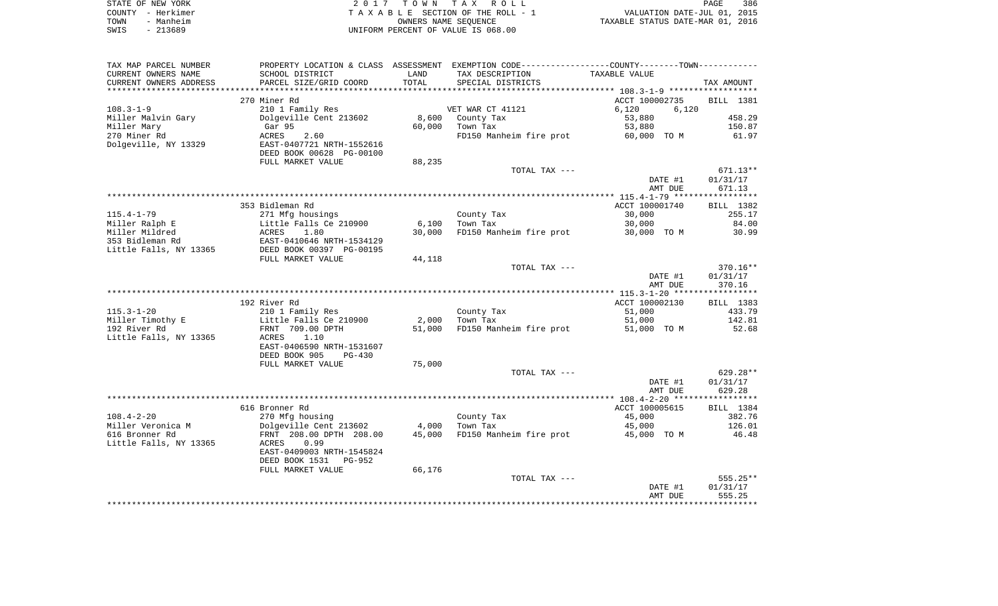| STATE OF NEW YORK |                   | 2017 TOWN TAX ROLL                 | PAGE                             | 386 |
|-------------------|-------------------|------------------------------------|----------------------------------|-----|
|                   | COUNTY - Herkimer | TAXABLE SECTION OF THE ROLL - 1    | VALUATION DATE-JUL 01, 2015      |     |
| TOWN              | - Manheim         | OWNERS NAME SEOUENCE               | TAXABLE STATUS DATE-MAR 01, 2016 |     |
| SWIS              | - 213689          | UNIFORM PERCENT OF VALUE IS 068.00 |                                  |     |

| TAX MAP PARCEL NUMBER  |                           |        | PROPERTY LOCATION & CLASS ASSESSMENT EXEMPTION CODE----------------COUNTY--------TOWN----------- |                |            |
|------------------------|---------------------------|--------|--------------------------------------------------------------------------------------------------|----------------|------------|
| CURRENT OWNERS NAME    | SCHOOL DISTRICT           | LAND   | TAX DESCRIPTION                                                                                  | TAXABLE VALUE  |            |
| CURRENT OWNERS ADDRESS | PARCEL SIZE/GRID COORD    | TOTAL  | SPECIAL DISTRICTS                                                                                |                | TAX AMOUNT |
|                        |                           |        |                                                                                                  |                |            |
|                        | 270 Miner Rd              |        |                                                                                                  | ACCT 100002735 | BILL 1381  |
| $108.3 - 1 - 9$        | 210 1 Family Res          |        | VET WAR CT 41121                                                                                 | 6,120<br>6,120 |            |
| Miller Malvin Gary     | Dolgeville Cent 213602    | 8,600  | County Tax                                                                                       | 53,880         | 458.29     |
| Miller Mary            | Gar 95                    | 60,000 | Town Tax                                                                                         | 53,880         | 150.87     |
| 270 Miner Rd           | ACRES<br>2.60             |        | FD150 Manheim fire prot                                                                          | 60,000 TO M    | 61.97      |
| Dolgeville, NY 13329   | EAST-0407721 NRTH-1552616 |        |                                                                                                  |                |            |
|                        | DEED BOOK 00628 PG-00100  |        |                                                                                                  |                |            |
|                        | FULL MARKET VALUE         | 88,235 |                                                                                                  |                |            |
|                        |                           |        | TOTAL TAX ---                                                                                    |                | $671.13**$ |
|                        |                           |        |                                                                                                  | DATE #1        | 01/31/17   |
|                        |                           |        |                                                                                                  | AMT DUE        | 671.13     |
|                        |                           |        |                                                                                                  |                |            |
|                        | 353 Bidleman Rd           |        |                                                                                                  | ACCT 100001740 | BILL 1382  |
| $115.4 - 1 - 79$       |                           |        | County Tax                                                                                       | 30,000         | 255.17     |
|                        | 271 Mfg housings          |        |                                                                                                  |                |            |
| Miller Ralph E         | Little Falls Ce 210900    | 6,100  | Town Tax                                                                                         | 30,000         | 84.00      |
| Miller Mildred         | ACRES<br>1.80             | 30,000 | FD150 Manheim fire prot                                                                          | 30,000 TO M    | 30.99      |
| 353 Bidleman Rd        | EAST-0410646 NRTH-1534129 |        |                                                                                                  |                |            |
| Little Falls, NY 13365 | DEED BOOK 00397 PG-00195  |        |                                                                                                  |                |            |
|                        | FULL MARKET VALUE         | 44,118 |                                                                                                  |                |            |
|                        |                           |        | TOTAL TAX ---                                                                                    |                | $370.16**$ |
|                        |                           |        |                                                                                                  | DATE #1        | 01/31/17   |
|                        |                           |        |                                                                                                  | AMT DUE        | 370.16     |
|                        |                           |        |                                                                                                  |                |            |
|                        | 192 River Rd              |        |                                                                                                  | ACCT 100002130 | BILL 1383  |
| $115.3 - 1 - 20$       | 210 1 Family Res          |        | County Tax                                                                                       | 51,000         | 433.79     |
| Miller Timothy E       | Little Falls Ce 210900    | 2,000  | Town Tax                                                                                         | 51,000         | 142.81     |
| 192 River Rd           | FRNT 709.00 DPTH          | 51,000 | FD150 Manheim fire prot                                                                          | 51,000 TO M    | 52.68      |
| Little Falls, NY 13365 | 1.10<br>ACRES             |        |                                                                                                  |                |            |
|                        | EAST-0406590 NRTH-1531607 |        |                                                                                                  |                |            |
|                        | DEED BOOK 905<br>$PG-430$ |        |                                                                                                  |                |            |
|                        | FULL MARKET VALUE         | 75,000 |                                                                                                  |                |            |
|                        |                           |        | TOTAL TAX ---                                                                                    |                | 629.28**   |
|                        |                           |        |                                                                                                  | DATE #1        | 01/31/17   |
|                        |                           |        |                                                                                                  | AMT DUE        | 629.28     |
|                        |                           |        |                                                                                                  |                |            |
|                        | 616 Bronner Rd            |        |                                                                                                  | ACCT 100005615 | BILL 1384  |
| $108.4 - 2 - 20$       | 270 Mfg housing           |        | County Tax                                                                                       | 45,000         | 382.76     |
| Miller Veronica M      | Dolgeville Cent 213602    | 4,000  | Town Tax                                                                                         | 45,000         | 126.01     |
| 616 Bronner Rd         | FRNT 208.00 DPTH 208.00   | 45,000 | FD150 Manheim fire prot                                                                          | 45,000 TO M    | 46.48      |
| Little Falls, NY 13365 | 0.99<br>ACRES             |        |                                                                                                  |                |            |
|                        | EAST-0409003 NRTH-1545824 |        |                                                                                                  |                |            |
|                        | DEED BOOK 1531<br>PG-952  |        |                                                                                                  |                |            |
|                        | FULL MARKET VALUE         | 66,176 |                                                                                                  |                |            |
|                        |                           |        | TOTAL TAX ---                                                                                    |                | 555.25**   |
|                        |                           |        |                                                                                                  | DATE #1        | 01/31/17   |
|                        |                           |        |                                                                                                  | AMT DUE        | 555.25     |
|                        |                           |        |                                                                                                  |                |            |
|                        |                           |        |                                                                                                  |                |            |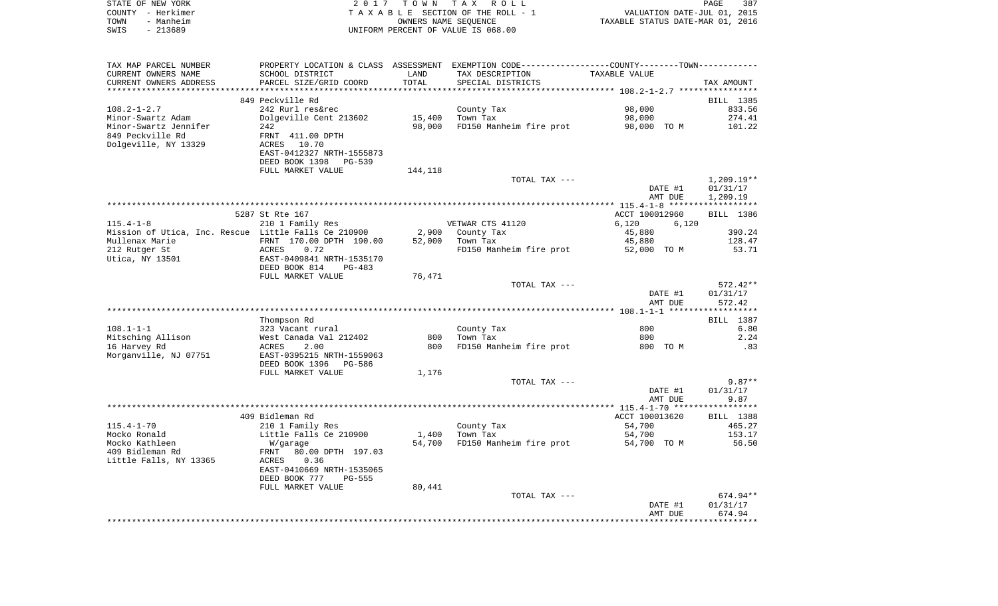| STATE OF NEW YORK     | 2017 TOWN TAX ROLL                                                                            | 387<br>PAGE                      |
|-----------------------|-----------------------------------------------------------------------------------------------|----------------------------------|
| COUNTY - Herkimer     | TAXABLE SECTION OF THE ROLL - 1                                                               | VALUATION DATE-JUL 01, 2015      |
| - Manheim<br>TOWN     | OWNERS NAME SEOUENCE                                                                          | TAXABLE STATUS DATE-MAR 01, 2016 |
| - 213689<br>SWIS      | UNIFORM PERCENT OF VALUE IS 068.00                                                            |                                  |
|                       |                                                                                               |                                  |
|                       |                                                                                               |                                  |
|                       |                                                                                               |                                  |
| TAX MAP PARCEL NUMBER | PROPERTY LOCATION & CLASS ASSESSMENT EXEMPTION CODE---------------COUNTY-------TOWN---------- |                                  |

| CURRENT OWNERS NAME                                  | SCHOOL DISTRICT                  | LAND    | TAX DESCRIPTION         | TAXABLE VALUE  |                    |
|------------------------------------------------------|----------------------------------|---------|-------------------------|----------------|--------------------|
| CURRENT OWNERS ADDRESS                               | PARCEL SIZE/GRID COORD           | TOTAL   | SPECIAL DISTRICTS       |                | TAX AMOUNT         |
| *********************                                |                                  |         |                         |                |                    |
|                                                      | 849 Peckville Rd                 |         |                         |                | BILL 1385          |
| $108.2 - 1 - 2.7$                                    | 242 Rurl res&rec                 |         | County Tax              | 98,000         | 833.56             |
| Minor-Swartz Adam                                    | Dolgeville Cent 213602           | 15,400  | Town Tax                | 98,000         | 274.41             |
| Minor-Swartz Jennifer                                | 242                              | 98,000  | FD150 Manheim fire prot | 98,000 TO M    | 101.22             |
| 849 Peckville Rd                                     | FRNT 411.00 DPTH                 |         |                         |                |                    |
| Dolgeville, NY 13329                                 | ACRES<br>10.70                   |         |                         |                |                    |
|                                                      | EAST-0412327 NRTH-1555873        |         |                         |                |                    |
|                                                      |                                  |         |                         |                |                    |
|                                                      | DEED BOOK 1398<br><b>PG-539</b>  |         |                         |                |                    |
|                                                      | FULL MARKET VALUE                | 144,118 |                         |                |                    |
|                                                      |                                  |         | TOTAL TAX ---           |                | $1,209.19**$       |
|                                                      |                                  |         |                         | DATE #1        | 01/31/17           |
|                                                      |                                  |         |                         | AMT DUE        | 1,209.19           |
|                                                      |                                  |         |                         |                |                    |
|                                                      | 5287 St Rte 167                  |         |                         | ACCT 100012960 | BILL 1386          |
| $115.4 - 1 - 8$                                      | 210 1 Family Res                 |         | VETWAR CTS 41120        | 6,120<br>6,120 |                    |
| Mission of Utica, Inc. Rescue Little Falls Ce 210900 |                                  | 2,900   | County Tax              | 45,880         | 390.24             |
| Mullenax Marie                                       | FRNT 170.00 DPTH 190.00          | 52,000  | Town Tax                | 45,880         | 128.47             |
| 212 Rutger St                                        | <b>ACRES</b><br>0.72             |         | FD150 Manheim fire prot | 52,000 TO M    | 53.71              |
| Utica, NY 13501                                      | EAST-0409841 NRTH-1535170        |         |                         |                |                    |
|                                                      | DEED BOOK 814<br>PG-483          |         |                         |                |                    |
|                                                      | FULL MARKET VALUE                | 76,471  |                         |                |                    |
|                                                      |                                  |         | TOTAL TAX ---           |                | 572.42**           |
|                                                      |                                  |         |                         |                |                    |
|                                                      |                                  |         |                         | DATE #1        | 01/31/17           |
|                                                      |                                  |         |                         | AMT DUE        | 572.42<br>******** |
|                                                      |                                  |         |                         |                |                    |
|                                                      | Thompson Rd                      |         |                         |                | BILL 1387          |
| $108.1 - 1 - 1$                                      | 323 Vacant rural                 |         | County Tax              | 800            | 6.80               |
| Mitsching Allison                                    | West Canada Val 212402           | 800     | Town Tax                | 800            | 2.24               |
| 16 Harvey Rd                                         | 2.00<br>ACRES                    | 800     | FD150 Manheim fire prot | 800 TO M       | .83                |
| Morganville, NJ 07751                                | EAST-0395215 NRTH-1559063        |         |                         |                |                    |
|                                                      | DEED BOOK 1396<br>PG-586         |         |                         |                |                    |
|                                                      | FULL MARKET VALUE                | 1,176   |                         |                |                    |
|                                                      |                                  |         | TOTAL TAX ---           |                | $9.87**$           |
|                                                      |                                  |         |                         | DATE #1        | 01/31/17           |
|                                                      |                                  |         |                         | AMT DUE        | 9.87               |
|                                                      |                                  |         |                         |                |                    |
|                                                      | 409 Bidleman Rd                  |         |                         | ACCT 100013620 | BILL 1388          |
| $115.4 - 1 - 70$                                     | 210 1 Family Res                 |         | County Tax              | 54,700         | 465.27             |
| Mocko Ronald                                         |                                  |         |                         |                |                    |
|                                                      | Little Falls Ce 210900           | 1,400   | Town Tax                | 54,700         | 153.17             |
| Mocko Kathleen                                       | W/garage                         | 54,700  | FD150 Manheim fire prot | 54,700 TO M    | 56.50              |
| 409 Bidleman Rd                                      | 80.00 DPTH 197.03<br><b>FRNT</b> |         |                         |                |                    |
| Little Falls, NY 13365                               | <b>ACRES</b><br>0.36             |         |                         |                |                    |
|                                                      | EAST-0410669 NRTH-1535065        |         |                         |                |                    |
|                                                      | DEED BOOK 777<br>$PG-555$        |         |                         |                |                    |
|                                                      | FULL MARKET VALUE                | 80,441  |                         |                |                    |
|                                                      |                                  |         | TOTAL TAX ---           |                | 674.94**           |
|                                                      |                                  |         |                         | DATE #1        | 01/31/17           |
|                                                      |                                  |         |                         | AMT DUE        | 674.94             |
|                                                      |                                  |         |                         |                |                    |
|                                                      |                                  |         |                         |                |                    |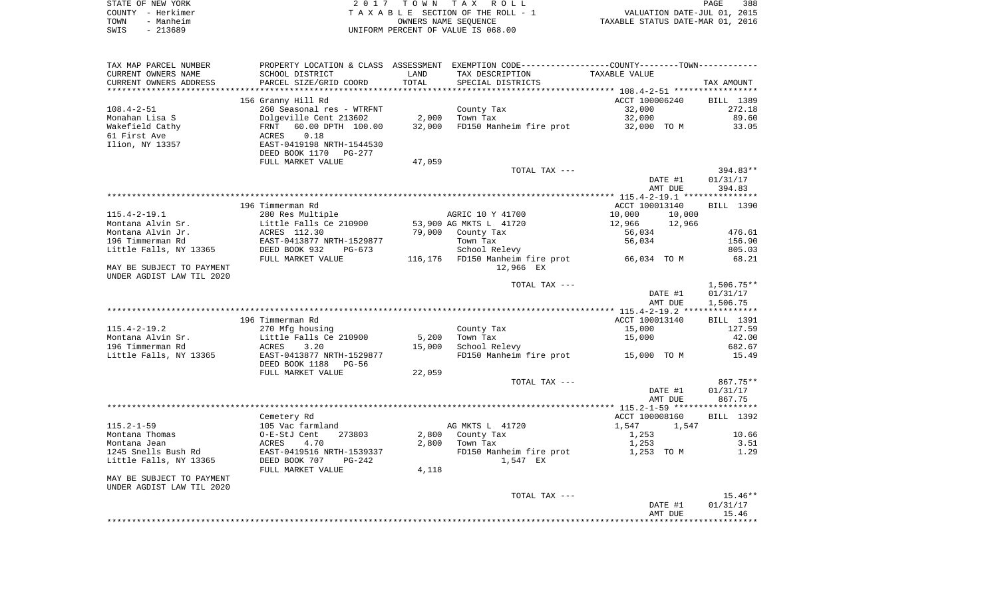|      | STATE OF NEW YORK | 2017 TOWN TAX ROLL                 | <b>PAGE</b>                      | 388 |
|------|-------------------|------------------------------------|----------------------------------|-----|
|      | COUNTY - Herkimer | TAXABLE SECTION OF THE ROLL - 1    | VALUATION DATE-JUL 01, 2015      |     |
| TOWN | - Manheim         | OWNERS NAME SEOUENCE               | TAXABLE STATUS DATE-MAR 01, 2016 |     |
| SWIS | - 213689          | UNIFORM PERCENT OF VALUE IS 068.00 |                                  |     |

| TAX MAP PARCEL NUMBER                   |                                           |        | PROPERTY LOCATION & CLASS ASSESSMENT EXEMPTION CODE----------------COUNTY--------TOWN----------- |                  |              |
|-----------------------------------------|-------------------------------------------|--------|--------------------------------------------------------------------------------------------------|------------------|--------------|
| CURRENT OWNERS NAME                     | SCHOOL DISTRICT                           | LAND   | TAX DESCRIPTION                                                                                  | TAXABLE VALUE    |              |
| CURRENT OWNERS ADDRESS                  | PARCEL SIZE/GRID COORD                    | TOTAL  | SPECIAL DISTRICTS                                                                                |                  | TAX AMOUNT   |
|                                         |                                           |        |                                                                                                  |                  |              |
|                                         | 156 Granny Hill Rd                        |        |                                                                                                  | ACCT 100006240   | BILL 1389    |
| $108.4 - 2 - 51$                        | 260 Seasonal res - WTRFNT                 |        | County Tax                                                                                       | 32,000           | 272.18       |
| Monahan Lisa S                          | Dolgeville Cent 213602                    | 2,000  | Town Tax                                                                                         | 32,000           | 89.60        |
| Wakefield Cathy                         | 60.00 DPTH 100.00<br>FRNT                 | 32,000 | FD150 Manheim fire prot                                                                          | 32,000 TO M      | 33.05        |
| 61 First Ave                            | 0.18<br>ACRES                             |        |                                                                                                  |                  |              |
| Ilion, NY 13357                         | EAST-0419198 NRTH-1544530                 |        |                                                                                                  |                  |              |
|                                         | DEED BOOK 1170<br><b>PG-277</b>           |        |                                                                                                  |                  |              |
|                                         | FULL MARKET VALUE                         | 47,059 |                                                                                                  |                  |              |
|                                         |                                           |        | TOTAL TAX ---                                                                                    |                  | 394.83**     |
|                                         |                                           |        |                                                                                                  | DATE #1          | 01/31/17     |
|                                         |                                           |        |                                                                                                  | AMT DUE          | 394.83       |
|                                         |                                           |        |                                                                                                  |                  |              |
|                                         | 196 Timmerman Rd                          |        |                                                                                                  | ACCT 100013140   | BILL 1390    |
| $115.4 - 2 - 19.1$                      | 280 Res Multiple                          |        | AGRIC 10 Y 41700                                                                                 | 10,000<br>10,000 |              |
| Montana Alvin Sr.                       | Little Falls Ce 210900                    |        | 53,900 AG MKTS L 41720                                                                           | 12,966<br>12,966 |              |
| Montana Alvin Jr.                       | ACRES 112.30                              | 79,000 | County Tax                                                                                       | 56,034           | 476.61       |
| 196 Timmerman Rd                        |                                           |        | Town Tax                                                                                         | 56,034           | 156.90       |
|                                         | EAST-0413877 NRTH-1529877                 |        |                                                                                                  |                  |              |
| Little Falls, NY 13365                  | DEED BOOK 932<br>$PG-673$                 |        | School Relevy                                                                                    |                  | 805.03       |
|                                         | FULL MARKET VALUE                         |        | 116,176 FD150 Manheim fire prot                                                                  | 66,034 TO M      | 68.21        |
| MAY BE SUBJECT TO PAYMENT               |                                           |        | 12,966 EX                                                                                        |                  |              |
| UNDER AGDIST LAW TIL 2020               |                                           |        |                                                                                                  |                  |              |
|                                         |                                           |        | TOTAL TAX ---                                                                                    |                  | $1,506.75**$ |
|                                         |                                           |        |                                                                                                  | DATE #1          | 01/31/17     |
|                                         |                                           |        |                                                                                                  | AMT DUE          | 1,506.75     |
|                                         | 196 Timmerman Rd                          |        |                                                                                                  | ACCT 100013140   | BILL 1391    |
|                                         |                                           |        |                                                                                                  | 15,000           | 127.59       |
| $115.4 - 2 - 19.2$<br>Montana Alvin Sr. | 270 Mfg housing<br>Little Falls Ce 210900 |        | County Tax<br>Town Tax                                                                           |                  |              |
|                                         |                                           | 5,200  |                                                                                                  | 15,000           | 42.00        |
| 196 Timmerman Rd                        | 3.20<br>ACRES                             | 15,000 | School Relevy                                                                                    |                  | 682.67       |
| Little Falls, NY 13365                  | EAST-0413877 NRTH-1529877                 |        | FD150 Manheim fire prot                                                                          | 15,000 TO M      | 15.49        |
|                                         | DEED BOOK 1188<br><b>PG-56</b>            |        |                                                                                                  |                  |              |
|                                         | FULL MARKET VALUE                         | 22,059 |                                                                                                  |                  |              |
|                                         |                                           |        | TOTAL TAX ---                                                                                    |                  | 867.75**     |
|                                         |                                           |        |                                                                                                  | DATE #1          | 01/31/17     |
|                                         |                                           |        |                                                                                                  | AMT DUE          | 867.75       |
|                                         |                                           |        |                                                                                                  |                  |              |
|                                         | Cemetery Rd                               |        |                                                                                                  | ACCT 100008160   | BILL 1392    |
| $115.2 - 1 - 59$                        | 105 Vac farmland                          |        | AG MKTS L 41720                                                                                  | 1,547<br>1,547   |              |
| Montana Thomas                          | O-E-StJ Cent<br>273803                    | 2,800  | County Tax                                                                                       | 1,253            | 10.66        |
| Montana Jean                            | ACRES<br>4.70                             | 2,800  | Town Tax                                                                                         | 1,253            | 3.51         |
| 1245 Snells Bush Rd                     | EAST-0419516 NRTH-1539337                 |        | FD150 Manheim fire prot                                                                          | 1,253 TO M       | 1.29         |
| Little Falls, NY 13365                  | DEED BOOK 707<br>$PG-242$                 |        | 1,547 EX                                                                                         |                  |              |
|                                         | FULL MARKET VALUE                         | 4,118  |                                                                                                  |                  |              |
| MAY BE SUBJECT TO PAYMENT               |                                           |        |                                                                                                  |                  |              |
| UNDER AGDIST LAW TIL 2020               |                                           |        |                                                                                                  |                  |              |
|                                         |                                           |        | TOTAL TAX ---                                                                                    |                  | $15.46**$    |
|                                         |                                           |        |                                                                                                  | DATE #1          | 01/31/17     |
|                                         |                                           |        |                                                                                                  | AMT DUE          | 15.46        |
|                                         |                                           |        |                                                                                                  |                  |              |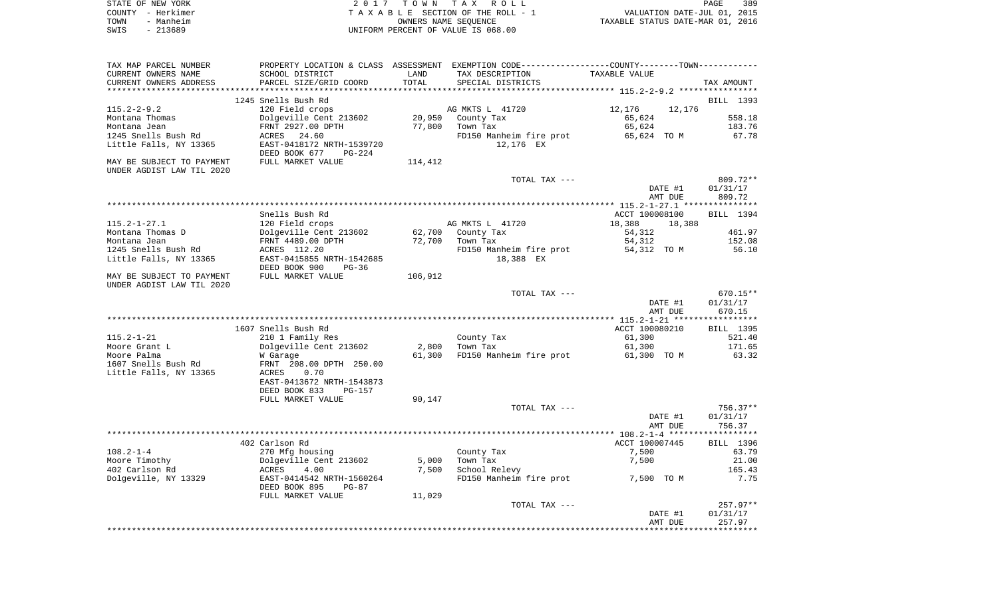| STATE OF NEW YORK | 2017 TOWN TAX ROLL                 | 389<br>PAGE                      |
|-------------------|------------------------------------|----------------------------------|
| COUNTY - Herkimer | TAXABLE SECTION OF THE ROLL - 1    | VALUATION DATE-JUL 01, 2015      |
| - Manheim<br>TOWN | OWNERS NAME SEOUENCE               | TAXABLE STATUS DATE-MAR 01, 2016 |
| - 213689<br>SWIS  | UNIFORM PERCENT OF VALUE IS 068.00 |                                  |

| TAX MAP PARCEL NUMBER                                  |                                                        |         | PROPERTY LOCATION & CLASS ASSESSMENT EXEMPTION CODE----------------COUNTY--------TOWN---------- |                                                         |                        |
|--------------------------------------------------------|--------------------------------------------------------|---------|-------------------------------------------------------------------------------------------------|---------------------------------------------------------|------------------------|
| CURRENT OWNERS NAME                                    | SCHOOL DISTRICT                                        | LAND    | TAX DESCRIPTION                                                                                 | TAXABLE VALUE                                           |                        |
| CURRENT OWNERS ADDRESS<br>***********************      | PARCEL SIZE/GRID COORD<br>**************************** | TOTAL   | SPECIAL DISTRICTS                                                                               |                                                         | TAX AMOUNT             |
|                                                        | 1245 Snells Bush Rd                                    |         |                                                                                                 |                                                         | BILL 1393              |
| $115.2 - 2 - 9.2$                                      | 120 Field crops                                        |         | AG MKTS L 41720                                                                                 | 12,176<br>12,176                                        |                        |
| Montana Thomas                                         | Dolgeville Cent 213602                                 | 20,950  | County Tax                                                                                      | 65,624                                                  | 558.18                 |
| Montana Jean                                           | FRNT 2927.00 DPTH                                      | 77,800  | Town Tax                                                                                        | 65,624                                                  | 183.76                 |
| 1245 Snells Bush Rd                                    | 24.60<br>ACRES                                         |         | FD150 Manheim fire prot                                                                         | 65,624 TO M                                             | 67.78                  |
| Little Falls, NY 13365                                 | EAST-0418172 NRTH-1539720                              |         | 12,176 EX                                                                                       |                                                         |                        |
|                                                        | DEED BOOK 677<br>$PG-224$                              |         |                                                                                                 |                                                         |                        |
| MAY BE SUBJECT TO PAYMENT                              | FULL MARKET VALUE                                      | 114,412 |                                                                                                 |                                                         |                        |
| UNDER AGDIST LAW TIL 2020                              |                                                        |         |                                                                                                 |                                                         |                        |
|                                                        |                                                        |         | TOTAL TAX ---                                                                                   |                                                         | 809.72**               |
|                                                        |                                                        |         |                                                                                                 | DATE #1                                                 | 01/31/17               |
|                                                        |                                                        |         |                                                                                                 | AMT DUE<br>************** 115.2-1-27.1 **************** | 809.72                 |
|                                                        | Snells Bush Rd                                         |         |                                                                                                 | ACCT 100008100                                          | BILL 1394              |
| $115.2 - 1 - 27.1$                                     | 120 Field crops                                        |         | AG MKTS L 41720                                                                                 | 18,388<br>18,388                                        |                        |
| Montana Thomas D                                       | Dolgeville Cent 213602                                 | 62,700  | County Tax                                                                                      | 54,312                                                  | 461.97                 |
| Montana Jean                                           | FRNT 4489.00 DPTH                                      | 72,700  | Town Tax                                                                                        | 54,312                                                  | 152.08                 |
| 1245 Snells Bush Rd                                    | ACRES 112.20                                           |         | FD150 Manheim fire prot                                                                         | 54,312 TO M                                             | 56.10                  |
| Little Falls, NY 13365                                 | EAST-0415855 NRTH-1542685                              |         | 18,388 EX                                                                                       |                                                         |                        |
|                                                        | DEED BOOK 900<br>$PG-36$                               |         |                                                                                                 |                                                         |                        |
| MAY BE SUBJECT TO PAYMENT<br>UNDER AGDIST LAW TIL 2020 | FULL MARKET VALUE                                      | 106,912 |                                                                                                 |                                                         |                        |
|                                                        |                                                        |         | TOTAL TAX ---                                                                                   |                                                         | 670.15**               |
|                                                        |                                                        |         |                                                                                                 | DATE #1                                                 | 01/31/17               |
|                                                        |                                                        |         |                                                                                                 | AMT DUE                                                 | 670.15                 |
|                                                        |                                                        |         |                                                                                                 |                                                         |                        |
| $115.2 - 1 - 21$                                       | 1607 Snells Bush Rd<br>210 1 Family Res                |         | County Tax                                                                                      | ACCT 100080210<br>61,300                                | BILL 1395<br>521.40    |
| Moore Grant L                                          | Dolgeville Cent 213602                                 | 2,800   | Town Tax                                                                                        | 61,300                                                  | 171.65                 |
| Moore Palma                                            | W Garage                                               | 61,300  | FD150 Manheim fire prot                                                                         | 61,300 TO M                                             | 63.32                  |
| 1607 Snells Bush Rd                                    | FRNT 208.00 DPTH 250.00                                |         |                                                                                                 |                                                         |                        |
| Little Falls, NY 13365                                 | ACRES<br>0.70                                          |         |                                                                                                 |                                                         |                        |
|                                                        | EAST-0413672 NRTH-1543873                              |         |                                                                                                 |                                                         |                        |
|                                                        | DEED BOOK 833<br>$PG-157$                              |         |                                                                                                 |                                                         |                        |
|                                                        | FULL MARKET VALUE                                      | 90,147  |                                                                                                 |                                                         |                        |
|                                                        |                                                        |         | TOTAL TAX ---                                                                                   |                                                         | $756.37**$             |
|                                                        |                                                        |         |                                                                                                 | DATE #1                                                 | 01/31/17               |
|                                                        |                                                        |         |                                                                                                 | AMT DUE                                                 | 756.37<br>************ |
|                                                        | 402 Carlson Rd                                         |         |                                                                                                 | ACCT 100007445                                          | BILL 1396              |
| $108.2 - 1 - 4$                                        | 270 Mfg housing                                        |         | County Tax                                                                                      | 7,500                                                   | 63.79                  |
| Moore Timothy                                          | Dolgeville Cent 213602                                 | 5,000   | Town Tax                                                                                        | 7,500                                                   | 21.00                  |
| 402 Carlson Rd                                         | ACRES<br>4.00                                          | 7,500   | School Relevy                                                                                   |                                                         | 165.43                 |
| Dolgeville, NY 13329                                   | EAST-0414542 NRTH-1560264                              |         | FD150 Manheim fire prot                                                                         | 7,500 TO M                                              | 7.75                   |
|                                                        | DEED BOOK 895<br>$PG-87$                               |         |                                                                                                 |                                                         |                        |
|                                                        | FULL MARKET VALUE                                      | 11,029  |                                                                                                 |                                                         |                        |
|                                                        |                                                        |         | TOTAL TAX ---                                                                                   |                                                         | 257.97**               |
|                                                        |                                                        |         |                                                                                                 | DATE #1                                                 | 01/31/17               |
|                                                        |                                                        |         |                                                                                                 | AMT DUE                                                 | 257.97<br>************ |
|                                                        |                                                        |         |                                                                                                 |                                                         |                        |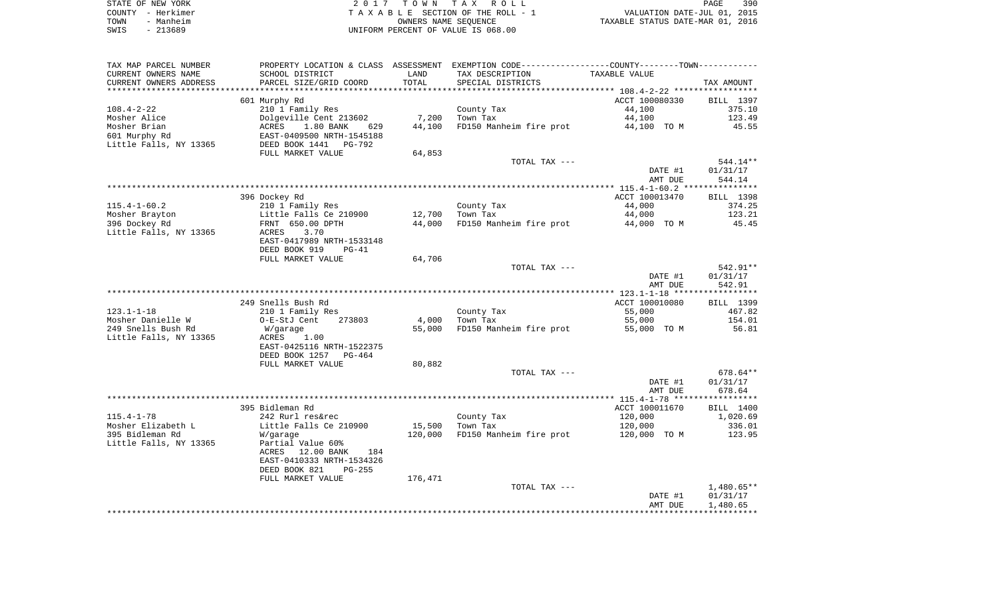|      | STATE OF NEW YORK | 2017 TOWN TAX ROLL                 | 390<br>PAGE                      |
|------|-------------------|------------------------------------|----------------------------------|
|      | COUNTY - Herkimer | TAXABLE SECTION OF THE ROLL - 1    | VALUATION DATE-JUL 01, 2015      |
| TOWN | - Manheim         | OWNERS NAME SEOUENCE               | TAXABLE STATUS DATE-MAR 01, 2016 |
| SWIS | - 213689          | UNIFORM PERCENT OF VALUE IS 068.00 |                                  |

| TAX MAP PARCEL NUMBER  | PROPERTY LOCATION & CLASS ASSESSMENT EXEMPTION CODE---------------COUNTY-------TOWN---------- |         |                                     |                |            |
|------------------------|-----------------------------------------------------------------------------------------------|---------|-------------------------------------|----------------|------------|
| CURRENT OWNERS NAME    | SCHOOL DISTRICT                                                                               | LAND    | TAX DESCRIPTION                     | TAXABLE VALUE  |            |
| CURRENT OWNERS ADDRESS | PARCEL SIZE/GRID COORD                                                                        | TOTAL   | SPECIAL DISTRICTS                   |                | TAX AMOUNT |
|                        |                                                                                               |         |                                     |                |            |
|                        | 601 Murphy Rd                                                                                 |         |                                     | ACCT 100080330 | BILL 1397  |
| $108.4 - 2 - 22$       | 210 1 Family Res                                                                              |         | County Tax                          | 44,100         | 375.10     |
| Mosher Alice           | Dolgeville Cent 213602                                                                        | 7,200   | Town Tax                            | 44,100         | 123.49     |
| Mosher Brian           | ACRES 1.80 BANK<br>629                                                                        | 44,100  | FD150 Manheim fire prot             | 44,100 TO M    | 45.55      |
| 601 Murphy Rd          |                                                                                               |         |                                     |                |            |
| Little Falls, NY 13365 | EAST-0409500 NRTH-1545188<br>DEED BOOK 1441 PG-792                                            |         |                                     |                |            |
|                        | FULL MARKET VALUE                                                                             | 64,853  |                                     |                |            |
|                        |                                                                                               |         | TOTAL TAX ---                       |                | 544.14**   |
|                        |                                                                                               |         |                                     | DATE #1        | 01/31/17   |
|                        |                                                                                               |         |                                     | AMT DUE        | 544.14     |
|                        |                                                                                               |         |                                     |                |            |
|                        | 396 Dockey Rd                                                                                 |         |                                     | ACCT 100013470 | BILL 1398  |
| $115.4 - 1 - 60.2$     | 210 1 Family Res                                                                              |         | County Tax                          | 44,000         | 374.25     |
| Mosher Brayton         | Little Falls Ce 210900                                                                        | 12,700  | Town Tax                            | 44,000         | 123.21     |
| 396 Dockey Rd          | FRNT 650.00 DPTH                                                                              | 44,000  | FD150 Manheim fire prot 44,000 TO M |                | 45.45      |
| Little Falls, NY 13365 | 3.70<br>ACRES                                                                                 |         |                                     |                |            |
|                        |                                                                                               |         |                                     |                |            |
|                        | EAST-0417989 NRTH-1533148                                                                     |         |                                     |                |            |
|                        | DEED BOOK 919<br>$PG-41$                                                                      |         |                                     |                |            |
|                        | FULL MARKET VALUE                                                                             | 64,706  |                                     |                |            |
|                        |                                                                                               |         | TOTAL TAX ---                       |                | 542.91**   |
|                        |                                                                                               |         |                                     | DATE #1        | 01/31/17   |
|                        |                                                                                               |         |                                     | AMT DUE        | 542.91     |
|                        |                                                                                               |         |                                     |                |            |
|                        | 249 Snells Bush Rd                                                                            |         |                                     | ACCT 100010080 | BILL 1399  |
| 123.1-1-18             | 210 1 Family Res                                                                              |         | County Tax                          | 55,000         | 467.82     |
| Mosher Danielle W      | O-E-StJ Cent<br>273803                                                                        | 4,000   | Town Tax                            | 55,000         | 154.01     |
| 249 Snells Bush Rd     | W/garage                                                                                      | 55,000  | FD150 Manheim fire prot 55,000 TO M |                | 56.81      |
| Little Falls, NY 13365 | ACRES<br>1.00                                                                                 |         |                                     |                |            |
|                        | EAST-0425116 NRTH-1522375                                                                     |         |                                     |                |            |
|                        | DEED BOOK 1257 PG-464                                                                         |         |                                     |                |            |
|                        | FULL MARKET VALUE                                                                             | 80,882  |                                     |                |            |
|                        |                                                                                               |         | TOTAL TAX ---                       |                | 678.64**   |
|                        |                                                                                               |         |                                     | DATE #1        | 01/31/17   |
|                        |                                                                                               |         |                                     | AMT DUE        | 678.64     |
|                        |                                                                                               |         |                                     |                |            |
|                        | 395 Bidleman Rd                                                                               |         |                                     | ACCT 100011670 | BILL 1400  |
| $115.4 - 1 - 78$       | 242 Rurl res&rec                                                                              |         | County Tax                          | 120,000        | 1,020.69   |
| Mosher Elizabeth L     | Little Falls Ce 210900                                                                        | 15,500  | Town Tax                            | 120,000        | 336.01     |
| 395 Bidleman Rd        | W/garage                                                                                      | 120,000 | FD150 Manheim fire prot             | 120,000 TO M   | 123.95     |
| Little Falls, NY 13365 | Partial Value 60%                                                                             |         |                                     |                |            |
|                        | 12.00 BANK<br>ACRES<br>184                                                                    |         |                                     |                |            |
|                        | EAST-0410333 NRTH-1534326                                                                     |         |                                     |                |            |
|                        | DEED BOOK 821<br>$PG-255$                                                                     |         |                                     |                |            |
|                        | FULL MARKET VALUE                                                                             | 176,471 |                                     |                |            |
|                        |                                                                                               |         | TOTAL TAX ---                       |                | 1,480.65** |
|                        |                                                                                               |         |                                     | DATE #1        | 01/31/17   |
|                        |                                                                                               |         |                                     | AMT DUE        | 1,480.65   |
|                        |                                                                                               |         |                                     |                |            |
|                        |                                                                                               |         |                                     |                |            |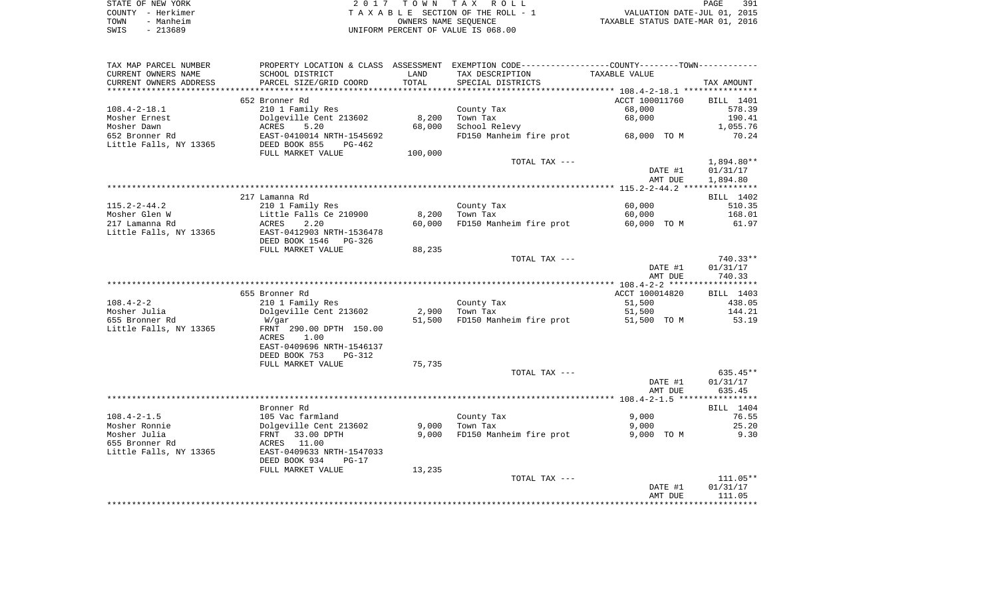| STATE OF NEW YORK | 2017 TOWN TAX ROLL                 | 391<br>PAGE                      |
|-------------------|------------------------------------|----------------------------------|
| COUNTY - Herkimer | TAXABLE SECTION OF THE ROLL - 1    | VALUATION DATE-JUL 01, 2015      |
| - Manheim<br>TOWN | OWNERS NAME SEOUENCE               | TAXABLE STATUS DATE-MAR 01, 2016 |
| - 213689<br>SWIS  | UNIFORM PERCENT OF VALUE IS 068.00 |                                  |

| TAX MAP PARCEL NUMBER           |                                            |         | PROPERTY LOCATION & CLASS ASSESSMENT EXEMPTION CODE----------------COUNTY--------TOWN----------- |                |            |
|---------------------------------|--------------------------------------------|---------|--------------------------------------------------------------------------------------------------|----------------|------------|
| CURRENT OWNERS NAME             | SCHOOL DISTRICT                            | LAND    | TAX DESCRIPTION                                                                                  | TAXABLE VALUE  |            |
| CURRENT OWNERS ADDRESS          | PARCEL SIZE/GRID COORD                     | TOTAL   | SPECIAL DISTRICTS                                                                                |                | TAX AMOUNT |
|                                 |                                            |         |                                                                                                  |                |            |
|                                 | 652 Bronner Rd                             |         |                                                                                                  | ACCT 100011760 | BILL 1401  |
| $108.4 - 2 - 18.1$              | 210 1 Family Res                           |         | County Tax                                                                                       | 68,000         | 578.39     |
| Mosher Ernest                   | Dolgeville Cent 213602                     | 8,200   | Town Tax                                                                                         | 68,000         | 190.41     |
| Mosher Dawn                     | ACRES<br>5.20                              | 68,000  | School Relevy                                                                                    |                | 1,055.76   |
| 652 Bronner Rd                  | EAST-0410014 NRTH-1545692                  |         | FD150 Manheim fire prot                                                                          | 68,000 TO M    | 70.24      |
| Little Falls, NY 13365          | DEED BOOK 855<br>PG-462                    |         |                                                                                                  |                |            |
|                                 | FULL MARKET VALUE                          | 100,000 |                                                                                                  |                |            |
|                                 |                                            |         | TOTAL TAX ---                                                                                    |                | 1,894.80** |
|                                 |                                            |         |                                                                                                  | DATE #1        | 01/31/17   |
|                                 |                                            |         |                                                                                                  | AMT DUE        | 1,894.80   |
|                                 |                                            |         |                                                                                                  |                |            |
|                                 | 217 Lamanna Rd                             |         |                                                                                                  |                | BILL 1402  |
| $115.2 - 2 - 44.2$              | 210 1 Family Res                           |         | County Tax                                                                                       | 60,000         | 510.35     |
| Mosher Glen W<br>217 Lamanna Rd | Little Falls Ce 210900                     | 8,200   | Town Tax                                                                                         | 60,000         | 168.01     |
| Little Falls, NY 13365          | ACRES<br>2.20<br>EAST-0412903 NRTH-1536478 | 60,000  | FD150 Manheim fire prot                                                                          | 60,000 TO M    | 61.97      |
|                                 | DEED BOOK 1546<br>PG-326                   |         |                                                                                                  |                |            |
|                                 | FULL MARKET VALUE                          | 88,235  |                                                                                                  |                |            |
|                                 |                                            |         | TOTAL TAX ---                                                                                    |                | 740.33**   |
|                                 |                                            |         |                                                                                                  | DATE #1        | 01/31/17   |
|                                 |                                            |         |                                                                                                  | AMT DUE        | 740.33     |
|                                 |                                            |         |                                                                                                  |                |            |
|                                 | 655 Bronner Rd                             |         |                                                                                                  | ACCT 100014820 | BILL 1403  |
| $108.4 - 2 - 2$                 | 210 1 Family Res                           |         | County Tax                                                                                       | 51,500         | 438.05     |
| Mosher Julia                    | Dolgeville Cent 213602                     | 2,900   | Town Tax                                                                                         | 51,500         | 144.21     |
| 655 Bronner Rd                  | W/gar                                      | 51,500  | FD150 Manheim fire prot                                                                          | 51,500 TO M    | 53.19      |
| Little Falls, NY 13365          | FRNT 290.00 DPTH 150.00                    |         |                                                                                                  |                |            |
|                                 | 1.00<br>ACRES                              |         |                                                                                                  |                |            |
|                                 | EAST-0409696 NRTH-1546137                  |         |                                                                                                  |                |            |
|                                 | DEED BOOK 753<br>PG-312                    |         |                                                                                                  |                |            |
|                                 | FULL MARKET VALUE                          | 75,735  |                                                                                                  |                |            |
|                                 |                                            |         | TOTAL TAX ---                                                                                    |                | $635.45**$ |
|                                 |                                            |         |                                                                                                  | DATE #1        | 01/31/17   |
|                                 |                                            |         |                                                                                                  | AMT DUE        | 635.45     |
|                                 |                                            |         |                                                                                                  |                |            |
|                                 | Bronner Rd                                 |         |                                                                                                  |                | BILL 1404  |
| $108.4 - 2 - 1.5$               | 105 Vac farmland                           |         | County Tax                                                                                       | 9,000          | 76.55      |
| Mosher Ronnie                   | Dolgeville Cent 213602                     | 9,000   | Town Tax                                                                                         | 9,000          | 25.20      |
| Mosher Julia                    | 33.00 DPTH<br>FRNT                         | 9,000   | FD150 Manheim fire prot                                                                          | 9,000 TO M     | 9.30       |
| 655 Bronner Rd                  | 11.00<br>ACRES                             |         |                                                                                                  |                |            |
| Little Falls, NY 13365          | EAST-0409633 NRTH-1547033                  |         |                                                                                                  |                |            |
|                                 | DEED BOOK 934<br>$PG-17$                   |         |                                                                                                  |                |            |
|                                 | FULL MARKET VALUE                          | 13,235  |                                                                                                  |                |            |
|                                 |                                            |         | TOTAL TAX ---                                                                                    |                | 111.05**   |
|                                 |                                            |         |                                                                                                  | DATE #1        | 01/31/17   |
|                                 |                                            |         |                                                                                                  | AMT DUE        | 111.05     |
|                                 |                                            |         |                                                                                                  |                |            |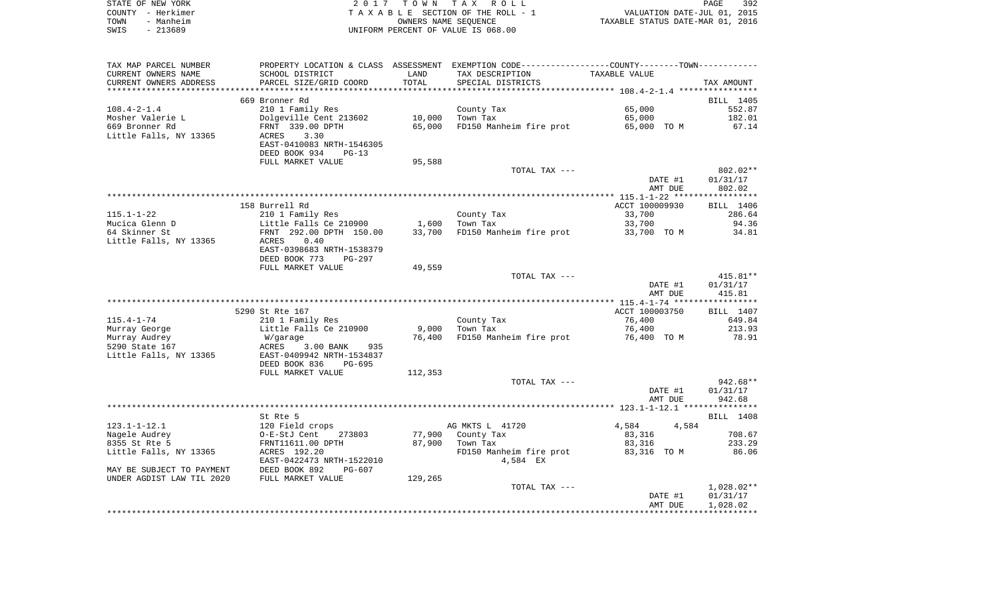| STATE OF NEW YORK | 2017 TOWN TAX ROLL<br>PAGE                                     | 392 |
|-------------------|----------------------------------------------------------------|-----|
| COUNTY - Herkimer | VALUATION DATE-JUL 01, 2015<br>TAXABLE SECTION OF THE ROLL - 1 |     |
| TOWN<br>- Manheim | TAXABLE STATUS DATE-MAR 01, 2016<br>OWNERS NAME SEOUENCE       |     |
| SWIS<br>- 213689  | UNIFORM PERCENT OF VALUE IS 068.00                             |     |

| TAX MAP PARCEL NUMBER     | PROPERTY LOCATION & CLASS ASSESSMENT EXEMPTION CODE----------------COUNTY--------TOWN---------- |         |                                |                |            |
|---------------------------|-------------------------------------------------------------------------------------------------|---------|--------------------------------|----------------|------------|
| CURRENT OWNERS NAME       | SCHOOL DISTRICT                                                                                 | LAND    | TAX DESCRIPTION                | TAXABLE VALUE  |            |
| CURRENT OWNERS ADDRESS    | PARCEL SIZE/GRID COORD                                                                          | TOTAL   | SPECIAL DISTRICTS              |                | TAX AMOUNT |
|                           |                                                                                                 |         |                                |                |            |
|                           | 669 Bronner Rd                                                                                  |         |                                |                | BILL 1405  |
| $108.4 - 2 - 1.4$         | 210 1 Family Res                                                                                |         | County Tax                     | 65,000         | 552.87     |
| Mosher Valerie L          | Dolgeville Cent 213602                                                                          | 10,000  | Town Tax                       | 65,000         | 182.01     |
|                           |                                                                                                 |         |                                |                |            |
| 669 Bronner Rd            | FRNT 339.00 DPTH                                                                                | 65,000  | FD150 Manheim fire prot        | 65,000 TO M    | 67.14      |
| Little Falls, NY 13365    | 3.30<br>ACRES                                                                                   |         |                                |                |            |
|                           | EAST-0410083 NRTH-1546305                                                                       |         |                                |                |            |
|                           | DEED BOOK 934<br>$PG-13$                                                                        |         |                                |                |            |
|                           | FULL MARKET VALUE                                                                               | 95,588  |                                |                |            |
|                           |                                                                                                 |         | TOTAL TAX ---                  |                | 802.02**   |
|                           |                                                                                                 |         |                                | DATE #1        | 01/31/17   |
|                           |                                                                                                 |         |                                | AMT DUE        | 802.02     |
|                           |                                                                                                 |         |                                |                |            |
|                           | 158 Burrell Rd                                                                                  |         |                                | ACCT 100009930 | BILL 1406  |
| $115.1 - 1 - 22$          | 210 1 Family Res                                                                                |         | County Tax                     | 33,700         | 286.64     |
|                           |                                                                                                 |         |                                |                |            |
| Mucica Glenn D            | Little Falls Ce 210900                                                                          | 1,600   | Town Tax                       | 33,700         | 94.36      |
| 64 Skinner St             | FRNT 292.00 DPTH 150.00                                                                         |         | 33,700 FD150 Manheim fire prot | 33,700 TO M    | 34.81      |
| Little Falls, NY 13365    | 0.40<br>ACRES                                                                                   |         |                                |                |            |
|                           | EAST-0398683 NRTH-1538379                                                                       |         |                                |                |            |
|                           | DEED BOOK 773<br>$PG-297$                                                                       |         |                                |                |            |
|                           | FULL MARKET VALUE                                                                               | 49,559  |                                |                |            |
|                           |                                                                                                 |         | TOTAL TAX ---                  |                | 415.81**   |
|                           |                                                                                                 |         |                                | DATE #1        | 01/31/17   |
|                           |                                                                                                 |         |                                | AMT DUE        | 415.81     |
|                           |                                                                                                 |         |                                |                |            |
|                           | 5290 St Rte 167                                                                                 |         |                                | ACCT 100003750 | BILL 1407  |
| $115.4 - 1 - 74$          | 210 1 Family Res                                                                                |         | County Tax                     | 76,400         | 649.84     |
|                           |                                                                                                 |         |                                |                |            |
| Murray George             | Little Falls Ce 210900                                                                          | 9,000   | Town Tax                       | 76,400         | 213.93     |
| Murray Audrey             | W/garage                                                                                        | 76,400  | FD150 Manheim fire prot        | 76,400 TO M    | 78.91      |
| 5290 State 167            | ACRES<br>3.00 BANK<br>935                                                                       |         |                                |                |            |
| Little Falls, NY 13365    | EAST-0409942 NRTH-1534837                                                                       |         |                                |                |            |
|                           | DEED BOOK 836<br>$PG-695$                                                                       |         |                                |                |            |
|                           | FULL MARKET VALUE                                                                               | 112,353 |                                |                |            |
|                           |                                                                                                 |         | TOTAL TAX ---                  |                | $942.68**$ |
|                           |                                                                                                 |         |                                | DATE #1        | 01/31/17   |
|                           |                                                                                                 |         |                                | AMT DUE        | 942.68     |
|                           |                                                                                                 |         |                                |                |            |
|                           | St Rte 5                                                                                        |         |                                |                | BILL 1408  |
|                           |                                                                                                 |         |                                |                |            |
| $123.1 - 1 - 12.1$        | 120 Field crops                                                                                 |         | AG MKTS L 41720                | 4,584<br>4,584 |            |
| Nagele Audrey             | --<br>O-E-StJ Cent<br>273803                                                                    | 77,900  | County Tax                     | 83,316         | 708.67     |
| 8355 St Rte 5             | FRNT11611.00 DPTH                                                                               | 87,900  | Town Tax                       | 83,316         | 233.29     |
| Little Falls, NY 13365    | ACRES 192.20                                                                                    |         | FD150 Manheim fire prot        | 83,316 TO M    | 86.06      |
|                           | EAST-0422473 NRTH-1522010                                                                       |         | 4,584 EX                       |                |            |
| MAY BE SUBJECT TO PAYMENT | DEED BOOK 892<br>$PG-607$                                                                       |         |                                |                |            |
| UNDER AGDIST LAW TIL 2020 | FULL MARKET VALUE                                                                               | 129,265 |                                |                |            |
|                           |                                                                                                 |         | TOTAL TAX ---                  |                | 1,028.02** |
|                           |                                                                                                 |         |                                | DATE #1        | 01/31/17   |
|                           |                                                                                                 |         |                                | AMT DUE        | 1,028.02   |
|                           |                                                                                                 |         |                                |                |            |
|                           |                                                                                                 |         |                                |                |            |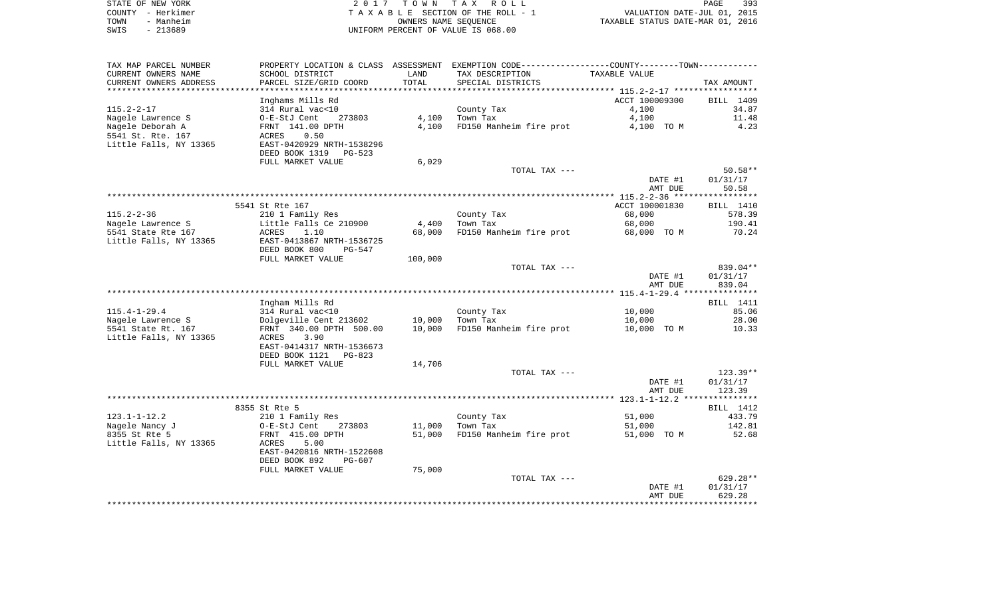| STATE OF NEW YORK | 2017 TOWN TAX ROLL                 |                      |                                  | PAGE | 393 |
|-------------------|------------------------------------|----------------------|----------------------------------|------|-----|
| COUNTY – Herkimer | TAXABLE SECTION OF THE ROLL - 1    |                      | VALUATION DATE-JUL 01, 2015      |      |     |
| - Manheim<br>TOWN |                                    | OWNERS NAME SEOUENCE | TAXABLE STATUS DATE-MAR 01, 2016 |      |     |
| $-213689$<br>SWIS | UNIFORM PERCENT OF VALUE IS 068.00 |                      |                                  |      |     |

| TAX MAP PARCEL NUMBER  |                                            |         | PROPERTY LOCATION & CLASS ASSESSMENT EXEMPTION CODE----------------COUNTY-------TOWN----------- |                |            |
|------------------------|--------------------------------------------|---------|-------------------------------------------------------------------------------------------------|----------------|------------|
| CURRENT OWNERS NAME    | SCHOOL DISTRICT                            | LAND    | TAX DESCRIPTION                                                                                 | TAXABLE VALUE  |            |
| CURRENT OWNERS ADDRESS | PARCEL SIZE/GRID COORD                     | TOTAL   | SPECIAL DISTRICTS                                                                               |                | TAX AMOUNT |
| ********************   |                                            |         |                                                                                                 |                |            |
|                        | Inghams Mills Rd                           |         |                                                                                                 | ACCT 100009300 | BILL 1409  |
| $115.2 - 2 - 17$       | 314 Rural vac<10                           |         | County Tax                                                                                      | 4,100          | 34.87      |
| Nagele Lawrence S      | O-E-StJ Cent<br>273803                     | 4,100   | Town Tax                                                                                        | 4,100          | 11.48      |
| Nagele Deborah A       | FRNT 141.00 DPTH                           | 4,100   | FD150 Manheim fire prot                                                                         | 4,100 TO M     | 4.23       |
| 5541 St. Rte. 167      | 0.50<br>ACRES                              |         |                                                                                                 |                |            |
| Little Falls, NY 13365 | EAST-0420929 NRTH-1538296                  |         |                                                                                                 |                |            |
|                        | DEED BOOK 1319<br>PG-523                   |         |                                                                                                 |                |            |
|                        | FULL MARKET VALUE                          | 6,029   | TOTAL TAX ---                                                                                   |                | $50.58**$  |
|                        |                                            |         |                                                                                                 | DATE #1        | 01/31/17   |
|                        |                                            |         |                                                                                                 | AMT DUE        | 50.58      |
|                        |                                            |         |                                                                                                 |                |            |
|                        | 5541 St Rte 167                            |         |                                                                                                 | ACCT 100001830 | BILL 1410  |
| $115.2 - 2 - 36$       | 210 1 Family Res                           |         | County Tax                                                                                      | 68,000         | 578.39     |
| Nagele Lawrence S      | Little Falls Ce 210900                     | 4,400   | Town Tax                                                                                        | 68,000         | 190.41     |
| 5541 State Rte 167     | 1.10<br>ACRES                              | 68,000  | FD150 Manheim fire prot                                                                         | 68,000 TO M    | 70.24      |
| Little Falls, NY 13365 | EAST-0413867 NRTH-1536725                  |         |                                                                                                 |                |            |
|                        | DEED BOOK 800<br>$PG-547$                  |         |                                                                                                 |                |            |
|                        | FULL MARKET VALUE                          | 100,000 |                                                                                                 |                |            |
|                        |                                            |         | TOTAL TAX ---                                                                                   |                | 839.04**   |
|                        |                                            |         |                                                                                                 | DATE #1        | 01/31/17   |
|                        |                                            |         |                                                                                                 | AMT DUE        | 839.04     |
|                        |                                            |         |                                                                                                 |                |            |
|                        | Ingham Mills Rd                            |         |                                                                                                 |                | BILL 1411  |
| $115.4 - 1 - 29.4$     | 314 Rural vac<10                           |         | County Tax                                                                                      | 10,000         | 85.06      |
| Nagele Lawrence S      | Dolgeville Cent 213602                     | 10,000  | Town Tax                                                                                        | 10,000         | 28.00      |
| 5541 State Rt. 167     | FRNT 340.00 DPTH 500.00                    | 10,000  | FD150 Manheim fire prot                                                                         | 10,000 TO M    | 10.33      |
| Little Falls, NY 13365 | 3.90<br>ACRES<br>EAST-0414317 NRTH-1536673 |         |                                                                                                 |                |            |
|                        | DEED BOOK 1121<br>$PG-823$                 |         |                                                                                                 |                |            |
|                        | FULL MARKET VALUE                          | 14,706  |                                                                                                 |                |            |
|                        |                                            |         | TOTAL TAX ---                                                                                   |                | $123.39**$ |
|                        |                                            |         |                                                                                                 | DATE #1        | 01/31/17   |
|                        |                                            |         |                                                                                                 | AMT DUE        | 123.39     |
|                        |                                            |         |                                                                                                 |                |            |
|                        | 8355 St Rte 5                              |         |                                                                                                 |                | BILL 1412  |
| $123.1 - 1 - 12.2$     | 210 1 Family Res                           |         | County Tax                                                                                      | 51,000         | 433.79     |
| Nagele Nancy J         | O-E-StJ Cent<br>273803                     | 11,000  | Town Tax                                                                                        | 51,000         | 142.81     |
| 8355 St Rte 5          | FRNT 415.00 DPTH                           | 51,000  | FD150 Manheim fire prot                                                                         | 51,000 TO M    | 52.68      |
| Little Falls, NY 13365 | 5.00<br>ACRES                              |         |                                                                                                 |                |            |
|                        | EAST-0420816 NRTH-1522608                  |         |                                                                                                 |                |            |
|                        | DEED BOOK 892<br>$PG-607$                  |         |                                                                                                 |                |            |
|                        | FULL MARKET VALUE                          | 75,000  |                                                                                                 |                |            |
|                        |                                            |         | TOTAL TAX ---                                                                                   |                | 629.28**   |
|                        |                                            |         |                                                                                                 | DATE #1        | 01/31/17   |
|                        |                                            |         |                                                                                                 | AMT DUE        | 629.28     |
|                        |                                            |         |                                                                                                 |                |            |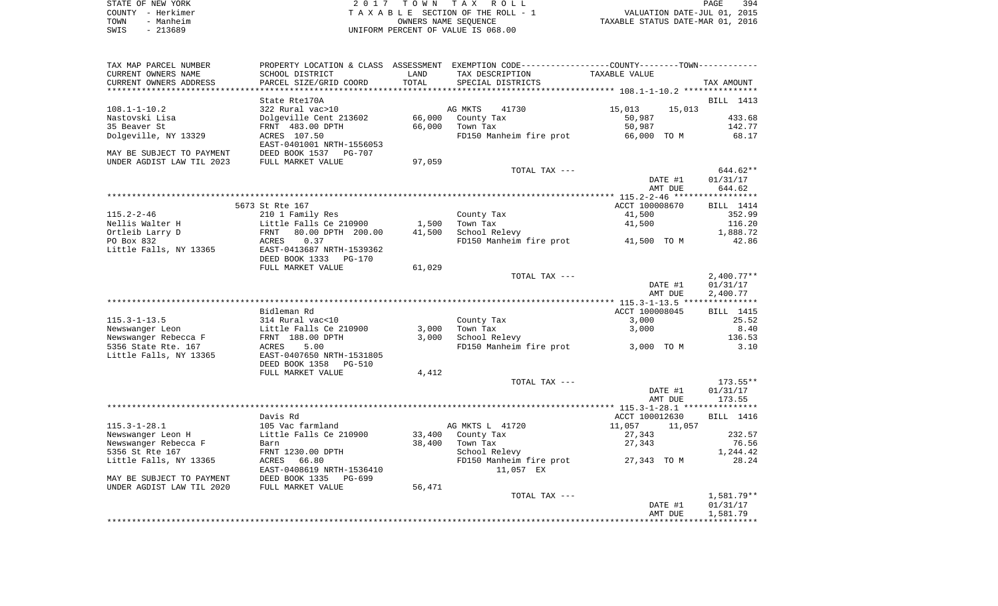| STATE OF NEW YORK | 2017 TOWN TAX ROLL                 | 394<br>PAGE                      |
|-------------------|------------------------------------|----------------------------------|
| COUNTY - Herkimer | TAXABLE SECTION OF THE ROLL - 1    | VALUATION DATE-JUL 01, 2015      |
| - Manheim<br>TOWN | OWNERS NAME SEOUENCE               | TAXABLE STATUS DATE-MAR 01, 2016 |
| $-213689$<br>SWIS | UNIFORM PERCENT OF VALUE IS 068.00 |                                  |

| TAX MAP PARCEL NUMBER     |                                                              |                 | PROPERTY LOCATION & CLASS ASSESSMENT EXEMPTION CODE---------------COUNTY-------TOWN---------- |                                                    |                          |
|---------------------------|--------------------------------------------------------------|-----------------|-----------------------------------------------------------------------------------------------|----------------------------------------------------|--------------------------|
| CURRENT OWNERS NAME       | SCHOOL DISTRICT                                              | LAND            | TAX DESCRIPTION                                                                               | TAXABLE VALUE                                      |                          |
| CURRENT OWNERS ADDRESS    | PARCEL SIZE/GRID COORD                                       | TOTAL           | SPECIAL DISTRICTS                                                                             |                                                    | TAX AMOUNT               |
| *******************       | * * * * * * * * * * * * * * * * * * * *                      | *************** |                                                                                               | ******************** 108.1-1-10.2 **************** |                          |
|                           | State Rte170A                                                |                 |                                                                                               |                                                    | BILL 1413                |
| $108.1 - 1 - 10.2$        | 322 Rural vac>10                                             |                 | AG MKTS<br>41730                                                                              | 15,013<br>15,013                                   |                          |
| Nastovski Lisa            | Dolgeville Cent 213602                                       | 66,000          | County Tax                                                                                    | 50,987                                             | 433.68                   |
| 35 Beaver St              | FRNT 483.00 DPTH                                             | 66,000          | Town Tax                                                                                      | 50,987                                             | 142.77                   |
| Dolgeville, NY 13329      | ACRES 107.50<br>EAST-0401001 NRTH-1556053                    |                 | FD150 Manheim fire prot                                                                       | 66,000 TO M                                        | 68.17                    |
| MAY BE SUBJECT TO PAYMENT | DEED BOOK 1537<br><b>PG-707</b>                              |                 |                                                                                               |                                                    |                          |
| UNDER AGDIST LAW TIL 2023 | FULL MARKET VALUE                                            | 97,059          |                                                                                               |                                                    |                          |
|                           |                                                              |                 | TOTAL TAX ---                                                                                 |                                                    | 644.62**                 |
|                           |                                                              |                 |                                                                                               | DATE #1                                            | 01/31/17                 |
|                           |                                                              |                 |                                                                                               | AMT DUE                                            | 644.62                   |
|                           |                                                              |                 |                                                                                               |                                                    |                          |
|                           | 5673 St Rte 167                                              |                 |                                                                                               | ACCT 100008670                                     | BILL 1414                |
| $115.2 - 2 - 46$          | 210 1 Family Res                                             |                 | County Tax                                                                                    | 41,500                                             | 352.99                   |
| Nellis Walter H           | Little Falls Ce 210900                                       | 1,500           | Town Tax                                                                                      | 41,500                                             | 116.20                   |
| Ortleib Larry D           | FRNT<br>80.00 DPTH 200.00                                    | 41,500          | School Relevy                                                                                 |                                                    | 1,888.72                 |
| PO Box 832                | 0.37<br>ACRES                                                |                 | FD150 Manheim fire prot                                                                       | 41,500 TO M                                        | 42.86                    |
| Little Falls, NY 13365    | EAST-0413687 NRTH-1539362<br>DEED BOOK 1333<br><b>PG-170</b> |                 |                                                                                               |                                                    |                          |
|                           | FULL MARKET VALUE                                            | 61,029          |                                                                                               |                                                    |                          |
|                           |                                                              |                 | TOTAL TAX ---                                                                                 | DATE #1                                            | $2,400.77**$<br>01/31/17 |
|                           |                                                              |                 |                                                                                               | AMT DUE                                            | 2,400.77                 |
|                           | Bidleman Rd                                                  |                 |                                                                                               | ACCT 100008045                                     | <b>BILL</b> 1415         |
| $115.3 - 1 - 13.5$        | 314 Rural vac<10                                             |                 |                                                                                               |                                                    | 25.52                    |
| Newswanger Leon           | Little Falls Ce 210900                                       | 3,000           | County Tax<br>Town Tax                                                                        | 3,000<br>3,000                                     | 8.40                     |
| Newswanger Rebecca F      | FRNT 188.00 DPTH                                             | 3,000           | School Relevy                                                                                 |                                                    | 136.53                   |
| 5356 State Rte. 167       | ACRES<br>5.00                                                |                 | FD150 Manheim fire prot                                                                       | 3,000 TO M                                         | 3.10                     |
| Little Falls, NY 13365    | EAST-0407650 NRTH-1531805                                    |                 |                                                                                               |                                                    |                          |
|                           | DEED BOOK 1358<br><b>PG-510</b>                              |                 |                                                                                               |                                                    |                          |
|                           | FULL MARKET VALUE                                            | 4,412           |                                                                                               |                                                    |                          |
|                           |                                                              |                 | TOTAL TAX ---                                                                                 |                                                    | $173.55**$               |
|                           |                                                              |                 |                                                                                               | DATE #1                                            | 01/31/17                 |
|                           |                                                              |                 |                                                                                               | AMT DUE                                            | 173.55                   |
|                           |                                                              |                 |                                                                                               |                                                    |                          |
|                           | Davis Rd                                                     |                 |                                                                                               | ACCT 100012630                                     | BILL 1416                |
| $115.3 - 1 - 28.1$        | 105 Vac farmland                                             |                 | AG MKTS L 41720                                                                               | 11,057<br>11,057                                   |                          |
| Newswanger Leon H         | Little Falls Ce 210900                                       | 33,400          | County Tax                                                                                    | 27,343                                             | 232.57                   |
| Newswanger Rebecca F      | Barn                                                         | 38,400          | Town Tax                                                                                      | 27,343                                             | 76.56                    |
| 5356 St Rte 167           | FRNT 1230.00 DPTH                                            |                 | School Relevy                                                                                 |                                                    | 1,244.42                 |
| Little Falls, NY 13365    | ACRES<br>66.80                                               |                 | FD150 Manheim fire prot                                                                       | 27,343 TO M                                        | 28.24                    |
| MAY BE SUBJECT TO PAYMENT | EAST-0408619 NRTH-1536410<br>DEED BOOK 1335<br>PG-699        |                 | 11,057 EX                                                                                     |                                                    |                          |
| UNDER AGDIST LAW TIL 2020 | FULL MARKET VALUE                                            | 56,471          |                                                                                               |                                                    |                          |
|                           |                                                              |                 | TOTAL TAX ---                                                                                 |                                                    | 1,581.79**               |
|                           |                                                              |                 |                                                                                               | DATE #1                                            | 01/31/17                 |
|                           |                                                              |                 |                                                                                               | AMT DUE                                            | 1,581.79                 |
|                           |                                                              |                 |                                                                                               |                                                    |                          |
|                           |                                                              |                 |                                                                                               |                                                    |                          |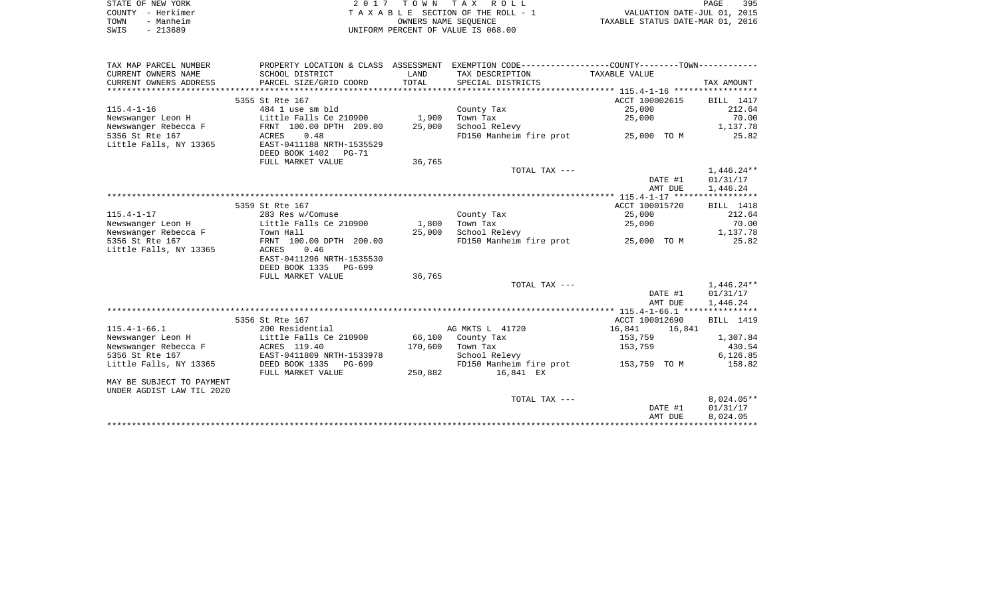|      | STATE OF NEW YORK | 2017 TOWN TAX ROLL                 | PAGE                             | 395 |
|------|-------------------|------------------------------------|----------------------------------|-----|
|      | COUNTY – Herkimer | TAXABLE SECTION OF THE ROLL - 1    | VALUATION DATE-JUL 01, 2015      |     |
| TOWN | - Manheim         | OWNERS NAME SEOUENCE               | TAXABLE STATUS DATE-MAR 01, 2016 |     |
| SWIS | - 213689          | UNIFORM PERCENT OF VALUE IS 068.00 |                                  |     |

| TAX MAP PARCEL NUMBER     |                           |         | PROPERTY LOCATION & CLASS ASSESSMENT EXEMPTION CODE---------------COUNTY-------TOWN---------- |                  |                  |
|---------------------------|---------------------------|---------|-----------------------------------------------------------------------------------------------|------------------|------------------|
| CURRENT OWNERS NAME       | SCHOOL DISTRICT           | LAND    | TAX DESCRIPTION                                                                               | TAXABLE VALUE    |                  |
| CURRENT OWNERS ADDRESS    | PARCEL SIZE/GRID COORD    | TOTAL   | SPECIAL DISTRICTS                                                                             |                  | TAX AMOUNT       |
|                           |                           |         |                                                                                               |                  |                  |
|                           | 5355 St Rte 167           |         |                                                                                               | ACCT 100002615   | BILL 1417        |
| $115.4 - 1 - 16$          | 484 1 use sm bld          |         | County Tax                                                                                    | 25,000           | 212.64           |
| Newswanger Leon H         | Little Falls Ce 210900    | 1,900   | Town Tax                                                                                      | 25,000           | 70.00            |
| Newswanger Rebecca F      | FRNT 100.00 DPTH 209.00   | 25,000  | School Relevy                                                                                 |                  | 1,137.78         |
| 5356 St Rte 167           | 0.48<br>ACRES             |         | FD150 Manheim fire prot 25,000 TO M                                                           |                  | 25.82            |
| Little Falls, NY 13365    | EAST-0411188 NRTH-1535529 |         |                                                                                               |                  |                  |
|                           | DEED BOOK 1402 PG-71      |         |                                                                                               |                  |                  |
|                           | FULL MARKET VALUE         | 36,765  |                                                                                               |                  |                  |
|                           |                           |         | TOTAL TAX ---                                                                                 |                  | 1,446.24**       |
|                           |                           |         |                                                                                               | DATE #1          | 01/31/17         |
|                           |                           |         |                                                                                               | AMT DUE          | 1,446.24         |
|                           |                           |         |                                                                                               |                  |                  |
|                           | 5359 St Rte 167           |         |                                                                                               | ACCT 100015720   | <b>BILL</b> 1418 |
| $115.4 - 1 - 17$          | 283 Res w/Comuse          |         | County Tax                                                                                    | 25,000           | 212.64           |
| Newswanger Leon H         | Little Falls Ce 210900    | 1,800   | Town Tax                                                                                      | 25,000           | 70.00            |
| Newswanger Rebecca F      | Town Hall                 | 25,000  | School Relevy                                                                                 |                  | 1,137.78         |
| 5356 St Rte 167           | FRNT 100.00 DPTH 200.00   |         | FD150 Manheim fire prot 25,000 TO M                                                           |                  | 25.82            |
| Little Falls, NY 13365    | 0.46<br>ACRES             |         |                                                                                               |                  |                  |
|                           | EAST-0411296 NRTH-1535530 |         |                                                                                               |                  |                  |
|                           | DEED BOOK 1335 PG-699     |         |                                                                                               |                  |                  |
|                           | FULL MARKET VALUE         | 36,765  |                                                                                               |                  |                  |
|                           |                           |         | TOTAL TAX ---                                                                                 |                  | $1,446.24**$     |
|                           |                           |         |                                                                                               | DATE #1          | 01/31/17         |
|                           |                           |         |                                                                                               | AMT DUE          | 1,446.24         |
|                           |                           |         |                                                                                               |                  |                  |
|                           | 5356 St Rte 167           |         |                                                                                               | ACCT 100012690   | <b>BILL</b> 1419 |
| $115.4 - 1 - 66.1$        | 200 Residential           |         | AG MKTS L 41720                                                                               | 16,841<br>16,841 |                  |
| Newswanger Leon H         | Little Falls Ce 210900    |         | 66,100 County Tax                                                                             | 153,759          | 1,307.84         |
| Newswanger Rebecca F      | ACRES 119.40              | 170,600 | Town Tax                                                                                      | 153,759          | 430.54           |
| 5356 St Rte 167           | EAST-0411809 NRTH-1533978 |         | School Relevy                                                                                 |                  | 6,126.85         |
| Little Falls, NY 13365    | DEED BOOK 1335<br>PG-699  |         | FD150 Manheim fire prot                                                                       | 153,759 TO M     | 158.82           |
|                           | FULL MARKET VALUE         | 250,882 | 16,841 EX                                                                                     |                  |                  |
| MAY BE SUBJECT TO PAYMENT |                           |         |                                                                                               |                  |                  |
| UNDER AGDIST LAW TIL 2020 |                           |         |                                                                                               |                  |                  |
|                           |                           |         | TOTAL TAX ---                                                                                 |                  | $8,024.05**$     |
|                           |                           |         |                                                                                               | DATE #1          | 01/31/17         |
|                           |                           |         |                                                                                               | AMT DUE          | 8,024.05         |
|                           |                           |         |                                                                                               |                  |                  |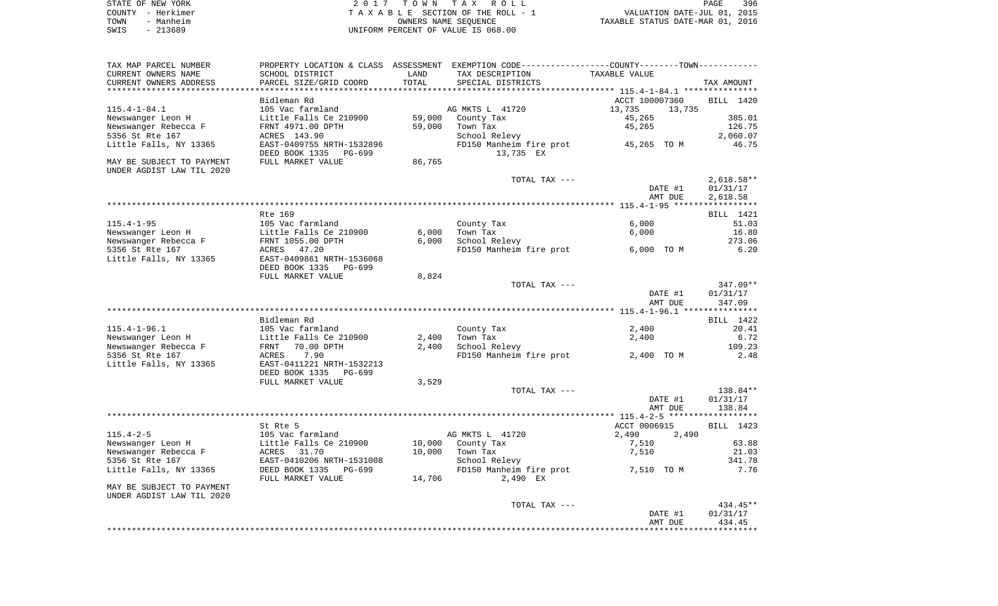| STATE OF NEW YORK | 2017 TOWN TAX ROLL                 | 396<br><b>PAGE</b>               |
|-------------------|------------------------------------|----------------------------------|
| COUNTY - Herkimer | TAXABLE SECTION OF THE ROLL - 1    | VALUATION DATE-JUL 01, 2015      |
| - Manheim<br>TOWN | OWNERS NAME SEOUENCE               | TAXABLE STATUS DATE-MAR 01, 2016 |
| SWIS<br>$-213689$ | UNIFORM PERCENT OF VALUE IS 068.00 |                                  |

| TAX MAP PARCEL NUMBER<br>CURRENT OWNERS NAME           | PROPERTY LOCATION & CLASS ASSESSMENT<br>SCHOOL DISTRICT                | LAND                      | EXEMPTION CODE-----------------COUNTY--------TOWN-----------<br>TAX DESCRIPTION | TAXABLE VALUE      |                          |
|--------------------------------------------------------|------------------------------------------------------------------------|---------------------------|---------------------------------------------------------------------------------|--------------------|--------------------------|
| CURRENT OWNERS ADDRESS<br>**********************       | PARCEL SIZE/GRID COORD<br>***********************                      | TOTAL<br>**************** | SPECIAL DISTRICTS                                                               |                    | TAX AMOUNT               |
|                                                        | Bidleman Rd                                                            |                           |                                                                                 | ACCT 100007360     | BILL 1420                |
| $115.4 - 1 - 84.1$                                     | 105 Vac farmland                                                       |                           | AG MKTS L 41720                                                                 | 13,735<br>13,735   |                          |
| Newswanger Leon H                                      | Little Falls Ce 210900                                                 | 59,000                    | County Tax                                                                      | 45,265             | 385.01                   |
| Newswanger Rebecca F                                   | FRNT 4971.00 DPTH                                                      | 59,000                    | Town Tax                                                                        | 45,265             | 126.75                   |
| 5356 St Rte 167                                        | ACRES 143.90                                                           |                           | School Relevy                                                                   |                    | 2,060.07                 |
| Little Falls, NY 13365                                 | EAST-0409755 NRTH-1532896<br>DEED BOOK 1335 PG-699                     |                           | FD150 Manheim fire prot<br>13,735 EX                                            | 45,265 TO M        | 46.75                    |
| MAY BE SUBJECT TO PAYMENT<br>UNDER AGDIST LAW TIL 2020 | FULL MARKET VALUE                                                      | 86,765                    |                                                                                 |                    |                          |
|                                                        |                                                                        |                           | TOTAL TAX ---                                                                   | DATE #1            | $2,618.58**$<br>01/31/17 |
|                                                        |                                                                        |                           |                                                                                 | AMT DUE            | 2,618.58                 |
|                                                        | Rte 169                                                                |                           |                                                                                 |                    |                          |
| $115.4 - 1 - 95$                                       | 105 Vac farmland                                                       |                           |                                                                                 | 6,000              | BILL 1421<br>51.03       |
| Newswanger Leon H                                      | Little Falls Ce 210900                                                 | 6,000                     | County Tax<br>Town Tax                                                          | 6,000              | 16.80                    |
| Newswanger Rebecca F                                   | FRNT 1055.00 DPTH                                                      | 6,000                     | School Relevy                                                                   |                    | 273.06                   |
| 5356 St Rte 167                                        | ACRES<br>47.20                                                         |                           | FD150 Manheim fire prot                                                         | 6,000 TO M         | 6.20                     |
| Little Falls, NY 13365                                 | EAST-0409861 NRTH-1536068<br>DEED BOOK 1335<br>PG-699                  |                           |                                                                                 |                    |                          |
|                                                        | FULL MARKET VALUE                                                      | 8,824                     |                                                                                 |                    |                          |
|                                                        |                                                                        |                           | TOTAL TAX ---                                                                   |                    | 347.09**                 |
|                                                        |                                                                        |                           |                                                                                 | DATE #1<br>AMT DUE | 01/31/17<br>347.09       |
|                                                        |                                                                        |                           |                                                                                 |                    |                          |
|                                                        | Bidleman Rd                                                            |                           |                                                                                 |                    | BILL 1422                |
| $115.4 - 1 - 96.1$                                     | 105 Vac farmland                                                       |                           | County Tax                                                                      | 2,400              | 20.41                    |
| Newswanger Leon H                                      | Little Falls Ce 210900                                                 | 2,400                     | Town Tax                                                                        | 2,400              | 6.72                     |
| Newswanger Rebecca F                                   | 70.00 DPTH<br>FRNT                                                     | 2,400                     | School Relevy                                                                   |                    | 109.23                   |
| 5356 St Rte 167<br>Little Falls, NY 13365              | 7.90<br>ACRES<br>EAST-0411221 NRTH-1532213<br>DEED BOOK 1335<br>PG-699 |                           | FD150 Manheim fire prot                                                         | 2,400 TO M         | 2.48                     |
|                                                        | FULL MARKET VALUE                                                      | 3,529                     |                                                                                 |                    |                          |
|                                                        |                                                                        |                           | TOTAL TAX ---                                                                   |                    | 138.84**                 |
|                                                        |                                                                        |                           |                                                                                 | DATE #1<br>AMT DUE | 01/31/17<br>138.84       |
|                                                        |                                                                        |                           |                                                                                 |                    |                          |
|                                                        | St Rte 5                                                               |                           |                                                                                 | ACCT 0006915       | BILL 1423                |
| $115.4 - 2 - 5$                                        | 105 Vac farmland                                                       |                           | AG MKTS L 41720                                                                 | 2,490<br>2,490     |                          |
| Newswanger Leon H                                      | Little Falls Ce 210900                                                 | 10,000                    | County Tax                                                                      | 7,510              | 63.88                    |
| Newswanger Rebecca F                                   | ACRES<br>31.70                                                         | 10,000                    | Town Tax                                                                        | 7,510              | 21.03                    |
| 5356 St Rte 167                                        | EAST-0410206 NRTH-1531008                                              |                           | School Relevy                                                                   |                    | 341.78                   |
| Little Falls, NY 13365                                 | DEED BOOK 1335<br>PG-699<br>FULL MARKET VALUE                          | 14,706                    | FD150 Manheim fire prot<br>2,490 EX                                             | 7,510 TO M         | 7.76                     |
| MAY BE SUBJECT TO PAYMENT<br>UNDER AGDIST LAW TIL 2020 |                                                                        |                           |                                                                                 |                    |                          |
|                                                        |                                                                        |                           | TOTAL TAX ---                                                                   |                    | 434.45**                 |
|                                                        |                                                                        |                           |                                                                                 | DATE #1<br>AMT DUE | 01/31/17<br>434.45       |
|                                                        |                                                                        |                           |                                                                                 |                    |                          |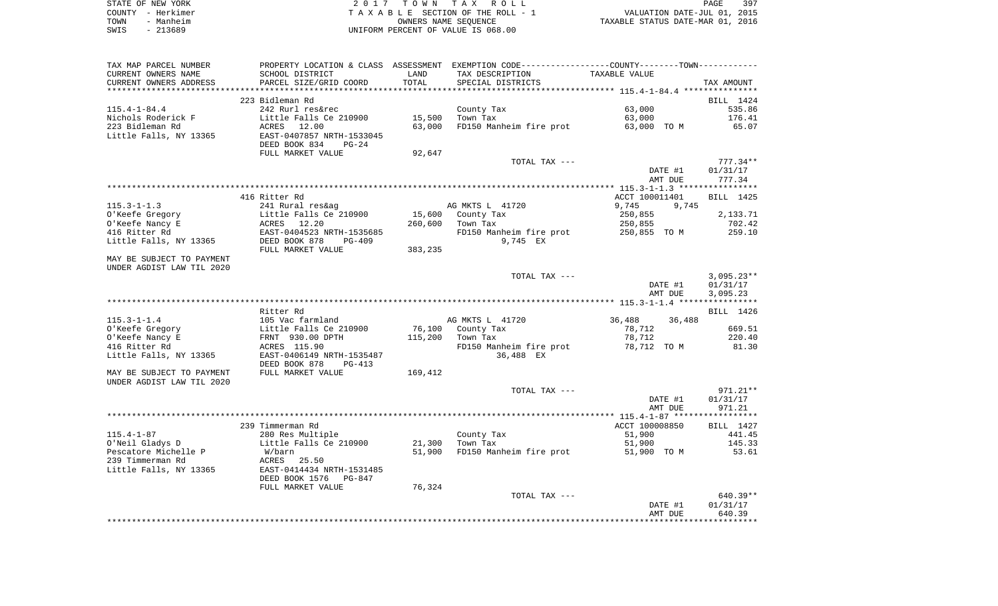| STATE OF NEW YORK | 2017 TOWN TAX ROLL                 | 397<br>PAGE                      |
|-------------------|------------------------------------|----------------------------------|
| COUNTY - Herkimer | TAXABLE SECTION OF THE ROLL - 1    | VALUATION DATE-JUL 01, 2015      |
| - Manheim<br>TOWN | OWNERS NAME SEOUENCE               | TAXABLE STATUS DATE-MAR 01, 2016 |
| SWIS<br>- 213689  | UNIFORM PERCENT OF VALUE IS 068.00 |                                  |

| TAX MAP PARCEL NUMBER            |                                                       |         | PROPERTY LOCATION & CLASS ASSESSMENT EXEMPTION CODE---------------COUNTY-------TOWN---------- |                       |                 |
|----------------------------------|-------------------------------------------------------|---------|-----------------------------------------------------------------------------------------------|-----------------------|-----------------|
| CURRENT OWNERS NAME              | SCHOOL DISTRICT                                       | LAND    | TAX DESCRIPTION                                                                               | TAXABLE VALUE         |                 |
| CURRENT OWNERS ADDRESS           | PARCEL SIZE/GRID COORD                                | TOTAL   | SPECIAL DISTRICTS                                                                             |                       | TAX AMOUNT      |
|                                  |                                                       |         |                                                                                               |                       |                 |
|                                  | 223 Bidleman Rd                                       |         |                                                                                               |                       | BILL 1424       |
| $115.4 - 1 - 84.4$               | 242 Rurl res&rec                                      |         | County Tax                                                                                    | 63,000                | 535.86          |
| Nichols Roderick F               | Little Falls Ce 210900                                | 15,500  | Town Tax                                                                                      | 63,000                | 176.41          |
| 223 Bidleman Rd                  | ACRES 12.00                                           | 63,000  | FD150 Manheim fire prot                                                                       | 63,000 TO M           | 65.07           |
| Little Falls, NY 13365           | EAST-0407857 NRTH-1533045<br>DEED BOOK 834<br>$PG-24$ |         |                                                                                               |                       |                 |
|                                  | FULL MARKET VALUE                                     | 92,647  |                                                                                               |                       |                 |
|                                  |                                                       |         | TOTAL TAX ---                                                                                 |                       | $777.34**$      |
|                                  |                                                       |         |                                                                                               | DATE #1               | 01/31/17        |
|                                  |                                                       |         |                                                                                               | AMT DUE               | 777.34          |
|                                  |                                                       |         |                                                                                               |                       |                 |
|                                  | 416 Ritter Rd                                         |         |                                                                                               | ACCT 100011401        | BILL 1425       |
| $115.3 - 1 - 1.3$                | 241 Rural res&ag                                      |         | AG MKTS L 41720                                                                               | 9,745<br>9,745        |                 |
| O'Keefe Gregory                  | Little Falls Ce 210900                                | 15,600  | County Tax                                                                                    | 250,855               | 2,133.71        |
| O'Keefe Nancy E                  | ACRES 12.20                                           | 260,600 | Town Tax                                                                                      | 250,855               | 702.42          |
| 416 Ritter Rd                    | EAST-0404523 NRTH-1535685                             |         | FD150 Manheim fire prot                                                                       | 250,855 TO M          | 259.10          |
| Little Falls, NY 13365           | DEED BOOK 878<br>$PG-409$                             |         | 9,745 EX                                                                                      |                       |                 |
| MAY BE SUBJECT TO PAYMENT        | FULL MARKET VALUE                                     | 383,235 |                                                                                               |                       |                 |
| UNDER AGDIST LAW TIL 2020        |                                                       |         |                                                                                               |                       |                 |
|                                  |                                                       |         | TOTAL TAX ---                                                                                 |                       | $3,095.23**$    |
|                                  |                                                       |         |                                                                                               | DATE #1               | 01/31/17        |
|                                  |                                                       |         |                                                                                               | AMT DUE               | 3,095.23        |
|                                  |                                                       |         |                                                                                               |                       |                 |
|                                  | Ritter Rd                                             |         |                                                                                               |                       | BILL 1426       |
| $115.3 - 1 - 1.4$                | 105 Vac farmland                                      |         | AG MKTS L 41720                                                                               | 36,488<br>36,488      |                 |
| O'Keefe Gregory                  | Little Falls Ce 210900                                | 76,100  | County Tax                                                                                    | 78,712                | 669.51          |
| O'Keefe Nancy E<br>416 Ritter Rd | FRNT 930.00 DPTH                                      | 115,200 | Town Tax                                                                                      | 78,712<br>78,712 TO M | 220.40<br>81.30 |
|                                  | ACRES 115.90<br>EAST-0406149 NRTH-1535487             |         | FD150 Manheim fire prot<br>36,488 EX                                                          |                       |                 |
| Little Falls, NY 13365           | DEED BOOK 878<br>PG-413                               |         |                                                                                               |                       |                 |
| MAY BE SUBJECT TO PAYMENT        | FULL MARKET VALUE                                     | 169,412 |                                                                                               |                       |                 |
| UNDER AGDIST LAW TIL 2020        |                                                       |         |                                                                                               |                       |                 |
|                                  |                                                       |         | TOTAL TAX ---                                                                                 |                       | 971.21**        |
|                                  |                                                       |         |                                                                                               | DATE #1               | 01/31/17        |
|                                  |                                                       |         |                                                                                               | AMT DUE               | 971.21          |
|                                  |                                                       |         |                                                                                               |                       |                 |
|                                  | 239 Timmerman Rd                                      |         |                                                                                               | ACCT 100008850        | BILL 1427       |
| $115.4 - 1 - 87$                 | 280 Res Multiple                                      |         | County Tax                                                                                    | 51,900                | 441.45          |
| O'Neil Gladys D                  | Little Falls Ce 210900                                | 21,300  | Town Tax                                                                                      | 51,900                | 145.33          |
| Pescatore Michelle P             | W/barn                                                | 51,900  | FD150 Manheim fire prot                                                                       | 51,900 TO M           | 53.61           |
| 239 Timmerman Rd                 | ACRES 25.50                                           |         |                                                                                               |                       |                 |
| Little Falls, NY 13365           | EAST-0414434 NRTH-1531485                             |         |                                                                                               |                       |                 |
|                                  | DEED BOOK 1576<br>PG-847                              |         |                                                                                               |                       |                 |
|                                  | FULL MARKET VALUE                                     | 76,324  |                                                                                               |                       |                 |
|                                  |                                                       |         | TOTAL TAX ---                                                                                 |                       | 640.39**        |
|                                  |                                                       |         |                                                                                               | DATE #1               | 01/31/17        |
|                                  |                                                       |         |                                                                                               | AMT DUE               | 640.39          |
|                                  |                                                       |         |                                                                                               |                       |                 |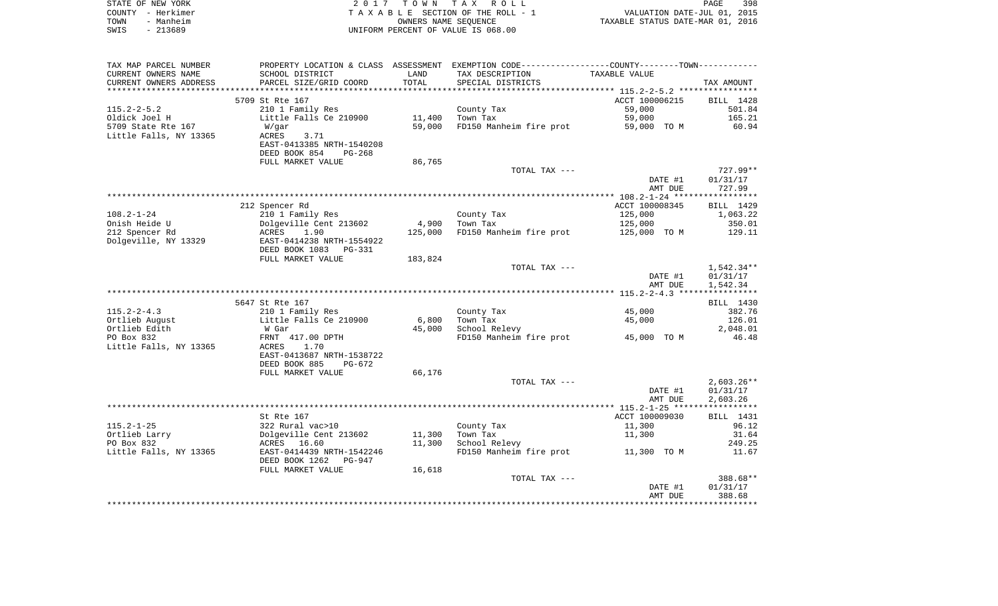|      | STATE OF NEW YORK | 2017 TOWN TAX ROLL                 | PAGE                             | 398 |
|------|-------------------|------------------------------------|----------------------------------|-----|
|      | COUNTY - Herkimer | TAXABLE SECTION OF THE ROLL - 1    | VALUATION DATE-JUL 01, 2015      |     |
| TOWN | - Manheim         | OWNERS NAME SEOUENCE               | TAXABLE STATUS DATE-MAR 01, 2016 |     |
| SWIS | $-213689$         | UNIFORM PERCENT OF VALUE IS 068.00 |                                  |     |

| TAX MAP PARCEL NUMBER<br>CURRENT OWNERS NAME | PROPERTY LOCATION & CLASS ASSESSMENT<br>SCHOOL DISTRICT | LAND<br>TOTAL | EXEMPTION CODE-----------------COUNTY-------TOWN-----------<br>TAX DESCRIPTION          | TAXABLE VALUE                                             |                  |
|----------------------------------------------|---------------------------------------------------------|---------------|-----------------------------------------------------------------------------------------|-----------------------------------------------------------|------------------|
| CURRENT OWNERS ADDRESS<br>****************** | PARCEL SIZE/GRID COORD                                  | *********     | SPECIAL DISTRICTS<br>********************************* 115 . 2–2–5 . 2 **************** |                                                           | TAX AMOUNT       |
|                                              | 5709 St Rte 167                                         |               |                                                                                         | ACCT 100006215                                            | BILL 1428        |
| $115.2 - 2 - 5.2$                            | 210 1 Family Res                                        |               | County Tax                                                                              | 59,000                                                    | 501.84           |
| Oldick Joel H                                | Little Falls Ce 210900                                  | 11,400        | Town Tax                                                                                | 59,000                                                    | 165.21           |
| 5709 State Rte 167                           | W/qar                                                   | 59,000        | FD150 Manheim fire prot                                                                 | 59,000 TO M                                               | 60.94            |
| Little Falls, NY 13365                       | 3.71<br>ACRES                                           |               |                                                                                         |                                                           |                  |
|                                              | EAST-0413385 NRTH-1540208                               |               |                                                                                         |                                                           |                  |
|                                              | DEED BOOK 854<br>$PG-268$                               |               |                                                                                         |                                                           |                  |
|                                              | FULL MARKET VALUE                                       | 86,765        |                                                                                         |                                                           |                  |
|                                              |                                                         |               | TOTAL TAX ---                                                                           |                                                           | $727.99**$       |
|                                              |                                                         |               |                                                                                         | DATE #1                                                   | 01/31/17         |
|                                              |                                                         |               | *******************************                                                         | AMT DUE<br>**************** 108.2-1-24 ****************** | 727.99           |
|                                              | 212 Spencer Rd                                          |               |                                                                                         | ACCT 100008345                                            | BILL 1429        |
| $108.2 - 1 - 24$                             | 210 1 Family Res                                        |               | County Tax                                                                              | 125,000                                                   | 1,063.22         |
| Onish Heide U                                | Dolgeville Cent 213602                                  | 4,900         | Town Tax                                                                                | 125,000                                                   | 350.01           |
| 212 Spencer Rd                               | ACRES<br>1.90                                           | 125,000       | FD150 Manheim fire prot                                                                 | 125,000 TO M                                              | 129.11           |
| Dolgeville, NY 13329                         | EAST-0414238 NRTH-1554922                               |               |                                                                                         |                                                           |                  |
|                                              | DEED BOOK 1083<br>PG-331                                |               |                                                                                         |                                                           |                  |
|                                              | FULL MARKET VALUE                                       | 183,824       |                                                                                         |                                                           |                  |
|                                              |                                                         |               | TOTAL TAX ---                                                                           |                                                           | 1,542.34**       |
|                                              |                                                         |               |                                                                                         | DATE #1                                                   | 01/31/17         |
|                                              |                                                         |               |                                                                                         | AMT DUE                                                   | 1,542.34         |
|                                              |                                                         |               |                                                                                         |                                                           |                  |
| $115.2 - 2 - 4.3$                            | 5647 St Rte 167                                         |               |                                                                                         | 45,000                                                    | BILL 1430        |
| Ortlieb August                               | 210 1 Family Res<br>Little Falls Ce 210900              | 6,800         | County Tax<br>Town Tax                                                                  | 45,000                                                    | 382.76<br>126.01 |
| Ortlieb Edith                                | W Gar                                                   | 45,000        | School Relevy                                                                           |                                                           | 2,048.01         |
| PO Box 832                                   | FRNT 417.00 DPTH                                        |               | FD150 Manheim fire prot                                                                 | 45,000 TO M                                               | 46.48            |
| Little Falls, NY 13365                       | <b>ACRES</b><br>1.70                                    |               |                                                                                         |                                                           |                  |
|                                              | EAST-0413687 NRTH-1538722                               |               |                                                                                         |                                                           |                  |
|                                              | DEED BOOK 885<br>PG-672                                 |               |                                                                                         |                                                           |                  |
|                                              | FULL MARKET VALUE                                       | 66,176        |                                                                                         |                                                           |                  |
|                                              |                                                         |               | TOTAL TAX ---                                                                           |                                                           | $2,603.26**$     |
|                                              |                                                         |               |                                                                                         | DATE #1                                                   | 01/31/17         |
|                                              |                                                         |               |                                                                                         | AMT DUE                                                   | 2,603.26         |
|                                              |                                                         |               |                                                                                         |                                                           |                  |
|                                              | St Rte 167                                              |               |                                                                                         | ACCT 100009030                                            | BILL 1431        |
| $115.2 - 1 - 25$                             | 322 Rural vac>10                                        |               | County Tax                                                                              | 11,300                                                    | 96.12            |
| Ortlieb Larry                                | Dolgeville Cent 213602                                  | 11,300        | Town Tax                                                                                | 11,300                                                    | 31.64            |
| PO Box 832<br>Little Falls, NY 13365         | ACRES 16.60                                             | 11,300        | School Relevy<br>FD150 Manheim fire prot                                                | 11,300 TO M                                               | 249.25<br>11.67  |
|                                              | EAST-0414439 NRTH-1542246<br>DEED BOOK 1262<br>PG-947   |               |                                                                                         |                                                           |                  |
|                                              | FULL MARKET VALUE                                       | 16,618        |                                                                                         |                                                           |                  |
|                                              |                                                         |               | TOTAL TAX ---                                                                           |                                                           | 388.68**         |
|                                              |                                                         |               |                                                                                         | DATE #1                                                   | 01/31/17         |
|                                              |                                                         |               |                                                                                         | AMT DUE                                                   | 388.68           |
|                                              |                                                         |               |                                                                                         |                                                           |                  |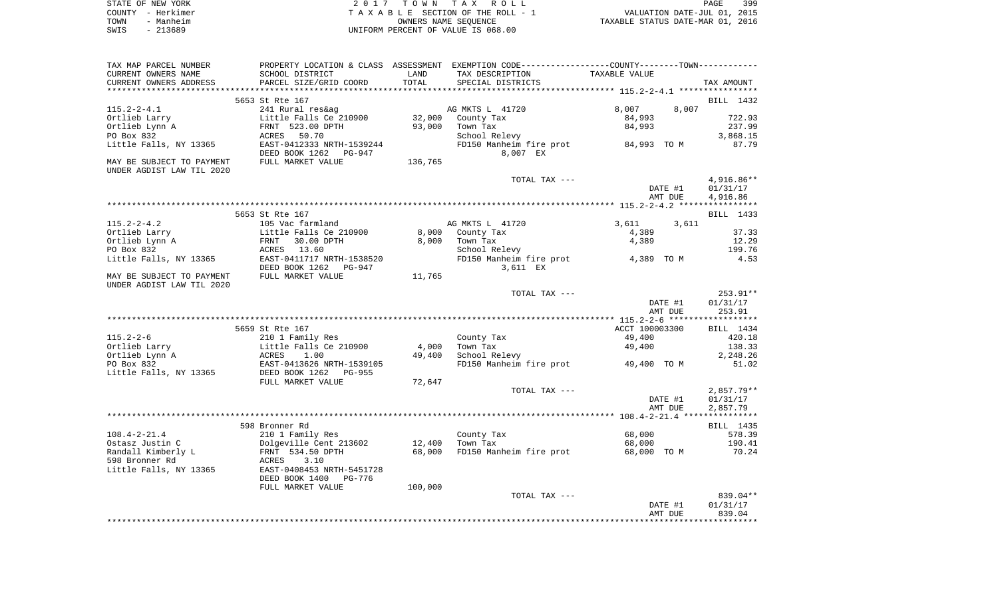|      | STATE OF NEW YORK | 2017 TOWN TAX ROLL                 | <b>PAGE</b>                      | 399 |
|------|-------------------|------------------------------------|----------------------------------|-----|
|      | COUNTY - Herkimer | TAXABLE SECTION OF THE ROLL - 1    | VALUATION DATE-JUL 01, 2015      |     |
| TOWN | - Manheim         | OWNERS NAME SEOUENCE               | TAXABLE STATUS DATE-MAR 01, 2016 |     |
| SWIS | - 213689          | UNIFORM PERCENT OF VALUE IS 068.00 |                                  |     |

| TAX MAP PARCEL NUMBER                                  |                                                                  |         | PROPERTY LOCATION & CLASS ASSESSMENT EXEMPTION CODE---------------COUNTY-------TOWN---------- |                |                  |
|--------------------------------------------------------|------------------------------------------------------------------|---------|-----------------------------------------------------------------------------------------------|----------------|------------------|
| CURRENT OWNERS NAME                                    | SCHOOL DISTRICT                                                  | LAND    | TAX DESCRIPTION                                                                               | TAXABLE VALUE  |                  |
| CURRENT OWNERS ADDRESS                                 | PARCEL SIZE/GRID COORD                                           | TOTAL   | SPECIAL DISTRICTS                                                                             |                | TAX AMOUNT       |
|                                                        |                                                                  |         |                                                                                               |                |                  |
|                                                        | 5653 St Rte 167                                                  |         |                                                                                               |                | BILL 1432        |
| $115.2 - 2 - 4.1$                                      | 241 Rural res&ag                                                 |         | AG MKTS L 41720                                                                               | 8,007<br>8,007 |                  |
| Ortlieb Larry                                          | Little Falls Ce 210900                                           | 32,000  | County Tax                                                                                    | 84,993         | 722.93           |
|                                                        | Little Falls ce 21<br>FRNT 523.00 DPTH                           |         |                                                                                               |                |                  |
| Ortlieb Lynn A                                         |                                                                  | 93,000  | Town Tax                                                                                      | 84,993         | 237.99           |
| PO Box 832                                             | ACRES 50.70                                                      |         | School Relevy                                                                                 |                | 3,868.15         |
| Little Falls, NY 13365                                 | EAST-0412333 NRTH-1539244<br>DEED BOOK 1262 PG-947               |         | FD150 Manheim fire prot 84,993 TO M<br>8,007 EX                                               |                | 87.79            |
| MAY BE SUBJECT TO PAYMENT                              | FULL MARKET VALUE                                                | 136,765 |                                                                                               |                |                  |
| UNDER AGDIST LAW TIL 2020                              |                                                                  |         |                                                                                               |                |                  |
|                                                        |                                                                  |         | TOTAL TAX ---                                                                                 |                | $4,916.86**$     |
|                                                        |                                                                  |         |                                                                                               | DATE #1        | 01/31/17         |
|                                                        |                                                                  |         |                                                                                               | AMT DUE        | 4,916.86         |
|                                                        |                                                                  |         |                                                                                               |                |                  |
|                                                        | 5653 St Rte 167                                                  |         |                                                                                               |                | <b>BILL</b> 1433 |
| $115.2 - 2 - 4.2$                                      | 105 Vac farmland                                                 |         | AG MKTS L 41720                                                                               | 3,611<br>3,611 |                  |
|                                                        |                                                                  |         |                                                                                               |                |                  |
| Ortlieb Larry                                          | Little Falls Ce 210900<br>FRNT 30.00 DPTH<br>ACRES 13.60         |         | 8,000 County Tax                                                                              | 4,389          | 37.33            |
| Ortlieb Lynn A                                         |                                                                  | 8,000   | Town Tax                                                                                      | 4,389          | 12.29            |
| PO Box 832                                             |                                                                  |         | School Relevy                                                                                 |                | 199.76           |
|                                                        | Little Falls, NY 13365 EAST-0411717 NRTH-1538520                 |         | FD150 Manheim fire prot 4,389 TO M                                                            |                | 4.53             |
|                                                        | DEED BOOK 1262 PG-947                                            |         | 3,611 EX                                                                                      |                |                  |
| MAY BE SUBJECT TO PAYMENT<br>UNDER AGDIST LAW TIL 2020 | FULL MARKET VALUE                                                | 11,765  |                                                                                               |                |                  |
|                                                        |                                                                  |         | TOTAL TAX ---                                                                                 |                | 253.91**         |
|                                                        |                                                                  |         |                                                                                               | DATE #1        | 01/31/17         |
|                                                        |                                                                  |         |                                                                                               | AMT DUE        | 253.91           |
|                                                        |                                                                  |         |                                                                                               |                |                  |
|                                                        | 5659 St Rte 167                                                  |         |                                                                                               | ACCT 100003300 | BILL 1434        |
| $115.2 - 2 - 6$                                        | 210 1 Family Res                                                 |         | County Tax                                                                                    | 49,400         | 420.18           |
| Ortlieb Larry                                          | Little Falls Ce 210900 4,000                                     |         | Town Tax                                                                                      | 49,400         | 138.33           |
|                                                        |                                                                  |         | School Relevy                                                                                 |                |                  |
| Ortlieb Lynn A                                         | ACRES 1.00<br>EAST-0413626 NRTH-1539105<br>DEED BOOK 1262 PG-955 | 49,400  |                                                                                               |                | 2,248.26         |
| PO Box 832                                             |                                                                  |         | FD150 Manheim fire prot 49,400 TO M                                                           |                | 51.02            |
| Little Falls, NY 13365                                 |                                                                  |         |                                                                                               |                |                  |
|                                                        | FULL MARKET VALUE                                                | 72,647  |                                                                                               |                |                  |
|                                                        |                                                                  |         | TOTAL TAX ---                                                                                 |                | $2.857.79**$     |
|                                                        |                                                                  |         |                                                                                               | DATE #1        | 01/31/17         |
|                                                        |                                                                  |         |                                                                                               | AMT DUE        | 2,857.79         |
|                                                        |                                                                  |         |                                                                                               |                |                  |
|                                                        | 598 Bronner Rd                                                   |         |                                                                                               |                | BILL 1435        |
| $108.4 - 2 - 21.4$                                     |                                                                  |         | County Tax                                                                                    | 68,000         | 578.39           |
| Ostasz Justin C                                        | 210 1 Family Res<br>Dolgeville Cent 213602<br>--------           | 12,400  | Town Tax                                                                                      | 68,000         | 190.41           |
| Randall Kimberly L                                     | FRNT 534.50 DPTH                                                 | 68,000  | FD150 Manheim fire prot 68,000 TO M                                                           |                | 70.24            |
| 598 Bronner Rd                                         | 3.10<br>ACRES                                                    |         |                                                                                               |                |                  |
| Little Falls, NY 13365                                 | EAST-0408453 NRTH-5451728                                        |         |                                                                                               |                |                  |
|                                                        | PG-776                                                           |         |                                                                                               |                |                  |
|                                                        | DEED BOOK 1400                                                   |         |                                                                                               |                |                  |
|                                                        | FULL MARKET VALUE                                                | 100,000 |                                                                                               |                |                  |
|                                                        |                                                                  |         | TOTAL TAX ---                                                                                 |                | 839.04**         |
|                                                        |                                                                  |         |                                                                                               | DATE #1        | 01/31/17         |
|                                                        |                                                                  |         |                                                                                               | AMT DUE        | 839.04           |
|                                                        |                                                                  |         |                                                                                               |                |                  |
|                                                        |                                                                  |         |                                                                                               |                |                  |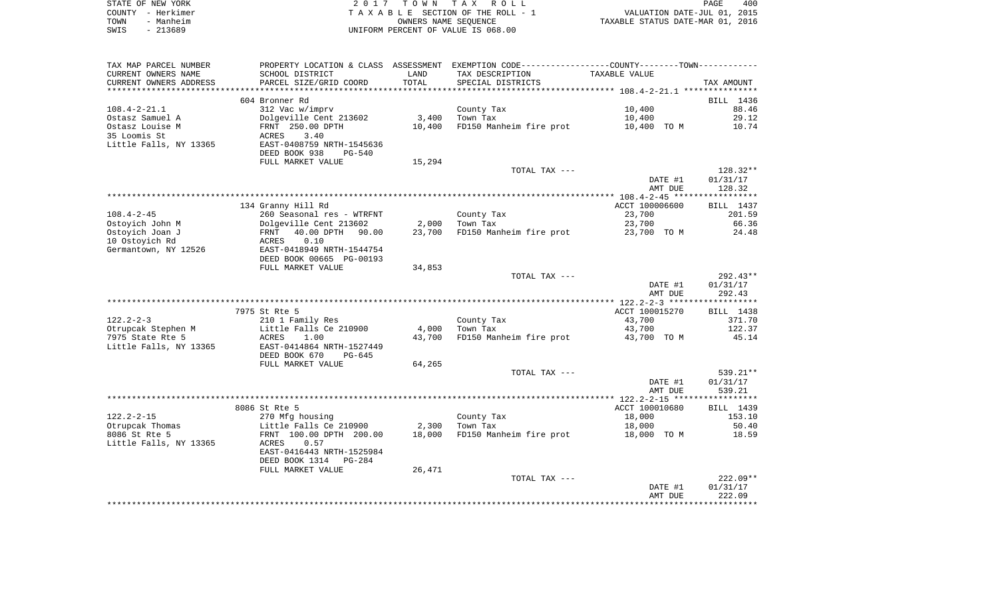| STATE OF NEW YORK |           | 2017 TOWN TAX ROLL                 | PAGE                             | 400 |
|-------------------|-----------|------------------------------------|----------------------------------|-----|
| COUNTY - Herkimer |           | TAXABLE SECTION OF THE ROLL - 1    | VALUATION DATE-JUL 01, 2015      |     |
| TOWN              | - Manheim | OWNERS NAME SEOUENCE               | TAXABLE STATUS DATE-MAR 01, 2016 |     |
| SWIS              | - 213689  | UNIFORM PERCENT OF VALUE IS 068.00 |                                  |     |

| TAX MAP PARCEL NUMBER                            |                                                        |        | PROPERTY LOCATION & CLASS ASSESSMENT EXEMPTION CODE----------------COUNTY--------TOWN----------- |                |                  |
|--------------------------------------------------|--------------------------------------------------------|--------|--------------------------------------------------------------------------------------------------|----------------|------------------|
| CURRENT OWNERS NAME                              | SCHOOL DISTRICT                                        | LAND   | TAX DESCRIPTION                                                                                  | TAXABLE VALUE  |                  |
| CURRENT OWNERS ADDRESS<br>********************** | PARCEL SIZE/GRID COORD<br>**************************** | TOTAL  | SPECIAL DISTRICTS                                                                                |                | TAX AMOUNT       |
|                                                  | 604 Bronner Rd                                         |        |                                                                                                  |                | BILL 1436        |
| $108.4 - 2 - 21.1$                               | 312 Vac w/imprv                                        |        | County Tax                                                                                       | 10,400         | 88.46            |
| Ostasz Samuel A                                  | Dolgeville Cent 213602                                 | 3,400  | Town Tax                                                                                         |                | 29.12            |
| Ostasz Louise M                                  |                                                        | 10,400 |                                                                                                  | 10,400         | 10.74            |
| 35 Loomis St                                     | FRNT 250.00 DPTH<br>3.40                               |        | FD150 Manheim fire prot                                                                          | 10,400 TO M    |                  |
| Little Falls, NY 13365                           | ACRES<br>EAST-0408759 NRTH-1545636                     |        |                                                                                                  |                |                  |
|                                                  |                                                        |        |                                                                                                  |                |                  |
|                                                  | DEED BOOK 938<br><b>PG-540</b><br>FULL MARKET VALUE    | 15,294 |                                                                                                  |                |                  |
|                                                  |                                                        |        | TOTAL TAX ---                                                                                    |                | 128.32**         |
|                                                  |                                                        |        |                                                                                                  | DATE #1        | 01/31/17         |
|                                                  |                                                        |        |                                                                                                  | AMT DUE        | 128.32           |
|                                                  |                                                        |        |                                                                                                  |                |                  |
|                                                  | 134 Granny Hill Rd                                     |        |                                                                                                  | ACCT 100006600 | BILL 1437        |
| $108.4 - 2 - 45$                                 | 260 Seasonal res - WTRFNT                              |        | County Tax                                                                                       | 23,700         | 201.59           |
| Ostoyich John M                                  | Dolgeville Cent 213602                                 | 2,000  | Town Tax                                                                                         | 23,700         | 66.36            |
| Ostoyich Joan J                                  | 40.00 DPTH 90.00<br>FRNT                               | 23,700 | FD150 Manheim fire prot                                                                          | 23,700 TO M    | 24.48            |
| 10 Ostoyich Rd                                   | 0.10<br>ACRES                                          |        |                                                                                                  |                |                  |
| Germantown, NY 12526                             | EAST-0418949 NRTH-1544754                              |        |                                                                                                  |                |                  |
|                                                  | DEED BOOK 00665 PG-00193                               |        |                                                                                                  |                |                  |
|                                                  | FULL MARKET VALUE                                      | 34,853 |                                                                                                  |                |                  |
|                                                  |                                                        |        | TOTAL TAX ---                                                                                    |                | $292.43**$       |
|                                                  |                                                        |        |                                                                                                  | DATE #1        | 01/31/17         |
|                                                  |                                                        |        |                                                                                                  | AMT DUE        | 292.43           |
|                                                  |                                                        |        |                                                                                                  |                |                  |
|                                                  | 7975 St Rte 5                                          |        |                                                                                                  | ACCT 100015270 | BILL 1438        |
| $122.2 - 2 - 3$                                  | 210 1 Family Res                                       |        | County Tax                                                                                       | 43,700         | 371.70           |
| Otrupcak Stephen M                               | Little Falls Ce 210900                                 | 4,000  | Town Tax                                                                                         | 43,700         | 122.37           |
| 7975 State Rte 5                                 | ACRES<br>1.00                                          | 43,700 | FD150 Manheim fire prot                                                                          | 43,700 TO M    | 45.14            |
| Little Falls, NY 13365                           | EAST-0414864 NRTH-1527449                              |        |                                                                                                  |                |                  |
|                                                  | DEED BOOK 670<br>$PG-645$                              |        |                                                                                                  |                |                  |
|                                                  | FULL MARKET VALUE                                      | 64,265 |                                                                                                  |                |                  |
|                                                  |                                                        |        | TOTAL TAX ---                                                                                    |                | 539.21**         |
|                                                  |                                                        |        |                                                                                                  | DATE #1        | 01/31/17         |
|                                                  |                                                        |        |                                                                                                  | AMT DUE        | 539.21           |
|                                                  |                                                        |        |                                                                                                  |                |                  |
|                                                  | 8086 St Rte 5                                          |        |                                                                                                  | ACCT 100010680 | <b>BILL</b> 1439 |
| $122.2 - 2 - 15$                                 | 270 Mfg housing                                        |        | County Tax                                                                                       | 18,000         | 153.10           |
| Otrupcak Thomas                                  | Little Falls Ce 210900                                 | 2,300  | Town Tax                                                                                         | 18,000         | 50.40            |
| 8086 St Rte 5                                    | FRNT 100.00 DPTH 200.00                                | 18,000 | FD150 Manheim fire prot                                                                          | 18,000 TO M    | 18.59            |
| Little Falls, NY 13365                           | ACRES<br>0.57                                          |        |                                                                                                  |                |                  |
|                                                  | EAST-0416443 NRTH-1525984                              |        |                                                                                                  |                |                  |
|                                                  | DEED BOOK 1314 PG-284                                  |        |                                                                                                  |                |                  |
|                                                  | FULL MARKET VALUE                                      | 26,471 |                                                                                                  |                |                  |
|                                                  |                                                        |        | TOTAL TAX ---                                                                                    |                | $222.09**$       |
|                                                  |                                                        |        |                                                                                                  | DATE #1        | 01/31/17         |
|                                                  |                                                        |        |                                                                                                  | AMT DUE        | 222.09           |
|                                                  |                                                        |        |                                                                                                  |                |                  |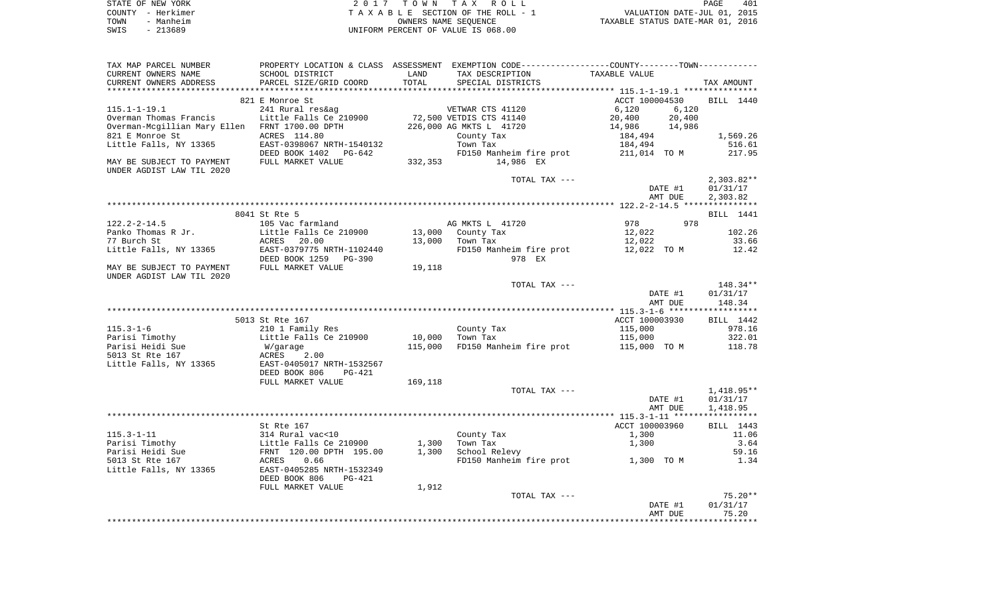|      | STATE OF NEW YORK | 2017 TOWN TAX ROLL                 | PAGE                             | 401 |
|------|-------------------|------------------------------------|----------------------------------|-----|
|      | COUNTY - Herkimer | TAXABLE SECTION OF THE ROLL - 1    | VALUATION DATE-JUL 01, 2015      |     |
| TOWN | - Manheim         | OWNERS NAME SEOUENCE               | TAXABLE STATUS DATE-MAR 01, 2016 |     |
| SWIS | - 213689          | UNIFORM PERCENT OF VALUE IS 068.00 |                                  |     |

| TAX MAP PARCEL NUMBER                          |                           |         | PROPERTY LOCATION & CLASS ASSESSMENT EXEMPTION CODE----------------COUNTY-------TOWN--------- |                  |              |
|------------------------------------------------|---------------------------|---------|-----------------------------------------------------------------------------------------------|------------------|--------------|
| CURRENT OWNERS NAME                            | SCHOOL DISTRICT           | LAND    | TAX DESCRIPTION                                                                               | TAXABLE VALUE    |              |
| CURRENT OWNERS ADDRESS                         | PARCEL SIZE/GRID COORD    | TOTAL   | SPECIAL DISTRICTS                                                                             |                  | TAX AMOUNT   |
|                                                |                           |         |                                                                                               |                  |              |
|                                                | 821 E Monroe St           |         |                                                                                               | ACCT 100004530   | BILL 1440    |
|                                                |                           |         |                                                                                               |                  |              |
| $115.1 - 1 - 19.1$                             | 241 Rural res&ag          |         | VETWAR CTS 41120                                                                              | 6,120<br>6,120   |              |
| Overman Thomas Francis                         | Little Falls Ce 210900    |         | 72,500 VETDIS CTS 41140                                                                       | 20,400<br>20,400 |              |
| Overman-Mcgillian Mary Ellen FRNT 1700.00 DPTH |                           |         | 226,000 AG MKTS L 41720                                                                       | 14,986<br>14,986 |              |
| 821 E Monroe St                                | ACRES 114.80              |         | County Tax                                                                                    | 184,494          | 1,569.26     |
| Little Falls, NY 13365                         | EAST-0398067 NRTH-1540132 |         | Town Tax                                                                                      | 184,494          | 516.61       |
|                                                | DEED BOOK 1402 PG-642     |         | FD150 Manheim fire prot                                                                       | 211,014 TO M     | 217.95       |
| MAY BE SUBJECT TO PAYMENT                      | FULL MARKET VALUE         |         | 332,353 14,986 EX                                                                             |                  |              |
|                                                |                           |         |                                                                                               |                  |              |
| UNDER AGDIST LAW TIL 2020                      |                           |         |                                                                                               |                  |              |
|                                                |                           |         | TOTAL TAX ---                                                                                 |                  | $2,303.82**$ |
|                                                |                           |         |                                                                                               | DATE #1          | 01/31/17     |
|                                                |                           |         |                                                                                               | AMT DUE          | 2,303.82     |
|                                                |                           |         |                                                                                               |                  |              |
|                                                | 8041 St Rte 5             |         |                                                                                               |                  | BILL 1441    |
| $122.2 - 2 - 14.5$                             | 105 Vac farmland          |         | AG MKTS L 41720                                                                               | 978<br>978       |              |
| Panko Thomas R Jr.                             | Little Falls Ce 210900    |         | 13,000 County Tax                                                                             | 12,022           | 102.26       |
| 77 Burch St                                    | ACRES 20.00               | 13,000  | Town Tax                                                                                      | 12,022           | 33.66        |
| Little Falls, NY 13365                         | EAST-0379775 NRTH-1102440 |         | FD150 Manheim fire prot                                                                       | 12,022 TO M      | 12.42        |
|                                                |                           |         |                                                                                               |                  |              |
|                                                | DEED BOOK 1259 PG-390     |         | 978 EX                                                                                        |                  |              |
| MAY BE SUBJECT TO PAYMENT                      | FULL MARKET VALUE         | 19,118  |                                                                                               |                  |              |
| UNDER AGDIST LAW TIL 2020                      |                           |         |                                                                                               |                  |              |
|                                                |                           |         | TOTAL TAX ---                                                                                 |                  | 148.34**     |
|                                                |                           |         |                                                                                               | DATE #1          | 01/31/17     |
|                                                |                           |         |                                                                                               | AMT DUE          | 148.34       |
|                                                |                           |         |                                                                                               |                  |              |
|                                                | 5013 St Rte 167           |         |                                                                                               | ACCT 100003930   | BILL 1442    |
| $115.3 - 1 - 6$                                | 210 1 Family Res          |         | County Tax                                                                                    | 115,000          | 978.16       |
| Parisi Timothy                                 | Little Falls Ce 210900    | 10,000  | Town Tax                                                                                      | 115,000          | 322.01       |
|                                                |                           |         |                                                                                               |                  |              |
| Parisi Heidi Sue                               | W/garage                  | 115,000 | FD150 Manheim fire prot                                                                       | 115,000 TO M     | 118.78       |
| 5013 St Rte 167                                | ACRES<br>2.00             |         |                                                                                               |                  |              |
| Little Falls, NY 13365                         | EAST-0405017 NRTH-1532567 |         |                                                                                               |                  |              |
|                                                | DEED BOOK 806<br>PG-421   |         |                                                                                               |                  |              |
|                                                | FULL MARKET VALUE         | 169,118 |                                                                                               |                  |              |
|                                                |                           |         | TOTAL TAX ---                                                                                 |                  | $1,418.95**$ |
|                                                |                           |         |                                                                                               | DATE #1          | 01/31/17     |
|                                                |                           |         |                                                                                               | AMT DUE          | 1,418.95     |
|                                                |                           |         |                                                                                               |                  |              |
|                                                | St Rte 167                |         |                                                                                               | ACCT 100003960   | BILL 1443    |
| $115.3 - 1 - 11$                               |                           |         |                                                                                               |                  |              |
|                                                | 314 Rural vac<10          |         | County Tax                                                                                    | 1,300            | 11.06        |
| Parisi Timothy                                 | Little Falls Ce 210900    | 1,300   | Town Tax                                                                                      | 1,300            | 3.64         |
| Parisi Heidi Sue                               | FRNT 120.00 DPTH 195.00   | 1,300   | School Relevy                                                                                 |                  | 59.16        |
| 5013 St Rte 167                                | 0.66<br>ACRES             |         | FD150 Manheim fire prot 1,300 TO M                                                            |                  | 1.34         |
| Little Falls, NY 13365                         | EAST-0405285 NRTH-1532349 |         |                                                                                               |                  |              |
|                                                | DEED BOOK 806<br>PG-421   |         |                                                                                               |                  |              |
|                                                | FULL MARKET VALUE         | 1,912   |                                                                                               |                  |              |
|                                                |                           |         | TOTAL TAX ---                                                                                 |                  | $75.20**$    |
|                                                |                           |         |                                                                                               | DATE #1          | 01/31/17     |
|                                                |                           |         |                                                                                               | AMT DUE          | 75.20        |
|                                                |                           |         |                                                                                               |                  |              |
|                                                |                           |         |                                                                                               |                  |              |
|                                                |                           |         |                                                                                               |                  |              |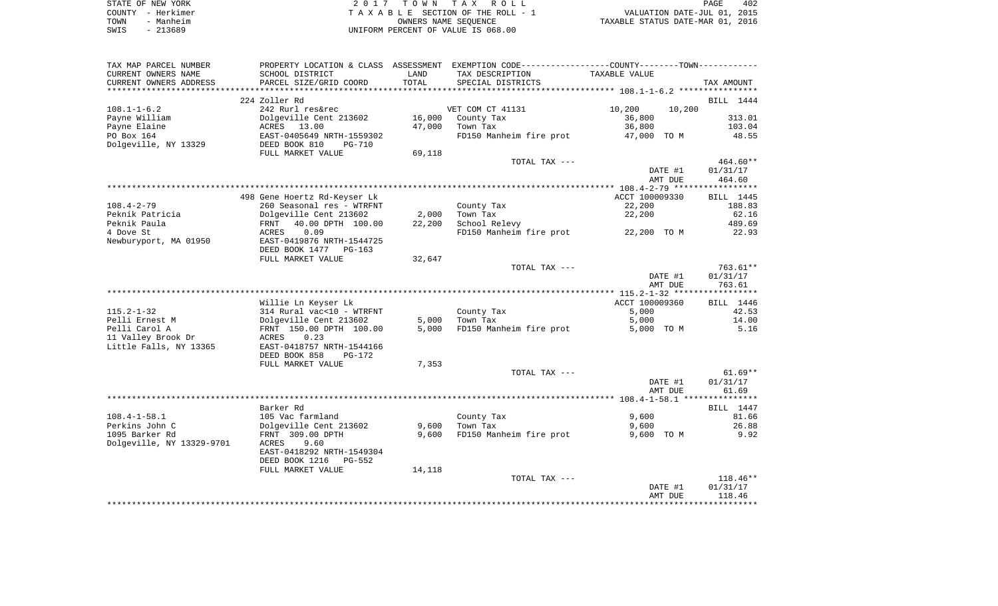| STATE OF NEW YORK |                   | 2017 TOWN TAX ROLL                 | 402<br>PAGE                      |
|-------------------|-------------------|------------------------------------|----------------------------------|
|                   | COUNTY - Herkimer | TAXABLE SECTION OF THE ROLL - 1    | VALUATION DATE-JUL 01, 2015      |
| TOWN              | - Manheim         | OWNERS NAME SEOUENCE               | TAXABLE STATUS DATE-MAR 01, 2016 |
| SWIS              | $-213689$         | UNIFORM PERCENT OF VALUE IS 068.00 |                                  |

| TAX MAP PARCEL NUMBER     |                              |        | PROPERTY LOCATION & CLASS ASSESSMENT EXEMPTION CODE---------------COUNTY-------TOWN---------- |                  |            |
|---------------------------|------------------------------|--------|-----------------------------------------------------------------------------------------------|------------------|------------|
| CURRENT OWNERS NAME       | SCHOOL DISTRICT              | LAND   | TAX DESCRIPTION                                                                               | TAXABLE VALUE    |            |
| CURRENT OWNERS ADDRESS    | PARCEL SIZE/GRID COORD       | TOTAL  | SPECIAL DISTRICTS                                                                             |                  | TAX AMOUNT |
|                           |                              |        |                                                                                               |                  |            |
|                           | 224 Zoller Rd                |        |                                                                                               |                  | BILL 1444  |
| $108.1 - 1 - 6.2$         | 242 Rurl res&rec             |        | VET COM CT 41131                                                                              | 10,200<br>10,200 |            |
| Payne William             | Dolgeville Cent 213602       | 16,000 | County Tax                                                                                    | 36,800           | 313.01     |
| Payne Elaine              | ACRES 13.00                  | 47,000 | Town Tax                                                                                      | 36,800           | 103.04     |
|                           |                              |        |                                                                                               |                  |            |
| PO Box 164                | EAST-0405649 NRTH-1559302    |        | FD150 Manheim fire prot 47,000 TO M                                                           |                  | 48.55      |
| Dolgeville, NY 13329      | DEED BOOK 810<br>PG-710      |        |                                                                                               |                  |            |
|                           | FULL MARKET VALUE            | 69,118 |                                                                                               |                  |            |
|                           |                              |        | TOTAL TAX ---                                                                                 |                  | 464.60**   |
|                           |                              |        |                                                                                               | DATE #1          | 01/31/17   |
|                           |                              |        |                                                                                               | AMT DUE          | 464.60     |
|                           |                              |        |                                                                                               |                  |            |
|                           | 498 Gene Hoertz Rd-Keyser Lk |        |                                                                                               | ACCT 100009330   | BILL 1445  |
| $108.4 - 2 - 79$          | 260 Seasonal res - WTRFNT    |        | County Tax                                                                                    | 22,200           | 188.83     |
| Peknik Patricia           | Dolgeville Cent 213602       | 2,000  | Town Tax                                                                                      | 22,200           | 62.16      |
| Peknik Paula              | 40.00 DPTH 100.00<br>FRNT    | 22,200 | School Relevy                                                                                 |                  | 489.69     |
| 4 Dove St                 |                              |        | FD150 Manheim fire prot 22,200 TO M                                                           |                  | 22.93      |
|                           | 0.09<br>ACRES                |        |                                                                                               |                  |            |
| Newburyport, MA 01950     | EAST-0419876 NRTH-1544725    |        |                                                                                               |                  |            |
|                           | DEED BOOK 1477 PG-163        |        |                                                                                               |                  |            |
|                           | FULL MARKET VALUE            | 32,647 |                                                                                               |                  |            |
|                           |                              |        | TOTAL TAX ---                                                                                 |                  | 763.61**   |
|                           |                              |        |                                                                                               | DATE #1          | 01/31/17   |
|                           |                              |        |                                                                                               | AMT DUE          | 763.61     |
|                           |                              |        |                                                                                               |                  |            |
|                           | Willie Ln Keyser Lk          |        |                                                                                               | ACCT 100009360   | BILL 1446  |
| $115.2 - 1 - 32$          | 314 Rural vac<10 - WTRFNT    |        | County Tax                                                                                    | 5,000            | 42.53      |
| Pelli Ernest M            | Dolgeville Cent 213602       | 5,000  | Town Tax                                                                                      | 5,000            | 14.00      |
| Pelli Carol A             | FRNT 150.00 DPTH 100.00      | 5,000  | FD150 Manheim fire prot                                                                       | 5,000 TO M       | 5.16       |
| 11 Valley Brook Dr        | 0.23<br>ACRES                |        |                                                                                               |                  |            |
|                           |                              |        |                                                                                               |                  |            |
| Little Falls, NY 13365    | EAST-0418757 NRTH-1544166    |        |                                                                                               |                  |            |
|                           | DEED BOOK 858<br>$PG-172$    |        |                                                                                               |                  |            |
|                           | FULL MARKET VALUE            | 7,353  |                                                                                               |                  |            |
|                           |                              |        | TOTAL TAX ---                                                                                 |                  | $61.69**$  |
|                           |                              |        |                                                                                               | DATE #1          | 01/31/17   |
|                           |                              |        |                                                                                               | AMT DUE          | 61.69      |
|                           |                              |        |                                                                                               |                  |            |
|                           | Barker Rd                    |        |                                                                                               |                  | BILL 1447  |
| $108.4 - 1 - 58.1$        | 105 Vac farmland             |        | County Tax                                                                                    | 9,600            | 81.66      |
| Perkins John C            | Dolgeville Cent 213602       | 9,600  | Town Tax                                                                                      | 9,600            | 26.88      |
| 1095 Barker Rd            | FRNT 309.00 DPTH             | 9,600  | FD150 Manheim fire prot                                                                       | 9,600 TO M       | 9.92       |
| Dolgeville, NY 13329-9701 | 9.60<br>ACRES                |        |                                                                                               |                  |            |
|                           | EAST-0418292 NRTH-1549304    |        |                                                                                               |                  |            |
|                           |                              |        |                                                                                               |                  |            |
|                           | DEED BOOK 1216 PG-552        |        |                                                                                               |                  |            |
|                           | FULL MARKET VALUE            | 14,118 |                                                                                               |                  |            |
|                           |                              |        | TOTAL TAX ---                                                                                 |                  | $118.46**$ |
|                           |                              |        |                                                                                               | DATE #1          | 01/31/17   |
|                           |                              |        |                                                                                               | AMT DUE          | 118.46     |
|                           |                              |        |                                                                                               |                  |            |
|                           |                              |        |                                                                                               |                  |            |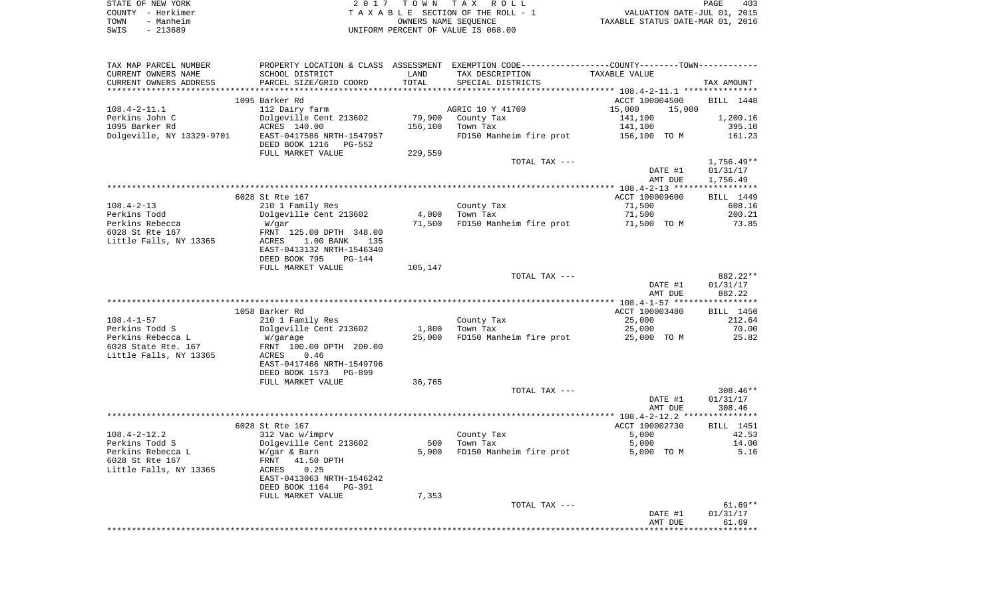| STATE OF NEW YORK | 2017 TOWN TAX ROLL                 | 403<br>PAGE                      |
|-------------------|------------------------------------|----------------------------------|
| COUNTY - Herkimer | TAXABLE SECTION OF THE ROLL - 1    | VALUATION DATE-JUL 01, 2015      |
| - Manheim<br>TOWN | OWNERS NAME SEOUENCE               | TAXABLE STATUS DATE-MAR 01, 2016 |
| SWIS<br>- 213689  | UNIFORM PERCENT OF VALUE IS 068.00 |                                  |

| TAX MAP PARCEL NUMBER                    |                                        |              | PROPERTY LOCATION & CLASS ASSESSMENT EXEMPTION CODE---------------COUNTY-------TOWN---------- |                             |                |
|------------------------------------------|----------------------------------------|--------------|-----------------------------------------------------------------------------------------------|-----------------------------|----------------|
| CURRENT OWNERS NAME                      | SCHOOL DISTRICT                        | LAND         | TAX DESCRIPTION                                                                               | TAXABLE VALUE               |                |
| CURRENT OWNERS ADDRESS                   | PARCEL SIZE/GRID COORD                 | TOTAL        | SPECIAL DISTRICTS                                                                             |                             | TAX AMOUNT     |
|                                          |                                        |              |                                                                                               |                             |                |
|                                          | 1095 Barker Rd                         |              |                                                                                               | ACCT 100004500              | BILL 1448      |
| $108.4 - 2 - 11.1$<br>Perkins John C     | 112 Dairy farm                         | 79,900       | AGRIC 10 Y 41700                                                                              | 15,000<br>15,000<br>141,100 | 1,200.16       |
| 1095 Barker Rd                           | Dolgeville Cent 213602<br>ACRES 140.00 | 156,100      | County Tax<br>Town Tax                                                                        | 141,100                     | 395.10         |
| Dolgeville, NY 13329-9701                | EAST-0417586 NRTH-1547957              |              | FD150 Manheim fire prot                                                                       | 156,100 TO M                | 161.23         |
|                                          | DEED BOOK 1216<br>PG-552               |              |                                                                                               |                             |                |
|                                          | FULL MARKET VALUE                      | 229,559      |                                                                                               |                             |                |
|                                          |                                        |              | TOTAL TAX ---                                                                                 |                             | $1,756.49**$   |
|                                          |                                        |              |                                                                                               | DATE #1                     | 01/31/17       |
|                                          |                                        |              |                                                                                               | AMT DUE                     | 1,756.49       |
|                                          |                                        |              |                                                                                               |                             |                |
|                                          | 6028 St Rte 167                        |              |                                                                                               | ACCT 100009600              | BILL 1449      |
| $108.4 - 2 - 13$                         | 210 1 Family Res                       |              | County Tax                                                                                    | 71,500                      | 608.16         |
| Perkins Todd                             | Dolgeville Cent 213602                 | 4,000        | Town Tax                                                                                      | 71,500                      | 200.21         |
| Perkins Rebecca<br>6028 St Rte 167       | W/gar<br>FRNT 125.00 DPTH 348.00       | 71,500       | FD150 Manheim fire prot                                                                       | 71,500 TO M                 | 73.85          |
| Little Falls, NY 13365                   | ACRES<br>1.00 BANK<br>135              |              |                                                                                               |                             |                |
|                                          | EAST-0413132 NRTH-1546340              |              |                                                                                               |                             |                |
|                                          | DEED BOOK 795<br>$PG-144$              |              |                                                                                               |                             |                |
|                                          | FULL MARKET VALUE                      | 105,147      |                                                                                               |                             |                |
|                                          |                                        |              | TOTAL TAX ---                                                                                 |                             | 882.22**       |
|                                          |                                        |              |                                                                                               | DATE #1                     | 01/31/17       |
|                                          |                                        |              |                                                                                               | AMT DUE                     | 882.22         |
|                                          |                                        |              |                                                                                               |                             |                |
|                                          | 1058 Barker Rd                         |              |                                                                                               | ACCT 100003480              | BILL 1450      |
| $108.4 - 1 - 57$                         | 210 1 Family Res                       |              | County Tax                                                                                    | 25,000                      | 212.64         |
| Perkins Todd S                           | Dolgeville Cent 213602                 | 1,800        | Town Tax<br>FD150 Manheim fire prot                                                           | 25,000                      | 70.00<br>25.82 |
| Perkins Rebecca L<br>6028 State Rte. 167 | W/garage<br>FRNT 100.00 DPTH 200.00    | 25,000       |                                                                                               | 25,000 TO M                 |                |
| Little Falls, NY 13365                   | 0.46<br>ACRES                          |              |                                                                                               |                             |                |
|                                          | EAST-0417466 NRTH-1549796              |              |                                                                                               |                             |                |
|                                          | DEED BOOK 1573<br>PG-899               |              |                                                                                               |                             |                |
|                                          | FULL MARKET VALUE                      | 36,765       |                                                                                               |                             |                |
|                                          |                                        |              | TOTAL TAX ---                                                                                 |                             | $308.46**$     |
|                                          |                                        |              |                                                                                               | DATE #1                     | 01/31/17       |
|                                          |                                        |              |                                                                                               | AMT DUE                     | 308.46         |
|                                          |                                        |              |                                                                                               |                             |                |
|                                          | 6028 St Rte 167                        |              |                                                                                               | ACCT 100002730              | BILL 1451      |
| $108.4 - 2 - 12.2$                       | 312 Vac w/imprv                        |              | County Tax                                                                                    | 5,000                       | 42.53<br>14.00 |
| Perkins Todd S<br>Perkins Rebecca L      | Dolgeville Cent 213602<br>W/gar & Barn | 500<br>5,000 | Town Tax<br>FD150 Manheim fire prot                                                           | 5,000<br>5,000 TO M         | 5.16           |
| 6028 St Rte 167                          | FRNT<br>41.50 DPTH                     |              |                                                                                               |                             |                |
| Little Falls, NY 13365                   | 0.25<br>ACRES                          |              |                                                                                               |                             |                |
|                                          | EAST-0413063 NRTH-1546242              |              |                                                                                               |                             |                |
|                                          | DEED BOOK 1164<br>PG-391               |              |                                                                                               |                             |                |
|                                          | FULL MARKET VALUE                      | 7,353        |                                                                                               |                             |                |
|                                          |                                        |              | TOTAL TAX ---                                                                                 |                             | $61.69**$      |
|                                          |                                        |              |                                                                                               | DATE #1                     | 01/31/17       |
|                                          |                                        |              |                                                                                               |                             |                |
|                                          |                                        |              |                                                                                               | AMT DUE                     | 61.69          |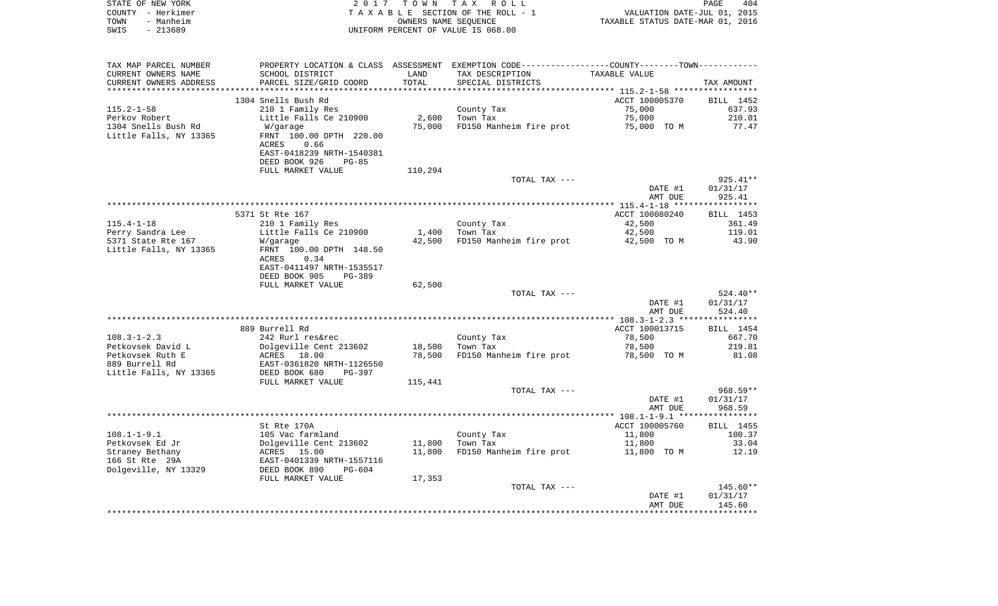|      | STATE OF NEW YORK | 2017 TOWN TAX ROLL                 | PAGE                             | 404 |
|------|-------------------|------------------------------------|----------------------------------|-----|
|      | COUNTY - Herkimer | TAXABLE SECTION OF THE ROLL - 1    | VALUATION DATE-JUL 01, 2015      |     |
| TOWN | - Manheim         | OWNERS NAME SEOUENCE               | TAXABLE STATUS DATE-MAR 01, 2016 |     |
| SWIS | - 213689          | UNIFORM PERCENT OF VALUE IS 068.00 |                                  |     |

| TAX MAP PARCEL NUMBER  |                                |         | PROPERTY LOCATION & CLASS ASSESSMENT EXEMPTION CODE----------------COUNTY-------TOWN---------- |                |            |
|------------------------|--------------------------------|---------|------------------------------------------------------------------------------------------------|----------------|------------|
| CURRENT OWNERS NAME    | SCHOOL DISTRICT                | LAND    | TAX DESCRIPTION                                                                                | TAXABLE VALUE  |            |
| CURRENT OWNERS ADDRESS | PARCEL SIZE/GRID COORD         | TOTAL   | SPECIAL DISTRICTS                                                                              |                | TAX AMOUNT |
|                        | *****************************  |         |                                                                                                |                |            |
|                        | 1304 Snells Bush Rd            |         |                                                                                                | ACCT 100005370 | BILL 1452  |
| $115.2 - 1 - 58$       | 210 1 Family Res               |         | County Tax                                                                                     | 75,000         | 637.93     |
| Perkov Robert          | Little Falls Ce 210900         | 2,600   | Town Tax                                                                                       | 75,000         | 210.01     |
| 1304 Snells Bush Rd    | W/garage                       | 75,000  | FD150 Manheim fire prot                                                                        | 75,000 TO M    | 77.47      |
| Little Falls, NY 13365 | FRNT 100.00 DPTH 220.00        |         |                                                                                                |                |            |
|                        | ACRES<br>0.66                  |         |                                                                                                |                |            |
|                        | EAST-0418239 NRTH-1540381      |         |                                                                                                |                |            |
|                        |                                |         |                                                                                                |                |            |
|                        | DEED BOOK 926<br>$PG-85$       |         |                                                                                                |                |            |
|                        | FULL MARKET VALUE              | 110,294 |                                                                                                |                |            |
|                        |                                |         | TOTAL TAX ---                                                                                  |                | $925.41**$ |
|                        |                                |         |                                                                                                | DATE #1        | 01/31/17   |
|                        |                                |         |                                                                                                | AMT DUE        | 925.41     |
|                        |                                |         |                                                                                                |                |            |
|                        | 5371 St Rte 167                |         |                                                                                                | ACCT 100080240 | BILL 1453  |
| $115.4 - 1 - 18$       | 210 1 Family Res               |         | County Tax                                                                                     | 42,500         | 361.49     |
| Perry Sandra Lee       | Little Falls Ce 210900         | 1,400   | Town Tax                                                                                       | 42,500         | 119.01     |
| 5371 State Rte 167     | W/garage                       | 42,500  | FD150 Manheim fire prot                                                                        | 42,500 TO M    | 43.90      |
| Little Falls, NY 13365 | FRNT 100.00 DPTH 148.50        |         |                                                                                                |                |            |
|                        | 0.34<br>ACRES                  |         |                                                                                                |                |            |
|                        | EAST-0411497 NRTH-1535517      |         |                                                                                                |                |            |
|                        | DEED BOOK 905<br><b>PG-389</b> |         |                                                                                                |                |            |
|                        | FULL MARKET VALUE              | 62,500  |                                                                                                |                |            |
|                        |                                |         | TOTAL TAX ---                                                                                  |                | $524.40**$ |
|                        |                                |         |                                                                                                | DATE #1        | 01/31/17   |
|                        |                                |         |                                                                                                | AMT DUE        | 524.40     |
|                        |                                |         |                                                                                                |                |            |
|                        | 889 Burrell Rd                 |         |                                                                                                | ACCT 100013715 | BILL 1454  |
| $108.3 - 1 - 2.3$      |                                |         |                                                                                                | 78,500         | 667.70     |
|                        | 242 Rurl res&rec               |         | County Tax                                                                                     |                |            |
| Petkovsek David L      | Dolgeville Cent 213602         | 18,500  | Town Tax                                                                                       | 78,500         | 219.81     |
| Petkovsek Ruth E       | ACRES 18.00                    | 78,500  | FD150 Manheim fire prot                                                                        | 78,500 TO M    | 81.08      |
| 889 Burrell Rd         | EAST-0361820 NRTH-1126550      |         |                                                                                                |                |            |
| Little Falls, NY 13365 | DEED BOOK 680<br>PG-397        |         |                                                                                                |                |            |
|                        | FULL MARKET VALUE              | 115,441 |                                                                                                |                |            |
|                        |                                |         | TOTAL TAX ---                                                                                  |                | $968.59**$ |
|                        |                                |         |                                                                                                | DATE #1        | 01/31/17   |
|                        |                                |         |                                                                                                | AMT DUE        | 968.59     |
|                        |                                |         |                                                                                                |                |            |
|                        | St Rte 170A                    |         |                                                                                                | ACCT 100005760 | BILL 1455  |
| $108.1 - 1 - 9.1$      | 105 Vac farmland               |         | County Tax                                                                                     | 11,800         | 100.37     |
| Petkovsek Ed Jr        | Dolgeville Cent 213602         | 11,800  | Town Tax                                                                                       | 11,800         | 33.04      |
| Straney Bethany        | ACRES 15.00                    | 11,800  | FD150 Manheim fire prot                                                                        | 11,800 TO M    | 12.19      |
| 166 St Rte 29A         | EAST-0401339 NRTH-1557116      |         |                                                                                                |                |            |
| Dolgeville, NY 13329   | DEED BOOK 890<br>$PG-604$      |         |                                                                                                |                |            |
|                        | FULL MARKET VALUE              | 17,353  |                                                                                                |                |            |
|                        |                                |         | TOTAL TAX ---                                                                                  |                | 145.60**   |
|                        |                                |         |                                                                                                | DATE #1        | 01/31/17   |
|                        |                                |         |                                                                                                | AMT DUE        | 145.60     |
|                        |                                |         |                                                                                                |                |            |
|                        |                                |         |                                                                                                |                |            |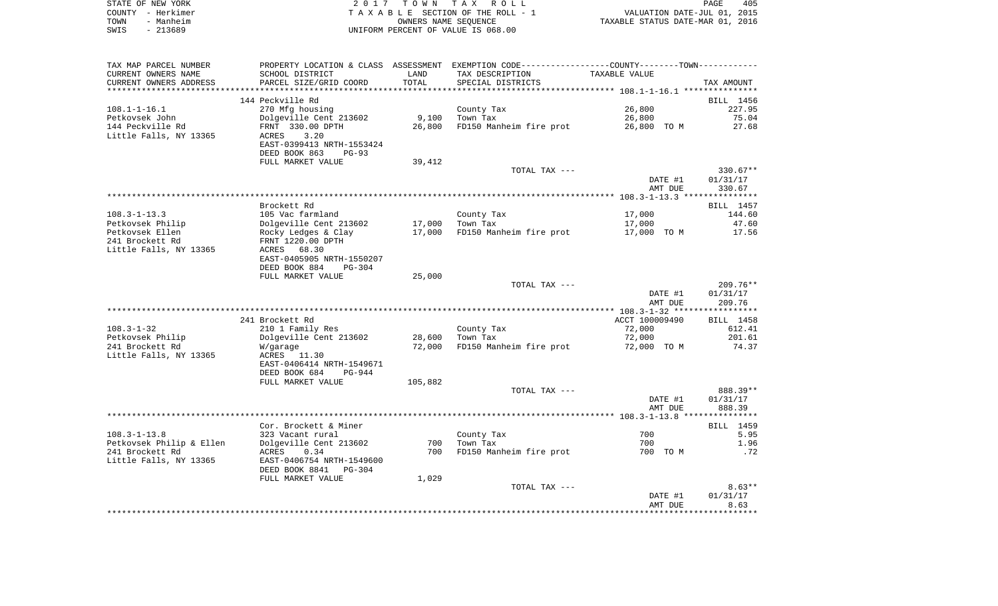| STATE OF NEW YORK | 2017 TOWN TAX ROLL                 | 405<br>PAGE                      |
|-------------------|------------------------------------|----------------------------------|
| COUNTY – Herkimer | TAXABLE SECTION OF THE ROLL - 1    | VALUATION DATE-JUL 01, 2015      |
| - Manheim<br>TOWN | OWNERS NAME SEOUENCE               | TAXABLE STATUS DATE-MAR 01, 2016 |
| - 213689<br>SWIS  | UNIFORM PERCENT OF VALUE IS 068.00 |                                  |

| TAX MAP PARCEL NUMBER               | PROPERTY LOCATION & CLASS ASSESSMENT EXEMPTION CODE----------------COUNTY--------TOWN---------- |                  |                                     |                       |                     |
|-------------------------------------|-------------------------------------------------------------------------------------------------|------------------|-------------------------------------|-----------------------|---------------------|
| CURRENT OWNERS NAME                 | SCHOOL DISTRICT                                                                                 | LAND             | TAX DESCRIPTION                     | TAXABLE VALUE         |                     |
| CURRENT OWNERS ADDRESS              | PARCEL SIZE/GRID COORD                                                                          | TOTAL            | SPECIAL DISTRICTS                   |                       | TAX AMOUNT          |
| ***********************             |                                                                                                 |                  |                                     |                       |                     |
|                                     | 144 Peckville Rd                                                                                |                  |                                     |                       | BILL 1456           |
| $108.1 - 1 - 16.1$                  | 270 Mfg housing                                                                                 |                  | County Tax                          | 26,800                | 227.95              |
| Petkovsek John                      | Dolgeville Cent 213602                                                                          | 9,100            | Town Tax                            | 26,800                | 75.04               |
| 144 Peckville Rd                    | FRNT 330.00 DPTH                                                                                | 26,800           | FD150 Manheim fire prot             | 26,800 TO M           | 27.68               |
| Little Falls, NY 13365              | 3.20<br>ACRES                                                                                   |                  |                                     |                       |                     |
|                                     | EAST-0399413 NRTH-1553424                                                                       |                  |                                     |                       |                     |
|                                     | DEED BOOK 863<br>$PG-93$                                                                        |                  |                                     |                       |                     |
|                                     | FULL MARKET VALUE                                                                               | 39,412           |                                     |                       |                     |
|                                     |                                                                                                 |                  | TOTAL TAX ---                       |                       | 330.67**            |
|                                     |                                                                                                 |                  |                                     | DATE #1               | 01/31/17            |
|                                     |                                                                                                 |                  |                                     | AMT DUE               | 330.67              |
|                                     |                                                                                                 |                  |                                     |                       |                     |
|                                     | Brockett Rd                                                                                     |                  |                                     |                       | BILL 1457           |
| $108.3 - 1 - 13.3$                  | 105 Vac farmland                                                                                |                  | County Tax                          | 17,000                | 144.60              |
| Petkovsek Philip                    | Dolgeville Cent 213602                                                                          | 17,000           | Town Tax                            | 17,000                | 47.60               |
| Petkovsek Ellen                     | Rocky Ledges & Clay                                                                             | 17,000           | FD150 Manheim fire prot             | 17,000 TO M           | 17.56               |
| 241 Brockett Rd                     | FRNT 1220.00 DPTH                                                                               |                  |                                     |                       |                     |
| Little Falls, NY 13365              | ACRES 68.30                                                                                     |                  |                                     |                       |                     |
|                                     | EAST-0405905 NRTH-1550207                                                                       |                  |                                     |                       |                     |
|                                     | DEED BOOK 884<br>$PG-304$                                                                       |                  |                                     |                       |                     |
|                                     | FULL MARKET VALUE                                                                               | 25,000           |                                     |                       |                     |
|                                     |                                                                                                 |                  | TOTAL TAX ---                       |                       | $209.76**$          |
|                                     |                                                                                                 |                  |                                     | DATE #1               | 01/31/17            |
|                                     |                                                                                                 |                  |                                     | AMT DUE               | 209.76              |
|                                     |                                                                                                 |                  |                                     |                       |                     |
| $108.3 - 1 - 32$                    | 241 Brockett Rd                                                                                 |                  |                                     | ACCT 100009490        | BILL 1458<br>612.41 |
|                                     | 210 1 Family Res                                                                                |                  | County Tax                          | 72,000                |                     |
| Petkovsek Philip<br>241 Brockett Rd | Dolgeville Cent 213602                                                                          | 28,600<br>72,000 | Town Tax<br>FD150 Manheim fire prot | 72,000<br>72,000 TO M | 201.61<br>74.37     |
| Little Falls, NY 13365              | W/garage<br>ACRES 11.30                                                                         |                  |                                     |                       |                     |
|                                     | EAST-0406414 NRTH-1549671                                                                       |                  |                                     |                       |                     |
|                                     | DEED BOOK 684<br>PG-944                                                                         |                  |                                     |                       |                     |
|                                     | FULL MARKET VALUE                                                                               | 105,882          |                                     |                       |                     |
|                                     |                                                                                                 |                  | TOTAL TAX ---                       |                       | 888.39**            |
|                                     |                                                                                                 |                  |                                     | DATE #1               | 01/31/17            |
|                                     |                                                                                                 |                  |                                     | AMT DUE               | 888.39              |
|                                     |                                                                                                 |                  |                                     |                       |                     |
|                                     | Cor. Brockett & Miner                                                                           |                  |                                     |                       | BILL 1459           |
| $108.3 - 1 - 13.8$                  | 323 Vacant rural                                                                                |                  | County Tax                          | 700                   | 5.95                |
| Petkovsek Philip & Ellen            | Dolgeville Cent 213602                                                                          | 700              | Town Tax                            | 700                   | 1.96                |
| 241 Brockett Rd                     | 0.34<br>ACRES                                                                                   | 700              | FD150 Manheim fire prot             | 700 TO M              | .72                 |
| Little Falls, NY 13365              | EAST-0406754 NRTH-1549600                                                                       |                  |                                     |                       |                     |
|                                     | DEED BOOK 8841 PG-304                                                                           |                  |                                     |                       |                     |
|                                     | FULL MARKET VALUE                                                                               | 1,029            |                                     |                       |                     |
|                                     |                                                                                                 |                  | TOTAL TAX ---                       |                       | $8.63**$            |
|                                     |                                                                                                 |                  |                                     | DATE #1               | 01/31/17            |
|                                     |                                                                                                 |                  |                                     | AMT DUE               | 8.63                |
|                                     |                                                                                                 |                  |                                     |                       |                     |
|                                     |                                                                                                 |                  |                                     |                       |                     |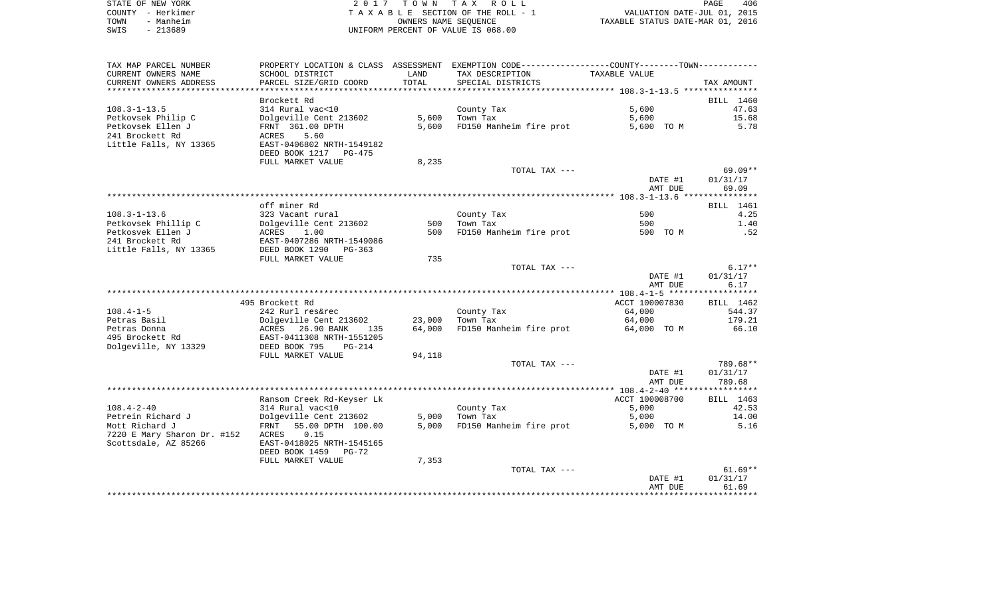|      | STATE OF NEW YORK | 2017 TOWN TAX ROLL                 | 406<br>PAGE                      |
|------|-------------------|------------------------------------|----------------------------------|
|      | COUNTY – Herkimer | TAXABLE SECTION OF THE ROLL - 1    | VALUATION DATE-JUL 01, 2015      |
| TOWN | - Manheim         | OWNERS NAME SEOUENCE               | TAXABLE STATUS DATE-MAR 01, 2016 |
| SWIS | - 213689          | UNIFORM PERCENT OF VALUE IS 068.00 |                                  |

| SCHOOL DISTRICT<br>LAND<br>TAX DESCRIPTION<br>TAXABLE VALUE<br>TOTAL<br>PARCEL SIZE/GRID COORD<br>SPECIAL DISTRICTS<br>TAX AMOUNT<br>Brockett Rd<br>BILL 1460<br>314 Rural vac<10<br>5,600<br>County Tax<br>47.63<br>5,600<br>Dolgeville Cent 213602<br>Town Tax<br>15.68<br>5,600<br>FRNT 361.00 DPTH<br>5,600<br>FD150 Manheim fire prot<br>5,600 TO M<br>5.78<br>241 Brockett Rd<br>5.60<br>ACRES<br>Little Falls, NY 13365<br>EAST-0406802 NRTH-1549182<br>DEED BOOK 1217 PG-475<br>FULL MARKET VALUE<br>8,235<br>69.09**<br>TOTAL TAX ---<br>DATE #1<br>01/31/17<br>69.09<br>AMT DUE<br>off miner Rd<br>BILL 1461<br>$108.3 - 1 - 13.6$<br>323 Vacant rural<br>County Tax<br>500<br>4.25<br>Petkovsek Phillip C<br>Dolgeville Cent 213602<br>500 Town Tax<br>1.40<br>500<br>500<br>FD150 Manheim fire prot<br>Petkosvek Ellen J<br>ACRES 1.00<br>500 TO M<br>.52<br>EAST-0407286 NRTH-1549086<br>241 Brockett Rd<br>Little Falls, NY 13365<br>DEED BOOK 1290 PG-363<br>735<br>FULL MARKET VALUE<br>$6.17**$<br>TOTAL TAX ---<br>01/31/17<br>DATE #1<br>6.17<br>AMT DUE<br>495 Brockett Rd<br>ACCT 100007830<br>BILL 1462<br>242 Rurl res&rec<br>64,000<br>544.37<br>County Tax<br>Dolgeville Cent 213602<br>Town Tax<br>179.21<br>23,000<br>64,000<br>FD150 Manheim fire prot<br>64,000<br>66.10<br>ACRES 26.90 BANK<br>64,000 TO M<br>135<br>EAST-0411308 NRTH-1551205<br>DEED BOOK 795<br>$PG-214$<br>FULL MARKET VALUE<br>94,118<br>789.68**<br>TOTAL TAX ---<br>DATE #1<br>01/31/17<br>789.68<br>AMT DUE<br>Ransom Creek Rd-Keyser Lk<br>ACCT 100008700<br>BILL 1463<br>314 Rural vac<10<br>5,000<br>42.53<br>County Tax<br>Dolgeville Cent 213602<br>5,000 Town Tax<br>14.00<br>5,000<br>5,000 FD150 Manheim fire prot<br>5.16<br>55.00 DPTH 100.00<br>5,000 TO M<br>FRNT<br>0.15<br>ACRES<br>EAST-0418025 NRTH-1545165<br>DEED BOOK 1459 PG-72<br>7,353<br>FULL MARKET VALUE<br>$61.69**$<br>TOTAL TAX ---<br>01/31/17<br>DATE #1<br>AMT DUE<br>61.69 | TAX MAP PARCEL NUMBER       |  | PROPERTY LOCATION & CLASS ASSESSMENT EXEMPTION CODE---------------COUNTY-------TOWN---------- |  |
|------------------------------------------------------------------------------------------------------------------------------------------------------------------------------------------------------------------------------------------------------------------------------------------------------------------------------------------------------------------------------------------------------------------------------------------------------------------------------------------------------------------------------------------------------------------------------------------------------------------------------------------------------------------------------------------------------------------------------------------------------------------------------------------------------------------------------------------------------------------------------------------------------------------------------------------------------------------------------------------------------------------------------------------------------------------------------------------------------------------------------------------------------------------------------------------------------------------------------------------------------------------------------------------------------------------------------------------------------------------------------------------------------------------------------------------------------------------------------------------------------------------------------------------------------------------------------------------------------------------------------------------------------------------------------------------------------------------------------------------------------------------------------------------------------------------------------------------------------------------------------------------------------------------------------------------------------------------|-----------------------------|--|-----------------------------------------------------------------------------------------------|--|
|                                                                                                                                                                                                                                                                                                                                                                                                                                                                                                                                                                                                                                                                                                                                                                                                                                                                                                                                                                                                                                                                                                                                                                                                                                                                                                                                                                                                                                                                                                                                                                                                                                                                                                                                                                                                                                                                                                                                                                  | CURRENT OWNERS NAME         |  |                                                                                               |  |
|                                                                                                                                                                                                                                                                                                                                                                                                                                                                                                                                                                                                                                                                                                                                                                                                                                                                                                                                                                                                                                                                                                                                                                                                                                                                                                                                                                                                                                                                                                                                                                                                                                                                                                                                                                                                                                                                                                                                                                  | CURRENT OWNERS ADDRESS      |  |                                                                                               |  |
|                                                                                                                                                                                                                                                                                                                                                                                                                                                                                                                                                                                                                                                                                                                                                                                                                                                                                                                                                                                                                                                                                                                                                                                                                                                                                                                                                                                                                                                                                                                                                                                                                                                                                                                                                                                                                                                                                                                                                                  |                             |  |                                                                                               |  |
|                                                                                                                                                                                                                                                                                                                                                                                                                                                                                                                                                                                                                                                                                                                                                                                                                                                                                                                                                                                                                                                                                                                                                                                                                                                                                                                                                                                                                                                                                                                                                                                                                                                                                                                                                                                                                                                                                                                                                                  |                             |  |                                                                                               |  |
|                                                                                                                                                                                                                                                                                                                                                                                                                                                                                                                                                                                                                                                                                                                                                                                                                                                                                                                                                                                                                                                                                                                                                                                                                                                                                                                                                                                                                                                                                                                                                                                                                                                                                                                                                                                                                                                                                                                                                                  | $108.3 - 1 - 13.5$          |  |                                                                                               |  |
|                                                                                                                                                                                                                                                                                                                                                                                                                                                                                                                                                                                                                                                                                                                                                                                                                                                                                                                                                                                                                                                                                                                                                                                                                                                                                                                                                                                                                                                                                                                                                                                                                                                                                                                                                                                                                                                                                                                                                                  | Petkovsek Philip C          |  |                                                                                               |  |
|                                                                                                                                                                                                                                                                                                                                                                                                                                                                                                                                                                                                                                                                                                                                                                                                                                                                                                                                                                                                                                                                                                                                                                                                                                                                                                                                                                                                                                                                                                                                                                                                                                                                                                                                                                                                                                                                                                                                                                  | Petkovsek Ellen J           |  |                                                                                               |  |
|                                                                                                                                                                                                                                                                                                                                                                                                                                                                                                                                                                                                                                                                                                                                                                                                                                                                                                                                                                                                                                                                                                                                                                                                                                                                                                                                                                                                                                                                                                                                                                                                                                                                                                                                                                                                                                                                                                                                                                  |                             |  |                                                                                               |  |
|                                                                                                                                                                                                                                                                                                                                                                                                                                                                                                                                                                                                                                                                                                                                                                                                                                                                                                                                                                                                                                                                                                                                                                                                                                                                                                                                                                                                                                                                                                                                                                                                                                                                                                                                                                                                                                                                                                                                                                  |                             |  |                                                                                               |  |
|                                                                                                                                                                                                                                                                                                                                                                                                                                                                                                                                                                                                                                                                                                                                                                                                                                                                                                                                                                                                                                                                                                                                                                                                                                                                                                                                                                                                                                                                                                                                                                                                                                                                                                                                                                                                                                                                                                                                                                  |                             |  |                                                                                               |  |
|                                                                                                                                                                                                                                                                                                                                                                                                                                                                                                                                                                                                                                                                                                                                                                                                                                                                                                                                                                                                                                                                                                                                                                                                                                                                                                                                                                                                                                                                                                                                                                                                                                                                                                                                                                                                                                                                                                                                                                  |                             |  |                                                                                               |  |
|                                                                                                                                                                                                                                                                                                                                                                                                                                                                                                                                                                                                                                                                                                                                                                                                                                                                                                                                                                                                                                                                                                                                                                                                                                                                                                                                                                                                                                                                                                                                                                                                                                                                                                                                                                                                                                                                                                                                                                  |                             |  |                                                                                               |  |
|                                                                                                                                                                                                                                                                                                                                                                                                                                                                                                                                                                                                                                                                                                                                                                                                                                                                                                                                                                                                                                                                                                                                                                                                                                                                                                                                                                                                                                                                                                                                                                                                                                                                                                                                                                                                                                                                                                                                                                  |                             |  |                                                                                               |  |
|                                                                                                                                                                                                                                                                                                                                                                                                                                                                                                                                                                                                                                                                                                                                                                                                                                                                                                                                                                                                                                                                                                                                                                                                                                                                                                                                                                                                                                                                                                                                                                                                                                                                                                                                                                                                                                                                                                                                                                  |                             |  |                                                                                               |  |
|                                                                                                                                                                                                                                                                                                                                                                                                                                                                                                                                                                                                                                                                                                                                                                                                                                                                                                                                                                                                                                                                                                                                                                                                                                                                                                                                                                                                                                                                                                                                                                                                                                                                                                                                                                                                                                                                                                                                                                  |                             |  |                                                                                               |  |
|                                                                                                                                                                                                                                                                                                                                                                                                                                                                                                                                                                                                                                                                                                                                                                                                                                                                                                                                                                                                                                                                                                                                                                                                                                                                                                                                                                                                                                                                                                                                                                                                                                                                                                                                                                                                                                                                                                                                                                  |                             |  |                                                                                               |  |
|                                                                                                                                                                                                                                                                                                                                                                                                                                                                                                                                                                                                                                                                                                                                                                                                                                                                                                                                                                                                                                                                                                                                                                                                                                                                                                                                                                                                                                                                                                                                                                                                                                                                                                                                                                                                                                                                                                                                                                  |                             |  |                                                                                               |  |
|                                                                                                                                                                                                                                                                                                                                                                                                                                                                                                                                                                                                                                                                                                                                                                                                                                                                                                                                                                                                                                                                                                                                                                                                                                                                                                                                                                                                                                                                                                                                                                                                                                                                                                                                                                                                                                                                                                                                                                  |                             |  |                                                                                               |  |
|                                                                                                                                                                                                                                                                                                                                                                                                                                                                                                                                                                                                                                                                                                                                                                                                                                                                                                                                                                                                                                                                                                                                                                                                                                                                                                                                                                                                                                                                                                                                                                                                                                                                                                                                                                                                                                                                                                                                                                  |                             |  |                                                                                               |  |
|                                                                                                                                                                                                                                                                                                                                                                                                                                                                                                                                                                                                                                                                                                                                                                                                                                                                                                                                                                                                                                                                                                                                                                                                                                                                                                                                                                                                                                                                                                                                                                                                                                                                                                                                                                                                                                                                                                                                                                  |                             |  |                                                                                               |  |
|                                                                                                                                                                                                                                                                                                                                                                                                                                                                                                                                                                                                                                                                                                                                                                                                                                                                                                                                                                                                                                                                                                                                                                                                                                                                                                                                                                                                                                                                                                                                                                                                                                                                                                                                                                                                                                                                                                                                                                  |                             |  |                                                                                               |  |
|                                                                                                                                                                                                                                                                                                                                                                                                                                                                                                                                                                                                                                                                                                                                                                                                                                                                                                                                                                                                                                                                                                                                                                                                                                                                                                                                                                                                                                                                                                                                                                                                                                                                                                                                                                                                                                                                                                                                                                  |                             |  |                                                                                               |  |
|                                                                                                                                                                                                                                                                                                                                                                                                                                                                                                                                                                                                                                                                                                                                                                                                                                                                                                                                                                                                                                                                                                                                                                                                                                                                                                                                                                                                                                                                                                                                                                                                                                                                                                                                                                                                                                                                                                                                                                  |                             |  |                                                                                               |  |
|                                                                                                                                                                                                                                                                                                                                                                                                                                                                                                                                                                                                                                                                                                                                                                                                                                                                                                                                                                                                                                                                                                                                                                                                                                                                                                                                                                                                                                                                                                                                                                                                                                                                                                                                                                                                                                                                                                                                                                  |                             |  |                                                                                               |  |
|                                                                                                                                                                                                                                                                                                                                                                                                                                                                                                                                                                                                                                                                                                                                                                                                                                                                                                                                                                                                                                                                                                                                                                                                                                                                                                                                                                                                                                                                                                                                                                                                                                                                                                                                                                                                                                                                                                                                                                  |                             |  |                                                                                               |  |
|                                                                                                                                                                                                                                                                                                                                                                                                                                                                                                                                                                                                                                                                                                                                                                                                                                                                                                                                                                                                                                                                                                                                                                                                                                                                                                                                                                                                                                                                                                                                                                                                                                                                                                                                                                                                                                                                                                                                                                  |                             |  |                                                                                               |  |
|                                                                                                                                                                                                                                                                                                                                                                                                                                                                                                                                                                                                                                                                                                                                                                                                                                                                                                                                                                                                                                                                                                                                                                                                                                                                                                                                                                                                                                                                                                                                                                                                                                                                                                                                                                                                                                                                                                                                                                  |                             |  |                                                                                               |  |
|                                                                                                                                                                                                                                                                                                                                                                                                                                                                                                                                                                                                                                                                                                                                                                                                                                                                                                                                                                                                                                                                                                                                                                                                                                                                                                                                                                                                                                                                                                                                                                                                                                                                                                                                                                                                                                                                                                                                                                  | $108.4 - 1 - 5$             |  |                                                                                               |  |
|                                                                                                                                                                                                                                                                                                                                                                                                                                                                                                                                                                                                                                                                                                                                                                                                                                                                                                                                                                                                                                                                                                                                                                                                                                                                                                                                                                                                                                                                                                                                                                                                                                                                                                                                                                                                                                                                                                                                                                  | Petras Basil                |  |                                                                                               |  |
|                                                                                                                                                                                                                                                                                                                                                                                                                                                                                                                                                                                                                                                                                                                                                                                                                                                                                                                                                                                                                                                                                                                                                                                                                                                                                                                                                                                                                                                                                                                                                                                                                                                                                                                                                                                                                                                                                                                                                                  | Petras Donna                |  |                                                                                               |  |
|                                                                                                                                                                                                                                                                                                                                                                                                                                                                                                                                                                                                                                                                                                                                                                                                                                                                                                                                                                                                                                                                                                                                                                                                                                                                                                                                                                                                                                                                                                                                                                                                                                                                                                                                                                                                                                                                                                                                                                  | 495 Brockett Rd             |  |                                                                                               |  |
|                                                                                                                                                                                                                                                                                                                                                                                                                                                                                                                                                                                                                                                                                                                                                                                                                                                                                                                                                                                                                                                                                                                                                                                                                                                                                                                                                                                                                                                                                                                                                                                                                                                                                                                                                                                                                                                                                                                                                                  | Dolgeville, NY 13329        |  |                                                                                               |  |
|                                                                                                                                                                                                                                                                                                                                                                                                                                                                                                                                                                                                                                                                                                                                                                                                                                                                                                                                                                                                                                                                                                                                                                                                                                                                                                                                                                                                                                                                                                                                                                                                                                                                                                                                                                                                                                                                                                                                                                  |                             |  |                                                                                               |  |
|                                                                                                                                                                                                                                                                                                                                                                                                                                                                                                                                                                                                                                                                                                                                                                                                                                                                                                                                                                                                                                                                                                                                                                                                                                                                                                                                                                                                                                                                                                                                                                                                                                                                                                                                                                                                                                                                                                                                                                  |                             |  |                                                                                               |  |
|                                                                                                                                                                                                                                                                                                                                                                                                                                                                                                                                                                                                                                                                                                                                                                                                                                                                                                                                                                                                                                                                                                                                                                                                                                                                                                                                                                                                                                                                                                                                                                                                                                                                                                                                                                                                                                                                                                                                                                  |                             |  |                                                                                               |  |
|                                                                                                                                                                                                                                                                                                                                                                                                                                                                                                                                                                                                                                                                                                                                                                                                                                                                                                                                                                                                                                                                                                                                                                                                                                                                                                                                                                                                                                                                                                                                                                                                                                                                                                                                                                                                                                                                                                                                                                  |                             |  |                                                                                               |  |
|                                                                                                                                                                                                                                                                                                                                                                                                                                                                                                                                                                                                                                                                                                                                                                                                                                                                                                                                                                                                                                                                                                                                                                                                                                                                                                                                                                                                                                                                                                                                                                                                                                                                                                                                                                                                                                                                                                                                                                  |                             |  |                                                                                               |  |
|                                                                                                                                                                                                                                                                                                                                                                                                                                                                                                                                                                                                                                                                                                                                                                                                                                                                                                                                                                                                                                                                                                                                                                                                                                                                                                                                                                                                                                                                                                                                                                                                                                                                                                                                                                                                                                                                                                                                                                  |                             |  |                                                                                               |  |
|                                                                                                                                                                                                                                                                                                                                                                                                                                                                                                                                                                                                                                                                                                                                                                                                                                                                                                                                                                                                                                                                                                                                                                                                                                                                                                                                                                                                                                                                                                                                                                                                                                                                                                                                                                                                                                                                                                                                                                  | $108.4 - 2 - 40$            |  |                                                                                               |  |
|                                                                                                                                                                                                                                                                                                                                                                                                                                                                                                                                                                                                                                                                                                                                                                                                                                                                                                                                                                                                                                                                                                                                                                                                                                                                                                                                                                                                                                                                                                                                                                                                                                                                                                                                                                                                                                                                                                                                                                  | Petrein Richard J           |  |                                                                                               |  |
|                                                                                                                                                                                                                                                                                                                                                                                                                                                                                                                                                                                                                                                                                                                                                                                                                                                                                                                                                                                                                                                                                                                                                                                                                                                                                                                                                                                                                                                                                                                                                                                                                                                                                                                                                                                                                                                                                                                                                                  | Mott Richard J              |  |                                                                                               |  |
|                                                                                                                                                                                                                                                                                                                                                                                                                                                                                                                                                                                                                                                                                                                                                                                                                                                                                                                                                                                                                                                                                                                                                                                                                                                                                                                                                                                                                                                                                                                                                                                                                                                                                                                                                                                                                                                                                                                                                                  | 7220 E Mary Sharon Dr. #152 |  |                                                                                               |  |
|                                                                                                                                                                                                                                                                                                                                                                                                                                                                                                                                                                                                                                                                                                                                                                                                                                                                                                                                                                                                                                                                                                                                                                                                                                                                                                                                                                                                                                                                                                                                                                                                                                                                                                                                                                                                                                                                                                                                                                  | Scottsdale, AZ 85266        |  |                                                                                               |  |
|                                                                                                                                                                                                                                                                                                                                                                                                                                                                                                                                                                                                                                                                                                                                                                                                                                                                                                                                                                                                                                                                                                                                                                                                                                                                                                                                                                                                                                                                                                                                                                                                                                                                                                                                                                                                                                                                                                                                                                  |                             |  |                                                                                               |  |
|                                                                                                                                                                                                                                                                                                                                                                                                                                                                                                                                                                                                                                                                                                                                                                                                                                                                                                                                                                                                                                                                                                                                                                                                                                                                                                                                                                                                                                                                                                                                                                                                                                                                                                                                                                                                                                                                                                                                                                  |                             |  |                                                                                               |  |
|                                                                                                                                                                                                                                                                                                                                                                                                                                                                                                                                                                                                                                                                                                                                                                                                                                                                                                                                                                                                                                                                                                                                                                                                                                                                                                                                                                                                                                                                                                                                                                                                                                                                                                                                                                                                                                                                                                                                                                  |                             |  |                                                                                               |  |
|                                                                                                                                                                                                                                                                                                                                                                                                                                                                                                                                                                                                                                                                                                                                                                                                                                                                                                                                                                                                                                                                                                                                                                                                                                                                                                                                                                                                                                                                                                                                                                                                                                                                                                                                                                                                                                                                                                                                                                  |                             |  |                                                                                               |  |
|                                                                                                                                                                                                                                                                                                                                                                                                                                                                                                                                                                                                                                                                                                                                                                                                                                                                                                                                                                                                                                                                                                                                                                                                                                                                                                                                                                                                                                                                                                                                                                                                                                                                                                                                                                                                                                                                                                                                                                  |                             |  |                                                                                               |  |
|                                                                                                                                                                                                                                                                                                                                                                                                                                                                                                                                                                                                                                                                                                                                                                                                                                                                                                                                                                                                                                                                                                                                                                                                                                                                                                                                                                                                                                                                                                                                                                                                                                                                                                                                                                                                                                                                                                                                                                  |                             |  |                                                                                               |  |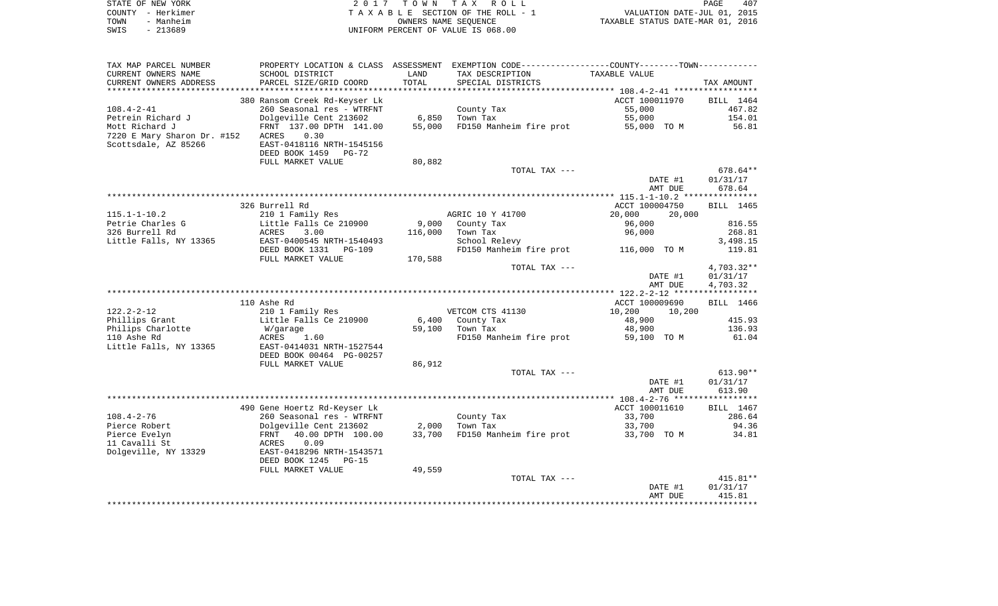|      | STATE OF NEW YORK | 2017 TOWN TAX ROLL                 | <b>PAGE</b>                      | 407 |
|------|-------------------|------------------------------------|----------------------------------|-----|
|      | COUNTY - Herkimer | TAXABLE SECTION OF THE ROLL - 1    | VALUATION DATE-JUL 01, 2015      |     |
| TOWN | - Manheim         | OWNERS NAME SEOUENCE               | TAXABLE STATUS DATE-MAR 01, 2016 |     |
| SWIS | - 213689          | UNIFORM PERCENT OF VALUE IS 068.00 |                                  |     |

| TAX MAP PARCEL NUMBER       |                               |         | PROPERTY LOCATION & CLASS ASSESSMENT EXEMPTION CODE---------------COUNTY-------TOWN---------- |                  |            |
|-----------------------------|-------------------------------|---------|-----------------------------------------------------------------------------------------------|------------------|------------|
| CURRENT OWNERS NAME         | SCHOOL DISTRICT               | LAND    | TAX DESCRIPTION                                                                               | TAXABLE VALUE    |            |
| CURRENT OWNERS ADDRESS      | PARCEL SIZE/GRID COORD        | TOTAL   | SPECIAL DISTRICTS                                                                             |                  | TAX AMOUNT |
|                             |                               |         |                                                                                               |                  |            |
|                             | 380 Ransom Creek Rd-Keyser Lk |         |                                                                                               | ACCT 100011970   | BILL 1464  |
| $108.4 - 2 - 41$            | 260 Seasonal res - WTRFNT     |         | County Tax                                                                                    | 55,000           | 467.82     |
| Petrein Richard J           | Dolgeville Cent 213602        | 6,850   | Town Tax                                                                                      | 55,000           | 154.01     |
| Mott Richard J              | FRNT 137.00 DPTH 141.00       | 55,000  | FD150 Manheim fire prot                                                                       | 55,000 TO M      | 56.81      |
|                             | 0.30<br>ACRES                 |         |                                                                                               |                  |            |
| 7220 E Mary Sharon Dr. #152 |                               |         |                                                                                               |                  |            |
| Scottsdale, AZ 85266        | EAST-0418116 NRTH-1545156     |         |                                                                                               |                  |            |
|                             | DEED BOOK 1459 PG-72          |         |                                                                                               |                  |            |
|                             | FULL MARKET VALUE             | 80,882  |                                                                                               |                  |            |
|                             |                               |         | TOTAL TAX ---                                                                                 |                  | 678.64**   |
|                             |                               |         |                                                                                               | DATE #1          | 01/31/17   |
|                             |                               |         |                                                                                               | AMT DUE          | 678.64     |
|                             |                               |         |                                                                                               |                  |            |
|                             | 326 Burrell Rd                |         |                                                                                               | ACCT 100004750   | BILL 1465  |
| $115.1 - 1 - 10.2$          | 210 1 Family Res              |         | AGRIC 10 Y 41700                                                                              | 20,000<br>20,000 |            |
| Petrie Charles G            | Little Falls Ce 210900        | 9,000   | County Tax                                                                                    | 96,000           | 816.55     |
| 326 Burrell Rd              | ACRES<br>3.00                 | 116,000 | Town Tax                                                                                      | 96,000           | 268.81     |
| Little Falls, NY 13365      | EAST-0400545 NRTH-1540493     |         | School Relevy                                                                                 |                  | 3,498.15   |
|                             | DEED BOOK 1331 PG-109         |         | FD150 Manheim fire prot 116,000 TO M                                                          |                  | 119.81     |
|                             | FULL MARKET VALUE             | 170,588 |                                                                                               |                  |            |
|                             |                               |         | TOTAL TAX ---                                                                                 |                  | 4,703.32** |
|                             |                               |         |                                                                                               | DATE #1          | 01/31/17   |
|                             |                               |         |                                                                                               | AMT DUE          | 4,703.32   |
|                             |                               |         |                                                                                               |                  |            |
|                             | 110 Ashe Rd                   |         |                                                                                               | ACCT 100009690   | BILL 1466  |
| $122.2 - 2 - 12$            | 210 1 Family Res              |         | VETCOM CTS 41130                                                                              | 10,200<br>10,200 |            |
|                             |                               |         |                                                                                               |                  |            |
| Phillips Grant              | Little Falls Ce 210900        |         | 6,400 County Tax                                                                              | 48,900           | 415.93     |
| Philips Charlotte           | W/garage                      | 59,100  | Town Tax                                                                                      | 48,900           | 136.93     |
| 110 Ashe Rd                 | ACRES<br>1.60                 |         | FD150 Manheim fire prot                                                                       | 59,100 TO M      | 61.04      |
| Little Falls, NY 13365      | EAST-0414031 NRTH-1527544     |         |                                                                                               |                  |            |
|                             | DEED BOOK 00464 PG-00257      |         |                                                                                               |                  |            |
|                             | FULL MARKET VALUE             | 86,912  |                                                                                               |                  |            |
|                             |                               |         | TOTAL TAX ---                                                                                 |                  | $613.90**$ |
|                             |                               |         |                                                                                               | DATE #1          | 01/31/17   |
|                             |                               |         |                                                                                               | AMT DUE          | 613.90     |
|                             |                               |         |                                                                                               |                  |            |
|                             | 490 Gene Hoertz Rd-Keyser Lk  |         |                                                                                               | ACCT 100011610   | BILL 1467  |
| $108.4 - 2 - 76$            | 260 Seasonal res - WTRFNT     |         |                                                                                               | 33,700           | 286.64     |
| Pierce Robert               | Dolgeville Cent 213602 2,000  |         | County Tax<br>Time Tay                                                                        | 33,700           | 94.36      |
| Pierce Evelyn               | 40.00 DPTH 100.00<br>FRNT     |         | 33,700 FD150 Manheim fire prot                                                                | 33,700 TO M      | 34.81      |
| 11 Cavalli St               | ACRES<br>0.09                 |         |                                                                                               |                  |            |
| Dolgeville, NY 13329        | EAST-0418296 NRTH-1543571     |         |                                                                                               |                  |            |
|                             | DEED BOOK 1245 PG-15          |         |                                                                                               |                  |            |
|                             |                               | 49,559  |                                                                                               |                  |            |
|                             | FULL MARKET VALUE             |         | TOTAL TAX ---                                                                                 |                  | $415.81**$ |
|                             |                               |         |                                                                                               |                  |            |
|                             |                               |         |                                                                                               | DATE #1          | 01/31/17   |
|                             |                               |         |                                                                                               | AMT DUE          | 415.81     |
|                             |                               |         |                                                                                               |                  |            |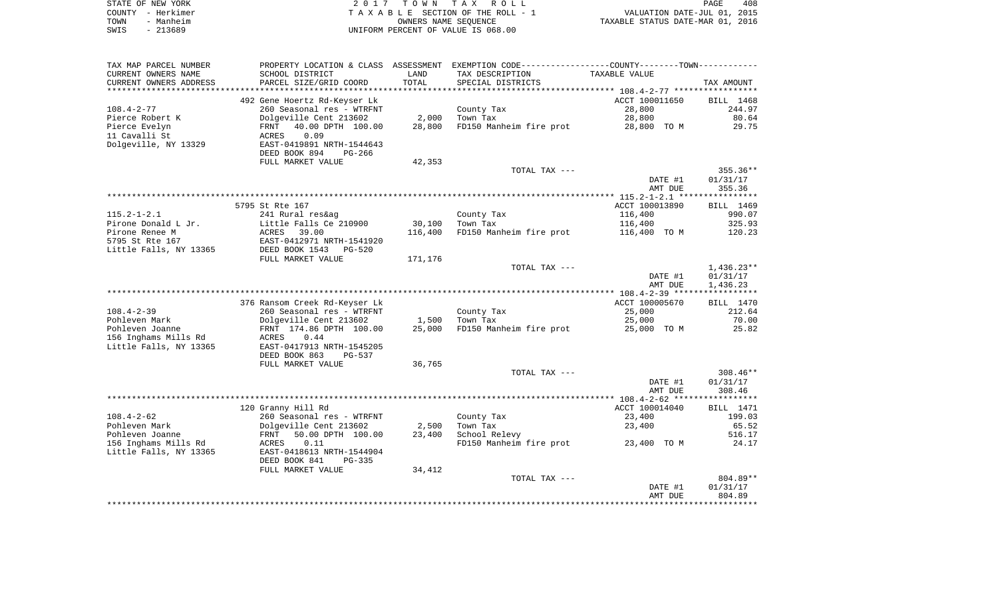|      | STATE OF NEW YORK | 2017 TOWN TAX ROLL                 | PAGE                             | 408 |
|------|-------------------|------------------------------------|----------------------------------|-----|
|      | COUNTY - Herkimer | TAXABLE SECTION OF THE ROLL - 1    | VALUATION DATE-JUL 01, 2015      |     |
| TOWN | - Manheim         | OWNERS NAME SEOUENCE               | TAXABLE STATUS DATE-MAR 01, 2016 |     |
| SWIS | - 213689          | UNIFORM PERCENT OF VALUE IS 068.00 |                                  |     |

| TAX MAP PARCEL NUMBER  | PROPERTY LOCATION & CLASS     | ASSESSMENT | EXEMPTION CODE-----------------COUNTY--------TOWN----------- |                |              |
|------------------------|-------------------------------|------------|--------------------------------------------------------------|----------------|--------------|
| CURRENT OWNERS NAME    | SCHOOL DISTRICT               | LAND       | TAX DESCRIPTION                                              | TAXABLE VALUE  |              |
| CURRENT OWNERS ADDRESS | PARCEL SIZE/GRID COORD        | TOTAL      | SPECIAL DISTRICTS                                            |                | TAX AMOUNT   |
|                        |                               |            |                                                              |                |              |
|                        | 492 Gene Hoertz Rd-Keyser Lk  |            |                                                              | ACCT 100011650 | BILL 1468    |
| $108.4 - 2 - 77$       | 260 Seasonal res - WTRFNT     |            | County Tax                                                   | 28,800         | 244.97       |
| Pierce Robert K        | Dolgeville Cent 213602        | 2,000      | Town Tax                                                     | 28,800         | 80.64        |
| Pierce Evelyn          | 40.00 DPTH 100.00<br>FRNT     | 28,800     | FD150 Manheim fire prot                                      | 28,800 TO M    | 29.75        |
| 11 Cavalli St          | 0.09<br>ACRES                 |            |                                                              |                |              |
| Dolgeville, NY 13329   | EAST-0419891 NRTH-1544643     |            |                                                              |                |              |
|                        | DEED BOOK 894<br>PG-266       |            |                                                              |                |              |
|                        | FULL MARKET VALUE             | 42,353     |                                                              |                |              |
|                        |                               |            | TOTAL TAX ---                                                |                | 355.36**     |
|                        |                               |            |                                                              | DATE #1        | 01/31/17     |
|                        |                               |            |                                                              | AMT DUE        | 355.36       |
|                        |                               |            |                                                              |                |              |
|                        | 5795 St Rte 167               |            |                                                              | ACCT 100013890 | BILL 1469    |
| $115.2 - 1 - 2.1$      | 241 Rural res&ag              |            | County Tax                                                   | 116,400        | 990.07       |
| Pirone Donald L Jr.    | Little Falls Ce 210900        | 30,100     | Town Tax                                                     | 116,400        | 325.93       |
| Pirone Renee M         | ACRES<br>39.00                | 116,400    | FD150 Manheim fire prot                                      | 116,400 TO M   | 120.23       |
| 5795 St Rte 167        | EAST-0412971 NRTH-1541920     |            |                                                              |                |              |
| Little Falls, NY 13365 | DEED BOOK 1543<br>$PG-520$    |            |                                                              |                |              |
|                        | FULL MARKET VALUE             | 171,176    |                                                              |                |              |
|                        |                               |            | TOTAL TAX ---                                                |                | $1,436.23**$ |
|                        |                               |            |                                                              | DATE #1        | 01/31/17     |
|                        |                               |            |                                                              | AMT DUE        | 1,436.23     |
|                        |                               |            |                                                              |                |              |
|                        | 376 Ransom Creek Rd-Keyser Lk |            |                                                              | ACCT 100005670 | BILL 1470    |
| $108.4 - 2 - 39$       | 260 Seasonal res - WTRFNT     |            | County Tax                                                   | 25,000         | 212.64       |
| Pohleven Mark          | Dolgeville Cent 213602        | 1,500      | Town Tax                                                     | 25,000         | 70.00        |
| Pohleven Joanne        | FRNT 174.86 DPTH 100.00       | 25,000     | FD150 Manheim fire prot                                      | 25,000 TO M    | 25.82        |
| 156 Inghams Mills Rd   | 0.44<br>ACRES                 |            |                                                              |                |              |
| Little Falls, NY 13365 | EAST-0417913 NRTH-1545205     |            |                                                              |                |              |
|                        | DEED BOOK 863<br>$PG-537$     |            |                                                              |                |              |
|                        | FULL MARKET VALUE             | 36,765     |                                                              |                |              |
|                        |                               |            | TOTAL TAX ---                                                |                | $308.46**$   |
|                        |                               |            |                                                              | DATE #1        | 01/31/17     |
|                        |                               |            |                                                              | AMT DUE        | 308.46       |
|                        |                               |            |                                                              |                |              |
|                        | 120 Granny Hill Rd            |            |                                                              | ACCT 100014040 | BILL 1471    |
| $108.4 - 2 - 62$       | 260 Seasonal res - WTRFNT     |            | County Tax                                                   | 23,400         | 199.03       |
| Pohleven Mark          | Dolgeville Cent 213602        | 2,500      | Town Tax                                                     | 23,400         | 65.52        |
| Pohleven Joanne        | 50.00 DPTH 100.00<br>FRNT     | 23,400     | School Relevy                                                |                | 516.17       |
| 156 Inghams Mills Rd   | 0.11<br>ACRES                 |            | FD150 Manheim fire prot                                      | 23,400 TO M    | 24.17        |
| Little Falls, NY 13365 | EAST-0418613 NRTH-1544904     |            |                                                              |                |              |
|                        | DEED BOOK 841<br>$PG-335$     |            |                                                              |                |              |
|                        | FULL MARKET VALUE             | 34,412     |                                                              |                |              |
|                        |                               |            | TOTAL TAX ---                                                |                | 804.89**     |
|                        |                               |            |                                                              | DATE #1        | 01/31/17     |
|                        |                               |            |                                                              | AMT DUE        | 804.89       |
|                        |                               |            |                                                              |                |              |
|                        |                               |            |                                                              |                |              |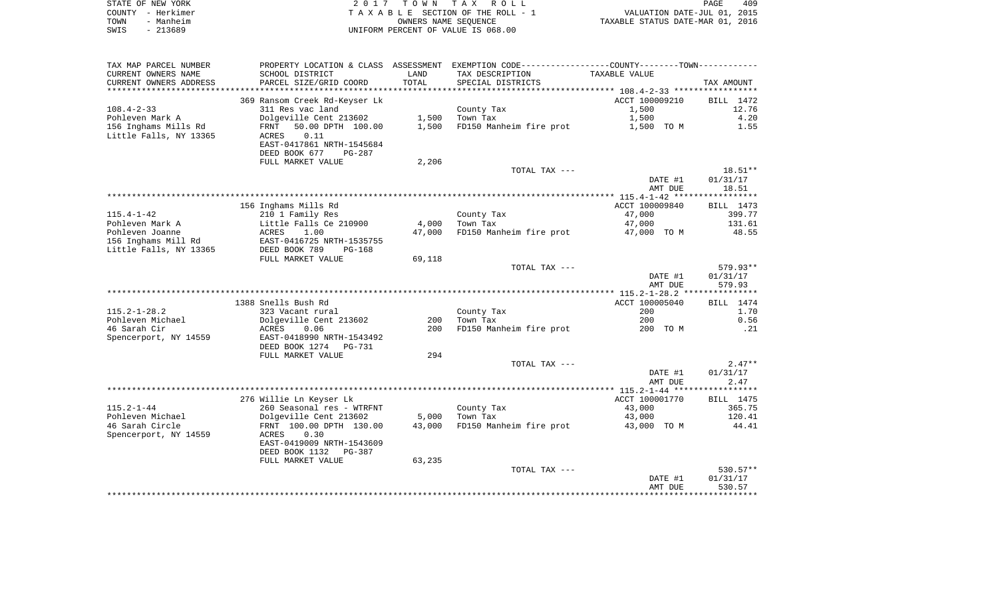| STATE OF NEW YORK | 2017 TOWN TAX ROLL                 | 409<br>PAGE                      |
|-------------------|------------------------------------|----------------------------------|
| COUNTY - Herkimer | TAXABLE SECTION OF THE ROLL - 1    | VALUATION DATE-JUL 01, 2015      |
| TOWN<br>- Manheim | OWNERS NAME SEOUENCE               | TAXABLE STATUS DATE-MAR 01, 2016 |
| SWIS<br>- 213689  | UNIFORM PERCENT OF VALUE IS 068.00 |                                  |

| TAX MAP PARCEL NUMBER                  |                                            |                 | PROPERTY LOCATION & CLASS ASSESSMENT EXEMPTION CODE---------------COUNTY--------TOWN---------- |                |                      |
|----------------------------------------|--------------------------------------------|-----------------|------------------------------------------------------------------------------------------------|----------------|----------------------|
| CURRENT OWNERS NAME                    | SCHOOL DISTRICT                            | LAND            | TAX DESCRIPTION                                                                                | TAXABLE VALUE  |                      |
| CURRENT OWNERS ADDRESS                 | PARCEL SIZE/GRID COORD                     | TOTAL           | SPECIAL DISTRICTS                                                                              |                | TAX AMOUNT           |
|                                        |                                            |                 |                                                                                                |                |                      |
|                                        | 369 Ransom Creek Rd-Keyser Lk              |                 |                                                                                                | ACCT 100009210 | BILL 1472            |
| $108.4 - 2 - 33$                       | 311 Res vac land                           |                 | County Tax                                                                                     | 1,500          | 12.76                |
| Pohleven Mark A                        | Dolgeville Cent 213602                     | 1,500           | Town Tax                                                                                       | 1,500          | 4.20                 |
| 156 Inghams Mills Rd                   | 50.00 DPTH 100.00<br>FRNT                  | 1,500           | FD150 Manheim fire prot                                                                        | 1,500 TO M     | 1.55                 |
| Little Falls, NY 13365                 | 0.11<br>ACRES                              |                 |                                                                                                |                |                      |
|                                        | EAST-0417861 NRTH-1545684                  |                 |                                                                                                |                |                      |
|                                        | DEED BOOK 677<br>PG-287                    |                 |                                                                                                |                |                      |
|                                        | FULL MARKET VALUE                          | 2,206           |                                                                                                |                |                      |
|                                        |                                            |                 | TOTAL TAX ---                                                                                  |                | $18.51**$            |
|                                        |                                            |                 |                                                                                                | DATE #1        | 01/31/17             |
|                                        |                                            |                 |                                                                                                | AMT DUE        | 18.51                |
|                                        |                                            |                 |                                                                                                |                |                      |
|                                        | 156 Inghams Mills Rd                       |                 |                                                                                                | ACCT 100009840 | BILL 1473            |
| $115.4 - 1 - 42$                       | 210 1 Family Res                           |                 | County Tax                                                                                     | 47,000         | 399.77               |
| Pohleven Mark A                        | Little Falls Ce 210900                     | 4,000<br>47,000 | Town Tax<br>FD150 Manheim fire prot                                                            | 47,000         | 131.61<br>48.55      |
| Pohleven Joanne<br>156 Inghams Mill Rd | 1.00<br>ACRES<br>EAST-0416725 NRTH-1535755 |                 |                                                                                                | 47,000 TO M    |                      |
| Little Falls, NY 13365                 | DEED BOOK 789<br>PG-168                    |                 |                                                                                                |                |                      |
|                                        | FULL MARKET VALUE                          | 69,118          |                                                                                                |                |                      |
|                                        |                                            |                 | TOTAL TAX ---                                                                                  |                | 579.93**             |
|                                        |                                            |                 |                                                                                                | DATE #1        | 01/31/17             |
|                                        |                                            |                 |                                                                                                | AMT DUE        | 579.93               |
|                                        |                                            |                 |                                                                                                |                |                      |
|                                        | 1388 Snells Bush Rd                        |                 |                                                                                                | ACCT 100005040 | BILL 1474            |
| $115.2 - 1 - 28.2$                     | 323 Vacant rural                           |                 | County Tax                                                                                     | 200            | 1.70                 |
| Pohleven Michael                       | Dolgeville Cent 213602                     | 200             | Town Tax                                                                                       | 200            | 0.56                 |
| 46 Sarah Cir                           | ACRES<br>0.06                              | 200             | FD150 Manheim fire prot                                                                        | 200 TO M       | .21                  |
| Spencerport, NY 14559                  | EAST-0418990 NRTH-1543492                  |                 |                                                                                                |                |                      |
|                                        | DEED BOOK 1274 PG-731                      |                 |                                                                                                |                |                      |
|                                        | FULL MARKET VALUE                          | 294             |                                                                                                |                |                      |
|                                        |                                            |                 | TOTAL TAX ---                                                                                  |                | $2.47**$             |
|                                        |                                            |                 |                                                                                                | DATE #1        | 01/31/17             |
|                                        |                                            |                 |                                                                                                | AMT DUE        | 2.47                 |
|                                        |                                            |                 |                                                                                                |                |                      |
|                                        | 276 Willie Ln Keyser Lk                    |                 |                                                                                                | ACCT 100001770 | BILL 1475            |
| $115.2 - 1 - 44$                       | 260 Seasonal res - WTRFNT                  |                 | County Tax                                                                                     | 43,000         | 365.75               |
| Pohleven Michael                       | Dolgeville Cent 213602                     | 5,000           | Town Tax                                                                                       | 43,000         | 120.41               |
| 46 Sarah Circle                        | FRNT 100.00 DPTH 130.00                    | 43,000          | FD150 Manheim fire prot                                                                        | 43,000 TO M    | 44.41                |
| Spencerport, NY 14559                  | 0.30<br>ACRES                              |                 |                                                                                                |                |                      |
|                                        | EAST-0419009 NRTH-1543609                  |                 |                                                                                                |                |                      |
|                                        | DEED BOOK 1132<br>PG-387                   |                 |                                                                                                |                |                      |
|                                        | FULL MARKET VALUE                          | 63,235          |                                                                                                |                |                      |
|                                        |                                            |                 | TOTAL TAX ---                                                                                  | DATE #1        | 530.57**<br>01/31/17 |
|                                        |                                            |                 |                                                                                                | AMT DUE        | 530.57               |
|                                        |                                            |                 |                                                                                                |                |                      |
|                                        |                                            |                 |                                                                                                |                |                      |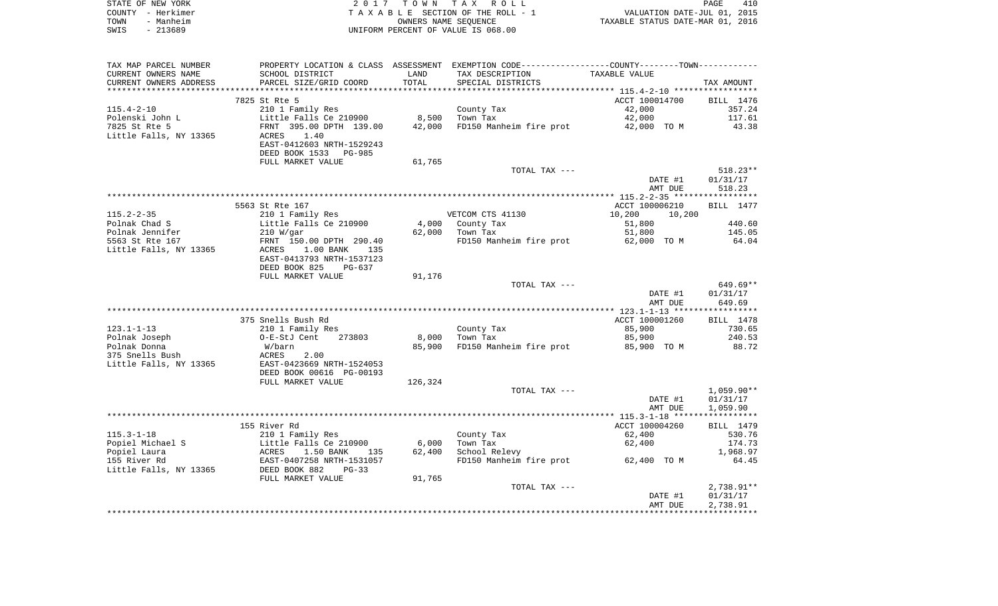|      | STATE OF NEW YORK | 2017 TOWN TAX ROLL                 | PAGE                             | 410 |
|------|-------------------|------------------------------------|----------------------------------|-----|
|      | COUNTY - Herkimer | TAXABLE SECTION OF THE ROLL - 1    | VALUATION DATE-JUL 01, 2015      |     |
| TOWN | - Manheim         | OWNERS NAME SEOUENCE               | TAXABLE STATUS DATE-MAR 01, 2016 |     |
| SWIS | - 213689          | UNIFORM PERCENT OF VALUE IS 068.00 |                                  |     |

| TAX MAP PARCEL NUMBER            |                                                                                    |         | PROPERTY LOCATION & CLASS ASSESSMENT EXEMPTION CODE---------------COUNTY-------TOWN--------- |                  |              |
|----------------------------------|------------------------------------------------------------------------------------|---------|----------------------------------------------------------------------------------------------|------------------|--------------|
| CURRENT OWNERS NAME              | SCHOOL DISTRICT                                                                    | LAND    | TAX DESCRIPTION                                                                              | TAXABLE VALUE    |              |
| CURRENT OWNERS ADDRESS           | PARCEL SIZE/GRID COORD                                                             | TOTAL   | SPECIAL DISTRICTS                                                                            |                  | TAX AMOUNT   |
|                                  |                                                                                    |         |                                                                                              |                  |              |
|                                  | 7825 St Rte 5                                                                      |         |                                                                                              | ACCT 100014700   | BILL 1476    |
| $115.4 - 2 - 10$                 | 210 1 Family Res                                                                   |         | County Tax                                                                                   | 42,000           | 357.24       |
| Polenski John L                  | Little Falls Ce 210900                                                             | 8,500   | Town Tax                                                                                     | 42,000           | 117.61       |
| The Contract of<br>7825 St Rte 5 | FRNT 395.00 DPTH 139.00                                                            | 42,000  | FD150 Manheim fire prot 42,000 TO M                                                          |                  | 43.38        |
| Little Falls, NY 13365           | 1.40                                                                               |         |                                                                                              |                  |              |
|                                  | ACRES                                                                              |         |                                                                                              |                  |              |
|                                  | EAST-0412603 NRTH-1529243                                                          |         |                                                                                              |                  |              |
|                                  | DEED BOOK 1533 PG-985                                                              |         |                                                                                              |                  |              |
|                                  | FULL MARKET VALUE                                                                  | 61,765  |                                                                                              |                  |              |
|                                  |                                                                                    |         | TOTAL TAX ---                                                                                |                  | $518.23**$   |
|                                  |                                                                                    |         |                                                                                              | DATE #1          | 01/31/17     |
|                                  |                                                                                    |         |                                                                                              | AMT DUE          | 518.23       |
|                                  |                                                                                    |         |                                                                                              |                  |              |
|                                  | 5563 St Rte 167                                                                    |         |                                                                                              | ACCT 100006210   | BILL 1477    |
| $115.2 - 2 - 35$                 | 210 1 Family Res                                                                   |         | VETCOM CTS 41130                                                                             | 10,200<br>10,200 |              |
| Polnak Chad S                    | Little Falls Ce 210900                                                             |         | 4,000 County Tax                                                                             | 51,800           | 440.60       |
| Polnak Jennifer                  | 210 W/qar                                                                          | 62,000  | Town Tax                                                                                     | 51,800           | 145.05       |
| 5563 St Rte 167                  | FRNT 150.00 DPTH 290.40                                                            |         | FD150 Manheim fire prot 62,000 TO M                                                          |                  | 64.04        |
| Little Falls, NY 13365           | $1.00$ BANK<br>ACRES<br>135                                                        |         |                                                                                              |                  |              |
|                                  | EAST-0413793 NRTH-1537123                                                          |         |                                                                                              |                  |              |
|                                  | DEED BOOK 825<br>PG-637                                                            |         |                                                                                              |                  |              |
|                                  |                                                                                    |         |                                                                                              |                  |              |
|                                  | FULL MARKET VALUE                                                                  | 91,176  |                                                                                              |                  |              |
|                                  |                                                                                    |         | TOTAL TAX ---                                                                                |                  | $649.69**$   |
|                                  |                                                                                    |         |                                                                                              | DATE #1          | 01/31/17     |
|                                  |                                                                                    |         |                                                                                              | AMT DUE          | 649.69       |
|                                  |                                                                                    |         |                                                                                              |                  |              |
|                                  | 375 Snells Bush Rd                                                                 |         |                                                                                              | ACCT 100001260   | BILL 1478    |
| $123.1 - 1 - 13$                 | 210 1 Family Res                                                                   |         | County Tax                                                                                   | 85,900           | 730.65       |
| Polnak Joseph                    | O-E-StJ Cent<br>273803                                                             | 8,000   | Town Tax                                                                                     | 85,900           | 240.53       |
| Polnak Donna                     | W/barn                                                                             | 85,900  | FD150 Manheim fire prot 85,900 TO M                                                          |                  | 88.72        |
| 375 Snells Bush                  | ACRES<br>2.00                                                                      |         |                                                                                              |                  |              |
| Little Falls, NY 13365           | EAST-0423669 NRTH-1524053                                                          |         |                                                                                              |                  |              |
|                                  | DEED BOOK 00616 PG-00193                                                           |         |                                                                                              |                  |              |
|                                  | FULL MARKET VALUE                                                                  | 126,324 |                                                                                              |                  |              |
|                                  |                                                                                    |         | TOTAL TAX ---                                                                                |                  | $1,059.90**$ |
|                                  |                                                                                    |         |                                                                                              | DATE #1          | 01/31/17     |
|                                  |                                                                                    |         |                                                                                              | AMT DUE          | 1,059.90     |
|                                  |                                                                                    |         |                                                                                              |                  |              |
|                                  | 155 River Rd                                                                       |         |                                                                                              | ACCT 100004260   | BILL 1479    |
| $115.3 - 1 - 18$                 | 210 1 Family Res                                                                   |         | County Tax                                                                                   | 62,400           | 530.76       |
| Popiel Michael S                 |                                                                                    | 6,000   | Town Tax                                                                                     | 62,400           | 174.73       |
|                                  |                                                                                    |         |                                                                                              |                  |              |
| Popiel Laura                     | Little Falls Ce 210900<br>ACRES     1.50 BANK     135<br>EAST-0407258 NRTH-1531057 | 62,400  | School Relevy                                                                                |                  | 1,968.97     |
| 155 River Rd                     | DEED BOOK 882                                                                      |         | FD150 Manheim fire prot 62,400 TO M                                                          |                  | 64.45        |
| Little Falls, NY 13365           | $PG-33$                                                                            |         |                                                                                              |                  |              |
|                                  | FULL MARKET VALUE                                                                  | 91,765  |                                                                                              |                  |              |
|                                  |                                                                                    |         | TOTAL TAX ---                                                                                |                  | $2,738.91**$ |
|                                  |                                                                                    |         |                                                                                              | DATE #1          | 01/31/17     |
|                                  |                                                                                    |         |                                                                                              | AMT DUE          | 2,738.91     |
|                                  |                                                                                    |         |                                                                                              |                  |              |
|                                  |                                                                                    |         |                                                                                              |                  |              |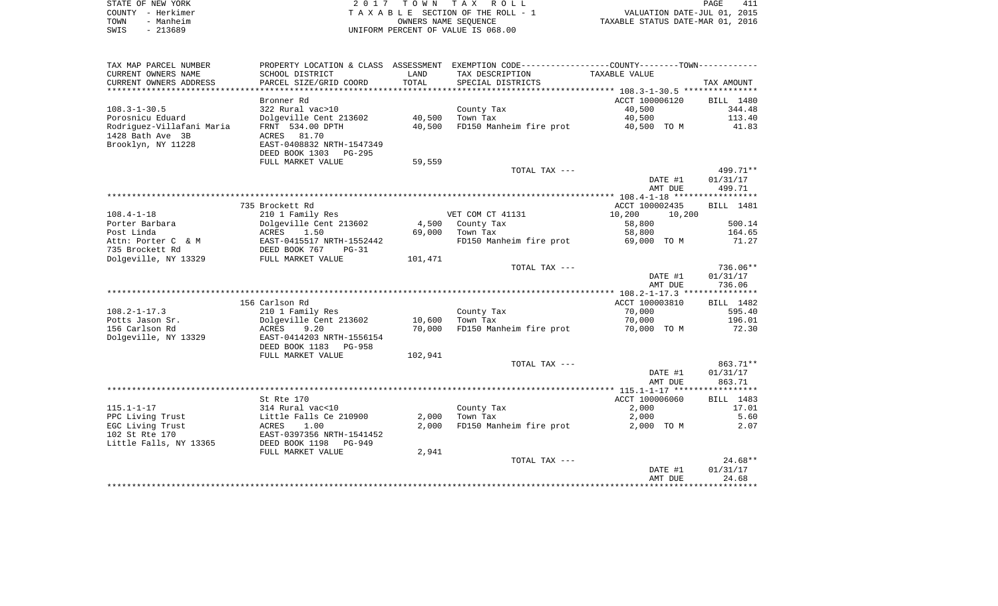|      | STATE OF NEW YORK | 2017 TOWN TAX ROLL                 | PAGE                             | 411 |
|------|-------------------|------------------------------------|----------------------------------|-----|
|      | COUNTY - Herkimer | TAXABLE SECTION OF THE ROLL - 1    | VALUATION DATE-JUL 01, 2015      |     |
| TOWN | - Manheim         | OWNERS NAME SEOUENCE               | TAXABLE STATUS DATE-MAR 01, 2016 |     |
| SWIS | - 213689          | UNIFORM PERCENT OF VALUE IS 068.00 |                                  |     |

| TAX MAP PARCEL NUMBER     |                                                  |         | PROPERTY LOCATION & CLASS ASSESSMENT EXEMPTION CODE---------------COUNTY-------TOWN---------- |                  |                  |
|---------------------------|--------------------------------------------------|---------|-----------------------------------------------------------------------------------------------|------------------|------------------|
| CURRENT OWNERS NAME       | SCHOOL DISTRICT                                  | LAND    | TAX DESCRIPTION                                                                               | TAXABLE VALUE    |                  |
| CURRENT OWNERS ADDRESS    | PARCEL SIZE/GRID COORD                           | TOTAL   | SPECIAL DISTRICTS                                                                             |                  | TAX AMOUNT       |
|                           |                                                  |         |                                                                                               |                  |                  |
|                           | Bronner Rd                                       |         |                                                                                               | ACCT 100006120   | BILL 1480        |
| $108.3 - 1 - 30.5$        | 322 Rural vac>10                                 |         | County Tax                                                                                    | 40,500           | 344.48           |
| Porosnicu Eduard          | Dolgeville Cent 213602                           | 40,500  | Town Tax                                                                                      | 40,500           | 113.40           |
| Rodriguez-Villafani Maria | FRNT 534.00 DPTH                                 | 40,500  | FD150 Manheim fire prot                                                                       | 40,500 TO M      | 41.83            |
| 1428 Bath Ave 3B          | ACRES<br>81.70                                   |         |                                                                                               |                  |                  |
| Brooklyn, NY 11228        | EAST-0408832 NRTH-1547349                        |         |                                                                                               |                  |                  |
|                           | DEED BOOK 1303 PG-295                            |         |                                                                                               |                  |                  |
|                           | FULL MARKET VALUE                                | 59,559  |                                                                                               |                  |                  |
|                           |                                                  |         | TOTAL TAX ---                                                                                 |                  | 499.71**         |
|                           |                                                  |         |                                                                                               | DATE #1          | 01/31/17         |
|                           |                                                  |         |                                                                                               | AMT DUE          | 499.71           |
|                           |                                                  |         |                                                                                               |                  |                  |
|                           | 735 Brockett Rd                                  |         |                                                                                               | ACCT 100002435   | <b>BILL</b> 1481 |
| $108.4 - 1 - 18$          | 210 1 Family Res                                 |         | VET COM CT 41131                                                                              | 10,200<br>10,200 |                  |
| Porter Barbara            | Dolgeville Cent 213602                           | 4,500   | County Tax                                                                                    | 58,800           | 500.14           |
| Post Linda                | 1.50<br>ACRES                                    | 69,000  | Town Tax                                                                                      | 58,800           | 164.65           |
| Attn: Porter C & M        | EAST-0415517 NRTH-1552442<br>DEED BOOK 767 PG-31 |         | FD150 Manheim fire prot                                                                       | 69,000 TO M      | 71.27            |
| 735 Brockett Rd           |                                                  |         |                                                                                               |                  |                  |
| Dolgeville, NY 13329      | FULL MARKET VALUE                                | 101,471 |                                                                                               |                  |                  |
|                           |                                                  |         | TOTAL TAX ---                                                                                 |                  | 736.06**         |
|                           |                                                  |         |                                                                                               | DATE #1          | 01/31/17         |
|                           |                                                  |         |                                                                                               | AMT DUE          | 736.06           |
|                           |                                                  |         |                                                                                               |                  |                  |
|                           | 156 Carlson Rd                                   |         |                                                                                               | ACCT 100003810   | BILL 1482        |
| $108.2 - 1 - 17.3$        | 210 1 Family Res                                 |         | County Tax                                                                                    | 70,000           | 595.40           |
| Potts Jason Sr.           | Dolgeville Cent 213602                           | 10,600  | Town Tax                                                                                      | 70,000           | 196.01           |
| 156 Carlson Rd            | 9.20<br>ACRES                                    | 70,000  | FD150 Manheim fire prot                                                                       | 70,000 TO M      | 72.30            |
| Dolgeville, NY 13329      | EAST-0414203 NRTH-1556154                        |         |                                                                                               |                  |                  |
|                           | DEED BOOK 1183<br>PG-958                         |         |                                                                                               |                  |                  |
|                           | FULL MARKET VALUE                                | 102,941 |                                                                                               |                  |                  |
|                           |                                                  |         | TOTAL TAX ---                                                                                 |                  | 863.71**         |
|                           |                                                  |         |                                                                                               | DATE #1          | 01/31/17         |
|                           |                                                  |         |                                                                                               | AMT DUE          | 863.71           |
|                           |                                                  |         |                                                                                               |                  |                  |
|                           | St Rte 170                                       |         |                                                                                               | ACCT 100006060   | BILL 1483        |
| $115.1 - 1 - 17$          | 314 Rural vac<10                                 |         | County Tax                                                                                    | 2,000            | 17.01            |
| PPC Living Trust          | Little Falls Ce 210900                           | 2,000   | Town Tax                                                                                      | 2,000            | 5.60             |
| EGC Living Trust          | ACRES<br>1.00                                    | 2,000   | FD150 Manheim fire prot                                                                       | 2,000 TO M       | 2.07             |
| 102 St Rte 170            | EAST-0397356 NRTH-1541452                        |         |                                                                                               |                  |                  |
| Little Falls, NY 13365    | DEED BOOK 1198<br>PG-949                         |         |                                                                                               |                  |                  |
|                           | FULL MARKET VALUE                                | 2,941   |                                                                                               |                  |                  |
|                           |                                                  |         | TOTAL TAX ---                                                                                 |                  | $24.68**$        |
|                           |                                                  |         |                                                                                               | DATE #1          | 01/31/17         |
|                           |                                                  |         |                                                                                               | AMT DUE          | 24.68            |
|                           |                                                  |         |                                                                                               |                  |                  |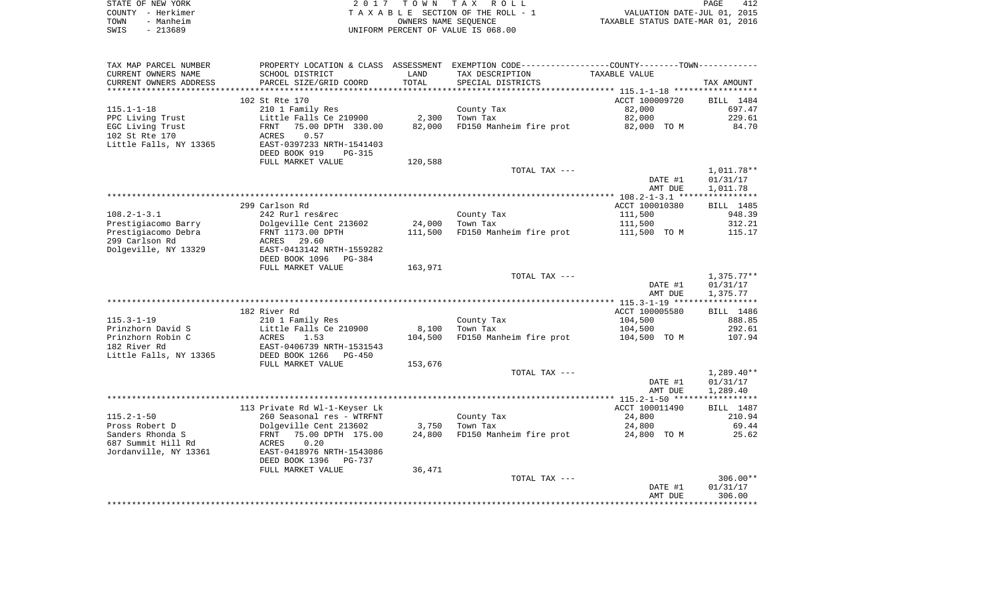| STATE OF NEW YORK | 2017 TOWN TAX ROLL                 | 412<br>PAGE                      |
|-------------------|------------------------------------|----------------------------------|
| COUNTY - Herkimer | TAXABLE SECTION OF THE ROLL - 1    | VALUATION DATE-JUL 01, 2015      |
| TOWN<br>- Manheim | OWNERS NAME SEOUENCE               | TAXABLE STATUS DATE-MAR 01, 2016 |
| SWIS<br>- 213689  | UNIFORM PERCENT OF VALUE IS 068.00 |                                  |

| TAX MAP PARCEL NUMBER  |                               |         | PROPERTY LOCATION & CLASS ASSESSMENT EXEMPTION CODE----------------COUNTY--------TOWN---------- |                |                  |
|------------------------|-------------------------------|---------|-------------------------------------------------------------------------------------------------|----------------|------------------|
| CURRENT OWNERS NAME    | SCHOOL DISTRICT               | LAND    | TAX DESCRIPTION                                                                                 | TAXABLE VALUE  |                  |
| CURRENT OWNERS ADDRESS | PARCEL SIZE/GRID COORD        | TOTAL   | SPECIAL DISTRICTS                                                                               |                | TAX AMOUNT       |
|                        |                               |         |                                                                                                 |                |                  |
|                        | 102 St Rte 170                |         |                                                                                                 | ACCT 100009720 | BILL 1484        |
| $115.1 - 1 - 18$       | 210 1 Family Res              |         | County Tax                                                                                      | 82,000         | 697.47           |
| PPC Living Trust       | Little Falls Ce 210900        | 2,300   | Town Tax                                                                                        | 82,000         | 229.61           |
| EGC Living Trust       | FRNT<br>75.00 DPTH 330.00     | 82,000  | FD150 Manheim fire prot                                                                         | 82,000 TO M    | 84.70            |
| 102 St Rte 170         | ACRES<br>0.57                 |         |                                                                                                 |                |                  |
| Little Falls, NY 13365 | EAST-0397233 NRTH-1541403     |         |                                                                                                 |                |                  |
|                        | DEED BOOK 919<br>$PG-315$     |         |                                                                                                 |                |                  |
|                        | FULL MARKET VALUE             | 120,588 |                                                                                                 |                |                  |
|                        |                               |         | TOTAL TAX ---                                                                                   |                | $1,011.78**$     |
|                        |                               |         |                                                                                                 | DATE #1        | 01/31/17         |
|                        |                               |         |                                                                                                 | AMT DUE        | 1,011.78         |
|                        |                               |         |                                                                                                 |                |                  |
|                        | 299 Carlson Rd                |         |                                                                                                 | ACCT 100010380 | <b>BILL</b> 1485 |
| $108.2 - 1 - 3.1$      | 242 Rurl res&rec              |         | County Tax                                                                                      | 111,500        | 948.39           |
| Prestigiacomo Barry    | Dolgeville Cent 213602        | 24,000  | Town Tax                                                                                        | 111,500        | 312.21           |
| Prestigiacomo Debra    | FRNT 1173.00 DPTH             | 111,500 | FD150 Manheim fire prot                                                                         | 111,500 TO M   | 115.17           |
| 299 Carlson Rd         | ACRES 29.60                   |         |                                                                                                 |                |                  |
| Dolgeville, NY 13329   | EAST-0413142 NRTH-1559282     |         |                                                                                                 |                |                  |
|                        | DEED BOOK 1096 PG-384         |         |                                                                                                 |                |                  |
|                        | FULL MARKET VALUE             | 163,971 |                                                                                                 |                |                  |
|                        |                               |         | TOTAL TAX ---                                                                                   |                | 1,375.77**       |
|                        |                               |         |                                                                                                 | DATE #1        | 01/31/17         |
|                        |                               |         |                                                                                                 | AMT DUE        | 1,375.77         |
|                        |                               |         |                                                                                                 |                |                  |
|                        | 182 River Rd                  |         |                                                                                                 | ACCT 100005580 | BILL 1486        |
| $115.3 - 1 - 19$       | 210 1 Family Res              |         | County Tax                                                                                      | 104,500        | 888.85           |
| Prinzhorn David S      | Little Falls Ce 210900        | 8,100   | Town Tax                                                                                        | 104,500        | 292.61           |
| Prinzhorn Robin C      | 1.53<br>ACRES                 | 104,500 | FD150 Manheim fire prot                                                                         | 104,500 TO M   | 107.94           |
| 182 River Rd           | EAST-0406739 NRTH-1531543     |         |                                                                                                 |                |                  |
| Little Falls, NY 13365 | DEED BOOK 1266 PG-450         |         |                                                                                                 |                |                  |
|                        | FULL MARKET VALUE             | 153,676 |                                                                                                 |                |                  |
|                        |                               |         | TOTAL TAX ---                                                                                   |                | 1,289.40**       |
|                        |                               |         |                                                                                                 | DATE #1        | 01/31/17         |
|                        |                               |         |                                                                                                 | AMT DUE        | 1,289.40         |
|                        |                               |         |                                                                                                 |                |                  |
|                        | 113 Private Rd Wl-1-Keyser Lk |         |                                                                                                 | ACCT 100011490 | BILL 1487        |
| $115.2 - 1 - 50$       | 260 Seasonal res - WTRFNT     |         | County Tax                                                                                      | 24,800         | 210.94           |
| Pross Robert D         | Dolgeville Cent 213602        | 3,750   | Town Tax                                                                                        | 24,800         | 69.44            |
| Sanders Rhonda S       | FRNT<br>75.00 DPTH 175.00     | 24,800  | FD150 Manheim fire prot                                                                         | 24,800 TO M    | 25.62            |
| 687 Summit Hill Rd     | ACRES<br>0.20                 |         |                                                                                                 |                |                  |
| Jordanville, NY 13361  | EAST-0418976 NRTH-1543086     |         |                                                                                                 |                |                  |
|                        | DEED BOOK 1396 PG-737         |         |                                                                                                 |                |                  |
|                        |                               |         |                                                                                                 |                |                  |
|                        | FULL MARKET VALUE             | 36,471  | TOTAL TAX ---                                                                                   |                | $306.00**$       |
|                        |                               |         |                                                                                                 | DATE #1        | 01/31/17         |
|                        |                               |         |                                                                                                 | AMT DUE        | 306.00           |
|                        |                               |         |                                                                                                 |                |                  |
|                        |                               |         |                                                                                                 |                |                  |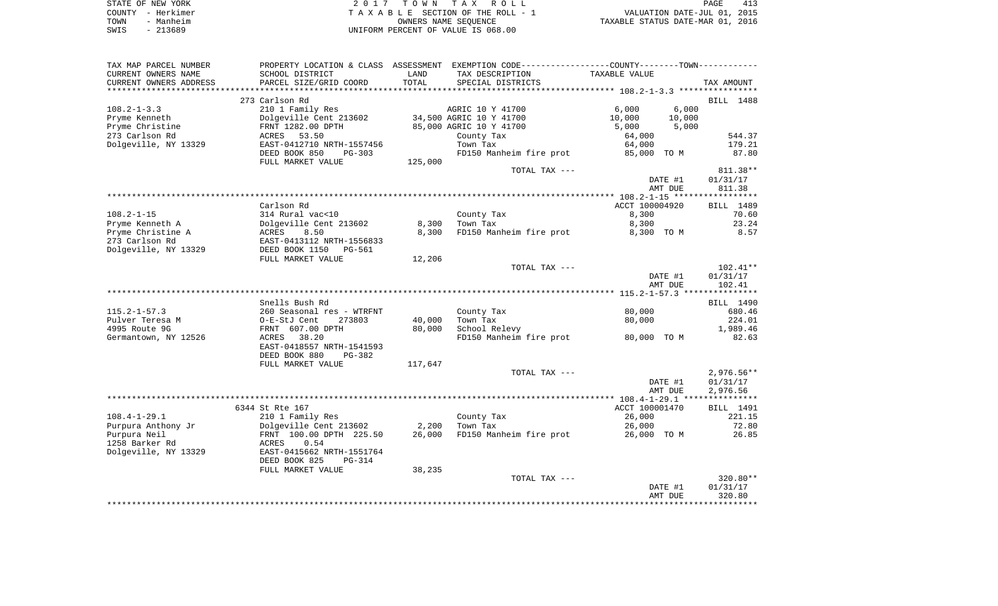| STATE OF NEW YORK | 2017 TOWN TAX ROLL                 | 413<br>PAGE                      |
|-------------------|------------------------------------|----------------------------------|
| COUNTY - Herkimer | TAXABLE SECTION OF THE ROLL - 1    | VALUATION DATE-JUL 01, 2015      |
| TOWN<br>- Manheim | OWNERS NAME SEOUENCE               | TAXABLE STATUS DATE-MAR 01, 2016 |
| $-213689$<br>SWIS | UNIFORM PERCENT OF VALUE IS 068.00 |                                  |

| TAX MAP PARCEL NUMBER  |                                 |         | PROPERTY LOCATION & CLASS ASSESSMENT EXEMPTION CODE---------------COUNTY-------TOWN---------- |                |         |              |
|------------------------|---------------------------------|---------|-----------------------------------------------------------------------------------------------|----------------|---------|--------------|
| CURRENT OWNERS NAME    | SCHOOL DISTRICT                 | LAND    | TAX DESCRIPTION                                                                               | TAXABLE VALUE  |         |              |
| CURRENT OWNERS ADDRESS | PARCEL SIZE/GRID COORD          | TOTAL   | SPECIAL DISTRICTS                                                                             |                |         | TAX AMOUNT   |
|                        |                                 |         |                                                                                               |                |         |              |
|                        | 273 Carlson Rd                  |         |                                                                                               |                |         | BILL 1488    |
| $108.2 - 1 - 3.3$      | 210 1 Family Res                |         | AGRIC 10 Y 41700                                                                              | 6,000          | 6,000   |              |
| Pryme Kenneth          | Dolgeville Cent 213602          |         | 34,500 AGRIC 10 Y 41700                                                                       | 10,000         | 10,000  |              |
| Pryme Christine        | FRNT 1282.00 DPTH               |         | 85,000 AGRIC 10 Y 41700                                                                       | 5,000          | 5,000   |              |
| 273 Carlson Rd         | ACRES                           |         |                                                                                               |                |         | 544.37       |
|                        | 53.50                           |         | County Tax                                                                                    | 64,000         |         |              |
| Dolgeville, NY 13329   | EAST-0412710 NRTH-1557456       |         | Town Tax                                                                                      | 64,000         |         | 179.21       |
|                        | DEED BOOK 850<br>$PG-303$       |         | FD150 Manheim fire prot 85,000 TO M                                                           |                |         | 87.80        |
|                        | FULL MARKET VALUE               | 125,000 |                                                                                               |                |         |              |
|                        |                                 |         | TOTAL TAX ---                                                                                 |                |         | 811.38**     |
|                        |                                 |         |                                                                                               |                | DATE #1 | 01/31/17     |
|                        |                                 |         |                                                                                               |                | AMT DUE | 811.38       |
|                        |                                 |         |                                                                                               |                |         |              |
|                        | Carlson Rd                      |         |                                                                                               | ACCT 100004920 |         | BILL 1489    |
| $108.2 - 1 - 15$       | 314 Rural vac<10                |         | County Tax                                                                                    | 8,300          |         | 70.60        |
| Pryme Kenneth A        | Dolgeville Cent 213602          | 8,300   | Town Tax                                                                                      | 8,300          |         | 23.24        |
| Pryme Christine A      | ACRES                           | 8,300   | FD150 Manheim fire prot                                                                       | 8,300 TO M     |         | 8.57         |
|                        | 8.50                            |         |                                                                                               |                |         |              |
| 273 Carlson Rd         | EAST-0413112 NRTH-1556833       |         |                                                                                               |                |         |              |
| Dolgeville, NY 13329   | DEED BOOK 1150<br><b>PG-561</b> |         |                                                                                               |                |         |              |
|                        | FULL MARKET VALUE               | 12,206  |                                                                                               |                |         |              |
|                        |                                 |         | TOTAL TAX ---                                                                                 |                |         | 102.41**     |
|                        |                                 |         |                                                                                               |                | DATE #1 | 01/31/17     |
|                        |                                 |         |                                                                                               |                | AMT DUE | 102.41       |
|                        |                                 |         |                                                                                               |                |         |              |
|                        | Snells Bush Rd                  |         |                                                                                               |                |         | BILL 1490    |
| $115.2 - 1 - 57.3$     | 260 Seasonal res - WTRFNT       |         | County Tax                                                                                    | 80,000         |         | 680.46       |
| Pulver Teresa M        | O-E-StJ Cent<br>273803          | 40,000  | Town Tax                                                                                      | 80,000         |         | 224.01       |
| 4995 Route 9G          | FRNT 607.00 DPTH                | 80,000  | School Relevy                                                                                 |                |         | 1,989.46     |
| Germantown, NY 12526   | 38.20<br>ACRES                  |         | FD150 Manheim fire prot 80,000 TO M                                                           |                |         | 82.63        |
|                        | EAST-0418557 NRTH-1541593       |         |                                                                                               |                |         |              |
|                        |                                 |         |                                                                                               |                |         |              |
|                        | DEED BOOK 880<br>PG-382         |         |                                                                                               |                |         |              |
|                        | FULL MARKET VALUE               | 117,647 |                                                                                               |                |         |              |
|                        |                                 |         | TOTAL TAX ---                                                                                 |                |         | $2,976.56**$ |
|                        |                                 |         |                                                                                               |                | DATE #1 | 01/31/17     |
|                        |                                 |         |                                                                                               |                | AMT DUE | 2,976.56     |
|                        |                                 |         |                                                                                               |                |         |              |
|                        | 6344 St Rte 167                 |         |                                                                                               | ACCT 100001470 |         | BILL 1491    |
| $108.4 - 1 - 29.1$     | 210 1 Family Res                |         | County Tax                                                                                    | 26,000         |         | 221.15       |
| Purpura Anthony Jr     | Dolgeville Cent 213602 2,200    |         | Town Tax                                                                                      | 26,000         |         | 72.80        |
| Purpura Neil           | FRNT 100.00 DPTH 225.50         |         | 26,000 FD150 Manheim fire prot                                                                | 26,000 TO M    |         | 26.85        |
| 1258 Barker Rd         | ACRES<br>0.54                   |         |                                                                                               |                |         |              |
| Dolgeville, NY 13329   | EAST-0415662 NRTH-1551764       |         |                                                                                               |                |         |              |
|                        | DEED BOOK 825                   |         |                                                                                               |                |         |              |
|                        | PG-314                          |         |                                                                                               |                |         |              |
|                        | FULL MARKET VALUE               | 38,235  |                                                                                               |                |         |              |
|                        |                                 |         | TOTAL TAX ---                                                                                 |                |         | 320.80**     |
|                        |                                 |         |                                                                                               |                | DATE #1 | 01/31/17     |
|                        |                                 |         |                                                                                               |                | AMT DUE | 320.80       |
|                        |                                 |         |                                                                                               |                |         |              |
|                        |                                 |         |                                                                                               |                |         |              |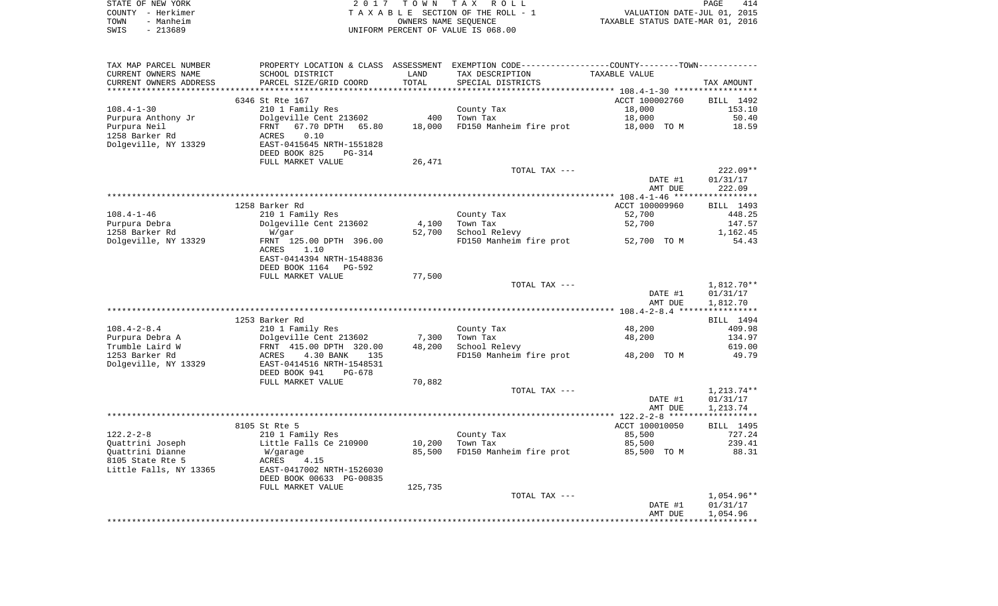|      | STATE OF NEW YORK | 2017 TOWN TAX ROLL                 | PAGE                             | 414 |
|------|-------------------|------------------------------------|----------------------------------|-----|
|      | COUNTY - Herkimer | TAXABLE SECTION OF THE ROLL - 1    | VALUATION DATE-JUL 01, 2015      |     |
| TOWN | - Manheim         | OWNERS NAME SEOUENCE               | TAXABLE STATUS DATE-MAR 01, 2016 |     |
| SWIS | $-213689$         | UNIFORM PERCENT OF VALUE IS 068.00 |                                  |     |

| TAX MAP PARCEL NUMBER  |                                |         | PROPERTY LOCATION & CLASS ASSESSMENT EXEMPTION CODE---------------COUNTY-------TOWN---------- |                |              |
|------------------------|--------------------------------|---------|-----------------------------------------------------------------------------------------------|----------------|--------------|
| CURRENT OWNERS NAME    | SCHOOL DISTRICT                | LAND    | TAX DESCRIPTION                                                                               | TAXABLE VALUE  |              |
| CURRENT OWNERS ADDRESS | PARCEL SIZE/GRID COORD         | TOTAL   | SPECIAL DISTRICTS                                                                             |                | TAX AMOUNT   |
|                        |                                |         |                                                                                               |                |              |
|                        | 6346 St Rte 167                |         |                                                                                               | ACCT 100002760 | BILL 1492    |
| $108.4 - 1 - 30$       | 210 1 Family Res               |         | County Tax                                                                                    | 18,000         | 153.10       |
| Purpura Anthony Jr     | Dolgeville Cent 213602         | 400     | Town Tax                                                                                      | 18,000         | 50.40        |
| Purpura Neil           | FRNT<br>67.70 DPTH 65.80       | 18,000  | FD150 Manheim fire prot                                                                       | 18,000 TO M    | 18.59        |
| 1258 Barker Rd         | 0.10<br>ACRES                  |         |                                                                                               |                |              |
| Dolgeville, NY 13329   | EAST-0415645 NRTH-1551828      |         |                                                                                               |                |              |
|                        | DEED BOOK 825<br><b>PG-314</b> |         |                                                                                               |                |              |
|                        | FULL MARKET VALUE              | 26,471  |                                                                                               |                |              |
|                        |                                |         | TOTAL TAX ---                                                                                 |                | $222.09**$   |
|                        |                                |         |                                                                                               | DATE #1        | 01/31/17     |
|                        |                                |         |                                                                                               |                |              |
|                        |                                |         |                                                                                               | AMT DUE        | 222.09       |
|                        |                                |         |                                                                                               |                |              |
|                        | 1258 Barker Rd                 |         |                                                                                               | ACCT 100009960 | BILL 1493    |
| $108.4 - 1 - 46$       | 210 1 Family Res               |         | County Tax                                                                                    | 52,700         | 448.25       |
| Purpura Debra          | Dolgeville Cent 213602         | 4,100   | Town Tax                                                                                      | 52,700         | 147.57       |
| 1258 Barker Rd         | W/qar                          | 52,700  | School Relevy                                                                                 |                | 1,162.45     |
| Dolgeville, NY 13329   | FRNT 125.00 DPTH 396.00        |         | FD150 Manheim fire prot                                                                       | 52,700 TO M    | 54.43        |
|                        | ACRES<br>1.10                  |         |                                                                                               |                |              |
|                        | EAST-0414394 NRTH-1548836      |         |                                                                                               |                |              |
|                        | DEED BOOK 1164 PG-592          |         |                                                                                               |                |              |
|                        | FULL MARKET VALUE              | 77,500  |                                                                                               |                |              |
|                        |                                |         | TOTAL TAX ---                                                                                 |                | $1,812.70**$ |
|                        |                                |         |                                                                                               | DATE #1        | 01/31/17     |
|                        |                                |         |                                                                                               | AMT DUE        | 1,812.70     |
|                        |                                |         |                                                                                               |                |              |
|                        | 1253 Barker Rd                 |         |                                                                                               |                | BILL 1494    |
| $108.4 - 2 - 8.4$      | 210 1 Family Res               |         | County Tax                                                                                    | 48,200         | 409.98       |
| Purpura Debra A        | Dolgeville Cent 213602         | 7,300   | Town Tax                                                                                      | 48,200         | 134.97       |
| Trumble Laird W        | FRNT 415.00 DPTH 320.00        | 48,200  | School Relevy                                                                                 |                | 619.00       |
| 1253 Barker Rd         | 4.30 BANK<br>ACRES<br>135      |         | FD150 Manheim fire prot                                                                       | 48,200 TO M    | 49.79        |
| Dolgeville, NY 13329   | EAST-0414516 NRTH-1548531      |         |                                                                                               |                |              |
|                        | DEED BOOK 941<br>PG-678        |         |                                                                                               |                |              |
|                        | FULL MARKET VALUE              | 70,882  |                                                                                               |                |              |
|                        |                                |         | TOTAL TAX ---                                                                                 |                | $1,213.74**$ |
|                        |                                |         |                                                                                               | DATE #1        | 01/31/17     |
|                        |                                |         |                                                                                               | AMT DUE        | 1,213.74     |
|                        |                                |         |                                                                                               |                |              |
|                        | 8105 St Rte 5                  |         |                                                                                               | ACCT 100010050 | BILL 1495    |
| $122.2 - 2 - 8$        | 210 1 Family Res               |         | County Tax                                                                                    | 85,500         | 727.24       |
| Quattrini Joseph       | Little Falls Ce 210900         | 10,200  | Town Tax                                                                                      | 85,500         | 239.41       |
| Quattrini Dianne       | W/garage                       | 85,500  | FD150 Manheim fire prot                                                                       | 85,500 TO M    | 88.31        |
| 8105 State Rte 5       | 4.15<br>ACRES                  |         |                                                                                               |                |              |
|                        |                                |         |                                                                                               |                |              |
| Little Falls, NY 13365 | EAST-0417002 NRTH-1526030      |         |                                                                                               |                |              |
|                        | DEED BOOK 00633 PG-00835       |         |                                                                                               |                |              |
|                        | FULL MARKET VALUE              | 125,735 |                                                                                               |                |              |
|                        |                                |         | TOTAL TAX ---                                                                                 |                | $1,054.96**$ |
|                        |                                |         |                                                                                               | DATE #1        | 01/31/17     |
|                        |                                |         |                                                                                               | AMT DUE        | 1,054.96     |
|                        |                                |         |                                                                                               |                |              |
|                        |                                |         |                                                                                               |                |              |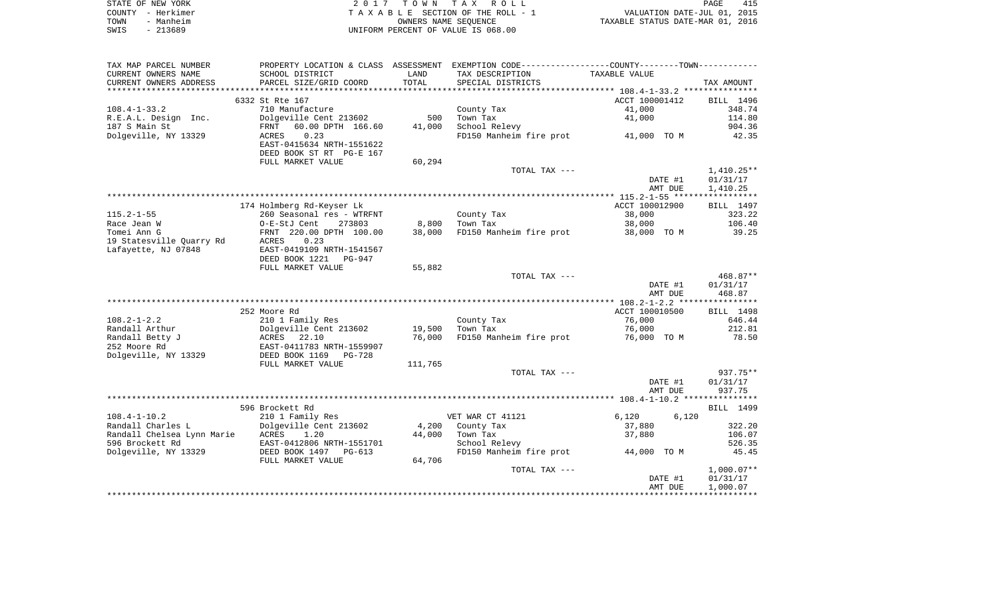| STATE OF NEW YORK | 2017 TOWN TAX ROLL                 | 415<br>PAGE                      |
|-------------------|------------------------------------|----------------------------------|
| COUNTY - Herkimer | TAXABLE SECTION OF THE ROLL - 1    | VALUATION DATE-JUL 01, 2015      |
| TOWN<br>- Manheim | OWNERS NAME SEOUENCE               | TAXABLE STATUS DATE-MAR 01, 2016 |
| - 213689<br>SWIS  | UNIFORM PERCENT OF VALUE IS 068.00 |                                  |

| TAX MAP PARCEL NUMBER      | PROPERTY LOCATION & CLASS ASSESSMENT |         | EXEMPTION CODE-----------------COUNTY-------TOWN----------- |                |              |
|----------------------------|--------------------------------------|---------|-------------------------------------------------------------|----------------|--------------|
| CURRENT OWNERS NAME        | SCHOOL DISTRICT                      | LAND    | TAX DESCRIPTION                                             | TAXABLE VALUE  |              |
| CURRENT OWNERS ADDRESS     | PARCEL SIZE/GRID COORD               | TOTAL   | SPECIAL DISTRICTS                                           |                | TAX AMOUNT   |
|                            |                                      |         |                                                             |                |              |
|                            | 6332 St Rte 167                      |         |                                                             | ACCT 100001412 | BILL 1496    |
| $108.4 - 1 - 33.2$         | 710 Manufacture                      |         | County Tax                                                  | 41,000         | 348.74       |
| R.E.A.L. Design Inc.       | Dolgeville Cent 213602               | 500     | Town Tax                                                    | 41,000         | 114.80       |
| 187 S Main St              | 60.00 DPTH 166.60<br>FRNT            | 41,000  | School Relevy                                               |                | 904.36       |
| Dolgeville, NY 13329       | 0.23<br>ACRES                        |         | FD150 Manheim fire prot 41,000 TO M                         |                | 42.35        |
|                            | EAST-0415634 NRTH-1551622            |         |                                                             |                |              |
|                            | DEED BOOK ST RT PG-E 167             |         |                                                             |                |              |
|                            | FULL MARKET VALUE                    | 60,294  |                                                             |                |              |
|                            |                                      |         | TOTAL TAX ---                                               |                | $1,410.25**$ |
|                            |                                      |         |                                                             | DATE #1        | 01/31/17     |
|                            |                                      |         |                                                             | AMT DUE        | 1,410.25     |
|                            |                                      |         |                                                             |                |              |
|                            | 174 Holmberg Rd-Keyser Lk            |         |                                                             | ACCT 100012900 | BILL 1497    |
| $115.2 - 1 - 55$           | 260 Seasonal res - WTRFNT            |         | County Tax                                                  | 38,000         | 323.22       |
| Race Jean W                | O-E-StJ Cent<br>273803               | 8,800   | Town Tax                                                    | 38,000         | 106.40       |
| Tomei Ann G                | FRNT 220.00 DPTH 100.00              | 38,000  | FD150 Manheim fire prot                                     | 38,000 TO M    | 39.25        |
| 19 Statesville Quarry Rd   | 0.23<br>ACRES                        |         |                                                             |                |              |
| Lafayette, NJ 07848        | EAST-0419109 NRTH-1541567            |         |                                                             |                |              |
|                            | DEED BOOK 1221<br>PG-947             |         |                                                             |                |              |
|                            | FULL MARKET VALUE                    | 55,882  |                                                             |                |              |
|                            |                                      |         | TOTAL TAX ---                                               |                | $468.87**$   |
|                            |                                      |         |                                                             | DATE #1        | 01/31/17     |
|                            |                                      |         |                                                             | AMT DUE        | 468.87       |
|                            |                                      |         |                                                             |                |              |
|                            | 252 Moore Rd                         |         |                                                             | ACCT 100010500 | BILL 1498    |
| $108.2 - 1 - 2.2$          | 210 1 Family Res                     |         | County Tax                                                  | 76,000         | 646.44       |
| Randall Arthur             | Dolgeville Cent 213602               | 19,500  | Town Tax                                                    | 76,000         | 212.81       |
| Randall Betty J            | ACRES<br>22.10                       | 76,000  | FD150 Manheim fire prot                                     | 76,000 TO M    | 78.50        |
| 252 Moore Rd               | EAST-0411783 NRTH-1559907            |         |                                                             |                |              |
| Dolgeville, NY 13329       | DEED BOOK 1169<br>PG-728             |         |                                                             |                |              |
|                            | FULL MARKET VALUE                    | 111,765 |                                                             |                |              |
|                            |                                      |         | TOTAL TAX ---                                               |                | 937.75**     |
|                            |                                      |         |                                                             | DATE #1        | 01/31/17     |
|                            |                                      |         |                                                             | AMT DUE        | 937.75       |
|                            |                                      |         |                                                             |                |              |
|                            | 596 Brockett Rd                      |         |                                                             |                | BILL 1499    |
| $108.4 - 1 - 10.2$         | 210 1 Family Res                     |         | VET WAR CT 41121                                            | 6,120<br>6,120 |              |
| Randall Charles L          | Dolgeville Cent 213602               | 4,200   | County Tax                                                  | 37,880         | 322.20       |
| Randall Chelsea Lynn Marie | ACRES<br>1.20                        | 44,000  | Town Tax                                                    | 37,880         | 106.07       |
| 596 Brockett Rd            | EAST-0412806 NRTH-1551701            |         | School Relevy                                               |                | 526.35       |
| Dolgeville, NY 13329       | DEED BOOK 1497 PG-613                |         | FD150 Manheim fire prot                                     | 44,000 TO M    | 45.45        |
|                            | FULL MARKET VALUE                    | 64,706  |                                                             |                |              |
|                            |                                      |         | TOTAL TAX ---                                               |                | $1,000.07**$ |
|                            |                                      |         |                                                             | DATE #1        | 01/31/17     |
|                            |                                      |         |                                                             | AMT DUE        | 1,000.07     |
|                            |                                      |         |                                                             |                |              |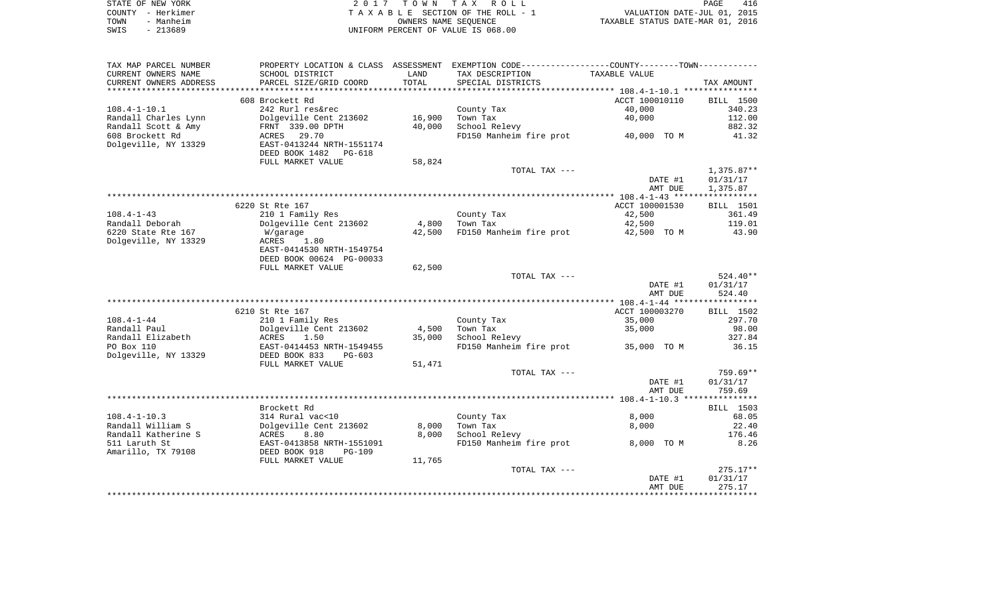| STATE OF NEW YORK | 2017 TOWN TAX ROLL                 | PAGE                             | 416 |
|-------------------|------------------------------------|----------------------------------|-----|
| COUNTY – Herkimer | TAXABLE SECTION OF THE ROLL - 1    | VALUATION DATE-JUL 01, 2015      |     |
| - Manheim<br>TOWN | OWNERS NAME SEOUENCE               | TAXABLE STATUS DATE-MAR 01, 2016 |     |
| $-213689$<br>SWIS | UNIFORM PERCENT OF VALUE IS 068.00 |                                  |     |

| TAX MAP PARCEL NUMBER  |                           |        | PROPERTY LOCATION & CLASS ASSESSMENT EXEMPTION CODE---------------COUNTY-------TOWN---------- |                |                  |
|------------------------|---------------------------|--------|-----------------------------------------------------------------------------------------------|----------------|------------------|
| CURRENT OWNERS NAME    | SCHOOL DISTRICT           | LAND   | TAX DESCRIPTION                                                                               | TAXABLE VALUE  |                  |
| CURRENT OWNERS ADDRESS | PARCEL SIZE/GRID COORD    | TOTAL  | SPECIAL DISTRICTS                                                                             |                | TAX AMOUNT       |
|                        |                           |        |                                                                                               |                |                  |
|                        | 608 Brockett Rd           |        |                                                                                               | ACCT 100010110 | BILL 1500        |
| $108.4 - 1 - 10.1$     | 242 Rurl res&rec          |        | County Tax                                                                                    | 40,000         | 340.23           |
| Randall Charles Lynn   | Dolgeville Cent 213602    | 16,900 | Town Tax                                                                                      | 40,000         | 112.00           |
| Randall Scott & Amy    | FRNT 339.00 DPTH          | 40,000 | School Relevy                                                                                 |                | 882.32           |
| 608 Brockett Rd        | 29.70<br>ACRES            |        | FD150 Manheim fire prot 40,000 TO M                                                           |                | 41.32            |
| Dolgeville, NY 13329   | EAST-0413244 NRTH-1551174 |        |                                                                                               |                |                  |
|                        | DEED BOOK 1482 PG-618     |        |                                                                                               |                |                  |
|                        | FULL MARKET VALUE         | 58,824 |                                                                                               |                |                  |
|                        |                           |        | TOTAL TAX ---                                                                                 |                | $1,375.87**$     |
|                        |                           |        |                                                                                               | DATE #1        | 01/31/17         |
|                        |                           |        |                                                                                               | AMT DUE        | 1,375.87         |
|                        |                           |        |                                                                                               |                |                  |
|                        | 6220 St Rte 167           |        |                                                                                               | ACCT 100001530 | <b>BILL</b> 1501 |
| $108.4 - 1 - 43$       | 210 1 Family Res          |        | County Tax                                                                                    | 42,500         | 361.49           |
| Randall Deborah        | Dolgeville Cent 213602    | 4,800  | Town Tax                                                                                      | 42,500         | 119.01           |
| 6220 State Rte 167     | W/garage                  | 42,500 | FD150 Manheim fire prot                                                                       | 42,500 TO M    | 43.90            |
| Dolgeville, NY 13329   | 1.80<br>ACRES             |        |                                                                                               |                |                  |
|                        | EAST-0414530 NRTH-1549754 |        |                                                                                               |                |                  |
|                        | DEED BOOK 00624 PG-00033  |        |                                                                                               |                |                  |
|                        | FULL MARKET VALUE         | 62,500 |                                                                                               |                |                  |
|                        |                           |        | TOTAL TAX ---                                                                                 |                | 524.40**         |
|                        |                           |        |                                                                                               | DATE #1        | 01/31/17         |
|                        |                           |        |                                                                                               | AMT DUE        | 524.40           |
|                        |                           |        |                                                                                               |                |                  |
|                        | 6210 St Rte 167           |        |                                                                                               | ACCT 100003270 | BILL 1502        |
| $108.4 - 1 - 44$       | 210 1 Family Res          |        | County Tax                                                                                    | 35,000         | 297.70           |
| Randall Paul           | Dolgeville Cent 213602    | 4,500  | Town Tax                                                                                      | 35,000         | 98.00            |
| Randall Elizabeth      | ACRES<br>1.50             | 35,000 | School Relevy                                                                                 |                | 327.84           |
| PO Box 110             | EAST-0414453 NRTH-1549455 |        | FD150 Manheim fire prot 35,000 TO M                                                           |                | 36.15            |
| Dolgeville, NY 13329   | DEED BOOK 833<br>PG-603   |        |                                                                                               |                |                  |
|                        | FULL MARKET VALUE         | 51,471 |                                                                                               |                |                  |
|                        |                           |        | TOTAL TAX ---                                                                                 |                | 759.69**         |
|                        |                           |        |                                                                                               | DATE #1        | 01/31/17         |
|                        |                           |        |                                                                                               | AMT DUE        | 759.69           |
|                        | Brockett Rd               |        |                                                                                               |                | BILL 1503        |
| $108.4 - 1 - 10.3$     | 314 Rural vac<10          |        |                                                                                               | 8,000          | 68.05            |
| Randall William S      | Dolgeville Cent 213602    | 8,000  | County Tax<br>Town Tax                                                                        | 8,000          | 22.40            |
| Randall Katherine S    | ACRES<br>8.80             | 8,000  | School Relevy                                                                                 |                | 176.46           |
| 511 Laruth St          | EAST-0413858 NRTH-1551091 |        | FD150 Manheim fire prot                                                                       | 8,000 TO M     | 8.26             |
| Amarillo, TX 79108     | DEED BOOK 918<br>$PG-109$ |        |                                                                                               |                |                  |
|                        |                           | 11,765 |                                                                                               |                |                  |
|                        | FULL MARKET VALUE         |        | TOTAL TAX ---                                                                                 |                | $275.17**$       |
|                        |                           |        |                                                                                               | DATE #1        | 01/31/17         |
|                        |                           |        |                                                                                               | AMT DUE        | 275.17           |
|                        |                           |        |                                                                                               |                |                  |
|                        |                           |        |                                                                                               |                |                  |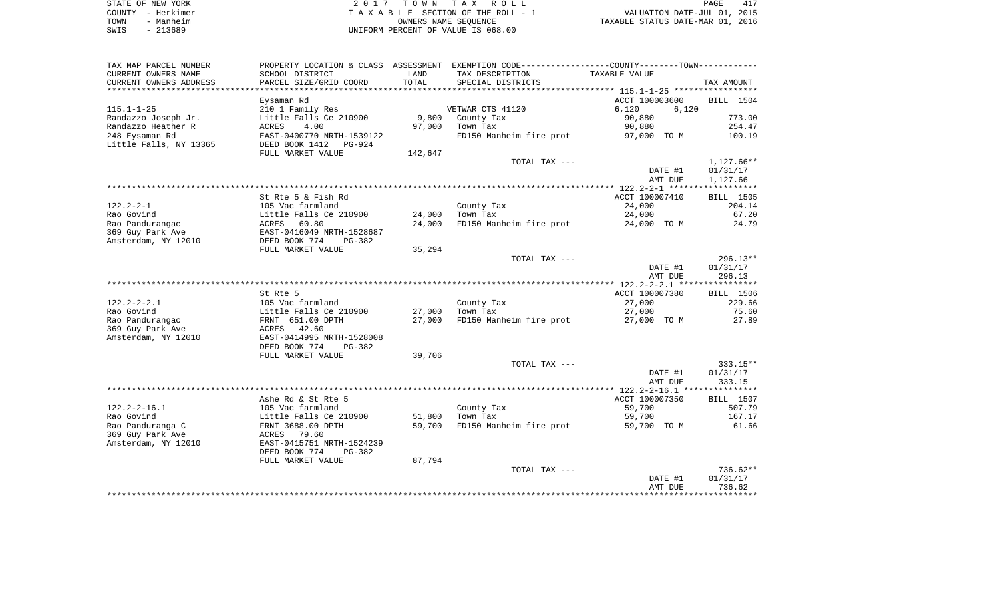| STATE OF NEW YORK | 2017 TOWN TAX ROLL                 | 417<br>PAGE                      |
|-------------------|------------------------------------|----------------------------------|
| COUNTY - Herkimer | TAXABLE SECTION OF THE ROLL - 1    | VALUATION DATE-JUL 01, 2015      |
| - Manheim<br>TOWN | OWNERS NAME SEOUENCE               | TAXABLE STATUS DATE-MAR 01, 2016 |
| $-213689$<br>SWIS | UNIFORM PERCENT OF VALUE IS 068.00 |                                  |

| TAX MAP PARCEL NUMBER           | PROPERTY LOCATION & CLASS                  |         | ASSESSMENT EXEMPTION CODE-----------------COUNTY-------TOWN---------- |                  |                 |
|---------------------------------|--------------------------------------------|---------|-----------------------------------------------------------------------|------------------|-----------------|
| CURRENT OWNERS NAME             | SCHOOL DISTRICT                            | LAND    | TAX DESCRIPTION                                                       | TAXABLE VALUE    |                 |
| CURRENT OWNERS ADDRESS          | PARCEL SIZE/GRID COORD                     | TOTAL   | SPECIAL DISTRICTS                                                     |                  | TAX AMOUNT      |
| **********************          |                                            |         |                                                                       |                  |                 |
|                                 | Eysaman Rd                                 |         |                                                                       | ACCT 100003600   | BILL 1504       |
| $115.1 - 1 - 25$                | 210 1 Family Res                           |         | VETWAR CTS 41120                                                      | 6,120<br>6,120   |                 |
| Randazzo Joseph Jr.             | Little Falls Ce 210900                     | 9,800   | County Tax                                                            | 90,880           | 773.00          |
| Randazzo Heather R              | 4.00<br>ACRES                              | 97,000  | Town Tax                                                              | 90,880           | 254.47          |
| 248 Eysaman Rd                  | EAST-0400770 NRTH-1539122                  |         | FD150 Manheim fire prot                                               | 97,000 TO M      | 100.19          |
| Little Falls, NY 13365          | DEED BOOK 1412<br>PG-924                   |         |                                                                       |                  |                 |
|                                 | FULL MARKET VALUE                          | 142,647 |                                                                       |                  |                 |
|                                 |                                            |         | TOTAL TAX ---                                                         |                  | $1,127.66**$    |
|                                 |                                            |         |                                                                       | DATE #1          | 01/31/17        |
|                                 |                                            |         |                                                                       | AMT DUE          | 1,127.66        |
|                                 |                                            |         |                                                                       |                  |                 |
|                                 | St Rte 5 & Fish Rd                         |         |                                                                       | ACCT 100007410   | BILL 1505       |
| $122.2 - 2 - 1$                 | 105 Vac farmland                           |         | County Tax                                                            | 24,000           | 204.14          |
| Rao Govind                      | Little Falls Ce 210900                     | 24,000  | Town Tax                                                              | 24,000           | 67.20           |
| Rao Pandurangac                 | 60.80<br>ACRES                             | 24,000  | FD150 Manheim fire prot                                               | 24,000 TO M      | 24.79           |
| 369 Guy Park Ave                | EAST-0416049 NRTH-1528687                  |         |                                                                       |                  |                 |
| Amsterdam, NY 12010             | DEED BOOK 774<br>PG-382                    |         |                                                                       |                  |                 |
|                                 | FULL MARKET VALUE                          | 35,294  |                                                                       |                  |                 |
|                                 |                                            |         | TOTAL TAX ---                                                         |                  | $296.13**$      |
|                                 |                                            |         |                                                                       | DATE #1          | 01/31/17        |
|                                 |                                            |         |                                                                       | AMT DUE          | 296.13          |
|                                 |                                            |         |                                                                       | ACCT 100007380   |                 |
|                                 | St Rte 5                                   |         |                                                                       |                  | BILL 1506       |
| $122.2 - 2 - 2.1$<br>Rao Govind | 105 Vac farmland<br>Little Falls Ce 210900 | 27,000  | County Tax<br>Town Tax                                                | 27,000<br>27,000 | 229.66<br>75.60 |
| Rao Pandurangac                 |                                            | 27,000  | FD150 Manheim fire prot                                               |                  | 27.89           |
| 369 Guy Park Ave                | FRNT 651.00 DPTH<br>42.60<br>ACRES         |         |                                                                       | 27,000 TO M      |                 |
| Amsterdam, NY 12010             | EAST-0414995 NRTH-1528008                  |         |                                                                       |                  |                 |
|                                 | DEED BOOK 774<br>$PG-382$                  |         |                                                                       |                  |                 |
|                                 | FULL MARKET VALUE                          | 39,706  |                                                                       |                  |                 |
|                                 |                                            |         | TOTAL TAX ---                                                         |                  | 333.15**        |
|                                 |                                            |         |                                                                       | DATE #1          | 01/31/17        |
|                                 |                                            |         |                                                                       | AMT DUE          | 333.15          |
|                                 |                                            |         |                                                                       |                  |                 |
|                                 | Ashe Rd & St Rte 5                         |         |                                                                       | ACCT 100007350   | BILL 1507       |
| $122.2 - 2 - 16.1$              | 105 Vac farmland                           |         | County Tax                                                            | 59,700           | 507.79          |
| Rao Govind                      | Little Falls Ce 210900                     | 51,800  | Town Tax                                                              | 59,700           | 167.17          |
| Rao Panduranga C                | FRNT 3688.00 DPTH                          | 59,700  | FD150 Manheim fire prot                                               | 59,700 TO M      | 61.66           |
| 369 Guy Park Ave                | ACRES<br>79.60                             |         |                                                                       |                  |                 |
| Amsterdam, NY 12010             | EAST-0415751 NRTH-1524239                  |         |                                                                       |                  |                 |
|                                 | DEED BOOK 774<br>PG-382                    |         |                                                                       |                  |                 |
|                                 | FULL MARKET VALUE                          | 87,794  |                                                                       |                  |                 |
|                                 |                                            |         | TOTAL TAX ---                                                         |                  | 736.62**        |
|                                 |                                            |         |                                                                       | DATE #1          | 01/31/17        |
|                                 |                                            |         |                                                                       | AMT DUE          | 736.62          |
|                                 |                                            |         |                                                                       |                  |                 |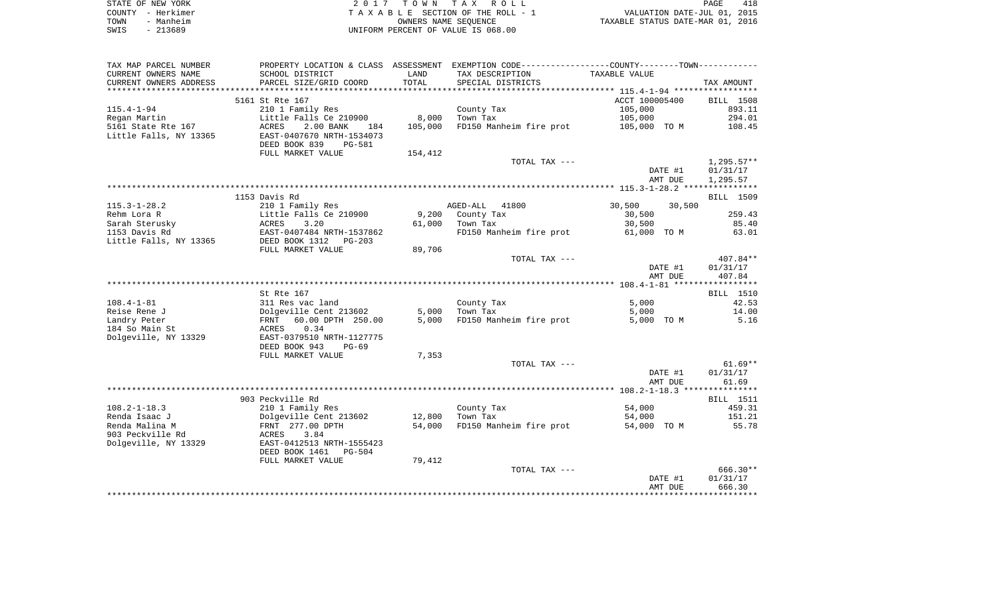| STATE OF NEW YORK | 2017 TOWN TAX ROLL                 | 418<br>PAGE                      |
|-------------------|------------------------------------|----------------------------------|
| COUNTY - Herkimer | TAXABLE SECTION OF THE ROLL - 1    | VALUATION DATE-JUL 01, 2015      |
| TOWN<br>- Manheim | OWNERS NAME SEOUENCE               | TAXABLE STATUS DATE-MAR 01, 2016 |
| SWIS<br>- 213689  | UNIFORM PERCENT OF VALUE IS 068.00 |                                  |

| SCHOOL DISTRICT<br>LAND<br>TAX DESCRIPTION<br>TAXABLE VALUE<br>TOTAL<br>PARCEL SIZE/GRID COORD<br>SPECIAL DISTRICTS<br>TAX AMOUNT<br>***********************<br>5161 St Rte 167<br>ACCT 100005400<br>BILL 1508<br>210 1 Family Res<br>County Tax<br>105,000<br>893.11<br>Little Falls Ce 210900<br>8,000<br>Town Tax<br>105,000<br>294.01<br>5161 State Rte 167<br>105,000<br>FD150 Manheim fire prot<br>108.45<br>ACRES<br>2.00 BANK<br>105,000 TO M<br>184<br>Little Falls, NY 13365<br>EAST-0407670 NRTH-1534073<br>DEED BOOK 839<br>PG-581<br>FULL MARKET VALUE<br>154,412<br>$1,295.57**$<br>TOTAL TAX ---<br>DATE #1<br>01/31/17<br>AMT DUE<br>1,295.57<br>1153 Davis Rd<br>BILL 1509<br>210 1 Family Res<br>30,500<br>AGED-ALL 41800<br>30,500<br>Little Falls Ce 210900<br>259.43<br>Rehm Lora R<br>9,200 County Tax<br>30,500<br>Sarah Sterusky<br>3.20<br>61,000<br>Town Tax<br>30,500<br>85.40<br>ACRES<br>1153 Davis Rd<br>EAST-0407484 NRTH-1537862<br>FD150 Manheim fire prot<br>63.01<br>61,000 TO M<br>Little Falls, NY 13365<br>DEED BOOK 1312 PG-203<br>89,706<br>FULL MARKET VALUE<br>407.84**<br>TOTAL TAX ---<br>DATE #1<br>01/31/17<br>AMT DUE<br>407.84<br>St Rte 167<br>BILL 1510<br>5,000<br>42.53<br>311 Res vac land<br>County Tax<br>Dolgeville Cent 213602<br>5,000<br>Town Tax<br>5,000<br>14.00<br>60.00 DPTH 250.00<br>5,000<br>FD150 Manheim fire prot<br>5,000 TO M<br>5.16<br>FRNT<br>ACRES<br>0.34<br>EAST-0379510 NRTH-1127775<br>DEED BOOK 943<br>$PG-69$<br>7,353<br>FULL MARKET VALUE<br>TOTAL TAX ---<br>DATE #1<br>01/31/17<br>AMT DUE<br>61.69<br>903 Peckville Rd<br><b>BILL</b> 1511<br>459.31<br>210 1 Family Res<br>County Tax<br>54,000<br>12,800<br>Dolgeville Cent 213602<br>Town Tax<br>54,000<br>151.21<br>FRNT 277.00 DPTH<br>54,000<br>FD150 Manheim fire prot<br>55.78<br>54,000 TO M<br>3.84<br>ACRES<br>EAST-0412513 NRTH-1555423<br>DEED BOOK 1461<br>PG-504<br>79,412<br>FULL MARKET VALUE<br>$666.30**$<br>TOTAL TAX ---<br>DATE #1<br>01/31/17<br>666.30<br>AMT DUE | TAX MAP PARCEL NUMBER  |  | PROPERTY LOCATION & CLASS ASSESSMENT EXEMPTION CODE---------------COUNTY-------TOWN---------- |  |
|----------------------------------------------------------------------------------------------------------------------------------------------------------------------------------------------------------------------------------------------------------------------------------------------------------------------------------------------------------------------------------------------------------------------------------------------------------------------------------------------------------------------------------------------------------------------------------------------------------------------------------------------------------------------------------------------------------------------------------------------------------------------------------------------------------------------------------------------------------------------------------------------------------------------------------------------------------------------------------------------------------------------------------------------------------------------------------------------------------------------------------------------------------------------------------------------------------------------------------------------------------------------------------------------------------------------------------------------------------------------------------------------------------------------------------------------------------------------------------------------------------------------------------------------------------------------------------------------------------------------------------------------------------------------------------------------------------------------------------------------------------------------------------------------------------------------------------------------------------------------------------------------------------------------------------------------------------------------------------------------------------------------------------|------------------------|--|-----------------------------------------------------------------------------------------------|--|
| $61.69**$                                                                                                                                                                                                                                                                                                                                                                                                                                                                                                                                                                                                                                                                                                                                                                                                                                                                                                                                                                                                                                                                                                                                                                                                                                                                                                                                                                                                                                                                                                                                                                                                                                                                                                                                                                                                                                                                                                                                                                                                                        | CURRENT OWNERS NAME    |  |                                                                                               |  |
|                                                                                                                                                                                                                                                                                                                                                                                                                                                                                                                                                                                                                                                                                                                                                                                                                                                                                                                                                                                                                                                                                                                                                                                                                                                                                                                                                                                                                                                                                                                                                                                                                                                                                                                                                                                                                                                                                                                                                                                                                                  | CURRENT OWNERS ADDRESS |  |                                                                                               |  |
|                                                                                                                                                                                                                                                                                                                                                                                                                                                                                                                                                                                                                                                                                                                                                                                                                                                                                                                                                                                                                                                                                                                                                                                                                                                                                                                                                                                                                                                                                                                                                                                                                                                                                                                                                                                                                                                                                                                                                                                                                                  |                        |  |                                                                                               |  |
|                                                                                                                                                                                                                                                                                                                                                                                                                                                                                                                                                                                                                                                                                                                                                                                                                                                                                                                                                                                                                                                                                                                                                                                                                                                                                                                                                                                                                                                                                                                                                                                                                                                                                                                                                                                                                                                                                                                                                                                                                                  |                        |  |                                                                                               |  |
|                                                                                                                                                                                                                                                                                                                                                                                                                                                                                                                                                                                                                                                                                                                                                                                                                                                                                                                                                                                                                                                                                                                                                                                                                                                                                                                                                                                                                                                                                                                                                                                                                                                                                                                                                                                                                                                                                                                                                                                                                                  | $115.4 - 1 - 94$       |  |                                                                                               |  |
|                                                                                                                                                                                                                                                                                                                                                                                                                                                                                                                                                                                                                                                                                                                                                                                                                                                                                                                                                                                                                                                                                                                                                                                                                                                                                                                                                                                                                                                                                                                                                                                                                                                                                                                                                                                                                                                                                                                                                                                                                                  | Regan Martin           |  |                                                                                               |  |
|                                                                                                                                                                                                                                                                                                                                                                                                                                                                                                                                                                                                                                                                                                                                                                                                                                                                                                                                                                                                                                                                                                                                                                                                                                                                                                                                                                                                                                                                                                                                                                                                                                                                                                                                                                                                                                                                                                                                                                                                                                  |                        |  |                                                                                               |  |
|                                                                                                                                                                                                                                                                                                                                                                                                                                                                                                                                                                                                                                                                                                                                                                                                                                                                                                                                                                                                                                                                                                                                                                                                                                                                                                                                                                                                                                                                                                                                                                                                                                                                                                                                                                                                                                                                                                                                                                                                                                  |                        |  |                                                                                               |  |
|                                                                                                                                                                                                                                                                                                                                                                                                                                                                                                                                                                                                                                                                                                                                                                                                                                                                                                                                                                                                                                                                                                                                                                                                                                                                                                                                                                                                                                                                                                                                                                                                                                                                                                                                                                                                                                                                                                                                                                                                                                  |                        |  |                                                                                               |  |
|                                                                                                                                                                                                                                                                                                                                                                                                                                                                                                                                                                                                                                                                                                                                                                                                                                                                                                                                                                                                                                                                                                                                                                                                                                                                                                                                                                                                                                                                                                                                                                                                                                                                                                                                                                                                                                                                                                                                                                                                                                  |                        |  |                                                                                               |  |
|                                                                                                                                                                                                                                                                                                                                                                                                                                                                                                                                                                                                                                                                                                                                                                                                                                                                                                                                                                                                                                                                                                                                                                                                                                                                                                                                                                                                                                                                                                                                                                                                                                                                                                                                                                                                                                                                                                                                                                                                                                  |                        |  |                                                                                               |  |
|                                                                                                                                                                                                                                                                                                                                                                                                                                                                                                                                                                                                                                                                                                                                                                                                                                                                                                                                                                                                                                                                                                                                                                                                                                                                                                                                                                                                                                                                                                                                                                                                                                                                                                                                                                                                                                                                                                                                                                                                                                  |                        |  |                                                                                               |  |
|                                                                                                                                                                                                                                                                                                                                                                                                                                                                                                                                                                                                                                                                                                                                                                                                                                                                                                                                                                                                                                                                                                                                                                                                                                                                                                                                                                                                                                                                                                                                                                                                                                                                                                                                                                                                                                                                                                                                                                                                                                  |                        |  |                                                                                               |  |
|                                                                                                                                                                                                                                                                                                                                                                                                                                                                                                                                                                                                                                                                                                                                                                                                                                                                                                                                                                                                                                                                                                                                                                                                                                                                                                                                                                                                                                                                                                                                                                                                                                                                                                                                                                                                                                                                                                                                                                                                                                  |                        |  |                                                                                               |  |
|                                                                                                                                                                                                                                                                                                                                                                                                                                                                                                                                                                                                                                                                                                                                                                                                                                                                                                                                                                                                                                                                                                                                                                                                                                                                                                                                                                                                                                                                                                                                                                                                                                                                                                                                                                                                                                                                                                                                                                                                                                  |                        |  |                                                                                               |  |
|                                                                                                                                                                                                                                                                                                                                                                                                                                                                                                                                                                                                                                                                                                                                                                                                                                                                                                                                                                                                                                                                                                                                                                                                                                                                                                                                                                                                                                                                                                                                                                                                                                                                                                                                                                                                                                                                                                                                                                                                                                  | $115.3 - 1 - 28.2$     |  |                                                                                               |  |
|                                                                                                                                                                                                                                                                                                                                                                                                                                                                                                                                                                                                                                                                                                                                                                                                                                                                                                                                                                                                                                                                                                                                                                                                                                                                                                                                                                                                                                                                                                                                                                                                                                                                                                                                                                                                                                                                                                                                                                                                                                  |                        |  |                                                                                               |  |
|                                                                                                                                                                                                                                                                                                                                                                                                                                                                                                                                                                                                                                                                                                                                                                                                                                                                                                                                                                                                                                                                                                                                                                                                                                                                                                                                                                                                                                                                                                                                                                                                                                                                                                                                                                                                                                                                                                                                                                                                                                  |                        |  |                                                                                               |  |
|                                                                                                                                                                                                                                                                                                                                                                                                                                                                                                                                                                                                                                                                                                                                                                                                                                                                                                                                                                                                                                                                                                                                                                                                                                                                                                                                                                                                                                                                                                                                                                                                                                                                                                                                                                                                                                                                                                                                                                                                                                  |                        |  |                                                                                               |  |
|                                                                                                                                                                                                                                                                                                                                                                                                                                                                                                                                                                                                                                                                                                                                                                                                                                                                                                                                                                                                                                                                                                                                                                                                                                                                                                                                                                                                                                                                                                                                                                                                                                                                                                                                                                                                                                                                                                                                                                                                                                  |                        |  |                                                                                               |  |
|                                                                                                                                                                                                                                                                                                                                                                                                                                                                                                                                                                                                                                                                                                                                                                                                                                                                                                                                                                                                                                                                                                                                                                                                                                                                                                                                                                                                                                                                                                                                                                                                                                                                                                                                                                                                                                                                                                                                                                                                                                  |                        |  |                                                                                               |  |
|                                                                                                                                                                                                                                                                                                                                                                                                                                                                                                                                                                                                                                                                                                                                                                                                                                                                                                                                                                                                                                                                                                                                                                                                                                                                                                                                                                                                                                                                                                                                                                                                                                                                                                                                                                                                                                                                                                                                                                                                                                  |                        |  |                                                                                               |  |
|                                                                                                                                                                                                                                                                                                                                                                                                                                                                                                                                                                                                                                                                                                                                                                                                                                                                                                                                                                                                                                                                                                                                                                                                                                                                                                                                                                                                                                                                                                                                                                                                                                                                                                                                                                                                                                                                                                                                                                                                                                  |                        |  |                                                                                               |  |
|                                                                                                                                                                                                                                                                                                                                                                                                                                                                                                                                                                                                                                                                                                                                                                                                                                                                                                                                                                                                                                                                                                                                                                                                                                                                                                                                                                                                                                                                                                                                                                                                                                                                                                                                                                                                                                                                                                                                                                                                                                  |                        |  |                                                                                               |  |
|                                                                                                                                                                                                                                                                                                                                                                                                                                                                                                                                                                                                                                                                                                                                                                                                                                                                                                                                                                                                                                                                                                                                                                                                                                                                                                                                                                                                                                                                                                                                                                                                                                                                                                                                                                                                                                                                                                                                                                                                                                  |                        |  |                                                                                               |  |
|                                                                                                                                                                                                                                                                                                                                                                                                                                                                                                                                                                                                                                                                                                                                                                                                                                                                                                                                                                                                                                                                                                                                                                                                                                                                                                                                                                                                                                                                                                                                                                                                                                                                                                                                                                                                                                                                                                                                                                                                                                  |                        |  |                                                                                               |  |
|                                                                                                                                                                                                                                                                                                                                                                                                                                                                                                                                                                                                                                                                                                                                                                                                                                                                                                                                                                                                                                                                                                                                                                                                                                                                                                                                                                                                                                                                                                                                                                                                                                                                                                                                                                                                                                                                                                                                                                                                                                  | $108.4 - 1 - 81$       |  |                                                                                               |  |
|                                                                                                                                                                                                                                                                                                                                                                                                                                                                                                                                                                                                                                                                                                                                                                                                                                                                                                                                                                                                                                                                                                                                                                                                                                                                                                                                                                                                                                                                                                                                                                                                                                                                                                                                                                                                                                                                                                                                                                                                                                  | Reise Rene J           |  |                                                                                               |  |
|                                                                                                                                                                                                                                                                                                                                                                                                                                                                                                                                                                                                                                                                                                                                                                                                                                                                                                                                                                                                                                                                                                                                                                                                                                                                                                                                                                                                                                                                                                                                                                                                                                                                                                                                                                                                                                                                                                                                                                                                                                  | Landry Peter           |  |                                                                                               |  |
|                                                                                                                                                                                                                                                                                                                                                                                                                                                                                                                                                                                                                                                                                                                                                                                                                                                                                                                                                                                                                                                                                                                                                                                                                                                                                                                                                                                                                                                                                                                                                                                                                                                                                                                                                                                                                                                                                                                                                                                                                                  | 184 So Main St         |  |                                                                                               |  |
|                                                                                                                                                                                                                                                                                                                                                                                                                                                                                                                                                                                                                                                                                                                                                                                                                                                                                                                                                                                                                                                                                                                                                                                                                                                                                                                                                                                                                                                                                                                                                                                                                                                                                                                                                                                                                                                                                                                                                                                                                                  | Dolgeville, NY 13329   |  |                                                                                               |  |
|                                                                                                                                                                                                                                                                                                                                                                                                                                                                                                                                                                                                                                                                                                                                                                                                                                                                                                                                                                                                                                                                                                                                                                                                                                                                                                                                                                                                                                                                                                                                                                                                                                                                                                                                                                                                                                                                                                                                                                                                                                  |                        |  |                                                                                               |  |
|                                                                                                                                                                                                                                                                                                                                                                                                                                                                                                                                                                                                                                                                                                                                                                                                                                                                                                                                                                                                                                                                                                                                                                                                                                                                                                                                                                                                                                                                                                                                                                                                                                                                                                                                                                                                                                                                                                                                                                                                                                  |                        |  |                                                                                               |  |
|                                                                                                                                                                                                                                                                                                                                                                                                                                                                                                                                                                                                                                                                                                                                                                                                                                                                                                                                                                                                                                                                                                                                                                                                                                                                                                                                                                                                                                                                                                                                                                                                                                                                                                                                                                                                                                                                                                                                                                                                                                  |                        |  |                                                                                               |  |
|                                                                                                                                                                                                                                                                                                                                                                                                                                                                                                                                                                                                                                                                                                                                                                                                                                                                                                                                                                                                                                                                                                                                                                                                                                                                                                                                                                                                                                                                                                                                                                                                                                                                                                                                                                                                                                                                                                                                                                                                                                  |                        |  |                                                                                               |  |
|                                                                                                                                                                                                                                                                                                                                                                                                                                                                                                                                                                                                                                                                                                                                                                                                                                                                                                                                                                                                                                                                                                                                                                                                                                                                                                                                                                                                                                                                                                                                                                                                                                                                                                                                                                                                                                                                                                                                                                                                                                  |                        |  |                                                                                               |  |
|                                                                                                                                                                                                                                                                                                                                                                                                                                                                                                                                                                                                                                                                                                                                                                                                                                                                                                                                                                                                                                                                                                                                                                                                                                                                                                                                                                                                                                                                                                                                                                                                                                                                                                                                                                                                                                                                                                                                                                                                                                  |                        |  |                                                                                               |  |
|                                                                                                                                                                                                                                                                                                                                                                                                                                                                                                                                                                                                                                                                                                                                                                                                                                                                                                                                                                                                                                                                                                                                                                                                                                                                                                                                                                                                                                                                                                                                                                                                                                                                                                                                                                                                                                                                                                                                                                                                                                  |                        |  |                                                                                               |  |
|                                                                                                                                                                                                                                                                                                                                                                                                                                                                                                                                                                                                                                                                                                                                                                                                                                                                                                                                                                                                                                                                                                                                                                                                                                                                                                                                                                                                                                                                                                                                                                                                                                                                                                                                                                                                                                                                                                                                                                                                                                  | $108.2 - 1 - 18.3$     |  |                                                                                               |  |
|                                                                                                                                                                                                                                                                                                                                                                                                                                                                                                                                                                                                                                                                                                                                                                                                                                                                                                                                                                                                                                                                                                                                                                                                                                                                                                                                                                                                                                                                                                                                                                                                                                                                                                                                                                                                                                                                                                                                                                                                                                  | Renda Isaac J          |  |                                                                                               |  |
|                                                                                                                                                                                                                                                                                                                                                                                                                                                                                                                                                                                                                                                                                                                                                                                                                                                                                                                                                                                                                                                                                                                                                                                                                                                                                                                                                                                                                                                                                                                                                                                                                                                                                                                                                                                                                                                                                                                                                                                                                                  | Renda Malina M         |  |                                                                                               |  |
|                                                                                                                                                                                                                                                                                                                                                                                                                                                                                                                                                                                                                                                                                                                                                                                                                                                                                                                                                                                                                                                                                                                                                                                                                                                                                                                                                                                                                                                                                                                                                                                                                                                                                                                                                                                                                                                                                                                                                                                                                                  | 903 Peckville Rd       |  |                                                                                               |  |
|                                                                                                                                                                                                                                                                                                                                                                                                                                                                                                                                                                                                                                                                                                                                                                                                                                                                                                                                                                                                                                                                                                                                                                                                                                                                                                                                                                                                                                                                                                                                                                                                                                                                                                                                                                                                                                                                                                                                                                                                                                  | Dolgeville, NY 13329   |  |                                                                                               |  |
|                                                                                                                                                                                                                                                                                                                                                                                                                                                                                                                                                                                                                                                                                                                                                                                                                                                                                                                                                                                                                                                                                                                                                                                                                                                                                                                                                                                                                                                                                                                                                                                                                                                                                                                                                                                                                                                                                                                                                                                                                                  |                        |  |                                                                                               |  |
|                                                                                                                                                                                                                                                                                                                                                                                                                                                                                                                                                                                                                                                                                                                                                                                                                                                                                                                                                                                                                                                                                                                                                                                                                                                                                                                                                                                                                                                                                                                                                                                                                                                                                                                                                                                                                                                                                                                                                                                                                                  |                        |  |                                                                                               |  |
|                                                                                                                                                                                                                                                                                                                                                                                                                                                                                                                                                                                                                                                                                                                                                                                                                                                                                                                                                                                                                                                                                                                                                                                                                                                                                                                                                                                                                                                                                                                                                                                                                                                                                                                                                                                                                                                                                                                                                                                                                                  |                        |  |                                                                                               |  |
|                                                                                                                                                                                                                                                                                                                                                                                                                                                                                                                                                                                                                                                                                                                                                                                                                                                                                                                                                                                                                                                                                                                                                                                                                                                                                                                                                                                                                                                                                                                                                                                                                                                                                                                                                                                                                                                                                                                                                                                                                                  |                        |  |                                                                                               |  |
|                                                                                                                                                                                                                                                                                                                                                                                                                                                                                                                                                                                                                                                                                                                                                                                                                                                                                                                                                                                                                                                                                                                                                                                                                                                                                                                                                                                                                                                                                                                                                                                                                                                                                                                                                                                                                                                                                                                                                                                                                                  |                        |  |                                                                                               |  |
|                                                                                                                                                                                                                                                                                                                                                                                                                                                                                                                                                                                                                                                                                                                                                                                                                                                                                                                                                                                                                                                                                                                                                                                                                                                                                                                                                                                                                                                                                                                                                                                                                                                                                                                                                                                                                                                                                                                                                                                                                                  |                        |  |                                                                                               |  |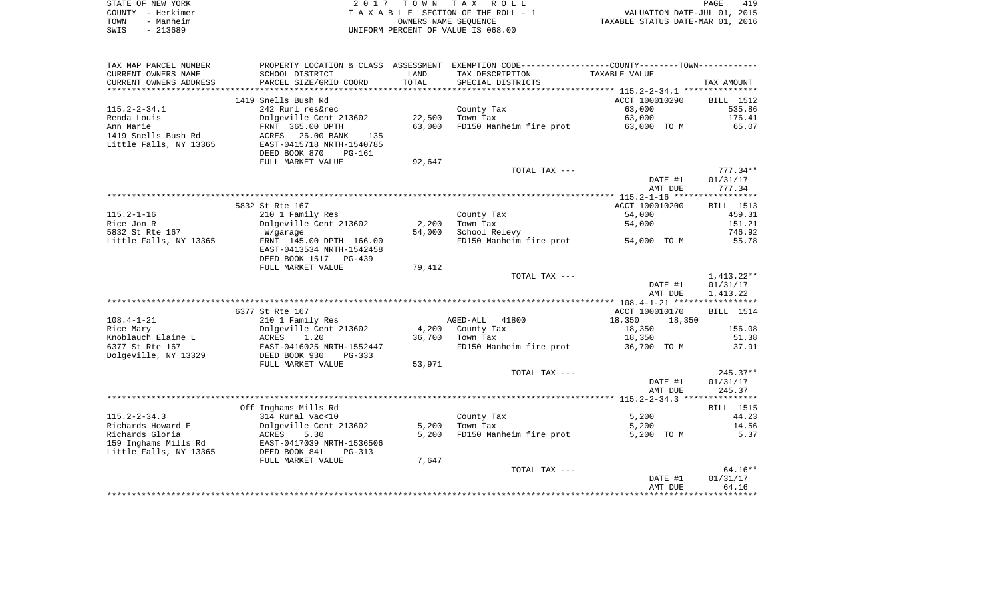|      | STATE OF NEW YORK | 2017 TOWN TAX ROLL                 | PAGE                             | 419 |
|------|-------------------|------------------------------------|----------------------------------|-----|
|      | COUNTY - Herkimer | TAXABLE SECTION OF THE ROLL - 1    | VALUATION DATE-JUL 01, 2015      |     |
| TOWN | - Manheim         | OWNERS NAME SEOUENCE               | TAXABLE STATUS DATE-MAR 01, 2016 |     |
| SWIS | - 213689          | UNIFORM PERCENT OF VALUE IS 068.00 |                                  |     |

| TAX MAP PARCEL NUMBER  |                            |        | PROPERTY LOCATION & CLASS ASSESSMENT EXEMPTION CODE---------------COUNTY-------TOWN---------- |                  |                       |
|------------------------|----------------------------|--------|-----------------------------------------------------------------------------------------------|------------------|-----------------------|
| CURRENT OWNERS NAME    | SCHOOL DISTRICT            | LAND   | TAX DESCRIPTION                                                                               | TAXABLE VALUE    |                       |
| CURRENT OWNERS ADDRESS | PARCEL SIZE/GRID COORD     | TOTAL  | SPECIAL DISTRICTS                                                                             |                  | TAX AMOUNT            |
|                        |                            |        |                                                                                               |                  |                       |
|                        | 1419 Snells Bush Rd        |        |                                                                                               | ACCT 100010290   | BILL 1512             |
| $115.2 - 2 - 34.1$     | 242 Rurl res&rec           |        | County Tax                                                                                    | 63,000           | 535.86                |
| Renda Louis            | Dolgeville Cent 213602     | 22,500 | Town Tax                                                                                      | 63,000           | 176.41                |
| Ann Marie              | FRNT 365.00 DPTH           | 63,000 | FD150 Manheim fire prot 63,000 TO M                                                           |                  | 65.07                 |
| 1419 Snells Bush Rd    | 26.00 BANK<br>ACRES<br>135 |        |                                                                                               |                  |                       |
| Little Falls, NY 13365 | EAST-0415718 NRTH-1540785  |        |                                                                                               |                  |                       |
|                        | DEED BOOK 870<br>PG-161    |        |                                                                                               |                  |                       |
|                        | FULL MARKET VALUE          | 92,647 |                                                                                               |                  |                       |
|                        |                            |        | TOTAL TAX ---                                                                                 |                  | $777.34**$            |
|                        |                            |        |                                                                                               | DATE #1          | 01/31/17              |
|                        |                            |        |                                                                                               | AMT DUE          | 777.34                |
|                        |                            |        |                                                                                               |                  |                       |
|                        | 5832 St Rte 167            |        |                                                                                               | ACCT 100010200   | BILL 1513             |
| $115.2 - 1 - 16$       | 210 1 Family Res           |        | County Tax                                                                                    | 54,000           | 459.31                |
| Rice Jon R             | Dolgeville Cent 213602     | 2,200  | Town Tax                                                                                      | 54,000           | 151.21                |
| 5832 St Rte 167        | W/garage                   | 54,000 | School Relevy                                                                                 |                  | 746.92                |
| Little Falls, NY 13365 | FRNT 145.00 DPTH 166.00    |        | FD150 Manheim fire prot                                                                       | 54,000 TO M      | 55.78                 |
|                        | EAST-0413534 NRTH-1542458  |        |                                                                                               |                  |                       |
|                        | DEED BOOK 1517 PG-439      |        |                                                                                               |                  |                       |
|                        | FULL MARKET VALUE          | 79,412 |                                                                                               |                  |                       |
|                        |                            |        | TOTAL TAX ---                                                                                 |                  | 1,413.22**            |
|                        |                            |        |                                                                                               | DATE #1          | 01/31/17              |
|                        |                            |        |                                                                                               | AMT DUE          | 1,413.22              |
|                        |                            |        |                                                                                               |                  |                       |
|                        | 6377 St Rte 167            |        |                                                                                               | ACCT 100010170   | BILL 1514             |
| $108.4 - 1 - 21$       | 210 1 Family Res           |        | AGED-ALL 41800                                                                                | 18,350<br>18,350 |                       |
| Rice Mary              | Dolgeville Cent 213602     | 4,200  | County Tax                                                                                    | 18,350           | 156.08                |
| Knoblauch Elaine L     | ACRES<br>1.20              | 36,700 | Town Tax                                                                                      | 18,350           | 51.38                 |
| 6377 St Rte 167        | EAST-0416025 NRTH-1552447  |        | FD150 Manheim fire prot 36,700 TO M                                                           |                  | 37.91                 |
| Dolgeville, NY 13329   | DEED BOOK 930<br>PG-333    |        |                                                                                               |                  |                       |
|                        | FULL MARKET VALUE          | 53,971 |                                                                                               |                  |                       |
|                        |                            |        | TOTAL TAX ---                                                                                 |                  | $245.37**$            |
|                        |                            |        |                                                                                               | DATE #1          | 01/31/17              |
|                        |                            |        |                                                                                               | AMT DUE          | 245.37                |
|                        |                            |        |                                                                                               |                  |                       |
|                        | Off Inghams Mills Rd       |        |                                                                                               |                  | <b>BILL</b> 1515      |
| $115.2 - 2 - 34.3$     | 314 Rural vac<10           |        | County Tax                                                                                    | 5,200            | 44.23                 |
| Richards Howard E      | Dolgeville Cent 213602     | 5,200  | Town Tax                                                                                      | 5,200            | 14.56                 |
| Richards Gloria        | ACRES<br>5.30              | 5,200  | FD150 Manheim fire prot                                                                       | 5,200 TO M       | 5.37                  |
| 159 Inghams Mills Rd   | EAST-0417039 NRTH-1536506  |        |                                                                                               |                  |                       |
| Little Falls, NY 13365 | DEED BOOK 841<br>PG-313    |        |                                                                                               |                  |                       |
|                        | FULL MARKET VALUE          | 7,647  |                                                                                               |                  |                       |
|                        |                            |        | TOTAL TAX ---                                                                                 | DATE #1          | $64.16**$<br>01/31/17 |
|                        |                            |        |                                                                                               |                  | 64.16                 |
|                        |                            |        |                                                                                               | AMT DUE          |                       |
|                        |                            |        |                                                                                               |                  |                       |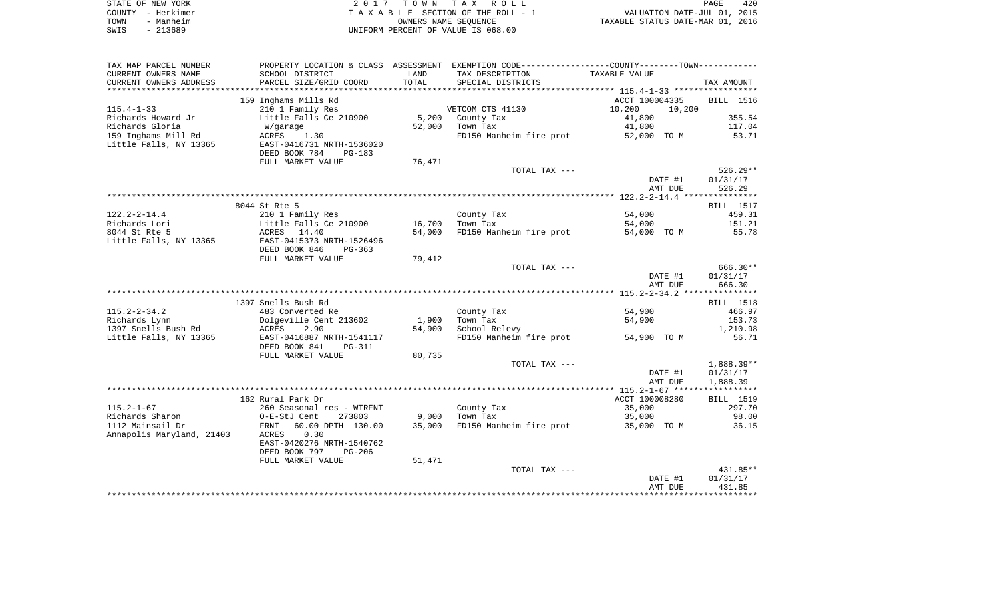| STATE OF NEW YORK | 2017 TOWN TAX ROLL                 | 420<br>PAGE                      |
|-------------------|------------------------------------|----------------------------------|
| COUNTY - Herkimer | TAXABLE SECTION OF THE ROLL - 1    | VALUATION DATE-JUL 01, 2015      |
| - Manheim<br>TOWN | OWNERS NAME SEOUENCE               | TAXABLE STATUS DATE-MAR 01, 2016 |
| - 213689<br>SWIS  | UNIFORM PERCENT OF VALUE IS 068.00 |                                  |

| TAX MAP PARCEL NUMBER     | PROPERTY LOCATION & CLASS ASSESSMENT EXEMPTION CODE---------------COUNTY--------TOWN---------- |        |                                                      |                |         |                     |
|---------------------------|------------------------------------------------------------------------------------------------|--------|------------------------------------------------------|----------------|---------|---------------------|
| CURRENT OWNERS NAME       | SCHOOL DISTRICT                                                                                | LAND   | TAX DESCRIPTION                                      | TAXABLE VALUE  |         |                     |
| CURRENT OWNERS ADDRESS    | PARCEL SIZE/GRID COORD                                                                         | TOTAL  | SPECIAL DISTRICTS                                    |                |         | TAX AMOUNT          |
|                           |                                                                                                |        |                                                      |                |         |                     |
|                           | 159 Inghams Mills Rd                                                                           |        |                                                      | ACCT 100004335 |         | BILL 1516           |
| $115.4 - 1 - 33$          | 210 1 Family Res                                                                               |        | VETCOM CTS 41130                                     | 10,200         | 10,200  |                     |
| Richards Howard Jr        | Little Falls Ce 210900                                                                         | 5,200  | County Tax                                           | 41,800         |         | 355.54              |
| Richards Gloria           | W/garage                                                                                       | 52,000 | Town Tax                                             | 41,800         |         | 117.04              |
| 159 Inghams Mill Rd       | ACRES<br>1.30                                                                                  |        | FD150 Manheim fire prot 52,000 TO M                  |                |         | 53.71               |
| Little Falls, NY 13365    | EAST-0416731 NRTH-1536020                                                                      |        |                                                      |                |         |                     |
|                           | DEED BOOK 784<br>PG-183                                                                        |        |                                                      |                |         |                     |
|                           | FULL MARKET VALUE                                                                              | 76,471 |                                                      |                |         |                     |
|                           |                                                                                                |        | TOTAL TAX ---                                        |                |         | $526.29**$          |
|                           |                                                                                                |        |                                                      |                | DATE #1 | 01/31/17            |
|                           |                                                                                                |        |                                                      |                | AMT DUE | 526.29              |
|                           |                                                                                                |        |                                                      |                |         |                     |
|                           | 8044 St Rte 5                                                                                  |        |                                                      |                |         | BILL 1517           |
| $122.2 - 2 - 14.4$        | 210 1 Family Res                                                                               |        | County Tax                                           | 54,000         |         | 459.31              |
| Richards Lori             | Little Falls Ce 210900                                                                         | 16,700 | Town Tax                                             | 54,000         |         | 151.21              |
| 8044 St Rte 5             | ACRES 14.40                                                                                    | 54,000 | FD150 Manheim fire prot                              | 54,000 TO M    |         | 55.78               |
| Little Falls, NY 13365    | EAST-0415373 NRTH-1526496                                                                      |        |                                                      |                |         |                     |
|                           | DEED BOOK 846<br>PG-363                                                                        |        |                                                      |                |         |                     |
|                           | FULL MARKET VALUE                                                                              | 79,412 |                                                      |                |         |                     |
|                           |                                                                                                |        | TOTAL TAX ---                                        |                |         | 666.30**            |
|                           |                                                                                                |        |                                                      |                | DATE #1 | 01/31/17            |
|                           |                                                                                                |        |                                                      |                | AMT DUE | 666.30              |
|                           |                                                                                                |        |                                                      |                |         |                     |
|                           | 1397 Snells Bush Rd                                                                            |        |                                                      |                |         | BILL 1518           |
| $115.2 - 2 - 34.2$        | 483 Converted Re                                                                               |        | County Tax                                           | 54,900         |         | 466.97              |
| Richards Lynn             | Dolgeville Cent 213602                                                                         | 1,900  | Town Tax                                             | 54,900         |         | 153.73              |
|                           | 2.90                                                                                           |        |                                                      |                |         |                     |
| 1397 Snells Bush Rd       | ACRES                                                                                          | 54,900 | School Relevy<br>FD150 Manheim fire prot 54,900 TO M |                |         | 1,210.98            |
| Little Falls, NY 13365    | EAST-0416887 NRTH-1541117                                                                      |        |                                                      |                |         | 56.71               |
|                           | DEED BOOK 841<br>PG-311                                                                        |        |                                                      |                |         |                     |
|                           | FULL MARKET VALUE                                                                              | 80,735 | TOTAL TAX ---                                        |                |         |                     |
|                           |                                                                                                |        |                                                      |                |         | 1,888.39**          |
|                           |                                                                                                |        |                                                      |                | DATE #1 | 01/31/17            |
|                           |                                                                                                |        |                                                      |                | AMT DUE | 1,888.39            |
|                           | 162 Rural Park Dr                                                                              |        |                                                      | ACCT 100008280 |         |                     |
| $115.2 - 1 - 67$          |                                                                                                |        |                                                      |                |         | BILL 1519<br>297.70 |
| Richards Sharon           | 260 Seasonal res - WTRFNT                                                                      |        | County Tax                                           | 35,000         |         |                     |
|                           | O-E-StJ Cent<br>273803                                                                         | 9,000  | Town Tax                                             | 35,000         |         | 98.00               |
| 1112 Mainsail Dr          | 60.00 DPTH 130.00<br>FRNT                                                                      |        | 35,000 FD150 Manheim fire prot                       | 35,000 TO M    |         | 36.15               |
| Annapolis Maryland, 21403 | 0.30<br>ACRES                                                                                  |        |                                                      |                |         |                     |
|                           | EAST-0420276 NRTH-1540762                                                                      |        |                                                      |                |         |                     |
|                           | DEED BOOK 797<br>PG-206                                                                        |        |                                                      |                |         |                     |
|                           | FULL MARKET VALUE                                                                              | 51,471 |                                                      |                |         |                     |
|                           |                                                                                                |        | TOTAL TAX ---                                        |                |         | $431.85**$          |
|                           |                                                                                                |        |                                                      |                | DATE #1 | 01/31/17            |
|                           |                                                                                                |        |                                                      |                | AMT DUE | 431.85              |
|                           |                                                                                                |        |                                                      |                |         |                     |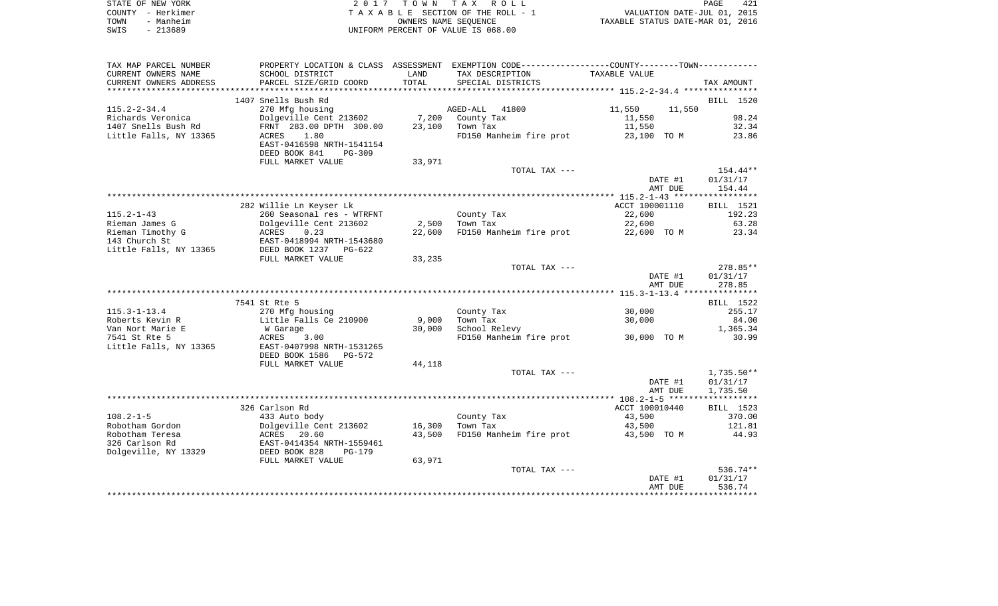| STATE OF NEW YORK | 2017 TOWN TAX ROLL                 | 421<br>PAGE                      |
|-------------------|------------------------------------|----------------------------------|
| COUNTY - Herkimer | TAXABLE SECTION OF THE ROLL - 1    | VALUATION DATE-JUL 01, 2015      |
| TOWN<br>- Manheim | OWNERS NAME SEOUENCE               | TAXABLE STATUS DATE-MAR 01, 2016 |
| SWIS<br>- 213689  | UNIFORM PERCENT OF VALUE IS 068.00 |                                  |

| TAX MAP PARCEL NUMBER  |                           |        | PROPERTY LOCATION & CLASS ASSESSMENT EXEMPTION CODE---------------COUNTY-------TOWN---------- |                |         |                  |
|------------------------|---------------------------|--------|-----------------------------------------------------------------------------------------------|----------------|---------|------------------|
| CURRENT OWNERS NAME    | SCHOOL DISTRICT           | LAND   | TAX DESCRIPTION                                                                               | TAXABLE VALUE  |         |                  |
| CURRENT OWNERS ADDRESS | PARCEL SIZE/GRID COORD    | TOTAL  | SPECIAL DISTRICTS                                                                             |                |         | TAX AMOUNT       |
|                        |                           |        |                                                                                               |                |         |                  |
|                        | 1407 Snells Bush Rd       |        |                                                                                               |                |         | BILL 1520        |
| $115.2 - 2 - 34.4$     | 270 Mfg housing           |        | AGED-ALL 41800                                                                                | 11,550         | 11,550  |                  |
| Richards Veronica      | Dolgeville Cent 213602    | 7,200  | County Tax                                                                                    | 11,550         |         | 98.24            |
| 1407 Snells Bush Rd    | FRNT 283.00 DPTH 300.00   | 23,100 | Town Tax                                                                                      | 11,550         |         | 32.34            |
| Little Falls, NY 13365 | 1.80<br>ACRES             |        | FD150 Manheim fire prot                                                                       | 23,100 TO M    |         | 23.86            |
|                        | EAST-0416598 NRTH-1541154 |        |                                                                                               |                |         |                  |
|                        | DEED BOOK 841<br>$PG-309$ |        |                                                                                               |                |         |                  |
|                        | FULL MARKET VALUE         | 33,971 |                                                                                               |                |         |                  |
|                        |                           |        | TOTAL TAX ---                                                                                 |                |         | 154.44**         |
|                        |                           |        |                                                                                               |                | DATE #1 | 01/31/17         |
|                        |                           |        |                                                                                               |                | AMT DUE | 154.44           |
|                        |                           |        |                                                                                               |                |         |                  |
|                        | 282 Willie Ln Keyser Lk   |        |                                                                                               | ACCT 100001110 |         | BILL 1521        |
| $115.2 - 1 - 43$       | 260 Seasonal res - WTRFNT |        | County Tax                                                                                    | 22,600         |         | 192.23           |
| Rieman James G         | Dolgeville Cent 213602    | 2,500  | Town Tax                                                                                      | 22,600         |         | 63.28            |
| Rieman Timothy G       | ACRES<br>0.23             | 22,600 | FD150 Manheim fire prot                                                                       | 22,600 TO M    |         | 23.34            |
| 143 Church St          | EAST-0418994 NRTH-1543680 |        |                                                                                               |                |         |                  |
| Little Falls, NY 13365 | DEED BOOK 1237 PG-622     |        |                                                                                               |                |         |                  |
|                        | FULL MARKET VALUE         | 33,235 |                                                                                               |                |         |                  |
|                        |                           |        | TOTAL TAX ---                                                                                 |                |         | 278.85**         |
|                        |                           |        |                                                                                               |                | DATE #1 | 01/31/17         |
|                        |                           |        |                                                                                               |                | AMT DUE | 278.85           |
|                        |                           |        |                                                                                               |                |         |                  |
|                        | 7541 St Rte 5             |        |                                                                                               |                |         | <b>BILL</b> 1522 |
| $115.3 - 1 - 13.4$     | 270 Mfg housing           |        | County Tax                                                                                    | 30,000         |         | 255.17           |
| Roberts Kevin R        | Little Falls Ce 210900    | 9,000  | Town Tax                                                                                      | 30,000         |         | 84.00            |
| Van Nort Marie E       | W Garage                  | 30,000 | School Relevy                                                                                 |                |         | 1,365.34         |
| 7541 St Rte 5          | ACRES<br>3.00             |        | FD150 Manheim fire prot                                                                       | 30,000 TO M    |         | 30.99            |
| Little Falls, NY 13365 | EAST-0407998 NRTH-1531265 |        |                                                                                               |                |         |                  |
|                        | DEED BOOK 1586<br>PG-572  |        |                                                                                               |                |         |                  |
|                        | FULL MARKET VALUE         | 44,118 |                                                                                               |                |         |                  |
|                        |                           |        | TOTAL TAX ---                                                                                 |                |         | $1,735.50**$     |
|                        |                           |        |                                                                                               |                | DATE #1 | 01/31/17         |
|                        |                           |        |                                                                                               |                | AMT DUE | 1,735.50         |
|                        |                           |        |                                                                                               |                |         |                  |
|                        | 326 Carlson Rd            |        |                                                                                               | ACCT 100010440 |         | <b>BILL</b> 1523 |
| $108.2 - 1 - 5$        | 433 Auto body             |        | County Tax                                                                                    | 43,500         |         | 370.00           |
| Robotham Gordon        | Dolgeville Cent 213602    | 16,300 | Town Tax                                                                                      | 43,500         |         | 121.81           |
| Robotham Teresa        | ACRES<br>20.60            | 43,500 | FD150 Manheim fire prot 43,500 TO M                                                           |                |         | 44.93            |
| 326 Carlson Rd         | EAST-0414354 NRTH-1559461 |        |                                                                                               |                |         |                  |
| Dolgeville, NY 13329   | DEED BOOK 828<br>$PG-179$ |        |                                                                                               |                |         |                  |
|                        | FULL MARKET VALUE         | 63,971 |                                                                                               |                |         |                  |
|                        |                           |        | TOTAL TAX ---                                                                                 |                |         | $536.74**$       |
|                        |                           |        |                                                                                               |                | DATE #1 | 01/31/17         |
|                        |                           |        |                                                                                               |                | AMT DUE | 536.74           |
|                        |                           |        |                                                                                               |                |         |                  |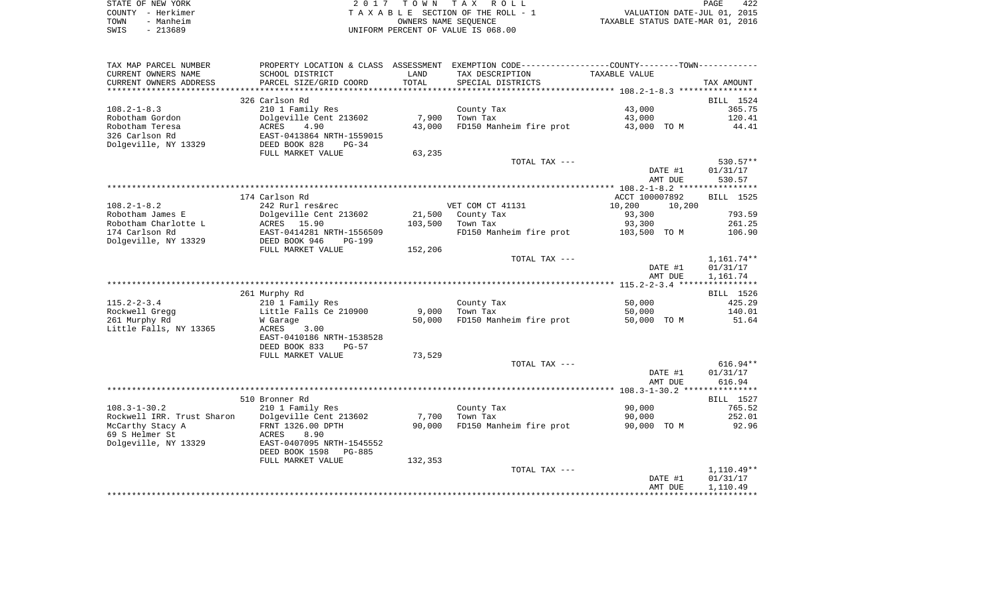|      | STATE OF NEW YORK | 2017 TOWN TAX ROLL                 | PAGE                             | 422 |
|------|-------------------|------------------------------------|----------------------------------|-----|
|      | COUNTY - Herkimer | TAXABLE SECTION OF THE ROLL - 1    | VALUATION DATE-JUL 01, 2015      |     |
| TOWN | - Manheim         | OWNERS NAME SEOUENCE               | TAXABLE STATUS DATE-MAR 01, 2016 |     |
| SWIS | - 213689          | UNIFORM PERCENT OF VALUE IS 068.00 |                                  |     |

| TAX MAP PARCEL NUMBER      |                           |                | PROPERTY LOCATION & CLASS ASSESSMENT EXEMPTION CODE---------------COUNTY-------TOWN---------- |                    |                      |
|----------------------------|---------------------------|----------------|-----------------------------------------------------------------------------------------------|--------------------|----------------------|
| CURRENT OWNERS NAME        | SCHOOL DISTRICT           | LAND           | TAX DESCRIPTION                                                                               | TAXABLE VALUE      |                      |
| CURRENT OWNERS ADDRESS     | PARCEL SIZE/GRID COORD    | TOTAL          | SPECIAL DISTRICTS                                                                             |                    | TAX AMOUNT           |
|                            |                           | ************** |                                                                                               |                    |                      |
|                            | 326 Carlson Rd            |                |                                                                                               |                    | BILL 1524            |
| $108.2 - 1 - 8.3$          | 210 1 Family Res          |                | County Tax                                                                                    | 43,000             | 365.75               |
| Robotham Gordon            | Dolgeville Cent 213602    | 7,900          | Town Tax                                                                                      | 43,000             | 120.41               |
| Robotham Teresa            | 4.90<br><b>ACRES</b>      | 43,000         | FD150 Manheim fire prot                                                                       | 43,000 TO M        | 44.41                |
| 326 Carlson Rd             | EAST-0413864 NRTH-1559015 |                |                                                                                               |                    |                      |
| Dolgeville, NY 13329       | DEED BOOK 828<br>$PG-34$  |                |                                                                                               |                    |                      |
|                            | FULL MARKET VALUE         | 63,235         |                                                                                               |                    |                      |
|                            |                           |                | TOTAL TAX ---                                                                                 |                    | 530.57**             |
|                            |                           |                |                                                                                               | DATE #1            | 01/31/17             |
|                            |                           |                |                                                                                               | AMT DUE            | 530.57               |
|                            |                           |                |                                                                                               |                    |                      |
|                            | 174 Carlson Rd            |                |                                                                                               | ACCT 100007892     | BILL 1525            |
| $108.2 - 1 - 8.2$          | 242 Rurl res&rec          |                | VET COM CT 41131                                                                              | 10,200<br>10,200   |                      |
| Robotham James E           | Dolgeville Cent 213602    | 21,500         | County Tax                                                                                    | 93,300             | 793.59               |
| Robotham Charlotte L       | ACRES<br>15.90            | 103,500        | Town Tax                                                                                      | 93,300             | 261.25               |
| 174 Carlson Rd             | EAST-0414281 NRTH-1556509 |                | FD150 Manheim fire prot 103,500 TO M                                                          |                    | 106.90               |
| Dolgeville, NY 13329       | DEED BOOK 946<br>$PG-199$ |                |                                                                                               |                    |                      |
|                            | FULL MARKET VALUE         | 152,206        |                                                                                               |                    |                      |
|                            |                           |                | TOTAL TAX ---                                                                                 |                    | $1,161.74**$         |
|                            |                           |                |                                                                                               | DATE #1<br>AMT DUE | 01/31/17<br>1,161.74 |
|                            |                           |                |                                                                                               |                    |                      |
|                            | 261 Murphy Rd             |                |                                                                                               |                    | BILL 1526            |
| $115.2 - 2 - 3.4$          | 210 1 Family Res          |                | County Tax                                                                                    | 50,000             | 425.29               |
| Rockwell Gregg             | Little Falls Ce 210900    | 9,000          | Town Tax                                                                                      | 50,000             | 140.01               |
| 261 Murphy Rd              | W Garage                  | 50,000         | FD150 Manheim fire prot                                                                       | 50,000 TO M        | 51.64                |
| Little Falls, NY 13365     | ACRES<br>3.00             |                |                                                                                               |                    |                      |
|                            | EAST-0410186 NRTH-1538528 |                |                                                                                               |                    |                      |
|                            | DEED BOOK 833<br>$PG-57$  |                |                                                                                               |                    |                      |
|                            | FULL MARKET VALUE         | 73,529         |                                                                                               |                    |                      |
|                            |                           |                | TOTAL TAX ---                                                                                 |                    | $616.94**$           |
|                            |                           |                |                                                                                               | DATE #1            | 01/31/17             |
|                            |                           |                |                                                                                               | AMT DUE            | 616.94               |
|                            |                           |                |                                                                                               |                    |                      |
|                            | 510 Bronner Rd            |                |                                                                                               |                    | BILL 1527            |
| $108.3 - 1 - 30.2$         | 210 1 Family Res          |                | County Tax                                                                                    | 90,000             | 765.52               |
| Rockwell IRR. Trust Sharon | Dolgeville Cent 213602    | 7,700          | Town Tax                                                                                      | 90,000             | 252.01               |
| McCarthy Stacy A           | FRNT 1326.00 DPTH         | 90,000         | FD150 Manheim fire prot                                                                       | 90,000 TO M        | 92.96                |
| 69 S Helmer St             | 8.90<br>ACRES             |                |                                                                                               |                    |                      |
| Dolgeville, NY 13329       | EAST-0407095 NRTH-1545552 |                |                                                                                               |                    |                      |
|                            | DEED BOOK 1598<br>PG-885  |                |                                                                                               |                    |                      |
|                            | FULL MARKET VALUE         | 132,353        |                                                                                               |                    |                      |
|                            |                           |                | TOTAL TAX ---                                                                                 |                    | 1,110.49**           |
|                            |                           |                |                                                                                               | DATE #1            | 01/31/17             |
|                            |                           |                |                                                                                               | AMT DUE            | 1,110.49             |
|                            |                           |                |                                                                                               |                    |                      |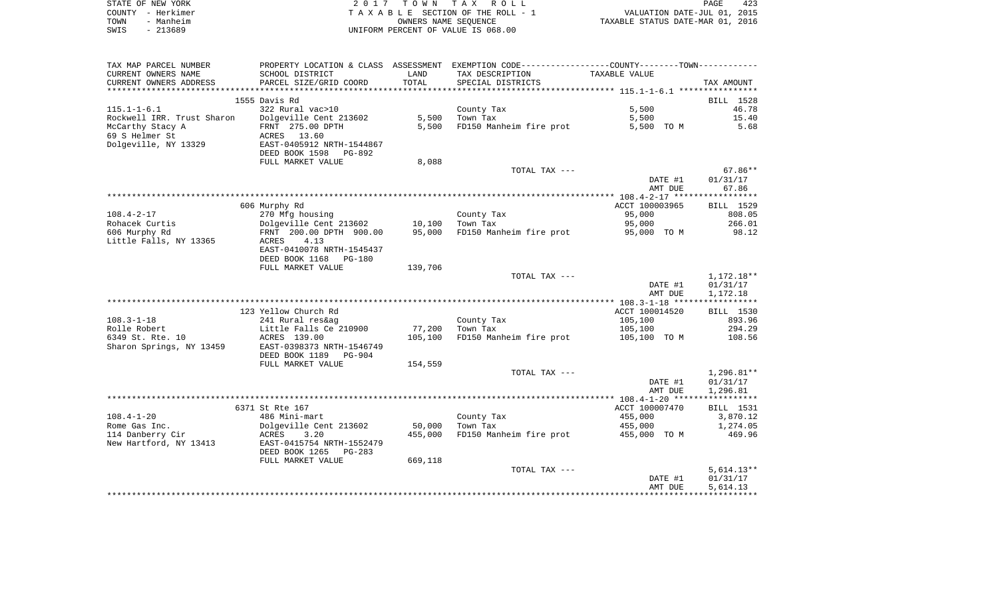| STATE OF NEW YORK | 2017 TOWN TAX ROLL                 | PAGE                             | 423 |
|-------------------|------------------------------------|----------------------------------|-----|
| COUNTY - Herkimer | TAXABLE SECTION OF THE ROLL - 1    | VALUATION DATE-JUL 01, 2015      |     |
| TOWN<br>- Manheim | OWNERS NAME SEOUENCE               | TAXABLE STATUS DATE-MAR 01, 2016 |     |
| SWIS<br>- 213689  | UNIFORM PERCENT OF VALUE IS 068.00 |                                  |     |

| TAX MAP PARCEL NUMBER      |                               |         | PROPERTY LOCATION & CLASS ASSESSMENT EXEMPTION CODE---------------COUNTY-------TOWN---------- |                |                      |
|----------------------------|-------------------------------|---------|-----------------------------------------------------------------------------------------------|----------------|----------------------|
| CURRENT OWNERS NAME        | SCHOOL DISTRICT               | LAND    | TAX DESCRIPTION                                                                               | TAXABLE VALUE  |                      |
| CURRENT OWNERS ADDRESS     | PARCEL SIZE/GRID COORD        | TOTAL   | SPECIAL DISTRICTS                                                                             |                | TAX AMOUNT           |
| ***********************    |                               |         |                                                                                               |                |                      |
|                            | 1555 Davis Rd                 |         |                                                                                               |                | BILL 1528            |
| $115.1 - 1 - 6.1$          | 322 Rural vac>10              |         | County Tax                                                                                    | 5,500          | 46.78                |
| Rockwell IRR. Trust Sharon | Dolgeville Cent 213602        | 5,500   | Town Tax                                                                                      | 5,500          | 15.40                |
| McCarthy Stacy A           | FRNT 275.00 DPTH              | 5.500   | FD150 Manheim fire prot                                                                       | 5,500 TO M     | 5.68                 |
| 69 S Helmer St             | ACRES 13.60                   |         |                                                                                               |                |                      |
| Dolgeville, NY 13329       | EAST-0405912 NRTH-1544867     |         |                                                                                               |                |                      |
|                            | DEED BOOK 1598<br>PG-892      |         |                                                                                               |                |                      |
|                            | FULL MARKET VALUE             | 8,088   |                                                                                               |                |                      |
|                            |                               |         | TOTAL TAX ---                                                                                 |                | $67.86**$            |
|                            |                               |         |                                                                                               | DATE #1        | 01/31/17             |
|                            |                               |         |                                                                                               | AMT DUE        | 67.86                |
|                            |                               |         |                                                                                               |                |                      |
|                            | 606 Murphy Rd                 |         |                                                                                               | ACCT 100003965 | BILL 1529            |
| $108.4 - 2 - 17$           | 270 Mfg housing               |         | County Tax                                                                                    | 95,000         | 808.05               |
| Rohacek Curtis             | Dolgeville Cent 213602 10,100 |         | Town Tax                                                                                      | 95,000         | 266.01               |
| 606 Murphy Rd              | FRNT 200.00 DPTH 900.00       | 95,000  | FD150 Manheim fire prot                                                                       | 95,000 TO M    | 98.12                |
| Little Falls, NY 13365     | 4.13<br>ACRES                 |         |                                                                                               |                |                      |
|                            | EAST-0410078 NRTH-1545437     |         |                                                                                               |                |                      |
|                            | DEED BOOK 1168<br>PG-180      |         |                                                                                               |                |                      |
|                            | FULL MARKET VALUE             | 139,706 |                                                                                               |                |                      |
|                            |                               |         | TOTAL TAX ---                                                                                 |                | 1,172.18**           |
|                            |                               |         |                                                                                               | DATE #1        | 01/31/17             |
|                            |                               |         |                                                                                               | AMT DUE        | 1,172.18             |
|                            |                               |         |                                                                                               |                |                      |
|                            | 123 Yellow Church Rd          |         |                                                                                               | ACCT 100014520 | BILL 1530            |
| $108.3 - 1 - 18$           | 241 Rural res&ag              |         | County Tax                                                                                    | 105,100        | 893.96               |
| Rolle Robert               | Little Falls Ce 210900        | 77,200  | Town Tax                                                                                      | 105,100        | 294.29               |
| 6349 St. Rte. 10           | ACRES 139.00                  | 105,100 | FD150 Manheim fire prot                                                                       | 105,100 TO M   | 108.56               |
| Sharon Springs, NY 13459   | EAST-0398373 NRTH-1546749     |         |                                                                                               |                |                      |
|                            | DEED BOOK 1189<br>PG-904      |         |                                                                                               |                |                      |
|                            | FULL MARKET VALUE             | 154,559 |                                                                                               |                |                      |
|                            |                               |         | TOTAL TAX ---                                                                                 |                | 1,296.81**           |
|                            |                               |         |                                                                                               | DATE #1        | 01/31/17             |
|                            |                               |         |                                                                                               | AMT DUE        | 1,296.81             |
|                            | 6371 St Rte 167               |         |                                                                                               | ACCT 100007470 | BILL 1531            |
| $108.4 - 1 - 20$           | 486 Mini-mart                 |         |                                                                                               | 455,000        |                      |
| Rome Gas Inc.              | Dolgeville Cent 213602        | 50,000  | County Tax<br>Town Tax                                                                        | 455,000        | 3,870.12<br>1,274.05 |
| 114 Danberry Cir           | ACRES<br>3.20                 | 455,000 | FD150 Manheim fire prot 455,000 TO M                                                          |                | 469.96               |
| New Hartford, NY 13413     | EAST-0415754 NRTH-1552479     |         |                                                                                               |                |                      |
|                            | DEED BOOK 1265<br>PG-283      |         |                                                                                               |                |                      |
|                            | FULL MARKET VALUE             | 669,118 |                                                                                               |                |                      |
|                            |                               |         | TOTAL TAX ---                                                                                 |                | $5,614.13**$         |
|                            |                               |         |                                                                                               | DATE #1        | 01/31/17             |
|                            |                               |         |                                                                                               | AMT DUE        | 5,614.13             |
|                            |                               |         |                                                                                               |                |                      |
|                            |                               |         |                                                                                               |                |                      |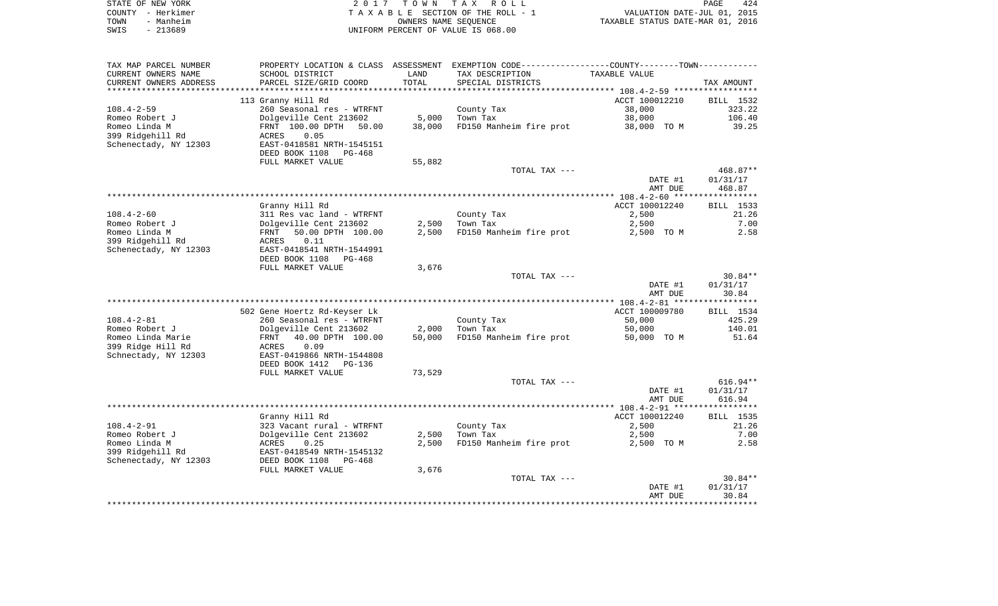|      | STATE OF NEW YORK | 2017 TOWN TAX ROLL                 | PAGE                             | 424 |
|------|-------------------|------------------------------------|----------------------------------|-----|
|      | COUNTY - Herkimer | TAXABLE SECTION OF THE ROLL - 1    | VALUATION DATE-JUL 01, 2015      |     |
| TOWN | - Manheim         | OWNERS NAME SEOUENCE               | TAXABLE STATUS DATE-MAR 01, 2016 |     |
| SWIS | - 213689          | UNIFORM PERCENT OF VALUE IS 068.00 |                                  |     |

| TAX MAP PARCEL NUMBER  |                              |        | PROPERTY LOCATION & CLASS ASSESSMENT EXEMPTION CODE----------------COUNTY--------TOWN----------- |                    |                    |
|------------------------|------------------------------|--------|--------------------------------------------------------------------------------------------------|--------------------|--------------------|
| CURRENT OWNERS NAME    | SCHOOL DISTRICT              | LAND   | TAX DESCRIPTION                                                                                  | TAXABLE VALUE      |                    |
| CURRENT OWNERS ADDRESS | PARCEL SIZE/GRID COORD       | TOTAL  | SPECIAL DISTRICTS                                                                                |                    | TAX AMOUNT         |
| ********************** |                              |        |                                                                                                  |                    |                    |
|                        | 113 Granny Hill Rd           |        |                                                                                                  | ACCT 100012210     | BILL 1532          |
| $108.4 - 2 - 59$       | 260 Seasonal res - WTRFNT    |        | County Tax                                                                                       | 38,000             | 323.22             |
| Romeo Robert J         | Dolgeville Cent 213602       | 5,000  | Town Tax                                                                                         | 38,000             | 106.40             |
| Romeo Linda M          | FRNT 100.00 DPTH 50.00       | 38,000 | FD150 Manheim fire prot                                                                          | 38,000 TO M        | 39.25              |
| 399 Ridgehill Rd       | 0.05<br>ACRES                |        |                                                                                                  |                    |                    |
| Schenectady, NY 12303  | EAST-0418581 NRTH-1545151    |        |                                                                                                  |                    |                    |
|                        | DEED BOOK 1108<br>PG-468     |        |                                                                                                  |                    |                    |
|                        | FULL MARKET VALUE            | 55,882 | TOTAL TAX ---                                                                                    |                    | 468.87**           |
|                        |                              |        |                                                                                                  | DATE #1            | 01/31/17           |
|                        |                              |        |                                                                                                  | AMT DUE            | 468.87             |
|                        |                              |        |                                                                                                  |                    |                    |
|                        | Granny Hill Rd               |        |                                                                                                  | ACCT 100012240     | BILL 1533          |
| $108.4 - 2 - 60$       | 311 Res vac land - WTRFNT    |        | County Tax                                                                                       | 2,500              | 21.26              |
| Romeo Robert J         | Dolgeville Cent 213602       |        | $2,500$ Town Tax                                                                                 | 2,500              | 7.00               |
| Romeo Linda M          | 50.00 DPTH 100.00<br>FRNT    | 2,500  | FD150 Manheim fire prot                                                                          | 2,500 TO M         | 2.58               |
| 399 Ridgehill Rd       | 0.11<br>ACRES                |        |                                                                                                  |                    |                    |
| Schenectady, NY 12303  | EAST-0418541 NRTH-1544991    |        |                                                                                                  |                    |                    |
|                        | DEED BOOK 1108<br>PG-468     |        |                                                                                                  |                    |                    |
|                        | FULL MARKET VALUE            | 3,676  |                                                                                                  |                    |                    |
|                        |                              |        | TOTAL TAX ---                                                                                    |                    | $30.84**$          |
|                        |                              |        |                                                                                                  | DATE #1            | 01/31/17           |
|                        |                              |        |                                                                                                  | AMT DUE            | 30.84              |
|                        |                              |        |                                                                                                  |                    |                    |
|                        | 502 Gene Hoertz Rd-Keyser Lk |        |                                                                                                  | ACCT 100009780     | BILL 1534          |
| $108.4 - 2 - 81$       | 260 Seasonal res - WTRFNT    |        | County Tax                                                                                       | 50,000             | 425.29             |
| Romeo Robert J         | Dolgeville Cent 213602       | 2,000  | Town Tax                                                                                         | 50,000             | 140.01             |
| Romeo Linda Marie      | FRNT<br>40.00 DPTH 100.00    | 50,000 | FD150 Manheim fire prot                                                                          | 50,000 TO M        | 51.64              |
| 399 Ridge Hill Rd      | ACRES<br>0.09                |        |                                                                                                  |                    |                    |
| Schnectady, NY 12303   | EAST-0419866 NRTH-1544808    |        |                                                                                                  |                    |                    |
|                        | DEED BOOK 1412<br>PG-136     |        |                                                                                                  |                    |                    |
|                        | FULL MARKET VALUE            | 73,529 |                                                                                                  |                    |                    |
|                        |                              |        | TOTAL TAX ---                                                                                    |                    | $616.94**$         |
|                        |                              |        |                                                                                                  | DATE #1<br>AMT DUE | 01/31/17<br>616.94 |
|                        |                              |        |                                                                                                  |                    |                    |
|                        | Granny Hill Rd               |        |                                                                                                  | ACCT 100012240     | BILL 1535          |
| $108.4 - 2 - 91$       | 323 Vacant rural - WTRFNT    |        | County Tax                                                                                       | 2,500              | 21.26              |
| Romeo Robert J         | Dolgeville Cent 213602       | 2,500  | Town Tax                                                                                         | 2,500              | 7.00               |
| Romeo Linda M          | ACRES<br>0.25                | 2,500  | FD150 Manheim fire prot                                                                          | 2,500 TO M         | 2.58               |
| 399 Ridgehill Rd       | EAST-0418549 NRTH-1545132    |        |                                                                                                  |                    |                    |
| Schenectady, NY 12303  | DEED BOOK 1108<br>PG-468     |        |                                                                                                  |                    |                    |
|                        | FULL MARKET VALUE            | 3,676  |                                                                                                  |                    |                    |
|                        |                              |        | TOTAL TAX ---                                                                                    |                    | $30.84**$          |
|                        |                              |        |                                                                                                  | DATE #1            | 01/31/17           |
|                        |                              |        |                                                                                                  | AMT DUE            | 30.84              |
|                        |                              |        |                                                                                                  |                    |                    |
|                        |                              |        |                                                                                                  |                    |                    |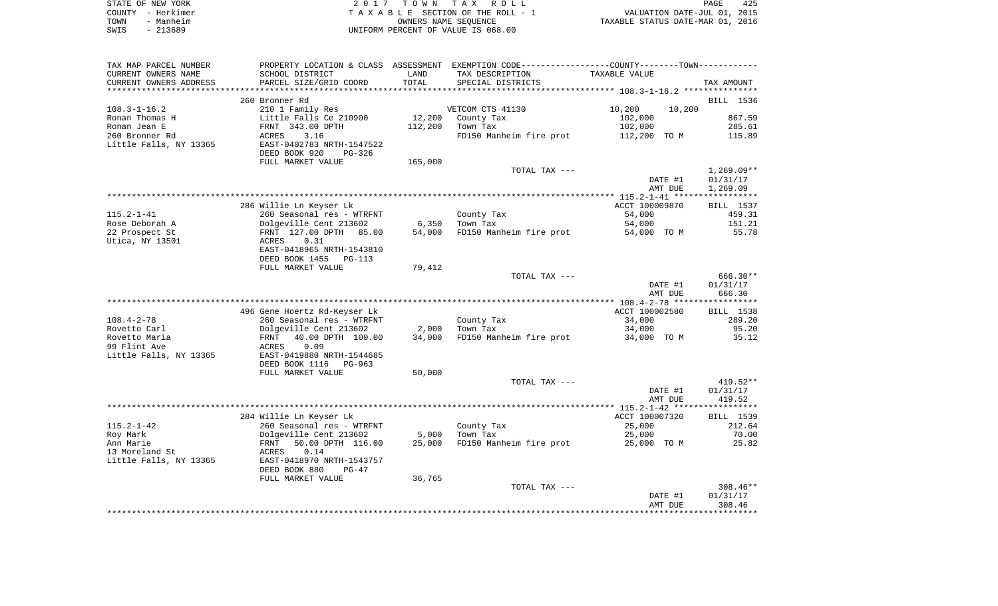| STATE OF NEW YORK | 2017 TOWN TAX ROLL                 | 425<br>PAGE                      |
|-------------------|------------------------------------|----------------------------------|
| COUNTY – Herkimer | TAXABLE SECTION OF THE ROLL - 1    | VALUATION DATE-JUL 01, 2015      |
| - Manheim<br>TOWN | OWNERS NAME SEOUENCE               | TAXABLE STATUS DATE-MAR 01, 2016 |
| - 213689<br>SWIS  | UNIFORM PERCENT OF VALUE IS 068.00 |                                  |

| TAX MAP PARCEL NUMBER  |                              |         | PROPERTY LOCATION & CLASS ASSESSMENT EXEMPTION CODE----------------COUNTY--------TOWN----------- |                  |              |
|------------------------|------------------------------|---------|--------------------------------------------------------------------------------------------------|------------------|--------------|
| CURRENT OWNERS NAME    | SCHOOL DISTRICT              | LAND    | TAX DESCRIPTION                                                                                  | TAXABLE VALUE    |              |
| CURRENT OWNERS ADDRESS | PARCEL SIZE/GRID COORD       | TOTAL   | SPECIAL DISTRICTS                                                                                |                  | TAX AMOUNT   |
|                        |                              |         |                                                                                                  |                  |              |
|                        | 260 Bronner Rd               |         |                                                                                                  |                  | BILL 1536    |
| $108.3 - 1 - 16.2$     | 210 1 Family Res             |         | VETCOM CTS 41130                                                                                 | 10,200<br>10,200 |              |
| Ronan Thomas H         | Little Falls Ce 210900       | 12,200  | County Tax                                                                                       | 102,000          | 867.59       |
| Ronan Jean E           | FRNT 343.00 DPTH             | 112,200 | Town Tax                                                                                         | 102,000          | 285.61       |
|                        |                              |         |                                                                                                  |                  |              |
| 260 Bronner Rd         | ACRES<br>3.16                |         | FD150 Manheim fire prot                                                                          | 112,200 TO M     | 115.89       |
| Little Falls, NY 13365 | EAST-0402783 NRTH-1547522    |         |                                                                                                  |                  |              |
|                        | DEED BOOK 920<br>$PG-326$    |         |                                                                                                  |                  |              |
|                        | FULL MARKET VALUE            | 165,000 |                                                                                                  |                  |              |
|                        |                              |         | TOTAL TAX ---                                                                                    |                  | $1,269.09**$ |
|                        |                              |         |                                                                                                  | DATE #1          | 01/31/17     |
|                        |                              |         |                                                                                                  | AMT DUE          | 1,269.09     |
|                        |                              |         |                                                                                                  |                  |              |
|                        | 286 Willie Ln Keyser Lk      |         |                                                                                                  | ACCT 100009870   | BILL 1537    |
| $115.2 - 1 - 41$       | 260 Seasonal res - WTRFNT    |         | County Tax                                                                                       | 54,000           | 459.31       |
| Rose Deborah A         | Dolgeville Cent 213602       | 6,350   | Town Tax                                                                                         | 54,000           | 151.21       |
| 22 Prospect St         | FRNT 127.00 DPTH 85.00       | 54,000  | FD150 Manheim fire prot                                                                          | 54,000 TO M      | 55.78        |
| Utica, NY 13501        | ACRES<br>0.31                |         |                                                                                                  |                  |              |
|                        | EAST-0418965 NRTH-1543810    |         |                                                                                                  |                  |              |
|                        | DEED BOOK 1455<br>PG-113     |         |                                                                                                  |                  |              |
|                        |                              |         |                                                                                                  |                  |              |
|                        | FULL MARKET VALUE            | 79,412  |                                                                                                  |                  |              |
|                        |                              |         | TOTAL TAX ---                                                                                    |                  | 666.30**     |
|                        |                              |         |                                                                                                  | DATE #1          | 01/31/17     |
|                        |                              |         |                                                                                                  | AMT DUE          | 666.30       |
|                        |                              |         |                                                                                                  |                  |              |
|                        | 496 Gene Hoertz Rd-Keyser Lk |         |                                                                                                  | ACCT 100002580   | BILL 1538    |
| $108.4 - 2 - 78$       | 260 Seasonal res - WTRFNT    |         | County Tax                                                                                       | 34,000           | 289.20       |
| Rovetto Carl           | Dolgeville Cent 213602       | 2,000   | Town Tax                                                                                         | 34,000           | 95.20        |
| Rovetto Maria          | 40.00 DPTH 100.00<br>FRNT    | 34,000  | FD150 Manheim fire prot                                                                          | 34,000 TO M      | 35.12        |
| 99 Flint Ave           | 0.09<br>ACRES                |         |                                                                                                  |                  |              |
| Little Falls, NY 13365 | EAST-0419880 NRTH-1544685    |         |                                                                                                  |                  |              |
|                        | DEED BOOK 1116<br>PG-963     |         |                                                                                                  |                  |              |
|                        | FULL MARKET VALUE            | 50,000  |                                                                                                  |                  |              |
|                        |                              |         | TOTAL TAX ---                                                                                    |                  | $419.52**$   |
|                        |                              |         |                                                                                                  | DATE #1          | 01/31/17     |
|                        |                              |         |                                                                                                  | AMT DUE          | 419.52       |
|                        |                              |         |                                                                                                  |                  |              |
|                        |                              |         |                                                                                                  |                  |              |
|                        | 284 Willie Ln Keyser Lk      |         |                                                                                                  | ACCT 100007320   | BILL 1539    |
| $115.2 - 1 - 42$       | 260 Seasonal res - WTRFNT    |         | County Tax                                                                                       | 25,000           | 212.64       |
| Roy Mark               | Dolgeville Cent 213602       | 5,000   | Town Tax                                                                                         | 25,000           | 70.00        |
| Ann Marie              | 50.00 DPTH 116.00<br>FRNT    | 25,000  | FD150 Manheim fire prot                                                                          | 25,000 TO M      | 25.82        |
| 13 Moreland St         | 0.14<br>ACRES                |         |                                                                                                  |                  |              |
| Little Falls, NY 13365 | EAST-0418970 NRTH-1543757    |         |                                                                                                  |                  |              |
|                        | DEED BOOK 880<br>$PG-47$     |         |                                                                                                  |                  |              |
|                        | FULL MARKET VALUE            | 36,765  |                                                                                                  |                  |              |
|                        |                              |         | TOTAL TAX ---                                                                                    |                  | $308.46**$   |
|                        |                              |         |                                                                                                  | DATE #1          | 01/31/17     |
|                        |                              |         |                                                                                                  | AMT DUE          | 308.46       |
|                        |                              |         |                                                                                                  |                  |              |
|                        |                              |         |                                                                                                  |                  |              |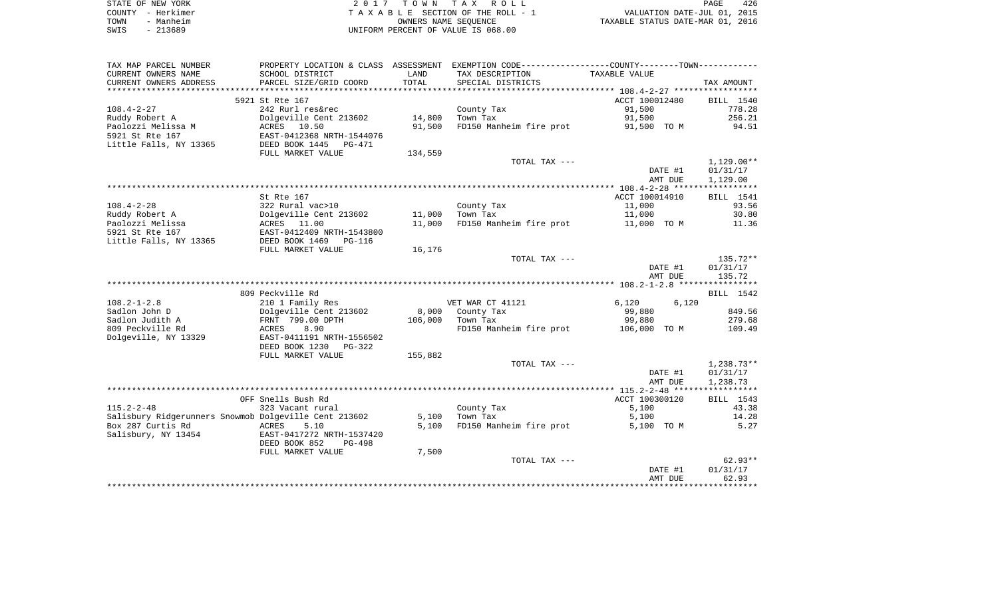|      | STATE OF NEW YORK | 2017 TOWN TAX ROLL                 | 426<br>PAGE                      |
|------|-------------------|------------------------------------|----------------------------------|
|      | COUNTY - Herkimer | TAXABLE SECTION OF THE ROLL - 1    | VALUATION DATE-JUL 01, 2015      |
| TOWN | - Manheim         | OWNERS NAME SEOUENCE               | TAXABLE STATUS DATE-MAR 01, 2016 |
| SWIS | - 213689          | UNIFORM PERCENT OF VALUE IS 068.00 |                                  |

| TAX MAP PARCEL NUMBER                                 | PROPERTY LOCATION & CLASS ASSESSMENT |         | EXEMPTION CODE-----------------COUNTY-------TOWN----------- |                |                  |
|-------------------------------------------------------|--------------------------------------|---------|-------------------------------------------------------------|----------------|------------------|
| CURRENT OWNERS NAME                                   | SCHOOL DISTRICT                      | LAND    | TAX DESCRIPTION                                             | TAXABLE VALUE  |                  |
| CURRENT OWNERS ADDRESS                                | PARCEL SIZE/GRID COORD               | TOTAL   | SPECIAL DISTRICTS                                           |                | TAX AMOUNT       |
| *********************                                 |                                      |         |                                                             |                |                  |
|                                                       | 5921 St Rte 167                      |         |                                                             | ACCT 100012480 | <b>BILL</b> 1540 |
| $108.4 - 2 - 27$                                      | 242 Rurl res&rec                     |         | County Tax                                                  | 91,500         | 778.28           |
| Ruddy Robert A                                        | Dolgeville Cent 213602               | 14,800  | Town Tax                                                    | 91,500         | 256.21           |
| Paolozzi Melissa M                                    | ACRES 10.50                          | 91,500  | FD150 Manheim fire prot                                     | 91,500 TO M    | 94.51            |
| 5921 St Rte 167                                       | EAST-0412368 NRTH-1544076            |         |                                                             |                |                  |
| Little Falls, NY 13365                                | DEED BOOK 1445<br>PG-471             |         |                                                             |                |                  |
|                                                       | FULL MARKET VALUE                    | 134,559 |                                                             |                |                  |
|                                                       |                                      |         | TOTAL TAX ---                                               |                | $1,129.00**$     |
|                                                       |                                      |         |                                                             | DATE #1        | 01/31/17         |
|                                                       |                                      |         |                                                             | AMT DUE        | 1,129.00         |
|                                                       |                                      |         |                                                             |                |                  |
|                                                       | St Rte 167                           |         |                                                             | ACCT 100014910 | BILL 1541        |
| $108.4 - 2 - 28$                                      | 322 Rural vac>10                     |         | County Tax                                                  | 11,000         | 93.56            |
| Ruddy Robert A                                        | Dolgeville Cent 213602               | 11,000  | Town Tax                                                    | 11,000         | 30.80            |
| Paolozzi Melissa                                      | ACRES 11.00                          | 11,000  | FD150 Manheim fire prot                                     | 11,000 TO M    | 11.36            |
| 5921 St Rte 167                                       | EAST-0412409 NRTH-1543800            |         |                                                             |                |                  |
| Little Falls, NY 13365                                | DEED BOOK 1469 PG-116                |         |                                                             |                |                  |
|                                                       | FULL MARKET VALUE                    | 16,176  |                                                             |                |                  |
|                                                       |                                      |         | TOTAL TAX ---                                               |                | 135.72**         |
|                                                       |                                      |         |                                                             | DATE #1        | 01/31/17         |
|                                                       |                                      |         |                                                             | AMT DUE        | 135.72           |
|                                                       |                                      |         |                                                             |                |                  |
|                                                       | 809 Peckville Rd                     |         |                                                             |                | BILL 1542        |
| $108.2 - 1 - 2.8$                                     | 210 1 Family Res                     |         | VET WAR CT 41121                                            | 6,120<br>6,120 |                  |
| Sadlon John D                                         | Dolgeville Cent 213602               | 8,000   | County Tax                                                  | 99,880         | 849.56           |
| Sadlon Judith A                                       | FRNT 799.00 DPTH                     | 106,000 | Town Tax                                                    | 99,880         | 279.68           |
| 809 Peckville Rd                                      | 8.90<br>ACRES                        |         | FD150 Manheim fire prot                                     | 106,000 TO M   | 109.49           |
| Dolgeville, NY 13329                                  | EAST-0411191 NRTH-1556502            |         |                                                             |                |                  |
|                                                       | DEED BOOK 1230<br>$PG-322$           |         |                                                             |                |                  |
|                                                       | FULL MARKET VALUE                    | 155,882 |                                                             |                |                  |
|                                                       |                                      |         | TOTAL TAX ---                                               |                | $1,238.73**$     |
|                                                       |                                      |         |                                                             | DATE #1        | 01/31/17         |
|                                                       |                                      |         |                                                             | AMT DUE        | 1,238.73         |
|                                                       |                                      |         |                                                             |                |                  |
|                                                       | OFF Snells Bush Rd                   |         |                                                             | ACCT 100300120 | BILL 1543        |
| $115.2 - 2 - 48$                                      | 323 Vacant rural                     |         | County Tax                                                  | 5,100          | 43.38            |
| Salisbury Ridgerunners Snowmob Dolgeville Cent 213602 |                                      | 5,100   | Town Tax                                                    | 5,100          | 14.28            |
| Box 287 Curtis Rd                                     | ACRES<br>5.10                        | 5,100   | FD150 Manheim fire prot                                     | 5,100 TO M     | 5.27             |
| Salisbury, NY 13454                                   | EAST-0417272 NRTH-1537420            |         |                                                             |                |                  |
|                                                       | DEED BOOK 852<br><b>PG-498</b>       |         |                                                             |                |                  |
|                                                       | FULL MARKET VALUE                    | 7,500   |                                                             |                |                  |
|                                                       |                                      |         | TOTAL TAX ---                                               |                | $62.93**$        |
|                                                       |                                      |         |                                                             | DATE #1        | 01/31/17         |
|                                                       |                                      |         |                                                             | AMT DUE        | 62.93            |
|                                                       |                                      |         |                                                             |                |                  |
|                                                       |                                      |         |                                                             |                |                  |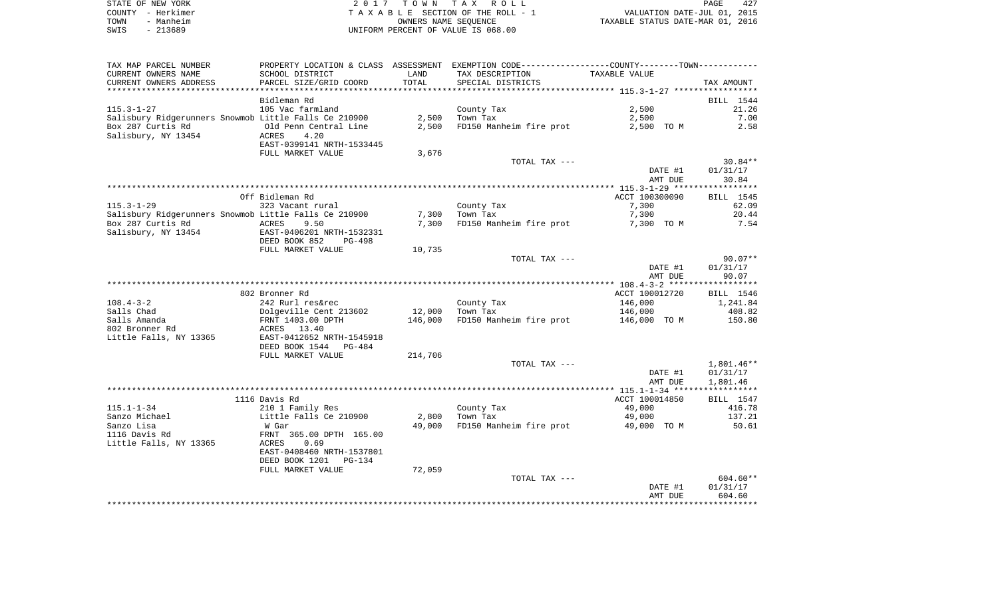| STATE OF NEW YORK | 2017 TOWN TAX ROLL                 | 427<br>PAGE                      |
|-------------------|------------------------------------|----------------------------------|
| COUNTY - Herkimer | TAXABLE SECTION OF THE ROLL - 1    | VALUATION DATE-JUL 01, 2015      |
| - Manheim<br>TOWN | OWNERS NAME SEOUENCE               | TAXABLE STATUS DATE-MAR 01, 2016 |
| - 213689<br>SWIS  | UNIFORM PERCENT OF VALUE IS 068.00 |                                  |

| TAX MAP PARCEL NUMBER                                 | PROPERTY LOCATION & CLASS ASSESSMENT EXEMPTION CODE---------------COUNTY-------TOWN----------                                                                                                                      |                  |                                         |                |                 |
|-------------------------------------------------------|--------------------------------------------------------------------------------------------------------------------------------------------------------------------------------------------------------------------|------------------|-----------------------------------------|----------------|-----------------|
| CURRENT OWNERS NAME                                   | SCHOOL DISTRICT                                                                                                                                                                                                    | LAND             | TAX DESCRIPTION TAXABLE VALUE           |                |                 |
| CURRENT OWNERS ADDRESS                                | PARCEL SIZE/GRID COORD                                                                                                                                                                                             | TOTAL            | SPECIAL DISTRICTS                       |                | TAX AMOUNT      |
|                                                       |                                                                                                                                                                                                                    |                  |                                         |                |                 |
|                                                       | Bidleman Rd                                                                                                                                                                                                        |                  |                                         |                | BILL 1544       |
| 115.3-1-27                                            | 105 Vac farmland                                                                                                                                                                                                   |                  | County Tax                              | 2,500          | 21.26           |
|                                                       |                                                                                                                                                                                                                    |                  |                                         | 2,500          | 7.00            |
|                                                       |                                                                                                                                                                                                                    |                  | FD150 Manheim fire prot                 |                | 2,500 TO M 2.58 |
| Salisbury, NY 13454                                   |                                                                                                                                                                                                                    |                  |                                         |                |                 |
|                                                       | EAST-0399141 NRTH-1533445                                                                                                                                                                                          |                  |                                         |                |                 |
|                                                       | FULL MARKET VALUE                                                                                                                                                                                                  | 3,676            |                                         |                |                 |
|                                                       |                                                                                                                                                                                                                    |                  | TOTAL TAX ---                           |                | $30.84**$       |
|                                                       |                                                                                                                                                                                                                    |                  |                                         | DATE #1        | 01/31/17        |
|                                                       |                                                                                                                                                                                                                    |                  |                                         | AMT DUE        | 30.84           |
|                                                       |                                                                                                                                                                                                                    |                  |                                         |                |                 |
|                                                       | Off Bidleman Rd                                                                                                                                                                                                    |                  |                                         | ACCT 100300090 | BILL 1545       |
| $115.3 - 1 - 29$                                      | 323 Vacant rural                                                                                                                                                                                                   |                  | County Tax                              | 7,300          | 62.09           |
| Salisbury Ridgerunners Snowmob Little Falls Ce 210900 |                                                                                                                                                                                                                    |                  | $7,300$ Town Tax                        | 7,300          | 20.44           |
|                                                       |                                                                                                                                                                                                                    | 7,300            | FD150 Manheim fire prot 7,300 TO M 7.54 |                |                 |
|                                                       |                                                                                                                                                                                                                    |                  |                                         |                |                 |
|                                                       | DEED BOOK 852 PG-498                                                                                                                                                                                               |                  |                                         |                |                 |
|                                                       | FULL MARKET VALUE                                                                                                                                                                                                  | 10,735           |                                         |                |                 |
|                                                       |                                                                                                                                                                                                                    |                  | TOTAL TAX ---                           |                | $90.07**$       |
|                                                       |                                                                                                                                                                                                                    |                  |                                         | DATE #1        | 01/31/17        |
|                                                       |                                                                                                                                                                                                                    |                  |                                         | AMT DUE        | 90.07           |
|                                                       | 802 Bronner Rd                                                                                                                                                                                                     |                  |                                         | ACCT 100012720 | BILL 1546       |
| 108.4-3-2                                             |                                                                                                                                                                                                                    |                  |                                         |                |                 |
| Salls Chad                                            |                                                                                                                                                                                                                    |                  | County Tax<br>Tarm Tax                  |                |                 |
|                                                       | 242 Rurl res&rec County Tax 146,000 1,241.84<br>Dolgeville Cent 213602 12,000 Town Tax 146,000 146,000 408.82<br>FRNT 1403.00 DPTH 146,000 FD150 Manheim fire prot 146,000 TO M 150.80<br>REES 13.40<br>FRNE 31.44 |                  |                                         |                |                 |
| Salls Amanda<br>802 Bronner Rd                        |                                                                                                                                                                                                                    |                  |                                         |                |                 |
| Little Falls, NY 13365 EAST-0412652 NRTH-1545918      |                                                                                                                                                                                                                    |                  |                                         |                |                 |
|                                                       | DEED BOOK 1544 PG-484                                                                                                                                                                                              |                  |                                         |                |                 |
|                                                       | FULL MARKET VALUE                                                                                                                                                                                                  | 214,706          |                                         |                |                 |
|                                                       |                                                                                                                                                                                                                    |                  | TOTAL TAX ---                           |                | 1,801.46**      |
|                                                       |                                                                                                                                                                                                                    |                  |                                         | DATE #1        | 01/31/17        |
|                                                       |                                                                                                                                                                                                                    |                  |                                         | AMT DUE        | 1,801.46        |
|                                                       |                                                                                                                                                                                                                    |                  |                                         |                |                 |
|                                                       | 1116 Davis Rd                                                                                                                                                                                                      |                  |                                         | ACCT 100014850 | BILL 1547       |
| 115.1-1-34                                            | 210 1 Family Res                                                                                                                                                                                                   |                  |                                         | 49,000         | 416.78          |
| Sanzo Michael                                         |                                                                                                                                                                                                                    | $2,800$ Town Tax | County Tax<br>Town Tax                  | 49,000         | 137.21          |
| Sanzo Lisa                                            | Little Falls Ce 210900<br>W Gar                                                                                                                                                                                    | 49,000           | FD150 Manheim fire prot 49,000 TO M     |                | 50.61           |
| 1116 Davis Rd                                         | FRNT 365.00 DPTH 165.00                                                                                                                                                                                            |                  |                                         |                |                 |
|                                                       | 0.69                                                                                                                                                                                                               |                  |                                         |                |                 |
|                                                       | EAST-0408460 NRTH-1537801                                                                                                                                                                                          |                  |                                         |                |                 |
|                                                       | DEED BOOK 1201    PG-134                                                                                                                                                                                           |                  |                                         |                |                 |
|                                                       | FULL MARKET VALUE                                                                                                                                                                                                  | 72,059           |                                         |                |                 |
|                                                       |                                                                                                                                                                                                                    |                  | TOTAL TAX ---                           |                | 604.60**        |
|                                                       |                                                                                                                                                                                                                    |                  |                                         | DATE #1        | 01/31/17        |
|                                                       |                                                                                                                                                                                                                    |                  |                                         | AMT DUE        | 604.60          |
|                                                       |                                                                                                                                                                                                                    |                  |                                         |                |                 |
|                                                       |                                                                                                                                                                                                                    |                  |                                         |                |                 |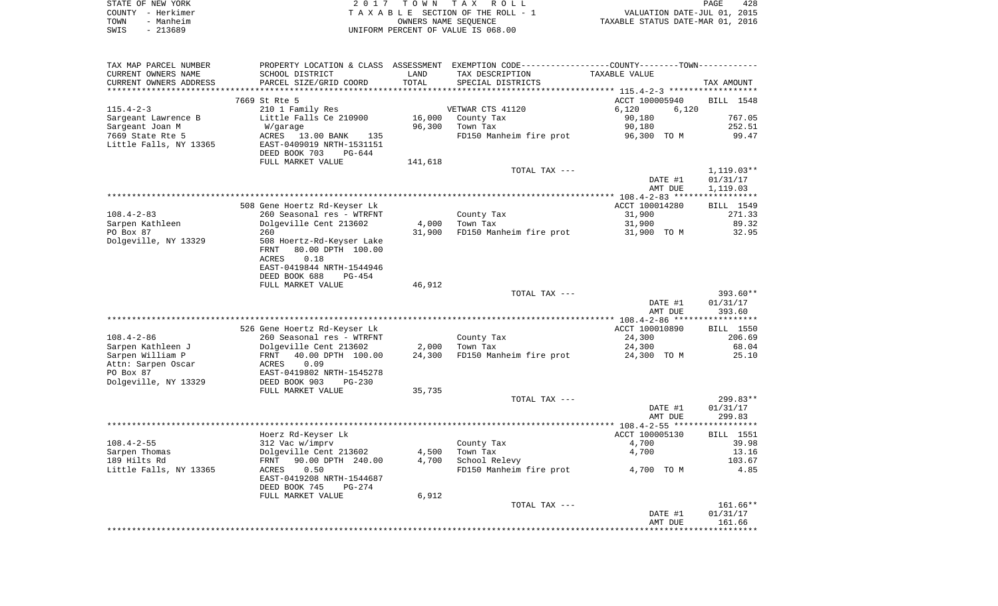|      | STATE OF NEW YORK | 2017 TOWN TAX ROLL                 | PAGE                             | 428 |
|------|-------------------|------------------------------------|----------------------------------|-----|
|      | COUNTY - Herkimer | TAXABLE SECTION OF THE ROLL - 1    | VALUATION DATE-JUL 01, 2015      |     |
| TOWN | - Manheim         | OWNERS NAME SEOUENCE               | TAXABLE STATUS DATE-MAR 01, 2016 |     |
| SWIS | - 213689          | UNIFORM PERCENT OF VALUE IS 068.00 |                                  |     |

| TAX MAP PARCEL NUMBER  |                                |         | PROPERTY LOCATION & CLASS ASSESSMENT EXEMPTION CODE----------------COUNTY-------TOWN----------- |                                                    |                  |
|------------------------|--------------------------------|---------|-------------------------------------------------------------------------------------------------|----------------------------------------------------|------------------|
| CURRENT OWNERS NAME    | SCHOOL DISTRICT                | LAND    | TAX DESCRIPTION                                                                                 | TAXABLE VALUE                                      |                  |
| CURRENT OWNERS ADDRESS | PARCEL SIZE/GRID COORD         | TOTAL   | SPECIAL DISTRICTS                                                                               |                                                    | TAX AMOUNT       |
|                        |                                |         |                                                                                                 | ********************* 115.4-2-3 ****************** |                  |
|                        | 7669 St Rte 5                  |         |                                                                                                 | ACCT 100005940                                     | BILL 1548        |
| $115.4 - 2 - 3$        | 210 1 Family Res               |         | VETWAR CTS 41120                                                                                | 6,120<br>6,120                                     |                  |
| Sargeant Lawrence B    | Little Falls Ce 210900         | 16,000  | County Tax                                                                                      | 90,180                                             | 767.05           |
| Sargeant Joan M        | W/garage                       | 96,300  | Town Tax                                                                                        | 90,180                                             | 252.51           |
| 7669 State Rte 5       | ACRES 13.00 BANK<br>135        |         | FD150 Manheim fire prot                                                                         | 96,300 TO M                                        | 99.47            |
| Little Falls, NY 13365 | EAST-0409019 NRTH-1531151      |         |                                                                                                 |                                                    |                  |
|                        | DEED BOOK 703<br>$PG-644$      |         |                                                                                                 |                                                    |                  |
|                        | FULL MARKET VALUE              | 141,618 |                                                                                                 |                                                    |                  |
|                        |                                |         | TOTAL TAX ---                                                                                   |                                                    | $1,119.03**$     |
|                        |                                |         |                                                                                                 | DATE #1                                            | 01/31/17         |
|                        |                                |         |                                                                                                 | AMT DUE                                            | 1,119.03         |
|                        |                                |         |                                                                                                 |                                                    |                  |
|                        | 508 Gene Hoertz Rd-Keyser Lk   |         |                                                                                                 | ACCT 100014280                                     | BILL 1549        |
| $108.4 - 2 - 83$       | 260 Seasonal res - WTRFNT      |         | County Tax                                                                                      | 31,900                                             | 271.33           |
| Sarpen Kathleen        | Dolgeville Cent 213602         | 4,000   | Town Tax                                                                                        | 31,900                                             | 89.32            |
| PO Box 87              | 260                            | 31,900  | FD150 Manheim fire prot                                                                         | 31,900 TO M                                        | 32.95            |
| Dolgeville, NY 13329   | 508 Hoertz-Rd-Keyser Lake      |         |                                                                                                 |                                                    |                  |
|                        |                                |         |                                                                                                 |                                                    |                  |
|                        | 80.00 DPTH 100.00<br>FRNT      |         |                                                                                                 |                                                    |                  |
|                        | 0.18<br>ACRES                  |         |                                                                                                 |                                                    |                  |
|                        | EAST-0419844 NRTH-1544946      |         |                                                                                                 |                                                    |                  |
|                        | DEED BOOK 688<br>$PG-454$      |         |                                                                                                 |                                                    |                  |
|                        | FULL MARKET VALUE              | 46,912  |                                                                                                 |                                                    |                  |
|                        |                                |         | TOTAL TAX ---                                                                                   |                                                    | $393.60**$       |
|                        |                                |         |                                                                                                 | DATE #1                                            | 01/31/17         |
|                        |                                |         |                                                                                                 | AMT DUE                                            | 393.60           |
|                        |                                |         |                                                                                                 |                                                    |                  |
|                        | 526 Gene Hoertz Rd-Keyser Lk   |         |                                                                                                 | ACCT 100010890                                     | <b>BILL</b> 1550 |
| $108.4 - 2 - 86$       | 260 Seasonal res - WTRFNT      |         | County Tax                                                                                      | 24,300                                             | 206.69           |
| Sarpen Kathleen J      | Dolgeville Cent 213602         | 2,000   | Town Tax                                                                                        | 24,300                                             | 68.04            |
| Sarpen William P       | 40.00 DPTH 100.00<br>FRNT      | 24,300  | FD150 Manheim fire prot                                                                         | 24,300 TO M                                        | 25.10            |
| Attn: Sarpen Oscar     | 0.09<br>ACRES                  |         |                                                                                                 |                                                    |                  |
| PO Box 87              | EAST-0419802 NRTH-1545278      |         |                                                                                                 |                                                    |                  |
| Dolgeville, NY 13329   | DEED BOOK 903<br>$PG-230$      |         |                                                                                                 |                                                    |                  |
|                        | FULL MARKET VALUE              | 35,735  |                                                                                                 |                                                    |                  |
|                        |                                |         | TOTAL TAX ---                                                                                   |                                                    | $299.83**$       |
|                        |                                |         |                                                                                                 | DATE #1                                            | 01/31/17         |
|                        |                                |         |                                                                                                 | AMT DUE                                            | 299.83           |
|                        |                                |         |                                                                                                 |                                                    |                  |
|                        | Hoerz Rd-Keyser Lk             |         |                                                                                                 | ACCT 100005130                                     | <b>BILL</b> 1551 |
| $108.4 - 2 - 55$       | 312 Vac w/imprv                |         | County Tax                                                                                      | 4,700                                              | 39.98            |
| Sarpen Thomas          | Dolgeville Cent 213602         | 4,500   | Town Tax                                                                                        | 4,700                                              | 13.16            |
| 189 Hilts Rd           | 90.00 DPTH 240.00<br>FRNT      | 4,700   | School Relevy                                                                                   |                                                    | 103.67           |
| Little Falls, NY 13365 | ACRES<br>0.50                  |         | FD150 Manheim fire prot                                                                         | 4,700 TO M                                         | 4.85             |
|                        | EAST-0419208 NRTH-1544687      |         |                                                                                                 |                                                    |                  |
|                        | DEED BOOK 745<br><b>PG-274</b> |         |                                                                                                 |                                                    |                  |
|                        |                                |         |                                                                                                 |                                                    |                  |
|                        | FULL MARKET VALUE              | 6,912   |                                                                                                 |                                                    |                  |
|                        |                                |         | TOTAL TAX ---                                                                                   |                                                    | 161.66**         |
|                        |                                |         |                                                                                                 | DATE #1                                            | 01/31/17         |
|                        |                                |         |                                                                                                 | AMT DUE                                            | 161.66           |
|                        |                                |         |                                                                                                 |                                                    |                  |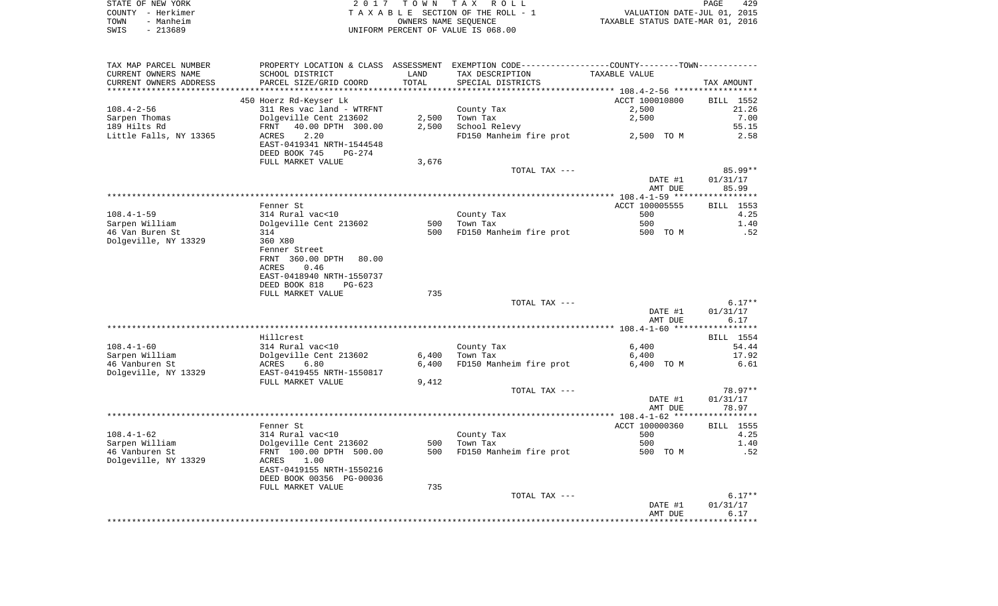| STATE OF NEW YORK | 2017 TOWN TAX ROLL                 | 429<br>PAGE                      |
|-------------------|------------------------------------|----------------------------------|
| COUNTY – Herkimer | TAXABLE SECTION OF THE ROLL - 1    | VALUATION DATE-JUL 01, 2015      |
| - Manheim<br>TOWN | OWNERS NAME SEOUENCE               | TAXABLE STATUS DATE-MAR 01, 2016 |
| - 213689<br>SWIS  | UNIFORM PERCENT OF VALUE IS 068.00 |                                  |

| TAX MAP PARCEL NUMBER  | PROPERTY LOCATION & CLASS ASSESSMENT EXEMPTION CODE----------------COUNTY-------TOWN---------- |       |                         |                |                     |
|------------------------|------------------------------------------------------------------------------------------------|-------|-------------------------|----------------|---------------------|
| CURRENT OWNERS NAME    | SCHOOL DISTRICT                                                                                | LAND  | TAX DESCRIPTION         | TAXABLE VALUE  |                     |
| CURRENT OWNERS ADDRESS | PARCEL SIZE/GRID COORD                                                                         | TOTAL | SPECIAL DISTRICTS       |                | TAX AMOUNT          |
|                        |                                                                                                |       |                         |                |                     |
|                        | 450 Hoerz Rd-Keyser Lk                                                                         |       |                         | ACCT 100010800 | BILL 1552           |
| $108.4 - 2 - 56$       | 311 Res vac land - WTRFNT                                                                      |       | County Tax              | 2,500          | 21.26               |
| Sarpen Thomas          | Dolgeville Cent 213602                                                                         | 2,500 | Town Tax                | 2,500          | 7.00                |
| 189 Hilts Rd           | 40.00 DPTH 300.00<br>FRNT                                                                      | 2,500 | School Relevy           |                | 55.15               |
| Little Falls, NY 13365 | ACRES<br>2.20                                                                                  |       | FD150 Manheim fire prot | 2,500 TO M     | 2.58                |
|                        | EAST-0419341 NRTH-1544548<br>DEED BOOK 745<br>PG-274                                           |       |                         |                |                     |
|                        | FULL MARKET VALUE                                                                              | 3,676 |                         |                |                     |
|                        |                                                                                                |       | TOTAL TAX ---           |                | 85.99**             |
|                        |                                                                                                |       |                         | DATE #1        | 01/31/17            |
|                        |                                                                                                |       |                         | AMT DUE        | 85.99               |
|                        |                                                                                                |       |                         |                | ***********         |
|                        | Fenner St                                                                                      |       |                         | ACCT 100005555 | BILL 1553           |
| $108.4 - 1 - 59$       | 314 Rural vac<10                                                                               |       | County Tax              | 500            | 4.25                |
| Sarpen William         | Dolgeville Cent 213602                                                                         | 500   | Town Tax                | 500            | 1.40                |
| 46 Van Buren St        | 314                                                                                            | 500   | FD150 Manheim fire prot | 500 TO M       | .52                 |
| Dolgeville, NY 13329   | 360 X80                                                                                        |       |                         |                |                     |
|                        | Fenner Street                                                                                  |       |                         |                |                     |
|                        | FRNT 360.00 DPTH<br>80.00                                                                      |       |                         |                |                     |
|                        | ACRES<br>0.46                                                                                  |       |                         |                |                     |
|                        | EAST-0418940 NRTH-1550737                                                                      |       |                         |                |                     |
|                        | DEED BOOK 818<br>$PG-623$                                                                      |       |                         |                |                     |
|                        | FULL MARKET VALUE                                                                              | 735   |                         |                |                     |
|                        |                                                                                                |       | TOTAL TAX ---           |                | $6.17**$            |
|                        |                                                                                                |       |                         | DATE #1        | 01/31/17            |
|                        |                                                                                                |       |                         | AMT DUE        | 6.17                |
|                        | Hillcrest                                                                                      |       |                         |                | BILL 1554           |
| $108.4 - 1 - 60$       | 314 Rural vac<10                                                                               |       | County Tax              | 6,400          | 54.44               |
| Sarpen William         | Dolgeville Cent 213602                                                                         | 6,400 | Town Tax                | 6,400          | 17.92               |
| 46 Vanburen St         | 6.80<br>ACRES                                                                                  | 6,400 | FD150 Manheim fire prot | 6,400 TO M     | 6.61                |
| Dolgeville, NY 13329   | EAST-0419455 NRTH-1550817                                                                      |       |                         |                |                     |
|                        | FULL MARKET VALUE                                                                              | 9,412 |                         |                |                     |
|                        |                                                                                                |       | TOTAL TAX ---           |                | 78.97**             |
|                        |                                                                                                |       |                         | DATE #1        | 01/31/17            |
|                        |                                                                                                |       |                         | AMT DUE        | 78.97               |
|                        |                                                                                                |       |                         |                |                     |
|                        | Fenner St                                                                                      |       |                         | ACCT 100000360 | BILL 1555           |
| $108.4 - 1 - 62$       | 314 Rural vac<10                                                                               |       | County Tax              | 500            | 4.25                |
| Sarpen William         | Dolgeville Cent 213602                                                                         | 500   | Town Tax                | 500            | 1.40                |
| 46 Vanburen St         | FRNT 100.00 DPTH 500.00                                                                        | 500   | FD150 Manheim fire prot | 500 TO M       | .52                 |
| Dolgeville, NY 13329   | 1.00<br>ACRES                                                                                  |       |                         |                |                     |
|                        | EAST-0419155 NRTH-1550216                                                                      |       |                         |                |                     |
|                        | DEED BOOK 00356 PG-00036                                                                       |       |                         |                |                     |
|                        | FULL MARKET VALUE                                                                              | 735   |                         |                |                     |
|                        |                                                                                                |       | TOTAL TAX ---           |                | $6.17**$            |
|                        |                                                                                                |       |                         | DATE #1        | 01/31/17            |
|                        |                                                                                                |       |                         |                |                     |
|                        |                                                                                                |       |                         | AMT DUE        | 6.17<br>*********** |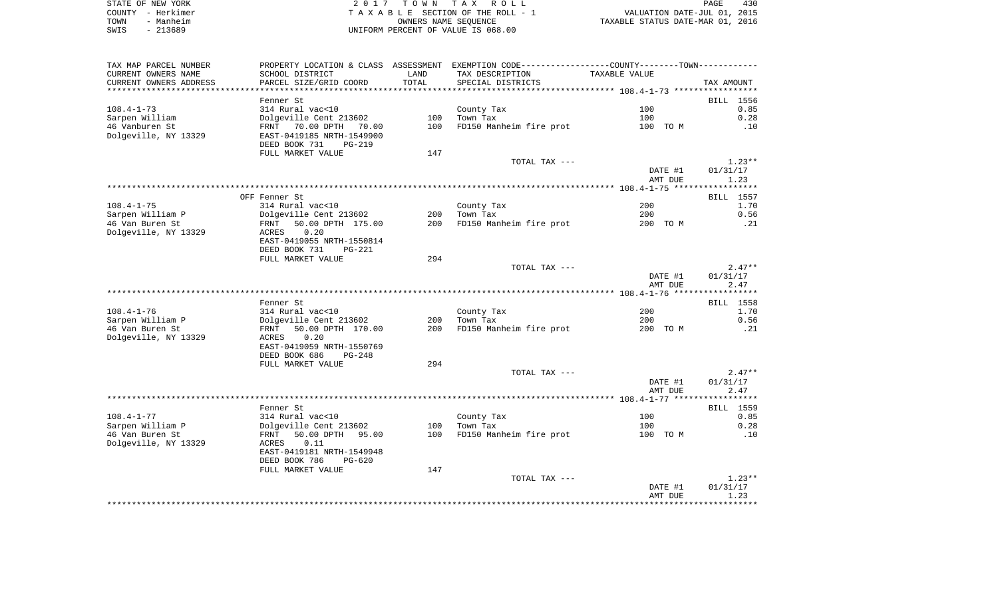| STATE OF NEW YORK | 2017 TOWN TAX ROLL                 | 430<br>PAGE                      |
|-------------------|------------------------------------|----------------------------------|
| COUNTY - Herkimer | TAXABLE SECTION OF THE ROLL - 1    | VALUATION DATE-JUL 01, 2015      |
| - Manheim<br>TOWN | OWNERS NAME SEOUENCE               | TAXABLE STATUS DATE-MAR 01, 2016 |
| - 213689<br>SWIS  | UNIFORM PERCENT OF VALUE IS 068.00 |                                  |

| TAX MAP PARCEL NUMBER  |                                                        |       | PROPERTY LOCATION & CLASS ASSESSMENT EXEMPTION CODE---------------COUNTY-------TOWN---------- |               |                  |
|------------------------|--------------------------------------------------------|-------|-----------------------------------------------------------------------------------------------|---------------|------------------|
| CURRENT OWNERS NAME    | SCHOOL DISTRICT                                        | LAND  | TAX DESCRIPTION                                                                               | TAXABLE VALUE |                  |
| CURRENT OWNERS ADDRESS | PARCEL SIZE/GRID COORD                                 | TOTAL | SPECIAL DISTRICTS                                                                             |               | TAX AMOUNT       |
|                        |                                                        |       |                                                                                               |               |                  |
|                        | Fenner St                                              |       |                                                                                               |               | <b>BILL</b> 1556 |
| $108.4 - 1 - 73$       | 314 Rural vac<10                                       |       | County Tax                                                                                    | 100           | 0.85             |
| Sarpen William         | Dolgeville Cent 213602                                 | 100   | Town Tax                                                                                      | 100           | 0.28             |
| 46 Vanburen St         | FRNT 70.00 DPTH 70.00                                  | 100   | FD150 Manheim fire prot                                                                       | 100 TO M      | .10              |
| Dolgeville, NY 13329   | EAST-0419185 NRTH-1549900<br>DEED BOOK 731<br>PG-219   |       |                                                                                               |               |                  |
|                        | FULL MARKET VALUE                                      | 147   |                                                                                               |               |                  |
|                        |                                                        |       | TOTAL TAX ---                                                                                 |               | $1.23**$         |
|                        |                                                        |       |                                                                                               | DATE #1       | 01/31/17         |
|                        |                                                        |       |                                                                                               | AMT DUE       | 1.23             |
|                        |                                                        |       |                                                                                               |               |                  |
|                        | OFF Fenner St                                          |       |                                                                                               |               | BILL 1557        |
| $108.4 - 1 - 75$       | 314 Rural vac<10                                       |       | County Tax                                                                                    | 200           | 1.70             |
| Sarpen William P       | Dolgeville Cent 213602                                 | 200   | Town Tax                                                                                      | 200           | 0.56             |
| 46 Van Buren St        | 50.00 DPTH 175.00<br>FRNT                              | 200   | FD150 Manheim fire prot                                                                       | 200 TO M      | . 21             |
| Dolgeville, NY 13329   | 0.20<br>ACRES                                          |       |                                                                                               |               |                  |
|                        | EAST-0419055 NRTH-1550814                              |       |                                                                                               |               |                  |
|                        | DEED BOOK 731<br>PG-221                                |       |                                                                                               |               |                  |
|                        | FULL MARKET VALUE                                      | 294   |                                                                                               |               |                  |
|                        |                                                        |       | TOTAL TAX ---                                                                                 |               | $2.47**$         |
|                        |                                                        |       |                                                                                               | DATE #1       | 01/31/17         |
|                        |                                                        |       |                                                                                               | AMT DUE       | 2.47             |
|                        |                                                        |       |                                                                                               |               |                  |
|                        | Fenner St                                              |       |                                                                                               |               | BILL 1558        |
| $108.4 - 1 - 76$       | 314 Rural vac<10                                       |       | County Tax                                                                                    | 200           | 1.70             |
| Sarpen William P       | Dolgeville Cent 213602                                 | 200   | Town Tax                                                                                      | 200           | 0.56             |
| 46 Van Buren St        | FRNT 50.00 DPTH 170.00                                 | 200   | FD150 Manheim fire prot                                                                       | 200 TO M      | .21              |
| Dolgeville, NY 13329   | ACRES<br>0.20                                          |       |                                                                                               |               |                  |
|                        | EAST-0419059 NRTH-1550769<br>DEED BOOK 686<br>$PG-248$ |       |                                                                                               |               |                  |
|                        | FULL MARKET VALUE                                      | 294   |                                                                                               |               |                  |
|                        |                                                        |       | TOTAL TAX ---                                                                                 |               | $2.47**$         |
|                        |                                                        |       |                                                                                               | DATE #1       | 01/31/17         |
|                        |                                                        |       |                                                                                               | AMT DUE       | 2.47             |
|                        |                                                        |       |                                                                                               |               |                  |
|                        | Fenner St                                              |       |                                                                                               |               | BILL 1559        |
| $108.4 - 1 - 77$       | 314 Rural vac<10                                       |       | County Tax                                                                                    | 100           | 0.85             |
| Sarpen William P       | Dolgeville Cent 213602                                 | 100   | Town Tax                                                                                      | 100           | 0.28             |
| 46 Van Buren St        | 50.00 DPTH 95.00<br>FRNT                               | 100   | FD150 Manheim fire prot                                                                       | 100 TO M      | .10              |
| Dolgeville, NY 13329   | ACRES<br>0.11                                          |       |                                                                                               |               |                  |
|                        | EAST-0419181 NRTH-1549948                              |       |                                                                                               |               |                  |
|                        | DEED BOOK 786<br>$PG-620$                              |       |                                                                                               |               |                  |
|                        | FULL MARKET VALUE                                      | 147   |                                                                                               |               |                  |
|                        |                                                        |       | TOTAL TAX ---                                                                                 |               | $1.23**$         |
|                        |                                                        |       |                                                                                               | DATE #1       | 01/31/17         |
|                        |                                                        |       |                                                                                               | AMT DUE       | 1.23             |
|                        |                                                        |       |                                                                                               |               |                  |
|                        |                                                        |       |                                                                                               |               |                  |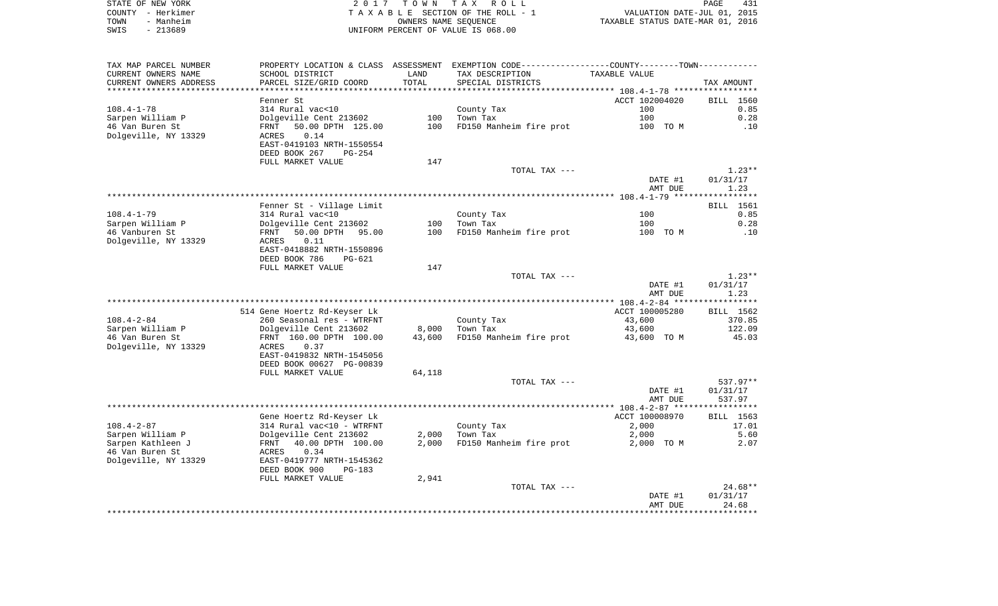| STATE OF NEW YORK |                   | 2017 TOWN TAX ROLL                 | PAGE                             | 431 |
|-------------------|-------------------|------------------------------------|----------------------------------|-----|
|                   | COUNTY – Herkimer | TAXABLE SECTION OF THE ROLL - 1    | VALUATION DATE-JUL 01, 2015      |     |
| TOWN              | - Manheim         | OWNERS NAME SEOUENCE               | TAXABLE STATUS DATE-MAR 01, 2016 |     |
| SWIS              | $-213689$         | UNIFORM PERCENT OF VALUE IS 068.00 |                                  |     |

| TAX MAP PARCEL NUMBER  |                                |        | PROPERTY LOCATION & CLASS ASSESSMENT EXEMPTION CODE----------------COUNTY-------TOWN----------- |                |                  |
|------------------------|--------------------------------|--------|-------------------------------------------------------------------------------------------------|----------------|------------------|
| CURRENT OWNERS NAME    | SCHOOL DISTRICT                | LAND   | TAX DESCRIPTION                                                                                 | TAXABLE VALUE  |                  |
| CURRENT OWNERS ADDRESS | PARCEL SIZE/GRID COORD         | TOTAL  | SPECIAL DISTRICTS                                                                               |                | TAX AMOUNT       |
| ********************   | ************************       |        |                                                                                                 |                |                  |
|                        | Fenner St                      |        |                                                                                                 | ACCT 102004020 | BILL 1560        |
| $108.4 - 1 - 78$       | 314 Rural vac<10               |        | County Tax                                                                                      | 100            | 0.85             |
| Sarpen William P       | Dolgeville Cent 213602         | 100    | Town Tax                                                                                        | 100            | 0.28             |
| 46 Van Buren St        | 50.00 DPTH 125.00<br>FRNT      | 100    | FD150 Manheim fire prot                                                                         | 100 TO M       | .10              |
| Dolgeville, NY 13329   | 0.14<br>ACRES                  |        |                                                                                                 |                |                  |
|                        | EAST-0419103 NRTH-1550554      |        |                                                                                                 |                |                  |
|                        | DEED BOOK 267<br>$PG-254$      |        |                                                                                                 |                |                  |
|                        | FULL MARKET VALUE              | 147    |                                                                                                 |                |                  |
|                        |                                |        | TOTAL TAX ---                                                                                   |                | $1.23**$         |
|                        |                                |        |                                                                                                 | DATE #1        | 01/31/17         |
|                        |                                |        |                                                                                                 | AMT DUE        | 1.23             |
|                        |                                |        |                                                                                                 |                |                  |
|                        | Fenner St - Village Limit      |        |                                                                                                 |                | BILL 1561        |
| $108.4 - 1 - 79$       | 314 Rural vac<10               |        | County Tax                                                                                      | 100            | 0.85             |
| Sarpen William P       | Dolgeville Cent 213602         | 100    | Town Tax                                                                                        | 100            | 0.28             |
| 46 Vanburen St         | 50.00 DPTH 95.00<br>FRNT       | 100    | FD150 Manheim fire prot                                                                         | 100 TO M       | .10              |
| Dolgeville, NY 13329   | 0.11<br>ACRES                  |        |                                                                                                 |                |                  |
|                        | EAST-0418882 NRTH-1550896      |        |                                                                                                 |                |                  |
|                        | DEED BOOK 786<br>PG-621        |        |                                                                                                 |                |                  |
|                        | FULL MARKET VALUE              | 147    |                                                                                                 |                |                  |
|                        |                                |        | TOTAL TAX ---                                                                                   |                | $1.23**$         |
|                        |                                |        |                                                                                                 | DATE #1        | 01/31/17         |
|                        |                                |        |                                                                                                 | AMT DUE        | 1.23             |
|                        |                                |        |                                                                                                 |                |                  |
|                        | 514 Gene Hoertz Rd-Keyser Lk   |        |                                                                                                 | ACCT 100005280 | BILL 1562        |
| $108.4 - 2 - 84$       | 260 Seasonal res - WTRFNT      |        | County Tax                                                                                      | 43,600         | 370.85           |
| Sarpen William P       | Dolgeville Cent 213602         | 8,000  | Town Tax                                                                                        | 43,600         | 122.09           |
| 46 Van Buren St        | FRNT 160.00 DPTH 100.00        | 43,600 | FD150 Manheim fire prot                                                                         | 43,600 TO M    | 45.03            |
| Dolgeville, NY 13329   | 0.37<br>ACRES                  |        |                                                                                                 |                |                  |
|                        | EAST-0419832 NRTH-1545056      |        |                                                                                                 |                |                  |
|                        | DEED BOOK 00627 PG-00839       |        |                                                                                                 |                |                  |
|                        | FULL MARKET VALUE              | 64,118 |                                                                                                 |                |                  |
|                        |                                |        | TOTAL TAX ---                                                                                   |                | $537.97**$       |
|                        |                                |        |                                                                                                 | DATE #1        | 01/31/17         |
|                        |                                |        |                                                                                                 | AMT DUE        | 537.97           |
|                        |                                |        |                                                                                                 |                |                  |
|                        | Gene Hoertz Rd-Keyser Lk       |        |                                                                                                 | ACCT 100008970 | <b>BILL</b> 1563 |
| $108.4 - 2 - 87$       | 314 Rural vac<10 - WTRFNT      |        | County Tax                                                                                      | 2,000          | 17.01            |
|                        |                                |        |                                                                                                 |                |                  |
| Sarpen William P       | Dolgeville Cent 213602         | 2,000  | Town Tax                                                                                        | 2,000          | 5.60             |
| Sarpen Kathleen J      | 40.00 DPTH 100.00<br>FRNT      | 2,000  | FD150 Manheim fire prot                                                                         | 2,000 TO M     | 2.07             |
| 46 Van Buren St        | 0.34<br>ACRES                  |        |                                                                                                 |                |                  |
| Dolgeville, NY 13329   | EAST-0419777 NRTH-1545362      |        |                                                                                                 |                |                  |
|                        | DEED BOOK 900<br><b>PG-183</b> |        |                                                                                                 |                |                  |
|                        | FULL MARKET VALUE              | 2,941  |                                                                                                 |                |                  |
|                        |                                |        | TOTAL TAX ---                                                                                   |                | $24.68**$        |
|                        |                                |        |                                                                                                 | DATE #1        | 01/31/17         |
|                        |                                |        |                                                                                                 | AMT DUE        | 24.68            |
|                        |                                |        |                                                                                                 |                |                  |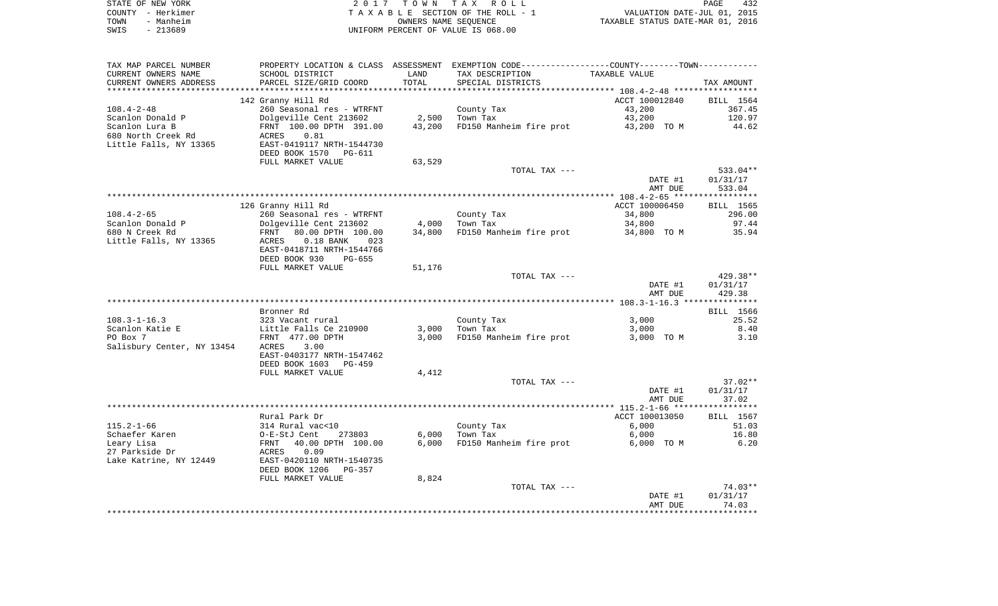|      | STATE OF NEW YORK | 2017 TOWN TAX ROLL                 | PAGE                             | 432 |
|------|-------------------|------------------------------------|----------------------------------|-----|
|      | COUNTY - Herkimer | TAXABLE SECTION OF THE ROLL - 1    | VALUATION DATE-JUL 01, 2015      |     |
| TOWN | - Manheim         | OWNERS NAME SEOUENCE               | TAXABLE STATUS DATE-MAR 01, 2016 |     |
| SWIS | - 213689          | UNIFORM PERCENT OF VALUE IS 068.00 |                                  |     |

| TAX MAP PARCEL NUMBER      | PROPERTY LOCATION & CLASS ASSESSMENT EXEMPTION CODE----------------COUNTY-------TOWN--------- |        |                         |                |            |
|----------------------------|-----------------------------------------------------------------------------------------------|--------|-------------------------|----------------|------------|
| CURRENT OWNERS NAME        | SCHOOL DISTRICT                                                                               | LAND   | TAX DESCRIPTION         | TAXABLE VALUE  |            |
| CURRENT OWNERS ADDRESS     | PARCEL SIZE/GRID COORD                                                                        | TOTAL  | SPECIAL DISTRICTS       |                | TAX AMOUNT |
|                            |                                                                                               |        |                         |                |            |
|                            | 142 Granny Hill Rd                                                                            |        |                         | ACCT 100012840 | BILL 1564  |
| $108.4 - 2 - 48$           | 260 Seasonal res - WTRFNT                                                                     |        | County Tax              | 43,200         | 367.45     |
| Scanlon Donald P           | Dolgeville Cent 213602                                                                        | 2,500  | Town Tax                | 43,200         | 120.97     |
| Scanlon Lura B             | FRNT 100.00 DPTH 391.00                                                                       | 43,200 | FD150 Manheim fire prot | 43,200 TO M    | 44.62      |
| 680 North Creek Rd         | ACRES<br>0.81                                                                                 |        |                         |                |            |
| Little Falls, NY 13365     | EAST-0419117 NRTH-1544730                                                                     |        |                         |                |            |
|                            | DEED BOOK 1570<br>PG-611                                                                      |        |                         |                |            |
|                            |                                                                                               |        |                         |                |            |
|                            | FULL MARKET VALUE                                                                             | 63,529 |                         |                |            |
|                            |                                                                                               |        | TOTAL TAX ---           |                | $533.04**$ |
|                            |                                                                                               |        |                         | DATE #1        | 01/31/17   |
|                            |                                                                                               |        |                         | AMT DUE        | 533.04     |
|                            |                                                                                               |        |                         |                |            |
|                            | 126 Granny Hill Rd                                                                            |        |                         | ACCT 100006450 | BILL 1565  |
| $108.4 - 2 - 65$           | 260 Seasonal res - WTRFNT                                                                     |        | County Tax              | 34,800         | 296.00     |
| Scanlon Donald P           | Dolgeville Cent 213602                                                                        | 4,000  | Town Tax                | 34,800         | 97.44      |
| 680 N Creek Rd             | FRNT<br>80.00 DPTH 100.00                                                                     | 34,800 | FD150 Manheim fire prot | 34,800 TO M    | 35.94      |
| Little Falls, NY 13365     | $0.18$ BANK<br>023<br>ACRES                                                                   |        |                         |                |            |
|                            | EAST-0418711 NRTH-1544766                                                                     |        |                         |                |            |
|                            | DEED BOOK 930<br>PG-655                                                                       |        |                         |                |            |
|                            | FULL MARKET VALUE                                                                             | 51,176 |                         |                |            |
|                            |                                                                                               |        | TOTAL TAX ---           |                | $429.38**$ |
|                            |                                                                                               |        |                         | DATE #1        | 01/31/17   |
|                            |                                                                                               |        |                         |                |            |
|                            |                                                                                               |        |                         | AMT DUE        | 429.38     |
|                            |                                                                                               |        |                         |                |            |
|                            | Bronner Rd                                                                                    |        |                         |                | BILL 1566  |
| $108.3 - 1 - 16.3$         | 323 Vacant rural                                                                              |        | County Tax              | 3,000          | 25.52      |
| Scanlon Katie E            | Little Falls Ce 210900                                                                        | 3,000  | Town Tax                | 3,000          | 8.40       |
| PO Box 7                   | FRNT 477.00 DPTH                                                                              | 3,000  | FD150 Manheim fire prot | 3,000 TO M     | 3.10       |
| Salisbury Center, NY 13454 | 3.00<br>ACRES                                                                                 |        |                         |                |            |
|                            | EAST-0403177 NRTH-1547462                                                                     |        |                         |                |            |
|                            | DEED BOOK 1603<br>PG-459                                                                      |        |                         |                |            |
|                            | FULL MARKET VALUE                                                                             | 4,412  |                         |                |            |
|                            |                                                                                               |        | TOTAL TAX ---           |                | $37.02**$  |
|                            |                                                                                               |        |                         | DATE #1        | 01/31/17   |
|                            |                                                                                               |        |                         | AMT DUE        | 37.02      |
|                            |                                                                                               |        |                         |                |            |
|                            | Rural Park Dr                                                                                 |        |                         | ACCT 100013050 | BILL 1567  |
| $115.2 - 1 - 66$           | 314 Rural vac<10                                                                              |        | County Tax              | 6,000          | 51.03      |
|                            |                                                                                               |        |                         |                |            |
| Schaefer Karen             | O-E-StJ Cent<br>273803                                                                        | 6,000  | Town Tax                | 6,000          | 16.80      |
| Leary Lisa                 | 40.00 DPTH 100.00<br>FRNT                                                                     | 6,000  | FD150 Manheim fire prot | 6,000 TO M     | 6.20       |
| 27 Parkside Dr             | 0.09<br>ACRES                                                                                 |        |                         |                |            |
| Lake Katrine, NY 12449     | EAST-0420110 NRTH-1540735                                                                     |        |                         |                |            |
|                            | DEED BOOK 1206<br>PG-357                                                                      |        |                         |                |            |
|                            | FULL MARKET VALUE                                                                             | 8,824  |                         |                |            |
|                            |                                                                                               |        | TOTAL TAX ---           |                | $74.03**$  |
|                            |                                                                                               |        |                         | DATE #1        | 01/31/17   |
|                            |                                                                                               |        |                         | AMT DUE        | 74.03      |
|                            |                                                                                               |        |                         |                |            |
|                            |                                                                                               |        |                         |                |            |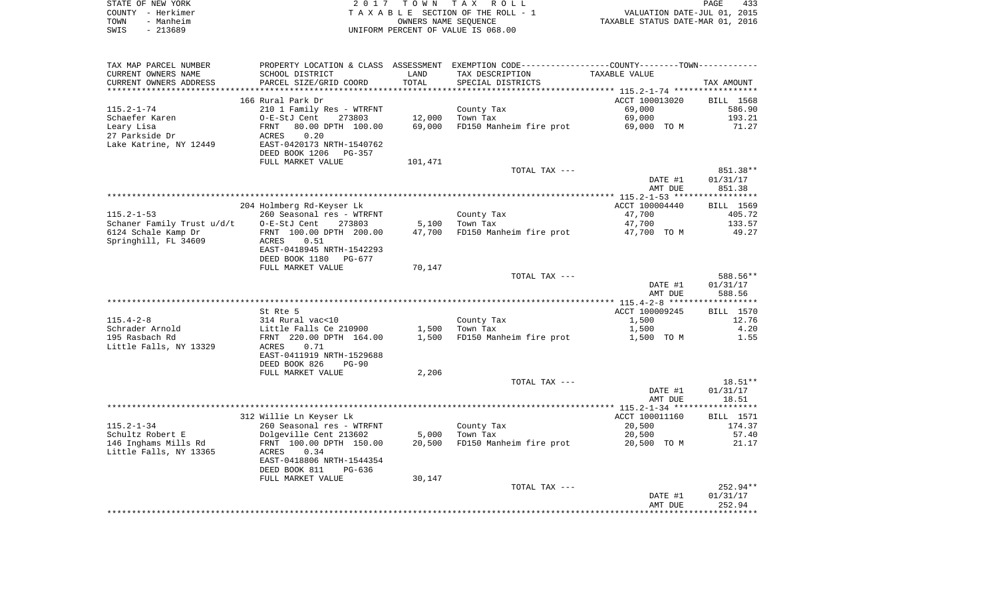|      | STATE OF NEW YORK | 2017 TOWN TAX ROLL                 | PAGE                             | 433 |
|------|-------------------|------------------------------------|----------------------------------|-----|
|      | COUNTY - Herkimer | TAXABLE SECTION OF THE ROLL - 1    | VALUATION DATE-JUL 01, 2015      |     |
| TOWN | - Manheim         | OWNERS NAME SEOUENCE               | TAXABLE STATUS DATE-MAR 01, 2016 |     |
| SWIS | - 213689          | UNIFORM PERCENT OF VALUE IS 068.00 |                                  |     |

| TAX MAP PARCEL NUMBER      |                           |         | PROPERTY LOCATION & CLASS ASSESSMENT EXEMPTION CODE----------------COUNTY-------TOWN---------- |                |                  |
|----------------------------|---------------------------|---------|------------------------------------------------------------------------------------------------|----------------|------------------|
| CURRENT OWNERS NAME        | SCHOOL DISTRICT           | LAND    | TAX DESCRIPTION                                                                                | TAXABLE VALUE  |                  |
| CURRENT OWNERS ADDRESS     | PARCEL SIZE/GRID COORD    | TOTAL   | SPECIAL DISTRICTS                                                                              |                | TAX AMOUNT       |
|                            |                           |         |                                                                                                |                |                  |
|                            | 166 Rural Park Dr         |         |                                                                                                | ACCT 100013020 | BILL 1568        |
| $115.2 - 1 - 74$           | 210 1 Family Res - WTRFNT |         | County Tax                                                                                     | 69,000         | 586.90           |
| Schaefer Karen             | O-E-StJ Cent<br>273803    | 12,000  | Town Tax                                                                                       | 69,000         | 193.21           |
|                            |                           |         |                                                                                                |                |                  |
| Leary Lisa                 | FRNT<br>80.00 DPTH 100.00 | 69,000  | FD150 Manheim fire prot                                                                        | 69,000 TO M    | 71.27            |
| 27 Parkside Dr             | 0.20<br>ACRES             |         |                                                                                                |                |                  |
| Lake Katrine, NY 12449     | EAST-0420173 NRTH-1540762 |         |                                                                                                |                |                  |
|                            | DEED BOOK 1206<br>PG-357  |         |                                                                                                |                |                  |
|                            | FULL MARKET VALUE         | 101,471 |                                                                                                |                |                  |
|                            |                           |         | TOTAL TAX ---                                                                                  |                | 851.38**         |
|                            |                           |         |                                                                                                | DATE #1        | 01/31/17         |
|                            |                           |         |                                                                                                | AMT DUE        | 851.38           |
|                            |                           |         |                                                                                                |                |                  |
|                            | 204 Holmberg Rd-Keyser Lk |         |                                                                                                | ACCT 100004440 | BILL 1569        |
|                            |                           |         |                                                                                                |                |                  |
| $115.2 - 1 - 53$           | 260 Seasonal res - WTRFNT |         | County Tax                                                                                     | 47,700         | 405.72           |
| Schaner Family Trust u/d/t | O-E-StJ Cent<br>273803    | 5,100   | Town Tax                                                                                       | 47,700         | 133.57           |
| 6124 Schale Kamp Dr        | FRNT 100.00 DPTH 200.00   | 47,700  | FD150 Manheim fire prot                                                                        | 47,700 TO M    | 49.27            |
| Springhill, FL 34609       | ACRES<br>0.51             |         |                                                                                                |                |                  |
|                            | EAST-0418945 NRTH-1542293 |         |                                                                                                |                |                  |
|                            | DEED BOOK 1180<br>PG-677  |         |                                                                                                |                |                  |
|                            | FULL MARKET VALUE         | 70,147  |                                                                                                |                |                  |
|                            |                           |         | TOTAL TAX ---                                                                                  |                | 588.56**         |
|                            |                           |         |                                                                                                | DATE #1        | 01/31/17         |
|                            |                           |         |                                                                                                | AMT DUE        | 588.56           |
|                            |                           |         |                                                                                                |                |                  |
|                            | St Rte 5                  |         |                                                                                                | ACCT 100009245 | BILL 1570        |
|                            |                           |         |                                                                                                |                |                  |
| $115.4 - 2 - 8$            | 314 Rural vac<10          |         | County Tax                                                                                     | 1,500          | 12.76            |
| Schrader Arnold            | Little Falls Ce 210900    | 1,500   | Town Tax                                                                                       | 1,500          | 4.20             |
| 195 Rasbach Rd             | FRNT 220.00 DPTH 164.00   | 1,500   | FD150 Manheim fire prot                                                                        | 1,500 TO M     | 1.55             |
| Little Falls, NY 13329     | ACRES<br>0.71             |         |                                                                                                |                |                  |
|                            | EAST-0411919 NRTH-1529688 |         |                                                                                                |                |                  |
|                            | DEED BOOK 826<br>$PG-90$  |         |                                                                                                |                |                  |
|                            | FULL MARKET VALUE         | 2,206   |                                                                                                |                |                  |
|                            |                           |         | TOTAL TAX ---                                                                                  |                | 18.51**          |
|                            |                           |         |                                                                                                | DATE #1        | 01/31/17         |
|                            |                           |         |                                                                                                | AMT DUE        | 18.51            |
|                            |                           |         |                                                                                                |                |                  |
|                            | 312 Willie Ln Keyser Lk   |         |                                                                                                | ACCT 100011160 | <b>BILL</b> 1571 |
| $115.2 - 1 - 34$           |                           |         |                                                                                                |                |                  |
|                            | 260 Seasonal res - WTRFNT |         | County Tax                                                                                     | 20,500         | 174.37           |
| Schultz Robert E           | Dolgeville Cent 213602    | 5,000   | Town Tax                                                                                       | 20,500         | 57.40            |
| 146 Inghams Mills Rd       | FRNT 100.00 DPTH 150.00   | 20,500  | FD150 Manheim fire prot                                                                        | 20,500 TO M    | 21.17            |
| Little Falls, NY 13365     | 0.34<br>ACRES             |         |                                                                                                |                |                  |
|                            | EAST-0418806 NRTH-1544354 |         |                                                                                                |                |                  |
|                            | DEED BOOK 811<br>$PG-636$ |         |                                                                                                |                |                  |
|                            | FULL MARKET VALUE         | 30,147  |                                                                                                |                |                  |
|                            |                           |         | TOTAL TAX ---                                                                                  |                | $252.94**$       |
|                            |                           |         |                                                                                                | DATE #1        | 01/31/17         |
|                            |                           |         |                                                                                                | AMT DUE        | 252.94           |
|                            |                           |         |                                                                                                |                |                  |
|                            |                           |         |                                                                                                |                |                  |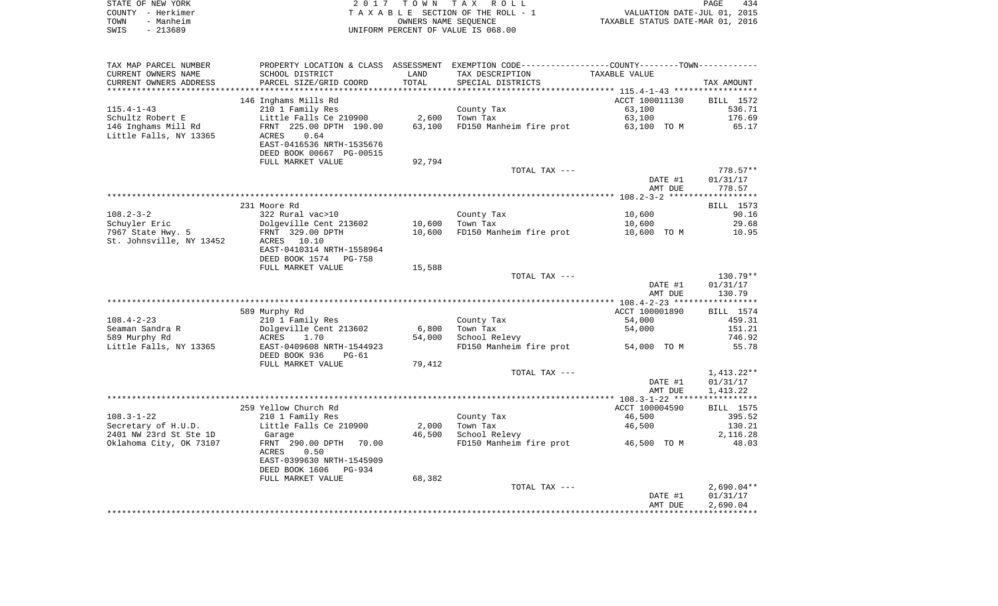| STATE OF NEW YORK | 2017 TOWN TAX ROLL                 | PAGE                             | 434 |
|-------------------|------------------------------------|----------------------------------|-----|
| COUNTY - Herkimer | TAXABLE SECTION OF THE ROLL - 1    | VALUATION DATE-JUL 01, 2015      |     |
| TOWN<br>- Manheim | OWNERS NAME SEOUENCE               | TAXABLE STATUS DATE-MAR 01, 2016 |     |
| SWIS<br>- 213689  | UNIFORM PERCENT OF VALUE IS 068.00 |                                  |     |

| TAX MAP PARCEL NUMBER    |                           |        | PROPERTY LOCATION & CLASS ASSESSMENT EXEMPTION CODE---------------COUNTY-------TOWN---------- |                |              |
|--------------------------|---------------------------|--------|-----------------------------------------------------------------------------------------------|----------------|--------------|
| CURRENT OWNERS NAME      | SCHOOL DISTRICT           | LAND   | TAX DESCRIPTION                                                                               | TAXABLE VALUE  |              |
| CURRENT OWNERS ADDRESS   | PARCEL SIZE/GRID COORD    | TOTAL  | SPECIAL DISTRICTS                                                                             |                | TAX AMOUNT   |
|                          |                           |        |                                                                                               |                |              |
|                          | 146 Inghams Mills Rd      |        |                                                                                               | ACCT 100011130 | BILL 1572    |
| $115.4 - 1 - 43$         | 210 1 Family Res          |        | County Tax                                                                                    | 63,100         | 536.71       |
| Schultz Robert E         | Little Falls Ce 210900    | 2,600  | Town Tax                                                                                      | 63,100         | 176.69       |
|                          | FRNT 225.00 DPTH 190.00   | 63,100 | FD150 Manheim fire prot                                                                       | 63,100 TO M    | 65.17        |
| 146 Inghams Mill Rd      |                           |        |                                                                                               |                |              |
| Little Falls, NY 13365   | 0.64<br>ACRES             |        |                                                                                               |                |              |
|                          | EAST-0416536 NRTH-1535676 |        |                                                                                               |                |              |
|                          | DEED BOOK 00667 PG-00515  |        |                                                                                               |                |              |
|                          | FULL MARKET VALUE         | 92,794 |                                                                                               |                |              |
|                          |                           |        | TOTAL TAX ---                                                                                 |                | $778.57**$   |
|                          |                           |        |                                                                                               | DATE #1        | 01/31/17     |
|                          |                           |        |                                                                                               | AMT DUE        | 778.57       |
|                          |                           |        |                                                                                               |                |              |
|                          | 231 Moore Rd              |        |                                                                                               |                | BILL 1573    |
| $108.2 - 3 - 2$          | 322 Rural vac>10          |        | County Tax                                                                                    | 10,600         | 90.16        |
| Schuyler Eric            | Dolgeville Cent 213602    | 10,600 | Town Tax                                                                                      | 10,600         | 29.68        |
| 7967 State Hwy. 5        | FRNT 329.00 DPTH          | 10,600 | FD150 Manheim fire prot                                                                       | 10,600 TO M    | 10.95        |
| St. Johnsville, NY 13452 | ACRES 10.10               |        |                                                                                               |                |              |
|                          | EAST-0410314 NRTH-1558964 |        |                                                                                               |                |              |
|                          |                           |        |                                                                                               |                |              |
|                          | DEED BOOK 1574 PG-758     |        |                                                                                               |                |              |
|                          | FULL MARKET VALUE         | 15,588 |                                                                                               |                |              |
|                          |                           |        | TOTAL TAX ---                                                                                 |                | $130.79**$   |
|                          |                           |        |                                                                                               | DATE #1        | 01/31/17     |
|                          |                           |        |                                                                                               | AMT DUE        | 130.79       |
|                          |                           |        |                                                                                               |                |              |
|                          | 589 Murphy Rd             |        |                                                                                               | ACCT 100001890 | BILL 1574    |
| $108.4 - 2 - 23$         | 210 1 Family Res          |        | County Tax                                                                                    | 54,000         | 459.31       |
| Seaman Sandra R          | Dolgeville Cent 213602    | 6,800  | Town Tax                                                                                      | 54,000         | 151.21       |
| 589 Murphy Rd            | 1.70<br>ACRES             | 54,000 | School Relevy                                                                                 |                | 746.92       |
| Little Falls, NY 13365   | EAST-0409608 NRTH-1544923 |        | FD150 Manheim fire prot 54,000 TO M                                                           |                | 55.78        |
|                          | DEED BOOK 936<br>PG-61    |        |                                                                                               |                |              |
|                          | FULL MARKET VALUE         | 79,412 |                                                                                               |                |              |
|                          |                           |        | TOTAL TAX ---                                                                                 |                | 1,413.22**   |
|                          |                           |        |                                                                                               | DATE #1        | 01/31/17     |
|                          |                           |        |                                                                                               |                |              |
|                          |                           |        |                                                                                               | AMT DUE        | 1,413.22     |
|                          |                           |        |                                                                                               |                |              |
|                          | 259 Yellow Church Rd      |        |                                                                                               | ACCT 100004590 | BILL 1575    |
| $108.3 - 1 - 22$         | 210 1 Family Res          |        | County Tax                                                                                    | 46,500         | 395.52       |
| Secretary of H.U.D.      | Little Falls Ce 210900    | 2,000  | Town Tax                                                                                      | 46,500         | 130.21       |
| 2401 NW 23rd St Ste 1D   | Garage                    | 46,500 | School Relevy                                                                                 |                | 2,116.28     |
| Oklahoma City, OK 73107  | 70.00<br>FRNT 290.00 DPTH |        | FD150 Manheim fire prot 46,500 TO M                                                           |                | 48.03        |
|                          | ACRES<br>0.50             |        |                                                                                               |                |              |
|                          | EAST-0399630 NRTH-1545909 |        |                                                                                               |                |              |
|                          | DEED BOOK 1606 PG-934     |        |                                                                                               |                |              |
|                          | FULL MARKET VALUE         | 68,382 |                                                                                               |                |              |
|                          |                           |        | TOTAL TAX ---                                                                                 |                | $2,690.04**$ |
|                          |                           |        |                                                                                               | DATE #1        | 01/31/17     |
|                          |                           |        |                                                                                               | AMT DUE        | 2,690.04     |
|                          |                           |        |                                                                                               |                |              |
|                          |                           |        |                                                                                               |                |              |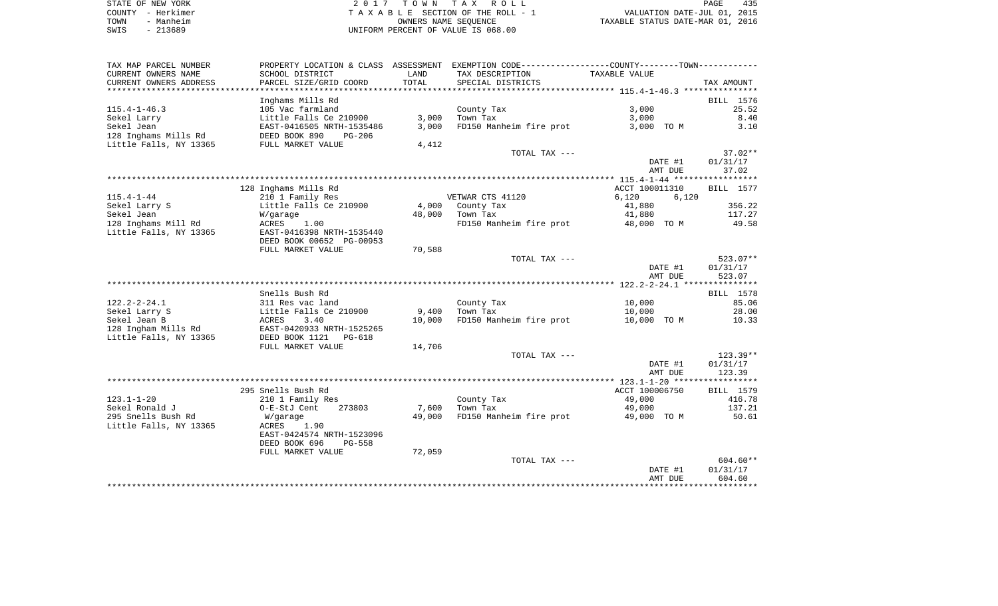| STATE OF NEW YORK     | TOWN TAX ROLL                      | 435<br>PAGE                      |
|-----------------------|------------------------------------|----------------------------------|
| COUNTY - Herkimer     | TAXABLE SECTION OF THE ROLL - 1    | VALUATION DATE-JUL 01, 2015      |
| Manheim<br>TOWN       | OWNERS NAME SEOUENCE               | TAXABLE STATUS DATE-MAR 01, 2016 |
| 213689<br>SWIS<br>$-$ | UNIFORM PERCENT OF VALUE IS 068.00 |                                  |

| TAX MAP PARCEL NUMBER     | PROPERTY LOCATION & CLASS ASSESSMENT |        | EXEMPTION CODE-----------------COUNTY-------TOWN----------- |                |                    |
|---------------------------|--------------------------------------|--------|-------------------------------------------------------------|----------------|--------------------|
| CURRENT OWNERS NAME       | SCHOOL DISTRICT                      | LAND   | TAX DESCRIPTION                                             | TAXABLE VALUE  |                    |
| CURRENT OWNERS ADDRESS    | PARCEL SIZE/GRID COORD               | TOTAL  | SPECIAL DISTRICTS                                           |                | TAX AMOUNT         |
| ************************* |                                      |        |                                                             |                |                    |
|                           | Inghams Mills Rd                     |        |                                                             |                | BILL 1576          |
| $115.4 - 1 - 46.3$        | 105 Vac farmland                     |        | County Tax                                                  | 3,000          | 25.52              |
| Sekel Larry               | Little Falls Ce 210900               | 3,000  | Town Tax                                                    | 3,000          | 8.40               |
| Sekel Jean                | EAST-0416505 NRTH-1535486            | 3,000  | FD150 Manheim fire prot                                     | 3,000 TO M     | 3.10               |
| 128 Inghams Mills Rd      | DEED BOOK 890<br>$PG-206$            |        |                                                             |                |                    |
| Little Falls, NY 13365    | FULL MARKET VALUE                    | 4,412  |                                                             |                |                    |
|                           |                                      |        | TOTAL TAX ---                                               |                | $37.02**$          |
|                           |                                      |        |                                                             | DATE #1        | 01/31/17           |
|                           |                                      |        |                                                             | AMT DUE        | 37.02              |
|                           |                                      |        |                                                             |                |                    |
|                           | 128 Inghams Mills Rd                 |        |                                                             | ACCT 100011310 | BILL 1577          |
| $115.4 - 1 - 44$          | 210 1 Family Res                     |        | VETWAR CTS 41120                                            | 6,120<br>6,120 |                    |
| Sekel Larry S             | Little Falls Ce 210900               | 4,000  | County Tax                                                  | 41,880         | 356.22             |
| Sekel Jean                | W/garage                             | 48,000 | Town Tax                                                    | 41,880         | 117.27             |
| 128 Inghams Mill Rd       | ACRES<br>1.00                        |        | FD150 Manheim fire prot                                     | 48,000 TO M    | 49.58              |
| Little Falls, NY 13365    | EAST-0416398 NRTH-1535440            |        |                                                             |                |                    |
|                           | DEED BOOK 00652 PG-00953             |        |                                                             |                |                    |
|                           | FULL MARKET VALUE                    | 70,588 |                                                             |                |                    |
|                           |                                      |        | TOTAL TAX ---                                               |                | 523.07**           |
|                           |                                      |        |                                                             | DATE #1        | 01/31/17           |
|                           |                                      |        |                                                             | AMT DUE        | 523.07             |
|                           | Snells Bush Rd                       |        |                                                             |                |                    |
| $122.2 - 2 - 24.1$        | 311 Res vac land                     |        | County Tax                                                  | 10,000         | BILL 1578<br>85.06 |
| Sekel Larry S             | Little Falls Ce 210900               | 9,400  | Town Tax                                                    | 10,000         | 28.00              |
| Sekel Jean B              | ACRES<br>3.40                        | 10,000 | FD150 Manheim fire prot                                     | 10,000 TO M    | 10.33              |
| 128 Ingham Mills Rd       | EAST-0420933 NRTH-1525265            |        |                                                             |                |                    |
| Little Falls, NY 13365    | DEED BOOK 1121 PG-618                |        |                                                             |                |                    |
|                           | FULL MARKET VALUE                    | 14,706 |                                                             |                |                    |
|                           |                                      |        | TOTAL TAX ---                                               |                | $123.39**$         |
|                           |                                      |        |                                                             | DATE #1        | 01/31/17           |
|                           |                                      |        |                                                             | AMT DUE        | 123.39             |
|                           |                                      |        |                                                             |                |                    |
|                           | 295 Snells Bush Rd                   |        |                                                             | ACCT 100006750 | BILL 1579          |
| $123.1 - 1 - 20$          | 210 1 Family Res                     |        | County Tax                                                  | 49,000         | 416.78             |
| Sekel Ronald J            | 273803<br>O-E-StJ Cent               | 7,600  | Town Tax                                                    | 49,000         | 137.21             |
| 295 Snells Bush Rd        | W/garage                             | 49,000 | FD150 Manheim fire prot                                     | 49,000 TO M    | 50.61              |
| Little Falls, NY 13365    | ACRES<br>1.90                        |        |                                                             |                |                    |
|                           | EAST-0424574 NRTH-1523096            |        |                                                             |                |                    |
|                           | DEED BOOK 696<br>PG-558              |        |                                                             |                |                    |
|                           | FULL MARKET VALUE                    | 72,059 |                                                             |                |                    |
|                           |                                      |        | TOTAL TAX ---                                               |                | 604.60**           |
|                           |                                      |        |                                                             | DATE #1        | 01/31/17           |
|                           |                                      |        |                                                             | AMT DUE        | 604.60             |
|                           |                                      |        |                                                             |                |                    |
|                           |                                      |        |                                                             |                |                    |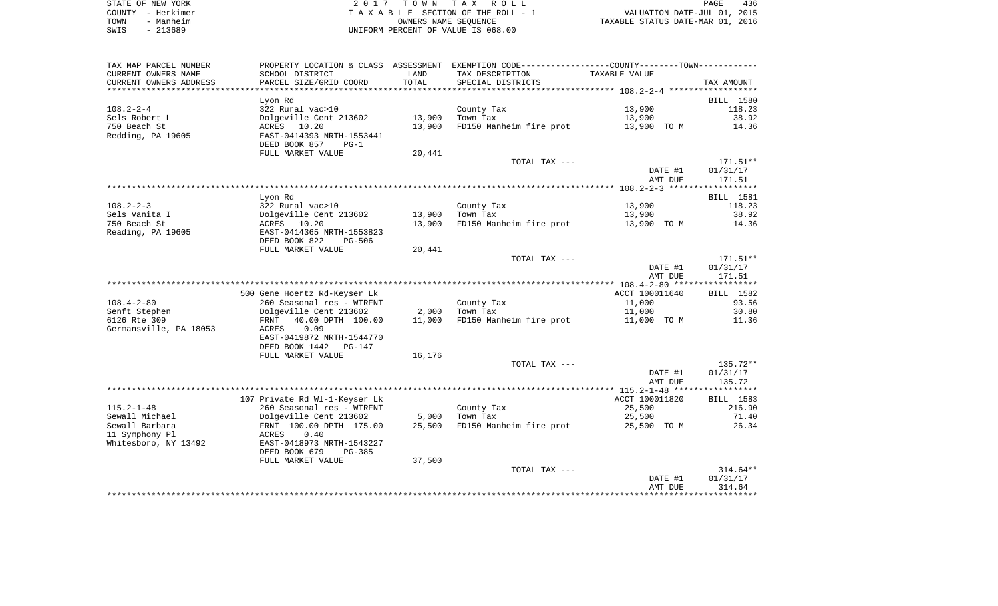| STATE OF NEW YORK | 2017 TOWN TAX ROLL                 | 436<br>PAGE                      |
|-------------------|------------------------------------|----------------------------------|
| COUNTY - Herkimer | TAXABLE SECTION OF THE ROLL - 1    | VALUATION DATE-JUL 01, 2015      |
| - Manheim<br>TOWN | OWNERS NAME SEOUENCE               | TAXABLE STATUS DATE-MAR 01, 2016 |
| $-213689$<br>SWIS | UNIFORM PERCENT OF VALUE IS 068.00 |                                  |

| TAX MAP PARCEL NUMBER  |                                |        | PROPERTY LOCATION & CLASS ASSESSMENT EXEMPTION CODE---------------COUNTY--------TOWN---------- |                |                  |
|------------------------|--------------------------------|--------|------------------------------------------------------------------------------------------------|----------------|------------------|
| CURRENT OWNERS NAME    | SCHOOL DISTRICT                | LAND   | TAX DESCRIPTION                                                                                | TAXABLE VALUE  |                  |
| CURRENT OWNERS ADDRESS | PARCEL SIZE/GRID COORD         | TOTAL  | SPECIAL DISTRICTS                                                                              |                | TAX AMOUNT       |
|                        |                                |        |                                                                                                |                |                  |
|                        | Lyon Rd                        |        |                                                                                                |                | <b>BILL</b> 1580 |
| $108.2 - 2 - 4$        | 322 Rural vac>10               |        | County Tax                                                                                     | 13,900         | 118.23           |
| Sels Robert L          | Dolgeville Cent 213602         | 13,900 | Town Tax                                                                                       | 13,900         | 38.92            |
| 750 Beach St           | ACRES 10.20                    | 13,900 | FD150 Manheim fire prot                                                                        | 13,900 TO M    | 14.36            |
| Redding, PA 19605      | EAST-0414393 NRTH-1553441      |        |                                                                                                |                |                  |
|                        | DEED BOOK 857<br>$PG-1$        |        |                                                                                                |                |                  |
|                        | FULL MARKET VALUE              | 20,441 |                                                                                                |                |                  |
|                        |                                |        | TOTAL TAX ---                                                                                  |                | $171.51**$       |
|                        |                                |        |                                                                                                | DATE #1        | 01/31/17         |
|                        |                                |        |                                                                                                | AMT DUE        | 171.51           |
|                        |                                |        |                                                                                                |                |                  |
|                        | Lyon Rd                        |        |                                                                                                |                | BILL 1581        |
| $108.2 - 2 - 3$        | 322 Rural vac>10               |        | County Tax                                                                                     | 13,900         | 118.23           |
| Sels Vanita I          | Dolgeville Cent 213602         | 13,900 | Town Tax                                                                                       | 13,900         | 38.92            |
| 750 Beach St           | ACRES 10.20                    | 13,900 | FD150 Manheim fire prot                                                                        | 13,900 TO M    | 14.36            |
| Reading, PA 19605      | EAST-0414365 NRTH-1553823      |        |                                                                                                |                |                  |
|                        | DEED BOOK 822<br><b>PG-506</b> |        |                                                                                                |                |                  |
|                        | FULL MARKET VALUE              | 20,441 |                                                                                                |                |                  |
|                        |                                |        | TOTAL TAX ---                                                                                  |                | 171.51**         |
|                        |                                |        |                                                                                                | DATE #1        | 01/31/17         |
|                        |                                |        |                                                                                                | AMT DUE        | 171.51           |
|                        |                                |        |                                                                                                |                |                  |
|                        | 500 Gene Hoertz Rd-Keyser Lk   |        |                                                                                                | ACCT 100011640 | BILL 1582        |
| $108.4 - 2 - 80$       | 260 Seasonal res - WTRFNT      |        | County Tax                                                                                     | 11,000         | 93.56            |
| Senft Stephen          | Dolgeville Cent 213602         | 2,000  | Town Tax                                                                                       | 11,000         | 30.80            |
| 6126 Rte 309           | FRNT 40.00 DPTH 100.00         | 11,000 | FD150 Manheim fire prot                                                                        | 11,000 TO M    | 11.36            |
| Germansville, PA 18053 | 0.09<br>ACRES                  |        |                                                                                                |                |                  |
|                        | EAST-0419872 NRTH-1544770      |        |                                                                                                |                |                  |
|                        | DEED BOOK 1442<br>PG-147       |        |                                                                                                |                |                  |
|                        | FULL MARKET VALUE              | 16,176 |                                                                                                |                |                  |
|                        |                                |        | TOTAL TAX ---                                                                                  |                | 135.72**         |
|                        |                                |        |                                                                                                | DATE #1        | 01/31/17         |
|                        |                                |        |                                                                                                | AMT DUE        | 135.72           |
|                        |                                |        |                                                                                                |                |                  |
|                        | 107 Private Rd Wl-1-Keyser Lk  |        |                                                                                                | ACCT 100011820 | BILL 1583        |
| $115.2 - 1 - 48$       |                                |        |                                                                                                | 25,500         | 216.90           |
|                        | 260 Seasonal res - WTRFNT      |        | County Tax                                                                                     |                |                  |
| Sewall Michael         | Dolgeville Cent 213602         | 5,000  | Town Tax                                                                                       | 25,500         | 71.40            |
| Sewall Barbara         | FRNT 100.00 DPTH 175.00        | 25,500 | FD150 Manheim fire prot                                                                        | 25,500 TO M    | 26.34            |
| 11 Symphony Pl         | 0.40<br>ACRES                  |        |                                                                                                |                |                  |
| Whitesboro, NY 13492   | EAST-0418973 NRTH-1543227      |        |                                                                                                |                |                  |
|                        | DEED BOOK 679<br>PG-385        |        |                                                                                                |                |                  |
|                        | FULL MARKET VALUE              | 37,500 |                                                                                                |                |                  |
|                        |                                |        | TOTAL TAX ---                                                                                  |                | $314.64**$       |
|                        |                                |        |                                                                                                | DATE #1        | 01/31/17         |
|                        |                                |        |                                                                                                | AMT DUE        | 314.64           |
|                        |                                |        |                                                                                                |                |                  |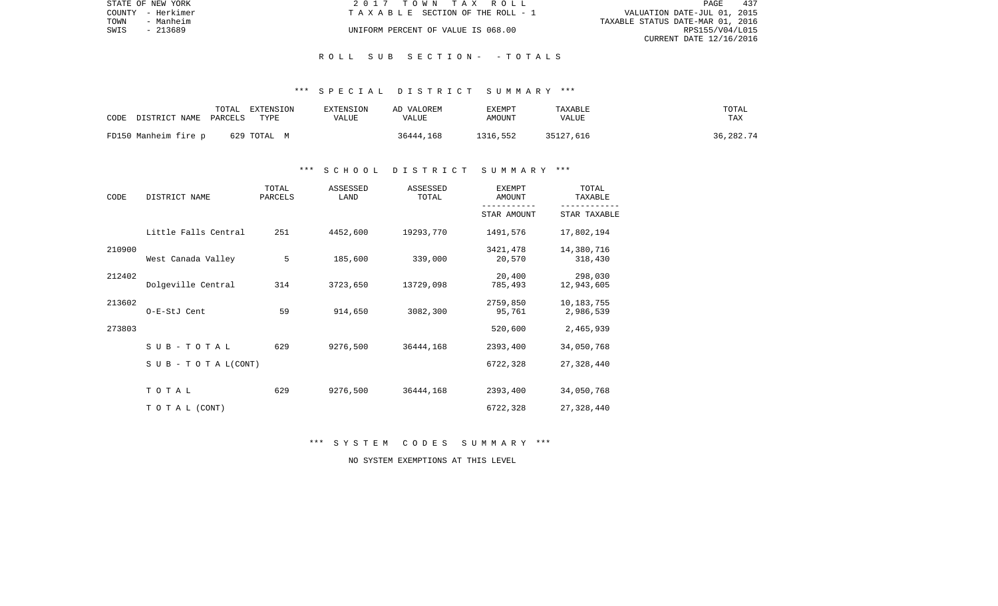| STATE OF NEW YORK |                   | 2017 TOWN TAX ROLL                 | PAGE                             | 437 |
|-------------------|-------------------|------------------------------------|----------------------------------|-----|
|                   | COUNTY - Herkimer | TAXABLE SECTION OF THE ROLL - 1    | VALUATION DATE-JUL 01, 2015      |     |
| TOWN              | - Manheim         |                                    | TAXABLE STATUS DATE-MAR 01, 2016 |     |
| SWIS              | - 213689          | UNIFORM PERCENT OF VALUE IS 068.00 | RPS155/V04/L015                  |     |
|                   |                   |                                    | CURRENT DATE 12/16/2016          |     |

#### R O L L S U B S E C T I O N - - T O T A L S

#### \*\*\* S P E C I A L D I S T R I C T S U M M A R Y \*\*\*

| CODE DISTRICT NAME PARCELS | TOTAL | EXTENSION<br>TYPE | <b>EXTENSION</b><br>VALUE | AD VALOREM<br>VALUE | EXEMPT<br>AMOUNT | TAXABLE<br>VALUE | TOTAL<br>TAX |
|----------------------------|-------|-------------------|---------------------------|---------------------|------------------|------------------|--------------|
| FD150 Manheim fire p       |       | 629 TOTAL M       |                           | 36444,168           | 1316,552         | 35127,616        | 36,282.74    |

# \*\*\* S C H O O L D I S T R I C T S U M M A R Y \*\*\*

| CODE   | DISTRICT NAME                    | TOTAL<br>PARCELS | ASSESSED<br>LAND | ASSESSED<br>TOTAL | <b>EXEMPT</b><br>AMOUNT | TOTAL<br>TAXABLE          |
|--------|----------------------------------|------------------|------------------|-------------------|-------------------------|---------------------------|
|        |                                  |                  |                  |                   | STAR AMOUNT             | STAR TAXABLE              |
|        | Little Falls Central             | 251              | 4452,600         | 19293,770         | 1491,576                | 17,802,194                |
| 210900 | West Canada Valley               | 5                | 185,600          | 339,000           | 3421,478<br>20,570      | 14,380,716<br>318,430     |
| 212402 | Dolgeville Central               | 314              | 3723,650         | 13729,098         | 20,400<br>785,493       | 298,030<br>12,943,605     |
| 213602 | O-E-StJ Cent                     | 59               | 914,650          | 3082,300          | 2759,850<br>95,761      | 10, 183, 755<br>2,986,539 |
| 273803 |                                  |                  |                  |                   | 520,600                 | 2,465,939                 |
|        | SUB-TOTAL                        | 629              | 9276,500         | 36444,168         | 2393,400                | 34,050,768                |
|        | $S \cup B - T \cup T A L (CONT)$ |                  |                  |                   | 6722,328                | 27,328,440                |
|        | TOTAL                            | 629              | 9276,500         | 36444,168         | 2393,400                | 34,050,768                |
|        | TO TAL (CONT)                    |                  |                  |                   | 6722,328                | 27, 328, 440              |

\*\*\* S Y S T E M C O D E S S U M M A R Y \*\*\*

NO SYSTEM EXEMPTIONS AT THIS LEVEL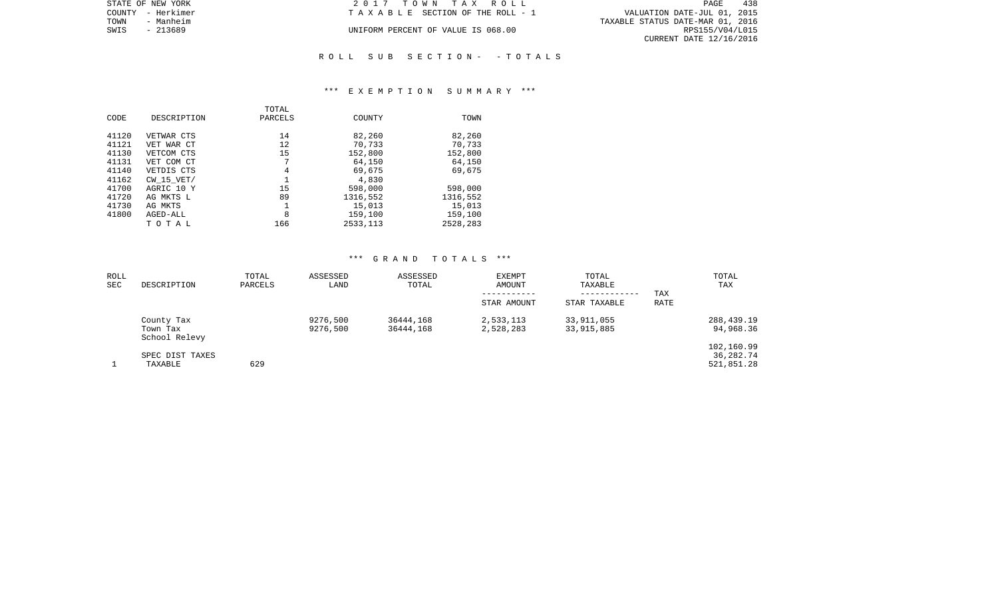| STATE OF NEW YORK | 2017 TOWN TAX ROLL                 | 438<br><b>PAGE</b>               |
|-------------------|------------------------------------|----------------------------------|
| COUNTY - Herkimer | TAXABLE SECTION OF THE ROLL - 1    | VALUATION DATE-JUL 01, 2015      |
| TOWN<br>- Manheim |                                    | TAXABLE STATUS DATE-MAR 01, 2016 |
| SWIS<br>- 213689  | UNIFORM PERCENT OF VALUE IS 068.00 | RPS155/V04/L015                  |
|                   |                                    | CURRENT DATE 12/16/2016          |
|                   |                                    |                                  |

# R O L L S U B S E C T I O N - - T O T A L S

#### \*\*\* E X E M P T I O N S U M M A R Y \*\*\*

|       |                | TOTAL   |           |          |
|-------|----------------|---------|-----------|----------|
| CODE  | DESCRIPTION    | PARCELS | COUNTY    | TOWN     |
|       |                |         |           |          |
| 41120 | VETWAR CTS     | 14      | 82,260    | 82,260   |
| 41121 | VET WAR CT     | 12      | 70,733    | 70,733   |
| 41130 | VETCOM CTS     | 15      | 152,800   | 152,800  |
| 41131 | VET COM CT     | 7       | 64,150    | 64,150   |
| 41140 | VETDIS CTS     | 4       | 69,675    | 69,675   |
| 41162 | $CW$ 15 $VET/$ |         | 4,830     |          |
| 41700 | AGRIC 10 Y     | 15      | 598,000   | 598,000  |
| 41720 | AG MKTS L      | 89      | 1316,552  | 1316,552 |
| 41730 | AG MKTS        |         | 15,013    | 15,013   |
| 41800 | AGED-ALL       | 8       | 159,100   | 159,100  |
|       | тотаь          | 166     | 2533, 113 | 2528,283 |

# \*\*\* G R A N D T O T A L S \*\*\*

| ROLL<br><b>SEC</b> | DESCRIPTION                             | TOTAL<br>PARCELS | ASSESSED<br>LAND     | ASSESSED<br>TOTAL      | <b>EXEMPT</b><br>AMOUNT | TOTAL<br>TAXABLE<br>------------ | TAX  | TOTAL<br>TAX                            |
|--------------------|-----------------------------------------|------------------|----------------------|------------------------|-------------------------|----------------------------------|------|-----------------------------------------|
|                    |                                         |                  |                      |                        | STAR AMOUNT             | STAR TAXABLE                     | RATE |                                         |
|                    | County Tax<br>Town Tax<br>School Relevy |                  | 9276,500<br>9276,500 | 36444,168<br>36444,168 | 2,533,113<br>2,528,283  | 33,911,055<br>33,915,885         |      | 288,439.19<br>94,968.36                 |
|                    | SPEC DIST TAXES<br>TAXABLE              | 629              |                      |                        |                         |                                  |      | 102,160.99<br>36, 282. 74<br>521,851.28 |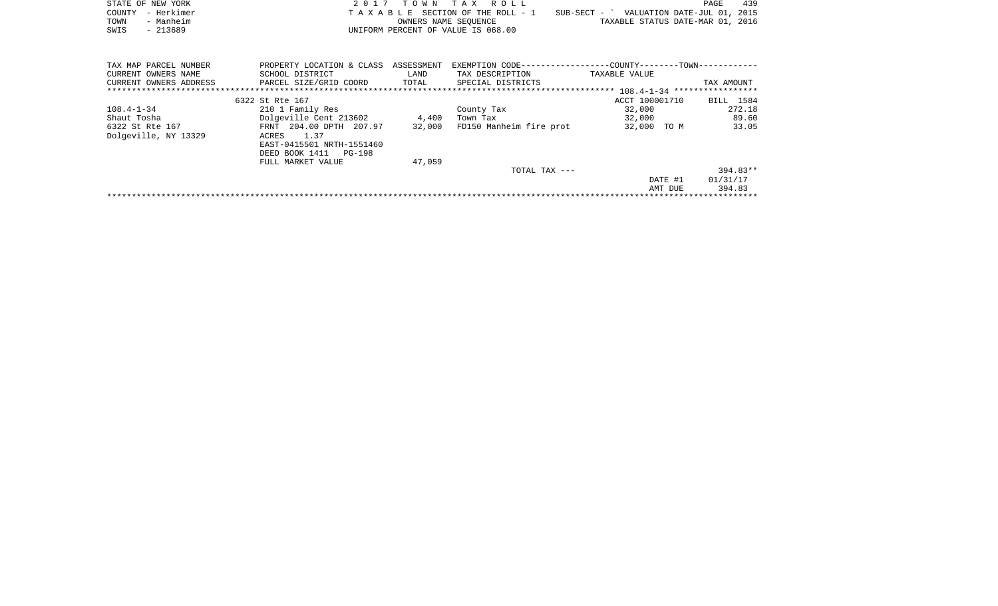|      | STATE OF NEW YORK | 2017 TOWN TAX ROLL                 |                                          | PAGE | 439 |
|------|-------------------|------------------------------------|------------------------------------------|------|-----|
|      | COUNTY - Herkimer | TAXABLE SECTION OF THE ROLL - 1    | SUB-SECT - ` VALUATION DATE-JUL 01, 2015 |      |     |
| TOWN | - Manheim         | OWNERS NAME SEOUENCE               | TAXABLE STATUS DATE-MAR 01, 2016         |      |     |
| SWIS | - 213689          | UNIFORM PERCENT OF VALUE IS 068.00 |                                          |      |     |
|      |                   |                                    |                                          |      |     |
|      |                   |                                    |                                          |      |     |

| TAX MAP PARCEL NUMBER  | PROPERTY LOCATION & CLASS | ASSESSMENT |                         | EXEMPTION CODE------------------COUNTY--------TOWN----------- |            |
|------------------------|---------------------------|------------|-------------------------|---------------------------------------------------------------|------------|
| CURRENT OWNERS NAME    | SCHOOL DISTRICT           | LAND       | TAX DESCRIPTION         | TAXABLE VALUE                                                 |            |
| CURRENT OWNERS ADDRESS | PARCEL SIZE/GRID COORD    | TOTAL      | SPECIAL DISTRICTS       |                                                               | TAX AMOUNT |
|                        |                           |            |                         |                                                               |            |
|                        | 6322 St Rte 167           |            |                         | ACCT 100001710                                                | BILL 1584  |
| $108.4 - 1 - 34$       | 210 1 Family Res          |            | County Tax              | 32,000                                                        | 272.18     |
| Shaut Tosha            | Dolgeville Cent 213602    | 4,400      | Town Tax                | 32,000                                                        | 89.60      |
| 6322 St Rte 167        | FRNT 204.00 DPTH 207.97   | 32,000     | FD150 Manheim fire prot | 32,000 TO M                                                   | 33.05      |
| Dolgeville, NY 13329   | 1.37<br>ACRES             |            |                         |                                                               |            |
|                        | EAST-0415501 NRTH-1551460 |            |                         |                                                               |            |
|                        | DEED BOOK 1411 PG-198     |            |                         |                                                               |            |
|                        | FULL MARKET VALUE         | 47,059     |                         |                                                               |            |
|                        |                           |            | TOTAL TAX ---           |                                                               | $394.83**$ |
|                        |                           |            |                         | DATE #1                                                       | 01/31/17   |
|                        |                           |            |                         | AMT DUE                                                       | 394.83     |
|                        |                           |            |                         |                                                               |            |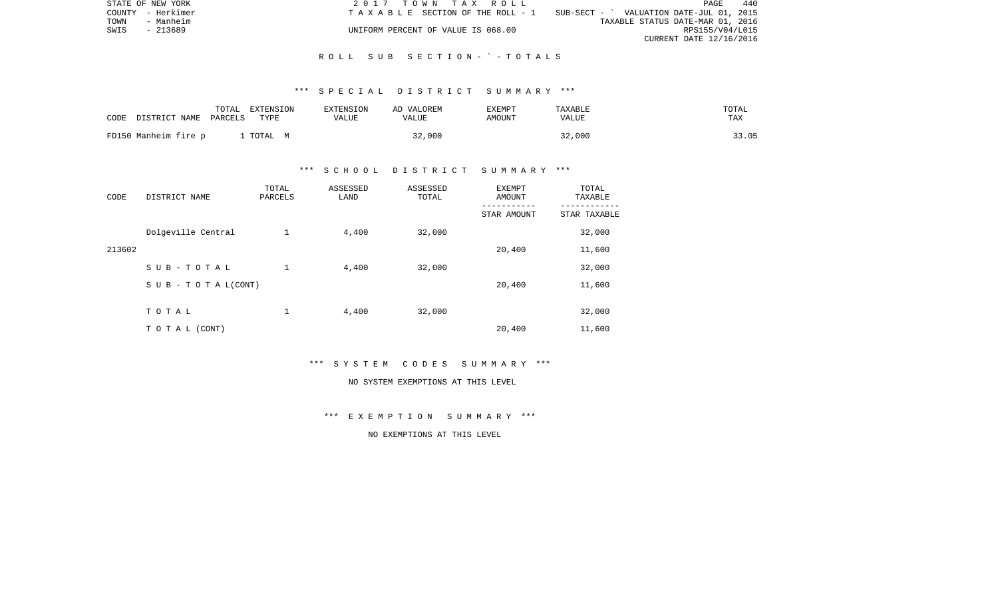|      | STATE OF NEW YORK | 2017 TOWN TAX ROLL                 |                                            | PAGE                    | 440 |
|------|-------------------|------------------------------------|--------------------------------------------|-------------------------|-----|
|      | COUNTY - Herkimer | TAXABLE SECTION OF THE ROLL - 1    | $SUB-SECT - '$ VALUATION DATE-JUL 01, 2015 |                         |     |
| TOWN | - Manheim         |                                    | TAXABLE STATUS DATE-MAR 01, 2016           |                         |     |
| SWIS | - 213689          | UNIFORM PERCENT OF VALUE IS 068.00 |                                            | RPS155/V04/L015         |     |
|      |                   |                                    |                                            | CURRENT DATE 12/16/2016 |     |

#### R O L L S U B S E C T I O N - ` - T O T A L S

## \*\*\* S P E C I A L D I S T R I C T S U M M A R Y \*\*\*

| CODE                 | TOTAL   | EXTENSION | EXTENSION | AD VALOREM | EXEMPT | TAXABLE | TOTAL |
|----------------------|---------|-----------|-----------|------------|--------|---------|-------|
| DISTRICT NAME        | PARCELS | TYPE      | VALUE     | VALUE      | AMOUNT | VALUE   | TAX   |
| FD150 Manheim fire p |         | TOTAL M   |           | 32,000     |        | 32,000  | 33.05 |

# \*\*\* S C H O O L D I S T R I C T S U M M A R Y \*\*\*

| CODE   | DISTRICT NAME                    | TOTAL<br>PARCELS | ASSESSED<br>LAND | ASSESSED<br>TOTAL | <b>EXEMPT</b><br>AMOUNT | TOTAL<br>TAXABLE |
|--------|----------------------------------|------------------|------------------|-------------------|-------------------------|------------------|
|        |                                  |                  |                  |                   | STAR AMOUNT             | STAR TAXABLE     |
|        | Dolgeville Central               | $\mathbf 1$      | 4,400            | 32,000            |                         | 32,000           |
| 213602 |                                  |                  |                  |                   | 20,400                  | 11,600           |
|        | SUB-TOTAL                        | $\mathbf 1$      | 4,400            | 32,000            |                         | 32,000           |
|        | $S \cup B - T \cup T A L (CONT)$ |                  |                  |                   | 20,400                  | 11,600           |
|        |                                  |                  |                  |                   |                         |                  |
|        | TOTAL                            | 1                | 4,400            | 32,000            |                         | 32,000           |
|        | TO TAL (CONT)                    |                  |                  |                   | 20,400                  | 11,600           |

\*\*\* S Y S T E M C O D E S S U M M A R Y \*\*\*

#### NO SYSTEM EXEMPTIONS AT THIS LEVEL

\*\*\* E X E M P T I O N S U M M A R Y \*\*\*

NO EXEMPTIONS AT THIS LEVEL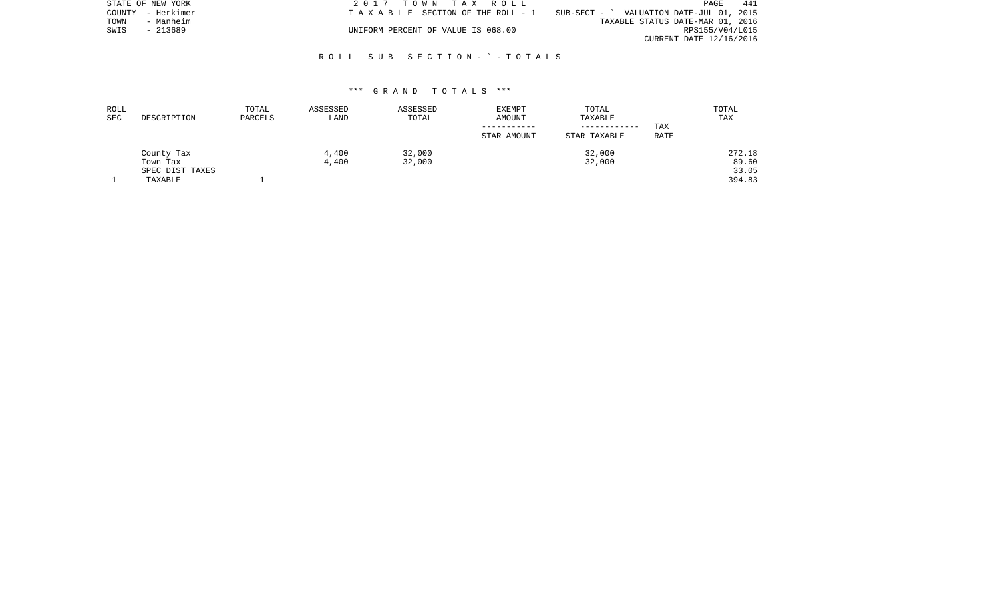|      | STATE OF NEW YORK | 2017 TOWN TAX ROLL                    |                                          | PAGE                    | 441 |
|------|-------------------|---------------------------------------|------------------------------------------|-------------------------|-----|
|      | COUNTY - Herkimer | T A X A B L E SECTION OF THE ROLL - 1 | SUB-SECT - ` VALUATION DATE-JUL 01, 2015 |                         |     |
| TOWN | - Manheim         |                                       | TAXABLE STATUS DATE-MAR 01, 2016         |                         |     |
| SWIS | - 213689          | UNIFORM PERCENT OF VALUE IS 068.00    |                                          | RPS155/V04/L015         |     |
|      |                   |                                       |                                          | CURRENT DATE 12/16/2016 |     |

# R O L L S U B S E C T I O N - ` - T O T A L S

## \*\*\* G R A N D T O T A L S \*\*\*

| ROLL |                 | TOTAL   | ASSESSED | ASSESSED | <b>EXEMPT</b> | TOTAL        |      | TOTAL  |
|------|-----------------|---------|----------|----------|---------------|--------------|------|--------|
| SEC  | DESCRIPTION     | PARCELS | LAND     | TOTAL    | AMOUNT        | TAXABLE      |      | TAX    |
|      |                 |         |          |          |               | ------------ | TAX  |        |
|      |                 |         |          |          | STAR AMOUNT   | STAR TAXABLE | RATE |        |
|      | County Tax      |         | 4,400    | 32,000   |               | 32,000       |      | 272.18 |
|      | Town Tax        |         | 4,400    | 32,000   |               | 32,000       |      | 89.60  |
|      | SPEC DIST TAXES |         |          |          |               |              |      | 33.05  |
|      | TAXABLE         |         |          |          |               |              |      | 394.83 |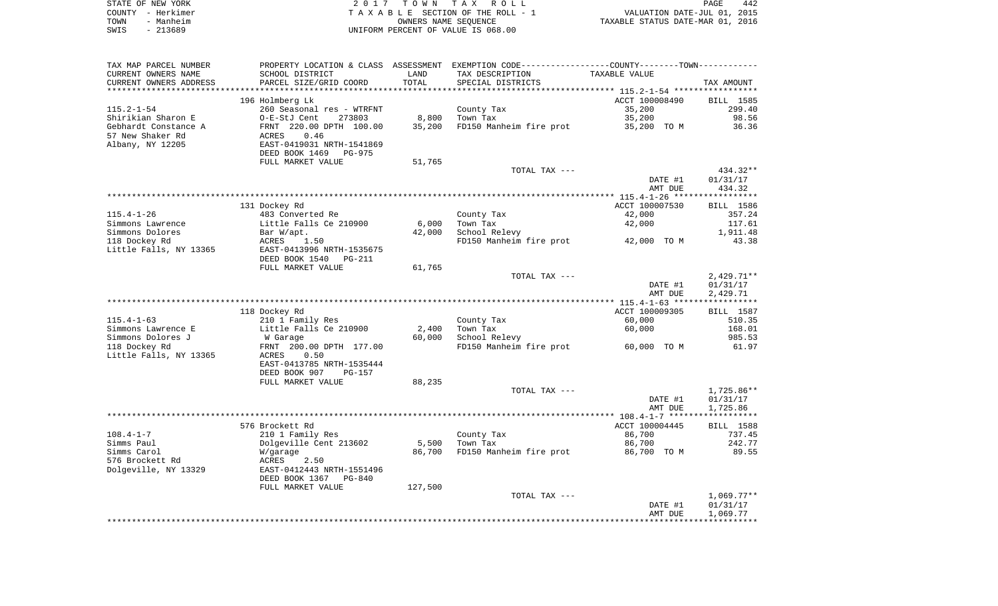|      | STATE OF NEW YORK | 2017 TOWN TAX ROLL                 | PAGE                             | 442 |
|------|-------------------|------------------------------------|----------------------------------|-----|
|      | COUNTY - Herkimer | TAXABLE SECTION OF THE ROLL - 1    | VALUATION DATE-JUL 01, 2015      |     |
| TOWN | - Manheim         | OWNERS NAME SEOUENCE               | TAXABLE STATUS DATE-MAR 01, 2016 |     |
| SWIS | - 213689          | UNIFORM PERCENT OF VALUE IS 068.00 |                                  |     |

| TAX MAP PARCEL NUMBER    |                                                       |         | PROPERTY LOCATION & CLASS ASSESSMENT EXEMPTION CODE---------------COUNTY-------TOWN---------- |                          |                     |
|--------------------------|-------------------------------------------------------|---------|-----------------------------------------------------------------------------------------------|--------------------------|---------------------|
| CURRENT OWNERS NAME      | SCHOOL DISTRICT                                       | LAND    | TAX DESCRIPTION                                                                               | TAXABLE VALUE            |                     |
| CURRENT OWNERS ADDRESS   | PARCEL SIZE/GRID COORD                                | TOTAL   | SPECIAL DISTRICTS                                                                             |                          | TAX AMOUNT          |
| ************************ | ***************************                           |         |                                                                                               |                          |                     |
|                          | 196 Holmberg Lk                                       |         |                                                                                               | ACCT 100008490           | BILL 1585           |
| $115.2 - 1 - 54$         | 260 Seasonal res - WTRFNT                             |         | County Tax                                                                                    | 35,200                   | 299.40              |
| Shirikian Sharon E       | O-E-StJ Cent<br>273803                                | 8,800   | Town Tax                                                                                      | 35,200                   | 98.56               |
| Gebhardt Constance A     | FRNT 220.00 DPTH 100.00                               | 35,200  | FD150 Manheim fire prot                                                                       | 35,200 TO M              | 36.36               |
| 57 New Shaker Rd         | ACRES<br>0.46                                         |         |                                                                                               |                          |                     |
| Albany, NY 12205         | EAST-0419031 NRTH-1541869<br>DEED BOOK 1469<br>PG-975 |         |                                                                                               |                          |                     |
|                          | FULL MARKET VALUE                                     |         |                                                                                               |                          |                     |
|                          |                                                       | 51,765  | TOTAL TAX ---                                                                                 |                          | 434.32**            |
|                          |                                                       |         |                                                                                               | DATE #1                  | 01/31/17            |
|                          |                                                       |         |                                                                                               | AMT DUE                  | 434.32              |
|                          |                                                       |         |                                                                                               |                          |                     |
|                          | 131 Dockey Rd                                         |         |                                                                                               | ACCT 100007530           | BILL 1586           |
| $115.4 - 1 - 26$         | 483 Converted Re                                      |         | County Tax                                                                                    | 42,000                   | 357.24              |
| Simmons Lawrence         | Little Falls Ce 210900                                | 6,000   | Town Tax                                                                                      | 42,000                   | 117.61              |
| Simmons Dolores          | Bar W/apt.                                            | 42,000  | School Relevy                                                                                 |                          | 1,911.48            |
| 118 Dockey Rd            | ACRES<br>1.50                                         |         | FD150 Manheim fire prot                                                                       | 42,000 TO M              | 43.38               |
| Little Falls, NY 13365   | EAST-0413996 NRTH-1535675                             |         |                                                                                               |                          |                     |
|                          | DEED BOOK 1540<br>PG-211                              |         |                                                                                               |                          |                     |
|                          | FULL MARKET VALUE                                     | 61,765  |                                                                                               |                          |                     |
|                          |                                                       |         | TOTAL TAX ---                                                                                 |                          | $2,429.71**$        |
|                          |                                                       |         |                                                                                               | DATE #1                  | 01/31/17            |
|                          |                                                       |         |                                                                                               | AMT DUE                  | 2,429.71            |
|                          |                                                       |         |                                                                                               |                          |                     |
| $115.4 - 1 - 63$         | 118 Dockey Rd<br>210 1 Family Res                     |         |                                                                                               | ACCT 100009305<br>60,000 | BILL 1587<br>510.35 |
| Simmons Lawrence E       | Little Falls Ce 210900                                | 2,400   | County Tax<br>Town Tax                                                                        | 60,000                   | 168.01              |
| Simmons Dolores J        | W Garage                                              | 60,000  | School Relevy                                                                                 |                          | 985.53              |
| 118 Dockey Rd            | FRNT 200.00 DPTH 177.00                               |         | FD150 Manheim fire prot                                                                       | 60,000 TO M              | 61.97               |
| Little Falls, NY 13365   | ACRES<br>0.50                                         |         |                                                                                               |                          |                     |
|                          | EAST-0413785 NRTH-1535444                             |         |                                                                                               |                          |                     |
|                          | DEED BOOK 907<br><b>PG-157</b>                        |         |                                                                                               |                          |                     |
|                          | FULL MARKET VALUE                                     | 88,235  |                                                                                               |                          |                     |
|                          |                                                       |         | TOTAL TAX ---                                                                                 |                          | 1,725.86**          |
|                          |                                                       |         |                                                                                               | DATE #1                  | 01/31/17            |
|                          |                                                       |         |                                                                                               | AMT DUE                  | 1,725.86            |
|                          |                                                       |         |                                                                                               |                          |                     |
|                          | 576 Brockett Rd                                       |         |                                                                                               | ACCT 100004445           | BILL 1588           |
| $108.4 - 1 - 7$          | 210 1 Family Res                                      |         | County Tax                                                                                    | 86,700                   | 737.45              |
| Simms Paul               | Dolgeville Cent 213602                                | 5,500   | Town Tax                                                                                      | 86,700                   | 242.77              |
| Simms Carol              | W/garage                                              | 86,700  | FD150 Manheim fire prot                                                                       | 86,700 TO M              | 89.55               |
| 576 Brockett Rd          | ACRES<br>2.50                                         |         |                                                                                               |                          |                     |
| Dolgeville, NY 13329     | EAST-0412443 NRTH-1551496                             |         |                                                                                               |                          |                     |
|                          | DEED BOOK 1367<br><b>PG-840</b>                       |         |                                                                                               |                          |                     |
|                          | FULL MARKET VALUE                                     | 127,500 | TOTAL TAX ---                                                                                 |                          | $1,069.77**$        |
|                          |                                                       |         |                                                                                               | DATE #1                  | 01/31/17            |
|                          |                                                       |         |                                                                                               | AMT DUE                  | 1,069.77            |
|                          |                                                       |         |                                                                                               |                          |                     |
|                          |                                                       |         |                                                                                               |                          |                     |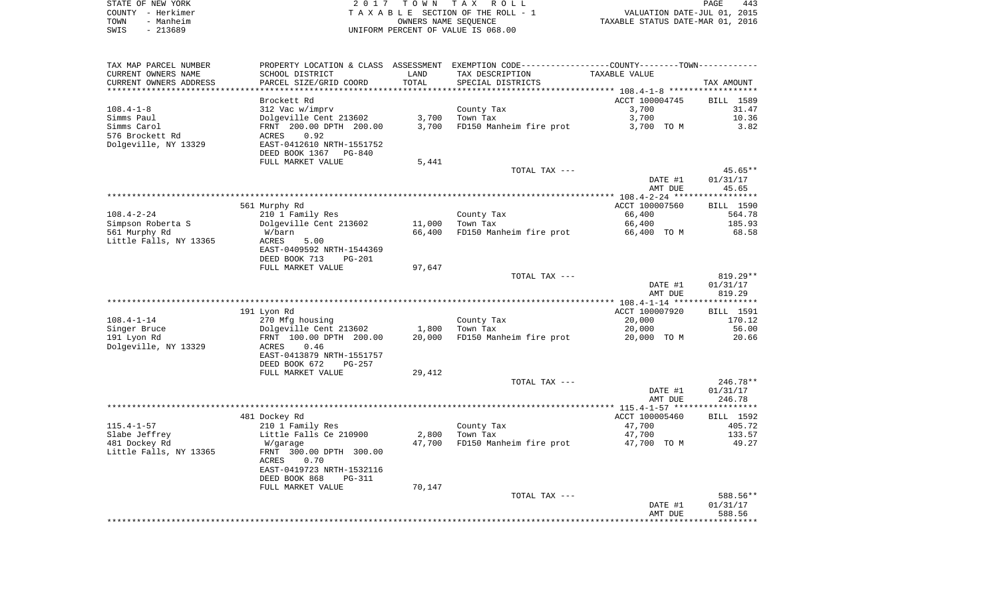|      | STATE OF NEW YORK | 2017 TOWN TAX ROLL                 | 443<br><b>PAGE</b>               |
|------|-------------------|------------------------------------|----------------------------------|
|      | COUNTY - Herkimer | TAXABLE SECTION OF THE ROLL - 1    | VALUATION DATE-JUL 01, 2015      |
| TOWN | - Manheim         | OWNERS NAME SEOUENCE               | TAXABLE STATUS DATE-MAR 01, 2016 |
| SWIS | - 213689          | UNIFORM PERCENT OF VALUE IS 068.00 |                                  |

| TAX MAP PARCEL NUMBER  |                           |        | PROPERTY LOCATION & CLASS ASSESSMENT EXEMPTION CODE----------------COUNTY--------TOWN----------- |                |            |
|------------------------|---------------------------|--------|--------------------------------------------------------------------------------------------------|----------------|------------|
| CURRENT OWNERS NAME    | SCHOOL DISTRICT           | LAND   | TAX DESCRIPTION                                                                                  | TAXABLE VALUE  |            |
| CURRENT OWNERS ADDRESS | PARCEL SIZE/GRID COORD    | TOTAL  | SPECIAL DISTRICTS                                                                                |                | TAX AMOUNT |
|                        |                           |        |                                                                                                  |                |            |
|                        | Brockett Rd               |        |                                                                                                  | ACCT 100004745 | BILL 1589  |
| 108.4-1-8              | 312 Vac w/imprv           |        | County Tax                                                                                       | 3,700          | 31.47      |
| Simms Paul             | Dolgeville Cent 213602    | 3,700  | Town Tax                                                                                         | 3,700          | 10.36      |
| Simms Carol            | FRNT 200.00 DPTH 200.00   | 3,700  | FD150 Manheim fire prot                                                                          | 3,700 TO M     | 3.82       |
| 576 Brockett Rd        | ACRES<br>0.92             |        |                                                                                                  |                |            |
| Dolgeville, NY 13329   | EAST-0412610 NRTH-1551752 |        |                                                                                                  |                |            |
|                        | DEED BOOK 1367 PG-840     |        |                                                                                                  |                |            |
|                        | FULL MARKET VALUE         | 5,441  |                                                                                                  |                |            |
|                        |                           |        | TOTAL TAX ---                                                                                    |                | $45.65**$  |
|                        |                           |        |                                                                                                  | DATE #1        | 01/31/17   |
|                        |                           |        |                                                                                                  | AMT DUE        | 45.65      |
|                        |                           |        |                                                                                                  |                |            |
|                        | 561 Murphy Rd             |        |                                                                                                  | ACCT 100007560 | BILL 1590  |
| 108.4-2-24             | 210 1 Family Res          |        | County Tax                                                                                       | 66,400         | 564.78     |
| Simpson Roberta S      | Dolgeville Cent 213602    | 11,000 | Town Tax                                                                                         | 66,400         | 185.93     |
| 561 Murphy Rd          | W/barn                    | 66,400 | FD150 Manheim fire prot                                                                          | 66,400 TO M    | 68.58      |
| Little Falls, NY 13365 | 5.00<br>ACRES             |        |                                                                                                  |                |            |
|                        | EAST-0409592 NRTH-1544369 |        |                                                                                                  |                |            |
|                        | DEED BOOK 713<br>PG-201   |        |                                                                                                  |                |            |
|                        | FULL MARKET VALUE         | 97,647 |                                                                                                  |                |            |
|                        |                           |        | TOTAL TAX ---                                                                                    |                | $819.29**$ |
|                        |                           |        |                                                                                                  | DATE #1        | 01/31/17   |
|                        |                           |        |                                                                                                  | AMT DUE        | 819.29     |
|                        |                           |        |                                                                                                  |                |            |
|                        | 191 Lyon Rd               |        |                                                                                                  | ACCT 100007920 | BILL 1591  |
| $108.4 - 1 - 14$       | 270 Mfg housing           |        | County Tax                                                                                       | 20,000         | 170.12     |
| Singer Bruce           | Dolgeville Cent 213602    | 1,800  | Town Tax                                                                                         | 20,000         | 56.00      |
| 191 Lyon Rd            | FRNT 100.00 DPTH 200.00   | 20,000 | FD150 Manheim fire prot                                                                          | 20,000 TO M    | 20.66      |
| Dolgeville, NY 13329   | 0.46<br>ACRES             |        |                                                                                                  |                |            |
|                        | EAST-0413879 NRTH-1551757 |        |                                                                                                  |                |            |
|                        | DEED BOOK 672<br>PG-257   |        |                                                                                                  |                |            |
|                        | FULL MARKET VALUE         | 29,412 |                                                                                                  |                |            |
|                        |                           |        | TOTAL TAX ---                                                                                    |                | 246.78**   |
|                        |                           |        |                                                                                                  | DATE #1        | 01/31/17   |
|                        |                           |        |                                                                                                  | AMT DUE        | 246.78     |
|                        |                           |        |                                                                                                  |                |            |
|                        | 481 Dockey Rd             |        |                                                                                                  | ACCT 100005460 | BILL 1592  |
| 115.4-1-57             | 210 1 Family Res          |        | County Tax                                                                                       | 47,700         | 405.72     |
| Slabe Jeffrey          | Little Falls Ce 210900    | 2,800  | Town Tax                                                                                         | 47,700         | 133.57     |
| 481 Dockey Rd          | W/garage                  | 47,700 | FD150 Manheim fire prot                                                                          | 47,700 TO M    | 49.27      |
| Little Falls, NY 13365 | FRNT 300.00 DPTH 300.00   |        |                                                                                                  |                |            |
|                        | 0.70<br>ACRES             |        |                                                                                                  |                |            |
|                        | EAST-0419723 NRTH-1532116 |        |                                                                                                  |                |            |
|                        | DEED BOOK 868<br>PG-311   |        |                                                                                                  |                |            |
|                        | FULL MARKET VALUE         | 70,147 |                                                                                                  |                |            |
|                        |                           |        | TOTAL TAX ---                                                                                    |                | 588.56**   |
|                        |                           |        |                                                                                                  | DATE #1        | 01/31/17   |
|                        |                           |        |                                                                                                  | AMT DUE        | 588.56     |
|                        |                           |        |                                                                                                  |                |            |
|                        |                           |        |                                                                                                  |                |            |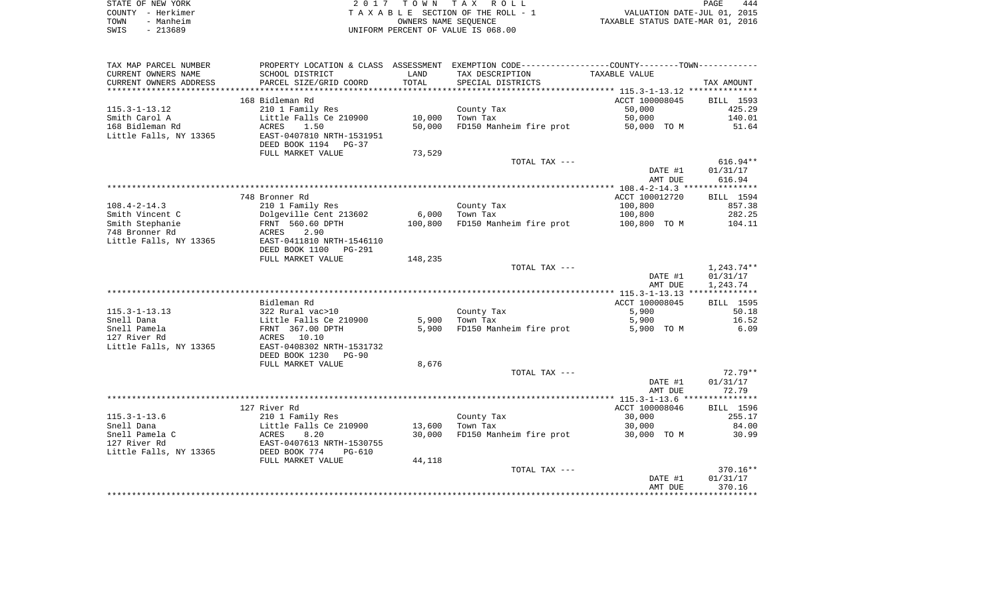| STATE OF NEW YORK | 2017 TOWN TAX ROLL                 | 444<br>PAGE                      |
|-------------------|------------------------------------|----------------------------------|
| COUNTY - Herkimer | TAXABLE SECTION OF THE ROLL - 1    | VALUATION DATE-JUL 01, 2015      |
| TOWN<br>- Manheim | OWNERS NAME SEOUENCE               | TAXABLE STATUS DATE-MAR 01, 2016 |
| - 213689<br>SWIS  | UNIFORM PERCENT OF VALUE IS 068.00 |                                  |

| TAX MAP PARCEL NUMBER  | PROPERTY LOCATION & CLASS ASSESSMENT EXEMPTION CODE---------------COUNTY-------TOWN---------- |         |                         |                |                  |
|------------------------|-----------------------------------------------------------------------------------------------|---------|-------------------------|----------------|------------------|
| CURRENT OWNERS NAME    | SCHOOL DISTRICT                                                                               | LAND    | TAX DESCRIPTION         | TAXABLE VALUE  |                  |
| CURRENT OWNERS ADDRESS | PARCEL SIZE/GRID COORD                                                                        | TOTAL   | SPECIAL DISTRICTS       |                | TAX AMOUNT       |
|                        |                                                                                               |         |                         |                |                  |
|                        | 168 Bidleman Rd                                                                               |         |                         | ACCT 100008045 | BILL 1593        |
| 115.3-1-13.12          | 210 1 Family Res                                                                              |         | County Tax              | 50,000         | 425.29           |
| Smith Carol A          | Little Falls Ce 210900                                                                        | 10,000  | Town Tax                | 50,000         | 140.01           |
| 168 Bidleman Rd        | ACRES<br>1.50                                                                                 | 50,000  | FD150 Manheim fire prot | 50,000 TO M    | 51.64            |
| Little Falls, NY 13365 | EAST-0407810 NRTH-1531951                                                                     |         |                         |                |                  |
|                        | DEED BOOK 1194 PG-37                                                                          |         |                         |                |                  |
|                        | FULL MARKET VALUE                                                                             | 73,529  |                         |                |                  |
|                        |                                                                                               |         | TOTAL TAX ---           |                | $616.94**$       |
|                        |                                                                                               |         |                         | DATE #1        | 01/31/17         |
|                        |                                                                                               |         |                         | AMT DUE        | 616.94           |
|                        |                                                                                               |         |                         |                |                  |
|                        | 748 Bronner Rd                                                                                |         |                         | ACCT 100012720 | BILL 1594        |
| 108.4-2-14.3           | 210 1 Family Res                                                                              |         | County Tax              | 100,800        | 857.38           |
| Smith Vincent C        | Dolgeville Cent 213602<br>Dolgeville Cent 21<br>FRNT 560.60 DPTH                              | 6,000   | Town Tax                | 100,800        | 282.25           |
| Smith Stephanie        |                                                                                               | 100,800 | FD150 Manheim fire prot | 100,800 TO M   | 104.11           |
| 748 Bronner Rd         | ACRES<br>2.90                                                                                 |         |                         |                |                  |
| Little Falls, NY 13365 | EAST-0411810 NRTH-1546110                                                                     |         |                         |                |                  |
|                        | DEED BOOK 1100 PG-291                                                                         |         |                         |                |                  |
|                        | FULL MARKET VALUE                                                                             | 148,235 |                         |                |                  |
|                        |                                                                                               |         | TOTAL TAX ---           |                | 1,243.74**       |
|                        |                                                                                               |         |                         | DATE #1        | 01/31/17         |
|                        |                                                                                               |         |                         | AMT DUE        | 1,243.74         |
|                        |                                                                                               |         |                         |                |                  |
|                        | Bidleman Rd                                                                                   |         |                         | ACCT 100008045 | <b>BILL</b> 1595 |
| 115.3-1-13.13          | 322 Rural vac>10                                                                              |         | County Tax              | 5,900          | 50.18            |
| Snell Dana             | Little Falls Ce 210900                                                                        |         | 5,900 Town Tax          | 5,900          | 16.52            |
| Snell Pamela           | FRNT 367.00 DPTH                                                                              | 5,900   | FD150 Manheim fire prot | 5,900 TO M     | 6.09             |
| 127 River Rd           | ACRES 10.10                                                                                   |         |                         |                |                  |
| Little Falls, NY 13365 | EAST-0408302 NRTH-1531732<br>DEED BOOK 1230<br>$PG-90$                                        |         |                         |                |                  |
|                        | FULL MARKET VALUE                                                                             | 8,676   |                         |                |                  |
|                        |                                                                                               |         | TOTAL TAX ---           |                | $72.79**$        |
|                        |                                                                                               |         |                         | DATE #1        | 01/31/17         |
|                        |                                                                                               |         |                         | AMT DUE        | 72.79            |
|                        |                                                                                               |         |                         |                |                  |
|                        | 127 River Rd                                                                                  |         |                         | ACCT 100008046 | BILL 1596        |
| 115.3-1-13.6           | 210 1 Family Res                                                                              |         | County Tax              | 30,000         | 255.17           |
| Snell Dana             | Little Falls Ce 210900                                                                        | 13,600  | Town Tax                | 30,000         | 84.00            |
| Snell Pamela C         |                                                                                               | 30,000  | FD150 Manheim fire prot | 30,000 TO M    | 30.99            |
| 127 River Rd           | ACRES 8.20<br>EAST-0407613 NRTH-1530755                                                       |         |                         |                |                  |
| Little Falls, NY 13365 | DEED BOOK 774<br>PG-610                                                                       |         |                         |                |                  |
|                        | FULL MARKET VALUE                                                                             | 44,118  |                         |                |                  |
|                        |                                                                                               |         | TOTAL TAX ---           |                | $370.16**$       |
|                        |                                                                                               |         |                         | DATE #1        | 01/31/17         |
|                        |                                                                                               |         |                         | AMT DUE        | 370.16           |
|                        |                                                                                               |         |                         |                |                  |
|                        |                                                                                               |         |                         |                |                  |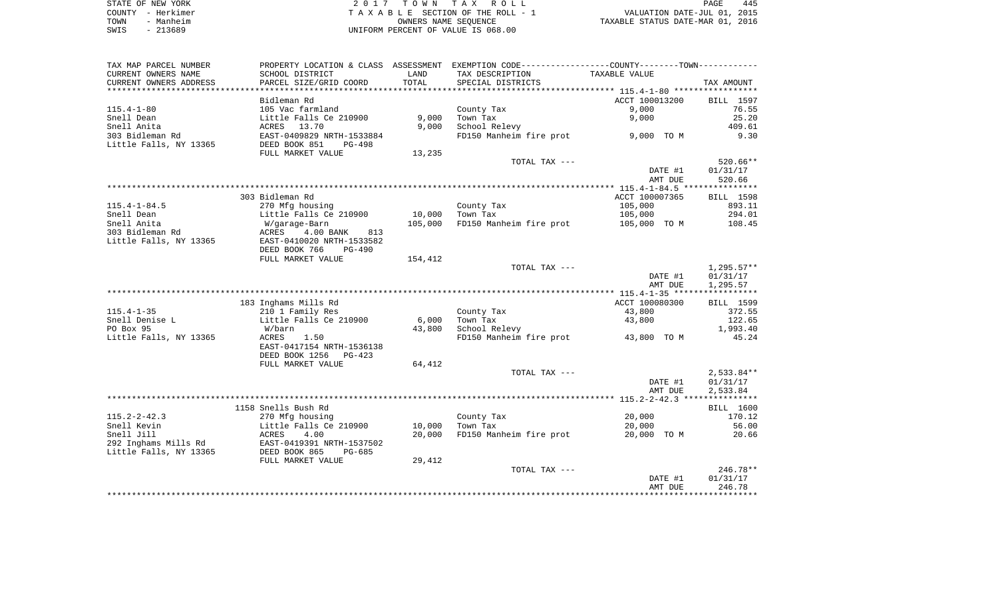| STATE OF NEW YORK | 2017 TOWN TAX ROLL                 | 445<br>PAGE                      |
|-------------------|------------------------------------|----------------------------------|
| COUNTY - Herkimer | TAXABLE SECTION OF THE ROLL - 1    | VALUATION DATE-JUL 01, 2015      |
| - Manheim<br>TOWN | OWNERS NAME SEOUENCE               | TAXABLE STATUS DATE-MAR 01, 2016 |
| $-213689$<br>SWIS | UNIFORM PERCENT OF VALUE IS 068.00 |                                  |

|                                                |                                                      |                |                                                                                                  | AMT DUE        | 246.78               |
|------------------------------------------------|------------------------------------------------------|----------------|--------------------------------------------------------------------------------------------------|----------------|----------------------|
|                                                |                                                      |                | TOTAL TAX ---                                                                                    | DATE #1        | 246.78**<br>01/31/17 |
|                                                | FULL MARKET VALUE                                    | 29,412         |                                                                                                  |                |                      |
| 292 Inghams Mills Rd<br>Little Falls, NY 13365 | EAST-0419391 NRTH-1537502<br>DEED BOOK 865<br>PG-685 |                |                                                                                                  |                |                      |
| Snell Jill                                     | ACRES<br>4.00                                        | 20,000         | FD150 Manheim fire prot                                                                          | 20,000 TO M    | 20.66                |
| Snell Kevin                                    | Little Falls Ce 210900                               | 10,000         | Town Tax                                                                                         | 20,000         | 56.00                |
| $115.2 - 2 - 42.3$                             | 270 Mfg housing                                      |                | County Tax                                                                                       | 20,000         | 170.12               |
|                                                | 1158 Snells Bush Rd                                  |                |                                                                                                  |                | BILL 1600            |
|                                                |                                                      |                |                                                                                                  |                |                      |
|                                                |                                                      |                |                                                                                                  | AMT DUE        | 2,533.84             |
|                                                |                                                      |                |                                                                                                  | DATE #1        | 01/31/17             |
|                                                |                                                      |                | TOTAL TAX ---                                                                                    |                | $2,533.84**$         |
|                                                | FULL MARKET VALUE                                    | 64,412         |                                                                                                  |                |                      |
|                                                | DEED BOOK 1256<br>PG-423                             |                |                                                                                                  |                |                      |
| Little Falls, NY 13365                         | ACRES<br>1.50<br>EAST-0417154 NRTH-1536138           |                | FD150 Manheim fire prot 43,800 TO M                                                              |                | 45.24                |
| PO Box 95                                      | W/barn                                               | 43,800         | School Relevy                                                                                    |                | 1,993.40             |
| Snell Denise L                                 | Little Falls Ce 210900                               | 6,000          | Town Tax                                                                                         | 43,800         | 122.65               |
| $115.4 - 1 - 35$                               | 210 1 Family Res                                     |                | County Tax                                                                                       | 43,800         | 372.55               |
|                                                | 183 Inghams Mills Rd                                 |                |                                                                                                  | ACCT 100080300 | BILL 1599            |
|                                                |                                                      |                |                                                                                                  |                |                      |
|                                                |                                                      |                |                                                                                                  | AMT DUE        | 1,295.57             |
|                                                |                                                      |                |                                                                                                  | DATE #1        | 01/31/17             |
|                                                |                                                      |                | TOTAL TAX ---                                                                                    |                | $1,295.57**$         |
|                                                | FULL MARKET VALUE                                    | 154,412        |                                                                                                  |                |                      |
|                                                | DEED BOOK 766<br>$PG-490$                            |                |                                                                                                  |                |                      |
| Little Falls, NY 13365                         | EAST-0410020 NRTH-1533582                            |                |                                                                                                  |                |                      |
| 303 Bidleman Rd                                | $4.00$ BANK<br>ACRES<br>813                          |                |                                                                                                  |                |                      |
| Snell Anita                                    | W/garage-Barn                                        | 105,000        | FD150 Manheim fire prot                                                                          | 105,000 TO M   | 108.45               |
| Snell Dean                                     | Little Falls Ce 210900                               | 10,000         | Town Tax                                                                                         | 105,000        | 294.01               |
| $115.4 - 1 - 84.5$                             | 270 Mfg housing                                      |                | County Tax                                                                                       | 105,000        | 893.11               |
|                                                | 303 Bidleman Rd                                      |                |                                                                                                  | ACCT 100007365 | BILL 1598            |
|                                                |                                                      |                |                                                                                                  | AMT DUE        | 520.66               |
|                                                |                                                      |                |                                                                                                  | DATE #1        | 01/31/17             |
|                                                |                                                      |                | TOTAL TAX ---                                                                                    |                | $520.66**$           |
|                                                | FULL MARKET VALUE                                    | 13,235         |                                                                                                  |                |                      |
| Little Falls, NY 13365                         | DEED BOOK 851<br>PG-498                              |                |                                                                                                  |                |                      |
| 303 Bidleman Rd                                | EAST-0409829 NRTH-1533884                            |                | FD150 Manheim fire prot                                                                          | 9,000 TO M     | 9.30                 |
| Snell Anita                                    | ACRES<br>13.70                                       | 9,000          | School Relevy                                                                                    |                | 409.61               |
| Snell Dean                                     | Little Falls Ce 210900                               | 9,000          | Town Tax                                                                                         | 9,000          | 25.20                |
| $115.4 - 1 - 80$                               | 105 Vac farmland                                     |                | County Tax                                                                                       | 9,000          | 76.55                |
|                                                | Bidleman Rd                                          |                |                                                                                                  | ACCT 100013200 | BILL 1597            |
|                                                |                                                      | ************** |                                                                                                  |                |                      |
| CURRENT OWNERS ADDRESS                         | PARCEL SIZE/GRID COORD                               | TOTAL          | SPECIAL DISTRICTS                                                                                |                | TAX AMOUNT           |
| CURRENT OWNERS NAME                            | SCHOOL DISTRICT                                      | LAND           | TAX DESCRIPTION                                                                                  | TAXABLE VALUE  |                      |
| TAX MAP PARCEL NUMBER                          |                                                      |                | PROPERTY LOCATION & CLASS ASSESSMENT EXEMPTION CODE----------------COUNTY--------TOWN----------- |                |                      |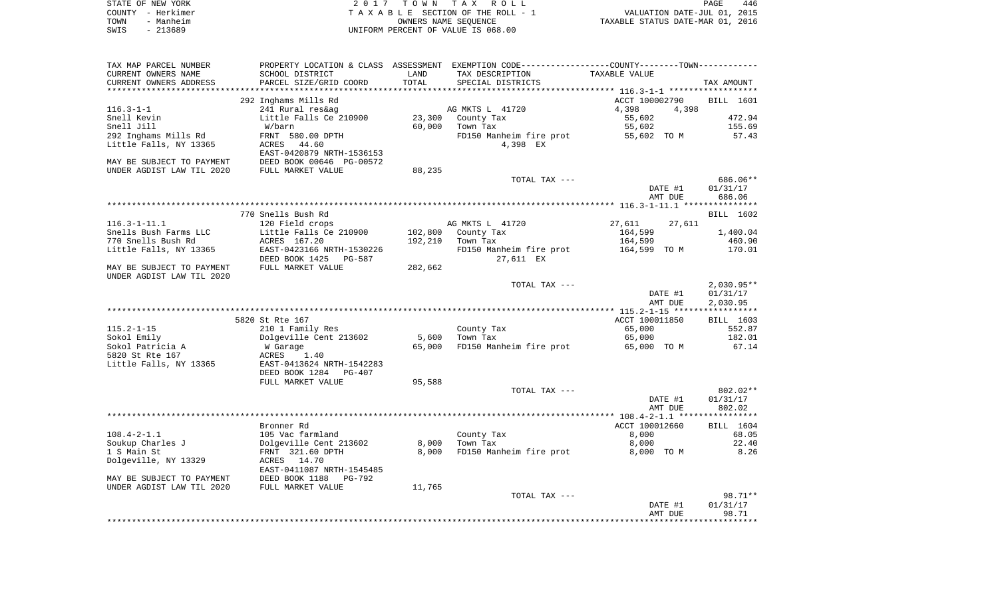|      | STATE OF NEW YORK | 2017 TOWN TAX ROLL                 | PAGE                             | 446 |
|------|-------------------|------------------------------------|----------------------------------|-----|
|      | COUNTY - Herkimer | TAXABLE SECTION OF THE ROLL - 1    | VALUATION DATE-JUL 01, 2015      |     |
| TOWN | - Manheim         | OWNERS NAME SEOUENCE               | TAXABLE STATUS DATE-MAR 01, 2016 |     |
| SWIS | - 213689          | UNIFORM PERCENT OF VALUE IS 068.00 |                                  |     |

| TAX MAP PARCEL NUMBER     | PROPERTY LOCATION & CLASS ASSESSMENT |         | EXEMPTION CODE----------------COUNTY-------TOWN----------- |                                                   |              |
|---------------------------|--------------------------------------|---------|------------------------------------------------------------|---------------------------------------------------|--------------|
| CURRENT OWNERS NAME       | SCHOOL DISTRICT                      | LAND    | TAX DESCRIPTION                                            | TAXABLE VALUE                                     |              |
| CURRENT OWNERS ADDRESS    | PARCEL SIZE/GRID COORD               | TOTAL   | SPECIAL DISTRICTS                                          |                                                   | TAX AMOUNT   |
|                           |                                      |         |                                                            | ******************* 116.3-1-1 ******************* |              |
|                           | 292 Inghams Mills Rd                 |         |                                                            | ACCT 100002790                                    | BILL 1601    |
| $116.3 - 1 - 1$           | 241 Rural res&ag                     |         | AG MKTS L 41720                                            | 4,398<br>4,398                                    |              |
| Snell Kevin               | Little Falls Ce 210900               | 23,300  | County Tax                                                 | 55,602                                            | 472.94       |
| Snell Jill                | W/barn                               | 60,000  | Town Tax                                                   | 55,602                                            | 155.69       |
| 292 Inghams Mills Rd      | FRNT 580.00 DPTH                     |         | FD150 Manheim fire prot                                    | 55,602 TO M                                       | 57.43        |
| Little Falls, NY 13365    | 44.60<br>ACRES                       |         | 4,398 EX                                                   |                                                   |              |
|                           | EAST-0420879 NRTH-1536153            |         |                                                            |                                                   |              |
| MAY BE SUBJECT TO PAYMENT | DEED BOOK 00646 PG-00572             |         |                                                            |                                                   |              |
|                           |                                      |         |                                                            |                                                   |              |
| UNDER AGDIST LAW TIL 2020 | FULL MARKET VALUE                    | 88,235  |                                                            |                                                   |              |
|                           |                                      |         | TOTAL TAX ---                                              |                                                   | 686.06**     |
|                           |                                      |         |                                                            | DATE #1                                           | 01/31/17     |
|                           |                                      |         |                                                            | AMT DUE                                           | 686.06       |
|                           |                                      |         |                                                            |                                                   |              |
|                           | 770 Snells Bush Rd                   |         |                                                            |                                                   | BILL 1602    |
| $116.3 - 1 - 11.1$        | 120 Field crops                      |         | AG MKTS L 41720                                            | 27,611<br>27,611                                  |              |
| Snells Bush Farms LLC     | Little Falls Ce 210900               | 102,800 | County Tax                                                 | 164,599                                           | 1,400.04     |
| 770 Snells Bush Rd        | ACRES 167.20                         | 192,210 | Town Tax                                                   | 164,599                                           | 460.90       |
| Little Falls, NY 13365    | EAST-0423166 NRTH-1530226            |         | FD150 Manheim fire prot                                    | 164,599 TO M                                      | 170.01       |
|                           | DEED BOOK 1425<br>PG-587             |         | 27,611 EX                                                  |                                                   |              |
| MAY BE SUBJECT TO PAYMENT | FULL MARKET VALUE                    | 282,662 |                                                            |                                                   |              |
| UNDER AGDIST LAW TIL 2020 |                                      |         |                                                            |                                                   |              |
|                           |                                      |         | TOTAL TAX ---                                              |                                                   | $2,030.95**$ |
|                           |                                      |         |                                                            | DATE #1                                           | 01/31/17     |
|                           |                                      |         |                                                            | AMT DUE                                           | 2,030.95     |
|                           |                                      |         |                                                            |                                                   |              |
|                           | 5820 St Rte 167                      |         |                                                            | ACCT 100011850                                    | BILL 1603    |
| $115.2 - 1 - 15$          | 210 1 Family Res                     |         | County Tax                                                 | 65,000                                            | 552.87       |
| Sokol Emily               | Dolgeville Cent 213602               | 5,600   | Town Tax                                                   | 65,000                                            | 182.01       |
| Sokol Patricia A          | W Garage                             | 65,000  | FD150 Manheim fire prot                                    | 65,000 TO M                                       | 67.14        |
| 5820 St Rte 167           |                                      |         |                                                            |                                                   |              |
|                           | ACRES<br>1.40                        |         |                                                            |                                                   |              |
| Little Falls, NY 13365    | EAST-0413624 NRTH-1542283            |         |                                                            |                                                   |              |
|                           | DEED BOOK 1284<br>PG-407             |         |                                                            |                                                   |              |
|                           | FULL MARKET VALUE                    | 95,588  |                                                            |                                                   |              |
|                           |                                      |         | TOTAL TAX ---                                              |                                                   | $802.02**$   |
|                           |                                      |         |                                                            | DATE #1                                           | 01/31/17     |
|                           |                                      |         |                                                            | AMT DUE                                           | 802.02       |
|                           |                                      |         |                                                            |                                                   |              |
|                           | Bronner Rd                           |         |                                                            | ACCT 100012660                                    | BILL 1604    |
| $108.4 - 2 - 1.1$         | 105 Vac farmland                     |         | County Tax                                                 | 8,000                                             | 68.05        |
| Soukup Charles J          | Dolgeville Cent 213602               | 8,000   | Town Tax                                                   | 8,000                                             | 22.40        |
| 1 S Main St               | FRNT 321.60 DPTH                     | 8,000   | FD150 Manheim fire prot                                    | 8,000 TO M                                        | 8.26         |
| Dolgeville, NY 13329      | ACRES 14.70                          |         |                                                            |                                                   |              |
|                           | EAST-0411087 NRTH-1545485            |         |                                                            |                                                   |              |
| MAY BE SUBJECT TO PAYMENT | DEED BOOK 1188<br>$PG-792$           |         |                                                            |                                                   |              |
| UNDER AGDIST LAW TIL 2020 | FULL MARKET VALUE                    | 11,765  |                                                            |                                                   |              |
|                           |                                      |         | TOTAL TAX ---                                              |                                                   | 98.71**      |
|                           |                                      |         |                                                            | DATE #1                                           | 01/31/17     |
|                           |                                      |         |                                                            | AMT DUE                                           | 98.71        |
|                           |                                      |         |                                                            |                                                   |              |
|                           |                                      |         |                                                            |                                                   |              |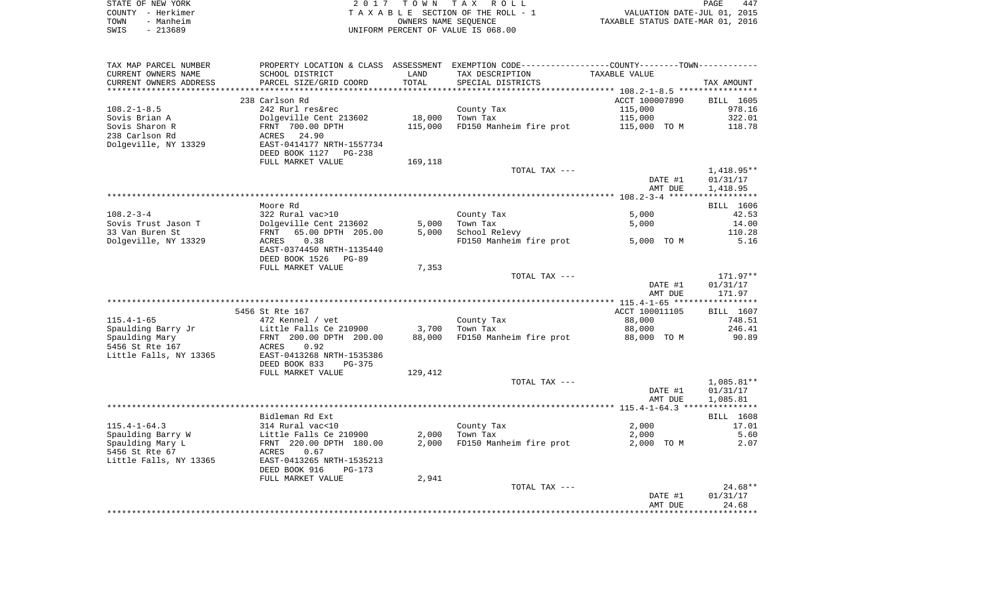|      | STATE OF NEW YORK | 2017 TOWN TAX ROLL                 | PAGE                             | 447 |
|------|-------------------|------------------------------------|----------------------------------|-----|
|      | COUNTY - Herkimer | TAXABLE SECTION OF THE ROLL - 1    | VALUATION DATE-JUL 01, 2015      |     |
| TOWN | - Manheim         | OWNERS NAME SEOUENCE               | TAXABLE STATUS DATE-MAR 01, 2016 |     |
| SWIS | - 213689          | UNIFORM PERCENT OF VALUE IS 068.00 |                                  |     |

|                        |                                                |         |                                                             | AMT DUE                                    | 24.68        |
|------------------------|------------------------------------------------|---------|-------------------------------------------------------------|--------------------------------------------|--------------|
|                        |                                                |         |                                                             | DATE #1                                    | 01/31/17     |
|                        |                                                |         | TOTAL TAX ---                                               |                                            | $24.68**$    |
|                        | DEED BOOK 916<br>$PG-173$<br>FULL MARKET VALUE | 2,941   |                                                             |                                            |              |
| Little Falls, NY 13365 | EAST-0413265 NRTH-1535213                      |         |                                                             |                                            |              |
| 5456 St Rte 67         | ACRES<br>0.67                                  |         |                                                             |                                            |              |
| Spaulding Mary L       | FRNT 220.00 DPTH 180.00                        | 2,000   | FD150 Manheim fire prot                                     | 2,000 TO M                                 | 2.07         |
| Spaulding Barry W      | Little Falls Ce 210900                         | 2,000   | Town Tax                                                    | 2,000                                      | 5.60         |
| $115.4 - 1 - 64.3$     | 314 Rural vac<10                               |         | County Tax                                                  | 2,000                                      | 17.01        |
|                        | Bidleman Rd Ext                                |         |                                                             |                                            | BILL 1608    |
|                        |                                                |         |                                                             |                                            |              |
|                        |                                                |         |                                                             | AMT DUE                                    | 1,085.81     |
|                        |                                                |         |                                                             | DATE #1                                    | 01/31/17     |
|                        |                                                |         | TOTAL TAX ---                                               |                                            | $1,085.81**$ |
|                        | FULL MARKET VALUE                              | 129,412 |                                                             |                                            |              |
|                        | DEED BOOK 833<br>$PG-375$                      |         |                                                             |                                            |              |
| Little Falls, NY 13365 | EAST-0413268 NRTH-1535386                      |         |                                                             |                                            |              |
| 5456 St Rte 167        | ACRES<br>0.92                                  |         |                                                             |                                            |              |
| Spaulding Mary         | FRNT 200.00 DPTH 200.00                        | 88,000  | FD150 Manheim fire prot                                     | 88,000 TO M                                | 90.89        |
| Spaulding Barry Jr     | Little Falls Ce 210900                         | 3,700   | Town Tax                                                    | 88,000                                     | 246.41       |
| $115.4 - 1 - 65$       | 472 Kennel / vet                               |         | County Tax                                                  | 88,000                                     | 748.51       |
|                        |                                                |         |                                                             |                                            |              |
|                        | 5456 St Rte 167                                |         |                                                             | ACCT 100011105                             | BILL 1607    |
|                        |                                                |         |                                                             |                                            |              |
|                        |                                                |         |                                                             | AMT DUE                                    | 171.97       |
|                        |                                                |         |                                                             | DATE #1                                    | 01/31/17     |
|                        |                                                |         | TOTAL TAX ---                                               |                                            | $171.97**$   |
|                        | FULL MARKET VALUE                              | 7,353   |                                                             |                                            |              |
|                        | DEED BOOK 1526<br>$PG-89$                      |         |                                                             |                                            |              |
|                        | EAST-0374450 NRTH-1135440                      |         |                                                             |                                            |              |
| Dolgeville, NY 13329   | 0.38<br><b>ACRES</b>                           |         | FD150 Manheim fire prot                                     | 5,000 TO M                                 | 5.16         |
| 33 Van Buren St        | 65.00 DPTH 205.00<br>FRNT                      | 5,000   | School Relevy                                               |                                            | 110.28       |
| Sovis Trust Jason T    | Dolgeville Cent 213602                         | 5,000   | Town Tax                                                    | 5,000                                      | 14.00        |
| $108.2 - 3 - 4$        | 322 Rural vac>10                               |         | County Tax                                                  | 5.000                                      | 42.53        |
|                        | Moore Rd                                       |         |                                                             |                                            | BILL 1606    |
|                        |                                                |         |                                                             |                                            |              |
|                        |                                                |         |                                                             | AMT DUE                                    | 1,418.95     |
|                        |                                                |         |                                                             | DATE #1                                    | 01/31/17     |
|                        |                                                |         | TOTAL TAX ---                                               |                                            | 1,418.95**   |
|                        | FULL MARKET VALUE                              | 169,118 |                                                             |                                            |              |
|                        | DEED BOOK 1127<br>PG-238                       |         |                                                             |                                            |              |
| Dolgeville, NY 13329   | EAST-0414177 NRTH-1557734                      |         |                                                             |                                            |              |
| 238 Carlson Rd         | 24.90<br>ACRES                                 |         |                                                             |                                            |              |
| Sovis Sharon R         | FRNT 700.00 DPTH                               | 115,000 | FD150 Manheim fire prot                                     | 115,000 TO M                               | 118.78       |
| Sovis Brian A          | Dolgeville Cent 213602                         | 18,000  | Town Tax                                                    | 115,000                                    | 322.01       |
| $108.2 - 1 - 8.5$      | 242 Rurl res&rec                               |         | County Tax                                                  | 115,000                                    | 978.16       |
|                        | 238 Carlson Rd                                 |         |                                                             | ACCT 100007890                             | BILL 1605    |
|                        |                                                | ******  |                                                             | ************ 108.2-1-8.5 ***************** |              |
| CURRENT OWNERS ADDRESS | PARCEL SIZE/GRID COORD                         | TOTAL   | SPECIAL DISTRICTS                                           |                                            | TAX AMOUNT   |
| CURRENT OWNERS NAME    | SCHOOL DISTRICT                                | LAND    | TAX DESCRIPTION                                             | TAXABLE VALUE                              |              |
| TAX MAP PARCEL NUMBER  | PROPERTY LOCATION & CLASS ASSESSMENT           |         | EXEMPTION CODE-----------------COUNTY-------TOWN----------- |                                            |              |
|                        |                                                |         |                                                             |                                            |              |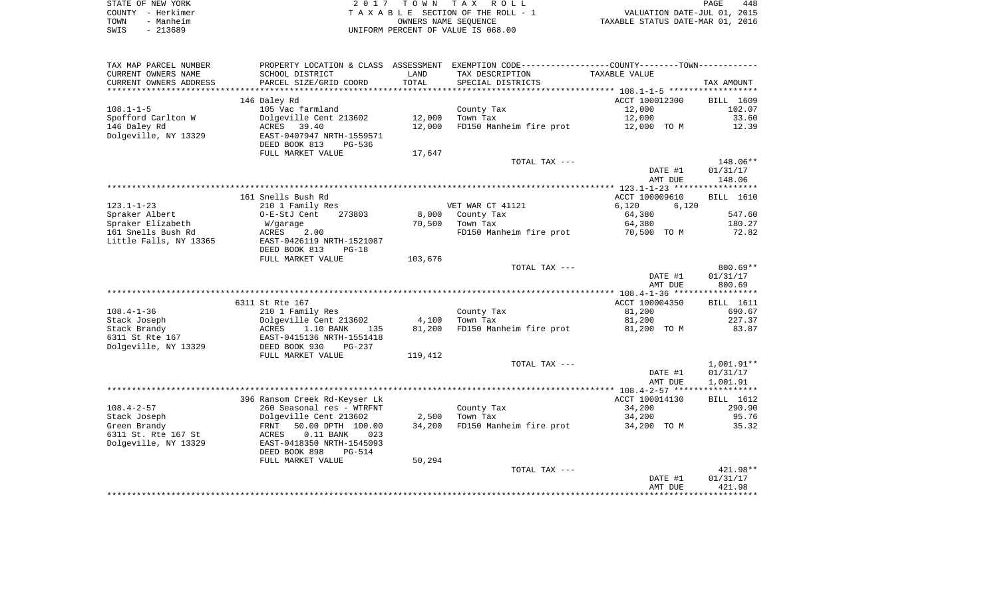| STATE OF NEW YORK | 2017 TOWN TAX ROLL                 | PAGE                             | 448 |
|-------------------|------------------------------------|----------------------------------|-----|
| COUNTY - Herkimer | TAXABLE SECTION OF THE ROLL - 1    | VALUATION DATE-JUL 01, 2015      |     |
| TOWN<br>- Manheim | OWNERS NAME SEOUENCE               | TAXABLE STATUS DATE-MAR 01, 2016 |     |
| SWIS<br>- 213689  | UNIFORM PERCENT OF VALUE IS 068.00 |                                  |     |

| SCHOOL DISTRICT                | LAND                                                                                                                                                                                                                                                                                                                                                    | TAX DESCRIPTION            | TAXABLE VALUE                                                                                                                                                                                                 |                                                                                                                                                                                                                                                                                                   |
|--------------------------------|---------------------------------------------------------------------------------------------------------------------------------------------------------------------------------------------------------------------------------------------------------------------------------------------------------------------------------------------------------|----------------------------|---------------------------------------------------------------------------------------------------------------------------------------------------------------------------------------------------------------|---------------------------------------------------------------------------------------------------------------------------------------------------------------------------------------------------------------------------------------------------------------------------------------------------|
| PARCEL SIZE/GRID COORD         | TOTAL                                                                                                                                                                                                                                                                                                                                                   | SPECIAL DISTRICTS          |                                                                                                                                                                                                               | TAX AMOUNT                                                                                                                                                                                                                                                                                        |
|                                |                                                                                                                                                                                                                                                                                                                                                         |                            |                                                                                                                                                                                                               |                                                                                                                                                                                                                                                                                                   |
|                                |                                                                                                                                                                                                                                                                                                                                                         |                            | ACCT 100012300                                                                                                                                                                                                | BILL 1609                                                                                                                                                                                                                                                                                         |
| 105 Vac farmland               |                                                                                                                                                                                                                                                                                                                                                         | County Tax                 | 12,000                                                                                                                                                                                                        | 102.07                                                                                                                                                                                                                                                                                            |
| Dolgeville Cent 213602         | 12,000                                                                                                                                                                                                                                                                                                                                                  | Town Tax                   | 12,000                                                                                                                                                                                                        | 33.60                                                                                                                                                                                                                                                                                             |
| ACRES 39.40                    | 12,000                                                                                                                                                                                                                                                                                                                                                  |                            | 12,000 TO M                                                                                                                                                                                                   | 12.39                                                                                                                                                                                                                                                                                             |
| EAST-0407947 NRTH-1559571      |                                                                                                                                                                                                                                                                                                                                                         |                            |                                                                                                                                                                                                               |                                                                                                                                                                                                                                                                                                   |
| DEED BOOK 813<br>PG-536        |                                                                                                                                                                                                                                                                                                                                                         |                            |                                                                                                                                                                                                               |                                                                                                                                                                                                                                                                                                   |
| FULL MARKET VALUE              | 17,647                                                                                                                                                                                                                                                                                                                                                  |                            |                                                                                                                                                                                                               |                                                                                                                                                                                                                                                                                                   |
|                                |                                                                                                                                                                                                                                                                                                                                                         | TOTAL TAX ---              |                                                                                                                                                                                                               | 148.06**                                                                                                                                                                                                                                                                                          |
|                                |                                                                                                                                                                                                                                                                                                                                                         |                            | DATE #1                                                                                                                                                                                                       | 01/31/17                                                                                                                                                                                                                                                                                          |
|                                |                                                                                                                                                                                                                                                                                                                                                         |                            | AMT DUE                                                                                                                                                                                                       | 148.06                                                                                                                                                                                                                                                                                            |
|                                |                                                                                                                                                                                                                                                                                                                                                         |                            |                                                                                                                                                                                                               |                                                                                                                                                                                                                                                                                                   |
|                                |                                                                                                                                                                                                                                                                                                                                                         |                            | ACCT 100009610                                                                                                                                                                                                | BILL 1610                                                                                                                                                                                                                                                                                         |
| 210 1 Family Res               |                                                                                                                                                                                                                                                                                                                                                         |                            | 6,120<br>6,120                                                                                                                                                                                                |                                                                                                                                                                                                                                                                                                   |
| O-E-StJ Cent<br>273803         |                                                                                                                                                                                                                                                                                                                                                         |                            | 64,380                                                                                                                                                                                                        | 547.60                                                                                                                                                                                                                                                                                            |
| W/garage                       |                                                                                                                                                                                                                                                                                                                                                         | Town Tax                   | 64,380                                                                                                                                                                                                        | 180.27                                                                                                                                                                                                                                                                                            |
| ACRES<br>2.00                  |                                                                                                                                                                                                                                                                                                                                                         |                            | 70,500 TO M                                                                                                                                                                                                   | 72.82                                                                                                                                                                                                                                                                                             |
| EAST-0426119 NRTH-1521087      |                                                                                                                                                                                                                                                                                                                                                         |                            |                                                                                                                                                                                                               |                                                                                                                                                                                                                                                                                                   |
| DEED BOOK 813<br>$PG-18$       |                                                                                                                                                                                                                                                                                                                                                         |                            |                                                                                                                                                                                                               |                                                                                                                                                                                                                                                                                                   |
|                                | 103,676                                                                                                                                                                                                                                                                                                                                                 |                            |                                                                                                                                                                                                               |                                                                                                                                                                                                                                                                                                   |
|                                |                                                                                                                                                                                                                                                                                                                                                         |                            |                                                                                                                                                                                                               | $800.69**$                                                                                                                                                                                                                                                                                        |
|                                |                                                                                                                                                                                                                                                                                                                                                         |                            | DATE #1                                                                                                                                                                                                       | 01/31/17                                                                                                                                                                                                                                                                                          |
|                                |                                                                                                                                                                                                                                                                                                                                                         |                            |                                                                                                                                                                                                               | 800.69                                                                                                                                                                                                                                                                                            |
|                                |                                                                                                                                                                                                                                                                                                                                                         |                            |                                                                                                                                                                                                               |                                                                                                                                                                                                                                                                                                   |
|                                |                                                                                                                                                                                                                                                                                                                                                         |                            |                                                                                                                                                                                                               | BILL 1611                                                                                                                                                                                                                                                                                         |
|                                |                                                                                                                                                                                                                                                                                                                                                         |                            |                                                                                                                                                                                                               | 690.67                                                                                                                                                                                                                                                                                            |
|                                |                                                                                                                                                                                                                                                                                                                                                         |                            |                                                                                                                                                                                                               | 227.37                                                                                                                                                                                                                                                                                            |
|                                |                                                                                                                                                                                                                                                                                                                                                         |                            |                                                                                                                                                                                                               | 83.87                                                                                                                                                                                                                                                                                             |
|                                |                                                                                                                                                                                                                                                                                                                                                         |                            |                                                                                                                                                                                                               |                                                                                                                                                                                                                                                                                                   |
|                                |                                                                                                                                                                                                                                                                                                                                                         |                            |                                                                                                                                                                                                               |                                                                                                                                                                                                                                                                                                   |
|                                |                                                                                                                                                                                                                                                                                                                                                         |                            |                                                                                                                                                                                                               |                                                                                                                                                                                                                                                                                                   |
|                                |                                                                                                                                                                                                                                                                                                                                                         |                            |                                                                                                                                                                                                               | 1,001.91**                                                                                                                                                                                                                                                                                        |
|                                |                                                                                                                                                                                                                                                                                                                                                         |                            |                                                                                                                                                                                                               | 01/31/17                                                                                                                                                                                                                                                                                          |
|                                |                                                                                                                                                                                                                                                                                                                                                         |                            |                                                                                                                                                                                                               | 1,001.91                                                                                                                                                                                                                                                                                          |
|                                |                                                                                                                                                                                                                                                                                                                                                         |                            |                                                                                                                                                                                                               |                                                                                                                                                                                                                                                                                                   |
|                                |                                                                                                                                                                                                                                                                                                                                                         |                            |                                                                                                                                                                                                               | BILL 1612                                                                                                                                                                                                                                                                                         |
|                                |                                                                                                                                                                                                                                                                                                                                                         |                            |                                                                                                                                                                                                               | 290.90                                                                                                                                                                                                                                                                                            |
|                                |                                                                                                                                                                                                                                                                                                                                                         |                            |                                                                                                                                                                                                               | 95.76                                                                                                                                                                                                                                                                                             |
|                                |                                                                                                                                                                                                                                                                                                                                                         |                            |                                                                                                                                                                                                               | 35.32                                                                                                                                                                                                                                                                                             |
| ACRES<br>$0.11$ BANK<br>023    |                                                                                                                                                                                                                                                                                                                                                         |                            |                                                                                                                                                                                                               |                                                                                                                                                                                                                                                                                                   |
|                                |                                                                                                                                                                                                                                                                                                                                                         |                            |                                                                                                                                                                                                               |                                                                                                                                                                                                                                                                                                   |
| EAST-0418350 NRTH-1545093      |                                                                                                                                                                                                                                                                                                                                                         |                            |                                                                                                                                                                                                               |                                                                                                                                                                                                                                                                                                   |
| DEED BOOK 898<br><b>PG-514</b> |                                                                                                                                                                                                                                                                                                                                                         |                            |                                                                                                                                                                                                               |                                                                                                                                                                                                                                                                                                   |
| FULL MARKET VALUE              | 50,294                                                                                                                                                                                                                                                                                                                                                  |                            |                                                                                                                                                                                                               |                                                                                                                                                                                                                                                                                                   |
|                                |                                                                                                                                                                                                                                                                                                                                                         | TOTAL TAX ---              |                                                                                                                                                                                                               | $421.98**$                                                                                                                                                                                                                                                                                        |
|                                |                                                                                                                                                                                                                                                                                                                                                         |                            | DATE #1<br>AMT DUE                                                                                                                                                                                            | 01/31/17<br>421.98                                                                                                                                                                                                                                                                                |
|                                | 146 Daley Rd<br>161 Snells Bush Rd<br>FULL MARKET VALUE<br>6311 St Rte 167<br>210 1 Family Res<br>Dolgeville Cent 213602<br>ACRES<br>1.10 BANK<br>135<br>EAST-0415136 NRTH-1551418<br>DEED BOOK 930<br>PG-237<br>FULL MARKET VALUE<br>396 Ransom Creek Rd-Keyser Lk<br>260 Seasonal res - WTRFNT<br>Dolgeville Cent 213602<br>FRNT<br>50.00 DPTH 100.00 | 4,100<br>81,200<br>119,412 | VET WAR CT 41121<br>8,000 County Tax<br>70,500<br>TOTAL TAX ---<br>County Tax<br>Town Tax<br>FD150 Manheim fire prot<br>TOTAL TAX ---<br>County Tax<br>2,500<br>Town Tax<br>34,200<br>FD150 Manheim fire prot | PROPERTY LOCATION & CLASS ASSESSMENT EXEMPTION CODE----------------COUNTY--------TOWN-----------<br>FD150 Manheim fire prot<br>FD150 Manheim fire prot<br>AMT DUE<br>ACCT 100004350<br>81,200<br>81,200<br>81,200 TO M<br>DATE #1<br>AMT DUE<br>ACCT 100014130<br>34,200<br>34,200<br>34,200 TO M |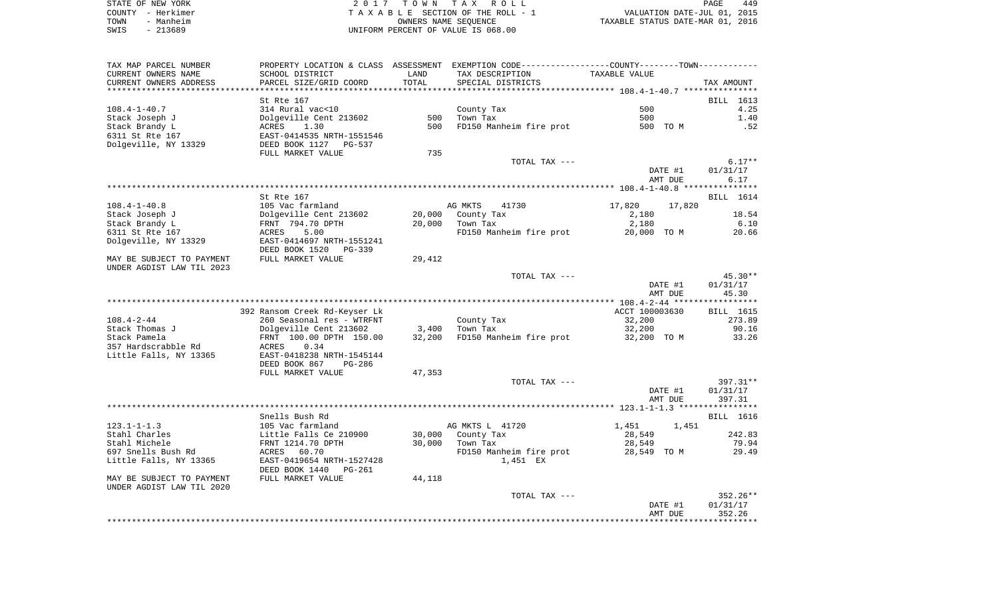| STATE OF NEW YORK | 2017 TOWN TAX ROLL<br>PAGE                                     | 449 |
|-------------------|----------------------------------------------------------------|-----|
| COUNTY - Herkimer | VALUATION DATE-JUL 01, 2015<br>TAXABLE SECTION OF THE ROLL - 1 |     |
| - Manheim<br>TOWN | TAXABLE STATUS DATE-MAR 01, 2016<br>OWNERS NAME SEOUENCE       |     |
| $-213689$<br>SWIS | UNIFORM PERCENT OF VALUE IS 068.00                             |     |

| TAX MAP PARCEL NUMBER     |                                                    |        | PROPERTY LOCATION & CLASS ASSESSMENT EXEMPTION CODE---------------COUNTY-------TOWN---------- |                    |                    |
|---------------------------|----------------------------------------------------|--------|-----------------------------------------------------------------------------------------------|--------------------|--------------------|
| CURRENT OWNERS NAME       | SCHOOL DISTRICT                                    | LAND   | TAX DESCRIPTION                                                                               | TAXABLE VALUE      |                    |
| CURRENT OWNERS ADDRESS    | PARCEL SIZE/GRID COORD                             | TOTAL  | SPECIAL DISTRICTS                                                                             |                    | TAX AMOUNT         |
|                           | St Rte 167                                         |        |                                                                                               |                    | BILL 1613          |
| 108.4-1-40.7              | 314 Rural vac<10                                   |        | County Tax                                                                                    | 500                | 4.25               |
| Stack Joseph J            | Dolgeville Cent 213602                             | 500    | Town Tax                                                                                      | 500                | 1.40               |
| Stack Brandy L            | ACRES<br>1.30                                      | 500    | FD150 Manheim fire prot                                                                       | 500 TO M           | .52                |
| 6311 St Rte 167           |                                                    |        |                                                                                               |                    |                    |
| Dolgeville, NY 13329      | EAST-0414535 NRTH-1551546<br>DEED BOOK 1127 PG-537 |        |                                                                                               |                    |                    |
|                           | FULL MARKET VALUE                                  | 735    |                                                                                               |                    |                    |
|                           |                                                    |        | TOTAL TAX ---                                                                                 |                    | $6.17**$           |
|                           |                                                    |        |                                                                                               | DATE #1            | 01/31/17           |
|                           |                                                    |        |                                                                                               | AMT DUE            | 6.17               |
|                           |                                                    |        |                                                                                               |                    |                    |
|                           | St Rte 167                                         |        |                                                                                               |                    | BILL 1614          |
| $108.4 - 1 - 40.8$        | 105 Vac farmland                                   |        | AG MKTS<br>41730                                                                              | 17,820<br>17,820   |                    |
| Stack Joseph J            | Dolgeville Cent 213602                             | 20,000 | County Tax                                                                                    | 2,180              | 18.54              |
| Stack Brandy L            | FRNT 794.70 DPTH                                   | 20,000 | Town Tax                                                                                      | 2,180              | 6.10               |
| 6311 St Rte 167           | ACRES 5.00                                         |        | FD150 Manheim fire prot                                                                       | 20,000 TO M        | 20.66              |
| Dolgeville, NY 13329      | EAST-0414697 NRTH-1551241<br>DEED BOOK 1520 PG-339 |        |                                                                                               |                    |                    |
| MAY BE SUBJECT TO PAYMENT | FULL MARKET VALUE                                  | 29,412 |                                                                                               |                    |                    |
| UNDER AGDIST LAW TIL 2023 |                                                    |        |                                                                                               |                    |                    |
|                           |                                                    |        | TOTAL TAX ---                                                                                 |                    | 45.30**            |
|                           |                                                    |        |                                                                                               | DATE #1            | 01/31/17           |
|                           |                                                    |        |                                                                                               | AMT DUE            | 45.30              |
|                           |                                                    |        |                                                                                               |                    |                    |
|                           | 392 Ransom Creek Rd-Keyser Lk                      |        |                                                                                               | ACCT 100003630     | <b>BILL</b> 1615   |
| $108.4 - 2 - 44$          | 260 Seasonal res - WTRFNT                          |        | County Tax                                                                                    | 32,200             | 273.89             |
| Stack Thomas J            | Dolgeville Cent 213602                             |        | $3,400$ Town Tax                                                                              | 32,200             | 90.16              |
| Stack Pamela              | FRNT 100.00 DPTH 150.00                            | 32,200 | FD150 Manheim fire prot                                                                       | 32,200 TO M        | 33.26              |
| 357 Hardscrabble Rd       | <b>ACRES</b><br>0.34                               |        |                                                                                               |                    |                    |
| Little Falls, NY 13365    | EAST-0418238 NRTH-1545144                          |        |                                                                                               |                    |                    |
|                           | DEED BOOK 867<br>PG-286                            |        |                                                                                               |                    |                    |
|                           | FULL MARKET VALUE                                  | 47,353 |                                                                                               |                    |                    |
|                           |                                                    |        | TOTAL TAX ---                                                                                 |                    | 397.31**           |
|                           |                                                    |        |                                                                                               | DATE #1<br>AMT DUE | 01/31/17<br>397.31 |
|                           |                                                    |        |                                                                                               |                    |                    |
|                           | Snells Bush Rd                                     |        |                                                                                               |                    | <b>BILL</b> 1616   |
| $123.1 - 1 - 1.3$         | 105 Vac farmland                                   |        | AG MKTS L 41720                                                                               | 1,451 1,451        |                    |
| Stahl Charles             | Little Falls Ce 210900                             |        | 30,000 County Tax                                                                             | 28,549             | 242.83             |
| Stahl Michele             | FRNT 1214.70 DPTH                                  | 30,000 | Town Tax                                                                                      | 28,549             | 79.94              |
| 697 Snells Bush Rd        | 60.70<br>ACRES                                     |        | FD150 Manheim fire prot                                                                       | 28,549 TO M        | 29.49              |
| Little Falls, NY 13365    | EAST-0419654 NRTH-1527428                          |        | 1,451 EX                                                                                      |                    |                    |
|                           | DEED BOOK 1440 PG-261                              |        |                                                                                               |                    |                    |
| MAY BE SUBJECT TO PAYMENT | FULL MARKET VALUE                                  | 44,118 |                                                                                               |                    |                    |
| UNDER AGDIST LAW TIL 2020 |                                                    |        |                                                                                               |                    |                    |
|                           |                                                    |        | TOTAL TAX ---                                                                                 |                    | 352.26**           |
|                           |                                                    |        |                                                                                               | DATE #1            | 01/31/17           |
|                           |                                                    |        |                                                                                               | AMT DUE            | 352.26             |
|                           |                                                    |        |                                                                                               |                    |                    |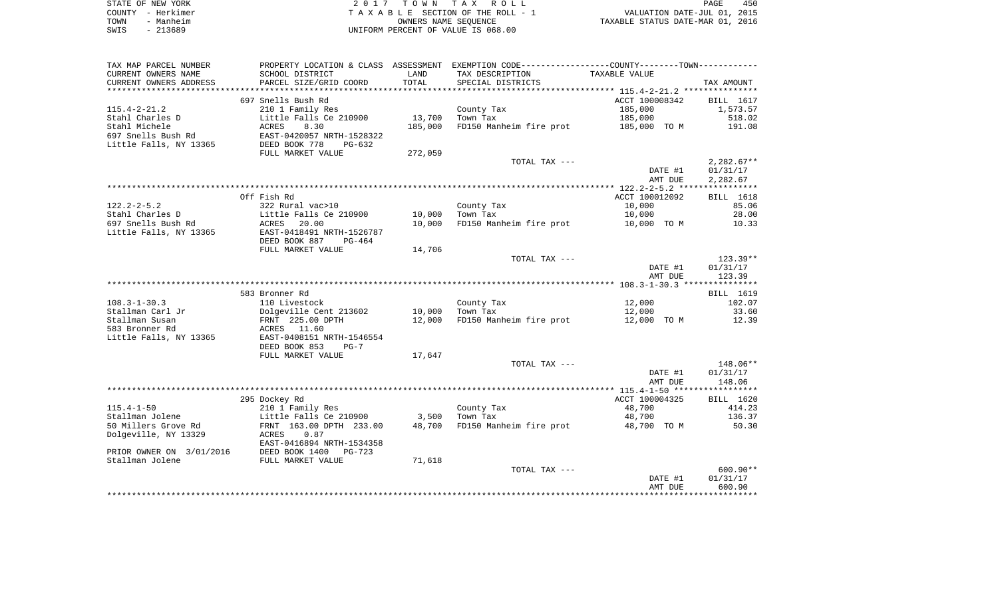| STATE OF NEW YORK | 2017 TOWN TAX ROLL                 | 450<br>PAGE                      |
|-------------------|------------------------------------|----------------------------------|
| COUNTY - Herkimer | TAXABLE SECTION OF THE ROLL - 1    | VALUATION DATE-JUL 01, 2015      |
| TOWN<br>- Manheim | OWNERS NAME SEOUENCE               | TAXABLE STATUS DATE-MAR 01, 2016 |
| SWIS<br>- 213689  | UNIFORM PERCENT OF VALUE IS 068.00 |                                  |

| TAX MAP PARCEL NUMBER    |                            |                | PROPERTY LOCATION & CLASS ASSESSMENT EXEMPTION CODE---------------COUNTY-------TOWN---------- |                |              |
|--------------------------|----------------------------|----------------|-----------------------------------------------------------------------------------------------|----------------|--------------|
| CURRENT OWNERS NAME      | SCHOOL DISTRICT            | LAND           | TAX DESCRIPTION                                                                               | TAXABLE VALUE  |              |
| CURRENT OWNERS ADDRESS   | PARCEL SIZE/GRID COORD     | TOTAL          | SPECIAL DISTRICTS                                                                             |                | TAX AMOUNT   |
| ******************       | ************************   | ************** |                                                                                               |                |              |
|                          | 697 Snells Bush Rd         |                |                                                                                               | ACCT 100008342 | BILL 1617    |
| $115.4 - 2 - 21.2$       | 210 1 Family Res           |                | County Tax                                                                                    | 185,000        | 1,573.57     |
| Stahl Charles D          | Little Falls Ce 210900     | 13,700         | Town Tax                                                                                      | 185,000        | 518.02       |
| Stahl Michele            | ACRES<br>8.30              | 185,000        | FD150 Manheim fire prot                                                                       | 185,000 TO M   | 191.08       |
| 697 Snells Bush Rd       | EAST-0420057 NRTH-1528322  |                |                                                                                               |                |              |
| Little Falls, NY 13365   | DEED BOOK 778<br>$PG-632$  |                |                                                                                               |                |              |
|                          | FULL MARKET VALUE          | 272,059        |                                                                                               |                |              |
|                          |                            |                | TOTAL TAX ---                                                                                 |                | $2,282.67**$ |
|                          |                            |                |                                                                                               | DATE #1        | 01/31/17     |
|                          |                            |                |                                                                                               | AMT DUE        | 2,282.67     |
|                          |                            |                |                                                                                               |                |              |
|                          | Off Fish Rd                |                |                                                                                               | ACCT 100012092 | BILL 1618    |
| $122.2 - 2 - 5.2$        | 322 Rural vac>10           |                | County Tax                                                                                    | 10,000         | 85.06        |
| Stahl Charles D          | Little Falls Ce 210900     | 10,000         | Town Tax                                                                                      | 10,000         | 28.00        |
| 697 Snells Bush Rd       | ACRES<br>20.00             | 10,000         | FD150 Manheim fire prot                                                                       | 10,000 TO M    | 10.33        |
| Little Falls, NY 13365   | EAST-0418491 NRTH-1526787  |                |                                                                                               |                |              |
|                          | DEED BOOK 887<br>$PG-464$  |                |                                                                                               |                |              |
|                          | FULL MARKET VALUE          | 14,706         |                                                                                               |                |              |
|                          |                            |                | TOTAL TAX ---                                                                                 |                | $123.39**$   |
|                          |                            |                |                                                                                               | DATE #1        | 01/31/17     |
|                          |                            |                |                                                                                               | AMT DUE        | 123.39       |
|                          |                            |                |                                                                                               |                |              |
|                          | 583 Bronner Rd             |                |                                                                                               |                | BILL 1619    |
| $108.3 - 1 - 30.3$       | 110 Livestock              |                | County Tax                                                                                    | 12,000         | 102.07       |
| Stallman Carl Jr         | Dolgeville Cent 213602     | 10,000         | Town Tax                                                                                      | 12,000         | 33.60        |
| Stallman Susan           | FRNT 225.00 DPTH           | 12,000         | FD150 Manheim fire prot                                                                       | 12,000 TO M    | 12.39        |
| 583 Bronner Rd           | ACRES 11.60                |                |                                                                                               |                |              |
| Little Falls, NY 13365   | EAST-0408151 NRTH-1546554  |                |                                                                                               |                |              |
|                          | DEED BOOK 853<br>$PG-7$    |                |                                                                                               |                |              |
|                          | FULL MARKET VALUE          | 17,647         |                                                                                               |                |              |
|                          |                            |                | TOTAL TAX ---                                                                                 |                | 148.06**     |
|                          |                            |                |                                                                                               | DATE #1        | 01/31/17     |
|                          |                            |                |                                                                                               | AMT DUE        | 148.06       |
|                          |                            |                |                                                                                               |                |              |
|                          | 295 Dockey Rd              |                |                                                                                               | ACCT 100004325 | BILL 1620    |
| $115.4 - 1 - 50$         | 210 1 Family Res           |                | County Tax                                                                                    | 48,700         | 414.23       |
| Stallman Jolene          | Little Falls Ce 210900     | 3,500          | Town Tax                                                                                      | 48,700         | 136.37       |
| 50 Millers Grove Rd      | FRNT 163.00 DPTH 233.00    |                | 48,700 FD150 Manheim fire prot                                                                | 48,700 TO M    | 50.30        |
| Dolgeville, NY 13329     | 0.87<br>ACRES              |                |                                                                                               |                |              |
|                          | EAST-0416894 NRTH-1534358  |                |                                                                                               |                |              |
| PRIOR OWNER ON 3/01/2016 | DEED BOOK 1400<br>$PG-723$ |                |                                                                                               |                |              |
| Stallman Jolene          | FULL MARKET VALUE          | 71,618         |                                                                                               |                |              |
|                          |                            |                | TOTAL TAX ---                                                                                 |                | $600.90**$   |
|                          |                            |                |                                                                                               | DATE #1        | 01/31/17     |
|                          |                            |                |                                                                                               | AMT DUE        | 600.90       |
|                          |                            |                |                                                                                               |                |              |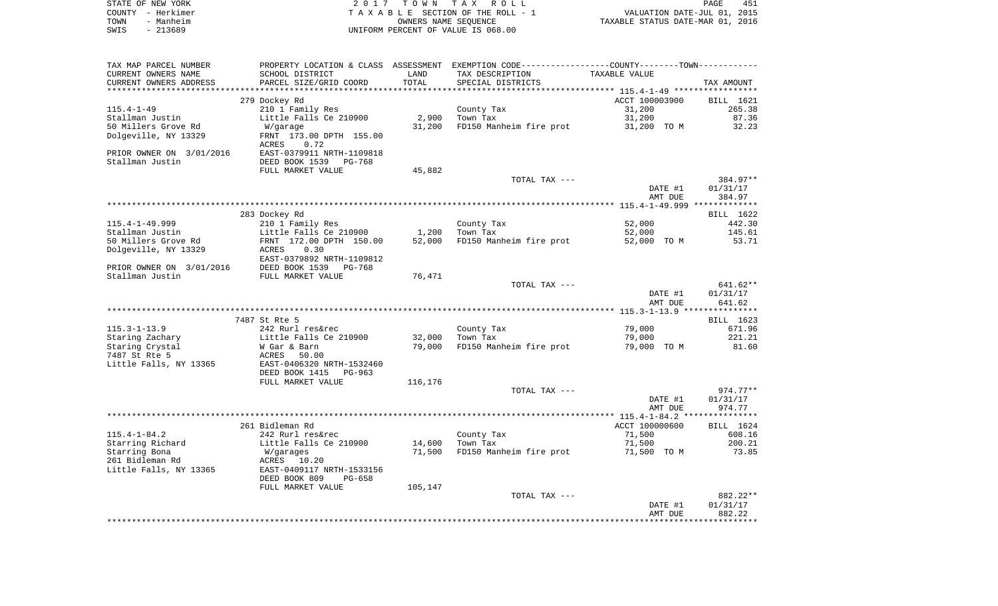|      | STATE OF NEW YORK | 2017 TOWN TAX ROLL                 | 451<br>PAGE                      |
|------|-------------------|------------------------------------|----------------------------------|
|      | COUNTY - Herkimer | TAXABLE SECTION OF THE ROLL - 1    | VALUATION DATE-JUL 01, 2015      |
| TOWN | - Manheim         | OWNERS NAME SEOUENCE               | TAXABLE STATUS DATE-MAR 01, 2016 |
| SWIS | - 213689          | UNIFORM PERCENT OF VALUE IS 068.00 |                                  |

| TAX MAP PARCEL NUMBER    |                                        |         | PROPERTY LOCATION & CLASS ASSESSMENT EXEMPTION CODE----------------COUNTY-------TOWN----------- |                |            |
|--------------------------|----------------------------------------|---------|-------------------------------------------------------------------------------------------------|----------------|------------|
| CURRENT OWNERS NAME      | SCHOOL DISTRICT                        | LAND    | TAX DESCRIPTION                                                                                 | TAXABLE VALUE  |            |
| CURRENT OWNERS ADDRESS   | PARCEL SIZE/GRID COORD                 | TOTAL   | SPECIAL DISTRICTS                                                                               |                | TAX AMOUNT |
|                          | *********************************      |         |                                                                                                 |                |            |
|                          | 279 Dockey Rd                          |         |                                                                                                 | ACCT 100003900 | BILL 1621  |
| $115.4 - 1 - 49$         | 210 1 Family Res                       |         | County Tax                                                                                      | 31,200         | 265.38     |
| Stallman Justin          | Little Falls Ce 210900                 | 2,900   | Town Tax                                                                                        | 31,200         | 87.36      |
| 50 Millers Grove Rd      | W/garage                               | 31,200  | FD150 Manheim fire prot                                                                         | 31,200 TO M    | 32.23      |
| Dolgeville, NY 13329     | FRNT 173.00 DPTH 155.00                |         |                                                                                                 |                |            |
|                          | ACRES<br>0.72                          |         |                                                                                                 |                |            |
| PRIOR OWNER ON 3/01/2016 | EAST-0379911 NRTH-1109818              |         |                                                                                                 |                |            |
| Stallman Justin          | DEED BOOK 1539<br>PG-768               |         |                                                                                                 |                |            |
|                          | FULL MARKET VALUE                      | 45,882  |                                                                                                 |                |            |
|                          |                                        |         | TOTAL TAX ---                                                                                   |                | 384.97**   |
|                          |                                        |         |                                                                                                 | DATE #1        | 01/31/17   |
|                          |                                        |         |                                                                                                 | AMT DUE        | 384.97     |
|                          |                                        |         |                                                                                                 |                |            |
|                          | 283 Dockey Rd                          |         |                                                                                                 |                | BILL 1622  |
| 115.4-1-49.999           | 210 1 Family Res                       |         | County Tax                                                                                      | 52,000         | 442.30     |
| Stallman Justin          | Little Falls Ce 210900                 | 1,200   | Town Tax                                                                                        | 52,000         | 145.61     |
| 50 Millers Grove Rd      | FRNT 172.00 DPTH 150.00                | 52,000  | FD150 Manheim fire prot                                                                         | 52,000 TO M    | 53.71      |
| Dolgeville, NY 13329     | 0.30<br>ACRES                          |         |                                                                                                 |                |            |
|                          | EAST-0379892 NRTH-1109812              |         |                                                                                                 |                |            |
| PRIOR OWNER ON 3/01/2016 | DEED BOOK 1539 PG-768                  |         |                                                                                                 |                |            |
| Stallman Justin          | FULL MARKET VALUE                      | 76,471  |                                                                                                 |                |            |
|                          |                                        |         | TOTAL TAX ---                                                                                   |                | 641.62**   |
|                          |                                        |         |                                                                                                 | DATE #1        | 01/31/17   |
|                          |                                        |         |                                                                                                 | AMT DUE        | 641.62     |
|                          |                                        |         |                                                                                                 |                |            |
|                          | 7487 St Rte 5                          |         |                                                                                                 |                | BILL 1623  |
| $115.3 - 1 - 13.9$       | 242 Rurl res&rec                       |         | County Tax                                                                                      | 79,000         | 671.96     |
| Staring Zachary          | Little Falls Ce 210900<br>W Gar & Barn | 32,000  | Town Tax                                                                                        | 79,000         | 221.21     |
| Staring Crystal          |                                        | 79,000  | FD150 Manheim fire prot                                                                         | 79,000 TO M    | 81.60      |
| 7487 St Rte 5            | ACRES<br>50.00                         |         |                                                                                                 |                |            |
| Little Falls, NY 13365   | EAST-0406320 NRTH-1532460              |         |                                                                                                 |                |            |
|                          | DEED BOOK 1415<br>PG-963               |         |                                                                                                 |                |            |
|                          | FULL MARKET VALUE                      | 116,176 |                                                                                                 |                |            |
|                          |                                        |         | TOTAL TAX ---                                                                                   |                | $974.77**$ |
|                          |                                        |         |                                                                                                 | DATE #1        | 01/31/17   |
|                          |                                        |         |                                                                                                 | AMT DUE        | 974.77     |
|                          |                                        |         |                                                                                                 |                |            |
|                          | 261 Bidleman Rd                        |         |                                                                                                 | ACCT 100000600 | BILL 1624  |
| $115.4 - 1 - 84.2$       | 242 Rurl res&rec                       |         | County Tax                                                                                      | 71,500         | 608.16     |
| Starring Richard         | Little Falls Ce 210900                 | 14,600  | Town Tax                                                                                        | 71,500         | 200.21     |
| Starring Bona            | W/garages                              | 71,500  | FD150 Manheim fire prot                                                                         | 71,500 TO M    | 73.85      |
| 261 Bidleman Rd          | ACRES 10.20                            |         |                                                                                                 |                |            |
| Little Falls, NY 13365   | EAST-0409117 NRTH-1533156              |         |                                                                                                 |                |            |
|                          | DEED BOOK 809<br>$PG-658$              |         |                                                                                                 |                |            |
|                          | FULL MARKET VALUE                      | 105,147 |                                                                                                 |                |            |
|                          |                                        |         | TOTAL TAX ---                                                                                   |                | 882.22**   |
|                          |                                        |         |                                                                                                 | DATE #1        | 01/31/17   |
|                          |                                        |         |                                                                                                 | AMT DUE        | 882.22     |
|                          |                                        |         |                                                                                                 |                |            |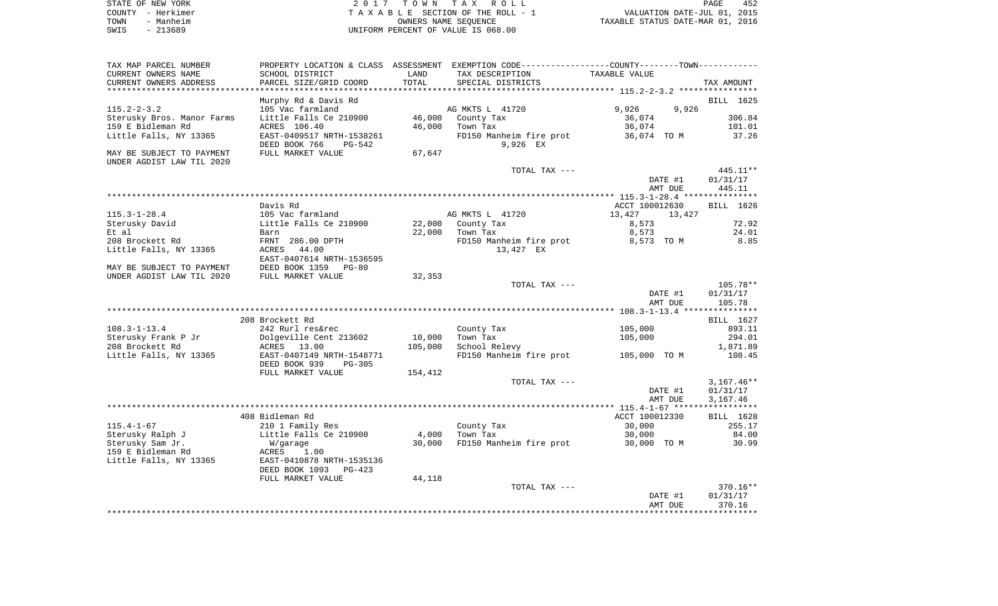| STATE OF NEW YORK |                   | 2017 TOWN TAX ROLL                 | 452<br>PAGE                      |
|-------------------|-------------------|------------------------------------|----------------------------------|
|                   | COUNTY - Herkimer | TAXABLE SECTION OF THE ROLL - 1    | VALUATION DATE-JUL 01, 2015      |
| TOWN              | - Manheim         | OWNERS NAME SEOUENCE               | TAXABLE STATUS DATE-MAR 01, 2016 |
| SWIS              | $-213689$         | UNIFORM PERCENT OF VALUE IS 068.00 |                                  |

| TAX MAP PARCEL NUMBER      | PROPERTY LOCATION & CLASS ASSESSMENT EXEMPTION CODE----------------COUNTY--------TOWN----------- |         |                         |                  |              |
|----------------------------|--------------------------------------------------------------------------------------------------|---------|-------------------------|------------------|--------------|
| CURRENT OWNERS NAME        | SCHOOL DISTRICT                                                                                  | LAND    | TAX DESCRIPTION         | TAXABLE VALUE    |              |
| CURRENT OWNERS ADDRESS     | PARCEL SIZE/GRID COORD                                                                           | TOTAL   | SPECIAL DISTRICTS       |                  | TAX AMOUNT   |
|                            |                                                                                                  |         |                         |                  |              |
|                            | Murphy Rd & Davis Rd                                                                             |         |                         |                  | BILL 1625    |
| $115.2 - 2 - 3.2$          | 105 Vac farmland                                                                                 |         | AG MKTS L 41720         | 9,926<br>9,926   |              |
| Sterusky Bros. Manor Farms | Little Falls Ce 210900                                                                           | 46,000  | County Tax              | 36,074           | 306.84       |
|                            |                                                                                                  |         |                         |                  |              |
| 159 E Bidleman Rd          | ACRES 106.40                                                                                     | 46,000  | Town Tax                | 36,074           | 101.01       |
| Little Falls, NY 13365     | EAST-0409517 NRTH-1538261                                                                        |         | FD150 Manheim fire prot | 36,074 TO M      | 37.26        |
|                            | DEED BOOK 766<br>PG-542                                                                          |         | 9,926 EX                |                  |              |
| MAY BE SUBJECT TO PAYMENT  | FULL MARKET VALUE                                                                                | 67,647  |                         |                  |              |
| UNDER AGDIST LAW TIL 2020  |                                                                                                  |         |                         |                  |              |
|                            |                                                                                                  |         | TOTAL TAX ---           |                  | 445.11**     |
|                            |                                                                                                  |         |                         | DATE #1          | 01/31/17     |
|                            |                                                                                                  |         |                         | AMT DUE          | 445.11       |
|                            |                                                                                                  |         |                         |                  |              |
|                            | Davis Rd                                                                                         |         |                         | ACCT 100012630   | BILL 1626    |
| $115.3 - 1 - 28.4$         | 105 Vac farmland                                                                                 |         | AG MKTS L 41720         | 13,427<br>13,427 |              |
| Sterusky David             | Little Falls Ce 210900                                                                           | 22,000  | County Tax              | 8,573            | 72.92        |
| Et al                      | Barn                                                                                             | 22,000  | Town Tax                | 8,573            | 24.01        |
| 208 Brockett Rd            | FRNT 286.00 DPTH                                                                                 |         | FD150 Manheim fire prot | 8,573 TO M       | 8.85         |
|                            | 44.00                                                                                            |         |                         |                  |              |
| Little Falls, NY 13365     | ACRES                                                                                            |         | 13,427 EX               |                  |              |
|                            | EAST-0407614 NRTH-1536595                                                                        |         |                         |                  |              |
| MAY BE SUBJECT TO PAYMENT  | DEED BOOK 1359<br>$PG-80$                                                                        |         |                         |                  |              |
| UNDER AGDIST LAW TIL 2020  | FULL MARKET VALUE                                                                                | 32,353  |                         |                  |              |
|                            |                                                                                                  |         | TOTAL TAX ---           |                  | 105.78**     |
|                            |                                                                                                  |         |                         | DATE #1          | 01/31/17     |
|                            |                                                                                                  |         |                         | AMT DUE          | 105.78       |
|                            |                                                                                                  |         |                         |                  |              |
|                            | 208 Brockett Rd                                                                                  |         |                         |                  | BILL 1627    |
| $108.3 - 1 - 13.4$         | 242 Rurl res&rec                                                                                 |         | County Tax              | 105,000          | 893.11       |
| Sterusky Frank P Jr        | Dolgeville Cent 213602                                                                           | 10,000  | Town Tax                | 105,000          | 294.01       |
| 208 Brockett Rd            | ACRES<br>13.00                                                                                   | 105,000 | School Relevy           |                  | 1,871.89     |
| Little Falls, NY 13365     | EAST-0407149 NRTH-1548771                                                                        |         | FD150 Manheim fire prot | 105,000 TO M     | 108.45       |
|                            | DEED BOOK 939<br>$PG-305$                                                                        |         |                         |                  |              |
|                            | FULL MARKET VALUE                                                                                | 154,412 |                         |                  |              |
|                            |                                                                                                  |         | TOTAL TAX ---           |                  | $3,167.46**$ |
|                            |                                                                                                  |         |                         |                  |              |
|                            |                                                                                                  |         |                         | DATE #1          | 01/31/17     |
|                            |                                                                                                  |         |                         | AMT DUE          | 3,167.46     |
|                            |                                                                                                  |         |                         |                  |              |
|                            | 408 Bidleman Rd                                                                                  |         |                         | ACCT 100012330   | BILL 1628    |
| $115.4 - 1 - 67$           | 210 1 Family Res                                                                                 |         | County Tax              | 30,000           | 255.17       |
| Sterusky Ralph J           | Little Falls Ce 210900                                                                           | 4,000   | Town Tax                | 30,000           | 84.00        |
| Sterusky Sam Jr.           | W/garage                                                                                         | 30,000  | FD150 Manheim fire prot | 30,000 TO M      | 30.99        |
| 159 E Bidleman Rd          | ACRES<br>1.00                                                                                    |         |                         |                  |              |
| Little Falls, NY 13365     | EAST-0410878 NRTH-1535136                                                                        |         |                         |                  |              |
|                            | DEED BOOK 1093<br>$PG-423$                                                                       |         |                         |                  |              |
|                            | FULL MARKET VALUE                                                                                | 44,118  |                         |                  |              |
|                            |                                                                                                  |         | TOTAL TAX ---           |                  | 370.16**     |
|                            |                                                                                                  |         |                         | DATE #1          | 01/31/17     |
|                            |                                                                                                  |         |                         | AMT DUE          | 370.16       |
|                            |                                                                                                  |         |                         |                  |              |
|                            |                                                                                                  |         |                         |                  |              |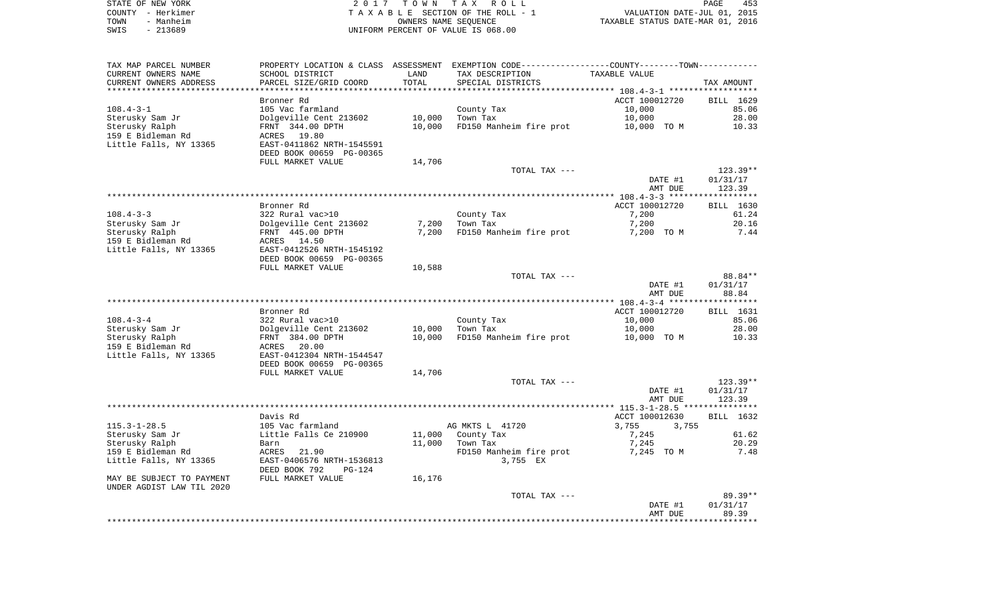| STATE OF NEW YORK | 2017 TOWN TAX ROLL                 | 453<br>PAGE                      |
|-------------------|------------------------------------|----------------------------------|
| COUNTY - Herkimer | TAXABLE SECTION OF THE ROLL - 1    | VALUATION DATE-JUL 01, 2015      |
| TOWN<br>- Manheim | OWNERS NAME SEOUENCE               | TAXABLE STATUS DATE-MAR 01, 2016 |
| - 213689<br>SWIS  | UNIFORM PERCENT OF VALUE IS 068.00 |                                  |

| TAX MAP PARCEL NUMBER     |                                                                               |        | PROPERTY LOCATION & CLASS ASSESSMENT EXEMPTION CODE----------------COUNTY--------TOWN----------- |                |                        |
|---------------------------|-------------------------------------------------------------------------------|--------|--------------------------------------------------------------------------------------------------|----------------|------------------------|
| CURRENT OWNERS NAME       | SCHOOL DISTRICT                                                               | LAND   | TAX DESCRIPTION                                                                                  | TAXABLE VALUE  |                        |
| CURRENT OWNERS ADDRESS    | PARCEL SIZE/GRID COORD                                                        | TOTAL  | SPECIAL DISTRICTS                                                                                |                | TAX AMOUNT             |
|                           |                                                                               |        |                                                                                                  |                |                        |
|                           | Bronner Rd                                                                    |        |                                                                                                  | ACCT 100012720 | BILL 1629              |
| $108.4 - 3 - 1$           | 105 Vac farmland                                                              |        | County Tax                                                                                       | 10,000         | 85.06                  |
| Sterusky Sam Jr           | Dolgeville Cent 213602                                                        | 10,000 | Town Tax                                                                                         | 10,000         | 28.00                  |
| Sterusky Ralph            | FRNT 344.00 DPTH                                                              | 10,000 | FD150 Manheim fire prot                                                                          | 10,000 TO M    | 10.33                  |
| 159 E Bidleman Rd         | ACRES 19.80                                                                   |        |                                                                                                  |                |                        |
| Little Falls, NY 13365    | EAST-0411862 NRTH-1545591                                                     |        |                                                                                                  |                |                        |
|                           | DEED BOOK 00659 PG-00365                                                      |        |                                                                                                  |                |                        |
|                           | FULL MARKET VALUE                                                             | 14,706 |                                                                                                  |                |                        |
|                           |                                                                               |        | TOTAL TAX ---                                                                                    | DATE #1        | $123.39**$<br>01/31/17 |
|                           |                                                                               |        |                                                                                                  |                | 123.39                 |
|                           |                                                                               |        |                                                                                                  | AMT DUE        |                        |
|                           | Bronner Rd                                                                    |        |                                                                                                  | ACCT 100012720 | BILL 1630              |
| $108.4 - 3 - 3$           | 322 Rural vac>10                                                              |        | County Tax                                                                                       | 7,200          | 61.24                  |
| Sterusky Sam Jr           |                                                                               | 7,200  | Town Tax                                                                                         | 7,200          | 20.16                  |
| Sterusky Ralph            | Dolgeville Cent 213602<br>FRNT 445.00 DPTH<br>ACRES 1450                      | 7,200  | FD150 Manheim fire prot                                                                          | 7,200 TO M     | 7.44                   |
| 159 E Bidleman Rd         | ACRES 14.50                                                                   |        |                                                                                                  |                |                        |
| Little Falls, NY 13365    | EAST-0412526 NRTH-1545192                                                     |        |                                                                                                  |                |                        |
|                           | DEED BOOK 00659 PG-00365                                                      |        |                                                                                                  |                |                        |
|                           | FULL MARKET VALUE                                                             | 10,588 |                                                                                                  |                |                        |
|                           |                                                                               |        | TOTAL TAX ---                                                                                    |                | 88.84**                |
|                           |                                                                               |        |                                                                                                  | DATE #1        | 01/31/17               |
|                           |                                                                               |        |                                                                                                  | AMT DUE        | 88.84                  |
|                           |                                                                               |        |                                                                                                  |                |                        |
|                           | Bronner Rd                                                                    |        |                                                                                                  | ACCT 100012720 | BILL 1631              |
| $108.4 - 3 - 4$           |                                                                               |        | County Tax<br>Town Tax                                                                           | 10,000         | 85.06                  |
| Sterusky Sam Jr           |                                                                               | 10,000 | Town Tax                                                                                         | 10,000         | 28.00                  |
| Sterusky Ralph            | 322 Rural vac>10<br>Dolgeville Cent 213602<br>FRNT 384.00 DPTH<br>ACRES 20.00 | 10,000 | FD150 Manheim fire prot 10,000 TO M                                                              |                | 10.33                  |
| 159 E Bidleman Rd         |                                                                               |        |                                                                                                  |                |                        |
| Little Falls, NY 13365    | EAST-0412304 NRTH-1544547                                                     |        |                                                                                                  |                |                        |
|                           | DEED BOOK 00659 PG-00365                                                      |        |                                                                                                  |                |                        |
|                           | FULL MARKET VALUE                                                             | 14,706 | TOTAL TAX ---                                                                                    |                | 123.39**               |
|                           |                                                                               |        |                                                                                                  | DATE #1        | 01/31/17               |
|                           |                                                                               |        |                                                                                                  | AMT DUE        | 123.39                 |
|                           |                                                                               |        |                                                                                                  |                |                        |
|                           | Davis Rd                                                                      |        |                                                                                                  | ACCT 100012630 | BILL 1632              |
| $115.3 - 1 - 28.5$        | 105 Vac farmland                                                              |        | AG MKTS L 41720                                                                                  | 3,755 3,755    |                        |
| Sterusky Sam Jr           | Little Falls Ce 210900                                                        |        | 11,000 County Tax                                                                                | 7,245          | 61.62                  |
| Sterusky Ralph            | Barn                                                                          | 11,000 | Town Tax                                                                                         | 7,245          | 20.29                  |
| 159 E Bidleman Rd         | ACRES 21.90                                                                   |        | FD150 Manheim fire prot 7,245 TO M                                                               |                | 7.48                   |
| Little Falls, NY 13365    | EAST-0406576 NRTH-1536813                                                     |        | 3,755 EX                                                                                         |                |                        |
|                           | DEED BOOK 792<br>PG-124                                                       |        |                                                                                                  |                |                        |
| MAY BE SUBJECT TO PAYMENT | FULL MARKET VALUE                                                             | 16,176 |                                                                                                  |                |                        |
| UNDER AGDIST LAW TIL 2020 |                                                                               |        |                                                                                                  |                |                        |
|                           |                                                                               |        | TOTAL TAX ---                                                                                    |                | 89.39**                |
|                           |                                                                               |        |                                                                                                  | DATE #1        | 01/31/17               |
|                           |                                                                               |        |                                                                                                  | AMT DUE        | 89.39                  |
|                           |                                                                               |        |                                                                                                  |                |                        |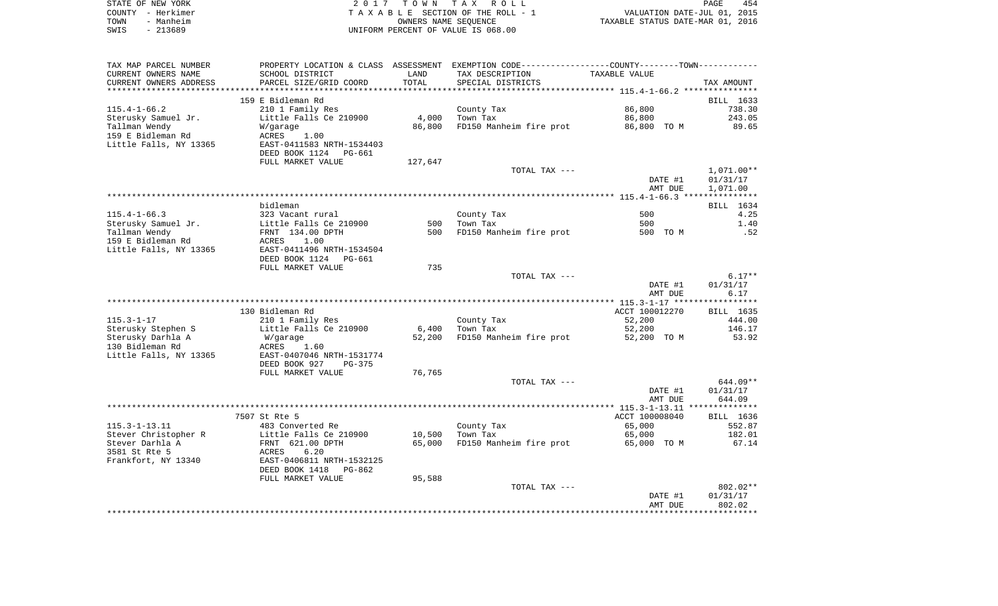|      | STATE OF NEW YORK | 2017 TOWN TAX ROLL                 | PAGE                             | 454 |
|------|-------------------|------------------------------------|----------------------------------|-----|
|      | COUNTY - Herkimer | TAXABLE SECTION OF THE ROLL - 1    | VALUATION DATE-JUL 01, 2015      |     |
| TOWN | - Manheim         | OWNERS NAME SEOUENCE               | TAXABLE STATUS DATE-MAR 01, 2016 |     |
| SWIS | $-213689$         | UNIFORM PERCENT OF VALUE IS 068.00 |                                  |     |

| TAX MAP PARCEL NUMBER  |                           |         | PROPERTY LOCATION & CLASS ASSESSMENT EXEMPTION CODE---------------COUNTY-------TOWN---------- |                |              |
|------------------------|---------------------------|---------|-----------------------------------------------------------------------------------------------|----------------|--------------|
| CURRENT OWNERS NAME    | SCHOOL DISTRICT           | LAND    | TAX DESCRIPTION                                                                               | TAXABLE VALUE  |              |
| CURRENT OWNERS ADDRESS | PARCEL SIZE/GRID COORD    | TOTAL   | SPECIAL DISTRICTS                                                                             |                | TAX AMOUNT   |
|                        |                           |         |                                                                                               |                |              |
|                        | 159 E Bidleman Rd         |         |                                                                                               |                | BILL 1633    |
| $115.4 - 1 - 66.2$     | 210 1 Family Res          |         | County Tax                                                                                    | 86,800         | 738.30       |
| Sterusky Samuel Jr.    | Little Falls Ce 210900    | 4,000   | Town Tax                                                                                      | 86,800         | 243.05       |
| Tallman Wendy          | W/garage                  | 86,800  | FD150 Manheim fire prot                                                                       | 86,800 TO M    | 89.65        |
| 159 E Bidleman Rd      | 1.00<br>ACRES             |         |                                                                                               |                |              |
| Little Falls, NY 13365 | EAST-0411583 NRTH-1534403 |         |                                                                                               |                |              |
|                        | DEED BOOK 1124 PG-661     |         |                                                                                               |                |              |
|                        |                           |         |                                                                                               |                |              |
|                        | FULL MARKET VALUE         | 127,647 |                                                                                               |                |              |
|                        |                           |         | TOTAL TAX ---                                                                                 |                | $1,071.00**$ |
|                        |                           |         |                                                                                               | DATE #1        | 01/31/17     |
|                        |                           |         |                                                                                               | AMT DUE        | 1,071.00     |
|                        |                           |         |                                                                                               |                |              |
|                        | bidleman                  |         |                                                                                               |                | BILL 1634    |
| $115.4 - 1 - 66.3$     | 323 Vacant rural          |         | County Tax                                                                                    | 500            | 4.25         |
| Sterusky Samuel Jr.    | Little Falls Ce 210900    | 500     | Town Tax                                                                                      | 500            | 1.40         |
| Tallman Wendy          | FRNT 134.00 DPTH          | 500     | FD150 Manheim fire prot                                                                       | 500 TO M       | .52          |
| 159 E Bidleman Rd      | ACRES<br>1.00             |         |                                                                                               |                |              |
| Little Falls, NY 13365 | EAST-0411496 NRTH-1534504 |         |                                                                                               |                |              |
|                        | DEED BOOK 1124<br>PG-661  |         |                                                                                               |                |              |
|                        | FULL MARKET VALUE         | 735     |                                                                                               |                |              |
|                        |                           |         | TOTAL TAX ---                                                                                 |                | $6.17**$     |
|                        |                           |         |                                                                                               | DATE #1        | 01/31/17     |
|                        |                           |         |                                                                                               | AMT DUE        | 6.17         |
|                        |                           |         |                                                                                               |                |              |
|                        |                           |         |                                                                                               |                |              |
|                        | 130 Bidleman Rd           |         |                                                                                               | ACCT 100012270 | BILL 1635    |
| $115.3 - 1 - 17$       | 210 1 Family Res          |         | County Tax                                                                                    | 52,200         | 444.00       |
| Sterusky Stephen S     | Little Falls Ce 210900    | 6,400   | Town Tax                                                                                      | 52,200         | 146.17       |
| Sterusky Darhla A      | W/garage                  | 52,200  | FD150 Manheim fire prot                                                                       | 52,200 TO M    | 53.92        |
| 130 Bidleman Rd        | ACRES<br>1.60             |         |                                                                                               |                |              |
| Little Falls, NY 13365 | EAST-0407046 NRTH-1531774 |         |                                                                                               |                |              |
|                        | DEED BOOK 927<br>PG-375   |         |                                                                                               |                |              |
|                        | FULL MARKET VALUE         | 76,765  |                                                                                               |                |              |
|                        |                           |         | TOTAL TAX ---                                                                                 |                | $644.09**$   |
|                        |                           |         |                                                                                               | DATE #1        | 01/31/17     |
|                        |                           |         |                                                                                               | AMT DUE        | 644.09       |
|                        |                           |         |                                                                                               |                |              |
|                        | 7507 St Rte 5             |         |                                                                                               | ACCT 100008040 | BILL 1636    |
| $115.3 - 1 - 13.11$    | 483 Converted Re          |         | County Tax                                                                                    | 65,000         | 552.87       |
| Stever Christopher R   | Little Falls Ce 210900    | 10,500  | Town Tax                                                                                      | 65,000         | 182.01       |
|                        |                           |         |                                                                                               |                |              |
| Stever Darhla A        | FRNT 621.00 DPTH          | 65,000  | FD150 Manheim fire prot                                                                       | 65,000 TO M    | 67.14        |
| 3581 St Rte 5          | ACRES<br>6.20             |         |                                                                                               |                |              |
| Frankfort, NY 13340    | EAST-0406811 NRTH-1532125 |         |                                                                                               |                |              |
|                        | DEED BOOK 1418<br>PG-862  |         |                                                                                               |                |              |
|                        | FULL MARKET VALUE         | 95,588  |                                                                                               |                |              |
|                        |                           |         | TOTAL TAX ---                                                                                 |                | 802.02**     |
|                        |                           |         |                                                                                               | DATE #1        | 01/31/17     |
|                        |                           |         |                                                                                               | AMT DUE        | 802.02       |
|                        |                           |         |                                                                                               |                |              |
|                        |                           |         |                                                                                               |                |              |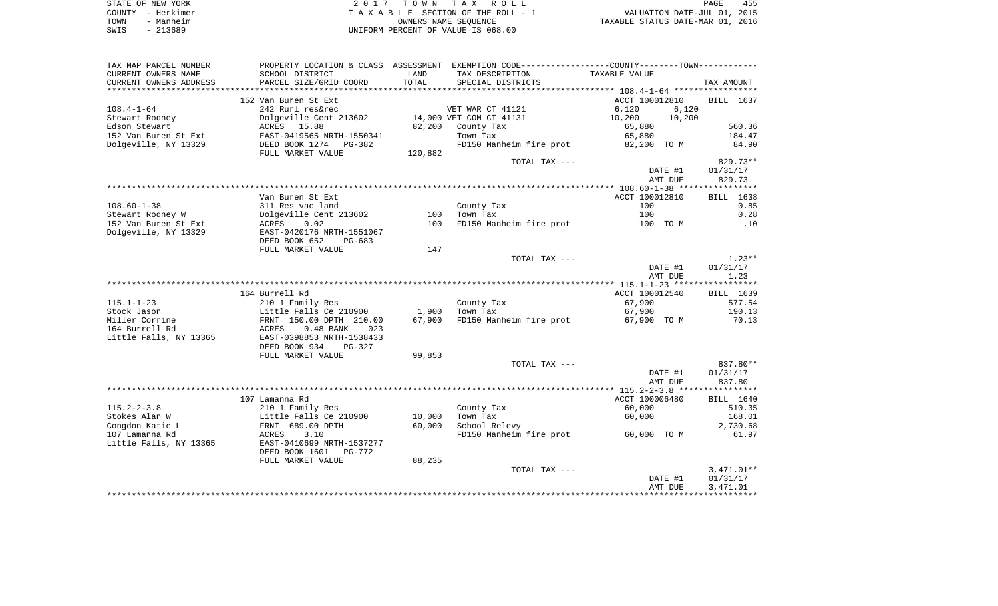| STATE OF NEW YORK | 2017 TOWN TAX ROLL                 | 455<br>PAGE                      |
|-------------------|------------------------------------|----------------------------------|
| COUNTY - Herkimer | TAXABLE SECTION OF THE ROLL - 1    | VALUATION DATE-JUL 01, 2015      |
| - Manheim<br>TOWN | OWNERS NAME SEOUENCE               | TAXABLE STATUS DATE-MAR 01, 2016 |
| SWIS<br>$-213689$ | UNIFORM PERCENT OF VALUE IS 068.00 |                                  |

| TAX MAP PARCEL NUMBER  |                                            |         | PROPERTY LOCATION & CLASS ASSESSMENT EXEMPTION CODE---------------COUNTY-------TOWN---------- |                  |            |
|------------------------|--------------------------------------------|---------|-----------------------------------------------------------------------------------------------|------------------|------------|
| CURRENT OWNERS NAME    | SCHOOL DISTRICT                            | LAND    | TAX DESCRIPTION                                                                               | TAXABLE VALUE    |            |
| CURRENT OWNERS ADDRESS | PARCEL SIZE/GRID COORD                     | TOTAL   | SPECIAL DISTRICTS                                                                             |                  | TAX AMOUNT |
| ********************   | ***********************                    |         |                                                                                               |                  |            |
|                        | 152 Van Buren St Ext                       |         |                                                                                               | ACCT 100012810   | BILL 1637  |
| $108.4 - 1 - 64$       | 242 Rurl res&rec                           |         | VET WAR CT 41121                                                                              | 6.120<br>6,120   |            |
| Stewart Rodney         | Dolgeville Cent 213602                     |         | 14,000 VET COM CT 41131                                                                       | 10,200<br>10,200 |            |
| Edson Stewart          | ACRES 15.88                                | 82,200  | County Tax                                                                                    | 65,880           | 560.36     |
| 152 Van Buren St Ext   | EAST-0419565 NRTH-1550341                  |         | Town Tax                                                                                      | 65,880           | 184.47     |
| Dolgeville, NY 13329   | DEED BOOK 1274 PG-382<br>FULL MARKET VALUE | 120,882 | FD150 Manheim fire prot                                                                       | 82,200 TO M      | 84.90      |
|                        |                                            |         | TOTAL TAX ---                                                                                 |                  | $829.73**$ |
|                        |                                            |         |                                                                                               | DATE #1          | 01/31/17   |
|                        |                                            |         |                                                                                               | AMT DUE          | 829.73     |
|                        |                                            |         |                                                                                               |                  |            |
|                        | Van Buren St Ext                           |         |                                                                                               | ACCT 100012810   | BILL 1638  |
| $108.60 - 1 - 38$      | 311 Res vac land                           |         | County Tax                                                                                    | 100              | 0.85       |
| Stewart Rodney W       | Dolgeville Cent 213602                     | 100     | Town Tax                                                                                      | 100              | 0.28       |
| 152 Van Buren St Ext   | ACRES<br>0.02                              | 100     | FD150 Manheim fire prot                                                                       | 100 TO M         | .10        |
| Dolgeville, NY 13329   | EAST-0420176 NRTH-1551067                  |         |                                                                                               |                  |            |
|                        | DEED BOOK 652<br>PG-683                    |         |                                                                                               |                  |            |
|                        | FULL MARKET VALUE                          | 147     | TOTAL TAX ---                                                                                 |                  | $1.23**$   |
|                        |                                            |         |                                                                                               | DATE #1          | 01/31/17   |
|                        |                                            |         |                                                                                               | AMT DUE          | 1.23       |
|                        |                                            |         |                                                                                               |                  |            |
|                        | 164 Burrell Rd                             |         |                                                                                               | ACCT 100012540   | BILL 1639  |
| $115.1 - 1 - 23$       | 210 1 Family Res                           |         | County Tax                                                                                    | 67,900           | 577.54     |
| Stock Jason            | Little Falls Ce 210900                     | 1,900   | Town Tax                                                                                      | 67,900           | 190.13     |
| Miller Corrine         | FRNT 150.00 DPTH 210.00                    | 67,900  | FD150 Manheim fire prot                                                                       | 67,900 TO M      | 70.13      |
| 164 Burrell Rd         | ACRES<br>$0.48$ BANK<br>023                |         |                                                                                               |                  |            |
| Little Falls, NY 13365 | EAST-0398853 NRTH-1538433                  |         |                                                                                               |                  |            |
|                        | DEED BOOK 934<br>PG-327                    |         |                                                                                               |                  |            |
|                        | FULL MARKET VALUE                          | 99,853  |                                                                                               |                  |            |
|                        |                                            |         | TOTAL TAX ---                                                                                 |                  | 837.80**   |
|                        |                                            |         |                                                                                               | DATE #1          | 01/31/17   |
|                        |                                            |         |                                                                                               | AMT DUE          | 837.80     |
|                        |                                            |         |                                                                                               |                  |            |
|                        | 107 Lamanna Rd                             |         |                                                                                               | ACCT 100006480   | BILL 1640  |
| $115.2 - 2 - 3.8$      | 210 1 Family Res                           |         | County Tax                                                                                    | 60,000           | 510.35     |
| Stokes Alan W          | Little Falls Ce 210900                     | 10,000  | Town Tax                                                                                      | 60,000           | 168.01     |
| Congdon Katie L        | FRNT 689.00 DPTH                           | 60,000  | School Relevy                                                                                 |                  | 2,730.68   |
| 107 Lamanna Rd         | 3.10<br>ACRES                              |         | FD150 Manheim fire prot                                                                       | 60,000 TO M      | 61.97      |
| Little Falls, NY 13365 | EAST-0410699 NRTH-1537277                  |         |                                                                                               |                  |            |
|                        | DEED BOOK 1601<br>PG-772                   |         |                                                                                               |                  |            |
|                        | FULL MARKET VALUE                          | 88,235  |                                                                                               |                  |            |
|                        |                                            |         | TOTAL TAX ---                                                                                 |                  | 3,471.01** |
|                        |                                            |         |                                                                                               | DATE #1          | 01/31/17   |
|                        |                                            |         |                                                                                               | AMT DUE          | 3,471.01   |
|                        |                                            |         |                                                                                               |                  |            |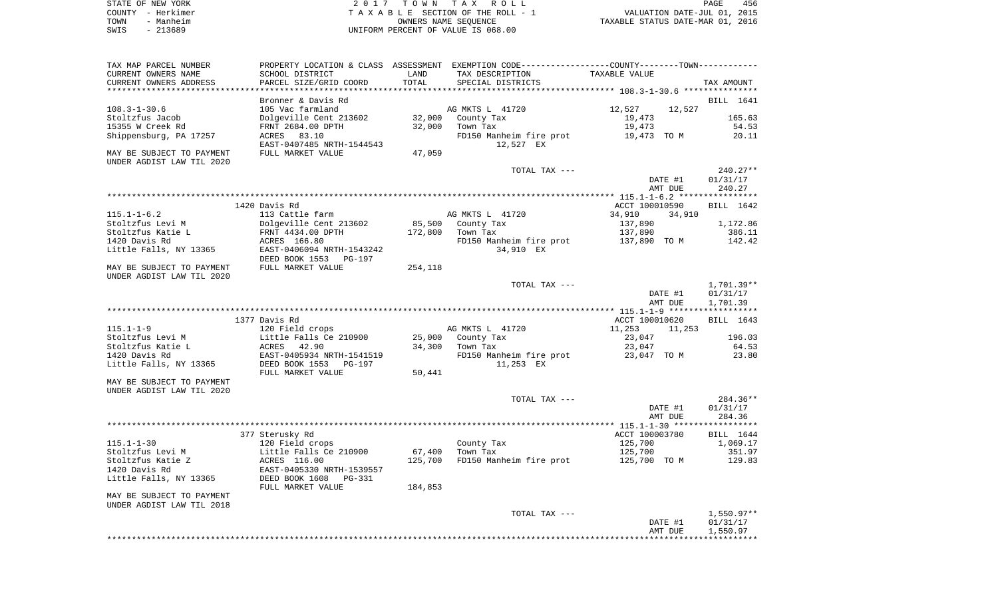|      | STATE OF NEW YORK | 2017 TOWN TAX ROLL                 | 456<br>PAGE                      |
|------|-------------------|------------------------------------|----------------------------------|
|      | COUNTY - Herkimer | TAXABLE SECTION OF THE ROLL - 1    | VALUATION DATE-JUL 01, 2015      |
| TOWN | - Manheim         | OWNERS NAME SEOUENCE               | TAXABLE STATUS DATE-MAR 01, 2016 |
| SWIS | - 213689          | UNIFORM PERCENT OF VALUE IS 068.00 |                                  |

| TAX MAP PARCEL NUMBER                                  |                                                                            |               | PROPERTY LOCATION & CLASS ASSESSMENT EXEMPTION CODE---------------COUNTY-------TOWN---------- |                                    |                                    |
|--------------------------------------------------------|----------------------------------------------------------------------------|---------------|-----------------------------------------------------------------------------------------------|------------------------------------|------------------------------------|
| CURRENT OWNERS NAME<br>CURRENT OWNERS ADDRESS          | SCHOOL DISTRICT<br>PARCEL SIZE/GRID COORD                                  | LAND<br>TOTAL | TAX DESCRIPTION<br>SPECIAL DISTRICTS                                                          | TAXABLE VALUE                      | TAX AMOUNT                         |
|                                                        | Bronner & Davis Rd                                                         |               |                                                                                               |                                    | BILL 1641                          |
| 108.3-1-30.6<br>Stoltzfus Jacob                        | 105 Vac farmland<br>Dolgeville Cent 213602                                 | 32,000        | AG MKTS L 41720<br>County Tax                                                                 | 12,527<br>12,527<br>19,473         | 165.63                             |
| 15355 W Creek Rd<br>Shippensburg, PA 17257             | FRNT 2684.00 DPTH<br>ACRES 83.10<br>EAST-0407485 NRTH-1544543              | 32,000        | Town Tax<br>FD150 Manheim fire prot<br>12,527 EX                                              | 19,473<br>19,473 TO M              | 54.53<br>20.11                     |
| MAY BE SUBJECT TO PAYMENT<br>UNDER AGDIST LAW TIL 2020 | FULL MARKET VALUE                                                          | 47,059        |                                                                                               |                                    |                                    |
|                                                        |                                                                            |               | TOTAL TAX ---                                                                                 | DATE #1<br>AMT DUE                 | $240.27**$<br>01/31/17<br>240.27   |
|                                                        |                                                                            |               |                                                                                               |                                    |                                    |
| $115.1 - 1 - 6.2$                                      | 1420 Davis Rd<br>113 Cattle farm                                           |               | AG MKTS L 41720                                                                               | ACCT 100010590<br>34,910<br>34,910 | BILL 1642                          |
| Stoltzfus Levi M<br>Stoltzfus Katie L<br>1420 Davis Rd | Dolgeville Cent 213602<br>FRNT 4434.00 DPTH<br>ACRES 166.80                | 172,800       | 85,500 County Tax<br>Town Tax<br>FD150 Manheim fire prot                                      | 137,890<br>137,890<br>137,890 TO M | 1,172.86<br>386.11<br>142.42       |
| Little Falls, NY 13365                                 | EAST-0406094 NRTH-1543242<br>DEED BOOK 1553<br>PG-197                      |               | 34,910 EX                                                                                     |                                    |                                    |
| MAY BE SUBJECT TO PAYMENT<br>UNDER AGDIST LAW TIL 2020 | FULL MARKET VALUE                                                          | 254,118       |                                                                                               |                                    |                                    |
|                                                        |                                                                            |               | TOTAL TAX ---                                                                                 | DATE #1<br>AMT DUE                 | 1,701.39**<br>01/31/17<br>1,701.39 |
|                                                        |                                                                            |               |                                                                                               |                                    |                                    |
|                                                        | 1377 Davis Rd                                                              |               |                                                                                               | ACCT 100010620                     | BILL 1643                          |
| 115.1-1-9<br>Stoltzfus Levi M                          | 120 Field crops<br>Little Falls Ce 210900                                  | 25,000        | AG MKTS L 41720<br>County Tax                                                                 | 11,253<br>11,253<br>23,047         | 196.03                             |
| Stoltzfus Katie L                                      | ACRES 42.90                                                                | 34,300        | Town Tax                                                                                      | 23,047                             | 64.53                              |
| 1420 Davis Rd<br>Little Falls, NY 13365                | EAST-0405934 NRTH-1541519<br>DEED BOOK 1553 PG-197                         |               | FD150 Manheim fire prot<br>11,253 EX                                                          | 23,047 TO M                        | 23.80                              |
| MAY BE SUBJECT TO PAYMENT                              | FULL MARKET VALUE                                                          | 50,441        |                                                                                               |                                    |                                    |
| UNDER AGDIST LAW TIL 2020                              |                                                                            |               | TOTAL TAX ---                                                                                 |                                    | 284.36**                           |
|                                                        |                                                                            |               |                                                                                               | DATE #1<br>AMT DUE                 | 01/31/17<br>284.36                 |
|                                                        | 377 Sterusky Rd                                                            |               |                                                                                               | ACCT 100003780                     | BILL 1644                          |
| 115.1-1-30                                             | 120 Field crops                                                            |               | County Tax                                                                                    | 125,700                            | 1,069.17                           |
| Stoltzfus Levi M                                       | Little Falls Ce 210900                                                     | 67,400        | Town Tax                                                                                      | 125,700                            | 351.97                             |
| Stoltzfus Katie Z                                      | ACRES 116.00                                                               | 125,700       | FD150 Manheim fire prot 125,700 TO M                                                          |                                    | 129.83                             |
| 1420 Davis Rd<br>Little Falls, NY 13365                | EAST-0405330 NRTH-1539557<br>DEED BOOK 1608<br>PG-331<br>FULL MARKET VALUE | 184,853       |                                                                                               |                                    |                                    |
| MAY BE SUBJECT TO PAYMENT<br>UNDER AGDIST LAW TIL 2018 |                                                                            |               |                                                                                               |                                    |                                    |
|                                                        |                                                                            |               | TOTAL TAX ---                                                                                 |                                    | $1,550.97**$                       |
|                                                        |                                                                            |               |                                                                                               | DATE #1<br>AMT DUE                 | 01/31/17<br>1,550.97               |
|                                                        |                                                                            |               |                                                                                               |                                    |                                    |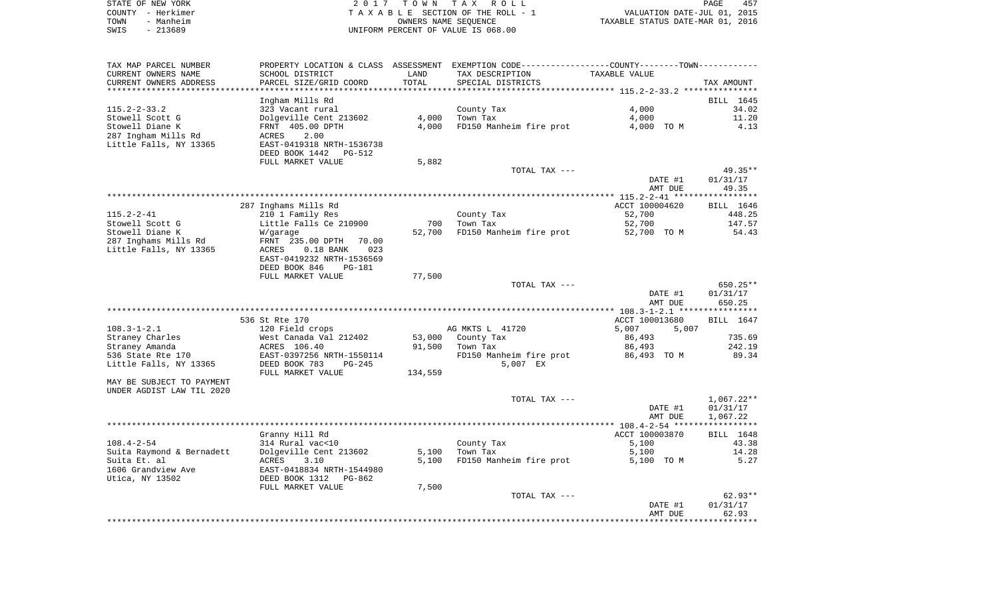| STATE OF NEW YORK |           |                                    | 2017 TOWN TAX ROLL              |                                  | PAGE                        | 457 |
|-------------------|-----------|------------------------------------|---------------------------------|----------------------------------|-----------------------------|-----|
| COUNTY – Herkimer |           |                                    | TAXABLE SECTION OF THE ROLL - 1 |                                  | VALUATION DATE-JUL 01, 2015 |     |
| TOWN              | - Manheim |                                    | OWNERS NAME SEOUENCE            | TAXABLE STATUS DATE-MAR 01, 2016 |                             |     |
| $-213689$<br>SWIS |           | UNIFORM PERCENT OF VALUE IS 068.00 |                                 |                                  |                             |     |

| TAX MAP PARCEL NUMBER                                  |                                    |         | PROPERTY LOCATION & CLASS ASSESSMENT EXEMPTION CODE---------------COUNTY-------TOWN---------- |                    |                   |
|--------------------------------------------------------|------------------------------------|---------|-----------------------------------------------------------------------------------------------|--------------------|-------------------|
| CURRENT OWNERS NAME                                    | SCHOOL DISTRICT                    | LAND    | TAX DESCRIPTION                                                                               | TAXABLE VALUE      |                   |
| CURRENT OWNERS ADDRESS                                 | PARCEL SIZE/GRID COORD             | TOTAL   | SPECIAL DISTRICTS                                                                             |                    | TAX AMOUNT        |
|                                                        |                                    |         |                                                                                               |                    |                   |
|                                                        | Ingham Mills Rd                    |         |                                                                                               |                    | BILL 1645         |
| $115.2 - 2 - 33.2$                                     | 323 Vacant rural                   |         | County Tax                                                                                    | 4,000              | 34.02             |
| Stowell Scott G                                        | Dolgeville Cent 213602             | 4,000   | Town Tax                                                                                      | 4,000              | 11.20             |
| Stowell Diane K<br>287 Ingham Mills Rd                 | FRNT 405.00 DPTH<br>2.00           | 4,000   | FD150 Manheim fire prot                                                                       | 4,000 TO M         | 4.13              |
| Little Falls, NY 13365                                 | ACRES<br>EAST-0419318 NRTH-1536738 |         |                                                                                               |                    |                   |
|                                                        | DEED BOOK 1442<br>PG-512           |         |                                                                                               |                    |                   |
|                                                        | FULL MARKET VALUE                  | 5,882   |                                                                                               |                    |                   |
|                                                        |                                    |         | TOTAL TAX ---                                                                                 |                    | $49.35**$         |
|                                                        |                                    |         |                                                                                               | DATE #1            | 01/31/17          |
|                                                        |                                    |         |                                                                                               | AMT DUE            | 49.35             |
|                                                        |                                    |         |                                                                                               |                    | ************      |
|                                                        | 287 Inghams Mills Rd               |         |                                                                                               | ACCT 100004620     | BILL 1646         |
| $115.2 - 2 - 41$                                       | 210 1 Family Res                   |         | County Tax                                                                                    | 52,700             | 448.25            |
| Stowell Scott G                                        | Little Falls Ce 210900             | 700     | Town Tax                                                                                      | 52,700             | 147.57            |
| Stowell Diane K                                        | W/garage                           | 52,700  | FD150 Manheim fire prot                                                                       | 52,700 TO M        | 54.43             |
| 287 Inghams Mills Rd                                   | FRNT 235.00 DPTH<br>70.00          |         |                                                                                               |                    |                   |
| Little Falls, NY 13365                                 | ACRES<br>$0.18$ BANK<br>023        |         |                                                                                               |                    |                   |
|                                                        | EAST-0419232 NRTH-1536569          |         |                                                                                               |                    |                   |
|                                                        | DEED BOOK 846<br><b>PG-181</b>     |         |                                                                                               |                    |                   |
|                                                        | FULL MARKET VALUE                  | 77,500  | TOTAL TAX ---                                                                                 |                    | 650.25**          |
|                                                        |                                    |         |                                                                                               | DATE #1            | 01/31/17          |
|                                                        |                                    |         |                                                                                               | AMT DUE            | 650.25            |
|                                                        |                                    |         |                                                                                               |                    |                   |
|                                                        | 536 St Rte 170                     |         |                                                                                               | ACCT 100013680     | BILL 1647         |
| $108.3 - 1 - 2.1$                                      | 120 Field crops                    |         | AG MKTS L 41720                                                                               | 5,007<br>5,007     |                   |
| Straney Charles                                        | West Canada Val 212402             | 53,000  | County Tax                                                                                    | 86,493             | 735.69            |
| Straney Amanda                                         | ACRES 106.40                       | 91,500  | Town Tax                                                                                      | 86,493             | 242.19            |
| 536 State Rte 170                                      | EAST-0397256 NRTH-1550114          |         | FD150 Manheim fire prot                                                                       | 86,493 TO M        | 89.34             |
| Little Falls, NY 13365                                 | DEED BOOK 783<br>$PG-245$          |         | 5,007 EX                                                                                      |                    |                   |
|                                                        | FULL MARKET VALUE                  | 134,559 |                                                                                               |                    |                   |
| MAY BE SUBJECT TO PAYMENT<br>UNDER AGDIST LAW TIL 2020 |                                    |         |                                                                                               |                    |                   |
|                                                        |                                    |         | TOTAL TAX ---                                                                                 |                    | $1,067.22**$      |
|                                                        |                                    |         |                                                                                               | DATE #1            | 01/31/17          |
|                                                        |                                    |         |                                                                                               | AMT DUE            | 1,067.22          |
|                                                        |                                    |         |                                                                                               |                    |                   |
|                                                        | Granny Hill Rd                     |         |                                                                                               | ACCT 100003870     | BILL 1648         |
| $108.4 - 2 - 54$                                       | 314 Rural vac<10                   |         | County Tax                                                                                    | 5,100              | 43.38             |
| Suita Raymond & Bernadett                              | Dolgeville Cent 213602             | 5,100   | Town Tax                                                                                      | 5,100              | 14.28             |
| Suita Et. al                                           | ACRES<br>3.10                      | 5,100   | FD150 Manheim fire prot                                                                       | 5,100 TO M         | 5.27              |
| 1606 Grandview Ave                                     | EAST-0418834 NRTH-1544980          |         |                                                                                               |                    |                   |
| Utica, NY 13502                                        | DEED BOOK 1312<br>PG-862           |         |                                                                                               |                    |                   |
|                                                        | FULL MARKET VALUE                  | 7,500   |                                                                                               |                    |                   |
|                                                        |                                    |         | TOTAL TAX ---                                                                                 |                    | $62.93**$         |
|                                                        |                                    |         |                                                                                               | DATE #1<br>AMT DUE | 01/31/17<br>62.93 |
|                                                        |                                    |         |                                                                                               |                    | *******           |
|                                                        |                                    |         |                                                                                               |                    |                   |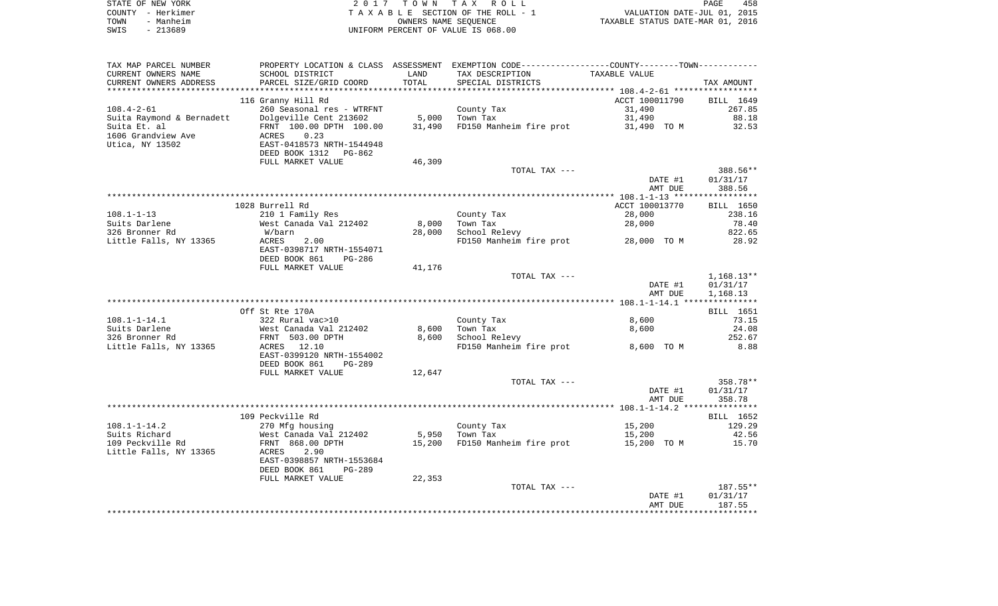|      | STATE OF NEW YORK | 2017 TOWN TAX ROLL                 | <b>PAGE</b>                      | 458 |
|------|-------------------|------------------------------------|----------------------------------|-----|
|      | COUNTY – Herkimer | TAXABLE SECTION OF THE ROLL - 1    | VALUATION DATE-JUL 01, 2015      |     |
| TOWN | - Manheim         | OWNERS NAME SEOUENCE               | TAXABLE STATUS DATE-MAR 01, 2016 |     |
| SWIS | - 213689          | UNIFORM PERCENT OF VALUE IS 068.00 |                                  |     |

| TAX MAP PARCEL NUMBER     |                                            |        | PROPERTY LOCATION & CLASS ASSESSMENT EXEMPTION CODE---------------COUNTY-------TOWN--------- |                |              |
|---------------------------|--------------------------------------------|--------|----------------------------------------------------------------------------------------------|----------------|--------------|
| CURRENT OWNERS NAME       | SCHOOL DISTRICT                            | LAND   | TAX DESCRIPTION                                                                              | TAXABLE VALUE  |              |
| CURRENT OWNERS ADDRESS    | PARCEL SIZE/GRID COORD                     | TOTAL  | SPECIAL DISTRICTS                                                                            |                | TAX AMOUNT   |
|                           |                                            |        |                                                                                              |                |              |
|                           | 116 Granny Hill Rd                         |        |                                                                                              | ACCT 100011790 | BILL 1649    |
| $108.4 - 2 - 61$          | 260 Seasonal res - WTRFNT                  |        | County Tax                                                                                   | 31,490         | 267.85       |
| Suita Raymond & Bernadett | Dolgeville Cent 213602                     | 5,000  | Town Tax                                                                                     | 31,490         | 88.18        |
| Suita Et. al              | FRNT 100.00 DPTH 100.00                    | 31,490 | FD150 Manheim fire prot 31,490 TO M                                                          |                | 32.53        |
| 1606 Grandview Ave        | 0.23<br>ACRES                              |        |                                                                                              |                |              |
| Utica, NY 13502           | EAST-0418573 NRTH-1544948                  |        |                                                                                              |                |              |
|                           | DEED BOOK 1312 PG-862                      |        |                                                                                              |                |              |
|                           |                                            |        |                                                                                              |                |              |
|                           | FULL MARKET VALUE                          | 46,309 |                                                                                              |                |              |
|                           |                                            |        | TOTAL TAX ---                                                                                |                | 388.56**     |
|                           |                                            |        |                                                                                              | DATE #1        | 01/31/17     |
|                           |                                            |        |                                                                                              | AMT DUE        | 388.56       |
|                           |                                            |        |                                                                                              |                |              |
|                           | 1028 Burrell Rd                            |        |                                                                                              | ACCT 100013770 | BILL 1650    |
| $108.1 - 1 - 13$          | 210 1 Family Res                           |        | County Tax                                                                                   | 28,000         | 238.16       |
| Suits Darlene             | West Canada Val 212402                     | 8,000  | Town Tax                                                                                     | 28,000         | 78.40        |
| 326 Bronner Rd            | W/barn                                     | 28,000 | School Relevy                                                                                |                | 822.65       |
| Little Falls, NY 13365    | ACRES<br>2.00                              |        | FD150 Manheim fire prot 28,000 TO M                                                          |                | 28.92        |
|                           | EAST-0398717 NRTH-1554071                  |        |                                                                                              |                |              |
|                           | DEED BOOK 861<br>PG-286                    |        |                                                                                              |                |              |
|                           |                                            |        |                                                                                              |                |              |
|                           | FULL MARKET VALUE                          | 41,176 |                                                                                              |                |              |
|                           |                                            |        | TOTAL TAX ---                                                                                |                | $1,168.13**$ |
|                           |                                            |        |                                                                                              | DATE #1        | 01/31/17     |
|                           |                                            |        |                                                                                              | AMT DUE        | 1,168.13     |
|                           |                                            |        |                                                                                              |                |              |
|                           | Off St Rte 170A                            |        |                                                                                              |                | BILL 1651    |
| $108.1 - 1 - 14.1$        | 322 Rural vac>10                           |        | County Tax                                                                                   | 8,600          | 73.15        |
| Suits Darlene             |                                            | 8,600  | Town Tax                                                                                     | 8,600          | 24.08        |
| 326 Bronner Rd            | vest Canada Val 212402<br>FRNT 503.00 DPTH | 8,600  | School Relevy                                                                                |                | 252.67       |
| Little Falls, NY 13365    | ACRES 12.10                                |        | FD150 Manheim fire prot                                                                      | 8,600 TO M     | 8.88         |
|                           | EAST-0399120 NRTH-1554002                  |        |                                                                                              |                |              |
|                           | DEED BOOK 861<br>PG-289                    |        |                                                                                              |                |              |
|                           | FULL MARKET VALUE                          | 12,647 |                                                                                              |                |              |
|                           |                                            |        | TOTAL TAX ---                                                                                |                | 358.78**     |
|                           |                                            |        |                                                                                              | DATE #1        | 01/31/17     |
|                           |                                            |        |                                                                                              | AMT DUE        | 358.78       |
|                           |                                            |        |                                                                                              |                |              |
|                           |                                            |        |                                                                                              |                |              |
|                           | 109 Peckville Rd                           |        |                                                                                              |                | BILL 1652    |
| $108.1 - 1 - 14.2$        | 270 Mfg housing                            |        | County Tax                                                                                   | 15,200         | 129.29       |
| Suits Richard             | West Canada Val 212402                     |        | 5,950 Town Tax                                                                               | 15,200         | 42.56        |
| 109 Peckville Rd          | FRNT 868.00 DPTH                           | 15,200 | FD150 Manheim fire prot                                                                      | 15,200 TO M    | 15.70        |
| Little Falls, NY 13365    | 2.90<br>ACRES                              |        |                                                                                              |                |              |
|                           | EAST-0398857 NRTH-1553684                  |        |                                                                                              |                |              |
|                           | DEED BOOK 861<br><b>PG-289</b>             |        |                                                                                              |                |              |
|                           | FULL MARKET VALUE                          | 22,353 |                                                                                              |                |              |
|                           |                                            |        | TOTAL TAX ---                                                                                |                | $187.55**$   |
|                           |                                            |        |                                                                                              | DATE #1        | 01/31/17     |
|                           |                                            |        |                                                                                              | AMT DUE        | 187.55       |
|                           |                                            |        |                                                                                              |                |              |
|                           |                                            |        |                                                                                              |                |              |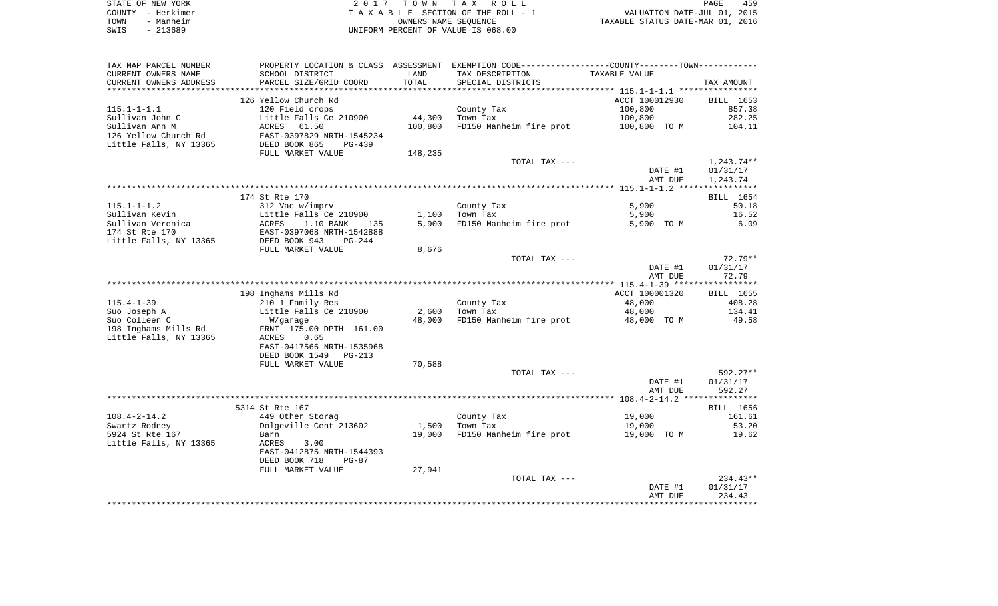|      | STATE OF NEW YORK | 2017 TOWN TAX ROLL                 | PAGE                             | 459 |
|------|-------------------|------------------------------------|----------------------------------|-----|
|      | COUNTY - Herkimer | TAXABLE SECTION OF THE ROLL - 1    | VALUATION DATE-JUL 01, 2015      |     |
| TOWN | - Manheim         | OWNERS NAME SEOUENCE               | TAXABLE STATUS DATE-MAR 01, 2016 |     |
| SWIS | - 213689          | UNIFORM PERCENT OF VALUE IS 068.00 |                                  |     |

| SCHOOL DISTRICT<br>TAX DESCRIPTION<br>TAXABLE VALUE<br>LAND<br>TOTAL<br>PARCEL SIZE/GRID COORD<br>SPECIAL DISTRICTS<br>TAX AMOUNT<br>126 Yellow Church Rd<br>ACCT 100012930<br>BILL 1653<br>120 Field crops<br>100,800<br>857.38<br>County Tax<br>Little Falls Ce 210900<br>44,300<br>Town Tax<br>100,800<br>282.25<br>100,800<br>FD150 Manheim fire prot<br>ACRES<br>61.50<br>100,800 TO M<br>104.11<br>EAST-0397829 NRTH-1545234<br>DEED BOOK 865<br>$PG-439$<br>FULL MARKET VALUE<br>148,235<br>TOTAL TAX ---<br>1,243.74**<br>DATE #1<br>01/31/17<br>AMT DUE<br>1,243.74<br>174 St Rte 170<br>BILL 1654<br>$115.1 - 1 - 1.2$<br>312 Vac w/imprv<br>County Tax<br>5,900<br>50.18<br>Little Falls Ce 210900<br>1,100<br>Town Tax<br>5,900<br>16.52<br>1.10 BANK<br>5,900<br>FD150 Manheim fire prot<br>6.09<br>ACRES<br>5,900 TO M<br>135<br>174 St Rte 170<br>EAST-0397068 NRTH-1542888<br>Little Falls, NY 13365<br>DEED BOOK 943<br>$PG-244$<br>FULL MARKET VALUE<br>8,676<br>TOTAL TAX ---<br>$72.79**$<br>01/31/17<br>DATE #1<br>AMT DUE<br>72.79<br>198 Inghams Mills Rd<br>ACCT 100001320<br>BILL 1655<br>$115.4 - 1 - 39$<br>210 1 Family Res<br>County Tax<br>48,000<br>408.28<br>Little Falls Ce 210900<br>2,600<br>Suo Joseph A<br>Town Tax<br>48,000<br>134.41<br>49.58<br>Suo Colleen C<br>48,000<br>FD150 Manheim fire prot<br>W/garage<br>48,000 TO M<br>198 Inghams Mills Rd<br>FRNT 175.00 DPTH 161.00<br>Little Falls, NY 13365<br>0.65<br>ACRES<br>EAST-0417566 NRTH-1535968<br>DEED BOOK 1549<br>PG-213<br>FULL MARKET VALUE<br>70,588<br>TOTAL TAX ---<br>$592.27**$<br>DATE #1<br>01/31/17<br>592.27<br>AMT DUE<br>5314 St Rte 167<br>BILL 1656<br>$108.4 - 2 - 14.2$<br>449 Other Storag<br>County Tax<br>19,000<br>161.61<br>Dolgeville Cent 213602<br>Town Tax<br>Swartz Rodney<br>1,500<br>19,000<br>53.20<br>5924 St Rte 167<br>19,000<br>FD150 Manheim fire prot<br>19.62<br>19,000 TO M<br>Barn<br>Little Falls, NY 13365<br>3.00<br>ACRES<br>EAST-0412875 NRTH-1544393<br>DEED BOOK 718<br>$PG-87$<br>27,941<br>FULL MARKET VALUE<br>$234.43**$<br>TOTAL TAX ---<br>01/31/17<br>DATE #1<br>234.43<br>AMT DUE | TAX MAP PARCEL NUMBER  | PROPERTY LOCATION & CLASS ASSESSMENT | EXEMPTION CODE-----------------COUNTY-------TOWN----------- |  |
|----------------------------------------------------------------------------------------------------------------------------------------------------------------------------------------------------------------------------------------------------------------------------------------------------------------------------------------------------------------------------------------------------------------------------------------------------------------------------------------------------------------------------------------------------------------------------------------------------------------------------------------------------------------------------------------------------------------------------------------------------------------------------------------------------------------------------------------------------------------------------------------------------------------------------------------------------------------------------------------------------------------------------------------------------------------------------------------------------------------------------------------------------------------------------------------------------------------------------------------------------------------------------------------------------------------------------------------------------------------------------------------------------------------------------------------------------------------------------------------------------------------------------------------------------------------------------------------------------------------------------------------------------------------------------------------------------------------------------------------------------------------------------------------------------------------------------------------------------------------------------------------------------------------------------------------------------------------------------------------------------------------------------------------------------------------------------------------------------------------------------------------------|------------------------|--------------------------------------|-------------------------------------------------------------|--|
|                                                                                                                                                                                                                                                                                                                                                                                                                                                                                                                                                                                                                                                                                                                                                                                                                                                                                                                                                                                                                                                                                                                                                                                                                                                                                                                                                                                                                                                                                                                                                                                                                                                                                                                                                                                                                                                                                                                                                                                                                                                                                                                                              | CURRENT OWNERS NAME    |                                      |                                                             |  |
|                                                                                                                                                                                                                                                                                                                                                                                                                                                                                                                                                                                                                                                                                                                                                                                                                                                                                                                                                                                                                                                                                                                                                                                                                                                                                                                                                                                                                                                                                                                                                                                                                                                                                                                                                                                                                                                                                                                                                                                                                                                                                                                                              | CURRENT OWNERS ADDRESS |                                      |                                                             |  |
|                                                                                                                                                                                                                                                                                                                                                                                                                                                                                                                                                                                                                                                                                                                                                                                                                                                                                                                                                                                                                                                                                                                                                                                                                                                                                                                                                                                                                                                                                                                                                                                                                                                                                                                                                                                                                                                                                                                                                                                                                                                                                                                                              |                        |                                      |                                                             |  |
|                                                                                                                                                                                                                                                                                                                                                                                                                                                                                                                                                                                                                                                                                                                                                                                                                                                                                                                                                                                                                                                                                                                                                                                                                                                                                                                                                                                                                                                                                                                                                                                                                                                                                                                                                                                                                                                                                                                                                                                                                                                                                                                                              |                        |                                      |                                                             |  |
|                                                                                                                                                                                                                                                                                                                                                                                                                                                                                                                                                                                                                                                                                                                                                                                                                                                                                                                                                                                                                                                                                                                                                                                                                                                                                                                                                                                                                                                                                                                                                                                                                                                                                                                                                                                                                                                                                                                                                                                                                                                                                                                                              | $115.1 - 1 - 1.1$      |                                      |                                                             |  |
|                                                                                                                                                                                                                                                                                                                                                                                                                                                                                                                                                                                                                                                                                                                                                                                                                                                                                                                                                                                                                                                                                                                                                                                                                                                                                                                                                                                                                                                                                                                                                                                                                                                                                                                                                                                                                                                                                                                                                                                                                                                                                                                                              | Sullivan John C        |                                      |                                                             |  |
|                                                                                                                                                                                                                                                                                                                                                                                                                                                                                                                                                                                                                                                                                                                                                                                                                                                                                                                                                                                                                                                                                                                                                                                                                                                                                                                                                                                                                                                                                                                                                                                                                                                                                                                                                                                                                                                                                                                                                                                                                                                                                                                                              | Sullivan Ann M         |                                      |                                                             |  |
|                                                                                                                                                                                                                                                                                                                                                                                                                                                                                                                                                                                                                                                                                                                                                                                                                                                                                                                                                                                                                                                                                                                                                                                                                                                                                                                                                                                                                                                                                                                                                                                                                                                                                                                                                                                                                                                                                                                                                                                                                                                                                                                                              | 126 Yellow Church Rd   |                                      |                                                             |  |
|                                                                                                                                                                                                                                                                                                                                                                                                                                                                                                                                                                                                                                                                                                                                                                                                                                                                                                                                                                                                                                                                                                                                                                                                                                                                                                                                                                                                                                                                                                                                                                                                                                                                                                                                                                                                                                                                                                                                                                                                                                                                                                                                              | Little Falls, NY 13365 |                                      |                                                             |  |
|                                                                                                                                                                                                                                                                                                                                                                                                                                                                                                                                                                                                                                                                                                                                                                                                                                                                                                                                                                                                                                                                                                                                                                                                                                                                                                                                                                                                                                                                                                                                                                                                                                                                                                                                                                                                                                                                                                                                                                                                                                                                                                                                              |                        |                                      |                                                             |  |
|                                                                                                                                                                                                                                                                                                                                                                                                                                                                                                                                                                                                                                                                                                                                                                                                                                                                                                                                                                                                                                                                                                                                                                                                                                                                                                                                                                                                                                                                                                                                                                                                                                                                                                                                                                                                                                                                                                                                                                                                                                                                                                                                              |                        |                                      |                                                             |  |
|                                                                                                                                                                                                                                                                                                                                                                                                                                                                                                                                                                                                                                                                                                                                                                                                                                                                                                                                                                                                                                                                                                                                                                                                                                                                                                                                                                                                                                                                                                                                                                                                                                                                                                                                                                                                                                                                                                                                                                                                                                                                                                                                              |                        |                                      |                                                             |  |
|                                                                                                                                                                                                                                                                                                                                                                                                                                                                                                                                                                                                                                                                                                                                                                                                                                                                                                                                                                                                                                                                                                                                                                                                                                                                                                                                                                                                                                                                                                                                                                                                                                                                                                                                                                                                                                                                                                                                                                                                                                                                                                                                              |                        |                                      |                                                             |  |
|                                                                                                                                                                                                                                                                                                                                                                                                                                                                                                                                                                                                                                                                                                                                                                                                                                                                                                                                                                                                                                                                                                                                                                                                                                                                                                                                                                                                                                                                                                                                                                                                                                                                                                                                                                                                                                                                                                                                                                                                                                                                                                                                              |                        |                                      |                                                             |  |
|                                                                                                                                                                                                                                                                                                                                                                                                                                                                                                                                                                                                                                                                                                                                                                                                                                                                                                                                                                                                                                                                                                                                                                                                                                                                                                                                                                                                                                                                                                                                                                                                                                                                                                                                                                                                                                                                                                                                                                                                                                                                                                                                              |                        |                                      |                                                             |  |
|                                                                                                                                                                                                                                                                                                                                                                                                                                                                                                                                                                                                                                                                                                                                                                                                                                                                                                                                                                                                                                                                                                                                                                                                                                                                                                                                                                                                                                                                                                                                                                                                                                                                                                                                                                                                                                                                                                                                                                                                                                                                                                                                              |                        |                                      |                                                             |  |
|                                                                                                                                                                                                                                                                                                                                                                                                                                                                                                                                                                                                                                                                                                                                                                                                                                                                                                                                                                                                                                                                                                                                                                                                                                                                                                                                                                                                                                                                                                                                                                                                                                                                                                                                                                                                                                                                                                                                                                                                                                                                                                                                              | Sullivan Kevin         |                                      |                                                             |  |
|                                                                                                                                                                                                                                                                                                                                                                                                                                                                                                                                                                                                                                                                                                                                                                                                                                                                                                                                                                                                                                                                                                                                                                                                                                                                                                                                                                                                                                                                                                                                                                                                                                                                                                                                                                                                                                                                                                                                                                                                                                                                                                                                              | Sullivan Veronica      |                                      |                                                             |  |
|                                                                                                                                                                                                                                                                                                                                                                                                                                                                                                                                                                                                                                                                                                                                                                                                                                                                                                                                                                                                                                                                                                                                                                                                                                                                                                                                                                                                                                                                                                                                                                                                                                                                                                                                                                                                                                                                                                                                                                                                                                                                                                                                              |                        |                                      |                                                             |  |
|                                                                                                                                                                                                                                                                                                                                                                                                                                                                                                                                                                                                                                                                                                                                                                                                                                                                                                                                                                                                                                                                                                                                                                                                                                                                                                                                                                                                                                                                                                                                                                                                                                                                                                                                                                                                                                                                                                                                                                                                                                                                                                                                              |                        |                                      |                                                             |  |
|                                                                                                                                                                                                                                                                                                                                                                                                                                                                                                                                                                                                                                                                                                                                                                                                                                                                                                                                                                                                                                                                                                                                                                                                                                                                                                                                                                                                                                                                                                                                                                                                                                                                                                                                                                                                                                                                                                                                                                                                                                                                                                                                              |                        |                                      |                                                             |  |
|                                                                                                                                                                                                                                                                                                                                                                                                                                                                                                                                                                                                                                                                                                                                                                                                                                                                                                                                                                                                                                                                                                                                                                                                                                                                                                                                                                                                                                                                                                                                                                                                                                                                                                                                                                                                                                                                                                                                                                                                                                                                                                                                              |                        |                                      |                                                             |  |
|                                                                                                                                                                                                                                                                                                                                                                                                                                                                                                                                                                                                                                                                                                                                                                                                                                                                                                                                                                                                                                                                                                                                                                                                                                                                                                                                                                                                                                                                                                                                                                                                                                                                                                                                                                                                                                                                                                                                                                                                                                                                                                                                              |                        |                                      |                                                             |  |
|                                                                                                                                                                                                                                                                                                                                                                                                                                                                                                                                                                                                                                                                                                                                                                                                                                                                                                                                                                                                                                                                                                                                                                                                                                                                                                                                                                                                                                                                                                                                                                                                                                                                                                                                                                                                                                                                                                                                                                                                                                                                                                                                              |                        |                                      |                                                             |  |
|                                                                                                                                                                                                                                                                                                                                                                                                                                                                                                                                                                                                                                                                                                                                                                                                                                                                                                                                                                                                                                                                                                                                                                                                                                                                                                                                                                                                                                                                                                                                                                                                                                                                                                                                                                                                                                                                                                                                                                                                                                                                                                                                              |                        |                                      |                                                             |  |
|                                                                                                                                                                                                                                                                                                                                                                                                                                                                                                                                                                                                                                                                                                                                                                                                                                                                                                                                                                                                                                                                                                                                                                                                                                                                                                                                                                                                                                                                                                                                                                                                                                                                                                                                                                                                                                                                                                                                                                                                                                                                                                                                              |                        |                                      |                                                             |  |
|                                                                                                                                                                                                                                                                                                                                                                                                                                                                                                                                                                                                                                                                                                                                                                                                                                                                                                                                                                                                                                                                                                                                                                                                                                                                                                                                                                                                                                                                                                                                                                                                                                                                                                                                                                                                                                                                                                                                                                                                                                                                                                                                              |                        |                                      |                                                             |  |
|                                                                                                                                                                                                                                                                                                                                                                                                                                                                                                                                                                                                                                                                                                                                                                                                                                                                                                                                                                                                                                                                                                                                                                                                                                                                                                                                                                                                                                                                                                                                                                                                                                                                                                                                                                                                                                                                                                                                                                                                                                                                                                                                              |                        |                                      |                                                             |  |
|                                                                                                                                                                                                                                                                                                                                                                                                                                                                                                                                                                                                                                                                                                                                                                                                                                                                                                                                                                                                                                                                                                                                                                                                                                                                                                                                                                                                                                                                                                                                                                                                                                                                                                                                                                                                                                                                                                                                                                                                                                                                                                                                              |                        |                                      |                                                             |  |
|                                                                                                                                                                                                                                                                                                                                                                                                                                                                                                                                                                                                                                                                                                                                                                                                                                                                                                                                                                                                                                                                                                                                                                                                                                                                                                                                                                                                                                                                                                                                                                                                                                                                                                                                                                                                                                                                                                                                                                                                                                                                                                                                              |                        |                                      |                                                             |  |
|                                                                                                                                                                                                                                                                                                                                                                                                                                                                                                                                                                                                                                                                                                                                                                                                                                                                                                                                                                                                                                                                                                                                                                                                                                                                                                                                                                                                                                                                                                                                                                                                                                                                                                                                                                                                                                                                                                                                                                                                                                                                                                                                              |                        |                                      |                                                             |  |
|                                                                                                                                                                                                                                                                                                                                                                                                                                                                                                                                                                                                                                                                                                                                                                                                                                                                                                                                                                                                                                                                                                                                                                                                                                                                                                                                                                                                                                                                                                                                                                                                                                                                                                                                                                                                                                                                                                                                                                                                                                                                                                                                              |                        |                                      |                                                             |  |
|                                                                                                                                                                                                                                                                                                                                                                                                                                                                                                                                                                                                                                                                                                                                                                                                                                                                                                                                                                                                                                                                                                                                                                                                                                                                                                                                                                                                                                                                                                                                                                                                                                                                                                                                                                                                                                                                                                                                                                                                                                                                                                                                              |                        |                                      |                                                             |  |
|                                                                                                                                                                                                                                                                                                                                                                                                                                                                                                                                                                                                                                                                                                                                                                                                                                                                                                                                                                                                                                                                                                                                                                                                                                                                                                                                                                                                                                                                                                                                                                                                                                                                                                                                                                                                                                                                                                                                                                                                                                                                                                                                              |                        |                                      |                                                             |  |
|                                                                                                                                                                                                                                                                                                                                                                                                                                                                                                                                                                                                                                                                                                                                                                                                                                                                                                                                                                                                                                                                                                                                                                                                                                                                                                                                                                                                                                                                                                                                                                                                                                                                                                                                                                                                                                                                                                                                                                                                                                                                                                                                              |                        |                                      |                                                             |  |
|                                                                                                                                                                                                                                                                                                                                                                                                                                                                                                                                                                                                                                                                                                                                                                                                                                                                                                                                                                                                                                                                                                                                                                                                                                                                                                                                                                                                                                                                                                                                                                                                                                                                                                                                                                                                                                                                                                                                                                                                                                                                                                                                              |                        |                                      |                                                             |  |
|                                                                                                                                                                                                                                                                                                                                                                                                                                                                                                                                                                                                                                                                                                                                                                                                                                                                                                                                                                                                                                                                                                                                                                                                                                                                                                                                                                                                                                                                                                                                                                                                                                                                                                                                                                                                                                                                                                                                                                                                                                                                                                                                              |                        |                                      |                                                             |  |
|                                                                                                                                                                                                                                                                                                                                                                                                                                                                                                                                                                                                                                                                                                                                                                                                                                                                                                                                                                                                                                                                                                                                                                                                                                                                                                                                                                                                                                                                                                                                                                                                                                                                                                                                                                                                                                                                                                                                                                                                                                                                                                                                              |                        |                                      |                                                             |  |
|                                                                                                                                                                                                                                                                                                                                                                                                                                                                                                                                                                                                                                                                                                                                                                                                                                                                                                                                                                                                                                                                                                                                                                                                                                                                                                                                                                                                                                                                                                                                                                                                                                                                                                                                                                                                                                                                                                                                                                                                                                                                                                                                              |                        |                                      |                                                             |  |
|                                                                                                                                                                                                                                                                                                                                                                                                                                                                                                                                                                                                                                                                                                                                                                                                                                                                                                                                                                                                                                                                                                                                                                                                                                                                                                                                                                                                                                                                                                                                                                                                                                                                                                                                                                                                                                                                                                                                                                                                                                                                                                                                              |                        |                                      |                                                             |  |
|                                                                                                                                                                                                                                                                                                                                                                                                                                                                                                                                                                                                                                                                                                                                                                                                                                                                                                                                                                                                                                                                                                                                                                                                                                                                                                                                                                                                                                                                                                                                                                                                                                                                                                                                                                                                                                                                                                                                                                                                                                                                                                                                              |                        |                                      |                                                             |  |
|                                                                                                                                                                                                                                                                                                                                                                                                                                                                                                                                                                                                                                                                                                                                                                                                                                                                                                                                                                                                                                                                                                                                                                                                                                                                                                                                                                                                                                                                                                                                                                                                                                                                                                                                                                                                                                                                                                                                                                                                                                                                                                                                              |                        |                                      |                                                             |  |
|                                                                                                                                                                                                                                                                                                                                                                                                                                                                                                                                                                                                                                                                                                                                                                                                                                                                                                                                                                                                                                                                                                                                                                                                                                                                                                                                                                                                                                                                                                                                                                                                                                                                                                                                                                                                                                                                                                                                                                                                                                                                                                                                              |                        |                                      |                                                             |  |
|                                                                                                                                                                                                                                                                                                                                                                                                                                                                                                                                                                                                                                                                                                                                                                                                                                                                                                                                                                                                                                                                                                                                                                                                                                                                                                                                                                                                                                                                                                                                                                                                                                                                                                                                                                                                                                                                                                                                                                                                                                                                                                                                              |                        |                                      |                                                             |  |
|                                                                                                                                                                                                                                                                                                                                                                                                                                                                                                                                                                                                                                                                                                                                                                                                                                                                                                                                                                                                                                                                                                                                                                                                                                                                                                                                                                                                                                                                                                                                                                                                                                                                                                                                                                                                                                                                                                                                                                                                                                                                                                                                              |                        |                                      |                                                             |  |
|                                                                                                                                                                                                                                                                                                                                                                                                                                                                                                                                                                                                                                                                                                                                                                                                                                                                                                                                                                                                                                                                                                                                                                                                                                                                                                                                                                                                                                                                                                                                                                                                                                                                                                                                                                                                                                                                                                                                                                                                                                                                                                                                              |                        |                                      |                                                             |  |
|                                                                                                                                                                                                                                                                                                                                                                                                                                                                                                                                                                                                                                                                                                                                                                                                                                                                                                                                                                                                                                                                                                                                                                                                                                                                                                                                                                                                                                                                                                                                                                                                                                                                                                                                                                                                                                                                                                                                                                                                                                                                                                                                              |                        |                                      |                                                             |  |
|                                                                                                                                                                                                                                                                                                                                                                                                                                                                                                                                                                                                                                                                                                                                                                                                                                                                                                                                                                                                                                                                                                                                                                                                                                                                                                                                                                                                                                                                                                                                                                                                                                                                                                                                                                                                                                                                                                                                                                                                                                                                                                                                              |                        |                                      |                                                             |  |
|                                                                                                                                                                                                                                                                                                                                                                                                                                                                                                                                                                                                                                                                                                                                                                                                                                                                                                                                                                                                                                                                                                                                                                                                                                                                                                                                                                                                                                                                                                                                                                                                                                                                                                                                                                                                                                                                                                                                                                                                                                                                                                                                              |                        |                                      |                                                             |  |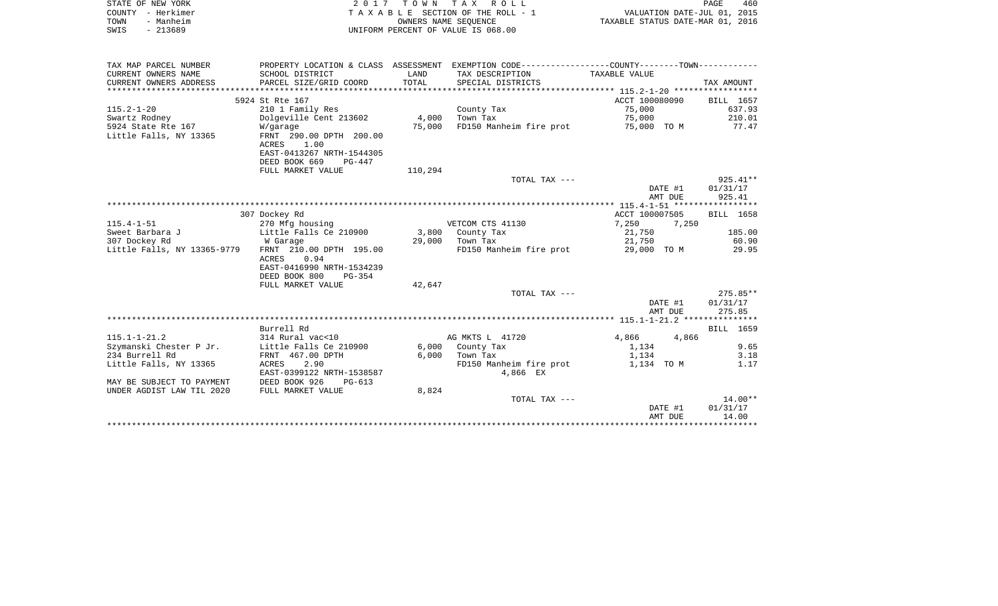| STATE OF NEW YORK                                                                                |                                            |         | 2017 TOWN TAX ROLL                                                                              |                                  |                    | PAGE<br>460                 |
|--------------------------------------------------------------------------------------------------|--------------------------------------------|---------|-------------------------------------------------------------------------------------------------|----------------------------------|--------------------|-----------------------------|
| COUNTY - Herkimer                                                                                |                                            |         | TAXABLE SECTION OF THE ROLL - 1                                                                 |                                  |                    | VALUATION DATE-JUL 01, 2015 |
| - Manheim<br>TOWN                                                                                |                                            |         | OWNERS NAME SEOUENCE                                                                            | TAXABLE STATUS DATE-MAR 01, 2016 |                    |                             |
| $-213689$<br>SWIS                                                                                |                                            |         | UNIFORM PERCENT OF VALUE IS 068.00                                                              |                                  |                    |                             |
|                                                                                                  |                                            |         |                                                                                                 |                                  |                    |                             |
| TAX MAP PARCEL NUMBER                                                                            |                                            |         | PROPERTY LOCATION & CLASS ASSESSMENT EXEMPTION CODE----------------COUNTY--------TOWN---------- |                                  |                    |                             |
| CURRENT OWNERS NAME                                                                              | SCHOOL DISTRICT                            | LAND    | TAX DESCRIPTION                                                                                 | TAXABLE VALUE                    |                    |                             |
| CURRENT OWNERS ADDRESS                                                                           | PARCEL SIZE/GRID COORD                     | TOTAL   | SPECIAL DISTRICTS                                                                               |                                  |                    | TAX AMOUNT                  |
|                                                                                                  |                                            |         |                                                                                                 |                                  |                    |                             |
|                                                                                                  | 5924 St Rte 167                            |         |                                                                                                 | ACCT 100080090                   |                    | BILL 1657                   |
| $115.2 - 1 - 20$                                                                                 | 210 1 Family Res                           |         | County Tax                                                                                      | 75,000                           |                    | 637.93                      |
| Swartz Rodney                                                                                    | Dolgeville Cent 213602                     |         | 4,000 Town Tax                                                                                  | 75,000                           |                    | 210.01                      |
| 5924 State Rte 167<br>Little Falls, NY 13365                                                     | W/garage<br>FRNT 290.00 DPTH 200.00        |         | 75,000 FD150 Manheim fire prot                                                                  | 75,000 TO M                      |                    | 77.47                       |
|                                                                                                  | ACRES<br>1.00                              |         |                                                                                                 |                                  |                    |                             |
|                                                                                                  | EAST-0413267 NRTH-1544305                  |         |                                                                                                 |                                  |                    |                             |
|                                                                                                  | DEED BOOK 669<br>PG-447                    |         |                                                                                                 |                                  |                    |                             |
|                                                                                                  | FULL MARKET VALUE                          | 110,294 |                                                                                                 |                                  |                    |                             |
|                                                                                                  |                                            |         | TOTAL TAX ---                                                                                   |                                  |                    | $925.41**$                  |
|                                                                                                  |                                            |         |                                                                                                 |                                  | DATE #1            | 01/31/17                    |
|                                                                                                  |                                            |         |                                                                                                 |                                  | AMT DUE            | 925.41                      |
|                                                                                                  |                                            |         |                                                                                                 |                                  |                    |                             |
|                                                                                                  | 307 Dockey Rd                              |         |                                                                                                 | ACCT 100007505                   |                    | BILL 1658                   |
| $115.4 - 1 - 51$                                                                                 | 270 Mfg housing                            |         | VETCOM CTS 41130                                                                                | 7,250                            | 7,250              |                             |
| Sweet Barbara J                                                                                  | Little Falls Ce 210900                     |         | 3,800 County Tax                                                                                | 21,750                           |                    | 185.00                      |
| 307 Dockey Rd<br>Little Falls, NY 13365-9779                                                     | W Garage<br>FRNT 210.00 DPTH 195.00        |         | 29,000 Town Tax                                                                                 | 21,750                           |                    | 60.90<br>29.95              |
|                                                                                                  |                                            |         |                                                                                                 |                                  |                    |                             |
|                                                                                                  |                                            |         | FD150 Manheim fire prot                                                                         | 29,000 TO M                      |                    |                             |
|                                                                                                  | 0.94<br>ACRES                              |         |                                                                                                 |                                  |                    |                             |
|                                                                                                  | EAST-0416990 NRTH-1534239                  |         |                                                                                                 |                                  |                    |                             |
|                                                                                                  | DEED BOOK 800<br>$PG-354$                  |         |                                                                                                 |                                  |                    |                             |
|                                                                                                  | FULL MARKET VALUE                          | 42,647  | TOTAL TAX ---                                                                                   |                                  |                    |                             |
|                                                                                                  |                                            |         |                                                                                                 |                                  | DATE #1            | $275.85**$<br>01/31/17      |
|                                                                                                  |                                            |         |                                                                                                 |                                  | AMT DUE            | 275.85                      |
|                                                                                                  |                                            |         |                                                                                                 |                                  |                    |                             |
|                                                                                                  | Burrell Rd                                 |         |                                                                                                 |                                  |                    | BILL 1659                   |
| $115.1 - 1 - 21.2$                                                                               | 314 Rural vac<10                           |         | AG MKTS L 41720                                                                                 | 4,866                            | 4,866              |                             |
|                                                                                                  | Little Falls Ce 210900                     |         | 6,000 County Tax                                                                                | 1,134                            |                    | 9.65                        |
|                                                                                                  | FRNT 467.00 DPTH                           |         | $6,000$ Town Tax                                                                                | 1,134                            |                    | 3.18                        |
|                                                                                                  | 2.90<br>ACRES<br>EAST-0399122 NRTH-1538587 |         | FD150 Manheim fire prot<br>4,866 EX                                                             | 1,134 TO M                       |                    | 1.17                        |
| Szymanski Chester P Jr.<br>234 Burrell Rd<br>Little Falls, NY 13365<br>MAY BE SUBJECT TO PAYMENT | DEED BOOK 926<br>PG-613                    |         |                                                                                                 |                                  |                    |                             |
|                                                                                                  | FULL MARKET VALUE                          | 8,824   |                                                                                                 |                                  |                    |                             |
| UNDER AGDIST LAW TIL 2020                                                                        |                                            |         | TOTAL TAX ---                                                                                   |                                  |                    | $14.00**$                   |
|                                                                                                  |                                            |         |                                                                                                 |                                  | DATE #1<br>AMT DUE | 01/31/17<br>14.00           |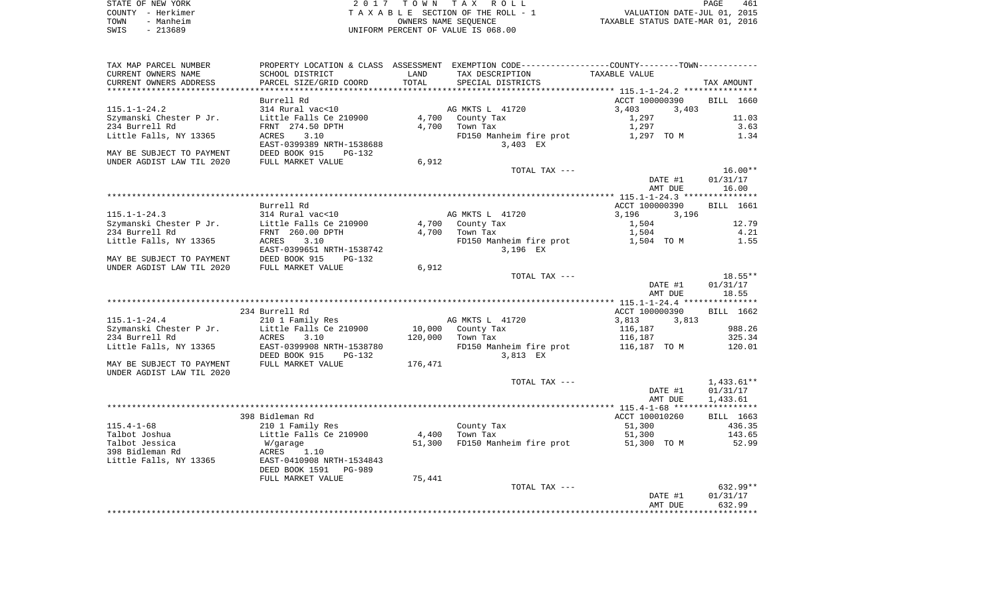| STATE OF NEW YORK | 2017 TOWN TAX ROLL                 | 461<br>PAGE                      |
|-------------------|------------------------------------|----------------------------------|
| COUNTY - Herkimer | TAXABLE SECTION OF THE ROLL - 1    | VALUATION DATE-JUL 01, 2015      |
| - Manheim<br>TOWN | OWNERS NAME SEOUENCE               | TAXABLE STATUS DATE-MAR 01, 2016 |
| - 213689<br>SWIS  | UNIFORM PERCENT OF VALUE IS 068.00 |                                  |

| TAX MAP PARCEL NUMBER     | PROPERTY LOCATION & CLASS ASSESSMENT EXEMPTION CODE----------------COUNTY--------TOWN---------- |         |                         |                |              |
|---------------------------|-------------------------------------------------------------------------------------------------|---------|-------------------------|----------------|--------------|
| CURRENT OWNERS NAME       | SCHOOL DISTRICT                                                                                 | LAND    | TAX DESCRIPTION         | TAXABLE VALUE  |              |
| CURRENT OWNERS ADDRESS    | PARCEL SIZE/GRID COORD                                                                          | TOTAL   | SPECIAL DISTRICTS       |                | TAX AMOUNT   |
|                           |                                                                                                 |         |                         |                |              |
|                           | Burrell Rd                                                                                      |         |                         | ACCT 100000390 | BILL 1660    |
| $115.1 - 1 - 24.2$        | 314 Rural vac<10                                                                                |         | AG MKTS L 41720         | 3,403<br>3,403 |              |
| Szymanski Chester P Jr.   | Little Falls Ce 210900                                                                          | 4,700   | County Tax              | 1,297          | 11.03        |
| 234 Burrell Rd            | FRNT 274.50 DPTH                                                                                | 4,700   | Town Tax                | 1,297          | 3.63         |
| Little Falls, NY 13365    | ACRES<br>3.10                                                                                   |         | FD150 Manheim fire prot | 1,297 TO M     | 1.34         |
|                           | EAST-0399389 NRTH-1538688                                                                       |         | 3,403 EX                |                |              |
| MAY BE SUBJECT TO PAYMENT | DEED BOOK 915<br>$PG-132$                                                                       |         |                         |                |              |
| UNDER AGDIST LAW TIL 2020 | FULL MARKET VALUE                                                                               | 6,912   |                         |                |              |
|                           |                                                                                                 |         | TOTAL TAX ---           |                | $16.00**$    |
|                           |                                                                                                 |         |                         | DATE #1        | 01/31/17     |
|                           |                                                                                                 |         |                         | AMT DUE        | 16.00        |
|                           |                                                                                                 |         |                         |                |              |
|                           | Burrell Rd                                                                                      |         |                         | ACCT 100000390 | BILL 1661    |
| $115.1 - 1 - 24.3$        | 314 Rural vac<10                                                                                |         | AG MKTS L 41720         | 3,196<br>3,196 |              |
| Szymanski Chester P Jr.   | Little Falls Ce 210900                                                                          | 4,700   | County Tax              | 1,504          | 12.79        |
| 234 Burrell Rd            | FRNT 260.00 DPTH                                                                                | 4,700   | Town Tax                | 1,504          | 4.21         |
| Little Falls, NY 13365    | 3.10<br>ACRES                                                                                   |         | FD150 Manheim fire prot | 1,504 TO M     | 1.55         |
|                           | EAST-0399651 NRTH-1538742                                                                       |         | 3,196 EX                |                |              |
| MAY BE SUBJECT TO PAYMENT | DEED BOOK 915<br>PG-132                                                                         |         |                         |                |              |
| UNDER AGDIST LAW TIL 2020 | FULL MARKET VALUE                                                                               | 6,912   |                         |                |              |
|                           |                                                                                                 |         | TOTAL TAX ---           |                | $18.55**$    |
|                           |                                                                                                 |         |                         | DATE #1        | 01/31/17     |
|                           |                                                                                                 |         |                         | AMT DUE        | 18.55        |
|                           |                                                                                                 |         |                         |                |              |
|                           | 234 Burrell Rd                                                                                  |         |                         | ACCT 100000390 | BILL 1662    |
| $115.1 - 1 - 24.4$        | 210 1 Family Res                                                                                |         | AG MKTS L 41720         | 3,813<br>3,813 |              |
| Szymanski Chester P Jr.   | Little Falls Ce 210900                                                                          | 10,000  | County Tax              | 116,187        | 988.26       |
| 234 Burrell Rd            | ACRES<br>3.10                                                                                   | 120,000 | Town Tax                | 116,187        | 325.34       |
| Little Falls, NY 13365    | EAST-0399908 NRTH-1538780                                                                       |         | FD150 Manheim fire prot | 116,187   TO M | 120.01       |
|                           | DEED BOOK 915<br>PG-132                                                                         |         | 3,813 EX                |                |              |
| MAY BE SUBJECT TO PAYMENT | FULL MARKET VALUE                                                                               | 176,471 |                         |                |              |
| UNDER AGDIST LAW TIL 2020 |                                                                                                 |         |                         |                |              |
|                           |                                                                                                 |         | TOTAL TAX ---           |                | $1,433.61**$ |
|                           |                                                                                                 |         |                         | DATE #1        | 01/31/17     |
|                           |                                                                                                 |         |                         | AMT DUE        | 1,433.61     |
|                           |                                                                                                 |         |                         |                |              |
|                           | 398 Bidleman Rd                                                                                 |         |                         | ACCT 100010260 | BILL 1663    |
| $115.4 - 1 - 68$          | 210 1 Family Res                                                                                |         | County Tax              | 51,300         | 436.35       |
| Talbot Joshua             | Little Falls Ce 210900                                                                          | 4,400   | Town Tax                | 51,300         | 143.65       |
| Talbot Jessica            | W/garage                                                                                        | 51,300  | FD150 Manheim fire prot | 51,300 TO M    | 52.99        |
| 398 Bidleman Rd           | ACRES<br>1.10                                                                                   |         |                         |                |              |
| Little Falls, NY 13365    | EAST-0410908 NRTH-1534843                                                                       |         |                         |                |              |
|                           | DEED BOOK 1591<br>PG-989                                                                        |         |                         |                |              |
|                           | FULL MARKET VALUE                                                                               | 75,441  |                         |                |              |
|                           |                                                                                                 |         | TOTAL TAX ---           |                | $632.99**$   |
|                           |                                                                                                 |         |                         | DATE #1        | 01/31/17     |
|                           |                                                                                                 |         |                         | AMT DUE        | 632.99       |
|                           |                                                                                                 |         |                         |                |              |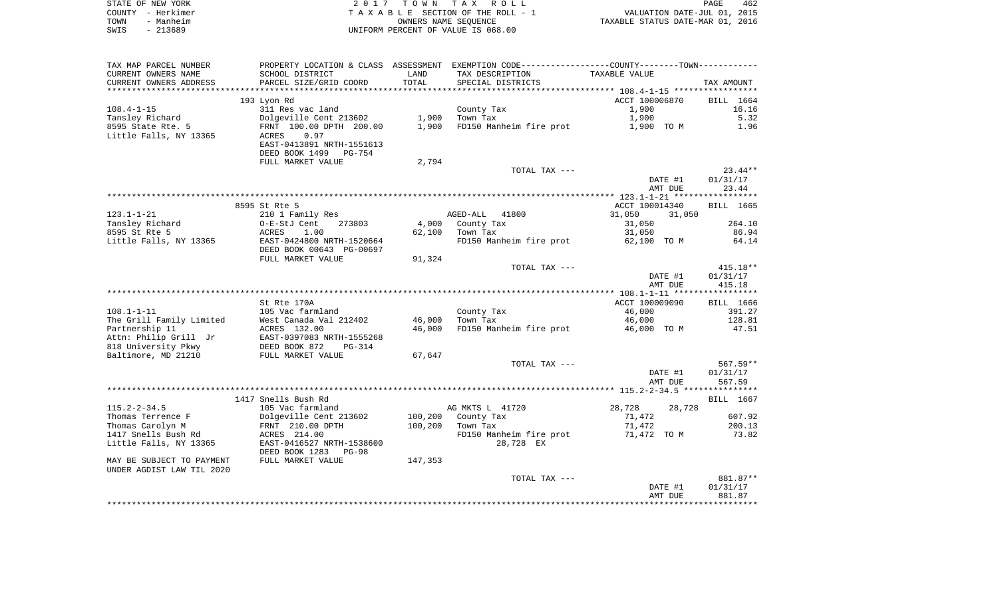|      | STATE OF NEW YORK | 2017 TOWN TAX ROLL                 | 462<br>PAGE                      |  |
|------|-------------------|------------------------------------|----------------------------------|--|
|      | COUNTY - Herkimer | TAXABLE SECTION OF THE ROLL - 1    | VALUATION DATE-JUL 01, 2015      |  |
| TOWN | - Manheim         | OWNERS NAME SEOUENCE               | TAXABLE STATUS DATE-MAR 01, 2016 |  |
| SWIS | - 213689          | UNIFORM PERCENT OF VALUE IS 068.00 |                                  |  |

| TAX MAP PARCEL NUMBER     |                                              |         | PROPERTY LOCATION & CLASS ASSESSMENT EXEMPTION CODE----------------COUNTY--------TOWN----------- |                  |            |
|---------------------------|----------------------------------------------|---------|--------------------------------------------------------------------------------------------------|------------------|------------|
| CURRENT OWNERS NAME       | SCHOOL DISTRICT                              | LAND    | TAX DESCRIPTION                                                                                  | TAXABLE VALUE    |            |
| CURRENT OWNERS ADDRESS    | PARCEL SIZE/GRID COORD                       | TOTAL   | SPECIAL DISTRICTS                                                                                |                  | TAX AMOUNT |
|                           |                                              |         |                                                                                                  |                  |            |
|                           | 193 Lyon Rd                                  |         |                                                                                                  | ACCT 100006870   | BILL 1664  |
| $108.4 - 1 - 15$          | 311 Res vac land                             |         | County Tax                                                                                       | 1,900            | 16.16      |
| Tansley Richard           | Dolgeville Cent 213602                       | 1,900   | Town Tax                                                                                         | 1,900            | 5.32       |
| 8595 State Rte. 5         | FRNT 100.00 DPTH 200.00                      | 1,900   | FD150 Manheim fire prot                                                                          | 1,900 TO M       | 1.96       |
| Little Falls, NY 13365    | 0.97<br>ACRES                                |         |                                                                                                  |                  |            |
|                           | EAST-0413891 NRTH-1551613                    |         |                                                                                                  |                  |            |
|                           | DEED BOOK 1499<br>PG-754                     |         |                                                                                                  |                  |            |
|                           | FULL MARKET VALUE                            | 2,794   |                                                                                                  |                  |            |
|                           |                                              |         | TOTAL TAX ---                                                                                    |                  | $23.44**$  |
|                           |                                              |         |                                                                                                  | DATE #1          | 01/31/17   |
|                           |                                              |         |                                                                                                  | AMT DUE          | 23.44      |
|                           |                                              |         |                                                                                                  |                  |            |
|                           | 8595 St Rte 5                                |         |                                                                                                  | ACCT 100014340   | BILL 1665  |
| $123.1 - 1 - 21$          | 210 1 Family Res                             |         | AGED-ALL<br>41800                                                                                | 31,050<br>31,050 |            |
| Tansley Richard           | O-E-StJ Cent<br>273803                       | 4,000   | County Tax                                                                                       | 31,050           | 264.10     |
| 8595 St Rte 5             | 1.00<br>ACRES                                | 62,100  | Town Tax                                                                                         | 31,050           | 86.94      |
| Little Falls, NY 13365    | EAST-0424800 NRTH-1520664                    |         | FD150 Manheim fire prot                                                                          | 62,100 TO M      | 64.14      |
|                           | DEED BOOK 00643 PG-00697                     |         |                                                                                                  |                  |            |
|                           | FULL MARKET VALUE                            | 91,324  |                                                                                                  |                  |            |
|                           |                                              |         | TOTAL TAX ---                                                                                    |                  | $415.18**$ |
|                           |                                              |         |                                                                                                  | DATE #1          | 01/31/17   |
|                           |                                              |         |                                                                                                  | AMT DUE          | 415.18     |
|                           |                                              |         |                                                                                                  |                  |            |
|                           | St Rte 170A                                  |         |                                                                                                  | ACCT 100009090   | BILL 1666  |
| $108.1 - 1 - 11$          | 105 Vac farmland                             |         | County Tax                                                                                       | 46,000           | 391.27     |
| The Grill Family Limited  | West Canada Val 212402                       | 46,000  | Town Tax                                                                                         | 46,000           | 128.81     |
| Partnership 11            | ACRES 132.00                                 | 46,000  | FD150 Manheim fire prot                                                                          | 46,000 TO M      | 47.51      |
| Attn: Philip Grill Jr     | EAST-0397083 NRTH-1555268                    |         |                                                                                                  |                  |            |
| 818 University Pkwy       | DEED BOOK 872<br>$PG-314$                    |         |                                                                                                  |                  |            |
| Baltimore, MD 21210       | FULL MARKET VALUE                            | 67,647  |                                                                                                  |                  |            |
|                           |                                              |         | TOTAL TAX ---                                                                                    |                  | $567.59**$ |
|                           |                                              |         |                                                                                                  | DATE #1          | 01/31/17   |
|                           |                                              |         |                                                                                                  | AMT DUE          | 567.59     |
|                           |                                              |         |                                                                                                  |                  |            |
|                           | 1417 Snells Bush Rd                          |         |                                                                                                  |                  | BILL 1667  |
| $115.2 - 2 - 34.5$        | 105 Vac farmland                             |         | AG MKTS L 41720                                                                                  | 28,728<br>28,728 |            |
| Thomas Terrence F         | Dolgeville Cent 213602                       | 100,200 | County Tax                                                                                       | 71,472           | 607.92     |
| Thomas Carolyn M          | FRNT 210.00 DPTH                             | 100,200 | Town Tax                                                                                         | 71,472           | 200.13     |
| 1417 Snells Bush Rd       | ACRES 214.00                                 |         | FD150 Manheim fire prot                                                                          | 71,472 TO M      | 73.82      |
| Little Falls, NY 13365    | EAST-0416527 NRTH-1538600                    |         | 28,728 EX                                                                                        |                  |            |
|                           | DEED BOOK 1283<br>PG-98<br>FULL MARKET VALUE |         |                                                                                                  |                  |            |
| MAY BE SUBJECT TO PAYMENT |                                              | 147,353 |                                                                                                  |                  |            |
| UNDER AGDIST LAW TIL 2020 |                                              |         | TOTAL TAX ---                                                                                    |                  | 881.87**   |
|                           |                                              |         |                                                                                                  | DATE #1          | 01/31/17   |
|                           |                                              |         |                                                                                                  | AMT DUE          | 881.87     |
|                           |                                              |         |                                                                                                  |                  |            |
|                           |                                              |         |                                                                                                  |                  |            |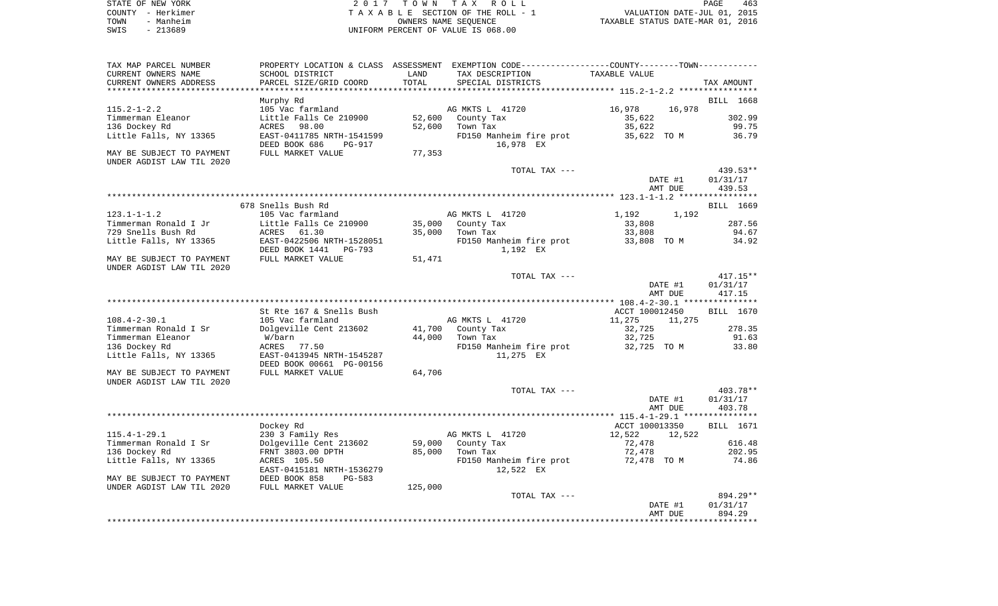| STATE OF NEW YORK | 2017 TOWN TAX ROLL                 | 463<br>PAGE                      |
|-------------------|------------------------------------|----------------------------------|
| COUNTY - Herkimer | TAXABLE SECTION OF THE ROLL - 1    | VALUATION DATE-JUL 01, 2015      |
| - Manheim<br>TOWN | OWNERS NAME SEOUENCE               | TAXABLE STATUS DATE-MAR 01, 2016 |
| $-213689$<br>SWIS | UNIFORM PERCENT OF VALUE IS 068.00 |                                  |

| TAX MAP PARCEL NUMBER<br>CURRENT OWNERS NAME<br>CURRENT OWNERS ADDRESS | PROPERTY LOCATION & CLASS<br>SCHOOL DISTRICT<br>PARCEL SIZE/GRID COORD | ASSESSMENT<br>LAND<br>TOTAL | EXEMPTION CODE-----------------COUNTY--------TOWN-----------<br>TAX DESCRIPTION<br>SPECIAL DISTRICTS | TAXABLE VALUE                                           | TAX AMOUNT |
|------------------------------------------------------------------------|------------------------------------------------------------------------|-----------------------------|------------------------------------------------------------------------------------------------------|---------------------------------------------------------|------------|
|                                                                        |                                                                        | *******                     |                                                                                                      | ************************** 115.2-1-2.2 **************** |            |
| $115.2 - 1 - 2.2$                                                      | Murphy Rd<br>105 Vac farmland                                          |                             | AG MKTS L 41720                                                                                      | 16,978<br>16,978                                        | BILL 1668  |
| Timmerman Eleanor                                                      | Little Falls Ce 210900                                                 | 52,600                      | County Tax                                                                                           | 35,622                                                  | 302.99     |
| 136 Dockey Rd                                                          | 98.00<br>ACRES                                                         | 52,600                      | Town Tax                                                                                             | 35,622                                                  | 99.75      |
| Little Falls, NY 13365                                                 | EAST-0411785 NRTH-1541599                                              |                             | FD150 Manheim fire prot                                                                              | 35,622 TO M                                             | 36.79      |
|                                                                        | DEED BOOK 686<br><b>PG-917</b>                                         |                             | 16,978 EX                                                                                            |                                                         |            |
| MAY BE SUBJECT TO PAYMENT<br>UNDER AGDIST LAW TIL 2020                 | FULL MARKET VALUE                                                      | 77,353                      |                                                                                                      |                                                         |            |
|                                                                        |                                                                        |                             | TOTAL TAX ---                                                                                        |                                                         | 439.53**   |
|                                                                        |                                                                        |                             |                                                                                                      | DATE #1                                                 | 01/31/17   |
|                                                                        |                                                                        |                             |                                                                                                      | AMT DUE                                                 | 439.53     |
|                                                                        |                                                                        |                             |                                                                                                      |                                                         |            |
|                                                                        | 678 Snells Bush Rd                                                     |                             |                                                                                                      |                                                         | BILL 1669  |
| $123.1 - 1 - 1.2$                                                      | 105 Vac farmland                                                       |                             | AG MKTS L 41720                                                                                      | 1,192<br>1,192                                          |            |
| Timmerman Ronald I Jr                                                  | Little Falls Ce 210900                                                 | 35,000                      | County Tax                                                                                           | 33,808                                                  | 287.56     |
| 729 Snells Bush Rd                                                     | ACRES<br>61.30                                                         | 35,000                      | Town Tax                                                                                             | 33,808                                                  | 94.67      |
| Little Falls, NY 13365                                                 | EAST-0422506 NRTH-1528051<br>DEED BOOK 1441<br>$PG-793$                |                             | FD150 Manheim fire prot<br>1,192 EX                                                                  | 33,808 TO M                                             | 34.92      |
| MAY BE SUBJECT TO PAYMENT                                              | FULL MARKET VALUE                                                      | 51,471                      |                                                                                                      |                                                         |            |
| UNDER AGDIST LAW TIL 2020                                              |                                                                        |                             |                                                                                                      |                                                         |            |
|                                                                        |                                                                        |                             | TOTAL TAX ---                                                                                        |                                                         | $417.15**$ |
|                                                                        |                                                                        |                             |                                                                                                      | DATE #1                                                 | 01/31/17   |
|                                                                        |                                                                        |                             |                                                                                                      | AMT DUE                                                 | 417.15     |
|                                                                        |                                                                        |                             |                                                                                                      |                                                         |            |
| $108.4 - 2 - 30.1$                                                     | St Rte 167 & Snells Bush<br>105 Vac farmland                           |                             | AG MKTS L 41720                                                                                      | ACCT 100012450<br>11,275<br>11,275                      | BILL 1670  |
| Timmerman Ronald I Sr                                                  | Dolgeville Cent 213602                                                 | 41,700                      | County Tax                                                                                           | 32,725                                                  | 278.35     |
| Timmerman Eleanor                                                      | W/barn                                                                 | 44,000                      | Town Tax                                                                                             | 32,725                                                  | 91.63      |
| 136 Dockey Rd                                                          | 77.50<br>ACRES                                                         |                             | FD150 Manheim fire prot                                                                              | 32,725 TO M                                             | 33.80      |
| Little Falls, NY 13365                                                 | EAST-0413945 NRTH-1545287                                              |                             | 11,275 EX                                                                                            |                                                         |            |
|                                                                        | DEED BOOK 00661 PG-00156                                               |                             |                                                                                                      |                                                         |            |
| MAY BE SUBJECT TO PAYMENT                                              | FULL MARKET VALUE                                                      | 64,706                      |                                                                                                      |                                                         |            |
| UNDER AGDIST LAW TIL 2020                                              |                                                                        |                             |                                                                                                      |                                                         |            |
|                                                                        |                                                                        |                             | TOTAL TAX ---                                                                                        |                                                         | 403.78**   |
|                                                                        |                                                                        |                             |                                                                                                      | DATE #1                                                 | 01/31/17   |
|                                                                        |                                                                        |                             |                                                                                                      | AMT DUE                                                 | 403.78     |
|                                                                        |                                                                        |                             |                                                                                                      |                                                         |            |
|                                                                        | Dockey Rd                                                              |                             |                                                                                                      | ACCT 100013350                                          | BILL 1671  |
| $115.4 - 1 - 29.1$                                                     | 230 3 Family Res                                                       |                             | AG MKTS L 41720                                                                                      | 12,522<br>12,522                                        |            |
| Timmerman Ronald I Sr                                                  | Dolgeville Cent 213602                                                 | 59,000                      | County Tax                                                                                           | 72,478                                                  | 616.48     |
| 136 Dockey Rd                                                          | FRNT 3803.00 DPTH                                                      | 85,000                      | Town Tax                                                                                             | 72,478                                                  | 202.95     |
| Little Falls, NY 13365                                                 | ACRES 105.50                                                           |                             | FD150 Manheim fire prot                                                                              | 72,478 TO M                                             | 74.86      |
|                                                                        | EAST-0415181 NRTH-1536279                                              |                             | 12,522 EX                                                                                            |                                                         |            |
| MAY BE SUBJECT TO PAYMENT                                              | DEED BOOK 858<br>$PG-583$                                              |                             |                                                                                                      |                                                         |            |
| UNDER AGDIST LAW TIL 2020                                              | FULL MARKET VALUE                                                      | 125,000                     |                                                                                                      |                                                         |            |
|                                                                        |                                                                        |                             | TOTAL TAX ---                                                                                        |                                                         | 894.29**   |
|                                                                        |                                                                        |                             |                                                                                                      | DATE #1                                                 | 01/31/17   |
|                                                                        |                                                                        |                             |                                                                                                      | AMT DUE                                                 | 894.29     |
|                                                                        |                                                                        |                             |                                                                                                      |                                                         |            |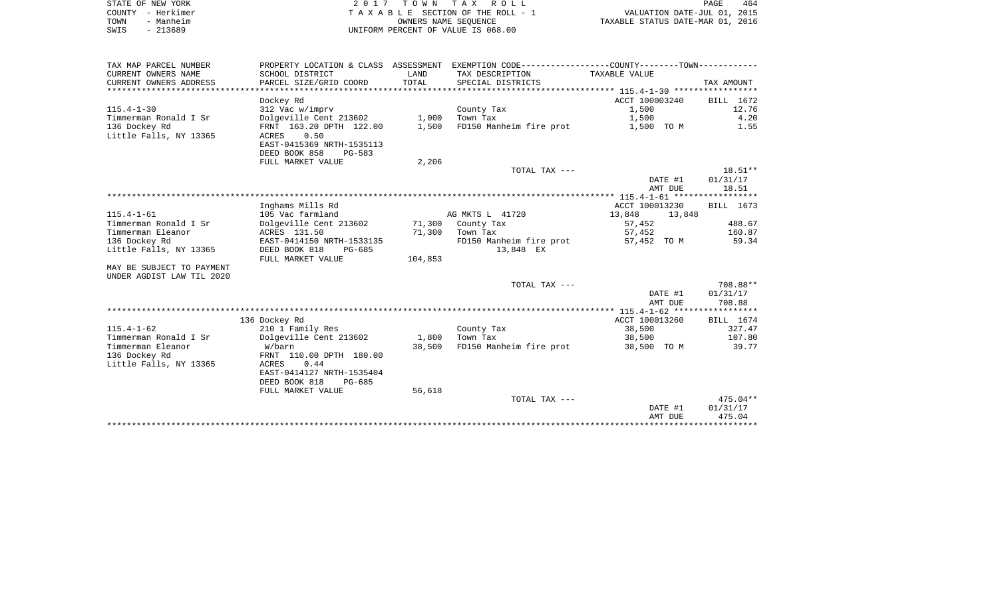| STATE OF NEW YORK | 2017 TOWN TAX ROLL                 | 464<br>PAGE                      |
|-------------------|------------------------------------|----------------------------------|
| COUNTY - Herkimer | TAXABLE SECTION OF THE ROLL - 1    | VALUATION DATE-JUL 01, 2015      |
| - Manheim<br>TOWN | OWNERS NAME SEOUENCE               | TAXABLE STATUS DATE-MAR 01, 2016 |
| - 213689<br>SWIS  | UNIFORM PERCENT OF VALUE IS 068.00 |                                  |

| TAX MAP PARCEL NUMBER     |                           |         | PROPERTY LOCATION & CLASS ASSESSMENT EXEMPTION CODE---------------COUNTY-------TOWN---------- |                  |            |
|---------------------------|---------------------------|---------|-----------------------------------------------------------------------------------------------|------------------|------------|
| CURRENT OWNERS NAME       | SCHOOL DISTRICT           | LAND    | TAX DESCRIPTION                                                                               | TAXABLE VALUE    |            |
| CURRENT OWNERS ADDRESS    | PARCEL SIZE/GRID COORD    | TOTAL   | SPECIAL DISTRICTS                                                                             |                  | TAX AMOUNT |
|                           |                           |         |                                                                                               |                  |            |
|                           | Dockey Rd                 |         |                                                                                               | ACCT 100003240   | BILL 1672  |
| $115.4 - 1 - 30$          | 312 Vac w/imprv           |         | County Tax                                                                                    | 1,500            | 12.76      |
| Timmerman Ronald I Sr     | Dolgeville Cent 213602    | 1,000   | Town Tax                                                                                      | 1,500            | 4.20       |
| 136 Dockey Rd             | FRNT 163.20 DPTH 122.00   | 1,500   | FD150 Manheim fire prot                                                                       | 1,500 TO M       | 1.55       |
| Little Falls, NY 13365    | 0.50<br><b>ACRES</b>      |         |                                                                                               |                  |            |
|                           | EAST-0415369 NRTH-1535113 |         |                                                                                               |                  |            |
|                           | DEED BOOK 858<br>$PG-583$ |         |                                                                                               |                  |            |
|                           | FULL MARKET VALUE         | 2,206   |                                                                                               |                  |            |
|                           |                           |         | TOTAL TAX ---                                                                                 |                  | $18.51**$  |
|                           |                           |         |                                                                                               | DATE #1          | 01/31/17   |
|                           |                           |         |                                                                                               | AMT DUE          | 18.51      |
|                           |                           |         |                                                                                               |                  |            |
|                           | Inghams Mills Rd          |         |                                                                                               | ACCT 100013230   | BILL 1673  |
| $115.4 - 1 - 61$          | 105 Vac farmland          |         | AG MKTS L 41720                                                                               | 13,848<br>13,848 |            |
| Timmerman Ronald I Sr     | Dolgeville Cent 213602    |         | 71,300 County Tax                                                                             | 57,452           | 488.67     |
| Timmerman Eleanor         | ACRES 131.50              | 71,300  | Town Tax                                                                                      | 57,452           | 160.87     |
| 136 Dockey Rd             | EAST-0414150 NRTH-1533135 |         | FD150 Manheim fire prot                                                                       | 57,452 TO M      | 59.34      |
| Little Falls, NY 13365    | DEED BOOK 818<br>PG-685   |         | 13,848 EX                                                                                     |                  |            |
|                           | FULL MARKET VALUE         | 104,853 |                                                                                               |                  |            |
| MAY BE SUBJECT TO PAYMENT |                           |         |                                                                                               |                  |            |
| UNDER AGDIST LAW TIL 2020 |                           |         |                                                                                               |                  |            |
|                           |                           |         | TOTAL TAX ---                                                                                 |                  | 708.88**   |
|                           |                           |         |                                                                                               | DATE #1          | 01/31/17   |
|                           |                           |         |                                                                                               | AMT DUE          | 708.88     |
|                           |                           |         |                                                                                               |                  |            |
|                           | 136 Dockey Rd             |         |                                                                                               | ACCT 100013260   | BILL 1674  |
| $115.4 - 1 - 62$          | 210 1 Family Res          |         | County Tax                                                                                    | 38,500           | 327.47     |
| Timmerman Ronald I Sr     | Dolgeville Cent 213602    | 1,800   | Town Tax                                                                                      | 38,500           | 107.80     |
| Timmerman Eleanor         | W/barn                    | 38,500  | FD150 Manheim fire prot                                                                       | 38,500 TO M      | 39.77      |
| 136 Dockey Rd             | FRNT 110.00 DPTH 180.00   |         |                                                                                               |                  |            |
| Little Falls, NY 13365    | 0.44<br>ACRES             |         |                                                                                               |                  |            |
|                           | EAST-0414127 NRTH-1535404 |         |                                                                                               |                  |            |
|                           | DEED BOOK 818<br>PG-685   |         |                                                                                               |                  |            |
|                           | FULL MARKET VALUE         | 56,618  |                                                                                               |                  | $475.04**$ |
|                           |                           |         | TOTAL TAX ---                                                                                 | DATE #1          | 01/31/17   |
|                           |                           |         |                                                                                               |                  |            |
|                           |                           |         |                                                                                               | AMT DUE          | 475.04     |
|                           |                           |         |                                                                                               |                  |            |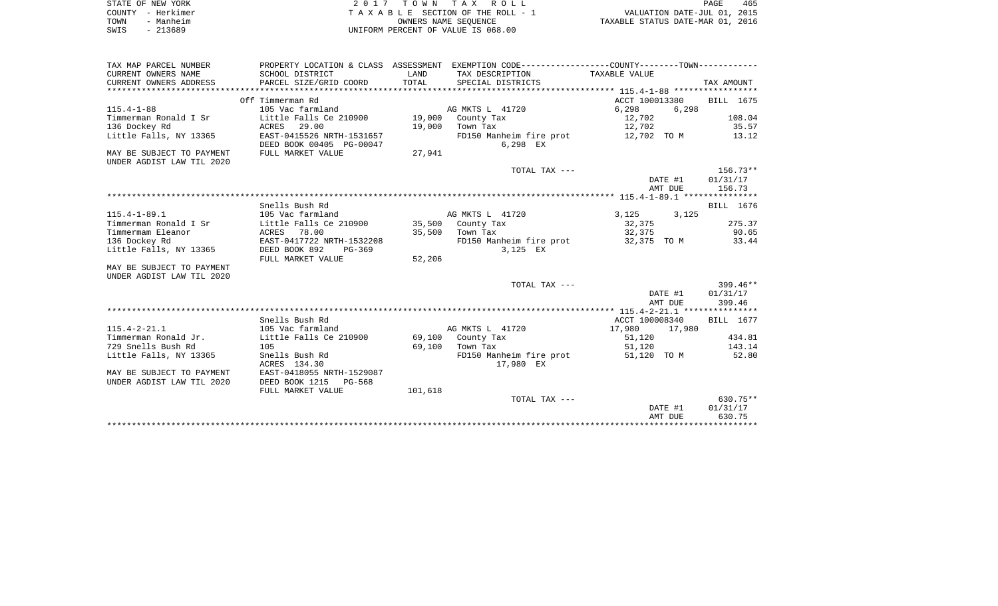| STATE OF NEW YORK |                   | 2017 TOWN TAX ROLL                 | PAGE                             | 465 |
|-------------------|-------------------|------------------------------------|----------------------------------|-----|
|                   | COUNTY - Herkimer | TAXABLE SECTION OF THE ROLL - 1    | VALUATION DATE-JUL 01, 2015      |     |
| TOWN              | - Manheim         | OWNERS NAME SEOUENCE               | TAXABLE STATUS DATE-MAR 01, 2016 |     |
| SWIS              | - 213689          | UNIFORM PERCENT OF VALUE IS 068.00 |                                  |     |

| TAX MAP PARCEL NUMBER     |                                          |         | PROPERTY LOCATION & CLASS ASSESSMENT EXEMPTION CODE---------------COUNTY-------TOWN---------- |                  |                          |
|---------------------------|------------------------------------------|---------|-----------------------------------------------------------------------------------------------|------------------|--------------------------|
| CURRENT OWNERS NAME       | SCHOOL DISTRICT                          | LAND    | TAX DESCRIPTION                                                                               | TAXABLE VALUE    |                          |
| CURRENT OWNERS ADDRESS    | PARCEL SIZE/GRID COORD                   | TOTAL   | SPECIAL DISTRICTS                                                                             |                  | TAX AMOUNT               |
|                           |                                          |         |                                                                                               |                  |                          |
|                           | Off Timmerman Rd                         |         |                                                                                               |                  | ACCT 100013380 BILL 1675 |
| $115.4 - 1 - 88$          | 105 Vac farmland                         |         | AG MKTS L 41720                                                                               | 6,298            | 6,298                    |
| Timmerman Ronald I Sr     | Little Falls Ce 210900 19,000 County Tax |         |                                                                                               | 12,702           | 108.04                   |
| 136 Dockey Rd             | ACRES 29.00                              |         | 19,000 Town Tax                                                                               | 12,702           | 35.57                    |
| Little Falls, NY 13365    | EAST-0415526 NRTH-1531657                |         | FD150 Manheim fire prot                                                                       | 12,702 TO M      | 13.12                    |
|                           | DEED BOOK 00405 PG-00047                 |         | 6,298 EX                                                                                      |                  |                          |
| MAY BE SUBJECT TO PAYMENT | FULL MARKET VALUE                        | 27,941  |                                                                                               |                  |                          |
| UNDER AGDIST LAW TIL 2020 |                                          |         |                                                                                               |                  |                          |
|                           |                                          |         | TOTAL TAX ---                                                                                 |                  | 156.73**                 |
|                           |                                          |         |                                                                                               | DATE #1          | 01/31/17                 |
|                           |                                          |         |                                                                                               | AMT DUE          | 156.73                   |
|                           |                                          |         |                                                                                               |                  |                          |
|                           | Snells Bush Rd                           |         |                                                                                               |                  | BILL 1676                |
| $115.4 - 1 - 89.1$        | 105 Vac farmland                         |         | AG MKTS L 41720                                                                               |                  |                          |
| Timmerman Ronald I Sr     | Little Falls Ce 210900                   |         | 35,500 County Tax                                                                             | 3, 125 3, 125    | 275.37                   |
| Timmermam Eleanor         | ACRES 78.00                              |         | 35,500 Town Tax                                                                               | 32,375<br>32,375 | 90.65                    |
|                           |                                          |         |                                                                                               |                  |                          |
| 136 Dockey Rd             | EAST-0417722 NRTH-1532208                |         | FD150 Manheim fire prot 32,375 TO M                                                           |                  | 33.44                    |
| Little Falls, NY 13365    | DEED BOOK 892<br>PG-369                  |         | 3,125 EX                                                                                      |                  |                          |
|                           | FULL MARKET VALUE                        | 52,206  |                                                                                               |                  |                          |
| MAY BE SUBJECT TO PAYMENT |                                          |         |                                                                                               |                  |                          |
| UNDER AGDIST LAW TIL 2020 |                                          |         |                                                                                               |                  |                          |
|                           |                                          |         | TOTAL TAX ---                                                                                 |                  | 399.46**                 |
|                           |                                          |         |                                                                                               | DATE #1          | 01/31/17                 |
|                           |                                          |         |                                                                                               | AMT DUE          | 399.46                   |
|                           |                                          |         |                                                                                               |                  |                          |
|                           | Snells Bush Rd                           |         |                                                                                               | ACCT 100008340   | BILL 1677                |
| $115.4 - 2 - 21.1$        | 105 Vac farmland                         |         | AG MKTS L 41720                                                                               | 17,980 17,980    |                          |
| Timmerman Ronald Jr.      | Little Falls Ce 210900                   |         | 69,100 County Tax                                                                             | 51,120           | 434.81                   |
| 729 Snells Bush Rd        | 105                                      |         | 69,100 Town Tax                                                                               | 51,120           | 143.14                   |
| Little Falls, NY 13365    | Snells Bush Rd                           |         | FD150 Manheim fire prot                                                                       | 51,120 TO M      | 52.80                    |
|                           | ACRES 134.30                             |         | 17,980 EX                                                                                     |                  |                          |
| MAY BE SUBJECT TO PAYMENT | EAST-0418055 NRTH-1529087                |         |                                                                                               |                  |                          |
| UNDER AGDIST LAW TIL 2020 | DEED BOOK 1215 PG-568                    |         |                                                                                               |                  |                          |
|                           | FULL MARKET VALUE                        | 101,618 |                                                                                               |                  |                          |
|                           |                                          |         | TOTAL TAX ---                                                                                 |                  | $630.75**$               |
|                           |                                          |         |                                                                                               | DATE #1          | 01/31/17                 |
|                           |                                          |         |                                                                                               | AMT DUE          | 630.75                   |
|                           |                                          |         |                                                                                               |                  |                          |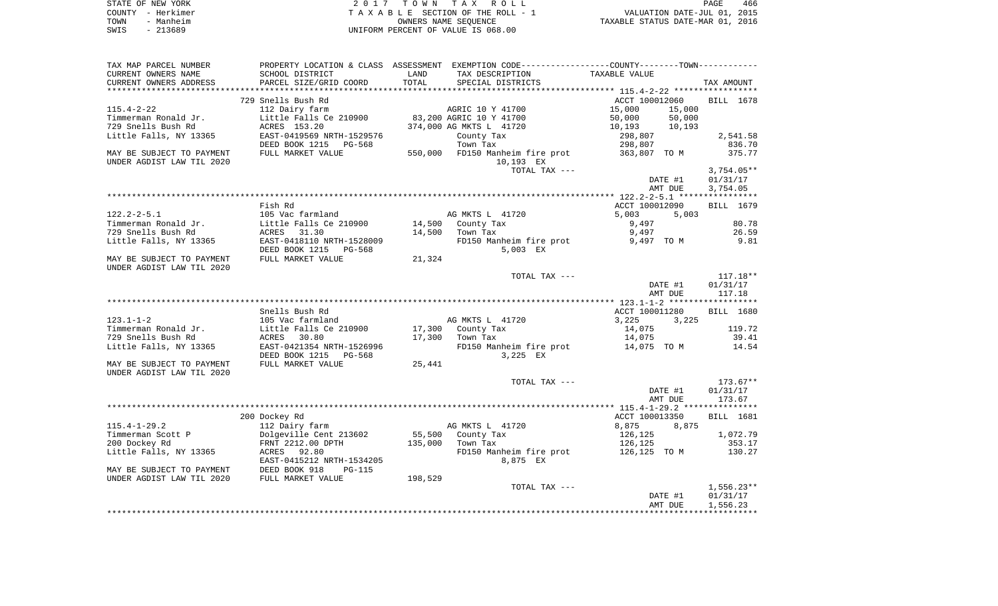| STATE OF NEW YORK | 2017 TOWN TAX ROLL                 | 466<br>PAGE                      |
|-------------------|------------------------------------|----------------------------------|
| COUNTY - Herkimer | TAXABLE SECTION OF THE ROLL - 1    | VALUATION DATE-JUL 01, 2015      |
| TOWN<br>- Manheim | OWNERS NAME SEOUENCE               | TAXABLE STATUS DATE-MAR 01, 2016 |
| $-213689$<br>SWIS | UNIFORM PERCENT OF VALUE IS 068.00 |                                  |

| TAX MAP PARCEL NUMBER     |                           |         | PROPERTY LOCATION & CLASS ASSESSMENT EXEMPTION CODE----------------COUNTY-------TOWN--------- |                  |                  |
|---------------------------|---------------------------|---------|-----------------------------------------------------------------------------------------------|------------------|------------------|
| CURRENT OWNERS NAME       | SCHOOL DISTRICT           | LAND    | TAX DESCRIPTION                                                                               | TAXABLE VALUE    |                  |
| CURRENT OWNERS ADDRESS    | PARCEL SIZE/GRID COORD    | TOTAL   | SPECIAL DISTRICTS                                                                             |                  | TAX AMOUNT       |
|                           |                           |         |                                                                                               |                  |                  |
|                           | 729 Snells Bush Rd        |         |                                                                                               | ACCT 100012060   | BILL 1678        |
| $115.4 - 2 - 22$          | 112 Dairy farm            |         | AGRIC 10 Y 41700                                                                              | 15,000<br>15,000 |                  |
| Timmerman Ronald Jr.      | Little Falls Ce 210900    |         | 83,200 AGRIC 10 Y 41700                                                                       | 50,000<br>50,000 |                  |
| 729 Snells Bush Rd        | ACRES 153.20              |         | 374,000 AG MKTS L 41720                                                                       | 10,193<br>10,193 |                  |
| Little Falls, NY 13365    | EAST-0419569 NRTH-1529576 |         | County Tax                                                                                    | 298,807          | 2,541.58         |
|                           | DEED BOOK 1215<br>PG-568  |         | Town Tax                                                                                      | 298,807          | 836.70           |
| MAY BE SUBJECT TO PAYMENT | FULL MARKET VALUE         |         | 550,000 FD150 Manheim fire prot                                                               | 363,807 TO M     | 375.77           |
| UNDER AGDIST LAW TIL 2020 |                           |         | 10,193 EX                                                                                     |                  |                  |
|                           |                           |         |                                                                                               |                  |                  |
|                           |                           |         | TOTAL TAX ---                                                                                 |                  | $3,754.05**$     |
|                           |                           |         |                                                                                               | DATE #1          | 01/31/17         |
|                           |                           |         |                                                                                               | AMT DUE          | 3,754.05         |
|                           |                           |         |                                                                                               |                  |                  |
|                           | Fish Rd                   |         |                                                                                               | ACCT 100012090   | BILL 1679        |
| $122.2 - 2 - 5.1$         | 105 Vac farmland          |         | AG MKTS L 41720                                                                               | 5,003<br>5,003   |                  |
| Timmerman Ronald Jr.      | Little Falls Ce 210900    | 14,500  | County Tax                                                                                    | 9,497            | 80.78            |
| 729 Snells Bush Rd        | 31.30<br>ACRES            | 14,500  | Town Tax                                                                                      | 9,497            | 26.59            |
| Little Falls, NY 13365    | EAST-0418110 NRTH-1528009 |         | FD150 Manheim fire prot                                                                       | 9,497 TO M       | 9.81             |
|                           | DEED BOOK 1215 PG-568     |         | 5,003 EX                                                                                      |                  |                  |
| MAY BE SUBJECT TO PAYMENT | FULL MARKET VALUE         | 21,324  |                                                                                               |                  |                  |
| UNDER AGDIST LAW TIL 2020 |                           |         |                                                                                               |                  |                  |
|                           |                           |         | TOTAL TAX ---                                                                                 |                  | $117.18**$       |
|                           |                           |         |                                                                                               | DATE #1          | 01/31/17         |
|                           |                           |         |                                                                                               | AMT DUE          | 117.18           |
|                           |                           |         |                                                                                               |                  |                  |
|                           | Snells Bush Rd            |         |                                                                                               | ACCT 100011280   | BILL 1680        |
| $123.1 - 1 - 2$           | 105 Vac farmland          |         | AG MKTS L 41720                                                                               | 3,225<br>3,225   |                  |
| Timmerman Ronald Jr.      | Little Falls Ce 210900    | 17,300  | County Tax                                                                                    | 14,075           | 119.72           |
| 729 Snells Bush Rd        | ACRES<br>30.80            | 17,300  | Town Tax                                                                                      | 14,075           | 39.41            |
| Little Falls, NY 13365    | EAST-0421354 NRTH-1526996 |         | FD150 Manheim fire prot 14,075 TO M                                                           |                  | 14.54            |
|                           | DEED BOOK 1215<br>PG-568  |         | 3,225 EX                                                                                      |                  |                  |
| MAY BE SUBJECT TO PAYMENT | FULL MARKET VALUE         | 25,441  |                                                                                               |                  |                  |
| UNDER AGDIST LAW TIL 2020 |                           |         |                                                                                               |                  |                  |
|                           |                           |         | TOTAL TAX ---                                                                                 |                  | $173.67**$       |
|                           |                           |         |                                                                                               | DATE #1          | 01/31/17         |
|                           |                           |         |                                                                                               | AMT DUE          | 173.67           |
|                           |                           |         |                                                                                               |                  |                  |
|                           |                           |         |                                                                                               |                  |                  |
|                           | 200 Dockey Rd             |         |                                                                                               | ACCT 100013350   | <b>BILL</b> 1681 |
| $115.4 - 1 - 29.2$        | 112 Dairy farm            |         | AG MKTS L 41720                                                                               | 8,875<br>8,875   |                  |
| Timmerman Scott P         | Dolgeville Cent 213602    | 55,500  | County Tax                                                                                    | 126,125          | 1,072.79         |
| 200 Dockey Rd             | FRNT 2212.00 DPTH         | 135,000 | Town Tax                                                                                      | 126,125          | 353.17           |
| Little Falls, NY 13365    | ACRES 92.80               |         | FD150 Manheim fire prot                                                                       |                  | 130.27           |
|                           | EAST-0415212 NRTH-1534205 |         | 8,875 EX                                                                                      |                  |                  |
| MAY BE SUBJECT TO PAYMENT | DEED BOOK 918<br>$PG-115$ |         |                                                                                               |                  |                  |
| UNDER AGDIST LAW TIL 2020 | FULL MARKET VALUE         | 198,529 |                                                                                               |                  |                  |
|                           |                           |         | TOTAL TAX ---                                                                                 |                  | $1,556.23**$     |
|                           |                           |         |                                                                                               | DATE #1          | 01/31/17         |
|                           |                           |         |                                                                                               | AMT DUE          | 1,556.23         |
|                           |                           |         |                                                                                               |                  |                  |
|                           |                           |         |                                                                                               |                  |                  |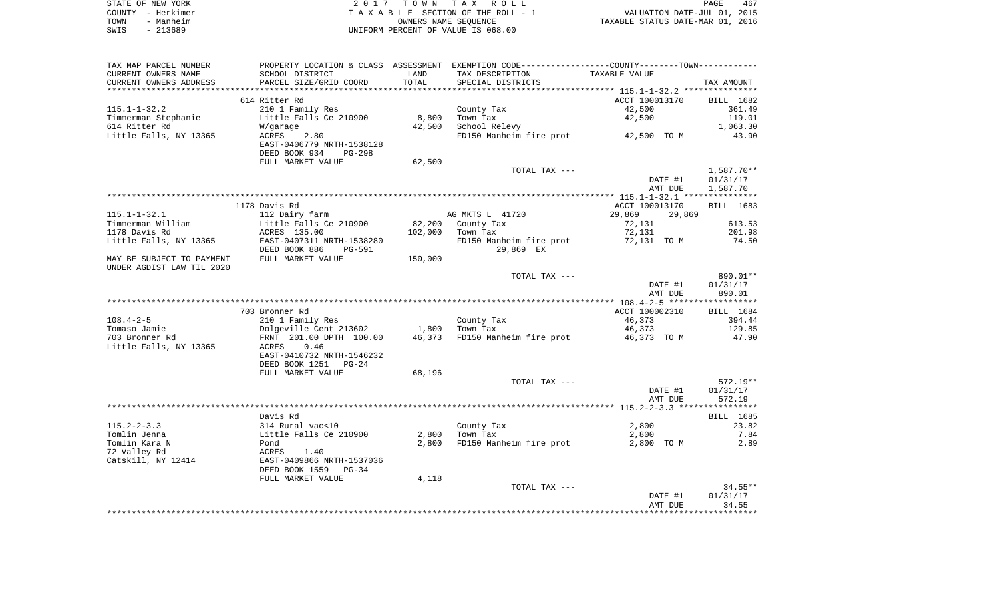|      | STATE OF NEW YORK | 2017 TOWN TAX ROLL                 | PAGE                             | 467 |
|------|-------------------|------------------------------------|----------------------------------|-----|
|      | COUNTY - Herkimer | TAXABLE SECTION OF THE ROLL - 1    | VALUATION DATE-JUL 01, 2015      |     |
| TOWN | - Manheim         | OWNERS NAME SEOUENCE               | TAXABLE STATUS DATE-MAR 01, 2016 |     |
| SWIS | - 213689          | UNIFORM PERCENT OF VALUE IS 068.00 |                                  |     |

| TAX MAP PARCEL NUMBER                        |                           |         | PROPERTY LOCATION & CLASS ASSESSMENT EXEMPTION CODE----------------COUNTY--------TOWN---------- |                  |              |  |  |  |  |
|----------------------------------------------|---------------------------|---------|-------------------------------------------------------------------------------------------------|------------------|--------------|--|--|--|--|
| CURRENT OWNERS NAME                          | SCHOOL DISTRICT           | LAND    | TAX DESCRIPTION                                                                                 | TAXABLE VALUE    |              |  |  |  |  |
| CURRENT OWNERS ADDRESS                       | PARCEL SIZE/GRID COORD    | TOTAL   | SPECIAL DISTRICTS                                                                               |                  | TAX AMOUNT   |  |  |  |  |
|                                              |                           |         |                                                                                                 |                  |              |  |  |  |  |
| ACCT 100013170<br>614 Ritter Rd<br>BILL 1682 |                           |         |                                                                                                 |                  |              |  |  |  |  |
| $115.1 - 1 - 32.2$                           | 210 1 Family Res          |         | County Tax                                                                                      | 42,500           | 361.49       |  |  |  |  |
| Timmerman Stephanie                          | Little Falls Ce 210900    | 8,800   | Town Tax                                                                                        | 42,500           | 119.01       |  |  |  |  |
|                                              |                           |         |                                                                                                 |                  |              |  |  |  |  |
| 614 Ritter Rd                                | W/garage                  | 42,500  | School Relevy                                                                                   |                  | 1,063.30     |  |  |  |  |
| Little Falls, NY 13365                       | 2.80<br>ACRES             |         | FD150 Manheim fire prot 42,500 TO M                                                             |                  | 43.90        |  |  |  |  |
|                                              | EAST-0406779 NRTH-1538128 |         |                                                                                                 |                  |              |  |  |  |  |
|                                              | DEED BOOK 934<br>$PG-298$ |         |                                                                                                 |                  |              |  |  |  |  |
|                                              | FULL MARKET VALUE         | 62,500  |                                                                                                 |                  |              |  |  |  |  |
|                                              |                           |         | TOTAL TAX ---                                                                                   |                  | $1,587.70**$ |  |  |  |  |
|                                              |                           |         |                                                                                                 | DATE #1          | 01/31/17     |  |  |  |  |
|                                              |                           |         |                                                                                                 | AMT DUE          | 1,587.70     |  |  |  |  |
|                                              |                           |         |                                                                                                 |                  |              |  |  |  |  |
|                                              | 1178 Davis Rd             |         |                                                                                                 | ACCT 100013170   | BILL 1683    |  |  |  |  |
| $115.1 - 1 - 32.1$                           | 112 Dairy farm            |         | AG MKTS L 41720                                                                                 | 29,869<br>29,869 |              |  |  |  |  |
| Timmerman William                            | Little Falls Ce 210900    | 82,200  | County Tax                                                                                      | 72,131           | 613.53       |  |  |  |  |
| 1178 Davis Rd                                | ACRES 135.00              | 102,000 | Town Tax                                                                                        | 72,131           | 201.98       |  |  |  |  |
| Little Falls, NY 13365                       | EAST-0407311 NRTH-1538280 |         | FD150 Manheim fire prot                                                                         | 72,131 TO M      | 74.50        |  |  |  |  |
|                                              | DEED BOOK 886             |         | 29,869 EX                                                                                       |                  |              |  |  |  |  |
|                                              | PG-591                    |         |                                                                                                 |                  |              |  |  |  |  |
| MAY BE SUBJECT TO PAYMENT                    | FULL MARKET VALUE         | 150,000 |                                                                                                 |                  |              |  |  |  |  |
| UNDER AGDIST LAW TIL 2020                    |                           |         |                                                                                                 |                  |              |  |  |  |  |
|                                              |                           |         | TOTAL TAX ---                                                                                   |                  | 890.01**     |  |  |  |  |
|                                              |                           |         |                                                                                                 | DATE #1          | 01/31/17     |  |  |  |  |
|                                              |                           |         |                                                                                                 | AMT DUE          | 890.01       |  |  |  |  |
|                                              |                           |         |                                                                                                 |                  |              |  |  |  |  |
|                                              | 703 Bronner Rd            |         |                                                                                                 | ACCT 100002310   | BILL 1684    |  |  |  |  |
| $108.4 - 2 - 5$                              | 210 1 Family Res          |         | County Tax                                                                                      | 46,373           | 394.44       |  |  |  |  |
| Tomaso Jamie                                 | Dolgeville Cent 213602    | 1,800   | Town Tax                                                                                        | 46,373           | 129.85       |  |  |  |  |
| 703 Bronner Rd                               | FRNT 201.00 DPTH 100.00   | 46,373  | FD150 Manheim fire prot                                                                         | 46,373 TO M      | 47.90        |  |  |  |  |
| Little Falls, NY 13365                       | 0.46<br>ACRES             |         |                                                                                                 |                  |              |  |  |  |  |
|                                              | EAST-0410732 NRTH-1546232 |         |                                                                                                 |                  |              |  |  |  |  |
|                                              | DEED BOOK 1251<br>$PG-24$ |         |                                                                                                 |                  |              |  |  |  |  |
|                                              | FULL MARKET VALUE         | 68,196  |                                                                                                 |                  |              |  |  |  |  |
|                                              |                           |         |                                                                                                 |                  | $572.19**$   |  |  |  |  |
|                                              |                           |         | TOTAL TAX ---                                                                                   |                  |              |  |  |  |  |
|                                              |                           |         |                                                                                                 | DATE #1          | 01/31/17     |  |  |  |  |
|                                              |                           |         |                                                                                                 | AMT DUE          | 572.19       |  |  |  |  |
|                                              |                           |         |                                                                                                 |                  |              |  |  |  |  |
|                                              | Davis Rd                  |         |                                                                                                 |                  | BILL 1685    |  |  |  |  |
| $115.2 - 2 - 3.3$                            | 314 Rural vac<10          |         | County Tax                                                                                      | 2,800            | 23.82        |  |  |  |  |
| Tomlin Jenna                                 | Little Falls Ce 210900    | 2,800   | Town Tax                                                                                        | 2,800            | 7.84         |  |  |  |  |
| Tomlin Kara N                                | Pond                      | 2,800   | FD150 Manheim fire prot                                                                         | 2,800 TO M       | 2.89         |  |  |  |  |
| 72 Valley Rd                                 | ACRES<br>1.40             |         |                                                                                                 |                  |              |  |  |  |  |
| Catskill, NY 12414                           | EAST-0409866 NRTH-1537036 |         |                                                                                                 |                  |              |  |  |  |  |
|                                              | DEED BOOK 1559<br>$PG-34$ |         |                                                                                                 |                  |              |  |  |  |  |
|                                              | FULL MARKET VALUE         | 4,118   |                                                                                                 |                  |              |  |  |  |  |
|                                              |                           |         | TOTAL TAX ---                                                                                   |                  | $34.55**$    |  |  |  |  |
|                                              |                           |         |                                                                                                 | DATE #1          | 01/31/17     |  |  |  |  |
|                                              |                           |         |                                                                                                 | AMT DUE          | 34.55        |  |  |  |  |
|                                              |                           |         |                                                                                                 |                  |              |  |  |  |  |
|                                              |                           |         |                                                                                                 |                  |              |  |  |  |  |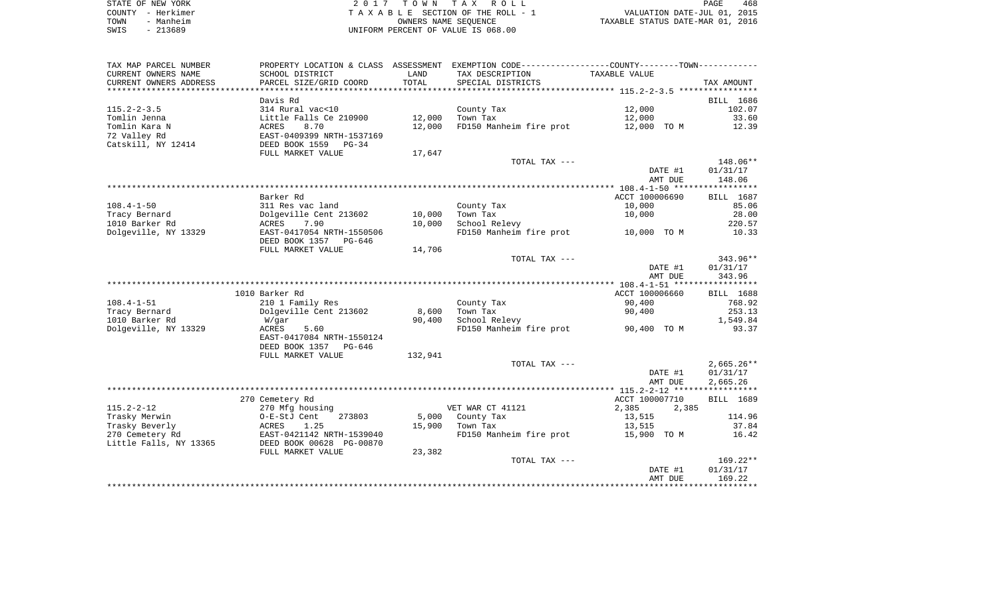| STATE OF NEW YORK | 2017 TOWN TAX ROLL                 | 468<br>PAGE                      |
|-------------------|------------------------------------|----------------------------------|
| COUNTY - Herkimer | TAXABLE SECTION OF THE ROLL - 1    | VALUATION DATE-JUL 01, 2015      |
| TOWN<br>- Manheim | OWNERS NAME SEOUENCE               | TAXABLE STATUS DATE-MAR 01, 2016 |
| $-213689$<br>SWIS | UNIFORM PERCENT OF VALUE IS 068.00 |                                  |

| TAX MAP PARCEL NUMBER<br>CURRENT OWNERS NAME       | SCHOOL DISTRICT                                       | LAND    | PROPERTY LOCATION & CLASS ASSESSMENT EXEMPTION CODE---------------COUNTY-------TOWN---------<br>TAX DESCRIPTION | TAXABLE VALUE  |                   |
|----------------------------------------------------|-------------------------------------------------------|---------|-----------------------------------------------------------------------------------------------------------------|----------------|-------------------|
| CURRENT OWNERS ADDRESS<br>************************ | PARCEL SIZE/GRID COORD                                | TOTAL   | SPECIAL DISTRICTS                                                                                               |                | TAX AMOUNT        |
|                                                    | Davis Rd                                              |         |                                                                                                                 |                | BILL 1686         |
| $115.2 - 2 - 3.5$                                  | 314 Rural vac<10                                      |         | County Tax                                                                                                      | 12,000         | 102.07            |
| Tomlin Jenna                                       | Little Falls Ce 210900                                | 12,000  | Town Tax                                                                                                        | 12,000         | 33.60             |
| Tomlin Kara N                                      | 8.70<br>ACRES                                         | 12,000  | FD150 Manheim fire prot                                                                                         | 12,000 TO M    | 12.39             |
| 72 Valley Rd<br>Catskill, NY 12414                 | EAST-0409399 NRTH-1537169<br>DEED BOOK 1559<br>PG-34  |         |                                                                                                                 |                |                   |
|                                                    | FULL MARKET VALUE                                     | 17,647  |                                                                                                                 |                |                   |
|                                                    |                                                       |         | TOTAL TAX ---                                                                                                   |                | 148.06**          |
|                                                    |                                                       |         |                                                                                                                 | DATE #1        | 01/31/17          |
|                                                    |                                                       |         |                                                                                                                 | AMT DUE        | 148.06            |
|                                                    | Barker Rd                                             |         |                                                                                                                 | ACCT 100006690 | BILL 1687         |
| $108.4 - 1 - 50$                                   | 311 Res vac land                                      |         | County Tax                                                                                                      | 10,000         | 85.06             |
| Tracy Bernard                                      | Dolgeville Cent 213602                                | 10,000  | Town Tax                                                                                                        | 10,000         | 28.00             |
| 1010 Barker Rd                                     | 7.90<br>ACRES                                         | 10,000  | School Relevy                                                                                                   |                | 220.57            |
| Dolgeville, NY 13329                               | EAST-0417054 NRTH-1550506                             |         | FD150 Manheim fire prot                                                                                         | 10,000 TO M    | 10.33             |
|                                                    | DEED BOOK 1357<br>PG-646<br>FULL MARKET VALUE         | 14,706  |                                                                                                                 |                |                   |
|                                                    |                                                       |         | TOTAL TAX ---                                                                                                   |                | 343.96**          |
|                                                    |                                                       |         |                                                                                                                 | DATE #1        | 01/31/17          |
|                                                    |                                                       |         |                                                                                                                 | AMT DUE        | 343.96            |
|                                                    |                                                       |         |                                                                                                                 |                |                   |
|                                                    | 1010 Barker Rd                                        |         |                                                                                                                 | ACCT 100006660 | <b>BILL</b> 1688  |
| $108.4 - 1 - 51$                                   | 210 1 Family Res                                      |         | County Tax                                                                                                      | 90,400         | 768.92            |
| Tracy Bernard                                      | Dolgeville Cent 213602                                | 8,600   | Town Tax                                                                                                        | 90,400         | 253.13            |
| 1010 Barker Rd<br>Dolgeville, NY 13329             | W/gar<br>ACRES<br>5.60                                | 90,400  | School Relevy<br>FD150 Manheim fire prot                                                                        | 90,400 TO M    | 1,549.84<br>93.37 |
|                                                    | EAST-0417084 NRTH-1550124<br>DEED BOOK 1357<br>PG-646 |         |                                                                                                                 |                |                   |
|                                                    | FULL MARKET VALUE                                     | 132,941 |                                                                                                                 |                |                   |
|                                                    |                                                       |         | TOTAL TAX ---                                                                                                   |                | $2,665.26**$      |
|                                                    |                                                       |         |                                                                                                                 | DATE #1        | 01/31/17          |
|                                                    |                                                       |         |                                                                                                                 | AMT DUE        | 2,665.26          |
|                                                    |                                                       |         |                                                                                                                 |                |                   |
|                                                    | 270 Cemetery Rd                                       |         |                                                                                                                 | ACCT 100007710 | BILL 1689         |
| $115.2 - 2 - 12$                                   | 270 Mfg housing                                       |         | VET WAR CT 41121                                                                                                | 2,385<br>2,385 |                   |
| Trasky Merwin                                      | O-E-StJ Cent<br>273803                                | 5,000   | County Tax                                                                                                      | 13,515         | 114.96            |
| Trasky Beverly<br>270 Cemetery Rd                  | ACRES<br>1.25<br>EAST-0421142 NRTH-1539040            | 15,900  | Town Tax                                                                                                        | 13,515         | 37.84             |
| Little Falls, NY 13365                             | DEED BOOK 00628 PG-00870                              |         | FD150 Manheim fire prot                                                                                         | 15,900 TO M    | 16.42             |
|                                                    | FULL MARKET VALUE                                     | 23,382  | TOTAL TAX ---                                                                                                   |                | $169.22**$        |
|                                                    |                                                       |         |                                                                                                                 | DATE #1        | 01/31/17          |
|                                                    |                                                       |         |                                                                                                                 | AMT DUE        | 169.22            |
|                                                    |                                                       |         |                                                                                                                 |                |                   |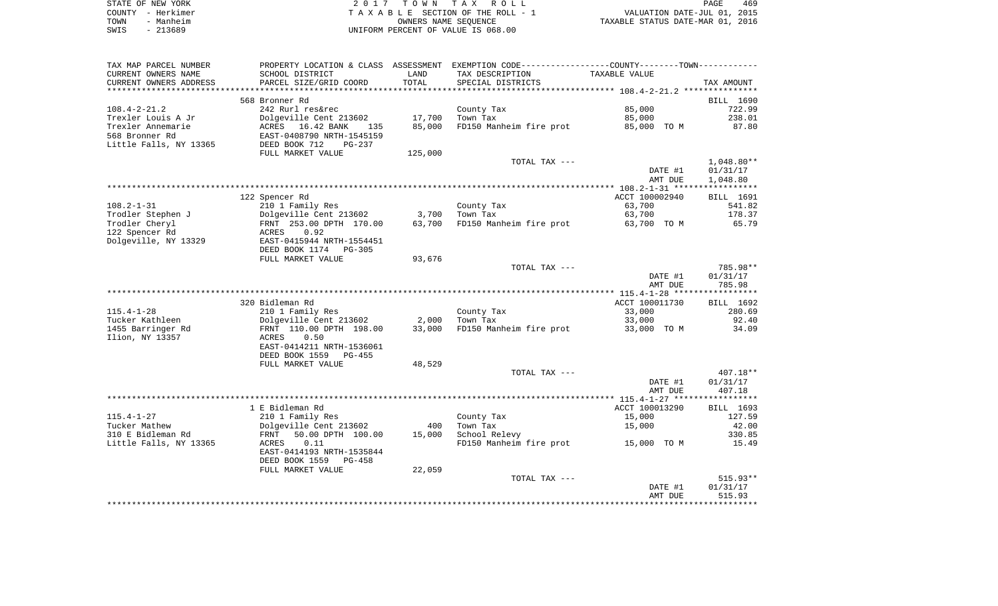|      | STATE OF NEW YORK | 2017 TOWN TAX ROLL                 | 469<br>PAGE                      |
|------|-------------------|------------------------------------|----------------------------------|
|      | COUNTY - Herkimer | TAXABLE SECTION OF THE ROLL - 1    | VALUATION DATE-JUL 01, 2015      |
| TOWN | - Manheim         | OWNERS NAME SEOUENCE               | TAXABLE STATUS DATE-MAR 01, 2016 |
| SWIS | - 213689          | UNIFORM PERCENT OF VALUE IS 068.00 |                                  |

| TAX MAP PARCEL NUMBER  | PROPERTY LOCATION & CLASS ASSESSMENT       |         | EXEMPTION CODE-----------------COUNTY--------TOWN----------- |                |              |
|------------------------|--------------------------------------------|---------|--------------------------------------------------------------|----------------|--------------|
| CURRENT OWNERS NAME    | SCHOOL DISTRICT                            | LAND    | TAX DESCRIPTION                                              | TAXABLE VALUE  |              |
| CURRENT OWNERS ADDRESS | PARCEL SIZE/GRID COORD                     | TOTAL   | SPECIAL DISTRICTS                                            |                | TAX AMOUNT   |
|                        |                                            |         |                                                              |                |              |
|                        | 568 Bronner Rd                             |         |                                                              |                | BILL 1690    |
| $108.4 - 2 - 21.2$     | 242 Rurl res&rec                           |         | County Tax                                                   | 85,000         | 722.99       |
| Trexler Louis A Jr     | Dolgeville Cent 213602                     | 17,700  | Town Tax                                                     | 85,000         | 238.01       |
| Trexler Annemarie      | ACRES 16.42 BANK<br>135                    | 85,000  | FD150 Manheim fire prot                                      | 85,000 TO M    | 87.80        |
| 568 Bronner Rd         | EAST-0408790 NRTH-1545159                  |         |                                                              |                |              |
| Little Falls, NY 13365 | DEED BOOK 712<br>PG-237                    |         |                                                              |                |              |
|                        | FULL MARKET VALUE                          | 125,000 |                                                              |                |              |
|                        |                                            |         | TOTAL TAX ---                                                |                | $1,048.80**$ |
|                        |                                            |         |                                                              | DATE #1        | 01/31/17     |
|                        |                                            |         |                                                              | AMT DUE        | 1,048.80     |
|                        |                                            |         |                                                              |                |              |
|                        | 122 Spencer Rd                             |         |                                                              | ACCT 100002940 | BILL 1691    |
| $108.2 - 1 - 31$       | 210 1 Family Res                           |         | County Tax                                                   | 63,700         | 541.82       |
| Trodler Stephen J      | Dolgeville Cent 213602                     | 3,700   | Town Tax                                                     | 63,700         | 178.37       |
| Trodler Cheryl         | FRNT 253.00 DPTH 170.00                    | 63,700  | FD150 Manheim fire prot                                      | 63,700 TO M    | 65.79        |
| 122 Spencer Rd         | ACRES<br>0.92                              |         |                                                              |                |              |
| Dolgeville, NY 13329   | EAST-0415944 NRTH-1554451                  |         |                                                              |                |              |
|                        | DEED BOOK 1174<br>PG-305                   |         |                                                              |                |              |
|                        | FULL MARKET VALUE                          | 93,676  |                                                              |                |              |
|                        |                                            |         | TOTAL TAX ---                                                |                | 785.98**     |
|                        |                                            |         |                                                              | DATE #1        | 01/31/17     |
|                        |                                            |         |                                                              | AMT DUE        | 785.98       |
|                        |                                            |         |                                                              |                |              |
|                        | 320 Bidleman Rd                            |         |                                                              | ACCT 100011730 | BILL 1692    |
| $115.4 - 1 - 28$       | 210 1 Family Res                           |         | County Tax                                                   | 33,000         | 280.69       |
| Tucker Kathleen        | Dolgeville Cent 213602                     | 2,000   | Town Tax                                                     | 33,000         | 92.40        |
| 1455 Barringer Rd      | FRNT 110.00 DPTH 198.00                    | 33,000  | FD150 Manheim fire prot                                      | 33,000 TO M    | 34.09        |
| Ilion, NY 13357        | ACRES<br>0.50<br>EAST-0414211 NRTH-1536061 |         |                                                              |                |              |
|                        | DEED BOOK 1559 PG-455                      |         |                                                              |                |              |
|                        | FULL MARKET VALUE                          | 48,529  |                                                              |                |              |
|                        |                                            |         | TOTAL TAX ---                                                |                | 407.18**     |
|                        |                                            |         |                                                              | DATE #1        | 01/31/17     |
|                        |                                            |         |                                                              | AMT DUE        | 407.18       |
|                        |                                            |         |                                                              |                |              |
|                        | 1 E Bidleman Rd                            |         |                                                              | ACCT 100013290 | BILL 1693    |
| $115.4 - 1 - 27$       | 210 1 Family Res                           |         | County Tax                                                   | 15,000         | 127.59       |
| Tucker Mathew          | Dolgeville Cent 213602                     | 400     | Town Tax                                                     | 15,000         | 42.00        |
| 310 E Bidleman Rd      | 50.00 DPTH 100.00<br>FRNT                  | 15,000  | School Relevy                                                |                | 330.85       |
| Little Falls, NY 13365 | 0.11<br>ACRES                              |         | FD150 Manheim fire prot                                      | 15,000 TO M    | 15.49        |
|                        | EAST-0414193 NRTH-1535844                  |         |                                                              |                |              |
|                        | DEED BOOK 1559<br>PG-458                   |         |                                                              |                |              |
|                        | FULL MARKET VALUE                          | 22,059  |                                                              |                |              |
|                        |                                            |         | TOTAL TAX ---                                                |                | $515.93**$   |
|                        |                                            |         |                                                              | DATE #1        | 01/31/17     |
|                        |                                            |         |                                                              | AMT DUE        | 515.93       |
|                        |                                            |         |                                                              |                |              |
|                        |                                            |         |                                                              |                |              |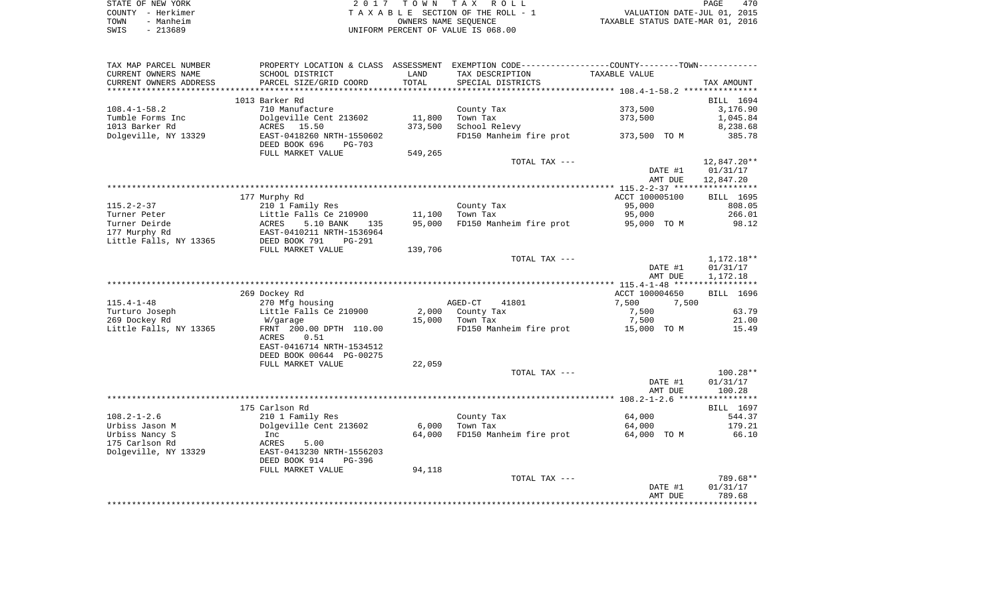|      | STATE OF NEW YORK | 2017 TOWN TAX ROLL                 | PAGE                             | 470 |
|------|-------------------|------------------------------------|----------------------------------|-----|
|      | COUNTY - Herkimer | TAXABLE SECTION OF THE ROLL - 1    | VALUATION DATE-JUL 01, 2015      |     |
| TOWN | - Manheim         | OWNERS NAME SEOUENCE               | TAXABLE STATUS DATE-MAR 01, 2016 |     |
| SWIS | $-213689$         | UNIFORM PERCENT OF VALUE IS 068.00 |                                  |     |

| TAX MAP PARCEL NUMBER  |                                |         | PROPERTY LOCATION & CLASS ASSESSMENT EXEMPTION CODE---------------COUNTY-------TOWN---------- |                |             |
|------------------------|--------------------------------|---------|-----------------------------------------------------------------------------------------------|----------------|-------------|
| CURRENT OWNERS NAME    | SCHOOL DISTRICT                | LAND    | TAX DESCRIPTION                                                                               | TAXABLE VALUE  |             |
| CURRENT OWNERS ADDRESS | PARCEL SIZE/GRID COORD         | TOTAL   | SPECIAL DISTRICTS                                                                             |                | TAX AMOUNT  |
|                        |                                |         |                                                                                               |                |             |
|                        | 1013 Barker Rd                 |         |                                                                                               |                | BILL 1694   |
| $108.4 - 1 - 58.2$     | 710 Manufacture                |         | County Tax                                                                                    | 373,500        | 3,176.90    |
| Tumble Forms Inc       | Dolgeville Cent 213602         | 11,800  | Town Tax                                                                                      | 373,500        | 1,045.84    |
| 1013 Barker Rd         | ACRES 15.50                    | 373,500 | School Relevy                                                                                 |                | 8,238.68    |
| Dolgeville, NY 13329   | EAST-0418260 NRTH-1550602      |         | FD150 Manheim fire prot 373,500 TO M                                                          |                | 385.78      |
|                        | DEED BOOK 696<br><b>PG-703</b> |         |                                                                                               |                |             |
|                        | FULL MARKET VALUE              | 549,265 |                                                                                               |                |             |
|                        |                                |         | TOTAL TAX ---                                                                                 |                | 12,847.20** |
|                        |                                |         |                                                                                               | DATE #1        | 01/31/17    |
|                        |                                |         |                                                                                               | AMT DUE        | 12,847.20   |
|                        |                                |         |                                                                                               |                |             |
|                        | 177 Murphy Rd                  |         |                                                                                               | ACCT 100005100 | BILL 1695   |
| $115.2 - 2 - 37$       | 210 1 Family Res               |         | County Tax                                                                                    | 95,000         | 808.05      |
| Turner Peter           | Little Falls Ce 210900         | 11,100  | Town Tax                                                                                      | 95,000         | 266.01      |
| Turner Deirde          | ACRES<br>5.10 BANK<br>135      | 95,000  | FD150 Manheim fire prot 95,000 TO M                                                           |                | 98.12       |
| 177 Murphy Rd          | EAST-0410211 NRTH-1536964      |         |                                                                                               |                |             |
| Little Falls, NY 13365 | DEED BOOK 791<br>PG-291        |         |                                                                                               |                |             |
|                        | FULL MARKET VALUE              | 139,706 |                                                                                               |                |             |
|                        |                                |         | TOTAL TAX ---                                                                                 |                | 1,172.18**  |
|                        |                                |         |                                                                                               | DATE #1        | 01/31/17    |
|                        |                                |         |                                                                                               | AMT DUE        | 1,172.18    |
|                        | 269 Dockey Rd                  |         |                                                                                               | ACCT 100004650 | BILL 1696   |
| $115.4 - 1 - 48$       | 270 Mfg housing                |         | AGED-CT<br>41801                                                                              | 7,500<br>7,500 |             |
| Turturo Joseph         | Little Falls Ce 210900         |         | 2,000 County Tax                                                                              | 7,500          | 63.79       |
| 269 Dockey Rd          | W/garage                       | 15,000  | Town Tax                                                                                      | 7,500          | 21.00       |
| Little Falls, NY 13365 | FRNT 200.00 DPTH 110.00        |         | FD150 Manheim fire prot 15,000 TO M                                                           |                | 15.49       |
|                        | 0.51<br>ACRES                  |         |                                                                                               |                |             |
|                        | EAST-0416714 NRTH-1534512      |         |                                                                                               |                |             |
|                        | DEED BOOK 00644 PG-00275       |         |                                                                                               |                |             |
|                        | FULL MARKET VALUE              | 22,059  |                                                                                               |                |             |
|                        |                                |         | TOTAL TAX ---                                                                                 |                | 100.28**    |
|                        |                                |         |                                                                                               | DATE #1        | 01/31/17    |
|                        |                                |         |                                                                                               | AMT DUE        | 100.28      |
|                        |                                |         |                                                                                               |                |             |
|                        | 175 Carlson Rd                 |         |                                                                                               |                | BILL 1697   |
| $108.2 - 1 - 2.6$      | 210 1 Family Res               |         | County Tax                                                                                    | 64,000         | 544.37      |
| Urbiss Jason M         | Dolgeville Cent 213602         | 6,000   | Town Tax                                                                                      | 64,000         | 179.21      |
| Urbiss Nancy S         | Inc                            | 64,000  | FD150 Manheim fire prot 64,000 TO M                                                           |                | 66.10       |
| 175 Carlson Rd         | 5.00<br>ACRES                  |         |                                                                                               |                |             |
| Dolgeville, NY 13329   | EAST-0413230 NRTH-1556203      |         |                                                                                               |                |             |
|                        | DEED BOOK 914<br>PG-396        |         |                                                                                               |                |             |
|                        | FULL MARKET VALUE              | 94,118  |                                                                                               |                |             |
|                        |                                |         | TOTAL TAX ---                                                                                 |                | 789.68**    |
|                        |                                |         |                                                                                               | DATE #1        | 01/31/17    |
|                        |                                |         |                                                                                               | AMT DUE        | 789.68      |
|                        |                                |         |                                                                                               |                |             |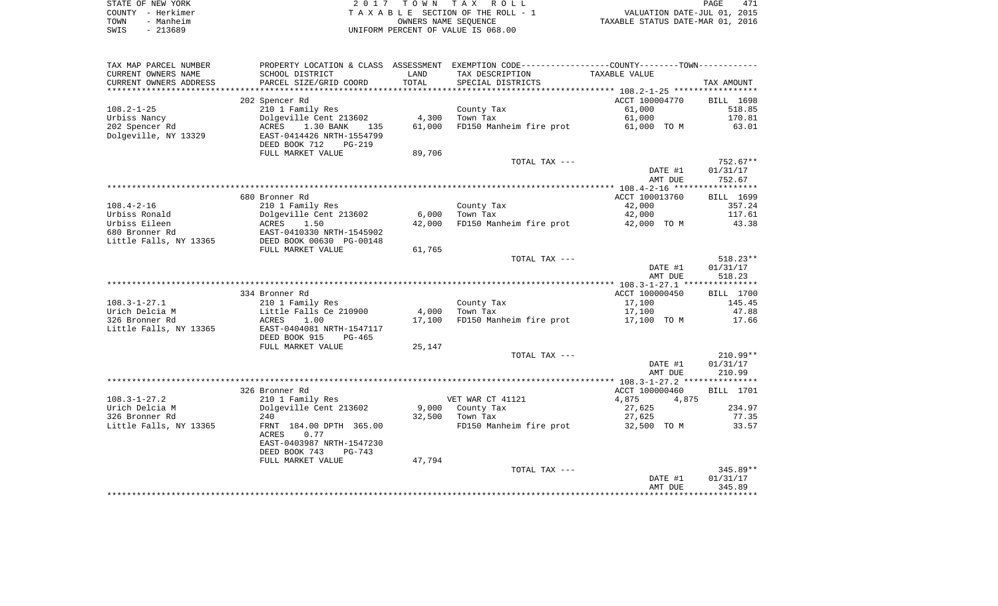| STATE OF NEW YORK | 2017 TOWN TAX ROLL                 | PAGE                             | 471 |
|-------------------|------------------------------------|----------------------------------|-----|
| COUNTY - Herkimer | TAXABLE SECTION OF THE ROLL - 1    | VALUATION DATE-JUL 01, 2015      |     |
| TOWN<br>- Manheim | OWNERS NAME SEOUENCE               | TAXABLE STATUS DATE-MAR 01, 2016 |     |
| - 213689<br>SWIS  | UNIFORM PERCENT OF VALUE IS 068.00 |                                  |     |

| TAX MAP PARCEL NUMBER                |                                         |                | PROPERTY LOCATION & CLASS ASSESSMENT EXEMPTION CODE----------------COUNTY--------TOWN----------- |                |                 |
|--------------------------------------|-----------------------------------------|----------------|--------------------------------------------------------------------------------------------------|----------------|-----------------|
| CURRENT OWNERS NAME                  | SCHOOL DISTRICT                         | LAND           | TAX DESCRIPTION                                                                                  | TAXABLE VALUE  |                 |
| CURRENT OWNERS ADDRESS               | PARCEL SIZE/GRID COORD                  | TOTAL          | SPECIAL DISTRICTS                                                                                |                | TAX AMOUNT      |
| *****************                    |                                         | ************** |                                                                                                  |                |                 |
|                                      | 202 Spencer Rd                          |                |                                                                                                  | ACCT 100004770 | BILL 1698       |
| $108.2 - 1 - 25$                     | 210 1 Family Res                        |                | County Tax                                                                                       | 61,000         | 518.85          |
| Urbiss Nancy                         | Dolgeville Cent 213602                  | 4,300          | Town Tax                                                                                         | 61,000         | 170.81          |
| 202 Spencer Rd                       | 1.30 BANK<br>ACRES<br>135               | 61,000         | FD150 Manheim fire prot                                                                          | 61,000 TO M    | 63.01           |
| Dolgeville, NY 13329                 | EAST-0414426 NRTH-1554799               |                |                                                                                                  |                |                 |
|                                      | DEED BOOK 712<br>PG-219                 |                |                                                                                                  |                |                 |
|                                      | FULL MARKET VALUE                       | 89,706         |                                                                                                  |                |                 |
|                                      |                                         |                | TOTAL TAX ---                                                                                    |                | $752.67**$      |
|                                      |                                         |                |                                                                                                  | DATE #1        | 01/31/17        |
|                                      |                                         |                |                                                                                                  | AMT DUE        | 752.67          |
|                                      |                                         |                |                                                                                                  |                |                 |
|                                      | 680 Bronner Rd                          |                |                                                                                                  | ACCT 100013760 | BILL 1699       |
| $108.4 - 2 - 16$                     | 210 1 Family Res                        |                | County Tax                                                                                       | 42,000         | 357.24          |
| Urbiss Ronald                        | Dolgeville Cent 213602                  | 6,000          | Town Tax                                                                                         | 42,000         | 117.61          |
| Urbiss Eileen                        | 1.50<br>ACRES                           | 42,000         | FD150 Manheim fire prot                                                                          | 42,000 TO M    | 43.38           |
| 680 Bronner Rd                       | EAST-0410330 NRTH-1545902               |                |                                                                                                  |                |                 |
| Little Falls, NY 13365               | DEED BOOK 00630 PG-00148                |                |                                                                                                  |                |                 |
|                                      | FULL MARKET VALUE                       | 61,765         |                                                                                                  |                |                 |
|                                      |                                         |                | TOTAL TAX ---                                                                                    |                | $518.23**$      |
|                                      |                                         |                |                                                                                                  | DATE #1        | 01/31/17        |
|                                      |                                         |                |                                                                                                  | AMT DUE        | 518.23          |
|                                      |                                         |                |                                                                                                  |                |                 |
|                                      | 334 Bronner Rd                          |                |                                                                                                  | ACCT 100000450 | BILL 1700       |
| $108.3 - 1 - 27.1$<br>Urich Delcia M | 210 1 Family Res                        | 4,000          | County Tax<br>Town Tax                                                                           | 17,100         | 145.45<br>47.88 |
| 326 Bronner Rd                       | Little Falls Ce 210900<br>ACRES<br>1.00 |                | FD150 Manheim fire prot                                                                          | 17,100         | 17.66           |
|                                      | EAST-0404081 NRTH-1547117               | 17,100         |                                                                                                  | 17,100 TO M    |                 |
| Little Falls, NY 13365               | DEED BOOK 915<br>PG-465                 |                |                                                                                                  |                |                 |
|                                      | FULL MARKET VALUE                       | 25,147         |                                                                                                  |                |                 |
|                                      |                                         |                | TOTAL TAX ---                                                                                    |                | $210.99**$      |
|                                      |                                         |                |                                                                                                  | DATE #1        | 01/31/17        |
|                                      |                                         |                |                                                                                                  | AMT DUE        | 210.99          |
|                                      |                                         |                |                                                                                                  |                |                 |
|                                      | 326 Bronner Rd                          |                |                                                                                                  | ACCT 100000460 | BILL 1701       |
| $108.3 - 1 - 27.2$                   | 210 1 Family Res                        |                | VET WAR CT 41121                                                                                 | 4,875<br>4,875 |                 |
| Urich Delcia M                       | Dolgeville Cent 213602                  |                | 9,000 County Tax                                                                                 | 27,625         | 234.97          |
| 326 Bronner Rd                       | 240                                     | 32,500         | Town Tax                                                                                         | 27,625         | 77.35           |
| Little Falls, NY 13365               | FRNT 184.00 DPTH 365.00                 |                | FD150 Manheim fire prot                                                                          | 32,500 TO M    | 33.57           |
|                                      | ACRES<br>0.77                           |                |                                                                                                  |                |                 |
|                                      | EAST-0403987 NRTH-1547230               |                |                                                                                                  |                |                 |
|                                      | DEED BOOK 743<br>PG-743                 |                |                                                                                                  |                |                 |
|                                      | FULL MARKET VALUE                       | 47,794         |                                                                                                  |                |                 |
|                                      |                                         |                | TOTAL TAX ---                                                                                    |                | 345.89**        |
|                                      |                                         |                |                                                                                                  | DATE #1        | 01/31/17        |
|                                      |                                         |                |                                                                                                  | AMT DUE        | 345.89          |
|                                      |                                         |                |                                                                                                  |                |                 |
|                                      |                                         |                |                                                                                                  |                |                 |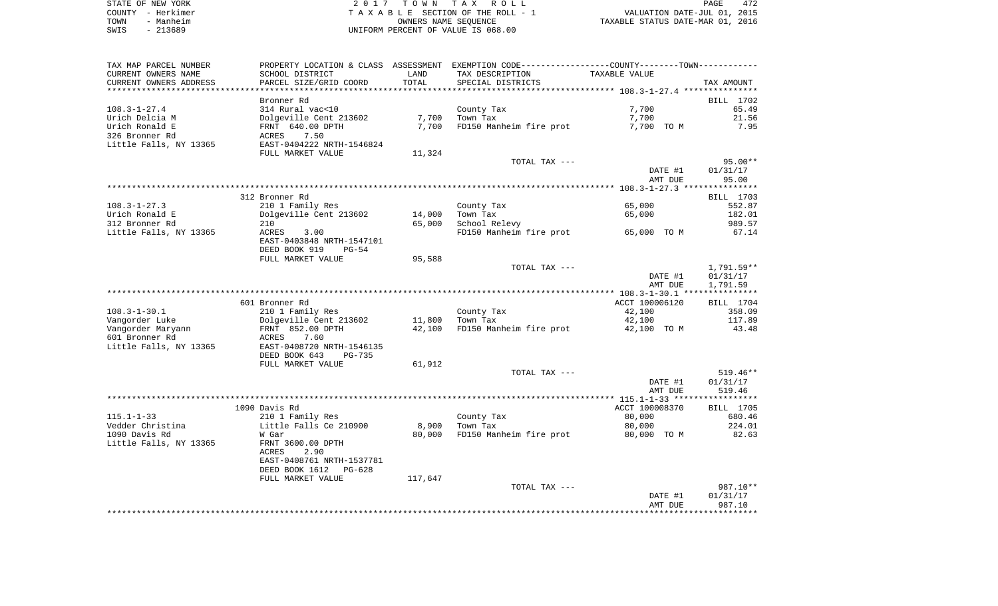|      | STATE OF NEW YORK | 2017 TOWN TAX ROLL                 | 472<br>PAGE                      |
|------|-------------------|------------------------------------|----------------------------------|
|      | COUNTY - Herkimer | TAXABLE SECTION OF THE ROLL - 1    | VALUATION DATE-JUL 01, 2015      |
| TOWN | - Manheim         | OWNERS NAME SEOUENCE               | TAXABLE STATUS DATE-MAR 01, 2016 |
| SWIS | $-213689$         | UNIFORM PERCENT OF VALUE IS 068.00 |                                  |

| TAX MAP PARCEL NUMBER                |                                            |         | PROPERTY LOCATION & CLASS ASSESSMENT EXEMPTION CODE----------------COUNTY-------TOWN---------- |                    |                    |
|--------------------------------------|--------------------------------------------|---------|------------------------------------------------------------------------------------------------|--------------------|--------------------|
| CURRENT OWNERS NAME                  | SCHOOL DISTRICT                            | LAND    | TAX DESCRIPTION                                                                                | TAXABLE VALUE      |                    |
| CURRENT OWNERS ADDRESS               | PARCEL SIZE/GRID COORD                     | TOTAL   | SPECIAL DISTRICTS                                                                              |                    | TAX AMOUNT         |
| ***********************              |                                            |         |                                                                                                |                    |                    |
|                                      | Bronner Rd                                 |         |                                                                                                |                    | BILL 1702          |
| $108.3 - 1 - 27.4$                   | 314 Rural vac<10                           |         | County Tax                                                                                     | 7,700              | 65.49              |
| Urich Delcia M                       | Dolgeville Cent 213602                     | 7,700   | Town Tax                                                                                       | 7,700              | 21.56              |
| Urich Ronald E                       | FRNT 640.00 DPTH                           | 7,700   | FD150 Manheim fire prot                                                                        | 7,700 TO M         | 7.95               |
| 326 Bronner Rd                       | ACRES<br>7.50                              |         |                                                                                                |                    |                    |
| Little Falls, NY 13365               | EAST-0404222 NRTH-1546824                  |         |                                                                                                |                    |                    |
|                                      | FULL MARKET VALUE                          | 11,324  |                                                                                                |                    |                    |
|                                      |                                            |         | TOTAL TAX ---                                                                                  |                    | $95.00**$          |
|                                      |                                            |         |                                                                                                | DATE #1            | 01/31/17           |
|                                      |                                            |         |                                                                                                | AMT DUE            | 95.00              |
|                                      |                                            |         |                                                                                                |                    |                    |
|                                      | 312 Bronner Rd                             |         |                                                                                                |                    | BILL 1703          |
| $108.3 - 1 - 27.3$                   | 210 1 Family Res                           |         | County Tax                                                                                     | 65,000             | 552.87             |
| Urich Ronald E                       | Dolgeville Cent 213602                     | 14,000  | Town Tax                                                                                       | 65,000             | 182.01             |
| 312 Bronner Rd                       | 210                                        | 65,000  | School Relevy                                                                                  |                    | 989.57             |
| Little Falls, NY 13365               | ACRES<br>3.00                              |         | FD150 Manheim fire prot                                                                        | 65,000 TO M        | 67.14              |
|                                      | EAST-0403848 NRTH-1547101                  |         |                                                                                                |                    |                    |
|                                      | DEED BOOK 919<br>$PG-54$                   |         |                                                                                                |                    |                    |
|                                      | FULL MARKET VALUE                          | 95,588  |                                                                                                |                    |                    |
|                                      |                                            |         | TOTAL TAX ---                                                                                  |                    | 1,791.59**         |
|                                      |                                            |         |                                                                                                | DATE #1            | 01/31/17           |
|                                      |                                            |         |                                                                                                | AMT DUE            | 1,791.59           |
|                                      |                                            |         |                                                                                                |                    |                    |
|                                      | 601 Bronner Rd                             |         |                                                                                                | ACCT 100006120     | BILL 1704          |
| $108.3 - 1 - 30.1$                   | 210 1 Family Res                           |         | County Tax                                                                                     | 42,100             | 358.09             |
| Vangorder Luke                       | Dolgeville Cent 213602                     | 11,800  | Town Tax                                                                                       | 42,100             | 117.89             |
| Vangorder Maryann                    | FRNT 852.00 DPTH                           | 42,100  | FD150 Manheim fire prot                                                                        | 42,100 TO M        | 43.48              |
| 601 Bronner Rd                       | ACRES<br>7.60                              |         |                                                                                                |                    |                    |
| Little Falls, NY 13365               | EAST-0408720 NRTH-1546135                  |         |                                                                                                |                    |                    |
|                                      | DEED BOOK 643<br><b>PG-735</b>             |         |                                                                                                |                    |                    |
|                                      | FULL MARKET VALUE                          | 61,912  |                                                                                                |                    |                    |
|                                      |                                            |         | TOTAL TAX ---                                                                                  |                    | 519.46**           |
|                                      |                                            |         |                                                                                                | DATE #1            | 01/31/17           |
|                                      |                                            |         |                                                                                                | AMT DUE            | 519.46             |
|                                      |                                            |         |                                                                                                |                    |                    |
|                                      | 1090 Davis Rd                              |         |                                                                                                | ACCT 100008370     | BILL 1705          |
| $115.1 - 1 - 33$<br>Vedder Christina | 210 1 Family Res<br>Little Falls Ce 210900 | 8,900   | County Tax                                                                                     | 80,000<br>80,000   | 680.46<br>224.01   |
| 1090 Davis Rd                        |                                            |         | Town Tax                                                                                       |                    |                    |
|                                      | W Gar                                      | 80,000  | FD150 Manheim fire prot                                                                        | 80,000 TO M        | 82.63              |
| Little Falls, NY 13365               | FRNT 3600.00 DPTH<br><b>ACRES</b><br>2.90  |         |                                                                                                |                    |                    |
|                                      | EAST-0408761 NRTH-1537781                  |         |                                                                                                |                    |                    |
|                                      | DEED BOOK 1612                             |         |                                                                                                |                    |                    |
|                                      | PG-628                                     |         |                                                                                                |                    |                    |
|                                      | FULL MARKET VALUE                          | 117,647 | TOTAL TAX ---                                                                                  |                    | 987.10**           |
|                                      |                                            |         |                                                                                                |                    |                    |
|                                      |                                            |         |                                                                                                | DATE #1<br>AMT DUE | 01/31/17<br>987.10 |
|                                      |                                            |         |                                                                                                |                    |                    |
|                                      |                                            |         |                                                                                                |                    |                    |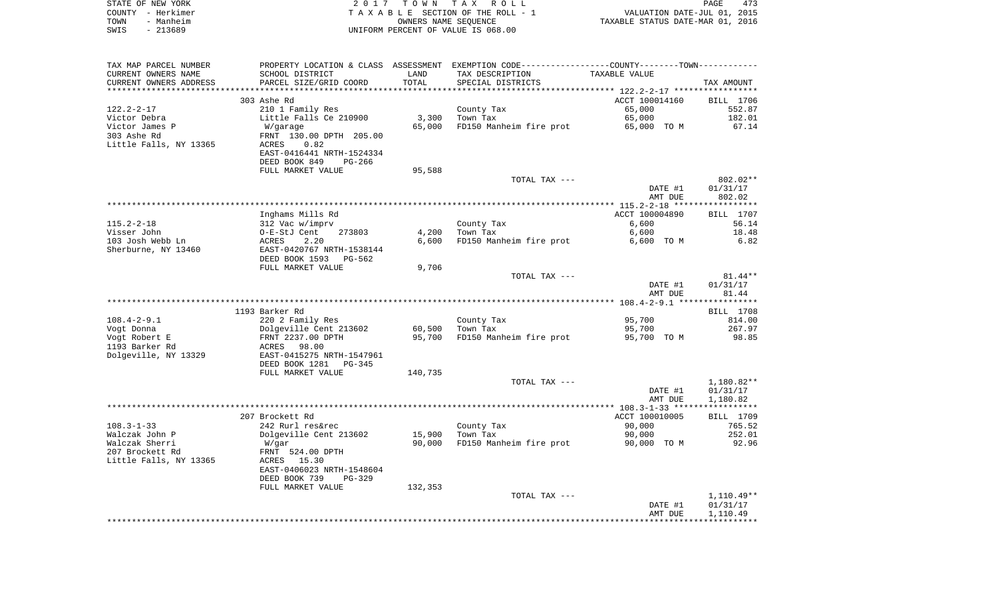|      | STATE OF NEW YORK | 2017 TOWN TAX ROLL                 | <b>PAGE</b>                      | 473 |
|------|-------------------|------------------------------------|----------------------------------|-----|
|      | COUNTY - Herkimer | TAXABLE SECTION OF THE ROLL - 1    | VALUATION DATE-JUL 01, 2015      |     |
| TOWN | - Manheim         | OWNERS NAME SEOUENCE               | TAXABLE STATUS DATE-MAR 01, 2016 |     |
| SWIS | - 213689          | UNIFORM PERCENT OF VALUE IS 068.00 |                                  |     |

| TAX MAP PARCEL NUMBER  | PROPERTY LOCATION & CLASS ASSESSMENT EXEMPTION CODE----------------COUNTY-------TOWN--------- |         |                         |                |              |
|------------------------|-----------------------------------------------------------------------------------------------|---------|-------------------------|----------------|--------------|
| CURRENT OWNERS NAME    | SCHOOL DISTRICT                                                                               | LAND    | TAX DESCRIPTION         | TAXABLE VALUE  |              |
| CURRENT OWNERS ADDRESS | PARCEL SIZE/GRID COORD                                                                        | TOTAL   | SPECIAL DISTRICTS       |                | TAX AMOUNT   |
|                        |                                                                                               |         |                         |                |              |
|                        | 303 Ashe Rd                                                                                   |         |                         | ACCT 100014160 | BILL 1706    |
| $122.2 - 2 - 17$       | 210 1 Family Res                                                                              |         | County Tax              | 65,000         | 552.87       |
| Victor Debra           | Little Falls Ce 210900                                                                        | 3,300   | Town Tax                | 65,000         | 182.01       |
| Victor James P         | W/garage                                                                                      | 65,000  | FD150 Manheim fire prot | 65,000 TO M    | 67.14        |
| 303 Ashe Rd            | FRNT 130.00 DPTH 205.00                                                                       |         |                         |                |              |
| Little Falls, NY 13365 | ACRES<br>0.82                                                                                 |         |                         |                |              |
|                        | EAST-0416441 NRTH-1524334                                                                     |         |                         |                |              |
|                        | DEED BOOK 849<br>PG-266                                                                       |         |                         |                |              |
|                        | FULL MARKET VALUE                                                                             | 95,588  |                         |                |              |
|                        |                                                                                               |         | TOTAL TAX ---           |                | 802.02**     |
|                        |                                                                                               |         |                         | DATE #1        | 01/31/17     |
|                        |                                                                                               |         |                         | AMT DUE        | 802.02       |
|                        |                                                                                               |         |                         |                |              |
|                        | Inghams Mills Rd                                                                              |         |                         | ACCT 100004890 | BILL 1707    |
| $115.2 - 2 - 18$       | 312 Vac w/imprv                                                                               |         | County Tax              | 6,600          | 56.14        |
| Visser John            | O-E-StJ Cent<br>273803                                                                        | 4,200   | Town Tax                | 6,600          | 18.48        |
| 103 Josh Webb Ln       | ACRES<br>2.20                                                                                 | 6,600   | FD150 Manheim fire prot | 6,600 TO M     | 6.82         |
| Sherburne, NY 13460    | EAST-0420767 NRTH-1538144                                                                     |         |                         |                |              |
|                        | DEED BOOK 1593<br>PG-562                                                                      |         |                         |                |              |
|                        | FULL MARKET VALUE                                                                             | 9,706   |                         |                |              |
|                        |                                                                                               |         | TOTAL TAX ---           |                | $81.44**$    |
|                        |                                                                                               |         |                         | DATE #1        | 01/31/17     |
|                        |                                                                                               |         |                         | AMT DUE        | 81.44        |
|                        |                                                                                               |         |                         |                |              |
|                        | 1193 Barker Rd                                                                                |         |                         |                | BILL 1708    |
| $108.4 - 2 - 9.1$      | 220 2 Family Res                                                                              |         | County Tax              | 95,700         | 814.00       |
| Vogt Donna             | Dolgeville Cent 213602                                                                        | 60,500  | Town Tax                | 95,700         | 267.97       |
| Vogt Robert E          | FRNT 2237.00 DPTH                                                                             | 95,700  | FD150 Manheim fire prot | 95,700 TO M    | 98.85        |
| 1193 Barker Rd         |                                                                                               |         |                         |                |              |
|                        | ACRES 98.00<br>EAST-0415275 NRTH-1547961                                                      |         |                         |                |              |
| Dolgeville, NY 13329   |                                                                                               |         |                         |                |              |
|                        | DEED BOOK 1281<br>$PG-345$                                                                    |         |                         |                |              |
|                        | FULL MARKET VALUE                                                                             | 140,735 |                         |                |              |
|                        |                                                                                               |         | TOTAL TAX ---           |                | 1,180.82**   |
|                        |                                                                                               |         |                         | DATE #1        | 01/31/17     |
|                        |                                                                                               |         |                         | AMT DUE        | 1,180.82     |
|                        |                                                                                               |         |                         |                |              |
|                        | 207 Brockett Rd                                                                               |         |                         | ACCT 100010005 | BILL 1709    |
| $108.3 - 1 - 33$       | 242 Rurl res&rec                                                                              |         | County Tax              | 90,000         | 765.52       |
| Walczak John P         | Dolgeville Cent 213602                                                                        | 15,900  | Town Tax                | 90,000         | 252.01       |
| Walczak Sherri         | W/gar                                                                                         | 90,000  | FD150 Manheim fire prot | 90,000 TO M    | 92.96        |
| 207 Brockett Rd        | FRNT 524.00 DPTH                                                                              |         |                         |                |              |
| Little Falls, NY 13365 | ACRES 15.30                                                                                   |         |                         |                |              |
|                        | EAST-0406023 NRTH-1548604                                                                     |         |                         |                |              |
|                        | DEED BOOK 739<br>PG-329                                                                       |         |                         |                |              |
|                        | FULL MARKET VALUE                                                                             | 132,353 |                         |                |              |
|                        |                                                                                               |         | TOTAL TAX ---           |                | $1,110.49**$ |
|                        |                                                                                               |         |                         | DATE #1        | 01/31/17     |
|                        |                                                                                               |         |                         | AMT DUE        | 1,110.49     |
|                        |                                                                                               |         |                         |                |              |
|                        |                                                                                               |         |                         |                |              |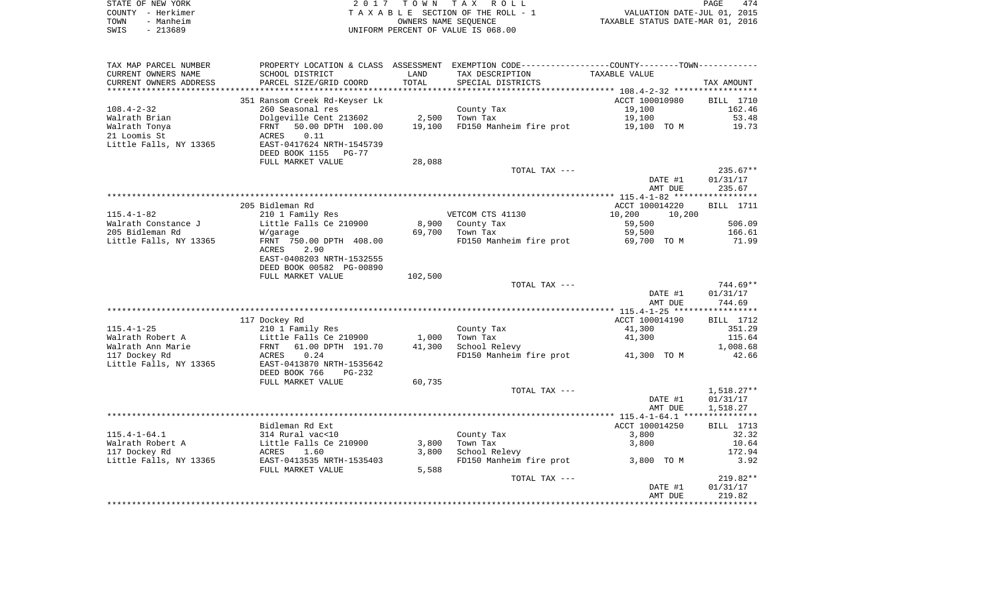| STATE OF NEW YORK | 2017 TOWN TAX ROLL                 | 474<br>PAGE                      |
|-------------------|------------------------------------|----------------------------------|
| COUNTY - Herkimer | TAXABLE SECTION OF THE ROLL - 1    | VALUATION DATE-JUL 01, 2015      |
| TOWN<br>- Manheim | OWNERS NAME SEOUENCE               | TAXABLE STATUS DATE-MAR 01, 2016 |
| - 213689<br>SWIS  | UNIFORM PERCENT OF VALUE IS 068.00 |                                  |

| TAX MAP PARCEL NUMBER                  |                                     |         | PROPERTY LOCATION & CLASS ASSESSMENT EXEMPTION CODE----------------COUNTY--------TOWN----------- |                       |                  |
|----------------------------------------|-------------------------------------|---------|--------------------------------------------------------------------------------------------------|-----------------------|------------------|
| CURRENT OWNERS NAME                    | SCHOOL DISTRICT                     | LAND    | TAX DESCRIPTION                                                                                  | TAXABLE VALUE         |                  |
| CURRENT OWNERS ADDRESS                 | PARCEL SIZE/GRID COORD              | TOTAL   | SPECIAL DISTRICTS                                                                                |                       | TAX AMOUNT       |
|                                        |                                     |         |                                                                                                  |                       |                  |
|                                        | 351 Ransom Creek Rd-Keyser Lk       |         |                                                                                                  | ACCT 100010980        | <b>BILL</b> 1710 |
| $108.4 - 2 - 32$                       | 260 Seasonal res                    |         | County Tax                                                                                       | 19,100                | 162.46           |
| Walrath Brian                          | Dolgeville Cent 213602              | 2,500   | Town Tax                                                                                         | 19,100                | 53.48            |
| Walrath Tonya                          | 50.00 DPTH 100.00<br>FRNT           | 19,100  | FD150 Manheim fire prot                                                                          | 19,100 TO M           | 19.73            |
| 21 Loomis St                           | 0.11<br>ACRES                       |         |                                                                                                  |                       |                  |
| Little Falls, NY 13365                 | EAST-0417624 NRTH-1545739           |         |                                                                                                  |                       |                  |
|                                        | DEED BOOK 1155 PG-77                |         |                                                                                                  |                       |                  |
|                                        | FULL MARKET VALUE                   | 28,088  |                                                                                                  |                       |                  |
|                                        |                                     |         | TOTAL TAX ---                                                                                    |                       | $235.67**$       |
|                                        |                                     |         |                                                                                                  | DATE #1               | 01/31/17         |
|                                        |                                     |         |                                                                                                  | AMT DUE               | 235.67           |
|                                        |                                     |         |                                                                                                  |                       |                  |
|                                        | 205 Bidleman Rd                     |         |                                                                                                  | ACCT 100014220        | <b>BILL</b> 1711 |
| $115.4 - 1 - 82$                       | 210 1 Family Res                    |         | VETCOM CTS 41130                                                                                 | 10,200<br>10,200      |                  |
| Walrath Constance J<br>205 Bidleman Rd | Little Falls Ce 210900              | 69,700  | 8,900 County Tax<br>Town Tax                                                                     | 59,500                | 506.09           |
| Little Falls, NY 13365                 | W/garage<br>FRNT 750.00 DPTH 408.00 |         | FD150 Manheim fire prot                                                                          | 59,500<br>69,700 TO M | 166.61<br>71.99  |
|                                        | <b>ACRES</b><br>2.90                |         |                                                                                                  |                       |                  |
|                                        | EAST-0408203 NRTH-1532555           |         |                                                                                                  |                       |                  |
|                                        | DEED BOOK 00582 PG-00890            |         |                                                                                                  |                       |                  |
|                                        | FULL MARKET VALUE                   | 102,500 |                                                                                                  |                       |                  |
|                                        |                                     |         | TOTAL TAX ---                                                                                    |                       | $744.69**$       |
|                                        |                                     |         |                                                                                                  | DATE #1               | 01/31/17         |
|                                        |                                     |         |                                                                                                  | AMT DUE               | 744.69           |
|                                        |                                     |         |                                                                                                  |                       |                  |
|                                        | 117 Dockey Rd                       |         |                                                                                                  | ACCT 100014190        | BILL 1712        |
| $115.4 - 1 - 25$                       | 210 1 Family Res                    |         | County Tax                                                                                       | 41,300                | 351.29           |
| Walrath Robert A                       | Little Falls Ce 210900              | 1,000   | Town Tax                                                                                         | 41,300                | 115.64           |
| Walrath Ann Marie                      | 61.00 DPTH 191.70<br>FRNT           | 41,300  | School Relevy                                                                                    |                       | 1,008.68         |
| 117 Dockey Rd                          | 0.24<br>ACRES                       |         | FD150 Manheim fire prot 41,300 TO M                                                              |                       | 42.66            |
| Little Falls, NY 13365                 | EAST-0413870 NRTH-1535642           |         |                                                                                                  |                       |                  |
|                                        | DEED BOOK 766<br>PG-232             |         |                                                                                                  |                       |                  |
|                                        | FULL MARKET VALUE                   | 60,735  |                                                                                                  |                       |                  |
|                                        |                                     |         | TOTAL TAX ---                                                                                    |                       | $1,518.27**$     |
|                                        |                                     |         |                                                                                                  | DATE #1               | 01/31/17         |
|                                        |                                     |         |                                                                                                  | AMT DUE               | 1,518.27         |
|                                        |                                     |         |                                                                                                  |                       |                  |
|                                        | Bidleman Rd Ext                     |         |                                                                                                  | ACCT 100014250        | BILL 1713        |
| $115.4 - 1 - 64.1$                     | 314 Rural vac<10                    |         | County Tax                                                                                       | 3,800                 | 32.32            |
| Walrath Robert A                       | Little Falls Ce 210900              | 3,800   | Town Tax                                                                                         | 3,800                 | 10.64            |
| 117 Dockey Rd                          | ACRES<br>1.60                       | 3,800   | School Relevy                                                                                    |                       | 172.94           |
| Little Falls, NY 13365                 | EAST-0413535 NRTH-1535403           |         | FD150 Manheim fire prot                                                                          | 3,800 TO M            | 3.92             |
|                                        | FULL MARKET VALUE                   | 5,588   |                                                                                                  |                       |                  |
|                                        |                                     |         | TOTAL TAX ---                                                                                    |                       | $219.82**$       |
|                                        |                                     |         |                                                                                                  | DATE #1               | 01/31/17         |
|                                        |                                     |         |                                                                                                  | AMT DUE               | 219.82           |
|                                        |                                     |         |                                                                                                  |                       |                  |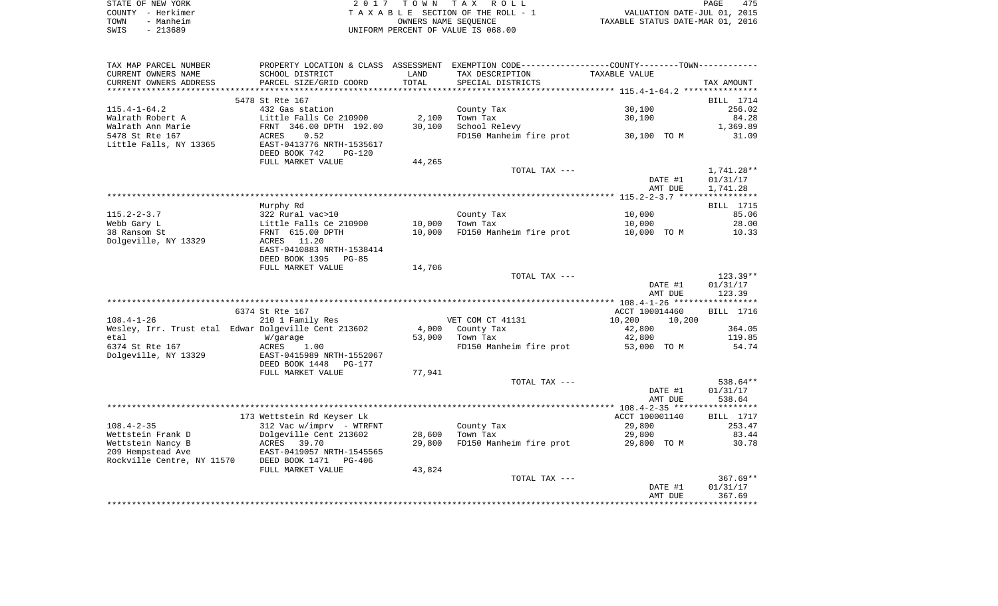| STATE OF NEW YORK | 2017 TOWN TAX ROLL                 | 475<br>PAGE                      |
|-------------------|------------------------------------|----------------------------------|
| COUNTY - Herkimer | TAXABLE SECTION OF THE ROLL - 1    | VALUATION DATE-JUL 01, 2015      |
| TOWN<br>- Manheim | OWNERS NAME SEOUENCE               | TAXABLE STATUS DATE-MAR 01, 2016 |
| SWIS<br>- 213689  | UNIFORM PERCENT OF VALUE IS 068.00 |                                  |

| TAX MAP PARCEL NUMBER                                | PROPERTY LOCATION & CLASS ASSESSMENT EXEMPTION CODE----------------COUNTY--------TOWN----------- |        |                         |                  |            |
|------------------------------------------------------|--------------------------------------------------------------------------------------------------|--------|-------------------------|------------------|------------|
| CURRENT OWNERS NAME                                  | SCHOOL DISTRICT                                                                                  | LAND   | TAX DESCRIPTION         | TAXABLE VALUE    |            |
| CURRENT OWNERS ADDRESS                               | PARCEL SIZE/GRID COORD                                                                           | TOTAL  | SPECIAL DISTRICTS       |                  | TAX AMOUNT |
|                                                      |                                                                                                  |        |                         |                  |            |
|                                                      | 5478 St Rte 167                                                                                  |        |                         |                  | BILL 1714  |
| $115.4 - 1 - 64.2$                                   | 432 Gas station                                                                                  |        | County Tax              | 30,100           | 256.02     |
| Walrath Robert A                                     | Little Falls Ce 210900                                                                           | 2,100  | Town Tax                | 30,100           | 84.28      |
| Walrath Ann Marie                                    | FRNT 346.00 DPTH 192.00                                                                          | 30,100 | School Relevy           |                  | 1,369.89   |
| 5478 St Rte 167                                      | 0.52<br>ACRES                                                                                    |        | FD150 Manheim fire prot | 30,100 TO M      | 31.09      |
| Little Falls, NY 13365                               | EAST-0413776 NRTH-1535617                                                                        |        |                         |                  |            |
|                                                      | DEED BOOK 742<br><b>PG-120</b>                                                                   |        |                         |                  |            |
|                                                      | FULL MARKET VALUE                                                                                | 44,265 |                         |                  |            |
|                                                      |                                                                                                  |        | TOTAL TAX ---           |                  | 1,741.28** |
|                                                      |                                                                                                  |        |                         | DATE #1          | 01/31/17   |
|                                                      |                                                                                                  |        |                         | AMT DUE          | 1,741.28   |
|                                                      |                                                                                                  |        |                         |                  |            |
|                                                      | Murphy Rd                                                                                        |        |                         |                  | BILL 1715  |
| $115.2 - 2 - 3.7$                                    | 322 Rural vac>10                                                                                 |        | County Tax              | 10,000           | 85.06      |
| Webb Gary L                                          | Little Falls Ce $210900$                                                                         | 10,000 | Town Tax                | 10,000           | 28.00      |
| 38 Ransom St                                         | FRNT 615.00 DPTH                                                                                 | 10,000 | FD150 Manheim fire prot | 10,000 TO M      | 10.33      |
| Dolgeville, NY 13329                                 | ACRES 11.20                                                                                      |        |                         |                  |            |
|                                                      | EAST-0410883 NRTH-1538414                                                                        |        |                         |                  |            |
|                                                      | DEED BOOK 1395<br>PG-85                                                                          |        |                         |                  |            |
|                                                      | FULL MARKET VALUE                                                                                | 14,706 |                         |                  |            |
|                                                      |                                                                                                  |        | TOTAL TAX ---           |                  | $123.39**$ |
|                                                      |                                                                                                  |        |                         | DATE #1          | 01/31/17   |
|                                                      |                                                                                                  |        |                         | AMT DUE          | 123.39     |
|                                                      |                                                                                                  |        |                         |                  |            |
|                                                      | 6374 St Rte 167                                                                                  |        |                         | ACCT 100014460   | BILL 1716  |
| $108.4 - 1 - 26$                                     | 210 1 Family Res                                                                                 |        | VET COM CT 41131        | 10,200<br>10,200 |            |
| Wesley, Irr. Trust etal Edwar Dolgeville Cent 213602 |                                                                                                  | 4,000  | County Tax              | 42,800           | 364.05     |
| etal                                                 | W/garage                                                                                         | 53,000 | Town Tax                | 42,800           | 119.85     |
| 6374 St Rte 167                                      | ACRES<br>1.00                                                                                    |        | FD150 Manheim fire prot | 53,000 TO M      | 54.74      |
| Dolgeville, NY 13329                                 | EAST-0415989 NRTH-1552067                                                                        |        |                         |                  |            |
|                                                      | DEED BOOK 1448<br><b>PG-177</b>                                                                  |        |                         |                  |            |
|                                                      | FULL MARKET VALUE                                                                                | 77,941 |                         |                  |            |
|                                                      |                                                                                                  |        | TOTAL TAX ---           |                  | 538.64**   |
|                                                      |                                                                                                  |        |                         | DATE #1          | 01/31/17   |
|                                                      |                                                                                                  |        |                         | AMT DUE          | 538.64     |
|                                                      |                                                                                                  |        |                         |                  |            |
|                                                      | 173 Wettstein Rd Keyser Lk                                                                       |        |                         | ACCT 100001140   | BILL 1717  |
| $108.4 - 2 - 35$                                     | 312 Vac w/imprv - WTRFNT                                                                         |        | County Tax              | 29,800           | 253.47     |
| Wettstein Frank D                                    | Dolgeville Cent 213602                                                                           | 28,600 | Town Tax                | 29,800           | 83.44      |
| Wettstein Nancy B                                    |                                                                                                  | 29,800 | FD150 Manheim fire prot | 29,800 TO M      | 30.78      |
| 209 Hempstead Ave                                    | ACRES 39.70<br>EAST-0419057 NRTH-1545565                                                         |        |                         |                  |            |
| Rockville Centre, NY 11570 DEED BOOK 1471            | PG-406                                                                                           |        |                         |                  |            |
|                                                      | FULL MARKET VALUE                                                                                | 43,824 |                         |                  |            |
|                                                      |                                                                                                  |        | TOTAL TAX ---           |                  | $367.69**$ |
|                                                      |                                                                                                  |        |                         | DATE #1          | 01/31/17   |
|                                                      |                                                                                                  |        |                         | AMT DUE          | 367.69     |
|                                                      |                                                                                                  |        |                         |                  |            |
|                                                      |                                                                                                  |        |                         |                  |            |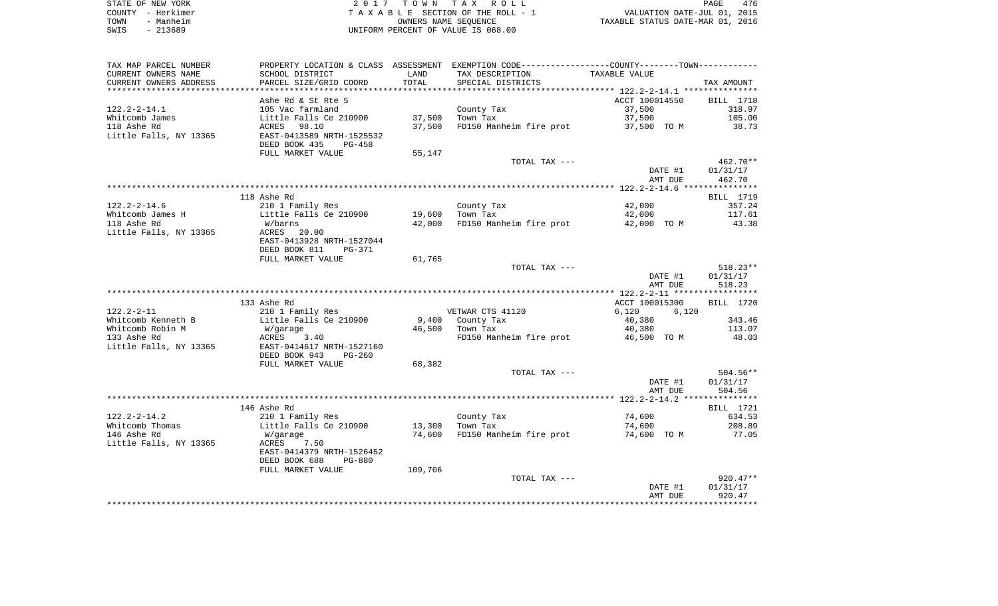| STATE OF NEW YORK | 2017 TOWN TAX ROLL                 | 476<br>PAGE                      |
|-------------------|------------------------------------|----------------------------------|
| COUNTY - Herkimer | TAXABLE SECTION OF THE ROLL - 1    | VALUATION DATE-JUL 01, 2015      |
| - Manheim<br>TOWN | OWNERS NAME SEOUENCE               | TAXABLE STATUS DATE-MAR 01, 2016 |
| - 213689<br>SWIS  | UNIFORM PERCENT OF VALUE IS 068.00 |                                  |

| TAX MAP PARCEL NUMBER  |                                |         | PROPERTY LOCATION & CLASS ASSESSMENT EXEMPTION CODE---------------COUNTY-------TOWN---------- |                    |                    |
|------------------------|--------------------------------|---------|-----------------------------------------------------------------------------------------------|--------------------|--------------------|
| CURRENT OWNERS NAME    | SCHOOL DISTRICT                | LAND    | TAX DESCRIPTION                                                                               | TAXABLE VALUE      |                    |
| CURRENT OWNERS ADDRESS | PARCEL SIZE/GRID COORD         | TOTAL   | SPECIAL DISTRICTS                                                                             |                    | TAX AMOUNT         |
|                        |                                |         |                                                                                               |                    |                    |
|                        | Ashe Rd & St Rte 5             |         |                                                                                               | ACCT 100014550     | BILL 1718          |
| $122.2 - 2 - 14.1$     | 105 Vac farmland               |         | County Tax                                                                                    | 37,500             | 318.97             |
| Whitcomb James         | Little Falls Ce 210900         | 37,500  | Town Tax                                                                                      | 37,500             | 105.00             |
| 118 Ashe Rd            | 98.10<br>ACRES                 | 37,500  | FD150 Manheim fire prot                                                                       | 37,500 TO M        | 38.73              |
| Little Falls, NY 13365 | EAST-0413589 NRTH-1525532      |         |                                                                                               |                    |                    |
|                        | DEED BOOK 435<br>PG-458        |         |                                                                                               |                    |                    |
|                        | FULL MARKET VALUE              | 55,147  |                                                                                               |                    |                    |
|                        |                                |         | TOTAL TAX ---                                                                                 |                    | 462.70**           |
|                        |                                |         |                                                                                               | DATE #1<br>AMT DUE | 01/31/17<br>462.70 |
|                        |                                |         |                                                                                               |                    |                    |
|                        | 118 Ashe Rd                    |         |                                                                                               |                    | BILL 1719          |
| $122.2 - 2 - 14.6$     | 210 1 Family Res               |         | County Tax                                                                                    | 42,000             | 357.24             |
| Whitcomb James H       | Little Falls Ce 210900         | 19,600  | Town Tax                                                                                      | 42,000             | 117.61             |
| 118 Ashe Rd            | W/barns                        | 42,000  | FD150 Manheim fire prot                                                                       | 42,000 TO M        | 43.38              |
| Little Falls, NY 13365 | ACRES<br>20.00                 |         |                                                                                               |                    |                    |
|                        | EAST-0413928 NRTH-1527044      |         |                                                                                               |                    |                    |
|                        | DEED BOOK 811<br>PG-371        |         |                                                                                               |                    |                    |
|                        | FULL MARKET VALUE              | 61,765  |                                                                                               |                    |                    |
|                        |                                |         | TOTAL TAX ---                                                                                 |                    | $518.23**$         |
|                        |                                |         |                                                                                               | DATE #1            | 01/31/17           |
|                        |                                |         |                                                                                               | AMT DUE            | 518.23             |
|                        |                                |         |                                                                                               |                    |                    |
|                        | 133 Ashe Rd                    |         |                                                                                               | ACCT 100015300     | BILL 1720          |
| $122.2 - 2 - 11$       | 210 1 Family Res               |         | VETWAR CTS 41120                                                                              | 6,120<br>6,120     |                    |
| Whitcomb Kenneth B     | Little Falls Ce 210900         |         | 9,400 County Tax                                                                              | 40,380             | 343.46             |
| Whitcomb Robin M       | W/garage                       | 46,500  | Town Tax                                                                                      | 40,380             | 113.07             |
| 133 Ashe Rd            | ACRES<br>3.40                  |         | FD150 Manheim fire prot                                                                       | 46,500 TO M        | 48.03              |
| Little Falls, NY 13365 | EAST-0414617 NRTH-1527160      |         |                                                                                               |                    |                    |
|                        | DEED BOOK 943<br>$PG-260$      |         |                                                                                               |                    |                    |
|                        | FULL MARKET VALUE              | 68,382  | TOTAL TAX ---                                                                                 |                    | 504.56**           |
|                        |                                |         |                                                                                               | DATE #1            | 01/31/17           |
|                        |                                |         |                                                                                               | AMT DUE            | 504.56             |
|                        |                                |         |                                                                                               |                    |                    |
|                        | 146 Ashe Rd                    |         |                                                                                               |                    | BILL 1721          |
| $122.2 - 2 - 14.2$     | 210 1 Family Res               |         | County Tax                                                                                    | 74,600             | 634.53             |
| Whitcomb Thomas        | Little Falls Ce 210900         | 13,300  | Town Tax                                                                                      | 74,600             | 208.89             |
| 146 Ashe Rd            | W/garage                       | 74,600  | FD150 Manheim fire prot                                                                       | 74,600 TO M        | 77.05              |
| Little Falls, NY 13365 | ACRES<br>7.50                  |         |                                                                                               |                    |                    |
|                        | EAST-0414379 NRTH-1526452      |         |                                                                                               |                    |                    |
|                        | DEED BOOK 688<br><b>PG-880</b> |         |                                                                                               |                    |                    |
|                        | FULL MARKET VALUE              | 109,706 |                                                                                               |                    |                    |
|                        |                                |         | TOTAL TAX ---                                                                                 |                    | $920.47**$         |
|                        |                                |         |                                                                                               | DATE #1            | 01/31/17           |
|                        |                                |         |                                                                                               | AMT DUE            | 920.47             |
|                        |                                |         |                                                                                               |                    |                    |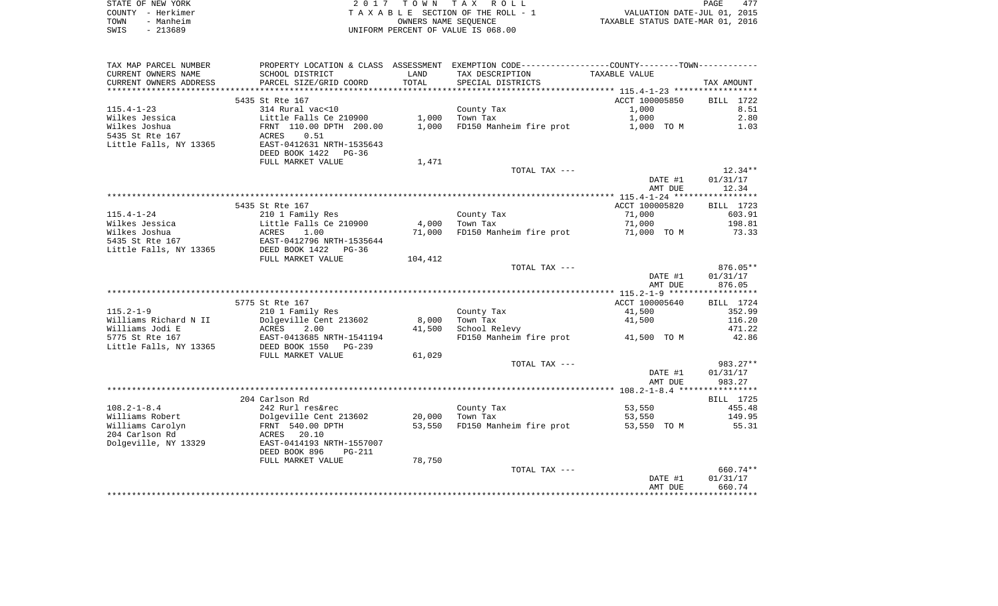|      | STATE OF NEW YORK | 2017 TOWN TAX ROLL                 | <b>PAGE</b>                      | 477 |
|------|-------------------|------------------------------------|----------------------------------|-----|
|      | COUNTY - Herkimer | TAXABLE SECTION OF THE ROLL - 1    | VALUATION DATE-JUL 01, 2015      |     |
| TOWN | - Manheim         | OWNERS NAME SEOUENCE               | TAXABLE STATUS DATE-MAR 01, 2016 |     |
| SWIS | - 213689          | UNIFORM PERCENT OF VALUE IS 068.00 |                                  |     |

| TAX MAP PARCEL NUMBER  |                                |         | PROPERTY LOCATION & CLASS ASSESSMENT EXEMPTION CODE--------------COUNTY-------TOWN--------- |                |            |
|------------------------|--------------------------------|---------|---------------------------------------------------------------------------------------------|----------------|------------|
| CURRENT OWNERS NAME    | SCHOOL DISTRICT                | LAND    | TAX DESCRIPTION                                                                             | TAXABLE VALUE  |            |
| CURRENT OWNERS ADDRESS | PARCEL SIZE/GRID COORD         | TOTAL   | SPECIAL DISTRICTS                                                                           |                | TAX AMOUNT |
|                        |                                |         |                                                                                             |                |            |
|                        | 5435 St Rte 167                |         |                                                                                             | ACCT 100005850 | BILL 1722  |
| $115.4 - 1 - 23$       | 314 Rural vac<10               |         | County Tax                                                                                  | 1,000          | 8.51       |
| Wilkes Jessica         | Little Falls Ce $210900$ 1,000 |         | Town Tax                                                                                    | 1,000          | 2.80       |
| Wilkes Joshua          | FRNT 110.00 DPTH 200.00        | 1,000   | FD150 Manheim fire prot                                                                     | 1,000 TO M     | 1.03       |
| 5435 St Rte 167        | ACRES<br>0.51                  |         |                                                                                             |                |            |
| Little Falls, NY 13365 | EAST-0412631 NRTH-1535643      |         |                                                                                             |                |            |
|                        | DEED BOOK 1422 PG-36           |         |                                                                                             |                |            |
|                        | FULL MARKET VALUE              | 1,471   |                                                                                             |                |            |
|                        |                                |         | TOTAL TAX ---                                                                               |                | $12.34**$  |
|                        |                                |         |                                                                                             | DATE #1        | 01/31/17   |
|                        |                                |         |                                                                                             | AMT DUE        | 12.34      |
|                        |                                |         |                                                                                             |                |            |
|                        | 5435 St Rte 167                |         |                                                                                             | ACCT 100005820 |            |
|                        |                                |         |                                                                                             |                | BILL 1723  |
| $115.4 - 1 - 24$       | 210 1 Family Res               |         | County Tax                                                                                  | 71,000         | 603.91     |
| Wilkes Jessica         | Little Falls Ce 210900         | 4,000   | Town Tax                                                                                    | 71,000         | 198.81     |
| Wilkes Joshua          | ACRES<br>1.00                  | 71,000  | FD150 Manheim fire prot                                                                     | 71,000 TO M    | 73.33      |
| 5435 St Rte 167        | EAST-0412796 NRTH-1535644      |         |                                                                                             |                |            |
| Little Falls, NY 13365 | DEED BOOK 1422 PG-36           |         |                                                                                             |                |            |
|                        | FULL MARKET VALUE              | 104,412 |                                                                                             |                |            |
|                        |                                |         | TOTAL TAX ---                                                                               |                | $876.05**$ |
|                        |                                |         |                                                                                             | DATE #1        | 01/31/17   |
|                        |                                |         |                                                                                             | AMT DUE        | 876.05     |
|                        |                                |         |                                                                                             |                |            |
|                        | 5775 St Rte 167                |         |                                                                                             | ACCT 100005640 | BILL 1724  |
| $115.2 - 1 - 9$        | 210 1 Family Res               |         | County Tax                                                                                  | 41,500         | 352.99     |
| Williams Richard N II  | Dolgeville Cent 213602         | 8,000   | Town Tax                                                                                    | 41,500         | 116.20     |
| Williams Jodi E        | 2.00<br>ACRES                  | 41,500  | School Relevy                                                                               |                | 471.22     |
| 5775 St Rte 167        | EAST-0413685 NRTH-1541194      |         | FD150 Manheim fire prot 41,500 TO M                                                         |                | 42.86      |
| Little Falls, NY 13365 | DEED BOOK 1550 PG-239          |         |                                                                                             |                |            |
|                        | FULL MARKET VALUE              | 61,029  |                                                                                             |                |            |
|                        |                                |         | TOTAL TAX ---                                                                               |                | 983.27**   |
|                        |                                |         |                                                                                             | DATE #1        | 01/31/17   |
|                        |                                |         |                                                                                             | AMT DUE        | 983.27     |
|                        |                                |         |                                                                                             |                |            |
|                        | 204 Carlson Rd                 |         |                                                                                             |                | BILL 1725  |
| $108.2 - 1 - 8.4$      | 242 Rurl res&rec               |         | County Tax                                                                                  | 53,550         | 455.48     |
| Williams Robert        | Dolgeville Cent 213602         | 20,000  | Town Tax                                                                                    | 53,550         | 149.95     |
| Williams Carolyn       | FRNT 540.00 DPTH               | 53,550  | FD150 Manheim fire prot                                                                     | 53,550 TO M    | 55.31      |
| 204 Carlson Rd         | ACRES 20.10                    |         |                                                                                             |                |            |
| Dolgeville, NY 13329   | EAST-0414193 NRTH-1557007      |         |                                                                                             |                |            |
|                        | DEED BOOK 896<br>$PG-211$      |         |                                                                                             |                |            |
|                        | FULL MARKET VALUE              | 78,750  |                                                                                             |                |            |
|                        |                                |         | TOTAL TAX ---                                                                               |                | 660.74**   |
|                        |                                |         |                                                                                             | DATE #1        | 01/31/17   |
|                        |                                |         |                                                                                             | AMT DUE        | 660.74     |
|                        |                                |         |                                                                                             |                |            |
|                        |                                |         |                                                                                             |                |            |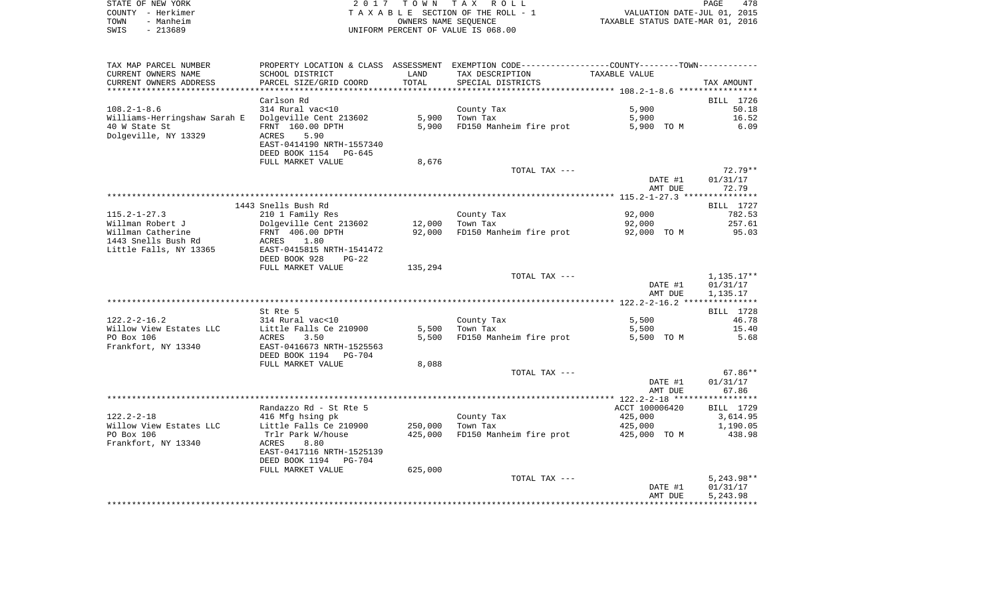| STATE OF NEW YORK |           | 2017 TOWN TAX ROLL                 | PAGE                             | 478 |
|-------------------|-----------|------------------------------------|----------------------------------|-----|
| COUNTY – Herkimer |           | TAXABLE SECTION OF THE ROLL - 1    | VALUATION DATE-JUL 01, 2015      |     |
| TOWN              | - Manheim | OWNERS NAME SEOUENCE               | TAXABLE STATUS DATE-MAR 01, 2016 |     |
| SWIS              | $-213689$ | UNIFORM PERCENT OF VALUE IS 068.00 |                                  |     |

|                              | PROPERTY LOCATION & CLASS ASSESSMENT EXEMPTION CODE---------------COUNTY-------TOWN---------- |         |                         |                    |                      |
|------------------------------|-----------------------------------------------------------------------------------------------|---------|-------------------------|--------------------|----------------------|
| CURRENT OWNERS NAME          | SCHOOL DISTRICT                                                                               | LAND    | TAX DESCRIPTION         | TAXABLE VALUE      |                      |
| CURRENT OWNERS ADDRESS       | PARCEL SIZE/GRID COORD                                                                        | TOTAL   | SPECIAL DISTRICTS       |                    | TAX AMOUNT           |
|                              |                                                                                               |         |                         |                    |                      |
|                              | Carlson Rd                                                                                    |         |                         |                    | BILL 1726            |
| $108.2 - 1 - 8.6$            | 314 Rural vac<10                                                                              |         | County Tax              | 5,900              | 50.18                |
| Williams-Herringshaw Sarah E | Dolgeville Cent 213602                                                                        | 5,900   | Town Tax                | 5,900              | 16.52                |
| 40 W State St                | FRNT 160.00 DPTH                                                                              | 5,900   | FD150 Manheim fire prot | 5,900 TO M         | 6.09                 |
| Dolgeville, NY 13329         | ACRES<br>5.90                                                                                 |         |                         |                    |                      |
|                              | EAST-0414190 NRTH-1557340                                                                     |         |                         |                    |                      |
|                              | DEED BOOK 1154<br>PG-645                                                                      |         |                         |                    |                      |
|                              | FULL MARKET VALUE                                                                             | 8,676   |                         |                    |                      |
|                              |                                                                                               |         | TOTAL TAX ---           |                    | $72.79**$            |
|                              |                                                                                               |         |                         | DATE #1            | 01/31/17             |
|                              |                                                                                               |         |                         | AMT DUE            | 72.79                |
|                              |                                                                                               |         |                         |                    |                      |
|                              | 1443 Snells Bush Rd                                                                           |         |                         |                    | <b>BILL</b> 1727     |
| $115.2 - 1 - 27.3$           | 210 1 Family Res                                                                              |         | County Tax              | 92,000             | 782.53               |
| Willman Robert J             | Dolgeville Cent 213602                                                                        | 12,000  | Town Tax                | 92,000             | 257.61               |
| Willman Catherine            | FRNT 406.00 DPTH                                                                              | 92,000  | FD150 Manheim fire prot | 92,000 TO M        | 95.03                |
| 1443 Snells Bush Rd          | ACRES<br>1.80                                                                                 |         |                         |                    |                      |
| Little Falls, NY 13365       | EAST-0415815 NRTH-1541472                                                                     |         |                         |                    |                      |
|                              | DEED BOOK 928<br>$PG-22$                                                                      |         |                         |                    |                      |
|                              | FULL MARKET VALUE                                                                             | 135,294 |                         |                    |                      |
|                              |                                                                                               |         | TOTAL TAX ---           |                    | 1,135.17**           |
|                              |                                                                                               |         |                         | DATE #1            | 01/31/17             |
|                              |                                                                                               |         |                         | AMT DUE            | 1,135.17             |
|                              |                                                                                               |         |                         |                    |                      |
|                              | St Rte 5                                                                                      |         |                         |                    | BILL 1728            |
| $122.2 - 2 - 16.2$           | 314 Rural vac<10                                                                              |         | County Tax              | 5,500              | 46.78                |
| Willow View Estates LLC      | Little Falls Ce 210900                                                                        | 5,500   | Town Tax                | 5,500              | 15.40                |
| PO Box 106                   | ACRES<br>3.50                                                                                 | 5,500   | FD150 Manheim fire prot | 5,500 TO M         | 5.68                 |
| Frankfort, NY 13340          | EAST-0416673 NRTH-1525563                                                                     |         |                         |                    |                      |
|                              | DEED BOOK 1194 PG-704                                                                         |         |                         |                    |                      |
|                              | FULL MARKET VALUE                                                                             | 8,088   |                         |                    |                      |
|                              |                                                                                               |         | TOTAL TAX ---           |                    | $67.86**$            |
|                              |                                                                                               |         |                         | DATE #1            | 01/31/17             |
|                              |                                                                                               |         |                         | AMT DUE            | 67.86                |
|                              |                                                                                               |         |                         |                    |                      |
|                              | Randazzo Rd - St Rte 5                                                                        |         |                         | ACCT 100006420     | BILL 1729            |
| $122.2 - 2 - 18$             | 416 Mfg hsing pk                                                                              |         | County Tax              | 425,000            | 3,614.95             |
| Willow View Estates LLC      | Little Falls Ce 210900                                                                        | 250,000 | Town Tax                | 425,000            | 1,190.05             |
| PO Box 106                   | Trlr Park W/house                                                                             | 425,000 | FD150 Manheim fire prot | 425,000 TO M       | 438.98               |
| Frankfort, NY 13340          | ACRES<br>8.80                                                                                 |         |                         |                    |                      |
|                              | EAST-0417116 NRTH-1525139                                                                     |         |                         |                    |                      |
|                              | DEED BOOK 1194 PG-704                                                                         |         |                         |                    |                      |
|                              | FULL MARKET VALUE                                                                             | 625,000 |                         |                    |                      |
|                              |                                                                                               |         | TOTAL TAX ---           |                    | $5,243.98**$         |
|                              |                                                                                               |         |                         |                    |                      |
|                              |                                                                                               |         |                         |                    |                      |
|                              |                                                                                               |         |                         | DATE #1<br>AMT DUE | 01/31/17<br>5,243.98 |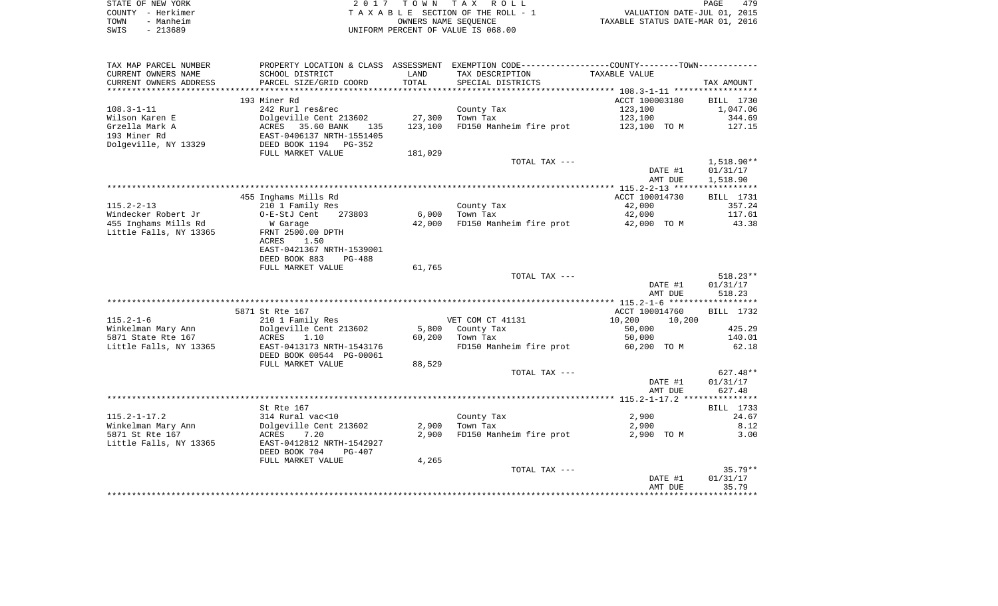| STATE OF NEW YORK | 2017 TOWN TAX ROLL                 | 479<br>PAGE                      |
|-------------------|------------------------------------|----------------------------------|
| COUNTY - Herkimer | TAXABLE SECTION OF THE ROLL - 1    | VALUATION DATE-JUL 01, 2015      |
| - Manheim<br>TOWN | OWNERS NAME SEOUENCE               | TAXABLE STATUS DATE-MAR 01, 2016 |
| - 213689<br>SWIS  | UNIFORM PERCENT OF VALUE IS 068.00 |                                  |

| TAX MAP PARCEL NUMBER  |                                                   |         | PROPERTY LOCATION & CLASS ASSESSMENT EXEMPTION CODE---------------COUNTY-------TOWN---------- |                  |              |
|------------------------|---------------------------------------------------|---------|-----------------------------------------------------------------------------------------------|------------------|--------------|
| CURRENT OWNERS NAME    | SCHOOL DISTRICT                                   | LAND    | TAX DESCRIPTION                                                                               | TAXABLE VALUE    |              |
| CURRENT OWNERS ADDRESS | PARCEL SIZE/GRID COORD                            | TOTAL   | SPECIAL DISTRICTS                                                                             |                  | TAX AMOUNT   |
|                        |                                                   |         |                                                                                               |                  |              |
|                        | 193 Miner Rd                                      |         |                                                                                               | ACCT 100003180   | BILL 1730    |
| $108.3 - 1 - 11$       | 242 Rurl res&rec                                  |         | County Tax                                                                                    | 123,100          | 1,047.06     |
| Wilson Karen E         | Dolgeville Cent 213602                            | 27,300  | Town Tax                                                                                      | 123,100          | 344.69       |
| Grzella Mark A         |                                                   | 123,100 | FD150 Manheim fire prot 123,100 TO M                                                          |                  | 127.15       |
| 193 Miner Rd           | ACRES 35.60 BANK 135<br>EAST-0406137 NRTH-1551405 |         |                                                                                               |                  |              |
| Dolgeville, NY 13329   | DEED BOOK 1194 PG-352                             |         |                                                                                               |                  |              |
|                        | FULL MARKET VALUE                                 | 181,029 |                                                                                               |                  |              |
|                        |                                                   |         | TOTAL TAX ---                                                                                 |                  | $1,518.90**$ |
|                        |                                                   |         |                                                                                               | DATE #1          | 01/31/17     |
|                        |                                                   |         |                                                                                               | AMT DUE          | 1,518.90     |
|                        |                                                   |         |                                                                                               |                  |              |
|                        | 455 Inghams Mills Rd                              |         |                                                                                               | ACCT 100014730   | BILL 1731    |
| $115.2 - 2 - 13$       | 210 1 Family Res                                  |         | County Tax                                                                                    | 42,000           | 357.24       |
| Windecker Robert Jr    | O-E-StJ Cent<br>273803                            | 6,000   | Town Tax                                                                                      | 42,000           | 117.61       |
| 455 Inghams Mills Rd   | W Garage                                          | 42,000  | FD150 Manheim fire prot 42,000 TO M                                                           |                  | 43.38        |
| Little Falls, NY 13365 | FRNT 2500.00 DPTH                                 |         |                                                                                               |                  |              |
|                        | ACRES<br>1.50                                     |         |                                                                                               |                  |              |
|                        | EAST-0421367 NRTH-1539001                         |         |                                                                                               |                  |              |
|                        | DEED BOOK 883<br>PG-488                           |         |                                                                                               |                  |              |
|                        | FULL MARKET VALUE                                 | 61,765  |                                                                                               |                  |              |
|                        |                                                   |         | TOTAL TAX ---                                                                                 |                  | $518.23**$   |
|                        |                                                   |         |                                                                                               | DATE #1          | 01/31/17     |
|                        |                                                   |         |                                                                                               | AMT DUE          | 518.23       |
|                        |                                                   |         |                                                                                               |                  |              |
|                        | 5871 St Rte 167                                   |         |                                                                                               | ACCT 100014760   | BILL 1732    |
| $115.2 - 1 - 6$        | 210 1 Family Res                                  |         | VET COM CT 41131                                                                              | 10,200<br>10,200 |              |
| Winkelman Mary Ann     | Dolgeville Cent 213602                            |         | 5,800 County Tax                                                                              | 50,000           | 425.29       |
| 5871 State Rte 167     | ACRES<br>1.10                                     |         | 60,200 Town Tax                                                                               | 50,000           | 140.01       |
| Little Falls, NY 13365 | EAST-0413173 NRTH-1543176                         |         | FD150 Manheim fire prot 60,200 TO M                                                           |                  | 62.18        |
|                        | DEED BOOK 00544 PG-00061                          |         |                                                                                               |                  |              |
|                        | FULL MARKET VALUE                                 | 88,529  |                                                                                               |                  |              |
|                        |                                                   |         | TOTAL TAX ---                                                                                 |                  | $627.48**$   |
|                        |                                                   |         |                                                                                               | DATE #1          | 01/31/17     |
|                        |                                                   |         |                                                                                               | AMT DUE          | 627.48       |
|                        |                                                   |         |                                                                                               |                  |              |
|                        | St Rte 167                                        |         |                                                                                               |                  | BILL 1733    |
| $115.2 - 1 - 17.2$     |                                                   |         | County Tax                                                                                    | 2,900            | 24.67        |
| Winkelman Mary Ann     | 314 Rural vac<10<br>Dolgeville Cent 213602        | 2,900   | Town Tax                                                                                      | 2,900            | 8.12         |
| 5871 St Rte 167        | ACRES<br>7.20                                     | 2,900   | FD150 Manheim fire prot                                                                       | 2,900 TO M       | 3.00         |
| Little Falls, NY 13365 | EAST-0412812 NRTH-1542927                         |         |                                                                                               |                  |              |
|                        | DEED BOOK 704<br>PG-407                           |         |                                                                                               |                  |              |
|                        | FULL MARKET VALUE                                 | 4,265   |                                                                                               |                  |              |
|                        |                                                   |         | TOTAL TAX ---                                                                                 |                  | $35.79**$    |
|                        |                                                   |         |                                                                                               | DATE #1          | 01/31/17     |
|                        |                                                   |         |                                                                                               | AMT DUE          | 35.79        |
|                        |                                                   |         |                                                                                               |                  |              |
|                        |                                                   |         |                                                                                               |                  |              |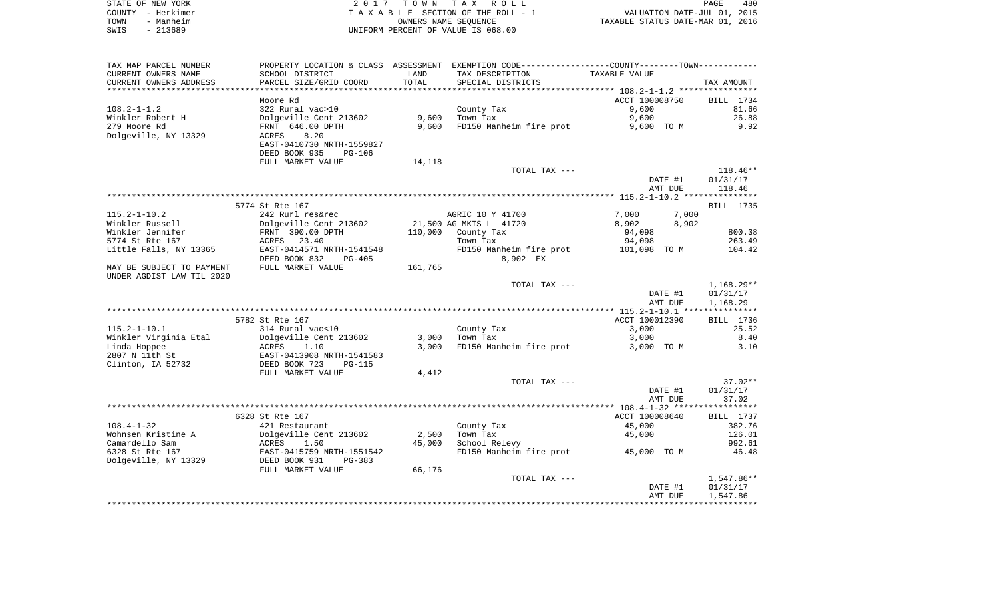|      | STATE OF NEW YORK | 2017 TOWN TAX ROLL                 | 480<br><b>PAGE</b>               |
|------|-------------------|------------------------------------|----------------------------------|
|      | COUNTY - Herkimer | TAXABLE SECTION OF THE ROLL - 1    | VALUATION DATE-JUL 01, 2015      |
| TOWN | - Manheim         | OWNERS NAME SEOUENCE               | TAXABLE STATUS DATE-MAR 01, 2016 |
| SWIS | - 213689          | UNIFORM PERCENT OF VALUE IS 068.00 |                                  |

| TAX MAP PARCEL NUMBER     |                                            |                             | PROPERTY LOCATION & CLASS ASSESSMENT EXEMPTION CODE---------------COUNTY-------TOWN---------- |                |                          |
|---------------------------|--------------------------------------------|-----------------------------|-----------------------------------------------------------------------------------------------|----------------|--------------------------|
| CURRENT OWNERS NAME       | SCHOOL DISTRICT                            | LAND                        | TAX DESCRIPTION                                                                               | TAXABLE VALUE  |                          |
| CURRENT OWNERS ADDRESS    | PARCEL SIZE/GRID COORD                     | TOTAL                       | SPECIAL DISTRICTS                                                                             |                | TAX AMOUNT               |
|                           |                                            | * * * * * * * * * * * * * * |                                                                                               |                |                          |
|                           | Moore Rd                                   |                             |                                                                                               | ACCT 100008750 | BILL 1734                |
| $108.2 - 1 - 1.2$         | 322 Rural vac>10                           |                             | County Tax                                                                                    | 9,600          | 81.66                    |
| Winkler Robert H          | Dolgeville Cent 213602                     | 9,600                       | Town Tax                                                                                      | 9,600          | 26.88                    |
| 279 Moore Rd              | FRNT 646.00 DPTH                           | 9,600                       | FD150 Manheim fire prot                                                                       | 9,600 TO M     | 9.92                     |
| Dolgeville, NY 13329      | 8.20<br>ACRES<br>EAST-0410730 NRTH-1559827 |                             |                                                                                               |                |                          |
|                           | DEED BOOK 935<br><b>PG-106</b>             |                             |                                                                                               |                |                          |
|                           | FULL MARKET VALUE                          | 14,118                      |                                                                                               |                |                          |
|                           |                                            |                             | TOTAL TAX ---                                                                                 |                | $118.46**$               |
|                           |                                            |                             |                                                                                               | DATE #1        | 01/31/17                 |
|                           |                                            |                             |                                                                                               | AMT DUE        | 118.46                   |
|                           |                                            |                             |                                                                                               |                |                          |
|                           | 5774 St Rte 167                            |                             |                                                                                               |                | <b>BILL</b> 1735         |
| $115.2 - 1 - 10.2$        | 242 Rurl res&rec                           |                             | AGRIC 10 Y 41700                                                                              | 7,000          | 7,000                    |
| Winkler Russell           | Dolgeville Cent 213602                     |                             | 21,500 AG MKTS L 41720                                                                        | 8,902          | 8,902                    |
| Winkler Jennifer          | FRNT 390.00 DPTH                           | 110,000                     | County Tax                                                                                    | 94,098         | 800.38                   |
| 5774 St Rte 167           | ACRES 23.40                                |                             | Town Tax                                                                                      | 94,098         | 263.49                   |
| Little Falls, NY 13365    | EAST-0414571 NRTH-1541548                  |                             | FD150 Manheim fire prot                                                                       | 101,098 TO M   | 104.42                   |
|                           | DEED BOOK 832<br>$PG-405$                  |                             | 8,902 EX                                                                                      |                |                          |
| MAY BE SUBJECT TO PAYMENT | FULL MARKET VALUE                          | 161,765                     |                                                                                               |                |                          |
| UNDER AGDIST LAW TIL 2020 |                                            |                             |                                                                                               |                |                          |
|                           |                                            |                             | TOTAL TAX ---                                                                                 |                | $1,168.29**$             |
|                           |                                            |                             |                                                                                               | DATE #1        | 01/31/17                 |
|                           |                                            |                             |                                                                                               | AMT DUE        | 1,168.29                 |
|                           | 5782 St Rte 167                            |                             |                                                                                               | ACCT 100012390 | BILL 1736                |
| $115.2 - 1 - 10.1$        | 314 Rural vac<10                           |                             | County Tax                                                                                    | 3,000          | 25.52                    |
| Winkler Virginia Etal     | Dolgeville Cent 213602                     | 3,000                       | Town Tax                                                                                      | 3,000          | 8.40                     |
| Linda Hoppee              | 1.10<br>ACRES                              | 3,000                       | FD150 Manheim fire prot                                                                       | 3,000 TO M     | 3.10                     |
| 2807 N 11th St            | EAST-0413908 NRTH-1541583                  |                             |                                                                                               |                |                          |
| Clinton, IA 52732         | DEED BOOK 723<br>$PG-115$                  |                             |                                                                                               |                |                          |
|                           | FULL MARKET VALUE                          | 4,412                       |                                                                                               |                |                          |
|                           |                                            |                             | TOTAL TAX ---                                                                                 |                | $37.02**$                |
|                           |                                            |                             |                                                                                               | DATE #1        | 01/31/17                 |
|                           |                                            |                             |                                                                                               | AMT DUE        | 37.02                    |
|                           |                                            |                             |                                                                                               |                |                          |
|                           | 6328 St Rte 167                            |                             |                                                                                               | ACCT 100008640 | BILL 1737                |
| $108.4 - 1 - 32$          | 421 Restaurant                             |                             | County Tax                                                                                    | 45,000         | 382.76                   |
| Wohnsen Kristine A        | Dolgeville Cent 213602                     | 2,500                       | Town Tax                                                                                      | 45,000         | 126.01                   |
| Camardello Sam            | 1.50<br>ACRES                              | 45,000                      | School Relevy                                                                                 |                | 992.61                   |
| 6328 St Rte 167           | EAST-0415759 NRTH-1551542                  |                             | FD150 Manheim fire prot                                                                       | 45,000 TO M    | 46.48                    |
| Dolgeville, NY 13329      | DEED BOOK 931<br>$PG-383$                  |                             |                                                                                               |                |                          |
|                           | FULL MARKET VALUE                          | 66,176                      |                                                                                               |                |                          |
|                           |                                            |                             | TOTAL TAX ---                                                                                 | DATE #1        | $1,547.86**$<br>01/31/17 |
|                           |                                            |                             |                                                                                               | AMT DUE        | 1,547.86                 |
|                           |                                            |                             |                                                                                               |                |                          |
|                           |                                            |                             |                                                                                               |                |                          |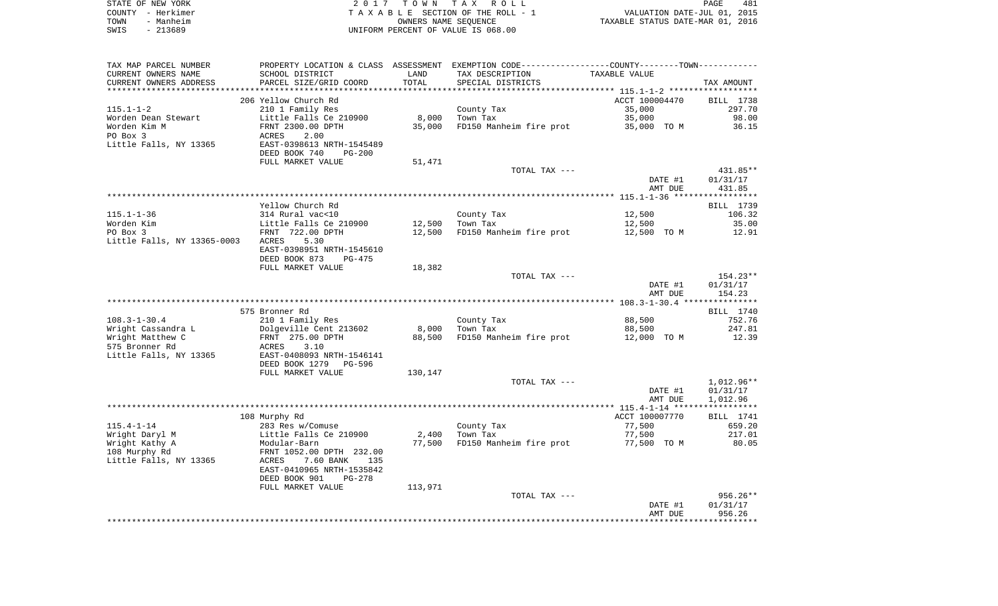| STATE OF NEW YORK | 2017 TOWN TAX ROLL                 | 481<br>PAGE                      |
|-------------------|------------------------------------|----------------------------------|
| COUNTY - Herkimer | TAXABLE SECTION OF THE ROLL - 1    | VALUATION DATE-JUL 01, 2015      |
| TOWN<br>- Manheim | OWNERS NAME SEOUENCE               | TAXABLE STATUS DATE-MAR 01, 2016 |
| - 213689<br>SWIS  | UNIFORM PERCENT OF VALUE IS 068.00 |                                  |

| TAX MAP PARCEL NUMBER              |                                            |         | PROPERTY LOCATION & CLASS ASSESSMENT EXEMPTION CODE----------------COUNTY--------TOWN---------- |                |                  |
|------------------------------------|--------------------------------------------|---------|-------------------------------------------------------------------------------------------------|----------------|------------------|
| CURRENT OWNERS NAME                | SCHOOL DISTRICT                            | LAND    | TAX DESCRIPTION                                                                                 | TAXABLE VALUE  |                  |
| CURRENT OWNERS ADDRESS             | PARCEL SIZE/GRID COORD                     | TOTAL   | SPECIAL DISTRICTS                                                                               |                | TAX AMOUNT       |
|                                    |                                            |         |                                                                                                 |                |                  |
|                                    | 206 Yellow Church Rd                       |         |                                                                                                 | ACCT 100004470 | BILL 1738        |
| $115.1 - 1 - 2$                    | 210 1 Family Res                           |         | County Tax                                                                                      | 35,000         | 297.70           |
| Worden Dean Stewart                | Little Falls Ce 210900                     | 8,000   | Town Tax                                                                                        | 35,000         | 98.00            |
| Worden Kim M                       | FRNT 2300.00 DPTH                          | 35,000  | FD150 Manheim fire prot                                                                         | 35,000 TO M    | 36.15            |
| PO Box 3<br>Little Falls, NY 13365 | ACRES<br>2.00<br>EAST-0398613 NRTH-1545489 |         |                                                                                                 |                |                  |
|                                    | DEED BOOK 740<br><b>PG-200</b>             |         |                                                                                                 |                |                  |
|                                    | FULL MARKET VALUE                          | 51,471  |                                                                                                 |                |                  |
|                                    |                                            |         | TOTAL TAX ---                                                                                   |                | 431.85**         |
|                                    |                                            |         |                                                                                                 | DATE #1        | 01/31/17         |
|                                    |                                            |         |                                                                                                 | AMT DUE        | 431.85           |
|                                    |                                            |         |                                                                                                 |                |                  |
|                                    | Yellow Church Rd                           |         |                                                                                                 |                | BILL 1739        |
| 115.1-1-36                         | 314 Rural vac<10                           |         | County Tax                                                                                      | 12,500         | 106.32           |
| Worden Kim                         | Little Falls Ce 210900                     | 12,500  | Town Tax                                                                                        | 12,500         | 35.00            |
| PO Box 3                           | FRNT 722.00 DPTH                           | 12,500  | FD150 Manheim fire prot                                                                         | 12,500 TO M    | 12.91            |
| Little Falls, NY 13365-0003 ACRES  | 5.30                                       |         |                                                                                                 |                |                  |
|                                    | EAST-0398951 NRTH-1545610                  |         |                                                                                                 |                |                  |
|                                    | DEED BOOK 873<br>PG-475                    |         |                                                                                                 |                |                  |
|                                    | FULL MARKET VALUE                          | 18,382  |                                                                                                 |                |                  |
|                                    |                                            |         | TOTAL TAX ---                                                                                   |                | 154.23**         |
|                                    |                                            |         |                                                                                                 | DATE #1        | 01/31/17         |
|                                    |                                            |         |                                                                                                 | AMT DUE        | 154.23           |
|                                    | 575 Bronner Rd                             |         |                                                                                                 |                | BILL 1740        |
| $108.3 - 1 - 30.4$                 | 210 1 Family Res                           |         | County Tax                                                                                      | 88,500         | 752.76           |
| Wright Cassandra L                 | Dolgeville Cent 213602                     | 8,000   | Town Tax                                                                                        | 88,500         | 247.81           |
| Wright Matthew C                   | FRNT 275.00 DPTH                           | 88,500  | FD150 Manheim fire prot                                                                         | 12,000 TO M    | 12.39            |
| 575 Bronner Rd                     | ACRES<br>3.10                              |         |                                                                                                 |                |                  |
| Little Falls, NY 13365             | EAST-0408093 NRTH-1546141                  |         |                                                                                                 |                |                  |
|                                    | DEED BOOK 1279<br>PG-596                   |         |                                                                                                 |                |                  |
|                                    | FULL MARKET VALUE                          | 130,147 |                                                                                                 |                |                  |
|                                    |                                            |         | TOTAL TAX ---                                                                                   |                | 1,012.96**       |
|                                    |                                            |         |                                                                                                 | DATE #1        | 01/31/17         |
|                                    |                                            |         |                                                                                                 | AMT DUE        | 1,012.96         |
|                                    |                                            |         |                                                                                                 |                |                  |
|                                    | 108 Murphy Rd                              |         |                                                                                                 | ACCT 100007770 | <b>BILL</b> 1741 |
| $115.4 - 1 - 14$                   | 283 Res w/Comuse                           |         | County Tax                                                                                      | 77,500         | 659.20           |
| Wright Daryl M                     | Little Falls Ce 210900                     | 2,400   | Town Tax                                                                                        | 77,500         | 217.01           |
| Wright Kathy A                     | Modular-Barn                               | 77,500  | FD150 Manheim fire prot                                                                         | 77,500 TO M    | 80.05            |
| 108 Murphy Rd                      | FRNT 1052.00 DPTH 232.00                   |         |                                                                                                 |                |                  |
| Little Falls, NY 13365             | ACRES<br>7.60 BANK 135                     |         |                                                                                                 |                |                  |
|                                    | EAST-0410965 NRTH-1535842<br>PG-278        |         |                                                                                                 |                |                  |
|                                    | DEED BOOK 901<br>FULL MARKET VALUE         | 113,971 |                                                                                                 |                |                  |
|                                    |                                            |         | TOTAL TAX ---                                                                                   |                | 956.26**         |
|                                    |                                            |         |                                                                                                 | DATE #1        | 01/31/17         |
|                                    |                                            |         |                                                                                                 | AMT DUE        | 956.26           |
|                                    |                                            |         |                                                                                                 |                |                  |
|                                    |                                            |         |                                                                                                 |                |                  |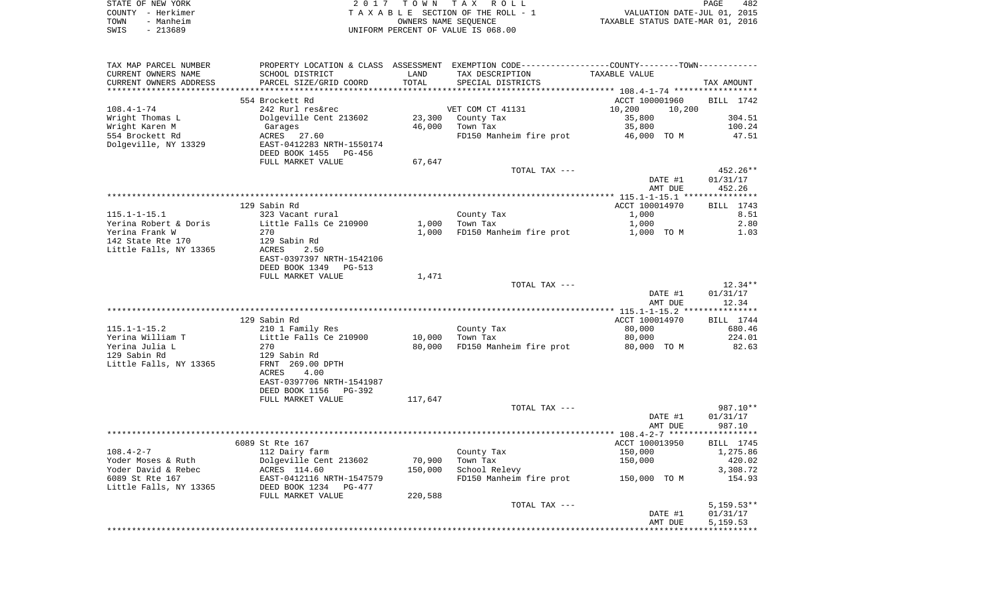|      | STATE OF NEW YORK | 2017 TOWN TAX ROLL                 | PAGE                             | 482 |
|------|-------------------|------------------------------------|----------------------------------|-----|
|      | COUNTY - Herkimer | TAXABLE SECTION OF THE ROLL - 1    | VALUATION DATE-JUL 01, 2015      |     |
| TOWN | - Manheim         | OWNERS NAME SEOUENCE               | TAXABLE STATUS DATE-MAR 01, 2016 |     |
| SWIS | - 213689          | UNIFORM PERCENT OF VALUE IS 068.00 |                                  |     |

| TAX MAP PARCEL NUMBER  |                           |         | PROPERTY LOCATION & CLASS ASSESSMENT EXEMPTION CODE---------------COUNTY-------TOWN--------- |                  |              |
|------------------------|---------------------------|---------|----------------------------------------------------------------------------------------------|------------------|--------------|
| CURRENT OWNERS NAME    | SCHOOL DISTRICT           | LAND    | TAX DESCRIPTION                                                                              | TAXABLE VALUE    |              |
| CURRENT OWNERS ADDRESS | PARCEL SIZE/GRID COORD    | TOTAL   | SPECIAL DISTRICTS                                                                            |                  | TAX AMOUNT   |
|                        |                           |         |                                                                                              |                  |              |
|                        | 554 Brockett Rd           |         |                                                                                              | ACCT 100001960   | BILL 1742    |
| $108.4 - 1 - 74$       | 242 Rurl res&rec          |         | VET COM CT 41131                                                                             | 10,200<br>10,200 |              |
| Wright Thomas L        | Dolgeville Cent 213602    | 23,300  | County Tax                                                                                   | 35,800           | 304.51       |
| Wright Karen M         | Garages                   | 46,000  | Town Tax                                                                                     | 35,800           | 100.24       |
| 554 Brockett Rd        | ACRES 27.60               |         | FD150 Manheim fire prot                                                                      | 46,000 TO M      | 47.51        |
| Dolgeville, NY 13329   | EAST-0412283 NRTH-1550174 |         |                                                                                              |                  |              |
|                        | DEED BOOK 1455 PG-456     |         |                                                                                              |                  |              |
|                        | FULL MARKET VALUE         | 67,647  |                                                                                              |                  |              |
|                        |                           |         | TOTAL TAX ---                                                                                |                  | 452.26**     |
|                        |                           |         |                                                                                              | DATE #1          | 01/31/17     |
|                        |                           |         |                                                                                              | AMT DUE          | 452.26       |
|                        |                           |         |                                                                                              |                  |              |
|                        | 129 Sabin Rd              |         |                                                                                              | ACCT 100014970   | BILL 1743    |
| $115.1 - 1 - 15.1$     | 323 Vacant rural          |         | County Tax                                                                                   | 1,000            | 8.51         |
| Yerina Robert & Doris  | Little Falls Ce 210900    | 1,000   | Town Tax                                                                                     | 1,000            | 2.80         |
| Yerina Frank W         | 270                       | 1,000   | FD150 Manheim fire prot                                                                      | 1,000 TO M       | 1.03         |
| 142 State Rte 170      | 129 Sabin Rd              |         |                                                                                              |                  |              |
| Little Falls, NY 13365 | ACRES<br>2.50             |         |                                                                                              |                  |              |
|                        | EAST-0397397 NRTH-1542106 |         |                                                                                              |                  |              |
|                        | DEED BOOK 1349<br>PG-513  |         |                                                                                              |                  |              |
|                        | FULL MARKET VALUE         | 1,471   |                                                                                              |                  |              |
|                        |                           |         | TOTAL TAX ---                                                                                |                  | 12.34**      |
|                        |                           |         |                                                                                              | DATE #1          | 01/31/17     |
|                        |                           |         |                                                                                              |                  |              |
|                        |                           |         |                                                                                              | AMT DUE          | 12.34        |
|                        |                           |         |                                                                                              |                  |              |
|                        | 129 Sabin Rd              |         |                                                                                              | ACCT 100014970   | BILL 1744    |
| $115.1 - 1 - 15.2$     | 210 1 Family Res          |         | County Tax                                                                                   | 80,000           | 680.46       |
| Yerina William T       | Little Falls Ce 210900    | 10,000  | Town Tax                                                                                     | 80,000           | 224.01       |
| Yerina Julia L         | 270                       | 80,000  | FD150 Manheim fire prot                                                                      | 80,000 TO M      | 82.63        |
| 129 Sabin Rd           | 129 Sabin Rd              |         |                                                                                              |                  |              |
| Little Falls, NY 13365 | FRNT 269.00 DPTH          |         |                                                                                              |                  |              |
|                        | ACRES<br>4.00             |         |                                                                                              |                  |              |
|                        | EAST-0397706 NRTH-1541987 |         |                                                                                              |                  |              |
|                        | DEED BOOK 1156<br>PG-392  |         |                                                                                              |                  |              |
|                        | FULL MARKET VALUE         | 117,647 |                                                                                              |                  |              |
|                        |                           |         | TOTAL TAX ---                                                                                |                  | 987.10**     |
|                        |                           |         |                                                                                              | DATE #1          | 01/31/17     |
|                        |                           |         |                                                                                              | AMT DUE          | 987.10       |
|                        |                           |         |                                                                                              |                  |              |
|                        | 6089 St Rte 167           |         |                                                                                              | ACCT 100013950   | BILL 1745    |
| $108.4 - 2 - 7$        | 112 Dairy farm            |         | County Tax                                                                                   | 150,000          | 1,275.86     |
| Yoder Moses & Ruth     | Dolgeville Cent 213602    | 70,900  | Town Tax                                                                                     | 150,000          | 420.02       |
| Yoder David & Rebec    | ACRES 114.60              | 150,000 | School Relevy                                                                                |                  | 3,308.72     |
| 6089 St Rte 167        | EAST-0412116 NRTH-1547579 |         | FD150 Manheim fire prot                                                                      | 150,000 TO M     | 154.93       |
| Little Falls, NY 13365 | DEED BOOK 1234 PG-477     |         |                                                                                              |                  |              |
|                        | FULL MARKET VALUE         | 220,588 |                                                                                              |                  |              |
|                        |                           |         | TOTAL TAX ---                                                                                |                  | $5,159.53**$ |
|                        |                           |         |                                                                                              | DATE #1          | 01/31/17     |
|                        |                           |         |                                                                                              | AMT DUE          | 5,159.53     |
|                        |                           |         |                                                                                              |                  |              |
|                        |                           |         |                                                                                              |                  |              |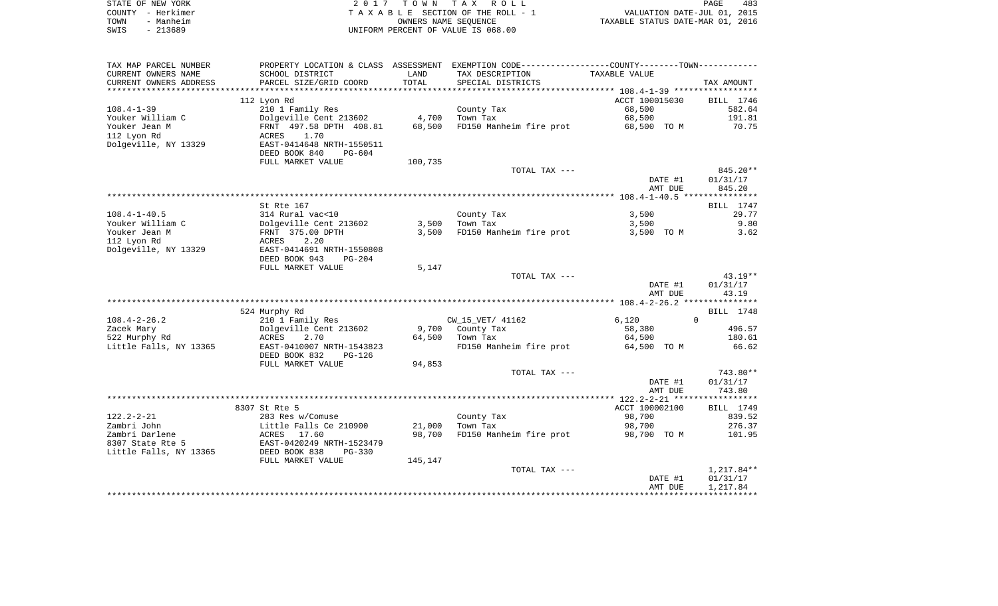| STATE OF NEW YORK | 2017 TOWN TAX ROLL                 | PAGE                             | 483 |
|-------------------|------------------------------------|----------------------------------|-----|
| COUNTY - Herkimer | TAXABLE SECTION OF THE ROLL - 1    | VALUATION DATE-JUL 01, 2015      |     |
| - Manheim<br>TOWN | OWNERS NAME SEOUENCE               | TAXABLE STATUS DATE-MAR 01, 2016 |     |
| - 213689<br>SWIS  | UNIFORM PERCENT OF VALUE IS 068.00 |                                  |     |

| TAX MAP PARCEL NUMBER  |                                |         | PROPERTY LOCATION & CLASS ASSESSMENT EXEMPTION CODE----------------COUNTY-------TOWN--------- |                                                     |            |
|------------------------|--------------------------------|---------|-----------------------------------------------------------------------------------------------|-----------------------------------------------------|------------|
| CURRENT OWNERS NAME    | SCHOOL DISTRICT                | LAND    | TAX DESCRIPTION                                                                               | TAXABLE VALUE                                       |            |
| CURRENT OWNERS ADDRESS | PARCEL SIZE/GRID COORD         | TOTAL   | SPECIAL DISTRICTS                                                                             |                                                     | TAX AMOUNT |
|                        |                                |         |                                                                                               | ********************* 108.4-1-39 ****************** |            |
|                        | 112 Lyon Rd                    |         |                                                                                               | ACCT 100015030                                      | BILL 1746  |
| $108.4 - 1 - 39$       | 210 1 Family Res               |         | County Tax                                                                                    | 68,500                                              | 582.64     |
| Youker William C       | Dolgeville Cent 213602         | 4,700   | Town Tax                                                                                      | 68,500                                              | 191.81     |
| Youker Jean M          | FRNT 497.58 DPTH 408.81        | 68,500  | FD150 Manheim fire prot                                                                       | 68,500 TO M                                         | 70.75      |
| 112 Lyon Rd            | <b>ACRES</b><br>1.70           |         |                                                                                               |                                                     |            |
| Dolgeville, NY 13329   | EAST-0414648 NRTH-1550511      |         |                                                                                               |                                                     |            |
|                        | DEED BOOK 840<br>$PG-604$      |         |                                                                                               |                                                     |            |
|                        |                                |         |                                                                                               |                                                     |            |
|                        | FULL MARKET VALUE              | 100,735 |                                                                                               |                                                     |            |
|                        |                                |         | TOTAL TAX ---                                                                                 |                                                     | 845.20**   |
|                        |                                |         |                                                                                               | DATE #1                                             | 01/31/17   |
|                        |                                |         |                                                                                               | AMT DUE                                             | 845.20     |
|                        |                                |         |                                                                                               |                                                     |            |
|                        | St Rte 167                     |         |                                                                                               |                                                     | BILL 1747  |
| $108.4 - 1 - 40.5$     | 314 Rural vac<10               |         | County Tax                                                                                    | 3,500                                               | 29.77      |
| Youker William C       | Dolgeville Cent 213602         | 3,500   | Town Tax                                                                                      | 3,500                                               | 9.80       |
| Youker Jean M          | FRNT 375.00 DPTH               | 3,500   | FD150 Manheim fire prot                                                                       | 3,500 TO M                                          | 3.62       |
| 112 Lyon Rd            | ACRES<br>2.20                  |         |                                                                                               |                                                     |            |
| Dolgeville, NY 13329   | EAST-0414691 NRTH-1550808      |         |                                                                                               |                                                     |            |
|                        | DEED BOOK 943<br>$PG-204$      |         |                                                                                               |                                                     |            |
|                        | FULL MARKET VALUE              | 5,147   |                                                                                               |                                                     |            |
|                        |                                |         | TOTAL TAX ---                                                                                 |                                                     | $43.19**$  |
|                        |                                |         |                                                                                               | DATE #1                                             | 01/31/17   |
|                        |                                |         |                                                                                               | AMT DUE                                             | 43.19      |
|                        |                                |         |                                                                                               |                                                     |            |
|                        | 524 Murphy Rd                  |         |                                                                                               |                                                     | BILL 1748  |
| $108.4 - 2 - 26.2$     | 210 1 Family Res               |         | CW_15_VET/ 41162                                                                              | 6,120                                               | $\Omega$   |
| Zacek Mary             | Dolgeville Cent 213602         | 9,700   | County Tax                                                                                    | 58,380                                              | 496.57     |
| 522 Murphy Rd          | ACRES<br>2.70                  | 64,500  | Town Tax                                                                                      | 64,500                                              | 180.61     |
| Little Falls, NY 13365 | EAST-0410007 NRTH-1543823      |         | FD150 Manheim fire prot                                                                       | 64,500 TO M                                         | 66.62      |
|                        | DEED BOOK 832<br>PG-126        |         |                                                                                               |                                                     |            |
|                        | FULL MARKET VALUE              | 94,853  |                                                                                               |                                                     |            |
|                        |                                |         | TOTAL TAX ---                                                                                 |                                                     | 743.80**   |
|                        |                                |         |                                                                                               | DATE #1                                             | 01/31/17   |
|                        |                                |         |                                                                                               | AMT DUE                                             | 743.80     |
|                        |                                |         |                                                                                               |                                                     |            |
|                        |                                |         |                                                                                               |                                                     |            |
|                        | 8307 St Rte 5                  |         |                                                                                               | ACCT 100002100                                      | BILL 1749  |
| $122.2 - 2 - 21$       | 283 Res w/Comuse               |         | County Tax                                                                                    | 98,700                                              | 839.52     |
| Zambri John            | Little Falls Ce 210900         | 21,000  | Town Tax                                                                                      | 98,700                                              | 276.37     |
| Zambri Darlene         | ACRES 17.60                    | 98,700  | FD150 Manheim fire prot                                                                       | 98,700 TO M                                         | 101.95     |
| 8307 State Rte 5       | EAST-0420249 NRTH-1523479      |         |                                                                                               |                                                     |            |
| Little Falls, NY 13365 | DEED BOOK 838<br><b>PG-330</b> |         |                                                                                               |                                                     |            |
|                        | FULL MARKET VALUE              | 145,147 |                                                                                               |                                                     |            |
|                        |                                |         | TOTAL TAX ---                                                                                 |                                                     | 1,217.84** |
|                        |                                |         |                                                                                               | DATE #1                                             | 01/31/17   |
|                        |                                |         |                                                                                               | AMT DUE                                             | 1,217.84   |
|                        |                                |         |                                                                                               |                                                     |            |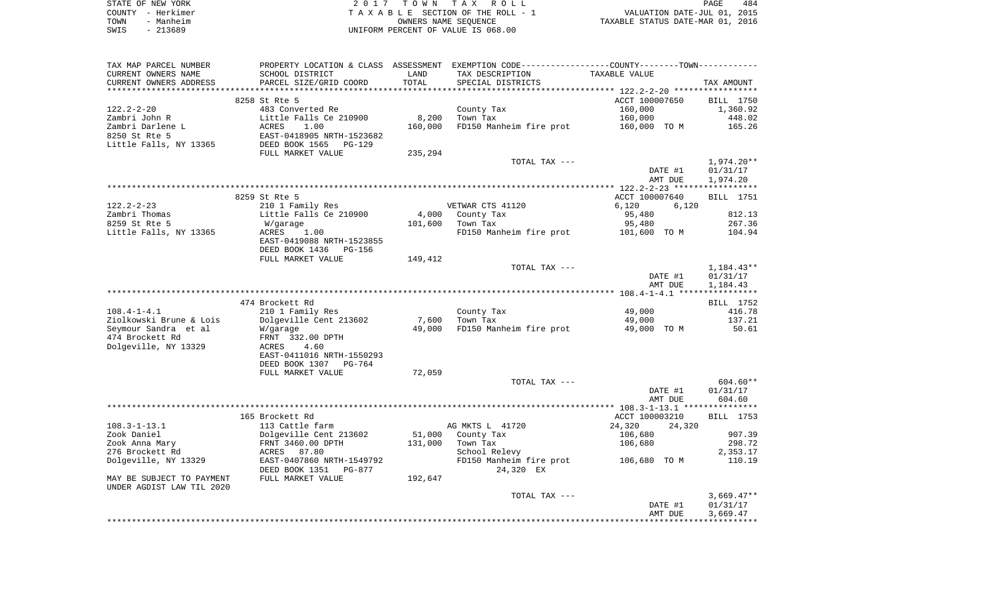| STATE OF NEW YORK | 2017 TOWN TAX ROLL                 | 484<br>PAGE                      |
|-------------------|------------------------------------|----------------------------------|
| COUNTY - Herkimer | TAXABLE SECTION OF THE ROLL - 1    | VALUATION DATE-JUL 01, 2015      |
| TOWN<br>- Manheim | OWNERS NAME SEOUENCE               | TAXABLE STATUS DATE-MAR 01, 2016 |
| - 213689<br>SWIS  | UNIFORM PERCENT OF VALUE IS 068.00 |                                  |

| TAX MAP PARCEL NUMBER<br>CURRENT OWNERS NAME | SCHOOL DISTRICT                                                                            | LAND    | PROPERTY LOCATION & CLASS ASSESSMENT EXEMPTION CODE---------------COUNTY--------TOWN----------<br>TAX DESCRIPTION | TAXABLE VALUE      |                    |
|----------------------------------------------|--------------------------------------------------------------------------------------------|---------|-------------------------------------------------------------------------------------------------------------------|--------------------|--------------------|
| CURRENT OWNERS ADDRESS                       | PARCEL SIZE/GRID COORD                                                                     | TOTAL   | SPECIAL DISTRICTS                                                                                                 |                    | TAX AMOUNT         |
|                                              |                                                                                            |         |                                                                                                                   |                    |                    |
|                                              | 8258 St Rte 5                                                                              |         |                                                                                                                   | ACCT 100007650     | BILL 1750          |
| 122.2-2-20                                   | 483 Converted Re                                                                           |         | County Tax                                                                                                        | 160,000            | 1,360.92           |
| Zambri John R                                |                                                                                            | 8,200   | Town Tax                                                                                                          | 160,000            | 448.02             |
| Zambri Darlene L                             |                                                                                            | 160,000 | FD150 Manheim fire prot                                                                                           | 160,000 TO M       | 165.26             |
| 8250 St Rte 5                                |                                                                                            |         |                                                                                                                   |                    |                    |
| Little Falls, NY 13365                       | Little Falls Ce 210900<br>ACRES 1.00<br>EAST-0418905 NRTH-1523682<br>DEED BOOK 1565 PG-129 |         |                                                                                                                   |                    |                    |
|                                              | FULL MARKET VALUE                                                                          | 235,294 |                                                                                                                   |                    |                    |
|                                              |                                                                                            |         | TOTAL TAX ---                                                                                                     |                    | 1,974.20**         |
|                                              |                                                                                            |         |                                                                                                                   | DATE #1            | 01/31/17           |
|                                              |                                                                                            |         |                                                                                                                   | AMT DUE            | 1,974.20           |
|                                              |                                                                                            |         |                                                                                                                   |                    |                    |
|                                              | 8259 St Rte 5                                                                              |         |                                                                                                                   | ACCT 100007640     | BILL 1751          |
| 122.2-2-23                                   | 210 1 Family Res                                                                           |         | VETWAR CTS 41120                                                                                                  | 6,120<br>6,120     |                    |
| Zambri Thomas                                | Little Falls Ce 210900                                                                     |         | $4,000$ County Tax                                                                                                | 95,480             | 812.13             |
| 8259 St Rte 5<br>Little Falls, NY 13365      | W/garage<br>ACRES 1.00                                                                     |         | 101,600 Town Tax<br>FD150 Manheim fire prot 101,600 TO M                                                          | 95,480             | 267.36<br>104.94   |
|                                              | EAST-0419088 NRTH-1523855                                                                  |         |                                                                                                                   |                    |                    |
|                                              | DEED BOOK 1436 PG-156                                                                      |         |                                                                                                                   |                    |                    |
|                                              | FULL MARKET VALUE                                                                          | 149,412 |                                                                                                                   |                    |                    |
|                                              |                                                                                            |         | TOTAL TAX ---                                                                                                     |                    | 1,184.43**         |
|                                              |                                                                                            |         |                                                                                                                   | DATE #1            | 01/31/17           |
|                                              |                                                                                            |         |                                                                                                                   | AMT DUE            | 1,184.43           |
|                                              |                                                                                            |         |                                                                                                                   |                    |                    |
|                                              | 474 Brockett Rd                                                                            |         |                                                                                                                   |                    | BILL 1752          |
| $108.4 - 1 - 4.1$                            | 210 1 Family Res                                                                           |         | County Tax                                                                                                        | 49,000             | 416.78             |
| Ziolkowski Brune & Lois                      | Dolgeville Cent 213602                                                                     | 7,600   | Town Tax                                                                                                          | 49,000             | 137.21             |
| Seymour Sandra et al                         | W/garage<br>FRNT 332.00 DPTH                                                               | 49,000  | FD150 Manheim fire prot                                                                                           | 49,000 TO M        | 50.61              |
| 474 Brockett Rd                              |                                                                                            |         |                                                                                                                   |                    |                    |
| Dolgeville, NY 13329                         | 252.00 PRINT 552.00                                                                        |         |                                                                                                                   |                    |                    |
|                                              | EAST-0411016 NRTH-1550293                                                                  |         |                                                                                                                   |                    |                    |
|                                              | DEED BOOK 1307 PG-764                                                                      |         |                                                                                                                   |                    |                    |
|                                              | FULL MARKET VALUE                                                                          | 72,059  |                                                                                                                   |                    |                    |
|                                              |                                                                                            |         | TOTAL TAX ---                                                                                                     |                    | 604.60**           |
|                                              |                                                                                            |         |                                                                                                                   | DATE #1<br>AMT DUE | 01/31/17<br>604.60 |
|                                              |                                                                                            |         |                                                                                                                   |                    |                    |
|                                              | 165 Brockett Rd                                                                            |         |                                                                                                                   | ACCT 100003210     | BILL 1753          |
| $108.3 - 1 - 13.1$                           | 113 Cattle farm                                                                            |         | AG MKTS L 41720                                                                                                   | 24,320<br>24,320   |                    |
| Zook Daniel                                  | Dolgeville Cent 213602<br>PRNT 3460.00 DPTH                                                | 51,000  | County Tax                                                                                                        | 106,680            | 907.39             |
| Zook Anna Mary                               |                                                                                            | 131,000 | Town Tax                                                                                                          | 106,680            | 298.72             |
| 276 Brockett Rd                              | <b>ACRES</b><br>87.80                                                                      |         | School Relevy                                                                                                     |                    | 2,353.17           |
| Dolgeville, NY 13329                         | EAST-0407860 NRTH-1549792                                                                  |         | FD150 Manheim fire prot 106,680 TO M                                                                              |                    | 110.19             |
|                                              | DEED BOOK 1351 PG-877                                                                      |         | 24,320 EX                                                                                                         |                    |                    |
| MAY BE SUBJECT TO PAYMENT                    | FULL MARKET VALUE                                                                          | 192,647 |                                                                                                                   |                    |                    |
| UNDER AGDIST LAW TIL 2020                    |                                                                                            |         |                                                                                                                   |                    |                    |
|                                              |                                                                                            |         | TOTAL TAX ---                                                                                                     |                    | $3,669.47**$       |
|                                              |                                                                                            |         |                                                                                                                   | DATE #1            | 01/31/17           |
|                                              |                                                                                            |         |                                                                                                                   |                    |                    |
|                                              |                                                                                            |         |                                                                                                                   | AMT DUE            | 3,669.47           |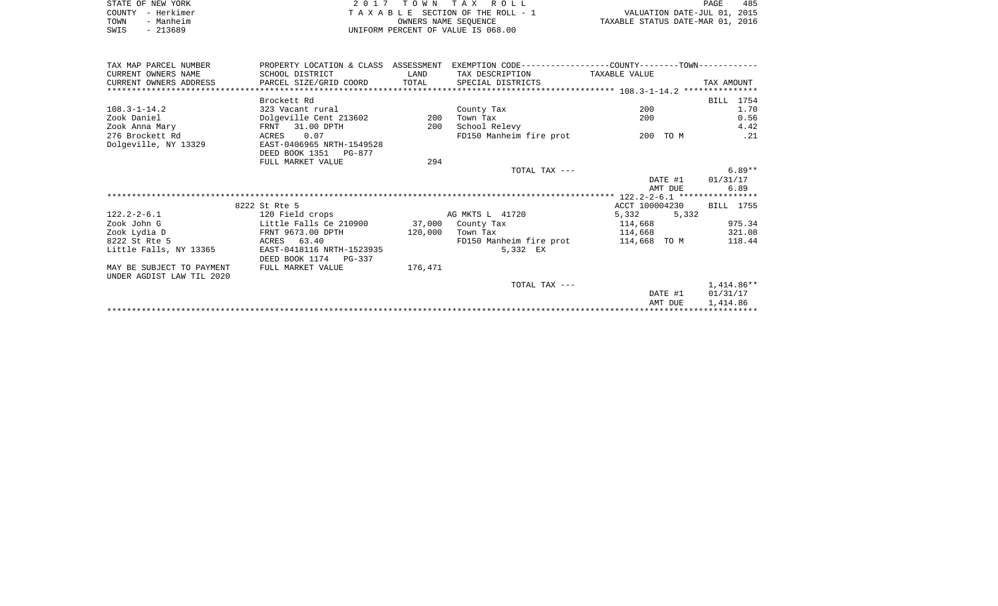| STATE OF NEW YORK | 2017 TOWN TAX ROLL                 | 485<br>PAGE                      |
|-------------------|------------------------------------|----------------------------------|
| COUNTY - Herkimer | TAXABLE SECTION OF THE ROLL - 1    | VALUATION DATE-JUL 01, 2015      |
| TOWN<br>- Manheim | OWNERS NAME SEOUENCE               | TAXABLE STATUS DATE-MAR 01, 2016 |
| SWIS<br>- 213689  | UNIFORM PERCENT OF VALUE IS 068.00 |                                  |

| TAX MAP PARCEL NUMBER     | PROPERTY LOCATION & CLASS ASSESSMENT |         | EXEMPTION CODE-----------------COUNTY-------TOWN----------- |                |              |
|---------------------------|--------------------------------------|---------|-------------------------------------------------------------|----------------|--------------|
| CURRENT OWNERS NAME       | SCHOOL DISTRICT                      | LAND    | TAX DESCRIPTION                                             | TAXABLE VALUE  |              |
| CURRENT OWNERS ADDRESS    | PARCEL SIZE/GRID COORD               | TOTAL   | SPECIAL DISTRICTS                                           |                | TAX AMOUNT   |
|                           |                                      |         |                                                             |                |              |
|                           | Brockett Rd                          |         |                                                             |                | BILL 1754    |
| $108.3 - 1 - 14.2$        | 323 Vacant rural                     |         | County Tax                                                  | 200            | 1.70         |
| Zook Daniel               | Dolgeville Cent 213602               | 200     | Town Tax                                                    | 200            | 0.56         |
| Zook Anna Mary            | FRNT 31.00 DPTH                      | 200     | School Relevy                                               |                | 4.42         |
| 276 Brockett Rd           | 0.07<br>ACRES                        |         | FD150 Manheim fire prot                                     | 200 TO M       | .21          |
| Dolgeville, NY 13329      | EAST-0406965 NRTH-1549528            |         |                                                             |                |              |
|                           | DEED BOOK 1351 PG-877                |         |                                                             |                |              |
|                           | FULL MARKET VALUE                    | 294     |                                                             |                |              |
|                           |                                      |         | TOTAL TAX ---                                               |                | $6.89**$     |
|                           |                                      |         |                                                             | DATE #1        | 01/31/17     |
|                           |                                      |         |                                                             | AMT DUE        | 6.89         |
|                           |                                      |         |                                                             |                |              |
|                           | 8222 St Rte 5                        |         |                                                             | ACCT 100004230 | BILL 1755    |
| $122.2 - 2 - 6.1$         | 120 Field crops                      |         | AG MKTS L 41720                                             | 5,332<br>5,332 |              |
| Zook John G               | Little Falls Ce 210900               |         | 37,000 County Tax                                           | 114,668        | 975.34       |
| Zook Lydia D              | FRNT 9673.00 DPTH                    | 120,000 | Town Tax                                                    | 114,668        | 321.08       |
| 8222 St Rte 5             | 63.40<br>ACRES                       |         | FD150 Manheim fire prot                                     | 114,668 TO M   | 118.44       |
| Little Falls, NY 13365    | EAST-0418116 NRTH-1523935            |         | 5,332 EX                                                    |                |              |
|                           | DEED BOOK 1174 PG-337                |         |                                                             |                |              |
| MAY BE SUBJECT TO PAYMENT | FULL MARKET VALUE                    | 176,471 |                                                             |                |              |
| UNDER AGDIST LAW TIL 2020 |                                      |         |                                                             |                |              |
|                           |                                      |         | TOTAL TAX ---                                               |                | $1,414.86**$ |
|                           |                                      |         |                                                             | DATE #1        | 01/31/17     |
|                           |                                      |         |                                                             | AMT DUE        | 1,414.86     |
|                           |                                      |         |                                                             |                |              |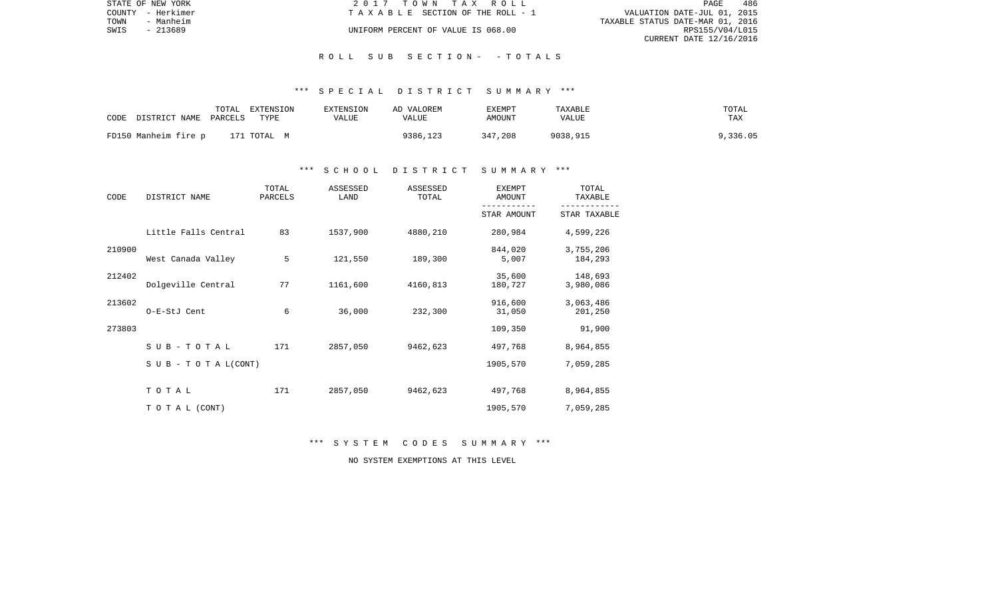|      | STATE OF NEW YORK | 2017 TOWN TAX ROLL                 | PAGE                             | 486 |
|------|-------------------|------------------------------------|----------------------------------|-----|
|      | COUNTY - Herkimer | TAXABLE SECTION OF THE ROLL - 1    | VALUATION DATE-JUL 01, 2015      |     |
| TOWN | - Manheim         |                                    | TAXABLE STATUS DATE-MAR 01, 2016 |     |
| SWIS | $-213689$         | UNIFORM PERCENT OF VALUE IS 068.00 | RPS155/V04/L015                  |     |
|      |                   |                                    | CURRENT DATE 12/16/2016          |     |

#### \*\*\* S P E C I A L D I S T R I C T S U M M A R Y \*\*\*

| CODE                 | TOTAL   | EXTENSION   | EXTENSION | AD VALOREM | <b>EXEMPT</b> | TAXABLE  | TOTAL    |
|----------------------|---------|-------------|-----------|------------|---------------|----------|----------|
| DISTRICT NAME        | PARCELS | TYPE        | VALUE     | VALUE      | AMOUNT        | VALUE    | TAX      |
| FD150 Manheim fire p |         | 171 тотац м |           | 9386,123   | 347,208       | 9038,915 | 9,336.05 |

#### \*\*\* S C H O O L D I S T R I C T S U M M A R Y \*\*\*

| CODE   | DISTRICT NAME                    | TOTAL<br>PARCELS | ASSESSED<br>LAND | ASSESSED<br>TOTAL | <b>EXEMPT</b><br>AMOUNT | TOTAL<br>TAXABLE     |
|--------|----------------------------------|------------------|------------------|-------------------|-------------------------|----------------------|
|        |                                  |                  |                  |                   | STAR AMOUNT             | STAR TAXABLE         |
|        | Little Falls Central             | 83               | 1537,900         | 4880,210          | 280,984                 | 4,599,226            |
| 210900 | West Canada Valley               | 5                | 121,550          | 189,300           | 844,020<br>5,007        | 3,755,206<br>184,293 |
| 212402 | Dolgeville Central               | 77               | 1161,600         | 4160,813          | 35,600<br>180,727       | 148,693<br>3,980,086 |
| 213602 | O-E-StJ Cent                     | 6                | 36,000           | 232,300           | 916,600<br>31,050       | 3,063,486<br>201,250 |
| 273803 |                                  |                  |                  |                   | 109,350                 | 91,900               |
|        | SUB-TOTAL                        | 171              | 2857,050         | 9462,623          | 497,768                 | 8,964,855            |
|        | $S \cup B - T \cup T A L (CONT)$ |                  |                  |                   | 1905,570                | 7,059,285            |
|        | TOTAL                            | 171              | 2857,050         | 9462,623          | 497,768                 | 8,964,855            |
|        | TO TAL (CONT)                    |                  |                  |                   | 1905,570                | 7,059,285            |

\*\*\* S Y S T E M C O D E S S U M M A R Y \*\*\*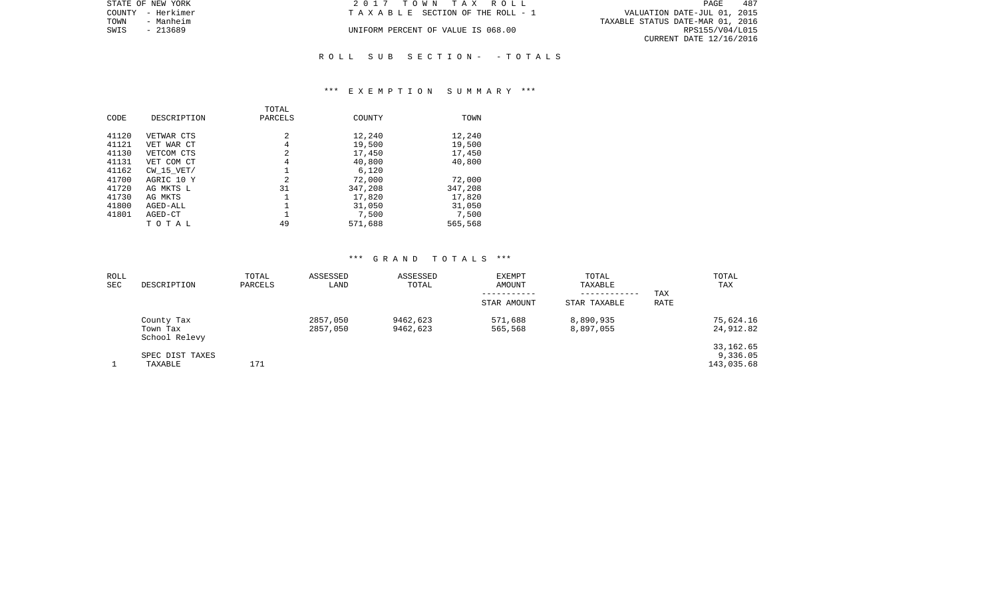| STATE OF NEW YORK | 2017 TOWN TAX ROLL                 | 487<br>PAGE                      |
|-------------------|------------------------------------|----------------------------------|
| COUNTY - Herkimer | TAXABLE SECTION OF THE ROLL - 1    | VALUATION DATE-JUL 01, 2015      |
| TOWN<br>- Manheim |                                    | TAXABLE STATUS DATE-MAR 01, 2016 |
| SWIS<br>- 213689  | UNIFORM PERCENT OF VALUE IS 068.00 | RPS155/V04/L015                  |
|                   |                                    | CURRENT DATE 12/16/2016          |
|                   |                                    |                                  |

#### \*\*\* E X E M P T I O N S U M M A R Y \*\*\*

|       |             | TOTAL        |         |         |
|-------|-------------|--------------|---------|---------|
| CODE  | DESCRIPTION | PARCELS      | COUNTY  | TOWN    |
|       |             |              |         |         |
| 41120 | VETWAR CTS  | $\mathbf{2}$ | 12,240  | 12,240  |
| 41121 | VET WAR CT  | 4            | 19,500  | 19,500  |
| 41130 | VETCOM CTS  | 2            | 17,450  | 17,450  |
| 41131 | VET COM CT  | 4            | 40,800  | 40,800  |
| 41162 | CW 15 VET/  |              | 6,120   |         |
| 41700 | AGRIC 10 Y  | 2            | 72,000  | 72,000  |
| 41720 | AG MKTS L   | 31           | 347,208 | 347,208 |
| 41730 | AG MKTS     |              | 17,820  | 17,820  |
| 41800 | AGED-ALL    |              | 31,050  | 31,050  |
| 41801 | AGED-CT     |              | 7,500   | 7,500   |
|       | тотаь       | 49           | 571,688 | 565,568 |

| ROLL<br><b>SEC</b> | DESCRIPTION                             | TOTAL<br>PARCELS | ASSESSED<br>LAND     | ASSESSED<br>TOTAL    | EXEMPT<br>AMOUNT   | TOTAL<br>TAXABLE<br>------------ | TAX  | TOTAL<br>TAX                         |
|--------------------|-----------------------------------------|------------------|----------------------|----------------------|--------------------|----------------------------------|------|--------------------------------------|
|                    |                                         |                  |                      |                      | STAR AMOUNT        | STAR TAXABLE                     | RATE |                                      |
|                    | County Tax<br>Town Tax<br>School Relevy |                  | 2857,050<br>2857,050 | 9462,623<br>9462,623 | 571,688<br>565,568 | 8,890,935<br>8,897,055           |      | 75,624.16<br>24,912.82               |
|                    | SPEC DIST TAXES<br>TAXABLE              | 171              |                      |                      |                    |                                  |      | 33, 162.65<br>9,336.05<br>143,035.68 |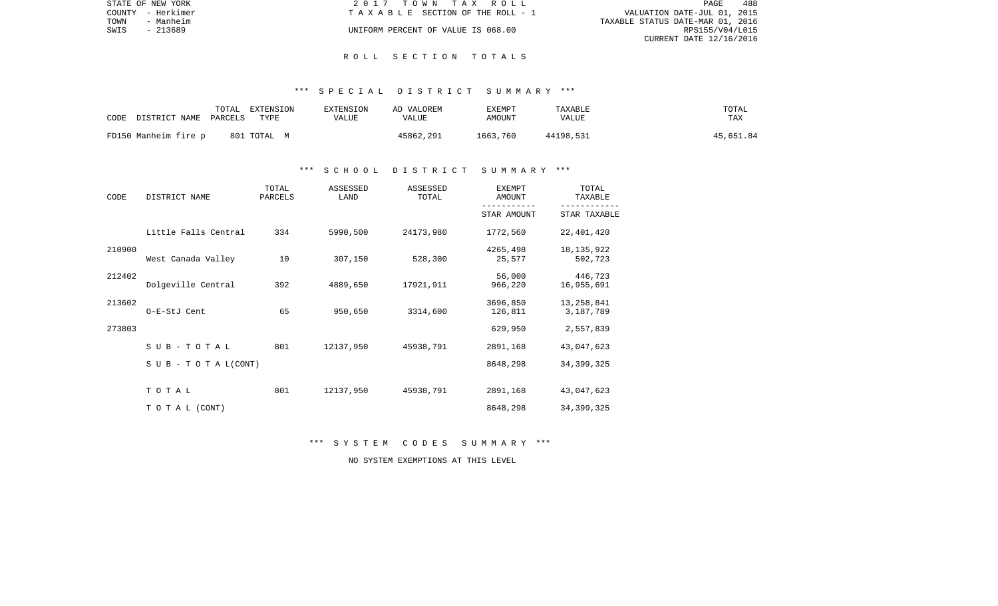| STATE OF NEW YORK | 2017 TOWN TAX ROLL                 | 488<br>PAGE                      |
|-------------------|------------------------------------|----------------------------------|
| COUNTY - Herkimer | TAXABLE SECTION OF THE ROLL - 1    | VALUATION DATE-JUL 01, 2015      |
| TOWN<br>- Manheim |                                    | TAXABLE STATUS DATE-MAR 01, 2016 |
| SWIS<br>- 213689  | UNIFORM PERCENT OF VALUE IS 068.00 | RPS155/V04/L015                  |
|                   |                                    | CURRENT DATE 12/16/2016          |

#### \*\*\* S P E C I A L D I S T R I C T S U M M A R Y \*\*\*

| CODE<br>DISTRICT NAME | TOTAL<br>EXTENSION<br>PARCELS<br>TYPE | EXTENSION<br>VALUE | AD VALOREM<br>VALUE | EXEMPT<br>AMOUNT | TAXABLE<br>VALUE | TOTAL<br>TAX |
|-----------------------|---------------------------------------|--------------------|---------------------|------------------|------------------|--------------|
| FD150 Manheim fire p  | 801 TOTAL M                           |                    | 45862,291           | 1663,760         | 44198,531        | 45,651.84    |

#### \*\*\* S C H O O L D I S T R I C T S U M M A R Y \*\*\*

| CODE   | DISTRICT NAME                    | TOTAL<br>PARCELS | ASSESSED<br>LAND | ASSESSED<br>TOTAL | <b>EXEMPT</b><br>AMOUNT | TOTAL<br>TAXABLE        |
|--------|----------------------------------|------------------|------------------|-------------------|-------------------------|-------------------------|
|        |                                  |                  |                  |                   | STAR AMOUNT             | STAR TAXABLE            |
|        | Little Falls Central             | 334              | 5990,500         | 24173,980         | 1772,560                | 22,401,420              |
| 210900 | West Canada Valley               | 10               | 307,150          | 528,300           | 4265,498<br>25,577      | 18, 135, 922<br>502,723 |
| 212402 | Dolgeville Central               | 392              | 4889,650         | 17921,911         | 56,000<br>966,220       | 446,723<br>16,955,691   |
| 213602 | O-E-StJ Cent                     | 65               | 950,650          | 3314,600          | 3696,850<br>126,811     | 13,258,841<br>3,187,789 |
| 273803 |                                  |                  |                  |                   | 629,950                 | 2,557,839               |
|        | SUB-TOTAL                        | 801              | 12137,950        | 45938,791         | 2891,168                | 43,047,623              |
|        | $S \cup B - T \cup T A L (CONT)$ |                  |                  |                   | 8648,298                | 34, 399, 325            |
|        | TOTAL                            | 801              | 12137,950        | 45938,791         | 2891,168                | 43,047,623              |
|        | TO TAL (CONT)                    |                  |                  |                   | 8648,298                | 34, 399, 325            |

\*\*\* S Y S T E M C O D E S S U M M A R Y \*\*\*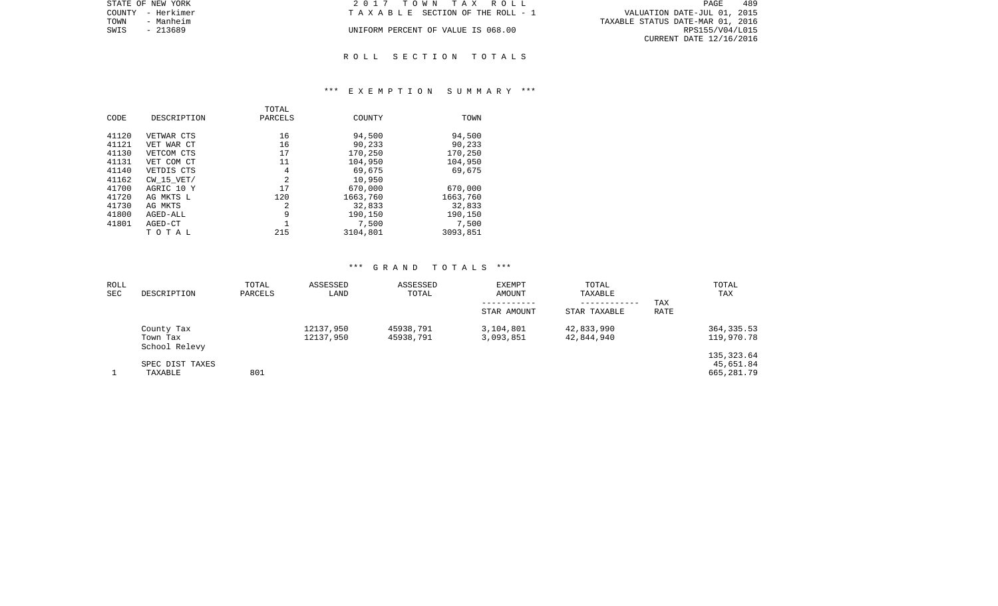| STATE OF NEW YORK | 2017 TOWN TAX ROLL                 | 489<br>PAGE                      |
|-------------------|------------------------------------|----------------------------------|
| COUNTY - Herkimer | TAXABLE SECTION OF THE ROLL - 1    | VALUATION DATE-JUL 01, 2015      |
| - Manheim<br>TOWN |                                    | TAXABLE STATUS DATE-MAR 01, 2016 |
| SWIS<br>- 213689  | UNIFORM PERCENT OF VALUE IS 068.00 | RPS155/V04/L015                  |
|                   |                                    | CURRENT DATE 12/16/2016          |
|                   |                                    |                                  |

#### \*\*\* E X E M P T I O N S U M M A R Y \*\*\*

| CODE                                                                                            | DESCRIPTION                                                                                                                                       | TOTAL<br>PARCELS                                                   | COUNTY                                                                                                          | TOWN                                                                                                  |
|-------------------------------------------------------------------------------------------------|---------------------------------------------------------------------------------------------------------------------------------------------------|--------------------------------------------------------------------|-----------------------------------------------------------------------------------------------------------------|-------------------------------------------------------------------------------------------------------|
| 41120<br>41121<br>41130<br>41131<br>41140<br>41162<br>41700<br>41720<br>41730<br>41800<br>41801 | VETWAR CTS<br>VET WAR CT<br>VETCOM CTS<br>VET COM CT<br>VETDIS CTS<br>$CW$ 15 $VET/$<br>AGRIC 10 Y<br>AG MKTS L<br>AG MKTS<br>AGED-ALL<br>AGED-CT | 16<br>16<br>17<br>11<br>4<br>$\overline{2}$<br>17<br>120<br>2<br>9 | 94,500<br>90,233<br>170,250<br>104,950<br>69,675<br>10,950<br>670,000<br>1663,760<br>32,833<br>190,150<br>7,500 | 94,500<br>90,233<br>170,250<br>104,950<br>69,675<br>670,000<br>1663,760<br>32,833<br>190,150<br>7,500 |
|                                                                                                 | TOTAL                                                                                                                                             | 215                                                                | 3104,801                                                                                                        | 3093,851                                                                                              |

| ROLL<br>SEC | DESCRIPTION                             | TOTAL<br>PARCELS | ASSESSED<br>LAND       | ASSESSED<br>TOTAL      | EXEMPT<br>AMOUNT       | TOTAL<br>TAXABLE<br>------------ | TAX         | TOTAL<br>TAX                           |
|-------------|-----------------------------------------|------------------|------------------------|------------------------|------------------------|----------------------------------|-------------|----------------------------------------|
|             |                                         |                  |                        |                        | STAR AMOUNT            | STAR TAXABLE                     | <b>RATE</b> |                                        |
|             | County Tax<br>Town Tax<br>School Relevy |                  | 12137,950<br>12137,950 | 45938,791<br>45938,791 | 3,104,801<br>3,093,851 | 42,833,990<br>42,844,940         |             | 364, 335.53<br>119,970.78              |
|             | SPEC DIST TAXES<br>TAXABLE              | 801              |                        |                        |                        |                                  |             | 135, 323.64<br>45,651.84<br>665,281.79 |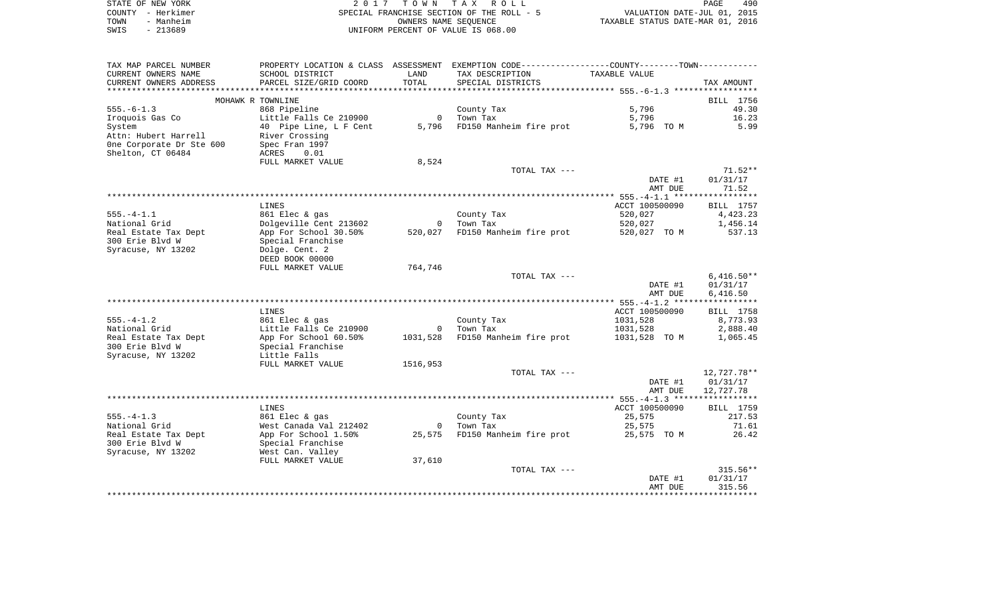|      | STATE OF NEW YORK | 2017 TOWN TAX ROLL                        | 490<br>PAGE                      |
|------|-------------------|-------------------------------------------|----------------------------------|
|      | COUNTY - Herkimer | SPECIAL FRANCHISE SECTION OF THE ROLL - 5 | VALUATION DATE-JUL 01, 2015      |
| TOWN | - Manheim         | OWNERS NAME SEOUENCE                      | TAXABLE STATUS DATE-MAR 01, 2016 |
| SWIS | - 213689          | UNIFORM PERCENT OF VALUE IS 068.00        |                                  |

| TAX MAP PARCEL NUMBER                   |                                     |                | PROPERTY LOCATION & CLASS ASSESSMENT EXEMPTION CODE----------------COUNTY--------TOWN---------- |                |              |
|-----------------------------------------|-------------------------------------|----------------|-------------------------------------------------------------------------------------------------|----------------|--------------|
| CURRENT OWNERS NAME                     | SCHOOL DISTRICT                     | LAND           | TAX DESCRIPTION                                                                                 | TAXABLE VALUE  |              |
| CURRENT OWNERS ADDRESS                  | PARCEL SIZE/GRID COORD              | TOTAL          | SPECIAL DISTRICTS                                                                               |                | TAX AMOUNT   |
| ********************                    |                                     |                |                                                                                                 |                |              |
|                                         | MOHAWK R TOWNLINE                   |                |                                                                                                 |                | BILL 1756    |
| $555. - 6 - 1.3$                        | 868 Pipeline                        |                | County Tax                                                                                      | 5,796          | 49.30        |
| Iroquois Gas Co                         | Little Falls Ce 210900              | $\overline{0}$ | Town Tax                                                                                        | 5,796          | 16.23        |
| System                                  | 40 Pipe Line, L F Cent              | 5,796          | FD150 Manheim fire prot                                                                         | 5,796 TO M     | 5.99         |
| Attn: Hubert Harrell                    | River Crossing                      |                |                                                                                                 |                |              |
| One Corporate Dr Ste 600                | Spec Fran 1997                      |                |                                                                                                 |                |              |
| Shelton, CT 06484                       | ACRES<br>0.01                       |                |                                                                                                 |                |              |
|                                         | FULL MARKET VALUE                   | 8,524          |                                                                                                 |                |              |
|                                         |                                     |                | TOTAL TAX ---                                                                                   |                | 71.52**      |
|                                         |                                     |                |                                                                                                 | DATE #1        | 01/31/17     |
|                                         |                                     |                |                                                                                                 | AMT DUE        | 71.52        |
|                                         |                                     |                |                                                                                                 |                |              |
|                                         | LINES                               |                |                                                                                                 | ACCT 100500090 | BILL 1757    |
| $555. - 4 - 1.1$                        | 861 Elec & gas                      |                | County Tax                                                                                      | 520,027        | 4,423.23     |
| National Grid                           | Dolgeville Cent 213602              |                | 0 Town Tax                                                                                      | 520,027        | 1,456.14     |
| Real Estate Tax Dept<br>300 Erie Blvd W | App For School 30.50%               | 520,027        | FD150 Manheim fire prot 520,027 TO M                                                            |                | 537.13       |
| Syracuse, NY 13202                      | Special Franchise<br>Dolge. Cent. 2 |                |                                                                                                 |                |              |
|                                         | DEED BOOK 00000                     |                |                                                                                                 |                |              |
|                                         | FULL MARKET VALUE                   | 764,746        |                                                                                                 |                |              |
|                                         |                                     |                | TOTAL TAX ---                                                                                   |                | $6,416.50**$ |
|                                         |                                     |                |                                                                                                 | DATE #1        | 01/31/17     |
|                                         |                                     |                |                                                                                                 | AMT DUE        | 6,416.50     |
|                                         |                                     |                |                                                                                                 |                |              |
|                                         | LINES                               |                |                                                                                                 | ACCT 100500090 | BILL 1758    |
| 555.-4-1.2                              | 861 Elec & gas                      |                | County Tax                                                                                      | 1031,528       | 8,773.93     |
| National Grid                           | Little Falls Ce 210900              | $\overline{0}$ | Town Tax                                                                                        | 1031,528       | 2,888.40     |
| Real Estate Tax Dept                    | App For School 60.50%               |                | 1031,528 FD150 Manheim fire prot                                                                | 1031,528 TO M  | 1,065.45     |
| 300 Erie Blvd W                         | Special Franchise                   |                |                                                                                                 |                |              |
| Syracuse, NY 13202                      | Little Falls                        |                |                                                                                                 |                |              |
|                                         | FULL MARKET VALUE                   | 1516,953       |                                                                                                 |                |              |
|                                         |                                     |                | TOTAL TAX ---                                                                                   |                | 12,727.78**  |
|                                         |                                     |                |                                                                                                 | DATE #1        | 01/31/17     |
|                                         |                                     |                |                                                                                                 | AMT DUE        | 12,727.78    |
|                                         |                                     |                |                                                                                                 |                |              |
|                                         | LINES                               |                |                                                                                                 | ACCT 100500090 | BILL 1759    |
| $555. - 4 - 1.3$                        | 861 Elec & gas                      |                | County Tax                                                                                      | 25,575         | 217.53       |
| National Grid                           | West Canada Val 212402              |                | 0 Town Tax                                                                                      | 25,575         | 71.61        |
| Real Estate Tax Dept                    | App For School 1.50%                |                | 25,575 FD150 Manheim fire prot 25,575 TO M                                                      |                | 26.42        |
| 300 Erie Blvd W                         | Special Franchise                   |                |                                                                                                 |                |              |
| Syracuse, NY 13202                      | West Can. Valley                    |                |                                                                                                 |                |              |
|                                         | FULL MARKET VALUE                   | 37,610         |                                                                                                 |                |              |
|                                         |                                     |                | TOTAL TAX ---                                                                                   |                | $315.56**$   |
|                                         |                                     |                |                                                                                                 | DATE #1        | 01/31/17     |
|                                         |                                     |                |                                                                                                 | AMT DUE        | 315.56       |
|                                         |                                     |                |                                                                                                 |                |              |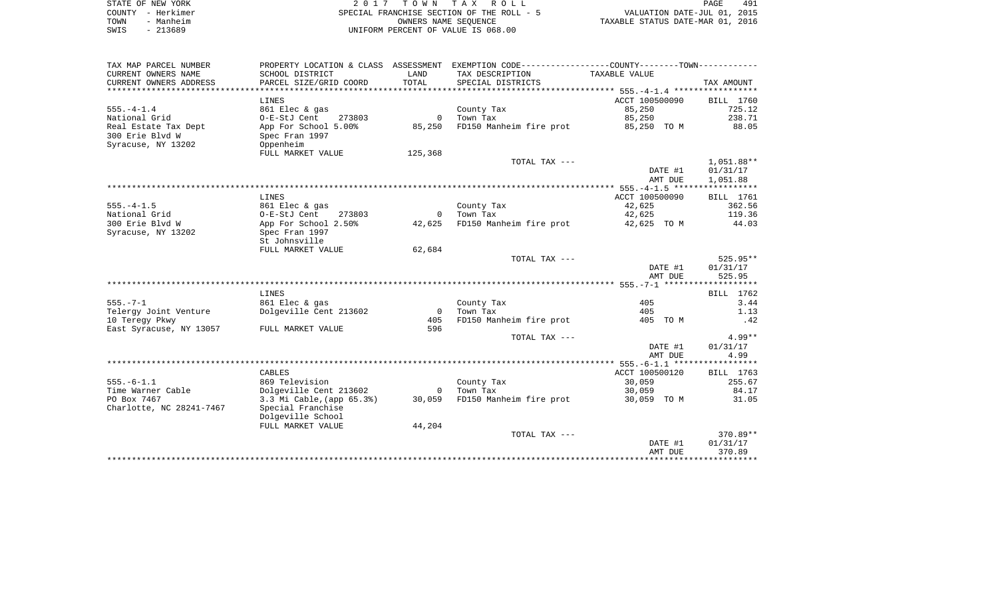|      | STATE OF NEW YORK | 2017 TOWN TAX ROLL                                       | <b>PAGE</b>                 | 491 |
|------|-------------------|----------------------------------------------------------|-----------------------------|-----|
|      | COUNTY - Herkimer | SPECIAL FRANCHISE SECTION OF THE ROLL - 5                | VALUATION DATE-JUL 01, 2015 |     |
| TOWN | - Manheim         | TAXABLE STATUS DATE-MAR 01, 2016<br>OWNERS NAME SEOUENCE |                             |     |
| SWIS | - 213689          | UNIFORM PERCENT OF VALUE IS 068.00                       |                             |     |

| TAX MAP PARCEL NUMBER    |                           |                | PROPERTY LOCATION & CLASS ASSESSMENT EXEMPTION CODE---------------COUNTY-------TOWN---------- |                |            |
|--------------------------|---------------------------|----------------|-----------------------------------------------------------------------------------------------|----------------|------------|
| CURRENT OWNERS NAME      | SCHOOL DISTRICT           | LAND           | TAX DESCRIPTION                                                                               | TAXABLE VALUE  |            |
| CURRENT OWNERS ADDRESS   | PARCEL SIZE/GRID COORD    | TOTAL          | SPECIAL DISTRICTS                                                                             |                | TAX AMOUNT |
|                          |                           |                |                                                                                               |                |            |
|                          | LINES                     |                |                                                                                               | ACCT 100500090 | BILL 1760  |
| $555. - 4 - 1.4$         | 861 Elec & gas            |                | County Tax                                                                                    | 85,250         | 725.12     |
| National Grid            | O-E-StJ Cent<br>273803    | $\mathbf{0}$   | Town Tax                                                                                      | 85,250         | 238.71     |
| Real Estate Tax Dept     | App For School 5.00%      | 85,250         | FD150 Manheim fire prot                                                                       | 85,250 TO M    | 88.05      |
| 300 Erie Blvd W          | Spec Fran 1997            |                |                                                                                               |                |            |
| Syracuse, NY 13202       | Oppenheim                 |                |                                                                                               |                |            |
|                          | FULL MARKET VALUE         | 125,368        |                                                                                               |                |            |
|                          |                           |                | TOTAL TAX ---                                                                                 |                | 1,051.88** |
|                          |                           |                |                                                                                               | DATE #1        | 01/31/17   |
|                          |                           |                |                                                                                               | AMT DUE        | 1,051.88   |
|                          |                           |                |                                                                                               |                |            |
|                          | LINES                     |                |                                                                                               | ACCT 100500090 | BILL 1761  |
| $555. - 4 - 1.5$         | 861 Elec & gas            |                | County Tax                                                                                    | 42,625         | 362.56     |
| National Grid            | O-E-StJ Cent<br>273803    | $\mathbf 0$    | Town Tax                                                                                      | 42,625         | 119.36     |
| 300 Erie Blvd W          | App For School 2.50%      | 42,625         | FD150 Manheim fire prot                                                                       | 42,625 TO M    | 44.03      |
| Syracuse, NY 13202       | Spec Fran 1997            |                |                                                                                               |                |            |
|                          | St Johnsville             |                |                                                                                               |                |            |
|                          | FULL MARKET VALUE         | 62,684         |                                                                                               |                |            |
|                          |                           |                | TOTAL TAX ---                                                                                 |                | $525.95**$ |
|                          |                           |                |                                                                                               | DATE #1        | 01/31/17   |
|                          |                           |                |                                                                                               | AMT DUE        | 525.95     |
|                          |                           |                |                                                                                               |                |            |
|                          | LINES                     |                |                                                                                               |                | BILL 1762  |
| $555. - 7 - 1$           | 861 Elec & gas            |                | County Tax                                                                                    | 405            | 3.44       |
| Telergy Joint Venture    | Dolgeville Cent 213602    | $\overline{0}$ | Town Tax                                                                                      | 405            | 1.13       |
| 10 Tereqy Pkwy           |                           | 405            | FD150 Manheim fire prot                                                                       | 405 TO M       | .42        |
| East Syracuse, NY 13057  | FULL MARKET VALUE         | 596            |                                                                                               |                |            |
|                          |                           |                | TOTAL TAX ---                                                                                 |                | $4.99**$   |
|                          |                           |                |                                                                                               | DATE #1        | 01/31/17   |
|                          |                           |                |                                                                                               | AMT DUE        | 4.99       |
|                          |                           |                |                                                                                               |                |            |
|                          | <b>CABLES</b>             |                |                                                                                               | ACCT 100500120 | BILL 1763  |
| $555. - 6 - 1.1$         | 869 Television            |                | County Tax                                                                                    | 30,059         | 255.67     |
| Time Warner Cable        | Dolgeville Cent 213602    | $\overline{0}$ | Town Tax                                                                                      | 30,059         | 84.17      |
| PO Box 7467              | 3.3 Mi Cable, (app 65.3%) | 30,059         | FD150 Manheim fire prot                                                                       | 30,059 TO M    | 31.05      |
| Charlotte, NC 28241-7467 | Special Franchise         |                |                                                                                               |                |            |
|                          | Dolgeville School         |                |                                                                                               |                |            |
|                          | FULL MARKET VALUE         | 44,204         |                                                                                               |                |            |
|                          |                           |                | TOTAL TAX ---                                                                                 |                | 370.89**   |
|                          |                           |                |                                                                                               | DATE #1        | 01/31/17   |
|                          |                           |                |                                                                                               | AMT DUE        | 370.89     |
|                          |                           |                |                                                                                               |                |            |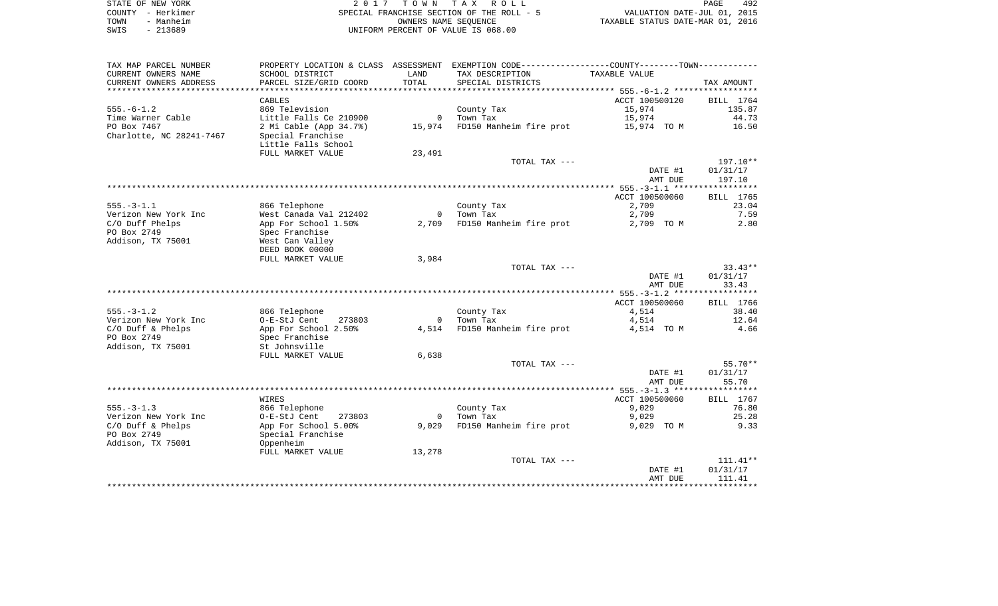|      | STATE OF NEW YORK | 2017 TOWN TAX ROLL                        | 492<br>PAGE                      |
|------|-------------------|-------------------------------------------|----------------------------------|
|      | COUNTY - Herkimer | SPECIAL FRANCHISE SECTION OF THE ROLL - 5 | VALUATION DATE-JUL 01, 2015      |
| TOWN | - Manheim         | OWNERS NAME SEOUENCE                      | TAXABLE STATUS DATE-MAR 01, 2016 |
| SWIS | $-213689$         | UNIFORM PERCENT OF VALUE IS 068.00        |                                  |

| TAX MAP PARCEL NUMBER    |                        |                | PROPERTY LOCATION & CLASS ASSESSMENT EXEMPTION CODE---------------COUNTY-------TOWN---------- |                |            |
|--------------------------|------------------------|----------------|-----------------------------------------------------------------------------------------------|----------------|------------|
| CURRENT OWNERS NAME      | SCHOOL DISTRICT        | LAND           | TAX DESCRIPTION                                                                               | TAXABLE VALUE  |            |
| CURRENT OWNERS ADDRESS   | PARCEL SIZE/GRID COORD | TOTAL          | SPECIAL DISTRICTS                                                                             |                | TAX AMOUNT |
|                          |                        |                |                                                                                               |                |            |
|                          | CABLES                 |                |                                                                                               | ACCT 100500120 | BILL 1764  |
| $555. - 6 - 1.2$         | 869 Television         |                | County Tax                                                                                    | 15,974         | 135.87     |
| Time Warner Cable        | Little Falls Ce 210900 | $\circ$        | Town Tax                                                                                      | 15,974         | 44.73      |
| PO Box 7467              | 2 Mi Cable (App 34.7%) | 15,974         | FD150 Manheim fire prot                                                                       | 15,974 TO M    | 16.50      |
| Charlotte, NC 28241-7467 | Special Franchise      |                |                                                                                               |                |            |
|                          | Little Falls School    |                |                                                                                               |                |            |
|                          | FULL MARKET VALUE      | 23,491         |                                                                                               |                |            |
|                          |                        |                | TOTAL TAX ---                                                                                 |                | $197.10**$ |
|                          |                        |                |                                                                                               | DATE #1        | 01/31/17   |
|                          |                        |                |                                                                                               | AMT DUE        | 197.10     |
|                          |                        |                |                                                                                               |                |            |
|                          |                        |                |                                                                                               | ACCT 100500060 | BILL 1765  |
| $555. - 3 - 1.1$         | 866 Telephone          |                | County Tax                                                                                    | 2,709          | 23.04      |
| Verizon New York Inc     | West Canada Val 212402 | $\overline{0}$ | Town Tax                                                                                      | 2,709          | 7.59       |
| C/O Duff Phelps          | App For School 1.50%   | 2,709          | FD150 Manheim fire prot                                                                       | 2,709 TO M     | 2.80       |
| PO Box 2749              | Spec Franchise         |                |                                                                                               |                |            |
| Addison, TX 75001        | West Can Valley        |                |                                                                                               |                |            |
|                          | DEED BOOK 00000        |                |                                                                                               |                |            |
|                          | FULL MARKET VALUE      | 3,984          |                                                                                               |                |            |
|                          |                        |                | TOTAL TAX ---                                                                                 |                | $33.43**$  |
|                          |                        |                |                                                                                               | DATE #1        | 01/31/17   |
|                          |                        |                |                                                                                               | AMT DUE        | 33.43      |
|                          |                        |                |                                                                                               |                |            |
|                          |                        |                |                                                                                               | ACCT 100500060 | BILL 1766  |
| $555. - 3 - 1.2$         | 866 Telephone          |                | County Tax                                                                                    | 4,514          | 38.40      |
| Verizon New York Inc     | O-E-StJ Cent<br>273803 | $\overline{0}$ | Town Tax                                                                                      | 4,514          | 12.64      |
| $C/O$ Duff & Phelps      | App For School 2.50%   | 4,514          | FD150 Manheim fire prot                                                                       | 4,514 TO M     | 4.66       |
| PO Box 2749              | Spec Franchise         |                |                                                                                               |                |            |
| Addison, TX 75001        | St Johnsville          |                |                                                                                               |                |            |
|                          | FULL MARKET VALUE      | 6,638          |                                                                                               |                |            |
|                          |                        |                | TOTAL TAX ---                                                                                 |                | $55.70**$  |
|                          |                        |                |                                                                                               | DATE #1        | 01/31/17   |
|                          |                        |                |                                                                                               | AMT DUE        | 55.70      |
|                          |                        |                |                                                                                               |                |            |
|                          | WIRES                  |                |                                                                                               | ACCT 100500060 | BILL 1767  |
| $555. - 3 - 1.3$         | 866 Telephone          |                | County Tax                                                                                    | 9,029          | 76.80      |
| Verizon New York Inc     | O-E-StJ Cent<br>273803 | $\overline{0}$ | Town Tax                                                                                      | 9,029          | 25.28      |
| $C/O$ Duff & Phelps      | App For School 5.00%   | 9,029          | FD150 Manheim fire prot                                                                       | 9,029 TO M     | 9.33       |
| PO Box 2749              | Special Franchise      |                |                                                                                               |                |            |
| Addison, TX 75001        | Oppenheim              |                |                                                                                               |                |            |
|                          | FULL MARKET VALUE      | 13,278         |                                                                                               |                |            |
|                          |                        |                | TOTAL TAX ---                                                                                 |                | $111.41**$ |
|                          |                        |                |                                                                                               | DATE #1        | 01/31/17   |
|                          |                        |                |                                                                                               | AMT DUE        | 111.41     |
|                          |                        |                |                                                                                               |                |            |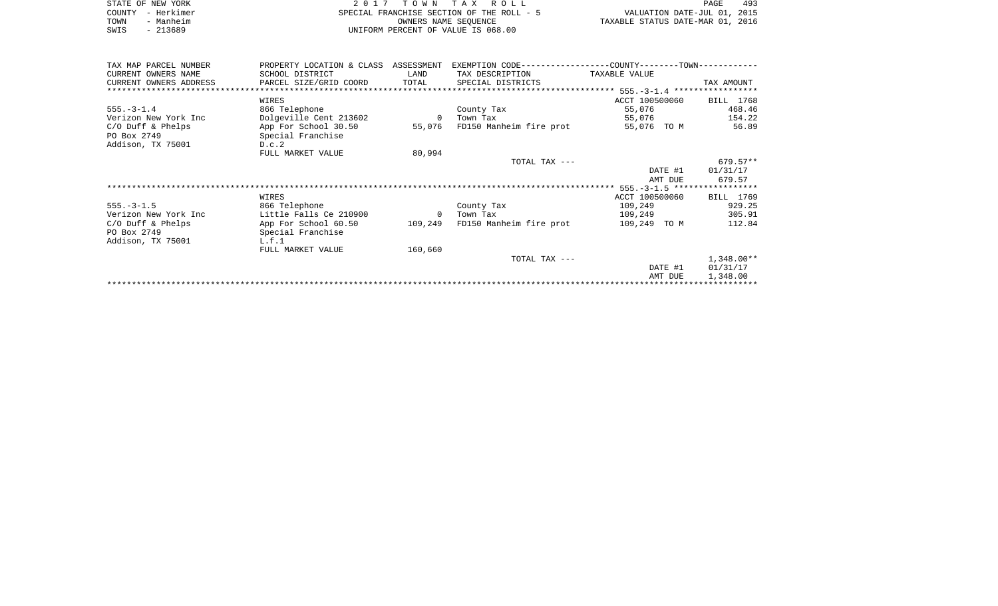|      | STATE OF NEW YORK | 2017 TOWN TAX ROLL                        | PAGE                             | 493 |
|------|-------------------|-------------------------------------------|----------------------------------|-----|
|      | COUNTY - Herkimer | SPECIAL FRANCHISE SECTION OF THE ROLL - 5 | VALUATION DATE-JUL 01, 2015      |     |
| TOWN | - Manheim         | OWNERS NAME SEOUENCE                      | TAXABLE STATUS DATE-MAR 01, 2016 |     |
| SWIS | $-213689$         | UNIFORM PERCENT OF VALUE IS 068.00        |                                  |     |

| TAX MAP PARCEL NUMBER  | PROPERTY LOCATION & CLASS ASSESSMENT |                | EXEMPTION CODE----------------COUNTY-------TOWN----------- |                |            |
|------------------------|--------------------------------------|----------------|------------------------------------------------------------|----------------|------------|
| CURRENT OWNERS NAME    | SCHOOL DISTRICT                      | LAND           | TAX DESCRIPTION                                            | TAXABLE VALUE  |            |
| CURRENT OWNERS ADDRESS | PARCEL SIZE/GRID COORD               | TOTAL          | SPECIAL DISTRICTS                                          |                | TAX AMOUNT |
|                        |                                      |                |                                                            |                |            |
|                        | WIRES                                |                |                                                            | ACCT 100500060 | BILL 1768  |
| $555. - 3 - 1.4$       | 866 Telephone                        |                | County Tax                                                 | 55,076         | 468.46     |
| Verizon New York Inc   | Dolgeville Cent 213602               | $\overline{0}$ | Town Tax                                                   | 55,076         | 154.22     |
| $C/O$ Duff & Phelps    | App For School 30.50                 | 55,076         | FD150 Manheim fire prot                                    | 55,076 TO M    | 56.89      |
| PO Box 2749            | Special Franchise                    |                |                                                            |                |            |
| Addison, TX 75001      | D.c.2                                |                |                                                            |                |            |
|                        | FULL MARKET VALUE                    | 80,994         |                                                            |                |            |
|                        |                                      |                | TOTAL TAX ---                                              |                | $679.57**$ |
|                        |                                      |                |                                                            | DATE #1        | 01/31/17   |
|                        |                                      |                |                                                            | AMT DUE        | 679.57     |
|                        |                                      |                |                                                            |                |            |
|                        | WIRES                                |                |                                                            | ACCT 100500060 | BILL 1769  |
| $555. - 3 - 1.5$       | 866 Telephone                        |                | County Tax                                                 | 109,249        | 929.25     |
| Verizon New York Inc   | Little Falls Ce 210900               | $\overline{0}$ | Town Tax                                                   | 109,249        | 305.91     |
| $C/O$ Duff & Phelps    | App For School 60.50                 | 109,249        | FD150 Manheim fire prot                                    | 109,249 TO M   | 112.84     |
| PO Box 2749            | Special Franchise                    |                |                                                            |                |            |
| Addison, TX 75001      | L.f.1                                |                |                                                            |                |            |
|                        | FULL MARKET VALUE                    | 160,660        |                                                            |                |            |
|                        |                                      |                | TOTAL TAX ---                                              |                | 1,348.00** |
|                        |                                      |                |                                                            | DATE #1        | 01/31/17   |
|                        |                                      |                |                                                            | AMT DUE        | 1,348.00   |
|                        |                                      |                |                                                            |                |            |
|                        |                                      |                |                                                            |                |            |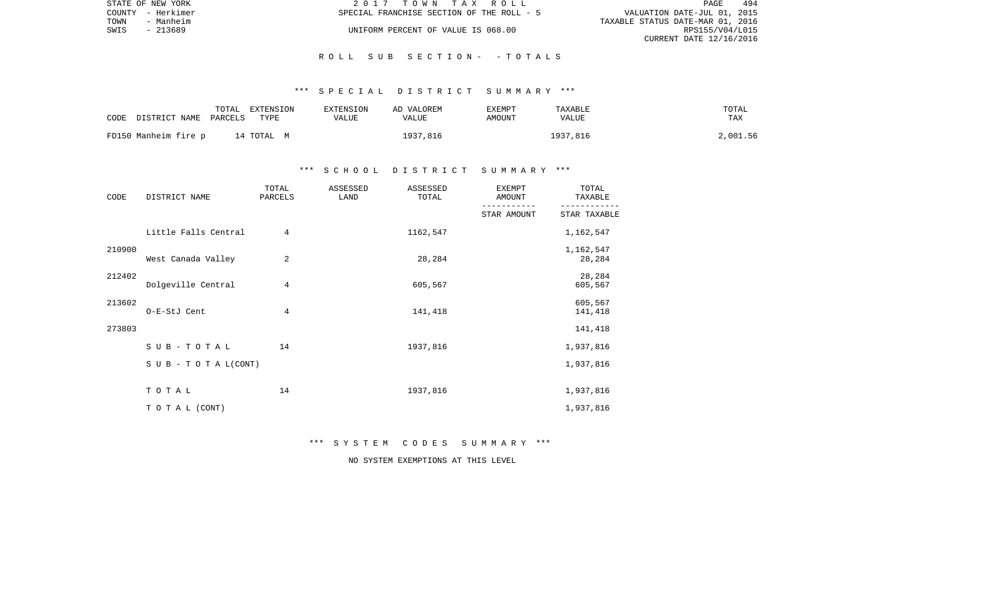|      | STATE OF NEW YORK | 2017 TOWN TAX ROLL                        | PAGE                        | 494 |
|------|-------------------|-------------------------------------------|-----------------------------|-----|
|      | COUNTY - Herkimer | SPECIAL FRANCHISE SECTION OF THE ROLL - 5 | VALUATION DATE-JUL 01, 2015 |     |
| TOWN | - Manheim         | TAXABLE STATUS DATE-MAR 01, 2016          |                             |     |
| SWIS | - 213689          | UNIFORM PERCENT OF VALUE IS 068.00        | RPS155/V04/L015             |     |
|      |                   |                                           | CURRENT DATE 12/16/2016     |     |

#### \*\*\* S P E C I A L D I S T R I C T S U M M A R Y \*\*\*

| CODE                 | DISTRICT NAME PARCELS | TOTAL | EXTENSION<br>TYPE | EXTENSION<br>VALUE | AD VALOREM<br>VALUE | EXEMPT<br>AMOUNT | TAXABLE<br>VALUE | TOTAL<br>TAX |
|----------------------|-----------------------|-------|-------------------|--------------------|---------------------|------------------|------------------|--------------|
| FD150 Manheim fire p |                       |       | 14 ТОТАL М        |                    | 1937,816            |                  | 1937,816         | 2,001.56     |

## \*\*\* S C H O O L D I S T R I C T S U M M A R Y \*\*\*

| CODE   | DISTRICT NAME        | TOTAL<br>PARCELS | ASSESSED<br>LAND | ASSESSED<br>TOTAL | EXEMPT<br>AMOUNT | TOTAL<br>TAXABLE    |
|--------|----------------------|------------------|------------------|-------------------|------------------|---------------------|
|        |                      |                  |                  |                   | STAR AMOUNT      | STAR TAXABLE        |
|        | Little Falls Central | 4                |                  | 1162,547          |                  | 1,162,547           |
| 210900 | West Canada Valley   | 2                |                  | 28,284            |                  | 1,162,547<br>28,284 |
| 212402 | Dolgeville Central   | 4                |                  | 605,567           |                  | 28,284<br>605,567   |
| 213602 | O-E-StJ Cent         | 4                |                  | 141,418           |                  | 605,567<br>141,418  |
| 273803 |                      |                  |                  |                   |                  | 141,418             |
|        | SUB-TOTAL            | 14               |                  | 1937,816          |                  | 1,937,816           |
|        | SUB - TO TAL(CONT)   |                  |                  |                   |                  | 1,937,816           |
|        | TOTAL                | 14               |                  | 1937,816          |                  | 1,937,816           |
|        | TO TAL (CONT)        |                  |                  |                   |                  | 1,937,816           |

\*\*\* S Y S T E M C O D E S S U M M A R Y \*\*\*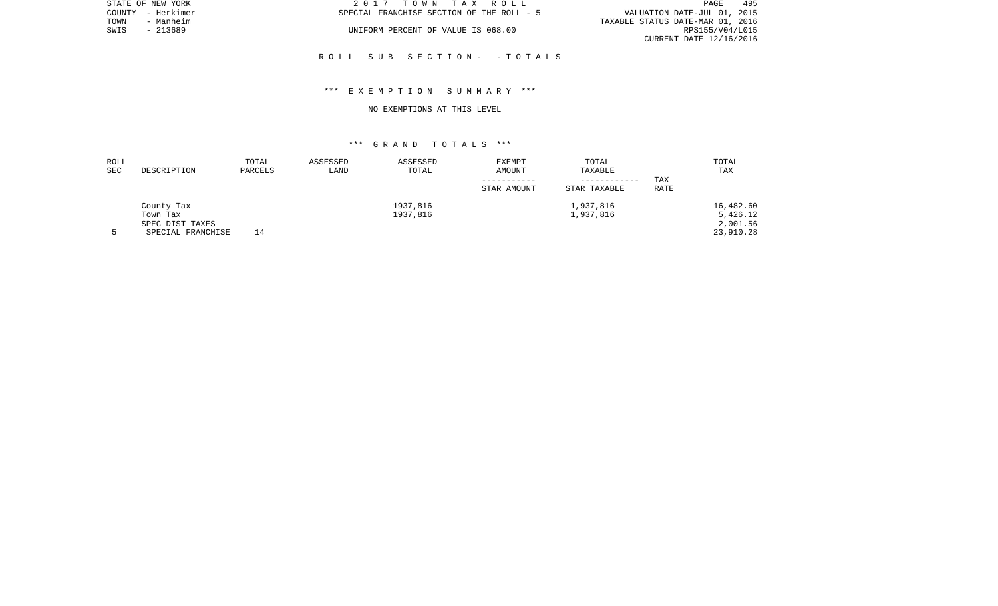|      | STATE OF NEW YORK | 2017 TOWN TAX ROLL                        | 495<br>PAGE                      |
|------|-------------------|-------------------------------------------|----------------------------------|
|      | COUNTY - Herkimer | SPECIAL FRANCHISE SECTION OF THE ROLL - 5 | VALUATION DATE-JUL 01, 2015      |
| TOWN | - Manheim         |                                           | TAXABLE STATUS DATE-MAR 01, 2016 |
| SWIS | $-213689$         | UNIFORM PERCENT OF VALUE IS 068.00        | RPS155/V04/L015                  |
|      |                   |                                           | CURRENT DATE 12/16/2016          |
|      |                   |                                           |                                  |

### \*\*\* E X E M P T I O N S U M M A R Y \*\*\*

#### NO EXEMPTIONS AT THIS LEVEL

| ROLL       |                   | TOTAL   | ASSESSED | ASSESSED | <b>EXEMPT</b> | TOTAL        |      | TOTAL     |
|------------|-------------------|---------|----------|----------|---------------|--------------|------|-----------|
| <b>SEC</b> | DESCRIPTION       | PARCELS | LAND     | TOTAL    | AMOUNT        | TAXABLE      |      | TAX       |
|            |                   |         |          |          |               |              | TAX  |           |
|            |                   |         |          |          | STAR AMOUNT   | STAR TAXABLE | RATE |           |
|            | County Tax        |         |          | 1937,816 |               | 1,937,816    |      | 16,482.60 |
|            | Town Tax          |         |          | 1937,816 |               | 1,937,816    |      | 5,426.12  |
|            | SPEC DIST TAXES   |         |          |          |               |              |      | 2,001.56  |
|            | SPECIAL FRANCHISE | 14      |          |          |               |              |      | 23,910.28 |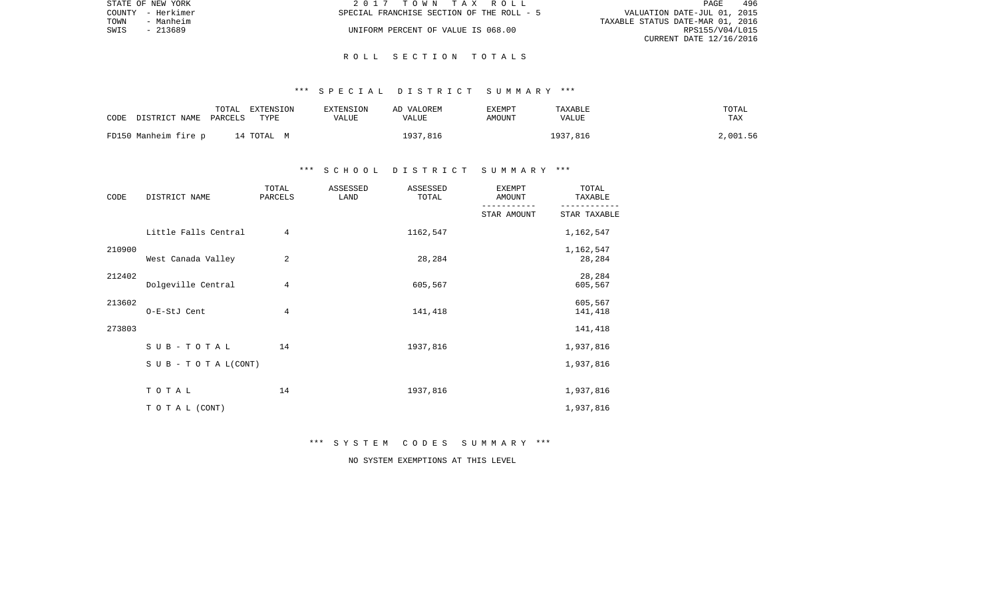|      | STATE OF NEW YORK | 2017 TOWN TAX ROLL                                                       | PAGE            | 496 |
|------|-------------------|--------------------------------------------------------------------------|-----------------|-----|
|      | COUNTY - Herkimer | VALUATION DATE-JUL 01, 2015<br>SPECIAL FRANCHISE SECTION OF THE ROLL - 5 |                 |     |
| TOWN | - Manheim         | TAXABLE STATUS DATE-MAR 01, 2016                                         |                 |     |
| SWIS | - 213689          | UNIFORM PERCENT OF VALUE IS 068.00                                       | RPS155/V04/L015 |     |
|      |                   | CURRENT DATE 12/16/2016                                                  |                 |     |

#### \*\*\* S P E C I A L D I S T R I C T S U M M A R Y \*\*\*

| CODE | DISTRICT NAME        | TOTAL<br>PARCELS | EXTENSION<br>TYPE | EXTENSION<br>VALUE | AD VALOREM<br>VALUE | EXEMPT<br>AMOUNT | TAXABLE<br>VALUE | TOTAL<br>TAX |
|------|----------------------|------------------|-------------------|--------------------|---------------------|------------------|------------------|--------------|
|      | FD150 Manheim fire p |                  | 14 ТОТАL М        |                    | 1937,816            |                  | 1937,816         | 2,001.56     |

## \*\*\* S C H O O L D I S T R I C T S U M M A R Y \*\*\*

| CODE   | DISTRICT NAME                    | TOTAL<br>PARCELS | ASSESSED<br>LAND | ASSESSED<br>TOTAL | <b>EXEMPT</b><br>AMOUNT | TOTAL<br>TAXABLE    |
|--------|----------------------------------|------------------|------------------|-------------------|-------------------------|---------------------|
|        |                                  |                  |                  |                   | STAR AMOUNT             | STAR TAXABLE        |
|        | Little Falls Central             | $\overline{4}$   |                  | 1162,547          |                         | 1,162,547           |
| 210900 | West Canada Valley               | 2                |                  | 28,284            |                         | 1,162,547<br>28,284 |
| 212402 | Dolgeville Central               | 4                |                  | 605,567           |                         | 28,284<br>605,567   |
| 213602 | O-E-StJ Cent                     | $\overline{4}$   |                  | 141,418           |                         | 605,567<br>141,418  |
| 273803 |                                  |                  |                  |                   |                         | 141,418             |
|        | SUB-TOTAL                        | 14               |                  | 1937,816          |                         | 1,937,816           |
|        | $S \cup B - T \cup T A L (CONT)$ |                  |                  |                   |                         | 1,937,816           |
|        | TOTAL                            | 14               |                  | 1937,816          |                         | 1,937,816           |
|        | TO TAL (CONT)                    |                  |                  |                   |                         | 1,937,816           |

\*\*\* S Y S T E M C O D E S S U M M A R Y \*\*\*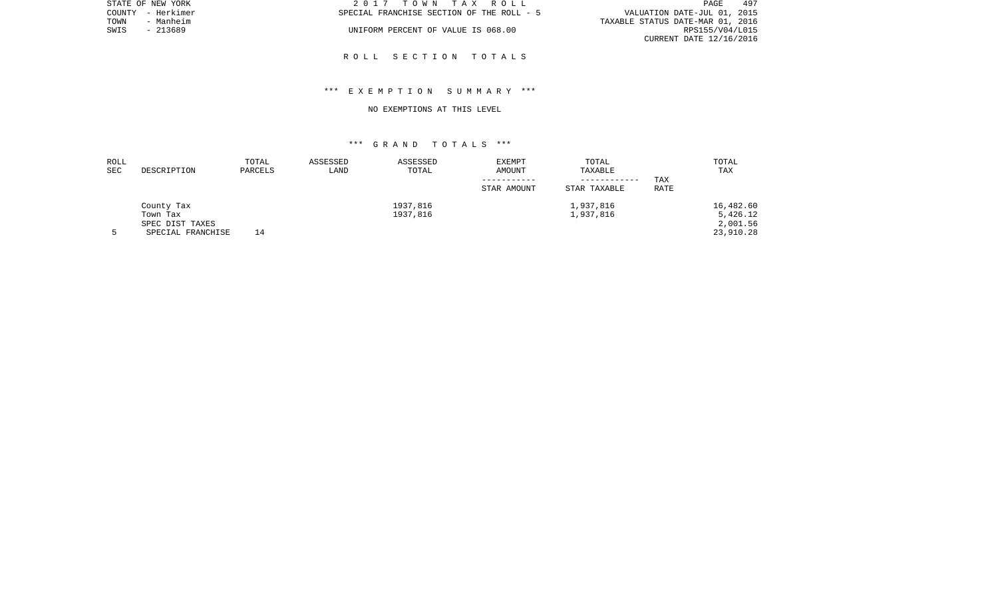|      | STATE OF NEW YORK | 2017 TOWN TAX ROLL                        | PAGE                             | 497 |
|------|-------------------|-------------------------------------------|----------------------------------|-----|
|      | COUNTY - Herkimer | SPECIAL FRANCHISE SECTION OF THE ROLL - 5 | VALUATION DATE-JUL 01, 2015      |     |
| TOWN | - Manheim         |                                           | TAXABLE STATUS DATE-MAR 01, 2016 |     |
| SWIS | - 213689          | UNIFORM PERCENT OF VALUE IS 068.00        | RPS155/V04/L015                  |     |
|      |                   |                                           | CURRENT DATE 12/16/2016          |     |
|      |                   |                                           |                                  |     |

## \*\*\* E X E M P T I O N S U M M A R Y \*\*\*

#### NO EXEMPTIONS AT THIS LEVEL

| ROLL |                   | TOTAL   | ASSESSED | ASSESSED | EXEMPT      | TOTAL        |            | TOTAL     |
|------|-------------------|---------|----------|----------|-------------|--------------|------------|-----------|
| SEC  | DESCRIPTION       | PARCELS | LAND     | TOTAL    | AMOUNT      | TAXABLE      |            | TAX       |
|      |                   |         |          |          |             | ----------   | <b>TAX</b> |           |
|      |                   |         |          |          | STAR AMOUNT | STAR TAXABLE | RATE       |           |
|      | County Tax        |         |          | 1937,816 |             | 1,937,816    |            | 16,482.60 |
|      | Town Tax          |         |          | 1937,816 |             | 1,937,816    |            | 5,426.12  |
|      | SPEC DIST TAXES   |         |          |          |             |              |            | 2,001.56  |
|      | SPECIAL FRANCHISE | 14      |          |          |             |              |            | 23,910.28 |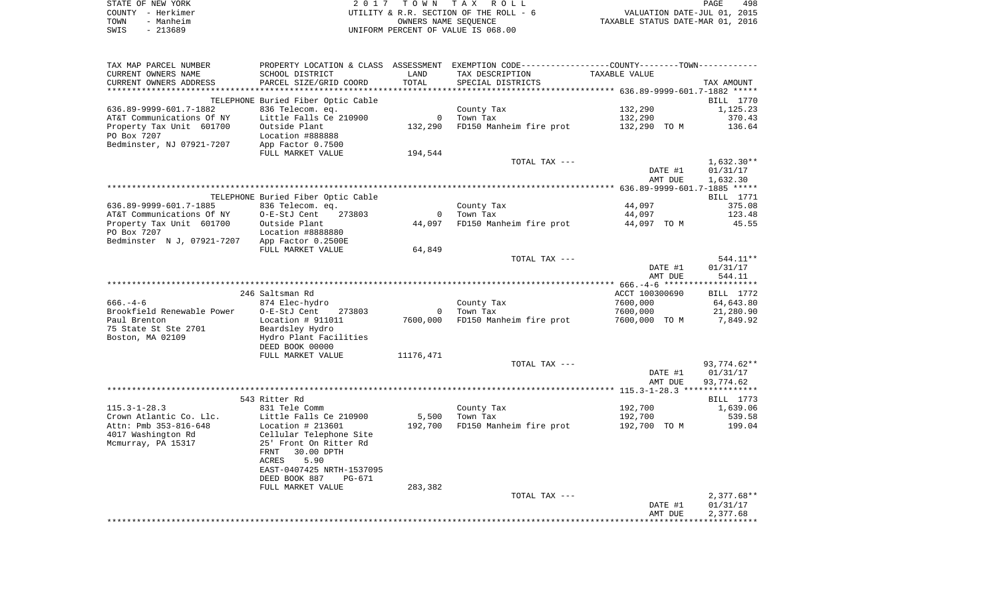|      | STATE OF NEW YORK | 2017 TOWN TAX ROLL                     |                                  | PAGE | 498 |
|------|-------------------|----------------------------------------|----------------------------------|------|-----|
|      | COUNTY - Herkimer | UTILITY & R.R. SECTION OF THE ROLL - 6 | VALUATION DATE-JUL 01, 2015      |      |     |
| TOWN | - Manheim         | OWNERS NAME SEOUENCE                   | TAXABLE STATUS DATE-MAR 01, 2016 |      |     |
| SWIS | - 213689          | UNIFORM PERCENT OF VALUE IS 068.00     |                                  |      |     |
|      |                   |                                        |                                  |      |     |

| TAX MAP PARCEL NUMBER      |                                    |                | PROPERTY LOCATION & CLASS ASSESSMENT EXEMPTION CODE-----------------COUNTY--------TOWN----------- |                |              |
|----------------------------|------------------------------------|----------------|---------------------------------------------------------------------------------------------------|----------------|--------------|
| CURRENT OWNERS NAME        | SCHOOL DISTRICT                    | LAND           | TAX DESCRIPTION                                                                                   | TAXABLE VALUE  |              |
| CURRENT OWNERS ADDRESS     | PARCEL SIZE/GRID COORD             | TOTAL          | SPECIAL DISTRICTS                                                                                 |                | TAX AMOUNT   |
|                            |                                    |                |                                                                                                   |                |              |
|                            | TELEPHONE Buried Fiber Optic Cable |                |                                                                                                   |                | BILL 1770    |
| 636.89-9999-601.7-1882     | 836 Telecom. eq.                   |                | County Tax                                                                                        | 132,290        | 1,125.23     |
| AT&T Communications Of NY  | Little Falls Ce 210900             | $\overline{0}$ | Town Tax                                                                                          | 132,290        | 370.43       |
| Property Tax Unit 601700   | Outside Plant                      | 132,290        | FD150 Manheim fire prot                                                                           | 132,290 TO M   | 136.64       |
| PO Box 7207                | Location #888888                   |                |                                                                                                   |                |              |
| Bedminster, NJ 07921-7207  | App Factor 0.7500                  |                |                                                                                                   |                |              |
|                            | FULL MARKET VALUE                  | 194,544        |                                                                                                   |                |              |
|                            |                                    |                | TOTAL TAX ---                                                                                     |                | $1,632.30**$ |
|                            |                                    |                |                                                                                                   | DATE #1        | 01/31/17     |
|                            |                                    |                |                                                                                                   | AMT DUE        | 1,632.30     |
|                            |                                    |                |                                                                                                   |                |              |
|                            | TELEPHONE Buried Fiber Optic Cable |                |                                                                                                   |                | BILL 1771    |
| 636.89-9999-601.7-1885     | 836 Telecom. eq.                   |                | County Tax                                                                                        | 44,097         | 375.08       |
|                            |                                    | $\Omega$       | Town Tax                                                                                          |                |              |
| AT&T Communications Of NY  | O-E-StJ Cent<br>273803             |                |                                                                                                   | 44,097         | 123.48       |
| Property Tax Unit 601700   | Outside Plant                      | 44,097         | FD150 Manheim fire prot                                                                           | 44,097 TO M    | 45.55        |
| PO Box 7207                | Location #8888880                  |                |                                                                                                   |                |              |
| Bedminster N J, 07921-7207 | App Factor 0.2500E                 |                |                                                                                                   |                |              |
|                            | FULL MARKET VALUE                  | 64,849         |                                                                                                   |                |              |
|                            |                                    |                | TOTAL TAX ---                                                                                     |                | 544.11**     |
|                            |                                    |                |                                                                                                   | DATE #1        | 01/31/17     |
|                            |                                    |                |                                                                                                   | AMT DUE        | 544.11       |
|                            |                                    |                |                                                                                                   |                |              |
|                            | 246 Saltsman Rd                    |                |                                                                                                   | ACCT 100300690 | BILL 1772    |
| $666. -4 - 6$              | 874 Elec-hydro                     |                | County Tax                                                                                        | 7600,000       | 64,643.80    |
| Brookfield Renewable Power | O-E-StJ Cent<br>273803             | $\Omega$       | Town Tax                                                                                          | 7600,000       | 21,280.90    |
| Paul Brenton               | Location $# 911011$                | 7600,000       | FD150 Manheim fire prot                                                                           | 7600,000 TO M  | 7,849.92     |
| 75 State St Ste 2701       | Beardsley Hydro                    |                |                                                                                                   |                |              |
| Boston, MA 02109           | Hydro Plant Facilities             |                |                                                                                                   |                |              |
|                            | DEED BOOK 00000                    |                |                                                                                                   |                |              |
|                            | FULL MARKET VALUE                  | 11176,471      |                                                                                                   |                |              |
|                            |                                    |                | TOTAL TAX ---                                                                                     |                | 93,774.62**  |
|                            |                                    |                |                                                                                                   | DATE #1        | 01/31/17     |
|                            |                                    |                |                                                                                                   | AMT DUE        | 93,774.62    |
|                            |                                    |                |                                                                                                   |                |              |
|                            | 543 Ritter Rd                      |                |                                                                                                   |                | BILL 1773    |
| $115.3 - 1 - 28.3$         | 831 Tele Comm                      |                | County Tax                                                                                        | 192,700        | 1,639.06     |
| Crown Atlantic Co. Llc.    | Little Falls Ce 210900             | 5,500          | Town Tax                                                                                          | 192,700        | 539.58       |
| Attn: Pmb 353-816-648      | Location $# 213601$                | 192,700        | FD150 Manheim fire prot                                                                           | 192,700 TO M   | 199.04       |
| 4017 Washington Rd         | Cellular Telephone Site            |                |                                                                                                   |                |              |
| Mcmurray, PA 15317         | 25' Front On Ritter Rd             |                |                                                                                                   |                |              |
|                            | FRNT<br>30.00 DPTH                 |                |                                                                                                   |                |              |
|                            | 5.90<br>ACRES                      |                |                                                                                                   |                |              |
|                            | EAST-0407425 NRTH-1537095          |                |                                                                                                   |                |              |
|                            | DEED BOOK 887<br>PG-671            |                |                                                                                                   |                |              |
|                            |                                    |                |                                                                                                   |                |              |
|                            | FULL MARKET VALUE                  | 283,382        |                                                                                                   |                |              |
|                            |                                    |                | TOTAL TAX ---                                                                                     |                | $2,377.68**$ |
|                            |                                    |                |                                                                                                   | DATE #1        | 01/31/17     |
|                            |                                    |                |                                                                                                   | AMT DUE        | 2,377.68     |
|                            |                                    |                |                                                                                                   |                |              |
|                            |                                    |                |                                                                                                   |                |              |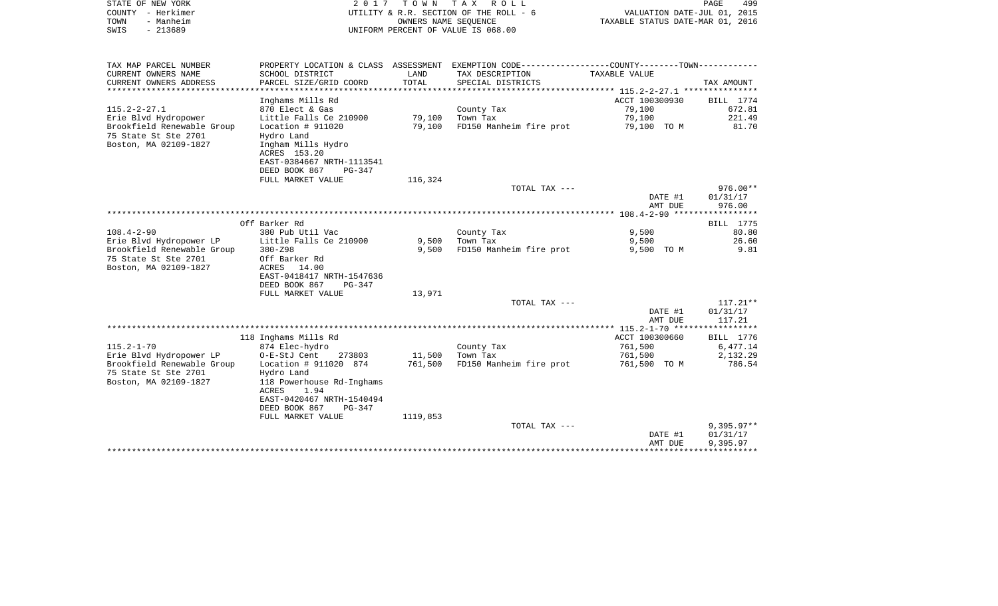| 2017 TOWN TAX ROLL<br>STATE OF NEW YORK                                                    | 499<br>PAGE |
|--------------------------------------------------------------------------------------------|-------------|
| VALUATION DATE-JUL 01, 2015<br>COUNTY - Herkimer<br>UTILITY & R.R. SECTION OF THE ROLL - 6 |             |
| TAXABLE STATUS DATE-MAR 01, 2016<br>TOWN<br>- Manheim<br>OWNERS NAME SEOUENCE              |             |
| $-213689$<br>UNIFORM PERCENT OF VALUE IS 068.00<br>SWIS                                    |             |

| CURRENT OWNERS NAME<br>SCHOOL DISTRICT<br>LAND<br>TAX DESCRIPTION<br>TAXABLE VALUE<br>TOTAL<br>CURRENT OWNERS ADDRESS<br>PARCEL SIZE/GRID COORD<br>SPECIAL DISTRICTS<br>**************<br>********************************* 115.2-2-27.1 ***************<br>Inghams Mills Rd<br>ACCT 100300930<br>$115.2 - 2 - 27.1$<br>79,100<br>870 Elect & Gas<br>County Tax<br>79,100<br>Erie Blvd Hydropower<br>Little Falls Ce 210900<br>Town Tax<br>79,100<br>FD150 Manheim fire prot<br>Brookfield Renewable Group<br>Location # 911020<br>79,100<br>79,100 TO M | TAX AMOUNT<br>BILL 1774<br>672.81<br>221.49<br>81.70 |
|----------------------------------------------------------------------------------------------------------------------------------------------------------------------------------------------------------------------------------------------------------------------------------------------------------------------------------------------------------------------------------------------------------------------------------------------------------------------------------------------------------------------------------------------------------|------------------------------------------------------|
|                                                                                                                                                                                                                                                                                                                                                                                                                                                                                                                                                          |                                                      |
|                                                                                                                                                                                                                                                                                                                                                                                                                                                                                                                                                          |                                                      |
|                                                                                                                                                                                                                                                                                                                                                                                                                                                                                                                                                          |                                                      |
|                                                                                                                                                                                                                                                                                                                                                                                                                                                                                                                                                          |                                                      |
|                                                                                                                                                                                                                                                                                                                                                                                                                                                                                                                                                          |                                                      |
|                                                                                                                                                                                                                                                                                                                                                                                                                                                                                                                                                          |                                                      |
|                                                                                                                                                                                                                                                                                                                                                                                                                                                                                                                                                          |                                                      |
| 75 State St Ste 2701<br>Hydro Land                                                                                                                                                                                                                                                                                                                                                                                                                                                                                                                       |                                                      |
| Boston, MA 02109-1827<br>Ingham Mills Hydro                                                                                                                                                                                                                                                                                                                                                                                                                                                                                                              |                                                      |
| ACRES 153.20                                                                                                                                                                                                                                                                                                                                                                                                                                                                                                                                             |                                                      |
| EAST-0384667 NRTH-1113541                                                                                                                                                                                                                                                                                                                                                                                                                                                                                                                                |                                                      |
| DEED BOOK 867<br>$PG-347$                                                                                                                                                                                                                                                                                                                                                                                                                                                                                                                                |                                                      |
| 116,324<br>FULL MARKET VALUE                                                                                                                                                                                                                                                                                                                                                                                                                                                                                                                             |                                                      |
| TOTAL TAX ---                                                                                                                                                                                                                                                                                                                                                                                                                                                                                                                                            | $976.00**$                                           |
| DATE #1                                                                                                                                                                                                                                                                                                                                                                                                                                                                                                                                                  | 01/31/17                                             |
| AMT DUE                                                                                                                                                                                                                                                                                                                                                                                                                                                                                                                                                  | 976.00                                               |
|                                                                                                                                                                                                                                                                                                                                                                                                                                                                                                                                                          |                                                      |
| Off Barker Rd                                                                                                                                                                                                                                                                                                                                                                                                                                                                                                                                            | BILL 1775                                            |
| $108.4 - 2 - 90$<br>380 Pub Util Vac<br>County Tax<br>9,500                                                                                                                                                                                                                                                                                                                                                                                                                                                                                              | 80.80                                                |
| Erie Blvd Hydropower LP<br>Little Falls Ce 210900<br>9,500<br>Town Tax<br>9,500                                                                                                                                                                                                                                                                                                                                                                                                                                                                          | 26.60                                                |
| Brookfield Renewable Group<br>9,500<br>FD150 Manheim fire prot<br>380-Z98<br>9,500 TO M                                                                                                                                                                                                                                                                                                                                                                                                                                                                  | 9.81                                                 |
| 75 State St Ste 2701<br>Off Barker Rd                                                                                                                                                                                                                                                                                                                                                                                                                                                                                                                    |                                                      |
| Boston, MA 02109-1827<br>ACRES 14.00                                                                                                                                                                                                                                                                                                                                                                                                                                                                                                                     |                                                      |
| EAST-0418417 NRTH-1547636                                                                                                                                                                                                                                                                                                                                                                                                                                                                                                                                |                                                      |
| DEED BOOK 867<br>$PG-347$                                                                                                                                                                                                                                                                                                                                                                                                                                                                                                                                |                                                      |
| FULL MARKET VALUE<br>13,971                                                                                                                                                                                                                                                                                                                                                                                                                                                                                                                              |                                                      |
| TOTAL TAX ---                                                                                                                                                                                                                                                                                                                                                                                                                                                                                                                                            | $117.21**$                                           |
| DATE #1                                                                                                                                                                                                                                                                                                                                                                                                                                                                                                                                                  | 01/31/17                                             |
| AMT DUE                                                                                                                                                                                                                                                                                                                                                                                                                                                                                                                                                  | 117.21                                               |
|                                                                                                                                                                                                                                                                                                                                                                                                                                                                                                                                                          |                                                      |
| 118 Inghams Mills Rd<br>ACCT 100300660                                                                                                                                                                                                                                                                                                                                                                                                                                                                                                                   | <b>BILL</b> 1776                                     |
| $115.2 - 1 - 70$<br>874 Elec-hydro<br>County Tax<br>761,500                                                                                                                                                                                                                                                                                                                                                                                                                                                                                              | 6,477.14                                             |
| Erie Blvd Hydropower LP<br>O-E-StJ Cent<br>273803<br>11,500<br>Town Tax<br>761,500                                                                                                                                                                                                                                                                                                                                                                                                                                                                       | 2,132.29                                             |
| Brookfield Renewable Group<br>Location # 911020 874<br>761,500<br>FD150 Manheim fire prot<br>761,500 TO M                                                                                                                                                                                                                                                                                                                                                                                                                                                | 786.54                                               |
| 75 State St Ste 2701<br>Hydro Land                                                                                                                                                                                                                                                                                                                                                                                                                                                                                                                       |                                                      |
| 118 Powerhouse Rd-Inghams<br>Boston, MA 02109-1827                                                                                                                                                                                                                                                                                                                                                                                                                                                                                                       |                                                      |
| 1.94<br><b>ACRES</b>                                                                                                                                                                                                                                                                                                                                                                                                                                                                                                                                     |                                                      |
| EAST-0420467 NRTH-1540494                                                                                                                                                                                                                                                                                                                                                                                                                                                                                                                                |                                                      |
| DEED BOOK 867<br>PG-347                                                                                                                                                                                                                                                                                                                                                                                                                                                                                                                                  |                                                      |
| FULL MARKET VALUE<br>1119,853                                                                                                                                                                                                                                                                                                                                                                                                                                                                                                                            |                                                      |
| TOTAL TAX ---                                                                                                                                                                                                                                                                                                                                                                                                                                                                                                                                            | $9,395.97**$                                         |
| DATE #1                                                                                                                                                                                                                                                                                                                                                                                                                                                                                                                                                  | 01/31/17                                             |
| AMT DUE                                                                                                                                                                                                                                                                                                                                                                                                                                                                                                                                                  | 9,395.97                                             |
|                                                                                                                                                                                                                                                                                                                                                                                                                                                                                                                                                          |                                                      |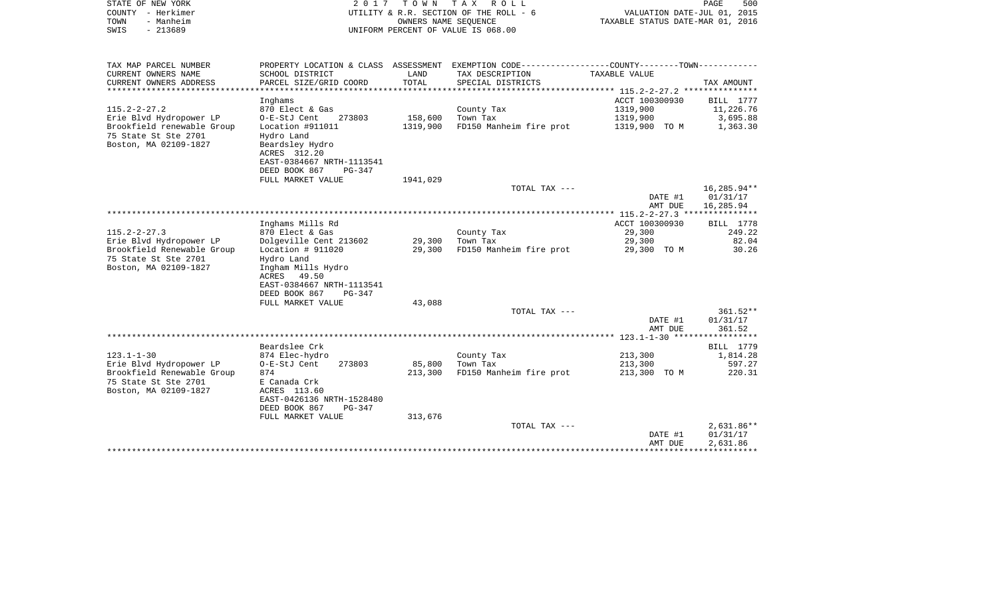| PROPERTY LOCATION & CLASS ASSESSMENT EXEMPTION CODE---------------COUNTY-------TOWN----------<br>TAX MAP PARCEL NUMBER<br>CURRENT OWNERS NAME<br>SCHOOL DISTRICT<br>LAND<br>TAX DESCRIPTION<br>TAXABLE VALUE                                                                                                                                                | <b>BILL</b> 1777   |
|-------------------------------------------------------------------------------------------------------------------------------------------------------------------------------------------------------------------------------------------------------------------------------------------------------------------------------------------------------------|--------------------|
|                                                                                                                                                                                                                                                                                                                                                             |                    |
| TOTAL<br>CURRENT OWNERS ADDRESS<br>PARCEL SIZE/GRID COORD<br>SPECIAL DISTRICTS<br>TAX AMOUNT<br>**********************<br>**********************                                                                                                                                                                                                            |                    |
| ACCT 100300930<br>Inghams                                                                                                                                                                                                                                                                                                                                   |                    |
| $115.2 - 2 - 27.2$<br>870 Elect & Gas<br>County Tax<br>1319,900                                                                                                                                                                                                                                                                                             | 11,226.76          |
| Erie Blvd Hydropower LP<br>O-E-StJ Cent<br>Town Tax<br>1319,900<br>273803<br>158,600                                                                                                                                                                                                                                                                        | 3,695.88           |
| Brookfield renewable Group<br>Location #911011<br>1319,900<br>FD150 Manheim fire prot<br>1319,900 TO M<br>75 State St Ste 2701<br>Hydro Land<br>Boston, MA 02109-1827<br>Beardsley Hydro<br>ACRES 312.20<br>EAST-0384667 NRTH-1113541<br>DEED BOOK 867<br>PG-347                                                                                            | 1,363.30           |
| 1941,029<br>FULL MARKET VALUE                                                                                                                                                                                                                                                                                                                               |                    |
| 16,285.94**<br>TOTAL TAX ---<br>01/31/17<br>DATE #1<br>16,285.94<br>AMT DUE                                                                                                                                                                                                                                                                                 |                    |
|                                                                                                                                                                                                                                                                                                                                                             |                    |
| Inghams Mills Rd<br>ACCT 100300930                                                                                                                                                                                                                                                                                                                          | BILL 1778          |
| $115.2 - 2 - 27.3$<br>870 Elect & Gas<br>County Tax<br>29,300                                                                                                                                                                                                                                                                                               | 249.22             |
| Erie Blvd Hydropower LP<br>Dolgeville Cent 213602<br>29,300<br>Town Tax<br>29,300<br>Brookfield Renewable Group<br>Location $# 911020$<br>29,300<br>FD150 Manheim fire prot<br>29,300 TO M<br>75 State St Ste 2701<br>Hydro Land<br>Boston, MA 02109-1827<br>Ingham Mills Hydro<br>49.50<br>ACRES<br>EAST-0384667 NRTH-1113541<br>DEED BOOK 867<br>$PG-347$ | 82.04<br>30.26     |
| FULL MARKET VALUE<br>43,088                                                                                                                                                                                                                                                                                                                                 |                    |
| TOTAL TAX ---<br>DATE #1<br>01/31/17<br>AMT DUE                                                                                                                                                                                                                                                                                                             | 361.52**<br>361.52 |
| $123.1 - 1 - 30$ ***                                                                                                                                                                                                                                                                                                                                        | **********         |
| Beardslee Crk                                                                                                                                                                                                                                                                                                                                               | BILL 1779          |
| $123.1 - 1 - 30$<br>874 Elec-hydro<br>County Tax<br>213,300                                                                                                                                                                                                                                                                                                 | 1,814.28           |
| Erie Blvd Hydropower LP<br>O-E-StJ Cent<br>273803<br>85,800<br>Town Tax<br>213,300<br>Brookfield Renewable Group<br>874<br>213,300<br>FD150 Manheim fire prot<br>213,300 TO M<br>75 State St Ste 2701<br>E Canada Crk<br>Boston, MA 02109-1827<br>ACRES 113.60<br>EAST-0426136 NRTH-1528480<br>DEED BOOK 867<br>$PG-347$                                    | 597.27<br>220.31   |
| FULL MARKET VALUE<br>313,676                                                                                                                                                                                                                                                                                                                                |                    |
| TOTAL TAX ---<br>DATE #1<br>01/31/17<br>AMT DUE<br>2,631.86                                                                                                                                                                                                                                                                                                 | 2,631.86**         |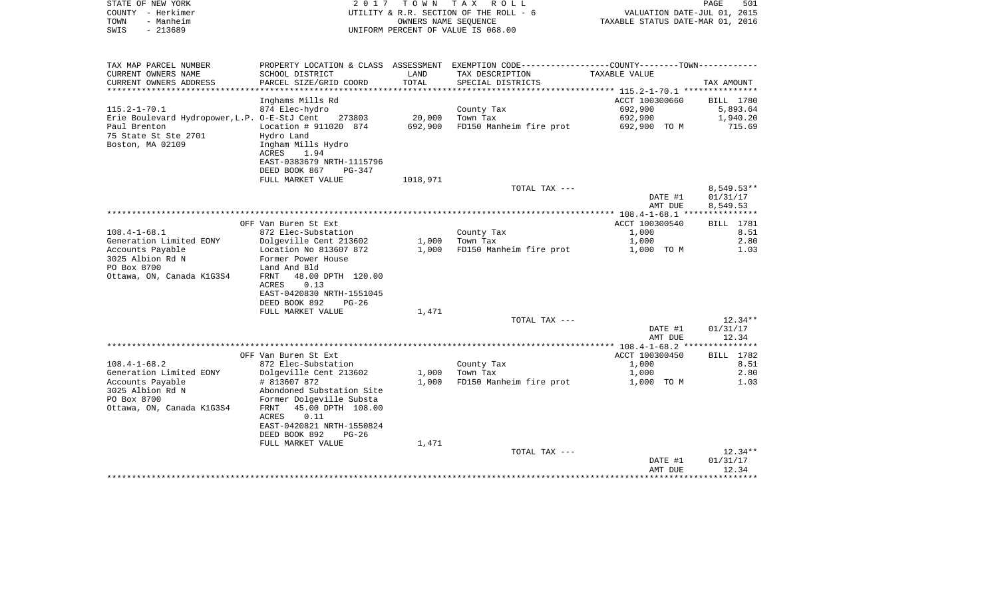|      | STATE OF NEW YORK | 2017 TOWN TAX ROLL                     | PAGE                             | 501 |
|------|-------------------|----------------------------------------|----------------------------------|-----|
|      | COUNTY - Herkimer | UTILITY & R.R. SECTION OF THE ROLL - 6 | VALUATION DATE-JUL 01, 2015      |     |
| TOWN | - Manheim         | OWNERS NAME SEOUENCE                   | TAXABLE STATUS DATE-MAR 01, 2016 |     |
| SWIS | - 213689          | UNIFORM PERCENT OF VALUE IS 068.00     |                                  |     |
|      |                   |                                        |                                  |     |

| TAX MAP PARCEL NUMBER<br>CURRENT OWNERS NAME<br>CURRENT OWNERS ADDRESS                                                         | SCHOOL DISTRICT<br>PARCEL SIZE/GRID COORD                                                                                       | LAND<br>TOTAL     | PROPERTY LOCATION & CLASS ASSESSMENT EXEMPTION CODE----------------COUNTY-------TOWN----------<br>TAX DESCRIPTION<br>SPECIAL DISTRICTS | TAXABLE VALUE                                        | TAX AMOUNT                                  |
|--------------------------------------------------------------------------------------------------------------------------------|---------------------------------------------------------------------------------------------------------------------------------|-------------------|----------------------------------------------------------------------------------------------------------------------------------------|------------------------------------------------------|---------------------------------------------|
| *************************                                                                                                      |                                                                                                                                 |                   |                                                                                                                                        |                                                      |                                             |
| $115.2 - 1 - 70.1$<br>Erie Boulevard Hydropower, L.P. O-E-StJ Cent<br>Paul Brenton<br>75 State St Ste 2701<br>Boston, MA 02109 | Inghams Mills Rd<br>874 Elec-hydro<br>273803<br>Location # 911020 874<br>Hydro Land<br>Ingham Mills Hydro                       | 20,000<br>692,900 | County Tax<br>Town Tax<br>FD150 Manheim fire prot                                                                                      | ACCT 100300660<br>692,900<br>692,900<br>692,900 TO M | BILL 1780<br>5,893.64<br>1,940.20<br>715.69 |
|                                                                                                                                | ACRES<br>1.94<br>EAST-0383679 NRTH-1115796<br>DEED BOOK 867<br>PG-347<br>FULL MARKET VALUE                                      | 1018,971          | TOTAL TAX ---                                                                                                                          |                                                      | $8,549.53**$                                |
|                                                                                                                                |                                                                                                                                 |                   |                                                                                                                                        | DATE #1                                              | 01/31/17                                    |
|                                                                                                                                |                                                                                                                                 |                   |                                                                                                                                        | AMT DUE                                              | 8,549.53                                    |
|                                                                                                                                |                                                                                                                                 |                   |                                                                                                                                        |                                                      |                                             |
|                                                                                                                                | OFF Van Buren St Ext                                                                                                            |                   |                                                                                                                                        | ACCT 100300540                                       | <b>BILL</b> 1781                            |
| $108.4 - 1 - 68.1$                                                                                                             | 872 Elec-Substation                                                                                                             |                   | County Tax                                                                                                                             | 1,000                                                | 8.51                                        |
| Generation Limited EONY                                                                                                        | Dolgeville Cent 213602                                                                                                          | 1,000             | Town Tax                                                                                                                               | 1,000                                                | 2.80                                        |
| Accounts Payable                                                                                                               | Location No 813607 872                                                                                                          | 1,000             | FD150 Manheim fire prot                                                                                                                | 1,000 TO M                                           | 1.03                                        |
| 3025 Albion Rd N<br>PO Box 8700                                                                                                | Former Power House<br>Land And Bld                                                                                              |                   |                                                                                                                                        |                                                      |                                             |
| Ottawa, ON, Canada K1G3S4                                                                                                      | 48.00 DPTH 120.00<br><b>FRNT</b><br>ACRES<br>0.13<br>EAST-0420830 NRTH-1551045<br>DEED BOOK 892<br>$PG-26$<br>FULL MARKET VALUE | 1,471             |                                                                                                                                        |                                                      |                                             |
|                                                                                                                                |                                                                                                                                 |                   | TOTAL TAX ---                                                                                                                          |                                                      | $12.34**$                                   |
|                                                                                                                                |                                                                                                                                 |                   |                                                                                                                                        | DATE #1<br>AMT DUE                                   | 01/31/17<br>12.34                           |
|                                                                                                                                |                                                                                                                                 |                   |                                                                                                                                        |                                                      |                                             |
|                                                                                                                                | OFF Van Buren St Ext                                                                                                            |                   |                                                                                                                                        | ACCT 100300450                                       | BILL 1782                                   |
| $108.4 - 1 - 68.2$                                                                                                             | 872 Elec-Substation                                                                                                             |                   | County Tax                                                                                                                             | 1,000                                                | 8.51                                        |
| Generation Limited EONY                                                                                                        | Dolgeville Cent 213602                                                                                                          | 1,000             | Town Tax                                                                                                                               | 1,000                                                | 2.80                                        |
| Accounts Payable<br>3025 Albion Rd N                                                                                           | # 813607 872<br>Abondoned Substation Site                                                                                       | 1,000             | FD150 Manheim fire prot                                                                                                                | 1,000 TO M                                           | 1.03                                        |
| PO Box 8700                                                                                                                    | Former Dolgeville Substa                                                                                                        |                   |                                                                                                                                        |                                                      |                                             |
| Ottawa, ON, Canada K1G3S4                                                                                                      | 45.00 DPTH 108.00<br>FRNT                                                                                                       |                   |                                                                                                                                        |                                                      |                                             |
|                                                                                                                                | 0.11<br><b>ACRES</b>                                                                                                            |                   |                                                                                                                                        |                                                      |                                             |
|                                                                                                                                | EAST-0420821 NRTH-1550824                                                                                                       |                   |                                                                                                                                        |                                                      |                                             |
|                                                                                                                                | DEED BOOK 892<br>PG-26                                                                                                          |                   |                                                                                                                                        |                                                      |                                             |
|                                                                                                                                | FULL MARKET VALUE                                                                                                               | 1,471             |                                                                                                                                        |                                                      |                                             |
|                                                                                                                                |                                                                                                                                 |                   | TOTAL TAX ---                                                                                                                          | DATE #1                                              | $12.34**$<br>01/31/17                       |
|                                                                                                                                |                                                                                                                                 |                   |                                                                                                                                        | AMT DUE                                              | 12.34                                       |
|                                                                                                                                |                                                                                                                                 |                   |                                                                                                                                        | *********************                                | **********                                  |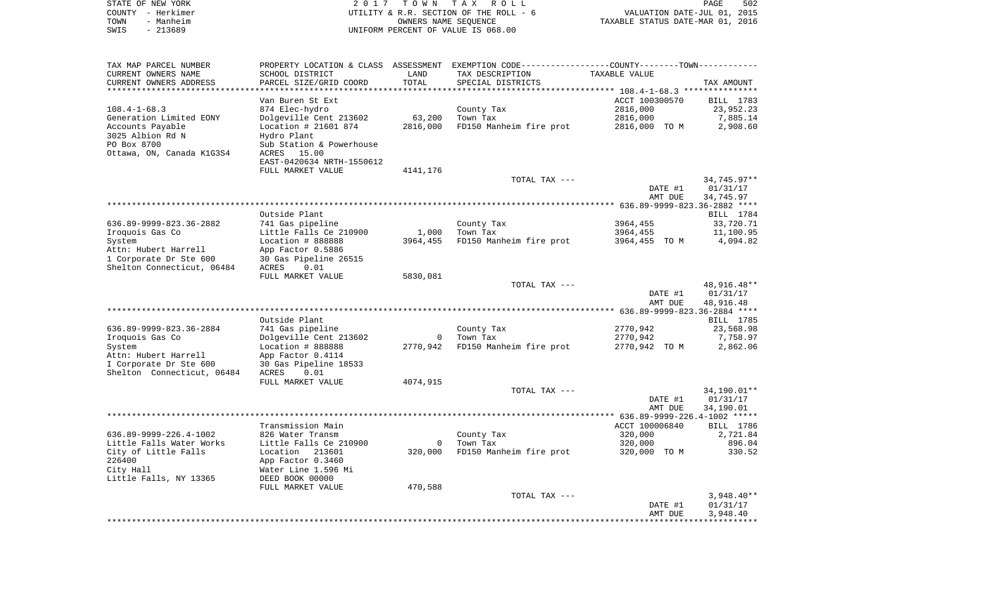| STATE OF NEW YORK<br>COUNTY - Herkimer<br>- Manheim<br>TOWN<br>$-213689$<br>SWIS | 2 0 1 7                                       | T O W N                      | TAX ROLL<br>UTILITY & R.R. SECTION OF THE ROLL - 6<br>OWNERS NAME SEQUENCE<br>UNIFORM PERCENT OF VALUE IS 068.00 | VALUATION DATE-JUL 01, 2015<br>TAXABLE STATUS DATE-MAR 01, 2016 | PAGE<br>502            |
|----------------------------------------------------------------------------------|-----------------------------------------------|------------------------------|------------------------------------------------------------------------------------------------------------------|-----------------------------------------------------------------|------------------------|
| TAX MAP PARCEL NUMBER                                                            | PROPERTY LOCATION & CLASS ASSESSMENT          |                              | EXEMPTION CODE-----------------COUNTY-------TOWN-----------                                                      |                                                                 |                        |
| CURRENT OWNERS NAME                                                              | SCHOOL DISTRICT                               | LAND                         | TAX DESCRIPTION                                                                                                  | TAXABLE VALUE                                                   |                        |
| CURRENT OWNERS ADDRESS<br>***********************                                | PARCEL SIZE/GRID COORD<br>******************* | TOTAL<br>* * * * * * * * * * | SPECIAL DISTRICTS                                                                                                |                                                                 | TAX AMOUNT             |
|                                                                                  | Van Buren St Ext                              |                              |                                                                                                                  | ACCT 100300570                                                  | BILL 1783              |
| $108.4 - 1 - 68.3$                                                               | 874 Elec-hydro                                |                              | County Tax                                                                                                       | 2816,000                                                        | 23,952.23              |
| Generation Limited EONY                                                          | Dolgeville Cent 213602                        | 63,200                       | Town Tax                                                                                                         | 2816,000                                                        | 7,885.14               |
| Accounts Payable                                                                 | Location # 21601 874                          | 2816,000                     | FD150 Manheim fire prot                                                                                          | 2816,000 TO M                                                   | 2,908.60               |
| 3025 Albion Rd N<br>PO Box 8700                                                  | Hydro Plant<br>Sub Station & Powerhouse       |                              |                                                                                                                  |                                                                 |                        |
| Ottawa, ON, Canada K1G3S4                                                        | ACRES<br>15.00                                |                              |                                                                                                                  |                                                                 |                        |
|                                                                                  | EAST-0420634 NRTH-1550612                     |                              |                                                                                                                  |                                                                 |                        |
|                                                                                  | FULL MARKET VALUE                             | 4141,176                     |                                                                                                                  |                                                                 |                        |
|                                                                                  |                                               |                              | TOTAL TAX ---                                                                                                    |                                                                 | 34,745.97**            |
|                                                                                  |                                               |                              |                                                                                                                  | DATE #1<br>AMT DUE                                              | 01/31/17<br>34,745.97  |
|                                                                                  |                                               |                              |                                                                                                                  |                                                                 |                        |
|                                                                                  | Outside Plant                                 |                              |                                                                                                                  |                                                                 | BILL 1784              |
| 636.89-9999-823.36-2882                                                          | 741 Gas pipeline                              |                              | County Tax                                                                                                       | 3964,455                                                        | 33,720.71              |
| Iroquois Gas Co<br>System                                                        | Little Falls Ce 210900<br>Location # 888888   | 1,000<br>3964,455            | Town Tax<br>FD150 Manheim fire prot                                                                              | 3964,455<br>3964,455 TO M                                       | 11,100.95<br>4,094.82  |
| Attn: Hubert Harrell                                                             | App Factor 0.5886                             |                              |                                                                                                                  |                                                                 |                        |
| 1 Corporate Dr Ste 600                                                           | 30 Gas Pipeline 26515                         |                              |                                                                                                                  |                                                                 |                        |
| Shelton Connecticut, 06484                                                       | ACRES<br>0.01                                 |                              |                                                                                                                  |                                                                 |                        |
|                                                                                  | FULL MARKET VALUE                             | 5830,081                     | TOTAL TAX ---                                                                                                    |                                                                 | 48,916.48**            |
|                                                                                  |                                               |                              |                                                                                                                  | DATE #1                                                         | 01/31/17               |
|                                                                                  |                                               |                              |                                                                                                                  | AMT DUE                                                         | 48,916.48              |
|                                                                                  |                                               |                              |                                                                                                                  |                                                                 |                        |
| 636.89-9999-823.36-2884                                                          | Outside Plant<br>741 Gas pipeline             |                              | County Tax                                                                                                       | 2770,942                                                        | BILL 1785<br>23,568.98 |
| Iroquois Gas Co                                                                  | Dolgeville Cent 213602                        | $\mathbf 0$                  | Town Tax                                                                                                         | 2770,942                                                        | 7,758.97               |
| System                                                                           | Location # 888888                             | 2770,942                     | FD150 Manheim fire prot                                                                                          | 2770,942 TO M                                                   | 2,862.06               |
| Attn: Hubert Harrell                                                             | App Factor 0.4114                             |                              |                                                                                                                  |                                                                 |                        |
| I Corporate Dr Ste 600<br>Shelton Connecticut, 06484                             | 30 Gas Pipeline 18533<br>ACRES<br>0.01        |                              |                                                                                                                  |                                                                 |                        |
|                                                                                  | FULL MARKET VALUE                             | 4074,915                     |                                                                                                                  |                                                                 |                        |
|                                                                                  |                                               |                              | TOTAL TAX ---                                                                                                    |                                                                 | 34,190.01**            |
|                                                                                  |                                               |                              |                                                                                                                  | DATE #1                                                         | 01/31/17               |
|                                                                                  |                                               |                              |                                                                                                                  | AMT DUE                                                         | 34,190.01              |
|                                                                                  | Transmission Main                             |                              |                                                                                                                  | ACCT 100006840                                                  | BILL 1786              |
| 636.89-9999-226.4-1002                                                           | 826 Water Transm                              |                              | County Tax                                                                                                       | 320,000                                                         | 2,721.84               |
| Little Falls Water Works                                                         | Little Falls Ce 210900                        |                              | 0 Town Tax                                                                                                       | 320,000                                                         | 896.04                 |
| City of Little Falls                                                             | Location 213601                               | 320,000                      | FD150 Manheim fire prot                                                                                          | 320,000 TO M                                                    | 330.52                 |
| 226400<br>City Hall                                                              | App Factor 0.3460<br>Water Line 1.596 Mi      |                              |                                                                                                                  |                                                                 |                        |
| Little Falls, NY 13365                                                           | DEED BOOK 00000                               |                              |                                                                                                                  |                                                                 |                        |
|                                                                                  | FULL MARKET VALUE                             | 470,588                      |                                                                                                                  |                                                                 |                        |
|                                                                                  |                                               |                              | TOTAL TAX ---                                                                                                    |                                                                 | $3,948.40**$           |
|                                                                                  |                                               |                              |                                                                                                                  | DATE #1<br>AMT DUE                                              | 01/31/17<br>3,948.40   |
|                                                                                  |                                               |                              |                                                                                                                  |                                                                 |                        |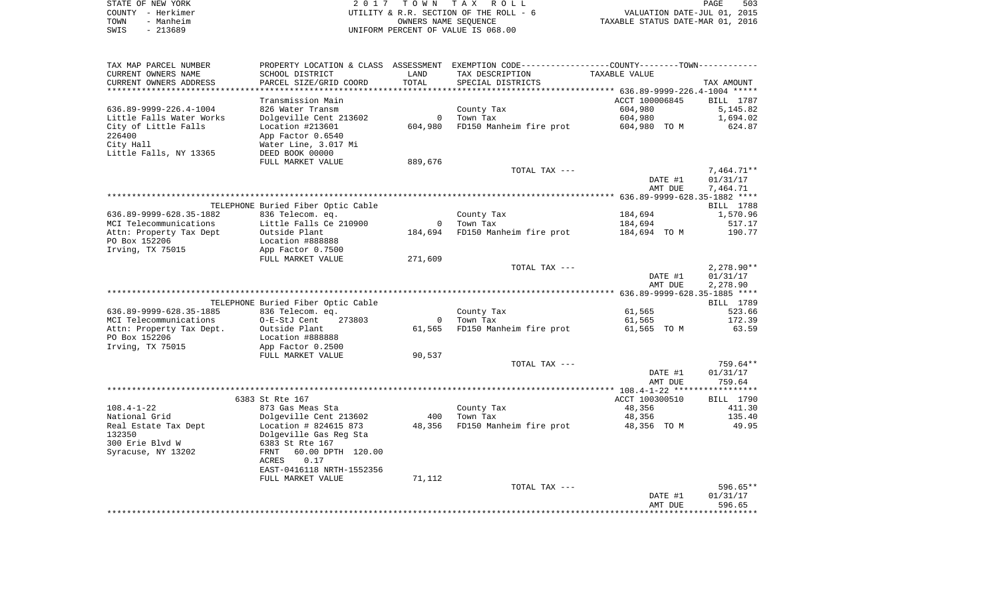|      | STATE OF NEW YORK | 2017 TOWN TAX ROLL                     | PAGE                             | 503 |
|------|-------------------|----------------------------------------|----------------------------------|-----|
|      | COUNTY - Herkimer | UTILITY & R.R. SECTION OF THE ROLL - 6 | VALUATION DATE-JUL 01, 2015      |     |
| TOWN | - Manheim         | OWNERS NAME SEOUENCE                   | TAXABLE STATUS DATE-MAR 01, 2016 |     |
| SWIS | - 213689          | UNIFORM PERCENT OF VALUE IS 068.00     |                                  |     |

| SCHOOL DISTRICT<br>LAND<br>TAX DESCRIPTION<br>TAXABLE VALUE<br>PARCEL SIZE/GRID COORD<br>TOTAL<br>SPECIAL DISTRICTS<br>TAX AMOUNT<br>Transmission Main<br>ACCT 100006845<br>BILL 1787<br>636.89-9999-226.4-1004<br>604,980<br>826 Water Transm<br>County Tax<br>5,145.82<br>Little Falls Water Works<br>Dolgeville Cent 213602<br>$\circ$<br>Town Tax<br>604,980<br>1,694.02<br>City of Little Falls<br>Location #213601<br>604,980<br>FD150 Manheim fire prot<br>604,980 TO M<br>624.87<br>226400<br>App Factor 0.6540<br>City Hall<br>Water Line, 3.017 Mi<br>Little Falls, NY 13365<br>DEED BOOK 00000<br>FULL MARKET VALUE<br>889,676<br>7,464.71**<br>TOTAL TAX ---<br>DATE #1<br>01/31/17<br>AMT DUE<br>7,464.71<br>TELEPHONE Buried Fiber Optic Cable<br>BILL 1788<br>836 Telecom. eq.<br>184,694<br>1,570.96<br>County Tax<br>Little Falls Ce 210900<br>MCI Telecommunications<br>$\overline{0}$<br>Town Tax<br>184,694<br>517.17<br>Attn: Property Tax Dept<br>Outside Plant<br>184,694 FD150 Manheim fire prot<br>184,694 TO M<br>190.77<br>PO Box 152206<br>Location #888888<br>Irving, TX 75015<br>App Factor 0.7500<br>FULL MARKET VALUE<br>271,609<br>TOTAL TAX ---<br>$2,278.90**$<br>DATE #1<br>01/31/17<br>AMT DUE<br>2,278.90<br>TELEPHONE Buried Fiber Optic Cable<br>BILL 1789<br>636.89-9999-628.35-1885<br>836 Telecom. eq.<br>61,565<br>523.66<br>County Tax<br>MCI Telecommunications<br>O-E-StJ Cent<br>0 Town Tax<br>61,565<br>172.39<br>273803<br>FD150 Manheim fire prot<br>Attn: Property Tax Dept.<br>Outside Plant<br>61,565<br>61,565 TO M<br>63.59<br>PO Box 152206<br>Location #888888<br>Irving, TX 75015<br>App Factor 0.2500<br>90,537<br>FULL MARKET VALUE<br>759.64**<br>TOTAL TAX ---<br>DATE #1<br>01/31/17<br>759.64<br>AMT DUE<br>6383 St Rte 167<br>ACCT 100300510<br>BILL 1790<br>$108.4 - 1 - 22$<br>48,356<br>873 Gas Meas Sta<br>County Tax<br>411.30<br>National Grid<br>Dolgeville Cent 213602<br>400<br>Town Tax<br>48,356<br>135.40<br>Real Estate Tax Dept<br>48,356<br>FD150 Manheim fire prot<br>Location # 824615 873<br>48,356 TO M<br>49.95<br>132350<br>Dolgeville Gas Reg Sta<br>300 Erie Blvd W<br>6383 St Rte 167<br>Syracuse, NY 13202<br>60.00 DPTH 120.00<br>FRNT<br>0.17<br>ACRES<br>EAST-0416118 NRTH-1552356<br>71,112<br>FULL MARKET VALUE<br>596.65**<br>TOTAL TAX ---<br>01/31/17<br>DATE #1<br>596.65<br>AMT DUE | TAX MAP PARCEL NUMBER   |  | PROPERTY LOCATION & CLASS ASSESSMENT EXEMPTION CODE----------------COUNTY-------TOWN---------- |  |
|------------------------------------------------------------------------------------------------------------------------------------------------------------------------------------------------------------------------------------------------------------------------------------------------------------------------------------------------------------------------------------------------------------------------------------------------------------------------------------------------------------------------------------------------------------------------------------------------------------------------------------------------------------------------------------------------------------------------------------------------------------------------------------------------------------------------------------------------------------------------------------------------------------------------------------------------------------------------------------------------------------------------------------------------------------------------------------------------------------------------------------------------------------------------------------------------------------------------------------------------------------------------------------------------------------------------------------------------------------------------------------------------------------------------------------------------------------------------------------------------------------------------------------------------------------------------------------------------------------------------------------------------------------------------------------------------------------------------------------------------------------------------------------------------------------------------------------------------------------------------------------------------------------------------------------------------------------------------------------------------------------------------------------------------------------------------------------------------------------------------------------------------------------------------------------------------------------------------------------------------------------------------------------------------------------------------------------------------------------------------------------------|-------------------------|--|------------------------------------------------------------------------------------------------|--|
|                                                                                                                                                                                                                                                                                                                                                                                                                                                                                                                                                                                                                                                                                                                                                                                                                                                                                                                                                                                                                                                                                                                                                                                                                                                                                                                                                                                                                                                                                                                                                                                                                                                                                                                                                                                                                                                                                                                                                                                                                                                                                                                                                                                                                                                                                                                                                                                          | CURRENT OWNERS NAME     |  |                                                                                                |  |
|                                                                                                                                                                                                                                                                                                                                                                                                                                                                                                                                                                                                                                                                                                                                                                                                                                                                                                                                                                                                                                                                                                                                                                                                                                                                                                                                                                                                                                                                                                                                                                                                                                                                                                                                                                                                                                                                                                                                                                                                                                                                                                                                                                                                                                                                                                                                                                                          | CURRENT OWNERS ADDRESS  |  |                                                                                                |  |
|                                                                                                                                                                                                                                                                                                                                                                                                                                                                                                                                                                                                                                                                                                                                                                                                                                                                                                                                                                                                                                                                                                                                                                                                                                                                                                                                                                                                                                                                                                                                                                                                                                                                                                                                                                                                                                                                                                                                                                                                                                                                                                                                                                                                                                                                                                                                                                                          |                         |  |                                                                                                |  |
|                                                                                                                                                                                                                                                                                                                                                                                                                                                                                                                                                                                                                                                                                                                                                                                                                                                                                                                                                                                                                                                                                                                                                                                                                                                                                                                                                                                                                                                                                                                                                                                                                                                                                                                                                                                                                                                                                                                                                                                                                                                                                                                                                                                                                                                                                                                                                                                          |                         |  |                                                                                                |  |
|                                                                                                                                                                                                                                                                                                                                                                                                                                                                                                                                                                                                                                                                                                                                                                                                                                                                                                                                                                                                                                                                                                                                                                                                                                                                                                                                                                                                                                                                                                                                                                                                                                                                                                                                                                                                                                                                                                                                                                                                                                                                                                                                                                                                                                                                                                                                                                                          |                         |  |                                                                                                |  |
|                                                                                                                                                                                                                                                                                                                                                                                                                                                                                                                                                                                                                                                                                                                                                                                                                                                                                                                                                                                                                                                                                                                                                                                                                                                                                                                                                                                                                                                                                                                                                                                                                                                                                                                                                                                                                                                                                                                                                                                                                                                                                                                                                                                                                                                                                                                                                                                          |                         |  |                                                                                                |  |
|                                                                                                                                                                                                                                                                                                                                                                                                                                                                                                                                                                                                                                                                                                                                                                                                                                                                                                                                                                                                                                                                                                                                                                                                                                                                                                                                                                                                                                                                                                                                                                                                                                                                                                                                                                                                                                                                                                                                                                                                                                                                                                                                                                                                                                                                                                                                                                                          |                         |  |                                                                                                |  |
|                                                                                                                                                                                                                                                                                                                                                                                                                                                                                                                                                                                                                                                                                                                                                                                                                                                                                                                                                                                                                                                                                                                                                                                                                                                                                                                                                                                                                                                                                                                                                                                                                                                                                                                                                                                                                                                                                                                                                                                                                                                                                                                                                                                                                                                                                                                                                                                          |                         |  |                                                                                                |  |
|                                                                                                                                                                                                                                                                                                                                                                                                                                                                                                                                                                                                                                                                                                                                                                                                                                                                                                                                                                                                                                                                                                                                                                                                                                                                                                                                                                                                                                                                                                                                                                                                                                                                                                                                                                                                                                                                                                                                                                                                                                                                                                                                                                                                                                                                                                                                                                                          |                         |  |                                                                                                |  |
|                                                                                                                                                                                                                                                                                                                                                                                                                                                                                                                                                                                                                                                                                                                                                                                                                                                                                                                                                                                                                                                                                                                                                                                                                                                                                                                                                                                                                                                                                                                                                                                                                                                                                                                                                                                                                                                                                                                                                                                                                                                                                                                                                                                                                                                                                                                                                                                          |                         |  |                                                                                                |  |
|                                                                                                                                                                                                                                                                                                                                                                                                                                                                                                                                                                                                                                                                                                                                                                                                                                                                                                                                                                                                                                                                                                                                                                                                                                                                                                                                                                                                                                                                                                                                                                                                                                                                                                                                                                                                                                                                                                                                                                                                                                                                                                                                                                                                                                                                                                                                                                                          |                         |  |                                                                                                |  |
|                                                                                                                                                                                                                                                                                                                                                                                                                                                                                                                                                                                                                                                                                                                                                                                                                                                                                                                                                                                                                                                                                                                                                                                                                                                                                                                                                                                                                                                                                                                                                                                                                                                                                                                                                                                                                                                                                                                                                                                                                                                                                                                                                                                                                                                                                                                                                                                          |                         |  |                                                                                                |  |
|                                                                                                                                                                                                                                                                                                                                                                                                                                                                                                                                                                                                                                                                                                                                                                                                                                                                                                                                                                                                                                                                                                                                                                                                                                                                                                                                                                                                                                                                                                                                                                                                                                                                                                                                                                                                                                                                                                                                                                                                                                                                                                                                                                                                                                                                                                                                                                                          |                         |  |                                                                                                |  |
|                                                                                                                                                                                                                                                                                                                                                                                                                                                                                                                                                                                                                                                                                                                                                                                                                                                                                                                                                                                                                                                                                                                                                                                                                                                                                                                                                                                                                                                                                                                                                                                                                                                                                                                                                                                                                                                                                                                                                                                                                                                                                                                                                                                                                                                                                                                                                                                          |                         |  |                                                                                                |  |
|                                                                                                                                                                                                                                                                                                                                                                                                                                                                                                                                                                                                                                                                                                                                                                                                                                                                                                                                                                                                                                                                                                                                                                                                                                                                                                                                                                                                                                                                                                                                                                                                                                                                                                                                                                                                                                                                                                                                                                                                                                                                                                                                                                                                                                                                                                                                                                                          |                         |  |                                                                                                |  |
|                                                                                                                                                                                                                                                                                                                                                                                                                                                                                                                                                                                                                                                                                                                                                                                                                                                                                                                                                                                                                                                                                                                                                                                                                                                                                                                                                                                                                                                                                                                                                                                                                                                                                                                                                                                                                                                                                                                                                                                                                                                                                                                                                                                                                                                                                                                                                                                          |                         |  |                                                                                                |  |
|                                                                                                                                                                                                                                                                                                                                                                                                                                                                                                                                                                                                                                                                                                                                                                                                                                                                                                                                                                                                                                                                                                                                                                                                                                                                                                                                                                                                                                                                                                                                                                                                                                                                                                                                                                                                                                                                                                                                                                                                                                                                                                                                                                                                                                                                                                                                                                                          |                         |  |                                                                                                |  |
|                                                                                                                                                                                                                                                                                                                                                                                                                                                                                                                                                                                                                                                                                                                                                                                                                                                                                                                                                                                                                                                                                                                                                                                                                                                                                                                                                                                                                                                                                                                                                                                                                                                                                                                                                                                                                                                                                                                                                                                                                                                                                                                                                                                                                                                                                                                                                                                          | 636.89-9999-628.35-1882 |  |                                                                                                |  |
|                                                                                                                                                                                                                                                                                                                                                                                                                                                                                                                                                                                                                                                                                                                                                                                                                                                                                                                                                                                                                                                                                                                                                                                                                                                                                                                                                                                                                                                                                                                                                                                                                                                                                                                                                                                                                                                                                                                                                                                                                                                                                                                                                                                                                                                                                                                                                                                          |                         |  |                                                                                                |  |
|                                                                                                                                                                                                                                                                                                                                                                                                                                                                                                                                                                                                                                                                                                                                                                                                                                                                                                                                                                                                                                                                                                                                                                                                                                                                                                                                                                                                                                                                                                                                                                                                                                                                                                                                                                                                                                                                                                                                                                                                                                                                                                                                                                                                                                                                                                                                                                                          |                         |  |                                                                                                |  |
|                                                                                                                                                                                                                                                                                                                                                                                                                                                                                                                                                                                                                                                                                                                                                                                                                                                                                                                                                                                                                                                                                                                                                                                                                                                                                                                                                                                                                                                                                                                                                                                                                                                                                                                                                                                                                                                                                                                                                                                                                                                                                                                                                                                                                                                                                                                                                                                          |                         |  |                                                                                                |  |
|                                                                                                                                                                                                                                                                                                                                                                                                                                                                                                                                                                                                                                                                                                                                                                                                                                                                                                                                                                                                                                                                                                                                                                                                                                                                                                                                                                                                                                                                                                                                                                                                                                                                                                                                                                                                                                                                                                                                                                                                                                                                                                                                                                                                                                                                                                                                                                                          |                         |  |                                                                                                |  |
|                                                                                                                                                                                                                                                                                                                                                                                                                                                                                                                                                                                                                                                                                                                                                                                                                                                                                                                                                                                                                                                                                                                                                                                                                                                                                                                                                                                                                                                                                                                                                                                                                                                                                                                                                                                                                                                                                                                                                                                                                                                                                                                                                                                                                                                                                                                                                                                          |                         |  |                                                                                                |  |
|                                                                                                                                                                                                                                                                                                                                                                                                                                                                                                                                                                                                                                                                                                                                                                                                                                                                                                                                                                                                                                                                                                                                                                                                                                                                                                                                                                                                                                                                                                                                                                                                                                                                                                                                                                                                                                                                                                                                                                                                                                                                                                                                                                                                                                                                                                                                                                                          |                         |  |                                                                                                |  |
|                                                                                                                                                                                                                                                                                                                                                                                                                                                                                                                                                                                                                                                                                                                                                                                                                                                                                                                                                                                                                                                                                                                                                                                                                                                                                                                                                                                                                                                                                                                                                                                                                                                                                                                                                                                                                                                                                                                                                                                                                                                                                                                                                                                                                                                                                                                                                                                          |                         |  |                                                                                                |  |
|                                                                                                                                                                                                                                                                                                                                                                                                                                                                                                                                                                                                                                                                                                                                                                                                                                                                                                                                                                                                                                                                                                                                                                                                                                                                                                                                                                                                                                                                                                                                                                                                                                                                                                                                                                                                                                                                                                                                                                                                                                                                                                                                                                                                                                                                                                                                                                                          |                         |  |                                                                                                |  |
|                                                                                                                                                                                                                                                                                                                                                                                                                                                                                                                                                                                                                                                                                                                                                                                                                                                                                                                                                                                                                                                                                                                                                                                                                                                                                                                                                                                                                                                                                                                                                                                                                                                                                                                                                                                                                                                                                                                                                                                                                                                                                                                                                                                                                                                                                                                                                                                          |                         |  |                                                                                                |  |
|                                                                                                                                                                                                                                                                                                                                                                                                                                                                                                                                                                                                                                                                                                                                                                                                                                                                                                                                                                                                                                                                                                                                                                                                                                                                                                                                                                                                                                                                                                                                                                                                                                                                                                                                                                                                                                                                                                                                                                                                                                                                                                                                                                                                                                                                                                                                                                                          |                         |  |                                                                                                |  |
|                                                                                                                                                                                                                                                                                                                                                                                                                                                                                                                                                                                                                                                                                                                                                                                                                                                                                                                                                                                                                                                                                                                                                                                                                                                                                                                                                                                                                                                                                                                                                                                                                                                                                                                                                                                                                                                                                                                                                                                                                                                                                                                                                                                                                                                                                                                                                                                          |                         |  |                                                                                                |  |
|                                                                                                                                                                                                                                                                                                                                                                                                                                                                                                                                                                                                                                                                                                                                                                                                                                                                                                                                                                                                                                                                                                                                                                                                                                                                                                                                                                                                                                                                                                                                                                                                                                                                                                                                                                                                                                                                                                                                                                                                                                                                                                                                                                                                                                                                                                                                                                                          |                         |  |                                                                                                |  |
|                                                                                                                                                                                                                                                                                                                                                                                                                                                                                                                                                                                                                                                                                                                                                                                                                                                                                                                                                                                                                                                                                                                                                                                                                                                                                                                                                                                                                                                                                                                                                                                                                                                                                                                                                                                                                                                                                                                                                                                                                                                                                                                                                                                                                                                                                                                                                                                          |                         |  |                                                                                                |  |
|                                                                                                                                                                                                                                                                                                                                                                                                                                                                                                                                                                                                                                                                                                                                                                                                                                                                                                                                                                                                                                                                                                                                                                                                                                                                                                                                                                                                                                                                                                                                                                                                                                                                                                                                                                                                                                                                                                                                                                                                                                                                                                                                                                                                                                                                                                                                                                                          |                         |  |                                                                                                |  |
|                                                                                                                                                                                                                                                                                                                                                                                                                                                                                                                                                                                                                                                                                                                                                                                                                                                                                                                                                                                                                                                                                                                                                                                                                                                                                                                                                                                                                                                                                                                                                                                                                                                                                                                                                                                                                                                                                                                                                                                                                                                                                                                                                                                                                                                                                                                                                                                          |                         |  |                                                                                                |  |
|                                                                                                                                                                                                                                                                                                                                                                                                                                                                                                                                                                                                                                                                                                                                                                                                                                                                                                                                                                                                                                                                                                                                                                                                                                                                                                                                                                                                                                                                                                                                                                                                                                                                                                                                                                                                                                                                                                                                                                                                                                                                                                                                                                                                                                                                                                                                                                                          |                         |  |                                                                                                |  |
|                                                                                                                                                                                                                                                                                                                                                                                                                                                                                                                                                                                                                                                                                                                                                                                                                                                                                                                                                                                                                                                                                                                                                                                                                                                                                                                                                                                                                                                                                                                                                                                                                                                                                                                                                                                                                                                                                                                                                                                                                                                                                                                                                                                                                                                                                                                                                                                          |                         |  |                                                                                                |  |
|                                                                                                                                                                                                                                                                                                                                                                                                                                                                                                                                                                                                                                                                                                                                                                                                                                                                                                                                                                                                                                                                                                                                                                                                                                                                                                                                                                                                                                                                                                                                                                                                                                                                                                                                                                                                                                                                                                                                                                                                                                                                                                                                                                                                                                                                                                                                                                                          |                         |  |                                                                                                |  |
|                                                                                                                                                                                                                                                                                                                                                                                                                                                                                                                                                                                                                                                                                                                                                                                                                                                                                                                                                                                                                                                                                                                                                                                                                                                                                                                                                                                                                                                                                                                                                                                                                                                                                                                                                                                                                                                                                                                                                                                                                                                                                                                                                                                                                                                                                                                                                                                          |                         |  |                                                                                                |  |
|                                                                                                                                                                                                                                                                                                                                                                                                                                                                                                                                                                                                                                                                                                                                                                                                                                                                                                                                                                                                                                                                                                                                                                                                                                                                                                                                                                                                                                                                                                                                                                                                                                                                                                                                                                                                                                                                                                                                                                                                                                                                                                                                                                                                                                                                                                                                                                                          |                         |  |                                                                                                |  |
|                                                                                                                                                                                                                                                                                                                                                                                                                                                                                                                                                                                                                                                                                                                                                                                                                                                                                                                                                                                                                                                                                                                                                                                                                                                                                                                                                                                                                                                                                                                                                                                                                                                                                                                                                                                                                                                                                                                                                                                                                                                                                                                                                                                                                                                                                                                                                                                          |                         |  |                                                                                                |  |
|                                                                                                                                                                                                                                                                                                                                                                                                                                                                                                                                                                                                                                                                                                                                                                                                                                                                                                                                                                                                                                                                                                                                                                                                                                                                                                                                                                                                                                                                                                                                                                                                                                                                                                                                                                                                                                                                                                                                                                                                                                                                                                                                                                                                                                                                                                                                                                                          |                         |  |                                                                                                |  |
|                                                                                                                                                                                                                                                                                                                                                                                                                                                                                                                                                                                                                                                                                                                                                                                                                                                                                                                                                                                                                                                                                                                                                                                                                                                                                                                                                                                                                                                                                                                                                                                                                                                                                                                                                                                                                                                                                                                                                                                                                                                                                                                                                                                                                                                                                                                                                                                          |                         |  |                                                                                                |  |
|                                                                                                                                                                                                                                                                                                                                                                                                                                                                                                                                                                                                                                                                                                                                                                                                                                                                                                                                                                                                                                                                                                                                                                                                                                                                                                                                                                                                                                                                                                                                                                                                                                                                                                                                                                                                                                                                                                                                                                                                                                                                                                                                                                                                                                                                                                                                                                                          |                         |  |                                                                                                |  |
|                                                                                                                                                                                                                                                                                                                                                                                                                                                                                                                                                                                                                                                                                                                                                                                                                                                                                                                                                                                                                                                                                                                                                                                                                                                                                                                                                                                                                                                                                                                                                                                                                                                                                                                                                                                                                                                                                                                                                                                                                                                                                                                                                                                                                                                                                                                                                                                          |                         |  |                                                                                                |  |
|                                                                                                                                                                                                                                                                                                                                                                                                                                                                                                                                                                                                                                                                                                                                                                                                                                                                                                                                                                                                                                                                                                                                                                                                                                                                                                                                                                                                                                                                                                                                                                                                                                                                                                                                                                                                                                                                                                                                                                                                                                                                                                                                                                                                                                                                                                                                                                                          |                         |  |                                                                                                |  |
|                                                                                                                                                                                                                                                                                                                                                                                                                                                                                                                                                                                                                                                                                                                                                                                                                                                                                                                                                                                                                                                                                                                                                                                                                                                                                                                                                                                                                                                                                                                                                                                                                                                                                                                                                                                                                                                                                                                                                                                                                                                                                                                                                                                                                                                                                                                                                                                          |                         |  |                                                                                                |  |
|                                                                                                                                                                                                                                                                                                                                                                                                                                                                                                                                                                                                                                                                                                                                                                                                                                                                                                                                                                                                                                                                                                                                                                                                                                                                                                                                                                                                                                                                                                                                                                                                                                                                                                                                                                                                                                                                                                                                                                                                                                                                                                                                                                                                                                                                                                                                                                                          |                         |  |                                                                                                |  |
|                                                                                                                                                                                                                                                                                                                                                                                                                                                                                                                                                                                                                                                                                                                                                                                                                                                                                                                                                                                                                                                                                                                                                                                                                                                                                                                                                                                                                                                                                                                                                                                                                                                                                                                                                                                                                                                                                                                                                                                                                                                                                                                                                                                                                                                                                                                                                                                          |                         |  |                                                                                                |  |
|                                                                                                                                                                                                                                                                                                                                                                                                                                                                                                                                                                                                                                                                                                                                                                                                                                                                                                                                                                                                                                                                                                                                                                                                                                                                                                                                                                                                                                                                                                                                                                                                                                                                                                                                                                                                                                                                                                                                                                                                                                                                                                                                                                                                                                                                                                                                                                                          |                         |  |                                                                                                |  |
|                                                                                                                                                                                                                                                                                                                                                                                                                                                                                                                                                                                                                                                                                                                                                                                                                                                                                                                                                                                                                                                                                                                                                                                                                                                                                                                                                                                                                                                                                                                                                                                                                                                                                                                                                                                                                                                                                                                                                                                                                                                                                                                                                                                                                                                                                                                                                                                          |                         |  |                                                                                                |  |
|                                                                                                                                                                                                                                                                                                                                                                                                                                                                                                                                                                                                                                                                                                                                                                                                                                                                                                                                                                                                                                                                                                                                                                                                                                                                                                                                                                                                                                                                                                                                                                                                                                                                                                                                                                                                                                                                                                                                                                                                                                                                                                                                                                                                                                                                                                                                                                                          |                         |  |                                                                                                |  |
|                                                                                                                                                                                                                                                                                                                                                                                                                                                                                                                                                                                                                                                                                                                                                                                                                                                                                                                                                                                                                                                                                                                                                                                                                                                                                                                                                                                                                                                                                                                                                                                                                                                                                                                                                                                                                                                                                                                                                                                                                                                                                                                                                                                                                                                                                                                                                                                          |                         |  |                                                                                                |  |
|                                                                                                                                                                                                                                                                                                                                                                                                                                                                                                                                                                                                                                                                                                                                                                                                                                                                                                                                                                                                                                                                                                                                                                                                                                                                                                                                                                                                                                                                                                                                                                                                                                                                                                                                                                                                                                                                                                                                                                                                                                                                                                                                                                                                                                                                                                                                                                                          |                         |  |                                                                                                |  |
|                                                                                                                                                                                                                                                                                                                                                                                                                                                                                                                                                                                                                                                                                                                                                                                                                                                                                                                                                                                                                                                                                                                                                                                                                                                                                                                                                                                                                                                                                                                                                                                                                                                                                                                                                                                                                                                                                                                                                                                                                                                                                                                                                                                                                                                                                                                                                                                          |                         |  |                                                                                                |  |
|                                                                                                                                                                                                                                                                                                                                                                                                                                                                                                                                                                                                                                                                                                                                                                                                                                                                                                                                                                                                                                                                                                                                                                                                                                                                                                                                                                                                                                                                                                                                                                                                                                                                                                                                                                                                                                                                                                                                                                                                                                                                                                                                                                                                                                                                                                                                                                                          |                         |  |                                                                                                |  |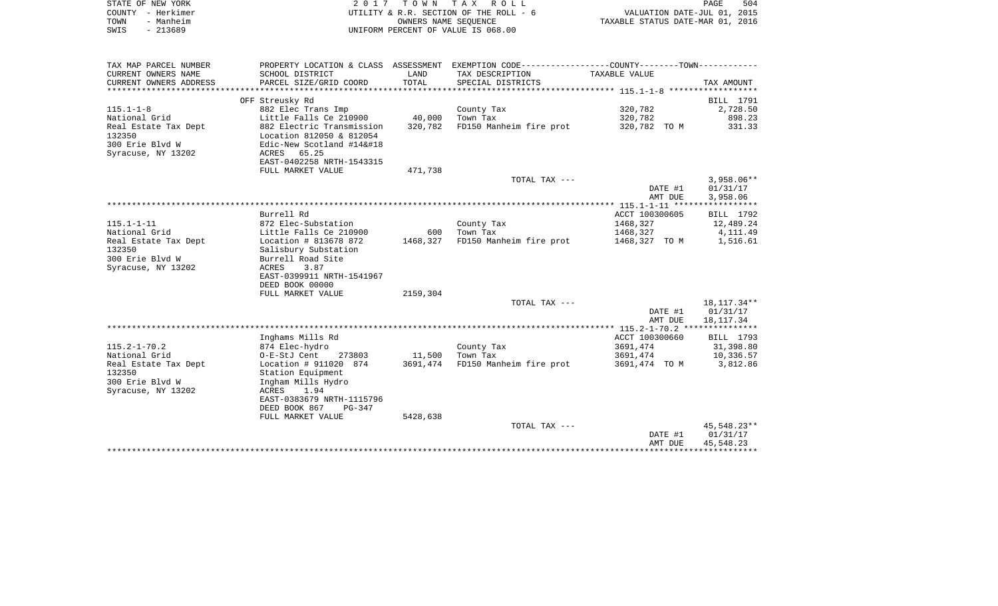|      | STATE OF NEW YORK | 2017 TOWN TAX ROLL                     | PAGE                             | 504 |
|------|-------------------|----------------------------------------|----------------------------------|-----|
|      | COUNTY - Herkimer | UTILITY & R.R. SECTION OF THE ROLL - 6 | VALUATION DATE-JUL 01, 2015      |     |
| TOWN | - Manheim         | OWNERS NAME SEOUENCE                   | TAXABLE STATUS DATE-MAR 01, 2016 |     |
| SWIS | - 213689          | UNIFORM PERCENT OF VALUE IS 068.00     |                                  |     |

| TAX MAP PARCEL NUMBER  |                           |          | PROPERTY LOCATION & CLASS ASSESSMENT EXEMPTION CODE----------------COUNTY--------TOWN---------- |                |              |
|------------------------|---------------------------|----------|-------------------------------------------------------------------------------------------------|----------------|--------------|
| CURRENT OWNERS NAME    | SCHOOL DISTRICT           | LAND     | TAX DESCRIPTION                                                                                 | TAXABLE VALUE  |              |
| CURRENT OWNERS ADDRESS | PARCEL SIZE/GRID COORD    | TOTAL    | SPECIAL DISTRICTS                                                                               |                | TAX AMOUNT   |
|                        |                           |          |                                                                                                 |                |              |
|                        | OFF Streusky Rd           |          |                                                                                                 |                | BILL 1791    |
| $115.1 - 1 - 8$        | 882 Elec Trans Imp        |          | County Tax                                                                                      | 320,782        | 2,728.50     |
| National Grid          | Little Falls Ce 210900    | 40,000   | Town Tax                                                                                        | 320,782        | 898.23       |
| Real Estate Tax Dept   | 882 Electric Transmission | 320,782  | FD150 Manheim fire prot                                                                         | 320,782 TO M   | 331.33       |
| 132350                 | Location 812050 & 812054  |          |                                                                                                 |                |              |
| 300 Erie Blvd W        | Edic-New Scotland #14    |          |                                                                                                 |                |              |
| Syracuse, NY 13202     | 65.25<br>ACRES            |          |                                                                                                 |                |              |
|                        | EAST-0402258 NRTH-1543315 |          |                                                                                                 |                |              |
|                        | FULL MARKET VALUE         | 471,738  |                                                                                                 |                |              |
|                        |                           |          | TOTAL TAX ---                                                                                   |                | $3,958.06**$ |
|                        |                           |          |                                                                                                 | DATE #1        | 01/31/17     |
|                        |                           |          |                                                                                                 | AMT DUE        | 3,958.06     |
|                        |                           |          |                                                                                                 |                |              |
|                        | Burrell Rd                |          |                                                                                                 | ACCT 100300605 | BILL 1792    |
| $115.1 - 1 - 11$       | 872 Elec-Substation       |          | County Tax                                                                                      | 1468,327       | 12,489.24    |
| National Grid          | Little Falls Ce 210900    | 600      | Town Tax                                                                                        | 1468,327       | 4,111.49     |
| Real Estate Tax Dept   | Location # 813678 872     | 1468,327 | FD150 Manheim fire prot                                                                         | 1468,327 TO M  | 1,516.61     |
| 132350                 | Salisbury Substation      |          |                                                                                                 |                |              |
| 300 Erie Blvd W        | Burrell Road Site         |          |                                                                                                 |                |              |
| Syracuse, NY 13202     | ACRES<br>3.87             |          |                                                                                                 |                |              |
|                        | EAST-0399911 NRTH-1541967 |          |                                                                                                 |                |              |
|                        | DEED BOOK 00000           |          |                                                                                                 |                |              |
|                        | FULL MARKET VALUE         | 2159,304 |                                                                                                 |                |              |
|                        |                           |          | TOTAL TAX ---                                                                                   |                | 18,117.34**  |
|                        |                           |          |                                                                                                 | DATE #1        | 01/31/17     |
|                        |                           |          |                                                                                                 | AMT DUE        | 18,117.34    |
|                        |                           |          |                                                                                                 |                |              |
|                        | Inghams Mills Rd          |          |                                                                                                 | ACCT 100300660 | BILL 1793    |
| $115.2 - 1 - 70.2$     | 874 Elec-hydro            |          | County Tax                                                                                      | 3691,474       | 31,398.80    |
| National Grid          | O-E-StJ Cent<br>273803    | 11,500   | Town Tax                                                                                        | 3691,474       | 10,336.57    |
| Real Estate Tax Dept   | Location # 911020 874     | 3691,474 | FD150 Manheim fire prot                                                                         | 3691,474 TO M  | 3,812.86     |
| 132350                 | Station Equipment         |          |                                                                                                 |                |              |
| 300 Erie Blvd W        | Ingham Mills Hydro        |          |                                                                                                 |                |              |
| Syracuse, NY 13202     | ACRES 1.94                |          |                                                                                                 |                |              |
|                        | EAST-0383679 NRTH-1115796 |          |                                                                                                 |                |              |
|                        | DEED BOOK 867<br>PG-347   |          |                                                                                                 |                |              |
|                        | FULL MARKET VALUE         | 5428,638 |                                                                                                 |                | 45,548.23**  |
|                        |                           |          | TOTAL TAX ---                                                                                   |                | 01/31/17     |
|                        |                           |          |                                                                                                 | DATE #1        |              |
|                        |                           |          |                                                                                                 | AMT DUE        | 45,548.23    |
|                        |                           |          |                                                                                                 |                |              |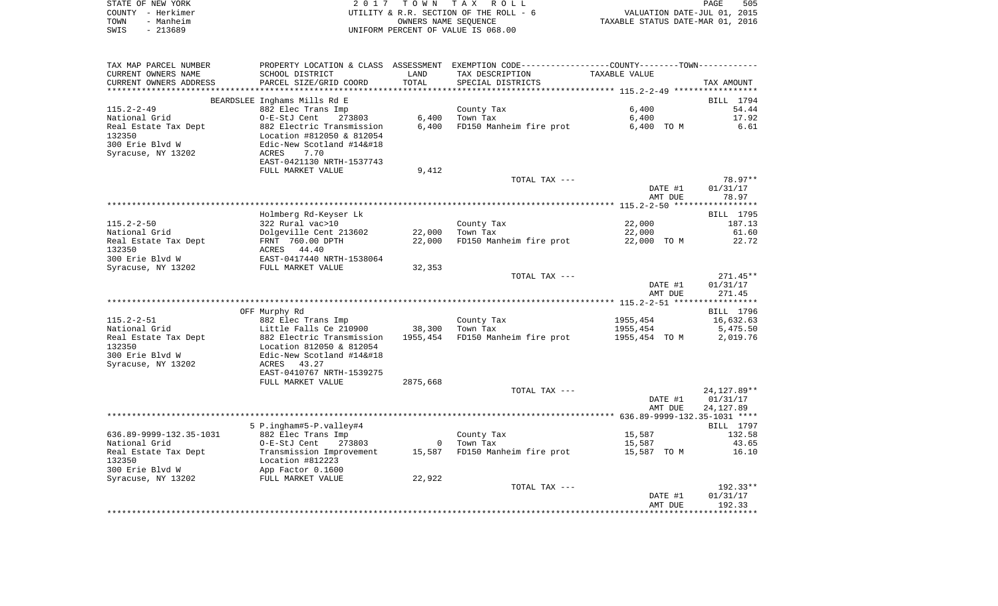| STATE OF NEW YORK | 2017 TOWN TAX ROLL                     |                                  | PAGE | 505 |
|-------------------|----------------------------------------|----------------------------------|------|-----|
| COUNTY – Herkimer | UTILITY & R.R. SECTION OF THE ROLL - 6 | VALUATION DATE-JUL 01, 2015      |      |     |
| - Manheim<br>TOWN | OWNERS NAME SEOUENCE                   | TAXABLE STATUS DATE-MAR 01, 2016 |      |     |
| $-213689$<br>SWIS | UNIFORM PERCENT OF VALUE IS 068.00     |                                  |      |     |

| TAX MAP PARCEL NUMBER          | PROPERTY LOCATION & CLASS ASSESSMENT EXEMPTION CODE---------------COUNTY-------TOWN---------- |          |                                |                    |              |
|--------------------------------|-----------------------------------------------------------------------------------------------|----------|--------------------------------|--------------------|--------------|
| CURRENT OWNERS NAME            | SCHOOL DISTRICT                                                                               | LAND     | TAX DESCRIPTION                | TAXABLE VALUE      |              |
| CURRENT OWNERS ADDRESS         | PARCEL SIZE/GRID COORD                                                                        | TOTAL    | SPECIAL DISTRICTS              |                    | TAX AMOUNT   |
| ********************           |                                                                                               |          |                                |                    |              |
|                                | BEARDSLEE Inghams Mills Rd E                                                                  |          |                                |                    | BILL 1794    |
| $115.2 - 2 - 49$               | 882 Elec Trans Imp                                                                            |          | County Tax                     | 6.400              | 54.44        |
| National Grid                  | O-E-StJ Cent<br>273803                                                                        | 6,400    | Town Tax                       | 6,400              | 17.92        |
| Real Estate Tax Dept           | 882 Electric Transmission                                                                     | 6,400    | FD150 Manheim fire prot        | 6,400 TO M         | 6.61         |
| 132350                         | Location #812050 & 812054                                                                     |          |                                |                    |              |
| 300 Erie Blvd W                | Edic-New Scotland #14                                                                        |          |                                |                    |              |
| Syracuse, NY 13202             | 7.70<br>ACRES                                                                                 |          |                                |                    |              |
|                                | EAST-0421130 NRTH-1537743                                                                     |          |                                |                    |              |
|                                | FULL MARKET VALUE                                                                             | 9,412    |                                |                    |              |
|                                |                                                                                               |          | TOTAL TAX ---                  |                    | 78.97**      |
|                                |                                                                                               |          |                                | DATE #1            | 01/31/17     |
|                                |                                                                                               |          |                                | AMT DUE            | 78.97        |
|                                |                                                                                               |          |                                |                    |              |
|                                | Holmberg Rd-Keyser Lk                                                                         |          |                                |                    | BILL 1795    |
| 115.2-2-50                     | 322 Rural vac>10                                                                              |          | County Tax                     | 22,000             | 187.13       |
| National Grid                  | Dolgeville Cent 213602<br>FRNT 760.00 DPTH                                                    | 22,000   | Town Tax                       | 22,000             | 61.60        |
| Real Estate Tax Dept<br>132350 | ACRES 44.40                                                                                   | 22,000   | FD150 Manheim fire prot        | 22,000 TO M        | 22.72        |
| 300 Erie Blvd W                | EAST-0417440 NRTH-1538064                                                                     |          |                                |                    |              |
| Syracuse, NY 13202             | FULL MARKET VALUE                                                                             | 32,353   |                                |                    |              |
|                                |                                                                                               |          | TOTAL TAX ---                  |                    | $271.45**$   |
|                                |                                                                                               |          |                                | DATE #1            | 01/31/17     |
|                                |                                                                                               |          |                                | AMT DUE            | 271.45       |
|                                |                                                                                               |          |                                |                    |              |
|                                | OFF Murphy Rd                                                                                 |          |                                |                    | BILL 1796    |
| $115.2 - 2 - 51$               | 882 Elec Trans Imp                                                                            |          | County Tax                     | 1955,454           | 16,632.63    |
| National Grid                  | Little Falls Ce 210900                                                                        |          | 38,300 Town Tax                | 1955,454           | 5,475.50     |
| Real Estate Tax Dept           | 882 Electric Transmission                                                                     | 1955,454 | FD150 Manheim fire prot        | 1955,454 TO M      | 2,019.76     |
| 132350                         | Location 812050 & 812054                                                                      |          |                                |                    |              |
| 300 Erie Blvd W                | Edic-New Scotland #14                                                                        |          |                                |                    |              |
| Syracuse, NY 13202             | 43.27<br>ACRES                                                                                |          |                                |                    |              |
|                                | EAST-0410767 NRTH-1539275                                                                     |          |                                |                    |              |
|                                | FULL MARKET VALUE                                                                             | 2875,668 |                                |                    |              |
|                                |                                                                                               |          | TOTAL TAX ---                  |                    | 24, 127.89** |
|                                |                                                                                               |          |                                | DATE #1            | 01/31/17     |
|                                |                                                                                               |          |                                | AMT DUE            | 24,127.89    |
|                                |                                                                                               |          |                                |                    |              |
|                                | 5 P.ingham#5-P.valley#4                                                                       |          |                                |                    | BILL 1797    |
| 636.89-9999-132.35-1031        | 882 Elec Trans Imp                                                                            |          | County Tax                     | 15,587             | 132.58       |
| National Grid                  | 273803<br>O-E-StJ Cent                                                                        |          | 0 Town Tax                     | 15,587             | 43.65        |
| Real Estate Tax Dept           | Transmission Improvement                                                                      |          | 15,587 FD150 Manheim fire prot | 15,587 TO M        | 16.10        |
| 132350                         | Location #812223<br>App Factor 0.1600                                                         |          |                                |                    |              |
| 300 Erie Blvd W                |                                                                                               |          |                                |                    |              |
| Syracuse, NY 13202             | FULL MARKET VALUE                                                                             | 22,922   | TOTAL TAX ---                  |                    | 192.33**     |
|                                |                                                                                               |          |                                |                    | 01/31/17     |
|                                |                                                                                               |          |                                | DATE #1<br>AMT DUE | 192.33       |
|                                |                                                                                               |          |                                |                    |              |
|                                |                                                                                               |          |                                |                    |              |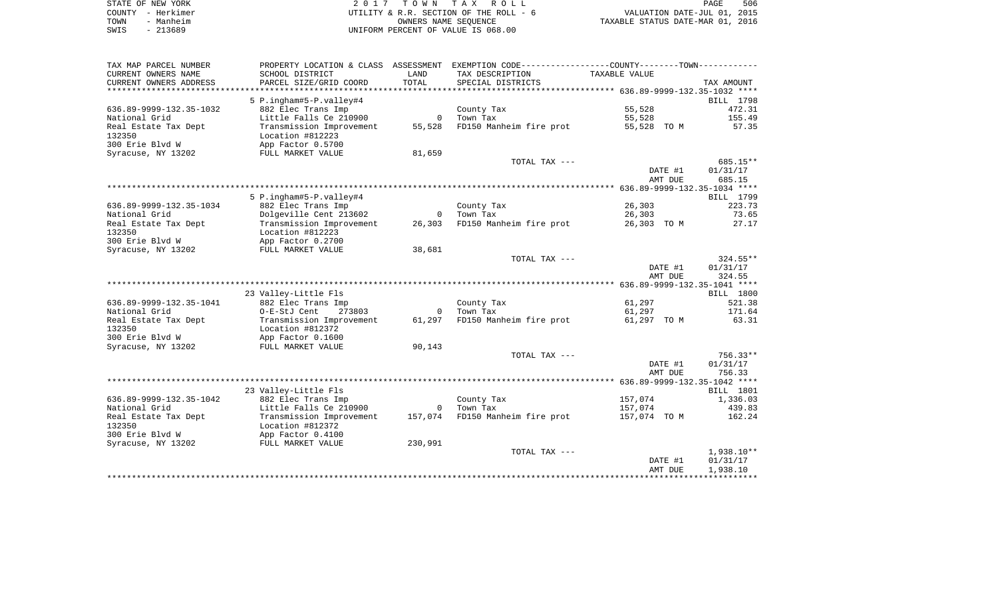|      | STATE OF NEW YORK | 2017 TOWN TAX ROLL                     | 506<br><b>PAGE</b>               |
|------|-------------------|----------------------------------------|----------------------------------|
|      | COUNTY - Herkimer | UTILITY & R.R. SECTION OF THE ROLL - 6 | VALUATION DATE-JUL 01, 2015      |
| TOWN | - Manheim         | OWNERS NAME SEOUENCE                   | TAXABLE STATUS DATE-MAR 01, 2016 |
| SWIS | - 213689          | UNIFORM PERCENT OF VALUE IS 068.00     |                                  |

| TAX MAP PARCEL NUMBER      |                                            |                | PROPERTY LOCATION & CLASS ASSESSMENT EXEMPTION CODE----------------COUNTY--------TOWN---------- |               |                     |
|----------------------------|--------------------------------------------|----------------|-------------------------------------------------------------------------------------------------|---------------|---------------------|
| CURRENT OWNERS NAME        | SCHOOL DISTRICT                            | LAND           | TAX DESCRIPTION                                                                                 | TAXABLE VALUE |                     |
| CURRENT OWNERS ADDRESS     | PARCEL SIZE/GRID COORD                     | TOTAL          | SPECIAL DISTRICTS                                                                               |               | TAX AMOUNT          |
| ************************** | ***********************                    |                |                                                                                                 |               |                     |
|                            | 5 P.ingham#5-P.valley#4                    |                |                                                                                                 |               | BILL 1798           |
| 636.89-9999-132.35-1032    | 882 Elec Trans Imp                         |                | County Tax                                                                                      | 55,528        | 472.31              |
| National Grid              | Little Falls Ce 210900                     | $\overline{0}$ | Town Tax                                                                                        | 55,528        | 155.49              |
| Real Estate Tax Dept       | Transmission Improvement                   | 55,528         | FD150 Manheim fire prot                                                                         | 55,528 TO M   | 57.35               |
| 132350                     | Location #812223                           |                |                                                                                                 |               |                     |
| 300 Erie Blvd W            | App Factor 0.5700                          |                |                                                                                                 |               |                     |
| Syracuse, NY 13202         | FULL MARKET VALUE                          | 81,659         |                                                                                                 |               |                     |
|                            |                                            |                | TOTAL TAX ---                                                                                   |               | 685.15**            |
|                            |                                            |                |                                                                                                 | DATE #1       | 01/31/17            |
|                            |                                            |                |                                                                                                 | AMT DUE       | 685.15              |
|                            |                                            |                |                                                                                                 |               |                     |
|                            | 5 P.ingham#5-P.valley#4                    |                |                                                                                                 |               | BILL 1799           |
| 636.89-9999-132.35-1034    | 882 Elec Trans Imp                         |                | County Tax                                                                                      | 26,303        | 223.73              |
| National Grid              | Dolgeville Cent 213602                     | $\overline{0}$ | Town Tax                                                                                        | 26,303        | 73.65               |
| Real Estate Tax Dept       | Transmission Improvement                   | 26,303         | FD150 Manheim fire prot                                                                         | 26,303 TO M   | 27.17               |
| 132350                     | Location #812223                           |                |                                                                                                 |               |                     |
| 300 Erie Blyd W            | App Factor 0.2700                          |                |                                                                                                 |               |                     |
| Syracuse, NY 13202         | FULL MARKET VALUE                          | 38,681         |                                                                                                 |               |                     |
|                            |                                            |                | TOTAL TAX ---                                                                                   |               | $324.55**$          |
|                            |                                            |                |                                                                                                 | DATE #1       | 01/31/17            |
|                            |                                            |                |                                                                                                 | AMT DUE       | 324.55              |
|                            |                                            |                |                                                                                                 |               |                     |
| 636.89-9999-132.35-1041    | 23 Valley-Little Fls<br>882 Elec Trans Imp |                | County Tax                                                                                      | 61,297        | BILL 1800<br>521.38 |
| National Grid              | O-E-StJ Cent<br>273803                     |                | 0 Town Tax                                                                                      | 61,297        | 171.64              |
| Real Estate Tax Dept       | Transmission Improvement                   | 61,297         | FD150 Manheim fire prot                                                                         | 61,297 TO M   | 63.31               |
| 132350                     | Location #812372                           |                |                                                                                                 |               |                     |
| 300 Erie Blvd W            | App Factor 0.1600                          |                |                                                                                                 |               |                     |
| Syracuse, NY 13202         | FULL MARKET VALUE                          | 90,143         |                                                                                                 |               |                     |
|                            |                                            |                | TOTAL TAX ---                                                                                   |               | 756.33**            |
|                            |                                            |                |                                                                                                 | DATE #1       | 01/31/17            |
|                            |                                            |                |                                                                                                 | AMT DUE       | 756.33              |
|                            |                                            |                |                                                                                                 |               |                     |
|                            | 23 Valley-Little Fls                       |                |                                                                                                 |               | <b>BILL</b> 1801    |
| 636.89-9999-132.35-1042    | 882 Elec Trans Imp                         |                | County Tax                                                                                      | 157,074       | 1,336.03            |
| National Grid              | Little Falls Ce 210900                     | $\overline{0}$ | Town Tax                                                                                        | 157,074       | 439.83              |
| Real Estate Tax Dept       | Transmission Improvement                   | 157,074        | FD150 Manheim fire prot                                                                         | 157,074 TO M  | 162.24              |
| 132350                     | Location #812372                           |                |                                                                                                 |               |                     |
| 300 Erie Blvd W            | App Factor 0.4100                          |                |                                                                                                 |               |                     |
| Syracuse, NY 13202         | FULL MARKET VALUE                          | 230,991        |                                                                                                 |               |                     |
|                            |                                            |                | TOTAL TAX ---                                                                                   |               | 1,938.10**          |
|                            |                                            |                |                                                                                                 | DATE #1       | 01/31/17            |
|                            |                                            |                |                                                                                                 | AMT DUE       | 1,938.10            |
|                            |                                            |                |                                                                                                 |               |                     |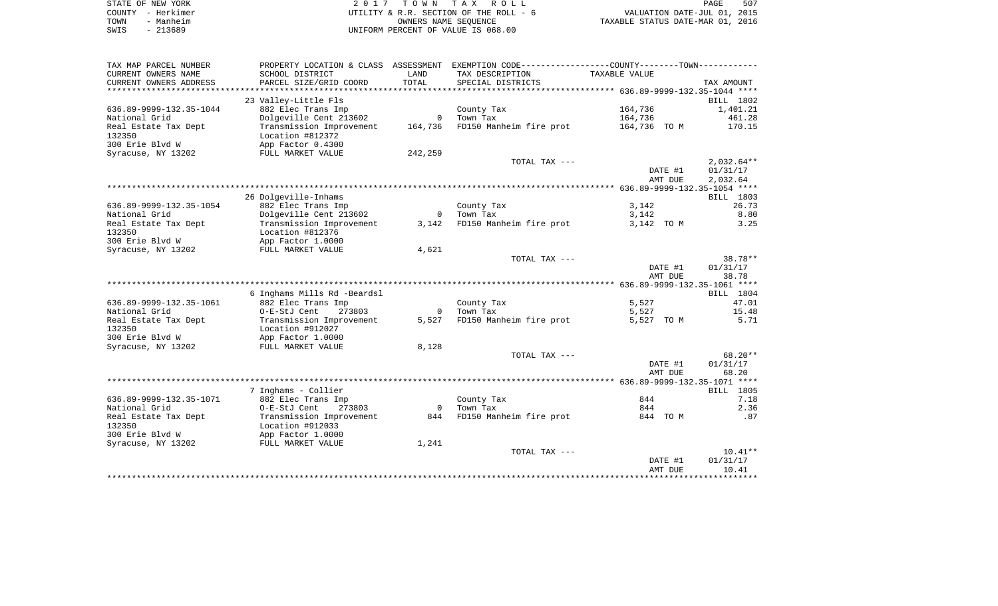| STATE OF NEW YORK |                   | 2017 TOWN TAX ROLL                     | 507<br>PAGE                      |
|-------------------|-------------------|----------------------------------------|----------------------------------|
|                   | COUNTY - Herkimer | UTILITY & R.R. SECTION OF THE ROLL - 6 | VALUATION DATE-JUL 01, 2015      |
| TOWN              | - Manheim         | OWNERS NAME SEOUENCE                   | TAXABLE STATUS DATE-MAR 01, 2016 |
| SWIS              | - 213689          | UNIFORM PERCENT OF VALUE IS 068.00     |                                  |

| CURRENT OWNERS NAME<br>SCHOOL DISTRICT<br>LAND<br>TAX DESCRIPTION<br>TAXABLE VALUE<br>TOTAL<br>CURRENT OWNERS ADDRESS<br>PARCEL SIZE/GRID COORD<br>SPECIAL DISTRICTS<br>TAX AMOUNT<br>*************************<br>23 Valley-Little Fls<br>BILL 1802<br>164,736<br>636.89-9999-132.35-1044<br>882 Elec Trans Imp<br>1,401.21<br>County Tax<br>Dolgeville Cent 213602<br>Town Tax<br>164,736<br>461.28<br>$\overline{0}$<br>Transmission Improvement<br>164,736<br>FD150 Manheim fire prot<br>170.15<br>164,736 TO M<br>132350<br>Location #812372<br>300 Erie Blvd W<br>App Factor 0.4300<br>242,259<br>Syracuse, NY 13202<br>FULL MARKET VALUE<br>$2,032.64**$<br>TOTAL TAX ---<br>DATE #1<br>01/31/17<br>AMT DUE<br>2,032.64<br>26 Dolgeville-Inhams<br>BILL 1803<br>26.73<br>882 Elec Trans Imp<br>County Tax<br>3,142<br>Dolgeville Cent 213602<br>8.80<br>Town Tax<br>3,142<br>$\overline{0}$<br>FD150 Manheim fire prot<br>Real Estate Tax Dept<br>Transmission Improvement<br>3,142<br>3,142 TO M<br>3.25<br>132350<br>Location #812376<br>300 Erie Blvd W<br>App Factor 1.0000<br>Syracuse, NY 13202<br>4,621<br>FULL MARKET VALUE<br>$38.78**$<br>TOTAL TAX ---<br>DATE #1<br>01/31/17<br>AMT DUE<br>38.78<br>6 Inghams Mills Rd -Beardsl<br>BILL 1804<br>5,527<br>636.89-9999-132.35-1061<br>47.01<br>882 Elec Trans Imp<br>County Tax<br>National Grid<br>Town Tax<br>5,527<br>15.48<br>O-E-StJ Cent<br>273803<br>$\overline{\mathbf{0}}$<br>FD150 Manheim fire prot<br>Real Estate Tax Dept<br>Transmission Improvement<br>5,527<br>5,527 TO M<br>5.71<br>132350<br>Location #912027<br>300 Erie Blvd W<br>App Factor 1.0000<br>Syracuse, NY 13202<br>8,128<br>FULL MARKET VALUE<br>TOTAL TAX ---<br>$68.20**$<br>DATE #1<br>01/31/17<br>AMT DUE<br>68.20<br>7 Inghams - Collier<br>BILL 1805<br>844<br>636.89-9999-132.35-1071<br>882 Elec Trans Imp<br>County Tax<br>7.18<br>2.36<br>National Grid<br>O-E-StJ Cent<br>273803<br>Town Tax<br>844<br>$\overline{0}$<br>844 FD150 Manheim fire prot<br>Real Estate Tax Dept<br>Transmission Improvement<br>844 TO M<br>.87<br>132350<br>Location #912033<br>App Factor 1.0000<br>1,241<br>FULL MARKET VALUE<br>$10.41**$<br>TOTAL TAX ---<br>01/31/17<br>DATE #1<br>10.41<br>AMT DUE<br>******************************* | TAX MAP PARCEL NUMBER   |  | PROPERTY LOCATION & CLASS ASSESSMENT EXEMPTION CODE----------------COUNTY-------TOWN---------- |  |
|------------------------------------------------------------------------------------------------------------------------------------------------------------------------------------------------------------------------------------------------------------------------------------------------------------------------------------------------------------------------------------------------------------------------------------------------------------------------------------------------------------------------------------------------------------------------------------------------------------------------------------------------------------------------------------------------------------------------------------------------------------------------------------------------------------------------------------------------------------------------------------------------------------------------------------------------------------------------------------------------------------------------------------------------------------------------------------------------------------------------------------------------------------------------------------------------------------------------------------------------------------------------------------------------------------------------------------------------------------------------------------------------------------------------------------------------------------------------------------------------------------------------------------------------------------------------------------------------------------------------------------------------------------------------------------------------------------------------------------------------------------------------------------------------------------------------------------------------------------------------------------------------------------------------------------------------------------------------------------------------------------------------------------------------------------------------------------------------------------------------------------------------------------------------------------------------------------------------------------------------------------------------------------|-------------------------|--|------------------------------------------------------------------------------------------------|--|
|                                                                                                                                                                                                                                                                                                                                                                                                                                                                                                                                                                                                                                                                                                                                                                                                                                                                                                                                                                                                                                                                                                                                                                                                                                                                                                                                                                                                                                                                                                                                                                                                                                                                                                                                                                                                                                                                                                                                                                                                                                                                                                                                                                                                                                                                                    |                         |  |                                                                                                |  |
|                                                                                                                                                                                                                                                                                                                                                                                                                                                                                                                                                                                                                                                                                                                                                                                                                                                                                                                                                                                                                                                                                                                                                                                                                                                                                                                                                                                                                                                                                                                                                                                                                                                                                                                                                                                                                                                                                                                                                                                                                                                                                                                                                                                                                                                                                    |                         |  |                                                                                                |  |
|                                                                                                                                                                                                                                                                                                                                                                                                                                                                                                                                                                                                                                                                                                                                                                                                                                                                                                                                                                                                                                                                                                                                                                                                                                                                                                                                                                                                                                                                                                                                                                                                                                                                                                                                                                                                                                                                                                                                                                                                                                                                                                                                                                                                                                                                                    |                         |  |                                                                                                |  |
|                                                                                                                                                                                                                                                                                                                                                                                                                                                                                                                                                                                                                                                                                                                                                                                                                                                                                                                                                                                                                                                                                                                                                                                                                                                                                                                                                                                                                                                                                                                                                                                                                                                                                                                                                                                                                                                                                                                                                                                                                                                                                                                                                                                                                                                                                    |                         |  |                                                                                                |  |
|                                                                                                                                                                                                                                                                                                                                                                                                                                                                                                                                                                                                                                                                                                                                                                                                                                                                                                                                                                                                                                                                                                                                                                                                                                                                                                                                                                                                                                                                                                                                                                                                                                                                                                                                                                                                                                                                                                                                                                                                                                                                                                                                                                                                                                                                                    | National Grid           |  |                                                                                                |  |
|                                                                                                                                                                                                                                                                                                                                                                                                                                                                                                                                                                                                                                                                                                                                                                                                                                                                                                                                                                                                                                                                                                                                                                                                                                                                                                                                                                                                                                                                                                                                                                                                                                                                                                                                                                                                                                                                                                                                                                                                                                                                                                                                                                                                                                                                                    | Real Estate Tax Dept    |  |                                                                                                |  |
|                                                                                                                                                                                                                                                                                                                                                                                                                                                                                                                                                                                                                                                                                                                                                                                                                                                                                                                                                                                                                                                                                                                                                                                                                                                                                                                                                                                                                                                                                                                                                                                                                                                                                                                                                                                                                                                                                                                                                                                                                                                                                                                                                                                                                                                                                    |                         |  |                                                                                                |  |
|                                                                                                                                                                                                                                                                                                                                                                                                                                                                                                                                                                                                                                                                                                                                                                                                                                                                                                                                                                                                                                                                                                                                                                                                                                                                                                                                                                                                                                                                                                                                                                                                                                                                                                                                                                                                                                                                                                                                                                                                                                                                                                                                                                                                                                                                                    |                         |  |                                                                                                |  |
|                                                                                                                                                                                                                                                                                                                                                                                                                                                                                                                                                                                                                                                                                                                                                                                                                                                                                                                                                                                                                                                                                                                                                                                                                                                                                                                                                                                                                                                                                                                                                                                                                                                                                                                                                                                                                                                                                                                                                                                                                                                                                                                                                                                                                                                                                    |                         |  |                                                                                                |  |
|                                                                                                                                                                                                                                                                                                                                                                                                                                                                                                                                                                                                                                                                                                                                                                                                                                                                                                                                                                                                                                                                                                                                                                                                                                                                                                                                                                                                                                                                                                                                                                                                                                                                                                                                                                                                                                                                                                                                                                                                                                                                                                                                                                                                                                                                                    |                         |  |                                                                                                |  |
|                                                                                                                                                                                                                                                                                                                                                                                                                                                                                                                                                                                                                                                                                                                                                                                                                                                                                                                                                                                                                                                                                                                                                                                                                                                                                                                                                                                                                                                                                                                                                                                                                                                                                                                                                                                                                                                                                                                                                                                                                                                                                                                                                                                                                                                                                    |                         |  |                                                                                                |  |
|                                                                                                                                                                                                                                                                                                                                                                                                                                                                                                                                                                                                                                                                                                                                                                                                                                                                                                                                                                                                                                                                                                                                                                                                                                                                                                                                                                                                                                                                                                                                                                                                                                                                                                                                                                                                                                                                                                                                                                                                                                                                                                                                                                                                                                                                                    |                         |  |                                                                                                |  |
|                                                                                                                                                                                                                                                                                                                                                                                                                                                                                                                                                                                                                                                                                                                                                                                                                                                                                                                                                                                                                                                                                                                                                                                                                                                                                                                                                                                                                                                                                                                                                                                                                                                                                                                                                                                                                                                                                                                                                                                                                                                                                                                                                                                                                                                                                    |                         |  |                                                                                                |  |
|                                                                                                                                                                                                                                                                                                                                                                                                                                                                                                                                                                                                                                                                                                                                                                                                                                                                                                                                                                                                                                                                                                                                                                                                                                                                                                                                                                                                                                                                                                                                                                                                                                                                                                                                                                                                                                                                                                                                                                                                                                                                                                                                                                                                                                                                                    | 636.89-9999-132.35-1054 |  |                                                                                                |  |
|                                                                                                                                                                                                                                                                                                                                                                                                                                                                                                                                                                                                                                                                                                                                                                                                                                                                                                                                                                                                                                                                                                                                                                                                                                                                                                                                                                                                                                                                                                                                                                                                                                                                                                                                                                                                                                                                                                                                                                                                                                                                                                                                                                                                                                                                                    | National Grid           |  |                                                                                                |  |
|                                                                                                                                                                                                                                                                                                                                                                                                                                                                                                                                                                                                                                                                                                                                                                                                                                                                                                                                                                                                                                                                                                                                                                                                                                                                                                                                                                                                                                                                                                                                                                                                                                                                                                                                                                                                                                                                                                                                                                                                                                                                                                                                                                                                                                                                                    |                         |  |                                                                                                |  |
|                                                                                                                                                                                                                                                                                                                                                                                                                                                                                                                                                                                                                                                                                                                                                                                                                                                                                                                                                                                                                                                                                                                                                                                                                                                                                                                                                                                                                                                                                                                                                                                                                                                                                                                                                                                                                                                                                                                                                                                                                                                                                                                                                                                                                                                                                    |                         |  |                                                                                                |  |
|                                                                                                                                                                                                                                                                                                                                                                                                                                                                                                                                                                                                                                                                                                                                                                                                                                                                                                                                                                                                                                                                                                                                                                                                                                                                                                                                                                                                                                                                                                                                                                                                                                                                                                                                                                                                                                                                                                                                                                                                                                                                                                                                                                                                                                                                                    |                         |  |                                                                                                |  |
|                                                                                                                                                                                                                                                                                                                                                                                                                                                                                                                                                                                                                                                                                                                                                                                                                                                                                                                                                                                                                                                                                                                                                                                                                                                                                                                                                                                                                                                                                                                                                                                                                                                                                                                                                                                                                                                                                                                                                                                                                                                                                                                                                                                                                                                                                    |                         |  |                                                                                                |  |
|                                                                                                                                                                                                                                                                                                                                                                                                                                                                                                                                                                                                                                                                                                                                                                                                                                                                                                                                                                                                                                                                                                                                                                                                                                                                                                                                                                                                                                                                                                                                                                                                                                                                                                                                                                                                                                                                                                                                                                                                                                                                                                                                                                                                                                                                                    |                         |  |                                                                                                |  |
|                                                                                                                                                                                                                                                                                                                                                                                                                                                                                                                                                                                                                                                                                                                                                                                                                                                                                                                                                                                                                                                                                                                                                                                                                                                                                                                                                                                                                                                                                                                                                                                                                                                                                                                                                                                                                                                                                                                                                                                                                                                                                                                                                                                                                                                                                    |                         |  |                                                                                                |  |
|                                                                                                                                                                                                                                                                                                                                                                                                                                                                                                                                                                                                                                                                                                                                                                                                                                                                                                                                                                                                                                                                                                                                                                                                                                                                                                                                                                                                                                                                                                                                                                                                                                                                                                                                                                                                                                                                                                                                                                                                                                                                                                                                                                                                                                                                                    |                         |  |                                                                                                |  |
|                                                                                                                                                                                                                                                                                                                                                                                                                                                                                                                                                                                                                                                                                                                                                                                                                                                                                                                                                                                                                                                                                                                                                                                                                                                                                                                                                                                                                                                                                                                                                                                                                                                                                                                                                                                                                                                                                                                                                                                                                                                                                                                                                                                                                                                                                    |                         |  |                                                                                                |  |
|                                                                                                                                                                                                                                                                                                                                                                                                                                                                                                                                                                                                                                                                                                                                                                                                                                                                                                                                                                                                                                                                                                                                                                                                                                                                                                                                                                                                                                                                                                                                                                                                                                                                                                                                                                                                                                                                                                                                                                                                                                                                                                                                                                                                                                                                                    |                         |  |                                                                                                |  |
|                                                                                                                                                                                                                                                                                                                                                                                                                                                                                                                                                                                                                                                                                                                                                                                                                                                                                                                                                                                                                                                                                                                                                                                                                                                                                                                                                                                                                                                                                                                                                                                                                                                                                                                                                                                                                                                                                                                                                                                                                                                                                                                                                                                                                                                                                    |                         |  |                                                                                                |  |
|                                                                                                                                                                                                                                                                                                                                                                                                                                                                                                                                                                                                                                                                                                                                                                                                                                                                                                                                                                                                                                                                                                                                                                                                                                                                                                                                                                                                                                                                                                                                                                                                                                                                                                                                                                                                                                                                                                                                                                                                                                                                                                                                                                                                                                                                                    |                         |  |                                                                                                |  |
|                                                                                                                                                                                                                                                                                                                                                                                                                                                                                                                                                                                                                                                                                                                                                                                                                                                                                                                                                                                                                                                                                                                                                                                                                                                                                                                                                                                                                                                                                                                                                                                                                                                                                                                                                                                                                                                                                                                                                                                                                                                                                                                                                                                                                                                                                    |                         |  |                                                                                                |  |
|                                                                                                                                                                                                                                                                                                                                                                                                                                                                                                                                                                                                                                                                                                                                                                                                                                                                                                                                                                                                                                                                                                                                                                                                                                                                                                                                                                                                                                                                                                                                                                                                                                                                                                                                                                                                                                                                                                                                                                                                                                                                                                                                                                                                                                                                                    |                         |  |                                                                                                |  |
|                                                                                                                                                                                                                                                                                                                                                                                                                                                                                                                                                                                                                                                                                                                                                                                                                                                                                                                                                                                                                                                                                                                                                                                                                                                                                                                                                                                                                                                                                                                                                                                                                                                                                                                                                                                                                                                                                                                                                                                                                                                                                                                                                                                                                                                                                    |                         |  |                                                                                                |  |
|                                                                                                                                                                                                                                                                                                                                                                                                                                                                                                                                                                                                                                                                                                                                                                                                                                                                                                                                                                                                                                                                                                                                                                                                                                                                                                                                                                                                                                                                                                                                                                                                                                                                                                                                                                                                                                                                                                                                                                                                                                                                                                                                                                                                                                                                                    |                         |  |                                                                                                |  |
|                                                                                                                                                                                                                                                                                                                                                                                                                                                                                                                                                                                                                                                                                                                                                                                                                                                                                                                                                                                                                                                                                                                                                                                                                                                                                                                                                                                                                                                                                                                                                                                                                                                                                                                                                                                                                                                                                                                                                                                                                                                                                                                                                                                                                                                                                    |                         |  |                                                                                                |  |
|                                                                                                                                                                                                                                                                                                                                                                                                                                                                                                                                                                                                                                                                                                                                                                                                                                                                                                                                                                                                                                                                                                                                                                                                                                                                                                                                                                                                                                                                                                                                                                                                                                                                                                                                                                                                                                                                                                                                                                                                                                                                                                                                                                                                                                                                                    |                         |  |                                                                                                |  |
|                                                                                                                                                                                                                                                                                                                                                                                                                                                                                                                                                                                                                                                                                                                                                                                                                                                                                                                                                                                                                                                                                                                                                                                                                                                                                                                                                                                                                                                                                                                                                                                                                                                                                                                                                                                                                                                                                                                                                                                                                                                                                                                                                                                                                                                                                    |                         |  |                                                                                                |  |
|                                                                                                                                                                                                                                                                                                                                                                                                                                                                                                                                                                                                                                                                                                                                                                                                                                                                                                                                                                                                                                                                                                                                                                                                                                                                                                                                                                                                                                                                                                                                                                                                                                                                                                                                                                                                                                                                                                                                                                                                                                                                                                                                                                                                                                                                                    |                         |  |                                                                                                |  |
|                                                                                                                                                                                                                                                                                                                                                                                                                                                                                                                                                                                                                                                                                                                                                                                                                                                                                                                                                                                                                                                                                                                                                                                                                                                                                                                                                                                                                                                                                                                                                                                                                                                                                                                                                                                                                                                                                                                                                                                                                                                                                                                                                                                                                                                                                    |                         |  |                                                                                                |  |
|                                                                                                                                                                                                                                                                                                                                                                                                                                                                                                                                                                                                                                                                                                                                                                                                                                                                                                                                                                                                                                                                                                                                                                                                                                                                                                                                                                                                                                                                                                                                                                                                                                                                                                                                                                                                                                                                                                                                                                                                                                                                                                                                                                                                                                                                                    |                         |  |                                                                                                |  |
|                                                                                                                                                                                                                                                                                                                                                                                                                                                                                                                                                                                                                                                                                                                                                                                                                                                                                                                                                                                                                                                                                                                                                                                                                                                                                                                                                                                                                                                                                                                                                                                                                                                                                                                                                                                                                                                                                                                                                                                                                                                                                                                                                                                                                                                                                    | 300 Erie Blvd W         |  |                                                                                                |  |
|                                                                                                                                                                                                                                                                                                                                                                                                                                                                                                                                                                                                                                                                                                                                                                                                                                                                                                                                                                                                                                                                                                                                                                                                                                                                                                                                                                                                                                                                                                                                                                                                                                                                                                                                                                                                                                                                                                                                                                                                                                                                                                                                                                                                                                                                                    | Syracuse, NY 13202      |  |                                                                                                |  |
|                                                                                                                                                                                                                                                                                                                                                                                                                                                                                                                                                                                                                                                                                                                                                                                                                                                                                                                                                                                                                                                                                                                                                                                                                                                                                                                                                                                                                                                                                                                                                                                                                                                                                                                                                                                                                                                                                                                                                                                                                                                                                                                                                                                                                                                                                    |                         |  |                                                                                                |  |
|                                                                                                                                                                                                                                                                                                                                                                                                                                                                                                                                                                                                                                                                                                                                                                                                                                                                                                                                                                                                                                                                                                                                                                                                                                                                                                                                                                                                                                                                                                                                                                                                                                                                                                                                                                                                                                                                                                                                                                                                                                                                                                                                                                                                                                                                                    |                         |  |                                                                                                |  |
|                                                                                                                                                                                                                                                                                                                                                                                                                                                                                                                                                                                                                                                                                                                                                                                                                                                                                                                                                                                                                                                                                                                                                                                                                                                                                                                                                                                                                                                                                                                                                                                                                                                                                                                                                                                                                                                                                                                                                                                                                                                                                                                                                                                                                                                                                    |                         |  |                                                                                                |  |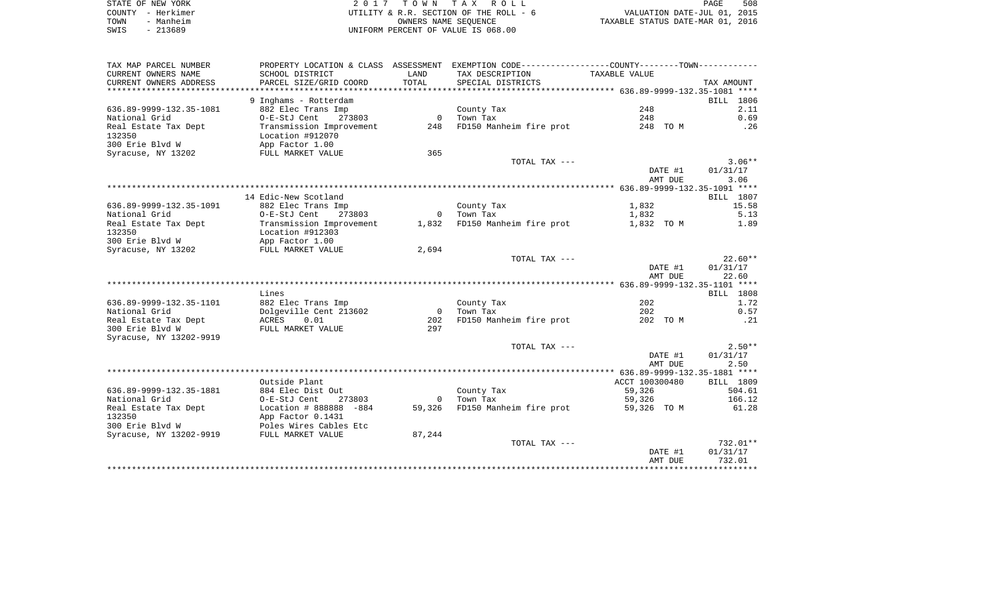|      | STATE OF NEW YORK | 2017 TOWN TAX ROLL                     | PAGE                             | 508 |
|------|-------------------|----------------------------------------|----------------------------------|-----|
|      | COUNTY - Herkimer | UTILITY & R.R. SECTION OF THE ROLL - 6 | VALUATION DATE-JUL 01, 2015      |     |
| TOWN | - Manheim         | OWNERS NAME SEOUENCE                   | TAXABLE STATUS DATE-MAR 01, 2016 |     |
| SWIS | - 213689          | UNIFORM PERCENT OF VALUE IS 068.00     |                                  |     |

| TAX MAP PARCEL NUMBER          |                          |                                       | PROPERTY LOCATION & CLASS ASSESSMENT EXEMPTION CODE---------------COUNTY-------TOWN---------- |                |                         |
|--------------------------------|--------------------------|---------------------------------------|-----------------------------------------------------------------------------------------------|----------------|-------------------------|
| CURRENT OWNERS NAME            | SCHOOL DISTRICT          | LAND                                  | TAX DESCRIPTION                                                                               | TAXABLE VALUE  |                         |
| CURRENT OWNERS ADDRESS         | PARCEL SIZE/GRID COORD   | TOTAL                                 | SPECIAL DISTRICTS                                                                             |                | TAX AMOUNT              |
| *******************            |                          | * * * * * * * * * * * * * * * * * * * | *********************************** 636.89-9999-132.35-1081 ****                              |                |                         |
|                                | 9 Inghams - Rotterdam    |                                       |                                                                                               |                | BILL 1806               |
| 636.89-9999-132.35-1081        | 882 Elec Trans Imp       |                                       | County Tax                                                                                    | 248            | 2.11                    |
| National Grid                  | O-E-StJ Cent<br>273803   |                                       | 0 Town Tax                                                                                    | 248            | 0.69                    |
| Real Estate Tax Dept           | Transmission Improvement |                                       | 248 FD150 Manheim fire prot                                                                   | 248 TO M       | . 26                    |
| 132350                         | Location #912070         |                                       |                                                                                               |                |                         |
| 300 Erie Blvd W                | App Factor 1.00          |                                       |                                                                                               |                |                         |
|                                |                          | 365                                   |                                                                                               |                |                         |
| Syracuse, NY 13202             | FULL MARKET VALUE        |                                       |                                                                                               |                |                         |
|                                |                          |                                       | TOTAL TAX ---                                                                                 |                | $3.06**$                |
|                                |                          |                                       |                                                                                               | DATE #1        | 01/31/17                |
|                                |                          |                                       |                                                                                               | AMT DUE        | 3.06                    |
|                                |                          |                                       |                                                                                               |                |                         |
|                                | 14 Edic-New Scotland     |                                       |                                                                                               |                | BILL 1807               |
| 636.89-9999-132.35-1091        | 882 Elec Trans Imp       |                                       | County Tax                                                                                    | 1,832          | 15.58                   |
| National Grid                  | O-E-StJ Cent<br>273803   |                                       | 0 Town Tax                                                                                    | 1,832          | 5.13                    |
| Real Estate Tax Dept           | Transmission Improvement |                                       | 1,832 FD150 Manheim fire prot                                                                 | 1,832 TO M     | 1.89                    |
| 132350                         | Location #912303         |                                       |                                                                                               |                |                         |
| 300 Erie Blvd W                | App Factor 1.00          |                                       |                                                                                               |                |                         |
| Syracuse, NY 13202             | FULL MARKET VALUE        | 2,694                                 |                                                                                               |                |                         |
|                                |                          |                                       | TOTAL TAX ---                                                                                 |                | $22.60**$               |
|                                |                          |                                       |                                                                                               | DATE #1        | 01/31/17                |
|                                |                          |                                       |                                                                                               | AMT DUE        | 22.60                   |
|                                |                          |                                       |                                                                                               |                |                         |
|                                | Lines                    |                                       |                                                                                               |                | BILL 1808               |
| 636.89-9999-132.35-1101        | 882 Elec Trans Imp       |                                       | County Tax                                                                                    | 202            | 1.72                    |
| National Grid                  | Dolgeville Cent 213602   | $\overline{0}$                        | Town Tax                                                                                      | 202            | 0.57                    |
| Real Estate Tax Dept           | ACRES<br>0.01            | 202                                   | FD150 Manheim fire prot                                                                       | 202 TO M       | $\ldots$                |
| 300 Erie Blvd W                | FULL MARKET VALUE        | 297                                   |                                                                                               |                |                         |
| Syracuse, NY 13202-9919        |                          |                                       |                                                                                               |                |                         |
|                                |                          |                                       | TOTAL TAX ---                                                                                 |                | $2.50**$                |
|                                |                          |                                       |                                                                                               | DATE #1        | 01/31/17                |
|                                |                          |                                       |                                                                                               | AMT DUE        | 2.50                    |
|                                |                          |                                       |                                                                                               |                |                         |
|                                | Outside Plant            |                                       |                                                                                               | ACCT 100300480 | BILL 1809               |
| 636.89-9999-132.35-1881        | 884 Elec Dist Out        |                                       | County Tax                                                                                    | 59,326         | 504.61                  |
| National Grid                  | O-E-StJ Cent<br>273803   |                                       | 0 Town Tax                                                                                    | 59,326         | 166.12                  |
|                                | Location # 888888 -884   |                                       | 59,326 FD150 Manheim fire prot                                                                |                | 61.28                   |
| Real Estate Tax Dept<br>132350 |                          |                                       |                                                                                               | 59,326 TO M    |                         |
|                                | App Factor 0.1431        |                                       |                                                                                               |                |                         |
| 300 Erie Blyd W                | Poles Wires Cables Etc   |                                       |                                                                                               |                |                         |
| Syracuse, NY 13202-9919        | FULL MARKET VALUE        | 87,244                                |                                                                                               |                |                         |
|                                |                          |                                       | TOTAL TAX ---                                                                                 |                | 732.01**                |
|                                |                          |                                       |                                                                                               | DATE #1        | 01/31/17                |
|                                |                          |                                       |                                                                                               | AMT DUE        | 732.01                  |
|                                |                          |                                       |                                                                                               |                | * * * * * * * * * * * * |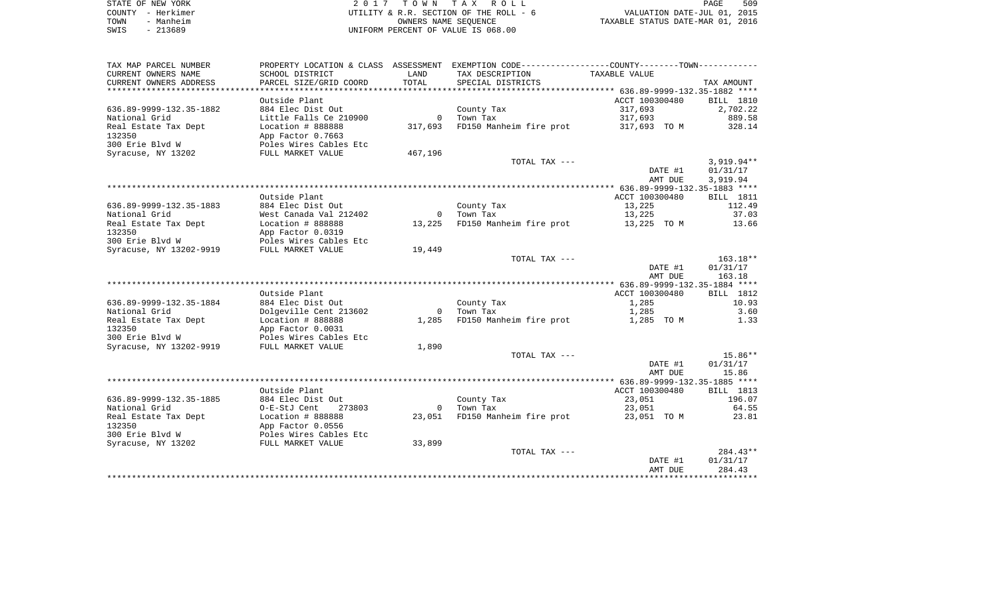| STATE OF NEW YORK | 2017 TOWN TAX ROLL                     | 509<br>PAGE                      |
|-------------------|----------------------------------------|----------------------------------|
| COUNTY - Herkimer | UTILITY & R.R. SECTION OF THE ROLL - 6 | VALUATION DATE-JUL 01, 2015      |
| - Manheim<br>TOWN | OWNERS NAME SEOUENCE                   | TAXABLE STATUS DATE-MAR 01, 2016 |
| $-213689$<br>SWIS | UNIFORM PERCENT OF VALUE IS 068.00     |                                  |

| TAX MAP PARCEL NUMBER                              | PROPERTY LOCATION & CLASS ASSESSMENT        |                | EXEMPTION CODE----------------COUNTY-------TOWN----------- |                  |                       |
|----------------------------------------------------|---------------------------------------------|----------------|------------------------------------------------------------|------------------|-----------------------|
| CURRENT OWNERS NAME                                | SCHOOL DISTRICT                             | LAND           | TAX DESCRIPTION                                            | TAXABLE VALUE    |                       |
| CURRENT OWNERS ADDRESS<br>************************ | PARCEL SIZE/GRID COORD                      | TOTAL          | SPECIAL DISTRICTS                                          |                  | TAX AMOUNT            |
|                                                    | Outside Plant                               |                |                                                            | ACCT 100300480   |                       |
| 636.89-9999-132.35-1882                            | 884 Elec Dist Out                           |                | County Tax                                                 | 317,693          | BILL 1810<br>2,702.22 |
| National Grid                                      | Little Falls Ce 210900                      | $\Omega$       | Town Tax                                                   | 317,693          | 889.58                |
| Real Estate Tax Dept                               | Location # 888888                           | 317,693        | FD150 Manheim fire prot                                    | 317,693 TO M     | 328.14                |
| 132350                                             | App Factor 0.7663                           |                |                                                            |                  |                       |
| 300 Erie Blvd W                                    | Poles Wires Cables Etc                      |                |                                                            |                  |                       |
| Syracuse, NY 13202                                 | FULL MARKET VALUE                           | 467,196        |                                                            |                  |                       |
|                                                    |                                             |                | TOTAL TAX ---                                              |                  | $3,919.94**$          |
|                                                    |                                             |                |                                                            | DATE #1          | 01/31/17              |
|                                                    |                                             |                |                                                            | AMT DUE          | 3,919.94              |
|                                                    |                                             |                |                                                            |                  |                       |
|                                                    | Outside Plant                               |                |                                                            | ACCT 100300480   | <b>BILL</b> 1811      |
| 636.89-9999-132.35-1883                            | 884 Elec Dist Out<br>West Canada Val 212402 | $\mathbf{0}$   | County Tax                                                 | 13,225<br>13,225 | 112.49<br>37.03       |
| National Grid<br>Real Estate Tax Dept              | Location # 888888                           | 13,225         | Town Tax<br>FD150 Manheim fire prot                        |                  | 13.66                 |
| 132350                                             | App Factor 0.0319                           |                |                                                            | 13,225 TO M      |                       |
| 300 Erie Blvd W                                    | Poles Wires Cables Etc                      |                |                                                            |                  |                       |
| Syracuse, NY 13202-9919                            | FULL MARKET VALUE                           | 19,449         |                                                            |                  |                       |
|                                                    |                                             |                | TOTAL TAX ---                                              |                  | 163.18**              |
|                                                    |                                             |                |                                                            | DATE #1          | 01/31/17              |
|                                                    |                                             |                |                                                            | AMT DUE          | 163.18                |
|                                                    |                                             |                |                                                            |                  |                       |
|                                                    | Outside Plant                               |                |                                                            | ACCT 100300480   | BILL 1812             |
| 636.89-9999-132.35-1884                            | 884 Elec Dist Out                           |                | County Tax                                                 | 1,285            | 10.93                 |
| National Grid                                      | Dolgeville Cent 213602                      | $\mathbf{0}$   | Town Tax                                                   | 1,285            | 3.60                  |
| Real Estate Tax Dept                               | Location # 888888                           | 1,285          | FD150 Manheim fire prot                                    | 1,285 TO M       | 1.33                  |
| 132350<br>300 Erie Blvd W                          | App Factor 0.0031<br>Poles Wires Cables Etc |                |                                                            |                  |                       |
| Syracuse, NY 13202-9919                            | FULL MARKET VALUE                           | 1,890          |                                                            |                  |                       |
|                                                    |                                             |                | TOTAL TAX ---                                              |                  | $15.86**$             |
|                                                    |                                             |                |                                                            | DATE #1          | 01/31/17              |
|                                                    |                                             |                |                                                            | AMT DUE          | 15.86                 |
|                                                    |                                             |                |                                                            |                  |                       |
|                                                    | Outside Plant                               |                |                                                            | ACCT 100300480   | BILL 1813             |
| 636.89-9999-132.35-1885                            | 884 Elec Dist Out                           |                | County Tax                                                 | 23,051           | 196.07                |
| National Grid                                      | O-E-StJ Cent<br>273803                      | $\overline{0}$ | Town Tax                                                   | 23,051           | 64.55                 |
| Real Estate Tax Dept                               | Location # 888888                           | 23,051         | FD150 Manheim fire prot                                    | 23,051 TO M      | 23.81                 |
| 132350                                             | App Factor 0.0556                           |                |                                                            |                  |                       |
| 300 Erie Blvd W                                    | Poles Wires Cables Etc                      |                |                                                            |                  |                       |
| Syracuse, NY 13202                                 | FULL MARKET VALUE                           | 33,899         | TOTAL TAX ---                                              |                  | $284.43**$            |
|                                                    |                                             |                |                                                            | DATE #1          | 01/31/17              |
|                                                    |                                             |                |                                                            | AMT DUE          | 284.43                |
|                                                    |                                             |                |                                                            |                  |                       |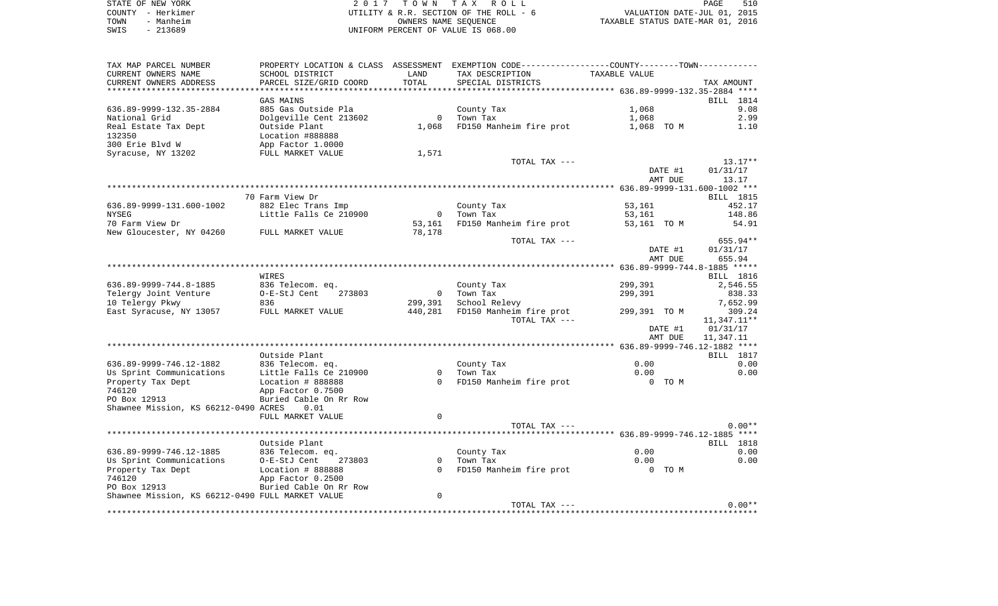|      | STATE OF NEW YORK | 2017 TOWN TAX ROLL                     | PAGE                             | 510 |
|------|-------------------|----------------------------------------|----------------------------------|-----|
|      | COUNTY - Herkimer | UTILITY & R.R. SECTION OF THE ROLL - 6 | VALUATION DATE-JUL 01, 2015      |     |
| TOWN | - Manheim         | OWNERS NAME SEOUENCE                   | TAXABLE STATUS DATE-MAR 01, 2016 |     |
| SWIS | $-213689$         | UNIFORM PERCENT OF VALUE IS 068.00     |                                  |     |

| TAX MAP PARCEL NUMBER<br>CURRENT OWNERS NAME<br>CURRENT OWNERS ADDRESS | PROPERTY LOCATION & CLASS ASSESSMENT<br>SCHOOL DISTRICT<br>PARCEL SIZE/GRID COORD | LAND<br>TOTAL  | EXEMPTION CODE----------------COUNTY-------TOWN----------<br>TAX DESCRIPTION<br>SPECIAL DISTRICTS | TAXABLE VALUE      | TAX AMOUNT              |
|------------------------------------------------------------------------|-----------------------------------------------------------------------------------|----------------|---------------------------------------------------------------------------------------------------|--------------------|-------------------------|
| *********************                                                  |                                                                                   |                |                                                                                                   |                    |                         |
|                                                                        | GAS MAINS                                                                         |                |                                                                                                   |                    | BILL 1814               |
| 636.89-9999-132.35-2884                                                | 885 Gas Outside Pla                                                               |                | County Tax                                                                                        | 1,068              | 9.08                    |
| National Grid                                                          | Dolgeville Cent 213602                                                            | $\overline{0}$ | Town Tax                                                                                          | 1,068              | 2.99                    |
| Real Estate Tax Dept                                                   | Outside Plant                                                                     | 1,068          | FD150 Manheim fire prot                                                                           | 1,068 TO M         | 1.10                    |
| 132350                                                                 | Location #888888                                                                  |                |                                                                                                   |                    |                         |
| 300 Erie Blvd W                                                        | App Factor 1.0000                                                                 |                |                                                                                                   |                    |                         |
| Syracuse, NY 13202                                                     | FULL MARKET VALUE                                                                 | 1,571          |                                                                                                   |                    |                         |
|                                                                        |                                                                                   |                | TOTAL TAX ---                                                                                     |                    | $13.17**$               |
|                                                                        |                                                                                   |                |                                                                                                   | DATE #1            | 01/31/17                |
|                                                                        |                                                                                   |                |                                                                                                   | AMT DUE            | 13.17                   |
|                                                                        |                                                                                   |                |                                                                                                   |                    |                         |
|                                                                        | 70 Farm View Dr                                                                   |                |                                                                                                   |                    | BILL 1815               |
| 636.89-9999-131.600-1002                                               | 882 Elec Trans Imp                                                                |                | County Tax                                                                                        | 53,161             | 452.17                  |
| <b>NYSEG</b>                                                           | Little Falls Ce 210900                                                            | $\overline{0}$ | Town Tax                                                                                          | 53,161             | 148.86                  |
| 70 Farm View Dr                                                        |                                                                                   | 53,161         | FD150 Manheim fire prot                                                                           | 53,161 TO M        | 54.91                   |
| New Gloucester, NY 04260                                               | FULL MARKET VALUE                                                                 | 78,178         |                                                                                                   |                    |                         |
|                                                                        |                                                                                   |                | TOTAL TAX ---                                                                                     |                    | 655.94**                |
|                                                                        |                                                                                   |                |                                                                                                   | DATE #1            | 01/31/17                |
|                                                                        |                                                                                   |                |                                                                                                   | AMT DUE            | 655.94                  |
|                                                                        |                                                                                   |                |                                                                                                   |                    |                         |
|                                                                        | WIRES                                                                             |                |                                                                                                   |                    | BILL 1816               |
| 636.89-9999-744.8-1885                                                 | 836 Telecom. eq.                                                                  |                | County Tax                                                                                        | 299,391            | 2,546.55                |
| Telergy Joint Venture                                                  | O-E-StJ Cent<br>273803                                                            | $\overline{0}$ | Town Tax                                                                                          | 299,391            | 838.33                  |
| 10 Telergy Pkwy                                                        | 836                                                                               | 299,391        | School Relevy                                                                                     |                    | 7,652.99                |
| East Syracuse, NY 13057                                                | FULL MARKET VALUE                                                                 | 440,281        | FD150 Manheim fire prot<br>TOTAL TAX ---                                                          | 299,391 TO M       | 309.24                  |
|                                                                        |                                                                                   |                |                                                                                                   |                    | 11,347.11**<br>01/31/17 |
|                                                                        |                                                                                   |                |                                                                                                   | DATE #1<br>AMT DUE | 11,347.11               |
|                                                                        |                                                                                   |                |                                                                                                   |                    |                         |
|                                                                        | Outside Plant                                                                     |                |                                                                                                   |                    | BILL 1817               |
| 636.89-9999-746.12-1882                                                | 836 Telecom. eq.                                                                  |                | County Tax                                                                                        | 0.00               | 0.00                    |
| Us Sprint Communications                                               | Little Falls Ce 210900                                                            | $\Omega$       | Town Tax                                                                                          | 0.00               | 0.00                    |
| Property Tax Dept                                                      | Location # 888888                                                                 | $\Omega$       | FD150 Manheim fire prot                                                                           | 0 TO M             |                         |
| 746120                                                                 | App Factor 0.7500                                                                 |                |                                                                                                   |                    |                         |
| PO Box 12913                                                           | Buried Cable On Rr Row                                                            |                |                                                                                                   |                    |                         |
| Shawnee Mission, KS 66212-0490 ACRES                                   | 0.01                                                                              |                |                                                                                                   |                    |                         |
|                                                                        | FULL MARKET VALUE                                                                 | $\Omega$       |                                                                                                   |                    |                         |
|                                                                        |                                                                                   |                | TOTAL TAX ---                                                                                     |                    | $0.00**$                |
|                                                                        |                                                                                   |                |                                                                                                   |                    | ****                    |
|                                                                        | Outside Plant                                                                     |                |                                                                                                   |                    | <b>BILL</b> 1818        |
| 636.89-9999-746.12-1885                                                | 836 Telecom. eq.                                                                  |                | County Tax                                                                                        | 0.00               | 0.00                    |
| Us Sprint Communications                                               | O-E-StJ Cent<br>273803                                                            | $\Omega$       | Town Tax                                                                                          | 0.00               | 0.00                    |
| Property Tax Dept                                                      | Location # 888888                                                                 | $\Omega$       | FD150 Manheim fire prot                                                                           | 0 TO M             |                         |
| 746120                                                                 | App Factor 0.2500                                                                 |                |                                                                                                   |                    |                         |
| PO Box 12913                                                           | Buried Cable On Rr Row                                                            |                |                                                                                                   |                    |                         |
| Shawnee Mission, KS 66212-0490 FULL MARKET VALUE                       |                                                                                   | 0              |                                                                                                   |                    |                         |
|                                                                        |                                                                                   |                | TOTAL TAX ---                                                                                     |                    | $0.00**$                |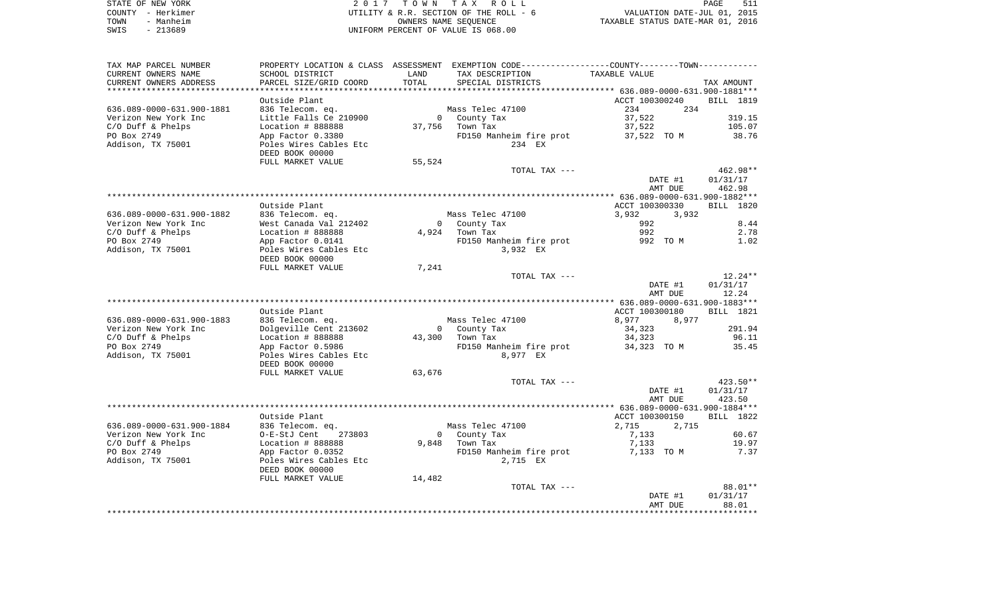|      | STATE OF NEW YORK | 2017 TOWN TAX ROLL                     | 511<br>PAGE                      |
|------|-------------------|----------------------------------------|----------------------------------|
|      | COUNTY - Herkimer | UTILITY & R.R. SECTION OF THE ROLL - 6 | VALUATION DATE-JUL 01, 2015      |
| TOWN | - Manheim         | OWNERS NAME SEOUENCE                   | TAXABLE STATUS DATE-MAR 01, 2016 |
| SWIS | - 213689          | UNIFORM PERCENT OF VALUE IS 068.00     |                                  |

| TAX MAP PARCEL NUMBER     | PROPERTY LOCATION & CLASS | ASSESSMENT   | EXEMPTION CODE-----------------COUNTY--------TOWN----------- |                                                    |                  |
|---------------------------|---------------------------|--------------|--------------------------------------------------------------|----------------------------------------------------|------------------|
| CURRENT OWNERS NAME       | SCHOOL DISTRICT           | LAND         | TAX DESCRIPTION                                              | TAXABLE VALUE                                      |                  |
| CURRENT OWNERS ADDRESS    | PARCEL SIZE/GRID COORD    | <b>TOTAL</b> | SPECIAL DISTRICTS                                            |                                                    | TAX AMOUNT       |
| ********************      | ************************* |              | ***************************                                  | ********************* 636.089-0000-631.900-1881*** |                  |
|                           | Outside Plant             |              |                                                              | ACCT 100300240                                     | <b>BILL</b> 1819 |
| 636.089-0000-631.900-1881 | 836 Telecom. eq.          |              | Mass Telec 47100                                             | 234<br>234                                         |                  |
| Verizon New York Inc      | Little Falls Ce 210900    | $\Omega$     | County Tax                                                   | 37,522                                             | 319.15           |
| C/O Duff & Phelps         | Location # 888888         |              | 37,756 Town Tax                                              |                                                    | 105.07           |
|                           |                           |              |                                                              | 37,522                                             |                  |
| PO Box 2749               | App Factor 0.3380         |              | FD150 Manheim fire prot                                      | 37,522 TO M                                        | 38.76            |
| Addison, TX 75001         | Poles Wires Cables Etc    |              | 234 EX                                                       |                                                    |                  |
|                           | DEED BOOK 00000           |              |                                                              |                                                    |                  |
|                           | FULL MARKET VALUE         | 55,524       |                                                              |                                                    |                  |
|                           |                           |              | TOTAL TAX ---                                                |                                                    | $462.98**$       |
|                           |                           |              |                                                              | DATE #1                                            | 01/31/17         |
|                           |                           |              |                                                              | AMT DUE                                            | 462.98           |
|                           |                           |              |                                                              |                                                    |                  |
|                           | Outside Plant             |              |                                                              | ACCT 100300330                                     | <b>BILL 1820</b> |
| 636.089-0000-631.900-1882 | 836 Telecom. eq.          |              | Mass Telec 47100                                             | 3,932<br>3,932                                     |                  |
| Verizon New York Inc      | West Canada Val 212402    |              | 0 County Tax                                                 | 992                                                | 8.44             |
| $C/O$ Duff & Phelps       | Location # 888888         |              | 4,924 Town Tax                                               | 992                                                | 2.78             |
| PO Box 2749               | App Factor 0.0141         |              | FD150 Manheim fire prot                                      | 992 TO M                                           | 1.02             |
| Addison, TX 75001         | Poles Wires Cables Etc    |              | 3,932 EX                                                     |                                                    |                  |
|                           |                           |              |                                                              |                                                    |                  |
|                           | DEED BOOK 00000           |              |                                                              |                                                    |                  |
|                           | FULL MARKET VALUE         | 7,241        |                                                              |                                                    |                  |
|                           |                           |              | TOTAL TAX ---                                                |                                                    | $12.24**$        |
|                           |                           |              |                                                              | DATE #1                                            | 01/31/17         |
|                           |                           |              |                                                              | AMT DUE                                            | 12.24            |
|                           |                           |              |                                                              |                                                    |                  |
|                           | Outside Plant             |              |                                                              | ACCT 100300180                                     | <b>BILL</b> 1821 |
| 636.089-0000-631.900-1883 | 836 Telecom. eq.          |              | Mass Telec 47100                                             | 8,977<br>8,977                                     |                  |
| Verizon New York Inc      | Dolgeville Cent 213602    |              | 0 County Tax                                                 | 34,323                                             | 291.94           |
| C/O Duff & Phelps         | Location # 888888         | 43,300       | Town Tax                                                     | 34,323                                             | 96.11            |
| PO Box 2749               | App Factor 0.5986         |              | FD150 Manheim fire prot                                      | 34,323 TO M                                        | 35.45            |
| Addison, TX 75001         | Poles Wires Cables Etc    |              | 8,977 EX                                                     |                                                    |                  |
|                           | DEED BOOK 00000           |              |                                                              |                                                    |                  |
|                           | FULL MARKET VALUE         | 63,676       |                                                              |                                                    |                  |
|                           |                           |              | TOTAL TAX ---                                                |                                                    | $423.50**$       |
|                           |                           |              |                                                              | DATE #1                                            | 01/31/17         |
|                           |                           |              |                                                              | AMT DUE                                            |                  |
|                           |                           |              |                                                              |                                                    | 423.50           |
|                           |                           |              |                                                              |                                                    |                  |
|                           | Outside Plant             |              |                                                              | ACCT 100300150                                     | <b>BILL</b> 1822 |
| 636.089-0000-631.900-1884 | 836 Telecom. eq.          |              | Mass Telec 47100                                             | 2,715<br>2,715                                     |                  |
| Verizon New York Inc      | O-E-StJ Cent<br>273803    |              | 0 County Tax                                                 | 7,133                                              | 60.67            |
| $C/O$ Duff & Phelps       | Location # 888888         | 9,848        | Town Tax                                                     | 7,133                                              | 19.97            |
| PO Box 2749               | App Factor 0.0352         |              | FD150 Manheim fire prot                                      | 7,133 TO M                                         | 7.37             |
| Addison, TX 75001         | Poles Wires Cables Etc    |              | 2,715 EX                                                     |                                                    |                  |
|                           | DEED BOOK 00000           |              |                                                              |                                                    |                  |
|                           | FULL MARKET VALUE         | 14,482       |                                                              |                                                    |                  |
|                           |                           |              | TOTAL TAX ---                                                |                                                    | 88.01**          |
|                           |                           |              |                                                              | DATE #1                                            | 01/31/17         |
|                           |                           |              |                                                              | AMT DUE                                            | 88.01            |
|                           |                           |              |                                                              |                                                    |                  |
|                           |                           |              |                                                              |                                                    |                  |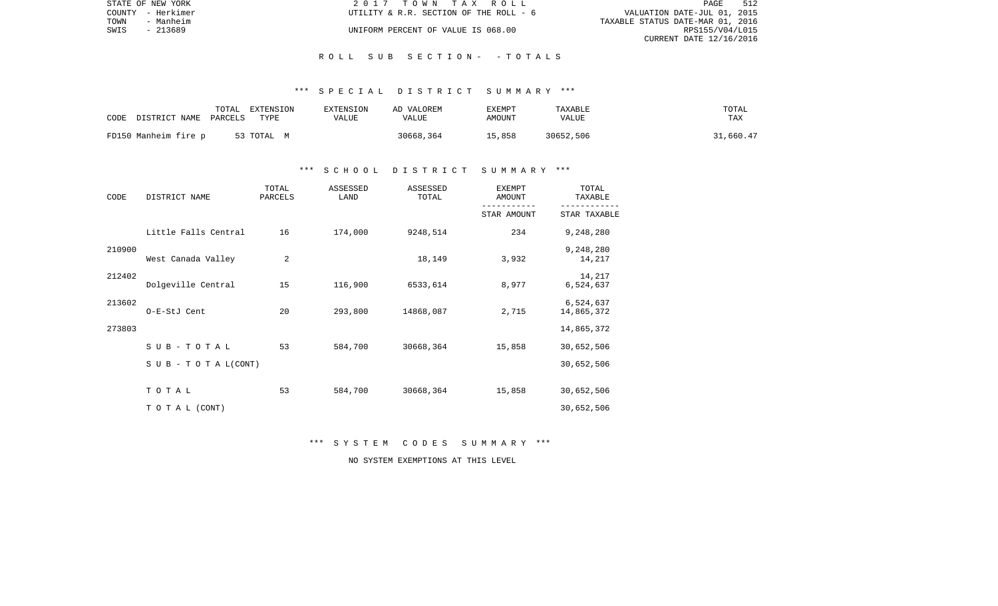| STATE OF NEW YORK | 2017 TOWN TAX ROLL                     | 512<br>PAGE                      |
|-------------------|----------------------------------------|----------------------------------|
| COUNTY - Herkimer | UTILITY & R.R. SECTION OF THE ROLL - 6 | VALUATION DATE-JUL 01, 2015      |
| TOWN<br>- Manheim |                                        | TAXABLE STATUS DATE-MAR 01, 2016 |
| SWIS<br>- 213689  | UNIFORM PERCENT OF VALUE IS 068.00     | RPS155/V04/L015                  |
|                   |                                        | CURRENT DATE 12/16/2016          |

#### R O L L S U B S E C T I O N - - T O T A L S

## \*\*\* S P E C I A L D I S T R I C T S U M M A R Y \*\*\*

| CODE                  | TOTAL | EXTENSION  | <b>EXTENSION</b> | AD VALOREM | EXEMPT | TAXABLE   | TOTAL      |
|-----------------------|-------|------------|------------------|------------|--------|-----------|------------|
| DISTRICT NAME PARCELS |       | TYPE       | VALUE            | VALUE      | AMOUNT | VALUE     | <b>TAX</b> |
| FD150 Manheim fire p  |       | 53 TOTAL M |                  | 30668,364  | 15,858 | 30652,506 | 31,660.47  |

## \*\*\* S C H O O L D I S T R I C T S U M M A R Y \*\*\*

| CODE   | DISTRICT NAME        | TOTAL<br>PARCELS | ASSESSED<br>LAND | ASSESSED<br>TOTAL | <b>EXEMPT</b><br>AMOUNT | TOTAL<br>TAXABLE        |
|--------|----------------------|------------------|------------------|-------------------|-------------------------|-------------------------|
|        |                      |                  |                  |                   | STAR AMOUNT             | STAR TAXABLE            |
|        | Little Falls Central | 16               | 174,000          | 9248,514          | 234                     | 9,248,280               |
| 210900 | West Canada Valley   | $\overline{c}$   |                  | 18,149            | 3,932                   | 9,248,280<br>14,217     |
| 212402 | Dolgeville Central   | 15               | 116,900          | 6533,614          | 8,977                   | 14,217<br>6,524,637     |
| 213602 | O-E-StJ Cent         | 20               | 293,800          | 14868,087         | 2,715                   | 6,524,637<br>14,865,372 |
| 273803 |                      |                  |                  |                   |                         | 14,865,372              |
|        | $SUB - TO T AL$      | 53               | 584,700          | 30668,364         | 15,858                  | 30,652,506              |
|        | SUB - TOTAL(CONT)    |                  |                  |                   |                         | 30,652,506              |
|        | TOTAL                | 53               | 584,700          | 30668,364         | 15,858                  | 30,652,506              |
|        | TO TAL (CONT)        |                  |                  |                   |                         | 30,652,506              |

\*\*\* S Y S T E M C O D E S S U M M A R Y \*\*\*

NO SYSTEM EXEMPTIONS AT THIS LEVEL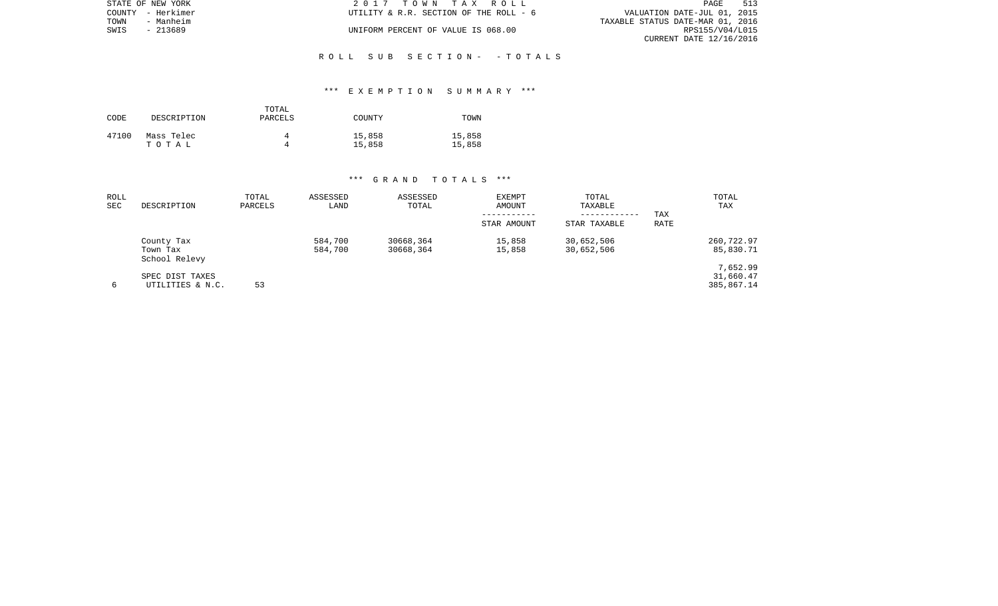|      | STATE OF NEW YORK | 2017 TOWN TAX ROLL                     | 513<br>PAGE                      |
|------|-------------------|----------------------------------------|----------------------------------|
|      | COUNTY - Herkimer | UTILITY & R.R. SECTION OF THE ROLL - 6 | VALUATION DATE-JUL 01, 2015      |
| TOWN | - Manheim         |                                        | TAXABLE STATUS DATE-MAR 01, 2016 |
| SWIS | - 213689          | UNIFORM PERCENT OF VALUE IS 068.00     | RPS155/V04/L015                  |
|      |                   |                                        | CURRENT DATE 12/16/2016          |

R O L L S U B S E C T I O N - - T O T A L S

## \*\*\* E X E M P T I O N S U M M A R Y \*\*\*

| CODE  | DESCRIPTION         | TOTAL<br>PARCELS | COUNTY           | TOWN             |
|-------|---------------------|------------------|------------------|------------------|
| 47100 | Mass Telec<br>тотаь | Δ                | 15,858<br>15,858 | 15,858<br>15,858 |

| ROLL<br><b>SEC</b> | DESCRIPTION                             | TOTAL<br>PARCELS | ASSESSED<br>LAND   | ASSESSED<br>TOTAL      | <b>EXEMPT</b><br>AMOUNT | TOTAL<br>TAXABLE<br>---------- | TAX  | TOTAL<br>TAX                        |
|--------------------|-----------------------------------------|------------------|--------------------|------------------------|-------------------------|--------------------------------|------|-------------------------------------|
|                    |                                         |                  |                    |                        | STAR AMOUNT             | STAR TAXABLE                   | RATE |                                     |
|                    | County Tax<br>Town Tax<br>School Relevy |                  | 584,700<br>584,700 | 30668,364<br>30668,364 | 15,858<br>15,858        | 30,652,506<br>30,652,506       |      | 260,722.97<br>85,830.71             |
| 6                  | SPEC DIST TAXES<br>UTILITIES & N.C.     | 53               |                    |                        |                         |                                |      | 7,652.99<br>31,660.47<br>385,867.14 |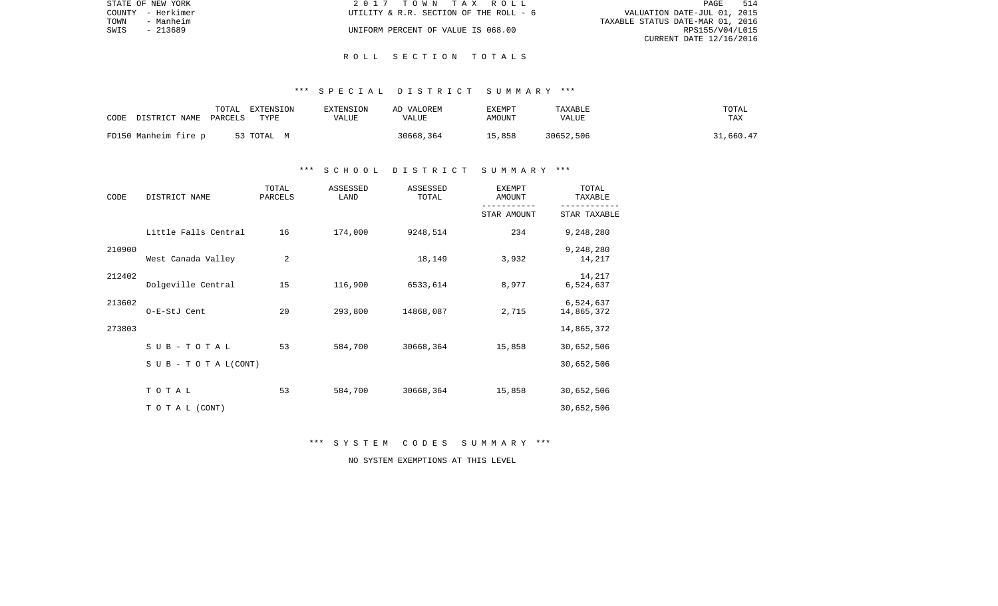|      | STATE OF NEW YORK | 2017 TOWN TAX ROLL                     | PAGE                             | 514 |
|------|-------------------|----------------------------------------|----------------------------------|-----|
|      | COUNTY - Herkimer | UTILITY & R.R. SECTION OF THE ROLL - 6 | VALUATION DATE-JUL 01, 2015      |     |
| TOWN | - Manheim         |                                        | TAXABLE STATUS DATE-MAR 01, 2016 |     |
| SWIS | - 213689          | UNIFORM PERCENT OF VALUE IS 068.00     | RPS155/V04/L015                  |     |
|      |                   |                                        | CURRENT DATE 12/16/2016          |     |

#### R O L L S E C T I O N T O T A L S

## \*\*\* S P E C I A L D I S T R I C T S U M M A R Y \*\*\*

| CODE<br>DISTRICT NAME | TOTAL<br>PARCELS | EXTENSION<br>TYPE | EXTENSION<br>VALUE | AD VALOREM<br>VALUE | <b>EXEMPT</b><br>AMOUNT | TAXABLE<br>VALUE | TOTAL<br>TAX |
|-----------------------|------------------|-------------------|--------------------|---------------------|-------------------------|------------------|--------------|
| FD150 Manheim fire p  |                  | 53 TOTAL M        |                    | 30668,364           | 15,858                  | 30652,506        | 31,660.47    |

## \*\*\* S C H O O L D I S T R I C T S U M M A R Y \*\*\*

| CODE   | DISTRICT NAME                    | TOTAL<br>PARCELS | ASSESSED<br>LAND | ASSESSED<br>TOTAL | <b>EXEMPT</b><br>AMOUNT | TOTAL<br>TAXABLE        |
|--------|----------------------------------|------------------|------------------|-------------------|-------------------------|-------------------------|
|        |                                  |                  |                  |                   | STAR AMOUNT             | STAR TAXABLE            |
|        | Little Falls Central             | 16               | 174,000          | 9248,514          | 234                     | 9,248,280               |
| 210900 | West Canada Valley               | 2                |                  | 18,149            | 3,932                   | 9,248,280<br>14,217     |
| 212402 | Dolgeville Central               | 15               | 116,900          | 6533,614          | 8,977                   | 14,217<br>6,524,637     |
| 213602 | O-E-StJ Cent                     | 20               | 293,800          | 14868,087         | 2,715                   | 6,524,637<br>14,865,372 |
| 273803 |                                  |                  |                  |                   |                         | 14,865,372              |
|        | $S$ U B - T O T A L              | 53               | 584,700          | 30668,364         | 15,858                  | 30,652,506              |
|        | $S \cup B - T \cup T A L (CONT)$ |                  |                  |                   |                         | 30,652,506              |
|        | TOTAL                            | 53               | 584,700          | 30668,364         | 15,858                  | 30,652,506              |
|        | TO TAL (CONT)                    |                  |                  |                   |                         | 30,652,506              |

\*\*\* S Y S T E M C O D E S S U M M A R Y \*\*\*

NO SYSTEM EXEMPTIONS AT THIS LEVEL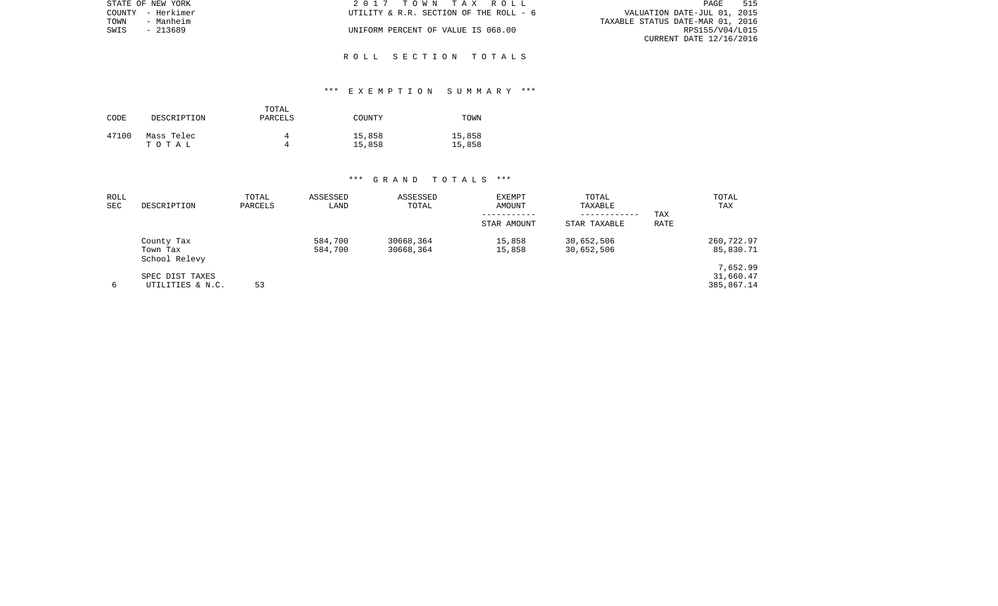|      | STATE OF NEW YORK | 2017 TOWN TAX ROLL                     | PAGE                             | 515 |
|------|-------------------|----------------------------------------|----------------------------------|-----|
|      | COUNTY - Herkimer | UTILITY & R.R. SECTION OF THE ROLL - 6 | VALUATION DATE-JUL 01, 2015      |     |
| TOWN | - Manheim         |                                        | TAXABLE STATUS DATE-MAR 01, 2016 |     |
| SWIS | - 213689          | UNIFORM PERCENT OF VALUE IS 068.00     | RPS155/V04/L015                  |     |
|      |                   |                                        | CURRENT DATE 12/16/2016          |     |

## R O L L S E C T I O N T O T A L S

## \*\*\* E X E M P T I O N S U M M A R Y \*\*\*

| CODE  | DESCRIPTION | TOTAL<br>PARCELS | COUNTY | TOWN   |
|-------|-------------|------------------|--------|--------|
| 47100 | Mass Telec  | Δ                | 15,858 | 15,858 |
|       | тотаь       | Δ                | 15,858 | 15,858 |

| ROLL<br><b>SEC</b> | DESCRIPTION                             | TOTAL<br>PARCELS | ASSESSED<br>LAND   | ASSESSED<br>TOTAL      | <b>EXEMPT</b><br>AMOUNT<br>STAR AMOUNT | TOTAL<br>TAXABLE<br>------------<br>STAR TAXABLE | TAX<br>RATE | TOTAL<br>TAX                        |
|--------------------|-----------------------------------------|------------------|--------------------|------------------------|----------------------------------------|--------------------------------------------------|-------------|-------------------------------------|
|                    | County Tax<br>Town Tax<br>School Relevy |                  | 584,700<br>584,700 | 30668,364<br>30668,364 | 15,858<br>15,858                       | 30,652,506<br>30,652,506                         |             | 260,722.97<br>85,830.71             |
| 6                  | SPEC DIST TAXES<br>UTILITIES & N.C.     | 53               |                    |                        |                                        |                                                  |             | 7,652.99<br>31,660.47<br>385,867.14 |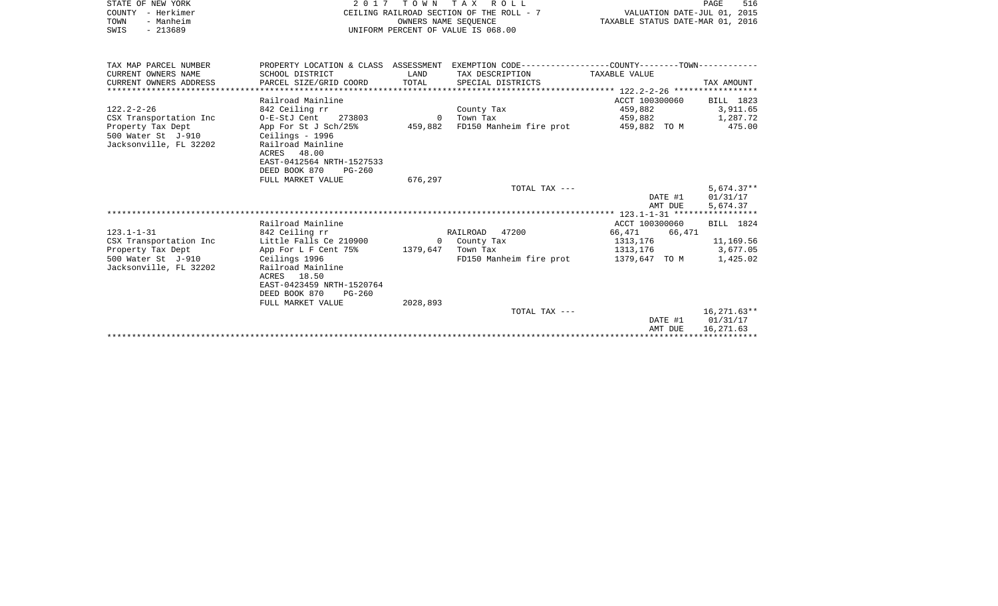|      | STATE OF NEW YORK | 2017 TOWN TAX ROLL                       | 516<br>PAGE                      |
|------|-------------------|------------------------------------------|----------------------------------|
|      | COUNTY - Herkimer | CEILING RAILROAD SECTION OF THE ROLL - 7 | VALUATION DATE-JUL 01, 2015      |
| TOWN | - Manheim         | OWNERS NAME SEOUENCE                     | TAXABLE STATUS DATE-MAR 01, 2016 |
| SWIS | - 213689          | UNIFORM PERCENT OF VALUE IS 068.00       |                                  |

| TAX MAP PARCEL NUMBER          | PROPERTY LOCATION & CLASS ASSESSMENT |          | EXEMPTION CODE------------------COUNTY--------TOWN------------ |                |               |
|--------------------------------|--------------------------------------|----------|----------------------------------------------------------------|----------------|---------------|
| CURRENT OWNERS NAME            | SCHOOL DISTRICT                      | LAND     | TAX DESCRIPTION                                                | TAXABLE VALUE  |               |
| CURRENT OWNERS ADDRESS         | PARCEL SIZE/GRID COORD               | TOTAL    | SPECIAL DISTRICTS                                              |                | TAX AMOUNT    |
| ****************************** |                                      |          |                                                                |                |               |
|                                | Railroad Mainline                    |          |                                                                | ACCT 100300060 | BILL 1823     |
| $122.2 - 2 - 26$               | 842 Ceiling rr                       |          | County Tax                                                     | 459,882        | 3,911.65      |
| CSX Transportation Inc         | 0-E-StJ Cent 273803                  | $\Omega$ | Town Tax                                                       | 459,882        | 1,287.72      |
| Property Tax Dept              | App For St J Sch/25%                 | 459,882  | FD150 Manheim fire prot 359,882 TO M                           |                | 475.00        |
| 500 Water St J-910             | Ceilings - 1996                      |          |                                                                |                |               |
| Jacksonville, FL 32202         | Railroad Mainline                    |          |                                                                |                |               |
|                                | ACRES 48.00                          |          |                                                                |                |               |
|                                | EAST-0412564 NRTH-1527533            |          |                                                                |                |               |
|                                | DEED BOOK 870<br>PG-260              |          |                                                                |                |               |
|                                | FULL MARKET VALUE                    | 676,297  |                                                                |                |               |
|                                |                                      |          | TOTAL TAX ---                                                  |                | $5,674.37**$  |
|                                |                                      |          |                                                                | DATE #1        | 01/31/17      |
|                                |                                      |          |                                                                | AMT DUE        | 5,674.37      |
|                                |                                      |          |                                                                |                |               |
|                                | Railroad Mainline                    |          |                                                                | ACCT 100300060 | BILL 1824     |
| $123.1 - 1 - 31$               | 842 Ceiling rr                       |          | RAILROAD 47200                                                 | 66,471 66,471  |               |
| CSX Transportation Inc         | Little Falls Ce 210900               |          | 0 County Tax                                                   | 1313,176       | 11,169.56     |
| Property Tax Dept              | App For L F Cent 75% 1379,647        |          | Town Tax                                                       | 1313,176       | 3,677.05      |
| 500 Water St J-910             | Ceilings 1996                        |          | FD150 Manheim fire prot                                        | 1379,647 TO M  | 1,425.02      |
| Jacksonville, FL 32202         | Railroad Mainline                    |          |                                                                |                |               |
|                                | ACRES 18.50                          |          |                                                                |                |               |
|                                | EAST-0423459 NRTH-1520764            |          |                                                                |                |               |
|                                | DEED BOOK 870 PG-260                 |          |                                                                |                |               |
|                                | FULL MARKET VALUE                    | 2028,893 |                                                                |                |               |
|                                |                                      |          | TOTAL TAX ---                                                  |                | $16.271.63**$ |
|                                |                                      |          |                                                                | DATE #1        | 01/31/17      |
|                                |                                      |          |                                                                | AMT DUE        | 16,271.63     |
|                                |                                      |          |                                                                |                |               |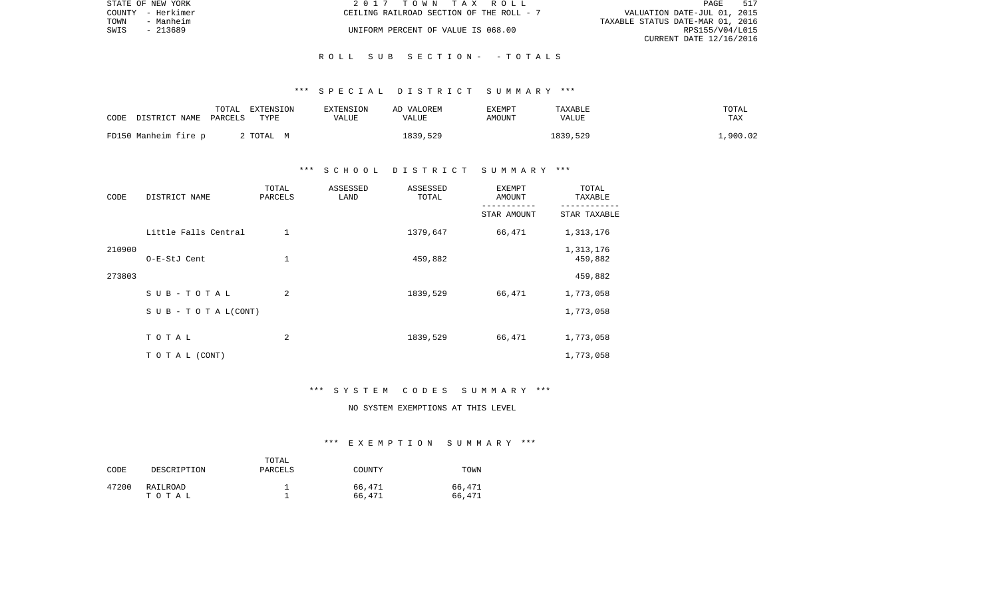|      | STATE OF NEW YORK | 2017 TOWN TAX ROLL                       |                                  | PAGE            | 517 |
|------|-------------------|------------------------------------------|----------------------------------|-----------------|-----|
|      | COUNTY - Herkimer | CEILING RAILROAD SECTION OF THE ROLL - 7 | VALUATION DATE-JUL 01, 2015      |                 |     |
| TOWN | - Manheim         |                                          | TAXABLE STATUS DATE-MAR 01, 2016 |                 |     |
| SWIS | - 213689          | UNIFORM PERCENT OF VALUE IS 068.00       |                                  | RPS155/V04/L015 |     |
|      |                   |                                          | CURRENT DATE 12/16/2016          |                 |     |

## R O L L S U B S E C T I O N - - T O T A L S

## \*\*\* S P E C I A L D I S T R I C T S U M M A R Y \*\*\*

| CODE                  | TOTAL | EXTENSION | EXTENSION | AD VALOREM | EXEMPT | TAXABLE  | TOTAL    |
|-----------------------|-------|-----------|-----------|------------|--------|----------|----------|
| DISTRICT NAME PARCELS |       | TYPE      | VALUE     | VALUE      | AMOUNT | VALUE    | TAX      |
| FD150 Manheim fire p  |       | 2 TOTAL M |           | 1839,529   |        | 1839,529 | .,900.02 |

## \*\*\* S C H O O L D I S T R I C T S U M M A R Y \*\*\*

| CODE   | DISTRICT NAME              | TOTAL<br>PARCELS | ASSESSED<br>LAND | ASSESSED<br>TOTAL | EXEMPT<br>AMOUNT | TOTAL<br>TAXABLE     |
|--------|----------------------------|------------------|------------------|-------------------|------------------|----------------------|
|        |                            |                  |                  |                   | STAR AMOUNT      | STAR TAXABLE         |
|        | Little Falls Central       | $\mathbf 1$      |                  | 1379,647          | 66,471           | 1,313,176            |
| 210900 | O-E-StJ Cent               | 1                |                  | 459,882           |                  | 1,313,176<br>459,882 |
| 273803 |                            |                  |                  |                   |                  | 459,882              |
|        | SUB-TOTAL                  | 2                |                  | 1839,529          | 66,471           | 1,773,058            |
|        | S U B - T O T A $L$ (CONT) |                  |                  |                   |                  | 1,773,058            |
|        | TOTAL                      | 2                |                  | 1839,529          | 66,471           | 1,773,058            |
|        | T O T A L (CONT)           |                  |                  |                   |                  | 1,773,058            |

#### \*\*\* S Y S T E M C O D E S S U M M A R Y \*\*\*

# NO SYSTEM EXEMPTIONS AT THIS LEVEL

## \*\*\* E X E M P T I O N S U M M A R Y \*\*\*

| CODE  | DESCRIPTION       | TOTAL<br>PARCELS | COUNTY           | TOWN             |
|-------|-------------------|------------------|------------------|------------------|
| 47200 | RAILROAD<br>тотаь |                  | 66,471<br>66,471 | 66,471<br>66,471 |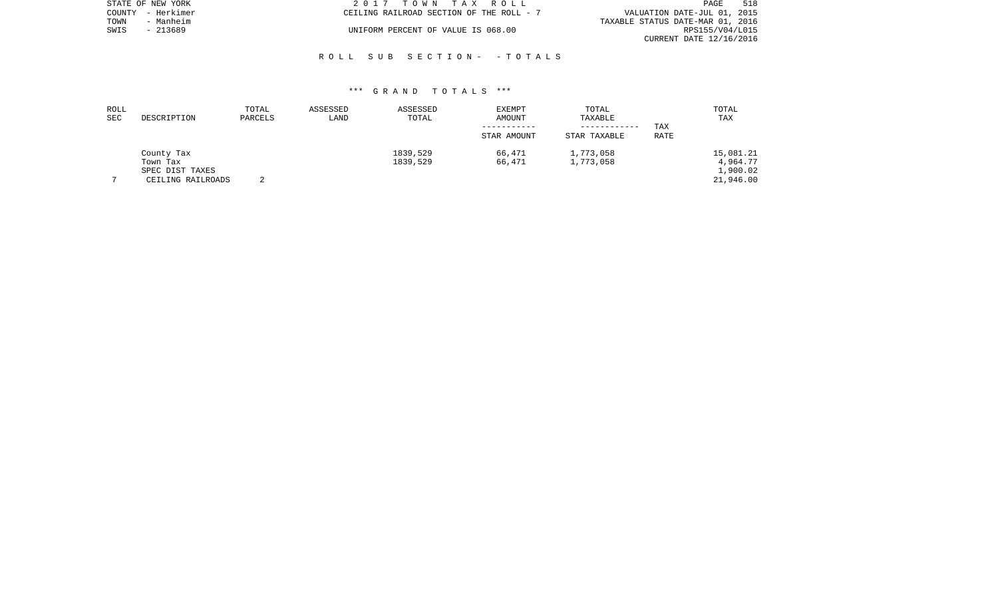|      | STATE OF NEW YORK | 2017 TOWN TAX ROLL                       | PAGE                             | 518 |
|------|-------------------|------------------------------------------|----------------------------------|-----|
|      | COUNTY - Herkimer | CEILING RAILROAD SECTION OF THE ROLL - 7 | VALUATION DATE-JUL 01, 2015      |     |
| TOWN | - Manheim         |                                          | TAXABLE STATUS DATE-MAR 01, 2016 |     |
| SWIS | $-213689$         | UNIFORM PERCENT OF VALUE IS 068.00       | RPS155/V04/L015                  |     |
|      |                   |                                          | CURRENT DATE 12/16/2016          |     |

## R O L L S U B S E C T I O N - - T O T A L S

| ROLL<br><b>SEC</b> | DESCRIPTION       | TOTAL<br>PARCELS | ASSESSED<br>LAND | ASSESSED<br>TOTAL | EXEMPT<br>AMOUNT | TOTAL<br>TAXABLE |      | TOTAL<br>TAX |
|--------------------|-------------------|------------------|------------------|-------------------|------------------|------------------|------|--------------|
|                    |                   |                  |                  |                   |                  | ------------     | TAX  |              |
|                    |                   |                  |                  |                   | STAR AMOUNT      | STAR TAXABLE     | RATE |              |
|                    | County Tax        |                  |                  | 1839,529          | 66,471           | 1,773,058        |      | 15,081.21    |
|                    | Town Tax          |                  |                  | 1839,529          | 66,471           | 1,773,058        |      | 4,964.77     |
|                    | SPEC DIST TAXES   |                  |                  |                   |                  |                  |      | 1,900.02     |
|                    | CEILING RAILROADS |                  |                  |                   |                  |                  |      | 21,946.00    |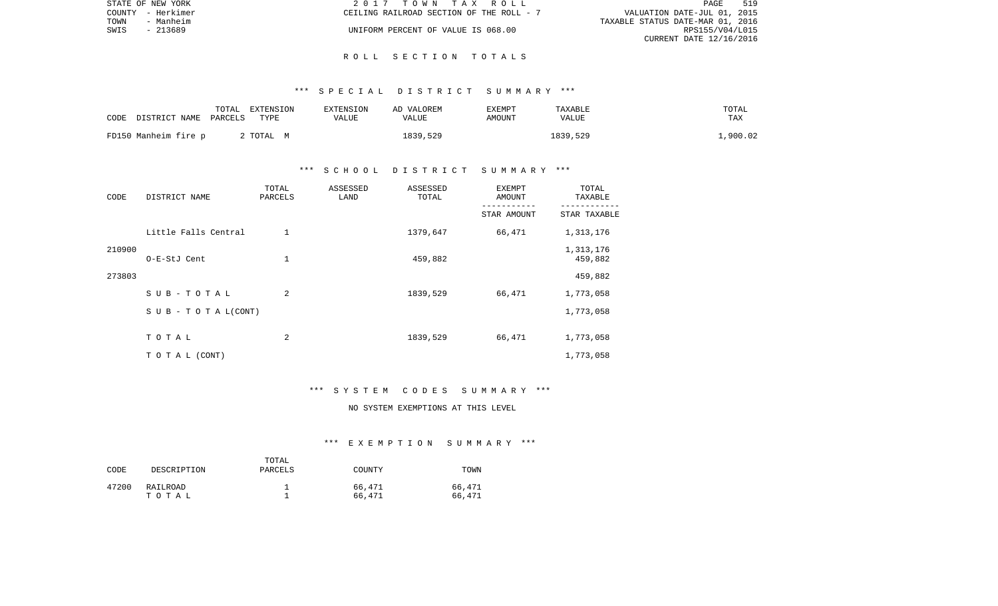|      | STATE OF NEW YORK | 2017 TOWN TAX ROLL                       | PAGE                             | 519 |
|------|-------------------|------------------------------------------|----------------------------------|-----|
|      | COUNTY - Herkimer | CEILING RAILROAD SECTION OF THE ROLL - 7 | VALUATION DATE-JUL 01, 2015      |     |
| TOWN | - Manheim         |                                          | TAXABLE STATUS DATE-MAR 01, 2016 |     |
| SWIS | $-213689$         | UNIFORM PERCENT OF VALUE IS 068.00       | RPS155/V04/L015                  |     |
|      |                   |                                          | CURRENT DATE 12/16/2016          |     |

### R O L L S E C T I O N T O T A L S

## \*\*\* S P E C I A L D I S T R I C T S U M M A R Y \*\*\*

| CODE DISTRICT NAME PARCELS | TOTAL | EXTENSION<br>TYPE | EXTENSION<br>VALUE | AD VALOREM<br>VALUE | EXEMPT<br>AMOUNT | TAXABLE<br>VALUE | TOTAL<br>TAX |
|----------------------------|-------|-------------------|--------------------|---------------------|------------------|------------------|--------------|
| FD150 Manheim fire p       |       | 2 TOTAL M         |                    | 1839,529            |                  | 1839,529         | ,900.02      |

## \*\*\* S C H O O L D I S T R I C T S U M M A R Y \*\*\*

| CODE   | DISTRICT NAME              | TOTAL<br>PARCELS | ASSESSED<br>LAND | ASSESSED<br>TOTAL | <b>EXEMPT</b><br>AMOUNT | TOTAL<br>TAXABLE     |
|--------|----------------------------|------------------|------------------|-------------------|-------------------------|----------------------|
|        |                            |                  |                  |                   | STAR AMOUNT             | STAR TAXABLE         |
|        | Little Falls Central       | $\mathbf 1$      |                  | 1379,647          | 66,471                  | 1,313,176            |
| 210900 | O-E-StJ Cent               | $\mathbf 1$      |                  | 459,882           |                         | 1,313,176<br>459,882 |
| 273803 |                            |                  |                  |                   |                         | 459,882              |
|        | SUB-TOTAL                  | 2                |                  | 1839,529          | 66,471                  | 1,773,058            |
|        | S U B - T O T A $L$ (CONT) |                  |                  |                   |                         | 1,773,058            |
|        | TOTAL                      | 2                |                  | 1839,529          | 66,471                  | 1,773,058            |
|        | T O T A L (CONT)           |                  |                  |                   |                         | 1,773,058            |

#### \*\*\* S Y S T E M C O D E S S U M M A R Y \*\*\*

# NO SYSTEM EXEMPTIONS AT THIS LEVEL

#### \*\*\* E X E M P T I O N S U M M A R Y \*\*\*

| CODE  | DESCRIPTION       | TOTAL<br>PARCELS | COUNTY           | TOWN             |
|-------|-------------------|------------------|------------------|------------------|
| 47200 | RAILROAD<br>тотаь |                  | 66,471<br>66,471 | 66,471<br>66,471 |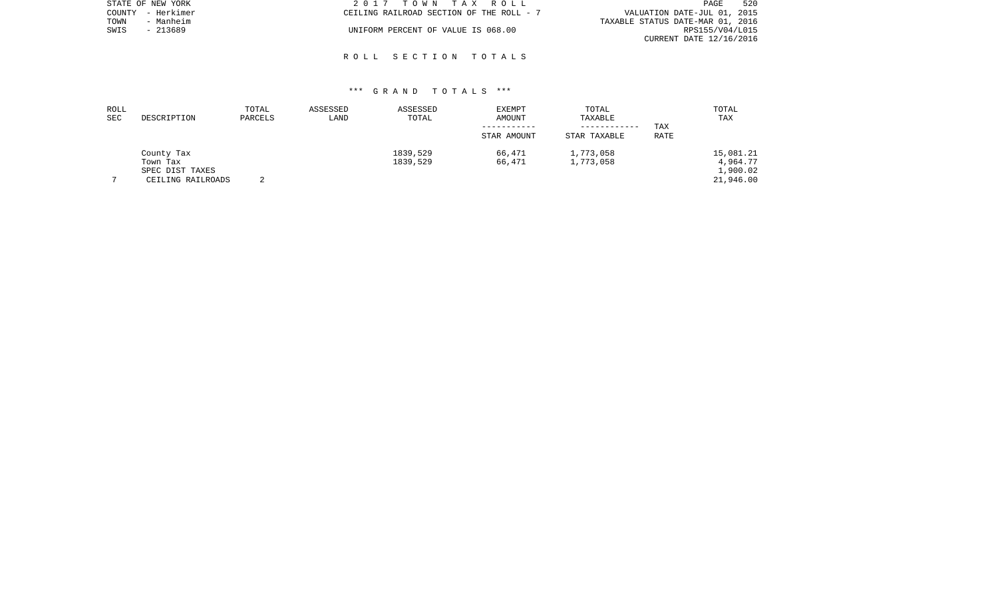|      | STATE OF NEW YORK | 2017 TOWN TAX ROLL                       | 520<br>PAGE                      |
|------|-------------------|------------------------------------------|----------------------------------|
|      | COUNTY - Herkimer | CEILING RAILROAD SECTION OF THE ROLL - 7 | VALUATION DATE-JUL 01, 2015      |
| TOWN | - Manheim         |                                          | TAXABLE STATUS DATE-MAR 01, 2016 |
| SWIS | - 213689          | UNIFORM PERCENT OF VALUE IS 068.00       | RPS155/V04/L015                  |
|      |                   |                                          | CURRENT DATE 12/16/2016          |

## R O L L S E C T I O N T O T A L S

| ROLL       |                   | TOTAL   | ASSESSED | ASSESSED | <b>EXEMPT</b> | TOTAL        |      | TOTAL     |
|------------|-------------------|---------|----------|----------|---------------|--------------|------|-----------|
| <b>SEC</b> | DESCRIPTION       | PARCELS | LAND     | TOTAL    | AMOUNT        | TAXABLE      |      | TAX       |
|            |                   |         |          |          |               | ------------ | TAX  |           |
|            |                   |         |          |          | STAR AMOUNT   | STAR TAXABLE | RATE |           |
|            | County Tax        |         |          | 1839,529 | 66,471        | 1,773,058    |      | 15,081.21 |
|            | Town Tax          |         |          | 1839,529 | 66,471        | 1,773,058    |      | 4,964.77  |
|            | SPEC DIST TAXES   |         |          |          |               |              |      | 1,900.02  |
|            | CEILING RAILROADS | $\sim$  |          |          |               |              |      | 21,946.00 |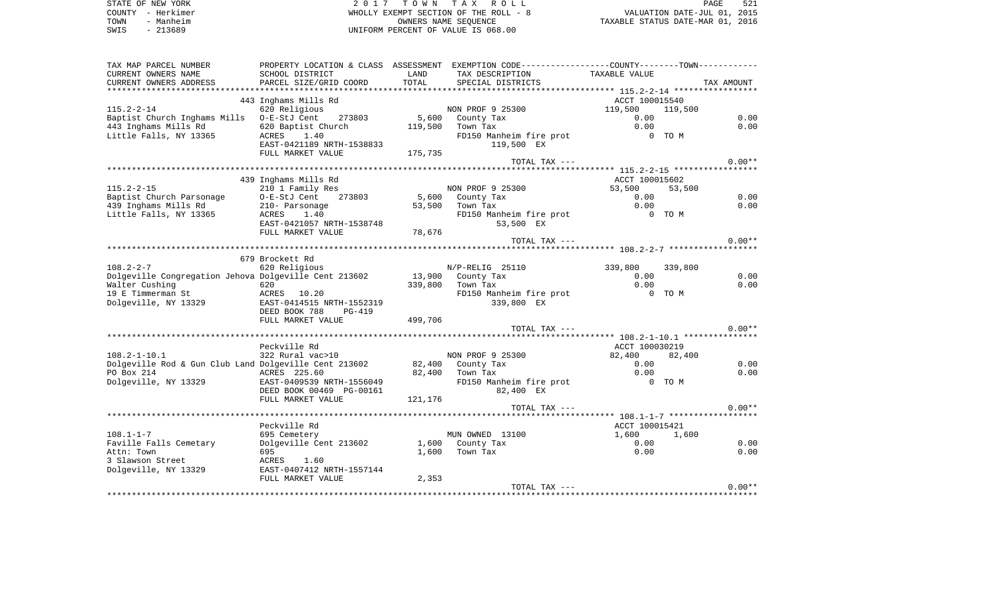|      | STATE OF NEW YORK | 2017 TOWN TAX ROLL                    | PAGE                             | 521 |
|------|-------------------|---------------------------------------|----------------------------------|-----|
|      | COUNTY - Herkimer | WHOLLY EXEMPT SECTION OF THE ROLL - 8 | VALUATION DATE-JUL 01, 2015      |     |
| TOWN | - Manheim         | OWNERS NAME SEOUENCE                  | TAXABLE STATUS DATE-MAR 01, 2016 |     |
| SWIS | - 213689          | UNIFORM PERCENT OF VALUE IS 068.00    |                                  |     |

| TAX MAP PARCEL NUMBER                                 |                                |         | PROPERTY LOCATION & CLASS ASSESSMENT EXEMPTION CODE----------------COUNTY-------TOWN---------- |                |         |            |
|-------------------------------------------------------|--------------------------------|---------|------------------------------------------------------------------------------------------------|----------------|---------|------------|
| CURRENT OWNERS NAME                                   | SCHOOL DISTRICT                | LAND    | TAX DESCRIPTION                                                                                | TAXABLE VALUE  |         |            |
| CURRENT OWNERS ADDRESS                                | PARCEL SIZE/GRID COORD         | TOTAL   | SPECIAL DISTRICTS                                                                              |                |         | TAX AMOUNT |
|                                                       |                                |         |                                                                                                |                |         |            |
|                                                       | 443 Inghams Mills Rd           |         |                                                                                                | ACCT 100015540 |         |            |
| $115.2 - 2 - 14$                                      | 620 Religious                  |         | NON PROF 9 25300                                                                               | 119,500        | 119,500 |            |
| Baptist Church Inghams Mills 0-E-StJ Cent             | 273803                         | 5,600   | County Tax                                                                                     | 0.00           |         | 0.00       |
| 443 Inghams Mills Rd                                  | 620 Baptist Church             | 119,500 | Town Tax                                                                                       | 0.00           |         | 0.00       |
| Little Falls, NY 13365                                | ACRES 1.40                     |         | FD150 Manheim fire prot                                                                        |                | 0 TO M  |            |
|                                                       | EAST-0421189 NRTH-1538833      |         | 119,500 EX                                                                                     |                |         |            |
|                                                       | FULL MARKET VALUE              | 175,735 |                                                                                                |                |         |            |
|                                                       |                                |         | TOTAL TAX ---                                                                                  |                |         | $0.00**$   |
|                                                       |                                |         |                                                                                                |                |         |            |
|                                                       | 439 Inghams Mills Rd           |         |                                                                                                | ACCT 100015602 |         |            |
| $115.2 - 2 - 15$                                      | 210 1 Family Res               |         | NON PROF 9 25300                                                                               | 53,500         | 53,500  |            |
| Baptist Church Parsonage                              | O-E-StJ Cent<br>273803         | 5,600   | County Tax                                                                                     | 0.00           |         | 0.00       |
| 439 Inghams Mills Rd                                  | 210- Parsonage                 | 53,500  | Town Tax                                                                                       | 0.00           |         | 0.00       |
| Little Falls, NY 13365                                | 1.40<br>ACRES                  |         | FD150 Manheim fire prot                                                                        |                | 0 TO M  |            |
|                                                       | EAST-0421057 NRTH-1538748      |         | 53,500 EX                                                                                      |                |         |            |
|                                                       | FULL MARKET VALUE              | 78,676  |                                                                                                |                |         |            |
|                                                       |                                |         | TOTAL TAX ---                                                                                  |                |         | $0.00**$   |
|                                                       |                                |         |                                                                                                |                |         |            |
|                                                       | 679 Brockett Rd                |         |                                                                                                |                |         |            |
| $108.2 - 2 - 7$                                       | 620 Religious                  |         | N/P-RELIG 25110                                                                                | 339,800        | 339,800 |            |
| Dolgeville Congregation Jehova Dolgeville Cent 213602 |                                |         | 13,900 County Tax                                                                              | 0.00           |         | 0.00       |
| Walter Cushing                                        | 620                            | 339,800 | Town Tax                                                                                       | 0.00           |         | 0.00       |
| 19 E Timmerman St                                     | ACRES 10.20                    |         | FD150 Manheim fire prot                                                                        |                | 0 TO M  |            |
| Dolgeville, NY 13329                                  | EAST-0414515 NRTH-1552319      |         | 339,800 EX                                                                                     |                |         |            |
|                                                       | DEED BOOK 788<br><b>PG-419</b> |         |                                                                                                |                |         |            |
|                                                       | FULL MARKET VALUE              | 499,706 |                                                                                                |                |         |            |
|                                                       |                                |         | TOTAL TAX ---                                                                                  |                |         | $0.00**$   |
|                                                       |                                |         |                                                                                                |                |         |            |
|                                                       | Peckville Rd                   |         |                                                                                                | ACCT 100030219 |         |            |
| $108.2 - 1 - 10.1$                                    | 322 Rural vac>10               |         | NON PROF 9 25300                                                                               | 82,400         | 82,400  |            |
| Dolgeville Rod & Gun Club Land Dolgeville Cent 213602 |                                |         | 82,400 County Tax                                                                              | 0.00           |         | 0.00       |
| PO Box 214                                            | ACRES 225.60                   |         | 82,400 Town Tax                                                                                | 0.00           |         | 0.00       |
| Dolgeville, NY 13329                                  | EAST-0409539 NRTH-1556049      |         | FD150 Manheim fire prot                                                                        |                | 0 TO M  |            |
|                                                       | DEED BOOK 00469 PG-00161       |         | 82,400 EX                                                                                      |                |         |            |
|                                                       | FULL MARKET VALUE              | 121,176 |                                                                                                |                |         |            |
|                                                       |                                |         | TOTAL TAX ---                                                                                  |                |         | $0.00**$   |
|                                                       |                                |         |                                                                                                |                |         |            |
|                                                       | Peckville Rd                   |         |                                                                                                | ACCT 100015421 |         |            |
| $108.1 - 1 - 7$                                       | 695 Cemetery                   |         | MUN OWNED 13100                                                                                | 1,600          | 1,600   |            |
| Faville Falls Cemetary                                | Dolgeville Cent 213602         | 1,600   | County Tax                                                                                     | 0.00           |         | 0.00       |
| Attn: Town                                            | 695                            | 1,600   | Town Tax                                                                                       | 0.00           |         | 0.00       |
| 3 Slawson Street                                      | 1.60<br>ACRES                  |         |                                                                                                |                |         |            |
| Dolgeville, NY 13329                                  | EAST-0407412 NRTH-1557144      |         |                                                                                                |                |         |            |
|                                                       | FULL MARKET VALUE              | 2,353   |                                                                                                |                |         |            |
|                                                       |                                |         | TOTAL TAX ---                                                                                  |                |         | $0.00**$   |
|                                                       |                                |         |                                                                                                |                |         |            |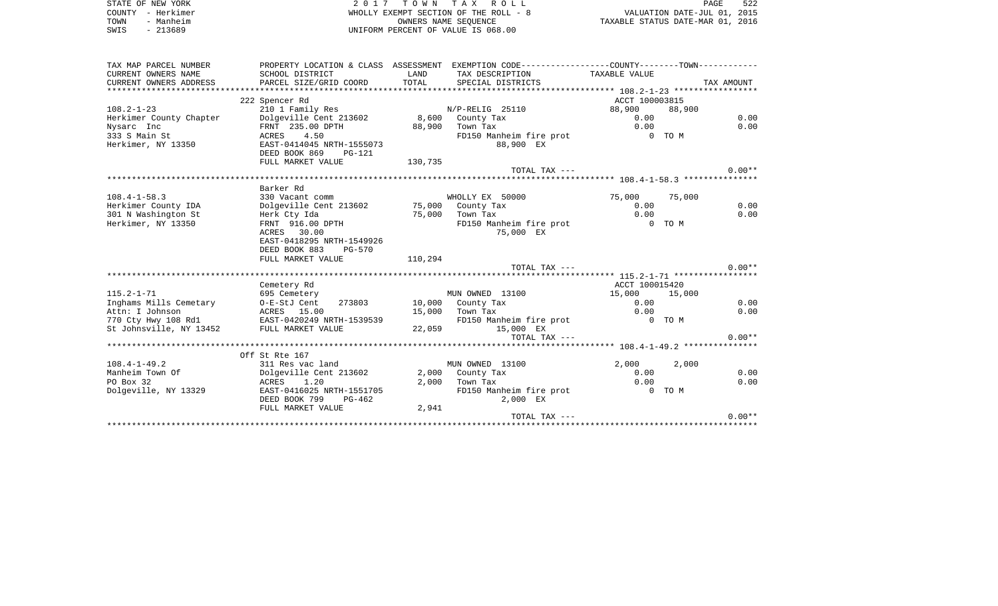| STATE OF NEW YORK<br>COUNTY - Herkimer        |                                                      |                                  | 2017 TOWN TAX ROLL<br>WHOLLY EXEMPT SECTION OF THE ROLL - 8                                    |                |        | PAGE<br>522<br>VALUATION DATE-JUL 01, 2015 |
|-----------------------------------------------|------------------------------------------------------|----------------------------------|------------------------------------------------------------------------------------------------|----------------|--------|--------------------------------------------|
| - Manheim<br>TOWN                             |                                                      | TAXABLE STATUS DATE-MAR 01, 2016 |                                                                                                |                |        |                                            |
| SWIS<br>$-213689$                             |                                                      |                                  | UNIFORM PERCENT OF VALUE IS 068.00                                                             |                |        |                                            |
| TAX MAP PARCEL NUMBER                         |                                                      |                                  | PROPERTY LOCATION & CLASS ASSESSMENT EXEMPTION CODE---------------COUNTY--------TOWN---------- |                |        |                                            |
| CURRENT OWNERS NAME                           | SCHOOL DISTRICT                                      | LAND                             | TAX DESCRIPTION                                                                                | TAXABLE VALUE  |        |                                            |
| CURRENT OWNERS ADDRESS                        | PARCEL SIZE/GRID COORD                               | TOTAL                            | SPECIAL DISTRICTS                                                                              |                |        | TAX AMOUNT                                 |
|                                               | 222 Spencer Rd                                       |                                  |                                                                                                | ACCT 100003815 |        |                                            |
| $108.2 - 1 - 23$                              | 210 1 Family Res                                     |                                  | N/P-RELIG 25110                                                                                | 88,900         | 88,900 |                                            |
| Herkimer County Chapter                       | Dolgeville Cent 213602                               |                                  | 8,600 County Tax                                                                               | 0.00           |        | 0.00                                       |
| Nysarc Inc                                    | FRNT 235.00 DPTH                                     | 88,900                           | Town Tax                                                                                       | 0.00           |        | 0.00                                       |
| 333 S Main St                                 | ACRES<br>4.50                                        |                                  | FD150 Manheim fire prot                                                                        |                | 0 TO M |                                            |
| Herkimer, NY 13350                            | EAST-0414045 NRTH-1555073<br>DEED BOOK 869<br>PG-121 |                                  | 88,900 EX                                                                                      |                |        |                                            |
|                                               | FULL MARKET VALUE                                    | 130,735                          |                                                                                                |                |        |                                            |
|                                               |                                                      |                                  | TOTAL TAX ---                                                                                  |                |        | $0.00**$                                   |
|                                               |                                                      |                                  |                                                                                                |                |        |                                            |
|                                               | Barker Rd                                            |                                  |                                                                                                |                |        |                                            |
| $108.4 - 1 - 58.3$                            | 330 Vacant comm                                      |                                  | WHOLLY EX 50000                                                                                | 75,000         | 75,000 |                                            |
| Herkimer County IDA                           | Dolgeville Cent 213602                               |                                  | 75,000 County Tax                                                                              | 0.00           |        | 0.00                                       |
| 301 N Washington St                           | Herk Cty Ida                                         | 75,000                           | Town Tax                                                                                       | 0.00           |        | 0.00                                       |
| Herkimer, NY 13350                            | FRNT 916.00 DPTH<br>ACRES 30.00                      |                                  | FD150 Manheim fire prot                                                                        | O TOM          |        |                                            |
|                                               | EAST-0418295 NRTH-1549926                            |                                  | 75,000 EX                                                                                      |                |        |                                            |
|                                               | DEED BOOK 883<br>PG-570                              |                                  |                                                                                                |                |        |                                            |
|                                               | FULL MARKET VALUE                                    | 110,294                          |                                                                                                |                |        |                                            |
|                                               |                                                      |                                  | TOTAL TAX ---                                                                                  |                |        | $0.00**$                                   |
|                                               |                                                      |                                  |                                                                                                |                |        |                                            |
|                                               | Cemetery Rd                                          |                                  |                                                                                                | ACCT 100015420 |        |                                            |
| $115.2 - 1 - 71$                              | 695 Cemetery                                         |                                  | MUN OWNED 13100                                                                                | 15,000         | 15,000 |                                            |
| Inghams Mills Cemetary                        | O-E-StJ Cent<br>273803                               |                                  | 10,000 County Tax                                                                              | 0.00           |        | 0.00                                       |
| Attn: I Johnson                               | ACRES 15.00                                          | 15,000                           | Town Tax                                                                                       | 0.00           |        | 0.00                                       |
| 770 Cty Hwy 108 Rd1 EAST-0420249 NRTH-1539539 |                                                      |                                  | FD150 Manheim fire prot                                                                        |                | 0 TO M |                                            |
| St Johnsville, NY 13452                       | FULL MARKET VALUE                                    | 22,059                           | 15,000 EX                                                                                      |                |        |                                            |
|                                               |                                                      |                                  | TOTAL TAX ---                                                                                  |                |        | $0.00**$                                   |
|                                               | Off St Rte 167                                       |                                  |                                                                                                |                |        |                                            |
| $108.4 - 1 - 49.2$                            | 311 Res vac land                                     |                                  | MUN OWNED 13100                                                                                | 2,000          | 2,000  |                                            |
| Manheim Town Of                               | Dolgeville Cent 213602                               | 2,000                            | County Tax                                                                                     | 0.00           |        | 0.00                                       |
| PO Box 32                                     | ACRES<br>1.20                                        | 2,000                            | Town Tax                                                                                       | 0.00           |        | 0.00                                       |
| Dolgeville, NY 13329                          | EAST-0416025 NRTH-1551705                            |                                  | FD150 Manheim fire prot                                                                        |                | 0 TO M |                                            |
|                                               | DEED BOOK 799<br>$PG-462$                            |                                  | 2,000 EX                                                                                       |                |        |                                            |
|                                               | FULL MARKET VALUE                                    | 2,941                            |                                                                                                |                |        |                                            |
|                                               |                                                      |                                  | TOTAL TAX ---                                                                                  |                |        | $0.00**$                                   |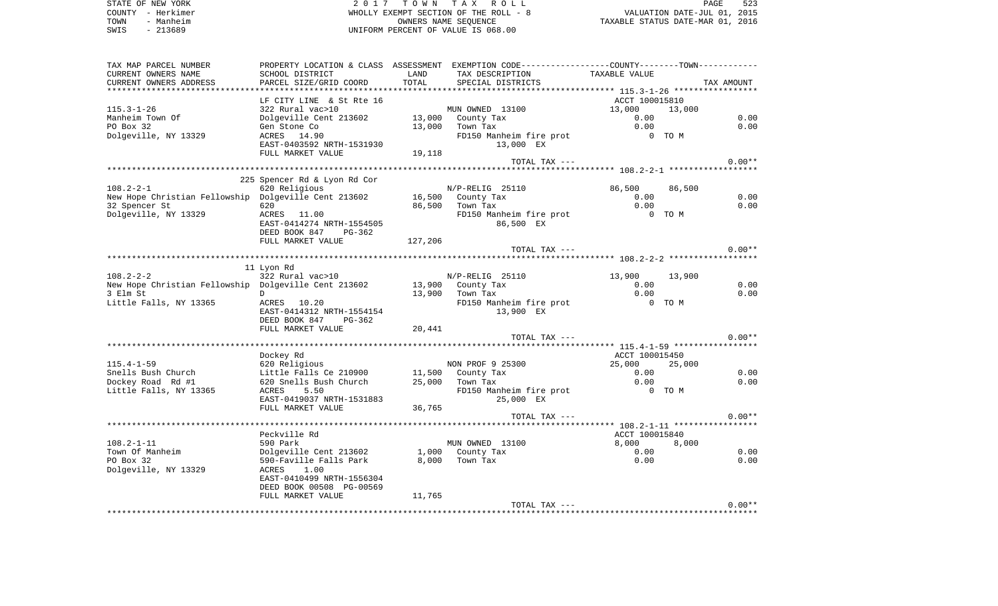| STATE OF NEW YORK | 2017 TOWN TAX ROLL                    | 523<br>PAGE                      |
|-------------------|---------------------------------------|----------------------------------|
| COUNTY - Herkimer | WHOLLY EXEMPT SECTION OF THE ROLL - 8 | VALUATION DATE-JUL 01, 2015      |
| - Manheim<br>TOWN | OWNERS NAME SEOUENCE                  | TAXABLE STATUS DATE-MAR 01, 2016 |
| $-213689$<br>SWIS | UNIFORM PERCENT OF VALUE IS 068.00    |                                  |
|                   |                                       |                                  |

| TAX MAP PARCEL NUMBER<br>CURRENT OWNERS NAME<br>CURRENT OWNERS ADDRESS | PROPERTY LOCATION & CLASS ASSESSMENT<br>SCHOOL DISTRICT<br>PARCEL SIZE/GRID COORD | LAND<br>TOTAL | EXEMPTION CODE-----------------COUNTY-------TOWN-----------<br>TAX DESCRIPTION<br>SPECIAL DISTRICTS | TAXABLE VALUE                           | TAX AMOUNT |
|------------------------------------------------------------------------|-----------------------------------------------------------------------------------|---------------|-----------------------------------------------------------------------------------------------------|-----------------------------------------|------------|
| *********************                                                  | *********************                                                             |               |                                                                                                     |                                         |            |
|                                                                        | LF CITY LINE & St Rte 16                                                          |               |                                                                                                     | ACCT 100015810                          |            |
| $115.3 - 1 - 26$                                                       | 322 Rural vac>10                                                                  |               | MUN OWNED 13100                                                                                     | 13,000                                  | 13,000     |
| Manheim Town Of                                                        | Dolgeville Cent 213602                                                            |               | 13,000 County Tax                                                                                   | 0.00                                    | 0.00       |
| PO Box 32                                                              | Gen Stone Co                                                                      | 13,000        | Town Tax                                                                                            | 0.00                                    | 0.00       |
| Dolgeville, NY 13329                                                   | ACRES 14.90                                                                       |               | FD150 Manheim fire prot                                                                             | 0 TO M                                  |            |
|                                                                        | EAST-0403592 NRTH-1531930                                                         |               | 13,000 EX                                                                                           |                                         |            |
|                                                                        | FULL MARKET VALUE                                                                 | 19,118        | TOTAL TAX ---                                                                                       |                                         | $0.00**$   |
|                                                                        |                                                                                   |               |                                                                                                     |                                         |            |
|                                                                        | 225 Spencer Rd & Lyon Rd Cor                                                      |               |                                                                                                     |                                         |            |
| $108.2 - 2 - 1$                                                        | 620 Religious                                                                     |               | $N/P-RELIG$ 25110                                                                                   | 86,500                                  | 86,500     |
| New Hope Christian Fellowship Dolgeville Cent 213602                   |                                                                                   |               | 16,500 County Tax                                                                                   | 0.00                                    | 0.00       |
| 32 Spencer St                                                          | 620                                                                               | 86,500        | Town Tax                                                                                            | 0.00                                    | 0.00       |
| Dolgeville, NY 13329                                                   | ACRES 11.00                                                                       |               | FD150 Manheim fire prot                                                                             | 0 TO M                                  |            |
|                                                                        | EAST-0414274 NRTH-1554505                                                         |               | 86,500 EX                                                                                           |                                         |            |
|                                                                        | DEED BOOK 847<br>PG-362                                                           |               |                                                                                                     |                                         |            |
|                                                                        | FULL MARKET VALUE                                                                 | 127,206       | TOTAL TAX ---                                                                                       |                                         | $0.00**$   |
|                                                                        |                                                                                   |               |                                                                                                     | ********** 108.2-2-2 ****************** |            |
|                                                                        | 11 Lyon Rd                                                                        |               |                                                                                                     |                                         |            |
| $108.2 - 2 - 2$                                                        | 322 Rural vac>10                                                                  |               | N/P-RELIG 25110                                                                                     | 13,900                                  | 13,900     |
| New Hope Christian Fellowship Dolgeville Cent 213602                   |                                                                                   |               | 13,900 County Tax                                                                                   | 0.00                                    | 0.00       |
| 3 Elm St                                                               | D                                                                                 |               | 13,900 Town Tax                                                                                     | 0.00                                    | 0.00       |
| Little Falls, NY 13365                                                 | ACRES<br>10.20                                                                    |               | FD150 Manheim fire prot                                                                             |                                         | 0 TO M     |
|                                                                        | EAST-0414312 NRTH-1554154                                                         |               | 13,900 EX                                                                                           |                                         |            |
|                                                                        | DEED BOOK 847 PG-362                                                              |               |                                                                                                     |                                         |            |
|                                                                        | FULL MARKET VALUE                                                                 | 20,441        | TOTAL TAX ---                                                                                       |                                         | $0.00**$   |
|                                                                        |                                                                                   |               |                                                                                                     |                                         |            |
|                                                                        | Dockey Rd                                                                         |               |                                                                                                     | ACCT 100015450                          |            |
| $115.4 - 1 - 59$                                                       | 620 Religious                                                                     |               | NON PROF 9 25300                                                                                    | 25,000                                  | 25,000     |
| Snells Bush Church                                                     | Little Falls Ce 210900                                                            |               | 11,500 County Tax                                                                                   | 0.00                                    | 0.00       |
| Dockey Road Rd #1                                                      | 620 Snells Bush Church                                                            | 25,000        | Town Tax                                                                                            | 0.00                                    | 0.00       |
| Little Falls, NY 13365                                                 | 5.50<br>ACRES                                                                     |               | FD150 Manheim fire prot                                                                             |                                         | 0 TO M     |
|                                                                        | EAST-0419037 NRTH-1531883                                                         |               | 25,000 EX                                                                                           |                                         |            |
|                                                                        | FULL MARKET VALUE                                                                 | 36,765        |                                                                                                     |                                         |            |
|                                                                        |                                                                                   |               | TOTAL TAX ---                                                                                       |                                         | $0.00**$   |
|                                                                        | Peckville Rd                                                                      |               |                                                                                                     | ACCT 100015840                          |            |
| $108.2 - 1 - 11$                                                       | 590 Park                                                                          |               | MUN OWNED 13100                                                                                     | 8,000                                   | 8,000      |
| Town Of Manheim                                                        | Dolgeville Cent 213602                                                            |               | 1,000 County Tax                                                                                    | 0.00                                    | 0.00       |
| PO Box 32                                                              | 590-Faville Falls Park                                                            | 8,000         | Town Tax                                                                                            | 0.00                                    | 0.00       |
| Dolgeville, NY 13329                                                   | 1.00<br>ACRES                                                                     |               |                                                                                                     |                                         |            |
|                                                                        | EAST-0410499 NRTH-1556304                                                         |               |                                                                                                     |                                         |            |
|                                                                        | DEED BOOK 00508 PG-00569                                                          |               |                                                                                                     |                                         |            |
|                                                                        | FULL MARKET VALUE                                                                 | 11,765        | TOTAL TAX ---                                                                                       |                                         | $0.00**$   |
|                                                                        |                                                                                   |               |                                                                                                     |                                         |            |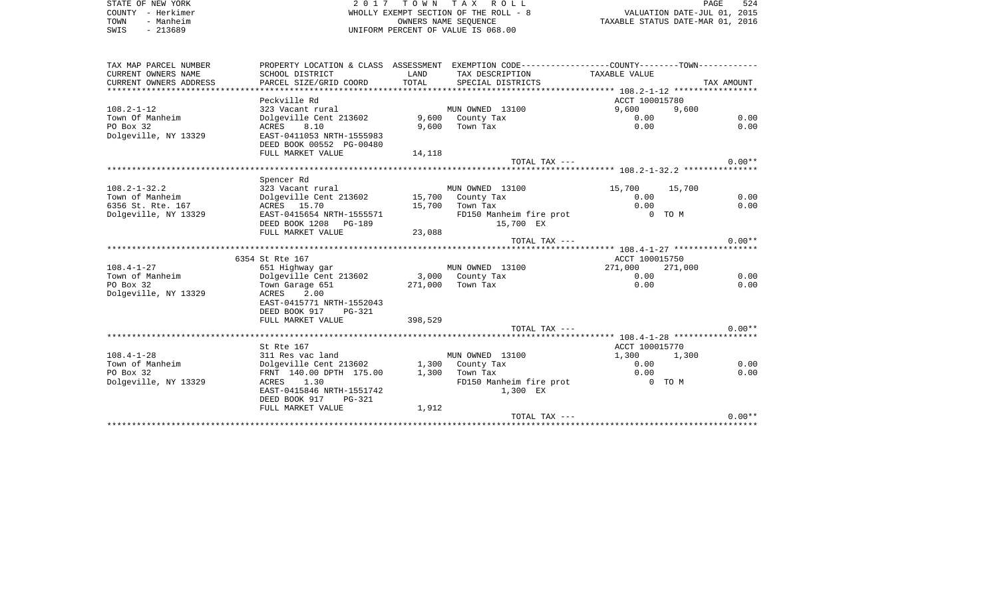STATE OF NEW YORK  $2017$  TOWN TAX ROLL STATE OF NEW YORK PAGE 524 COUNTY - Herkimer WHOLLY EXEMPT SECTION OF THE ROLL - 8 VALUATION DATE-JUL 01, 2015 TOWN - Manheim OWNERS NAME SEQUENCE TAXABLE STATUS DATE-MAR 01, 2016 SWIS - 213689 UNIFORM PERCENT OF VALUE IS 068.00TAX MAP PARCEL NUMBER PROPERTY LOCATION & CLASS ASSESSMENT EXEMPTION CODE------------------COUNTY--------TOWN------------ CURRENT OWNERS NAME SCHOOL DISTRICT LAND TAX DESCRIPTION TAXABLE VALUECURRENT OWNERS ADDRESS PARCEL SIZE/GRID COORD TOTAL SPECIAL DISTRICTS TAX AMOUNT \*\*\*\*\*\*\*\*\*\*\*\*\*\*\*\*\*\*\*\*\*\*\*\*\*\*\*\*\*\*\*\*\*\*\*\*\*\*\*\*\*\*\*\*\*\*\*\*\*\*\*\*\*\*\*\*\*\*\*\*\*\*\*\*\*\*\*\*\*\*\*\*\*\*\*\*\*\*\*\*\*\*\*\*\*\*\*\*\*\*\*\*\*\*\*\*\*\*\*\*\*\*\* 108.2-1-12 \*\*\*\*\*\*\*\*\*\*\*\*\*\*\*\*\*Peckville Rd **ACCT** 100015780 9,600 108.2-1-12 323 Vacant rural MUN OWNED 13100 9,600 9,600 Town Of Manheim **Dolgeville Cent 213602** 9,600 County Tax 0.00 0.00 0.00 0.00 PO Box 32 ACRES 8.10 9,600 Town Tax 0.00 0.00 Dolgeville, NY 13329 EAST-0411053 NRTH-1555983 DEED BOOK 00552 PG-00480FULL MARKET VALUE 14, 118 TOTAL TAX  $---$  0.00\*\*

\*\*\*\*\*\*\*\*\*\*\*\*\*\*\*\*\*\*\*\*\*\*\*\*\*\*\*\*\*\*\*\*\*\*\*\*\*\*\*\*\*\*\*\*\*\*\*\*\*\*\*\*\*\*\*\*\*\*\*\*\*\*\*\*\*\*\*\*\*\*\*\*\*\*\*\*\*\*\*\*\*\*\*\*\*\*\*\*\*\*\*\*\*\*\*\*\*\*\*\*\*\*\* 108.2-1-32.2 \*\*\*\*\*\*\*\*\*\*\*\*\*\*\*

|                      | Spencer Rd                |         |                         |                |         |          |
|----------------------|---------------------------|---------|-------------------------|----------------|---------|----------|
| $108.2 - 1 - 32.2$   | 323 Vacant rural          |         | MUN OWNED 13100         | 15,700         | 15,700  |          |
| Town of Manheim      | Dolgeville Cent 213602    | 15,700  | County Tax              | 0.00           |         | 0.00     |
| 6356 St. Rte. 167    | ACRES 15.70               | 15,700  | Town Tax                | 0.00           |         | 0.00     |
| Dolgeville, NY 13329 | EAST-0415654 NRTH-1555571 |         | FD150 Manheim fire prot | $\Omega$       | TO M    |          |
|                      | DEED BOOK 1208 PG-189     |         | 15,700 EX               |                |         |          |
|                      | FULL MARKET VALUE         | 23,088  |                         |                |         |          |
|                      |                           |         | $TOTAL$ $TAX$ $---$     |                |         | $0.00**$ |
|                      |                           |         |                         |                |         |          |
|                      | 6354 St Rte 167           |         |                         | ACCT 100015750 |         |          |
| $108.4 - 1 - 27$     | 651 Highway gar           |         | MUN OWNED 13100         | 271,000        | 271,000 |          |
| Town of Manheim      | Dolgeville Cent 213602    |         | 3,000 County Tax        | 0.00           |         | 0.00     |
| PO Box 32            | Town Garage 651           | 271,000 | Town Tax                | 0.00           |         | 0.00     |
| Dolgeville, NY 13329 | 2.00<br>ACRES             |         |                         |                |         |          |
|                      | EAST-0415771 NRTH-1552043 |         |                         |                |         |          |
|                      | DEED BOOK 917<br>PG-321   |         |                         |                |         |          |
|                      | FULL MARKET VALUE         | 398,529 |                         |                |         |          |
|                      |                           |         | $TOTAL$ $TAX$ $---$     |                |         | $0.00**$ |
|                      |                           |         |                         |                |         |          |
|                      | St Rte 167                |         |                         | ACCT 100015770 |         |          |
| $108.4 - 1 - 28$     | 311 Res vac land          |         | MUN OWNED 13100         | 1,300          | 1,300   |          |
| Town of Manheim      | Dolgeville Cent 213602    |         | 1,300 County Tax        | 0.00           |         | 0.00     |
| PO Box 32            | FRNT 140.00 DPTH 175.00   | 1,300   | Town Tax                | 0.00           |         | 0.00     |
| Dolgeville, NY 13329 | 1.30<br>ACRES             |         | FD150 Manheim fire prot | $\Omega$       | TO M    |          |
|                      | EAST-0415846 NRTH-1551742 |         | 1,300 EX                |                |         |          |
|                      | DEED BOOK 917<br>PG-321   |         |                         |                |         |          |
|                      | FULL MARKET VALUE         | 1,912   |                         |                |         |          |
|                      |                           |         | $TOTAT$ , $TAX$ $---$   |                |         | $0.00**$ |
|                      |                           |         |                         |                |         |          |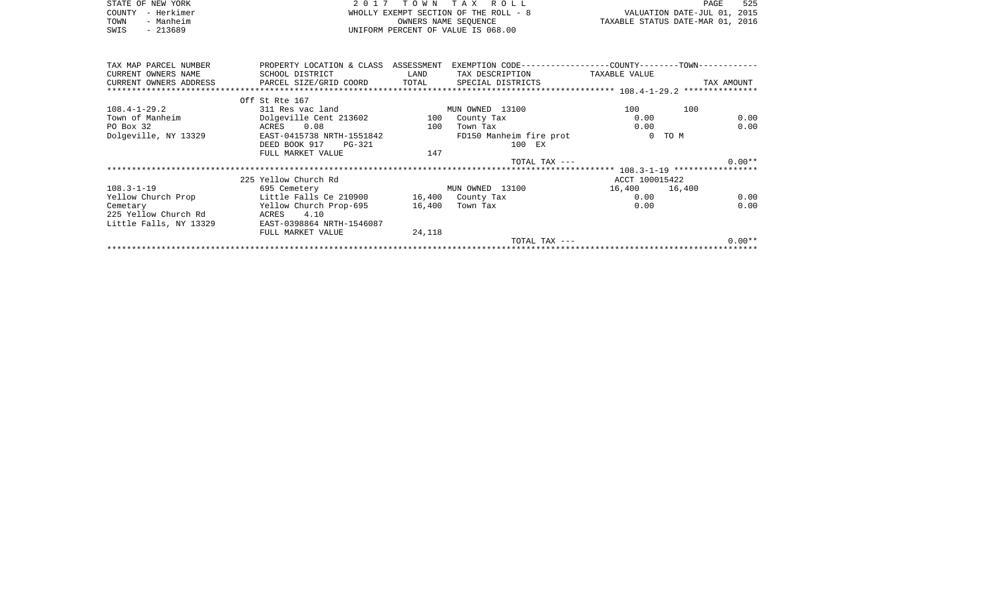| STATE OF NEW YORK      | 2017                      | T O W N    | T A X<br>R O L L                                     |                                  | PAGE                        | 525  |
|------------------------|---------------------------|------------|------------------------------------------------------|----------------------------------|-----------------------------|------|
| - Herkimer<br>COUNTY   |                           |            | WHOLLY EXEMPT SECTION OF THE ROLL - 8                |                                  | VALUATION DATE-JUL 01, 2015 |      |
| - Manheim<br>TOWN      |                           |            | OWNERS NAME SEQUENCE                                 | TAXABLE STATUS DATE-MAR 01, 2016 |                             |      |
| SWIS<br>$-213689$      |                           |            | UNIFORM PERCENT OF VALUE IS 068.00                   |                                  |                             |      |
|                        |                           |            |                                                      |                                  |                             |      |
|                        |                           |            |                                                      |                                  |                             |      |
|                        |                           |            |                                                      |                                  |                             |      |
| TAX MAP PARCEL NUMBER  | PROPERTY LOCATION & CLASS | ASSESSMENT | EXEMPTION CODE------------------COUNTY-------TOWN--- |                                  |                             |      |
| CURRENT OWNERS NAME    | SCHOOL DISTRICT           | LAND       | TAX DESCRIPTION                                      | TAXABLE VALUE                    |                             |      |
| CURRENT OWNERS ADDRESS | PARCEL SIZE/GRID COORD    | TOTAL      | SPECIAL DISTRICTS                                    |                                  | TAX AMOUNT                  |      |
|                        |                           |            |                                                      |                                  |                             |      |
|                        | Off St Rte 167            |            |                                                      |                                  |                             |      |
| $108.4 - 1 - 29.2$     | 311 Res vac land          |            | MUN OWNED 13100                                      | 100                              | 100                         |      |
| Town of Manheim        | Dolgeville Cent 213602    | 100        | County Tax                                           | 0.00                             |                             | 0.00 |
| PO Box 32              | ACRES 0.08                | 100        | Town Tax                                             | 0.00                             |                             | 0.00 |
| Dolgeville, NY 13329   | EAST-0415738 NRTH-1551842 |            | FD150 Manheim fire prot                              | $\circ$                          | TO M                        |      |
|                        | DEED BOOK 917<br>PG-321   |            | 100 EX                                               |                                  |                             |      |
|                        | FULL MARKET VALUE         | 147        |                                                      |                                  |                             |      |

TOTAL TAX --- 0.00\*\* \*\*\*\*\*\*\*\*\*\*\*\*\*\*\*\*\*\*\*\*\*\*\*\*\*\*\*\*\*\*\*\*\*\*\*\*\*\*\*\*\*\*\*\*\*\*\*\*\*\*\*\*\*\*\*\*\*\*\*\*\*\*\*\*\*\*\*\*\*\*\*\*\*\*\*\*\*\*\*\*\*\*\*\*\*\*\*\*\*\*\*\*\*\*\*\*\*\*\*\*\*\*\* 108.3-1-19 \*\*\*\*\*\*\*\*\*\*\*\*\*\*\*\*\*

\*\*\*\*\*\*\*\*\*\*\*\*\*\*\*\*\*\*\*\*\*\*\*\*\*\*\*\*\*\*\*\*\*\*\*\*\*\*\*\*\*\*\*\*\*\*\*\*\*\*\*\*\*\*\*\*\*\*\*\*\*\*\*\*\*\*\*\*\*\*\*\*\*\*\*\*\*\*\*\*\*\*\*\*\*\*\*\*\*\*\*\*\*\*\*\*\*\*\*\*\*\*\*\*\*\*\*\*\*\*\*\*\*\*\*\*\*\*\*\*\*\*\*\*\*\*\*\*\*\*\*\*

108.3-1-19 695 Cemetery MUN OWNED 13100 16,400 16,400

FULL MARKET VALUE 24,118

Cemetary Yellow Church Prop-695

Little Falls, NY 13329 EAST-0398864 NRTH-1546087

ACRES 4.10

225 Yellow Church Rd

225 Yellow Church Rd ACCT 100015422

16,400

Yellow Church Prop Little Falls Ce 210900 16,400 County Tax 0.00 0.00

TOTAL TAX  $---$  0.00\*\*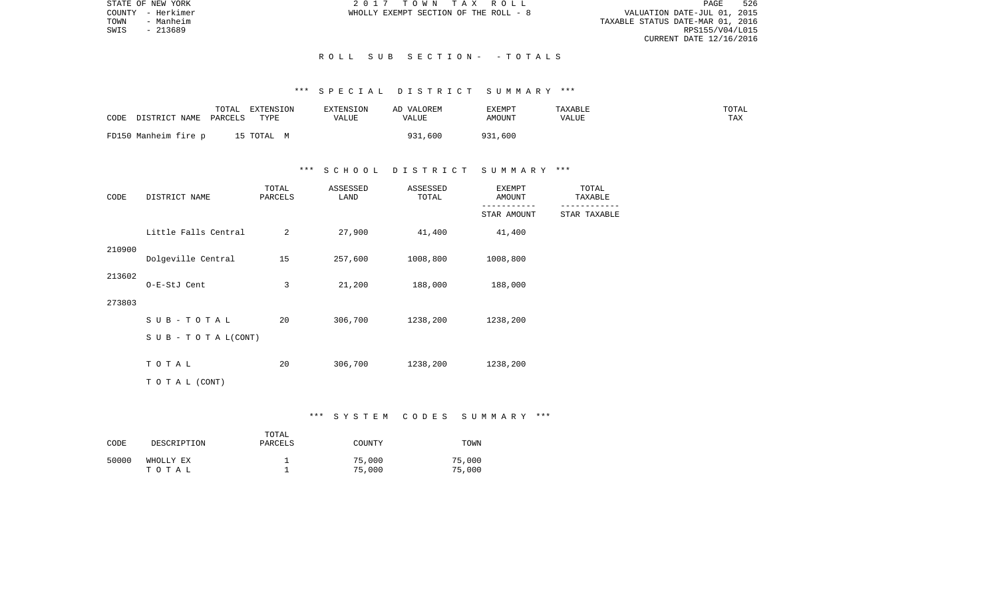PAGE 526 TOWNTY - Herkimer<br>
TOWN - Manheim - Manheim - MANHEIM - MANHEIM - MANHEIM - MANHEIM - MANHEIM - MANHEIM - MANHEIM - MANHEIM - MA<br>
TOWN - Manheim - 201689<br>
SWIS - 213689 RPS155/V04/L015 CURRENT DATE 12/16/2016

STATE OF NEW YORK **2017** TOWN TAX ROLL COUNTY - Herkimer WHOLLY EXEMPT SECTION OF THE ROLL - 8

## R O L L S U B S E C T I O N - - T O T A L S

## \*\*\* S P E C I A L D I S T R I C T S U M M A R Y \*\*\*

| CODE<br>DISTRICT NAME | TOTAL<br>EXTENSION<br>TYPE<br>PARCELS | <b>EXTENSION</b><br>VALUE | AD VALOREM<br>VALUE | EXEMPT<br>AMOUNT | TAXABLE<br>VALUE | TOTAL<br>TAX |
|-----------------------|---------------------------------------|---------------------------|---------------------|------------------|------------------|--------------|
| FD150 Manheim fire p  | 15 TOTAL M                            |                           | 931,600             | 931,600          |                  |              |

## \*\*\* S C H O O L D I S T R I C T S U M M A R Y \*\*\*

| CODE<br>DISTRICT NAME |                           | TOTAL<br>PARCELS | ASSESSED<br>LAND | ASSESSED<br>TOTAL | <b>EXEMPT</b><br>AMOUNT | TOTAL<br>TAXABLE |  |
|-----------------------|---------------------------|------------------|------------------|-------------------|-------------------------|------------------|--|
|                       |                           |                  |                  |                   | STAR AMOUNT             | STAR TAXABLE     |  |
|                       | Little Falls Central      | 2                | 27,900           | 41,400            | 41,400                  |                  |  |
| 210900                | Dolgeville Central        | 15               | 257,600          | 1008,800          | 1008,800                |                  |  |
| 213602                | O-E-StJ Cent              | 3                | 21,200           | 188,000           | 188,000                 |                  |  |
| 273803                |                           |                  |                  |                   |                         |                  |  |
|                       | $SUB - TO T AL$           | 20               | 306,700          | 1238,200          | 1238,200                |                  |  |
|                       | S U B - T O T A $L(CONT)$ |                  |                  |                   |                         |                  |  |
|                       | TOTAL                     | 20               | 306,700          | 1238,200          | 1238,200                |                  |  |
|                       | TO TAL (CONT)             |                  |                  |                   |                         |                  |  |

## \*\*\* S Y S T E M C O D E S S U M M A R Y \*\*\*

| CODE  | DESCRIPTION        | TOTAL<br>PARCELS | COUNTY           | TOWN             |
|-------|--------------------|------------------|------------------|------------------|
| 50000 | WHOLLY EX<br>тотаь |                  | 75,000<br>75,000 | 75,000<br>75,000 |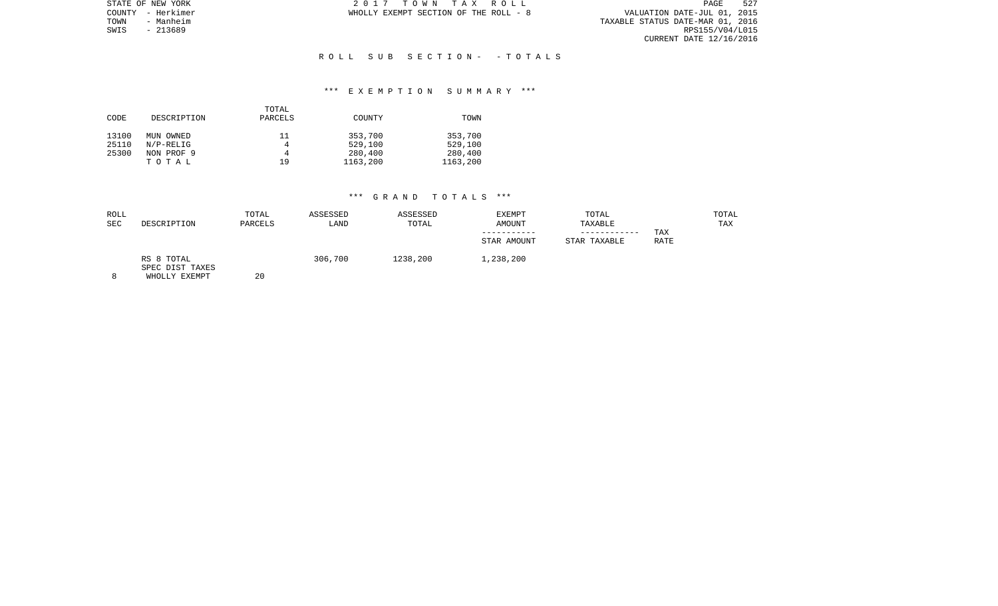|      | STATE OF NEW YORK | 2017 TOWN TAX ROLL                    |  |                                  | PAGE            | 527 |
|------|-------------------|---------------------------------------|--|----------------------------------|-----------------|-----|
|      | COUNTY - Herkimer | WHOLLY EXEMPT SECTION OF THE ROLL - 8 |  | VALUATION DATE-JUL 01, 2015      |                 |     |
| TOWN | - Manheim         |                                       |  | TAXABLE STATUS DATE-MAR 01, 2016 |                 |     |
| SWIS | - 213689          |                                       |  |                                  | RPS155/V04/L015 |     |
|      |                   |                                       |  | CURRENT DATE 12/16/2016          |                 |     |

## R O L L S U B S E C T I O N - - T O T A L S

## \*\*\* E X E M P T I O N S U M M A R Y \*\*\*

|       |             | TOTAL   |          |          |
|-------|-------------|---------|----------|----------|
| CODE  | DESCRIPTION | PARCELS | COUNTY   | TOWN     |
|       |             |         |          |          |
| 13100 | MUN OWNED   | 11      | 353,700  | 353,700  |
| 25110 | $N/P-RELIG$ | 4       | 529,100  | 529,100  |
| 25300 | NON PROF 9  | 4       | 280,400  | 280,400  |
|       | TOTAL       | 19      | 1163,200 | 1163,200 |

| ROLL<br><b>SEC</b> | DESCRIPTION                                    | TOTAL<br>PARCELS | ASSESSED<br>LAND | ASSESSED<br>TOTAL | <b>EXEMPT</b><br>AMOUNT<br>STAR AMOUNT | TOTAL<br>TAXABLE<br>------------<br>STAR TAXABLE | TAX<br><b>RATE</b> | TOTAL<br>TAX |
|--------------------|------------------------------------------------|------------------|------------------|-------------------|----------------------------------------|--------------------------------------------------|--------------------|--------------|
| $\circ$            | RS 8 TOTAL<br>SPEC DIST TAXES<br>WHOLLY EXEMPT | 20               | 306,700          | 1238,200          | 1,238,200                              |                                                  |                    |              |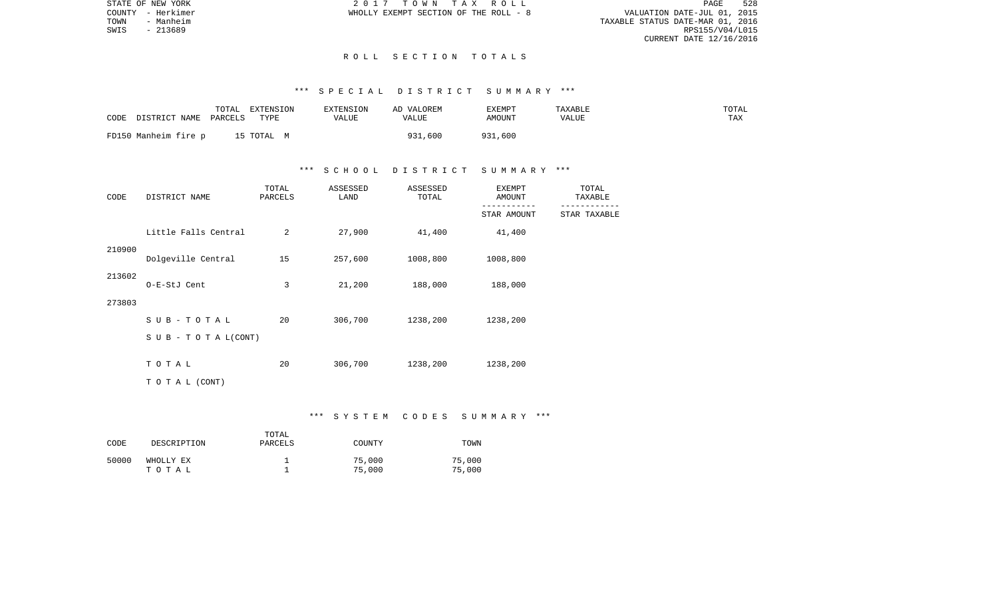PAGE 528 TOWN - MERCINE TO MERCINE OF THE ROLL - 8<br>TOWN - Manheim - Manheim - MANHEIM - MANHEIM - MANHEIM - MANHEIM - MANHEIM - MANHEIM - MANHEIM 01, 2015<br>TOWN - 213689 RPS155/V04/L015 CURRENT DATE 12/16/2016

STATE OF NEW YORK **2017** TOWN TAX ROLL COUNTY - Herkimer WHOLLY EXEMPT SECTION OF THE ROLL - 8

SWIS - 213689

## R O L L S E C T I O N T O T A L S

## \*\*\* S P E C I A L D I S T R I C T S U M M A R Y \*\*\*

| CODE | DISTRICT NAME PARCELS | TOTAL | EXTENSION<br>TYPE | EXTENSION<br>VALUE | AD VALOREM<br>VALUE | EXEMPT<br>AMOUNT | TAXABLE<br>VALUE | TOTAL<br>TAX |
|------|-----------------------|-------|-------------------|--------------------|---------------------|------------------|------------------|--------------|
|      | FD150 Manheim fire p  |       | 15 TOTAL M        |                    | 31,600<br>931       | 931<br>931,600   |                  |              |

## \*\*\* S C H O O L D I S T R I C T S U M M A R Y \*\*\*

| CODE   | DISTRICT NAME        | TOTAL<br>PARCELS | ASSESSED<br>LAND | ASSESSED<br>TOTAL | <b>EXEMPT</b><br>AMOUNT | TOTAL<br>TAXABLE |
|--------|----------------------|------------------|------------------|-------------------|-------------------------|------------------|
|        |                      |                  |                  |                   | STAR AMOUNT             | STAR TAXABLE     |
|        | Little Falls Central | 2                | 27,900           | 41,400            | 41,400                  |                  |
| 210900 | Dolgeville Central   | 15               | 257,600          | 1008,800          | 1008,800                |                  |
| 213602 | O-E-StJ Cent         | 3                | 21,200           | 188,000           | 188,000                 |                  |
| 273803 |                      |                  |                  |                   |                         |                  |
|        | SUB-TOTAL            | 20               | 306,700          | 1238,200          | 1238,200                |                  |
|        | SUB - TO TAL(CONT)   |                  |                  |                   |                         |                  |
|        | TOTAL                | 20               | 306,700          | 1238,200          | 1238,200                |                  |
|        | TO TAL (CONT)        |                  |                  |                   |                         |                  |

## \*\*\* S Y S T E M C O D E S S U M M A R Y \*\*\*

| CODE  | DESCRIPTION        | TOTAL<br>PARCELS | COUNTY           | TOWN             |
|-------|--------------------|------------------|------------------|------------------|
| 50000 | WHOLLY EX<br>тотаь |                  | 75,000<br>75,000 | 75,000<br>75,000 |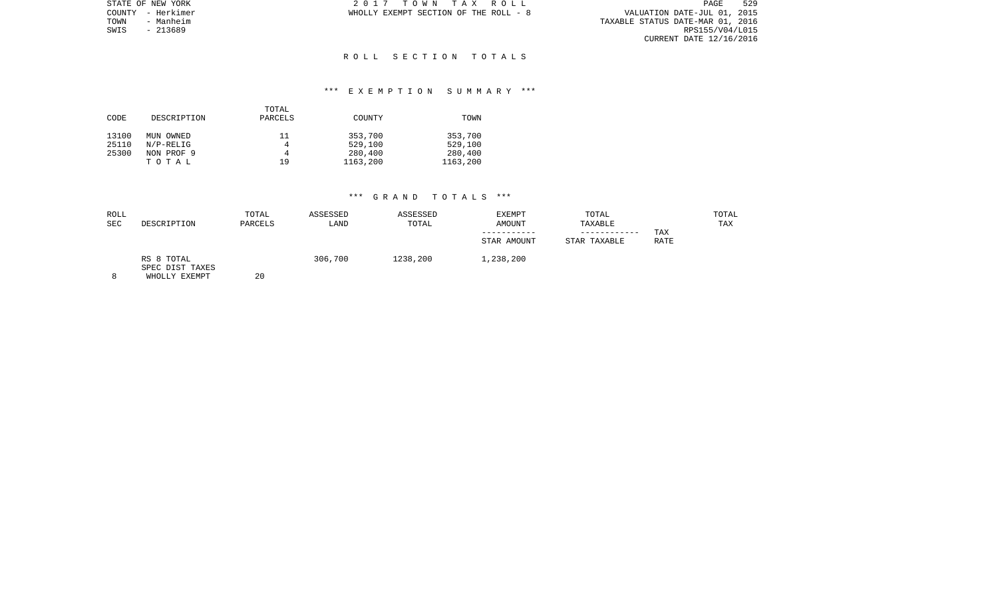|      | STATE OF NEW YORK | 2017 TOWN TAX ROLL                    |  |                                  | PAGE                        | 529 |
|------|-------------------|---------------------------------------|--|----------------------------------|-----------------------------|-----|
|      | COUNTY - Herkimer | WHOLLY EXEMPT SECTION OF THE ROLL - 8 |  |                                  | VALUATION DATE-JUL 01, 2015 |     |
| TOWN | - Manheim         |                                       |  | TAXABLE STATUS DATE-MAR 01, 2016 |                             |     |
| SWIS | - 213689          |                                       |  |                                  | RPS155/V04/L015             |     |
|      |                   |                                       |  |                                  | CURRENT DATE 12/16/2016     |     |

## R O L L S E C T I O N T O T A L S

## \*\*\* E X E M P T I O N S U M M A R Y \*\*\*

|       |             | TOTAL   |          |          |
|-------|-------------|---------|----------|----------|
| CODE  | DESCRIPTION | PARCELS | COUNTY   | TOWN     |
|       |             |         |          |          |
| 13100 | MUN OWNED   | 11      | 353,700  | 353,700  |
| 25110 | $N/P-RELIG$ | 4       | 529,100  | 529,100  |
| 25300 | NON PROF 9  | 4       | 280,400  | 280,400  |
|       | TOTAL       | 19      | 1163,200 | 1163,200 |

| ROLL<br><b>SEC</b> | DESCRIPTION                                    | TOTAL<br>PARCELS | ASSESSED<br>LAND | ASSESSED<br>TOTAL | <b>EXEMPT</b><br><b>AMOUNT</b><br>STAR AMOUNT | TOTAL<br>TAXABLE<br>----------<br>STAR TAXABLE | TAX<br>RATE | TOTAL<br>TAX |
|--------------------|------------------------------------------------|------------------|------------------|-------------------|-----------------------------------------------|------------------------------------------------|-------------|--------------|
|                    | RS 8 TOTAL<br>SPEC DIST TAXES<br>WHOLLY EXEMPT | 20               | 306,700          | 1238,200          | 1,238,200                                     |                                                |             |              |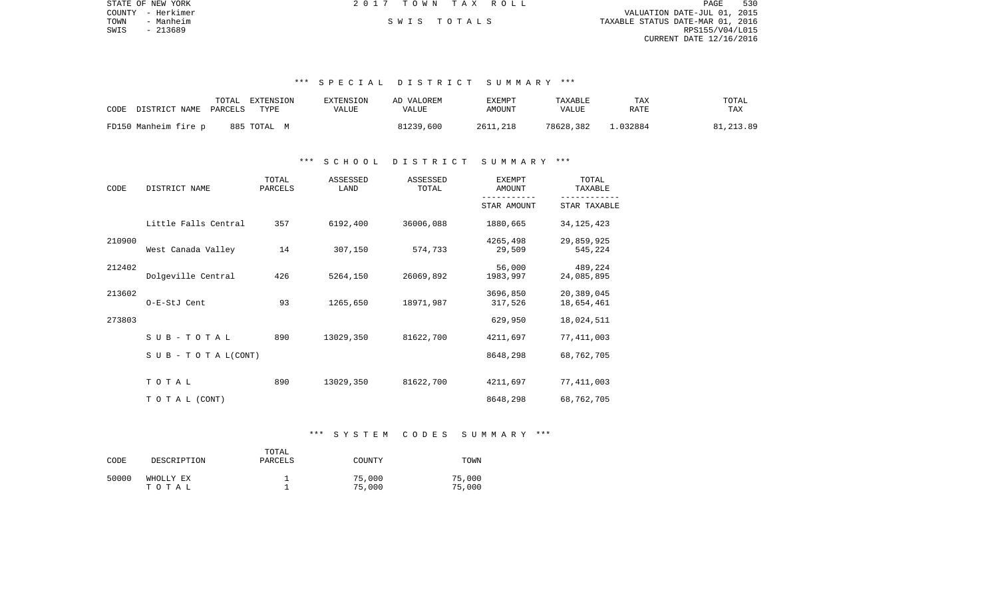| STATE OF NEW YORK | 2017 TOWN TAX ROLL | 530<br>PAGE                      |
|-------------------|--------------------|----------------------------------|
| COUNTY - Herkimer |                    | VALUATION DATE-JUL 01, 2015      |
| TOWN<br>- Manheim | SWIS TOTALS        | TAXABLE STATUS DATE-MAR 01, 2016 |
| SWIS<br>- 213689  |                    | RPS155/V04/L015                  |
|                   |                    | CURRENT DATE 12/16/2016          |
|                   |                    |                                  |

## \*\*\* S P E C I A L D I S T R I C T S U M M A R Y \*\*\*

| CODE                 | TOTAL   | EXTENSION      | EXTENSION | AD VALOREM | EXEMPT   | TAXABLE   | TAX    | TOTAL     |
|----------------------|---------|----------------|-----------|------------|----------|-----------|--------|-----------|
| DISTRICT NAME        | PARCELS | TYPE           | VALUE     | VALUE      | AMOUNT   | VALUE     | RATE   | TAX       |
| FD150 Manheim fire p |         | 885 TOTAL<br>M |           | 81239,600  | 2611,218 | 78628,382 | 032884 | 81,213.89 |

## \*\*\* S C H O O L D I S T R I C T S U M M A R Y \*\*\*

| CODE   | DISTRICT NAME                    | TOTAL<br>PARCELS | ASSESSED<br>LAND | ASSESSED<br>TOTAL | <b>EXEMPT</b><br><b>AMOUNT</b> | TOTAL<br>TAXABLE         |  |
|--------|----------------------------------|------------------|------------------|-------------------|--------------------------------|--------------------------|--|
|        |                                  |                  |                  |                   | STAR AMOUNT                    | STAR TAXABLE             |  |
|        | Little Falls Central             | 357              | 6192,400         | 36006,088         | 1880,665                       | 34, 125, 423             |  |
| 210900 | West Canada Valley               | 14               | 307,150          | 574,733           | 4265,498<br>29,509             | 29,859,925<br>545,224    |  |
| 212402 | Dolgeville Central               | 426              | 5264,150         | 26069,892         | 56,000<br>1983,997             | 489,224<br>24,085,895    |  |
| 213602 | O-E-StJ Cent                     | 93               | 1265,650         | 18971,987         | 3696,850<br>317,526            | 20,389,045<br>18,654,461 |  |
| 273803 |                                  |                  |                  |                   | 629,950                        | 18,024,511               |  |
|        | SUB-TOTAL                        | 890              | 13029,350        | 81622,700         | 4211,697                       | 77, 411, 003             |  |
|        | $S \cup B - T \cup T A L (CONT)$ |                  |                  |                   | 8648,298                       | 68,762,705               |  |
|        | TOTAL                            | 890              | 13029,350        | 81622,700         | 4211,697                       | 77, 411, 003             |  |
|        | T O T A L (CONT)                 |                  |                  |                   | 8648,298                       | 68,762,705               |  |

## \*\*\* S Y S T E M C O D E S S U M M A R Y \*\*\*

| CODE  | DESCRIPTION | TOTAL<br>PARCELS | COUNTY | TOWN   |
|-------|-------------|------------------|--------|--------|
| 50000 | WHOLLY EX   |                  | 75,000 | 75,000 |
|       | тотаь       |                  | 75,000 | 75,000 |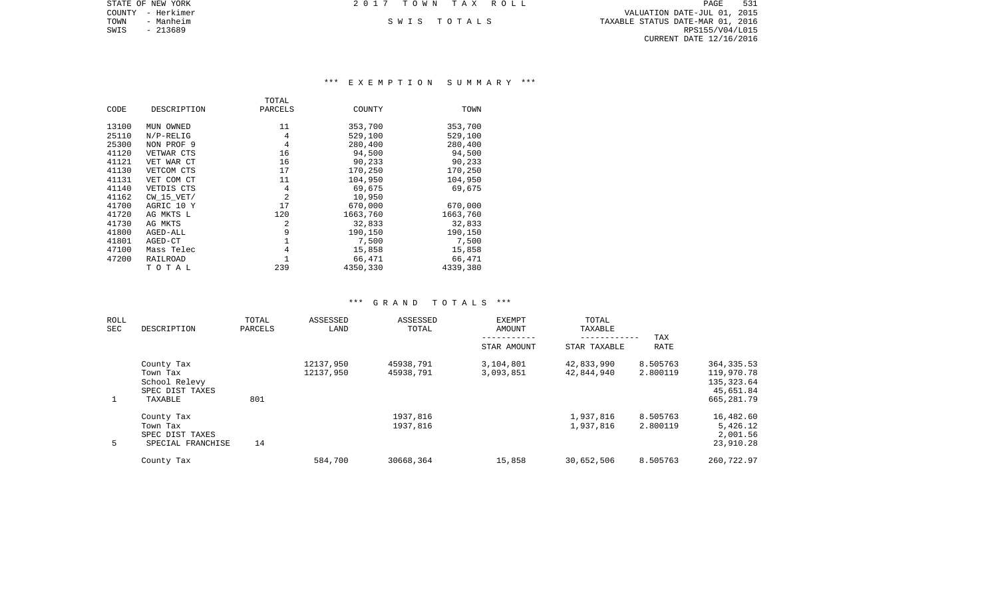| STATE OF NEW YORK |                   | 2017 TOWN TAX ROLL |             |                                  | PAGE            | 531 |
|-------------------|-------------------|--------------------|-------------|----------------------------------|-----------------|-----|
|                   | COUNTY - Herkimer |                    |             | VALUATION DATE-JUL 01, 2015      |                 |     |
| TOWN              | - Manheim         |                    | SWIS TOTALS | TAXABLE STATUS DATE-MAR 01, 2016 |                 |     |
| SWIS              | - 213689          |                    |             |                                  | RPS155/V04/L015 |     |
|                   |                   |                    |             | CURRENT DATE 12/16/2016          |                 |     |
|                   |                   |                    |             |                                  |                 |     |

## \*\*\* E X E M P T I O N S U M M A R Y \*\*\*

|       |                | TOTAL   |          |          |
|-------|----------------|---------|----------|----------|
| CODE  | DESCRIPTION    | PARCELS | COUNTY   | TOWN     |
| 13100 | MUN OWNED      | 11      | 353,700  | 353,700  |
| 25110 | $N/P-RELLIG$   | 4       | 529,100  | 529,100  |
| 25300 | NON PROF 9     | 4       | 280,400  | 280,400  |
| 41120 | VETWAR CTS     | 16      | 94,500   | 94,500   |
| 41121 | VET WAR CT     | 16      | 90,233   | 90,233   |
| 41130 | VETCOM CTS     | 17      | 170,250  | 170,250  |
| 41131 | VET COM CT     | 11      | 104,950  | 104,950  |
| 41140 | VETDIS CTS     | 4       | 69,675   | 69,675   |
| 41162 | $CW$ 15 $VET/$ | 2       | 10,950   |          |
| 41700 | AGRIC 10 Y     | 17      | 670,000  | 670,000  |
| 41720 | AG MKTS L      | 120     | 1663,760 | 1663,760 |
| 41730 | AG MKTS        | 2       | 32,833   | 32,833   |
| 41800 | AGED-ALL       | 9       | 190,150  | 190,150  |
| 41801 | AGED-CT        |         | 7,500    | 7,500    |
| 47100 | Mass Telec     | 4       | 15,858   | 15,858   |
| 47200 | RAILROAD       |         | 66,471   | 66,471   |
|       | TOTAL          | 239     | 4350,330 | 4339,380 |

| <b>ROLL</b><br>SEC | DESCRIPTION                                                           | TOTAL<br>PARCELS | ASSESSED<br>LAND       | ASSESSED<br>TOTAL      | <b>EXEMPT</b><br>AMOUNT | TOTAL<br>TAXABLE         | TAX                  |                                                                     |
|--------------------|-----------------------------------------------------------------------|------------------|------------------------|------------------------|-------------------------|--------------------------|----------------------|---------------------------------------------------------------------|
|                    |                                                                       |                  |                        |                        | STAR AMOUNT             | STAR TAXABLE             | RATE                 |                                                                     |
| 1                  | County Tax<br>Town Tax<br>School Relevy<br>SPEC DIST TAXES<br>TAXABLE | 801              | 12137,950<br>12137,950 | 45938,791<br>45938,791 | 3,104,801<br>3,093,851  | 42,833,990<br>42,844,940 | 8.505763<br>2.800119 | 364, 335.53<br>119,970.78<br>135, 323.64<br>45,651.84<br>665,281.79 |
| 5                  | County Tax<br>Town Tax<br>SPEC DIST TAXES<br>SPECIAL FRANCHISE        | 14               |                        | 1937,816<br>1937,816   |                         | 1,937,816<br>1,937,816   | 8.505763<br>2.800119 | 16,482.60<br>5,426.12<br>2,001.56<br>23,910.28                      |
|                    | County Tax                                                            |                  | 584,700                | 30668,364              | 15,858                  | 30,652,506               | 8.505763             | 260,722.97                                                          |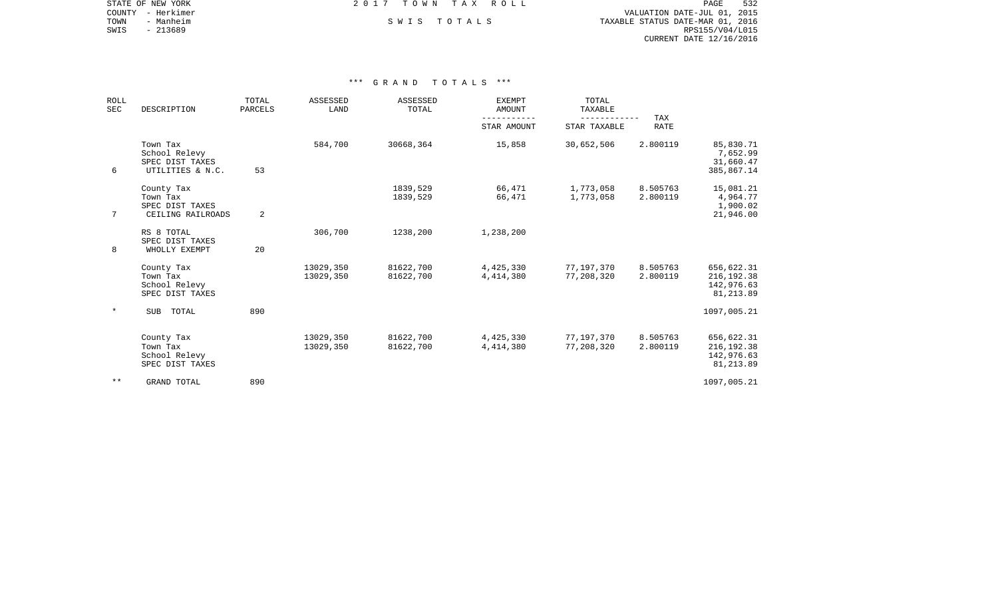|      | STATE OF NEW YORK | 2017 TOWN TAX ROLL |             |                                  | PAGE                        | 532 |
|------|-------------------|--------------------|-------------|----------------------------------|-----------------------------|-----|
|      | COUNTY - Herkimer |                    |             |                                  | VALUATION DATE-JUL 01, 2015 |     |
| TOWN | - Manheim         |                    | SWIS TOTALS | TAXABLE STATUS DATE-MAR 01, 2016 |                             |     |
| SWIS | - 213689          |                    |             |                                  | RPS155/V04/L015             |     |
|      |                   |                    |             |                                  | CURRENT DATE 12/16/2016     |     |

| <b>ROLL</b><br><b>SEC</b> | DESCRIPTION                                                      | TOTAL<br>PARCELS | <b>ASSESSED</b><br>LAND | <b>ASSESSED</b><br>TOTAL | <b>EXEMPT</b><br>AMOUNT  | TOTAL<br>TAXABLE<br>--------- | TAX                  |                                                       |
|---------------------------|------------------------------------------------------------------|------------------|-------------------------|--------------------------|--------------------------|-------------------------------|----------------------|-------------------------------------------------------|
|                           |                                                                  |                  |                         |                          | STAR AMOUNT              | STAR TAXABLE                  | <b>RATE</b>          |                                                       |
| 6                         | Town Tax<br>School Relevy<br>SPEC DIST TAXES<br>UTILITIES & N.C. | 53               | 584,700                 | 30668,364                | 15,858                   | 30,652,506                    | 2.800119             | 85,830.71<br>7,652.99<br>31,660.47<br>385,867.14      |
| 7                         | County Tax<br>Town Tax<br>SPEC DIST TAXES<br>CEILING RAILROADS   | $\overline{a}$   |                         | 1839,529<br>1839,529     | 66,471<br>66,471         | 1,773,058<br>1,773,058        | 8.505763<br>2.800119 | 15,081.21<br>4,964.77<br>1,900.02<br>21,946.00        |
| 8                         | RS 8 TOTAL<br>SPEC DIST TAXES<br>WHOLLY EXEMPT                   | 20               | 306,700                 | 1238,200                 | 1,238,200                |                               |                      |                                                       |
|                           | County Tax<br>Town Tax<br>School Relevy<br>SPEC DIST TAXES       |                  | 13029,350<br>13029,350  | 81622,700<br>81622,700   | 4,425,330<br>4,414,380   | 77,197,370<br>77,208,320      | 8.505763<br>2.800119 | 656,622.31<br>216, 192.38<br>142,976.63<br>81, 213.89 |
| $\star$                   | TOTAL<br><b>SUB</b>                                              | 890              |                         |                          |                          |                               |                      | 1097,005.21                                           |
|                           | County Tax<br>Town Tax<br>School Relevy<br>SPEC DIST TAXES       |                  | 13029,350<br>13029,350  | 81622,700<br>81622,700   | 4,425,330<br>4, 414, 380 | 77,197,370<br>77,208,320      | 8.505763<br>2.800119 | 656,622.31<br>216, 192.38<br>142,976.63<br>81, 213.89 |
| $* *$                     | GRAND TOTAL                                                      | 890              |                         |                          |                          |                               |                      | 1097,005.21                                           |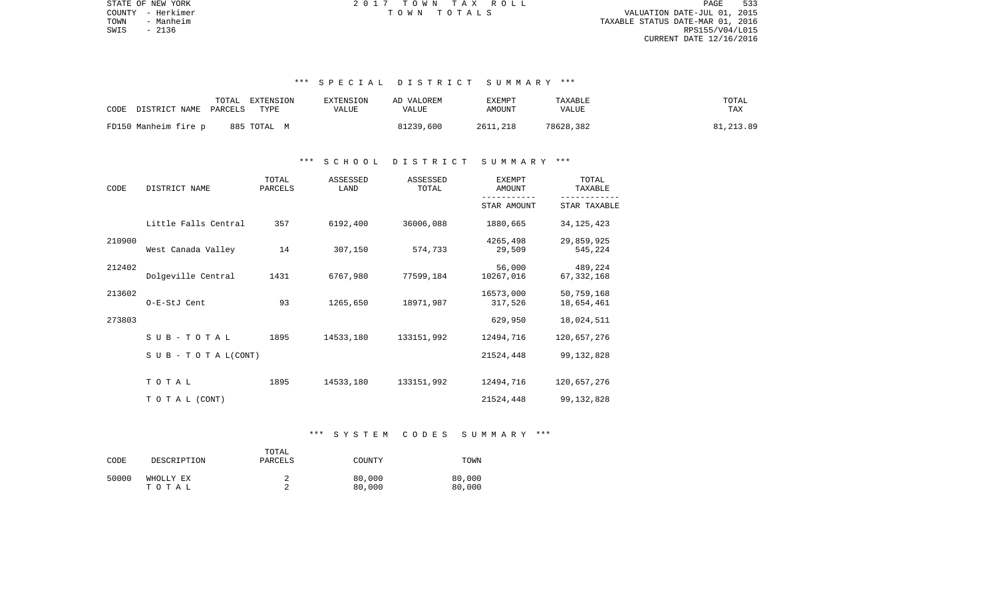PAGE 533 TOWN - Manheim TAXABLE STATUS DATE-MAR 01, 2016  $\texttt{SWIS}$  - 2136 RPS155/V04/L015 CURRENT DATE 12/16/2016

STATE OF NEW YORK 2 0 1 7 T O W N T A X R O L L PAGE 533COUNTY - Herkimer T O W N T O T A L S VALUATION DATE-JUL 01, 2015

# \*\*\* S P E C I A L D I S T R I C T S U M M A R Y \*\*\*

| TOTAL<br>CODE<br>DISTRICT NAME PARCELS | EXTENSION<br>EXTENSION<br>TYPE<br>VALUE | AD VALOREM<br><b>VALUE</b> | EXEMPT<br>AMOUNT | TAXABLE<br>VALUE | TOTAL<br>TAX |
|----------------------------------------|-----------------------------------------|----------------------------|------------------|------------------|--------------|
| FD150 Manheim fire p<br>885 TOTAL M    |                                         | 81239,600                  | 2611,218         | 78628,382        | 81, 213, 89  |

### \*\*\* S C H O O L D I S T R I C T S U M M A R Y \*\*\*

| CODE   | DISTRICT NAME                    | TOTAL<br>PARCELS | ASSESSED<br>LAND | ASSESSED<br>TOTAL | <b>EXEMPT</b><br>AMOUNT | TOTAL<br>TAXABLE         |  |
|--------|----------------------------------|------------------|------------------|-------------------|-------------------------|--------------------------|--|
|        |                                  |                  |                  |                   | STAR AMOUNT             | STAR TAXABLE             |  |
|        | Little Falls Central             | 357              | 6192,400         | 36006,088         | 1880,665                | 34, 125, 423             |  |
| 210900 | West Canada Valley               | 14               | 307,150          | 574,733           | 4265,498<br>29,509      | 29,859,925<br>545,224    |  |
| 212402 | Dolgeville Central               | 1431             | 6767,980         | 77599,184         | 56,000<br>10267,016     | 489,224<br>67, 332, 168  |  |
| 213602 | O-E-StJ Cent                     | 93               | 1265,650         | 18971,987         | 16573,000<br>317,526    | 50,759,168<br>18,654,461 |  |
| 273803 |                                  |                  |                  |                   | 629,950                 | 18,024,511               |  |
|        | SUB-TOTAL                        | 1895             | 14533,180        | 133151,992        | 12494,716               | 120,657,276              |  |
|        | $S \cup B - T \cup T A L (CONT)$ |                  |                  |                   | 21524,448               | 99, 132, 828             |  |
|        | TOTAL                            | 1895             | 14533,180        | 133151,992        | 12494,716               | 120,657,276              |  |
|        | TO TAL (CONT)                    |                  |                  |                   | 21524,448               | 99, 132, 828             |  |

#### \*\*\* S Y S T E M C O D E S S U M M A R Y \*\*\*

| CODE  | DESCRIPTION | TOTAL<br>PARCELS | COUNTY | TOWN   |
|-------|-------------|------------------|--------|--------|
| 50000 | WHOLLY EX   |                  | 80,000 | 80,000 |
|       | тотаь       |                  | 80,000 | 80,000 |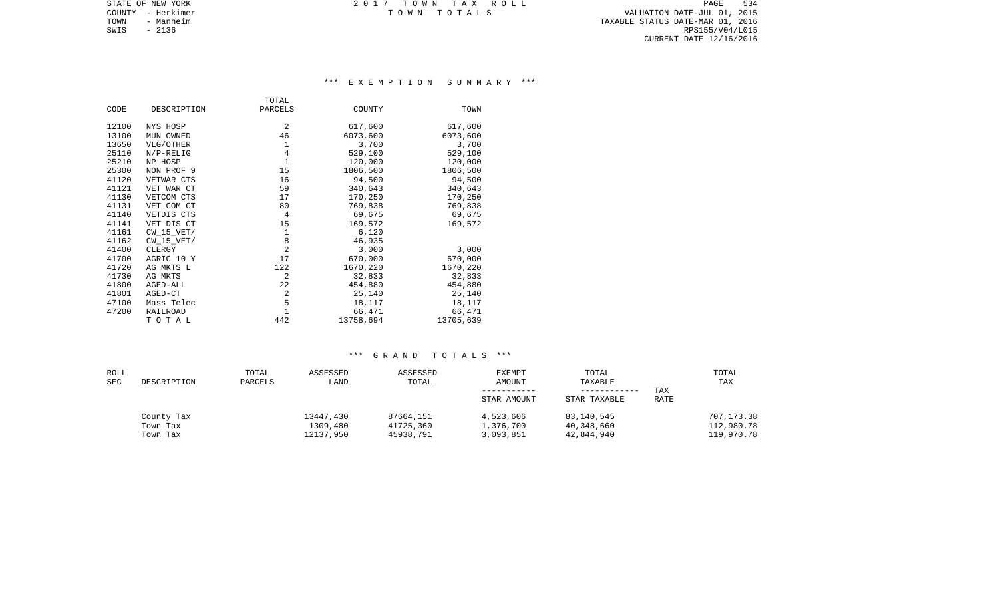COUNTY - Herkimer T O W N T O T A L S VALUATION DATE-JUL 01, 2015 TOWN - Manheim TAXABLE STATUS DATE-MAR 01, 2016  $\texttt{SWIS}$  - 2136 RPS155/V04/L015 CURRENT DATE 12/16/2016

STATE OF NEW YORK **EXECUTE:**  $2017$  TOWN TAX ROLL

## \*\*\* E X E M P T I O N S U M M A R Y \*\*\*

|       |                | TOTAL          |           |           |
|-------|----------------|----------------|-----------|-----------|
| CODE  | DESCRIPTION    | PARCELS        | COUNTY    | TOWN      |
|       |                |                |           |           |
| 12100 | NYS HOSP       | 2              | 617,600   | 617,600   |
| 13100 | MUN OWNED      | 46             | 6073,600  | 6073,600  |
| 13650 | VLG/OTHER      | 1              | 3,700     | 3,700     |
| 25110 | $N/P-RELIG$    | $\overline{4}$ | 529,100   | 529,100   |
| 25210 | NP HOSP        | $\mathbf{1}$   | 120,000   | 120,000   |
| 25300 | NON PROF 9     | 15             | 1806,500  | 1806,500  |
| 41120 | VETWAR CTS     | 16             | 94,500    | 94,500    |
| 41121 | VET WAR CT     | 59             | 340,643   | 340,643   |
| 41130 | VETCOM CTS     | 17             | 170,250   | 170,250   |
| 41131 | VET COM CT     | 80             | 769,838   | 769,838   |
| 41140 | VETDIS CTS     | 4              | 69,675    | 69,675    |
| 41141 | VET DIS CT     | 15             | 169,572   | 169,572   |
| 41161 | $CW_15_VET/$   | $\mathbf{1}$   | 6,120     |           |
| 41162 | $CW$ 15 $VET/$ | 8              | 46,935    |           |
| 41400 | CLERGY         | 2              | 3,000     | 3,000     |
| 41700 | AGRIC 10 Y     | 17             | 670,000   | 670,000   |
| 41720 | AG MKTS L      | 122            | 1670,220  | 1670,220  |
| 41730 | AG MKTS        | 2              | 32,833    | 32,833    |
| 41800 | AGED-ALL       | 22             | 454,880   | 454,880   |
| 41801 | AGED-CT        | $\overline{2}$ | 25,140    | 25,140    |
| 47100 | Mass Telec     | 5              | 18,117    | 18,117    |
| 47200 | RAILROAD       | $\mathbf{1}$   | 66,471    | 66,471    |
|       | TOTAL          | 442            | 13758,694 | 13705,639 |

| ROLL<br><b>SEC</b> | DESCRIPTION                        | TOTAL<br>PARCELS | ASSESSED<br>LAND                   | ASSESSED<br>TOTAL                   | <b>EXEMPT</b><br><b>AMOUNT</b><br>STAR AMOUNT | TOTAL<br>TAXABLE<br>STAR TAXABLE       | TAX<br>RATE | TOTAL<br>TAX                           |
|--------------------|------------------------------------|------------------|------------------------------------|-------------------------------------|-----------------------------------------------|----------------------------------------|-------------|----------------------------------------|
|                    | County Tax<br>Town Tax<br>Town Tax |                  | 13447,430<br>1309,480<br>12137,950 | 87664,151<br>41725,360<br>45938,791 | 4,523,606<br>1,376,700<br>3,093,851           | 83,140,545<br>40,348,660<br>42,844,940 |             | 707,173.38<br>112,980.78<br>119,970.78 |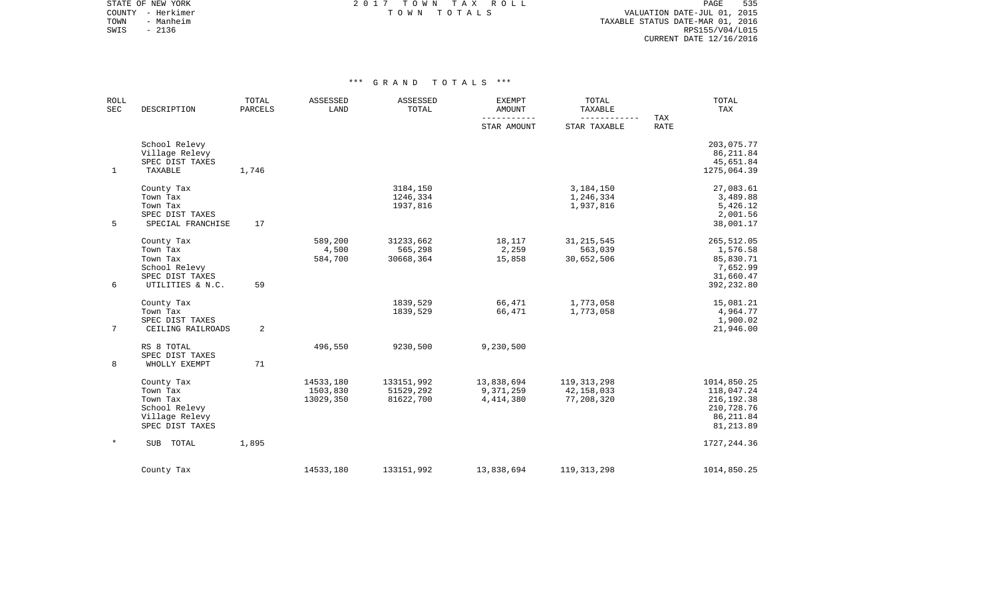STATE OF NEW YORK **EXECUTE:**  $2017$  TOWN TAX ROLL COUNTY - Herkimer T O W N T O T A L S VALUATION DATE-JUL 01, 2015

TOWN - Manheim TAXABLE STATUS DATE-MAR 01, 2016 SWIS - Manheim - Ambre 1988 Manheim - 2136 Panner (1999) - 2136 Panner (1999) - 2136 Panner (1999) - 2136 Panne<br>SWIS - 2136 RPS155/V04/L015 CURRENT DATE 12/16/2016

| <b>ROLL</b><br>SEC | DESCRIPTION       | TOTAL<br><b>PARCELS</b> | ASSESSED<br>LAND | ASSESSED<br>TOTAL | <b>EXEMPT</b><br><b>AMOUNT</b> | TOTAL<br>TAXABLE             |                    | TOTAL<br>TAX |
|--------------------|-------------------|-------------------------|------------------|-------------------|--------------------------------|------------------------------|--------------------|--------------|
|                    |                   |                         |                  |                   | ___________<br>STAR AMOUNT     | ------------<br>STAR TAXABLE | TAX<br><b>RATE</b> |              |
|                    | School Relevy     |                         |                  |                   |                                |                              |                    | 203,075.77   |
|                    | Village Relevy    |                         |                  |                   |                                |                              |                    | 86, 211.84   |
|                    | SPEC DIST TAXES   |                         |                  |                   |                                |                              |                    | 45,651.84    |
| $\mathbf{1}$       | TAXABLE           | 1,746                   |                  |                   |                                |                              |                    | 1275,064.39  |
|                    | County Tax        |                         |                  | 3184,150          |                                | 3,184,150                    |                    | 27,083.61    |
|                    | Town Tax          |                         |                  | 1246,334          |                                | 1,246,334                    |                    | 3,489.88     |
|                    | Town Tax          |                         |                  | 1937,816          |                                | 1,937,816                    |                    | 5,426.12     |
|                    | SPEC DIST TAXES   |                         |                  |                   |                                |                              |                    | 2,001.56     |
| 5                  | SPECIAL FRANCHISE | 17                      |                  |                   |                                |                              |                    | 38,001.17    |
|                    | County Tax        |                         | 589,200          | 31233,662         | 18,117                         | 31, 215, 545                 |                    | 265,512.05   |
|                    | Town Tax          |                         | 4,500            | 565,298           | 2,259                          | 563,039                      |                    | 1,576.58     |
|                    | Town Tax          |                         | 584,700          | 30668,364         | 15,858                         | 30,652,506                   |                    | 85,830.71    |
|                    | School Relevy     |                         |                  |                   |                                |                              |                    | 7,652.99     |
|                    | SPEC DIST TAXES   |                         |                  |                   |                                |                              |                    | 31,660.47    |
| 6                  | UTILITIES & N.C.  | 59                      |                  |                   |                                |                              |                    | 392,232.80   |
|                    | County Tax        |                         |                  | 1839,529          | 66,471                         | 1,773,058                    |                    | 15,081.21    |
|                    | Town Tax          |                         |                  | 1839,529          | 66,471                         | 1,773,058                    |                    | 4,964.77     |
|                    | SPEC DIST TAXES   |                         |                  |                   |                                |                              |                    | 1,900.02     |
| $7\overline{ }$    | CEILING RAILROADS | 2                       |                  |                   |                                |                              |                    | 21,946.00    |
|                    | RS 8 TOTAL        |                         | 496,550          | 9230,500          | 9,230,500                      |                              |                    |              |
|                    | SPEC DIST TAXES   |                         |                  |                   |                                |                              |                    |              |
| 8                  | WHOLLY EXEMPT     | 71                      |                  |                   |                                |                              |                    |              |
|                    | County Tax        |                         | 14533,180        | 133151,992        | 13,838,694                     | 119, 313, 298                |                    | 1014,850.25  |
|                    | Town Tax          |                         | 1503,830         | 51529,292         | 9,371,259                      | 42,158,033                   |                    | 118,047.24   |
|                    | Town Tax          |                         | 13029,350        | 81622,700         | 4, 414, 380                    | 77,208,320                   |                    | 216, 192.38  |
|                    | School Relevy     |                         |                  |                   |                                |                              |                    | 210,728.76   |
|                    | Village Relevy    |                         |                  |                   |                                |                              |                    | 86,211.84    |
|                    | SPEC DIST TAXES   |                         |                  |                   |                                |                              |                    | 81, 213.89   |
| $\star$            | SUB TOTAL         | 1,895                   |                  |                   |                                |                              |                    | 1727, 244.36 |
|                    | County Tax        |                         | 14533,180        | 133151,992        | 13,838,694                     | 119, 313, 298                |                    | 1014,850.25  |